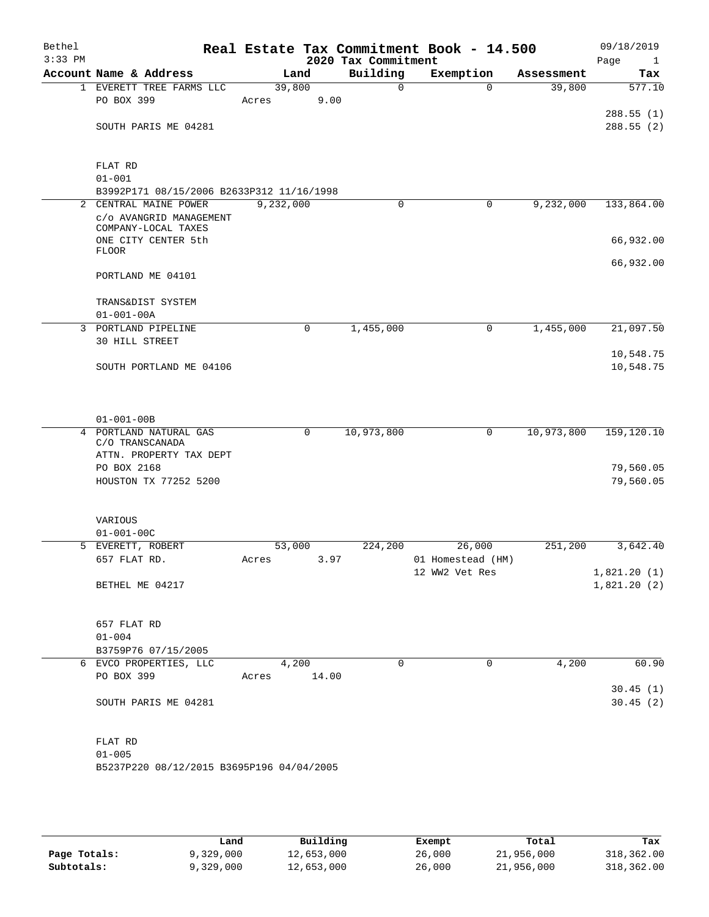| Bethel<br>$3:33$ PM |                                                         |             |      | 2020 Tax Commitment | Real Estate Tax Commitment Book - 14.500 |            | 09/18/2019<br>Page<br>$\mathbf{1}$ |
|---------------------|---------------------------------------------------------|-------------|------|---------------------|------------------------------------------|------------|------------------------------------|
|                     | Account Name & Address                                  | Land        |      | Building            | Exemption                                | Assessment | Tax                                |
|                     | 1 EVERETT TREE FARMS LLC                                | 39,800      |      | $\Omega$            | $\Omega$                                 | 39,800     | 577.10                             |
|                     | PO BOX 399                                              | Acres       | 9.00 |                     |                                          |            |                                    |
|                     | SOUTH PARIS ME 04281                                    |             |      |                     |                                          |            | 288.55(1)<br>288.55(2)             |
|                     |                                                         |             |      |                     |                                          |            |                                    |
|                     | FLAT RD                                                 |             |      |                     |                                          |            |                                    |
|                     | $01 - 001$                                              |             |      |                     |                                          |            |                                    |
|                     | B3992P171 08/15/2006 B2633P312 11/16/1998               |             |      |                     |                                          |            |                                    |
| $\overline{a}$      | CENTRAL MAINE POWER                                     | 9,232,000   |      | 0                   | 0                                        | 9,232,000  | 133,864.00                         |
|                     | c/o AVANGRID MANAGEMENT<br>COMPANY-LOCAL TAXES          |             |      |                     |                                          |            |                                    |
|                     | ONE CITY CENTER 5th<br><b>FLOOR</b>                     |             |      |                     |                                          |            | 66,932.00                          |
|                     | PORTLAND ME 04101                                       |             |      |                     |                                          |            | 66,932.00                          |
|                     | TRANS&DIST SYSTEM                                       |             |      |                     |                                          |            |                                    |
|                     | $01 - 001 - 00A$                                        |             |      |                     |                                          |            |                                    |
|                     | 3 PORTLAND PIPELINE                                     |             | 0    | 1,455,000           | 0                                        | 1,455,000  | 21,097.50                          |
|                     | 30 HILL STREET                                          |             |      |                     |                                          |            | 10,548.75                          |
|                     | SOUTH PORTLAND ME 04106                                 |             |      |                     |                                          |            | 10,548.75                          |
|                     | $01 - 001 - 00B$                                        |             |      |                     |                                          |            |                                    |
|                     | 4 PORTLAND NATURAL GAS                                  |             | 0    | 10,973,800          | 0                                        | 10,973,800 | 159, 120.10                        |
|                     | C/O TRANSCANADA                                         |             |      |                     |                                          |            |                                    |
|                     | ATTN. PROPERTY TAX DEPT                                 |             |      |                     |                                          |            |                                    |
|                     | PO BOX 2168<br>HOUSTON TX 77252 5200                    |             |      |                     |                                          |            | 79,560.05<br>79,560.05             |
|                     |                                                         |             |      |                     |                                          |            |                                    |
|                     | VARIOUS                                                 |             |      |                     |                                          |            |                                    |
|                     | $01 - 001 - 00C$                                        |             |      |                     |                                          |            |                                    |
|                     | 5 EVERETT, ROBERT                                       | 53,000      |      | 224,200             | 26,000                                   | 251,200    | 3,642.40                           |
|                     | 657 FLAT RD.                                            | Acres 3.97  |      |                     | 01 Homestead (HM)                        |            |                                    |
|                     |                                                         |             |      |                     | 12 WW2 Vet Res                           |            | 1,821.20(1)                        |
|                     | BETHEL ME 04217                                         |             |      |                     |                                          |            | 1,821.20(2)                        |
|                     | 657 FLAT RD                                             |             |      |                     |                                          |            |                                    |
|                     | $01 - 004$                                              |             |      |                     |                                          |            |                                    |
|                     | B3759P76 07/15/2005                                     |             |      |                     |                                          |            |                                    |
|                     | 6 EVCO PROPERTIES, LLC                                  | 4,200       |      | $\mathbf 0$         | $\mathbf 0$                              | 4,200      | 60.90                              |
|                     | PO BOX 399                                              | Acres 14.00 |      |                     |                                          |            | 30.45(1)                           |
|                     | SOUTH PARIS ME 04281                                    |             |      |                     |                                          |            | 30.45(2)                           |
|                     | FLAT RD                                                 |             |      |                     |                                          |            |                                    |
|                     | $01 - 005$<br>B5237P220 08/12/2015 B3695P196 04/04/2005 |             |      |                     |                                          |            |                                    |
|                     |                                                         |             |      |                     |                                          |            |                                    |

|              | Land      | Building   | Exempt | Total      | Tax        |
|--------------|-----------|------------|--------|------------|------------|
| Page Totals: | 9,329,000 | 12,653,000 | 26,000 | 21,956,000 | 318,362.00 |
| Subtotals:   | 9,329,000 | 12,653,000 | 26,000 | 21,956,000 | 318,362.00 |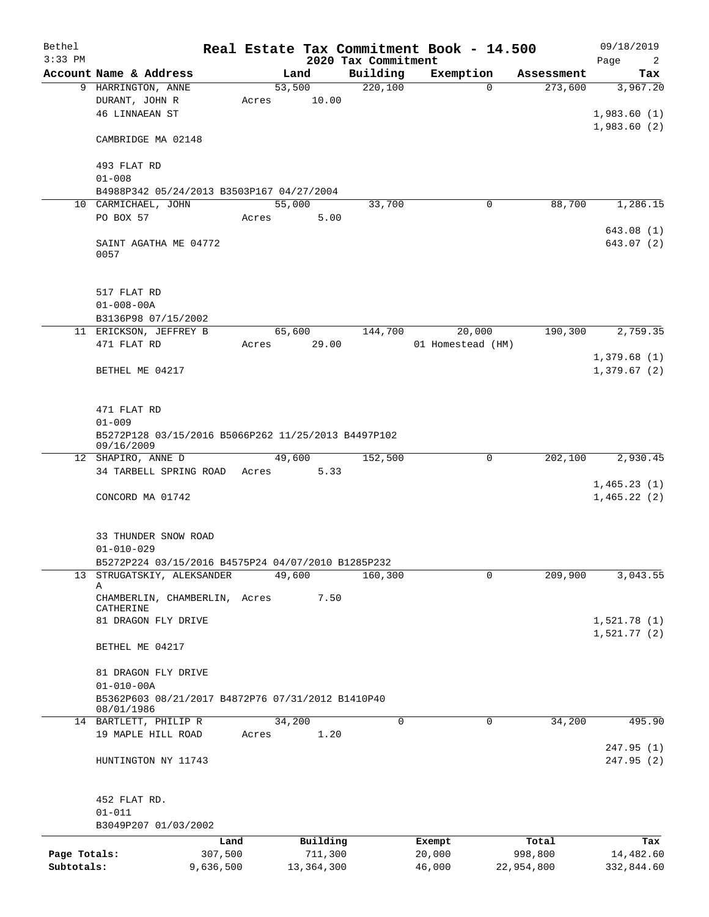| Bethel<br>$3:33$ PM |                                                                   |       |              | 2020 Tax Commitment | Real Estate Tax Commitment Book - 14.500 |            | 09/18/2019<br>Page<br>$\overline{2}$ |  |  |  |
|---------------------|-------------------------------------------------------------------|-------|--------------|---------------------|------------------------------------------|------------|--------------------------------------|--|--|--|
|                     | Account Name & Address                                            |       | Land         | Building            | Exemption                                | Assessment | Tax                                  |  |  |  |
|                     | 9 HARRINGTON, ANNE                                                |       | 53,500       | 220,100             | $\Omega$                                 | 273,600    | 3,967.20                             |  |  |  |
|                     | DURANT, JOHN R                                                    | Acres | 10.00        |                     |                                          |            |                                      |  |  |  |
|                     | <b>46 LINNAEAN ST</b>                                             |       |              |                     |                                          |            | 1,983.60(1)                          |  |  |  |
|                     |                                                                   |       |              |                     |                                          |            | 1,983.60(2)                          |  |  |  |
|                     | CAMBRIDGE MA 02148                                                |       |              |                     |                                          |            |                                      |  |  |  |
|                     | 493 FLAT RD                                                       |       |              |                     |                                          |            |                                      |  |  |  |
|                     | $01 - 008$                                                        |       |              |                     |                                          |            |                                      |  |  |  |
|                     | B4988P342 05/24/2013 B3503P167 04/27/2004                         |       |              |                     |                                          |            |                                      |  |  |  |
|                     | 10 CARMICHAEL, JOHN                                               |       | 55,000       | 33,700              | 0                                        | 88,700     | 1,286.15                             |  |  |  |
|                     | PO BOX 57                                                         | Acres | 5.00         |                     |                                          |            |                                      |  |  |  |
|                     | SAINT AGATHA ME 04772<br>0057                                     |       |              |                     |                                          |            | 643.08 (1)<br>643.07 (2)             |  |  |  |
|                     | 517 FLAT RD<br>$01 - 008 - 00A$                                   |       |              |                     |                                          |            |                                      |  |  |  |
|                     | B3136P98 07/15/2002                                               |       |              |                     |                                          |            |                                      |  |  |  |
|                     | 11 ERICKSON, JEFFREY B                                            |       | 65,600       | 144,700             | 20,000                                   | 190,300    | 2,759.35                             |  |  |  |
|                     | 471 FLAT RD                                                       | Acres | 29.00        |                     | 01 Homestead (HM)                        |            |                                      |  |  |  |
|                     |                                                                   |       |              |                     |                                          |            | 1,379.68(1)                          |  |  |  |
|                     | BETHEL ME 04217                                                   |       |              |                     |                                          |            | 1,379.67(2)                          |  |  |  |
|                     |                                                                   |       |              |                     |                                          |            |                                      |  |  |  |
|                     | 471 FLAT RD                                                       |       |              |                     |                                          |            |                                      |  |  |  |
|                     | $01 - 009$<br>B5272P128 03/15/2016 B5066P262 11/25/2013 B4497P102 |       |              |                     |                                          |            |                                      |  |  |  |
|                     | 09/16/2009                                                        |       |              |                     |                                          |            |                                      |  |  |  |
|                     | 12 SHAPIRO, ANNE D                                                |       | 49,600       | 152,500             | 0                                        | 202,100    | 2,930.45                             |  |  |  |
|                     | 34 TARBELL SPRING ROAD                                            | Acres | 5.33         |                     |                                          |            |                                      |  |  |  |
|                     |                                                                   |       |              |                     |                                          |            | 1,465.23(1)                          |  |  |  |
|                     | CONCORD MA 01742                                                  |       |              |                     |                                          |            | 1,465.22(2)                          |  |  |  |
|                     |                                                                   |       |              |                     |                                          |            |                                      |  |  |  |
|                     |                                                                   |       |              |                     |                                          |            |                                      |  |  |  |
|                     | 33 THUNDER SNOW ROAD                                              |       |              |                     |                                          |            |                                      |  |  |  |
|                     | $01 - 010 - 029$                                                  |       |              |                     |                                          |            |                                      |  |  |  |
|                     | B5272P224 03/15/2016 B4575P24 04/07/2010 B1285P232                |       |              |                     |                                          |            |                                      |  |  |  |
|                     | 13 STRUGATSKIY, ALEKSANDER                                        |       | 49,600       | 160,300             | 0                                        | 209,900    | 3,043.55                             |  |  |  |
|                     | Α<br>CHAMBERLIN, CHAMBERLIN, Acres<br>CATHERINE                   |       | 7.50         |                     |                                          |            |                                      |  |  |  |
|                     | 81 DRAGON FLY DRIVE                                               |       |              |                     |                                          |            | 1,521.78(1)                          |  |  |  |
|                     |                                                                   |       |              |                     |                                          |            | 1,521.77(2)                          |  |  |  |
|                     | BETHEL ME 04217                                                   |       |              |                     |                                          |            |                                      |  |  |  |
|                     | 81 DRAGON FLY DRIVE                                               |       |              |                     |                                          |            |                                      |  |  |  |
|                     | $01 - 010 - 00A$                                                  |       |              |                     |                                          |            |                                      |  |  |  |
|                     | B5362P603 08/21/2017 B4872P76 07/31/2012 B1410P40                 |       |              |                     |                                          |            |                                      |  |  |  |
|                     | 08/01/1986                                                        |       |              |                     |                                          |            |                                      |  |  |  |
|                     | 14 BARTLETT, PHILIP R                                             |       | 34,200       | $\Omega$            | 0                                        | 34,200     | 495.90                               |  |  |  |
|                     | 19 MAPLE HILL ROAD                                                | Acres | 1.20         |                     |                                          |            |                                      |  |  |  |
|                     |                                                                   |       |              |                     |                                          |            | 247.95(1)                            |  |  |  |
|                     | HUNTINGTON NY 11743                                               |       |              |                     |                                          |            | 247.95(2)                            |  |  |  |
|                     | 452 FLAT RD.                                                      |       |              |                     |                                          |            |                                      |  |  |  |
|                     | $01 - 011$                                                        |       |              |                     |                                          |            |                                      |  |  |  |
|                     | B3049P207 01/03/2002                                              |       |              |                     |                                          |            |                                      |  |  |  |
|                     |                                                                   | Land  | Building     |                     | Exempt                                   | Total      | Tax                                  |  |  |  |
| Page Totals:        | 307,500                                                           |       | 711,300      |                     | 20,000                                   | 998,800    | 14,482.60                            |  |  |  |
| Subtotals:          | 9,636,500                                                         |       | 13, 364, 300 |                     | 46,000                                   | 22,954,800 | 332,844.60                           |  |  |  |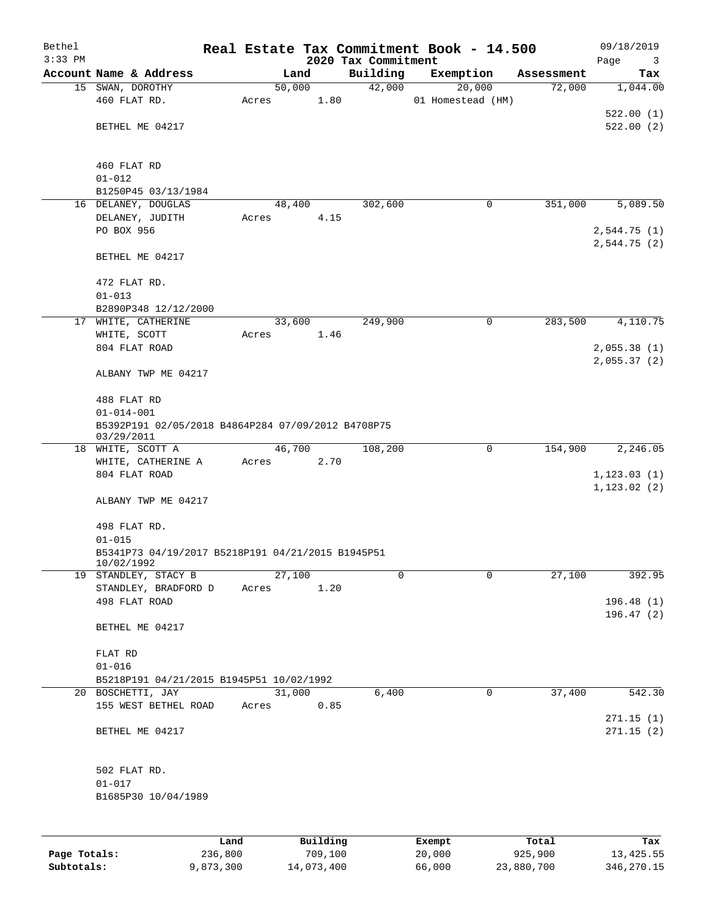| Bethel       |                                                        |           |       |        |            |                     | Real Estate Tax Commitment Book - 14.500 |   |            | 09/18/2019   |
|--------------|--------------------------------------------------------|-----------|-------|--------|------------|---------------------|------------------------------------------|---|------------|--------------|
| $3:33$ PM    |                                                        |           |       |        |            | 2020 Tax Commitment |                                          |   |            | Page<br>3    |
|              | Account Name & Address                                 |           |       | Land   |            | Building            | Exemption                                |   | Assessment | Tax          |
|              | 15 SWAN, DOROTHY<br>460 FLAT RD.                       |           | Acres | 50,000 | 1.80       | 42,000              | 20,000<br>01 Homestead (HM)              |   | 72,000     | 1,044.00     |
|              |                                                        |           |       |        |            |                     |                                          |   |            | 522.00(1)    |
|              | BETHEL ME 04217                                        |           |       |        |            |                     |                                          |   |            | 522.00(2)    |
|              |                                                        |           |       |        |            |                     |                                          |   |            |              |
|              |                                                        |           |       |        |            |                     |                                          |   |            |              |
|              | 460 FLAT RD<br>$01 - 012$                              |           |       |        |            |                     |                                          |   |            |              |
|              | B1250P45 03/13/1984                                    |           |       |        |            |                     |                                          |   |            |              |
|              | 16 DELANEY, DOUGLAS                                    |           |       | 48,400 |            | 302,600             |                                          | 0 | 351,000    | 5,089.50     |
|              | DELANEY, JUDITH                                        |           | Acres |        | 4.15       |                     |                                          |   |            |              |
|              | PO BOX 956                                             |           |       |        |            |                     |                                          |   |            | 2,544.75(1)  |
|              |                                                        |           |       |        |            |                     |                                          |   |            | 2,544.75(2)  |
|              | BETHEL ME 04217                                        |           |       |        |            |                     |                                          |   |            |              |
|              | 472 FLAT RD.                                           |           |       |        |            |                     |                                          |   |            |              |
|              | $01 - 013$                                             |           |       |        |            |                     |                                          |   |            |              |
|              | B2890P348 12/12/2000                                   |           |       |        |            |                     |                                          |   |            |              |
|              | 17 WHITE, CATHERINE                                    |           |       | 33,600 |            | 249,900             |                                          | 0 | 283,500    | 4,110.75     |
|              | WHITE, SCOTT                                           |           | Acres |        | 1.46       |                     |                                          |   |            |              |
|              | 804 FLAT ROAD                                          |           |       |        |            |                     |                                          |   |            | 2,055.38(1)  |
|              |                                                        |           |       |        |            |                     |                                          |   |            | 2,055.37(2)  |
|              | ALBANY TWP ME 04217                                    |           |       |        |            |                     |                                          |   |            |              |
|              | 488 FLAT RD                                            |           |       |        |            |                     |                                          |   |            |              |
|              | $01 - 014 - 001$                                       |           |       |        |            |                     |                                          |   |            |              |
|              | B5392P191 02/05/2018 B4864P284 07/09/2012 B4708P75     |           |       |        |            |                     |                                          |   |            |              |
|              | 03/29/2011                                             |           |       |        |            |                     |                                          |   |            |              |
|              | 18 WHITE, SCOTT A                                      |           |       | 46,700 |            | 108,200             |                                          | 0 | 154,900    | 2,246.05     |
|              | WHITE, CATHERINE A                                     |           | Acres |        | 2.70       |                     |                                          |   |            |              |
|              | 804 FLAT ROAD                                          |           |       |        |            |                     |                                          |   |            | 1, 123.03(1) |
|              | ALBANY TWP ME 04217                                    |           |       |        |            |                     |                                          |   |            | 1, 123.02(2) |
|              |                                                        |           |       |        |            |                     |                                          |   |            |              |
|              | 498 FLAT RD.                                           |           |       |        |            |                     |                                          |   |            |              |
|              | $01 - 015$                                             |           |       |        |            |                     |                                          |   |            |              |
|              | B5341P73 04/19/2017 B5218P191 04/21/2015 B1945P51      |           |       |        |            |                     |                                          |   |            |              |
| 19           | 10/02/1992<br>STANDLEY, STACY B                        |           |       | 27,100 |            | 0                   |                                          | 0 | 27,100     | 392.95       |
|              | STANDLEY, BRADFORD D                                   |           | Acres |        | 1.20       |                     |                                          |   |            |              |
|              | 498 FLAT ROAD                                          |           |       |        |            |                     |                                          |   |            | 196.48(1)    |
|              |                                                        |           |       |        |            |                     |                                          |   |            | 196.47(2)    |
|              | BETHEL ME 04217                                        |           |       |        |            |                     |                                          |   |            |              |
|              |                                                        |           |       |        |            |                     |                                          |   |            |              |
|              | FLAT RD                                                |           |       |        |            |                     |                                          |   |            |              |
|              | $01 - 016$<br>B5218P191 04/21/2015 B1945P51 10/02/1992 |           |       |        |            |                     |                                          |   |            |              |
|              | 20 BOSCHETTI, JAY                                      |           |       | 31,000 |            | 6,400               |                                          | 0 | 37,400     | 542.30       |
|              | 155 WEST BETHEL ROAD                                   |           | Acres |        | 0.85       |                     |                                          |   |            |              |
|              |                                                        |           |       |        |            |                     |                                          |   |            | 271.15(1)    |
|              | BETHEL ME 04217                                        |           |       |        |            |                     |                                          |   |            | 271.15(2)    |
|              |                                                        |           |       |        |            |                     |                                          |   |            |              |
|              | 502 FLAT RD.                                           |           |       |        |            |                     |                                          |   |            |              |
|              | $01 - 017$                                             |           |       |        |            |                     |                                          |   |            |              |
|              | B1685P30 10/04/1989                                    |           |       |        |            |                     |                                          |   |            |              |
|              |                                                        |           |       |        |            |                     |                                          |   |            |              |
|              |                                                        |           |       |        |            |                     |                                          |   |            |              |
|              |                                                        | Land      |       |        | Building   |                     | Exempt                                   |   | Total      | Tax          |
| Page Totals: |                                                        | 236,800   |       |        | 709,100    |                     | 20,000                                   |   | 925,900    | 13, 425.55   |
| Subtotals:   |                                                        | 9,873,300 |       |        | 14,073,400 |                     | 66,000                                   |   | 23,880,700 | 346, 270. 15 |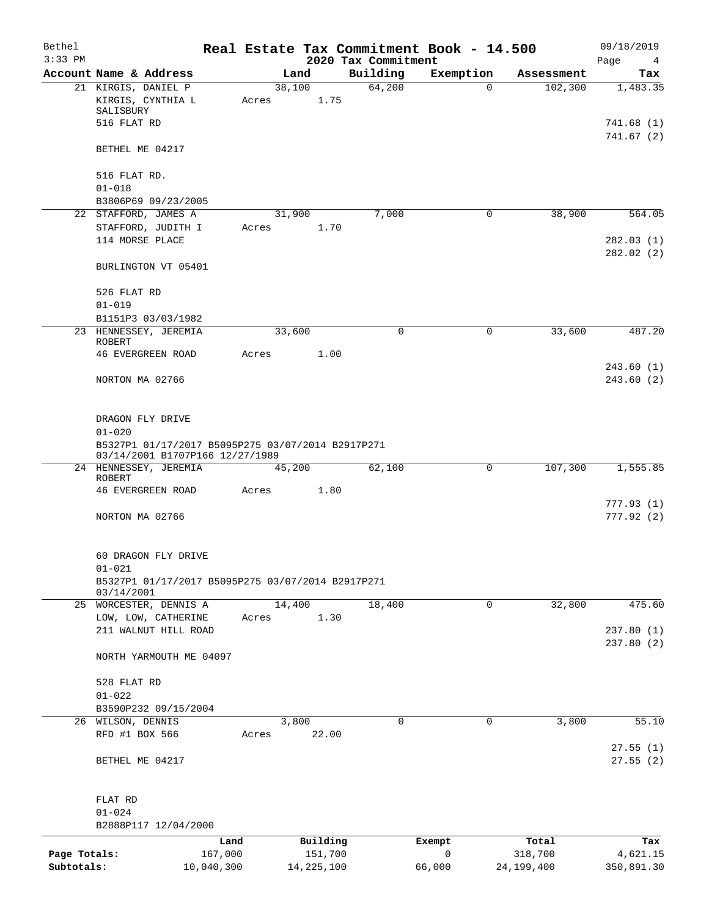| Bethel<br>$3:33$ PM |                                                                                      |                 |                     |                                 | Real Estate Tax Commitment Book - 14.500 |                  | 09/18/2019              |
|---------------------|--------------------------------------------------------------------------------------|-----------------|---------------------|---------------------------------|------------------------------------------|------------------|-------------------------|
|                     | Account Name & Address                                                               |                 | Land                | 2020 Tax Commitment<br>Building | Exemption                                | Assessment       | Page<br>4<br>Tax        |
|                     | 21 KIRGIS, DANIEL P                                                                  |                 | 38,100              | 64,200                          | $\mathbf 0$                              | 102,300          | 1,483.35                |
|                     | KIRGIS, CYNTHIA L<br>SALISBURY                                                       | Acres           |                     | 1.75                            |                                          |                  |                         |
|                     | 516 FLAT RD                                                                          |                 |                     |                                 |                                          |                  | 741.68 (1)<br>741.67(2) |
|                     | BETHEL ME 04217                                                                      |                 |                     |                                 |                                          |                  |                         |
|                     | 516 FLAT RD.                                                                         |                 |                     |                                 |                                          |                  |                         |
|                     | $01 - 018$<br>B3806P69 09/23/2005                                                    |                 |                     |                                 |                                          |                  |                         |
|                     | 22 STAFFORD, JAMES A                                                                 |                 | 31,900              | 7,000                           | 0                                        | 38,900           | 564.05                  |
|                     | STAFFORD, JUDITH I                                                                   | Acres           |                     | 1.70                            |                                          |                  |                         |
|                     | 114 MORSE PLACE                                                                      |                 |                     |                                 |                                          |                  | 282.03(1)<br>282.02(2)  |
|                     | BURLINGTON VT 05401                                                                  |                 |                     |                                 |                                          |                  |                         |
|                     | 526 FLAT RD                                                                          |                 |                     |                                 |                                          |                  |                         |
|                     | $01 - 019$                                                                           |                 |                     |                                 |                                          |                  |                         |
|                     | B1151P3 03/03/1982                                                                   |                 |                     |                                 |                                          |                  |                         |
|                     | 23 HENNESSEY, JEREMIA<br><b>ROBERT</b>                                               |                 | 33,600              | $\mathbf 0$                     | $\mathbf 0$                              | 33,600           | 487.20                  |
|                     | <b>46 EVERGREEN ROAD</b>                                                             | Acres           |                     | 1.00                            |                                          |                  | 243.60(1)               |
|                     | NORTON MA 02766                                                                      |                 |                     |                                 |                                          |                  | 243.60(2)               |
|                     | DRAGON FLY DRIVE                                                                     |                 |                     |                                 |                                          |                  |                         |
|                     | $01 - 020$                                                                           |                 |                     |                                 |                                          |                  |                         |
|                     | B5327P1 01/17/2017 B5095P275 03/07/2014 B2917P271<br>03/14/2001 B1707P166 12/27/1989 |                 |                     |                                 |                                          |                  |                         |
|                     | 24 HENNESSEY, JEREMIA<br>ROBERT                                                      |                 | 45,200              | 62,100                          | 0                                        | 107,300          | 1,555.85                |
|                     | <b>46 EVERGREEN ROAD</b>                                                             | Acres           |                     | 1.80                            |                                          |                  |                         |
|                     | NORTON MA 02766                                                                      |                 |                     |                                 |                                          |                  | 777.93(1)<br>777.92(2)  |
|                     | 60 DRAGON FLY DRIVE<br>$01 - 021$                                                    |                 |                     |                                 |                                          |                  |                         |
|                     | B5327P1 01/17/2017 B5095P275 03/07/2014 B2917P271<br>03/14/2001                      |                 |                     |                                 |                                          |                  |                         |
|                     | 25 WORCESTER, DENNIS A                                                               |                 | 14,400              | 18,400                          | 0                                        | 32,800           | 475.60                  |
|                     | LOW, LOW, CATHERINE<br>211 WALNUT HILL ROAD                                          | Acres           |                     | 1.30                            |                                          |                  | 237.80(1)               |
|                     | NORTH YARMOUTH ME 04097                                                              |                 |                     |                                 |                                          |                  | 237.80(2)               |
|                     |                                                                                      |                 |                     |                                 |                                          |                  |                         |
|                     | 528 FLAT RD<br>$01 - 022$                                                            |                 |                     |                                 |                                          |                  |                         |
|                     | B3590P232 09/15/2004                                                                 |                 |                     |                                 |                                          |                  |                         |
|                     | 26 WILSON, DENNIS                                                                    |                 | 3,800               | 0                               | $\mathbf 0$                              | 3,800            | 55.10                   |
|                     | RFD #1 BOX 566                                                                       | Acres           | 22.00               |                                 |                                          |                  |                         |
|                     | BETHEL ME 04217                                                                      |                 |                     |                                 |                                          |                  | 27.55(1)<br>27.55(2)    |
|                     | FLAT RD                                                                              |                 |                     |                                 |                                          |                  |                         |
|                     | $01 - 024$                                                                           |                 |                     |                                 |                                          |                  |                         |
|                     | B2888P117 12/04/2000                                                                 |                 |                     |                                 |                                          |                  |                         |
| Page Totals:        |                                                                                      | Land<br>167,000 | Building<br>151,700 |                                 | Exempt<br>0                              | Total<br>318,700 | Tax<br>4,621.15         |
| Subtotals:          |                                                                                      | 10,040,300      | 14, 225, 100        |                                 | 66,000                                   | 24,199,400       | 350,891.30              |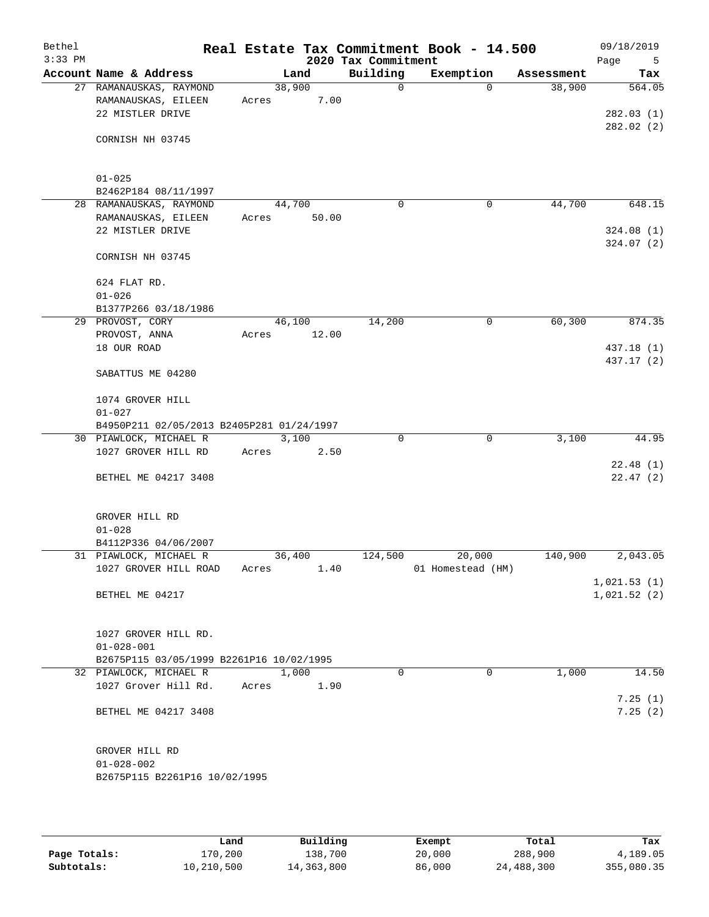| Bethel<br>$3:33$ PM |                                                                    |       |        |       | 2020 Tax Commitment | Real Estate Tax Commitment Book - 14.500 |            | 09/18/2019<br>Page<br>5 |
|---------------------|--------------------------------------------------------------------|-------|--------|-------|---------------------|------------------------------------------|------------|-------------------------|
|                     | Account Name & Address                                             |       | Land   |       | Building            | Exemption                                | Assessment | Tax                     |
|                     | 27 RAMANAUSKAS, RAYMOND<br>RAMANAUSKAS, EILEEN<br>22 MISTLER DRIVE | Acres | 38,900 | 7.00  | $\mathsf{O}$        | $\Omega$                                 | 38,900     | 564.05<br>282.03(1)     |
|                     | CORNISH NH 03745                                                   |       |        |       |                     |                                          |            | 282.02(2)               |
|                     | $01 - 025$                                                         |       |        |       |                     |                                          |            |                         |
|                     | B2462P184 08/11/1997                                               |       |        |       |                     |                                          |            |                         |
|                     | 28 RAMANAUSKAS, RAYMOND                                            |       | 44,700 |       | 0                   | 0                                        | 44,700     | 648.15                  |
|                     | RAMANAUSKAS, EILEEN<br>22 MISTLER DRIVE                            | Acres |        | 50.00 |                     |                                          |            | 324.08(1)               |
|                     | CORNISH NH 03745                                                   |       |        |       |                     |                                          |            | 324.07(2)               |
|                     | 624 FLAT RD.<br>$01 - 026$                                         |       |        |       |                     |                                          |            |                         |
|                     | B1377P266 03/18/1986                                               |       |        |       |                     |                                          |            |                         |
|                     | 29 PROVOST, CORY                                                   |       | 46,100 |       | 14,200              | 0                                        | 60,300     | 874.35                  |
|                     | PROVOST, ANNA<br>18 OUR ROAD                                       | Acres |        | 12.00 |                     |                                          |            | 437.18 (1)              |
|                     |                                                                    |       |        |       |                     |                                          |            | 437.17 (2)              |
|                     | SABATTUS ME 04280                                                  |       |        |       |                     |                                          |            |                         |
|                     | 1074 GROVER HILL<br>$01 - 027$                                     |       |        |       |                     |                                          |            |                         |
|                     | B4950P211 02/05/2013 B2405P281 01/24/1997                          |       |        |       |                     |                                          |            |                         |
|                     | 30 PIAWLOCK, MICHAEL R                                             |       | 3,100  |       | $\Omega$            | $\mathbf 0$                              | 3,100      | 44.95                   |
|                     | 1027 GROVER HILL RD                                                | Acres |        | 2.50  |                     |                                          |            |                         |
|                     | BETHEL ME 04217 3408                                               |       |        |       |                     |                                          |            | 22.48(1)<br>22.47(2)    |
|                     |                                                                    |       |        |       |                     |                                          |            |                         |
|                     | GROVER HILL RD<br>$01 - 028$                                       |       |        |       |                     |                                          |            |                         |
|                     | B4112P336 04/06/2007                                               |       |        |       |                     |                                          |            |                         |
|                     | 31 PIAWLOCK, MICHAEL R                                             |       | 36,400 |       | 124,500             | 20,000                                   | 140,900    | 2,043.05                |
|                     | 1027 GROVER HILL ROAD                                              | Acres |        | 1.40  |                     | 01 Homestead (HM)                        |            | 1,021.53(1)             |
|                     | BETHEL ME 04217                                                    |       |        |       |                     |                                          |            | 1,021.52(2)             |
|                     | 1027 GROVER HILL RD.                                               |       |        |       |                     |                                          |            |                         |
|                     | $01 - 028 - 001$                                                   |       |        |       |                     |                                          |            |                         |
|                     | B2675P115 03/05/1999 B2261P16 10/02/1995<br>32 PIAWLOCK, MICHAEL R |       | 1,000  |       | $\Omega$            | $\Omega$                                 | 1,000      | 14.50                   |
|                     | 1027 Grover Hill Rd.                                               | Acres |        | 1.90  |                     |                                          |            | 7.25(1)                 |
|                     | BETHEL ME 04217 3408                                               |       |        |       |                     |                                          |            | 7.25(2)                 |
|                     | GROVER HILL RD                                                     |       |        |       |                     |                                          |            |                         |
|                     | $01 - 028 - 002$                                                   |       |        |       |                     |                                          |            |                         |
|                     | B2675P115 B2261P16 10/02/1995                                      |       |        |       |                     |                                          |            |                         |
|                     |                                                                    |       |        |       |                     |                                          |            |                         |

|              | Land       | Building   | Exempt | Total      | Tax        |
|--------------|------------|------------|--------|------------|------------|
| Page Totals: | 170,200    | 138,700    | 20,000 | 288,900    | 4,189.05   |
| Subtotals:   | 10,210,500 | 14,363,800 | 86,000 | 24,488,300 | 355,080.35 |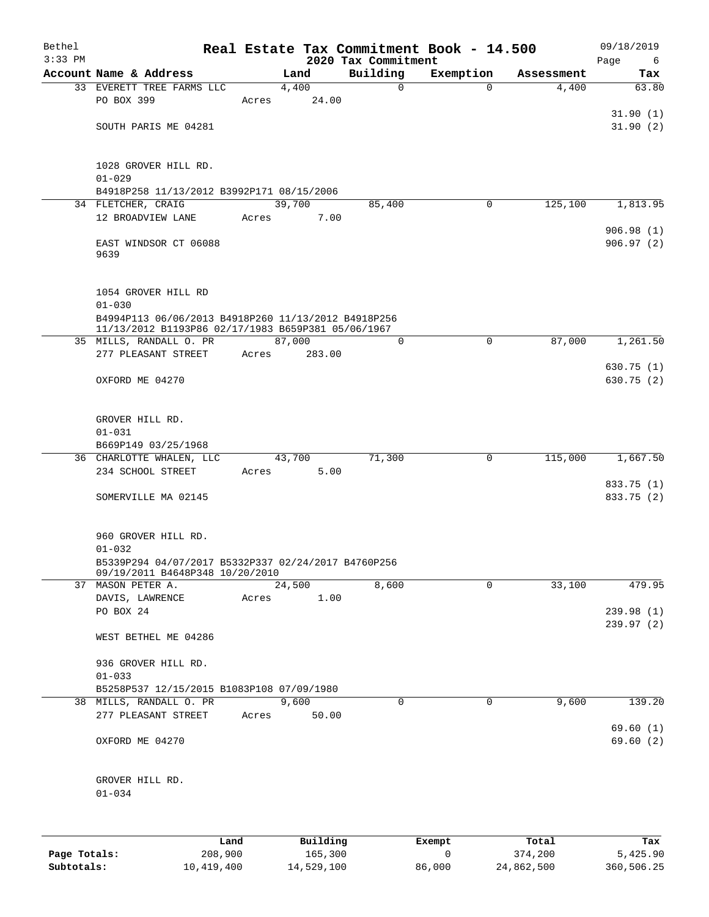| Bethel<br>$3:33$ PM |                                                                                          |       |          | 2020 Tax Commitment | Real Estate Tax Commitment Book - 14.500 |            | 09/18/2019<br>Page     |
|---------------------|------------------------------------------------------------------------------------------|-------|----------|---------------------|------------------------------------------|------------|------------------------|
|                     | Account Name & Address                                                                   |       | Land     | Building            | Exemption                                | Assessment | 6<br>Tax               |
|                     | 33 EVERETT TREE FARMS LLC                                                                |       | 4,400    | $\mathbf 0$         | $\Omega$                                 | 4,400      | 63.80                  |
|                     | PO BOX 399                                                                               | Acres | 24.00    |                     |                                          |            |                        |
|                     |                                                                                          |       |          |                     |                                          |            | 31.90(1)               |
|                     | SOUTH PARIS ME 04281                                                                     |       |          |                     |                                          |            | 31.90(2)               |
|                     | 1028 GROVER HILL RD.<br>$01 - 029$                                                       |       |          |                     |                                          |            |                        |
|                     | B4918P258 11/13/2012 B3992P171 08/15/2006                                                |       |          |                     |                                          |            |                        |
|                     | 34 FLETCHER, CRAIG                                                                       |       | 39,700   | 85,400              | $\mathbf 0$                              | 125,100    | 1,813.95               |
|                     | 12 BROADVIEW LANE                                                                        | Acres | 7.00     |                     |                                          |            |                        |
|                     | EAST WINDSOR CT 06088<br>9639                                                            |       |          |                     |                                          |            | 906.98(1)<br>906.97(2) |
|                     | 1054 GROVER HILL RD<br>$01 - 030$                                                        |       |          |                     |                                          |            |                        |
|                     | B4994P113 06/06/2013 B4918P260 11/13/2012 B4918P256                                      |       |          |                     |                                          |            |                        |
|                     | 11/13/2012 B1193P86 02/17/1983 B659P381 05/06/1967                                       |       |          |                     |                                          |            |                        |
|                     | 35 MILLS, RANDALL O. PR                                                                  |       | 87,000   | $\Omega$            | $\Omega$                                 | 87,000     | 1,261.50               |
|                     | 277 PLEASANT STREET                                                                      | Acres | 283.00   |                     |                                          |            | 630.75(1)              |
|                     | OXFORD ME 04270                                                                          |       |          |                     |                                          |            | 630.75(2)              |
|                     | GROVER HILL RD.<br>$01 - 031$<br>B669P149 03/25/1968                                     |       |          |                     |                                          |            |                        |
|                     | 36 CHARLOTTE WHALEN, LLC                                                                 |       | 43,700   | 71,300              | $\mathbf 0$                              | 115,000    | 1,667.50               |
|                     | 234 SCHOOL STREET                                                                        | Acres | 5.00     |                     |                                          |            | 833.75 (1)             |
|                     | SOMERVILLE MA 02145                                                                      |       |          |                     |                                          |            | 833.75 (2)             |
|                     | 960 GROVER HILL RD.<br>$01 - 032$<br>B5339P294 04/07/2017 B5332P337 02/24/2017 B4760P256 |       |          |                     |                                          |            |                        |
|                     | 09/19/2011 B4648P348 10/20/2010                                                          |       |          |                     |                                          |            |                        |
|                     | 37 MASON PETER A.                                                                        |       | 24,500   | 8,600               | $\mathbf 0$                              | 33,100     | 479.95                 |
|                     | DAVIS, LAWRENCE                                                                          | Acres | 1.00     |                     |                                          |            |                        |
|                     | PO BOX 24                                                                                |       |          |                     |                                          |            | 239.98(1)              |
|                     | WEST BETHEL ME 04286                                                                     |       |          |                     |                                          |            | 239.97(2)              |
|                     | 936 GROVER HILL RD.                                                                      |       |          |                     |                                          |            |                        |
|                     | $01 - 033$                                                                               |       |          |                     |                                          |            |                        |
|                     | B5258P537 12/15/2015 B1083P108 07/09/1980                                                |       |          |                     |                                          |            |                        |
|                     | 38 MILLS, RANDALL O. PR                                                                  |       | 9,600    | 0                   | $\mathbf 0$                              | 9,600      | 139.20                 |
|                     | 277 PLEASANT STREET                                                                      | Acres | 50.00    |                     |                                          |            | 69.60(1)               |
|                     | OXFORD ME 04270                                                                          |       |          |                     |                                          |            | 69.60(2)               |
|                     | GROVER HILL RD.                                                                          |       |          |                     |                                          |            |                        |
|                     | $01 - 034$                                                                               |       |          |                     |                                          |            |                        |
|                     |                                                                                          | Land  | Building |                     | Exempt                                   | Total      | Tax                    |

|              | ∟and       | Building   | Exempt | Total      | тах        |
|--------------|------------|------------|--------|------------|------------|
| Page Totals: | 208,900    | 165,300    |        | 374,200    | 5,425.90   |
| Subtotals:   | 10,419,400 | 14,529,100 | 86,000 | 24,862,500 | 360,506.25 |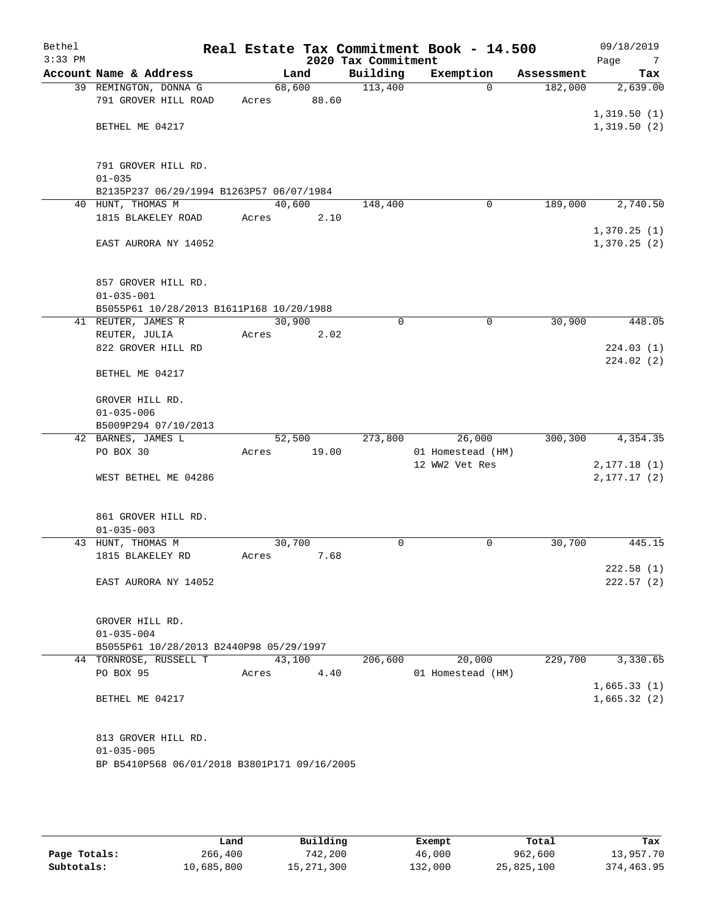| Bethel<br>$3:33$ PM |                                              |        |        | 2020 Tax Commitment | Real Estate Tax Commitment Book - 14.500 |            | 09/18/2019<br>Page<br>$\overline{7}$ |
|---------------------|----------------------------------------------|--------|--------|---------------------|------------------------------------------|------------|--------------------------------------|
|                     | Account Name & Address                       |        | Land   | Building            | Exemption                                | Assessment | Tax                                  |
|                     | 39 REMINGTON, DONNA G                        |        | 68,600 | 113,400             | $\Omega$                                 | 182,000    | 2,639.00                             |
|                     | 791 GROVER HILL ROAD                         | Acres  | 88.60  |                     |                                          |            |                                      |
|                     |                                              |        |        |                     |                                          |            | 1,319.50(1)                          |
|                     | BETHEL ME 04217                              |        |        |                     |                                          |            | 1,319.50(2)                          |
|                     | 791 GROVER HILL RD.                          |        |        |                     |                                          |            |                                      |
|                     | $01 - 035$                                   |        |        |                     |                                          |            |                                      |
|                     | B2135P237 06/29/1994 B1263P57 06/07/1984     |        |        |                     |                                          |            |                                      |
|                     | 40 HUNT, THOMAS M                            | 40,600 |        | 148,400             | $\mathbf 0$                              | 189,000    | 2,740.50                             |
|                     | 1815 BLAKELEY ROAD                           | Acres  | 2.10   |                     |                                          |            |                                      |
|                     |                                              |        |        |                     |                                          |            | 1,370.25(1)                          |
|                     | EAST AURORA NY 14052                         |        |        |                     |                                          |            | 1,370.25(2)                          |
|                     | 857 GROVER HILL RD.                          |        |        |                     |                                          |            |                                      |
|                     | $01 - 035 - 001$                             |        |        |                     |                                          |            |                                      |
|                     | B5055P61 10/28/2013 B1611P168 10/20/1988     |        |        |                     |                                          |            |                                      |
|                     | 41 REUTER, JAMES R                           | 30,900 |        | 0                   | 0                                        | 30,900     | 448.05                               |
|                     | REUTER, JULIA                                | Acres  | 2.02   |                     |                                          |            |                                      |
|                     | 822 GROVER HILL RD                           |        |        |                     |                                          |            | 224.03(1)                            |
|                     |                                              |        |        |                     |                                          |            | 224.02(2)                            |
|                     | BETHEL ME 04217                              |        |        |                     |                                          |            |                                      |
|                     | GROVER HILL RD.                              |        |        |                     |                                          |            |                                      |
|                     | $01 - 035 - 006$                             |        |        |                     |                                          |            |                                      |
|                     | B5009P294 07/10/2013                         |        |        |                     |                                          |            |                                      |
|                     | 42 BARNES, JAMES L                           | 52,500 |        | 273,800             | 26,000                                   | 300,300    | 4,354.35                             |
|                     | PO BOX 30                                    | Acres  | 19.00  |                     | 01 Homestead (HM)                        |            |                                      |
|                     |                                              |        |        |                     | 12 WW2 Vet Res                           |            | 2, 177.18(1)                         |
|                     | WEST BETHEL ME 04286                         |        |        |                     |                                          |            | 2, 177.17(2)                         |
|                     | 861 GROVER HILL RD.                          |        |        |                     |                                          |            |                                      |
|                     | $01 - 035 - 003$                             |        |        |                     |                                          |            |                                      |
|                     | 43 HUNT, THOMAS M                            | 30,700 |        | 0                   | 0                                        | 30,700     | 445.15                               |
|                     | 1815 BLAKELEY RD                             | Acres  | 7.68   |                     |                                          |            |                                      |
|                     |                                              |        |        |                     |                                          |            | 222.58(1)                            |
|                     | EAST AURORA NY 14052                         |        |        |                     |                                          |            | 222.57(2)                            |
|                     | GROVER HILL RD.                              |        |        |                     |                                          |            |                                      |
|                     | $01 - 035 - 004$                             |        |        |                     |                                          |            |                                      |
|                     | B5055P61 10/28/2013 B2440P98 05/29/1997      |        |        |                     |                                          |            |                                      |
|                     | 44 TORNROSE, RUSSELL T                       | 43,100 |        | 206,600             | 20,000                                   | 229,700    | 3,330.65                             |
|                     | PO BOX 95                                    | Acres  | 4.40   |                     | 01 Homestead (HM)                        |            |                                      |
|                     |                                              |        |        |                     |                                          |            | 1,665.33(1)                          |
|                     | BETHEL ME 04217                              |        |        |                     |                                          |            | 1,665.32(2)                          |
|                     | 813 GROVER HILL RD.                          |        |        |                     |                                          |            |                                      |
|                     | $01 - 035 - 005$                             |        |        |                     |                                          |            |                                      |
|                     | BP B5410P568 06/01/2018 B3801P171 09/16/2005 |        |        |                     |                                          |            |                                      |
|                     |                                              |        |        |                     |                                          |            |                                      |

|              | Land       | Building     | Exempt  | Total      | Tax        |
|--------------|------------|--------------|---------|------------|------------|
| Page Totals: | 266,400    | 742,200      | 46,000  | 962,600    | 13,957.70  |
| Subtotals:   | 10,685,800 | 15, 271, 300 | 132,000 | 25,825,100 | 374,463.95 |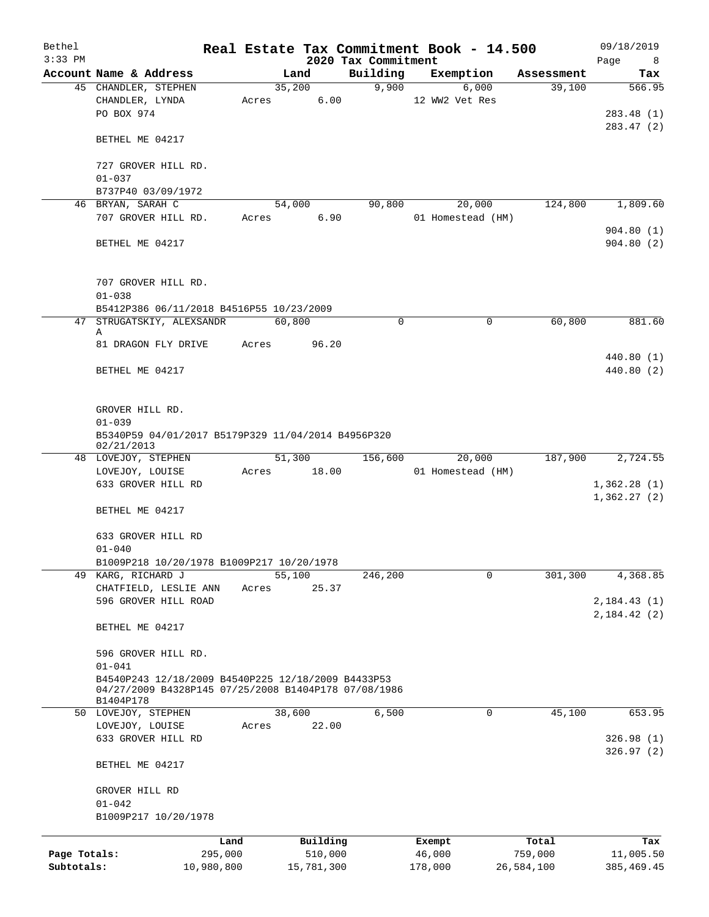| Bethel<br>$3:33$ PM |                                                                   |            |        |            | 2020 Tax Commitment | Real Estate Tax Commitment Book - 14.500 |            | 09/18/2019<br>Page<br>8 |
|---------------------|-------------------------------------------------------------------|------------|--------|------------|---------------------|------------------------------------------|------------|-------------------------|
|                     | Account Name & Address                                            |            | Land   |            | Building            | Exemption                                | Assessment | Tax                     |
|                     | 45 CHANDLER, STEPHEN                                              |            | 35,200 |            | 9,900               | 6,000                                    | 39,100     | 566.95                  |
|                     | CHANDLER, LYNDA                                                   | Acres      |        | 6.00       |                     | 12 WW2 Vet Res                           |            |                         |
|                     | PO BOX 974                                                        |            |        |            |                     |                                          |            | 283.48 (1)              |
|                     |                                                                   |            |        |            |                     |                                          |            | 283.47 (2)              |
|                     | BETHEL ME 04217                                                   |            |        |            |                     |                                          |            |                         |
|                     |                                                                   |            |        |            |                     |                                          |            |                         |
|                     | 727 GROVER HILL RD.<br>$01 - 037$                                 |            |        |            |                     |                                          |            |                         |
|                     |                                                                   |            |        |            |                     |                                          |            |                         |
|                     | B737P40 03/09/1972                                                |            |        |            |                     |                                          |            |                         |
|                     | 46 BRYAN, SARAH C                                                 |            | 54,000 |            | 90,800              | 20,000                                   | 124,800    | 1,809.60                |
|                     | 707 GROVER HILL RD.                                               |            | Acres  | 6.90       |                     | 01 Homestead (HM)                        |            |                         |
|                     |                                                                   |            |        |            |                     |                                          |            | 904.80(1)               |
|                     | BETHEL ME 04217                                                   |            |        |            |                     |                                          |            | 904.80(2)               |
|                     | 707 GROVER HILL RD.                                               |            |        |            |                     |                                          |            |                         |
|                     | $01 - 038$                                                        |            |        |            |                     |                                          |            |                         |
|                     | B5412P386 06/11/2018 B4516P55 10/23/2009                          |            |        |            |                     |                                          |            |                         |
|                     | 47 STRUGATSKIY, ALEXSANDR                                         |            | 60,800 |            | 0                   | 0                                        | 60,800     | 881.60                  |
|                     | Α                                                                 |            |        |            |                     |                                          |            |                         |
|                     | 81 DRAGON FLY DRIVE                                               | Acres      |        | 96.20      |                     |                                          |            |                         |
|                     |                                                                   |            |        |            |                     |                                          |            | 440.80 (1)              |
|                     | BETHEL ME 04217                                                   |            |        |            |                     |                                          |            | 440.80 (2)              |
|                     |                                                                   |            |        |            |                     |                                          |            |                         |
|                     |                                                                   |            |        |            |                     |                                          |            |                         |
|                     | GROVER HILL RD.                                                   |            |        |            |                     |                                          |            |                         |
|                     | $01 - 039$                                                        |            |        |            |                     |                                          |            |                         |
|                     | B5340P59 04/01/2017 B5179P329 11/04/2014 B4956P320                |            |        |            |                     |                                          |            |                         |
|                     | 02/21/2013                                                        |            |        |            |                     |                                          |            |                         |
|                     | 48 LOVEJOY, STEPHEN                                               |            |        | 51,300     | 156,600             | 20,000                                   | 187,900    | 2,724.55                |
|                     | LOVEJOY, LOUISE                                                   | Acres      |        | 18.00      |                     | 01 Homestead (HM)                        |            |                         |
|                     | 633 GROVER HILL RD                                                |            |        |            |                     |                                          |            | 1,362.28(1)             |
|                     |                                                                   |            |        |            |                     |                                          |            | 1,362.27(2)             |
|                     | BETHEL ME 04217                                                   |            |        |            |                     |                                          |            |                         |
|                     |                                                                   |            |        |            |                     |                                          |            |                         |
|                     | 633 GROVER HILL RD                                                |            |        |            |                     |                                          |            |                         |
|                     | $01 - 040$                                                        |            |        |            |                     |                                          |            |                         |
|                     |                                                                   |            |        |            |                     |                                          |            |                         |
|                     | B1009P218 10/20/1978 B1009P217 10/20/1978<br>49 KARG, RICHARD J   |            | 55,100 |            | 246,200             | 0                                        | 301,300    | 4,368.85                |
|                     |                                                                   |            |        |            |                     |                                          |            |                         |
|                     | CHATFIELD, LESLIE ANN                                             | Acres      |        | 25.37      |                     |                                          |            |                         |
|                     | 596 GROVER HILL ROAD                                              |            |        |            |                     |                                          |            | 2,184.43(1)             |
|                     |                                                                   |            |        |            |                     |                                          |            | 2,184.42(2)             |
|                     | BETHEL ME 04217                                                   |            |        |            |                     |                                          |            |                         |
|                     |                                                                   |            |        |            |                     |                                          |            |                         |
|                     | 596 GROVER HILL RD.                                               |            |        |            |                     |                                          |            |                         |
|                     | $01 - 041$                                                        |            |        |            |                     |                                          |            |                         |
|                     | B4540P243 12/18/2009 B4540P225 12/18/2009 B4433P53                |            |        |            |                     |                                          |            |                         |
|                     | 04/27/2009 B4328P145 07/25/2008 B1404P178 07/08/1986<br>B1404P178 |            |        |            |                     |                                          |            |                         |
|                     | 50 LOVEJOY, STEPHEN                                               |            | 38,600 |            | 6,500               | 0                                        | 45,100     | 653.95                  |
|                     |                                                                   |            |        | 22.00      |                     |                                          |            |                         |
|                     | LOVEJOY, LOUISE                                                   | Acres      |        |            |                     |                                          |            |                         |
|                     | 633 GROVER HILL RD                                                |            |        |            |                     |                                          |            | 326.98(1)               |
|                     | BETHEL ME 04217                                                   |            |        |            |                     |                                          |            | 326.97(2)               |
|                     | GROVER HILL RD                                                    |            |        |            |                     |                                          |            |                         |
|                     | $01 - 042$                                                        |            |        |            |                     |                                          |            |                         |
|                     | B1009P217 10/20/1978                                              |            |        |            |                     |                                          |            |                         |
|                     |                                                                   |            |        |            |                     |                                          |            |                         |
|                     |                                                                   | Land       |        | Building   |                     | Exempt                                   | Total      | Tax                     |
| Page Totals:        |                                                                   | 295,000    |        | 510,000    |                     | 46,000                                   | 759,000    | 11,005.50               |
| Subtotals:          |                                                                   | 10,980,800 |        | 15,781,300 |                     | 178,000                                  | 26,584,100 | 385, 469.45             |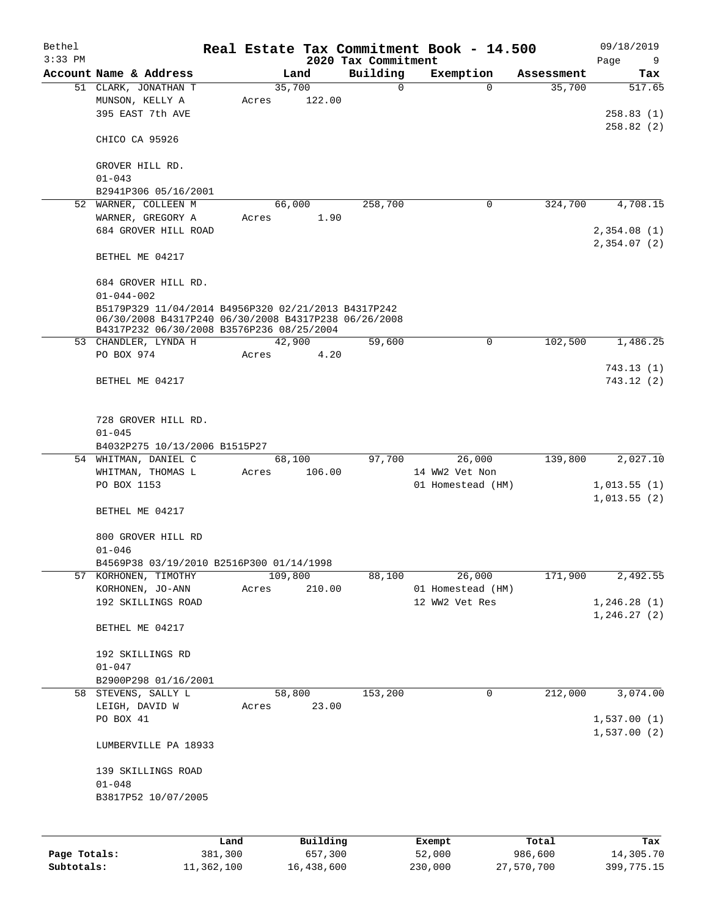| Bethel<br>$3:33$ PM |                                                      |         |         |          | Real Estate Tax Commitment Book - 14.500<br>2020 Tax Commitment |                   |          |            | 09/18/2019<br>Page<br>9 |
|---------------------|------------------------------------------------------|---------|---------|----------|-----------------------------------------------------------------|-------------------|----------|------------|-------------------------|
|                     | Account Name & Address                               |         | Land    |          | Building                                                        | Exemption         |          | Assessment | Tax                     |
|                     | 51 CLARK, JONATHAN T                                 |         | 35,700  |          | $\mathbf 0$                                                     |                   | $\Omega$ | 35,700     | 517.65                  |
|                     | MUNSON, KELLY A                                      | Acres   |         | 122.00   |                                                                 |                   |          |            |                         |
|                     | 395 EAST 7th AVE                                     |         |         |          |                                                                 |                   |          |            | 258.83(1)               |
|                     |                                                      |         |         |          |                                                                 |                   |          |            | 258.82(2)               |
|                     | CHICO CA 95926                                       |         |         |          |                                                                 |                   |          |            |                         |
|                     | GROVER HILL RD.                                      |         |         |          |                                                                 |                   |          |            |                         |
|                     | $01 - 043$                                           |         |         |          |                                                                 |                   |          |            |                         |
|                     | B2941P306 05/16/2001                                 |         |         |          |                                                                 |                   |          |            |                         |
| 52                  | WARNER, COLLEEN M                                    |         | 66,000  |          | 258,700                                                         |                   | 0        | 324,700    | 4,708.15                |
|                     | WARNER, GREGORY A                                    | Acres   |         | 1.90     |                                                                 |                   |          |            |                         |
|                     | 684 GROVER HILL ROAD                                 |         |         |          |                                                                 |                   |          |            | 2,354.08(1)             |
|                     |                                                      |         |         |          |                                                                 |                   |          |            | 2,354.07(2)             |
|                     | BETHEL ME 04217                                      |         |         |          |                                                                 |                   |          |            |                         |
|                     |                                                      |         |         |          |                                                                 |                   |          |            |                         |
|                     | 684 GROVER HILL RD.<br>$01 - 044 - 002$              |         |         |          |                                                                 |                   |          |            |                         |
|                     | B5179P329 11/04/2014 B4956P320 02/21/2013 B4317P242  |         |         |          |                                                                 |                   |          |            |                         |
|                     | 06/30/2008 B4317P240 06/30/2008 B4317P238 06/26/2008 |         |         |          |                                                                 |                   |          |            |                         |
|                     | B4317P232 06/30/2008 B3576P236 08/25/2004            |         |         |          |                                                                 |                   |          |            |                         |
|                     | 53 CHANDLER, LYNDA H                                 |         | 42,900  |          | 59,600                                                          |                   | 0        | 102,500    | 1,486.25                |
|                     | PO BOX 974                                           | Acres   |         | 4.20     |                                                                 |                   |          |            |                         |
|                     |                                                      |         |         |          |                                                                 |                   |          |            | 743.13(1)               |
|                     | BETHEL ME 04217                                      |         |         |          |                                                                 |                   |          |            | 743.12(2)               |
|                     |                                                      |         |         |          |                                                                 |                   |          |            |                         |
|                     | 728 GROVER HILL RD.<br>$01 - 045$                    |         |         |          |                                                                 |                   |          |            |                         |
|                     | B4032P275 10/13/2006 B1515P27                        |         |         |          |                                                                 |                   |          |            |                         |
|                     | 54 WHITMAN, DANIEL C                                 |         | 68,100  |          | 97,700                                                          | 26,000            |          | 139,800    | 2,027.10                |
|                     |                                                      | Acres   |         | 106.00   |                                                                 | 14 WW2 Vet Non    |          |            |                         |
|                     | WHITMAN, THOMAS L<br>PO BOX 1153                     |         |         |          |                                                                 | 01 Homestead (HM) |          |            | 1,013.55(1)             |
|                     |                                                      |         |         |          |                                                                 |                   |          |            | 1,013.55(2)             |
|                     | BETHEL ME 04217                                      |         |         |          |                                                                 |                   |          |            |                         |
|                     |                                                      |         |         |          |                                                                 |                   |          |            |                         |
|                     | 800 GROVER HILL RD                                   |         |         |          |                                                                 |                   |          |            |                         |
|                     | $01 - 046$                                           |         |         |          |                                                                 |                   |          |            |                         |
|                     | B4569P38 03/19/2010 B2516P300 01/14/1998             |         |         |          |                                                                 |                   |          |            |                         |
|                     | 57 KORHONEN, TIMOTHY                                 |         | 109,800 |          | 88,100                                                          | 26,000            |          | 171,900    | 2,492.55                |
|                     | KORHONEN, JO-ANN                                     | Acres   |         | 210.00   |                                                                 | 01 Homestead (HM) |          |            |                         |
|                     | 192 SKILLINGS ROAD                                   |         |         |          |                                                                 | 12 WW2 Vet Res    |          |            | 1, 246.28(1)            |
|                     | BETHEL ME 04217                                      |         |         |          |                                                                 |                   |          |            | 1, 246.27(2)            |
|                     |                                                      |         |         |          |                                                                 |                   |          |            |                         |
|                     | 192 SKILLINGS RD                                     |         |         |          |                                                                 |                   |          |            |                         |
|                     | $01 - 047$                                           |         |         |          |                                                                 |                   |          |            |                         |
|                     | B2900P298 01/16/2001                                 |         |         |          |                                                                 |                   | 0        |            | 3,074.00                |
|                     | 58 STEVENS, SALLY L                                  |         | 58,800  |          | 153,200                                                         |                   |          | 212,000    |                         |
|                     | LEIGH, DAVID W<br>PO BOX 41                          | Acres   |         | 23.00    |                                                                 |                   |          |            | 1,537.00(1)             |
|                     |                                                      |         |         |          |                                                                 |                   |          |            | 1,537.00(2)             |
|                     | LUMBERVILLE PA 18933                                 |         |         |          |                                                                 |                   |          |            |                         |
|                     | 139 SKILLINGS ROAD                                   |         |         |          |                                                                 |                   |          |            |                         |
|                     | $01 - 048$                                           |         |         |          |                                                                 |                   |          |            |                         |
|                     | B3817P52 10/07/2005                                  |         |         |          |                                                                 |                   |          |            |                         |
|                     |                                                      |         |         |          |                                                                 |                   |          |            |                         |
|                     |                                                      |         |         |          |                                                                 |                   |          |            |                         |
|                     |                                                      | Land    |         | Building |                                                                 | Exempt            |          | Total      | Tax                     |
| Page Totals:        |                                                      | 381,300 |         | 657,300  |                                                                 | 52,000            |          | 986,600    | 14,305.70               |

**Subtotals:** 11,362,100 16,438,600 230,000 27,570,700 399,775.15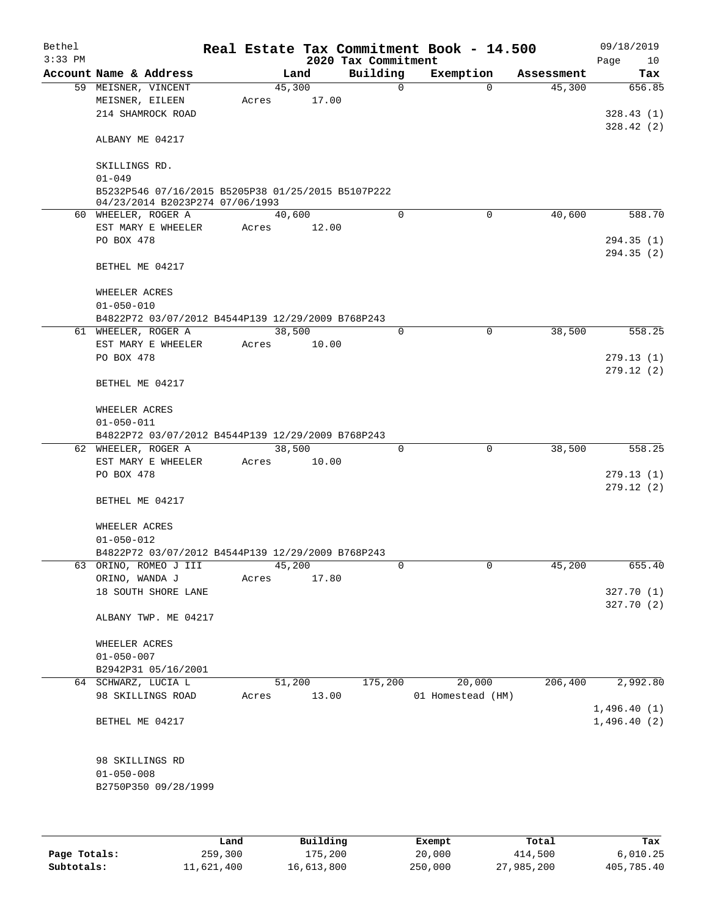| Bethel    |                                                    |       |        |       | Real Estate Tax Commitment Book - 14.500 |                   |             |            | 09/18/2019        |
|-----------|----------------------------------------------------|-------|--------|-------|------------------------------------------|-------------------|-------------|------------|-------------------|
| $3:33$ PM | Account Name & Address                             |       | Land   |       | 2020 Tax Commitment<br>Building          | Exemption         |             | Assessment | Page<br>10<br>Tax |
|           | 59 MEISNER, VINCENT                                |       | 45,300 |       | $\mathbf 0$                              |                   | $\Omega$    | 45,300     | 656.85            |
|           | MEISNER, EILEEN                                    | Acres |        | 17.00 |                                          |                   |             |            |                   |
|           | 214 SHAMROCK ROAD                                  |       |        |       |                                          |                   |             |            | 328.43(1)         |
|           |                                                    |       |        |       |                                          |                   |             |            | 328.42(2)         |
|           | ALBANY ME 04217                                    |       |        |       |                                          |                   |             |            |                   |
|           |                                                    |       |        |       |                                          |                   |             |            |                   |
|           | SKILLINGS RD.                                      |       |        |       |                                          |                   |             |            |                   |
|           | $01 - 049$                                         |       |        |       |                                          |                   |             |            |                   |
|           | B5232P546 07/16/2015 B5205P38 01/25/2015 B5107P222 |       |        |       |                                          |                   |             |            |                   |
|           | 04/23/2014 B2023P274 07/06/1993                    |       |        |       |                                          |                   |             |            |                   |
|           | 60 WHEELER, ROGER A                                |       | 40,600 |       | $\Omega$                                 |                   | 0           | 40,600     | 588.70            |
|           | EST MARY E WHEELER                                 | Acres |        | 12.00 |                                          |                   |             |            |                   |
|           | PO BOX 478                                         |       |        |       |                                          |                   |             |            | 294.35(1)         |
|           |                                                    |       |        |       |                                          |                   |             |            | 294.35 (2)        |
|           | BETHEL ME 04217                                    |       |        |       |                                          |                   |             |            |                   |
|           |                                                    |       |        |       |                                          |                   |             |            |                   |
|           | WHEELER ACRES                                      |       |        |       |                                          |                   |             |            |                   |
|           | $01 - 050 - 010$                                   |       |        |       |                                          |                   |             |            |                   |
|           | B4822P72 03/07/2012 B4544P139 12/29/2009 B768P243  |       |        |       | $\mathbf 0$                              |                   | $\mathbf 0$ |            | 558.25            |
|           | 61 WHEELER, ROGER A                                |       | 38,500 |       |                                          |                   |             | 38,500     |                   |
|           | EST MARY E WHEELER<br>PO BOX 478                   | Acres |        | 10.00 |                                          |                   |             |            | 279.13(1)         |
|           |                                                    |       |        |       |                                          |                   |             |            | 279.12(2)         |
|           | BETHEL ME 04217                                    |       |        |       |                                          |                   |             |            |                   |
|           |                                                    |       |        |       |                                          |                   |             |            |                   |
|           | WHEELER ACRES                                      |       |        |       |                                          |                   |             |            |                   |
|           | $01 - 050 - 011$                                   |       |        |       |                                          |                   |             |            |                   |
|           | B4822P72 03/07/2012 B4544P139 12/29/2009 B768P243  |       |        |       |                                          |                   |             |            |                   |
|           | 62 WHEELER, ROGER A                                |       | 38,500 |       | 0                                        |                   | 0           | 38,500     | 558.25            |
|           | EST MARY E WHEELER                                 | Acres |        | 10.00 |                                          |                   |             |            |                   |
|           | PO BOX 478                                         |       |        |       |                                          |                   |             |            | 279.13(1)         |
|           |                                                    |       |        |       |                                          |                   |             |            | 279.12(2)         |
|           | BETHEL ME 04217                                    |       |        |       |                                          |                   |             |            |                   |
|           |                                                    |       |        |       |                                          |                   |             |            |                   |
|           | WHEELER ACRES                                      |       |        |       |                                          |                   |             |            |                   |
|           | $01 - 050 - 012$                                   |       |        |       |                                          |                   |             |            |                   |
|           | B4822P72 03/07/2012 B4544P139 12/29/2009 B768P243  |       |        |       |                                          |                   |             |            |                   |
|           | 63 ORINO, ROMEO J III                              |       | 45,200 |       | 0                                        |                   | 0           | 45,200     | 655.40            |
|           | ORINO, WANDA J                                     | Acres |        | 17.80 |                                          |                   |             |            |                   |
|           | 18 SOUTH SHORE LANE                                |       |        |       |                                          |                   |             |            | 327.70(1)         |
|           |                                                    |       |        |       |                                          |                   |             |            | 327.70(2)         |
|           | ALBANY TWP. ME 04217                               |       |        |       |                                          |                   |             |            |                   |
|           |                                                    |       |        |       |                                          |                   |             |            |                   |
|           | WHEELER ACRES                                      |       |        |       |                                          |                   |             |            |                   |
|           | $01 - 050 - 007$                                   |       |        |       |                                          |                   |             |            |                   |
|           | B2942P31 05/16/2001                                |       |        |       |                                          |                   |             |            |                   |
|           | 64 SCHWARZ, LUCIA L                                |       | 51,200 |       | 175,200                                  |                   | 20,000      | 206,400    | 2,992.80          |
|           | 98 SKILLINGS ROAD                                  | Acres |        | 13.00 |                                          | 01 Homestead (HM) |             |            |                   |
|           |                                                    |       |        |       |                                          |                   |             |            | 1,496.40(1)       |
|           | BETHEL ME 04217                                    |       |        |       |                                          |                   |             |            | 1,496.40(2)       |
|           |                                                    |       |        |       |                                          |                   |             |            |                   |
|           |                                                    |       |        |       |                                          |                   |             |            |                   |
|           | 98 SKILLINGS RD<br>$01 - 050 - 008$                |       |        |       |                                          |                   |             |            |                   |
|           | B2750P350 09/28/1999                               |       |        |       |                                          |                   |             |            |                   |
|           |                                                    |       |        |       |                                          |                   |             |            |                   |
|           |                                                    |       |        |       |                                          |                   |             |            |                   |
|           |                                                    |       |        |       |                                          |                   |             |            |                   |

|              | Land       | Building   | Exempt  | Total      | Tax        |
|--------------|------------|------------|---------|------------|------------|
| Page Totals: | 259,300    | 175,200    | 20,000  | 414,500    | 6.010.25   |
| Subtotals:   | 11,621,400 | 16,613,800 | 250,000 | 27,985,200 | 405,785.40 |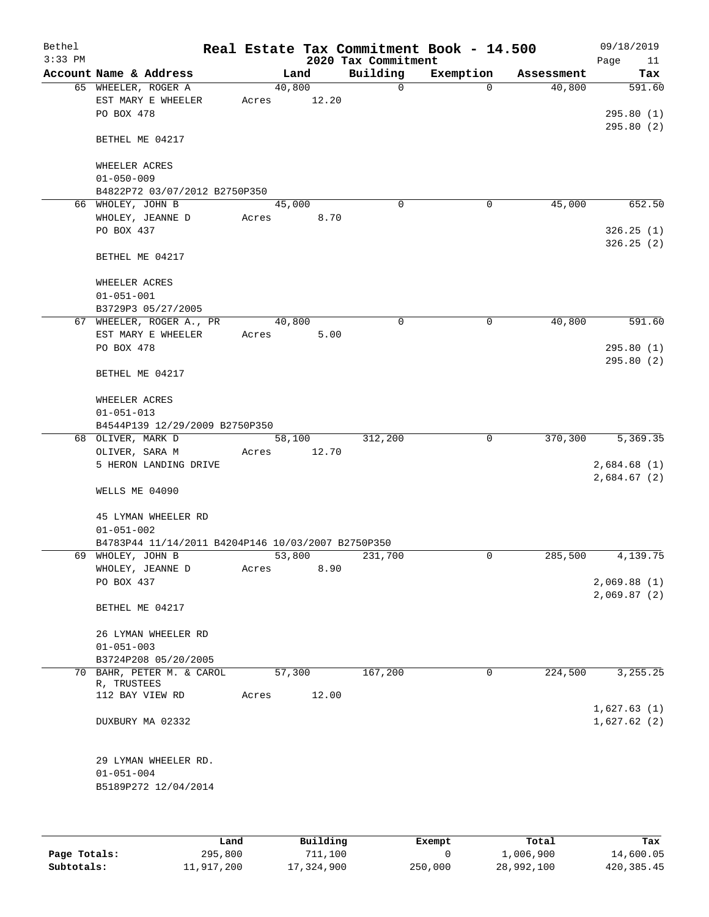| Bethel<br>$3:33$ PM |                                                             | Real Estate Tax Commitment Book - 14.500 | 2020 Tax Commitment |             |            | 09/18/2019<br>Page<br>11   |
|---------------------|-------------------------------------------------------------|------------------------------------------|---------------------|-------------|------------|----------------------------|
|                     | Account Name & Address                                      | Land                                     | Building            | Exemption   | Assessment | Tax                        |
|                     | 65 WHEELER, ROGER A<br>EST MARY E WHEELER                   | 40,800<br>12.20<br>Acres                 | $\mathsf{O}$        | $\Omega$    | 40,800     | 591.60                     |
|                     | PO BOX 478                                                  |                                          |                     |             |            | 295.80(1)<br>295.80(2)     |
|                     | BETHEL ME 04217                                             |                                          |                     |             |            |                            |
|                     | WHEELER ACRES<br>$01 - 050 - 009$                           |                                          |                     |             |            |                            |
|                     | B4822P72 03/07/2012 B2750P350                               |                                          |                     |             |            |                            |
|                     | 66 WHOLEY, JOHN B                                           | 45,000                                   | $\Omega$            | 0           | 45,000     | 652.50                     |
|                     | WHOLEY, JEANNE D<br>PO BOX 437                              | 8.70<br>Acres                            |                     |             |            | 326.25(1)<br>326.25(2)     |
|                     | BETHEL ME 04217                                             |                                          |                     |             |            |                            |
|                     | WHEELER ACRES<br>$01 - 051 - 001$                           |                                          |                     |             |            |                            |
|                     | B3729P3 05/27/2005                                          |                                          |                     |             |            |                            |
|                     | 67 WHEELER, ROGER A., PR                                    | 40,800                                   | 0                   | 0           | 40,800     | 591.60                     |
|                     | EST MARY E WHEELER                                          | 5.00<br>Acres                            |                     |             |            |                            |
|                     | PO BOX 478                                                  |                                          |                     |             |            | 295.80(1)<br>295.80(2)     |
|                     | BETHEL ME 04217                                             |                                          |                     |             |            |                            |
|                     | WHEELER ACRES<br>$01 - 051 - 013$                           |                                          |                     |             |            |                            |
|                     | B4544P139 12/29/2009 B2750P350                              |                                          |                     |             |            |                            |
|                     | 68 OLIVER, MARK D                                           | 58,100                                   | 312,200             | $\mathbf 0$ | 370,300    | 5,369.35                   |
|                     | OLIVER, SARA M                                              | 12.70<br>Acres                           |                     |             |            |                            |
|                     | 5 HERON LANDING DRIVE                                       |                                          |                     |             |            | 2,684.68(1)<br>2,684.67(2) |
|                     | WELLS ME 04090                                              |                                          |                     |             |            |                            |
|                     | 45 LYMAN WHEELER RD<br>$01 - 051 - 002$                     |                                          |                     |             |            |                            |
|                     | B4783P44 11/14/2011 B4204P146 10/03/2007 B2750P350          |                                          |                     |             |            |                            |
|                     | 69 WHOLEY, JOHN B                                           | 53,800                                   | 231,700             | 0           | 285,500    | 4,139.75                   |
|                     | WHOLEY, JEANNE D                                            | 8.90<br>Acres                            |                     |             |            |                            |
|                     | PO BOX 437                                                  |                                          |                     |             |            | 2,069.88(1)                |
|                     | BETHEL ME 04217                                             |                                          |                     |             |            | 2,069.87(2)                |
|                     | 26 LYMAN WHEELER RD                                         |                                          |                     |             |            |                            |
|                     | $01 - 051 - 003$                                            |                                          |                     |             |            |                            |
|                     | B3724P208 05/20/2005                                        |                                          |                     |             |            |                            |
|                     | 70 BAHR, PETER M. & CAROL<br>R, TRUSTEES<br>112 BAY VIEW RD | 57,300                                   | 167,200             | 0           | 224,500    | 3, 255. 25                 |
|                     |                                                             | 12.00<br>Acres                           |                     |             |            |                            |
|                     | DUXBURY MA 02332                                            |                                          |                     |             |            | 1,627.63(1)<br>1,627.62(2) |
|                     | 29 LYMAN WHEELER RD.                                        |                                          |                     |             |            |                            |
|                     | $01 - 051 - 004$                                            |                                          |                     |             |            |                            |
|                     | B5189P272 12/04/2014                                        |                                          |                     |             |            |                            |
|                     |                                                             |                                          |                     |             |            |                            |

|              | Land       | Building   | Exempt  | Total      | Tax          |
|--------------|------------|------------|---------|------------|--------------|
| Page Totals: | 295,800    | 711,100    |         | 1,006,900  | 14,600.05    |
| Subtotals:   | 11,917,200 | 17,324,900 | 250,000 | 28,992,100 | 420, 385. 45 |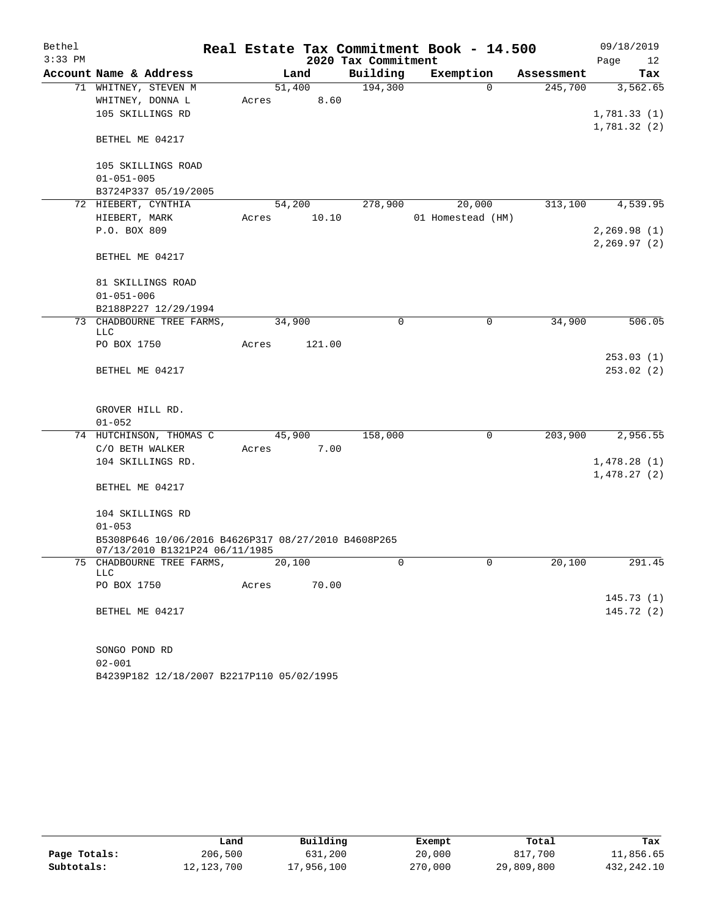| Bethel    |                                                                                       |        |        |        | Real Estate Tax Commitment Book - 14.500 |                   |             |            | 09/18/2019   |        |
|-----------|---------------------------------------------------------------------------------------|--------|--------|--------|------------------------------------------|-------------------|-------------|------------|--------------|--------|
| $3:33$ PM |                                                                                       |        |        |        | 2020 Tax Commitment                      |                   |             |            | Page         | 12     |
|           | Account Name & Address                                                                |        | Land   |        | Building                                 | Exemption         |             | Assessment |              | Tax    |
|           | 71 WHITNEY, STEVEN M                                                                  |        | 51,400 |        | 194,300                                  |                   | $\Omega$    | 245,700    | 3,562.65     |        |
|           | WHITNEY, DONNA L                                                                      | Acres  |        | 8.60   |                                          |                   |             |            |              |        |
|           | 105 SKILLINGS RD                                                                      |        |        |        |                                          |                   |             |            | 1,781.33(1)  |        |
|           |                                                                                       |        |        |        |                                          |                   |             |            | 1,781.32(2)  |        |
|           | BETHEL ME 04217                                                                       |        |        |        |                                          |                   |             |            |              |        |
|           | 105 SKILLINGS ROAD                                                                    |        |        |        |                                          |                   |             |            |              |        |
|           | $01 - 051 - 005$                                                                      |        |        |        |                                          |                   |             |            |              |        |
|           | B3724P337 05/19/2005                                                                  |        |        |        |                                          |                   |             |            |              |        |
|           | 72 HIEBERT, CYNTHIA                                                                   |        | 54,200 |        | 278,900                                  | 20,000            |             | 313,100    | 4,539.95     |        |
|           | HIEBERT, MARK                                                                         | Acres  |        | 10.10  |                                          | 01 Homestead (HM) |             |            |              |        |
|           | P.O. BOX 809                                                                          |        |        |        |                                          |                   |             |            | 2,269.98(1)  |        |
|           |                                                                                       |        |        |        |                                          |                   |             |            | 2, 269.97(2) |        |
|           | BETHEL ME 04217                                                                       |        |        |        |                                          |                   |             |            |              |        |
|           | 81 SKILLINGS ROAD                                                                     |        |        |        |                                          |                   |             |            |              |        |
|           | $01 - 051 - 006$                                                                      |        |        |        |                                          |                   |             |            |              |        |
|           | B2188P227 12/29/1994                                                                  |        |        |        |                                          |                   |             |            |              |        |
|           | 73 CHADBOURNE TREE FARMS,                                                             |        | 34,900 |        | $\mathbf 0$                              |                   | $\mathbf 0$ | 34,900     |              | 506.05 |
|           | LLC<br>PO BOX 1750                                                                    | Acres  |        | 121.00 |                                          |                   |             |            |              |        |
|           |                                                                                       |        |        |        |                                          |                   |             |            | 253.03(1)    |        |
|           | BETHEL ME 04217                                                                       |        |        |        |                                          |                   |             |            | 253.02(2)    |        |
|           |                                                                                       |        |        |        |                                          |                   |             |            |              |        |
|           | GROVER HILL RD.                                                                       |        |        |        |                                          |                   |             |            |              |        |
|           | $01 - 052$                                                                            |        |        |        |                                          |                   |             |            |              |        |
|           | 74 HUTCHINSON, THOMAS C                                                               |        | 45,900 |        | 158,000                                  |                   | 0           | 203,900    | 2,956.55     |        |
|           | C/O BETH WALKER                                                                       | Acres  |        | 7.00   |                                          |                   |             |            |              |        |
|           | 104 SKILLINGS RD.                                                                     |        |        |        |                                          |                   |             |            | 1,478.28(1)  |        |
|           |                                                                                       |        |        |        |                                          |                   |             |            | 1,478.27(2)  |        |
|           | BETHEL ME 04217                                                                       |        |        |        |                                          |                   |             |            |              |        |
|           | 104 SKILLINGS RD                                                                      |        |        |        |                                          |                   |             |            |              |        |
|           | $01 - 053$                                                                            |        |        |        |                                          |                   |             |            |              |        |
|           | B5308P646 10/06/2016 B4626P317 08/27/2010 B4608P265<br>07/13/2010 B1321P24 06/11/1985 |        |        |        |                                          |                   |             |            |              |        |
|           | 75 CHADBOURNE TREE FARMS,                                                             | 20,100 |        |        | U                                        |                   | U           | 20,100     |              | 291.45 |
|           | LLC                                                                                   |        |        |        |                                          |                   |             |            |              |        |
|           | PO BOX 1750                                                                           | Acres  | 70.00  |        |                                          |                   |             |            |              |        |
|           |                                                                                       |        |        |        |                                          |                   |             |            | 145.73(1)    |        |
|           | BETHEL ME 04217                                                                       |        |        |        |                                          |                   |             |            | 145.72(2)    |        |
|           |                                                                                       |        |        |        |                                          |                   |             |            |              |        |
|           | SONGO POND RD                                                                         |        |        |        |                                          |                   |             |            |              |        |
|           | $02 - 001$                                                                            |        |        |        |                                          |                   |             |            |              |        |
|           | B4239P182 12/18/2007 B2217P110 05/02/1995                                             |        |        |        |                                          |                   |             |            |              |        |

|              | Land       | Building   | Exempt  | Total      | Tax        |
|--------------|------------|------------|---------|------------|------------|
| Page Totals: | 206,500    | 631,200    | 20,000  | 817,700    | 11,856.65  |
| Subtotals:   | 12,123,700 | 17,956,100 | 270,000 | 29,809,800 | 432,242.10 |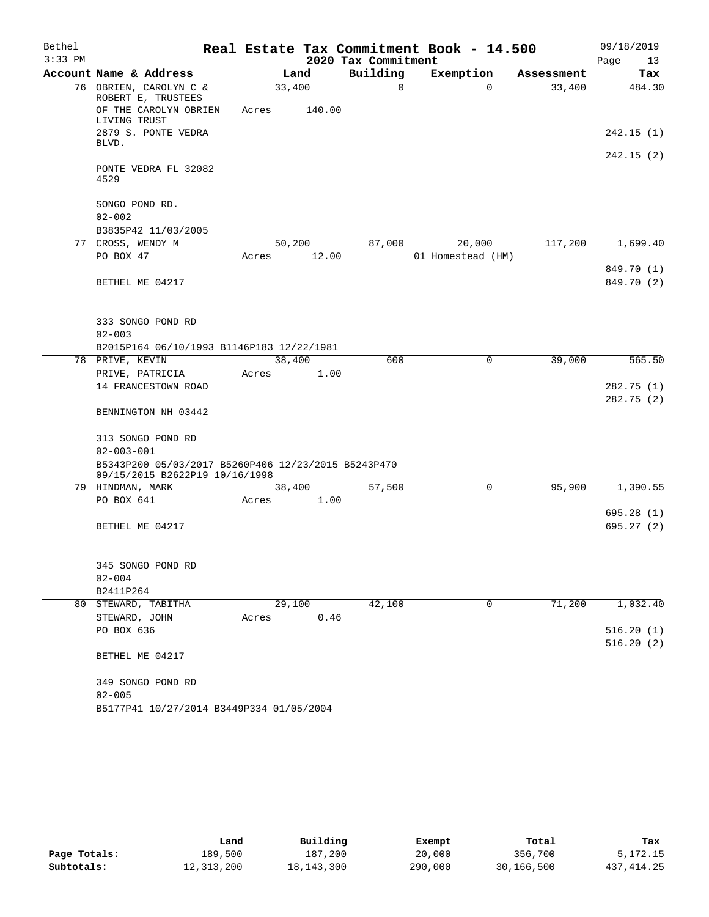| Bethel    |                                                     |                 |        |                     | Real Estate Tax Commitment Book - 14.500 |            | 09/18/2019 |
|-----------|-----------------------------------------------------|-----------------|--------|---------------------|------------------------------------------|------------|------------|
| $3:33$ PM |                                                     |                 |        | 2020 Tax Commitment |                                          |            | 13<br>Page |
|           | Account Name & Address                              |                 | Land   | Building            | Exemption                                | Assessment | Tax        |
|           | 76 OBRIEN, CAROLYN C &                              | 33,400          |        | $\Omega$            | $\Omega$                                 | 33,400     | 484.30     |
|           | ROBERT E, TRUSTEES<br>OF THE CAROLYN OBRIEN         | Acres           | 140.00 |                     |                                          |            |            |
|           | LIVING TRUST                                        |                 |        |                     |                                          |            |            |
|           | 2879 S. PONTE VEDRA                                 |                 |        |                     |                                          |            | 242.15(1)  |
|           | BLVD.                                               |                 |        |                     |                                          |            |            |
|           |                                                     |                 |        |                     |                                          |            | 242.15(2)  |
|           | PONTE VEDRA FL 32082<br>4529                        |                 |        |                     |                                          |            |            |
|           |                                                     |                 |        |                     |                                          |            |            |
|           | SONGO POND RD.                                      |                 |        |                     |                                          |            |            |
|           | $02 - 002$                                          |                 |        |                     |                                          |            |            |
|           | B3835P42 11/03/2005                                 |                 |        |                     |                                          |            |            |
|           | 77 CROSS, WENDY M                                   | 50,200          |        | 87,000              | 20,000                                   | 117,200    | 1,699.40   |
|           | PO BOX 47                                           | Acres           | 12.00  |                     | 01 Homestead (HM)                        |            |            |
|           |                                                     |                 |        |                     |                                          |            | 849.70 (1) |
|           | BETHEL ME 04217                                     |                 |        |                     |                                          |            | 849.70 (2) |
|           |                                                     |                 |        |                     |                                          |            |            |
|           |                                                     |                 |        |                     |                                          |            |            |
|           | 333 SONGO POND RD                                   |                 |        |                     |                                          |            |            |
|           | $02 - 003$                                          |                 |        |                     |                                          |            |            |
|           | B2015P164 06/10/1993 B1146P183 12/22/1981           |                 |        |                     |                                          | 39,000     |            |
|           | 78 PRIVE, KEVIN<br>PRIVE, PATRICIA                  | 38,400<br>Acres | 1.00   | 600                 | 0                                        |            | 565.50     |
|           | 14 FRANCESTOWN ROAD                                 |                 |        |                     |                                          |            | 282.75(1)  |
|           |                                                     |                 |        |                     |                                          |            | 282.75(2)  |
|           | BENNINGTON NH 03442                                 |                 |        |                     |                                          |            |            |
|           |                                                     |                 |        |                     |                                          |            |            |
|           | 313 SONGO POND RD                                   |                 |        |                     |                                          |            |            |
|           | $02 - 003 - 001$                                    |                 |        |                     |                                          |            |            |
|           | B5343P200 05/03/2017 B5260P406 12/23/2015 B5243P470 |                 |        |                     |                                          |            |            |
|           | 09/15/2015 B2622P19 10/16/1998                      |                 |        |                     |                                          |            |            |
|           | 79 HINDMAN, MARK                                    | 38,400          |        | 57,500              | 0                                        | 95,900     | 1,390.55   |
|           | PO BOX 641                                          | Acres           | 1.00   |                     |                                          |            |            |
|           |                                                     |                 |        |                     |                                          |            | 695.28(1)  |
|           | BETHEL ME 04217                                     |                 |        |                     |                                          |            | 695.27(2)  |
|           |                                                     |                 |        |                     |                                          |            |            |
|           | 345 SONGO POND RD                                   |                 |        |                     |                                          |            |            |
|           | $02 - 004$                                          |                 |        |                     |                                          |            |            |
|           | B2411P264                                           |                 |        |                     |                                          |            |            |
|           | 80 STEWARD, TABITHA                                 | 29,100          |        | 42,100              | 0                                        | 71,200     | 1,032.40   |
|           | STEWARD, JOHN                                       | Acres           | 0.46   |                     |                                          |            |            |
|           | PO BOX 636                                          |                 |        |                     |                                          |            | 516.20(1)  |
|           |                                                     |                 |        |                     |                                          |            | 516.20(2)  |
|           | BETHEL ME 04217                                     |                 |        |                     |                                          |            |            |
|           |                                                     |                 |        |                     |                                          |            |            |
|           | 349 SONGO POND RD                                   |                 |        |                     |                                          |            |            |
|           | $02 - 005$                                          |                 |        |                     |                                          |            |            |
|           | B5177P41 10/27/2014 B3449P334 01/05/2004            |                 |        |                     |                                          |            |            |

|              | Land         | Building     | Exempt  | Total      | Tax         |
|--------------|--------------|--------------|---------|------------|-------------|
| Page Totals: | 189,500      | 187,200      | 20,000  | 356,700    | 5,172.15    |
| Subtotals:   | 12, 313, 200 | 18, 143, 300 | 290,000 | 30,166,500 | 437, 414.25 |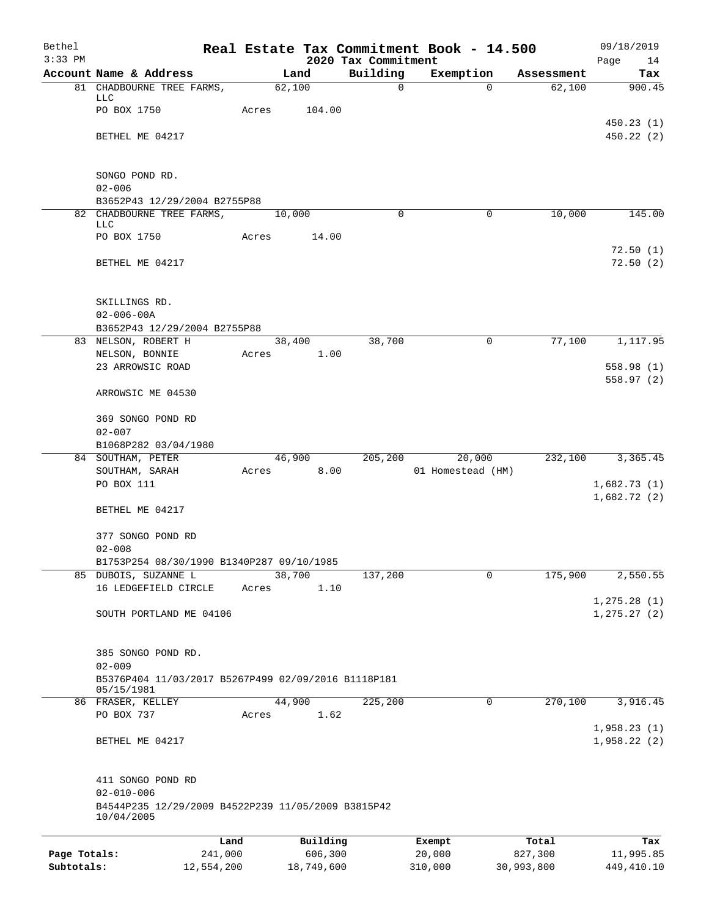| Bethel       |                                                     |         |            |          |                                 | Real Estate Tax Commitment Book - 14.500 |             |                      | 09/18/2019              |
|--------------|-----------------------------------------------------|---------|------------|----------|---------------------------------|------------------------------------------|-------------|----------------------|-------------------------|
| $3:33$ PM    | Account Name & Address                              |         | Land       |          | 2020 Tax Commitment<br>Building | Exemption                                |             |                      | Page<br>14              |
|              | 81 CHADBOURNE TREE FARMS,                           |         | 62,100     |          | 0                               |                                          | $\Omega$    | Assessment<br>62,100 | Tax<br>900.45           |
|              | <b>LLC</b>                                          |         |            |          |                                 |                                          |             |                      |                         |
|              | PO BOX 1750                                         | Acres   | 104.00     |          |                                 |                                          |             |                      |                         |
|              | BETHEL ME 04217                                     |         |            |          |                                 |                                          |             |                      | 450.23(1)<br>450.22(2)  |
|              |                                                     |         |            |          |                                 |                                          |             |                      |                         |
|              |                                                     |         |            |          |                                 |                                          |             |                      |                         |
|              | SONGO POND RD.<br>$02 - 006$                        |         |            |          |                                 |                                          |             |                      |                         |
|              | B3652P43 12/29/2004 B2755P88                        |         |            |          |                                 |                                          |             |                      |                         |
|              | 82 CHADBOURNE TREE FARMS,                           |         | 10,000     |          | 0                               |                                          | $\mathbf 0$ | 10,000               | 145.00                  |
|              | LLC<br>PO BOX 1750                                  | Acres   |            | 14.00    |                                 |                                          |             |                      |                         |
|              |                                                     |         |            |          |                                 |                                          |             |                      | 72.50(1)                |
|              | BETHEL ME 04217                                     |         |            |          |                                 |                                          |             |                      | 72.50(2)                |
|              |                                                     |         |            |          |                                 |                                          |             |                      |                         |
|              | SKILLINGS RD.                                       |         |            |          |                                 |                                          |             |                      |                         |
|              | $02 - 006 - 00A$                                    |         |            |          |                                 |                                          |             |                      |                         |
|              | B3652P43 12/29/2004 B2755P88                        |         |            |          |                                 |                                          |             |                      |                         |
|              | 83 NELSON, ROBERT H                                 |         | 38,400     |          | 38,700                          |                                          | 0           | 77,100               | 1,117.95                |
|              | NELSON, BONNIE                                      | Acres   |            | 1.00     |                                 |                                          |             |                      |                         |
|              | 23 ARROWSIC ROAD                                    |         |            |          |                                 |                                          |             |                      | 558.98 (1)<br>558.97(2) |
|              | ARROWSIC ME 04530                                   |         |            |          |                                 |                                          |             |                      |                         |
|              |                                                     |         |            |          |                                 |                                          |             |                      |                         |
|              | 369 SONGO POND RD                                   |         |            |          |                                 |                                          |             |                      |                         |
|              | $02 - 007$                                          |         |            |          |                                 |                                          |             |                      |                         |
|              | B1068P282 03/04/1980<br>84 SOUTHAM, PETER           |         | 46,900     |          | 205,200                         | 20,000                                   |             | 232,100              | 3,365.45                |
|              | SOUTHAM, SARAH                                      | Acres   |            | 8.00     |                                 | 01 Homestead (HM)                        |             |                      |                         |
|              | PO BOX 111                                          |         |            |          |                                 |                                          |             |                      | 1,682.73(1)             |
|              |                                                     |         |            |          |                                 |                                          |             |                      | 1,682.72(2)             |
|              | BETHEL ME 04217                                     |         |            |          |                                 |                                          |             |                      |                         |
|              | 377 SONGO POND RD                                   |         |            |          |                                 |                                          |             |                      |                         |
|              | $02 - 008$                                          |         |            |          |                                 |                                          |             |                      |                         |
|              | B1753P254 08/30/1990 B1340P287 09/10/1985           |         |            |          |                                 |                                          |             |                      |                         |
| 85           | DUBOIS, SUZANNE L                                   |         | 38,700     |          | 137,200                         |                                          | 0           | 175,900              | 2,550.55                |
|              | 16 LEDGEFIELD CIRCLE                                | Acres   |            | 1.10     |                                 |                                          |             |                      | 1, 275.28(1)            |
|              | SOUTH PORTLAND ME 04106                             |         |            |          |                                 |                                          |             |                      | 1, 275.27(2)            |
|              |                                                     |         |            |          |                                 |                                          |             |                      |                         |
|              |                                                     |         |            |          |                                 |                                          |             |                      |                         |
|              | 385 SONGO POND RD.<br>$02 - 009$                    |         |            |          |                                 |                                          |             |                      |                         |
|              | B5376P404 11/03/2017 B5267P499 02/09/2016 B1118P181 |         |            |          |                                 |                                          |             |                      |                         |
|              | 05/15/1981                                          |         |            |          |                                 |                                          |             |                      |                         |
|              | 86 FRASER, KELLEY<br>PO BOX 737                     |         | 44,900     | 1.62     | 225,200                         |                                          | 0           | 270,100              | 3,916.45                |
|              |                                                     | Acres   |            |          |                                 |                                          |             |                      | 1,958.23(1)             |
|              | BETHEL ME 04217                                     |         |            |          |                                 |                                          |             |                      | 1,958.22(2)             |
|              |                                                     |         |            |          |                                 |                                          |             |                      |                         |
|              | 411 SONGO POND RD                                   |         |            |          |                                 |                                          |             |                      |                         |
|              | $02 - 010 - 006$                                    |         |            |          |                                 |                                          |             |                      |                         |
|              | B4544P235 12/29/2009 B4522P239 11/05/2009 B3815P42  |         |            |          |                                 |                                          |             |                      |                         |
|              | 10/04/2005                                          |         |            |          |                                 |                                          |             |                      |                         |
|              |                                                     | Land    |            | Building |                                 | Exempt                                   |             | Total                | Tax                     |
| Page Totals: |                                                     | 241,000 |            | 606,300  |                                 | 20,000                                   | 827,300     |                      | 11,995.85               |
| Subtotals:   | 12,554,200                                          |         | 18,749,600 |          |                                 | 310,000                                  | 30,993,800  |                      | 449,410.10              |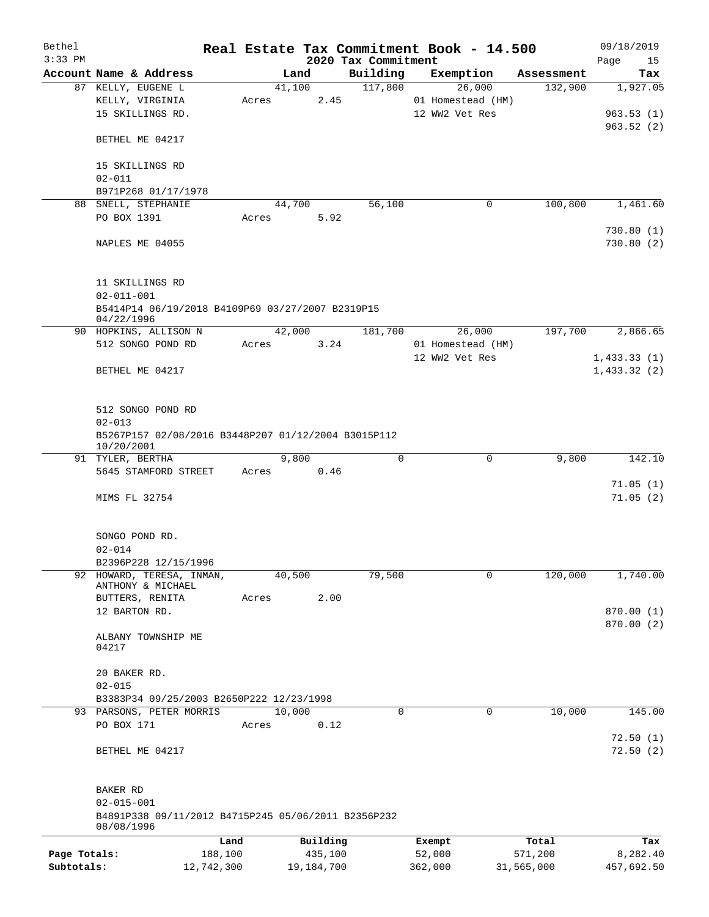| Bethel<br>$3:33$ PM |                                                                   |            |       |            |            | 2020 Tax Commitment |             | Real Estate Tax Commitment Book - 14.500 |            | 09/18/2019<br>Page<br>15 |
|---------------------|-------------------------------------------------------------------|------------|-------|------------|------------|---------------------|-------------|------------------------------------------|------------|--------------------------|
|                     | Account Name & Address                                            |            |       | Land       |            | Building            |             | Exemption                                | Assessment | Tax                      |
|                     | 87 KELLY, EUGENE L                                                |            |       | 41,100     |            | 117,800             |             | 26,000                                   | 132,900    | 1,927.05                 |
|                     | KELLY, VIRGINIA                                                   |            | Acres |            | 2.45       |                     |             | 01 Homestead (HM)                        |            |                          |
|                     | 15 SKILLINGS RD.                                                  |            |       |            |            |                     |             | 12 WW2 Vet Res                           |            | 963.53(1)                |
|                     |                                                                   |            |       |            |            |                     |             |                                          |            | 963.52(2)                |
|                     | BETHEL ME 04217                                                   |            |       |            |            |                     |             |                                          |            |                          |
|                     | 15 SKILLINGS RD<br>$02 - 011$                                     |            |       |            |            |                     |             |                                          |            |                          |
|                     | B971P268 01/17/1978                                               |            |       |            |            |                     |             |                                          |            |                          |
|                     | 88 SNELL, STEPHANIE                                               |            |       | 44,700     |            | 56,100              |             | 0                                        | 100,800    | 1,461.60                 |
|                     | PO BOX 1391                                                       |            |       | Acres      | 5.92       |                     |             |                                          |            |                          |
|                     |                                                                   |            |       |            |            |                     |             |                                          |            | 730.80(1)                |
|                     | NAPLES ME 04055                                                   |            |       |            |            |                     |             |                                          |            | 730.80(2)                |
|                     | 11 SKILLINGS RD<br>$02 - 011 - 001$                               |            |       |            |            |                     |             |                                          |            |                          |
|                     | B5414P14 06/19/2018 B4109P69 03/27/2007 B2319P15                  |            |       |            |            |                     |             |                                          |            |                          |
|                     | 04/22/1996                                                        |            |       |            |            |                     |             |                                          |            |                          |
|                     | 90 HOPKINS, ALLISON N                                             |            |       | 42,000     |            | 181,700             |             | 26,000                                   | 197,700    | 2,866.65                 |
|                     | 512 SONGO POND RD                                                 |            |       | Acres 3.24 |            |                     |             | 01 Homestead (HM)                        |            |                          |
|                     |                                                                   |            |       |            |            |                     |             | 12 WW2 Vet Res                           |            | 1,433.33(1)              |
|                     | BETHEL ME 04217                                                   |            |       |            |            |                     |             |                                          |            | 1,433.32(2)              |
|                     |                                                                   |            |       |            |            |                     |             |                                          |            |                          |
|                     |                                                                   |            |       |            |            |                     |             |                                          |            |                          |
|                     | 512 SONGO POND RD                                                 |            |       |            |            |                     |             |                                          |            |                          |
|                     | $02 - 013$                                                        |            |       |            |            |                     |             |                                          |            |                          |
|                     | B5267P157 02/08/2016 B3448P207 01/12/2004 B3015P112               |            |       |            |            |                     |             |                                          |            |                          |
|                     | 10/20/2001                                                        |            |       |            |            |                     |             |                                          |            |                          |
|                     | 91 TYLER, BERTHA                                                  |            |       | 9,800      |            |                     | 0           | 0                                        | 9,800      | 142.10                   |
|                     | 5645 STAMFORD STREET                                              |            |       | Acres 0.46 |            |                     |             |                                          |            |                          |
|                     |                                                                   |            |       |            |            |                     |             |                                          |            | 71.05(1)                 |
|                     | MIMS FL 32754                                                     |            |       |            |            |                     |             |                                          |            | 71.05(2)                 |
|                     |                                                                   |            |       |            |            |                     |             |                                          |            |                          |
|                     |                                                                   |            |       |            |            |                     |             |                                          |            |                          |
|                     | SONGO POND RD.                                                    |            |       |            |            |                     |             |                                          |            |                          |
|                     | $02 - 014$                                                        |            |       |            |            |                     |             |                                          |            |                          |
|                     | B2396P228 12/15/1996                                              |            |       |            |            |                     |             |                                          |            |                          |
|                     | 92 HOWARD, TERESA, INMAN,                                         |            |       | 40,500     |            | 79,500              |             | 0                                        | 120,000    | 1,740.00                 |
|                     | ANTHONY & MICHAEL                                                 |            |       |            |            |                     |             |                                          |            |                          |
|                     | BUTTERS, RENITA                                                   |            | Acres |            | 2.00       |                     |             |                                          |            |                          |
|                     | 12 BARTON RD.                                                     |            |       |            |            |                     |             |                                          |            | 870.00 (1)               |
|                     |                                                                   |            |       |            |            |                     |             |                                          |            | 870.00 (2)               |
|                     | ALBANY TOWNSHIP ME                                                |            |       |            |            |                     |             |                                          |            |                          |
|                     | 04217                                                             |            |       |            |            |                     |             |                                          |            |                          |
|                     |                                                                   |            |       |            |            |                     |             |                                          |            |                          |
|                     | 20 BAKER RD.                                                      |            |       |            |            |                     |             |                                          |            |                          |
|                     | $02 - 015$                                                        |            |       |            |            |                     |             |                                          |            |                          |
|                     | B3383P34 09/25/2003 B2650P222 12/23/1998                          |            |       |            |            |                     |             |                                          |            |                          |
|                     | 93 PARSONS, PETER MORRIS                                          |            |       | 10,000     |            |                     | $\mathbf 0$ | 0                                        | 10,000     | 145.00                   |
|                     | PO BOX 171                                                        |            | Acres |            | 0.12       |                     |             |                                          |            |                          |
|                     |                                                                   |            |       |            |            |                     |             |                                          |            | 72.50(1)                 |
|                     | BETHEL ME 04217                                                   |            |       |            |            |                     |             |                                          |            | 72.50(2)                 |
|                     |                                                                   |            |       |            |            |                     |             |                                          |            |                          |
|                     | BAKER RD                                                          |            |       |            |            |                     |             |                                          |            |                          |
|                     | $02 - 015 - 001$                                                  |            |       |            |            |                     |             |                                          |            |                          |
|                     | B4891P338 09/11/2012 B4715P245 05/06/2011 B2356P232<br>08/08/1996 |            |       |            |            |                     |             |                                          |            |                          |
|                     |                                                                   | Land       |       |            | Building   |                     |             | Exempt                                   | Total      | Tax                      |
| Page Totals:        |                                                                   | 188,100    |       |            | 435,100    |                     |             | 52,000                                   | 571,200    | 8,282.40                 |
| Subtotals:          |                                                                   | 12,742,300 |       |            | 19,184,700 |                     |             | 362,000                                  | 31,565,000 | 457,692.50               |
|                     |                                                                   |            |       |            |            |                     |             |                                          |            |                          |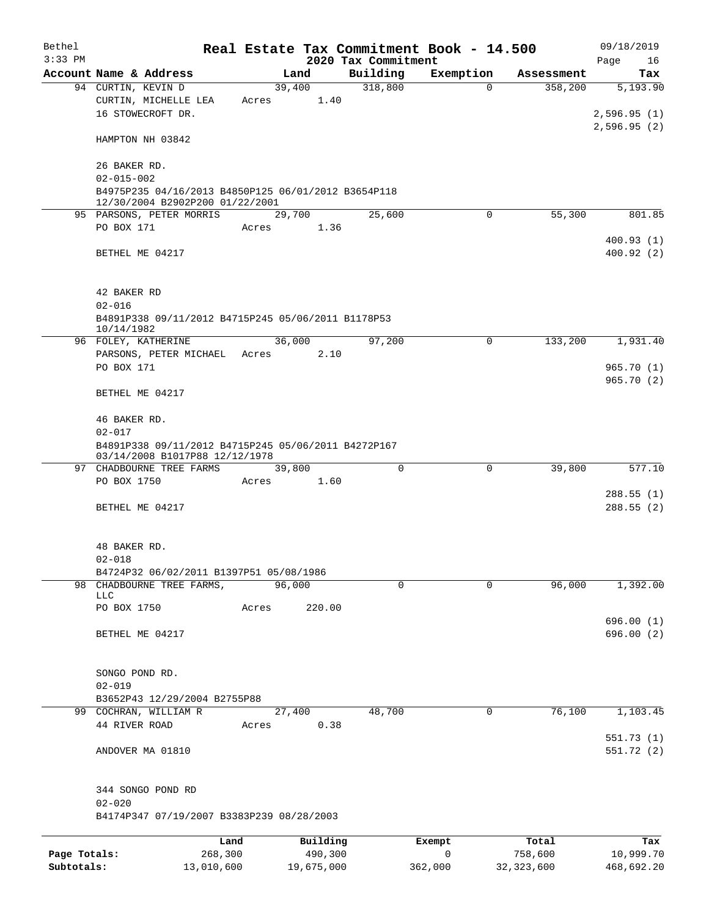| Bethel       |                                                                                       |            |       |                |                     | Real Estate Tax Commitment Book - 14.500 |             |                       | 09/18/2019      |  |  |
|--------------|---------------------------------------------------------------------------------------|------------|-------|----------------|---------------------|------------------------------------------|-------------|-----------------------|-----------------|--|--|
| $3:33$ PM    | Account Name & Address                                                                |            |       |                | 2020 Tax Commitment |                                          |             |                       | Page<br>16      |  |  |
|              | 94 CURTIN, KEVIN D                                                                    |            |       | Land<br>39,400 | Building<br>318,800 | Exemption                                | $\Omega$    | Assessment<br>358,200 | Tax<br>5,193.90 |  |  |
|              | CURTIN, MICHELLE LEA                                                                  |            | Acres | 1.40           |                     |                                          |             |                       |                 |  |  |
|              | 16 STOWECROFT DR.                                                                     |            |       |                |                     |                                          |             |                       | 2,596.95(1)     |  |  |
|              |                                                                                       |            |       |                |                     |                                          |             |                       | 2,596.95(2)     |  |  |
|              | HAMPTON NH 03842                                                                      |            |       |                |                     |                                          |             |                       |                 |  |  |
|              | 26 BAKER RD.                                                                          |            |       |                |                     |                                          |             |                       |                 |  |  |
|              | $02 - 015 - 002$                                                                      |            |       |                |                     |                                          |             |                       |                 |  |  |
|              | B4975P235 04/16/2013 B4850P125 06/01/2012 B3654P118                                   |            |       |                |                     |                                          |             |                       |                 |  |  |
|              | 12/30/2004 B2902P200 01/22/2001                                                       |            |       |                |                     |                                          |             |                       |                 |  |  |
|              | 95 PARSONS, PETER MORRIS<br>PO BOX 171                                                |            |       | 29,700         | 25,600              |                                          | $\mathbf 0$ | 55,300                | 801.85          |  |  |
|              |                                                                                       |            | Acres | 1.36           |                     |                                          |             |                       | 400.93(1)       |  |  |
|              | BETHEL ME 04217                                                                       |            |       |                |                     |                                          |             |                       | 400.92(2)       |  |  |
|              |                                                                                       |            |       |                |                     |                                          |             |                       |                 |  |  |
|              | 42 BAKER RD                                                                           |            |       |                |                     |                                          |             |                       |                 |  |  |
|              | $02 - 016$                                                                            |            |       |                |                     |                                          |             |                       |                 |  |  |
|              | B4891P338 09/11/2012 B4715P245 05/06/2011 B1178P53<br>10/14/1982                      |            |       |                |                     |                                          |             |                       |                 |  |  |
|              | 96 FOLEY, KATHERINE                                                                   |            |       | 36,000         | 97,200              |                                          | 0           | 133,200               | 1,931.40        |  |  |
|              | PARSONS, PETER MICHAEL                                                                |            | Acres | 2.10           |                     |                                          |             |                       |                 |  |  |
|              | PO BOX 171                                                                            |            |       |                |                     |                                          |             |                       | 965.70(1)       |  |  |
|              | BETHEL ME 04217                                                                       |            |       |                |                     |                                          |             |                       | 965.70(2)       |  |  |
|              |                                                                                       |            |       |                |                     |                                          |             |                       |                 |  |  |
|              | 46 BAKER RD.                                                                          |            |       |                |                     |                                          |             |                       |                 |  |  |
|              | $02 - 017$                                                                            |            |       |                |                     |                                          |             |                       |                 |  |  |
|              | B4891P338 09/11/2012 B4715P245 05/06/2011 B4272P167<br>03/14/2008 B1017P88 12/12/1978 |            |       |                |                     |                                          |             |                       |                 |  |  |
|              | 97 CHADBOURNE TREE FARMS                                                              |            |       | 39,800         |                     | $\Omega$                                 | $\mathbf 0$ | 39,800                | 577.10          |  |  |
|              | PO BOX 1750                                                                           |            | Acres | 1.60           |                     |                                          |             |                       |                 |  |  |
|              |                                                                                       |            |       |                |                     |                                          |             |                       | 288.55(1)       |  |  |
|              | BETHEL ME 04217                                                                       |            |       |                |                     |                                          |             |                       | 288.55(2)       |  |  |
|              | 48 BAKER RD.                                                                          |            |       |                |                     |                                          |             |                       |                 |  |  |
|              | $02 - 018$                                                                            |            |       |                |                     |                                          |             |                       |                 |  |  |
|              | B4724P32 06/02/2011 B1397P51 05/08/1986                                               |            |       |                |                     |                                          |             |                       |                 |  |  |
|              | 98 CHADBOURNE TREE FARMS,                                                             |            |       | 96,000         |                     | $\Omega$                                 | $\Omega$    | 96,000                | 1,392.00        |  |  |
|              | <b>LLC</b>                                                                            |            |       |                |                     |                                          |             |                       |                 |  |  |
|              | PO BOX 1750                                                                           |            | Acres | 220.00         |                     |                                          |             |                       |                 |  |  |
|              |                                                                                       |            |       |                |                     |                                          |             |                       | 696.00(1)       |  |  |
|              | BETHEL ME 04217                                                                       |            |       |                |                     |                                          |             |                       | 696.00(2)       |  |  |
|              |                                                                                       |            |       |                |                     |                                          |             |                       |                 |  |  |
|              | SONGO POND RD.                                                                        |            |       |                |                     |                                          |             |                       |                 |  |  |
|              | $02 - 019$<br>B3652P43 12/29/2004 B2755P88                                            |            |       |                |                     |                                          |             |                       |                 |  |  |
|              | 99 COCHRAN, WILLIAM R                                                                 |            |       | 27,400         | 48,700              |                                          | 0           | 76,100                | 1,103.45        |  |  |
|              | 44 RIVER ROAD                                                                         |            | Acres | 0.38           |                     |                                          |             |                       |                 |  |  |
|              |                                                                                       |            |       |                |                     |                                          |             |                       | 551.73(1)       |  |  |
|              | ANDOVER MA 01810                                                                      |            |       |                |                     |                                          |             |                       | 551.72 (2)      |  |  |
|              |                                                                                       |            |       |                |                     |                                          |             |                       |                 |  |  |
|              | 344 SONGO POND RD<br>$02 - 020$                                                       |            |       |                |                     |                                          |             |                       |                 |  |  |
|              | B4174P347 07/19/2007 B3383P239 08/28/2003                                             |            |       |                |                     |                                          |             |                       |                 |  |  |
|              |                                                                                       | Land       |       | Building       |                     | Exempt                                   |             | Total                 | Tax             |  |  |
| Page Totals: |                                                                                       | 268,300    |       | 490,300        |                     | $\mathsf{O}$                             |             | 758,600               | 10,999.70       |  |  |
| Subtotals:   |                                                                                       | 13,010,600 |       | 19,675,000     |                     | 362,000                                  |             | 32, 323, 600          | 468,692.20      |  |  |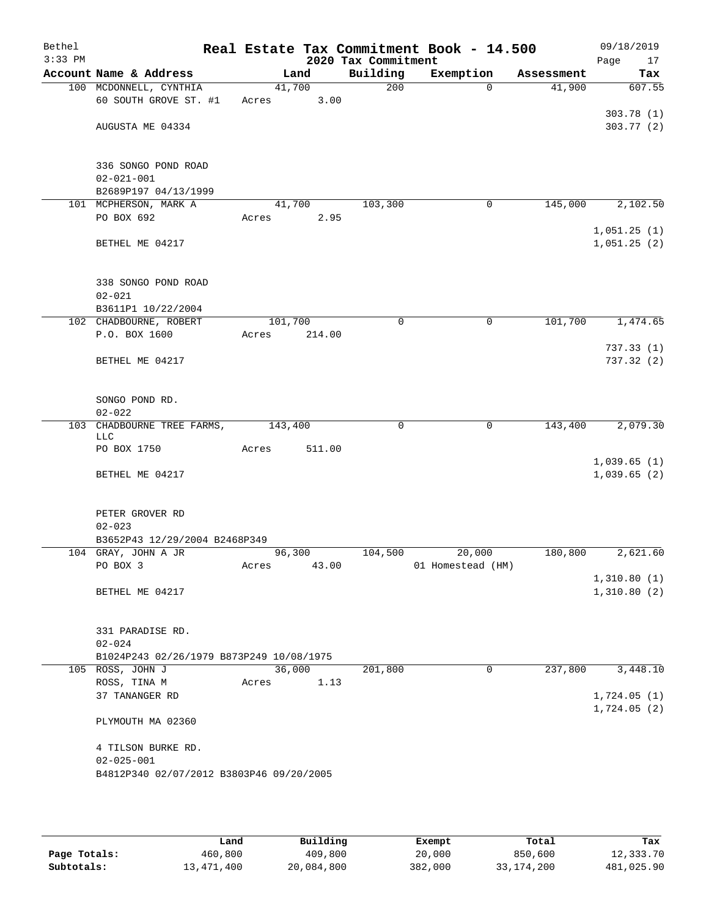| Bethel<br>$3:33$ PM |                                          |         | 2020 Tax Commitment |                      | Real Estate Tax Commitment Book - 14.500 |            | 09/18/2019<br>Page<br>17 |
|---------------------|------------------------------------------|---------|---------------------|----------------------|------------------------------------------|------------|--------------------------|
|                     | Account Name & Address                   | Land    |                     | Building             | Exemption                                | Assessment | Tax                      |
|                     | 100 MCDONNELL, CYNTHIA                   | 41,700  |                     | 200                  | $\Omega$                                 | 41,900     | 607.55                   |
|                     | 60 SOUTH GROVE ST. #1                    | Acres   | 3.00                |                      |                                          |            |                          |
|                     |                                          |         |                     |                      |                                          |            | 303.78 (1)               |
|                     | AUGUSTA ME 04334                         |         |                     |                      |                                          |            | 303.77(2)                |
|                     |                                          |         |                     |                      |                                          |            |                          |
|                     |                                          |         |                     |                      |                                          |            |                          |
|                     | 336 SONGO POND ROAD                      |         |                     |                      |                                          |            |                          |
|                     | $02 - 021 - 001$<br>B2689P197 04/13/1999 |         |                     |                      |                                          |            |                          |
|                     |                                          | 41,700  |                     | 103,300              | 0                                        | 145,000    |                          |
|                     | 101 MCPHERSON, MARK A<br>PO BOX 692      | Acres   | 2.95                |                      |                                          |            | 2,102.50                 |
|                     |                                          |         |                     |                      |                                          |            | 1,051.25(1)              |
|                     | BETHEL ME 04217                          |         |                     |                      |                                          |            | 1,051.25(2)              |
|                     |                                          |         |                     |                      |                                          |            |                          |
|                     |                                          |         |                     |                      |                                          |            |                          |
|                     | 338 SONGO POND ROAD                      |         |                     |                      |                                          |            |                          |
|                     | $02 - 021$                               |         |                     |                      |                                          |            |                          |
|                     | B3611P1 10/22/2004                       |         |                     |                      |                                          |            |                          |
|                     | 102 CHADBOURNE, ROBERT                   | 101,700 |                     | 0                    | 0                                        | 101,700    | 1,474.65                 |
|                     | P.O. BOX 1600                            | Acres   | 214.00              |                      |                                          |            |                          |
|                     |                                          |         |                     |                      |                                          |            | 737.33(1)                |
|                     | BETHEL ME 04217                          |         |                     |                      |                                          |            | 737.32 (2)               |
|                     |                                          |         |                     |                      |                                          |            |                          |
|                     |                                          |         |                     |                      |                                          |            |                          |
|                     | SONGO POND RD.                           |         |                     |                      |                                          |            |                          |
|                     | $02 - 022$                               |         |                     |                      |                                          |            |                          |
| 103                 | CHADBOURNE TREE FARMS,                   | 143,400 |                     | 0                    | 0                                        | 143,400    | 2,079.30                 |
|                     | <b>LLC</b>                               |         |                     |                      |                                          |            |                          |
|                     | PO BOX 1750                              | Acres   | 511.00              |                      |                                          |            |                          |
|                     |                                          |         |                     |                      |                                          |            | 1,039.65(1)              |
|                     | BETHEL ME 04217                          |         |                     |                      |                                          |            | 1,039.65(2)              |
|                     |                                          |         |                     |                      |                                          |            |                          |
|                     | PETER GROVER RD                          |         |                     |                      |                                          |            |                          |
|                     | $02 - 023$                               |         |                     |                      |                                          |            |                          |
|                     | B3652P43 12/29/2004 B2468P349            |         |                     |                      |                                          |            |                          |
|                     | 104 GRAY, JOHN A JR                      | 96,300  |                     | 104,500              | 20,000                                   | 180,800    | 2,621.60                 |
|                     | PO BOX 3                                 | Acres   | 43.00               |                      | 01 Homestead (HM)                        |            |                          |
|                     |                                          |         |                     |                      |                                          |            | 1,310.80(1)              |
|                     | BETHEL ME 04217                          |         |                     |                      |                                          |            | 1,310.80(2)              |
|                     |                                          |         |                     |                      |                                          |            |                          |
|                     |                                          |         |                     |                      |                                          |            |                          |
|                     | 331 PARADISE RD.                         |         |                     |                      |                                          |            |                          |
|                     | $02 - 024$                               |         |                     |                      |                                          |            |                          |
|                     | B1024P243 02/26/1979 B873P249 10/08/1975 |         |                     |                      |                                          |            |                          |
|                     | 105 ROSS, JOHN J                         | 36,000  |                     | $\overline{201,800}$ | 0                                        | 237,800    | 3,448.10                 |
|                     | ROSS, TINA M                             | Acres   | 1.13                |                      |                                          |            |                          |
|                     | 37 TANANGER RD                           |         |                     |                      |                                          |            | 1,724.05(1)              |
|                     |                                          |         |                     |                      |                                          |            | 1,724.05(2)              |
|                     | PLYMOUTH MA 02360                        |         |                     |                      |                                          |            |                          |
|                     |                                          |         |                     |                      |                                          |            |                          |
|                     | 4 TILSON BURKE RD.                       |         |                     |                      |                                          |            |                          |
|                     | $02 - 025 - 001$                         |         |                     |                      |                                          |            |                          |
|                     | B4812P340 02/07/2012 B3803P46 09/20/2005 |         |                     |                      |                                          |            |                          |
|                     |                                          |         |                     |                      |                                          |            |                          |

|              | Land       | Building   | Exempt  | Total        | Tax        |
|--------------|------------|------------|---------|--------------|------------|
| Page Totals: | 460,800    | 409,800    | 20,000  | 850,600      | 12,333.70  |
| Subtotals:   | 13,471,400 | 20,084,800 | 382,000 | 33, 174, 200 | 481,025.90 |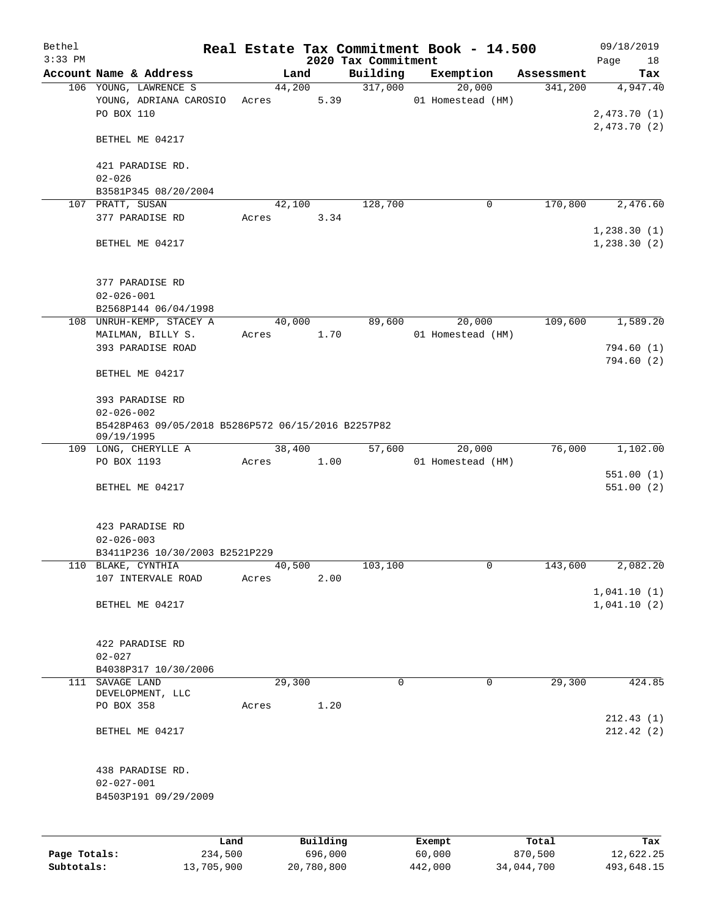| Bethel<br>$3:33$ PM |                                                                  |            |       |        |            | 2020 Tax Commitment | Real Estate Tax Commitment Book - 14.500 |            | 09/18/2019<br>Page<br>18   |
|---------------------|------------------------------------------------------------------|------------|-------|--------|------------|---------------------|------------------------------------------|------------|----------------------------|
|                     | Account Name & Address                                           |            |       | Land   |            | Building            | Exemption                                | Assessment | Tax                        |
|                     | 106 YOUNG, LAWRENCE S                                            |            |       | 44,200 |            | 317,000             | 20,000                                   | 341,200    | 4,947.40                   |
|                     | YOUNG, ADRIANA CAROSIO                                           |            | Acres |        | 5.39       |                     | 01 Homestead (HM)                        |            |                            |
|                     | PO BOX 110                                                       |            |       |        |            |                     |                                          |            | 2,473.70(1)                |
|                     |                                                                  |            |       |        |            |                     |                                          |            | 2,473.70(2)                |
|                     | BETHEL ME 04217                                                  |            |       |        |            |                     |                                          |            |                            |
|                     | 421 PARADISE RD.                                                 |            |       |        |            |                     |                                          |            |                            |
|                     | $02 - 026$                                                       |            |       |        |            |                     |                                          |            |                            |
|                     | B3581P345 08/20/2004                                             |            |       |        |            |                     |                                          |            |                            |
|                     | 107 PRATT, SUSAN                                                 |            |       | 42,100 |            | 128,700             | 0                                        | 170,800    | 2,476.60                   |
|                     | 377 PARADISE RD                                                  |            | Acres |        | 3.34       |                     |                                          |            |                            |
|                     |                                                                  |            |       |        |            |                     |                                          |            | 1,238.30(1)                |
|                     | BETHEL ME 04217                                                  |            |       |        |            |                     |                                          |            | 1, 238.30(2)               |
|                     | 377 PARADISE RD                                                  |            |       |        |            |                     |                                          |            |                            |
|                     | $02 - 026 - 001$                                                 |            |       |        |            |                     |                                          |            |                            |
|                     | B2568P144 06/04/1998                                             |            |       |        |            |                     |                                          |            |                            |
|                     | 108 UNRUH-KEMP, STACEY A                                         |            |       | 40,000 |            | 89,600              | 20,000                                   | 109,600    | 1,589.20                   |
|                     | MAILMAN, BILLY S.                                                |            | Acres |        | 1.70       |                     | 01 Homestead (HM)                        |            |                            |
|                     | 393 PARADISE ROAD                                                |            |       |        |            |                     |                                          |            | 794.60(1)                  |
|                     |                                                                  |            |       |        |            |                     |                                          |            | 794.60(2)                  |
|                     | BETHEL ME 04217                                                  |            |       |        |            |                     |                                          |            |                            |
|                     | 393 PARADISE RD                                                  |            |       |        |            |                     |                                          |            |                            |
|                     | $02 - 026 - 002$                                                 |            |       |        |            |                     |                                          |            |                            |
|                     |                                                                  |            |       |        |            |                     |                                          |            |                            |
|                     | B5428P463 09/05/2018 B5286P572 06/15/2016 B2257P82<br>09/19/1995 |            |       |        |            |                     |                                          |            |                            |
|                     | 109 LONG, CHERYLLE A                                             |            |       | 38,400 |            | 57,600              | 20,000                                   | 76,000     | 1,102.00                   |
|                     | PO BOX 1193                                                      |            | Acres |        | 1.00       |                     | 01 Homestead (HM)                        |            |                            |
|                     |                                                                  |            |       |        |            |                     |                                          |            | 551.00(1)                  |
|                     | BETHEL ME 04217                                                  |            |       |        |            |                     |                                          |            | 551.00(2)                  |
|                     |                                                                  |            |       |        |            |                     |                                          |            |                            |
|                     | 423 PARADISE RD                                                  |            |       |        |            |                     |                                          |            |                            |
|                     | $02 - 026 - 003$                                                 |            |       |        |            |                     |                                          |            |                            |
|                     | B3411P236 10/30/2003 B2521P229                                   |            |       |        |            |                     |                                          |            |                            |
|                     | 110 BLAKE, CYNTHIA                                               |            |       | 40,500 |            | 103, 100            | $\mathsf{O}$                             | 143,600    | 2,082.20                   |
|                     | 107 INTERVALE ROAD                                               |            | Acres |        | 2.00       |                     |                                          |            |                            |
|                     | BETHEL ME 04217                                                  |            |       |        |            |                     |                                          |            | 1,041.10(1)<br>1,041.10(2) |
|                     |                                                                  |            |       |        |            |                     |                                          |            |                            |
|                     | 422 PARADISE RD                                                  |            |       |        |            |                     |                                          |            |                            |
|                     | $02 - 027$                                                       |            |       |        |            |                     |                                          |            |                            |
|                     | B4038P317 10/30/2006                                             |            |       |        |            |                     |                                          |            |                            |
| 111                 | SAVAGE LAND                                                      |            |       | 29,300 |            | 0                   | 0                                        | 29,300     | 424.85                     |
|                     | DEVELOPMENT, LLC                                                 |            |       |        |            |                     |                                          |            |                            |
|                     | PO BOX 358                                                       |            | Acres |        | 1.20       |                     |                                          |            |                            |
|                     |                                                                  |            |       |        |            |                     |                                          |            | 212.43(1)                  |
|                     | BETHEL ME 04217                                                  |            |       |        |            |                     |                                          |            | 212.42(2)                  |
|                     | 438 PARADISE RD.                                                 |            |       |        |            |                     |                                          |            |                            |
|                     | $02 - 027 - 001$                                                 |            |       |        |            |                     |                                          |            |                            |
|                     | B4503P191 09/29/2009                                             |            |       |        |            |                     |                                          |            |                            |
|                     |                                                                  |            |       |        |            |                     |                                          |            |                            |
|                     |                                                                  |            |       |        |            |                     |                                          |            |                            |
|                     |                                                                  | Land       |       |        | Building   |                     | Exempt                                   | Total      | Tax                        |
| Page Totals:        |                                                                  | 234,500    |       |        | 696,000    |                     | 60,000                                   | 870,500    | 12,622.25                  |
| Subtotals:          |                                                                  | 13,705,900 |       |        | 20,780,800 |                     | 442,000                                  | 34,044,700 | 493,648.15                 |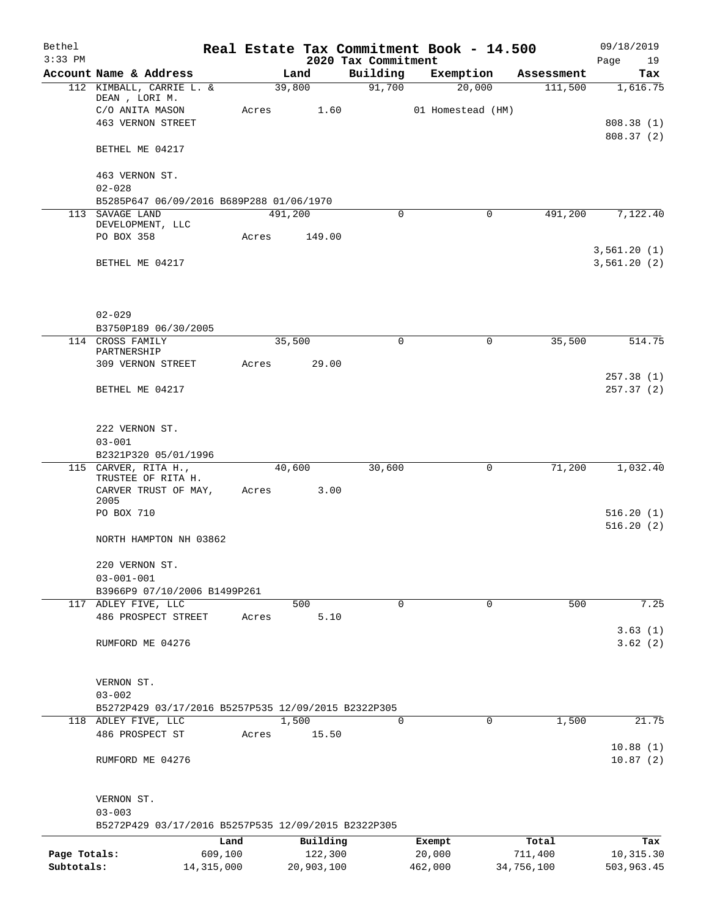| Bethel<br>$3:33$ PM |                                                     |         |            | 2020 Tax Commitment | Real Estate Tax Commitment Book - 14.500 |            | 09/18/2019<br>Page<br>19 |
|---------------------|-----------------------------------------------------|---------|------------|---------------------|------------------------------------------|------------|--------------------------|
|                     | Account Name & Address                              |         | Land       | Building            | Exemption                                | Assessment | Tax                      |
|                     | 112 KIMBALL, CARRIE L. &                            |         | 39,800     | 91,700              | 20,000                                   | 111,500    | 1,616.75                 |
|                     | DEAN, LORI M.                                       |         |            |                     |                                          |            |                          |
|                     | C/O ANITA MASON                                     | Acres   | 1.60       |                     | 01 Homestead (HM)                        |            |                          |
|                     | <b>463 VERNON STREET</b>                            |         |            |                     |                                          |            | 808.38 (1)               |
|                     | BETHEL ME 04217                                     |         |            |                     |                                          |            | 808.37(2)                |
|                     | 463 VERNON ST.                                      |         |            |                     |                                          |            |                          |
|                     | $02 - 028$                                          |         |            |                     |                                          |            |                          |
|                     | B5285P647 06/09/2016 B689P288 01/06/1970            |         |            |                     |                                          |            |                          |
|                     | 113 SAVAGE LAND<br>DEVELOPMENT, LLC                 | 491,200 |            | $\mathbf 0$         | $\mathbf 0$                              | 491,200    | 7,122.40                 |
|                     | PO BOX 358                                          | Acres   | 149.00     |                     |                                          |            |                          |
|                     |                                                     |         |            |                     |                                          |            | 3,561.20(1)              |
|                     | BETHEL ME 04217                                     |         |            |                     |                                          |            | 3,561.20(2)              |
|                     |                                                     |         |            |                     |                                          |            |                          |
|                     | $02 - 029$                                          |         |            |                     |                                          |            |                          |
|                     | B3750P189 06/30/2005<br>114 CROSS FAMILY            | 35,500  |            | $\Omega$            | $\mathbf 0$                              | 35,500     | 514.75                   |
|                     | PARTNERSHIP                                         |         |            |                     |                                          |            |                          |
|                     | 309 VERNON STREET                                   | Acres   | 29.00      |                     |                                          |            |                          |
|                     |                                                     |         |            |                     |                                          |            | 257.38(1)                |
|                     | BETHEL ME 04217                                     |         |            |                     |                                          |            | 257.37(2)                |
|                     | 222 VERNON ST.                                      |         |            |                     |                                          |            |                          |
|                     | $03 - 001$                                          |         |            |                     |                                          |            |                          |
|                     | B2321P320 05/01/1996                                |         |            |                     |                                          |            |                          |
|                     | 115 CARVER, RITA H.,                                | 40,600  |            | 30,600              | 0                                        | 71,200     | 1,032.40                 |
|                     | TRUSTEE OF RITA H.<br>CARVER TRUST OF MAY,<br>2005  | Acres   | 3.00       |                     |                                          |            |                          |
|                     | PO BOX 710                                          |         |            |                     |                                          |            | 516.20(1)                |
|                     |                                                     |         |            |                     |                                          |            | 516.20(2)                |
|                     | NORTH HAMPTON NH 03862                              |         |            |                     |                                          |            |                          |
|                     | 220 VERNON ST.                                      |         |            |                     |                                          |            |                          |
|                     | $03 - 001 - 001$                                    |         |            |                     |                                          |            |                          |
|                     | B3966P9 07/10/2006 B1499P261                        |         |            |                     |                                          |            |                          |
|                     | 117 ADLEY FIVE, LLC                                 |         | 500        | 0                   | 0                                        | 500        | 7.25                     |
|                     | 486 PROSPECT STREET                                 | Acres   | 5.10       |                     |                                          |            |                          |
|                     |                                                     |         |            |                     |                                          |            | 3.63(1)                  |
|                     | RUMFORD ME 04276                                    |         |            |                     |                                          |            | 3.62(2)                  |
|                     | VERNON ST.                                          |         |            |                     |                                          |            |                          |
|                     | $03 - 002$                                          |         |            |                     |                                          |            |                          |
|                     | B5272P429 03/17/2016 B5257P535 12/09/2015 B2322P305 |         |            |                     |                                          |            |                          |
|                     | 118 ADLEY FIVE, LLC                                 |         | 1,500      | 0                   | $\mathbf 0$                              | 1,500      | 21.75                    |
|                     | 486 PROSPECT ST                                     | Acres   | 15.50      |                     |                                          |            |                          |
|                     |                                                     |         |            |                     |                                          |            | 10.88(1)                 |
|                     | RUMFORD ME 04276                                    |         |            |                     |                                          |            | 10.87(2)                 |
|                     | VERNON ST.                                          |         |            |                     |                                          |            |                          |
|                     | $03 - 003$                                          |         |            |                     |                                          |            |                          |
|                     | B5272P429 03/17/2016 B5257P535 12/09/2015 B2322P305 |         |            |                     |                                          |            |                          |
|                     | Land                                                |         | Building   |                     | Exempt                                   | Total      | Tax                      |
| Page Totals:        | 609,100                                             |         | 122,300    |                     | 20,000                                   | 711,400    | 10,315.30                |
| Subtotals:          | 14, 315, 000                                        |         | 20,903,100 |                     | 462,000                                  | 34,756,100 | 503,963.45               |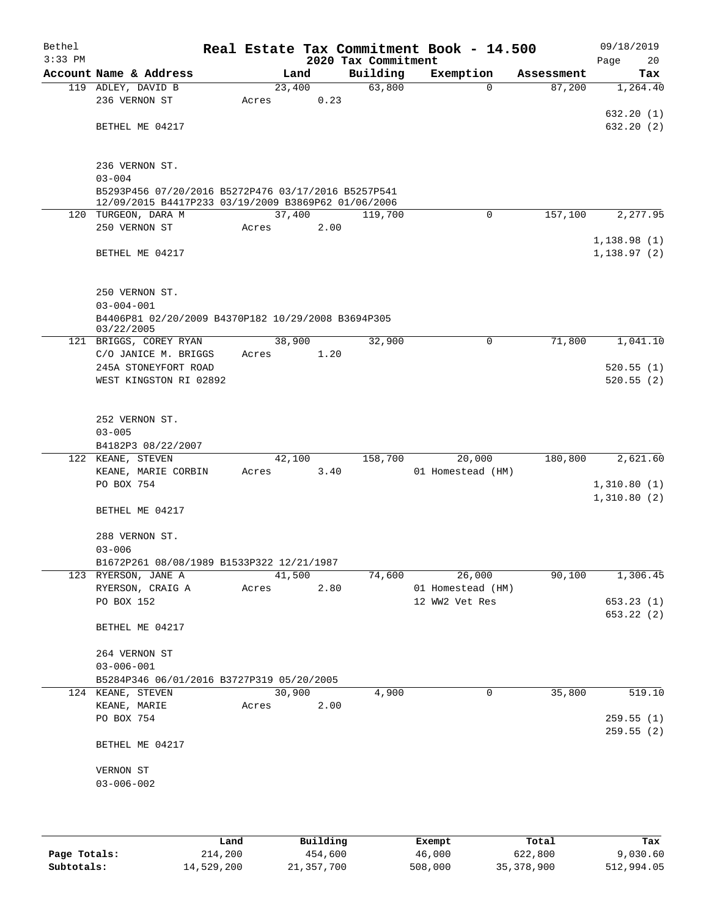| Bethel    |                                                                                                            |       |        |      |                     | Real Estate Tax Commitment Book - 14.500 |            | 09/18/2019  |
|-----------|------------------------------------------------------------------------------------------------------------|-------|--------|------|---------------------|------------------------------------------|------------|-------------|
| $3:33$ PM |                                                                                                            |       |        |      | 2020 Tax Commitment |                                          |            | Page<br>20  |
|           | Account Name & Address                                                                                     |       | Land   |      | Building            | Exemption                                | Assessment | Tax         |
|           | 119 ADLEY, DAVID B<br>236 VERNON ST                                                                        | Acres | 23,400 | 0.23 | 63,800              | 0                                        | 87,200     | 1,264.40    |
|           |                                                                                                            |       |        |      |                     |                                          |            | 632.20(1)   |
|           | BETHEL ME 04217                                                                                            |       |        |      |                     |                                          |            | 632.20(2)   |
|           |                                                                                                            |       |        |      |                     |                                          |            |             |
|           |                                                                                                            |       |        |      |                     |                                          |            |             |
|           | 236 VERNON ST.                                                                                             |       |        |      |                     |                                          |            |             |
|           | $03 - 004$                                                                                                 |       |        |      |                     |                                          |            |             |
|           | B5293P456 07/20/2016 B5272P476 03/17/2016 B5257P541<br>12/09/2015 B4417P233 03/19/2009 B3869P62 01/06/2006 |       |        |      |                     |                                          |            |             |
|           | 120 TURGEON, DARA M                                                                                        |       | 37,400 |      | 119,700             | 0                                        | 157,100    | 2,277.95    |
|           | 250 VERNON ST                                                                                              | Acres |        | 2.00 |                     |                                          |            |             |
|           |                                                                                                            |       |        |      |                     |                                          |            | 1,138.98(1) |
|           | BETHEL ME 04217                                                                                            |       |        |      |                     |                                          |            | 1,138.97(2) |
|           |                                                                                                            |       |        |      |                     |                                          |            |             |
|           |                                                                                                            |       |        |      |                     |                                          |            |             |
|           | 250 VERNON ST.                                                                                             |       |        |      |                     |                                          |            |             |
|           | $03 - 004 - 001$<br>B4406P81 02/20/2009 B4370P182 10/29/2008 B3694P305                                     |       |        |      |                     |                                          |            |             |
|           | 03/22/2005                                                                                                 |       |        |      |                     |                                          |            |             |
|           | 121 BRIGGS, COREY RYAN                                                                                     |       | 38,900 |      | 32,900              | 0                                        | 71,800     | 1,041.10    |
|           | C/O JANICE M. BRIGGS                                                                                       | Acres |        | 1.20 |                     |                                          |            |             |
|           | 245A STONEYFORT ROAD                                                                                       |       |        |      |                     |                                          |            | 520.55(1)   |
|           | WEST KINGSTON RI 02892                                                                                     |       |        |      |                     |                                          |            | 520.55(2)   |
|           |                                                                                                            |       |        |      |                     |                                          |            |             |
|           | 252 VERNON ST.                                                                                             |       |        |      |                     |                                          |            |             |
|           | $03 - 005$                                                                                                 |       |        |      |                     |                                          |            |             |
|           | B4182P3 08/22/2007                                                                                         |       |        |      |                     |                                          |            |             |
|           | 122 KEANE, STEVEN                                                                                          |       | 42,100 |      | 158,700             | 20,000                                   | 180,800    | 2,621.60    |
|           | KEANE, MARIE CORBIN                                                                                        | Acres |        | 3.40 |                     | 01 Homestead (HM)                        |            |             |
|           | PO BOX 754                                                                                                 |       |        |      |                     |                                          |            | 1,310.80(1) |
|           |                                                                                                            |       |        |      |                     |                                          |            | 1,310.80(2) |
|           | BETHEL ME 04217                                                                                            |       |        |      |                     |                                          |            |             |
|           | 288 VERNON ST.                                                                                             |       |        |      |                     |                                          |            |             |
|           | $03 - 006$                                                                                                 |       |        |      |                     |                                          |            |             |
|           | B1672P261 08/08/1989 B1533P322 12/21/1987                                                                  |       |        |      |                     |                                          |            |             |
|           | 123 RYERSON, JANE A                                                                                        |       | 41,500 |      | 74,600              | 26,000                                   | 90,100     | 1,306.45    |
|           | RYERSON, CRAIG A                                                                                           | Acres |        | 2.80 |                     | 01 Homestead (HM)                        |            |             |
|           | PO BOX 152                                                                                                 |       |        |      |                     | 12 WW2 Vet Res                           |            | 653.23(1)   |
|           |                                                                                                            |       |        |      |                     |                                          |            | 653.22 (2)  |
|           | BETHEL ME 04217                                                                                            |       |        |      |                     |                                          |            |             |
|           | 264 VERNON ST                                                                                              |       |        |      |                     |                                          |            |             |
|           | $03 - 006 - 001$                                                                                           |       |        |      |                     |                                          |            |             |
|           | B5284P346 06/01/2016 B3727P319 05/20/2005                                                                  |       |        |      |                     |                                          |            |             |
|           | 124 KEANE, STEVEN                                                                                          |       | 30,900 |      | 4,900               | 0                                        | 35,800     | 519.10      |
|           | KEANE, MARIE                                                                                               | Acres |        | 2.00 |                     |                                          |            |             |
|           | PO BOX 754                                                                                                 |       |        |      |                     |                                          |            | 259.55(1)   |
|           |                                                                                                            |       |        |      |                     |                                          |            | 259.55(2)   |
|           | BETHEL ME 04217                                                                                            |       |        |      |                     |                                          |            |             |
|           | VERNON ST                                                                                                  |       |        |      |                     |                                          |            |             |
|           | $03 - 006 - 002$                                                                                           |       |        |      |                     |                                          |            |             |
|           |                                                                                                            |       |        |      |                     |                                          |            |             |
|           |                                                                                                            |       |        |      |                     |                                          |            |             |
|           |                                                                                                            |       |        |      |                     |                                          |            |             |

|              | Land       | Building   | Exempt  | Total      | Tax        |
|--------------|------------|------------|---------|------------|------------|
| Page Totals: | 214,200    | 454,600    | 46,000  | 622,800    | 9,030.60   |
| Subtotals:   | 14,529,200 | 21,357,700 | 508,000 | 35,378,900 | 512,994.05 |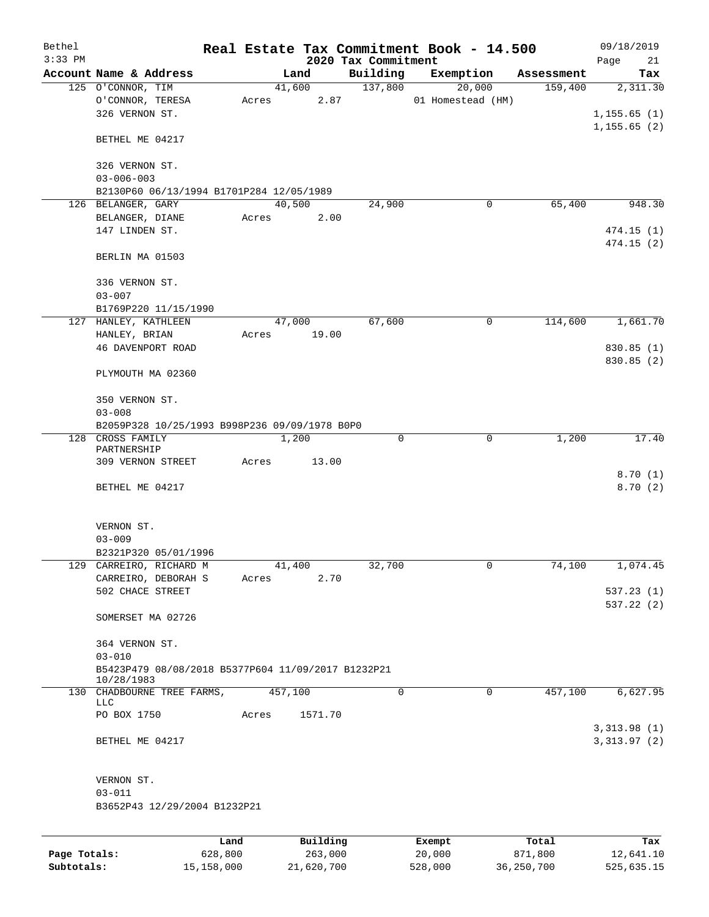| Bethel<br>$3:33$ PM |                                                    |         |       |                | 2020 Tax Commitment | Real Estate Tax Commitment Book - 14.500 |            | 09/18/2019<br>Page<br>21 |
|---------------------|----------------------------------------------------|---------|-------|----------------|---------------------|------------------------------------------|------------|--------------------------|
|                     | Account Name & Address                             |         |       | Land           | Building            | Exemption                                | Assessment | Tax                      |
|                     | 125 O'CONNOR, TIM                                  |         |       | 41,600         | 137,800             | 20,000                                   | 159,400    | 2,311.30                 |
|                     | O'CONNOR, TERESA                                   |         | Acres | 2.87           |                     | 01 Homestead (HM)                        |            |                          |
|                     | 326 VERNON ST.                                     |         |       |                |                     |                                          |            | 1, 155.65(1)             |
|                     |                                                    |         |       |                |                     |                                          |            | 1, 155.65(2)             |
|                     | BETHEL ME 04217                                    |         |       |                |                     |                                          |            |                          |
|                     |                                                    |         |       |                |                     |                                          |            |                          |
|                     | 326 VERNON ST.                                     |         |       |                |                     |                                          |            |                          |
|                     | $03 - 006 - 003$                                   |         |       |                |                     |                                          |            |                          |
|                     | B2130P60 06/13/1994 B1701P284 12/05/1989           |         |       |                |                     |                                          |            |                          |
|                     | 126 BELANGER, GARY                                 |         |       | 40,500         | 24,900              | 0                                        | 65,400     | 948.30                   |
|                     | BELANGER, DIANE                                    |         | Acres | 2.00           |                     |                                          |            |                          |
|                     | 147 LINDEN ST.                                     |         |       |                |                     |                                          |            | 474.15(1)                |
|                     |                                                    |         |       |                |                     |                                          |            | 474.15 (2)               |
|                     | BERLIN MA 01503                                    |         |       |                |                     |                                          |            |                          |
|                     |                                                    |         |       |                |                     |                                          |            |                          |
|                     | 336 VERNON ST.                                     |         |       |                |                     |                                          |            |                          |
|                     | $03 - 007$                                         |         |       |                |                     |                                          |            |                          |
|                     | B1769P220 11/15/1990                               |         |       |                |                     |                                          |            |                          |
|                     | 127 HANLEY, KATHLEEN                               |         |       | 47,000         | 67,600              | 0                                        | 114,600    | 1,661.70                 |
|                     | HANLEY, BRIAN                                      |         | Acres | 19.00          |                     |                                          |            |                          |
|                     | 46 DAVENPORT ROAD                                  |         |       |                |                     |                                          |            | 830.85 (1)               |
|                     |                                                    |         |       |                |                     |                                          |            | 830.85 (2)               |
|                     | PLYMOUTH MA 02360                                  |         |       |                |                     |                                          |            |                          |
|                     |                                                    |         |       |                |                     |                                          |            |                          |
|                     | 350 VERNON ST.                                     |         |       |                |                     |                                          |            |                          |
|                     | $03 - 008$                                         |         |       |                |                     |                                          |            |                          |
|                     | B2059P328 10/25/1993 B998P236 09/09/1978 B0P0      |         |       |                |                     |                                          |            |                          |
|                     | 128 CROSS FAMILY                                   |         |       | 1,200          | 0                   | $\mathbf 0$                              | 1,200      | 17.40                    |
|                     | PARTNERSHIP                                        |         |       |                |                     |                                          |            |                          |
|                     | 309 VERNON STREET                                  |         | Acres | 13.00          |                     |                                          |            |                          |
|                     |                                                    |         |       |                |                     |                                          |            | 8.70(1)                  |
|                     | BETHEL ME 04217                                    |         |       |                |                     |                                          |            | 8.70(2)                  |
|                     |                                                    |         |       |                |                     |                                          |            |                          |
|                     |                                                    |         |       |                |                     |                                          |            |                          |
|                     | VERNON ST.<br>$03 - 009$                           |         |       |                |                     |                                          |            |                          |
|                     |                                                    |         |       |                |                     |                                          |            |                          |
|                     | B2321P320 05/01/1996                               |         |       |                |                     |                                          |            |                          |
|                     | 129 CARREIRO, RICHARD M<br>CARREIRO, DEBORAH S     |         | Acres | 41,400<br>2.70 | 32,700              | $\overline{0}$                           | 74,100     | 1,074.45                 |
|                     | 502 CHACE STREET                                   |         |       |                |                     |                                          |            | 537.23(1)                |
|                     |                                                    |         |       |                |                     |                                          |            | 537.22 (2)               |
|                     | SOMERSET MA 02726                                  |         |       |                |                     |                                          |            |                          |
|                     |                                                    |         |       |                |                     |                                          |            |                          |
|                     | 364 VERNON ST.                                     |         |       |                |                     |                                          |            |                          |
|                     | $03 - 010$                                         |         |       |                |                     |                                          |            |                          |
|                     | B5423P479 08/08/2018 B5377P604 11/09/2017 B1232P21 |         |       |                |                     |                                          |            |                          |
|                     | 10/28/1983                                         |         |       |                |                     |                                          |            |                          |
|                     | 130 CHADBOURNE TREE FARMS,                         |         |       | 457,100        | 0                   | $\mathbf 0$                              | 457,100    | 6,627.95                 |
|                     | LLC                                                |         |       |                |                     |                                          |            |                          |
|                     | PO BOX 1750                                        |         | Acres | 1571.70        |                     |                                          |            |                          |
|                     |                                                    |         |       |                |                     |                                          |            | 3, 313.98 (1)            |
|                     | BETHEL ME 04217                                    |         |       |                |                     |                                          |            | 3,313.97(2)              |
|                     |                                                    |         |       |                |                     |                                          |            |                          |
|                     |                                                    |         |       |                |                     |                                          |            |                          |
|                     | VERNON ST.                                         |         |       |                |                     |                                          |            |                          |
|                     | $03 - 011$                                         |         |       |                |                     |                                          |            |                          |
|                     | B3652P43 12/29/2004 B1232P21                       |         |       |                |                     |                                          |            |                          |
|                     |                                                    |         |       |                |                     |                                          |            |                          |
|                     |                                                    | Land    |       | Building       |                     | Exempt                                   | Total      | Tax                      |
| Page Totals:        |                                                    | 628,800 |       | 263,000        |                     | 20,000                                   | 871,800    | 12,641.10                |

**Subtotals:** 15,158,000 21,620,700 528,000 36,250,700 525,635.15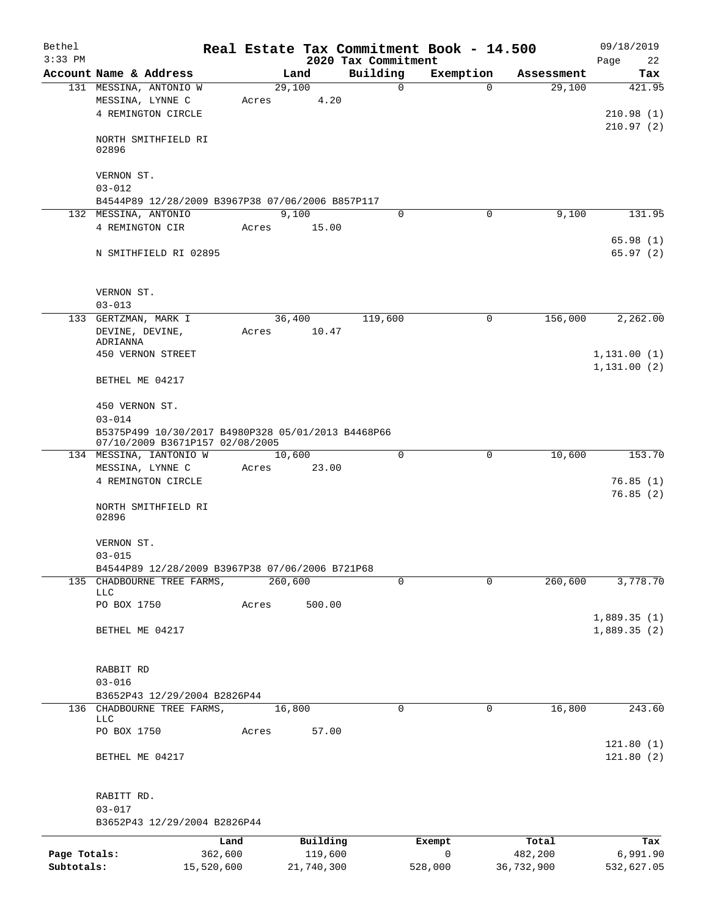| Bethel<br>$3:33$ PM |                                                                          |            |       |            | 2020 Tax Commitment |             | Real Estate Tax Commitment Book - 14.500 |             |            | 09/18/2019<br>Page<br>22   |  |
|---------------------|--------------------------------------------------------------------------|------------|-------|------------|---------------------|-------------|------------------------------------------|-------------|------------|----------------------------|--|
|                     | Account Name & Address                                                   |            |       | Land       | Building            |             | Exemption                                |             | Assessment | Tax                        |  |
|                     | 131 MESSINA, ANTONIO W                                                   |            |       | 29,100     |                     | $\mathbf 0$ |                                          | $\Omega$    | 29,100     | 421.95                     |  |
|                     | MESSINA, LYNNE C                                                         |            | Acres | 4.20       |                     |             |                                          |             |            |                            |  |
|                     | 4 REMINGTON CIRCLE                                                       |            |       |            |                     |             |                                          |             |            | 210.98(1)                  |  |
|                     |                                                                          |            |       |            |                     |             |                                          |             |            | 210.97(2)                  |  |
|                     | NORTH SMITHFIELD RI                                                      |            |       |            |                     |             |                                          |             |            |                            |  |
|                     | 02896                                                                    |            |       |            |                     |             |                                          |             |            |                            |  |
|                     |                                                                          |            |       |            |                     |             |                                          |             |            |                            |  |
|                     | VERNON ST.                                                               |            |       |            |                     |             |                                          |             |            |                            |  |
|                     | $03 - 012$                                                               |            |       |            |                     |             |                                          |             |            |                            |  |
|                     | B4544P89 12/28/2009 B3967P38 07/06/2006 B857P117<br>132 MESSINA, ANTONIO |            |       | 9,100      |                     | $\Omega$    |                                          | 0           | 9,100      | 131.95                     |  |
|                     | 4 REMINGTON CIR                                                          |            | Acres | 15.00      |                     |             |                                          |             |            |                            |  |
|                     |                                                                          |            |       |            |                     |             |                                          |             |            | 65.98(1)                   |  |
|                     | N SMITHFIELD RI 02895                                                    |            |       |            |                     |             |                                          |             |            | 65.97(2)                   |  |
|                     |                                                                          |            |       |            |                     |             |                                          |             |            |                            |  |
|                     |                                                                          |            |       |            |                     |             |                                          |             |            |                            |  |
|                     | VERNON ST.                                                               |            |       |            |                     |             |                                          |             |            |                            |  |
|                     | $03 - 013$                                                               |            |       |            |                     |             |                                          |             |            |                            |  |
|                     | 133 GERTZMAN, MARK I                                                     |            |       | 36,400     | 119,600             |             |                                          | 0           | 156,000    | 2,262.00                   |  |
|                     | DEVINE, DEVINE,                                                          |            | Acres | 10.47      |                     |             |                                          |             |            |                            |  |
|                     | ADRIANNA                                                                 |            |       |            |                     |             |                                          |             |            |                            |  |
|                     | 450 VERNON STREET                                                        |            |       |            |                     |             |                                          |             |            | 1,131.00(1)                |  |
|                     |                                                                          |            |       |            |                     |             |                                          |             |            | 1, 131.00(2)               |  |
|                     | BETHEL ME 04217                                                          |            |       |            |                     |             |                                          |             |            |                            |  |
|                     | 450 VERNON ST.                                                           |            |       |            |                     |             |                                          |             |            |                            |  |
|                     | $03 - 014$                                                               |            |       |            |                     |             |                                          |             |            |                            |  |
|                     | B5375P499 10/30/2017 B4980P328 05/01/2013 B4468P66                       |            |       |            |                     |             |                                          |             |            |                            |  |
|                     | 07/10/2009 B3671P157 02/08/2005                                          |            |       |            |                     |             |                                          |             |            |                            |  |
|                     | 134 MESSINA, IANTONIO W                                                  |            |       | 10,600     |                     | 0           |                                          | $\mathbf 0$ | 10,600     | 153.70                     |  |
|                     | MESSINA, LYNNE C                                                         |            | Acres | 23.00      |                     |             |                                          |             |            |                            |  |
|                     | 4 REMINGTON CIRCLE                                                       |            |       |            |                     |             |                                          |             |            | 76.85(1)                   |  |
|                     |                                                                          |            |       |            |                     |             |                                          |             |            | 76.85(2)                   |  |
|                     | NORTH SMITHFIELD RI<br>02896                                             |            |       |            |                     |             |                                          |             |            |                            |  |
|                     |                                                                          |            |       |            |                     |             |                                          |             |            |                            |  |
|                     | VERNON ST.                                                               |            |       |            |                     |             |                                          |             |            |                            |  |
|                     | $03 - 015$                                                               |            |       |            |                     |             |                                          |             |            |                            |  |
|                     | B4544P89 12/28/2009 B3967P38 07/06/2006 B721P68                          |            |       |            |                     |             |                                          |             |            |                            |  |
|                     | 135 CHADBOURNE TREE FARMS,                                               |            |       | 260,600    |                     | 0           |                                          | $\Omega$    | 260,600    | 3,778.70                   |  |
|                     | LLC                                                                      |            |       |            |                     |             |                                          |             |            |                            |  |
|                     | PO BOX 1750                                                              |            | Acres | 500.00     |                     |             |                                          |             |            |                            |  |
|                     | BETHEL ME 04217                                                          |            |       |            |                     |             |                                          |             |            | 1,889.35(1)<br>1,889.35(2) |  |
|                     |                                                                          |            |       |            |                     |             |                                          |             |            |                            |  |
|                     |                                                                          |            |       |            |                     |             |                                          |             |            |                            |  |
|                     | RABBIT RD                                                                |            |       |            |                     |             |                                          |             |            |                            |  |
|                     | $03 - 016$                                                               |            |       |            |                     |             |                                          |             |            |                            |  |
|                     | B3652P43 12/29/2004 B2826P44                                             |            |       |            |                     |             |                                          |             |            |                            |  |
|                     | 136 CHADBOURNE TREE FARMS,                                               |            |       | 16,800     |                     | $\Omega$    |                                          | $\mathbf 0$ | 16,800     | 243.60                     |  |
|                     | LLC                                                                      |            |       |            |                     |             |                                          |             |            |                            |  |
|                     | PO BOX 1750                                                              |            | Acres | 57.00      |                     |             |                                          |             |            |                            |  |
|                     |                                                                          |            |       |            |                     |             |                                          |             |            | 121.80(1)                  |  |
|                     | BETHEL ME 04217                                                          |            |       |            |                     |             |                                          |             |            | 121.80(2)                  |  |
|                     |                                                                          |            |       |            |                     |             |                                          |             |            |                            |  |
|                     | RABITT RD.                                                               |            |       |            |                     |             |                                          |             |            |                            |  |
|                     | $03 - 017$                                                               |            |       |            |                     |             |                                          |             |            |                            |  |
|                     | B3652P43 12/29/2004 B2826P44                                             |            |       |            |                     |             |                                          |             |            |                            |  |
|                     |                                                                          | Land       |       | Building   |                     |             | Exempt                                   |             | Total      | Tax                        |  |
| Page Totals:        |                                                                          | 362,600    |       | 119,600    |                     |             | $\mathsf{O}$                             |             | 482,200    | 6,991.90                   |  |
| Subtotals:          |                                                                          | 15,520,600 |       | 21,740,300 |                     |             | 528,000                                  |             | 36,732,900 | 532,627.05                 |  |
|                     |                                                                          |            |       |            |                     |             |                                          |             |            |                            |  |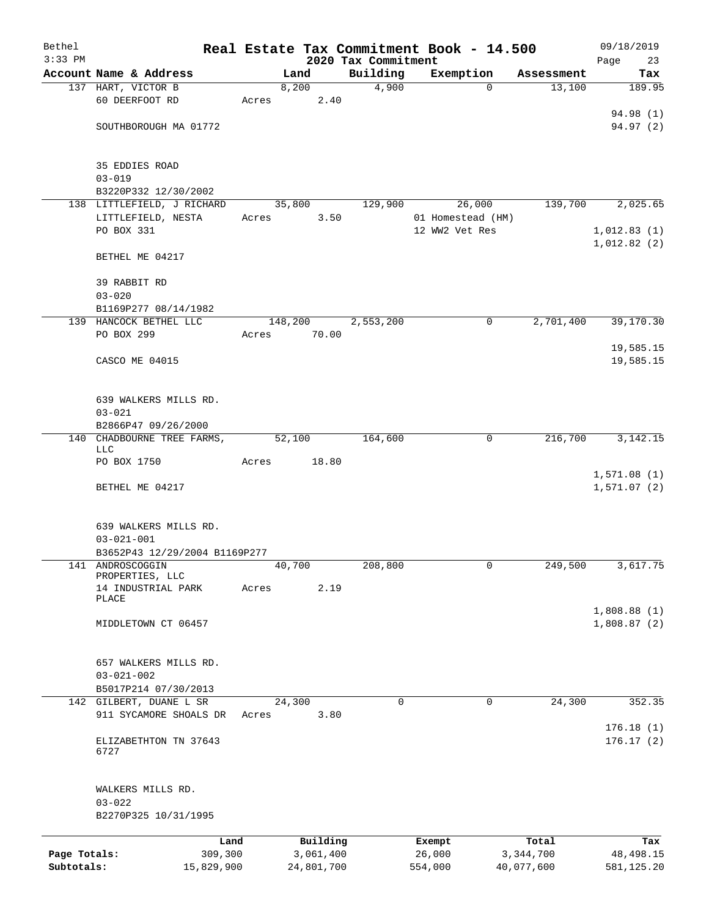| Bethel       |                                           |       |            |                                 | Real Estate Tax Commitment Book - 14.500 |                      | 09/18/2019                 |
|--------------|-------------------------------------------|-------|------------|---------------------------------|------------------------------------------|----------------------|----------------------------|
| $3:33$ PM    | Account Name & Address                    |       | Land       | 2020 Tax Commitment<br>Building | Exemption                                |                      | Page<br>23<br>Tax          |
|              | 137 HART, VICTOR B                        |       | 8,200      | 4,900                           | $\Omega$                                 | Assessment<br>13,100 | 189.95                     |
|              | 60 DEERFOOT RD                            | Acres | 2.40       |                                 |                                          |                      | 94.98 (1)                  |
|              | SOUTHBOROUGH MA 01772                     |       |            |                                 |                                          |                      | 94.97(2)                   |
|              | 35 EDDIES ROAD<br>$03 - 019$              |       |            |                                 |                                          |                      |                            |
|              | B3220P332 12/30/2002                      |       |            |                                 |                                          |                      |                            |
|              | 138 LITTLEFIELD, J RICHARD                |       | 35,800     | 129,900                         | 26,000                                   | 139,700              | 2,025.65                   |
|              | LITTLEFIELD, NESTA                        | Acres | 3.50       |                                 | 01 Homestead (HM)                        |                      |                            |
|              | PO BOX 331                                |       |            |                                 | 12 WW2 Vet Res                           |                      | 1,012.83(1)<br>1,012.82(2) |
|              | BETHEL ME 04217                           |       |            |                                 |                                          |                      |                            |
|              | 39 RABBIT RD<br>$03 - 020$                |       |            |                                 |                                          |                      |                            |
|              | B1169P277 08/14/1982                      |       |            |                                 |                                          |                      |                            |
|              | 139 HANCOCK BETHEL LLC                    |       | 148,200    | 2,553,200                       | 0                                        | 2,701,400            | 39,170.30                  |
|              | PO BOX 299                                | Acres | 70.00      |                                 |                                          |                      | 19,585.15                  |
|              | CASCO ME 04015                            |       |            |                                 |                                          |                      | 19,585.15                  |
|              | 639 WALKERS MILLS RD.                     |       |            |                                 |                                          |                      |                            |
|              | $03 - 021$<br>B2866P47 09/26/2000         |       |            |                                 |                                          |                      |                            |
|              | 140 CHADBOURNE TREE FARMS,                |       | 52,100     | 164,600                         | $\mathbf 0$                              | 216,700              | 3, 142. 15                 |
|              | LLC<br>PO BOX 1750                        | Acres | 18.80      |                                 |                                          |                      |                            |
|              | BETHEL ME 04217                           |       |            |                                 |                                          |                      | 1,571.08(1)<br>1,571.07(2) |
|              | 639 WALKERS MILLS RD.<br>$03 - 021 - 001$ |       |            |                                 |                                          |                      |                            |
|              | B3652P43 12/29/2004 B1169P277             |       |            |                                 |                                          |                      |                            |
| 141          | ANDROSCOGGIN                              |       | 40,700     | 208,800                         | 0                                        | 249,500              | 3,617.75                   |
|              | PROPERTIES, LLC                           |       |            |                                 |                                          |                      |                            |
|              | 14 INDUSTRIAL PARK<br>PLACE               | Acres | 2.19       |                                 |                                          |                      |                            |
|              | MIDDLETOWN CT 06457                       |       |            |                                 |                                          |                      | 1,808.88(1)<br>1,808.87(2) |
|              | 657 WALKERS MILLS RD.<br>$03 - 021 - 002$ |       |            |                                 |                                          |                      |                            |
|              | B5017P214 07/30/2013                      |       |            |                                 |                                          |                      |                            |
|              | 142 GILBERT, DUANE L SR                   |       | 24,300     | 0                               | 0                                        | 24,300               | 352.35                     |
|              | 911 SYCAMORE SHOALS DR                    | Acres | 3.80       |                                 |                                          |                      | 176.18(1)                  |
|              | ELIZABETHTON TN 37643<br>6727             |       |            |                                 |                                          |                      | 176.17(2)                  |
|              | WALKERS MILLS RD.<br>$03 - 022$           |       |            |                                 |                                          |                      |                            |
|              | B2270P325 10/31/1995                      |       |            |                                 |                                          |                      |                            |
|              | Land                                      |       | Building   |                                 | Exempt                                   | Total                | Tax                        |
| Page Totals: | 309,300                                   |       | 3,061,400  |                                 | 26,000                                   | 3,344,700            | 48, 498. 15                |
| Subtotals:   | 15,829,900                                |       | 24,801,700 |                                 | 554,000                                  | 40,077,600           | 581,125.20                 |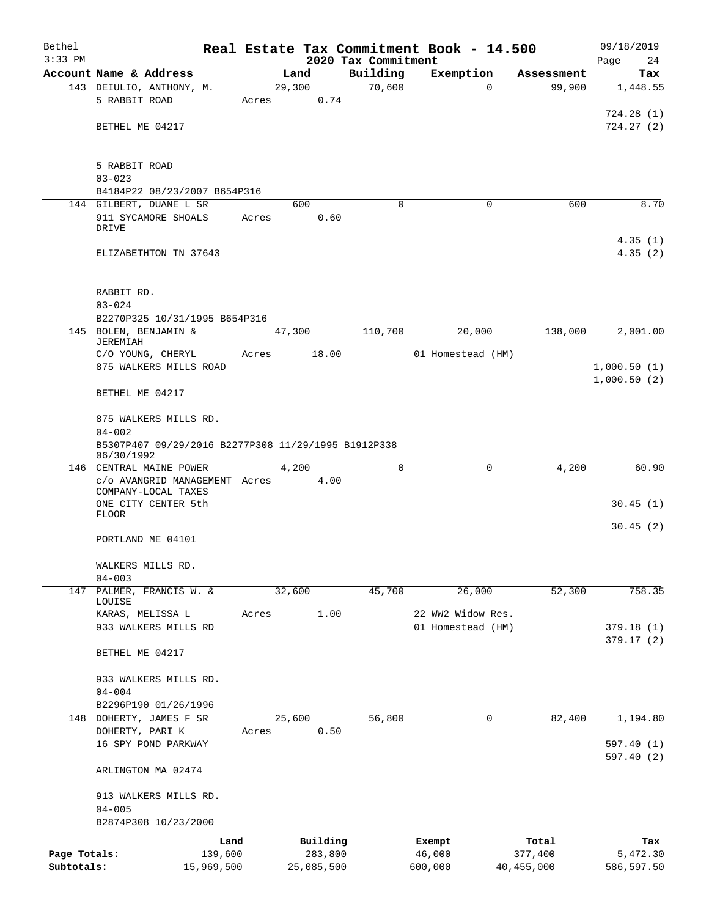| Bethel       |                                                                   |            |       |        |            | Real Estate Tax Commitment Book - 14.500 |                   |                   |              | 09/18/2019             |
|--------------|-------------------------------------------------------------------|------------|-------|--------|------------|------------------------------------------|-------------------|-------------------|--------------|------------------------|
| $3:33$ PM    |                                                                   |            |       |        |            | 2020 Tax Commitment                      |                   |                   |              | Page<br>24             |
|              | Account Name & Address                                            |            |       | Land   |            | Building                                 | Exemption         |                   | Assessment   | Tax                    |
|              | 143 DEIULIO, ANTHONY, M.                                          |            |       | 29,300 |            | 70,600                                   |                   | $\Omega$          | 99,900       | 1,448.55               |
|              | 5 RABBIT ROAD                                                     |            | Acres |        | 0.74       |                                          |                   |                   |              |                        |
|              |                                                                   |            |       |        |            |                                          |                   |                   |              | 724.28(1)              |
|              | BETHEL ME 04217                                                   |            |       |        |            |                                          |                   |                   |              | 724.27(2)              |
|              | 5 RABBIT ROAD                                                     |            |       |        |            |                                          |                   |                   |              |                        |
|              | $03 - 023$                                                        |            |       |        |            |                                          |                   |                   |              |                        |
|              | B4184P22 08/23/2007 B654P316                                      |            |       |        |            |                                          |                   |                   |              |                        |
|              | 144 GILBERT, DUANE L SR                                           |            |       | 600    |            | $\Omega$                                 |                   | 0                 | 600          | 8.70                   |
|              | 911 SYCAMORE SHOALS                                               |            | Acres |        | 0.60       |                                          |                   |                   |              |                        |
|              | <b>DRIVE</b>                                                      |            |       |        |            |                                          |                   |                   |              |                        |
|              | ELIZABETHTON TN 37643                                             |            |       |        |            |                                          |                   |                   |              | 4.35(1)<br>4.35(2)     |
|              |                                                                   |            |       |        |            |                                          |                   |                   |              |                        |
|              | RABBIT RD.                                                        |            |       |        |            |                                          |                   |                   |              |                        |
|              | $03 - 024$                                                        |            |       |        |            |                                          |                   |                   |              |                        |
|              | B2270P325 10/31/1995 B654P316                                     |            |       |        |            |                                          |                   |                   |              |                        |
|              | 145 BOLEN, BENJAMIN &<br><b>JEREMIAH</b>                          |            |       | 47,300 |            | 110,700                                  |                   | 20,000            | 138,000      | 2,001.00               |
|              | C/O YOUNG, CHERYL                                                 |            | Acres |        | 18.00      |                                          | 01 Homestead (HM) |                   |              |                        |
|              | 875 WALKERS MILLS ROAD                                            |            |       |        |            |                                          |                   |                   |              | 1,000.50(1)            |
|              |                                                                   |            |       |        |            |                                          |                   |                   |              | 1,000.50(2)            |
|              | BETHEL ME 04217                                                   |            |       |        |            |                                          |                   |                   |              |                        |
|              | 875 WALKERS MILLS RD.                                             |            |       |        |            |                                          |                   |                   |              |                        |
|              | $04 - 002$                                                        |            |       |        |            |                                          |                   |                   |              |                        |
|              | B5307P407 09/29/2016 B2277P308 11/29/1995 B1912P338<br>06/30/1992 |            |       |        |            |                                          |                   |                   |              |                        |
|              | 146 CENTRAL MAINE POWER                                           |            |       | 4,200  |            | $\Omega$                                 |                   | 0                 | 4,200        | 60.90                  |
|              | c/o AVANGRID MANAGEMENT Acres<br>COMPANY-LOCAL TAXES              |            |       |        | 4.00       |                                          |                   |                   |              |                        |
|              | ONE CITY CENTER 5th<br><b>FLOOR</b>                               |            |       |        |            |                                          |                   |                   |              | 30.45(1)               |
|              | PORTLAND ME 04101                                                 |            |       |        |            |                                          |                   |                   |              | 30.45(2)               |
|              |                                                                   |            |       |        |            |                                          |                   |                   |              |                        |
|              | WALKERS MILLS RD.                                                 |            |       |        |            |                                          |                   |                   |              |                        |
|              | $04 - 003$                                                        |            |       |        |            |                                          |                   |                   |              |                        |
| 147          | PALMER, FRANCIS W. &<br>LOUISE                                    |            |       | 32,600 |            | 45,700                                   |                   | 26,000            | 52,300       | 758.35                 |
|              | KARAS, MELISSA L                                                  |            | Acres |        | 1.00       |                                          |                   | 22 WW2 Widow Res. |              |                        |
|              | 933 WALKERS MILLS RD                                              |            |       |        |            |                                          |                   | 01 Homestead (HM) |              | 379.18(1)              |
|              |                                                                   |            |       |        |            |                                          |                   |                   |              | 379.17(2)              |
|              | BETHEL ME 04217                                                   |            |       |        |            |                                          |                   |                   |              |                        |
|              | 933 WALKERS MILLS RD.                                             |            |       |        |            |                                          |                   |                   |              |                        |
|              | $04 - 004$                                                        |            |       |        |            |                                          |                   |                   |              |                        |
|              | B2296P190 01/26/1996                                              |            |       |        |            |                                          |                   |                   |              |                        |
|              | 148 DOHERTY, JAMES F SR                                           |            |       | 25,600 |            | 56,800                                   |                   | 0                 | 82,400       | 1,194.80               |
|              | DOHERTY, PARI K                                                   |            | Acres |        | 0.50       |                                          |                   |                   |              |                        |
|              | 16 SPY POND PARKWAY                                               |            |       |        |            |                                          |                   |                   |              | 597.40(1)<br>597.40(2) |
|              | ARLINGTON MA 02474                                                |            |       |        |            |                                          |                   |                   |              |                        |
|              | 913 WALKERS MILLS RD.                                             |            |       |        |            |                                          |                   |                   |              |                        |
|              | $04 - 005$                                                        |            |       |        |            |                                          |                   |                   |              |                        |
|              | B2874P308 10/23/2000                                              |            |       |        |            |                                          |                   |                   |              |                        |
|              |                                                                   | Land       |       |        | Building   |                                          | Exempt            |                   | Total        | Tax                    |
| Page Totals: |                                                                   | 139,600    |       |        | 283,800    |                                          | 46,000            |                   | 377,400      | 5,472.30               |
| Subtotals:   |                                                                   | 15,969,500 |       |        | 25,085,500 |                                          | 600,000           |                   | 40, 455, 000 | 586,597.50             |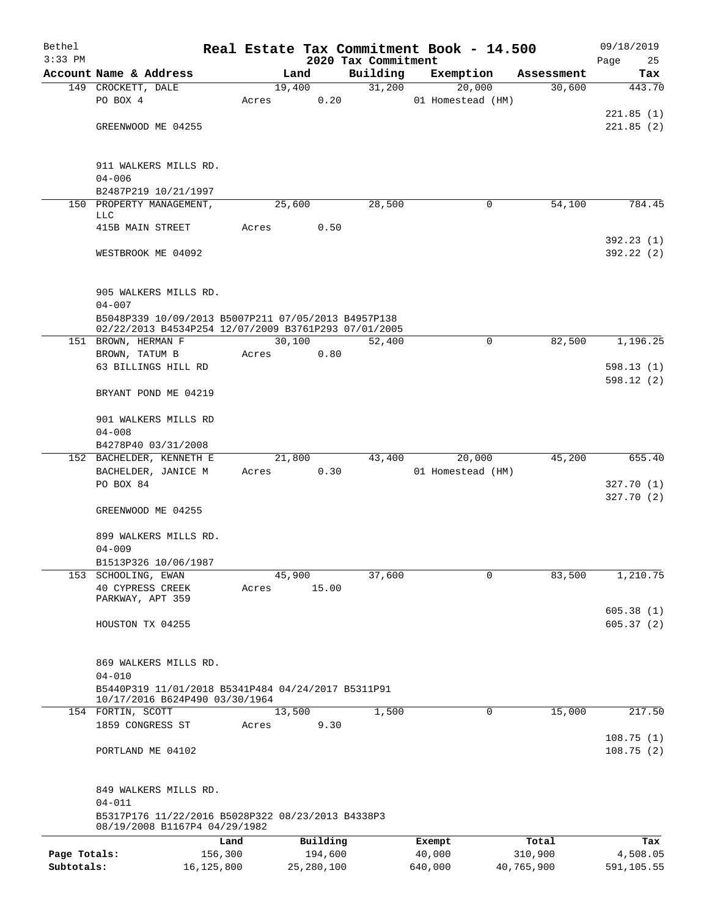| Bethel       |                                                                                                             |       |                |                     | Real Estate Tax Commitment Book - 14.500 |                      | 09/18/2019             |  |  |  |  |
|--------------|-------------------------------------------------------------------------------------------------------------|-------|----------------|---------------------|------------------------------------------|----------------------|------------------------|--|--|--|--|
| $3:33$ PM    |                                                                                                             |       |                | 2020 Tax Commitment |                                          |                      | Page<br>25             |  |  |  |  |
|              | Account Name & Address<br>149 CROCKETT, DALE                                                                |       | Land<br>19,400 | Building<br>31,200  | Exemption<br>20,000                      | Assessment<br>30,600 | Tax<br>443.70          |  |  |  |  |
|              | PO BOX 4                                                                                                    | Acres | 0.20           |                     | 01 Homestead (HM)                        |                      |                        |  |  |  |  |
|              |                                                                                                             |       |                |                     |                                          |                      | 221.85(1)              |  |  |  |  |
|              | GREENWOOD ME 04255                                                                                          |       |                |                     |                                          |                      | 221.85(2)              |  |  |  |  |
|              |                                                                                                             |       |                |                     |                                          |                      |                        |  |  |  |  |
|              |                                                                                                             |       |                |                     |                                          |                      |                        |  |  |  |  |
|              | 911 WALKERS MILLS RD.<br>$04 - 006$                                                                         |       |                |                     |                                          |                      |                        |  |  |  |  |
|              | B2487P219 10/21/1997                                                                                        |       |                |                     |                                          |                      |                        |  |  |  |  |
|              | 150 PROPERTY MANAGEMENT,                                                                                    |       | 25,600         | 28,500              | 0                                        | 54,100               | 784.45                 |  |  |  |  |
|              | LLC                                                                                                         |       |                |                     |                                          |                      |                        |  |  |  |  |
|              | 415B MAIN STREET                                                                                            | Acres | 0.50           |                     |                                          |                      |                        |  |  |  |  |
|              | WESTBROOK ME 04092                                                                                          |       |                |                     |                                          |                      | 392.23(1)<br>392.22(2) |  |  |  |  |
|              |                                                                                                             |       |                |                     |                                          |                      |                        |  |  |  |  |
|              |                                                                                                             |       |                |                     |                                          |                      |                        |  |  |  |  |
|              | 905 WALKERS MILLS RD.                                                                                       |       |                |                     |                                          |                      |                        |  |  |  |  |
|              | $04 - 007$                                                                                                  |       |                |                     |                                          |                      |                        |  |  |  |  |
|              | B5048P339 10/09/2013 B5007P211 07/05/2013 B4957P138<br>02/22/2013 B4534P254 12/07/2009 B3761P293 07/01/2005 |       |                |                     |                                          |                      |                        |  |  |  |  |
|              | 151 BROWN, HERMAN F                                                                                         |       | 30,100         | 52,400              | $\mathbf 0$                              | 82,500               | 1,196.25               |  |  |  |  |
|              | BROWN, TATUM B                                                                                              | Acres | 0.80           |                     |                                          |                      |                        |  |  |  |  |
|              | 63 BILLINGS HILL RD                                                                                         |       |                |                     |                                          |                      | 598.13(1)              |  |  |  |  |
|              |                                                                                                             |       |                |                     |                                          |                      | 598.12(2)              |  |  |  |  |
|              | BRYANT POND ME 04219                                                                                        |       |                |                     |                                          |                      |                        |  |  |  |  |
|              | 901 WALKERS MILLS RD                                                                                        |       |                |                     |                                          |                      |                        |  |  |  |  |
|              | $04 - 008$                                                                                                  |       |                |                     |                                          |                      |                        |  |  |  |  |
|              | B4278P40 03/31/2008                                                                                         |       |                |                     |                                          |                      |                        |  |  |  |  |
|              | 152 BACHELDER, KENNETH E                                                                                    |       | 21,800         | 43,400              | 20,000                                   | 45,200               | 655.40                 |  |  |  |  |
|              | BACHELDER, JANICE M                                                                                         | Acres |                | 0.30                | 01 Homestead (HM)                        |                      |                        |  |  |  |  |
|              | PO BOX 84                                                                                                   |       |                |                     |                                          |                      | 327.70(1)              |  |  |  |  |
|              |                                                                                                             |       |                |                     |                                          |                      | 327.70 (2)             |  |  |  |  |
|              | GREENWOOD ME 04255                                                                                          |       |                |                     |                                          |                      |                        |  |  |  |  |
|              | 899 WALKERS MILLS RD.                                                                                       |       |                |                     |                                          |                      |                        |  |  |  |  |
|              | $04 - 009$                                                                                                  |       |                |                     |                                          |                      |                        |  |  |  |  |
|              | B1513P326 10/06/1987                                                                                        |       |                |                     |                                          |                      |                        |  |  |  |  |
|              | 153 SCHOOLING, EWAN                                                                                         |       | 45,900         | 37,600              | $\mathbf 0$                              | 83,500               | 1,210.75               |  |  |  |  |
|              | <b>40 CYPRESS CREEK</b><br>PARKWAY, APT 359                                                                 | Acres | 15.00          |                     |                                          |                      |                        |  |  |  |  |
|              |                                                                                                             |       |                |                     |                                          |                      | 605.38(1)              |  |  |  |  |
|              | HOUSTON TX 04255                                                                                            |       |                |                     |                                          |                      | 605.37(2)              |  |  |  |  |
|              |                                                                                                             |       |                |                     |                                          |                      |                        |  |  |  |  |
|              |                                                                                                             |       |                |                     |                                          |                      |                        |  |  |  |  |
|              | 869 WALKERS MILLS RD.<br>$04 - 010$                                                                         |       |                |                     |                                          |                      |                        |  |  |  |  |
|              | B5440P319 11/01/2018 B5341P484 04/24/2017 B5311P91                                                          |       |                |                     |                                          |                      |                        |  |  |  |  |
|              | 10/17/2016 B624P490 03/30/1964                                                                              |       |                |                     |                                          |                      |                        |  |  |  |  |
|              | 154 FORTIN, SCOTT                                                                                           |       | 13,500         | 1,500               | 0                                        | 15,000               | 217.50                 |  |  |  |  |
|              | 1859 CONGRESS ST                                                                                            | Acres | 9.30           |                     |                                          |                      | 108.75(1)              |  |  |  |  |
|              | PORTLAND ME 04102                                                                                           |       |                |                     |                                          |                      | 108.75(2)              |  |  |  |  |
|              |                                                                                                             |       |                |                     |                                          |                      |                        |  |  |  |  |
|              |                                                                                                             |       |                |                     |                                          |                      |                        |  |  |  |  |
|              | 849 WALKERS MILLS RD.                                                                                       |       |                |                     |                                          |                      |                        |  |  |  |  |
|              | $04 - 011$                                                                                                  |       |                |                     |                                          |                      |                        |  |  |  |  |
|              | B5317P176 11/22/2016 B5028P322 08/23/2013 B4338P3<br>08/19/2008 B1167P4 04/29/1982                          |       |                |                     |                                          |                      |                        |  |  |  |  |
|              | Land                                                                                                        |       | Building       |                     | Exempt                                   | Total                | Tax                    |  |  |  |  |
| Page Totals: | 156,300                                                                                                     |       | 194,600        |                     | 40,000                                   | 310,900              | 4,508.05               |  |  |  |  |
| Subtotals:   | 16, 125, 800                                                                                                |       | 25,280,100     |                     | 640,000                                  | 40,765,900           | 591,105.55             |  |  |  |  |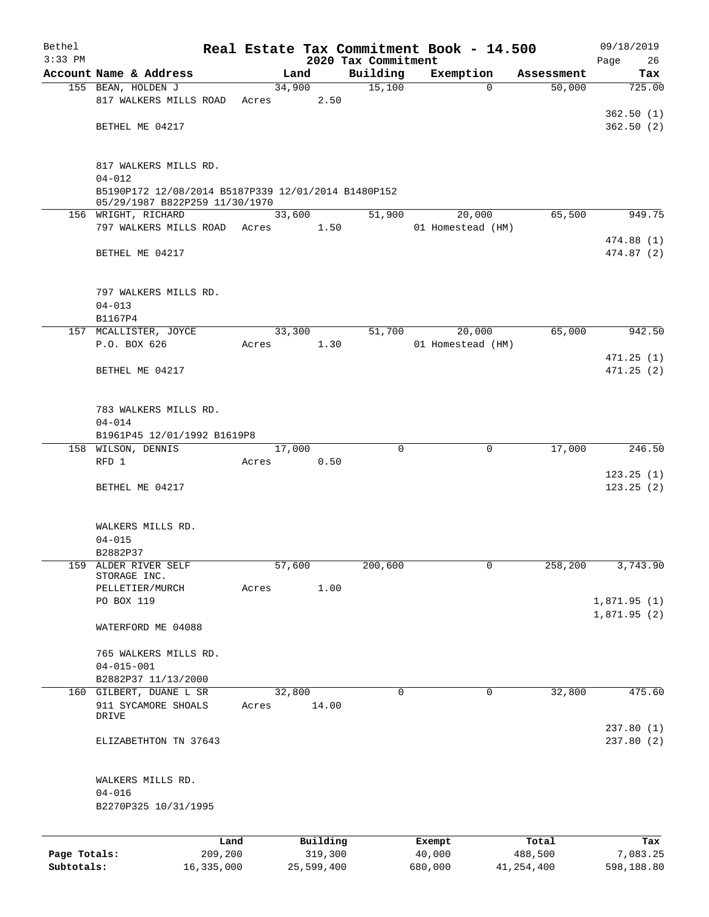| Bethel<br>$3:33$ PM |                                                                                       |            |       |        |            | Real Estate Tax Commitment Book - 14.500<br>2020 Tax Commitment |         |                   |            | 09/18/2019<br>Page<br>26 |
|---------------------|---------------------------------------------------------------------------------------|------------|-------|--------|------------|-----------------------------------------------------------------|---------|-------------------|------------|--------------------------|
|                     | Account Name & Address                                                                |            |       | Land   |            | Building                                                        |         | Exemption         | Assessment | Tax                      |
|                     | 155 BEAN, HOLDEN J                                                                    |            |       | 34,900 |            | 15,100                                                          |         | $\Omega$          | 50,000     | 725.00                   |
|                     | 817 WALKERS MILLS ROAD                                                                |            | Acres |        | 2.50       |                                                                 |         |                   |            |                          |
|                     |                                                                                       |            |       |        |            |                                                                 |         |                   |            | 362.50(1)                |
|                     | BETHEL ME 04217                                                                       |            |       |        |            |                                                                 |         |                   |            | 362.50(2)                |
|                     |                                                                                       |            |       |        |            |                                                                 |         |                   |            |                          |
|                     |                                                                                       |            |       |        |            |                                                                 |         |                   |            |                          |
|                     | 817 WALKERS MILLS RD.                                                                 |            |       |        |            |                                                                 |         |                   |            |                          |
|                     | $04 - 012$                                                                            |            |       |        |            |                                                                 |         |                   |            |                          |
|                     | B5190P172 12/08/2014 B5187P339 12/01/2014 B1480P152<br>05/29/1987 B822P259 11/30/1970 |            |       |        |            |                                                                 |         |                   |            |                          |
|                     | 156 WRIGHT, RICHARD                                                                   |            |       | 33,600 |            | 51,900                                                          |         | 20,000            | 65,500     | 949.75                   |
|                     | 797 WALKERS MILLS ROAD                                                                |            | Acres |        | 1.50       |                                                                 |         | 01 Homestead (HM) |            |                          |
|                     |                                                                                       |            |       |        |            |                                                                 |         |                   |            | 474.88 (1)               |
|                     | BETHEL ME 04217                                                                       |            |       |        |            |                                                                 |         |                   |            | 474.87(2)                |
|                     |                                                                                       |            |       |        |            |                                                                 |         |                   |            |                          |
|                     |                                                                                       |            |       |        |            |                                                                 |         |                   |            |                          |
|                     | 797 WALKERS MILLS RD.                                                                 |            |       |        |            |                                                                 |         |                   |            |                          |
|                     | $04 - 013$                                                                            |            |       |        |            |                                                                 |         |                   |            |                          |
|                     | B1167P4                                                                               |            |       |        |            |                                                                 |         |                   |            |                          |
|                     | 157 MCALLISTER, JOYCE                                                                 |            |       | 33,300 |            | 51,700                                                          |         | 20,000            | 65,000     | 942.50                   |
|                     | P.O. BOX 626                                                                          |            | Acres |        | 1.30       |                                                                 |         | 01 Homestead (HM) |            |                          |
|                     | BETHEL ME 04217                                                                       |            |       |        |            |                                                                 |         |                   |            | 471.25(1)<br>471.25 (2)  |
|                     |                                                                                       |            |       |        |            |                                                                 |         |                   |            |                          |
|                     |                                                                                       |            |       |        |            |                                                                 |         |                   |            |                          |
|                     | 783 WALKERS MILLS RD.                                                                 |            |       |        |            |                                                                 |         |                   |            |                          |
|                     | $04 - 014$                                                                            |            |       |        |            |                                                                 |         |                   |            |                          |
|                     | B1961P45 12/01/1992 B1619P8                                                           |            |       |        |            |                                                                 |         |                   |            |                          |
|                     | 158 WILSON, DENNIS                                                                    |            |       | 17,000 |            | $\mathbf 0$                                                     |         | $\mathbf 0$       | 17,000     | 246.50                   |
|                     | RFD 1                                                                                 |            | Acres |        | 0.50       |                                                                 |         |                   |            |                          |
|                     |                                                                                       |            |       |        |            |                                                                 |         |                   |            | 123.25(1)                |
|                     | BETHEL ME 04217                                                                       |            |       |        |            |                                                                 |         |                   |            | 123.25(2)                |
|                     |                                                                                       |            |       |        |            |                                                                 |         |                   |            |                          |
|                     |                                                                                       |            |       |        |            |                                                                 |         |                   |            |                          |
|                     | WALKERS MILLS RD.                                                                     |            |       |        |            |                                                                 |         |                   |            |                          |
|                     | $04 - 015$                                                                            |            |       |        |            |                                                                 |         |                   |            |                          |
| 159                 | B2882P37<br>ALDER RIVER SELF                                                          |            |       | 57,600 |            | 200,600                                                         |         | 0                 | 258,200    | 3,743.90                 |
|                     | STORAGE INC.                                                                          |            |       |        |            |                                                                 |         |                   |            |                          |
|                     | PELLETIER/MURCH                                                                       |            | Acres |        | 1.00       |                                                                 |         |                   |            |                          |
|                     | PO BOX 119                                                                            |            |       |        |            |                                                                 |         |                   |            | 1,871.95(1)              |
|                     |                                                                                       |            |       |        |            |                                                                 |         |                   |            | 1,871.95(2)              |
|                     | WATERFORD ME 04088                                                                    |            |       |        |            |                                                                 |         |                   |            |                          |
|                     |                                                                                       |            |       |        |            |                                                                 |         |                   |            |                          |
|                     | 765 WALKERS MILLS RD.                                                                 |            |       |        |            |                                                                 |         |                   |            |                          |
|                     | $04 - 015 - 001$                                                                      |            |       |        |            |                                                                 |         |                   |            |                          |
|                     | B2882P37 11/13/2000<br>160 GILBERT, DUANE L SR                                        |            |       | 32,800 |            | $\mathbf 0$                                                     |         | $\mathbf 0$       | 32,800     | 475.60                   |
|                     | 911 SYCAMORE SHOALS                                                                   |            | Acres |        | 14.00      |                                                                 |         |                   |            |                          |
|                     | DRIVE                                                                                 |            |       |        |            |                                                                 |         |                   |            |                          |
|                     |                                                                                       |            |       |        |            |                                                                 |         |                   |            | 237.80 (1)               |
|                     | ELIZABETHTON TN 37643                                                                 |            |       |        |            |                                                                 |         |                   |            | 237.80(2)                |
|                     |                                                                                       |            |       |        |            |                                                                 |         |                   |            |                          |
|                     |                                                                                       |            |       |        |            |                                                                 |         |                   |            |                          |
|                     | WALKERS MILLS RD.                                                                     |            |       |        |            |                                                                 |         |                   |            |                          |
|                     | $04 - 016$                                                                            |            |       |        |            |                                                                 |         |                   |            |                          |
|                     | B2270P325 10/31/1995                                                                  |            |       |        |            |                                                                 |         |                   |            |                          |
|                     |                                                                                       |            |       |        |            |                                                                 |         |                   |            |                          |
|                     |                                                                                       | Land       |       |        | Building   |                                                                 | Exempt  |                   | Total      | Tax                      |
| Page Totals:        |                                                                                       | 209,200    |       |        | 319,300    |                                                                 | 40,000  |                   | 488,500    | 7,083.25                 |
| Subtotals:          |                                                                                       | 16,335,000 |       |        | 25,599,400 |                                                                 | 680,000 |                   | 41,254,400 | 598,188.80               |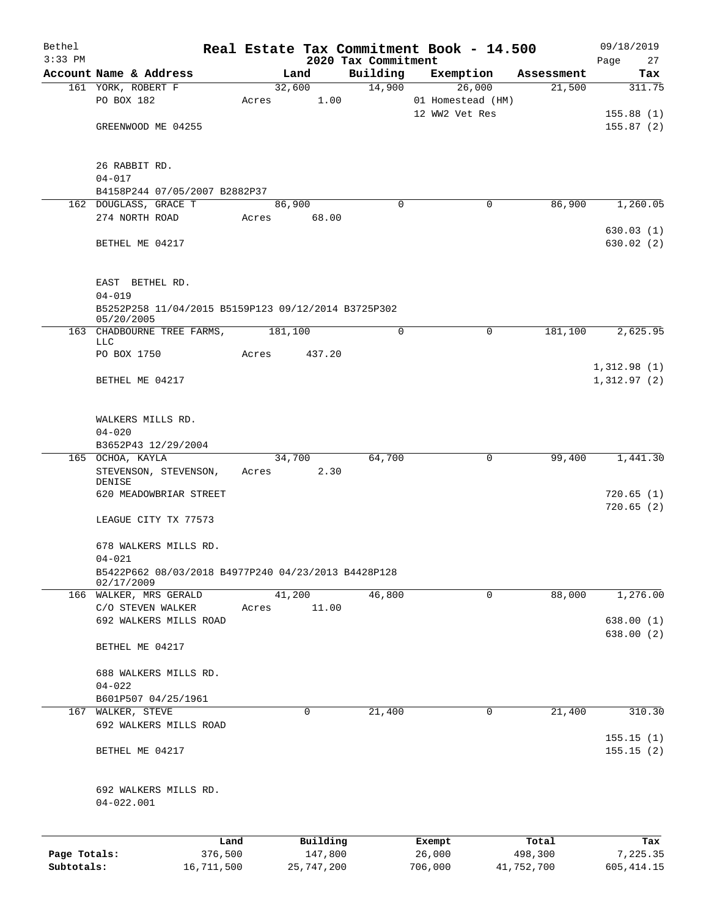| Bethel       |                                                                   |       |            |                                 | Real Estate Tax Commitment Book - 14.500 |            | 09/18/2019                 |
|--------------|-------------------------------------------------------------------|-------|------------|---------------------------------|------------------------------------------|------------|----------------------------|
| $3:33$ PM    | Account Name & Address                                            |       | Land       | 2020 Tax Commitment<br>Building | Exemption                                | Assessment | Page<br>27<br>Tax          |
|              | 161 YORK, ROBERT F                                                |       | 32,600     | 14,900                          | 26,000                                   | 21,500     | 311.75                     |
|              | PO BOX 182                                                        | Acres | 1.00       |                                 | 01 Homestead (HM)                        |            |                            |
|              |                                                                   |       |            |                                 | 12 WW2 Vet Res                           |            | 155.88(1)                  |
|              | GREENWOOD ME 04255                                                |       |            |                                 |                                          |            | 155.87(2)                  |
|              | 26 RABBIT RD.                                                     |       |            |                                 |                                          |            |                            |
|              | $04 - 017$                                                        |       |            |                                 |                                          |            |                            |
|              | B4158P244 07/05/2007 B2882P37                                     |       |            |                                 |                                          |            |                            |
|              | 162 DOUGLASS, GRACE T                                             |       | 86,900     | $\Omega$                        | 0                                        | 86,900     | 1,260.05                   |
|              | 274 NORTH ROAD                                                    | Acres | 68.00      |                                 |                                          |            |                            |
|              |                                                                   |       |            |                                 |                                          |            | 630.03(1)                  |
|              | BETHEL ME 04217                                                   |       |            |                                 |                                          |            | 630.02(2)                  |
|              | EAST BETHEL RD.                                                   |       |            |                                 |                                          |            |                            |
|              | $04 - 019$<br>B5252P258 11/04/2015 B5159P123 09/12/2014 B3725P302 |       |            |                                 |                                          |            |                            |
|              | 05/20/2005                                                        |       |            |                                 |                                          |            |                            |
|              | 163 CHADBOURNE TREE FARMS,<br>LLC                                 |       | 181,100    | $\mathbf 0$                     | $\mathbf 0$                              | 181,100    | 2,625.95                   |
|              | PO BOX 1750                                                       | Acres | 437.20     |                                 |                                          |            |                            |
|              | BETHEL ME 04217                                                   |       |            |                                 |                                          |            | 1,312.98(1)<br>1,312.97(2) |
|              | WALKERS MILLS RD.                                                 |       |            |                                 |                                          |            |                            |
|              | $04 - 020$                                                        |       |            |                                 |                                          |            |                            |
|              | B3652P43 12/29/2004                                               |       |            |                                 |                                          |            |                            |
|              | 165 OCHOA, KAYLA                                                  |       | 34,700     | 64,700                          | 0                                        | 99,400     | 1,441.30                   |
|              | STEVENSON, STEVENSON,                                             | Acres | 2.30       |                                 |                                          |            |                            |
|              | DENISE                                                            |       |            |                                 |                                          |            |                            |
|              | 620 MEADOWBRIAR STREET                                            |       |            |                                 |                                          |            | 720.65(1)<br>720.65(2)     |
|              | LEAGUE CITY TX 77573                                              |       |            |                                 |                                          |            |                            |
|              | 678 WALKERS MILLS RD.                                             |       |            |                                 |                                          |            |                            |
|              | $04 - 021$                                                        |       |            |                                 |                                          |            |                            |
|              | B5422P662 08/03/2018 B4977P240 04/23/2013 B4428P128<br>02/17/2009 |       |            |                                 |                                          |            |                            |
|              | 166 WALKER, MRS GERALD                                            |       | 41,200     | 46,800                          | 0                                        | 88,000     | 1,276.00                   |
|              | C/O STEVEN WALKER                                                 | Acres | 11.00      |                                 |                                          |            |                            |
|              | 692 WALKERS MILLS ROAD                                            |       |            |                                 |                                          |            | 638.00(1)                  |
|              | BETHEL ME 04217                                                   |       |            |                                 |                                          |            | 638.00(2)                  |
|              | 688 WALKERS MILLS RD.                                             |       |            |                                 |                                          |            |                            |
|              | $04 - 022$                                                        |       |            |                                 |                                          |            |                            |
|              | B601P507 04/25/1961                                               |       |            |                                 |                                          |            |                            |
|              | 167 WALKER, STEVE                                                 |       | 0          | 21,400                          | 0                                        | 21,400     | 310.30                     |
|              | 692 WALKERS MILLS ROAD                                            |       |            |                                 |                                          |            |                            |
|              | BETHEL ME 04217                                                   |       |            |                                 |                                          |            | 155.15(1)<br>155.15(2)     |
|              | 692 WALKERS MILLS RD.<br>$04 - 022.001$                           |       |            |                                 |                                          |            |                            |
|              |                                                                   | Land  | Building   |                                 | Exempt                                   | Total      | Tax                        |
| Page Totals: | 376,500                                                           |       | 147,800    |                                 | 26,000                                   | 498,300    | 7,225.35                   |
| Subtotals:   | 16,711,500                                                        |       | 25,747,200 |                                 | 706,000                                  | 41,752,700 | 605, 414.15                |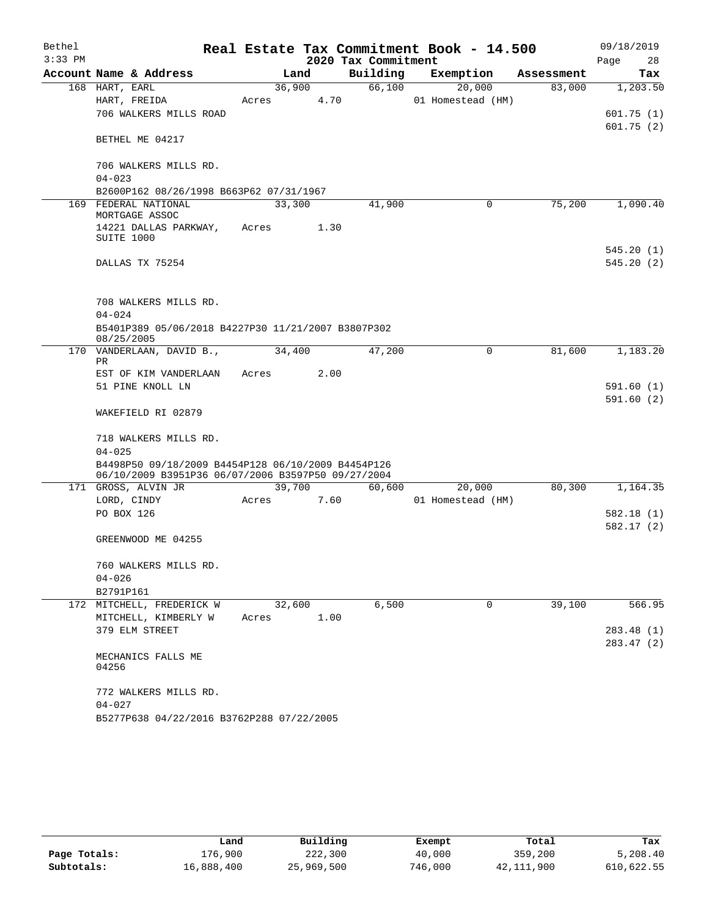| Bethel    |                                                                                                          |       |        |                     | Real Estate Tax Commitment Book - 14.500 |            | 09/18/2019             |        |
|-----------|----------------------------------------------------------------------------------------------------------|-------|--------|---------------------|------------------------------------------|------------|------------------------|--------|
| $3:33$ PM |                                                                                                          |       |        | 2020 Tax Commitment |                                          |            | Page                   | 28     |
|           | Account Name & Address                                                                                   |       | Land   | Building            | Exemption                                | Assessment |                        | Tax    |
|           | 168 HART, EARL                                                                                           |       | 36,900 | 66,100              | 20,000                                   | 83,000     | 1,203.50               |        |
|           | HART, FREIDA                                                                                             | Acres | 4.70   |                     | 01 Homestead (HM)                        |            |                        |        |
|           | 706 WALKERS MILLS ROAD                                                                                   |       |        |                     |                                          |            | 601.75(1)<br>601.75(2) |        |
|           | BETHEL ME 04217                                                                                          |       |        |                     |                                          |            |                        |        |
|           | 706 WALKERS MILLS RD.                                                                                    |       |        |                     |                                          |            |                        |        |
|           | $04 - 023$                                                                                               |       |        |                     |                                          |            |                        |        |
|           | B2600P162 08/26/1998 B663P62 07/31/1967                                                                  |       |        |                     |                                          |            |                        |        |
|           | 169 FEDERAL NATIONAL<br>MORTGAGE ASSOC                                                                   |       | 33,300 | 41,900              | 0                                        | 75,200     | 1,090.40               |        |
|           | 14221 DALLAS PARKWAY,<br>SUITE 1000                                                                      | Acres | 1.30   |                     |                                          |            |                        |        |
|           | DALLAS TX 75254                                                                                          |       |        |                     |                                          |            | 545.20(1)<br>545.20(2) |        |
|           |                                                                                                          |       |        |                     |                                          |            |                        |        |
|           | 708 WALKERS MILLS RD.<br>$04 - 024$                                                                      |       |        |                     |                                          |            |                        |        |
|           | B5401P389 05/06/2018 B4227P30 11/21/2007 B3807P302<br>08/25/2005                                         |       |        |                     |                                          |            |                        |        |
|           | 170 VANDERLAAN, DAVID B.,                                                                                |       | 34,400 | 47,200              | $\mathbf 0$                              | 81,600     | 1,183.20               |        |
|           | PR<br>EST OF KIM VANDERLAAN                                                                              | Acres | 2.00   |                     |                                          |            |                        |        |
|           | 51 PINE KNOLL LN                                                                                         |       |        |                     |                                          |            | 591.60(1)              |        |
|           |                                                                                                          |       |        |                     |                                          |            | 591.60(2)              |        |
|           | WAKEFIELD RI 02879                                                                                       |       |        |                     |                                          |            |                        |        |
|           | 718 WALKERS MILLS RD.<br>$04 - 025$                                                                      |       |        |                     |                                          |            |                        |        |
|           | B4498P50 09/18/2009 B4454P128 06/10/2009 B4454P126<br>06/10/2009 B3951P36 06/07/2006 B3597P50 09/27/2004 |       |        |                     |                                          |            |                        |        |
|           | 171 GROSS, ALVIN JR                                                                                      |       | 39,700 | 60,600              | 20,000                                   | 80,300     | 1,164.35               |        |
|           | LORD, CINDY                                                                                              | Acres | 7.60   |                     | 01 Homestead (HM)                        |            |                        |        |
|           | PO BOX 126                                                                                               |       |        |                     |                                          |            | 582.18(1)              |        |
|           | GREENWOOD ME 04255                                                                                       |       |        |                     |                                          |            | 582.17(2)              |        |
|           | 760 WALKERS MILLS RD.                                                                                    |       |        |                     |                                          |            |                        |        |
|           | $04 - 026$                                                                                               |       |        |                     |                                          |            |                        |        |
|           | B2791P161                                                                                                |       |        |                     |                                          |            |                        |        |
|           | 172 MITCHELL, FREDERICK W                                                                                |       | 32,600 | 6,500               | 0                                        | 39,100     |                        | 566.95 |
|           | MITCHELL, KIMBERLY W                                                                                     | Acres | 1.00   |                     |                                          |            |                        |        |
|           | 379 ELM STREET                                                                                           |       |        |                     |                                          |            | 283.48 (1)             |        |
|           |                                                                                                          |       |        |                     |                                          |            | 283.47(2)              |        |
|           | MECHANICS FALLS ME<br>04256                                                                              |       |        |                     |                                          |            |                        |        |
|           | 772 WALKERS MILLS RD.                                                                                    |       |        |                     |                                          |            |                        |        |
|           | $04 - 027$<br>B5277P638 04/22/2016 B3762P288 07/22/2005                                                  |       |        |                     |                                          |            |                        |        |
|           |                                                                                                          |       |        |                     |                                          |            |                        |        |

|              | Land       | Building   | Exempt  | Total      | Tax        |
|--------------|------------|------------|---------|------------|------------|
| Page Totals: | L76,900    | 222,300    | 40,000  | 359,200    | 5,208.40   |
| Subtotals:   | 16,888,400 | 25,969,500 | 746,000 | 42,111,900 | 610,622.55 |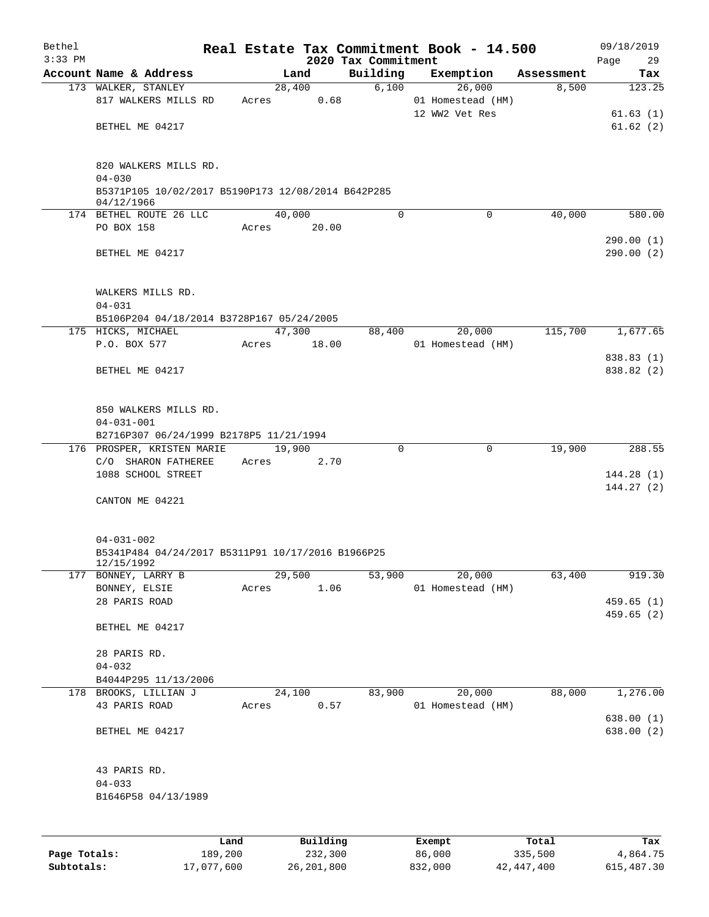| Bethel<br>$3:33$ PM |                                                                                           |       |        |                 | 2020 Tax Commitment | Real Estate Tax Commitment Book - 14.500      |            | 09/18/2019<br>29<br>Page |
|---------------------|-------------------------------------------------------------------------------------------|-------|--------|-----------------|---------------------|-----------------------------------------------|------------|--------------------------|
|                     | Account Name & Address                                                                    |       | Land   |                 | Building            | Exemption                                     | Assessment | Tax                      |
|                     | 173 WALKER, STANLEY<br>817 WALKERS MILLS RD                                               | Acres | 28,400 | 0.68            | 6,100               | 26,000<br>01 Homestead (HM)<br>12 WW2 Vet Res | 8,500      | 123.25<br>61.63(1)       |
|                     | BETHEL ME 04217                                                                           |       |        |                 |                     |                                               |            | 61.62(2)                 |
|                     | 820 WALKERS MILLS RD.<br>$04 - 030$<br>B5371P105 10/02/2017 B5190P173 12/08/2014 B642P285 |       |        |                 |                     |                                               |            |                          |
|                     | 04/12/1966                                                                                |       |        |                 |                     |                                               |            |                          |
|                     | 174 BETHEL ROUTE 26 LLC                                                                   |       | 40,000 |                 | $\Omega$            | $\Omega$                                      | 40,000     | 580.00                   |
|                     | PO BOX 158                                                                                | Acres |        | 20.00           |                     |                                               |            | 290.00(1)                |
|                     | BETHEL ME 04217                                                                           |       |        |                 |                     |                                               |            | 290.00(2)                |
|                     | WALKERS MILLS RD.                                                                         |       |        |                 |                     |                                               |            |                          |
|                     | $04 - 031$                                                                                |       |        |                 |                     |                                               |            |                          |
|                     | B5106P204 04/18/2014 B3728P167 05/24/2005                                                 |       |        |                 |                     |                                               |            |                          |
|                     | 175 HICKS, MICHAEL<br>P.O. BOX 577                                                        | Acres | 47,300 | 18.00           | 88,400              | 20,000<br>01 Homestead (HM)                   | 115,700    | 1,677.65                 |
|                     |                                                                                           |       |        |                 |                     |                                               |            | 838.83 (1)               |
|                     | BETHEL ME 04217                                                                           |       |        |                 |                     |                                               |            | 838.82 (2)               |
|                     | 850 WALKERS MILLS RD.<br>$04 - 031 - 001$                                                 |       |        |                 |                     |                                               |            |                          |
|                     | B2716P307 06/24/1999 B2178P5 11/21/1994                                                   |       |        |                 |                     |                                               |            |                          |
|                     | 176 PROSPER, KRISTEN MARIE                                                                |       | 19,900 |                 | 0                   | $\mathbf 0$                                   | 19,900     | 288.55                   |
|                     | C/O SHARON FATHEREE                                                                       | Acres |        | 2.70            |                     |                                               |            |                          |
|                     | 1088 SCHOOL STREET                                                                        |       |        |                 |                     |                                               |            | 144.28(1)                |
|                     | CANTON ME 04221                                                                           |       |        |                 |                     |                                               |            | 144.27(2)                |
|                     | $04 - 031 - 002$<br>B5341P484 04/24/2017 B5311P91 10/17/2016 B1966P25                     |       |        |                 |                     |                                               |            |                          |
|                     | 12/15/1992                                                                                |       |        |                 |                     |                                               |            |                          |
|                     | 177 BONNEY, LARRY B                                                                       |       | 29,500 |                 | 53,900              | 20,000                                        | 63,400     | 919.30                   |
|                     | BONNEY, ELSIE                                                                             | Acres |        | 1.06            |                     | 01 Homestead (HM)                             |            |                          |
|                     | 28 PARIS ROAD                                                                             |       |        |                 |                     |                                               |            | 459.65(1)                |
|                     | BETHEL ME 04217                                                                           |       |        |                 |                     |                                               |            | 459.65(2)                |
|                     | 28 PARIS RD.                                                                              |       |        |                 |                     |                                               |            |                          |
|                     | $04 - 032$                                                                                |       |        |                 |                     |                                               |            |                          |
|                     | B4044P295 11/13/2006                                                                      |       |        |                 |                     |                                               |            |                          |
|                     | 178 BROOKS, LILLIAN J                                                                     |       | 24,100 |                 | 83,900              | 20,000                                        | 88,000     | 1,276.00                 |
|                     | 43 PARIS ROAD                                                                             | Acres |        | 0.57            |                     | 01 Homestead (HM)                             |            | 638.00(1)                |
|                     | BETHEL ME 04217                                                                           |       |        |                 |                     |                                               |            | 638.00 (2)               |
|                     | 43 PARIS RD.                                                                              |       |        |                 |                     |                                               |            |                          |
|                     | $04 - 033$                                                                                |       |        |                 |                     |                                               |            |                          |
|                     | B1646P58 04/13/1989                                                                       |       |        |                 |                     |                                               |            |                          |
|                     |                                                                                           |       |        |                 |                     |                                               |            |                          |
|                     |                                                                                           |       |        | <b>Duilding</b> |                     | <b>Duamo</b>                                  |            |                          |

|              | ⊥and       | Building     | Exempt  | Total      | Tax          |
|--------------|------------|--------------|---------|------------|--------------|
| Page Totals: | 189,200    | 232,300      | 86,000  | 335,500    | 4,864.75     |
| Subtotals:   | 17,077,600 | 26, 201, 800 | 832,000 | 42,447,400 | 615, 487, 30 |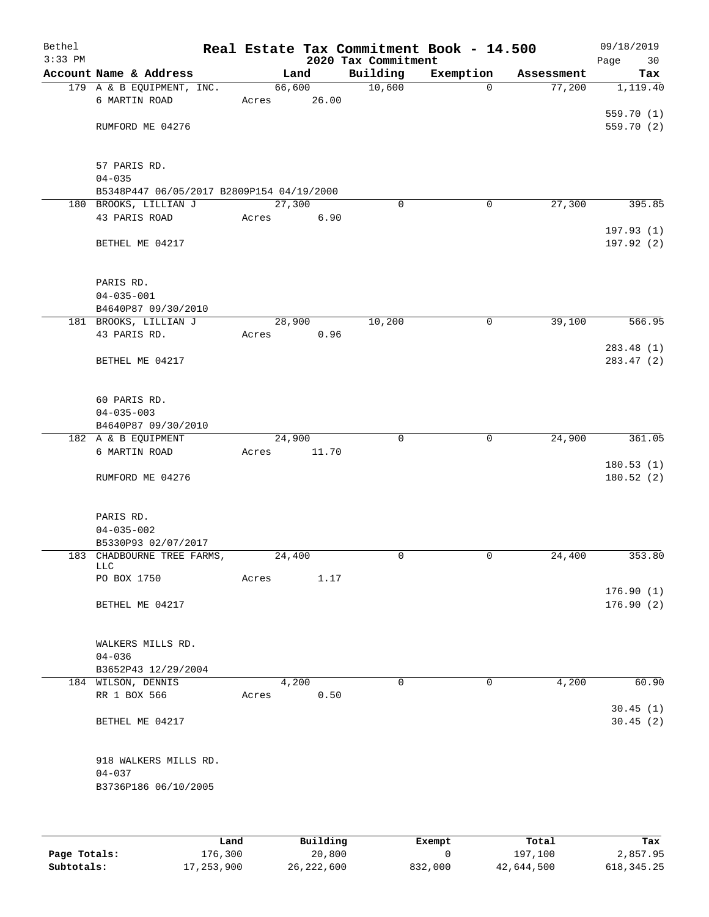| Bethel<br>$3:33$ PM |                                           |              |       |        |              | 2020 Tax Commitment | Real Estate Tax Commitment Book - 14.500 |            | 09/18/2019<br>Page<br>30 |
|---------------------|-------------------------------------------|--------------|-------|--------|--------------|---------------------|------------------------------------------|------------|--------------------------|
|                     | Account Name & Address                    |              |       | Land   |              | Building            | Exemption                                | Assessment | Tax                      |
|                     | 179 A & B EQUIPMENT, INC.                 |              |       | 66,600 |              | 10,600              | $\Omega$                                 | 77,200     | 1,119.40                 |
|                     | 6 MARTIN ROAD                             |              | Acres |        | 26.00        |                     |                                          |            |                          |
|                     |                                           |              |       |        |              |                     |                                          |            | 559.70(1)                |
|                     | RUMFORD ME 04276                          |              |       |        |              |                     |                                          |            | 559.70 (2)               |
|                     | 57 PARIS RD.                              |              |       |        |              |                     |                                          |            |                          |
|                     | $04 - 035$                                |              |       |        |              |                     |                                          |            |                          |
|                     | B5348P447 06/05/2017 B2809P154 04/19/2000 |              |       |        |              |                     |                                          |            |                          |
|                     | 180 BROOKS, LILLIAN J                     |              |       | 27,300 |              | $\Omega$            | 0                                        | 27,300     | 395.85                   |
|                     | 43 PARIS ROAD                             |              | Acres |        | 6.90         |                     |                                          |            |                          |
|                     | BETHEL ME 04217                           |              |       |        |              |                     |                                          |            | 197.93 (1)<br>197.92 (2) |
|                     | PARIS RD.                                 |              |       |        |              |                     |                                          |            |                          |
|                     | $04 - 035 - 001$                          |              |       |        |              |                     |                                          |            |                          |
|                     | B4640P87 09/30/2010                       |              |       |        |              |                     |                                          |            |                          |
|                     | 181 BROOKS, LILLIAN J<br>43 PARIS RD.     |              |       | 28,900 |              | 10,200              | 0                                        | 39,100     | 566.95                   |
|                     |                                           |              | Acres |        | 0.96         |                     |                                          |            | 283.48 (1)               |
|                     | BETHEL ME 04217                           |              |       |        |              |                     |                                          |            | 283.47(2)                |
|                     | 60 PARIS RD.                              |              |       |        |              |                     |                                          |            |                          |
|                     | $04 - 035 - 003$                          |              |       |        |              |                     |                                          |            |                          |
|                     | B4640P87 09/30/2010                       |              |       |        |              |                     |                                          |            |                          |
|                     | 182 A & B EQUIPMENT                       |              |       | 24,900 |              | $\mathbf 0$         | 0                                        | 24,900     | 361.05                   |
|                     | 6 MARTIN ROAD                             |              | Acres |        | 11.70        |                     |                                          |            |                          |
|                     | RUMFORD ME 04276                          |              |       |        |              |                     |                                          |            | 180.53(1)<br>180.52(2)   |
|                     | PARIS RD.                                 |              |       |        |              |                     |                                          |            |                          |
|                     | $04 - 035 - 002$                          |              |       |        |              |                     |                                          |            |                          |
|                     | B5330P93 02/07/2017                       |              |       |        |              |                     |                                          |            |                          |
|                     | 183 CHADBOURNE TREE FARMS,                |              |       | 24,400 |              | 0                   | 0                                        | 24,400     | 353.80                   |
|                     | <b>LLC</b><br>PO BOX 1750                 |              | Acres |        | 1.17         |                     |                                          |            |                          |
|                     |                                           |              |       |        |              |                     |                                          |            | 176.90(1)                |
|                     | BETHEL ME 04217                           |              |       |        |              |                     |                                          |            | 176.90(2)                |
|                     | WALKERS MILLS RD.                         |              |       |        |              |                     |                                          |            |                          |
|                     | $04 - 036$                                |              |       |        |              |                     |                                          |            |                          |
|                     | B3652P43 12/29/2004                       |              |       |        |              |                     |                                          |            |                          |
|                     | 184 WILSON, DENNIS                        |              |       | 4,200  |              | $\Omega$            | $\mathbf 0$                              | 4,200      | 60.90                    |
|                     | RR 1 BOX 566                              |              | Acres |        | 0.50         |                     |                                          |            |                          |
|                     | BETHEL ME 04217                           |              |       |        |              |                     |                                          |            | 30.45(1)<br>30.45(2)     |
|                     | 918 WALKERS MILLS RD.<br>$04 - 037$       |              |       |        |              |                     |                                          |            |                          |
|                     | B3736P186 06/10/2005                      |              |       |        |              |                     |                                          |            |                          |
|                     |                                           | Land         |       |        | Building     |                     | Exempt                                   | Total      | Tax                      |
| Page Totals:        |                                           | 176,300      |       |        | 20,800       |                     | $\mathbf 0$                              | 197,100    | 2,857.95                 |
| Subtotals:          |                                           | 17, 253, 900 |       |        | 26, 222, 600 |                     | 832,000                                  | 42,644,500 | 618, 345.25              |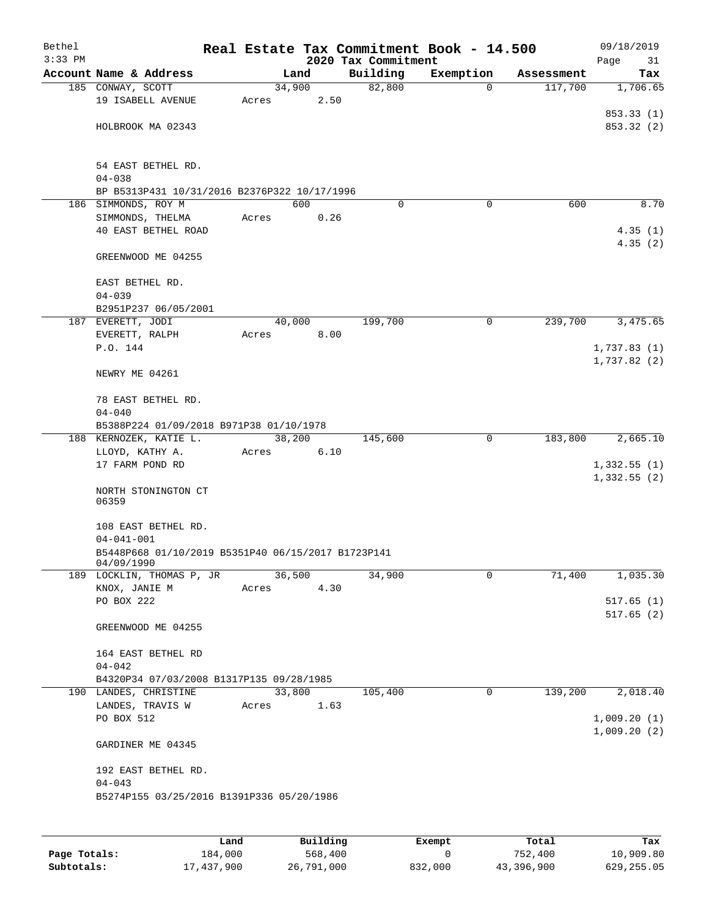| Bethel<br>$3:33$ PM |                                                                        |  |        |        |  | 2020 Tax Commitment | Real Estate Tax Commitment Book - 14.500 |            | 09/18/2019<br>Page<br>31 |  |  |
|---------------------|------------------------------------------------------------------------|--|--------|--------|--|---------------------|------------------------------------------|------------|--------------------------|--|--|
|                     | Account Name & Address                                                 |  |        | Land   |  | Building            | Exemption                                | Assessment | Tax                      |  |  |
|                     | 185 CONWAY, SCOTT                                                      |  | 34,900 |        |  | 82,800              | $\Omega$                                 | 117,700    | 1,706.65                 |  |  |
|                     | 19 ISABELL AVENUE                                                      |  | Acres  | 2.50   |  |                     |                                          |            |                          |  |  |
|                     |                                                                        |  |        |        |  |                     |                                          |            | 853.33 (1)               |  |  |
|                     | HOLBROOK MA 02343                                                      |  |        |        |  |                     |                                          |            | 853.32 (2)               |  |  |
|                     |                                                                        |  |        |        |  |                     |                                          |            |                          |  |  |
|                     |                                                                        |  |        |        |  |                     |                                          |            |                          |  |  |
|                     | 54 EAST BETHEL RD.<br>$04 - 038$                                       |  |        |        |  |                     |                                          |            |                          |  |  |
|                     | BP B5313P431 10/31/2016 B2376P322 10/17/1996                           |  |        |        |  |                     |                                          |            |                          |  |  |
|                     | 186 SIMMONDS, ROY M                                                    |  |        | 600    |  | $\Omega$            | $\Omega$                                 | 600        | 8.70                     |  |  |
|                     | SIMMONDS, THELMA                                                       |  | Acres  | 0.26   |  |                     |                                          |            |                          |  |  |
|                     | 40 EAST BETHEL ROAD                                                    |  |        |        |  |                     |                                          |            | 4.35(1)                  |  |  |
|                     |                                                                        |  |        |        |  |                     |                                          |            | 4.35(2)                  |  |  |
|                     | GREENWOOD ME 04255                                                     |  |        |        |  |                     |                                          |            |                          |  |  |
|                     |                                                                        |  |        |        |  |                     |                                          |            |                          |  |  |
|                     | EAST BETHEL RD.                                                        |  |        |        |  |                     |                                          |            |                          |  |  |
|                     | $04 - 039$                                                             |  |        |        |  |                     |                                          |            |                          |  |  |
|                     | B2951P237 06/05/2001<br>187 EVERETT, JODI                              |  |        | 40,000 |  | 199,700             | 0                                        | 239,700    | 3,475.65                 |  |  |
|                     | EVERETT, RALPH                                                         |  | Acres  | 8.00   |  |                     |                                          |            |                          |  |  |
|                     | P.O. 144                                                               |  |        |        |  |                     |                                          |            | 1,737.83(1)              |  |  |
|                     |                                                                        |  |        |        |  |                     |                                          |            | 1,737.82(2)              |  |  |
|                     | NEWRY ME 04261                                                         |  |        |        |  |                     |                                          |            |                          |  |  |
|                     |                                                                        |  |        |        |  |                     |                                          |            |                          |  |  |
|                     | 78 EAST BETHEL RD.                                                     |  |        |        |  |                     |                                          |            |                          |  |  |
|                     | $04 - 040$                                                             |  |        |        |  |                     |                                          |            |                          |  |  |
|                     | B5388P224 01/09/2018 B971P38 01/10/1978                                |  |        |        |  |                     |                                          |            |                          |  |  |
|                     | 188 KERNOZEK, KATIE L.                                                 |  | 38,200 |        |  | 145,600             | 0                                        | 183,800    | 2,665.10                 |  |  |
|                     | LLOYD, KATHY A.<br>17 FARM POND RD                                     |  | Acres  | 6.10   |  |                     |                                          |            | 1,332.55(1)              |  |  |
|                     |                                                                        |  |        |        |  |                     |                                          |            | 1,332.55(2)              |  |  |
|                     | NORTH STONINGTON CT                                                    |  |        |        |  |                     |                                          |            |                          |  |  |
|                     | 06359                                                                  |  |        |        |  |                     |                                          |            |                          |  |  |
|                     |                                                                        |  |        |        |  |                     |                                          |            |                          |  |  |
|                     | 108 EAST BETHEL RD.                                                    |  |        |        |  |                     |                                          |            |                          |  |  |
|                     | $04 - 041 - 001$<br>B5448P668 01/10/2019 B5351P40 06/15/2017 B1723P141 |  |        |        |  |                     |                                          |            |                          |  |  |
|                     | 04/09/1990                                                             |  |        |        |  |                     |                                          |            |                          |  |  |
|                     | 189 LOCKLIN, THOMAS P, JR                                              |  |        | 36,500 |  | 34,900              | 0                                        | 71,400     | 1,035.30                 |  |  |
|                     | KNOX, JANIE M                                                          |  | Acres  | 4.30   |  |                     |                                          |            |                          |  |  |
|                     | PO BOX 222                                                             |  |        |        |  |                     |                                          |            | 517.65(1)                |  |  |
|                     |                                                                        |  |        |        |  |                     |                                          |            | 517.65(2)                |  |  |
|                     | GREENWOOD ME 04255                                                     |  |        |        |  |                     |                                          |            |                          |  |  |
|                     | 164 EAST BETHEL RD                                                     |  |        |        |  |                     |                                          |            |                          |  |  |
|                     | $04 - 042$                                                             |  |        |        |  |                     |                                          |            |                          |  |  |
|                     | B4320P34 07/03/2008 B1317P135 09/28/1985                               |  |        |        |  |                     |                                          |            |                          |  |  |
|                     | 190 LANDES, CHRISTINE                                                  |  |        | 33,800 |  | 105,400             | 0                                        | 139,200    | 2,018.40                 |  |  |
|                     | LANDES, TRAVIS W                                                       |  | Acres  | 1.63   |  |                     |                                          |            |                          |  |  |
|                     | PO BOX 512                                                             |  |        |        |  |                     |                                          |            | 1,009.20(1)              |  |  |
|                     |                                                                        |  |        |        |  |                     |                                          |            | 1,009.20(2)              |  |  |
|                     | GARDINER ME 04345                                                      |  |        |        |  |                     |                                          |            |                          |  |  |
|                     |                                                                        |  |        |        |  |                     |                                          |            |                          |  |  |
|                     | 192 EAST BETHEL RD.                                                    |  |        |        |  |                     |                                          |            |                          |  |  |
|                     | $04 - 043$<br>B5274P155 03/25/2016 B1391P336 05/20/1986                |  |        |        |  |                     |                                          |            |                          |  |  |
|                     |                                                                        |  |        |        |  |                     |                                          |            |                          |  |  |
|                     |                                                                        |  |        |        |  |                     |                                          |            |                          |  |  |
|                     |                                                                        |  |        |        |  |                     |                                          |            |                          |  |  |

|              | Land       | Building   | Exempt  | Total      | Tax        |
|--------------|------------|------------|---------|------------|------------|
| Page Totals: | 184,000    | 568,400    |         | 752,400    | 10,909.80  |
| Subtotals:   | 17,437,900 | 26,791,000 | 832,000 | 43,396,900 | 629,255.05 |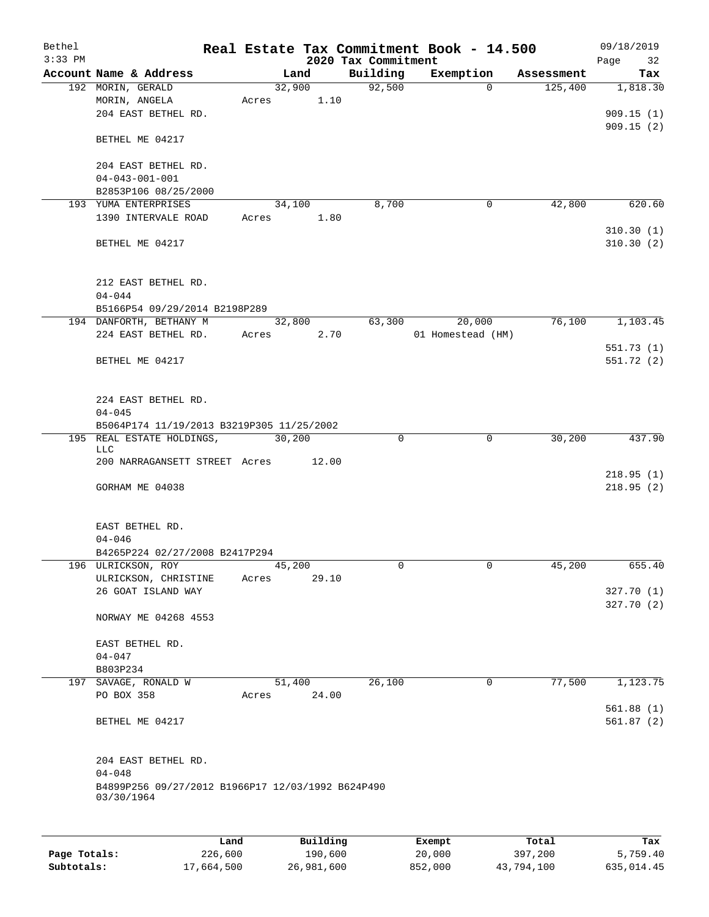| Bethel    |                                                                 |       |                |                     | Real Estate Tax Commitment Book - 14.500 |                       | 09/18/2019      |  |  |  |
|-----------|-----------------------------------------------------------------|-------|----------------|---------------------|------------------------------------------|-----------------------|-----------------|--|--|--|
| $3:33$ PM |                                                                 |       |                | 2020 Tax Commitment |                                          |                       | Page<br>32      |  |  |  |
|           | Account Name & Address                                          |       | Land<br>32,900 | Building<br>92,500  | Exemption<br>$\Omega$                    | Assessment<br>125,400 | Tax<br>1,818.30 |  |  |  |
|           | 192 MORIN, GERALD                                               |       |                |                     |                                          |                       |                 |  |  |  |
|           | MORIN, ANGELA                                                   | Acres | 1.10           |                     |                                          |                       |                 |  |  |  |
|           | 204 EAST BETHEL RD.                                             |       |                |                     |                                          |                       | 909.15(1)       |  |  |  |
|           | BETHEL ME 04217                                                 |       |                |                     |                                          |                       | 909.15(2)       |  |  |  |
|           | 204 EAST BETHEL RD.                                             |       |                |                     |                                          |                       |                 |  |  |  |
|           | $04 - 043 - 001 - 001$                                          |       |                |                     |                                          |                       |                 |  |  |  |
|           | B2853P106 08/25/2000                                            |       |                |                     |                                          |                       |                 |  |  |  |
|           | 193 YUMA ENTERPRISES                                            |       | 34,100         | 8,700               | 0                                        | 42,800                | 620.60          |  |  |  |
|           | 1390 INTERVALE ROAD                                             | Acres | 1.80           |                     |                                          |                       |                 |  |  |  |
|           |                                                                 |       |                |                     |                                          |                       | 310.30(1)       |  |  |  |
|           | BETHEL ME 04217                                                 |       |                |                     |                                          |                       | 310.30(2)       |  |  |  |
|           | 212 EAST BETHEL RD.<br>$04 - 044$                               |       |                |                     |                                          |                       |                 |  |  |  |
|           | B5166P54 09/29/2014 B2198P289                                   |       |                |                     |                                          |                       |                 |  |  |  |
|           | 194 DANFORTH, BETHANY M                                         |       | 32,800         | 63,300              | 20,000                                   | 76,100                | 1,103.45        |  |  |  |
|           | 224 EAST BETHEL RD.                                             | Acres | 2.70           |                     | 01 Homestead (HM)                        |                       |                 |  |  |  |
|           |                                                                 |       |                |                     |                                          |                       | 551.73(1)       |  |  |  |
|           | BETHEL ME 04217                                                 |       |                |                     |                                          |                       | 551.72(2)       |  |  |  |
|           |                                                                 |       |                |                     |                                          |                       |                 |  |  |  |
|           | 224 EAST BETHEL RD.                                             |       |                |                     |                                          |                       |                 |  |  |  |
|           | $04 - 045$                                                      |       |                |                     |                                          |                       |                 |  |  |  |
|           | B5064P174 11/19/2013 B3219P305 11/25/2002                       |       |                |                     |                                          |                       |                 |  |  |  |
|           | 195 REAL ESTATE HOLDINGS,                                       |       | 30,200         | 0                   | 0                                        | 30,200                | 437.90          |  |  |  |
|           | LLC                                                             |       |                |                     |                                          |                       |                 |  |  |  |
|           | 200 NARRAGANSETT STREET Acres                                   |       | 12.00          |                     |                                          |                       |                 |  |  |  |
|           |                                                                 |       |                |                     |                                          |                       | 218.95(1)       |  |  |  |
|           | GORHAM ME 04038                                                 |       |                |                     |                                          |                       | 218.95(2)       |  |  |  |
|           | EAST BETHEL RD.                                                 |       |                |                     |                                          |                       |                 |  |  |  |
|           | $04 - 046$                                                      |       |                |                     |                                          |                       |                 |  |  |  |
|           | B4265P224 02/27/2008 B2417P294                                  |       |                |                     |                                          |                       |                 |  |  |  |
|           | 196 ULRICKSON, ROY                                              |       | 45,200         | 0                   | 0                                        | 45,200                | 655.40          |  |  |  |
|           | ULRICKSON, CHRISTINE                                            | Acres | 29.10          |                     |                                          |                       |                 |  |  |  |
|           | 26 GOAT ISLAND WAY                                              |       |                |                     |                                          |                       | 327.70 (1)      |  |  |  |
|           | NORWAY ME 04268 4553                                            |       |                |                     |                                          |                       | 327.70 (2)      |  |  |  |
|           | EAST BETHEL RD.                                                 |       |                |                     |                                          |                       |                 |  |  |  |
|           | $04 - 047$                                                      |       |                |                     |                                          |                       |                 |  |  |  |
|           | B803P234                                                        |       |                |                     |                                          |                       |                 |  |  |  |
|           | 197 SAVAGE, RONALD W                                            |       | 51,400         | 26,100              | 0                                        | 77,500                | 1,123.75        |  |  |  |
|           | PO BOX 358                                                      | Acres | 24.00          |                     |                                          |                       |                 |  |  |  |
|           |                                                                 |       |                |                     |                                          |                       | 561.88(1)       |  |  |  |
|           | BETHEL ME 04217                                                 |       |                |                     |                                          |                       | 561.87(2)       |  |  |  |
|           | 204 EAST BETHEL RD.                                             |       |                |                     |                                          |                       |                 |  |  |  |
|           | $04 - 048$                                                      |       |                |                     |                                          |                       |                 |  |  |  |
|           | B4899P256 09/27/2012 B1966P17 12/03/1992 B624P490<br>03/30/1964 |       |                |                     |                                          |                       |                 |  |  |  |
|           |                                                                 |       |                |                     |                                          |                       |                 |  |  |  |
|           |                                                                 | Land  | Building       |                     | Exempt                                   | Total                 | Tax             |  |  |  |

|              | ⊥ano       | Building   | Exempt  | тосат      | rax.       |
|--------------|------------|------------|---------|------------|------------|
| Page Totals: | 226,600    | 190,600    | 20,000  | 397,200    | 5,759.40   |
| Subtotals:   | 17,664,500 | 26,981,600 | 852,000 | 43,794,100 | 635,014.45 |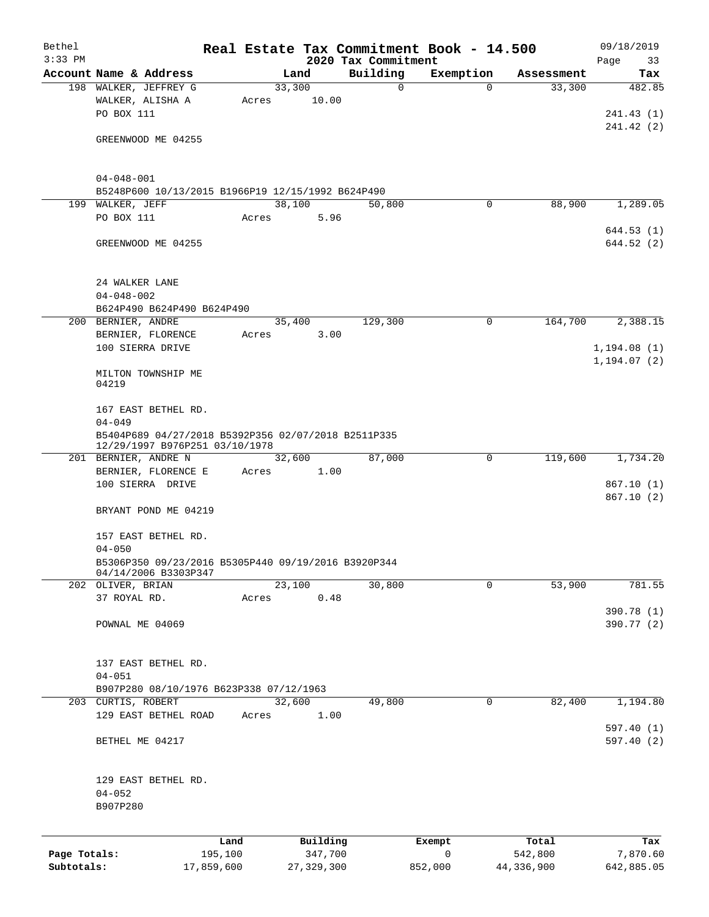| Bethel<br>$3:33$ PM |                                                                             |            |       |        |              | Real Estate Tax Commitment Book - 14.500<br>2020 Tax Commitment |             |             |            | 09/18/2019<br>Page<br>33 |
|---------------------|-----------------------------------------------------------------------------|------------|-------|--------|--------------|-----------------------------------------------------------------|-------------|-------------|------------|--------------------------|
|                     | Account Name & Address                                                      |            |       | Land   |              | Building                                                        | Exemption   |             | Assessment | Tax                      |
|                     | 198 WALKER, JEFFREY G                                                       |            |       | 33,300 |              | 0                                                               |             | $\Omega$    | 33,300     | 482.85                   |
|                     | WALKER, ALISHA A                                                            |            | Acres |        | 10.00        |                                                                 |             |             |            |                          |
|                     | PO BOX 111                                                                  |            |       |        |              |                                                                 |             |             |            | 241.43(1)                |
|                     |                                                                             |            |       |        |              |                                                                 |             |             |            | 241.42 (2)               |
|                     | GREENWOOD ME 04255                                                          |            |       |        |              |                                                                 |             |             |            |                          |
|                     |                                                                             |            |       |        |              |                                                                 |             |             |            |                          |
|                     |                                                                             |            |       |        |              |                                                                 |             |             |            |                          |
|                     | $04 - 048 - 001$                                                            |            |       |        |              |                                                                 |             |             |            |                          |
|                     | B5248P600 10/13/2015 B1966P19 12/15/1992 B624P490                           |            |       |        |              |                                                                 |             |             |            |                          |
|                     | 199 WALKER, JEFF                                                            |            |       | 38,100 |              | 50,800                                                          |             | 0           | 88,900     | 1,289.05                 |
|                     | PO BOX 111                                                                  |            | Acres |        | 5.96         |                                                                 |             |             |            |                          |
|                     |                                                                             |            |       |        |              |                                                                 |             |             |            | 644.53(1)                |
|                     | GREENWOOD ME 04255                                                          |            |       |        |              |                                                                 |             |             |            | 644.52 (2)               |
|                     |                                                                             |            |       |        |              |                                                                 |             |             |            |                          |
|                     |                                                                             |            |       |        |              |                                                                 |             |             |            |                          |
|                     | 24 WALKER LANE                                                              |            |       |        |              |                                                                 |             |             |            |                          |
|                     | $04 - 048 - 002$                                                            |            |       |        |              |                                                                 |             |             |            |                          |
|                     | B624P490 B624P490 B624P490                                                  |            |       |        |              |                                                                 |             |             |            |                          |
|                     | 200 BERNIER, ANDRE                                                          |            |       | 35,400 |              | 129,300                                                         |             | 0           | 164,700    | 2,388.15                 |
|                     | BERNIER, FLORENCE                                                           |            | Acres |        | 3.00         |                                                                 |             |             |            |                          |
|                     | 100 SIERRA DRIVE                                                            |            |       |        |              |                                                                 |             |             |            | 1,194.08(1)              |
|                     |                                                                             |            |       |        |              |                                                                 |             |             |            | 1,194.07 (2)             |
|                     | MILTON TOWNSHIP ME<br>04219                                                 |            |       |        |              |                                                                 |             |             |            |                          |
|                     |                                                                             |            |       |        |              |                                                                 |             |             |            |                          |
|                     | 167 EAST BETHEL RD.                                                         |            |       |        |              |                                                                 |             |             |            |                          |
|                     | $04 - 049$                                                                  |            |       |        |              |                                                                 |             |             |            |                          |
|                     | B5404P689 04/27/2018 B5392P356 02/07/2018 B2511P335                         |            |       |        |              |                                                                 |             |             |            |                          |
|                     | 12/29/1997 B976P251 03/10/1978                                              |            |       |        |              |                                                                 |             |             |            |                          |
|                     | 201 BERNIER, ANDRE N                                                        |            |       | 32,600 |              | 87,000                                                          |             | $\mathbf 0$ | 119,600    | 1,734.20                 |
|                     | BERNIER, FLORENCE E                                                         |            | Acres |        | 1.00         |                                                                 |             |             |            |                          |
|                     | 100 SIERRA DRIVE                                                            |            |       |        |              |                                                                 |             |             |            | 867.10(1)                |
|                     |                                                                             |            |       |        |              |                                                                 |             |             |            | 867.10(2)                |
|                     | BRYANT POND ME 04219                                                        |            |       |        |              |                                                                 |             |             |            |                          |
|                     |                                                                             |            |       |        |              |                                                                 |             |             |            |                          |
|                     | 157 EAST BETHEL RD.                                                         |            |       |        |              |                                                                 |             |             |            |                          |
|                     | $04 - 050$                                                                  |            |       |        |              |                                                                 |             |             |            |                          |
|                     | B5306P350 09/23/2016 B5305P440 09/19/2016 B3920P344<br>04/14/2006 B3303P347 |            |       |        |              |                                                                 |             |             |            |                          |
|                     | 202 OLIVER, BRIAN                                                           |            |       | 23,100 |              | 30,800                                                          |             | $\Omega$    | 53,900     | 781.55                   |
|                     | 37 ROYAL RD.                                                                |            | Acres |        | 0.48         |                                                                 |             |             |            |                          |
|                     |                                                                             |            |       |        |              |                                                                 |             |             |            | 390.78 (1)               |
|                     | POWNAL ME 04069                                                             |            |       |        |              |                                                                 |             |             |            | 390.77 (2)               |
|                     |                                                                             |            |       |        |              |                                                                 |             |             |            |                          |
|                     |                                                                             |            |       |        |              |                                                                 |             |             |            |                          |
|                     | 137 EAST BETHEL RD.                                                         |            |       |        |              |                                                                 |             |             |            |                          |
|                     | $04 - 051$                                                                  |            |       |        |              |                                                                 |             |             |            |                          |
|                     | B907P280 08/10/1976 B623P338 07/12/1963                                     |            |       |        |              |                                                                 |             |             |            |                          |
|                     | 203 CURTIS, ROBERT                                                          |            |       | 32,600 |              | 49,800                                                          |             | 0           | 82,400     | 1,194.80                 |
|                     | 129 EAST BETHEL ROAD                                                        |            | Acres |        | 1.00         |                                                                 |             |             |            |                          |
|                     |                                                                             |            |       |        |              |                                                                 |             |             |            | 597.40(1)                |
|                     | BETHEL ME 04217                                                             |            |       |        |              |                                                                 |             |             |            | 597.40(2)                |
|                     |                                                                             |            |       |        |              |                                                                 |             |             |            |                          |
|                     |                                                                             |            |       |        |              |                                                                 |             |             |            |                          |
|                     | 129 EAST BETHEL RD.                                                         |            |       |        |              |                                                                 |             |             |            |                          |
|                     | $04 - 052$                                                                  |            |       |        |              |                                                                 |             |             |            |                          |
|                     | B907P280                                                                    |            |       |        |              |                                                                 |             |             |            |                          |
|                     |                                                                             |            |       |        |              |                                                                 |             |             |            |                          |
|                     |                                                                             | Land       |       |        | Building     |                                                                 | Exempt      |             | Total      | Tax                      |
| Page Totals:        |                                                                             | 195,100    |       |        | 347,700      |                                                                 | $\mathbf 0$ |             | 542,800    | 7,870.60                 |
| Subtotals:          |                                                                             | 17,859,600 |       |        | 27, 329, 300 |                                                                 | 852,000     |             | 44,336,900 | 642,885.05               |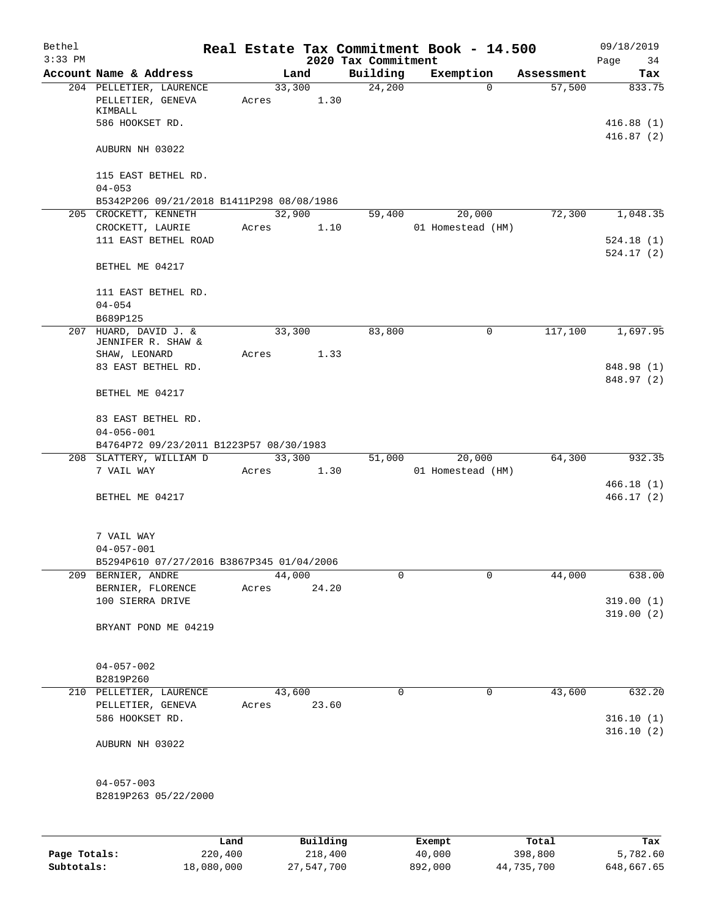| Bethel<br>$3:33$ PM |                                                         |                 |                     |                                 | Real Estate Tax Commitment Book - 14.500 |                  | 09/18/2019             |
|---------------------|---------------------------------------------------------|-----------------|---------------------|---------------------------------|------------------------------------------|------------------|------------------------|
|                     | Account Name & Address                                  |                 | Land                | 2020 Tax Commitment<br>Building | Exemption                                | Assessment       | Page<br>34<br>Tax      |
|                     | 204 PELLETIER, LAURENCE                                 | 33,300          |                     | 24,200                          | $\Omega$                                 | 57,500           | 833.75                 |
|                     | PELLETIER, GENEVA<br>KIMBALL                            | Acres           | 1.30                |                                 |                                          |                  |                        |
|                     | 586 HOOKSET RD.                                         |                 |                     |                                 |                                          |                  | 416.88(1)<br>416.87(2) |
|                     | AUBURN NH 03022                                         |                 |                     |                                 |                                          |                  |                        |
|                     | 115 EAST BETHEL RD.                                     |                 |                     |                                 |                                          |                  |                        |
|                     | $04 - 053$<br>B5342P206 09/21/2018 B1411P298 08/08/1986 |                 |                     |                                 |                                          |                  |                        |
|                     | 205 CROCKETT, KENNETH                                   | 32,900          |                     | 59,400                          | 20,000                                   | 72,300           | 1,048.35               |
|                     | CROCKETT, LAURIE                                        | Acres           | 1.10                |                                 | 01 Homestead (HM)                        |                  |                        |
|                     | 111 EAST BETHEL ROAD                                    |                 |                     |                                 |                                          |                  | 524.18(1)<br>524.17(2) |
|                     | BETHEL ME 04217                                         |                 |                     |                                 |                                          |                  |                        |
|                     | 111 EAST BETHEL RD.                                     |                 |                     |                                 |                                          |                  |                        |
|                     | $04 - 054$<br>B689P125                                  |                 |                     |                                 |                                          |                  |                        |
| 207                 | HUARD, DAVID J. &<br>JENNIFER R. SHAW &                 | 33,300          |                     | 83,800                          | 0                                        | 117,100          | 1,697.95               |
|                     | SHAW, LEONARD                                           | Acres           | 1.33                |                                 |                                          |                  |                        |
|                     | 83 EAST BETHEL RD.                                      |                 |                     |                                 |                                          |                  | 848.98 (1)             |
|                     | BETHEL ME 04217                                         |                 |                     |                                 |                                          |                  | 848.97 (2)             |
|                     |                                                         |                 |                     |                                 |                                          |                  |                        |
|                     | 83 EAST BETHEL RD.<br>$04 - 056 - 001$                  |                 |                     |                                 |                                          |                  |                        |
|                     | B4764P72 09/23/2011 B1223P57 08/30/1983                 |                 |                     |                                 |                                          |                  |                        |
|                     | 208 SLATTERY, WILLIAM D                                 |                 | 33,300              | 51,000                          | 20,000                                   | 64,300           | 932.35                 |
|                     | 7 VAIL WAY                                              | Acres           | 1.30                |                                 | 01 Homestead (HM)                        |                  |                        |
|                     | BETHEL ME 04217                                         |                 |                     |                                 |                                          |                  | 466.18(1)<br>466.17(2) |
|                     |                                                         |                 |                     |                                 |                                          |                  |                        |
|                     | 7 VAIL WAY                                              |                 |                     |                                 |                                          |                  |                        |
|                     | $04 - 057 - 001$                                        |                 |                     |                                 |                                          |                  |                        |
|                     | B5294P610 07/27/2016 B3867P345 01/04/2006               |                 |                     |                                 |                                          |                  |                        |
| 209                 | BERNIER, ANDRE<br>BERNIER, FLORENCE                     | 44,000<br>Acres | 24.20               | 0                               | 0                                        | 44,000           | 638.00                 |
|                     | 100 SIERRA DRIVE                                        |                 |                     |                                 |                                          |                  | 319.00(1)              |
|                     | BRYANT POND ME 04219                                    |                 |                     |                                 |                                          |                  | 319.00(2)              |
|                     |                                                         |                 |                     |                                 |                                          |                  |                        |
|                     | $04 - 057 - 002$                                        |                 |                     |                                 |                                          |                  |                        |
|                     | B2819P260                                               |                 |                     |                                 |                                          |                  |                        |
|                     | 210 PELLETIER, LAURENCE                                 | 43,600          |                     | 0                               | $\mathbf 0$                              | 43,600           | 632.20                 |
|                     | PELLETIER, GENEVA                                       | Acres           | 23.60               |                                 |                                          |                  |                        |
|                     | 586 HOOKSET RD.                                         |                 |                     |                                 |                                          |                  | 316.10(1)<br>316.10(2) |
|                     | AUBURN NH 03022                                         |                 |                     |                                 |                                          |                  |                        |
|                     | $04 - 057 - 003$                                        |                 |                     |                                 |                                          |                  |                        |
|                     | B2819P263 05/22/2000                                    |                 |                     |                                 |                                          |                  |                        |
|                     |                                                         |                 |                     |                                 |                                          |                  |                        |
|                     |                                                         |                 |                     |                                 |                                          |                  |                        |
| Page Totals:        | Land<br>220,400                                         |                 | Building<br>218,400 |                                 | Exempt<br>40,000                         | Total<br>398,800 | Tax<br>5,782.60        |
|                     |                                                         |                 |                     |                                 |                                          |                  |                        |

**Subtotals:** 18,080,000 27,547,700 892,000 44,735,700 648,667.65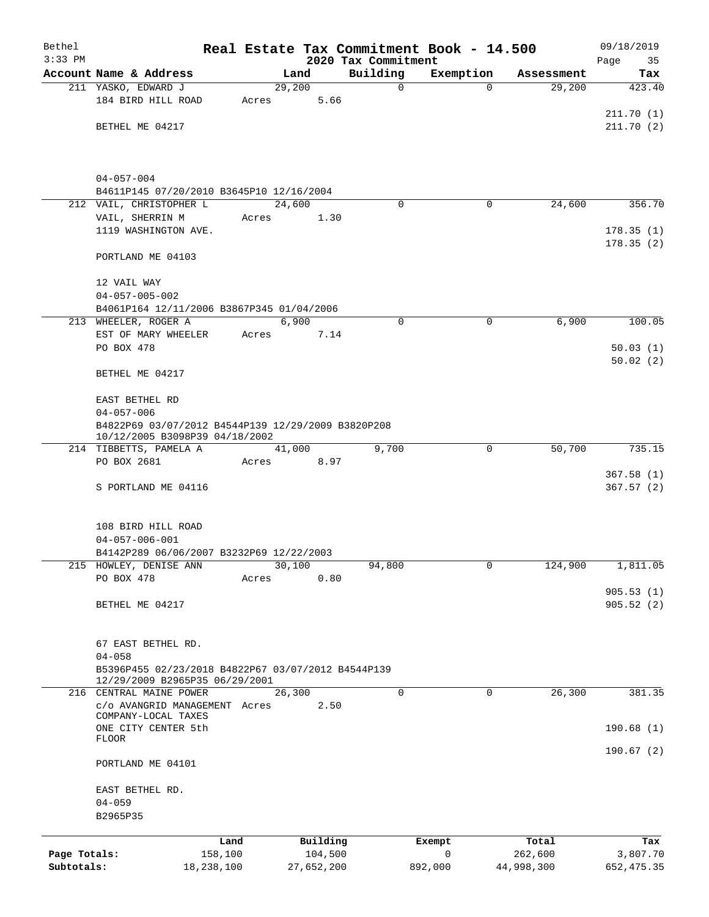| Bethel                     |                                                                                      |                       |                |                       |                     | Real Estate Tax Commitment Book - 14.500 |                       | 09/18/2019              |
|----------------------------|--------------------------------------------------------------------------------------|-----------------------|----------------|-----------------------|---------------------|------------------------------------------|-----------------------|-------------------------|
| $3:33$ PM                  | Account Name & Address                                                               |                       |                |                       | 2020 Tax Commitment |                                          |                       | Page<br>35              |
|                            | 211 YASKO, EDWARD J                                                                  |                       | Land<br>29,200 |                       | Building<br>0       | Exemption<br>$\Omega$                    | Assessment<br>29,200  | Tax<br>423.40           |
|                            | 184 BIRD HILL ROAD                                                                   | Acres                 |                | 5.66                  |                     |                                          |                       |                         |
|                            |                                                                                      |                       |                |                       |                     |                                          |                       | 211.70(1)               |
|                            | BETHEL ME 04217                                                                      |                       |                |                       |                     |                                          |                       | 211.70(2)               |
|                            |                                                                                      |                       |                |                       |                     |                                          |                       |                         |
|                            | $04 - 057 - 004$                                                                     |                       |                |                       |                     |                                          |                       |                         |
|                            | B4611P145 07/20/2010 B3645P10 12/16/2004                                             |                       |                |                       |                     |                                          |                       |                         |
|                            | 212 VAIL, CHRISTOPHER L<br>VAIL, SHERRIN M                                           | Acres                 | 24,600         | 1.30                  | $\Omega$            | 0                                        | 24,600                | 356.70                  |
|                            | 1119 WASHINGTON AVE.                                                                 |                       |                |                       |                     |                                          |                       | 178.35(1)               |
|                            |                                                                                      |                       |                |                       |                     |                                          |                       | 178.35(2)               |
|                            | PORTLAND ME 04103                                                                    |                       |                |                       |                     |                                          |                       |                         |
|                            | 12 VAIL WAY<br>$04 - 057 - 005 - 002$                                                |                       |                |                       |                     |                                          |                       |                         |
|                            | B4061P164 12/11/2006 B3867P345 01/04/2006                                            |                       |                |                       |                     |                                          |                       |                         |
|                            | 213 WHEELER, ROGER A                                                                 |                       | 6,900          |                       | 0                   | $\mathbf 0$                              | 6,900                 | 100.05                  |
|                            | EST OF MARY WHEELER                                                                  | Acres                 |                | 7.14                  |                     |                                          |                       |                         |
|                            | PO BOX 478                                                                           |                       |                |                       |                     |                                          |                       | 50.03(1)                |
|                            |                                                                                      |                       |                |                       |                     |                                          |                       | 50.02(2)                |
|                            | BETHEL ME 04217                                                                      |                       |                |                       |                     |                                          |                       |                         |
|                            | EAST BETHEL RD                                                                       |                       |                |                       |                     |                                          |                       |                         |
|                            | $04 - 057 - 006$                                                                     |                       |                |                       |                     |                                          |                       |                         |
|                            | B4822P69 03/07/2012 B4544P139 12/29/2009 B3820P208<br>10/12/2005 B3098P39 04/18/2002 |                       |                |                       |                     |                                          |                       |                         |
|                            | 214 TIBBETTS, PAMELA A                                                               |                       | 41,000         |                       | 9,700               | $\mathbf 0$                              | 50,700                | 735.15                  |
|                            | PO BOX 2681                                                                          | Acres                 |                | 8.97                  |                     |                                          |                       | 367.58(1)               |
|                            | S PORTLAND ME 04116                                                                  |                       |                |                       |                     |                                          |                       | 367.57(2)               |
|                            | 108 BIRD HILL ROAD                                                                   |                       |                |                       |                     |                                          |                       |                         |
|                            | $04 - 057 - 006 - 001$                                                               |                       |                |                       |                     |                                          |                       |                         |
|                            | B4142P289 06/06/2007 B3232P69 12/22/2003                                             |                       |                |                       |                     |                                          |                       |                         |
|                            | 215 HOWLEY, DENISE ANN                                                               |                       | 30,100         |                       | 94,800              | 0                                        | 124,900               | 1,811.05                |
|                            | PO BOX 478                                                                           | Acres                 |                | 0.80                  |                     |                                          |                       |                         |
|                            | BETHEL ME 04217                                                                      |                       |                |                       |                     |                                          |                       | 905.53(1)<br>905.52(2)  |
|                            |                                                                                      |                       |                |                       |                     |                                          |                       |                         |
|                            | 67 EAST BETHEL RD.                                                                   |                       |                |                       |                     |                                          |                       |                         |
|                            | $04 - 058$                                                                           |                       |                |                       |                     |                                          |                       |                         |
|                            | B5396P455 02/23/2018 B4822P67 03/07/2012 B4544P139<br>12/29/2009 B2965P35 06/29/2001 |                       |                |                       |                     |                                          |                       |                         |
|                            | 216 CENTRAL MAINE POWER                                                              |                       | 26,300         |                       | $\overline{0}$      | $\mathbf 0$                              | 26,300                | 381.35                  |
|                            | c/o AVANGRID MANAGEMENT Acres<br>COMPANY-LOCAL TAXES                                 |                       |                | 2.50                  |                     |                                          |                       |                         |
|                            | ONE CITY CENTER 5th                                                                  |                       |                |                       |                     |                                          |                       | 190.68(1)               |
|                            | FLOOR                                                                                |                       |                |                       |                     |                                          |                       | 190.67(2)               |
|                            | PORTLAND ME 04101                                                                    |                       |                |                       |                     |                                          |                       |                         |
|                            | EAST BETHEL RD.                                                                      |                       |                |                       |                     |                                          |                       |                         |
|                            | $04 - 059$<br>B2965P35                                                               |                       |                |                       |                     |                                          |                       |                         |
|                            |                                                                                      |                       |                |                       |                     |                                          |                       |                         |
|                            |                                                                                      | Land                  |                | Building              |                     | Exempt                                   | Total                 | Tax                     |
| Page Totals:<br>Subtotals: |                                                                                      | 158,100<br>18,238,100 |                | 104,500<br>27,652,200 |                     | $\mathbf 0$<br>892,000                   | 262,600<br>44,998,300 | 3,807.70<br>652, 475.35 |
|                            |                                                                                      |                       |                |                       |                     |                                          |                       |                         |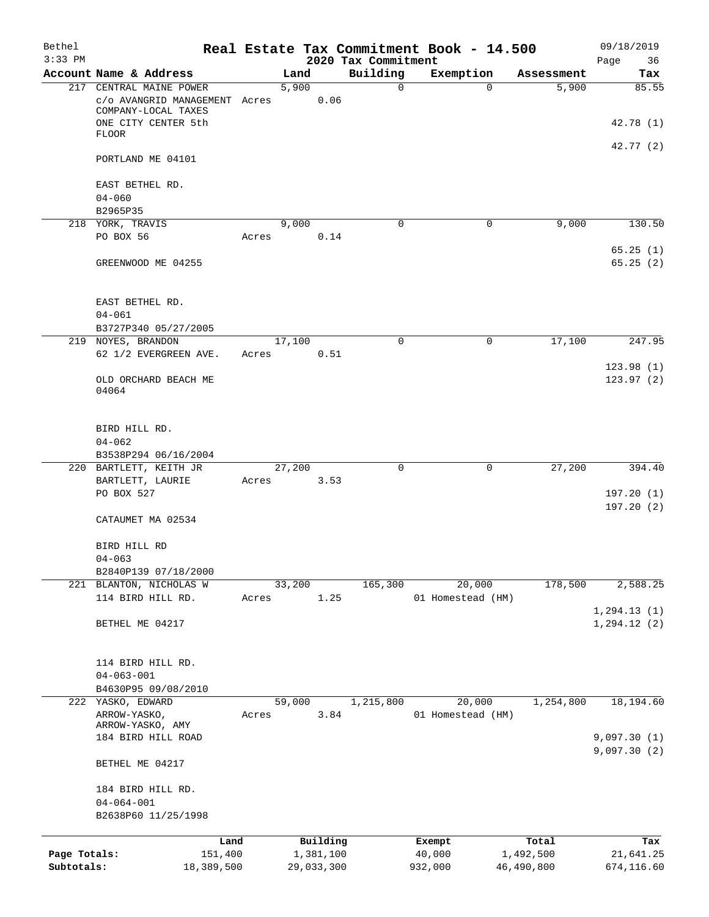| Bethel<br>$3:33$ PM |                                                                                                        |       |        |            | 2020 Tax Commitment | Real Estate Tax Commitment Book - 14.500 |                   | 09/18/2019<br>Page<br>36     |
|---------------------|--------------------------------------------------------------------------------------------------------|-------|--------|------------|---------------------|------------------------------------------|-------------------|------------------------------|
|                     | Account Name & Address                                                                                 |       | Land   |            | Building            | Exemption                                | Assessment        | Tax                          |
|                     | 217 CENTRAL MAINE POWER<br>c/o AVANGRID MANAGEMENT Acres<br>COMPANY-LOCAL TAXES<br>ONE CITY CENTER 5th |       | 5,900  | 0.06       | $\Omega$            |                                          | 5,900<br>$\Omega$ | 85.55                        |
|                     | <b>FLOOR</b>                                                                                           |       |        |            |                     |                                          |                   | 42.78 (1)<br>42.77(2)        |
|                     | PORTLAND ME 04101                                                                                      |       |        |            |                     |                                          |                   |                              |
|                     | EAST BETHEL RD.<br>$04 - 060$                                                                          |       |        |            |                     |                                          |                   |                              |
|                     | B2965P35                                                                                               |       |        |            |                     |                                          |                   |                              |
|                     | 218 YORK, TRAVIS<br>PO BOX 56                                                                          | Acres | 9,000  | 0.14       | 0                   |                                          | 9,000<br>0        | 130.50                       |
|                     | GREENWOOD ME 04255                                                                                     |       |        |            |                     |                                          |                   | 65.25(1)<br>65.25(2)         |
|                     | EAST BETHEL RD.<br>$04 - 061$                                                                          |       |        |            |                     |                                          |                   |                              |
|                     | B3727P340 05/27/2005                                                                                   |       |        |            |                     |                                          |                   |                              |
|                     | 219 NOYES, BRANDON                                                                                     |       | 17,100 |            | $\Omega$            |                                          | 17,100<br>0       | 247.95                       |
|                     | 62 1/2 EVERGREEN AVE.                                                                                  | Acres |        | 0.51       |                     |                                          |                   |                              |
|                     | OLD ORCHARD BEACH ME<br>04064                                                                          |       |        |            |                     |                                          |                   | 123.98(1)<br>123.97(2)       |
|                     | BIRD HILL RD.<br>$04 - 062$<br>B3538P294 06/16/2004                                                    |       |        |            |                     |                                          |                   |                              |
|                     | 220 BARTLETT, KEITH JR                                                                                 |       | 27,200 |            | 0                   |                                          | 27,200<br>0       | 394.40                       |
|                     | BARTLETT, LAURIE                                                                                       | Acres |        | 3.53       |                     |                                          |                   |                              |
|                     | PO BOX 527                                                                                             |       |        |            |                     |                                          |                   | 197.20(1)<br>197.20(2)       |
|                     | CATAUMET MA 02534                                                                                      |       |        |            |                     |                                          |                   |                              |
|                     | BIRD HILL RD<br>$04 - 063$                                                                             |       |        |            |                     |                                          |                   |                              |
|                     | B2840P139 07/18/2000                                                                                   |       |        |            |                     |                                          |                   |                              |
|                     | 221 BLANTON, NICHOLAS W                                                                                |       | 33,200 |            | 165,300             | 20,000                                   | 178,500           | 2,588.25                     |
|                     | 114 BIRD HILL RD.                                                                                      | Acres |        | 1.25       |                     | 01 Homestead (HM)                        |                   |                              |
|                     | BETHEL ME 04217                                                                                        |       |        |            |                     |                                          |                   | 1, 294.13(1)<br>1, 294.12(2) |
|                     | 114 BIRD HILL RD.<br>$04 - 063 - 001$<br>B4630P95 09/08/2010                                           |       |        |            |                     |                                          |                   |                              |
|                     | 222 YASKO, EDWARD                                                                                      |       | 59,000 |            | 1,215,800           | 20,000                                   | 1,254,800         | 18,194.60                    |
|                     | ARROW-YASKO,                                                                                           | Acres |        | 3.84       |                     | 01 Homestead (HM)                        |                   |                              |
|                     | ARROW-YASKO, AMY<br>184 BIRD HILL ROAD                                                                 |       |        |            |                     |                                          |                   | 9,097.30(1)                  |
|                     | BETHEL ME 04217                                                                                        |       |        |            |                     |                                          |                   | 9,097.30(2)                  |
|                     | 184 BIRD HILL RD.<br>$04 - 064 - 001$                                                                  |       |        |            |                     |                                          |                   |                              |
|                     | B2638P60 11/25/1998                                                                                    |       |        |            |                     |                                          |                   |                              |
|                     |                                                                                                        | Land  |        | Building   |                     | Exempt                                   | Total             | Tax                          |
| Page Totals:        | 151,400                                                                                                |       |        | 1,381,100  |                     | 40,000                                   | 1,492,500         | 21,641.25                    |
| Subtotals:          | 18,389,500                                                                                             |       |        | 29,033,300 |                     | 932,000                                  | 46,490,800        | 674,116.60                   |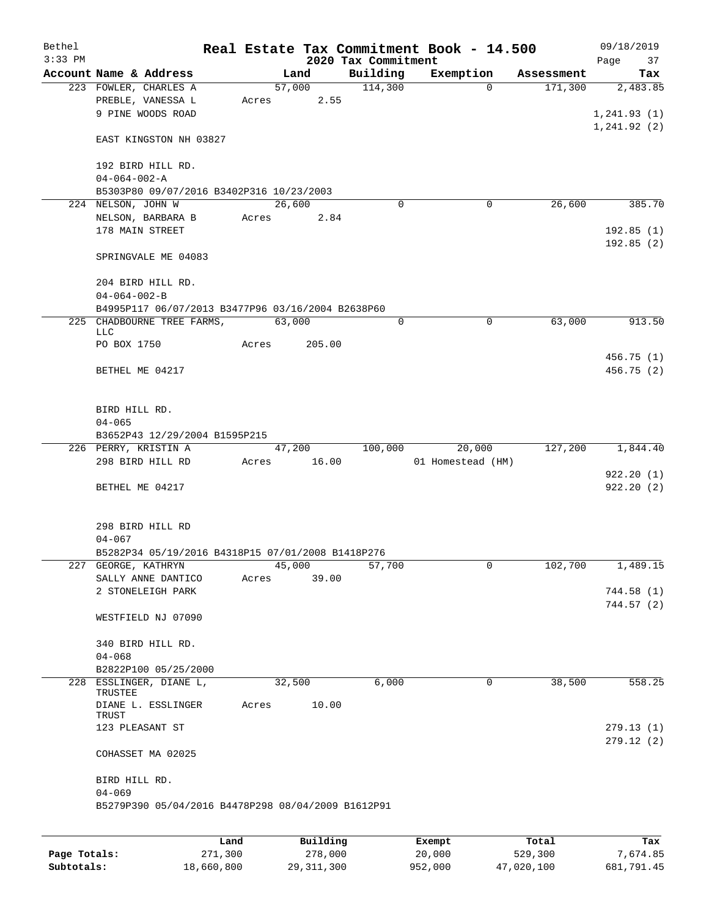| Bethel<br>$3:33$ PM |                                                                          |       |        |          |                                 | Real Estate Tax Commitment Book - 14.500 |          |            | 09/18/2019        |
|---------------------|--------------------------------------------------------------------------|-------|--------|----------|---------------------------------|------------------------------------------|----------|------------|-------------------|
|                     | Account Name & Address                                                   |       | Land   |          | 2020 Tax Commitment<br>Building | Exemption                                |          | Assessment | Page<br>37<br>Tax |
|                     | 223 FOWLER, CHARLES A                                                    |       | 57,000 |          | 114,300                         |                                          | $\Omega$ | 171,300    | 2,483.85          |
|                     | PREBLE, VANESSA L                                                        | Acres |        | 2.55     |                                 |                                          |          |            |                   |
|                     | 9 PINE WOODS ROAD                                                        |       |        |          |                                 |                                          |          |            | 1, 241.93(1)      |
|                     |                                                                          |       |        |          |                                 |                                          |          |            |                   |
|                     |                                                                          |       |        |          |                                 |                                          |          |            | 1, 241.92(2)      |
|                     | EAST KINGSTON NH 03827                                                   |       |        |          |                                 |                                          |          |            |                   |
|                     |                                                                          |       |        |          |                                 |                                          |          |            |                   |
|                     | 192 BIRD HILL RD.                                                        |       |        |          |                                 |                                          |          |            |                   |
|                     | $04 - 064 - 002 - A$                                                     |       |        |          |                                 |                                          |          |            |                   |
|                     | B5303P80 09/07/2016 B3402P316 10/23/2003                                 |       |        |          |                                 |                                          |          |            |                   |
|                     | 224 NELSON, JOHN W                                                       |       | 26,600 |          | $\Omega$                        |                                          | 0        | 26,600     | 385.70            |
|                     | NELSON, BARBARA B                                                        | Acres |        | 2.84     |                                 |                                          |          |            |                   |
|                     | 178 MAIN STREET                                                          |       |        |          |                                 |                                          |          |            | 192.85(1)         |
|                     |                                                                          |       |        |          |                                 |                                          |          |            | 192.85(2)         |
|                     | SPRINGVALE ME 04083                                                      |       |        |          |                                 |                                          |          |            |                   |
|                     |                                                                          |       |        |          |                                 |                                          |          |            |                   |
|                     | 204 BIRD HILL RD.                                                        |       |        |          |                                 |                                          |          |            |                   |
|                     | $04 - 064 - 002 - B$                                                     |       |        |          |                                 |                                          |          |            |                   |
|                     | B4995P117 06/07/2013 B3477P96 03/16/2004 B2638P60                        |       |        |          |                                 |                                          |          |            |                   |
|                     | 225 CHADBOURNE TREE FARMS,                                               |       | 63,000 |          | $\mathbf 0$                     |                                          | 0        | 63,000     | 913.50            |
|                     | LLC                                                                      |       |        |          |                                 |                                          |          |            |                   |
|                     | PO BOX 1750                                                              | Acres |        | 205.00   |                                 |                                          |          |            |                   |
|                     |                                                                          |       |        |          |                                 |                                          |          |            | 456.75(1)         |
|                     | BETHEL ME 04217                                                          |       |        |          |                                 |                                          |          |            | 456.75 (2)        |
|                     |                                                                          |       |        |          |                                 |                                          |          |            |                   |
|                     |                                                                          |       |        |          |                                 |                                          |          |            |                   |
|                     | BIRD HILL RD.                                                            |       |        |          |                                 |                                          |          |            |                   |
|                     | $04 - 065$                                                               |       |        |          |                                 |                                          |          |            |                   |
|                     | B3652P43 12/29/2004 B1595P215                                            |       |        |          |                                 |                                          |          |            |                   |
|                     | 226 PERRY, KRISTIN A                                                     |       | 47,200 |          | 100,000                         | 20,000                                   |          | 127,200    | 1,844.40          |
|                     | 298 BIRD HILL RD                                                         | Acres |        | 16.00    |                                 | 01 Homestead (HM)                        |          |            |                   |
|                     |                                                                          |       |        |          |                                 |                                          |          |            | 922.20(1)         |
|                     | BETHEL ME 04217                                                          |       |        |          |                                 |                                          |          |            | 922.20(2)         |
|                     |                                                                          |       |        |          |                                 |                                          |          |            |                   |
|                     |                                                                          |       |        |          |                                 |                                          |          |            |                   |
|                     | 298 BIRD HILL RD                                                         |       |        |          |                                 |                                          |          |            |                   |
|                     | $04 - 067$                                                               |       |        |          |                                 |                                          |          |            |                   |
|                     |                                                                          |       |        |          |                                 |                                          |          |            |                   |
|                     | B5282P34 05/19/2016 B4318P15 07/01/2008 B1418P276<br>227 GEORGE, KATHRYN |       |        |          | 57,700                          |                                          | 0        |            |                   |
|                     |                                                                          |       | 45,000 |          |                                 |                                          |          | 102,700    | 1,489.15          |
|                     | SALLY ANNE DANTICO                                                       | Acres |        | 39.00    |                                 |                                          |          |            |                   |
|                     | 2 STONELEIGH PARK                                                        |       |        |          |                                 |                                          |          |            | 744.58 (1)        |
|                     |                                                                          |       |        |          |                                 |                                          |          |            | 744.57(2)         |
|                     | WESTFIELD NJ 07090                                                       |       |        |          |                                 |                                          |          |            |                   |
|                     |                                                                          |       |        |          |                                 |                                          |          |            |                   |
|                     | 340 BIRD HILL RD.                                                        |       |        |          |                                 |                                          |          |            |                   |
|                     | $04 - 068$                                                               |       |        |          |                                 |                                          |          |            |                   |
|                     | B2822P100 05/25/2000                                                     |       |        |          |                                 |                                          |          |            |                   |
| 228                 | ESSLINGER, DIANE L,                                                      |       | 32,500 |          | 6,000                           |                                          | 0        | 38,500     | 558.25            |
|                     | TRUSTEE                                                                  |       |        |          |                                 |                                          |          |            |                   |
|                     | DIANE L. ESSLINGER                                                       | Acres |        | 10.00    |                                 |                                          |          |            |                   |
|                     | TRUST                                                                    |       |        |          |                                 |                                          |          |            |                   |
|                     | 123 PLEASANT ST                                                          |       |        |          |                                 |                                          |          |            | 279.13(1)         |
|                     |                                                                          |       |        |          |                                 |                                          |          |            | 279.12(2)         |
|                     | COHASSET MA 02025                                                        |       |        |          |                                 |                                          |          |            |                   |
|                     |                                                                          |       |        |          |                                 |                                          |          |            |                   |
|                     | BIRD HILL RD.                                                            |       |        |          |                                 |                                          |          |            |                   |
|                     | $04 - 069$                                                               |       |        |          |                                 |                                          |          |            |                   |
|                     | B5279P390 05/04/2016 B4478P298 08/04/2009 B1612P91                       |       |        |          |                                 |                                          |          |            |                   |
|                     |                                                                          |       |        |          |                                 |                                          |          |            |                   |
|                     |                                                                          | Land  |        | Building |                                 |                                          |          | Total      | Tax               |
|                     |                                                                          |       |        |          |                                 | Exempt                                   |          |            |                   |

|              | Land       | Building     | Exempt  | Total      | тах        |
|--------------|------------|--------------|---------|------------|------------|
| Page Totals: | 271,300    | 278,000      | 20,000  | 529,300    | 7.674.85   |
| Subtotals:   | 18,660,800 | 29, 311, 300 | 952,000 | 47,020,100 | 681,791.45 |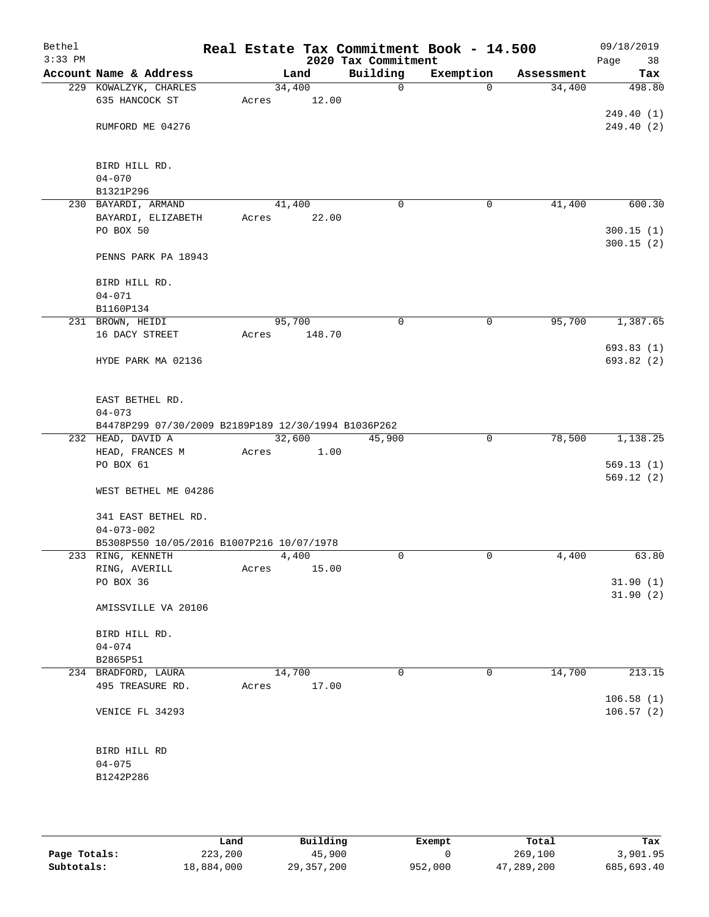| Bethel<br>$3:33$ PM |                                                                |                 |        | 2020 Tax Commitment | Real Estate Tax Commitment Book - 14.500 |            | 09/18/2019<br>Page<br>38 |
|---------------------|----------------------------------------------------------------|-----------------|--------|---------------------|------------------------------------------|------------|--------------------------|
|                     | Account Name & Address                                         |                 | Land   | Building            | Exemption                                | Assessment | Tax                      |
|                     | 229 KOWALZYK, CHARLES                                          | 34,400          |        | $\mathsf{O}$        | $\Omega$                                 | 34,400     | 498.80                   |
|                     | 635 HANCOCK ST                                                 | Acres           | 12.00  |                     |                                          |            |                          |
|                     | RUMFORD ME 04276                                               |                 |        |                     |                                          |            | 249.40(1)<br>249.40(2)   |
|                     |                                                                |                 |        |                     |                                          |            |                          |
|                     | BIRD HILL RD.                                                  |                 |        |                     |                                          |            |                          |
|                     | $04 - 070$                                                     |                 |        |                     |                                          |            |                          |
|                     | B1321P296                                                      |                 |        |                     |                                          |            |                          |
|                     | 230 BAYARDI, ARMAND                                            | 41,400          |        | $\mathbf 0$         | 0                                        | 41,400     | 600.30                   |
|                     | BAYARDI, ELIZABETH<br>PO BOX 50                                | Acres           | 22.00  |                     |                                          |            |                          |
|                     |                                                                |                 |        |                     |                                          |            | 300.15(1)<br>300.15(2)   |
|                     | PENNS PARK PA 18943                                            |                 |        |                     |                                          |            |                          |
|                     | BIRD HILL RD.                                                  |                 |        |                     |                                          |            |                          |
|                     | $04 - 071$                                                     |                 |        |                     |                                          |            |                          |
|                     | B1160P134                                                      |                 |        |                     |                                          |            |                          |
|                     | 231 BROWN, HEIDI<br>16 DACY STREET                             | 95,700<br>Acres | 148.70 | 0                   | $\mathsf{O}$                             | 95,700     | 1,387.65                 |
|                     |                                                                |                 |        |                     |                                          |            | 693.83(1)                |
|                     | HYDE PARK MA 02136                                             |                 |        |                     |                                          |            | 693.82 (2)               |
|                     | EAST BETHEL RD.                                                |                 |        |                     |                                          |            |                          |
|                     | $04 - 073$                                                     |                 |        |                     |                                          |            |                          |
|                     | B4478P299 07/30/2009 B2189P189 12/30/1994 B1036P262            |                 |        |                     |                                          |            |                          |
|                     | 232 HEAD, DAVID A                                              | 32,600          |        | 45,900              | $\mathbf 0$                              | 78,500     | 1,138.25                 |
|                     | HEAD, FRANCES M                                                | Acres           | 1.00   |                     |                                          |            |                          |
|                     | PO BOX 61                                                      |                 |        |                     |                                          |            | 569.13(1)<br>569.12(2)   |
|                     | WEST BETHEL ME 04286                                           |                 |        |                     |                                          |            |                          |
|                     | 341 EAST BETHEL RD.                                            |                 |        |                     |                                          |            |                          |
|                     | $04 - 073 - 002$                                               |                 |        |                     |                                          |            |                          |
|                     | B5308P550 10/05/2016 B1007P216 10/07/1978<br>233 RING, KENNETH |                 | 4,400  | $\Omega$            | $\mathbf 0$                              | 4,400      | 63.80                    |
|                     | RING, AVERILL                                                  | Acres           | 15.00  |                     |                                          |            |                          |
|                     | PO BOX 36                                                      |                 |        |                     |                                          |            | 31.90(1)                 |
|                     |                                                                |                 |        |                     |                                          |            | 31.90(2)                 |
|                     | AMISSVILLE VA 20106                                            |                 |        |                     |                                          |            |                          |
|                     | BIRD HILL RD.                                                  |                 |        |                     |                                          |            |                          |
|                     | $04 - 074$                                                     |                 |        |                     |                                          |            |                          |
|                     | B2865P51                                                       |                 |        |                     |                                          |            |                          |
|                     | 234 BRADFORD, LAURA                                            | 14,700          |        | 0                   | 0                                        | 14,700     | 213.15                   |
|                     | 495 TREASURE RD.                                               | Acres           | 17.00  |                     |                                          |            |                          |
|                     | VENICE FL 34293                                                |                 |        |                     |                                          |            | 106.58(1)<br>106.57(2)   |
|                     | BIRD HILL RD                                                   |                 |        |                     |                                          |            |                          |
|                     | $04 - 075$                                                     |                 |        |                     |                                          |            |                          |
|                     | B1242P286                                                      |                 |        |                     |                                          |            |                          |
|                     |                                                                |                 |        |                     |                                          |            |                          |
|                     |                                                                |                 |        |                     |                                          |            |                          |
|                     |                                                                |                 |        |                     |                                          |            |                          |

|              | Land       | Building     | Exempt  | Total      | Tax        |
|--------------|------------|--------------|---------|------------|------------|
| Page Totals: | 223,200    | 45,900       |         | 269,100    | 3,901.95   |
| Subtotals:   | 18,884,000 | 29, 357, 200 | 952,000 | 47,289,200 | 685,693.40 |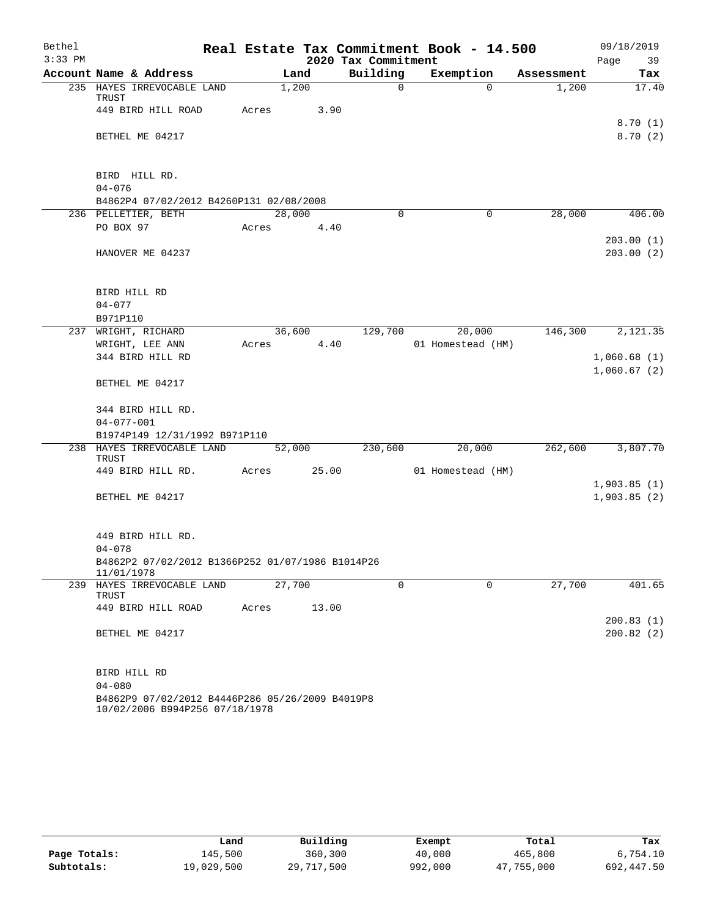| Bethel    |                                                                                   |            |        |        |                     | Real Estate Tax Commitment Book - 14.500 |            | 09/18/2019             |
|-----------|-----------------------------------------------------------------------------------|------------|--------|--------|---------------------|------------------------------------------|------------|------------------------|
| $3:33$ PM |                                                                                   |            |        |        | 2020 Tax Commitment |                                          |            | Page 39                |
|           | Account Name & Address                                                            |            | Land   |        | Building            | Exemption                                | Assessment | Tax                    |
|           | 235 HAYES IRREVOCABLE LAND<br>TRUST                                               |            | 1,200  |        | $\Omega$            | $\Omega$                                 | 1,200      | 17.40                  |
|           | 449 BIRD HILL ROAD                                                                | Acres      |        | 3.90   |                     |                                          |            | 8.70(1)                |
|           | BETHEL ME 04217                                                                   |            |        |        |                     |                                          |            | 8.70(2)                |
|           | BIRD HILL RD.                                                                     |            |        |        |                     |                                          |            |                        |
|           | $04 - 076$                                                                        |            |        |        |                     |                                          |            |                        |
|           | B4862P4 07/02/2012 B4260P131 02/08/2008                                           |            |        |        |                     |                                          |            |                        |
|           | 236 PELLETIER, BETH                                                               |            | 28,000 |        | 0                   | $\mathbf 0$                              | 28,000     | 406.00                 |
|           | PO BOX 97                                                                         | Acres      |        | 4.40   |                     |                                          |            |                        |
|           | HANOVER ME 04237                                                                  |            |        |        |                     |                                          |            | 203.00(1)<br>203.00(2) |
|           | BIRD HILL RD                                                                      |            |        |        |                     |                                          |            |                        |
|           | $04 - 077$                                                                        |            |        |        |                     |                                          |            |                        |
|           | B971P110                                                                          |            |        |        |                     |                                          |            |                        |
|           | 237 WRIGHT, RICHARD                                                               |            |        | 36,600 | 129,700             | 20,000                                   |            | 146,300 2,121.35       |
|           | WRIGHT, LEE ANN                                                                   | Acres 4.40 |        |        |                     | 01 Homestead (HM)                        |            |                        |
|           | 344 BIRD HILL RD                                                                  |            |        |        |                     |                                          |            | 1,060.68(1)            |
|           | BETHEL ME 04217                                                                   |            |        |        |                     |                                          |            | 1,060.67(2)            |
|           | 344 BIRD HILL RD.                                                                 |            |        |        |                     |                                          |            |                        |
|           | $04 - 077 - 001$                                                                  |            |        |        |                     |                                          |            |                        |
|           | B1974P149 12/31/1992 B971P110                                                     |            |        |        |                     |                                          |            |                        |
|           | 238 HAYES IRREVOCABLE LAND<br>TRUST                                               |            | 52,000 |        | 230,600             | 20,000                                   | 262,600    | 3,807.70               |
|           | 449 BIRD HILL RD.                                                                 | Acres      |        | 25.00  |                     | 01 Homestead (HM)                        |            |                        |
|           |                                                                                   |            |        |        |                     |                                          |            | 1,903.85(1)            |
|           | BETHEL ME 04217                                                                   |            |        |        |                     |                                          |            | 1,903.85(2)            |
|           | 449 BIRD HILL RD.                                                                 |            |        |        |                     |                                          |            |                        |
|           | $04 - 078$                                                                        |            |        |        |                     |                                          |            |                        |
|           | B4862P2 07/02/2012 B1366P252 01/07/1986 B1014P26<br>11/01/1978                    |            |        |        |                     |                                          |            |                        |
| 239       | HAYES IRREVOCABLE LAND<br>TRUST                                                   |            | 27,700 |        | $\Omega$            | $\Omega$                                 | 27,700     | 401.65                 |
|           | 449 BIRD HILL ROAD                                                                | Acres      |        | 13.00  |                     |                                          |            |                        |
|           |                                                                                   |            |        |        |                     |                                          |            | 200.83(1)              |
|           | BETHEL ME 04217                                                                   |            |        |        |                     |                                          |            | 200.82(2)              |
|           | BIRD HILL RD                                                                      |            |        |        |                     |                                          |            |                        |
|           | $04 - 080$                                                                        |            |        |        |                     |                                          |            |                        |
|           | B4862P9 07/02/2012 B4446P286 05/26/2009 B4019P8<br>10/02/2006 B994P256 07/18/1978 |            |        |        |                     |                                          |            |                        |

|              | Land       | Building   | Exempt  | Total      | Tax        |
|--------------|------------|------------|---------|------------|------------|
|              |            |            |         |            |            |
| Page Totals: | 145,500    | 360,300    | 40,000  | 465,800    | 6,754.10   |
| Subtotals:   | 19,029,500 | 29,717,500 | 992,000 | 47,755,000 | 692,447.50 |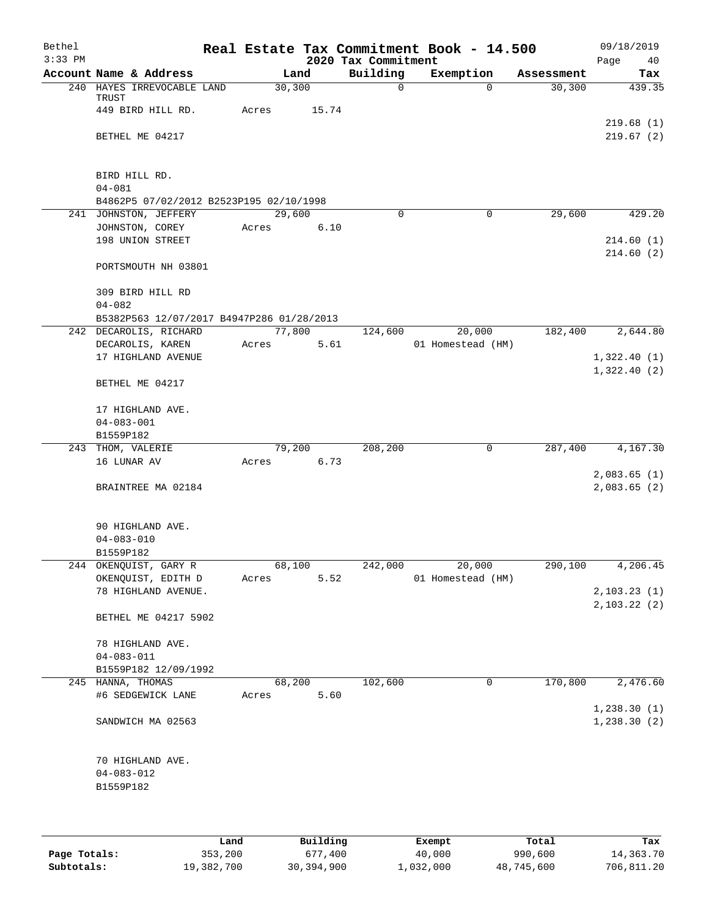| Bethel<br>$3:33$ PM |                                           |       |         |       | 2020 Tax Commitment | Real Estate Tax Commitment Book - 14.500 |            | 09/18/2019<br>Page<br>40    |
|---------------------|-------------------------------------------|-------|---------|-------|---------------------|------------------------------------------|------------|-----------------------------|
|                     | Account Name & Address                    |       | Land    |       | Building            | Exemption                                | Assessment | Tax                         |
|                     | 240 HAYES IRREVOCABLE LAND                |       | 30, 300 |       | 0                   | $\Omega$                                 | 30, 300    | 439.35                      |
|                     | TRUST                                     |       |         |       |                     |                                          |            |                             |
|                     | 449 BIRD HILL RD.                         | Acres |         | 15.74 |                     |                                          |            |                             |
|                     |                                           |       |         |       |                     |                                          |            | 219.68(1)                   |
|                     | BETHEL ME 04217                           |       |         |       |                     |                                          |            | 219.67(2)                   |
|                     |                                           |       |         |       |                     |                                          |            |                             |
|                     | BIRD HILL RD.                             |       |         |       |                     |                                          |            |                             |
|                     | $04 - 081$                                |       |         |       |                     |                                          |            |                             |
|                     | B4862P5 07/02/2012 B2523P195 02/10/1998   |       |         |       |                     |                                          |            |                             |
|                     | 241 JOHNSTON, JEFFERY                     |       | 29,600  |       | $\Omega$            | $\Omega$                                 | 29,600     | 429.20                      |
|                     | JOHNSTON, COREY                           | Acres |         | 6.10  |                     |                                          |            |                             |
|                     | 198 UNION STREET                          |       |         |       |                     |                                          |            | 214.60(1)                   |
|                     |                                           |       |         |       |                     |                                          |            | 214.60(2)                   |
|                     | PORTSMOUTH NH 03801                       |       |         |       |                     |                                          |            |                             |
|                     |                                           |       |         |       |                     |                                          |            |                             |
|                     | 309 BIRD HILL RD<br>$04 - 082$            |       |         |       |                     |                                          |            |                             |
|                     | B5382P563 12/07/2017 B4947P286 01/28/2013 |       |         |       |                     |                                          |            |                             |
|                     | 242 DECAROLIS, RICHARD                    |       | 77,800  |       | 124,600             | 20,000                                   | 182,400    | 2,644.80                    |
|                     | DECAROLIS, KAREN                          | Acres |         | 5.61  |                     | 01 Homestead (HM)                        |            |                             |
|                     | 17 HIGHLAND AVENUE                        |       |         |       |                     |                                          |            | 1,322.40(1)                 |
|                     |                                           |       |         |       |                     |                                          |            | 1,322.40(2)                 |
|                     | BETHEL ME 04217                           |       |         |       |                     |                                          |            |                             |
|                     |                                           |       |         |       |                     |                                          |            |                             |
|                     | 17 HIGHLAND AVE.                          |       |         |       |                     |                                          |            |                             |
|                     | $04 - 083 - 001$                          |       |         |       |                     |                                          |            |                             |
|                     | B1559P182<br>243 THOM, VALERIE            |       | 79,200  |       | 208,200             | 0                                        | 287,400    | 4,167.30                    |
|                     | 16 LUNAR AV                               | Acres |         | 6.73  |                     |                                          |            |                             |
|                     |                                           |       |         |       |                     |                                          |            | 2,083.65(1)                 |
|                     | BRAINTREE MA 02184                        |       |         |       |                     |                                          |            | 2,083.65(2)                 |
|                     |                                           |       |         |       |                     |                                          |            |                             |
|                     |                                           |       |         |       |                     |                                          |            |                             |
|                     | 90 HIGHLAND AVE.                          |       |         |       |                     |                                          |            |                             |
|                     | $04 - 083 - 010$                          |       |         |       |                     |                                          |            |                             |
|                     | B1559P182                                 |       |         |       |                     |                                          |            |                             |
|                     | 244 OKENQUIST, GARY R                     |       | 68,100  |       | 242,000             | 20,000                                   | 290,100    | 4,206.45                    |
|                     | OKENQUIST, EDITH D                        | Acres |         | 5.52  |                     | 01 Homestead (HM)                        |            |                             |
|                     | 78 HIGHLAND AVENUE.                       |       |         |       |                     |                                          |            | 2, 103.23(1)<br>2,103.22(2) |
|                     | BETHEL ME 04217 5902                      |       |         |       |                     |                                          |            |                             |
|                     |                                           |       |         |       |                     |                                          |            |                             |
|                     | 78 HIGHLAND AVE.                          |       |         |       |                     |                                          |            |                             |
|                     | $04 - 083 - 011$                          |       |         |       |                     |                                          |            |                             |
|                     | B1559P182 12/09/1992                      |       |         |       |                     |                                          |            |                             |
|                     | 245 HANNA, THOMAS                         |       | 68,200  |       | 102,600             | 0                                        | 170,800    | 2,476.60                    |
|                     | #6 SEDGEWICK LANE                         | Acres |         | 5.60  |                     |                                          |            |                             |
|                     |                                           |       |         |       |                     |                                          |            | 1, 238.30(1)                |
|                     | SANDWICH MA 02563                         |       |         |       |                     |                                          |            | 1,238.30(2)                 |
|                     |                                           |       |         |       |                     |                                          |            |                             |
|                     | 70 HIGHLAND AVE.                          |       |         |       |                     |                                          |            |                             |
|                     | $04 - 083 - 012$                          |       |         |       |                     |                                          |            |                             |
|                     | B1559P182                                 |       |         |       |                     |                                          |            |                             |
|                     |                                           |       |         |       |                     |                                          |            |                             |
|                     |                                           |       |         |       |                     |                                          |            |                             |
|                     |                                           |       |         |       |                     |                                          |            |                             |

|              | Land       | Building   | Exempt    | Total      | Tax        |
|--------------|------------|------------|-----------|------------|------------|
| Page Totals: | 353,200    | 677,400    | 40,000    | 990,600    | 14,363.70  |
| Subtotals:   | 19,382,700 | 30,394,900 | 1,032,000 | 48,745,600 | 706,811.20 |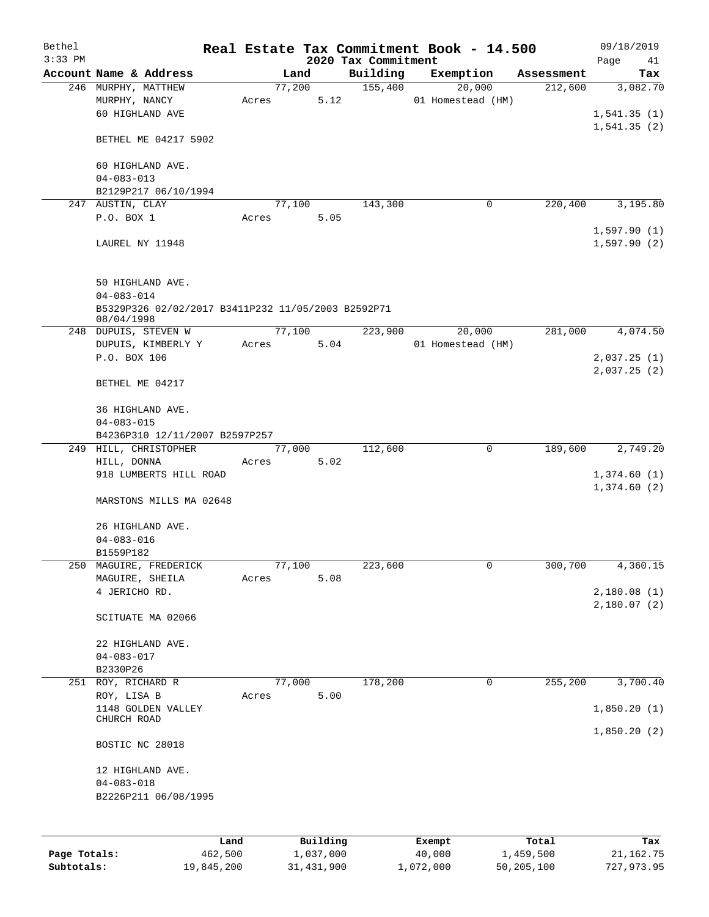| Bethel       |                                                                        |       |        |              |                     | Real Estate Tax Commitment Book - 14.500 |             |                       | 09/18/2019                 |
|--------------|------------------------------------------------------------------------|-------|--------|--------------|---------------------|------------------------------------------|-------------|-----------------------|----------------------------|
| $3:33$ PM    | Account Name & Address                                                 |       | Land   |              | 2020 Tax Commitment |                                          |             |                       | Page<br>41                 |
|              | 246 MURPHY, MATTHEW                                                    |       | 77,200 |              | Building<br>155,400 | Exemption<br>20,000                      |             | Assessment<br>212,600 | Tax<br>3,082.70            |
|              | MURPHY, NANCY<br>60 HIGHLAND AVE                                       | Acres |        | 5.12         |                     | 01 Homestead (HM)                        |             |                       | 1,541.35(1)                |
|              | BETHEL ME 04217 5902                                                   |       |        |              |                     |                                          |             |                       | 1,541.35(2)                |
|              | 60 HIGHLAND AVE.<br>$04 - 083 - 013$                                   |       |        |              |                     |                                          |             |                       |                            |
|              | B2129P217 06/10/1994                                                   |       |        |              |                     |                                          |             |                       |                            |
|              | 247 AUSTIN, CLAY                                                       |       | 77,100 |              | 143,300             |                                          | 0           | 220,400               | 3,195.80                   |
|              | P.O. BOX 1<br>LAUREL NY 11948                                          | Acres |        | 5.05         |                     |                                          |             |                       | 1,597.90(1)<br>1,597.90(2) |
|              | 50 HIGHLAND AVE.                                                       |       |        |              |                     |                                          |             |                       |                            |
|              | $04 - 083 - 014$<br>B5329P326 02/02/2017 B3411P232 11/05/2003 B2592P71 |       |        |              |                     |                                          |             |                       |                            |
|              | 08/04/1998                                                             |       |        |              |                     |                                          |             |                       |                            |
|              | 248 DUPUIS, STEVEN W                                                   |       | 77,100 |              | 223,900             | 20,000                                   |             | 281,000               | 4,074.50                   |
|              | DUPUIS, KIMBERLY Y                                                     | Acres |        | $5.04$       |                     | 01 Homestead (HM)                        |             |                       |                            |
|              | P.O. BOX 106                                                           |       |        |              |                     |                                          |             |                       | 2,037.25(1)                |
|              | BETHEL ME 04217                                                        |       |        |              |                     |                                          |             |                       | 2,037.25(2)                |
|              | 36 HIGHLAND AVE.<br>$04 - 083 - 015$                                   |       |        |              |                     |                                          |             |                       |                            |
|              | B4236P310 12/11/2007 B2597P257                                         |       |        |              |                     |                                          |             |                       |                            |
|              | 249 HILL, CHRISTOPHER                                                  |       | 77,000 |              | 112,600             |                                          | $\mathbf 0$ | 189,600               | 2,749.20                   |
|              | HILL, DONNA<br>918 LUMBERTS HILL ROAD                                  | Acres |        | 5.02         |                     |                                          |             |                       | 1,374.60(1)<br>1,374.60(2) |
|              | MARSTONS MILLS MA 02648                                                |       |        |              |                     |                                          |             |                       |                            |
|              | 26 HIGHLAND AVE.<br>$04 - 083 - 016$                                   |       |        |              |                     |                                          |             |                       |                            |
|              | B1559P182<br>250 MAGUIRE, FREDERICK                                    |       | 77,100 |              | 223,600             |                                          | 0           | 300,700               | 4,360.15                   |
|              | MAGUIRE, SHEILA                                                        | Acres |        | 5.08         |                     |                                          |             |                       |                            |
|              | 4 JERICHO RD.                                                          |       |        |              |                     |                                          |             |                       | 2,180.08(1)                |
|              | SCITUATE MA 02066                                                      |       |        |              |                     |                                          |             |                       | 2,180.07(2)                |
|              |                                                                        |       |        |              |                     |                                          |             |                       |                            |
|              | 22 HIGHLAND AVE.                                                       |       |        |              |                     |                                          |             |                       |                            |
|              | $04 - 083 - 017$                                                       |       |        |              |                     |                                          |             |                       |                            |
|              | B2330P26                                                               |       |        |              |                     |                                          |             |                       |                            |
| 251          | ROY, RICHARD R<br>ROY, LISA B                                          | Acres | 77,000 | 5.00         | 178,200             |                                          | 0           | 255,200               | 3,700.40                   |
|              | 1148 GOLDEN VALLEY                                                     |       |        |              |                     |                                          |             |                       | 1,850.20(1)                |
|              | CHURCH ROAD                                                            |       |        |              |                     |                                          |             |                       | 1,850.20(2)                |
|              | BOSTIC NC 28018                                                        |       |        |              |                     |                                          |             |                       |                            |
|              | 12 HIGHLAND AVE.<br>$04 - 083 - 018$<br>B2226P211 06/08/1995           |       |        |              |                     |                                          |             |                       |                            |
|              |                                                                        |       |        |              |                     |                                          |             |                       |                            |
|              | Land                                                                   |       |        | Building     |                     | Exempt                                   |             | Total                 | Tax                        |
| Page Totals: | 462,500                                                                |       |        | 1,037,000    |                     | 40,000                                   |             | 1,459,500             | 21, 162. 75                |
| Subtotals:   | 19,845,200                                                             |       |        | 31, 431, 900 |                     | 1,072,000                                |             | 50,205,100            | 727,973.95                 |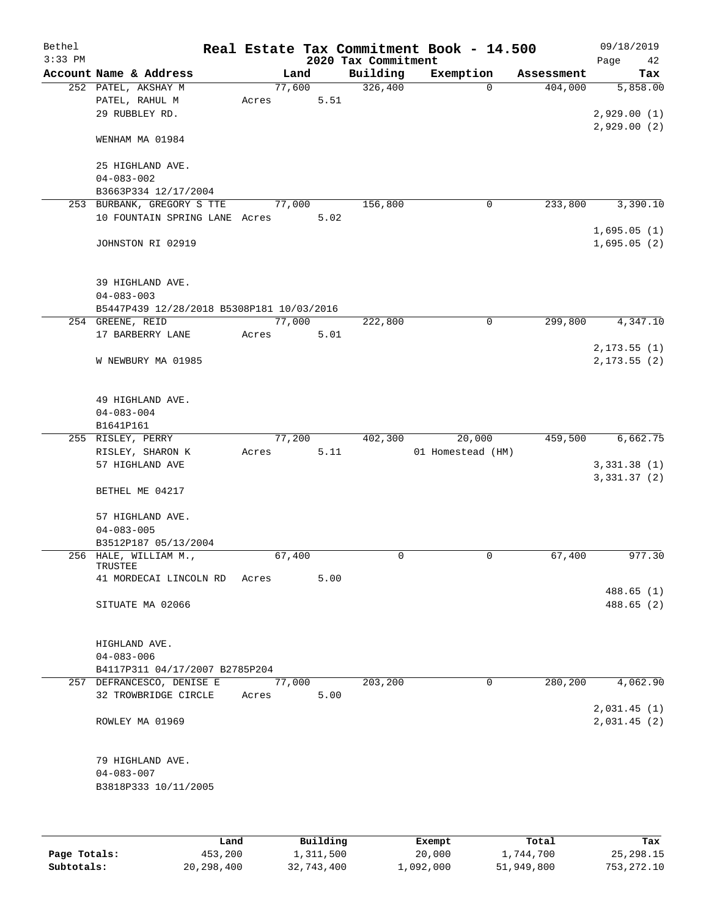| Bethel<br>$3:33$ PM |                                           |       |        |      | 2020 Tax Commitment | Real Estate Tax Commitment Book - 14.500 |            | 09/18/2019<br>42<br>Page     |
|---------------------|-------------------------------------------|-------|--------|------|---------------------|------------------------------------------|------------|------------------------------|
|                     | Account Name & Address                    |       | Land   |      | Building            | Exemption                                | Assessment | Tax                          |
|                     | 252 PATEL, AKSHAY M                       |       | 77,600 |      | 326,400             | $\Omega$                                 | 404,000    | 5,858.00                     |
|                     | PATEL, RAHUL M                            | Acres |        | 5.51 |                     |                                          |            |                              |
|                     | 29 RUBBLEY RD.                            |       |        |      |                     |                                          |            | 2,929.00(1)                  |
|                     |                                           |       |        |      |                     |                                          |            | 2,929.00(2)                  |
|                     | WENHAM MA 01984                           |       |        |      |                     |                                          |            |                              |
|                     |                                           |       |        |      |                     |                                          |            |                              |
|                     | 25 HIGHLAND AVE.                          |       |        |      |                     |                                          |            |                              |
|                     | $04 - 083 - 002$<br>B3663P334 12/17/2004  |       |        |      |                     |                                          |            |                              |
|                     | 253 BURBANK, GREGORY S TTE                |       | 77,000 |      | 156,800             | 0                                        | 233,800    | 3,390.10                     |
|                     | 10 FOUNTAIN SPRING LANE Acres             |       |        | 5.02 |                     |                                          |            |                              |
|                     |                                           |       |        |      |                     |                                          |            | 1,695.05(1)                  |
|                     | JOHNSTON RI 02919                         |       |        |      |                     |                                          |            | 1,695.05(2)                  |
|                     |                                           |       |        |      |                     |                                          |            |                              |
|                     |                                           |       |        |      |                     |                                          |            |                              |
|                     | 39 HIGHLAND AVE.                          |       |        |      |                     |                                          |            |                              |
|                     | $04 - 083 - 003$                          |       |        |      |                     |                                          |            |                              |
|                     | B5447P439 12/28/2018 B5308P181 10/03/2016 |       |        |      |                     |                                          |            |                              |
|                     | 254 GREENE, REID                          |       | 77,000 |      | 222,800             | 0                                        | 299,800    | 4,347.10                     |
|                     | 17 BARBERRY LANE                          | Acres |        | 5.01 |                     |                                          |            |                              |
|                     | W NEWBURY MA 01985                        |       |        |      |                     |                                          |            | 2, 173.55(1)<br>2, 173.55(2) |
|                     |                                           |       |        |      |                     |                                          |            |                              |
|                     |                                           |       |        |      |                     |                                          |            |                              |
|                     | 49 HIGHLAND AVE.                          |       |        |      |                     |                                          |            |                              |
|                     | $04 - 083 - 004$                          |       |        |      |                     |                                          |            |                              |
|                     | B1641P161                                 |       |        |      |                     |                                          |            |                              |
|                     | 255 RISLEY, PERRY                         |       | 77,200 |      | 402,300             | 20,000                                   | 459,500    | 6,662.75                     |
|                     | RISLEY, SHARON K                          | Acres |        | 5.11 |                     | 01 Homestead (HM)                        |            |                              |
|                     | 57 HIGHLAND AVE                           |       |        |      |                     |                                          |            | 3,331.38(1)                  |
|                     |                                           |       |        |      |                     |                                          |            | 3, 331.37 (2)                |
|                     | BETHEL ME 04217                           |       |        |      |                     |                                          |            |                              |
|                     | 57 HIGHLAND AVE.                          |       |        |      |                     |                                          |            |                              |
|                     | $04 - 083 - 005$                          |       |        |      |                     |                                          |            |                              |
|                     | B3512P187 05/13/2004                      |       |        |      |                     |                                          |            |                              |
|                     | 256 HALE, WILLIAM M.,                     |       | 67,400 |      | $\mathbf 0$         | $\mathbf 0$                              | 67,400     | 977.30                       |
|                     | TRUSTEE                                   |       |        |      |                     |                                          |            |                              |
|                     | 41 MORDECAI LINCOLN RD                    | Acres |        | 5.00 |                     |                                          |            |                              |
|                     |                                           |       |        |      |                     |                                          |            | 488.65 (1)                   |
|                     | SITUATE MA 02066                          |       |        |      |                     |                                          |            | 488.65(2)                    |
|                     |                                           |       |        |      |                     |                                          |            |                              |
|                     | HIGHLAND AVE.                             |       |        |      |                     |                                          |            |                              |
|                     | $04 - 083 - 006$                          |       |        |      |                     |                                          |            |                              |
|                     | B4117P311 04/17/2007 B2785P204            |       |        |      |                     |                                          |            |                              |
|                     | 257 DEFRANCESCO, DENISE E                 |       | 77,000 |      | 203,200             | 0                                        | 280,200    | 4,062.90                     |
|                     | 32 TROWBRIDGE CIRCLE                      | Acres |        | 5.00 |                     |                                          |            |                              |
|                     |                                           |       |        |      |                     |                                          |            | 2,031.45(1)                  |
|                     | ROWLEY MA 01969                           |       |        |      |                     |                                          |            | 2,031.45(2)                  |
|                     |                                           |       |        |      |                     |                                          |            |                              |
|                     | 79 HIGHLAND AVE.                          |       |        |      |                     |                                          |            |                              |
|                     | $04 - 083 - 007$                          |       |        |      |                     |                                          |            |                              |
|                     | B3818P333 10/11/2005                      |       |        |      |                     |                                          |            |                              |
|                     |                                           |       |        |      |                     |                                          |            |                              |
|                     |                                           |       |        |      |                     |                                          |            |                              |
|                     |                                           |       |        |      |                     |                                          |            |                              |

|              | Land       | Building   | Exempt    | Total      | Tax         |
|--------------|------------|------------|-----------|------------|-------------|
| Page Totals: | 453,200    | 1,311,500  | 20,000    | 1,744,700  | 25, 298. 15 |
| Subtotals:   | 20,298,400 | 32,743,400 | 1,092,000 | 51,949,800 | 753, 272.10 |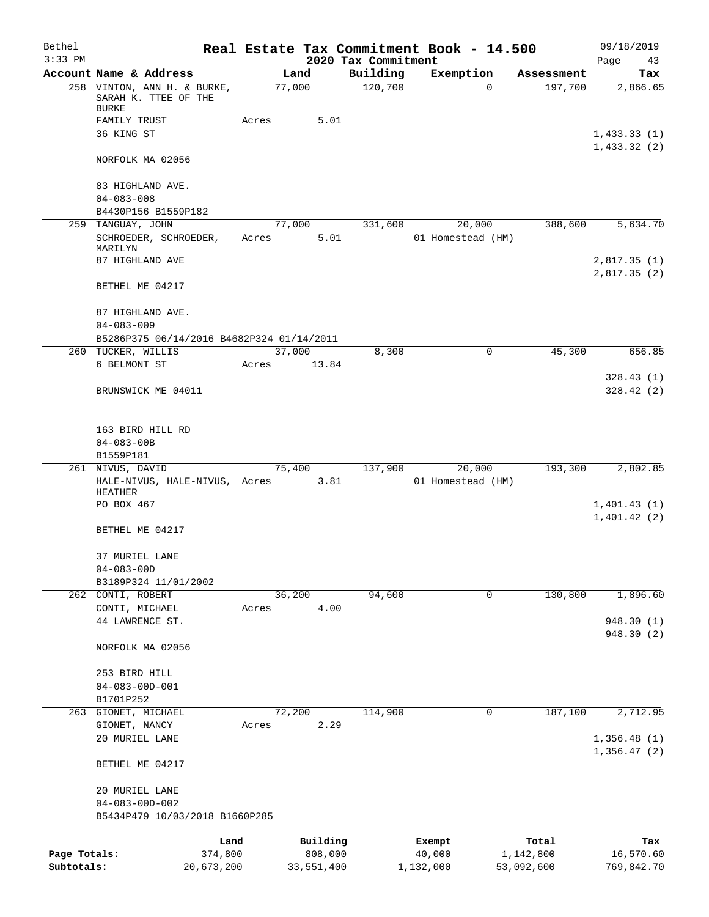| Bethel       |                                                             |            |       |                |      |                     | Real Estate Tax Commitment Book - 14.500 |                       | 09/18/2019                 |
|--------------|-------------------------------------------------------------|------------|-------|----------------|------|---------------------|------------------------------------------|-----------------------|----------------------------|
| $3:33$ PM    |                                                             |            |       |                |      | 2020 Tax Commitment |                                          |                       | Page<br>43                 |
|              | Account Name & Address<br>258 VINTON, ANN H. & BURKE,       |            |       | Land<br>77,000 |      | Building<br>120,700 | Exemption<br>$\Omega$                    | Assessment<br>197,700 | Tax<br>2,866.65            |
|              | SARAH K. TTEE OF THE<br><b>BURKE</b>                        |            |       |                |      |                     |                                          |                       |                            |
|              | FAMILY TRUST                                                |            | Acres |                | 5.01 |                     |                                          |                       |                            |
|              | 36 KING ST                                                  |            |       |                |      |                     |                                          |                       | 1,433.33(1)<br>1,433.32(2) |
|              | NORFOLK MA 02056                                            |            |       |                |      |                     |                                          |                       |                            |
|              | 83 HIGHLAND AVE.<br>$04 - 083 - 008$                        |            |       |                |      |                     |                                          |                       |                            |
|              | B4430P156 B1559P182                                         |            |       |                |      |                     |                                          |                       |                            |
|              | 259 TANGUAY, JOHN                                           |            |       | 77,000         |      | 331,600             | 20,000                                   | 388,600               | 5,634.70                   |
|              | SCHROEDER, SCHROEDER,<br>MARILYN                            |            | Acres |                | 5.01 |                     | 01 Homestead (HM)                        |                       |                            |
|              | 87 HIGHLAND AVE                                             |            |       |                |      |                     |                                          |                       | 2,817.35(1)<br>2,817.35(2) |
|              | BETHEL ME 04217                                             |            |       |                |      |                     |                                          |                       |                            |
|              | 87 HIGHLAND AVE.                                            |            |       |                |      |                     |                                          |                       |                            |
|              | $04 - 083 - 009$                                            |            |       |                |      |                     |                                          |                       |                            |
|              | B5286P375 06/14/2016 B4682P324 01/14/2011<br>TUCKER, WILLIS |            |       | 37,000         |      | 8,300               | $\mathbf 0$                              | 45,300                | 656.85                     |
| 260          | 6 BELMONT ST                                                |            | Acres | 13.84          |      |                     |                                          |                       |                            |
|              |                                                             |            |       |                |      |                     |                                          |                       | 328.43 (1)                 |
|              | BRUNSWICK ME 04011                                          |            |       |                |      |                     |                                          |                       | 328.42 (2)                 |
|              | 163 BIRD HILL RD                                            |            |       |                |      |                     |                                          |                       |                            |
|              | $04 - 083 - 00B$                                            |            |       |                |      |                     |                                          |                       |                            |
|              | B1559P181                                                   |            |       |                |      |                     |                                          |                       |                            |
|              | 261 NIVUS, DAVID<br>HALE-NIVUS, HALE-NIVUS, Acres           |            |       | 75,400         | 3.81 | 137,900             | 20,000<br>01 Homestead (HM)              | 193,300               | 2,802.85                   |
|              | <b>HEATHER</b><br>PO BOX 467                                |            |       |                |      |                     |                                          |                       |                            |
|              |                                                             |            |       |                |      |                     |                                          |                       | 1,401.43(1)<br>1,401.42(2) |
|              | BETHEL ME 04217                                             |            |       |                |      |                     |                                          |                       |                            |
|              | 37 MURIEL LANE                                              |            |       |                |      |                     |                                          |                       |                            |
|              | $04 - 083 - 00D$                                            |            |       |                |      |                     |                                          |                       |                            |
|              | B3189P324 11/01/2002<br>262 CONTI, ROBERT                   |            |       | 36,200         |      | 94,600              | $\mathbf 0$                              | 130,800               | 1,896.60                   |
|              | CONTI, MICHAEL                                              |            | Acres |                | 4.00 |                     |                                          |                       |                            |
|              | 44 LAWRENCE ST.                                             |            |       |                |      |                     |                                          |                       | 948.30 (1)                 |
|              | NORFOLK MA 02056                                            |            |       |                |      |                     |                                          |                       | 948.30 (2)                 |
|              |                                                             |            |       |                |      |                     |                                          |                       |                            |
|              | 253 BIRD HILL                                               |            |       |                |      |                     |                                          |                       |                            |
|              | $04 - 083 - 00D - 001$                                      |            |       |                |      |                     |                                          |                       |                            |
|              | B1701P252                                                   |            |       |                |      |                     |                                          |                       |                            |
| 263          | GIONET, MICHAEL                                             |            |       | 72,200         |      | 114,900             | 0                                        | 187,100               | 2,712.95                   |
|              | GIONET, NANCY                                               |            | Acres |                | 2.29 |                     |                                          |                       |                            |
|              | 20 MURIEL LANE                                              |            |       |                |      |                     |                                          |                       | 1,356.48(1)<br>1,356.47(2) |
|              | BETHEL ME 04217                                             |            |       |                |      |                     |                                          |                       |                            |
|              | 20 MURIEL LANE                                              |            |       |                |      |                     |                                          |                       |                            |
|              | $04 - 083 - 00D - 002$                                      |            |       |                |      |                     |                                          |                       |                            |
|              | B5434P479 10/03/2018 B1660P285                              |            |       |                |      |                     |                                          |                       |                            |
|              |                                                             | Land       |       | Building       |      |                     | Exempt                                   | Total                 | Tax                        |
| Page Totals: |                                                             | 374,800    |       | 808,000        |      |                     | 40,000                                   | 1,142,800             | 16,570.60                  |
| Subtotals:   |                                                             | 20,673,200 |       | 33,551,400     |      |                     | 1,132,000                                | 53,092,600            | 769,842.70                 |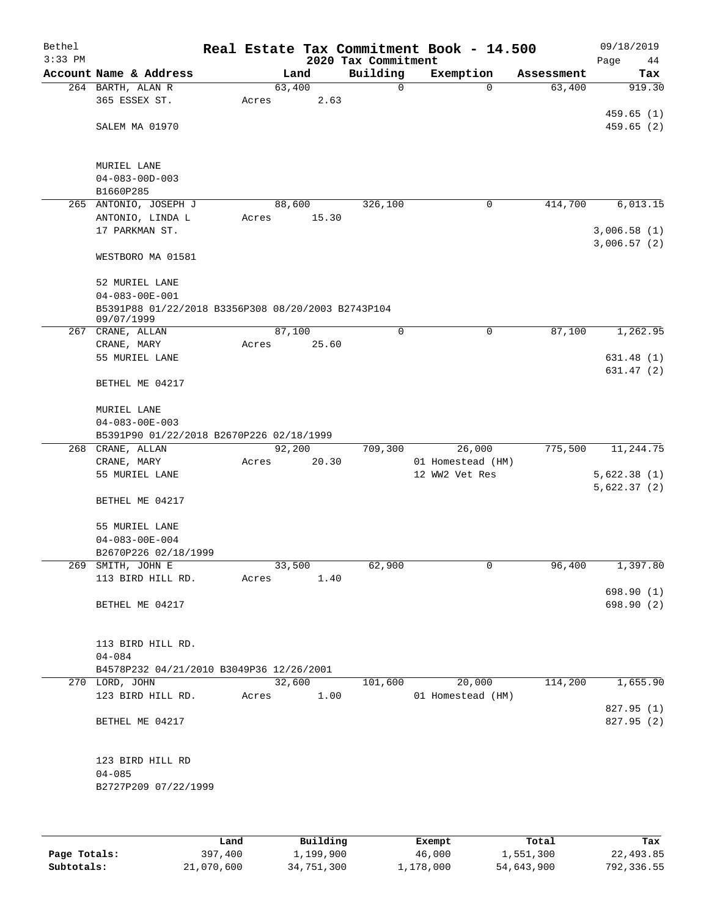| Bethel<br>$3:33$ PM |                                                              |       |        | 2020 Tax Commitment | Real Estate Tax Commitment Book - 14.500 |            | 09/18/2019<br>Page<br>44 |
|---------------------|--------------------------------------------------------------|-------|--------|---------------------|------------------------------------------|------------|--------------------------|
|                     | Account Name & Address                                       |       | Land   | Building            | Exemption                                | Assessment | Tax                      |
|                     | 264 BARTH, ALAN R                                            |       | 63,400 | 0                   | $\Omega$                                 | 63,400     | 919.30                   |
|                     | 365 ESSEX ST.                                                | Acres | 2.63   |                     |                                          |            |                          |
|                     |                                                              |       |        |                     |                                          |            | 459.65(1)                |
|                     | SALEM MA 01970                                               |       |        |                     |                                          |            | 459.65 (2)               |
|                     |                                                              |       |        |                     |                                          |            |                          |
|                     |                                                              |       |        |                     |                                          |            |                          |
|                     | MURIEL LANE                                                  |       |        |                     |                                          |            |                          |
|                     | $04 - 083 - 00D - 003$<br>B1660P285                          |       |        |                     |                                          |            |                          |
|                     | 265 ANTONIO, JOSEPH J                                        |       | 88,600 | 326,100             | $\mathbf 0$                              | 414,700    | 6,013.15                 |
|                     | ANTONIO, LINDA L                                             | Acres | 15.30  |                     |                                          |            |                          |
|                     | 17 PARKMAN ST.                                               |       |        |                     |                                          |            | 3,006.58(1)              |
|                     |                                                              |       |        |                     |                                          |            | 3,006.57(2)              |
|                     | WESTBORO MA 01581                                            |       |        |                     |                                          |            |                          |
|                     |                                                              |       |        |                     |                                          |            |                          |
|                     | 52 MURIEL LANE                                               |       |        |                     |                                          |            |                          |
|                     | $04 - 083 - 00E - 001$                                       |       |        |                     |                                          |            |                          |
|                     | B5391P88 01/22/2018 B3356P308 08/20/2003 B2743P104           |       |        |                     |                                          |            |                          |
|                     | 09/07/1999<br>267 CRANE, ALLAN                               |       | 87,100 | 0                   | 0                                        | 87,100     | 1,262.95                 |
|                     | CRANE, MARY                                                  | Acres | 25.60  |                     |                                          |            |                          |
|                     | 55 MURIEL LANE                                               |       |        |                     |                                          |            | 631.48(1)                |
|                     |                                                              |       |        |                     |                                          |            | 631.47(2)                |
|                     | BETHEL ME 04217                                              |       |        |                     |                                          |            |                          |
|                     |                                                              |       |        |                     |                                          |            |                          |
|                     | MURIEL LANE                                                  |       |        |                     |                                          |            |                          |
|                     | $04 - 083 - 00E - 003$                                       |       |        |                     |                                          |            |                          |
|                     | B5391P90 01/22/2018 B2670P226 02/18/1999<br>268 CRANE, ALLAN |       | 92,200 | 709,300             | 26,000                                   | 775,500    | 11,244.75                |
|                     | CRANE, MARY                                                  | Acres | 20.30  |                     | 01 Homestead (HM)                        |            |                          |
|                     | 55 MURIEL LANE                                               |       |        |                     | 12 WW2 Vet Res                           |            | 5,622.38(1)              |
|                     |                                                              |       |        |                     |                                          |            | 5,622.37(2)              |
|                     | BETHEL ME 04217                                              |       |        |                     |                                          |            |                          |
|                     |                                                              |       |        |                     |                                          |            |                          |
|                     | 55 MURIEL LANE                                               |       |        |                     |                                          |            |                          |
|                     | $04 - 083 - 00E - 004$                                       |       |        |                     |                                          |            |                          |
|                     | B2670P226 02/18/1999                                         |       |        |                     |                                          |            |                          |
|                     | 269 SMITH, JOHN E                                            |       | 33,500 | 62,900              | 0                                        | 96,400     | 1,397.80                 |
|                     | 113 BIRD HILL RD.                                            | Acres | 1.40   |                     |                                          |            | 698.90 (1)               |
|                     | BETHEL ME 04217                                              |       |        |                     |                                          |            | 698.90 (2)               |
|                     |                                                              |       |        |                     |                                          |            |                          |
|                     |                                                              |       |        |                     |                                          |            |                          |
|                     | 113 BIRD HILL RD.                                            |       |        |                     |                                          |            |                          |
|                     | $04 - 084$                                                   |       |        |                     |                                          |            |                          |
|                     | B4578P232 04/21/2010 B3049P36 12/26/2001                     |       |        |                     |                                          |            |                          |
|                     | 270 LORD, JOHN                                               |       | 32,600 | 101,600             | 20,000                                   | 114,200    | 1,655.90                 |
|                     | 123 BIRD HILL RD.                                            | Acres | 1.00   |                     | 01 Homestead (HM)                        |            |                          |
|                     |                                                              |       |        |                     |                                          |            | 827.95 (1)               |
|                     | BETHEL ME 04217                                              |       |        |                     |                                          |            | 827.95 (2)               |
|                     |                                                              |       |        |                     |                                          |            |                          |
|                     | 123 BIRD HILL RD                                             |       |        |                     |                                          |            |                          |
|                     | $04 - 085$                                                   |       |        |                     |                                          |            |                          |
|                     | B2727P209 07/22/1999                                         |       |        |                     |                                          |            |                          |
|                     |                                                              |       |        |                     |                                          |            |                          |
|                     |                                                              |       |        |                     |                                          |            |                          |
|                     |                                                              |       |        |                     |                                          |            |                          |

|              | Land       | Building   | Exempt    | Total      | Tax        |
|--------------|------------|------------|-----------|------------|------------|
| Page Totals: | 397,400    | 1,199,900  | 46,000    | 1,551,300  | 22,493.85  |
| Subtotals:   | 21,070,600 | 34,751,300 | 1,178,000 | 54,643,900 | 792,336.55 |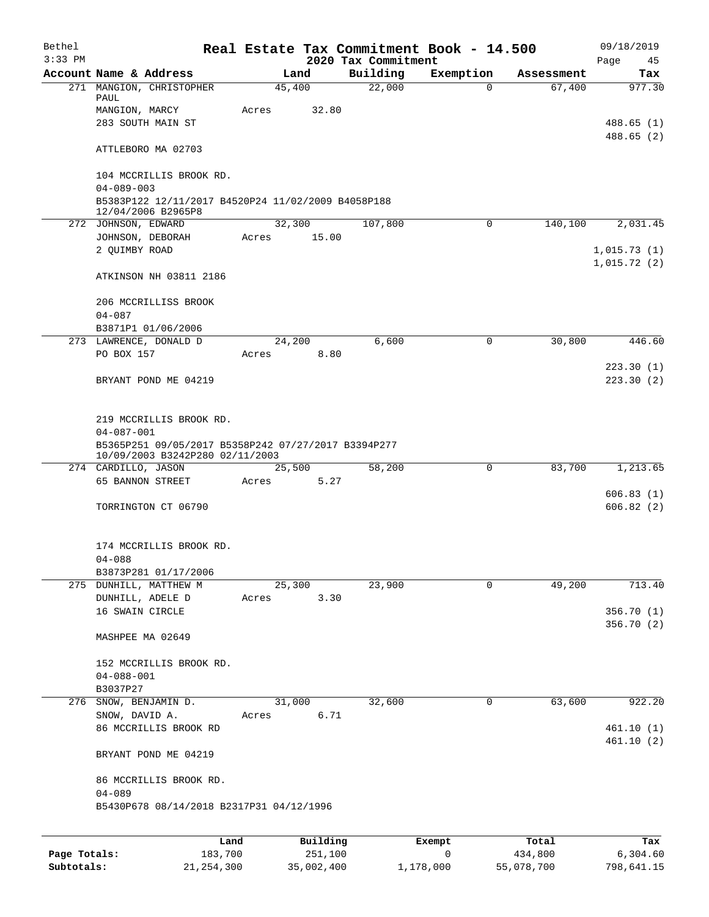| Bethel<br>$3:33$ PM |                                                                                        |                 |                     | 2020 Tax Commitment | Real Estate Tax Commitment Book - 14.500 |            | 09/18/2019<br>Page<br>45   |
|---------------------|----------------------------------------------------------------------------------------|-----------------|---------------------|---------------------|------------------------------------------|------------|----------------------------|
|                     | Account Name & Address                                                                 | Land            |                     | Building            | Exemption                                | Assessment | Tax                        |
|                     | 271 MANGION, CHRISTOPHER<br>PAUL<br>MANGION, MARCY                                     | 45,400<br>Acres | 32.80               | 22,000              | $\Omega$                                 | 67,400     | 977.30                     |
|                     | 283 SOUTH MAIN ST                                                                      |                 |                     |                     |                                          |            | 488.65 (1)<br>488.65(2)    |
|                     | ATTLEBORO MA 02703                                                                     |                 |                     |                     |                                          |            |                            |
|                     | 104 MCCRILLIS BROOK RD.<br>$04 - 089 - 003$                                            |                 |                     |                     |                                          |            |                            |
|                     | B5383P122 12/11/2017 B4520P24 11/02/2009 B4058P188<br>12/04/2006 B2965P8               |                 |                     |                     |                                          |            |                            |
|                     | 272 JOHNSON, EDWARD                                                                    | 32,300          |                     | 107,800             | 0                                        | 140,100    | 2,031.45                   |
|                     | JOHNSON, DEBORAH                                                                       | Acres           | 15.00               |                     |                                          |            |                            |
|                     | 2 QUIMBY ROAD                                                                          |                 |                     |                     |                                          |            | 1,015.73(1)<br>1,015.72(2) |
|                     | ATKINSON NH 03811 2186                                                                 |                 |                     |                     |                                          |            |                            |
|                     | 206 MCCRILLISS BROOK<br>$04 - 087$                                                     |                 |                     |                     |                                          |            |                            |
|                     | B3871P1 01/06/2006                                                                     |                 |                     |                     |                                          |            |                            |
|                     | 273 LAWRENCE, DONALD D<br>PO BOX 157                                                   | 24,200<br>Acres | 8.80                | 6,600               | $\mathbf 0$                              | 30,800     | 446.60                     |
|                     |                                                                                        |                 |                     |                     |                                          |            | 223.30(1)                  |
|                     | BRYANT POND ME 04219                                                                   |                 |                     |                     |                                          |            | 223.30(2)                  |
|                     | 219 MCCRILLIS BROOK RD.<br>$04 - 087 - 001$                                            |                 |                     |                     |                                          |            |                            |
|                     | B5365P251 09/05/2017 B5358P242 07/27/2017 B3394P277<br>10/09/2003 B3242P280 02/11/2003 |                 |                     |                     |                                          |            |                            |
|                     | 274 CARDILLO, JASON<br>65 BANNON STREET                                                | 25,500<br>Acres | 5.27                | 58,200              | 0                                        | 83,700     | 1,213.65                   |
|                     |                                                                                        |                 |                     |                     |                                          |            | 606.83(1)                  |
|                     | TORRINGTON CT 06790                                                                    |                 |                     |                     |                                          |            | 606.82(2)                  |
|                     | 174 MCCRILLIS BROOK RD.                                                                |                 |                     |                     |                                          |            |                            |
|                     | $04 - 088$<br>B3873P281 01/17/2006                                                     |                 |                     |                     |                                          |            |                            |
|                     | 275 DUNHILL, MATTHEW M                                                                 | 25,300          |                     | 23,900              | 0                                        | 49,200     | 713.40                     |
|                     | DUNHILL, ADELE D                                                                       | Acres           | 3.30                |                     |                                          |            |                            |
|                     | 16 SWAIN CIRCLE                                                                        |                 |                     |                     |                                          |            | 356.70 (1)<br>356.70 (2)   |
|                     | MASHPEE MA 02649                                                                       |                 |                     |                     |                                          |            |                            |
|                     | 152 MCCRILLIS BROOK RD.                                                                |                 |                     |                     |                                          |            |                            |
|                     | $04 - 088 - 001$                                                                       |                 |                     |                     |                                          |            |                            |
|                     | B3037P27                                                                               |                 |                     |                     |                                          |            |                            |
|                     | 276 SNOW, BENJAMIN D.<br>SNOW, DAVID A.                                                | 31,000<br>Acres | 6.71                | 32,600              | 0                                        | 63,600     | 922.20                     |
|                     | 86 MCCRILLIS BROOK RD                                                                  |                 |                     |                     |                                          |            | 461.10(1)                  |
|                     | BRYANT POND ME 04219                                                                   |                 |                     |                     |                                          |            | 461.10(2)                  |
|                     | 86 MCCRILLIS BROOK RD.<br>$04 - 089$                                                   |                 |                     |                     |                                          |            |                            |
|                     | B5430P678 08/14/2018 B2317P31 04/12/1996                                               |                 |                     |                     |                                          |            |                            |
|                     |                                                                                        |                 |                     |                     |                                          |            |                            |
| Page Totals:        | Land<br>183,700                                                                        |                 | Building<br>251,100 |                     | Exempt<br>0                              | Total      | Tax<br>6,304.60            |
|                     |                                                                                        |                 |                     |                     |                                          | 434,800    |                            |

**Subtotals:** 21,254,300 35,002,400 1,178,000 55,078,700 798,641.15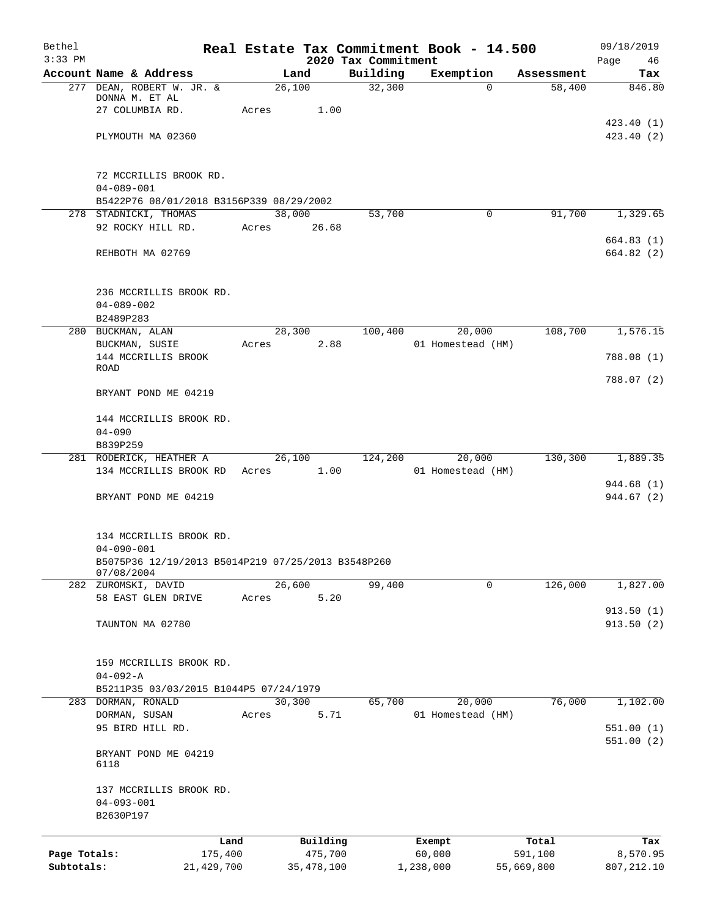| Bethel<br>$3:33$ PM |                                                    |              |       |              | 2020 Tax Commitment | Real Estate Tax Commitment Book - 14.500 |            | 09/18/2019<br>Page 46 |
|---------------------|----------------------------------------------------|--------------|-------|--------------|---------------------|------------------------------------------|------------|-----------------------|
|                     | Account Name & Address                             |              |       | Land         | Building            | Exemption                                | Assessment | Tax                   |
|                     | 277 DEAN, ROBERT W. JR. &                          |              |       | 26,100       | 32,300              | $\Omega$                                 | 58,400     | 846.80                |
|                     | DONNA M. ET AL                                     |              |       |              |                     |                                          |            |                       |
|                     | 27 COLUMBIA RD.                                    |              | Acres | 1.00         |                     |                                          |            |                       |
|                     |                                                    |              |       |              |                     |                                          |            | 423.40(1)             |
|                     | PLYMOUTH MA 02360                                  |              |       |              |                     |                                          |            | 423.40(2)             |
|                     | 72 MCCRILLIS BROOK RD.                             |              |       |              |                     |                                          |            |                       |
|                     | $04 - 089 - 001$                                   |              |       |              |                     |                                          |            |                       |
|                     | B5422P76 08/01/2018 B3156P339 08/29/2002           |              |       |              |                     |                                          |            |                       |
|                     | 278 STADNICKI, THOMAS                              |              |       | 38,000       | 53,700              | $\Omega$                                 | 91,700     | 1,329.65              |
|                     | 92 ROCKY HILL RD.                                  |              |       | Acres 26.68  |                     |                                          |            |                       |
|                     |                                                    |              |       |              |                     |                                          |            | 664.83(1)             |
|                     | REHBOTH MA 02769                                   |              |       |              |                     |                                          |            | 664.82 (2)            |
|                     |                                                    |              |       |              |                     |                                          |            |                       |
|                     | 236 MCCRILLIS BROOK RD.                            |              |       |              |                     |                                          |            |                       |
|                     | $04 - 089 - 002$                                   |              |       |              |                     |                                          |            |                       |
|                     | B2489P283                                          |              |       |              |                     |                                          |            |                       |
|                     | 280 BUCKMAN, ALAN                                  |              |       | 28,300       | 100,400             | 20,000                                   | 108,700    | 1,576.15              |
|                     | BUCKMAN, SUSIE<br>144 MCCRILLIS BROOK              |              | Acres | 2.88         |                     | 01 Homestead (HM)                        |            | 788.08 (1)            |
|                     | ROAD                                               |              |       |              |                     |                                          |            |                       |
|                     |                                                    |              |       |              |                     |                                          |            | 788.07 (2)            |
|                     | BRYANT POND ME 04219                               |              |       |              |                     |                                          |            |                       |
|                     | 144 MCCRILLIS BROOK RD.                            |              |       |              |                     |                                          |            |                       |
|                     | $04 - 090$                                         |              |       |              |                     |                                          |            |                       |
|                     | B839P259                                           |              |       |              |                     |                                          |            |                       |
|                     | 281 RODERICK, HEATHER A                            |              |       | 26,100       |                     | 124,200 20,000                           | 130, 300   | 1,889.35              |
|                     | 134 MCCRILLIS BROOK RD Acres 1.00                  |              |       |              |                     | 01 Homestead (HM)                        |            | 944.68 (1)            |
|                     | BRYANT POND ME 04219                               |              |       |              |                     |                                          |            | 944.67 (2)            |
|                     |                                                    |              |       |              |                     |                                          |            |                       |
|                     | 134 MCCRILLIS BROOK RD.                            |              |       |              |                     |                                          |            |                       |
|                     | $04 - 090 - 001$                                   |              |       |              |                     |                                          |            |                       |
|                     | B5075P36 12/19/2013 B5014P219 07/25/2013 B3548P260 |              |       |              |                     |                                          |            |                       |
|                     | 07/08/2004                                         |              |       |              |                     |                                          |            |                       |
|                     | 282 ZUROMSKI, DAVID                                |              |       | 26,600       | 99,400              | 0                                        | 126,000    | 1,827.00              |
|                     | 58 EAST GLEN DRIVE                                 |              | Acres | 5.20         |                     |                                          |            |                       |
|                     |                                                    |              |       |              |                     |                                          |            | 913.50(1)             |
|                     | TAUNTON MA 02780                                   |              |       |              |                     |                                          |            | 913.50(2)             |
|                     | 159 MCCRILLIS BROOK RD.                            |              |       |              |                     |                                          |            |                       |
|                     | $04 - 092 - A$                                     |              |       |              |                     |                                          |            |                       |
|                     | B5211P35 03/03/2015 B1044P5 07/24/1979             |              |       |              |                     |                                          |            |                       |
|                     | 283 DORMAN, RONALD                                 |              |       | 30,300       | 65,700              | 20,000                                   | 76,000     | 1,102.00              |
|                     | DORMAN, SUSAN                                      |              | Acres | 5.71         |                     | 01 Homestead (HM)                        |            |                       |
|                     | 95 BIRD HILL RD.                                   |              |       |              |                     |                                          |            | 551.00(1)             |
|                     |                                                    |              |       |              |                     |                                          |            | 551.00(2)             |
|                     | BRYANT POND ME 04219<br>6118                       |              |       |              |                     |                                          |            |                       |
|                     | 137 MCCRILLIS BROOK RD.                            |              |       |              |                     |                                          |            |                       |
|                     | $04 - 093 - 001$                                   |              |       |              |                     |                                          |            |                       |
|                     | B2630P197                                          |              |       |              |                     |                                          |            |                       |
|                     |                                                    | Land         |       | Building     |                     | Exempt                                   | Total      | Tax                   |
| Page Totals:        |                                                    | 175,400      |       | 475,700      |                     | 60,000                                   | 591,100    | 8,570.95              |
| Subtotals:          |                                                    | 21, 429, 700 |       | 35, 478, 100 |                     | 1,238,000                                | 55,669,800 | 807,212.10            |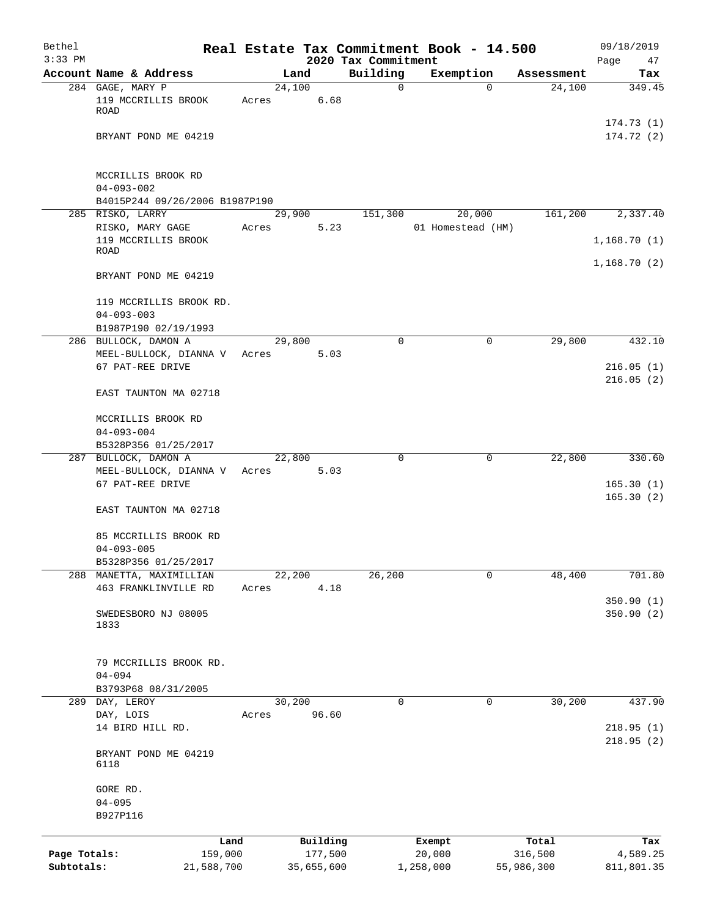| Bethel       |                                              |                 |            |                                 | Real Estate Tax Commitment Book - 14.500 |            | 09/18/2019                 |
|--------------|----------------------------------------------|-----------------|------------|---------------------------------|------------------------------------------|------------|----------------------------|
| $3:33$ PM    | Account Name & Address                       |                 | Land       | 2020 Tax Commitment<br>Building | Exemption                                | Assessment | Page<br>47<br>Tax          |
|              | 284 GAGE, MARY P                             | 24,100          |            | 0                               | $\Omega$                                 | 24,100     | 349.45                     |
|              | 119 MCCRILLIS BROOK<br><b>ROAD</b>           | Acres           | 6.68       |                                 |                                          |            |                            |
|              | BRYANT POND ME 04219                         |                 |            |                                 |                                          |            | 174.73(1)<br>174.72(2)     |
|              | MCCRILLIS BROOK RD<br>$04 - 093 - 002$       |                 |            |                                 |                                          |            |                            |
|              | B4015P244 09/26/2006 B1987P190               |                 |            |                                 |                                          |            |                            |
|              | 285 RISKO, LARRY                             | 29,900          |            | 151,300                         | 20,000                                   | 161,200    | 2,337.40                   |
|              | RISKO, MARY GAGE                             | Acres           | 5.23       |                                 | 01 Homestead (HM)                        |            |                            |
|              | 119 MCCRILLIS BROOK<br>ROAD                  |                 |            |                                 |                                          |            | 1,168.70(1)<br>1,168.70(2) |
|              | BRYANT POND ME 04219                         |                 |            |                                 |                                          |            |                            |
|              | 119 MCCRILLIS BROOK RD.<br>$04 - 093 - 003$  |                 |            |                                 |                                          |            |                            |
|              | B1987P190 02/19/1993                         |                 |            |                                 |                                          |            |                            |
|              | 286 BULLOCK, DAMON A                         | 29,800          |            | $\Omega$                        | 0                                        | 29,800     | 432.10                     |
|              | MEEL-BULLOCK, DIANNA V<br>67 PAT-REE DRIVE   | Acres           | 5.03       |                                 |                                          |            | 216.05(1)<br>216.05(2)     |
|              | EAST TAUNTON MA 02718                        |                 |            |                                 |                                          |            |                            |
|              | MCCRILLIS BROOK RD<br>$04 - 093 - 004$       |                 |            |                                 |                                          |            |                            |
|              | B5328P356 01/25/2017                         |                 |            |                                 |                                          |            |                            |
|              | 287 BULLOCK, DAMON A                         | 22,800          |            | 0                               | 0                                        | 22,800     | 330.60                     |
|              | MEEL-BULLOCK, DIANNA V<br>67 PAT-REE DRIVE   | Acres           | 5.03       |                                 |                                          |            | 165.30(1)<br>165.30(2)     |
|              | EAST TAUNTON MA 02718                        |                 |            |                                 |                                          |            |                            |
|              | 85 MCCRILLIS BROOK RD<br>$04 - 093 - 005$    |                 |            |                                 |                                          |            |                            |
|              | B5328P356 01/25/2017                         |                 |            |                                 |                                          |            |                            |
| 288          | MANETTA, MAXIMILLIAN<br>463 FRANKLINVILLE RD | 22,200<br>Acres | 4.18       | 26,200                          | 0                                        | 48,400     | 701.80<br>350.90(1)        |
|              | SWEDESBORO NJ 08005<br>1833                  |                 |            |                                 |                                          |            | 350.90 (2)                 |
|              | 79 MCCRILLIS BROOK RD.<br>$04 - 094$         |                 |            |                                 |                                          |            |                            |
|              | B3793P68 08/31/2005<br>289 DAY, LEROY        | 30,200          |            | 0                               | 0                                        | 30,200     | 437.90                     |
|              | DAY, LOIS                                    | Acres           | 96.60      |                                 |                                          |            |                            |
|              | 14 BIRD HILL RD.                             |                 |            |                                 |                                          |            | 218.95(1)<br>218.95(2)     |
|              | BRYANT POND ME 04219<br>6118                 |                 |            |                                 |                                          |            |                            |
|              | GORE RD.<br>$04 - 095$                       |                 |            |                                 |                                          |            |                            |
|              | B927P116                                     |                 |            |                                 |                                          |            |                            |
|              | Land                                         |                 | Building   |                                 | Exempt                                   | Total      | Tax                        |
| Page Totals: | 159,000                                      |                 | 177,500    |                                 | 20,000                                   | 316,500    | 4,589.25                   |
| Subtotals:   | 21,588,700                                   |                 | 35,655,600 |                                 | 1,258,000                                | 55,986,300 | 811,801.35                 |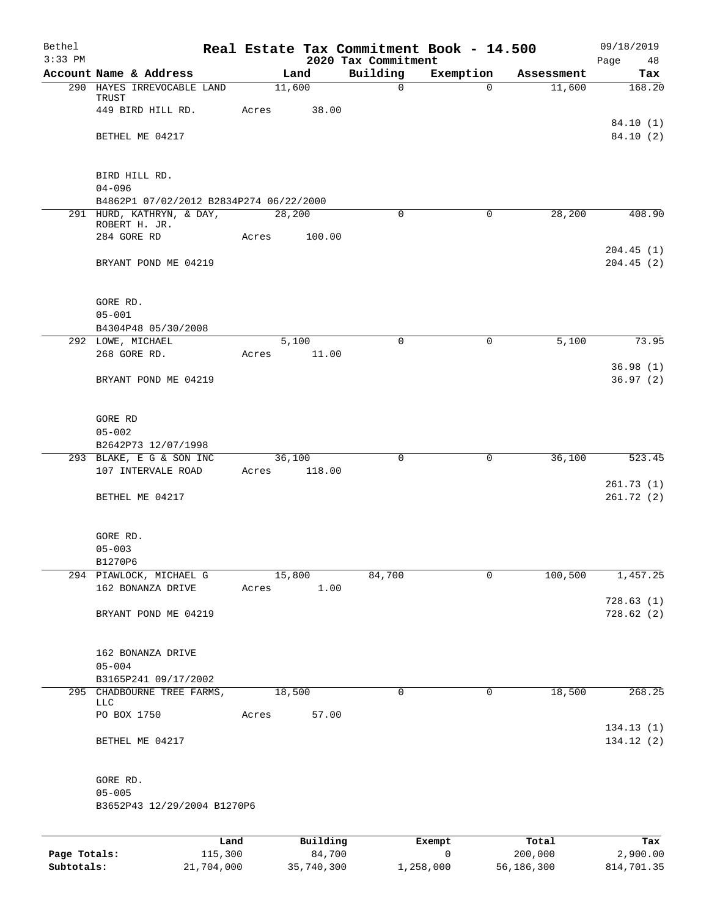| Bethel<br>$3:33$ PM |                                         |        |          | 2020 Tax Commitment | Real Estate Tax Commitment Book - 14.500 |            | 09/18/2019<br>Page<br>48 |
|---------------------|-----------------------------------------|--------|----------|---------------------|------------------------------------------|------------|--------------------------|
|                     | Account Name & Address                  |        | Land     | Building            | Exemption                                | Assessment | Tax                      |
|                     | 290 HAYES IRREVOCABLE LAND              |        | 11,600   | $\mathbf 0$         | $\Omega$                                 | 11,600     | 168.20                   |
|                     | TRUST                                   |        |          |                     |                                          |            |                          |
|                     | 449 BIRD HILL RD.                       | Acres  | 38.00    |                     |                                          |            |                          |
|                     |                                         |        |          |                     |                                          |            | 84.10 (1)                |
|                     | BETHEL ME 04217                         |        |          |                     |                                          |            | 84.10(2)                 |
|                     |                                         |        |          |                     |                                          |            |                          |
|                     | BIRD HILL RD.                           |        |          |                     |                                          |            |                          |
|                     | $04 - 096$                              |        |          |                     |                                          |            |                          |
|                     | B4862P1 07/02/2012 B2834P274 06/22/2000 |        |          |                     |                                          |            |                          |
|                     | 291 HURD, KATHRYN, & DAY,               |        | 28,200   | $\mathbf 0$         | $\mathbf 0$                              | 28,200     | 408.90                   |
|                     | ROBERT H. JR.<br>284 GORE RD            | Acres  | 100.00   |                     |                                          |            |                          |
|                     |                                         |        |          |                     |                                          |            | 204.45(1)                |
|                     | BRYANT POND ME 04219                    |        |          |                     |                                          |            | 204.45(2)                |
|                     |                                         |        |          |                     |                                          |            |                          |
|                     |                                         |        |          |                     |                                          |            |                          |
|                     | GORE RD.                                |        |          |                     |                                          |            |                          |
|                     | $05 - 001$                              |        |          |                     |                                          |            |                          |
|                     | B4304P48 05/30/2008                     |        |          |                     |                                          |            |                          |
|                     | 292 LOWE, MICHAEL                       |        | 5,100    | $\Omega$            | $\mathbf 0$                              | 5,100      | 73.95                    |
|                     | 268 GORE RD.                            | Acres  | 11.00    |                     |                                          |            |                          |
|                     | BRYANT POND ME 04219                    |        |          |                     |                                          |            | 36.98(1)<br>36.97(2)     |
|                     |                                         |        |          |                     |                                          |            |                          |
|                     |                                         |        |          |                     |                                          |            |                          |
|                     | GORE RD                                 |        |          |                     |                                          |            |                          |
|                     | $05 - 002$                              |        |          |                     |                                          |            |                          |
|                     | B2642P73 12/07/1998                     |        |          |                     |                                          |            |                          |
|                     | 293 BLAKE, E G & SON INC                |        | 36,100   | $\mathbf 0$         | 0                                        | 36,100     | 523.45                   |
|                     | 107 INTERVALE ROAD                      | Acres  | 118.00   |                     |                                          |            |                          |
|                     |                                         |        |          |                     |                                          |            | 261.73(1)                |
|                     | BETHEL ME 04217                         |        |          |                     |                                          |            | 261.72(2)                |
|                     |                                         |        |          |                     |                                          |            |                          |
|                     | GORE RD.                                |        |          |                     |                                          |            |                          |
|                     | $05 - 003$                              |        |          |                     |                                          |            |                          |
|                     | B1270P6                                 |        |          |                     |                                          |            |                          |
|                     | 294 PIAWLOCK, MICHAEL G                 |        | 15,800   | 84,700              | 0                                        | 100,500    | 1,457.25                 |
|                     | 162 BONANZA DRIVE                       | Acres  | 1.00     |                     |                                          |            |                          |
|                     |                                         |        |          |                     |                                          |            | 728.63(1)                |
|                     | BRYANT POND ME 04219                    |        |          |                     |                                          |            | 728.62(2)                |
|                     |                                         |        |          |                     |                                          |            |                          |
|                     | 162 BONANZA DRIVE                       |        |          |                     |                                          |            |                          |
|                     | $05 - 004$                              |        |          |                     |                                          |            |                          |
|                     | B3165P241 09/17/2002                    |        |          |                     |                                          |            |                          |
|                     | 295 CHADBOURNE TREE FARMS,              | 18,500 |          | 0                   | 0                                        | 18,500     | 268.25                   |
|                     | LLC                                     |        |          |                     |                                          |            |                          |
|                     | PO BOX 1750                             | Acres  | 57.00    |                     |                                          |            |                          |
|                     | BETHEL ME 04217                         |        |          |                     |                                          |            | 134.13(1)<br>134.12 (2)  |
|                     |                                         |        |          |                     |                                          |            |                          |
|                     |                                         |        |          |                     |                                          |            |                          |
|                     | GORE RD.                                |        |          |                     |                                          |            |                          |
|                     | $05 - 005$                              |        |          |                     |                                          |            |                          |
|                     | B3652P43 12/29/2004 B1270P6             |        |          |                     |                                          |            |                          |
|                     |                                         |        |          |                     |                                          |            |                          |
|                     |                                         | Land   | Building |                     | Exempt                                   | Total      | Tax                      |
|                     |                                         |        |          |                     |                                          |            |                          |

|              | Land       | Building   | Exempt    | тосат      | тах        |
|--------------|------------|------------|-----------|------------|------------|
| Page Totals: | 115,300    | 84,700     |           | 200,000    | 2,900.00   |
| Subtotals:   | 21,704,000 | 35,740,300 | 1,258,000 | 56,186,300 | 814,701.35 |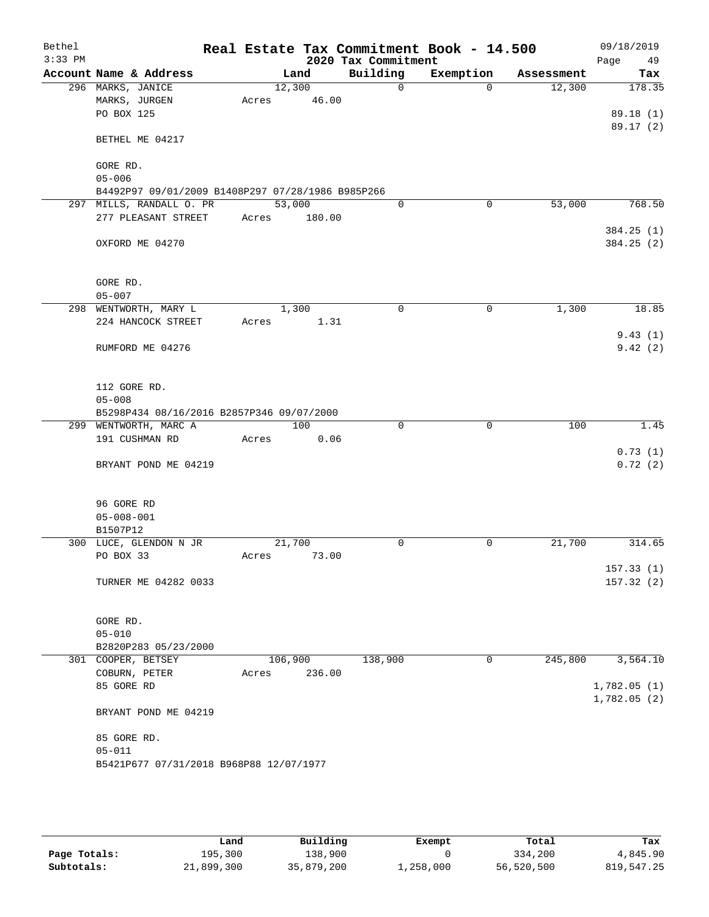| Bethel<br>$3:33$ PM |                                                   |         |        | 2020 Tax Commitment | Real Estate Tax Commitment Book - 14.500 |            | 09/18/2019<br>Page<br>49 |
|---------------------|---------------------------------------------------|---------|--------|---------------------|------------------------------------------|------------|--------------------------|
|                     | Account Name & Address                            |         | Land   | Building            | Exemption                                | Assessment | Tax                      |
|                     | 296 MARKS, JANICE                                 | 12,300  |        | $\Omega$            | $\Omega$                                 | 12,300     | 178.35                   |
|                     | MARKS, JURGEN                                     | Acres   | 46.00  |                     |                                          |            |                          |
|                     | PO BOX 125                                        |         |        |                     |                                          |            | 89.18(1)                 |
|                     |                                                   |         |        |                     |                                          |            | 89.17(2)                 |
|                     | BETHEL ME 04217                                   |         |        |                     |                                          |            |                          |
|                     |                                                   |         |        |                     |                                          |            |                          |
|                     | GORE RD.                                          |         |        |                     |                                          |            |                          |
|                     | $05 - 006$                                        |         |        |                     |                                          |            |                          |
|                     | B4492P97 09/01/2009 B1408P297 07/28/1986 B985P266 |         |        | $\Omega$            |                                          | 53,000     |                          |
|                     | 297 MILLS, RANDALL O. PR                          | 53,000  |        |                     | $\mathbf 0$                              |            | 768.50                   |
|                     | 277 PLEASANT STREET                               | Acres   | 180.00 |                     |                                          |            |                          |
|                     | OXFORD ME 04270                                   |         |        |                     |                                          |            | 384.25 (1)<br>384.25 (2) |
|                     |                                                   |         |        |                     |                                          |            |                          |
|                     |                                                   |         |        |                     |                                          |            |                          |
|                     | GORE RD.<br>$05 - 007$                            |         |        |                     |                                          |            |                          |
|                     | 298 WENTWORTH, MARY L                             | 1,300   |        | 0                   | 0                                        | 1,300      | 18.85                    |
|                     | 224 HANCOCK STREET                                | Acres   | 1.31   |                     |                                          |            |                          |
|                     |                                                   |         |        |                     |                                          |            | 9.43(1)                  |
|                     | RUMFORD ME 04276                                  |         |        |                     |                                          |            | 9.42(2)                  |
|                     |                                                   |         |        |                     |                                          |            |                          |
|                     | 112 GORE RD.                                      |         |        |                     |                                          |            |                          |
|                     | $05 - 008$                                        |         |        |                     |                                          |            |                          |
|                     | B5298P434 08/16/2016 B2857P346 09/07/2000         |         |        |                     |                                          |            |                          |
|                     | 299 WENTWORTH, MARC A                             |         | 100    | $\mathbf 0$         | $\mathbf 0$                              | 100        | 1.45                     |
|                     | 191 CUSHMAN RD                                    | Acres   | 0.06   |                     |                                          |            |                          |
|                     |                                                   |         |        |                     |                                          |            | 0.73(1)                  |
|                     | BRYANT POND ME 04219                              |         |        |                     |                                          |            | 0.72(2)                  |
|                     |                                                   |         |        |                     |                                          |            |                          |
|                     | 96 GORE RD                                        |         |        |                     |                                          |            |                          |
|                     | $05 - 008 - 001$                                  |         |        |                     |                                          |            |                          |
|                     | B1507P12                                          |         |        |                     |                                          |            |                          |
|                     | 300 LUCE, GLENDON N JR                            | 21,700  |        | 0                   | 0                                        | 21,700     | 314.65                   |
|                     | PO BOX 33                                         | Acres   | 73.00  |                     |                                          |            |                          |
|                     |                                                   |         |        |                     |                                          |            | 157.33(1)                |
|                     | TURNER ME 04282 0033                              |         |        |                     |                                          |            | 157.32(2)                |
|                     |                                                   |         |        |                     |                                          |            |                          |
|                     | GORE RD.                                          |         |        |                     |                                          |            |                          |
|                     | $05 - 010$                                        |         |        |                     |                                          |            |                          |
|                     | B2820P283 05/23/2000                              |         |        |                     |                                          |            |                          |
|                     | 301 COOPER, BETSEY                                | 106,900 |        | 138,900             | 0                                        | 245,800    | 3,564.10                 |
|                     | COBURN, PETER                                     | Acres   | 236.00 |                     |                                          |            |                          |
|                     | 85 GORE RD                                        |         |        |                     |                                          |            | 1,782.05(1)              |
|                     |                                                   |         |        |                     |                                          |            | 1,782.05(2)              |
|                     | BRYANT POND ME 04219                              |         |        |                     |                                          |            |                          |
|                     | 85 GORE RD.                                       |         |        |                     |                                          |            |                          |
|                     | $05 - 011$                                        |         |        |                     |                                          |            |                          |
|                     | B5421P677 07/31/2018 B968P88 12/07/1977           |         |        |                     |                                          |            |                          |
|                     |                                                   |         |        |                     |                                          |            |                          |
|                     |                                                   |         |        |                     |                                          |            |                          |

|              | Land       | Building   | Exempt    | Total      | Tax        |
|--------------|------------|------------|-----------|------------|------------|
| Page Totals: | 195,300    | 138,900    |           | 334,200    | 4,845.90   |
| Subtotals:   | 21,899,300 | 35,879,200 | 1,258,000 | 56,520,500 | 819,547.25 |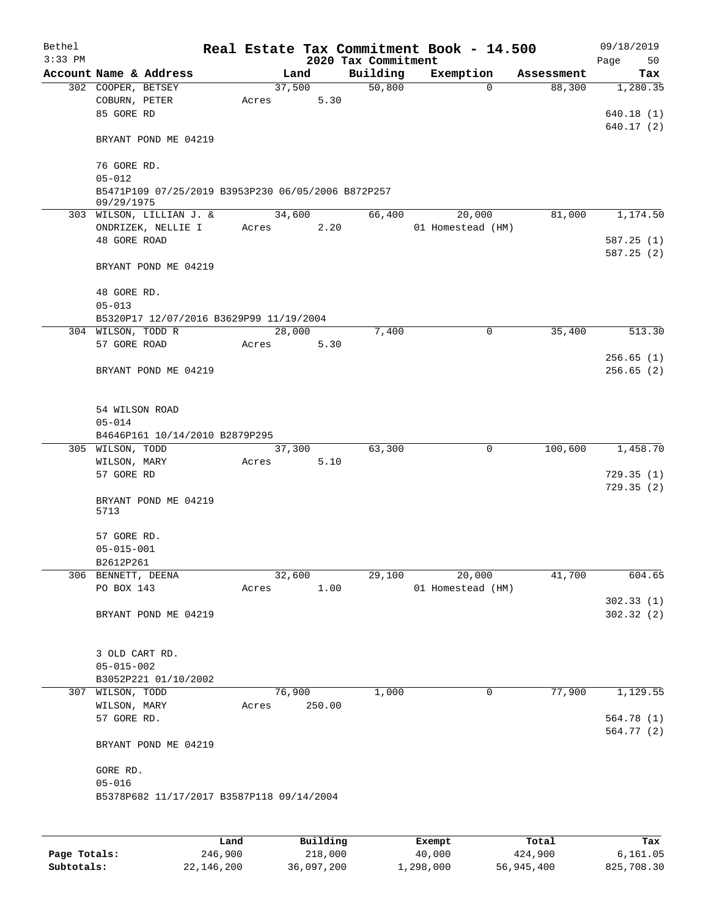| Bethel<br>$3:33$ PM |                                                    |       |        |        |                                 | Real Estate Tax Commitment Book - 14.500 |            | 09/18/2019        |
|---------------------|----------------------------------------------------|-------|--------|--------|---------------------------------|------------------------------------------|------------|-------------------|
|                     | Account Name & Address                             |       | Land   |        | 2020 Tax Commitment<br>Building | Exemption                                | Assessment | Page<br>50<br>Tax |
|                     | 302 COOPER, BETSEY                                 |       | 37,500 |        | 50,800                          | $\mathbf 0$                              | 88,300     | 1,280.35          |
|                     | COBURN, PETER                                      | Acres |        | 5.30   |                                 |                                          |            |                   |
|                     | 85 GORE RD                                         |       |        |        |                                 |                                          |            | 640.18(1)         |
|                     |                                                    |       |        |        |                                 |                                          |            | 640.17 (2)        |
|                     | BRYANT POND ME 04219                               |       |        |        |                                 |                                          |            |                   |
|                     |                                                    |       |        |        |                                 |                                          |            |                   |
|                     | 76 GORE RD.                                        |       |        |        |                                 |                                          |            |                   |
|                     | $05 - 012$                                         |       |        |        |                                 |                                          |            |                   |
|                     | B5471P109 07/25/2019 B3953P230 06/05/2006 B872P257 |       |        |        |                                 |                                          |            |                   |
|                     | 09/29/1975                                         |       | 34,600 |        |                                 |                                          |            | 1,174.50          |
|                     | 303 WILSON, LILLIAN J. &<br>ONDRIZEK, NELLIE I     |       |        | 2.20   | 66,400                          | 20,000<br>01 Homestead (HM)              | 81,000     |                   |
|                     | 48 GORE ROAD                                       | Acres |        |        |                                 |                                          |            | 587.25(1)         |
|                     |                                                    |       |        |        |                                 |                                          |            | 587.25(2)         |
|                     | BRYANT POND ME 04219                               |       |        |        |                                 |                                          |            |                   |
|                     |                                                    |       |        |        |                                 |                                          |            |                   |
|                     | 48 GORE RD.                                        |       |        |        |                                 |                                          |            |                   |
|                     | $05 - 013$                                         |       |        |        |                                 |                                          |            |                   |
|                     | B5320P17 12/07/2016 B3629P99 11/19/2004            |       |        |        |                                 |                                          |            |                   |
|                     | 304 WILSON, TODD R                                 |       | 28,000 |        | 7,400                           | $\mathbf 0$                              | 35,400     | 513.30            |
|                     | 57 GORE ROAD                                       | Acres |        | 5.30   |                                 |                                          |            |                   |
|                     |                                                    |       |        |        |                                 |                                          |            | 256.65(1)         |
|                     | BRYANT POND ME 04219                               |       |        |        |                                 |                                          |            | 256.65(2)         |
|                     |                                                    |       |        |        |                                 |                                          |            |                   |
|                     |                                                    |       |        |        |                                 |                                          |            |                   |
|                     | 54 WILSON ROAD                                     |       |        |        |                                 |                                          |            |                   |
|                     | $05 - 014$                                         |       |        |        |                                 |                                          |            |                   |
|                     | B4646P161 10/14/2010 B2879P295                     |       |        |        |                                 |                                          |            |                   |
|                     | 305 WILSON, TODD                                   |       | 37,300 |        | 63,300                          | 0                                        | 100,600    | 1,458.70          |
|                     | WILSON, MARY                                       | Acres |        | 5.10   |                                 |                                          |            |                   |
|                     | 57 GORE RD                                         |       |        |        |                                 |                                          |            | 729.35(1)         |
|                     |                                                    |       |        |        |                                 |                                          |            | 729.35(2)         |
|                     | BRYANT POND ME 04219<br>5713                       |       |        |        |                                 |                                          |            |                   |
|                     |                                                    |       |        |        |                                 |                                          |            |                   |
|                     | 57 GORE RD.                                        |       |        |        |                                 |                                          |            |                   |
|                     | $05 - 015 - 001$                                   |       |        |        |                                 |                                          |            |                   |
|                     | B2612P261                                          |       |        |        |                                 |                                          |            |                   |
|                     | 306 BENNETT, DEENA                                 |       | 32,600 |        | 29,100                          | 20,000                                   | 41,700     | 604.65            |
|                     | PO BOX 143                                         | Acres |        | 1.00   |                                 | 01 Homestead (HM)                        |            |                   |
|                     |                                                    |       |        |        |                                 |                                          |            | 302.33(1)         |
|                     | BRYANT POND ME 04219                               |       |        |        |                                 |                                          |            | 302.32(2)         |
|                     |                                                    |       |        |        |                                 |                                          |            |                   |
|                     |                                                    |       |        |        |                                 |                                          |            |                   |
|                     | 3 OLD CART RD.                                     |       |        |        |                                 |                                          |            |                   |
|                     | $05 - 015 - 002$                                   |       |        |        |                                 |                                          |            |                   |
|                     | B3052P221 01/10/2002                               |       |        |        |                                 |                                          |            |                   |
|                     | 307 WILSON, TODD                                   |       | 76,900 |        | 1,000                           | 0                                        | 77,900     | 1,129.55          |
|                     | WILSON, MARY                                       | Acres |        | 250.00 |                                 |                                          |            |                   |
|                     | 57 GORE RD.                                        |       |        |        |                                 |                                          |            | 564.78 (1)        |
|                     |                                                    |       |        |        |                                 |                                          |            | 564.77 (2)        |
|                     | BRYANT POND ME 04219                               |       |        |        |                                 |                                          |            |                   |
|                     |                                                    |       |        |        |                                 |                                          |            |                   |
|                     | GORE RD.<br>$05 - 016$                             |       |        |        |                                 |                                          |            |                   |
|                     | B5378P682 11/17/2017 B3587P118 09/14/2004          |       |        |        |                                 |                                          |            |                   |
|                     |                                                    |       |        |        |                                 |                                          |            |                   |
|                     |                                                    |       |        |        |                                 |                                          |            |                   |
|                     |                                                    |       |        |        |                                 |                                          |            |                   |

|              | Land       | Building   | Exempt    | Total      | Tax        |
|--------------|------------|------------|-----------|------------|------------|
| Page Totals: | 246,900    | 218,000    | 40,000    | 424,900    | 6,161.05   |
| Subtotals:   | 22,146,200 | 36,097,200 | 1,298,000 | 56,945,400 | 825,708.30 |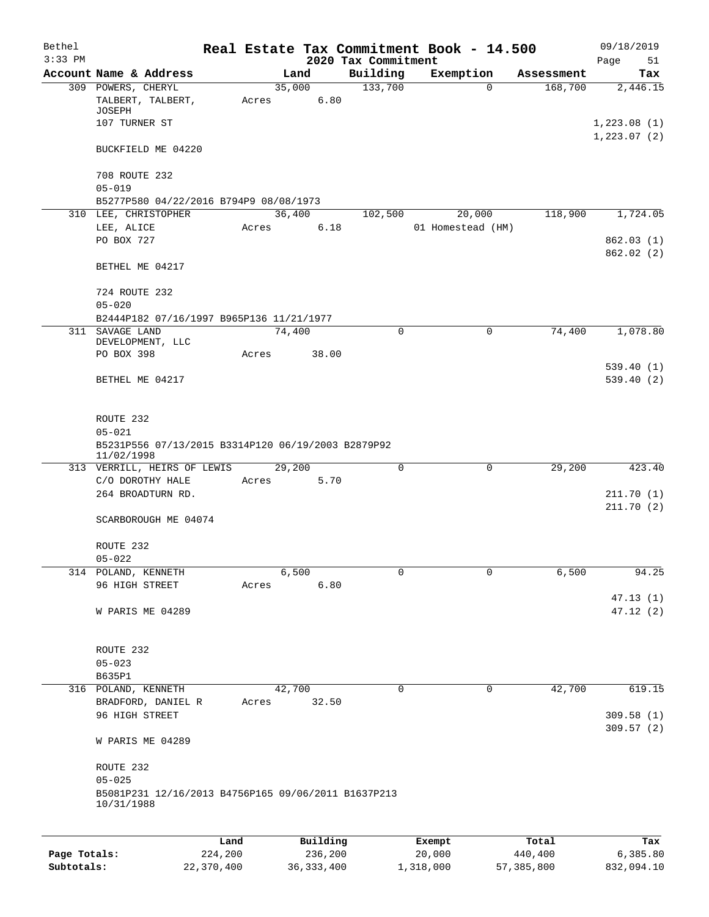| Bethel       |                                                                   |         |        |          |                                 | Real Estate Tax Commitment Book - 14.500 |             |                       | 09/18/2019                  |
|--------------|-------------------------------------------------------------------|---------|--------|----------|---------------------------------|------------------------------------------|-------------|-----------------------|-----------------------------|
| $3:33$ PM    | Account Name & Address                                            |         | Land   |          | 2020 Tax Commitment<br>Building | Exemption                                |             |                       | Page<br>51                  |
|              | 309 POWERS, CHERYL                                                |         | 35,000 |          | 133,700                         |                                          | $\Omega$    | Assessment<br>168,700 | Tax<br>2,446.15             |
|              | TALBERT, TALBERT,<br>JOSEPH                                       | Acres   |        | 6.80     |                                 |                                          |             |                       |                             |
|              | 107 TURNER ST                                                     |         |        |          |                                 |                                          |             |                       | 1,223.08(1)<br>1, 223.07(2) |
|              | BUCKFIELD ME 04220                                                |         |        |          |                                 |                                          |             |                       |                             |
|              | 708 ROUTE 232                                                     |         |        |          |                                 |                                          |             |                       |                             |
|              | $05 - 019$<br>B5277P580 04/22/2016 B794P9 08/08/1973              |         |        |          |                                 |                                          |             |                       |                             |
|              | 310 LEE, CHRISTOPHER                                              |         | 36,400 |          | 102,500                         | 20,000                                   |             | 118,900               | 1,724.05                    |
|              | LEE, ALICE                                                        | Acres   |        | 6.18     |                                 | 01 Homestead (HM)                        |             |                       |                             |
|              | PO BOX 727                                                        |         |        |          |                                 |                                          |             |                       | 862.03(1)<br>862.02(2)      |
|              | BETHEL ME 04217                                                   |         |        |          |                                 |                                          |             |                       |                             |
|              | 724 ROUTE 232                                                     |         |        |          |                                 |                                          |             |                       |                             |
|              | $05 - 020$<br>B2444P182 07/16/1997 B965P136 11/21/1977            |         |        |          |                                 |                                          |             |                       |                             |
|              | 311 SAVAGE LAND                                                   |         | 74,400 |          | $\mathbf 0$                     |                                          | 0           | 74,400                | 1,078.80                    |
|              | DEVELOPMENT, LLC<br>PO BOX 398                                    | Acres   |        | 38.00    |                                 |                                          |             |                       |                             |
|              |                                                                   |         |        |          |                                 |                                          |             |                       | 539.40(1)                   |
|              | BETHEL ME 04217                                                   |         |        |          |                                 |                                          |             |                       | 539.40(2)                   |
|              | ROUTE 232                                                         |         |        |          |                                 |                                          |             |                       |                             |
|              | $05 - 021$                                                        |         |        |          |                                 |                                          |             |                       |                             |
|              | B5231P556 07/13/2015 B3314P120 06/19/2003 B2879P92<br>11/02/1998  |         |        |          |                                 |                                          |             |                       |                             |
|              | 313 VERRILL, HEIRS OF LEWIS                                       |         | 29,200 |          | 0                               |                                          | $\mathbf 0$ | 29,200                | 423.40                      |
|              | C/O DOROTHY HALE<br>264 BROADTURN RD.                             | Acres   |        | 5.70     |                                 |                                          |             |                       | 211.70(1)                   |
|              |                                                                   |         |        |          |                                 |                                          |             |                       | 211.70(2)                   |
|              | SCARBOROUGH ME 04074                                              |         |        |          |                                 |                                          |             |                       |                             |
|              | ROUTE 232                                                         |         |        |          |                                 |                                          |             |                       |                             |
|              | $05 - 022$                                                        |         |        |          |                                 |                                          |             |                       |                             |
|              | 314 POLAND, KENNETH                                               |         | 6,500  |          | 0                               |                                          | $\mathbf 0$ | 6,500                 | 94.25                       |
|              | 96 HIGH STREET                                                    | Acres   |        | 6.80     |                                 |                                          |             |                       |                             |
|              | W PARIS ME 04289                                                  |         |        |          |                                 |                                          |             |                       | 47.13(1)<br>47.12(2)        |
|              |                                                                   |         |        |          |                                 |                                          |             |                       |                             |
|              | ROUTE 232                                                         |         |        |          |                                 |                                          |             |                       |                             |
|              | $05 - 023$<br>B635P1                                              |         |        |          |                                 |                                          |             |                       |                             |
|              | 316 POLAND, KENNETH                                               |         | 42,700 |          | 0                               |                                          | 0           | 42,700                | 619.15                      |
|              | BRADFORD, DANIEL R                                                | Acres   |        | 32.50    |                                 |                                          |             |                       |                             |
|              | 96 HIGH STREET                                                    |         |        |          |                                 |                                          |             |                       | 309.58(1)<br>309.57(2)      |
|              | W PARIS ME 04289                                                  |         |        |          |                                 |                                          |             |                       |                             |
|              | ROUTE 232                                                         |         |        |          |                                 |                                          |             |                       |                             |
|              | $05 - 025$                                                        |         |        |          |                                 |                                          |             |                       |                             |
|              | B5081P231 12/16/2013 B4756P165 09/06/2011 B1637P213<br>10/31/1988 |         |        |          |                                 |                                          |             |                       |                             |
|              |                                                                   |         |        |          |                                 |                                          |             |                       |                             |
|              |                                                                   | Land    |        | Building |                                 | Exempt                                   |             | Total                 | Tax                         |
| Page Totals: |                                                                   | 224,200 |        | 236,200  |                                 | 20,000                                   |             | 440,400               | 6,385.80                    |

**Subtotals:** 22,370,400 36,333,400 1,318,000 57,385,800 832,094.10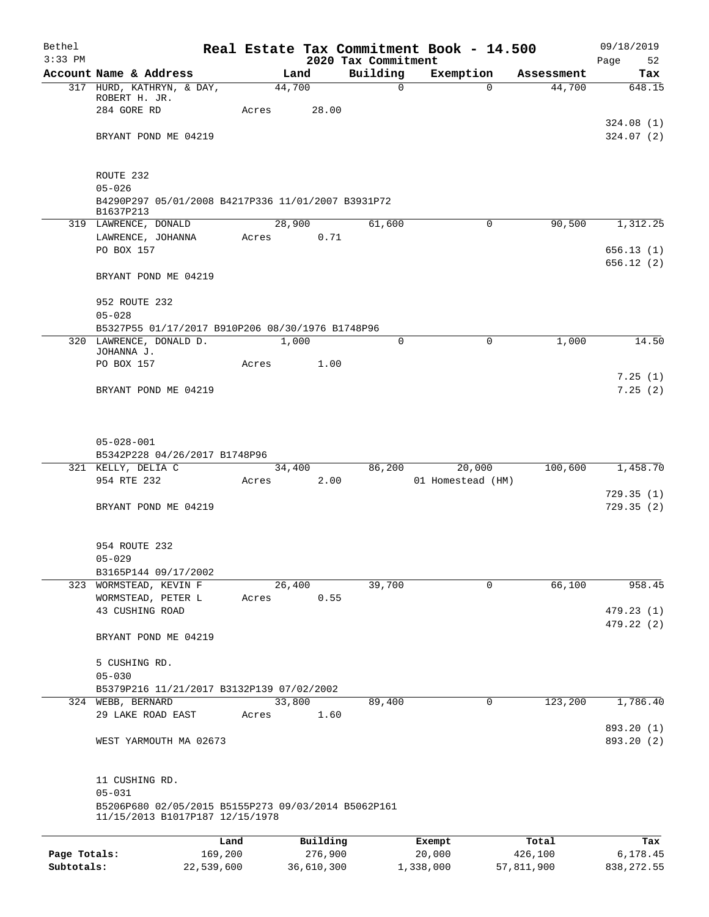| Bethel                     |                                                                   |       |                       |                                 | Real Estate Tax Commitment Book - 14.500 |                       | 09/18/2019               |
|----------------------------|-------------------------------------------------------------------|-------|-----------------------|---------------------------------|------------------------------------------|-----------------------|--------------------------|
| $3:33$ PM                  | Account Name & Address                                            |       | Land                  | 2020 Tax Commitment<br>Building | Exemption                                | Assessment            | Page<br>52<br>Tax        |
|                            | 317 HURD, KATHRYN, & DAY,                                         |       | 44,700                | $\mathsf{O}$                    | $\Omega$                                 | 44,700                | 648.15                   |
|                            | ROBERT H. JR.                                                     |       |                       |                                 |                                          |                       |                          |
|                            | 284 GORE RD                                                       | Acres | 28.00                 |                                 |                                          |                       |                          |
|                            | BRYANT POND ME 04219                                              |       |                       |                                 |                                          |                       | 324.08(1)<br>324.07(2)   |
|                            |                                                                   |       |                       |                                 |                                          |                       |                          |
|                            | ROUTE 232                                                         |       |                       |                                 |                                          |                       |                          |
|                            | $05 - 026$                                                        |       |                       |                                 |                                          |                       |                          |
|                            | B4290P297 05/01/2008 B4217P336 11/01/2007 B3931P72<br>B1637P213   |       |                       |                                 |                                          |                       |                          |
|                            | 319 LAWRENCE, DONALD                                              |       | 28,900                | 61,600                          | $\mathbf 0$                              | 90,500                | 1,312.25                 |
|                            | LAWRENCE, JOHANNA                                                 | Acres | 0.71                  |                                 |                                          |                       |                          |
|                            | PO BOX 157                                                        |       |                       |                                 |                                          |                       | 656.13(1)                |
|                            | BRYANT POND ME 04219                                              |       |                       |                                 |                                          |                       | 656.12(2)                |
|                            | 952 ROUTE 232                                                     |       |                       |                                 |                                          |                       |                          |
|                            | $05 - 028$                                                        |       |                       |                                 |                                          |                       |                          |
|                            | B5327P55 01/17/2017 B910P206 08/30/1976 B1748P96                  |       |                       |                                 |                                          |                       |                          |
|                            | 320 LAWRENCE, DONALD D.<br>JOHANNA J.                             |       | 1,000                 | $\Omega$                        | $\Omega$                                 | 1,000                 | 14.50                    |
|                            | PO BOX 157                                                        | Acres | 1.00                  |                                 |                                          |                       |                          |
|                            |                                                                   |       |                       |                                 |                                          |                       | 7.25(1)                  |
|                            | BRYANT POND ME 04219                                              |       |                       |                                 |                                          |                       | 7.25(2)                  |
|                            | $05 - 028 - 001$<br>B5342P228 04/26/2017 B1748P96                 |       |                       |                                 |                                          |                       |                          |
|                            | 321 KELLY, DELIA C                                                |       | 34,400                | 86,200                          | 20,000                                   | 100,600               | 1,458.70                 |
|                            | 954 RTE 232                                                       | Acres | 2.00                  |                                 | 01 Homestead (HM)                        |                       | 729.35(1)                |
|                            | BRYANT POND ME 04219                                              |       |                       |                                 |                                          |                       | 729.35(2)                |
|                            | 954 ROUTE 232                                                     |       |                       |                                 |                                          |                       |                          |
|                            | $05 - 029$                                                        |       |                       |                                 |                                          |                       |                          |
|                            | B3165P144 09/17/2002                                              |       |                       |                                 | 0                                        | 66,100                | 958.45                   |
|                            | 323 WORMSTEAD, KEVIN F<br>WORMSTEAD, PETER L                      | Acres | 26,400<br>0.55        | 39,700                          |                                          |                       |                          |
|                            | 43 CUSHING ROAD                                                   |       |                       |                                 |                                          |                       | 479.23 (1)               |
|                            | BRYANT POND ME 04219                                              |       |                       |                                 |                                          |                       | 479.22 (2)               |
|                            | 5 CUSHING RD.                                                     |       |                       |                                 |                                          |                       |                          |
|                            | $05 - 030$                                                        |       |                       |                                 |                                          |                       |                          |
|                            | B5379P216 11/21/2017 B3132P139 07/02/2002                         |       |                       |                                 |                                          |                       |                          |
|                            | 324 WEBB, BERNARD                                                 |       | 33,800                | 89,400                          | 0                                        | 123,200               | 1,786.40                 |
|                            | 29 LAKE ROAD EAST                                                 | Acres | 1.60                  |                                 |                                          |                       |                          |
|                            | WEST YARMOUTH MA 02673                                            |       |                       |                                 |                                          |                       | 893.20 (1)<br>893.20 (2) |
|                            |                                                                   |       |                       |                                 |                                          |                       |                          |
|                            | 11 CUSHING RD.                                                    |       |                       |                                 |                                          |                       |                          |
|                            | $05 - 031$<br>B5206P680 02/05/2015 B5155P273 09/03/2014 B5062P161 |       |                       |                                 |                                          |                       |                          |
|                            | 11/15/2013 B1017P187 12/15/1978                                   |       |                       |                                 |                                          |                       |                          |
|                            |                                                                   | Land  | Building              |                                 | Exempt                                   | Total                 | Tax                      |
| Page Totals:<br>Subtotals: | 169,200<br>22,539,600                                             |       | 276,900<br>36,610,300 |                                 | 20,000<br>1,338,000                      | 426,100<br>57,811,900 | 6,178.45<br>838, 272.55  |
|                            |                                                                   |       |                       |                                 |                                          |                       |                          |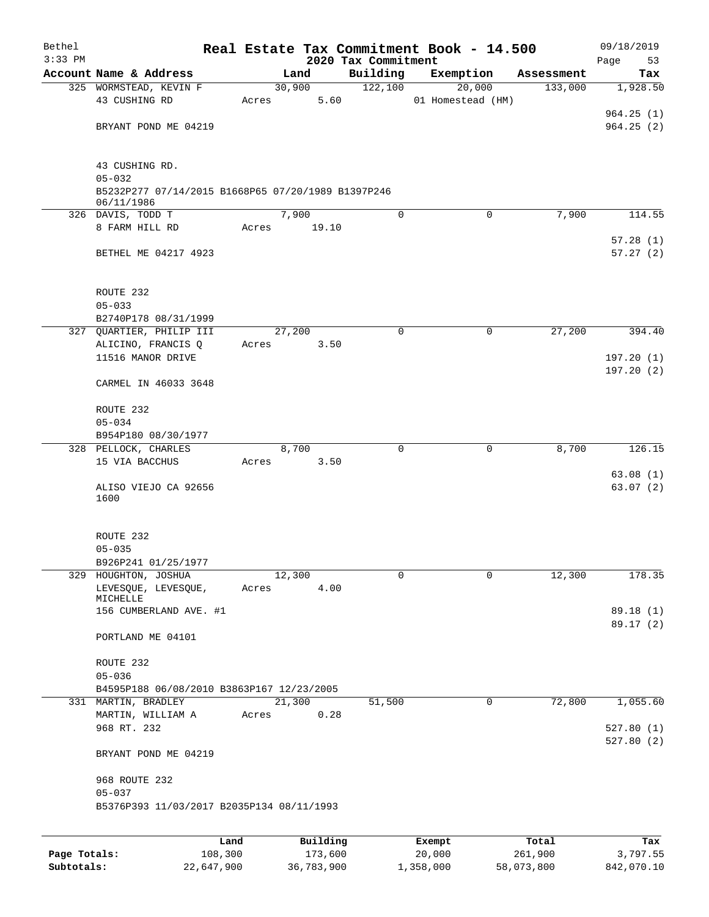| Bethel       |                                                    |       |          |                                 | Real Estate Tax Commitment Book - 14.500 |                       | 09/18/2019             |
|--------------|----------------------------------------------------|-------|----------|---------------------------------|------------------------------------------|-----------------------|------------------------|
| $3:33$ PM    | Account Name & Address                             |       | Land     | 2020 Tax Commitment<br>Building | Exemption                                |                       | 53<br>Page             |
|              | 325 WORMSTEAD, KEVIN F                             |       | 30,900   | 122,100                         | 20,000                                   | Assessment<br>133,000 | Tax<br>1,928.50        |
|              | 43 CUSHING RD                                      | Acres | 5.60     |                                 | 01 Homestead (HM)                        |                       |                        |
|              |                                                    |       |          |                                 |                                          |                       | 964.25(1)              |
|              | BRYANT POND ME 04219                               |       |          |                                 |                                          |                       | 964.25(2)              |
|              |                                                    |       |          |                                 |                                          |                       |                        |
|              | 43 CUSHING RD.                                     |       |          |                                 |                                          |                       |                        |
|              | $05 - 032$                                         |       |          |                                 |                                          |                       |                        |
|              | B5232P277 07/14/2015 B1668P65 07/20/1989 B1397P246 |       |          |                                 |                                          |                       |                        |
|              | 06/11/1986                                         |       |          |                                 |                                          |                       |                        |
|              | 326 DAVIS, TODD T                                  |       | 7,900    | $\Omega$                        | $\mathbf 0$                              | 7,900                 | 114.55                 |
|              | 8 FARM HILL RD                                     | Acres | 19.10    |                                 |                                          |                       | 57.28(1)               |
|              | BETHEL ME 04217 4923                               |       |          |                                 |                                          |                       | 57.27(2)               |
|              |                                                    |       |          |                                 |                                          |                       |                        |
|              | ROUTE 232                                          |       |          |                                 |                                          |                       |                        |
|              | $05 - 033$                                         |       |          |                                 |                                          |                       |                        |
|              | B2740P178 08/31/1999                               |       |          |                                 |                                          |                       |                        |
|              | 327 QUARTIER, PHILIP III                           |       | 27,200   | $\mathbf 0$                     | 0                                        | 27,200                | 394.40                 |
|              | ALICINO, FRANCIS Q                                 | Acres | 3.50     |                                 |                                          |                       |                        |
|              | 11516 MANOR DRIVE                                  |       |          |                                 |                                          |                       | 197.20(1)<br>197.20(2) |
|              | CARMEL IN 46033 3648                               |       |          |                                 |                                          |                       |                        |
|              | ROUTE 232                                          |       |          |                                 |                                          |                       |                        |
|              | $05 - 034$                                         |       |          |                                 |                                          |                       |                        |
|              | B954P180 08/30/1977                                |       |          |                                 |                                          |                       |                        |
|              | 328 PELLOCK, CHARLES                               |       | 8,700    | 0                               | 0                                        | 8,700                 | 126.15                 |
|              | 15 VIA BACCHUS                                     | Acres | 3.50     |                                 |                                          |                       |                        |
|              |                                                    |       |          |                                 |                                          |                       | 63.08(1)               |
|              | ALISO VIEJO CA 92656<br>1600                       |       |          |                                 |                                          |                       | 63.07(2)               |
|              |                                                    |       |          |                                 |                                          |                       |                        |
|              | ROUTE 232                                          |       |          |                                 |                                          |                       |                        |
|              | $05 - 035$                                         |       |          |                                 |                                          |                       |                        |
|              | B926P241 01/25/1977                                |       |          |                                 |                                          |                       |                        |
| 329          | HOUGHTON, JOSHUA                                   |       | 12,300   | 0                               | $\mathbf 0$                              | 12,300                | 178.35                 |
|              | LEVESQUE, LEVESQUE,                                | Acres | 4.00     |                                 |                                          |                       |                        |
|              | MICHELLE                                           |       |          |                                 |                                          |                       | 89.18 (1)              |
|              | 156 CUMBERLAND AVE. #1                             |       |          |                                 |                                          |                       | 89.17 (2)              |
|              | PORTLAND ME 04101                                  |       |          |                                 |                                          |                       |                        |
|              | ROUTE 232                                          |       |          |                                 |                                          |                       |                        |
|              | $05 - 036$                                         |       |          |                                 |                                          |                       |                        |
|              | B4595P188 06/08/2010 B3863P167 12/23/2005          |       |          |                                 |                                          |                       |                        |
|              | 331 MARTIN, BRADLEY                                |       | 21,300   | 51,500                          | 0                                        | 72,800                | 1,055.60               |
|              | MARTIN, WILLIAM A                                  | Acres | 0.28     |                                 |                                          |                       |                        |
|              | 968 RT. 232                                        |       |          |                                 |                                          |                       | 527.80(1)              |
|              | BRYANT POND ME 04219                               |       |          |                                 |                                          |                       | 527.80 (2)             |
|              | 968 ROUTE 232                                      |       |          |                                 |                                          |                       |                        |
|              | $05 - 037$                                         |       |          |                                 |                                          |                       |                        |
|              | B5376P393 11/03/2017 B2035P134 08/11/1993          |       |          |                                 |                                          |                       |                        |
|              | Land                                               |       | Building |                                 | Exempt                                   | Total                 | Tax                    |
| Page Totals: | 108,300                                            |       | 173,600  |                                 | 20,000                                   | 261,900               | 3,797.55               |

**Subtotals:** 22,647,900 36,783,900 1,358,000 58,073,800 842,070.10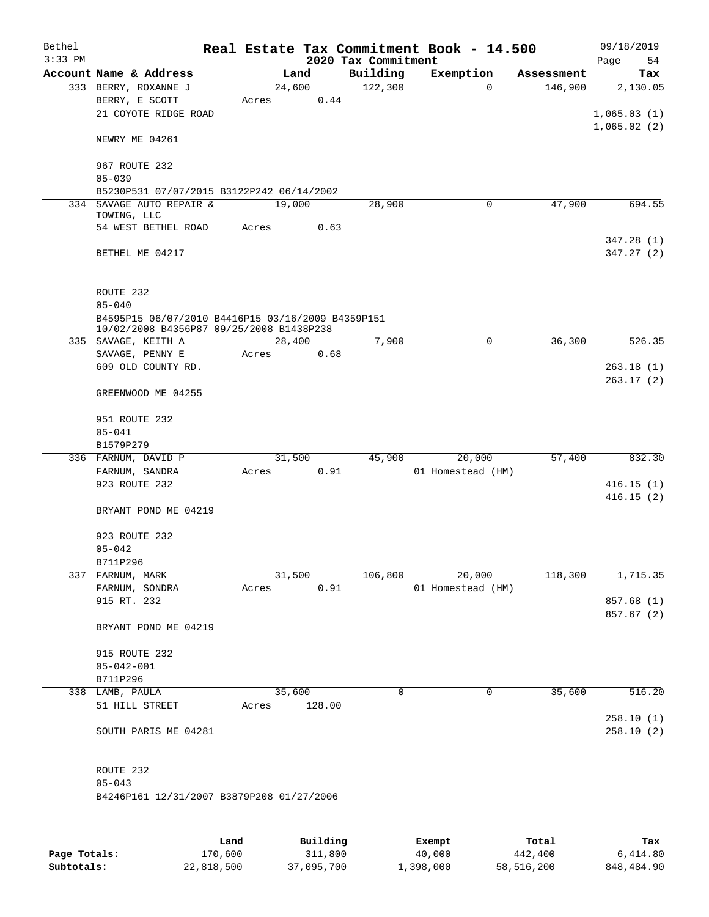| Bethel<br>$3:33$ PM |                                                                                               |       |                | 2020 Tax Commitment | Real Estate Tax Commitment Book - 14.500 |            | 09/18/2019<br>Page<br>54 |
|---------------------|-----------------------------------------------------------------------------------------------|-------|----------------|---------------------|------------------------------------------|------------|--------------------------|
|                     | Account Name & Address                                                                        |       | Land           | Building            | Exemption                                | Assessment | Tax                      |
|                     | 333 BERRY, ROXANNE J<br>BERRY, E SCOTT<br>21 COYOTE RIDGE ROAD                                | Acres | 24,600<br>0.44 | 122,300             | $\Omega$                                 | 146,900    | 2,130.05<br>1,065.03(1)  |
|                     | NEWRY ME 04261                                                                                |       |                |                     |                                          |            | 1,065.02(2)              |
|                     | 967 ROUTE 232<br>$05 - 039$                                                                   |       |                |                     |                                          |            |                          |
|                     | B5230P531 07/07/2015 B3122P242 06/14/2002                                                     |       |                |                     |                                          |            |                          |
|                     | 334 SAVAGE AUTO REPAIR &<br>TOWING, LLC                                                       |       | 19,000         | 28,900              | 0                                        | 47,900     | 694.55                   |
|                     | 54 WEST BETHEL ROAD                                                                           | Acres | 0.63           |                     |                                          |            | 347.28 (1)               |
|                     | BETHEL ME 04217                                                                               |       |                |                     |                                          |            | 347.27 (2)               |
|                     | ROUTE 232                                                                                     |       |                |                     |                                          |            |                          |
|                     | $05 - 040$                                                                                    |       |                |                     |                                          |            |                          |
|                     | B4595P15 06/07/2010 B4416P15 03/16/2009 B4359P151<br>10/02/2008 B4356P87 09/25/2008 B1438P238 |       |                |                     |                                          |            |                          |
|                     | 335 SAVAGE, KEITH A                                                                           |       | 28,400         | 7,900               | 0                                        | 36,300     | 526.35                   |
|                     | SAVAGE, PENNY E                                                                               | Acres | 0.68           |                     |                                          |            |                          |
|                     | 609 OLD COUNTY RD.                                                                            |       |                |                     |                                          |            | 263.18(1)                |
|                     | GREENWOOD ME 04255                                                                            |       |                |                     |                                          |            | 263.17(2)                |
|                     | 951 ROUTE 232                                                                                 |       |                |                     |                                          |            |                          |
|                     | $05 - 041$                                                                                    |       |                |                     |                                          |            |                          |
|                     | B1579P279                                                                                     |       |                |                     |                                          |            |                          |
|                     | 336 FARNUM, DAVID P                                                                           |       | 31,500         | 45,900              | 20,000                                   | 57,400     | 832.30                   |
|                     | FARNUM, SANDRA                                                                                | Acres | 0.91           |                     | 01 Homestead (HM)                        |            |                          |
|                     | 923 ROUTE 232                                                                                 |       |                |                     |                                          |            | 416.15(1)<br>416.15(2)   |
|                     | BRYANT POND ME 04219                                                                          |       |                |                     |                                          |            |                          |
|                     | 923 ROUTE 232                                                                                 |       |                |                     |                                          |            |                          |
|                     | $05 - 042$<br>B711P296                                                                        |       |                |                     |                                          |            |                          |
|                     | 337 FARNUM, MARK                                                                              |       | 31,500         | 106,800             | 20,000                                   | 118,300    | 1,715.35                 |
|                     | FARNUM, SONDRA                                                                                | Acres | 0.91           |                     | 01 Homestead (HM)                        |            |                          |
|                     | 915 RT. 232                                                                                   |       |                |                     |                                          |            | 857.68 (1)               |
|                     | BRYANT POND ME 04219                                                                          |       |                |                     |                                          |            | 857.67 (2)               |
|                     | 915 ROUTE 232                                                                                 |       |                |                     |                                          |            |                          |
|                     | $05 - 042 - 001$                                                                              |       |                |                     |                                          |            |                          |
|                     | B711P296                                                                                      |       |                |                     |                                          |            |                          |
|                     | 338 LAMB, PAULA                                                                               |       | 35,600         | 0                   | $\mathbf 0$                              | 35,600     | 516.20                   |
|                     | 51 HILL STREET                                                                                | Acres | 128.00         |                     |                                          |            |                          |
|                     | SOUTH PARIS ME 04281                                                                          |       |                |                     |                                          |            | 258.10(1)<br>258.10(2)   |
|                     | ROUTE 232                                                                                     |       |                |                     |                                          |            |                          |
|                     | $05 - 043$<br>B4246P161 12/31/2007 B3879P208 01/27/2006                                       |       |                |                     |                                          |            |                          |
|                     |                                                                                               |       |                |                     |                                          |            |                          |
|                     |                                                                                               |       |                |                     |                                          |            |                          |

|              | Land       | Building   | Exempt    | Total      | Tax        |
|--------------|------------|------------|-----------|------------|------------|
| Page Totals: | 170,600    | 311,800    | 40,000    | 442,400    | 6,414.80   |
| Subtotals:   | 22,818,500 | 37,095,700 | 1,398,000 | 58,516,200 | 848,484.90 |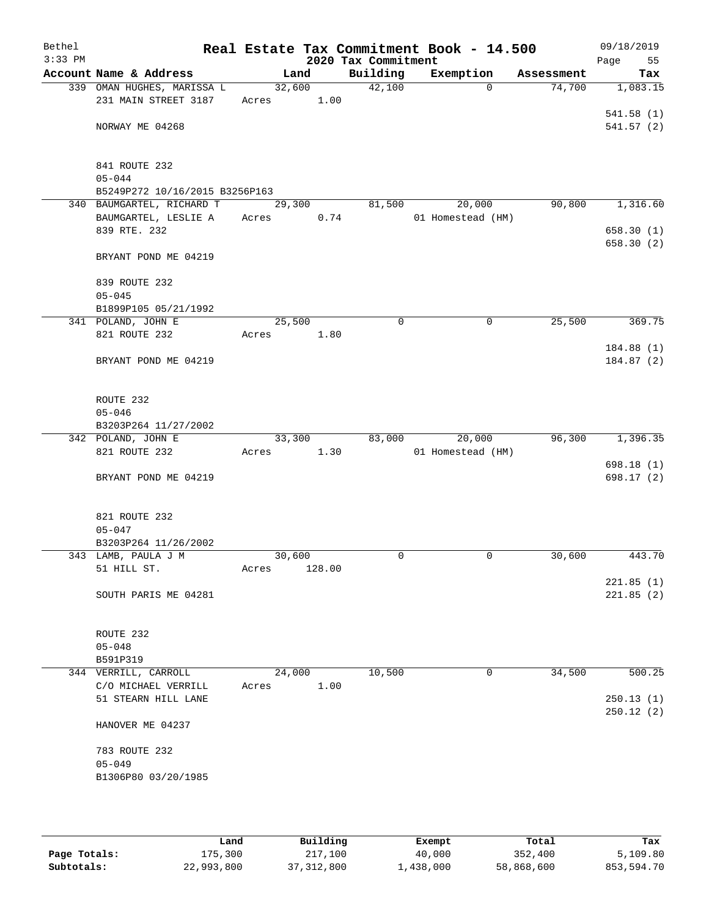| Bethel<br>$3:33$ PM |                                            |            |        | 2020 Tax Commitment | Real Estate Tax Commitment Book - 14.500 |            | 09/18/2019<br>Page<br>55 |
|---------------------|--------------------------------------------|------------|--------|---------------------|------------------------------------------|------------|--------------------------|
|                     | Account Name & Address                     | Land       |        | Building            | Exemption                                | Assessment | Tax                      |
|                     | 339 OMAN HUGHES, MARISSA L                 |            | 32,600 | 42,100              | $\Omega$                                 | 74,700     | 1,083.15                 |
|                     | 231 MAIN STREET 3187                       | Acres 1.00 |        |                     |                                          |            |                          |
|                     |                                            |            |        |                     |                                          |            | 541.58(1)                |
|                     | NORWAY ME 04268                            |            |        |                     |                                          |            | 541.57(2)                |
|                     |                                            |            |        |                     |                                          |            |                          |
|                     | 841 ROUTE 232                              |            |        |                     |                                          |            |                          |
|                     | $05 - 044$                                 |            |        |                     |                                          |            |                          |
|                     | B5249P272 10/16/2015 B3256P163             |            |        |                     |                                          |            |                          |
|                     | 340 BAUMGARTEL, RICHARD T                  | 29,300     |        | 81,500              | 20,000                                   | 90,800     | 1,316.60                 |
|                     | BAUMGARTEL, LESLIE A<br>839 RTE. 232       | Acres      | 0.74   |                     | 01 Homestead (HM)                        |            | 658.30(1)                |
|                     |                                            |            |        |                     |                                          |            | 658.30(2)                |
|                     | BRYANT POND ME 04219                       |            |        |                     |                                          |            |                          |
|                     |                                            |            |        |                     |                                          |            |                          |
|                     | 839 ROUTE 232                              |            |        |                     |                                          |            |                          |
|                     | $05 - 045$<br>B1899P105 05/21/1992         |            |        |                     |                                          |            |                          |
|                     | 341 POLAND, JOHN E                         | 25,500     |        | $\mathbf 0$         | 0                                        | 25,500     | 369.75                   |
|                     | 821 ROUTE 232                              | Acres      | 1.80   |                     |                                          |            |                          |
|                     |                                            |            |        |                     |                                          |            | 184.88 (1)               |
|                     | BRYANT POND ME 04219                       |            |        |                     |                                          |            | 184.87 (2)               |
|                     |                                            |            |        |                     |                                          |            |                          |
|                     |                                            |            |        |                     |                                          |            |                          |
|                     | ROUTE 232<br>$05 - 046$                    |            |        |                     |                                          |            |                          |
|                     | B3203P264 11/27/2002                       |            |        |                     |                                          |            |                          |
|                     | 342 POLAND, JOHN E                         | 33,300     |        | 83,000              | 20,000                                   | 96,300     | 1,396.35                 |
|                     | 821 ROUTE 232                              | Acres      | 1.30   |                     | 01 Homestead (HM)                        |            |                          |
|                     |                                            |            |        |                     |                                          |            | 698.18 (1)               |
|                     | BRYANT POND ME 04219                       |            |        |                     |                                          |            | 698.17(2)                |
|                     |                                            |            |        |                     |                                          |            |                          |
|                     | 821 ROUTE 232                              |            |        |                     |                                          |            |                          |
|                     | $05 - 047$                                 |            |        |                     |                                          |            |                          |
|                     | B3203P264 11/26/2002                       |            |        |                     |                                          |            |                          |
|                     | 343 LAMB, PAULA J M                        | 30,600     |        | 0                   | $\mathbf 0$                              | 30,600     | 443.70                   |
|                     | 51 HILL ST.                                | Acres      | 128.00 |                     |                                          |            |                          |
|                     |                                            |            |        |                     |                                          |            | 221.85(1)                |
|                     | SOUTH PARIS ME 04281                       |            |        |                     |                                          |            | 221.85(2)                |
|                     |                                            |            |        |                     |                                          |            |                          |
|                     | ROUTE 232                                  |            |        |                     |                                          |            |                          |
|                     | $05 - 048$                                 |            |        |                     |                                          |            |                          |
|                     | B591P319                                   |            |        |                     |                                          |            |                          |
|                     | 344 VERRILL, CARROLL                       | 24,000     |        | 10,500              | 0                                        | 34,500     | 500.25                   |
|                     | C/O MICHAEL VERRILL<br>51 STEARN HILL LANE | Acres      | 1.00   |                     |                                          |            | 250.13(1)                |
|                     |                                            |            |        |                     |                                          |            | 250.12(2)                |
|                     | HANOVER ME 04237                           |            |        |                     |                                          |            |                          |
|                     |                                            |            |        |                     |                                          |            |                          |
|                     | 783 ROUTE 232                              |            |        |                     |                                          |            |                          |
|                     | $05 - 049$<br>B1306P80 03/20/1985          |            |        |                     |                                          |            |                          |
|                     |                                            |            |        |                     |                                          |            |                          |
|                     |                                            |            |        |                     |                                          |            |                          |
|                     |                                            |            |        |                     |                                          |            |                          |

|              | Land       | Building   | Exempt    | Total      | Tax        |
|--------------|------------|------------|-----------|------------|------------|
| Page Totals: | 175,300    | 217,100    | 40,000    | 352,400    | 5,109.80   |
| Subtotals:   | 22,993,800 | 37,312,800 | 1,438,000 | 58,868,600 | 853,594.70 |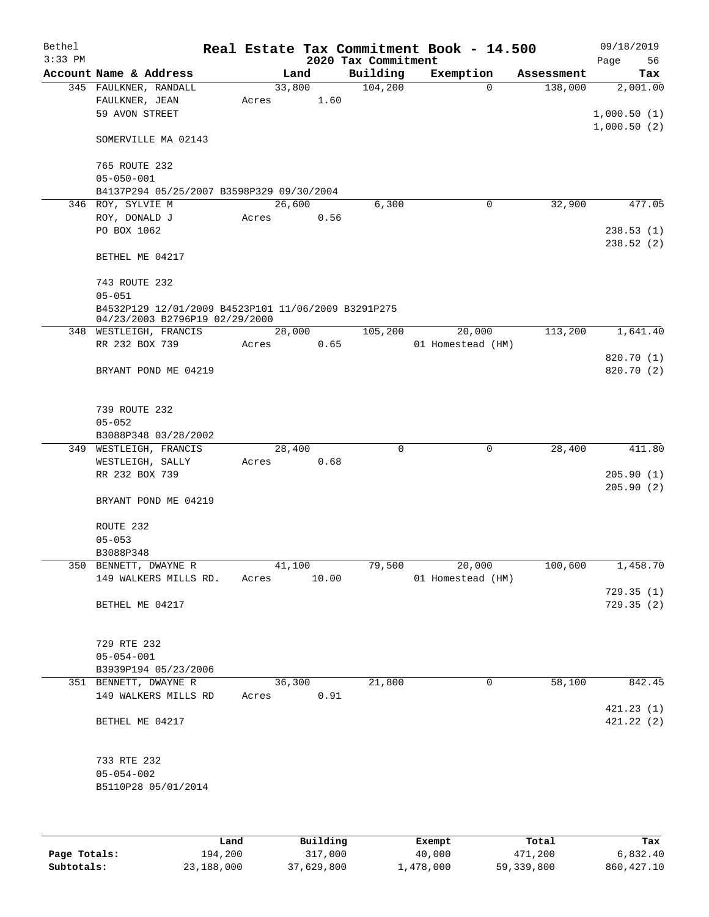| Bethel<br>$3:33$ PM |                                                     |       |        |       | 2020 Tax Commitment | Real Estate Tax Commitment Book - 14.500 |            | 09/18/2019<br>Page<br>56 |
|---------------------|-----------------------------------------------------|-------|--------|-------|---------------------|------------------------------------------|------------|--------------------------|
|                     | Account Name & Address                              |       | Land   |       | Building            | Exemption                                | Assessment | Tax                      |
|                     | 345 FAULKNER, RANDALL                               |       | 33,800 |       | 104,200             | $\Omega$                                 | 138,000    | 2,001.00                 |
|                     | FAULKNER, JEAN                                      | Acres |        | 1.60  |                     |                                          |            |                          |
|                     | 59 AVON STREET                                      |       |        |       |                     |                                          |            | 1,000.50(1)              |
|                     |                                                     |       |        |       |                     |                                          |            | 1,000.50(2)              |
|                     | SOMERVILLE MA 02143                                 |       |        |       |                     |                                          |            |                          |
|                     |                                                     |       |        |       |                     |                                          |            |                          |
|                     | 765 ROUTE 232                                       |       |        |       |                     |                                          |            |                          |
|                     | $05 - 050 - 001$                                    |       |        |       |                     |                                          |            |                          |
|                     | B4137P294 05/25/2007 B3598P329 09/30/2004           |       |        |       |                     |                                          |            |                          |
| 346                 | ROY, SYLVIE M                                       |       | 26,600 |       | 6,300               | 0                                        | 32,900     | 477.05                   |
|                     | ROY, DONALD J                                       | Acres |        | 0.56  |                     |                                          |            |                          |
|                     | PO BOX 1062                                         |       |        |       |                     |                                          |            | 238.53(1)                |
|                     |                                                     |       |        |       |                     |                                          |            | 238.52(2)                |
|                     | BETHEL ME 04217                                     |       |        |       |                     |                                          |            |                          |
|                     |                                                     |       |        |       |                     |                                          |            |                          |
|                     | 743 ROUTE 232                                       |       |        |       |                     |                                          |            |                          |
|                     | $05 - 051$                                          |       |        |       |                     |                                          |            |                          |
|                     | B4532P129 12/01/2009 B4523P101 11/06/2009 B3291P275 |       |        |       |                     |                                          |            |                          |
|                     | 04/23/2003 B2796P19 02/29/2000                      |       |        |       |                     |                                          |            |                          |
|                     | 348 WESTLEIGH, FRANCIS                              |       | 28,000 |       | 105,200             | 20,000                                   | 113,200    | 1,641.40                 |
|                     | RR 232 BOX 739                                      | Acres |        | 0.65  |                     | 01 Homestead (HM)                        |            |                          |
|                     |                                                     |       |        |       |                     |                                          |            | 820.70 (1)               |
|                     | BRYANT POND ME 04219                                |       |        |       |                     |                                          |            | 820.70 (2)               |
|                     |                                                     |       |        |       |                     |                                          |            |                          |
|                     |                                                     |       |        |       |                     |                                          |            |                          |
|                     | 739 ROUTE 232                                       |       |        |       |                     |                                          |            |                          |
|                     | $05 - 052$                                          |       |        |       |                     |                                          |            |                          |
|                     | B3088P348 03/28/2002                                |       |        |       |                     |                                          |            |                          |
|                     | 349 WESTLEIGH, FRANCIS                              |       | 28,400 |       | $\mathbf 0$         | $\mathbf 0$                              | 28,400     | 411.80                   |
|                     | WESTLEIGH, SALLY                                    | Acres |        | 0.68  |                     |                                          |            |                          |
|                     | RR 232 BOX 739                                      |       |        |       |                     |                                          |            | 205.90(1)                |
|                     |                                                     |       |        |       |                     |                                          |            | 205.90(2)                |
|                     | BRYANT POND ME 04219                                |       |        |       |                     |                                          |            |                          |
|                     |                                                     |       |        |       |                     |                                          |            |                          |
|                     | ROUTE 232                                           |       |        |       |                     |                                          |            |                          |
|                     | $05 - 053$                                          |       |        |       |                     |                                          |            |                          |
|                     | B3088P348                                           |       |        |       |                     |                                          |            |                          |
|                     | 350 BENNETT, DWAYNE R                               |       | 41,100 |       | 79,500              | 20,000                                   | 100,600    | 1,458.70                 |
|                     | 149 WALKERS MILLS RD.                               | Acres |        | 10.00 |                     | 01 Homestead (HM)                        |            |                          |
|                     |                                                     |       |        |       |                     |                                          |            | 729.35(1)                |
|                     | BETHEL ME 04217                                     |       |        |       |                     |                                          |            | 729.35(2)                |
|                     |                                                     |       |        |       |                     |                                          |            |                          |
|                     |                                                     |       |        |       |                     |                                          |            |                          |
|                     | 729 RTE 232                                         |       |        |       |                     |                                          |            |                          |
|                     | $05 - 054 - 001$                                    |       |        |       |                     |                                          |            |                          |
|                     | B3939P194 05/23/2006                                |       |        |       |                     |                                          |            |                          |
|                     | 351 BENNETT, DWAYNE R                               |       | 36,300 |       | 21,800              | 0                                        | 58,100     | 842.45                   |
|                     | 149 WALKERS MILLS RD                                | Acres |        | 0.91  |                     |                                          |            |                          |
|                     |                                                     |       |        |       |                     |                                          |            | 421.23(1)                |
|                     | BETHEL ME 04217                                     |       |        |       |                     |                                          |            | 421.22 (2)               |
|                     |                                                     |       |        |       |                     |                                          |            |                          |
|                     |                                                     |       |        |       |                     |                                          |            |                          |
|                     | 733 RTE 232                                         |       |        |       |                     |                                          |            |                          |
|                     | $05 - 054 - 002$                                    |       |        |       |                     |                                          |            |                          |
|                     | B5110P28 05/01/2014                                 |       |        |       |                     |                                          |            |                          |
|                     |                                                     |       |        |       |                     |                                          |            |                          |
|                     |                                                     |       |        |       |                     |                                          |            |                          |
|                     |                                                     |       |        |       |                     |                                          |            |                          |
|                     |                                                     |       |        |       |                     |                                          |            |                          |

|              | Land       | Building   | Exempt    | Total      | Tax         |
|--------------|------------|------------|-----------|------------|-------------|
| Page Totals: | 194,200    | 317,000    | 40,000    | 471,200    | 6,832.40    |
| Subtotals:   | 23,188,000 | 37,629,800 | 1,478,000 | 59,339,800 | 860, 427.10 |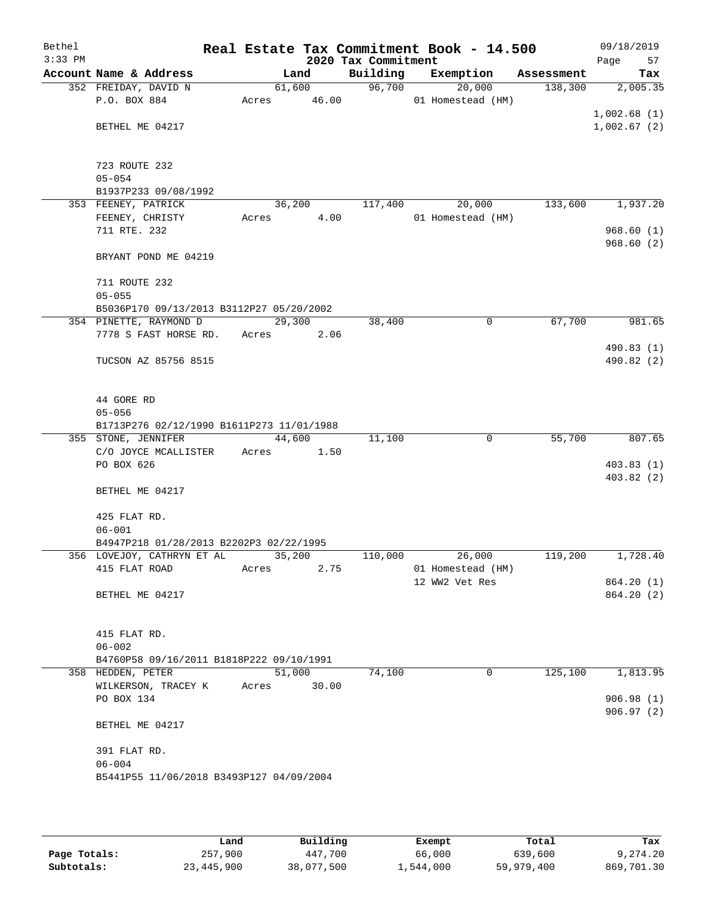| Bethel<br>$3:33$ PM |                                           |        |        | 2020 Tax Commitment | Real Estate Tax Commitment Book - 14.500 |            | Page        | 09/18/2019<br>57 |
|---------------------|-------------------------------------------|--------|--------|---------------------|------------------------------------------|------------|-------------|------------------|
|                     | Account Name & Address                    |        | Land   | Building            | Exemption                                | Assessment |             | Tax              |
|                     | 352 FREIDAY, DAVID N                      |        | 61,600 | 96,700              | 20,000                                   | 138,300    |             | 2,005.35         |
|                     | P.O. BOX 884                              | Acres  | 46.00  |                     | 01 Homestead (HM)                        |            |             |                  |
|                     |                                           |        |        |                     |                                          |            | 1,002.68(1) |                  |
|                     | BETHEL ME 04217                           |        |        |                     |                                          |            | 1,002.67(2) |                  |
|                     |                                           |        |        |                     |                                          |            |             |                  |
|                     | 723 ROUTE 232                             |        |        |                     |                                          |            |             |                  |
|                     | $05 - 054$                                |        |        |                     |                                          |            |             |                  |
|                     | B1937P233 09/08/1992                      |        |        |                     |                                          |            |             |                  |
|                     | 353 FEENEY, PATRICK                       |        | 36,200 | 117,400             | 20,000                                   | 133,600    |             | 1,937.20         |
|                     | FEENEY, CHRISTY                           | Acres  | 4.00   |                     | 01 Homestead (HM)                        |            |             |                  |
|                     | 711 RTE. 232                              |        |        |                     |                                          |            |             | 968.60(1)        |
|                     |                                           |        |        |                     |                                          |            |             | 968.60(2)        |
|                     | BRYANT POND ME 04219                      |        |        |                     |                                          |            |             |                  |
|                     |                                           |        |        |                     |                                          |            |             |                  |
|                     | 711 ROUTE 232                             |        |        |                     |                                          |            |             |                  |
|                     | $05 - 055$                                |        |        |                     |                                          |            |             |                  |
|                     | B5036P170 09/13/2013 B3112P27 05/20/2002  |        |        |                     |                                          |            |             |                  |
|                     | 354 PINETTE, RAYMOND D                    |        | 29,300 | 38,400              | $\mathbf 0$                              | 67,700     |             | 981.65           |
|                     | 7778 S FAST HORSE RD.                     | Acres  | 2.06   |                     |                                          |            |             |                  |
|                     |                                           |        |        |                     |                                          |            |             | 490.83(1)        |
|                     | TUCSON AZ 85756 8515                      |        |        |                     |                                          |            |             | 490.82 (2)       |
|                     |                                           |        |        |                     |                                          |            |             |                  |
|                     | 44 GORE RD                                |        |        |                     |                                          |            |             |                  |
|                     | $05 - 056$                                |        |        |                     |                                          |            |             |                  |
|                     | B1713P276 02/12/1990 B1611P273 11/01/1988 |        |        |                     |                                          |            |             |                  |
|                     | 355 STONE, JENNIFER                       |        | 44,600 | 11,100              | 0                                        | 55,700     |             | 807.65           |
|                     | C/O JOYCE MCALLISTER                      | Acres  | 1.50   |                     |                                          |            |             |                  |
|                     | PO BOX 626                                |        |        |                     |                                          |            |             | 403.83(1)        |
|                     |                                           |        |        |                     |                                          |            |             | 403.82(2)        |
|                     | BETHEL ME 04217                           |        |        |                     |                                          |            |             |                  |
|                     |                                           |        |        |                     |                                          |            |             |                  |
|                     | 425 FLAT RD.                              |        |        |                     |                                          |            |             |                  |
|                     | $06 - 001$                                |        |        |                     |                                          |            |             |                  |
|                     | B4947P218 01/28/2013 B2202P3 02/22/1995   |        |        |                     |                                          |            |             |                  |
|                     | 356 LOVEJOY, CATHRYN ET AL                | 35,200 |        | 110,000             | 26,000                                   | 119,200    |             | 1,728.40         |
|                     | 415 FLAT ROAD                             | Acres  | 2.75   |                     | 01 Homestead (HM)                        |            |             |                  |
|                     |                                           |        |        |                     | 12 WW2 Vet Res                           |            |             | 864.20(1)        |
|                     | BETHEL ME 04217                           |        |        |                     |                                          |            |             | 864.20(2)        |
|                     |                                           |        |        |                     |                                          |            |             |                  |
|                     | 415 FLAT RD.                              |        |        |                     |                                          |            |             |                  |
|                     | $06 - 002$                                |        |        |                     |                                          |            |             |                  |
|                     | B4760P58 09/16/2011 B1818P222 09/10/1991  |        |        |                     |                                          |            |             |                  |
|                     | 358 HEDDEN, PETER                         |        | 51,000 | 74,100              | 0                                        | 125,100    |             | 1,813.95         |
|                     | WILKERSON, TRACEY K                       | Acres  | 30.00  |                     |                                          |            |             |                  |
|                     | PO BOX 134                                |        |        |                     |                                          |            |             | 906.98(1)        |
|                     |                                           |        |        |                     |                                          |            |             | 906.97(2)        |
|                     | BETHEL ME 04217                           |        |        |                     |                                          |            |             |                  |
|                     |                                           |        |        |                     |                                          |            |             |                  |
|                     | 391 FLAT RD.                              |        |        |                     |                                          |            |             |                  |
|                     | $06 - 004$                                |        |        |                     |                                          |            |             |                  |
|                     | B5441P55 11/06/2018 B3493P127 04/09/2004  |        |        |                     |                                          |            |             |                  |
|                     |                                           |        |        |                     |                                          |            |             |                  |

|              | Land       | Building   | Exempt    | Total      | Tax        |
|--------------|------------|------------|-----------|------------|------------|
| Page Totals: | 257,900    | 447,700    | 66,000    | 639,600    | 9,274.20   |
| Subtotals:   | 23,445,900 | 38,077,500 | 1,544,000 | 59,979,400 | 869,701.30 |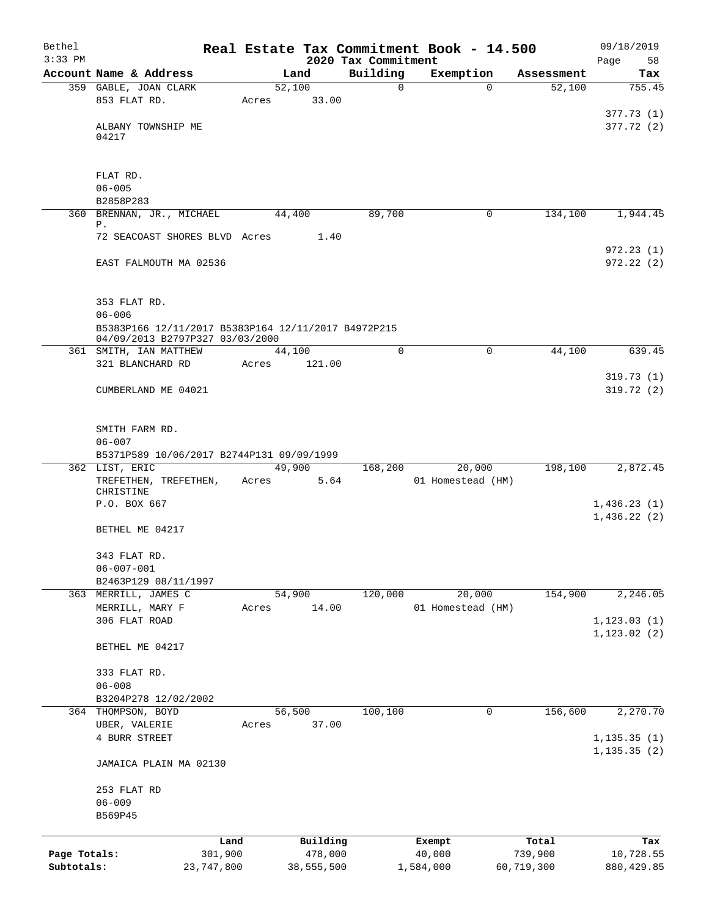| Bethel<br>$3:33$ PM |                                                             |                 |            |                                 | Real Estate Tax Commitment Book - 14.500 |                    | 09/18/2019        |
|---------------------|-------------------------------------------------------------|-----------------|------------|---------------------------------|------------------------------------------|--------------------|-------------------|
|                     | Account Name & Address                                      |                 | Land       | 2020 Tax Commitment<br>Building | Exemption                                | Assessment         | Page<br>58<br>Tax |
|                     | 359 GABLE, JOAN CLARK                                       |                 | 52,100     |                                 | $\mathbf 0$                              | 52,100<br>$\Omega$ | 755.45            |
|                     | 853 FLAT RD.                                                | Acres           |            | 33.00                           |                                          |                    |                   |
|                     |                                                             |                 |            |                                 |                                          |                    | 377.73(1)         |
|                     | ALBANY TOWNSHIP ME                                          |                 |            |                                 |                                          |                    | 377.72 (2)        |
|                     | 04217                                                       |                 |            |                                 |                                          |                    |                   |
|                     |                                                             |                 |            |                                 |                                          |                    |                   |
|                     |                                                             |                 |            |                                 |                                          |                    |                   |
|                     | FLAT RD.<br>$06 - 005$                                      |                 |            |                                 |                                          |                    |                   |
|                     | B2858P283                                                   |                 |            |                                 |                                          |                    |                   |
|                     | 360 BRENNAN, JR., MICHAEL                                   |                 | 44,400     | 89,700                          |                                          | 0<br>134,100       | 1,944.45          |
|                     | Ρ.                                                          |                 |            |                                 |                                          |                    |                   |
|                     | 72 SEACOAST SHORES BLVD Acres                               |                 |            | 1.40                            |                                          |                    |                   |
|                     |                                                             |                 |            |                                 |                                          |                    | 972.23(1)         |
|                     | EAST FALMOUTH MA 02536                                      |                 |            |                                 |                                          |                    | 972.22(2)         |
|                     |                                                             |                 |            |                                 |                                          |                    |                   |
|                     | 353 FLAT RD.                                                |                 |            |                                 |                                          |                    |                   |
|                     | $06 - 006$                                                  |                 |            |                                 |                                          |                    |                   |
|                     | B5383P166 12/11/2017 B5383P164 12/11/2017 B4972P215         |                 |            |                                 |                                          |                    |                   |
|                     | 04/09/2013 B2797P327 03/03/2000<br>361 SMITH, IAN MATTHEW   |                 | 44,100     |                                 | $\Omega$<br>0                            | 44,100             | 639.45            |
|                     | 321 BLANCHARD RD                                            | Acres           | 121.00     |                                 |                                          |                    |                   |
|                     |                                                             |                 |            |                                 |                                          |                    | 319.73(1)         |
|                     | CUMBERLAND ME 04021                                         |                 |            |                                 |                                          |                    | 319.72(2)         |
|                     |                                                             |                 |            |                                 |                                          |                    |                   |
|                     |                                                             |                 |            |                                 |                                          |                    |                   |
|                     | SMITH FARM RD.                                              |                 |            |                                 |                                          |                    |                   |
|                     | $06 - 007$                                                  |                 |            |                                 |                                          |                    |                   |
|                     | B5371P589 10/06/2017 B2744P131 09/09/1999<br>362 LIST, ERIC |                 | 49,900     | 168,200                         | 20,000                                   | 198,100            | 2,872.45          |
|                     | TREFETHEN, TREFETHEN,                                       | Acres           |            | 5.64                            | 01 Homestead (HM)                        |                    |                   |
|                     | CHRISTINE                                                   |                 |            |                                 |                                          |                    |                   |
|                     | P.O. BOX 667                                                |                 |            |                                 |                                          |                    | 1,436.23(1)       |
|                     |                                                             |                 |            |                                 |                                          |                    | 1,436.22(2)       |
|                     | BETHEL ME 04217                                             |                 |            |                                 |                                          |                    |                   |
|                     | 343 FLAT RD.                                                |                 |            |                                 |                                          |                    |                   |
|                     | $06 - 007 - 001$                                            |                 |            |                                 |                                          |                    |                   |
|                     | B2463P129 08/11/1997                                        |                 |            |                                 |                                          |                    |                   |
| 363                 | MERRILL, JAMES C                                            |                 | 54,900     | 120,000                         | 20,000                                   | 154,900            | 2, 246.05         |
|                     | MERRILL, MARY F                                             | Acres           |            | 14.00                           | 01 Homestead (HM)                        |                    |                   |
|                     | 306 FLAT ROAD                                               |                 |            |                                 |                                          |                    | 1, 123.03(1)      |
|                     |                                                             |                 |            |                                 |                                          |                    | 1, 123.02(2)      |
|                     | BETHEL ME 04217                                             |                 |            |                                 |                                          |                    |                   |
|                     | 333 FLAT RD.                                                |                 |            |                                 |                                          |                    |                   |
|                     | $06 - 008$                                                  |                 |            |                                 |                                          |                    |                   |
|                     | B3204P278 12/02/2002                                        |                 |            |                                 |                                          |                    |                   |
|                     | 364 THOMPSON, BOYD                                          |                 | 56,500     | 100,100                         |                                          | 156,600<br>0       | 2,270.70          |
|                     | UBER, VALERIE                                               | Acres           |            | 37.00                           |                                          |                    |                   |
|                     | 4 BURR STREET                                               |                 |            |                                 |                                          |                    | 1, 135.35(1)      |
|                     |                                                             |                 |            |                                 |                                          |                    | 1, 135.35(2)      |
|                     | JAMAICA PLAIN MA 02130                                      |                 |            |                                 |                                          |                    |                   |
|                     | 253 FLAT RD                                                 |                 |            |                                 |                                          |                    |                   |
|                     | $06 - 009$                                                  |                 |            |                                 |                                          |                    |                   |
|                     | B569P45                                                     |                 |            |                                 |                                          |                    |                   |
|                     |                                                             |                 |            |                                 |                                          |                    |                   |
| Page Totals:        |                                                             | Land<br>301,900 | Building   | 478,000                         | Exempt<br>40,000                         | Total<br>739,900   | Tax<br>10,728.55  |
| Subtotals:          |                                                             | 23,747,800      | 38,555,500 |                                 | 1,584,000                                | 60,719,300         | 880, 429.85       |
|                     |                                                             |                 |            |                                 |                                          |                    |                   |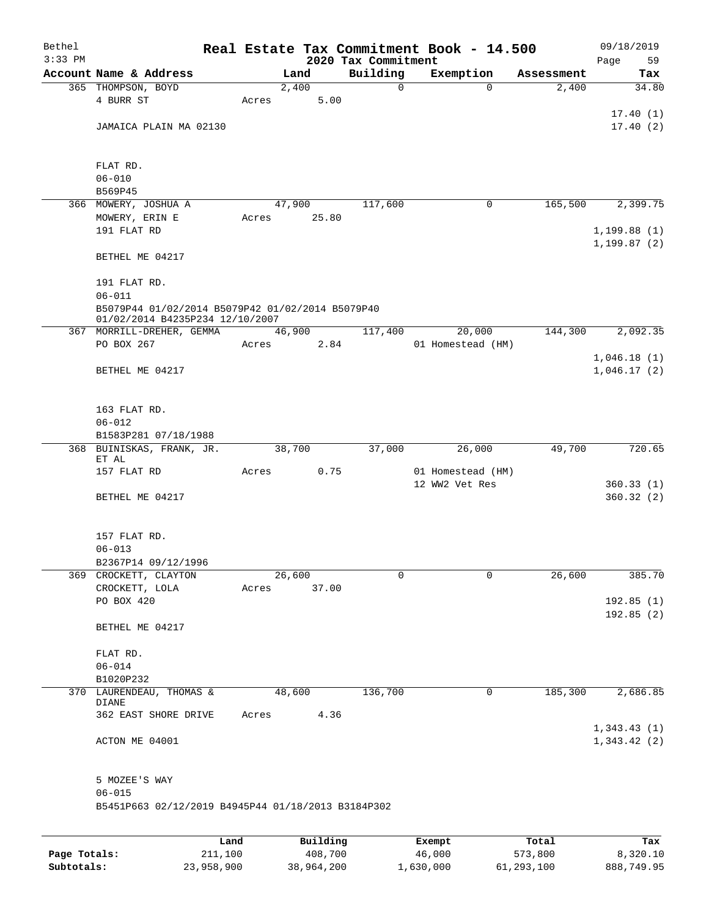| Bethel       |                                                              |         |       |          | Real Estate Tax Commitment Book - 14.500 |        |                                     |            | 09/18/2019        |
|--------------|--------------------------------------------------------------|---------|-------|----------|------------------------------------------|--------|-------------------------------------|------------|-------------------|
| $3:33$ PM    | Account Name & Address                                       |         |       | Land     | 2020 Tax Commitment<br>Building          |        | Exemption                           | Assessment | 59<br>Page<br>Tax |
|              | 365 THOMPSON, BOYD                                           |         |       | 2,400    | 0                                        |        | $\mathbf 0$                         | 2,400      | 34.80             |
|              | 4 BURR ST                                                    |         | Acres | 5.00     |                                          |        |                                     |            |                   |
|              |                                                              |         |       |          |                                          |        |                                     |            | 17.40(1)          |
|              | JAMAICA PLAIN MA 02130                                       |         |       |          |                                          |        |                                     |            | 17.40(2)          |
|              |                                                              |         |       |          |                                          |        |                                     |            |                   |
|              |                                                              |         |       |          |                                          |        |                                     |            |                   |
|              | FLAT RD.<br>$06 - 010$                                       |         |       |          |                                          |        |                                     |            |                   |
|              | B569P45                                                      |         |       |          |                                          |        |                                     |            |                   |
|              | 366 MOWERY, JOSHUA A                                         |         |       | 47,900   | 117,600                                  |        | 0                                   | 165,500    | 2,399.75          |
|              | MOWERY, ERIN E                                               |         | Acres | 25.80    |                                          |        |                                     |            |                   |
|              | 191 FLAT RD                                                  |         |       |          |                                          |        |                                     |            | 1,199.88(1)       |
|              |                                                              |         |       |          |                                          |        |                                     |            | 1, 199.87(2)      |
|              | BETHEL ME 04217                                              |         |       |          |                                          |        |                                     |            |                   |
|              |                                                              |         |       |          |                                          |        |                                     |            |                   |
|              | 191 FLAT RD.                                                 |         |       |          |                                          |        |                                     |            |                   |
|              | $06 - 011$                                                   |         |       |          |                                          |        |                                     |            |                   |
|              | B5079P44 01/02/2014 B5079P42 01/02/2014 B5079P40             |         |       |          |                                          |        |                                     |            |                   |
|              | 01/02/2014 B4235P234 12/10/2007<br>367 MORRILL-DREHER, GEMMA |         |       | 46,900   | 117,400                                  |        | 20,000                              | 144,300    | 2,092.35          |
|              | PO BOX 267                                                   |         | Acres | 2.84     |                                          |        | 01 Homestead (HM)                   |            |                   |
|              |                                                              |         |       |          |                                          |        |                                     |            | 1,046.18(1)       |
|              | BETHEL ME 04217                                              |         |       |          |                                          |        |                                     |            | 1,046.17(2)       |
|              |                                                              |         |       |          |                                          |        |                                     |            |                   |
|              |                                                              |         |       |          |                                          |        |                                     |            |                   |
|              | 163 FLAT RD.                                                 |         |       |          |                                          |        |                                     |            |                   |
|              | $06 - 012$                                                   |         |       |          |                                          |        |                                     |            |                   |
|              | B1583P281 07/18/1988                                         |         |       |          |                                          |        |                                     |            |                   |
|              | 368 BUINISKAS, FRANK, JR.                                    |         |       | 38,700   | 37,000                                   |        | 26,000                              | 49,700     | 720.65            |
|              | ET AL                                                        |         |       |          |                                          |        |                                     |            |                   |
|              | 157 FLAT RD                                                  |         | Acres | 0.75     |                                          |        | 01 Homestead (HM)<br>12 WW2 Vet Res |            | 360.33(1)         |
|              | BETHEL ME 04217                                              |         |       |          |                                          |        |                                     |            | 360.32(2)         |
|              |                                                              |         |       |          |                                          |        |                                     |            |                   |
|              |                                                              |         |       |          |                                          |        |                                     |            |                   |
|              | 157 FLAT RD.                                                 |         |       |          |                                          |        |                                     |            |                   |
|              | $06 - 013$                                                   |         |       |          |                                          |        |                                     |            |                   |
|              | B2367P14 09/12/1996                                          |         |       |          |                                          |        |                                     |            |                   |
|              | 369 CROCKETT, CLAYTON                                        |         |       | 26,600   | 0                                        |        | 0                                   | 26,600     | 385.70            |
|              | CROCKETT, LOLA                                               |         | Acres | 37.00    |                                          |        |                                     |            |                   |
|              | PO BOX 420                                                   |         |       |          |                                          |        |                                     |            | 192.85(1)         |
|              |                                                              |         |       |          |                                          |        |                                     |            | 192.85(2)         |
|              | BETHEL ME 04217                                              |         |       |          |                                          |        |                                     |            |                   |
|              | FLAT RD.                                                     |         |       |          |                                          |        |                                     |            |                   |
|              | $06 - 014$                                                   |         |       |          |                                          |        |                                     |            |                   |
|              | B1020P232                                                    |         |       |          |                                          |        |                                     |            |                   |
| 370          | LAURENDEAU, THOMAS &                                         |         |       | 48,600   | 136,700                                  |        | 0                                   | 185,300    | 2,686.85          |
|              | DIANE                                                        |         |       |          |                                          |        |                                     |            |                   |
|              | 362 EAST SHORE DRIVE                                         |         | Acres | 4.36     |                                          |        |                                     |            |                   |
|              |                                                              |         |       |          |                                          |        |                                     |            | 1,343.43(1)       |
|              | ACTON ME 04001                                               |         |       |          |                                          |        |                                     |            | 1,343.42(2)       |
|              |                                                              |         |       |          |                                          |        |                                     |            |                   |
|              |                                                              |         |       |          |                                          |        |                                     |            |                   |
|              | 5 MOZEE'S WAY<br>$06 - 015$                                  |         |       |          |                                          |        |                                     |            |                   |
|              | B5451P663 02/12/2019 B4945P44 01/18/2013 B3184P302           |         |       |          |                                          |        |                                     |            |                   |
|              |                                                              |         |       |          |                                          |        |                                     |            |                   |
|              |                                                              |         |       |          |                                          |        |                                     |            |                   |
|              |                                                              | Land    |       | Building |                                          | Exempt |                                     | Total      | Tax               |
| Page Totals: |                                                              | 211,100 |       | 408,700  |                                          | 46,000 |                                     | 573,800    | 8,320.10          |

**Subtotals:** 23,958,900 38,964,200 1,630,000 61,293,100 888,749.95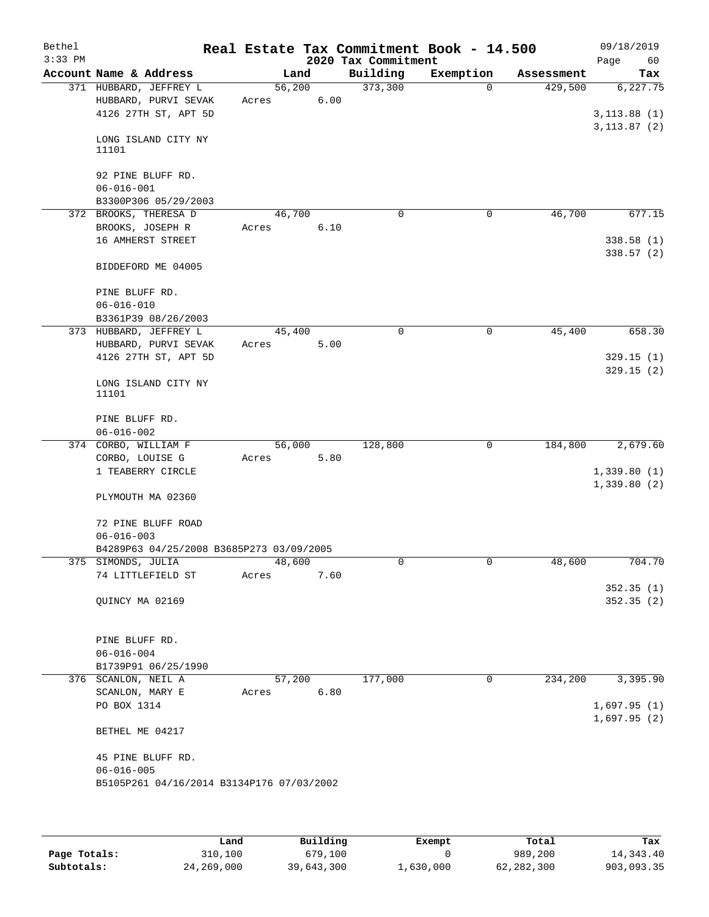| Bethel<br>$3:33$ PM |                                                                                    |                 |      | 2020 Tax Commitment | Real Estate Tax Commitment Book - 14.500 |            | 09/18/2019<br>60<br>Page   |
|---------------------|------------------------------------------------------------------------------------|-----------------|------|---------------------|------------------------------------------|------------|----------------------------|
|                     | Account Name & Address                                                             | Land            |      | Building            | Exemption                                | Assessment | Tax                        |
|                     | 371 HUBBARD, JEFFREY L<br>HUBBARD, PURVI SEVAK<br>4126 27TH ST, APT 5D             | 56,200<br>Acres | 6.00 | 373,300             | $\Omega$                                 | 429,500    | 6, 227.75<br>3, 113.88(1)  |
|                     | LONG ISLAND CITY NY<br>11101                                                       |                 |      |                     |                                          |            | 3, 113.87 (2)              |
|                     | 92 PINE BLUFF RD.<br>$06 - 016 - 001$<br>B3300P306 05/29/2003                      |                 |      |                     |                                          |            |                            |
|                     | 372 BROOKS, THERESA D                                                              | 46,700          |      | $\Omega$            | 0                                        | 46,700     | 677.15                     |
|                     | BROOKS, JOSEPH R<br>16 AMHERST STREET                                              | Acres           | 6.10 |                     |                                          |            | 338.58(1)<br>338.57(2)     |
|                     | BIDDEFORD ME 04005                                                                 |                 |      |                     |                                          |            |                            |
|                     | PINE BLUFF RD.<br>$06 - 016 - 010$<br>B3361P39 08/26/2003                          |                 |      |                     |                                          |            |                            |
|                     | 373 HUBBARD, JEFFREY L                                                             | 45,400          |      | $\mathbf 0$         | 0                                        | 45,400     | 658.30                     |
|                     | HUBBARD, PURVI SEVAK                                                               | Acres           | 5.00 |                     |                                          |            |                            |
|                     | 4126 27TH ST, APT 5D                                                               |                 |      |                     |                                          |            | 329.15(1)                  |
|                     | LONG ISLAND CITY NY<br>11101                                                       |                 |      |                     |                                          |            | 329.15(2)                  |
|                     | PINE BLUFF RD.                                                                     |                 |      |                     |                                          |            |                            |
|                     | $06 - 016 - 002$                                                                   |                 |      |                     |                                          |            |                            |
|                     | 374 CORBO, WILLIAM F                                                               | 56,000          |      | 128,800             | 0                                        | 184,800    | 2,679.60                   |
|                     | CORBO, LOUISE G                                                                    | Acres           | 5.80 |                     |                                          |            |                            |
|                     | 1 TEABERRY CIRCLE                                                                  |                 |      |                     |                                          |            | 1,339.80(1)                |
|                     | PLYMOUTH MA 02360                                                                  |                 |      |                     |                                          |            | 1,339.80(2)                |
|                     | 72 PINE BLUFF ROAD<br>$06 - 016 - 003$                                             |                 |      |                     |                                          |            |                            |
|                     | B4289P63 04/25/2008 B3685P273 03/09/2005                                           |                 |      |                     |                                          |            |                            |
|                     | 375 SIMONDS, JULIA                                                                 | 48,600          |      |                     |                                          | 48,600     | 704.70                     |
|                     | 74 LITTLEFIELD ST                                                                  | Acres           | 7.60 |                     |                                          |            |                            |
|                     | QUINCY MA 02169                                                                    |                 |      |                     |                                          |            | 352.35(1)<br>352.35(2)     |
|                     | PINE BLUFF RD.<br>$06 - 016 - 004$                                                 |                 |      |                     |                                          |            |                            |
|                     | B1739P91 06/25/1990                                                                |                 |      |                     |                                          |            |                            |
|                     | 376 SCANLON, NEIL A                                                                | 57,200          |      | 177,000             | 0                                        | 234,200    | 3,395.90                   |
|                     | SCANLON, MARY E                                                                    | Acres           | 6.80 |                     |                                          |            |                            |
|                     | PO BOX 1314                                                                        |                 |      |                     |                                          |            | 1,697.95(1)<br>1,697.95(2) |
|                     | BETHEL ME 04217                                                                    |                 |      |                     |                                          |            |                            |
|                     | 45 PINE BLUFF RD.<br>$06 - 016 - 005$<br>B5105P261 04/16/2014 B3134P176 07/03/2002 |                 |      |                     |                                          |            |                            |
|                     |                                                                                    |                 |      |                     |                                          |            |                            |

|              | Land       | Building   | Exempt    | Total      | Tax         |
|--------------|------------|------------|-----------|------------|-------------|
| Page Totals: | 310,100    | 679,100    |           | 989,200    | 14, 343, 40 |
| Subtotals:   | 24,269,000 | 39,643,300 | 1,630,000 | 62,282,300 | 903,093.35  |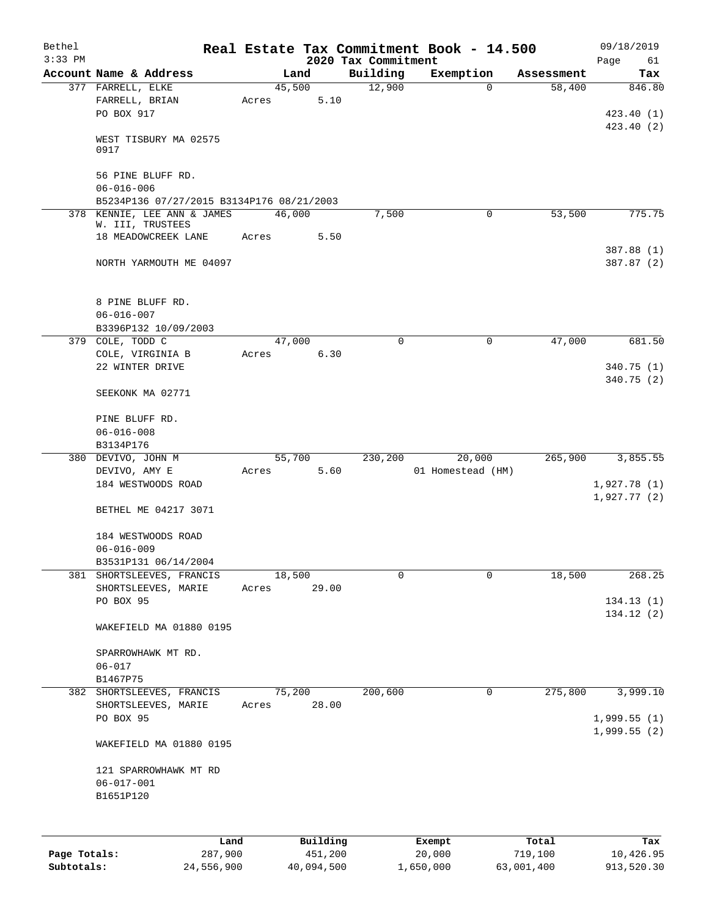| Bethel       |                                                        |       |        |                     |                     | Real Estate Tax Commitment Book - 14.500 |                  | 09/18/2019                 |
|--------------|--------------------------------------------------------|-------|--------|---------------------|---------------------|------------------------------------------|------------------|----------------------------|
| $3:33$ PM    |                                                        |       |        |                     | 2020 Tax Commitment |                                          |                  | Page<br>61                 |
|              | Account Name & Address                                 |       | Land   |                     | Building            | Exemption                                | Assessment       | Tax                        |
|              | 377 FARRELL, ELKE<br>FARRELL, BRIAN<br>PO BOX 917      | Acres | 45,500 | 5.10                | 12,900              | $\Omega$                                 | 58,400           | 846.80<br>423.40(1)        |
|              | WEST TISBURY MA 02575<br>0917                          |       |        |                     |                     |                                          |                  | 423.40 (2)                 |
|              | 56 PINE BLUFF RD.<br>$06 - 016 - 006$                  |       |        |                     |                     |                                          |                  |                            |
|              | B5234P136 07/27/2015 B3134P176 08/21/2003              |       |        |                     |                     |                                          |                  |                            |
|              | 378 KENNIE, LEE ANN & JAMES                            |       | 46,000 |                     | 7,500               | $\mathbf 0$                              | 53,500           | 775.75                     |
|              | W. III, TRUSTEES<br>18 MEADOWCREEK LANE                | Acres |        | 5.50                |                     |                                          |                  |                            |
|              | NORTH YARMOUTH ME 04097                                |       |        |                     |                     |                                          |                  | 387.88 (1)<br>387.87 (2)   |
|              |                                                        |       |        |                     |                     |                                          |                  |                            |
|              | 8 PINE BLUFF RD.<br>$06 - 016 - 007$                   |       |        |                     |                     |                                          |                  |                            |
|              | B3396P132 10/09/2003<br>379 COLE, TODD C               |       | 47,000 |                     | $\Omega$            | 0                                        | 47,000           | 681.50                     |
|              | COLE, VIRGINIA B                                       | Acres |        | 6.30                |                     |                                          |                  |                            |
|              | 22 WINTER DRIVE                                        |       |        |                     |                     |                                          |                  | 340.75(1)<br>340.75(2)     |
|              | SEEKONK MA 02771                                       |       |        |                     |                     |                                          |                  |                            |
|              | PINE BLUFF RD.<br>$06 - 016 - 008$                     |       |        |                     |                     |                                          |                  |                            |
|              | B3134P176                                              |       |        |                     |                     |                                          |                  |                            |
|              | 380 DEVIVO, JOHN M<br>DEVIVO, AMY E                    | Acres | 55,700 | 5.60                | 230,200             | 20,000<br>01 Homestead (HM)              | 265,900          | 3,855.55                   |
|              | 184 WESTWOODS ROAD                                     |       |        |                     |                     |                                          |                  | 1,927.78(1)<br>1,927.77(2) |
|              | BETHEL ME 04217 3071                                   |       |        |                     |                     |                                          |                  |                            |
|              | 184 WESTWOODS ROAD                                     |       |        |                     |                     |                                          |                  |                            |
|              | $06 - 016 - 009$                                       |       |        |                     |                     |                                          |                  |                            |
| 381          | B3531P131 06/14/2004<br>SHORTSLEEVES, FRANCIS          |       | 18,500 |                     | 0                   | 0                                        | 18,500           | 268.25                     |
|              | SHORTSLEEVES, MARIE                                    | Acres |        | 29.00               |                     |                                          |                  |                            |
|              | PO BOX 95                                              |       |        |                     |                     |                                          |                  | 134.13(1)                  |
|              | WAKEFIELD MA 01880 0195                                |       |        |                     |                     |                                          |                  | 134.12(2)                  |
|              | SPARROWHAWK MT RD.<br>$06 - 017$<br>B1467P75           |       |        |                     |                     |                                          |                  |                            |
|              | 382 SHORTSLEEVES, FRANCIS                              |       | 75,200 |                     | 200,600             | 0                                        | 275,800          | 3,999.10                   |
|              | SHORTSLEEVES, MARIE<br>PO BOX 95                       | Acres |        | 28.00               |                     |                                          |                  | 1,999.55(1)                |
|              | WAKEFIELD MA 01880 0195                                |       |        |                     |                     |                                          |                  | 1,999.55(2)                |
|              | 121 SPARROWHAWK MT RD<br>$06 - 017 - 001$<br>B1651P120 |       |        |                     |                     |                                          |                  |                            |
|              |                                                        |       |        |                     |                     |                                          |                  |                            |
|              |                                                        |       |        |                     |                     |                                          |                  |                            |
| Page Totals: | Land<br>287,900                                        |       |        | Building<br>451,200 |                     | Exempt<br>20,000                         | Total<br>719,100 | Tax<br>10,426.95           |

**Subtotals:** 24,556,900 40,094,500 1,650,000 63,001,400 913,520.30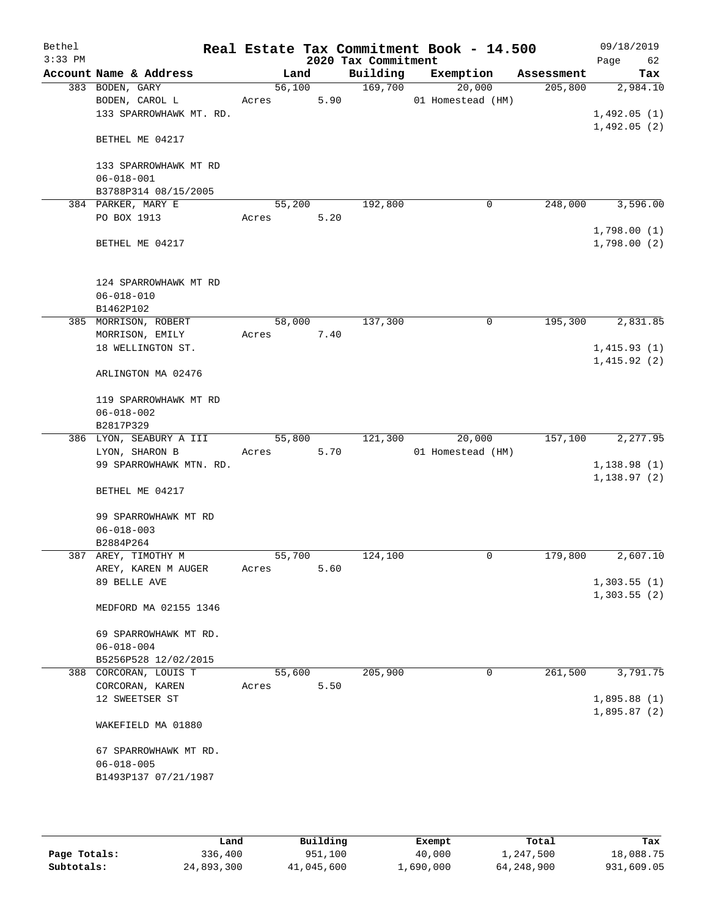| Bethel<br>$3:33$ PM |                                                              |                 |      | 2020 Tax Commitment | Real Estate Tax Commitment Book - 14.500 |            | 09/18/2019<br>Page<br>62    |
|---------------------|--------------------------------------------------------------|-----------------|------|---------------------|------------------------------------------|------------|-----------------------------|
|                     | Account Name & Address                                       | Land            |      | Building            | Exemption                                | Assessment | Tax                         |
|                     | 383 BODEN, GARY<br>BODEN, CAROL L<br>133 SPARROWHAWK MT. RD. | 56,100<br>Acres | 5.90 | 169,700             | 20,000<br>01 Homestead (HM)              | 205,800    | 2,984.10<br>1,492.05(1)     |
|                     | BETHEL ME 04217                                              |                 |      |                     |                                          |            | 1,492.05(2)                 |
|                     | 133 SPARROWHAWK MT RD<br>$06 - 018 - 001$                    |                 |      |                     |                                          |            |                             |
|                     | B3788P314 08/15/2005                                         |                 |      |                     |                                          |            |                             |
|                     | 384 PARKER, MARY E<br>PO BOX 1913                            | 55,200<br>Acres | 5.20 | 192,800             | 0                                        | 248,000    | 3,596.00                    |
|                     | BETHEL ME 04217                                              |                 |      |                     |                                          |            | 1,798.00(1)<br>1,798.00(2)  |
|                     | 124 SPARROWHAWK MT RD<br>$06 - 018 - 010$<br>B1462P102       |                 |      |                     |                                          |            |                             |
|                     | 385 MORRISON, ROBERT                                         | 58,000          |      | 137,300             | 0                                        | 195,300    | 2,831.85                    |
|                     | MORRISON, EMILY                                              | Acres           | 7.40 |                     |                                          |            |                             |
|                     | 18 WELLINGTON ST.                                            |                 |      |                     |                                          |            | 1,415.93(1)                 |
|                     | ARLINGTON MA 02476                                           |                 |      |                     |                                          |            | 1,415.92(2)                 |
|                     | 119 SPARROWHAWK MT RD<br>$06 - 018 - 002$                    |                 |      |                     |                                          |            |                             |
|                     | B2817P329                                                    |                 |      |                     |                                          |            |                             |
|                     | 386 LYON, SEABURY A III<br>LYON, SHARON B                    | 55,800<br>Acres | 5.70 | 121,300             | 20,000<br>01 Homestead (HM)              | 157,100    | 2, 277.95                   |
|                     | 99 SPARROWHAWK MTN. RD.                                      |                 |      |                     |                                          |            | 1,138.98(1)<br>1, 138.97(2) |
|                     | BETHEL ME 04217                                              |                 |      |                     |                                          |            |                             |
|                     | 99 SPARROWHAWK MT RD<br>$06 - 018 - 003$                     |                 |      |                     |                                          |            |                             |
|                     | B2884P264                                                    |                 |      |                     |                                          |            |                             |
|                     | 387 AREY, TIMOTHY M                                          | 55,700          |      | 124,100             | 0                                        | 179,800    | 2,607.10                    |
|                     | AREY, KAREN M AUGER<br>89 BELLE AVE                          | Acres           | 5.60 |                     |                                          |            | 1,303.55(1)<br>1,303.55(2)  |
|                     | MEDFORD MA 02155 1346                                        |                 |      |                     |                                          |            |                             |
|                     | 69 SPARROWHAWK MT RD.<br>$06 - 018 - 004$                    |                 |      |                     |                                          |            |                             |
|                     | B5256P528 12/02/2015                                         |                 |      |                     |                                          |            |                             |
|                     | 388 CORCORAN, LOUIS T                                        | 55,600          |      | 205,900             | 0                                        | 261,500    | 3,791.75                    |
|                     | CORCORAN, KAREN<br>12 SWEETSER ST                            | Acres           | 5.50 |                     |                                          |            | 1,895.88(1)                 |
|                     |                                                              |                 |      |                     |                                          |            | 1,895.87(2)                 |
|                     | WAKEFIELD MA 01880                                           |                 |      |                     |                                          |            |                             |
|                     | 67 SPARROWHAWK MT RD.                                        |                 |      |                     |                                          |            |                             |
|                     | $06 - 018 - 005$                                             |                 |      |                     |                                          |            |                             |
|                     | B1493P137 07/21/1987                                         |                 |      |                     |                                          |            |                             |
|                     |                                                              |                 |      |                     |                                          |            |                             |

|              | Land       | Building   | Exempt    | Total      | Tax        |
|--------------|------------|------------|-----------|------------|------------|
| Page Totals: | 336,400    | 951,100    | 40,000    | 1,247,500  | 18,088.75  |
| Subtotals:   | 24,893,300 | 41,045,600 | ⊥,690,000 | 64,248,900 | 931,609.05 |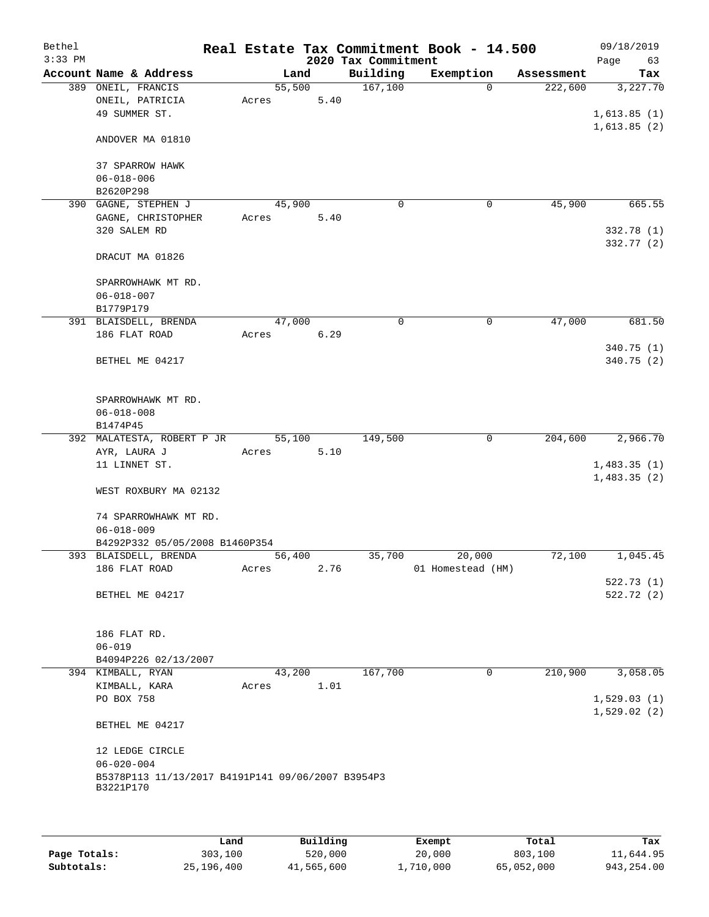| Bethel<br>$3:33$ PM |                                                         |        |      | 2020 Tax Commitment | Real Estate Tax Commitment Book - 14.500 |            | 09/18/2019<br>63<br>Page |
|---------------------|---------------------------------------------------------|--------|------|---------------------|------------------------------------------|------------|--------------------------|
|                     | Account Name & Address                                  |        | Land | Building            | Exemption                                | Assessment | Tax                      |
|                     | 389 ONEIL, FRANCIS                                      | 55,500 |      | 167, 100            | $\Omega$                                 | 222,600    | 3,227.70                 |
|                     | ONEIL, PATRICIA                                         | Acres  | 5.40 |                     |                                          |            |                          |
|                     | 49 SUMMER ST.                                           |        |      |                     |                                          |            | 1,613.85(1)              |
|                     |                                                         |        |      |                     |                                          |            | 1,613.85(2)              |
|                     | ANDOVER MA 01810                                        |        |      |                     |                                          |            |                          |
|                     |                                                         |        |      |                     |                                          |            |                          |
|                     | 37 SPARROW HAWK                                         |        |      |                     |                                          |            |                          |
|                     | $06 - 018 - 006$                                        |        |      |                     |                                          |            |                          |
|                     | B2620P298<br>390 GAGNE, STEPHEN J                       | 45,900 |      | $\mathbf 0$         | 0                                        | 45,900     | 665.55                   |
|                     | GAGNE, CHRISTOPHER                                      | Acres  | 5.40 |                     |                                          |            |                          |
|                     | 320 SALEM RD                                            |        |      |                     |                                          |            | 332.78 (1)               |
|                     |                                                         |        |      |                     |                                          |            | 332.77 (2)               |
|                     | DRACUT MA 01826                                         |        |      |                     |                                          |            |                          |
|                     |                                                         |        |      |                     |                                          |            |                          |
|                     | SPARROWHAWK MT RD.                                      |        |      |                     |                                          |            |                          |
|                     | $06 - 018 - 007$                                        |        |      |                     |                                          |            |                          |
|                     | B1779P179                                               |        |      |                     |                                          |            |                          |
|                     | 391 BLAISDELL, BRENDA                                   | 47,000 |      | 0                   | 0                                        | 47,000     | 681.50                   |
|                     | 186 FLAT ROAD                                           | Acres  | 6.29 |                     |                                          |            |                          |
|                     |                                                         |        |      |                     |                                          |            | 340.75(1)                |
|                     | BETHEL ME 04217                                         |        |      |                     |                                          |            | 340.75 (2)               |
|                     |                                                         |        |      |                     |                                          |            |                          |
|                     | SPARROWHAWK MT RD.                                      |        |      |                     |                                          |            |                          |
|                     | $06 - 018 - 008$                                        |        |      |                     |                                          |            |                          |
|                     | B1474P45                                                |        |      |                     |                                          |            |                          |
|                     | 392 MALATESTA, ROBERT P JR                              | 55,100 |      | 149,500             | 0                                        | 204,600    | 2,966.70                 |
|                     | AYR, LAURA J                                            | Acres  | 5.10 |                     |                                          |            |                          |
|                     | 11 LINNET ST.                                           |        |      |                     |                                          |            | 1,483.35(1)              |
|                     |                                                         |        |      |                     |                                          |            | 1,483.35(2)              |
|                     | WEST ROXBURY MA 02132                                   |        |      |                     |                                          |            |                          |
|                     |                                                         |        |      |                     |                                          |            |                          |
|                     | 74 SPARROWHAWK MT RD.                                   |        |      |                     |                                          |            |                          |
|                     | $06 - 018 - 009$                                        |        |      |                     |                                          |            |                          |
|                     | B4292P332 05/05/2008 B1460P354<br>393 BLAISDELL, BRENDA | 56,400 |      | 35,700              | 20,000                                   | 72,100     | 1,045.45                 |
|                     | 186 FLAT ROAD                                           | Acres  | 2.76 |                     | 01 Homestead (HM)                        |            |                          |
|                     |                                                         |        |      |                     |                                          |            | 522.73(1)                |
|                     | BETHEL ME 04217                                         |        |      |                     |                                          |            | 522.72 (2)               |
|                     |                                                         |        |      |                     |                                          |            |                          |
|                     |                                                         |        |      |                     |                                          |            |                          |
|                     | 186 FLAT RD.                                            |        |      |                     |                                          |            |                          |
|                     | $06 - 019$                                              |        |      |                     |                                          |            |                          |
|                     | B4094P226 02/13/2007                                    |        |      |                     |                                          |            |                          |
|                     | 394 KIMBALL, RYAN                                       | 43,200 |      | 167,700             | 0                                        | 210,900    | 3,058.05                 |
|                     | KIMBALL, KARA                                           | Acres  | 1.01 |                     |                                          |            |                          |
|                     | PO BOX 758                                              |        |      |                     |                                          |            | 1,529.03(1)              |
|                     |                                                         |        |      |                     |                                          |            | 1,529.02(2)              |
|                     | BETHEL ME 04217                                         |        |      |                     |                                          |            |                          |
|                     | 12 LEDGE CIRCLE                                         |        |      |                     |                                          |            |                          |
|                     | $06 - 020 - 004$                                        |        |      |                     |                                          |            |                          |
|                     | B5378P113 11/13/2017 B4191P141 09/06/2007 B3954P3       |        |      |                     |                                          |            |                          |
|                     | B3221P170                                               |        |      |                     |                                          |            |                          |
|                     |                                                         |        |      |                     |                                          |            |                          |
|                     |                                                         |        |      |                     |                                          |            |                          |

|              | Land       | Building   | Exempt    | Total      | Tax        |
|--------------|------------|------------|-----------|------------|------------|
| Page Totals: | 303,100    | 520,000    | 20,000    | 803,100    | 11,644.95  |
| Subtotals:   | 25,196,400 | 41,565,600 | 1,710,000 | 65,052,000 | 943,254.00 |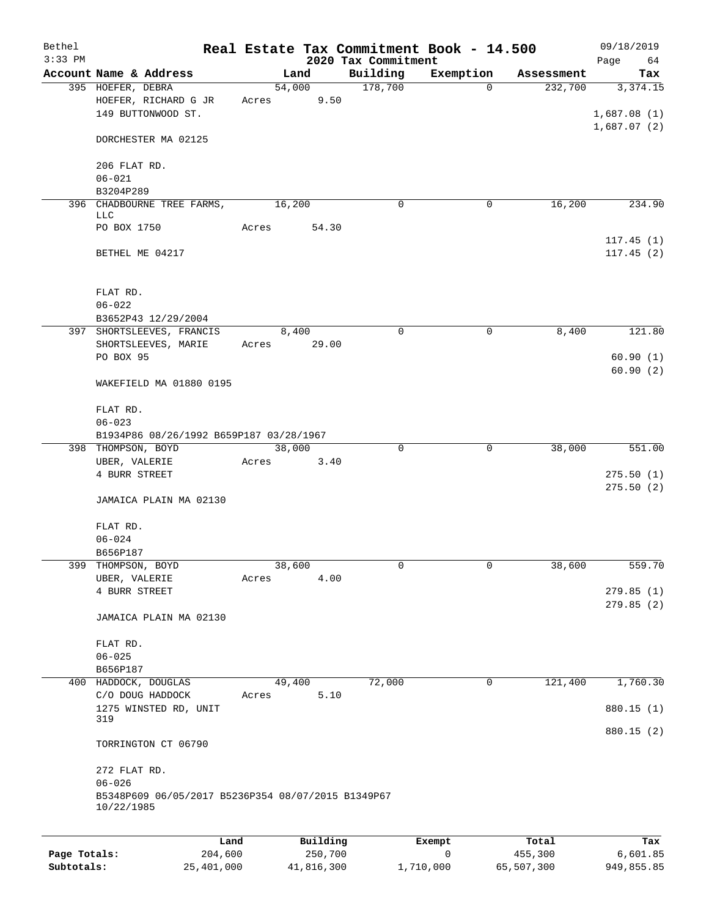| Bethel       |                                                                                |       |                |                                 | Real Estate Tax Commitment Book - 14.500 |            | 09/18/2019             |
|--------------|--------------------------------------------------------------------------------|-------|----------------|---------------------------------|------------------------------------------|------------|------------------------|
| $3:33$ PM    | Account Name & Address                                                         |       | Land           | 2020 Tax Commitment<br>Building | Exemption                                | Assessment | Page<br>64<br>Tax      |
|              | 395 HOEFER, DEBRA                                                              |       | 54,000         | 178,700                         | $\Omega$                                 | 232,700    | 3,374.15               |
|              | HOEFER, RICHARD G JR<br>149 BUTTONWOOD ST.                                     | Acres | 9.50           |                                 |                                          |            | 1,687.08(1)            |
|              | DORCHESTER MA 02125                                                            |       |                |                                 |                                          |            | 1,687.07(2)            |
|              | 206 FLAT RD.                                                                   |       |                |                                 |                                          |            |                        |
|              | $06 - 021$                                                                     |       |                |                                 |                                          |            |                        |
|              | B3204P289                                                                      |       | 16,200         | $\mathbf 0$                     | 0                                        | 16,200     | 234.90                 |
|              | 396 CHADBOURNE TREE FARMS,<br>LLC                                              |       |                |                                 |                                          |            |                        |
|              | PO BOX 1750                                                                    | Acres | 54.30          |                                 |                                          |            |                        |
|              | BETHEL ME 04217                                                                |       |                |                                 |                                          |            | 117.45(1)<br>117.45(2) |
|              |                                                                                |       |                |                                 |                                          |            |                        |
|              | FLAT RD.                                                                       |       |                |                                 |                                          |            |                        |
|              | $06 - 022$<br>B3652P43 12/29/2004                                              |       |                |                                 |                                          |            |                        |
|              | 397 SHORTSLEEVES, FRANCIS                                                      |       | 8,400          | $\mathbf 0$                     | 0                                        | 8,400      | 121.80                 |
|              | SHORTSLEEVES, MARIE                                                            | Acres | 29.00          |                                 |                                          |            |                        |
|              | PO BOX 95                                                                      |       |                |                                 |                                          |            | 60.90(1)               |
|              | WAKEFIELD MA 01880 0195                                                        |       |                |                                 |                                          |            | 60.90(2)               |
|              | FLAT RD.                                                                       |       |                |                                 |                                          |            |                        |
|              | $06 - 023$                                                                     |       |                |                                 |                                          |            |                        |
|              | B1934P86 08/26/1992 B659P187 03/28/1967<br>398 THOMPSON, BOYD                  |       | 38,000         | $\mathbf 0$                     | $\mathbf 0$                              | 38,000     | $\overline{551}$ .00   |
|              | UBER, VALERIE                                                                  | Acres | 3.40           |                                 |                                          |            |                        |
|              | 4 BURR STREET                                                                  |       |                |                                 |                                          |            | 275.50(1)              |
|              | JAMAICA PLAIN MA 02130                                                         |       |                |                                 |                                          |            | 275.50(2)              |
|              |                                                                                |       |                |                                 |                                          |            |                        |
|              | FLAT RD.                                                                       |       |                |                                 |                                          |            |                        |
|              | $06 - 024$                                                                     |       |                |                                 |                                          |            |                        |
|              | B656P187                                                                       |       |                |                                 |                                          |            |                        |
| 399          | THOMPSON, BOYD<br>UBER, VALERIE                                                | Acres | 38,600<br>4.00 | 0                               | 0                                        | 38,600     | 559.70                 |
|              | 4 BURR STREET                                                                  |       |                |                                 |                                          |            | 279.85(1)              |
|              |                                                                                |       |                |                                 |                                          |            | 279.85(2)              |
|              | JAMAICA PLAIN MA 02130                                                         |       |                |                                 |                                          |            |                        |
|              | FLAT RD.                                                                       |       |                |                                 |                                          |            |                        |
|              | $06 - 025$                                                                     |       |                |                                 |                                          |            |                        |
|              | B656P187                                                                       |       |                |                                 |                                          |            |                        |
|              | 400 HADDOCK, DOUGLAS                                                           |       | 49,400         | 72,000                          | 0                                        | 121,400    | 1,760.30               |
|              | C/O DOUG HADDOCK<br>1275 WINSTED RD, UNIT                                      | Acres | 5.10           |                                 |                                          |            | 880.15 (1)             |
|              | 319                                                                            |       |                |                                 |                                          |            | 880.15 (2)             |
|              | TORRINGTON CT 06790                                                            |       |                |                                 |                                          |            |                        |
|              | 272 FLAT RD.                                                                   |       |                |                                 |                                          |            |                        |
|              | $06 - 026$<br>B5348P609 06/05/2017 B5236P354 08/07/2015 B1349P67<br>10/22/1985 |       |                |                                 |                                          |            |                        |
|              |                                                                                |       |                |                                 |                                          |            |                        |
|              |                                                                                | Land  | Building       |                                 | Exempt                                   | Total      | Tax                    |
| Page Totals: | 204,600                                                                        |       | 250,700        |                                 | 0                                        | 455,300    | 6,601.85               |

**Subtotals:** 25,401,000 41,816,300 1,710,000 65,507,300 949,855.85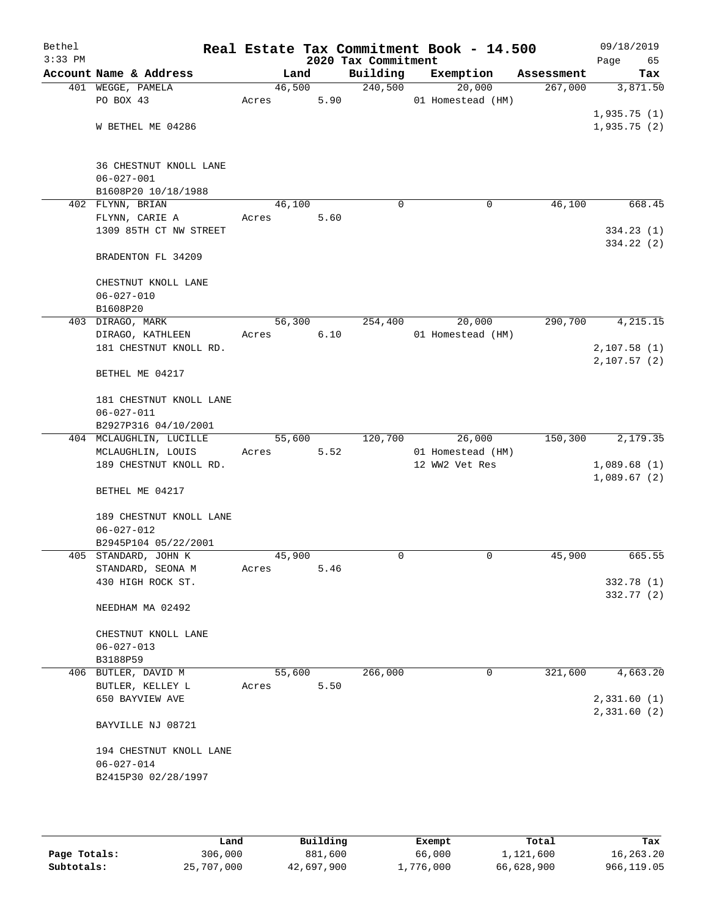| Bethel<br>$3:33$ PM |                                        |        |        | Real Estate Tax Commitment Book - 14.500<br>2020 Tax Commitment |                   |             |            | 09/18/2019<br>Page<br>65 |
|---------------------|----------------------------------------|--------|--------|-----------------------------------------------------------------|-------------------|-------------|------------|--------------------------|
|                     | Account Name & Address                 |        | Land   | Building                                                        | Exemption         |             | Assessment | Tax                      |
|                     | 401 WEGGE, PAMELA                      |        | 46,500 | 240,500                                                         |                   | 20,000      | 267,000    | 3,871.50                 |
|                     | PO BOX 43                              | Acres  | 5.90   |                                                                 | 01 Homestead (HM) |             |            |                          |
|                     |                                        |        |        |                                                                 |                   |             |            | 1,935.75(1)              |
|                     | W BETHEL ME 04286                      |        |        |                                                                 |                   |             |            | 1,935.75(2)              |
|                     |                                        |        |        |                                                                 |                   |             |            |                          |
|                     |                                        |        |        |                                                                 |                   |             |            |                          |
|                     | 36 CHESTNUT KNOLL LANE                 |        |        |                                                                 |                   |             |            |                          |
|                     | $06 - 027 - 001$                       |        |        |                                                                 |                   |             |            |                          |
|                     | B1608P20 10/18/1988                    |        |        |                                                                 |                   |             |            |                          |
|                     | 402 FLYNN, BRIAN                       | 46,100 |        | $\Omega$                                                        |                   | 0           | 46,100     | 668.45                   |
|                     | FLYNN, CARIE A                         | Acres  | 5.60   |                                                                 |                   |             |            |                          |
|                     | 1309 85TH CT NW STREET                 |        |        |                                                                 |                   |             |            | 334.23(1)                |
|                     | BRADENTON FL 34209                     |        |        |                                                                 |                   |             |            | 334.22 (2)               |
|                     |                                        |        |        |                                                                 |                   |             |            |                          |
|                     | CHESTNUT KNOLL LANE                    |        |        |                                                                 |                   |             |            |                          |
|                     | $06 - 027 - 010$                       |        |        |                                                                 |                   |             |            |                          |
|                     | B1608P20                               |        |        |                                                                 |                   |             |            |                          |
|                     | 403 DIRAGO, MARK                       |        | 56,300 | 254,400                                                         |                   | 20,000      | 290,700    | 4, 215.15                |
|                     | DIRAGO, KATHLEEN                       | Acres  | 6.10   |                                                                 | 01 Homestead (HM) |             |            |                          |
|                     | 181 CHESTNUT KNOLL RD.                 |        |        |                                                                 |                   |             |            | 2,107.58(1)              |
|                     |                                        |        |        |                                                                 |                   |             |            | 2,107.57(2)              |
|                     | BETHEL ME 04217                        |        |        |                                                                 |                   |             |            |                          |
|                     |                                        |        |        |                                                                 |                   |             |            |                          |
|                     | 181 CHESTNUT KNOLL LANE                |        |        |                                                                 |                   |             |            |                          |
|                     | $06 - 027 - 011$                       |        |        |                                                                 |                   |             |            |                          |
|                     | B2927P316 04/10/2001                   |        |        |                                                                 |                   |             |            |                          |
|                     | 404 MCLAUGHLIN, LUCILLE                |        | 55,600 | 120,700                                                         |                   | 26,000      | 150,300    | 2,179.35                 |
|                     | MCLAUGHLIN, LOUIS                      | Acres  | 5.52   |                                                                 | 01 Homestead (HM) |             |            |                          |
|                     | 189 CHESTNUT KNOLL RD.                 |        |        |                                                                 | 12 WW2 Vet Res    |             |            | 1,089.68(1)              |
|                     |                                        |        |        |                                                                 |                   |             |            | 1,089.67(2)              |
|                     | BETHEL ME 04217                        |        |        |                                                                 |                   |             |            |                          |
|                     |                                        |        |        |                                                                 |                   |             |            |                          |
|                     | 189 CHESTNUT KNOLL LANE                |        |        |                                                                 |                   |             |            |                          |
|                     | $06 - 027 - 012$                       |        |        |                                                                 |                   |             |            |                          |
|                     | B2945P104 05/22/2001                   | 45,900 |        | 0                                                               |                   | $\mathbf 0$ | 45,900     | 665.55                   |
|                     | 405 STANDARD, JOHN K                   |        |        |                                                                 |                   |             |            |                          |
|                     | STANDARD, SEONA M<br>430 HIGH ROCK ST. | Acres  | 5.46   |                                                                 |                   |             |            | 332.78 (1)               |
|                     |                                        |        |        |                                                                 |                   |             |            | 332.77 (2)               |
|                     | NEEDHAM MA 02492                       |        |        |                                                                 |                   |             |            |                          |
|                     |                                        |        |        |                                                                 |                   |             |            |                          |
|                     | CHESTNUT KNOLL LANE                    |        |        |                                                                 |                   |             |            |                          |
|                     | $06 - 027 - 013$                       |        |        |                                                                 |                   |             |            |                          |
|                     | B3188P59                               |        |        |                                                                 |                   |             |            |                          |
|                     | 406 BUTLER, DAVID M                    | 55,600 |        | 266,000                                                         |                   | $\mathbf 0$ | 321,600    | 4,663.20                 |
|                     | BUTLER, KELLEY L                       | Acres  | 5.50   |                                                                 |                   |             |            |                          |
|                     | 650 BAYVIEW AVE                        |        |        |                                                                 |                   |             |            | 2,331.60(1)              |
|                     |                                        |        |        |                                                                 |                   |             |            | 2,331.60 (2)             |
|                     | BAYVILLE NJ 08721                      |        |        |                                                                 |                   |             |            |                          |
|                     |                                        |        |        |                                                                 |                   |             |            |                          |
|                     | 194 CHESTNUT KNOLL LANE                |        |        |                                                                 |                   |             |            |                          |
|                     | $06 - 027 - 014$                       |        |        |                                                                 |                   |             |            |                          |
|                     | B2415P30 02/28/1997                    |        |        |                                                                 |                   |             |            |                          |
|                     |                                        |        |        |                                                                 |                   |             |            |                          |
|                     |                                        |        |        |                                                                 |                   |             |            |                          |

|              | Land       | Building   | Exempt    | Total      | Tax         |
|--------------|------------|------------|-----------|------------|-------------|
| Page Totals: | 306,000    | 881,600    | 66,000    | 1,121,600  | 16,263.20   |
| Subtotals:   | 25,707,000 | 42,697,900 | 1,776,000 | 66,628,900 | 966, 119.05 |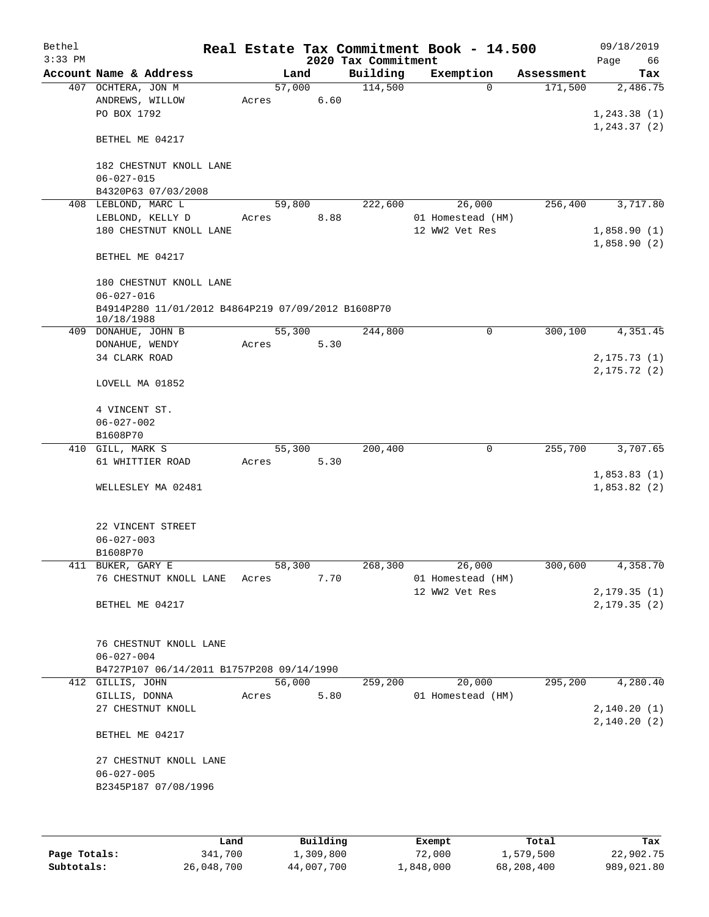| Bethel<br>$3:33$ PM |                                                                  |        |      | 2020 Tax Commitment | Real Estate Tax Commitment Book - 14.500 |            | 09/18/2019<br>Page<br>66     |
|---------------------|------------------------------------------------------------------|--------|------|---------------------|------------------------------------------|------------|------------------------------|
|                     | Account Name & Address                                           | Land   |      | Building            | Exemption                                | Assessment | Tax                          |
|                     | 407 OCHTERA, JON M                                               | 57,000 |      | 114,500             | $\Omega$                                 | 171,500    | 2,486.75                     |
|                     | ANDREWS, WILLOW                                                  | Acres  | 6.60 |                     |                                          |            |                              |
|                     | PO BOX 1792                                                      |        |      |                     |                                          |            | 1,243.38(1)                  |
|                     | BETHEL ME 04217                                                  |        |      |                     |                                          |            | 1, 243.37(2)                 |
|                     | 182 CHESTNUT KNOLL LANE<br>$06 - 027 - 015$                      |        |      |                     |                                          |            |                              |
|                     | B4320P63 07/03/2008                                              |        |      |                     |                                          |            |                              |
|                     | 408 LEBLOND, MARC L                                              | 59,800 |      | 222,600             | 26,000                                   | 256,400    | 3,717.80                     |
|                     | LEBLOND, KELLY D<br>180 CHESTNUT KNOLL LANE                      | Acres  | 8.88 |                     | 01 Homestead (HM)<br>12 WW2 Vet Res      |            | 1,858.90(1)                  |
|                     |                                                                  |        |      |                     |                                          |            | 1,858.90(2)                  |
|                     | BETHEL ME 04217                                                  |        |      |                     |                                          |            |                              |
|                     | 180 CHESTNUT KNOLL LANE<br>$06 - 027 - 016$                      |        |      |                     |                                          |            |                              |
|                     | B4914P280 11/01/2012 B4864P219 07/09/2012 B1608P70<br>10/18/1988 |        |      |                     |                                          |            |                              |
|                     | 409 DONAHUE, JOHN B                                              | 55,300 |      | 244,800             | 0                                        | 300, 100   | 4,351.45                     |
|                     | DONAHUE, WENDY                                                   | Acres  | 5.30 |                     |                                          |            |                              |
|                     | 34 CLARK ROAD                                                    |        |      |                     |                                          |            | 2, 175.73(1)<br>2, 175.72(2) |
|                     | LOVELL MA 01852                                                  |        |      |                     |                                          |            |                              |
|                     | 4 VINCENT ST.<br>$06 - 027 - 002$                                |        |      |                     |                                          |            |                              |
|                     | B1608P70                                                         |        |      |                     |                                          |            |                              |
|                     | 410 GILL, MARK S                                                 | 55,300 |      | 200,400             | $\mathbf 0$                              | 255,700    | 3,707.65                     |
|                     | 61 WHITTIER ROAD                                                 | Acres  | 5.30 |                     |                                          |            |                              |
|                     | WELLESLEY MA 02481                                               |        |      |                     |                                          |            | 1,853.83(1)<br>1,853.82(2)   |
|                     | 22 VINCENT STREET<br>$06 - 027 - 003$                            |        |      |                     |                                          |            |                              |
|                     | B1608P70                                                         |        |      |                     |                                          |            |                              |
|                     | 411 BUKER, GARY E                                                | 58,300 |      | 268,300             | 26,000                                   | 300,600    | 4,358.70                     |
|                     | 76 CHESTNUT KNOLL LANE                                           | Acres  | 7.70 |                     | 01 Homestead (HM)                        |            |                              |
|                     |                                                                  |        |      |                     | 12 WW2 Vet Res                           |            | 2,179.35(1)                  |
|                     | BETHEL ME 04217                                                  |        |      |                     |                                          |            | 2, 179.35(2)                 |
|                     | 76 CHESTNUT KNOLL LANE                                           |        |      |                     |                                          |            |                              |
|                     | $06 - 027 - 004$                                                 |        |      |                     |                                          |            |                              |
|                     | B4727P107 06/14/2011 B1757P208 09/14/1990<br>412 GILLIS, JOHN    | 56,000 |      | 259,200             | 20,000                                   | 295,200    | 4,280.40                     |
|                     | GILLIS, DONNA                                                    | Acres  | 5.80 |                     | 01 Homestead (HM)                        |            |                              |
|                     | 27 CHESTNUT KNOLL                                                |        |      |                     |                                          |            | 2,140.20(1)                  |
|                     | BETHEL ME 04217                                                  |        |      |                     |                                          |            | 2,140.20(2)                  |
|                     |                                                                  |        |      |                     |                                          |            |                              |
|                     | 27 CHESTNUT KNOLL LANE<br>$06 - 027 - 005$                       |        |      |                     |                                          |            |                              |
|                     | B2345P187 07/08/1996                                             |        |      |                     |                                          |            |                              |
|                     |                                                                  |        |      |                     |                                          |            |                              |
|                     |                                                                  |        |      |                     |                                          |            |                              |

|              | Land       | Building   | Exempt    | Total      | Tax        |
|--------------|------------|------------|-----------|------------|------------|
| Page Totals: | 341,700    | ⊥,309,800  | 72,000    | 1,579,500  | 22,902.75  |
| Subtotals:   | 26,048,700 | 44,007,700 | 1,848,000 | 68,208,400 | 989,021.80 |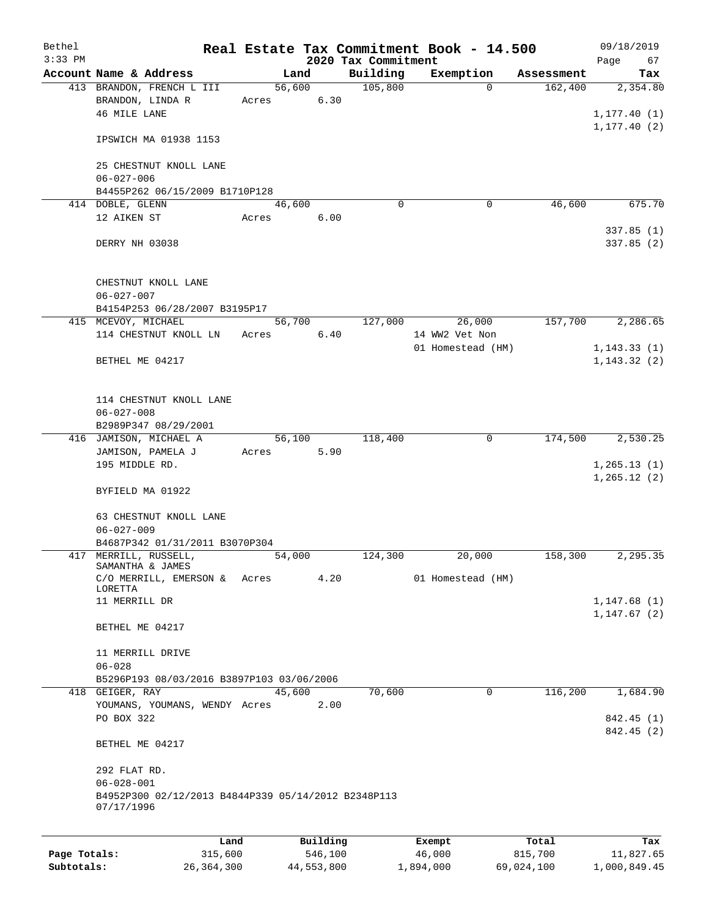| Bethel       |                                                                   |       |          |                                 | Real Estate Tax Commitment Book - 14.500 |            | 09/18/2019        |
|--------------|-------------------------------------------------------------------|-------|----------|---------------------------------|------------------------------------------|------------|-------------------|
| $3:33$ PM    | Account Name & Address                                            |       | Land     | 2020 Tax Commitment<br>Building | Exemption                                | Assessment | Page<br>67<br>Tax |
|              | 413 BRANDON, FRENCH L III                                         |       | 56,600   | 105,800                         | $\Omega$                                 | 162,400    | 2,354.80          |
|              | BRANDON, LINDA R                                                  | Acres | 6.30     |                                 |                                          |            |                   |
|              | 46 MILE LANE                                                      |       |          |                                 |                                          |            | 1, 177.40(1)      |
|              |                                                                   |       |          |                                 |                                          |            | 1, 177.40(2)      |
|              | IPSWICH MA 01938 1153                                             |       |          |                                 |                                          |            |                   |
|              | 25 CHESTNUT KNOLL LANE                                            |       |          |                                 |                                          |            |                   |
|              | $06 - 027 - 006$                                                  |       |          |                                 |                                          |            |                   |
|              | B4455P262 06/15/2009 B1710P128                                    |       |          |                                 |                                          |            |                   |
|              | 414 DOBLE, GLENN                                                  |       | 46,600   | $\Omega$                        | $\mathbf 0$                              | 46,600     | 675.70            |
|              | 12 AIKEN ST                                                       | Acres | 6.00     |                                 |                                          |            |                   |
|              |                                                                   |       |          |                                 |                                          |            | 337.85(1)         |
|              | DERRY NH 03038                                                    |       |          |                                 |                                          |            | 337.85(2)         |
|              | CHESTNUT KNOLL LANE<br>$06 - 027 - 007$                           |       |          |                                 |                                          |            |                   |
|              | B4154P253 06/28/2007 B3195P17                                     |       |          |                                 |                                          |            |                   |
|              | 415 MCEVOY, MICHAEL                                               |       | 56,700   | 127,000                         | 26,000                                   | 157,700    | 2,286.65          |
|              | 114 CHESTNUT KNOLL LN                                             | Acres | 6.40     |                                 | 14 WW2 Vet Non                           |            |                   |
|              |                                                                   |       |          |                                 | 01 Homestead (HM)                        |            | 1, 143.33(1)      |
|              | BETHEL ME 04217                                                   |       |          |                                 |                                          |            | 1, 143.32(2)      |
|              |                                                                   |       |          |                                 |                                          |            |                   |
|              | 114 CHESTNUT KNOLL LANE                                           |       |          |                                 |                                          |            |                   |
|              | $06 - 027 - 008$                                                  |       |          |                                 |                                          |            |                   |
|              | B2989P347 08/29/2001                                              |       |          |                                 |                                          |            |                   |
|              | 416 JAMISON, MICHAEL A                                            |       | 56,100   | 118,400                         | 0                                        | 174,500    | 2,530.25          |
|              | JAMISON, PAMELA J                                                 | Acres | 5.90     |                                 |                                          |            |                   |
|              | 195 MIDDLE RD.                                                    |       |          |                                 |                                          |            | 1, 265.13(1)      |
|              |                                                                   |       |          |                                 |                                          |            | 1, 265.12(2)      |
|              | BYFIELD MA 01922                                                  |       |          |                                 |                                          |            |                   |
|              | 63 CHESTNUT KNOLL LANE                                            |       |          |                                 |                                          |            |                   |
|              | $06 - 027 - 009$                                                  |       |          |                                 |                                          |            |                   |
|              | B4687P342 01/31/2011 B3070P304                                    |       |          |                                 |                                          |            |                   |
|              | 417 MERRILL, RUSSELL,                                             |       | 54,000   | 124,300                         | 20,000                                   | 158,300    | 2,295.35          |
|              | SAMANTHA & JAMES                                                  |       |          |                                 |                                          |            |                   |
|              | C/O MERRILL, EMERSON &                                            | Acres | 4.20     |                                 | 01 Homestead (HM)                        |            |                   |
|              | LORETTA<br>11 MERRILL DR                                          |       |          |                                 |                                          |            | 1,147.68(1)       |
|              |                                                                   |       |          |                                 |                                          |            | 1, 147.67(2)      |
|              | BETHEL ME 04217                                                   |       |          |                                 |                                          |            |                   |
|              | 11 MERRILL DRIVE                                                  |       |          |                                 |                                          |            |                   |
|              | $06 - 028$                                                        |       |          |                                 |                                          |            |                   |
|              | B5296P193 08/03/2016 B3897P103 03/06/2006                         |       |          |                                 |                                          |            |                   |
|              | 418 GEIGER, RAY                                                   |       | 45,600   | 70,600                          | $\mathbf 0$                              | 116,200    | 1,684.90          |
|              | YOUMANS, YOUMANS, WENDY Acres                                     |       | 2.00     |                                 |                                          |            |                   |
|              | PO BOX 322                                                        |       |          |                                 |                                          |            | 842.45 (1)        |
|              |                                                                   |       |          |                                 |                                          |            | 842.45 (2)        |
|              | BETHEL ME 04217                                                   |       |          |                                 |                                          |            |                   |
|              | 292 FLAT RD.                                                      |       |          |                                 |                                          |            |                   |
|              | $06 - 028 - 001$                                                  |       |          |                                 |                                          |            |                   |
|              | B4952P300 02/12/2013 B4844P339 05/14/2012 B2348P113<br>07/17/1996 |       |          |                                 |                                          |            |                   |
|              |                                                                   |       |          |                                 |                                          |            |                   |
|              | Land                                                              |       | Building |                                 | Exempt                                   | Total      | Tax               |
| Page Totals: | 315,600                                                           |       | 546,100  |                                 | 46,000                                   | 815,700    | 11,827.65         |

**Subtotals:** 26,364,300 44,553,800 1,894,000 69,024,100 1,000,849.45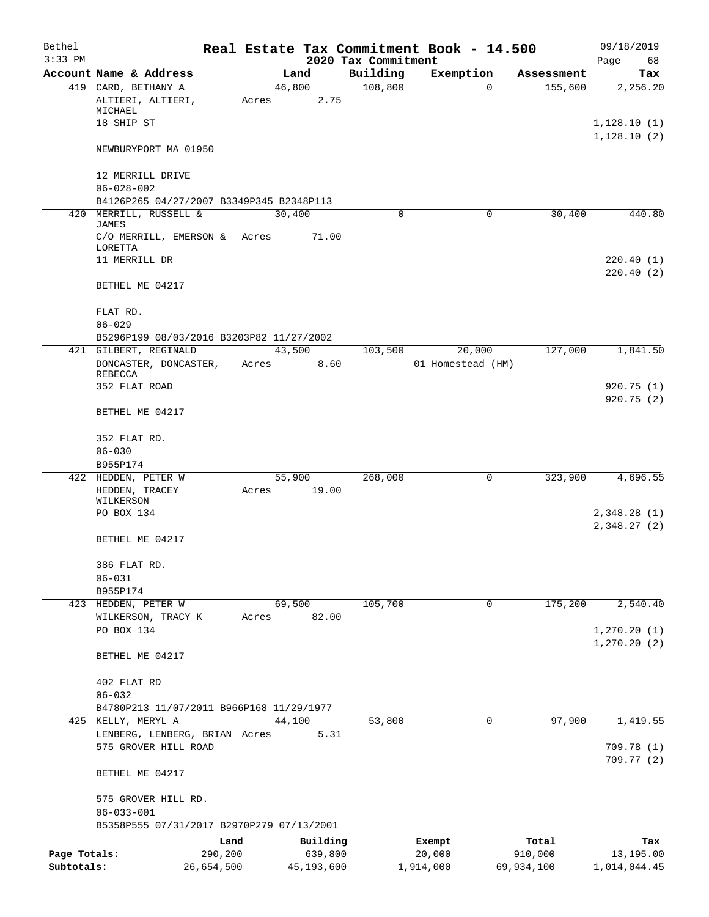| Bethel       |                                                               |            |        |            |                                 | Real Estate Tax Commitment Book - 14.500 |                       | 09/18/2019                 |
|--------------|---------------------------------------------------------------|------------|--------|------------|---------------------------------|------------------------------------------|-----------------------|----------------------------|
| $3:33$ PM    | Account Name & Address                                        |            |        | Land       | 2020 Tax Commitment<br>Building | Exemption                                | Assessment            | Page<br>68                 |
|              | 419 CARD, BETHANY A                                           |            |        | 46,800     | 108,800                         |                                          | 155,600<br>0          | Tax<br>2,256.20            |
|              | ALTIERI, ALTIERI,<br>MICHAEL                                  |            | Acres  | 2.75       |                                 |                                          |                       |                            |
|              | 18 SHIP ST                                                    |            |        |            |                                 |                                          |                       | 1,128.10(1)<br>1,128.10(2) |
|              | NEWBURYPORT MA 01950                                          |            |        |            |                                 |                                          |                       |                            |
|              | 12 MERRILL DRIVE<br>$06 - 028 - 002$                          |            |        |            |                                 |                                          |                       |                            |
|              | B4126P265 04/27/2007 B3349P345 B2348P113                      |            |        |            |                                 |                                          |                       |                            |
|              | 420 MERRILL, RUSSELL &                                        |            | 30,400 |            | 0                               |                                          | 30,400<br>0           | 440.80                     |
|              | <b>JAMES</b><br>C/O MERRILL, EMERSON &<br>LORETTA             |            | Acres  | 71.00      |                                 |                                          |                       |                            |
|              | 11 MERRILL DR                                                 |            |        |            |                                 |                                          |                       | 220.40(1)<br>220.40(2)     |
|              | BETHEL ME 04217                                               |            |        |            |                                 |                                          |                       |                            |
|              | FLAT RD.<br>$06 - 029$                                        |            |        |            |                                 |                                          |                       |                            |
|              | B5296P199 08/03/2016 B3203P82 11/27/2002                      |            |        |            |                                 |                                          |                       |                            |
|              | 421 GILBERT, REGINALD                                         |            |        | 43,500     | 103,500                         | 20,000                                   | 127,000               | 1,841.50                   |
|              | DONCASTER, DONCASTER,<br>REBECCA                              |            | Acres  | 8.60       |                                 | 01 Homestead (HM)                        |                       |                            |
|              | 352 FLAT ROAD                                                 |            |        |            |                                 |                                          |                       | 920.75(1)<br>920.75 (2)    |
|              | BETHEL ME 04217                                               |            |        |            |                                 |                                          |                       |                            |
|              | 352 FLAT RD.                                                  |            |        |            |                                 |                                          |                       |                            |
|              | $06 - 030$<br>B955P174                                        |            |        |            |                                 |                                          |                       |                            |
|              | 422 HEDDEN, PETER W                                           |            |        | 55,900     | 268,000                         |                                          | 323,900<br>0          | 4,696.55                   |
|              | HEDDEN, TRACEY<br>WILKERSON                                   |            | Acres  | 19.00      |                                 |                                          |                       |                            |
|              | PO BOX 134                                                    |            |        |            |                                 |                                          |                       | 2,348.28(1)<br>2,348.27(2) |
|              | BETHEL ME 04217                                               |            |        |            |                                 |                                          |                       |                            |
|              | 386 FLAT RD.                                                  |            |        |            |                                 |                                          |                       |                            |
|              | $06 - 031$<br>B955P174                                        |            |        |            |                                 |                                          |                       |                            |
|              | 423 HEDDEN, PETER W                                           |            |        | 69,500     | 105,700                         |                                          | 175,200<br>0          | 2,540.40                   |
|              | WILKERSON, TRACY K<br>PO BOX 134                              |            | Acres  | 82.00      |                                 |                                          |                       | 1, 270.20(1)               |
|              | BETHEL ME 04217                                               |            |        |            |                                 |                                          |                       | 1, 270.20(2)               |
|              | 402 FLAT RD                                                   |            |        |            |                                 |                                          |                       |                            |
|              | $06 - 032$                                                    |            |        |            |                                 |                                          |                       |                            |
|              | B4780P213 11/07/2011 B966P168 11/29/1977                      |            |        |            |                                 |                                          |                       |                            |
|              | 425 KELLY, MERYL A                                            |            |        | 44,100     | 53,800                          |                                          | $\mathbf 0$<br>97,900 | 1,419.55                   |
|              | LENBERG, LENBERG, BRIAN Acres<br>575 GROVER HILL ROAD         |            |        | 5.31       |                                 |                                          |                       | 709.78 (1)                 |
|              | BETHEL ME 04217                                               |            |        |            |                                 |                                          |                       | 709.77(2)                  |
|              | 575 GROVER HILL RD.                                           |            |        |            |                                 |                                          |                       |                            |
|              | $06 - 033 - 001$<br>B5358P555 07/31/2017 B2970P279 07/13/2001 |            |        |            |                                 |                                          |                       |                            |
|              |                                                               | Land       |        | Building   |                                 | Exempt                                   | Total                 | Tax                        |
| Page Totals: |                                                               | 290,200    |        | 639,800    |                                 | 20,000                                   | 910,000               | 13,195.00                  |
| Subtotals:   |                                                               | 26,654,500 |        | 45,193,600 |                                 | 1,914,000                                | 69,934,100            | 1,014,044.45               |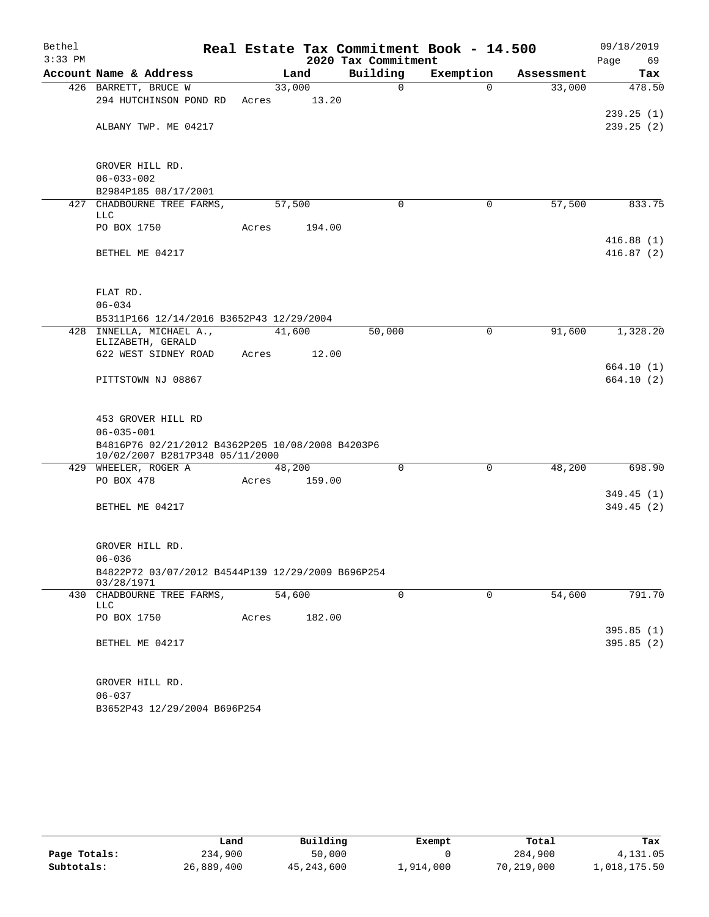| Bethel    |                                                                                     |       |        |                     | Real Estate Tax Commitment Book - 14.500 |            | 09/18/2019             |
|-----------|-------------------------------------------------------------------------------------|-------|--------|---------------------|------------------------------------------|------------|------------------------|
| $3:33$ PM |                                                                                     |       |        | 2020 Tax Commitment |                                          |            | Page<br>69             |
|           | Account Name & Address                                                              |       | Land   | Building            | Exemption                                | Assessment | Tax                    |
|           | 426 BARRETT, BRUCE W                                                                |       | 33,000 | $\mathsf{O}$        | $\Omega$                                 | 33,000     | 478.50                 |
|           | 294 HUTCHINSON POND RD                                                              | Acres | 13.20  |                     |                                          |            |                        |
|           | ALBANY TWP. ME 04217                                                                |       |        |                     |                                          |            | 239.25(1)<br>239.25(2) |
|           |                                                                                     |       |        |                     |                                          |            |                        |
|           |                                                                                     |       |        |                     |                                          |            |                        |
|           | GROVER HILL RD.                                                                     |       |        |                     |                                          |            |                        |
|           | $06 - 033 - 002$                                                                    |       |        |                     |                                          |            |                        |
|           | B2984P185 08/17/2001                                                                |       |        |                     |                                          |            |                        |
|           | 427 CHADBOURNE TREE FARMS,<br>LLC                                                   |       | 57,500 | $\Omega$            | 0                                        | 57,500     | 833.75                 |
|           | PO BOX 1750                                                                         | Acres | 194.00 |                     |                                          |            |                        |
|           |                                                                                     |       |        |                     |                                          |            | 416.88(1)              |
|           | BETHEL ME 04217                                                                     |       |        |                     |                                          |            | 416.87(2)              |
|           |                                                                                     |       |        |                     |                                          |            |                        |
|           |                                                                                     |       |        |                     |                                          |            |                        |
|           | FLAT RD.                                                                            |       |        |                     |                                          |            |                        |
|           | $06 - 034$                                                                          |       |        |                     |                                          |            |                        |
|           | B5311P166 12/14/2016 B3652P43 12/29/2004                                            |       |        |                     |                                          |            |                        |
|           | 428 INNELLA, MICHAEL A.,<br>ELIZABETH, GERALD                                       |       | 41,600 | 50,000              | $\mathbf 0$                              | 91,600     | 1,328.20               |
|           | 622 WEST SIDNEY ROAD                                                                | Acres | 12.00  |                     |                                          |            |                        |
|           |                                                                                     |       |        |                     |                                          |            | 664.10 (1)             |
|           | PITTSTOWN NJ 08867                                                                  |       |        |                     |                                          |            | 664.10(2)              |
|           |                                                                                     |       |        |                     |                                          |            |                        |
|           |                                                                                     |       |        |                     |                                          |            |                        |
|           | 453 GROVER HILL RD                                                                  |       |        |                     |                                          |            |                        |
|           | $06 - 035 - 001$                                                                    |       |        |                     |                                          |            |                        |
|           | B4816P76 02/21/2012 B4362P205 10/08/2008 B4203P6<br>10/02/2007 B2817P348 05/11/2000 |       |        |                     |                                          |            |                        |
|           | 429 WHEELER, ROGER A                                                                |       | 48,200 | $\Omega$            | 0                                        | 48,200     | 698.90                 |
|           | PO BOX 478                                                                          | Acres | 159.00 |                     |                                          |            |                        |
|           |                                                                                     |       |        |                     |                                          |            | 349.45(1)              |
|           | BETHEL ME 04217                                                                     |       |        |                     |                                          |            | 349.45(2)              |
|           |                                                                                     |       |        |                     |                                          |            |                        |
|           | GROVER HILL RD.                                                                     |       |        |                     |                                          |            |                        |
|           | $06 - 036$                                                                          |       |        |                     |                                          |            |                        |
|           | B4822P72 03/07/2012 B4544P139 12/29/2009 B696P254                                   |       |        |                     |                                          |            |                        |
|           | 03/28/1971                                                                          |       |        |                     |                                          |            |                        |
|           | 430 CHADBOURNE TREE FARMS,                                                          |       | 54,600 | $\mathbf 0$         | $\mathbf 0$                              | 54,600     | 791.70                 |
|           | LLC                                                                                 |       |        |                     |                                          |            |                        |
|           | PO BOX 1750                                                                         | Acres | 182.00 |                     |                                          |            | 395.85(1)              |
|           | BETHEL ME 04217                                                                     |       |        |                     |                                          |            | 395.85(2)              |
|           |                                                                                     |       |        |                     |                                          |            |                        |
|           |                                                                                     |       |        |                     |                                          |            |                        |
|           | GROVER HILL RD.                                                                     |       |        |                     |                                          |            |                        |
|           | $06 - 037$                                                                          |       |        |                     |                                          |            |                        |
|           | B3652P43 12/29/2004 B696P254                                                        |       |        |                     |                                          |            |                        |

|              | Land       | Building     | Exempt    | Total      | Tax          |
|--------------|------------|--------------|-----------|------------|--------------|
| Page Totals: | 234,900    | 50,000       |           | 284,900    | 4,131.05     |
| Subtotals:   | 26,889,400 | 45, 243, 600 | 1,914,000 | 70,219,000 | 1,018,175.50 |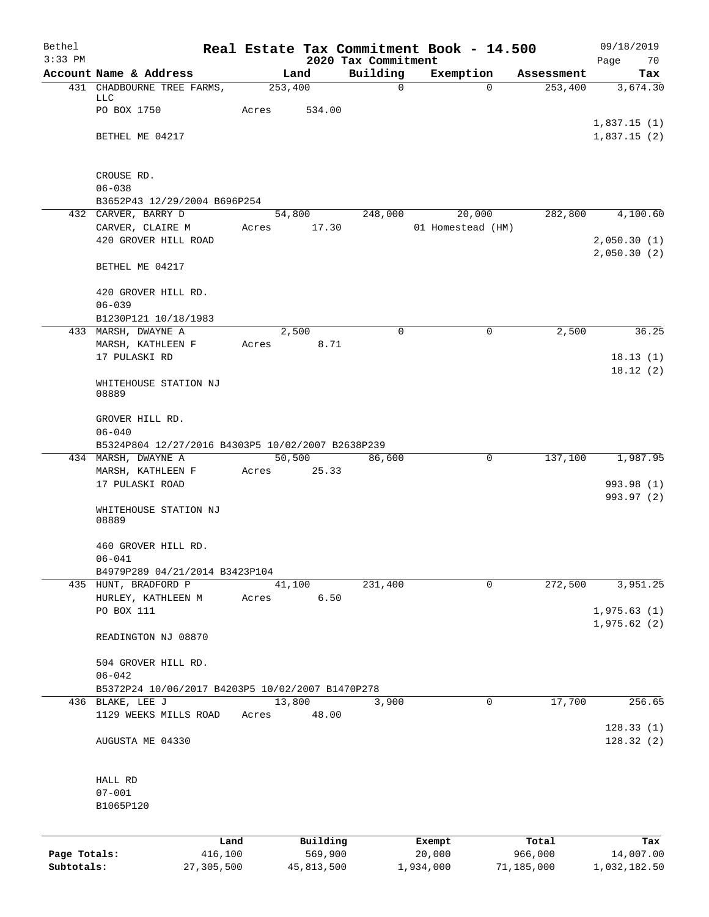| Bethel<br>$3:33$ PM |                                                        |         |          | 2020 Tax Commitment | Real Estate Tax Commitment Book - 14.500 |            | 09/18/2019<br>Page<br>70   |  |  |  |
|---------------------|--------------------------------------------------------|---------|----------|---------------------|------------------------------------------|------------|----------------------------|--|--|--|
|                     | Account Name & Address                                 |         | Land     | Building            | Exemption                                | Assessment | Tax                        |  |  |  |
|                     | 431 CHADBOURNE TREE FARMS,                             | 253,400 |          | 0                   | $\Omega$                                 | 253,400    | 3,674.30                   |  |  |  |
|                     | LLC<br>PO BOX 1750                                     | Acres   | 534.00   |                     |                                          |            |                            |  |  |  |
|                     |                                                        |         |          |                     |                                          |            | 1,837.15(1)                |  |  |  |
|                     | BETHEL ME 04217                                        |         |          |                     |                                          |            | 1,837.15(2)                |  |  |  |
|                     | CROUSE RD.                                             |         |          |                     |                                          |            |                            |  |  |  |
|                     | $06 - 038$                                             |         |          |                     |                                          |            |                            |  |  |  |
|                     | B3652P43 12/29/2004 B696P254<br>432 CARVER, BARRY D    |         | 54,800   | 248,000             | 20,000                                   | 282,800    | 4,100.60                   |  |  |  |
|                     | CARVER, CLAIRE M                                       | Acres   | 17.30    |                     | 01 Homestead (HM)                        |            |                            |  |  |  |
|                     | 420 GROVER HILL ROAD                                   |         |          |                     |                                          |            | 2,050.30(1)<br>2,050.30(2) |  |  |  |
|                     | BETHEL ME 04217                                        |         |          |                     |                                          |            |                            |  |  |  |
|                     | 420 GROVER HILL RD.<br>$06 - 039$                      |         |          |                     |                                          |            |                            |  |  |  |
|                     | B1230P121 10/18/1983                                   |         |          |                     |                                          |            |                            |  |  |  |
|                     | 433 MARSH, DWAYNE A                                    |         | 2,500    | $\mathbf 0$         | 0                                        | 2,500      | 36.25                      |  |  |  |
|                     | MARSH, KATHLEEN F                                      | Acres   | 8.71     |                     |                                          |            |                            |  |  |  |
|                     | 17 PULASKI RD                                          |         |          |                     |                                          |            | 18.13(1)                   |  |  |  |
|                     | WHITEHOUSE STATION NJ<br>08889                         |         |          |                     |                                          |            | 18.12(2)                   |  |  |  |
|                     | GROVER HILL RD.<br>$06 - 040$                          |         |          |                     |                                          |            |                            |  |  |  |
|                     | B5324P804 12/27/2016 B4303P5 10/02/2007 B2638P239      |         |          |                     |                                          |            |                            |  |  |  |
|                     | 434 MARSH, DWAYNE A                                    |         | 50,500   | 86,600              | 0                                        | 137,100    | 1,987.95                   |  |  |  |
|                     | MARSH, KATHLEEN F<br>17 PULASKI ROAD                   | Acres   | 25.33    |                     |                                          |            | 993.98 (1)                 |  |  |  |
|                     |                                                        |         |          |                     |                                          |            | 993.97 (2)                 |  |  |  |
|                     | WHITEHOUSE STATION NJ<br>08889                         |         |          |                     |                                          |            |                            |  |  |  |
|                     | 460 GROVER HILL RD.                                    |         |          |                     |                                          |            |                            |  |  |  |
|                     | $06 - 041$                                             |         |          |                     |                                          |            |                            |  |  |  |
|                     | B4979P289 04/21/2014 B3423P104<br>435 HUNT, BRADFORD P |         | 41,100   | 231,400             | 0                                        | 272,500    | 3,951.25                   |  |  |  |
|                     | HURLEY, KATHLEEN M                                     | Acres   | 6.50     |                     |                                          |            |                            |  |  |  |
|                     | PO BOX 111                                             |         |          |                     |                                          |            | 1,975.63(1)                |  |  |  |
|                     | READINGTON NJ 08870                                    |         |          |                     |                                          |            | 1,975.62(2)                |  |  |  |
|                     |                                                        |         |          |                     |                                          |            |                            |  |  |  |
|                     | 504 GROVER HILL RD.<br>$06 - 042$                      |         |          |                     |                                          |            |                            |  |  |  |
|                     | B5372P24 10/06/2017 B4203P5 10/02/2007 B1470P278       |         |          |                     |                                          |            |                            |  |  |  |
|                     | 436 BLAKE, LEE J                                       | 13,800  |          | 3,900               | 0                                        | 17,700     | 256.65                     |  |  |  |
|                     | 1129 WEEKS MILLS ROAD                                  | Acres   | 48.00    |                     |                                          |            | 128.33(1)                  |  |  |  |
|                     | AUGUSTA ME 04330                                       |         |          |                     |                                          |            | 128.32(2)                  |  |  |  |
|                     | HALL RD                                                |         |          |                     |                                          |            |                            |  |  |  |
|                     | $07 - 001$                                             |         |          |                     |                                          |            |                            |  |  |  |
|                     | B1065P120                                              |         |          |                     |                                          |            |                            |  |  |  |
|                     |                                                        | Land    | Building |                     | Exempt                                   | Total      | Tax                        |  |  |  |
| Page Totals:        | 416,100                                                |         | 569,900  |                     | 20,000                                   | 966,000    | 14,007.00                  |  |  |  |

**Subtotals:** 27,305,500 45,813,500 1,934,000 71,185,000 1,032,182.50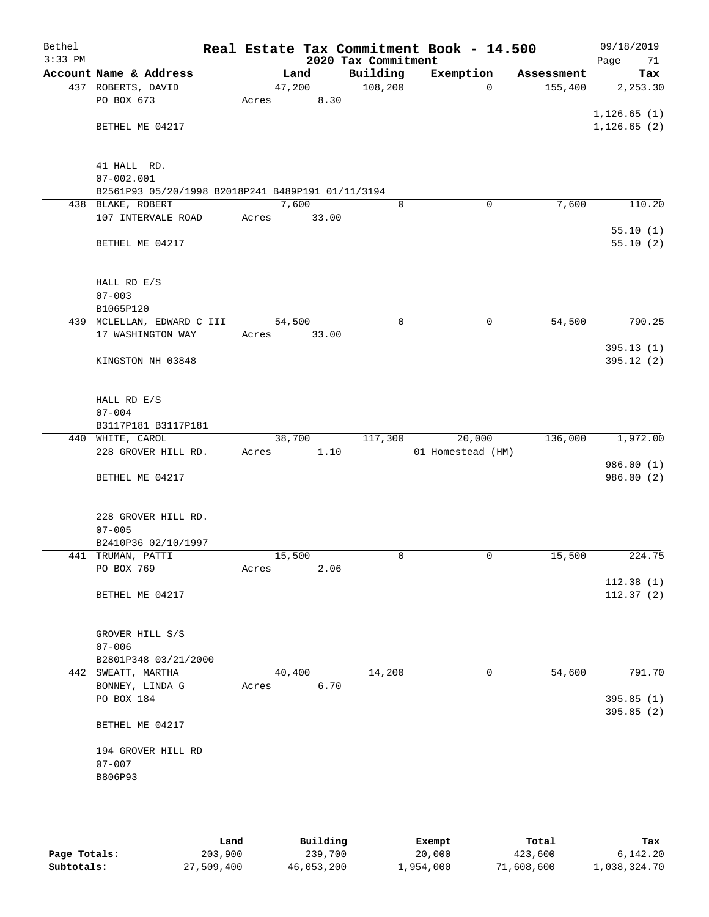| Bethel<br>$3:33$ PM |                                                                     |       |        | 2020 Tax Commitment | Real Estate Tax Commitment Book - 14.500 |            | 09/18/2019<br>Page<br>71 |
|---------------------|---------------------------------------------------------------------|-------|--------|---------------------|------------------------------------------|------------|--------------------------|
|                     | Account Name & Address                                              |       | Land   | Building            | Exemption                                | Assessment | Tax                      |
|                     | 437 ROBERTS, DAVID                                                  |       | 47,200 | 108,200             | $\Omega$                                 | 155,400    | 2, 253.30                |
|                     | PO BOX 673                                                          | Acres | 8.30   |                     |                                          |            |                          |
|                     |                                                                     |       |        |                     |                                          |            | 1, 126.65(1)             |
|                     | BETHEL ME 04217                                                     |       |        |                     |                                          |            | 1, 126.65(2)             |
|                     |                                                                     |       |        |                     |                                          |            |                          |
|                     |                                                                     |       |        |                     |                                          |            |                          |
|                     | 41 HALL RD.                                                         |       |        |                     |                                          |            |                          |
|                     | $07 - 002.001$<br>B2561P93 05/20/1998 B2018P241 B489P191 01/11/3194 |       |        |                     |                                          |            |                          |
|                     | 438 BLAKE, ROBERT                                                   |       | 7,600  | $\Omega$            | 0                                        | 7,600      | 110.20                   |
|                     | 107 INTERVALE ROAD                                                  | Acres | 33.00  |                     |                                          |            |                          |
|                     |                                                                     |       |        |                     |                                          |            | 55.10(1)                 |
|                     | BETHEL ME 04217                                                     |       |        |                     |                                          |            | 55.10(2)                 |
|                     |                                                                     |       |        |                     |                                          |            |                          |
|                     |                                                                     |       |        |                     |                                          |            |                          |
|                     | HALL RD E/S                                                         |       |        |                     |                                          |            |                          |
|                     | $07 - 003$                                                          |       |        |                     |                                          |            |                          |
|                     | B1065P120                                                           |       |        |                     |                                          |            |                          |
|                     | 439 MCLELLAN, EDWARD C III                                          |       | 54,500 | 0                   | 0                                        | 54,500     | 790.25                   |
|                     | 17 WASHINGTON WAY                                                   | Acres | 33.00  |                     |                                          |            |                          |
|                     |                                                                     |       |        |                     |                                          |            | 395.13(1)                |
|                     | KINGSTON NH 03848                                                   |       |        |                     |                                          |            | 395.12 (2)               |
|                     |                                                                     |       |        |                     |                                          |            |                          |
|                     | HALL RD E/S                                                         |       |        |                     |                                          |            |                          |
|                     | $07 - 004$                                                          |       |        |                     |                                          |            |                          |
|                     | B3117P181 B3117P181                                                 |       |        |                     |                                          |            |                          |
|                     | 440 WHITE, CAROL                                                    |       | 38,700 | 117,300             | 20,000                                   | 136,000    | 1,972.00                 |
|                     | 228 GROVER HILL RD.                                                 | Acres | 1.10   |                     | 01 Homestead (HM)                        |            |                          |
|                     |                                                                     |       |        |                     |                                          |            | 986.00 (1)               |
|                     | BETHEL ME 04217                                                     |       |        |                     |                                          |            | 986.00 (2)               |
|                     |                                                                     |       |        |                     |                                          |            |                          |
|                     |                                                                     |       |        |                     |                                          |            |                          |
|                     | 228 GROVER HILL RD.                                                 |       |        |                     |                                          |            |                          |
|                     | $07 - 005$                                                          |       |        |                     |                                          |            |                          |
|                     | B2410P36 02/10/1997<br>441 TRUMAN, PATTI                            |       | 15,500 | 0                   | 0                                        | 15,500     | 224.75                   |
|                     | PO BOX 769                                                          | Acres | 2.06   |                     |                                          |            |                          |
|                     |                                                                     |       |        |                     |                                          |            | 112.38(1)                |
|                     | BETHEL ME 04217                                                     |       |        |                     |                                          |            | 112.37(2)                |
|                     |                                                                     |       |        |                     |                                          |            |                          |
|                     |                                                                     |       |        |                     |                                          |            |                          |
|                     | GROVER HILL S/S                                                     |       |        |                     |                                          |            |                          |
|                     | $07 - 006$                                                          |       |        |                     |                                          |            |                          |
|                     | B2801P348 03/21/2000                                                |       |        |                     |                                          |            |                          |
|                     | 442 SWEATT, MARTHA                                                  |       | 40,400 | 14,200              | 0                                        | 54,600     | 791.70                   |
|                     | BONNEY, LINDA G                                                     | Acres | 6.70   |                     |                                          |            |                          |
|                     | PO BOX 184                                                          |       |        |                     |                                          |            | 395.85(1)                |
|                     |                                                                     |       |        |                     |                                          |            | 395.85(2)                |
|                     | BETHEL ME 04217                                                     |       |        |                     |                                          |            |                          |
|                     | 194 GROVER HILL RD                                                  |       |        |                     |                                          |            |                          |
|                     | $07 - 007$                                                          |       |        |                     |                                          |            |                          |
|                     | B806P93                                                             |       |        |                     |                                          |            |                          |
|                     |                                                                     |       |        |                     |                                          |            |                          |
|                     |                                                                     |       |        |                     |                                          |            |                          |
|                     |                                                                     |       |        |                     |                                          |            |                          |

|              | Land       | Building   | Exempt    | Total      | Tax          |
|--------------|------------|------------|-----------|------------|--------------|
| Page Totals: | 203,900    | 239,700    | 20,000    | 423,600    | 6,142.20     |
| Subtotals:   | 27,509,400 | 46,053,200 | 1,954,000 | 71,608,600 | 1,038,324.70 |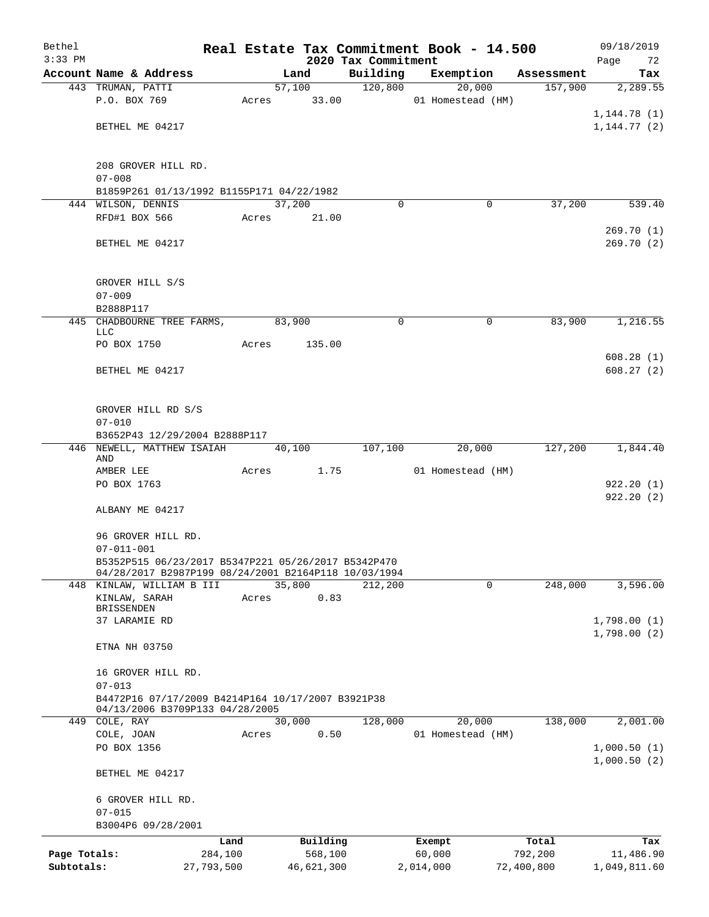| Bethel       |                                                                                   |                 |       |                |                     |                     | Real Estate Tax Commitment Book - 14.500 |             |                       | 09/18/2019             |
|--------------|-----------------------------------------------------------------------------------|-----------------|-------|----------------|---------------------|---------------------|------------------------------------------|-------------|-----------------------|------------------------|
| $3:33$ PM    | Account Name & Address                                                            |                 |       |                |                     | 2020 Tax Commitment |                                          |             |                       | Page<br>72             |
|              | 443 TRUMAN, PATTI                                                                 |                 |       | Land<br>57,100 |                     | Building<br>120,800 | Exemption                                | 20,000      | Assessment<br>157,900 | Tax<br>2,289.55        |
|              | P.O. BOX 769                                                                      |                 | Acres |                | 33.00               |                     | 01 Homestead (HM)                        |             |                       |                        |
|              |                                                                                   |                 |       |                |                     |                     |                                          |             |                       | 1, 144.78(1)           |
|              | BETHEL ME 04217                                                                   |                 |       |                |                     |                     |                                          |             |                       | 1, 144.77(2)           |
|              |                                                                                   |                 |       |                |                     |                     |                                          |             |                       |                        |
|              | 208 GROVER HILL RD.                                                               |                 |       |                |                     |                     |                                          |             |                       |                        |
|              | $07 - 008$                                                                        |                 |       |                |                     |                     |                                          |             |                       |                        |
|              | B1859P261 01/13/1992 B1155P171 04/22/1982                                         |                 |       |                |                     |                     |                                          |             |                       |                        |
|              | 444 WILSON, DENNIS                                                                |                 |       | 37,200         |                     | $\Omega$            |                                          | 0           | 37,200                | 539.40                 |
|              | RFD#1 BOX 566                                                                     |                 | Acres |                | 21.00               |                     |                                          |             |                       |                        |
|              | BETHEL ME 04217                                                                   |                 |       |                |                     |                     |                                          |             |                       | 269.70(1)<br>269.70(2) |
|              | GROVER HILL S/S                                                                   |                 |       |                |                     |                     |                                          |             |                       |                        |
|              | $07 - 009$                                                                        |                 |       |                |                     |                     |                                          |             |                       |                        |
|              | B2888P117                                                                         |                 |       |                |                     |                     |                                          |             |                       |                        |
|              | 445 CHADBOURNE TREE FARMS,<br>LLC.                                                |                 |       | 83,900         |                     | 0                   |                                          | $\mathbf 0$ | 83,900                | 1,216.55               |
|              | PO BOX 1750                                                                       |                 | Acres |                | 135.00              |                     |                                          |             |                       |                        |
|              |                                                                                   |                 |       |                |                     |                     |                                          |             |                       | 608.28(1)              |
|              | BETHEL ME 04217                                                                   |                 |       |                |                     |                     |                                          |             |                       | 608.27(2)              |
|              | GROVER HILL RD S/S<br>$07 - 010$                                                  |                 |       |                |                     |                     |                                          |             |                       |                        |
|              | B3652P43 12/29/2004 B2888P117                                                     |                 |       |                |                     |                     |                                          |             |                       |                        |
| 446          | NEWELL, MATTHEW ISAIAH                                                            |                 |       | 40,100         |                     | 107,100             |                                          | 20,000      | 127,200               | 1,844.40               |
|              | AND                                                                               |                 |       |                |                     |                     |                                          |             |                       |                        |
|              | AMBER LEE                                                                         |                 | Acres |                | 1.75                |                     | 01 Homestead (HM)                        |             |                       |                        |
|              | PO BOX 1763                                                                       |                 |       |                |                     |                     |                                          |             |                       | 922.20(1)<br>922.20(2) |
|              | ALBANY ME 04217                                                                   |                 |       |                |                     |                     |                                          |             |                       |                        |
|              | 96 GROVER HILL RD.                                                                |                 |       |                |                     |                     |                                          |             |                       |                        |
|              | $07 - 011 - 001$                                                                  |                 |       |                |                     |                     |                                          |             |                       |                        |
|              | B5352P515 06/23/2017 B5347P221 05/26/2017 B5342P470                               |                 |       |                |                     |                     |                                          |             |                       |                        |
|              | 04/28/2017 B2987P199 08/24/2001 B2164P118 10/03/1994<br>448 KINLAW, WILLIAM B III |                 |       | 35,800         |                     | 212,200             |                                          | 0           | 248,000               | 3,596.00               |
|              | KINLAW, SARAH<br>BRISSENDEN                                                       |                 | Acres |                | 0.83                |                     |                                          |             |                       |                        |
|              | 37 LARAMIE RD                                                                     |                 |       |                |                     |                     |                                          |             |                       | 1,798.00(1)            |
|              |                                                                                   |                 |       |                |                     |                     |                                          |             |                       | 1,798.00(2)            |
|              | ETNA NH 03750                                                                     |                 |       |                |                     |                     |                                          |             |                       |                        |
|              | 16 GROVER HILL RD.                                                                |                 |       |                |                     |                     |                                          |             |                       |                        |
|              | $07 - 013$                                                                        |                 |       |                |                     |                     |                                          |             |                       |                        |
|              | B4472P16 07/17/2009 B4214P164 10/17/2007 B3921P38                                 |                 |       |                |                     |                     |                                          |             |                       |                        |
|              | 04/13/2006 B3709P133 04/28/2005<br>449 COLE, RAY                                  |                 |       | 30,000         |                     | 128,000             |                                          | 20,000      | 138,000               | 2,001.00               |
|              | COLE, JOAN                                                                        |                 | Acres |                | 0.50                |                     | 01 Homestead (HM)                        |             |                       |                        |
|              | PO BOX 1356                                                                       |                 |       |                |                     |                     |                                          |             |                       | 1,000.50(1)            |
|              | BETHEL ME 04217                                                                   |                 |       |                |                     |                     |                                          |             |                       | 1,000.50(2)            |
|              |                                                                                   |                 |       |                |                     |                     |                                          |             |                       |                        |
|              | 6 GROVER HILL RD.                                                                 |                 |       |                |                     |                     |                                          |             |                       |                        |
|              | $07 - 015$<br>B3004P6 09/28/2001                                                  |                 |       |                |                     |                     |                                          |             |                       |                        |
|              |                                                                                   |                 |       |                |                     |                     |                                          |             |                       |                        |
| Page Totals: |                                                                                   | Land<br>284,100 |       |                | Building<br>568,100 |                     | Exempt<br>60,000                         |             | Total<br>792,200      | Tax<br>11,486.90       |
| Subtotals:   |                                                                                   | 27,793,500      |       |                | 46,621,300          |                     | 2,014,000                                |             | 72,400,800            | 1,049,811.60           |
|              |                                                                                   |                 |       |                |                     |                     |                                          |             |                       |                        |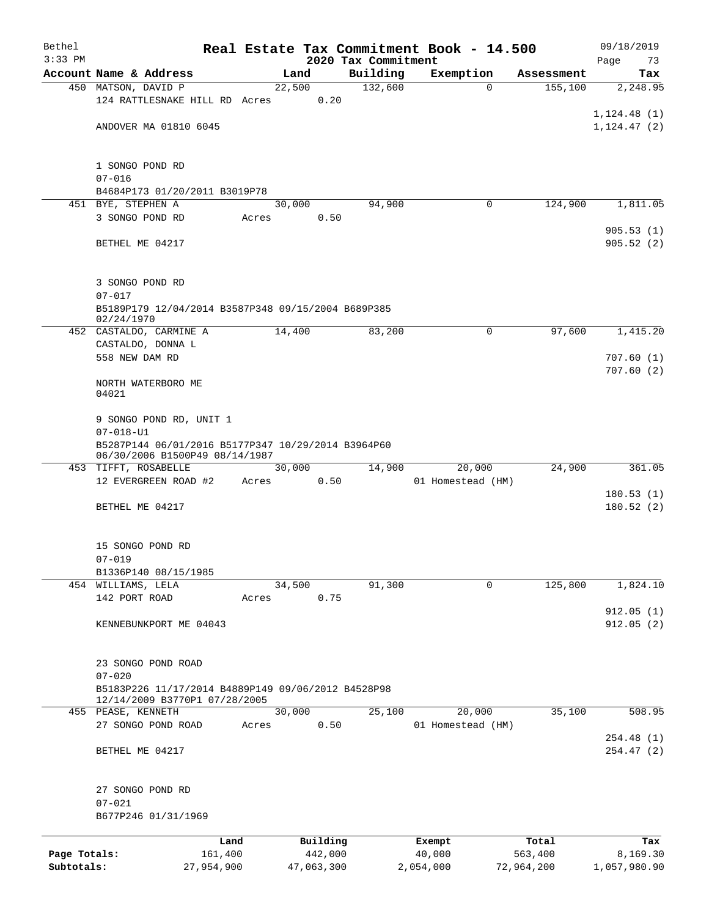| Bethel       |                                                                                      |                 |            |                                 | Real Estate Tax Commitment Book - 14.500 |                  | 09/18/2019             |
|--------------|--------------------------------------------------------------------------------------|-----------------|------------|---------------------------------|------------------------------------------|------------------|------------------------|
| $3:33$ PM    | Account Name & Address                                                               |                 | Land       | 2020 Tax Commitment<br>Building | Exemption                                | Assessment       | Page<br>73<br>Tax      |
|              | 450 MATSON, DAVID P                                                                  |                 | 22,500     | 132,600                         | $\Omega$                                 | 155,100          | 2,248.95               |
|              | 124 RATTLESNAKE HILL RD Acres                                                        |                 |            | 0.20                            |                                          |                  |                        |
|              |                                                                                      |                 |            |                                 |                                          |                  | 1, 124.48(1)           |
|              | ANDOVER MA 01810 6045                                                                |                 |            |                                 |                                          |                  | 1, 124.47(2)           |
|              |                                                                                      |                 |            |                                 |                                          |                  |                        |
|              | 1 SONGO POND RD<br>$07 - 016$                                                        |                 |            |                                 |                                          |                  |                        |
|              | B4684P173 01/20/2011 B3019P78                                                        |                 |            |                                 |                                          |                  |                        |
|              | 451 BYE, STEPHEN A                                                                   |                 | 30,000     | 94,900                          | 0                                        | 124,900          | 1,811.05               |
|              | 3 SONGO POND RD                                                                      | Acres           |            | 0.50                            |                                          |                  |                        |
|              | BETHEL ME 04217                                                                      |                 |            |                                 |                                          |                  | 905.53(1)<br>905.52(2) |
|              | 3 SONGO POND RD                                                                      |                 |            |                                 |                                          |                  |                        |
|              | $07 - 017$                                                                           |                 |            |                                 |                                          |                  |                        |
|              | B5189P179 12/04/2014 B3587P348 09/15/2004 B689P385<br>02/24/1970                     |                 |            |                                 |                                          |                  |                        |
|              | 452 CASTALDO, CARMINE A                                                              |                 | 14,400     | 83,200                          | $\mathbf 0$                              | 97,600           | 1,415.20               |
|              | CASTALDO, DONNA L<br>558 NEW DAM RD                                                  |                 |            |                                 |                                          |                  | 707.60(1)              |
|              |                                                                                      |                 |            |                                 |                                          |                  | 707.60(2)              |
|              | NORTH WATERBORO ME<br>04021                                                          |                 |            |                                 |                                          |                  |                        |
|              | 9 SONGO POND RD, UNIT 1                                                              |                 |            |                                 |                                          |                  |                        |
|              | $07 - 018 - U1$                                                                      |                 |            |                                 |                                          |                  |                        |
|              | B5287P144 06/01/2016 B5177P347 10/29/2014 B3964P60<br>06/30/2006 B1500P49 08/14/1987 |                 |            |                                 |                                          |                  |                        |
|              | 453 TIFFT, ROSABELLE                                                                 |                 | 30,000     | 14,900                          | 20,000                                   | 24,900           | 361.05                 |
|              | 12 EVERGREEN ROAD #2                                                                 | Acres           |            | 0.50                            | 01 Homestead (HM)                        |                  | 180.53(1)              |
|              | BETHEL ME 04217                                                                      |                 |            |                                 |                                          |                  | 180.52(2)              |
|              |                                                                                      |                 |            |                                 |                                          |                  |                        |
|              | 15 SONGO POND RD                                                                     |                 |            |                                 |                                          |                  |                        |
|              | $07 - 019$                                                                           |                 |            |                                 |                                          |                  |                        |
|              | B1336P140 08/15/1985                                                                 |                 |            |                                 |                                          |                  |                        |
|              | 454 WILLIAMS, LELA<br>142 PORT ROAD                                                  | Acres           | 34,500     | 91,300<br>0.75                  | 0                                        | 125,800          | 1,824.10               |
|              |                                                                                      |                 |            |                                 |                                          |                  | 912.05(1)              |
|              | KENNEBUNKPORT ME 04043                                                               |                 |            |                                 |                                          |                  | 912.05(2)              |
|              | 23 SONGO POND ROAD                                                                   |                 |            |                                 |                                          |                  |                        |
|              | $07 - 020$                                                                           |                 |            |                                 |                                          |                  |                        |
|              | B5183P226 11/17/2014 B4889P149 09/06/2012 B4528P98<br>12/14/2009 B3770P1 07/28/2005  |                 |            |                                 |                                          |                  |                        |
|              | 455 PEASE, KENNETH                                                                   |                 | 30,000     | 25,100                          | 20,000                                   | 35,100           | 508.95                 |
|              | 27 SONGO POND ROAD                                                                   | Acres           |            | 0.50                            | 01 Homestead (HM)                        |                  |                        |
|              | BETHEL ME 04217                                                                      |                 |            |                                 |                                          |                  | 254.48(1)<br>254.47(2) |
|              |                                                                                      |                 |            |                                 |                                          |                  |                        |
|              | 27 SONGO POND RD                                                                     |                 |            |                                 |                                          |                  |                        |
|              | $07 - 021$<br>B677P246 01/31/1969                                                    |                 |            |                                 |                                          |                  |                        |
|              |                                                                                      |                 |            |                                 |                                          |                  |                        |
| Page Totals: |                                                                                      | Land<br>161,400 | Building   | 442,000                         | Exempt<br>40,000                         | Total<br>563,400 | Tax<br>8,169.30        |
| Subtotals:   |                                                                                      | 27,954,900      | 47,063,300 |                                 | 2,054,000                                | 72,964,200       | 1,057,980.90           |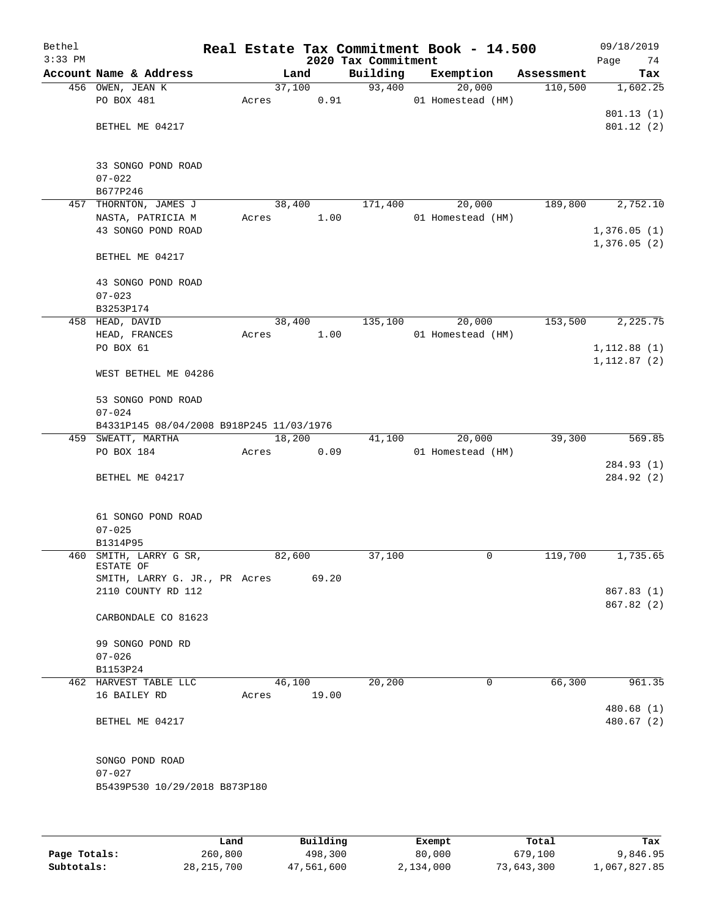| Bethel<br>$3:33$ PM |                                          |        |        | 2020 Tax Commitment | Real Estate Tax Commitment Book - 14.500 |            | 09/18/2019<br>74<br>Page |
|---------------------|------------------------------------------|--------|--------|---------------------|------------------------------------------|------------|--------------------------|
|                     | Account Name & Address                   |        | Land   | Building            | Exemption                                | Assessment | Tax                      |
|                     | 456 OWEN, JEAN K                         |        | 37,100 | 93,400              | 20,000                                   | 110,500    | 1,602.25                 |
|                     | PO BOX 481                               | Acres  | 0.91   |                     | 01 Homestead (HM)                        |            |                          |
|                     |                                          |        |        |                     |                                          |            | 801.13 (1)               |
|                     | BETHEL ME 04217                          |        |        |                     |                                          |            | 801.12(2)                |
|                     |                                          |        |        |                     |                                          |            |                          |
|                     |                                          |        |        |                     |                                          |            |                          |
|                     | 33 SONGO POND ROAD                       |        |        |                     |                                          |            |                          |
|                     | $07 - 022$                               |        |        |                     |                                          |            |                          |
|                     | B677P246                                 |        |        |                     |                                          |            |                          |
|                     | 457 THORNTON, JAMES J                    | 38,400 |        | 171,400             | 20,000                                   | 189,800    | 2,752.10                 |
|                     | NASTA, PATRICIA M                        | Acres  | 1.00   |                     | 01 Homestead (HM)                        |            |                          |
|                     | 43 SONGO POND ROAD                       |        |        |                     |                                          |            | 1,376.05(1)              |
|                     |                                          |        |        |                     |                                          |            | 1,376.05(2)              |
|                     | BETHEL ME 04217                          |        |        |                     |                                          |            |                          |
|                     |                                          |        |        |                     |                                          |            |                          |
|                     | 43 SONGO POND ROAD                       |        |        |                     |                                          |            |                          |
|                     | $07 - 023$                               |        |        |                     |                                          |            |                          |
|                     | B3253P174                                |        |        |                     |                                          |            |                          |
|                     | 458 HEAD, DAVID                          | 38,400 |        | 135,100             | 20,000                                   | 153,500    | 2,225.75                 |
|                     | HEAD, FRANCES                            | Acres  | 1.00   |                     | 01 Homestead (HM)                        |            |                          |
|                     | PO BOX 61                                |        |        |                     |                                          |            | 1,112.88(1)              |
|                     | WEST BETHEL ME 04286                     |        |        |                     |                                          |            | 1, 112.87(2)             |
|                     |                                          |        |        |                     |                                          |            |                          |
|                     | 53 SONGO POND ROAD                       |        |        |                     |                                          |            |                          |
|                     | $07 - 024$                               |        |        |                     |                                          |            |                          |
|                     | B4331P145 08/04/2008 B918P245 11/03/1976 |        |        |                     |                                          |            |                          |
|                     | 459 SWEATT, MARTHA                       | 18,200 |        | 41,100              | 20,000                                   | 39,300     | 569.85                   |
|                     | PO BOX 184                               | Acres  | 0.09   |                     | 01 Homestead (HM)                        |            |                          |
|                     |                                          |        |        |                     |                                          |            | 284.93 (1)               |
|                     | BETHEL ME 04217                          |        |        |                     |                                          |            | 284.92 (2)               |
|                     |                                          |        |        |                     |                                          |            |                          |
|                     |                                          |        |        |                     |                                          |            |                          |
|                     | 61 SONGO POND ROAD                       |        |        |                     |                                          |            |                          |
|                     | $07 - 025$                               |        |        |                     |                                          |            |                          |
|                     | B1314P95                                 |        |        |                     |                                          |            |                          |
|                     | 460 SMITH, LARRY G SR,                   | 82,600 |        | 37,100              | 0                                        | 119,700    | 1,735.65                 |
|                     | ESTATE OF                                |        |        |                     |                                          |            |                          |
|                     | SMITH, LARRY G. JR., PR Acres            |        | 69.20  |                     |                                          |            |                          |
|                     | 2110 COUNTY RD 112                       |        |        |                     |                                          |            | 867.83(1)                |
|                     |                                          |        |        |                     |                                          |            | 867.82 (2)               |
|                     | CARBONDALE CO 81623                      |        |        |                     |                                          |            |                          |
|                     | 99 SONGO POND RD                         |        |        |                     |                                          |            |                          |
|                     | $07 - 026$                               |        |        |                     |                                          |            |                          |
|                     | B1153P24                                 |        |        |                     |                                          |            |                          |
|                     | 462 HARVEST TABLE LLC                    | 46,100 |        | 20,200              | 0                                        | 66,300     | 961.35                   |
|                     | 16 BAILEY RD                             | Acres  | 19.00  |                     |                                          |            |                          |
|                     |                                          |        |        |                     |                                          |            | 480.68 (1)               |
|                     | BETHEL ME 04217                          |        |        |                     |                                          |            | 480.67 (2)               |
|                     |                                          |        |        |                     |                                          |            |                          |
|                     |                                          |        |        |                     |                                          |            |                          |
|                     | SONGO POND ROAD                          |        |        |                     |                                          |            |                          |
|                     | $07 - 027$                               |        |        |                     |                                          |            |                          |
|                     | B5439P530 10/29/2018 B873P180            |        |        |                     |                                          |            |                          |
|                     |                                          |        |        |                     |                                          |            |                          |
|                     |                                          |        |        |                     |                                          |            |                          |
|                     |                                          |        |        |                     |                                          |            |                          |
|                     |                                          |        |        |                     |                                          |            |                          |

|              | Land         | Building   | Exempt    | Total      | Tax          |
|--------------|--------------|------------|-----------|------------|--------------|
| Page Totals: | 260,800      | 498,300    | 80,000    | 679,100    | 9,846.95     |
| Subtotals:   | 28, 215, 700 | 47,561,600 | 2,134,000 | 73,643,300 | 1,067,827.85 |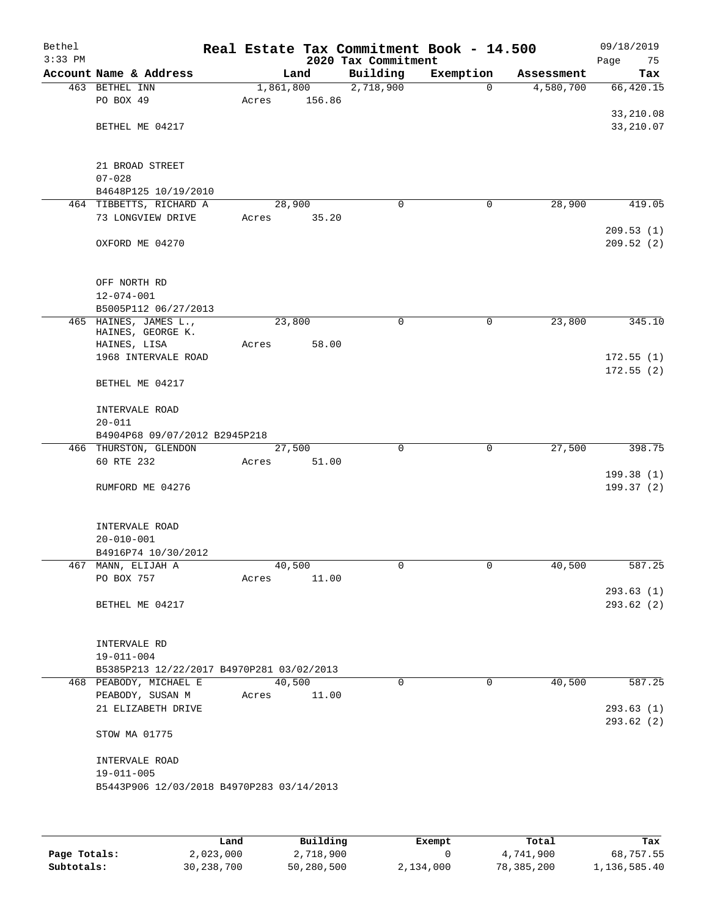| Bethel<br>$3:33$ PM |                                           |        |           | 2020 Tax Commitment | Real Estate Tax Commitment Book - 14.500 |            | 09/18/2019<br>Page<br>75 |
|---------------------|-------------------------------------------|--------|-----------|---------------------|------------------------------------------|------------|--------------------------|
|                     | Account Name & Address                    |        | Land      | Building            | Exemption                                | Assessment | Tax                      |
|                     | 463 BETHEL INN                            |        | 1,861,800 | 2,718,900           | 0                                        | 4,580,700  | 66,420.15                |
|                     | PO BOX 49                                 | Acres  | 156.86    |                     |                                          |            |                          |
|                     |                                           |        |           |                     |                                          |            | 33,210.08                |
|                     | BETHEL ME 04217                           |        |           |                     |                                          |            | 33, 210.07               |
|                     |                                           |        |           |                     |                                          |            |                          |
|                     |                                           |        |           |                     |                                          |            |                          |
|                     | 21 BROAD STREET                           |        |           |                     |                                          |            |                          |
|                     | $07 - 028$<br>B4648P125 10/19/2010        |        |           |                     |                                          |            |                          |
|                     | 464 TIBBETTS, RICHARD A                   | 28,900 |           | $\mathbf 0$         | 0                                        | 28,900     | 419.05                   |
|                     | 73 LONGVIEW DRIVE                         | Acres  | 35.20     |                     |                                          |            |                          |
|                     |                                           |        |           |                     |                                          |            | 209.53(1)                |
|                     | OXFORD ME 04270                           |        |           |                     |                                          |            | 209.52(2)                |
|                     |                                           |        |           |                     |                                          |            |                          |
|                     |                                           |        |           |                     |                                          |            |                          |
|                     | OFF NORTH RD                              |        |           |                     |                                          |            |                          |
|                     | $12 - 074 - 001$                          |        |           |                     |                                          |            |                          |
|                     | B5005P112 06/27/2013                      |        |           |                     |                                          |            |                          |
|                     | 465 HAINES, JAMES L.,                     | 23,800 |           | 0                   | 0                                        | 23,800     | 345.10                   |
|                     | HAINES, GEORGE K.<br>HAINES, LISA         |        | 58.00     |                     |                                          |            |                          |
|                     | 1968 INTERVALE ROAD                       | Acres  |           |                     |                                          |            | 172.55(1)                |
|                     |                                           |        |           |                     |                                          |            | 172.55(2)                |
|                     | BETHEL ME 04217                           |        |           |                     |                                          |            |                          |
|                     |                                           |        |           |                     |                                          |            |                          |
|                     | INTERVALE ROAD                            |        |           |                     |                                          |            |                          |
|                     | $20 - 011$                                |        |           |                     |                                          |            |                          |
|                     | B4904P68 09/07/2012 B2945P218             |        |           |                     |                                          |            |                          |
|                     | 466 THURSTON, GLENDON                     | 27,500 |           | 0                   | 0                                        | 27,500     | 398.75                   |
|                     | 60 RTE 232                                | Acres  | 51.00     |                     |                                          |            |                          |
|                     |                                           |        |           |                     |                                          |            | 199.38(1)                |
|                     | RUMFORD ME 04276                          |        |           |                     |                                          |            | 199.37(2)                |
|                     |                                           |        |           |                     |                                          |            |                          |
|                     |                                           |        |           |                     |                                          |            |                          |
|                     | INTERVALE ROAD<br>$20 - 010 - 001$        |        |           |                     |                                          |            |                          |
|                     | B4916P74 10/30/2012                       |        |           |                     |                                          |            |                          |
|                     | 467 MANN, ELIJAH A                        | 40,500 |           | 0                   | 0                                        | 40,500     | 587.25                   |
|                     | PO BOX 757                                | Acres  | 11.00     |                     |                                          |            |                          |
|                     |                                           |        |           |                     |                                          |            | 293.63(1)                |
|                     | BETHEL ME 04217                           |        |           |                     |                                          |            | 293.62(2)                |
|                     |                                           |        |           |                     |                                          |            |                          |
|                     |                                           |        |           |                     |                                          |            |                          |
|                     | INTERVALE RD                              |        |           |                     |                                          |            |                          |
|                     | $19 - 011 - 004$                          |        |           |                     |                                          |            |                          |
|                     | B5385P213 12/22/2017 B4970P281 03/02/2013 |        |           |                     |                                          |            |                          |
|                     | 468 PEABODY, MICHAEL E                    | 40,500 |           | $\Omega$            | $\Omega$                                 | 40,500     | 587.25                   |
|                     | PEABODY, SUSAN M                          | Acres  | 11.00     |                     |                                          |            |                          |
|                     | 21 ELIZABETH DRIVE                        |        |           |                     |                                          |            | 293.63(1)                |
|                     |                                           |        |           |                     |                                          |            | 293.62(2)                |
|                     | STOW MA 01775                             |        |           |                     |                                          |            |                          |
|                     | INTERVALE ROAD                            |        |           |                     |                                          |            |                          |
|                     | $19 - 011 - 005$                          |        |           |                     |                                          |            |                          |
|                     | B5443P906 12/03/2018 B4970P283 03/14/2013 |        |           |                     |                                          |            |                          |
|                     |                                           |        |           |                     |                                          |            |                          |
|                     |                                           |        |           |                     |                                          |            |                          |
|                     |                                           |        |           |                     |                                          |            |                          |

|              | Land       | Building   | Exempt    | Total      | Tax          |
|--------------|------------|------------|-----------|------------|--------------|
| Page Totals: | 2,023,000  | 2,718,900  |           | 4,741,900  | 68,757.55    |
| Subtotals:   | 30,238,700 | 50,280,500 | 2,134,000 | 78,385,200 | 1,136,585.40 |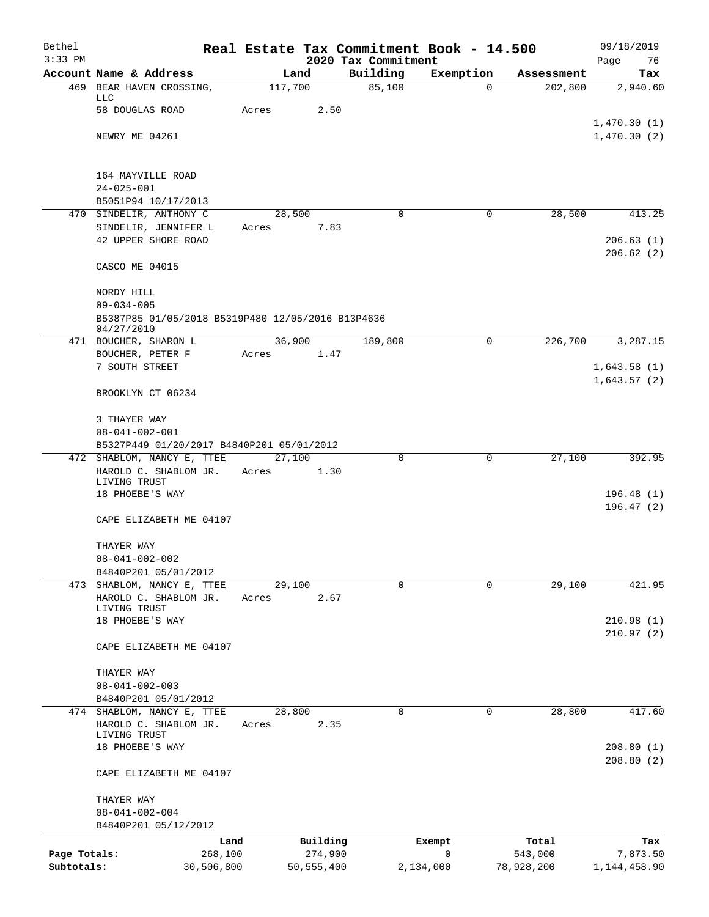| Bethel       |                                                                     |       |                     |                                 | Real Estate Tax Commitment Book - 14.500 |                  | 09/18/2019        |
|--------------|---------------------------------------------------------------------|-------|---------------------|---------------------------------|------------------------------------------|------------------|-------------------|
| $3:33$ PM    | Account Name & Address                                              |       | Land                | 2020 Tax Commitment<br>Building | Exemption                                | Assessment       | Page<br>76<br>Tax |
|              | 469 BEAR HAVEN CROSSING,                                            |       | 117,700             | 85,100                          | $\Omega$                                 | 202,800          | 2,940.60          |
|              | LLC<br>58 DOUGLAS ROAD                                              |       | 2.50                |                                 |                                          |                  |                   |
|              |                                                                     | Acres |                     |                                 |                                          |                  | 1,470.30(1)       |
|              | NEWRY ME 04261                                                      |       |                     |                                 |                                          |                  | 1,470.30(2)       |
|              | 164 MAYVILLE ROAD                                                   |       |                     |                                 |                                          |                  |                   |
|              | $24 - 025 - 001$                                                    |       |                     |                                 |                                          |                  |                   |
|              | B5051P94 10/17/2013                                                 |       |                     |                                 |                                          |                  |                   |
|              | 470 SINDELIR, ANTHONY C                                             |       | 28,500              | $\Omega$                        | $\Omega$                                 | 28,500           | 413.25            |
|              | SINDELIR, JENNIFER L<br>42 UPPER SHORE ROAD                         | Acres | 7.83                |                                 |                                          |                  | 206.63(1)         |
|              |                                                                     |       |                     |                                 |                                          |                  | 206.62(2)         |
|              | CASCO ME 04015                                                      |       |                     |                                 |                                          |                  |                   |
|              | NORDY HILL                                                          |       |                     |                                 |                                          |                  |                   |
|              | $09 - 034 - 005$                                                    |       |                     |                                 |                                          |                  |                   |
|              | B5387P85 01/05/2018 B5319P480 12/05/2016 B13P4636<br>04/27/2010     |       |                     |                                 |                                          |                  |                   |
|              | 471 BOUCHER, SHARON L                                               |       | 36,900              | 189,800                         | $\Omega$                                 | 226,700          | 3,287.15          |
|              | BOUCHER, PETER F<br>7 SOUTH STREET                                  | Acres | 1.47                |                                 |                                          |                  | 1,643.58(1)       |
|              |                                                                     |       |                     |                                 |                                          |                  | 1,643.57(2)       |
|              | BROOKLYN CT 06234                                                   |       |                     |                                 |                                          |                  |                   |
|              | 3 THAYER WAY                                                        |       |                     |                                 |                                          |                  |                   |
|              | $08 - 041 - 002 - 001$<br>B5327P449 01/20/2017 B4840P201 05/01/2012 |       |                     |                                 |                                          |                  |                   |
|              | 472 SHABLOM, NANCY E, TTEE                                          |       | 27,100              | $\mathbf 0$                     | 0                                        | 27,100           | 392.95            |
|              | HAROLD C. SHABLOM JR.                                               | Acres | 1.30                |                                 |                                          |                  |                   |
|              | LIVING TRUST<br>18 PHOEBE'S WAY                                     |       |                     |                                 |                                          |                  | 196.48(1)         |
|              |                                                                     |       |                     |                                 |                                          |                  | 196.47(2)         |
|              | CAPE ELIZABETH ME 04107                                             |       |                     |                                 |                                          |                  |                   |
|              | THAYER WAY                                                          |       |                     |                                 |                                          |                  |                   |
|              | $08 - 041 - 002 - 002$                                              |       |                     |                                 |                                          |                  |                   |
|              | B4840P201 05/01/2012                                                |       |                     | $\Omega$                        | 0                                        | 29,100           |                   |
|              | 473 SHABLOM, NANCY E, TTEE<br>HAROLD C. SHABLOM JR.                 | Acres | 29,100<br>2.67      |                                 |                                          |                  | 421.95            |
|              | LIVING TRUST                                                        |       |                     |                                 |                                          |                  |                   |
|              | 18 PHOEBE'S WAY                                                     |       |                     |                                 |                                          |                  | 210.98(1)         |
|              | CAPE ELIZABETH ME 04107                                             |       |                     |                                 |                                          |                  | 210.97(2)         |
|              | THAYER WAY                                                          |       |                     |                                 |                                          |                  |                   |
|              | $08 - 041 - 002 - 003$                                              |       |                     |                                 |                                          |                  |                   |
|              | B4840P201 05/01/2012                                                |       |                     |                                 |                                          |                  |                   |
|              | 474 SHABLOM, NANCY E, TTEE                                          |       | 28,800              | $\Omega$                        | 0                                        | 28,800           | 417.60            |
|              | HAROLD C. SHABLOM JR.<br>LIVING TRUST                               | Acres | 2.35                |                                 |                                          |                  |                   |
|              | 18 PHOEBE'S WAY                                                     |       |                     |                                 |                                          |                  | 208.80(1)         |
|              |                                                                     |       |                     |                                 |                                          |                  | 208.80(2)         |
|              | CAPE ELIZABETH ME 04107                                             |       |                     |                                 |                                          |                  |                   |
|              | THAYER WAY                                                          |       |                     |                                 |                                          |                  |                   |
|              | $08 - 041 - 002 - 004$                                              |       |                     |                                 |                                          |                  |                   |
|              | B4840P201 05/12/2012                                                |       |                     |                                 |                                          |                  |                   |
| Page Totals: | 268,100                                                             | Land  | Building<br>274,900 |                                 | Exempt<br>$\mathbf 0$                    | Total<br>543,000 | Tax<br>7,873.50   |
| Subtotals:   | 30,506,800                                                          |       | 50, 555, 400        |                                 | 2,134,000                                | 78,928,200       | 1, 144, 458.90    |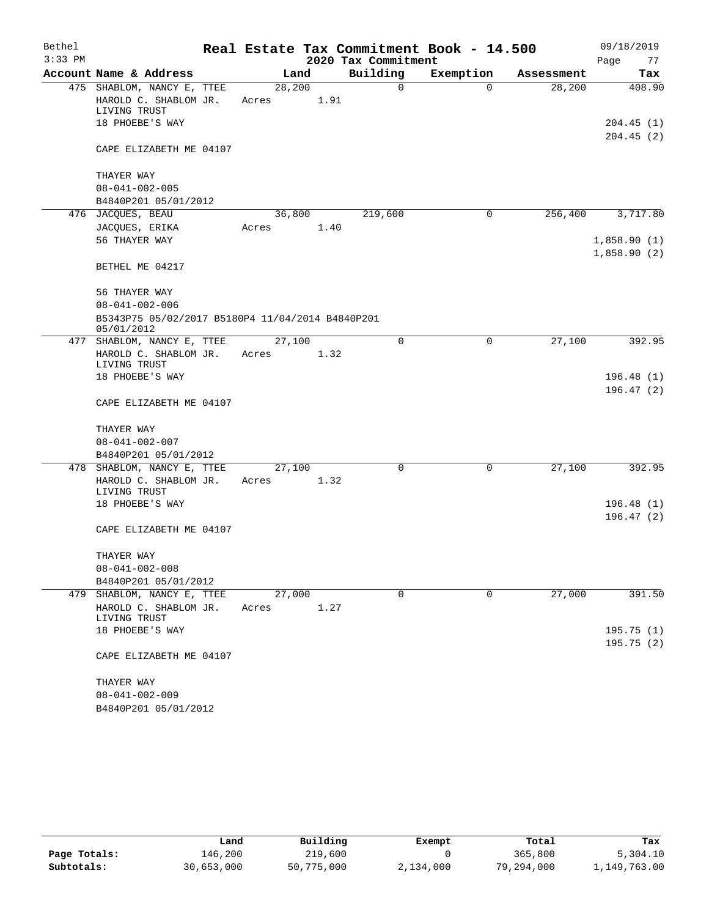| Bethel    |                                                                |        |      |                     | Real Estate Tax Commitment Book - 14.500 |            | 09/18/2019                 |
|-----------|----------------------------------------------------------------|--------|------|---------------------|------------------------------------------|------------|----------------------------|
| $3:33$ PM |                                                                |        |      | 2020 Tax Commitment |                                          |            | Page<br>77                 |
|           | Account Name & Address                                         | Land   |      | Building            | Exemption                                | Assessment | Tax                        |
|           | 475 SHABLOM, NANCY E, TTEE                                     | 28,200 |      | $\mathsf{O}$        | $\Omega$                                 | 28,200     | 408.90                     |
|           | HAROLD C. SHABLOM JR.<br>LIVING TRUST                          | Acres  | 1.91 |                     |                                          |            |                            |
|           | 18 PHOEBE'S WAY                                                |        |      |                     |                                          |            | 204.45(1)                  |
|           | CAPE ELIZABETH ME 04107                                        |        |      |                     |                                          |            | 204.45(2)                  |
|           | THAYER WAY                                                     |        |      |                     |                                          |            |                            |
|           | $08 - 041 - 002 - 005$                                         |        |      |                     |                                          |            |                            |
|           | B4840P201 05/01/2012                                           |        |      |                     |                                          |            |                            |
|           | 476 JACQUES, BEAU                                              | 36,800 |      | 219,600             | 0                                        | 256,400    | 3,717.80                   |
|           | JACQUES, ERIKA                                                 | Acres  | 1.40 |                     |                                          |            |                            |
|           | 56 THAYER WAY                                                  |        |      |                     |                                          |            | 1,858.90(1)<br>1,858.90(2) |
|           | BETHEL ME 04217                                                |        |      |                     |                                          |            |                            |
|           | 56 THAYER WAY                                                  |        |      |                     |                                          |            |                            |
|           | $08 - 041 - 002 - 006$                                         |        |      |                     |                                          |            |                            |
|           | B5343P75 05/02/2017 B5180P4 11/04/2014 B4840P201<br>05/01/2012 |        |      |                     |                                          |            |                            |
|           | 477 SHABLOM, NANCY E, TTEE                                     | 27,100 |      | $\Omega$            | 0                                        | 27,100     | 392.95                     |
|           | HAROLD C. SHABLOM JR.<br>LIVING TRUST                          | Acres  | 1.32 |                     |                                          |            |                            |
|           | 18 PHOEBE'S WAY                                                |        |      |                     |                                          |            | 196.48(1)                  |
|           |                                                                |        |      |                     |                                          |            | 196.47(2)                  |
|           | CAPE ELIZABETH ME 04107                                        |        |      |                     |                                          |            |                            |
|           | THAYER WAY                                                     |        |      |                     |                                          |            |                            |
|           | $08 - 041 - 002 - 007$                                         |        |      |                     |                                          |            |                            |
|           | B4840P201 05/01/2012                                           |        |      |                     |                                          |            |                            |
|           | 478 SHABLOM, NANCY E, TTEE                                     | 27,100 |      | $\Omega$            | 0                                        | 27,100     | 392.95                     |
|           | HAROLD C. SHABLOM JR.                                          | Acres  | 1.32 |                     |                                          |            |                            |
|           | LIVING TRUST<br>18 PHOEBE'S WAY                                |        |      |                     |                                          |            | 196.48(1)                  |
|           |                                                                |        |      |                     |                                          |            | 196.47(2)                  |
|           | CAPE ELIZABETH ME 04107                                        |        |      |                     |                                          |            |                            |
|           | THAYER WAY                                                     |        |      |                     |                                          |            |                            |
|           | $08 - 041 - 002 - 008$                                         |        |      |                     |                                          |            |                            |
|           | B4840P201 05/01/2012                                           |        |      |                     |                                          |            |                            |
| 479       | SHABLOM, NANCY E, TTEE                                         | 27,000 |      | $\mathbf 0$         | $\mathbf 0$                              | 27,000     | 391.50                     |
|           | HAROLD C. SHABLOM JR.<br>LIVING TRUST                          | Acres  | 1.27 |                     |                                          |            |                            |
|           | 18 PHOEBE'S WAY                                                |        |      |                     |                                          |            | 195.75(1)                  |
|           | CAPE ELIZABETH ME 04107                                        |        |      |                     |                                          |            | 195.75(2)                  |
|           | THAYER WAY                                                     |        |      |                     |                                          |            |                            |
|           | $08 - 041 - 002 - 009$                                         |        |      |                     |                                          |            |                            |
|           | B4840P201 05/01/2012                                           |        |      |                     |                                          |            |                            |

|              | Land       | Building   | Exempt    | Total      | Tax          |
|--------------|------------|------------|-----------|------------|--------------|
| Page Totals: | 146,200    | 219,600    |           | 365,800    | 5,304.10     |
| Subtotals:   | 30,653,000 | 50,775,000 | 2,134,000 | 79,294,000 | 1,149,763.00 |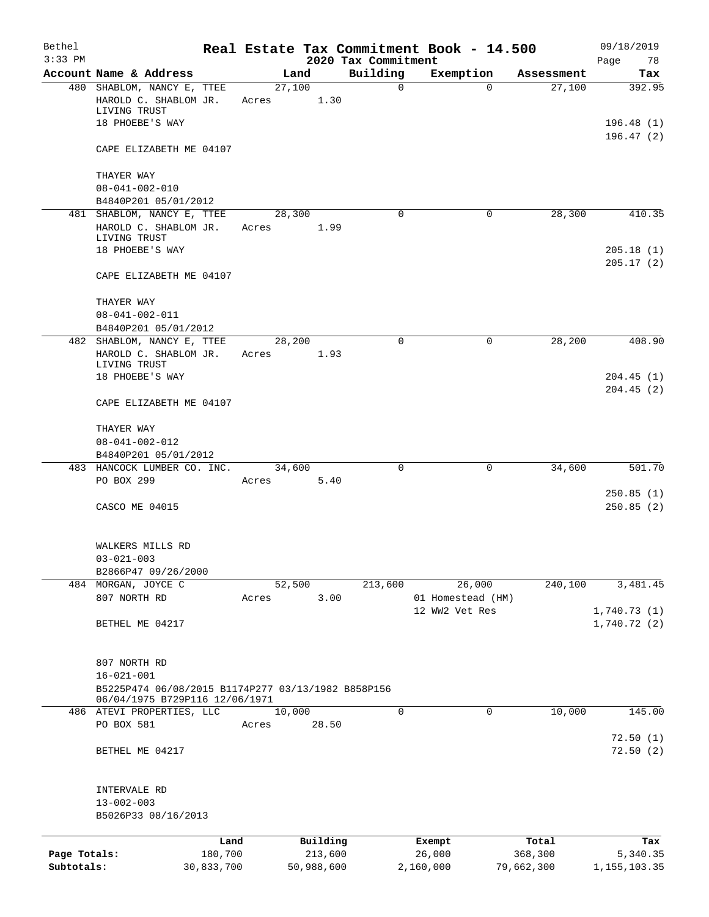| Bethel<br>$3:33$ PM |                                                                                                          |            |       |            |         | 2020 Tax Commitment | Real Estate Tax Commitment Book - 14.500 |            | 09/18/2019<br>Page<br>78 |
|---------------------|----------------------------------------------------------------------------------------------------------|------------|-------|------------|---------|---------------------|------------------------------------------|------------|--------------------------|
|                     | Account Name & Address                                                                                   |            |       | Land       |         | Building            | Exemption                                | Assessment | Tax                      |
|                     | 480 SHABLOM, NANCY E, TTEE<br>HAROLD C. SHABLOM JR.<br>LIVING TRUST                                      |            | Acres | 27,100     | 1.30    | $\mathbf 0$         | $\Omega$                                 | 27,100     | 392.95                   |
|                     | 18 PHOEBE'S WAY                                                                                          |            |       |            |         |                     |                                          |            | 196.48(1)<br>196.47(2)   |
|                     | CAPE ELIZABETH ME 04107                                                                                  |            |       |            |         |                     |                                          |            |                          |
|                     | THAYER WAY<br>$08 - 041 - 002 - 010$                                                                     |            |       |            |         |                     |                                          |            |                          |
|                     | B4840P201 05/01/2012                                                                                     |            |       |            |         |                     |                                          |            |                          |
|                     | 481 SHABLOM, NANCY E, TTEE                                                                               |            |       | 28,300     |         | $\Omega$            | $\Omega$                                 | 28,300     | 410.35                   |
|                     | HAROLD C. SHABLOM JR.                                                                                    |            | Acres |            | 1.99    |                     |                                          |            |                          |
|                     | LIVING TRUST<br>18 PHOEBE'S WAY                                                                          |            |       |            |         |                     |                                          |            | 205.18(1)<br>205.17(2)   |
|                     | CAPE ELIZABETH ME 04107                                                                                  |            |       |            |         |                     |                                          |            |                          |
|                     | THAYER WAY<br>$08 - 041 - 002 - 011$                                                                     |            |       |            |         |                     |                                          |            |                          |
|                     | B4840P201 05/01/2012                                                                                     |            |       |            |         |                     |                                          |            |                          |
|                     | 482 SHABLOM, NANCY E, TTEE                                                                               |            |       | 28,200     |         | $\Omega$            | $\Omega$                                 | 28,200     | 408.90                   |
|                     | HAROLD C. SHABLOM JR.                                                                                    |            | Acres |            | 1.93    |                     |                                          |            |                          |
|                     | LIVING TRUST                                                                                             |            |       |            |         |                     |                                          |            |                          |
|                     | 18 PHOEBE'S WAY                                                                                          |            |       |            |         |                     |                                          |            | 204.45(1)<br>204.45(2)   |
|                     | CAPE ELIZABETH ME 04107                                                                                  |            |       |            |         |                     |                                          |            |                          |
|                     | THAYER WAY                                                                                               |            |       |            |         |                     |                                          |            |                          |
|                     | $08 - 041 - 002 - 012$                                                                                   |            |       |            |         |                     |                                          |            |                          |
|                     | B4840P201 05/01/2012                                                                                     |            |       |            |         | 0                   | 0                                        | 34,600     | 501.70                   |
|                     | 483 HANCOCK LUMBER CO. INC.<br>PO BOX 299                                                                |            | Acres | 34,600     | 5.40    |                     |                                          |            |                          |
|                     |                                                                                                          |            |       |            |         |                     |                                          |            | 250.85(1)                |
|                     | CASCO ME 04015                                                                                           |            |       |            |         |                     |                                          |            | 250.85(2)                |
|                     | WALKERS MILLS RD                                                                                         |            |       |            |         |                     |                                          |            |                          |
|                     | $03 - 021 - 003$                                                                                         |            |       |            |         |                     |                                          |            |                          |
|                     | B2866P47 09/26/2000                                                                                      |            |       |            |         |                     |                                          |            |                          |
|                     | 484 MORGAN, JOYCE C<br>807 NORTH RD                                                                      |            |       | 52,500     | 3.00    | 213,600             | 26,000                                   | 240,100    | 3,481.45                 |
|                     |                                                                                                          |            | Acres |            |         |                     | 01 Homestead (HM)<br>12 WW2 Vet Res      |            | 1,740.73(1)              |
|                     | BETHEL ME 04217                                                                                          |            |       |            |         |                     |                                          |            | 1,740.72(2)              |
|                     | 807 NORTH RD                                                                                             |            |       |            |         |                     |                                          |            |                          |
|                     | $16 - 021 - 001$<br>B5225P474 06/08/2015 B1174P277 03/13/1982 B858P156<br>06/04/1975 B729P116 12/06/1971 |            |       |            |         |                     |                                          |            |                          |
|                     | 486 ATEVI PROPERTIES, LLC                                                                                |            |       | 10,000     |         | $\Omega$            | 0                                        | 10,000     | 145.00                   |
|                     | PO BOX 581                                                                                               |            | Acres |            | 28.50   |                     |                                          |            |                          |
|                     | BETHEL ME 04217                                                                                          |            |       |            |         |                     |                                          |            | 72.50(1)<br>72.50(2)     |
|                     |                                                                                                          |            |       |            |         |                     |                                          |            |                          |
|                     | INTERVALE RD                                                                                             |            |       |            |         |                     |                                          |            |                          |
|                     | $13 - 002 - 003$<br>B5026P33 08/16/2013                                                                  |            |       |            |         |                     |                                          |            |                          |
|                     |                                                                                                          | Land       |       | Building   |         |                     | Exempt                                   | Total      | Tax                      |
| Page Totals:        |                                                                                                          | 180,700    |       |            | 213,600 |                     | 26,000                                   | 368,300    | 5,340.35                 |
| Subtotals:          |                                                                                                          | 30,833,700 |       | 50,988,600 |         |                     | 2,160,000                                | 79,662,300 | 1, 155, 103.35           |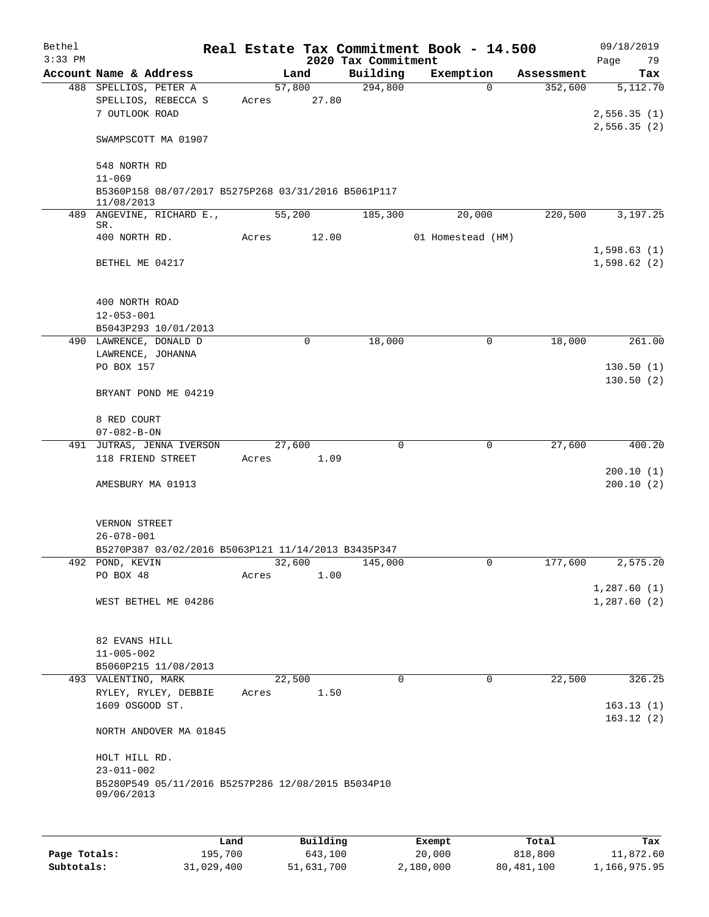| Bethel    |                                                                  |      |       |        |             |                     | Real Estate Tax Commitment Book - 14.500 |            | 09/18/2019                 |
|-----------|------------------------------------------------------------------|------|-------|--------|-------------|---------------------|------------------------------------------|------------|----------------------------|
| $3:33$ PM |                                                                  |      |       |        |             | 2020 Tax Commitment |                                          |            | 79<br>Page                 |
|           | Account Name & Address                                           |      |       | Land   |             | Building            | Exemption                                | Assessment | Tax                        |
|           | 488 SPELLIOS, PETER A                                            |      |       | 57,800 |             | 294,800             | $\Omega$                                 | 352,600    | 5,112.70                   |
|           | SPELLIOS, REBECCA S                                              |      | Acres |        | 27.80       |                     |                                          |            |                            |
|           | 7 OUTLOOK ROAD                                                   |      |       |        |             |                     |                                          |            | 2,556.35(1)                |
|           | SWAMPSCOTT MA 01907                                              |      |       |        |             |                     |                                          |            | 2,556.35(2)                |
|           | 548 NORTH RD                                                     |      |       |        |             |                     |                                          |            |                            |
|           | $11 - 069$                                                       |      |       |        |             |                     |                                          |            |                            |
|           | B5360P158 08/07/2017 B5275P268 03/31/2016 B5061P117              |      |       |        |             |                     |                                          |            |                            |
|           | 11/08/2013<br>489 ANGEVINE, RICHARD E.,                          |      |       | 55,200 |             | 185,300             | 20,000                                   | 220,500    | 3,197.25                   |
|           | SR.                                                              |      |       |        |             |                     |                                          |            |                            |
|           | 400 NORTH RD.                                                    |      | Acres |        | 12.00       |                     | 01 Homestead (HM)                        |            |                            |
|           |                                                                  |      |       |        |             |                     |                                          |            | 1,598.63(1)                |
|           | BETHEL ME 04217                                                  |      |       |        |             |                     |                                          |            | 1,598.62(2)                |
|           | 400 NORTH ROAD                                                   |      |       |        |             |                     |                                          |            |                            |
|           | $12 - 053 - 001$                                                 |      |       |        |             |                     |                                          |            |                            |
|           | B5043P293 10/01/2013                                             |      |       |        |             |                     |                                          |            |                            |
|           | 490 LAWRENCE, DONALD D                                           |      |       |        | $\mathbf 0$ | 18,000              | $\mathbf 0$                              | 18,000     | 261.00                     |
|           | LAWRENCE, JOHANNA                                                |      |       |        |             |                     |                                          |            |                            |
|           | PO BOX 157                                                       |      |       |        |             |                     |                                          |            | 130.50(1)                  |
|           |                                                                  |      |       |        |             |                     |                                          |            | 130.50(2)                  |
|           | BRYANT POND ME 04219                                             |      |       |        |             |                     |                                          |            |                            |
|           | 8 RED COURT                                                      |      |       |        |             |                     |                                          |            |                            |
|           | $07 - 082 - B - ON$                                              |      |       |        |             |                     |                                          |            |                            |
|           | 491 JUTRAS, JENNA IVERSON                                        |      |       | 27,600 |             | 0                   | $\mathbf 0$                              | 27,600     | 400.20                     |
|           | 118 FRIEND STREET                                                |      | Acres |        | 1.09        |                     |                                          |            |                            |
|           |                                                                  |      |       |        |             |                     |                                          |            | 200.10(1)                  |
|           | AMESBURY MA 01913                                                |      |       |        |             |                     |                                          |            | 200.10(2)                  |
|           | VERNON STREET                                                    |      |       |        |             |                     |                                          |            |                            |
|           | $26 - 078 - 001$                                                 |      |       |        |             |                     |                                          |            |                            |
|           | B5270P387 03/02/2016 B5063P121 11/14/2013 B3435P347              |      |       |        |             |                     |                                          |            |                            |
|           | 492 POND, KEVIN                                                  |      |       | 32,600 |             | 145,000             | $\cup$                                   | 177,600    | 2,575.20                   |
|           | PO BOX 48                                                        |      | Acres |        | 1.00        |                     |                                          |            |                            |
|           | WEST BETHEL ME 04286                                             |      |       |        |             |                     |                                          |            | 1,287.60(1)<br>1,287.60(2) |
|           |                                                                  |      |       |        |             |                     |                                          |            |                            |
|           | 82 EVANS HILL<br>$11 - 005 - 002$                                |      |       |        |             |                     |                                          |            |                            |
|           | B5060P215 11/08/2013                                             |      |       |        |             |                     |                                          |            |                            |
|           | 493 VALENTINO, MARK                                              |      |       | 22,500 |             | $\Omega$            | $\mathbf 0$                              | 22,500     | 326.25                     |
|           | RYLEY, RYLEY, DEBBIE                                             |      | Acres |        | 1.50        |                     |                                          |            |                            |
|           | 1609 OSGOOD ST.                                                  |      |       |        |             |                     |                                          |            | 163.13(1)                  |
|           | NORTH ANDOVER MA 01845                                           |      |       |        |             |                     |                                          |            | 163.12(2)                  |
|           | HOLT HILL RD.                                                    |      |       |        |             |                     |                                          |            |                            |
|           | $23 - 011 - 002$                                                 |      |       |        |             |                     |                                          |            |                            |
|           | B5280P549 05/11/2016 B5257P286 12/08/2015 B5034P10<br>09/06/2013 |      |       |        |             |                     |                                          |            |                            |
|           |                                                                  |      |       |        |             |                     |                                          |            |                            |
|           |                                                                  | Land |       |        | Building    |                     | <b>Exempt</b>                            | Total      | Tax                        |

|              | Land       | Building   | Exempt    | Total      | Tax          |
|--------------|------------|------------|-----------|------------|--------------|
| Page Totals: | 195.700    | 643,100    | 20,000    | 818,800    | 11,872.60    |
| Subtotals:   | 31,029,400 | 51,631,700 | 2,180,000 | 80,481,100 | 1,166,975.95 |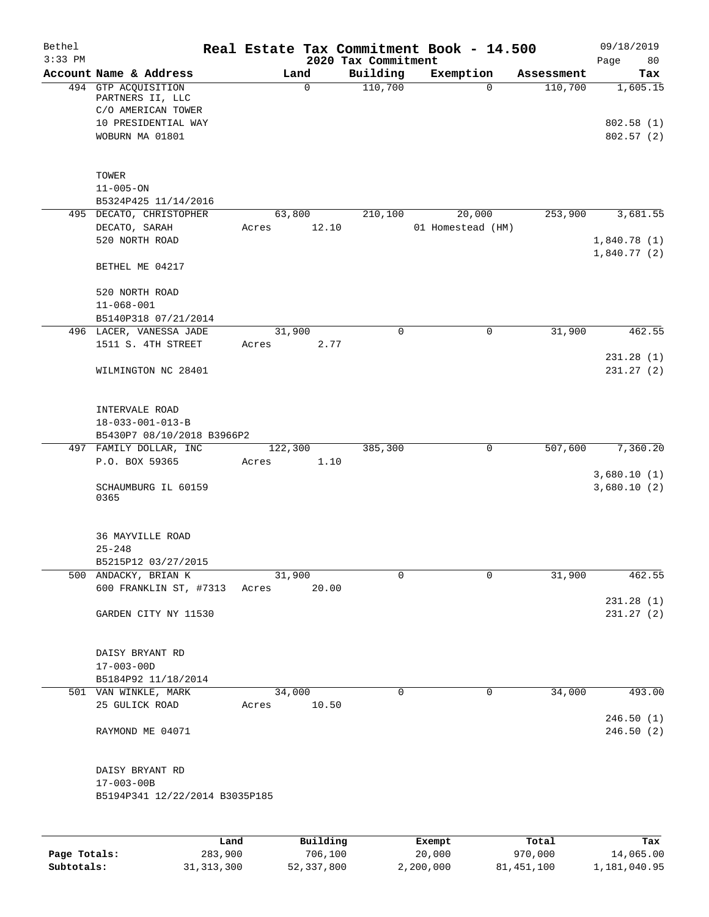| Bethel<br>$3:33$ PM |                                                               |      |                 |          | Real Estate Tax Commitment Book - 14.500<br>2020 Tax Commitment |                   |              |            | 09/18/2019<br>Page<br>80   |
|---------------------|---------------------------------------------------------------|------|-----------------|----------|-----------------------------------------------------------------|-------------------|--------------|------------|----------------------------|
|                     | Account Name & Address                                        |      |                 | Land     | Building                                                        | Exemption         |              | Assessment | Tax                        |
|                     | 494 GTP ACQUISITION<br>PARTNERS II, LLC<br>C/O AMERICAN TOWER |      |                 | 0        | 110,700                                                         |                   | $\mathbf 0$  | 110,700    | 1,605.15                   |
|                     | 10 PRESIDENTIAL WAY<br>WOBURN MA 01801                        |      |                 |          |                                                                 |                   |              |            | 802.58(1)<br>802.57(2)     |
|                     | TOWER                                                         |      |                 |          |                                                                 |                   |              |            |                            |
|                     | $11 - 005 - ON$<br>B5324P425 11/14/2016                       |      |                 |          |                                                                 |                   |              |            |                            |
|                     | 495 DECATO, CHRISTOPHER                                       |      | 63,800          |          | 210,100                                                         |                   | 20,000       | 253,900    | 3,681.55                   |
|                     | DECATO, SARAH<br>520 NORTH ROAD                               |      | Acres           | 12.10    |                                                                 | 01 Homestead (HM) |              |            | 1,840.78(1)<br>1,840.77(2) |
|                     | BETHEL ME 04217                                               |      |                 |          |                                                                 |                   |              |            |                            |
|                     | 520 NORTH ROAD<br>$11 - 068 - 001$                            |      |                 |          |                                                                 |                   |              |            |                            |
|                     | B5140P318 07/21/2014                                          |      |                 |          |                                                                 |                   |              |            |                            |
|                     | 496 LACER, VANESSA JADE<br>1511 S. 4TH STREET                 |      | 31,900<br>Acres | 2.77     | $\mathbf 0$                                                     |                   | $\mathbf 0$  | 31,900     | 462.55                     |
|                     | WILMINGTON NC 28401                                           |      |                 |          |                                                                 |                   |              |            | 231.28(1)<br>231.27(2)     |
|                     | INTERVALE ROAD<br>$18 - 033 - 001 - 013 - B$                  |      |                 |          |                                                                 |                   |              |            |                            |
|                     | B5430P7 08/10/2018 B3966P2                                    |      |                 |          |                                                                 |                   |              |            |                            |
|                     | 497 FAMILY DOLLAR, INC                                        |      | 122,300         |          | 385,300                                                         |                   | $\mathsf{O}$ | 507,600    | 7,360.20                   |
|                     | P.O. BOX 59365                                                |      | Acres           | 1.10     |                                                                 |                   |              |            | 3,680.10(1)                |
|                     | SCHAUMBURG IL 60159<br>0365                                   |      |                 |          |                                                                 |                   |              |            | 3,680.10(2)                |
|                     | <b>36 MAYVILLE ROAD</b><br>$25 - 248$                         |      |                 |          |                                                                 |                   |              |            |                            |
|                     | B5215P12 03/27/2015                                           |      |                 |          |                                                                 |                   |              |            |                            |
|                     | 500 ANDACKY, BRIAN K<br>600 FRANKLIN ST, #7313                |      | 31,900<br>Acres | 20.00    | 0                                                               |                   | $\mathbf 0$  | 31,900     | 462.55                     |
|                     | GARDEN CITY NY 11530                                          |      |                 |          |                                                                 |                   |              |            | 231.28(1)<br>231.27(2)     |
|                     | DAISY BRYANT RD<br>$17 - 003 - 00D$                           |      |                 |          |                                                                 |                   |              |            |                            |
|                     | B5184P92 11/18/2014                                           |      |                 |          |                                                                 |                   |              |            |                            |
|                     | 501 VAN WINKLE, MARK                                          |      | 34,000          |          | $\mathbf 0$                                                     |                   | $\mathbf 0$  | 34,000     | 493.00                     |
|                     | 25 GULICK ROAD                                                |      | Acres           | 10.50    |                                                                 |                   |              |            | 246.50(1)                  |
|                     | RAYMOND ME 04071                                              |      |                 |          |                                                                 |                   |              |            | 246.50(2)                  |
|                     | DAISY BRYANT RD<br>$17 - 003 - 00B$                           |      |                 |          |                                                                 |                   |              |            |                            |
|                     | B5194P341 12/22/2014 B3035P185                                |      |                 |          |                                                                 |                   |              |            |                            |
|                     |                                                               |      |                 |          |                                                                 |                   |              |            |                            |
|                     |                                                               | Land |                 | Building |                                                                 | Exempt            |              | Total      | Tax                        |

**Page Totals:** 283,900 706,100 20,000 970,000 14,065.00 **Subtotals:** 31,313,300 52,337,800 2,200,000 81,451,100 1,181,040.95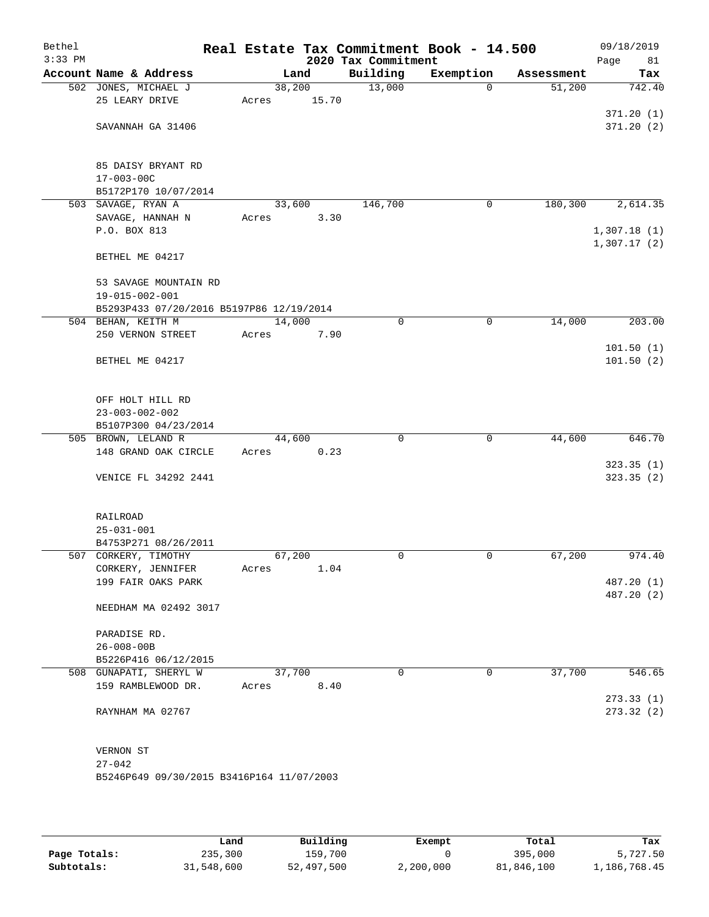| Bethel<br>$3:33$ PM |                                           |        |       | 2020 Tax Commitment | Real Estate Tax Commitment Book - 14.500 |            | 09/18/2019<br>Page<br>81   |
|---------------------|-------------------------------------------|--------|-------|---------------------|------------------------------------------|------------|----------------------------|
|                     | Account Name & Address                    |        | Land  | Building            | Exemption                                | Assessment | Tax                        |
|                     | 502 JONES, MICHAEL J                      | 38,200 |       | 13,000              | $\mathbf 0$                              | 51,200     | 742.40                     |
|                     | 25 LEARY DRIVE                            | Acres  | 15.70 |                     |                                          |            |                            |
|                     |                                           |        |       |                     |                                          |            | 371.20(1)                  |
|                     | SAVANNAH GA 31406                         |        |       |                     |                                          |            | 371.20(2)                  |
|                     | 85 DAISY BRYANT RD                        |        |       |                     |                                          |            |                            |
|                     | $17 - 003 - 00C$                          |        |       |                     |                                          |            |                            |
|                     | B5172P170 10/07/2014                      |        |       |                     |                                          |            |                            |
|                     | 503 SAVAGE, RYAN A                        | 33,600 |       | 146,700             | 0                                        | 180,300    | 2,614.35                   |
|                     | SAVAGE, HANNAH N                          | Acres  | 3.30  |                     |                                          |            |                            |
|                     | P.O. BOX 813                              |        |       |                     |                                          |            | 1,307.18(1)<br>1,307.17(2) |
|                     | BETHEL ME 04217                           |        |       |                     |                                          |            |                            |
|                     | 53 SAVAGE MOUNTAIN RD                     |        |       |                     |                                          |            |                            |
|                     | 19-015-002-001                            |        |       |                     |                                          |            |                            |
|                     | B5293P433 07/20/2016 B5197P86 12/19/2014  | 14,000 |       | $\mathbf 0$         | 0                                        | 14,000     | 203.00                     |
|                     | 504 BEHAN, KEITH M<br>250 VERNON STREET   | Acres  | 7.90  |                     |                                          |            |                            |
|                     |                                           |        |       |                     |                                          |            | 101.50(1)                  |
|                     | BETHEL ME 04217                           |        |       |                     |                                          |            | 101.50(2)                  |
|                     |                                           |        |       |                     |                                          |            |                            |
|                     | OFF HOLT HILL RD                          |        |       |                     |                                          |            |                            |
|                     | $23 - 003 - 002 - 002$                    |        |       |                     |                                          |            |                            |
|                     | B5107P300 04/23/2014                      |        |       |                     |                                          |            |                            |
|                     | 505 BROWN, LELAND R                       | 44,600 |       | $\mathbf 0$         | $\mathbf 0$                              | 44,600     | 646.70                     |
|                     | 148 GRAND OAK CIRCLE                      | Acres  | 0.23  |                     |                                          |            |                            |
|                     | VENICE FL 34292 2441                      |        |       |                     |                                          |            | 323.35(1)<br>323.35(2)     |
|                     |                                           |        |       |                     |                                          |            |                            |
|                     | RAILROAD<br>$25 - 031 - 001$              |        |       |                     |                                          |            |                            |
|                     | B4753P271 08/26/2011                      |        |       |                     |                                          |            |                            |
|                     | 507 CORKERY, TIMOTHY                      | 67,200 |       | 0                   | $\mathbf 0$                              | 67,200     | 974.40                     |
|                     | CORKERY, JENNIFER                         | Acres  | 1.04  |                     |                                          |            |                            |
|                     | 199 FAIR OAKS PARK                        |        |       |                     |                                          |            | 487.20 (1)                 |
|                     | NEEDHAM MA 02492 3017                     |        |       |                     |                                          |            | 487.20 (2)                 |
|                     |                                           |        |       |                     |                                          |            |                            |
|                     | PARADISE RD.<br>$26 - 008 - 00B$          |        |       |                     |                                          |            |                            |
|                     | B5226P416 06/12/2015                      |        |       |                     |                                          |            |                            |
|                     | 508 GUNAPATI, SHERYL W                    | 37,700 |       | 0                   | 0                                        | 37,700     | 546.65                     |
|                     | 159 RAMBLEWOOD DR.                        | Acres  | 8.40  |                     |                                          |            |                            |
|                     |                                           |        |       |                     |                                          |            | 273.33(1)                  |
|                     | RAYNHAM MA 02767                          |        |       |                     |                                          |            | 273.32(2)                  |
|                     |                                           |        |       |                     |                                          |            |                            |
|                     | VERNON ST<br>$27 - 042$                   |        |       |                     |                                          |            |                            |
|                     | B5246P649 09/30/2015 B3416P164 11/07/2003 |        |       |                     |                                          |            |                            |
|                     |                                           |        |       |                     |                                          |            |                            |

|              | Land       | Building   | Exempt    | Total      | Tax          |
|--------------|------------|------------|-----------|------------|--------------|
| Page Totals: | 235,300    | 159,700    |           | 395,000    | 5,727.50     |
| Subtotals:   | 31,548,600 | 52,497,500 | 2,200,000 | 81,846,100 | 1,186,768.45 |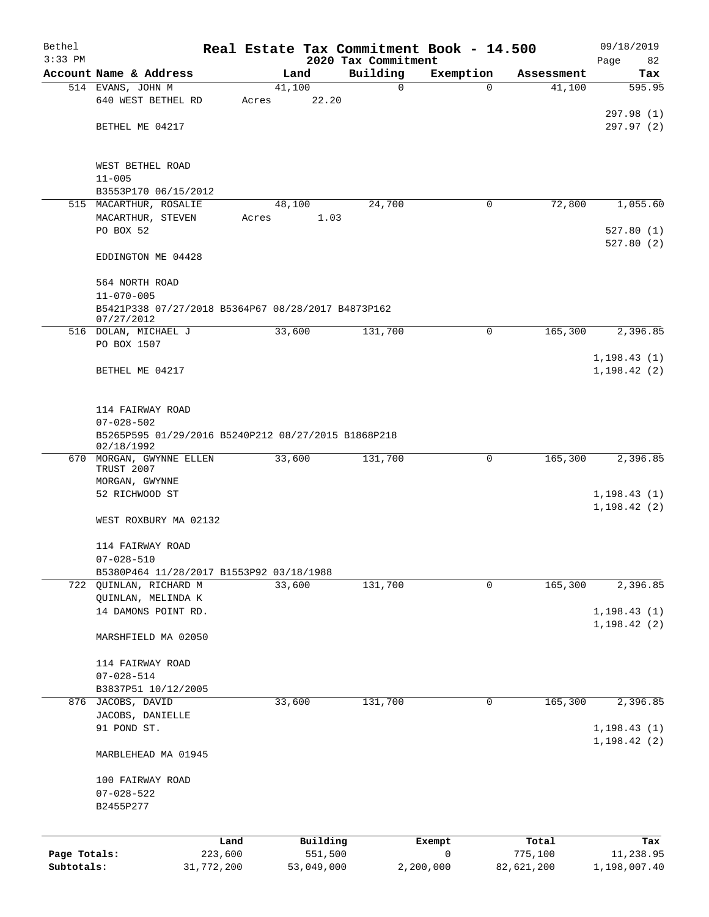| Bethel       |                                                                    |       |                | Real Estate Tax Commitment Book - 14.500 |                |                      | 09/18/2019                   |
|--------------|--------------------------------------------------------------------|-------|----------------|------------------------------------------|----------------|----------------------|------------------------------|
| $3:33$ PM    | Account Name & Address                                             |       |                | 2020 Tax Commitment                      |                |                      | Page<br>82                   |
|              | 514 EVANS, JOHN M                                                  |       | Land<br>41,100 | Building<br>0                            | Exemption<br>0 | Assessment<br>41,100 | Tax<br>595.95                |
|              | 640 WEST BETHEL RD                                                 | Acres | 22.20          |                                          |                |                      |                              |
|              |                                                                    |       |                |                                          |                |                      | 297.98 (1)                   |
|              | BETHEL ME 04217                                                    |       |                |                                          |                |                      | 297.97 (2)                   |
|              | WEST BETHEL ROAD                                                   |       |                |                                          |                |                      |                              |
|              | $11 - 005$                                                         |       |                |                                          |                |                      |                              |
|              | B3553P170 06/15/2012                                               |       |                |                                          |                |                      |                              |
|              | 515 MACARTHUR, ROSALIE<br>MACARTHUR, STEVEN                        | Acres | 48,100<br>1.03 | 24,700                                   | 0              | 72,800               | 1,055.60                     |
|              | PO BOX 52                                                          |       |                |                                          |                |                      | 527.80(1)<br>527.80(2)       |
|              | EDDINGTON ME 04428                                                 |       |                |                                          |                |                      |                              |
|              | 564 NORTH ROAD<br>$11 - 070 - 005$                                 |       |                |                                          |                |                      |                              |
|              | B5421P338 07/27/2018 B5364P67 08/28/2017 B4873P162<br>07/27/2012   |       |                |                                          |                |                      |                              |
|              | 516 DOLAN, MICHAEL J                                               |       | 33,600         | 131,700                                  | 0              | 165,300              | 2,396.85                     |
|              | PO BOX 1507                                                        |       |                |                                          |                |                      | 1, 198.43(1)                 |
|              | BETHEL ME 04217                                                    |       |                |                                          |                |                      | 1, 198.42(2)                 |
|              | 114 FAIRWAY ROAD                                                   |       |                |                                          |                |                      |                              |
|              | $07 - 028 - 502$                                                   |       |                |                                          |                |                      |                              |
|              | B5265P595 01/29/2016 B5240P212 08/27/2015 B1868P218<br>02/18/1992  |       |                |                                          |                |                      |                              |
|              | 670 MORGAN, GWYNNE ELLEN<br>TRUST 2007<br>MORGAN, GWYNNE           |       | 33,600         | 131,700                                  | 0              | 165,300              | 2,396.85                     |
|              | 52 RICHWOOD ST                                                     |       |                |                                          |                |                      | 1, 198.43(1)<br>1, 198.42(2) |
|              | WEST ROXBURY MA 02132                                              |       |                |                                          |                |                      |                              |
|              | 114 FAIRWAY ROAD                                                   |       |                |                                          |                |                      |                              |
|              | $07 - 028 - 510$                                                   |       |                |                                          |                |                      |                              |
|              | B5380P464 11/28/2017 B1553P92 03/18/1988<br>722 QUINLAN, RICHARD M |       | 33,600         | 131,700                                  | $\mathbf{0}$   | 165,300              | 2,396.85                     |
|              | QUINLAN, MELINDA K                                                 |       |                |                                          |                |                      |                              |
|              | 14 DAMONS POINT RD.                                                |       |                |                                          |                |                      | 1, 198.43(1)<br>1, 198.42(2) |
|              | MARSHFIELD MA 02050                                                |       |                |                                          |                |                      |                              |
|              | 114 FAIRWAY ROAD                                                   |       |                |                                          |                |                      |                              |
|              | $07 - 028 - 514$                                                   |       |                |                                          |                |                      |                              |
|              | B3837P51 10/12/2005<br>876 JACOBS, DAVID                           |       | 33,600         | 131,700                                  | 0              | 165,300              | 2,396.85                     |
|              | JACOBS, DANIELLE                                                   |       |                |                                          |                |                      |                              |
|              | 91 POND ST.                                                        |       |                |                                          |                |                      | 1, 198.43(1)                 |
|              | MARBLEHEAD MA 01945                                                |       |                |                                          |                |                      | 1, 198.42(2)                 |
|              |                                                                    |       |                |                                          |                |                      |                              |
|              | 100 FAIRWAY ROAD                                                   |       |                |                                          |                |                      |                              |
|              | $07 - 028 - 522$<br>B2455P277                                      |       |                |                                          |                |                      |                              |
|              | Land                                                               |       | Building       |                                          | Exempt         | Total                | Tax                          |
| Page Totals: | 223,600                                                            |       | 551,500        |                                          | 0              | 775,100              | 11,238.95                    |
| Subtotals:   | 31,772,200                                                         |       | 53,049,000     |                                          | 2,200,000      | 82,621,200           | 1,198,007.40                 |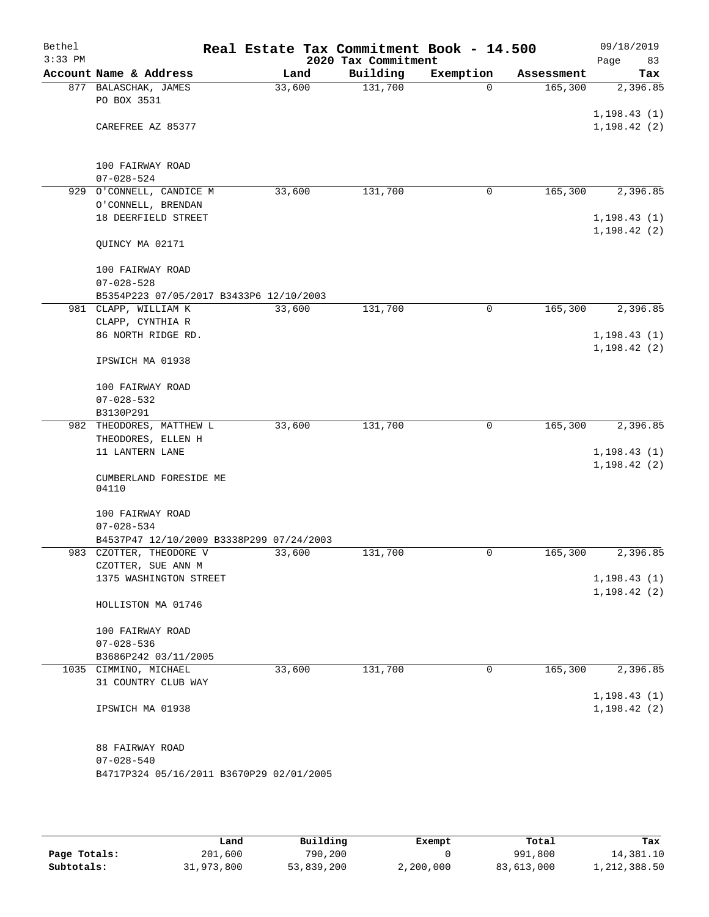| Bethel<br>$3:33$ PM |                                          |        | 2020 Tax Commitment | Real Estate Tax Commitment Book - 14.500 |            | 09/18/2019<br>Page<br>83     |
|---------------------|------------------------------------------|--------|---------------------|------------------------------------------|------------|------------------------------|
|                     | Account Name & Address                   | Land   | Building            | Exemption                                | Assessment | Tax                          |
|                     | 877 BALASCHAK, JAMES<br>PO BOX 3531      | 33,600 | 131,700             | $\Omega$                                 | 165,300    | 2,396.85                     |
|                     | CAREFREE AZ 85377                        |        |                     |                                          |            | 1, 198.43(1)<br>1, 198.42(2) |
|                     |                                          |        |                     |                                          |            |                              |
|                     | 100 FAIRWAY ROAD<br>$07 - 028 - 524$     |        |                     |                                          |            |                              |
|                     | 929 O'CONNELL, CANDICE M                 | 33,600 | 131,700             | 0                                        | 165,300    | 2,396.85                     |
|                     | O'CONNELL, BRENDAN                       |        |                     |                                          |            |                              |
|                     | 18 DEERFIELD STREET                      |        |                     |                                          |            | 1, 198.43(1)                 |
|                     |                                          |        |                     |                                          |            | 1, 198.42(2)                 |
|                     | QUINCY MA 02171                          |        |                     |                                          |            |                              |
|                     | 100 FAIRWAY ROAD                         |        |                     |                                          |            |                              |
|                     | $07 - 028 - 528$                         |        |                     |                                          |            |                              |
|                     | B5354P223 07/05/2017 B3433P6 12/10/2003  |        |                     |                                          |            |                              |
|                     | 981 CLAPP, WILLIAM K                     | 33,600 | 131,700             | 0                                        | 165,300    | 2,396.85                     |
|                     | CLAPP, CYNTHIA R                         |        |                     |                                          |            |                              |
|                     | 86 NORTH RIDGE RD.                       |        |                     |                                          |            | 1, 198.43(1)                 |
|                     | IPSWICH MA 01938                         |        |                     |                                          |            | 1,198.42(2)                  |
|                     | 100 FAIRWAY ROAD                         |        |                     |                                          |            |                              |
|                     | $07 - 028 - 532$                         |        |                     |                                          |            |                              |
|                     | B3130P291                                |        |                     |                                          |            |                              |
|                     | 982 THEODORES, MATTHEW L                 | 33,600 | 131,700             | 0                                        | 165,300    | 2,396.85                     |
|                     | THEODORES, ELLEN H                       |        |                     |                                          |            |                              |
|                     | 11 LANTERN LANE                          |        |                     |                                          |            | 1, 198.43(1)                 |
|                     |                                          |        |                     |                                          |            | 1, 198.42(2)                 |
|                     | CUMBERLAND FORESIDE ME<br>04110          |        |                     |                                          |            |                              |
|                     | 100 FAIRWAY ROAD                         |        |                     |                                          |            |                              |
|                     | $07 - 028 - 534$                         |        |                     |                                          |            |                              |
|                     | B4537P47 12/10/2009 B3338P299 07/24/2003 |        |                     |                                          |            |                              |
|                     | 983 CZOTTER, THEODORE V                  | 33,600 | 131,700             | 0                                        | 165,300    | 2,396.85                     |
|                     | CZOTTER, SUE ANN M                       |        |                     |                                          |            |                              |
|                     | 1375 WASHINGTON STREET                   |        |                     |                                          |            | 1,198.43(1)                  |
|                     | HOLLISTON MA 01746                       |        |                     |                                          |            | 1, 198.42(2)                 |
|                     | 100 FAIRWAY ROAD                         |        |                     |                                          |            |                              |
|                     | $07 - 028 - 536$                         |        |                     |                                          |            |                              |
|                     | B3686P242 03/11/2005                     |        |                     |                                          |            |                              |
|                     | 1035 CIMMINO, MICHAEL                    | 33,600 | 131,700             | 0                                        | 165,300    | 2,396.85                     |
|                     | 31 COUNTRY CLUB WAY                      |        |                     |                                          |            |                              |
|                     |                                          |        |                     |                                          |            | 1, 198.43(1)                 |
|                     | IPSWICH MA 01938                         |        |                     |                                          |            | 1, 198.42(2)                 |
|                     | 88 FAIRWAY ROAD                          |        |                     |                                          |            |                              |
|                     | $07 - 028 - 540$                         |        |                     |                                          |            |                              |
|                     | B4717P324 05/16/2011 B3670P29 02/01/2005 |        |                     |                                          |            |                              |
|                     |                                          |        |                     |                                          |            |                              |

|              | Land       | Building   | Exempt    | Total      | Tax          |
|--------------|------------|------------|-----------|------------|--------------|
| Page Totals: | 201,600    | 790,200    |           | 991,800    | 14,381.10    |
| Subtotals:   | 31,973,800 | 53,839,200 | 2,200,000 | 83,613,000 | 1,212,388.50 |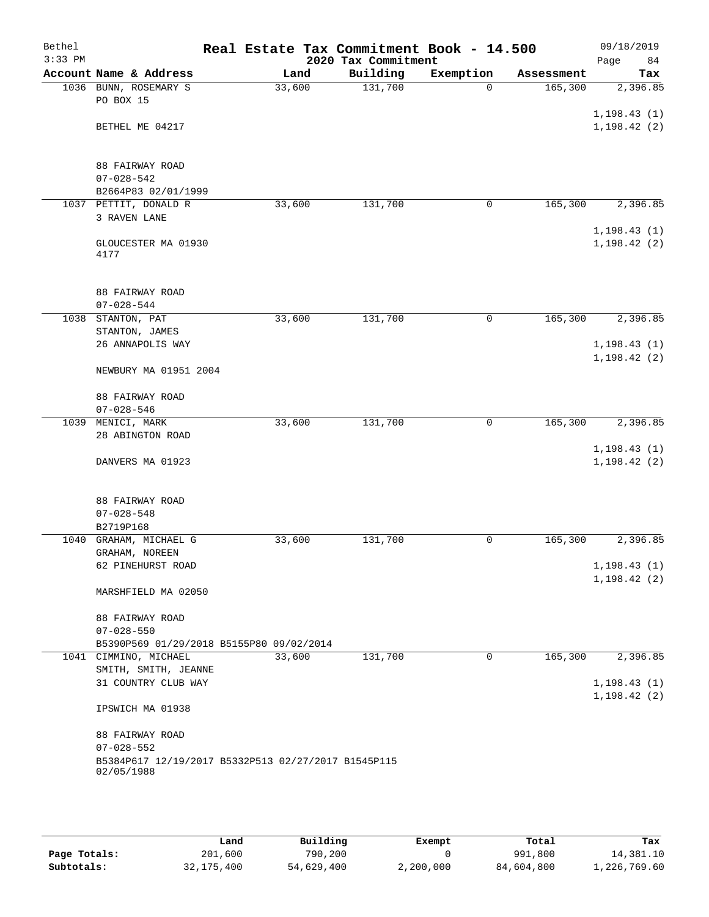| Bethel<br>$3:33$ PM |                                                     | Real Estate Tax Commitment Book - 14.500 | 2020 Tax Commitment |             |            | 09/18/2019<br>84<br>Page |
|---------------------|-----------------------------------------------------|------------------------------------------|---------------------|-------------|------------|--------------------------|
|                     | Account Name & Address                              | Land                                     | Building            | Exemption   | Assessment | Tax                      |
|                     | 1036 BUNN, ROSEMARY S                               | 33,600                                   | 131,700             | $\Omega$    | 165,300    | 2,396.85                 |
|                     | PO BOX 15                                           |                                          |                     |             |            |                          |
|                     |                                                     |                                          |                     |             |            | 1, 198.43(1)             |
|                     | BETHEL ME 04217                                     |                                          |                     |             |            | 1, 198.42(2)             |
|                     |                                                     |                                          |                     |             |            |                          |
|                     |                                                     |                                          |                     |             |            |                          |
|                     | 88 FAIRWAY ROAD<br>$07 - 028 - 542$                 |                                          |                     |             |            |                          |
|                     | B2664P83 02/01/1999                                 |                                          |                     |             |            |                          |
|                     | 1037 PETTIT, DONALD R                               | 33,600                                   | 131,700             | $\mathbf 0$ | 165,300    | 2,396.85                 |
|                     | 3 RAVEN LANE                                        |                                          |                     |             |            |                          |
|                     |                                                     |                                          |                     |             |            | 1, 198.43(1)             |
|                     | GLOUCESTER MA 01930                                 |                                          |                     |             |            | 1, 198.42(2)             |
|                     | 4177                                                |                                          |                     |             |            |                          |
|                     |                                                     |                                          |                     |             |            |                          |
|                     | 88 FAIRWAY ROAD                                     |                                          |                     |             |            |                          |
|                     | $07 - 028 - 544$                                    |                                          |                     |             |            |                          |
|                     | 1038 STANTON, PAT                                   | 33,600                                   | 131,700             | 0           | 165,300    | 2,396.85                 |
|                     | STANTON, JAMES                                      |                                          |                     |             |            |                          |
|                     | 26 ANNAPOLIS WAY                                    |                                          |                     |             |            | 1, 198.43(1)             |
|                     |                                                     |                                          |                     |             |            | 1, 198.42(2)             |
|                     | NEWBURY MA 01951 2004                               |                                          |                     |             |            |                          |
|                     |                                                     |                                          |                     |             |            |                          |
|                     | 88 FAIRWAY ROAD                                     |                                          |                     |             |            |                          |
|                     | $07 - 028 - 546$<br>1039 MENICI, MARK               | 33,600                                   | 131,700             | 0           | 165,300    | 2,396.85                 |
|                     | 28 ABINGTON ROAD                                    |                                          |                     |             |            |                          |
|                     |                                                     |                                          |                     |             |            | 1, 198.43(1)             |
|                     | DANVERS MA 01923                                    |                                          |                     |             |            | 1, 198.42(2)             |
|                     |                                                     |                                          |                     |             |            |                          |
|                     |                                                     |                                          |                     |             |            |                          |
|                     | 88 FAIRWAY ROAD                                     |                                          |                     |             |            |                          |
|                     | $07 - 028 - 548$                                    |                                          |                     |             |            |                          |
|                     | B2719P168                                           |                                          |                     |             |            |                          |
|                     | 1040 GRAHAM, MICHAEL G                              | 33,600                                   | 131,700             | 0           | 165,300    | 2,396.85                 |
|                     | GRAHAM, NOREEN<br>62 PINEHURST ROAD                 |                                          |                     |             |            | 1, 198.43(1)             |
|                     |                                                     |                                          |                     |             |            | 1, 198.42(2)             |
|                     | MARSHFIELD MA 02050                                 |                                          |                     |             |            |                          |
|                     |                                                     |                                          |                     |             |            |                          |
|                     | 88 FAIRWAY ROAD                                     |                                          |                     |             |            |                          |
|                     | $07 - 028 - 550$                                    |                                          |                     |             |            |                          |
|                     | B5390P569 01/29/2018 B5155P80 09/02/2014            |                                          |                     |             |            |                          |
|                     | 1041 CIMMINO, MICHAEL                               | 33,600                                   | 131,700             | $\mathbf 0$ | 165,300    | 2,396.85                 |
|                     | SMITH, SMITH, JEANNE<br>31 COUNTRY CLUB WAY         |                                          |                     |             |            | 1, 198.43(1)             |
|                     |                                                     |                                          |                     |             |            | 1, 198.42(2)             |
|                     | IPSWICH MA 01938                                    |                                          |                     |             |            |                          |
|                     |                                                     |                                          |                     |             |            |                          |
|                     | 88 FAIRWAY ROAD                                     |                                          |                     |             |            |                          |
|                     | $07 - 028 - 552$                                    |                                          |                     |             |            |                          |
|                     | B5384P617 12/19/2017 B5332P513 02/27/2017 B1545P115 |                                          |                     |             |            |                          |
|                     | 02/05/1988                                          |                                          |                     |             |            |                          |
|                     |                                                     |                                          |                     |             |            |                          |

|              | Land       | Building   | Exempt    | Total      | Tax          |
|--------------|------------|------------|-----------|------------|--------------|
| Page Totals: | 201,600    | 790,200    |           | 991,800    | 14,381.10    |
| Subtotals:   | 32,175,400 | 54,629,400 | 2,200,000 | 84,604,800 | 1,226,769.60 |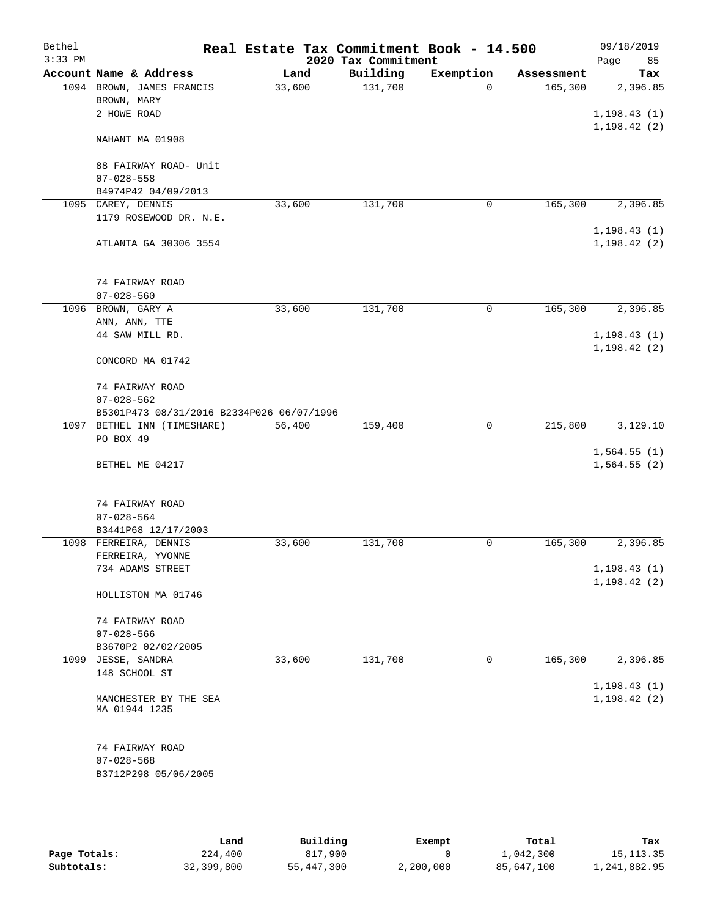| Bethel<br>$3:33$ PM |                                           |        |      | Real Estate Tax Commitment Book - 14.500<br>2020 Tax Commitment |           |             |            | 09/18/2019<br>Page           | 85  |
|---------------------|-------------------------------------------|--------|------|-----------------------------------------------------------------|-----------|-------------|------------|------------------------------|-----|
|                     | Account Name & Address                    |        | Land | Building                                                        | Exemption |             | Assessment |                              | Tax |
|                     | 1094 BROWN, JAMES FRANCIS<br>BROWN, MARY  | 33,600 |      | 131,700                                                         |           | $\Omega$    | 165,300    | 2,396.85                     |     |
|                     | 2 HOWE ROAD                               |        |      |                                                                 |           |             |            | 1, 198.43(1)<br>1, 198.42(2) |     |
|                     | NAHANT MA 01908                           |        |      |                                                                 |           |             |            |                              |     |
|                     | 88 FAIRWAY ROAD- Unit<br>$07 - 028 - 558$ |        |      |                                                                 |           |             |            |                              |     |
|                     | B4974P42 04/09/2013                       |        |      |                                                                 |           |             |            |                              |     |
|                     | 1095 CAREY, DENNIS                        | 33,600 |      | 131,700                                                         |           | $\mathbf 0$ | 165,300    | 2,396.85                     |     |
|                     | 1179 ROSEWOOD DR. N.E.                    |        |      |                                                                 |           |             |            | 1, 198.43(1)                 |     |
|                     | ATLANTA GA 30306 3554                     |        |      |                                                                 |           |             |            | 1, 198.42(2)                 |     |
|                     | 74 FAIRWAY ROAD<br>$07 - 028 - 560$       |        |      |                                                                 |           |             |            |                              |     |
|                     | 1096 BROWN, GARY A                        |        |      | 131,700                                                         |           | $\mathbf 0$ | 165,300    | 2,396.85                     |     |
|                     |                                           | 33,600 |      |                                                                 |           |             |            |                              |     |
|                     | ANN, ANN, TTE<br>44 SAW MILL RD.          |        |      |                                                                 |           |             |            | 1, 198.43(1)                 |     |
|                     | CONCORD MA 01742                          |        |      |                                                                 |           |             |            | 1, 198.42(2)                 |     |
|                     | 74 FAIRWAY ROAD<br>$07 - 028 - 562$       |        |      |                                                                 |           |             |            |                              |     |
|                     | B5301P473 08/31/2016 B2334P026 06/07/1996 |        |      |                                                                 |           |             |            |                              |     |
|                     | 1097 BETHEL INN (TIMESHARE)               | 56,400 |      | 159,400                                                         |           | 0           | 215,800    | 3,129.10                     |     |
|                     | PO BOX 49                                 |        |      |                                                                 |           |             |            |                              |     |
|                     |                                           |        |      |                                                                 |           |             |            | 1,564.55(1)                  |     |
|                     | BETHEL ME 04217                           |        |      |                                                                 |           |             |            | 1,564.55(2)                  |     |
|                     |                                           |        |      |                                                                 |           |             |            |                              |     |
|                     | 74 FAIRWAY ROAD                           |        |      |                                                                 |           |             |            |                              |     |
|                     | $07 - 028 - 564$                          |        |      |                                                                 |           |             |            |                              |     |
|                     | B3441P68 12/17/2003                       |        |      |                                                                 |           |             |            |                              |     |
| 1098                | FERREIRA, DENNIS                          | 33,600 |      | 131,700                                                         |           | 0           | 165,300    | 2,396.85                     |     |
|                     | FERREIRA, YVONNE                          |        |      |                                                                 |           |             |            | 1, 198.43(1)                 |     |
|                     | 734 ADAMS STREET                          |        |      |                                                                 |           |             |            | 1,198.42 (2)                 |     |
|                     | HOLLISTON MA 01746                        |        |      |                                                                 |           |             |            |                              |     |
|                     | 74 FAIRWAY ROAD                           |        |      |                                                                 |           |             |            |                              |     |
|                     | $07 - 028 - 566$                          |        |      |                                                                 |           |             |            |                              |     |
|                     | B3670P2 02/02/2005                        |        |      |                                                                 |           |             |            |                              |     |
|                     | 1099 JESSE, SANDRA                        | 33,600 |      | 131,700                                                         |           | 0           | 165,300    | 2,396.85                     |     |
|                     | 148 SCHOOL ST                             |        |      |                                                                 |           |             |            | 1, 198.43(1)                 |     |
|                     | MANCHESTER BY THE SEA<br>MA 01944 1235    |        |      |                                                                 |           |             |            | 1, 198.42(2)                 |     |
|                     | 74 FAIRWAY ROAD                           |        |      |                                                                 |           |             |            |                              |     |
|                     | $07 - 028 - 568$                          |        |      |                                                                 |           |             |            |                              |     |
|                     | B3712P298 05/06/2005                      |        |      |                                                                 |           |             |            |                              |     |

|              | Land       | Building   | Exempt    | Total      | Tax          |
|--------------|------------|------------|-----------|------------|--------------|
| Page Totals: | 224,400    | 817,900    |           | 1,042,300  | 15, 113. 35  |
| Subtotals:   | 32,399,800 | 55,447,300 | 2,200,000 | 85,647,100 | 1,241,882.95 |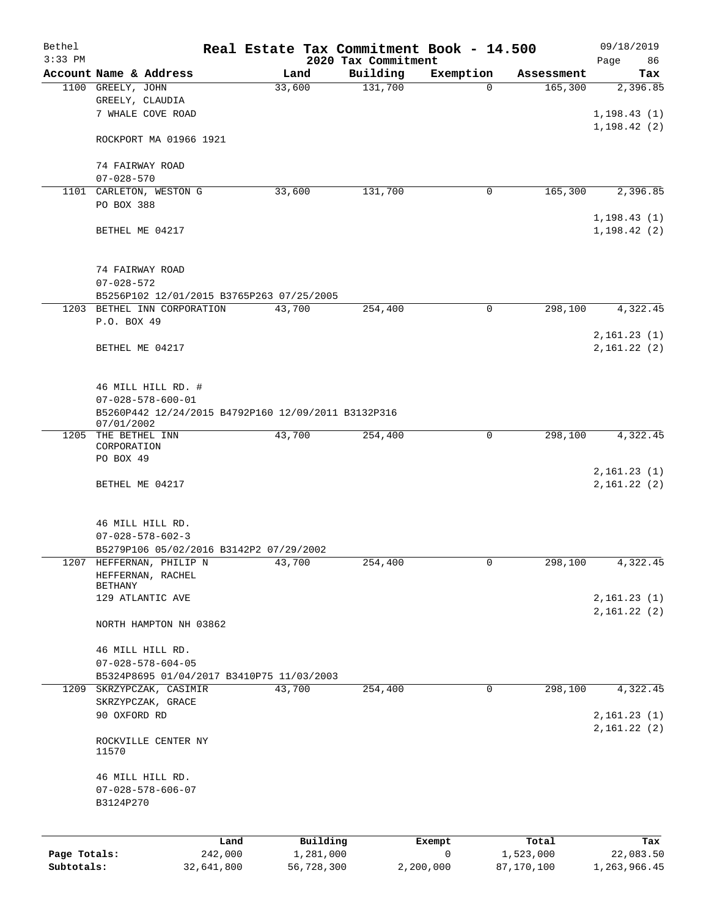| Bethel<br>$3:33$ PM |                                                                                                                        |            | Real Estate Tax Commitment Book - 14.500 |                                 |              |                      | 09/18/2019                 |
|---------------------|------------------------------------------------------------------------------------------------------------------------|------------|------------------------------------------|---------------------------------|--------------|----------------------|----------------------------|
|                     | Account Name & Address                                                                                                 |            | Land                                     | 2020 Tax Commitment<br>Building | Exemption    | Assessment           | Page<br>86<br>Tax          |
|                     | 1100 GREELY, JOHN                                                                                                      |            | 33,600                                   | 131,700                         | $\Omega$     | 165,300              | 2,396.85                   |
|                     | GREELY, CLAUDIA                                                                                                        |            |                                          |                                 |              |                      |                            |
|                     | 7 WHALE COVE ROAD                                                                                                      |            |                                          |                                 |              |                      | 1, 198.43(1)               |
|                     | ROCKPORT MA 01966 1921                                                                                                 |            |                                          |                                 |              |                      | 1, 198.42(2)               |
|                     | 74 FAIRWAY ROAD                                                                                                        |            |                                          |                                 |              |                      |                            |
|                     | $07 - 028 - 570$                                                                                                       |            |                                          |                                 |              |                      |                            |
|                     | 1101 CARLETON, WESTON G                                                                                                |            | 33,600                                   | 131,700                         | 0            | 165,300              | 2,396.85                   |
|                     | PO BOX 388                                                                                                             |            |                                          |                                 |              |                      | 1, 198.43(1)               |
|                     | BETHEL ME 04217                                                                                                        |            |                                          |                                 |              |                      | 1, 198.42(2)               |
|                     | 74 FAIRWAY ROAD                                                                                                        |            |                                          |                                 |              |                      |                            |
|                     | $07 - 028 - 572$                                                                                                       |            |                                          |                                 |              |                      |                            |
|                     | B5256P102 12/01/2015 B3765P263 07/25/2005                                                                              |            |                                          |                                 |              |                      |                            |
|                     | 1203 BETHEL INN CORPORATION<br>P.O. BOX 49                                                                             |            | 43,700                                   | 254,400                         | 0            | $\overline{298,100}$ | 4,322.45                   |
|                     | BETHEL ME 04217                                                                                                        |            |                                          |                                 |              |                      | 2,161.23(1)<br>2,161.22(2) |
|                     | 46 MILL HILL RD. #<br>$07 - 028 - 578 - 600 - 01$<br>B5260P442 12/24/2015 B4792P160 12/09/2011 B3132P316<br>07/01/2002 |            |                                          |                                 |              |                      |                            |
|                     | 1205 THE BETHEL INN                                                                                                    |            | 43,700                                   | 254,400                         | 0            | 298,100              | 4,322.45                   |
|                     | CORPORATION<br>PO BOX 49                                                                                               |            |                                          |                                 |              |                      |                            |
|                     |                                                                                                                        |            |                                          |                                 |              |                      | 2,161.23(1)                |
|                     | BETHEL ME 04217                                                                                                        |            |                                          |                                 |              |                      | 2,161.22(2)                |
|                     | 46 MILL HILL RD.                                                                                                       |            |                                          |                                 |              |                      |                            |
|                     | $07 - 028 - 578 - 602 - 3$                                                                                             |            |                                          |                                 |              |                      |                            |
|                     | B5279P106 05/02/2016 B3142P2 07/29/2002                                                                                |            |                                          |                                 |              |                      |                            |
|                     | 1207 HEFFERNAN, PHILIP N<br>HEFFERNAN, RACHEL                                                                          |            | 43,700                                   | 254,400                         | 0            | 298,100              | 4,322.45                   |
|                     | <b>BETHANY</b>                                                                                                         |            |                                          |                                 |              |                      |                            |
|                     | 129 ATLANTIC AVE                                                                                                       |            |                                          |                                 |              |                      | 2,161.23(1)                |
|                     | NORTH HAMPTON NH 03862                                                                                                 |            |                                          |                                 |              |                      | 2,161.22(2)                |
|                     | 46 MILL HILL RD.                                                                                                       |            |                                          |                                 |              |                      |                            |
|                     | $07 - 028 - 578 - 604 - 05$                                                                                            |            |                                          |                                 |              |                      |                            |
|                     | B5324P8695 01/04/2017 B3410P75 11/03/2003                                                                              |            |                                          |                                 |              |                      |                            |
|                     | 1209 SKRZYPCZAK, CASIMIR<br>SKRZYPCZAK, GRACE                                                                          |            | 43,700                                   | 254,400                         | 0            | 298,100              | 4,322.45                   |
|                     | 90 OXFORD RD                                                                                                           |            |                                          |                                 |              |                      | 2,161.23(1)<br>2,161.22(2) |
|                     | ROCKVILLE CENTER NY<br>11570                                                                                           |            |                                          |                                 |              |                      |                            |
|                     | 46 MILL HILL RD.                                                                                                       |            |                                          |                                 |              |                      |                            |
|                     | $07 - 028 - 578 - 606 - 07$<br>B3124P270                                                                               |            |                                          |                                 |              |                      |                            |
|                     |                                                                                                                        | Land       | Building                                 |                                 | Exempt       | Total                | Tax                        |
| Page Totals:        |                                                                                                                        | 242,000    | 1,281,000                                |                                 | $\mathsf{O}$ | 1,523,000            | 22,083.50                  |
| Subtotals:          |                                                                                                                        | 32,641,800 | 56,728,300                               |                                 | 2,200,000    | 87,170,100           | 1,263,966.45               |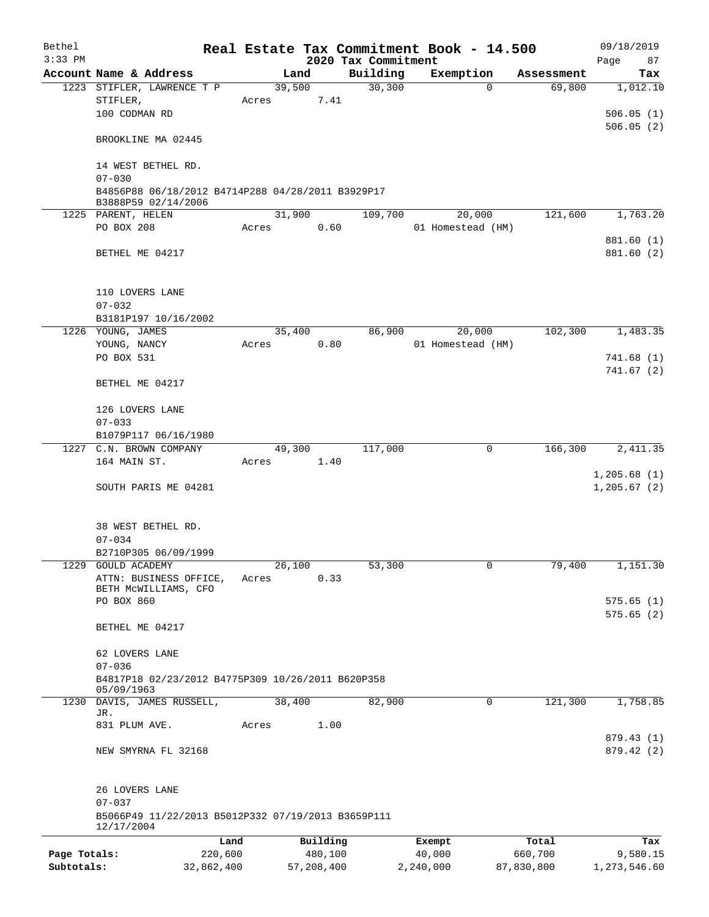| Bethel       |                                                                          |         |            |          |                                 | Real Estate Tax Commitment Book - 14.500 |            | 09/18/2019        |  |
|--------------|--------------------------------------------------------------------------|---------|------------|----------|---------------------------------|------------------------------------------|------------|-------------------|--|
| $3:33$ PM    | Account Name & Address                                                   |         | Land       |          | 2020 Tax Commitment<br>Building | Exemption                                | Assessment | Page<br>87<br>Tax |  |
|              | 1223 STIFLER, LAWRENCE T P                                               |         | 39,500     |          | 30,300                          | $\Omega$                                 | 69,800     | 1,012.10          |  |
|              | STIFLER,                                                                 | Acres   |            | 7.41     |                                 |                                          |            |                   |  |
|              | 100 CODMAN RD                                                            |         |            |          |                                 |                                          |            | 506.05(1)         |  |
|              |                                                                          |         |            |          |                                 |                                          |            | 506.05(2)         |  |
|              | BROOKLINE MA 02445                                                       |         |            |          |                                 |                                          |            |                   |  |
|              | 14 WEST BETHEL RD.<br>$07 - 030$                                         |         |            |          |                                 |                                          |            |                   |  |
|              | B4856P88 06/18/2012 B4714P288 04/28/2011 B3929P17<br>B3888P59 02/14/2006 |         |            |          |                                 |                                          |            |                   |  |
|              | 1225 PARENT, HELEN                                                       |         | 31,900     |          | 109,700                         | 20,000                                   | 121,600    | 1,763.20          |  |
|              | PO BOX 208                                                               | Acres   |            | 0.60     |                                 | 01 Homestead (HM)                        |            |                   |  |
|              |                                                                          |         |            |          |                                 |                                          |            | 881.60 (1)        |  |
|              | BETHEL ME 04217                                                          |         |            |          |                                 |                                          |            | 881.60 (2)        |  |
|              |                                                                          |         |            |          |                                 |                                          |            |                   |  |
|              | 110 LOVERS LANE                                                          |         |            |          |                                 |                                          |            |                   |  |
|              | $07 - 032$                                                               |         |            |          |                                 |                                          |            |                   |  |
|              | B3181P197 10/16/2002                                                     |         |            |          |                                 |                                          |            |                   |  |
|              | 1226 YOUNG, JAMES                                                        |         | 35,400     |          | 86,900                          | 20,000                                   | 102,300    | 1,483.35          |  |
|              | YOUNG, NANCY                                                             | Acres   |            | 0.80     |                                 | 01 Homestead (HM)                        |            |                   |  |
|              | PO BOX 531                                                               |         |            |          |                                 |                                          |            | 741.68(1)         |  |
|              | BETHEL ME 04217                                                          |         |            |          |                                 |                                          |            | 741.67(2)         |  |
|              | 126 LOVERS LANE                                                          |         |            |          |                                 |                                          |            |                   |  |
|              | $07 - 033$                                                               |         |            |          |                                 |                                          |            |                   |  |
|              | B1079P117 06/16/1980                                                     |         |            |          |                                 |                                          |            |                   |  |
|              | 1227 C.N. BROWN COMPANY                                                  |         | 49,300     |          | 117,000                         | $\mathbf 0$                              | 166,300    | 2,411.35          |  |
|              | 164 MAIN ST.                                                             | Acres   |            | 1.40     |                                 |                                          |            |                   |  |
|              |                                                                          |         |            |          |                                 |                                          |            | 1,205.68(1)       |  |
|              | SOUTH PARIS ME 04281                                                     |         |            |          |                                 |                                          |            | 1, 205.67(2)      |  |
|              |                                                                          |         |            |          |                                 |                                          |            |                   |  |
|              | 38 WEST BETHEL RD.                                                       |         |            |          |                                 |                                          |            |                   |  |
|              | $07 - 034$                                                               |         |            |          |                                 |                                          |            |                   |  |
|              | B2710P305 06/09/1999                                                     |         |            |          |                                 |                                          |            |                   |  |
| 1229         | GOULD ACADEMY                                                            |         | 26,100     |          | 53,300                          | 0                                        | 79,400     | 1,151.30          |  |
|              | ATTN: BUSINESS OFFICE,                                                   | Acres   |            | 0.33     |                                 |                                          |            |                   |  |
|              | BETH MCWILLIAMS, CFO<br>PO BOX 860                                       |         |            |          |                                 |                                          |            | 575.65(1)         |  |
|              |                                                                          |         |            |          |                                 |                                          |            | 575.65(2)         |  |
|              | BETHEL ME 04217                                                          |         |            |          |                                 |                                          |            |                   |  |
|              | 62 LOVERS LANE                                                           |         |            |          |                                 |                                          |            |                   |  |
|              | $07 - 036$                                                               |         |            |          |                                 |                                          |            |                   |  |
|              | B4817P18 02/23/2012 B4775P309 10/26/2011 B620P358                        |         |            |          |                                 |                                          |            |                   |  |
|              | 05/09/1963<br>1230 DAVIS, JAMES RUSSELL,                                 |         | 38,400     |          | 82,900                          | 0                                        | 121,300    | 1,758.85          |  |
|              | JR.                                                                      |         |            |          |                                 |                                          |            |                   |  |
|              | 831 PLUM AVE.                                                            | Acres   |            | 1.00     |                                 |                                          |            |                   |  |
|              |                                                                          |         |            |          |                                 |                                          |            | 879.43 (1)        |  |
|              | NEW SMYRNA FL 32168                                                      |         |            |          |                                 |                                          |            | 879.42 (2)        |  |
|              | 26 LOVERS LANE                                                           |         |            |          |                                 |                                          |            |                   |  |
|              | $07 - 037$                                                               |         |            |          |                                 |                                          |            |                   |  |
|              | B5066P49 11/22/2013 B5012P332 07/19/2013 B3659P111<br>12/17/2004         |         |            |          |                                 |                                          |            |                   |  |
|              |                                                                          | Land    |            | Building |                                 | Exempt                                   | Total      | Tax               |  |
| Page Totals: |                                                                          | 220,600 |            | 480,100  |                                 | 40,000                                   | 660,700    | 9,580.15          |  |
| Subtotals:   | 32,862,400                                                               |         | 57,208,400 |          |                                 | 2,240,000                                | 87,830,800 | 1,273,546.60      |  |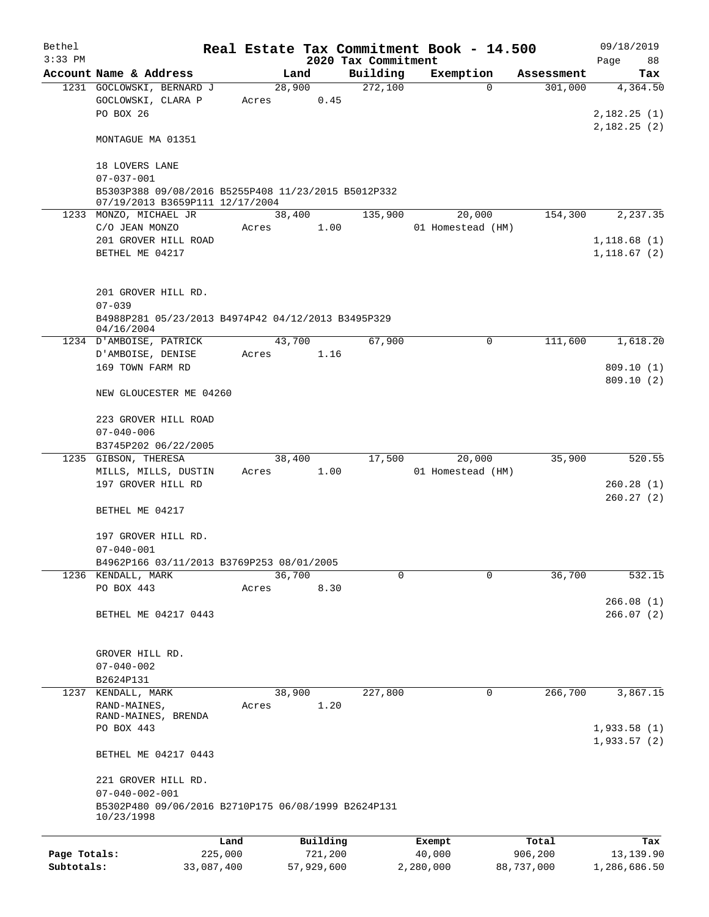| Bethel<br>$3:33$ PM |                                                                                        |         |                | 2020 Tax Commitment | Real Estate Tax Commitment Book - 14.500 |            | 09/18/2019<br>Page<br>88   |
|---------------------|----------------------------------------------------------------------------------------|---------|----------------|---------------------|------------------------------------------|------------|----------------------------|
|                     | Account Name & Address                                                                 |         | Land           | Building            | Exemption                                | Assessment | Tax                        |
|                     | 1231 GOCLOWSKI, BERNARD J<br>GOCLOWSKI, CLARA P                                        |         | 28,900<br>0.45 | 272,100             | 0                                        | 301,000    | 4,364.50                   |
|                     | PO BOX 26                                                                              | Acres   |                |                     |                                          |            | 2,182.25(1)<br>2,182.25(2) |
|                     | MONTAGUE MA 01351                                                                      |         |                |                     |                                          |            |                            |
|                     | 18 LOVERS LANE<br>$07 - 037 - 001$                                                     |         |                |                     |                                          |            |                            |
|                     | B5303P388 09/08/2016 B5255P408 11/23/2015 B5012P332<br>07/19/2013 B3659P111 12/17/2004 |         |                |                     |                                          |            |                            |
|                     | 1233 MONZO, MICHAEL JR<br>C/O JEAN MONZO                                               | Acres   | 38,400<br>1.00 | 135,900             | 20,000<br>01 Homestead (HM)              | 154,300    | 2,237.35                   |
|                     | 201 GROVER HILL ROAD                                                                   |         |                |                     |                                          |            | 1,118.68(1)                |
|                     | BETHEL ME 04217                                                                        |         |                |                     |                                          |            | 1, 118.67(2)               |
|                     | 201 GROVER HILL RD.<br>$07 - 039$                                                      |         |                |                     |                                          |            |                            |
|                     | B4988P281 05/23/2013 B4974P42 04/12/2013 B3495P329<br>04/16/2004                       |         |                |                     |                                          |            |                            |
|                     | 1234 D'AMBOISE, PATRICK                                                                |         | 43,700         | 67,900              | $\mathbf 0$                              | 111,600    | 1,618.20                   |
|                     | D'AMBOISE, DENISE<br>169 TOWN FARM RD                                                  | Acres   | 1.16           |                     |                                          |            | 809.10(1)                  |
|                     | NEW GLOUCESTER ME 04260                                                                |         |                |                     |                                          |            | 809.10(2)                  |
|                     | 223 GROVER HILL ROAD                                                                   |         |                |                     |                                          |            |                            |
|                     | $07 - 040 - 006$                                                                       |         |                |                     |                                          |            |                            |
|                     | B3745P202 06/22/2005                                                                   |         |                |                     |                                          |            |                            |
|                     | 1235 GIBSON, THERESA                                                                   |         | 38,400         | 17,500              | 20,000                                   | 35,900     | 520.55                     |
|                     | MILLS, MILLS, DUSTIN<br>197 GROVER HILL RD                                             | Acres   | 1.00           |                     | 01 Homestead (HM)                        |            | 260.28(1)                  |
|                     |                                                                                        |         |                |                     |                                          |            | 260.27(2)                  |
|                     | BETHEL ME 04217                                                                        |         |                |                     |                                          |            |                            |
|                     | 197 GROVER HILL RD.                                                                    |         |                |                     |                                          |            |                            |
|                     | $07 - 040 - 001$                                                                       |         |                |                     |                                          |            |                            |
|                     | B4962P166 03/11/2013 B3769P253 08/01/2005<br>1236 KENDALL, MARK                        |         | 36,700         | 0                   | 0                                        | 36,700     | 532.15                     |
|                     | PO BOX 443                                                                             | Acres   | 8.30           |                     |                                          |            |                            |
|                     | BETHEL ME 04217 0443                                                                   |         |                |                     |                                          |            | 266.08(1)<br>266.07(2)     |
|                     |                                                                                        |         |                |                     |                                          |            |                            |
|                     | GROVER HILL RD.                                                                        |         |                |                     |                                          |            |                            |
|                     | $07 - 040 - 002$                                                                       |         |                |                     |                                          |            |                            |
| 1237                | B2624P131<br>KENDALL, MARK                                                             |         | 38,900         | 227,800             | 0                                        | 266,700    | 3,867.15                   |
|                     | RAND-MAINES,                                                                           | Acres   | 1.20           |                     |                                          |            |                            |
|                     | RAND-MAINES, BRENDA<br>PO BOX 443                                                      |         |                |                     |                                          |            | 1,933.58(1)                |
|                     | BETHEL ME 04217 0443                                                                   |         |                |                     |                                          |            | 1,933.57(2)                |
|                     | 221 GROVER HILL RD.<br>$07 - 040 - 002 - 001$                                          |         |                |                     |                                          |            |                            |
|                     | B5302P480 09/06/2016 B2710P175 06/08/1999 B2624P131<br>10/23/1998                      |         |                |                     |                                          |            |                            |
|                     |                                                                                        | Land    | Building       |                     | Exempt                                   | Total      | Tax                        |
| Page Totals:        |                                                                                        | 225,000 | 721,200        |                     | 40,000                                   | 906,200    | 13,139.90                  |

**Subtotals:** 33,087,400 57,929,600 2,280,000 88,737,000 1,286,686.50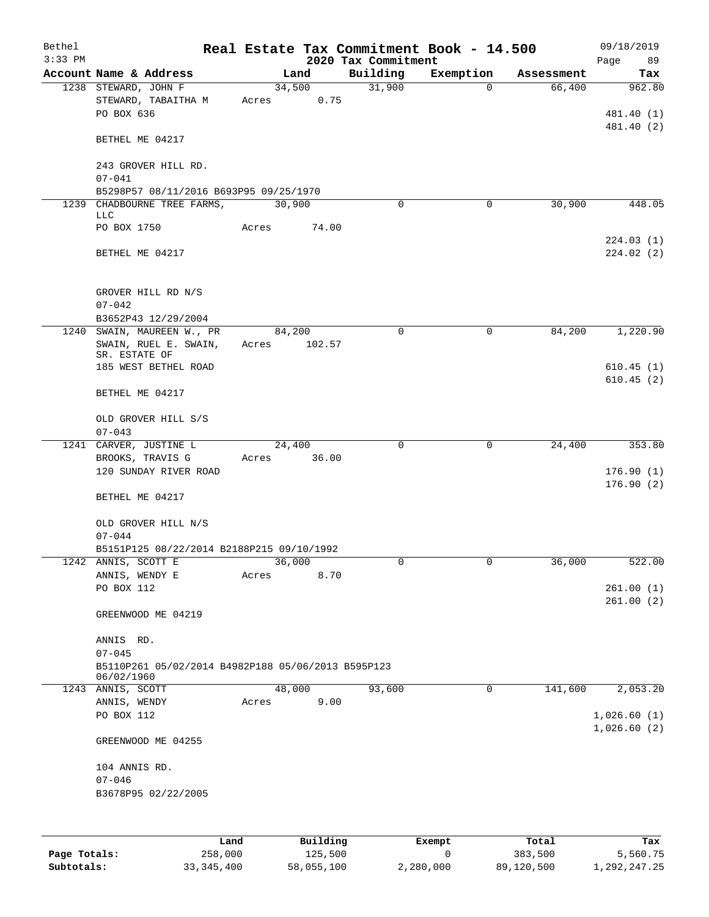| Bethel<br>$3:33$ PM |                                                                  |       |        | Real Estate Tax Commitment Book - 14.500<br>2020 Tax Commitment |              |            | 09/18/2019<br>89 |
|---------------------|------------------------------------------------------------------|-------|--------|-----------------------------------------------------------------|--------------|------------|------------------|
|                     | Account Name & Address                                           |       | Land   | Building                                                        | Exemption    | Assessment | Page<br>Tax      |
|                     | 1238 STEWARD, JOHN F                                             |       | 34,500 | 31,900                                                          | $\mathbf 0$  | 66,400     | 962.80           |
|                     |                                                                  |       |        |                                                                 |              |            |                  |
|                     | STEWARD, TABAITHA M                                              | Acres | 0.75   |                                                                 |              |            |                  |
|                     | PO BOX 636                                                       |       |        |                                                                 |              |            | 481.40 (1)       |
|                     | BETHEL ME 04217                                                  |       |        |                                                                 |              |            | 481.40 (2)       |
|                     | 243 GROVER HILL RD.                                              |       |        |                                                                 |              |            |                  |
|                     | $07 - 041$                                                       |       |        |                                                                 |              |            |                  |
|                     | B5298P57 08/11/2016 B693P95 09/25/1970                           |       |        |                                                                 |              |            |                  |
|                     | 1239 CHADBOURNE TREE FARMS,                                      |       | 30,900 | $\Omega$                                                        | 0            | 30,900     | 448.05           |
|                     | <b>LLC</b>                                                       |       |        |                                                                 |              |            |                  |
|                     | PO BOX 1750                                                      | Acres | 74.00  |                                                                 |              |            |                  |
|                     |                                                                  |       |        |                                                                 |              |            | 224.03(1)        |
|                     | BETHEL ME 04217                                                  |       |        |                                                                 |              |            | 224.02(2)        |
|                     |                                                                  |       |        |                                                                 |              |            |                  |
|                     | GROVER HILL RD N/S                                               |       |        |                                                                 |              |            |                  |
|                     | $07 - 042$                                                       |       |        |                                                                 |              |            |                  |
|                     | B3652P43 12/29/2004                                              |       |        |                                                                 |              |            |                  |
|                     | 1240 SWAIN, MAUREEN W., PR                                       |       | 84,200 | 0                                                               | $\mathbf 0$  | 84,200     | 1,220.90         |
|                     | SWAIN, RUEL E. SWAIN,                                            | Acres | 102.57 |                                                                 |              |            |                  |
|                     | SR. ESTATE OF                                                    |       |        |                                                                 |              |            |                  |
|                     | 185 WEST BETHEL ROAD                                             |       |        |                                                                 |              |            | 610.45(1)        |
|                     |                                                                  |       |        |                                                                 |              |            | 610.45(2)        |
|                     | BETHEL ME 04217                                                  |       |        |                                                                 |              |            |                  |
|                     | OLD GROVER HILL S/S                                              |       |        |                                                                 |              |            |                  |
|                     | $07 - 043$                                                       |       |        |                                                                 |              |            |                  |
|                     | 1241 CARVER, JUSTINE L                                           |       | 24,400 | 0                                                               | $\mathsf{O}$ | 24,400     | 353.80           |
|                     | BROOKS, TRAVIS G                                                 | Acres | 36.00  |                                                                 |              |            |                  |
|                     | 120 SUNDAY RIVER ROAD                                            |       |        |                                                                 |              |            | 176.90(1)        |
|                     |                                                                  |       |        |                                                                 |              |            | 176.90(2)        |
|                     | BETHEL ME 04217                                                  |       |        |                                                                 |              |            |                  |
|                     |                                                                  |       |        |                                                                 |              |            |                  |
|                     | OLD GROVER HILL N/S                                              |       |        |                                                                 |              |            |                  |
|                     | $07 - 044$                                                       |       |        |                                                                 |              |            |                  |
|                     | B5151P125 08/22/2014 B2188P215 09/10/1992<br>1242 ANNIS, SCOTT E |       | 36,000 | 0                                                               | 0            | 36,000     | 522.00           |
|                     |                                                                  | Acres | 8.70   |                                                                 |              |            |                  |
|                     | ANNIS, WENDY E<br>PO BOX 112                                     |       |        |                                                                 |              |            | 261.00(1)        |
|                     |                                                                  |       |        |                                                                 |              |            | 261.00(2)        |
|                     | GREENWOOD ME 04219                                               |       |        |                                                                 |              |            |                  |
|                     |                                                                  |       |        |                                                                 |              |            |                  |
|                     | ANNIS RD.                                                        |       |        |                                                                 |              |            |                  |
|                     | $07 - 045$                                                       |       |        |                                                                 |              |            |                  |
|                     | B5110P261 05/02/2014 B4982P188 05/06/2013 B595P123<br>06/02/1960 |       |        |                                                                 |              |            |                  |
|                     | 1243 ANNIS, SCOTT                                                |       | 48,000 | 93,600                                                          | 0            | 141,600    | 2,053.20         |
|                     | ANNIS, WENDY                                                     | Acres | 9.00   |                                                                 |              |            |                  |
|                     | PO BOX 112                                                       |       |        |                                                                 |              |            | 1,026.60(1)      |
|                     |                                                                  |       |        |                                                                 |              |            | 1,026.60(2)      |
|                     | GREENWOOD ME 04255                                               |       |        |                                                                 |              |            |                  |
|                     | 104 ANNIS RD.                                                    |       |        |                                                                 |              |            |                  |
|                     | $07 - 046$                                                       |       |        |                                                                 |              |            |                  |
|                     | B3678P95 02/22/2005                                              |       |        |                                                                 |              |            |                  |
|                     |                                                                  |       |        |                                                                 |              |            |                  |
|                     |                                                                  |       |        |                                                                 |              |            |                  |
|                     |                                                                  |       |        |                                                                 |              |            |                  |

|              | Land         | Building   | Exempt    | Total      | Tax          |
|--------------|--------------|------------|-----------|------------|--------------|
| Page Totals: | 258,000      | 125,500    |           | 383,500    | 5,560.75     |
| Subtotals:   | 33, 345, 400 | 58,055,100 | 2,280,000 | 89,120,500 | 1,292,247.25 |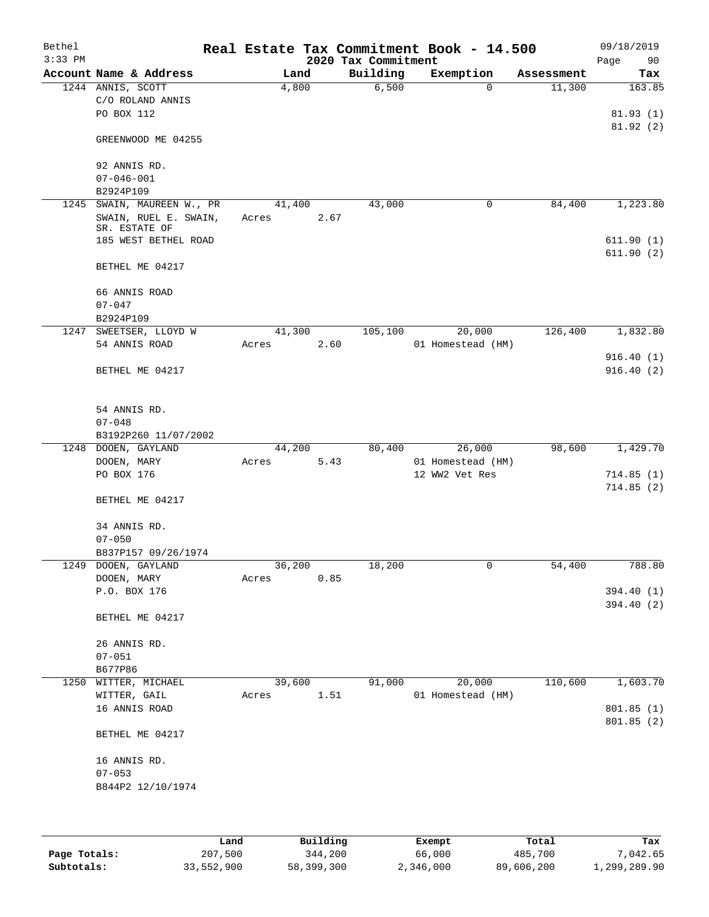| Bethel<br>$3:33$ PM |                                                |                 |      | 2020 Tax Commitment | Real Estate Tax Commitment Book - 14.500 |            | 09/18/2019<br>Page<br>90 |
|---------------------|------------------------------------------------|-----------------|------|---------------------|------------------------------------------|------------|--------------------------|
|                     | Account Name & Address                         |                 | Land | Building            | Exemption                                | Assessment | Tax                      |
|                     | 1244 ANNIS, SCOTT<br>C/O ROLAND ANNIS          | 4,800           |      | 6,500               | $\mathbf 0$                              | 11,300     | 163.85                   |
|                     | PO BOX 112                                     |                 |      |                     |                                          |            | 81.93(1)<br>81.92(2)     |
|                     | GREENWOOD ME 04255                             |                 |      |                     |                                          |            |                          |
|                     | 92 ANNIS RD.                                   |                 |      |                     |                                          |            |                          |
|                     | $07 - 046 - 001$                               |                 |      |                     |                                          |            |                          |
|                     | B2924P109                                      |                 |      |                     |                                          |            |                          |
| 1245                | SWAIN, MAUREEN W., PR<br>SWAIN, RUEL E. SWAIN, | 41,400<br>Acres | 2.67 | 43,000              | 0                                        | 84,400     | 1,223.80                 |
|                     | SR. ESTATE OF                                  |                 |      |                     |                                          |            |                          |
|                     | 185 WEST BETHEL ROAD                           |                 |      |                     |                                          |            | 611.90(1)                |
|                     | BETHEL ME 04217                                |                 |      |                     |                                          |            | 611.90(2)                |
|                     | 66 ANNIS ROAD                                  |                 |      |                     |                                          |            |                          |
|                     | $07 - 047$                                     |                 |      |                     |                                          |            |                          |
|                     | B2924P109                                      |                 |      |                     |                                          |            |                          |
|                     | 1247 SWEETSER, LLOYD W<br>54 ANNIS ROAD        | 41,300          |      | 105,100             | 20,000                                   | 126,400    | 1,832.80                 |
|                     |                                                | Acres           | 2.60 |                     | 01 Homestead (HM)                        |            | 916.40(1)                |
|                     | BETHEL ME 04217                                |                 |      |                     |                                          |            | 916.40(2)                |
|                     |                                                |                 |      |                     |                                          |            |                          |
|                     | 54 ANNIS RD.                                   |                 |      |                     |                                          |            |                          |
|                     | $07 - 048$                                     |                 |      |                     |                                          |            |                          |
|                     | B3192P260 11/07/2002                           |                 |      |                     |                                          |            |                          |
| 1248                | DOOEN, GAYLAND                                 | 44,200          |      | 80,400              | 26,000                                   | 98,600     | 1,429.70                 |
|                     | DOOEN, MARY<br>PO BOX 176                      | Acres           | 5.43 |                     | 01 Homestead (HM)                        |            |                          |
|                     |                                                |                 |      |                     | 12 WW2 Vet Res                           |            | 714.85(1)<br>714.85(2)   |
|                     | BETHEL ME 04217                                |                 |      |                     |                                          |            |                          |
|                     | 34 ANNIS RD.                                   |                 |      |                     |                                          |            |                          |
|                     | $07 - 050$                                     |                 |      |                     |                                          |            |                          |
|                     | B837P157 09/26/1974                            |                 |      |                     |                                          |            |                          |
|                     | 1249 DOOEN, GAYLAND                            | 36,200          |      | 18,200              | 0                                        | 54,400     | 788.80                   |
|                     | DOOEN, MARY<br>P.O. BOX 176                    | Acres           | 0.85 |                     |                                          |            | 394.40 (1)               |
|                     |                                                |                 |      |                     |                                          |            | 394.40(2)                |
|                     | BETHEL ME 04217                                |                 |      |                     |                                          |            |                          |
|                     | 26 ANNIS RD.                                   |                 |      |                     |                                          |            |                          |
|                     | $07 - 051$                                     |                 |      |                     |                                          |            |                          |
|                     | B677P86                                        |                 |      |                     |                                          |            |                          |
| 1250                | WITTER, MICHAEL                                | 39,600          |      | 91,000              | 20,000                                   | 110,600    | 1,603.70                 |
|                     | WITTER, GAIL                                   | Acres           | 1.51 |                     | 01 Homestead (HM)                        |            |                          |
|                     | 16 ANNIS ROAD                                  |                 |      |                     |                                          |            | 801.85 (1)<br>801.85 (2) |
|                     | BETHEL ME 04217                                |                 |      |                     |                                          |            |                          |
|                     | 16 ANNIS RD.                                   |                 |      |                     |                                          |            |                          |
|                     | $07 - 053$                                     |                 |      |                     |                                          |            |                          |
|                     | B844P2 12/10/1974                              |                 |      |                     |                                          |            |                          |
|                     |                                                |                 |      |                     |                                          |            |                          |
|                     |                                                |                 |      |                     |                                          |            |                          |
|                     |                                                |                 |      |                     |                                          |            |                          |

|              | Land       | Building   | Exempt    | Total      | Tax          |
|--------------|------------|------------|-----------|------------|--------------|
| Page Totals: | 207,500    | 344,200    | 66,000    | 485,700    | 7,042.65     |
| Subtotals:   | 33,552,900 | 58,399,300 | 2,346,000 | 89,606,200 | 1,299,289.90 |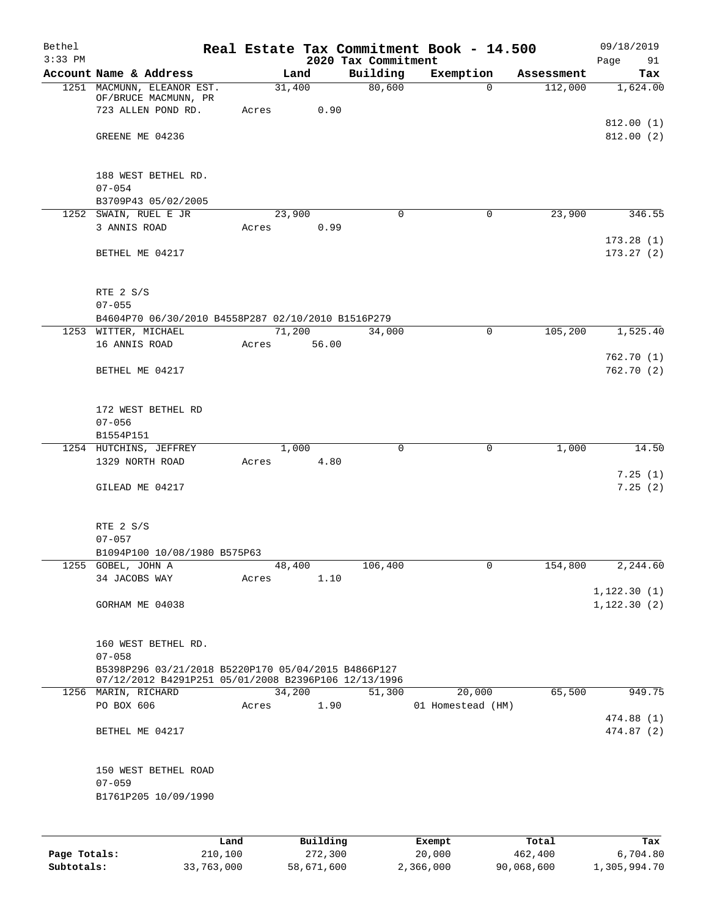| Bethel<br>$3:33$ PM |                                                                                          |       |                | 2020 Tax Commitment | Real Estate Tax Commitment Book - 14.500 |            | 09/18/2019<br>Page<br>91     |
|---------------------|------------------------------------------------------------------------------------------|-------|----------------|---------------------|------------------------------------------|------------|------------------------------|
|                     | Account Name & Address                                                                   |       | Land           | Building            | Exemption                                | Assessment | Tax                          |
|                     | 1251 MACMUNN, ELEANOR EST.<br>OF/BRUCE MACMUNN, PR<br>723 ALLEN POND RD.                 | Acres | 31,400<br>0.90 | 80,600              | $\Omega$                                 | 112,000    | 1,624.00                     |
|                     | GREENE ME 04236                                                                          |       |                |                     |                                          |            | 812.00(1)<br>812.00(2)       |
|                     | 188 WEST BETHEL RD.<br>$07 - 054$                                                        |       |                |                     |                                          |            |                              |
|                     | B3709P43 05/02/2005                                                                      |       |                |                     |                                          |            |                              |
|                     | 1252 SWAIN, RUEL E JR                                                                    |       | 23,900         | $\mathbf 0$         | $\mathbf 0$                              | 23,900     | 346.55                       |
|                     | 3 ANNIS ROAD                                                                             | Acres | 0.99           |                     |                                          |            |                              |
|                     | BETHEL ME 04217                                                                          |       |                |                     |                                          |            | 173.28(1)<br>173.27(2)       |
|                     | RTE 2 S/S<br>$07 - 055$                                                                  |       |                |                     |                                          |            |                              |
|                     | B4604P70 06/30/2010 B4558P287 02/10/2010 B1516P279                                       |       |                |                     |                                          |            |                              |
|                     | 1253 WITTER, MICHAEL                                                                     |       | 71,200         | 34,000              | 0                                        | 105,200    | 1,525.40                     |
|                     | 16 ANNIS ROAD                                                                            | Acres | 56.00          |                     |                                          |            |                              |
|                     | BETHEL ME 04217                                                                          |       |                |                     |                                          |            | 762.70(1)<br>762.70(2)       |
|                     | 172 WEST BETHEL RD<br>$07 - 056$                                                         |       |                |                     |                                          |            |                              |
|                     | B1554P151                                                                                |       |                |                     |                                          |            |                              |
|                     | 1254 HUTCHINS, JEFFREY                                                                   |       | 1,000          | $\mathbf 0$         | 0                                        | 1,000      | 14.50                        |
|                     | 1329 NORTH ROAD                                                                          | Acres | 4.80           |                     |                                          |            | 7.25(1)                      |
|                     | GILEAD ME 04217                                                                          |       |                |                     |                                          |            | 7.25(2)                      |
|                     | RTE 2 S/S<br>$07 - 057$                                                                  |       |                |                     |                                          |            |                              |
|                     | B1094P100 10/08/1980 B575P63                                                             |       |                |                     |                                          |            |                              |
|                     | 1255 GOBEL, JOHN A                                                                       |       | 48,400         | 106,400             | 0                                        | 154,800    | 2,244.60                     |
|                     | 34 JACOBS WAY                                                                            | Acres | 1.10           |                     |                                          |            |                              |
|                     | GORHAM ME 04038                                                                          |       |                |                     |                                          |            | 1, 122.30(1)<br>1, 122.30(2) |
|                     | 160 WEST BETHEL RD.<br>$07 - 058$<br>B5398P296 03/21/2018 B5220P170 05/04/2015 B4866P127 |       |                |                     |                                          |            |                              |
|                     | 07/12/2012 B4291P251 05/01/2008 B2396P106 12/13/1996                                     |       | 34,200         | 51,300              | 20,000                                   | 65,500     | 949.75                       |
|                     | 1256 MARIN, RICHARD<br>PO BOX 606                                                        | Acres | 1.90           |                     | 01 Homestead (HM)                        |            |                              |
|                     |                                                                                          |       |                |                     |                                          |            | 474.88 (1)                   |
|                     | BETHEL ME 04217                                                                          |       |                |                     |                                          |            | 474.87 (2)                   |
|                     | 150 WEST BETHEL ROAD<br>$07 - 059$                                                       |       |                |                     |                                          |            |                              |
|                     | B1761P205 10/09/1990                                                                     |       |                |                     |                                          |            |                              |
|                     |                                                                                          |       |                |                     |                                          |            |                              |
|                     |                                                                                          | Land. | Building       |                     | $F$ vomnt                                | $T$ ctal   | Tov                          |

|              | Land       | Building   | Exempt    | Total      | Tax          |
|--------------|------------|------------|-----------|------------|--------------|
| Page Totals: | 210,100    | 272,300    | 20,000    | 462,400    | 6,704.80     |
| Subtotals:   | 33,763,000 | 58,671,600 | 2,366,000 | 90,068,600 | 1,305,994.70 |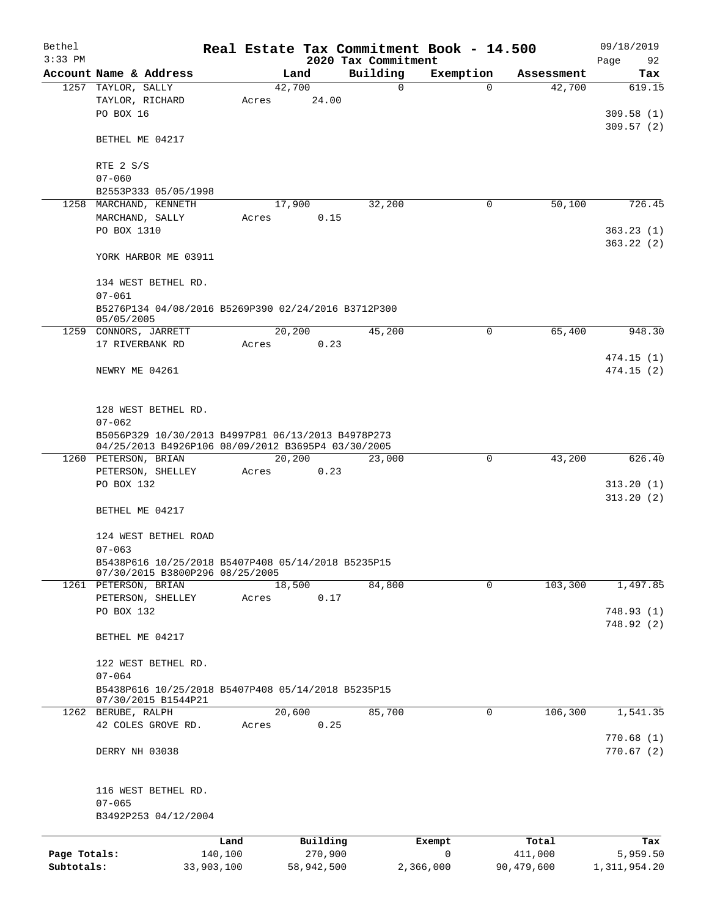| Bethel       |                                                                           |                                                    |  |            |  |                                 | Real Estate Tax Commitment Book - 14.500 |            | 09/18/2019        |  |  |
|--------------|---------------------------------------------------------------------------|----------------------------------------------------|--|------------|--|---------------------------------|------------------------------------------|------------|-------------------|--|--|
| $3:33$ PM    | Account Name & Address                                                    |                                                    |  | Land       |  | 2020 Tax Commitment<br>Building | Exemption                                | Assessment | Page<br>92<br>Tax |  |  |
|              | 1257 TAYLOR, SALLY                                                        |                                                    |  | 42,700     |  | 0                               | $\Omega$                                 | 42,700     | 619.15            |  |  |
|              | TAYLOR, RICHARD                                                           | Acres                                              |  | 24.00      |  |                                 |                                          |            |                   |  |  |
|              | PO BOX 16                                                                 |                                                    |  |            |  |                                 |                                          |            | 309.58(1)         |  |  |
|              |                                                                           |                                                    |  |            |  |                                 |                                          |            | 309.57(2)         |  |  |
|              | BETHEL ME 04217                                                           |                                                    |  |            |  |                                 |                                          |            |                   |  |  |
|              |                                                                           |                                                    |  |            |  |                                 |                                          |            |                   |  |  |
|              | RTE 2 S/S                                                                 |                                                    |  |            |  |                                 |                                          |            |                   |  |  |
|              | $07 - 060$                                                                |                                                    |  |            |  |                                 |                                          |            |                   |  |  |
|              | B2553P333 05/05/1998                                                      |                                                    |  |            |  |                                 |                                          |            |                   |  |  |
|              | 1258 MARCHAND, KENNETH                                                    |                                                    |  | 17,900     |  | 32,200                          | 0                                        | 50,100     | 726.45            |  |  |
|              | MARCHAND, SALLY                                                           | Acres                                              |  | 0.15       |  |                                 |                                          |            |                   |  |  |
|              | PO BOX 1310                                                               |                                                    |  |            |  |                                 |                                          |            | 363.23(1)         |  |  |
|              | YORK HARBOR ME 03911                                                      |                                                    |  |            |  |                                 |                                          |            | 363.22(2)         |  |  |
|              |                                                                           |                                                    |  |            |  |                                 |                                          |            |                   |  |  |
|              | 134 WEST BETHEL RD.                                                       |                                                    |  |            |  |                                 |                                          |            |                   |  |  |
|              | $07 - 061$                                                                |                                                    |  |            |  |                                 |                                          |            |                   |  |  |
|              | B5276P134 04/08/2016 B5269P390 02/24/2016 B3712P300                       |                                                    |  |            |  |                                 |                                          |            |                   |  |  |
|              | 05/05/2005                                                                |                                                    |  |            |  |                                 |                                          |            |                   |  |  |
|              | 1259 CONNORS, JARRETT                                                     |                                                    |  | 20,200     |  | 45,200                          | 0                                        | 65,400     | 948.30            |  |  |
|              | 17 RIVERBANK RD                                                           | Acres                                              |  | 0.23       |  |                                 |                                          |            |                   |  |  |
|              |                                                                           |                                                    |  |            |  |                                 |                                          |            | 474.15(1)         |  |  |
|              | NEWRY ME 04261                                                            |                                                    |  |            |  |                                 |                                          |            | 474.15(2)         |  |  |
|              |                                                                           |                                                    |  |            |  |                                 |                                          |            |                   |  |  |
|              | 128 WEST BETHEL RD.                                                       |                                                    |  |            |  |                                 |                                          |            |                   |  |  |
|              | $07 - 062$                                                                |                                                    |  |            |  |                                 |                                          |            |                   |  |  |
|              |                                                                           | B5056P329 10/30/2013 B4997P81 06/13/2013 B4978P273 |  |            |  |                                 |                                          |            |                   |  |  |
|              | 04/25/2013 B4926P106 08/09/2012 B3695P4 03/30/2005                        |                                                    |  |            |  |                                 |                                          |            |                   |  |  |
|              | 1260 PETERSON, BRIAN                                                      |                                                    |  | 20,200     |  | 23,000                          | $\mathbf 0$                              | 43,200     | 626.40            |  |  |
|              | PETERSON, SHELLEY                                                         | Acres                                              |  | 0.23       |  |                                 |                                          |            |                   |  |  |
|              | PO BOX 132                                                                |                                                    |  |            |  |                                 |                                          |            | 313.20(1)         |  |  |
|              |                                                                           |                                                    |  |            |  |                                 |                                          |            | 313.20(2)         |  |  |
|              | BETHEL ME 04217                                                           |                                                    |  |            |  |                                 |                                          |            |                   |  |  |
|              |                                                                           |                                                    |  |            |  |                                 |                                          |            |                   |  |  |
|              | 124 WEST BETHEL ROAD<br>$07 - 063$                                        |                                                    |  |            |  |                                 |                                          |            |                   |  |  |
|              | B5438P616 10/25/2018 B5407P408 05/14/2018 B5235P15                        |                                                    |  |            |  |                                 |                                          |            |                   |  |  |
|              | 07/30/2015 B3800P296 08/25/2005                                           |                                                    |  |            |  |                                 |                                          |            |                   |  |  |
|              | 1261 PETERSON, BRIAN                                                      |                                                    |  | 18,500     |  | 84,800                          | 0                                        | 103,300    | 1,497.85          |  |  |
|              | PETERSON, SHELLEY                                                         | Acres                                              |  | 0.17       |  |                                 |                                          |            |                   |  |  |
|              | PO BOX 132                                                                |                                                    |  |            |  |                                 |                                          |            | 748.93(1)         |  |  |
|              |                                                                           |                                                    |  |            |  |                                 |                                          |            | 748.92(2)         |  |  |
|              | BETHEL ME 04217                                                           |                                                    |  |            |  |                                 |                                          |            |                   |  |  |
|              |                                                                           |                                                    |  |            |  |                                 |                                          |            |                   |  |  |
|              | 122 WEST BETHEL RD.                                                       |                                                    |  |            |  |                                 |                                          |            |                   |  |  |
|              | $07 - 064$                                                                |                                                    |  |            |  |                                 |                                          |            |                   |  |  |
|              | B5438P616 10/25/2018 B5407P408 05/14/2018 B5235P15<br>07/30/2015 B1544P21 |                                                    |  |            |  |                                 |                                          |            |                   |  |  |
|              | 1262 BERUBE, RALPH                                                        |                                                    |  | 20,600     |  | 85,700                          | 0                                        | 106,300    | 1,541.35          |  |  |
|              | 42 COLES GROVE RD.                                                        | Acres                                              |  | 0.25       |  |                                 |                                          |            |                   |  |  |
|              |                                                                           |                                                    |  |            |  |                                 |                                          |            | 770.68(1)         |  |  |
|              | DERRY NH 03038                                                            |                                                    |  |            |  |                                 |                                          |            | 770.67(2)         |  |  |
|              |                                                                           |                                                    |  |            |  |                                 |                                          |            |                   |  |  |
|              |                                                                           |                                                    |  |            |  |                                 |                                          |            |                   |  |  |
|              | 116 WEST BETHEL RD.                                                       |                                                    |  |            |  |                                 |                                          |            |                   |  |  |
|              | $07 - 065$                                                                |                                                    |  |            |  |                                 |                                          |            |                   |  |  |
|              | B3492P253 04/12/2004                                                      |                                                    |  |            |  |                                 |                                          |            |                   |  |  |
|              |                                                                           | Land                                               |  | Building   |  |                                 | Exempt                                   | Total      | Tax               |  |  |
| Page Totals: |                                                                           | 140,100                                            |  | 270,900    |  |                                 | 0                                        | 411,000    | 5,959.50          |  |  |
| Subtotals:   |                                                                           | 33,903,100                                         |  | 58,942,500 |  |                                 | 2,366,000                                | 90,479,600 | 1, 311, 954.20    |  |  |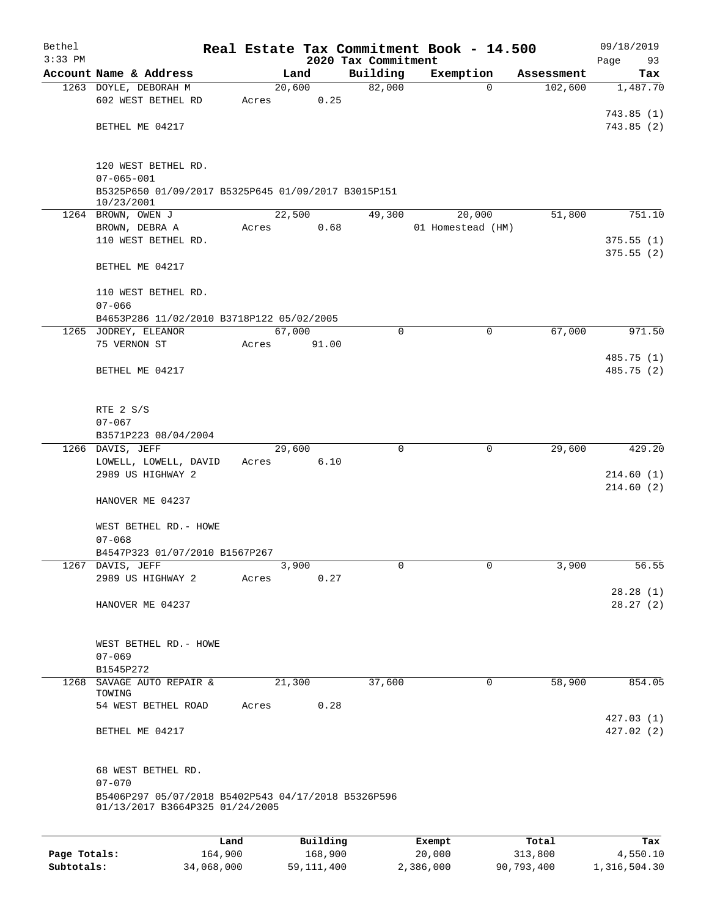| Bethel    |                                                                   |       |        |          |                     | Real Estate Tax Commitment Book - 14.500 |            | 09/18/2019           |
|-----------|-------------------------------------------------------------------|-------|--------|----------|---------------------|------------------------------------------|------------|----------------------|
| $3:33$ PM |                                                                   |       |        |          | 2020 Tax Commitment |                                          |            | Page<br>93           |
|           | Account Name & Address                                            |       | Land   |          | Building            | Exemption                                | Assessment | Tax<br>1,487.70      |
|           | 1263 DOYLE, DEBORAH M<br>602 WEST BETHEL RD                       | Acres | 20,600 | 0.25     | 82,000              | $\mathbf 0$                              | 102,600    |                      |
|           |                                                                   |       |        |          |                     |                                          |            | 743.85(1)            |
|           | BETHEL ME 04217                                                   |       |        |          |                     |                                          |            | 743.85(2)            |
|           |                                                                   |       |        |          |                     |                                          |            |                      |
|           |                                                                   |       |        |          |                     |                                          |            |                      |
|           | 120 WEST BETHEL RD.                                               |       |        |          |                     |                                          |            |                      |
|           | $07 - 065 - 001$                                                  |       |        |          |                     |                                          |            |                      |
|           | B5325P650 01/09/2017 B5325P645 01/09/2017 B3015P151<br>10/23/2001 |       |        |          |                     |                                          |            |                      |
|           | 1264 BROWN, OWEN J                                                |       | 22,500 |          | 49,300              | 20,000                                   | 51,800     | 751.10               |
|           | BROWN, DEBRA A                                                    | Acres |        | 0.68     |                     | 01 Homestead (HM)                        |            |                      |
|           | 110 WEST BETHEL RD.                                               |       |        |          |                     |                                          |            | 375.55(1)            |
|           |                                                                   |       |        |          |                     |                                          |            | 375.55(2)            |
|           | BETHEL ME 04217                                                   |       |        |          |                     |                                          |            |                      |
|           | 110 WEST BETHEL RD.                                               |       |        |          |                     |                                          |            |                      |
|           | $07 - 066$                                                        |       |        |          |                     |                                          |            |                      |
|           | B4653P286 11/02/2010 B3718P122 05/02/2005                         |       |        |          |                     |                                          |            |                      |
|           | 1265 JODREY, ELEANOR                                              |       | 67,000 |          | $\mathbf 0$         | 0                                        | 67,000     | 971.50               |
|           | 75 VERNON ST                                                      | Acres |        | 91.00    |                     |                                          |            |                      |
|           |                                                                   |       |        |          |                     |                                          |            | 485.75 (1)           |
|           | BETHEL ME 04217                                                   |       |        |          |                     |                                          |            | 485.75 (2)           |
|           |                                                                   |       |        |          |                     |                                          |            |                      |
|           | RTE 2 S/S                                                         |       |        |          |                     |                                          |            |                      |
|           | $07 - 067$                                                        |       |        |          |                     |                                          |            |                      |
|           | B3571P223 08/04/2004                                              |       |        |          |                     |                                          |            |                      |
|           | 1266 DAVIS, JEFF                                                  |       | 29,600 |          | $\Omega$            | 0                                        | 29,600     | 429.20               |
|           | LOWELL, LOWELL, DAVID                                             | Acres |        | 6.10     |                     |                                          |            |                      |
|           | 2989 US HIGHWAY 2                                                 |       |        |          |                     |                                          |            | 214.60(1)            |
|           | HANOVER ME 04237                                                  |       |        |          |                     |                                          |            | 214.60(2)            |
|           |                                                                   |       |        |          |                     |                                          |            |                      |
|           | WEST BETHEL RD. - HOWE                                            |       |        |          |                     |                                          |            |                      |
|           | $07 - 068$                                                        |       |        |          |                     |                                          |            |                      |
|           | B4547P323 01/07/2010 B1567P267                                    |       |        |          |                     |                                          |            |                      |
|           | 1267 DAVIS, JEFF                                                  |       | 3,900  |          | 0                   | $\overline{0}$                           | 3,900      | 56.55                |
|           | 2989 US HIGHWAY 2                                                 | Acres |        | 0.27     |                     |                                          |            |                      |
|           | HANOVER ME 04237                                                  |       |        |          |                     |                                          |            | 28.28(1)<br>28.27(2) |
|           |                                                                   |       |        |          |                     |                                          |            |                      |
|           |                                                                   |       |        |          |                     |                                          |            |                      |
|           | WEST BETHEL RD. - HOWE                                            |       |        |          |                     |                                          |            |                      |
|           | $07 - 069$                                                        |       |        |          |                     |                                          |            |                      |
|           | B1545P272                                                         |       |        |          |                     |                                          |            |                      |
|           | 1268 SAVAGE AUTO REPAIR &<br>TOWING                               |       | 21,300 |          | 37,600              | $\mathbf 0$                              | 58,900     | 854.05               |
|           | 54 WEST BETHEL ROAD                                               | Acres |        | 0.28     |                     |                                          |            |                      |
|           |                                                                   |       |        |          |                     |                                          |            | 427.03(1)            |
|           | BETHEL ME 04217                                                   |       |        |          |                     |                                          |            | 427.02(2)            |
|           |                                                                   |       |        |          |                     |                                          |            |                      |
|           |                                                                   |       |        |          |                     |                                          |            |                      |
|           | 68 WEST BETHEL RD.<br>$07 - 070$                                  |       |        |          |                     |                                          |            |                      |
|           | B5406P297 05/07/2018 B5402P543 04/17/2018 B5326P596               |       |        |          |                     |                                          |            |                      |
|           | 01/13/2017 B3664P325 01/24/2005                                   |       |        |          |                     |                                          |            |                      |
|           |                                                                   |       |        |          |                     |                                          |            |                      |
|           |                                                                   | Land  |        | Building |                     | Exempt                                   | Total      | Tax                  |

|              | ⊥and       | Building   | Exempt    | тосат      | тах          |
|--------------|------------|------------|-----------|------------|--------------|
| Page Totals: | 164,900    | 168,900    | 20,000    | 313,800    | 4,550.10     |
| Subtotals:   | 34,068,000 | 59,111,400 | 2,386,000 | 90,793,400 | 1,316,504.30 |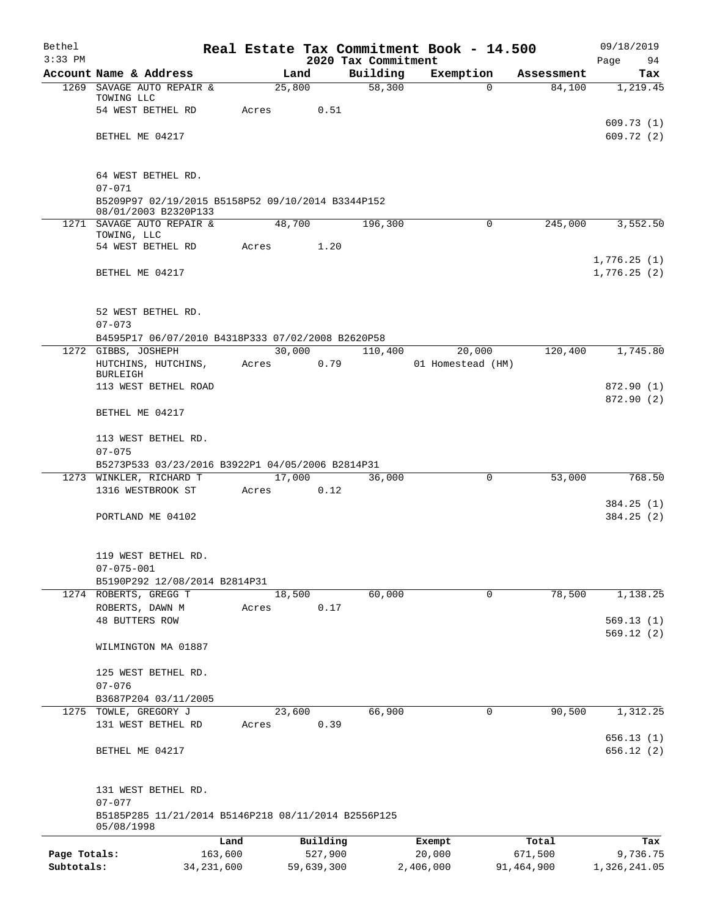| Bethel       |                                                                           |         |            |                     | Real Estate Tax Commitment Book - 14.500 |            | 09/18/2019   |
|--------------|---------------------------------------------------------------------------|---------|------------|---------------------|------------------------------------------|------------|--------------|
| $3:33$ PM    |                                                                           |         |            | 2020 Tax Commitment |                                          |            | Page<br>94   |
| 1269         | Account Name & Address                                                    |         | Land       | Building<br>58,300  | Exemption                                | Assessment | Tax          |
|              | SAVAGE AUTO REPAIR &<br>TOWING LLC                                        |         | 25,800     |                     | 0                                        | 84,100     | 1,219.45     |
|              | 54 WEST BETHEL RD                                                         | Acres   | 0.51       |                     |                                          |            |              |
|              |                                                                           |         |            |                     |                                          |            | 609.73(1)    |
|              | BETHEL ME 04217                                                           |         |            |                     |                                          |            | 609.72(2)    |
|              | 64 WEST BETHEL RD.                                                        |         |            |                     |                                          |            |              |
|              | $07 - 071$                                                                |         |            |                     |                                          |            |              |
|              | B5209P97 02/19/2015 B5158P52 09/10/2014 B3344P152<br>08/01/2003 B2320P133 |         |            |                     |                                          |            |              |
|              | 1271 SAVAGE AUTO REPAIR &                                                 |         | 48,700     | 196,300             | 0                                        | 245,000    | 3,552.50     |
|              | TOWING, LLC<br>54 WEST BETHEL RD                                          | Acres   | 1.20       |                     |                                          |            |              |
|              |                                                                           |         |            |                     |                                          |            | 1,776.25(1)  |
|              | BETHEL ME 04217                                                           |         |            |                     |                                          |            | 1,776.25(2)  |
|              | 52 WEST BETHEL RD.                                                        |         |            |                     |                                          |            |              |
|              | $07 - 073$                                                                |         |            |                     |                                          |            |              |
|              | B4595P17 06/07/2010 B4318P333 07/02/2008 B2620P58                         |         |            |                     |                                          |            |              |
|              | 1272 GIBBS, JOSHEPH                                                       |         | 30,000     | 110,400             | 20,000                                   | 120,400    | 1,745.80     |
|              | HUTCHINS, HUTCHINS,<br><b>BURLEIGH</b>                                    | Acres   | 0.79       |                     | 01 Homestead (HM)                        |            |              |
|              | 113 WEST BETHEL ROAD                                                      |         |            |                     |                                          |            | 872.90 (1)   |
|              |                                                                           |         |            |                     |                                          |            | 872.90 (2)   |
|              | BETHEL ME 04217                                                           |         |            |                     |                                          |            |              |
|              | 113 WEST BETHEL RD.                                                       |         |            |                     |                                          |            |              |
|              | $07 - 075$                                                                |         |            |                     |                                          |            |              |
|              | B5273P533 03/23/2016 B3922P1 04/05/2006 B2814P31                          |         |            |                     |                                          |            |              |
|              | 1273 WINKLER, RICHARD T                                                   |         | 17,000     | 36,000              | $\mathbf 0$                              | 53,000     | 768.50       |
|              | 1316 WESTBROOK ST                                                         | Acres   | 0.12       |                     |                                          |            | 384.25(1)    |
|              | PORTLAND ME 04102                                                         |         |            |                     |                                          |            | 384.25(2)    |
|              | 119 WEST BETHEL RD.                                                       |         |            |                     |                                          |            |              |
|              | $07 - 075 - 001$                                                          |         |            |                     |                                          |            |              |
|              | B5190P292 12/08/2014 B2814P31                                             |         |            |                     |                                          |            |              |
|              | 1274 ROBERTS, GREGG T                                                     |         | 18,500     | 60,000              | $\mathbf 0$                              | 78,500     | 1,138.25     |
|              | ROBERTS, DAWN M                                                           | Acres   | 0.17       |                     |                                          |            | 569.13(1)    |
|              | <b>48 BUTTERS ROW</b>                                                     |         |            |                     |                                          |            | 569.12(2)    |
|              | WILMINGTON MA 01887                                                       |         |            |                     |                                          |            |              |
|              | 125 WEST BETHEL RD.                                                       |         |            |                     |                                          |            |              |
|              | $07 - 076$                                                                |         |            |                     |                                          |            |              |
|              | B3687P204 03/11/2005                                                      |         |            |                     |                                          |            |              |
| 1275         | TOWLE, GREGORY J                                                          |         | 23,600     | 66,900              | 0                                        | 90,500     | 1,312.25     |
|              | 131 WEST BETHEL RD                                                        | Acres   | 0.39       |                     |                                          |            |              |
|              |                                                                           |         |            |                     |                                          |            | 656.13(1)    |
|              | BETHEL ME 04217                                                           |         |            |                     |                                          |            | 656.12(2)    |
|              | 131 WEST BETHEL RD.<br>$07 - 077$                                         |         |            |                     |                                          |            |              |
|              | B5185P285 11/21/2014 B5146P218 08/11/2014 B2556P125<br>05/08/1998         |         |            |                     |                                          |            |              |
|              |                                                                           | Land    | Building   |                     | Exempt                                   | Total      | Tax          |
| Page Totals: |                                                                           | 163,600 | 527,900    |                     | 20,000                                   | 671,500    | 9,736.75     |
| Subtotals:   | 34, 231, 600                                                              |         | 59,639,300 |                     | 2,406,000                                | 91,464,900 | 1,326,241.05 |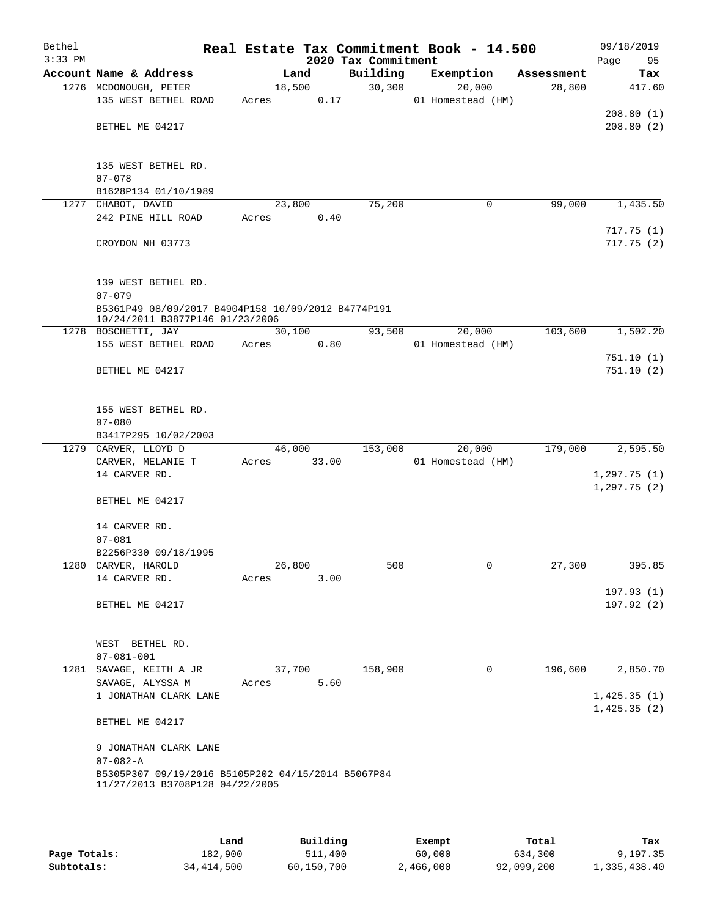| Bethel<br>$3:33$ PM |                                                                                       |                 | 2020 Tax Commitment | Real Estate Tax Commitment Book - 14.500 |            | 09/18/2019<br>Page<br>95   |
|---------------------|---------------------------------------------------------------------------------------|-----------------|---------------------|------------------------------------------|------------|----------------------------|
|                     | Account Name & Address                                                                | Land            | Building            | Exemption                                | Assessment | Tax                        |
|                     | 1276 MCDONOUGH, PETER<br>135 WEST BETHEL ROAD                                         | 18,500<br>Acres | 30, 300<br>0.17     | 20,000<br>01 Homestead (HM)              | 28,800     | 417.60                     |
|                     | BETHEL ME 04217                                                                       |                 |                     |                                          |            | 208.80(1)<br>208.80(2)     |
|                     | 135 WEST BETHEL RD.                                                                   |                 |                     |                                          |            |                            |
|                     | $07 - 078$<br>B1628P134 01/10/1989                                                    |                 |                     |                                          |            |                            |
|                     | 1277 CHABOT, DAVID                                                                    | 23,800          | 75,200              | 0                                        | 99,000     | 1,435.50                   |
|                     | 242 PINE HILL ROAD                                                                    | Acres           | 0.40                |                                          |            | 717.75(1)                  |
|                     | CROYDON NH 03773                                                                      |                 |                     |                                          |            | 717.75(2)                  |
|                     | 139 WEST BETHEL RD.                                                                   |                 |                     |                                          |            |                            |
|                     | $07 - 079$<br>B5361P49 08/09/2017 B4904P158 10/09/2012 B4774P191                      |                 |                     |                                          |            |                            |
|                     | 10/24/2011 B3877P146 01/23/2006<br>1278 BOSCHETTI, JAY                                | 30,100          | 93,500              | 20,000                                   | 103,600    | 1,502.20                   |
|                     | 155 WEST BETHEL ROAD                                                                  | Acres           | 0.80                | 01 Homestead (HM)                        |            | 751.10(1)                  |
|                     | BETHEL ME 04217                                                                       |                 |                     |                                          |            | 751.10(2)                  |
|                     | 155 WEST BETHEL RD.                                                                   |                 |                     |                                          |            |                            |
|                     | $07 - 080$                                                                            |                 |                     |                                          |            |                            |
|                     | B3417P295 10/02/2003                                                                  |                 |                     |                                          |            |                            |
|                     | 1279 CARVER, LLOYD D                                                                  | 46,000          | 153,000             | 20,000                                   | 179,000    | 2,595.50                   |
|                     | CARVER, MELANIE T                                                                     | Acres           | 33.00               | 01 Homestead (HM)                        |            |                            |
|                     | 14 CARVER RD.                                                                         |                 |                     |                                          |            | 1,297.75(1)<br>1,297.75(2) |
|                     | BETHEL ME 04217                                                                       |                 |                     |                                          |            |                            |
|                     | 14 CARVER RD.<br>$07 - 081$                                                           |                 |                     |                                          |            |                            |
|                     | B2256P330 09/18/1995                                                                  |                 |                     |                                          |            |                            |
|                     | 1280 CARVER, HAROLD                                                                   | 26,800          | 500                 | 0                                        | 27,300     | 395.85                     |
|                     | 14 CARVER RD.                                                                         | Acres           | 3.00                |                                          |            |                            |
|                     | BETHEL ME 04217                                                                       |                 |                     |                                          |            | 197.93(1)<br>197.92(2)     |
|                     |                                                                                       |                 |                     |                                          |            |                            |
|                     | WEST BETHEL RD.<br>$07 - 081 - 001$                                                   |                 |                     |                                          |            |                            |
|                     | 1281 SAVAGE, KEITH A JR                                                               | 37,700          | 158,900             | 0                                        | 196,600    | 2,850.70                   |
|                     | SAVAGE, ALYSSA M                                                                      | Acres           | 5.60                |                                          |            |                            |
|                     | 1 JONATHAN CLARK LANE                                                                 |                 |                     |                                          |            | 1,425.35(1)<br>1,425.35(2) |
|                     | BETHEL ME 04217                                                                       |                 |                     |                                          |            |                            |
|                     | 9 JONATHAN CLARK LANE                                                                 |                 |                     |                                          |            |                            |
|                     | $07 - 082 - A$                                                                        |                 |                     |                                          |            |                            |
|                     | B5305P307 09/19/2016 B5105P202 04/15/2014 B5067P84<br>11/27/2013 B3708P128 04/22/2005 |                 |                     |                                          |            |                            |
|                     |                                                                                       |                 |                     |                                          |            |                            |

|              | Land         | Building   | Exempt    | Total      | Tax          |
|--------------|--------------|------------|-----------|------------|--------------|
| Page Totals: | 182,900      | 511,400    | 60,000    | 634,300    | 9,197.35     |
| Subtotals:   | 34, 414, 500 | 60,150,700 | 2,466,000 | 92,099,200 | 1,335,438.40 |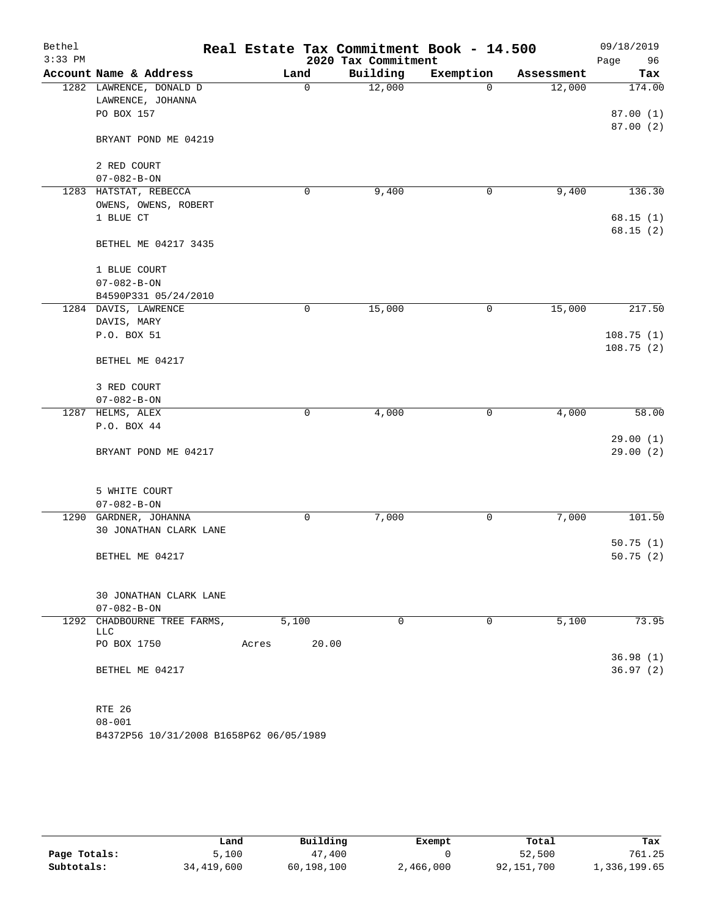| Bethel    |                                         | Real Estate Tax Commitment Book - 14.500 |                     |              |            | 09/18/2019 |
|-----------|-----------------------------------------|------------------------------------------|---------------------|--------------|------------|------------|
| $3:33$ PM |                                         |                                          | 2020 Tax Commitment |              |            | 96<br>Page |
|           | Account Name & Address                  | Land                                     | Building            | Exemption    | Assessment | Tax        |
|           | 1282 LAWRENCE, DONALD D                 | 0                                        | 12,000              | $\Omega$     | 12,000     | 174.00     |
|           | LAWRENCE, JOHANNA                       |                                          |                     |              |            |            |
|           | PO BOX 157                              |                                          |                     |              |            | 87.00(1)   |
|           |                                         |                                          |                     |              |            | 87.00(2)   |
|           | BRYANT POND ME 04219                    |                                          |                     |              |            |            |
|           | 2 RED COURT                             |                                          |                     |              |            |            |
|           | $07 - 082 - B - ON$                     |                                          |                     |              |            |            |
|           | 1283 HATSTAT, REBECCA                   | 0                                        | 9,400               | 0            | 9,400      | 136.30     |
|           | OWENS, OWENS, ROBERT                    |                                          |                     |              |            |            |
|           | 1 BLUE CT                               |                                          |                     |              |            | 68.15(1)   |
|           |                                         |                                          |                     |              |            | 68.15(2)   |
|           | BETHEL ME 04217 3435                    |                                          |                     |              |            |            |
|           |                                         |                                          |                     |              |            |            |
|           | 1 BLUE COURT                            |                                          |                     |              |            |            |
|           | $07 - 082 - B - ON$                     |                                          |                     |              |            |            |
|           | B4590P331 05/24/2010                    |                                          |                     |              |            |            |
|           | 1284 DAVIS, LAWRENCE                    | 0                                        | 15,000              | $\mathsf{O}$ | 15,000     | 217.50     |
|           | DAVIS, MARY                             |                                          |                     |              |            |            |
|           | P.O. BOX 51                             |                                          |                     |              |            | 108.75(1)  |
|           |                                         |                                          |                     |              |            | 108.75(2)  |
|           | BETHEL ME 04217                         |                                          |                     |              |            |            |
|           |                                         |                                          |                     |              |            |            |
|           | 3 RED COURT                             |                                          |                     |              |            |            |
|           | $07 - 082 - B - ON$                     |                                          |                     |              |            |            |
| 1287      | HELMS, ALEX                             | 0                                        | 4,000               | 0            | 4,000      | 58.00      |
|           | P.O. BOX 44                             |                                          |                     |              |            |            |
|           |                                         |                                          |                     |              |            | 29.00(1)   |
|           | BRYANT POND ME 04217                    |                                          |                     |              |            | 29.00(2)   |
|           |                                         |                                          |                     |              |            |            |
|           |                                         |                                          |                     |              |            |            |
|           | 5 WHITE COURT                           |                                          |                     |              |            |            |
|           | $07 - 082 - B - ON$                     |                                          |                     |              |            |            |
| 1290      | GARDNER, JOHANNA                        | $\mathbf 0$                              | 7,000               | 0            | 7,000      | 101.50     |
|           | 30 JONATHAN CLARK LANE                  |                                          |                     |              |            |            |
|           |                                         |                                          |                     |              |            | 50.75(1)   |
|           | BETHEL ME 04217                         |                                          |                     |              |            | 50.75(2)   |
|           |                                         |                                          |                     |              |            |            |
|           | 30 JONATHAN CLARK LANE                  |                                          |                     |              |            |            |
|           | $07 - 082 - B - ON$                     |                                          |                     |              |            |            |
|           | 1292 CHADBOURNE TREE FARMS,             | 5,100                                    | $\mathbf 0$         | $\mathbf 0$  | 5,100      | 73.95      |
|           | LLC                                     |                                          |                     |              |            |            |
|           | PO BOX 1750                             | 20.00<br>Acres                           |                     |              |            |            |
|           |                                         |                                          |                     |              |            | 36.98(1)   |
|           | BETHEL ME 04217                         |                                          |                     |              |            | 36.97(2)   |
|           |                                         |                                          |                     |              |            |            |
|           |                                         |                                          |                     |              |            |            |
|           | RTE 26                                  |                                          |                     |              |            |            |
|           | $08 - 001$                              |                                          |                     |              |            |            |
|           | B4372P56 10/31/2008 B1658P62 06/05/1989 |                                          |                     |              |            |            |

|              | Land         | Building   | Exempt    | Total      | Tax          |
|--------------|--------------|------------|-----------|------------|--------------|
| Page Totals: | 100.دَ       | 47,400     |           | 52,500     | 761.25       |
| Subtotals:   | 34, 419, 600 | 60,198,100 | 2,466,000 | 92,151,700 | 1,336,199.65 |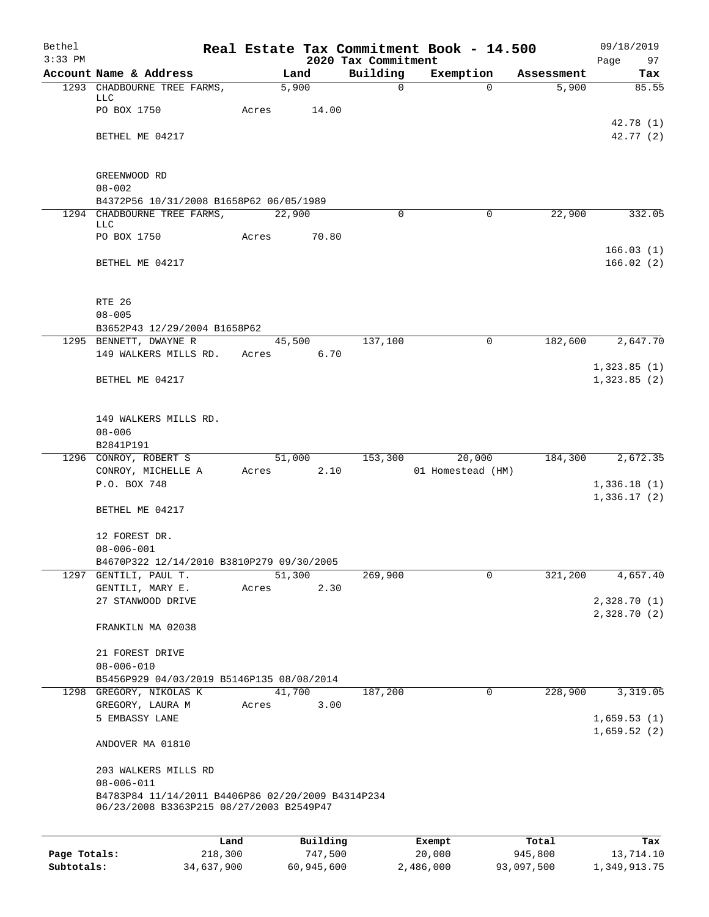| Bethel<br>$3:33$ PM |                                                                       |         |        |          |                                 | Real Estate Tax Commitment Book - 14.500 |            | 09/18/2019                 |
|---------------------|-----------------------------------------------------------------------|---------|--------|----------|---------------------------------|------------------------------------------|------------|----------------------------|
|                     | Account Name & Address                                                |         |        | Land     | 2020 Tax Commitment<br>Building | Exemption                                | Assessment | Page<br>97<br>Tax          |
|                     | 1293 CHADBOURNE TREE FARMS,                                           |         |        | 5,900    | $\mathbf 0$                     | $\Omega$                                 | 5,900      | 85.55                      |
|                     | <b>LLC</b><br>PO BOX 1750                                             |         |        |          |                                 |                                          |            |                            |
|                     |                                                                       |         | Acres  | 14.00    |                                 |                                          |            | 42.78 (1)                  |
|                     | BETHEL ME 04217                                                       |         |        |          |                                 |                                          |            | 42.77 (2)                  |
|                     |                                                                       |         |        |          |                                 |                                          |            |                            |
|                     | GREENWOOD RD                                                          |         |        |          |                                 |                                          |            |                            |
|                     | $08 - 002$                                                            |         |        |          |                                 |                                          |            |                            |
|                     | B4372P56 10/31/2008 B1658P62 06/05/1989                               |         |        |          |                                 |                                          |            |                            |
|                     | 1294 CHADBOURNE TREE FARMS,<br>LLC                                    |         | 22,900 |          | 0                               | $\mathbf 0$                              | 22,900     | 332.05                     |
|                     | PO BOX 1750                                                           |         | Acres  | 70.80    |                                 |                                          |            |                            |
|                     |                                                                       |         |        |          |                                 |                                          |            | 166.03(1)                  |
|                     | BETHEL ME 04217                                                       |         |        |          |                                 |                                          |            | 166.02(2)                  |
|                     |                                                                       |         |        |          |                                 |                                          |            |                            |
|                     | RTE 26<br>$08 - 005$                                                  |         |        |          |                                 |                                          |            |                            |
|                     | B3652P43 12/29/2004 B1658P62                                          |         |        |          |                                 |                                          |            |                            |
|                     | 1295 BENNETT, DWAYNE R                                                |         |        | 45,500   | 137,100                         | $\Omega$                                 | 182,600    | 2,647.70                   |
|                     | 149 WALKERS MILLS RD.                                                 |         | Acres  | 6.70     |                                 |                                          |            |                            |
|                     | BETHEL ME 04217                                                       |         |        |          |                                 |                                          |            | 1,323.85(1)<br>1,323.85(2) |
|                     |                                                                       |         |        |          |                                 |                                          |            |                            |
|                     |                                                                       |         |        |          |                                 |                                          |            |                            |
|                     | 149 WALKERS MILLS RD.                                                 |         |        |          |                                 |                                          |            |                            |
|                     | $08 - 006$<br>B2841P191                                               |         |        |          |                                 |                                          |            |                            |
|                     | 1296 CONROY, ROBERT S                                                 |         | 51,000 |          | 153,300                         | 20,000                                   | 184,300    | 2,672.35                   |
|                     | CONROY, MICHELLE A                                                    |         | Acres  | 2.10     |                                 | 01 Homestead (HM)                        |            |                            |
|                     | P.O. BOX 748                                                          |         |        |          |                                 |                                          |            | 1,336.18(1)                |
|                     | BETHEL ME 04217                                                       |         |        |          |                                 |                                          |            | 1,336.17(2)                |
|                     |                                                                       |         |        |          |                                 |                                          |            |                            |
|                     | 12 FOREST DR.                                                         |         |        |          |                                 |                                          |            |                            |
|                     | $08 - 006 - 001$<br>B4670P322 12/14/2010 B3810P279 09/30/2005         |         |        |          |                                 |                                          |            |                            |
| 1297                | GENTILI, PAUL T.                                                      |         | 51,300 |          | 269,900                         | 0                                        | 321,200    | 4,657.40                   |
|                     | GENTILI, MARY E.                                                      |         | Acres  | 2.30     |                                 |                                          |            |                            |
|                     | 27 STANWOOD DRIVE                                                     |         |        |          |                                 |                                          |            | 2,328.70(1)                |
|                     | FRANKILN MA 02038                                                     |         |        |          |                                 |                                          |            | 2,328.70(2)                |
|                     |                                                                       |         |        |          |                                 |                                          |            |                            |
|                     | 21 FOREST DRIVE                                                       |         |        |          |                                 |                                          |            |                            |
|                     | $08 - 006 - 010$<br>B5456P929 04/03/2019 B5146P135 08/08/2014         |         |        |          |                                 |                                          |            |                            |
|                     | 1298 GREGORY, NIKOLAS K                                               |         | 41,700 |          | 187,200                         | 0                                        | 228,900    | 3,319.05                   |
|                     | GREGORY, LAURA M                                                      |         | Acres  | 3.00     |                                 |                                          |            |                            |
|                     | 5 EMBASSY LANE                                                        |         |        |          |                                 |                                          |            | 1,659.53(1)                |
|                     | ANDOVER MA 01810                                                      |         |        |          |                                 |                                          |            | 1,659.52(2)                |
|                     |                                                                       |         |        |          |                                 |                                          |            |                            |
|                     | 203 WALKERS MILLS RD                                                  |         |        |          |                                 |                                          |            |                            |
|                     | $08 - 006 - 011$<br>B4783P84 11/14/2011 B4406P86 02/20/2009 B4314P234 |         |        |          |                                 |                                          |            |                            |
|                     | 06/23/2008 B3363P215 08/27/2003 B2549P47                              |         |        |          |                                 |                                          |            |                            |
|                     |                                                                       |         |        |          |                                 |                                          |            |                            |
|                     |                                                                       | Land    |        | Building |                                 | Exempt                                   | Total      | Tax                        |
| Page Totals:        |                                                                       | 218,300 |        | 747,500  |                                 | 20,000                                   | 945,800    | 13,714.10                  |

**Subtotals:** 34,637,900 60,945,600 2,486,000 93,097,500 1,349,913.75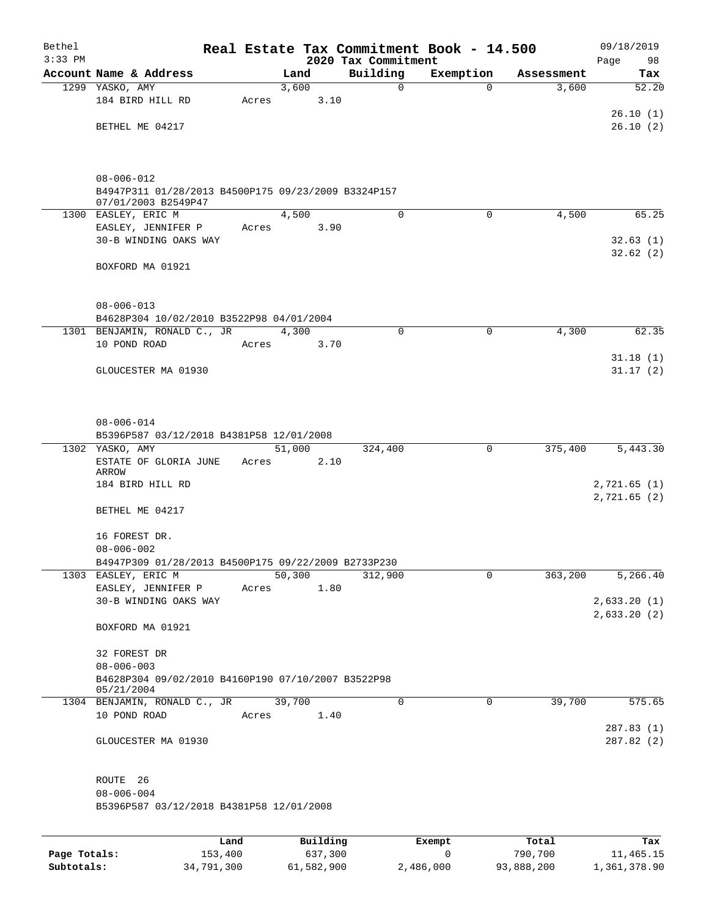| Bethel    |                                                                         |       |                 |      |                                 | Real Estate Tax Commitment Book - 14.500 |            | 09/18/2019   |
|-----------|-------------------------------------------------------------------------|-------|-----------------|------|---------------------------------|------------------------------------------|------------|--------------|
| $3:33$ PM | Account Name & Address                                                  |       | Land            |      | 2020 Tax Commitment<br>Building | Exemption                                | Assessment | Page<br>98   |
|           | 1299 YASKO, AMY                                                         |       | 3,600           |      | 0                               | 0                                        | 3,600      | Tax<br>52.20 |
|           | 184 BIRD HILL RD                                                        | Acres |                 | 3.10 |                                 |                                          |            |              |
|           |                                                                         |       |                 |      |                                 |                                          |            | 26.10(1)     |
|           | BETHEL ME 04217                                                         |       |                 |      |                                 |                                          |            | 26.10(2)     |
|           |                                                                         |       |                 |      |                                 |                                          |            |              |
|           | $08 - 006 - 012$<br>B4947P311 01/28/2013 B4500P175 09/23/2009 B3324P157 |       |                 |      |                                 |                                          |            |              |
|           | 07/01/2003 B2549P47                                                     |       |                 |      |                                 |                                          |            |              |
|           | 1300 EASLEY, ERIC M                                                     |       | 4,500           |      | $\mathbf 0$                     | $\Omega$                                 | 4,500      | 65.25        |
|           | EASLEY, JENNIFER P                                                      | Acres |                 | 3.90 |                                 |                                          |            |              |
|           | 30-B WINDING OAKS WAY                                                   |       |                 |      |                                 |                                          |            | 32.63(1)     |
|           | BOXFORD MA 01921                                                        |       |                 |      |                                 |                                          |            | 32.62(2)     |
|           |                                                                         |       |                 |      |                                 |                                          |            |              |
|           | $08 - 006 - 013$                                                        |       |                 |      |                                 |                                          |            |              |
|           | B4628P304 10/02/2010 B3522P98 04/01/2004                                |       |                 |      | $\mathbf 0$                     |                                          |            | 62.35        |
|           | 1301 BENJAMIN, RONALD C., JR<br>10 POND ROAD                            | Acres | 4,300           | 3.70 |                                 | 0                                        | 4,300      |              |
|           |                                                                         |       |                 |      |                                 |                                          |            | 31.18(1)     |
|           | GLOUCESTER MA 01930                                                     |       |                 |      |                                 |                                          |            | 31.17(2)     |
|           |                                                                         |       |                 |      |                                 |                                          |            |              |
|           | $08 - 006 - 014$                                                        |       |                 |      |                                 |                                          |            |              |
|           | B5396P587 03/12/2018 B4381P58 12/01/2008                                |       |                 |      |                                 |                                          |            |              |
|           | 1302 YASKO, AMY<br>ESTATE OF GLORIA JUNE                                | Acres | 51,000          | 2.10 | 324,400                         | 0                                        | 375,400    | 5,443.30     |
|           | ARROW<br>184 BIRD HILL RD                                               |       |                 |      |                                 |                                          |            | 2,721.65(1)  |
|           |                                                                         |       |                 |      |                                 |                                          |            | 2,721.65(2)  |
|           | BETHEL ME 04217                                                         |       |                 |      |                                 |                                          |            |              |
|           | 16 FOREST DR.                                                           |       |                 |      |                                 |                                          |            |              |
|           | $08 - 006 - 002$<br>B4947P309 01/28/2013 B4500P175 09/22/2009 B2733P230 |       |                 |      |                                 |                                          |            |              |
|           | 1303 EASLEY, ERIC M                                                     |       | 50,300          |      | 312,900                         | 0                                        | 363,200    | 5,266.40     |
|           | EASLEY, JENNIFER P                                                      | Acres |                 | 1.80 |                                 |                                          |            |              |
|           | 30-B WINDING OAKS WAY                                                   |       |                 |      |                                 |                                          |            | 2,633.20(1)  |
|           | BOXFORD MA 01921                                                        |       |                 |      |                                 |                                          |            | 2,633.20(2)  |
|           |                                                                         |       |                 |      |                                 |                                          |            |              |
|           | 32 FOREST DR                                                            |       |                 |      |                                 |                                          |            |              |
|           | $08 - 006 - 003$                                                        |       |                 |      |                                 |                                          |            |              |
|           | B4628P304 09/02/2010 B4160P190 07/10/2007 B3522P98<br>05/21/2004        |       |                 |      |                                 |                                          |            |              |
|           | 1304 BENJAMIN, RONALD C., JR                                            |       | 39,700          |      | 0                               | 0                                        | 39,700     | 575.65       |
|           | 10 POND ROAD                                                            | Acres |                 | 1.40 |                                 |                                          |            |              |
|           |                                                                         |       |                 |      |                                 |                                          |            | 287.83(1)    |
|           | GLOUCESTER MA 01930                                                     |       |                 |      |                                 |                                          |            | 287.82 (2)   |
|           | ROUTE 26                                                                |       |                 |      |                                 |                                          |            |              |
|           | $08 - 006 - 004$<br>B5396P587 03/12/2018 B4381P58 12/01/2008            |       |                 |      |                                 |                                          |            |              |
|           |                                                                         |       |                 |      |                                 |                                          |            |              |
|           |                                                                         | Land. | <b>Building</b> |      |                                 | <b>Fromnt</b>                            | $T$ otal   |              |

|              | Land       | Building   | Exempt    | Total      | Tax          |
|--------------|------------|------------|-----------|------------|--------------|
| Page Totals: | 153,400    | 637,300    |           | 790,700    | 11,465.15    |
| Subtotals:   | 34,791,300 | 61,582,900 | 2,486,000 | 93,888,200 | 1,361,378.90 |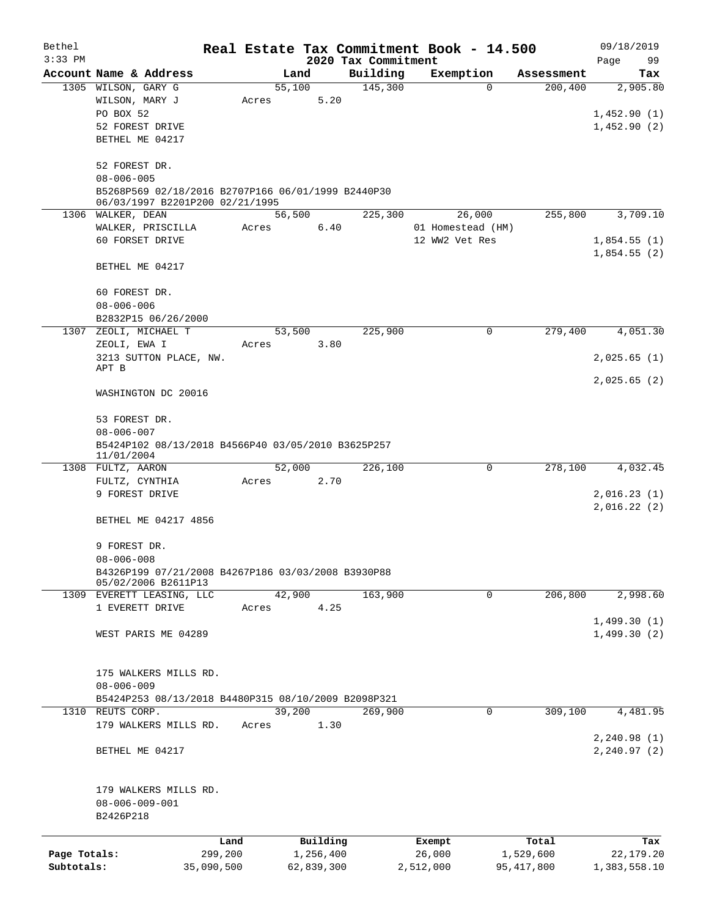| Bethel       |                                                     |                 |       |                |                       |                     | Real Estate Tax Commitment Book - 14.500 |                                    | 09/18/2019       |  |  |  |
|--------------|-----------------------------------------------------|-----------------|-------|----------------|-----------------------|---------------------|------------------------------------------|------------------------------------|------------------|--|--|--|
| $3:33$ PM    |                                                     |                 |       |                |                       | 2020 Tax Commitment |                                          |                                    | Page<br>99       |  |  |  |
|              | Account Name & Address<br>1305 WILSON, GARY G       |                 |       | Land<br>55,100 |                       | Building<br>145,300 | Exemption                                | Assessment<br>200, 400<br>$\Omega$ | Tax<br>2,905.80  |  |  |  |
|              | WILSON, MARY J                                      |                 | Acres |                | 5.20                  |                     |                                          |                                    |                  |  |  |  |
|              | PO BOX 52                                           |                 |       |                |                       |                     |                                          |                                    | 1,452.90(1)      |  |  |  |
|              | 52 FOREST DRIVE                                     |                 |       |                |                       |                     |                                          |                                    | 1,452.90(2)      |  |  |  |
|              | BETHEL ME 04217                                     |                 |       |                |                       |                     |                                          |                                    |                  |  |  |  |
|              |                                                     |                 |       |                |                       |                     |                                          |                                    |                  |  |  |  |
|              | 52 FOREST DR.                                       |                 |       |                |                       |                     |                                          |                                    |                  |  |  |  |
|              | $08 - 006 - 005$                                    |                 |       |                |                       |                     |                                          |                                    |                  |  |  |  |
|              | B5268P569 02/18/2016 B2707P166 06/01/1999 B2440P30  |                 |       |                |                       |                     |                                          |                                    |                  |  |  |  |
|              | 06/03/1997 B2201P200 02/21/1995                     |                 |       |                |                       |                     |                                          |                                    |                  |  |  |  |
|              | 1306 WALKER, DEAN                                   |                 |       | 56,500         |                       | 225,300             | 26,000                                   | 255,800                            | 3,709.10         |  |  |  |
|              | WALKER, PRISCILLA                                   |                 | Acres |                | 6.40                  |                     | 01 Homestead (HM)                        |                                    |                  |  |  |  |
|              | 60 FORSET DRIVE                                     |                 |       |                |                       |                     | 12 WW2 Vet Res                           |                                    | 1,854.55(1)      |  |  |  |
|              |                                                     |                 |       |                |                       |                     |                                          |                                    | 1,854.55(2)      |  |  |  |
|              | BETHEL ME 04217                                     |                 |       |                |                       |                     |                                          |                                    |                  |  |  |  |
|              |                                                     |                 |       |                |                       |                     |                                          |                                    |                  |  |  |  |
|              | 60 FOREST DR.                                       |                 |       |                |                       |                     |                                          |                                    |                  |  |  |  |
|              | $08 - 006 - 006$                                    |                 |       |                |                       |                     |                                          |                                    |                  |  |  |  |
| 1307         | B2832P15 06/26/2000<br>ZEOLI, MICHAEL T             |                 |       |                |                       | 225,900             |                                          | 279,400<br>0                       | 4,051.30         |  |  |  |
|              | ZEOLI, EWA I                                        |                 | Acres | 53,500         | 3.80                  |                     |                                          |                                    |                  |  |  |  |
|              | 3213 SUTTON PLACE, NW.                              |                 |       |                |                       |                     |                                          |                                    | 2,025.65(1)      |  |  |  |
|              | APT B                                               |                 |       |                |                       |                     |                                          |                                    |                  |  |  |  |
|              |                                                     |                 |       |                |                       |                     |                                          |                                    | 2,025.65(2)      |  |  |  |
|              | WASHINGTON DC 20016                                 |                 |       |                |                       |                     |                                          |                                    |                  |  |  |  |
|              |                                                     |                 |       |                |                       |                     |                                          |                                    |                  |  |  |  |
|              | 53 FOREST DR.                                       |                 |       |                |                       |                     |                                          |                                    |                  |  |  |  |
|              | $08 - 006 - 007$                                    |                 |       |                |                       |                     |                                          |                                    |                  |  |  |  |
|              | B5424P102 08/13/2018 B4566P40 03/05/2010 B3625P257  |                 |       |                |                       |                     |                                          |                                    |                  |  |  |  |
|              | 11/01/2004<br>1308 FULTZ, AARON                     |                 |       | 52,000         |                       | 226,100             |                                          | 278,100<br>0                       | 4,032.45         |  |  |  |
|              | FULTZ, CYNTHIA                                      |                 | Acres |                | 2.70                  |                     |                                          |                                    |                  |  |  |  |
|              | 9 FOREST DRIVE                                      |                 |       |                |                       |                     |                                          |                                    | 2,016.23(1)      |  |  |  |
|              |                                                     |                 |       |                |                       |                     |                                          |                                    | 2,016.22(2)      |  |  |  |
|              | BETHEL ME 04217 4856                                |                 |       |                |                       |                     |                                          |                                    |                  |  |  |  |
|              |                                                     |                 |       |                |                       |                     |                                          |                                    |                  |  |  |  |
|              | 9 FOREST DR.                                        |                 |       |                |                       |                     |                                          |                                    |                  |  |  |  |
|              | $08 - 006 - 008$                                    |                 |       |                |                       |                     |                                          |                                    |                  |  |  |  |
|              | B4326P199 07/21/2008 B4267P186 03/03/2008 B3930P88  |                 |       |                |                       |                     |                                          |                                    |                  |  |  |  |
|              | 05/02/2006 B2611P13                                 |                 |       |                |                       |                     |                                          |                                    |                  |  |  |  |
|              | 1309 EVERETT LEASING, LLC                           |                 |       | 42,900         |                       | 163,900             |                                          | $\mathbf 0$<br>206,800             | 2,998.60         |  |  |  |
|              | 1 EVERETT DRIVE                                     |                 | Acres |                | 4.25                  |                     |                                          |                                    |                  |  |  |  |
|              |                                                     |                 |       |                |                       |                     |                                          |                                    | 1,499.30(1)      |  |  |  |
|              | WEST PARIS ME 04289                                 |                 |       |                |                       |                     |                                          |                                    | 1,499.30(2)      |  |  |  |
|              |                                                     |                 |       |                |                       |                     |                                          |                                    |                  |  |  |  |
|              | 175 WALKERS MILLS RD.                               |                 |       |                |                       |                     |                                          |                                    |                  |  |  |  |
|              | $08 - 006 - 009$                                    |                 |       |                |                       |                     |                                          |                                    |                  |  |  |  |
|              | B5424P253 08/13/2018 B4480P315 08/10/2009 B2098P321 |                 |       |                |                       |                     |                                          |                                    |                  |  |  |  |
| 1310         | REUTS CORP.                                         |                 |       | 39,200         |                       | 269,900             |                                          | 309,100<br>$\mathbf 0$             | 4,481.95         |  |  |  |
|              | 179 WALKERS MILLS RD.                               |                 | Acres |                | 1.30                  |                     |                                          |                                    |                  |  |  |  |
|              |                                                     |                 |       |                |                       |                     |                                          |                                    | 2, 240.98(1)     |  |  |  |
|              | BETHEL ME 04217                                     |                 |       |                |                       |                     |                                          |                                    | 2, 240.97(2)     |  |  |  |
|              |                                                     |                 |       |                |                       |                     |                                          |                                    |                  |  |  |  |
|              |                                                     |                 |       |                |                       |                     |                                          |                                    |                  |  |  |  |
|              | 179 WALKERS MILLS RD.                               |                 |       |                |                       |                     |                                          |                                    |                  |  |  |  |
|              | $08 - 006 - 009 - 001$                              |                 |       |                |                       |                     |                                          |                                    |                  |  |  |  |
|              | B2426P218                                           |                 |       |                |                       |                     |                                          |                                    |                  |  |  |  |
|              |                                                     |                 |       |                |                       |                     |                                          |                                    |                  |  |  |  |
| Page Totals: |                                                     | Land<br>299,200 |       |                | Building<br>1,256,400 |                     | Exempt<br>26,000                         | Total<br>1,529,600                 | Tax<br>22,179.20 |  |  |  |
| Subtotals:   |                                                     | 35,090,500      |       | 62,839,300     |                       |                     | 2,512,000                                | 95, 417, 800                       | 1,383,558.10     |  |  |  |
|              |                                                     |                 |       |                |                       |                     |                                          |                                    |                  |  |  |  |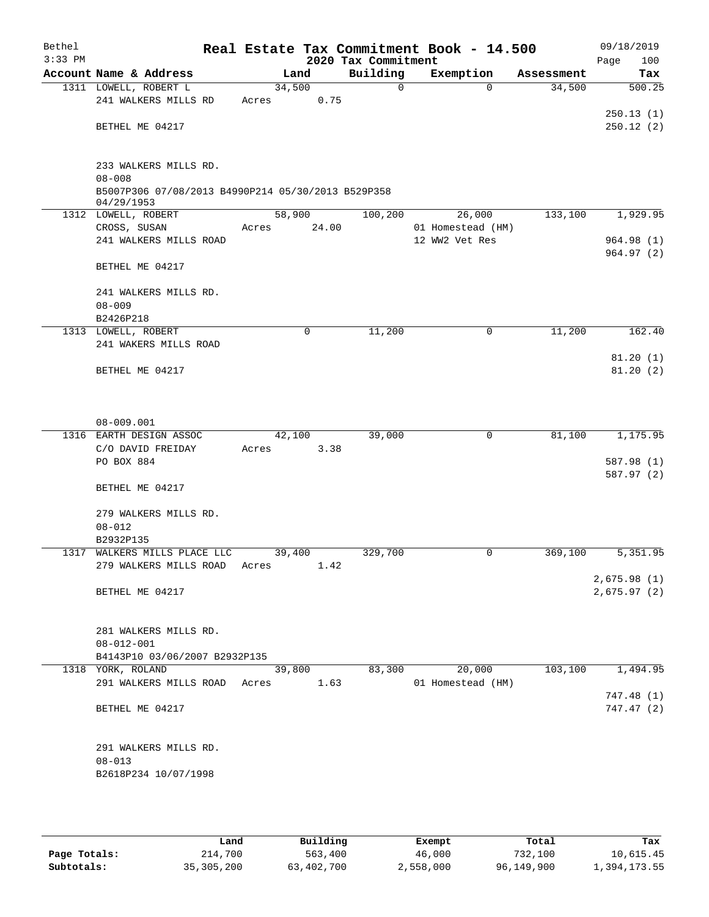| Bethel<br>$3:33$ PM |                                                                  |        |       | 2020 Tax Commitment | Real Estate Tax Commitment Book - 14.500 |            | 09/18/2019<br>100<br>Page |  |  |  |
|---------------------|------------------------------------------------------------------|--------|-------|---------------------|------------------------------------------|------------|---------------------------|--|--|--|
|                     | Account Name & Address                                           | Land   |       | Building            | Exemption                                | Assessment | Tax                       |  |  |  |
|                     | 1311 LOWELL, ROBERT L                                            | 34,500 |       | $\mathsf{O}$        | $\Omega$                                 | 34,500     | 500.25                    |  |  |  |
|                     | 241 WALKERS MILLS RD                                             | Acres  | 0.75  |                     |                                          |            |                           |  |  |  |
|                     |                                                                  |        |       |                     |                                          |            | 250.13(1)                 |  |  |  |
|                     | BETHEL ME 04217                                                  |        |       |                     |                                          |            | 250.12(2)                 |  |  |  |
|                     |                                                                  |        |       |                     |                                          |            |                           |  |  |  |
|                     |                                                                  |        |       |                     |                                          |            |                           |  |  |  |
|                     | 233 WALKERS MILLS RD.<br>$08 - 008$                              |        |       |                     |                                          |            |                           |  |  |  |
|                     |                                                                  |        |       |                     |                                          |            |                           |  |  |  |
|                     | B5007P306 07/08/2013 B4990P214 05/30/2013 B529P358<br>04/29/1953 |        |       |                     |                                          |            |                           |  |  |  |
|                     | 1312 LOWELL, ROBERT                                              | 58,900 |       | 100,200             | 26,000                                   | 133,100    | 1,929.95                  |  |  |  |
|                     | CROSS, SUSAN                                                     | Acres  | 24.00 |                     | 01 Homestead (HM)                        |            |                           |  |  |  |
|                     | 241 WALKERS MILLS ROAD                                           |        |       |                     | 12 WW2 Vet Res                           |            | 964.98 (1)                |  |  |  |
|                     |                                                                  |        |       |                     |                                          |            | 964.97(2)                 |  |  |  |
|                     | BETHEL ME 04217                                                  |        |       |                     |                                          |            |                           |  |  |  |
|                     |                                                                  |        |       |                     |                                          |            |                           |  |  |  |
|                     | 241 WALKERS MILLS RD.                                            |        |       |                     |                                          |            |                           |  |  |  |
|                     | $08 - 009$                                                       |        |       |                     |                                          |            |                           |  |  |  |
|                     | B2426P218                                                        |        |       |                     |                                          |            |                           |  |  |  |
|                     | 1313 LOWELL, ROBERT                                              |        | 0     | 11,200              | $\mathbf 0$                              | 11,200     | 162.40                    |  |  |  |
|                     | 241 WAKERS MILLS ROAD                                            |        |       |                     |                                          |            |                           |  |  |  |
|                     |                                                                  |        |       |                     |                                          |            | 81.20(1)                  |  |  |  |
|                     | BETHEL ME 04217                                                  |        |       |                     |                                          |            | 81.20(2)                  |  |  |  |
|                     |                                                                  |        |       |                     |                                          |            |                           |  |  |  |
|                     |                                                                  |        |       |                     |                                          |            |                           |  |  |  |
|                     | $08 - 009.001$                                                   |        |       |                     |                                          |            |                           |  |  |  |
|                     | 1316 EARTH DESIGN ASSOC                                          | 42,100 |       | 39,000              | $\mathbf 0$                              | 81,100     | 1,175.95                  |  |  |  |
|                     | C/O DAVID FREIDAY                                                | Acres  | 3.38  |                     |                                          |            |                           |  |  |  |
|                     | PO BOX 884                                                       |        |       |                     |                                          |            | 587.98 (1)                |  |  |  |
|                     |                                                                  |        |       |                     |                                          |            | 587.97 (2)                |  |  |  |
|                     | BETHEL ME 04217                                                  |        |       |                     |                                          |            |                           |  |  |  |
|                     |                                                                  |        |       |                     |                                          |            |                           |  |  |  |
|                     | 279 WALKERS MILLS RD.                                            |        |       |                     |                                          |            |                           |  |  |  |
|                     | $08 - 012$                                                       |        |       |                     |                                          |            |                           |  |  |  |
|                     | B2932P135                                                        |        |       |                     |                                          |            |                           |  |  |  |
| 1317                | WALKERS MILLS PLACE LLC                                          | 39,400 |       | 329,700             | 0                                        | 369,100    | 5,351.95                  |  |  |  |
|                     | 279 WALKERS MILLS ROAD                                           | Acres  | 1.42  |                     |                                          |            |                           |  |  |  |
|                     |                                                                  |        |       |                     |                                          |            | 2,675.98(1)               |  |  |  |
|                     | BETHEL ME 04217                                                  |        |       |                     |                                          |            | 2,675.97(2)               |  |  |  |
|                     |                                                                  |        |       |                     |                                          |            |                           |  |  |  |
|                     |                                                                  |        |       |                     |                                          |            |                           |  |  |  |
|                     | 281 WALKERS MILLS RD.                                            |        |       |                     |                                          |            |                           |  |  |  |
|                     | $08 - 012 - 001$<br>B4143P10 03/06/2007 B2932P135                |        |       |                     |                                          |            |                           |  |  |  |
|                     | 1318 YORK, ROLAND                                                | 39,800 |       | 83,300              | 20,000                                   | 103,100    | 1,494.95                  |  |  |  |
|                     | 291 WALKERS MILLS ROAD Acres                                     |        | 1.63  |                     | 01 Homestead (HM)                        |            |                           |  |  |  |
|                     |                                                                  |        |       |                     |                                          |            | 747.48(1)                 |  |  |  |
|                     | BETHEL ME 04217                                                  |        |       |                     |                                          |            | 747.47(2)                 |  |  |  |
|                     |                                                                  |        |       |                     |                                          |            |                           |  |  |  |
|                     |                                                                  |        |       |                     |                                          |            |                           |  |  |  |
|                     | 291 WALKERS MILLS RD.                                            |        |       |                     |                                          |            |                           |  |  |  |
|                     | $08 - 013$                                                       |        |       |                     |                                          |            |                           |  |  |  |
|                     | B2618P234 10/07/1998                                             |        |       |                     |                                          |            |                           |  |  |  |
|                     |                                                                  |        |       |                     |                                          |            |                           |  |  |  |
|                     |                                                                  |        |       |                     |                                          |            |                           |  |  |  |

|              | Land         | Building   | Exempt    | Total      | Tax          |
|--------------|--------------|------------|-----------|------------|--------------|
| Page Totals: | 214,700      | 563,400    | 46,000    | 732,100    | 10,615.45    |
| Subtotals:   | 35, 305, 200 | 63,402,700 | 2,558,000 | 96,149,900 | 1,394,173.55 |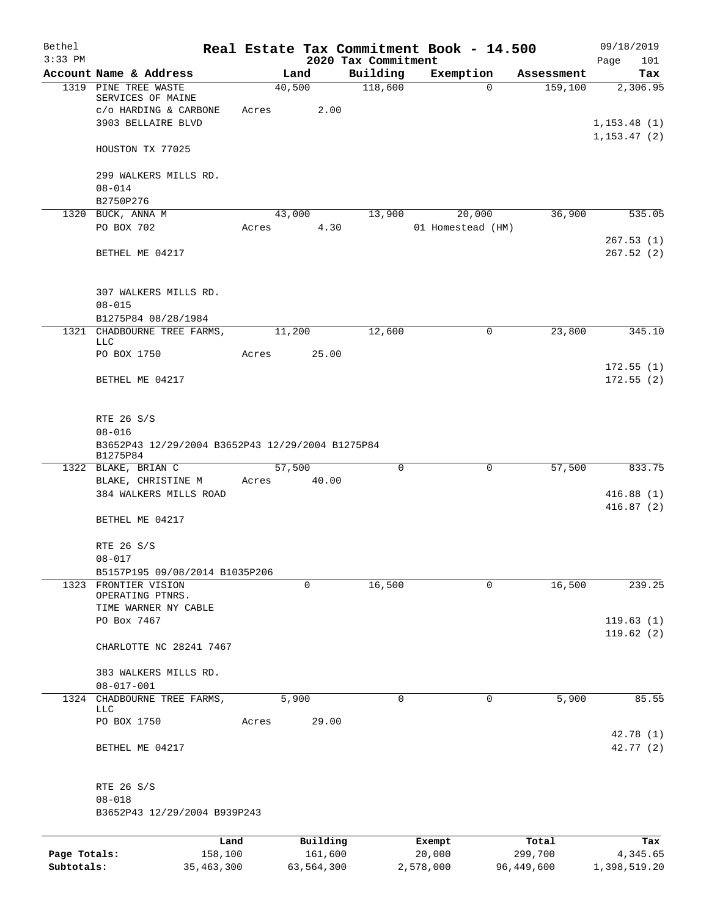| Bethel<br>$3:33$ PM |                                                                                     |       |                | 2020 Tax Commitment | Real Estate Tax Commitment Book - 14.500 |            | 09/18/2019<br>101<br>Page |
|---------------------|-------------------------------------------------------------------------------------|-------|----------------|---------------------|------------------------------------------|------------|---------------------------|
|                     | Account Name & Address                                                              |       | Land           | Building            | Exemption                                | Assessment | Tax                       |
| 1319                | PINE TREE WASTE<br>SERVICES OF MAINE<br>c/o HARDING & CARBONE<br>3903 BELLAIRE BLVD | Acres | 40,500<br>2.00 | 118,600             | $\Omega$                                 | 159,100    | 2,306.95<br>1, 153.48(1)  |
|                     | HOUSTON TX 77025                                                                    |       |                |                     |                                          |            | 1, 153.47(2)              |
|                     | 299 WALKERS MILLS RD.                                                               |       |                |                     |                                          |            |                           |
|                     | $08 - 014$                                                                          |       |                |                     |                                          |            |                           |
|                     | B2750P276<br>1320 BUCK, ANNA M                                                      |       | 43,000         | 13,900              | 20,000                                   | 36,900     | 535.05                    |
|                     | PO BOX 702                                                                          | Acres | 4.30           |                     | 01 Homestead (HM)                        |            |                           |
|                     | BETHEL ME 04217                                                                     |       |                |                     |                                          |            | 267.53(1)<br>267.52(2)    |
|                     | 307 WALKERS MILLS RD.<br>$08 - 015$                                                 |       |                |                     |                                          |            |                           |
|                     | B1275P84 08/28/1984                                                                 |       |                |                     |                                          |            |                           |
|                     | 1321 CHADBOURNE TREE FARMS,<br>LLC                                                  |       | 11,200         | 12,600              | 0                                        | 23,800     | 345.10                    |
|                     | PO BOX 1750                                                                         | Acres | 25.00          |                     |                                          |            |                           |
|                     | BETHEL ME 04217                                                                     |       |                |                     |                                          |            | 172.55(1)<br>172.55(2)    |
|                     | RTE 26 S/S                                                                          |       |                |                     |                                          |            |                           |
|                     | $08 - 016$<br>B3652P43 12/29/2004 B3652P43 12/29/2004 B1275P84<br>B1275P84          |       |                |                     |                                          |            |                           |
|                     | 1322 BLAKE, BRIAN C                                                                 |       | 57,500         | $\Omega$            | 0                                        | 57,500     | 833.75                    |
|                     | BLAKE, CHRISTINE M<br>384 WALKERS MILLS ROAD                                        | Acres | 40.00          |                     |                                          |            | 416.88(1)<br>416.87(2)    |
|                     | BETHEL ME 04217                                                                     |       |                |                     |                                          |            |                           |
|                     | RTE 26 S/S<br>$08 - 017$                                                            |       |                |                     |                                          |            |                           |
|                     | B5157P195 09/08/2014 B1035P206                                                      |       |                |                     |                                          |            |                           |
|                     | 1323 FRONTIER VISION<br>OPERATING PTNRS.<br>TIME WARNER NY CABLE                    |       | 0              | 16,500              | 0                                        | 16,500     | 239.25                    |
|                     | PO Box 7467                                                                         |       |                |                     |                                          |            | 119.63(1)                 |
|                     | CHARLOTTE NC 28241 7467                                                             |       |                |                     |                                          |            | 119.62(2)                 |
|                     | 383 WALKERS MILLS RD.<br>$08 - 017 - 001$                                           |       |                |                     |                                          |            |                           |
|                     | 1324 CHADBOURNE TREE FARMS,<br>LLC                                                  |       | 5,900          | $\mathbf 0$         | 0                                        | 5,900      | 85.55                     |
|                     | PO BOX 1750                                                                         | Acres | 29.00          |                     |                                          |            |                           |
|                     | BETHEL ME 04217                                                                     |       |                |                     |                                          |            | 42.78 (1)<br>42.77 (2)    |
|                     | RTE 26 S/S                                                                          |       |                |                     |                                          |            |                           |
|                     | $08 - 018$<br>B3652P43 12/29/2004 B939P243                                          |       |                |                     |                                          |            |                           |
|                     |                                                                                     | Land  | Building       |                     | Exempt                                   | Total      | Tax                       |
| Page Totals:        | 158,100                                                                             |       | 161,600        |                     | 20,000                                   | 299,700    | 4,345.65                  |
| Subtotals:          | 35, 463, 300                                                                        |       | 63,564,300     |                     | 2,578,000                                | 96,449,600 | 1,398,519.20              |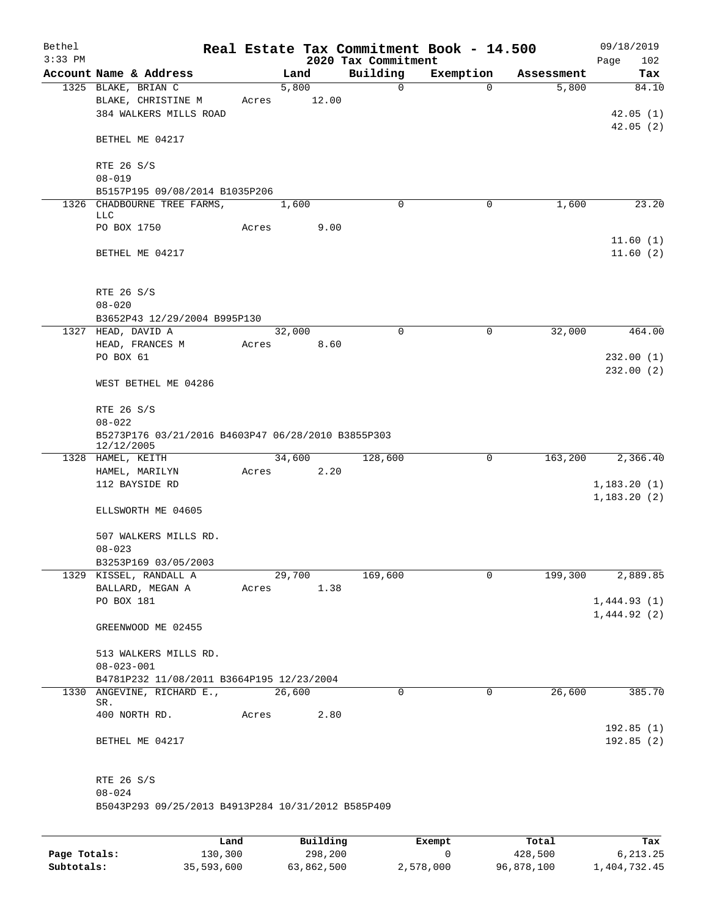| Bethel<br>$3:33$ PM |                                                                  |             |                      | 2020 Tax Commitment | Real Estate Tax Commitment Book - 14.500 |            | 09/18/2019<br>Page<br>102 |
|---------------------|------------------------------------------------------------------|-------------|----------------------|---------------------|------------------------------------------|------------|---------------------------|
|                     | Account Name & Address                                           |             | Land                 | Building            | Exemption                                | Assessment | Tax                       |
|                     | 1325 BLAKE, BRIAN C                                              |             | 5,800                | $\mathbf 0$         | $\Omega$                                 | 5,800      | 84.10                     |
|                     | BLAKE, CHRISTINE M<br>384 WALKERS MILLS ROAD                     | Acres       | 12.00                |                     |                                          |            | 42.05(1)                  |
|                     | BETHEL ME 04217                                                  |             |                      |                     |                                          |            | 42.05(2)                  |
|                     | RTE 26 S/S<br>$08 - 019$                                         |             |                      |                     |                                          |            |                           |
|                     | B5157P195 09/08/2014 B1035P206                                   |             |                      |                     |                                          |            |                           |
|                     | 1326 CHADBOURNE TREE FARMS,<br>LLC                               |             | 1,600                | $\Omega$            | 0                                        | 1,600      | 23.20                     |
|                     | PO BOX 1750                                                      | Acres       | 9.00                 |                     |                                          |            | 11.60(1)                  |
|                     | BETHEL ME 04217                                                  |             |                      |                     |                                          |            | 11.60(2)                  |
|                     | RTE 26 S/S                                                       |             |                      |                     |                                          |            |                           |
|                     | $08 - 020$                                                       |             |                      |                     |                                          |            |                           |
|                     | B3652P43 12/29/2004 B995P130                                     |             |                      |                     |                                          |            |                           |
|                     | 1327 HEAD, DAVID A<br>HEAD, FRANCES M                            | Acres       | 32,000<br>8.60       | $\mathbf 0$         | $\mathsf{O}$                             | 32,000     | 464.00                    |
|                     | PO BOX 61                                                        |             |                      |                     |                                          |            | 232.00(1)<br>232.00(2)    |
|                     | WEST BETHEL ME 04286                                             |             |                      |                     |                                          |            |                           |
|                     | RTE 26 S/S                                                       |             |                      |                     |                                          |            |                           |
|                     | $08 - 022$<br>B5273P176 03/21/2016 B4603P47 06/28/2010 B3855P303 |             |                      |                     |                                          |            |                           |
|                     | 12/12/2005                                                       |             |                      |                     |                                          |            |                           |
|                     | 1328 HAMEL, KEITH<br>HAMEL, MARILYN                              |             | 34,600<br>Acres 2.20 | 128,600             | 0                                        | 163,200    | 2,366.40                  |
|                     | 112 BAYSIDE RD                                                   |             |                      |                     |                                          |            | 1,183.20(1)               |
|                     |                                                                  |             |                      |                     |                                          |            | 1,183.20(2)               |
|                     | ELLSWORTH ME 04605                                               |             |                      |                     |                                          |            |                           |
|                     | 507 WALKERS MILLS RD.<br>$08 - 023$                              |             |                      |                     |                                          |            |                           |
|                     | B3253P169 03/05/2003                                             |             |                      |                     |                                          |            |                           |
|                     | 1329 KISSEL, RANDALL A                                           |             | 29,700               | 169,600             | $\mathbf 0$                              | 199,300    | 2,889.85                  |
|                     | BALLARD, MEGAN A                                                 | Acres       | 1.38                 |                     |                                          |            |                           |
|                     | PO BOX 181                                                       |             |                      |                     |                                          |            | 1,444.93(1)               |
|                     | GREENWOOD ME 02455                                               |             |                      |                     |                                          |            | 1,444.92(2)               |
|                     | 513 WALKERS MILLS RD.                                            |             |                      |                     |                                          |            |                           |
|                     | $08 - 023 - 001$                                                 |             |                      |                     |                                          |            |                           |
|                     | B4781P232 11/08/2011 B3664P195 12/23/2004                        |             |                      |                     |                                          |            |                           |
|                     | 1330 ANGEVINE, RICHARD E.,<br>SR.                                |             | 26,600               | 0                   | $\mathbf 0$                              | 26,600     | 385.70                    |
|                     | 400 NORTH RD.                                                    | Acres       | 2.80                 |                     |                                          |            | 192.85(1)                 |
|                     | BETHEL ME 04217                                                  |             |                      |                     |                                          |            | 192.85(2)                 |
|                     | RTE 26 S/S                                                       |             |                      |                     |                                          |            |                           |
|                     | $08 - 024$<br>B5043P293 09/25/2013 B4913P284 10/31/2012 B585P409 |             |                      |                     |                                          |            |                           |
|                     |                                                                  |             |                      |                     |                                          |            |                           |
|                     |                                                                  | <b>Tond</b> | $P_{11}$ ilding      |                     | $F$ vomnt                                | $T - 1$    | т.,                       |

|              | Land       | Building   | Exempt    | Total      | Tax          |
|--------------|------------|------------|-----------|------------|--------------|
| Page Totals: | 130,300    | 298,200    |           | 428,500    | 6.213.25     |
| Subtotals:   | 35,593,600 | 63,862,500 | 2,578,000 | 96,878,100 | 1,404,732.45 |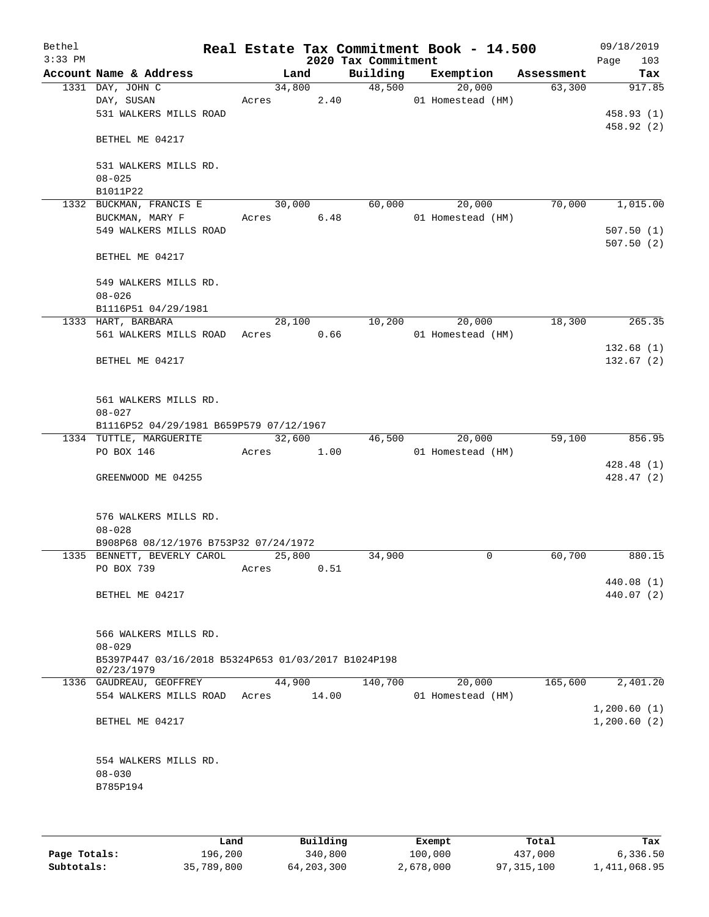| Bethel<br>$3:33$ PM |                                                                   |       |        | 2020 Tax Commitment | Real Estate Tax Commitment Book - 14.500 |            | 09/18/2019<br>103<br>Page |
|---------------------|-------------------------------------------------------------------|-------|--------|---------------------|------------------------------------------|------------|---------------------------|
|                     | Account Name & Address                                            |       | Land   | Building            | Exemption                                | Assessment | Tax                       |
|                     | 1331 DAY, JOHN C                                                  |       | 34,800 | 48,500              | 20,000                                   | 63,300     | 917.85                    |
|                     | DAY, SUSAN                                                        | Acres |        | 2.40                | 01 Homestead (HM)                        |            |                           |
|                     | 531 WALKERS MILLS ROAD                                            |       |        |                     |                                          |            | 458.93 (1)                |
|                     |                                                                   |       |        |                     |                                          |            | 458.92 (2)                |
|                     | BETHEL ME 04217                                                   |       |        |                     |                                          |            |                           |
|                     | 531 WALKERS MILLS RD.                                             |       |        |                     |                                          |            |                           |
|                     | $08 - 025$                                                        |       |        |                     |                                          |            |                           |
|                     | B1011P22                                                          |       |        |                     |                                          |            |                           |
|                     | 1332 BUCKMAN, FRANCIS E                                           |       | 30,000 | 60,000              | 20,000                                   | 70,000     | 1,015.00                  |
|                     | BUCKMAN, MARY F                                                   | Acres | 6.48   |                     | 01 Homestead (HM)                        |            |                           |
|                     | 549 WALKERS MILLS ROAD                                            |       |        |                     |                                          |            | 507.50(1)                 |
|                     |                                                                   |       |        |                     |                                          |            | 507.50(2)                 |
|                     | BETHEL ME 04217                                                   |       |        |                     |                                          |            |                           |
|                     | 549 WALKERS MILLS RD.                                             |       |        |                     |                                          |            |                           |
|                     | $08 - 026$                                                        |       |        |                     |                                          |            |                           |
|                     | B1116P51 04/29/1981                                               |       |        |                     |                                          |            |                           |
|                     | 1333 HART, BARBARA                                                |       | 28,100 | 10,200              | 20,000                                   | 18,300     | 265.35                    |
|                     | 561 WALKERS MILLS ROAD                                            | Acres | 0.66   |                     | 01 Homestead (HM)                        |            |                           |
|                     |                                                                   |       |        |                     |                                          |            | 132.68(1)                 |
|                     | BETHEL ME 04217                                                   |       |        |                     |                                          |            | 132.67(2)                 |
|                     |                                                                   |       |        |                     |                                          |            |                           |
|                     | 561 WALKERS MILLS RD.                                             |       |        |                     |                                          |            |                           |
|                     | $08 - 027$                                                        |       |        |                     |                                          |            |                           |
|                     | B1116P52 04/29/1981 B659P579 07/12/1967                           |       |        |                     |                                          |            |                           |
|                     | 1334 TUTTLE, MARGUERITE                                           |       | 32,600 | 46,500              | 20,000                                   | 59,100     | 856.95                    |
|                     | PO BOX 146                                                        | Acres | 1.00   |                     | 01 Homestead (HM)                        |            |                           |
|                     |                                                                   |       |        |                     |                                          |            | 428.48 (1)                |
|                     | GREENWOOD ME 04255                                                |       |        |                     |                                          |            | 428.47(2)                 |
|                     |                                                                   |       |        |                     |                                          |            |                           |
|                     | 576 WALKERS MILLS RD.                                             |       |        |                     |                                          |            |                           |
|                     | $08 - 028$                                                        |       |        |                     |                                          |            |                           |
|                     | B908P68 08/12/1976 B753P32 07/24/1972                             |       |        |                     |                                          |            |                           |
|                     | 1335 BENNETT, BEVERLY CAROL                                       |       | 25,800 | 34,900              | 0                                        | 60,700     | 880.15                    |
|                     | PO BOX 739                                                        | Acres | 0.51   |                     |                                          |            |                           |
|                     |                                                                   |       |        |                     |                                          |            | 440.08 (1)                |
|                     | BETHEL ME 04217                                                   |       |        |                     |                                          |            | 440.07 (2)                |
|                     |                                                                   |       |        |                     |                                          |            |                           |
|                     | 566 WALKERS MILLS RD.                                             |       |        |                     |                                          |            |                           |
|                     | $08 - 029$                                                        |       |        |                     |                                          |            |                           |
|                     | B5397P447 03/16/2018 B5324P653 01/03/2017 B1024P198<br>02/23/1979 |       |        |                     |                                          |            |                           |
|                     | 1336 GAUDREAU, GEOFFREY                                           |       | 44,900 | 140,700             | 20,000                                   | 165,600    | 2,401.20                  |
|                     | 554 WALKERS MILLS ROAD                                            | Acres | 14.00  |                     | 01 Homestead (HM)                        |            |                           |
|                     |                                                                   |       |        |                     |                                          |            | 1,200.60(1)               |
|                     | BETHEL ME 04217                                                   |       |        |                     |                                          |            | 1,200.60(2)               |
|                     |                                                                   |       |        |                     |                                          |            |                           |
|                     | 554 WALKERS MILLS RD.                                             |       |        |                     |                                          |            |                           |
|                     | $08 - 030$                                                        |       |        |                     |                                          |            |                           |
|                     | B785P194                                                          |       |        |                     |                                          |            |                           |
|                     |                                                                   |       |        |                     |                                          |            |                           |
|                     |                                                                   |       |        |                     |                                          |            |                           |
|                     |                                                                   |       |        |                     |                                          |            |                           |

|              | Land       | Building   | Exempt    | Total        | Tax          |
|--------------|------------|------------|-----------|--------------|--------------|
| Page Totals: | 196,200    | 340,800    | 100,000   | 437,000      | 6,336.50     |
| Subtotals:   | 35,789,800 | 64,203,300 | 2,678,000 | 97, 315, 100 | 1,411,068.95 |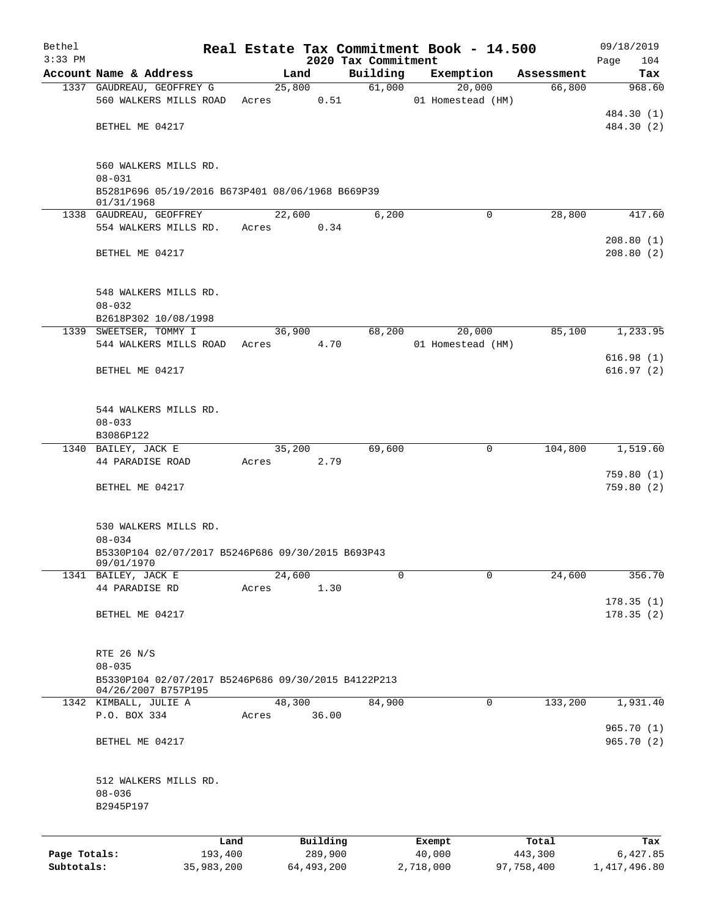| Bethel       |                                                                   |         |        |              |                     | Real Estate Tax Commitment Book - 14.500 |              | 09/18/2019    |
|--------------|-------------------------------------------------------------------|---------|--------|--------------|---------------------|------------------------------------------|--------------|---------------|
| $3:33$ PM    |                                                                   |         |        |              | 2020 Tax Commitment |                                          |              | 104<br>Page   |
|              | Account Name & Address                                            |         | Land   |              | Building<br>61,000  | Exemption                                | Assessment   | Tax<br>968.60 |
|              | 1337 GAUDREAU, GEOFFREY G<br>560 WALKERS MILLS ROAD               |         |        | 25,800       |                     | 20,000                                   | 66,800       |               |
|              |                                                                   | Acres   |        | 0.51         |                     | 01 Homestead (HM)                        |              | 484.30 (1)    |
|              | BETHEL ME 04217                                                   |         |        |              |                     |                                          |              | 484.30 (2)    |
|              |                                                                   |         |        |              |                     |                                          |              |               |
|              |                                                                   |         |        |              |                     |                                          |              |               |
|              | 560 WALKERS MILLS RD.                                             |         |        |              |                     |                                          |              |               |
|              | $08 - 031$<br>B5281P696 05/19/2016 B673P401 08/06/1968 B669P39    |         |        |              |                     |                                          |              |               |
|              | 01/31/1968                                                        |         |        |              |                     |                                          |              |               |
|              | 1338 GAUDREAU, GEOFFREY                                           |         | 22,600 |              | 6,200               |                                          | 28,800<br>0  | 417.60        |
|              | 554 WALKERS MILLS RD.                                             | Acres   |        | 0.34         |                     |                                          |              |               |
|              |                                                                   |         |        |              |                     |                                          |              | 208.80(1)     |
|              | BETHEL ME 04217                                                   |         |        |              |                     |                                          |              | 208.80(2)     |
|              |                                                                   |         |        |              |                     |                                          |              |               |
|              | 548 WALKERS MILLS RD.                                             |         |        |              |                     |                                          |              |               |
|              | $08 - 032$                                                        |         |        |              |                     |                                          |              |               |
|              | B2618P302 10/08/1998                                              |         |        |              |                     |                                          |              |               |
|              | 1339 SWEETSER, TOMMY I                                            |         | 36,900 |              | 68,200              | 20,000                                   | 85,100       | 1,233.95      |
|              | 544 WALKERS MILLS ROAD Acres                                      |         |        | 4.70         |                     | 01 Homestead (HM)                        |              |               |
|              |                                                                   |         |        |              |                     |                                          |              | 616.98(1)     |
|              | BETHEL ME 04217                                                   |         |        |              |                     |                                          |              | 616.97(2)     |
|              |                                                                   |         |        |              |                     |                                          |              |               |
|              | 544 WALKERS MILLS RD.                                             |         |        |              |                     |                                          |              |               |
|              | $08 - 033$                                                        |         |        |              |                     |                                          |              |               |
|              | B3086P122                                                         |         |        |              |                     |                                          |              |               |
|              | 1340 BAILEY, JACK E                                               |         | 35,200 |              | 69,600              |                                          | 0<br>104,800 | 1,519.60      |
|              | 44 PARADISE ROAD                                                  | Acres   |        | 2.79         |                     |                                          |              |               |
|              |                                                                   |         |        |              |                     |                                          |              | 759.80(1)     |
|              | BETHEL ME 04217                                                   |         |        |              |                     |                                          |              | 759.80(2)     |
|              |                                                                   |         |        |              |                     |                                          |              |               |
|              |                                                                   |         |        |              |                     |                                          |              |               |
|              | 530 WALKERS MILLS RD.                                             |         |        |              |                     |                                          |              |               |
|              | $08 - 034$                                                        |         |        |              |                     |                                          |              |               |
|              | B5330P104 02/07/2017 B5246P686 09/30/2015 B693P43<br>09/01/1970   |         |        |              |                     |                                          |              |               |
|              | 1341 BAILEY, JACK E                                               |         | 24,600 |              | 0                   |                                          | 24,600<br>0  | 356.70        |
|              | 44 PARADISE RD                                                    | Acres   |        | 1.30         |                     |                                          |              |               |
|              |                                                                   |         |        |              |                     |                                          |              | 178.35(1)     |
|              | BETHEL ME 04217                                                   |         |        |              |                     |                                          |              | 178.35(2)     |
|              |                                                                   |         |        |              |                     |                                          |              |               |
|              |                                                                   |         |        |              |                     |                                          |              |               |
|              | RTE 26 N/S                                                        |         |        |              |                     |                                          |              |               |
|              | $08 - 035$<br>B5330P104 02/07/2017 B5246P686 09/30/2015 B4122P213 |         |        |              |                     |                                          |              |               |
|              | 04/26/2007 B757P195                                               |         |        |              |                     |                                          |              |               |
|              | 1342 KIMBALL, JULIE A                                             |         | 48,300 |              | 84,900              |                                          | 0<br>133,200 | 1,931.40      |
|              | P.O. BOX 334                                                      | Acres   |        | 36.00        |                     |                                          |              |               |
|              |                                                                   |         |        |              |                     |                                          |              | 965.70(1)     |
|              | BETHEL ME 04217                                                   |         |        |              |                     |                                          |              | 965.70 (2)    |
|              |                                                                   |         |        |              |                     |                                          |              |               |
|              | 512 WALKERS MILLS RD.                                             |         |        |              |                     |                                          |              |               |
|              | $08 - 036$                                                        |         |        |              |                     |                                          |              |               |
|              | B2945P197                                                         |         |        |              |                     |                                          |              |               |
|              |                                                                   |         |        |              |                     |                                          |              |               |
|              |                                                                   | Land    |        | Building     |                     | Exempt                                   | Total        | Tax           |
| Page Totals: |                                                                   | 193,400 |        | 289,900      |                     | 40,000                                   | 443,300      | 6,427.85      |
| Subtotals:   | 35,983,200                                                        |         |        | 64, 493, 200 |                     | 2,718,000                                | 97,758,400   | 1,417,496.80  |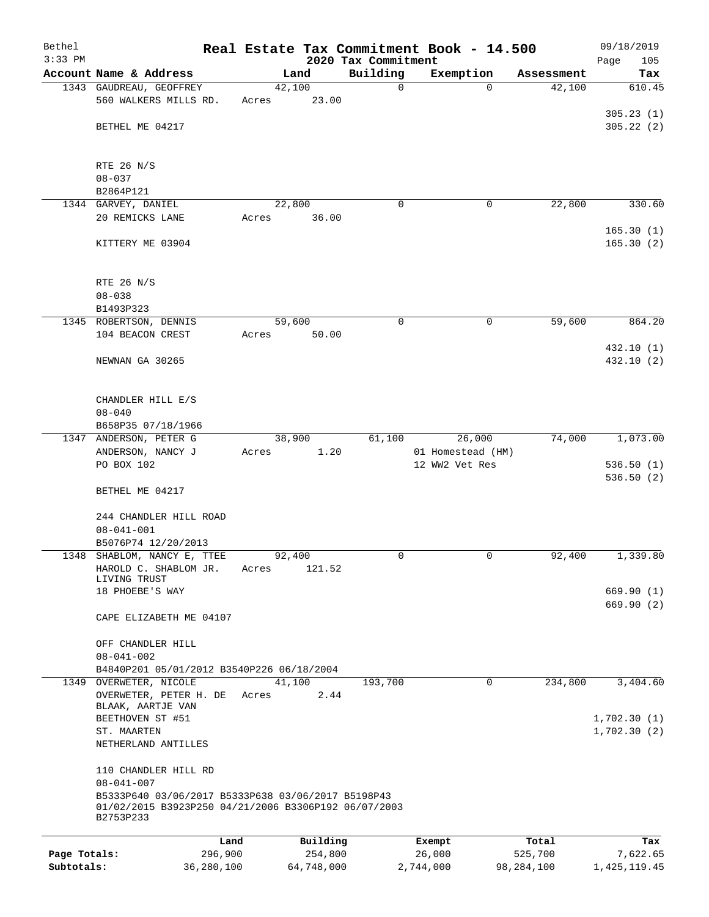| Bethel       |                                                                                                                         |            |       |        |            |                     | Real Estate Tax Commitment Book - 14.500 |            | 09/18/2019             |
|--------------|-------------------------------------------------------------------------------------------------------------------------|------------|-------|--------|------------|---------------------|------------------------------------------|------------|------------------------|
| $3:33$ PM    |                                                                                                                         |            |       |        |            | 2020 Tax Commitment |                                          |            | 105<br>Page            |
|              | Account Name & Address                                                                                                  |            |       | Land   |            | Building            | Exemption                                | Assessment | Tax                    |
|              | 1343 GAUDREAU, GEOFFREY<br>560 WALKERS MILLS RD.                                                                        |            | Acres | 42,100 | 23.00      | $\mathbf 0$         | $\Omega$                                 | 42,100     | 610.45                 |
|              |                                                                                                                         |            |       |        |            |                     |                                          |            | 305.23(1)              |
|              | BETHEL ME 04217                                                                                                         |            |       |        |            |                     |                                          |            | 305.22(2)              |
|              |                                                                                                                         |            |       |        |            |                     |                                          |            |                        |
|              | RTE 26 N/S                                                                                                              |            |       |        |            |                     |                                          |            |                        |
|              | $08 - 037$                                                                                                              |            |       |        |            |                     |                                          |            |                        |
|              | B2864P121                                                                                                               |            |       |        |            |                     |                                          |            |                        |
|              | 1344 GARVEY, DANIEL                                                                                                     |            |       | 22,800 |            | $\Omega$            | 0                                        | 22,800     | 330.60                 |
|              | 20 REMICKS LANE                                                                                                         |            | Acres |        | 36.00      |                     |                                          |            |                        |
|              |                                                                                                                         |            |       |        |            |                     |                                          |            | 165.30(1)              |
|              | KITTERY ME 03904                                                                                                        |            |       |        |            |                     |                                          |            | 165.30(2)              |
|              | RTE 26 N/S                                                                                                              |            |       |        |            |                     |                                          |            |                        |
|              | $08 - 038$                                                                                                              |            |       |        |            |                     |                                          |            |                        |
|              | B1493P323                                                                                                               |            |       |        |            |                     |                                          |            |                        |
|              | 1345 ROBERTSON, DENNIS                                                                                                  |            |       | 59,600 |            | 0                   | 0                                        | 59,600     | 864.20                 |
|              | 104 BEACON CREST                                                                                                        |            | Acres |        | 50.00      |                     |                                          |            |                        |
|              |                                                                                                                         |            |       |        |            |                     |                                          |            | 432.10 (1)             |
|              | NEWNAN GA 30265                                                                                                         |            |       |        |            |                     |                                          |            | 432.10 (2)             |
|              |                                                                                                                         |            |       |        |            |                     |                                          |            |                        |
|              | CHANDLER HILL E/S                                                                                                       |            |       |        |            |                     |                                          |            |                        |
|              | $08 - 040$                                                                                                              |            |       |        |            |                     |                                          |            |                        |
|              | B658P35 07/18/1966                                                                                                      |            |       |        |            |                     |                                          |            |                        |
|              | 1347 ANDERSON, PETER G                                                                                                  |            |       | 38,900 |            | 61,100              | 26,000                                   | 74,000     | 1,073.00               |
|              | ANDERSON, NANCY J                                                                                                       |            | Acres |        | 1.20       |                     | 01 Homestead (HM)                        |            |                        |
|              | PO BOX 102                                                                                                              |            |       |        |            |                     | 12 WW2 Vet Res                           |            | 536.50(1)<br>536.50(2) |
|              | BETHEL ME 04217                                                                                                         |            |       |        |            |                     |                                          |            |                        |
|              | 244 CHANDLER HILL ROAD                                                                                                  |            |       |        |            |                     |                                          |            |                        |
|              | $08 - 041 - 001$                                                                                                        |            |       |        |            |                     |                                          |            |                        |
|              | B5076P74 12/20/2013                                                                                                     |            |       |        |            |                     |                                          |            |                        |
|              | 1348 SHABLOM, NANCY E, TTEE                                                                                             |            |       | 92,400 |            | 0                   | $\mathbf 0$                              | 92,400     | 1,339.80               |
|              | HAROLD C. SHABLOM JR.                                                                                                   |            | Acres |        | 121.52     |                     |                                          |            |                        |
|              | LIVING TRUST<br>18 PHOEBE'S WAY                                                                                         |            |       |        |            |                     |                                          |            | 669.90 (1)             |
|              |                                                                                                                         |            |       |        |            |                     |                                          |            | 669.90 (2)             |
|              | CAPE ELIZABETH ME 04107                                                                                                 |            |       |        |            |                     |                                          |            |                        |
|              |                                                                                                                         |            |       |        |            |                     |                                          |            |                        |
|              | OFF CHANDLER HILL                                                                                                       |            |       |        |            |                     |                                          |            |                        |
|              | $08 - 041 - 002$                                                                                                        |            |       |        |            |                     |                                          |            |                        |
|              | B4840P201 05/01/2012 B3540P226 06/18/2004                                                                               |            |       |        |            |                     |                                          |            |                        |
|              | 1349 OVERWETER, NICOLE                                                                                                  |            |       | 41,100 |            | 193,700             | $\mathbf 0$                              | 234,800    | 3,404.60               |
|              | OVERWETER, PETER H. DE                                                                                                  |            | Acres |        | 2.44       |                     |                                          |            |                        |
|              | BLAAK, AARTJE VAN<br>BEETHOVEN ST #51                                                                                   |            |       |        |            |                     |                                          |            | 1,702.30(1)            |
|              | ST. MAARTEN                                                                                                             |            |       |        |            |                     |                                          |            | 1,702.30(2)            |
|              | NETHERLAND ANTILLES                                                                                                     |            |       |        |            |                     |                                          |            |                        |
|              | 110 CHANDLER HILL RD                                                                                                    |            |       |        |            |                     |                                          |            |                        |
|              | $08 - 041 - 007$                                                                                                        |            |       |        |            |                     |                                          |            |                        |
|              | B5333P640 03/06/2017 B5333P638 03/06/2017 B5198P43<br>01/02/2015 B3923P250 04/21/2006 B3306P192 06/07/2003<br>B2753P233 |            |       |        |            |                     |                                          |            |                        |
|              |                                                                                                                         | Land       |       |        | Building   |                     | Exempt                                   | Total      | Tax                    |
| Page Totals: |                                                                                                                         | 296,900    |       |        | 254,800    |                     | 26,000                                   | 525,700    | 7,622.65               |
| Subtotals:   |                                                                                                                         | 36,280,100 |       |        | 64,748,000 |                     | 2,744,000                                | 98,284,100 | 1, 425, 119.45         |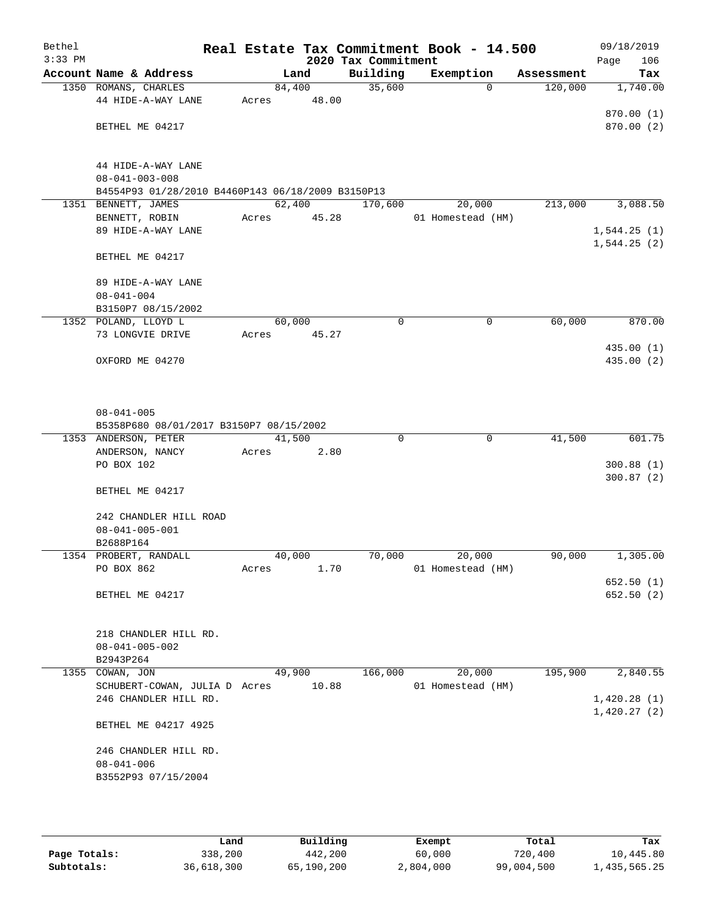| Bethel<br>$3:33$ PM |                                                   |        |        | 2020 Tax Commitment | Real Estate Tax Commitment Book - 14.500 |            | 09/18/2019<br>106<br>Page  |
|---------------------|---------------------------------------------------|--------|--------|---------------------|------------------------------------------|------------|----------------------------|
|                     | Account Name & Address                            |        | Land   | Building            | Exemption                                | Assessment | Tax                        |
|                     | 1350 ROMANS, CHARLES                              | 84,400 |        | 35,600              | $\Omega$                                 | 120,000    | 1,740.00                   |
|                     | 44 HIDE-A-WAY LANE                                | Acres  | 48.00  |                     |                                          |            |                            |
|                     |                                                   |        |        |                     |                                          |            | 870.00(1)                  |
|                     | BETHEL ME 04217                                   |        |        |                     |                                          |            | 870.00 (2)                 |
|                     |                                                   |        |        |                     |                                          |            |                            |
|                     |                                                   |        |        |                     |                                          |            |                            |
|                     | 44 HIDE-A-WAY LANE                                |        |        |                     |                                          |            |                            |
|                     | $08 - 041 - 003 - 008$                            |        |        |                     |                                          |            |                            |
|                     | B4554P93 01/28/2010 B4460P143 06/18/2009 B3150P13 |        |        |                     |                                          |            |                            |
|                     | 1351 BENNETT, JAMES<br>BENNETT, ROBIN             | 62,400 |        | 170,600             | 20,000                                   | 213,000    | 3,088.50                   |
|                     | 89 HIDE-A-WAY LANE                                | Acres  | 45.28  |                     | 01 Homestead (HM)                        |            |                            |
|                     |                                                   |        |        |                     |                                          |            | 1,544.25(1)<br>1,544.25(2) |
|                     | BETHEL ME 04217                                   |        |        |                     |                                          |            |                            |
|                     |                                                   |        |        |                     |                                          |            |                            |
|                     | 89 HIDE-A-WAY LANE                                |        |        |                     |                                          |            |                            |
|                     | $08 - 041 - 004$                                  |        |        |                     |                                          |            |                            |
|                     | B3150P7 08/15/2002                                |        |        |                     |                                          |            |                            |
|                     | 1352 POLAND, LLOYD L                              | 60,000 |        | 0                   | 0                                        | 60,000     | 870.00                     |
|                     | 73 LONGVIE DRIVE                                  | Acres  | 45.27  |                     |                                          |            |                            |
|                     |                                                   |        |        |                     |                                          |            | 435.00 (1)                 |
|                     | OXFORD ME 04270                                   |        |        |                     |                                          |            | 435.00 (2)                 |
|                     |                                                   |        |        |                     |                                          |            |                            |
|                     |                                                   |        |        |                     |                                          |            |                            |
|                     | $08 - 041 - 005$                                  |        |        |                     |                                          |            |                            |
|                     | B5358P680 08/01/2017 B3150P7 08/15/2002           |        |        |                     |                                          |            |                            |
|                     | 1353 ANDERSON, PETER                              | 41,500 |        | $\Omega$            | $\mathbf 0$                              | 41,500     | 601.75                     |
|                     | ANDERSON, NANCY                                   | Acres  | 2.80   |                     |                                          |            |                            |
|                     | PO BOX 102                                        |        |        |                     |                                          |            | 300.88(1)                  |
|                     |                                                   |        |        |                     |                                          |            | 300.87(2)                  |
|                     | BETHEL ME 04217                                   |        |        |                     |                                          |            |                            |
|                     |                                                   |        |        |                     |                                          |            |                            |
|                     | 242 CHANDLER HILL ROAD                            |        |        |                     |                                          |            |                            |
|                     | $08 - 041 - 005 - 001$                            |        |        |                     |                                          |            |                            |
|                     | B2688P164                                         |        |        |                     |                                          |            |                            |
|                     | 1354 PROBERT, RANDALL<br>PO BOX 862               | 40,000 | 1.70   | 70,000              | 20,000<br>01 Homestead (HM)              | 90,000     | 1,305.00                   |
|                     |                                                   | Acres  |        |                     |                                          |            | 652.50(1)                  |
|                     | BETHEL ME 04217                                   |        |        |                     |                                          |            | 652.50(2)                  |
|                     |                                                   |        |        |                     |                                          |            |                            |
|                     |                                                   |        |        |                     |                                          |            |                            |
|                     | 218 CHANDLER HILL RD.                             |        |        |                     |                                          |            |                            |
|                     | $08 - 041 - 005 - 002$                            |        |        |                     |                                          |            |                            |
|                     | B2943P264                                         |        |        |                     |                                          |            |                            |
|                     | 1355 COWAN, JON                                   |        | 49,900 | 166,000             | 20,000                                   | 195,900    | 2,840.55                   |
|                     | SCHUBERT-COWAN, JULIA D Acres                     |        | 10.88  |                     | 01 Homestead (HM)                        |            |                            |
|                     | 246 CHANDLER HILL RD.                             |        |        |                     |                                          |            | 1,420.28(1)                |
|                     |                                                   |        |        |                     |                                          |            | 1,420.27(2)                |
|                     | BETHEL ME 04217 4925                              |        |        |                     |                                          |            |                            |
|                     | 246 CHANDLER HILL RD.                             |        |        |                     |                                          |            |                            |
|                     | $08 - 041 - 006$                                  |        |        |                     |                                          |            |                            |
|                     | B3552P93 07/15/2004                               |        |        |                     |                                          |            |                            |
|                     |                                                   |        |        |                     |                                          |            |                            |
|                     |                                                   |        |        |                     |                                          |            |                            |

|              | Land       | Building   | Exempt    | Total      | Tax          |
|--------------|------------|------------|-----------|------------|--------------|
| Page Totals: | 338,200    | 442,200    | 60,000    | 720,400    | 10,445.80    |
| Subtotals:   | 36,618,300 | 65,190,200 | 2,804,000 | 99,004,500 | 1,435,565.25 |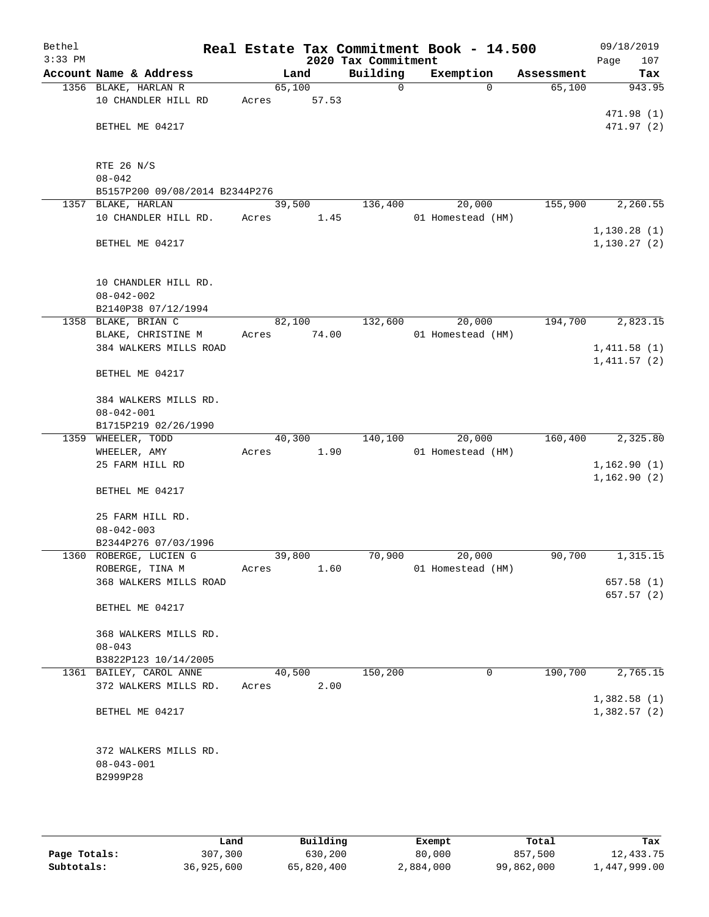| Bethel    |                                              |       |        |       |                     | Real Estate Tax Commitment Book - 14.500 |            | 09/18/2019   |
|-----------|----------------------------------------------|-------|--------|-------|---------------------|------------------------------------------|------------|--------------|
| $3:33$ PM |                                              |       |        |       | 2020 Tax Commitment |                                          |            | Page<br>107  |
|           | Account Name & Address                       |       | Land   |       | Building            | Exemption                                | Assessment | Tax          |
|           | 1356 BLAKE, HARLAN R                         |       | 65,100 |       | 0                   | $\Omega$                                 | 65,100     | 943.95       |
|           | 10 CHANDLER HILL RD                          | Acres |        | 57.53 |                     |                                          |            |              |
|           |                                              |       |        |       |                     |                                          |            | 471.98 (1)   |
|           | BETHEL ME 04217                              |       |        |       |                     |                                          |            | 471.97 (2)   |
|           |                                              |       |        |       |                     |                                          |            |              |
|           |                                              |       |        |       |                     |                                          |            |              |
|           | RTE 26 N/S                                   |       |        |       |                     |                                          |            |              |
|           | $08 - 042$<br>B5157P200 09/08/2014 B2344P276 |       |        |       |                     |                                          |            |              |
|           | 1357 BLAKE, HARLAN                           |       | 39,500 |       | 136,400             | 20,000                                   | 155,900    | 2,260.55     |
|           | 10 CHANDLER HILL RD.                         | Acres |        | 1.45  |                     | 01 Homestead (HM)                        |            |              |
|           |                                              |       |        |       |                     |                                          |            | 1, 130.28(1) |
|           | BETHEL ME 04217                              |       |        |       |                     |                                          |            | 1, 130.27(2) |
|           |                                              |       |        |       |                     |                                          |            |              |
|           |                                              |       |        |       |                     |                                          |            |              |
|           | 10 CHANDLER HILL RD.                         |       |        |       |                     |                                          |            |              |
|           | $08 - 042 - 002$                             |       |        |       |                     |                                          |            |              |
|           | B2140P38 07/12/1994                          |       |        |       |                     |                                          |            |              |
|           | 1358 BLAKE, BRIAN C                          |       | 82,100 |       | 132,600             | 20,000                                   | 194,700    | 2,823.15     |
|           | BLAKE, CHRISTINE M                           | Acres |        | 74.00 |                     | 01 Homestead (HM)                        |            |              |
|           | 384 WALKERS MILLS ROAD                       |       |        |       |                     |                                          |            | 1,411.58(1)  |
|           |                                              |       |        |       |                     |                                          |            | 1,411.57(2)  |
|           | BETHEL ME 04217                              |       |        |       |                     |                                          |            |              |
|           |                                              |       |        |       |                     |                                          |            |              |
|           | 384 WALKERS MILLS RD.                        |       |        |       |                     |                                          |            |              |
|           | $08 - 042 - 001$                             |       |        |       |                     |                                          |            |              |
|           | B1715P219 02/26/1990                         |       |        |       |                     |                                          |            |              |
|           | 1359 WHEELER, TODD                           |       | 40,300 |       | 140,100             | 20,000                                   | 160,400    | 2,325.80     |
|           | WHEELER, AMY<br>25 FARM HILL RD              | Acres |        | 1.90  |                     | 01 Homestead (HM)                        |            | 1,162.90(1)  |
|           |                                              |       |        |       |                     |                                          |            | 1,162.90(2)  |
|           | BETHEL ME 04217                              |       |        |       |                     |                                          |            |              |
|           |                                              |       |        |       |                     |                                          |            |              |
|           | 25 FARM HILL RD.                             |       |        |       |                     |                                          |            |              |
|           | $08 - 042 - 003$                             |       |        |       |                     |                                          |            |              |
|           | B2344P276 07/03/1996                         |       |        |       |                     |                                          |            |              |
|           | 1360 ROBERGE, LUCIEN G                       |       | 39,800 |       | 70,900              | 20,000                                   | 90,700     | 1,315.15     |
|           | ROBERGE, TINA M                              | Acres |        | 1.60  |                     | 01 Homestead (HM)                        |            |              |
|           | 368 WALKERS MILLS ROAD                       |       |        |       |                     |                                          |            | 657.58(1)    |
|           |                                              |       |        |       |                     |                                          |            | 657.57(2)    |
|           | BETHEL ME 04217                              |       |        |       |                     |                                          |            |              |
|           |                                              |       |        |       |                     |                                          |            |              |
|           | 368 WALKERS MILLS RD.                        |       |        |       |                     |                                          |            |              |
|           | $08 - 043$                                   |       |        |       |                     |                                          |            |              |
|           | B3822P123 10/14/2005                         |       |        |       |                     |                                          |            |              |
|           | 1361 BAILEY, CAROL ANNE                      |       | 40,500 |       | 150,200             | 0                                        | 190,700    | 2,765.15     |
|           | 372 WALKERS MILLS RD.                        | Acres |        | 2.00  |                     |                                          |            |              |
|           | BETHEL ME 04217                              |       |        |       |                     |                                          |            | 1,382.58(1)  |
|           |                                              |       |        |       |                     |                                          |            | 1,382.57(2)  |
|           |                                              |       |        |       |                     |                                          |            |              |
|           | 372 WALKERS MILLS RD.                        |       |        |       |                     |                                          |            |              |
|           | $08 - 043 - 001$                             |       |        |       |                     |                                          |            |              |
|           | B2999P28                                     |       |        |       |                     |                                          |            |              |
|           |                                              |       |        |       |                     |                                          |            |              |
|           |                                              |       |        |       |                     |                                          |            |              |

|              | Land       | Building   | Exempt    | Total      | Tax          |
|--------------|------------|------------|-----------|------------|--------------|
| Page Totals: | 307,300    | 630,200    | 80,000    | 857,500    | 12,433.75    |
| Subtotals:   | 36,925,600 | 65,820,400 | 2,884,000 | 99,862,000 | 1,447,999.00 |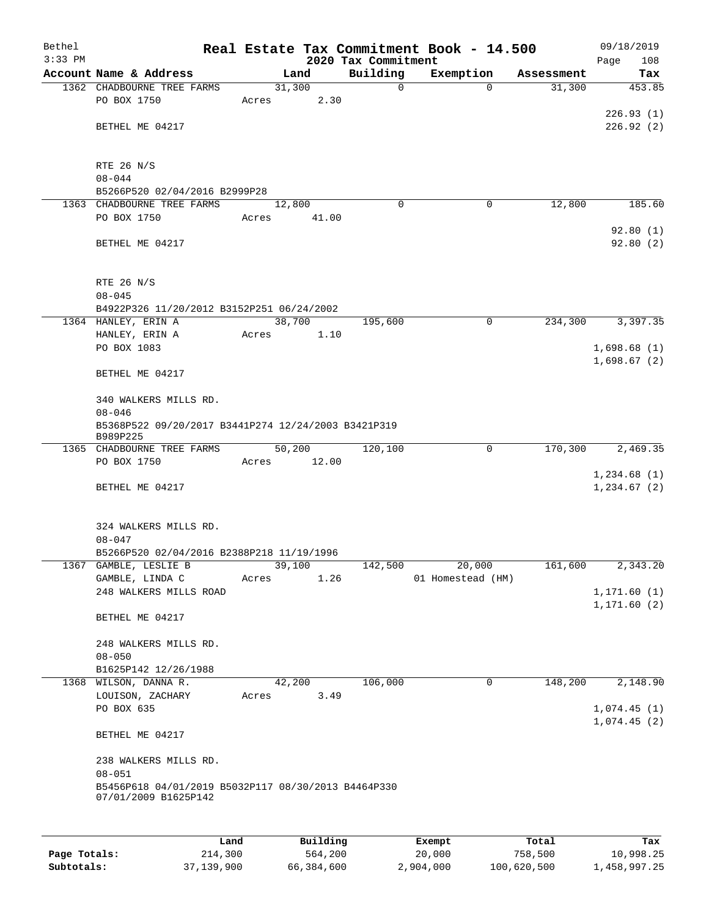| Bethel<br>$3:33$ PM |                                                                   |       |        |       | 2020 Tax Commitment | Real Estate Tax Commitment Book - 14.500 |            | 09/18/2019<br>Page<br>108 |
|---------------------|-------------------------------------------------------------------|-------|--------|-------|---------------------|------------------------------------------|------------|---------------------------|
|                     | Account Name & Address                                            |       | Land   |       | Building            | Exemption                                | Assessment | Tax                       |
|                     | 1362 CHADBOURNE TREE FARMS                                        |       | 31,300 |       | 0                   | 0                                        | 31,300     | 453.85                    |
|                     | PO BOX 1750                                                       | Acres |        | 2.30  |                     |                                          |            |                           |
|                     |                                                                   |       |        |       |                     |                                          |            | 226.93(1)                 |
|                     | BETHEL ME 04217                                                   |       |        |       |                     |                                          |            | 226.92(2)                 |
|                     |                                                                   |       |        |       |                     |                                          |            |                           |
|                     | RTE 26 N/S                                                        |       |        |       |                     |                                          |            |                           |
|                     | $08 - 044$                                                        |       |        |       |                     |                                          |            |                           |
|                     | B5266P520 02/04/2016 B2999P28                                     |       |        |       |                     |                                          |            |                           |
|                     | 1363 CHADBOURNE TREE FARMS<br>PO BOX 1750                         | Acres | 12,800 | 41.00 | $\Omega$            | 0                                        | 12,800     | 185.60                    |
|                     |                                                                   |       |        |       |                     |                                          |            | 92.80(1)                  |
|                     | BETHEL ME 04217                                                   |       |        |       |                     |                                          |            | 92.80(2)                  |
|                     |                                                                   |       |        |       |                     |                                          |            |                           |
|                     |                                                                   |       |        |       |                     |                                          |            |                           |
|                     | RTE 26 N/S                                                        |       |        |       |                     |                                          |            |                           |
|                     | $08 - 045$<br>B4922P326 11/20/2012 B3152P251 06/24/2002           |       |        |       |                     |                                          |            |                           |
|                     | 1364 HANLEY, ERIN A                                               |       | 38,700 |       | 195,600             | 0                                        | 234,300    | 3,397.35                  |
|                     | HANLEY, ERIN A                                                    | Acres |        | 1.10  |                     |                                          |            |                           |
|                     | PO BOX 1083                                                       |       |        |       |                     |                                          |            | 1,698.68(1)               |
|                     |                                                                   |       |        |       |                     |                                          |            | 1,698.67(2)               |
|                     | BETHEL ME 04217                                                   |       |        |       |                     |                                          |            |                           |
|                     | 340 WALKERS MILLS RD.                                             |       |        |       |                     |                                          |            |                           |
|                     | $08 - 046$                                                        |       |        |       |                     |                                          |            |                           |
|                     | B5368P522 09/20/2017 B3441P274 12/24/2003 B3421P319               |       |        |       |                     |                                          |            |                           |
|                     | B989P225                                                          |       |        |       |                     |                                          |            |                           |
|                     | 1365 CHADBOURNE TREE FARMS<br>PO BOX 1750                         | Acres | 50,200 | 12.00 | 120,100             | 0                                        | 170,300    | 2,469.35                  |
|                     |                                                                   |       |        |       |                     |                                          |            | 1,234.68(1)               |
|                     | BETHEL ME 04217                                                   |       |        |       |                     |                                          |            | 1,234.67(2)               |
|                     |                                                                   |       |        |       |                     |                                          |            |                           |
|                     |                                                                   |       |        |       |                     |                                          |            |                           |
|                     | 324 WALKERS MILLS RD.<br>$08 - 047$                               |       |        |       |                     |                                          |            |                           |
|                     | B5266P520 02/04/2016 B2388P218 11/19/1996                         |       |        |       |                     |                                          |            |                           |
|                     | 1367 GAMBLE, LESLIE B                                             |       | 39,100 |       | 142,500             | 20,000                                   | 161,600    | 2,343.20                  |
|                     | GAMBLE, LINDA C                                                   | Acres |        | 1.26  |                     | 01 Homestead (HM)                        |            |                           |
|                     | 248 WALKERS MILLS ROAD                                            |       |        |       |                     |                                          |            | 1, 171.60(1)              |
|                     |                                                                   |       |        |       |                     |                                          |            | 1, 171.60(2)              |
|                     | BETHEL ME 04217                                                   |       |        |       |                     |                                          |            |                           |
|                     | 248 WALKERS MILLS RD.                                             |       |        |       |                     |                                          |            |                           |
|                     | $08 - 050$                                                        |       |        |       |                     |                                          |            |                           |
|                     | B1625P142 12/26/1988                                              |       |        |       |                     |                                          |            |                           |
|                     | 1368 WILSON, DANNA R.                                             |       | 42,200 |       | 106,000             | 0                                        | 148,200    | 2,148.90                  |
|                     | LOUISON, ZACHARY<br>PO BOX 635                                    | Acres |        | 3.49  |                     |                                          |            | 1,074.45(1)               |
|                     |                                                                   |       |        |       |                     |                                          |            | 1,074.45(2)               |
|                     | BETHEL ME 04217                                                   |       |        |       |                     |                                          |            |                           |
|                     |                                                                   |       |        |       |                     |                                          |            |                           |
|                     | 238 WALKERS MILLS RD.                                             |       |        |       |                     |                                          |            |                           |
|                     | $08 - 051$<br>B5456P618 04/01/2019 B5032P117 08/30/2013 B4464P330 |       |        |       |                     |                                          |            |                           |
|                     | 07/01/2009 B1625P142                                              |       |        |       |                     |                                          |            |                           |
|                     |                                                                   |       |        |       |                     |                                          |            |                           |
|                     |                                                                   |       |        |       |                     |                                          |            |                           |
|                     |                                                                   |       |        |       |                     |                                          |            |                           |

|              | Land       | Building   | Exempt    | Total       | Tax          |
|--------------|------------|------------|-----------|-------------|--------------|
| Page Totals: | 214,300    | 564,200    | 20,000    | 758,500     | 10,998.25    |
| Subtotals:   | 37,139,900 | 66,384,600 | 2,904,000 | 100,620,500 | 1,458,997.25 |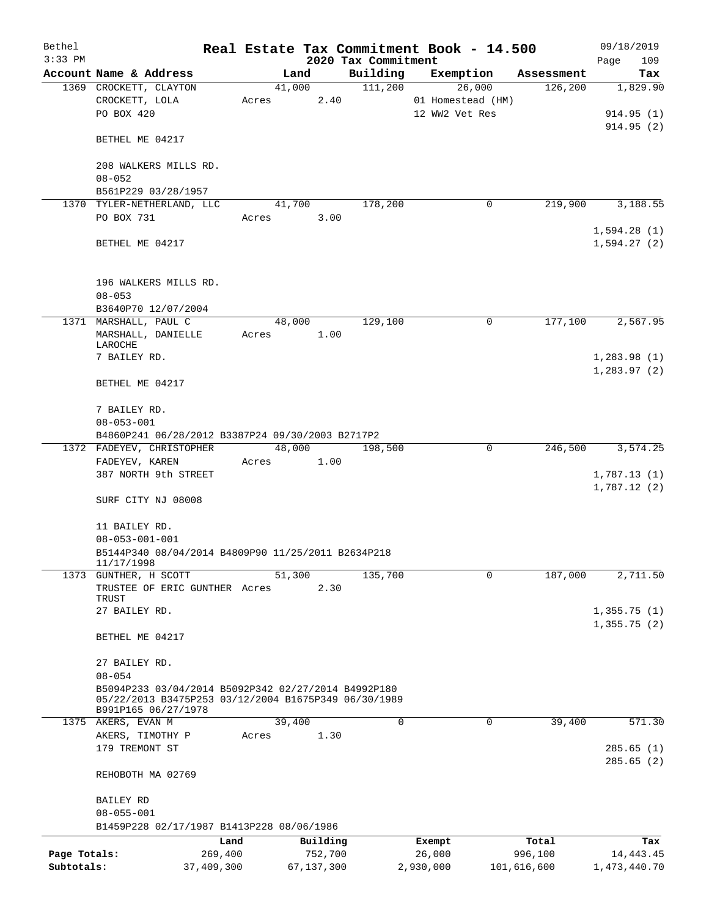| Bethel       |                                                                                                             |         |        |            |                     | Real Estate Tax Commitment Book - 14.500 |               | 09/18/2019   |
|--------------|-------------------------------------------------------------------------------------------------------------|---------|--------|------------|---------------------|------------------------------------------|---------------|--------------|
| $3:33$ PM    |                                                                                                             |         |        |            | 2020 Tax Commitment |                                          |               | Page<br>109  |
|              | Account Name & Address                                                                                      |         | Land   |            | Building            | Exemption                                | Assessment    | Tax          |
|              | 1369 CROCKETT, CLAYTON                                                                                      |         | 41,000 |            | 111,200             | 26,000                                   | 126,200       | 1,829.90     |
|              | CROCKETT, LOLA                                                                                              | Acres   |        | 2.40       |                     | 01 Homestead (HM)                        |               |              |
|              | PO BOX 420                                                                                                  |         |        |            |                     | 12 WW2 Vet Res                           |               | 914.95(1)    |
|              |                                                                                                             |         |        |            |                     |                                          |               | 914.95(2)    |
|              | BETHEL ME 04217                                                                                             |         |        |            |                     |                                          |               |              |
|              |                                                                                                             |         |        |            |                     |                                          |               |              |
|              | 208 WALKERS MILLS RD.                                                                                       |         |        |            |                     |                                          |               |              |
|              | $08 - 052$                                                                                                  |         |        |            |                     |                                          |               |              |
|              | B561P229 03/28/1957                                                                                         |         |        |            | 178,200             | 0                                        | 219,900       | 3,188.55     |
|              | 1370 TYLER-NETHERLAND, LLC<br>PO BOX 731                                                                    |         | 41,700 |            |                     |                                          |               |              |
|              |                                                                                                             | Acres   |        | 3.00       |                     |                                          |               | 1,594.28(1)  |
|              | BETHEL ME 04217                                                                                             |         |        |            |                     |                                          |               | 1,594.27(2)  |
|              |                                                                                                             |         |        |            |                     |                                          |               |              |
|              |                                                                                                             |         |        |            |                     |                                          |               |              |
|              | 196 WALKERS MILLS RD.                                                                                       |         |        |            |                     |                                          |               |              |
|              | $08 - 053$                                                                                                  |         |        |            |                     |                                          |               |              |
|              | B3640P70 12/07/2004                                                                                         |         |        |            |                     |                                          |               |              |
|              | 1371 MARSHALL, PAUL C                                                                                       |         | 48,000 |            | 129,100             | 0                                        | 177,100       | 2,567.95     |
|              | MARSHALL, DANIELLE                                                                                          | Acres   |        | 1.00       |                     |                                          |               |              |
|              | LAROCHE                                                                                                     |         |        |            |                     |                                          |               |              |
|              | 7 BAILEY RD.                                                                                                |         |        |            |                     |                                          |               | 1,283.98(1)  |
|              |                                                                                                             |         |        |            |                     |                                          |               | 1, 283.97(2) |
|              | BETHEL ME 04217                                                                                             |         |        |            |                     |                                          |               |              |
|              |                                                                                                             |         |        |            |                     |                                          |               |              |
|              | 7 BAILEY RD.                                                                                                |         |        |            |                     |                                          |               |              |
|              | $08 - 053 - 001$                                                                                            |         |        |            |                     |                                          |               |              |
|              | B4860P241 06/28/2012 B3387P24 09/30/2003 B2717P2                                                            |         |        |            |                     |                                          |               |              |
|              | 1372 FADEYEV, CHRISTOPHER                                                                                   |         | 48,000 |            | 198,500             | 0                                        | 246,500       | 3,574.25     |
|              | FADEYEV, KAREN                                                                                              | Acres   |        | 1.00       |                     |                                          |               |              |
|              | 387 NORTH 9th STREET                                                                                        |         |        |            |                     |                                          |               | 1,787.13(1)  |
|              |                                                                                                             |         |        |            |                     |                                          |               | 1,787.12(2)  |
|              | SURF CITY NJ 08008                                                                                          |         |        |            |                     |                                          |               |              |
|              |                                                                                                             |         |        |            |                     |                                          |               |              |
|              | 11 BAILEY RD.                                                                                               |         |        |            |                     |                                          |               |              |
|              | $08 - 053 - 001 - 001$<br>B5144P340 08/04/2014 B4809P90 11/25/2011 B2634P218                                |         |        |            |                     |                                          |               |              |
|              | 11/17/1998                                                                                                  |         |        |            |                     |                                          |               |              |
|              | 1373 GUNTHER, H SCOTT                                                                                       |         | 51,300 |            | 135,700             | 0                                        | 187,000       | 2,711.50     |
|              | TRUSTEE OF ERIC GUNTHER Acres                                                                               |         |        | 2.30       |                     |                                          |               |              |
|              | TRUST                                                                                                       |         |        |            |                     |                                          |               |              |
|              | 27 BAILEY RD.                                                                                               |         |        |            |                     |                                          |               | 1,355.75(1)  |
|              |                                                                                                             |         |        |            |                     |                                          |               | 1,355.75(2)  |
|              | BETHEL ME 04217                                                                                             |         |        |            |                     |                                          |               |              |
|              |                                                                                                             |         |        |            |                     |                                          |               |              |
|              | 27 BAILEY RD.                                                                                               |         |        |            |                     |                                          |               |              |
|              | $08 - 054$                                                                                                  |         |        |            |                     |                                          |               |              |
|              | B5094P233 03/04/2014 B5092P342 02/27/2014 B4992P180<br>05/22/2013 B3475P253 03/12/2004 B1675P349 06/30/1989 |         |        |            |                     |                                          |               |              |
|              | B991P165 06/27/1978                                                                                         |         |        |            |                     |                                          |               |              |
|              | 1375 AKERS, EVAN M                                                                                          |         | 39,400 |            | $\Omega$            | $\Omega$                                 | 39,400        | 571.30       |
|              | AKERS, TIMOTHY P                                                                                            | Acres   |        | 1.30       |                     |                                          |               |              |
|              | 179 TREMONT ST                                                                                              |         |        |            |                     |                                          |               | 285.65(1)    |
|              |                                                                                                             |         |        |            |                     |                                          |               | 285.65(2)    |
|              | REHOBOTH MA 02769                                                                                           |         |        |            |                     |                                          |               |              |
|              |                                                                                                             |         |        |            |                     |                                          |               |              |
|              | BAILEY RD                                                                                                   |         |        |            |                     |                                          |               |              |
|              | $08 - 055 - 001$                                                                                            |         |        |            |                     |                                          |               |              |
|              | B1459P228 02/17/1987 B1413P228 08/06/1986                                                                   |         |        |            |                     |                                          |               |              |
|              |                                                                                                             | Land    |        | Building   |                     | Exempt                                   | Total         | Tax          |
| Page Totals: |                                                                                                             | 269,400 |        | 752,700    |                     | 26,000                                   | 996,100       | 14, 443. 45  |
| Subtotals:   | 37,409,300                                                                                                  |         |        | 67,137,300 |                     | 2,930,000                                | 101, 616, 600 | 1,473,440.70 |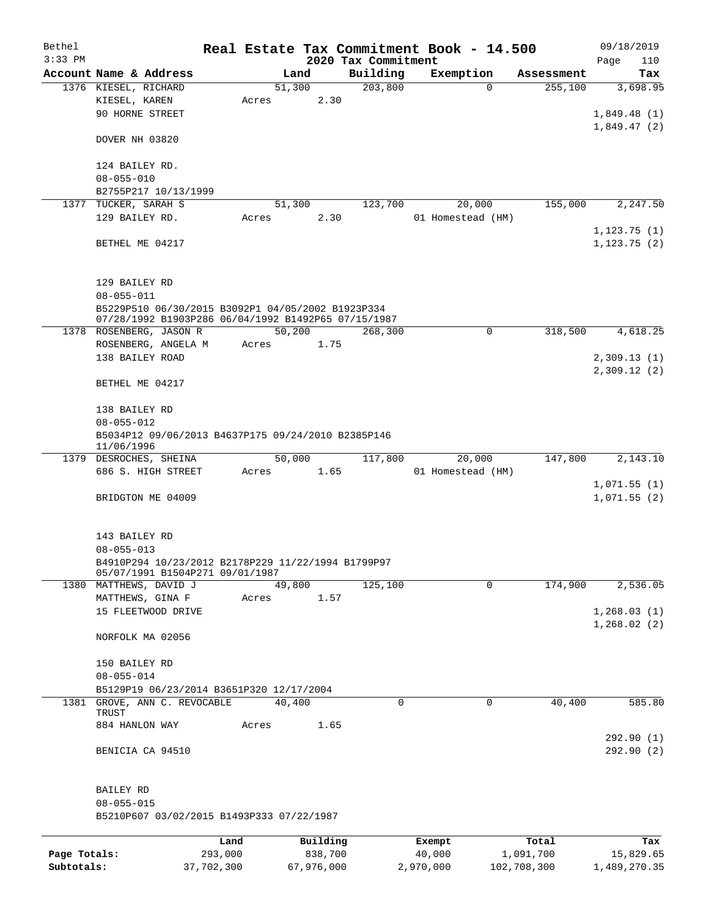| Bethel       |                                                                  |         |       |          |                                 | Real Estate Tax Commitment Book - 14.500 |          |            | 09/18/2019         |
|--------------|------------------------------------------------------------------|---------|-------|----------|---------------------------------|------------------------------------------|----------|------------|--------------------|
| $3:33$ PM    | Account Name & Address                                           |         |       | Land     | 2020 Tax Commitment<br>Building | Exemption                                |          | Assessment | Page<br>110<br>Tax |
|              | 1376 KIESEL, RICHARD                                             |         |       | 51,300   | 203,800                         |                                          | $\Omega$ | 255,100    | 3,698.95           |
|              | KIESEL, KAREN                                                    |         | Acres | 2.30     |                                 |                                          |          |            |                    |
|              | 90 HORNE STREET                                                  |         |       |          |                                 |                                          |          |            | 1,849.48(1)        |
|              |                                                                  |         |       |          |                                 |                                          |          |            | 1,849.47(2)        |
|              | DOVER NH 03820                                                   |         |       |          |                                 |                                          |          |            |                    |
|              | 124 BAILEY RD.                                                   |         |       |          |                                 |                                          |          |            |                    |
|              | $08 - 055 - 010$                                                 |         |       |          |                                 |                                          |          |            |                    |
|              | B2755P217 10/13/1999                                             |         |       |          |                                 |                                          |          |            |                    |
|              | 1377 TUCKER, SARAH S                                             |         |       | 51,300   | 123,700                         |                                          | 20,000   | 155,000    | 2,247.50           |
|              | 129 BAILEY RD.                                                   |         | Acres | 2.30     |                                 | 01 Homestead (HM)                        |          |            |                    |
|              |                                                                  |         |       |          |                                 |                                          |          |            | 1, 123.75(1)       |
|              | BETHEL ME 04217                                                  |         |       |          |                                 |                                          |          |            | 1,123.75(2)        |
|              | 129 BAILEY RD                                                    |         |       |          |                                 |                                          |          |            |                    |
|              | $08 - 055 - 011$                                                 |         |       |          |                                 |                                          |          |            |                    |
|              | B5229P510 06/30/2015 B3092P1 04/05/2002 B1923P334                |         |       |          |                                 |                                          |          |            |                    |
|              | 07/28/1992 B1903P286 06/04/1992 B1492P65 07/15/1987              |         |       |          |                                 |                                          |          |            |                    |
|              | 1378 ROSENBERG, JASON R                                          |         |       | 50,200   | 268,300                         |                                          | 0        | 318,500    | 4,618.25           |
|              | ROSENBERG, ANGELA M                                              |         | Acres | 1.75     |                                 |                                          |          |            |                    |
|              | 138 BAILEY ROAD                                                  |         |       |          |                                 |                                          |          |            | 2,309.13(1)        |
|              | BETHEL ME 04217                                                  |         |       |          |                                 |                                          |          |            | 2,309.12(2)        |
|              | 138 BAILEY RD                                                    |         |       |          |                                 |                                          |          |            |                    |
|              | $08 - 055 - 012$                                                 |         |       |          |                                 |                                          |          |            |                    |
|              | B5034P12 09/06/2013 B4637P175 09/24/2010 B2385P146<br>11/06/1996 |         |       |          |                                 |                                          |          |            |                    |
|              | 1379 DESROCHES, SHEINA                                           |         |       | 50,000   | 117,800                         |                                          | 20,000   | 147,800    | 2,143.10           |
|              | 686 S. HIGH STREET                                               |         | Acres | 1.65     |                                 | 01 Homestead (HM)                        |          |            |                    |
|              |                                                                  |         |       |          |                                 |                                          |          |            | 1,071.55(1)        |
|              | BRIDGTON ME 04009                                                |         |       |          |                                 |                                          |          |            | 1,071.55(2)        |
|              | 143 BAILEY RD                                                    |         |       |          |                                 |                                          |          |            |                    |
|              | $08 - 055 - 013$                                                 |         |       |          |                                 |                                          |          |            |                    |
|              | B4910P294 10/23/2012 B2178P229 11/22/1994 B1799P97               |         |       |          |                                 |                                          |          |            |                    |
|              | 05/07/1991 B1504P271 09/01/1987                                  |         |       |          |                                 |                                          |          |            |                    |
|              | 1380 MATTHEWS, DAVID J                                           |         |       | 49,800   | 125,100                         |                                          | 0        | 174,900    | 2,536.05           |
|              | MATTHEWS, GINA F                                                 |         | Acres | 1.57     |                                 |                                          |          |            |                    |
|              | 15 FLEETWOOD DRIVE                                               |         |       |          |                                 |                                          |          |            | 1,268.03(1)        |
|              | NORFOLK MA 02056                                                 |         |       |          |                                 |                                          |          |            | 1,268.02(2)        |
|              |                                                                  |         |       |          |                                 |                                          |          |            |                    |
|              | 150 BAILEY RD<br>$08 - 055 - 014$                                |         |       |          |                                 |                                          |          |            |                    |
|              | B5129P19 06/23/2014 B3651P320 12/17/2004                         |         |       |          |                                 |                                          |          |            |                    |
|              | 1381 GROVE, ANN C. REVOCABLE                                     |         |       | 40,400   |                                 | 0                                        | 0        | 40,400     | 585.80             |
|              | TRUST                                                            |         |       |          |                                 |                                          |          |            |                    |
|              | 884 HANLON WAY                                                   |         | Acres | 1.65     |                                 |                                          |          |            |                    |
|              |                                                                  |         |       |          |                                 |                                          |          |            | 292.90 (1)         |
|              | BENICIA CA 94510                                                 |         |       |          |                                 |                                          |          |            | 292.90(2)          |
|              | BAILEY RD                                                        |         |       |          |                                 |                                          |          |            |                    |
|              | $08 - 055 - 015$                                                 |         |       |          |                                 |                                          |          |            |                    |
|              | B5210P607 03/02/2015 B1493P333 07/22/1987                        |         |       |          |                                 |                                          |          |            |                    |
|              |                                                                  |         |       |          |                                 |                                          |          |            |                    |
|              |                                                                  | Land    |       | Building |                                 | Exempt                                   |          | Total      | Tax                |
| Page Totals: |                                                                  | 293,000 |       | 838,700  |                                 | 40,000                                   |          | 1,091,700  | 15,829.65          |

**Subtotals:** 37,702,300 67,976,000 2,970,000 102,708,300 1,489,270.35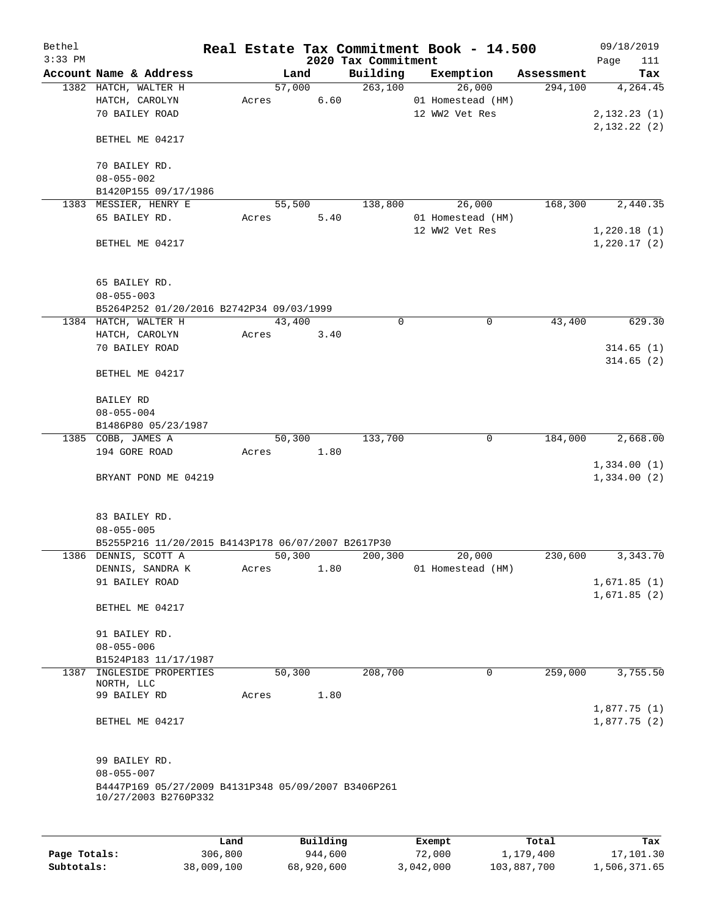| Bethel    |                                                     |       |        |          |                                 | Real Estate Tax Commitment Book - 14.500 |            |      | 09/18/2019   |
|-----------|-----------------------------------------------------|-------|--------|----------|---------------------------------|------------------------------------------|------------|------|--------------|
| $3:33$ PM | Account Name & Address                              |       | Land   |          | 2020 Tax Commitment<br>Building | Exemption                                | Assessment | Page | 111<br>Tax   |
|           | 1382 HATCH, WALTER H                                |       | 57,000 |          | 263,100                         | 26,000                                   | 294,100    |      | 4,264.45     |
|           | HATCH, CAROLYN                                      | Acres |        | 6.60     |                                 | 01 Homestead (HM)                        |            |      |              |
|           | 70 BAILEY ROAD                                      |       |        |          |                                 | 12 WW2 Vet Res                           |            |      | 2, 132.23(1) |
|           |                                                     |       |        |          |                                 |                                          |            |      | 2,132.22(2)  |
|           | BETHEL ME 04217                                     |       |        |          |                                 |                                          |            |      |              |
|           | 70 BAILEY RD.                                       |       |        |          |                                 |                                          |            |      |              |
|           | $08 - 055 - 002$                                    |       |        |          |                                 |                                          |            |      |              |
|           | B1420P155 09/17/1986                                |       |        |          |                                 |                                          |            |      |              |
|           | 1383 MESSIER, HENRY E                               |       | 55,500 |          | 138,800                         | 26,000                                   | 168,300    |      | 2,440.35     |
|           | 65 BAILEY RD.                                       | Acres |        | 5.40     |                                 | 01 Homestead (HM)                        |            |      |              |
|           |                                                     |       |        |          |                                 | 12 WW2 Vet Res                           |            |      | 1,220.18(1)  |
|           | BETHEL ME 04217                                     |       |        |          |                                 |                                          |            |      | 1,220.17(2)  |
|           |                                                     |       |        |          |                                 |                                          |            |      |              |
|           |                                                     |       |        |          |                                 |                                          |            |      |              |
|           | 65 BAILEY RD.<br>$08 - 055 - 003$                   |       |        |          |                                 |                                          |            |      |              |
|           | B5264P252 01/20/2016 B2742P34 09/03/1999            |       |        |          |                                 |                                          |            |      |              |
|           | 1384 HATCH, WALTER H                                |       | 43,400 |          | $\Omega$                        | 0                                        | 43,400     |      | 629.30       |
|           | HATCH, CAROLYN                                      | Acres |        | 3.40     |                                 |                                          |            |      |              |
|           | 70 BAILEY ROAD                                      |       |        |          |                                 |                                          |            |      | 314.65(1)    |
|           |                                                     |       |        |          |                                 |                                          |            |      | 314.65(2)    |
|           | BETHEL ME 04217                                     |       |        |          |                                 |                                          |            |      |              |
|           |                                                     |       |        |          |                                 |                                          |            |      |              |
|           | BAILEY RD<br>$08 - 055 - 004$                       |       |        |          |                                 |                                          |            |      |              |
|           | B1486P80 05/23/1987                                 |       |        |          |                                 |                                          |            |      |              |
|           | 1385 COBB, JAMES A                                  |       | 50,300 |          | 133,700                         | 0                                        | 184,000    |      | 2,668.00     |
|           | 194 GORE ROAD                                       | Acres |        | 1.80     |                                 |                                          |            |      |              |
|           |                                                     |       |        |          |                                 |                                          |            |      | 1,334.00(1)  |
|           | BRYANT POND ME 04219                                |       |        |          |                                 |                                          |            |      | 1,334.00(2)  |
|           |                                                     |       |        |          |                                 |                                          |            |      |              |
|           | 83 BAILEY RD.                                       |       |        |          |                                 |                                          |            |      |              |
|           | $08 - 055 - 005$                                    |       |        |          |                                 |                                          |            |      |              |
|           | B5255P216 11/20/2015 B4143P178 06/07/2007 B2617P30  |       |        |          |                                 |                                          |            |      |              |
|           | 1386 DENNIS, SCOTT A                                |       | 50,300 |          | 200,300                         | 20,000                                   | 230,600    |      | 3,343.70     |
|           | DENNIS, SANDRA K                                    | Acres |        | 1.80     |                                 | 01 Homestead (HM)                        |            |      |              |
|           | 91 BAILEY ROAD                                      |       |        |          |                                 |                                          |            |      | 1,671.85(1)  |
|           |                                                     |       |        |          |                                 |                                          |            |      | 1,671.85(2)  |
|           | BETHEL ME 04217                                     |       |        |          |                                 |                                          |            |      |              |
|           | 91 BAILEY RD.                                       |       |        |          |                                 |                                          |            |      |              |
|           | $08 - 055 - 006$                                    |       |        |          |                                 |                                          |            |      |              |
|           | B1524P183 11/17/1987                                |       |        |          |                                 |                                          |            |      |              |
|           | 1387 INGLESIDE PROPERTIES                           |       | 50,300 |          | 208,700                         | 0                                        | 259,000    |      | 3,755.50     |
|           | NORTH, LLC                                          |       |        |          |                                 |                                          |            |      |              |
|           | 99 BAILEY RD                                        | Acres |        | 1.80     |                                 |                                          |            |      |              |
|           |                                                     |       |        |          |                                 |                                          |            |      | 1,877.75(1)  |
|           | BETHEL ME 04217                                     |       |        |          |                                 |                                          |            |      | 1,877.75(2)  |
|           |                                                     |       |        |          |                                 |                                          |            |      |              |
|           | 99 BAILEY RD.                                       |       |        |          |                                 |                                          |            |      |              |
|           | $08 - 055 - 007$                                    |       |        |          |                                 |                                          |            |      |              |
|           | B4447P169 05/27/2009 B4131P348 05/09/2007 B3406P261 |       |        |          |                                 |                                          |            |      |              |
|           | 10/27/2003 B2760P332                                |       |        |          |                                 |                                          |            |      |              |
|           |                                                     |       |        |          |                                 |                                          |            |      |              |
|           |                                                     | Land  |        | Building |                                 | Exempt                                   | Total      |      | Tax          |

|              | Land       | Building   | Exempt    | Total       | Tax          |
|--------------|------------|------------|-----------|-------------|--------------|
| Page Totals: | 306,800    | 944,600    | 72,000    | 1,179,400   | 17,101.30    |
| Subtotals:   | 38,009,100 | 68,920,600 | 3,042,000 | 103,887,700 | 1,506,371.65 |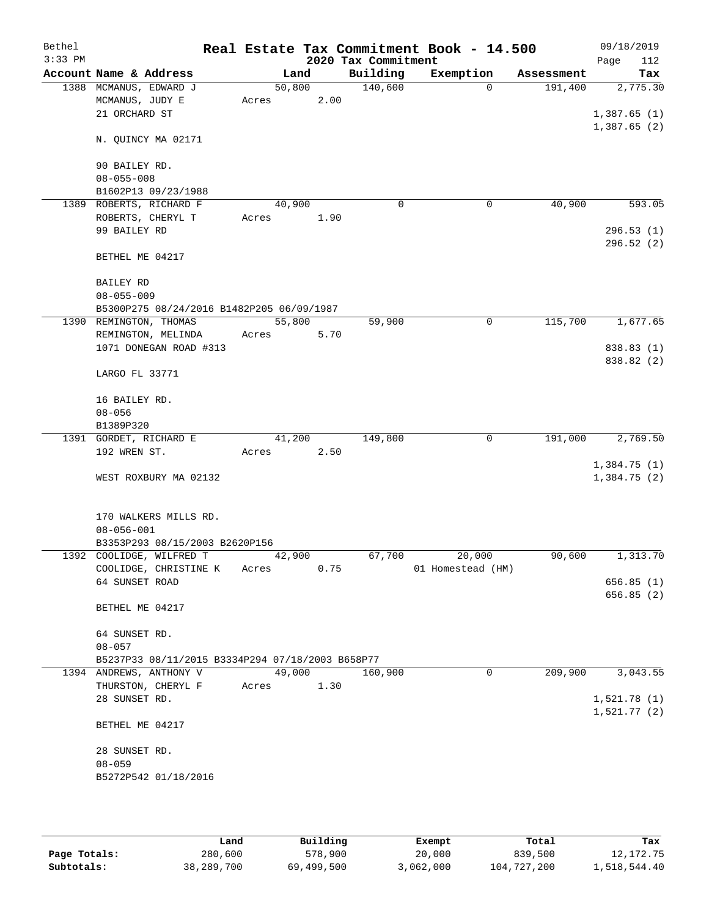| Bethel<br>$3:33$ PM |                                                  |        |      | 2020 Tax Commitment | Real Estate Tax Commitment Book - 14.500 |            | 09/18/2019<br>112<br>Page |
|---------------------|--------------------------------------------------|--------|------|---------------------|------------------------------------------|------------|---------------------------|
|                     | Account Name & Address                           |        | Land | Building            | Exemption                                | Assessment | Tax                       |
|                     | 1388 MCMANUS, EDWARD J                           | 50,800 |      | 140,600             | $\Omega$                                 | 191,400    | 2,775.30                  |
|                     | MCMANUS, JUDY E                                  | Acres  | 2.00 |                     |                                          |            |                           |
|                     | 21 ORCHARD ST                                    |        |      |                     |                                          |            | 1,387.65(1)               |
|                     |                                                  |        |      |                     |                                          |            | 1,387.65(2)               |
|                     | N. QUINCY MA 02171                               |        |      |                     |                                          |            |                           |
|                     |                                                  |        |      |                     |                                          |            |                           |
|                     | 90 BAILEY RD.                                    |        |      |                     |                                          |            |                           |
|                     | $08 - 055 - 008$                                 |        |      |                     |                                          |            |                           |
|                     | B1602P13 09/23/1988                              |        |      |                     |                                          |            |                           |
|                     | 1389 ROBERTS, RICHARD F                          | 40,900 |      | $\mathbf 0$         | 0                                        | 40,900     | 593.05                    |
|                     | ROBERTS, CHERYL T                                | Acres  | 1.90 |                     |                                          |            |                           |
|                     | 99 BAILEY RD                                     |        |      |                     |                                          |            | 296.53(1)                 |
|                     |                                                  |        |      |                     |                                          |            | 296.52 (2)                |
|                     | BETHEL ME 04217                                  |        |      |                     |                                          |            |                           |
|                     |                                                  |        |      |                     |                                          |            |                           |
|                     | BAILEY RD                                        |        |      |                     |                                          |            |                           |
|                     | $08 - 055 - 009$                                 |        |      |                     |                                          |            |                           |
|                     | B5300P275 08/24/2016 B1482P205 06/09/1987        |        |      |                     |                                          |            |                           |
|                     | 1390 REMINGTON, THOMAS                           | 55,800 |      | 59,900              | 0                                        | 115,700    | 1,677.65                  |
|                     | REMINGTON, MELINDA                               | Acres  | 5.70 |                     |                                          |            |                           |
|                     | 1071 DONEGAN ROAD #313                           |        |      |                     |                                          |            | 838.83 (1)                |
|                     |                                                  |        |      |                     |                                          |            | 838.82 (2)                |
|                     | LARGO FL 33771                                   |        |      |                     |                                          |            |                           |
|                     |                                                  |        |      |                     |                                          |            |                           |
|                     | 16 BAILEY RD.                                    |        |      |                     |                                          |            |                           |
|                     | $08 - 056$                                       |        |      |                     |                                          |            |                           |
|                     | B1389P320                                        |        |      |                     |                                          |            |                           |
|                     | 1391 GORDET, RICHARD E                           | 41,200 |      | 149,800             | $\mathbf 0$                              | 191,000    | 2,769.50                  |
|                     | 192 WREN ST.                                     | Acres  | 2.50 |                     |                                          |            |                           |
|                     |                                                  |        |      |                     |                                          |            | 1,384.75(1)               |
|                     | WEST ROXBURY MA 02132                            |        |      |                     |                                          |            | 1,384.75 (2)              |
|                     |                                                  |        |      |                     |                                          |            |                           |
|                     |                                                  |        |      |                     |                                          |            |                           |
|                     | 170 WALKERS MILLS RD.<br>$08 - 056 - 001$        |        |      |                     |                                          |            |                           |
|                     | B3353P293 08/15/2003 B2620P156                   |        |      |                     |                                          |            |                           |
|                     | 1392 COOLIDGE, WILFRED T                         | 42,900 |      | 67,700              | 20,000                                   | 90,600     | 1,313.70                  |
|                     | COOLIDGE, CHRISTINE K Acres                      |        | 0.75 |                     | 01 Homestead (HM)                        |            |                           |
|                     | 64 SUNSET ROAD                                   |        |      |                     |                                          |            | 656.85(1)                 |
|                     |                                                  |        |      |                     |                                          |            | 656.85 (2)                |
|                     | BETHEL ME 04217                                  |        |      |                     |                                          |            |                           |
|                     |                                                  |        |      |                     |                                          |            |                           |
|                     | 64 SUNSET RD.                                    |        |      |                     |                                          |            |                           |
|                     | $08 - 057$                                       |        |      |                     |                                          |            |                           |
|                     | B5237P33 08/11/2015 B3334P294 07/18/2003 B658P77 |        |      |                     |                                          |            |                           |
|                     | 1394 ANDREWS, ANTHONY V                          | 49,000 |      | 160,900             | 0                                        | 209,900    | 3,043.55                  |
|                     | THURSTON, CHERYL F                               | Acres  | 1.30 |                     |                                          |            |                           |
|                     | 28 SUNSET RD.                                    |        |      |                     |                                          |            | 1,521.78(1)               |
|                     |                                                  |        |      |                     |                                          |            | 1,521.77(2)               |
|                     | BETHEL ME 04217                                  |        |      |                     |                                          |            |                           |
|                     |                                                  |        |      |                     |                                          |            |                           |
|                     | 28 SUNSET RD.                                    |        |      |                     |                                          |            |                           |
|                     | $08 - 059$                                       |        |      |                     |                                          |            |                           |
|                     | B5272P542 01/18/2016                             |        |      |                     |                                          |            |                           |
|                     |                                                  |        |      |                     |                                          |            |                           |
|                     |                                                  |        |      |                     |                                          |            |                           |

|              | Land       | Building   | Exempt    | Total       | Tax          |
|--------------|------------|------------|-----------|-------------|--------------|
| Page Totals: | 280,600    | 578,900    | 20,000    | 839,500     | 12, 172. 75  |
| Subtotals:   | 38,289,700 | 69,499,500 | 3,062,000 | 104,727,200 | 1,518,544.40 |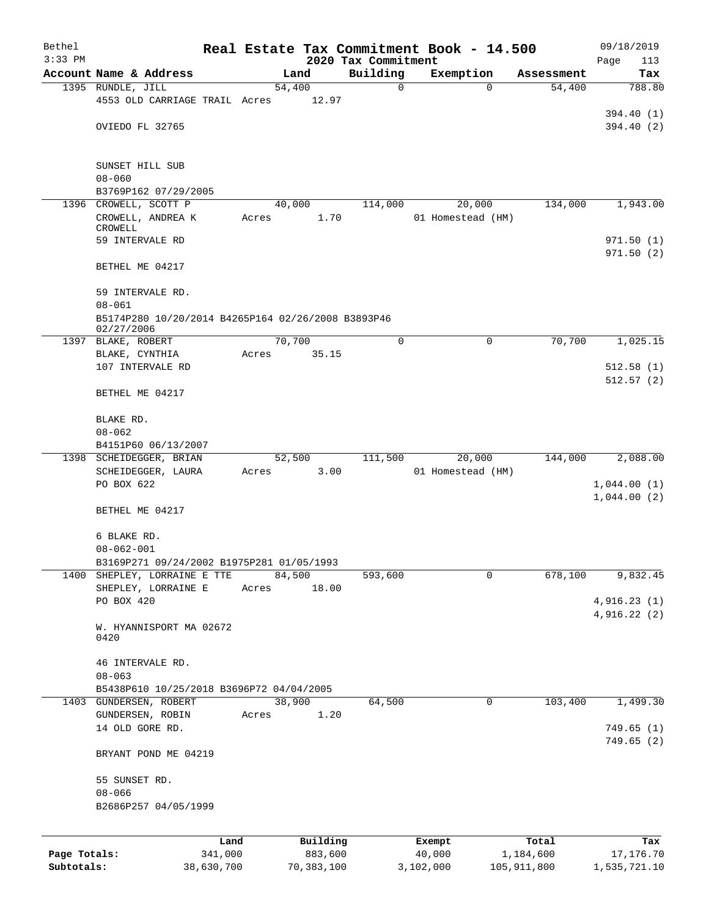| Bethel       |                                                                              |            |       |                |                                 |          | Real Estate Tax Commitment Book - 14.500 |          |               | 09/18/2019                 |
|--------------|------------------------------------------------------------------------------|------------|-------|----------------|---------------------------------|----------|------------------------------------------|----------|---------------|----------------------------|
| $3:33$ PM    | Account Name & Address                                                       |            |       | Land           | 2020 Tax Commitment<br>Building |          | Exemption                                |          | Assessment    | Page<br>113<br>Tax         |
|              | 1395 RUNDLE, JILL                                                            |            |       | 54,400         |                                 | 0        |                                          | $\Omega$ | 54,400        | 788.80                     |
|              | 4553 OLD CARRIAGE TRAIL Acres                                                |            |       | 12.97          |                                 |          |                                          |          |               |                            |
|              | OVIEDO FL 32765                                                              |            |       |                |                                 |          |                                          |          |               | 394.40 (1)<br>394.40 (2)   |
|              | SUNSET HILL SUB<br>$08 - 060$<br>B3769P162 07/29/2005                        |            |       |                |                                 |          |                                          |          |               |                            |
|              | 1396 CROWELL, SCOTT P                                                        |            |       | 40,000         | 114,000                         |          | 20,000                                   |          | 134,000       | 1,943.00                   |
|              | CROWELL, ANDREA K<br>CROWELL                                                 |            | Acres | 1.70           |                                 |          | 01 Homestead (HM)                        |          |               |                            |
|              | 59 INTERVALE RD                                                              |            |       |                |                                 |          |                                          |          |               | 971.50(1)<br>971.50(2)     |
|              | BETHEL ME 04217                                                              |            |       |                |                                 |          |                                          |          |               |                            |
|              | 59 INTERVALE RD.<br>$08 - 061$                                               |            |       |                |                                 |          |                                          |          |               |                            |
|              | B5174P280 10/20/2014 B4265P164 02/26/2008 B3893P46<br>02/27/2006             |            |       |                |                                 |          |                                          |          |               |                            |
|              | 1397 BLAKE, ROBERT                                                           |            |       | 70,700         |                                 | $\Omega$ |                                          | $\Omega$ | 70,700        | 1,025.15                   |
|              | BLAKE, CYNTHIA<br>107 INTERVALE RD                                           |            | Acres | 35.15          |                                 |          |                                          |          |               | 512.58(1)                  |
|              | BETHEL ME 04217                                                              |            |       |                |                                 |          |                                          |          |               | 512.57(2)                  |
|              | BLAKE RD.<br>$08 - 062$                                                      |            |       |                |                                 |          |                                          |          |               |                            |
|              | B4151P60 06/13/2007                                                          |            |       |                |                                 |          |                                          |          |               |                            |
|              | 1398 SCHEIDEGGER, BRIAN                                                      |            |       | 52,500         | 111,500                         |          | 20,000                                   |          | 144,000       | 2,088.00                   |
|              | SCHEIDEGGER, LAURA<br>PO BOX 622                                             |            | Acres |                | 3.00                            |          | 01 Homestead (HM)                        |          |               | 1,044.00(1)                |
|              | BETHEL ME 04217                                                              |            |       |                |                                 |          |                                          |          |               | 1,044.00(2)                |
|              | 6 BLAKE RD.<br>$08 - 062 - 001$<br>B3169P271 09/24/2002 B1975P281 01/05/1993 |            |       |                |                                 |          |                                          |          |               |                            |
| 1400         | SHEPLEY, LORRAINE E TTE                                                      |            |       | 84,500         | 593,600                         |          |                                          | 0        | 678,100       | 9,832.45                   |
|              | SHEPLEY, LORRAINE E                                                          |            | Acres | 18.00          |                                 |          |                                          |          |               |                            |
|              | PO BOX 420                                                                   |            |       |                |                                 |          |                                          |          |               | 4,916.23(1)<br>4,916.22(2) |
|              | W. HYANNISPORT MA 02672<br>0420                                              |            |       |                |                                 |          |                                          |          |               |                            |
|              | 46 INTERVALE RD.<br>$08 - 063$                                               |            |       |                |                                 |          |                                          |          |               |                            |
|              | B5438P610 10/25/2018 B3696P72 04/04/2005                                     |            |       |                |                                 |          |                                          |          |               |                            |
|              | 1403 GUNDERSEN, ROBERT<br>GUNDERSEN, ROBIN                                   |            | Acres | 38,900<br>1.20 | 64,500                          |          |                                          | 0        | 103,400       | 1,499.30                   |
|              | 14 OLD GORE RD.                                                              |            |       |                |                                 |          |                                          |          |               | 749.65(1)                  |
|              | BRYANT POND ME 04219                                                         |            |       |                |                                 |          |                                          |          |               | 749.65(2)                  |
|              | 55 SUNSET RD.                                                                |            |       |                |                                 |          |                                          |          |               |                            |
|              | $08 - 066$                                                                   |            |       |                |                                 |          |                                          |          |               |                            |
|              | B2686P257 04/05/1999                                                         |            |       |                |                                 |          |                                          |          |               |                            |
|              |                                                                              | Land       |       | Building       |                                 |          | Exempt                                   |          | Total         | Tax                        |
| Page Totals: |                                                                              | 341,000    |       | 883,600        |                                 |          | 40,000                                   |          | 1,184,600     | 17,176.70                  |
| Subtotals:   |                                                                              | 38,630,700 |       | 70,383,100     |                                 |          | 3,102,000                                |          | 105, 911, 800 | 1,535,721.10               |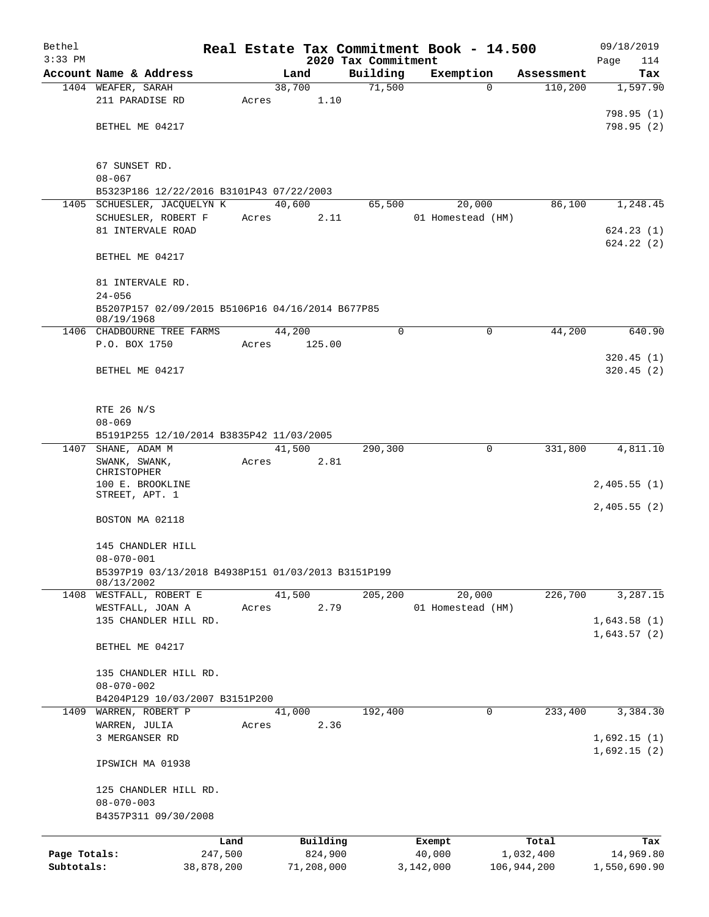| Bethel       |                                                                |            |       |        |            | Real Estate Tax Commitment Book - 14.500 |                   |   |             | 09/18/2019   |
|--------------|----------------------------------------------------------------|------------|-------|--------|------------|------------------------------------------|-------------------|---|-------------|--------------|
| $3:33$ PM    |                                                                |            |       |        |            | 2020 Tax Commitment                      |                   |   |             | Page<br>114  |
|              | Account Name & Address                                         |            |       |        | Land       | Building                                 | Exemption         |   | Assessment  | Tax          |
|              | 1404 WEAFER, SARAH                                             |            |       | 38,700 |            | 71,500                                   |                   | 0 | 110,200     | 1,597.90     |
|              | 211 PARADISE RD                                                |            | Acres |        | 1.10       |                                          |                   |   |             |              |
|              |                                                                |            |       |        |            |                                          |                   |   |             | 798.95 (1)   |
|              | BETHEL ME 04217                                                |            |       |        |            |                                          |                   |   |             | 798.95(2)    |
|              | 67 SUNSET RD.                                                  |            |       |        |            |                                          |                   |   |             |              |
|              | $08 - 067$                                                     |            |       |        |            |                                          |                   |   |             |              |
|              | B5323P186 12/22/2016 B3101P43 07/22/2003                       |            |       |        |            |                                          |                   |   |             |              |
|              | 1405 SCHUESLER, JACQUELYN K                                    |            |       | 40,600 |            | 65,500                                   | 20,000            |   | 86,100      | 1,248.45     |
|              | SCHUESLER, ROBERT F                                            |            | Acres |        | 2.11       |                                          | 01 Homestead (HM) |   |             |              |
|              | 81 INTERVALE ROAD                                              |            |       |        |            |                                          |                   |   |             | 624.23(1)    |
|              |                                                                |            |       |        |            |                                          |                   |   |             | 624.22(2)    |
|              | BETHEL ME 04217                                                |            |       |        |            |                                          |                   |   |             |              |
|              | 81 INTERVALE RD.                                               |            |       |        |            |                                          |                   |   |             |              |
|              | $24 - 056$                                                     |            |       |        |            |                                          |                   |   |             |              |
|              | B5207P157 02/09/2015 B5106P16 04/16/2014 B677P85<br>08/19/1968 |            |       |        |            |                                          |                   |   |             |              |
| 1406         | CHADBOURNE TREE FARMS                                          |            |       | 44,200 |            | 0                                        |                   | 0 | 44,200      | 640.90       |
|              | P.O. BOX 1750                                                  |            | Acres |        | 125.00     |                                          |                   |   |             |              |
|              |                                                                |            |       |        |            |                                          |                   |   |             | 320.45(1)    |
|              | BETHEL ME 04217                                                |            |       |        |            |                                          |                   |   |             | 320.45(2)    |
|              | RTE 26 N/S                                                     |            |       |        |            |                                          |                   |   |             |              |
|              | $08 - 069$                                                     |            |       |        |            |                                          |                   |   |             |              |
|              | B5191P255 12/10/2014 B3835P42 11/03/2005                       |            |       |        |            |                                          |                   |   |             |              |
| 1407         | SHANE, ADAM M                                                  |            |       | 41,500 |            | 290,300                                  |                   | 0 | 331,800     | 4,811.10     |
|              | SWANK, SWANK,                                                  |            | Acres |        | 2.81       |                                          |                   |   |             |              |
|              | CHRISTOPHER                                                    |            |       |        |            |                                          |                   |   |             |              |
|              | 100 E. BROOKLINE                                               |            |       |        |            |                                          |                   |   |             | 2,405.55(1)  |
|              | STREET, APT. 1                                                 |            |       |        |            |                                          |                   |   |             |              |
|              | BOSTON MA 02118                                                |            |       |        |            |                                          |                   |   |             | 2,405.55(2)  |
|              | 145 CHANDLER HILL                                              |            |       |        |            |                                          |                   |   |             |              |
|              | $08 - 070 - 001$                                               |            |       |        |            |                                          |                   |   |             |              |
|              | B5397P19 03/13/2018 B4938P151 01/03/2013 B3151P199             |            |       |        |            |                                          |                   |   |             |              |
|              | 08/13/2002                                                     |            |       |        |            |                                          |                   |   |             |              |
|              | 1408 WESTFALL, ROBERT E                                        |            |       | 41,500 |            | 205, 200                                 | 20,000            |   | 226,700     | 3,287.15     |
|              | WESTFALL, JOAN A                                               |            | Acres |        | 2.79       |                                          | 01 Homestead (HM) |   |             |              |
|              | 135 CHANDLER HILL RD.                                          |            |       |        |            |                                          |                   |   |             | 1,643.58(1)  |
|              | BETHEL ME 04217                                                |            |       |        |            |                                          |                   |   |             | 1,643.57(2)  |
|              |                                                                |            |       |        |            |                                          |                   |   |             |              |
|              | 135 CHANDLER HILL RD.                                          |            |       |        |            |                                          |                   |   |             |              |
|              | $08 - 070 - 002$                                               |            |       |        |            |                                          |                   |   |             |              |
|              | B4204P129 10/03/2007 B3151P200                                 |            |       |        |            |                                          |                   |   |             |              |
| 1409         | WARREN, ROBERT P                                               |            |       | 41,000 |            | 192,400                                  |                   | 0 | 233,400     | 3,384.30     |
|              | WARREN, JULIA                                                  |            | Acres |        | 2.36       |                                          |                   |   |             |              |
|              | 3 MERGANSER RD                                                 |            |       |        |            |                                          |                   |   |             | 1,692.15(1)  |
|              |                                                                |            |       |        |            |                                          |                   |   |             | 1,692.15(2)  |
|              | IPSWICH MA 01938                                               |            |       |        |            |                                          |                   |   |             |              |
|              | 125 CHANDLER HILL RD.                                          |            |       |        |            |                                          |                   |   |             |              |
|              | $08 - 070 - 003$                                               |            |       |        |            |                                          |                   |   |             |              |
|              | B4357P311 09/30/2008                                           |            |       |        |            |                                          |                   |   |             |              |
|              |                                                                | Land       |       |        | Building   |                                          | Exempt            |   | Total       | Tax          |
| Page Totals: |                                                                | 247,500    |       |        | 824,900    |                                          | 40,000            |   | 1,032,400   | 14,969.80    |
| Subtotals:   |                                                                | 38,878,200 |       |        | 71,208,000 |                                          | 3,142,000         |   | 106,944,200 | 1,550,690.90 |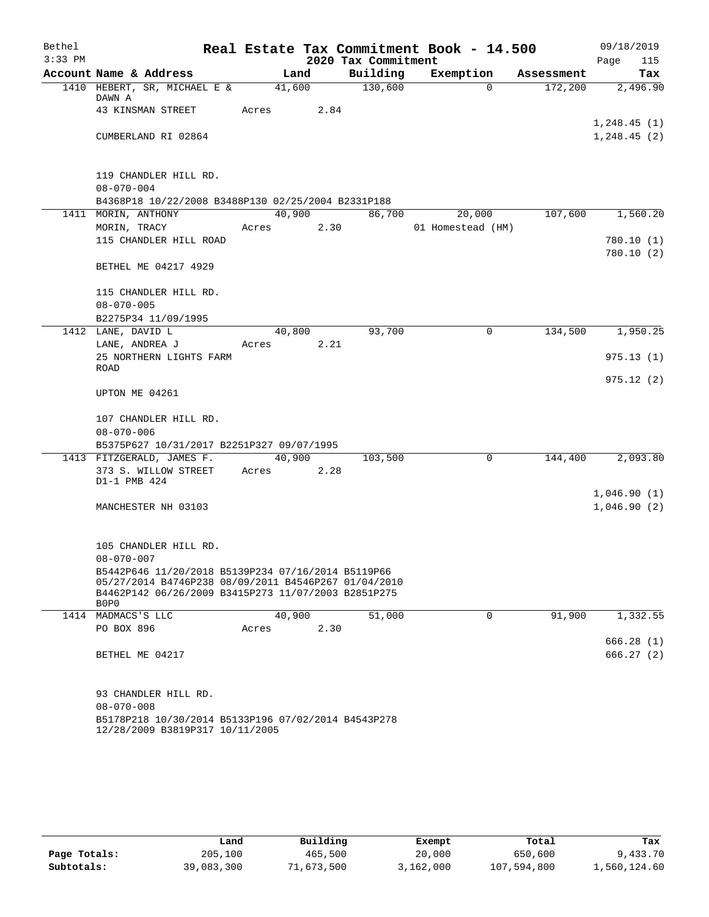| Bethel    |                                                                                                                                                                   |        |        |                     | Real Estate Tax Commitment Book - 14.500 |            | 09/18/2019                 |
|-----------|-------------------------------------------------------------------------------------------------------------------------------------------------------------------|--------|--------|---------------------|------------------------------------------|------------|----------------------------|
| $3:33$ PM |                                                                                                                                                                   |        |        | 2020 Tax Commitment |                                          |            | Page<br>115                |
|           | Account Name & Address                                                                                                                                            | Land   |        | Building            | Exemption                                | Assessment | Tax                        |
|           | 1410 HEBERT, SR, MICHAEL E &<br>DAWN A                                                                                                                            | 41,600 |        | 130,600             | $\Omega$                                 | 172,200    | 2,496.90                   |
|           | 43 KINSMAN STREET                                                                                                                                                 | Acres  | 2.84   |                     |                                          |            |                            |
|           | CUMBERLAND RI 02864                                                                                                                                               |        |        |                     |                                          |            | 1,248.45(1)<br>1,248.45(2) |
|           |                                                                                                                                                                   |        |        |                     |                                          |            |                            |
|           | 119 CHANDLER HILL RD.                                                                                                                                             |        |        |                     |                                          |            |                            |
|           | $08 - 070 - 004$                                                                                                                                                  |        |        |                     |                                          |            |                            |
|           | B4368P18 10/22/2008 B3488P130 02/25/2004 B2331P188                                                                                                                |        |        |                     |                                          |            |                            |
|           | 1411 MORIN, ANTHONY                                                                                                                                               | 40,900 |        | 86,700              | 20,000                                   | 107,600    | 1,560.20                   |
|           | MORIN, TRACY                                                                                                                                                      | Acres  | 2.30   |                     | 01 Homestead (HM)                        |            |                            |
|           | 115 CHANDLER HILL ROAD                                                                                                                                            |        |        |                     |                                          |            | 780.10(1)<br>780.10 (2)    |
|           | BETHEL ME 04217 4929                                                                                                                                              |        |        |                     |                                          |            |                            |
|           | 115 CHANDLER HILL RD.                                                                                                                                             |        |        |                     |                                          |            |                            |
|           | $08 - 070 - 005$                                                                                                                                                  |        |        |                     |                                          |            |                            |
|           | B2275P34 11/09/1995<br>1412 LANE, DAVID L                                                                                                                         | 40,800 |        | 93,700              | $\mathbf 0$                              | 134,500    | 1,950.25                   |
|           | LANE, ANDREA J                                                                                                                                                    | Acres  | 2.21   |                     |                                          |            |                            |
|           | 25 NORTHERN LIGHTS FARM<br><b>ROAD</b>                                                                                                                            |        |        |                     |                                          |            | 975.13(1)                  |
|           | UPTON ME 04261                                                                                                                                                    |        |        |                     |                                          |            | 975.12(2)                  |
|           | 107 CHANDLER HILL RD.                                                                                                                                             |        |        |                     |                                          |            |                            |
|           | $08 - 070 - 006$                                                                                                                                                  |        |        |                     |                                          |            |                            |
|           | B5375P627 10/31/2017 B2251P327 09/07/1995                                                                                                                         |        |        |                     |                                          |            |                            |
|           | 1413 FITZGERALD, JAMES F.                                                                                                                                         |        | 40,900 | 103,500             | $\mathbf 0$                              | 144,400    | 2,093.80                   |
|           | 373 S. WILLOW STREET<br>D1-1 PMB 424                                                                                                                              | Acres  | 2.28   |                     |                                          |            |                            |
|           |                                                                                                                                                                   |        |        |                     |                                          |            | 1,046.90(1)                |
|           | MANCHESTER NH 03103                                                                                                                                               |        |        |                     |                                          |            | 1,046.90(2)                |
|           | 105 CHANDLER HILL RD.                                                                                                                                             |        |        |                     |                                          |            |                            |
|           | $08 - 070 - 007$                                                                                                                                                  |        |        |                     |                                          |            |                            |
|           | B5442P646 11/20/2018 B5139P234 07/16/2014 B5119P66<br>05/27/2014 B4746P238 08/09/2011 B4546P267 01/04/2010<br>B4462P142 06/26/2009 B3415P273 11/07/2003 B2851P275 |        |        |                     |                                          |            |                            |
|           | B0P0                                                                                                                                                              |        |        |                     |                                          |            |                            |
|           | 1414 MADMACS'S LLC                                                                                                                                                | 40,900 |        | 51,000              | 0                                        | 91,900     | 1,332.55                   |
|           | PO BOX 896                                                                                                                                                        | Acres  | 2.30   |                     |                                          |            |                            |
|           |                                                                                                                                                                   |        |        |                     |                                          |            | 666.28 (1)                 |
|           | BETHEL ME 04217                                                                                                                                                   |        |        |                     |                                          |            | 666.27 (2)                 |
|           | 93 CHANDLER HILL RD.                                                                                                                                              |        |        |                     |                                          |            |                            |
|           | $08 - 070 - 008$                                                                                                                                                  |        |        |                     |                                          |            |                            |
|           | B5178P218 10/30/2014 B5133P196 07/02/2014 B4543P278<br>12/28/2009 B3819P317 10/11/2005                                                                            |        |        |                     |                                          |            |                            |

|              | Land       | Building   | Exempt    | Total       | Tax          |
|--------------|------------|------------|-----------|-------------|--------------|
| Page Totals: | 205,100    | 465,500    | 20,000    | 650,600     | 9,433.70     |
| Subtotals:   | 39,083,300 | 71,673,500 | 3,162,000 | 107,594,800 | 1,560,124.60 |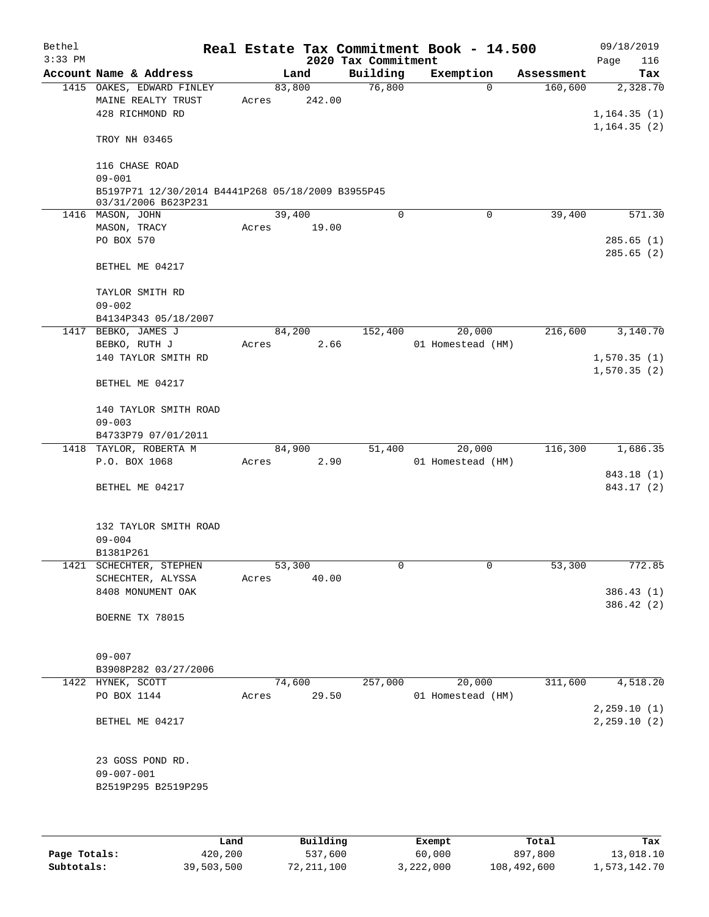| Bethel<br>$3:33$ PM |                                                                          |       |        |        | 2020 Tax Commitment | Real Estate Tax Commitment Book - 14.500 |            | 09/18/2019<br>Page<br>116               |
|---------------------|--------------------------------------------------------------------------|-------|--------|--------|---------------------|------------------------------------------|------------|-----------------------------------------|
|                     | Account Name & Address                                                   |       | Land   |        | Building            | Exemption                                | Assessment | Tax                                     |
|                     | 1415 OAKES, EDWARD FINLEY<br>MAINE REALTY TRUST<br>428 RICHMOND RD       | Acres | 83,800 | 242.00 | 76,800              | $\Omega$                                 | 160,600    | 2,328.70<br>1, 164.35(1)<br>1,164.35(2) |
|                     | TROY NH 03465<br>116 CHASE ROAD<br>$09 - 001$                            |       |        |        |                     |                                          |            |                                         |
|                     | B5197P71 12/30/2014 B4441P268 05/18/2009 B3955P45<br>03/31/2006 B623P231 |       |        |        |                     |                                          |            |                                         |
|                     | 1416 MASON, JOHN                                                         |       | 39,400 |        | $\Omega$            | 0                                        | 39,400     | 571.30                                  |
|                     | MASON, TRACY<br>PO BOX 570                                               | Acres |        | 19.00  |                     |                                          |            | 285.65(1)<br>285.65(2)                  |
|                     | BETHEL ME 04217                                                          |       |        |        |                     |                                          |            |                                         |
|                     | TAYLOR SMITH RD<br>$09 - 002$                                            |       |        |        |                     |                                          |            |                                         |
|                     | B4134P343 05/18/2007                                                     |       |        |        |                     |                                          |            |                                         |
|                     | 1417 BEBKO, JAMES J                                                      |       | 84,200 |        | 152,400             | 20,000                                   | 216,600    | 3,140.70                                |
|                     | BEBKO, RUTH J                                                            | Acres |        | 2.66   |                     | 01 Homestead (HM)                        |            |                                         |
|                     | 140 TAYLOR SMITH RD                                                      |       |        |        |                     |                                          |            | 1,570.35(1)                             |
|                     | BETHEL ME 04217                                                          |       |        |        |                     |                                          |            | 1,570.35(2)                             |
|                     | 140 TAYLOR SMITH ROAD<br>$09 - 003$                                      |       |        |        |                     |                                          |            |                                         |
|                     | B4733P79 07/01/2011                                                      |       |        |        |                     |                                          |            |                                         |
|                     | 1418 TAYLOR, ROBERTA M                                                   |       | 84,900 |        | 51,400              | 20,000                                   | 116,300    | 1,686.35                                |
|                     | P.O. BOX 1068                                                            | Acres |        | 2.90   |                     | 01 Homestead (HM)                        |            |                                         |
|                     |                                                                          |       |        |        |                     |                                          |            | 843.18 (1)                              |
|                     | BETHEL ME 04217                                                          |       |        |        |                     |                                          |            | 843.17 (2)                              |
|                     | 132 TAYLOR SMITH ROAD<br>$09 - 004$                                      |       |        |        |                     |                                          |            |                                         |
|                     | B1381P261                                                                |       |        |        |                     |                                          |            |                                         |
|                     | 1421 SCHECHTER, STEPHEN<br>SCHECHTER, ALYSSA                             | Acres | 53,300 | 40.00  | 0                   | 0                                        | 53,300     | 772.85                                  |
|                     | 8408 MONUMENT OAK                                                        |       |        |        |                     |                                          |            | 386.43 (1)                              |
|                     | BOERNE TX 78015                                                          |       |        |        |                     |                                          |            | 386.42 (2)                              |
|                     | $09 - 007$<br>B3908P282 03/27/2006                                       |       |        |        |                     |                                          |            |                                         |
|                     | 1422 HYNEK, SCOTT                                                        |       | 74,600 |        | 257,000             | 20,000                                   | 311,600    | 4,518.20                                |
|                     | PO BOX 1144                                                              | Acres |        | 29.50  |                     | 01 Homestead (HM)                        |            | 2, 259.10(1)                            |
|                     | BETHEL ME 04217                                                          |       |        |        |                     |                                          |            | 2, 259.10(2)                            |
|                     | 23 GOSS POND RD.<br>$09 - 007 - 001$                                     |       |        |        |                     |                                          |            |                                         |
|                     | B2519P295 B2519P295                                                      |       |        |        |                     |                                          |            |                                         |

|              | Land       | Building   | Exempt    | Total       | Tax          |
|--------------|------------|------------|-----------|-------------|--------------|
| Page Totals: | 420,200    | 537,600    | 60,000    | 897,800     | 13,018.10    |
| Subtotals:   | 39,503,500 | 72,211,100 | 3,222,000 | 108,492,600 | 1,573,142.70 |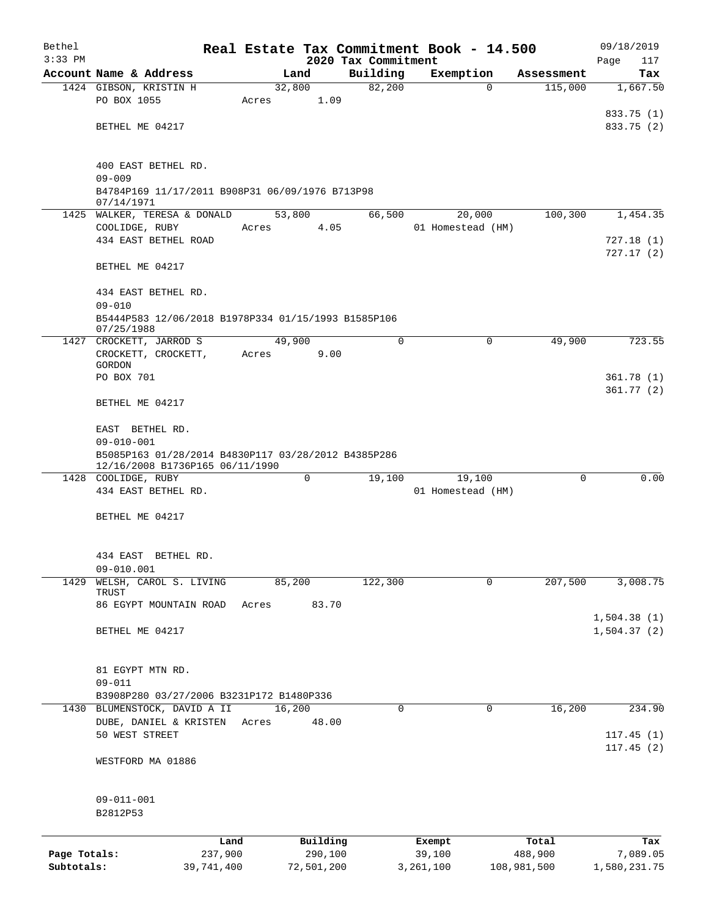| Bethel       |                                                                         |         |        |            | Real Estate Tax Commitment Book - 14.500 |           |                   |             | 09/18/2019              |  |  |
|--------------|-------------------------------------------------------------------------|---------|--------|------------|------------------------------------------|-----------|-------------------|-------------|-------------------------|--|--|
| $3:33$ PM    |                                                                         |         |        |            | 2020 Tax Commitment                      |           |                   |             | Page<br>117             |  |  |
|              | Account Name & Address                                                  |         |        | Land       | Building                                 | Exemption |                   | Assessment  | Tax                     |  |  |
|              | 1424 GIBSON, KRISTIN H                                                  |         | 32,800 |            | 82,200                                   |           | $\Omega$          | 115,000     | 1,667.50                |  |  |
|              | PO BOX 1055                                                             |         | Acres  | 1.09       |                                          |           |                   |             | 833.75 (1)              |  |  |
|              | BETHEL ME 04217                                                         |         |        |            |                                          |           |                   |             | 833.75 (2)              |  |  |
|              |                                                                         |         |        |            |                                          |           |                   |             |                         |  |  |
|              | 400 EAST BETHEL RD.                                                     |         |        |            |                                          |           |                   |             |                         |  |  |
|              | $09 - 009$<br>B4784P169 11/17/2011 B908P31 06/09/1976 B713P98           |         |        |            |                                          |           |                   |             |                         |  |  |
|              | 07/14/1971                                                              |         |        |            |                                          |           |                   |             |                         |  |  |
|              | 1425 WALKER, TERESA & DONALD                                            |         |        | 53,800     | 66,500                                   |           | 20,000            | 100,300     | 1,454.35                |  |  |
|              | COOLIDGE, RUBY                                                          | Acres   |        | 4.05       |                                          |           | 01 Homestead (HM) |             |                         |  |  |
|              | 434 EAST BETHEL ROAD                                                    |         |        |            |                                          |           |                   |             | 727.18 (1)<br>727.17(2) |  |  |
|              | BETHEL ME 04217                                                         |         |        |            |                                          |           |                   |             |                         |  |  |
|              | 434 EAST BETHEL RD.                                                     |         |        |            |                                          |           |                   |             |                         |  |  |
|              | $09 - 010$                                                              |         |        |            |                                          |           |                   |             |                         |  |  |
|              | B5444P583 12/06/2018 B1978P334 01/15/1993 B1585P106<br>07/25/1988       |         |        |            |                                          |           |                   |             |                         |  |  |
|              | 1427 CROCKETT, JARROD S                                                 |         | 49,900 |            | $\Omega$                                 |           | $\Omega$          | 49,900      | 723.55                  |  |  |
|              | CROCKETT, CROCKETT,                                                     | Acres   |        | 9.00       |                                          |           |                   |             |                         |  |  |
|              | GORDON                                                                  |         |        |            |                                          |           |                   |             |                         |  |  |
|              | PO BOX 701                                                              |         |        |            |                                          |           |                   |             | 361.78(1)<br>361.77(2)  |  |  |
|              | BETHEL ME 04217                                                         |         |        |            |                                          |           |                   |             |                         |  |  |
|              | EAST BETHEL RD.                                                         |         |        |            |                                          |           |                   |             |                         |  |  |
|              | $09 - 010 - 001$<br>B5085P163 01/28/2014 B4830P117 03/28/2012 B4385P286 |         |        |            |                                          |           |                   |             |                         |  |  |
|              | 12/16/2008 B1736P165 06/11/1990                                         |         |        |            |                                          |           |                   |             |                         |  |  |
|              | 1428 COOLIDGE, RUBY                                                     |         |        | 0          | 19,100                                   |           | 19,100            | 0           | 0.00                    |  |  |
|              | 434 EAST BETHEL RD.                                                     |         |        |            |                                          |           | 01 Homestead (HM) |             |                         |  |  |
|              | BETHEL ME 04217                                                         |         |        |            |                                          |           |                   |             |                         |  |  |
|              |                                                                         |         |        |            |                                          |           |                   |             |                         |  |  |
|              | 434 EAST<br>BETHEL RD.                                                  |         |        |            |                                          |           |                   |             |                         |  |  |
|              | $09 - 010.001$                                                          |         |        |            |                                          |           |                   |             |                         |  |  |
| 1429         | WELSH, CAROL S. LIVING<br>TRUST                                         |         | 85,200 |            | 122,300                                  |           | $\mathbf 0$       | 207,500     | 3,008.75                |  |  |
|              | 86 EGYPT MOUNTAIN ROAD                                                  | Acres   |        | 83.70      |                                          |           |                   |             |                         |  |  |
|              |                                                                         |         |        |            |                                          |           |                   |             | 1,504.38(1)             |  |  |
|              | BETHEL ME 04217                                                         |         |        |            |                                          |           |                   |             | 1,504.37(2)             |  |  |
|              |                                                                         |         |        |            |                                          |           |                   |             |                         |  |  |
|              | 81 EGYPT MTN RD.                                                        |         |        |            |                                          |           |                   |             |                         |  |  |
|              | $09 - 011$                                                              |         |        |            |                                          |           |                   |             |                         |  |  |
|              | B3908P280 03/27/2006 B3231P172 B1480P336                                |         |        |            |                                          |           |                   |             |                         |  |  |
|              | 1430 BLUMENSTOCK, DAVID A II                                            |         | 16,200 |            | $\Omega$                                 |           | 0                 | 16,200      | 234.90                  |  |  |
|              | DUBE, DANIEL & KRISTEN<br>50 WEST STREET                                | Acres   |        | 48.00      |                                          |           |                   |             |                         |  |  |
|              |                                                                         |         |        |            |                                          |           |                   |             | 117.45(1)<br>117.45(2)  |  |  |
|              | WESTFORD MA 01886                                                       |         |        |            |                                          |           |                   |             |                         |  |  |
|              |                                                                         |         |        |            |                                          |           |                   |             |                         |  |  |
|              | $09 - 011 - 001$                                                        |         |        |            |                                          |           |                   |             |                         |  |  |
|              | B2812P53                                                                |         |        |            |                                          |           |                   |             |                         |  |  |
|              |                                                                         | Land    |        | Building   |                                          | Exempt    |                   | Total       | Tax                     |  |  |
| Page Totals: |                                                                         | 237,900 |        | 290,100    |                                          | 39,100    |                   | 488,900     | 7,089.05                |  |  |
| Subtotals:   | 39,741,400                                                              |         |        | 72,501,200 |                                          | 3,261,100 |                   | 108,981,500 | 1,580,231.75            |  |  |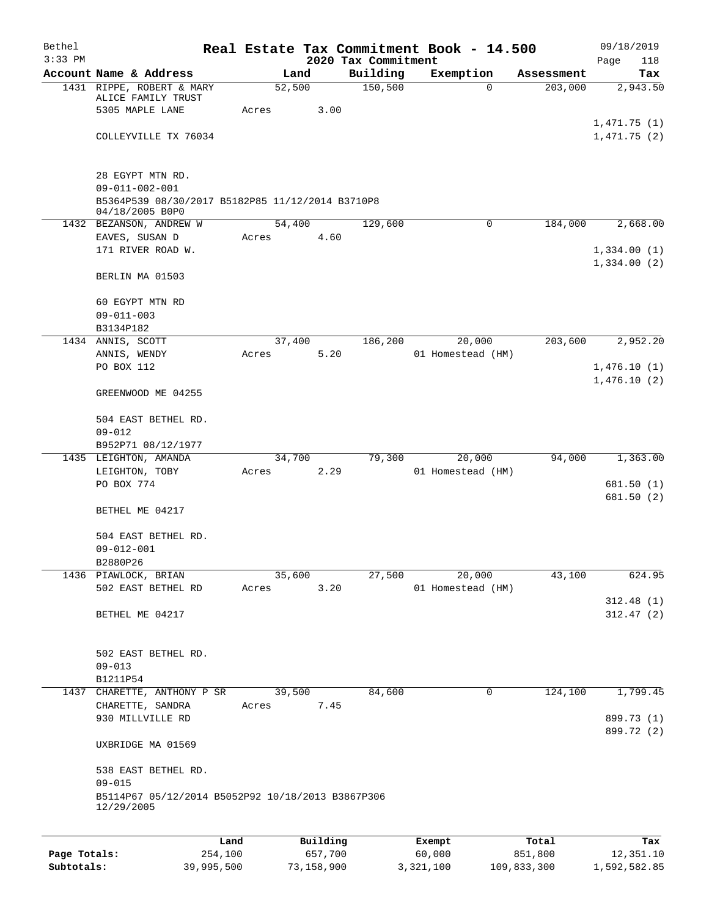| Bethel    |                                                                     |       |                |                     | Real Estate Tax Commitment Book - 14.500 |            | 09/18/2019                 |
|-----------|---------------------------------------------------------------------|-------|----------------|---------------------|------------------------------------------|------------|----------------------------|
| $3:33$ PM |                                                                     |       |                | 2020 Tax Commitment |                                          |            | Page<br>118                |
|           | Account Name & Address                                              |       | Land           | Building            | Exemption                                | Assessment | Tax                        |
|           | 1431 RIPPE, ROBERT & MARY<br>ALICE FAMILY TRUST                     |       | 52,500         | 150, 500            | 0                                        | 203,000    | 2,943.50                   |
|           | 5305 MAPLE LANE                                                     | Acres | 3.00           |                     |                                          |            |                            |
|           | COLLEYVILLE TX 76034                                                |       |                |                     |                                          |            | 1,471.75(1)<br>1,471.75(2) |
|           |                                                                     |       |                |                     |                                          |            |                            |
|           | 28 EGYPT MTN RD.<br>$09 - 011 - 002 - 001$                          |       |                |                     |                                          |            |                            |
|           | B5364P539 08/30/2017 B5182P85 11/12/2014 B3710P8<br>04/18/2005 B0P0 |       |                |                     |                                          |            |                            |
|           | 1432 BEZANSON, ANDREW W                                             |       | 54,400         | 129,600             | $\mathbf 0$                              | 184,000    | 2,668.00                   |
|           | EAVES, SUSAN D                                                      | Acres | 4.60           |                     |                                          |            |                            |
|           | 171 RIVER ROAD W.                                                   |       |                |                     |                                          |            | 1,334.00(1)<br>1,334.00(2) |
|           | BERLIN MA 01503                                                     |       |                |                     |                                          |            |                            |
|           | 60 EGYPT MTN RD                                                     |       |                |                     |                                          |            |                            |
|           | $09 - 011 - 003$<br>B3134P182                                       |       |                |                     |                                          |            |                            |
|           | 1434 ANNIS, SCOTT                                                   |       | 37,400         | 186,200             | 20,000                                   | 203,600    | 2,952.20                   |
|           | ANNIS, WENDY                                                        | Acres | 5.20           |                     | 01 Homestead (HM)                        |            |                            |
|           | PO BOX 112                                                          |       |                |                     |                                          |            | 1,476.10(1)                |
|           | GREENWOOD ME 04255                                                  |       |                |                     |                                          |            | 1,476.10(2)                |
|           | 504 EAST BETHEL RD.                                                 |       |                |                     |                                          |            |                            |
|           | $09 - 012$                                                          |       |                |                     |                                          |            |                            |
|           | B952P71 08/12/1977<br>1435 LEIGHTON, AMANDA                         |       | 34,700         | 79,300              | 20,000                                   | 94,000     | 1,363.00                   |
|           | LEIGHTON, TOBY                                                      | Acres | 2.29           |                     | 01 Homestead (HM)                        |            |                            |
|           | PO BOX 774                                                          |       |                |                     |                                          |            | 681.50(1)                  |
|           |                                                                     |       |                |                     |                                          |            | 681.50(2)                  |
|           | BETHEL ME 04217                                                     |       |                |                     |                                          |            |                            |
|           | 504 EAST BETHEL RD.                                                 |       |                |                     |                                          |            |                            |
|           | $09 - 012 - 001$                                                    |       |                |                     |                                          |            |                            |
|           | B2880P26                                                            |       |                |                     |                                          |            |                            |
|           | 1436 PIAWLOCK, BRIAN<br>502 EAST BETHEL RD                          | Acres | 35,600<br>3.20 | 27,500              | 20,000<br>01 Homestead (HM)              | 43,100     | 624.95                     |
|           |                                                                     |       |                |                     |                                          |            | 312.48(1)                  |
|           | BETHEL ME 04217                                                     |       |                |                     |                                          |            | 312.47(2)                  |
|           |                                                                     |       |                |                     |                                          |            |                            |
|           | 502 EAST BETHEL RD.                                                 |       |                |                     |                                          |            |                            |
|           | $09 - 013$                                                          |       |                |                     |                                          |            |                            |
|           | B1211P54<br>1437 CHARETTE, ANTHONY P SR                             |       | 39,500         | 84,600              | $\mathbf 0$                              | 124,100    | 1,799.45                   |
|           | CHARETTE, SANDRA                                                    | Acres | 7.45           |                     |                                          |            |                            |
|           | 930 MILLVILLE RD                                                    |       |                |                     |                                          |            | 899.73 (1)                 |
|           | UXBRIDGE MA 01569                                                   |       |                |                     |                                          |            | 899.72 (2)                 |
|           | 538 EAST BETHEL RD.                                                 |       |                |                     |                                          |            |                            |
|           | $09 - 015$<br>B5114P67 05/12/2014 B5052P92 10/18/2013 B3867P306     |       |                |                     |                                          |            |                            |
|           | 12/29/2005                                                          |       |                |                     |                                          |            |                            |
|           |                                                                     |       |                |                     |                                          |            |                            |
|           |                                                                     | Land  | Building       |                     | Exempt                                   | Total      | Tax                        |

| Page Totals: | 254,100    | 657,700    | 60,000    | 851,800     | 12,351.10    |
|--------------|------------|------------|-----------|-------------|--------------|
| Subtotals:   | 39,995,500 | 73,158,900 | 3,321,100 | 109,833,300 | 1,592,582.85 |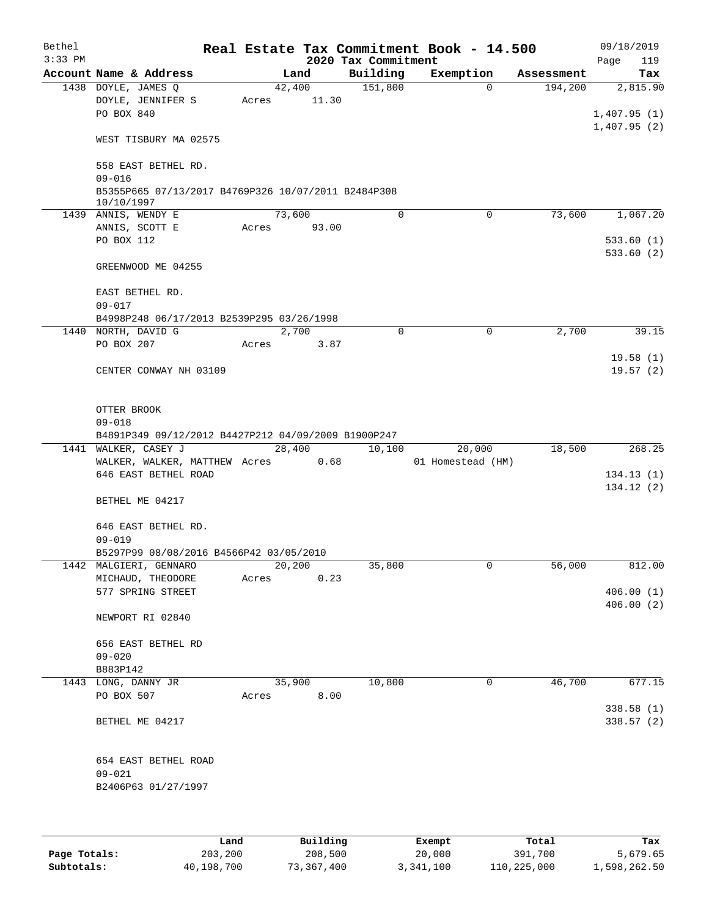| Bethel    |                                                                   |       |        |       |                     | Real Estate Tax Commitment Book - 14.500 |            | 09/18/2019                 |
|-----------|-------------------------------------------------------------------|-------|--------|-------|---------------------|------------------------------------------|------------|----------------------------|
| $3:33$ PM |                                                                   |       |        |       | 2020 Tax Commitment |                                          |            | Page<br>119                |
|           | Account Name & Address                                            |       | Land   |       | Building            | Exemption                                | Assessment | Tax                        |
|           | 1438 DOYLE, JAMES Q                                               |       | 42,400 | 11.30 | 151,800             | 0                                        | 194,200    | 2,815.90                   |
|           | DOYLE, JENNIFER S<br>PO BOX 840                                   | Acres |        |       |                     |                                          |            |                            |
|           |                                                                   |       |        |       |                     |                                          |            | 1,407.95(1)<br>1,407.95(2) |
|           | WEST TISBURY MA 02575                                             |       |        |       |                     |                                          |            |                            |
|           | 558 EAST BETHEL RD.                                               |       |        |       |                     |                                          |            |                            |
|           | $09 - 016$                                                        |       |        |       |                     |                                          |            |                            |
|           | B5355P665 07/13/2017 B4769P326 10/07/2011 B2484P308<br>10/10/1997 |       |        |       |                     |                                          |            |                            |
|           | 1439 ANNIS, WENDY E                                               |       | 73,600 |       | 0                   | 0                                        | 73,600     | 1,067.20                   |
|           | ANNIS, SCOTT E                                                    | Acres |        | 93.00 |                     |                                          |            |                            |
|           | PO BOX 112                                                        |       |        |       |                     |                                          |            | 533.60(1)                  |
|           |                                                                   |       |        |       |                     |                                          |            | 533.60(2)                  |
|           | GREENWOOD ME 04255                                                |       |        |       |                     |                                          |            |                            |
|           | EAST BETHEL RD.                                                   |       |        |       |                     |                                          |            |                            |
|           | $09 - 017$                                                        |       |        |       |                     |                                          |            |                            |
|           | B4998P248 06/17/2013 B2539P295 03/26/1998                         |       |        |       |                     |                                          |            |                            |
|           | 1440 NORTH, DAVID G                                               |       | 2,700  |       | 0                   | 0                                        | 2,700      | 39.15                      |
|           | PO BOX 207                                                        | Acres |        | 3.87  |                     |                                          |            |                            |
|           |                                                                   |       |        |       |                     |                                          |            | 19.58(1)                   |
|           | CENTER CONWAY NH 03109                                            |       |        |       |                     |                                          |            | 19.57(2)                   |
|           |                                                                   |       |        |       |                     |                                          |            |                            |
|           | OTTER BROOK                                                       |       |        |       |                     |                                          |            |                            |
|           | $09 - 018$                                                        |       |        |       |                     |                                          |            |                            |
|           | B4891P349 09/12/2012 B4427P212 04/09/2009 B1900P247               |       |        |       |                     |                                          |            |                            |
|           | 1441 WALKER, CASEY J                                              |       | 28,400 |       | 10,100              | 20,000                                   | 18,500     | 268.25                     |
|           | WALKER, WALKER, MATTHEW Acres                                     |       |        | 0.68  |                     | 01 Homestead (HM)                        |            |                            |
|           | 646 EAST BETHEL ROAD                                              |       |        |       |                     |                                          |            | 134.13(1)                  |
|           | BETHEL ME 04217                                                   |       |        |       |                     |                                          |            | 134.12(2)                  |
|           | 646 EAST BETHEL RD.                                               |       |        |       |                     |                                          |            |                            |
|           | $09 - 019$                                                        |       |        |       |                     |                                          |            |                            |
|           | B5297P99 08/08/2016 B4566P42 03/05/2010                           |       |        |       |                     |                                          |            |                            |
|           | 1442 MALGIERI, GENNARO                                            |       | 20,200 |       | 35,800              | 0                                        | 56,000     | 812.00                     |
|           | MICHAUD, THEODORE                                                 | Acres |        | 0.23  |                     |                                          |            |                            |
|           | 577 SPRING STREET                                                 |       |        |       |                     |                                          |            | 406.00(1)                  |
|           |                                                                   |       |        |       |                     |                                          |            | 406.00(2)                  |
|           | NEWPORT RI 02840                                                  |       |        |       |                     |                                          |            |                            |
|           | 656 EAST BETHEL RD                                                |       |        |       |                     |                                          |            |                            |
|           | $09 - 020$                                                        |       |        |       |                     |                                          |            |                            |
|           | B883P142                                                          |       |        |       |                     |                                          |            |                            |
|           | 1443 LONG, DANNY JR                                               |       | 35,900 |       | 10,800              | 0                                        | 46,700     | 677.15                     |
|           | PO BOX 507                                                        | Acres |        | 8.00  |                     |                                          |            |                            |
|           |                                                                   |       |        |       |                     |                                          |            | 338.58 (1)                 |
|           | BETHEL ME 04217                                                   |       |        |       |                     |                                          |            | 338.57(2)                  |
|           |                                                                   |       |        |       |                     |                                          |            |                            |
|           | 654 EAST BETHEL ROAD<br>$09 - 021$                                |       |        |       |                     |                                          |            |                            |
|           | B2406P63 01/27/1997                                               |       |        |       |                     |                                          |            |                            |
|           |                                                                   |       |        |       |                     |                                          |            |                            |
|           |                                                                   |       |        |       |                     |                                          |            |                            |
|           |                                                                   |       |        |       |                     |                                          |            |                            |
|           |                                                                   |       |        |       |                     |                                          |            |                            |

|              | Land       | Building   | Exempt    | Total       | Tax          |
|--------------|------------|------------|-----------|-------------|--------------|
| Page Totals: | 203,200    | 208,500    | 20,000    | 391,700     | 5,679.65     |
| Subtotals:   | 40,198,700 | 73,367,400 | 3,341,100 | 110,225,000 | 1,598,262.50 |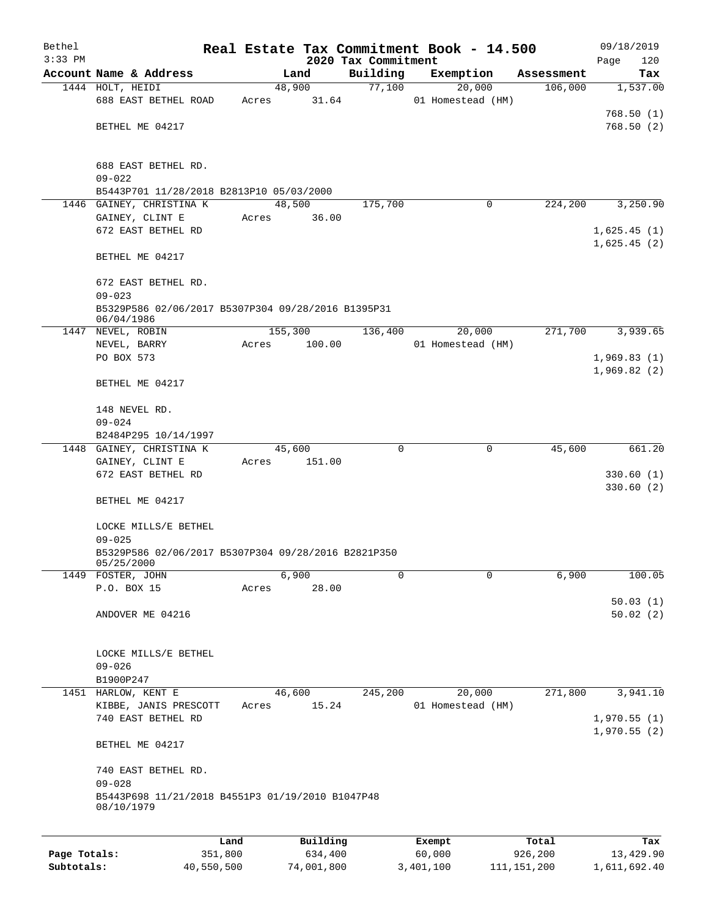| Bethel       |                                                                      |       |                |                     | Real Estate Tax Commitment Book - 14.500 |                       | 09/18/2019      |
|--------------|----------------------------------------------------------------------|-------|----------------|---------------------|------------------------------------------|-----------------------|-----------------|
| $3:33$ PM    | Account Name & Address                                               |       |                | 2020 Tax Commitment |                                          |                       | Page<br>120     |
|              | 1444 HOLT, HEIDI                                                     |       | Land<br>48,900 | Building<br>77,100  | Exemption<br>20,000                      | Assessment<br>106,000 | Tax<br>1,537.00 |
|              | 688 EAST BETHEL ROAD                                                 | Acres | 31.64          |                     | 01 Homestead (HM)                        |                       |                 |
|              |                                                                      |       |                |                     |                                          |                       | 768.50(1)       |
|              | BETHEL ME 04217                                                      |       |                |                     |                                          |                       | 768.50(2)       |
|              |                                                                      |       |                |                     |                                          |                       |                 |
|              |                                                                      |       |                |                     |                                          |                       |                 |
|              | 688 EAST BETHEL RD.                                                  |       |                |                     |                                          |                       |                 |
|              | $09 - 022$                                                           |       |                |                     |                                          |                       |                 |
|              | B5443P701 11/28/2018 B2813P10 05/03/2000<br>1446 GAINEY, CHRISTINA K |       | 48,500         | 175,700             | 0                                        | 224,200               | 3,250.90        |
|              | GAINEY, CLINT E                                                      | Acres | 36.00          |                     |                                          |                       |                 |
|              | 672 EAST BETHEL RD                                                   |       |                |                     |                                          |                       | 1,625.45(1)     |
|              |                                                                      |       |                |                     |                                          |                       | 1,625.45(2)     |
|              | BETHEL ME 04217                                                      |       |                |                     |                                          |                       |                 |
|              |                                                                      |       |                |                     |                                          |                       |                 |
|              | 672 EAST BETHEL RD.                                                  |       |                |                     |                                          |                       |                 |
|              | $09 - 023$                                                           |       |                |                     |                                          |                       |                 |
|              | B5329P586 02/06/2017 B5307P304 09/28/2016 B1395P31<br>06/04/1986     |       |                |                     |                                          |                       |                 |
|              | 1447 NEVEL, ROBIN                                                    |       | 155,300        | 136,400             | 20,000                                   | 271,700               | 3,939.65        |
|              | NEVEL, BARRY                                                         | Acres | 100.00         |                     | 01 Homestead (HM)                        |                       |                 |
|              | PO BOX 573                                                           |       |                |                     |                                          |                       | 1,969.83(1)     |
|              |                                                                      |       |                |                     |                                          |                       | 1,969.82(2)     |
|              | BETHEL ME 04217                                                      |       |                |                     |                                          |                       |                 |
|              |                                                                      |       |                |                     |                                          |                       |                 |
|              | 148 NEVEL RD.                                                        |       |                |                     |                                          |                       |                 |
|              | $09 - 024$                                                           |       |                |                     |                                          |                       |                 |
|              | B2484P295 10/14/1997<br>1448 GAINEY, CHRISTINA K                     |       | 45,600         | $\Omega$            | 0                                        | 45,600                | 661.20          |
|              | GAINEY, CLINT E                                                      | Acres | 151.00         |                     |                                          |                       |                 |
|              | 672 EAST BETHEL RD                                                   |       |                |                     |                                          |                       | 330.60(1)       |
|              |                                                                      |       |                |                     |                                          |                       | 330.60(2)       |
|              | BETHEL ME 04217                                                      |       |                |                     |                                          |                       |                 |
|              |                                                                      |       |                |                     |                                          |                       |                 |
|              | LOCKE MILLS/E BETHEL                                                 |       |                |                     |                                          |                       |                 |
|              | $09 - 025$                                                           |       |                |                     |                                          |                       |                 |
|              | B5329P586 02/06/2017 B5307P304 09/28/2016 B2821P350<br>05/25/2000    |       |                |                     |                                          |                       |                 |
|              | 1449 FOSTER, JOHN                                                    |       | 6,900          | 0                   | 0                                        | 6,900                 | 100.05          |
|              | P.O. BOX 15                                                          | Acres | 28.00          |                     |                                          |                       |                 |
|              |                                                                      |       |                |                     |                                          |                       | 50.03(1)        |
|              | ANDOVER ME 04216                                                     |       |                |                     |                                          |                       | 50.02(2)        |
|              |                                                                      |       |                |                     |                                          |                       |                 |
|              | LOCKE MILLS/E BETHEL                                                 |       |                |                     |                                          |                       |                 |
|              | $09 - 026$                                                           |       |                |                     |                                          |                       |                 |
|              | B1900P247                                                            |       |                |                     |                                          |                       |                 |
|              | 1451 HARLOW, KENT E                                                  |       | 46,600         | 245,200             | 20,000                                   | 271,800               | 3,941.10        |
|              | KIBBE, JANIS PRESCOTT                                                | Acres | 15.24          |                     | 01 Homestead (HM)                        |                       |                 |
|              | 740 EAST BETHEL RD                                                   |       |                |                     |                                          |                       | 1,970.55(1)     |
|              |                                                                      |       |                |                     |                                          |                       | 1,970.55(2)     |
|              | BETHEL ME 04217                                                      |       |                |                     |                                          |                       |                 |
|              | 740 EAST BETHEL RD.                                                  |       |                |                     |                                          |                       |                 |
|              | $09 - 028$                                                           |       |                |                     |                                          |                       |                 |
|              | B5443P698 11/21/2018 B4551P3 01/19/2010 B1047P48                     |       |                |                     |                                          |                       |                 |
|              | 08/10/1979                                                           |       |                |                     |                                          |                       |                 |
|              |                                                                      |       |                |                     |                                          |                       |                 |
|              | Land                                                                 |       | Building       |                     | Exempt                                   | Total                 | Tax             |
| Page Totals: | 351,800                                                              |       | 634,400        |                     | 60,000                                   | 926,200               | 13,429.90       |

**Subtotals:** 40,550,500 74,001,800 3,401,100 111,151,200 1,611,692.40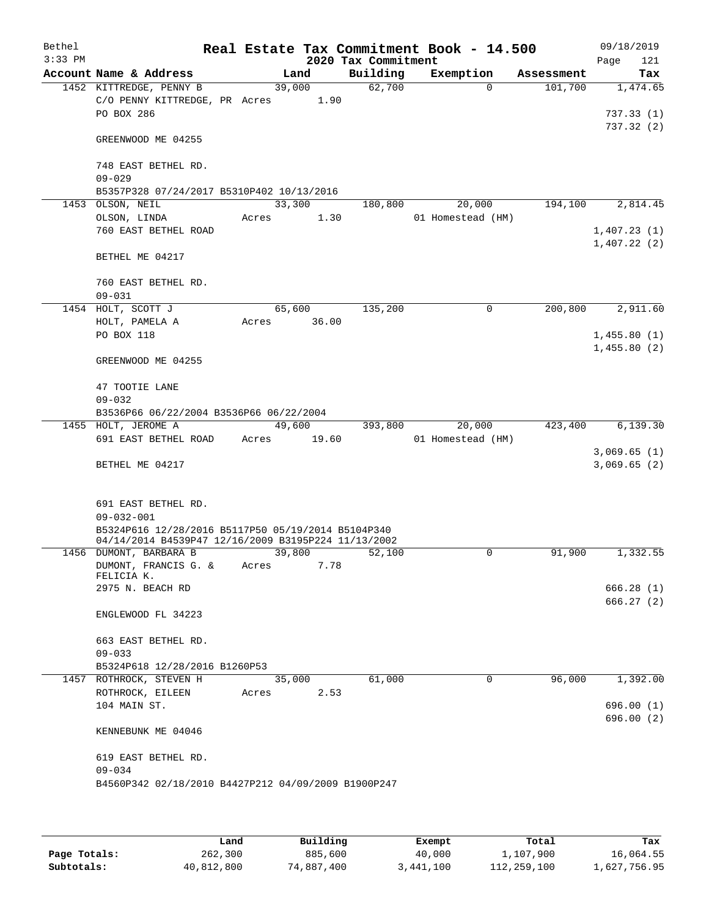| Bethel<br>$3:33$ PM |                                                     |        |        | 2020 Tax Commitment | Real Estate Tax Commitment Book - 14.500 |            | 09/18/2019<br>Page<br>121 |
|---------------------|-----------------------------------------------------|--------|--------|---------------------|------------------------------------------|------------|---------------------------|
|                     | Account Name & Address                              |        | Land   | Building            | Exemption                                | Assessment | Tax                       |
|                     | 1452 KITTREDGE, PENNY B                             | 39,000 |        | 62,700              | $\Omega$                                 | 101,700    | 1,474.65                  |
|                     | C/O PENNY KITTREDGE, PR Acres                       |        | 1.90   |                     |                                          |            |                           |
|                     | PO BOX 286                                          |        |        |                     |                                          |            | 737.33(1)                 |
|                     | GREENWOOD ME 04255                                  |        |        |                     |                                          |            | 737.32 (2)                |
|                     | 748 EAST BETHEL RD.                                 |        |        |                     |                                          |            |                           |
|                     | $09 - 029$                                          |        |        |                     |                                          |            |                           |
|                     | B5357P328 07/24/2017 B5310P402 10/13/2016           |        |        |                     |                                          |            |                           |
|                     | 1453 OLSON, NEIL                                    | 33,300 |        | 180,800             | 20,000                                   | 194,100    | 2,814.45                  |
|                     | OLSON, LINDA<br>760 EAST BETHEL ROAD                | Acres  | 1.30   |                     | 01 Homestead (HM)                        |            | 1,407.23(1)               |
|                     |                                                     |        |        |                     |                                          |            | 1,407.22(2)               |
|                     | BETHEL ME 04217                                     |        |        |                     |                                          |            |                           |
|                     | 760 EAST BETHEL RD.                                 |        |        |                     |                                          |            |                           |
|                     | $09 - 031$                                          |        |        |                     |                                          |            |                           |
|                     | 1454 HOLT, SCOTT J                                  | 65,600 |        | 135,200             | $\mathbf 0$                              | 200,800    | 2,911.60                  |
|                     | HOLT, PAMELA A                                      | Acres  | 36.00  |                     |                                          |            |                           |
|                     | <b>PO BOX 118</b>                                   |        |        |                     |                                          |            | 1,455.80(1)               |
|                     |                                                     |        |        |                     |                                          |            | 1,455.80(2)               |
|                     | GREENWOOD ME 04255                                  |        |        |                     |                                          |            |                           |
|                     | 47 TOOTIE LANE                                      |        |        |                     |                                          |            |                           |
|                     | $09 - 032$                                          |        |        |                     |                                          |            |                           |
|                     | B3536P66 06/22/2004 B3536P66 06/22/2004             |        |        |                     |                                          |            |                           |
|                     | 1455 HOLT, JEROME A                                 | 49,600 |        | 393,800             | 20,000                                   | 423,400    | 6, 139.30                 |
|                     | 691 EAST BETHEL ROAD                                | Acres  | 19.60  |                     | 01 Homestead (HM)                        |            | 3,069.65(1)               |
|                     | BETHEL ME 04217                                     |        |        |                     |                                          |            | 3,069.65(2)               |
|                     |                                                     |        |        |                     |                                          |            |                           |
|                     | 691 EAST BETHEL RD.                                 |        |        |                     |                                          |            |                           |
|                     | $09 - 032 - 001$                                    |        |        |                     |                                          |            |                           |
|                     | B5324P616 12/28/2016 B5117P50 05/19/2014 B5104P340  |        |        |                     |                                          |            |                           |
|                     | 04/14/2014 B4539P47 12/16/2009 B3195P224 11/13/2002 |        |        |                     |                                          |            |                           |
|                     | 1456 DUMONT, BARBARA B                              | 39,800 |        | 52,100              | 0                                        | 91,900     | 1,332.55                  |
|                     | DUMONT, FRANCIS G. &<br>FELICIA K.                  | Acres  | 7.78   |                     |                                          |            |                           |
|                     | 2975 N. BEACH RD                                    |        |        |                     |                                          |            | 666.28 (1)                |
|                     |                                                     |        |        |                     |                                          |            | 666.27(2)                 |
|                     | ENGLEWOOD FL 34223                                  |        |        |                     |                                          |            |                           |
|                     | 663 EAST BETHEL RD.                                 |        |        |                     |                                          |            |                           |
|                     | $09 - 033$                                          |        |        |                     |                                          |            |                           |
|                     | B5324P618 12/28/2016 B1260P53                       |        |        |                     |                                          |            |                           |
|                     | 1457 ROTHROCK, STEVEN H                             |        | 35,000 | 61,000              | $\Omega$                                 | 96,000     | 1,392.00                  |
|                     | ROTHROCK, EILEEN                                    | Acres  | 2.53   |                     |                                          |            |                           |
|                     | 104 MAIN ST.                                        |        |        |                     |                                          |            | 696.00(1)<br>696.00(2)    |
|                     | KENNEBUNK ME 04046                                  |        |        |                     |                                          |            |                           |
|                     | 619 EAST BETHEL RD.                                 |        |        |                     |                                          |            |                           |
|                     | $09 - 034$                                          |        |        |                     |                                          |            |                           |
|                     | B4560P342 02/18/2010 B4427P212 04/09/2009 B1900P247 |        |        |                     |                                          |            |                           |
|                     |                                                     |        |        |                     |                                          |            |                           |
|                     |                                                     |        |        |                     |                                          |            |                           |

|              | Land       | Building   | Exempt    | Total       | Tax          |
|--------------|------------|------------|-----------|-------------|--------------|
| Page Totals: | 262,300    | 885,600    | 40,000    | 1,107,900   | 16,064.55    |
| Subtotals:   | 40,812,800 | 74,887,400 | 3,441,100 | 112,259,100 | 1,627,756.95 |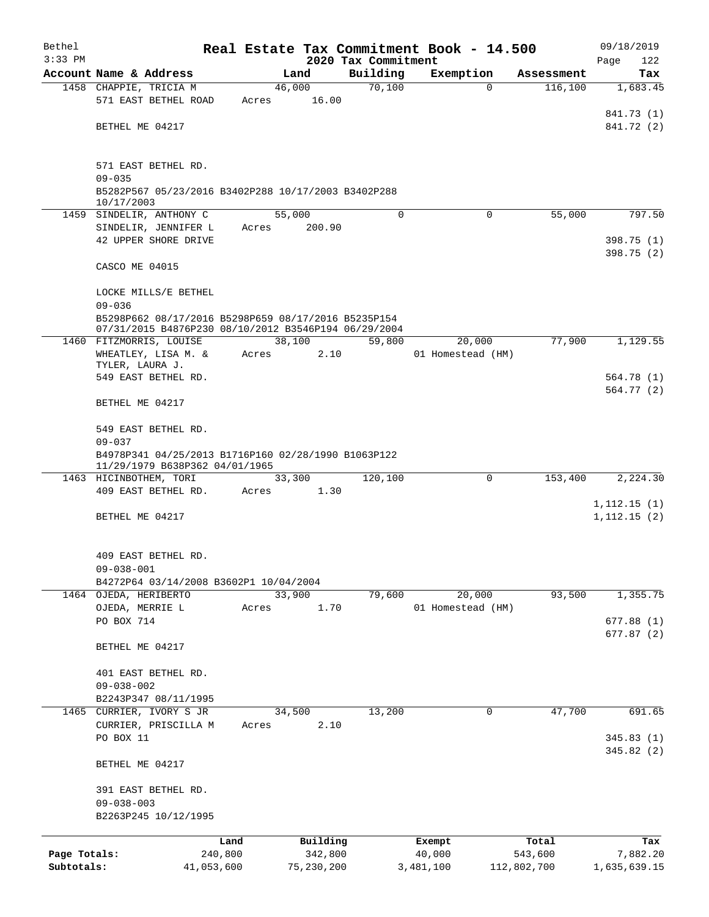| Bethel       |                                                                                       |            |       |            |                                 | Real Estate Tax Commitment Book - 14.500 |          |             | 09/18/2019         |
|--------------|---------------------------------------------------------------------------------------|------------|-------|------------|---------------------------------|------------------------------------------|----------|-------------|--------------------|
| $3:33$ PM    | Account Name & Address                                                                |            |       | Land       | 2020 Tax Commitment<br>Building | Exemption                                |          | Assessment  | Page<br>122<br>Tax |
|              | 1458 CHAPPIE, TRICIA M                                                                |            |       | 46,000     | 70,100                          |                                          | $\Omega$ | 116,100     | 1,683.45           |
|              | 571 EAST BETHEL ROAD                                                                  |            | Acres | 16.00      |                                 |                                          |          |             |                    |
|              |                                                                                       |            |       |            |                                 |                                          |          |             | 841.73 (1)         |
|              | BETHEL ME 04217                                                                       |            |       |            |                                 |                                          |          |             | 841.72 (2)         |
|              |                                                                                       |            |       |            |                                 |                                          |          |             |                    |
|              |                                                                                       |            |       |            |                                 |                                          |          |             |                    |
|              | 571 EAST BETHEL RD.<br>$09 - 035$                                                     |            |       |            |                                 |                                          |          |             |                    |
|              | B5282P567 05/23/2016 B3402P288 10/17/2003 B3402P288                                   |            |       |            |                                 |                                          |          |             |                    |
|              | 10/17/2003                                                                            |            |       |            |                                 |                                          |          |             |                    |
|              | 1459 SINDELIR, ANTHONY C                                                              |            |       | 55,000     | $\Omega$                        |                                          | $\Omega$ | 55,000      | 797.50             |
|              | SINDELIR, JENNIFER L                                                                  |            | Acres | 200.90     |                                 |                                          |          |             |                    |
|              | 42 UPPER SHORE DRIVE                                                                  |            |       |            |                                 |                                          |          |             | 398.75(1)          |
|              | CASCO ME 04015                                                                        |            |       |            |                                 |                                          |          |             | 398.75(2)          |
|              |                                                                                       |            |       |            |                                 |                                          |          |             |                    |
|              | LOCKE MILLS/E BETHEL                                                                  |            |       |            |                                 |                                          |          |             |                    |
|              | $09 - 036$                                                                            |            |       |            |                                 |                                          |          |             |                    |
|              | B5298P662 08/17/2016 B5298P659 08/17/2016 B5235P154                                   |            |       |            |                                 |                                          |          |             |                    |
|              | 07/31/2015 B4876P230 08/10/2012 B3546P194 06/29/2004                                  |            |       |            |                                 |                                          |          |             |                    |
|              | 1460 FITZMORRIS, LOUISE                                                               |            |       | 38,100     | 59,800                          | 20,000                                   |          | 77,900      | 1,129.55           |
|              | WHEATLEY, LISA M. &<br>TYLER, LAURA J.                                                |            | Acres | 2.10       |                                 | 01 Homestead (HM)                        |          |             |                    |
|              | 549 EAST BETHEL RD.                                                                   |            |       |            |                                 |                                          |          |             | 564.78(1)          |
|              |                                                                                       |            |       |            |                                 |                                          |          |             | 564.77(2)          |
|              | BETHEL ME 04217                                                                       |            |       |            |                                 |                                          |          |             |                    |
|              |                                                                                       |            |       |            |                                 |                                          |          |             |                    |
|              | 549 EAST BETHEL RD.                                                                   |            |       |            |                                 |                                          |          |             |                    |
|              | $09 - 037$                                                                            |            |       |            |                                 |                                          |          |             |                    |
|              | B4978P341 04/25/2013 B1716P160 02/28/1990 B1063P122<br>11/29/1979 B638P362 04/01/1965 |            |       |            |                                 |                                          |          |             |                    |
|              | 1463 HICINBOTHEM, TORI                                                                |            |       | 33,300     | 120,100                         |                                          | $\Omega$ | 153,400     | 2,224.30           |
|              | 409 EAST BETHEL RD.                                                                   |            | Acres | 1.30       |                                 |                                          |          |             |                    |
|              |                                                                                       |            |       |            |                                 |                                          |          |             | 1, 112.15(1)       |
|              | BETHEL ME 04217                                                                       |            |       |            |                                 |                                          |          |             | 1,112.15(2)        |
|              |                                                                                       |            |       |            |                                 |                                          |          |             |                    |
|              | 409 EAST BETHEL RD.                                                                   |            |       |            |                                 |                                          |          |             |                    |
|              | $09 - 038 - 001$                                                                      |            |       |            |                                 |                                          |          |             |                    |
|              | B4272P64 03/14/2008 B3602P1 10/04/2004                                                |            |       |            |                                 |                                          |          |             |                    |
|              | 1464 OJEDA, HERIBERTO                                                                 |            |       | 33,900     | 79,600                          | 20,000                                   |          | 93,500      | 1,355.75           |
|              | OJEDA, MERRIE L                                                                       |            | Acres | 1.70       |                                 | 01 Homestead (HM)                        |          |             |                    |
|              | PO BOX 714                                                                            |            |       |            |                                 |                                          |          |             | 677.88(1)          |
|              |                                                                                       |            |       |            |                                 |                                          |          |             | 677.87 (2)         |
|              | BETHEL ME 04217                                                                       |            |       |            |                                 |                                          |          |             |                    |
|              | 401 EAST BETHEL RD.                                                                   |            |       |            |                                 |                                          |          |             |                    |
|              | $09 - 038 - 002$                                                                      |            |       |            |                                 |                                          |          |             |                    |
|              | B2243P347 08/11/1995                                                                  |            |       |            |                                 |                                          |          |             |                    |
| 1465         | CURRIER, IVORY S JR                                                                   |            |       | 34,500     | 13,200                          |                                          | 0        | 47,700      | 691.65             |
|              | CURRIER, PRISCILLA M                                                                  |            | Acres | 2.10       |                                 |                                          |          |             |                    |
|              | PO BOX 11                                                                             |            |       |            |                                 |                                          |          |             | 345.83(1)          |
|              |                                                                                       |            |       |            |                                 |                                          |          |             | 345.82(2)          |
|              | BETHEL ME 04217                                                                       |            |       |            |                                 |                                          |          |             |                    |
|              | 391 EAST BETHEL RD.                                                                   |            |       |            |                                 |                                          |          |             |                    |
|              | $09 - 038 - 003$                                                                      |            |       |            |                                 |                                          |          |             |                    |
|              | B2263P245 10/12/1995                                                                  |            |       |            |                                 |                                          |          |             |                    |
|              |                                                                                       |            |       |            |                                 |                                          |          |             |                    |
|              |                                                                                       | Land       |       | Building   |                                 | Exempt                                   |          | Total       | Tax                |
| Page Totals: |                                                                                       | 240,800    |       | 342,800    |                                 | 40,000                                   |          | 543,600     | 7,882.20           |
| Subtotals:   |                                                                                       | 41,053,600 |       | 75,230,200 |                                 | 3,481,100                                |          | 112,802,700 | 1,635,639.15       |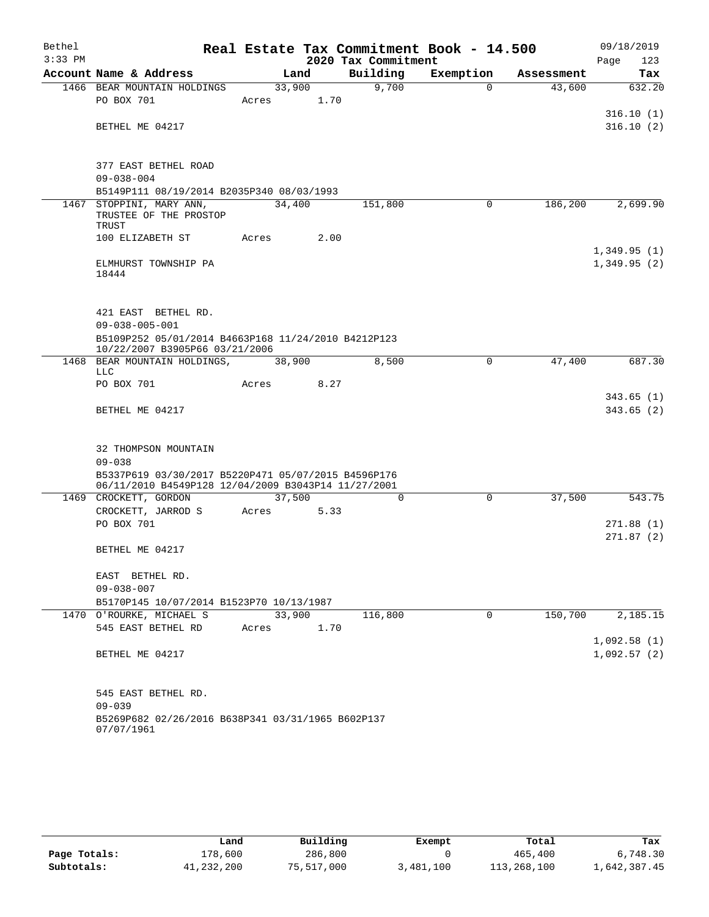| Bethel<br>$3:33$ PM |                                                                   |        |      | 2020 Tax Commitment | Real Estate Tax Commitment Book - 14.500 |            | 09/18/2019<br>123<br>Page |
|---------------------|-------------------------------------------------------------------|--------|------|---------------------|------------------------------------------|------------|---------------------------|
|                     | Account Name & Address                                            |        | Land | Building            | Exemption                                | Assessment | Tax                       |
|                     | 1466 BEAR MOUNTAIN HOLDINGS                                       | 33,900 |      | 9,700               | $\mathbf 0$                              | 43,600     | 632.20                    |
|                     | PO BOX 701                                                        | Acres  | 1.70 |                     |                                          |            |                           |
|                     |                                                                   |        |      |                     |                                          |            | 316.10(1)                 |
|                     | BETHEL ME 04217                                                   |        |      |                     |                                          |            | 316.10(2)                 |
|                     |                                                                   |        |      |                     |                                          |            |                           |
|                     | 377 EAST BETHEL ROAD                                              |        |      |                     |                                          |            |                           |
|                     | $09 - 038 - 004$                                                  |        |      |                     |                                          |            |                           |
|                     | B5149P111 08/19/2014 B2035P340 08/03/1993                         |        |      |                     |                                          |            |                           |
|                     | 1467 STOPPINI, MARY ANN,<br>TRUSTEE OF THE PROSTOP<br>TRUST       | 34,400 |      | 151,800             | 0                                        | 186,200    | 2,699.90                  |
|                     | 100 ELIZABETH ST                                                  | Acres  | 2.00 |                     |                                          |            |                           |
|                     |                                                                   |        |      |                     |                                          |            | 1,349.95(1)               |
|                     | ELMHURST TOWNSHIP PA                                              |        |      |                     |                                          |            | 1,349.95(2)               |
|                     | 18444                                                             |        |      |                     |                                          |            |                           |
|                     |                                                                   |        |      |                     |                                          |            |                           |
|                     | 421 EAST BETHEL RD.                                               |        |      |                     |                                          |            |                           |
|                     | $09 - 038 - 005 - 001$                                            |        |      |                     |                                          |            |                           |
|                     | B5109P252 05/01/2014 B4663P168 11/24/2010 B4212P123               |        |      |                     |                                          |            |                           |
|                     | 10/22/2007 B3905P66 03/21/2006                                    |        |      |                     |                                          |            |                           |
|                     | 1468 BEAR MOUNTAIN HOLDINGS,<br><b>LLC</b>                        | 38,900 |      | 8,500               | 0                                        | 47,400     | 687.30                    |
|                     | PO BOX 701                                                        | Acres  | 8.27 |                     |                                          |            |                           |
|                     |                                                                   |        |      |                     |                                          |            | 343.65(1)                 |
|                     | BETHEL ME 04217                                                   |        |      |                     |                                          |            | 343.65(2)                 |
|                     |                                                                   |        |      |                     |                                          |            |                           |
|                     |                                                                   |        |      |                     |                                          |            |                           |
|                     | 32 THOMPSON MOUNTAIN                                              |        |      |                     |                                          |            |                           |
|                     | $09 - 038$<br>B5337P619 03/30/2017 B5220P471 05/07/2015 B4596P176 |        |      |                     |                                          |            |                           |
|                     | 06/11/2010 B4549P128 12/04/2009 B3043P14 11/27/2001               |        |      |                     |                                          |            |                           |
|                     | 1469 CROCKETT, GORDON                                             | 37,500 |      | $\Omega$            | $\mathbf 0$                              | 37,500     | 543.75                    |
|                     | CROCKETT, JARROD S                                                | Acres  | 5.33 |                     |                                          |            |                           |
|                     | PO BOX 701                                                        |        |      |                     |                                          |            | 271.88(1)                 |
|                     |                                                                   |        |      |                     |                                          |            | 271.87 (2)                |
|                     | BETHEL ME 04217                                                   |        |      |                     |                                          |            |                           |
|                     | EAST BETHEL RD.                                                   |        |      |                     |                                          |            |                           |
|                     | $09 - 038 - 007$                                                  |        |      |                     |                                          |            |                           |
|                     | B5170P145 10/07/2014 B1523P70 10/13/1987                          |        |      |                     |                                          |            |                           |
|                     | 1470 O'ROURKE, MICHAEL S                                          | 33,900 |      | 116,800             | 0                                        | 150,700    | 2,185.15                  |
|                     | 545 EAST BETHEL RD                                                | Acres  | 1.70 |                     |                                          |            |                           |
|                     |                                                                   |        |      |                     |                                          |            | 1,092.58(1)               |
|                     | BETHEL ME 04217                                                   |        |      |                     |                                          |            | 1,092.57(2)               |
|                     |                                                                   |        |      |                     |                                          |            |                           |
|                     |                                                                   |        |      |                     |                                          |            |                           |
|                     | 545 EAST BETHEL RD.<br>$09 - 039$                                 |        |      |                     |                                          |            |                           |
|                     | B5269P682 02/26/2016 B638P341 03/31/1965 B602P137                 |        |      |                     |                                          |            |                           |
|                     | 07/07/1961                                                        |        |      |                     |                                          |            |                           |

|              | Land       | Building   | Exempt    | Total       | Tax          |
|--------------|------------|------------|-----------|-------------|--------------|
| Page Totals: | 178,600    | 286,800    |           | 465,400     | 6,748.30     |
| Subtotals:   | 41,232,200 | 75,517,000 | 3,481,100 | 113,268,100 | 1,642,387.45 |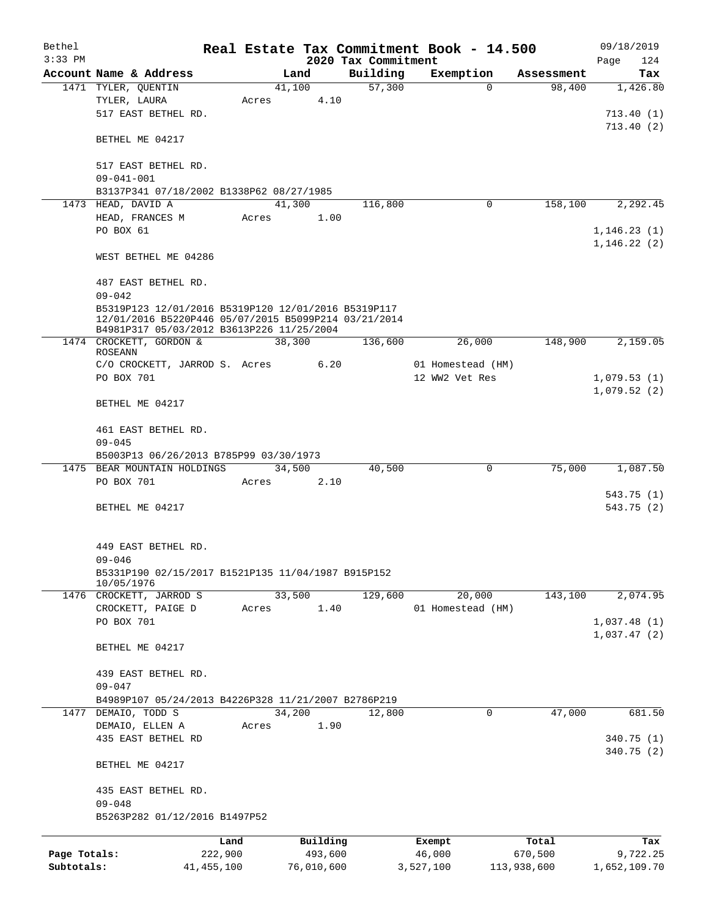| Bethel       |                                                      |       |          |                     | Real Estate Tax Commitment Book - 14.500 |            | 09/18/2019   |
|--------------|------------------------------------------------------|-------|----------|---------------------|------------------------------------------|------------|--------------|
| $3:33$ PM    |                                                      |       |          | 2020 Tax Commitment |                                          |            | Page<br>124  |
|              | Account Name & Address                               |       | Land     | Building            | Exemption                                | Assessment | Tax          |
|              | 1471 TYLER, QUENTIN                                  |       | 41,100   | 57,300              | $\Omega$                                 | 98,400     | 1,426.80     |
|              | TYLER, LAURA                                         | Acres | 4.10     |                     |                                          |            |              |
|              | 517 EAST BETHEL RD.                                  |       |          |                     |                                          |            | 713.40(1)    |
|              | BETHEL ME 04217                                      |       |          |                     |                                          |            | 713.40(2)    |
|              | 517 EAST BETHEL RD.                                  |       |          |                     |                                          |            |              |
|              | $09 - 041 - 001$                                     |       |          |                     |                                          |            |              |
|              | B3137P341 07/18/2002 B1338P62 08/27/1985             |       |          |                     |                                          |            |              |
|              | 1473 HEAD, DAVID A                                   |       | 41,300   | 116,800             | 0                                        | 158,100    | 2,292.45     |
|              | HEAD, FRANCES M                                      | Acres | 1.00     |                     |                                          |            |              |
|              | PO BOX 61                                            |       |          |                     |                                          |            | 1, 146.23(1) |
|              |                                                      |       |          |                     |                                          |            | 1, 146.22(2) |
|              | WEST BETHEL ME 04286                                 |       |          |                     |                                          |            |              |
|              |                                                      |       |          |                     |                                          |            |              |
|              | 487 EAST BETHEL RD.                                  |       |          |                     |                                          |            |              |
|              | $09 - 042$                                           |       |          |                     |                                          |            |              |
|              | B5319P123 12/01/2016 B5319P120 12/01/2016 B5319P117  |       |          |                     |                                          |            |              |
|              | 12/01/2016 B5220P446 05/07/2015 B5099P214 03/21/2014 |       |          |                     |                                          |            |              |
|              | B4981P317 05/03/2012 B3613P226 11/25/2004            |       |          |                     |                                          |            |              |
|              | 1474 CROCKETT, GORDON &                              |       | 38,300   | 136,600             | 26,000                                   | 148,900    | 2,159.05     |
|              | <b>ROSEANN</b>                                       |       |          |                     |                                          |            |              |
|              | C/O CROCKETT, JARROD S. Acres                        |       | 6.20     |                     | 01 Homestead (HM)                        |            |              |
|              | PO BOX 701                                           |       |          |                     | 12 WW2 Vet Res                           |            | 1,079.53(1)  |
|              |                                                      |       |          |                     |                                          |            | 1,079.52(2)  |
|              | BETHEL ME 04217                                      |       |          |                     |                                          |            |              |
|              |                                                      |       |          |                     |                                          |            |              |
|              | 461 EAST BETHEL RD.                                  |       |          |                     |                                          |            |              |
|              | $09 - 045$                                           |       |          |                     |                                          |            |              |
|              | B5003P13 06/26/2013 B785P99 03/30/1973               |       |          |                     |                                          |            |              |
| 1475         | BEAR MOUNTAIN HOLDINGS                               |       | 34,500   | 40,500              | 0                                        | 75,000     | 1,087.50     |
|              | PO BOX 701                                           | Acres | 2.10     |                     |                                          |            |              |
|              |                                                      |       |          |                     |                                          |            | 543.75(1)    |
|              | BETHEL ME 04217                                      |       |          |                     |                                          |            | 543.75(2)    |
|              |                                                      |       |          |                     |                                          |            |              |
|              | 449 EAST BETHEL RD.                                  |       |          |                     |                                          |            |              |
|              | $09 - 046$                                           |       |          |                     |                                          |            |              |
|              | B5331P190 02/15/2017 B1521P135 11/04/1987 B915P152   |       |          |                     |                                          |            |              |
|              | 10/05/1976                                           |       |          |                     |                                          |            |              |
|              | 1476 CROCKETT, JARROD S                              |       | 33,500   | 129,600             | 20,000                                   | 143,100    | 2,074.95     |
|              | CROCKETT, PAIGE D                                    | Acres | 1.40     |                     | 01 Homestead (HM)                        |            |              |
|              | PO BOX 701                                           |       |          |                     |                                          |            | 1,037.48(1)  |
|              |                                                      |       |          |                     |                                          |            | 1,037.47(2)  |
|              | BETHEL ME 04217                                      |       |          |                     |                                          |            |              |
|              |                                                      |       |          |                     |                                          |            |              |
|              | 439 EAST BETHEL RD.                                  |       |          |                     |                                          |            |              |
|              | $09 - 047$                                           |       |          |                     |                                          |            |              |
|              | B4989P107 05/24/2013 B4226P328 11/21/2007 B2786P219  |       |          |                     |                                          |            |              |
|              | 1477 DEMAIO, TODD S                                  |       | 34,200   | 12,800              | 0                                        | 47,000     | 681.50       |
|              | DEMAIO, ELLEN A                                      | Acres | 1.90     |                     |                                          |            |              |
|              | 435 EAST BETHEL RD                                   |       |          |                     |                                          |            | 340.75 (1)   |
|              |                                                      |       |          |                     |                                          |            | 340.75(2)    |
|              | BETHEL ME 04217                                      |       |          |                     |                                          |            |              |
|              |                                                      |       |          |                     |                                          |            |              |
|              | 435 EAST BETHEL RD.                                  |       |          |                     |                                          |            |              |
|              | $09 - 048$                                           |       |          |                     |                                          |            |              |
|              | B5263P282 01/12/2016 B1497P52                        |       |          |                     |                                          |            |              |
|              |                                                      |       |          |                     |                                          |            |              |
|              | Land                                                 |       | Building |                     | Exempt                                   | Total      | Tax          |
| Page Totals: | 222,900                                              |       | 493,600  |                     | 46,000                                   | 670,500    | 9,722.25     |

**Subtotals:** 41,455,100 76,010,600 3,527,100 113,938,600 1,652,109.70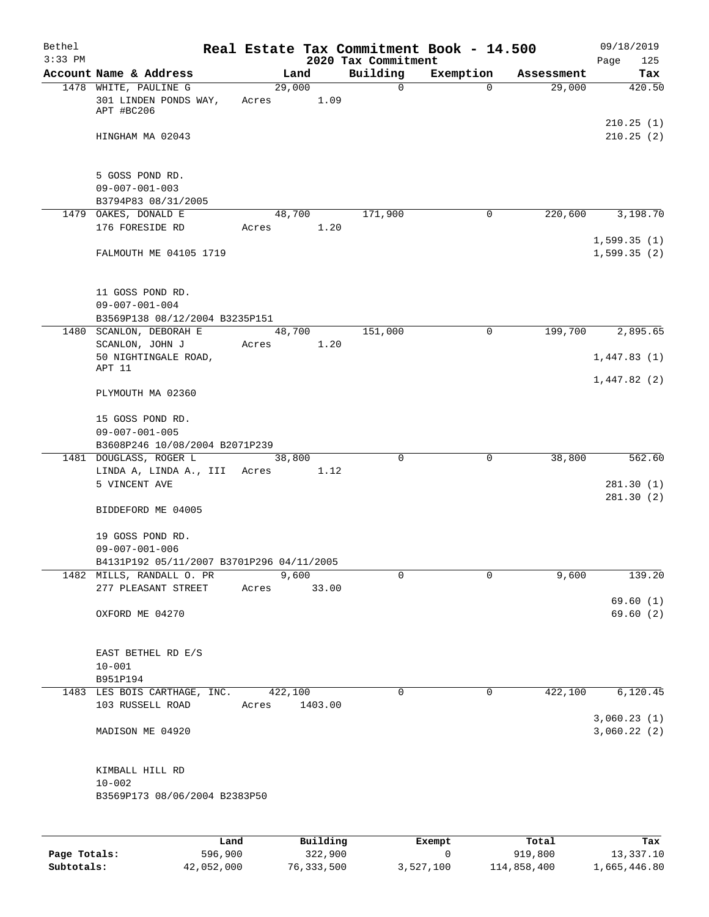| Bethel    |                                                                        |       |                |          |                         | Real Estate Tax Commitment Book - 14.500 |                      | 09/18/2019                 |
|-----------|------------------------------------------------------------------------|-------|----------------|----------|-------------------------|------------------------------------------|----------------------|----------------------------|
| $3:33$ PM |                                                                        |       |                |          | 2020 Tax Commitment     |                                          |                      | Page<br>125                |
|           | Account Name & Address<br>1478 WHITE, PAULINE G                        |       | Land<br>29,000 |          | Building<br>$\mathbf 0$ | Exemption<br>$\Omega$                    | Assessment<br>29,000 | Tax<br>420.50              |
|           | 301 LINDEN PONDS WAY,<br>APT #BC206                                    | Acres |                | 1.09     |                         |                                          |                      |                            |
|           | HINGHAM MA 02043                                                       |       |                |          |                         |                                          |                      | 210.25(1)<br>210.25(2)     |
|           | 5 GOSS POND RD.                                                        |       |                |          |                         |                                          |                      |                            |
|           | $09 - 007 - 001 - 003$<br>B3794P83 08/31/2005                          |       |                |          |                         |                                          |                      |                            |
|           | 1479 OAKES, DONALD E                                                   |       | 48,700         |          | 171,900                 | $\mathbf 0$                              | 220,600              | 3,198.70                   |
|           | 176 FORESIDE RD                                                        | Acres |                | 1.20     |                         |                                          |                      | 1,599.35(1)                |
|           | FALMOUTH ME 04105 1719                                                 |       |                |          |                         |                                          |                      | 1,599.35(2)                |
|           | 11 GOSS POND RD.                                                       |       |                |          |                         |                                          |                      |                            |
|           | $09 - 007 - 001 - 004$<br>B3569P138 08/12/2004 B3235P151               |       |                |          |                         |                                          |                      |                            |
| 1480      | SCANLON, DEBORAH E                                                     |       | 48,700         |          | 151,000                 | 0                                        | 199,700              | 2,895.65                   |
|           | SCANLON, JOHN J                                                        | Acres |                | 1.20     |                         |                                          |                      |                            |
|           | 50 NIGHTINGALE ROAD,<br>APT 11                                         |       |                |          |                         |                                          |                      | 1,447.83(1)                |
|           | PLYMOUTH MA 02360                                                      |       |                |          |                         |                                          |                      | 1,447.82(2)                |
|           | 15 GOSS POND RD.<br>$09 - 007 - 001 - 005$                             |       |                |          |                         |                                          |                      |                            |
|           | B3608P246 10/08/2004 B2071P239<br>1481 DOUGLASS, ROGER L               |       | 38,800         |          | $\mathbf 0$             | $\mathsf{O}$                             | 38,800               | 562.60                     |
|           | LINDA A, LINDA A., III                                                 | Acres |                | 1.12     |                         |                                          |                      |                            |
|           | 5 VINCENT AVE                                                          |       |                |          |                         |                                          |                      | 281.30(1)                  |
|           | BIDDEFORD ME 04005                                                     |       |                |          |                         |                                          |                      | 281.30(2)                  |
|           | 19 GOSS POND RD.                                                       |       |                |          |                         |                                          |                      |                            |
|           | $09 - 007 - 001 - 006$                                                 |       |                |          |                         |                                          |                      |                            |
|           | B4131P192 05/11/2007 B3701P296 04/11/2005<br>1482 MILLS, RANDALL O. PR |       | 9,600          |          | 0                       | $\mathbf 0$                              | 9,600                | 139.20                     |
|           | 277 PLEASANT STREET                                                    | Acres |                | 33.00    |                         |                                          |                      |                            |
|           |                                                                        |       |                |          |                         |                                          |                      | 69.60(1)                   |
|           | OXFORD ME 04270                                                        |       |                |          |                         |                                          |                      | 69.60(2)                   |
|           | EAST BETHEL RD E/S                                                     |       |                |          |                         |                                          |                      |                            |
|           | $10 - 001$                                                             |       |                |          |                         |                                          |                      |                            |
|           | B951P194                                                               |       |                |          |                         |                                          |                      |                            |
|           | 1483 LES BOIS CARTHAGE, INC.<br>103 RUSSELL ROAD                       | Acres | 422,100        | 1403.00  | 0                       | $\mathsf{O}$                             | 422,100              | 6,120.45                   |
|           | MADISON ME 04920                                                       |       |                |          |                         |                                          |                      | 3,060.23(1)<br>3,060.22(2) |
|           | KIMBALL HILL RD                                                        |       |                |          |                         |                                          |                      |                            |
|           | $10 - 002$                                                             |       |                |          |                         |                                          |                      |                            |
|           | B3569P173 08/06/2004 B2383P50                                          |       |                |          |                         |                                          |                      |                            |
|           |                                                                        | Land, |                | Building |                         | Exempt                                   | Total                | Tax                        |

|              | Land       | Building   | Exempt    | Total       | Tax          |
|--------------|------------|------------|-----------|-------------|--------------|
| Page Totals: | 596,900    | 322,900    |           | 919,800     | 13,337.10    |
| Subtotals:   | 42,052,000 | 76,333,500 | 3,527,100 | 114,858,400 | 1,665,446.80 |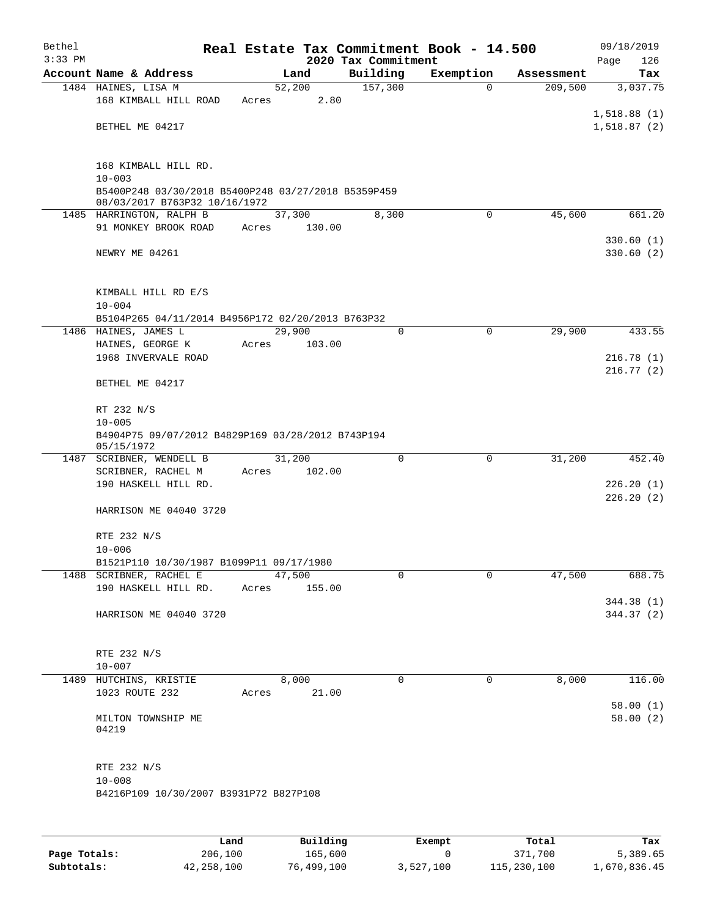| Bethel<br>$3:33$ PM |                                                                                      |       |        | Real Estate Tax Commitment Book - 14.500<br>2020 Tax Commitment |             |            | 09/18/2019             |
|---------------------|--------------------------------------------------------------------------------------|-------|--------|-----------------------------------------------------------------|-------------|------------|------------------------|
|                     | Account Name & Address                                                               |       | Land   | Building                                                        | Exemption   | Assessment | Page<br>126<br>Tax     |
|                     | 1484 HAINES, LISA M                                                                  |       | 52,200 | 157,300                                                         | $\Omega$    | 209,500    | 3,037.75               |
|                     | 168 KIMBALL HILL ROAD                                                                | Acres | 2.80   |                                                                 |             |            |                        |
|                     |                                                                                      |       |        |                                                                 |             |            | 1,518.88(1)            |
|                     | BETHEL ME 04217                                                                      |       |        |                                                                 |             |            | 1,518.87(2)            |
|                     | 168 KIMBALL HILL RD.                                                                 |       |        |                                                                 |             |            |                        |
|                     | $10 - 003$                                                                           |       |        |                                                                 |             |            |                        |
|                     | B5400P248 03/30/2018 B5400P248 03/27/2018 B5359P459<br>08/03/2017 B763P32 10/16/1972 |       |        |                                                                 |             |            |                        |
|                     | 1485 HARRINGTON, RALPH B                                                             |       | 37,300 | 8,300                                                           | $\mathbf 0$ | 45,600     | 661.20                 |
|                     | 91 MONKEY BROOK ROAD                                                                 | Acres | 130.00 |                                                                 |             |            |                        |
|                     | NEWRY ME 04261                                                                       |       |        |                                                                 |             |            | 330.60(1)<br>330.60(2) |
|                     | KIMBALL HILL RD E/S                                                                  |       |        |                                                                 |             |            |                        |
|                     | $10 - 004$                                                                           |       |        |                                                                 |             |            |                        |
|                     | B5104P265 04/11/2014 B4956P172 02/20/2013 B763P32                                    |       |        |                                                                 |             |            |                        |
|                     | 1486 HAINES, JAMES L                                                                 |       | 29,900 | $\mathbf 0$                                                     | $\mathbf 0$ | 29,900     | 433.55                 |
|                     | HAINES, GEORGE K                                                                     | Acres | 103.00 |                                                                 |             |            |                        |
|                     | 1968 INVERVALE ROAD                                                                  |       |        |                                                                 |             |            | 216.78(1)              |
|                     | BETHEL ME 04217                                                                      |       |        |                                                                 |             |            | 216.77(2)              |
|                     | RT 232 N/S                                                                           |       |        |                                                                 |             |            |                        |
|                     | $10 - 005$                                                                           |       |        |                                                                 |             |            |                        |
|                     | B4904P75 09/07/2012 B4829P169 03/28/2012 B743P194<br>05/15/1972                      |       |        |                                                                 |             |            |                        |
|                     | 1487 SCRIBNER, WENDELL B                                                             |       | 31,200 | $\mathbf 0$                                                     | $\mathbf 0$ | 31,200     | 452.40                 |
|                     | SCRIBNER, RACHEL M<br>190 HASKELL HILL RD.                                           | Acres | 102.00 |                                                                 |             |            | 226.20(1)              |
|                     |                                                                                      |       |        |                                                                 |             |            | 226.20(2)              |
|                     | HARRISON ME 04040 3720                                                               |       |        |                                                                 |             |            |                        |
|                     | RTE 232 N/S                                                                          |       |        |                                                                 |             |            |                        |
|                     | $10 - 006$                                                                           |       |        |                                                                 |             |            |                        |
|                     | B1521P110 10/30/1987 B1099P11 09/17/1980<br>1488 SCRIBNER, RACHEL E                  |       | 47,500 | 0                                                               | 0           | 47,500     | 688.75                 |
|                     | 190 HASKELL HILL RD.                                                                 | Acres | 155.00 |                                                                 |             |            |                        |
|                     |                                                                                      |       |        |                                                                 |             |            | 344.38 (1)             |
|                     | HARRISON ME 04040 3720                                                               |       |        |                                                                 |             |            | 344.37 (2)             |
|                     | RTE 232 N/S                                                                          |       |        |                                                                 |             |            |                        |
|                     | $10 - 007$                                                                           |       |        |                                                                 |             |            |                        |
|                     | 1489 HUTCHINS, KRISTIE                                                               |       | 8,000  | $\mathbf 0$                                                     | 0           | 8,000      | 116.00                 |
|                     | 1023 ROUTE 232                                                                       | Acres | 21.00  |                                                                 |             |            | 58.00(1)               |
|                     | MILTON TOWNSHIP ME<br>04219                                                          |       |        |                                                                 |             |            | 58.00(2)               |
|                     | RTE 232 N/S                                                                          |       |        |                                                                 |             |            |                        |
|                     | $10 - 008$                                                                           |       |        |                                                                 |             |            |                        |
|                     | B4216P109 10/30/2007 B3931P72 B827P108                                               |       |        |                                                                 |             |            |                        |
|                     |                                                                                      |       |        |                                                                 |             |            |                        |
|                     |                                                                                      |       |        |                                                                 |             |            |                        |

|              | Land       | Building   | Exempt    | Total       | Tax          |
|--------------|------------|------------|-----------|-------------|--------------|
| Page Totals: | 206,100    | 165,600    |           | 371,700     | 5,389.65     |
| Subtotals:   | 42,258,100 | 76,499,100 | 3,527,100 | 115,230,100 | 1,670,836.45 |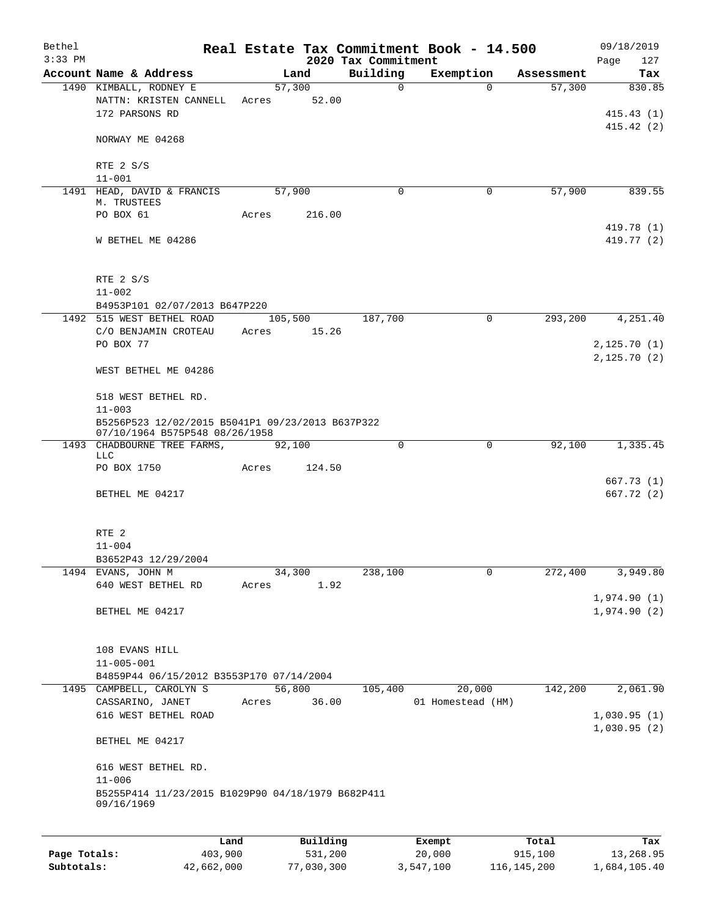| Bethel<br>$3:33$ PM |                                                                                    |       |         |          | 2020 Tax Commitment | Real Estate Tax Commitment Book - 14.500 |            | 09/18/2019<br>127<br>Page  |
|---------------------|------------------------------------------------------------------------------------|-------|---------|----------|---------------------|------------------------------------------|------------|----------------------------|
|                     | Account Name & Address                                                             |       | Land    |          | Building            | Exemption                                | Assessment | Tax                        |
|                     | 1490 KIMBALL, RODNEY E<br>NATTN: KRISTEN CANNELL<br>172 PARSONS RD                 | Acres | 57,300  | 52.00    | $\mathbf 0$         | $\Omega$                                 | 57,300     | 830.85<br>415.43(1)        |
|                     | NORWAY ME 04268                                                                    |       |         |          |                     |                                          |            | 415.42(2)                  |
|                     | RTE 2 S/S<br>$11 - 001$                                                            |       |         |          |                     |                                          |            |                            |
|                     | 1491 HEAD, DAVID & FRANCIS                                                         |       | 57,900  |          | 0                   | 0                                        | 57,900     | 839.55                     |
|                     | M. TRUSTEES<br>PO BOX 61                                                           | Acres |         | 216.00   |                     |                                          |            |                            |
|                     | W BETHEL ME 04286                                                                  |       |         |          |                     |                                          |            | 419.78 (1)<br>419.77 (2)   |
|                     | RTE 2 S/S<br>$11 - 002$                                                            |       |         |          |                     |                                          |            |                            |
|                     | B4953P101 02/07/2013 B647P220                                                      |       |         |          |                     |                                          |            |                            |
|                     | 1492 515 WEST BETHEL ROAD<br>C/O BENJAMIN CROTEAU<br>PO BOX 77                     | Acres | 105,500 | 15.26    | 187,700             | 0                                        | 293,200    | 4,251.40<br>2,125.70(1)    |
|                     | WEST BETHEL ME 04286                                                               |       |         |          |                     |                                          |            | 2,125.70(2)                |
|                     | 518 WEST BETHEL RD.<br>$11 - 003$                                                  |       |         |          |                     |                                          |            |                            |
|                     | B5256P523 12/02/2015 B5041P1 09/23/2013 B637P322<br>07/10/1964 B575P548 08/26/1958 |       |         |          |                     |                                          |            |                            |
|                     | 1493 CHADBOURNE TREE FARMS,<br>LLC                                                 |       | 92,100  |          | 0                   | 0                                        | 92,100     | 1,335.45                   |
|                     | PO BOX 1750                                                                        | Acres |         | 124.50   |                     |                                          |            |                            |
|                     | BETHEL ME 04217                                                                    |       |         |          |                     |                                          |            | 667.73(1)<br>667.72 (2)    |
|                     | RTE 2                                                                              |       |         |          |                     |                                          |            |                            |
|                     | $11 - 004$<br>B3652P43 12/29/2004                                                  |       |         |          |                     |                                          |            |                            |
|                     | 1494 EVANS, JOHN M                                                                 |       | 34,300  |          | 238,100             | 0                                        | 272,400    | 3,949.80                   |
|                     | 640 WEST BETHEL RD                                                                 | Acres |         | 1.92     |                     |                                          |            |                            |
|                     | BETHEL ME 04217                                                                    |       |         |          |                     |                                          |            | 1,974.90(1)<br>1,974.90(2) |
|                     |                                                                                    |       |         |          |                     |                                          |            |                            |
|                     | 108 EVANS HILL<br>$11 - 005 - 001$                                                 |       |         |          |                     |                                          |            |                            |
|                     | B4859P44 06/15/2012 B3553P170 07/14/2004                                           |       |         |          |                     |                                          |            |                            |
|                     | 1495 CAMPBELL, CAROLYN S<br>CASSARINO, JANET                                       | Acres | 56,800  | 36.00    | 105,400             | 20,000<br>01 Homestead (HM)              | 142,200    | 2,061.90                   |
|                     | 616 WEST BETHEL ROAD                                                               |       |         |          |                     |                                          |            | 1,030.95(1)                |
|                     | BETHEL ME 04217                                                                    |       |         |          |                     |                                          |            | 1,030.95(2)                |
|                     | 616 WEST BETHEL RD.<br>$11 - 006$                                                  |       |         |          |                     |                                          |            |                            |
|                     | B5255P414 11/23/2015 B1029P90 04/18/1979 B682P411<br>09/16/1969                    |       |         |          |                     |                                          |            |                            |
|                     |                                                                                    | Land  |         | Building |                     | Exempt                                   | Total      | Tax                        |
|                     |                                                                                    |       |         |          |                     |                                          |            |                            |

|              | Land       | Building   | Exempt    | тосат       | тах          |
|--------------|------------|------------|-----------|-------------|--------------|
| Page Totals: | 403,900    | 531,200    | 20,000    | 915,100     | 13,268.95    |
| Subtotals:   | 42,662,000 | 77,030,300 | 3,547,100 | 116,145,200 | 1,684,105.40 |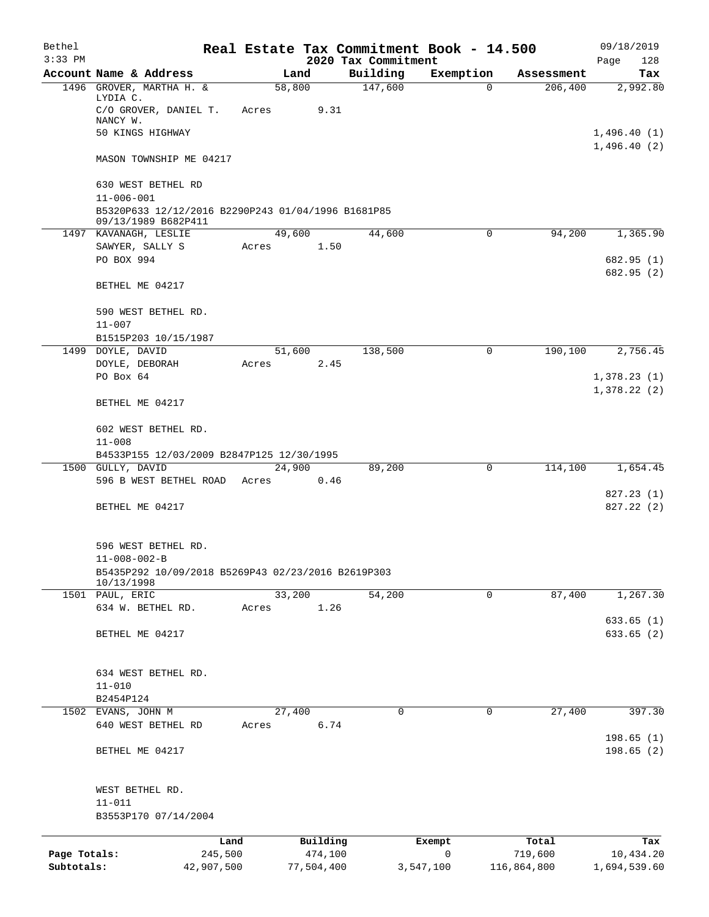| Bethel                     |                                                                           |            |        |            | Real Estate Tax Commitment Book - 14.500 |             |             | 09/18/2019                 |
|----------------------------|---------------------------------------------------------------------------|------------|--------|------------|------------------------------------------|-------------|-------------|----------------------------|
| $3:33$ PM                  | Account Name & Address                                                    |            | Land   |            | 2020 Tax Commitment<br>Building          | Exemption   | Assessment  | Page<br>128<br>Tax         |
|                            | 1496 GROVER, MARTHA H. &                                                  |            | 58,800 |            | 147,600                                  | 0           | 206,400     | 2,992.80                   |
|                            | LYDIA C.<br>C/O GROVER, DANIEL T.                                         | Acres      |        | 9.31       |                                          |             |             |                            |
|                            | NANCY W.                                                                  |            |        |            |                                          |             |             |                            |
|                            | 50 KINGS HIGHWAY                                                          |            |        |            |                                          |             |             | 1,496.40(1)                |
|                            | MASON TOWNSHIP ME 04217                                                   |            |        |            |                                          |             |             | 1,496.40(2)                |
|                            | 630 WEST BETHEL RD<br>$11 - 006 - 001$                                    |            |        |            |                                          |             |             |                            |
|                            | B5320P633 12/12/2016 B2290P243 01/04/1996 B1681P85<br>09/13/1989 B682P411 |            |        |            |                                          |             |             |                            |
|                            | 1497 KAVANAGH, LESLIE                                                     |            | 49,600 |            | 44,600                                   | 0           | 94,200      | 1,365.90                   |
|                            | SAWYER, SALLY S                                                           | Acres      |        | 1.50       |                                          |             |             |                            |
|                            | PO BOX 994                                                                |            |        |            |                                          |             |             | 682.95 (1)<br>682.95 (2)   |
|                            | BETHEL ME 04217                                                           |            |        |            |                                          |             |             |                            |
|                            | 590 WEST BETHEL RD.<br>$11 - 007$                                         |            |        |            |                                          |             |             |                            |
|                            | B1515P203 10/15/1987                                                      |            |        |            |                                          |             |             |                            |
|                            | 1499 DOYLE, DAVID                                                         |            | 51,600 |            | 138,500                                  | 0           | 190,100     | 2,756.45                   |
|                            | DOYLE, DEBORAH                                                            | Acres      |        | 2.45       |                                          |             |             |                            |
|                            | PO Box 64                                                                 |            |        |            |                                          |             |             | 1,378.23(1)<br>1,378.22(2) |
|                            | BETHEL ME 04217                                                           |            |        |            |                                          |             |             |                            |
|                            | 602 WEST BETHEL RD.                                                       |            |        |            |                                          |             |             |                            |
|                            | $11 - 008$                                                                |            |        |            |                                          |             |             |                            |
|                            | B4533P155 12/03/2009 B2847P125 12/30/1995                                 |            |        |            |                                          |             |             |                            |
|                            | 1500 GULLY, DAVID<br>596 B WEST BETHEL ROAD                               | Acres      | 24,900 | 0.46       | 89,200                                   | 0           | 114,100     | 1,654.45                   |
|                            |                                                                           |            |        |            |                                          |             |             | 827.23 (1)                 |
|                            | BETHEL ME 04217                                                           |            |        |            |                                          |             |             | 827.22(2)                  |
|                            | 596 WEST BETHEL RD.                                                       |            |        |            |                                          |             |             |                            |
|                            | $11 - 008 - 002 - B$                                                      |            |        |            |                                          |             |             |                            |
|                            | B5435P292 10/09/2018 B5269P43 02/23/2016 B2619P303<br>10/13/1998          |            |        |            |                                          |             |             |                            |
|                            | 1501 PAUL, ERIC                                                           |            | 33,200 |            | 54,200                                   | $\mathbf 0$ | 87,400      | 1,267.30                   |
|                            | 634 W. BETHEL RD.                                                         | Acres      |        | 1.26       |                                          |             |             | 633.65(1)                  |
|                            | BETHEL ME 04217                                                           |            |        |            |                                          |             |             | 633.65(2)                  |
|                            |                                                                           |            |        |            |                                          |             |             |                            |
|                            | 634 WEST BETHEL RD.                                                       |            |        |            |                                          |             |             |                            |
|                            | $11 - 010$                                                                |            |        |            |                                          |             |             |                            |
|                            | B2454P124                                                                 |            |        |            |                                          |             |             |                            |
|                            | 1502 EVANS, JOHN M                                                        |            | 27,400 |            | 0                                        | 0           | 27,400      | 397.30                     |
|                            | 640 WEST BETHEL RD                                                        | Acres      |        | 6.74       |                                          |             |             | 198.65(1)                  |
|                            | BETHEL ME 04217                                                           |            |        |            |                                          |             |             | 198.65 (2)                 |
|                            | WEST BETHEL RD.                                                           |            |        |            |                                          |             |             |                            |
|                            | $11 - 011$                                                                |            |        |            |                                          |             |             |                            |
|                            | B3553P170 07/14/2004                                                      |            |        |            |                                          |             |             |                            |
|                            |                                                                           | Land       |        | Building   |                                          | Exempt      | Total       | Tax                        |
| Page Totals:<br>Subtotals: |                                                                           | 245,500    |        | 474,100    |                                          | $\mathbf 0$ | 719,600     | 10,434.20                  |
|                            |                                                                           | 42,907,500 |        | 77,504,400 |                                          | 3,547,100   | 116,864,800 | 1,694,539.60               |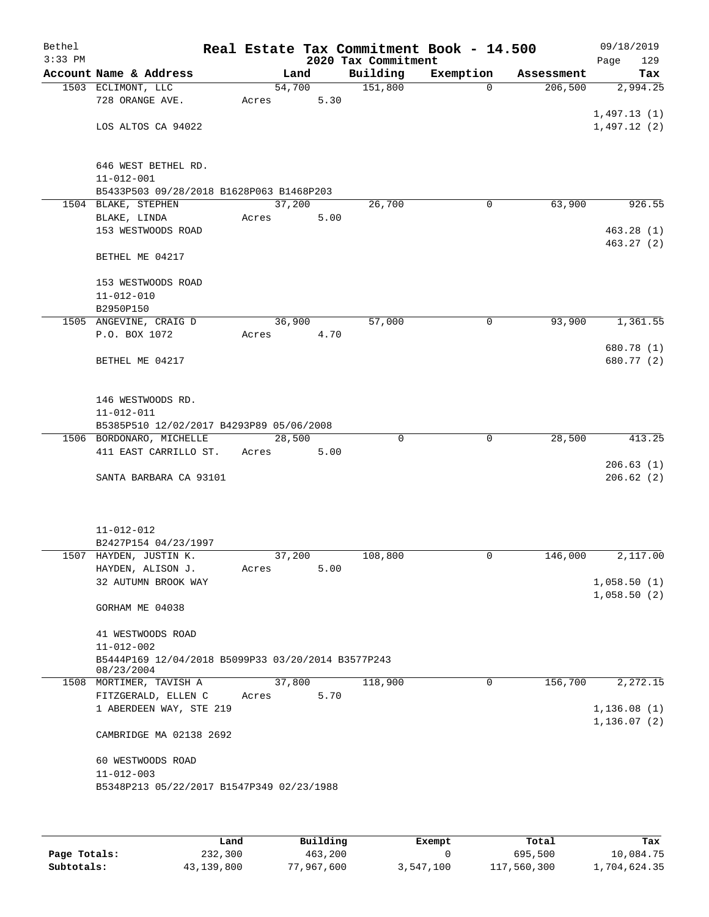| Bethel<br>$3:33$ PM |                                                    |       |        |      | Real Estate Tax Commitment Book - 14.500<br>2020 Tax Commitment |              |            | 09/18/2019<br>Page<br>129 |
|---------------------|----------------------------------------------------|-------|--------|------|-----------------------------------------------------------------|--------------|------------|---------------------------|
|                     | Account Name & Address                             |       | Land   |      | Building                                                        | Exemption    | Assessment | Tax                       |
|                     | 1503 ECLIMONT, LLC                                 |       | 54,700 |      | 151,800                                                         | $\Omega$     | 206,500    | 2,994.25                  |
|                     | 728 ORANGE AVE.                                    | Acres |        | 5.30 |                                                                 |              |            |                           |
|                     |                                                    |       |        |      |                                                                 |              |            | 1,497.13(1)               |
|                     | LOS ALTOS CA 94022                                 |       |        |      |                                                                 |              |            | 1,497.12(2)               |
|                     |                                                    |       |        |      |                                                                 |              |            |                           |
|                     | 646 WEST BETHEL RD.                                |       |        |      |                                                                 |              |            |                           |
|                     | $11 - 012 - 001$                                   |       |        |      |                                                                 |              |            |                           |
|                     | B5433P503 09/28/2018 B1628P063 B1468P203           |       |        |      |                                                                 |              |            |                           |
|                     | 1504 BLAKE, STEPHEN                                |       | 37,200 |      | 26,700                                                          | 0            | 63,900     | 926.55                    |
|                     | BLAKE, LINDA                                       | Acres |        | 5.00 |                                                                 |              |            |                           |
|                     | 153 WESTWOODS ROAD                                 |       |        |      |                                                                 |              |            | 463.28(1)                 |
|                     |                                                    |       |        |      |                                                                 |              |            | 463.27(2)                 |
|                     | BETHEL ME 04217                                    |       |        |      |                                                                 |              |            |                           |
|                     |                                                    |       |        |      |                                                                 |              |            |                           |
|                     | 153 WESTWOODS ROAD                                 |       |        |      |                                                                 |              |            |                           |
|                     | $11 - 012 - 010$<br>B2950P150                      |       |        |      |                                                                 |              |            |                           |
|                     | 1505 ANGEVINE, CRAIG D                             |       | 36,900 |      | 57,000                                                          | $\mathbf 0$  | 93,900     | 1,361.55                  |
|                     | P.O. BOX 1072                                      | Acres |        | 4.70 |                                                                 |              |            |                           |
|                     |                                                    |       |        |      |                                                                 |              |            | 680.78 (1)                |
|                     | BETHEL ME 04217                                    |       |        |      |                                                                 |              |            | 680.77 (2)                |
|                     |                                                    |       |        |      |                                                                 |              |            |                           |
|                     |                                                    |       |        |      |                                                                 |              |            |                           |
|                     | 146 WESTWOODS RD.                                  |       |        |      |                                                                 |              |            |                           |
|                     | $11 - 012 - 011$                                   |       |        |      |                                                                 |              |            |                           |
|                     | B5385P510 12/02/2017 B4293P89 05/06/2008           |       |        |      |                                                                 |              |            |                           |
|                     | 1506 BORDONARO, MICHELLE<br>411 EAST CARRILLO ST.  | Acres | 28,500 | 5.00 | 0                                                               | $\mathbf{0}$ | 28,500     | 413.25                    |
|                     |                                                    |       |        |      |                                                                 |              |            | 206.63(1)                 |
|                     | SANTA BARBARA CA 93101                             |       |        |      |                                                                 |              |            | 206.62(2)                 |
|                     |                                                    |       |        |      |                                                                 |              |            |                           |
|                     |                                                    |       |        |      |                                                                 |              |            |                           |
|                     |                                                    |       |        |      |                                                                 |              |            |                           |
|                     | $11 - 012 - 012$                                   |       |        |      |                                                                 |              |            |                           |
|                     | B2427P154 04/23/1997                               |       |        |      |                                                                 |              |            |                           |
|                     | 1507 HAYDEN, JUSTIN K.                             |       | 37,200 |      | 108,800                                                         | 0            | 146,000    | 2,117.00                  |
|                     | HAYDEN, ALISON J.<br>32 AUTUMN BROOK WAY           | Acres |        | 5.00 |                                                                 |              |            | 1,058.50(1)               |
|                     |                                                    |       |        |      |                                                                 |              |            | 1,058.50(2)               |
|                     | GORHAM ME 04038                                    |       |        |      |                                                                 |              |            |                           |
|                     |                                                    |       |        |      |                                                                 |              |            |                           |
|                     | 41 WESTWOODS ROAD                                  |       |        |      |                                                                 |              |            |                           |
|                     | $11 - 012 - 002$                                   |       |        |      |                                                                 |              |            |                           |
|                     | B5444P169 12/04/2018 B5099P33 03/20/2014 B3577P243 |       |        |      |                                                                 |              |            |                           |
|                     | 08/23/2004<br>1508 MORTIMER, TAVISH A              |       | 37,800 |      | 118,900                                                         | 0            | 156,700    | 2,272.15                  |
|                     | FITZGERALD, ELLEN C                                | Acres |        | 5.70 |                                                                 |              |            |                           |
|                     | 1 ABERDEEN WAY, STE 219                            |       |        |      |                                                                 |              |            | 1, 136.08(1)              |
|                     |                                                    |       |        |      |                                                                 |              |            | 1, 136.07(2)              |
|                     | CAMBRIDGE MA 02138 2692                            |       |        |      |                                                                 |              |            |                           |
|                     |                                                    |       |        |      |                                                                 |              |            |                           |
|                     | 60 WESTWOODS ROAD                                  |       |        |      |                                                                 |              |            |                           |
|                     | $11 - 012 - 003$                                   |       |        |      |                                                                 |              |            |                           |
|                     | B5348P213 05/22/2017 B1547P349 02/23/1988          |       |        |      |                                                                 |              |            |                           |
|                     |                                                    |       |        |      |                                                                 |              |            |                           |
|                     |                                                    |       |        |      |                                                                 |              |            |                           |

|              | Land       | Building   | Exempt    | Total       | Tax          |
|--------------|------------|------------|-----------|-------------|--------------|
| Page Totals: | 232,300    | 463,200    |           | 695,500     | 10,084.75    |
| Subtotals:   | 43,139,800 | 77,967,600 | 3,547,100 | 117,560,300 | 1,704,624.35 |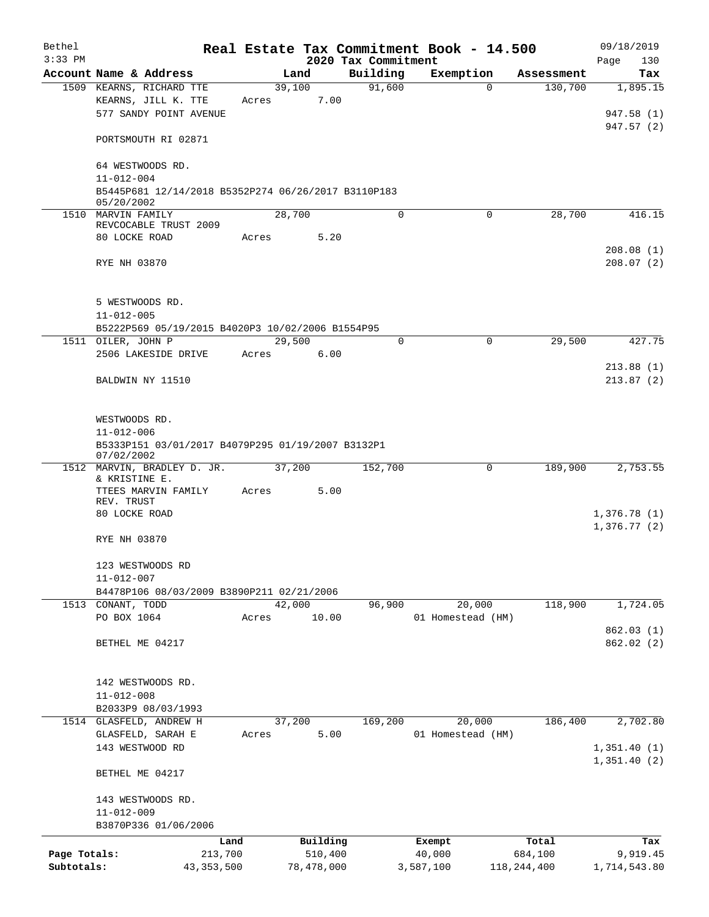| Bethel       |                                                                 |       |        |            |                     | Real Estate Tax Commitment Book - 14.500 |                     | 09/18/2019                 |
|--------------|-----------------------------------------------------------------|-------|--------|------------|---------------------|------------------------------------------|---------------------|----------------------------|
| $3:33$ PM    |                                                                 |       |        |            | 2020 Tax Commitment |                                          |                     | Page<br>130                |
|              | Account Name & Address                                          |       | Land   |            | Building            | Exemption                                | Assessment          | Tax                        |
|              | 1509 KEARNS, RICHARD TTE                                        |       | 39,100 |            | 91,600              |                                          | 130,700<br>$\Omega$ | 1,895.15                   |
|              | KEARNS, JILL K. TTE<br>577 SANDY POINT AVENUE                   | Acres |        | 7.00       |                     |                                          |                     | 947.58 (1)                 |
|              |                                                                 |       |        |            |                     |                                          |                     | 947.57 (2)                 |
|              | PORTSMOUTH RI 02871                                             |       |        |            |                     |                                          |                     |                            |
|              | 64 WESTWOODS RD.                                                |       |        |            |                     |                                          |                     |                            |
|              | $11 - 012 - 004$                                                |       |        |            |                     |                                          |                     |                            |
|              | B5445P681 12/14/2018 B5352P274 06/26/2017 B3110P183             |       |        |            |                     |                                          |                     |                            |
|              | 05/20/2002                                                      |       |        |            |                     |                                          |                     |                            |
|              | 1510 MARVIN FAMILY<br>REVCOCABLE TRUST 2009                     |       | 28,700 |            | $\Omega$            | $\Omega$                                 | 28,700              | 416.15                     |
|              | 80 LOCKE ROAD                                                   | Acres |        | 5.20       |                     |                                          |                     |                            |
|              |                                                                 |       |        |            |                     |                                          |                     | 208.08(1)                  |
|              | RYE NH 03870                                                    |       |        |            |                     |                                          |                     | 208.07(2)                  |
|              |                                                                 |       |        |            |                     |                                          |                     |                            |
|              | 5 WESTWOODS RD.<br>$11 - 012 - 005$                             |       |        |            |                     |                                          |                     |                            |
|              | B5222P569 05/19/2015 B4020P3 10/02/2006 B1554P95                |       |        |            |                     |                                          |                     |                            |
|              | 1511 OILER, JOHN P                                              |       | 29,500 |            | $\Omega$            | 0                                        | 29,500              | 427.75                     |
|              | 2506 LAKESIDE DRIVE                                             | Acres |        | 6.00       |                     |                                          |                     |                            |
|              |                                                                 |       |        |            |                     |                                          |                     | 213.88(1)                  |
|              | BALDWIN NY 11510                                                |       |        |            |                     |                                          |                     | 213.87(2)                  |
|              | WESTWOODS RD.                                                   |       |        |            |                     |                                          |                     |                            |
|              | $11 - 012 - 006$                                                |       |        |            |                     |                                          |                     |                            |
|              | B5333P151 03/01/2017 B4079P295 01/19/2007 B3132P1<br>07/02/2002 |       |        |            |                     |                                          |                     |                            |
| 1512         | MARVIN, BRADLEY D. JR.                                          |       | 37,200 |            | 152,700             | 0                                        | 189,900             | 2,753.55                   |
|              | & KRISTINE E.<br>TTEES MARVIN FAMILY                            | Acres |        | 5.00       |                     |                                          |                     |                            |
|              | REV. TRUST                                                      |       |        |            |                     |                                          |                     |                            |
|              | 80 LOCKE ROAD                                                   |       |        |            |                     |                                          |                     | 1,376.78(1)<br>1,376.77(2) |
|              | RYE NH 03870                                                    |       |        |            |                     |                                          |                     |                            |
|              |                                                                 |       |        |            |                     |                                          |                     |                            |
|              | 123 WESTWOODS RD                                                |       |        |            |                     |                                          |                     |                            |
|              | $11 - 012 - 007$                                                |       |        |            |                     |                                          |                     |                            |
|              | B4478P106 08/03/2009 B3890P211 02/21/2006<br>1513 CONANT, TODD  |       | 42,000 |            | 96,900              | 20,000                                   | 118,900             | 1,724.05                   |
|              | PO BOX 1064                                                     | Acres |        | 10.00      |                     | 01 Homestead (HM)                        |                     |                            |
|              |                                                                 |       |        |            |                     |                                          |                     | 862.03(1)                  |
|              | BETHEL ME 04217                                                 |       |        |            |                     |                                          |                     | 862.02 (2)                 |
|              |                                                                 |       |        |            |                     |                                          |                     |                            |
|              | 142 WESTWOODS RD.                                               |       |        |            |                     |                                          |                     |                            |
|              | $11 - 012 - 008$                                                |       |        |            |                     |                                          |                     |                            |
|              | B2033P9 08/03/1993                                              |       |        |            |                     |                                          |                     |                            |
|              | 1514 GLASFELD, ANDREW H                                         |       | 37,200 |            | 169,200             | 20,000                                   | 186,400             | 2,702.80                   |
|              | GLASFELD, SARAH E                                               | Acres |        | 5.00       |                     | 01 Homestead (HM)                        |                     |                            |
|              | 143 WESTWOOD RD                                                 |       |        |            |                     |                                          |                     | 1,351.40(1)                |
|              | BETHEL ME 04217                                                 |       |        |            |                     |                                          |                     | 1,351.40(2)                |
|              | 143 WESTWOODS RD.                                               |       |        |            |                     |                                          |                     |                            |
|              | $11 - 012 - 009$                                                |       |        |            |                     |                                          |                     |                            |
|              | B3870P336 01/06/2006                                            |       |        |            |                     |                                          |                     |                            |
|              | Land                                                            |       |        | Building   |                     | Exempt                                   | Total               | Tax                        |
| Page Totals: | 213,700                                                         |       |        | 510,400    |                     | 40,000                                   | 684,100             | 9,919.45                   |
| Subtotals:   | 43, 353, 500                                                    |       |        | 78,478,000 |                     | 3,587,100                                | 118, 244, 400       | 1,714,543.80               |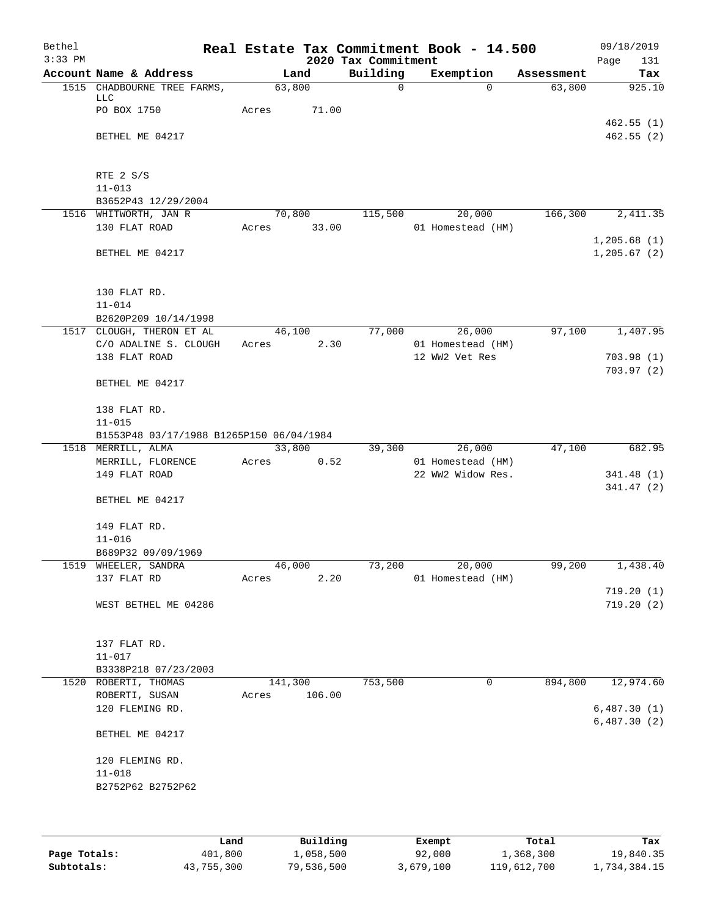| Bethel<br>$3:33$ PM |                                          |         |        | 2020 Tax Commitment | Real Estate Tax Commitment Book - 14.500 |            | 09/18/2019<br>Page<br>131   |
|---------------------|------------------------------------------|---------|--------|---------------------|------------------------------------------|------------|-----------------------------|
|                     | Account Name & Address                   |         | Land   | Building            | Exemption                                | Assessment | Tax                         |
|                     | 1515 CHADBOURNE TREE FARMS,              | 63,800  |        | $\mathsf{O}$        | $\Omega$                                 | 63,800     | 925.10                      |
|                     | LLC<br>PO BOX 1750                       | Acres   | 71.00  |                     |                                          |            |                             |
|                     |                                          |         |        |                     |                                          |            | 462.55(1)                   |
|                     | BETHEL ME 04217                          |         |        |                     |                                          |            | 462.55(2)                   |
|                     | RTE 2 S/S                                |         |        |                     |                                          |            |                             |
|                     | $11 - 013$                               |         |        |                     |                                          |            |                             |
|                     | B3652P43 12/29/2004                      |         |        |                     |                                          |            |                             |
|                     | 1516 WHITWORTH, JAN R                    |         | 70,800 | 115,500             | 20,000                                   | 166,300    | $\overline{2,411.35}$       |
|                     | 130 FLAT ROAD                            | Acres   | 33.00  |                     | 01 Homestead (HM)                        |            |                             |
|                     | BETHEL ME 04217                          |         |        |                     |                                          |            | 1,205.68(1)<br>1, 205.67(2) |
|                     |                                          |         |        |                     |                                          |            |                             |
|                     | 130 FLAT RD.                             |         |        |                     |                                          |            |                             |
|                     | $11 - 014$                               |         |        |                     |                                          |            |                             |
|                     | B2620P209 10/14/1998                     |         |        |                     |                                          |            |                             |
|                     | 1517 CLOUGH, THERON ET AL                | 46,100  |        | 77,000              | 26,000                                   | 97,100     | 1,407.95                    |
|                     | C/O ADALINE S. CLOUGH                    | Acres   | 2.30   |                     | 01 Homestead (HM)                        |            |                             |
|                     | 138 FLAT ROAD                            |         |        |                     | 12 WW2 Vet Res                           |            | 703.98(1)<br>703.97(2)      |
|                     | BETHEL ME 04217                          |         |        |                     |                                          |            |                             |
|                     | 138 FLAT RD.                             |         |        |                     |                                          |            |                             |
|                     | $11 - 015$                               |         |        |                     |                                          |            |                             |
|                     | B1553P48 03/17/1988 B1265P150 06/04/1984 |         |        |                     |                                          |            |                             |
|                     | 1518 MERRILL, ALMA                       | 33,800  |        | 39,300              | 26,000                                   | 47,100     | 682.95                      |
|                     | MERRILL, FLORENCE                        | Acres   | 0.52   |                     | 01 Homestead (HM)                        |            |                             |
|                     | 149 FLAT ROAD                            |         |        |                     | 22 WW2 Widow Res.                        |            | 341.48(1)<br>341.47(2)      |
|                     | BETHEL ME 04217                          |         |        |                     |                                          |            |                             |
|                     | 149 FLAT RD.                             |         |        |                     |                                          |            |                             |
|                     | $11 - 016$                               |         |        |                     |                                          |            |                             |
|                     | B689P32 09/09/1969                       |         |        |                     |                                          |            |                             |
|                     | 1519 WHEELER, SANDRA                     | 46,000  |        | 73,200              | 20,000                                   | 99,200     | 1,438.40                    |
|                     | 137 FLAT RD                              | Acres   | 2.20   |                     | 01 Homestead (HM)                        |            |                             |
|                     |                                          |         |        |                     |                                          |            | 719.20(1)                   |
|                     | WEST BETHEL ME 04286                     |         |        |                     |                                          |            | 719.20(2)                   |
|                     | 137 FLAT RD.                             |         |        |                     |                                          |            |                             |
|                     | $11 - 017$                               |         |        |                     |                                          |            |                             |
|                     | B3338P218 07/23/2003                     |         |        |                     |                                          |            |                             |
|                     | 1520 ROBERTI, THOMAS                     | 141,300 |        | 753,500             | 0                                        | 894,800    | 12,974.60                   |
|                     | ROBERTI, SUSAN                           | Acres   | 106.00 |                     |                                          |            |                             |
|                     | 120 FLEMING RD.                          |         |        |                     |                                          |            | 6,487.30(1)                 |
|                     | BETHEL ME 04217                          |         |        |                     |                                          |            | 6,487.30(2)                 |
|                     | 120 FLEMING RD.                          |         |        |                     |                                          |            |                             |
|                     | $11 - 018$                               |         |        |                     |                                          |            |                             |
|                     | B2752P62 B2752P62                        |         |        |                     |                                          |            |                             |
|                     |                                          |         |        |                     |                                          |            |                             |
|                     |                                          |         |        |                     |                                          |            |                             |
|                     |                                          |         |        |                     |                                          |            |                             |

|              | Land       | Building   | Exempt    | Total       | Tax          |
|--------------|------------|------------|-----------|-------------|--------------|
| Page Totals: | 401,800    | 1,058,500  | 92,000    | 1,368,300   | 19,840.35    |
| Subtotals:   | 43,755,300 | 79,536,500 | 3,679,100 | 119,612,700 | 1,734,384.15 |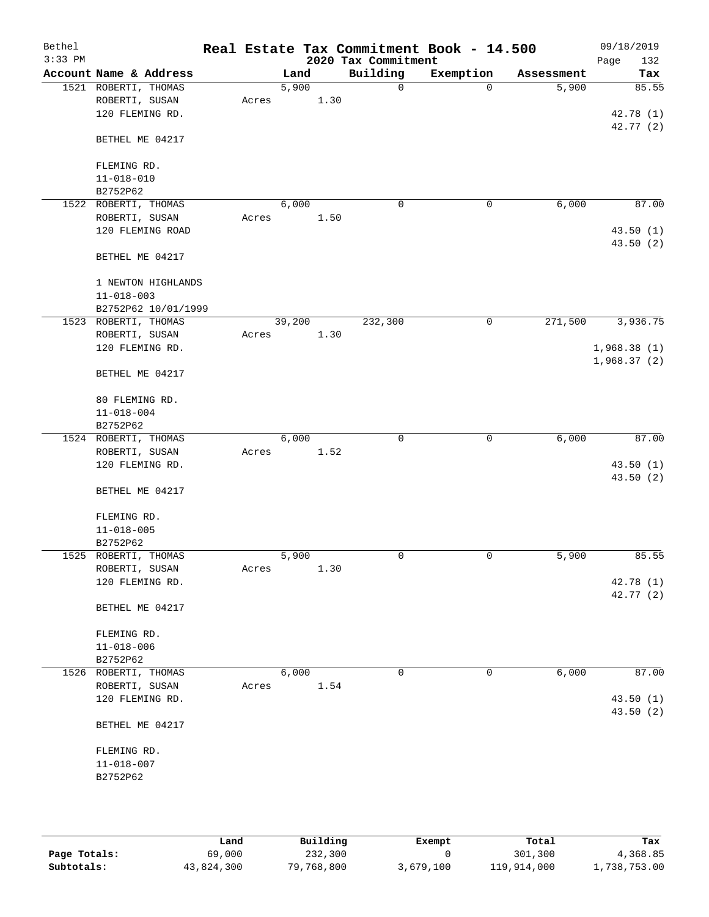| Bethel    |                              |       |        |      |                     | Real Estate Tax Commitment Book - 14.500 |            | 09/18/2019  |
|-----------|------------------------------|-------|--------|------|---------------------|------------------------------------------|------------|-------------|
| $3:33$ PM |                              |       |        |      | 2020 Tax Commitment |                                          |            | Page<br>132 |
|           | Account Name & Address       |       | Land   |      | Building            | Exemption                                | Assessment | Tax         |
|           | 1521 ROBERTI, THOMAS         |       | 5,900  |      | 0                   | $\mathbf 0$                              | 5,900      | 85.55       |
|           | ROBERTI, SUSAN               | Acres |        | 1.30 |                     |                                          |            |             |
|           | 120 FLEMING RD.              |       |        |      |                     |                                          |            | 42.78 (1)   |
|           |                              |       |        |      |                     |                                          |            | 42.77(2)    |
|           | BETHEL ME 04217              |       |        |      |                     |                                          |            |             |
|           |                              |       |        |      |                     |                                          |            |             |
|           | FLEMING RD.                  |       |        |      |                     |                                          |            |             |
|           | $11 - 018 - 010$             |       |        |      |                     |                                          |            |             |
|           | B2752P62                     |       |        |      |                     |                                          |            |             |
|           | 1522 ROBERTI, THOMAS         |       | 6,000  |      | $\mathbf 0$         | 0                                        | 6,000      | 87.00       |
|           | ROBERTI, SUSAN               | Acres |        | 1.50 |                     |                                          |            |             |
|           | 120 FLEMING ROAD             |       |        |      |                     |                                          |            | 43.50(1)    |
|           |                              |       |        |      |                     |                                          |            | 43.50 (2)   |
|           | BETHEL ME 04217              |       |        |      |                     |                                          |            |             |
|           |                              |       |        |      |                     |                                          |            |             |
|           | 1 NEWTON HIGHLANDS           |       |        |      |                     |                                          |            |             |
|           | $11 - 018 - 003$             |       |        |      |                     |                                          |            |             |
|           | B2752P62 10/01/1999          |       |        |      |                     |                                          |            |             |
|           | 1523 ROBERTI, THOMAS         |       | 39,200 |      | 232,300             | 0                                        | 271,500    | 3,936.75    |
|           | ROBERTI, SUSAN               | Acres |        | 1.30 |                     |                                          |            |             |
|           | 120 FLEMING RD.              |       |        |      |                     |                                          |            | 1,968.38(1) |
|           |                              |       |        |      |                     |                                          |            | 1,968.37(2) |
|           | BETHEL ME 04217              |       |        |      |                     |                                          |            |             |
|           |                              |       |        |      |                     |                                          |            |             |
|           | 80 FLEMING RD.               |       |        |      |                     |                                          |            |             |
|           | $11 - 018 - 004$             |       |        |      |                     |                                          |            |             |
|           | B2752P62                     |       |        |      |                     |                                          |            |             |
|           | 1524 ROBERTI, THOMAS         |       | 6,000  |      | $\mathbf 0$         | $\mathbf 0$                              | 6,000      | 87.00       |
|           |                              |       |        |      |                     |                                          |            |             |
|           | ROBERTI, SUSAN               | Acres |        | 1.52 |                     |                                          |            |             |
|           | 120 FLEMING RD.              |       |        |      |                     |                                          |            | 43.50(1)    |
|           |                              |       |        |      |                     |                                          |            | 43.50(2)    |
|           | BETHEL ME 04217              |       |        |      |                     |                                          |            |             |
|           | FLEMING RD.                  |       |        |      |                     |                                          |            |             |
|           |                              |       |        |      |                     |                                          |            |             |
|           | $11 - 018 - 005$<br>B2752P62 |       |        |      |                     |                                          |            |             |
|           |                              |       | 5,900  |      | 0                   | 0                                        |            | 85.55       |
|           | 1525 ROBERTI, THOMAS         |       |        |      |                     |                                          | 5,900      |             |
|           | ROBERTI, SUSAN               | Acres |        | 1.30 |                     |                                          |            |             |
|           | 120 FLEMING RD.              |       |        |      |                     |                                          |            | 42.78 (1)   |
|           |                              |       |        |      |                     |                                          |            | 42.77 (2)   |
|           | BETHEL ME 04217              |       |        |      |                     |                                          |            |             |
|           |                              |       |        |      |                     |                                          |            |             |
|           | FLEMING RD.                  |       |        |      |                     |                                          |            |             |
|           | $11 - 018 - 006$             |       |        |      |                     |                                          |            |             |
|           | B2752P62                     |       |        |      |                     |                                          |            |             |
|           | 1526 ROBERTI, THOMAS         |       | 6,000  |      | 0                   | 0                                        | 6,000      | 87.00       |
|           | ROBERTI, SUSAN               | Acres |        | 1.54 |                     |                                          |            |             |
|           | 120 FLEMING RD.              |       |        |      |                     |                                          |            | 43.50(1)    |
|           |                              |       |        |      |                     |                                          |            | 43.50 (2)   |
|           | BETHEL ME 04217              |       |        |      |                     |                                          |            |             |
|           |                              |       |        |      |                     |                                          |            |             |
|           | FLEMING RD.                  |       |        |      |                     |                                          |            |             |
|           | $11 - 018 - 007$             |       |        |      |                     |                                          |            |             |
|           | B2752P62                     |       |        |      |                     |                                          |            |             |
|           |                              |       |        |      |                     |                                          |            |             |
|           |                              |       |        |      |                     |                                          |            |             |
|           |                              |       |        |      |                     |                                          |            |             |

|              | Land       | Building   | Exempt    | Total       | Tax          |
|--------------|------------|------------|-----------|-------------|--------------|
| Page Totals: | 69,000     | 232,300    |           | 301,300     | 4,368.85     |
| Subtotals:   | 43,824,300 | 79,768,800 | 3,679,100 | 119,914,000 | 1,738,753.00 |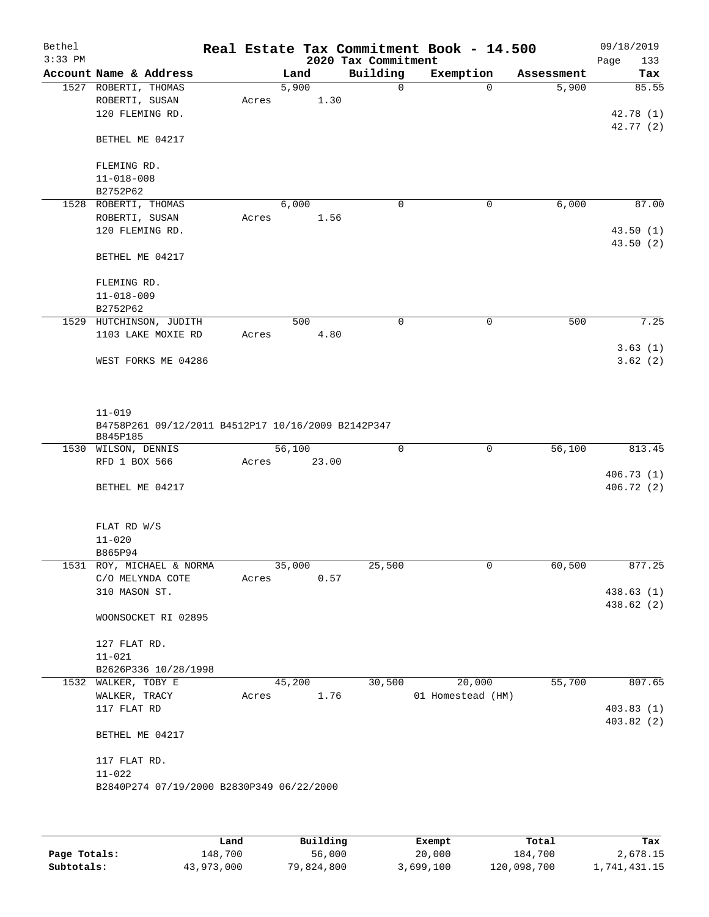| Bethel<br>$3:33$ PM |                                                                  |       |        | 2020 Tax Commitment | Real Estate Tax Commitment Book - 14.500 |            | 09/18/2019<br>Page<br>133 |
|---------------------|------------------------------------------------------------------|-------|--------|---------------------|------------------------------------------|------------|---------------------------|
|                     | Account Name & Address                                           |       | Land   | Building            | Exemption                                | Assessment | Tax                       |
|                     | 1527 ROBERTI, THOMAS                                             |       | 5,900  | 0                   | $\Omega$                                 | 5,900      | 85.55                     |
|                     | ROBERTI, SUSAN                                                   | Acres |        | 1.30                |                                          |            |                           |
|                     | 120 FLEMING RD.                                                  |       |        |                     |                                          |            | 42.78 (1)                 |
|                     | BETHEL ME 04217                                                  |       |        |                     |                                          |            | 42.77 (2)                 |
|                     | FLEMING RD.                                                      |       |        |                     |                                          |            |                           |
|                     | $11 - 018 - 008$                                                 |       |        |                     |                                          |            |                           |
|                     | B2752P62                                                         |       |        |                     |                                          |            |                           |
| 1528                | ROBERTI, THOMAS                                                  |       | 6,000  | 0                   | 0                                        | 6,000      | 87.00                     |
|                     | ROBERTI, SUSAN                                                   | Acres |        | 1.56                |                                          |            |                           |
|                     | 120 FLEMING RD.                                                  |       |        |                     |                                          |            | 43.50(1)                  |
|                     | BETHEL ME 04217                                                  |       |        |                     |                                          |            | 43.50 (2)                 |
|                     | FLEMING RD.                                                      |       |        |                     |                                          |            |                           |
|                     | $11 - 018 - 009$                                                 |       |        |                     |                                          |            |                           |
|                     | B2752P62                                                         |       |        |                     |                                          |            |                           |
|                     | 1529 HUTCHINSON, JUDITH                                          |       | 500    | 0                   | 0                                        | 500        | 7.25                      |
|                     | 1103 LAKE MOXIE RD                                               | Acres |        | 4.80                |                                          |            |                           |
|                     | WEST FORKS ME 04286                                              |       |        |                     |                                          |            | 3.63(1)<br>3.62(2)        |
|                     | $11 - 019$<br>B4758P261 09/12/2011 B4512P17 10/16/2009 B2142P347 |       |        |                     |                                          |            |                           |
|                     | B845P185                                                         |       |        |                     |                                          |            |                           |
|                     | 1530 WILSON, DENNIS                                              |       | 56,100 | $\mathbf 0$         | $\mathbf 0$                              | 56,100     | 813.45                    |
|                     | RFD 1 BOX 566                                                    | Acres | 23.00  |                     |                                          |            |                           |
|                     | BETHEL ME 04217                                                  |       |        |                     |                                          |            | 406.73(1)<br>406.72(2)    |
|                     | FLAT RD W/S                                                      |       |        |                     |                                          |            |                           |
|                     | $11 - 020$                                                       |       |        |                     |                                          |            |                           |
|                     | B865P94                                                          |       |        |                     |                                          |            |                           |
|                     | 1531 ROY, MICHAEL & NORMA                                        |       | 35,000 | 25,500              | 0                                        | 60,500     | 877.25                    |
|                     | C/O MELYNDA COTE                                                 | Acres |        | 0.57                |                                          |            |                           |
|                     | 310 MASON ST.                                                    |       |        |                     |                                          |            | 438.63 (1)<br>438.62 (2)  |
|                     | WOONSOCKET RI 02895                                              |       |        |                     |                                          |            |                           |
|                     | 127 FLAT RD.                                                     |       |        |                     |                                          |            |                           |
|                     | $11 - 021$                                                       |       |        |                     |                                          |            |                           |
|                     | B2626P336 10/28/1998                                             |       |        |                     |                                          |            | 807.65                    |
|                     | 1532 WALKER, TOBY E<br>WALKER, TRACY                             | Acres | 45,200 | 30,500<br>1.76      | 20,000<br>01 Homestead (HM)              | 55,700     |                           |
|                     | 117 FLAT RD                                                      |       |        |                     |                                          |            | 403.83 (1)                |
|                     |                                                                  |       |        |                     |                                          |            | 403.82(2)                 |
|                     | BETHEL ME 04217                                                  |       |        |                     |                                          |            |                           |
|                     | 117 FLAT RD.                                                     |       |        |                     |                                          |            |                           |
|                     | $11 - 022$                                                       |       |        |                     |                                          |            |                           |
|                     | B2840P274 07/19/2000 B2830P349 06/22/2000                        |       |        |                     |                                          |            |                           |
|                     |                                                                  |       |        |                     |                                          |            |                           |

|              | Land       | Building   | Exempt    | Total       | Tax          |
|--------------|------------|------------|-----------|-------------|--------------|
| Page Totals: | 148,700    | 56,000     | 20,000    | 184,700     | 2,678.15     |
| Subtotals:   | 43,973,000 | 79,824,800 | 3,699,100 | 120,098,700 | 1,741,431.15 |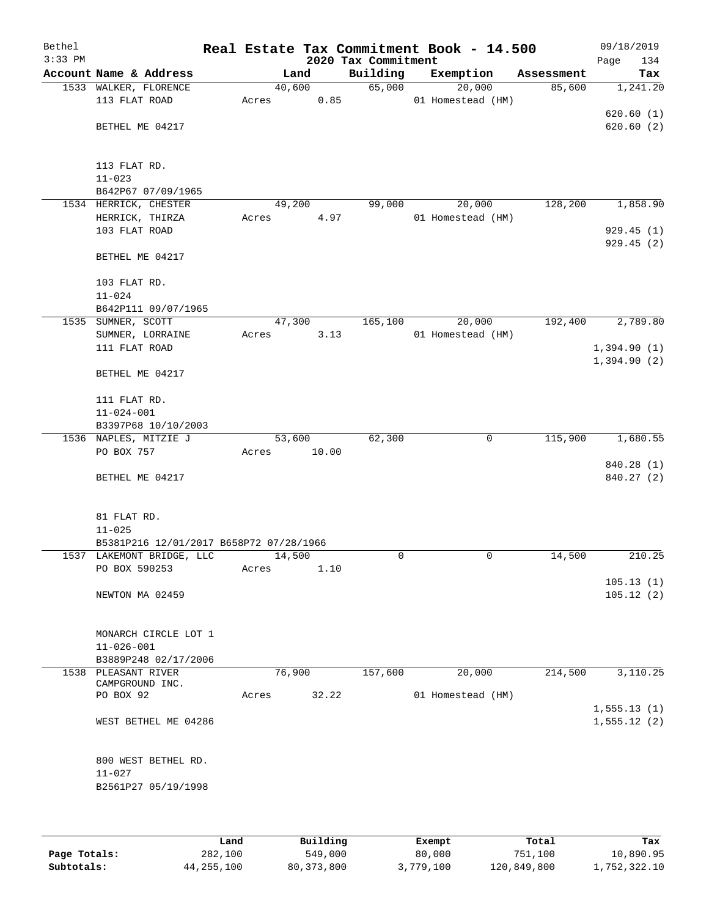| Bethel<br>$3:33$ PM |                                         |                 |       | 2020 Tax Commitment | Real Estate Tax Commitment Book - 14.500 |            | 09/18/2019<br>134<br>Page |
|---------------------|-----------------------------------------|-----------------|-------|---------------------|------------------------------------------|------------|---------------------------|
|                     | Account Name & Address                  |                 | Land  | Building            | Exemption                                | Assessment | Tax                       |
|                     | 1533 WALKER, FLORENCE                   | 40,600          |       | 65,000              | 20,000                                   | 85,600     | 1,241.20                  |
|                     | 113 FLAT ROAD                           | Acres           | 0.85  |                     | 01 Homestead (HM)                        |            |                           |
|                     |                                         |                 |       |                     |                                          |            | 620.60(1)                 |
|                     | BETHEL ME 04217                         |                 |       |                     |                                          |            | 620.60(2)                 |
|                     |                                         |                 |       |                     |                                          |            |                           |
|                     |                                         |                 |       |                     |                                          |            |                           |
|                     | 113 FLAT RD.                            |                 |       |                     |                                          |            |                           |
|                     | $11 - 023$                              |                 |       |                     |                                          |            |                           |
|                     | B642P67 07/09/1965                      |                 |       |                     |                                          |            |                           |
|                     | 1534 HERRICK, CHESTER                   | 49,200<br>Acres | 4.97  | 99,000              | 20,000<br>01 Homestead (HM)              | 128,200    | 1,858.90                  |
|                     | HERRICK, THIRZA<br>103 FLAT ROAD        |                 |       |                     |                                          |            | 929.45(1)                 |
|                     |                                         |                 |       |                     |                                          |            | 929.45 (2)                |
|                     | BETHEL ME 04217                         |                 |       |                     |                                          |            |                           |
|                     |                                         |                 |       |                     |                                          |            |                           |
|                     | 103 FLAT RD.                            |                 |       |                     |                                          |            |                           |
|                     | $11 - 024$                              |                 |       |                     |                                          |            |                           |
|                     | B642P111 09/07/1965                     |                 |       |                     |                                          |            |                           |
|                     | 1535 SUMNER, SCOTT                      | 47,300          |       | 165,100             | 20,000                                   | 192,400    | 2,789.80                  |
|                     | SUMNER, LORRAINE                        | Acres           | 3.13  |                     | 01 Homestead (HM)                        |            |                           |
|                     | 111 FLAT ROAD                           |                 |       |                     |                                          |            | 1,394.90(1)               |
|                     |                                         |                 |       |                     |                                          |            | 1,394.90(2)               |
|                     | BETHEL ME 04217                         |                 |       |                     |                                          |            |                           |
|                     |                                         |                 |       |                     |                                          |            |                           |
|                     | 111 FLAT RD.                            |                 |       |                     |                                          |            |                           |
|                     | $11 - 024 - 001$                        |                 |       |                     |                                          |            |                           |
|                     | B3397P68 10/10/2003                     |                 |       |                     |                                          |            |                           |
|                     | 1536 NAPLES, MITZIE J<br>PO BOX 757     | 53,600          | 10.00 | 62,300              | 0                                        | 115,900    | 1,680.55                  |
|                     |                                         | Acres           |       |                     |                                          |            | 840.28 (1)                |
|                     | BETHEL ME 04217                         |                 |       |                     |                                          |            | 840.27 (2)                |
|                     |                                         |                 |       |                     |                                          |            |                           |
|                     |                                         |                 |       |                     |                                          |            |                           |
|                     | 81 FLAT RD.                             |                 |       |                     |                                          |            |                           |
|                     | $11 - 025$                              |                 |       |                     |                                          |            |                           |
|                     | B5381P216 12/01/2017 B658P72 07/28/1966 |                 |       |                     |                                          |            |                           |
|                     | 1537 LAKEMONT BRIDGE, LLC               | 14,500          |       | 0                   | 0                                        | 14,500     | 210.25                    |
|                     | PO BOX 590253                           | Acres           | 1.10  |                     |                                          |            |                           |
|                     |                                         |                 |       |                     |                                          |            | 105.13(1)                 |
|                     | NEWTON MA 02459                         |                 |       |                     |                                          |            | 105.12(2)                 |
|                     |                                         |                 |       |                     |                                          |            |                           |
|                     | MONARCH CIRCLE LOT 1                    |                 |       |                     |                                          |            |                           |
|                     | $11 - 026 - 001$                        |                 |       |                     |                                          |            |                           |
|                     | B3889P248 02/17/2006                    |                 |       |                     |                                          |            |                           |
|                     | 1538 PLEASANT RIVER                     | 76,900          |       | 157,600             | 20,000                                   | 214,500    | 3,110.25                  |
|                     | CAMPGROUND INC.                         |                 |       |                     |                                          |            |                           |
|                     | PO BOX 92                               | Acres           | 32.22 |                     | 01 Homestead (HM)                        |            |                           |
|                     |                                         |                 |       |                     |                                          |            | 1, 555.13(1)              |
|                     | WEST BETHEL ME 04286                    |                 |       |                     |                                          |            | 1,555.12(2)               |
|                     |                                         |                 |       |                     |                                          |            |                           |
|                     |                                         |                 |       |                     |                                          |            |                           |
|                     | 800 WEST BETHEL RD.                     |                 |       |                     |                                          |            |                           |
|                     | $11 - 027$                              |                 |       |                     |                                          |            |                           |
|                     | B2561P27 05/19/1998                     |                 |       |                     |                                          |            |                           |
|                     |                                         |                 |       |                     |                                          |            |                           |
|                     |                                         |                 |       |                     |                                          |            |                           |

|              | Land         | Building   | Exempt    | Total       | Tax          |
|--------------|--------------|------------|-----------|-------------|--------------|
| Page Totals: | 282,100      | 549,000    | 80,000    | 751,100     | 10,890.95    |
| Subtotals:   | 44, 255, 100 | 80,373,800 | 3,779,100 | 120,849,800 | 1,752,322.10 |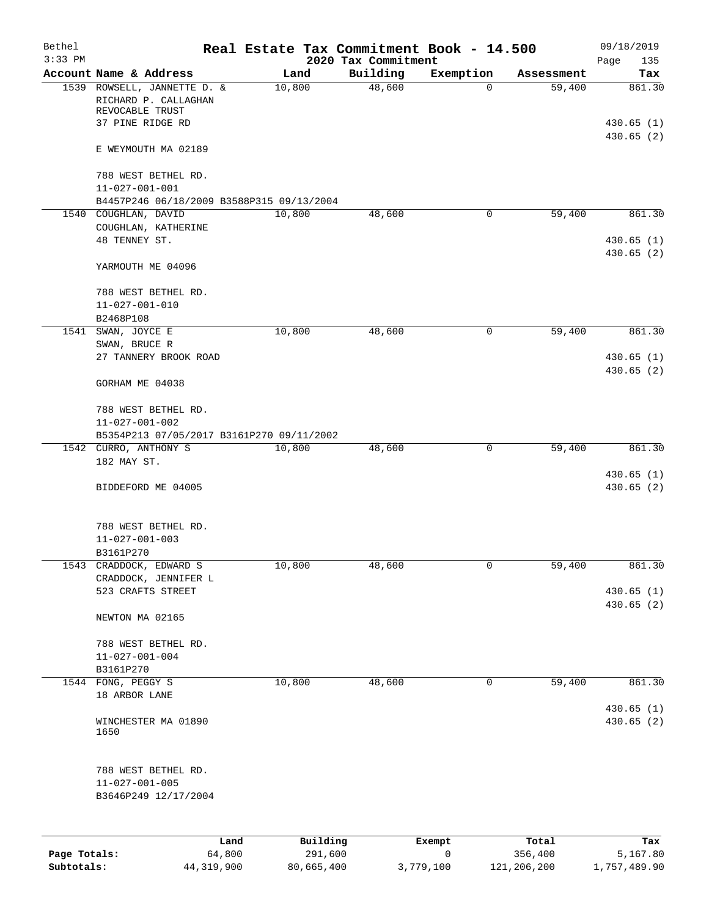| Bethel<br>$3:33$ PM |                                                                        |                |                     |                                 | Real Estate Tax Commitment Book - 14.500 |                  | 09/18/2019             |
|---------------------|------------------------------------------------------------------------|----------------|---------------------|---------------------------------|------------------------------------------|------------------|------------------------|
|                     | Account Name & Address                                                 |                | Land                | 2020 Tax Commitment<br>Building | Exemption                                | Assessment       | Page<br>135<br>Tax     |
|                     | 1539 ROWSELL, JANNETTE D. &<br>RICHARD P. CALLAGHAN<br>REVOCABLE TRUST |                | 10,800              | 48,600                          | 0                                        | 59,400           | 861.30                 |
|                     | 37 PINE RIDGE RD                                                       |                |                     |                                 |                                          |                  | 430.65(1)<br>430.65(2) |
|                     | E WEYMOUTH MA 02189                                                    |                |                     |                                 |                                          |                  |                        |
|                     | 788 WEST BETHEL RD.                                                    |                |                     |                                 |                                          |                  |                        |
|                     | $11 - 027 - 001 - 001$<br>B4457P246 06/18/2009 B3588P315 09/13/2004    |                |                     |                                 |                                          |                  |                        |
|                     | 1540 COUGHLAN, DAVID                                                   |                | 10,800              | 48,600                          | 0                                        | 59,400           | 861.30                 |
|                     | COUGHLAN, KATHERINE<br>48 TENNEY ST.                                   |                |                     |                                 |                                          |                  | 430.65(1)              |
|                     |                                                                        |                |                     |                                 |                                          |                  | 430.65(2)              |
|                     | YARMOUTH ME 04096                                                      |                |                     |                                 |                                          |                  |                        |
|                     | 788 WEST BETHEL RD.                                                    |                |                     |                                 |                                          |                  |                        |
|                     | $11 - 027 - 001 - 010$<br>B2468P108                                    |                |                     |                                 |                                          |                  |                        |
|                     | 1541 SWAN, JOYCE E                                                     |                | 10,800              | 48,600                          | $\mathsf{O}$                             | 59,400           | 861.30                 |
|                     | SWAN, BRUCE R                                                          |                |                     |                                 |                                          |                  |                        |
|                     | 27 TANNERY BROOK ROAD                                                  |                |                     |                                 |                                          |                  | 430.65(1)<br>430.65(2) |
|                     | GORHAM ME 04038                                                        |                |                     |                                 |                                          |                  |                        |
|                     | 788 WEST BETHEL RD.                                                    |                |                     |                                 |                                          |                  |                        |
|                     | $11 - 027 - 001 - 002$                                                 |                |                     |                                 |                                          |                  |                        |
|                     | B5354P213 07/05/2017 B3161P270 09/11/2002                              |                |                     |                                 |                                          |                  |                        |
|                     | 1542 CURRO, ANTHONY S<br>182 MAY ST.                                   |                | 10,800              | 48,600                          | 0                                        | 59,400           | 861.30                 |
|                     | BIDDEFORD ME 04005                                                     |                |                     |                                 |                                          |                  | 430.65(1)<br>430.65(2) |
|                     | 788 WEST BETHEL RD.<br>$11 - 027 - 001 - 003$<br>B3161P270             |                |                     |                                 |                                          |                  |                        |
| 1543                | CRADDOCK, EDWARD S                                                     |                | 10,800              | 48,600                          | 0                                        | 59,400           | 861.30                 |
|                     | CRADDOCK, JENNIFER L<br>523 CRAFTS STREET                              |                |                     |                                 |                                          |                  | 430.65(1)              |
|                     | NEWTON MA 02165                                                        |                |                     |                                 |                                          |                  | 430.65 (2)             |
|                     | 788 WEST BETHEL RD.                                                    |                |                     |                                 |                                          |                  |                        |
|                     | $11 - 027 - 001 - 004$                                                 |                |                     |                                 |                                          |                  |                        |
|                     | B3161P270                                                              |                |                     |                                 |                                          |                  |                        |
|                     | 1544 FONG, PEGGY S<br>18 ARBOR LANE                                    |                | 10,800              | 48,600                          | 0                                        | 59,400           | 861.30                 |
|                     |                                                                        |                |                     |                                 |                                          |                  | 430.65 (1)             |
|                     | WINCHESTER MA 01890<br>1650                                            |                |                     |                                 |                                          |                  | 430.65(2)              |
|                     | 788 WEST BETHEL RD.<br>$11 - 027 - 001 - 005$<br>B3646P249 12/17/2004  |                |                     |                                 |                                          |                  |                        |
|                     |                                                                        |                |                     |                                 |                                          |                  |                        |
| Page Totals:        |                                                                        | Land<br>64,800 | Building<br>291,600 |                                 | Exempt<br>$\mathbf 0$                    | Total<br>356,400 | Tax<br>5,167.80        |
| Subtotals:          |                                                                        | 44, 319, 900   | 80,665,400          |                                 | 3,779,100                                | 121,206,200      | 1,757,489.90           |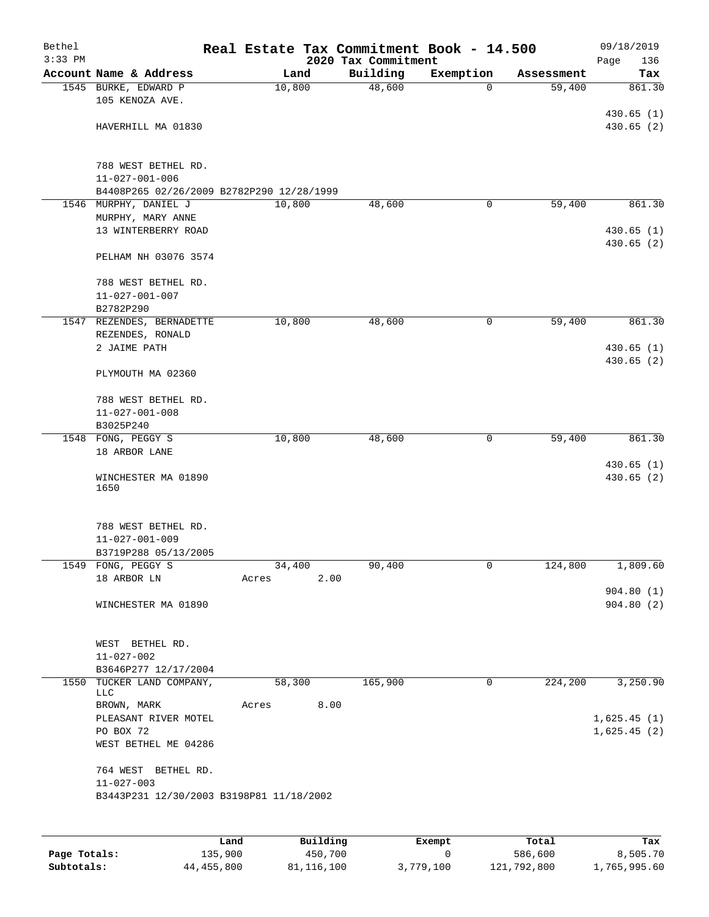| Bethel<br>$3:33$ PM |                                               | Real Estate Tax Commitment Book - 14.500 | 2020 Tax Commitment |           |            | 09/18/2019<br>136<br>Page |
|---------------------|-----------------------------------------------|------------------------------------------|---------------------|-----------|------------|---------------------------|
|                     | Account Name & Address                        | Land                                     | Building            | Exemption | Assessment | Tax                       |
|                     | 1545 BURKE, EDWARD P<br>105 KENOZA AVE.       | 10,800                                   | 48,600              | $\Omega$  | 59,400     | 861.30                    |
|                     |                                               |                                          |                     |           |            | 430.65(1)                 |
|                     | HAVERHILL MA 01830                            |                                          |                     |           |            | 430.65(2)                 |
|                     | 788 WEST BETHEL RD.                           |                                          |                     |           |            |                           |
|                     | $11 - 027 - 001 - 006$                        |                                          |                     |           |            |                           |
|                     | B4408P265 02/26/2009 B2782P290 12/28/1999     |                                          |                     |           |            |                           |
|                     | 1546 MURPHY, DANIEL J<br>MURPHY, MARY ANNE    | 10,800                                   | 48,600              | 0         | 59,400     | 861.30                    |
|                     | 13 WINTERBERRY ROAD                           |                                          |                     |           |            | 430.65(1)                 |
|                     |                                               |                                          |                     |           |            | 430.65 (2)                |
|                     | PELHAM NH 03076 3574                          |                                          |                     |           |            |                           |
|                     | 788 WEST BETHEL RD.                           |                                          |                     |           |            |                           |
|                     | $11 - 027 - 001 - 007$                        |                                          |                     |           |            |                           |
|                     | B2782P290                                     |                                          |                     |           |            |                           |
|                     | 1547 REZENDES, BERNADETTE<br>REZENDES, RONALD | 10,800                                   | 48,600              | 0         | 59,400     | 861.30                    |
|                     | 2 JAIME PATH                                  |                                          |                     |           |            | 430.65(1)                 |
|                     | PLYMOUTH MA 02360                             |                                          |                     |           |            | 430.65(2)                 |
|                     |                                               |                                          |                     |           |            |                           |
|                     | 788 WEST BETHEL RD.                           |                                          |                     |           |            |                           |
|                     | $11 - 027 - 001 - 008$<br>B3025P240           |                                          |                     |           |            |                           |
|                     | 1548 FONG, PEGGY S                            | 10,800                                   | 48,600              | 0         | 59,400     | 861.30                    |
|                     | 18 ARBOR LANE                                 |                                          |                     |           |            | 430.65(1)                 |
|                     | WINCHESTER MA 01890<br>1650                   |                                          |                     |           |            | 430.65 (2)                |
|                     |                                               |                                          |                     |           |            |                           |
|                     | 788 WEST BETHEL RD.                           |                                          |                     |           |            |                           |
|                     | $11 - 027 - 001 - 009$                        |                                          |                     |           |            |                           |
|                     | B3719P288 05/13/2005                          |                                          |                     |           |            |                           |
|                     | 1549 FONG, PEGGY S<br>18 ARBOR LN             | 34,400<br>2.00<br>Acres                  | 90,400              | 0         | 124,800    | 1,809.60                  |
|                     |                                               |                                          |                     |           |            | 904.80(1)                 |
|                     | WINCHESTER MA 01890                           |                                          |                     |           |            | 904.80(2)                 |
|                     |                                               |                                          |                     |           |            |                           |
|                     | WEST BETHEL RD.                               |                                          |                     |           |            |                           |
|                     | $11 - 027 - 002$                              |                                          |                     |           |            |                           |
|                     | B3646P277 12/17/2004                          |                                          |                     |           |            |                           |
|                     | 1550 TUCKER LAND COMPANY,                     | 58,300                                   | 165,900             | 0         | 224,200    | 3,250.90                  |
|                     | LLC<br>BROWN, MARK                            | 8.00<br>Acres                            |                     |           |            |                           |
|                     | PLEASANT RIVER MOTEL                          |                                          |                     |           |            | 1,625.45(1)               |
|                     | PO BOX 72                                     |                                          |                     |           |            | 1,625.45(2)               |
|                     | WEST BETHEL ME 04286                          |                                          |                     |           |            |                           |
|                     |                                               |                                          |                     |           |            |                           |
|                     | 764 WEST BETHEL RD.<br>$11 - 027 - 003$       |                                          |                     |           |            |                           |
|                     | B3443P231 12/30/2003 B3198P81 11/18/2002      |                                          |                     |           |            |                           |
|                     |                                               |                                          |                     |           |            |                           |
|                     |                                               |                                          |                     |           |            |                           |

|              | Land       | Building   | Exempt    | Total       | Tax          |
|--------------|------------|------------|-----------|-------------|--------------|
| Page Totals: | 135,900    | 450,700    |           | 586,600     | 8,505.70     |
| Subtotals:   | 44,455,800 | 81,116,100 | 3,779,100 | 121,792,800 | 1,765,995.60 |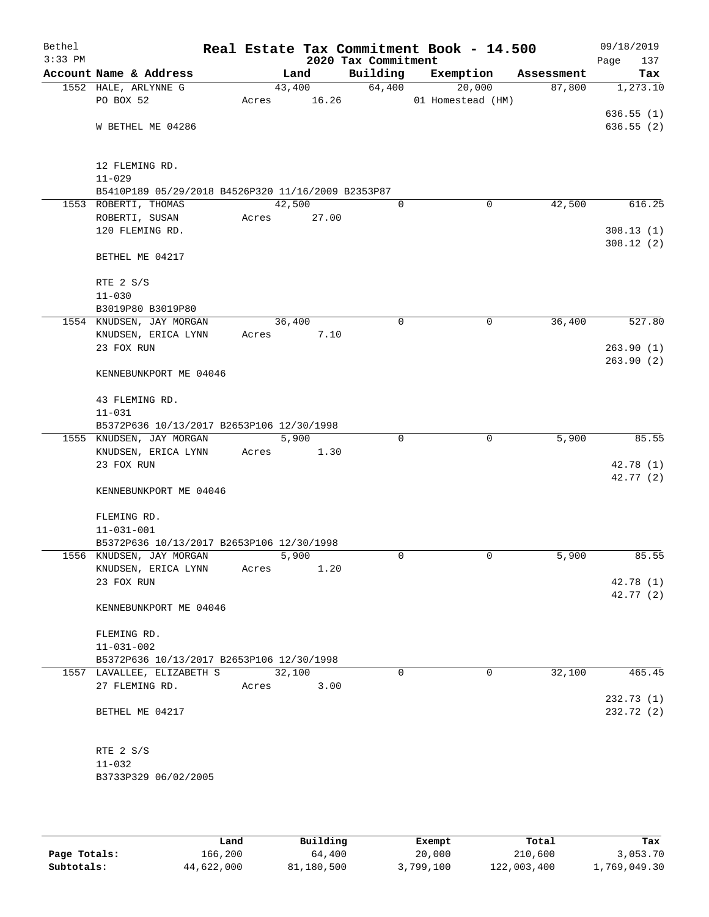| Bethel<br>$3:33$ PM |                                                                       |       |        | 2020 Tax Commitment | Real Estate Tax Commitment Book - 14.500 |            | 09/18/2019<br>Page<br>137 |
|---------------------|-----------------------------------------------------------------------|-------|--------|---------------------|------------------------------------------|------------|---------------------------|
|                     | Account Name & Address                                                |       | Land   | Building            | Exemption                                | Assessment | Tax                       |
|                     | 1552 HALE, ARLYNNE G                                                  |       | 43,400 | 64,400              | 20,000                                   | 87,800     | 1,273.10                  |
|                     | PO BOX 52                                                             | Acres | 16.26  |                     | 01 Homestead (HM)                        |            |                           |
|                     |                                                                       |       |        |                     |                                          |            | 636.55(1)                 |
|                     | W BETHEL ME 04286                                                     |       |        |                     |                                          |            | 636.55(2)                 |
|                     |                                                                       |       |        |                     |                                          |            |                           |
|                     |                                                                       |       |        |                     |                                          |            |                           |
|                     | 12 FLEMING RD.                                                        |       |        |                     |                                          |            |                           |
|                     | $11 - 029$                                                            |       |        |                     |                                          |            |                           |
|                     | B5410P189 05/29/2018 B4526P320 11/16/2009 B2353P87                    |       |        |                     |                                          |            |                           |
|                     | 1553 ROBERTI, THOMAS                                                  |       | 42,500 | $\Omega$            | 0                                        | 42,500     | 616.25                    |
|                     | ROBERTI, SUSAN                                                        | Acres | 27.00  |                     |                                          |            |                           |
|                     | 120 FLEMING RD.                                                       |       |        |                     |                                          |            | 308.13(1)<br>308.12(2)    |
|                     | BETHEL ME 04217                                                       |       |        |                     |                                          |            |                           |
|                     |                                                                       |       |        |                     |                                          |            |                           |
|                     | RTE 2 S/S                                                             |       |        |                     |                                          |            |                           |
|                     | $11 - 030$                                                            |       |        |                     |                                          |            |                           |
|                     | B3019P80 B3019P80                                                     |       |        |                     |                                          |            |                           |
|                     | 1554 KNUDSEN, JAY MORGAN                                              |       | 36,400 | 0                   | $\mathbf 0$                              | 36,400     | 527.80                    |
|                     | KNUDSEN, ERICA LYNN                                                   | Acres | 7.10   |                     |                                          |            |                           |
|                     | 23 FOX RUN                                                            |       |        |                     |                                          |            | 263.90(1)                 |
|                     |                                                                       |       |        |                     |                                          |            | 263.90(2)                 |
|                     | KENNEBUNKPORT ME 04046                                                |       |        |                     |                                          |            |                           |
|                     |                                                                       |       |        |                     |                                          |            |                           |
|                     | 43 FLEMING RD.                                                        |       |        |                     |                                          |            |                           |
|                     | $11 - 031$                                                            |       |        |                     |                                          |            |                           |
|                     | B5372P636 10/13/2017 B2653P106 12/30/1998                             |       |        |                     |                                          |            |                           |
|                     | 1555 KNUDSEN, JAY MORGAN                                              |       | 5,900  | $\Omega$            | $\Omega$                                 | 5,900      | 85.55                     |
|                     | KNUDSEN, ERICA LYNN                                                   | Acres | 1.30   |                     |                                          |            |                           |
|                     | 23 FOX RUN                                                            |       |        |                     |                                          |            | 42.78 (1)                 |
|                     |                                                                       |       |        |                     |                                          |            | 42.77(2)                  |
|                     | KENNEBUNKPORT ME 04046                                                |       |        |                     |                                          |            |                           |
|                     |                                                                       |       |        |                     |                                          |            |                           |
|                     | FLEMING RD.                                                           |       |        |                     |                                          |            |                           |
|                     | $11 - 031 - 001$                                                      |       |        |                     |                                          |            |                           |
|                     | B5372P636 10/13/2017 B2653P106 12/30/1998<br>1556 KNUDSEN, JAY MORGAN |       | 5,900  | $\Omega$            | 0                                        | 5,900      | 85.55                     |
|                     | KNUDSEN, ERICA LYNN                                                   | Acres | 1.20   |                     |                                          |            |                           |
|                     | 23 FOX RUN                                                            |       |        |                     |                                          |            | 42.78 (1)                 |
|                     |                                                                       |       |        |                     |                                          |            | 42.77 (2)                 |
|                     | KENNEBUNKPORT ME 04046                                                |       |        |                     |                                          |            |                           |
|                     |                                                                       |       |        |                     |                                          |            |                           |
|                     | FLEMING RD.                                                           |       |        |                     |                                          |            |                           |
|                     | $11 - 031 - 002$                                                      |       |        |                     |                                          |            |                           |
|                     | B5372P636 10/13/2017 B2653P106 12/30/1998                             |       |        |                     |                                          |            |                           |
|                     | 1557 LAVALLEE, ELIZABETH S                                            |       | 32,100 | $\Omega$            | $\mathbf 0$                              | 32,100     | 465.45                    |
|                     | 27 FLEMING RD.                                                        | Acres | 3.00   |                     |                                          |            |                           |
|                     |                                                                       |       |        |                     |                                          |            | 232.73(1)                 |
|                     | BETHEL ME 04217                                                       |       |        |                     |                                          |            | 232.72 (2)                |
|                     |                                                                       |       |        |                     |                                          |            |                           |
|                     |                                                                       |       |        |                     |                                          |            |                           |
|                     | RTE 2 S/S                                                             |       |        |                     |                                          |            |                           |
|                     | $11 - 032$                                                            |       |        |                     |                                          |            |                           |
|                     | B3733P329 06/02/2005                                                  |       |        |                     |                                          |            |                           |
|                     |                                                                       |       |        |                     |                                          |            |                           |

|              | Land       | Building   | Exempt    | Total       | Tax          |
|--------------|------------|------------|-----------|-------------|--------------|
|              |            |            |           |             |              |
| Page Totals: | 166,200    | 64,400     | 20,000    | 210,600     | 3,053.70     |
| Subtotals:   | 44,622,000 | 81,180,500 | 3,799,100 | 122,003,400 | 1,769,049.30 |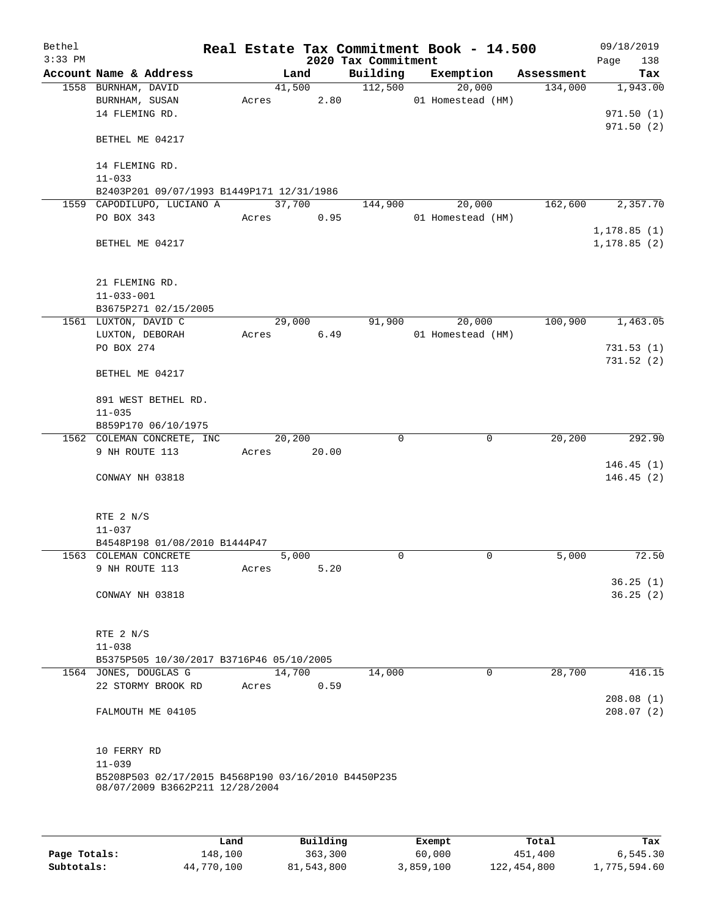| Bethel    |                                                                                        |       |        |                     | Real Estate Tax Commitment Book - 14.500 |            | 09/18/2019                   |
|-----------|----------------------------------------------------------------------------------------|-------|--------|---------------------|------------------------------------------|------------|------------------------------|
| $3:33$ PM |                                                                                        |       |        | 2020 Tax Commitment |                                          |            | 138<br>Page                  |
|           | Account Name & Address                                                                 |       | Land   | Building            | Exemption                                | Assessment | Tax                          |
|           | 1558 BURNHAM, DAVID                                                                    |       | 41,500 | 112,500             | 20,000                                   | 134,000    | 1,943.00                     |
|           | BURNHAM, SUSAN                                                                         | Acres | 2.80   |                     | 01 Homestead (HM)                        |            |                              |
|           | 14 FLEMING RD.                                                                         |       |        |                     |                                          |            | 971.50(1)                    |
|           | BETHEL ME 04217                                                                        |       |        |                     |                                          |            | 971.50 (2)                   |
|           | 14 FLEMING RD.                                                                         |       |        |                     |                                          |            |                              |
|           | $11 - 033$                                                                             |       |        |                     |                                          |            |                              |
|           | B2403P201 09/07/1993 B1449P171 12/31/1986                                              |       |        |                     |                                          |            |                              |
|           | 1559 CAPODILUPO, LUCIANO A                                                             |       | 37,700 | 144,900             | 20,000                                   | 162,600    | 2,357.70                     |
|           | PO BOX 343                                                                             | Acres | 0.95   |                     | 01 Homestead (HM)                        |            |                              |
|           | BETHEL ME 04217                                                                        |       |        |                     |                                          |            | 1, 178.85(1)<br>1, 178.85(2) |
|           | 21 FLEMING RD.                                                                         |       |        |                     |                                          |            |                              |
|           | $11 - 033 - 001$                                                                       |       |        |                     |                                          |            |                              |
|           | B3675P271 02/15/2005                                                                   |       |        |                     |                                          |            |                              |
|           | 1561 LUXTON, DAVID C                                                                   |       | 29,000 | 91,900              | 20,000                                   | 100,900    | 1,463.05                     |
|           | LUXTON, DEBORAH                                                                        | Acres | 6.49   |                     | 01 Homestead (HM)                        |            |                              |
|           | PO BOX 274                                                                             |       |        |                     |                                          |            | 731.53(1)                    |
|           |                                                                                        |       |        |                     |                                          |            | 731.52(2)                    |
|           | BETHEL ME 04217                                                                        |       |        |                     |                                          |            |                              |
|           | 891 WEST BETHEL RD.<br>$11 - 035$                                                      |       |        |                     |                                          |            |                              |
|           | B859P170 06/10/1975                                                                    |       |        |                     |                                          |            |                              |
|           | 1562 COLEMAN CONCRETE, INC                                                             |       | 20,200 | $\Omega$            | $\mathbf 0$                              | 20, 200    | 292.90                       |
|           | 9 NH ROUTE 113                                                                         | Acres | 20.00  |                     |                                          |            |                              |
|           |                                                                                        |       |        |                     |                                          |            | 146.45(1)                    |
|           | CONWAY NH 03818                                                                        |       |        |                     |                                          |            | 146.45(2)                    |
|           |                                                                                        |       |        |                     |                                          |            |                              |
|           | RTE 2 N/S                                                                              |       |        |                     |                                          |            |                              |
|           | $11 - 037$                                                                             |       |        |                     |                                          |            |                              |
|           | B4548P198 01/08/2010 B1444P47                                                          |       |        |                     |                                          |            |                              |
|           | 1563 COLEMAN CONCRETE                                                                  |       | 5,000  | 0                   | $\mathbf 0$                              | 5,000      | 72.50                        |
|           | 9 NH ROUTE 113                                                                         | Acres | 5.20   |                     |                                          |            |                              |
|           | CONWAY NH 03818                                                                        |       |        |                     |                                          |            | 36.25(1)<br>36.25(2)         |
|           |                                                                                        |       |        |                     |                                          |            |                              |
|           | RTE $2 N/S$                                                                            |       |        |                     |                                          |            |                              |
|           | $11 - 038$                                                                             |       |        |                     |                                          |            |                              |
|           | B5375P505 10/30/2017 B3716P46 05/10/2005                                               |       |        |                     |                                          |            |                              |
|           | 1564 JONES, DOUGLAS G                                                                  |       | 14,700 | 14,000              | 0                                        | 28,700     | 416.15                       |
|           | 22 STORMY BROOK RD                                                                     | Acres | 0.59   |                     |                                          |            |                              |
|           |                                                                                        |       |        |                     |                                          |            | 208.08(1)                    |
|           | FALMOUTH ME 04105                                                                      |       |        |                     |                                          |            | 208.07(2)                    |
|           | 10 FERRY RD                                                                            |       |        |                     |                                          |            |                              |
|           | $11 - 039$                                                                             |       |        |                     |                                          |            |                              |
|           | B5208P503 02/17/2015 B4568P190 03/16/2010 B4450P235<br>08/07/2009 B3662P211 12/28/2004 |       |        |                     |                                          |            |                              |
|           |                                                                                        |       |        |                     |                                          |            |                              |
|           |                                                                                        |       |        |                     |                                          |            |                              |

|              | Land       | Building   | Exempt    | Total       | Tax          |
|--------------|------------|------------|-----------|-------------|--------------|
| Page Totals: | 148,100    | 363,300    | 60,000    | 451,400     | 6.545.30     |
| Subtotals:   | 44,770,100 | 81,543,800 | 3,859,100 | 122,454,800 | 1,775,594.60 |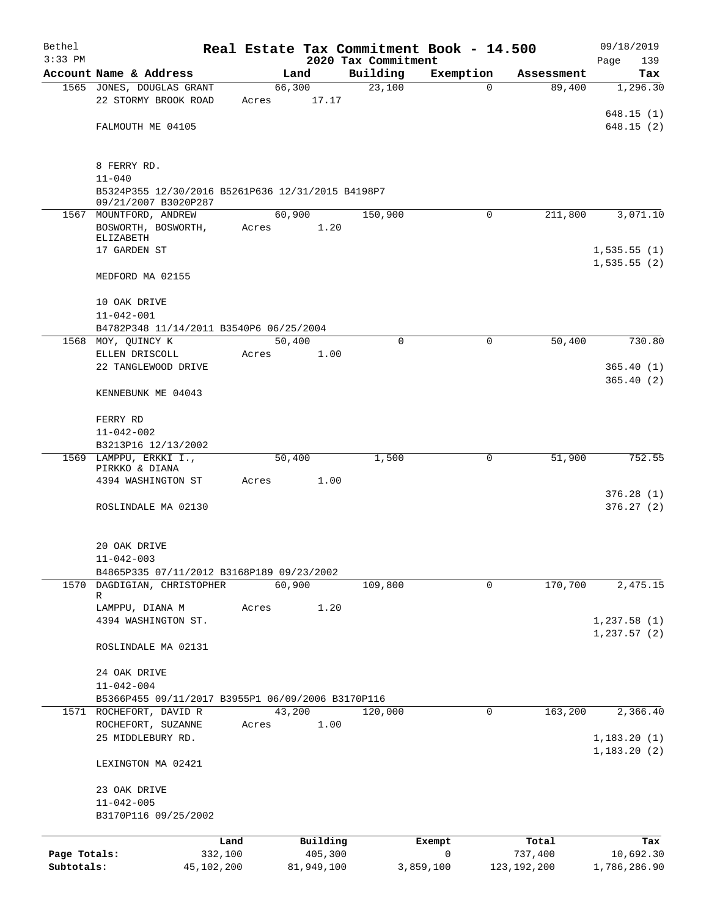| Bethel                                                            |                                                                 |         |            |          |                                 | Real Estate Tax Commitment Book - 14.500 |               | 09/18/2019             |
|-------------------------------------------------------------------|-----------------------------------------------------------------|---------|------------|----------|---------------------------------|------------------------------------------|---------------|------------------------|
| $3:33$ PM                                                         | Account Name & Address                                          |         | Land       |          | 2020 Tax Commitment<br>Building | Exemption                                | Assessment    | 139<br>Page<br>Tax     |
|                                                                   | 1565 JONES, DOUGLAS GRANT                                       |         | 66,300     |          | 23,100                          | $\Omega$                                 | 89,400        | 1,296.30               |
|                                                                   | 22 STORMY BROOK ROAD                                            | Acres   |            | 17.17    |                                 |                                          |               |                        |
| 8 FERRY RD.                                                       |                                                                 |         |            |          |                                 |                                          |               | 648.15 (1)             |
|                                                                   | FALMOUTH ME 04105                                               |         |            |          |                                 |                                          |               | 648.15(2)              |
|                                                                   |                                                                 |         |            |          |                                 |                                          |               |                        |
|                                                                   |                                                                 |         |            |          |                                 |                                          |               |                        |
|                                                                   | $11 - 040$<br>B5324P355 12/30/2016 B5261P636 12/31/2015 B4198P7 |         |            |          |                                 |                                          |               |                        |
|                                                                   | 09/21/2007 B3020P287                                            |         |            |          |                                 |                                          |               |                        |
|                                                                   | 1567 MOUNTFORD, ANDREW<br>BOSWORTH, BOSWORTH,                   | Acres   | 60,900     | 1.20     | 150,900                         | $\Omega$                                 | 211,800       | 3,071.10               |
| ELIZABETH<br>MEDFORD MA 02155<br>10 OAK DRIVE<br>$11 - 042 - 001$ |                                                                 |         |            |          |                                 |                                          |               |                        |
|                                                                   | 17 GARDEN ST                                                    |         |            |          |                                 |                                          |               | 1,535.55(1)            |
|                                                                   |                                                                 |         |            |          |                                 |                                          |               | 1,535.55(2)            |
|                                                                   |                                                                 |         |            |          |                                 |                                          |               |                        |
|                                                                   |                                                                 |         |            |          |                                 |                                          |               |                        |
|                                                                   |                                                                 |         |            |          |                                 |                                          |               |                        |
|                                                                   | B4782P348 11/14/2011 B3540P6 06/25/2004<br>1568 MOY, QUINCY K   |         | 50,400     |          | $\Omega$                        | $\Omega$                                 | 50,400        | 730.80                 |
|                                                                   | ELLEN DRISCOLL                                                  | Acres   |            | 1.00     |                                 |                                          |               |                        |
|                                                                   | 22 TANGLEWOOD DRIVE                                             |         |            |          |                                 |                                          |               | 365.40(1)              |
|                                                                   |                                                                 |         |            |          |                                 |                                          |               | 365.40(2)              |
|                                                                   | KENNEBUNK ME 04043                                              |         |            |          |                                 |                                          |               |                        |
| FERRY RD                                                          |                                                                 |         |            |          |                                 |                                          |               |                        |
|                                                                   | $11 - 042 - 002$                                                |         |            |          |                                 |                                          |               |                        |
|                                                                   | B3213P16 12/13/2002                                             |         | 50,400     |          | 1,500                           | 0                                        | 51,900        | 752.55                 |
|                                                                   | 1569 LAMPPU, ERKKI I.,<br>PIRKKO & DIANA                        |         |            |          |                                 |                                          |               |                        |
|                                                                   | 4394 WASHINGTON ST                                              | Acres   |            | 1.00     |                                 |                                          |               |                        |
|                                                                   |                                                                 |         |            |          |                                 |                                          |               | 376.28(1)<br>376.27(2) |
|                                                                   | ROSLINDALE MA 02130                                             |         |            |          |                                 |                                          |               |                        |
|                                                                   | 20 OAK DRIVE                                                    |         |            |          |                                 |                                          |               |                        |
|                                                                   | $11 - 042 - 003$                                                |         |            |          |                                 |                                          |               |                        |
|                                                                   | B4865P335 07/11/2012 B3168P189 09/23/2002                       |         |            |          |                                 |                                          |               |                        |
|                                                                   | 1570 DAGDIGIAN, CHRISTOPHER                                     |         | 60,900     |          | 109,800                         | 0                                        | 170,700       | 2,475.15               |
|                                                                   | R                                                               |         |            |          |                                 |                                          |               |                        |
|                                                                   | LAMPPU, DIANA M<br>4394 WASHINGTON ST.                          | Acres   |            | 1.20     |                                 |                                          |               | 1,237.58(1)            |
|                                                                   |                                                                 |         |            |          |                                 |                                          |               | 1, 237.57(2)           |
|                                                                   | ROSLINDALE MA 02131                                             |         |            |          |                                 |                                          |               |                        |
|                                                                   |                                                                 |         |            |          |                                 |                                          |               |                        |
|                                                                   | 24 OAK DRIVE<br>$11 - 042 - 004$                                |         |            |          |                                 |                                          |               |                        |
|                                                                   | B5366P455 09/11/2017 B3955P1 06/09/2006 B3170P116               |         |            |          |                                 |                                          |               |                        |
|                                                                   | 1571 ROCHEFORT, DAVID R                                         |         | 43,200     |          | 120,000                         | $\mathbf 0$                              | 163,200       | 2,366.40               |
|                                                                   | ROCHEFORT, SUZANNE                                              | Acres   |            | 1.00     |                                 |                                          |               |                        |
|                                                                   | 25 MIDDLEBURY RD.                                               |         |            |          |                                 |                                          |               | 1,183.20(1)            |
|                                                                   | LEXINGTON MA 02421                                              |         |            |          |                                 |                                          |               | 1,183.20 (2)           |
|                                                                   |                                                                 |         |            |          |                                 |                                          |               |                        |
|                                                                   | 23 OAK DRIVE<br>$11 - 042 - 005$                                |         |            |          |                                 |                                          |               |                        |
|                                                                   | B3170P116 09/25/2002                                            |         |            |          |                                 |                                          |               |                        |
|                                                                   |                                                                 | Land    |            | Building |                                 | Exempt                                   | Total         | Tax                    |
| Page Totals:                                                      |                                                                 | 332,100 |            | 405,300  |                                 | 0                                        | 737,400       | 10,692.30              |
| Subtotals:                                                        | 45,102,200                                                      |         | 81,949,100 |          |                                 | 3,859,100                                | 123, 192, 200 | 1,786,286.90           |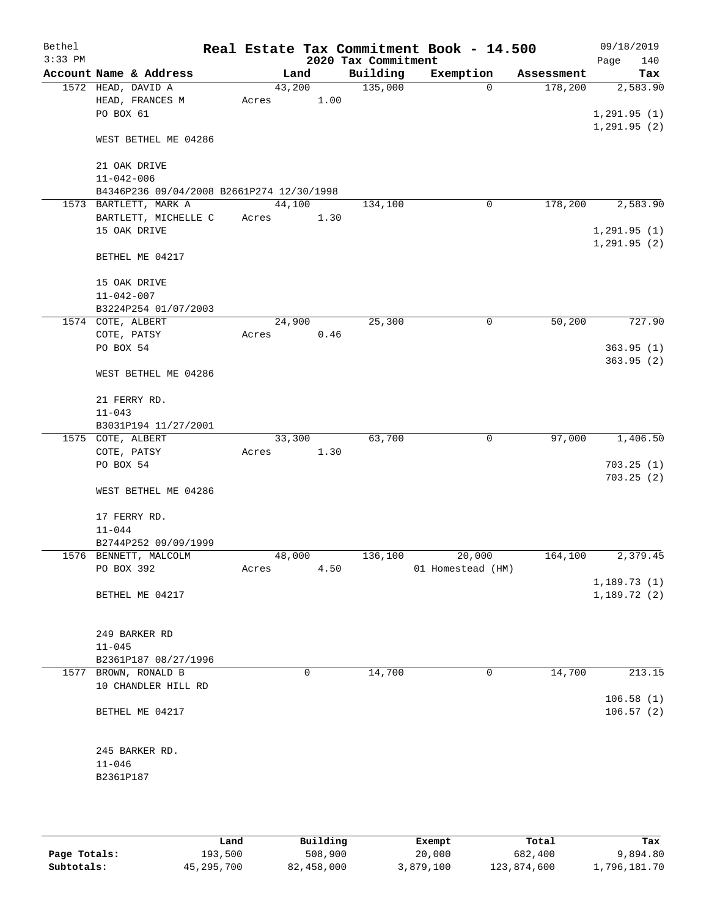| Bethel<br>$3:33$ PM |                                           |       |        | 2020 Tax Commitment | Real Estate Tax Commitment Book - 14.500 |            | 09/18/2019<br>Page<br>140  |
|---------------------|-------------------------------------------|-------|--------|---------------------|------------------------------------------|------------|----------------------------|
|                     | Account Name & Address                    |       | Land   | Building            | Exemption                                | Assessment | Tax                        |
|                     | 1572 HEAD, DAVID A                        |       | 43,200 | 135,000             | $\mathbf 0$                              | 178,200    | 2,583.90                   |
|                     | HEAD, FRANCES M                           | Acres | 1.00   |                     |                                          |            |                            |
|                     | PO BOX 61                                 |       |        |                     |                                          |            | 1, 291.95(1)               |
|                     |                                           |       |        |                     |                                          |            | 1, 291.95(2)               |
|                     | WEST BETHEL ME 04286                      |       |        |                     |                                          |            |                            |
|                     |                                           |       |        |                     |                                          |            |                            |
|                     | 21 OAK DRIVE                              |       |        |                     |                                          |            |                            |
|                     | $11 - 042 - 006$                          |       |        |                     |                                          |            |                            |
|                     | B4346P236 09/04/2008 B2661P274 12/30/1998 |       |        |                     |                                          |            |                            |
|                     | 1573 BARTLETT, MARK A                     |       | 44,100 | 134,100             | 0                                        | 178,200    | 2,583.90                   |
|                     | BARTLETT, MICHELLE C                      | Acres | 1.30   |                     |                                          |            |                            |
|                     | 15 OAK DRIVE                              |       |        |                     |                                          |            | 1, 291.95(1)               |
|                     |                                           |       |        |                     |                                          |            | 1, 291.95(2)               |
|                     | BETHEL ME 04217                           |       |        |                     |                                          |            |                            |
|                     | 15 OAK DRIVE                              |       |        |                     |                                          |            |                            |
|                     | $11 - 042 - 007$                          |       |        |                     |                                          |            |                            |
|                     | B3224P254 01/07/2003                      |       |        |                     |                                          |            |                            |
|                     | 1574 COTE, ALBERT                         |       | 24,900 | 25,300              | $\mathbf 0$                              | 50,200     | 727.90                     |
|                     | COTE, PATSY                               | Acres | 0.46   |                     |                                          |            |                            |
|                     | PO BOX 54                                 |       |        |                     |                                          |            | 363.95(1)                  |
|                     |                                           |       |        |                     |                                          |            | 363.95(2)                  |
|                     | WEST BETHEL ME 04286                      |       |        |                     |                                          |            |                            |
|                     |                                           |       |        |                     |                                          |            |                            |
|                     | 21 FERRY RD.                              |       |        |                     |                                          |            |                            |
|                     | $11 - 043$                                |       |        |                     |                                          |            |                            |
|                     | B3031P194 11/27/2001                      |       |        |                     |                                          |            |                            |
|                     | 1575 COTE, ALBERT                         |       | 33,300 | 63,700              | $\mathbf 0$                              | 97,000     | 1,406.50                   |
|                     | COTE, PATSY                               | Acres | 1.30   |                     |                                          |            |                            |
|                     | PO BOX 54                                 |       |        |                     |                                          |            | 703.25(1)                  |
|                     |                                           |       |        |                     |                                          |            | 703.25(2)                  |
|                     | WEST BETHEL ME 04286                      |       |        |                     |                                          |            |                            |
|                     |                                           |       |        |                     |                                          |            |                            |
|                     | 17 FERRY RD.                              |       |        |                     |                                          |            |                            |
|                     | $11 - 044$                                |       |        |                     |                                          |            |                            |
|                     | B2744P252 09/09/1999                      |       |        |                     |                                          |            |                            |
|                     | 1576 BENNETT, MALCOLM                     |       | 48,000 | 136,100             | 20,000                                   | 164,100    | 2,379.45                   |
|                     | PO BOX 392                                | Acres | 4.50   |                     | 01 Homestead (HM)                        |            |                            |
|                     | BETHEL ME 04217                           |       |        |                     |                                          |            | 1,189.73(1)<br>1,189.72(2) |
|                     |                                           |       |        |                     |                                          |            |                            |
|                     |                                           |       |        |                     |                                          |            |                            |
|                     | 249 BARKER RD                             |       |        |                     |                                          |            |                            |
|                     | $11 - 045$                                |       |        |                     |                                          |            |                            |
|                     | B2361P187 08/27/1996                      |       |        |                     |                                          |            |                            |
|                     | 1577 BROWN, RONALD B                      |       | 0      | 14,700              | 0                                        | 14,700     | 213.15                     |
|                     | 10 CHANDLER HILL RD                       |       |        |                     |                                          |            |                            |
|                     |                                           |       |        |                     |                                          |            | 106.58(1)                  |
|                     | BETHEL ME 04217                           |       |        |                     |                                          |            | 106.57(2)                  |
|                     |                                           |       |        |                     |                                          |            |                            |
|                     |                                           |       |        |                     |                                          |            |                            |
|                     | 245 BARKER RD.                            |       |        |                     |                                          |            |                            |
|                     | $11 - 046$                                |       |        |                     |                                          |            |                            |
|                     | B2361P187                                 |       |        |                     |                                          |            |                            |
|                     |                                           |       |        |                     |                                          |            |                            |
|                     |                                           |       |        |                     |                                          |            |                            |

|              | Land         | Building   | Exempt    | Total       | Tax          |
|--------------|--------------|------------|-----------|-------------|--------------|
| Page Totals: | 193,500      | 508,900    | 20,000    | 682,400     | 9,894.80     |
| Subtotals:   | 45, 295, 700 | 82,458,000 | 3,879,100 | 123,874,600 | 1,796,181.70 |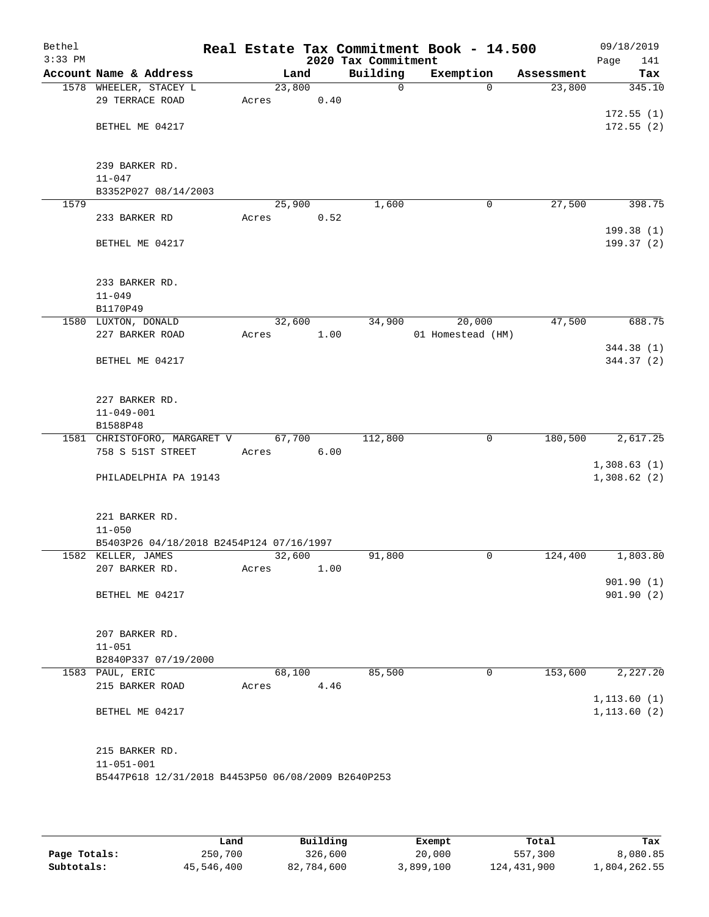| Bethel<br>$3:33$ PM |                                                    |       |        |      | 2020 Tax Commitment | Real Estate Tax Commitment Book - 14.500 |            | 09/18/2019<br>Page<br>141 |
|---------------------|----------------------------------------------------|-------|--------|------|---------------------|------------------------------------------|------------|---------------------------|
|                     | Account Name & Address                             |       | Land   |      | Building            | Exemption                                | Assessment | Tax                       |
|                     | 1578 WHEELER, STACEY L                             |       | 23,800 |      | $\mathsf{O}$        | $\Omega$                                 | 23,800     | 345.10                    |
|                     | 29 TERRACE ROAD                                    | Acres |        | 0.40 |                     |                                          |            |                           |
|                     |                                                    |       |        |      |                     |                                          |            | 172.55(1)                 |
|                     | BETHEL ME 04217                                    |       |        |      |                     |                                          |            | 172.55(2)                 |
|                     |                                                    |       |        |      |                     |                                          |            |                           |
|                     | 239 BARKER RD.                                     |       |        |      |                     |                                          |            |                           |
|                     | $11 - 047$                                         |       |        |      |                     |                                          |            |                           |
|                     | B3352P027 08/14/2003                               |       |        |      |                     |                                          |            |                           |
| 1579                |                                                    |       | 25,900 |      | 1,600               | $\mathbf 0$                              | 27,500     | 398.75                    |
|                     | 233 BARKER RD                                      | Acres |        | 0.52 |                     |                                          |            |                           |
|                     |                                                    |       |        |      |                     |                                          |            | 199.38(1)                 |
|                     | BETHEL ME 04217                                    |       |        |      |                     |                                          |            | 199.37 (2)                |
|                     |                                                    |       |        |      |                     |                                          |            |                           |
|                     |                                                    |       |        |      |                     |                                          |            |                           |
|                     | 233 BARKER RD.<br>$11 - 049$                       |       |        |      |                     |                                          |            |                           |
|                     | B1170P49                                           |       |        |      |                     |                                          |            |                           |
|                     | 1580 LUXTON, DONALD                                |       | 32,600 |      | 34,900              | 20,000                                   | 47,500     | 688.75                    |
|                     | 227 BARKER ROAD                                    | Acres |        | 1.00 |                     | 01 Homestead (HM)                        |            |                           |
|                     |                                                    |       |        |      |                     |                                          |            | 344.38 (1)                |
|                     | BETHEL ME 04217                                    |       |        |      |                     |                                          |            | 344.37 (2)                |
|                     |                                                    |       |        |      |                     |                                          |            |                           |
|                     |                                                    |       |        |      |                     |                                          |            |                           |
|                     | 227 BARKER RD.<br>$11 - 049 - 001$                 |       |        |      |                     |                                          |            |                           |
|                     | B1588P48                                           |       |        |      |                     |                                          |            |                           |
|                     | 1581 CHRISTOFORO, MARGARET V                       |       | 67,700 |      | 112,800             | $\mathbf 0$                              | 180,500    | 2,617.25                  |
|                     | 758 S 51ST STREET                                  | Acres |        | 6.00 |                     |                                          |            |                           |
|                     |                                                    |       |        |      |                     |                                          |            | 1,308.63(1)               |
|                     | PHILADELPHIA PA 19143                              |       |        |      |                     |                                          |            | 1,308.62(2)               |
|                     |                                                    |       |        |      |                     |                                          |            |                           |
|                     | 221 BARKER RD.                                     |       |        |      |                     |                                          |            |                           |
|                     | $11 - 050$                                         |       |        |      |                     |                                          |            |                           |
|                     | B5403P26 04/18/2018 B2454P124 07/16/1997           |       |        |      |                     |                                          |            |                           |
|                     | 1582 KELLER, JAMES                                 |       | 32,600 |      | 91,800              | 0                                        | 124,400    | 1,803.80                  |
|                     | 207 BARKER RD.                                     | Acres |        | 1.00 |                     |                                          |            |                           |
|                     |                                                    |       |        |      |                     |                                          |            | 901.90(1)                 |
|                     | BETHEL ME 04217                                    |       |        |      |                     |                                          |            | 901.90(2)                 |
|                     |                                                    |       |        |      |                     |                                          |            |                           |
|                     | 207 BARKER RD.                                     |       |        |      |                     |                                          |            |                           |
|                     | $11 - 051$                                         |       |        |      |                     |                                          |            |                           |
|                     | B2840P337 07/19/2000                               |       |        |      |                     |                                          |            |                           |
|                     | 1583 PAUL, ERIC                                    |       | 68,100 |      | 85,500              | 0                                        | 153,600    | 2,227.20                  |
|                     | 215 BARKER ROAD                                    | Acres |        | 4.46 |                     |                                          |            |                           |
|                     |                                                    |       |        |      |                     |                                          |            | 1, 113.60(1)              |
|                     | BETHEL ME 04217                                    |       |        |      |                     |                                          |            | 1, 113.60(2)              |
|                     |                                                    |       |        |      |                     |                                          |            |                           |
|                     | 215 BARKER RD.                                     |       |        |      |                     |                                          |            |                           |
|                     | $11 - 051 - 001$                                   |       |        |      |                     |                                          |            |                           |
|                     | B5447P618 12/31/2018 B4453P50 06/08/2009 B2640P253 |       |        |      |                     |                                          |            |                           |
|                     |                                                    |       |        |      |                     |                                          |            |                           |
|                     |                                                    |       |        |      |                     |                                          |            |                           |

|              | Land       | Building   |           |             |              |
|--------------|------------|------------|-----------|-------------|--------------|
|              |            |            | Exempt    | Total       | Tax          |
| Page Totals: | 250,700    | 326,600    | 20,000    | 557,300     | 8,080.85     |
| Subtotals:   | 45,546,400 | 82,784,600 | 3,899,100 | 124,431,900 | 1,804,262.55 |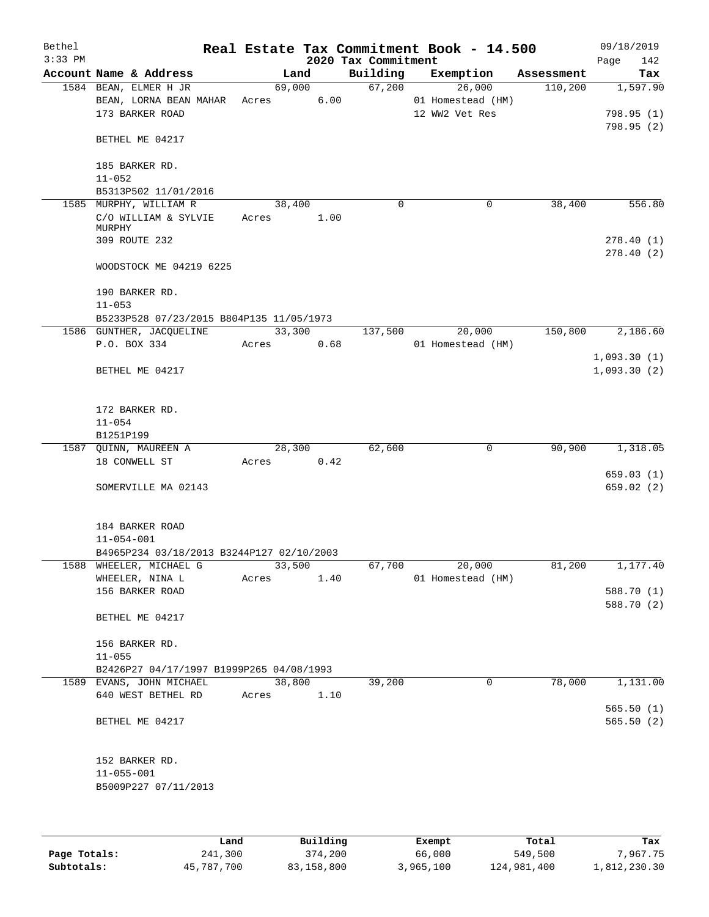| Bethel<br>$3:33$ PM |                                           |       |        |      | 2020 Tax Commitment | Real Estate Tax Commitment Book - 14.500 |            | Page        | 09/18/2019<br>142 |
|---------------------|-------------------------------------------|-------|--------|------|---------------------|------------------------------------------|------------|-------------|-------------------|
|                     | Account Name & Address                    |       | Land   |      | Building            | Exemption                                | Assessment |             | Tax               |
|                     | 1584 BEAN, ELMER H JR                     |       | 69,000 |      | 67,200              | 26,000                                   | 110,200    |             | 1,597.90          |
|                     | BEAN, LORNA BEAN MAHAR                    | Acres |        | 6.00 |                     | 01 Homestead (HM)                        |            |             |                   |
|                     | 173 BARKER ROAD                           |       |        |      |                     | 12 WW2 Vet Res                           |            |             | 798.95(1)         |
|                     |                                           |       |        |      |                     |                                          |            |             | 798.95(2)         |
|                     | BETHEL ME 04217                           |       |        |      |                     |                                          |            |             |                   |
|                     | 185 BARKER RD.                            |       |        |      |                     |                                          |            |             |                   |
|                     | $11 - 052$                                |       |        |      |                     |                                          |            |             |                   |
|                     | B5313P502 11/01/2016                      |       |        |      |                     |                                          |            |             |                   |
|                     | 1585 MURPHY, WILLIAM R                    |       | 38,400 |      | 0                   | $\mathbf 0$                              | 38,400     |             | 556.80            |
|                     | C/O WILLIAM & SYLVIE                      | Acres |        | 1.00 |                     |                                          |            |             |                   |
|                     | MURPHY                                    |       |        |      |                     |                                          |            |             |                   |
|                     | 309 ROUTE 232                             |       |        |      |                     |                                          |            |             | 278.40(1)         |
|                     | WOODSTOCK ME 04219 6225                   |       |        |      |                     |                                          |            |             | 278.40(2)         |
|                     | 190 BARKER RD.                            |       |        |      |                     |                                          |            |             |                   |
|                     | $11 - 053$                                |       |        |      |                     |                                          |            |             |                   |
|                     | B5233P528 07/23/2015 B804P135 11/05/1973  |       |        |      |                     |                                          |            |             |                   |
|                     | 1586 GUNTHER, JACQUELINE                  |       | 33,300 |      | 137,500             | 20,000                                   | 150,800    |             | 2,186.60          |
|                     | P.O. BOX 334                              | Acres |        | 0.68 |                     | 01 Homestead (HM)                        |            |             |                   |
|                     |                                           |       |        |      |                     |                                          |            | 1,093.30(1) |                   |
|                     | BETHEL ME 04217                           |       |        |      |                     |                                          |            | 1,093.30(2) |                   |
|                     |                                           |       |        |      |                     |                                          |            |             |                   |
|                     | 172 BARKER RD.                            |       |        |      |                     |                                          |            |             |                   |
|                     | $11 - 054$                                |       |        |      |                     |                                          |            |             |                   |
|                     | B1251P199                                 |       |        |      |                     |                                          |            |             |                   |
|                     | 1587 QUINN, MAUREEN A                     |       | 28,300 |      | 62,600              | $\mathbf 0$                              | 90,900     |             | 1,318.05          |
|                     | 18 CONWELL ST                             | Acres |        | 0.42 |                     |                                          |            |             | 659.03(1)         |
|                     | SOMERVILLE MA 02143                       |       |        |      |                     |                                          |            |             | 659.02 (2)        |
|                     |                                           |       |        |      |                     |                                          |            |             |                   |
|                     | 184 BARKER ROAD                           |       |        |      |                     |                                          |            |             |                   |
|                     | $11 - 054 - 001$                          |       |        |      |                     |                                          |            |             |                   |
|                     | B4965P234 03/18/2013 B3244P127 02/10/2003 |       |        |      |                     |                                          |            |             |                   |
|                     | 1588 WHEELER, MICHAEL G                   |       | 33,500 |      | 67,700              | 20,000                                   | 81,200     |             | 1,177.40          |
|                     | WHEELER, NINA L                           | Acres |        | 1.40 |                     | 01 Homestead (HM)                        |            |             |                   |
|                     | 156 BARKER ROAD                           |       |        |      |                     |                                          |            |             | 588.70 (1)        |
|                     |                                           |       |        |      |                     |                                          |            |             | 588.70 (2)        |
|                     | BETHEL ME 04217                           |       |        |      |                     |                                          |            |             |                   |
|                     | 156 BARKER RD.                            |       |        |      |                     |                                          |            |             |                   |
|                     | $11 - 055$                                |       |        |      |                     |                                          |            |             |                   |
|                     | B2426P27 04/17/1997 B1999P265 04/08/1993  |       |        |      |                     |                                          |            |             |                   |
|                     | 1589 EVANS, JOHN MICHAEL                  |       | 38,800 |      | 39,200              | 0                                        | 78,000     |             | 1,131.00          |
|                     | 640 WEST BETHEL RD                        | Acres |        | 1.10 |                     |                                          |            |             |                   |
|                     |                                           |       |        |      |                     |                                          |            |             | 565.50(1)         |
|                     | BETHEL ME 04217                           |       |        |      |                     |                                          |            |             | 565.50(2)         |
|                     |                                           |       |        |      |                     |                                          |            |             |                   |
|                     | 152 BARKER RD.                            |       |        |      |                     |                                          |            |             |                   |
|                     | $11 - 055 - 001$                          |       |        |      |                     |                                          |            |             |                   |
|                     | B5009P227 07/11/2013                      |       |        |      |                     |                                          |            |             |                   |
|                     |                                           |       |        |      |                     |                                          |            |             |                   |
|                     |                                           |       |        |      |                     |                                          |            |             |                   |

|              | Land       | Building   | Exempt    | Total       | Tax          |
|--------------|------------|------------|-----------|-------------|--------------|
| Page Totals: | 241,300    | 374,200    | 66,000    | 549,500     | 7,967.75     |
| Subtotals:   | 45,787,700 | 83,158,800 | 3,965,100 | 124,981,400 | 1,812,230.30 |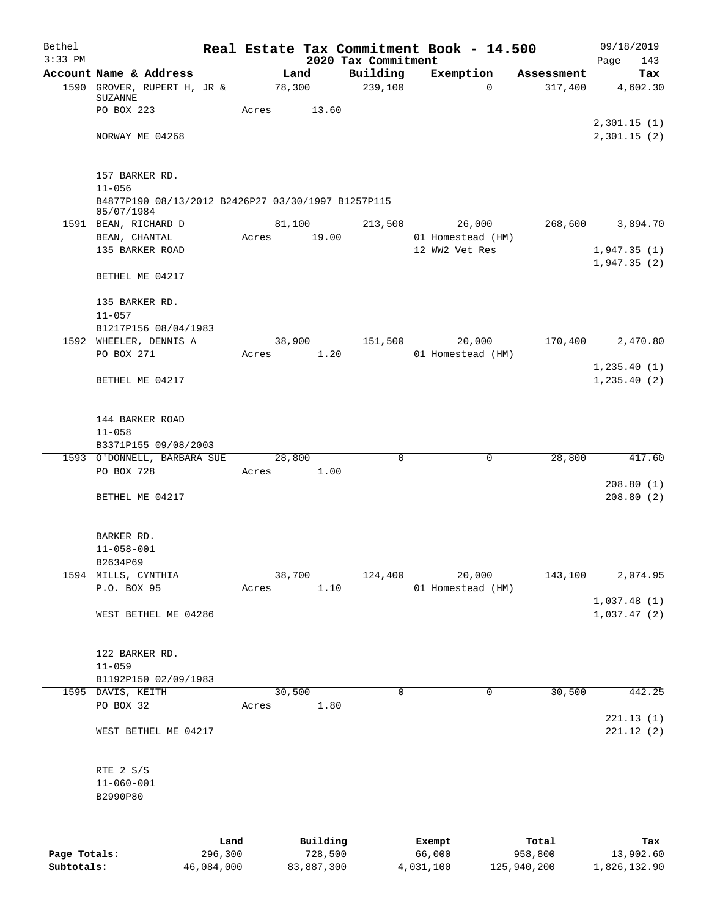| Bethel       |                                                    |       |        |          |                                 | Real Estate Tax Commitment Book - 14.500 |                       | 09/18/2019      |
|--------------|----------------------------------------------------|-------|--------|----------|---------------------------------|------------------------------------------|-----------------------|-----------------|
| $3:33$ PM    | Account Name & Address                             |       | Land   |          | 2020 Tax Commitment<br>Building | Exemption                                |                       | Page<br>143     |
|              | 1590 GROVER, RUPERT H, JR &                        |       | 78,300 |          | 239,100                         | $\Omega$                                 | Assessment<br>317,400 | Tax<br>4,602.30 |
|              | <b>SUZANNE</b>                                     |       |        |          |                                 |                                          |                       |                 |
|              | PO BOX 223                                         | Acres |        | 13.60    |                                 |                                          |                       |                 |
|              |                                                    |       |        |          |                                 |                                          |                       | 2,301.15(1)     |
|              | NORWAY ME 04268                                    |       |        |          |                                 |                                          |                       | 2,301.15(2)     |
|              |                                                    |       |        |          |                                 |                                          |                       |                 |
|              | 157 BARKER RD.<br>$11 - 056$                       |       |        |          |                                 |                                          |                       |                 |
|              | B4877P190 08/13/2012 B2426P27 03/30/1997 B1257P115 |       |        |          |                                 |                                          |                       |                 |
|              | 05/07/1984                                         |       |        |          |                                 |                                          |                       |                 |
|              | 1591 BEAN, RICHARD D                               |       | 81,100 |          | 213,500                         | 26,000                                   | 268,600               | 3,894.70        |
|              | BEAN, CHANTAL                                      | Acres |        | 19.00    |                                 | 01 Homestead (HM)                        |                       |                 |
|              | 135 BARKER ROAD                                    |       |        |          |                                 | 12 WW2 Vet Res                           |                       | 1,947.35(1)     |
|              | BETHEL ME 04217                                    |       |        |          |                                 |                                          |                       | 1,947.35(2)     |
|              |                                                    |       |        |          |                                 |                                          |                       |                 |
|              | 135 BARKER RD.                                     |       |        |          |                                 |                                          |                       |                 |
|              | $11 - 057$                                         |       |        |          |                                 |                                          |                       |                 |
|              | B1217P156 08/04/1983<br>1592 WHEELER, DENNIS A     |       | 38,900 |          | 151,500                         | 20,000                                   | 170,400               | 2,470.80        |
|              | PO BOX 271                                         | Acres |        | 1.20     |                                 | 01 Homestead (HM)                        |                       |                 |
|              |                                                    |       |        |          |                                 |                                          |                       | 1, 235.40(1)    |
|              | BETHEL ME 04217                                    |       |        |          |                                 |                                          |                       | 1, 235.40(2)    |
|              |                                                    |       |        |          |                                 |                                          |                       |                 |
|              | 144 BARKER ROAD                                    |       |        |          |                                 |                                          |                       |                 |
|              | $11 - 058$                                         |       |        |          |                                 |                                          |                       |                 |
|              | B3371P155 09/08/2003                               |       |        |          |                                 |                                          |                       |                 |
|              | 1593 O'DONNELL, BARBARA SUE                        |       | 28,800 |          | 0                               | 0                                        | 28,800                | 417.60          |
|              | PO BOX 728                                         | Acres | 1.00   |          |                                 |                                          |                       |                 |
|              |                                                    |       |        |          |                                 |                                          |                       | 208.80(1)       |
|              | BETHEL ME 04217                                    |       |        |          |                                 |                                          |                       | 208.80(2)       |
|              |                                                    |       |        |          |                                 |                                          |                       |                 |
|              | BARKER RD.                                         |       |        |          |                                 |                                          |                       |                 |
|              | $11 - 058 - 001$<br>B2634P69                       |       |        |          |                                 |                                          |                       |                 |
|              | 1594 MILLS, CYNTHIA                                |       | 38,700 |          | 124,400                         | 20,000                                   | 143,100               | 2,074.95        |
|              | P.O. BOX 95                                        | Acres |        | 1.10     |                                 | 01 Homestead (HM)                        |                       |                 |
|              |                                                    |       |        |          |                                 |                                          |                       | 1,037.48(1)     |
|              | WEST BETHEL ME 04286                               |       |        |          |                                 |                                          |                       | 1,037.47(2)     |
|              |                                                    |       |        |          |                                 |                                          |                       |                 |
|              | 122 BARKER RD.                                     |       |        |          |                                 |                                          |                       |                 |
|              | $11 - 059$                                         |       |        |          |                                 |                                          |                       |                 |
|              | B1192P150 02/09/1983                               |       |        |          |                                 |                                          |                       |                 |
|              | 1595 DAVIS, KEITH                                  |       | 30,500 |          | 0                               | 0                                        | 30,500                | 442.25          |
|              | PO BOX 32                                          | Acres |        | 1.80     |                                 |                                          |                       | 221.13(1)       |
|              | WEST BETHEL ME 04217                               |       |        |          |                                 |                                          |                       | 221.12(2)       |
|              |                                                    |       |        |          |                                 |                                          |                       |                 |
|              | RTE 2 S/S                                          |       |        |          |                                 |                                          |                       |                 |
|              | $11 - 060 - 001$                                   |       |        |          |                                 |                                          |                       |                 |
|              | B2990P80                                           |       |        |          |                                 |                                          |                       |                 |
|              |                                                    |       |        |          |                                 |                                          |                       |                 |
|              | Land                                               |       |        | Building |                                 |                                          | Total                 | Tax             |
| Page Totals: | 296,300                                            |       |        | 728,500  |                                 | Exempt<br>66,000                         | 958,800               | 13,902.60       |

**Subtotals:** 46,084,000 83,887,300 4,031,100 125,940,200 1,826,132.90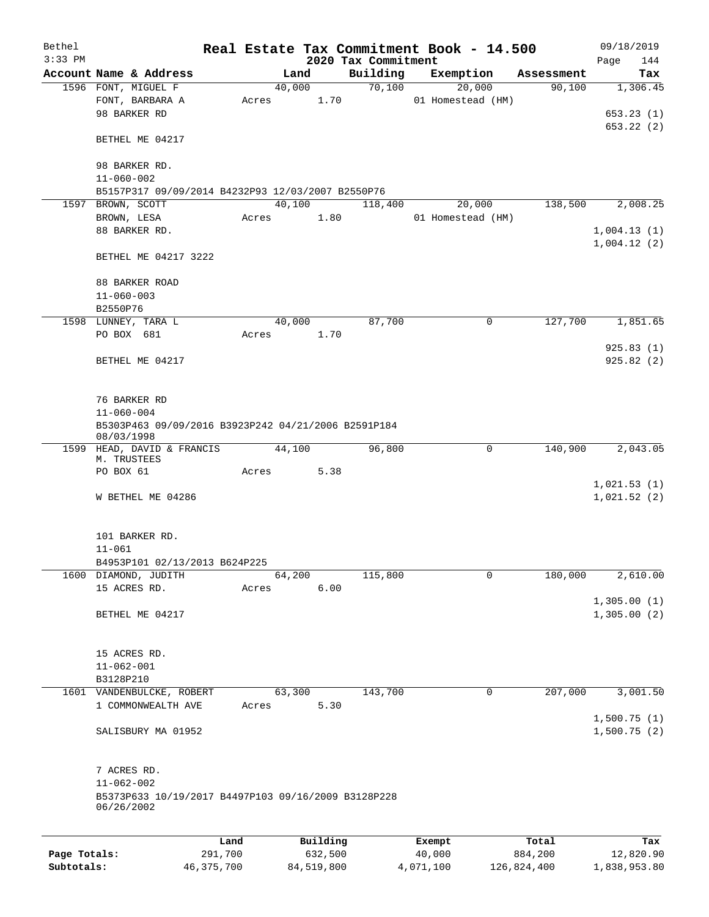| Bethel<br>$3:33$ PM |                                                                   |         |          |         |                                 | Real Estate Tax Commitment Book - 14.500 |            | 09/18/2019                 |
|---------------------|-------------------------------------------------------------------|---------|----------|---------|---------------------------------|------------------------------------------|------------|----------------------------|
|                     | Account Name & Address                                            |         | Land     |         | 2020 Tax Commitment<br>Building | Exemption                                | Assessment | Page<br>144<br>Tax         |
|                     | 1596 FONT, MIGUEL F                                               |         | 40,000   |         | 70,100                          | 20,000                                   | 90,100     | 1,306.45                   |
|                     | FONT, BARBARA A                                                   |         | Acres    | 1.70    |                                 | 01 Homestead (HM)                        |            |                            |
|                     | 98 BARKER RD                                                      |         |          |         |                                 |                                          |            | 653.23(1)                  |
|                     |                                                                   |         |          |         |                                 |                                          |            | 653.22(2)                  |
|                     | BETHEL ME 04217                                                   |         |          |         |                                 |                                          |            |                            |
|                     | 98 BARKER RD.                                                     |         |          |         |                                 |                                          |            |                            |
|                     | $11 - 060 - 002$                                                  |         |          |         |                                 |                                          |            |                            |
|                     | B5157P317 09/09/2014 B4232P93 12/03/2007 B2550P76                 |         |          |         |                                 |                                          |            |                            |
| 1597                | BROWN, SCOTT                                                      |         | 40,100   |         | 118,400                         | 20,000                                   | 138,500    | 2,008.25                   |
|                     | BROWN, LESA                                                       |         | Acres    | 1.80    |                                 | 01 Homestead (HM)                        |            |                            |
|                     | 88 BARKER RD.                                                     |         |          |         |                                 |                                          |            | 1,004.13(1)                |
|                     |                                                                   |         |          |         |                                 |                                          |            | 1,004.12(2)                |
|                     | BETHEL ME 04217 3222                                              |         |          |         |                                 |                                          |            |                            |
|                     | 88 BARKER ROAD                                                    |         |          |         |                                 |                                          |            |                            |
|                     | $11 - 060 - 003$                                                  |         |          |         |                                 |                                          |            |                            |
|                     | B2550P76                                                          |         |          |         |                                 |                                          |            |                            |
|                     | 1598 LUNNEY, TARA L                                               |         | 40,000   |         | 87,700                          | 0                                        | 127,700    | 1,851.65                   |
|                     | PO BOX 681                                                        |         | Acres    | 1.70    |                                 |                                          |            |                            |
|                     |                                                                   |         |          |         |                                 |                                          |            | 925.83(1)                  |
|                     | BETHEL ME 04217                                                   |         |          |         |                                 |                                          |            | 925.82(2)                  |
|                     |                                                                   |         |          |         |                                 |                                          |            |                            |
|                     | 76 BARKER RD                                                      |         |          |         |                                 |                                          |            |                            |
|                     | $11 - 060 - 004$                                                  |         |          |         |                                 |                                          |            |                            |
|                     | B5303P463 09/09/2016 B3923P242 04/21/2006 B2591P184<br>08/03/1998 |         |          |         |                                 |                                          |            |                            |
|                     | 1599 HEAD, DAVID & FRANCIS                                        |         | 44,100   |         | 96,800                          | $\mathbf 0$                              | 140,900    | 2,043.05                   |
|                     | M. TRUSTEES                                                       |         |          |         |                                 |                                          |            |                            |
|                     | PO BOX 61                                                         |         | Acres    | 5.38    |                                 |                                          |            |                            |
|                     |                                                                   |         |          |         |                                 |                                          |            | 1,021.53(1)                |
|                     | W BETHEL ME 04286                                                 |         |          |         |                                 |                                          |            | 1,021.52(2)                |
|                     |                                                                   |         |          |         |                                 |                                          |            |                            |
|                     | 101 BARKER RD.                                                    |         |          |         |                                 |                                          |            |                            |
|                     | $11 - 061$                                                        |         |          |         |                                 |                                          |            |                            |
|                     | B4953P101 02/13/2013 B624P225                                     |         |          |         |                                 | 0                                        | 180,000    |                            |
|                     | 1600 DIAMOND, JUDITH<br>15 ACRES RD.                              | Acres   | 64,200   | 6.00    | 115,800                         |                                          |            | 2,610.00                   |
|                     |                                                                   |         |          |         |                                 |                                          |            | 1,305.00(1)                |
|                     | BETHEL ME 04217                                                   |         |          |         |                                 |                                          |            | 1,305.00(2)                |
|                     |                                                                   |         |          |         |                                 |                                          |            |                            |
|                     | 15 ACRES RD.                                                      |         |          |         |                                 |                                          |            |                            |
|                     | $11 - 062 - 001$                                                  |         |          |         |                                 |                                          |            |                            |
|                     | B3128P210                                                         |         |          |         |                                 |                                          |            |                            |
|                     | 1601 VANDENBULCKE, ROBERT                                         |         | 63,300   |         | 143,700                         | $\mathbf 0$                              | 207,000    | 3,001.50                   |
|                     | 1 COMMONWEALTH AVE                                                | Acres   |          | 5.30    |                                 |                                          |            |                            |
|                     | SALISBURY MA 01952                                                |         |          |         |                                 |                                          |            | 1,500.75(1)<br>1,500.75(2) |
|                     |                                                                   |         |          |         |                                 |                                          |            |                            |
|                     | 7 ACRES RD.                                                       |         |          |         |                                 |                                          |            |                            |
|                     | $11 - 062 - 002$                                                  |         |          |         |                                 |                                          |            |                            |
|                     | B5373P633 10/19/2017 B4497P103 09/16/2009 B3128P228               |         |          |         |                                 |                                          |            |                            |
|                     | 06/26/2002                                                        |         |          |         |                                 |                                          |            |                            |
|                     |                                                                   |         |          |         |                                 |                                          |            |                            |
|                     |                                                                   | Land    | Building |         |                                 | Exempt                                   | Total      | Tax                        |
| Page Totals:        |                                                                   | 291,700 |          | 632,500 |                                 | 40,000                                   | 884,200    | 12,820.90                  |

**Subtotals:** 46,375,700 84,519,800 4,071,100 126,824,400 1,838,953.80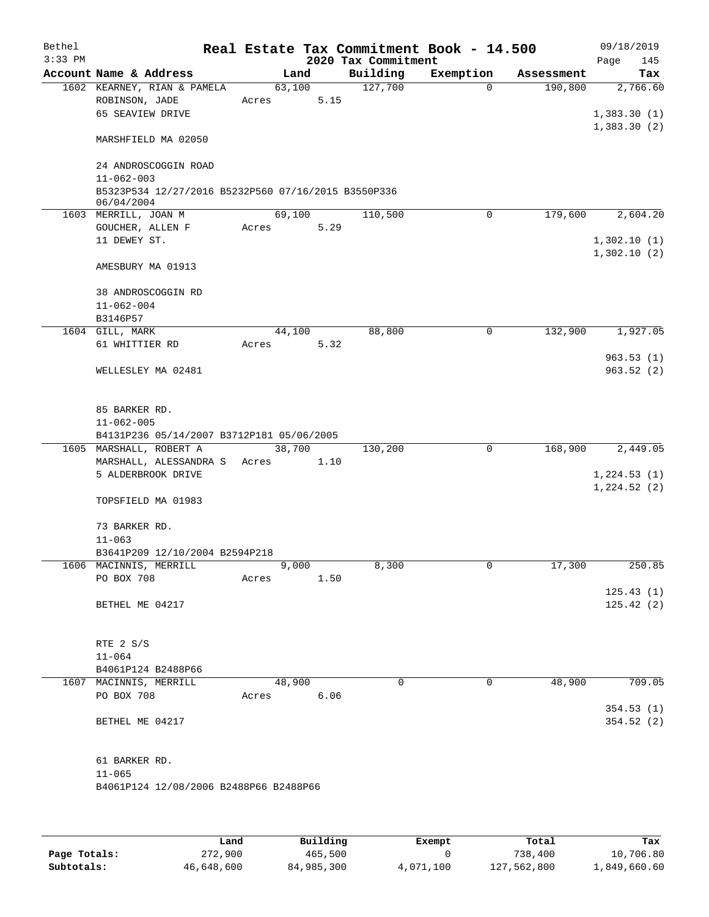| Bethel<br>$3:33$ PM |                                                                   |       |        |      | 2020 Tax Commitment | Real Estate Tax Commitment Book - 14.500 |            | 09/18/2019<br>Page<br>145  |
|---------------------|-------------------------------------------------------------------|-------|--------|------|---------------------|------------------------------------------|------------|----------------------------|
|                     | Account Name & Address                                            |       | Land   |      | Building            | Exemption                                | Assessment | Tax                        |
|                     | 1602 KEARNEY, RIAN & PAMELA<br>ROBINSON, JADE<br>65 SEAVIEW DRIVE | Acres | 63,100 | 5.15 | 127,700             | $\Omega$                                 | 190,800    | 2,766.60<br>1,383.30(1)    |
|                     | MARSHFIELD MA 02050                                               |       |        |      |                     |                                          |            | 1,383.30(2)                |
|                     | 24 ANDROSCOGGIN ROAD<br>$11 - 062 - 003$                          |       |        |      |                     |                                          |            |                            |
|                     | B5323P534 12/27/2016 B5232P560 07/16/2015 B3550P336<br>06/04/2004 |       |        |      |                     |                                          |            |                            |
|                     | 1603 MERRILL, JOAN M                                              |       | 69,100 |      | 110,500             | 0                                        | 179,600    | 2,604.20                   |
|                     | GOUCHER, ALLEN F<br>11 DEWEY ST.                                  | Acres |        | 5.29 |                     |                                          |            | 1,302.10(1)<br>1,302.10(2) |
|                     | AMESBURY MA 01913                                                 |       |        |      |                     |                                          |            |                            |
|                     | 38 ANDROSCOGGIN RD<br>$11 - 062 - 004$                            |       |        |      |                     |                                          |            |                            |
|                     | B3146P57                                                          |       |        |      |                     |                                          |            |                            |
|                     | 1604 GILL, MARK                                                   |       | 44,100 |      | 88,800              | 0                                        | 132,900    | 1,927.05                   |
|                     | 61 WHITTIER RD                                                    | Acres |        | 5.32 |                     |                                          |            | 963.53(1)                  |
|                     | WELLESLEY MA 02481                                                |       |        |      |                     |                                          |            | 963.52(2)                  |
|                     | 85 BARKER RD.<br>$11 - 062 - 005$                                 |       |        |      |                     |                                          |            |                            |
|                     | B4131P236 05/14/2007 B3712P181 05/06/2005                         |       |        |      |                     |                                          |            |                            |
|                     | 1605 MARSHALL, ROBERT A                                           |       | 38,700 |      | 130,200             | $\mathbf 0$                              | 168,900    | 2,449.05                   |
|                     | MARSHALL, ALESSANDRA S                                            | Acres |        | 1.10 |                     |                                          |            |                            |
|                     | 5 ALDERBROOK DRIVE                                                |       |        |      |                     |                                          |            | 1,224.53(1)                |
|                     | TOPSFIELD MA 01983                                                |       |        |      |                     |                                          |            | 1,224.52(2)                |
|                     | 73 BARKER RD.                                                     |       |        |      |                     |                                          |            |                            |
|                     | $11 - 063$                                                        |       |        |      |                     |                                          |            |                            |
|                     | B3641P209 12/10/2004 B2594P218                                    |       |        |      |                     |                                          |            |                            |
|                     | 1606 MACINNIS, MERRILL                                            |       | 9,000  |      | 8,300               | 0                                        | 17,300     | 250.85                     |
|                     | PO BOX 708                                                        | Acres |        | 1.50 |                     |                                          |            |                            |
|                     | BETHEL ME 04217                                                   |       |        |      |                     |                                          |            | 125.43(1)<br>125.42(2)     |
|                     | RTE 2 S/S                                                         |       |        |      |                     |                                          |            |                            |
|                     | $11 - 064$                                                        |       |        |      |                     |                                          |            |                            |
|                     | B4061P124 B2488P66                                                |       |        |      |                     |                                          |            |                            |
|                     | 1607 MACINNIS, MERRILL<br>PO BOX 708                              |       | 48,900 | 6.06 | $\Omega$            | 0                                        | 48,900     | 709.05                     |
|                     |                                                                   | Acres |        |      |                     |                                          |            | 354.53(1)                  |
|                     | BETHEL ME 04217                                                   |       |        |      |                     |                                          |            | 354.52(2)                  |
|                     | 61 BARKER RD.<br>$11 - 065$                                       |       |        |      |                     |                                          |            |                            |
|                     | B4061P124 12/08/2006 B2488P66 B2488P66                            |       |        |      |                     |                                          |            |                            |
|                     |                                                                   |       |        |      |                     |                                          |            |                            |

|              | Land       | Building   | Exempt    | Total       | Tax          |
|--------------|------------|------------|-----------|-------------|--------------|
| Page Totals: | 272,900    | 465,500    |           | 738,400     | 10,706.80    |
| Subtotals:   | 46,648,600 | 84,985,300 | 4,071,100 | 127,562,800 | 1,849,660.60 |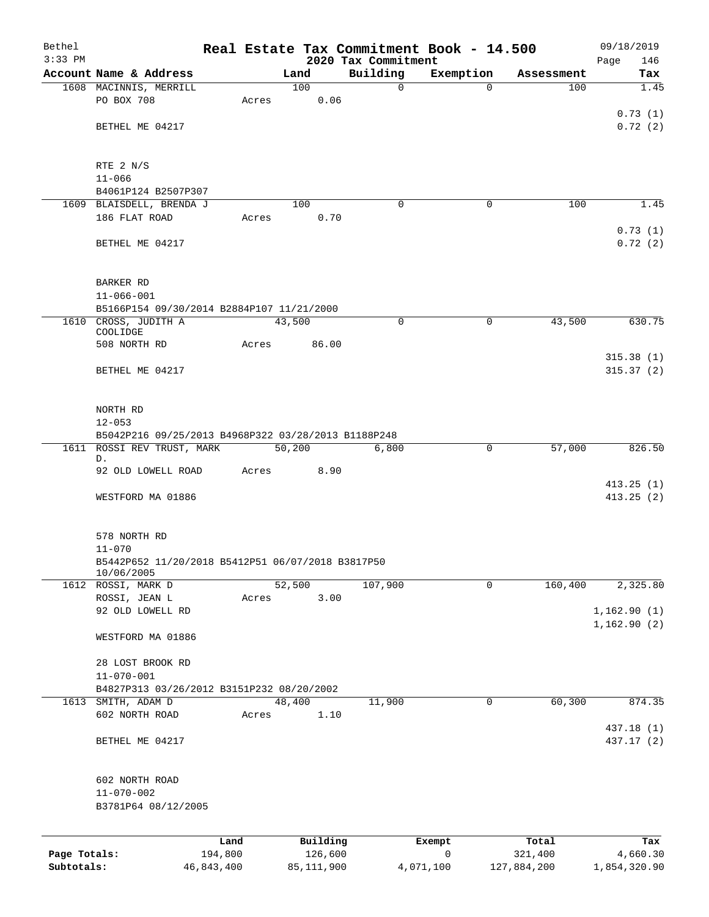| Bethel       |                                                                   |            |       |                |                                 | Real Estate Tax Commitment Book - 14.500 |             | 09/18/2019             |  |
|--------------|-------------------------------------------------------------------|------------|-------|----------------|---------------------------------|------------------------------------------|-------------|------------------------|--|
| $3:33$ PM    | Account Name & Address                                            |            |       | Land           | 2020 Tax Commitment<br>Building | Exemption                                | Assessment  | 146<br>Page<br>Tax     |  |
|              | 1608 MACINNIS, MERRILL                                            |            |       | 100            | $\mathbf 0$                     | $\Omega$                                 | 100         | $\overline{1.45}$      |  |
|              | PO BOX 708                                                        |            | Acres | 0.06           |                                 |                                          |             |                        |  |
|              |                                                                   |            |       |                |                                 |                                          |             | 0.73(1)                |  |
|              | BETHEL ME 04217                                                   |            |       |                |                                 |                                          |             | 0.72(2)                |  |
|              | RTE 2 N/S                                                         |            |       |                |                                 |                                          |             |                        |  |
|              | $11 - 066$                                                        |            |       |                |                                 |                                          |             |                        |  |
|              | B4061P124 B2507P307                                               |            |       |                |                                 |                                          |             |                        |  |
|              | 1609 BLAISDELL, BRENDA J                                          |            |       | 100            | $\Omega$                        | 0                                        | 100         | 1.45                   |  |
|              | 186 FLAT ROAD                                                     |            | Acres | 0.70           |                                 |                                          |             |                        |  |
|              | BETHEL ME 04217                                                   |            |       |                |                                 |                                          |             | 0.73(1)<br>0.72(2)     |  |
|              | <b>BARKER RD</b>                                                  |            |       |                |                                 |                                          |             |                        |  |
|              | $11 - 066 - 001$                                                  |            |       |                |                                 |                                          |             |                        |  |
|              | B5166P154 09/30/2014 B2884P107 11/21/2000                         |            |       |                |                                 |                                          |             |                        |  |
|              | 1610 CROSS, JUDITH A<br>COOLIDGE                                  |            |       | 43,500         | $\mathbf 0$                     | $\mathbf 0$                              | 43,500      | 630.75                 |  |
|              | 508 NORTH RD                                                      |            | Acres | 86.00          |                                 |                                          |             |                        |  |
|              |                                                                   |            |       |                |                                 |                                          |             | 315.38(1)              |  |
|              | BETHEL ME 04217                                                   |            |       |                |                                 |                                          |             | 315.37(2)              |  |
|              | NORTH RD                                                          |            |       |                |                                 |                                          |             |                        |  |
|              | $12 - 053$<br>B5042P216 09/25/2013 B4968P322 03/28/2013 B1188P248 |            |       |                |                                 |                                          |             |                        |  |
|              |                                                                   |            |       |                |                                 |                                          |             |                        |  |
|              | 1611 ROSSI REV TRUST, MARK<br>D.                                  |            |       | 50,200         | 6,800                           | 0                                        | 57,000      | 826.50                 |  |
|              | 92 OLD LOWELL ROAD                                                |            | Acres | 8.90           |                                 |                                          |             |                        |  |
|              | WESTFORD MA 01886                                                 |            |       |                |                                 |                                          |             | 413.25(1)<br>413.25(2) |  |
|              |                                                                   |            |       |                |                                 |                                          |             |                        |  |
|              | 578 NORTH RD                                                      |            |       |                |                                 |                                          |             |                        |  |
|              | $11 - 070$                                                        |            |       |                |                                 |                                          |             |                        |  |
|              | B5442P652 11/20/2018 B5412P51 06/07/2018 B3817P50<br>10/06/2005   |            |       |                |                                 |                                          |             |                        |  |
|              | 1612 ROSSI, MARK D                                                |            |       | 52,500         | 107,900                         | 0                                        | 160,400     | 2,325.80               |  |
|              | ROSSI, JEAN L                                                     |            | Acres | 3.00           |                                 |                                          |             |                        |  |
|              | 92 OLD LOWELL RD                                                  |            |       |                |                                 |                                          |             | 1,162.90(1)            |  |
|              | WESTFORD MA 01886                                                 |            |       |                |                                 |                                          |             | 1,162.90(2)            |  |
|              | 28 LOST BROOK RD                                                  |            |       |                |                                 |                                          |             |                        |  |
|              | $11 - 070 - 001$                                                  |            |       |                |                                 |                                          |             |                        |  |
|              | B4827P313 03/26/2012 B3151P232 08/20/2002                         |            |       |                |                                 |                                          |             |                        |  |
|              | 1613 SMITH, ADAM D<br>602 NORTH ROAD                              |            | Acres | 48,400<br>1.10 | 11,900                          | 0                                        | 60,300      | 874.35                 |  |
|              |                                                                   |            |       |                |                                 |                                          |             | 437.18 (1)             |  |
|              | BETHEL ME 04217                                                   |            |       |                |                                 |                                          |             | 437.17 (2)             |  |
|              | 602 NORTH ROAD                                                    |            |       |                |                                 |                                          |             |                        |  |
|              | $11 - 070 - 002$                                                  |            |       |                |                                 |                                          |             |                        |  |
|              | B3781P64 08/12/2005                                               |            |       |                |                                 |                                          |             |                        |  |
|              |                                                                   | Land       |       | Building       |                                 | Exempt                                   | Total       | Tax                    |  |
| Page Totals: |                                                                   | 194,800    |       | 126,600        |                                 | 0                                        | 321,400     | 4,660.30               |  |
| Subtotals:   |                                                                   | 46,843,400 |       | 85, 111, 900   |                                 | 4,071,100                                | 127,884,200 | 1,854,320.90           |  |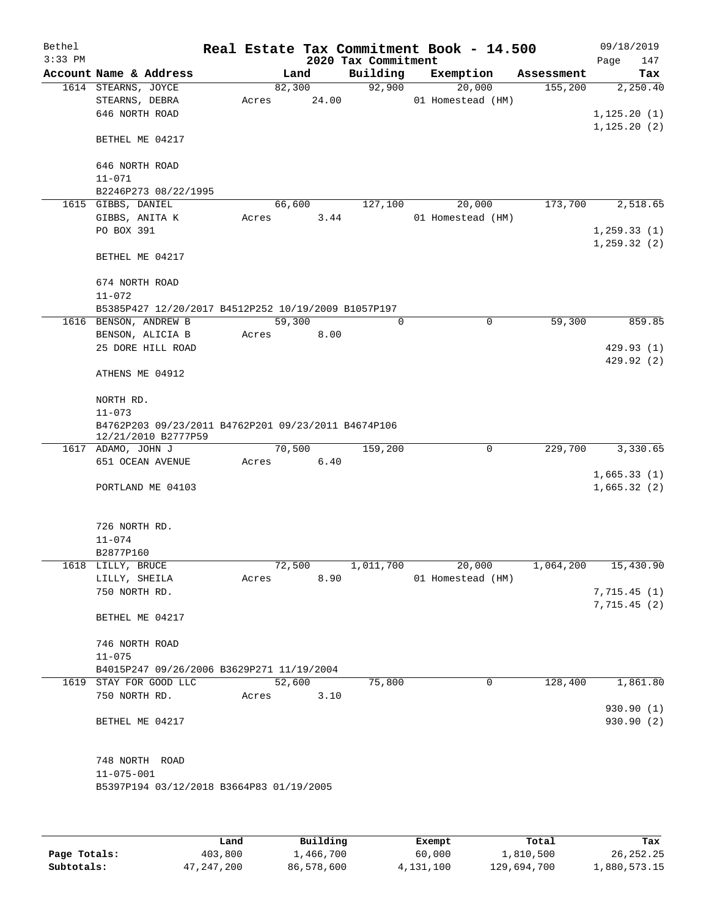| Bethel    |                                                     |       |        |       |                     | Real Estate Tax Commitment Book - 14.500 |            | 09/18/2019   |            |
|-----------|-----------------------------------------------------|-------|--------|-------|---------------------|------------------------------------------|------------|--------------|------------|
| $3:33$ PM |                                                     |       |        |       | 2020 Tax Commitment |                                          |            | Page         | 147        |
|           | Account Name & Address                              |       | Land   |       | Building            | Exemption                                | Assessment |              | Tax        |
|           | 1614 STEARNS, JOYCE                                 |       | 82,300 |       | 92,900              | 20,000                                   | 155,200    |              | 2,250.40   |
|           | STEARNS, DEBRA                                      | Acres |        | 24.00 |                     | 01 Homestead (HM)                        |            |              |            |
|           | 646 NORTH ROAD                                      |       |        |       |                     |                                          |            | 1,125.20(1)  |            |
|           |                                                     |       |        |       |                     |                                          |            | 1, 125.20(2) |            |
|           | BETHEL ME 04217                                     |       |        |       |                     |                                          |            |              |            |
|           |                                                     |       |        |       |                     |                                          |            |              |            |
|           | 646 NORTH ROAD                                      |       |        |       |                     |                                          |            |              |            |
|           | $11 - 071$                                          |       |        |       |                     |                                          |            |              |            |
|           | B2246P273 08/22/1995<br>1615 GIBBS, DANIEL          |       | 66,600 |       | 127,100             | 20,000                                   | 173,700    |              | 2,518.65   |
|           | GIBBS, ANITA K                                      | Acres |        | 3.44  |                     | 01 Homestead (HM)                        |            |              |            |
|           | PO BOX 391                                          |       |        |       |                     |                                          |            | 1, 259.33(1) |            |
|           |                                                     |       |        |       |                     |                                          |            | 1, 259.32(2) |            |
|           | BETHEL ME 04217                                     |       |        |       |                     |                                          |            |              |            |
|           |                                                     |       |        |       |                     |                                          |            |              |            |
|           | 674 NORTH ROAD                                      |       |        |       |                     |                                          |            |              |            |
|           | $11 - 072$                                          |       |        |       |                     |                                          |            |              |            |
|           | B5385P427 12/20/2017 B4512P252 10/19/2009 B1057P197 |       |        |       |                     |                                          |            |              |            |
|           | 1616 BENSON, ANDREW B                               |       | 59,300 |       | $\Omega$            | $\mathbf 0$                              | 59,300     |              | 859.85     |
|           | BENSON, ALICIA B                                    | Acres |        | 8.00  |                     |                                          |            |              |            |
|           | 25 DORE HILL ROAD                                   |       |        |       |                     |                                          |            |              | 429.93(1)  |
|           |                                                     |       |        |       |                     |                                          |            |              | 429.92(2)  |
|           | ATHENS ME 04912                                     |       |        |       |                     |                                          |            |              |            |
|           |                                                     |       |        |       |                     |                                          |            |              |            |
|           | NORTH RD.                                           |       |        |       |                     |                                          |            |              |            |
|           | $11 - 073$                                          |       |        |       |                     |                                          |            |              |            |
|           | B4762P203 09/23/2011 B4762P201 09/23/2011 B4674P106 |       |        |       |                     |                                          |            |              |            |
|           | 12/21/2010 B2777P59                                 |       |        |       |                     |                                          |            |              |            |
|           | 1617 ADAMO, JOHN J                                  |       | 70,500 |       | 159,200             | $\mathbf 0$                              | 229,700    |              | 3,330.65   |
|           | 651 OCEAN AVENUE                                    | Acres |        | 6.40  |                     |                                          |            |              |            |
|           |                                                     |       |        |       |                     |                                          |            | 1,665.33(1)  |            |
|           | PORTLAND ME 04103                                   |       |        |       |                     |                                          |            | 1,665.32(2)  |            |
|           |                                                     |       |        |       |                     |                                          |            |              |            |
|           |                                                     |       |        |       |                     |                                          |            |              |            |
|           | 726 NORTH RD.<br>$11 - 074$                         |       |        |       |                     |                                          |            |              |            |
|           | B2877P160                                           |       |        |       |                     |                                          |            |              |            |
|           | 1618 LILLY, BRUCE                                   |       | 72,500 |       | 1,011,700           | 20,000                                   | 1,064,200  |              | 15,430.90  |
|           | LILLY, SHEILA                                       | Acres |        | 8.90  |                     | 01 Homestead (HM)                        |            |              |            |
|           | 750 NORTH RD.                                       |       |        |       |                     |                                          |            | 7,715.45(1)  |            |
|           |                                                     |       |        |       |                     |                                          |            | 7,715.45(2)  |            |
|           | BETHEL ME 04217                                     |       |        |       |                     |                                          |            |              |            |
|           |                                                     |       |        |       |                     |                                          |            |              |            |
|           | 746 NORTH ROAD                                      |       |        |       |                     |                                          |            |              |            |
|           | $11 - 075$                                          |       |        |       |                     |                                          |            |              |            |
|           | B4015P247 09/26/2006 B3629P271 11/19/2004           |       |        |       |                     |                                          |            |              |            |
| 1619      | STAY FOR GOOD LLC                                   |       | 52,600 |       | 75,800              | 0                                        | 128,400    |              | 1,861.80   |
|           | 750 NORTH RD.                                       | Acres |        | 3.10  |                     |                                          |            |              |            |
|           |                                                     |       |        |       |                     |                                          |            |              | 930.90 (1) |
|           | BETHEL ME 04217                                     |       |        |       |                     |                                          |            |              | 930.90 (2) |
|           |                                                     |       |        |       |                     |                                          |            |              |            |
|           |                                                     |       |        |       |                     |                                          |            |              |            |
|           | 748 NORTH ROAD                                      |       |        |       |                     |                                          |            |              |            |
|           | $11 - 075 - 001$                                    |       |        |       |                     |                                          |            |              |            |
|           | B5397P194 03/12/2018 B3664P83 01/19/2005            |       |        |       |                     |                                          |            |              |            |
|           |                                                     |       |        |       |                     |                                          |            |              |            |
|           |                                                     |       |        |       |                     |                                          |            |              |            |
|           |                                                     |       |        |       |                     |                                          |            |              |            |

|              | Land       | Building   | Exempt    | Total       | Tax          |
|--------------|------------|------------|-----------|-------------|--------------|
| Page Totals: | 403,800    | 1,466,700  | 60,000    | 1,810,500   | 26, 252, 25  |
| Subtotals:   | 47,247,200 | 86,578,600 | 4,131,100 | 129,694,700 | 1,880,573.15 |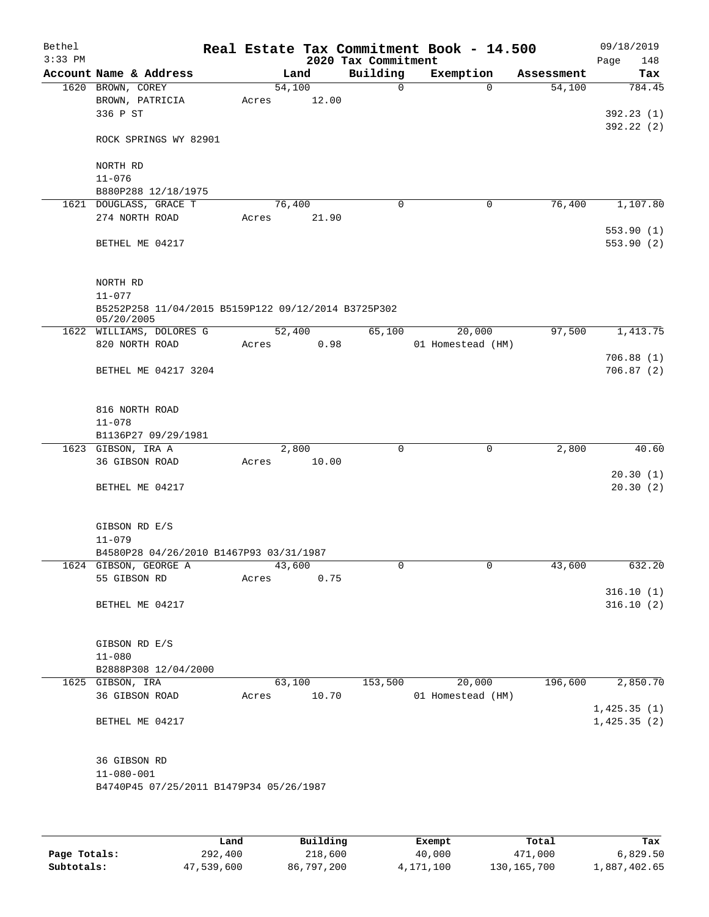| Bethel    |                                                                   |       |        |                     | Real Estate Tax Commitment Book - 14.500 |            | 09/18/2019                 |
|-----------|-------------------------------------------------------------------|-------|--------|---------------------|------------------------------------------|------------|----------------------------|
| $3:33$ PM |                                                                   |       |        | 2020 Tax Commitment |                                          |            | 148<br>Page                |
|           | Account Name & Address                                            |       | Land   | Building            | Exemption                                | Assessment | Tax                        |
|           | 1620 BROWN, COREY                                                 |       | 54,100 | $\Omega$            | $\Omega$                                 | 54,100     | 784.45                     |
|           | BROWN, PATRICIA                                                   | Acres | 12.00  |                     |                                          |            |                            |
|           | 336 P ST                                                          |       |        |                     |                                          |            | 392.23(1)                  |
|           | ROCK SPRINGS WY 82901                                             |       |        |                     |                                          |            | 392.22(2)                  |
|           | NORTH RD                                                          |       |        |                     |                                          |            |                            |
|           | $11 - 076$                                                        |       |        |                     |                                          |            |                            |
|           | B880P288 12/18/1975                                               |       |        |                     |                                          |            |                            |
|           | 1621 DOUGLASS, GRACE T                                            |       | 76,400 | $\mathbf 0$         | 0                                        | 76,400     | 1,107.80                   |
|           | 274 NORTH ROAD                                                    | Acres | 21.90  |                     |                                          |            |                            |
|           |                                                                   |       |        |                     |                                          |            | 553.90(1)                  |
|           | BETHEL ME 04217                                                   |       |        |                     |                                          |            | 553.90(2)                  |
|           | NORTH RD                                                          |       |        |                     |                                          |            |                            |
|           | $11 - 077$                                                        |       |        |                     |                                          |            |                            |
|           | B5252P258 11/04/2015 B5159P122 09/12/2014 B3725P302<br>05/20/2005 |       |        |                     |                                          |            |                            |
|           | 1622 WILLIAMS, DOLORES G                                          |       | 52,400 | 65,100              | 20,000                                   | 97,500     | 1,413.75                   |
|           | 820 NORTH ROAD                                                    | Acres | 0.98   |                     | 01 Homestead (HM)                        |            |                            |
|           |                                                                   |       |        |                     |                                          |            | 706.88(1)                  |
|           | BETHEL ME 04217 3204                                              |       |        |                     |                                          |            | 706.87(2)                  |
|           | 816 NORTH ROAD                                                    |       |        |                     |                                          |            |                            |
|           | $11 - 078$                                                        |       |        |                     |                                          |            |                            |
|           | B1136P27 09/29/1981                                               |       |        |                     |                                          |            |                            |
|           | 1623 GIBSON, IRA A                                                |       | 2,800  | 0                   | $\mathbf 0$                              | 2,800      | 40.60                      |
|           | 36 GIBSON ROAD                                                    | Acres | 10.00  |                     |                                          |            |                            |
|           |                                                                   |       |        |                     |                                          |            | 20.30(1)                   |
|           | BETHEL ME 04217                                                   |       |        |                     |                                          |            | 20.30(2)                   |
|           | GIBSON RD E/S                                                     |       |        |                     |                                          |            |                            |
|           | $11 - 079$                                                        |       |        |                     |                                          |            |                            |
|           | B4580P28 04/26/2010 B1467P93 03/31/1987                           |       |        |                     |                                          |            |                            |
|           | 1624 GIBSON, GEORGE A                                             |       | 43,600 | 0                   | 0                                        | 43,600     | 632.20                     |
|           | 55 GIBSON RD                                                      | Acres | 0.75   |                     |                                          |            |                            |
|           | BETHEL ME 04217                                                   |       |        |                     |                                          |            | 316.10(1)<br>316.10(2)     |
|           |                                                                   |       |        |                     |                                          |            |                            |
|           | GIBSON RD E/S                                                     |       |        |                     |                                          |            |                            |
|           | $11 - 080$                                                        |       |        |                     |                                          |            |                            |
|           | B2888P308 12/04/2000                                              |       |        |                     |                                          |            |                            |
|           | 1625 GIBSON, IRA                                                  |       | 63,100 | 153,500             | 20,000                                   | 196,600    | 2,850.70                   |
|           | 36 GIBSON ROAD                                                    | Acres | 10.70  |                     | 01 Homestead (HM)                        |            |                            |
|           | BETHEL ME 04217                                                   |       |        |                     |                                          |            | 1,425.35(1)<br>1,425.35(2) |
|           |                                                                   |       |        |                     |                                          |            |                            |
|           | 36 GIBSON RD                                                      |       |        |                     |                                          |            |                            |
|           | $11 - 080 - 001$                                                  |       |        |                     |                                          |            |                            |
|           | B4740P45 07/25/2011 B1479P34 05/26/1987                           |       |        |                     |                                          |            |                            |
|           |                                                                   |       |        |                     |                                          |            |                            |
|           |                                                                   |       |        |                     |                                          |            |                            |
|           |                                                                   |       |        |                     |                                          |            |                            |

|              | Land       | Building   | Exempt    | Total         | Tax          |
|--------------|------------|------------|-----------|---------------|--------------|
| Page Totals: | 292,400    | 218,600    | 40,000    | 471,000       | 6.829.50     |
| Subtotals:   | 47,539,600 | 86,797,200 | 4,171,100 | 130, 165, 700 | 1,887,402.65 |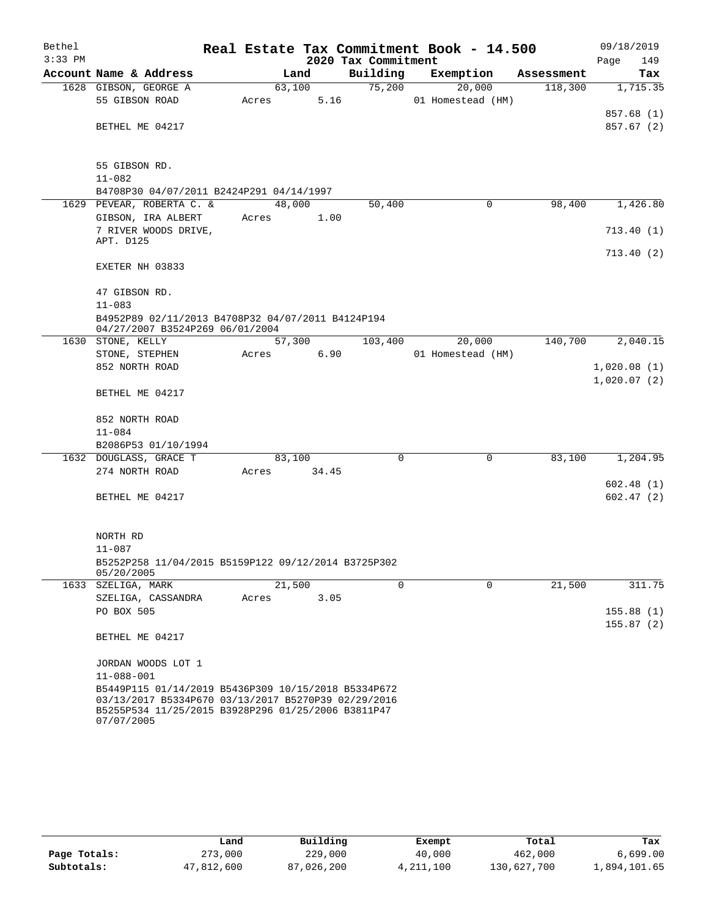| Bethel<br>$3:33$ PM |                                                                                                            |        |        | 2020 Tax Commitment | Real Estate Tax Commitment Book - 14.500 |            | 09/18/2019<br>149<br>Page |
|---------------------|------------------------------------------------------------------------------------------------------------|--------|--------|---------------------|------------------------------------------|------------|---------------------------|
|                     | Account Name & Address                                                                                     |        | Land   | Building            | Exemption                                | Assessment | Tax                       |
|                     | 1628 GIBSON, GEORGE A                                                                                      |        | 63,100 | 75,200              | 20,000                                   | 118,300    | 1,715.35                  |
|                     | 55 GIBSON ROAD                                                                                             | Acres  | 5.16   |                     | 01 Homestead (HM)                        |            |                           |
|                     |                                                                                                            |        |        |                     |                                          |            | 857.68 (1)                |
|                     | BETHEL ME 04217                                                                                            |        |        |                     |                                          |            | 857.67 (2)                |
|                     |                                                                                                            |        |        |                     |                                          |            |                           |
|                     |                                                                                                            |        |        |                     |                                          |            |                           |
|                     | 55 GIBSON RD.                                                                                              |        |        |                     |                                          |            |                           |
|                     | $11 - 082$                                                                                                 |        |        |                     |                                          |            |                           |
|                     | B4708P30 04/07/2011 B2424P291 04/14/1997                                                                   |        |        |                     |                                          |            |                           |
|                     | 1629 PEVEAR, ROBERTA C. &                                                                                  | 48,000 |        | 50,400              | 0                                        | 98,400     | 1,426.80                  |
|                     | GIBSON, IRA ALBERT                                                                                         | Acres  | 1.00   |                     |                                          |            |                           |
|                     | 7 RIVER WOODS DRIVE,                                                                                       |        |        |                     |                                          |            | 713.40(1)                 |
|                     | APT. D125                                                                                                  |        |        |                     |                                          |            |                           |
|                     | EXETER NH 03833                                                                                            |        |        |                     |                                          |            | 713.40(2)                 |
|                     |                                                                                                            |        |        |                     |                                          |            |                           |
|                     | 47 GIBSON RD.                                                                                              |        |        |                     |                                          |            |                           |
|                     | $11 - 083$                                                                                                 |        |        |                     |                                          |            |                           |
|                     | B4952P89 02/11/2013 B4708P32 04/07/2011 B4124P194                                                          |        |        |                     |                                          |            |                           |
|                     | 04/27/2007 B3524P269 06/01/2004                                                                            |        |        |                     |                                          |            |                           |
|                     | 1630 STONE, KELLY                                                                                          |        | 57,300 | 103,400             | 20,000                                   | 140,700    | 2,040.15                  |
|                     | STONE, STEPHEN                                                                                             | Acres  | 6.90   |                     | 01 Homestead (HM)                        |            |                           |
|                     | 852 NORTH ROAD                                                                                             |        |        |                     |                                          |            | 1,020.08(1)               |
|                     |                                                                                                            |        |        |                     |                                          |            | 1,020.07(2)               |
|                     | BETHEL ME 04217                                                                                            |        |        |                     |                                          |            |                           |
|                     |                                                                                                            |        |        |                     |                                          |            |                           |
|                     | 852 NORTH ROAD                                                                                             |        |        |                     |                                          |            |                           |
|                     | $11 - 084$                                                                                                 |        |        |                     |                                          |            |                           |
|                     | B2086P53 01/10/1994                                                                                        |        |        |                     |                                          |            |                           |
|                     | 1632 DOUGLASS, GRACE T                                                                                     | 83,100 |        | $\mathbf 0$         | $\mathbf 0$                              | 83,100     | 1,204.95                  |
|                     | 274 NORTH ROAD                                                                                             | Acres  | 34.45  |                     |                                          |            |                           |
|                     |                                                                                                            |        |        |                     |                                          |            | 602.48(1)                 |
|                     | BETHEL ME 04217                                                                                            |        |        |                     |                                          |            | 602.47(2)                 |
|                     |                                                                                                            |        |        |                     |                                          |            |                           |
|                     |                                                                                                            |        |        |                     |                                          |            |                           |
|                     | NORTH RD                                                                                                   |        |        |                     |                                          |            |                           |
|                     | $11 - 087$                                                                                                 |        |        |                     |                                          |            |                           |
|                     | B5252P258 11/04/2015 B5159P122 09/12/2014 B3725P302                                                        |        |        |                     |                                          |            |                           |
|                     | 05/20/2005                                                                                                 |        |        |                     |                                          |            |                           |
|                     | 1633 SZELIGA, MARK                                                                                         | 21,500 |        | $\Omega$            | $\Omega$                                 | 21,500     | 311.75                    |
|                     | SZELIGA, CASSANDRA                                                                                         | Acres  | 3.05   |                     |                                          |            |                           |
|                     | PO BOX 505                                                                                                 |        |        |                     |                                          |            | 155.88(1)                 |
|                     |                                                                                                            |        |        |                     |                                          |            | 155.87(2)                 |
|                     | BETHEL ME 04217                                                                                            |        |        |                     |                                          |            |                           |
|                     |                                                                                                            |        |        |                     |                                          |            |                           |
|                     | JORDAN WOODS LOT 1                                                                                         |        |        |                     |                                          |            |                           |
|                     | $11 - 088 - 001$                                                                                           |        |        |                     |                                          |            |                           |
|                     | B5449P115 01/14/2019 B5436P309 10/15/2018 B5334P672<br>03/13/2017 B5334P670 03/13/2017 B5270P39 02/29/2016 |        |        |                     |                                          |            |                           |
|                     | B5255P534 11/25/2015 B3928P296 01/25/2006 B3811P47                                                         |        |        |                     |                                          |            |                           |
|                     | 07/07/2005                                                                                                 |        |        |                     |                                          |            |                           |

|              | Land       | Building   | Exempt    | Total       | Tax          |
|--------------|------------|------------|-----------|-------------|--------------|
| Page Totals: | 273,000    | 229,000    | 40,000    | 462,000     | 6,699.00     |
| Subtotals:   | 47,812,600 | 87,026,200 | 4,211,100 | 130,627,700 | 1,894,101.65 |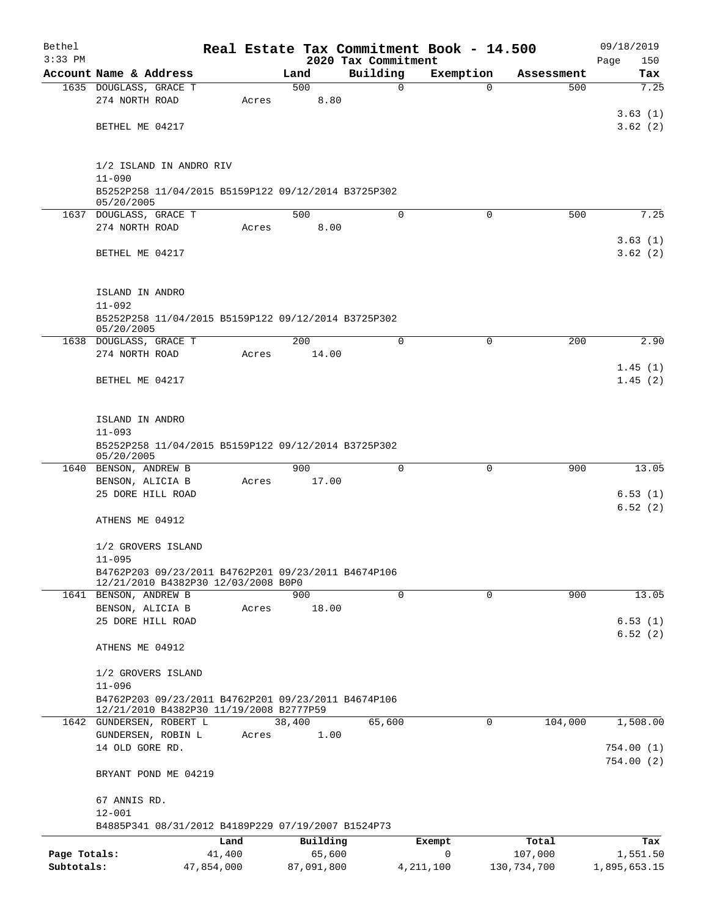| Bethel<br>$3:33$ PM |                                                                                                |            |       |              |                                 | Real Estate Tax Commitment Book - 14.500 |             |             | 09/18/2019         |
|---------------------|------------------------------------------------------------------------------------------------|------------|-------|--------------|---------------------------------|------------------------------------------|-------------|-------------|--------------------|
|                     | Account Name & Address                                                                         |            |       | Land         | 2020 Tax Commitment<br>Building | Exemption                                |             | Assessment  | Page<br>150<br>Tax |
|                     | 1635 DOUGLASS, GRACE T                                                                         |            |       | 500          | 0                               |                                          | $\mathbf 0$ | 500         | 7.25               |
|                     | 274 NORTH ROAD                                                                                 |            | Acres | 8.80         |                                 |                                          |             |             |                    |
|                     |                                                                                                |            |       |              |                                 |                                          |             |             | 3.63(1)            |
|                     | BETHEL ME 04217                                                                                |            |       |              |                                 |                                          |             |             | 3.62(2)            |
|                     |                                                                                                |            |       |              |                                 |                                          |             |             |                    |
|                     |                                                                                                |            |       |              |                                 |                                          |             |             |                    |
|                     | 1/2 ISLAND IN ANDRO RIV<br>$11 - 090$                                                          |            |       |              |                                 |                                          |             |             |                    |
|                     | B5252P258 11/04/2015 B5159P122 09/12/2014 B3725P302                                            |            |       |              |                                 |                                          |             |             |                    |
|                     | 05/20/2005                                                                                     |            |       |              |                                 |                                          |             |             |                    |
|                     | 1637 DOUGLASS, GRACE T                                                                         |            |       | 500          | $\Omega$                        |                                          | 0           | 500         | 7.25               |
|                     | 274 NORTH ROAD                                                                                 |            | Acres | 8.00         |                                 |                                          |             |             |                    |
|                     | BETHEL ME 04217                                                                                |            |       |              |                                 |                                          |             |             | 3.63(1)<br>3.62(2) |
|                     |                                                                                                |            |       |              |                                 |                                          |             |             |                    |
|                     |                                                                                                |            |       |              |                                 |                                          |             |             |                    |
|                     | ISLAND IN ANDRO                                                                                |            |       |              |                                 |                                          |             |             |                    |
|                     | $11 - 092$                                                                                     |            |       |              |                                 |                                          |             |             |                    |
|                     | B5252P258 11/04/2015 B5159P122 09/12/2014 B3725P302                                            |            |       |              |                                 |                                          |             |             |                    |
|                     | 05/20/2005<br>1638 DOUGLASS, GRACE T                                                           |            |       | 200          | $\Omega$                        |                                          | $\mathbf 0$ | 200         | 2.90               |
|                     | 274 NORTH ROAD                                                                                 |            | Acres | 14.00        |                                 |                                          |             |             |                    |
|                     |                                                                                                |            |       |              |                                 |                                          |             |             | 1.45(1)            |
|                     | BETHEL ME 04217                                                                                |            |       |              |                                 |                                          |             |             | 1.45(2)            |
|                     |                                                                                                |            |       |              |                                 |                                          |             |             |                    |
|                     |                                                                                                |            |       |              |                                 |                                          |             |             |                    |
|                     | ISLAND IN ANDRO                                                                                |            |       |              |                                 |                                          |             |             |                    |
|                     | $11 - 093$                                                                                     |            |       |              |                                 |                                          |             |             |                    |
|                     | B5252P258 11/04/2015 B5159P122 09/12/2014 B3725P302<br>05/20/2005                              |            |       |              |                                 |                                          |             |             |                    |
|                     | 1640 BENSON, ANDREW B                                                                          |            |       | 900          | $\Omega$                        |                                          | 0           | 900         | 13.05              |
|                     | BENSON, ALICIA B                                                                               |            | Acres | 17.00        |                                 |                                          |             |             |                    |
|                     | 25 DORE HILL ROAD                                                                              |            |       |              |                                 |                                          |             |             | 6.53(1)            |
|                     |                                                                                                |            |       |              |                                 |                                          |             |             | 6.52(2)            |
|                     | ATHENS ME 04912                                                                                |            |       |              |                                 |                                          |             |             |                    |
|                     | 1/2 GROVERS ISLAND                                                                             |            |       |              |                                 |                                          |             |             |                    |
|                     | $11 - 095$                                                                                     |            |       |              |                                 |                                          |             |             |                    |
|                     | B4762P203 09/23/2011 B4762P201 09/23/2011 B4674P106                                            |            |       |              |                                 |                                          |             |             |                    |
|                     | 12/21/2010 B4382P30 12/03/2008 B0P0                                                            |            |       |              |                                 |                                          |             |             |                    |
|                     | 1641 BENSON, ANDREW B<br>BENSON, ALICIA B                                                      |            |       | 900<br>18.00 | 0                               |                                          | $\mathbf 0$ | 900         | 13.05              |
|                     | 25 DORE HILL ROAD                                                                              |            | Acres |              |                                 |                                          |             |             | 6.53(1)            |
|                     |                                                                                                |            |       |              |                                 |                                          |             |             | 6.52(2)            |
|                     | ATHENS ME 04912                                                                                |            |       |              |                                 |                                          |             |             |                    |
|                     |                                                                                                |            |       |              |                                 |                                          |             |             |                    |
|                     | 1/2 GROVERS ISLAND                                                                             |            |       |              |                                 |                                          |             |             |                    |
|                     | $11 - 096$                                                                                     |            |       |              |                                 |                                          |             |             |                    |
|                     | B4762P203 09/23/2011 B4762P201 09/23/2011 B4674P106<br>12/21/2010 B4382P30 11/19/2008 B2777P59 |            |       |              |                                 |                                          |             |             |                    |
|                     | 1642 GUNDERSEN, ROBERT L                                                                       |            |       | 38,400       | 65,600                          |                                          | $\Omega$    | 104,000     | 1,508.00           |
|                     | GUNDERSEN, ROBIN L                                                                             |            | Acres | 1.00         |                                 |                                          |             |             |                    |
|                     | 14 OLD GORE RD.                                                                                |            |       |              |                                 |                                          |             |             | 754.00(1)          |
|                     |                                                                                                |            |       |              |                                 |                                          |             |             | 754.00(2)          |
|                     | BRYANT POND ME 04219                                                                           |            |       |              |                                 |                                          |             |             |                    |
|                     | 67 ANNIS RD.                                                                                   |            |       |              |                                 |                                          |             |             |                    |
|                     | $12 - 001$                                                                                     |            |       |              |                                 |                                          |             |             |                    |
|                     | B4885P341 08/31/2012 B4189P229 07/19/2007 B1524P73                                             |            |       |              |                                 |                                          |             |             |                    |
|                     |                                                                                                | Land       |       | Building     |                                 | Exempt                                   |             | Total       | Tax                |
| Page Totals:        |                                                                                                | 41,400     |       | 65,600       |                                 | $\mathbf 0$                              |             | 107,000     | 1,551.50           |
| Subtotals:          |                                                                                                | 47,854,000 |       | 87,091,800   |                                 | 4, 211, 100                              |             | 130,734,700 | 1,895,653.15       |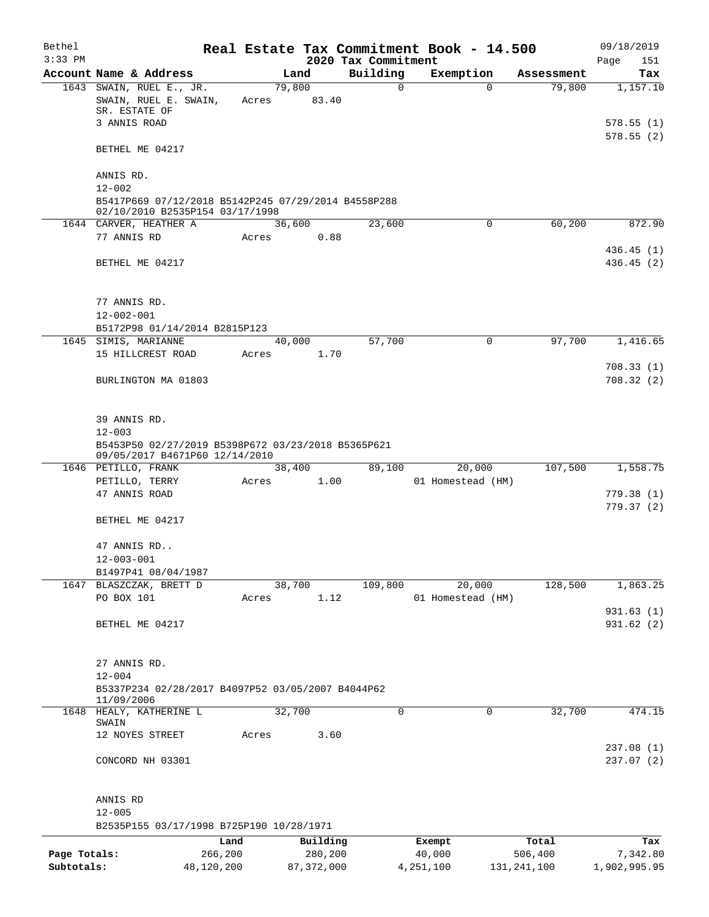| Bethel       |                                                                                        |                 |              |                     | Real Estate Tax Commitment Book - 14.500 |               | 09/18/2019             |
|--------------|----------------------------------------------------------------------------------------|-----------------|--------------|---------------------|------------------------------------------|---------------|------------------------|
| $3:33$ PM    |                                                                                        |                 |              | 2020 Tax Commitment |                                          |               | Page<br>151            |
|              | Account Name & Address                                                                 |                 | Land         | Building            | Exemption                                | Assessment    | Tax                    |
|              | 1643 SWAIN, RUEL E., JR.<br>SWAIN, RUEL E. SWAIN,<br>SR. ESTATE OF                     | 79,800<br>Acres | 83.40        | $\mathbf 0$         | 0                                        | 79,800        | 1,157.10               |
|              | 3 ANNIS ROAD                                                                           |                 |              |                     |                                          |               | 578.55(1)<br>578.55(2) |
|              | BETHEL ME 04217                                                                        |                 |              |                     |                                          |               |                        |
|              | ANNIS RD.<br>$12 - 002$                                                                |                 |              |                     |                                          |               |                        |
|              | B5417P669 07/12/2018 B5142P245 07/29/2014 B4558P288<br>02/10/2010 B2535P154 03/17/1998 |                 |              |                     |                                          |               |                        |
|              | 1644 CARVER, HEATHER A                                                                 | 36,600          |              | 23,600              | 0                                        | 60,200        | 872.90                 |
|              | 77 ANNIS RD                                                                            | Acres           | 0.88         |                     |                                          |               | 436.45(1)              |
|              | BETHEL ME 04217                                                                        |                 |              |                     |                                          |               | 436.45(2)              |
|              | 77 ANNIS RD.                                                                           |                 |              |                     |                                          |               |                        |
|              | $12 - 002 - 001$                                                                       |                 |              |                     |                                          |               |                        |
|              | B5172P98 01/14/2014 B2815P123                                                          |                 |              |                     |                                          |               |                        |
|              | 1645 SIMIS, MARIANNE                                                                   | 40,000          |              | 57,700              | 0                                        | 97,700        | 1,416.65               |
|              | 15 HILLCREST ROAD                                                                      | Acres           | 1.70         |                     |                                          |               | 708.33(1)              |
|              | BURLINGTON MA 01803                                                                    |                 |              |                     |                                          |               | 708.32(2)              |
|              | 39 ANNIS RD.                                                                           |                 |              |                     |                                          |               |                        |
|              | $12 - 003$                                                                             |                 |              |                     |                                          |               |                        |
|              | B5453P50 02/27/2019 B5398P672 03/23/2018 B5365P621<br>09/05/2017 B4671P60 12/14/2010   |                 |              |                     |                                          |               |                        |
|              | 1646 PETILLO, FRANK                                                                    | 38,400          |              | 89,100              | 20,000                                   | 107,500       | 1,558.75               |
|              | PETILLO, TERRY                                                                         | Acres           | 1.00         |                     | 01 Homestead (HM)                        |               |                        |
|              | 47 ANNIS ROAD                                                                          |                 |              |                     |                                          |               | 779.38(1)              |
|              | BETHEL ME 04217                                                                        |                 |              |                     |                                          |               | 779.37 (2)             |
|              | 47 ANNIS RD                                                                            |                 |              |                     |                                          |               |                        |
|              | $12 - 003 - 001$                                                                       |                 |              |                     |                                          |               |                        |
|              | B1497P41 08/04/1987                                                                    |                 |              |                     |                                          |               |                        |
|              | 1647 BLASZCZAK, BRETT D<br>PO BOX 101                                                  | 38,700<br>Acres | 1.12         | 109,800             | 20,000<br>01 Homestead (HM)              | 128,500       | 1,863.25               |
|              | BETHEL ME 04217                                                                        |                 |              |                     |                                          |               | 931.63(1)<br>931.62(2) |
|              | 27 ANNIS RD.                                                                           |                 |              |                     |                                          |               |                        |
|              | $12 - 004$<br>B5337P234 02/28/2017 B4097P52 03/05/2007 B4044P62                        |                 |              |                     |                                          |               |                        |
|              | 11/09/2006                                                                             |                 |              |                     |                                          |               |                        |
|              | 1648 HEALY, KATHERINE L<br>SWAIN                                                       | 32,700          |              | $\Omega$            | 0                                        | 32,700        | 474.15                 |
|              | 12 NOYES STREET                                                                        | Acres           | 3.60         |                     |                                          |               | 237.08(1)              |
|              | CONCORD NH 03301                                                                       |                 |              |                     |                                          |               | 237.07(2)              |
|              | ANNIS RD                                                                               |                 |              |                     |                                          |               |                        |
|              | $12 - 005$<br>B2535P155 03/17/1998 B725P190 10/28/1971                                 |                 |              |                     |                                          |               |                        |
|              | Land                                                                                   |                 | Building     |                     | Exempt                                   | Total         | Tax                    |
| Page Totals: | 266,200                                                                                |                 | 280,200      |                     | 40,000                                   | 506,400       | 7,342.80               |
| Subtotals:   | 48,120,200                                                                             |                 | 87, 372, 000 |                     | 4,251,100                                | 131, 241, 100 | 1,902,995.95           |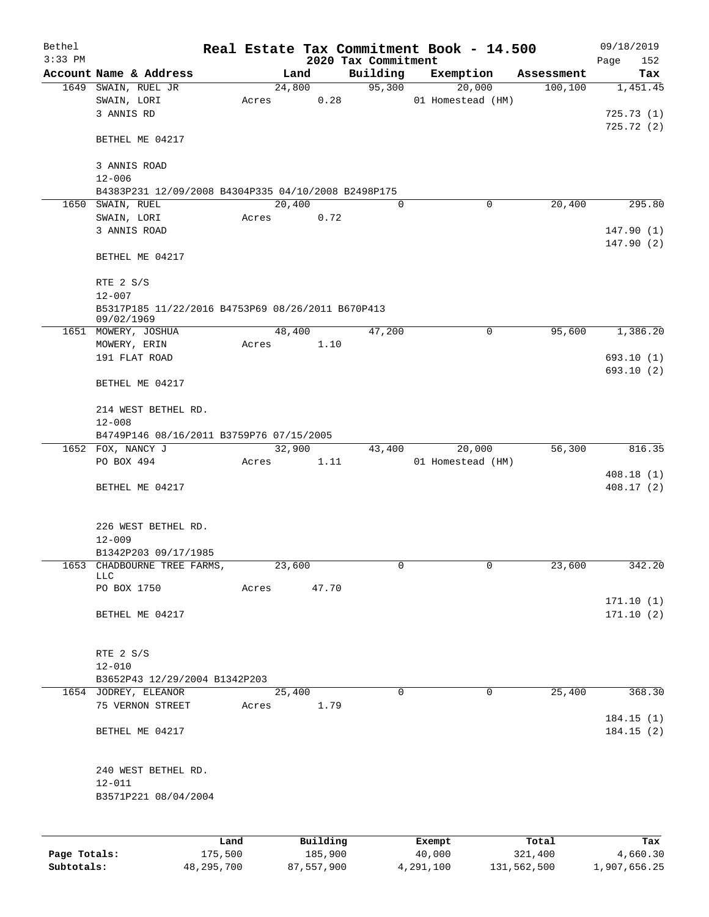| Bethel<br>$3:33$ PM |                                                     |       |          |                                 | Real Estate Tax Commitment Book - 14.500 |            | 09/18/2019         |
|---------------------|-----------------------------------------------------|-------|----------|---------------------------------|------------------------------------------|------------|--------------------|
|                     | Account Name & Address                              |       | Land     | 2020 Tax Commitment<br>Building | Exemption                                | Assessment | Page<br>152<br>Tax |
|                     | 1649 SWAIN, RUEL JR                                 |       | 24,800   | 95,300                          | 20,000                                   | 100, 100   | 1,451.45           |
|                     | SWAIN, LORI                                         | Acres | 0.28     |                                 | 01 Homestead (HM)                        |            |                    |
|                     | 3 ANNIS RD                                          |       |          |                                 |                                          |            | 725.73(1)          |
|                     |                                                     |       |          |                                 |                                          |            | 725.72(2)          |
|                     | BETHEL ME 04217                                     |       |          |                                 |                                          |            |                    |
|                     | 3 ANNIS ROAD                                        |       |          |                                 |                                          |            |                    |
|                     | $12 - 006$                                          |       |          |                                 |                                          |            |                    |
|                     | B4383P231 12/09/2008 B4304P335 04/10/2008 B2498P175 |       |          |                                 |                                          |            |                    |
| 1650                | SWAIN, RUEL                                         |       | 20,400   | $\Omega$                        | 0                                        | 20,400     | 295.80             |
|                     | SWAIN, LORI                                         | Acres | 0.72     |                                 |                                          |            |                    |
|                     | 3 ANNIS ROAD                                        |       |          |                                 |                                          |            | 147.90(1)          |
|                     |                                                     |       |          |                                 |                                          |            | 147.90(2)          |
|                     | BETHEL ME 04217                                     |       |          |                                 |                                          |            |                    |
|                     |                                                     |       |          |                                 |                                          |            |                    |
|                     | RTE 2 S/S<br>$12 - 007$                             |       |          |                                 |                                          |            |                    |
|                     | B5317P185 11/22/2016 B4753P69 08/26/2011 B670P413   |       |          |                                 |                                          |            |                    |
|                     | 09/02/1969                                          |       |          |                                 |                                          |            |                    |
|                     | 1651 MOWERY, JOSHUA                                 |       | 48,400   | 47,200                          | $\mathsf{O}$                             | 95,600     | 1,386.20           |
|                     | MOWERY, ERIN                                        | Acres | 1.10     |                                 |                                          |            |                    |
|                     | 191 FLAT ROAD                                       |       |          |                                 |                                          |            | 693.10(1)          |
|                     |                                                     |       |          |                                 |                                          |            | 693.10(2)          |
|                     | BETHEL ME 04217                                     |       |          |                                 |                                          |            |                    |
|                     | 214 WEST BETHEL RD.                                 |       |          |                                 |                                          |            |                    |
|                     | $12 - 008$                                          |       |          |                                 |                                          |            |                    |
|                     | B4749P146 08/16/2011 B3759P76 07/15/2005            |       |          |                                 |                                          |            |                    |
|                     | 1652 FOX, NANCY J                                   |       | 32,900   | 43,400                          | 20,000                                   | 56,300     | 816.35             |
|                     | PO BOX 494                                          | Acres | 1.11     |                                 | 01 Homestead (HM)                        |            |                    |
|                     |                                                     |       |          |                                 |                                          |            | 408.18(1)          |
|                     | BETHEL ME 04217                                     |       |          |                                 |                                          |            | 408.17 (2)         |
|                     |                                                     |       |          |                                 |                                          |            |                    |
|                     |                                                     |       |          |                                 |                                          |            |                    |
|                     | 226 WEST BETHEL RD.                                 |       |          |                                 |                                          |            |                    |
|                     | $12 - 009$                                          |       |          |                                 |                                          |            |                    |
|                     | B1342P203 09/17/1985                                |       |          |                                 |                                          |            |                    |
|                     | 1653 CHADBOURNE TREE FARMS,                         |       | 23,600   | 0                               | $\mathsf{O}$                             | 23,600     | 342.20             |
|                     | LLC                                                 |       |          |                                 |                                          |            |                    |
|                     | PO BOX 1750                                         | Acres | 47.70    |                                 |                                          |            |                    |
|                     |                                                     |       |          |                                 |                                          |            | 171.10(1)          |
|                     | BETHEL ME 04217                                     |       |          |                                 |                                          |            | 171.10(2)          |
|                     |                                                     |       |          |                                 |                                          |            |                    |
|                     | RTE 2 S/S                                           |       |          |                                 |                                          |            |                    |
|                     | $12 - 010$                                          |       |          |                                 |                                          |            |                    |
|                     | B3652P43 12/29/2004 B1342P203                       |       |          |                                 |                                          |            |                    |
|                     | 1654 JODREY, ELEANOR                                |       | 25,400   | $\mathbf 0$                     | $\mathbf 0$                              | 25,400     | 368.30             |
|                     | 75 VERNON STREET                                    | Acres | 1.79     |                                 |                                          |            |                    |
|                     |                                                     |       |          |                                 |                                          |            | 184.15(1)          |
|                     | BETHEL ME 04217                                     |       |          |                                 |                                          |            | 184.15(2)          |
|                     |                                                     |       |          |                                 |                                          |            |                    |
|                     | 240 WEST BETHEL RD.                                 |       |          |                                 |                                          |            |                    |
|                     | $12 - 011$                                          |       |          |                                 |                                          |            |                    |
|                     | B3571P221 08/04/2004                                |       |          |                                 |                                          |            |                    |
|                     |                                                     |       |          |                                 |                                          |            |                    |
|                     |                                                     |       |          |                                 |                                          |            |                    |
|                     |                                                     | Land  | Building |                                 | Exempt                                   | Total      | Tax                |
| Page Totals:        | 175,500                                             |       | 185,900  |                                 | 40,000                                   | 321,400    | 4,660.30           |

**Subtotals:** 48,295,700 87,557,900 4,291,100 131,562,500 1,907,656.25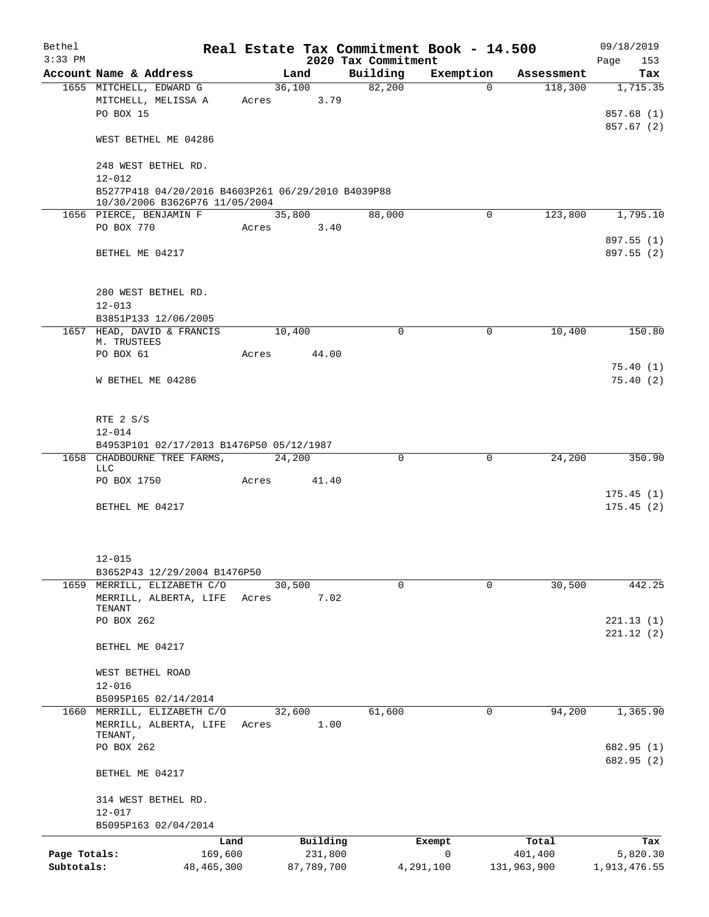| Bethel<br>$3:33$ PM        |                                                                                      |                 |                       |                                 | Real Estate Tax Commitment Book - 14.500 |                        | 09/18/2019               |
|----------------------------|--------------------------------------------------------------------------------------|-----------------|-----------------------|---------------------------------|------------------------------------------|------------------------|--------------------------|
|                            | Account Name & Address                                                               |                 | Land                  | 2020 Tax Commitment<br>Building | Exemption                                | Assessment             | 153<br>Page<br>Tax       |
|                            | 1655 MITCHELL, EDWARD G                                                              |                 | 36,100                | 82,200                          | $\Omega$                                 | 118,300                | 1,715.35                 |
|                            | MITCHELL, MELISSA A<br>PO BOX 15                                                     | Acres           | 3.79                  |                                 |                                          |                        | 857.68 (1)               |
|                            | WEST BETHEL ME 04286                                                                 |                 |                       |                                 |                                          |                        | 857.67 (2)               |
|                            | 248 WEST BETHEL RD.<br>$12 - 012$                                                    |                 |                       |                                 |                                          |                        |                          |
|                            | B5277P418 04/20/2016 B4603P261 06/29/2010 B4039P88<br>10/30/2006 B3626P76 11/05/2004 |                 |                       |                                 |                                          |                        |                          |
|                            | 1656 PIERCE, BENJAMIN F                                                              |                 | 35,800                | 88,000                          | $\mathbf 0$                              | 123,800                | 1,795.10                 |
|                            | PO BOX 770                                                                           | Acres           | 3.40                  |                                 |                                          |                        |                          |
|                            | BETHEL ME 04217                                                                      |                 |                       |                                 |                                          |                        | 897.55 (1)<br>897.55 (2) |
|                            | 280 WEST BETHEL RD.<br>$12 - 013$                                                    |                 |                       |                                 |                                          |                        |                          |
|                            | B3851P133 12/06/2005                                                                 |                 |                       |                                 |                                          |                        |                          |
|                            | 1657 HEAD, DAVID & FRANCIS<br>M. TRUSTEES                                            | 10,400          |                       | $\mathbf 0$                     | 0                                        | 10,400                 | 150.80                   |
|                            | PO BOX 61                                                                            | Acres           | 44.00                 |                                 |                                          |                        |                          |
|                            | W BETHEL ME 04286                                                                    |                 |                       |                                 |                                          |                        | 75.40(1)<br>75.40(2)     |
|                            | RTE 2 S/S<br>$12 - 014$                                                              |                 |                       |                                 |                                          |                        |                          |
|                            | B4953P101 02/17/2013 B1476P50 05/12/1987                                             |                 |                       |                                 |                                          |                        |                          |
|                            | 1658 CHADBOURNE TREE FARMS,<br><b>LLC</b>                                            | 24,200          |                       | 0                               | $\mathbf 0$                              | 24,200                 | 350.90                   |
|                            | PO BOX 1750                                                                          | Acres           | 41.40                 |                                 |                                          |                        |                          |
|                            | BETHEL ME 04217                                                                      |                 |                       |                                 |                                          |                        | 175.45(1)<br>175.45(2)   |
|                            |                                                                                      |                 |                       |                                 |                                          |                        |                          |
|                            | $12 - 015$<br>B3652P43 12/29/2004 B1476P50                                           |                 |                       |                                 |                                          |                        |                          |
|                            | 1659 MERRILL, ELIZABETH C/O                                                          | 30,500          |                       | $\Omega$                        | 0                                        | 30,500                 | 442.25                   |
|                            | MERRILL, ALBERTA, LIFE<br>TENANT                                                     | Acres           | 7.02                  |                                 |                                          |                        |                          |
|                            | PO BOX 262                                                                           |                 |                       |                                 |                                          |                        | 221.13(1)                |
|                            | BETHEL ME 04217                                                                      |                 |                       |                                 |                                          |                        | 221.12(2)                |
|                            | WEST BETHEL ROAD<br>$12 - 016$                                                       |                 |                       |                                 |                                          |                        |                          |
|                            | B5095P165 02/14/2014                                                                 |                 |                       |                                 |                                          |                        |                          |
| 1660                       | MERRILL, ELIZABETH C/O<br>MERRILL, ALBERTA, LIFE<br>TENANT,                          | 32,600<br>Acres | 1.00                  | 61,600                          | 0                                        | 94,200                 | 1,365.90                 |
|                            | PO BOX 262                                                                           |                 |                       |                                 |                                          |                        | 682.95 (1)<br>682.95 (2) |
|                            | BETHEL ME 04217                                                                      |                 |                       |                                 |                                          |                        |                          |
|                            | 314 WEST BETHEL RD.<br>$12 - 017$                                                    |                 |                       |                                 |                                          |                        |                          |
|                            | B5095P163 02/04/2014                                                                 |                 |                       |                                 |                                          |                        |                          |
|                            | Land                                                                                 |                 | Building              |                                 | Exempt                                   | Total                  | Tax                      |
| Page Totals:<br>Subtotals: | 169,600<br>48, 465, 300                                                              |                 | 231,800<br>87,789,700 |                                 | 0<br>4,291,100                           | 401,400<br>131,963,900 | 5,820.30<br>1,913,476.55 |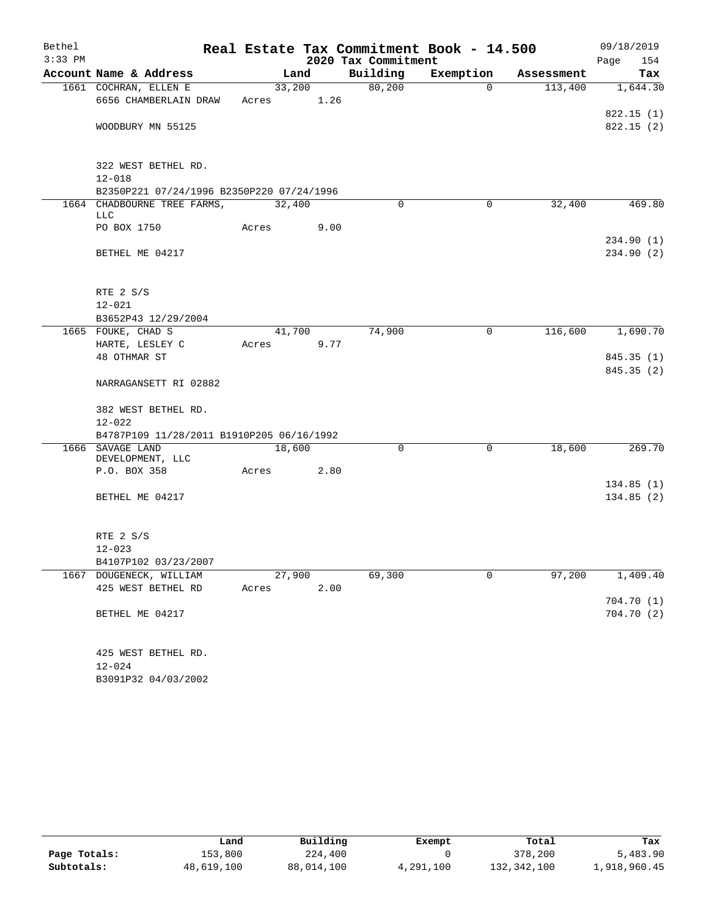| Bethel    |                                                               |        |        |                     | Real Estate Tax Commitment Book - 14.500 |            | 09/18/2019  |
|-----------|---------------------------------------------------------------|--------|--------|---------------------|------------------------------------------|------------|-------------|
| $3:33$ PM |                                                               |        |        | 2020 Tax Commitment |                                          |            | Page<br>154 |
|           | Account Name & Address                                        | Land   |        | Building            | Exemption                                | Assessment | Tax         |
|           | 1661 COCHRAN, ELLEN E                                         |        | 33,200 | 80,200              | $\Omega$                                 | 113,400    | 1,644.30    |
|           | 6656 CHAMBERLAIN DRAW                                         | Acres  | 1.26   |                     |                                          |            |             |
|           |                                                               |        |        |                     |                                          |            | 822.15(1)   |
|           | WOODBURY MN 55125                                             |        |        |                     |                                          |            | 822.15(2)   |
|           |                                                               |        |        |                     |                                          |            |             |
|           | 322 WEST BETHEL RD.                                           |        |        |                     |                                          |            |             |
|           | $12 - 018$                                                    |        |        |                     |                                          |            |             |
|           | B2350P221 07/24/1996 B2350P220 07/24/1996                     |        |        |                     |                                          |            |             |
|           | 1664 CHADBOURNE TREE FARMS,                                   | 32,400 |        | $\Omega$            | 0                                        | 32,400     | 469.80      |
|           | <b>LLC</b>                                                    |        |        |                     |                                          |            |             |
|           | PO BOX 1750                                                   | Acres  | 9.00   |                     |                                          |            |             |
|           |                                                               |        |        |                     |                                          |            | 234.90(1)   |
|           | BETHEL ME 04217                                               |        |        |                     |                                          |            | 234.90(2)   |
|           |                                                               |        |        |                     |                                          |            |             |
|           | RTE 2 S/S                                                     |        |        |                     |                                          |            |             |
|           | $12 - 021$                                                    |        |        |                     |                                          |            |             |
|           | B3652P43 12/29/2004                                           |        |        |                     |                                          |            |             |
|           | 1665 FOUKE, CHAD S                                            | 41,700 |        | 74,900              | $\mathbf 0$                              | 116,600    | 1,690.70    |
|           | HARTE, LESLEY C                                               | Acres  | 9.77   |                     |                                          |            |             |
|           | 48 OTHMAR ST                                                  |        |        |                     |                                          |            | 845.35(1)   |
|           |                                                               |        |        |                     |                                          |            | 845.35 (2)  |
|           | NARRAGANSETT RI 02882                                         |        |        |                     |                                          |            |             |
|           |                                                               |        |        |                     |                                          |            |             |
|           | 382 WEST BETHEL RD.                                           |        |        |                     |                                          |            |             |
|           | $12 - 022$                                                    |        |        |                     |                                          |            |             |
|           | B4787P109 11/28/2011 B1910P205 06/16/1992<br>1666 SAVAGE LAND | 18,600 |        | 0                   | $\mathbf 0$                              | 18,600     | 269.70      |
|           | DEVELOPMENT, LLC                                              |        |        |                     |                                          |            |             |
|           | P.O. BOX 358                                                  | Acres  | 2.80   |                     |                                          |            |             |
|           |                                                               |        |        |                     |                                          |            | 134.85(1)   |
|           | BETHEL ME 04217                                               |        |        |                     |                                          |            | 134.85(2)   |
|           |                                                               |        |        |                     |                                          |            |             |
|           |                                                               |        |        |                     |                                          |            |             |
|           | RTE 2 S/S                                                     |        |        |                     |                                          |            |             |
|           | $12 - 023$                                                    |        |        |                     |                                          |            |             |
|           | B4107P102 03/23/2007<br>1667 DOUGENECK, WILLIAM               | 27,900 |        | 69,300              | $\mathbf 0$                              | 97,200     | 1,409.40    |
|           | 425 WEST BETHEL RD                                            | Acres  | 2.00   |                     |                                          |            |             |
|           |                                                               |        |        |                     |                                          |            | 704.70 (1)  |
|           | BETHEL ME 04217                                               |        |        |                     |                                          |            | 704.70 (2)  |
|           |                                                               |        |        |                     |                                          |            |             |
|           |                                                               |        |        |                     |                                          |            |             |
|           | 425 WEST BETHEL RD.                                           |        |        |                     |                                          |            |             |
|           | $12 - 024$                                                    |        |        |                     |                                          |            |             |
|           | B3091P32 04/03/2002                                           |        |        |                     |                                          |            |             |

|              | Land       | Building   | Exempt    | Total       | Tax          |
|--------------|------------|------------|-----------|-------------|--------------|
| Page Totals: | 153,800    | 224,400    |           | 378,200     | 5,483.90     |
| Subtotals:   | 48,619,100 | 88,014,100 | 4,291,100 | 132,342,100 | 1,918,960.45 |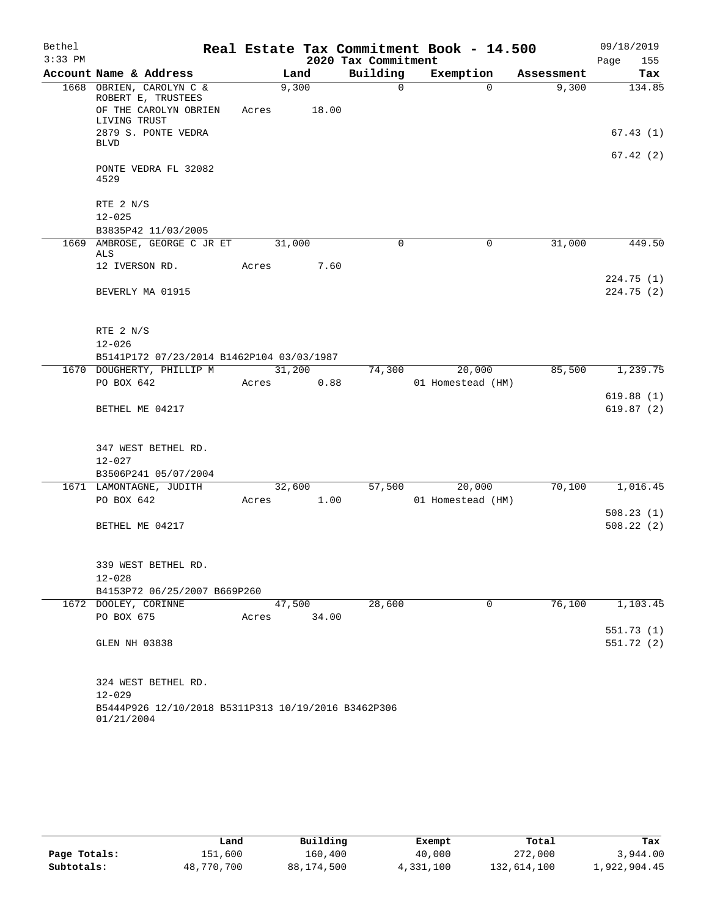| Bethel    |                                                                                         |                 |       |                     | Real Estate Tax Commitment Book - 14.500 |            | 09/18/2019             |
|-----------|-----------------------------------------------------------------------------------------|-----------------|-------|---------------------|------------------------------------------|------------|------------------------|
| $3:33$ PM |                                                                                         |                 |       | 2020 Tax Commitment |                                          |            | Page<br>155            |
|           | Account Name & Address                                                                  | Land            |       | Building            | Exemption                                | Assessment | Tax                    |
|           | 1668 OBRIEN, CAROLYN C &<br>ROBERT E, TRUSTEES<br>OF THE CAROLYN OBRIEN<br>LIVING TRUST | 9,300<br>Acres  | 18.00 | $\Omega$            | $\Omega$                                 | 9,300      | 134.85                 |
|           | 2879 S. PONTE VEDRA<br><b>BLVD</b>                                                      |                 |       |                     |                                          |            | 67.43(1)               |
|           | PONTE VEDRA FL 32082<br>4529                                                            |                 |       |                     |                                          |            | 67.42(2)               |
|           | RTE 2 N/S                                                                               |                 |       |                     |                                          |            |                        |
|           | $12 - 025$                                                                              |                 |       |                     |                                          |            |                        |
|           | B3835P42 11/03/2005                                                                     |                 |       |                     |                                          |            |                        |
|           | 1669 AMBROSE, GEORGE C JR ET<br>ALS                                                     | 31,000          |       | 0                   | 0                                        | 31,000     | 449.50                 |
|           | 12 IVERSON RD.                                                                          | Acres           | 7.60  |                     |                                          |            |                        |
|           | BEVERLY MA 01915                                                                        |                 |       |                     |                                          |            | 224.75(1)<br>224.75(2) |
|           | RTE 2 N/S                                                                               |                 |       |                     |                                          |            |                        |
|           | $12 - 026$                                                                              |                 |       |                     |                                          |            |                        |
|           | B5141P172 07/23/2014 B1462P104 03/03/1987                                               |                 |       |                     |                                          |            |                        |
|           | 1670 DOUGHERTY, PHILLIP M                                                               | 31,200          |       | 74,300              | 20,000                                   | 85,500     | 1,239.75               |
|           | PO BOX 642                                                                              | Acres           | 0.88  |                     | 01 Homestead (HM)                        |            |                        |
|           | BETHEL ME 04217                                                                         |                 |       |                     |                                          |            | 619.88(1)<br>619.87(2) |
|           | 347 WEST BETHEL RD.<br>$12 - 027$                                                       |                 |       |                     |                                          |            |                        |
|           | B3506P241 05/07/2004                                                                    |                 |       |                     |                                          |            |                        |
|           | 1671 LAMONTAGNE, JUDITH<br>PO BOX 642                                                   | 32,600<br>Acres | 1.00  | 57,500              | 20,000<br>01 Homestead (HM)              | 70,100     | 1,016.45               |
|           |                                                                                         |                 |       |                     |                                          |            | 508.23(1)              |
|           | BETHEL ME 04217                                                                         |                 |       |                     |                                          |            | 508.22(2)              |
|           | 339 WEST BETHEL RD.<br>$12 - 028$                                                       |                 |       |                     |                                          |            |                        |
|           | B4153P72 06/25/2007 B669P260                                                            |                 |       |                     |                                          |            |                        |
|           | 1672 DOOLEY, CORINNE                                                                    | 47,500          |       | 28,600              | 0                                        | 76,100     | 1,103.45               |
|           | PO BOX 675                                                                              | Acres           | 34.00 |                     |                                          |            |                        |
|           |                                                                                         |                 |       |                     |                                          |            | 551.73(1)              |
|           | GLEN NH 03838                                                                           |                 |       |                     |                                          |            | 551.72 (2)             |
|           | 324 WEST BETHEL RD.<br>$12 - 029$                                                       |                 |       |                     |                                          |            |                        |
|           | B5444P926 12/10/2018 B5311P313 10/19/2016 B3462P306<br>01/21/2004                       |                 |       |                     |                                          |            |                        |

|              | Land       | Building   | Exempt    | Total       | Tax          |
|--------------|------------|------------|-----------|-------------|--------------|
| Page Totals: | 151,600    | 160,400    | 40,000    | 272,000     | 3,944.00     |
| Subtotals:   | 48,770,700 | 88,174,500 | 4,331,100 | 132,614,100 | 1,922,904.45 |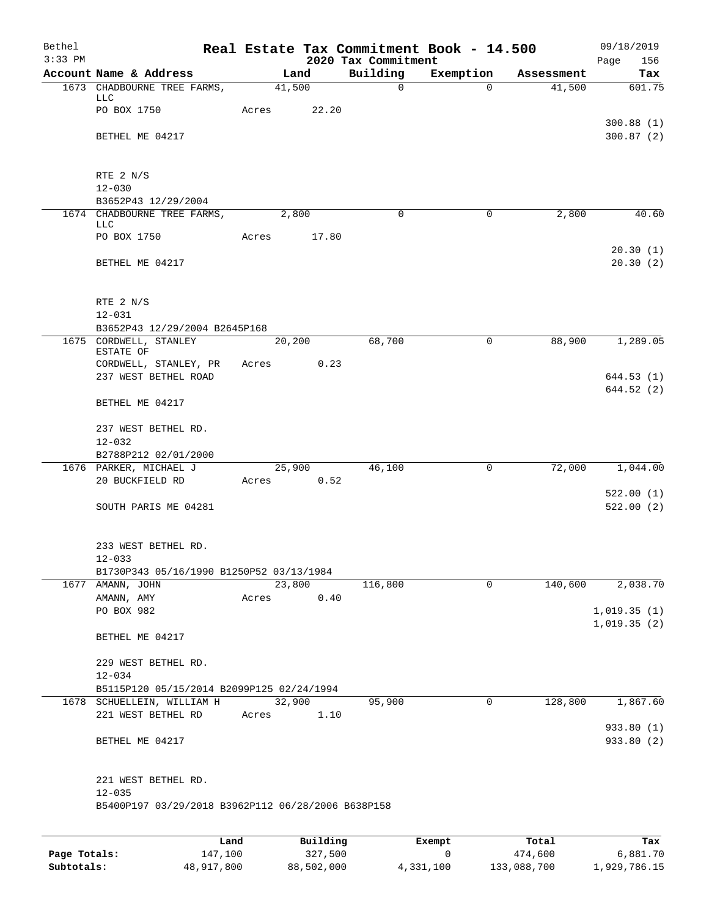| Bethel<br>$3:33$ PM |                                                                         |       |          | 2020 Tax Commitment | Real Estate Tax Commitment Book - 14.500 |            | 09/18/2019<br>Page<br>156  |
|---------------------|-------------------------------------------------------------------------|-------|----------|---------------------|------------------------------------------|------------|----------------------------|
|                     | Account Name & Address                                                  |       | Land     | Building            | Exemption                                | Assessment | Tax                        |
|                     | 1673 CHADBOURNE TREE FARMS,                                             |       | 41,500   | $\mathbf 0$         | $\Omega$                                 | 41,500     | 601.75                     |
|                     | LLC<br>PO BOX 1750                                                      | Acres | 22.20    |                     |                                          |            |                            |
|                     | BETHEL ME 04217                                                         |       |          |                     |                                          |            | 300.88(1)<br>300.87(2)     |
|                     | RTE 2 N/S                                                               |       |          |                     |                                          |            |                            |
|                     | $12 - 030$<br>B3652P43 12/29/2004                                       |       |          |                     |                                          |            |                            |
|                     | 1674 CHADBOURNE TREE FARMS,                                             |       | 2,800    | $\mathbf 0$         | $\mathbf 0$                              | 2,800      | 40.60                      |
|                     | LLC<br>PO BOX 1750                                                      | Acres | 17.80    |                     |                                          |            |                            |
|                     |                                                                         |       |          |                     |                                          |            | 20.30(1)                   |
|                     | BETHEL ME 04217                                                         |       |          |                     |                                          |            | 20.30(2)                   |
|                     | RTE 2 N/S                                                               |       |          |                     |                                          |            |                            |
|                     | $12 - 031$<br>B3652P43 12/29/2004 B2645P168                             |       |          |                     |                                          |            |                            |
|                     | 1675 CORDWELL, STANLEY                                                  |       | 20,200   | 68,700              | $\mathbf 0$                              | 88,900     | 1,289.05                   |
|                     | ESTATE OF<br>CORDWELL, STANLEY, PR                                      | Acres | 0.23     |                     |                                          |            |                            |
|                     | 237 WEST BETHEL ROAD                                                    |       |          |                     |                                          |            | 644.53(1)                  |
|                     | BETHEL ME 04217                                                         |       |          |                     |                                          |            | 644.52(2)                  |
|                     |                                                                         |       |          |                     |                                          |            |                            |
|                     | 237 WEST BETHEL RD.<br>$12 - 032$                                       |       |          |                     |                                          |            |                            |
|                     | B2788P212 02/01/2000                                                    |       |          |                     |                                          |            |                            |
|                     | 1676 PARKER, MICHAEL J                                                  |       | 25,900   | 46,100              | $\mathbf 0$                              | 72,000     | 1,044.00                   |
|                     | 20 BUCKFIELD RD                                                         | Acres | 0.52     |                     |                                          |            |                            |
|                     | SOUTH PARIS ME 04281                                                    |       |          |                     |                                          |            | 522.00(1)<br>522.00(2)     |
|                     | 233 WEST BETHEL RD.                                                     |       |          |                     |                                          |            |                            |
|                     | $12 - 033$<br>B1730P343 05/16/1990 B1250P52 03/13/1984                  |       |          |                     |                                          |            |                            |
|                     | 1677 AMANN, JOHN                                                        |       | 23,800   | 116,800             | $\mathbf 0$                              | 140,600    | 2,038.70                   |
|                     | AMANN, AMY                                                              | Acres | 0.40     |                     |                                          |            |                            |
|                     | PO BOX 982                                                              |       |          |                     |                                          |            | 1,019.35(1)<br>1,019.35(2) |
|                     | BETHEL ME 04217                                                         |       |          |                     |                                          |            |                            |
|                     | 229 WEST BETHEL RD.                                                     |       |          |                     |                                          |            |                            |
|                     | $12 - 034$                                                              |       |          |                     |                                          |            |                            |
|                     | B5115P120 05/15/2014 B2099P125 02/24/1994<br>1678 SCHUELLEIN, WILLIAM H |       | 32,900   | 95,900              | 0                                        | 128,800    | 1,867.60                   |
|                     | 221 WEST BETHEL RD                                                      | Acres | 1.10     |                     |                                          |            |                            |
|                     | BETHEL ME 04217                                                         |       |          |                     |                                          |            | 933.80 (1)<br>933.80 (2)   |
|                     | 221 WEST BETHEL RD.                                                     |       |          |                     |                                          |            |                            |
|                     | $12 - 035$                                                              |       |          |                     |                                          |            |                            |
|                     | B5400P197 03/29/2018 B3962P112 06/28/2006 B638P158                      |       |          |                     |                                          |            |                            |
|                     |                                                                         |       |          |                     |                                          |            |                            |
|                     |                                                                         | Land  | Building |                     | Exempt                                   | Total      | Tax                        |

|              | nana       | <b>DUITOTII</b> | LACINUL   | TOLAT       | ias.         |
|--------------|------------|-----------------|-----------|-------------|--------------|
| Page Totals: | 147,100    | 327,500         |           | 474,600     | 6,881.70     |
| Subtotals:   | 48,917,800 | 88,502,000      | 4,331,100 | 133,088,700 | 1,929,786.15 |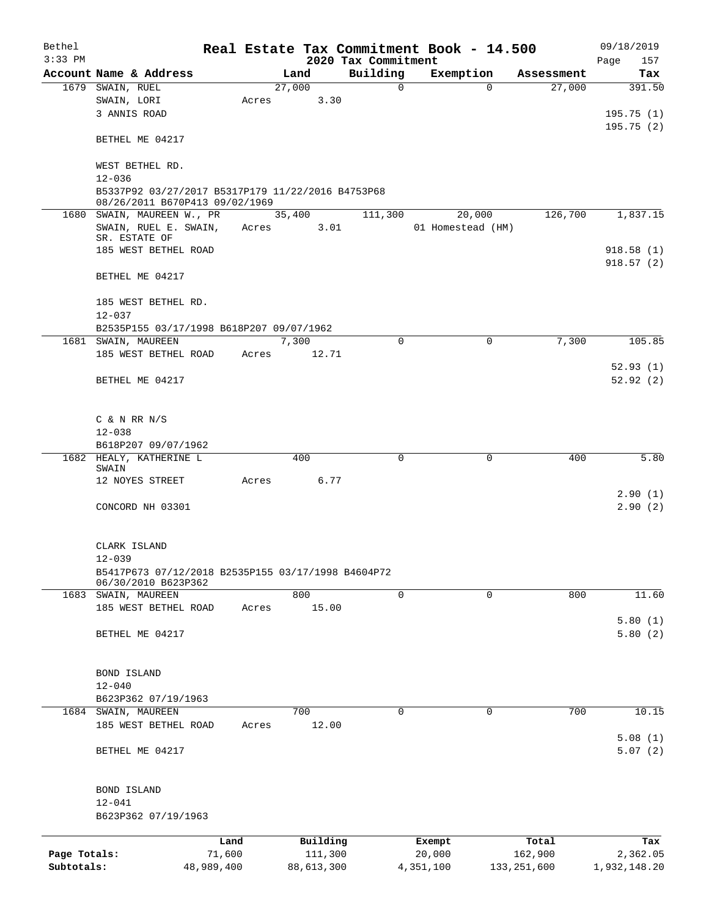| Bethel       |                                                                                     |            |            |                                 | Real Estate Tax Commitment Book - 14.500 |               | 09/18/2019           |
|--------------|-------------------------------------------------------------------------------------|------------|------------|---------------------------------|------------------------------------------|---------------|----------------------|
| $3:33$ PM    | Account Name & Address                                                              |            | Land       | 2020 Tax Commitment<br>Building | Exemption                                | Assessment    | Page<br>157<br>Tax   |
|              | 1679 SWAIN, RUEL                                                                    |            | 27,000     | $\mathbf 0$                     | $\Omega$                                 | 27,000        | 391.50               |
|              | SWAIN, LORI                                                                         | Acres      | 3.30       |                                 |                                          |               |                      |
|              | 3 ANNIS ROAD                                                                        |            |            |                                 |                                          |               | 195.75(1)            |
|              |                                                                                     |            |            |                                 |                                          |               | 195.75(2)            |
|              | BETHEL ME 04217                                                                     |            |            |                                 |                                          |               |                      |
|              | WEST BETHEL RD.                                                                     |            |            |                                 |                                          |               |                      |
|              | $12 - 036$                                                                          |            |            |                                 |                                          |               |                      |
|              | B5337P92 03/27/2017 B5317P179 11/22/2016 B4753P68<br>08/26/2011 B670P413 09/02/1969 |            |            |                                 |                                          |               |                      |
|              | 1680 SWAIN, MAUREEN W., PR                                                          |            | 35,400     | 111,300                         | 20,000                                   | 126,700       | 1,837.15             |
|              | SWAIN, RUEL E. SWAIN,                                                               | Acres      | 3.01       |                                 | 01 Homestead (HM)                        |               |                      |
|              | SR. ESTATE OF                                                                       |            |            |                                 |                                          |               |                      |
|              | 185 WEST BETHEL ROAD                                                                |            |            |                                 |                                          |               | 918.58(1)            |
|              | BETHEL ME 04217                                                                     |            |            |                                 |                                          |               | 918.57(2)            |
|              | 185 WEST BETHEL RD.                                                                 |            |            |                                 |                                          |               |                      |
|              | $12 - 037$                                                                          |            |            |                                 |                                          |               |                      |
|              | B2535P155 03/17/1998 B618P207 09/07/1962                                            |            |            |                                 |                                          |               |                      |
|              | 1681 SWAIN, MAUREEN                                                                 |            | 7,300      | $\Omega$                        | 0                                        | 7,300         | 105.85               |
|              | 185 WEST BETHEL ROAD                                                                | Acres      | 12.71      |                                 |                                          |               |                      |
|              | BETHEL ME 04217                                                                     |            |            |                                 |                                          |               | 52.93(1)<br>52.92(2) |
|              |                                                                                     |            |            |                                 |                                          |               |                      |
|              | C & N RR N/S                                                                        |            |            |                                 |                                          |               |                      |
|              | $12 - 038$                                                                          |            |            |                                 |                                          |               |                      |
|              | B618P207 09/07/1962                                                                 |            |            |                                 |                                          |               |                      |
|              | 1682 HEALY, KATHERINE L<br>SWAIN                                                    |            | 400        | $\mathbf 0$                     | $\mathbf 0$                              | 400           | 5.80                 |
|              | 12 NOYES STREET                                                                     | Acres      | 6.77       |                                 |                                          |               |                      |
|              |                                                                                     |            |            |                                 |                                          |               | 2.90(1)              |
|              | CONCORD NH 03301                                                                    |            |            |                                 |                                          |               | 2.90(2)              |
|              |                                                                                     |            |            |                                 |                                          |               |                      |
|              | CLARK ISLAND<br>$12 - 039$                                                          |            |            |                                 |                                          |               |                      |
|              | B5417P673 07/12/2018 B2535P155 03/17/1998 B4604P72                                  |            |            |                                 |                                          |               |                      |
|              | 06/30/2010 B623P362                                                                 |            |            |                                 |                                          |               |                      |
|              | 1683 SWAIN, MAUREEN                                                                 |            | 800        | 0                               | 0                                        | 800           | 11.60                |
|              | 185 WEST BETHEL ROAD                                                                | Acres      | 15.00      |                                 |                                          |               | 5.80(1)              |
|              | BETHEL ME 04217                                                                     |            |            |                                 |                                          |               | 5.80(2)              |
|              |                                                                                     |            |            |                                 |                                          |               |                      |
|              | <b>BOND ISLAND</b>                                                                  |            |            |                                 |                                          |               |                      |
|              | $12 - 040$                                                                          |            |            |                                 |                                          |               |                      |
|              | B623P362 07/19/1963                                                                 |            |            |                                 |                                          |               |                      |
|              | 1684 SWAIN, MAUREEN                                                                 |            | 700        | 0                               | 0                                        | 700           | 10.15                |
|              | 185 WEST BETHEL ROAD                                                                | Acres      | 12.00      |                                 |                                          |               |                      |
|              |                                                                                     |            |            |                                 |                                          |               | 5.08(1)              |
|              | BETHEL ME 04217                                                                     |            |            |                                 |                                          |               | 5.07(2)              |
|              | BOND ISLAND                                                                         |            |            |                                 |                                          |               |                      |
|              | $12 - 041$                                                                          |            |            |                                 |                                          |               |                      |
|              | B623P362 07/19/1963                                                                 |            |            |                                 |                                          |               |                      |
|              |                                                                                     | Land       | Building   |                                 | Exempt                                   | Total         | Tax                  |
| Page Totals: |                                                                                     | 71,600     | 111,300    |                                 | 20,000                                   | 162,900       | 2,362.05             |
| Subtotals:   |                                                                                     | 48,989,400 | 88,613,300 |                                 | 4,351,100                                | 133, 251, 600 | 1,932,148.20         |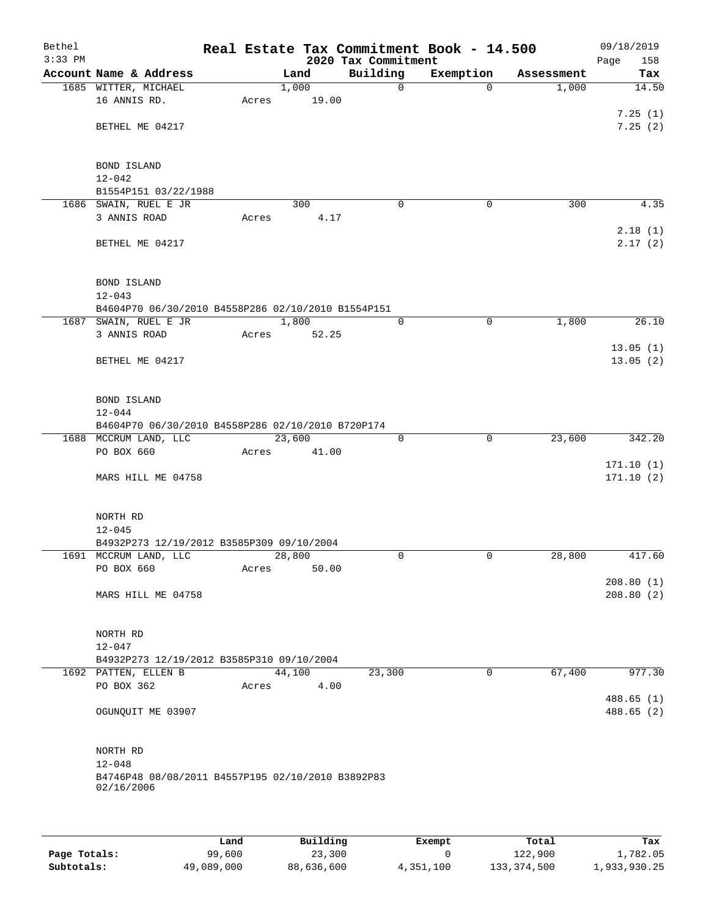| Bethel<br>$3:33$ PM |                                                                    |       |        | 2020 Tax Commitment | Real Estate Tax Commitment Book - 14.500 |             |            | 09/18/2019<br>158<br>Page |
|---------------------|--------------------------------------------------------------------|-------|--------|---------------------|------------------------------------------|-------------|------------|---------------------------|
|                     | Account Name & Address                                             |       | Land   | Building            | Exemption                                |             | Assessment | Tax                       |
|                     | 1685 WITTER, MICHAEL                                               |       | 1,000  | $\mathsf{O}$        |                                          | $\Omega$    | 1,000      | 14.50                     |
|                     | 16 ANNIS RD.                                                       | Acres | 19.00  |                     |                                          |             |            |                           |
|                     |                                                                    |       |        |                     |                                          |             |            | 7.25(1)                   |
|                     | BETHEL ME 04217                                                    |       |        |                     |                                          |             |            | 7.25(2)                   |
|                     |                                                                    |       |        |                     |                                          |             |            |                           |
|                     | BOND ISLAND                                                        |       |        |                     |                                          |             |            |                           |
|                     | $12 - 042$                                                         |       |        |                     |                                          |             |            |                           |
|                     | B1554P151 03/22/1988                                               |       |        |                     |                                          |             |            |                           |
|                     | 1686 SWAIN, RUEL E JR                                              |       | 300    | $\mathbf 0$         |                                          | 0           | 300        | 4.35                      |
|                     | 3 ANNIS ROAD                                                       | Acres | 4.17   |                     |                                          |             |            |                           |
|                     |                                                                    |       |        |                     |                                          |             |            | 2.18(1)                   |
|                     | BETHEL ME 04217                                                    |       |        |                     |                                          |             |            | 2.17(2)                   |
|                     |                                                                    |       |        |                     |                                          |             |            |                           |
|                     |                                                                    |       |        |                     |                                          |             |            |                           |
|                     | BOND ISLAND<br>$12 - 043$                                          |       |        |                     |                                          |             |            |                           |
|                     | B4604P70 06/30/2010 B4558P286 02/10/2010 B1554P151                 |       |        |                     |                                          |             |            |                           |
|                     | 1687 SWAIN, RUEL E JR                                              |       | 1,800  | 0                   |                                          | 0           | 1,800      | 26.10                     |
|                     | 3 ANNIS ROAD                                                       | Acres | 52.25  |                     |                                          |             |            |                           |
|                     |                                                                    |       |        |                     |                                          |             |            | 13.05(1)                  |
|                     | BETHEL ME 04217                                                    |       |        |                     |                                          |             |            | 13.05(2)                  |
|                     |                                                                    |       |        |                     |                                          |             |            |                           |
|                     |                                                                    |       |        |                     |                                          |             |            |                           |
|                     | BOND ISLAND                                                        |       |        |                     |                                          |             |            |                           |
|                     | $12 - 044$<br>B4604P70 06/30/2010 B4558P286 02/10/2010 B720P174    |       |        |                     |                                          |             |            |                           |
|                     | 1688 MCCRUM LAND, LLC                                              |       | 23,600 | 0                   |                                          | $\mathbf 0$ | 23,600     | 342.20                    |
|                     | PO BOX 660                                                         | Acres | 41.00  |                     |                                          |             |            |                           |
|                     |                                                                    |       |        |                     |                                          |             |            | 171.10(1)                 |
|                     | MARS HILL ME 04758                                                 |       |        |                     |                                          |             |            | 171.10(2)                 |
|                     |                                                                    |       |        |                     |                                          |             |            |                           |
|                     |                                                                    |       |        |                     |                                          |             |            |                           |
|                     | NORTH RD                                                           |       |        |                     |                                          |             |            |                           |
|                     | $12 - 045$                                                         |       |        |                     |                                          |             |            |                           |
|                     | B4932P273 12/19/2012 B3585P309 09/10/2004<br>1691 MCCRUM LAND, LLC |       | 28,800 | 0                   |                                          | 0           | 28,800     | 417.60                    |
|                     | PO BOX 660                                                         | Acres | 50.00  |                     |                                          |             |            |                           |
|                     |                                                                    |       |        |                     |                                          |             |            | 208.80(1)                 |
|                     | MARS HILL ME 04758                                                 |       |        |                     |                                          |             |            | 208.80(2)                 |
|                     |                                                                    |       |        |                     |                                          |             |            |                           |
|                     |                                                                    |       |        |                     |                                          |             |            |                           |
|                     | NORTH RD                                                           |       |        |                     |                                          |             |            |                           |
|                     | $12 - 047$                                                         |       |        |                     |                                          |             |            |                           |
|                     | B4932P273 12/19/2012 B3585P310 09/10/2004<br>1692 PATTEN, ELLEN B  |       | 44,100 | 23,300              |                                          | 0           | 67,400     | 977.30                    |
|                     | PO BOX 362                                                         | Acres | 4.00   |                     |                                          |             |            |                           |
|                     |                                                                    |       |        |                     |                                          |             |            | 488.65(1)                 |
|                     | OGUNQUIT ME 03907                                                  |       |        |                     |                                          |             |            | 488.65 (2)                |
|                     |                                                                    |       |        |                     |                                          |             |            |                           |
|                     |                                                                    |       |        |                     |                                          |             |            |                           |
|                     | NORTH RD                                                           |       |        |                     |                                          |             |            |                           |
|                     | $12 - 048$                                                         |       |        |                     |                                          |             |            |                           |
|                     | B4746P48 08/08/2011 B4557P195 02/10/2010 B3892P83                  |       |        |                     |                                          |             |            |                           |
|                     | 02/16/2006                                                         |       |        |                     |                                          |             |            |                           |
|                     |                                                                    |       |        |                     |                                          |             |            |                           |
|                     |                                                                    |       |        |                     |                                          |             |            |                           |

|              | Land       | Building   | Exempt    | Total       | Tax          |
|--------------|------------|------------|-----------|-------------|--------------|
| Page Totals: | 99,600     | 23,300     |           | 122,900     | 1,782.05     |
| Subtotals:   | 49,089,000 | 88,636,600 | 4,351,100 | 133,374,500 | 1,933,930.25 |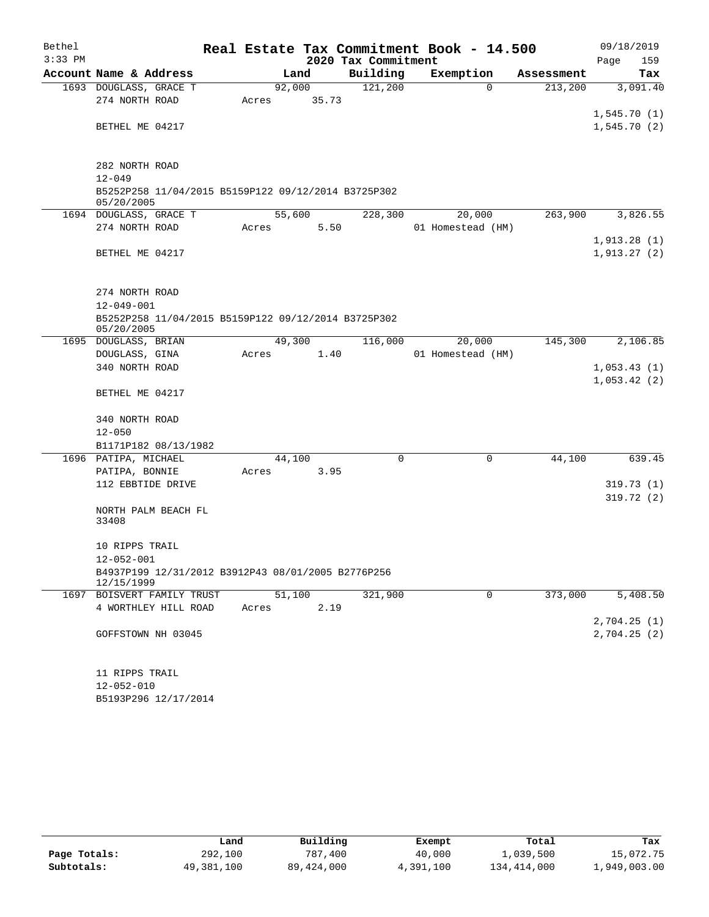| Bethel    |                                                                   |       |        |       |                     | Real Estate Tax Commitment Book - 14.500 |            | 09/18/2019                 |
|-----------|-------------------------------------------------------------------|-------|--------|-------|---------------------|------------------------------------------|------------|----------------------------|
| $3:33$ PM |                                                                   |       |        |       | 2020 Tax Commitment |                                          |            | Page<br>159                |
|           | Account Name & Address                                            |       | Land   |       | Building            | Exemption                                | Assessment | Tax                        |
|           | 1693 DOUGLASS, GRACE T                                            |       | 92,000 |       | 121,200             | $\Omega$                                 | 213,200    | 3,091.40                   |
|           | 274 NORTH ROAD                                                    | Acres |        | 35.73 |                     |                                          |            |                            |
|           |                                                                   |       |        |       |                     |                                          |            | 1,545.70(1)                |
|           | BETHEL ME 04217                                                   |       |        |       |                     |                                          |            | 1,545.70(2)                |
|           | 282 NORTH ROAD                                                    |       |        |       |                     |                                          |            |                            |
|           | $12 - 049$                                                        |       |        |       |                     |                                          |            |                            |
|           | B5252P258 11/04/2015 B5159P122 09/12/2014 B3725P302<br>05/20/2005 |       |        |       |                     |                                          |            |                            |
|           | 1694 DOUGLASS, GRACE T                                            |       | 55,600 |       | 228,300             | 20,000                                   | 263,900    | 3,826.55                   |
|           | 274 NORTH ROAD                                                    | Acres |        | 5.50  |                     | 01 Homestead (HM)                        |            |                            |
|           |                                                                   |       |        |       |                     |                                          |            | 1,913.28(1)                |
|           | BETHEL ME 04217                                                   |       |        |       |                     |                                          |            | 1,913.27(2)                |
|           |                                                                   |       |        |       |                     |                                          |            |                            |
|           |                                                                   |       |        |       |                     |                                          |            |                            |
|           | 274 NORTH ROAD                                                    |       |        |       |                     |                                          |            |                            |
|           | $12 - 049 - 001$                                                  |       |        |       |                     |                                          |            |                            |
|           | B5252P258 11/04/2015 B5159P122 09/12/2014 B3725P302               |       |        |       |                     |                                          |            |                            |
|           | 05/20/2005                                                        |       |        |       |                     |                                          |            |                            |
|           | 1695 DOUGLASS, BRIAN                                              |       | 49,300 |       | 116,000             | 20,000                                   | 145,300    | 2,106.85                   |
|           | DOUGLASS, GINA<br>340 NORTH ROAD                                  | Acres |        | 1.40  |                     | 01 Homestead (HM)                        |            |                            |
|           |                                                                   |       |        |       |                     |                                          |            | 1,053.43(1)<br>1,053.42(2) |
|           | BETHEL ME 04217                                                   |       |        |       |                     |                                          |            |                            |
|           | 340 NORTH ROAD                                                    |       |        |       |                     |                                          |            |                            |
|           | $12 - 050$                                                        |       |        |       |                     |                                          |            |                            |
|           | B1171P182 08/13/1982                                              |       |        |       |                     |                                          |            |                            |
|           | 1696 PATIPA, MICHAEL                                              |       | 44,100 |       | 0                   | $\mathbf 0$                              | 44,100     | 639.45                     |
|           | PATIPA, BONNIE                                                    | Acres |        | 3.95  |                     |                                          |            |                            |
|           | 112 EBBTIDE DRIVE                                                 |       |        |       |                     |                                          |            | 319.73(1)                  |
|           |                                                                   |       |        |       |                     |                                          |            | 319.72(2)                  |
|           | NORTH PALM BEACH FL                                               |       |        |       |                     |                                          |            |                            |
|           | 33408                                                             |       |        |       |                     |                                          |            |                            |
|           |                                                                   |       |        |       |                     |                                          |            |                            |
|           | 10 RIPPS TRAIL                                                    |       |        |       |                     |                                          |            |                            |
|           | $12 - 052 - 001$                                                  |       |        |       |                     |                                          |            |                            |
|           | B4937P199 12/31/2012 B3912P43 08/01/2005 B2776P256<br>12/15/1999  |       |        |       |                     |                                          |            |                            |
|           | 1697 BOISVERT FAMILY TRUST                                        |       | 51,100 |       | 321,900             | 0                                        | 373,000    | 5,408.50                   |
|           | 4 WORTHLEY HILL ROAD                                              | Acres |        | 2.19  |                     |                                          |            |                            |
|           |                                                                   |       |        |       |                     |                                          |            | 2,704.25(1)                |
|           | GOFFSTOWN NH 03045                                                |       |        |       |                     |                                          |            | 2,704.25(2)                |
|           | 11 RIPPS TRAIL                                                    |       |        |       |                     |                                          |            |                            |
|           | $12 - 052 - 010$                                                  |       |        |       |                     |                                          |            |                            |
|           |                                                                   |       |        |       |                     |                                          |            |                            |

| 14-054-010 |                      |
|------------|----------------------|
|            | B5193P296 12/17/2014 |

|              | Land       | Building   | Exempt    | Total       | Tax          |
|--------------|------------|------------|-----------|-------------|--------------|
| Page Totals: | 292,100    | 787,400    | 40,000    | 1,039,500   | 15,072.75    |
| Subtotals:   | 49,381,100 | 89,424,000 | 4,391,100 | 134,414,000 | 1,949,003.00 |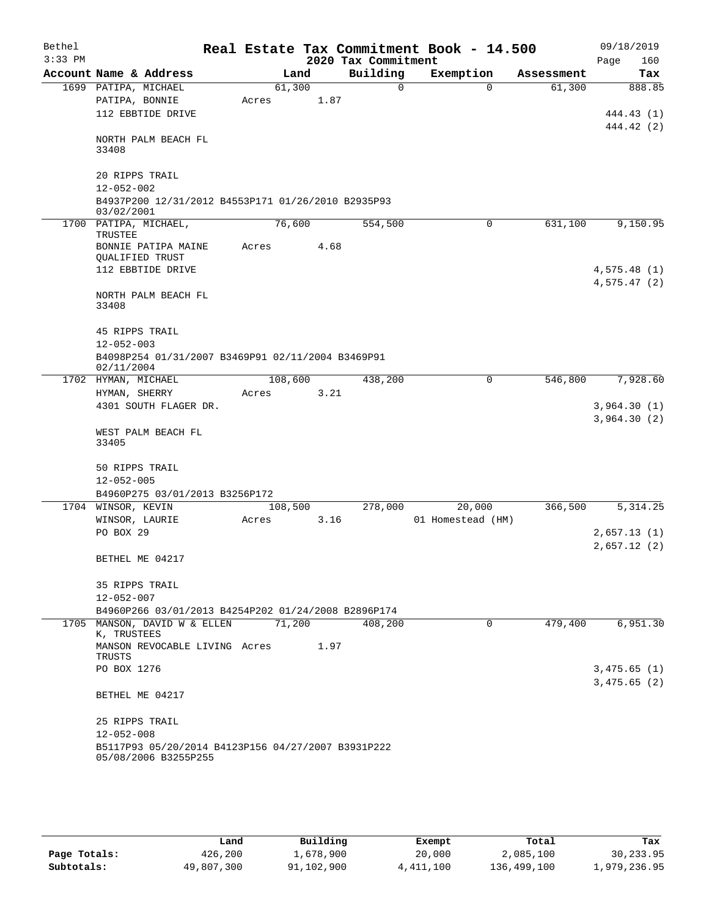| Bethel<br>$3:33$ PM    |                                        |                                                                                     |       |         |      | 2020 Tax Commitment | Real Estate Tax Commitment Book - 14.500 |          |            | Page | 09/18/2019<br>160          |
|------------------------|----------------------------------------|-------------------------------------------------------------------------------------|-------|---------|------|---------------------|------------------------------------------|----------|------------|------|----------------------------|
| Account Name & Address |                                        |                                                                                     |       | Land    |      | Building            | Exemption                                |          | Assessment |      | Tax                        |
|                        | 1699 PATIPA, MICHAEL<br>PATIPA, BONNIE | 112 EBBTIDE DRIVE                                                                   | Acres | 61,300  | 1.87 | $\Omega$            |                                          | $\Omega$ | 61,300     |      | 888.85<br>444.43 (1)       |
|                        | 33408                                  | NORTH PALM BEACH FL                                                                 |       |         |      |                     |                                          |          |            |      | 444.42 (2)                 |
|                        | 20 RIPPS TRAIL<br>$12 - 052 - 002$     |                                                                                     |       |         |      |                     |                                          |          |            |      |                            |
|                        | 03/02/2001                             | B4937P200 12/31/2012 B4553P171 01/26/2010 B2935P93                                  |       |         |      |                     |                                          |          |            |      |                            |
|                        | 1700 PATIPA, MICHAEL,                  |                                                                                     |       | 76,600  |      | 554,500             |                                          | 0        | 631,100    |      | 9,150.95                   |
|                        | TRUSTEE<br>QUALIFIED TRUST             | BONNIE PATIPA MAINE<br>112 EBBTIDE DRIVE                                            | Acres |         | 4.68 |                     |                                          |          |            |      | 4,575.48(1)                |
|                        | 33408                                  | NORTH PALM BEACH FL                                                                 |       |         |      |                     |                                          |          |            |      | 4,575.47(2)                |
|                        | 45 RIPPS TRAIL<br>$12 - 052 - 003$     | B4098P254 01/31/2007 B3469P91 02/11/2004 B3469P91                                   |       |         |      |                     |                                          |          |            |      |                            |
|                        | 02/11/2004                             |                                                                                     |       |         |      |                     |                                          |          |            |      |                            |
|                        | 1702 HYMAN, MICHAEL<br>HYMAN, SHERRY   | 4301 SOUTH FLAGER DR.                                                               | Acres | 108,600 | 3.21 | 438,200             |                                          | $\Omega$ | 546,800    |      | 7,928.60<br>3,964.30(1)    |
|                        | 33405                                  | WEST PALM BEACH FL                                                                  |       |         |      |                     |                                          |          |            |      | 3,964.30(2)                |
|                        | 50 RIPPS TRAIL<br>$12 - 052 - 005$     |                                                                                     |       |         |      |                     |                                          |          |            |      |                            |
|                        | 1704 WINSOR, KEVIN                     | B4960P275 03/01/2013 B3256P172                                                      |       | 108,500 |      | 278,000             | 20,000                                   |          | 366,500    |      | 5, 314.25                  |
|                        | WINSOR, LAURIE<br>PO BOX 29            |                                                                                     | Acres |         | 3.16 |                     | 01 Homestead (HM)                        |          |            |      | 2,657.13(1)<br>2,657.12(2) |
|                        | BETHEL ME 04217                        |                                                                                     |       |         |      |                     |                                          |          |            |      |                            |
|                        | 35 RIPPS TRAIL<br>12-052-007           |                                                                                     |       |         |      |                     |                                          |          |            |      |                            |
|                        |                                        | B4960P266 03/01/2013 B4254P202 01/24/2008 B2896P174<br>1705 MANSON, DAVID W & ELLEN |       | 71,200  |      | 408,200             |                                          | $\Omega$ | 479,400    |      | 6,951.30                   |
|                        | K, TRUSTEES<br>TRUSTS                  | MANSON REVOCABLE LIVING Acres                                                       |       |         | 1.97 |                     |                                          |          |            |      |                            |
|                        | PO BOX 1276                            |                                                                                     |       |         |      |                     |                                          |          |            |      | 3,475.65(1)<br>3,475.65(2) |
|                        | BETHEL ME 04217                        |                                                                                     |       |         |      |                     |                                          |          |            |      |                            |
|                        | 25 RIPPS TRAIL<br>$12 - 052 - 008$     | B5117P93 05/20/2014 B4123P156 04/27/2007 B3931P222<br>05/08/2006 B3255P255          |       |         |      |                     |                                          |          |            |      |                            |

|              | Land       | Building   | Exempt    | Total       | Tax          |
|--------------|------------|------------|-----------|-------------|--------------|
| Page Totals: | 426,200    | ⊥,678,900  | 20,000    | 2,085,100   | 30,233.95    |
| Subtotals:   | 49,807,300 | 91,102,900 | 4,411,100 | 136,499,100 | 1,979,236.95 |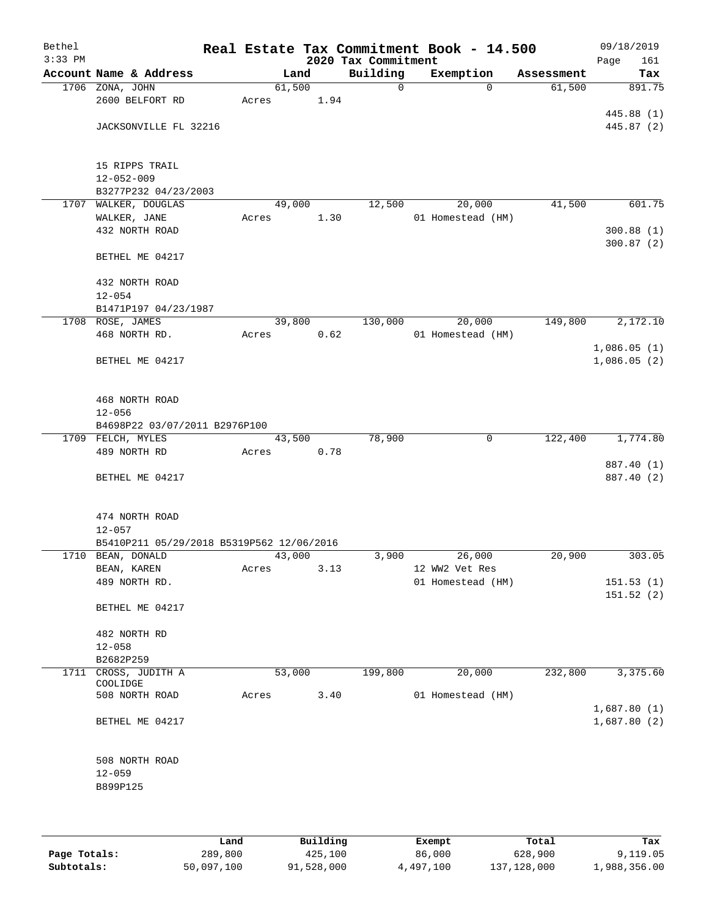| Bethel    |                                                                |       |        |      |                                 | Real Estate Tax Commitment Book - 14.500 |          |            |      | 09/18/2019  |
|-----------|----------------------------------------------------------------|-------|--------|------|---------------------------------|------------------------------------------|----------|------------|------|-------------|
| $3:33$ PM | Account Name & Address                                         |       | Land   |      | 2020 Tax Commitment<br>Building | Exemption                                |          | Assessment | Page | 161<br>Tax  |
|           | 1706 ZONA, JOHN                                                |       | 61,500 |      | $\mathbf 0$                     |                                          | $\Omega$ | 61,500     |      | 891.75      |
|           | 2600 BELFORT RD                                                | Acres |        | 1.94 |                                 |                                          |          |            |      |             |
|           |                                                                |       |        |      |                                 |                                          |          |            |      | 445.88 (1)  |
|           | JACKSONVILLE FL 32216                                          |       |        |      |                                 |                                          |          |            |      | 445.87 (2)  |
|           |                                                                |       |        |      |                                 |                                          |          |            |      |             |
|           |                                                                |       |        |      |                                 |                                          |          |            |      |             |
|           | 15 RIPPS TRAIL<br>$12 - 052 - 009$                             |       |        |      |                                 |                                          |          |            |      |             |
|           | B3277P232 04/23/2003                                           |       |        |      |                                 |                                          |          |            |      |             |
|           | 1707 WALKER, DOUGLAS                                           |       | 49,000 |      | 12,500                          | 20,000                                   |          | 41,500     |      | 601.75      |
|           | WALKER, JANE                                                   | Acres |        | 1.30 |                                 | 01 Homestead (HM)                        |          |            |      |             |
|           | 432 NORTH ROAD                                                 |       |        |      |                                 |                                          |          |            |      | 300.88(1)   |
|           |                                                                |       |        |      |                                 |                                          |          |            |      | 300.87(2)   |
|           | BETHEL ME 04217                                                |       |        |      |                                 |                                          |          |            |      |             |
|           |                                                                |       |        |      |                                 |                                          |          |            |      |             |
|           | 432 NORTH ROAD<br>$12 - 054$                                   |       |        |      |                                 |                                          |          |            |      |             |
|           | B1471P197 04/23/1987                                           |       |        |      |                                 |                                          |          |            |      |             |
|           | 1708 ROSE, JAMES                                               |       | 39,800 |      | 130,000                         | 20,000                                   |          | 149,800    |      | 2,172.10    |
|           | 468 NORTH RD.                                                  | Acres |        | 0.62 |                                 | 01 Homestead (HM)                        |          |            |      |             |
|           |                                                                |       |        |      |                                 |                                          |          |            |      | 1,086.05(1) |
|           | BETHEL ME 04217                                                |       |        |      |                                 |                                          |          |            |      | 1,086.05(2) |
|           |                                                                |       |        |      |                                 |                                          |          |            |      |             |
|           |                                                                |       |        |      |                                 |                                          |          |            |      |             |
|           | 468 NORTH ROAD                                                 |       |        |      |                                 |                                          |          |            |      |             |
|           | $12 - 056$<br>B4698P22 03/07/2011 B2976P100                    |       |        |      |                                 |                                          |          |            |      |             |
|           | 1709 FELCH, MYLES                                              |       | 43,500 |      | 78,900                          |                                          | 0        | 122,400    |      | 1,774.80    |
|           | 489 NORTH RD                                                   | Acres |        | 0.78 |                                 |                                          |          |            |      |             |
|           |                                                                |       |        |      |                                 |                                          |          |            |      | 887.40 (1)  |
|           | BETHEL ME 04217                                                |       |        |      |                                 |                                          |          |            |      | 887.40 (2)  |
|           |                                                                |       |        |      |                                 |                                          |          |            |      |             |
|           |                                                                |       |        |      |                                 |                                          |          |            |      |             |
|           | 474 NORTH ROAD                                                 |       |        |      |                                 |                                          |          |            |      |             |
|           | $12 - 057$                                                     |       |        |      |                                 |                                          |          |            |      |             |
|           | B5410P211 05/29/2018 B5319P562 12/06/2016<br>1710 BEAN, DONALD |       | 43,000 |      | 3,900                           | 26,000                                   |          | 20,900     |      | 303.05      |
|           | BEAN, KAREN                                                    | Acres |        | 3.13 |                                 | 12 WW2 Vet Res                           |          |            |      |             |
|           | 489 NORTH RD.                                                  |       |        |      |                                 | 01 Homestead (HM)                        |          |            |      | 151.53(1)   |
|           |                                                                |       |        |      |                                 |                                          |          |            |      | 151.52(2)   |
|           | BETHEL ME 04217                                                |       |        |      |                                 |                                          |          |            |      |             |
|           |                                                                |       |        |      |                                 |                                          |          |            |      |             |
|           | 482 NORTH RD                                                   |       |        |      |                                 |                                          |          |            |      |             |
|           | $12 - 058$                                                     |       |        |      |                                 |                                          |          |            |      |             |
| 1711      | B2682P259<br>CROSS, JUDITH A                                   |       | 53,000 |      | 199,800                         | 20,000                                   |          | 232,800    |      | 3,375.60    |
|           | COOLIDGE                                                       |       |        |      |                                 |                                          |          |            |      |             |
|           | 508 NORTH ROAD                                                 | Acres |        | 3.40 |                                 | 01 Homestead (HM)                        |          |            |      |             |
|           |                                                                |       |        |      |                                 |                                          |          |            |      | 1,687.80(1) |
|           | BETHEL ME 04217                                                |       |        |      |                                 |                                          |          |            |      | 1,687.80(2) |
|           |                                                                |       |        |      |                                 |                                          |          |            |      |             |
|           | 508 NORTH ROAD                                                 |       |        |      |                                 |                                          |          |            |      |             |
|           | $12 - 059$                                                     |       |        |      |                                 |                                          |          |            |      |             |
|           | B899P125                                                       |       |        |      |                                 |                                          |          |            |      |             |
|           |                                                                |       |        |      |                                 |                                          |          |            |      |             |
|           |                                                                |       |        |      |                                 |                                          |          |            |      |             |
|           |                                                                |       |        |      |                                 |                                          |          |            |      |             |

|              | Land       | Building   | Exempt    | Total       | Tax          |
|--------------|------------|------------|-----------|-------------|--------------|
| Page Totals: | 289,800    | 425,100    | 86,000    | 628,900     | 9,119.05     |
| Subtotals:   | 50,097,100 | 91,528,000 | 4,497,100 | 137,128,000 | 1,988,356.00 |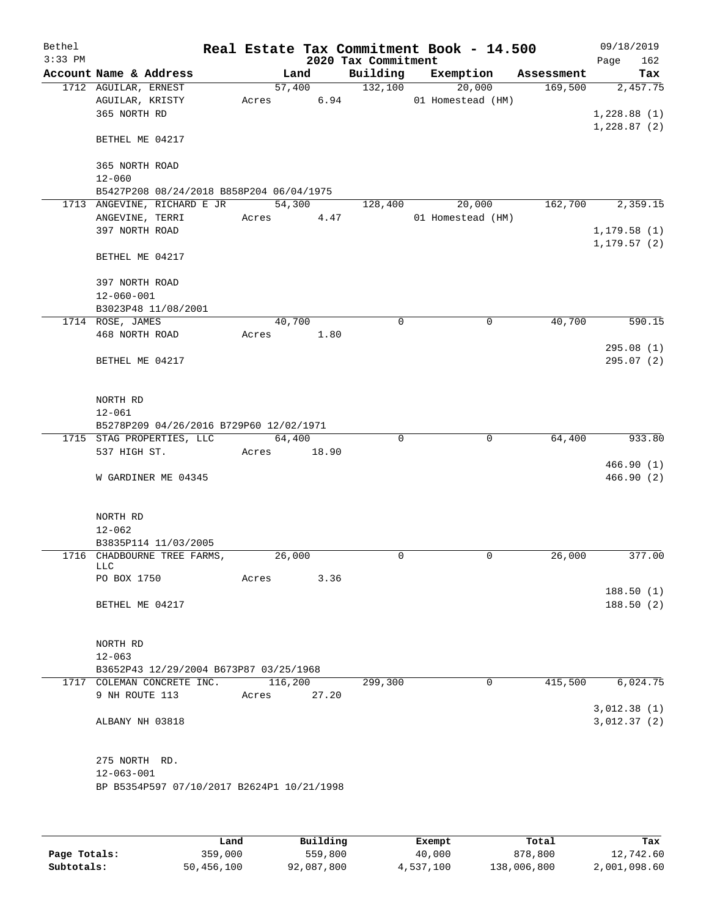| Bethel<br>$3:33$ PM |                                                                      |         |                | 2020 Tax Commitment | Real Estate Tax Commitment Book - 14.500 |            | 09/18/2019<br>Page | 162      |
|---------------------|----------------------------------------------------------------------|---------|----------------|---------------------|------------------------------------------|------------|--------------------|----------|
|                     | Account Name & Address                                               |         | Land           | Building            | Exemption                                | Assessment |                    | Tax      |
|                     | 1712 AGUILAR, ERNEST<br>AGUILAR, KRISTY<br>365 NORTH RD              | Acres   | 57,400<br>6.94 | 132,100             | 20,000<br>01 Homestead (HM)              | 169,500    | 1,228.88(1)        | 2,457.75 |
|                     | BETHEL ME 04217                                                      |         |                |                     |                                          |            | 1,228.87(2)        |          |
|                     | 365 NORTH ROAD<br>$12 - 060$                                         |         |                |                     |                                          |            |                    |          |
|                     | B5427P208 08/24/2018 B858P204 06/04/1975                             |         |                |                     |                                          |            |                    |          |
|                     | 1713 ANGEVINE, RICHARD E JR                                          |         | 54,300         | 128,400             | 20,000                                   | 162,700    |                    | 2,359.15 |
|                     | ANGEVINE, TERRI                                                      | Acres   | 4.47           |                     | 01 Homestead (HM)                        |            |                    |          |
|                     | 397 NORTH ROAD                                                       |         |                |                     |                                          |            | 1, 179.58(1)       |          |
|                     | BETHEL ME 04217                                                      |         |                |                     |                                          |            | 1, 179.57(2)       |          |
|                     | 397 NORTH ROAD                                                       |         |                |                     |                                          |            |                    |          |
|                     | $12 - 060 - 001$                                                     |         |                |                     |                                          |            |                    |          |
|                     | B3023P48 11/08/2001                                                  |         |                |                     |                                          |            |                    |          |
|                     | 1714 ROSE, JAMES                                                     |         | 40,700         | 0                   | 0                                        | 40,700     |                    | 590.15   |
|                     | 468 NORTH ROAD                                                       | Acres   | 1.80           |                     |                                          |            |                    |          |
|                     |                                                                      |         |                |                     |                                          |            | 295.08(1)          |          |
|                     | BETHEL ME 04217                                                      |         |                |                     |                                          |            | 295.07(2)          |          |
|                     | NORTH RD                                                             |         |                |                     |                                          |            |                    |          |
|                     | $12 - 061$                                                           |         |                |                     |                                          |            |                    |          |
|                     | B5278P209 04/26/2016 B729P60 12/02/1971<br>1715 STAG PROPERTIES, LLC |         | 64,400         | $\Omega$            | $\mathbf 0$                              | 64,400     |                    | 933.80   |
|                     | 537 HIGH ST.                                                         | Acres   | 18.90          |                     |                                          |            |                    |          |
|                     |                                                                      |         |                |                     |                                          |            | 466.90(1)          |          |
|                     | W GARDINER ME 04345                                                  |         |                |                     |                                          |            | 466.90(2)          |          |
|                     | NORTH RD                                                             |         |                |                     |                                          |            |                    |          |
|                     | $12 - 062$                                                           |         |                |                     |                                          |            |                    |          |
|                     | B3835P114 11/03/2005                                                 |         |                |                     |                                          |            |                    |          |
|                     | 1716 CHADBOURNE TREE FARMS,<br>LLC<br>PO BOX 1750                    | Acres   | 26,000<br>3.36 | 0                   | 0                                        | 26,000     |                    | 377.00   |
|                     |                                                                      |         |                |                     |                                          |            | 188.50(1)          |          |
|                     | BETHEL ME 04217                                                      |         |                |                     |                                          |            | 188.50(2)          |          |
|                     | NORTH RD                                                             |         |                |                     |                                          |            |                    |          |
|                     | $12 - 063$                                                           |         |                |                     |                                          |            |                    |          |
|                     | B3652P43 12/29/2004 B673P87 03/25/1968<br>1717 COLEMAN CONCRETE INC. | 116,200 |                | 299,300             | $\mathbf 0$                              | 415,500    |                    | 6,024.75 |
|                     | 9 NH ROUTE 113                                                       | Acres   | 27.20          |                     |                                          |            |                    |          |
|                     |                                                                      |         |                |                     |                                          |            | 3,012.38(1)        |          |
|                     | ALBANY NH 03818                                                      |         |                |                     |                                          |            | 3,012.37(2)        |          |
|                     | 275 NORTH RD.<br>$12 - 063 - 001$                                    |         |                |                     |                                          |            |                    |          |
|                     | BP B5354P597 07/10/2017 B2624P1 10/21/1998                           |         |                |                     |                                          |            |                    |          |
|                     |                                                                      |         |                |                     |                                          |            |                    |          |

|              | Land       | Building   | Exempt    | Total       | Tax          |
|--------------|------------|------------|-----------|-------------|--------------|
| Page Totals: | 359,000    | 559,800    | 40,000    | 878,800     | 12,742.60    |
| Subtotals:   | 50,456,100 | 92,087,800 | 4,537,100 | 138,006,800 | 2,001,098.60 |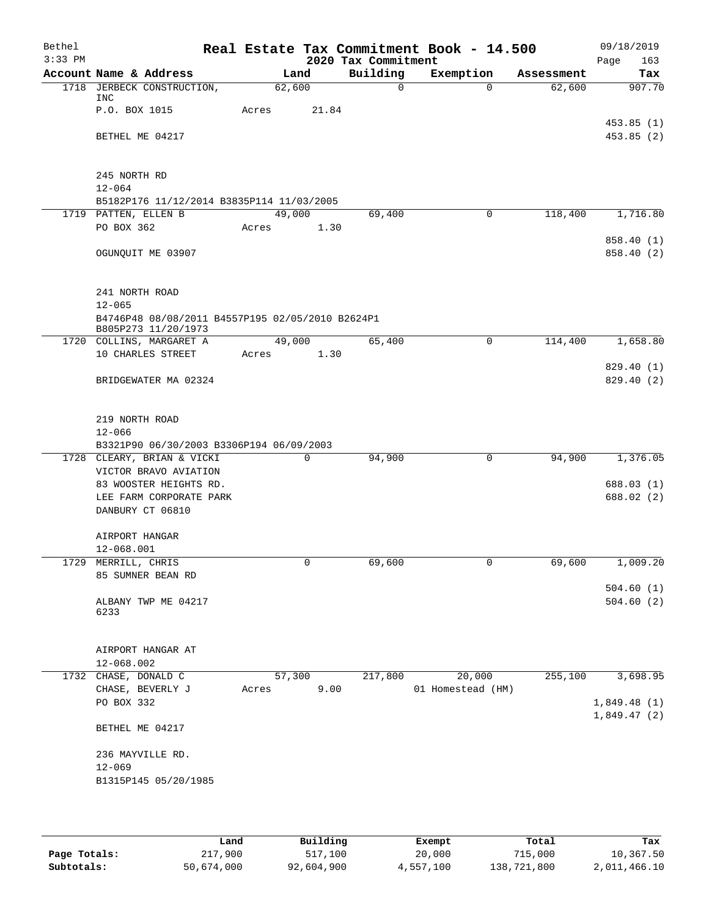| Bethel    |                                                                         |       |              |                     | Real Estate Tax Commitment Book - 14.500 |            | 09/18/2019                 |
|-----------|-------------------------------------------------------------------------|-------|--------------|---------------------|------------------------------------------|------------|----------------------------|
| $3:33$ PM |                                                                         |       |              | 2020 Tax Commitment |                                          |            | Page<br>163                |
|           | Account Name & Address                                                  |       | Land         | Building            | Exemption                                | Assessment | Tax                        |
| 1718      | JERBECK CONSTRUCTION,<br>INC                                            |       | 62,600       | $\mathbf 0$         | $\Omega$                                 | 62,600     | 907.70                     |
|           | P.O. BOX 1015                                                           | Acres | 21.84        |                     |                                          |            |                            |
|           |                                                                         |       |              |                     |                                          |            | 453.85(1)                  |
|           | BETHEL ME 04217                                                         |       |              |                     |                                          |            | 453.85(2)                  |
|           | 245 NORTH RD                                                            |       |              |                     |                                          |            |                            |
|           | $12 - 064$                                                              |       |              |                     |                                          |            |                            |
|           | B5182P176 11/12/2014 B3835P114 11/03/2005                               |       |              |                     |                                          |            |                            |
|           | 1719 PATTEN, ELLEN B                                                    |       | 49,000       | 69,400              | 0                                        | 118,400    | 1,716.80                   |
|           | PO BOX 362                                                              | Acres | 1.30         |                     |                                          |            |                            |
|           |                                                                         |       |              |                     |                                          |            | 858.40 (1)                 |
|           | OGUNQUIT ME 03907                                                       |       |              |                     |                                          |            | 858.40 (2)                 |
|           | 241 NORTH ROAD                                                          |       |              |                     |                                          |            |                            |
|           | $12 - 065$                                                              |       |              |                     |                                          |            |                            |
|           | B4746P48 08/08/2011 B4557P195 02/05/2010 B2624P1<br>B805P273 11/20/1973 |       |              |                     |                                          |            |                            |
|           | 1720 COLLINS, MARGARET A                                                |       | 49,000       | 65,400              | $\mathbf 0$                              | 114,400    | 1,658.80                   |
|           | 10 CHARLES STREET                                                       | Acres | 1.30         |                     |                                          |            |                            |
|           |                                                                         |       |              |                     |                                          |            | 829.40 (1)                 |
|           | BRIDGEWATER MA 02324                                                    |       |              |                     |                                          |            | 829.40(2)                  |
|           | 219 NORTH ROAD                                                          |       |              |                     |                                          |            |                            |
|           | $12 - 066$                                                              |       |              |                     |                                          |            |                            |
|           | B3321P90 06/30/2003 B3306P194 06/09/2003                                |       |              |                     |                                          |            |                            |
|           | 1728 CLEARY, BRIAN & VICKI                                              |       | $\mathbf 0$  | 94,900              | 0                                        | 94,900     | 1,376.05                   |
|           | VICTOR BRAVO AVIATION                                                   |       |              |                     |                                          |            |                            |
|           | 83 WOOSTER HEIGHTS RD.                                                  |       |              |                     |                                          |            | 688.03(1)                  |
|           | LEE FARM CORPORATE PARK                                                 |       |              |                     |                                          |            | 688.02 (2)                 |
|           | DANBURY CT 06810                                                        |       |              |                     |                                          |            |                            |
|           | AIRPORT HANGAR                                                          |       |              |                     |                                          |            |                            |
|           | 12-068.001                                                              |       |              |                     |                                          |            |                            |
|           | 1729 MERRILL, CHRIS                                                     |       | $\mathsf{O}$ | 69,600              | 0                                        | 69,600     | 1,009.20                   |
|           | 85 SUMNER BEAN RD                                                       |       |              |                     |                                          |            |                            |
|           |                                                                         |       |              |                     |                                          |            | 504.60(1)<br>504.60(2)     |
|           | ALBANY TWP ME 04217<br>6233                                             |       |              |                     |                                          |            |                            |
|           | AIRPORT HANGAR AT                                                       |       |              |                     |                                          |            |                            |
|           | 12-068.002                                                              |       |              |                     |                                          |            |                            |
|           | 1732 CHASE, DONALD C                                                    |       | 57,300       | 217,800             | 20,000                                   | 255,100    | 3,698.95                   |
|           | CHASE, BEVERLY J                                                        | Acres | 9.00         |                     | 01 Homestead (HM)                        |            |                            |
|           | PO BOX 332                                                              |       |              |                     |                                          |            | 1,849.48(1)<br>1,849.47(2) |
|           | BETHEL ME 04217                                                         |       |              |                     |                                          |            |                            |
|           | 236 MAYVILLE RD.                                                        |       |              |                     |                                          |            |                            |
|           | $12 - 069$                                                              |       |              |                     |                                          |            |                            |
|           | B1315P145 05/20/1985                                                    |       |              |                     |                                          |            |                            |
|           |                                                                         |       |              |                     |                                          |            |                            |
|           |                                                                         |       |              |                     |                                          |            |                            |

|              | Land       | Building   | Exempt    | Total       | Tax          |
|--------------|------------|------------|-----------|-------------|--------------|
| Page Totals: | 217,900    | 517,100    | 20,000    | 715,000     | 10,367.50    |
| Subtotals:   | 50,674,000 | 92,604,900 | 4,557,100 | 138,721,800 | 2,011,466.10 |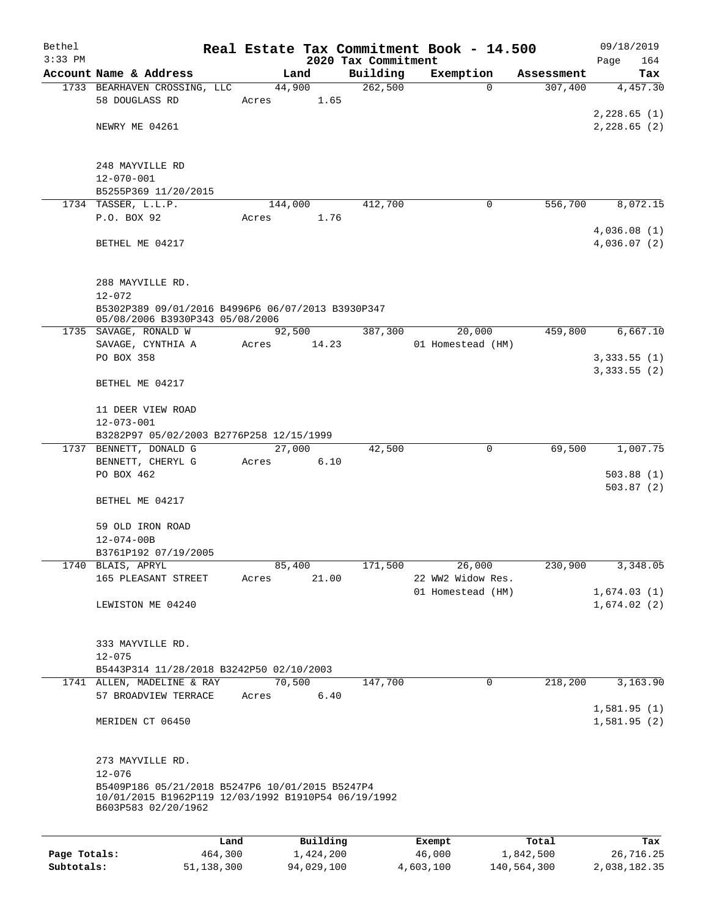| Bethel       |                                                                                                                                             |                 |            |                     | Real Estate Tax Commitment Book - 14.500 |             | 09/18/2019                 |
|--------------|---------------------------------------------------------------------------------------------------------------------------------------------|-----------------|------------|---------------------|------------------------------------------|-------------|----------------------------|
| $3:33$ PM    |                                                                                                                                             |                 |            | 2020 Tax Commitment |                                          |             | Page<br>164                |
|              | Account Name & Address                                                                                                                      |                 | Land       | Building            | Exemption                                | Assessment  | Tax                        |
|              | 1733 BEARHAVEN CROSSING, LLC<br>58 DOUGLASS RD                                                                                              | 44,900<br>Acres | 1.65       | 262,500             | 0                                        | 307,400     | 4,457.30                   |
|              |                                                                                                                                             |                 |            |                     |                                          |             | 2,228.65(1)                |
|              | NEWRY ME 04261                                                                                                                              |                 |            |                     |                                          |             | 2, 228.65 (2)              |
|              |                                                                                                                                             |                 |            |                     |                                          |             |                            |
|              | 248 MAYVILLE RD                                                                                                                             |                 |            |                     |                                          |             |                            |
|              | $12 - 070 - 001$                                                                                                                            |                 |            |                     |                                          |             |                            |
|              | B5255P369 11/20/2015                                                                                                                        |                 |            |                     |                                          |             |                            |
|              | 1734 TASSER, L.L.P.                                                                                                                         | 144,000         |            | 412,700             | 0                                        | 556,700     | 8,072.15                   |
|              | P.O. BOX 92                                                                                                                                 | Acres           | 1.76       |                     |                                          |             |                            |
|              | BETHEL ME 04217                                                                                                                             |                 |            |                     |                                          |             | 4,036.08(1)<br>4,036.07(2) |
|              | 288 MAYVILLE RD.                                                                                                                            |                 |            |                     |                                          |             |                            |
|              | $12 - 072$                                                                                                                                  |                 |            |                     |                                          |             |                            |
|              | B5302P389 09/01/2016 B4996P6 06/07/2013 B3930P347<br>05/08/2006 B3930P343 05/08/2006                                                        |                 |            |                     |                                          |             |                            |
|              | 1735 SAVAGE, RONALD W                                                                                                                       | 92,500          |            | 387,300             | 20,000                                   | 459,800     | 6,667.10                   |
|              | SAVAGE, CYNTHIA A                                                                                                                           | Acres           | 14.23      |                     | 01 Homestead (HM)                        |             |                            |
|              | PO BOX 358                                                                                                                                  |                 |            |                     |                                          |             | 3,333.55(1)                |
|              | BETHEL ME 04217                                                                                                                             |                 |            |                     |                                          |             | 3,333.55(2)                |
|              | 11 DEER VIEW ROAD<br>$12 - 073 - 001$                                                                                                       |                 |            |                     |                                          |             |                            |
|              | B3282P97 05/02/2003 B2776P258 12/15/1999                                                                                                    |                 |            |                     |                                          |             |                            |
|              | 1737 BENNETT, DONALD G                                                                                                                      |                 | 27,000     | 42,500              | 0                                        | 69,500      | 1,007.75                   |
|              | BENNETT, CHERYL G                                                                                                                           | Acres           | 6.10       |                     |                                          |             |                            |
|              | PO BOX 462                                                                                                                                  |                 |            |                     |                                          |             | 503.88(1)<br>503.87(2)     |
|              | BETHEL ME 04217                                                                                                                             |                 |            |                     |                                          |             |                            |
|              | 59 OLD IRON ROAD                                                                                                                            |                 |            |                     |                                          |             |                            |
|              | $12 - 074 - 00B$                                                                                                                            |                 |            |                     |                                          |             |                            |
|              | B3761P192 07/19/2005                                                                                                                        |                 |            |                     |                                          |             |                            |
|              | 1740 BLAIS, APRYL                                                                                                                           | 85,400          |            | 171,500             | 26,000                                   | 230,900     | 3,348.05                   |
|              | 165 PLEASANT STREET                                                                                                                         | Acres           | 21.00      |                     | 22 WW2 Widow Res.<br>01 Homestead (HM)   |             | 1,674.03(1)                |
|              | LEWISTON ME 04240                                                                                                                           |                 |            |                     |                                          |             | 1,674.02(2)                |
|              |                                                                                                                                             |                 |            |                     |                                          |             |                            |
|              | 333 MAYVILLE RD.                                                                                                                            |                 |            |                     |                                          |             |                            |
|              | $12 - 075$<br>B5443P314 11/28/2018 B3242P50 02/10/2003                                                                                      |                 |            |                     |                                          |             |                            |
|              | 1741 ALLEN, MADELINE & RAY                                                                                                                  | 70,500          |            | 147,700             | 0                                        | 218,200     | 3,163.90                   |
|              | 57 BROADVIEW TERRACE                                                                                                                        | Acres           | 6.40       |                     |                                          |             | 1,581.95(1)                |
|              | MERIDEN CT 06450                                                                                                                            |                 |            |                     |                                          |             | 1,581.95(2)                |
|              | 273 MAYVILLE RD.                                                                                                                            |                 |            |                     |                                          |             |                            |
|              | $12 - 076$<br>B5409P186 05/21/2018 B5247P6 10/01/2015 B5247P4<br>10/01/2015 B1962P119 12/03/1992 B1910P54 06/19/1992<br>B603P583 02/20/1962 |                 |            |                     |                                          |             |                            |
|              |                                                                                                                                             | Land            | Building   |                     | Exempt                                   | Total       | Tax                        |
| Page Totals: | 464,300                                                                                                                                     |                 | 1,424,200  |                     | 46,000                                   | 1,842,500   | 26,716.25                  |
| Subtotals:   | 51,138,300                                                                                                                                  |                 | 94,029,100 |                     | 4,603,100                                | 140,564,300 | 2,038,182.35               |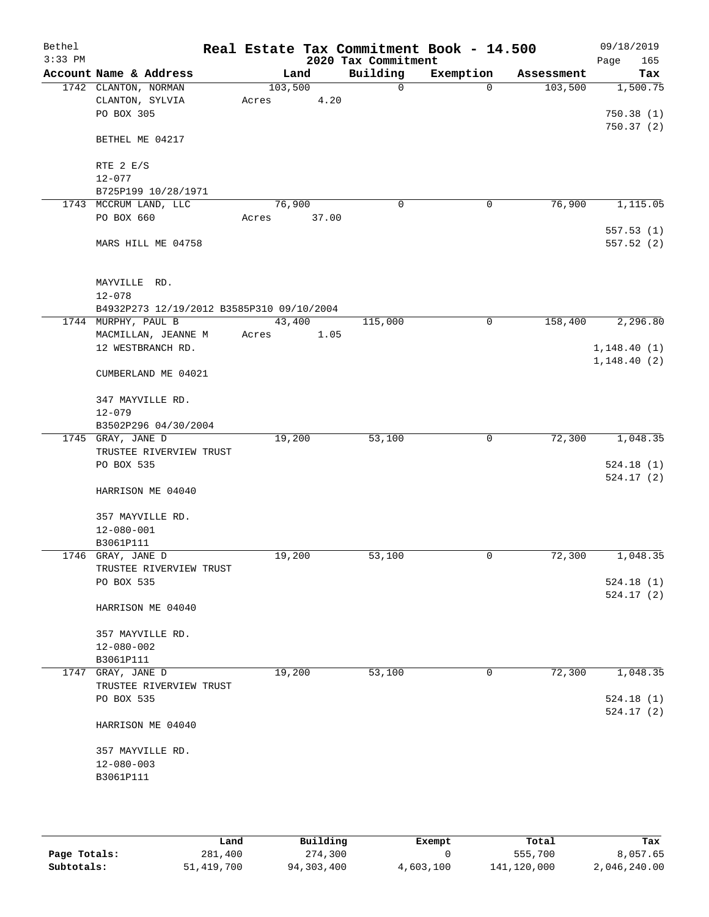| Bethel<br>$3:33$ PM |                                           |         |       | 2020 Tax Commitment | Real Estate Tax Commitment Book - 14.500 |            | 09/18/2019<br>165          |
|---------------------|-------------------------------------------|---------|-------|---------------------|------------------------------------------|------------|----------------------------|
|                     | Account Name & Address                    | Land    |       | Building            | Exemption                                | Assessment | Page<br>Tax                |
|                     | 1742 CLANTON, NORMAN                      | 103,500 |       | $\mathbf 0$         | $\Omega$                                 | 103,500    | 1,500.75                   |
|                     | CLANTON, SYLVIA                           | Acres   | 4.20  |                     |                                          |            |                            |
|                     | PO BOX 305                                |         |       |                     |                                          |            | 750.38(1)                  |
|                     | BETHEL ME 04217                           |         |       |                     |                                          |            | 750.37(2)                  |
|                     | RTE $2 E/S$                               |         |       |                     |                                          |            |                            |
|                     | $12 - 077$                                |         |       |                     |                                          |            |                            |
|                     | B725P199 10/28/1971                       |         |       |                     |                                          |            |                            |
|                     | 1743 MCCRUM LAND, LLC                     | 76,900  |       | $\mathbf 0$         | 0                                        | 76,900     | 1,115.05                   |
|                     | PO BOX 660                                | Acres   | 37.00 |                     |                                          |            |                            |
|                     | MARS HILL ME 04758                        |         |       |                     |                                          |            | 557.53(1)<br>557.52 (2)    |
|                     | MAYVILLE RD.                              |         |       |                     |                                          |            |                            |
|                     | $12 - 078$                                |         |       |                     |                                          |            |                            |
|                     | B4932P273 12/19/2012 B3585P310 09/10/2004 |         |       |                     |                                          |            |                            |
|                     | 1744 MURPHY, PAUL B                       | 43,400  |       | 115,000             | $\mathbf 0$                              | 158,400    | 2,296.80                   |
|                     | MACMILLAN, JEANNE M<br>12 WESTBRANCH RD.  | Acres   | 1.05  |                     |                                          |            |                            |
|                     |                                           |         |       |                     |                                          |            | 1,148.40(1)<br>1,148.40(2) |
|                     | CUMBERLAND ME 04021                       |         |       |                     |                                          |            |                            |
|                     | 347 MAYVILLE RD.                          |         |       |                     |                                          |            |                            |
|                     | $12 - 079$                                |         |       |                     |                                          |            |                            |
|                     | B3502P296 04/30/2004                      |         |       |                     |                                          |            |                            |
|                     | 1745 GRAY, JANE D                         | 19,200  |       | 53,100              | 0                                        | 72,300     | 1,048.35                   |
|                     | TRUSTEE RIVERVIEW TRUST                   |         |       |                     |                                          |            |                            |
|                     | PO BOX 535                                |         |       |                     |                                          |            | 524.18(1)                  |
|                     | HARRISON ME 04040                         |         |       |                     |                                          |            | 524.17(2)                  |
|                     | 357 MAYVILLE RD.                          |         |       |                     |                                          |            |                            |
|                     | $12 - 080 - 001$                          |         |       |                     |                                          |            |                            |
|                     | B3061P111                                 |         |       |                     |                                          |            |                            |
|                     | 1746 GRAY, JANE D                         | 19,200  |       | 53,100              | $\mathbf 0$                              | 72,300     | 1,048.35                   |
|                     | TRUSTEE RIVERVIEW TRUST                   |         |       |                     |                                          |            |                            |
|                     | PO BOX 535                                |         |       |                     |                                          |            | 524.18(1)                  |
|                     | HARRISON ME 04040                         |         |       |                     |                                          |            | 524.17(2)                  |
|                     | 357 MAYVILLE RD.                          |         |       |                     |                                          |            |                            |
|                     | $12 - 080 - 002$                          |         |       |                     |                                          |            |                            |
|                     | B3061P111                                 |         |       |                     |                                          |            |                            |
|                     | 1747 GRAY, JANE D                         | 19,200  |       | 53,100              | $\mathbf 0$                              | 72,300     | 1,048.35                   |
|                     | TRUSTEE RIVERVIEW TRUST                   |         |       |                     |                                          |            |                            |
|                     | PO BOX 535                                |         |       |                     |                                          |            | 524.18(1)<br>524.17(2)     |
|                     | HARRISON ME 04040                         |         |       |                     |                                          |            |                            |
|                     | 357 MAYVILLE RD.                          |         |       |                     |                                          |            |                            |
|                     | $12 - 080 - 003$                          |         |       |                     |                                          |            |                            |
|                     | B3061P111                                 |         |       |                     |                                          |            |                            |
|                     |                                           |         |       |                     |                                          |            |                            |
|                     |                                           |         |       |                     |                                          |            |                            |

|              | Land       | Building   | Exempt    | Total       | Tax          |
|--------------|------------|------------|-----------|-------------|--------------|
| Page Totals: | 281,400    | 274,300    |           | 555,700     | 8,057.65     |
| Subtotals:   | 51,419,700 | 94,303,400 | 4,603,100 | 141,120,000 | 2,046,240.00 |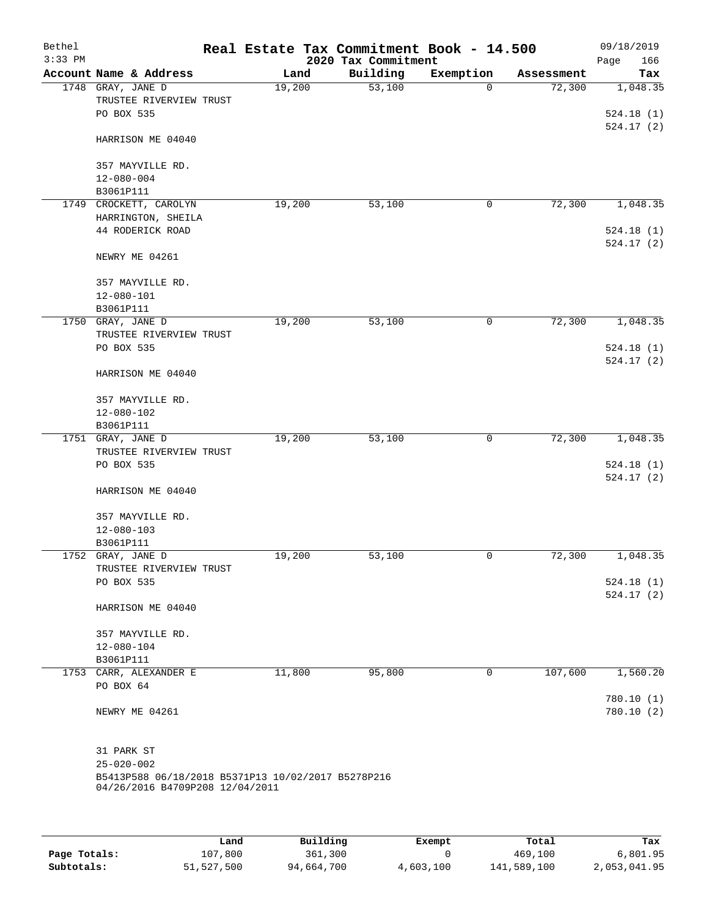| Bethel<br>$3:33$ PM |                                                                        |        |      | Real Estate Tax Commitment Book - 14.500<br>2020 Tax Commitment |              |            | 09/18/2019<br>166<br>Page |
|---------------------|------------------------------------------------------------------------|--------|------|-----------------------------------------------------------------|--------------|------------|---------------------------|
|                     | Account Name & Address                                                 |        | Land | Building                                                        | Exemption    | Assessment | Tax                       |
|                     | 1748 GRAY, JANE D<br>TRUSTEE RIVERVIEW TRUST                           | 19,200 |      | 53,100                                                          | $\Omega$     | 72,300     | 1,048.35                  |
|                     | PO BOX 535                                                             |        |      |                                                                 |              |            | 524.18(1)<br>524.17(2)    |
|                     | HARRISON ME 04040                                                      |        |      |                                                                 |              |            |                           |
|                     | 357 MAYVILLE RD.<br>$12 - 080 - 004$                                   |        |      |                                                                 |              |            |                           |
|                     | B3061P111                                                              |        |      |                                                                 |              |            |                           |
| 1749                | CROCKETT, CAROLYN                                                      | 19,200 |      | 53,100                                                          | 0            | 72,300     | 1,048.35                  |
|                     | HARRINGTON, SHEILA<br>44 RODERICK ROAD                                 |        |      |                                                                 |              |            | 524.18(1)                 |
|                     | NEWRY ME 04261                                                         |        |      |                                                                 |              |            | 524.17(2)                 |
|                     | 357 MAYVILLE RD.<br>$12 - 080 - 101$                                   |        |      |                                                                 |              |            |                           |
|                     | B3061P111                                                              |        |      |                                                                 |              |            |                           |
|                     | 1750 GRAY, JANE D                                                      | 19,200 |      | 53,100                                                          | 0            | 72,300     | 1,048.35                  |
|                     | TRUSTEE RIVERVIEW TRUST                                                |        |      |                                                                 |              |            |                           |
|                     | PO BOX 535                                                             |        |      |                                                                 |              |            | 524.18(1)<br>524.17(2)    |
|                     | HARRISON ME 04040                                                      |        |      |                                                                 |              |            |                           |
|                     | 357 MAYVILLE RD.                                                       |        |      |                                                                 |              |            |                           |
|                     | 12-080-102                                                             |        |      |                                                                 |              |            |                           |
|                     | B3061P111                                                              |        |      |                                                                 |              |            |                           |
|                     | 1751 GRAY, JANE D                                                      | 19,200 |      | 53,100                                                          | 0            | 72,300     | 1,048.35                  |
|                     | TRUSTEE RIVERVIEW TRUST                                                |        |      |                                                                 |              |            |                           |
|                     | PO BOX 535                                                             |        |      |                                                                 |              |            | 524.18(1)<br>524.17(2)    |
|                     | HARRISON ME 04040                                                      |        |      |                                                                 |              |            |                           |
|                     | 357 MAYVILLE RD.                                                       |        |      |                                                                 |              |            |                           |
|                     | $12 - 080 - 103$                                                       |        |      |                                                                 |              |            |                           |
|                     | B3061P111                                                              |        |      |                                                                 |              |            |                           |
|                     | 1752 GRAY, JANE D                                                      | 19,200 |      | 53,100                                                          | $\mathsf{O}$ | 72,300     | 1,048.35                  |
|                     | TRUSTEE RIVERVIEW TRUST                                                |        |      |                                                                 |              |            |                           |
|                     | PO BOX 535                                                             |        |      |                                                                 |              |            | 524.18(1)                 |
|                     | HARRISON ME 04040                                                      |        |      |                                                                 |              |            | 524.17(2)                 |
|                     | 357 MAYVILLE RD.                                                       |        |      |                                                                 |              |            |                           |
|                     | $12 - 080 - 104$                                                       |        |      |                                                                 |              |            |                           |
|                     | B3061P111                                                              |        |      |                                                                 |              |            |                           |
|                     | 1753 CARR, ALEXANDER E                                                 | 11,800 |      | 95,800                                                          | 0            | 107,600    | 1,560.20                  |
|                     | PO BOX 64                                                              |        |      |                                                                 |              |            |                           |
|                     | NEWRY ME 04261                                                         |        |      |                                                                 |              |            | 780.10(1)<br>780.10(2)    |
|                     |                                                                        |        |      |                                                                 |              |            |                           |
|                     | 31 PARK ST                                                             |        |      |                                                                 |              |            |                           |
|                     | $25 - 020 - 002$<br>B5413P588 06/18/2018 B5371P13 10/02/2017 B5278P216 |        |      |                                                                 |              |            |                           |
|                     | 04/26/2016 B4709P208 12/04/2011                                        |        |      |                                                                 |              |            |                           |
|                     |                                                                        |        |      |                                                                 |              |            |                           |
|                     |                                                                        |        |      |                                                                 |              |            |                           |

|              | Land       | Building   | Exempt    | Total       | Tax          |
|--------------|------------|------------|-----------|-------------|--------------|
| Page Totals: | 107,800    | 361,300    |           | 469,100     | 6,801.95     |
| Subtotals:   | 51,527,500 | 94,664,700 | 4,603,100 | 141,589,100 | 2,053,041.95 |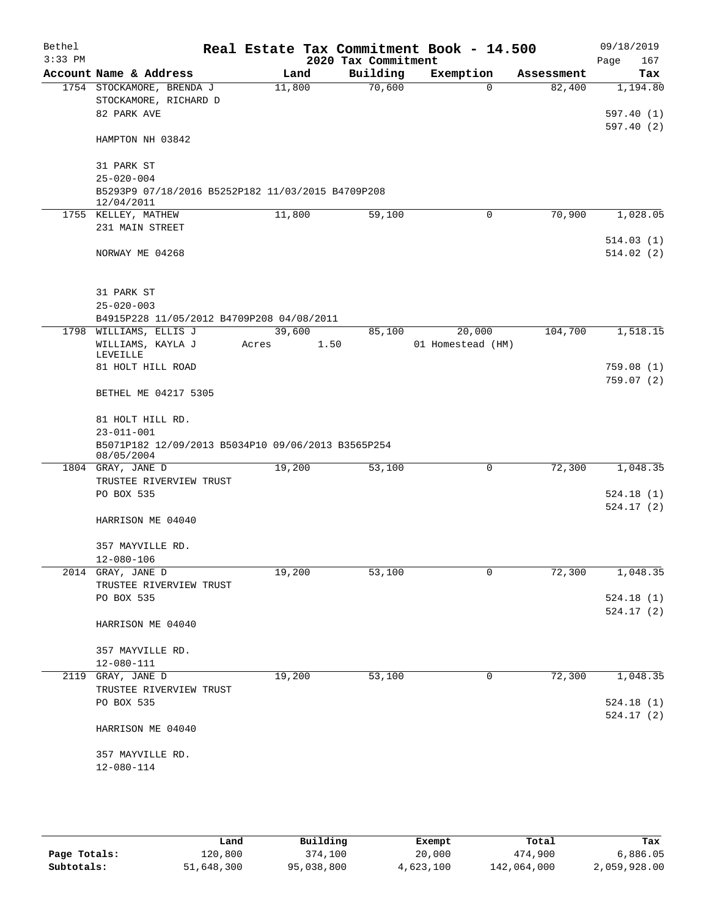| Bethel<br>$3:33$ PM |                                                                        |        | 2020 Tax Commitment | Real Estate Tax Commitment Book - 14.500 |            | 09/18/2019<br>Page<br>167 |
|---------------------|------------------------------------------------------------------------|--------|---------------------|------------------------------------------|------------|---------------------------|
|                     | Account Name & Address                                                 | Land   | Building            | Exemption                                | Assessment | Tax                       |
|                     | 1754 STOCKAMORE, BRENDA J                                              | 11,800 | 70,600              | $\Omega$                                 | 82,400     | 1,194.80                  |
|                     | STOCKAMORE, RICHARD D                                                  |        |                     |                                          |            |                           |
|                     | 82 PARK AVE                                                            |        |                     |                                          |            | 597.40 (1)                |
|                     | HAMPTON NH 03842                                                       |        |                     |                                          |            | 597.40(2)                 |
|                     |                                                                        |        |                     |                                          |            |                           |
|                     | 31 PARK ST                                                             |        |                     |                                          |            |                           |
|                     | $25 - 020 - 004$                                                       |        |                     |                                          |            |                           |
|                     | B5293P9 07/18/2016 B5252P182 11/03/2015 B4709P208<br>12/04/2011        |        |                     |                                          |            |                           |
|                     | 1755 KELLEY, MATHEW                                                    | 11,800 | 59,100              | 0                                        | 70,900     | 1,028.05                  |
|                     | 231 MAIN STREET                                                        |        |                     |                                          |            |                           |
|                     |                                                                        |        |                     |                                          |            | 514.03(1)                 |
|                     | NORWAY ME 04268                                                        |        |                     |                                          |            | 514.02(2)                 |
|                     |                                                                        |        |                     |                                          |            |                           |
|                     | 31 PARK ST<br>$25 - 020 - 003$                                         |        |                     |                                          |            |                           |
|                     | B4915P228 11/05/2012 B4709P208 04/08/2011                              |        |                     |                                          |            |                           |
|                     | 1798 WILLIAMS, ELLIS J                                                 | 39,600 | 85,100              | 20,000                                   | 104,700    | 1,518.15                  |
|                     | WILLIAMS, KAYLA J                                                      | Acres  | 1.50                | 01 Homestead (HM)                        |            |                           |
|                     | <b>LEVEILLE</b>                                                        |        |                     |                                          |            |                           |
|                     | 81 HOLT HILL ROAD                                                      |        |                     |                                          |            | 759.08(1)                 |
|                     | BETHEL ME 04217 5305                                                   |        |                     |                                          |            | 759.07(2)                 |
|                     |                                                                        |        |                     |                                          |            |                           |
|                     | 81 HOLT HILL RD.                                                       |        |                     |                                          |            |                           |
|                     | $23 - 011 - 001$<br>B5071P182 12/09/2013 B5034P10 09/06/2013 B3565P254 |        |                     |                                          |            |                           |
|                     | 08/05/2004                                                             |        |                     |                                          |            |                           |
|                     | 1804 GRAY, JANE D<br>TRUSTEE RIVERVIEW TRUST                           | 19,200 | 53,100              | $\mathbf 0$                              | 72,300     | 1,048.35                  |
|                     | PO BOX 535                                                             |        |                     |                                          |            | 524.18(1)                 |
|                     |                                                                        |        |                     |                                          |            | 524.17(2)                 |
|                     | HARRISON ME 04040                                                      |        |                     |                                          |            |                           |
|                     | 357 MAYVILLE RD.                                                       |        |                     |                                          |            |                           |
|                     | $12 - 080 - 106$                                                       |        |                     |                                          |            |                           |
|                     | 2014 GRAY, JANE D                                                      | 19,200 | 53,100              | 0                                        | 72,300     | 1,048.35                  |
|                     | TRUSTEE RIVERVIEW TRUST                                                |        |                     |                                          |            |                           |
|                     | PO BOX 535                                                             |        |                     |                                          |            | 524.18 (1)                |
|                     |                                                                        |        |                     |                                          |            | 524.17 (2)                |
|                     | HARRISON ME 04040                                                      |        |                     |                                          |            |                           |
|                     | 357 MAYVILLE RD.                                                       |        |                     |                                          |            |                           |
|                     | 12-080-111                                                             |        |                     |                                          |            |                           |
|                     | 2119 GRAY, JANE D                                                      | 19,200 | 53,100              | 0                                        | 72,300     | 1,048.35                  |
|                     | TRUSTEE RIVERVIEW TRUST                                                |        |                     |                                          |            |                           |
|                     | PO BOX 535                                                             |        |                     |                                          |            | 524.18(1)                 |
|                     |                                                                        |        |                     |                                          |            | 524.17(2)                 |
|                     | HARRISON ME 04040                                                      |        |                     |                                          |            |                           |
|                     | 357 MAYVILLE RD.                                                       |        |                     |                                          |            |                           |
|                     | 12-080-114                                                             |        |                     |                                          |            |                           |
|                     |                                                                        |        |                     |                                          |            |                           |

|              | Land       | Building   | Exempt    | Total       | Tax          |
|--------------|------------|------------|-----------|-------------|--------------|
| Page Totals: | 120,800    | 374,100    | 20,000    | 474,900     | 6,886.05     |
| Subtotals:   | 51,648,300 | 95,038,800 | 4,623,100 | 142,064,000 | 2,059,928.00 |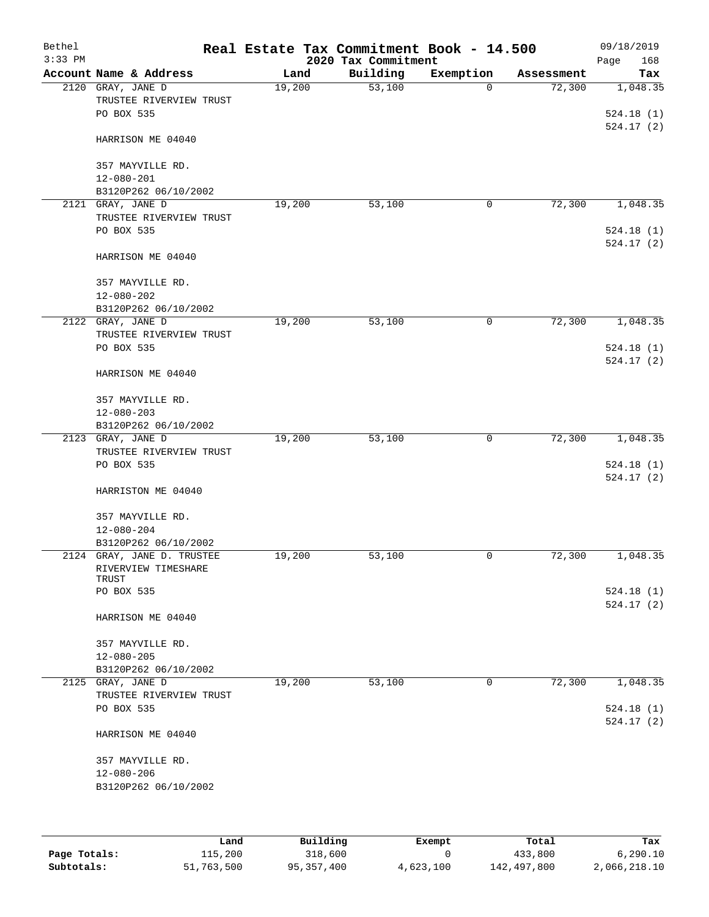| Bethel<br>$3:33$ PM |                                                            |        | Real Estate Tax Commitment Book - 14.500<br>2020 Tax Commitment |             |            | 09/18/2019<br>168<br>Page |
|---------------------|------------------------------------------------------------|--------|-----------------------------------------------------------------|-------------|------------|---------------------------|
|                     | Account Name & Address                                     | Land   | Building                                                        | Exemption   | Assessment | Tax                       |
|                     | 2120 GRAY, JANE D<br>TRUSTEE RIVERVIEW TRUST<br>PO BOX 535 | 19,200 | 53,100                                                          | $\Omega$    | 72,300     | 1,048.35<br>524.18(1)     |
|                     | HARRISON ME 04040                                          |        |                                                                 |             |            | 524.17(2)                 |
|                     | 357 MAYVILLE RD.<br>$12 - 080 - 201$                       |        |                                                                 |             |            |                           |
|                     | B3120P262 06/10/2002                                       |        |                                                                 |             |            |                           |
|                     | 2121 GRAY, JANE D                                          | 19,200 | 53,100                                                          | $\mathbf 0$ | 72,300     | 1,048.35                  |
|                     | TRUSTEE RIVERVIEW TRUST<br>PO BOX 535                      |        |                                                                 |             |            | 524.18(1)<br>524.17(2)    |
|                     | HARRISON ME 04040                                          |        |                                                                 |             |            |                           |
|                     | 357 MAYVILLE RD.<br>$12 - 080 - 202$                       |        |                                                                 |             |            |                           |
|                     | B3120P262 06/10/2002                                       |        |                                                                 |             |            |                           |
|                     | 2122 GRAY, JANE D<br>TRUSTEE RIVERVIEW TRUST               | 19,200 | 53,100                                                          | 0           | 72,300     | 1,048.35                  |
|                     | PO BOX 535                                                 |        |                                                                 |             |            | 524.18(1)<br>524.17(2)    |
|                     | HARRISON ME 04040                                          |        |                                                                 |             |            |                           |
|                     | 357 MAYVILLE RD.                                           |        |                                                                 |             |            |                           |
|                     | $12 - 080 - 203$<br>B3120P262 06/10/2002                   |        |                                                                 |             |            |                           |
|                     | 2123 GRAY, JANE D                                          | 19,200 | 53,100                                                          | 0           | 72,300     | 1,048.35                  |
|                     | TRUSTEE RIVERVIEW TRUST                                    |        |                                                                 |             |            |                           |
|                     | PO BOX 535                                                 |        |                                                                 |             |            | 524.18(1)                 |
|                     | HARRISTON ME 04040                                         |        |                                                                 |             |            | 524.17(2)                 |
|                     | 357 MAYVILLE RD.                                           |        |                                                                 |             |            |                           |
|                     | $12 - 080 - 204$<br>B3120P262 06/10/2002                   |        |                                                                 |             |            |                           |
|                     | 2124 GRAY, JANE D. TRUSTEE                                 | 19,200 | 53,100                                                          | 0           | 72,300     | 1,048.35                  |
|                     | RIVERVIEW TIMESHARE<br>TRUST                               |        |                                                                 |             |            |                           |
|                     | PO BOX 535                                                 |        |                                                                 |             |            | 524.18(1)<br>524.17(2)    |
|                     | HARRISON ME 04040                                          |        |                                                                 |             |            |                           |
|                     | 357 MAYVILLE RD.                                           |        |                                                                 |             |            |                           |
|                     | $12 - 080 - 205$                                           |        |                                                                 |             |            |                           |
|                     | B3120P262 06/10/2002                                       |        |                                                                 |             |            |                           |
|                     | 2125 GRAY, JANE D                                          | 19,200 | 53,100                                                          | $\mathbf 0$ | 72,300     | 1,048.35                  |
|                     | TRUSTEE RIVERVIEW TRUST<br>PO BOX 535                      |        |                                                                 |             |            | 524.18(1)<br>524.17(2)    |
|                     | HARRISON ME 04040                                          |        |                                                                 |             |            |                           |
|                     | 357 MAYVILLE RD.<br>$12 - 080 - 206$                       |        |                                                                 |             |            |                           |
|                     | B3120P262 06/10/2002                                       |        |                                                                 |             |            |                           |
|                     |                                                            |        |                                                                 |             |            |                           |

|              | Land       | Building   | Exempt    | Total       | Tax          |
|--------------|------------|------------|-----------|-------------|--------------|
| Page Totals: | 115,200    | 318,600    |           | 433,800     | 6, 290.10    |
| Subtotals:   | 51,763,500 | 95,357,400 | 4,623,100 | 142,497,800 | 2,066,218.10 |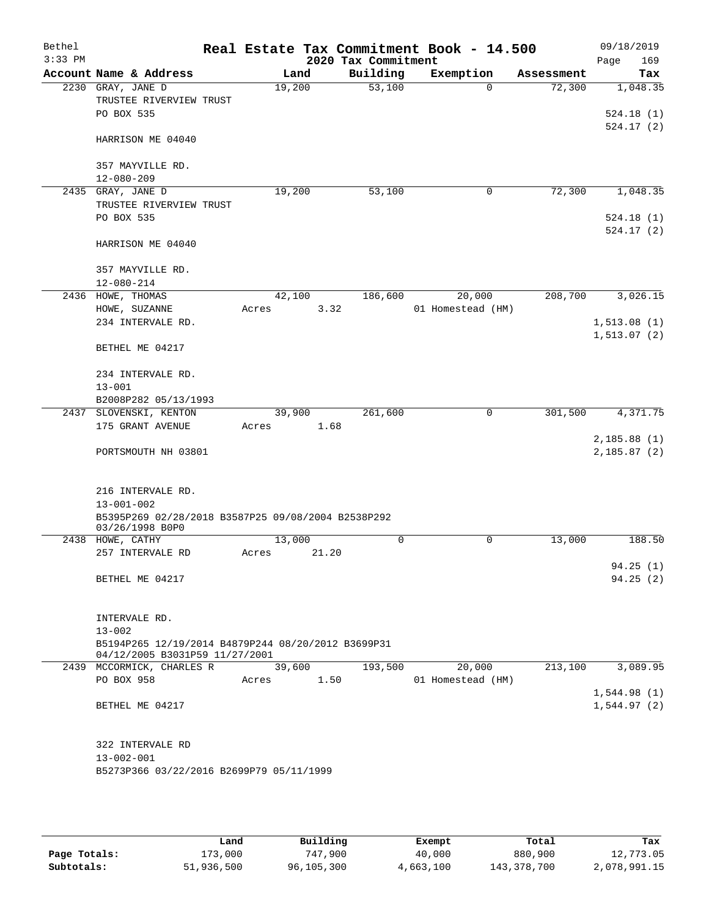| Bethel<br>$3:33$ PM |                                                                                      |        |        | 2020 Tax Commitment | Real Estate Tax Commitment Book - 14.500 |            | 09/18/2019         |
|---------------------|--------------------------------------------------------------------------------------|--------|--------|---------------------|------------------------------------------|------------|--------------------|
|                     | Account Name & Address                                                               |        | Land   | Building            | Exemption                                | Assessment | 169<br>Page<br>Tax |
|                     | 2230 GRAY, JANE D                                                                    | 19,200 |        | $\overline{53,100}$ | $\Omega$                                 | 72,300     | 1,048.35           |
|                     | TRUSTEE RIVERVIEW TRUST                                                              |        |        |                     |                                          |            |                    |
|                     | PO BOX 535                                                                           |        |        |                     |                                          |            | 524.18(1)          |
|                     |                                                                                      |        |        |                     |                                          |            | 524.17(2)          |
|                     | HARRISON ME 04040                                                                    |        |        |                     |                                          |            |                    |
|                     | 357 MAYVILLE RD.                                                                     |        |        |                     |                                          |            |                    |
|                     | $12 - 080 - 209$                                                                     |        |        |                     |                                          |            |                    |
|                     | 2435 GRAY, JANE D                                                                    | 19,200 |        | 53,100              | 0                                        | 72,300     | 1,048.35           |
|                     | TRUSTEE RIVERVIEW TRUST                                                              |        |        |                     |                                          |            |                    |
|                     | PO BOX 535                                                                           |        |        |                     |                                          |            | 524.18(1)          |
|                     |                                                                                      |        |        |                     |                                          |            | 524.17(2)          |
|                     | HARRISON ME 04040                                                                    |        |        |                     |                                          |            |                    |
|                     | 357 MAYVILLE RD.                                                                     |        |        |                     |                                          |            |                    |
|                     | $12 - 080 - 214$                                                                     |        |        |                     |                                          |            |                    |
|                     | 2436 HOWE, THOMAS                                                                    | 42,100 |        | 186,600             | 20,000                                   | 208,700    | 3,026.15           |
|                     | HOWE, SUZANNE                                                                        | Acres  |        | 3.32                | 01 Homestead (HM)                        |            |                    |
|                     | 234 INTERVALE RD.                                                                    |        |        |                     |                                          |            | 1,513.08(1)        |
|                     | BETHEL ME 04217                                                                      |        |        |                     |                                          |            | 1, 513.07(2)       |
|                     |                                                                                      |        |        |                     |                                          |            |                    |
|                     | 234 INTERVALE RD.                                                                    |        |        |                     |                                          |            |                    |
|                     | $13 - 001$                                                                           |        |        |                     |                                          |            |                    |
|                     | B2008P282 05/13/1993                                                                 |        |        |                     |                                          |            |                    |
| 2437                | SLOVENSKI, KENTON                                                                    | 39,900 |        | 261,600             | 0                                        | 301,500    | 4,371.75           |
|                     | 175 GRANT AVENUE                                                                     | Acres  | 1.68   |                     |                                          |            | 2,185.88(1)        |
|                     | PORTSMOUTH NH 03801                                                                  |        |        |                     |                                          |            | 2,185.87(2)        |
|                     |                                                                                      |        |        |                     |                                          |            |                    |
|                     |                                                                                      |        |        |                     |                                          |            |                    |
|                     | 216 INTERVALE RD.                                                                    |        |        |                     |                                          |            |                    |
|                     | $13 - 001 - 002$                                                                     |        |        |                     |                                          |            |                    |
|                     | B5395P269 02/28/2018 B3587P25 09/08/2004 B2538P292<br>03/26/1998 B0P0                |        |        |                     |                                          |            |                    |
|                     | 2438 HOWE, CATHY                                                                     | 13,000 |        | $\mathbf 0$         | 0                                        | 13,000     | 188.50             |
|                     | 257 INTERVALE RD                                                                     | Acres  | 21.20  |                     |                                          |            |                    |
|                     |                                                                                      |        |        |                     |                                          |            | 94.25(1)           |
|                     | BETHEL ME 04217                                                                      |        |        |                     |                                          |            | 94.25(2)           |
|                     |                                                                                      |        |        |                     |                                          |            |                    |
|                     | INTERVALE RD.                                                                        |        |        |                     |                                          |            |                    |
|                     | $13 - 002$                                                                           |        |        |                     |                                          |            |                    |
|                     | B5194P265 12/19/2014 B4879P244 08/20/2012 B3699P31<br>04/12/2005 B3031P59 11/27/2001 |        |        |                     |                                          |            |                    |
|                     | 2439 MCCORMICK, CHARLES R                                                            |        | 39,600 | 193,500             | 20,000                                   | 213,100    | 3,089.95           |
|                     | PO BOX 958                                                                           | Acres  | 1.50   |                     | 01 Homestead (HM)                        |            |                    |
|                     |                                                                                      |        |        |                     |                                          |            | 1,544.98(1)        |
|                     | BETHEL ME 04217                                                                      |        |        |                     |                                          |            | 1,544.97(2)        |
|                     |                                                                                      |        |        |                     |                                          |            |                    |
|                     | 322 INTERVALE RD                                                                     |        |        |                     |                                          |            |                    |
|                     | $13 - 002 - 001$                                                                     |        |        |                     |                                          |            |                    |
|                     | B5273P366 03/22/2016 B2699P79 05/11/1999                                             |        |        |                     |                                          |            |                    |
|                     |                                                                                      |        |        |                     |                                          |            |                    |

|              | Land       | Building   | Exempt    | Total         | Tax          |
|--------------|------------|------------|-----------|---------------|--------------|
| Page Totals: | 173,000    | 747,900    | 40,000    | 880,900       | 12,773.05    |
| Subtotals:   | 51,936,500 | 96,105,300 | 4,663,100 | 143, 378, 700 | 2,078,991.15 |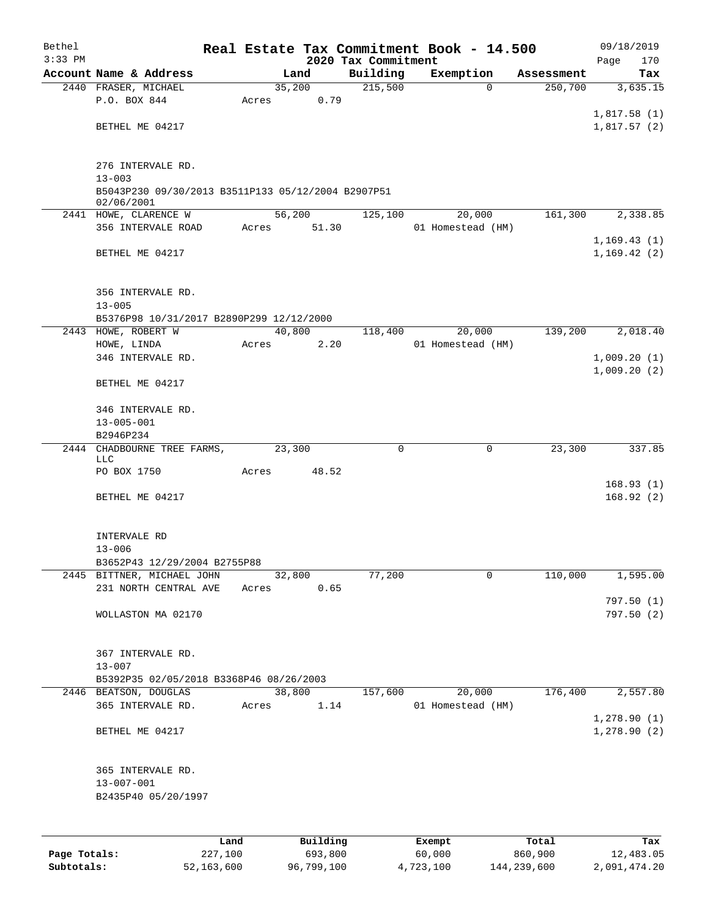| Bethel       |                                                                  |       |        |                |  |                     | Real Estate Tax Commitment Book - 14.500 |                       | 09/18/2019             |  |  |  |
|--------------|------------------------------------------------------------------|-------|--------|----------------|--|---------------------|------------------------------------------|-----------------------|------------------------|--|--|--|
| $3:33$ PM    |                                                                  |       |        |                |  | 2020 Tax Commitment |                                          |                       | 170<br>Page            |  |  |  |
|              | Account Name & Address                                           |       |        | Land<br>35,200 |  | Building<br>215,500 | Exemption<br>$\Omega$                    | Assessment<br>250,700 | Tax<br>3,635.15        |  |  |  |
|              | 2440 FRASER, MICHAEL<br>P.O. BOX 844                             | Acres |        | 0.79           |  |                     |                                          |                       |                        |  |  |  |
|              |                                                                  |       |        |                |  |                     |                                          |                       | 1,817.58(1)            |  |  |  |
|              | BETHEL ME 04217                                                  |       |        |                |  |                     |                                          |                       | 1,817.57(2)            |  |  |  |
|              |                                                                  |       |        |                |  |                     |                                          |                       |                        |  |  |  |
|              |                                                                  |       |        |                |  |                     |                                          |                       |                        |  |  |  |
|              | 276 INTERVALE RD.                                                |       |        |                |  |                     |                                          |                       |                        |  |  |  |
|              | $13 - 003$<br>B5043P230 09/30/2013 B3511P133 05/12/2004 B2907P51 |       |        |                |  |                     |                                          |                       |                        |  |  |  |
|              | 02/06/2001                                                       |       |        |                |  |                     |                                          |                       |                        |  |  |  |
|              | 2441 HOWE, CLARENCE W                                            |       |        | 56,200         |  | 125,100             | 20,000                                   | 161,300               | 2,338.85               |  |  |  |
|              | 356 INTERVALE ROAD                                               | Acres |        | 51.30          |  |                     | 01 Homestead (HM)                        |                       |                        |  |  |  |
|              |                                                                  |       |        |                |  |                     |                                          |                       | 1, 169.43(1)           |  |  |  |
|              | BETHEL ME 04217                                                  |       |        |                |  |                     |                                          |                       | 1, 169.42(2)           |  |  |  |
|              |                                                                  |       |        |                |  |                     |                                          |                       |                        |  |  |  |
|              | 356 INTERVALE RD.                                                |       |        |                |  |                     |                                          |                       |                        |  |  |  |
|              | $13 - 005$                                                       |       |        |                |  |                     |                                          |                       |                        |  |  |  |
|              | B5376P98 10/31/2017 B2890P299 12/12/2000                         |       |        |                |  |                     |                                          |                       |                        |  |  |  |
|              | 2443 HOWE, ROBERT W                                              |       |        | 40,800         |  | 118,400             | 20,000                                   | 139,200               | 2,018.40               |  |  |  |
|              | HOWE, LINDA                                                      | Acres |        | 2.20           |  |                     | 01 Homestead (HM)                        |                       |                        |  |  |  |
|              | 346 INTERVALE RD.                                                |       |        |                |  |                     |                                          |                       | 1,009.20(1)            |  |  |  |
|              |                                                                  |       |        |                |  |                     |                                          |                       | 1,009.20(2)            |  |  |  |
|              | BETHEL ME 04217                                                  |       |        |                |  |                     |                                          |                       |                        |  |  |  |
|              | 346 INTERVALE RD.                                                |       |        |                |  |                     |                                          |                       |                        |  |  |  |
|              | $13 - 005 - 001$                                                 |       |        |                |  |                     |                                          |                       |                        |  |  |  |
|              | B2946P234                                                        |       |        |                |  |                     |                                          |                       |                        |  |  |  |
| 2444         | CHADBOURNE TREE FARMS,                                           |       | 23,300 |                |  | 0                   | $\mathbf 0$                              | 23,300                | 337.85                 |  |  |  |
|              | LLC                                                              |       |        |                |  |                     |                                          |                       |                        |  |  |  |
|              | PO BOX 1750                                                      | Acres |        | 48.52          |  |                     |                                          |                       |                        |  |  |  |
|              | BETHEL ME 04217                                                  |       |        |                |  |                     |                                          |                       | 168.93(1)<br>168.92(2) |  |  |  |
|              |                                                                  |       |        |                |  |                     |                                          |                       |                        |  |  |  |
|              |                                                                  |       |        |                |  |                     |                                          |                       |                        |  |  |  |
|              | INTERVALE RD                                                     |       |        |                |  |                     |                                          |                       |                        |  |  |  |
|              | $13 - 006$                                                       |       |        |                |  |                     |                                          |                       |                        |  |  |  |
|              | B3652P43 12/29/2004 B2755P88                                     |       |        |                |  |                     |                                          |                       |                        |  |  |  |
|              | 2445 BITTNER, MICHAEL JOHN                                       |       |        | 32,800         |  | 77,200              | 0                                        | 110,000               | 1,595.00               |  |  |  |
|              | 231 NORTH CENTRAL AVE                                            | Acres |        | 0.65           |  |                     |                                          |                       | 797.50(1)              |  |  |  |
|              | WOLLASTON MA 02170                                               |       |        |                |  |                     |                                          |                       | 797.50(2)              |  |  |  |
|              |                                                                  |       |        |                |  |                     |                                          |                       |                        |  |  |  |
|              |                                                                  |       |        |                |  |                     |                                          |                       |                        |  |  |  |
|              | 367 INTERVALE RD.                                                |       |        |                |  |                     |                                          |                       |                        |  |  |  |
|              | $13 - 007$                                                       |       |        |                |  |                     |                                          |                       |                        |  |  |  |
|              | B5392P35 02/05/2018 B3368P46 08/26/2003                          |       |        |                |  |                     |                                          |                       |                        |  |  |  |
|              | 2446 BEATSON, DOUGLAS<br>365 INTERVALE RD.                       |       |        | 38,800<br>1.14 |  | 157,600             | 20,000<br>01 Homestead (HM)              | 176,400               | 2,557.80               |  |  |  |
|              |                                                                  | Acres |        |                |  |                     |                                          |                       | 1,278.90(1)            |  |  |  |
|              | BETHEL ME 04217                                                  |       |        |                |  |                     |                                          |                       | 1,278.90(2)            |  |  |  |
|              |                                                                  |       |        |                |  |                     |                                          |                       |                        |  |  |  |
|              |                                                                  |       |        |                |  |                     |                                          |                       |                        |  |  |  |
|              | 365 INTERVALE RD.                                                |       |        |                |  |                     |                                          |                       |                        |  |  |  |
|              | $13 - 007 - 001$                                                 |       |        |                |  |                     |                                          |                       |                        |  |  |  |
|              | B2435P40 05/20/1997                                              |       |        |                |  |                     |                                          |                       |                        |  |  |  |
|              |                                                                  |       |        |                |  |                     |                                          |                       |                        |  |  |  |
|              |                                                                  |       |        |                |  |                     |                                          |                       |                        |  |  |  |
|              |                                                                  | Land  |        | Building       |  |                     | Exempt                                   | Total                 | Tax                    |  |  |  |
| Page Totals: | 227,100                                                          |       |        | 693,800        |  |                     | 60,000                                   | 860,900               | 12,483.05              |  |  |  |

**Subtotals:** 52,163,600 96,799,100 4,723,100 144,239,600 2,091,474.20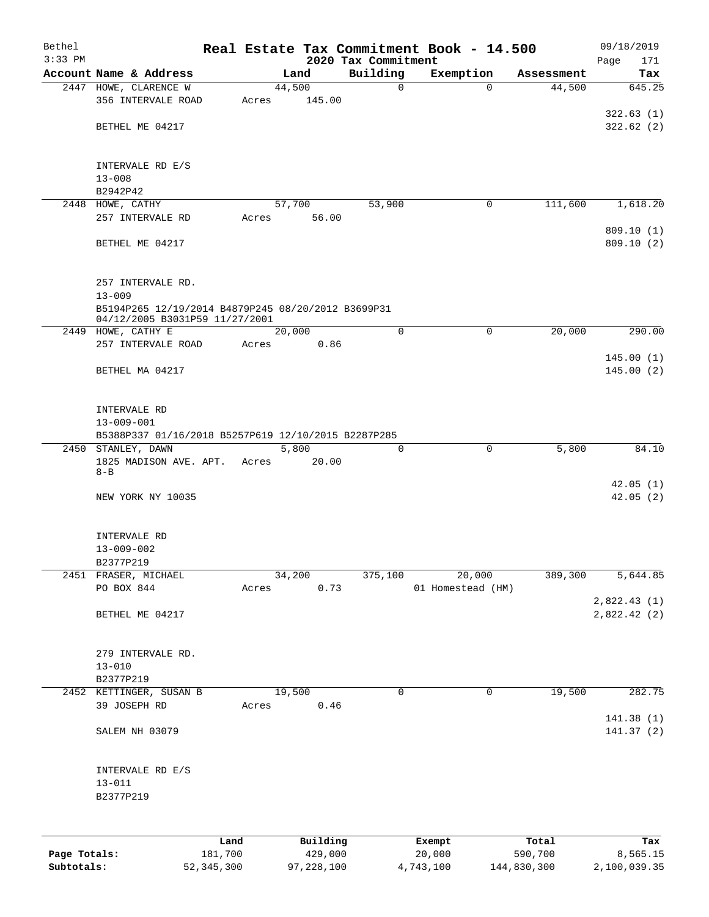| Bethel       |                                                                  |              |              |                                 | Real Estate Tax Commitment Book - 14.500 |             | 09/18/2019                  |
|--------------|------------------------------------------------------------------|--------------|--------------|---------------------------------|------------------------------------------|-------------|-----------------------------|
| $3:33$ PM    | Account Name & Address                                           |              | Land         | 2020 Tax Commitment<br>Building | Exemption                                | Assessment  | Page<br>171<br>Tax          |
|              | 2447 HOWE, CLARENCE W                                            |              | 44,500       | $\mathbf 0$                     | $\Omega$                                 | 44,500      | 645.25                      |
|              | 356 INTERVALE ROAD                                               | Acres        | 145.00       |                                 |                                          |             |                             |
|              |                                                                  |              |              |                                 |                                          |             | 322.63(1)                   |
|              | BETHEL ME 04217                                                  |              |              |                                 |                                          |             | 322.62(2)                   |
|              |                                                                  |              |              |                                 |                                          |             |                             |
|              |                                                                  |              |              |                                 |                                          |             |                             |
|              | INTERVALE RD E/S<br>$13 - 008$                                   |              |              |                                 |                                          |             |                             |
|              | B2942P42                                                         |              |              |                                 |                                          |             |                             |
|              | 2448 HOWE, CATHY                                                 |              | 57,700       | 53,900                          | 0                                        | 111,600     | 1,618.20                    |
|              | 257 INTERVALE RD                                                 | Acres        | 56.00        |                                 |                                          |             |                             |
|              |                                                                  |              |              |                                 |                                          |             | 809.10 (1)                  |
|              | BETHEL ME 04217                                                  |              |              |                                 |                                          |             | 809.10 (2)                  |
|              |                                                                  |              |              |                                 |                                          |             |                             |
|              |                                                                  |              |              |                                 |                                          |             |                             |
|              | 257 INTERVALE RD.                                                |              |              |                                 |                                          |             |                             |
|              | $13 - 009$<br>B5194P265 12/19/2014 B4879P245 08/20/2012 B3699P31 |              |              |                                 |                                          |             |                             |
|              | 04/12/2005 B3031P59 11/27/2001                                   |              |              |                                 |                                          |             |                             |
|              | 2449 HOWE, CATHY E                                               |              | 20,000       | $\mathbf 0$                     | $\mathbf 0$                              | 20,000      | 290.00                      |
|              | 257 INTERVALE ROAD                                               | Acres        | 0.86         |                                 |                                          |             |                             |
|              |                                                                  |              |              |                                 |                                          |             | 145.00(1)                   |
|              | BETHEL MA 04217                                                  |              |              |                                 |                                          |             | 145.00(2)                   |
|              |                                                                  |              |              |                                 |                                          |             |                             |
|              | INTERVALE RD                                                     |              |              |                                 |                                          |             |                             |
|              | $13 - 009 - 001$                                                 |              |              |                                 |                                          |             |                             |
|              | B5388P337 01/16/2018 B5257P619 12/10/2015 B2287P285              |              |              |                                 |                                          |             |                             |
|              | 2450 STANLEY, DAWN                                               |              | 5,800        | $\mathbf 0$                     | $\mathbf 0$                              | 5,800       | 84.10                       |
|              | 1825 MADISON AVE. APT.                                           | Acres        | 20.00        |                                 |                                          |             |                             |
|              | $8 - B$                                                          |              |              |                                 |                                          |             |                             |
|              | NEW YORK NY 10035                                                |              |              |                                 |                                          |             | 42.05(1)<br>42.05(2)        |
|              |                                                                  |              |              |                                 |                                          |             |                             |
|              |                                                                  |              |              |                                 |                                          |             |                             |
|              | INTERVALE RD                                                     |              |              |                                 |                                          |             |                             |
|              | $13 - 009 - 002$                                                 |              |              |                                 |                                          |             |                             |
|              | B2377P219                                                        |              |              |                                 |                                          |             |                             |
|              | 2451 FRASER, MICHAEL                                             |              | 34,200       | 375,100                         | 20,000                                   | 389,300     | 5,644.85                    |
|              | PO BOX 844                                                       | Acres        | 0.73         |                                 | 01 Homestead (HM)                        |             |                             |
|              | BETHEL ME 04217                                                  |              |              |                                 |                                          |             | 2,822.43(1)<br>2,822.42 (2) |
|              |                                                                  |              |              |                                 |                                          |             |                             |
|              |                                                                  |              |              |                                 |                                          |             |                             |
|              | 279 INTERVALE RD.                                                |              |              |                                 |                                          |             |                             |
|              | $13 - 010$                                                       |              |              |                                 |                                          |             |                             |
|              | B2377P219                                                        |              |              |                                 |                                          |             |                             |
|              | 2452 KETTINGER, SUSAN B                                          |              | 19,500       | 0                               | $\mathbf 0$                              | 19,500      | 282.75                      |
|              | 39 JOSEPH RD                                                     | Acres        | 0.46         |                                 |                                          |             |                             |
|              |                                                                  |              |              |                                 |                                          |             | 141.38 (1)                  |
|              | SALEM NH 03079                                                   |              |              |                                 |                                          |             | 141.37(2)                   |
|              |                                                                  |              |              |                                 |                                          |             |                             |
|              | INTERVALE RD E/S                                                 |              |              |                                 |                                          |             |                             |
|              | $13 - 011$                                                       |              |              |                                 |                                          |             |                             |
|              | B2377P219                                                        |              |              |                                 |                                          |             |                             |
|              |                                                                  |              |              |                                 |                                          |             |                             |
|              |                                                                  |              |              |                                 |                                          |             |                             |
|              |                                                                  | Land         | Building     |                                 | Exempt                                   | Total       | Tax                         |
| Page Totals: |                                                                  | 181,700      | 429,000      |                                 | 20,000                                   | 590,700     | 8,565.15                    |
| Subtotals:   |                                                                  | 52, 345, 300 | 97, 228, 100 |                                 | 4,743,100                                | 144,830,300 | 2,100,039.35                |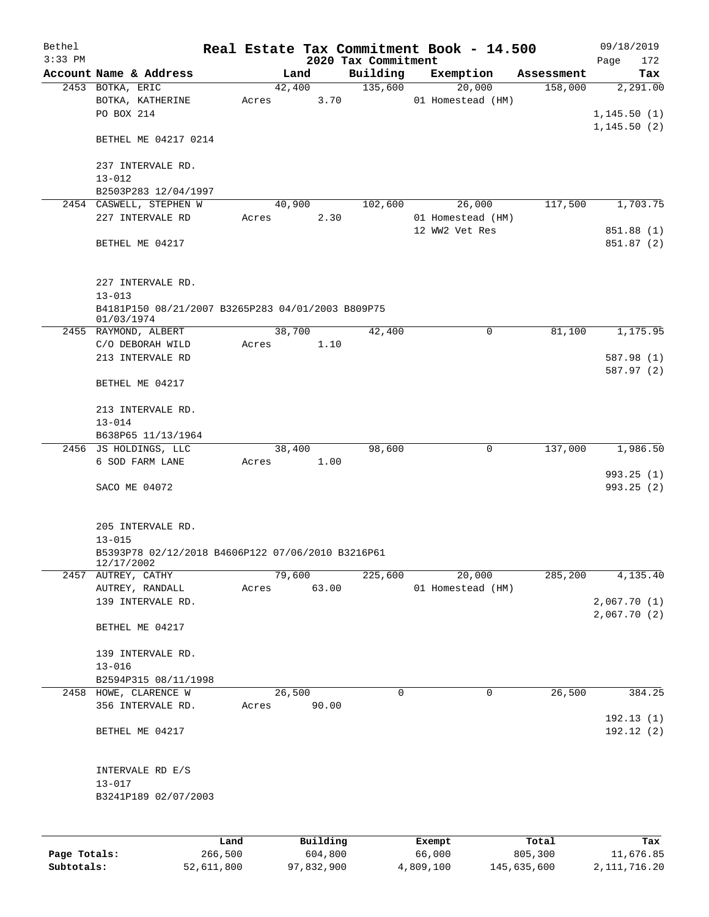| Bethel       |                                                                                                    |         |       |        |          |                     | Real Estate Tax Commitment Book - 14.500 |            | 09/18/2019                   |
|--------------|----------------------------------------------------------------------------------------------------|---------|-------|--------|----------|---------------------|------------------------------------------|------------|------------------------------|
| $3:33$ PM    |                                                                                                    |         |       |        |          | 2020 Tax Commitment |                                          |            | Page<br>172                  |
|              | Account Name & Address                                                                             |         |       | Land   |          | Building            | Exemption                                | Assessment | Tax                          |
|              | 2453 BOTKA, ERIC<br>BOTKA, KATHERINE<br>PO BOX 214                                                 |         | Acres | 42,400 | 3.70     | 135,600             | 20,000<br>01 Homestead (HM)              | 158,000    | 2,291.00<br>1,145.50(1)      |
|              | BETHEL ME 04217 0214                                                                               |         |       |        |          |                     |                                          |            | 1, 145.50(2)                 |
|              | 237 INTERVALE RD.<br>$13 - 012$                                                                    |         |       |        |          |                     |                                          |            |                              |
|              | B2503P283 12/04/1997                                                                               |         |       |        |          |                     |                                          |            |                              |
|              | 2454 CASWELL, STEPHEN W                                                                            |         |       | 40,900 |          | 102,600             | 26,000                                   | 117,500    | 1,703.75                     |
|              | 227 INTERVALE RD                                                                                   |         | Acres |        | 2.30     |                     | 01 Homestead (HM)                        |            |                              |
|              | BETHEL ME 04217                                                                                    |         |       |        |          |                     | 12 WW2 Vet Res                           |            | 851.88 (1)<br>851.87 (2)     |
|              | 227 INTERVALE RD.<br>$13 - 013$                                                                    |         |       |        |          |                     |                                          |            |                              |
|              | B4181P150 08/21/2007 B3265P283 04/01/2003 B809P75<br>01/03/1974                                    |         |       |        |          |                     |                                          |            |                              |
|              | 2455 RAYMOND, ALBERT                                                                               |         |       | 38,700 |          | 42,400              | 0                                        | 81,100     | 1,175.95                     |
|              | C/O DEBORAH WILD                                                                                   |         | Acres |        | 1.10     |                     |                                          |            |                              |
|              | 213 INTERVALE RD                                                                                   |         |       |        |          |                     |                                          |            | 587.98 (1)<br>587.97 (2)     |
|              | BETHEL ME 04217                                                                                    |         |       |        |          |                     |                                          |            |                              |
|              | 213 INTERVALE RD.<br>$13 - 014$                                                                    |         |       |        |          |                     |                                          |            |                              |
|              | B638P65 11/13/1964                                                                                 |         |       |        |          |                     |                                          |            |                              |
|              | 2456 JS HOLDINGS, LLC                                                                              |         |       | 38,400 |          | 98,600              | 0                                        | 137,000    | 1,986.50                     |
|              | 6 SOD FARM LANE                                                                                    |         | Acres |        | 1.00     |                     |                                          |            |                              |
|              | SACO ME 04072                                                                                      |         |       |        |          |                     |                                          |            | 993.25(1)<br>993.25(2)       |
|              | 205 INTERVALE RD.<br>$13 - 015$<br>B5393P78 02/12/2018 B4606P122 07/06/2010 B3216P61<br>12/17/2002 |         |       |        |          |                     |                                          |            |                              |
|              | 2457 AUTREY, CATHY                                                                                 |         |       | 79,600 |          | 225,600             | 20,000                                   | 285,200    | 4,135.40                     |
|              | AUTREY, RANDALL                                                                                    |         | Acres |        | 63.00    |                     | 01 Homestead (HM)                        |            |                              |
|              | 139 INTERVALE RD.                                                                                  |         |       |        |          |                     |                                          |            | 2,067.70 (1)<br>2,067.70 (2) |
|              | BETHEL ME 04217                                                                                    |         |       |        |          |                     |                                          |            |                              |
|              | 139 INTERVALE RD.                                                                                  |         |       |        |          |                     |                                          |            |                              |
|              | $13 - 016$                                                                                         |         |       |        |          |                     |                                          |            |                              |
|              | B2594P315 08/11/1998<br>2458 HOWE, CLARENCE W                                                      |         |       | 26,500 |          | $\mathbf 0$         | 0                                        | 26,500     | 384.25                       |
|              | 356 INTERVALE RD.                                                                                  |         | Acres |        | 90.00    |                     |                                          |            |                              |
|              |                                                                                                    |         |       |        |          |                     |                                          |            | 192.13(1)                    |
|              | BETHEL ME 04217                                                                                    |         |       |        |          |                     |                                          |            | 192.12(2)                    |
|              | INTERVALE RD E/S                                                                                   |         |       |        |          |                     |                                          |            |                              |
|              | $13 - 017$                                                                                         |         |       |        |          |                     |                                          |            |                              |
|              | B3241P189 02/07/2003                                                                               |         |       |        |          |                     |                                          |            |                              |
|              |                                                                                                    | Land    |       |        | Building |                     | Exempt                                   | Total      | Tax                          |
| Page Totals: |                                                                                                    | 266,500 |       |        | 604,800  |                     | 66,000                                   | 805,300    | 11,676.85                    |

**Subtotals:** 52,611,800 97,832,900 4,809,100 145,635,600 2,111,716.20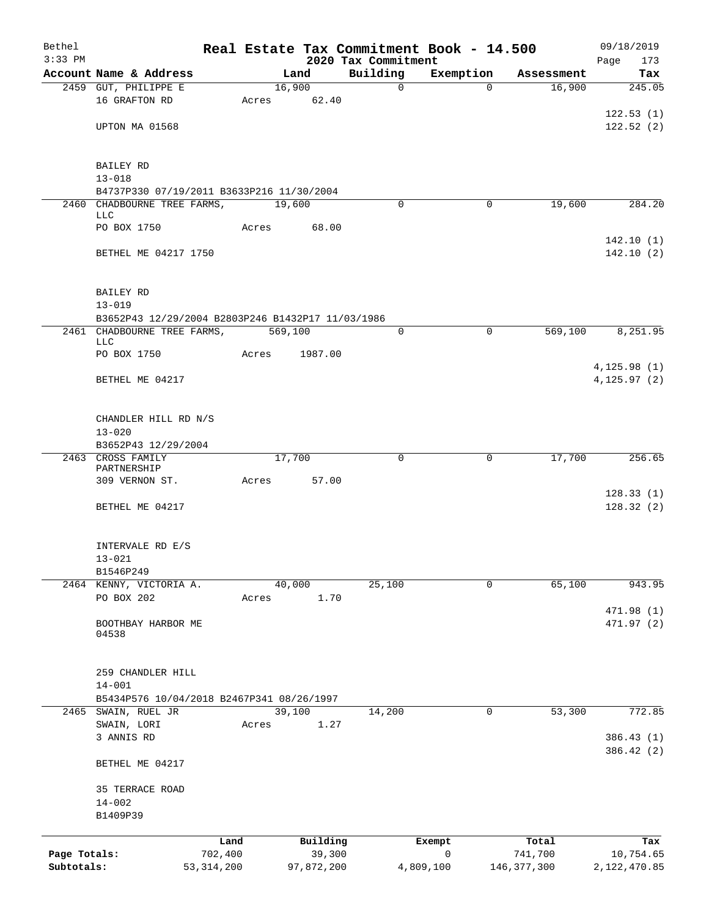| Bethel<br>$3:33$ PM        |                                                   |                         |       |            |          | Real Estate Tax Commitment Book - 14.500 |                          |                          | 09/18/2019                |
|----------------------------|---------------------------------------------------|-------------------------|-------|------------|----------|------------------------------------------|--------------------------|--------------------------|---------------------------|
|                            | Account Name & Address                            |                         |       | Land       |          | 2020 Tax Commitment<br>Building          | Exemption                | Assessment               | Page<br>173<br>Tax        |
|                            | 2459 GUT, PHILIPPE E                              |                         |       | 16,900     |          | $\mathbf 0$                              | $\Omega$                 | 16,900                   | 245.05                    |
|                            | 16 GRAFTON RD                                     |                         | Acres | 62.40      |          |                                          |                          |                          |                           |
|                            |                                                   |                         |       |            |          |                                          |                          |                          | 122.53(1)                 |
|                            | UPTON MA 01568                                    |                         |       |            |          |                                          |                          |                          | 122.52(2)                 |
|                            |                                                   |                         |       |            |          |                                          |                          |                          |                           |
|                            | BAILEY RD                                         |                         |       |            |          |                                          |                          |                          |                           |
|                            | $13 - 018$                                        |                         |       |            |          |                                          |                          |                          |                           |
|                            | B4737P330 07/19/2011 B3633P216 11/30/2004         |                         |       |            |          |                                          |                          |                          |                           |
|                            | 2460 CHADBOURNE TREE FARMS,<br>LLC                |                         |       | 19,600     |          | $\Omega$                                 | 0                        | 19,600                   | 284.20                    |
|                            | PO BOX 1750                                       |                         | Acres |            | 68.00    |                                          |                          |                          |                           |
|                            |                                                   |                         |       |            |          |                                          |                          |                          | 142.10(1)                 |
|                            | BETHEL ME 04217 1750                              |                         |       |            |          |                                          |                          |                          | 142.10(2)                 |
|                            |                                                   |                         |       |            |          |                                          |                          |                          |                           |
|                            | BAILEY RD                                         |                         |       |            |          |                                          |                          |                          |                           |
|                            | $13 - 019$                                        |                         |       |            |          |                                          |                          |                          |                           |
|                            | B3652P43 12/29/2004 B2803P246 B1432P17 11/03/1986 |                         |       |            |          |                                          |                          |                          |                           |
|                            | 2461 CHADBOURNE TREE FARMS,<br>LLC                |                         |       | 569,100    |          | $\mathbf 0$                              | $\mathbf 0$              | 569,100                  | 8,251.95                  |
|                            | PO BOX 1750                                       |                         | Acres |            | 1987.00  |                                          |                          |                          |                           |
|                            |                                                   |                         |       |            |          |                                          |                          |                          | 4, 125.98(1)              |
|                            | BETHEL ME 04217                                   |                         |       |            |          |                                          |                          |                          | 4, 125.97 (2)             |
|                            |                                                   |                         |       |            |          |                                          |                          |                          |                           |
|                            | CHANDLER HILL RD N/S                              |                         |       |            |          |                                          |                          |                          |                           |
|                            | $13 - 020$                                        |                         |       |            |          |                                          |                          |                          |                           |
|                            | B3652P43 12/29/2004                               |                         |       |            |          |                                          |                          |                          |                           |
|                            | 2463 CROSS FAMILY<br>PARTNERSHIP                  |                         |       | 17,700     |          | $\mathbf 0$                              | 0                        | 17,700                   | 256.65                    |
|                            | 309 VERNON ST.                                    |                         | Acres |            | 57.00    |                                          |                          |                          |                           |
|                            |                                                   |                         |       |            |          |                                          |                          |                          | 128.33(1)                 |
|                            | BETHEL ME 04217                                   |                         |       |            |          |                                          |                          |                          | 128.32(2)                 |
|                            |                                                   |                         |       |            |          |                                          |                          |                          |                           |
|                            | INTERVALE RD E/S                                  |                         |       |            |          |                                          |                          |                          |                           |
|                            | $13 - 021$                                        |                         |       |            |          |                                          |                          |                          |                           |
|                            | B1546P249                                         |                         |       |            |          |                                          |                          |                          |                           |
|                            | 2464 KENNY, VICTORIA A.                           |                         |       | 40,000     |          | 25,100                                   | 0                        | 65,100                   | 943.95                    |
|                            | PO BOX 202                                        |                         | Acres |            | 1.70     |                                          |                          |                          | 471.98 (1)                |
|                            | BOOTHBAY HARBOR ME                                |                         |       |            |          |                                          |                          |                          | 471.97 (2)                |
|                            | 04538                                             |                         |       |            |          |                                          |                          |                          |                           |
|                            |                                                   |                         |       |            |          |                                          |                          |                          |                           |
|                            | 259 CHANDLER HILL                                 |                         |       |            |          |                                          |                          |                          |                           |
|                            | $14 - 001$                                        |                         |       |            |          |                                          |                          |                          |                           |
|                            | B5434P576 10/04/2018 B2467P341 08/26/1997         |                         |       |            |          |                                          |                          |                          |                           |
|                            | 2465 SWAIN, RUEL JR                               |                         |       | 39,100     |          | 14,200                                   | $\mathbf 0$              | 53,300                   | 772.85                    |
|                            | SWAIN, LORI<br>3 ANNIS RD                         |                         | Acres |            | 1.27     |                                          |                          |                          | 386.43 (1)                |
|                            |                                                   |                         |       |            |          |                                          |                          |                          | 386.42 (2)                |
|                            | BETHEL ME 04217                                   |                         |       |            |          |                                          |                          |                          |                           |
|                            |                                                   |                         |       |            |          |                                          |                          |                          |                           |
|                            | 35 TERRACE ROAD<br>$14 - 002$                     |                         |       |            |          |                                          |                          |                          |                           |
|                            | B1409P39                                          |                         |       |            |          |                                          |                          |                          |                           |
|                            |                                                   |                         |       |            |          |                                          |                          |                          |                           |
|                            |                                                   | Land                    |       |            | Building |                                          | Exempt                   | Total                    | Tax                       |
| Page Totals:<br>Subtotals: |                                                   | 702,400<br>53, 314, 200 |       | 97,872,200 | 39,300   |                                          | $\mathbf 0$<br>4,809,100 | 741,700<br>146, 377, 300 | 10,754.65<br>2,122,470.85 |
|                            |                                                   |                         |       |            |          |                                          |                          |                          |                           |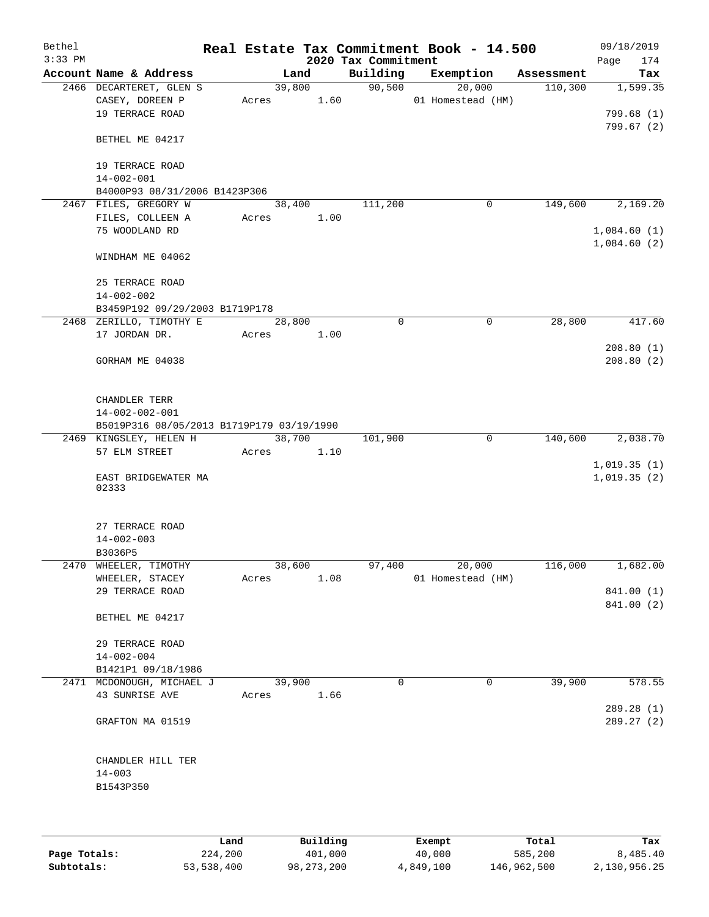| Bethel<br>$3:33$ PM |                                                               |            |        |      | 2020 Tax Commitment | Real Estate Tax Commitment Book - 14.500 |            | 09/18/2019<br>174<br>Page |
|---------------------|---------------------------------------------------------------|------------|--------|------|---------------------|------------------------------------------|------------|---------------------------|
|                     | Account Name & Address                                        |            | Land   |      | Building            | Exemption                                | Assessment | Tax                       |
|                     | 2466 DECARTERET, GLEN S<br>CASEY, DOREEN P<br>19 TERRACE ROAD | Acres 1.60 | 39,800 |      | 90,500              | $\overline{20,000}$<br>01 Homestead (HM) | 110,300    | 1,599.35<br>799.68(1)     |
|                     | BETHEL ME 04217                                               |            |        |      |                     |                                          |            | 799.67(2)                 |
|                     | 19 TERRACE ROAD<br>$14 - 002 - 001$                           |            |        |      |                     |                                          |            |                           |
|                     | B4000P93 08/31/2006 B1423P306                                 |            |        |      |                     |                                          |            |                           |
|                     | 2467 FILES, GREGORY W                                         |            | 38,400 |      | 111,200             | $\mathbf 0$                              | 149,600    | 2,169.20                  |
|                     | FILES, COLLEEN A                                              | Acres      |        | 1.00 |                     |                                          |            |                           |
|                     | 75 WOODLAND RD                                                |            |        |      |                     |                                          |            | 1,084.60(1)               |
|                     | WINDHAM ME 04062                                              |            |        |      |                     |                                          |            | 1,084.60(2)               |
|                     | 25 TERRACE ROAD                                               |            |        |      |                     |                                          |            |                           |
|                     | $14 - 002 - 002$                                              |            |        |      |                     |                                          |            |                           |
|                     | B3459P192 09/29/2003 B1719P178                                |            |        |      |                     |                                          |            |                           |
|                     | 2468 ZERILLO, TIMOTHY E                                       |            | 28,800 |      | $\mathbf 0$         | 0                                        | 28,800     | 417.60                    |
|                     | 17 JORDAN DR.                                                 | Acres 1.00 |        |      |                     |                                          |            |                           |
|                     | GORHAM ME 04038                                               |            |        |      |                     |                                          |            | 208.80(1)<br>208.80(2)    |
|                     | CHANDLER TERR<br>$14 - 002 - 002 - 001$                       |            |        |      |                     |                                          |            |                           |
|                     | B5019P316 08/05/2013 B1719P179 03/19/1990                     |            |        |      |                     |                                          |            |                           |
|                     | 2469 KINGSLEY, HELEN H                                        |            | 38,700 |      | 101,900             | $\mathbf 0$                              | 140,600    | 2,038.70                  |
|                     | 57 ELM STREET                                                 | Acres      |        | 1.10 |                     |                                          |            | 1,019.35(1)               |
|                     | EAST BRIDGEWATER MA<br>02333                                  |            |        |      |                     |                                          |            | 1,019.35(2)               |
|                     | 27 TERRACE ROAD<br>$14 - 002 - 003$                           |            |        |      |                     |                                          |            |                           |
|                     | B3036P5                                                       |            |        |      |                     |                                          |            |                           |
|                     | 2470 WHEELER, TIMOTHY                                         |            | 38,600 |      | 97,400              | 20,000                                   | 116,000    | 1,682.00                  |
|                     | WHEELER, STACEY                                               | Acres      |        | 1.08 |                     | 01 Homestead (HM)                        |            |                           |
|                     | 29 TERRACE ROAD                                               |            |        |      |                     |                                          |            | 841.00 (1)                |
|                     | BETHEL ME 04217                                               |            |        |      |                     |                                          |            | 841.00 (2)                |
|                     | 29 TERRACE ROAD<br>$14 - 002 - 004$                           |            |        |      |                     |                                          |            |                           |
|                     | B1421P1 09/18/1986                                            |            |        |      |                     |                                          |            |                           |
|                     | 2471 MCDONOUGH, MICHAEL J                                     |            | 39,900 |      | $\Omega$            | 0                                        | 39,900     | 578.55                    |
|                     | 43 SUNRISE AVE                                                | Acres      |        | 1.66 |                     |                                          |            |                           |
|                     |                                                               |            |        |      |                     |                                          |            | 289.28 (1)                |
|                     | GRAFTON MA 01519                                              |            |        |      |                     |                                          |            | 289.27 (2)                |
|                     | CHANDLER HILL TER                                             |            |        |      |                     |                                          |            |                           |
|                     | $14 - 003$                                                    |            |        |      |                     |                                          |            |                           |
|                     | B1543P350                                                     |            |        |      |                     |                                          |            |                           |
|                     |                                                               |            |        |      |                     |                                          |            |                           |

|              | Land       | Building     | Exempt    | Total       | Tax          |
|--------------|------------|--------------|-----------|-------------|--------------|
| Page Totals: | 224,200    | 401,000      | 40,000    | 585,200     | 8,485.40     |
| Subtotals:   | 53,538,400 | 98, 273, 200 | 4,849,100 | 146,962,500 | 2,130,956.25 |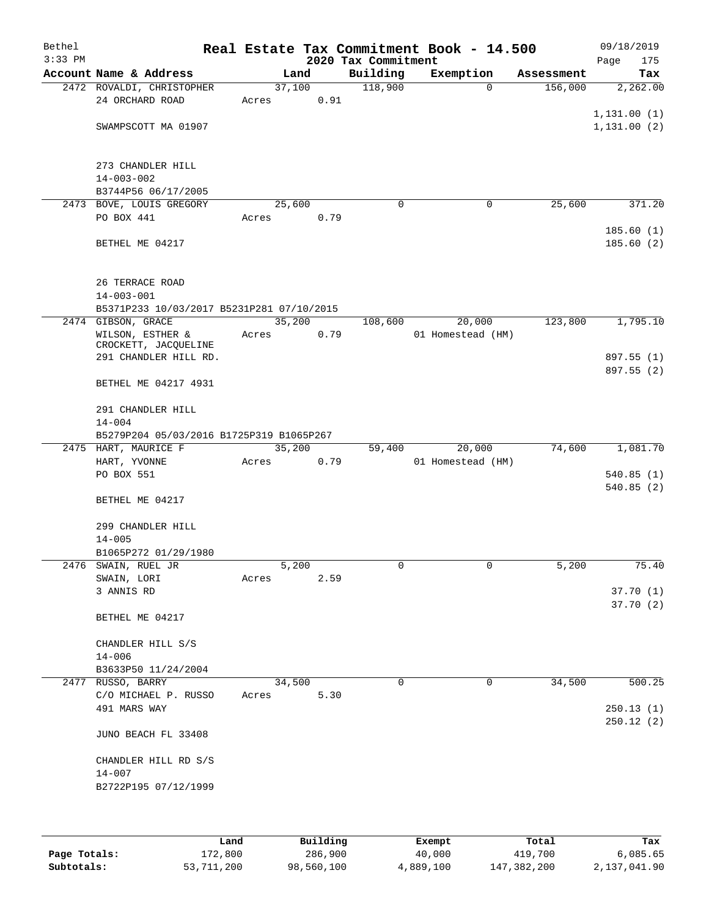| Bethel<br>$3:33$ PM |                                               |       |        |      | 2020 Tax Commitment | Real Estate Tax Commitment Book - 14.500 |            | 09/18/2019<br>Page<br>175   |
|---------------------|-----------------------------------------------|-------|--------|------|---------------------|------------------------------------------|------------|-----------------------------|
|                     | Account Name & Address                        |       | Land   |      | Building            | Exemption                                | Assessment | Tax                         |
|                     | 2472 ROVALDI, CHRISTOPHER<br>24 ORCHARD ROAD  | Acres | 37,100 | 0.91 | 118,900             | $\mathbf 0$                              | 156,000    | 2,262.00                    |
|                     | SWAMPSCOTT MA 01907                           |       |        |      |                     |                                          |            | 1,131.00(1)<br>1, 131.00(2) |
|                     | 273 CHANDLER HILL<br>$14 - 003 - 002$         |       |        |      |                     |                                          |            |                             |
|                     | B3744P56 06/17/2005                           |       |        |      |                     |                                          |            |                             |
|                     | 2473 BOVE, LOUIS GREGORY                      |       | 25,600 |      | $\mathbf 0$         | 0                                        | 25,600     | 371.20                      |
|                     | PO BOX 441                                    | Acres |        | 0.79 |                     |                                          |            | 185.60(1)                   |
|                     | BETHEL ME 04217                               |       |        |      |                     |                                          |            | 185.60(2)                   |
|                     | 26 TERRACE ROAD<br>$14 - 003 - 001$           |       |        |      |                     |                                          |            |                             |
|                     | B5371P233 10/03/2017 B5231P281 07/10/2015     |       |        |      |                     |                                          |            |                             |
|                     | 2474 GIBSON, GRACE                            |       | 35,200 |      | 108,600             | 20,000                                   | 123,800    | 1,795.10                    |
|                     | WILSON, ESTHER &                              | Acres |        | 0.79 |                     | 01 Homestead (HM)                        |            |                             |
|                     | CROCKETT, JACQUELINE<br>291 CHANDLER HILL RD. |       |        |      |                     |                                          |            | 897.55 (1)                  |
|                     |                                               |       |        |      |                     |                                          |            | 897.55 (2)                  |
|                     | BETHEL ME 04217 4931                          |       |        |      |                     |                                          |            |                             |
|                     | 291 CHANDLER HILL                             |       |        |      |                     |                                          |            |                             |
|                     | $14 - 004$                                    |       |        |      |                     |                                          |            |                             |
|                     | B5279P204 05/03/2016 B1725P319 B1065P267      |       |        |      |                     |                                          |            |                             |
|                     | 2475 HART, MAURICE F                          |       | 35,200 |      | 59,400              | 20,000                                   | 74,600     | 1,081.70                    |
|                     | HART, YVONNE                                  | Acres |        | 0.79 |                     | 01 Homestead (HM)                        |            |                             |
|                     | PO BOX 551                                    |       |        |      |                     |                                          |            | 540.85(1)                   |
|                     | BETHEL ME 04217                               |       |        |      |                     |                                          |            | 540.85(2)                   |
|                     | 299 CHANDLER HILL<br>$14 - 005$               |       |        |      |                     |                                          |            |                             |
|                     | B1065P272 01/29/1980                          |       |        |      |                     |                                          |            |                             |
|                     | 2476 SWAIN, RUEL JR                           |       | 5,200  |      | 0                   | 0                                        | 5,200      | 75.40                       |
|                     | SWAIN, LORI                                   | Acres |        | 2.59 |                     |                                          |            |                             |
|                     | 3 ANNIS RD                                    |       |        |      |                     |                                          |            | 37.70(1)                    |
|                     | BETHEL ME 04217                               |       |        |      |                     |                                          |            | 37.70(2)                    |
|                     | CHANDLER HILL S/S                             |       |        |      |                     |                                          |            |                             |
|                     | $14 - 006$                                    |       |        |      |                     |                                          |            |                             |
|                     | B3633P50 11/24/2004                           |       | 34,500 |      | $\Omega$            | 0                                        | 34,500     | 500.25                      |
|                     | 2477 RUSSO, BARRY<br>C/O MICHAEL P. RUSSO     | Acres |        | 5.30 |                     |                                          |            |                             |
|                     | 491 MARS WAY                                  |       |        |      |                     |                                          |            | 250.13(1)<br>250.12(2)      |
|                     | JUNO BEACH FL 33408                           |       |        |      |                     |                                          |            |                             |
|                     | CHANDLER HILL RD S/S<br>$14 - 007$            |       |        |      |                     |                                          |            |                             |
|                     | B2722P195 07/12/1999                          |       |        |      |                     |                                          |            |                             |
|                     |                                               |       |        |      |                     |                                          |            |                             |
|                     |                                               |       |        |      |                     |                                          |            |                             |
|                     |                                               |       |        |      |                     |                                          |            |                             |

|              | Land       | Building   | Exempt    | Total       | Tax          |
|--------------|------------|------------|-----------|-------------|--------------|
| Page Totals: | 172,800    | 286,900    | 40,000    | 419,700     | 6,085.65     |
| Subtotals:   | 53,711,200 | 98,560,100 | 4,889,100 | 147,382,200 | 2,137,041.90 |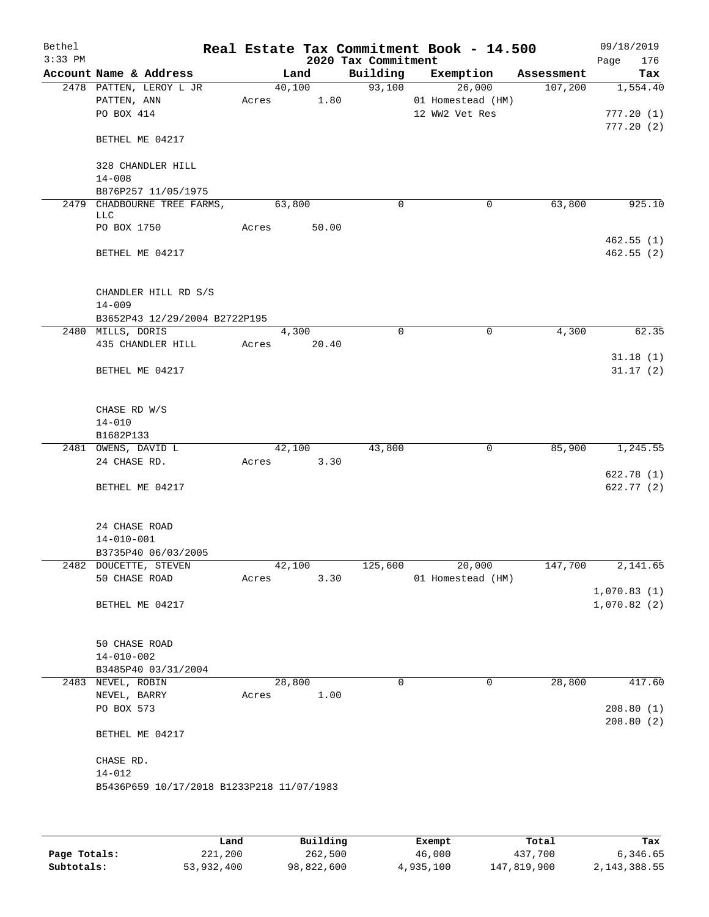| Bethel    |                                                    |        |        |                     | Real Estate Tax Commitment Book - 14.500 |                      | 09/18/2019             |
|-----------|----------------------------------------------------|--------|--------|---------------------|------------------------------------------|----------------------|------------------------|
| $3:33$ PM |                                                    |        |        | 2020 Tax Commitment |                                          |                      | 176<br>Page            |
|           | Account Name & Address                             |        | Land   | Building            | Exemption                                | Assessment           | Tax                    |
|           | 2478 PATTEN, LEROY L JR                            |        | 40,100 | 93,100              | 26,000                                   | 107,200              | 1,554.40               |
|           | PATTEN, ANN<br>PO BOX 414                          | Acres  | 1.80   |                     | 01 Homestead (HM)<br>12 WW2 Vet Res      |                      | 777.20(1)              |
|           |                                                    |        |        |                     |                                          |                      | 777.20(2)              |
|           | BETHEL ME 04217                                    |        |        |                     |                                          |                      |                        |
|           | 328 CHANDLER HILL                                  |        |        |                     |                                          |                      |                        |
|           | $14 - 008$                                         |        |        |                     |                                          |                      |                        |
|           | B876P257 11/05/1975<br>2479 CHADBOURNE TREE FARMS, | 63,800 |        | $\mathbf 0$         | $\mathbf 0$                              |                      | 925.10                 |
|           | <b>LLC</b>                                         |        |        |                     |                                          | 63,800               |                        |
|           | PO BOX 1750                                        | Acres  | 50.00  |                     |                                          |                      |                        |
|           |                                                    |        |        |                     |                                          |                      | 462.55(1)              |
|           | BETHEL ME 04217                                    |        |        |                     |                                          |                      | 462.55(2)              |
|           | CHANDLER HILL RD S/S                               |        |        |                     |                                          |                      |                        |
|           | $14 - 009$                                         |        |        |                     |                                          |                      |                        |
|           | B3652P43 12/29/2004 B2722P195<br>2480 MILLS, DORIS |        | 4,300  | $\mathbf 0$         | $\mathbf 0$                              | 4,300                | 62.35                  |
|           | 435 CHANDLER HILL                                  | Acres  | 20.40  |                     |                                          |                      |                        |
|           |                                                    |        |        |                     |                                          |                      | 31.18(1)               |
|           | BETHEL ME 04217                                    |        |        |                     |                                          |                      | 31.17(2)               |
|           |                                                    |        |        |                     |                                          |                      |                        |
|           | CHASE RD W/S                                       |        |        |                     |                                          |                      |                        |
|           | $14 - 010$                                         |        |        |                     |                                          |                      |                        |
|           | B1682P133                                          |        |        |                     |                                          |                      |                        |
|           | 2481 OWENS, DAVID L                                | 42,100 |        | 43,800              | $\mathbf 0$                              | 85,900               | 1,245.55               |
|           | 24 CHASE RD.                                       | Acres  | 3.30   |                     |                                          |                      |                        |
|           |                                                    |        |        |                     |                                          |                      | 622.78(1)              |
|           | BETHEL ME 04217                                    |        |        |                     |                                          |                      | 622.77(2)              |
|           | 24 CHASE ROAD                                      |        |        |                     |                                          |                      |                        |
|           | $14 - 010 - 001$                                   |        |        |                     |                                          |                      |                        |
|           | B3735P40 06/03/2005                                |        |        |                     |                                          |                      |                        |
|           | 2482 DOUCETTE, STEVEN                              | 42,100 |        | 125,600             | 20,000                                   | $1\overline{47,700}$ | 2,141.65               |
|           | 50 CHASE ROAD                                      | Acres  | 3.30   |                     | 01 Homestead (HM)                        |                      |                        |
|           |                                                    |        |        |                     |                                          |                      | 1,070.83(1)            |
|           | BETHEL ME 04217                                    |        |        |                     |                                          |                      | 1,070.82(2)            |
|           | <b>50 CHASE ROAD</b>                               |        |        |                     |                                          |                      |                        |
|           | $14 - 010 - 002$                                   |        |        |                     |                                          |                      |                        |
|           | B3485P40 03/31/2004                                |        |        |                     |                                          |                      |                        |
|           | 2483 NEVEL, ROBIN                                  | 28,800 |        | $\Omega$            | 0                                        | 28,800               | 417.60                 |
|           | NEVEL, BARRY                                       | Acres  | 1.00   |                     |                                          |                      |                        |
|           | PO BOX 573                                         |        |        |                     |                                          |                      | 208.80(1)<br>208.80(2) |
|           | BETHEL ME 04217                                    |        |        |                     |                                          |                      |                        |
|           | CHASE RD.                                          |        |        |                     |                                          |                      |                        |
|           | $14 - 012$                                         |        |        |                     |                                          |                      |                        |
|           | B5436P659 10/17/2018 B1233P218 11/07/1983          |        |        |                     |                                          |                      |                        |
|           |                                                    |        |        |                     |                                          |                      |                        |
|           |                                                    |        |        |                     |                                          |                      |                        |
|           |                                                    |        |        |                     |                                          |                      |                        |

|              | Land       | Building   | Exempt    | Total       | Tax          |
|--------------|------------|------------|-----------|-------------|--------------|
| Page Totals: | 221,200    | 262,500    | 46,000    | 437,700     | 6,346.65     |
| Subtotals:   | 53,932,400 | 98,822,600 | 4,935,100 | 147,819,900 | 2,143,388.55 |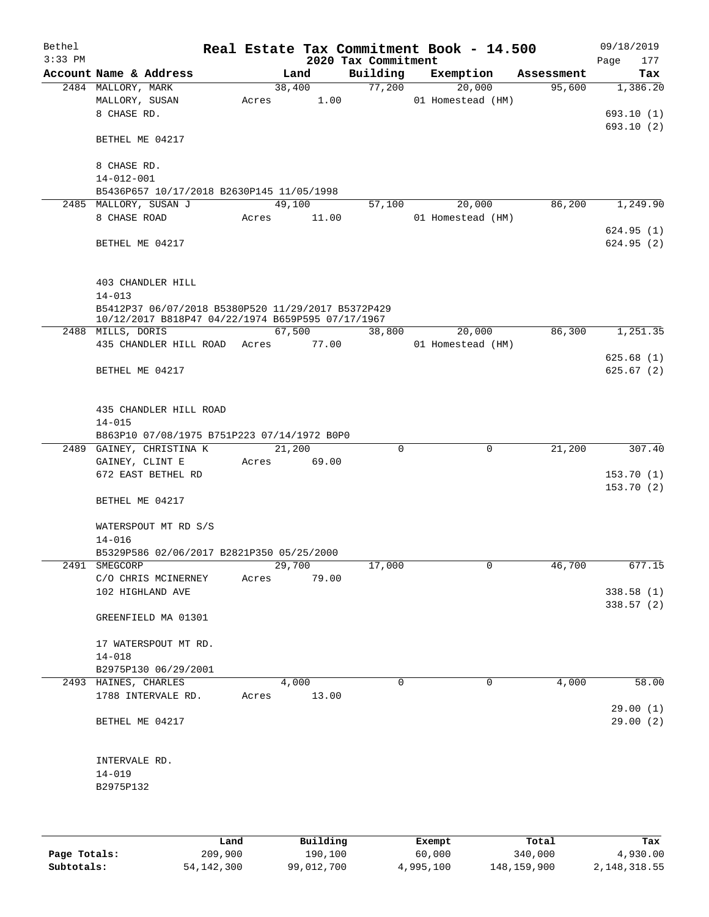| Bethel    |                                                    |       |             |                     | Real Estate Tax Commitment Book - 14.500 |            | 09/18/2019  |
|-----------|----------------------------------------------------|-------|-------------|---------------------|------------------------------------------|------------|-------------|
| $3:33$ PM |                                                    |       |             | 2020 Tax Commitment |                                          |            | Page<br>177 |
|           | Account Name & Address                             |       | Land        | Building            | Exemption                                | Assessment | Tax         |
|           | 2484 MALLORY, MARK                                 |       | 38,400      | 77,200              | 20,000                                   | 95,600     | 1,386.20    |
|           | MALLORY, SUSAN                                     | Acres | 1.00        |                     | 01 Homestead (HM)                        |            |             |
|           | 8 CHASE RD.                                        |       |             |                     |                                          |            | 693.10(1)   |
|           |                                                    |       |             |                     |                                          |            | 693.10 (2)  |
|           | BETHEL ME 04217                                    |       |             |                     |                                          |            |             |
|           | 8 CHASE RD.                                        |       |             |                     |                                          |            |             |
|           | $14 - 012 - 001$                                   |       |             |                     |                                          |            |             |
|           | B5436P657 10/17/2018 B2630P145 11/05/1998          |       |             |                     |                                          |            |             |
|           | 2485 MALLORY, SUSAN J                              |       | 49,100      | 57,100              | 20,000                                   | 86,200     | 1,249.90    |
|           | 8 CHASE ROAD                                       | Acres | 11.00       |                     | 01 Homestead (HM)                        |            |             |
|           |                                                    |       |             |                     |                                          |            | 624.95(1)   |
|           | BETHEL ME 04217                                    |       |             |                     |                                          |            | 624.95(2)   |
|           |                                                    |       |             |                     |                                          |            |             |
|           |                                                    |       |             |                     |                                          |            |             |
|           | 403 CHANDLER HILL                                  |       |             |                     |                                          |            |             |
|           | $14 - 013$                                         |       |             |                     |                                          |            |             |
|           | B5412P37 06/07/2018 B5380P520 11/29/2017 B5372P429 |       |             |                     |                                          |            |             |
|           | 10/12/2017 B818P47 04/22/1974 B659P595 07/17/1967  |       |             |                     |                                          |            |             |
|           | 2488 MILLS, DORIS                                  |       | 67,500      | 38,800              | 20,000                                   | 86,300     | 1,251.35    |
|           | 435 CHANDLER HILL ROAD                             |       | Acres 77.00 |                     | 01 Homestead (HM)                        |            |             |
|           |                                                    |       |             |                     |                                          |            | 625.68(1)   |
|           | BETHEL ME 04217                                    |       |             |                     |                                          |            | 625.67(2)   |
|           |                                                    |       |             |                     |                                          |            |             |
|           |                                                    |       |             |                     |                                          |            |             |
|           | 435 CHANDLER HILL ROAD                             |       |             |                     |                                          |            |             |
|           | $14 - 015$                                         |       |             |                     |                                          |            |             |
|           | B863P10 07/08/1975 B751P223 07/14/1972 B0P0        |       |             |                     | $\mathbf 0$                              |            |             |
|           | 2489 GAINEY, CHRISTINA K<br>GAINEY, CLINT E        |       | 21,200      | 0                   |                                          | 21,200     | 307.40      |
|           | 672 EAST BETHEL RD                                 | Acres | 69.00       |                     |                                          |            | 153.70(1)   |
|           |                                                    |       |             |                     |                                          |            | 153.70(2)   |
|           | BETHEL ME 04217                                    |       |             |                     |                                          |            |             |
|           |                                                    |       |             |                     |                                          |            |             |
|           | WATERSPOUT MT RD S/S                               |       |             |                     |                                          |            |             |
|           | $14 - 016$                                         |       |             |                     |                                          |            |             |
|           | B5329P586 02/06/2017 B2821P350 05/25/2000          |       |             |                     |                                          |            |             |
|           | 2491 SMEGCORP                                      |       | 29,700      | 17,000              | 0                                        | 46,700     | 677.15      |
|           | C/O CHRIS MCINERNEY                                | Acres | 79.00       |                     |                                          |            |             |
|           | 102 HIGHLAND AVE                                   |       |             |                     |                                          |            | 338.58(1)   |
|           |                                                    |       |             |                     |                                          |            | 338.57(2)   |
|           | GREENFIELD MA 01301                                |       |             |                     |                                          |            |             |
|           |                                                    |       |             |                     |                                          |            |             |
|           | 17 WATERSPOUT MT RD.                               |       |             |                     |                                          |            |             |
|           | $14 - 018$                                         |       |             |                     |                                          |            |             |
|           | B2975P130 06/29/2001                               |       |             |                     |                                          |            |             |
|           | 2493 HAINES, CHARLES                               |       | 4,000       | $\Omega$            | 0                                        | 4,000      | 58.00       |
|           | 1788 INTERVALE RD.                                 | Acres | 13.00       |                     |                                          |            |             |
|           |                                                    |       |             |                     |                                          |            | 29.00(1)    |
|           | BETHEL ME 04217                                    |       |             |                     |                                          |            | 29.00(2)    |
|           |                                                    |       |             |                     |                                          |            |             |
|           |                                                    |       |             |                     |                                          |            |             |
|           | INTERVALE RD.                                      |       |             |                     |                                          |            |             |
|           | $14 - 019$                                         |       |             |                     |                                          |            |             |
|           | B2975P132                                          |       |             |                     |                                          |            |             |
|           |                                                    |       |             |                     |                                          |            |             |
|           |                                                    |       |             |                     |                                          |            |             |
|           |                                                    |       |             |                     |                                          |            |             |

|              | Land         | Building   | Exempt    | Total       | Tax          |
|--------------|--------------|------------|-----------|-------------|--------------|
| Page Totals: | 209,900      | 190,100    | 60,000    | 340,000     | 4,930.00     |
| Subtotals:   | 54, 142, 300 | 99,012,700 | 4,995,100 | 148,159,900 | 2,148,318.55 |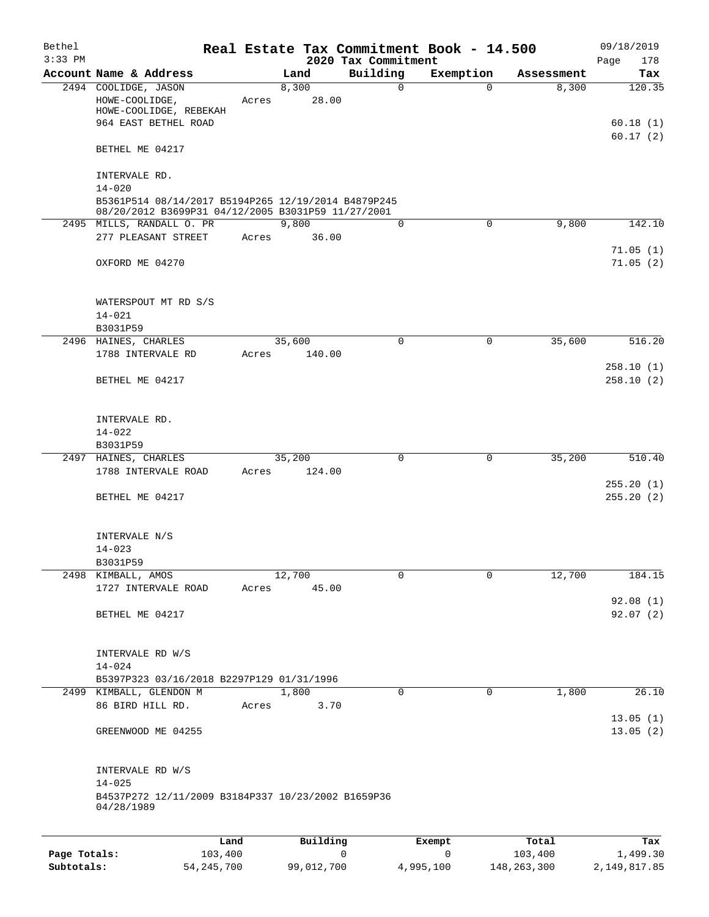| Bethel<br>$3:33$ PM |                                                                                    |       |                | 2020 Tax Commitment | Real Estate Tax Commitment Book - 14.500 |            | 09/18/2019<br>178<br>Page |
|---------------------|------------------------------------------------------------------------------------|-------|----------------|---------------------|------------------------------------------|------------|---------------------------|
|                     | Account Name & Address                                                             |       | Land           | Building            | Exemption                                | Assessment | Tax                       |
|                     | 2494 COOLIDGE, JASON<br>HOWE-COOLIDGE,<br>HOWE-COOLIDGE, REBEKAH                   | Acres | 8,300<br>28.00 | 0                   | $\Omega$                                 | 8,300      | 120.35                    |
|                     | 964 EAST BETHEL ROAD<br>BETHEL ME 04217                                            |       |                |                     |                                          |            | 60.18(1)<br>60.17(2)      |
|                     | INTERVALE RD.<br>$14 - 020$<br>B5361P514 08/14/2017 B5194P265 12/19/2014 B4879P245 |       |                |                     |                                          |            |                           |
|                     | 08/20/2012 B3699P31 04/12/2005 B3031P59 11/27/2001                                 |       |                |                     |                                          |            |                           |
|                     | 2495 MILLS, RANDALL O. PR<br>277 PLEASANT STREET                                   | Acres | 9,800<br>36.00 | 0                   | $\mathbf 0$                              | 9,800      | 142.10<br>71.05(1)        |
|                     | OXFORD ME 04270                                                                    |       |                |                     |                                          |            | 71.05(2)                  |
|                     | WATERSPOUT MT RD S/S<br>$14 - 021$                                                 |       |                |                     |                                          |            |                           |
|                     | B3031P59<br>2496 HAINES, CHARLES                                                   |       | 35,600         | $\Omega$            | $\mathbf 0$                              | 35,600     | 516.20                    |
|                     | 1788 INTERVALE RD                                                                  | Acres | 140.00         |                     |                                          |            |                           |
|                     | BETHEL ME 04217                                                                    |       |                |                     |                                          |            | 258.10(1)<br>258.10(2)    |
|                     | INTERVALE RD.<br>$14 - 022$                                                        |       |                |                     |                                          |            |                           |
|                     | B3031P59<br>2497 HAINES, CHARLES                                                   |       | 35,200         | 0                   | 0                                        | 35,200     | 510.40                    |
|                     | 1788 INTERVALE ROAD                                                                | Acres | 124.00         |                     |                                          |            |                           |
|                     | BETHEL ME 04217                                                                    |       |                |                     |                                          |            | 255.20(1)<br>255.20(2)    |
|                     | INTERVALE N/S<br>$14 - 023$<br>B3031P59                                            |       |                |                     |                                          |            |                           |
|                     | 2498 KIMBALL, AMOS                                                                 |       | 12,700         | 0                   | $\Omega$                                 | 12,700     | 184.15                    |
|                     | 1727 INTERVALE ROAD                                                                | Acres | 45.00          |                     |                                          |            |                           |
|                     | BETHEL ME 04217                                                                    |       |                |                     |                                          |            | 92.08(1)<br>92.07(2)      |
|                     | INTERVALE RD W/S<br>$14 - 024$                                                     |       |                |                     |                                          |            |                           |
|                     | B5397P323 03/16/2018 B2297P129 01/31/1996                                          |       |                | 0                   | 0                                        |            | 26.10                     |
|                     | 2499 KIMBALL, GLENDON M<br>86 BIRD HILL RD.                                        | Acres | 1,800<br>3.70  |                     |                                          | 1,800      | 13.05(1)                  |
|                     | GREENWOOD ME 04255                                                                 |       |                |                     |                                          |            | 13.05(2)                  |
|                     | INTERVALE RD W/S<br>$14 - 025$                                                     |       |                |                     |                                          |            |                           |
|                     | B4537P272 12/11/2009 B3184P337 10/23/2002 B1659P36<br>04/28/1989                   |       |                |                     |                                          |            |                           |
|                     |                                                                                    | Land  | Building       |                     | Exempt                                   | Total      | Tax                       |

|              | nana         | <b>DUITOTII</b> | LACINUL   | ⊥∪∟a⊥       | ias.         |
|--------------|--------------|-----------------|-----------|-------------|--------------|
| Page Totals: | 103,400      |                 |           | 103,400     | 1,499.30     |
| Subtotals:   | 54, 245, 700 | 99,012,700      | 4,995,100 | 148,263,300 | 2,149,817.85 |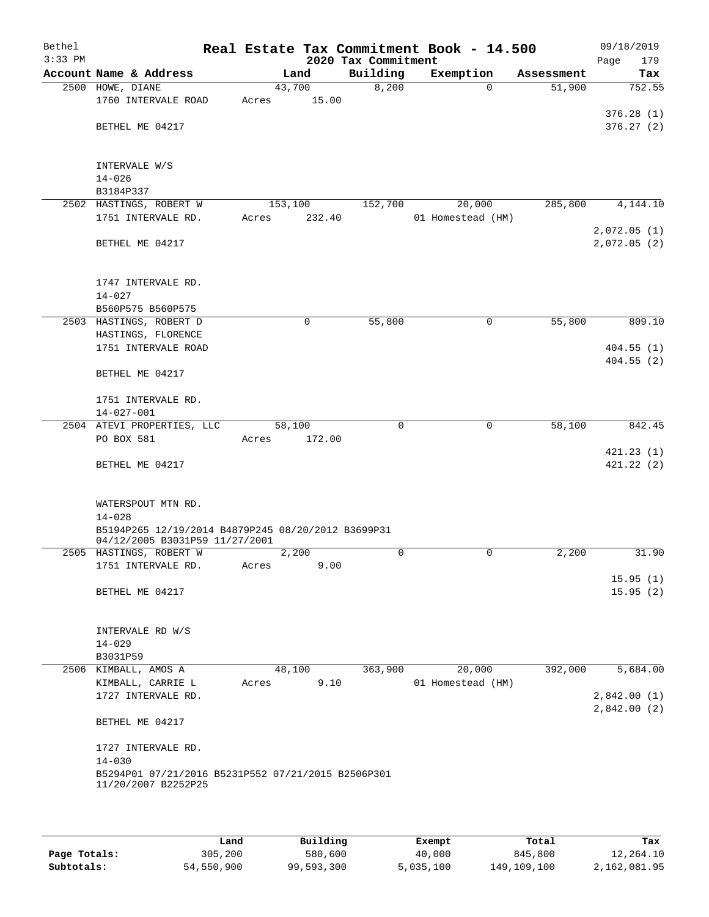| Bethel<br>$3:33$ PM |                                                    |         |        | 2020 Tax Commitment | Real Estate Tax Commitment Book - 14.500 |            | 09/18/2019<br>Page<br>179 |
|---------------------|----------------------------------------------------|---------|--------|---------------------|------------------------------------------|------------|---------------------------|
|                     | Account Name & Address                             |         | Land   | Building            | Exemption                                | Assessment | Tax                       |
|                     | 2500 HOWE, DIANE                                   | 43,700  |        | 8,200               | $\Omega$                                 | 51,900     | 752.55                    |
|                     | 1760 INTERVALE ROAD                                | Acres   | 15.00  |                     |                                          |            |                           |
|                     |                                                    |         |        |                     |                                          |            | 376.28(1)                 |
|                     | BETHEL ME 04217                                    |         |        |                     |                                          |            | 376.27(2)                 |
|                     |                                                    |         |        |                     |                                          |            |                           |
|                     |                                                    |         |        |                     |                                          |            |                           |
|                     | INTERVALE W/S                                      |         |        |                     |                                          |            |                           |
|                     | $14 - 026$<br>B3184P337                            |         |        |                     |                                          |            |                           |
|                     | 2502 HASTINGS, ROBERT W                            | 153,100 |        | 152,700             | 20,000                                   | 285,800    | 4,144.10                  |
|                     | 1751 INTERVALE RD.                                 | Acres   | 232.40 |                     | 01 Homestead (HM)                        |            |                           |
|                     |                                                    |         |        |                     |                                          |            | 2,072.05(1)               |
|                     | BETHEL ME 04217                                    |         |        |                     |                                          |            | 2,072.05(2)               |
|                     |                                                    |         |        |                     |                                          |            |                           |
|                     |                                                    |         |        |                     |                                          |            |                           |
|                     | 1747 INTERVALE RD.                                 |         |        |                     |                                          |            |                           |
|                     | $14 - 027$                                         |         |        |                     |                                          |            |                           |
|                     | B560P575 B560P575                                  |         |        |                     |                                          |            |                           |
|                     | 2503 HASTINGS, ROBERT D                            |         | 0      | 55,800              | 0                                        | 55,800     | 809.10                    |
|                     | HASTINGS, FLORENCE<br>1751 INTERVALE ROAD          |         |        |                     |                                          |            | 404.55(1)                 |
|                     |                                                    |         |        |                     |                                          |            | 404.55(2)                 |
|                     | BETHEL ME 04217                                    |         |        |                     |                                          |            |                           |
|                     |                                                    |         |        |                     |                                          |            |                           |
|                     | 1751 INTERVALE RD.                                 |         |        |                     |                                          |            |                           |
|                     | $14 - 027 - 001$                                   |         |        |                     |                                          |            |                           |
|                     | 2504 ATEVI PROPERTIES, LLC                         | 58,100  |        | 0                   | 0                                        | 58,100     | 842.45                    |
|                     | PO BOX 581                                         | Acres   | 172.00 |                     |                                          |            |                           |
|                     |                                                    |         |        |                     |                                          |            | 421.23(1)<br>421.22(2)    |
|                     | BETHEL ME 04217                                    |         |        |                     |                                          |            |                           |
|                     |                                                    |         |        |                     |                                          |            |                           |
|                     | WATERSPOUT MTN RD.                                 |         |        |                     |                                          |            |                           |
|                     | $14 - 028$                                         |         |        |                     |                                          |            |                           |
|                     | B5194P265 12/19/2014 B4879P245 08/20/2012 B3699P31 |         |        |                     |                                          |            |                           |
|                     | 04/12/2005 B3031P59 11/27/2001                     |         |        |                     |                                          |            |                           |
|                     | 2505 HASTINGS, ROBERT W                            |         | 2,200  | $\mathbf 0$         | 0                                        | 2,200      | 31.90                     |
|                     | 1751 INTERVALE RD.                                 | Acres   | 9.00   |                     |                                          |            |                           |
|                     | BETHEL ME 04217                                    |         |        |                     |                                          |            | 15.95(1)<br>15.95(2)      |
|                     |                                                    |         |        |                     |                                          |            |                           |
|                     |                                                    |         |        |                     |                                          |            |                           |
|                     | INTERVALE RD W/S                                   |         |        |                     |                                          |            |                           |
|                     | $14 - 029$                                         |         |        |                     |                                          |            |                           |
|                     | B3031P59                                           |         |        |                     |                                          |            |                           |
|                     | 2506 KIMBALL, AMOS A                               | 48,100  |        | 363,900             | 20,000                                   | 392,000    | 5,684.00                  |
|                     | KIMBALL, CARRIE L                                  | Acres   | 9.10   |                     | 01 Homestead (HM)                        |            |                           |
|                     | 1727 INTERVALE RD.                                 |         |        |                     |                                          |            | 2,842.00(1)               |
|                     |                                                    |         |        |                     |                                          |            | 2,842.00(2)               |
|                     | BETHEL ME 04217                                    |         |        |                     |                                          |            |                           |
|                     | 1727 INTERVALE RD.                                 |         |        |                     |                                          |            |                           |
|                     | $14 - 030$                                         |         |        |                     |                                          |            |                           |
|                     | B5294P01 07/21/2016 B5231P552 07/21/2015 B2506P301 |         |        |                     |                                          |            |                           |
|                     | 11/20/2007 B2252P25                                |         |        |                     |                                          |            |                           |
|                     |                                                    |         |        |                     |                                          |            |                           |
|                     |                                                    |         |        |                     |                                          |            |                           |

|              | Land       | Building   | Exempt    | Total       | Tax          |
|--------------|------------|------------|-----------|-------------|--------------|
| Page Totals: | 305,200    | 580,600    | 40,000    | 845,800     | 12,264.10    |
| Subtotals:   | 54,550,900 | 99,593,300 | 5,035,100 | 149,109,100 | 2,162,081.95 |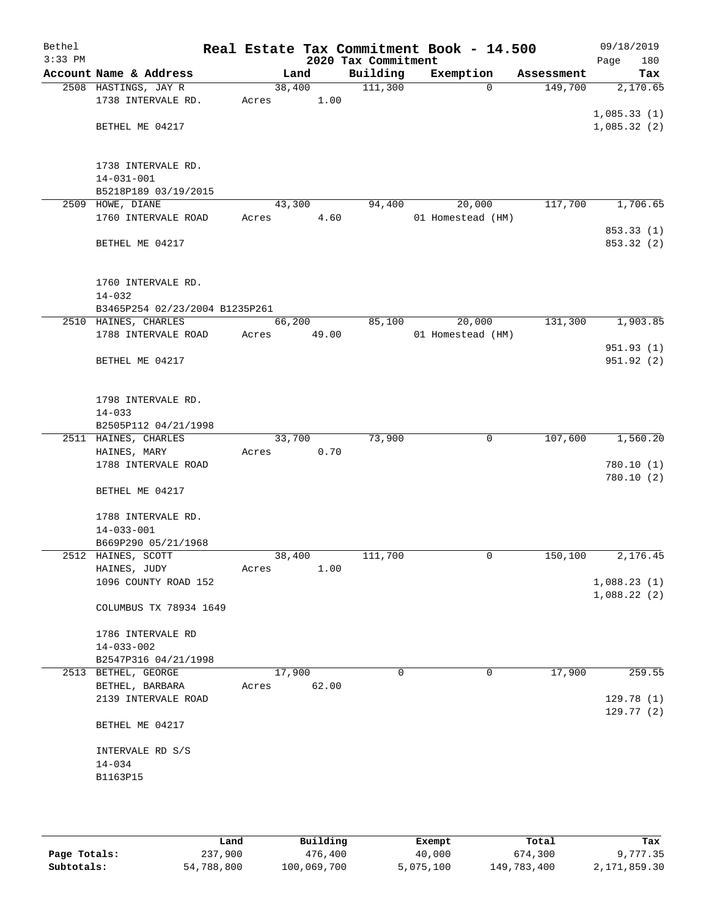| Bethel<br>$3:33$ PM |                                                        |       |                | 2020 Tax Commitment | Real Estate Tax Commitment Book - 14.500 |            | 09/18/2019<br>180<br>Page  |
|---------------------|--------------------------------------------------------|-------|----------------|---------------------|------------------------------------------|------------|----------------------------|
|                     | Account Name & Address                                 |       | Land           | Building            | Exemption                                | Assessment | Tax                        |
|                     | 2508 HASTINGS, JAY R<br>1738 INTERVALE RD.             | Acres | 38,400<br>1.00 | 111,300             | $\Omega$                                 | 149,700    | 2,170.65                   |
|                     | BETHEL ME 04217                                        |       |                |                     |                                          |            | 1,085.33(1)<br>1,085.32(2) |
|                     |                                                        |       |                |                     |                                          |            |                            |
|                     | 1738 INTERVALE RD.<br>$14 - 031 - 001$                 |       |                |                     |                                          |            |                            |
| 2509                | B5218P189 03/19/2015<br>HOWE, DIANE                    |       | 43,300         | 94,400              |                                          | 117,700    | 1,706.65                   |
|                     | 1760 INTERVALE ROAD                                    | Acres | 4.60           |                     | 20,000<br>01 Homestead (HM)              |            | 853.33 (1)                 |
|                     | BETHEL ME 04217                                        |       |                |                     |                                          |            | 853.32 (2)                 |
|                     | 1760 INTERVALE RD.                                     |       |                |                     |                                          |            |                            |
|                     | $14 - 032$                                             |       |                |                     |                                          |            |                            |
|                     | B3465P254 02/23/2004 B1235P261<br>2510 HAINES, CHARLES |       | 66,200         | 85,100              | 20,000                                   | 131,300    | 1,903.85                   |
|                     | 1788 INTERVALE ROAD                                    | Acres | 49.00          |                     | 01 Homestead (HM)                        |            |                            |
|                     |                                                        |       |                |                     |                                          |            | 951.93(1)                  |
|                     | BETHEL ME 04217                                        |       |                |                     |                                          |            | 951.92(2)                  |
|                     | 1798 INTERVALE RD.                                     |       |                |                     |                                          |            |                            |
|                     | $14 - 033$                                             |       |                |                     |                                          |            |                            |
|                     | B2505P112 04/21/1998                                   |       |                |                     |                                          |            |                            |
|                     | 2511 HAINES, CHARLES                                   |       | 33,700         | 73,900              | 0                                        | 107,600    | 1,560.20                   |
|                     | HAINES, MARY                                           | Acres | 0.70           |                     |                                          |            |                            |
|                     | 1788 INTERVALE ROAD                                    |       |                |                     |                                          |            | 780.10(1)                  |
|                     | BETHEL ME 04217                                        |       |                |                     |                                          |            | 780.10(2)                  |
|                     | 1788 INTERVALE RD.<br>$14 - 033 - 001$                 |       |                |                     |                                          |            |                            |
|                     | B669P290 05/21/1968                                    |       |                |                     |                                          |            |                            |
|                     | 2512 HAINES, SCOTT                                     |       | 38,400         | 111,700             | 0                                        | 150,100    | 2,176.45                   |
|                     | HAINES, JUDY                                           | Acres | 1.00           |                     |                                          |            |                            |
|                     | 1096 COUNTY ROAD 152                                   |       |                |                     |                                          |            | 1,088.23(1)                |
|                     | COLUMBUS TX 78934 1649                                 |       |                |                     |                                          |            | 1,088.22(2)                |
|                     | 1786 INTERVALE RD                                      |       |                |                     |                                          |            |                            |
|                     | $14 - 033 - 002$                                       |       |                |                     |                                          |            |                            |
|                     | B2547P316 04/21/1998<br>2513 BETHEL, GEORGE            |       | 17,900         | $\Omega$            | 0                                        | 17,900     | 259.55                     |
|                     | BETHEL, BARBARA                                        | Acres | 62.00          |                     |                                          |            |                            |
|                     | 2139 INTERVALE ROAD                                    |       |                |                     |                                          |            | 129.78 (1)<br>129.77(2)    |
|                     | BETHEL ME 04217                                        |       |                |                     |                                          |            |                            |
|                     | INTERVALE RD S/S                                       |       |                |                     |                                          |            |                            |
|                     | $14 - 034$                                             |       |                |                     |                                          |            |                            |
|                     | B1163P15                                               |       |                |                     |                                          |            |                            |
|                     |                                                        |       |                |                     |                                          |            |                            |
|                     |                                                        |       |                |                     |                                          |            |                            |
|                     |                                                        |       |                |                     |                                          |            |                            |

|              | Land       | Building    | Exempt    | Total       | Tax          |
|--------------|------------|-------------|-----------|-------------|--------------|
| Page Totals: | 237,900    | 476,400     | 40,000    | 674,300     | 9,777.35     |
| Subtotals:   | 54,788,800 | 100,069,700 | 5,075,100 | 149,783,400 | 2,171,859.30 |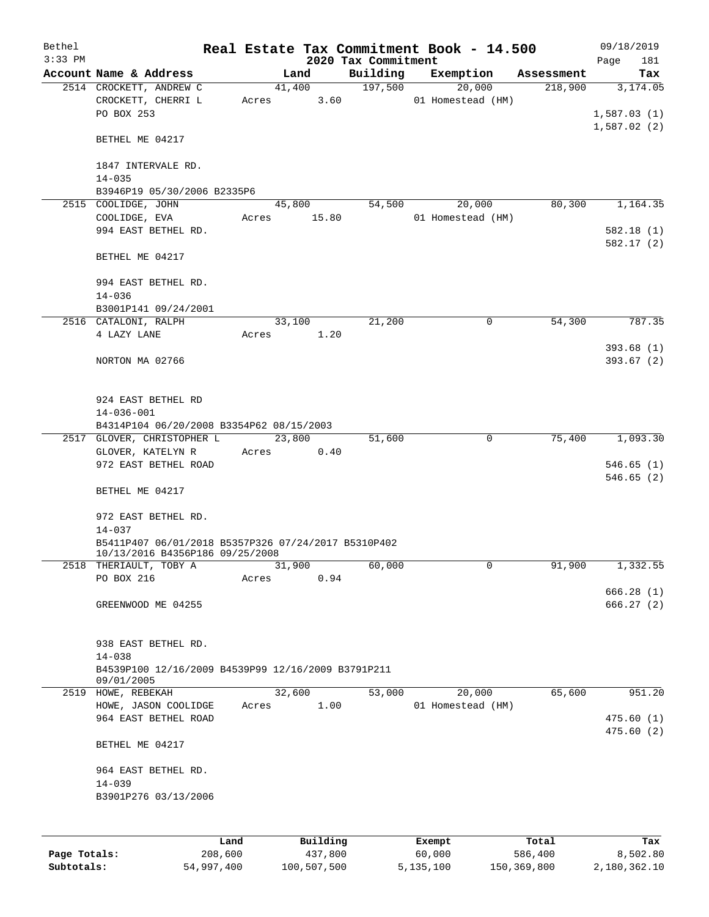| Bethel    |                                                                                        |       |        |          | Real Estate Tax Commitment Book - 14.500 |        |                             |            | 09/18/2019  |                        |
|-----------|----------------------------------------------------------------------------------------|-------|--------|----------|------------------------------------------|--------|-----------------------------|------------|-------------|------------------------|
| $3:33$ PM |                                                                                        |       |        |          | 2020 Tax Commitment                      |        |                             |            | Page        | 181                    |
|           | Account Name & Address                                                                 |       | Land   |          | Building                                 |        | Exemption                   | Assessment |             | Tax                    |
|           | 2514 CROCKETT, ANDREW C<br>CROCKETT, CHERRI L<br>PO BOX 253                            | Acres | 41,400 | 3.60     | 197,500                                  |        | 20,000<br>01 Homestead (HM) | 218,900    | 1,587.03(1) | 3,174.05               |
|           | BETHEL ME 04217                                                                        |       |        |          |                                          |        |                             |            | 1,587.02(2) |                        |
|           | 1847 INTERVALE RD.<br>$14 - 035$                                                       |       |        |          |                                          |        |                             |            |             |                        |
|           | B3946P19 05/30/2006 B2335P6                                                            |       |        |          |                                          |        |                             |            |             |                        |
|           | 2515 COOLIDGE, JOHN                                                                    |       | 45,800 |          | 54,500                                   |        | 20,000                      | 80,300     |             | 1,164.35               |
|           | COOLIDGE, EVA                                                                          | Acres |        | 15.80    |                                          |        | 01 Homestead (HM)           |            |             |                        |
|           | 994 EAST BETHEL RD.                                                                    |       |        |          |                                          |        |                             |            |             | 582.18(1)<br>582.17(2) |
|           | BETHEL ME 04217                                                                        |       |        |          |                                          |        |                             |            |             |                        |
|           | 994 EAST BETHEL RD.<br>$14 - 036$                                                      |       |        |          |                                          |        |                             |            |             |                        |
|           | B3001P141 09/24/2001                                                                   |       |        |          |                                          |        |                             |            |             |                        |
|           | 2516 CATALONI, RALPH                                                                   |       | 33,100 |          | 21,200                                   |        | 0                           | 54,300     |             | 787.35                 |
|           | 4 LAZY LANE                                                                            | Acres |        | 1.20     |                                          |        |                             |            |             |                        |
|           | NORTON MA 02766                                                                        |       |        |          |                                          |        |                             |            |             | 393.68(1)<br>393.67(2) |
|           | 924 EAST BETHEL RD<br>$14 - 036 - 001$                                                 |       |        |          |                                          |        |                             |            |             |                        |
|           | B4314P104 06/20/2008 B3354P62 08/15/2003                                               |       |        |          |                                          |        |                             |            |             |                        |
|           | 2517 GLOVER, CHRISTOPHER L                                                             |       | 23,800 |          | 51,600                                   |        | 0                           | 75,400     |             | 1,093.30               |
|           | GLOVER, KATELYN R<br>972 EAST BETHEL ROAD                                              | Acres |        | 0.40     |                                          |        |                             |            |             | 546.65(1)<br>546.65(2) |
|           | BETHEL ME 04217                                                                        |       |        |          |                                          |        |                             |            |             |                        |
|           | 972 EAST BETHEL RD.<br>$14 - 037$                                                      |       |        |          |                                          |        |                             |            |             |                        |
|           | B5411P407 06/01/2018 B5357P326 07/24/2017 B5310P402<br>10/13/2016 B4356P186 09/25/2008 |       |        |          |                                          |        |                             |            |             |                        |
|           | 2518 THERIAULT, TOBY A                                                                 |       | 31,900 |          | 60,000                                   |        | 0                           | 91,900     |             | 1,332.55               |
|           | PO BOX 216                                                                             | Acres |        | 0.94     |                                          |        |                             |            |             | 666.28(1)              |
|           | GREENWOOD ME 04255                                                                     |       |        |          |                                          |        |                             |            |             | 666.27 (2)             |
|           | 938 EAST BETHEL RD.<br>$14 - 038$                                                      |       |        |          |                                          |        |                             |            |             |                        |
|           | B4539P100 12/16/2009 B4539P99 12/16/2009 B3791P211<br>09/01/2005                       |       |        |          |                                          |        |                             |            |             |                        |
|           | 2519 HOWE, REBEKAH                                                                     |       | 32,600 |          | 53,000                                   |        | 20,000                      | 65,600     |             | 951.20                 |
|           | HOWE, JASON COOLIDGE<br>964 EAST BETHEL ROAD                                           | Acres |        | 1.00     |                                          |        | 01 Homestead (HM)           |            |             | 475.60(1)              |
|           | BETHEL ME 04217                                                                        |       |        |          |                                          |        |                             |            |             | 475.60 (2)             |
|           | 964 EAST BETHEL RD.<br>$14 - 039$                                                      |       |        |          |                                          |        |                             |            |             |                        |
|           | B3901P276 03/13/2006                                                                   |       |        |          |                                          |        |                             |            |             |                        |
|           |                                                                                        | Land  |        | Building |                                          | Exempt |                             | Total      |             | Tax                    |

**Page Totals:** 208,600 437,800 60,000 586,400 8,502.80 **Subtotals:** 54,997,400 100,507,500 5,135,100 150,369,800 2,180,362.10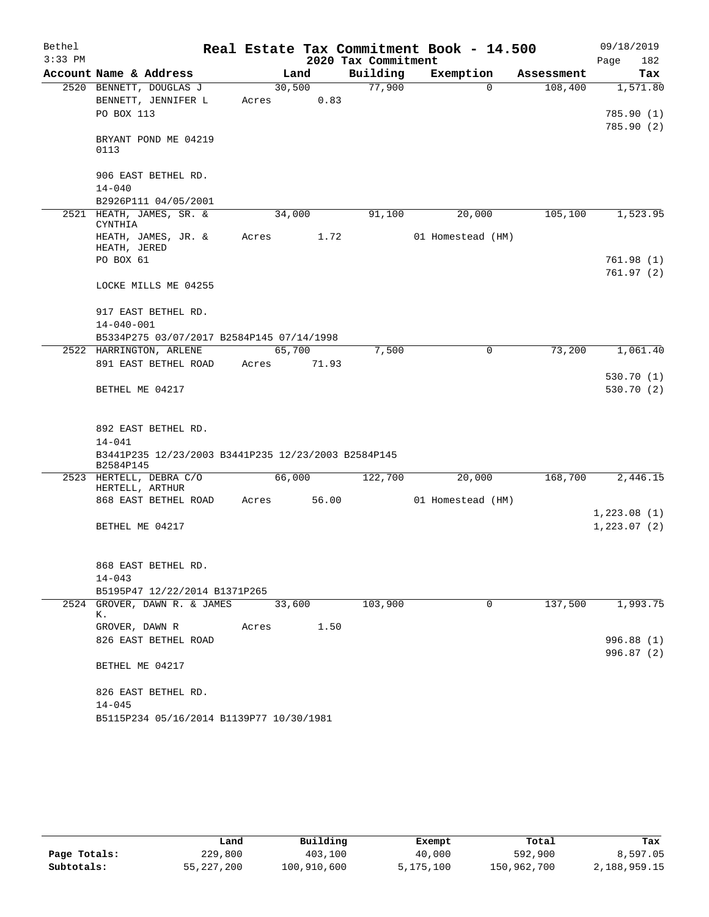| Bethel    |                                                     |       |        |       |                     | Real Estate Tax Commitment Book - 14.500 |          |            | 09/18/2019             |
|-----------|-----------------------------------------------------|-------|--------|-------|---------------------|------------------------------------------|----------|------------|------------------------|
| $3:33$ PM |                                                     |       |        |       | 2020 Tax Commitment |                                          |          |            | 182<br>Page            |
|           | Account Name & Address                              |       | Land   |       | Building            | Exemption                                |          | Assessment | Tax                    |
|           | 2520 BENNETT, DOUGLAS J<br>BENNETT, JENNIFER L      | Acres | 30,500 | 0.83  | 77,900              |                                          | $\Omega$ | 108,400    | 1,571.80               |
|           | PO BOX 113                                          |       |        |       |                     |                                          |          |            | 785.90 (1)             |
|           |                                                     |       |        |       |                     |                                          |          |            | 785.90 (2)             |
|           | BRYANT POND ME 04219                                |       |        |       |                     |                                          |          |            |                        |
|           | 0113                                                |       |        |       |                     |                                          |          |            |                        |
|           |                                                     |       |        |       |                     |                                          |          |            |                        |
|           | 906 EAST BETHEL RD.                                 |       |        |       |                     |                                          |          |            |                        |
|           | $14 - 040$<br>B2926P111 04/05/2001                  |       |        |       |                     |                                          |          |            |                        |
|           | 2521 HEATH, JAMES, SR. &                            |       | 34,000 |       | 91,100              | 20,000                                   |          | 105,100    | 1,523.95               |
|           | CYNTHIA                                             |       |        |       |                     |                                          |          |            |                        |
|           | HEATH, JAMES, JR. &                                 | Acres |        | 1.72  |                     | 01 Homestead (HM)                        |          |            |                        |
|           | HEATH, JERED                                        |       |        |       |                     |                                          |          |            |                        |
|           | PO BOX 61                                           |       |        |       |                     |                                          |          |            | 761.98(1)<br>761.97(2) |
|           | LOCKE MILLS ME 04255                                |       |        |       |                     |                                          |          |            |                        |
|           |                                                     |       |        |       |                     |                                          |          |            |                        |
|           | 917 EAST BETHEL RD.                                 |       |        |       |                     |                                          |          |            |                        |
|           | $14 - 040 - 001$                                    |       |        |       |                     |                                          |          |            |                        |
|           | B5334P275 03/07/2017 B2584P145 07/14/1998           |       |        |       |                     |                                          |          |            |                        |
|           | 2522 HARRINGTON, ARLENE                             |       | 65,700 |       | 7,500               |                                          | 0        | 73,200     | 1,061.40               |
|           | 891 EAST BETHEL ROAD                                | Acres |        | 71.93 |                     |                                          |          |            |                        |
|           |                                                     |       |        |       |                     |                                          |          |            | 530.70(1)              |
|           | BETHEL ME 04217                                     |       |        |       |                     |                                          |          |            | 530.70 (2)             |
|           |                                                     |       |        |       |                     |                                          |          |            |                        |
|           | 892 EAST BETHEL RD.                                 |       |        |       |                     |                                          |          |            |                        |
|           | $14 - 041$                                          |       |        |       |                     |                                          |          |            |                        |
|           | B3441P235 12/23/2003 B3441P235 12/23/2003 B2584P145 |       |        |       |                     |                                          |          |            |                        |
|           | B2584P145                                           |       |        |       |                     |                                          |          |            |                        |
|           | 2523 HERTELL, DEBRA C/O                             |       | 66,000 |       | 122,700             | 20,000                                   |          | 168,700    | 2,446.15               |
|           | HERTELL, ARTHUR<br>868 EAST BETHEL ROAD             | Acres |        | 56.00 |                     | 01 Homestead (HM)                        |          |            |                        |
|           |                                                     |       |        |       |                     |                                          |          |            | 1,223.08(1)            |
|           | BETHEL ME 04217                                     |       |        |       |                     |                                          |          |            | 1, 223.07(2)           |
|           |                                                     |       |        |       |                     |                                          |          |            |                        |
|           |                                                     |       |        |       |                     |                                          |          |            |                        |
|           | 868 EAST BETHEL RD.                                 |       |        |       |                     |                                          |          |            |                        |
|           | $14 - 043$                                          |       |        |       |                     |                                          |          |            |                        |
|           | B5195P47 12/22/2014 B1371P265                       |       |        |       |                     |                                          |          |            |                        |
|           | 2524 GROVER, DAWN R. & JAMES<br>К.                  |       | 33,600 |       | 103,900             |                                          | 0        | 137,500    | 1,993.75               |
|           | GROVER, DAWN R                                      | Acres |        | 1.50  |                     |                                          |          |            |                        |
|           | 826 EAST BETHEL ROAD                                |       |        |       |                     |                                          |          |            | 996.88 (1)             |
|           |                                                     |       |        |       |                     |                                          |          |            | 996.87 (2)             |
|           | BETHEL ME 04217                                     |       |        |       |                     |                                          |          |            |                        |
|           |                                                     |       |        |       |                     |                                          |          |            |                        |
|           | 826 EAST BETHEL RD.                                 |       |        |       |                     |                                          |          |            |                        |
|           | $14 - 045$                                          |       |        |       |                     |                                          |          |            |                        |
|           | B5115P234 05/16/2014 B1139P77 10/30/1981            |       |        |       |                     |                                          |          |            |                        |

|              | Land       | Building    | Exempt    | Total       | Tax          |
|--------------|------------|-------------|-----------|-------------|--------------|
| Page Totals: | 229,800    | 403,100     | 40,000    | 592,900     | 8,597.05     |
| Subtotals:   | 55,227,200 | 100,910,600 | 5,175,100 | 150,962,700 | 2,188,959.15 |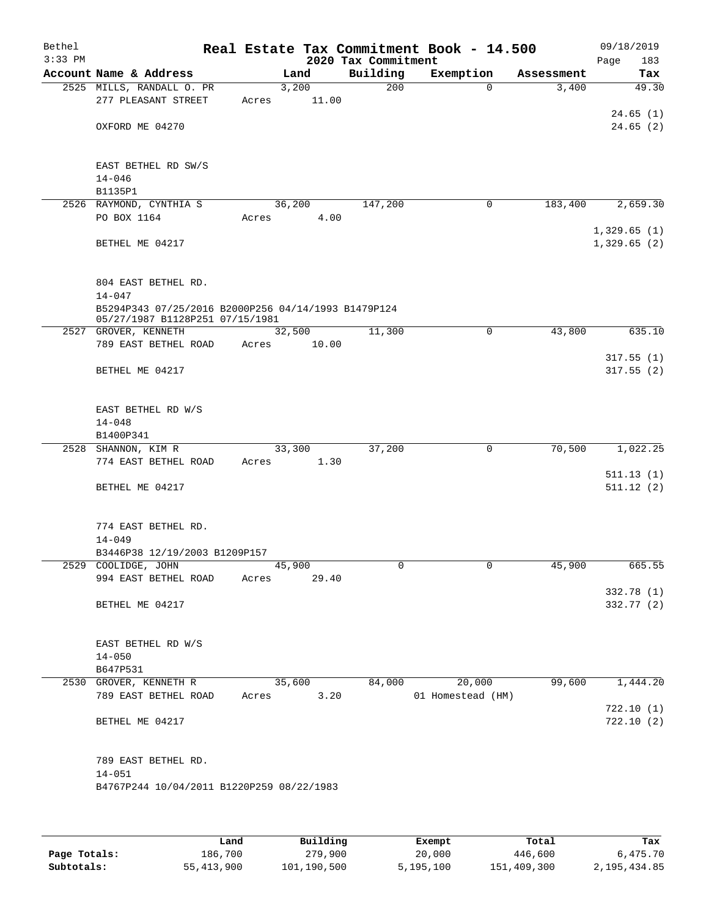| Bethel<br>$3:33$ PM |                                                                                        |        |       | 2020 Tax Commitment | Real Estate Tax Commitment Book - 14.500 |            | 09/18/2019<br>183<br>Page  |
|---------------------|----------------------------------------------------------------------------------------|--------|-------|---------------------|------------------------------------------|------------|----------------------------|
|                     | Account Name & Address                                                                 | Land   |       | Building            | Exemption                                | Assessment | Tax                        |
|                     | 2525 MILLS, RANDALL O. PR                                                              | 3,200  |       | 200                 | $\Omega$                                 | 3,400      | 49.30                      |
|                     | 277 PLEASANT STREET                                                                    | Acres  | 11.00 |                     |                                          |            |                            |
|                     |                                                                                        |        |       |                     |                                          |            | 24.65(1)                   |
|                     | OXFORD ME 04270                                                                        |        |       |                     |                                          |            | 24.65(2)                   |
|                     |                                                                                        |        |       |                     |                                          |            |                            |
|                     | EAST BETHEL RD SW/S                                                                    |        |       |                     |                                          |            |                            |
|                     | $14 - 046$                                                                             |        |       |                     |                                          |            |                            |
|                     | B1135P1                                                                                |        |       |                     |                                          |            |                            |
|                     | 2526 RAYMOND, CYNTHIA S                                                                | 36,200 |       | 147,200             | 0                                        | 183,400    | 2,659.30                   |
|                     | PO BOX 1164                                                                            | Acres  | 4.00  |                     |                                          |            |                            |
|                     | BETHEL ME 04217                                                                        |        |       |                     |                                          |            | 1,329.65(1)<br>1,329.65(2) |
|                     |                                                                                        |        |       |                     |                                          |            |                            |
|                     |                                                                                        |        |       |                     |                                          |            |                            |
|                     | 804 EAST BETHEL RD.                                                                    |        |       |                     |                                          |            |                            |
|                     | $14 - 047$                                                                             |        |       |                     |                                          |            |                            |
|                     | B5294P343 07/25/2016 B2000P256 04/14/1993 B1479P124<br>05/27/1987 B1128P251 07/15/1981 |        |       |                     |                                          |            |                            |
|                     | 2527 GROVER, KENNETH                                                                   | 32,500 |       | 11,300              | 0                                        | 43,800     | 635.10                     |
|                     | 789 EAST BETHEL ROAD                                                                   | Acres  | 10.00 |                     |                                          |            |                            |
|                     |                                                                                        |        |       |                     |                                          |            | 317.55(1)                  |
|                     | BETHEL ME 04217                                                                        |        |       |                     |                                          |            | 317.55(2)                  |
|                     |                                                                                        |        |       |                     |                                          |            |                            |
|                     | EAST BETHEL RD W/S                                                                     |        |       |                     |                                          |            |                            |
|                     | $14 - 048$                                                                             |        |       |                     |                                          |            |                            |
|                     | B1400P341                                                                              |        |       |                     |                                          |            |                            |
|                     | 2528 SHANNON, KIM R                                                                    | 33,300 |       | 37,200              | $\mathbf 0$                              | 70,500     | 1,022.25                   |
|                     | 774 EAST BETHEL ROAD                                                                   | Acres  | 1.30  |                     |                                          |            |                            |
|                     |                                                                                        |        |       |                     |                                          |            | 511.13(1)                  |
|                     | BETHEL ME 04217                                                                        |        |       |                     |                                          |            | 511.12(2)                  |
|                     |                                                                                        |        |       |                     |                                          |            |                            |
|                     | 774 EAST BETHEL RD.                                                                    |        |       |                     |                                          |            |                            |
|                     | $14 - 049$                                                                             |        |       |                     |                                          |            |                            |
|                     | B3446P38 12/19/2003 B1209P157                                                          |        |       |                     |                                          |            |                            |
|                     | 2529 COOLIDGE, JOHN                                                                    | 45,900 |       | 0                   | 0                                        | 45,900     | 665.55                     |
|                     | 994 EAST BETHEL ROAD                                                                   | Acres  | 29.40 |                     |                                          |            | 332.78 (1)                 |
|                     | BETHEL ME 04217                                                                        |        |       |                     |                                          |            | 332.77 (2)                 |
|                     |                                                                                        |        |       |                     |                                          |            |                            |
|                     |                                                                                        |        |       |                     |                                          |            |                            |
|                     | EAST BETHEL RD W/S                                                                     |        |       |                     |                                          |            |                            |
|                     | $14 - 050$                                                                             |        |       |                     |                                          |            |                            |
|                     | B647P531<br>2530 GROVER, KENNETH R                                                     | 35,600 |       | 84,000              | 20,000                                   | 99,600     | 1,444.20                   |
|                     | 789 EAST BETHEL ROAD                                                                   | Acres  | 3.20  |                     | 01 Homestead (HM)                        |            |                            |
|                     |                                                                                        |        |       |                     |                                          |            | 722.10(1)                  |
|                     | BETHEL ME 04217                                                                        |        |       |                     |                                          |            | 722.10(2)                  |
|                     |                                                                                        |        |       |                     |                                          |            |                            |
|                     |                                                                                        |        |       |                     |                                          |            |                            |
|                     | 789 EAST BETHEL RD.                                                                    |        |       |                     |                                          |            |                            |
|                     | $14 - 051$<br>B4767P244 10/04/2011 B1220P259 08/22/1983                                |        |       |                     |                                          |            |                            |
|                     |                                                                                        |        |       |                     |                                          |            |                            |
|                     |                                                                                        |        |       |                     |                                          |            |                            |
|                     |                                                                                        |        |       |                     |                                          |            |                            |

|              | Land         | Building    | Exempt    | Total       | Tax          |
|--------------|--------------|-------------|-----------|-------------|--------------|
| Page Totals: | 186,700      | 279,900     | 20,000    | 446,600     | 6,475.70     |
| Subtotals:   | 55, 413, 900 | 101,190,500 | 5,195,100 | 151,409,300 | 2,195,434.85 |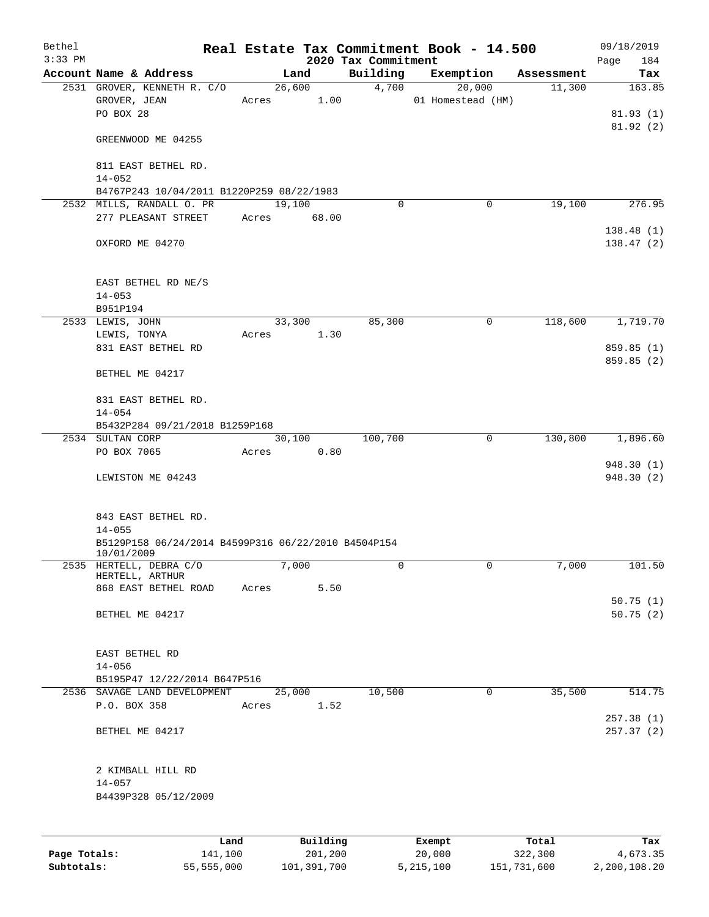| Bethel<br>$3:33$ PM |                                                                   |       |             | 2020 Tax Commitment | Real Estate Tax Commitment Book - 14.500 |            | 09/18/2019<br>184<br>Page |
|---------------------|-------------------------------------------------------------------|-------|-------------|---------------------|------------------------------------------|------------|---------------------------|
|                     | Account Name & Address                                            |       | Land        | Building            | Exemption                                | Assessment | Tax                       |
|                     | 2531 GROVER, KENNETH R. C/O                                       |       | 26,600      | 4,700               | 20,000                                   | 11,300     | 163.85                    |
|                     | GROVER, JEAN                                                      | Acres | 1.00        |                     | 01 Homestead (HM)                        |            |                           |
|                     | PO BOX 28                                                         |       |             |                     |                                          |            | 81.93(1)                  |
|                     |                                                                   |       |             |                     |                                          |            | 81.92(2)                  |
|                     | GREENWOOD ME 04255                                                |       |             |                     |                                          |            |                           |
|                     | 811 EAST BETHEL RD.                                               |       |             |                     |                                          |            |                           |
|                     | $14 - 052$                                                        |       |             |                     |                                          |            |                           |
|                     | B4767P243 10/04/2011 B1220P259 08/22/1983                         |       |             |                     |                                          |            |                           |
|                     | 2532 MILLS, RANDALL O. PR                                         |       | 19,100      | $\Omega$            | 0                                        | 19,100     | 276.95                    |
|                     | 277 PLEASANT STREET                                               |       | Acres 68.00 |                     |                                          |            |                           |
|                     | OXFORD ME 04270                                                   |       |             |                     |                                          |            | 138.48(1)<br>138.47(2)    |
|                     | EAST BETHEL RD NE/S                                               |       |             |                     |                                          |            |                           |
|                     | $14 - 053$                                                        |       |             |                     |                                          |            |                           |
|                     | B951P194                                                          |       |             |                     |                                          |            |                           |
|                     | 2533 LEWIS, JOHN                                                  |       | 33,300      | 85,300              | $\mathsf{O}$                             | 118,600    | 1,719.70                  |
|                     | LEWIS, TONYA                                                      | Acres | 1.30        |                     |                                          |            |                           |
|                     | 831 EAST BETHEL RD                                                |       |             |                     |                                          |            | 859.85 (1)                |
|                     | BETHEL ME 04217                                                   |       |             |                     |                                          |            | 859.85(2)                 |
|                     |                                                                   |       |             |                     |                                          |            |                           |
|                     | 831 EAST BETHEL RD.                                               |       |             |                     |                                          |            |                           |
|                     | $14 - 054$                                                        |       |             |                     |                                          |            |                           |
|                     | B5432P284 09/21/2018 B1259P168                                    |       |             |                     |                                          |            |                           |
|                     | 2534 SULTAN CORP                                                  |       | 30,100      | 100,700             | $\overline{0}$                           | 130,800    | 1,896.60                  |
|                     | PO BOX 7065                                                       | Acres | 0.80        |                     |                                          |            |                           |
|                     | LEWISTON ME 04243                                                 |       |             |                     |                                          |            | 948.30(1)<br>948.30(2)    |
|                     | 843 EAST BETHEL RD.                                               |       |             |                     |                                          |            |                           |
|                     | $14 - 055$                                                        |       |             |                     |                                          |            |                           |
|                     | B5129P158 06/24/2014 B4599P316 06/22/2010 B4504P154<br>10/01/2009 |       |             |                     |                                          |            |                           |
| 2535                | HERTELL, DEBRA C/O                                                |       | 7,000       | 0                   | 0                                        | 7,000      | 101.50                    |
|                     | HERTELL, ARTHUR                                                   |       |             |                     |                                          |            |                           |
|                     | 868 EAST BETHEL ROAD                                              | Acres | 5.50        |                     |                                          |            |                           |
|                     | BETHEL ME 04217                                                   |       |             |                     |                                          |            | 50.75(1)<br>50.75(2)      |
|                     |                                                                   |       |             |                     |                                          |            |                           |
|                     | EAST BETHEL RD                                                    |       |             |                     |                                          |            |                           |
|                     | $14 - 056$                                                        |       |             |                     |                                          |            |                           |
|                     | B5195P47 12/22/2014 B647P516                                      |       |             |                     |                                          |            |                           |
|                     | 2536 SAVAGE LAND DEVELOPMENT                                      |       | 25,000      | 10,500              | 0                                        | 35,500     | 514.75                    |
|                     | P.O. BOX 358                                                      | Acres | 1.52        |                     |                                          |            |                           |
|                     | BETHEL ME 04217                                                   |       |             |                     |                                          |            | 257.38(1)<br>257.37(2)    |
|                     | 2 KIMBALL HILL RD                                                 |       |             |                     |                                          |            |                           |
|                     | $14 - 057$                                                        |       |             |                     |                                          |            |                           |
|                     | B4439P328 05/12/2009                                              |       |             |                     |                                          |            |                           |
|                     |                                                                   |       |             |                     |                                          |            |                           |
|                     |                                                                   |       |             |                     |                                          |            |                           |
|                     | Land                                                              |       | Building    |                     | Exempt                                   | Total      | Tax                       |
| Page Totals:        | 141,100                                                           |       | 201,200     |                     | 20,000                                   | 322,300    | 4,673.35                  |

**Subtotals:** 55,555,000 101,391,700 5,215,100 151,731,600 2,200,108.20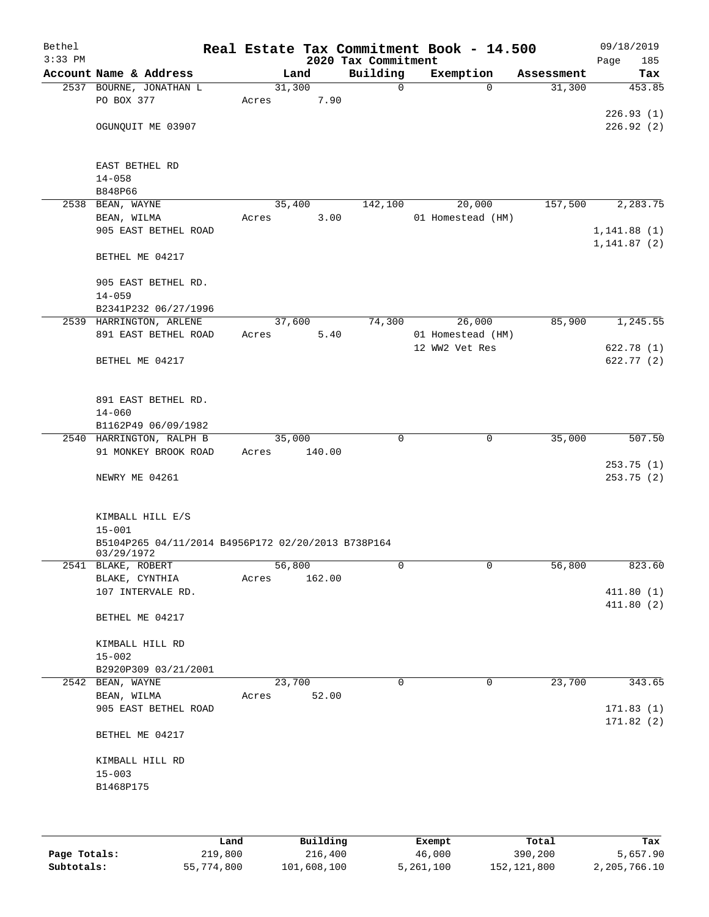| Bethel<br>$3:33$ PM |                                                    |        | 2020 Tax Commitment | Real Estate Tax Commitment Book - 14.500 |            | 09/18/2019<br>185<br>Page |
|---------------------|----------------------------------------------------|--------|---------------------|------------------------------------------|------------|---------------------------|
|                     | Account Name & Address                             | Land   | Building            | Exemption                                | Assessment | Tax                       |
|                     | 2537 BOURNE, JONATHAN L                            | 31,300 | $\mathbf 0$         | $\Omega$                                 | 31,300     | 453.85                    |
|                     | PO BOX 377                                         | Acres  | 7.90                |                                          |            |                           |
|                     |                                                    |        |                     |                                          |            | 226.93(1)                 |
|                     | OGUNQUIT ME 03907                                  |        |                     |                                          |            | 226.92(2)                 |
|                     |                                                    |        |                     |                                          |            |                           |
|                     | EAST BETHEL RD                                     |        |                     |                                          |            |                           |
|                     | $14 - 058$                                         |        |                     |                                          |            |                           |
|                     | B848P66                                            |        |                     |                                          |            |                           |
|                     | 2538 BEAN, WAYNE                                   | 35,400 | 142,100             | 20,000                                   | 157,500    | 2,283.75                  |
|                     | BEAN, WILMA                                        | Acres  | 3.00                | 01 Homestead (HM)                        |            |                           |
|                     | 905 EAST BETHEL ROAD                               |        |                     |                                          |            | 1, 141.88(1)              |
|                     |                                                    |        |                     |                                          |            | 1, 141.87(2)              |
|                     | BETHEL ME 04217                                    |        |                     |                                          |            |                           |
|                     |                                                    |        |                     |                                          |            |                           |
|                     | 905 EAST BETHEL RD.<br>$14 - 059$                  |        |                     |                                          |            |                           |
|                     | B2341P232 06/27/1996                               |        |                     |                                          |            |                           |
|                     | 2539 HARRINGTON, ARLENE                            | 37,600 | 74,300              | 26,000                                   | 85,900     | 1,245.55                  |
|                     | 891 EAST BETHEL ROAD                               | Acres  | 5.40                | 01 Homestead (HM)                        |            |                           |
|                     |                                                    |        |                     | 12 WW2 Vet Res                           |            | 622.78(1)                 |
|                     | BETHEL ME 04217                                    |        |                     |                                          |            | 622.77 (2)                |
|                     |                                                    |        |                     |                                          |            |                           |
|                     |                                                    |        |                     |                                          |            |                           |
|                     | 891 EAST BETHEL RD.<br>$14 - 060$                  |        |                     |                                          |            |                           |
|                     | B1162P49 06/09/1982                                |        |                     |                                          |            |                           |
|                     | 2540 HARRINGTON, RALPH B                           | 35,000 | $\mathbf 0$         | $\mathbf 0$                              | 35,000     | 507.50                    |
|                     | 91 MONKEY BROOK ROAD                               | Acres  | 140.00              |                                          |            |                           |
|                     |                                                    |        |                     |                                          |            | 253.75(1)                 |
|                     | NEWRY ME 04261                                     |        |                     |                                          |            | 253.75(2)                 |
|                     |                                                    |        |                     |                                          |            |                           |
|                     | KIMBALL HILL E/S                                   |        |                     |                                          |            |                           |
|                     | $15 - 001$                                         |        |                     |                                          |            |                           |
|                     | B5104P265 04/11/2014 B4956P172 02/20/2013 B738P164 |        |                     |                                          |            |                           |
|                     | 03/29/1972                                         |        |                     |                                          |            |                           |
|                     | 2541 BLAKE, ROBERT                                 | 56,800 | 0                   | $\mathsf{O}$                             | 56,800     | 823.60                    |
|                     | BLAKE, CYNTHIA                                     | Acres  | 162.00              |                                          |            |                           |
|                     | 107 INTERVALE RD.                                  |        |                     |                                          |            | 411.80(1)<br>411.80(2)    |
|                     | BETHEL ME 04217                                    |        |                     |                                          |            |                           |
|                     |                                                    |        |                     |                                          |            |                           |
|                     | KIMBALL HILL RD                                    |        |                     |                                          |            |                           |
|                     | $15 - 002$                                         |        |                     |                                          |            |                           |
|                     | B2920P309 03/21/2001                               |        |                     |                                          |            |                           |
|                     | 2542 BEAN, WAYNE                                   | 23,700 | $\Omega$            | 0                                        | 23,700     | 343.65                    |
|                     | BEAN, WILMA                                        | Acres  | 52.00               |                                          |            |                           |
|                     | 905 EAST BETHEL ROAD                               |        |                     |                                          |            | 171.83(1)<br>171.82(2)    |
|                     | BETHEL ME 04217                                    |        |                     |                                          |            |                           |
|                     |                                                    |        |                     |                                          |            |                           |
|                     | KIMBALL HILL RD                                    |        |                     |                                          |            |                           |
|                     | $15 - 003$                                         |        |                     |                                          |            |                           |
|                     | B1468P175                                          |        |                     |                                          |            |                           |
|                     |                                                    |        |                     |                                          |            |                           |
|                     |                                                    |        |                     |                                          |            |                           |
|                     |                                                    |        |                     |                                          |            |                           |

|              | Land       | Building    | Exempt    | Total       | Tax          |
|--------------|------------|-------------|-----------|-------------|--------------|
| Page Totals: | 219,800    | 216,400     | 46,000    | 390,200     | 5,657.90     |
| Subtotals:   | 55,774,800 | 101,608,100 | 5,261,100 | 152,121,800 | 2,205,766.10 |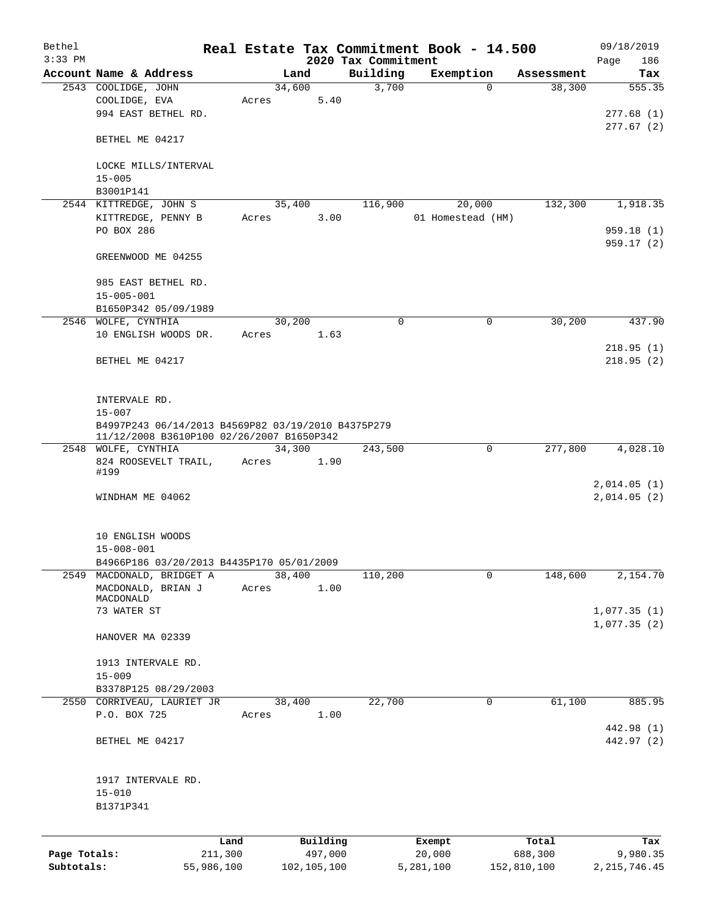| Bethel       |                                                    |            |        |             | Real Estate Tax Commitment Book - 14.500 |                   |             |             | 09/18/2019         |
|--------------|----------------------------------------------------|------------|--------|-------------|------------------------------------------|-------------------|-------------|-------------|--------------------|
| $3:33$ PM    | Account Name & Address                             |            | Land   |             | 2020 Tax Commitment<br>Building          | Exemption         |             | Assessment  | Page<br>186<br>Tax |
|              | 2543 COOLIDGE, JOHN                                |            | 34,600 |             | 3,700                                    |                   | $\Omega$    | 38,300      | 555.35             |
|              | COOLIDGE, EVA                                      | Acres      |        | 5.40        |                                          |                   |             |             |                    |
|              | 994 EAST BETHEL RD.                                |            |        |             |                                          |                   |             |             | 277.68(1)          |
|              |                                                    |            |        |             |                                          |                   |             |             | 277.67(2)          |
|              | BETHEL ME 04217                                    |            |        |             |                                          |                   |             |             |                    |
|              |                                                    |            |        |             |                                          |                   |             |             |                    |
|              | LOCKE MILLS/INTERVAL                               |            |        |             |                                          |                   |             |             |                    |
|              | $15 - 005$<br>B3001P141                            |            |        |             |                                          |                   |             |             |                    |
|              | 2544 KITTREDGE, JOHN S                             |            | 35,400 |             | 116,900                                  |                   | 20,000      | 132,300     | 1,918.35           |
|              | KITTREDGE, PENNY B                                 |            | Acres  | 3.00        |                                          | 01 Homestead (HM) |             |             |                    |
|              | PO BOX 286                                         |            |        |             |                                          |                   |             |             | 959.18(1)          |
|              |                                                    |            |        |             |                                          |                   |             |             | 959.17 (2)         |
|              | GREENWOOD ME 04255                                 |            |        |             |                                          |                   |             |             |                    |
|              |                                                    |            |        |             |                                          |                   |             |             |                    |
|              | 985 EAST BETHEL RD.                                |            |        |             |                                          |                   |             |             |                    |
|              | $15 - 005 - 001$                                   |            |        |             |                                          |                   |             |             |                    |
|              | B1650P342 05/09/1989                               |            |        |             |                                          |                   |             |             |                    |
|              | 2546 WOLFE, CYNTHIA                                |            | 30,200 |             | $\Omega$                                 |                   | 0           | 30,200      | 437.90             |
|              | 10 ENGLISH WOODS DR.                               | Acres      |        | 1.63        |                                          |                   |             |             | 218.95(1)          |
|              | BETHEL ME 04217                                    |            |        |             |                                          |                   |             |             | 218.95(2)          |
|              |                                                    |            |        |             |                                          |                   |             |             |                    |
|              |                                                    |            |        |             |                                          |                   |             |             |                    |
|              | INTERVALE RD.                                      |            |        |             |                                          |                   |             |             |                    |
|              | $15 - 007$                                         |            |        |             |                                          |                   |             |             |                    |
|              | B4997P243 06/14/2013 B4569P82 03/19/2010 B4375P279 |            |        |             |                                          |                   |             |             |                    |
|              | 11/12/2008 B3610P100 02/26/2007 B1650P342          |            |        |             |                                          |                   |             |             |                    |
|              | 2548 WOLFE, CYNTHIA                                |            | 34,300 |             | 243,500                                  |                   | $\mathbf 0$ | 277,800     | 4,028.10           |
|              | 824 ROOSEVELT TRAIL,<br>#199                       | Acres      |        | 1.90        |                                          |                   |             |             |                    |
|              |                                                    |            |        |             |                                          |                   |             |             | 2,014.05(1)        |
|              | WINDHAM ME 04062                                   |            |        |             |                                          |                   |             |             | 2,014.05(2)        |
|              |                                                    |            |        |             |                                          |                   |             |             |                    |
|              |                                                    |            |        |             |                                          |                   |             |             |                    |
|              | 10 ENGLISH WOODS                                   |            |        |             |                                          |                   |             |             |                    |
|              | $15 - 008 - 001$                                   |            |        |             |                                          |                   |             |             |                    |
|              | B4966P186 03/20/2013 B4435P170 05/01/2009          |            |        |             |                                          |                   | 0           |             | 2,154.70           |
|              | 2549 MACDONALD, BRIDGET A<br>MACDONALD, BRIAN J    | Acres      | 38,400 | 1.00        | 110,200                                  |                   |             | 148,600     |                    |
|              | MACDONALD                                          |            |        |             |                                          |                   |             |             |                    |
|              | 73 WATER ST                                        |            |        |             |                                          |                   |             |             | 1,077.35(1)        |
|              |                                                    |            |        |             |                                          |                   |             |             | 1,077.35(2)        |
|              | HANOVER MA 02339                                   |            |        |             |                                          |                   |             |             |                    |
|              |                                                    |            |        |             |                                          |                   |             |             |                    |
|              | 1913 INTERVALE RD.                                 |            |        |             |                                          |                   |             |             |                    |
|              | $15 - 009$                                         |            |        |             |                                          |                   |             |             |                    |
|              | B3378P125 08/29/2003<br>2550 CORRIVEAU, LAURIET JR |            | 38,400 |             | 22,700                                   |                   | 0           | 61,100      | 885.95             |
|              | P.O. BOX 725                                       | Acres      |        | 1.00        |                                          |                   |             |             |                    |
|              |                                                    |            |        |             |                                          |                   |             |             | 442.98 (1)         |
|              | BETHEL ME 04217                                    |            |        |             |                                          |                   |             |             | 442.97 (2)         |
|              |                                                    |            |        |             |                                          |                   |             |             |                    |
|              |                                                    |            |        |             |                                          |                   |             |             |                    |
|              | 1917 INTERVALE RD.                                 |            |        |             |                                          |                   |             |             |                    |
|              | $15 - 010$                                         |            |        |             |                                          |                   |             |             |                    |
|              | B1371P341                                          |            |        |             |                                          |                   |             |             |                    |
|              |                                                    |            |        |             |                                          |                   |             |             |                    |
|              |                                                    | Land       |        | Building    |                                          | Exempt            |             | Total       | Tax                |
| Page Totals: |                                                    | 211,300    |        | 497,000     |                                          | 20,000            |             | 688,300     | 9,980.35           |
| Subtotals:   |                                                    | 55,986,100 |        | 102,105,100 |                                          | 5,281,100         |             | 152,810,100 | 2, 215, 746.45     |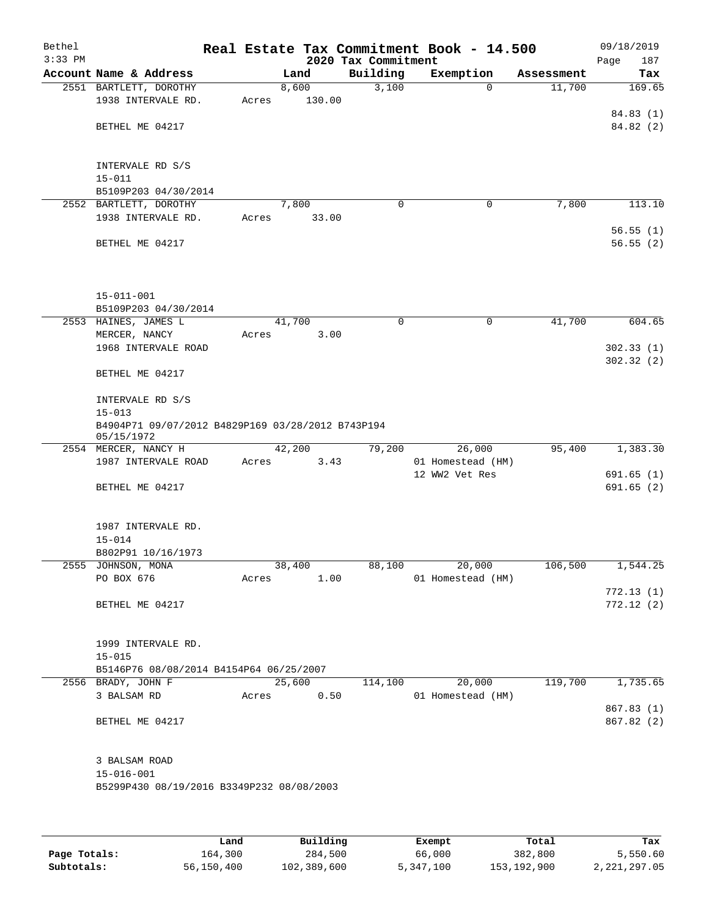| Bethel<br>$3:33$ PM |                                                                 |        |        | 2020 Tax Commitment | Real Estate Tax Commitment Book - 14.500 |            | 09/18/2019<br>187<br>Page |
|---------------------|-----------------------------------------------------------------|--------|--------|---------------------|------------------------------------------|------------|---------------------------|
|                     | Account Name & Address                                          | Land   |        | Building            | Exemption                                | Assessment | Tax                       |
|                     | 2551 BARTLETT, DOROTHY                                          | 8,600  |        | 3,100               | $\mathbf 0$                              | 11,700     | 169.65                    |
|                     | 1938 INTERVALE RD.                                              | Acres  | 130.00 |                     |                                          |            |                           |
|                     |                                                                 |        |        |                     |                                          |            | 84.83 (1)                 |
|                     | BETHEL ME 04217                                                 |        |        |                     |                                          |            | 84.82 (2)                 |
|                     |                                                                 |        |        |                     |                                          |            |                           |
|                     |                                                                 |        |        |                     |                                          |            |                           |
|                     | INTERVALE RD S/S<br>$15 - 011$                                  |        |        |                     |                                          |            |                           |
|                     | B5109P203 04/30/2014                                            |        |        |                     |                                          |            |                           |
|                     | 2552 BARTLETT, DOROTHY                                          | 7,800  |        | 0                   | $\mathbf 0$                              | 7,800      | 113.10                    |
|                     | 1938 INTERVALE RD.                                              | Acres  | 33.00  |                     |                                          |            |                           |
|                     |                                                                 |        |        |                     |                                          |            | 56.55(1)                  |
|                     | BETHEL ME 04217                                                 |        |        |                     |                                          |            | 56.55(2)                  |
|                     |                                                                 |        |        |                     |                                          |            |                           |
|                     |                                                                 |        |        |                     |                                          |            |                           |
|                     |                                                                 |        |        |                     |                                          |            |                           |
|                     | $15 - 011 - 001$                                                |        |        |                     |                                          |            |                           |
|                     | B5109P203 04/30/2014<br>2553 HAINES, JAMES L                    | 41,700 |        | 0                   | 0                                        | 41,700     | 604.65                    |
|                     | MERCER, NANCY                                                   | Acres  | 3.00   |                     |                                          |            |                           |
|                     | 1968 INTERVALE ROAD                                             |        |        |                     |                                          |            | 302.33(1)                 |
|                     |                                                                 |        |        |                     |                                          |            | 302.32(2)                 |
|                     | BETHEL ME 04217                                                 |        |        |                     |                                          |            |                           |
|                     |                                                                 |        |        |                     |                                          |            |                           |
|                     | INTERVALE RD S/S                                                |        |        |                     |                                          |            |                           |
|                     | $15 - 013$                                                      |        |        |                     |                                          |            |                           |
|                     | B4904P71 09/07/2012 B4829P169 03/28/2012 B743P194<br>05/15/1972 |        |        |                     |                                          |            |                           |
|                     | 2554 MERCER, NANCY H                                            | 42,200 |        | 79,200              | 26,000                                   | 95,400     | 1,383.30                  |
|                     | 1987 INTERVALE ROAD                                             | Acres  | 3.43   |                     | 01 Homestead (HM)                        |            |                           |
|                     |                                                                 |        |        |                     | 12 WW2 Vet Res                           |            | 691.65(1)                 |
|                     | BETHEL ME 04217                                                 |        |        |                     |                                          |            | 691.65(2)                 |
|                     |                                                                 |        |        |                     |                                          |            |                           |
|                     |                                                                 |        |        |                     |                                          |            |                           |
|                     | 1987 INTERVALE RD.                                              |        |        |                     |                                          |            |                           |
|                     | $15 - 014$                                                      |        |        |                     |                                          |            |                           |
|                     | B802P91 10/16/1973<br>2555 JOHNSON, MONA                        | 38,400 |        | 88,100              | 20,000                                   | 106,500    | 1,544.25                  |
|                     | PO BOX 676                                                      | Acres  | 1.00   |                     | 01 Homestead (HM)                        |            |                           |
|                     |                                                                 |        |        |                     |                                          |            | 772.13(1)                 |
|                     | BETHEL ME 04217                                                 |        |        |                     |                                          |            | 772.12(2)                 |
|                     |                                                                 |        |        |                     |                                          |            |                           |
|                     |                                                                 |        |        |                     |                                          |            |                           |
|                     | 1999 INTERVALE RD.                                              |        |        |                     |                                          |            |                           |
|                     | $15 - 015$                                                      |        |        |                     |                                          |            |                           |
|                     | B5146P76 08/08/2014 B4154P64 06/25/2007<br>2556 BRADY, JOHN F   | 25,600 |        | 114,100             | 20,000                                   | 119,700    | 1,735.65                  |
|                     | 3 BALSAM RD                                                     | Acres  | 0.50   |                     | 01 Homestead (HM)                        |            |                           |
|                     |                                                                 |        |        |                     |                                          |            | 867.83 (1)                |
|                     | BETHEL ME 04217                                                 |        |        |                     |                                          |            | 867.82 (2)                |
|                     |                                                                 |        |        |                     |                                          |            |                           |
|                     |                                                                 |        |        |                     |                                          |            |                           |
|                     | 3 BALSAM ROAD                                                   |        |        |                     |                                          |            |                           |
|                     | $15 - 016 - 001$                                                |        |        |                     |                                          |            |                           |
|                     | B5299P430 08/19/2016 B3349P232 08/08/2003                       |        |        |                     |                                          |            |                           |
|                     |                                                                 |        |        |                     |                                          |            |                           |
|                     |                                                                 |        |        |                     |                                          |            |                           |

|              | Land       | Building    | Exempt    | Total         | Tax          |
|--------------|------------|-------------|-----------|---------------|--------------|
| Page Totals: | 164,300    | 284,500     | 66,000    | 382,800       | 5,550.60     |
| Subtotals:   | 56,150,400 | 102,389,600 | 5,347,100 | 153, 192, 900 | 2,221,297.05 |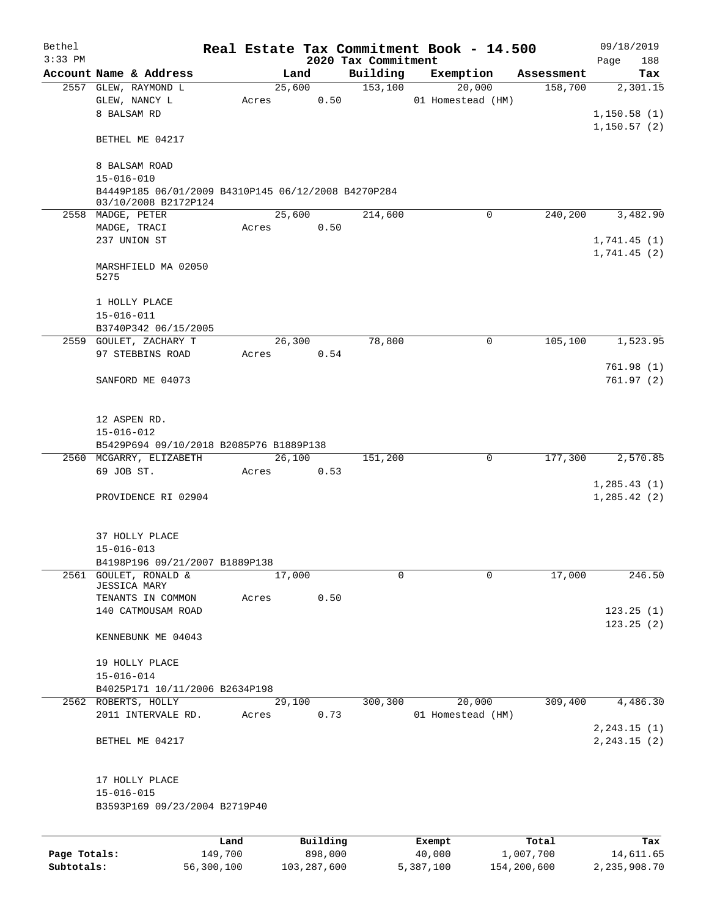| Bethel       |                                                     |         |          |      |                     | Real Estate Tax Commitment Book - 14.500 |            | 09/18/2019    |
|--------------|-----------------------------------------------------|---------|----------|------|---------------------|------------------------------------------|------------|---------------|
| $3:33$ PM    |                                                     |         |          |      | 2020 Tax Commitment |                                          |            | Page<br>188   |
|              | Account Name & Address                              |         | Land     |      | Building            | Exemption                                | Assessment | Tax           |
|              | 2557 GLEW, RAYMOND L                                |         | 25,600   |      | 153,100             | 20,000                                   | 158,700    | 2,301.15      |
|              | GLEW, NANCY L                                       | Acres   |          | 0.50 |                     | 01 Homestead (HM)                        |            |               |
|              | 8 BALSAM RD                                         |         |          |      |                     |                                          |            | 1,150.58(1)   |
|              |                                                     |         |          |      |                     |                                          |            | 1,150.57(2)   |
|              | BETHEL ME 04217                                     |         |          |      |                     |                                          |            |               |
|              |                                                     |         |          |      |                     |                                          |            |               |
|              | 8 BALSAM ROAD<br>$15 - 016 - 010$                   |         |          |      |                     |                                          |            |               |
|              | B4449P185 06/01/2009 B4310P145 06/12/2008 B4270P284 |         |          |      |                     |                                          |            |               |
|              | 03/10/2008 B2172P124                                |         |          |      |                     |                                          |            |               |
|              | 2558 MADGE, PETER                                   |         | 25,600   |      | 214,600             | $\Omega$                                 | 240,200    | 3,482.90      |
|              | MADGE, TRACI                                        | Acres   |          | 0.50 |                     |                                          |            |               |
|              | 237 UNION ST                                        |         |          |      |                     |                                          |            | 1,741.45(1)   |
|              |                                                     |         |          |      |                     |                                          |            | 1,741.45(2)   |
|              | MARSHFIELD MA 02050                                 |         |          |      |                     |                                          |            |               |
|              | 5275                                                |         |          |      |                     |                                          |            |               |
|              |                                                     |         |          |      |                     |                                          |            |               |
|              | 1 HOLLY PLACE                                       |         |          |      |                     |                                          |            |               |
|              | $15 - 016 - 011$                                    |         |          |      |                     |                                          |            |               |
|              | B3740P342 06/15/2005                                |         |          |      |                     |                                          |            |               |
|              | 2559 GOULET, ZACHARY T                              |         | 26,300   |      | 78,800              | $\mathbf 0$                              | 105,100    | 1,523.95      |
|              | 97 STEBBINS ROAD                                    | Acres   |          | 0.54 |                     |                                          |            |               |
|              |                                                     |         |          |      |                     |                                          |            | 761.98(1)     |
|              | SANFORD ME 04073                                    |         |          |      |                     |                                          |            | 761.97(2)     |
|              |                                                     |         |          |      |                     |                                          |            |               |
|              |                                                     |         |          |      |                     |                                          |            |               |
|              | 12 ASPEN RD.                                        |         |          |      |                     |                                          |            |               |
|              | $15 - 016 - 012$                                    |         |          |      |                     |                                          |            |               |
|              | B5429P694 09/10/2018 B2085P76 B1889P138             |         |          |      |                     |                                          |            |               |
|              | 2560 MCGARRY, ELIZABETH                             |         | 26,100   |      | 151,200             | 0                                        | 177,300    | 2,570.85      |
|              | 69 JOB ST.                                          | Acres   |          | 0.53 |                     |                                          |            |               |
|              |                                                     |         |          |      |                     |                                          |            | 1, 285.43(1)  |
|              | PROVIDENCE RI 02904                                 |         |          |      |                     |                                          |            | 1, 285.42(2)  |
|              |                                                     |         |          |      |                     |                                          |            |               |
|              |                                                     |         |          |      |                     |                                          |            |               |
|              | 37 HOLLY PLACE<br>$15 - 016 - 013$                  |         |          |      |                     |                                          |            |               |
|              | B4198P196 09/21/2007 B1889P138                      |         |          |      |                     |                                          |            |               |
| 2561         | GOULET, RONALD &                                    |         | 17,000   |      | 0                   | 0                                        | 17,000     | 246.50        |
|              | <b>JESSICA MARY</b>                                 |         |          |      |                     |                                          |            |               |
|              | TENANTS IN COMMON                                   | Acres   |          | 0.50 |                     |                                          |            |               |
|              | 140 CATMOUSAM ROAD                                  |         |          |      |                     |                                          |            | 123.25(1)     |
|              |                                                     |         |          |      |                     |                                          |            | 123.25(2)     |
|              | KENNEBUNK ME 04043                                  |         |          |      |                     |                                          |            |               |
|              |                                                     |         |          |      |                     |                                          |            |               |
|              | 19 HOLLY PLACE                                      |         |          |      |                     |                                          |            |               |
|              | $15 - 016 - 014$                                    |         |          |      |                     |                                          |            |               |
|              | B4025P171 10/11/2006 B2634P198                      |         |          |      |                     |                                          |            |               |
|              | 2562 ROBERTS, HOLLY                                 |         | 29,100   |      | 300,300             | 20,000                                   | 309,400    | 4,486.30      |
|              | 2011 INTERVALE RD.                                  | Acres   |          | 0.73 |                     | 01 Homestead (HM)                        |            |               |
|              |                                                     |         |          |      |                     |                                          |            | 2, 243.15 (1) |
|              | BETHEL ME 04217                                     |         |          |      |                     |                                          |            | 2, 243.15 (2) |
|              |                                                     |         |          |      |                     |                                          |            |               |
|              |                                                     |         |          |      |                     |                                          |            |               |
|              | 17 HOLLY PLACE                                      |         |          |      |                     |                                          |            |               |
|              | $15 - 016 - 015$                                    |         |          |      |                     |                                          |            |               |
|              | B3593P169 09/23/2004 B2719P40                       |         |          |      |                     |                                          |            |               |
|              |                                                     |         |          |      |                     |                                          |            |               |
|              |                                                     | Land    | Building |      |                     | Exempt                                   | Total      | Tax           |
| Page Totals: |                                                     | 149,700 | 898,000  |      |                     | 40,000                                   | 1,007,700  | 14,611.65     |
|              |                                                     |         |          |      |                     |                                          |            |               |

**Subtotals:** 56,300,100 103,287,600 5,387,100 154,200,600 2,235,908.70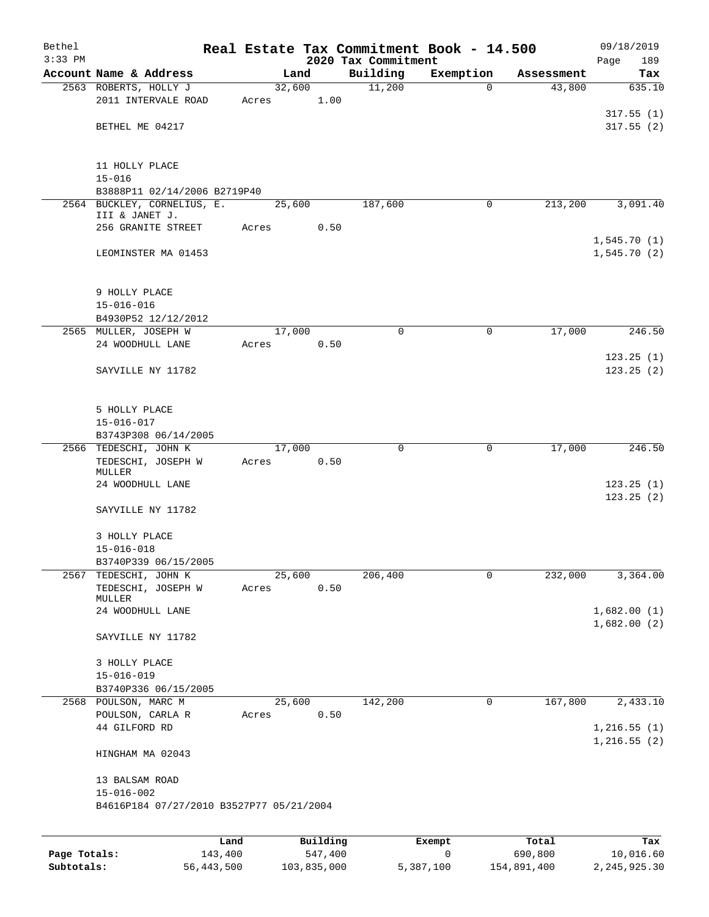| Bethel<br>$3:33$ PM |                                               |        |                     |                                 | Real Estate Tax Commitment Book - 14.500 |                  | 09/18/2019                 |
|---------------------|-----------------------------------------------|--------|---------------------|---------------------------------|------------------------------------------|------------------|----------------------------|
|                     | Account Name & Address                        |        | Land                | 2020 Tax Commitment<br>Building | Exemption                                | Assessment       | Page<br>189<br>Tax         |
|                     | 2563 ROBERTS, HOLLY J                         | 32,600 |                     | 11,200                          | $\Omega$                                 | 43,800           | 635.10                     |
|                     | 2011 INTERVALE ROAD                           | Acres  | 1.00                |                                 |                                          |                  |                            |
|                     |                                               |        |                     |                                 |                                          |                  | 317.55(1)                  |
|                     | BETHEL ME 04217                               |        |                     |                                 |                                          |                  | 317.55(2)                  |
|                     | 11 HOLLY PLACE<br>$15 - 016$                  |        |                     |                                 |                                          |                  |                            |
|                     | B3888P11 02/14/2006 B2719P40                  |        |                     |                                 |                                          |                  |                            |
|                     | 2564 BUCKLEY, CORNELIUS, E.<br>III & JANET J. | 25,600 |                     | 187,600                         | $\mathbf 0$                              | 213,200          | 3,091.40                   |
|                     | 256 GRANITE STREET                            | Acres  | 0.50                |                                 |                                          |                  |                            |
|                     | LEOMINSTER MA 01453                           |        |                     |                                 |                                          |                  | 1,545.70(1)<br>1,545.70(2) |
|                     | 9 HOLLY PLACE                                 |        |                     |                                 |                                          |                  |                            |
|                     | $15 - 016 - 016$<br>B4930P52 12/12/2012       |        |                     |                                 |                                          |                  |                            |
|                     | 2565 MULLER, JOSEPH W                         | 17,000 |                     | $\mathbf 0$                     | 0                                        | 17,000           | 246.50                     |
|                     | 24 WOODHULL LANE                              | Acres  | 0.50                |                                 |                                          |                  |                            |
|                     |                                               |        |                     |                                 |                                          |                  | 123.25(1)                  |
|                     | SAYVILLE NY 11782                             |        |                     |                                 |                                          |                  | 123.25(2)                  |
|                     | 5 HOLLY PLACE                                 |        |                     |                                 |                                          |                  |                            |
|                     | $15 - 016 - 017$<br>B3743P308 06/14/2005      |        |                     |                                 |                                          |                  |                            |
|                     | 2566 TEDESCHI, JOHN K                         | 17,000 |                     | 0                               | 0                                        | 17,000           | 246.50                     |
|                     | TEDESCHI, JOSEPH W<br>MULLER                  | Acres  | 0.50                |                                 |                                          |                  |                            |
|                     | 24 WOODHULL LANE                              |        |                     |                                 |                                          |                  | 123.25(1)<br>123.25(2)     |
|                     | SAYVILLE NY 11782                             |        |                     |                                 |                                          |                  |                            |
|                     | 3 HOLLY PLACE<br>$15 - 016 - 018$             |        |                     |                                 |                                          |                  |                            |
|                     | B3740P339 06/15/2005                          |        |                     |                                 |                                          |                  |                            |
| 2567                | TEDESCHI, JOHN K                              | 25,600 |                     | 206,400                         | 0                                        | 232,000          | 3,364.00                   |
|                     | TEDESCHI, JOSEPH W<br>MULLER                  | Acres  | 0.50                |                                 |                                          |                  |                            |
|                     | 24 WOODHULL LANE                              |        |                     |                                 |                                          |                  | 1,682.00(1)<br>1,682.00(2) |
|                     | SAYVILLE NY 11782                             |        |                     |                                 |                                          |                  |                            |
|                     | 3 HOLLY PLACE<br>$15 - 016 - 019$             |        |                     |                                 |                                          |                  |                            |
|                     | B3740P336 06/15/2005                          |        |                     |                                 |                                          |                  |                            |
|                     | 2568 POULSON, MARC M                          | 25,600 |                     | 142,200                         | 0                                        | 167,800          | 2,433.10                   |
|                     | POULSON, CARLA R<br>44 GILFORD RD             | Acres  | 0.50                |                                 |                                          |                  | 1,216.55(1)                |
|                     | HINGHAM MA 02043                              |        |                     |                                 |                                          |                  | 1,216.55(2)                |
|                     | 13 BALSAM ROAD<br>$15 - 016 - 002$            |        |                     |                                 |                                          |                  |                            |
|                     | B4616P184 07/27/2010 B3527P77 05/21/2004      |        |                     |                                 |                                          |                  |                            |
|                     |                                               |        |                     |                                 |                                          |                  |                            |
| Page Totals:        | Land<br>143,400                               |        | Building<br>547,400 |                                 | Exempt<br>0                              | Total<br>690,800 | Tax<br>10,016.60           |
|                     |                                               |        |                     |                                 |                                          |                  |                            |

**Subtotals:** 56,443,500 103,835,000 5,387,100 154,891,400 2,245,925.30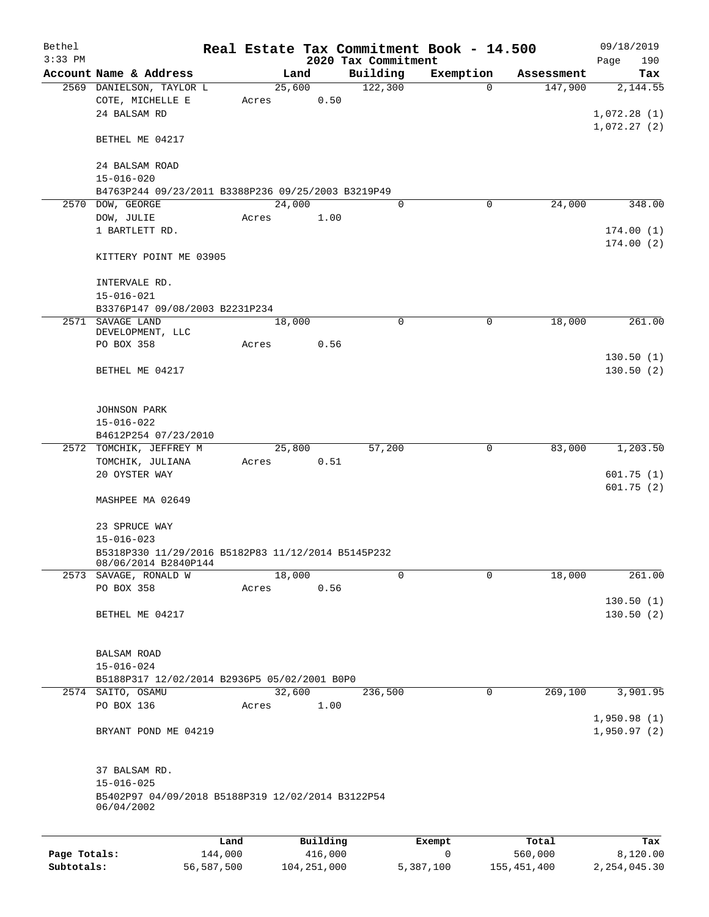| Bethel                     |                                                                                                      |                       |       |        |                          |                     |         | Real Estate Tax Commitment Book - 14.500 |             |                        | 09/18/2019                 |
|----------------------------|------------------------------------------------------------------------------------------------------|-----------------------|-------|--------|--------------------------|---------------------|---------|------------------------------------------|-------------|------------------------|----------------------------|
| $3:33$ PM                  |                                                                                                      |                       |       |        |                          | 2020 Tax Commitment |         |                                          |             |                        | 190<br>Page                |
|                            | Account Name & Address                                                                               |                       |       | Land   |                          | Building            |         | Exemption                                |             | Assessment             | Tax                        |
|                            | 2569 DANIELSON, TAYLOR L<br>COTE, MICHELLE E<br>24 BALSAM RD                                         |                       | Acres | 25,600 | 0.50                     |                     | 122,300 |                                          | $\Omega$    | 147,900                | 2,144.55<br>1,072.28(1)    |
|                            | BETHEL ME 04217                                                                                      |                       |       |        |                          |                     |         |                                          |             |                        | 1,072.27(2)                |
|                            | 24 BALSAM ROAD<br>$15 - 016 - 020$                                                                   |                       |       |        |                          |                     |         |                                          |             |                        |                            |
|                            | B4763P244 09/23/2011 B3388P236 09/25/2003 B3219P49                                                   |                       |       |        |                          |                     |         |                                          |             |                        |                            |
|                            | 2570 DOW, GEORGE                                                                                     |                       |       | 24,000 |                          |                     | 0       |                                          | 0           | 24,000                 | 348.00                     |
|                            | DOW, JULIE<br>1 BARTLETT RD.                                                                         |                       | Acres |        | 1.00                     |                     |         |                                          |             |                        | 174.00(1)<br>174.00(2)     |
|                            | KITTERY POINT ME 03905                                                                               |                       |       |        |                          |                     |         |                                          |             |                        |                            |
|                            | INTERVALE RD.<br>$15 - 016 - 021$                                                                    |                       |       |        |                          |                     |         |                                          |             |                        |                            |
|                            | B3376P147 09/08/2003 B2231P234                                                                       |                       |       |        |                          |                     |         |                                          |             |                        |                            |
|                            | 2571 SAVAGE LAND<br>DEVELOPMENT, LLC                                                                 |                       |       | 18,000 |                          |                     | 0       |                                          | 0           | 18,000                 | 261.00                     |
|                            | PO BOX 358                                                                                           |                       | Acres |        | 0.56                     |                     |         |                                          |             |                        |                            |
|                            | BETHEL ME 04217                                                                                      |                       |       |        |                          |                     |         |                                          |             |                        | 130.50(1)<br>130.50(2)     |
|                            | JOHNSON PARK<br>$15 - 016 - 022$                                                                     |                       |       |        |                          |                     |         |                                          |             |                        |                            |
|                            | B4612P254 07/23/2010                                                                                 |                       |       |        |                          |                     |         |                                          |             |                        |                            |
| 2572                       | TOMCHIK, JEFFREY M                                                                                   |                       |       | 25,800 |                          |                     | 57,200  |                                          | 0           | 83,000                 | 1,203.50                   |
|                            | TOMCHIK, JULIANA<br>20 OYSTER WAY                                                                    |                       | Acres |        | 0.51                     |                     |         |                                          |             |                        | 601.75(1)                  |
|                            | MASHPEE MA 02649                                                                                     |                       |       |        |                          |                     |         |                                          |             |                        | 601.75(2)                  |
|                            | 23 SPRUCE WAY<br>$15 - 016 - 023$                                                                    |                       |       |        |                          |                     |         |                                          |             |                        |                            |
|                            | B5318P330 11/29/2016 B5182P83 11/12/2014 B5145P232<br>08/06/2014 B2840P144                           |                       |       |        |                          |                     |         |                                          |             |                        |                            |
|                            | 2573 SAVAGE, RONALD W                                                                                |                       |       | 18,000 |                          |                     | 0       |                                          | 0           | 18,000                 | 261.00                     |
|                            | PO BOX 358                                                                                           |                       | Acres |        | 0.56                     |                     |         |                                          |             |                        | 130.50(1)                  |
|                            | BETHEL ME 04217                                                                                      |                       |       |        |                          |                     |         |                                          |             |                        | 130.50(2)                  |
|                            | <b>BALSAM ROAD</b><br>$15 - 016 - 024$                                                               |                       |       |        |                          |                     |         |                                          |             |                        |                            |
|                            | B5188P317 12/02/2014 B2936P5 05/02/2001 B0P0                                                         |                       |       |        |                          |                     |         |                                          |             |                        |                            |
|                            | 2574 SAITO, OSAMU                                                                                    |                       |       | 32,600 |                          |                     | 236,500 |                                          | $\mathbf 0$ | 269,100                | 3,901.95                   |
|                            | PO BOX 136                                                                                           |                       | Acres |        | 1.00                     |                     |         |                                          |             |                        | 1,950.98(1)                |
|                            | BRYANT POND ME 04219                                                                                 |                       |       |        |                          |                     |         |                                          |             |                        | 1,950.97(2)                |
|                            | 37 BALSAM RD.<br>$15 - 016 - 025$<br>B5402P97 04/09/2018 B5188P319 12/02/2014 B3122P54<br>06/04/2002 |                       |       |        |                          |                     |         |                                          |             |                        |                            |
|                            |                                                                                                      |                       |       |        |                          |                     |         |                                          |             |                        |                            |
|                            |                                                                                                      | Land                  |       |        | Building                 |                     |         | Exempt                                   |             | Total                  | Tax                        |
| Page Totals:<br>Subtotals: |                                                                                                      | 144,000<br>56,587,500 |       |        | 416,000<br>104, 251, 000 |                     |         | 0<br>5,387,100                           |             | 560,000<br>155,451,400 | 8,120.00<br>2, 254, 045.30 |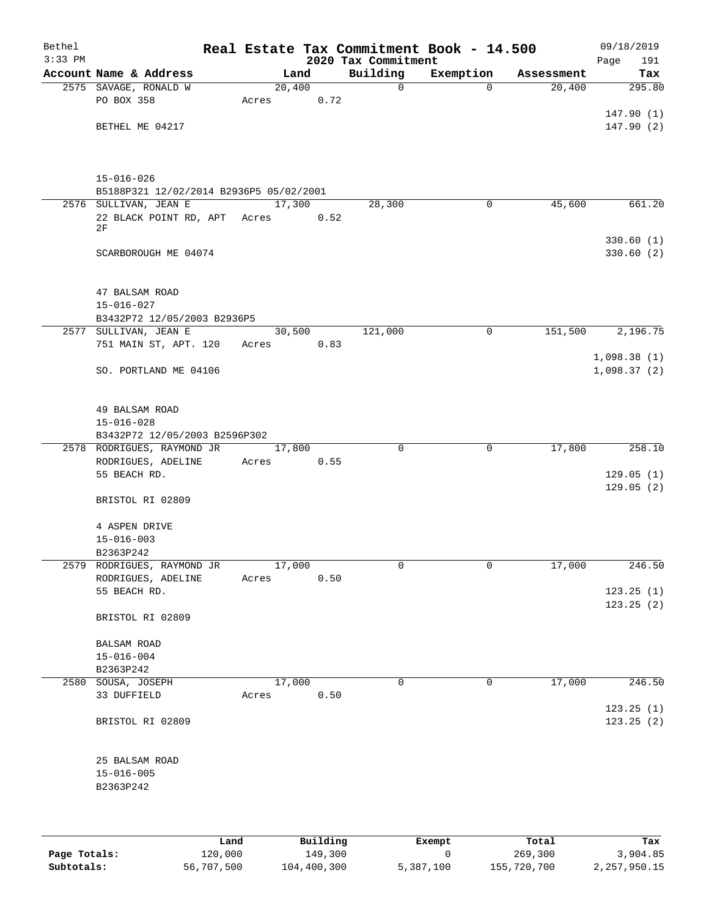| Bethel    |                                                             |        |      |                     | Real Estate Tax Commitment Book - 14.500 |            | 09/18/2019  |
|-----------|-------------------------------------------------------------|--------|------|---------------------|------------------------------------------|------------|-------------|
| $3:33$ PM |                                                             |        |      | 2020 Tax Commitment |                                          |            | 191<br>Page |
|           | Account Name & Address                                      |        | Land | Building            | Exemption                                | Assessment | Tax         |
|           | 2575 SAVAGE, RONALD W                                       | 20,400 |      | $\mathbf 0$         | 0                                        | 20,400     | 295.80      |
|           | PO BOX 358                                                  | Acres  | 0.72 |                     |                                          |            |             |
|           |                                                             |        |      |                     |                                          |            | 147.90(1)   |
|           | BETHEL ME 04217                                             |        |      |                     |                                          |            | 147.90(2)   |
|           |                                                             |        |      |                     |                                          |            |             |
|           | $15 - 016 - 026$<br>B5188P321 12/02/2014 B2936P5 05/02/2001 |        |      |                     |                                          |            |             |
|           | 2576 SULLIVAN, JEAN E                                       | 17,300 |      | 28,300              | 0                                        | 45,600     | 661.20      |
|           | 22 BLACK POINT RD, APT Acres                                |        | 0.52 |                     |                                          |            |             |
|           | 2F                                                          |        |      |                     |                                          |            |             |
|           |                                                             |        |      |                     |                                          |            | 330.60(1)   |
|           | SCARBOROUGH ME 04074                                        |        |      |                     |                                          |            | 330.60(2)   |
|           |                                                             |        |      |                     |                                          |            |             |
|           | 47 BALSAM ROAD                                              |        |      |                     |                                          |            |             |
|           | $15 - 016 - 027$<br>B3432P72 12/05/2003 B2936P5             |        |      |                     |                                          |            |             |
|           | 2577 SULLIVAN, JEAN E                                       | 30,500 |      | 121,000             | 0                                        | 151,500    | 2,196.75    |
|           | 751 MAIN ST, APT. 120                                       | Acres  | 0.83 |                     |                                          |            |             |
|           |                                                             |        |      |                     |                                          |            | 1,098.38(1) |
|           | SO. PORTLAND ME 04106                                       |        |      |                     |                                          |            | 1,098.37(2) |
|           |                                                             |        |      |                     |                                          |            |             |
|           | 49 BALSAM ROAD                                              |        |      |                     |                                          |            |             |
|           | $15 - 016 - 028$<br>B3432P72 12/05/2003 B2596P302           |        |      |                     |                                          |            |             |
|           | 2578 RODRIGUES, RAYMOND JR                                  | 17,800 |      | $\mathbf 0$         | 0                                        | 17,800     | 258.10      |
|           | RODRIGUES, ADELINE                                          | Acres  | 0.55 |                     |                                          |            |             |
|           | 55 BEACH RD.                                                |        |      |                     |                                          |            | 129.05(1)   |
|           |                                                             |        |      |                     |                                          |            | 129.05(2)   |
|           | BRISTOL RI 02809                                            |        |      |                     |                                          |            |             |
|           | 4 ASPEN DRIVE                                               |        |      |                     |                                          |            |             |
|           | $15 - 016 - 003$                                            |        |      |                     |                                          |            |             |
|           | B2363P242                                                   |        |      |                     |                                          |            |             |
|           | 2579 RODRIGUES, RAYMOND JR                                  | 17,000 |      | 0                   | $\overline{0}$                           | 17,000     | 246.50      |
|           | RODRIGUES, ADELINE<br>55 BEACH RD.                          | Acres  | 0.50 |                     |                                          |            | 123.25(1)   |
|           |                                                             |        |      |                     |                                          |            | 123.25(2)   |
|           | BRISTOL RI 02809                                            |        |      |                     |                                          |            |             |
|           | <b>BALSAM ROAD</b>                                          |        |      |                     |                                          |            |             |
|           | $15 - 016 - 004$                                            |        |      |                     |                                          |            |             |
|           | B2363P242                                                   |        |      |                     |                                          |            |             |
|           | 2580 SOUSA, JOSEPH                                          | 17,000 |      | $\mathbf 0$         | $\overline{0}$                           | 17,000     | 246.50      |
|           | 33 DUFFIELD                                                 | Acres  | 0.50 |                     |                                          |            |             |
|           |                                                             |        |      |                     |                                          |            | 123.25(1)   |
|           | BRISTOL RI 02809                                            |        |      |                     |                                          |            | 123.25(2)   |
|           | 25 BALSAM ROAD                                              |        |      |                     |                                          |            |             |
|           | $15 - 016 - 005$                                            |        |      |                     |                                          |            |             |
|           | B2363P242                                                   |        |      |                     |                                          |            |             |
|           |                                                             |        |      |                     |                                          |            |             |
|           |                                                             |        |      |                     |                                          |            |             |
|           |                                                             |        |      |                     |                                          |            |             |

|              | Land       | Building    | Exempt    | Total       | Tax          |
|--------------|------------|-------------|-----------|-------------|--------------|
| Page Totals: | 120,000    | 149,300     |           | 269,300     | 3,904.85     |
| Subtotals:   | 56,707,500 | 104,400,300 | 5,387,100 | 155,720,700 | 2,257,950.15 |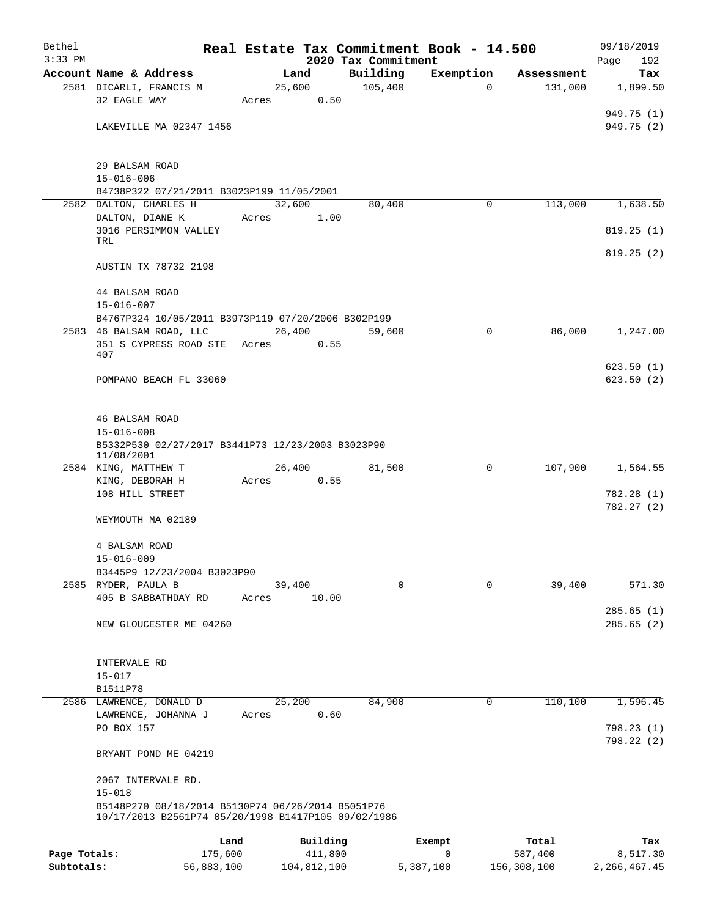| Bethel       |                                                     |       |                |                     | Real Estate Tax Commitment Book - 14.500 |                       | 09/18/2019      |
|--------------|-----------------------------------------------------|-------|----------------|---------------------|------------------------------------------|-----------------------|-----------------|
| $3:33$ PM    |                                                     |       |                | 2020 Tax Commitment |                                          |                       | 192<br>Page     |
|              | Account Name & Address<br>2581 DICARLI, FRANCIS M   |       | Land<br>25,600 | Building<br>105,400 | Exemption<br>$\Omega$                    | Assessment<br>131,000 | Tax<br>1,899.50 |
|              | 32 EAGLE WAY                                        | Acres | 0.50           |                     |                                          |                       |                 |
|              |                                                     |       |                |                     |                                          |                       | 949.75 (1)      |
|              | LAKEVILLE MA 02347 1456                             |       |                |                     |                                          |                       | 949.75 (2)      |
|              |                                                     |       |                |                     |                                          |                       |                 |
|              | 29 BALSAM ROAD                                      |       |                |                     |                                          |                       |                 |
|              | $15 - 016 - 006$                                    |       |                |                     |                                          |                       |                 |
|              | B4738P322 07/21/2011 B3023P199 11/05/2001           |       |                |                     |                                          |                       |                 |
|              | 2582 DALTON, CHARLES H                              |       | 32,600         | 80,400              | 0                                        | 113,000               | 1,638.50        |
|              | DALTON, DIANE K                                     | Acres | 1.00           |                     |                                          |                       |                 |
|              | 3016 PERSIMMON VALLEY<br>TRL                        |       |                |                     |                                          |                       | 819.25(1)       |
|              |                                                     |       |                |                     |                                          |                       | 819.25(2)       |
|              | AUSTIN TX 78732 2198                                |       |                |                     |                                          |                       |                 |
|              | 44 BALSAM ROAD                                      |       |                |                     |                                          |                       |                 |
|              | $15 - 016 - 007$                                    |       |                |                     |                                          |                       |                 |
|              | B4767P324 10/05/2011 B3973P119 07/20/2006 B302P199  |       |                |                     |                                          |                       |                 |
|              | 2583 46 BALSAM ROAD, LLC                            |       | 26,400         | 59,600              | 0                                        | 86,000                | 1,247.00        |
|              | 351 S CYPRESS ROAD STE                              | Acres | 0.55           |                     |                                          |                       |                 |
|              | 407                                                 |       |                |                     |                                          |                       |                 |
|              |                                                     |       |                |                     |                                          |                       | 623.50(1)       |
|              | POMPANO BEACH FL 33060                              |       |                |                     |                                          |                       | 623.50(2)       |
|              | 46 BALSAM ROAD                                      |       |                |                     |                                          |                       |                 |
|              | $15 - 016 - 008$                                    |       |                |                     |                                          |                       |                 |
|              | B5332P530 02/27/2017 B3441P73 12/23/2003 B3023P90   |       |                |                     |                                          |                       |                 |
|              | 11/08/2001                                          |       |                |                     |                                          |                       |                 |
|              | 2584 KING, MATTHEW T                                |       | 26,400         | 81,500              | 0                                        | 107,900               | 1,564.55        |
|              | KING, DEBORAH H                                     | Acres | 0.55           |                     |                                          |                       |                 |
|              | 108 HILL STREET                                     |       |                |                     |                                          |                       | 782.28 (1)      |
|              |                                                     |       |                |                     |                                          |                       | 782.27 (2)      |
|              | WEYMOUTH MA 02189                                   |       |                |                     |                                          |                       |                 |
|              | 4 BALSAM ROAD                                       |       |                |                     |                                          |                       |                 |
|              | $15 - 016 - 009$                                    |       |                |                     |                                          |                       |                 |
|              | B3445P9 12/23/2004 B3023P90                         |       |                |                     |                                          |                       |                 |
|              | 2585 RYDER, PAULA B                                 |       | 39,400         | 0                   | 0                                        | 39,400                | 571.30          |
|              | 405 B SABBATHDAY RD                                 | Acres | 10.00          |                     |                                          |                       |                 |
|              |                                                     |       |                |                     |                                          |                       | 285.65(1)       |
|              | NEW GLOUCESTER ME 04260                             |       |                |                     |                                          |                       | 285.65(2)       |
|              |                                                     |       |                |                     |                                          |                       |                 |
|              | INTERVALE RD                                        |       |                |                     |                                          |                       |                 |
|              | $15 - 017$                                          |       |                |                     |                                          |                       |                 |
|              | B1511P78<br>2586 LAWRENCE, DONALD D                 |       | 25,200         | 84,900              | 0                                        | 110,100               | 1,596.45        |
|              | LAWRENCE, JOHANNA J                                 | Acres | 0.60           |                     |                                          |                       |                 |
|              | PO BOX 157                                          |       |                |                     |                                          |                       | 798.23(1)       |
|              |                                                     |       |                |                     |                                          |                       | 798.22 (2)      |
|              | BRYANT POND ME 04219                                |       |                |                     |                                          |                       |                 |
|              | 2067 INTERVALE RD.                                  |       |                |                     |                                          |                       |                 |
|              | $15 - 018$                                          |       |                |                     |                                          |                       |                 |
|              | B5148P270 08/18/2014 B5130P74 06/26/2014 B5051P76   |       |                |                     |                                          |                       |                 |
|              | 10/17/2013 B2561P74 05/20/1998 B1417P105 09/02/1986 |       |                |                     |                                          |                       |                 |
|              |                                                     | Land  | Building       |                     | Exempt                                   | Total                 | Tax             |
| Page Totals: | 175,600                                             |       | 411,800        |                     | 0                                        | 587,400               | 8,517.30        |
| Subtotals:   | 56,883,100                                          |       | 104,812,100    |                     | 5,387,100                                | 156,308,100           | 2, 266, 467. 45 |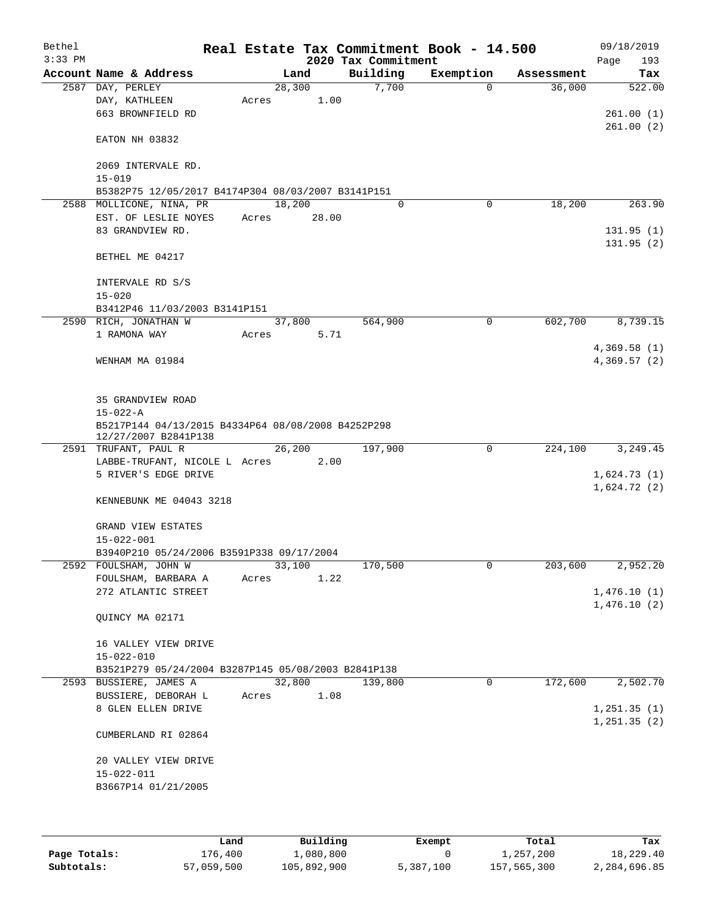| Bethel<br>$3:33$ PM |                                                                                |       |        | 2020 Tax Commitment | Real Estate Tax Commitment Book - 14.500 |            | 09/18/2019<br>193 |
|---------------------|--------------------------------------------------------------------------------|-------|--------|---------------------|------------------------------------------|------------|-------------------|
|                     | Account Name & Address                                                         |       | Land   | Building            | Exemption                                | Assessment | Page<br>Tax       |
|                     | 2587 DAY, PERLEY                                                               |       | 28,300 | 7,700               | 0                                        | 36,000     | 522.00            |
|                     | DAY, KATHLEEN                                                                  | Acres | 1.00   |                     |                                          |            |                   |
|                     | 663 BROWNFIELD RD                                                              |       |        |                     |                                          |            | 261.00(1)         |
|                     |                                                                                |       |        |                     |                                          |            | 261.00(2)         |
|                     | EATON NH 03832                                                                 |       |        |                     |                                          |            |                   |
|                     |                                                                                |       |        |                     |                                          |            |                   |
|                     | 2069 INTERVALE RD.                                                             |       |        |                     |                                          |            |                   |
|                     | $15 - 019$                                                                     |       |        |                     |                                          |            |                   |
|                     | B5382P75 12/05/2017 B4174P304 08/03/2007 B3141P151<br>2588 MOLLICONE, NINA, PR |       | 18,200 | $\Omega$            | 0                                        | 18,200     | 263.90            |
|                     | EST. OF LESLIE NOYES                                                           | Acres | 28.00  |                     |                                          |            |                   |
|                     | 83 GRANDVIEW RD.                                                               |       |        |                     |                                          |            | 131.95(1)         |
|                     |                                                                                |       |        |                     |                                          |            | 131.95(2)         |
|                     | BETHEL ME 04217                                                                |       |        |                     |                                          |            |                   |
|                     |                                                                                |       |        |                     |                                          |            |                   |
|                     | INTERVALE RD S/S                                                               |       |        |                     |                                          |            |                   |
|                     | $15 - 020$                                                                     |       |        |                     |                                          |            |                   |
|                     | B3412P46 11/03/2003 B3141P151                                                  |       |        |                     |                                          |            |                   |
|                     | 2590 RICH, JONATHAN W                                                          |       | 37,800 | 564,900             | 0                                        | 602,700    | 8,739.15          |
|                     | 1 RAMONA WAY                                                                   | Acres | 5.71   |                     |                                          |            |                   |
|                     |                                                                                |       |        |                     |                                          |            | 4,369.58(1)       |
|                     | WENHAM MA 01984                                                                |       |        |                     |                                          |            | 4,369.57(2)       |
|                     |                                                                                |       |        |                     |                                          |            |                   |
|                     | 35 GRANDVIEW ROAD                                                              |       |        |                     |                                          |            |                   |
|                     | $15 - 022 - A$                                                                 |       |        |                     |                                          |            |                   |
|                     | B5217P144 04/13/2015 B4334P64 08/08/2008 B4252P298                             |       |        |                     |                                          |            |                   |
|                     | 12/27/2007 B2841P138                                                           |       |        |                     |                                          |            |                   |
|                     | 2591 TRUFANT, PAUL R                                                           |       | 26,200 | 197,900             | 0                                        | 224,100    | 3,249.45          |
|                     | LABBE-TRUFANT, NICOLE L Acres                                                  |       | 2.00   |                     |                                          |            |                   |
|                     | 5 RIVER'S EDGE DRIVE                                                           |       |        |                     |                                          |            | 1,624.73(1)       |
|                     | KENNEBUNK ME 04043 3218                                                        |       |        |                     |                                          |            | 1,624.72(2)       |
|                     |                                                                                |       |        |                     |                                          |            |                   |
|                     | GRAND VIEW ESTATES                                                             |       |        |                     |                                          |            |                   |
|                     | $15 - 022 - 001$                                                               |       |        |                     |                                          |            |                   |
|                     | B3940P210 05/24/2006 B3591P338 09/17/2004                                      |       |        |                     |                                          |            |                   |
|                     | 2592 FOULSHAM, JOHN W                                                          |       | 33,100 | 170,500             | 0                                        | 203,600    | 2,952.20          |
|                     | FOULSHAM, BARBARA A                                                            | Acres | 1.22   |                     |                                          |            |                   |
|                     | 272 ATLANTIC STREET                                                            |       |        |                     |                                          |            | 1,476.10(1)       |
|                     |                                                                                |       |        |                     |                                          |            | 1,476.10(2)       |
|                     | QUINCY MA 02171                                                                |       |        |                     |                                          |            |                   |
|                     | 16 VALLEY VIEW DRIVE                                                           |       |        |                     |                                          |            |                   |
|                     | $15 - 022 - 010$                                                               |       |        |                     |                                          |            |                   |
|                     | B3521P279 05/24/2004 B3287P145 05/08/2003 B2841P138                            |       |        |                     |                                          |            |                   |
|                     | 2593 BUSSIERE, JAMES A                                                         |       | 32,800 | 139,800             | $\mathbf 0$                              | 172,600    | 2,502.70          |
|                     | BUSSIERE, DEBORAH L                                                            | Acres | 1.08   |                     |                                          |            |                   |
|                     | 8 GLEN ELLEN DRIVE                                                             |       |        |                     |                                          |            | 1, 251.35(1)      |
|                     |                                                                                |       |        |                     |                                          |            | 1, 251.35(2)      |
|                     | CUMBERLAND RI 02864                                                            |       |        |                     |                                          |            |                   |
|                     |                                                                                |       |        |                     |                                          |            |                   |
|                     | 20 VALLEY VIEW DRIVE                                                           |       |        |                     |                                          |            |                   |
|                     | 15-022-011                                                                     |       |        |                     |                                          |            |                   |
|                     | B3667P14 01/21/2005                                                            |       |        |                     |                                          |            |                   |
|                     |                                                                                |       |        |                     |                                          |            |                   |
|                     |                                                                                |       |        |                     |                                          |            |                   |

|              | Land       | Building    | Exempt    | Total       | Tax          |
|--------------|------------|-------------|-----------|-------------|--------------|
| Page Totals: | 176,400    | 1,080,800   |           | 1,257,200   | 18,229.40    |
| Subtotals:   | 57,059,500 | 105,892,900 | 5,387,100 | 157,565,300 | 2,284,696.85 |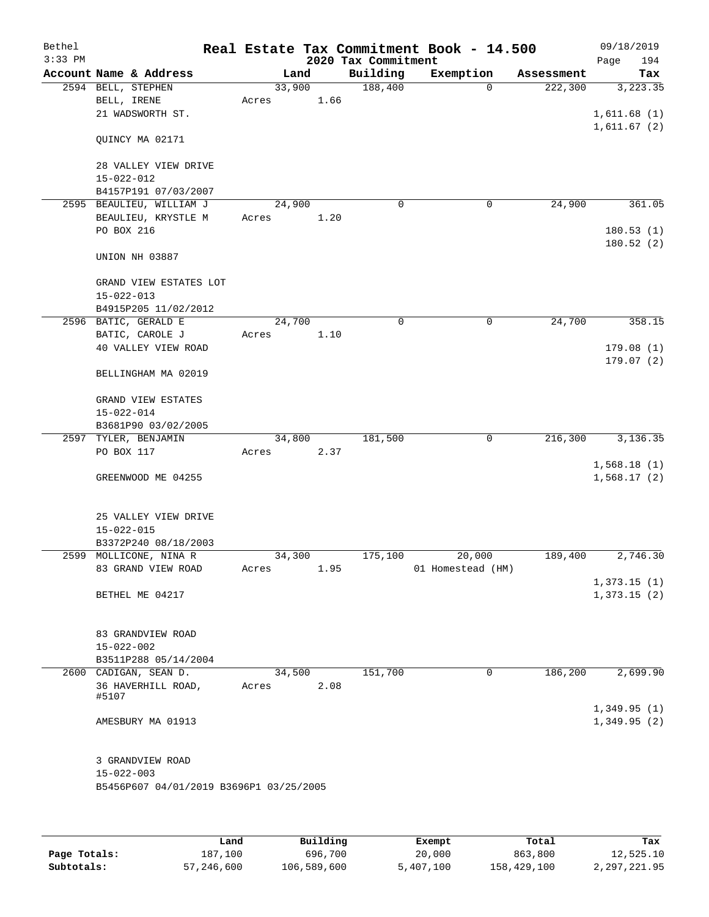| Bethel<br>$3:33$ PM |                                            |        |      | 2020 Tax Commitment | Real Estate Tax Commitment Book - 14.500 |            | 09/18/2019<br>Page<br>194  |
|---------------------|--------------------------------------------|--------|------|---------------------|------------------------------------------|------------|----------------------------|
|                     | Account Name & Address                     | Land   |      | Building            | Exemption                                | Assessment | Tax                        |
|                     | 2594 BELL, STEPHEN                         | 33,900 |      | 188,400             | 0                                        | 222,300    | 3,223.35                   |
|                     | BELL, IRENE                                | Acres  | 1.66 |                     |                                          |            |                            |
|                     | 21 WADSWORTH ST.                           |        |      |                     |                                          |            | 1,611.68(1)                |
|                     |                                            |        |      |                     |                                          |            | 1,611.67(2)                |
|                     | QUINCY MA 02171                            |        |      |                     |                                          |            |                            |
|                     |                                            |        |      |                     |                                          |            |                            |
|                     | 28 VALLEY VIEW DRIVE                       |        |      |                     |                                          |            |                            |
|                     | $15 - 022 - 012$                           |        |      |                     |                                          |            |                            |
|                     | B4157P191 07/03/2007                       |        |      |                     |                                          |            |                            |
|                     | 2595 BEAULIEU, WILLIAM J                   | 24,900 |      | $\mathbf 0$         | 0                                        | 24,900     | 361.05                     |
|                     | BEAULIEU, KRYSTLE M                        | Acres  | 1.20 |                     |                                          |            |                            |
|                     | PO BOX 216                                 |        |      |                     |                                          |            | 180.53(1)                  |
|                     |                                            |        |      |                     |                                          |            | 180.52 (2)                 |
|                     | UNION NH 03887                             |        |      |                     |                                          |            |                            |
|                     |                                            |        |      |                     |                                          |            |                            |
|                     | GRAND VIEW ESTATES LOT<br>$15 - 022 - 013$ |        |      |                     |                                          |            |                            |
|                     | B4915P205 11/02/2012                       |        |      |                     |                                          |            |                            |
|                     | 2596 BATIC, GERALD E                       | 24,700 |      | 0                   | 0                                        | 24,700     | 358.15                     |
|                     | BATIC, CAROLE J                            | Acres  | 1.10 |                     |                                          |            |                            |
|                     | 40 VALLEY VIEW ROAD                        |        |      |                     |                                          |            | 179.08(1)                  |
|                     |                                            |        |      |                     |                                          |            | 179.07(2)                  |
|                     | BELLINGHAM MA 02019                        |        |      |                     |                                          |            |                            |
|                     |                                            |        |      |                     |                                          |            |                            |
|                     | GRAND VIEW ESTATES                         |        |      |                     |                                          |            |                            |
|                     | $15 - 022 - 014$                           |        |      |                     |                                          |            |                            |
|                     | B3681P90 03/02/2005                        |        |      |                     |                                          |            |                            |
|                     | 2597 TYLER, BENJAMIN                       | 34,800 |      | 181,500             | $\mathbf 0$                              | 216,300    | 3,136.35                   |
|                     | PO BOX 117                                 | Acres  | 2.37 |                     |                                          |            |                            |
|                     |                                            |        |      |                     |                                          |            | 1,568.18(1)                |
|                     | GREENWOOD ME 04255                         |        |      |                     |                                          |            | 1,568.17(2)                |
|                     |                                            |        |      |                     |                                          |            |                            |
|                     | 25 VALLEY VIEW DRIVE                       |        |      |                     |                                          |            |                            |
|                     | $15 - 022 - 015$                           |        |      |                     |                                          |            |                            |
|                     | B3372P240 08/18/2003                       |        |      |                     |                                          |            |                            |
|                     | 2599 MOLLICONE, NINA R                     | 34,300 |      | 175,100             | 20,000                                   | 189,400    | 2,746.30                   |
|                     | 83 GRAND VIEW ROAD                         | Acres  | 1.95 |                     | 01 Homestead (HM)                        |            |                            |
|                     |                                            |        |      |                     |                                          |            | 1,373.15(1)                |
|                     | BETHEL ME 04217                            |        |      |                     |                                          |            | 1,373.15(2)                |
|                     |                                            |        |      |                     |                                          |            |                            |
|                     |                                            |        |      |                     |                                          |            |                            |
|                     | 83 GRANDVIEW ROAD                          |        |      |                     |                                          |            |                            |
|                     | $15 - 022 - 002$                           |        |      |                     |                                          |            |                            |
|                     | B3511P288 05/14/2004                       |        |      |                     |                                          |            |                            |
|                     | 2600 CADIGAN, SEAN D.                      | 34,500 |      | 151,700             | 0                                        | 186,200    | 2,699.90                   |
|                     | 36 HAVERHILL ROAD,                         | Acres  | 2.08 |                     |                                          |            |                            |
|                     | #5107                                      |        |      |                     |                                          |            |                            |
|                     | AMESBURY MA 01913                          |        |      |                     |                                          |            | 1,349.95(1)<br>1,349.95(2) |
|                     |                                            |        |      |                     |                                          |            |                            |
|                     |                                            |        |      |                     |                                          |            |                            |
|                     | 3 GRANDVIEW ROAD                           |        |      |                     |                                          |            |                            |
|                     | $15 - 022 - 003$                           |        |      |                     |                                          |            |                            |
|                     | B5456P607 04/01/2019 B3696P1 03/25/2005    |        |      |                     |                                          |            |                            |
|                     |                                            |        |      |                     |                                          |            |                            |
|                     |                                            |        |      |                     |                                          |            |                            |

|              | Land       | Building    | Exempt    | Total       | Tax          |
|--------------|------------|-------------|-----------|-------------|--------------|
| Page Totals: | 187,100    | 696,700     | 20,000    | 863,800     | 12,525.10    |
| Subtotals:   | 57,246,600 | 106,589,600 | 5,407,100 | 158,429,100 | 2,297,221.95 |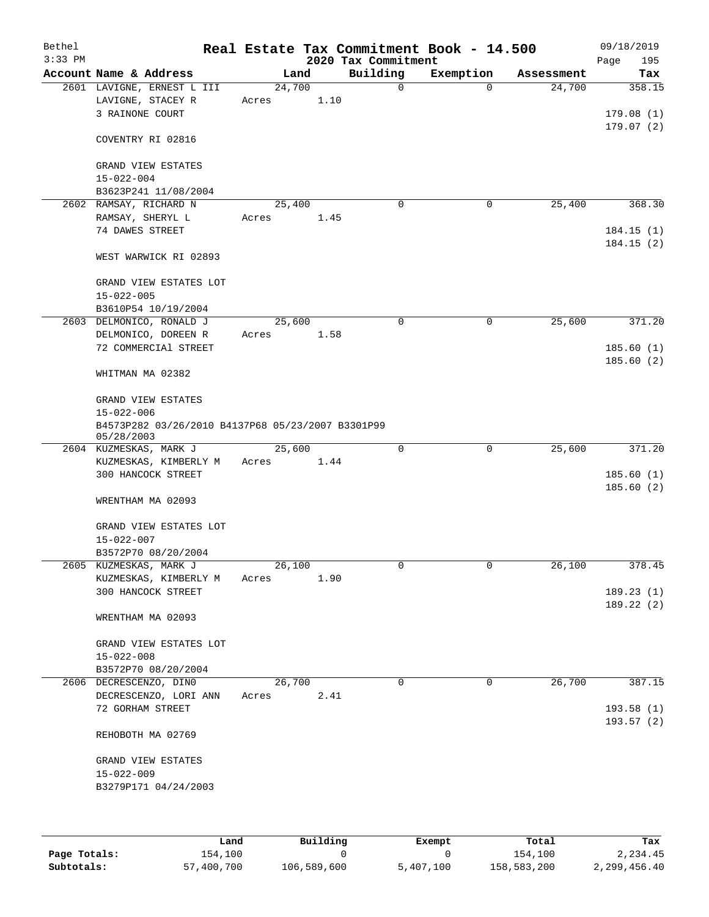| Bethel<br>$3:33$ PM |                                                                 |                 |      | 2020 Tax Commitment | Real Estate Tax Commitment Book - 14.500 |            | 09/18/2019<br>Page<br>195 |
|---------------------|-----------------------------------------------------------------|-----------------|------|---------------------|------------------------------------------|------------|---------------------------|
|                     | Account Name & Address                                          | Land            |      | Building            | Exemption                                | Assessment | Tax                       |
|                     | 2601 LAVIGNE, ERNEST L III                                      | 24,700          |      | 0                   | $\Omega$                                 | 24,700     | 358.15                    |
|                     | LAVIGNE, STACEY R                                               | Acres           | 1.10 |                     |                                          |            |                           |
|                     | 3 RAINONE COURT                                                 |                 |      |                     |                                          |            | 179.08(1)                 |
|                     | COVENTRY RI 02816                                               |                 |      |                     |                                          |            | 179.07(2)                 |
|                     | GRAND VIEW ESTATES                                              |                 |      |                     |                                          |            |                           |
|                     | $15 - 022 - 004$                                                |                 |      |                     |                                          |            |                           |
|                     | B3623P241 11/08/2004                                            |                 |      |                     |                                          |            |                           |
|                     | 2602 RAMSAY, RICHARD N<br>RAMSAY, SHERYL L                      | 25,400<br>Acres | 1.45 | 0                   | 0                                        | 25,400     | 368.30                    |
|                     | 74 DAWES STREET                                                 |                 |      |                     |                                          |            | 184.15(1)                 |
|                     |                                                                 |                 |      |                     |                                          |            | 184.15(2)                 |
|                     | WEST WARWICK RI 02893                                           |                 |      |                     |                                          |            |                           |
|                     | GRAND VIEW ESTATES LOT                                          |                 |      |                     |                                          |            |                           |
|                     | $15 - 022 - 005$                                                |                 |      |                     |                                          |            |                           |
|                     | B3610P54 10/19/2004                                             |                 |      |                     |                                          |            |                           |
|                     | 2603 DELMONICO, RONALD J                                        | 25,600          |      | 0                   | 0                                        | 25,600     | 371.20                    |
|                     | DELMONICO, DOREEN R                                             | Acres           | 1.58 |                     |                                          |            |                           |
|                     | 72 COMMERCIAl STREET                                            |                 |      |                     |                                          |            | 185.60(1)                 |
|                     | WHITMAN MA 02382                                                |                 |      |                     |                                          |            | 185.60(2)                 |
|                     | GRAND VIEW ESTATES                                              |                 |      |                     |                                          |            |                           |
|                     | $15 - 022 - 006$                                                |                 |      |                     |                                          |            |                           |
|                     | B4573P282 03/26/2010 B4137P68 05/23/2007 B3301P99<br>05/28/2003 |                 |      |                     |                                          |            |                           |
|                     | 2604 KUZMESKAS, MARK J                                          | 25,600          |      | $\mathbf 0$         | $\mathbf 0$                              | 25,600     | 371.20                    |
|                     | KUZMESKAS, KIMBERLY M                                           | Acres           | 1.44 |                     |                                          |            |                           |
|                     | 300 HANCOCK STREET                                              |                 |      |                     |                                          |            | 185.60(1)                 |
|                     |                                                                 |                 |      |                     |                                          |            | 185.60 (2)                |
|                     | WRENTHAM MA 02093                                               |                 |      |                     |                                          |            |                           |
|                     | GRAND VIEW ESTATES LOT                                          |                 |      |                     |                                          |            |                           |
|                     | $15 - 022 - 007$                                                |                 |      |                     |                                          |            |                           |
|                     | B3572P70 08/20/2004                                             |                 |      |                     |                                          |            |                           |
|                     | 2605 KUZMESKAS, MARK J                                          | 26,100          |      | 0                   | 0                                        | 26,100     | 378.45                    |
|                     | KUZMESKAS, KIMBERLY M                                           | Acres           | 1.90 |                     |                                          |            |                           |
|                     | 300 HANCOCK STREET                                              |                 |      |                     |                                          |            | 189.23(1)<br>189.22 (2)   |
|                     | WRENTHAM MA 02093                                               |                 |      |                     |                                          |            |                           |
|                     | GRAND VIEW ESTATES LOT                                          |                 |      |                     |                                          |            |                           |
|                     | $15 - 022 - 008$                                                |                 |      |                     |                                          |            |                           |
|                     | B3572P70 08/20/2004                                             |                 |      |                     |                                          |            |                           |
|                     | 2606 DECRESCENZO, DINO                                          | 26,700          |      | $\Omega$            | 0                                        | 26,700     | 387.15                    |
|                     | DECRESCENZO, LORI ANN                                           | Acres           | 2.41 |                     |                                          |            |                           |
|                     | 72 GORHAM STREET                                                |                 |      |                     |                                          |            | 193.58(1)                 |
|                     | REHOBOTH MA 02769                                               |                 |      |                     |                                          |            | 193.57(2)                 |
|                     |                                                                 |                 |      |                     |                                          |            |                           |
|                     | GRAND VIEW ESTATES                                              |                 |      |                     |                                          |            |                           |
|                     | $15 - 022 - 009$                                                |                 |      |                     |                                          |            |                           |
|                     | B3279P171 04/24/2003                                            |                 |      |                     |                                          |            |                           |
|                     |                                                                 |                 |      |                     |                                          |            |                           |
|                     |                                                                 |                 |      |                     |                                          |            |                           |

|              | Land       | Building    | Exempt    | Total       | Tax          |
|--------------|------------|-------------|-----------|-------------|--------------|
| Page Totals: | 154,100    |             |           | 154,100     | 2,234.45     |
| Subtotals:   | 57,400,700 | 106,589,600 | 5,407,100 | 158,583,200 | 2,299,456.40 |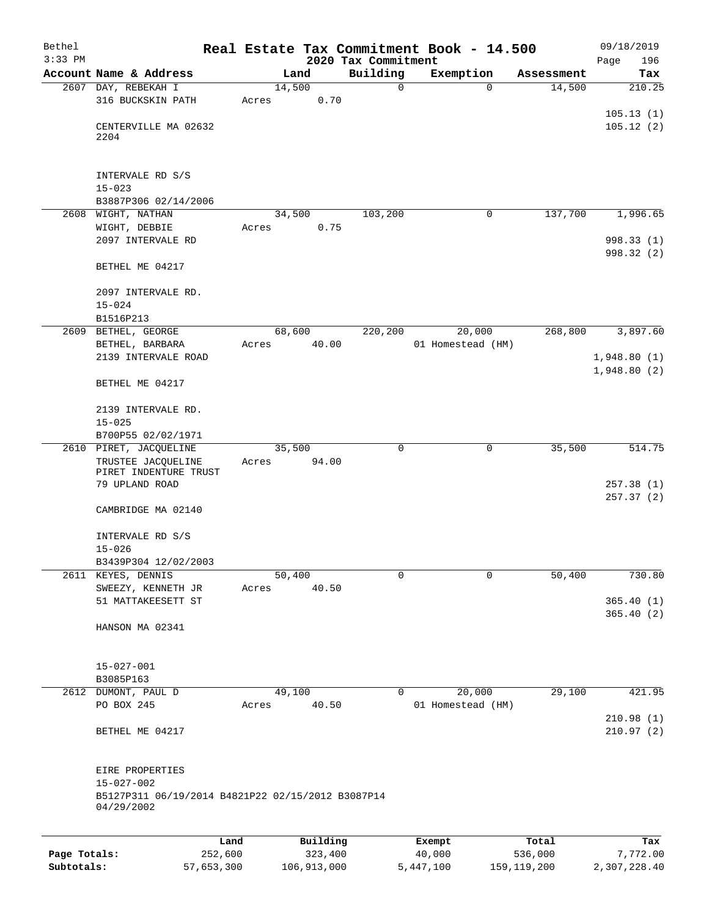| Bethel       |                                                   |        |                 |                                 | Real Estate Tax Commitment Book - 14.500 |                      | 09/18/2019              |
|--------------|---------------------------------------------------|--------|-----------------|---------------------------------|------------------------------------------|----------------------|-------------------------|
| $3:33$ PM    | Account Name & Address                            |        |                 | 2020 Tax Commitment<br>Building |                                          |                      | 196<br>Page             |
|              | 2607 DAY, REBEKAH I                               | 14,500 | Land            | 0                               | Exemption<br>$\Omega$                    | Assessment<br>14,500 | Tax<br>210.25           |
|              | 316 BUCKSKIN PATH                                 | Acres  | 0.70            |                                 |                                          |                      |                         |
|              |                                                   |        |                 |                                 |                                          |                      | 105.13(1)               |
|              | CENTERVILLE MA 02632                              |        |                 |                                 |                                          |                      | 105.12(2)               |
|              | 2204                                              |        |                 |                                 |                                          |                      |                         |
|              |                                                   |        |                 |                                 |                                          |                      |                         |
|              | INTERVALE RD S/S                                  |        |                 |                                 |                                          |                      |                         |
|              | $15 - 023$                                        |        |                 |                                 |                                          |                      |                         |
|              | B3887P306 02/14/2006                              |        |                 |                                 |                                          |                      |                         |
| 2608         | WIGHT, NATHAN                                     |        | 34,500          | 103,200                         | $\mathbf 0$                              | 137,700              | 1,996.65                |
|              | WIGHT, DEBBIE<br>2097 INTERVALE RD                | Acres  | 0.75            |                                 |                                          |                      | 998.33 (1)              |
|              |                                                   |        |                 |                                 |                                          |                      | 998.32 (2)              |
|              | BETHEL ME 04217                                   |        |                 |                                 |                                          |                      |                         |
|              |                                                   |        |                 |                                 |                                          |                      |                         |
|              | 2097 INTERVALE RD.                                |        |                 |                                 |                                          |                      |                         |
|              | $15 - 024$                                        |        |                 |                                 |                                          |                      |                         |
|              | B1516P213                                         |        |                 |                                 |                                          |                      |                         |
| 2609         | BETHEL, GEORGE<br>BETHEL, BARBARA                 | Acres  | 68,600<br>40.00 | 220,200                         | 20,000<br>01 Homestead (HM)              | 268,800              | 3,897.60                |
|              | 2139 INTERVALE ROAD                               |        |                 |                                 |                                          |                      | 1,948.80(1)             |
|              |                                                   |        |                 |                                 |                                          |                      | 1,948.80(2)             |
|              | BETHEL ME 04217                                   |        |                 |                                 |                                          |                      |                         |
|              |                                                   |        |                 |                                 |                                          |                      |                         |
|              | 2139 INTERVALE RD.                                |        |                 |                                 |                                          |                      |                         |
|              | $15 - 025$<br>B700P55 02/02/1971                  |        |                 |                                 |                                          |                      |                         |
|              | 2610 PIRET, JACQUELINE                            |        | 35,500          | $\mathbf 0$                     | $\mathbf 0$                              | 35,500               | 514.75                  |
|              | TRUSTEE JACQUELINE                                | Acres  | 94.00           |                                 |                                          |                      |                         |
|              | PIRET INDENTURE TRUST                             |        |                 |                                 |                                          |                      |                         |
|              | 79 UPLAND ROAD                                    |        |                 |                                 |                                          |                      | 257.38 (1)<br>257.37(2) |
|              | CAMBRIDGE MA 02140                                |        |                 |                                 |                                          |                      |                         |
|              |                                                   |        |                 |                                 |                                          |                      |                         |
|              | INTERVALE RD S/S                                  |        |                 |                                 |                                          |                      |                         |
|              | $15 - 026$                                        |        |                 |                                 |                                          |                      |                         |
|              | B3439P304 12/02/2003                              |        |                 |                                 |                                          |                      |                         |
| 2611         | KEYES, DENNIS                                     |        | 50,400          | 0                               | $\mathbf 0$                              | 50,400               | 730.80                  |
|              | SWEEZY, KENNETH JR<br>51 MATTAKEESETT ST          | Acres  | 40.50           |                                 |                                          |                      | 365.40(1)               |
|              |                                                   |        |                 |                                 |                                          |                      | 365.40(2)               |
|              | HANSON MA 02341                                   |        |                 |                                 |                                          |                      |                         |
|              |                                                   |        |                 |                                 |                                          |                      |                         |
|              |                                                   |        |                 |                                 |                                          |                      |                         |
|              | $15 - 027 - 001$<br>B3085P163                     |        |                 |                                 |                                          |                      |                         |
|              | 2612 DUMONT, PAUL D                               |        | 49,100          | 0                               | 20,000                                   | 29,100               | 421.95                  |
|              | PO BOX 245                                        | Acres  | 40.50           |                                 | 01 Homestead (HM)                        |                      |                         |
|              |                                                   |        |                 |                                 |                                          |                      | 210.98(1)               |
|              | BETHEL ME 04217                                   |        |                 |                                 |                                          |                      | 210.97(2)               |
|              |                                                   |        |                 |                                 |                                          |                      |                         |
|              |                                                   |        |                 |                                 |                                          |                      |                         |
|              | EIRE PROPERTIES<br>$15 - 027 - 002$               |        |                 |                                 |                                          |                      |                         |
|              | B5127P311 06/19/2014 B4821P22 02/15/2012 B3087P14 |        |                 |                                 |                                          |                      |                         |
|              | 04/29/2002                                        |        |                 |                                 |                                          |                      |                         |
|              |                                                   |        |                 |                                 |                                          |                      |                         |
|              | Land                                              |        | Building        |                                 | Exempt                                   | Total                | Tax                     |
| Page Totals: | 252,600                                           |        | 323,400         |                                 | 40,000                                   | 536,000              | 7,772.00                |

**Subtotals:** 57,653,300 106,913,000 5,447,100 159,119,200 2,307,228.40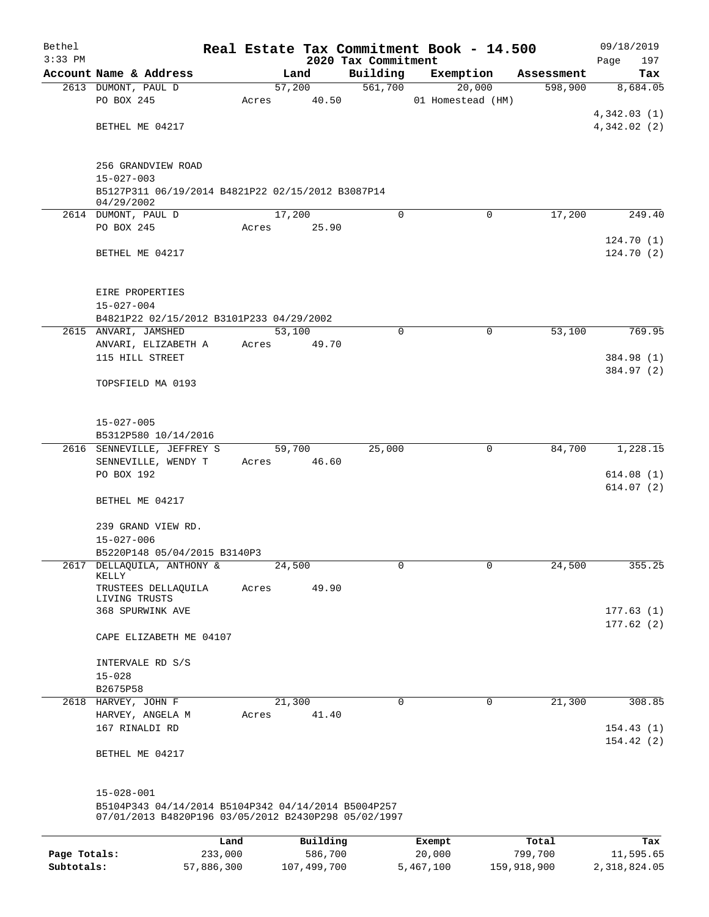| Bethel       |                                                                 |                 |       |                     |                     | Real Estate Tax Commitment Book - 14.500 |                  | 09/18/2019             |
|--------------|-----------------------------------------------------------------|-----------------|-------|---------------------|---------------------|------------------------------------------|------------------|------------------------|
| $3:33$ PM    |                                                                 |                 |       |                     | 2020 Tax Commitment |                                          |                  | 197<br>Page            |
|              | Account Name & Address                                          |                 |       | Land                | Building            | Exemption                                | Assessment       | Tax                    |
|              | 2613 DUMONT, PAUL D<br>PO BOX 245                               |                 |       | 57,200              | 561,700             | 20,000                                   | 598,900          | 8,684.05               |
|              |                                                                 |                 | Acres | 40.50               |                     | 01 Homestead (HM)                        |                  | 4,342.03(1)            |
|              | BETHEL ME 04217                                                 |                 |       |                     |                     |                                          |                  | 4,342.02(2)            |
|              |                                                                 |                 |       |                     |                     |                                          |                  |                        |
|              |                                                                 |                 |       |                     |                     |                                          |                  |                        |
|              | 256 GRANDVIEW ROAD                                              |                 |       |                     |                     |                                          |                  |                        |
|              | $15 - 027 - 003$                                                |                 |       |                     |                     |                                          |                  |                        |
|              | B5127P311 06/19/2014 B4821P22 02/15/2012 B3087P14<br>04/29/2002 |                 |       |                     |                     |                                          |                  |                        |
|              | 2614 DUMONT, PAUL D                                             |                 |       | 17,200              | 0                   | $\mathbf 0$                              | 17,200           | 249.40                 |
|              | PO BOX 245                                                      |                 | Acres | 25.90               |                     |                                          |                  |                        |
|              |                                                                 |                 |       |                     |                     |                                          |                  | 124.70(1)              |
|              | BETHEL ME 04217                                                 |                 |       |                     |                     |                                          |                  | 124.70(2)              |
|              |                                                                 |                 |       |                     |                     |                                          |                  |                        |
|              | EIRE PROPERTIES                                                 |                 |       |                     |                     |                                          |                  |                        |
|              | $15 - 027 - 004$                                                |                 |       |                     |                     |                                          |                  |                        |
|              | B4821P22 02/15/2012 B3101P233 04/29/2002                        |                 |       |                     |                     |                                          |                  |                        |
|              | 2615 ANVARI, JAMSHED                                            |                 |       | 53,100              | $\mathbf 0$         | $\mathbf 0$                              | 53,100           | 769.95                 |
|              | ANVARI, ELIZABETH A                                             |                 | Acres | 49.70               |                     |                                          |                  |                        |
|              | 115 HILL STREET                                                 |                 |       |                     |                     |                                          |                  | 384.98 (1)             |
|              | TOPSFIELD MA 0193                                               |                 |       |                     |                     |                                          |                  | 384.97 (2)             |
|              |                                                                 |                 |       |                     |                     |                                          |                  |                        |
|              |                                                                 |                 |       |                     |                     |                                          |                  |                        |
|              | $15 - 027 - 005$                                                |                 |       |                     |                     |                                          |                  |                        |
|              | B5312P580 10/14/2016                                            |                 |       |                     |                     |                                          |                  |                        |
|              | 2616 SENNEVILLE, JEFFREY S                                      |                 |       | 59,700              | 25,000              | 0                                        | 84,700           | 1,228.15               |
|              | SENNEVILLE, WENDY T<br>PO BOX 192                               |                 | Acres | 46.60               |                     |                                          |                  | 614.08(1)              |
|              |                                                                 |                 |       |                     |                     |                                          |                  | 614.07(2)              |
|              | BETHEL ME 04217                                                 |                 |       |                     |                     |                                          |                  |                        |
|              |                                                                 |                 |       |                     |                     |                                          |                  |                        |
|              | 239 GRAND VIEW RD.                                              |                 |       |                     |                     |                                          |                  |                        |
|              | $15 - 027 - 006$                                                |                 |       |                     |                     |                                          |                  |                        |
| 2617         | B5220P148 05/04/2015 B3140P3<br>DELLAQUILA, ANTHONY &           |                 |       | 24,500              | 0                   | 0                                        | 24,500           | 355.25                 |
|              | KELLY                                                           |                 |       |                     |                     |                                          |                  |                        |
|              | TRUSTEES DELLAQUILA                                             |                 | Acres | 49.90               |                     |                                          |                  |                        |
|              | LIVING TRUSTS<br>368 SPURWINK AVE                               |                 |       |                     |                     |                                          |                  |                        |
|              |                                                                 |                 |       |                     |                     |                                          |                  | 177.63(1)<br>177.62(2) |
|              | CAPE ELIZABETH ME 04107                                         |                 |       |                     |                     |                                          |                  |                        |
|              |                                                                 |                 |       |                     |                     |                                          |                  |                        |
|              | INTERVALE RD S/S                                                |                 |       |                     |                     |                                          |                  |                        |
|              | $15 - 028$                                                      |                 |       |                     |                     |                                          |                  |                        |
|              | B2675P58                                                        |                 |       |                     | 0                   |                                          |                  | 308.85                 |
|              | 2618 HARVEY, JOHN F<br>HARVEY, ANGELA M                         |                 | Acres | 21,300<br>41.40     |                     | 0                                        | 21,300           |                        |
|              | 167 RINALDI RD                                                  |                 |       |                     |                     |                                          |                  | 154.43(1)              |
|              |                                                                 |                 |       |                     |                     |                                          |                  | 154.42(2)              |
|              | BETHEL ME 04217                                                 |                 |       |                     |                     |                                          |                  |                        |
|              |                                                                 |                 |       |                     |                     |                                          |                  |                        |
|              | $15 - 028 - 001$                                                |                 |       |                     |                     |                                          |                  |                        |
|              | B5104P343 04/14/2014 B5104P342 04/14/2014 B5004P257             |                 |       |                     |                     |                                          |                  |                        |
|              | 07/01/2013 B4820P196 03/05/2012 B2430P298 05/02/1997            |                 |       |                     |                     |                                          |                  |                        |
|              |                                                                 |                 |       |                     |                     |                                          |                  |                        |
| Page Totals: |                                                                 | Land<br>233,000 |       | Building<br>586,700 |                     | Exempt<br>20,000                         | Total<br>799,700 | Tax<br>11,595.65       |
|              |                                                                 |                 |       |                     |                     |                                          |                  |                        |

**Subtotals:** 57,886,300 107,499,700 5,467,100 159,918,900 2,318,824.05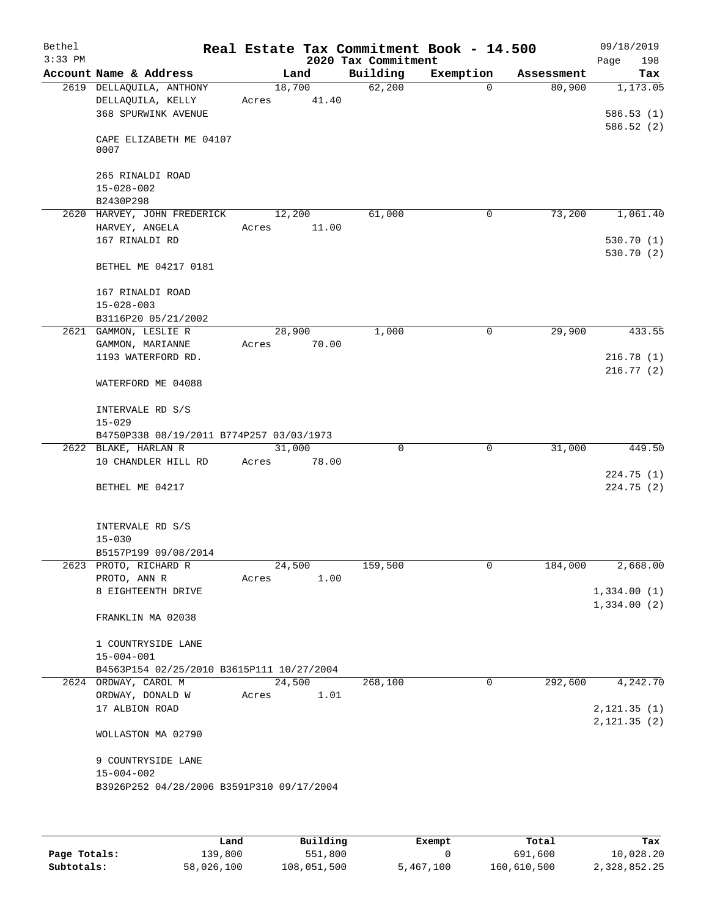| Bethel<br>$3:33$ PM |                                           |        |       |                                 | Real Estate Tax Commitment Book - 14.500 |            | 09/18/2019         |
|---------------------|-------------------------------------------|--------|-------|---------------------------------|------------------------------------------|------------|--------------------|
|                     | Account Name & Address                    |        | Land  | 2020 Tax Commitment<br>Building | Exemption                                | Assessment | 198<br>Page<br>Tax |
|                     | 2619 DELLAQUILA, ANTHONY                  | 18,700 |       | 62,200                          | $\Omega$                                 | 80,900     | 1,173.05           |
|                     | DELLAQUILA, KELLY                         | Acres  | 41.40 |                                 |                                          |            |                    |
|                     | 368 SPURWINK AVENUE                       |        |       |                                 |                                          |            | 586.53(1)          |
|                     |                                           |        |       |                                 |                                          |            | 586.52(2)          |
|                     | CAPE ELIZABETH ME 04107<br>0007           |        |       |                                 |                                          |            |                    |
|                     | 265 RINALDI ROAD<br>$15 - 028 - 002$      |        |       |                                 |                                          |            |                    |
|                     | B2430P298                                 |        |       |                                 |                                          |            |                    |
|                     | 2620 HARVEY, JOHN FREDERICK               | 12,200 |       | 61,000                          | 0                                        | 73,200     | 1,061.40           |
|                     | HARVEY, ANGELA                            | Acres  | 11.00 |                                 |                                          |            |                    |
|                     | 167 RINALDI RD                            |        |       |                                 |                                          |            | 530.70(1)          |
|                     |                                           |        |       |                                 |                                          |            | 530.70(2)          |
|                     | BETHEL ME 04217 0181                      |        |       |                                 |                                          |            |                    |
|                     | 167 RINALDI ROAD                          |        |       |                                 |                                          |            |                    |
|                     | $15 - 028 - 003$                          |        |       |                                 |                                          |            |                    |
|                     | B3116P20 05/21/2002                       |        |       |                                 |                                          |            |                    |
|                     | 2621 GAMMON, LESLIE R                     | 28,900 |       | 1,000                           | 0                                        | 29,900     | 433.55             |
|                     | GAMMON, MARIANNE                          | Acres  | 70.00 |                                 |                                          |            |                    |
|                     | 1193 WATERFORD RD.                        |        |       |                                 |                                          |            | 216.78(1)          |
|                     |                                           |        |       |                                 |                                          |            | 216.77(2)          |
|                     | WATERFORD ME 04088                        |        |       |                                 |                                          |            |                    |
|                     | INTERVALE RD S/S                          |        |       |                                 |                                          |            |                    |
|                     | $15 - 029$                                |        |       |                                 |                                          |            |                    |
|                     | B4750P338 08/19/2011 B774P257 03/03/1973  |        |       |                                 |                                          |            |                    |
|                     | 2622 BLAKE, HARLAN R                      | 31,000 |       | $\mathbf 0$                     | $\mathbf 0$                              | 31,000     | 449.50             |
|                     | 10 CHANDLER HILL RD                       | Acres  | 78.00 |                                 |                                          |            |                    |
|                     |                                           |        |       |                                 |                                          |            | 224.75(1)          |
|                     | BETHEL ME 04217                           |        |       |                                 |                                          |            | 224.75(2)          |
|                     | INTERVALE RD S/S                          |        |       |                                 |                                          |            |                    |
|                     | $15 - 030$                                |        |       |                                 |                                          |            |                    |
|                     | B5157P199 09/08/2014                      |        |       |                                 |                                          |            |                    |
|                     | 2623 PROTO, RICHARD R                     | 24,500 |       | 159,500                         | 0                                        | 184,000    | 2,668.00           |
|                     | PROTO, ANN R                              | Acres  | 1.00  |                                 |                                          |            |                    |
|                     | 8 EIGHTEENTH DRIVE                        |        |       |                                 |                                          |            | 1,334.00(1)        |
|                     |                                           |        |       |                                 |                                          |            | 1,334.00(2)        |
|                     | FRANKLIN MA 02038                         |        |       |                                 |                                          |            |                    |
|                     | 1 COUNTRYSIDE LANE                        |        |       |                                 |                                          |            |                    |
|                     | $15 - 004 - 001$                          |        |       |                                 |                                          |            |                    |
|                     | B4563P154 02/25/2010 B3615P111 10/27/2004 |        |       |                                 |                                          |            |                    |
|                     | 2624 ORDWAY, CAROL M                      | 24,500 |       | 268,100                         | 0                                        | 292,600    | 4,242.70           |
|                     | ORDWAY, DONALD W                          | Acres  | 1.01  |                                 |                                          |            |                    |
|                     | 17 ALBION ROAD                            |        |       |                                 |                                          |            | 2, 121.35(1)       |
|                     |                                           |        |       |                                 |                                          |            | 2, 121.35(2)       |
|                     | WOLLASTON MA 02790                        |        |       |                                 |                                          |            |                    |
|                     | 9 COUNTRYSIDE LANE                        |        |       |                                 |                                          |            |                    |
|                     | $15 - 004 - 002$                          |        |       |                                 |                                          |            |                    |
|                     | B3926P252 04/28/2006 B3591P310 09/17/2004 |        |       |                                 |                                          |            |                    |
|                     |                                           |        |       |                                 |                                          |            |                    |
|                     |                                           |        |       |                                 |                                          |            |                    |
|                     |                                           |        |       |                                 |                                          |            |                    |

|              | Land       | Building    | Exempt    | Total       | Tax          |
|--------------|------------|-------------|-----------|-------------|--------------|
| Page Totals: | 139,800    | 551,800     |           | 691,600     | 10,028.20    |
| Subtotals:   | 58,026,100 | 108,051,500 | 5,467,100 | 160,610,500 | 2,328,852.25 |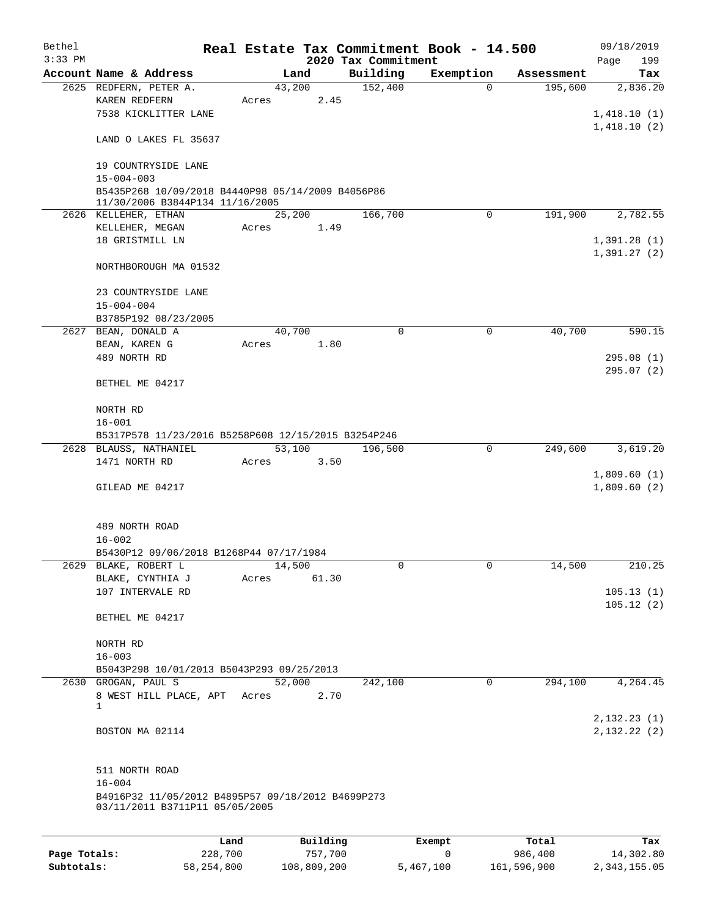| Bethel       |                                                                                                          |        |                |                     | Real Estate Tax Commitment Book - 14.500 |                       | 09/18/2019             |
|--------------|----------------------------------------------------------------------------------------------------------|--------|----------------|---------------------|------------------------------------------|-----------------------|------------------------|
| $3:33$ PM    |                                                                                                          |        |                | 2020 Tax Commitment |                                          |                       | Page<br>199            |
|              | Account Name & Address                                                                                   |        | Land           | Building            | Exemption                                | Assessment<br>195,600 | Tax<br>2,836.20        |
|              | 2625 REDFERN, PETER A.<br>KAREN REDFERN                                                                  | Acres  | 43,200<br>2.45 | 152,400             | $\mathbf 0$                              |                       |                        |
|              | 7538 KICKLITTER LANE                                                                                     |        |                |                     |                                          |                       | 1,418.10(1)            |
|              |                                                                                                          |        |                |                     |                                          |                       | 1,418.10(2)            |
|              | LAND O LAKES FL 35637                                                                                    |        |                |                     |                                          |                       |                        |
|              | 19 COUNTRYSIDE LANE                                                                                      |        |                |                     |                                          |                       |                        |
|              | $15 - 004 - 003$<br>B5435P268 10/09/2018 B4440P98 05/14/2009 B4056P86<br>11/30/2006 B3844P134 11/16/2005 |        |                |                     |                                          |                       |                        |
|              | 2626 KELLEHER, ETHAN                                                                                     |        | 25,200         | 166,700             | 0                                        | 191,900               | 2,782.55               |
|              | KELLEHER, MEGAN                                                                                          | Acres  | 1.49           |                     |                                          |                       |                        |
|              | 18 GRISTMILL LN                                                                                          |        |                |                     |                                          |                       | 1,391.28(1)            |
|              |                                                                                                          |        |                |                     |                                          |                       | 1,391.27(2)            |
|              | NORTHBOROUGH MA 01532                                                                                    |        |                |                     |                                          |                       |                        |
|              | 23 COUNTRYSIDE LANE                                                                                      |        |                |                     |                                          |                       |                        |
|              | $15 - 004 - 004$                                                                                         |        |                |                     |                                          |                       |                        |
|              | B3785P192 08/23/2005                                                                                     |        |                |                     |                                          |                       |                        |
|              | 2627 BEAN, DONALD A                                                                                      |        | 40,700         | $\mathbf 0$         | 0                                        | 40,700                | 590.15                 |
|              | BEAN, KAREN G                                                                                            | Acres  | 1.80           |                     |                                          |                       |                        |
|              | 489 NORTH RD                                                                                             |        |                |                     |                                          |                       | 295.08(1)              |
|              | BETHEL ME 04217                                                                                          |        |                |                     |                                          |                       | 295.07(2)              |
|              | NORTH RD                                                                                                 |        |                |                     |                                          |                       |                        |
|              | $16 - 001$                                                                                               |        |                |                     |                                          |                       |                        |
|              | B5317P578 11/23/2016 B5258P608 12/15/2015 B3254P246                                                      |        |                |                     |                                          |                       |                        |
|              | 2628 BLAUSS, NATHANIEL                                                                                   |        | 53,100         | 196,500             | 0                                        | 249,600               | 3,619.20               |
|              | 1471 NORTH RD                                                                                            | Acres  | 3.50           |                     |                                          |                       |                        |
|              |                                                                                                          |        |                |                     |                                          |                       | 1,809.60(1)            |
|              | GILEAD ME 04217                                                                                          |        |                |                     |                                          |                       | 1,809.60(2)            |
|              | 489 NORTH ROAD                                                                                           |        |                |                     |                                          |                       |                        |
|              | $16 - 002$                                                                                               |        |                |                     |                                          |                       |                        |
|              | B5430P12 09/06/2018 B1268P44 07/17/1984                                                                  |        |                |                     |                                          |                       |                        |
|              | 2629 BLAKE, ROBERT L                                                                                     |        | 14,500         | 0                   | 0                                        | 14,500                | 210.25                 |
|              | BLAKE, CYNTHIA J<br>107 INTERVALE RD                                                                     | Acres  | 61.30          |                     |                                          |                       |                        |
|              |                                                                                                          |        |                |                     |                                          |                       | 105.13(1)<br>105.12(2) |
|              | BETHEL ME 04217                                                                                          |        |                |                     |                                          |                       |                        |
|              | NORTH RD                                                                                                 |        |                |                     |                                          |                       |                        |
|              | $16 - 003$                                                                                               |        |                |                     |                                          |                       |                        |
|              | B5043P298 10/01/2013 B5043P293 09/25/2013<br>2630 GROGAN, PAUL S                                         | 52,000 |                | 242,100             | 0                                        | 294,100               | 4,264.45               |
|              | 8 WEST HILL PLACE, APT                                                                                   | Acres  | 2.70           |                     |                                          |                       |                        |
|              | 1                                                                                                        |        |                |                     |                                          |                       |                        |
|              |                                                                                                          |        |                |                     |                                          |                       | 2,132.23(1)            |
|              | BOSTON MA 02114                                                                                          |        |                |                     |                                          |                       | 2,132.22(2)            |
|              | 511 NORTH ROAD                                                                                           |        |                |                     |                                          |                       |                        |
|              | $16 - 004$                                                                                               |        |                |                     |                                          |                       |                        |
|              | B4916P32 11/05/2012 B4895P57 09/18/2012 B4699P273<br>03/11/2011 B3711P11 05/05/2005                      |        |                |                     |                                          |                       |                        |
|              |                                                                                                          |        |                |                     |                                          |                       |                        |
|              | Land                                                                                                     |        | Building       |                     | Exempt                                   | Total                 | Tax                    |
| Page Totals: | 228,700                                                                                                  |        | 757,700        |                     | $\mathbf 0$                              | 986,400               | 14,302.80              |

**Subtotals:** 58,254,800 108,809,200 5,467,100 161,596,900 2,343,155.05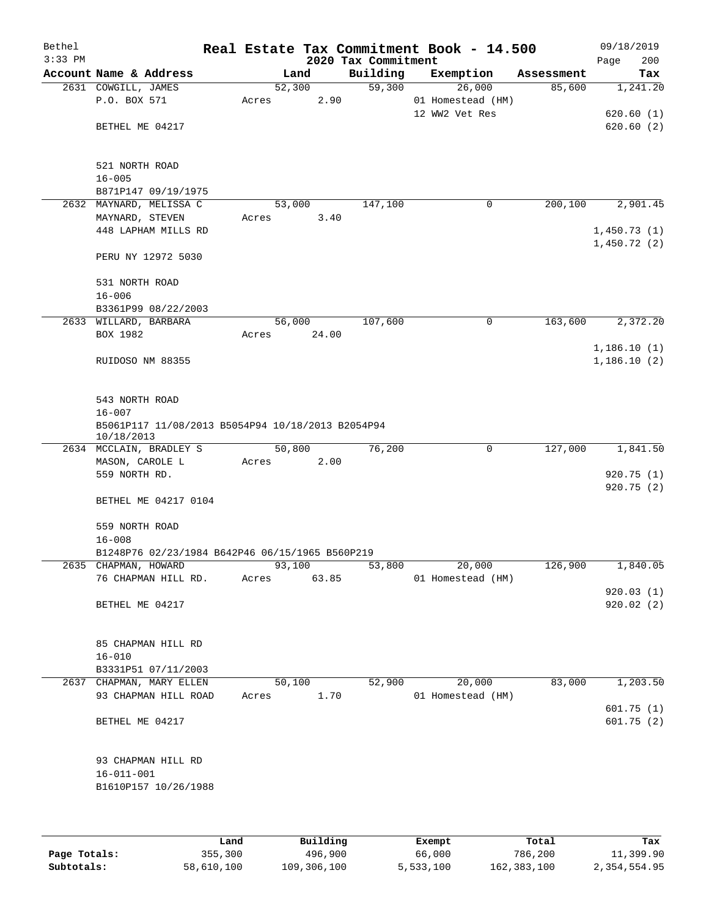| Bethel<br>$3:33$ PM |                                                                 | Real Estate Tax Commitment Book - 14.500 | 2020 Tax Commitment |                   |            | 09/18/2019<br>200<br>Page |
|---------------------|-----------------------------------------------------------------|------------------------------------------|---------------------|-------------------|------------|---------------------------|
|                     | Account Name & Address                                          | Land                                     | Building            | Exemption         | Assessment | Tax                       |
|                     | 2631 COWGILL, JAMES                                             | 52,300                                   | $\overline{59,300}$ | 26,000            | 85,600     | 1,241.20                  |
|                     | P.O. BOX 571                                                    | 2.90<br>Acres                            |                     | 01 Homestead (HM) |            |                           |
|                     |                                                                 |                                          |                     | 12 WW2 Vet Res    |            | 620.60(1)                 |
|                     | BETHEL ME 04217                                                 |                                          |                     |                   |            | 620.60(2)                 |
|                     |                                                                 |                                          |                     |                   |            |                           |
|                     |                                                                 |                                          |                     |                   |            |                           |
|                     | 521 NORTH ROAD                                                  |                                          |                     |                   |            |                           |
|                     | $16 - 005$<br>B871P147 09/19/1975                               |                                          |                     |                   |            |                           |
|                     | 2632 MAYNARD, MELISSA C                                         | 53,000                                   | 147,100             | 0                 | 200,100    | 2,901.45                  |
|                     | MAYNARD, STEVEN                                                 | Acres<br>3.40                            |                     |                   |            |                           |
|                     | 448 LAPHAM MILLS RD                                             |                                          |                     |                   |            | 1,450.73(1)               |
|                     |                                                                 |                                          |                     |                   |            | 1,450.72(2)               |
|                     | PERU NY 12972 5030                                              |                                          |                     |                   |            |                           |
|                     |                                                                 |                                          |                     |                   |            |                           |
|                     | 531 NORTH ROAD                                                  |                                          |                     |                   |            |                           |
|                     | $16 - 006$                                                      |                                          |                     |                   |            |                           |
|                     | B3361P99 08/22/2003<br>2633 WILLARD, BARBARA                    |                                          | 107,600             | 0                 | 163,600    | 2,372.20                  |
|                     | BOX 1982                                                        | 56,000<br>24.00<br>Acres                 |                     |                   |            |                           |
|                     |                                                                 |                                          |                     |                   |            | 1,186.10(1)               |
|                     | RUIDOSO NM 88355                                                |                                          |                     |                   |            | 1,186.10(2)               |
|                     |                                                                 |                                          |                     |                   |            |                           |
|                     |                                                                 |                                          |                     |                   |            |                           |
|                     | 543 NORTH ROAD                                                  |                                          |                     |                   |            |                           |
|                     | $16 - 007$                                                      |                                          |                     |                   |            |                           |
|                     | B5061P117 11/08/2013 B5054P94 10/18/2013 B2054P94<br>10/18/2013 |                                          |                     |                   |            |                           |
|                     | 2634 MCCLAIN, BRADLEY S                                         | 50,800                                   | 76,200              | 0                 | 127,000    | 1,841.50                  |
|                     | MASON, CAROLE L                                                 | 2.00<br>Acres                            |                     |                   |            |                           |
|                     | 559 NORTH RD.                                                   |                                          |                     |                   |            | 920.75(1)                 |
|                     |                                                                 |                                          |                     |                   |            | 920.75(2)                 |
|                     | BETHEL ME 04217 0104                                            |                                          |                     |                   |            |                           |
|                     |                                                                 |                                          |                     |                   |            |                           |
|                     | 559 NORTH ROAD                                                  |                                          |                     |                   |            |                           |
|                     | $16 - 008$<br>B1248P76 02/23/1984 B642P46 06/15/1965 B560P219   |                                          |                     |                   |            |                           |
|                     | 2635 CHAPMAN, HOWARD                                            | 93,100                                   | 53,800              | 20,000            | 126,900    | 1,840.05                  |
|                     | 76 CHAPMAN HILL RD.                                             | 63.85<br>Acres                           |                     | 01 Homestead (HM) |            |                           |
|                     |                                                                 |                                          |                     |                   |            | 920.03(1)                 |
|                     | BETHEL ME 04217                                                 |                                          |                     |                   |            | 920.02(2)                 |
|                     |                                                                 |                                          |                     |                   |            |                           |
|                     |                                                                 |                                          |                     |                   |            |                           |
|                     | 85 CHAPMAN HILL RD                                              |                                          |                     |                   |            |                           |
|                     | $16 - 010$                                                      |                                          |                     |                   |            |                           |
|                     | B3331P51 07/11/2003<br>2637 CHAPMAN, MARY ELLEN                 | 50,100                                   | 52,900              | 20,000            | 83,000     | 1,203.50                  |
|                     | 93 CHAPMAN HILL ROAD                                            | 1.70<br>Acres                            |                     | 01 Homestead (HM) |            |                           |
|                     |                                                                 |                                          |                     |                   |            | 601.75 (1)                |
|                     | BETHEL ME 04217                                                 |                                          |                     |                   |            | 601.75 (2)                |
|                     |                                                                 |                                          |                     |                   |            |                           |
|                     |                                                                 |                                          |                     |                   |            |                           |
|                     | 93 CHAPMAN HILL RD                                              |                                          |                     |                   |            |                           |
|                     | $16 - 011 - 001$                                                |                                          |                     |                   |            |                           |
|                     | B1610P157 10/26/1988                                            |                                          |                     |                   |            |                           |
|                     |                                                                 |                                          |                     |                   |            |                           |
|                     |                                                                 |                                          |                     |                   |            |                           |

|              | Land       | Building    | Exempt    | Total       | Tax          |
|--------------|------------|-------------|-----------|-------------|--------------|
| Page Totals: | 355,300    | 496,900     | 66,000    | 786,200     | 11,399.90    |
| Subtotals:   | 58,610,100 | 109,306,100 | 5,533,100 | 162,383,100 | 2,354,554.95 |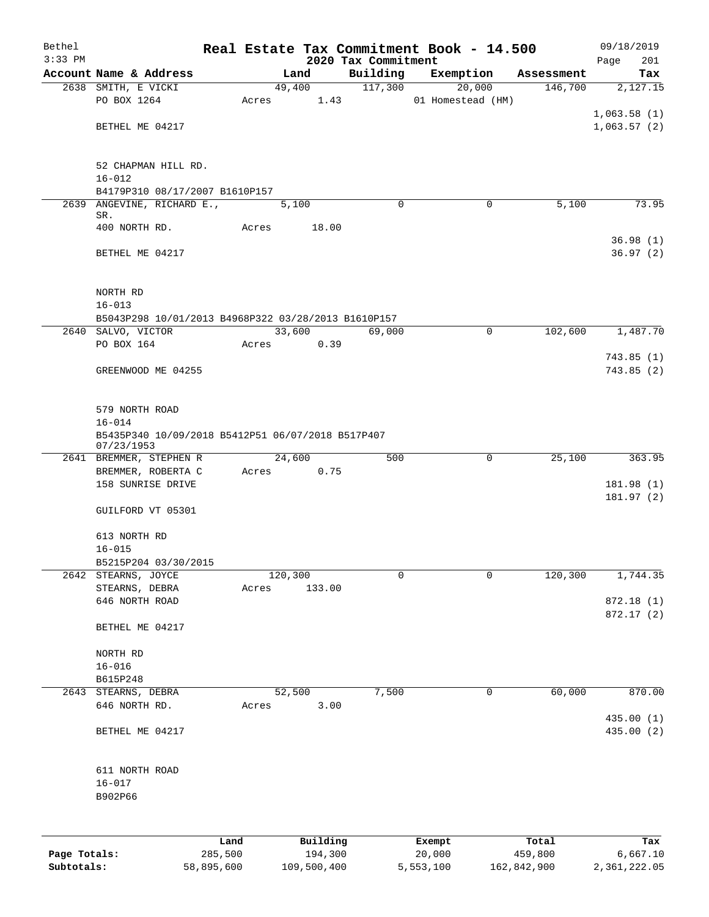| Bethel<br>$3:33$ PM |                                                                           |       |                     |                                 | Real Estate Tax Commitment Book - 14.500 |                  | 09/18/2019         |  |  |  |
|---------------------|---------------------------------------------------------------------------|-------|---------------------|---------------------------------|------------------------------------------|------------------|--------------------|--|--|--|
|                     | Account Name & Address                                                    |       | Land                | 2020 Tax Commitment<br>Building | Exemption                                | Assessment       | 201<br>Page<br>Tax |  |  |  |
|                     | 2638 SMITH, E VICKI                                                       |       | 49,400              | 117,300                         | 20,000                                   | 146,700          | 2,127.15           |  |  |  |
|                     | PO BOX 1264                                                               | Acres | 1.43                |                                 | 01 Homestead (HM)                        |                  |                    |  |  |  |
|                     |                                                                           |       |                     |                                 |                                          |                  | 1,063.58(1)        |  |  |  |
|                     | BETHEL ME 04217                                                           |       |                     |                                 |                                          |                  | 1,063.57(2)        |  |  |  |
|                     |                                                                           |       |                     |                                 |                                          |                  |                    |  |  |  |
|                     | 52 CHAPMAN HILL RD.                                                       |       |                     |                                 |                                          |                  |                    |  |  |  |
|                     | $16 - 012$                                                                |       |                     |                                 |                                          |                  |                    |  |  |  |
|                     | B4179P310 08/17/2007 B1610P157                                            |       |                     |                                 |                                          |                  |                    |  |  |  |
| 2639                | ANGEVINE, RICHARD E.,                                                     |       | 5,100               | $\Omega$                        | 0                                        | 5,100            | 73.95              |  |  |  |
|                     | SR.<br>400 NORTH RD.                                                      | Acres | 18.00               |                                 |                                          |                  |                    |  |  |  |
|                     |                                                                           |       |                     |                                 |                                          |                  | 36.98(1)           |  |  |  |
|                     | BETHEL ME 04217                                                           |       |                     |                                 |                                          |                  | 36.97(2)           |  |  |  |
|                     |                                                                           |       |                     |                                 |                                          |                  |                    |  |  |  |
|                     |                                                                           |       |                     |                                 |                                          |                  |                    |  |  |  |
|                     | NORTH RD                                                                  |       |                     |                                 |                                          |                  |                    |  |  |  |
|                     | $16 - 013$                                                                |       |                     |                                 |                                          |                  |                    |  |  |  |
|                     | B5043P298 10/01/2013 B4968P322 03/28/2013 B1610P157<br>2640 SALVO, VICTOR |       | 33,600              | 69,000                          | 0                                        | 102,600          | 1,487.70           |  |  |  |
|                     | PO BOX 164                                                                | Acres | 0.39                |                                 |                                          |                  |                    |  |  |  |
|                     |                                                                           |       |                     |                                 |                                          |                  | 743.85(1)          |  |  |  |
|                     | GREENWOOD ME 04255                                                        |       |                     |                                 |                                          |                  | 743.85 (2)         |  |  |  |
|                     |                                                                           |       |                     |                                 |                                          |                  |                    |  |  |  |
|                     |                                                                           |       |                     |                                 |                                          |                  |                    |  |  |  |
|                     | 579 NORTH ROAD                                                            |       |                     |                                 |                                          |                  |                    |  |  |  |
|                     | $16 - 014$<br>B5435P340 10/09/2018 B5412P51 06/07/2018 B517P407           |       |                     |                                 |                                          |                  |                    |  |  |  |
|                     | 07/23/1953                                                                |       |                     |                                 |                                          |                  |                    |  |  |  |
|                     | 2641 BREMMER, STEPHEN R                                                   |       | 24,600              | 500                             | 0                                        | 25,100           | 363.95             |  |  |  |
|                     | BREMMER, ROBERTA C                                                        | Acres | 0.75                |                                 |                                          |                  |                    |  |  |  |
|                     | 158 SUNRISE DRIVE                                                         |       |                     |                                 |                                          |                  | 181.98(1)          |  |  |  |
|                     | GUILFORD VT 05301                                                         |       |                     |                                 |                                          |                  | 181.97(2)          |  |  |  |
|                     |                                                                           |       |                     |                                 |                                          |                  |                    |  |  |  |
|                     | 613 NORTH RD                                                              |       |                     |                                 |                                          |                  |                    |  |  |  |
|                     | $16 - 015$                                                                |       |                     |                                 |                                          |                  |                    |  |  |  |
|                     | B5215P204 03/30/2015                                                      |       |                     |                                 |                                          |                  |                    |  |  |  |
| 2642                | STEARNS, JOYCE                                                            |       | 120,300             | 0                               | $\mathbf 0$                              | 120, 300         | 1,744.35           |  |  |  |
|                     | STEARNS, DEBRA<br>646 NORTH ROAD                                          | Acres | 133.00              |                                 |                                          |                  | 872.18 (1)         |  |  |  |
|                     |                                                                           |       |                     |                                 |                                          |                  | 872.17 (2)         |  |  |  |
|                     | BETHEL ME 04217                                                           |       |                     |                                 |                                          |                  |                    |  |  |  |
|                     |                                                                           |       |                     |                                 |                                          |                  |                    |  |  |  |
|                     | NORTH RD                                                                  |       |                     |                                 |                                          |                  |                    |  |  |  |
|                     | $16 - 016$                                                                |       |                     |                                 |                                          |                  |                    |  |  |  |
|                     | B615P248                                                                  |       |                     |                                 |                                          |                  |                    |  |  |  |
|                     | 2643 STEARNS, DEBRA<br>646 NORTH RD.                                      |       | 52,500<br>3.00      | 7,500                           | 0                                        | 60,000           | 870.00             |  |  |  |
|                     |                                                                           | Acres |                     |                                 |                                          |                  | 435.00(1)          |  |  |  |
|                     | BETHEL ME 04217                                                           |       |                     |                                 |                                          |                  | 435.00 (2)         |  |  |  |
|                     |                                                                           |       |                     |                                 |                                          |                  |                    |  |  |  |
|                     |                                                                           |       |                     |                                 |                                          |                  |                    |  |  |  |
|                     | 611 NORTH ROAD                                                            |       |                     |                                 |                                          |                  |                    |  |  |  |
|                     | $16 - 017$                                                                |       |                     |                                 |                                          |                  |                    |  |  |  |
|                     | B902P66                                                                   |       |                     |                                 |                                          |                  |                    |  |  |  |
|                     |                                                                           |       |                     |                                 |                                          |                  |                    |  |  |  |
|                     |                                                                           |       |                     |                                 |                                          |                  |                    |  |  |  |
| Page Totals:        | 285,500                                                                   | Land  | Building<br>194,300 |                                 | Exempt<br>20,000                         | Total<br>459,800 | Tax<br>6,667.10    |  |  |  |
|                     |                                                                           |       |                     |                                 |                                          |                  |                    |  |  |  |

**Subtotals:** 58,895,600 109,500,400 5,553,100 162,842,900 2,361,222.05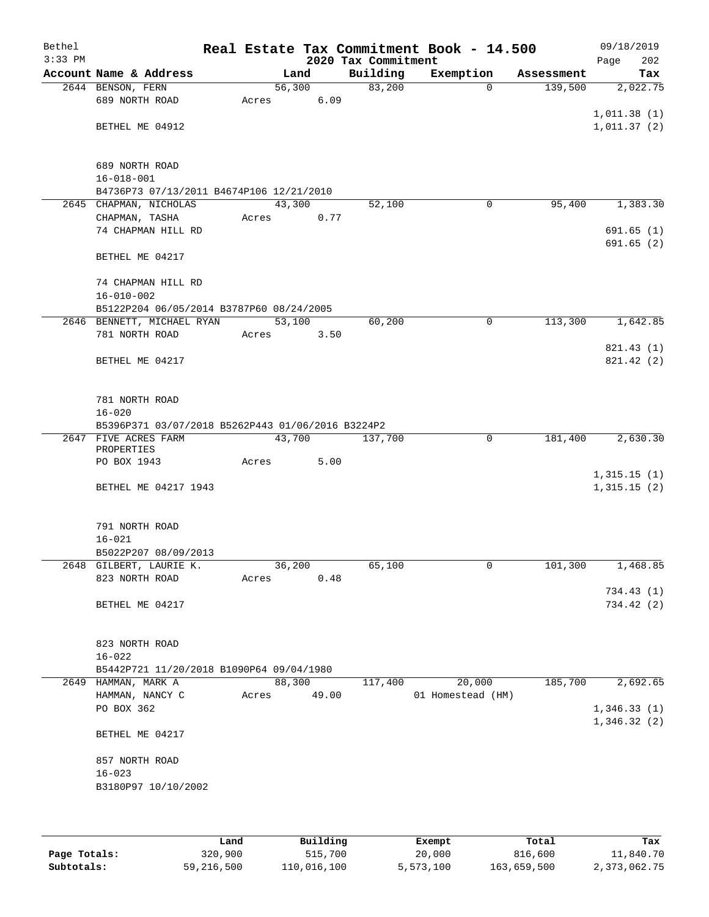| Bethel<br>$3:33$ PM |                                                   |       |        | 2020 Tax Commitment | Real Estate Tax Commitment Book - 14.500 |            | 09/18/2019<br>202<br>Page  |
|---------------------|---------------------------------------------------|-------|--------|---------------------|------------------------------------------|------------|----------------------------|
|                     | Account Name & Address                            |       | Land   | Building            | Exemption                                | Assessment | Tax                        |
|                     | 2644 BENSON, FERN                                 |       | 56,300 | 83,200              | $\mathbf 0$                              | 139,500    | 2,022.75                   |
|                     | 689 NORTH ROAD                                    | Acres | 6.09   |                     |                                          |            |                            |
|                     |                                                   |       |        |                     |                                          |            | 1,011.38(1)                |
|                     | BETHEL ME 04912                                   |       |        |                     |                                          |            | 1,011.37(2)                |
|                     |                                                   |       |        |                     |                                          |            |                            |
|                     | 689 NORTH ROAD                                    |       |        |                     |                                          |            |                            |
|                     | $16 - 018 - 001$                                  |       |        |                     |                                          |            |                            |
|                     | B4736P73 07/13/2011 B4674P106 12/21/2010          |       |        |                     |                                          |            |                            |
|                     | 2645 CHAPMAN, NICHOLAS                            |       | 43,300 | 52,100              | 0                                        | 95,400     | 1,383.30                   |
|                     | CHAPMAN, TASHA                                    | Acres | 0.77   |                     |                                          |            |                            |
|                     | 74 CHAPMAN HILL RD                                |       |        |                     |                                          |            | 691.65(1)                  |
|                     |                                                   |       |        |                     |                                          |            | 691.65(2)                  |
|                     | BETHEL ME 04217                                   |       |        |                     |                                          |            |                            |
|                     |                                                   |       |        |                     |                                          |            |                            |
|                     | 74 CHAPMAN HILL RD                                |       |        |                     |                                          |            |                            |
|                     | $16 - 010 - 002$                                  |       |        |                     |                                          |            |                            |
|                     | B5122P204 06/05/2014 B3787P60 08/24/2005          |       |        |                     |                                          |            |                            |
|                     | 2646 BENNETT, MICHAEL RYAN                        |       | 53,100 | 60,200              | $\mathbf 0$                              | 113,300    | 1,642.85                   |
|                     | 781 NORTH ROAD                                    | Acres | 3.50   |                     |                                          |            |                            |
|                     | BETHEL ME 04217                                   |       |        |                     |                                          |            | 821.43 (1)<br>821.42 (2)   |
|                     |                                                   |       |        |                     |                                          |            |                            |
|                     |                                                   |       |        |                     |                                          |            |                            |
|                     | 781 NORTH ROAD                                    |       |        |                     |                                          |            |                            |
|                     | $16 - 020$                                        |       |        |                     |                                          |            |                            |
|                     | B5396P371 03/07/2018 B5262P443 01/06/2016 B3224P2 |       |        |                     |                                          |            |                            |
|                     | 2647 FIVE ACRES FARM                              |       | 43,700 | 137,700             | $\mathbf 0$                              | 181,400    | 2,630.30                   |
|                     | PROPERTIES                                        |       |        |                     |                                          |            |                            |
|                     | PO BOX 1943                                       | Acres | 5.00   |                     |                                          |            |                            |
|                     | BETHEL ME 04217 1943                              |       |        |                     |                                          |            | 1,315.15(1)<br>1,315.15(2) |
|                     |                                                   |       |        |                     |                                          |            |                            |
|                     |                                                   |       |        |                     |                                          |            |                            |
|                     | 791 NORTH ROAD                                    |       |        |                     |                                          |            |                            |
|                     | $16 - 021$                                        |       |        |                     |                                          |            |                            |
|                     | B5022P207 08/09/2013                              |       |        |                     |                                          |            |                            |
|                     | 2648 GILBERT, LAURIE K.                           |       | 36,200 | 65,100              | 0                                        | 101,300    | 1,468.85                   |
|                     | 823 NORTH ROAD                                    | Acres | 0.48   |                     |                                          |            |                            |
|                     |                                                   |       |        |                     |                                          |            | 734.43(1)                  |
|                     | BETHEL ME 04217                                   |       |        |                     |                                          |            | 734.42 (2)                 |
|                     |                                                   |       |        |                     |                                          |            |                            |
|                     | 823 NORTH ROAD                                    |       |        |                     |                                          |            |                            |
|                     | $16 - 022$                                        |       |        |                     |                                          |            |                            |
|                     | B5442P721 11/20/2018 B1090P64 09/04/1980          |       |        |                     |                                          |            |                            |
|                     | 2649 HAMMAN, MARK A                               |       | 88,300 | 117,400             | 20,000                                   | 185,700    | 2,692.65                   |
|                     | HAMMAN, NANCY C                                   | Acres | 49.00  |                     | 01 Homestead (HM)                        |            |                            |
|                     | PO BOX 362                                        |       |        |                     |                                          |            | 1,346.33(1)                |
|                     |                                                   |       |        |                     |                                          |            | 1,346.32(2)                |
|                     | BETHEL ME 04217                                   |       |        |                     |                                          |            |                            |
|                     |                                                   |       |        |                     |                                          |            |                            |
|                     | 857 NORTH ROAD                                    |       |        |                     |                                          |            |                            |
|                     | $16 - 023$                                        |       |        |                     |                                          |            |                            |
|                     | B3180P97 10/10/2002                               |       |        |                     |                                          |            |                            |
|                     |                                                   |       |        |                     |                                          |            |                            |
|                     |                                                   |       |        |                     |                                          |            |                            |

|              | Land       | Building    | Exempt    | Total       | Tax          |
|--------------|------------|-------------|-----------|-------------|--------------|
| Page Totals: | 320,900    | 515,700     | 20,000    | 816,600     | 11,840.70    |
| Subtotals:   | 59,216,500 | 110,016,100 | 5,573,100 | 163,659,500 | 2,373,062.75 |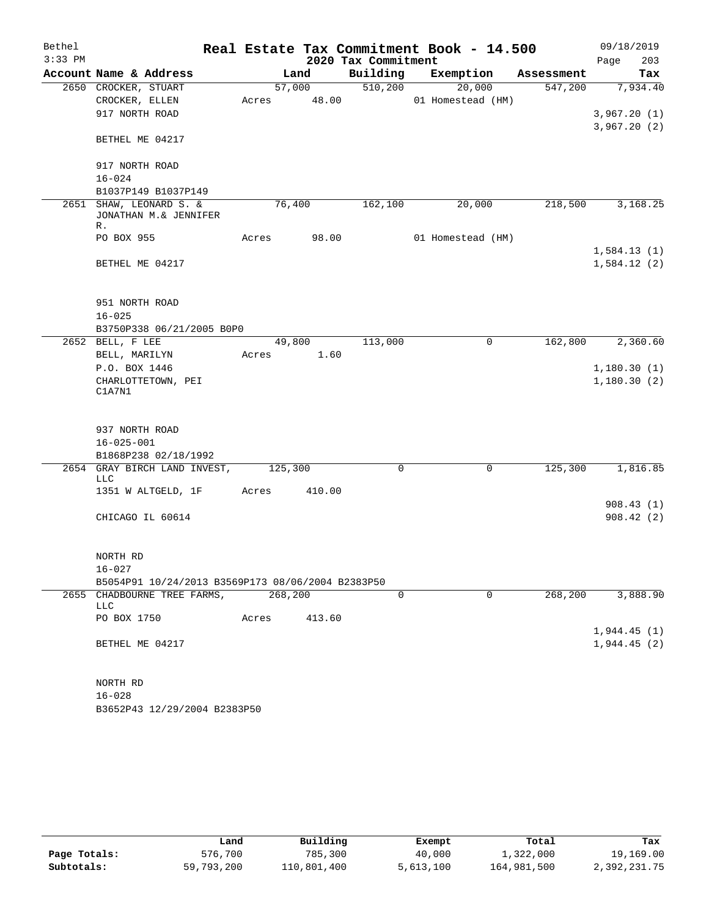| Bethel    |                                                   |       |         |                     | Real Estate Tax Commitment Book - 14.500 |            | 09/18/2019  |
|-----------|---------------------------------------------------|-------|---------|---------------------|------------------------------------------|------------|-------------|
| $3:33$ PM |                                                   |       |         | 2020 Tax Commitment |                                          |            | 203<br>Page |
|           | Account Name & Address                            |       | Land    | Building            | Exemption                                | Assessment | Tax         |
|           | 2650 CROCKER, STUART                              |       | 57,000  | 510, 200            | 20,000                                   | 547,200    | 7,934.40    |
|           | CROCKER, ELLEN                                    | Acres | 48.00   |                     | 01 Homestead (HM)                        |            |             |
|           | 917 NORTH ROAD                                    |       |         |                     |                                          |            | 3,967.20(1) |
|           | BETHEL ME 04217                                   |       |         |                     |                                          |            | 3,967.20(2) |
|           |                                                   |       |         |                     |                                          |            |             |
|           | 917 NORTH ROAD                                    |       |         |                     |                                          |            |             |
|           | $16 - 024$                                        |       |         |                     |                                          |            |             |
|           | B1037P149 B1037P149                               |       |         |                     |                                          |            |             |
| 2651      | SHAW, LEONARD S. &<br>JONATHAN M.& JENNIFER<br>R. |       | 76,400  | 162,100             | 20,000                                   | 218,500    | 3,168.25    |
|           | PO BOX 955                                        | Acres | 98.00   |                     | 01 Homestead (HM)                        |            |             |
|           |                                                   |       |         |                     |                                          |            | 1,584.13(1) |
|           | BETHEL ME 04217                                   |       |         |                     |                                          |            | 1,584.12(2) |
|           |                                                   |       |         |                     |                                          |            |             |
|           | 951 NORTH ROAD                                    |       |         |                     |                                          |            |             |
|           | $16 - 025$                                        |       |         |                     |                                          |            |             |
|           | B3750P338 06/21/2005 B0P0                         |       |         |                     |                                          |            |             |
|           | 2652 BELL, F LEE                                  |       | 49,800  | 113,000             | 0                                        | 162,800    | 2,360.60    |
|           | BELL, MARILYN                                     | Acres | 1.60    |                     |                                          |            |             |
|           | P.O. BOX 1446                                     |       |         |                     |                                          |            | 1,180.30(1) |
|           | CHARLOTTETOWN, PEI<br>C1A7N1                      |       |         |                     |                                          |            | 1,180.30(2) |
|           |                                                   |       |         |                     |                                          |            |             |
|           | 937 NORTH ROAD                                    |       |         |                     |                                          |            |             |
|           | $16 - 025 - 001$                                  |       |         |                     |                                          |            |             |
|           | B1868P238 02/18/1992                              |       |         |                     |                                          |            |             |
|           | 2654 GRAY BIRCH LAND INVEST,<br>LLC               |       | 125,300 | $\mathbf 0$         | $\mathbf 0$                              | 125,300    | 1,816.85    |
|           | 1351 W ALTGELD, 1F                                | Acres | 410.00  |                     |                                          |            |             |
|           |                                                   |       |         |                     |                                          |            | 908.43(1)   |
|           | CHICAGO IL 60614                                  |       |         |                     |                                          |            | 908.42(2)   |
|           |                                                   |       |         |                     |                                          |            |             |
|           | NORTH RD                                          |       |         |                     |                                          |            |             |
|           | $16 - 027$                                        |       |         |                     |                                          |            |             |
|           | B5054P91 10/24/2013 B3569P173 08/06/2004 B2383P50 |       |         |                     |                                          |            |             |
|           | 2655 CHADBOURNE TREE FARMS,                       |       | 268,200 | 0                   | $\Omega$                                 | 268,200    | 3,888.90    |
|           | LLC                                               |       |         |                     |                                          |            |             |
|           | PO BOX 1750                                       | Acres | 413.60  |                     |                                          |            |             |
|           |                                                   |       |         |                     |                                          |            | 1,944.45(1) |
|           | BETHEL ME 04217                                   |       |         |                     |                                          |            | 1,944.45(2) |
|           | NORTH RD                                          |       |         |                     |                                          |            |             |
|           | $16 - 028$                                        |       |         |                     |                                          |            |             |
|           | B3652P43 12/29/2004 B2383P50                      |       |         |                     |                                          |            |             |

|              | Land       | Building    | Exempt    | Total       | Tax          |
|--------------|------------|-------------|-----------|-------------|--------------|
| Page Totals: | 576,700    | 785,300     | 40,000    | 1,322,000   | 19,169.00    |
| Subtotals:   | 59,793,200 | 110,801,400 | 5,613,100 | 164,981,500 | 2,392,231.75 |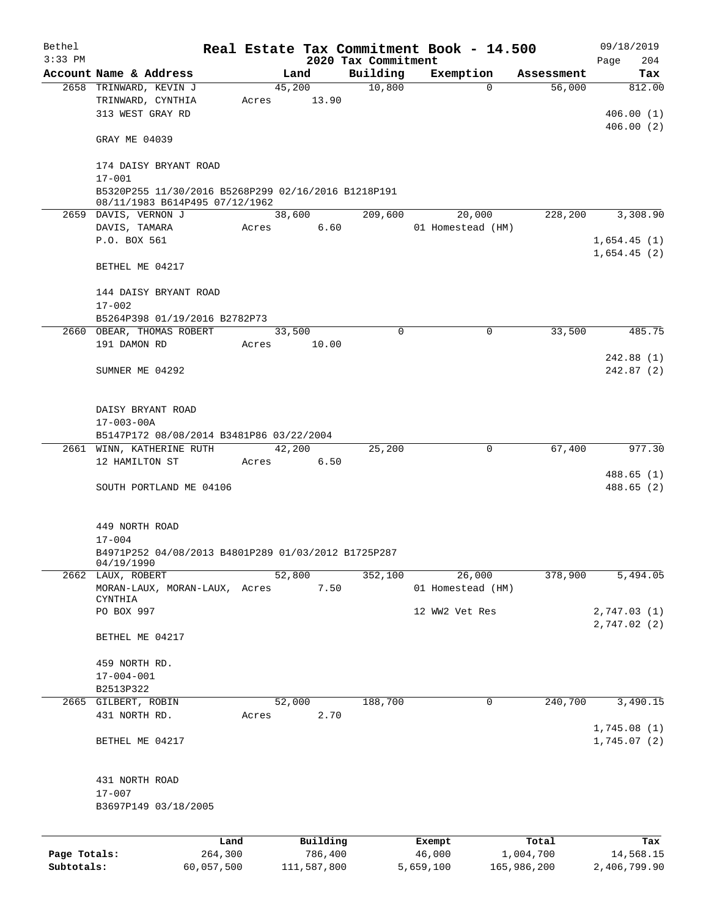| Bethel<br>$3:33$ PM |                                                     |         |               | 2020 Tax Commitment | Real Estate Tax Commitment Book - 14.500 |            | 09/18/2019<br>204<br>Page |  |  |
|---------------------|-----------------------------------------------------|---------|---------------|---------------------|------------------------------------------|------------|---------------------------|--|--|
|                     | Account Name & Address                              |         | Land          | Building            | Exemption                                | Assessment | Tax                       |  |  |
|                     | 2658 TRINWARD, KEVIN J                              |         | 45,200        | 10,800              | $\Omega$                                 | 56,000     | 812.00                    |  |  |
|                     | TRINWARD, CYNTHIA                                   | Acres   | 13.90         |                     |                                          |            |                           |  |  |
|                     | 313 WEST GRAY RD                                    |         |               |                     |                                          |            | 406.00(1)                 |  |  |
|                     |                                                     |         |               |                     |                                          |            | 406.00(2)                 |  |  |
|                     | GRAY ME 04039                                       |         |               |                     |                                          |            |                           |  |  |
|                     | 174 DAISY BRYANT ROAD                               |         |               |                     |                                          |            |                           |  |  |
|                     | $17 - 001$                                          |         |               |                     |                                          |            |                           |  |  |
|                     | B5320P255 11/30/2016 B5268P299 02/16/2016 B1218P191 |         |               |                     |                                          |            |                           |  |  |
|                     | 08/11/1983 B614P495 07/12/1962                      |         |               | 209,600             |                                          |            |                           |  |  |
|                     | 2659 DAVIS, VERNON J                                |         | 38,600        |                     | 20,000                                   | 228,200    | 3,308.90                  |  |  |
|                     | DAVIS, TAMARA                                       |         | 6.60<br>Acres |                     | 01 Homestead (HM)                        |            |                           |  |  |
|                     | P.O. BOX 561                                        |         |               |                     |                                          |            | 1,654.45(1)               |  |  |
|                     |                                                     |         |               |                     |                                          |            | 1,654.45(2)               |  |  |
|                     | BETHEL ME 04217                                     |         |               |                     |                                          |            |                           |  |  |
|                     |                                                     |         |               |                     |                                          |            |                           |  |  |
|                     | 144 DAISY BRYANT ROAD                               |         |               |                     |                                          |            |                           |  |  |
|                     | $17 - 002$                                          |         |               |                     |                                          |            |                           |  |  |
|                     | B5264P398 01/19/2016 B2782P73                       |         |               |                     |                                          |            |                           |  |  |
|                     | 2660 OBEAR, THOMAS ROBERT                           |         | 33,500        | $\mathbf 0$         | $\mathbf 0$                              | 33,500     | 485.75                    |  |  |
|                     | 191 DAMON RD                                        | Acres   | 10.00         |                     |                                          |            |                           |  |  |
|                     |                                                     |         |               |                     |                                          |            | 242.88(1)                 |  |  |
|                     | SUMNER ME 04292                                     |         |               |                     |                                          |            | 242.87(2)                 |  |  |
|                     |                                                     |         |               |                     |                                          |            |                           |  |  |
|                     |                                                     |         |               |                     |                                          |            |                           |  |  |
|                     | DAISY BRYANT ROAD                                   |         |               |                     |                                          |            |                           |  |  |
|                     | $17 - 003 - 00A$                                    |         |               |                     |                                          |            |                           |  |  |
|                     | B5147P172 08/08/2014 B3481P86 03/22/2004            |         |               |                     |                                          |            |                           |  |  |
|                     | 2661 WINN, KATHERINE RUTH                           |         | 42,200        | 25,200              | 0                                        | 67,400     | 977.30                    |  |  |
|                     | 12 HAMILTON ST                                      | Acres   | 6.50          |                     |                                          |            |                           |  |  |
|                     |                                                     |         |               |                     |                                          |            | 488.65(1)                 |  |  |
|                     | SOUTH PORTLAND ME 04106                             |         |               |                     |                                          |            | 488.65 (2)                |  |  |
|                     |                                                     |         |               |                     |                                          |            |                           |  |  |
|                     |                                                     |         |               |                     |                                          |            |                           |  |  |
|                     | 449 NORTH ROAD                                      |         |               |                     |                                          |            |                           |  |  |
|                     | $17 - 004$                                          |         |               |                     |                                          |            |                           |  |  |
|                     | B4971P252 04/08/2013 B4801P289 01/03/2012 B1725P287 |         |               |                     |                                          |            |                           |  |  |
|                     | 04/19/1990                                          |         |               |                     |                                          |            |                           |  |  |
|                     | 2662 LAUX, ROBERT                                   |         | 52,800        | 352,100             | 26,000                                   | 378,900    | 5,494.05                  |  |  |
|                     | MORAN-LAUX, MORAN-LAUX, Acres<br>CYNTHIA            |         | 7.50          |                     | 01 Homestead (HM)                        |            |                           |  |  |
|                     | PO BOX 997                                          |         |               |                     | 12 WW2 Vet Res                           |            | 2,747.03 (1)              |  |  |
|                     |                                                     |         |               |                     |                                          |            | 2,747.02(2)               |  |  |
|                     | BETHEL ME 04217                                     |         |               |                     |                                          |            |                           |  |  |
|                     |                                                     |         |               |                     |                                          |            |                           |  |  |
|                     | 459 NORTH RD.                                       |         |               |                     |                                          |            |                           |  |  |
|                     | $17 - 004 - 001$                                    |         |               |                     |                                          |            |                           |  |  |
|                     | B2513P322                                           |         |               |                     |                                          |            |                           |  |  |
|                     | 2665 GILBERT, ROBIN                                 |         | 52,000        | 188,700             | 0                                        | 240,700    | 3,490.15                  |  |  |
|                     | 431 NORTH RD.                                       |         | 2.70          |                     |                                          |            |                           |  |  |
|                     |                                                     | Acres   |               |                     |                                          |            | 1,745.08(1)               |  |  |
|                     |                                                     |         |               |                     |                                          |            |                           |  |  |
|                     | BETHEL ME 04217                                     |         |               |                     |                                          |            | 1,745.07(2)               |  |  |
|                     |                                                     |         |               |                     |                                          |            |                           |  |  |
|                     | 431 NORTH ROAD                                      |         |               |                     |                                          |            |                           |  |  |
|                     | $17 - 007$                                          |         |               |                     |                                          |            |                           |  |  |
|                     | B3697P149 03/18/2005                                |         |               |                     |                                          |            |                           |  |  |
|                     |                                                     |         |               |                     |                                          |            |                           |  |  |
|                     |                                                     |         |               |                     |                                          |            |                           |  |  |
|                     |                                                     | Land    | Building      |                     | Exempt                                   | Total      | Tax                       |  |  |
| Page Totals:        |                                                     | 264,300 | 786,400       |                     | 46,000                                   | 1,004,700  | 14,568.15                 |  |  |

**Subtotals:** 60,057,500 111,587,800 5,659,100 165,986,200 2,406,799.90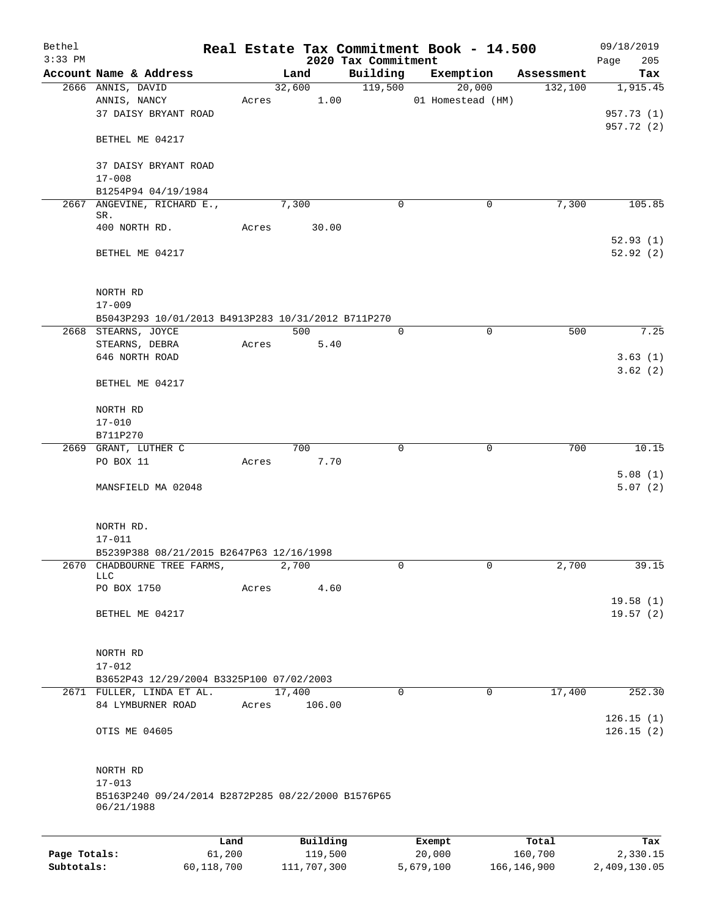| Bethel<br>$3:33$ PM |                                                                  |        |          | 2020 Tax Commitment | Real Estate Tax Commitment Book - 14.500 |            | 09/18/2019<br>205<br>Page |
|---------------------|------------------------------------------------------------------|--------|----------|---------------------|------------------------------------------|------------|---------------------------|
|                     | Account Name & Address                                           |        | Land     | Building            | Exemption                                | Assessment | Tax                       |
|                     | 2666 ANNIS, DAVID                                                |        | 32,600   | 119,500             | 20,000                                   | 132,100    | 1,915.45                  |
|                     | ANNIS, NANCY                                                     | Acres  | 1.00     |                     | 01 Homestead (HM)                        |            |                           |
|                     | 37 DAISY BRYANT ROAD                                             |        |          |                     |                                          |            | 957.73 (1)                |
|                     | BETHEL ME 04217                                                  |        |          |                     |                                          |            | 957.72 (2)                |
|                     |                                                                  |        |          |                     |                                          |            |                           |
|                     | 37 DAISY BRYANT ROAD<br>$17 - 008$                               |        |          |                     |                                          |            |                           |
|                     | B1254P94 04/19/1984                                              |        |          |                     |                                          |            |                           |
|                     | 2667 ANGEVINE, RICHARD E.,                                       |        | 7,300    | 0                   | 0                                        | 7,300      | 105.85                    |
|                     | SR.                                                              |        |          |                     |                                          |            |                           |
|                     | 400 NORTH RD.                                                    | Acres  | 30.00    |                     |                                          |            |                           |
|                     | BETHEL ME 04217                                                  |        |          |                     |                                          |            | 52.93(1)<br>52.92(2)      |
|                     |                                                                  |        |          |                     |                                          |            |                           |
|                     | NORTH RD                                                         |        |          |                     |                                          |            |                           |
|                     | $17 - 009$                                                       |        |          |                     |                                          |            |                           |
|                     | B5043P293 10/01/2013 B4913P283 10/31/2012 B711P270               |        |          |                     |                                          |            |                           |
|                     | 2668 STEARNS, JOYCE                                              |        | 500      | $\mathbf 0$         | $\mathbf 0$                              | 500        | 7.25                      |
|                     | STEARNS, DEBRA                                                   | Acres  | 5.40     |                     |                                          |            |                           |
|                     | 646 NORTH ROAD                                                   |        |          |                     |                                          |            | 3.63(1)                   |
|                     | BETHEL ME 04217                                                  |        |          |                     |                                          |            | 3.62(2)                   |
|                     | NORTH RD                                                         |        |          |                     |                                          |            |                           |
|                     | $17 - 010$                                                       |        |          |                     |                                          |            |                           |
|                     | B711P270                                                         |        |          |                     |                                          |            |                           |
|                     | 2669 GRANT, LUTHER C                                             |        | 700      | 0                   | $\mathbf 0$                              | 700        | 10.15                     |
|                     | PO BOX 11                                                        | Acres  | 7.70     |                     |                                          |            | 5.08(1)                   |
|                     | MANSFIELD MA 02048                                               |        |          |                     |                                          |            | 5.07(2)                   |
|                     |                                                                  |        |          |                     |                                          |            |                           |
|                     | NORTH RD.                                                        |        |          |                     |                                          |            |                           |
|                     | $17 - 011$                                                       |        |          |                     |                                          |            |                           |
|                     | B5239P388 08/21/2015 B2647P63 12/16/1998                         |        |          |                     |                                          |            |                           |
| 2670                | CHADBOURNE TREE FARMS,<br>LLC                                    |        | 2,700    | 0                   | 0                                        | 2,700      | 39.15                     |
|                     | PO BOX 1750                                                      | Acres  | 4.60     |                     |                                          |            |                           |
|                     |                                                                  |        |          |                     |                                          |            | 19.58(1)                  |
|                     | BETHEL ME 04217                                                  |        |          |                     |                                          |            | 19.57(2)                  |
|                     |                                                                  |        |          |                     |                                          |            |                           |
|                     | NORTH RD                                                         |        |          |                     |                                          |            |                           |
|                     | $17 - 012$<br>B3652P43 12/29/2004 B3325P100 07/02/2003           |        |          |                     |                                          |            |                           |
|                     | 2671 FULLER, LINDA ET AL.                                        |        | 17,400   | $\mathbf 0$         | 0                                        | 17,400     | 252.30                    |
|                     | 84 LYMBURNER ROAD                                                | Acres  | 106.00   |                     |                                          |            |                           |
|                     | OTIS ME 04605                                                    |        |          |                     |                                          |            | 126.15(1)<br>126.15(2)    |
|                     |                                                                  |        |          |                     |                                          |            |                           |
|                     | NORTH RD                                                         |        |          |                     |                                          |            |                           |
|                     | $17 - 013$                                                       |        |          |                     |                                          |            |                           |
|                     | B5163P240 09/24/2014 B2872P285 08/22/2000 B1576P65<br>06/21/1988 |        |          |                     |                                          |            |                           |
|                     |                                                                  |        |          |                     |                                          |            |                           |
|                     |                                                                  | Land   | Building |                     | Exempt                                   | Total      | Tax                       |
| Page Totals:        |                                                                  | 61,200 | 119,500  |                     | 20,000                                   | 160,700    | 2,330.15                  |

**Subtotals:** 60,118,700 111,707,300 5,679,100 166,146,900 2,409,130.05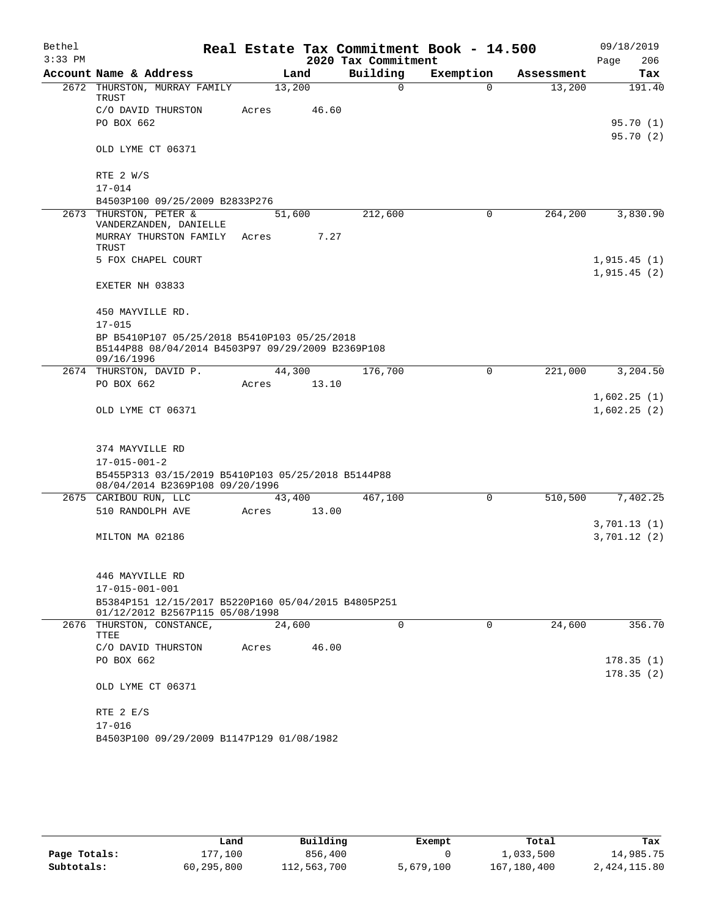| Bethel<br>$3:33$ PM |                                                                                                                 |        |       | 2020 Tax Commitment | Real Estate Tax Commitment Book - 14.500 |            | 09/18/2019<br>Page<br>206 |
|---------------------|-----------------------------------------------------------------------------------------------------------------|--------|-------|---------------------|------------------------------------------|------------|---------------------------|
|                     | Account Name & Address                                                                                          | Land   |       | Building            | Exemption                                | Assessment | Tax                       |
|                     | 2672 THURSTON, MURRAY FAMILY<br>TRUST                                                                           | 13,200 |       | $\mathbf 0$         | $\Omega$                                 | 13,200     | 191.40                    |
|                     | C/O DAVID THURSTON                                                                                              | Acres  | 46.60 |                     |                                          |            |                           |
|                     | PO BOX 662                                                                                                      |        |       |                     |                                          |            | 95.70 (1)<br>95.70 (2)    |
|                     | OLD LYME CT 06371                                                                                               |        |       |                     |                                          |            |                           |
|                     | RTE $2 W/S$                                                                                                     |        |       |                     |                                          |            |                           |
|                     | $17 - 014$                                                                                                      |        |       |                     |                                          |            |                           |
|                     | B4503P100 09/25/2009 B2833P276                                                                                  |        |       |                     | 0                                        | 264,200    |                           |
|                     | 2673 THURSTON, PETER &<br>VANDERZANDEN, DANIELLE                                                                | 51,600 |       | 212,600             |                                          |            | 3,830.90                  |
|                     | MURRAY THURSTON FAMILY<br>TRUST                                                                                 | Acres  | 7.27  |                     |                                          |            |                           |
|                     | 5 FOX CHAPEL COURT                                                                                              |        |       |                     |                                          |            | 1,915.45(1)               |
|                     |                                                                                                                 |        |       |                     |                                          |            | 1,915.45(2)               |
|                     | EXETER NH 03833                                                                                                 |        |       |                     |                                          |            |                           |
|                     | 450 MAYVILLE RD.                                                                                                |        |       |                     |                                          |            |                           |
|                     | $17 - 015$                                                                                                      |        |       |                     |                                          |            |                           |
|                     | BP B5410P107 05/25/2018 B5410P103 05/25/2018<br>B5144P88 08/04/2014 B4503P97 09/29/2009 B2369P108<br>09/16/1996 |        |       |                     |                                          |            |                           |
|                     | 2674 THURSTON, DAVID P.                                                                                         | 44,300 |       | 176,700             | $\mathbf 0$                              | 221,000    | 3,204.50                  |
|                     | PO BOX 662                                                                                                      | Acres  | 13.10 |                     |                                          |            |                           |
|                     |                                                                                                                 |        |       |                     |                                          |            | 1,602.25(1)               |
|                     | OLD LYME CT 06371                                                                                               |        |       |                     |                                          |            | 1,602.25(2)               |
|                     | 374 MAYVILLE RD                                                                                                 |        |       |                     |                                          |            |                           |
|                     | $17 - 015 - 001 - 2$                                                                                            |        |       |                     |                                          |            |                           |
|                     | B5455P313 03/15/2019 B5410P103 05/25/2018 B5144P88<br>08/04/2014 B2369P108 09/20/1996                           |        |       |                     |                                          |            |                           |
|                     | 2675 CARIBOU RUN, LLC                                                                                           | 43,400 |       | 467,100             | 0                                        | 510,500    | 7,402.25                  |
|                     | 510 RANDOLPH AVE                                                                                                | Acres  | 13.00 |                     |                                          |            |                           |
|                     |                                                                                                                 |        |       |                     |                                          |            | 3,701.13(1)               |
|                     | MILTON MA 02186                                                                                                 |        |       |                     |                                          |            | 3,701.12(2)               |
|                     | 446 MAYVILLE RD                                                                                                 |        |       |                     |                                          |            |                           |
|                     | $17 - 015 - 001 - 001$                                                                                          |        |       |                     |                                          |            |                           |
|                     | B5384P151 12/15/2017 B5220P160 05/04/2015 B4805P251<br>01/12/2012 B2567P115 05/08/1998                          |        |       |                     |                                          |            |                           |
|                     | 2676 THURSTON, CONSTANCE,<br>TTEE                                                                               | 24,600 |       | $\Omega$            | $\Omega$                                 | 24,600     | 356.70                    |
|                     | C/O DAVID THURSTON                                                                                              | Acres  | 46.00 |                     |                                          |            |                           |
|                     | PO BOX 662                                                                                                      |        |       |                     |                                          |            | 178.35(1)                 |
|                     | OLD LYME CT 06371                                                                                               |        |       |                     |                                          |            | 178.35(2)                 |
|                     | RTE 2 E/S                                                                                                       |        |       |                     |                                          |            |                           |
|                     | $17 - 016$                                                                                                      |        |       |                     |                                          |            |                           |
|                     | B4503P100 09/29/2009 B1147P129 01/08/1982                                                                       |        |       |                     |                                          |            |                           |

|              | Land       | Building    | Exempt    | Total       | Tax          |
|--------------|------------|-------------|-----------|-------------|--------------|
| Page Totals: | 177.100    | 856,400     |           | 1,033,500   | 14,985.75    |
| Subtotals:   | 60,295,800 | 112,563,700 | 5,679,100 | 167,180,400 | 2,424,115.80 |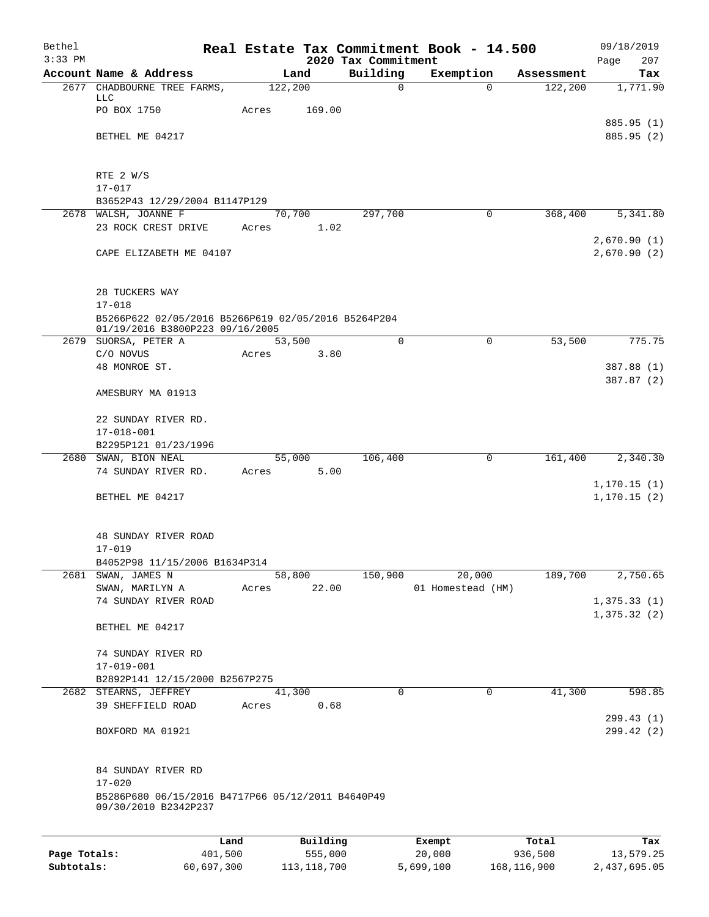| Bethel       |                                                                                        |         |                     |                     | Real Estate Tax Commitment Book - 14.500 |                       | 09/18/2019                 |
|--------------|----------------------------------------------------------------------------------------|---------|---------------------|---------------------|------------------------------------------|-----------------------|----------------------------|
| $3:33$ PM    |                                                                                        |         |                     | 2020 Tax Commitment |                                          |                       | 207<br>Page                |
|              | Account Name & Address<br>2677 CHADBOURNE TREE FARMS,                                  | 122,200 | Land                | Building<br>0       | Exemption<br>$\Omega$                    | Assessment<br>122,200 | Tax<br>1,771.90            |
|              | LLC                                                                                    |         |                     |                     |                                          |                       |                            |
|              | PO BOX 1750                                                                            | Acres   | 169.00              |                     |                                          |                       |                            |
|              |                                                                                        |         |                     |                     |                                          |                       | 885.95 (1)                 |
|              | BETHEL ME 04217                                                                        |         |                     |                     |                                          |                       | 885.95 (2)                 |
|              |                                                                                        |         |                     |                     |                                          |                       |                            |
|              | RTE 2 W/S                                                                              |         |                     |                     |                                          |                       |                            |
|              | $17 - 017$                                                                             |         |                     |                     |                                          |                       |                            |
|              | B3652P43 12/29/2004 B1147P129                                                          |         |                     |                     |                                          |                       |                            |
|              | 2678 WALSH, JOANNE F                                                                   |         | 70,700              | 297,700             | 0                                        | 368,400               | 5,341.80                   |
|              | 23 ROCK CREST DRIVE                                                                    | Acres   | 1.02                |                     |                                          |                       |                            |
|              | CAPE ELIZABETH ME 04107                                                                |         |                     |                     |                                          |                       | 2,670.90(1)<br>2,670.90(2) |
|              |                                                                                        |         |                     |                     |                                          |                       |                            |
|              |                                                                                        |         |                     |                     |                                          |                       |                            |
|              | 28 TUCKERS WAY                                                                         |         |                     |                     |                                          |                       |                            |
|              | $17 - 018$                                                                             |         |                     |                     |                                          |                       |                            |
|              | B5266P622 02/05/2016 B5266P619 02/05/2016 B5264P204<br>01/19/2016 B3800P223 09/16/2005 |         |                     |                     |                                          |                       |                            |
|              | 2679 SUORSA, PETER A                                                                   |         | 53,500              | $\Omega$            | $\mathbf 0$                              | 53,500                | 775.75                     |
|              | C/O NOVUS                                                                              | Acres   | 3.80                |                     |                                          |                       |                            |
|              | 48 MONROE ST.                                                                          |         |                     |                     |                                          |                       | 387.88 (1)                 |
|              | AMESBURY MA 01913                                                                      |         |                     |                     |                                          |                       | 387.87 (2)                 |
|              |                                                                                        |         |                     |                     |                                          |                       |                            |
|              | 22 SUNDAY RIVER RD.                                                                    |         |                     |                     |                                          |                       |                            |
|              | $17 - 018 - 001$                                                                       |         |                     |                     |                                          |                       |                            |
|              | B2295P121 01/23/1996                                                                   |         |                     |                     |                                          |                       |                            |
|              | 2680 SWAN, BION NEAL                                                                   |         | 55,000              | 106,400             | 0                                        | 161,400               | 2,340.30                   |
|              | 74 SUNDAY RIVER RD.                                                                    | Acres   | 5.00                |                     |                                          |                       | 1, 170.15(1)               |
|              | BETHEL ME 04217                                                                        |         |                     |                     |                                          |                       | 1, 170.15(2)               |
|              |                                                                                        |         |                     |                     |                                          |                       |                            |
|              |                                                                                        |         |                     |                     |                                          |                       |                            |
|              | 48 SUNDAY RIVER ROAD                                                                   |         |                     |                     |                                          |                       |                            |
|              | $17 - 019$                                                                             |         |                     |                     |                                          |                       |                            |
|              | B4052P98 11/15/2006 B1634P314<br>2681 SWAN, JAMES N                                    |         | 58,800              | 150,900             | 20,000                                   | 189,700               | 2,750.65                   |
|              | SWAN, MARILYN A                                                                        | Acres   | 22.00               |                     | 01 Homestead (HM)                        |                       |                            |
|              | 74 SUNDAY RIVER ROAD                                                                   |         |                     |                     |                                          |                       | 1,375.33(1)                |
|              |                                                                                        |         |                     |                     |                                          |                       | 1,375.32(2)                |
|              | BETHEL ME 04217                                                                        |         |                     |                     |                                          |                       |                            |
|              | 74 SUNDAY RIVER RD                                                                     |         |                     |                     |                                          |                       |                            |
|              | 17-019-001                                                                             |         |                     |                     |                                          |                       |                            |
|              | B2892P141 12/15/2000 B2567P275                                                         |         |                     |                     |                                          |                       |                            |
|              | 2682 STEARNS, JEFFREY                                                                  |         | 41,300              | $\mathbf 0$         | $\mathbf 0$                              | 41,300                | 598.85                     |
|              | 39 SHEFFIELD ROAD                                                                      | Acres   | 0.68                |                     |                                          |                       |                            |
|              | BOXFORD MA 01921                                                                       |         |                     |                     |                                          |                       | 299.43(1)<br>299.42 (2)    |
|              |                                                                                        |         |                     |                     |                                          |                       |                            |
|              |                                                                                        |         |                     |                     |                                          |                       |                            |
|              | 84 SUNDAY RIVER RD                                                                     |         |                     |                     |                                          |                       |                            |
|              | $17 - 020$                                                                             |         |                     |                     |                                          |                       |                            |
|              | B5286P680 06/15/2016 B4717P66 05/12/2011 B4640P49<br>09/30/2010 B2342P237              |         |                     |                     |                                          |                       |                            |
|              |                                                                                        |         |                     |                     |                                          |                       |                            |
|              |                                                                                        |         |                     |                     |                                          |                       |                            |
| Page Totals: | Land<br>401,500                                                                        |         | Building<br>555,000 |                     | Exempt<br>20,000                         | Total<br>936,500      | Tax<br>13,579.25           |
|              |                                                                                        |         |                     |                     |                                          |                       |                            |

**Subtotals:** 60,697,300 113,118,700 5,699,100 168,116,900 2,437,695.05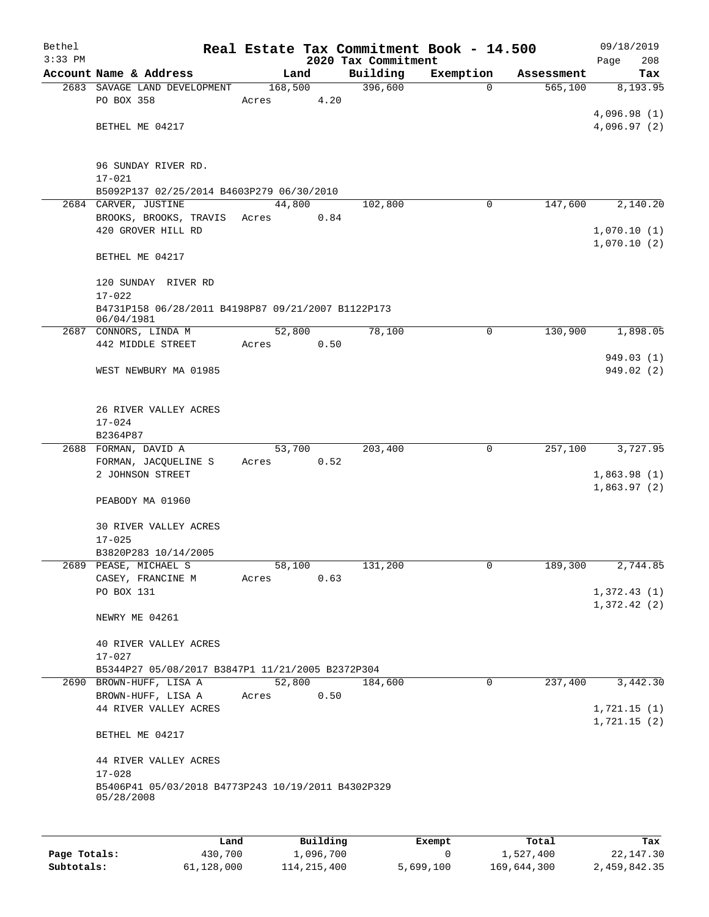| Bethel    |                                                                             |                 |          | Real Estate Tax Commitment Book - 14.500 |               |            | 09/18/2019                 |
|-----------|-----------------------------------------------------------------------------|-----------------|----------|------------------------------------------|---------------|------------|----------------------------|
| $3:33$ PM | Account Name & Address                                                      | Land            |          | 2020 Tax Commitment<br>Building          | Exemption     | Assessment | 208<br>Page<br>Tax         |
| 2683      | SAVAGE LAND DEVELOPMENT                                                     | 168,500         |          | 396,600                                  | $\Omega$      | 565,100    | 8,193.95                   |
|           | PO BOX 358                                                                  | Acres           | 4.20     |                                          |               |            |                            |
|           |                                                                             |                 |          |                                          |               |            | 4,096.98(1)                |
|           | BETHEL ME 04217                                                             |                 |          |                                          |               |            | 4,096.97(2)                |
|           |                                                                             |                 |          |                                          |               |            |                            |
|           | 96 SUNDAY RIVER RD.                                                         |                 |          |                                          |               |            |                            |
|           | $17 - 021$                                                                  |                 |          |                                          |               |            |                            |
|           | B5092P137 02/25/2014 B4603P279 06/30/2010                                   |                 |          |                                          |               |            |                            |
|           | 2684 CARVER, JUSTINE<br>BROOKS, BROOKS, TRAVIS                              | 44,800<br>Acres | 0.84     | 102,800                                  | 0             | 147,600    | 2,140.20                   |
|           | 420 GROVER HILL RD                                                          |                 |          |                                          |               |            | 1,070.10(1)                |
|           |                                                                             |                 |          |                                          |               |            | 1,070.10(2)                |
|           | BETHEL ME 04217                                                             |                 |          |                                          |               |            |                            |
|           | 120 SUNDAY RIVER RD                                                         |                 |          |                                          |               |            |                            |
|           | $17 - 022$                                                                  |                 |          |                                          |               |            |                            |
|           | B4731P158 06/28/2011 B4198P87 09/21/2007 B1122P173<br>06/04/1981            |                 |          |                                          |               |            |                            |
|           | 2687 CONNORS, LINDA M                                                       | 52,800          |          | 78,100                                   | 0             | 130,900    | 1,898.05                   |
|           | 442 MIDDLE STREET                                                           | Acres           | 0.50     |                                          |               |            |                            |
|           |                                                                             |                 |          |                                          |               |            | 949.03 (1)                 |
|           | WEST NEWBURY MA 01985                                                       |                 |          |                                          |               |            | 949.02(2)                  |
|           |                                                                             |                 |          |                                          |               |            |                            |
|           | 26 RIVER VALLEY ACRES                                                       |                 |          |                                          |               |            |                            |
|           | $17 - 024$                                                                  |                 |          |                                          |               |            |                            |
|           | B2364P87<br>2688 FORMAN, DAVID A                                            |                 |          |                                          |               |            | 3,727.95                   |
|           | FORMAN, JACQUELINE S                                                        | 53,700<br>Acres | 0.52     | 203,400                                  | 0             | 257,100    |                            |
|           | 2 JOHNSON STREET                                                            |                 |          |                                          |               |            | 1,863.98(1)                |
|           |                                                                             |                 |          |                                          |               |            | 1,863.97(2)                |
|           | PEABODY MA 01960                                                            |                 |          |                                          |               |            |                            |
|           | 30 RIVER VALLEY ACRES                                                       |                 |          |                                          |               |            |                            |
|           | $17 - 025$                                                                  |                 |          |                                          |               |            |                            |
|           | B3820P283 10/14/2005                                                        |                 |          |                                          |               |            |                            |
|           | 2689 PEASE, MICHAEL S                                                       | 58,100          |          | 131,200                                  | 0             | 189,300    | 2,744.85                   |
|           | CASEY, FRANCINE M                                                           | Acres           | 0.63     |                                          |               |            |                            |
|           | PO BOX 131                                                                  |                 |          |                                          |               |            | 1,372.43(1)<br>1,372.42(2) |
|           | NEWRY ME 04261                                                              |                 |          |                                          |               |            |                            |
|           |                                                                             |                 |          |                                          |               |            |                            |
|           | 40 RIVER VALLEY ACRES                                                       |                 |          |                                          |               |            |                            |
|           | $17 - 027$                                                                  |                 |          |                                          |               |            |                            |
|           | B5344P27 05/08/2017 B3847P1 11/21/2005 B2372P304<br>2690 BROWN-HUFF, LISA A | 52,800          |          | 184,600                                  | 0             | 237,400    | 3,442.30                   |
|           | BROWN-HUFF, LISA A                                                          | Acres           | 0.50     |                                          |               |            |                            |
|           | 44 RIVER VALLEY ACRES                                                       |                 |          |                                          |               |            | 1,721.15(1)                |
|           |                                                                             |                 |          |                                          |               |            | 1,721.15(2)                |
|           | BETHEL ME 04217                                                             |                 |          |                                          |               |            |                            |
|           | 44 RIVER VALLEY ACRES                                                       |                 |          |                                          |               |            |                            |
|           | $17 - 028$                                                                  |                 |          |                                          |               |            |                            |
|           | B5406P41 05/03/2018 B4773P243 10/19/2011 B4302P329<br>05/28/2008            |                 |          |                                          |               |            |                            |
|           |                                                                             |                 |          |                                          |               |            |                            |
|           |                                                                             |                 |          |                                          |               |            |                            |
|           |                                                                             | Land            | Building |                                          | <b>Exempt</b> | Total      | Tax                        |

|              | Land       | Building    | Exempt    | Total       | Tax          |
|--------------|------------|-------------|-----------|-------------|--------------|
| Page Totals: | 430,700    | 1,096,700   |           | 1,527,400   | 22,147.30    |
| Subtotals:   | 61,128,000 | 114,215,400 | 5,699,100 | 169,644,300 | 2,459,842.35 |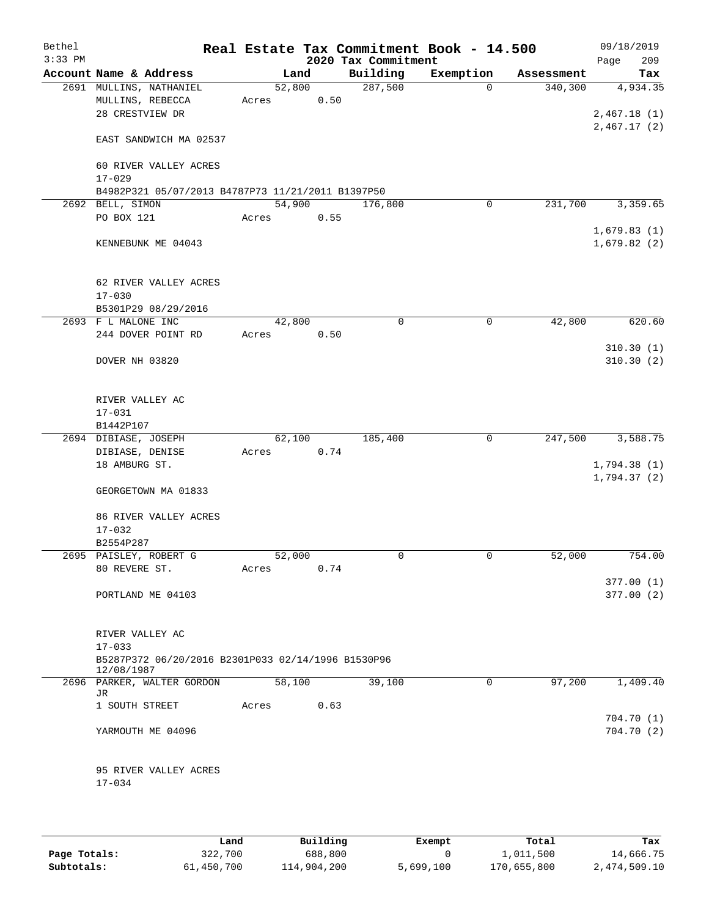| Bethel<br>$3:33$ PM |                                                                  |       |        | 2020 Tax Commitment | Real Estate Tax Commitment Book - 14.500 |            | 09/18/2019<br>209<br>Page  |
|---------------------|------------------------------------------------------------------|-------|--------|---------------------|------------------------------------------|------------|----------------------------|
|                     | Account Name & Address                                           |       | Land   | Building            | Exemption                                | Assessment | Tax                        |
|                     | 2691 MULLINS, NATHANIEL                                          |       | 52,800 | 287,500             | $\Omega$                                 | 340, 300   | 4,934.35                   |
|                     | MULLINS, REBECCA                                                 | Acres | 0.50   |                     |                                          |            |                            |
|                     | 28 CRESTVIEW DR                                                  |       |        |                     |                                          |            | 2,467.18(1)                |
|                     |                                                                  |       |        |                     |                                          |            | 2,467.17(2)                |
|                     | EAST SANDWICH MA 02537                                           |       |        |                     |                                          |            |                            |
|                     | 60 RIVER VALLEY ACRES<br>$17 - 029$                              |       |        |                     |                                          |            |                            |
|                     |                                                                  |       |        |                     |                                          |            |                            |
|                     | B4982P321 05/07/2013 B4787P73 11/21/2011 B1397P50                |       | 54,900 | 176,800             | 0                                        | 231,700    |                            |
|                     | 2692 BELL, SIMON                                                 |       |        |                     |                                          |            | 3,359.65                   |
|                     | PO BOX 121                                                       | Acres | 0.55   |                     |                                          |            |                            |
|                     | KENNEBUNK ME 04043                                               |       |        |                     |                                          |            | 1,679.83(1)<br>1,679.82(2) |
|                     | 62 RIVER VALLEY ACRES                                            |       |        |                     |                                          |            |                            |
|                     | $17 - 030$                                                       |       |        |                     |                                          |            |                            |
|                     | B5301P29 08/29/2016                                              |       |        |                     |                                          |            |                            |
|                     | 2693 F L MALONE INC                                              |       | 42,800 | $\mathbf 0$         | 0                                        | 42,800     | 620.60                     |
|                     | 244 DOVER POINT RD                                               | Acres | 0.50   |                     |                                          |            |                            |
|                     | DOVER NH 03820                                                   |       |        |                     |                                          |            | 310.30(1)<br>310.30(2)     |
|                     | RIVER VALLEY AC<br>$17 - 031$                                    |       |        |                     |                                          |            |                            |
|                     | B1442P107                                                        |       |        |                     |                                          |            |                            |
|                     | 2694 DIBIASE, JOSEPH                                             |       | 62,100 | 185,400             | $\mathbf 0$                              | 247,500    | 3,588.75                   |
|                     | DIBIASE, DENISE                                                  | Acres | 0.74   |                     |                                          |            |                            |
|                     | 18 AMBURG ST.                                                    |       |        |                     |                                          |            | 1,794.38(1)                |
|                     | GEORGETOWN MA 01833                                              |       |        |                     |                                          |            | 1,794.37(2)                |
|                     | 86 RIVER VALLEY ACRES                                            |       |        |                     |                                          |            |                            |
|                     |                                                                  |       |        |                     |                                          |            |                            |
|                     | $17 - 032$                                                       |       |        |                     |                                          |            |                            |
|                     | B2554P287                                                        |       |        |                     |                                          |            |                            |
|                     | 2695 PAISLEY, ROBERT G                                           |       | 52,000 | 0                   | 0                                        | 52,000     | 754.00                     |
|                     | 80 REVERE ST.                                                    | Acres | 0.74   |                     |                                          |            |                            |
|                     |                                                                  |       |        |                     |                                          |            | 377.00(1)                  |
|                     | PORTLAND ME 04103                                                |       |        |                     |                                          |            | 377.00 (2)                 |
|                     | RIVER VALLEY AC<br>$17 - 033$                                    |       |        |                     |                                          |            |                            |
|                     | B5287P372 06/20/2016 B2301P033 02/14/1996 B1530P96<br>12/08/1987 |       |        |                     |                                          |            |                            |
|                     | 2696 PARKER, WALTER GORDON                                       |       | 58,100 | 39,100              | 0                                        | 97,200     | 1,409.40                   |
|                     | JR                                                               |       |        |                     |                                          |            |                            |
|                     | 1 SOUTH STREET                                                   | Acres | 0.63   |                     |                                          |            |                            |
|                     | YARMOUTH ME 04096                                                |       |        |                     |                                          |            | 704.70(1)<br>704.70(2)     |
|                     | 95 RIVER VALLEY ACRES<br>$17 - 034$                              |       |        |                     |                                          |            |                            |
|                     |                                                                  |       |        |                     |                                          |            |                            |

|              | Land       | Building    | Exempt    | Total       | Tax          |
|--------------|------------|-------------|-----------|-------------|--------------|
| Page Totals: | 322,700    | 688,800     |           | 1,011,500   | 14,666.75    |
| Subtotals:   | 61,450,700 | 114,904,200 | 5,699,100 | 170,655,800 | 2,474,509.10 |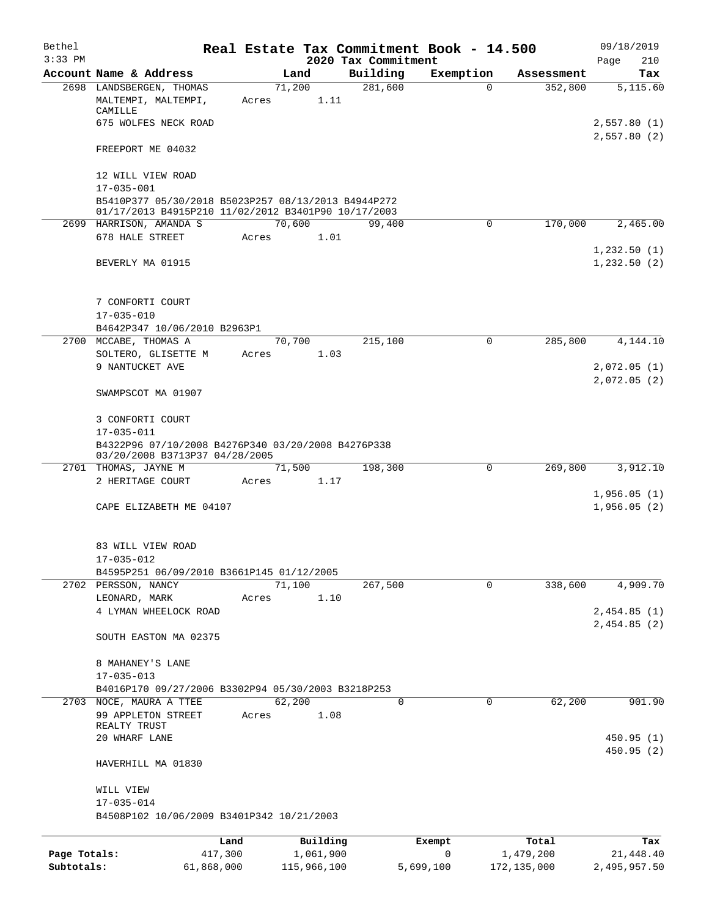| Bethel       |                                                                                                            |       |                |                     | Real Estate Tax Commitment Book - 14.500 |                       | 09/18/2019                 |
|--------------|------------------------------------------------------------------------------------------------------------|-------|----------------|---------------------|------------------------------------------|-----------------------|----------------------------|
| $3:33$ PM    |                                                                                                            |       |                | 2020 Tax Commitment |                                          |                       | 210<br>Page                |
|              | Account Name & Address<br>2698 LANDSBERGEN, THOMAS                                                         |       | Land<br>71,200 | Building<br>281,600 | Exemption<br>$\Omega$                    | Assessment<br>352,800 | Tax<br>5,115.60            |
|              | MALTEMPI, MALTEMPI,<br>CAMILLE                                                                             | Acres | 1.11           |                     |                                          |                       |                            |
|              | 675 WOLFES NECK ROAD                                                                                       |       |                |                     |                                          |                       | 2,557.80(1)                |
|              | FREEPORT ME 04032                                                                                          |       |                |                     |                                          |                       | 2,557.80(2)                |
|              | 12 WILL VIEW ROAD                                                                                          |       |                |                     |                                          |                       |                            |
|              | $17 - 035 - 001$                                                                                           |       |                |                     |                                          |                       |                            |
|              | B5410P377 05/30/2018 B5023P257 08/13/2013 B4944P272<br>01/17/2013 B4915P210 11/02/2012 B3401P90 10/17/2003 |       |                |                     |                                          |                       |                            |
|              | 2699 HARRISON, AMANDA S                                                                                    |       | 70,600         | 99,400              | $\mathbf 0$                              | 170,000               | 2,465.00                   |
|              | 678 HALE STREET                                                                                            | Acres | 1.01           |                     |                                          |                       |                            |
|              |                                                                                                            |       |                |                     |                                          |                       | 1,232.50(1)                |
|              | BEVERLY MA 01915                                                                                           |       |                |                     |                                          |                       | 1,232.50(2)                |
|              | 7 CONFORTI COURT                                                                                           |       |                |                     |                                          |                       |                            |
|              | $17 - 035 - 010$                                                                                           |       |                |                     |                                          |                       |                            |
|              | B4642P347 10/06/2010 B2963P1                                                                               |       |                |                     |                                          |                       |                            |
|              | 2700 MCCABE, THOMAS A                                                                                      |       | 70,700         | 215,100             | 0                                        | 285,800               | 4,144.10                   |
|              | SOLTERO, GLISETTE M                                                                                        | Acres | 1.03           |                     |                                          |                       |                            |
|              | 9 NANTUCKET AVE                                                                                            |       |                |                     |                                          |                       | 2,072.05(1)                |
|              | SWAMPSCOT MA 01907                                                                                         |       |                |                     |                                          |                       | 2,072.05(2)                |
|              | 3 CONFORTI COURT<br>17-035-011                                                                             |       |                |                     |                                          |                       |                            |
|              | B4322P96 07/10/2008 B4276P340 03/20/2008 B4276P338<br>03/20/2008 B3713P37 04/28/2005                       |       |                |                     |                                          |                       |                            |
|              | 2701 THOMAS, JAYNE M                                                                                       |       | 71,500         | 198,300             | $\mathbf 0$                              | 269,800               | 3,912.10                   |
|              | 2 HERITAGE COURT                                                                                           | Acres | 1.17           |                     |                                          |                       |                            |
|              | CAPE ELIZABETH ME 04107                                                                                    |       |                |                     |                                          |                       | 1,956.05(1)<br>1,956.05(2) |
|              | 83 WILL VIEW ROAD                                                                                          |       |                |                     |                                          |                       |                            |
|              | $17 - 035 - 012$<br>B4595P251 06/09/2010 B3661P145 01/12/2005                                              |       |                |                     |                                          |                       |                            |
|              | 2702 PERSSON, NANCY                                                                                        |       | 71,100         | 267,500             | 0                                        | 338,600               | 4,909.70                   |
|              | LEONARD, MARK                                                                                              | Acres | 1.10           |                     |                                          |                       |                            |
|              | 4 LYMAN WHEELOCK ROAD                                                                                      |       |                |                     |                                          |                       | 2,454.85(1)                |
|              | SOUTH EASTON MA 02375                                                                                      |       |                |                     |                                          |                       | 2,454.85(2)                |
|              |                                                                                                            |       |                |                     |                                          |                       |                            |
|              | 8 MAHANEY'S LANE                                                                                           |       |                |                     |                                          |                       |                            |
|              | 17-035-013                                                                                                 |       |                |                     |                                          |                       |                            |
|              | B4016P170 09/27/2006 B3302P94 05/30/2003 B3218P253                                                         |       |                |                     |                                          |                       |                            |
|              | 2703 NOCE, MAURA A TTEE<br>99 APPLETON STREET                                                              | Acres | 62,200<br>1.08 | 0                   | 0                                        | 62,200                | 901.90                     |
|              | REALTY TRUST                                                                                               |       |                |                     |                                          |                       | 450.95(1)                  |
|              | 20 WHARF LANE                                                                                              |       |                |                     |                                          |                       | 450.95(2)                  |
|              | HAVERHILL MA 01830                                                                                         |       |                |                     |                                          |                       |                            |
|              | WILL VIEW                                                                                                  |       |                |                     |                                          |                       |                            |
|              | 17-035-014<br>B4508P102 10/06/2009 B3401P342 10/21/2003                                                    |       |                |                     |                                          |                       |                            |
|              |                                                                                                            |       |                |                     |                                          |                       |                            |
|              | Land                                                                                                       |       | Building       |                     | Exempt                                   | Total                 | Tax                        |
| Page Totals: | 417,300                                                                                                    |       | 1,061,900      |                     | 0                                        | 1,479,200             | 21,448.40                  |

**Subtotals:** 61,868,000 115,966,100 5,699,100 172,135,000 2,495,957.50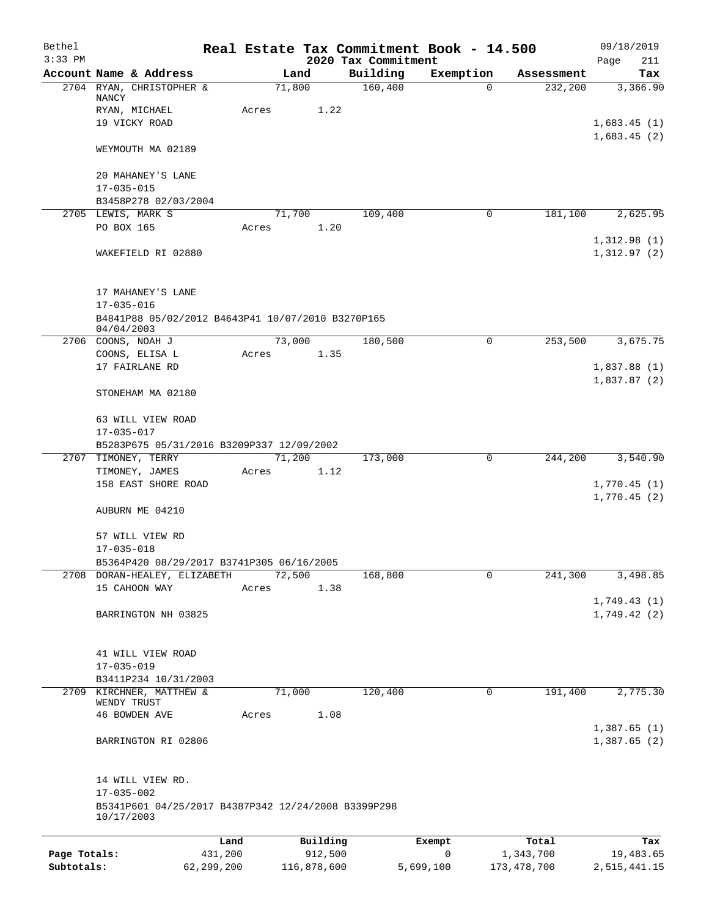| Bethel       |                                                                 |            |                 |             |                                 | Real Estate Tax Commitment Book - 14.500 |               | 09/18/2019                 |
|--------------|-----------------------------------------------------------------|------------|-----------------|-------------|---------------------------------|------------------------------------------|---------------|----------------------------|
| $3:33$ PM    | Account Name & Address                                          |            |                 | Land        | 2020 Tax Commitment<br>Building | Exemption                                | Assessment    | Page<br>211<br>Tax         |
|              | 2704 RYAN, CHRISTOPHER &                                        |            | 71,800          |             | 160,400                         | $\Omega$                                 | 232,200       | 3,366.90                   |
|              | NANCY                                                           |            |                 |             |                                 |                                          |               |                            |
|              | RYAN, MICHAEL<br>19 VICKY ROAD                                  |            | Acres           | 1.22        |                                 |                                          |               |                            |
|              |                                                                 |            |                 |             |                                 |                                          |               | 1,683.45(1)<br>1,683.45(2) |
|              | WEYMOUTH MA 02189                                               |            |                 |             |                                 |                                          |               |                            |
|              | 20 MAHANEY'S LANE                                               |            |                 |             |                                 |                                          |               |                            |
|              | $17 - 035 - 015$                                                |            |                 |             |                                 |                                          |               |                            |
|              | B3458P278 02/03/2004                                            |            |                 |             |                                 |                                          |               |                            |
|              | 2705 LEWIS, MARK S<br>PO BOX 165                                |            | 71,700<br>Acres | 1.20        | 109,400                         | 0                                        | 181,100       | 2,625.95                   |
|              |                                                                 |            |                 |             |                                 |                                          |               | 1,312.98(1)                |
|              | WAKEFIELD RI 02880                                              |            |                 |             |                                 |                                          |               | 1,312.97(2)                |
|              | 17 MAHANEY'S LANE                                               |            |                 |             |                                 |                                          |               |                            |
|              | $17 - 035 - 016$                                                |            |                 |             |                                 |                                          |               |                            |
|              | B4841P88 05/02/2012 B4643P41 10/07/2010 B3270P165<br>04/04/2003 |            |                 |             |                                 |                                          |               |                            |
|              | 2706 COONS, NOAH J                                              |            | 73,000          |             | 180,500                         | $\Omega$                                 | 253,500       | 3,675.75                   |
|              | COONS, ELISA L<br>17 FAIRLANE RD                                |            | Acres           | 1.35        |                                 |                                          |               | 1,837.88(1)                |
|              |                                                                 |            |                 |             |                                 |                                          |               | 1,837.87(2)                |
|              | STONEHAM MA 02180                                               |            |                 |             |                                 |                                          |               |                            |
|              | 63 WILL VIEW ROAD                                               |            |                 |             |                                 |                                          |               |                            |
|              | $17 - 035 - 017$                                                |            |                 |             |                                 |                                          |               |                            |
|              | B5283P675 05/31/2016 B3209P337 12/09/2002                       |            |                 |             |                                 |                                          |               |                            |
|              | 2707 TIMONEY, TERRY<br>TIMONEY, JAMES                           |            | 71,200          |             | 173,000                         | 0                                        | 244,200       | 3,540.90                   |
|              | 158 EAST SHORE ROAD                                             |            | Acres           | 1.12        |                                 |                                          |               | 1,770.45(1)                |
|              |                                                                 |            |                 |             |                                 |                                          |               | 1,770.45(2)                |
|              | AUBURN ME 04210                                                 |            |                 |             |                                 |                                          |               |                            |
|              | 57 WILL VIEW RD                                                 |            |                 |             |                                 |                                          |               |                            |
|              | $17 - 035 - 018$                                                |            |                 |             |                                 |                                          |               |                            |
|              | B5364P420 08/29/2017 B3741P305 06/16/2005                       |            |                 |             |                                 |                                          |               |                            |
|              | 2708 DORAN-HEALEY, ELIZABETH<br>15 CAHOON WAY                   |            | 72,500<br>Acres | 1.38        | 168,800                         | 0                                        | 241,300       | 3,498.85                   |
|              |                                                                 |            |                 |             |                                 |                                          |               | 1,749.43(1)                |
|              | BARRINGTON NH 03825                                             |            |                 |             |                                 |                                          |               | 1,749.42(2)                |
|              |                                                                 |            |                 |             |                                 |                                          |               |                            |
|              |                                                                 |            |                 |             |                                 |                                          |               |                            |
|              | 41 WILL VIEW ROAD<br>$17 - 035 - 019$                           |            |                 |             |                                 |                                          |               |                            |
|              | B3411P234 10/31/2003                                            |            |                 |             |                                 |                                          |               |                            |
| 2709         | KIRCHNER, MATTHEW &                                             |            | 71,000          |             | 120,400                         | 0                                        | 191,400       | 2,775.30                   |
|              | WENDY TRUST                                                     |            |                 |             |                                 |                                          |               |                            |
|              | 46 BOWDEN AVE                                                   |            | Acres           | 1.08        |                                 |                                          |               |                            |
|              | BARRINGTON RI 02806                                             |            |                 |             |                                 |                                          |               | 1,387.65(1)<br>1,387.65(2) |
|              |                                                                 |            |                 |             |                                 |                                          |               |                            |
|              | 14 WILL VIEW RD.<br>$17 - 035 - 002$                            |            |                 |             |                                 |                                          |               |                            |
|              | B5341P601 04/25/2017 B4387P342 12/24/2008 B3399P298             |            |                 |             |                                 |                                          |               |                            |
|              | 10/17/2003                                                      |            |                 |             |                                 |                                          |               |                            |
|              |                                                                 | Land       |                 | Building    |                                 | Exempt                                   | Total         | Tax                        |
| Page Totals: |                                                                 | 431,200    |                 | 912,500     |                                 | 0                                        | 1,343,700     | 19,483.65                  |
| Subtotals:   |                                                                 | 62,299,200 |                 | 116,878,600 |                                 | 5,699,100                                | 173, 478, 700 | 2,515,441.15               |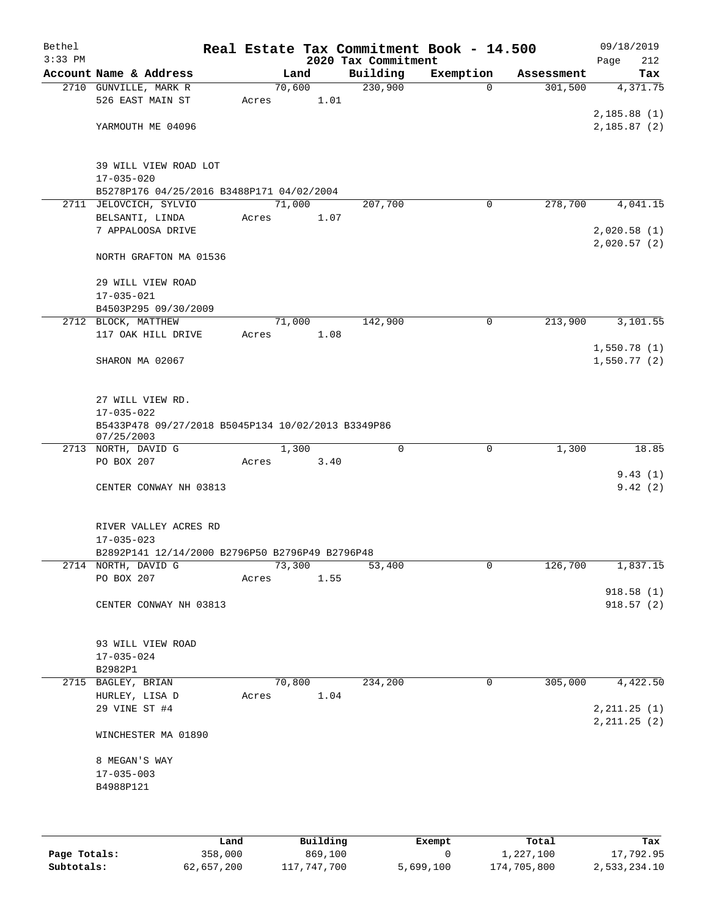| Bethel<br>$3:33$ PM |                                                               |       |        |      | 2020 Tax Commitment | Real Estate Tax Commitment Book - 14.500 |            | 09/18/2019<br>212              |
|---------------------|---------------------------------------------------------------|-------|--------|------|---------------------|------------------------------------------|------------|--------------------------------|
|                     | Account Name & Address                                        |       | Land   |      | Building            | Exemption                                | Assessment | Page<br>Tax                    |
|                     | 2710 GUNVILLE, MARK R                                         |       | 70,600 |      | 230,900             | 0                                        | 301,500    | 4,371.75                       |
|                     | 526 EAST MAIN ST                                              | Acres |        | 1.01 |                     |                                          |            |                                |
|                     |                                                               |       |        |      |                     |                                          |            | 2,185.88(1)                    |
|                     | YARMOUTH ME 04096                                             |       |        |      |                     |                                          |            | 2,185.87(2)                    |
|                     |                                                               |       |        |      |                     |                                          |            |                                |
|                     | 39 WILL VIEW ROAD LOT                                         |       |        |      |                     |                                          |            |                                |
|                     | $17 - 035 - 020$<br>B5278P176 04/25/2016 B3488P171 04/02/2004 |       |        |      |                     |                                          |            |                                |
|                     | 2711 JELOVCICH, SYLVIO                                        |       | 71,000 |      | 207,700             | 0                                        | 278,700    | 4,041.15                       |
|                     | BELSANTI, LINDA                                               | Acres |        | 1.07 |                     |                                          |            |                                |
|                     | 7 APPALOOSA DRIVE                                             |       |        |      |                     |                                          |            | 2,020.58(1)                    |
|                     | NORTH GRAFTON MA 01536                                        |       |        |      |                     |                                          |            | 2,020.57(2)                    |
|                     | 29 WILL VIEW ROAD                                             |       |        |      |                     |                                          |            |                                |
|                     | $17 - 035 - 021$                                              |       |        |      |                     |                                          |            |                                |
|                     | B4503P295 09/30/2009                                          |       |        |      |                     |                                          |            |                                |
|                     | 2712 BLOCK, MATTHEW                                           |       | 71,000 |      | 142,900             | $\mathbf 0$                              | 213,900    | 3,101.55                       |
|                     | 117 OAK HILL DRIVE                                            | Acres |        | 1.08 |                     |                                          |            |                                |
|                     |                                                               |       |        |      |                     |                                          |            | 1,550.78(1)                    |
|                     | SHARON MA 02067                                               |       |        |      |                     |                                          |            | 1,550.77(2)                    |
|                     |                                                               |       |        |      |                     |                                          |            |                                |
|                     | 27 WILL VIEW RD.<br>$17 - 035 - 022$                          |       |        |      |                     |                                          |            |                                |
|                     | B5433P478 09/27/2018 B5045P134 10/02/2013 B3349P86            |       |        |      |                     |                                          |            |                                |
|                     | 07/25/2003                                                    |       |        |      |                     |                                          |            |                                |
|                     | 2713 NORTH, DAVID G                                           |       | 1,300  |      | $\mathbf 0$         | $\mathbf 0$                              | 1,300      | 18.85                          |
|                     | PO BOX 207                                                    | Acres |        | 3.40 |                     |                                          |            |                                |
|                     |                                                               |       |        |      |                     |                                          |            | 9.43(1)                        |
|                     | CENTER CONWAY NH 03813                                        |       |        |      |                     |                                          |            | 9.42(2)                        |
|                     | RIVER VALLEY ACRES RD                                         |       |        |      |                     |                                          |            |                                |
|                     | $17 - 035 - 023$                                              |       |        |      |                     |                                          |            |                                |
|                     | B2892P141 12/14/2000 B2796P50 B2796P49 B2796P48               |       |        |      |                     |                                          |            |                                |
|                     | 2714 NORTH, DAVID G                                           |       | 73,300 |      | 53,400              | 0                                        | 126,700    | 1,837.15                       |
|                     | PO BOX 207                                                    | Acres |        | 1.55 |                     |                                          |            |                                |
|                     | CENTER CONWAY NH 03813                                        |       |        |      |                     |                                          |            | 918.58(1)<br>918.57(2)         |
|                     |                                                               |       |        |      |                     |                                          |            |                                |
|                     | 93 WILL VIEW ROAD                                             |       |        |      |                     |                                          |            |                                |
|                     | $17 - 035 - 024$                                              |       |        |      |                     |                                          |            |                                |
|                     | B2982P1                                                       |       |        |      |                     |                                          |            |                                |
|                     | 2715 BAGLEY, BRIAN                                            |       | 70,800 |      | 234,200             | $\mathbf 0$                              | 305,000    | 4,422.50                       |
|                     | HURLEY, LISA D                                                | Acres |        | 1.04 |                     |                                          |            |                                |
|                     | 29 VINE ST #4                                                 |       |        |      |                     |                                          |            | 2, 211.25 (1)<br>2, 211.25 (2) |
|                     | WINCHESTER MA 01890                                           |       |        |      |                     |                                          |            |                                |
|                     | 8 MEGAN'S WAY                                                 |       |        |      |                     |                                          |            |                                |
|                     | $17 - 035 - 003$                                              |       |        |      |                     |                                          |            |                                |
|                     | B4988P121                                                     |       |        |      |                     |                                          |            |                                |
|                     |                                                               |       |        |      |                     |                                          |            |                                |
|                     |                                                               |       |        |      |                     |                                          |            |                                |
|                     |                                                               |       |        |      |                     |                                          |            |                                |

|              | Land       | Building    | Exempt    | Total       | Tax          |
|--------------|------------|-------------|-----------|-------------|--------------|
| Page Totals: | 358,000    | 869,100     |           | 1,227,100   | 17,792.95    |
| Subtotals:   | 62,657,200 | 117,747,700 | 5,699,100 | 174,705,800 | 2,533,234.10 |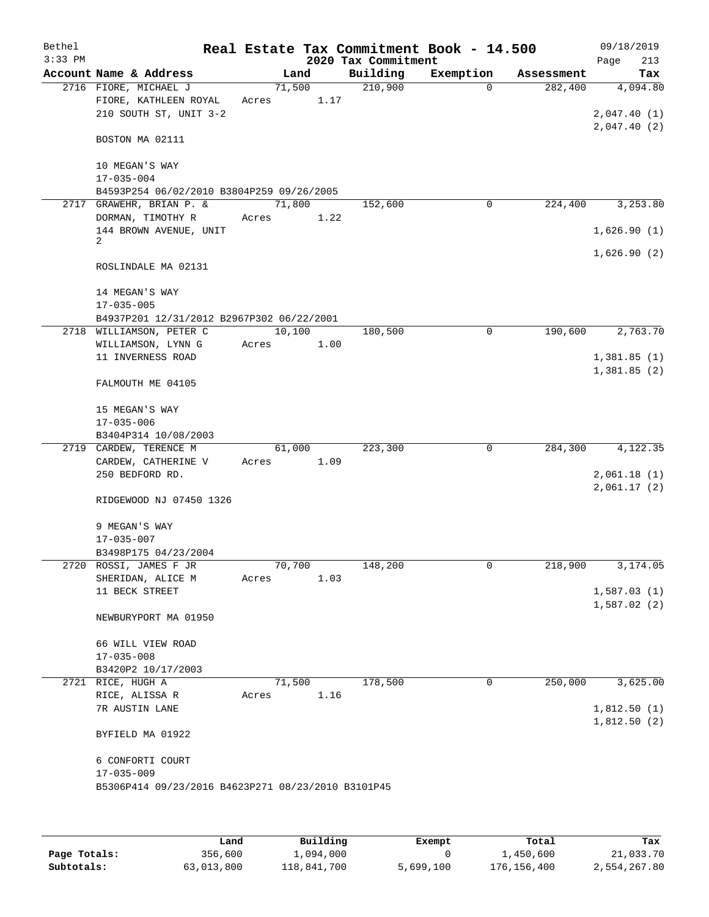| Bethel<br>$3:33$ PM |                                                                          |       |        |      | 2020 Tax Commitment | Real Estate Tax Commitment Book - 14.500 |            | 09/18/2019<br>Page<br>213  |
|---------------------|--------------------------------------------------------------------------|-------|--------|------|---------------------|------------------------------------------|------------|----------------------------|
|                     | Account Name & Address                                                   |       | Land   |      | Building            | Exemption                                | Assessment | Tax                        |
|                     | 2716 FIORE, MICHAEL J<br>FIORE, KATHLEEN ROYAL<br>210 SOUTH ST, UNIT 3-2 | Acres | 71,500 | 1.17 | 210,900             | $\Omega$                                 | 282,400    | 4,094.80<br>2,047.40(1)    |
|                     | BOSTON MA 02111                                                          |       |        |      |                     |                                          |            | 2,047.40(2)                |
|                     | 10 MEGAN'S WAY<br>$17 - 035 - 004$                                       |       |        |      |                     |                                          |            |                            |
|                     | B4593P254 06/02/2010 B3804P259 09/26/2005                                |       |        |      |                     |                                          |            |                            |
|                     | 2717 GRAWEHR, BRIAN P. &<br>DORMAN, TIMOTHY R                            | Acres | 71,800 | 1.22 | 152,600             | 0                                        | 224,400    | 3,253.80                   |
|                     | 144 BROWN AVENUE, UNIT<br>2                                              |       |        |      |                     |                                          |            | 1,626.90(1)                |
|                     | ROSLINDALE MA 02131                                                      |       |        |      |                     |                                          |            | 1,626.90(2)                |
|                     | 14 MEGAN'S WAY<br>$17 - 035 - 005$                                       |       |        |      |                     |                                          |            |                            |
|                     | B4937P201 12/31/2012 B2967P302 06/22/2001                                |       |        |      |                     |                                          |            |                            |
|                     | 2718 WILLIAMSON, PETER C<br>WILLIAMSON, LYNN G                           | Acres | 10,100 | 1.00 | 180,500             | $\mathbf 0$                              | 190,600    | 2,763.70                   |
|                     | 11 INVERNESS ROAD                                                        |       |        |      |                     |                                          |            | 1,381.85(1)<br>1,381.85(2) |
|                     | FALMOUTH ME 04105                                                        |       |        |      |                     |                                          |            |                            |
|                     | 15 MEGAN'S WAY                                                           |       |        |      |                     |                                          |            |                            |
|                     | $17 - 035 - 006$<br>B3404P314 10/08/2003                                 |       |        |      |                     |                                          |            |                            |
|                     | 2719 CARDEW, TERENCE M                                                   |       | 61,000 |      | 223,300             | $\mathbf 0$                              | 284,300    | 4,122.35                   |
|                     | CARDEW, CATHERINE V                                                      | Acres |        | 1.09 |                     |                                          |            |                            |
|                     | 250 BEDFORD RD.                                                          |       |        |      |                     |                                          |            | 2,061.18(1)<br>2,061.17(2) |
|                     | RIDGEWOOD NJ 07450 1326                                                  |       |        |      |                     |                                          |            |                            |
|                     | 9 MEGAN'S WAY                                                            |       |        |      |                     |                                          |            |                            |
|                     | $17 - 035 - 007$                                                         |       |        |      |                     |                                          |            |                            |
|                     | B3498P175 04/23/2004<br>2720 ROSSI, JAMES F JR                           |       | 70,700 |      | 148,200             | 0                                        | 218,900    | 3,174.05                   |
|                     | SHERIDAN, ALICE M                                                        | Acres |        | 1.03 |                     |                                          |            |                            |
|                     | 11 BECK STREET                                                           |       |        |      |                     |                                          |            | 1,587.03(1)                |
|                     | NEWBURYPORT MA 01950                                                     |       |        |      |                     |                                          |            | 1,587.02(2)                |
|                     | 66 WILL VIEW ROAD<br>$17 - 035 - 008$                                    |       |        |      |                     |                                          |            |                            |
|                     | B3420P2 10/17/2003                                                       |       |        |      |                     |                                          |            |                            |
|                     | 2721 RICE, HUGH A                                                        |       | 71,500 |      | 178,500             | 0                                        | 250,000    | 3,625.00                   |
|                     | RICE, ALISSA R                                                           | Acres |        | 1.16 |                     |                                          |            |                            |
|                     | 7R AUSTIN LANE                                                           |       |        |      |                     |                                          |            | 1,812.50(1)<br>1,812.50(2) |
|                     | BYFIELD MA 01922                                                         |       |        |      |                     |                                          |            |                            |
|                     | 6 CONFORTI COURT<br>$17 - 035 - 009$                                     |       |        |      |                     |                                          |            |                            |
|                     | B5306P414 09/23/2016 B4623P271 08/23/2010 B3101P45                       |       |        |      |                     |                                          |            |                            |
|                     |                                                                          |       |        |      |                     |                                          |            |                            |

|              | Land       | Building    | Exempt    | Total       | Tax          |
|--------------|------------|-------------|-----------|-------------|--------------|
| Page Totals: | 356,600    | 1,094,000   |           | 1,450,600   | 21,033.70    |
| Subtotals:   | 63,013,800 | 118,841,700 | 5,699,100 | 176,156,400 | 2,554,267.80 |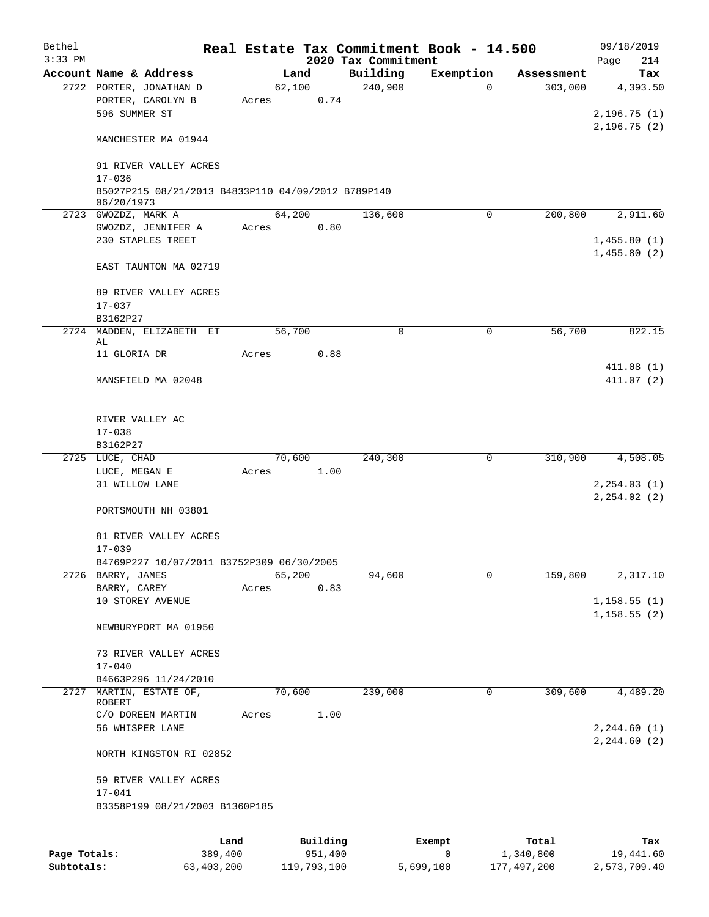| Bethel       |                                                                  |       |                     |                     | Real Estate Tax Commitment Book - 14.500 |                    | 09/18/2019                   |
|--------------|------------------------------------------------------------------|-------|---------------------|---------------------|------------------------------------------|--------------------|------------------------------|
| $3:33$ PM    |                                                                  |       |                     | 2020 Tax Commitment |                                          |                    | Page<br>214                  |
|              | Account Name & Address                                           |       | Land                | Building            | Exemption<br>$\Omega$                    | Assessment         | Tax                          |
|              | 2722 PORTER, JONATHAN D<br>PORTER, CAROLYN B<br>596 SUMMER ST    | Acres | 62,100<br>0.74      | 240,900             |                                          | 303,000            | 4,393.50<br>2,196.75(1)      |
|              | MANCHESTER MA 01944                                              |       |                     |                     |                                          |                    | 2,196.75(2)                  |
|              | 91 RIVER VALLEY ACRES<br>$17 - 036$                              |       |                     |                     |                                          |                    |                              |
|              | B5027P215 08/21/2013 B4833P110 04/09/2012 B789P140<br>06/20/1973 |       |                     |                     |                                          |                    |                              |
|              | 2723 GWOZDZ, MARK A                                              |       | 64,200              | 136,600             | 0                                        | 200,800            | 2,911.60                     |
|              | GWOZDZ, JENNIFER A                                               | Acres | 0.80                |                     |                                          |                    |                              |
|              | 230 STAPLES TREET                                                |       |                     |                     |                                          |                    | 1,455.80(1)<br>1,455.80(2)   |
|              | EAST TAUNTON MA 02719                                            |       |                     |                     |                                          |                    |                              |
|              | 89 RIVER VALLEY ACRES<br>$17 - 037$                              |       |                     |                     |                                          |                    |                              |
|              | B3162P27<br>2724 MADDEN, ELIZABETH ET                            |       | 56,700              | $\mathbf 0$         | 0                                        | 56,700             | 822.15                       |
|              | AL                                                               |       |                     |                     |                                          |                    |                              |
|              | 11 GLORIA DR                                                     | Acres | 0.88                |                     |                                          |                    |                              |
|              | MANSFIELD MA 02048                                               |       |                     |                     |                                          |                    | 411.08(1)<br>411.07(2)       |
|              | RIVER VALLEY AC<br>$17 - 038$                                    |       |                     |                     |                                          |                    |                              |
|              | B3162P27                                                         |       |                     |                     |                                          |                    |                              |
|              | 2725 LUCE, CHAD                                                  |       | 70,600              | 240,300             | 0                                        | 310,900            | 4,508.05                     |
|              | LUCE, MEGAN E<br>31 WILLOW LANE                                  | Acres | 1.00                |                     |                                          |                    | 2, 254.03(1)<br>2, 254.02(2) |
|              | PORTSMOUTH NH 03801                                              |       |                     |                     |                                          |                    |                              |
|              | 81 RIVER VALLEY ACRES<br>$17 - 039$                              |       |                     |                     |                                          |                    |                              |
|              | B4769P227 10/07/2011 B3752P309 06/30/2005                        |       |                     |                     |                                          |                    |                              |
|              | 2726 BARRY, JAMES                                                |       | 65,200              | 94,600              | 0                                        | 159,800            | 2,317.10                     |
|              | BARRY, CAREY<br>10 STOREY AVENUE                                 | Acres | 0.83                |                     |                                          |                    | 1, 158.55(1)                 |
|              | NEWBURYPORT MA 01950                                             |       |                     |                     |                                          |                    | 1, 158.55(2)                 |
|              | 73 RIVER VALLEY ACRES                                            |       |                     |                     |                                          |                    |                              |
|              | $17 - 040$                                                       |       |                     |                     |                                          |                    |                              |
|              | B4663P296 11/24/2010                                             |       |                     |                     |                                          |                    |                              |
|              | 2727 MARTIN, ESTATE OF,<br>ROBERT                                |       | 70,600              | 239,000             | $\mathbf 0$                              | 309,600            | 4,489.20                     |
|              | C/O DOREEN MARTIN<br>56 WHISPER LANE                             | Acres | 1.00                |                     |                                          |                    | 2, 244.60 (1)                |
|              | NORTH KINGSTON RI 02852                                          |       |                     |                     |                                          |                    | 2, 244.60 (2)                |
|              | 59 RIVER VALLEY ACRES<br>$17 - 041$                              |       |                     |                     |                                          |                    |                              |
|              | B3358P199 08/21/2003 B1360P185                                   |       |                     |                     |                                          |                    |                              |
|              |                                                                  |       |                     |                     |                                          |                    |                              |
| Page Totals: | Land<br>389,400                                                  |       | Building<br>951,400 |                     | Exempt<br>0                              | Total<br>1,340,800 | Tax<br>19,441.60             |

**Subtotals:** 63,403,200 119,793,100 5,699,100 177,497,200 2,573,709.40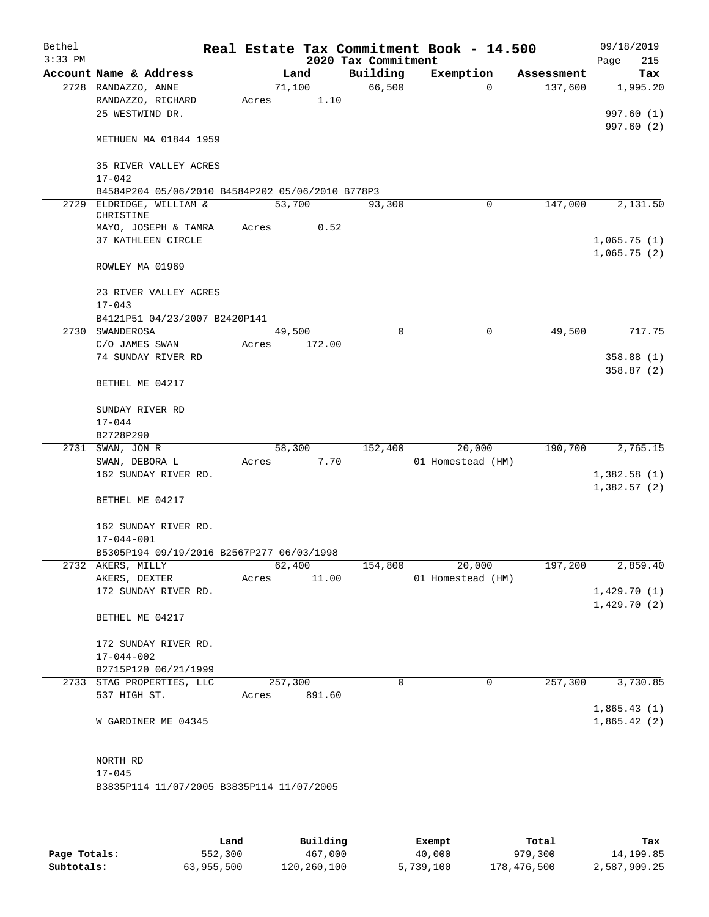| Bethel    |                                                  |       |         |        |                     | Real Estate Tax Commitment Book - 14.500 |             |            |      | 09/18/2019                 |
|-----------|--------------------------------------------------|-------|---------|--------|---------------------|------------------------------------------|-------------|------------|------|----------------------------|
| $3:33$ PM |                                                  |       |         |        | 2020 Tax Commitment |                                          |             |            | Page | 215                        |
|           | Account Name & Address                           |       | Land    |        | Building            | Exemption                                |             | Assessment |      | Tax                        |
|           | 2728 RANDAZZO, ANNE                              |       | 71,100  |        | 66,500              |                                          | 0           | 137,600    |      | 1,995.20                   |
|           | RANDAZZO, RICHARD                                | Acres |         | 1.10   |                     |                                          |             |            |      |                            |
|           | 25 WESTWIND DR.                                  |       |         |        |                     |                                          |             |            |      | 997.60 (1)                 |
|           |                                                  |       |         |        |                     |                                          |             |            |      | 997.60(2)                  |
|           | METHUEN MA 01844 1959                            |       |         |        |                     |                                          |             |            |      |                            |
|           |                                                  |       |         |        |                     |                                          |             |            |      |                            |
|           | 35 RIVER VALLEY ACRES                            |       |         |        |                     |                                          |             |            |      |                            |
|           | $17 - 042$                                       |       |         |        |                     |                                          |             |            |      |                            |
|           | B4584P204 05/06/2010 B4584P202 05/06/2010 B778P3 |       |         |        |                     |                                          |             |            |      |                            |
| 2729      | ELDRIDGE, WILLIAM &<br>CHRISTINE                 |       | 53,700  |        | 93,300              |                                          | 0           | 147,000    |      | 2,131.50                   |
|           | MAYO, JOSEPH & TAMRA                             | Acres |         | 0.52   |                     |                                          |             |            |      |                            |
|           | 37 KATHLEEN CIRCLE                               |       |         |        |                     |                                          |             |            |      | 1,065.75(1)                |
|           |                                                  |       |         |        |                     |                                          |             |            |      | 1,065.75(2)                |
|           | ROWLEY MA 01969                                  |       |         |        |                     |                                          |             |            |      |                            |
|           |                                                  |       |         |        |                     |                                          |             |            |      |                            |
|           | 23 RIVER VALLEY ACRES                            |       |         |        |                     |                                          |             |            |      |                            |
|           | $17 - 043$                                       |       |         |        |                     |                                          |             |            |      |                            |
|           | B4121P51 04/23/2007 B2420P141                    |       |         |        |                     |                                          |             |            |      |                            |
|           | 2730 SWANDEROSA                                  |       | 49,500  |        | 0                   |                                          | $\mathbf 0$ | 49,500     |      | 717.75                     |
|           | C/O JAMES SWAN                                   | Acres |         | 172.00 |                     |                                          |             |            |      |                            |
|           | 74 SUNDAY RIVER RD                               |       |         |        |                     |                                          |             |            |      | 358.88 (1)                 |
|           |                                                  |       |         |        |                     |                                          |             |            |      | 358.87(2)                  |
|           | BETHEL ME 04217                                  |       |         |        |                     |                                          |             |            |      |                            |
|           |                                                  |       |         |        |                     |                                          |             |            |      |                            |
|           | SUNDAY RIVER RD                                  |       |         |        |                     |                                          |             |            |      |                            |
|           | $17 - 044$                                       |       |         |        |                     |                                          |             |            |      |                            |
|           | B2728P290                                        |       |         |        |                     |                                          |             |            |      |                            |
| 2731      | SWAN, JON R                                      |       | 58,300  |        | 152,400             | 20,000                                   |             | 190,700    |      | 2,765.15                   |
|           | SWAN, DEBORA L                                   | Acres |         | 7.70   |                     | 01 Homestead (HM)                        |             |            |      |                            |
|           | 162 SUNDAY RIVER RD.                             |       |         |        |                     |                                          |             |            |      | 1,382.58(1)                |
|           |                                                  |       |         |        |                     |                                          |             |            |      | 1,382.57(2)                |
|           | BETHEL ME 04217                                  |       |         |        |                     |                                          |             |            |      |                            |
|           |                                                  |       |         |        |                     |                                          |             |            |      |                            |
|           | 162 SUNDAY RIVER RD.                             |       |         |        |                     |                                          |             |            |      |                            |
|           | $17 - 044 - 001$                                 |       |         |        |                     |                                          |             |            |      |                            |
|           | B5305P194 09/19/2016 B2567P277 06/03/1998        |       |         |        |                     |                                          |             |            |      |                            |
|           | 2732 AKERS, MILLY                                |       | 62,400  |        | 154,800             | 20,000                                   |             | 197,200    |      | 2,859.40                   |
|           | AKERS, DEXTER                                    | Acres |         | 11.00  |                     | 01 Homestead (HM)                        |             |            |      |                            |
|           | 172 SUNDAY RIVER RD.                             |       |         |        |                     |                                          |             |            |      | 1,429.70(1)                |
|           |                                                  |       |         |        |                     |                                          |             |            |      | 1,429.70(2)                |
|           | BETHEL ME 04217                                  |       |         |        |                     |                                          |             |            |      |                            |
|           |                                                  |       |         |        |                     |                                          |             |            |      |                            |
|           | 172 SUNDAY RIVER RD.                             |       |         |        |                     |                                          |             |            |      |                            |
|           | $17 - 044 - 002$                                 |       |         |        |                     |                                          |             |            |      |                            |
|           | B2715P120 06/21/1999                             |       |         |        | $\Omega$            |                                          | 0           | 257,300    |      | 3,730.85                   |
|           | 2733 STAG PROPERTIES, LLC                        |       | 257,300 |        |                     |                                          |             |            |      |                            |
|           | 537 HIGH ST.                                     | Acres |         | 891.60 |                     |                                          |             |            |      |                            |
|           | W GARDINER ME 04345                              |       |         |        |                     |                                          |             |            |      | 1,865.43(1)<br>1,865.42(2) |
|           |                                                  |       |         |        |                     |                                          |             |            |      |                            |
|           |                                                  |       |         |        |                     |                                          |             |            |      |                            |
|           | NORTH RD                                         |       |         |        |                     |                                          |             |            |      |                            |
|           | $17 - 045$                                       |       |         |        |                     |                                          |             |            |      |                            |
|           | B3835P114 11/07/2005 B3835P114 11/07/2005        |       |         |        |                     |                                          |             |            |      |                            |
|           |                                                  |       |         |        |                     |                                          |             |            |      |                            |
|           |                                                  |       |         |        |                     |                                          |             |            |      |                            |
|           |                                                  |       |         |        |                     |                                          |             |            |      |                            |
|           |                                                  |       |         |        |                     |                                          |             |            |      |                            |

|              | Land       | Building    | Exempt    | Total       | Tax          |
|--------------|------------|-------------|-----------|-------------|--------------|
| Page Totals: | 552,300    | 467,000     | 40,000    | 979,300     | 14,199.85    |
| Subtotals:   | 63,955,500 | 120,260,100 | 5,739,100 | 178,476,500 | 2,587,909.25 |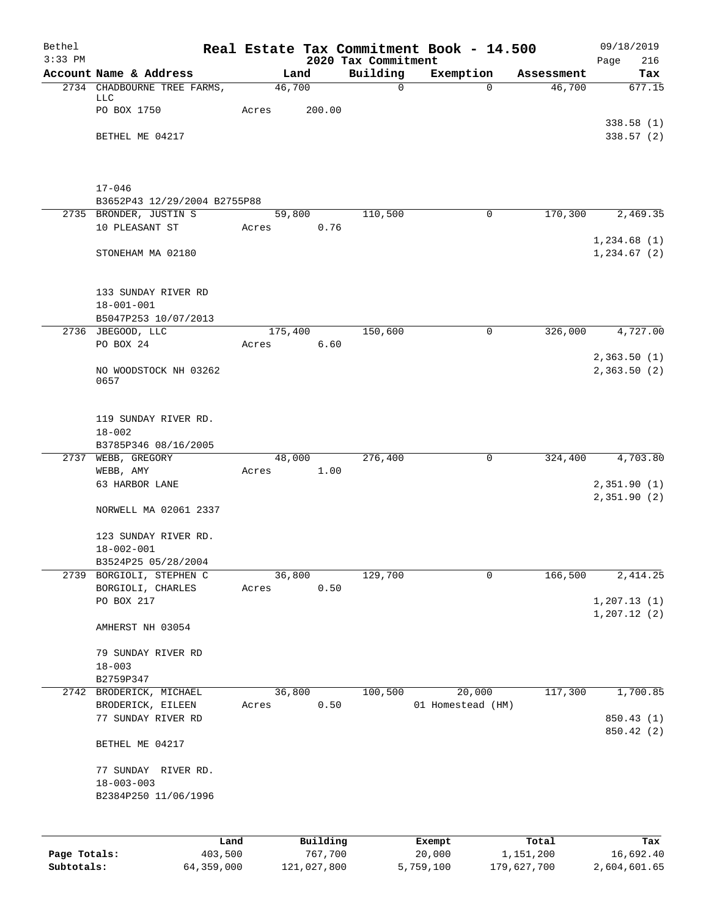| Bethel<br>$3:33$ PM |                                                        |                 |          | 2020 Tax Commitment | Real Estate Tax Commitment Book - 14.500 |            | 09/18/2019<br>216<br>Page  |
|---------------------|--------------------------------------------------------|-----------------|----------|---------------------|------------------------------------------|------------|----------------------------|
|                     | Account Name & Address                                 |                 | Land     | Building            | Exemption                                | Assessment | Tax                        |
|                     | 2734 CHADBOURNE TREE FARMS,<br>LLC                     | 46,700          |          | $\mathbf 0$         | $\Omega$                                 | 46,700     | 677.15                     |
|                     | PO BOX 1750                                            | Acres           | 200.00   |                     |                                          |            |                            |
|                     | BETHEL ME 04217                                        |                 |          |                     |                                          |            | 338.58(1)<br>338.57(2)     |
|                     |                                                        |                 |          |                     |                                          |            |                            |
|                     | $17 - 046$                                             |                 |          |                     |                                          |            |                            |
|                     | B3652P43 12/29/2004 B2755P88<br>2735 BRONDER, JUSTIN S | 59,800          |          | 110,500             | 0                                        | 170,300    | 2,469.35                   |
|                     | 10 PLEASANT ST                                         | Acres           | 0.76     |                     |                                          |            |                            |
|                     | STONEHAM MA 02180                                      |                 |          |                     |                                          |            | 1,234.68(1)<br>1,234.67(2) |
|                     | 133 SUNDAY RIVER RD                                    |                 |          |                     |                                          |            |                            |
|                     | $18 - 001 - 001$<br>B5047P253 10/07/2013               |                 |          |                     |                                          |            |                            |
|                     | 2736 JBEGOOD, LLC                                      | 175,400         |          | 150,600             | $\mathbf 0$                              | 326,000    | 4,727.00                   |
|                     | PO BOX 24                                              | Acres           | 6.60     |                     |                                          |            |                            |
|                     | NO WOODSTOCK NH 03262<br>0657                          |                 |          |                     |                                          |            | 2,363.50(1)<br>2,363.50(2) |
|                     |                                                        |                 |          |                     |                                          |            |                            |
|                     | 119 SUNDAY RIVER RD.<br>$18 - 002$                     |                 |          |                     |                                          |            |                            |
|                     | B3785P346 08/16/2005                                   |                 |          |                     |                                          |            |                            |
|                     | 2737 WEBB, GREGORY                                     | 48,000          |          | 276,400             | 0                                        | 324,400    | 4,703.80                   |
|                     | WEBB, AMY<br>63 HARBOR LANE                            | Acres           | 1.00     |                     |                                          |            | 2,351.90(1)                |
|                     |                                                        |                 |          |                     |                                          |            | 2,351.90(2)                |
|                     | NORWELL MA 02061 2337                                  |                 |          |                     |                                          |            |                            |
|                     | 123 SUNDAY RIVER RD.                                   |                 |          |                     |                                          |            |                            |
|                     | $18 - 002 - 001$                                       |                 |          |                     |                                          |            |                            |
|                     | B3524P25 05/28/2004<br>2739 BORGIOLI, STEPHEN C        |                 |          |                     | $\mathbf 0$                              | 166,500    | 2,414.25                   |
|                     | BORGIOLI, CHARLES                                      | 36,800<br>Acres | 0.50     | 129,700             |                                          |            |                            |
|                     | PO BOX 217                                             |                 |          |                     |                                          |            | 1, 207.13(1)               |
|                     | AMHERST NH 03054                                       |                 |          |                     |                                          |            | 1, 207.12(2)               |
|                     | 79 SUNDAY RIVER RD                                     |                 |          |                     |                                          |            |                            |
|                     | $18 - 003$                                             |                 |          |                     |                                          |            |                            |
|                     | B2759P347<br>2742 BRODERICK, MICHAEL                   | 36,800          |          | 100,500             | 20,000                                   | 117,300    | 1,700.85                   |
|                     | BRODERICK, EILEEN                                      | Acres           | 0.50     |                     | 01 Homestead (HM)                        |            |                            |
|                     | 77 SUNDAY RIVER RD                                     |                 |          |                     |                                          |            | 850.43 (1)<br>850.42 (2)   |
|                     | BETHEL ME 04217                                        |                 |          |                     |                                          |            |                            |
|                     | 77 SUNDAY RIVER RD.                                    |                 |          |                     |                                          |            |                            |
|                     | $18 - 003 - 003$                                       |                 |          |                     |                                          |            |                            |
|                     | B2384P250 11/06/1996                                   |                 |          |                     |                                          |            |                            |
|                     |                                                        |                 |          |                     |                                          |            |                            |
|                     | Land                                                   |                 | Building |                     | Exempt                                   | Total      | Tax                        |
| Page Totals:        | 403,500                                                |                 | 767,700  |                     | 20,000                                   | 1,151,200  | 16,692.40                  |

**Subtotals:** 64,359,000 121,027,800 5,759,100 179,627,700 2,604,601.65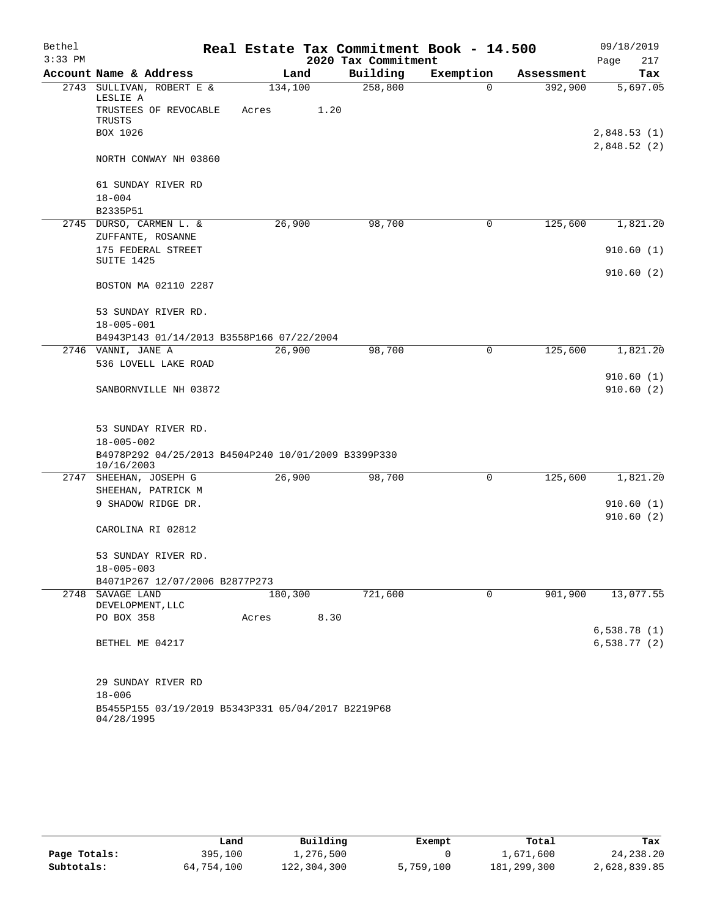| Bethel    |                                                                   |         |      |                     | Real Estate Tax Commitment Book - 14.500 |            | 09/18/2019                 |
|-----------|-------------------------------------------------------------------|---------|------|---------------------|------------------------------------------|------------|----------------------------|
| $3:33$ PM |                                                                   |         |      | 2020 Tax Commitment |                                          |            | Page<br>217                |
|           | Account Name & Address                                            | Land    |      | Building            | Exemption                                | Assessment | Tax                        |
| 2743      | SULLIVAN, ROBERT E &<br>LESLIE A                                  | 134,100 |      | 258,800             | $\Omega$                                 | 392,900    | 5,697.05                   |
|           | TRUSTEES OF REVOCABLE<br>TRUSTS                                   | Acres   | 1.20 |                     |                                          |            |                            |
|           | BOX 1026                                                          |         |      |                     |                                          |            | 2,848.53(1)<br>2,848.52(2) |
|           | NORTH CONWAY NH 03860                                             |         |      |                     |                                          |            |                            |
|           | 61 SUNDAY RIVER RD                                                |         |      |                     |                                          |            |                            |
|           | $18 - 004$                                                        |         |      |                     |                                          |            |                            |
|           | B2335P51<br>2745 DURSO, CARMEN L. &                               | 26,900  |      | 98,700              | 0                                        | 125,600    | 1,821.20                   |
|           | ZUFFANTE, ROSANNE                                                 |         |      |                     |                                          |            |                            |
|           | 175 FEDERAL STREET                                                |         |      |                     |                                          |            | 910.60(1)                  |
|           | SUITE 1425                                                        |         |      |                     |                                          |            |                            |
|           | BOSTON MA 02110 2287                                              |         |      |                     |                                          |            | 910.60(2)                  |
|           | 53 SUNDAY RIVER RD.                                               |         |      |                     |                                          |            |                            |
|           | $18 - 005 - 001$                                                  |         |      |                     |                                          |            |                            |
|           | B4943P143 01/14/2013 B3558P166 07/22/2004                         |         |      |                     |                                          |            |                            |
|           | 2746 VANNI, JANE A                                                | 26,900  |      | 98,700              | 0                                        | 125,600    | 1,821.20                   |
|           | 536 LOVELL LAKE ROAD                                              |         |      |                     |                                          |            |                            |
|           | SANBORNVILLE NH 03872                                             |         |      |                     |                                          |            | 910.60(1)<br>910.60(2)     |
|           |                                                                   |         |      |                     |                                          |            |                            |
|           | 53 SUNDAY RIVER RD.                                               |         |      |                     |                                          |            |                            |
|           | $18 - 005 - 002$                                                  |         |      |                     |                                          |            |                            |
|           | B4978P292 04/25/2013 B4504P240 10/01/2009 B3399P330<br>10/16/2003 |         |      |                     |                                          |            |                            |
|           | 2747 SHEEHAN, JOSEPH G                                            | 26,900  |      | 98,700              | 0                                        | 125,600    | 1,821.20                   |
|           | SHEEHAN, PATRICK M                                                |         |      |                     |                                          |            |                            |
|           | 9 SHADOW RIDGE DR.                                                |         |      |                     |                                          |            | 910.60(1)<br>910.60(2)     |
|           | CAROLINA RI 02812                                                 |         |      |                     |                                          |            |                            |
|           | 53 SUNDAY RIVER RD.                                               |         |      |                     |                                          |            |                            |
|           | $18 - 005 - 003$                                                  |         |      |                     |                                          |            |                            |
|           | B4071P267 12/07/2006 B2877P273                                    |         |      |                     |                                          |            |                            |
|           | 2748 SAVAGE LAND<br>DEVELOPMENT, LLC                              | 180,300 |      | 721,600             | $\mathbf 0$                              | 901,900    | 13,077.55                  |
|           | PO BOX 358                                                        | Acres   | 8.30 |                     |                                          |            |                            |
|           |                                                                   |         |      |                     |                                          |            | 6,538.78(1)                |
|           | BETHEL ME 04217                                                   |         |      |                     |                                          |            | $6, 538.77$ (2)            |
|           | 29 SUNDAY RIVER RD                                                |         |      |                     |                                          |            |                            |
|           | $18 - 006$                                                        |         |      |                     |                                          |            |                            |
|           | B5455P155 03/19/2019 B5343P331 05/04/2017 B2219P68<br>04/28/1995  |         |      |                     |                                          |            |                            |

|              | Land       | Building    | Exempt    | Total       | Tax          |
|--------------|------------|-------------|-----------|-------------|--------------|
| Page Totals: | 395,100    | 1,276,500   |           | 1,671,600   | 24, 238. 20  |
| Subtotals:   | 64,754,100 | 122,304,300 | 5,759,100 | 181,299,300 | 2,628,839.85 |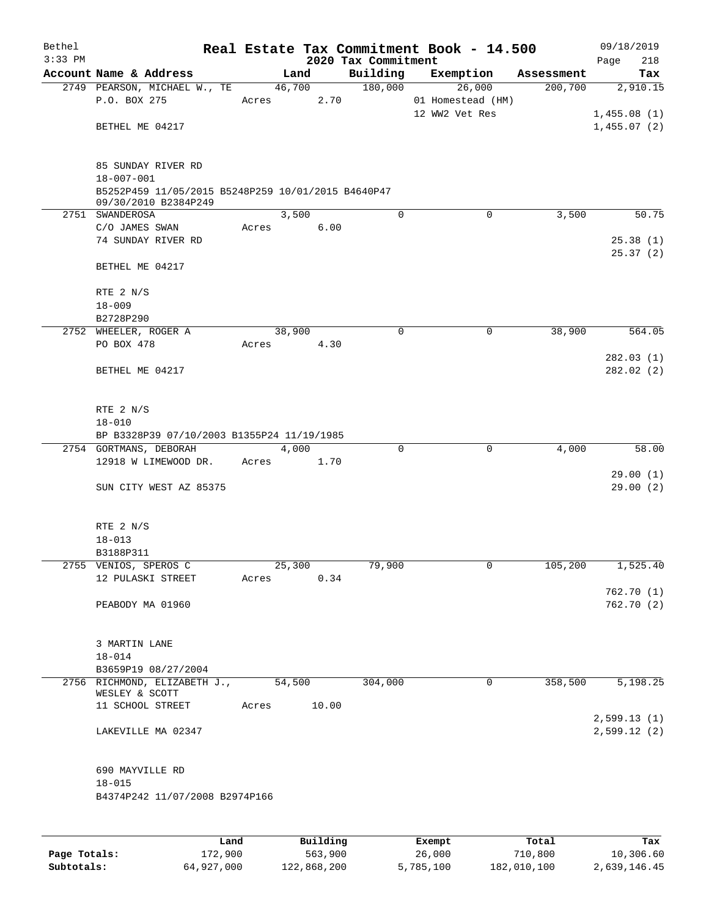| Bethel    |                                                    |       |        |       |                     | Real Estate Tax Commitment Book - 14.500 |            | 09/18/2019           |
|-----------|----------------------------------------------------|-------|--------|-------|---------------------|------------------------------------------|------------|----------------------|
| $3:33$ PM |                                                    |       |        |       | 2020 Tax Commitment |                                          |            | 218<br>Page          |
|           | Account Name & Address                             |       | Land   |       | Building            | Exemption                                | Assessment | Tax                  |
|           | 2749 PEARSON, MICHAEL W., TE                       |       | 46,700 |       | 180,000             | 26,000                                   | 200,700    | 2,910.15             |
|           | P.O. BOX 275                                       | Acres |        | 2.70  |                     | 01 Homestead (HM)                        |            |                      |
|           | BETHEL ME 04217                                    |       |        |       |                     | 12 WW2 Vet Res                           |            | 1,455.08(1)          |
|           |                                                    |       |        |       |                     |                                          |            | 1,455.07(2)          |
|           | 85 SUNDAY RIVER RD                                 |       |        |       |                     |                                          |            |                      |
|           | $18 - 007 - 001$                                   |       |        |       |                     |                                          |            |                      |
|           | B5252P459 11/05/2015 B5248P259 10/01/2015 B4640P47 |       |        |       |                     |                                          |            |                      |
|           | 09/30/2010 B2384P249                               |       |        |       |                     |                                          |            |                      |
|           | 2751 SWANDEROSA                                    |       | 3,500  |       | $\mathbf 0$         | $\mathbf 0$                              | 3,500      | 50.75                |
|           | C/O JAMES SWAN                                     | Acres |        | 6.00  |                     |                                          |            |                      |
|           | 74 SUNDAY RIVER RD                                 |       |        |       |                     |                                          |            | 25.38(1)<br>25.37(2) |
|           | BETHEL ME 04217                                    |       |        |       |                     |                                          |            |                      |
|           | RTE 2 N/S                                          |       |        |       |                     |                                          |            |                      |
|           | $18 - 009$                                         |       |        |       |                     |                                          |            |                      |
|           | B2728P290                                          |       |        |       |                     |                                          |            |                      |
|           | 2752 WHEELER, ROGER A                              |       | 38,900 |       | $\mathbf 0$         | 0                                        | 38,900     | 564.05               |
|           | PO BOX 478                                         | Acres |        | 4.30  |                     |                                          |            |                      |
|           |                                                    |       |        |       |                     |                                          |            | 282.03(1)            |
|           | BETHEL ME 04217                                    |       |        |       |                     |                                          |            | 282.02 (2)           |
|           | RTE 2 N/S                                          |       |        |       |                     |                                          |            |                      |
|           | $18 - 010$                                         |       |        |       |                     |                                          |            |                      |
|           | BP B3328P39 07/10/2003 B1355P24 11/19/1985         |       |        |       |                     |                                          |            |                      |
|           | 2754 GORTMANS, DEBORAH                             |       | 4,000  |       | 0                   | $\mathbf 0$                              | 4,000      | 58.00                |
|           | 12918 W LIMEWOOD DR.                               | Acres |        | 1.70  |                     |                                          |            |                      |
|           |                                                    |       |        |       |                     |                                          |            | 29.00(1)             |
|           | SUN CITY WEST AZ 85375                             |       |        |       |                     |                                          |            | 29.00(2)             |
|           |                                                    |       |        |       |                     |                                          |            |                      |
|           | RTE 2 N/S<br>$18 - 013$                            |       |        |       |                     |                                          |            |                      |
|           | B3188P311                                          |       |        |       |                     |                                          |            |                      |
|           | 2755 VENIOS, SPEROS C                              |       | 25,300 |       | 79,900              | 0                                        | 105,200    | 1,525.40             |
|           | 12 PULASKI STREET                                  | Acres |        | 0.34  |                     |                                          |            |                      |
|           |                                                    |       |        |       |                     |                                          |            | 762.70 (1)           |
|           | PEABODY MA 01960                                   |       |        |       |                     |                                          |            | 762.70 (2)           |
|           |                                                    |       |        |       |                     |                                          |            |                      |
|           | 3 MARTIN LANE                                      |       |        |       |                     |                                          |            |                      |
|           | $18 - 014$                                         |       |        |       |                     |                                          |            |                      |
|           | B3659P19 08/27/2004                                |       |        |       |                     |                                          |            |                      |
|           | 2756 RICHMOND, ELIZABETH J.,<br>WESLEY & SCOTT     |       | 54,500 |       | 304,000             | $\mathbf 0$                              | 358,500    | 5,198.25             |
|           | 11 SCHOOL STREET                                   | Acres |        | 10.00 |                     |                                          |            |                      |
|           |                                                    |       |        |       |                     |                                          |            | 2,599.13(1)          |
|           | LAKEVILLE MA 02347                                 |       |        |       |                     |                                          |            | 2,599.12(2)          |
|           |                                                    |       |        |       |                     |                                          |            |                      |
|           | 690 MAYVILLE RD                                    |       |        |       |                     |                                          |            |                      |
|           | $18 - 015$                                         |       |        |       |                     |                                          |            |                      |
|           | B4374P242 11/07/2008 B2974P166                     |       |        |       |                     |                                          |            |                      |
|           |                                                    |       |        |       |                     |                                          |            |                      |
|           |                                                    |       |        |       |                     |                                          |            |                      |

|              | Land       | Building    | Exempt    | Total       | Tax          |
|--------------|------------|-------------|-----------|-------------|--------------|
| Page Totals: | 172,900    | 563,900     | 26,000    | 710,800     | 10,306.60    |
| Subtotals:   | 64,927,000 | 122,868,200 | 5,785,100 | 182,010,100 | 2,639,146.45 |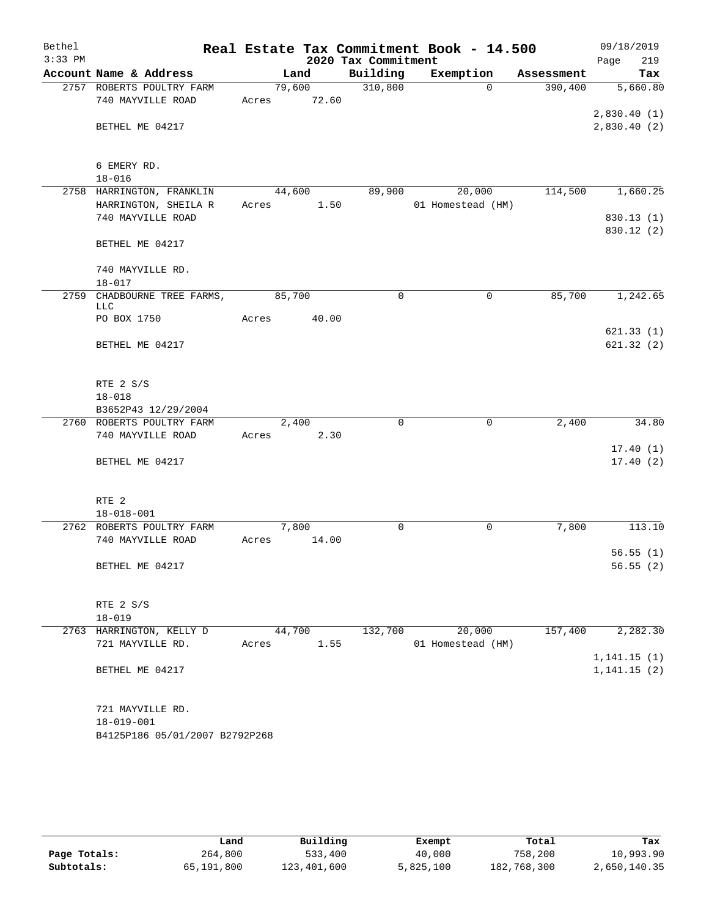| Bethel<br>$3:33$ PM |                                                   |        |        | 2020 Tax Commitment | Real Estate Tax Commitment Book - 14.500 |            | 09/18/2019<br>219<br>Page |
|---------------------|---------------------------------------------------|--------|--------|---------------------|------------------------------------------|------------|---------------------------|
|                     | Account Name & Address                            | Land   |        | Building            | Exemption                                | Assessment | Tax                       |
|                     | 2757 ROBERTS POULTRY FARM                         |        | 79,600 | 310,800             | $\Omega$                                 | 390,400    | 5,660.80                  |
|                     | 740 MAYVILLE ROAD                                 | Acres  | 72.60  |                     |                                          |            |                           |
|                     |                                                   |        |        |                     |                                          |            | 2,830.40(1)               |
|                     | BETHEL ME 04217                                   |        |        |                     |                                          |            | 2,830.40(2)               |
|                     |                                                   |        |        |                     |                                          |            |                           |
|                     |                                                   |        |        |                     |                                          |            |                           |
|                     | 6 EMERY RD.                                       |        |        |                     |                                          |            |                           |
|                     | $18 - 016$                                        |        |        |                     |                                          |            |                           |
|                     | 2758 HARRINGTON, FRANKLIN<br>HARRINGTON, SHEILA R | 44,600 | 1.50   | 89,900              | 20,000<br>01 Homestead (HM)              | 114,500    | 1,660.25                  |
|                     | 740 MAYVILLE ROAD                                 | Acres  |        |                     |                                          |            | 830.13(1)                 |
|                     |                                                   |        |        |                     |                                          |            | 830.12 (2)                |
|                     | BETHEL ME 04217                                   |        |        |                     |                                          |            |                           |
|                     |                                                   |        |        |                     |                                          |            |                           |
|                     | 740 MAYVILLE RD.                                  |        |        |                     |                                          |            |                           |
|                     | $18 - 017$                                        |        |        |                     |                                          |            |                           |
| 2759                | CHADBOURNE TREE FARMS,                            | 85,700 |        | $\Omega$            | $\mathbf 0$                              | 85,700     | 1,242.65                  |
|                     | <b>LLC</b>                                        |        |        |                     |                                          |            |                           |
|                     | PO BOX 1750                                       | Acres  | 40.00  |                     |                                          |            | 621.33(1)                 |
|                     | BETHEL ME 04217                                   |        |        |                     |                                          |            | 621.32(2)                 |
|                     |                                                   |        |        |                     |                                          |            |                           |
|                     |                                                   |        |        |                     |                                          |            |                           |
|                     | RTE 2 S/S                                         |        |        |                     |                                          |            |                           |
|                     | $18 - 018$                                        |        |        |                     |                                          |            |                           |
|                     | B3652P43 12/29/2004                               |        |        |                     |                                          |            |                           |
|                     | 2760 ROBERTS POULTRY FARM                         | 2,400  |        | $\Omega$            | $\mathbf 0$                              | 2,400      | 34.80                     |
|                     | 740 MAYVILLE ROAD                                 | Acres  | 2.30   |                     |                                          |            |                           |
|                     |                                                   |        |        |                     |                                          |            | 17.40(1)                  |
|                     | BETHEL ME 04217                                   |        |        |                     |                                          |            | 17.40(2)                  |
|                     |                                                   |        |        |                     |                                          |            |                           |
|                     | RTE <sub>2</sub>                                  |        |        |                     |                                          |            |                           |
|                     | $18 - 018 - 001$                                  |        |        |                     |                                          |            |                           |
|                     | 2762 ROBERTS POULTRY FARM                         | 7,800  |        | 0                   | $\mathsf{O}$                             | 7,800      | 113.10                    |
|                     | 740 MAYVILLE ROAD                                 | Acres  | 14.00  |                     |                                          |            |                           |
|                     |                                                   |        |        |                     |                                          |            | 56.55(1)                  |
|                     | BETHEL ME 04217                                   |        |        |                     |                                          |            | 56.55(2)                  |
|                     |                                                   |        |        |                     |                                          |            |                           |
|                     |                                                   |        |        |                     |                                          |            |                           |
|                     | RTE 2 S/S                                         |        |        |                     |                                          |            |                           |
|                     | $18 - 019$                                        |        |        |                     |                                          |            |                           |
|                     | 2763 HARRINGTON, KELLY D                          | 44,700 |        | 132,700             | 20,000                                   | 157,400    | 2,282.30                  |
|                     | 721 MAYVILLE RD.                                  | Acres  | 1.55   |                     | 01 Homestead (HM)                        |            | 1, 141.15(1)              |
|                     | BETHEL ME 04217                                   |        |        |                     |                                          |            | 1, 141.15(2)              |
|                     |                                                   |        |        |                     |                                          |            |                           |
|                     |                                                   |        |        |                     |                                          |            |                           |
|                     | 721 MAYVILLE RD.                                  |        |        |                     |                                          |            |                           |
|                     | $18 - 019 - 001$                                  |        |        |                     |                                          |            |                           |
|                     | B4125P186 05/01/2007 B2792P268                    |        |        |                     |                                          |            |                           |
|                     |                                                   |        |        |                     |                                          |            |                           |

|              | Land       | Building    | Exempt    | Total       | Tax          |
|--------------|------------|-------------|-----------|-------------|--------------|
| Page Totals: | 264,800    | 533,400     | 40,000    | 758,200     | 10,993.90    |
| Subtotals:   | 65,191,800 | 123,401,600 | 5,825,100 | 182,768,300 | 2,650,140.35 |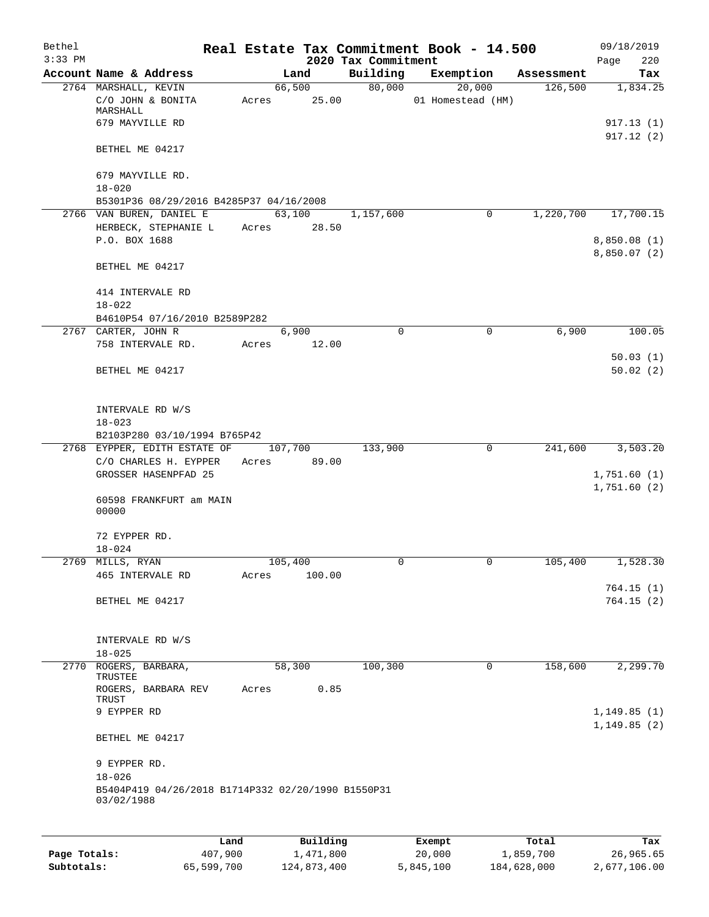| Bethel<br>$3:33$ PM |                                                                  |       |             |          | 2020 Tax Commitment | Real Estate Tax Commitment Book - 14.500 |             |             | 09/18/2019<br>220          |
|---------------------|------------------------------------------------------------------|-------|-------------|----------|---------------------|------------------------------------------|-------------|-------------|----------------------------|
|                     | Account Name & Address                                           |       | Land        |          | Building            | Exemption                                |             | Assessment  | Page<br>Tax                |
|                     | 2764 MARSHALL, KEVIN                                             |       | 66,500      |          | 80,000              | 20,000                                   |             | 126,500     | 1,834.25                   |
|                     | C/O JOHN & BONITA<br>MARSHALL                                    | Acres | 25.00       |          |                     | 01 Homestead (HM)                        |             |             |                            |
|                     | 679 MAYVILLE RD                                                  |       |             |          |                     |                                          |             |             | 917.13(1)<br>917.12(2)     |
|                     | BETHEL ME 04217                                                  |       |             |          |                     |                                          |             |             |                            |
|                     | 679 MAYVILLE RD.<br>$18 - 020$                                   |       |             |          |                     |                                          |             |             |                            |
|                     | B5301P36 08/29/2016 B4285P37 04/16/2008                          |       |             |          |                     |                                          |             |             |                            |
|                     | 2766 VAN BUREN, DANIEL E                                         |       | 63,100      |          | 1,157,600           |                                          | 0           | 1,220,700   | 17,700.15                  |
|                     | HERBECK, STEPHANIE L<br>P.O. BOX 1688                            | Acres |             | 28.50    |                     |                                          |             |             | 8,850.08(1)                |
|                     | BETHEL ME 04217                                                  |       |             |          |                     |                                          |             |             | 8,850.07(2)                |
|                     | 414 INTERVALE RD<br>$18 - 022$                                   |       |             |          |                     |                                          |             |             |                            |
|                     | B4610P54 07/16/2010 B2589P282                                    |       |             |          |                     |                                          |             |             |                            |
|                     | 2767 CARTER, JOHN R                                              |       | 6,900       |          | $\mathbf 0$         |                                          | $\mathbf 0$ | 6,900       | 100.05                     |
|                     | 758 INTERVALE RD.                                                | Acres | 12.00       |          |                     |                                          |             |             |                            |
|                     |                                                                  |       |             |          |                     |                                          |             |             | 50.03(1)                   |
|                     | BETHEL ME 04217                                                  |       |             |          |                     |                                          |             |             | 50.02(2)                   |
|                     | INTERVALE RD W/S<br>$18 - 023$                                   |       |             |          |                     |                                          |             |             |                            |
|                     | B2103P280 03/10/1994 B765P42                                     |       |             |          |                     |                                          |             |             |                            |
|                     | 2768 EYPPER, EDITH ESTATE OF                                     |       | 107,700     |          | 133,900             |                                          | $\mathbf 0$ | 241,600     | 3,503.20                   |
|                     | C/O CHARLES H. EYPPER<br>GROSSER HASENPFAD 25                    | Acres | 89.00       |          |                     |                                          |             |             | 1,751.60(1)<br>1,751.60(2) |
|                     | 60598 FRANKFURT am MAIN<br>00000                                 |       |             |          |                     |                                          |             |             |                            |
|                     | 72 EYPPER RD.                                                    |       |             |          |                     |                                          |             |             |                            |
|                     | $18 - 024$                                                       |       |             |          |                     |                                          |             |             |                            |
|                     | 2769 MILLS, RYAN                                                 |       | 105,400     |          | 0                   |                                          | 0           | 105,400     | 1,528.30                   |
|                     | 465 INTERVALE RD                                                 | Acres |             | 100.00   |                     |                                          |             |             | 764.15(1)                  |
|                     | BETHEL ME 04217                                                  |       |             |          |                     |                                          |             |             | 764.15(2)                  |
|                     | INTERVALE RD W/S                                                 |       |             |          |                     |                                          |             |             |                            |
|                     | $18 - 025$                                                       |       |             |          |                     |                                          |             |             |                            |
| 2770                | ROGERS, BARBARA,<br>TRUSTEE                                      |       | 58,300      |          | 100,300             |                                          | $\mathbf 0$ | 158,600     | 2,299.70                   |
|                     | ROGERS, BARBARA REV<br>TRUST<br>9 EYPPER RD                      | Acres |             | 0.85     |                     |                                          |             |             | 1,149.85(1)                |
|                     | BETHEL ME 04217                                                  |       |             |          |                     |                                          |             |             | 1,149.85(2)                |
|                     | 9 EYPPER RD.                                                     |       |             |          |                     |                                          |             |             |                            |
|                     | $18 - 026$<br>B5404P419 04/26/2018 B1714P332 02/20/1990 B1550P31 |       |             |          |                     |                                          |             |             |                            |
|                     | 03/02/1988                                                       |       |             |          |                     |                                          |             |             |                            |
|                     |                                                                  | Land  |             | Building |                     | Exempt                                   |             | Total       | Tax                        |
| Page Totals:        | 407,900                                                          |       | 1,471,800   |          |                     | 20,000                                   |             | 1,859,700   | 26,965.65                  |
| Subtotals:          | 65,599,700                                                       |       | 124,873,400 |          |                     | 5,845,100                                |             | 184,628,000 | 2,677,106.00               |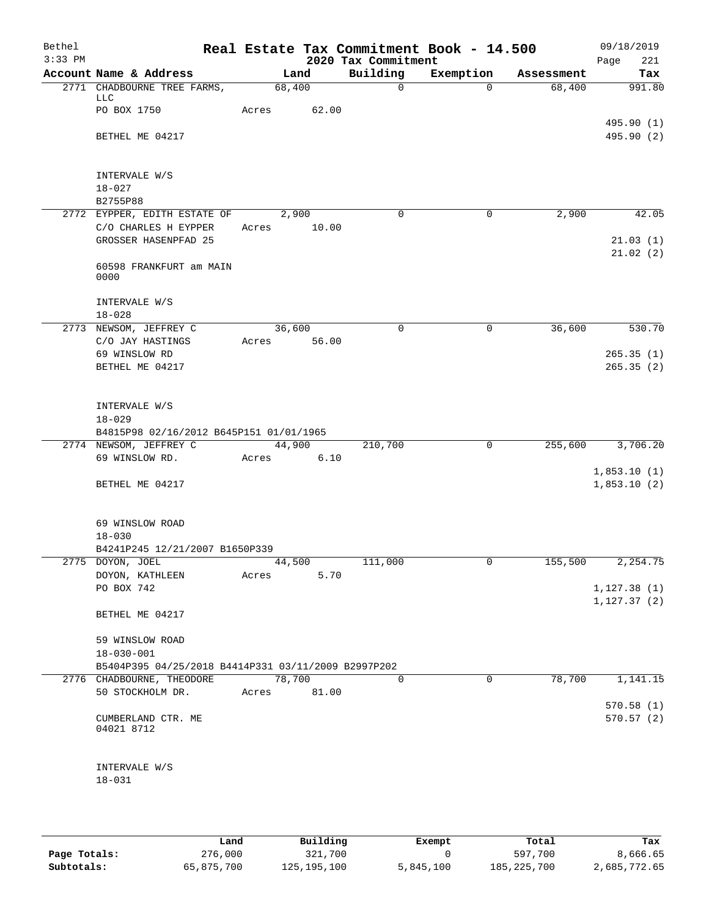| Bethel<br>$3:33$ PM |                                                                         |             |        | 2020 Tax Commitment | Real Estate Tax Commitment Book - 14.500 |            | 09/18/2019                   |
|---------------------|-------------------------------------------------------------------------|-------------|--------|---------------------|------------------------------------------|------------|------------------------------|
|                     | Account Name & Address                                                  |             | Land   | Building            | Exemption                                | Assessment | 221<br>Page<br>Tax           |
|                     | 2771 CHADBOURNE TREE FARMS,                                             | 68,400      |        | $\mathsf{O}$        | $\Omega$                                 | 68,400     | 991.80                       |
|                     | LLC<br>PO BOX 1750                                                      | Acres       | 62.00  |                     |                                          |            | 495.90 (1)                   |
|                     | BETHEL ME 04217                                                         |             |        |                     |                                          |            | 495.90 (2)                   |
|                     | INTERVALE W/S<br>$18 - 027$<br>B2755P88                                 |             |        |                     |                                          |            |                              |
|                     | 2772 EYPPER, EDITH ESTATE OF                                            |             | 2,900  | $\Omega$            | 0                                        | 2,900      | 42.05                        |
|                     | C/O CHARLES H EYPPER<br>GROSSER HASENPFAD 25                            | Acres       | 10.00  |                     |                                          |            | 21.03(1)                     |
|                     | 60598 FRANKFURT am MAIN<br>0000                                         |             |        |                     |                                          |            | 21.02(2)                     |
|                     | INTERVALE W/S<br>$18 - 028$                                             |             |        |                     |                                          |            |                              |
|                     | 2773 NEWSOM, JEFFREY C                                                  | 36,600      | 56.00  | $\Omega$            | $\mathbf 0$                              | 36,600     | 530.70                       |
|                     | C/O JAY HASTINGS<br>69 WINSLOW RD                                       | Acres       |        |                     |                                          |            | 265.35(1)                    |
|                     | BETHEL ME 04217                                                         |             |        |                     |                                          |            | 265.35(2)                    |
|                     | INTERVALE W/S                                                           |             |        |                     |                                          |            |                              |
|                     | $18 - 029$<br>B4815P98 02/16/2012 B645P151 01/01/1965                   |             |        |                     |                                          |            |                              |
|                     | 2774 NEWSOM, JEFFREY C                                                  |             | 44,900 | 210,700             | $\mathbf 0$                              | 255,600    | 3,706.20                     |
|                     | 69 WINSLOW RD.                                                          | Acres       | 6.10   |                     |                                          |            |                              |
|                     | BETHEL ME 04217                                                         |             |        |                     |                                          |            | 1,853.10(1)<br>1,853.10(2)   |
|                     | 69 WINSLOW ROAD<br>$18 - 030$<br>B4241P245 12/21/2007 B1650P339         |             |        |                     |                                          |            |                              |
|                     | 2775 DOYON, JOEL                                                        |             | 44,500 | 111,000             | $\overline{0}$                           | 155,500    | 2, 254.75                    |
|                     | DOYON, KATHLEEN                                                         | Acres       | 5.70   |                     |                                          |            |                              |
|                     | PO BOX 742                                                              |             |        |                     |                                          |            | 1, 127.38(1)<br>1, 127.37(2) |
|                     | BETHEL ME 04217                                                         |             |        |                     |                                          |            |                              |
|                     | 59 WINSLOW ROAD                                                         |             |        |                     |                                          |            |                              |
|                     | $18 - 030 - 001$<br>B5404P395 04/25/2018 B4414P331 03/11/2009 B2997P202 |             |        |                     |                                          |            |                              |
|                     | 2776 CHADBOURNE, THEODORE                                               | 78,700      |        | $\Omega$            | $\Omega$                                 | 78,700     | 1,141.15                     |
|                     | 50 STOCKHOLM DR.                                                        | Acres 81.00 |        |                     |                                          |            | 570.58(1)                    |
|                     | CUMBERLAND CTR. ME<br>04021 8712                                        |             |        |                     |                                          |            | 570.57(2)                    |
|                     | INTERVALE W/S<br>$18 - 031$                                             |             |        |                     |                                          |            |                              |
|                     |                                                                         |             |        |                     |                                          |            |                              |

|              | Land       | Building    | Exempt    | Total         | Tax          |
|--------------|------------|-------------|-----------|---------------|--------------|
| Page Totals: | 276,000    | 321,700     |           | 597,700       | 8,666.65     |
| Subtotals:   | 65,875,700 | 125,195,100 | 5,845,100 | 185, 225, 700 | 2,685,772.65 |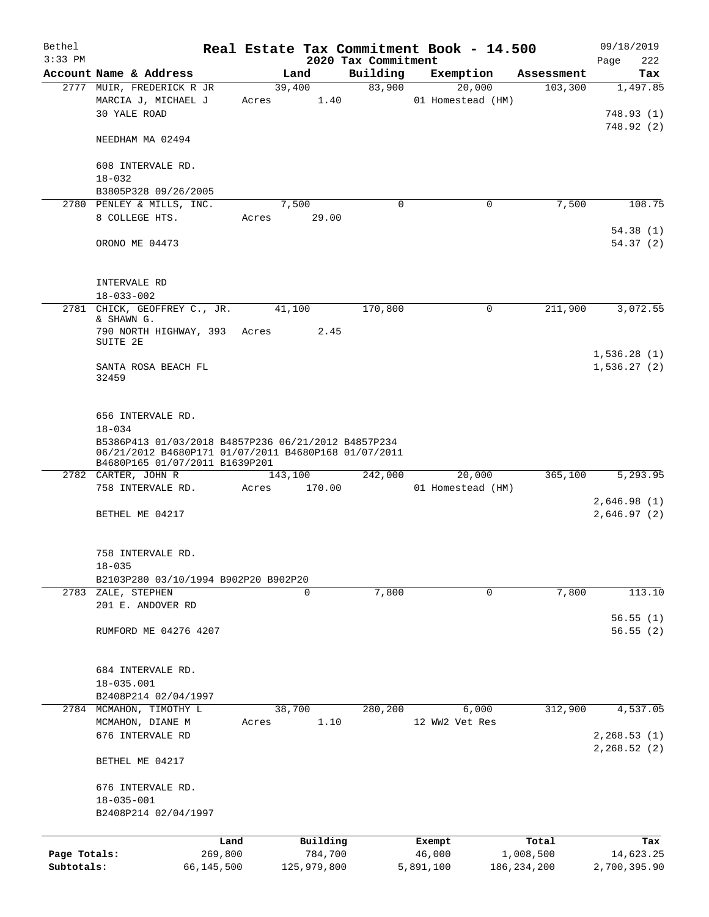| Bethel<br>$3:33$ PM        |                                                                                                                                                                                  |                       |       |                        | 2020 Tax Commitment | Real Estate Tax Commitment Book - 14.500 |                            | 09/18/2019<br>222<br>Page    |
|----------------------------|----------------------------------------------------------------------------------------------------------------------------------------------------------------------------------|-----------------------|-------|------------------------|---------------------|------------------------------------------|----------------------------|------------------------------|
|                            | Account Name & Address                                                                                                                                                           |                       |       | Land                   | Building            | Exemption                                | Assessment                 | Tax                          |
|                            | 2777 MUIR, FREDERICK R JR                                                                                                                                                        |                       |       | 39,400                 | 83,900              | 20,000                                   | 103,300                    | 1,497.85                     |
|                            | MARCIA J, MICHAEL J<br>30 YALE ROAD                                                                                                                                              |                       | Acres | 1.40                   |                     | 01 Homestead (HM)                        |                            | 748.93(1)                    |
|                            | NEEDHAM MA 02494                                                                                                                                                                 |                       |       |                        |                     |                                          |                            | 748.92(2)                    |
|                            | 608 INTERVALE RD.<br>$18 - 032$                                                                                                                                                  |                       |       |                        |                     |                                          |                            |                              |
|                            | B3805P328 09/26/2005                                                                                                                                                             |                       |       |                        |                     |                                          |                            |                              |
|                            | 2780 PENLEY & MILLS, INC.                                                                                                                                                        |                       |       | 7,500                  | $\mathbf 0$         | 0                                        | 7,500                      | 108.75                       |
|                            | 8 COLLEGE HTS.                                                                                                                                                                   |                       | Acres | 29.00                  |                     |                                          |                            |                              |
|                            | ORONO ME 04473                                                                                                                                                                   |                       |       |                        |                     |                                          |                            | 54.38(1)<br>54.37(2)         |
|                            | INTERVALE RD<br>$18 - 033 - 002$                                                                                                                                                 |                       |       |                        |                     |                                          |                            |                              |
|                            | 2781 CHICK, GEOFFREY C., JR.                                                                                                                                                     |                       |       | 41,100                 | 170,800             | 0                                        | 211,900                    | 3,072.55                     |
|                            | & SHAWN G.                                                                                                                                                                       |                       |       |                        |                     |                                          |                            |                              |
|                            | 790 NORTH HIGHWAY, 393 Acres<br>SUITE 2E                                                                                                                                         |                       |       | 2.45                   |                     |                                          |                            | 1,536.28(1)                  |
|                            | SANTA ROSA BEACH FL<br>32459                                                                                                                                                     |                       |       |                        |                     |                                          |                            | 1,536.27(2)                  |
|                            | 656 INTERVALE RD.<br>$18 - 034$<br>B5386P413 01/03/2018 B4857P236 06/21/2012 B4857P234<br>06/21/2012 B4680P171 01/07/2011 B4680P168 01/07/2011<br>B4680P165 01/07/2011 B1639P201 |                       |       |                        |                     |                                          |                            |                              |
|                            | 2782 CARTER, JOHN R                                                                                                                                                              |                       |       | 143,100                | 242,000             | 20,000                                   | 365,100                    | 5,293.95                     |
|                            | 758 INTERVALE RD.                                                                                                                                                                |                       | Acres | 170.00                 |                     | 01 Homestead (HM)                        |                            |                              |
|                            |                                                                                                                                                                                  |                       |       |                        |                     |                                          |                            | 2,646.98(1)                  |
|                            | BETHEL ME 04217                                                                                                                                                                  |                       |       |                        |                     |                                          |                            | 2,646.97(2)                  |
|                            | 758 INTERVALE RD.<br>$18 - 035$                                                                                                                                                  |                       |       |                        |                     |                                          |                            |                              |
|                            | B2103P280 03/10/1994 B902P20 B902P20                                                                                                                                             |                       |       |                        |                     |                                          |                            |                              |
|                            | 2783 ZALE, STEPHEN<br>201 E. ANDOVER RD                                                                                                                                          |                       |       | 0                      | 7,800               | 0                                        | 7,800                      | 113.10                       |
|                            |                                                                                                                                                                                  |                       |       |                        |                     |                                          |                            | 56.55(1)                     |
|                            | RUMFORD ME 04276 4207                                                                                                                                                            |                       |       |                        |                     |                                          |                            | 56.55(2)                     |
|                            | 684 INTERVALE RD.<br>$18 - 035.001$                                                                                                                                              |                       |       |                        |                     |                                          |                            |                              |
|                            | B2408P214 02/04/1997<br>2784 MCMAHON, TIMOTHY L                                                                                                                                  |                       |       | 38,700                 | 280,200             | 6,000                                    | 312,900                    | 4,537.05                     |
|                            | MCMAHON, DIANE M                                                                                                                                                                 |                       | Acres | 1.10                   |                     | 12 WW2 Vet Res                           |                            |                              |
|                            | 676 INTERVALE RD                                                                                                                                                                 |                       |       |                        |                     |                                          |                            | 2, 268.53(1)<br>2, 268.52(2) |
|                            | BETHEL ME 04217                                                                                                                                                                  |                       |       |                        |                     |                                          |                            |                              |
|                            | 676 INTERVALE RD.                                                                                                                                                                |                       |       |                        |                     |                                          |                            |                              |
|                            | $18 - 035 - 001$                                                                                                                                                                 |                       |       |                        |                     |                                          |                            |                              |
|                            | B2408P214 02/04/1997                                                                                                                                                             |                       |       |                        |                     |                                          |                            |                              |
|                            |                                                                                                                                                                                  | Land                  |       | Building               |                     | Exempt                                   | Total                      | Tax                          |
| Page Totals:<br>Subtotals: |                                                                                                                                                                                  | 269,800<br>66,145,500 |       | 784,700<br>125,979,800 |                     | 46,000<br>5,891,100                      | 1,008,500<br>186, 234, 200 | 14,623.25<br>2,700,395.90    |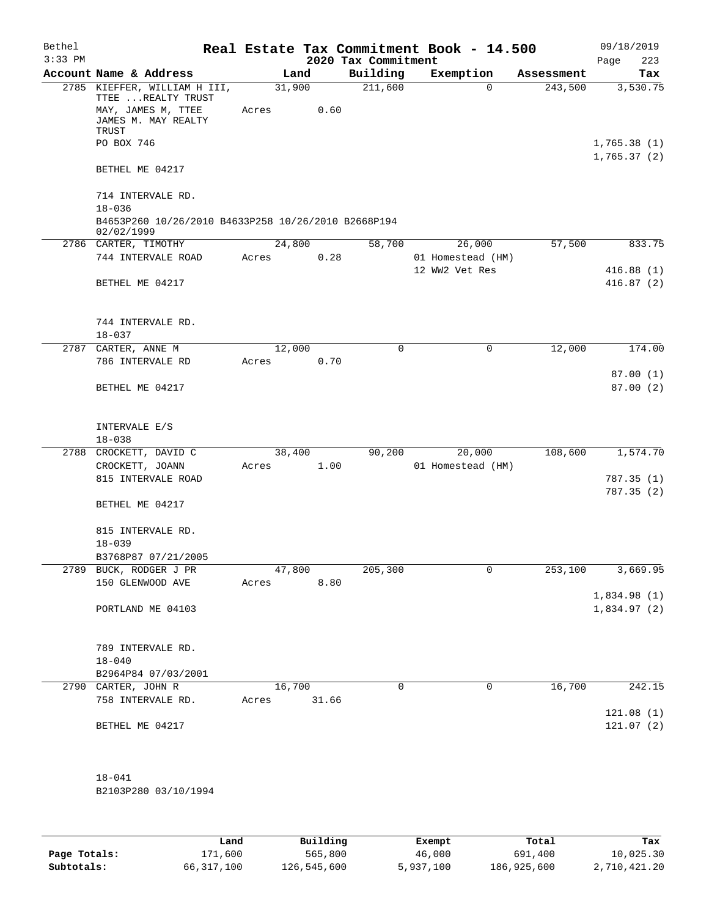| Bethel    |                                                                                                                        |                 |       |                     | Real Estate Tax Commitment Book - 14.500 |            | 09/18/2019              |
|-----------|------------------------------------------------------------------------------------------------------------------------|-----------------|-------|---------------------|------------------------------------------|------------|-------------------------|
| $3:33$ PM |                                                                                                                        |                 |       | 2020 Tax Commitment |                                          |            | Page<br>223             |
|           | Account Name & Address                                                                                                 |                 | Land  | Building            | Exemption                                | Assessment | Tax                     |
|           | 2785 KIEFFER, WILLIAM H III,<br>TTEE  REALTY TRUST<br>MAY, JAMES M, TTEE<br>JAMES M. MAY REALTY<br>TRUST<br>PO BOX 746 | 31,900<br>Acres | 0.60  | 211,600             | $\Omega$                                 | 243,500    | 3,530.75<br>1,765.38(1) |
|           | BETHEL ME 04217                                                                                                        |                 |       |                     |                                          |            | 1,765.37(2)             |
|           | 714 INTERVALE RD.<br>$18 - 036$                                                                                        |                 |       |                     |                                          |            |                         |
|           | B4653P260 10/26/2010 B4633P258 10/26/2010 B2668P194<br>02/02/1999                                                      |                 |       |                     |                                          |            |                         |
|           | 2786 CARTER, TIMOTHY                                                                                                   | 24,800          |       | 58,700              | 26,000                                   | 57,500     | 833.75                  |
|           | 744 INTERVALE ROAD                                                                                                     | Acres           | 0.28  |                     | 01 Homestead (HM)                        |            |                         |
|           |                                                                                                                        |                 |       |                     | 12 WW2 Vet Res                           |            | 416.88(1)               |
|           | BETHEL ME 04217                                                                                                        |                 |       |                     |                                          |            | 416.87(2)               |
|           | 744 INTERVALE RD.<br>$18 - 037$                                                                                        |                 |       |                     |                                          |            |                         |
| 2787      | CARTER, ANNE M                                                                                                         | 12,000          |       | 0                   | $\mathbf 0$                              | 12,000     | 174.00                  |
|           | 786 INTERVALE RD                                                                                                       | Acres           | 0.70  |                     |                                          |            |                         |
|           | BETHEL ME 04217                                                                                                        |                 |       |                     |                                          |            | 87.00(1)<br>87.00(2)    |
|           | INTERVALE E/S<br>$18 - 038$                                                                                            |                 |       |                     |                                          |            |                         |
| 2788      | CROCKETT, DAVID C                                                                                                      | 38,400          |       | 90,200              | 20,000                                   | 108,600    | 1,574.70                |
|           | CROCKETT, JOANN                                                                                                        | Acres           | 1.00  |                     | 01 Homestead (HM)                        |            |                         |
|           | 815 INTERVALE ROAD                                                                                                     |                 |       |                     |                                          |            | 787.35 (1)              |
|           |                                                                                                                        |                 |       |                     |                                          |            | 787.35(2)               |
|           | BETHEL ME 04217                                                                                                        |                 |       |                     |                                          |            |                         |
|           | 815 INTERVALE RD.<br>$18 - 039$                                                                                        |                 |       |                     |                                          |            |                         |
|           | B3768P87 07/21/2005                                                                                                    |                 |       |                     |                                          |            |                         |
| 2789      | BUCK, RODGER J PR                                                                                                      | 47,800          |       | 205,300             | 0                                        | 253,100    | 3,669.95                |
|           | 150 GLENWOOD AVE                                                                                                       | Acres           | 8.80  |                     |                                          |            |                         |
|           |                                                                                                                        |                 |       |                     |                                          |            | 1,834.98(1)             |
|           | PORTLAND ME 04103                                                                                                      |                 |       |                     |                                          |            | 1,834.97(2)             |
|           | 789 INTERVALE RD.<br>$18 - 040$                                                                                        |                 |       |                     |                                          |            |                         |
|           | B2964P84 07/03/2001                                                                                                    |                 |       |                     |                                          |            |                         |
|           | 2790 CARTER, JOHN R                                                                                                    | 16,700          |       | 0                   | 0                                        | 16,700     | 242.15                  |
|           | 758 INTERVALE RD.                                                                                                      | Acres           | 31.66 |                     |                                          |            |                         |
|           | BETHEL ME 04217                                                                                                        |                 |       |                     |                                          |            | 121.08(1)<br>121.07(2)  |
|           | $18 - 041$<br>B2103P280 03/10/1994                                                                                     |                 |       |                     |                                          |            |                         |

|              | Land         | Building    | Exempt    | Total       | Tax          |
|--------------|--------------|-------------|-----------|-------------|--------------|
| Page Totals: | 171,600      | 565,800     | 46,000    | 691,400     | 10,025.30    |
| Subtotals:   | 66, 317, 100 | 126,545,600 | 5,937,100 | 186,925,600 | 2,710,421.20 |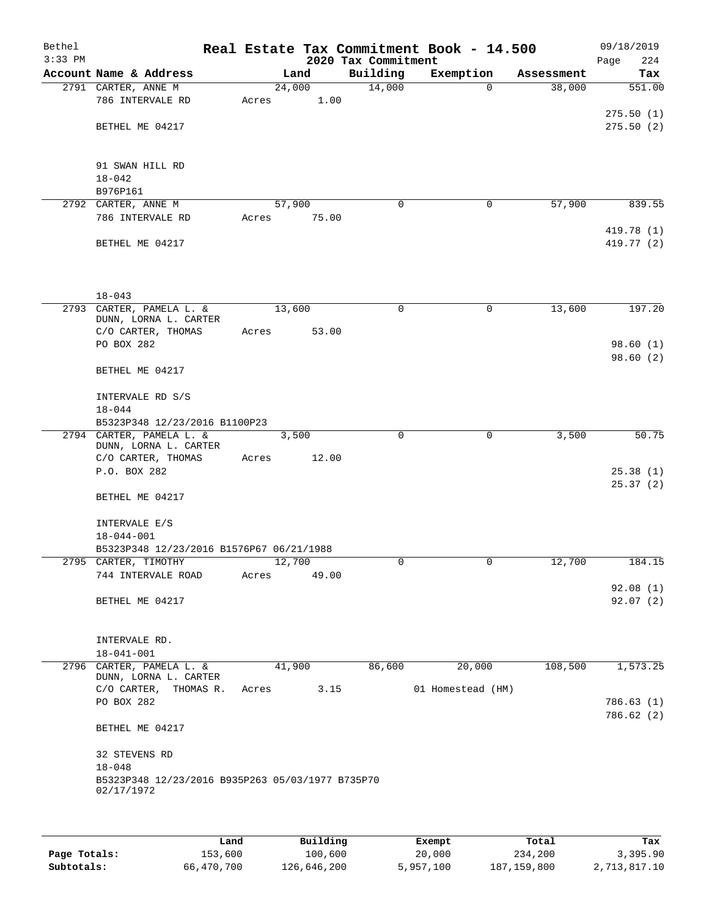| Bethel<br>$3:33$ PM |                                                  | Real Estate Tax Commitment Book - 14.500 | 2020 Tax Commitment |                   |            | 09/18/2019<br>224<br>Page |
|---------------------|--------------------------------------------------|------------------------------------------|---------------------|-------------------|------------|---------------------------|
|                     | Account Name & Address                           | Land                                     | Building            | Exemption         | Assessment | Tax                       |
|                     | 2791 CARTER, ANNE M                              | 24,000                                   | 14,000              | $\Omega$          | 38,000     | 551.00                    |
|                     | 786 INTERVALE RD                                 | 1.00<br>Acres                            |                     |                   |            |                           |
|                     |                                                  |                                          |                     |                   |            | 275.50(1)                 |
|                     | BETHEL ME 04217                                  |                                          |                     |                   |            | 275.50(2)                 |
|                     |                                                  |                                          |                     |                   |            |                           |
|                     |                                                  |                                          |                     |                   |            |                           |
|                     | 91 SWAN HILL RD                                  |                                          |                     |                   |            |                           |
|                     | $18 - 042$                                       |                                          |                     |                   |            |                           |
|                     | B976P161                                         |                                          |                     |                   |            |                           |
|                     | 2792 CARTER, ANNE M                              | 57,900                                   | $\mathbf 0$         | 0                 | 57,900     | 839.55                    |
|                     | 786 INTERVALE RD                                 | 75.00<br>Acres                           |                     |                   |            |                           |
|                     |                                                  |                                          |                     |                   |            | 419.78 (1)                |
|                     | BETHEL ME 04217                                  |                                          |                     |                   |            | 419.77 (2)                |
|                     |                                                  |                                          |                     |                   |            |                           |
|                     |                                                  |                                          |                     |                   |            |                           |
|                     | $18 - 043$                                       |                                          |                     |                   |            |                           |
|                     | 2793 CARTER, PAMELA L. &                         | 13,600                                   | $\mathbf 0$         | $\mathbf 0$       | 13,600     | 197.20                    |
|                     | DUNN, LORNA L. CARTER                            |                                          |                     |                   |            |                           |
|                     | C/O CARTER, THOMAS                               | 53.00<br>Acres                           |                     |                   |            |                           |
|                     | PO BOX 282                                       |                                          |                     |                   |            | 98.60(1)                  |
|                     |                                                  |                                          |                     |                   |            | 98.60(2)                  |
|                     | BETHEL ME 04217                                  |                                          |                     |                   |            |                           |
|                     |                                                  |                                          |                     |                   |            |                           |
|                     | INTERVALE RD S/S                                 |                                          |                     |                   |            |                           |
|                     | $18 - 044$                                       |                                          |                     |                   |            |                           |
|                     | B5323P348 12/23/2016 B1100P23                    |                                          |                     |                   |            |                           |
|                     | 2794 CARTER, PAMELA L. &                         | 3,500                                    | $\Omega$            | $\mathbf 0$       | 3,500      | 50.75                     |
|                     | DUNN, LORNA L. CARTER                            |                                          |                     |                   |            |                           |
|                     | C/O CARTER, THOMAS                               | 12.00<br>Acres                           |                     |                   |            |                           |
|                     | P.O. BOX 282                                     |                                          |                     |                   |            | 25.38(1)<br>25.37(2)      |
|                     | BETHEL ME 04217                                  |                                          |                     |                   |            |                           |
|                     |                                                  |                                          |                     |                   |            |                           |
|                     | INTERVALE E/S                                    |                                          |                     |                   |            |                           |
|                     | $18 - 044 - 001$                                 |                                          |                     |                   |            |                           |
|                     | B5323P348 12/23/2016 B1576P67 06/21/1988         |                                          |                     |                   |            |                           |
|                     | 2795 CARTER, TIMOTHY                             | 12,700                                   |                     |                   | 12,700     | 184.15                    |
|                     | 744 INTERVALE ROAD                               | Acres<br>49.00                           |                     |                   |            |                           |
|                     |                                                  |                                          |                     |                   |            | 92.08(1)                  |
|                     | BETHEL ME 04217                                  |                                          |                     |                   |            | 92.07(2)                  |
|                     |                                                  |                                          |                     |                   |            |                           |
|                     |                                                  |                                          |                     |                   |            |                           |
|                     | INTERVALE RD.                                    |                                          |                     |                   |            |                           |
|                     | $18 - 041 - 001$                                 |                                          |                     |                   |            |                           |
|                     | 2796 CARTER, PAMELA L. &                         | 41,900                                   | 86,600              | 20,000            | 108,500    | 1,573.25                  |
|                     | DUNN, LORNA L. CARTER                            |                                          |                     |                   |            |                           |
|                     | C/O CARTER, THOMAS R.                            | Acres                                    | 3.15                | 01 Homestead (HM) |            |                           |
|                     | PO BOX 282                                       |                                          |                     |                   |            | 786.63(1)<br>786.62(2)    |
|                     | BETHEL ME 04217                                  |                                          |                     |                   |            |                           |
|                     |                                                  |                                          |                     |                   |            |                           |
|                     | 32 STEVENS RD                                    |                                          |                     |                   |            |                           |
|                     | $18 - 048$                                       |                                          |                     |                   |            |                           |
|                     | B5323P348 12/23/2016 B935P263 05/03/1977 B735P70 |                                          |                     |                   |            |                           |
|                     | 02/17/1972                                       |                                          |                     |                   |            |                           |
|                     |                                                  |                                          |                     |                   |            |                           |
|                     |                                                  |                                          |                     |                   |            |                           |

|              | Land       | Building    | Exempt    | Total         | Tax          |
|--------------|------------|-------------|-----------|---------------|--------------|
| Page Totals: | 153,600    | 100,600     | 20,000    | 234,200       | 3,395.90     |
| Subtotals:   | 66,470,700 | 126,646,200 | 5,957,100 | 187, 159, 800 | 2,713,817.10 |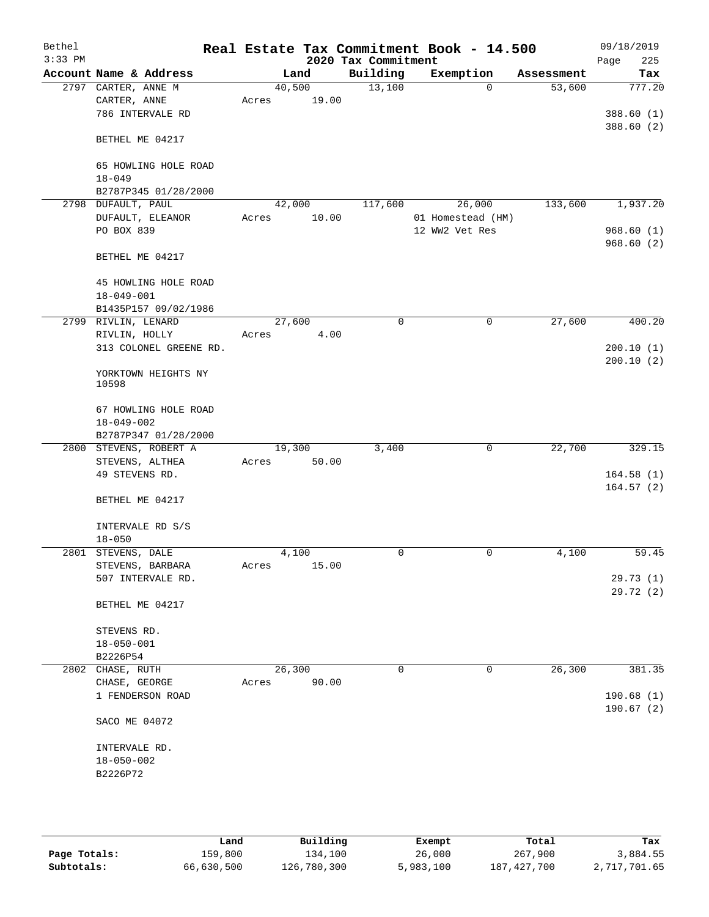| Bethel<br>$3:33$ PM |                              |       |        |       | 2020 Tax Commitment | Real Estate Tax Commitment Book - 14.500 |            | 09/18/2019<br>225<br>Page |
|---------------------|------------------------------|-------|--------|-------|---------------------|------------------------------------------|------------|---------------------------|
|                     | Account Name & Address       |       | Land   |       | Building            | Exemption                                | Assessment | Tax                       |
|                     | 2797 CARTER, ANNE M          |       | 40,500 |       | 13,100              | $\mathbf 0$                              | 53,600     | 777.20                    |
|                     | CARTER, ANNE                 | Acres |        | 19.00 |                     |                                          |            |                           |
|                     | 786 INTERVALE RD             |       |        |       |                     |                                          |            | 388.60(1)                 |
|                     | BETHEL ME 04217              |       |        |       |                     |                                          |            | 388.60 (2)                |
|                     | 65 HOWLING HOLE ROAD         |       |        |       |                     |                                          |            |                           |
|                     | $18 - 049$                   |       |        |       |                     |                                          |            |                           |
|                     | B2787P345 01/28/2000         |       |        |       |                     |                                          |            |                           |
|                     | 2798 DUFAULT, PAUL           |       | 42,000 |       | 117,600             | 26,000                                   | 133,600    | 1,937.20                  |
|                     | DUFAULT, ELEANOR             | Acres |        | 10.00 |                     | 01 Homestead (HM)                        |            |                           |
|                     | PO BOX 839                   |       |        |       |                     | 12 WW2 Vet Res                           |            | 968.60(1)                 |
|                     | BETHEL ME 04217              |       |        |       |                     |                                          |            | 968.60(2)                 |
|                     | 45 HOWLING HOLE ROAD         |       |        |       |                     |                                          |            |                           |
|                     | $18 - 049 - 001$             |       |        |       |                     |                                          |            |                           |
|                     | B1435P157 09/02/1986         |       |        |       |                     |                                          |            |                           |
|                     | 2799 RIVLIN, LENARD          |       | 27,600 |       | $\mathbf 0$         | $\mathsf{O}$                             | 27,600     | 400.20                    |
|                     | RIVLIN, HOLLY                | Acres |        | 4.00  |                     |                                          |            |                           |
|                     | 313 COLONEL GREENE RD.       |       |        |       |                     |                                          |            | 200.10(1)                 |
|                     | YORKTOWN HEIGHTS NY<br>10598 |       |        |       |                     |                                          |            | 200.10(2)                 |
|                     | 67 HOWLING HOLE ROAD         |       |        |       |                     |                                          |            |                           |
|                     | $18 - 049 - 002$             |       |        |       |                     |                                          |            |                           |
|                     | B2787P347 01/28/2000         |       |        |       |                     |                                          |            |                           |
|                     | 2800 STEVENS, ROBERT A       |       | 19,300 |       | 3,400               | 0                                        | 22,700     | 329.15                    |
|                     | STEVENS, ALTHEA              | Acres |        | 50.00 |                     |                                          |            |                           |
|                     | 49 STEVENS RD.               |       |        |       |                     |                                          |            | 164.58(1)                 |
|                     |                              |       |        |       |                     |                                          |            | 164.57(2)                 |
|                     | BETHEL ME 04217              |       |        |       |                     |                                          |            |                           |
|                     | INTERVALE RD S/S             |       |        |       |                     |                                          |            |                           |
|                     | $18 - 050$                   |       |        |       |                     |                                          |            |                           |
|                     | 2801 STEVENS, DALE           |       | 4,100  |       | 0                   | 0                                        | 4,100      | 59.45                     |
|                     | STEVENS, BARBARA             | Acres |        | 15.00 |                     |                                          |            |                           |
|                     | 507 INTERVALE RD.            |       |        |       |                     |                                          |            | 29.73 (1)                 |
|                     | BETHEL ME 04217              |       |        |       |                     |                                          |            | 29.72(2)                  |
|                     | STEVENS RD.                  |       |        |       |                     |                                          |            |                           |
|                     | $18 - 050 - 001$             |       |        |       |                     |                                          |            |                           |
|                     | B2226P54                     |       |        |       |                     |                                          |            |                           |
| 2802                | CHASE, RUTH                  |       | 26,300 |       | 0                   | 0                                        | 26,300     | 381.35                    |
|                     | CHASE, GEORGE                | Acres |        | 90.00 |                     |                                          |            |                           |
|                     | 1 FENDERSON ROAD             |       |        |       |                     |                                          |            | 190.68(1)<br>190.67(2)    |
|                     | SACO ME 04072                |       |        |       |                     |                                          |            |                           |
|                     | INTERVALE RD.                |       |        |       |                     |                                          |            |                           |
|                     | $18 - 050 - 002$             |       |        |       |                     |                                          |            |                           |
|                     | B2226P72                     |       |        |       |                     |                                          |            |                           |
|                     |                              |       |        |       |                     |                                          |            |                           |
|                     |                              |       |        |       |                     |                                          |            |                           |

|              | Land       | Building    | Exempt    | Total         | Tax          |
|--------------|------------|-------------|-----------|---------------|--------------|
| Page Totals: | 159,800    | 134,100     | 26,000    | 267,900       | 3,884.55     |
| Subtotals:   | 66,630,500 | 126,780,300 | 5,983,100 | 187, 427, 700 | 2,717,701.65 |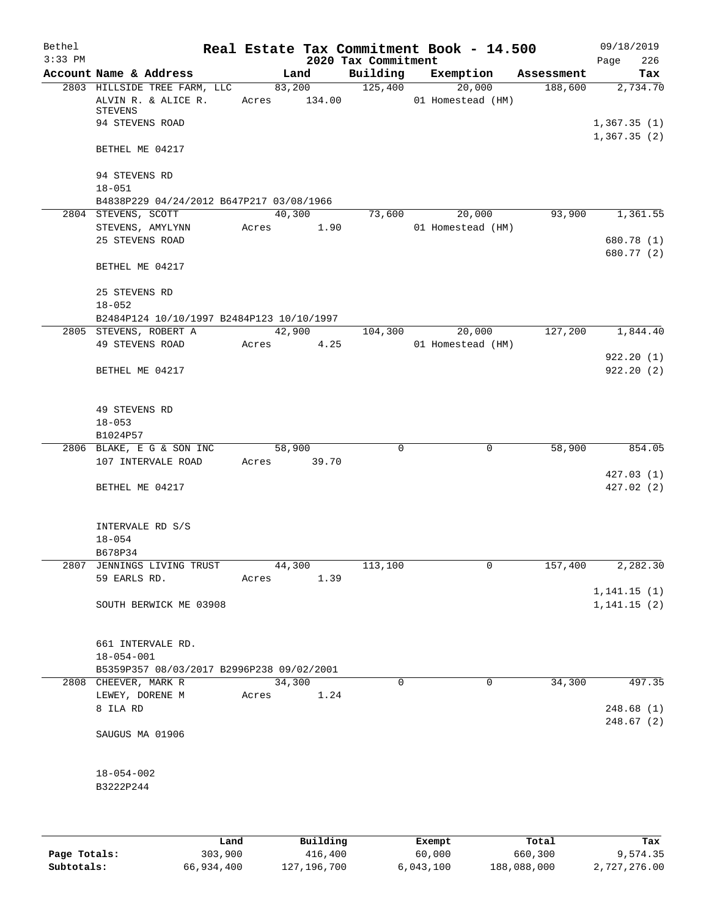| Bethel    |                                                                |       |                  | Real Estate Tax Commitment Book - 14.500 |                   |          |            | 09/18/2019                  |
|-----------|----------------------------------------------------------------|-------|------------------|------------------------------------------|-------------------|----------|------------|-----------------------------|
| $3:33$ PM |                                                                |       |                  | 2020 Tax Commitment                      |                   |          |            | 226<br>Page                 |
|           | Account Name & Address                                         |       | Land             | Building                                 | Exemption         |          | Assessment | Tax                         |
|           | 2803 HILLSIDE TREE FARM, LLC<br>ALVIN R. & ALICE R.<br>STEVENS | Acres | 83,200<br>134.00 | 125,400                                  | 01 Homestead (HM) | 20,000   | 188,600    | 2,734.70                    |
|           | 94 STEVENS ROAD                                                |       |                  |                                          |                   |          |            | 1,367.35(1)<br>1,367.35(2)  |
|           | BETHEL ME 04217                                                |       |                  |                                          |                   |          |            |                             |
|           | 94 STEVENS RD<br>$18 - 051$                                    |       |                  |                                          |                   |          |            |                             |
|           | B4838P229 04/24/2012 B647P217 03/08/1966                       |       |                  |                                          |                   |          |            |                             |
|           | 2804 STEVENS, SCOTT                                            |       | 40,300           | 73,600                                   |                   | 20,000   | 93,900     | 1,361.55                    |
|           | STEVENS, AMYLYNN                                               | Acres | 1.90             |                                          | 01 Homestead (HM) |          |            |                             |
|           | 25 STEVENS ROAD                                                |       |                  |                                          |                   |          |            | 680.78 (1)<br>680.77 (2)    |
|           | BETHEL ME 04217                                                |       |                  |                                          |                   |          |            |                             |
|           | 25 STEVENS RD                                                  |       |                  |                                          |                   |          |            |                             |
|           | $18 - 052$                                                     |       |                  |                                          |                   |          |            |                             |
|           | B2484P124 10/10/1997 B2484P123 10/10/1997                      |       |                  |                                          |                   |          |            |                             |
|           | 2805 STEVENS, ROBERT A<br>49 STEVENS ROAD                      | Acres | 42,900<br>4.25   | 104,300                                  | 01 Homestead (HM) | 20,000   | 127,200    | 1,844.40                    |
|           |                                                                |       |                  |                                          |                   |          |            | 922.20(1)                   |
|           | BETHEL ME 04217                                                |       |                  |                                          |                   |          |            | 922.20(2)                   |
|           | 49 STEVENS RD<br>$18 - 053$<br>B1024P57                        |       |                  |                                          |                   |          |            |                             |
|           | 2806 BLAKE, E G & SON INC                                      |       | 58,900           | 0                                        |                   | 0        | 58,900     | 854.05                      |
|           | 107 INTERVALE ROAD                                             |       | Acres 39.70      |                                          |                   |          |            |                             |
|           |                                                                |       |                  |                                          |                   |          |            | 427.03(1)                   |
|           | BETHEL ME 04217                                                |       |                  |                                          |                   |          |            | 427.02(2)                   |
|           | INTERVALE RD S/S                                               |       |                  |                                          |                   |          |            |                             |
|           | $18 - 054$<br>B678P34                                          |       |                  |                                          |                   |          |            |                             |
|           | 2807 JENNINGS LIVING TRUST                                     |       | 44,300           | 113,100                                  |                   | 0        | 157,400    | 2,282.30                    |
|           | 59 EARLS RD.                                                   | Acres | 1.39             |                                          |                   |          |            |                             |
|           | SOUTH BERWICK ME 03908                                         |       |                  |                                          |                   |          |            | 1,141.15(1)<br>1, 141.15(2) |
|           |                                                                |       |                  |                                          |                   |          |            |                             |
|           | 661 INTERVALE RD.                                              |       |                  |                                          |                   |          |            |                             |
|           | $18 - 054 - 001$                                               |       |                  |                                          |                   |          |            |                             |
|           | B5359P357 08/03/2017 B2996P238 09/02/2001                      |       |                  |                                          |                   |          |            |                             |
|           | 2808 CHEEVER, MARK R                                           |       | 34,300           | $\Omega$                                 |                   | $\Omega$ | 34,300     | 497.35                      |
|           | LEWEY, DORENE M                                                | Acres | 1.24             |                                          |                   |          |            |                             |
|           | 8 ILA RD                                                       |       |                  |                                          |                   |          |            | 248.68 (1)<br>248.67(2)     |
|           | SAUGUS MA 01906                                                |       |                  |                                          |                   |          |            |                             |
|           | $18 - 054 - 002$                                               |       |                  |                                          |                   |          |            |                             |
|           | B3222P244                                                      |       |                  |                                          |                   |          |            |                             |
|           |                                                                |       |                  |                                          |                   |          |            |                             |
|           |                                                                |       |                  |                                          |                   |          |            |                             |

|              | Land       | Building    | Exempt    | Total       | Tax          |
|--------------|------------|-------------|-----------|-------------|--------------|
| Page Totals: | 303,900    | 416,400     | 60,000    | 660,300     | 9,574.35     |
| Subtotals:   | 66,934,400 | 127,196,700 | 6,043,100 | 188,088,000 | 2,727,276.00 |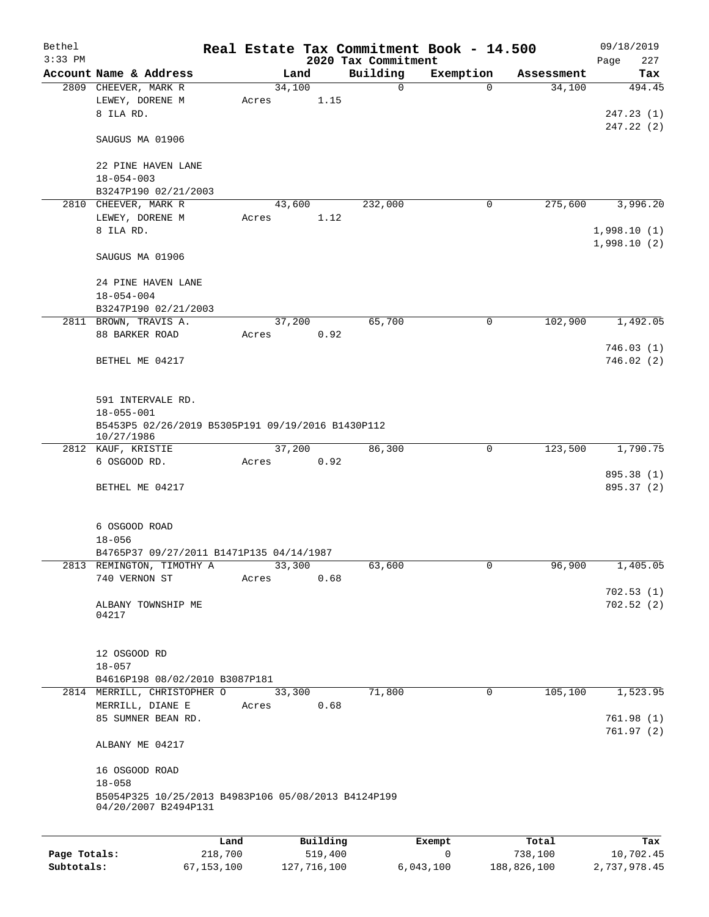| Bethel       |                                                                   |         |          |                                 | Real Estate Tax Commitment Book - 14.500 |                      | 09/18/2019                 |
|--------------|-------------------------------------------------------------------|---------|----------|---------------------------------|------------------------------------------|----------------------|----------------------------|
| $3:33$ PM    | Account Name & Address                                            |         | Land     | 2020 Tax Commitment<br>Building |                                          |                      | Page<br>227                |
|              | 2809 CHEEVER, MARK R                                              |         | 34,100   | $\mathbf 0$                     | Exemption<br>$\mathbf 0$                 | Assessment<br>34,100 | Tax<br>494.45              |
|              | LEWEY, DORENE M<br>8 ILA RD.                                      | Acres   | 1.15     |                                 |                                          |                      | 247.23(1)                  |
|              | SAUGUS MA 01906                                                   |         |          |                                 |                                          |                      | 247.22 (2)                 |
|              | 22 PINE HAVEN LANE<br>$18 - 054 - 003$                            |         |          |                                 |                                          |                      |                            |
|              | B3247P190 02/21/2003                                              |         |          |                                 |                                          |                      |                            |
|              | 2810 CHEEVER, MARK R                                              |         | 43,600   | 232,000                         | 0                                        | 275,600              | 3,996.20                   |
|              | LEWEY, DORENE M<br>8 ILA RD.                                      | Acres   | 1.12     |                                 |                                          |                      | 1,998.10(1)<br>1,998.10(2) |
|              | SAUGUS MA 01906                                                   |         |          |                                 |                                          |                      |                            |
|              | 24 PINE HAVEN LANE<br>$18 - 054 - 004$                            |         |          |                                 |                                          |                      |                            |
|              | B3247P190 02/21/2003                                              |         |          |                                 |                                          |                      |                            |
|              | 2811 BROWN, TRAVIS A.                                             |         | 37,200   | 65,700                          | 0                                        | 102,900              | 1,492.05                   |
|              | 88 BARKER ROAD                                                    | Acres   | 0.92     |                                 |                                          |                      |                            |
|              | BETHEL ME 04217                                                   |         |          |                                 |                                          |                      | 746.03(1)                  |
|              |                                                                   |         |          |                                 |                                          |                      | 746.02(2)                  |
|              | 591 INTERVALE RD.                                                 |         |          |                                 |                                          |                      |                            |
|              | $18 - 055 - 001$                                                  |         |          |                                 |                                          |                      |                            |
|              | B5453P5 02/26/2019 B5305P191 09/19/2016 B1430P112<br>10/27/1986   |         |          |                                 |                                          |                      |                            |
|              | 2812 KAUF, KRISTIE                                                |         | 37,200   | 86,300                          | 0                                        | 123,500              | 1,790.75                   |
|              | 6 OSGOOD RD.                                                      | Acres   | 0.92     |                                 |                                          |                      | 895.38 (1)                 |
|              | BETHEL ME 04217                                                   |         |          |                                 |                                          |                      | 895.37 (2)                 |
|              | 6 OSGOOD ROAD                                                     |         |          |                                 |                                          |                      |                            |
|              | $18 - 056$                                                        |         |          |                                 |                                          |                      |                            |
|              | B4765P37 09/27/2011 B1471P135 04/14/1987                          |         |          |                                 |                                          |                      |                            |
|              | 2813 REMINGTON, TIMOTHY A                                         |         | 33,300   | 63,600                          | 0                                        | 96,900               | 1,405.05                   |
|              | 740 VERNON ST                                                     | Acres   | 0.68     |                                 |                                          |                      |                            |
|              |                                                                   |         |          |                                 |                                          |                      | 702.53(1)                  |
|              | ALBANY TOWNSHIP ME<br>04217                                       |         |          |                                 |                                          |                      | 702.52(2)                  |
|              | 12 OSGOOD RD                                                      |         |          |                                 |                                          |                      |                            |
|              | $18 - 057$                                                        |         |          |                                 |                                          |                      |                            |
|              | B4616P198 08/02/2010 B3087P181                                    |         |          |                                 |                                          |                      |                            |
|              | 2814 MERRILL, CHRISTOPHER O                                       |         | 33,300   | 71,800                          | $\mathbf 0$                              | 105, 100             | 1,523.95                   |
|              | MERRILL, DIANE E                                                  | Acres   | 0.68     |                                 |                                          |                      |                            |
|              | 85 SUMNER BEAN RD.                                                |         |          |                                 |                                          |                      | 761.98(1)                  |
|              | ALBANY ME 04217                                                   |         |          |                                 |                                          |                      | 761.97(2)                  |
|              | 16 OSGOOD ROAD                                                    |         |          |                                 |                                          |                      |                            |
|              | $18 - 058$<br>B5054P325 10/25/2013 B4983P106 05/08/2013 B4124P199 |         |          |                                 |                                          |                      |                            |
|              | 04/20/2007 B2494P131                                              |         |          |                                 |                                          |                      |                            |
|              |                                                                   | Land    | Building |                                 | Exempt                                   | Total                | Tax                        |
| Page Totals: |                                                                   | 218,700 | 519,400  |                                 | 0                                        | 738,100              | 10,702.45                  |

**Subtotals:** 67,153,100 127,716,100 6,043,100 188,826,100 2,737,978.45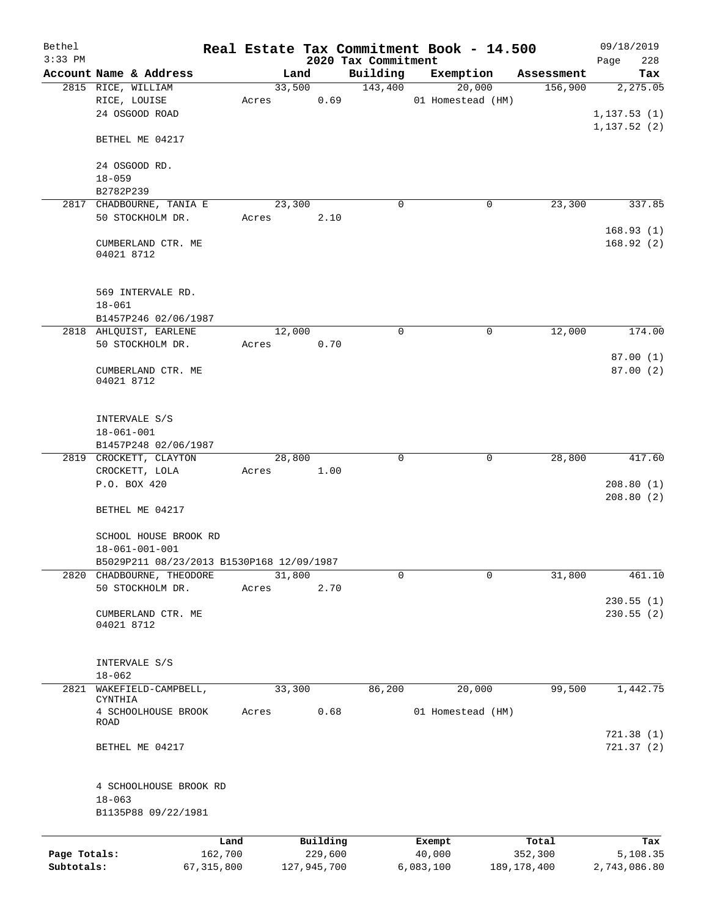| Bethel                     |                                           |                         |                        |                                 | Real Estate Tax Commitment Book - 14.500 |                          | 09/18/2019               |
|----------------------------|-------------------------------------------|-------------------------|------------------------|---------------------------------|------------------------------------------|--------------------------|--------------------------|
| $3:33$ PM                  | Account Name & Address                    |                         | Land                   | 2020 Tax Commitment<br>Building | Exemption                                | Assessment               | 228<br>Page<br>Tax       |
|                            | 2815 RICE, WILLIAM                        |                         | 33,500                 | 143,400                         | 20,000                                   | 156,900                  | 2,275.05                 |
|                            | RICE, LOUISE<br>24 OSGOOD ROAD            | Acres                   | 0.69                   |                                 | 01 Homestead (HM)                        |                          | 1, 137.53(1)             |
|                            | BETHEL ME 04217                           |                         |                        |                                 |                                          |                          | 1,137.52(2)              |
|                            | 24 OSGOOD RD.<br>$18 - 059$               |                         |                        |                                 |                                          |                          |                          |
|                            | B2782P239                                 |                         |                        |                                 |                                          |                          |                          |
|                            | 2817 CHADBOURNE, TANIA E                  |                         | 23,300                 | $\mathbf 0$                     | 0                                        | 23,300                   | 337.85                   |
|                            | 50 STOCKHOLM DR.                          | Acres                   | 2.10                   |                                 |                                          |                          | 168.93(1)                |
|                            | CUMBERLAND CTR. ME<br>04021 8712          |                         |                        |                                 |                                          |                          | 168.92(2)                |
|                            | 569 INTERVALE RD.<br>$18 - 061$           |                         |                        |                                 |                                          |                          |                          |
|                            | B1457P246 02/06/1987                      |                         |                        |                                 |                                          |                          |                          |
|                            | 2818 AHLQUIST, EARLENE                    |                         | 12,000                 | $\mathbf 0$                     | $\mathbf 0$                              | 12,000                   | 174.00                   |
|                            | 50 STOCKHOLM DR.                          | Acres                   | 0.70                   |                                 |                                          |                          |                          |
|                            |                                           |                         |                        |                                 |                                          |                          | 87.00(1)                 |
|                            | CUMBERLAND CTR. ME<br>04021 8712          |                         |                        |                                 |                                          |                          | 87.00(2)                 |
|                            | INTERVALE S/S                             |                         |                        |                                 |                                          |                          |                          |
|                            | $18 - 061 - 001$<br>B1457P248 02/06/1987  |                         |                        |                                 |                                          |                          |                          |
|                            | 2819 CROCKETT, CLAYTON                    |                         | 28,800                 | $\mathbf 0$                     | 0                                        | 28,800                   | 417.60                   |
|                            | CROCKETT, LOLA                            | Acres                   | 1.00                   |                                 |                                          |                          |                          |
|                            | P.O. BOX 420                              |                         |                        |                                 |                                          |                          | 208.80(1)<br>208.80(2)   |
|                            | BETHEL ME 04217                           |                         |                        |                                 |                                          |                          |                          |
|                            | SCHOOL HOUSE BROOK RD<br>18-061-001-001   |                         |                        |                                 |                                          |                          |                          |
|                            | B5029P211 08/23/2013 B1530P168 12/09/1987 |                         |                        |                                 |                                          |                          |                          |
|                            | 2820 CHADBOURNE, THEODORE                 |                         | 31,800                 | 0                               | $\Omega$                                 | 31,800                   | 461.10                   |
|                            | 50 STOCKHOLM DR.                          | Acres                   | 2.70                   |                                 |                                          |                          |                          |
|                            |                                           |                         |                        |                                 |                                          |                          | 230.55(1)                |
|                            | CUMBERLAND CTR. ME<br>04021 8712          |                         |                        |                                 |                                          |                          | 230.55(2)                |
|                            | INTERVALE S/S                             |                         |                        |                                 |                                          |                          |                          |
|                            | $18 - 062$                                |                         |                        |                                 |                                          |                          |                          |
| 2821                       | WAKEFIELD-CAMPBELL,<br>CYNTHIA            |                         | 33,300                 | 86,200                          | 20,000                                   | 99,500                   | 1,442.75                 |
|                            | 4 SCHOOLHOUSE BROOK<br>ROAD               | Acres                   | 0.68                   |                                 | 01 Homestead (HM)                        |                          |                          |
|                            | BETHEL ME 04217                           |                         |                        |                                 |                                          |                          | 721.38(1)<br>721.37(2)   |
|                            | 4 SCHOOLHOUSE BROOK RD<br>$18 - 063$      |                         |                        |                                 |                                          |                          |                          |
|                            | B1135P88 09/22/1981                       |                         |                        |                                 |                                          |                          |                          |
|                            |                                           | Land                    | Building               |                                 | Exempt                                   | Total                    | Tax                      |
| Page Totals:<br>Subtotals: |                                           | 162,700<br>67, 315, 800 | 229,600<br>127,945,700 |                                 | 40,000<br>6,083,100                      | 352,300<br>189, 178, 400 | 5,108.35<br>2,743,086.80 |
|                            |                                           |                         |                        |                                 |                                          |                          |                          |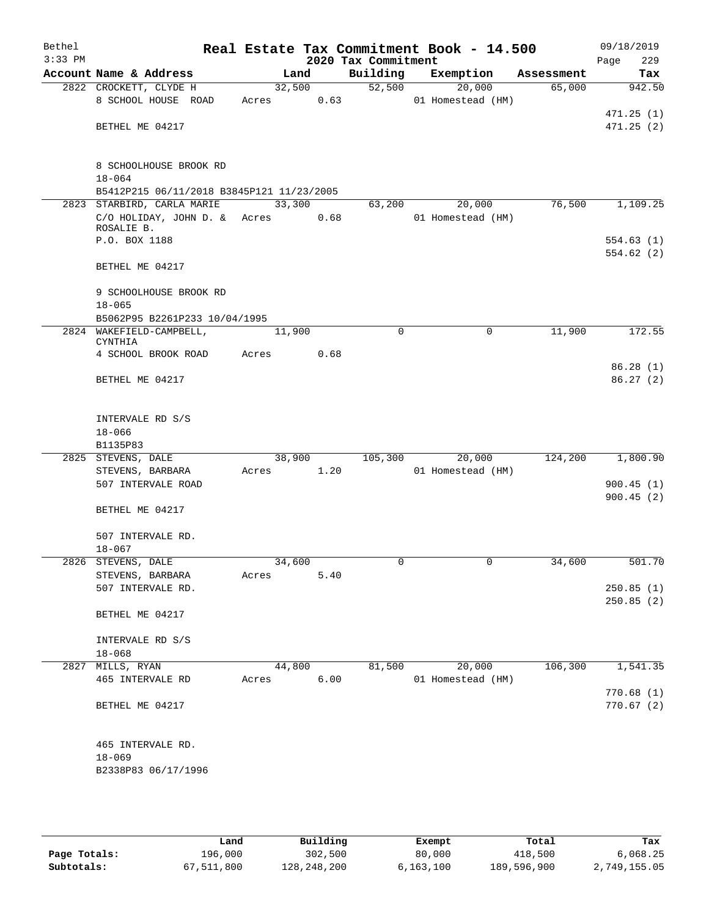| Bethel<br>$3:33$ PM |                                            |       |        | 2020 Tax Commitment | Real Estate Tax Commitment Book - 14.500 |            | 09/18/2019<br>229<br>Page |
|---------------------|--------------------------------------------|-------|--------|---------------------|------------------------------------------|------------|---------------------------|
|                     | Account Name & Address                     |       | Land   | Building            | Exemption                                | Assessment | Tax                       |
|                     | 2822 CROCKETT, CLYDE H                     |       | 32,500 | 52,500              | 20,000                                   | 65,000     | 942.50                    |
|                     | 8 SCHOOL HOUSE ROAD                        | Acres | 0.63   |                     | 01 Homestead (HM)                        |            |                           |
|                     |                                            |       |        |                     |                                          |            | 471.25(1)                 |
|                     | BETHEL ME 04217                            |       |        |                     |                                          |            | 471.25(2)                 |
|                     |                                            |       |        |                     |                                          |            |                           |
|                     |                                            |       |        |                     |                                          |            |                           |
|                     | 8 SCHOOLHOUSE BROOK RD<br>$18 - 064$       |       |        |                     |                                          |            |                           |
|                     | B5412P215 06/11/2018 B3845P121 11/23/2005  |       |        |                     |                                          |            |                           |
|                     | 2823 STARBIRD, CARLA MARIE                 |       | 33,300 | 63,200              | 20,000                                   | 76,500     | 1,109.25                  |
|                     | C/O HOLIDAY, JOHN D. & Acres               |       | 0.68   |                     | 01 Homestead (HM)                        |            |                           |
|                     | ROSALIE B.                                 |       |        |                     |                                          |            |                           |
|                     | P.O. BOX 1188                              |       |        |                     |                                          |            | 554.63(1)                 |
|                     |                                            |       |        |                     |                                          |            | 554.62(2)                 |
|                     | BETHEL ME 04217                            |       |        |                     |                                          |            |                           |
|                     |                                            |       |        |                     |                                          |            |                           |
|                     | 9 SCHOOLHOUSE BROOK RD                     |       |        |                     |                                          |            |                           |
|                     | $18 - 065$                                 |       |        |                     |                                          |            |                           |
|                     | B5062P95 B2261P233 10/04/1995              |       |        |                     |                                          |            |                           |
|                     | 2824 WAKEFIELD-CAMPBELL,<br><b>CYNTHIA</b> |       | 11,900 | $\mathbf 0$         | $\mathbf 0$                              | 11,900     | 172.55                    |
|                     | 4 SCHOOL BROOK ROAD                        | Acres | 0.68   |                     |                                          |            |                           |
|                     |                                            |       |        |                     |                                          |            | 86.28(1)                  |
|                     | BETHEL ME 04217                            |       |        |                     |                                          |            | 86.27(2)                  |
|                     |                                            |       |        |                     |                                          |            |                           |
|                     |                                            |       |        |                     |                                          |            |                           |
|                     | INTERVALE RD S/S                           |       |        |                     |                                          |            |                           |
|                     | $18 - 066$                                 |       |        |                     |                                          |            |                           |
|                     | B1135P83                                   |       |        |                     |                                          |            |                           |
|                     | 2825 STEVENS, DALE                         |       | 38,900 | 105,300             | 20,000                                   | 124,200    | 1,800.90                  |
|                     | STEVENS, BARBARA                           | Acres | 1.20   |                     | 01 Homestead (HM)                        |            |                           |
|                     | 507 INTERVALE ROAD                         |       |        |                     |                                          |            | 900.45(1)<br>900.45(2)    |
|                     | BETHEL ME 04217                            |       |        |                     |                                          |            |                           |
|                     |                                            |       |        |                     |                                          |            |                           |
|                     | 507 INTERVALE RD.                          |       |        |                     |                                          |            |                           |
|                     | $18 - 067$                                 |       |        |                     |                                          |            |                           |
|                     | 2826 STEVENS, DALE                         |       | 34,600 | 0                   | 0                                        | 34,600     | 501.70                    |
|                     | STEVENS, BARBARA                           | Acres | 5.40   |                     |                                          |            |                           |
|                     | 507 INTERVALE RD.                          |       |        |                     |                                          |            | 250.85(1)                 |
|                     |                                            |       |        |                     |                                          |            | 250.85(2)                 |
|                     | BETHEL ME 04217                            |       |        |                     |                                          |            |                           |
|                     |                                            |       |        |                     |                                          |            |                           |
|                     | INTERVALE RD S/S                           |       |        |                     |                                          |            |                           |
|                     | $18 - 068$                                 |       |        |                     |                                          |            |                           |
|                     | 2827 MILLS, RYAN                           |       | 44,800 | 81,500              | 20,000                                   | 106,300    | 1,541.35                  |
|                     | 465 INTERVALE RD                           | Acres | 6.00   |                     | 01 Homestead (HM)                        |            | 770.68(1)                 |
|                     | BETHEL ME 04217                            |       |        |                     |                                          |            | 770.67(2)                 |
|                     |                                            |       |        |                     |                                          |            |                           |
|                     |                                            |       |        |                     |                                          |            |                           |
|                     | 465 INTERVALE RD.                          |       |        |                     |                                          |            |                           |
|                     | $18 - 069$                                 |       |        |                     |                                          |            |                           |
|                     | B2338P83 06/17/1996                        |       |        |                     |                                          |            |                           |
|                     |                                            |       |        |                     |                                          |            |                           |
|                     |                                            |       |        |                     |                                          |            |                           |

|              | Land       | Building    | Exempt      | Total       | Tax          |
|--------------|------------|-------------|-------------|-------------|--------------|
| Page Totals: | 196,000    | 302,500     | 80,000      | 418,500     | 6,068.25     |
| Subtotals:   | 67,511,800 | 128,248,200 | 6, 163, 100 | 189,596,900 | 2,749,155.05 |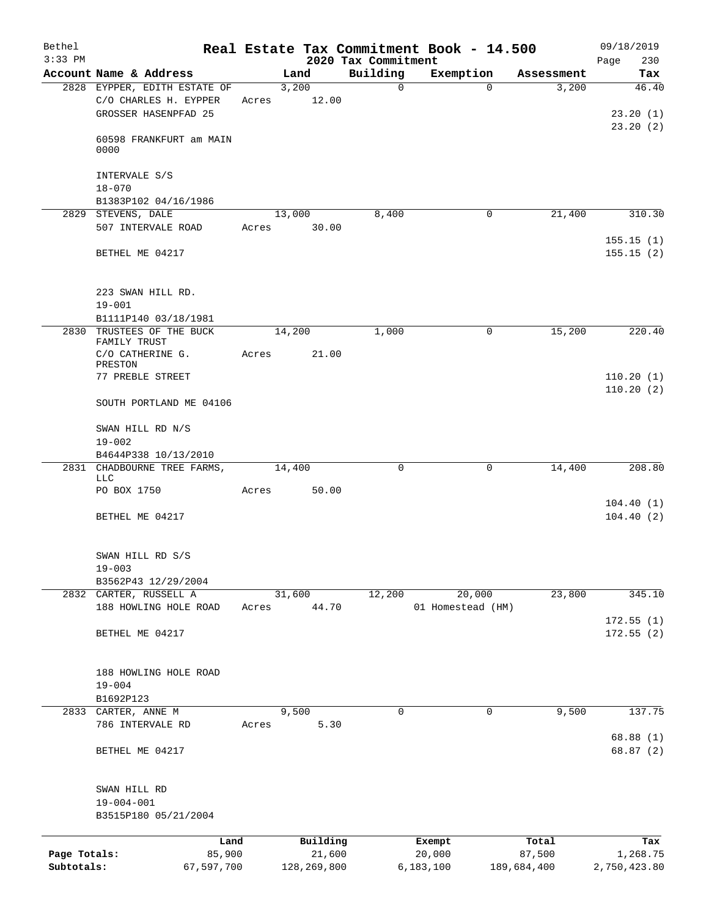| Bethel                     |                                                 |                 |               |                                 | Real Estate Tax Commitment Book - 14.500 |                       | 09/18/2019             |
|----------------------------|-------------------------------------------------|-----------------|---------------|---------------------------------|------------------------------------------|-----------------------|------------------------|
| $3:33$ PM                  | Account Name & Address                          |                 | Land          | 2020 Tax Commitment<br>Building | Exemption                                | Assessment            | 230<br>Page<br>Tax     |
|                            | 2828 EYPPER, EDITH ESTATE OF                    | 3,200           |               | $\mathbf 0$                     | $\Omega$                                 | 3,200                 | 46.40                  |
|                            | C/O CHARLES H. EYPPER<br>GROSSER HASENPFAD 25   | Acres           | 12.00         |                                 |                                          |                       | 23.20(1)               |
|                            | 60598 FRANKFURT am MAIN<br>0000                 |                 |               |                                 |                                          |                       | 23.20(2)               |
|                            | INTERVALE S/S<br>$18 - 070$                     |                 |               |                                 |                                          |                       |                        |
|                            | B1383P102 04/16/1986                            |                 |               |                                 |                                          |                       |                        |
|                            | 2829 STEVENS, DALE                              | 13,000          |               | 8,400                           | 0                                        | 21,400                | 310.30                 |
|                            | 507 INTERVALE ROAD                              | Acres           | 30.00         |                                 |                                          |                       | 155.15(1)              |
|                            | BETHEL ME 04217                                 |                 |               |                                 |                                          |                       | 155.15(2)              |
|                            | 223 SWAN HILL RD.<br>$19 - 001$                 |                 |               |                                 |                                          |                       |                        |
|                            | B1111P140 03/18/1981                            |                 |               |                                 |                                          |                       |                        |
|                            | 2830 TRUSTEES OF THE BUCK<br>FAMILY TRUST       | 14,200          |               | 1,000                           | 0                                        | 15,200                | 220.40                 |
|                            | C/O CATHERINE G.                                | Acres           | 21.00         |                                 |                                          |                       |                        |
|                            | PRESTON<br>77 PREBLE STREET                     |                 |               |                                 |                                          |                       | 110.20(1)              |
|                            | SOUTH PORTLAND ME 04106                         |                 |               |                                 |                                          |                       | 110.20(2)              |
|                            | SWAN HILL RD N/S<br>$19 - 002$                  |                 |               |                                 |                                          |                       |                        |
|                            | B4644P338 10/13/2010                            |                 |               |                                 |                                          |                       |                        |
|                            | 2831 CHADBOURNE TREE FARMS,<br>LLC              | 14,400          |               | $\Omega$                        | 0                                        | 14,400                | 208.80                 |
|                            | PO BOX 1750                                     | Acres           | 50.00         |                                 |                                          |                       |                        |
|                            | BETHEL ME 04217                                 |                 |               |                                 |                                          |                       | 104.40(1)<br>104.40(2) |
|                            | SWAN HILL RD S/S<br>$19 - 003$                  |                 |               |                                 |                                          |                       |                        |
|                            | B3562P43 12/29/2004                             |                 |               |                                 |                                          |                       |                        |
|                            | 2832 CARTER, RUSSELL A<br>188 HOWLING HOLE ROAD | 31,600<br>Acres | 44.70         | 12,200                          | 20,000<br>01 Homestead (HM)              | 23,800                | 345.10                 |
|                            |                                                 |                 |               |                                 |                                          |                       | 172.55(1)              |
|                            | BETHEL ME 04217                                 |                 |               |                                 |                                          |                       | 172.55(2)              |
|                            | 188 HOWLING HOLE ROAD                           |                 |               |                                 |                                          |                       |                        |
|                            | $19 - 004$                                      |                 |               |                                 |                                          |                       |                        |
| 2833                       | B1692P123<br>CARTER, ANNE M                     | 9,500           |               | 0                               | 0                                        | 9,500                 | 137.75                 |
|                            | 786 INTERVALE RD                                | Acres           | 5.30          |                                 |                                          |                       |                        |
|                            | BETHEL ME 04217                                 |                 |               |                                 |                                          |                       | 68.88 (1)<br>68.87 (2) |
|                            | SWAN HILL RD<br>$19 - 004 - 001$                |                 |               |                                 |                                          |                       |                        |
|                            | B3515P180 05/21/2004                            |                 |               |                                 |                                          |                       |                        |
|                            | Land                                            |                 | Building      |                                 | Exempt                                   | Total                 | Tax                    |
| Page Totals:<br>Subtotals: | 85,900                                          |                 | 21,600        |                                 | 20,000                                   | 87,500<br>189,684,400 | 1,268.75               |
|                            | 67,597,700                                      |                 | 128, 269, 800 |                                 | 6,183,100                                |                       | 2,750,423.80           |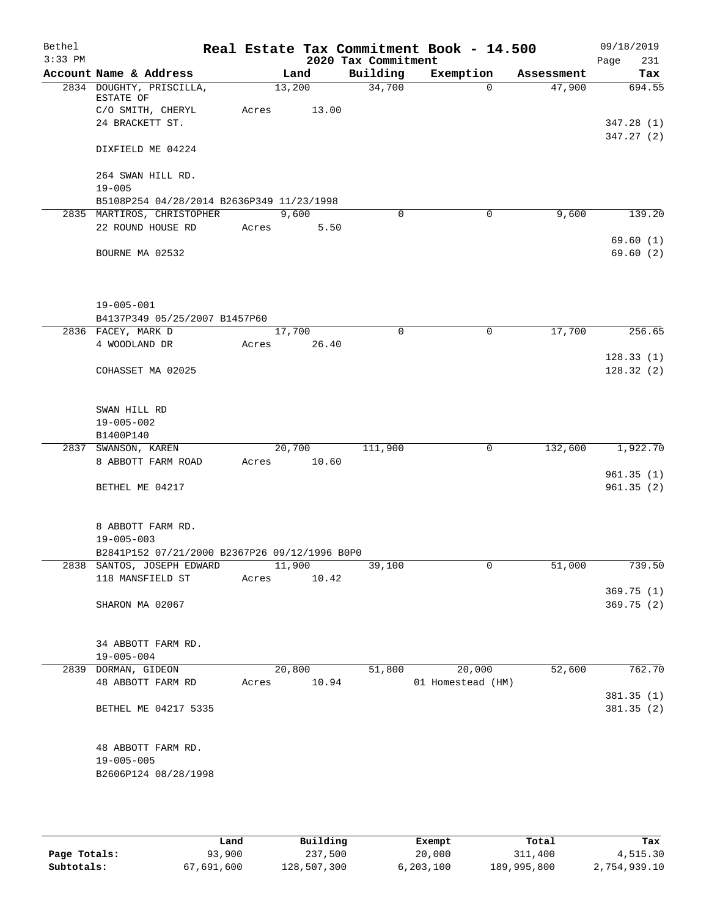| Bethel<br>$3:33$ PM |                                                 |             |                 | 2020 Tax Commitment | Real Estate Tax Commitment Book - 14.500 |            | 09/18/2019<br>231<br>Page |
|---------------------|-------------------------------------------------|-------------|-----------------|---------------------|------------------------------------------|------------|---------------------------|
|                     | Account Name & Address                          |             | Land            | Building            | Exemption                                | Assessment | Tax                       |
|                     | 2834 DOUGHTY, PRISCILLA,<br>ESTATE OF           | 13,200      |                 | 34,700              | $\Omega$                                 | 47,900     | 694.55                    |
|                     | C/O SMITH, CHERYL                               | Acres       | 13.00           |                     |                                          |            |                           |
|                     | 24 BRACKETT ST.                                 |             |                 |                     |                                          |            | 347.28 (1)                |
|                     | DIXFIELD ME 04224                               |             |                 |                     |                                          |            | 347.27(2)                 |
|                     |                                                 |             |                 |                     |                                          |            |                           |
|                     | 264 SWAN HILL RD.                               |             |                 |                     |                                          |            |                           |
|                     | $19 - 005$                                      |             |                 |                     |                                          |            |                           |
|                     | B5108P254 04/28/2014 B2636P349 11/23/1998       |             |                 |                     |                                          |            |                           |
|                     | 2835 MARTIROS, CHRISTOPHER<br>22 ROUND HOUSE RD |             | 9,600           | $\Omega$            | $\mathbf 0$                              | 9,600      | 139.20                    |
|                     |                                                 | Acres       | 5.50            |                     |                                          |            | 69.60(1)                  |
|                     | BOURNE MA 02532                                 |             |                 |                     |                                          |            | 69.60(2)                  |
|                     |                                                 |             |                 |                     |                                          |            |                           |
|                     | $19 - 005 - 001$                                |             |                 |                     |                                          |            |                           |
|                     | B4137P349 05/25/2007 B1457P60                   |             |                 |                     |                                          |            |                           |
|                     | 2836 FACEY, MARK D                              | 17,700      |                 | $\mathbf 0$         | 0                                        | 17,700     | 256.65                    |
|                     | 4 WOODLAND DR                                   | Acres       | 26.40           |                     |                                          |            |                           |
|                     |                                                 |             |                 |                     |                                          |            | 128.33(1)                 |
|                     | COHASSET MA 02025                               |             |                 |                     |                                          |            | 128.32(2)                 |
|                     | SWAN HILL RD                                    |             |                 |                     |                                          |            |                           |
|                     | $19 - 005 - 002$                                |             |                 |                     |                                          |            |                           |
|                     | B1400P140                                       |             |                 |                     |                                          |            |                           |
|                     | 2837 SWANSON, KAREN<br>8 ABBOTT FARM ROAD       | Acres       | 20,700<br>10.60 | 111,900             | 0                                        | 132,600    | 1,922.70                  |
|                     |                                                 |             |                 |                     |                                          |            | 961.35(1)                 |
|                     | BETHEL ME 04217                                 |             |                 |                     |                                          |            | 961.35(2)                 |
|                     |                                                 |             |                 |                     |                                          |            |                           |
|                     | 8 ABBOTT FARM RD.                               |             |                 |                     |                                          |            |                           |
|                     | $19 - 005 - 003$                                |             |                 |                     |                                          |            |                           |
|                     | B2841P152 07/21/2000 B2367P26 09/12/1996 B0P0   |             |                 |                     |                                          |            |                           |
|                     | 2838 SANTOS, JOSEPH EDWARD                      | 11,900      |                 | 39,100              | $\mathsf{O}$                             | 51,000     | 739.50                    |
|                     | 118 MANSFIELD ST                                | Acres 10.42 |                 |                     |                                          |            |                           |
|                     |                                                 |             |                 |                     |                                          |            | 369.75(1)                 |
|                     | SHARON MA 02067                                 |             |                 |                     |                                          |            | 369.75(2)                 |
|                     | 34 ABBOTT FARM RD.                              |             |                 |                     |                                          |            |                           |
|                     | $19 - 005 - 004$                                |             |                 |                     |                                          |            |                           |
|                     | 2839 DORMAN, GIDEON                             |             | 20,800          | 51,800              | 20,000                                   | 52,600     | 762.70                    |
|                     | 48 ABBOTT FARM RD                               | Acres 10.94 |                 |                     | 01 Homestead (HM)                        |            |                           |
|                     |                                                 |             |                 |                     |                                          |            | 381.35 (1)                |
|                     | BETHEL ME 04217 5335                            |             |                 |                     |                                          |            | 381.35(2)                 |
|                     | 48 ABBOTT FARM RD.                              |             |                 |                     |                                          |            |                           |
|                     | $19 - 005 - 005$                                |             |                 |                     |                                          |            |                           |
|                     | B2606P124 08/28/1998                            |             |                 |                     |                                          |            |                           |
|                     |                                                 |             |                 |                     |                                          |            |                           |

|              | Land       | Building    |           | Total       | Tax          |
|--------------|------------|-------------|-----------|-------------|--------------|
|              |            |             | Exempt    |             |              |
| Page Totals: | 93,900     | 237,500     | 20,000    | 311,400     | 4,515.30     |
| Subtotals:   | 67,691,600 | 128,507,300 | 6,203,100 | 189,995,800 | 2,754,939.10 |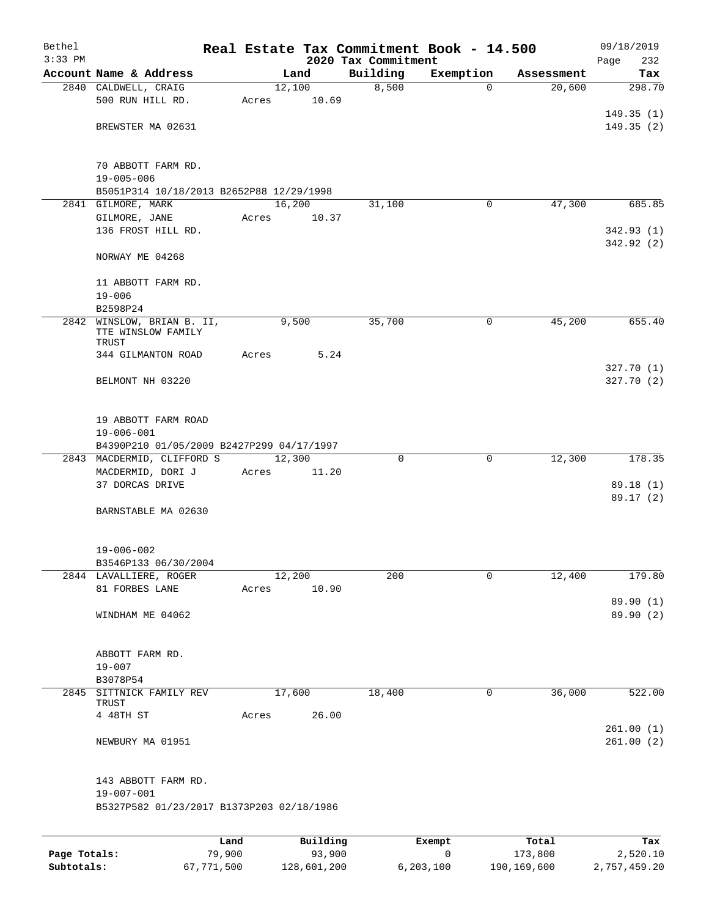| Bethel       |                                                              |       |                |          |                     | Real Estate Tax Commitment Book - 14.500 |                      | 09/18/2019           |
|--------------|--------------------------------------------------------------|-------|----------------|----------|---------------------|------------------------------------------|----------------------|----------------------|
| $3:33$ PM    |                                                              |       |                |          | 2020 Tax Commitment |                                          |                      | 232<br>Page          |
|              | Account Name & Address                                       |       | Land<br>12,100 |          | Building<br>8,500   | Exemption<br>$\Omega$                    | Assessment<br>20,600 | Tax<br>298.70        |
|              | 2840 CALDWELL, CRAIG<br>500 RUN HILL RD.                     | Acres |                | 10.69    |                     |                                          |                      |                      |
|              |                                                              |       |                |          |                     |                                          |                      | 149.35(1)            |
|              | BREWSTER MA 02631                                            |       |                |          |                     |                                          |                      | 149.35(2)            |
|              |                                                              |       |                |          |                     |                                          |                      |                      |
|              |                                                              |       |                |          |                     |                                          |                      |                      |
|              | 70 ABBOTT FARM RD.                                           |       |                |          |                     |                                          |                      |                      |
|              | $19 - 005 - 006$<br>B5051P314 10/18/2013 B2652P88 12/29/1998 |       |                |          |                     |                                          |                      |                      |
|              | 2841 GILMORE, MARK                                           |       | 16,200         |          | 31,100              | $\mathbf 0$                              | 47,300               | 685.85               |
|              | GILMORE, JANE                                                | Acres |                | 10.37    |                     |                                          |                      |                      |
|              | 136 FROST HILL RD.                                           |       |                |          |                     |                                          |                      | 342.93(1)            |
|              |                                                              |       |                |          |                     |                                          |                      | 342.92 (2)           |
|              | NORWAY ME 04268                                              |       |                |          |                     |                                          |                      |                      |
|              |                                                              |       |                |          |                     |                                          |                      |                      |
|              | 11 ABBOTT FARM RD.                                           |       |                |          |                     |                                          |                      |                      |
|              | $19 - 006$<br>B2598P24                                       |       |                |          |                     |                                          |                      |                      |
|              | 2842 WINSLOW, BRIAN B. II,                                   |       | 9,500          |          | 35,700              | 0                                        | 45,200               | 655.40               |
|              | TTE WINSLOW FAMILY                                           |       |                |          |                     |                                          |                      |                      |
|              | TRUST                                                        |       |                |          |                     |                                          |                      |                      |
|              | 344 GILMANTON ROAD                                           | Acres |                | 5.24     |                     |                                          |                      |                      |
|              |                                                              |       |                |          |                     |                                          |                      | 327.70(1)            |
|              | BELMONT NH 03220                                             |       |                |          |                     |                                          |                      | 327.70(2)            |
|              |                                                              |       |                |          |                     |                                          |                      |                      |
|              | 19 ABBOTT FARM ROAD                                          |       |                |          |                     |                                          |                      |                      |
|              | $19 - 006 - 001$                                             |       |                |          |                     |                                          |                      |                      |
|              | B4390P210 01/05/2009 B2427P299 04/17/1997                    |       |                |          |                     |                                          |                      |                      |
|              | 2843 MACDERMID, CLIFFORD S                                   |       | 12,300         |          | $\Omega$            | $\mathbf 0$                              | 12,300               | 178.35               |
|              | MACDERMID, DORI J                                            | Acres |                | 11.20    |                     |                                          |                      |                      |
|              | 37 DORCAS DRIVE                                              |       |                |          |                     |                                          |                      | 89.18(1)<br>89.17(2) |
|              | BARNSTABLE MA 02630                                          |       |                |          |                     |                                          |                      |                      |
|              |                                                              |       |                |          |                     |                                          |                      |                      |
|              |                                                              |       |                |          |                     |                                          |                      |                      |
|              | $19 - 006 - 002$                                             |       |                |          |                     |                                          |                      |                      |
|              | B3546P133 06/30/2004                                         |       |                |          |                     |                                          |                      |                      |
|              | 2844 LAVALLIERE, ROGER                                       |       | 12,200         |          | 200                 | 0                                        | 12,400               | 179.80               |
|              | 81 FORBES LANE                                               | Acres |                | 10.90    |                     |                                          |                      | 89.90 (1)            |
|              | WINDHAM ME 04062                                             |       |                |          |                     |                                          |                      | 89.90 (2)            |
|              |                                                              |       |                |          |                     |                                          |                      |                      |
|              |                                                              |       |                |          |                     |                                          |                      |                      |
|              | ABBOTT FARM RD.                                              |       |                |          |                     |                                          |                      |                      |
|              | $19 - 007$                                                   |       |                |          |                     |                                          |                      |                      |
|              | B3078P54                                                     |       |                |          |                     |                                          |                      |                      |
| 2845         | SITTNICK FAMILY REV<br>TRUST                                 |       | 17,600         |          | 18,400              | 0                                        | 36,000               | 522.00               |
|              | 4 48TH ST                                                    | Acres |                | 26.00    |                     |                                          |                      |                      |
|              |                                                              |       |                |          |                     |                                          |                      | 261.00(1)            |
|              | NEWBURY MA 01951                                             |       |                |          |                     |                                          |                      | 261.00(2)            |
|              | 143 ABBOTT FARM RD.                                          |       |                |          |                     |                                          |                      |                      |
|              | $19 - 007 - 001$                                             |       |                |          |                     |                                          |                      |                      |
|              | B5327P582 01/23/2017 B1373P203 02/18/1986                    |       |                |          |                     |                                          |                      |                      |
|              |                                                              |       |                |          |                     |                                          |                      |                      |
|              |                                                              | Land  |                | Building |                     | Exempt                                   | Total                | Tax                  |
| Page Totals: | 79,900                                                       |       |                | 93,900   |                     | 0                                        | 173,800              | 2,520.10             |

**Subtotals:** 67,771,500 128,601,200 6,203,100 190,169,600 2,757,459.20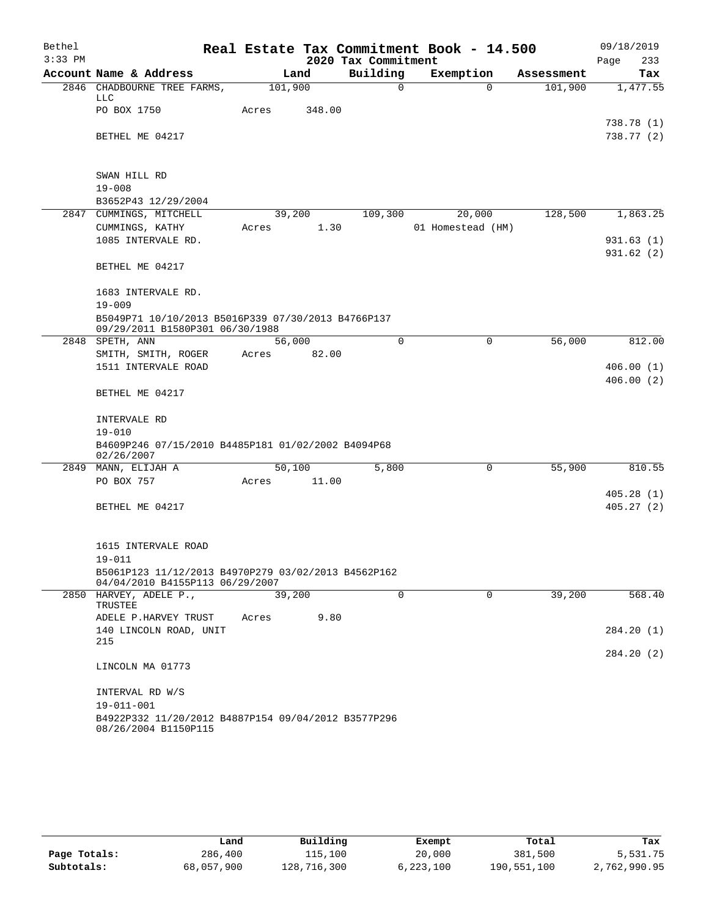| Bethel<br>$3:33$ PM |                                                                                       |                 |        | 2020 Tax Commitment | Real Estate Tax Commitment Book - 14.500 |            | 09/18/2019             |
|---------------------|---------------------------------------------------------------------------------------|-----------------|--------|---------------------|------------------------------------------|------------|------------------------|
|                     | Account Name & Address                                                                |                 | Land   | Building            | Exemption                                | Assessment | Page<br>233<br>Tax     |
| 2846                | CHADBOURNE TREE FARMS,                                                                | 101,900         |        | 0                   | $\Omega$                                 | 101,900    | 1,477.55               |
|                     | LLC<br>PO BOX 1750                                                                    | Acres           | 348.00 |                     |                                          |            |                        |
|                     |                                                                                       |                 |        |                     |                                          |            | 738.78 (1)             |
|                     | BETHEL ME 04217                                                                       |                 |        |                     |                                          |            | 738.77 (2)             |
|                     | SWAN HILL RD                                                                          |                 |        |                     |                                          |            |                        |
|                     | $19 - 008$                                                                            |                 |        |                     |                                          |            |                        |
|                     | B3652P43 12/29/2004                                                                   |                 |        |                     |                                          |            |                        |
|                     | 2847 CUMMINGS, MITCHELL<br>CUMMINGS, KATHY                                            | 39,200<br>Acres | 1.30   | 109,300             | 20,000<br>01 Homestead (HM)              | 128,500    | 1,863.25               |
|                     | 1085 INTERVALE RD.                                                                    |                 |        |                     |                                          |            | 931.63(1)              |
|                     |                                                                                       |                 |        |                     |                                          |            | 931.62(2)              |
|                     | BETHEL ME 04217                                                                       |                 |        |                     |                                          |            |                        |
|                     | 1683 INTERVALE RD.                                                                    |                 |        |                     |                                          |            |                        |
|                     | $19 - 009$                                                                            |                 |        |                     |                                          |            |                        |
|                     | B5049P71 10/10/2013 B5016P339 07/30/2013 B4766P137<br>09/29/2011 B1580P301 06/30/1988 |                 |        |                     |                                          |            |                        |
|                     | 2848 SPETH, ANN                                                                       | 56,000          |        | $\Omega$            | 0                                        | 56,000     | 812.00                 |
|                     | SMITH, SMITH, ROGER<br>1511 INTERVALE ROAD                                            | Acres           | 82.00  |                     |                                          |            |                        |
|                     |                                                                                       |                 |        |                     |                                          |            | 406.00(1)<br>406.00(2) |
|                     | BETHEL ME 04217                                                                       |                 |        |                     |                                          |            |                        |
|                     | INTERVALE RD                                                                          |                 |        |                     |                                          |            |                        |
|                     | $19 - 010$                                                                            |                 |        |                     |                                          |            |                        |
|                     | B4609P246 07/15/2010 B4485P181 01/02/2002 B4094P68<br>02/26/2007                      |                 |        |                     |                                          |            |                        |
| 2849                | MANN, ELIJAH A                                                                        | 50,100          |        | 5,800               | 0                                        | 55,900     | 810.55                 |
|                     | PO BOX 757                                                                            | Acres           | 11.00  |                     |                                          |            |                        |
|                     | BETHEL ME 04217                                                                       |                 |        |                     |                                          |            | 405.28(1)<br>405.27(2) |
|                     |                                                                                       |                 |        |                     |                                          |            |                        |
|                     |                                                                                       |                 |        |                     |                                          |            |                        |
|                     | 1615 INTERVALE ROAD<br>19-011                                                         |                 |        |                     |                                          |            |                        |
|                     | B5061P123 11/12/2013 B4970P279 03/02/2013 B4562P162                                   |                 |        |                     |                                          |            |                        |
|                     | 04/04/2010 B4155P113 06/29/2007                                                       |                 |        |                     |                                          |            |                        |
|                     | 2850 HARVEY, ADELE P.,<br>TRUSTEE                                                     | 39,200          |        | $\Omega$            | $\Omega$                                 | 39,200     | 568.40                 |
|                     | ADELE P.HARVEY TRUST                                                                  | Acres           | 9.80   |                     |                                          |            |                        |
|                     | 140 LINCOLN ROAD, UNIT                                                                |                 |        |                     |                                          |            | 284.20 (1)             |
|                     | 215                                                                                   |                 |        |                     |                                          |            | 284.20 (2)             |
|                     | LINCOLN MA 01773                                                                      |                 |        |                     |                                          |            |                        |
|                     | INTERVAL RD W/S                                                                       |                 |        |                     |                                          |            |                        |
|                     | $19 - 011 - 001$                                                                      |                 |        |                     |                                          |            |                        |
|                     | B4922P332 11/20/2012 B4887P154 09/04/2012 B3577P296<br>08/26/2004 B1150P115           |                 |        |                     |                                          |            |                        |

|              | Land       | Building    | Exempt    | Total       | Tax          |
|--------------|------------|-------------|-----------|-------------|--------------|
| Page Totals: | 286,400    | 115,100     | 20,000    | 381,500     | 5,531.75     |
| Subtotals:   | 68,057,900 | 128,716,300 | 6,223,100 | 190,551,100 | 2,762,990.95 |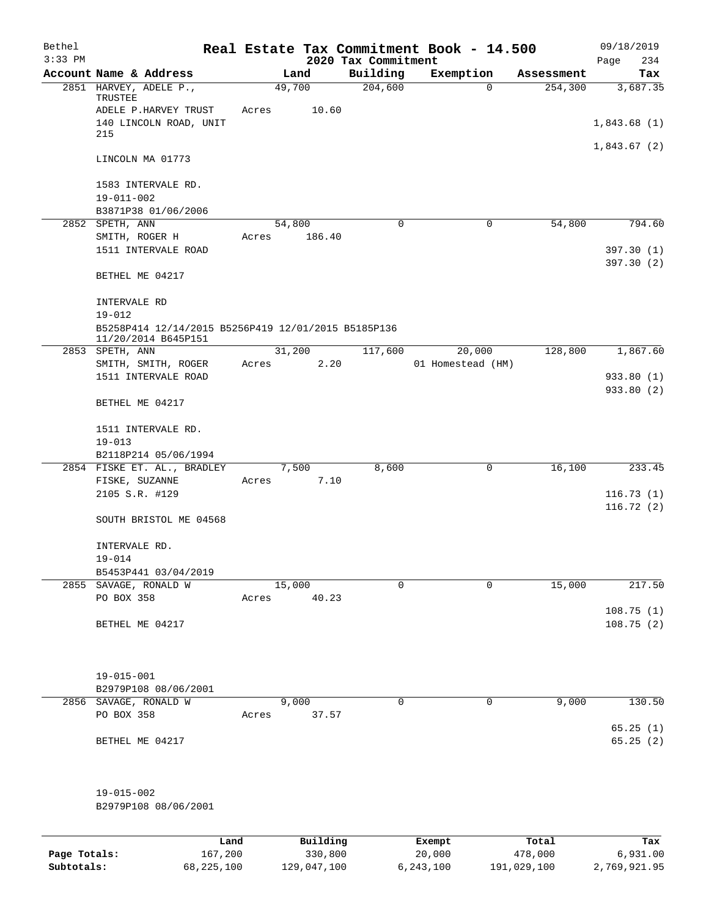| Bethel<br>$3:33$ PM |                                                     |       |          | 2020 Tax Commitment | Real Estate Tax Commitment Book - 14.500 |            | 09/18/2019<br>Page<br>234 |
|---------------------|-----------------------------------------------------|-------|----------|---------------------|------------------------------------------|------------|---------------------------|
|                     | Account Name & Address                              |       | Land     | Building            | Exemption                                | Assessment | Tax                       |
|                     | 2851 HARVEY, ADELE P.,                              |       | 49,700   | 204,600             | $\mathbf 0$                              | 254,300    | 3,687.35                  |
|                     | TRUSTEE                                             |       |          |                     |                                          |            |                           |
|                     | ADELE P.HARVEY TRUST                                | Acres | 10.60    |                     |                                          |            |                           |
|                     | 140 LINCOLN ROAD, UNIT<br>215                       |       |          |                     |                                          |            | 1,843.68(1)               |
|                     |                                                     |       |          |                     |                                          |            | 1,843.67(2)               |
|                     | LINCOLN MA 01773                                    |       |          |                     |                                          |            |                           |
|                     |                                                     |       |          |                     |                                          |            |                           |
|                     | 1583 INTERVALE RD.                                  |       |          |                     |                                          |            |                           |
|                     | 19-011-002                                          |       |          |                     |                                          |            |                           |
|                     | B3871P38 01/06/2006                                 |       |          |                     |                                          |            |                           |
|                     | 2852 SPETH, ANN                                     |       | 54,800   | 0                   | 0                                        | 54,800     | 794.60                    |
|                     | SMITH, ROGER H<br>1511 INTERVALE ROAD               | Acres | 186.40   |                     |                                          |            | 397.30 (1)                |
|                     |                                                     |       |          |                     |                                          |            | 397.30 (2)                |
|                     | BETHEL ME 04217                                     |       |          |                     |                                          |            |                           |
|                     |                                                     |       |          |                     |                                          |            |                           |
|                     | INTERVALE RD                                        |       |          |                     |                                          |            |                           |
|                     | $19 - 012$                                          |       |          |                     |                                          |            |                           |
|                     | B5258P414 12/14/2015 B5256P419 12/01/2015 B5185P136 |       |          |                     |                                          |            |                           |
|                     | 11/20/2014 B645P151<br>2853 SPETH, ANN              |       | 31,200   | 117,600             | 20,000                                   | 128,800    | 1,867.60                  |
|                     | SMITH, SMITH, ROGER                                 | Acres | 2.20     |                     | 01 Homestead (HM)                        |            |                           |
|                     | 1511 INTERVALE ROAD                                 |       |          |                     |                                          |            | 933.80 (1)                |
|                     |                                                     |       |          |                     |                                          |            | 933.80 (2)                |
|                     | BETHEL ME 04217                                     |       |          |                     |                                          |            |                           |
|                     |                                                     |       |          |                     |                                          |            |                           |
|                     | 1511 INTERVALE RD.                                  |       |          |                     |                                          |            |                           |
|                     | $19 - 013$<br>B2118P214 05/06/1994                  |       |          |                     |                                          |            |                           |
|                     | 2854 FISKE ET. AL., BRADLEY                         |       | 7,500    | 8,600               | 0                                        | 16,100     | 233.45                    |
|                     | FISKE, SUZANNE                                      | Acres | 7.10     |                     |                                          |            |                           |
|                     | 2105 S.R. #129                                      |       |          |                     |                                          |            | 116.73(1)                 |
|                     |                                                     |       |          |                     |                                          |            | 116.72(2)                 |
|                     | SOUTH BRISTOL ME 04568                              |       |          |                     |                                          |            |                           |
|                     |                                                     |       |          |                     |                                          |            |                           |
|                     | INTERVALE RD.                                       |       |          |                     |                                          |            |                           |
|                     | $19 - 014$<br>B5453P441 03/04/2019                  |       |          |                     |                                          |            |                           |
|                     | 2855 SAVAGE, RONALD W                               |       | 15,000   | $\Omega$            | 0                                        | 15,000     | 217.50                    |
|                     | PO BOX 358                                          | Acres | 40.23    |                     |                                          |            |                           |
|                     |                                                     |       |          |                     |                                          |            | 108.75(1)                 |
|                     | BETHEL ME 04217                                     |       |          |                     |                                          |            | 108.75(2)                 |
|                     |                                                     |       |          |                     |                                          |            |                           |
|                     |                                                     |       |          |                     |                                          |            |                           |
|                     |                                                     |       |          |                     |                                          |            |                           |
|                     | 19-015-001<br>B2979P108 08/06/2001                  |       |          |                     |                                          |            |                           |
|                     | 2856 SAVAGE, RONALD W                               |       | 9,000    | 0                   | $\mathbf 0$                              | 9,000      | 130.50                    |
|                     | PO BOX 358                                          | Acres | 37.57    |                     |                                          |            |                           |
|                     |                                                     |       |          |                     |                                          |            | 65.25(1)                  |
|                     | BETHEL ME 04217                                     |       |          |                     |                                          |            | 65.25(2)                  |
|                     |                                                     |       |          |                     |                                          |            |                           |
|                     |                                                     |       |          |                     |                                          |            |                           |
|                     | $19 - 015 - 002$                                    |       |          |                     |                                          |            |                           |
|                     | B2979P108 08/06/2001                                |       |          |                     |                                          |            |                           |
|                     |                                                     |       |          |                     |                                          |            |                           |
|                     |                                                     |       |          |                     |                                          |            |                           |
|                     |                                                     | Land  | Building |                     | Exempt                                   | Total      | Tax                       |

|              | nana         | <u>DULLULUM</u> | <b>BY CITING</b> | ----        | $-0.0$       |
|--------------|--------------|-----------------|------------------|-------------|--------------|
| Page Totals: | 167,200      | 330,800         | 20,000           | 478,000     | 6,931.00     |
| Subtotals:   | 68, 225, 100 | 129,047,100     | 6,243,100        | 191,029,100 | 2,769,921.95 |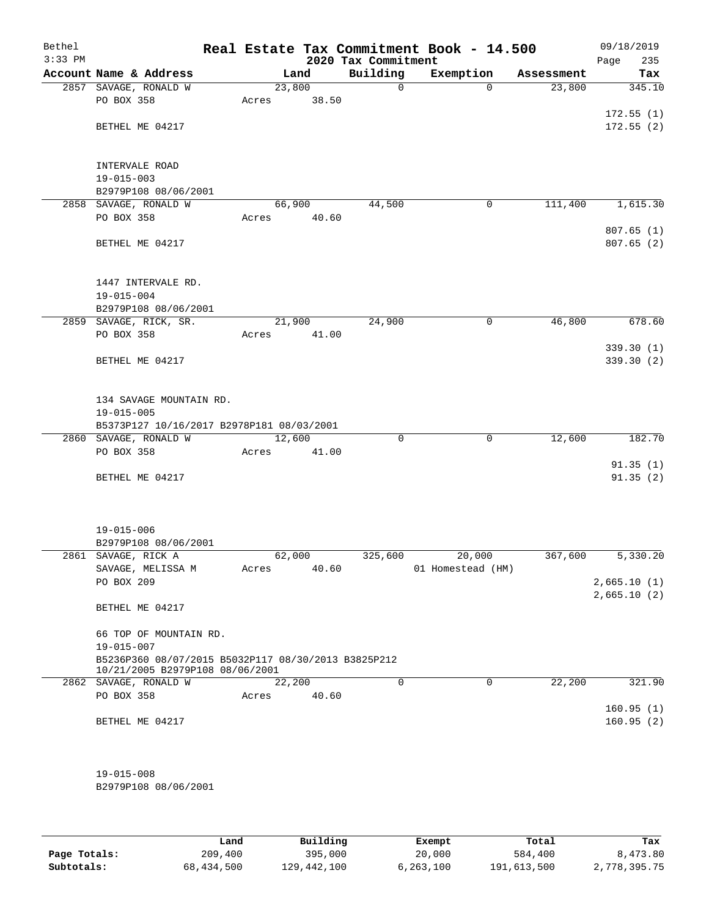| Bethel<br>$3:33$ PM |                                                                         |        |       | 2020 Tax Commitment | Real Estate Tax Commitment Book - 14.500 |          |            | 09/18/2019<br>235<br>Page |
|---------------------|-------------------------------------------------------------------------|--------|-------|---------------------|------------------------------------------|----------|------------|---------------------------|
|                     | Account Name & Address                                                  |        | Land  | Building            | Exemption                                |          | Assessment | Tax                       |
|                     | 2857 SAVAGE, RONALD W                                                   | 23,800 |       | $\Omega$            |                                          | $\Omega$ | 23,800     | 345.10                    |
|                     | PO BOX 358                                                              | Acres  | 38.50 |                     |                                          |          |            |                           |
|                     |                                                                         |        |       |                     |                                          |          |            | 172.55(1)                 |
|                     | BETHEL ME 04217                                                         |        |       |                     |                                          |          |            | 172.55(2)                 |
|                     |                                                                         |        |       |                     |                                          |          |            |                           |
|                     | INTERVALE ROAD                                                          |        |       |                     |                                          |          |            |                           |
|                     | $19 - 015 - 003$                                                        |        |       |                     |                                          |          |            |                           |
|                     | B2979P108 08/06/2001                                                    |        |       |                     |                                          |          |            |                           |
|                     | 2858 SAVAGE, RONALD W                                                   | 66,900 |       | 44,500              |                                          | 0        | 111,400    | 1,615.30                  |
|                     | PO BOX 358                                                              | Acres  | 40.60 |                     |                                          |          |            |                           |
|                     |                                                                         |        |       |                     |                                          |          |            | 807.65(1)                 |
|                     | BETHEL ME 04217                                                         |        |       |                     |                                          |          |            | 807.65(2)                 |
|                     |                                                                         |        |       |                     |                                          |          |            |                           |
|                     |                                                                         |        |       |                     |                                          |          |            |                           |
|                     | 1447 INTERVALE RD.                                                      |        |       |                     |                                          |          |            |                           |
|                     | $19 - 015 - 004$<br>B2979P108 08/06/2001                                |        |       |                     |                                          |          |            |                           |
|                     | 2859 SAVAGE, RICK, SR.                                                  | 21,900 |       | 24,900              |                                          | 0        | 46,800     | 678.60                    |
|                     | PO BOX 358                                                              | Acres  | 41.00 |                     |                                          |          |            |                           |
|                     |                                                                         |        |       |                     |                                          |          |            | 339.30(1)                 |
|                     | BETHEL ME 04217                                                         |        |       |                     |                                          |          |            | 339.30(2)                 |
|                     |                                                                         |        |       |                     |                                          |          |            |                           |
|                     |                                                                         |        |       |                     |                                          |          |            |                           |
|                     | 134 SAVAGE MOUNTAIN RD.                                                 |        |       |                     |                                          |          |            |                           |
|                     | $19 - 015 - 005$                                                        |        |       |                     |                                          |          |            |                           |
|                     | B5373P127 10/16/2017 B2978P181 08/03/2001                               |        |       |                     |                                          |          |            |                           |
|                     | 2860 SAVAGE, RONALD W                                                   | 12,600 |       | 0                   |                                          | 0        | 12,600     | 182.70                    |
|                     | PO BOX 358                                                              | Acres  | 41.00 |                     |                                          |          |            |                           |
|                     |                                                                         |        |       |                     |                                          |          |            | 91.35(1)                  |
|                     | BETHEL ME 04217                                                         |        |       |                     |                                          |          |            | 91.35(2)                  |
|                     |                                                                         |        |       |                     |                                          |          |            |                           |
|                     |                                                                         |        |       |                     |                                          |          |            |                           |
|                     | $19 - 015 - 006$                                                        |        |       |                     |                                          |          |            |                           |
|                     | B2979P108 08/06/2001                                                    |        |       |                     |                                          |          |            |                           |
|                     | 2861 SAVAGE, RICK A                                                     | 62,000 |       | 325,600             | 20,000                                   |          | 367,600    | 5,330.20                  |
|                     | SAVAGE, MELISSA M                                                       | Acres  | 40.60 |                     | 01 Homestead (HM)                        |          |            |                           |
|                     | PO BOX 209                                                              |        |       |                     |                                          |          |            | 2,665.10(1)               |
|                     |                                                                         |        |       |                     |                                          |          |            | 2,665.10(2)               |
|                     | BETHEL ME 04217                                                         |        |       |                     |                                          |          |            |                           |
|                     |                                                                         |        |       |                     |                                          |          |            |                           |
|                     | 66 TOP OF MOUNTAIN RD.                                                  |        |       |                     |                                          |          |            |                           |
|                     | $19 - 015 - 007$<br>B5236P360 08/07/2015 B5032P117 08/30/2013 B3825P212 |        |       |                     |                                          |          |            |                           |
|                     | 10/21/2005 B2979P108 08/06/2001                                         |        |       |                     |                                          |          |            |                           |
|                     | 2862 SAVAGE, RONALD W                                                   | 22,200 |       | $\Omega$            |                                          | 0        | 22,200     | 321.90                    |
|                     | PO BOX 358                                                              | Acres  | 40.60 |                     |                                          |          |            |                           |
|                     |                                                                         |        |       |                     |                                          |          |            | 160.95(1)                 |
|                     | BETHEL ME 04217                                                         |        |       |                     |                                          |          |            | 160.95(2)                 |
|                     |                                                                         |        |       |                     |                                          |          |            |                           |
|                     |                                                                         |        |       |                     |                                          |          |            |                           |
|                     |                                                                         |        |       |                     |                                          |          |            |                           |
|                     | $19 - 015 - 008$<br>B2979P108 08/06/2001                                |        |       |                     |                                          |          |            |                           |
|                     |                                                                         |        |       |                     |                                          |          |            |                           |
|                     |                                                                         |        |       |                     |                                          |          |            |                           |

|              | Land       | Building    | Exempt    | Total       | Tax          |
|--------------|------------|-------------|-----------|-------------|--------------|
| Page Totals: | 209,400    | 395,000     | 20,000    | 584,400     | 8,473.80     |
| Subtotals:   | 68,434,500 | 129,442,100 | 6,263,100 | 191,613,500 | 2,778,395.75 |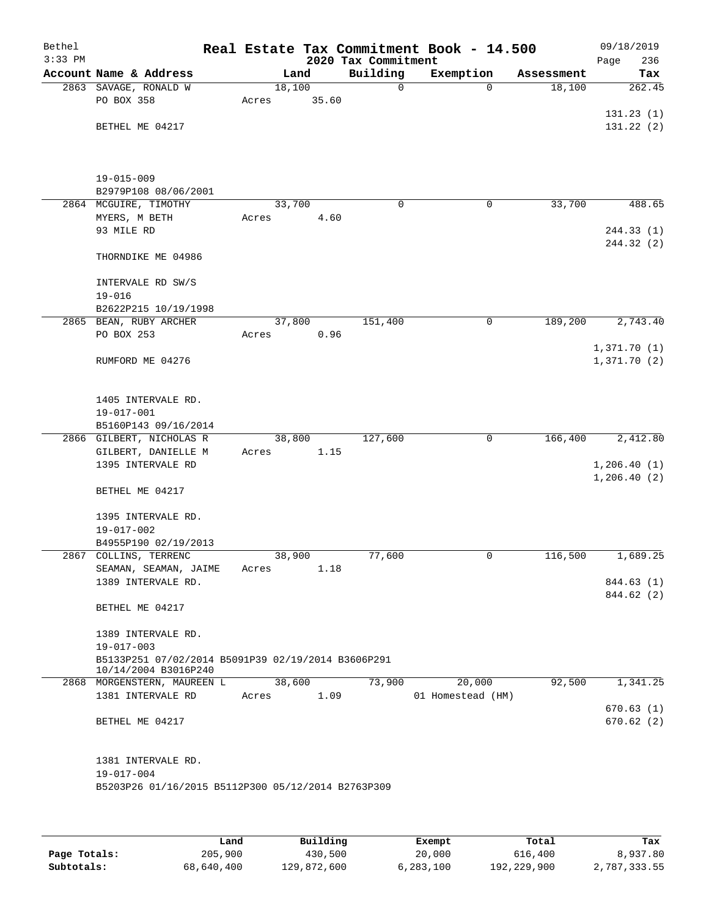| Bethel<br>$3:33$ PM |                                                                            |       |        |       | Real Estate Tax Commitment Book - 14.500<br>2020 Tax Commitment |                   |              |            | 09/18/2019<br>Page<br>236 |
|---------------------|----------------------------------------------------------------------------|-------|--------|-------|-----------------------------------------------------------------|-------------------|--------------|------------|---------------------------|
|                     | Account Name & Address                                                     |       | Land   |       | Building                                                        | Exemption         |              | Assessment | Tax                       |
|                     | 2863 SAVAGE, RONALD W                                                      |       | 18,100 |       | 0                                                               |                   | $\Omega$     | 18,100     | 262.45                    |
|                     | PO BOX 358                                                                 | Acres |        | 35.60 |                                                                 |                   |              |            |                           |
|                     |                                                                            |       |        |       |                                                                 |                   |              |            | 131.23(1)                 |
|                     | BETHEL ME 04217                                                            |       |        |       |                                                                 |                   |              |            | 131.22 (2)                |
|                     |                                                                            |       |        |       |                                                                 |                   |              |            |                           |
|                     |                                                                            |       |        |       |                                                                 |                   |              |            |                           |
|                     | $19 - 015 - 009$                                                           |       |        |       |                                                                 |                   |              |            |                           |
|                     | B2979P108 08/06/2001                                                       |       |        |       |                                                                 |                   |              |            |                           |
|                     | 2864 MCGUIRE, TIMOTHY                                                      |       | 33,700 |       | 0                                                               |                   | 0            | 33,700     | 488.65                    |
|                     | MYERS, M BETH<br>93 MILE RD                                                | Acres |        | 4.60  |                                                                 |                   |              |            |                           |
|                     |                                                                            |       |        |       |                                                                 |                   |              |            | 244.33 (1)<br>244.32 (2)  |
|                     | THORNDIKE ME 04986                                                         |       |        |       |                                                                 |                   |              |            |                           |
|                     | INTERVALE RD SW/S                                                          |       |        |       |                                                                 |                   |              |            |                           |
|                     | $19 - 016$                                                                 |       |        |       |                                                                 |                   |              |            |                           |
|                     | B2622P215 10/19/1998                                                       |       |        |       |                                                                 |                   |              |            |                           |
|                     | 2865 BEAN, RUBY ARCHER                                                     |       | 37,800 |       | 151,400                                                         |                   | 0            | 189,200    | 2,743.40                  |
|                     | PO BOX 253                                                                 | Acres |        | 0.96  |                                                                 |                   |              |            |                           |
|                     |                                                                            |       |        |       |                                                                 |                   |              |            | 1,371.70(1)               |
|                     | RUMFORD ME 04276                                                           |       |        |       |                                                                 |                   |              |            | 1,371.70(2)               |
|                     | 1405 INTERVALE RD.                                                         |       |        |       |                                                                 |                   |              |            |                           |
|                     | 19-017-001                                                                 |       |        |       |                                                                 |                   |              |            |                           |
|                     | B5160P143 09/16/2014                                                       |       |        |       |                                                                 |                   |              |            |                           |
|                     | 2866 GILBERT, NICHOLAS R                                                   |       | 38,800 |       | 127,600                                                         |                   | $\mathsf{O}$ | 166,400    | 2,412.80                  |
|                     | GILBERT, DANIELLE M                                                        | Acres |        | 1.15  |                                                                 |                   |              |            |                           |
|                     | 1395 INTERVALE RD                                                          |       |        |       |                                                                 |                   |              |            | 1,206.40(1)               |
|                     |                                                                            |       |        |       |                                                                 |                   |              |            | 1,206.40(2)               |
|                     | BETHEL ME 04217                                                            |       |        |       |                                                                 |                   |              |            |                           |
|                     | 1395 INTERVALE RD.                                                         |       |        |       |                                                                 |                   |              |            |                           |
|                     | $19 - 017 - 002$                                                           |       |        |       |                                                                 |                   |              |            |                           |
|                     | B4955P190 02/19/2013                                                       |       |        |       |                                                                 |                   |              |            |                           |
|                     | 2867 COLLINS, TERRENC                                                      |       | 38,900 |       | 77,600                                                          |                   | 0            | 116,500    | 1,689.25                  |
|                     | SEAMAN, SEAMAN, JAIME                                                      | Acres |        | 1.18  |                                                                 |                   |              |            |                           |
|                     | 1389 INTERVALE RD.                                                         |       |        |       |                                                                 |                   |              |            | 844.63 (1)                |
|                     |                                                                            |       |        |       |                                                                 |                   |              |            | 844.62 (2)                |
|                     | BETHEL ME 04217                                                            |       |        |       |                                                                 |                   |              |            |                           |
|                     | 1389 INTERVALE RD.                                                         |       |        |       |                                                                 |                   |              |            |                           |
|                     | $19 - 017 - 003$                                                           |       |        |       |                                                                 |                   |              |            |                           |
|                     | B5133P251 07/02/2014 B5091P39 02/19/2014 B3606P291<br>10/14/2004 B3016P240 |       |        |       |                                                                 |                   |              |            |                           |
|                     | 2868 MORGENSTERN, MAUREEN L                                                |       | 38,600 |       | 73,900                                                          |                   | 20,000       | 92,500     | 1,341.25                  |
|                     | 1381 INTERVALE RD                                                          | Acres |        | 1.09  |                                                                 | 01 Homestead (HM) |              |            |                           |
|                     |                                                                            |       |        |       |                                                                 |                   |              |            | 670.63(1)                 |
|                     | BETHEL ME 04217                                                            |       |        |       |                                                                 |                   |              |            | 670.62(2)                 |
|                     |                                                                            |       |        |       |                                                                 |                   |              |            |                           |
|                     | 1381 INTERVALE RD.                                                         |       |        |       |                                                                 |                   |              |            |                           |
|                     | 19-017-004<br>B5203P26 01/16/2015 B5112P300 05/12/2014 B2763P309           |       |        |       |                                                                 |                   |              |            |                           |
|                     |                                                                            |       |        |       |                                                                 |                   |              |            |                           |
|                     |                                                                            |       |        |       |                                                                 |                   |              |            |                           |
|                     |                                                                            |       |        |       |                                                                 |                   |              |            |                           |

|              | Land       | Building    | Exempt      | Total       | Tax          |
|--------------|------------|-------------|-------------|-------------|--------------|
| Page Totals: | 205,900    | 430,500     | 20,000      | 616,400     | 8,937.80     |
| Subtotals:   | 68,640,400 | 129,872,600 | 6, 283, 100 | 192,229,900 | 2,787,333.55 |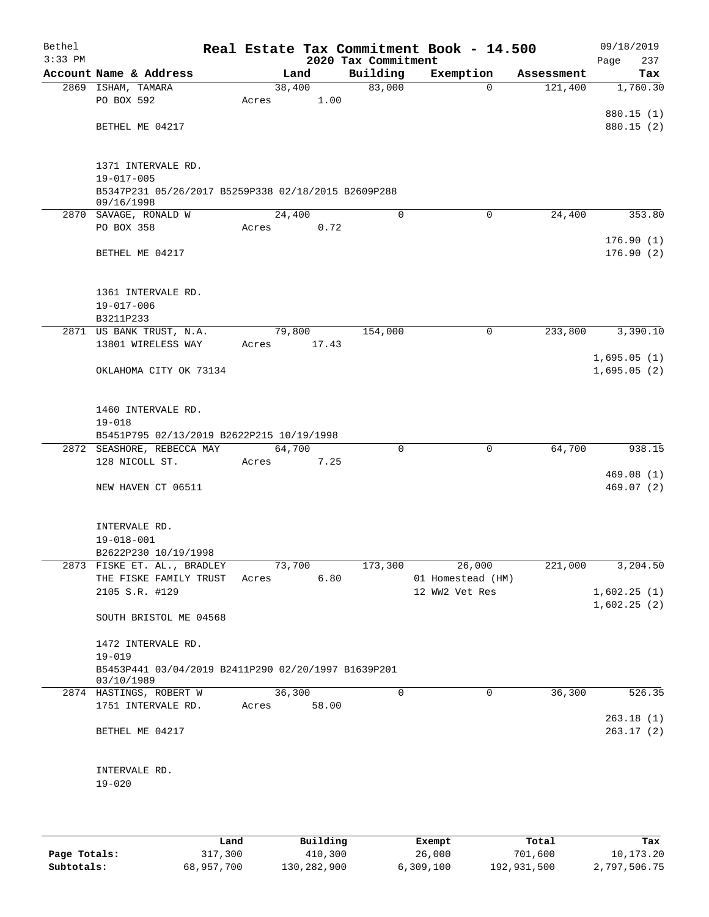| Bethel<br>$3:33$ PM |                                                                   |       |        |       | 2020 Tax Commitment | Real Estate Tax Commitment Book - 14.500 |            | 09/18/2019<br>237<br>Page |
|---------------------|-------------------------------------------------------------------|-------|--------|-------|---------------------|------------------------------------------|------------|---------------------------|
|                     | Account Name & Address                                            |       | Land   |       | Building            | Exemption                                | Assessment | Tax                       |
|                     | 2869 ISHAM, TAMARA                                                |       | 38,400 |       | 83,000              | $\Omega$                                 | 121,400    | 1,760.30                  |
|                     | PO BOX 592                                                        | Acres |        | 1.00  |                     |                                          |            |                           |
|                     |                                                                   |       |        |       |                     |                                          |            | 880.15 (1)                |
|                     | BETHEL ME 04217                                                   |       |        |       |                     |                                          |            | 880.15 (2)                |
|                     |                                                                   |       |        |       |                     |                                          |            |                           |
|                     | 1371 INTERVALE RD.                                                |       |        |       |                     |                                          |            |                           |
|                     | $19 - 017 - 005$                                                  |       |        |       |                     |                                          |            |                           |
|                     | B5347P231 05/26/2017 B5259P338 02/18/2015 B2609P288               |       |        |       |                     |                                          |            |                           |
|                     | 09/16/1998                                                        |       |        |       |                     |                                          |            |                           |
|                     | 2870 SAVAGE, RONALD W                                             |       | 24,400 |       | $\mathbf 0$         | $\mathbf 0$                              | 24,400     | 353.80                    |
|                     | PO BOX 358                                                        | Acres |        | 0.72  |                     |                                          |            |                           |
|                     |                                                                   |       |        |       |                     |                                          |            | 176.90(1)                 |
|                     | BETHEL ME 04217                                                   |       |        |       |                     |                                          |            | 176.90(2)                 |
|                     |                                                                   |       |        |       |                     |                                          |            |                           |
|                     | 1361 INTERVALE RD.                                                |       |        |       |                     |                                          |            |                           |
|                     | $19 - 017 - 006$                                                  |       |        |       |                     |                                          |            |                           |
|                     | B3211P233                                                         |       |        |       |                     |                                          |            |                           |
|                     | 2871 US BANK TRUST, N.A.                                          |       | 79,800 |       | 154,000             | $\mathbf 0$                              | 233,800    | 3,390.10                  |
|                     | 13801 WIRELESS WAY                                                | Acres |        | 17.43 |                     |                                          |            |                           |
|                     |                                                                   |       |        |       |                     |                                          |            | 1,695.05(1)               |
|                     | OKLAHOMA CITY OK 73134                                            |       |        |       |                     |                                          |            | 1,695.05(2)               |
|                     |                                                                   |       |        |       |                     |                                          |            |                           |
|                     |                                                                   |       |        |       |                     |                                          |            |                           |
|                     | 1460 INTERVALE RD.<br>$19 - 018$                                  |       |        |       |                     |                                          |            |                           |
|                     | B5451P795 02/13/2019 B2622P215 10/19/1998                         |       |        |       |                     |                                          |            |                           |
|                     | 2872 SEASHORE, REBECCA MAY                                        |       | 64,700 |       | $\mathbf 0$         | $\mathbf 0$                              | 64,700     | 938.15                    |
|                     | 128 NICOLL ST.                                                    | Acres |        | 7.25  |                     |                                          |            |                           |
|                     |                                                                   |       |        |       |                     |                                          |            | 469.08(1)                 |
|                     | NEW HAVEN CT 06511                                                |       |        |       |                     |                                          |            | 469.07(2)                 |
|                     |                                                                   |       |        |       |                     |                                          |            |                           |
|                     |                                                                   |       |        |       |                     |                                          |            |                           |
|                     | INTERVALE RD.                                                     |       |        |       |                     |                                          |            |                           |
|                     | $19 - 018 - 001$<br>B2622P230 10/19/1998                          |       |        |       |                     |                                          |            |                           |
|                     | 2873 FISKE ET. AL., BRADLEY                                       |       | 73,700 |       | 173,300             | 26,000                                   | 221,000    | 3,204.50                  |
|                     | THE FISKE FAMILY TRUST Acres                                      |       |        | 6.80  |                     | 01 Homestead (HM)                        |            |                           |
|                     | 2105 S.R. #129                                                    |       |        |       |                     | 12 WW2 Vet Res                           |            | 1,602.25(1)               |
|                     |                                                                   |       |        |       |                     |                                          |            | 1,602.25(2)               |
|                     | SOUTH BRISTOL ME 04568                                            |       |        |       |                     |                                          |            |                           |
|                     |                                                                   |       |        |       |                     |                                          |            |                           |
|                     | 1472 INTERVALE RD.                                                |       |        |       |                     |                                          |            |                           |
|                     | $19 - 019$                                                        |       |        |       |                     |                                          |            |                           |
|                     | B5453P441 03/04/2019 B2411P290 02/20/1997 B1639P201<br>03/10/1989 |       |        |       |                     |                                          |            |                           |
|                     | 2874 HASTINGS, ROBERT W                                           |       | 36,300 |       | $\mathbf 0$         | $\mathbf 0$                              | 36,300     | 526.35                    |
|                     | 1751 INTERVALE RD.                                                | Acres |        | 58.00 |                     |                                          |            |                           |
|                     |                                                                   |       |        |       |                     |                                          |            | 263.18(1)                 |
|                     | BETHEL ME 04217                                                   |       |        |       |                     |                                          |            | 263.17(2)                 |
|                     |                                                                   |       |        |       |                     |                                          |            |                           |
|                     |                                                                   |       |        |       |                     |                                          |            |                           |
|                     | INTERVALE RD.                                                     |       |        |       |                     |                                          |            |                           |
|                     | $19 - 020$                                                        |       |        |       |                     |                                          |            |                           |
|                     |                                                                   |       |        |       |                     |                                          |            |                           |
|                     |                                                                   |       |        |       |                     |                                          |            |                           |
|                     |                                                                   |       |        |       |                     |                                          |            |                           |

|              | Land       | Building    | Exempt    | Total       | Tax          |
|--------------|------------|-------------|-----------|-------------|--------------|
| Page Totals: | 317,300    | 410,300     | 26,000    | 701,600     | 10,173.20    |
| Subtotals:   | 68,957,700 | 130,282,900 | 6,309,100 | 192,931,500 | 2,797,506.75 |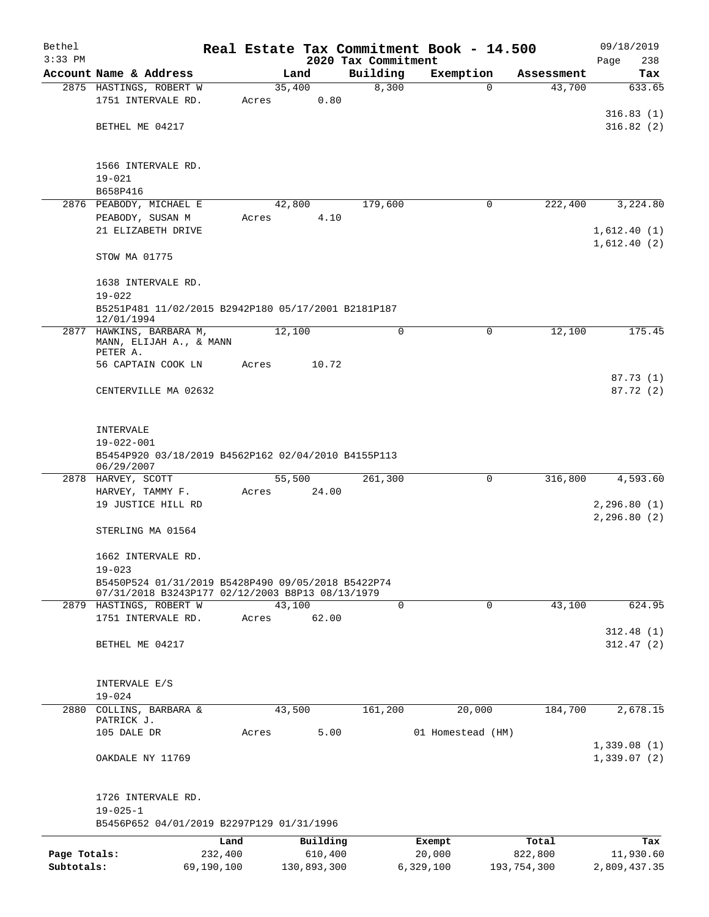| Bethel       |                                                     |         |        |             |                     | Real Estate Tax Commitment Book - 14.500 |                       | 09/18/2019                   |
|--------------|-----------------------------------------------------|---------|--------|-------------|---------------------|------------------------------------------|-----------------------|------------------------------|
| $3:33$ PM    |                                                     |         |        |             | 2020 Tax Commitment |                                          |                       | 238<br>Page                  |
|              | Account Name & Address                              |         | Land   |             | Building            | Exemption                                | Assessment            | Tax                          |
|              | 2875 HASTINGS, ROBERT W                             |         | 35,400 |             | 8,300               |                                          | 43,700<br>0           | 633.65                       |
|              | 1751 INTERVALE RD.                                  | Acres   |        | 0.80        |                     |                                          |                       |                              |
|              |                                                     |         |        |             |                     |                                          |                       | 316.83(1)                    |
|              | BETHEL ME 04217                                     |         |        |             |                     |                                          |                       | 316.82(2)                    |
|              |                                                     |         |        |             |                     |                                          |                       |                              |
|              |                                                     |         |        |             |                     |                                          |                       |                              |
|              | 1566 INTERVALE RD.<br>$19 - 021$                    |         |        |             |                     |                                          |                       |                              |
|              | B658P416                                            |         |        |             |                     |                                          |                       |                              |
|              | 2876 PEABODY, MICHAEL E                             |         | 42,800 |             | 179,600             |                                          | 222,400<br>0          | 3,224.80                     |
|              | PEABODY, SUSAN M                                    | Acres   |        | 4.10        |                     |                                          |                       |                              |
|              | 21 ELIZABETH DRIVE                                  |         |        |             |                     |                                          |                       | 1,612.40(1)                  |
|              |                                                     |         |        |             |                     |                                          |                       | 1,612.40(2)                  |
|              | STOW MA 01775                                       |         |        |             |                     |                                          |                       |                              |
|              |                                                     |         |        |             |                     |                                          |                       |                              |
|              | 1638 INTERVALE RD.                                  |         |        |             |                     |                                          |                       |                              |
|              | $19 - 022$                                          |         |        |             |                     |                                          |                       |                              |
|              | B5251P481 11/02/2015 B2942P180 05/17/2001 B2181P187 |         |        |             |                     |                                          |                       |                              |
|              | 12/01/1994                                          |         |        |             |                     |                                          |                       |                              |
|              | 2877 HAWKINS, BARBARA M,                            |         | 12,100 |             | 0                   |                                          | $\mathbf 0$<br>12,100 | 175.45                       |
|              | MANN, ELIJAH A., & MANN<br>PETER A.                 |         |        |             |                     |                                          |                       |                              |
|              | 56 CAPTAIN COOK LN                                  | Acres   |        | 10.72       |                     |                                          |                       |                              |
|              |                                                     |         |        |             |                     |                                          |                       | 87.73(1)                     |
|              | CENTERVILLE MA 02632                                |         |        |             |                     |                                          |                       | 87.72(2)                     |
|              |                                                     |         |        |             |                     |                                          |                       |                              |
|              |                                                     |         |        |             |                     |                                          |                       |                              |
|              | INTERVALE                                           |         |        |             |                     |                                          |                       |                              |
|              | 19-022-001                                          |         |        |             |                     |                                          |                       |                              |
|              | B5454P920 03/18/2019 B4562P162 02/04/2010 B4155P113 |         |        |             |                     |                                          |                       |                              |
|              | 06/29/2007                                          |         |        |             |                     |                                          |                       |                              |
|              | 2878 HARVEY, SCOTT                                  |         | 55,500 |             | 261,300             |                                          | 0<br>316,800          | 4,593.60                     |
|              | HARVEY, TAMMY F.                                    | Acres   |        | 24.00       |                     |                                          |                       |                              |
|              | 19 JUSTICE HILL RD                                  |         |        |             |                     |                                          |                       | 2, 296.80(1)<br>2, 296.80(2) |
|              | STERLING MA 01564                                   |         |        |             |                     |                                          |                       |                              |
|              |                                                     |         |        |             |                     |                                          |                       |                              |
|              | 1662 INTERVALE RD.                                  |         |        |             |                     |                                          |                       |                              |
|              | $19 - 023$                                          |         |        |             |                     |                                          |                       |                              |
|              | B5450P524 01/31/2019 B5428P490 09/05/2018 B5422P74  |         |        |             |                     |                                          |                       |                              |
|              | 07/31/2018 B3243P177 02/12/2003 B8P13 08/13/1979    |         |        |             |                     |                                          |                       |                              |
|              | 2879 HASTINGS, ROBERT W                             |         | 43,100 |             | 0                   |                                          | 43,100<br>0           | 624.95                       |
|              | 1751 INTERVALE RD.                                  | Acres   |        | 62.00       |                     |                                          |                       |                              |
|              |                                                     |         |        |             |                     |                                          |                       | 312.48(1)                    |
|              | BETHEL ME 04217                                     |         |        |             |                     |                                          |                       | 312.47(2)                    |
|              |                                                     |         |        |             |                     |                                          |                       |                              |
|              |                                                     |         |        |             |                     |                                          |                       |                              |
|              | INTERVALE E/S<br>$19 - 024$                         |         |        |             |                     |                                          |                       |                              |
| 2880         | COLLINS, BARBARA &                                  |         | 43,500 |             | 161,200             | 20,000                                   | 184,700               | 2,678.15                     |
|              | PATRICK J.                                          |         |        |             |                     |                                          |                       |                              |
|              | 105 DALE DR                                         | Acres   |        | 5.00        |                     | 01 Homestead (HM)                        |                       |                              |
|              |                                                     |         |        |             |                     |                                          |                       | 1,339.08(1)                  |
|              | OAKDALE NY 11769                                    |         |        |             |                     |                                          |                       | 1,339.07(2)                  |
|              |                                                     |         |        |             |                     |                                          |                       |                              |
|              |                                                     |         |        |             |                     |                                          |                       |                              |
|              | 1726 INTERVALE RD.                                  |         |        |             |                     |                                          |                       |                              |
|              | $19 - 025 - 1$                                      |         |        |             |                     |                                          |                       |                              |
|              | B5456P652 04/01/2019 B2297P129 01/31/1996           |         |        |             |                     |                                          |                       |                              |
|              |                                                     | Land    |        | Building    |                     | Exempt                                   | Total                 | Tax                          |
| Page Totals: |                                                     | 232,400 |        | 610,400     |                     | 20,000                                   | 822,800               | 11,930.60                    |
| Subtotals:   | 69,190,100                                          |         |        | 130,893,300 |                     | 6,329,100                                | 193,754,300           | 2,809,437.35                 |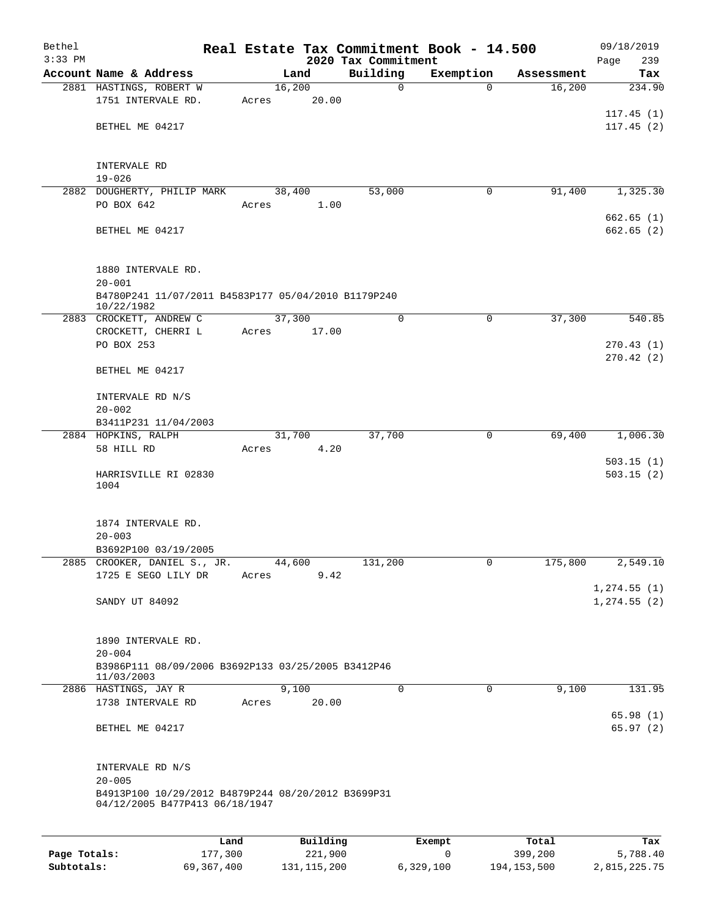| Bethel    |                                                                                      |       |                |                     | Real Estate Tax Commitment Book - 14.500 |                      | 09/18/2019             |
|-----------|--------------------------------------------------------------------------------------|-------|----------------|---------------------|------------------------------------------|----------------------|------------------------|
| $3:33$ PM |                                                                                      |       |                | 2020 Tax Commitment |                                          |                      | 239<br>Page            |
|           | Account Name & Address<br>2881 HASTINGS, ROBERT W                                    |       | Land<br>16,200 | Building<br>0       | Exemption<br>$\Omega$                    | Assessment<br>16,200 | Tax<br>234.90          |
|           | 1751 INTERVALE RD.                                                                   | Acres | 20.00          |                     |                                          |                      |                        |
|           |                                                                                      |       |                |                     |                                          |                      | 117.45(1)              |
|           | BETHEL ME 04217                                                                      |       |                |                     |                                          |                      | 117.45(2)              |
|           |                                                                                      |       |                |                     |                                          |                      |                        |
|           | INTERVALE RD                                                                         |       |                |                     |                                          |                      |                        |
|           | $19 - 026$                                                                           |       |                |                     |                                          |                      |                        |
|           | 2882 DOUGHERTY, PHILIP MARK                                                          |       | 38,400         | 53,000              | 0                                        | 91,400               | 1,325.30               |
|           | PO BOX 642                                                                           | Acres | 1.00           |                     |                                          |                      |                        |
|           |                                                                                      |       |                |                     |                                          |                      | 662.65(1)              |
|           | BETHEL ME 04217                                                                      |       |                |                     |                                          |                      | 662.65(2)              |
|           | 1880 INTERVALE RD.                                                                   |       |                |                     |                                          |                      |                        |
|           | $20 - 001$                                                                           |       |                |                     |                                          |                      |                        |
|           | B4780P241 11/07/2011 B4583P177 05/04/2010 B1179P240<br>10/22/1982                    |       |                |                     |                                          |                      |                        |
|           | 2883 CROCKETT, ANDREW C                                                              |       | 37,300         | 0                   | $\mathbf 0$                              | 37,300               | 540.85                 |
|           | CROCKETT, CHERRI L                                                                   | Acres | 17.00          |                     |                                          |                      |                        |
|           | PO BOX 253                                                                           |       |                |                     |                                          |                      | 270.43(1)<br>270.42(2) |
|           | BETHEL ME 04217                                                                      |       |                |                     |                                          |                      |                        |
|           | INTERVALE RD N/S                                                                     |       |                |                     |                                          |                      |                        |
|           | $20 - 002$                                                                           |       |                |                     |                                          |                      |                        |
|           | B3411P231 11/04/2003                                                                 |       |                |                     |                                          |                      |                        |
|           | 2884 HOPKINS, RALPH                                                                  |       | 31,700         | 37,700              | 0                                        | 69,400               | 1,006.30               |
|           | 58 HILL RD                                                                           | Acres | 4.20           |                     |                                          |                      | 503.15(1)              |
|           | HARRISVILLE RI 02830                                                                 |       |                |                     |                                          |                      | 503.15(2)              |
|           | 1004                                                                                 |       |                |                     |                                          |                      |                        |
|           |                                                                                      |       |                |                     |                                          |                      |                        |
|           | 1874 INTERVALE RD.                                                                   |       |                |                     |                                          |                      |                        |
|           | $20 - 003$<br>B3692P100 03/19/2005                                                   |       |                |                     |                                          |                      |                        |
|           | 2885 CROOKER, DANIEL S., JR.                                                         |       | 44,600         | 131,200             | 0                                        | 175,800              | 2,549.10               |
|           | 1725 E SEGO LILY DR                                                                  | Acres | 9.42           |                     |                                          |                      |                        |
|           |                                                                                      |       |                |                     |                                          |                      | 1, 274.55(1)           |
|           | SANDY UT 84092                                                                       |       |                |                     |                                          |                      | 1, 274.55 (2)          |
|           |                                                                                      |       |                |                     |                                          |                      |                        |
|           | 1890 INTERVALE RD.                                                                   |       |                |                     |                                          |                      |                        |
|           | $20 - 004$<br>B3986P111 08/09/2006 B3692P133 03/25/2005 B3412P46                     |       |                |                     |                                          |                      |                        |
|           | 11/03/2003                                                                           |       |                |                     |                                          |                      |                        |
|           | 2886 HASTINGS, JAY R                                                                 |       | 9,100          | $\mathbf 0$         | 0                                        | 9,100                | 131.95                 |
|           | 1738 INTERVALE RD                                                                    | Acres | 20.00          |                     |                                          |                      | 65.98(1)               |
|           | BETHEL ME 04217                                                                      |       |                |                     |                                          |                      | 65.97(2)               |
|           |                                                                                      |       |                |                     |                                          |                      |                        |
|           | INTERVALE RD N/S                                                                     |       |                |                     |                                          |                      |                        |
|           | $20 - 005$                                                                           |       |                |                     |                                          |                      |                        |
|           | B4913P100 10/29/2012 B4879P244 08/20/2012 B3699P31<br>04/12/2005 B477P413 06/18/1947 |       |                |                     |                                          |                      |                        |
|           |                                                                                      |       |                |                     |                                          |                      |                        |
|           | Land                                                                                 |       | Building       |                     | Exempt                                   | Total                | Tax                    |

| Page Totals: | 177,300    | 221,900       |           | 399,200       | 5,788.40     |
|--------------|------------|---------------|-----------|---------------|--------------|
| Subtotals:   | 69,367,400 | 131, 115, 200 | 6,329,100 | 194, 153, 500 | 2,815,225.75 |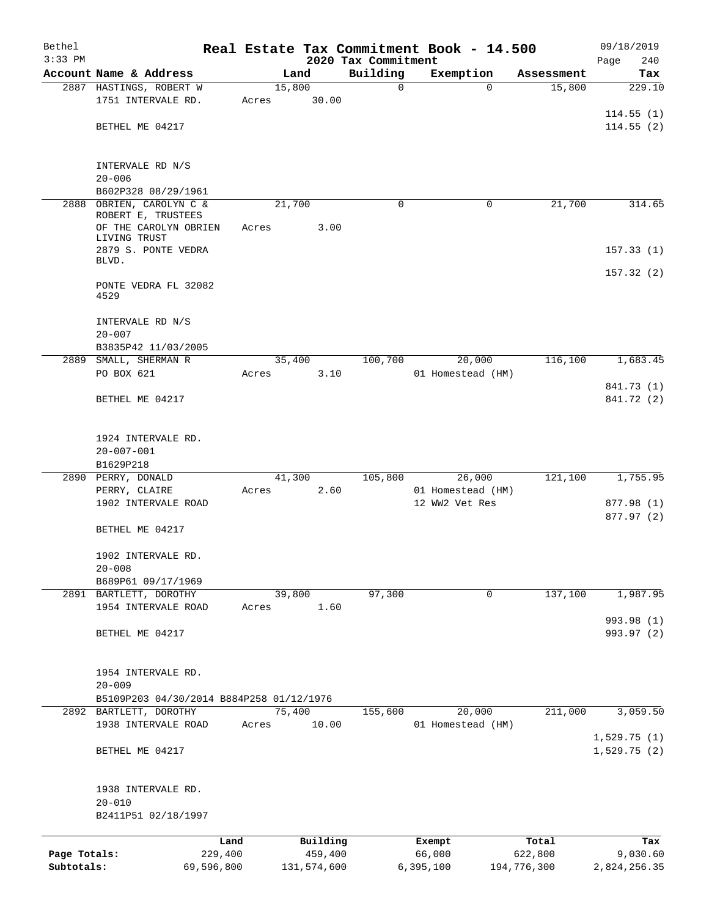| Bethel       |                                                        |                 |       |                     | Real Estate Tax Commitment Book - 14.500 |                  |                   |                      | 09/18/2019                 |
|--------------|--------------------------------------------------------|-----------------|-------|---------------------|------------------------------------------|------------------|-------------------|----------------------|----------------------------|
| $3:33$ PM    | Account Name & Address                                 |                 |       |                     | 2020 Tax Commitment                      |                  |                   |                      | Page<br>240                |
|              | 2887 HASTINGS, ROBERT W                                |                 |       | Land<br>15,800      | Building<br>0                            |                  | Exemption<br>0    | Assessment<br>15,800 | Tax<br>229.10              |
|              | 1751 INTERVALE RD.                                     | Acres           |       | 30.00               |                                          |                  |                   |                      |                            |
|              |                                                        |                 |       |                     |                                          |                  |                   |                      | 114.55(1)                  |
|              | BETHEL ME 04217                                        |                 |       |                     |                                          |                  |                   |                      | 114.55(2)                  |
|              | INTERVALE RD N/S                                       |                 |       |                     |                                          |                  |                   |                      |                            |
|              | $20 - 006$                                             |                 |       |                     |                                          |                  |                   |                      |                            |
| 2888         | B602P328 08/29/1961<br>OBRIEN, CAROLYN C &             |                 |       | 21,700              | $\Omega$                                 |                  | 0                 | 21,700               | 314.65                     |
|              | ROBERT E, TRUSTEES                                     |                 |       |                     |                                          |                  |                   |                      |                            |
|              | OF THE CAROLYN OBRIEN                                  |                 | Acres | 3.00                |                                          |                  |                   |                      |                            |
|              | LIVING TRUST<br>2879 S. PONTE VEDRA                    |                 |       |                     |                                          |                  |                   |                      |                            |
|              | BLVD.                                                  |                 |       |                     |                                          |                  |                   |                      | 157.33(1)                  |
|              |                                                        |                 |       |                     |                                          |                  |                   |                      | 157.32(2)                  |
|              | PONTE VEDRA FL 32082<br>4529                           |                 |       |                     |                                          |                  |                   |                      |                            |
|              | INTERVALE RD N/S<br>$20 - 007$                         |                 |       |                     |                                          |                  |                   |                      |                            |
|              | B3835P42 11/03/2005                                    |                 |       |                     |                                          |                  |                   |                      |                            |
| 2889         | SMALL, SHERMAN R                                       |                 |       | 35,400              | 100,700                                  |                  | 20,000            | 116,100              | 1,683.45                   |
|              | PO BOX 621                                             | Acres           |       | 3.10                |                                          |                  | 01 Homestead (HM) |                      |                            |
|              | BETHEL ME 04217                                        |                 |       |                     |                                          |                  |                   |                      | 841.73 (1)<br>841.72 (2)   |
|              | 1924 INTERVALE RD.<br>$20 - 007 - 001$                 |                 |       |                     |                                          |                  |                   |                      |                            |
|              | B1629P218                                              |                 |       |                     |                                          |                  |                   |                      |                            |
|              | 2890 PERRY, DONALD                                     |                 |       | 41,300              | 105,800                                  |                  | 26,000            | 121,100              | 1,755.95                   |
|              | PERRY, CLAIRE                                          | Acres           |       | 2.60                |                                          |                  | 01 Homestead (HM) |                      |                            |
|              | 1902 INTERVALE ROAD                                    |                 |       |                     |                                          |                  | 12 WW2 Vet Res    |                      | 877.98 (1)                 |
|              | BETHEL ME 04217                                        |                 |       |                     |                                          |                  |                   |                      | 877.97 (2)                 |
|              | 1902 INTERVALE RD.                                     |                 |       |                     |                                          |                  |                   |                      |                            |
|              | $20 - 008$<br>B689P61 09/17/1969                       |                 |       |                     |                                          |                  |                   |                      |                            |
|              | 2891 BARTLETT, DOROTHY                                 |                 |       | 39,800              | 97,300                                   |                  | $\mathbf 0$       | 137,100              | 1,987.95                   |
|              | 1954 INTERVALE ROAD                                    | Acres           |       | 1.60                |                                          |                  |                   |                      |                            |
|              |                                                        |                 |       |                     |                                          |                  |                   |                      | 993.98 (1)                 |
|              | BETHEL ME 04217                                        |                 |       |                     |                                          |                  |                   |                      | 993.97 (2)                 |
|              | 1954 INTERVALE RD.                                     |                 |       |                     |                                          |                  |                   |                      |                            |
|              | $20 - 009$<br>B5109P203 04/30/2014 B884P258 01/12/1976 |                 |       |                     |                                          |                  |                   |                      |                            |
|              | 2892 BARTLETT, DOROTHY                                 |                 |       | 75,400              | 155,600                                  |                  | 20,000            | 211,000              | 3,059.50                   |
|              | 1938 INTERVALE ROAD                                    | Acres           |       | 10.00               |                                          |                  | 01 Homestead (HM) |                      |                            |
|              | BETHEL ME 04217                                        |                 |       |                     |                                          |                  |                   |                      | 1,529.75(1)<br>1,529.75(2) |
|              |                                                        |                 |       |                     |                                          |                  |                   |                      |                            |
|              | 1938 INTERVALE RD.<br>$20 - 010$                       |                 |       |                     |                                          |                  |                   |                      |                            |
|              | B2411P51 02/18/1997                                    |                 |       |                     |                                          |                  |                   |                      |                            |
| Page Totals: |                                                        | Land<br>229,400 |       | Building<br>459,400 |                                          | Exempt<br>66,000 |                   | Total<br>622,800     | Tax<br>9,030.60            |
| Subtotals:   |                                                        | 69,596,800      |       | 131,574,600         |                                          | 6,395,100        |                   | 194,776,300          | 2,824,256.35               |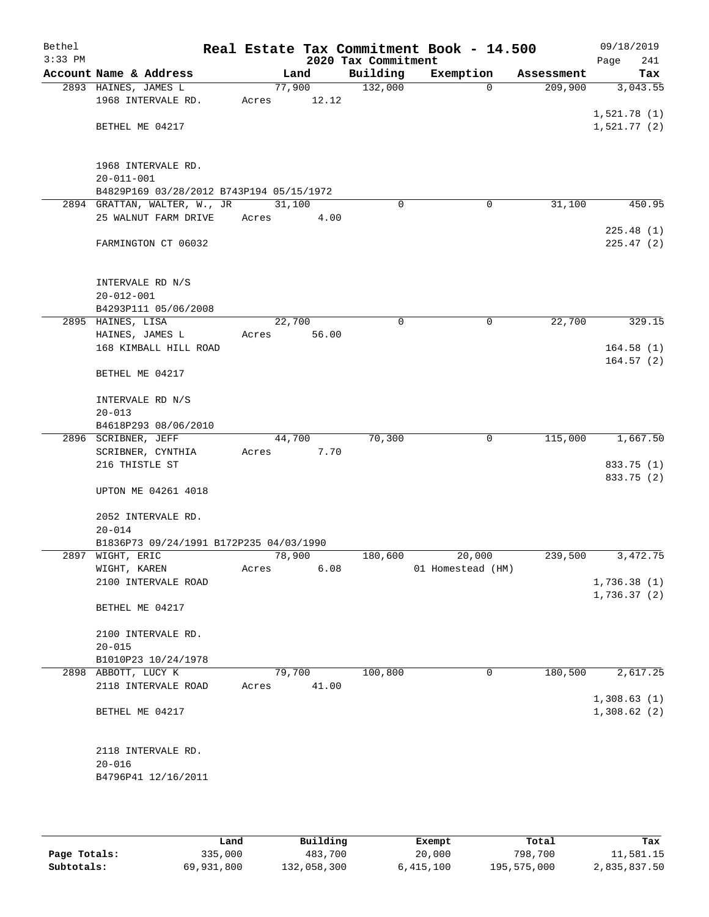| Bethel<br>$3:33$ PM |                                                      |                 |        | 2020 Tax Commitment | Real Estate Tax Commitment Book - 14.500 |            | 09/18/2019<br>241<br>Page |
|---------------------|------------------------------------------------------|-----------------|--------|---------------------|------------------------------------------|------------|---------------------------|
|                     | Account Name & Address                               |                 | Land   | Building            | Exemption                                | Assessment | Tax                       |
|                     | 2893 HAINES, JAMES L                                 | 77,900          |        | 132,000             | $\Omega$                                 | 209,900    | 3,043.55                  |
|                     | 1968 INTERVALE RD.                                   | Acres           | 12.12  |                     |                                          |            |                           |
|                     |                                                      |                 |        |                     |                                          |            | 1,521.78(1)               |
|                     | BETHEL ME 04217                                      |                 |        |                     |                                          |            | 1,521.77(2)               |
|                     |                                                      |                 |        |                     |                                          |            |                           |
|                     | 1968 INTERVALE RD.                                   |                 |        |                     |                                          |            |                           |
|                     | $20 - 011 - 001$                                     |                 |        |                     |                                          |            |                           |
|                     | B4829P169 03/28/2012 B743P194 05/15/1972             |                 |        |                     |                                          |            |                           |
|                     | 2894 GRATTAN, WALTER, W., JR<br>25 WALNUT FARM DRIVE | 31,100<br>Acres | 4.00   | $\Omega$            | 0                                        | 31,100     | 450.95                    |
|                     |                                                      |                 |        |                     |                                          |            | 225.48(1)                 |
|                     | FARMINGTON CT 06032                                  |                 |        |                     |                                          |            | 225.47(2)                 |
|                     |                                                      |                 |        |                     |                                          |            |                           |
|                     | INTERVALE RD N/S                                     |                 |        |                     |                                          |            |                           |
|                     | $20 - 012 - 001$                                     |                 |        |                     |                                          |            |                           |
|                     | B4293P111 05/06/2008                                 |                 |        |                     |                                          |            |                           |
|                     | 2895 HAINES, LISA                                    | 22,700          |        | 0                   | $\mathbf 0$                              | 22,700     | 329.15                    |
|                     | HAINES, JAMES L                                      | Acres           | 56.00  |                     |                                          |            |                           |
|                     | 168 KIMBALL HILL ROAD                                |                 |        |                     |                                          |            | 164.58(1)                 |
|                     | BETHEL ME 04217                                      |                 |        |                     |                                          |            | 164.57(2)                 |
|                     |                                                      |                 |        |                     |                                          |            |                           |
|                     | INTERVALE RD N/S                                     |                 |        |                     |                                          |            |                           |
|                     | $20 - 013$                                           |                 |        |                     |                                          |            |                           |
|                     | B4618P293 08/06/2010                                 |                 |        |                     |                                          |            |                           |
|                     | 2896 SCRIBNER, JEFF                                  |                 | 44,700 | 70,300              | $\mathbf 0$                              | 115,000    | 1,667.50                  |
|                     | SCRIBNER, CYNTHIA<br>216 THISTLE ST                  | Acres           | 7.70   |                     |                                          |            | 833.75 (1)                |
|                     |                                                      |                 |        |                     |                                          |            | 833.75 (2)                |
|                     | UPTON ME 04261 4018                                  |                 |        |                     |                                          |            |                           |
|                     |                                                      |                 |        |                     |                                          |            |                           |
|                     | 2052 INTERVALE RD.                                   |                 |        |                     |                                          |            |                           |
|                     | $20 - 014$                                           |                 |        |                     |                                          |            |                           |
|                     | B1836P73 09/24/1991 B172P235 04/03/1990              |                 |        |                     |                                          |            | 3,472.75                  |
|                     | 2897 WIGHT, ERIC<br>WIGHT, KAREN                     | 78,900<br>Acres | 6.08   | 180,600             | 20,000<br>01 Homestead (HM)              | 239,500    |                           |
|                     | 2100 INTERVALE ROAD                                  |                 |        |                     |                                          |            | 1,736.38(1)               |
|                     |                                                      |                 |        |                     |                                          |            | 1,736.37 (2)              |
|                     | BETHEL ME 04217                                      |                 |        |                     |                                          |            |                           |
|                     | 2100 INTERVALE RD.                                   |                 |        |                     |                                          |            |                           |
|                     | $20 - 015$                                           |                 |        |                     |                                          |            |                           |
|                     | B1010P23 10/24/1978                                  |                 |        |                     |                                          |            |                           |
|                     | 2898 ABBOTT, LUCY K                                  | 79,700          |        | 100,800             | 0                                        | 180,500    | 2,617.25                  |
|                     | 2118 INTERVALE ROAD                                  | Acres           | 41.00  |                     |                                          |            |                           |
|                     |                                                      |                 |        |                     |                                          |            | 1,308.63(1)               |
|                     | BETHEL ME 04217                                      |                 |        |                     |                                          |            | 1,308.62(2)               |
|                     |                                                      |                 |        |                     |                                          |            |                           |
|                     | 2118 INTERVALE RD.                                   |                 |        |                     |                                          |            |                           |
|                     | $20 - 016$<br>B4796P41 12/16/2011                    |                 |        |                     |                                          |            |                           |
|                     |                                                      |                 |        |                     |                                          |            |                           |
|                     |                                                      |                 |        |                     |                                          |            |                           |

|              | Land       | Building    | Exempt    | Total       | Tax          |  |
|--------------|------------|-------------|-----------|-------------|--------------|--|
| Page Totals: | 335,000    | 483,700     | 20,000    | 798,700     | 11,581.15    |  |
| Subtotals:   | 69,931,800 | 132,058,300 | 6,415,100 | 195,575,000 | 2,835,837.50 |  |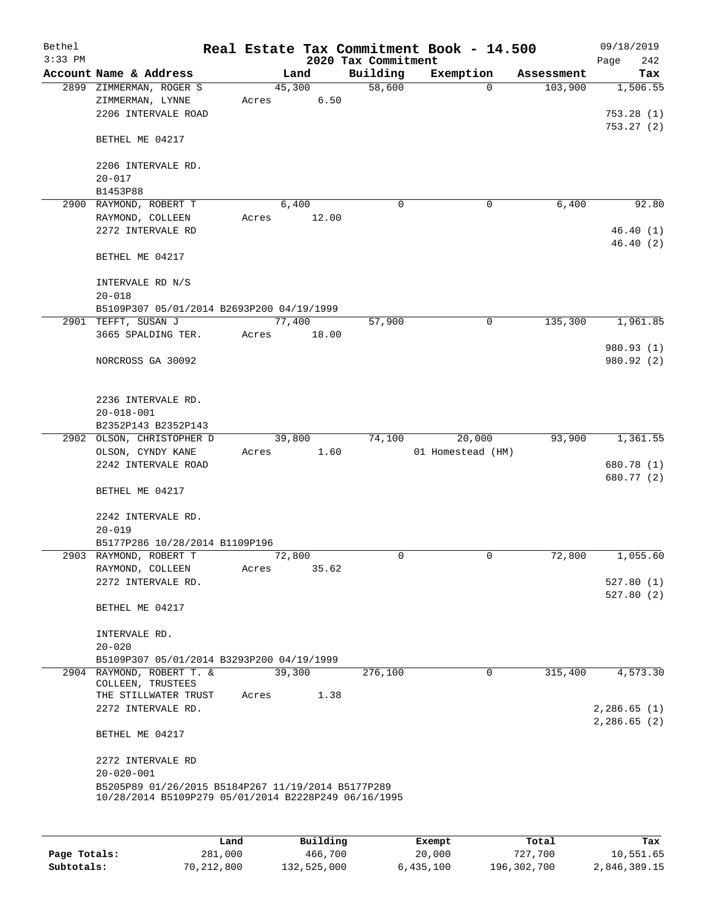| Bethel<br>$3:33$ PM |                                                                                                            |       |                | 2020 Tax Commitment | Real Estate Tax Commitment Book - 14.500 |            | 09/18/2019<br>242<br>Page          |
|---------------------|------------------------------------------------------------------------------------------------------------|-------|----------------|---------------------|------------------------------------------|------------|------------------------------------|
|                     | Account Name & Address                                                                                     |       | Land           | Building            | Exemption                                | Assessment | Tax                                |
|                     | 2899 ZIMMERMAN, ROGER S<br>ZIMMERMAN, LYNNE<br>2206 INTERVALE ROAD                                         | Acres | 45,300<br>6.50 | 58,600              | $\Omega$                                 | 103,900    | 1,506.55<br>753.28(1)<br>753.27(2) |
|                     | BETHEL ME 04217                                                                                            |       |                |                     |                                          |            |                                    |
|                     | 2206 INTERVALE RD.<br>$20 - 017$                                                                           |       |                |                     |                                          |            |                                    |
|                     | B1453P88                                                                                                   |       |                |                     |                                          |            |                                    |
|                     | 2900 RAYMOND, ROBERT T                                                                                     |       | 6,400          | 0                   | 0                                        | 6,400      | 92.80                              |
|                     | RAYMOND, COLLEEN<br>2272 INTERVALE RD                                                                      | Acres | 12.00          |                     |                                          |            | 46.40(1)<br>46.40(2)               |
|                     | BETHEL ME 04217                                                                                            |       |                |                     |                                          |            |                                    |
|                     | INTERVALE RD N/S<br>$20 - 018$                                                                             |       |                |                     |                                          |            |                                    |
|                     | B5109P307 05/01/2014 B2693P200 04/19/1999                                                                  |       |                |                     |                                          |            |                                    |
|                     | 2901 TEFFT, SUSAN J                                                                                        |       | 77,400         | 57,900              | $\mathbf 0$                              | 135,300    | 1,961.85                           |
|                     | 3665 SPALDING TER.                                                                                         | Acres | 18.00          |                     |                                          |            |                                    |
|                     | NORCROSS GA 30092                                                                                          |       |                |                     |                                          |            | 980.93 (1)<br>980.92 (2)           |
|                     | 2236 INTERVALE RD.<br>$20 - 018 - 001$                                                                     |       |                |                     |                                          |            |                                    |
|                     | B2352P143 B2352P143                                                                                        |       |                |                     |                                          |            |                                    |
|                     | 2902 OLSON, CHRISTOPHER D                                                                                  |       | 39,800         | 74,100              | 20,000                                   | 93,900     | 1,361.55                           |
|                     | OLSON, CYNDY KANE<br>2242 INTERVALE ROAD                                                                   | Acres | 1.60           |                     | 01 Homestead (HM)                        |            | 680.78 (1)<br>680.77 (2)           |
|                     | BETHEL ME 04217                                                                                            |       |                |                     |                                          |            |                                    |
|                     | 2242 INTERVALE RD.<br>$20 - 019$                                                                           |       |                |                     |                                          |            |                                    |
|                     | B5177P286 10/28/2014 B1109P196                                                                             |       |                |                     |                                          |            |                                    |
|                     | 2903 RAYMOND, ROBERT T                                                                                     |       | 72,800         | $\Omega$            | $\mathbf 0$                              | 72,800     | 1,055.60                           |
|                     | RAYMOND, COLLEEN                                                                                           | Acres | 35.62          |                     |                                          |            |                                    |
|                     | 2272 INTERVALE RD.                                                                                         |       |                |                     |                                          |            | 527.80(1)<br>527.80(2)             |
|                     | BETHEL ME 04217                                                                                            |       |                |                     |                                          |            |                                    |
|                     | INTERVALE RD.<br>$20 - 020$                                                                                |       |                |                     |                                          |            |                                    |
|                     | B5109P307 05/01/2014 B3293P200 04/19/1999                                                                  |       |                |                     |                                          |            |                                    |
|                     | 2904 RAYMOND, ROBERT T. &                                                                                  |       | 39,300         | 276,100             | 0                                        | 315,400    | 4,573.30                           |
|                     | COLLEEN, TRUSTEES<br>THE STILLWATER TRUST                                                                  | Acres | 1.38           |                     |                                          |            |                                    |
|                     | 2272 INTERVALE RD.                                                                                         |       |                |                     |                                          |            | 2,286.65(1)                        |
|                     | BETHEL ME 04217                                                                                            |       |                |                     |                                          |            | 2,286.65(2)                        |
|                     | 2272 INTERVALE RD                                                                                          |       |                |                     |                                          |            |                                    |
|                     | $20 - 020 - 001$                                                                                           |       |                |                     |                                          |            |                                    |
|                     | B5205P89 01/26/2015 B5184P267 11/19/2014 B5177P289<br>10/28/2014 B5109P279 05/01/2014 B2228P249 06/16/1995 |       |                |                     |                                          |            |                                    |
|                     |                                                                                                            |       |                |                     |                                          |            |                                    |

|              | Land         | Building    | Exempt    | Total       | Tax          |
|--------------|--------------|-------------|-----------|-------------|--------------|
| Page Totals: | 281,000      | 466,700     | 20,000    | 727,700     | 10,551.65    |
| Subtotals:   | 70, 212, 800 | 132,525,000 | 6,435,100 | 196,302,700 | 2,846,389.15 |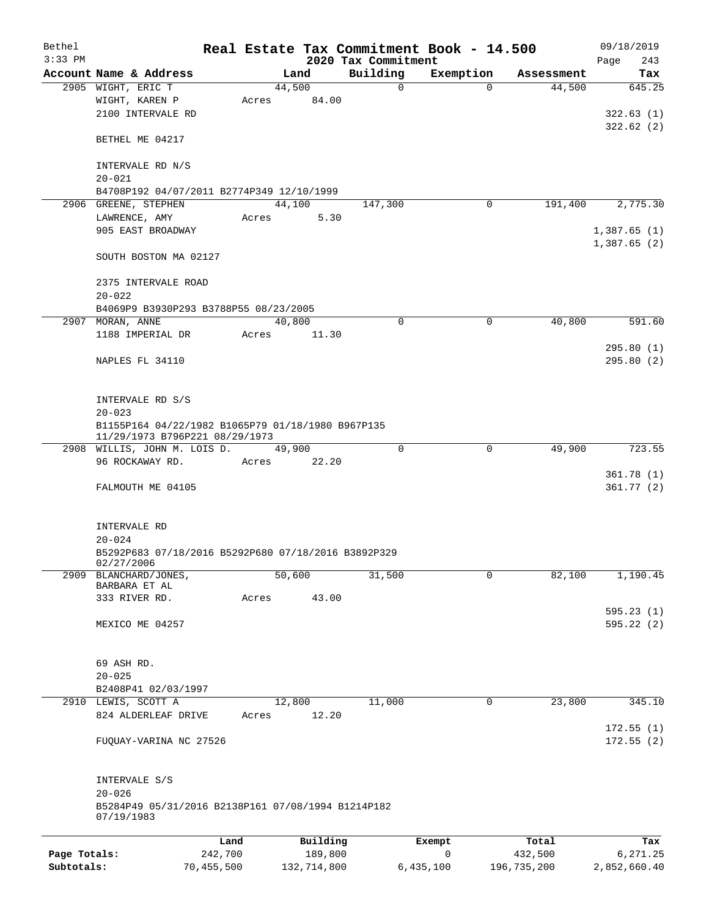| Bethel       |                                                                                     |            |       |                |          | Real Estate Tax Commitment Book - 14.500 |                       |                      | 09/18/2019                 |
|--------------|-------------------------------------------------------------------------------------|------------|-------|----------------|----------|------------------------------------------|-----------------------|----------------------|----------------------------|
| $3:33$ PM    | Account Name & Address                                                              |            |       |                |          | 2020 Tax Commitment                      |                       |                      | 243<br>Page                |
|              | 2905 WIGHT, ERIC T                                                                  |            |       | Land<br>44,500 |          | Building<br>0                            | Exemption<br>$\Omega$ | Assessment<br>44,500 | Tax<br>645.25              |
|              | WIGHT, KAREN P<br>2100 INTERVALE RD                                                 |            | Acres |                | 84.00    |                                          |                       |                      | 322.63(1)                  |
|              | BETHEL ME 04217                                                                     |            |       |                |          |                                          |                       |                      | 322.62(2)                  |
|              | INTERVALE RD N/S<br>$20 - 021$                                                      |            |       |                |          |                                          |                       |                      |                            |
|              | B4708P192 04/07/2011 B2774P349 12/10/1999                                           |            |       |                |          |                                          |                       |                      |                            |
|              | 2906 GREENE, STEPHEN                                                                |            |       | 44,100         |          | 147,300                                  | 0                     | 191,400              | 2,775.30                   |
|              | LAWRENCE, AMY                                                                       |            | Acres |                | 5.30     |                                          |                       |                      |                            |
|              | 905 EAST BROADWAY                                                                   |            |       |                |          |                                          |                       |                      | 1,387.65(1)<br>1,387.65(2) |
|              | SOUTH BOSTON MA 02127                                                               |            |       |                |          |                                          |                       |                      |                            |
|              | 2375 INTERVALE ROAD<br>$20 - 022$                                                   |            |       |                |          |                                          |                       |                      |                            |
|              | B4069P9 B3930P293 B3788P55 08/23/2005                                               |            |       |                |          |                                          |                       |                      |                            |
|              | 2907 MORAN, ANNE                                                                    |            |       | 40,800         |          | $\mathbf 0$                              | 0                     | 40,800               | 591.60                     |
|              | 1188 IMPERIAL DR                                                                    |            | Acres |                | 11.30    |                                          |                       |                      |                            |
|              | NAPLES FL 34110                                                                     |            |       |                |          |                                          |                       |                      | 295.80(1)<br>295.80(2)     |
|              | INTERVALE RD S/S                                                                    |            |       |                |          |                                          |                       |                      |                            |
|              | $20 - 023$                                                                          |            |       |                |          |                                          |                       |                      |                            |
|              | B1155P164 04/22/1982 B1065P79 01/18/1980 B967P135<br>11/29/1973 B796P221 08/29/1973 |            |       |                |          |                                          |                       |                      |                            |
|              | 2908 WILLIS, JOHN M. LOIS D.<br>96 ROCKAWAY RD.                                     |            |       | 49,900         |          | $\Omega$                                 | $\mathbf 0$           | 49,900               | 723.55                     |
|              |                                                                                     |            | Acres |                | 22.20    |                                          |                       |                      | 361.78(1)                  |
|              | FALMOUTH ME 04105                                                                   |            |       |                |          |                                          |                       |                      | 361.77(2)                  |
|              | INTERVALE RD                                                                        |            |       |                |          |                                          |                       |                      |                            |
|              | $20 - 024$                                                                          |            |       |                |          |                                          |                       |                      |                            |
|              | B5292P683 07/18/2016 B5292P680 07/18/2016 B3892P329<br>02/27/2006                   |            |       |                |          |                                          |                       |                      |                            |
| 2909         | BLANCHARD/JONES,<br>BARBARA ET AL                                                   |            |       | 50,600         | 43.00    | 31,500                                   | $\mathbf 0$           | 82,100               | 1,190.45                   |
|              | 333 RIVER RD.                                                                       |            | Acres |                |          |                                          |                       |                      | 595.23(1)                  |
|              | MEXICO ME 04257                                                                     |            |       |                |          |                                          |                       |                      | 595.22 (2)                 |
|              | 69 ASH RD.                                                                          |            |       |                |          |                                          |                       |                      |                            |
|              | $20 - 025$                                                                          |            |       |                |          |                                          |                       |                      |                            |
|              | B2408P41 02/03/1997                                                                 |            |       |                |          |                                          |                       |                      |                            |
|              | 2910 LEWIS, SCOTT A<br>824 ALDERLEAF DRIVE                                          |            | Acres | 12,800         | 12.20    | 11,000                                   | 0                     | 23,800               | 345.10                     |
|              | FUQUAY-VARINA NC 27526                                                              |            |       |                |          |                                          |                       |                      | 172.55(1)<br>172.55(2)     |
|              | INTERVALE S/S                                                                       |            |       |                |          |                                          |                       |                      |                            |
|              | $20 - 026$<br>B5284P49 05/31/2016 B2138P161 07/08/1994 B1214P182<br>07/19/1983      |            |       |                |          |                                          |                       |                      |                            |
|              |                                                                                     | Land       |       |                | Building |                                          | Exempt                | Total                | Tax                        |
| Page Totals: |                                                                                     | 242,700    |       |                | 189,800  |                                          | 0                     | 432,500              | 6,271.25                   |
| Subtotals:   |                                                                                     | 70,455,500 |       | 132,714,800    |          |                                          | 6,435,100             | 196, 735, 200        | 2,852,660.40               |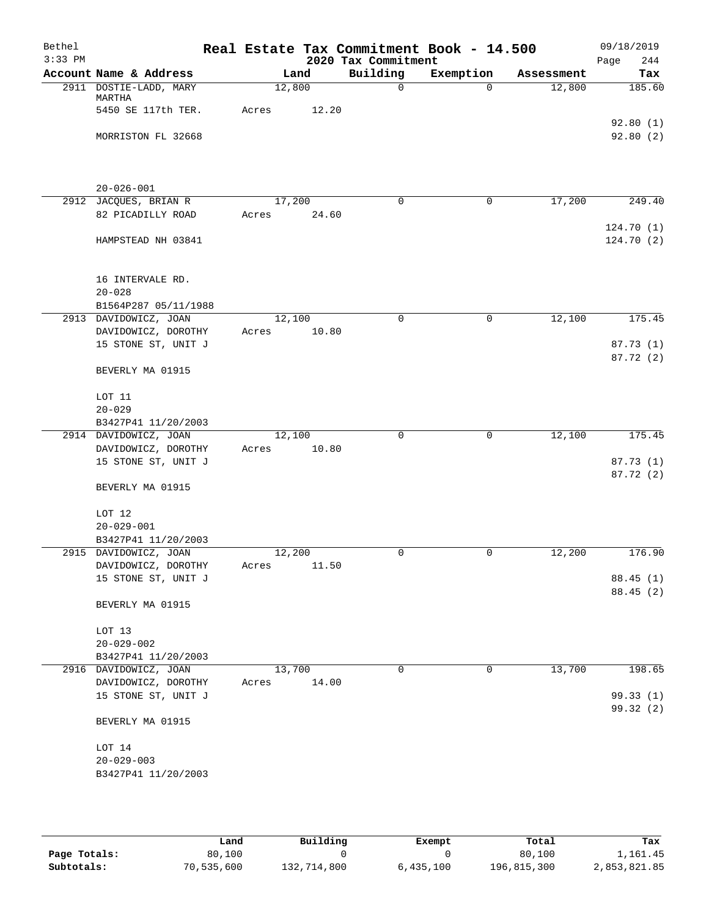| Bethel<br>$3:33$ PM |                                               |       |        | 2020 Tax Commitment | Real Estate Tax Commitment Book - 14.500 |            | 09/18/2019<br>Page<br>244 |
|---------------------|-----------------------------------------------|-------|--------|---------------------|------------------------------------------|------------|---------------------------|
|                     | Account Name & Address                        |       | Land   | Building            | Exemption                                | Assessment | Tax                       |
|                     | 2911 DOSTIE-LADD, MARY<br>MARTHA              |       | 12,800 | $\mathbf 0$         | $\Omega$                                 | 12,800     | 185.60                    |
|                     | 5450 SE 117th TER.                            | Acres | 12.20  |                     |                                          |            | 92.80(1)                  |
|                     | MORRISTON FL 32668                            |       |        |                     |                                          |            | 92.80 (2)                 |
|                     | $20 - 026 - 001$                              |       |        |                     |                                          |            |                           |
|                     | 2912 JACQUES, BRIAN R                         |       | 17,200 | $\Omega$            | 0                                        | 17,200     | 249.40                    |
|                     | 82 PICADILLY ROAD                             | Acres | 24.60  |                     |                                          |            | 124.70 (1)                |
|                     | HAMPSTEAD NH 03841                            |       |        |                     |                                          |            | 124.70 (2)                |
|                     | 16 INTERVALE RD.<br>$20 - 028$                |       |        |                     |                                          |            |                           |
|                     | B1564P287 05/11/1988<br>2913 DAVIDOWICZ, JOAN |       | 12,100 | $\mathbf 0$         | $\mathbf 0$                              | 12,100     | 175.45                    |
|                     | DAVIDOWICZ, DOROTHY                           | Acres | 10.80  |                     |                                          |            |                           |
|                     | 15 STONE ST, UNIT J                           |       |        |                     |                                          |            | 87.73(1)<br>87.72 (2)     |
|                     | BEVERLY MA 01915                              |       |        |                     |                                          |            |                           |
|                     | LOT 11                                        |       |        |                     |                                          |            |                           |
|                     | $20 - 029$                                    |       |        |                     |                                          |            |                           |
|                     | B3427P41 11/20/2003<br>2914 DAVIDOWICZ, JOAN  |       | 12,100 | $\mathbf 0$         | $\mathbf 0$                              | 12,100     | 175.45                    |
|                     | DAVIDOWICZ, DOROTHY                           | Acres | 10.80  |                     |                                          |            |                           |
|                     | 15 STONE ST, UNIT J                           |       |        |                     |                                          |            | 87.73 (1)<br>87.72 (2)    |
|                     | BEVERLY MA 01915                              |       |        |                     |                                          |            |                           |
|                     | LOT 12                                        |       |        |                     |                                          |            |                           |
|                     | $20 - 029 - 001$                              |       |        |                     |                                          |            |                           |
|                     | B3427P41 11/20/2003<br>2915 DAVIDOWICZ, JOAN  |       | 12,200 | 0                   | 0                                        | 12,200     | 176.90                    |
|                     | DAVIDOWICZ, DOROTHY                           | Acres | 11.50  |                     |                                          |            |                           |
|                     | 15 STONE ST, UNIT J                           |       |        |                     |                                          |            | 88.45(1)                  |
|                     | BEVERLY MA 01915                              |       |        |                     |                                          |            | 88.45 (2)                 |
|                     | LOT 13                                        |       |        |                     |                                          |            |                           |
|                     | $20 - 029 - 002$                              |       |        |                     |                                          |            |                           |
|                     | B3427P41 11/20/2003                           |       |        |                     |                                          |            |                           |
|                     | 2916 DAVIDOWICZ, JOAN                         |       | 13,700 | 0                   | $\mathbf 0$                              | 13,700     | 198.65                    |
|                     | DAVIDOWICZ, DOROTHY                           | Acres | 14.00  |                     |                                          |            |                           |
|                     | 15 STONE ST, UNIT J                           |       |        |                     |                                          |            | 99.33(1)                  |
|                     | BEVERLY MA 01915                              |       |        |                     |                                          |            | 99.32 (2)                 |
|                     | LOT 14                                        |       |        |                     |                                          |            |                           |
|                     | $20 - 029 - 003$                              |       |        |                     |                                          |            |                           |
|                     | B3427P41 11/20/2003                           |       |        |                     |                                          |            |                           |
|                     |                                               |       |        |                     |                                          |            |                           |

|              | Land       | Building    | Exempt    | Total       | Tax          |
|--------------|------------|-------------|-----------|-------------|--------------|
| Page Totals: | 80,100     |             |           | 80,100      | 1,161.45     |
| Subtotals:   | 70,535,600 | 132,714,800 | 6,435,100 | 196,815,300 | 2,853,821.85 |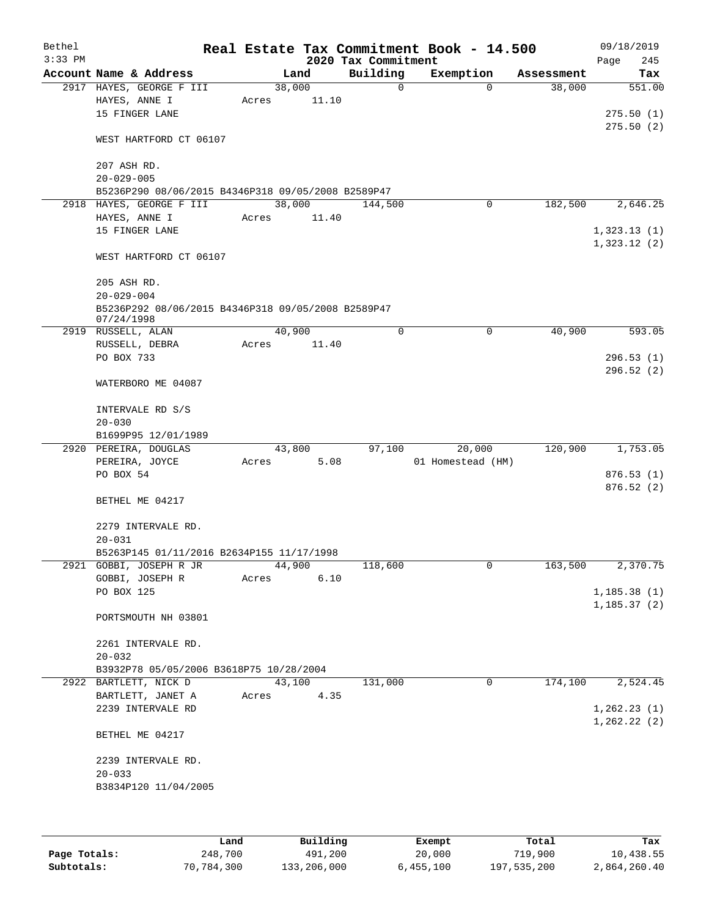| Bethel<br>$3:33$ PM |                                                                  |       |        | 2020 Tax Commitment | Real Estate Tax Commitment Book - 14.500 |            | 09/18/2019<br>Page<br>245  |
|---------------------|------------------------------------------------------------------|-------|--------|---------------------|------------------------------------------|------------|----------------------------|
|                     | Account Name & Address                                           |       | Land   | Building            | Exemption                                | Assessment | Tax                        |
|                     | 2917 HAYES, GEORGE F III                                         |       | 38,000 | $\mathbf 0$         | $\Omega$                                 | 38,000     | 551.00                     |
|                     | HAYES, ANNE I<br>15 FINGER LANE                                  | Acres | 11.10  |                     |                                          |            | 275.50(1)                  |
|                     | WEST HARTFORD CT 06107                                           |       |        |                     |                                          |            | 275.50(2)                  |
|                     | 207 ASH RD.<br>$20 - 029 - 005$                                  |       |        |                     |                                          |            |                            |
|                     | B5236P290 08/06/2015 B4346P318 09/05/2008 B2589P47               |       |        |                     |                                          |            |                            |
|                     | 2918 HAYES, GEORGE F III                                         |       | 38,000 | 144,500             | 0                                        | 182,500    | 2,646.25                   |
|                     | HAYES, ANNE I                                                    | Acres | 11.40  |                     |                                          |            |                            |
|                     | 15 FINGER LANE                                                   |       |        |                     |                                          |            | 1,323.13(1)<br>1,323.12(2) |
|                     | WEST HARTFORD CT 06107                                           |       |        |                     |                                          |            |                            |
|                     | 205 ASH RD.<br>$20 - 029 - 004$                                  |       |        |                     |                                          |            |                            |
|                     | B5236P292 08/06/2015 B4346P318 09/05/2008 B2589P47<br>07/24/1998 |       |        |                     |                                          |            |                            |
|                     | 2919 RUSSELL, ALAN                                               |       | 40,900 | $\mathbf 0$         | 0                                        | 40,900     | 593.05                     |
|                     | RUSSELL, DEBRA                                                   | Acres | 11.40  |                     |                                          |            |                            |
|                     | PO BOX 733                                                       |       |        |                     |                                          |            | 296.53(1)                  |
|                     | WATERBORO ME 04087                                               |       |        |                     |                                          |            | 296.52(2)                  |
|                     | INTERVALE RD S/S<br>$20 - 030$                                   |       |        |                     |                                          |            |                            |
|                     | B1699P95 12/01/1989                                              |       |        |                     |                                          |            |                            |
|                     | 2920 PEREIRA, DOUGLAS                                            |       | 43,800 | 97,100              | 20,000                                   | 120,900    | 1,753.05                   |
|                     | PEREIRA, JOYCE                                                   | Acres | 5.08   |                     | 01 Homestead (HM)                        |            |                            |
|                     | PO BOX 54                                                        |       |        |                     |                                          |            | 876.53(1)                  |
|                     | BETHEL ME 04217                                                  |       |        |                     |                                          |            | 876.52(2)                  |
|                     | 2279 INTERVALE RD.<br>$20 - 031$                                 |       |        |                     |                                          |            |                            |
|                     | B5263P145 01/11/2016 B2634P155 11/17/1998                        |       |        |                     |                                          |            |                            |
|                     | 2921 GOBBI, JOSEPH R JR                                          |       | 44,900 | 118,600             | 0                                        | 163,500    | 2,370.75                   |
|                     | GOBBI, JOSEPH R                                                  | Acres | 6.10   |                     |                                          |            |                            |
|                     | PO BOX 125                                                       |       |        |                     |                                          |            | 1, 185.38(1)               |
|                     | PORTSMOUTH NH 03801                                              |       |        |                     |                                          |            | 1, 185.37(2)               |
|                     |                                                                  |       |        |                     |                                          |            |                            |
|                     | 2261 INTERVALE RD.                                               |       |        |                     |                                          |            |                            |
|                     | $20 - 032$                                                       |       |        |                     |                                          |            |                            |
|                     | B3932P78 05/05/2006 B3618P75 10/28/2004                          |       |        |                     |                                          |            |                            |
|                     | 2922 BARTLETT, NICK D                                            |       | 43,100 | 131,000             | 0                                        | 174,100    | 2,524.45                   |
|                     | BARTLETT, JANET A                                                | Acres | 4.35   |                     |                                          |            |                            |
|                     | 2239 INTERVALE RD                                                |       |        |                     |                                          |            | 1, 262.23(1)               |
|                     | BETHEL ME 04217                                                  |       |        |                     |                                          |            | 1, 262.22(2)               |
|                     | 2239 INTERVALE RD.                                               |       |        |                     |                                          |            |                            |
|                     | $20 - 033$                                                       |       |        |                     |                                          |            |                            |
|                     | B3834P120 11/04/2005                                             |       |        |                     |                                          |            |                            |
|                     |                                                                  |       |        |                     |                                          |            |                            |
|                     |                                                                  |       |        |                     |                                          |            |                            |
|                     |                                                                  |       |        |                     |                                          |            |                            |

|              | Land       | Building    | Exempt    | Total       | Tax          |
|--------------|------------|-------------|-----------|-------------|--------------|
| Page Totals: | 248,700    | 491,200     | 20,000    | 719,900     | 10,438.55    |
| Subtotals:   | 70,784,300 | 133,206,000 | 6.455.100 | 197,535,200 | 2,864,260.40 |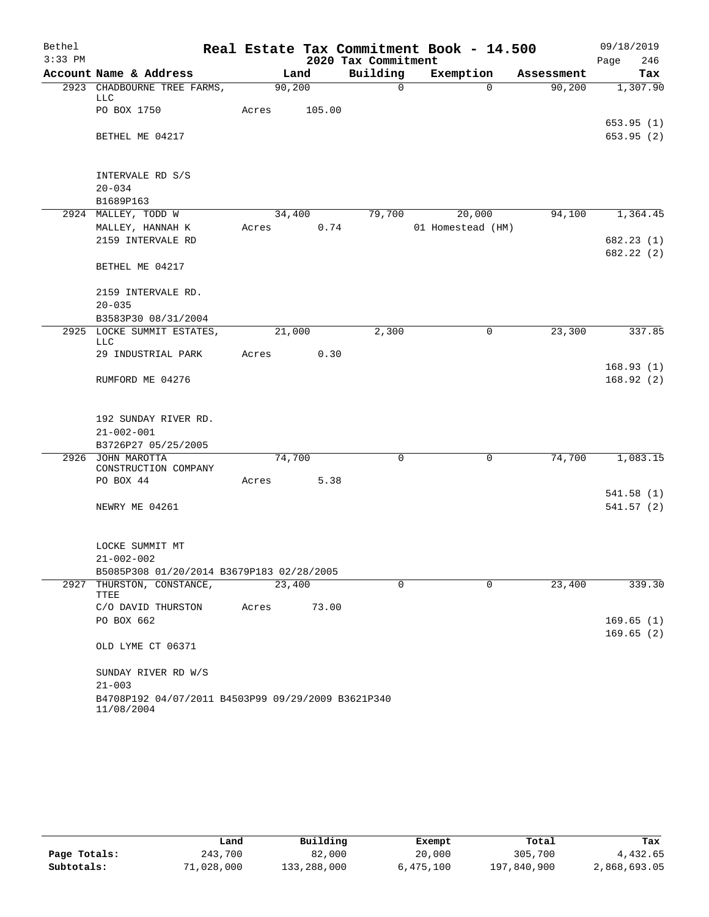| Bethel    |                                                                  |       |        |                     | Real Estate Tax Commitment Book - 14.500 |            | 09/18/2019             |
|-----------|------------------------------------------------------------------|-------|--------|---------------------|------------------------------------------|------------|------------------------|
| $3:33$ PM |                                                                  |       |        | 2020 Tax Commitment |                                          |            | Page<br>246            |
|           | Account Name & Address                                           |       | Land   | Building            | Exemption                                | Assessment | Tax                    |
|           | 2923 CHADBOURNE TREE FARMS,<br>LLC                               |       | 90,200 | $\mathbf 0$         | $\Omega$                                 | 90,200     | 1,307.90               |
|           | PO BOX 1750                                                      | Acres | 105.00 |                     |                                          |            |                        |
|           | BETHEL ME 04217                                                  |       |        |                     |                                          |            | 653.95(1)<br>653.95(2) |
|           | INTERVALE RD S/S                                                 |       |        |                     |                                          |            |                        |
|           | $20 - 034$                                                       |       |        |                     |                                          |            |                        |
|           | B1689P163                                                        |       |        |                     |                                          |            |                        |
|           | 2924 MALLEY, TODD W                                              |       | 34,400 | 79,700              | 20,000                                   | 94,100     | 1,364.45               |
|           | MALLEY, HANNAH K                                                 | Acres | 0.74   |                     | 01 Homestead (HM)                        |            |                        |
|           | 2159 INTERVALE RD                                                |       |        |                     |                                          |            | 682.23(1)              |
|           | BETHEL ME 04217                                                  |       |        |                     |                                          |            | 682.22(2)              |
|           | 2159 INTERVALE RD.                                               |       |        |                     |                                          |            |                        |
|           | $20 - 035$                                                       |       |        |                     |                                          |            |                        |
|           | B3583P30 08/31/2004                                              |       |        |                     |                                          |            |                        |
|           | 2925 LOCKE SUMMIT ESTATES,<br>LLC                                |       | 21,000 | 2,300               | $\mathbf 0$                              | 23,300     | 337.85                 |
|           | 29 INDUSTRIAL PARK                                               | Acres | 0.30   |                     |                                          |            |                        |
|           |                                                                  |       |        |                     |                                          |            | 168.93(1)              |
|           | RUMFORD ME 04276                                                 |       |        |                     |                                          |            | 168.92(2)              |
|           | 192 SUNDAY RIVER RD.                                             |       |        |                     |                                          |            |                        |
|           | $21 - 002 - 001$                                                 |       |        |                     |                                          |            |                        |
|           | B3726P27 05/25/2005                                              |       |        |                     |                                          |            |                        |
|           | 2926 JOHN MAROTTA<br>CONSTRUCTION COMPANY                        |       | 74,700 | $\mathbf 0$         | 0                                        | 74,700     | 1,083.15               |
|           | PO BOX 44                                                        | Acres | 5.38   |                     |                                          |            |                        |
|           |                                                                  |       |        |                     |                                          |            | 541.58(1)              |
|           | NEWRY ME 04261                                                   |       |        |                     |                                          |            | 541.57(2)              |
|           | LOCKE SUMMIT MT                                                  |       |        |                     |                                          |            |                        |
|           | $21 - 002 - 002$                                                 |       |        |                     |                                          |            |                        |
|           | B5085P308 01/20/2014 B3679P183 02/28/2005                        |       |        |                     |                                          |            |                        |
|           | 2927 THURSTON, CONSTANCE,<br>TTEE                                |       | 23,400 | $\Omega$            | $\Omega$                                 | 23,400     | 339.30                 |
|           | C/O DAVID THURSTON                                               | Acres | 73.00  |                     |                                          |            |                        |
|           | PO BOX 662                                                       |       |        |                     |                                          |            | 169.65(1)              |
|           | OLD LYME CT 06371                                                |       |        |                     |                                          |            | 169.65(2)              |
|           | SUNDAY RIVER RD W/S                                              |       |        |                     |                                          |            |                        |
|           | $21 - 003$                                                       |       |        |                     |                                          |            |                        |
|           | B4708P192 04/07/2011 B4503P99 09/29/2009 B3621P340<br>11/08/2004 |       |        |                     |                                          |            |                        |

|              | Land       | Building    | Exempt    | Total       | Tax          |
|--------------|------------|-------------|-----------|-------------|--------------|
| Page Totals: | 243,700    | 82,000      | 20,000    | 305,700     | 4,432.65     |
| Subtotals:   | 71,028,000 | 133,288,000 | 6,475,100 | 197,840,900 | 2,868,693.05 |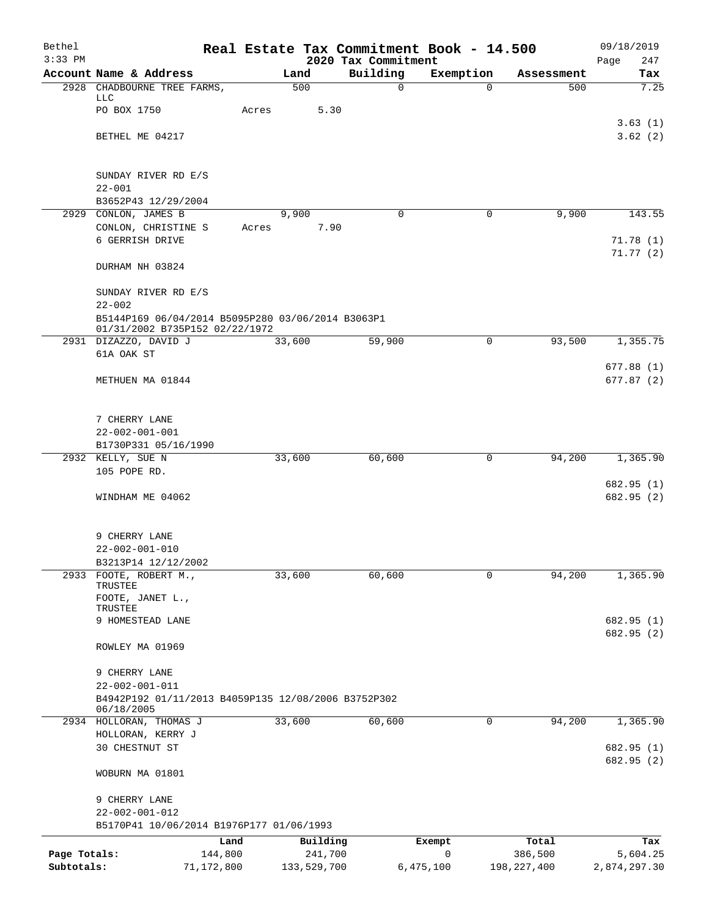| Bethel<br>$3:33$ PM |                                                                                                   |               | Real Estate Tax Commitment Book - 14.500<br>2020 Tax Commitment |                |               | 09/18/2019         |
|---------------------|---------------------------------------------------------------------------------------------------|---------------|-----------------------------------------------------------------|----------------|---------------|--------------------|
|                     | Account Name & Address                                                                            | Land          | Building                                                        | Exemption      | Assessment    | 247<br>Page<br>Tax |
|                     | 2928 CHADBOURNE TREE FARMS,                                                                       | 500           | $\mathsf{O}$                                                    | $\Omega$       | 500           | 7.25               |
|                     | LLC<br>PO BOX 1750                                                                                | 5.30<br>Acres |                                                                 |                |               |                    |
|                     |                                                                                                   |               |                                                                 |                |               | 3.63(1)            |
|                     | BETHEL ME 04217                                                                                   |               |                                                                 |                |               | 3.62(2)            |
|                     | SUNDAY RIVER RD E/S                                                                               |               |                                                                 |                |               |                    |
|                     | $22 - 001$                                                                                        |               |                                                                 |                |               |                    |
|                     | B3652P43 12/29/2004<br>2929 CONLON, JAMES B                                                       | 9,900         | $\Omega$                                                        | 0              | 9,900         | 143.55             |
|                     | CONLON, CHRISTINE S                                                                               | 7.90<br>Acres |                                                                 |                |               |                    |
|                     | 6 GERRISH DRIVE                                                                                   |               |                                                                 |                |               | 71.78(1)           |
|                     | DURHAM NH 03824                                                                                   |               |                                                                 |                |               | 71.77(2)           |
|                     | SUNDAY RIVER RD E/S                                                                               |               |                                                                 |                |               |                    |
|                     | $22 - 002$<br>B5144P169 06/04/2014 B5095P280 03/06/2014 B3063P1<br>01/31/2002 B735P152 02/22/1972 |               |                                                                 |                |               |                    |
|                     | 2931 DIZAZZO, DAVID J                                                                             | 33,600        | 59,900                                                          | $\overline{0}$ | 93,500        | 1,355.75           |
|                     | 61A OAK ST                                                                                        |               |                                                                 |                |               | 677.88(1)          |
|                     | METHUEN MA 01844                                                                                  |               |                                                                 |                |               | 677.87(2)          |
|                     | 7 CHERRY LANE                                                                                     |               |                                                                 |                |               |                    |
|                     | $22 - 002 - 001 - 001$                                                                            |               |                                                                 |                |               |                    |
|                     | B1730P331 05/16/1990                                                                              |               |                                                                 |                |               |                    |
|                     | 2932 KELLY, SUE N<br>105 POPE RD.                                                                 | 33,600        | 60,600                                                          | 0              | 94,200        | 1,365.90           |
|                     |                                                                                                   |               |                                                                 |                |               | 682.95 (1)         |
|                     | WINDHAM ME 04062                                                                                  |               |                                                                 |                |               | 682.95 (2)         |
|                     | 9 CHERRY LANE                                                                                     |               |                                                                 |                |               |                    |
|                     | $22 - 002 - 001 - 010$                                                                            |               |                                                                 |                |               |                    |
| 2933                | B3213P14 12/12/2002<br>FOOTE, ROBERT M.,                                                          | 33,600        | 60,600                                                          | $\mathbf 0$    | 94,200        | 1,365.90           |
|                     | TRUSTEE                                                                                           |               |                                                                 |                |               |                    |
|                     | FOOTE, JANET L.,<br>TRUSTEE                                                                       |               |                                                                 |                |               |                    |
|                     | 9 HOMESTEAD LANE                                                                                  |               |                                                                 |                |               | 682.95 (1)         |
|                     | ROWLEY MA 01969                                                                                   |               |                                                                 |                |               | 682.95 (2)         |
|                     | 9 CHERRY LANE                                                                                     |               |                                                                 |                |               |                    |
|                     | $22 - 002 - 001 - 011$                                                                            |               |                                                                 |                |               |                    |
|                     | B4942P192 01/11/2013 B4059P135 12/08/2006 B3752P302<br>06/18/2005                                 |               |                                                                 |                |               |                    |
|                     | 2934 HOLLORAN, THOMAS J                                                                           | 33,600        | 60,600                                                          | 0              | 94,200        | 1,365.90           |
|                     | HOLLORAN, KERRY J<br>30 CHESTNUT ST                                                               |               |                                                                 |                |               | 682.95 (1)         |
|                     |                                                                                                   |               |                                                                 |                |               | 682.95 (2)         |
|                     | WOBURN MA 01801                                                                                   |               |                                                                 |                |               |                    |
|                     | 9 CHERRY LANE                                                                                     |               |                                                                 |                |               |                    |
|                     | $22 - 002 - 001 - 012$<br>B5170P41 10/06/2014 B1976P177 01/06/1993                                |               |                                                                 |                |               |                    |
|                     | Land                                                                                              | Building      | Exempt                                                          |                | Total         | Tax                |
| Page Totals:        | 144,800                                                                                           | 241,700       | 0                                                               |                | 386,500       | 5,604.25           |
| Subtotals:          | 71,172,800                                                                                        | 133,529,700   | 6,475,100                                                       |                | 198, 227, 400 | 2,874,297.30       |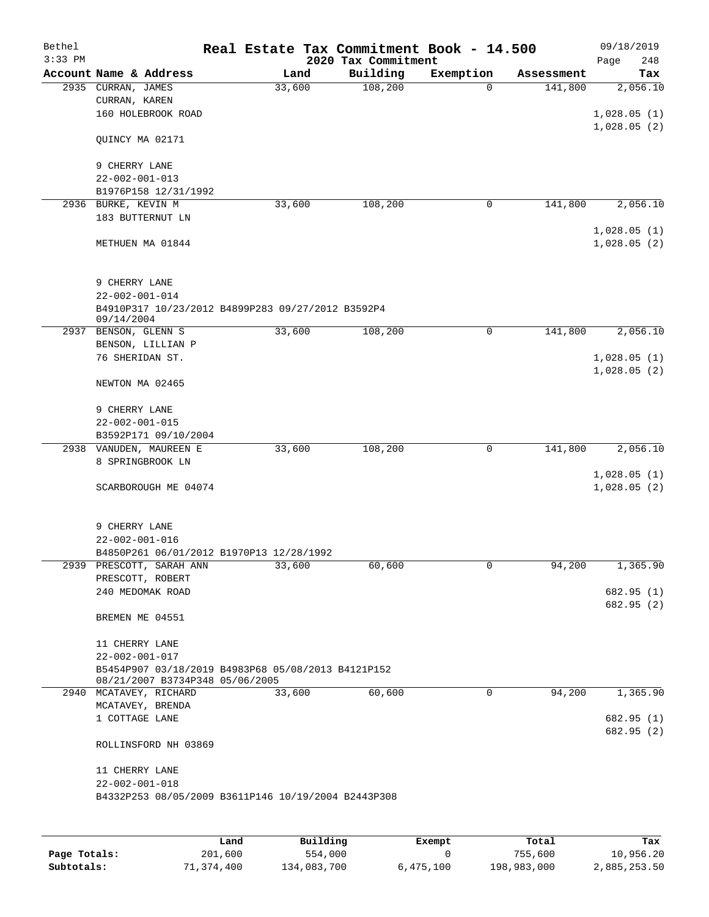| Bethel<br>$3:33$ PM |                                                                                       | Real Estate Tax Commitment Book - 14.500 | 2020 Tax Commitment |             |            | 09/18/2019<br>248<br>Page  |
|---------------------|---------------------------------------------------------------------------------------|------------------------------------------|---------------------|-------------|------------|----------------------------|
|                     | Account Name & Address                                                                | Land                                     | Building            | Exemption   | Assessment | Tax                        |
|                     | 2935 CURRAN, JAMES<br>CURRAN, KAREN                                                   | 33,600                                   | 108,200             | $\Omega$    | 141,800    | 2,056.10                   |
|                     | 160 HOLEBROOK ROAD                                                                    |                                          |                     |             |            | 1,028.05(1)<br>1,028.05(2) |
|                     | QUINCY MA 02171                                                                       |                                          |                     |             |            |                            |
|                     | 9 CHERRY LANE<br>$22 - 002 - 001 - 013$                                               |                                          |                     |             |            |                            |
|                     | B1976P158 12/31/1992                                                                  |                                          |                     |             |            |                            |
| 2936                | BURKE, KEVIN M                                                                        | 33,600                                   | 108,200             | 0           | 141,800    | 2,056.10                   |
|                     | 183 BUTTERNUT LN                                                                      |                                          |                     |             |            |                            |
|                     | METHUEN MA 01844                                                                      |                                          |                     |             |            | 1,028.05(1)<br>1,028.05(2) |
|                     | 9 CHERRY LANE<br>$22 - 002 - 001 - 014$                                               |                                          |                     |             |            |                            |
|                     | B4910P317 10/23/2012 B4899P283 09/27/2012 B3592P4<br>09/14/2004                       |                                          |                     |             |            |                            |
|                     | 2937 BENSON, GLENN S                                                                  | 33,600                                   | 108,200             | 0           | 141,800    | 2,056.10                   |
|                     | BENSON, LILLIAN P<br>76 SHERIDAN ST.                                                  |                                          |                     |             |            | 1,028.05(1)                |
|                     | NEWTON MA 02465                                                                       |                                          |                     |             |            | 1,028.05(2)                |
|                     |                                                                                       |                                          |                     |             |            |                            |
|                     | 9 CHERRY LANE<br>$22 - 002 - 001 - 015$                                               |                                          |                     |             |            |                            |
|                     | B3592P171 09/10/2004                                                                  |                                          |                     |             |            |                            |
|                     | 2938 VANUDEN, MAUREEN E                                                               | 33,600                                   | 108,200             | $\mathbf 0$ | 141,800    | 2,056.10                   |
|                     | 8 SPRINGBROOK LN                                                                      |                                          |                     |             |            |                            |
|                     | SCARBOROUGH ME 04074                                                                  |                                          |                     |             |            | 1,028.05(1)<br>1,028.05(2) |
|                     | 9 CHERRY LANE                                                                         |                                          |                     |             |            |                            |
|                     | $22 - 002 - 001 - 016$                                                                |                                          |                     |             |            |                            |
|                     | B4850P261 06/01/2012 B1970P13 12/28/1992                                              |                                          |                     |             |            |                            |
|                     | 2939 PRESCOTT, SARAH ANN                                                              | 33,600                                   | 60,600              | 0           | 94,200     | 1,365.90                   |
|                     | PRESCOTT, ROBERT<br>240 MEDOMAK ROAD                                                  |                                          |                     |             |            | 682.95 (1)                 |
|                     |                                                                                       |                                          |                     |             |            | 682.95 (2)                 |
|                     | BREMEN ME 04551                                                                       |                                          |                     |             |            |                            |
|                     | 11 CHERRY LANE<br>$22 - 002 - 001 - 017$                                              |                                          |                     |             |            |                            |
|                     | B5454P907 03/18/2019 B4983P68 05/08/2013 B4121P152<br>08/21/2007 B3734P348 05/06/2005 |                                          |                     |             |            |                            |
|                     | 2940 MCATAVEY, RICHARD                                                                | 33,600                                   | 60,600              | $\mathbf 0$ | 94,200     | 1,365.90                   |
|                     | MCATAVEY, BRENDA                                                                      |                                          |                     |             |            |                            |
|                     | 1 COTTAGE LANE                                                                        |                                          |                     |             |            | 682.95 (1)<br>682.95 (2)   |
|                     | ROLLINSFORD NH 03869                                                                  |                                          |                     |             |            |                            |
|                     | 11 CHERRY LANE                                                                        |                                          |                     |             |            |                            |
|                     | $22 - 002 - 001 - 018$<br>B4332P253 08/05/2009 B3611P146 10/19/2004 B2443P308         |                                          |                     |             |            |                            |
|                     |                                                                                       |                                          |                     |             |            |                            |
|                     |                                                                                       |                                          |                     |             |            |                            |

|              | Land       | Building    | Exempt    | Total       | Tax          |
|--------------|------------|-------------|-----------|-------------|--------------|
| Page Totals: | 201,600    | 554,000     |           | 755,600     | 10,956.20    |
| Subtotals:   | 71,374,400 | 134,083,700 | 6,475,100 | 198,983,000 | 2,885,253.50 |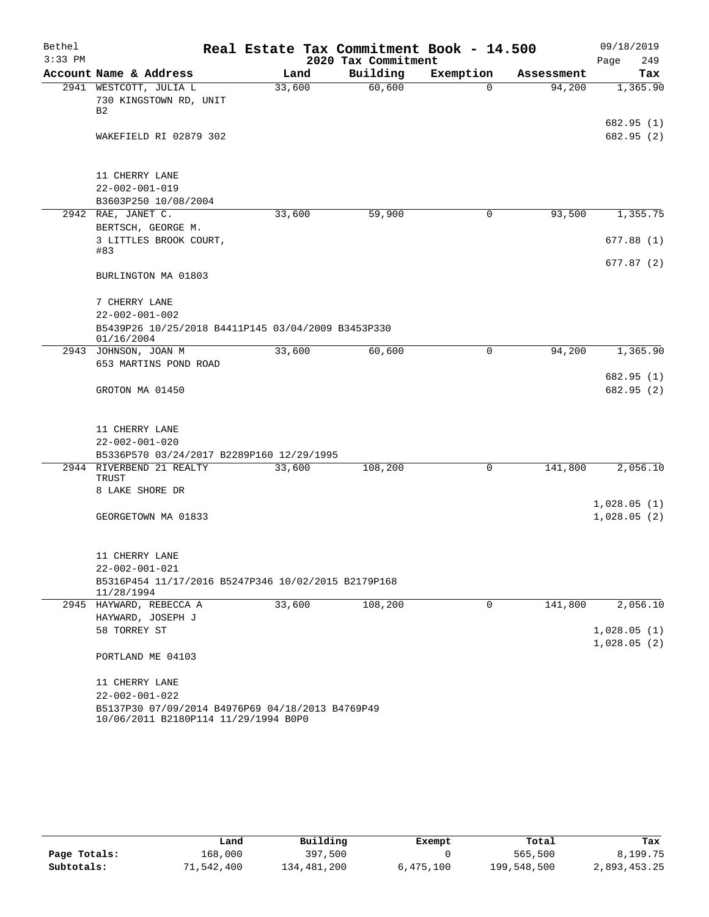| Bethel<br>$3:33$ PM |                                                                                          | Real Estate Tax Commitment Book - 14.500 | 2020 Tax Commitment |           |            | 09/18/2019<br>249 |
|---------------------|------------------------------------------------------------------------------------------|------------------------------------------|---------------------|-----------|------------|-------------------|
|                     | Account Name & Address                                                                   | Land                                     | Building            | Exemption | Assessment | Page<br>Tax       |
|                     | 2941 WESTCOTT, JULIA L                                                                   | 33,600                                   | 60,600              | $\Omega$  | 94,200     | 1,365.90          |
|                     | 730 KINGSTOWN RD, UNIT                                                                   |                                          |                     |           |            |                   |
|                     | В2                                                                                       |                                          |                     |           |            |                   |
|                     |                                                                                          |                                          |                     |           |            | 682.95 (1)        |
|                     | WAKEFIELD RI 02879 302                                                                   |                                          |                     |           |            | 682.95 (2)        |
|                     | 11 CHERRY LANE                                                                           |                                          |                     |           |            |                   |
|                     | $22 - 002 - 001 - 019$                                                                   |                                          |                     |           |            |                   |
|                     | B3603P250 10/08/2004                                                                     |                                          |                     |           |            |                   |
|                     | 2942 RAE, JANET C.                                                                       | 33,600                                   | 59,900              | 0         | 93,500     | 1,355.75          |
|                     | BERTSCH, GEORGE M.                                                                       |                                          |                     |           |            |                   |
|                     | 3 LITTLES BROOK COURT,                                                                   |                                          |                     |           |            | 677.88(1)         |
|                     | #83                                                                                      |                                          |                     |           |            | 677.87(2)         |
|                     | BURLINGTON MA 01803                                                                      |                                          |                     |           |            |                   |
|                     | 7 CHERRY LANE                                                                            |                                          |                     |           |            |                   |
|                     | $22 - 002 - 001 - 002$                                                                   |                                          |                     |           |            |                   |
|                     | B5439P26 10/25/2018 B4411P145 03/04/2009 B3453P330<br>01/16/2004                         |                                          |                     |           |            |                   |
|                     | 2943 JOHNSON, JOAN M                                                                     | 33,600                                   | 60,600              | 0         | 94,200     | 1,365.90          |
|                     | 653 MARTINS POND ROAD                                                                    |                                          |                     |           |            |                   |
|                     |                                                                                          |                                          |                     |           |            | 682.95 (1)        |
|                     | GROTON MA 01450                                                                          |                                          |                     |           |            | 682.95 (2)        |
|                     | 11 CHERRY LANE                                                                           |                                          |                     |           |            |                   |
|                     | $22 - 002 - 001 - 020$                                                                   |                                          |                     |           |            |                   |
|                     | B5336P570 03/24/2017 B2289P160 12/29/1995                                                |                                          |                     |           |            |                   |
|                     | 2944 RIVERBEND 21 REALTY                                                                 | 33,600                                   | 108,200             | 0         | 141,800    | 2,056.10          |
|                     | TRUST<br>8 LAKE SHORE DR                                                                 |                                          |                     |           |            |                   |
|                     |                                                                                          |                                          |                     |           |            | 1,028.05(1)       |
|                     | GEORGETOWN MA 01833                                                                      |                                          |                     |           |            | 1,028.05(2)       |
|                     |                                                                                          |                                          |                     |           |            |                   |
|                     | 11 CHERRY LANE                                                                           |                                          |                     |           |            |                   |
|                     | 22-002-001-021                                                                           |                                          |                     |           |            |                   |
|                     | B5316P454 11/17/2016 B5247P346 10/02/2015 B2179P168<br>11/28/1994                        |                                          |                     |           |            |                   |
|                     | 2945 HAYWARD, REBECCA A                                                                  | 33,600                                   | 108,200             | 0         | 141,800    | 2,056.10          |
|                     | HAYWARD, JOSEPH J                                                                        |                                          |                     |           |            |                   |
|                     | 58 TORREY ST                                                                             |                                          |                     |           |            | 1,028.05(1)       |
|                     | PORTLAND ME 04103                                                                        |                                          |                     |           |            | 1,028.05(2)       |
|                     | 11 CHERRY LANE                                                                           |                                          |                     |           |            |                   |
|                     | $22 - 002 - 001 - 022$                                                                   |                                          |                     |           |            |                   |
|                     | B5137P30 07/09/2014 B4976P69 04/18/2013 B4769P49<br>10/06/2011 B2180P114 11/29/1994 B0P0 |                                          |                     |           |            |                   |

|              | Land       | Building    | Exempt    | Total       | Tax          |
|--------------|------------|-------------|-----------|-------------|--------------|
| Page Totals: | 168,000    | 397,500     |           | 565,500     | 8,199.75     |
| Subtotals:   | 71,542,400 | 134,481,200 | 6,475,100 | 199,548,500 | 2,893,453.25 |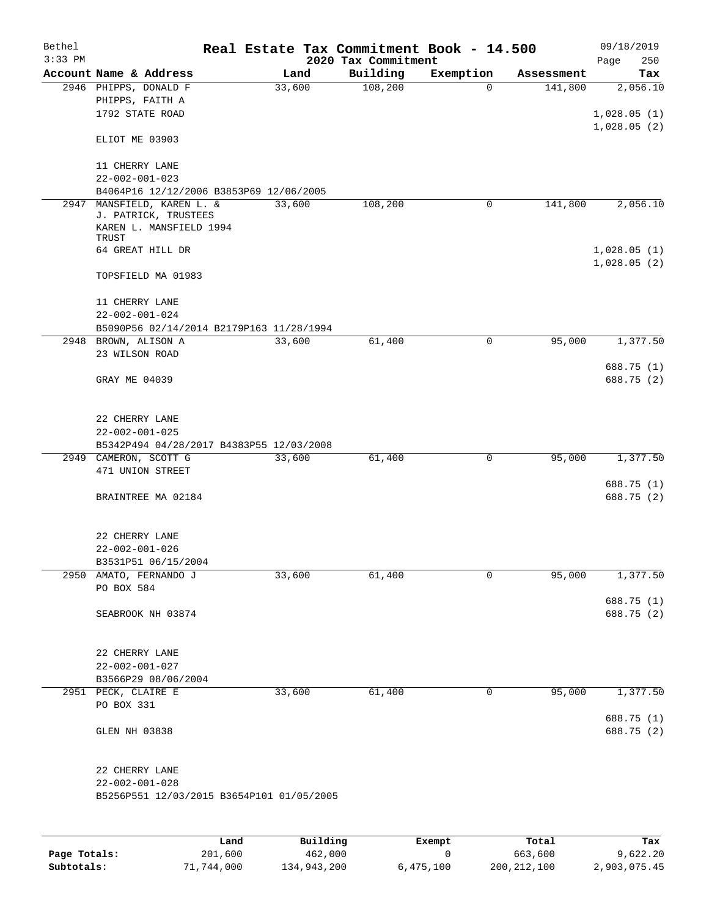| Bethel<br>$3:33$ PM |                                                                                       | Real Estate Tax Commitment Book - 14.500 | 2020 Tax Commitment |             |            | 09/18/2019<br>250<br>Page  |
|---------------------|---------------------------------------------------------------------------------------|------------------------------------------|---------------------|-------------|------------|----------------------------|
|                     | Account Name & Address                                                                | Land                                     | Building            | Exemption   | Assessment | Tax                        |
|                     | 2946 PHIPPS, DONALD F<br>PHIPPS, FAITH A<br>1792 STATE ROAD                           | 33,600                                   | 108,200             | $\Omega$    | 141,800    | 2,056.10<br>1,028.05(1)    |
|                     | ELIOT ME 03903                                                                        |                                          |                     |             |            | 1,028.05(2)                |
|                     | 11 CHERRY LANE<br>$22 - 002 - 001 - 023$                                              |                                          |                     |             |            |                            |
|                     | B4064P16 12/12/2006 B3853P69 12/06/2005                                               |                                          |                     |             |            |                            |
| 2947                | MANSFIELD, KAREN L. &<br>J. PATRICK, TRUSTEES<br>KAREN L. MANSFIELD 1994              | 33,600                                   | 108,200             | $\mathbf 0$ | 141,800    | 2,056.10                   |
|                     | TRUST                                                                                 |                                          |                     |             |            |                            |
|                     | 64 GREAT HILL DR                                                                      |                                          |                     |             |            | 1,028.05(1)<br>1,028.05(2) |
|                     | TOPSFIELD MA 01983                                                                    |                                          |                     |             |            |                            |
|                     | 11 CHERRY LANE                                                                        |                                          |                     |             |            |                            |
|                     | $22 - 002 - 001 - 024$                                                                |                                          |                     |             |            |                            |
|                     | B5090P56 02/14/2014 B2179P163 11/28/1994<br>2948 BROWN, ALISON A                      | 33,600                                   | 61,400              | 0           | 95,000     | 1,377.50                   |
|                     | 23 WILSON ROAD                                                                        |                                          |                     |             |            | 688.75 (1)                 |
|                     | GRAY ME 04039                                                                         |                                          |                     |             |            | 688.75 (2)                 |
|                     | 22 CHERRY LANE<br>$22 - 002 - 001 - 025$                                              |                                          |                     |             |            |                            |
|                     | B5342P494 04/28/2017 B4383P55 12/03/2008                                              |                                          |                     |             |            |                            |
|                     | 2949 CAMERON, SCOTT G<br>471 UNION STREET                                             | 33,600                                   | 61,400              | 0           | 95,000     | 1,377.50                   |
|                     | BRAINTREE MA 02184                                                                    |                                          |                     |             |            | 688.75 (1)<br>688.75 (2)   |
|                     | 22 CHERRY LANE<br>$22 - 002 - 001 - 026$<br>B3531P51 06/15/2004                       |                                          |                     |             |            |                            |
|                     | 2950 AMATO, FERNANDO J                                                                | 33,600                                   | 61,400              | 0           | 95,000     | 1,377.50                   |
|                     | PO BOX 584                                                                            |                                          |                     |             |            |                            |
|                     | SEABROOK NH 03874                                                                     |                                          |                     |             |            | 688.75 (1)<br>688.75 (2)   |
|                     | 22 CHERRY LANE<br>$22 - 002 - 001 - 027$<br>B3566P29 08/06/2004                       |                                          |                     |             |            |                            |
|                     | 2951 PECK, CLAIRE E                                                                   | 33,600                                   | 61,400              | 0           | 95,000     | 1,377.50                   |
|                     | PO BOX 331                                                                            |                                          |                     |             |            |                            |
|                     |                                                                                       |                                          |                     |             |            | 688.75 (1)                 |
|                     | GLEN NH 03838                                                                         |                                          |                     |             |            | 688.75 (2)                 |
|                     | 22 CHERRY LANE<br>$22 - 002 - 001 - 028$<br>B5256P551 12/03/2015 B3654P101 01/05/2005 |                                          |                     |             |            |                            |
|                     |                                                                                       |                                          |                     |             |            |                            |
|                     | Land.                                                                                 | P <sub>1</sub> 1111n <sub>0</sub>        |                     | $F$ vemnt   | $T$ otal   | To -                       |

|              | Land       | Building    | Exempt    | Total         | Tax          |
|--------------|------------|-------------|-----------|---------------|--------------|
| Page Totals: | 201,600    | 462,000     |           | 663,600       | 9,622.20     |
| Subtotals:   | 71,744,000 | 134,943,200 | 6,475,100 | 200, 212, 100 | 2,903,075.45 |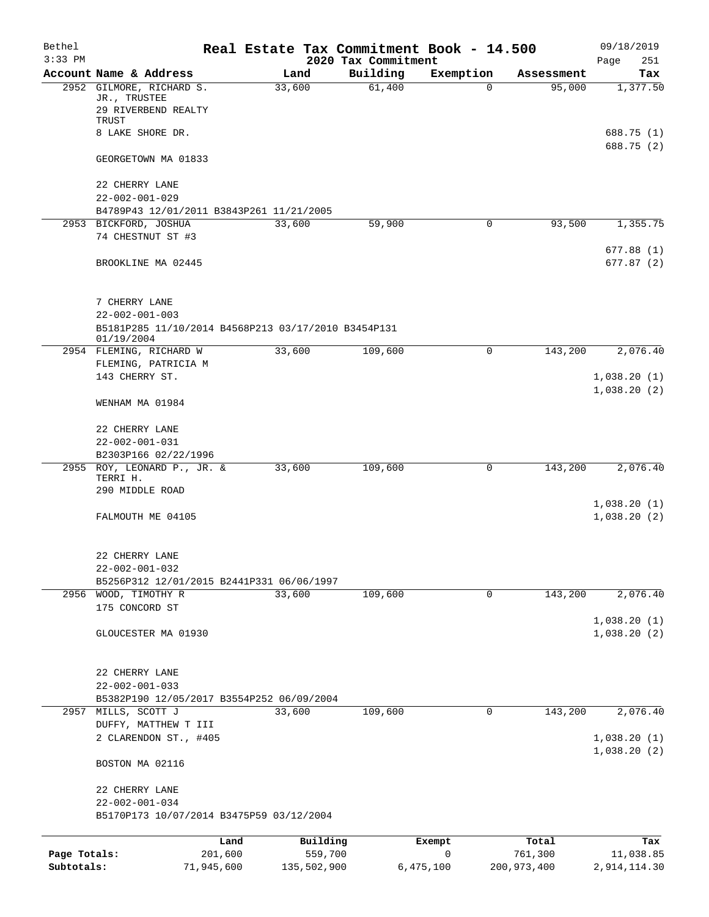| Bethel<br>$3:33$ PM |                                                                          |        |             | 2020 Tax Commitment | Real Estate Tax Commitment Book - 14.500 |               | 09/18/2019<br>Page<br>251  |
|---------------------|--------------------------------------------------------------------------|--------|-------------|---------------------|------------------------------------------|---------------|----------------------------|
|                     | Account Name & Address                                                   | Land   |             | Building            | Exemption                                | Assessment    | Tax                        |
|                     | 2952 GILMORE, RICHARD S.<br>JR., TRUSTEE<br>29 RIVERBEND REALTY<br>TRUST | 33,600 |             | 61,400              | 0                                        | 95,000        | 1,377.50                   |
|                     | 8 LAKE SHORE DR.                                                         |        |             |                     |                                          |               | 688.75 (1)<br>688.75 (2)   |
|                     | GEORGETOWN MA 01833                                                      |        |             |                     |                                          |               |                            |
|                     | 22 CHERRY LANE<br>$22 - 002 - 001 - 029$                                 |        |             |                     |                                          |               |                            |
|                     | B4789P43 12/01/2011 B3843P261 11/21/2005                                 | 33,600 |             | 59,900              |                                          | 93,500        |                            |
|                     | 2953 BICKFORD, JOSHUA<br>74 CHESTNUT ST #3                               |        |             |                     | 0                                        |               | 1,355.75<br>677.88(1)      |
|                     | BROOKLINE MA 02445                                                       |        |             |                     |                                          |               | 677.87(2)                  |
|                     | 7 CHERRY LANE                                                            |        |             |                     |                                          |               |                            |
|                     | $22 - 002 - 001 - 003$                                                   |        |             |                     |                                          |               |                            |
|                     | B5181P285 11/10/2014 B4568P213 03/17/2010 B3454P131<br>01/19/2004        |        |             |                     |                                          |               |                            |
|                     | 2954 FLEMING, RICHARD W                                                  | 33,600 |             | 109,600             | 0                                        | 143,200       | 2,076.40                   |
|                     | FLEMING, PATRICIA M                                                      |        |             |                     |                                          |               |                            |
|                     | 143 CHERRY ST.                                                           |        |             |                     |                                          |               | 1,038.20(1)<br>1,038.20(2) |
|                     | WENHAM MA 01984                                                          |        |             |                     |                                          |               |                            |
|                     | 22 CHERRY LANE                                                           |        |             |                     |                                          |               |                            |
|                     | $22 - 002 - 001 - 031$                                                   |        |             |                     |                                          |               |                            |
|                     | B2303P166 02/22/1996                                                     |        |             |                     |                                          |               |                            |
|                     | 2955 ROY, LEONARD P., JR. &<br>TERRI H.                                  | 33,600 |             | 109,600             | 0                                        | 143,200       | 2,076.40                   |
|                     | 290 MIDDLE ROAD                                                          |        |             |                     |                                          |               |                            |
|                     |                                                                          |        |             |                     |                                          |               | 1,038.20(1)                |
|                     | FALMOUTH ME 04105                                                        |        |             |                     |                                          |               | 1,038.20(2)                |
|                     | 22 CHERRY LANE                                                           |        |             |                     |                                          |               |                            |
|                     | $22 - 002 - 001 - 032$                                                   |        |             |                     |                                          |               |                            |
|                     | B5256P312 12/01/2015 B2441P331 06/06/1997                                |        |             |                     |                                          |               |                            |
|                     | 2956 WOOD, TIMOTHY R<br>175 CONCORD ST                                   | 33,600 |             | 109,600             | 0                                        | 143,200       | 2,076.40                   |
|                     |                                                                          |        |             |                     |                                          |               | 1,038.20(1)                |
|                     | GLOUCESTER MA 01930                                                      |        |             |                     |                                          |               | 1,038.20(2)                |
|                     | 22 CHERRY LANE                                                           |        |             |                     |                                          |               |                            |
|                     | $22 - 002 - 001 - 033$                                                   |        |             |                     |                                          |               |                            |
|                     | B5382P190 12/05/2017 B3554P252 06/09/2004                                |        |             |                     |                                          |               |                            |
|                     | 2957 MILLS, SCOTT J                                                      | 33,600 |             | 109,600             | 0                                        | 143,200       | 2,076.40                   |
|                     | DUFFY, MATTHEW T III                                                     |        |             |                     |                                          |               |                            |
|                     | 2 CLARENDON ST., #405                                                    |        |             |                     |                                          |               | 1,038.20(1)<br>1,038.20(2) |
|                     | BOSTON MA 02116                                                          |        |             |                     |                                          |               |                            |
|                     | 22 CHERRY LANE                                                           |        |             |                     |                                          |               |                            |
|                     | $22 - 002 - 001 - 034$<br>B5170P173 10/07/2014 B3475P59 03/12/2004       |        |             |                     |                                          |               |                            |
|                     |                                                                          | Land   | Building    |                     | Exempt                                   | Total         | Tax                        |
| Page Totals:        | 201,600                                                                  |        | 559,700     |                     | 0                                        | 761,300       | 11,038.85                  |
| Subtotals:          | 71,945,600                                                               |        | 135,502,900 |                     | 6,475,100                                | 200, 973, 400 | 2,914,114.30               |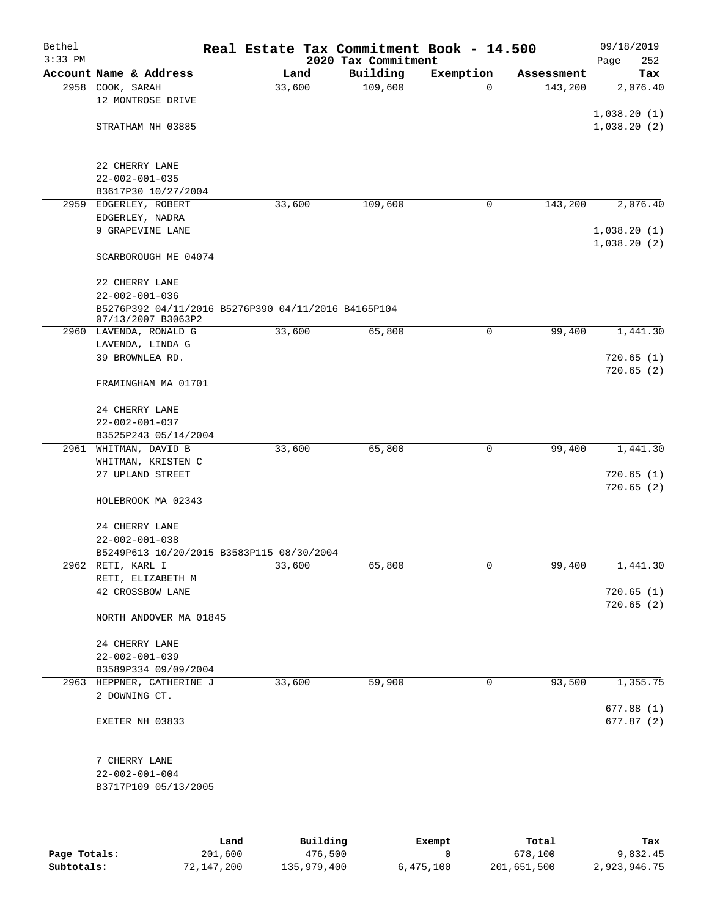| Account Name & Address<br>Building<br>Exemption<br>Land<br>Assessment<br>109,600<br>33,600<br>2958<br>COOK, SARAH<br>143,200<br>0<br>12 MONTROSE DRIVE<br>STRATHAM NH 03885<br>22 CHERRY LANE<br>$22 - 002 - 001 - 035$<br>B3617P30 10/27/2004<br>33,600<br>143,200<br>2959<br>EDGERLEY, ROBERT<br>109,600<br>0<br>EDGERLEY, NADRA<br>9 GRAPEVINE LANE<br>1,038.20(1)<br>1,038.20(2)<br>SCARBOROUGH ME 04074<br>22 CHERRY LANE<br>$22 - 002 - 001 - 036$<br>B5276P392 04/11/2016 B5276P390 04/11/2016 B4165P104<br>07/13/2007 B3063P2<br>33,600<br>65,800<br>0<br>99,400<br>2960 LAVENDA, RONALD G<br>LAVENDA, LINDA G<br>39 BROWNLEA RD.<br>720.65(1)<br>720.65(2)<br>FRAMINGHAM MA 01701<br>24 CHERRY LANE<br>$22 - 002 - 001 - 037$<br>B3525P243 05/14/2004<br>2961<br>WHITMAN, DAVID B<br>33,600<br>65,800<br>0<br>99,400<br>WHITMAN, KRISTEN C<br>27 UPLAND STREET<br>720.65(2)<br>HOLEBROOK MA 02343<br>24 CHERRY LANE<br>$22 - 002 - 001 - 038$<br>B5249P613 10/20/2015 B3583P115 08/30/2004<br>2962 RETI, KARL I<br>33,600<br>65,800<br>0<br>99,400<br>RETI, ELIZABETH M<br>42 CROSSBOW LANE<br>720.65(2)<br>NORTH ANDOVER MA 01845<br>24 CHERRY LANE<br>$22 - 002 - 001 - 039$<br>B3589P334 09/09/2004<br>93,500<br>1,355.75<br>2963 HEPPNER, CATHERINE J<br>33,600<br>59,900<br>0<br>2 DOWNING CT.<br>EXETER NH 03833<br>7 CHERRY LANE<br>$22 - 002 - 001 - 004$<br>B3717P109 05/13/2005<br><b>Duilding</b> | Bethel<br>$3:33$ PM | Real Estate Tax Commitment Book - 14.500 | 2020 Tax Commitment |  | 09/18/2019<br>Page<br>252  |
|-----------------------------------------------------------------------------------------------------------------------------------------------------------------------------------------------------------------------------------------------------------------------------------------------------------------------------------------------------------------------------------------------------------------------------------------------------------------------------------------------------------------------------------------------------------------------------------------------------------------------------------------------------------------------------------------------------------------------------------------------------------------------------------------------------------------------------------------------------------------------------------------------------------------------------------------------------------------------------------------------------------------------------------------------------------------------------------------------------------------------------------------------------------------------------------------------------------------------------------------------------------------------------------------------------------------------------------------------------------------------------------------------------------------------|---------------------|------------------------------------------|---------------------|--|----------------------------|
|                                                                                                                                                                                                                                                                                                                                                                                                                                                                                                                                                                                                                                                                                                                                                                                                                                                                                                                                                                                                                                                                                                                                                                                                                                                                                                                                                                                                                       |                     |                                          |                     |  | Tax                        |
|                                                                                                                                                                                                                                                                                                                                                                                                                                                                                                                                                                                                                                                                                                                                                                                                                                                                                                                                                                                                                                                                                                                                                                                                                                                                                                                                                                                                                       |                     |                                          |                     |  | 2,076.40                   |
|                                                                                                                                                                                                                                                                                                                                                                                                                                                                                                                                                                                                                                                                                                                                                                                                                                                                                                                                                                                                                                                                                                                                                                                                                                                                                                                                                                                                                       |                     |                                          |                     |  | 1,038.20(1)<br>1,038.20(2) |
|                                                                                                                                                                                                                                                                                                                                                                                                                                                                                                                                                                                                                                                                                                                                                                                                                                                                                                                                                                                                                                                                                                                                                                                                                                                                                                                                                                                                                       |                     |                                          |                     |  |                            |
|                                                                                                                                                                                                                                                                                                                                                                                                                                                                                                                                                                                                                                                                                                                                                                                                                                                                                                                                                                                                                                                                                                                                                                                                                                                                                                                                                                                                                       |                     |                                          |                     |  |                            |
|                                                                                                                                                                                                                                                                                                                                                                                                                                                                                                                                                                                                                                                                                                                                                                                                                                                                                                                                                                                                                                                                                                                                                                                                                                                                                                                                                                                                                       |                     |                                          |                     |  | 2,076.40                   |
|                                                                                                                                                                                                                                                                                                                                                                                                                                                                                                                                                                                                                                                                                                                                                                                                                                                                                                                                                                                                                                                                                                                                                                                                                                                                                                                                                                                                                       |                     |                                          |                     |  |                            |
|                                                                                                                                                                                                                                                                                                                                                                                                                                                                                                                                                                                                                                                                                                                                                                                                                                                                                                                                                                                                                                                                                                                                                                                                                                                                                                                                                                                                                       |                     |                                          |                     |  |                            |
|                                                                                                                                                                                                                                                                                                                                                                                                                                                                                                                                                                                                                                                                                                                                                                                                                                                                                                                                                                                                                                                                                                                                                                                                                                                                                                                                                                                                                       |                     |                                          |                     |  |                            |
|                                                                                                                                                                                                                                                                                                                                                                                                                                                                                                                                                                                                                                                                                                                                                                                                                                                                                                                                                                                                                                                                                                                                                                                                                                                                                                                                                                                                                       |                     |                                          |                     |  |                            |
|                                                                                                                                                                                                                                                                                                                                                                                                                                                                                                                                                                                                                                                                                                                                                                                                                                                                                                                                                                                                                                                                                                                                                                                                                                                                                                                                                                                                                       |                     |                                          |                     |  |                            |
|                                                                                                                                                                                                                                                                                                                                                                                                                                                                                                                                                                                                                                                                                                                                                                                                                                                                                                                                                                                                                                                                                                                                                                                                                                                                                                                                                                                                                       |                     |                                          |                     |  | 1,441.30                   |
|                                                                                                                                                                                                                                                                                                                                                                                                                                                                                                                                                                                                                                                                                                                                                                                                                                                                                                                                                                                                                                                                                                                                                                                                                                                                                                                                                                                                                       |                     |                                          |                     |  |                            |
|                                                                                                                                                                                                                                                                                                                                                                                                                                                                                                                                                                                                                                                                                                                                                                                                                                                                                                                                                                                                                                                                                                                                                                                                                                                                                                                                                                                                                       |                     |                                          |                     |  |                            |
|                                                                                                                                                                                                                                                                                                                                                                                                                                                                                                                                                                                                                                                                                                                                                                                                                                                                                                                                                                                                                                                                                                                                                                                                                                                                                                                                                                                                                       |                     |                                          |                     |  |                            |
|                                                                                                                                                                                                                                                                                                                                                                                                                                                                                                                                                                                                                                                                                                                                                                                                                                                                                                                                                                                                                                                                                                                                                                                                                                                                                                                                                                                                                       |                     |                                          |                     |  |                            |
|                                                                                                                                                                                                                                                                                                                                                                                                                                                                                                                                                                                                                                                                                                                                                                                                                                                                                                                                                                                                                                                                                                                                                                                                                                                                                                                                                                                                                       |                     |                                          |                     |  |                            |
|                                                                                                                                                                                                                                                                                                                                                                                                                                                                                                                                                                                                                                                                                                                                                                                                                                                                                                                                                                                                                                                                                                                                                                                                                                                                                                                                                                                                                       |                     |                                          |                     |  |                            |
|                                                                                                                                                                                                                                                                                                                                                                                                                                                                                                                                                                                                                                                                                                                                                                                                                                                                                                                                                                                                                                                                                                                                                                                                                                                                                                                                                                                                                       |                     |                                          |                     |  | 1,441.30                   |
|                                                                                                                                                                                                                                                                                                                                                                                                                                                                                                                                                                                                                                                                                                                                                                                                                                                                                                                                                                                                                                                                                                                                                                                                                                                                                                                                                                                                                       |                     |                                          |                     |  |                            |
|                                                                                                                                                                                                                                                                                                                                                                                                                                                                                                                                                                                                                                                                                                                                                                                                                                                                                                                                                                                                                                                                                                                                                                                                                                                                                                                                                                                                                       |                     |                                          |                     |  | 720.65(1)                  |
|                                                                                                                                                                                                                                                                                                                                                                                                                                                                                                                                                                                                                                                                                                                                                                                                                                                                                                                                                                                                                                                                                                                                                                                                                                                                                                                                                                                                                       |                     |                                          |                     |  |                            |
|                                                                                                                                                                                                                                                                                                                                                                                                                                                                                                                                                                                                                                                                                                                                                                                                                                                                                                                                                                                                                                                                                                                                                                                                                                                                                                                                                                                                                       |                     |                                          |                     |  |                            |
|                                                                                                                                                                                                                                                                                                                                                                                                                                                                                                                                                                                                                                                                                                                                                                                                                                                                                                                                                                                                                                                                                                                                                                                                                                                                                                                                                                                                                       |                     |                                          |                     |  |                            |
|                                                                                                                                                                                                                                                                                                                                                                                                                                                                                                                                                                                                                                                                                                                                                                                                                                                                                                                                                                                                                                                                                                                                                                                                                                                                                                                                                                                                                       |                     |                                          |                     |  | 1,441.30                   |
|                                                                                                                                                                                                                                                                                                                                                                                                                                                                                                                                                                                                                                                                                                                                                                                                                                                                                                                                                                                                                                                                                                                                                                                                                                                                                                                                                                                                                       |                     |                                          |                     |  |                            |
|                                                                                                                                                                                                                                                                                                                                                                                                                                                                                                                                                                                                                                                                                                                                                                                                                                                                                                                                                                                                                                                                                                                                                                                                                                                                                                                                                                                                                       |                     |                                          |                     |  | 720.65(1)                  |
|                                                                                                                                                                                                                                                                                                                                                                                                                                                                                                                                                                                                                                                                                                                                                                                                                                                                                                                                                                                                                                                                                                                                                                                                                                                                                                                                                                                                                       |                     |                                          |                     |  |                            |
|                                                                                                                                                                                                                                                                                                                                                                                                                                                                                                                                                                                                                                                                                                                                                                                                                                                                                                                                                                                                                                                                                                                                                                                                                                                                                                                                                                                                                       |                     |                                          |                     |  |                            |
|                                                                                                                                                                                                                                                                                                                                                                                                                                                                                                                                                                                                                                                                                                                                                                                                                                                                                                                                                                                                                                                                                                                                                                                                                                                                                                                                                                                                                       |                     |                                          |                     |  |                            |
|                                                                                                                                                                                                                                                                                                                                                                                                                                                                                                                                                                                                                                                                                                                                                                                                                                                                                                                                                                                                                                                                                                                                                                                                                                                                                                                                                                                                                       |                     |                                          |                     |  |                            |
|                                                                                                                                                                                                                                                                                                                                                                                                                                                                                                                                                                                                                                                                                                                                                                                                                                                                                                                                                                                                                                                                                                                                                                                                                                                                                                                                                                                                                       |                     |                                          |                     |  | 677.88(1)                  |
|                                                                                                                                                                                                                                                                                                                                                                                                                                                                                                                                                                                                                                                                                                                                                                                                                                                                                                                                                                                                                                                                                                                                                                                                                                                                                                                                                                                                                       |                     |                                          |                     |  | 677.87(2)                  |
|                                                                                                                                                                                                                                                                                                                                                                                                                                                                                                                                                                                                                                                                                                                                                                                                                                                                                                                                                                                                                                                                                                                                                                                                                                                                                                                                                                                                                       |                     |                                          |                     |  |                            |
|                                                                                                                                                                                                                                                                                                                                                                                                                                                                                                                                                                                                                                                                                                                                                                                                                                                                                                                                                                                                                                                                                                                                                                                                                                                                                                                                                                                                                       |                     |                                          |                     |  |                            |
|                                                                                                                                                                                                                                                                                                                                                                                                                                                                                                                                                                                                                                                                                                                                                                                                                                                                                                                                                                                                                                                                                                                                                                                                                                                                                                                                                                                                                       |                     |                                          |                     |  |                            |
|                                                                                                                                                                                                                                                                                                                                                                                                                                                                                                                                                                                                                                                                                                                                                                                                                                                                                                                                                                                                                                                                                                                                                                                                                                                                                                                                                                                                                       |                     |                                          |                     |  |                            |
|                                                                                                                                                                                                                                                                                                                                                                                                                                                                                                                                                                                                                                                                                                                                                                                                                                                                                                                                                                                                                                                                                                                                                                                                                                                                                                                                                                                                                       |                     |                                          |                     |  |                            |

|              | Land       | Building    | Exempt    | Total       | Tax          |
|--------------|------------|-------------|-----------|-------------|--------------|
| Page Totals: | 201,600    | 476,500     |           | 678,100     | 9,832.45     |
| Subtotals:   | 72,147,200 | 135,979,400 | 6,475,100 | 201,651,500 | 2,923,946.75 |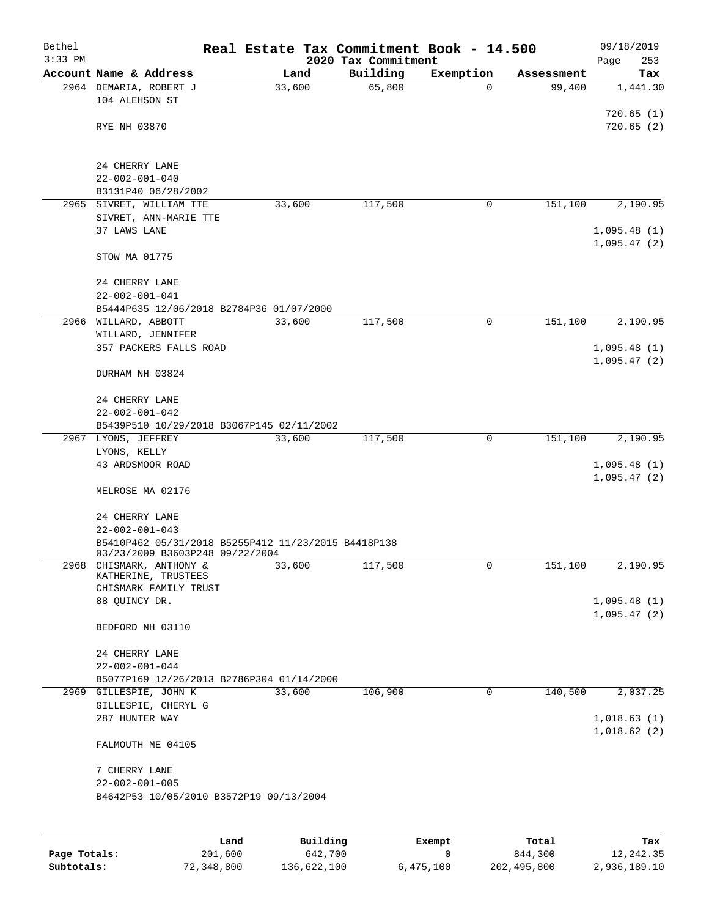| Bethel<br>$3:33$ PM |                                                                                        |        | 2020 Tax Commitment | Real Estate Tax Commitment Book - 14.500 |            | 09/18/2019<br>Page<br>253  |
|---------------------|----------------------------------------------------------------------------------------|--------|---------------------|------------------------------------------|------------|----------------------------|
|                     | Account Name & Address                                                                 | Land   | Building            | Exemption                                | Assessment | Tax                        |
|                     | 2964 DEMARIA, ROBERT J<br>104 ALEHSON ST                                               | 33,600 | 65,800              | $\Omega$                                 | 99,400     | 1,441.30                   |
|                     | RYE NH 03870                                                                           |        |                     |                                          |            | 720.65(1)<br>720.65(2)     |
|                     |                                                                                        |        |                     |                                          |            |                            |
|                     | 24 CHERRY LANE<br>$22 - 002 - 001 - 040$<br>B3131P40 06/28/2002                        |        |                     |                                          |            |                            |
| 2965                | SIVRET, WILLIAM TTE                                                                    | 33,600 | 117,500             | 0                                        | 151,100    | 2,190.95                   |
|                     | SIVRET, ANN-MARIE TTE                                                                  |        |                     |                                          |            |                            |
|                     | 37 LAWS LANE                                                                           |        |                     |                                          |            | 1,095.48(1)                |
|                     |                                                                                        |        |                     |                                          |            | 1,095.47(2)                |
|                     | STOW MA 01775                                                                          |        |                     |                                          |            |                            |
|                     | 24 CHERRY LANE                                                                         |        |                     |                                          |            |                            |
|                     | $22 - 002 - 001 - 041$                                                                 |        |                     |                                          |            |                            |
|                     | B5444P635 12/06/2018 B2784P36 01/07/2000                                               |        |                     |                                          |            |                            |
|                     | 2966 WILLARD, ABBOTT                                                                   | 33,600 | 117,500             | 0                                        | 151,100    | 2,190.95                   |
|                     | WILLARD, JENNIFER                                                                      |        |                     |                                          |            |                            |
|                     | 357 PACKERS FALLS ROAD                                                                 |        |                     |                                          |            | 1,095.48(1)                |
|                     | DURHAM NH 03824                                                                        |        |                     |                                          |            | 1,095.47(2)                |
|                     | 24 CHERRY LANE                                                                         |        |                     |                                          |            |                            |
|                     | $22 - 002 - 001 - 042$                                                                 |        |                     |                                          |            |                            |
|                     | B5439P510 10/29/2018 B3067P145 02/11/2002                                              |        |                     |                                          |            |                            |
|                     | 2967 LYONS, JEFFREY                                                                    | 33,600 | 117,500             | 0                                        | 151,100    | 2,190.95                   |
|                     | LYONS, KELLY                                                                           |        |                     |                                          |            |                            |
|                     | 43 ARDSMOOR ROAD                                                                       |        |                     |                                          |            | 1,095.48(1)<br>1,095.47(2) |
|                     | MELROSE MA 02176                                                                       |        |                     |                                          |            |                            |
|                     | 24 CHERRY LANE                                                                         |        |                     |                                          |            |                            |
|                     | $22 - 002 - 001 - 043$                                                                 |        |                     |                                          |            |                            |
|                     | B5410P462 05/31/2018 B5255P412 11/23/2015 B4418P138<br>03/23/2009 B3603P248 09/22/2004 |        |                     |                                          |            |                            |
|                     | 2968 CHISMARK, ANTHONY &<br>KATHERINE, TRUSTEES                                        | 33,600 | 117,500             | 0                                        | 151,100    | 2,190.95                   |
|                     | CHISMARK FAMILY TRUST                                                                  |        |                     |                                          |            |                            |
|                     | 88 QUINCY DR.                                                                          |        |                     |                                          |            | 1,095.48(1)                |
|                     |                                                                                        |        |                     |                                          |            | 1,095.47(2)                |
|                     | BEDFORD NH 03110                                                                       |        |                     |                                          |            |                            |
|                     | 24 CHERRY LANE                                                                         |        |                     |                                          |            |                            |
|                     | $22 - 002 - 001 - 044$                                                                 |        |                     |                                          |            |                            |
|                     | B5077P169 12/26/2013 B2786P304 01/14/2000                                              |        |                     |                                          |            |                            |
|                     | 2969 GILLESPIE, JOHN K                                                                 | 33,600 | 106,900             | $\mathbf 0$                              | 140,500    | 2,037.25                   |
|                     | GILLESPIE, CHERYL G                                                                    |        |                     |                                          |            |                            |
|                     | 287 HUNTER WAY                                                                         |        |                     |                                          |            | 1,018.63(1)                |
|                     | FALMOUTH ME 04105                                                                      |        |                     |                                          |            | 1,018.62(2)                |
|                     | 7 CHERRY LANE                                                                          |        |                     |                                          |            |                            |
|                     | $22 - 002 - 001 - 005$                                                                 |        |                     |                                          |            |                            |
|                     | B4642P53 10/05/2010 B3572P19 09/13/2004                                                |        |                     |                                          |            |                            |
|                     |                                                                                        |        |                     |                                          |            |                            |
|                     |                                                                                        |        |                     |                                          |            |                            |
|                     |                                                                                        |        |                     |                                          |            |                            |

|              | Land       | Building    | Exempt    | Total       | Tax          |
|--------------|------------|-------------|-----------|-------------|--------------|
| Page Totals: | 201,600    | 642,700     |           | 844,300     | 12,242.35    |
| Subtotals:   | 72,348,800 | 136,622,100 | 6,475,100 | 202,495,800 | 2,936,189.10 |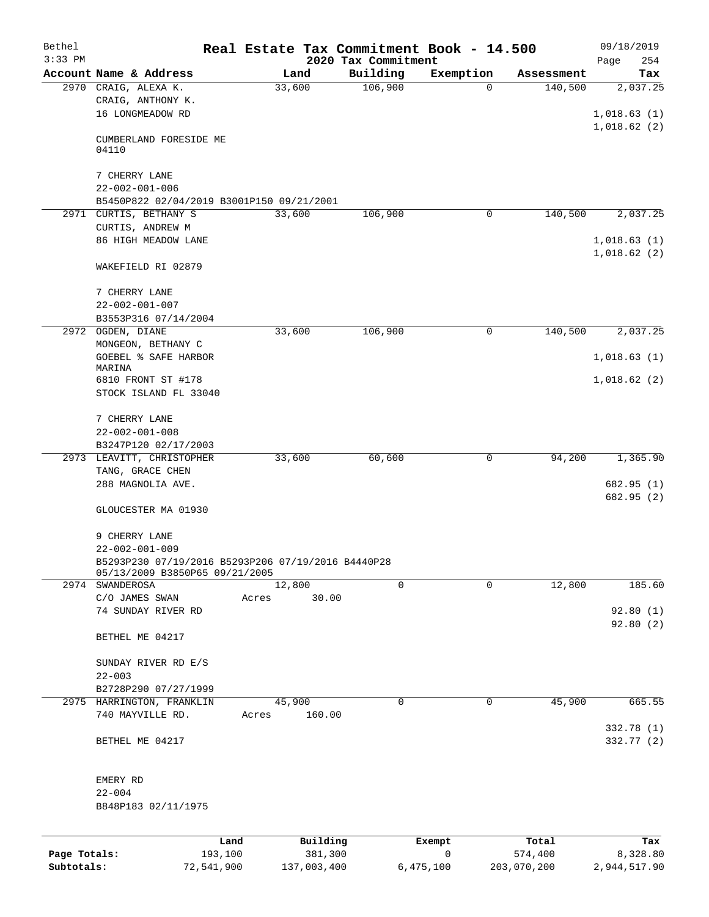| Bethel       |                                                    |       |          |                                 | Real Estate Tax Commitment Book - 14.500 |            | 09/18/2019         |
|--------------|----------------------------------------------------|-------|----------|---------------------------------|------------------------------------------|------------|--------------------|
| $3:33$ PM    | Account Name & Address                             |       | Land     | 2020 Tax Commitment<br>Building | Exemption                                | Assessment | Page<br>254<br>Tax |
| 2970         | CRAIG, ALEXA K.                                    |       | 33,600   | 106,900                         | 0                                        | 140,500    | 2,037.25           |
|              | CRAIG, ANTHONY K.                                  |       |          |                                 |                                          |            |                    |
|              | 16 LONGMEADOW RD                                   |       |          |                                 |                                          |            | 1,018.63(1)        |
|              |                                                    |       |          |                                 |                                          |            | 1,018.62(2)        |
|              | CUMBERLAND FORESIDE ME                             |       |          |                                 |                                          |            |                    |
|              | 04110                                              |       |          |                                 |                                          |            |                    |
|              | 7 CHERRY LANE                                      |       |          |                                 |                                          |            |                    |
|              | $22 - 002 - 001 - 006$                             |       |          |                                 |                                          |            |                    |
|              | B5450P822 02/04/2019 B3001P150 09/21/2001          |       |          |                                 |                                          |            |                    |
|              | 2971 CURTIS, BETHANY S                             |       | 33,600   | 106,900                         | 0                                        | 140,500    | 2,037.25           |
|              | CURTIS, ANDREW M                                   |       |          |                                 |                                          |            |                    |
|              | 86 HIGH MEADOW LANE                                |       |          |                                 |                                          |            | 1,018.63(1)        |
|              |                                                    |       |          |                                 |                                          |            | 1,018.62(2)        |
|              | WAKEFIELD RI 02879                                 |       |          |                                 |                                          |            |                    |
|              |                                                    |       |          |                                 |                                          |            |                    |
|              | 7 CHERRY LANE                                      |       |          |                                 |                                          |            |                    |
|              | $22 - 002 - 001 - 007$                             |       |          |                                 |                                          |            |                    |
|              | B3553P316 07/14/2004                               |       |          |                                 |                                          |            |                    |
| 2972         | OGDEN, DIANE                                       |       | 33,600   | 106,900                         | 0                                        | 140,500    | 2,037.25           |
|              | MONGEON, BETHANY C                                 |       |          |                                 |                                          |            |                    |
|              | <b>GOEBEL % SAFE HARBOR</b><br>MARINA              |       |          |                                 |                                          |            | 1,018.63(1)        |
|              | 6810 FRONT ST #178                                 |       |          |                                 |                                          |            | 1,018.62(2)        |
|              | STOCK ISLAND FL 33040                              |       |          |                                 |                                          |            |                    |
|              |                                                    |       |          |                                 |                                          |            |                    |
|              | 7 CHERRY LANE                                      |       |          |                                 |                                          |            |                    |
|              | $22 - 002 - 001 - 008$                             |       |          |                                 |                                          |            |                    |
|              | B3247P120 02/17/2003                               |       |          |                                 |                                          |            |                    |
|              | 2973 LEAVITT, CHRISTOPHER                          |       | 33,600   | 60,600                          | 0                                        | 94,200     | 1,365.90           |
|              | TANG, GRACE CHEN                                   |       |          |                                 |                                          |            |                    |
|              | 288 MAGNOLIA AVE.                                  |       |          |                                 |                                          |            | 682.95 (1)         |
|              |                                                    |       |          |                                 |                                          |            | 682.95 (2)         |
|              | GLOUCESTER MA 01930                                |       |          |                                 |                                          |            |                    |
|              | 9 CHERRY LANE                                      |       |          |                                 |                                          |            |                    |
|              | $22 - 002 - 001 - 009$                             |       |          |                                 |                                          |            |                    |
|              | B5293P230 07/19/2016 B5293P206 07/19/2016 B4440P28 |       |          |                                 |                                          |            |                    |
|              | 05/13/2009 B3850P65 09/21/2005                     |       |          |                                 |                                          |            |                    |
|              | 2974 SWANDEROSA                                    |       | 12,800   | $\Omega$                        | $\Omega$                                 | 12,800     | 185.60             |
|              | C/O JAMES SWAN                                     | Acres | 30.00    |                                 |                                          |            |                    |
|              | 74 SUNDAY RIVER RD                                 |       |          |                                 |                                          |            | 92.80(1)           |
|              |                                                    |       |          |                                 |                                          |            | 92.80(2)           |
|              | BETHEL ME 04217                                    |       |          |                                 |                                          |            |                    |
|              |                                                    |       |          |                                 |                                          |            |                    |
|              | SUNDAY RIVER RD E/S<br>$22 - 003$                  |       |          |                                 |                                          |            |                    |
|              | B2728P290 07/27/1999                               |       |          |                                 |                                          |            |                    |
|              | 2975 HARRINGTON, FRANKLIN                          |       | 45,900   | 0                               | 0                                        | 45,900     | 665.55             |
|              | 740 MAYVILLE RD.                                   | Acres | 160.00   |                                 |                                          |            |                    |
|              |                                                    |       |          |                                 |                                          |            | 332.78 (1)         |
|              | BETHEL ME 04217                                    |       |          |                                 |                                          |            | 332.77 (2)         |
|              |                                                    |       |          |                                 |                                          |            |                    |
|              |                                                    |       |          |                                 |                                          |            |                    |
|              | EMERY RD                                           |       |          |                                 |                                          |            |                    |
|              | $22 - 004$                                         |       |          |                                 |                                          |            |                    |
|              | B848P183 02/11/1975                                |       |          |                                 |                                          |            |                    |
|              |                                                    |       |          |                                 |                                          |            |                    |
|              |                                                    | Land  | Building |                                 | Exempt                                   | Total      | Tax                |
| Page Totals: | 193,100                                            |       | 381,300  |                                 | $\mathbf 0$                              | 574,400    | 8,328.80           |

**Subtotals:** 72,541,900 137,003,400 6,475,100 203,070,200 2,944,517.90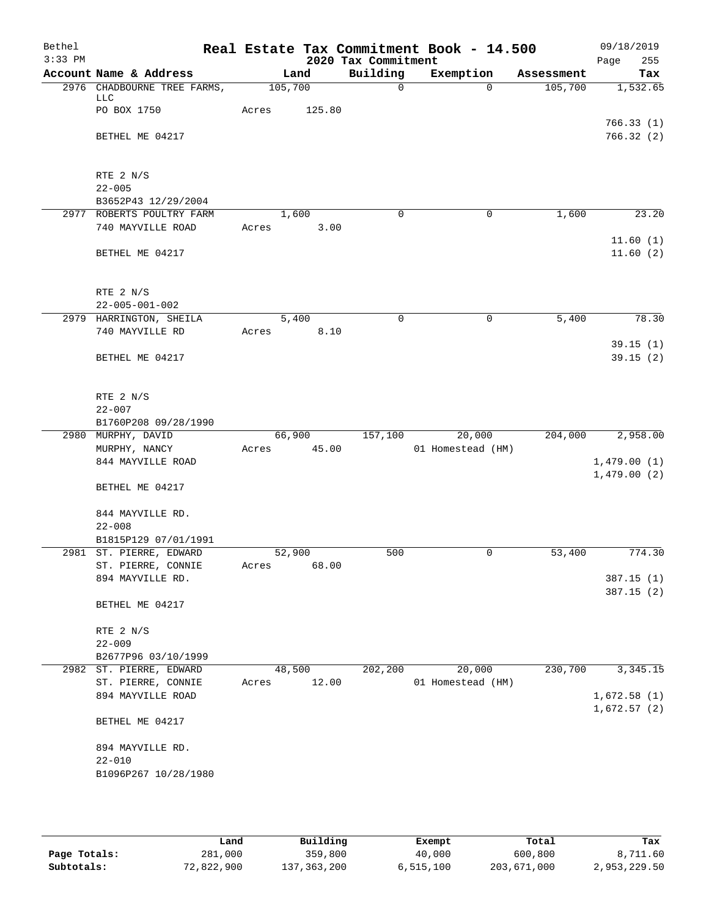| Bethel<br>$3:33$ PM |                                                 |         |        | 2020 Tax Commitment | Real Estate Tax Commitment Book - 14.500 |            | 09/18/2019<br>255<br>Page  |
|---------------------|-------------------------------------------------|---------|--------|---------------------|------------------------------------------|------------|----------------------------|
|                     | Account Name & Address                          |         | Land   | Building            | Exemption                                | Assessment | Tax                        |
|                     | 2976 CHADBOURNE TREE FARMS,<br>LLC              | 105,700 |        | $\mathsf{O}$        | $\Omega$                                 | 105,700    | 1,532.65                   |
|                     | PO BOX 1750                                     | Acres   | 125.80 |                     |                                          |            |                            |
|                     | BETHEL ME 04217                                 |         |        |                     |                                          |            | 766.33(1)<br>766.32(2)     |
|                     | RTE 2 N/S                                       |         |        |                     |                                          |            |                            |
|                     | $22 - 005$<br>B3652P43 12/29/2004               |         |        |                     |                                          |            |                            |
|                     | 2977 ROBERTS POULTRY FARM                       | 1,600   |        | $\Omega$            | 0                                        | 1,600      | 23.20                      |
|                     | 740 MAYVILLE ROAD                               | Acres   | 3.00   |                     |                                          |            | 11.60(1)                   |
|                     | BETHEL ME 04217                                 |         |        |                     |                                          |            | 11.60(2)                   |
|                     | RTE 2 N/S                                       |         |        |                     |                                          |            |                            |
|                     | $22 - 005 - 001 - 002$                          |         |        |                     |                                          |            |                            |
|                     | 2979 HARRINGTON, SHEILA                         |         | 5,400  | $\mathbf 0$         | $\mathbf 0$                              | 5,400      | 78.30                      |
|                     | 740 MAYVILLE RD                                 | Acres   | 8.10   |                     |                                          |            |                            |
|                     | BETHEL ME 04217                                 |         |        |                     |                                          |            | 39.15(1)<br>39.15(2)       |
|                     | RTE 2 N/S                                       |         |        |                     |                                          |            |                            |
|                     | $22 - 007$                                      |         |        |                     |                                          |            |                            |
|                     | B1760P208 09/28/1990                            |         |        |                     |                                          |            |                            |
|                     | 2980 MURPHY, DAVID                              | 66,900  |        | 157,100             | 20,000                                   | 204,000    | 2,958.00                   |
|                     | MURPHY, NANCY                                   | Acres   | 45.00  |                     | 01 Homestead (HM)                        |            |                            |
|                     | 844 MAYVILLE ROAD                               |         |        |                     |                                          |            | 1,479.00(1)                |
|                     | BETHEL ME 04217                                 |         |        |                     |                                          |            | 1,479.00(2)                |
|                     | 844 MAYVILLE RD.                                |         |        |                     |                                          |            |                            |
|                     | $22 - 008$                                      |         |        |                     |                                          |            |                            |
|                     | B1815P129 07/01/1991<br>2981 ST. PIERRE, EDWARD | 52,900  |        | 500                 | 0                                        | 53,400     | 774.30                     |
|                     | ST. PIERRE, CONNIE                              | Acres   | 68.00  |                     |                                          |            |                            |
|                     | 894 MAYVILLE RD.                                |         |        |                     |                                          |            | 387.15(1)                  |
|                     |                                                 |         |        |                     |                                          |            | 387.15(2)                  |
|                     | BETHEL ME 04217                                 |         |        |                     |                                          |            |                            |
|                     | RTE 2 N/S                                       |         |        |                     |                                          |            |                            |
|                     | $22 - 009$                                      |         |        |                     |                                          |            |                            |
|                     | B2677P96 03/10/1999                             |         |        |                     |                                          |            |                            |
| 2982                | ST. PIERRE, EDWARD                              | 48,500  |        | 202,200             | 20,000                                   | 230,700    | 3, 345. 15                 |
|                     | ST. PIERRE, CONNIE                              | Acres   | 12.00  |                     | 01 Homestead (HM)                        |            |                            |
|                     | 894 MAYVILLE ROAD                               |         |        |                     |                                          |            | 1,672.58(1)<br>1,672.57(2) |
|                     | BETHEL ME 04217                                 |         |        |                     |                                          |            |                            |
|                     | 894 MAYVILLE RD.                                |         |        |                     |                                          |            |                            |
|                     | $22 - 010$<br>B1096P267 10/28/1980              |         |        |                     |                                          |            |                            |
|                     |                                                 |         |        |                     |                                          |            |                            |

|              | Land       | Building      | Exempt    | Total       | Tax          |
|--------------|------------|---------------|-----------|-------------|--------------|
| Page Totals: | 281,000    | 359,800       | 40,000    | 600,800     | 8,711.60     |
| Subtotals:   | 72,822,900 | 137, 363, 200 | 6.515.100 | 203,671,000 | 2,953,229.50 |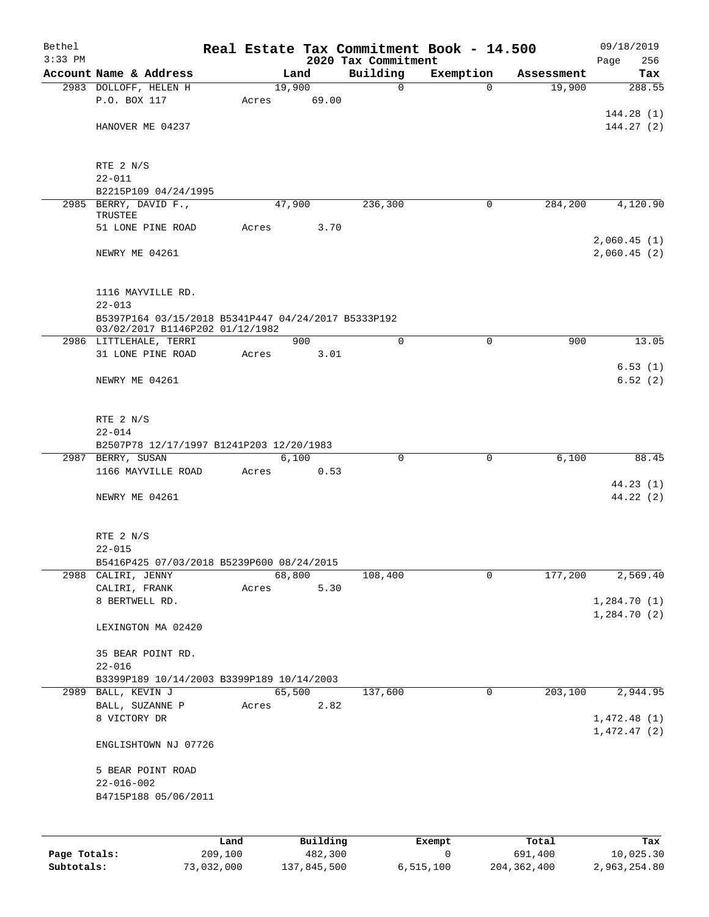| Bethel       |                                                                   |       |          |                                 | Real Estate Tax Commitment Book - 14.500 |            | 09/18/2019           |  |  |
|--------------|-------------------------------------------------------------------|-------|----------|---------------------------------|------------------------------------------|------------|----------------------|--|--|
| $3:33$ PM    | Account Name & Address                                            |       | Land     | 2020 Tax Commitment<br>Building | Exemption                                | Assessment | 256<br>Page<br>Tax   |  |  |
|              | 2983 DOLLOFF, HELEN H                                             |       | 19,900   | $\mathsf{O}$                    | $\Omega$                                 | 19,900     | 288.55               |  |  |
|              | P.O. BOX 117                                                      | Acres | 69.00    |                                 |                                          |            |                      |  |  |
|              |                                                                   |       |          |                                 |                                          |            | 144.28(1)            |  |  |
|              | HANOVER ME 04237                                                  |       |          |                                 |                                          |            | 144.27(2)            |  |  |
|              |                                                                   |       |          |                                 |                                          |            |                      |  |  |
|              | RTE 2 N/S                                                         |       |          |                                 |                                          |            |                      |  |  |
|              | $22 - 011$                                                        |       |          |                                 |                                          |            |                      |  |  |
|              | B2215P109 04/24/1995                                              |       |          |                                 |                                          |            |                      |  |  |
|              | 2985 BERRY, DAVID F.,                                             |       | 47,900   | 236,300                         | 0                                        | 284,200    | 4,120.90             |  |  |
|              | TRUSTEE<br>51 LONE PINE ROAD                                      | Acres | 3.70     |                                 |                                          |            |                      |  |  |
|              |                                                                   |       |          |                                 |                                          |            | 2,060.45(1)          |  |  |
|              | NEWRY ME 04261                                                    |       |          |                                 |                                          |            | 2,060.45(2)          |  |  |
|              |                                                                   |       |          |                                 |                                          |            |                      |  |  |
|              |                                                                   |       |          |                                 |                                          |            |                      |  |  |
|              | 1116 MAYVILLE RD.                                                 |       |          |                                 |                                          |            |                      |  |  |
|              | $22 - 013$<br>B5397P164 03/15/2018 B5341P447 04/24/2017 B5333P192 |       |          |                                 |                                          |            |                      |  |  |
|              | 03/02/2017 B1146P202 01/12/1982                                   |       |          |                                 |                                          |            |                      |  |  |
|              | 2986 LITTLEHALE, TERRI                                            |       | 900      | $\Omega$                        | $\Omega$                                 | 900        | 13.05                |  |  |
|              | 31 LONE PINE ROAD                                                 | Acres | 3.01     |                                 |                                          |            |                      |  |  |
|              |                                                                   |       |          |                                 |                                          |            | 6.53(1)              |  |  |
|              | NEWRY ME 04261                                                    |       |          |                                 |                                          |            | 6.52(2)              |  |  |
|              |                                                                   |       |          |                                 |                                          |            |                      |  |  |
|              | RTE 2 N/S                                                         |       |          |                                 |                                          |            |                      |  |  |
|              | $22 - 014$                                                        |       |          |                                 |                                          |            |                      |  |  |
|              | B2507P78 12/17/1997 B1241P203 12/20/1983                          |       |          |                                 |                                          |            |                      |  |  |
|              | 2987 BERRY, SUSAN                                                 |       | 6,100    | $\mathbf 0$                     | 0                                        | 6,100      | 88.45                |  |  |
|              | 1166 MAYVILLE ROAD                                                | Acres | 0.53     |                                 |                                          |            |                      |  |  |
|              | NEWRY ME 04261                                                    |       |          |                                 |                                          |            | 44.23(1)<br>44.22(2) |  |  |
|              |                                                                   |       |          |                                 |                                          |            |                      |  |  |
|              |                                                                   |       |          |                                 |                                          |            |                      |  |  |
|              | RTE 2 N/S                                                         |       |          |                                 |                                          |            |                      |  |  |
|              | $22 - 015$                                                        |       |          |                                 |                                          |            |                      |  |  |
|              | B5416P425 07/03/2018 B5239P600 08/24/2015                         |       | 68,800   |                                 | 0                                        |            | 2,569.40             |  |  |
|              | 2988 CALIRI, JENNY<br>CALIRI, FRANK                               | Acres | 5.30     | 108,400                         |                                          | 177,200    |                      |  |  |
|              | 8 BERTWELL RD.                                                    |       |          |                                 |                                          |            | 1,284.70(1)          |  |  |
|              |                                                                   |       |          |                                 |                                          |            | 1,284.70(2)          |  |  |
|              | LEXINGTON MA 02420                                                |       |          |                                 |                                          |            |                      |  |  |
|              |                                                                   |       |          |                                 |                                          |            |                      |  |  |
|              | 35 BEAR POINT RD.<br>$22 - 016$                                   |       |          |                                 |                                          |            |                      |  |  |
|              | B3399P189 10/14/2003 B3399P189 10/14/2003                         |       |          |                                 |                                          |            |                      |  |  |
|              | 2989 BALL, KEVIN J                                                |       | 65,500   | 137,600                         | 0                                        | 203,100    | 2,944.95             |  |  |
|              | BALL, SUZANNE P                                                   | Acres | 2.82     |                                 |                                          |            |                      |  |  |
|              | 8 VICTORY DR                                                      |       |          |                                 |                                          |            | 1,472.48(1)          |  |  |
|              |                                                                   |       |          |                                 |                                          |            | 1,472.47(2)          |  |  |
|              | ENGLISHTOWN NJ 07726                                              |       |          |                                 |                                          |            |                      |  |  |
|              | 5 BEAR POINT ROAD                                                 |       |          |                                 |                                          |            |                      |  |  |
|              | $22 - 016 - 002$                                                  |       |          |                                 |                                          |            |                      |  |  |
|              | B4715P188 05/06/2011                                              |       |          |                                 |                                          |            |                      |  |  |
|              |                                                                   |       |          |                                 |                                          |            |                      |  |  |
|              |                                                                   |       |          |                                 |                                          |            |                      |  |  |
|              |                                                                   | Land  | Building |                                 | Exempt                                   | Total      | Tax                  |  |  |
| Page Totals: | 209,100                                                           |       | 482,300  |                                 | 0                                        | 691,400    | 10,025.30            |  |  |

**Subtotals:** 73,032,000 137,845,500 6,515,100 204,362,400 2,963,254.80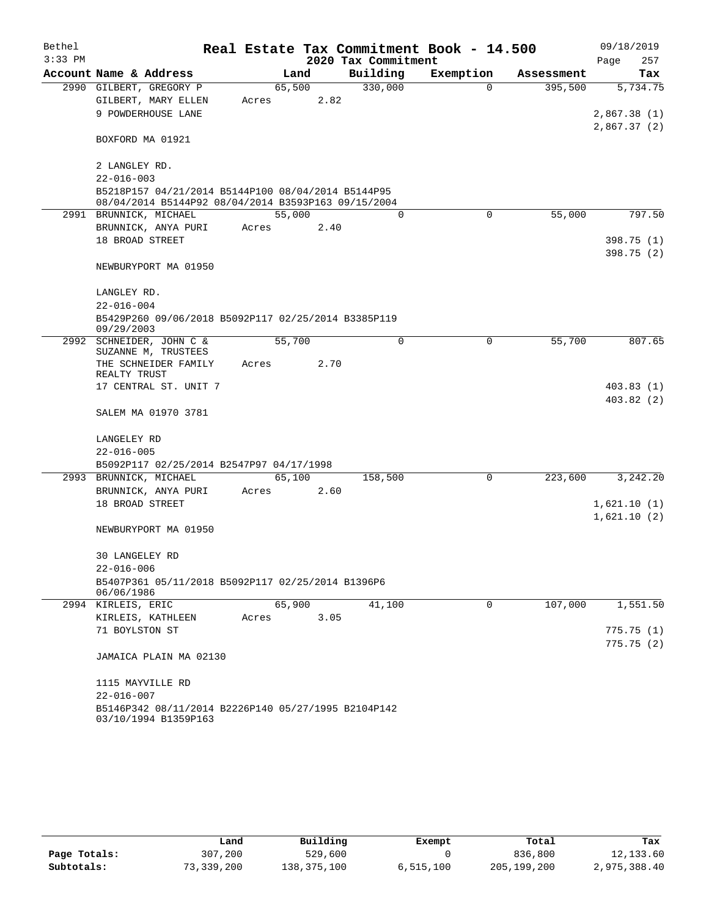| Bethel    |                                                                                                           |        |      |                     | Real Estate Tax Commitment Book - 14.500 |            | 09/18/2019                 |
|-----------|-----------------------------------------------------------------------------------------------------------|--------|------|---------------------|------------------------------------------|------------|----------------------------|
| $3:33$ PM |                                                                                                           |        |      | 2020 Tax Commitment |                                          |            | Page<br>257                |
|           | Account Name & Address                                                                                    |        | Land | Building            | Exemption                                | Assessment | Tax                        |
|           | 2990 GILBERT, GREGORY P                                                                                   | 65,500 |      | 330,000             | $\Omega$                                 | 395,500    | 5,734.75                   |
|           | GILBERT, MARY ELLEN                                                                                       | Acres  | 2.82 |                     |                                          |            |                            |
|           | 9 POWDERHOUSE LANE                                                                                        |        |      |                     |                                          |            | 2,867.38(1)<br>2,867.37(2) |
|           | BOXFORD MA 01921                                                                                          |        |      |                     |                                          |            |                            |
|           | 2 LANGLEY RD.                                                                                             |        |      |                     |                                          |            |                            |
|           | $22 - 016 - 003$                                                                                          |        |      |                     |                                          |            |                            |
|           | B5218P157 04/21/2014 B5144P100 08/04/2014 B5144P95<br>08/04/2014 B5144P92 08/04/2014 B3593P163 09/15/2004 |        |      |                     |                                          |            |                            |
|           | 2991 BRUNNICK, MICHAEL                                                                                    | 55,000 |      | $\Omega$            | $\Omega$                                 | 55,000     | 797.50                     |
|           | BRUNNICK, ANYA PURI                                                                                       | Acres  | 2.40 |                     |                                          |            |                            |
|           | 18 BROAD STREET                                                                                           |        |      |                     |                                          |            | 398.75 (1)                 |
|           |                                                                                                           |        |      |                     |                                          |            | 398.75 (2)                 |
|           | NEWBURYPORT MA 01950                                                                                      |        |      |                     |                                          |            |                            |
|           | LANGLEY RD.                                                                                               |        |      |                     |                                          |            |                            |
|           | $22 - 016 - 004$                                                                                          |        |      |                     |                                          |            |                            |
|           | B5429P260 09/06/2018 B5092P117 02/25/2014 B3385P119<br>09/29/2003                                         |        |      |                     |                                          |            |                            |
|           | 2992 SCHNEIDER, JOHN C &                                                                                  | 55,700 |      | $\Omega$            | 0                                        | 55,700     | 807.65                     |
|           | SUZANNE M, TRUSTEES<br>THE SCHNEIDER FAMILY                                                               |        | 2.70 |                     |                                          |            |                            |
|           | REALTY TRUST                                                                                              | Acres  |      |                     |                                          |            |                            |
|           | 17 CENTRAL ST. UNIT 7                                                                                     |        |      |                     |                                          |            | 403.83(1)                  |
|           |                                                                                                           |        |      |                     |                                          |            | 403.82(2)                  |
|           | SALEM MA 01970 3781                                                                                       |        |      |                     |                                          |            |                            |
|           | LANGELEY RD                                                                                               |        |      |                     |                                          |            |                            |
|           | $22 - 016 - 005$                                                                                          |        |      |                     |                                          |            |                            |
|           | B5092P117 02/25/2014 B2547P97 04/17/1998                                                                  |        |      |                     |                                          |            |                            |
|           | 2993 BRUNNICK, MICHAEL                                                                                    | 65,100 |      | 158,500             | $\Omega$                                 | 223,600    | 3,242.20                   |
|           | BRUNNICK, ANYA PURI                                                                                       | Acres  | 2.60 |                     |                                          |            |                            |
|           | 18 BROAD STREET                                                                                           |        |      |                     |                                          |            | 1,621.10(1)                |
|           |                                                                                                           |        |      |                     |                                          |            | 1,621.10(2)                |
|           | NEWBURYPORT MA 01950                                                                                      |        |      |                     |                                          |            |                            |
|           | <b>30 LANGELEY RD</b>                                                                                     |        |      |                     |                                          |            |                            |
|           | $22 - 016 - 006$                                                                                          |        |      |                     |                                          |            |                            |
|           | B5407P361 05/11/2018 B5092P117 02/25/2014 B1396P6<br>06/06/1986                                           |        |      |                     |                                          |            |                            |
|           | 2994 KIRLEIS, ERIC                                                                                        | 65,900 |      | 41,100              | 0                                        | 107,000    | 1,551.50                   |
|           | KIRLEIS, KATHLEEN                                                                                         | Acres  | 3.05 |                     |                                          |            |                            |
|           | 71 BOYLSTON ST                                                                                            |        |      |                     |                                          |            | 775.75(1)                  |
|           | JAMAICA PLAIN MA 02130                                                                                    |        |      |                     |                                          |            | 775.75(2)                  |
|           |                                                                                                           |        |      |                     |                                          |            |                            |
|           | 1115 MAYVILLE RD                                                                                          |        |      |                     |                                          |            |                            |
|           | $22 - 016 - 007$                                                                                          |        |      |                     |                                          |            |                            |
|           | B5146P342 08/11/2014 B2226P140 05/27/1995 B2104P142<br>03/10/1994 B1359P163                               |        |      |                     |                                          |            |                            |

|              | Land       | Building    | Exempt    | Total       | Tax          |
|--------------|------------|-------------|-----------|-------------|--------------|
| Page Totals: | 307,200    | 529,600     |           | 836,800     | 12,133.60    |
| Subtotals:   | 73,339,200 | 138,375,100 | 6,515,100 | 205,199,200 | 2,975,388.40 |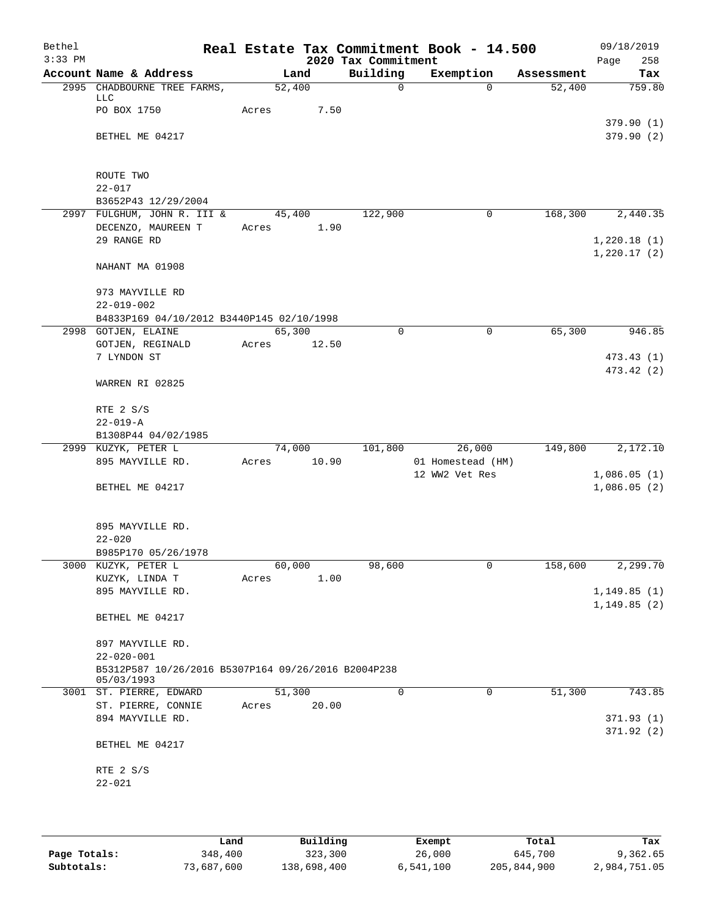| Bethel<br>$3:33$ PM |                                                               |       |        | 2020 Tax Commitment | Real Estate Tax Commitment Book - 14.500 |            | 09/18/2019<br>258<br>Page |
|---------------------|---------------------------------------------------------------|-------|--------|---------------------|------------------------------------------|------------|---------------------------|
|                     | Account Name & Address                                        |       | Land   | Building            | Exemption                                | Assessment | Tax                       |
|                     | 2995 CHADBOURNE TREE FARMS,                                   |       | 52,400 | $\mathbf 0$         | $\Omega$                                 | 52,400     | 759.80                    |
|                     | LLC                                                           |       |        |                     |                                          |            |                           |
|                     | PO BOX 1750                                                   | Acres | 7.50   |                     |                                          |            | 379.90(1)                 |
|                     | BETHEL ME 04217                                               |       |        |                     |                                          |            | 379.90(2)                 |
|                     |                                                               |       |        |                     |                                          |            |                           |
|                     |                                                               |       |        |                     |                                          |            |                           |
|                     | ROUTE TWO                                                     |       |        |                     |                                          |            |                           |
|                     | $22 - 017$                                                    |       |        |                     |                                          |            |                           |
|                     | B3652P43 12/29/2004<br>2997 FULGHUM, JOHN R. III &            |       | 45,400 | 122,900             | 0                                        | 168,300    | 2,440.35                  |
|                     | DECENZO, MAUREEN T                                            | Acres | 1.90   |                     |                                          |            |                           |
|                     | 29 RANGE RD                                                   |       |        |                     |                                          |            | 1,220.18(1)               |
|                     |                                                               |       |        |                     |                                          |            | 1,220.17(2)               |
|                     | NAHANT MA 01908                                               |       |        |                     |                                          |            |                           |
|                     |                                                               |       |        |                     |                                          |            |                           |
|                     | 973 MAYVILLE RD                                               |       |        |                     |                                          |            |                           |
|                     | $22 - 019 - 002$<br>B4833P169 04/10/2012 B3440P145 02/10/1998 |       |        |                     |                                          |            |                           |
|                     | 2998 GOTJEN, ELAINE                                           |       | 65,300 | 0                   | $\mathsf{O}$                             | 65,300     | 946.85                    |
|                     | GOTJEN, REGINALD                                              | Acres | 12.50  |                     |                                          |            |                           |
|                     | 7 LYNDON ST                                                   |       |        |                     |                                          |            | 473.43 (1)                |
|                     |                                                               |       |        |                     |                                          |            | 473.42 (2)                |
|                     | WARREN RI 02825                                               |       |        |                     |                                          |            |                           |
|                     |                                                               |       |        |                     |                                          |            |                           |
|                     | RTE 2 S/S<br>$22 - 019 - A$                                   |       |        |                     |                                          |            |                           |
|                     | B1308P44 04/02/1985                                           |       |        |                     |                                          |            |                           |
|                     | 2999 KUZYK, PETER L                                           |       | 74,000 | 101,800             | 26,000                                   | 149,800    | 2,172.10                  |
|                     | 895 MAYVILLE RD.                                              | Acres | 10.90  |                     | 01 Homestead (HM)                        |            |                           |
|                     |                                                               |       |        |                     | 12 WW2 Vet Res                           |            | 1,086.05(1)               |
|                     | BETHEL ME 04217                                               |       |        |                     |                                          |            | 1,086.05(2)               |
|                     |                                                               |       |        |                     |                                          |            |                           |
|                     | 895 MAYVILLE RD.                                              |       |        |                     |                                          |            |                           |
|                     | $22 - 020$                                                    |       |        |                     |                                          |            |                           |
|                     | B985P170 05/26/1978                                           |       |        |                     |                                          |            |                           |
|                     | 3000 KUZYK, PETER L                                           |       | 60,000 | 98,600              | 0                                        | 158,600    | 2,299.70                  |
|                     | KUZYK, LINDA T                                                | Acres | 1.00   |                     |                                          |            |                           |
|                     | 895 MAYVILLE RD.                                              |       |        |                     |                                          |            | 1,149.85(1)               |
|                     | BETHEL ME 04217                                               |       |        |                     |                                          |            | 1,149.85(2)               |
|                     |                                                               |       |        |                     |                                          |            |                           |
|                     | 897 MAYVILLE RD.                                              |       |        |                     |                                          |            |                           |
|                     | $22 - 020 - 001$                                              |       |        |                     |                                          |            |                           |
|                     | B5312P587 10/26/2016 B5307P164 09/26/2016 B2004P238           |       |        |                     |                                          |            |                           |
|                     | 05/03/1993<br>3001 ST. PIERRE, EDWARD                         |       | 51,300 | 0                   | 0                                        | 51,300     | 743.85                    |
|                     | ST. PIERRE, CONNIE                                            | Acres | 20.00  |                     |                                          |            |                           |
|                     | 894 MAYVILLE RD.                                              |       |        |                     |                                          |            | 371.93(1)                 |
|                     |                                                               |       |        |                     |                                          |            | 371.92 (2)                |
|                     | BETHEL ME 04217                                               |       |        |                     |                                          |            |                           |
|                     |                                                               |       |        |                     |                                          |            |                           |
|                     | RTE 2 S/S<br>$22 - 021$                                       |       |        |                     |                                          |            |                           |
|                     |                                                               |       |        |                     |                                          |            |                           |
|                     |                                                               |       |        |                     |                                          |            |                           |
|                     |                                                               |       |        |                     |                                          |            |                           |

|              | Land       | Building    | Exempt    | Total       | Tax          |
|--------------|------------|-------------|-----------|-------------|--------------|
| Page Totals: | 348,400    | 323,300     | 26,000    | 645,700     | 9,362.65     |
| Subtotals:   | 73,687,600 | 138,698,400 | 6,541,100 | 205,844,900 | 2,984,751.05 |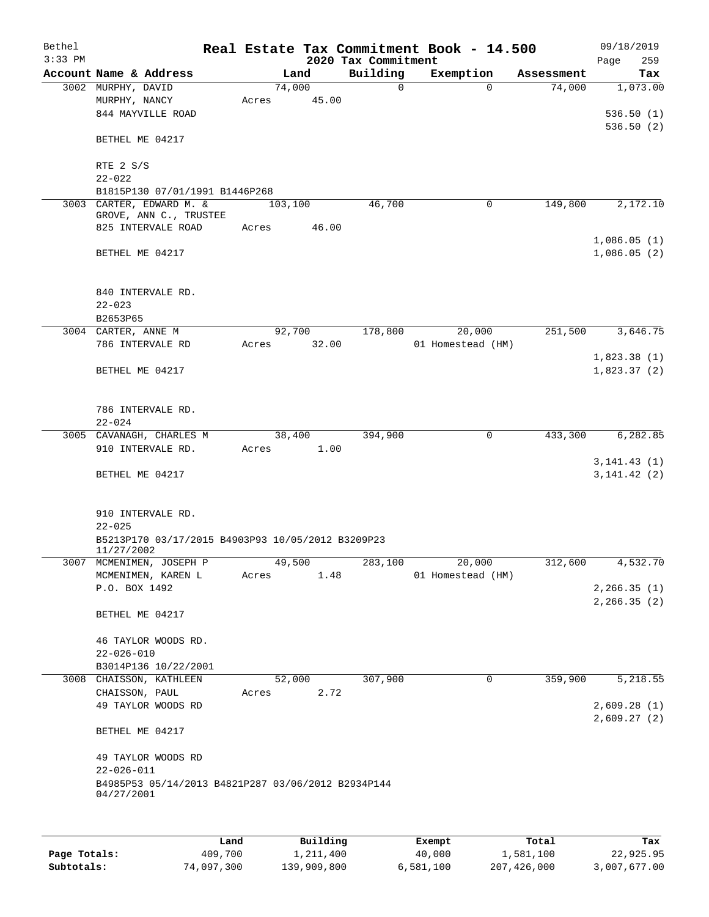| Bethel<br>$3:33$ PM |                                                                                      |       |         |             | 2020 Tax Commitment | Real Estate Tax Commitment Book - 14.500 |            | 09/18/2019<br>259<br>Page    |
|---------------------|--------------------------------------------------------------------------------------|-------|---------|-------------|---------------------|------------------------------------------|------------|------------------------------|
|                     | Account Name & Address                                                               |       | Land    |             | Building            | Exemption                                | Assessment | Tax                          |
|                     | 3002 MURPHY, DAVID<br>MURPHY, NANCY<br>844 MAYVILLE ROAD                             | Acres | 74,000  | 45.00       | 0                   | $\Omega$                                 | 74,000     | 1,073.00<br>536.50(1)        |
|                     | BETHEL ME 04217                                                                      |       |         |             |                     |                                          |            | 536.50(2)                    |
|                     | RTE 2 S/S<br>$22 - 022$                                                              |       |         |             |                     |                                          |            |                              |
|                     | B1815P130 07/01/1991 B1446P268                                                       |       |         |             |                     |                                          |            |                              |
|                     | 3003 CARTER, EDWARD M. &<br>GROVE, ANN C., TRUSTEE                                   |       | 103,100 |             | 46,700              | 0                                        | 149,800    | 2,172.10                     |
|                     | 825 INTERVALE ROAD                                                                   | Acres |         | 46.00       |                     |                                          |            | 1,086.05(1)                  |
|                     | BETHEL ME 04217                                                                      |       |         |             |                     |                                          |            | 1,086.05(2)                  |
|                     | 840 INTERVALE RD.<br>$22 - 023$                                                      |       |         |             |                     |                                          |            |                              |
|                     | B2653P65                                                                             |       |         |             |                     |                                          |            |                              |
|                     | 3004 CARTER, ANNE M                                                                  |       | 92,700  |             | 178,800             | 20,000                                   | 251,500    | 3,646.75                     |
|                     | 786 INTERVALE RD                                                                     |       |         | Acres 32.00 |                     | 01 Homestead (HM)                        |            | 1,823.38(1)                  |
|                     | BETHEL ME 04217                                                                      |       |         |             |                     |                                          |            | 1,823.37(2)                  |
|                     | 786 INTERVALE RD.<br>$22 - 024$                                                      |       |         |             |                     |                                          |            |                              |
|                     | 3005 CAVANAGH, CHARLES M                                                             |       | 38,400  |             | 394,900             | 0                                        | 433,300    | 6,282.85                     |
|                     | 910 INTERVALE RD.                                                                    | Acres |         | 1.00        |                     |                                          |            | 3, 141.43(1)                 |
|                     | BETHEL ME 04217                                                                      |       |         |             |                     |                                          |            | 3, 141.42(2)                 |
|                     | 910 INTERVALE RD.<br>$22 - 025$                                                      |       |         |             |                     |                                          |            |                              |
|                     | B5213P170 03/17/2015 B4903P93 10/05/2012 B3209P23<br>11/27/2002                      |       |         |             |                     |                                          |            |                              |
|                     | 3007 MCMENIMEN, JOSEPH P                                                             |       | 49,500  |             |                     | 283,100<br>20,000                        | 312,600    | 4,532.70                     |
|                     | MCMENIMEN, KAREN L                                                                   | Acres |         | 1.48        |                     | 01 Homestead (HM)                        |            |                              |
|                     | P.O. BOX 1492                                                                        |       |         |             |                     |                                          |            | 2, 266.35(1)<br>2, 266.35(2) |
|                     | BETHEL ME 04217                                                                      |       |         |             |                     |                                          |            |                              |
|                     | 46 TAYLOR WOODS RD.                                                                  |       |         |             |                     |                                          |            |                              |
|                     | $22 - 026 - 010$<br>B3014P136 10/22/2001                                             |       |         |             |                     |                                          |            |                              |
|                     | 3008 CHAISSON, KATHLEEN                                                              |       | 52,000  |             | 307,900             | 0                                        | 359,900    | 5,218.55                     |
|                     | CHAISSON, PAUL                                                                       | Acres |         | 2.72        |                     |                                          |            |                              |
|                     | 49 TAYLOR WOODS RD                                                                   |       |         |             |                     |                                          |            | 2,609.28(1)<br>2,609.27(2)   |
|                     | BETHEL ME 04217                                                                      |       |         |             |                     |                                          |            |                              |
|                     | 49 TAYLOR WOODS RD                                                                   |       |         |             |                     |                                          |            |                              |
|                     | $22 - 026 - 011$<br>B4985P53 05/14/2013 B4821P287 03/06/2012 B2934P144<br>04/27/2001 |       |         |             |                     |                                          |            |                              |
|                     |                                                                                      |       |         |             |                     |                                          |            |                              |
|                     |                                                                                      |       |         |             |                     |                                          |            |                              |

|              | Land       | Building    | Exempt    | Total       | Tax          |
|--------------|------------|-------------|-----------|-------------|--------------|
| Page Totals: | 409,700    | 1,211,400   | 40,000    | 1,581,100   | 22,925.95    |
| Subtotals:   | 74,097,300 | 139,909,800 | 6,581,100 | 207,426,000 | 3,007,677.00 |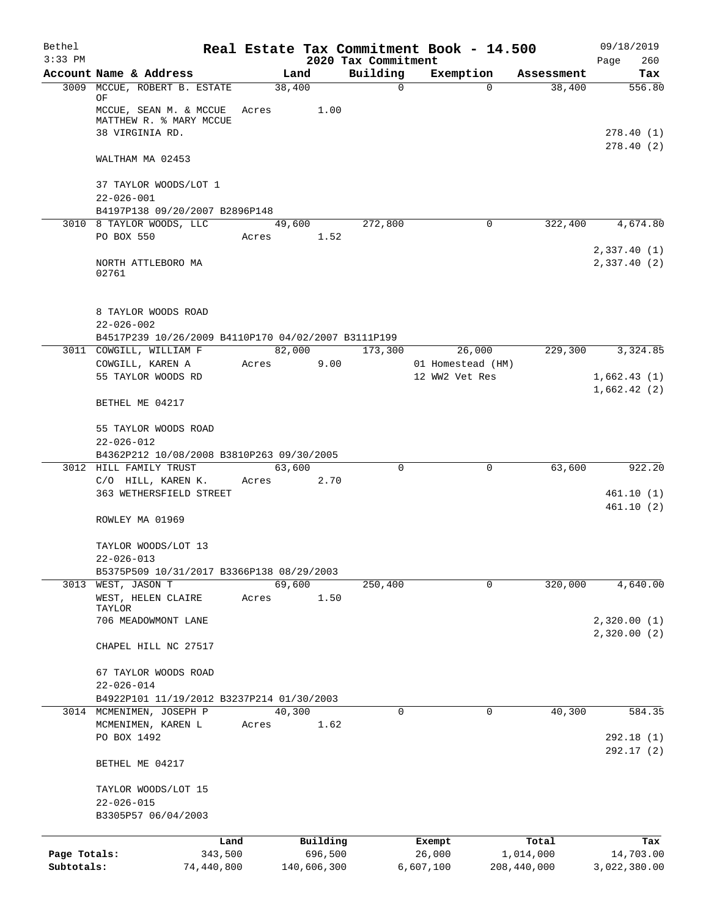| Bethel       |                                                            |       |                |             |                         | Real Estate Tax Commitment Book - 14.500 |                      | 09/18/2019                   |
|--------------|------------------------------------------------------------|-------|----------------|-------------|-------------------------|------------------------------------------|----------------------|------------------------------|
| $3:33$ PM    |                                                            |       |                |             | 2020 Tax Commitment     |                                          |                      | 260<br>Page                  |
|              | Account Name & Address<br>3009 MCCUE, ROBERT B. ESTATE     |       | Land<br>38,400 |             | Building<br>$\mathbf 0$ | Exemption<br>$\Omega$                    | Assessment<br>38,400 | Tax<br>556.80                |
|              | ΟF<br>MCCUE, SEAN M. & MCCUE<br>MATTHEW R. % MARY MCCUE    | Acres |                | 1.00        |                         |                                          |                      |                              |
|              | 38 VIRGINIA RD.                                            |       |                |             |                         |                                          |                      | 278.40(1)<br>278.40(2)       |
|              | WALTHAM MA 02453                                           |       |                |             |                         |                                          |                      |                              |
|              | 37 TAYLOR WOODS/LOT 1<br>$22 - 026 - 001$                  |       |                |             |                         |                                          |                      |                              |
|              | B4197P138 09/20/2007 B2896P148<br>3010 8 TAYLOR WOODS, LLC |       | 49,600         |             | 272,800                 | $\mathbf 0$                              | 322,400              | 4,674.80                     |
|              | PO BOX 550                                                 | Acres |                | 1.52        |                         |                                          |                      |                              |
|              | NORTH ATTLEBORO MA<br>02761                                |       |                |             |                         |                                          |                      | 2,337.40 (1)<br>2,337.40 (2) |
|              | 8 TAYLOR WOODS ROAD<br>$22 - 026 - 002$                    |       |                |             |                         |                                          |                      |                              |
|              | B4517P239 10/26/2009 B4110P170 04/02/2007 B3111P199        |       |                |             |                         |                                          |                      |                              |
|              | 3011 COWGILL, WILLIAM F                                    |       |                | 82,000      | 173,300                 | 26,000                                   | 229,300              | 3,324.85                     |
|              | COWGILL, KAREN A                                           | Acres |                | 9.00        |                         | 01 Homestead (HM)                        |                      |                              |
|              | 55 TAYLOR WOODS RD                                         |       |                |             |                         | 12 WW2 Vet Res                           |                      | 1,662.43(1)<br>1,662.42(2)   |
|              | BETHEL ME 04217                                            |       |                |             |                         |                                          |                      |                              |
|              | 55 TAYLOR WOODS ROAD<br>$22 - 026 - 012$                   |       |                |             |                         |                                          |                      |                              |
|              | B4362P212 10/08/2008 B3810P263 09/30/2005                  |       |                |             |                         |                                          |                      |                              |
|              | 3012 HILL FAMILY TRUST                                     |       | 63,600         |             | $\Omega$                | $\Omega$                                 | 63,600               | 922.20                       |
|              | C/O HILL, KAREN K.                                         | Acres |                | 2.70        |                         |                                          |                      |                              |
|              | 363 WETHERSFIELD STREET                                    |       |                |             |                         |                                          |                      | 461.10 (1)                   |
|              | ROWLEY MA 01969                                            |       |                |             |                         |                                          |                      | 461.10(2)                    |
|              | TAYLOR WOODS/LOT 13                                        |       |                |             |                         |                                          |                      |                              |
|              | $22 - 026 - 013$                                           |       |                |             |                         |                                          |                      |                              |
|              | B5375P509 10/31/2017 B3366P138 08/29/2003                  |       |                |             |                         |                                          |                      |                              |
|              | 3013 WEST, JASON T                                         |       | 69,600         |             | 250,400                 | $\mathbf 0$                              | 320,000              | 4,640.00                     |
|              | WEST, HELEN CLAIRE<br>TAYLOR                               | Acres |                | 1.50        |                         |                                          |                      |                              |
|              | 706 MEADOWMONT LANE                                        |       |                |             |                         |                                          |                      | 2,320.00(1)<br>2,320.00(2)   |
|              | CHAPEL HILL NC 27517                                       |       |                |             |                         |                                          |                      |                              |
|              | 67 TAYLOR WOODS ROAD                                       |       |                |             |                         |                                          |                      |                              |
|              | $22 - 026 - 014$                                           |       |                |             |                         |                                          |                      |                              |
|              | B4922P101 11/19/2012 B3237P214 01/30/2003                  |       |                |             |                         |                                          |                      |                              |
|              | 3014 MCMENIMEN, JOSEPH P<br>MCMENIMEN, KAREN L             | Acres | 40,300         | 1.62        | 0                       | $\mathbf 0$                              | 40,300               | 584.35                       |
|              | PO BOX 1492                                                |       |                |             |                         |                                          |                      | 292.18(1)                    |
|              | BETHEL ME 04217                                            |       |                |             |                         |                                          |                      | 292.17 (2)                   |
|              | TAYLOR WOODS/LOT 15                                        |       |                |             |                         |                                          |                      |                              |
|              | $22 - 026 - 015$<br>B3305P57 06/04/2003                    |       |                |             |                         |                                          |                      |                              |
|              |                                                            | Land  |                | Building    |                         | Exempt                                   | Total                | Tax                          |
| Page Totals: | 343,500                                                    |       |                | 696,500     |                         | 26,000                                   | 1,014,000            | 14,703.00                    |
| Subtotals:   | 74,440,800                                                 |       |                | 140,606,300 |                         | 6,607,100                                | 208,440,000          | 3,022,380.00                 |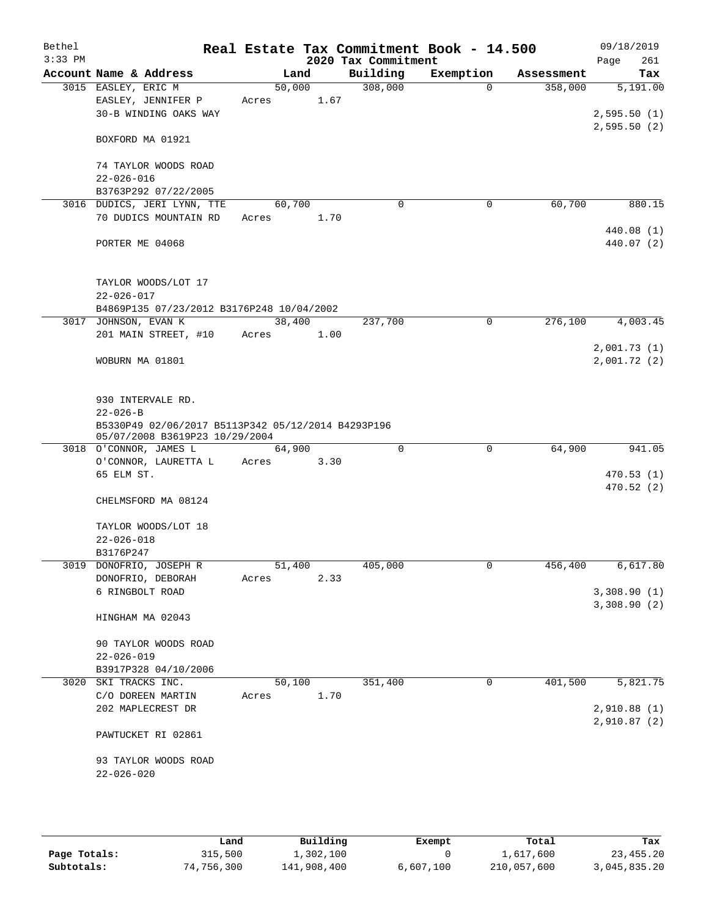| Bethel<br>$3:33$ PM |                                                                                      |        |      | 2020 Tax Commitment | Real Estate Tax Commitment Book - 14.500 |            | 09/18/2019<br>Page<br>261 |
|---------------------|--------------------------------------------------------------------------------------|--------|------|---------------------|------------------------------------------|------------|---------------------------|
|                     | Account Name & Address                                                               | Land   |      | Building            | Exemption                                | Assessment | Tax                       |
|                     | 3015 EASLEY, ERIC M                                                                  | 50,000 |      | 308,000             | $\mathbf{0}$                             | 358,000    | 5,191.00                  |
|                     | EASLEY, JENNIFER P                                                                   | Acres  | 1.67 |                     |                                          |            |                           |
|                     | 30-B WINDING OAKS WAY                                                                |        |      |                     |                                          |            | 2,595.50(1)               |
|                     |                                                                                      |        |      |                     |                                          |            | 2,595.50(2)               |
|                     | BOXFORD MA 01921                                                                     |        |      |                     |                                          |            |                           |
|                     | 74 TAYLOR WOODS ROAD                                                                 |        |      |                     |                                          |            |                           |
|                     | $22 - 026 - 016$                                                                     |        |      |                     |                                          |            |                           |
|                     | B3763P292 07/22/2005                                                                 |        |      |                     |                                          |            |                           |
|                     | 3016 DUDICS, JERI LYNN, TTE                                                          | 60,700 |      | 0                   | 0                                        | 60,700     | 880.15                    |
|                     | 70 DUDICS MOUNTAIN RD                                                                | Acres  | 1.70 |                     |                                          |            |                           |
|                     |                                                                                      |        |      |                     |                                          |            | 440.08 (1)                |
|                     | PORTER ME 04068                                                                      |        |      |                     |                                          |            | 440.07 (2)                |
|                     |                                                                                      |        |      |                     |                                          |            |                           |
|                     | TAYLOR WOODS/LOT 17                                                                  |        |      |                     |                                          |            |                           |
|                     | $22 - 026 - 017$                                                                     |        |      |                     |                                          |            |                           |
|                     | B4869P135 07/23/2012 B3176P248 10/04/2002                                            |        |      | 237,700             |                                          |            |                           |
|                     | 3017 JOHNSON, EVAN K                                                                 | 38,400 |      |                     | $\mathbf 0$                              | 276,100    | 4,003.45                  |
|                     | 201 MAIN STREET, #10                                                                 | Acres  | 1.00 |                     |                                          |            | 2,001.73(1)               |
|                     | WOBURN MA 01801                                                                      |        |      |                     |                                          |            | 2,001.72(2)               |
|                     |                                                                                      |        |      |                     |                                          |            |                           |
|                     | 930 INTERVALE RD.                                                                    |        |      |                     |                                          |            |                           |
|                     | $22 - 026 - B$                                                                       |        |      |                     |                                          |            |                           |
|                     | B5330P49 02/06/2017 B5113P342 05/12/2014 B4293P196<br>05/07/2008 B3619P23 10/29/2004 |        |      |                     |                                          |            |                           |
|                     | 3018 O'CONNOR, JAMES L                                                               | 64,900 |      | $\mathbf 0$         | $\mathbf 0$                              | 64,900     | 941.05                    |
|                     | O'CONNOR, LAURETTA L                                                                 | Acres  | 3.30 |                     |                                          |            |                           |
|                     | 65 ELM ST.                                                                           |        |      |                     |                                          |            | 470.53(1)                 |
|                     |                                                                                      |        |      |                     |                                          |            | 470.52(2)                 |
|                     | CHELMSFORD MA 08124                                                                  |        |      |                     |                                          |            |                           |
|                     | TAYLOR WOODS/LOT 18                                                                  |        |      |                     |                                          |            |                           |
|                     | $22 - 026 - 018$                                                                     |        |      |                     |                                          |            |                           |
|                     | B3176P247                                                                            |        |      |                     |                                          |            |                           |
|                     | 3019 DONOFRIO, JOSEPH R                                                              | 51,400 |      | 405,000             | 0                                        | 456,400    | 6,617.80                  |
|                     | DONOFRIO, DEBORAH                                                                    | Acres  | 2.33 |                     |                                          |            |                           |
|                     | 6 RINGBOLT ROAD                                                                      |        |      |                     |                                          |            | 3,308.90(1)               |
|                     | HINGHAM MA 02043                                                                     |        |      |                     |                                          |            | 3,308.90(2)               |
|                     |                                                                                      |        |      |                     |                                          |            |                           |
|                     | 90 TAYLOR WOODS ROAD                                                                 |        |      |                     |                                          |            |                           |
|                     | $22 - 026 - 019$                                                                     |        |      |                     |                                          |            |                           |
|                     | B3917P328 04/10/2006                                                                 |        |      |                     |                                          |            |                           |
|                     | 3020 SKI TRACKS INC.                                                                 | 50,100 |      | 351,400             | 0                                        | 401,500    | 5,821.75                  |
|                     | C/O DOREEN MARTIN                                                                    | Acres  | 1.70 |                     |                                          |            |                           |
|                     | 202 MAPLECREST DR                                                                    |        |      |                     |                                          |            | 2,910.88 (1)              |
|                     |                                                                                      |        |      |                     |                                          |            | 2,910.87(2)               |
|                     | PAWTUCKET RI 02861                                                                   |        |      |                     |                                          |            |                           |
|                     | 93 TAYLOR WOODS ROAD                                                                 |        |      |                     |                                          |            |                           |
|                     | $22 - 026 - 020$                                                                     |        |      |                     |                                          |            |                           |
|                     |                                                                                      |        |      |                     |                                          |            |                           |
|                     |                                                                                      |        |      |                     |                                          |            |                           |

|              | Land       | Building    | Exempt    | Total       | Tax          |
|--------------|------------|-------------|-----------|-------------|--------------|
| Page Totals: | 315,500    | 1,302,100   |           | 1,617,600   | 23,455.20    |
| Subtotals:   | 74,756,300 | 141,908,400 | 6,607,100 | 210,057,600 | 3,045,835.20 |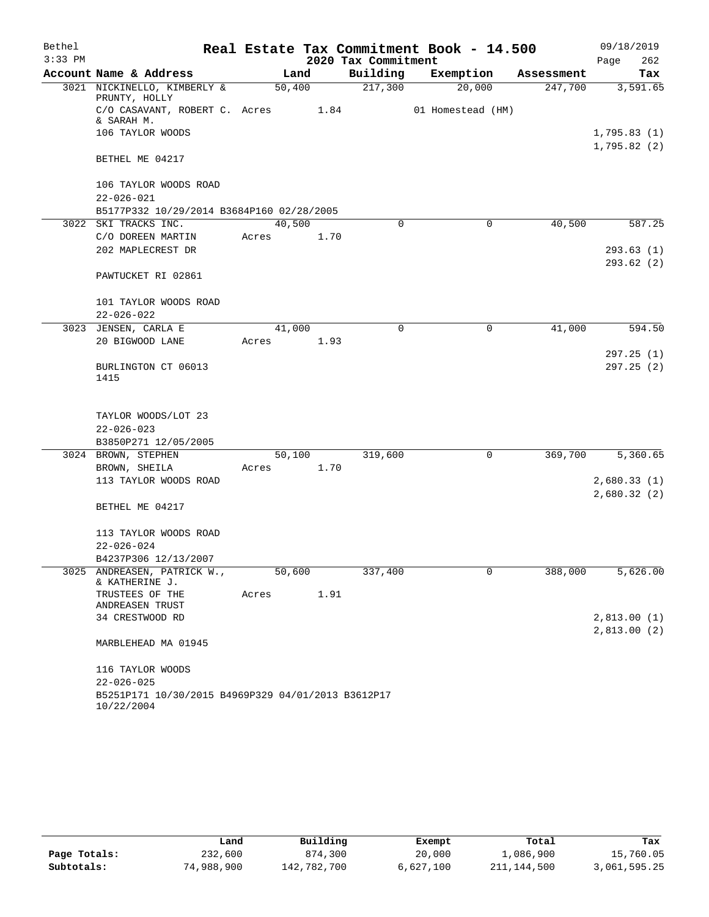| Bethel    |                                                                  |        |      |                     | Real Estate Tax Commitment Book - 14.500 |            | 09/18/2019             |
|-----------|------------------------------------------------------------------|--------|------|---------------------|------------------------------------------|------------|------------------------|
| $3:33$ PM |                                                                  |        |      | 2020 Tax Commitment |                                          |            | Page<br>262            |
|           | Account Name & Address                                           |        | Land | Building            | Exemption                                | Assessment | Tax                    |
|           | 3021 NICKINELLO, KIMBERLY &<br>PRUNTY, HOLLY                     | 50,400 |      | 217,300             | 20,000                                   | 247,700    | 3,591.65               |
|           | C/O CASAVANT, ROBERT C. Acres 1.84<br>& SARAH M.                 |        |      |                     | 01 Homestead (HM)                        |            |                        |
|           | 106 TAYLOR WOODS                                                 |        |      |                     |                                          |            | 1,795.83(1)            |
|           | BETHEL ME 04217                                                  |        |      |                     |                                          |            | 1,795.82(2)            |
|           | 106 TAYLOR WOODS ROAD                                            |        |      |                     |                                          |            |                        |
|           | $22 - 026 - 021$                                                 |        |      |                     |                                          |            |                        |
|           | B5177P332 10/29/2014 B3684P160 02/28/2005                        |        |      |                     |                                          |            |                        |
|           | 3022 SKI TRACKS INC.                                             | 40,500 |      | 0                   | $\mathbf 0$                              | 40,500     | 587.25                 |
|           | C/O DOREEN MARTIN                                                | Acres  | 1.70 |                     |                                          |            |                        |
|           | 202 MAPLECREST DR                                                |        |      |                     |                                          |            | 293.63(1)              |
|           |                                                                  |        |      |                     |                                          |            | 293.62(2)              |
|           | PAWTUCKET RI 02861                                               |        |      |                     |                                          |            |                        |
|           | 101 TAYLOR WOODS ROAD                                            |        |      |                     |                                          |            |                        |
|           | $22 - 026 - 022$                                                 |        |      |                     |                                          |            |                        |
|           | 3023 JENSEN, CARLA E                                             | 41,000 |      | $\Omega$            | 0                                        | 41,000     | 594.50                 |
|           | 20 BIGWOOD LANE                                                  | Acres  | 1.93 |                     |                                          |            |                        |
|           | BURLINGTON CT 06013<br>1415                                      |        |      |                     |                                          |            | 297.25(1)<br>297.25(2) |
|           | TAYLOR WOODS/LOT 23                                              |        |      |                     |                                          |            |                        |
|           | $22 - 026 - 023$                                                 |        |      |                     |                                          |            |                        |
|           | B3850P271 12/05/2005                                             |        |      |                     |                                          |            |                        |
|           | 3024 BROWN, STEPHEN                                              | 50,100 |      | 319,600             | 0                                        | 369,700    | 5,360.65               |
|           | BROWN, SHEILA                                                    | Acres  | 1.70 |                     |                                          |            |                        |
|           | 113 TAYLOR WOODS ROAD                                            |        |      |                     |                                          |            | 2,680.33(1)            |
|           |                                                                  |        |      |                     |                                          |            | 2,680.32(2)            |
|           | BETHEL ME 04217                                                  |        |      |                     |                                          |            |                        |
|           | 113 TAYLOR WOODS ROAD                                            |        |      |                     |                                          |            |                        |
|           | $22 - 026 - 024$                                                 |        |      |                     |                                          |            |                        |
|           | B4237P306 12/13/2007                                             |        |      |                     |                                          |            |                        |
| 3025      | ANDREASEN, PATRICK W.,<br>& KATHERINE J.                         | 50,600 |      | 337,400             | 0                                        | 388,000    | 5,626.00               |
|           | TRUSTEES OF THE<br>ANDREASEN TRUST                               | Acres  | 1.91 |                     |                                          |            |                        |
|           | 34 CRESTWOOD RD                                                  |        |      |                     |                                          |            | 2,813.00(1)            |
|           | MARBLEHEAD MA 01945                                              |        |      |                     |                                          |            | 2,813.00 (2)           |
|           |                                                                  |        |      |                     |                                          |            |                        |
|           | 116 TAYLOR WOODS                                                 |        |      |                     |                                          |            |                        |
|           | $22 - 026 - 025$                                                 |        |      |                     |                                          |            |                        |
|           | B5251P171 10/30/2015 B4969P329 04/01/2013 B3612P17<br>10/22/2004 |        |      |                     |                                          |            |                        |

|              | Land       | Building    | Exempt    | Total       | Tax          |
|--------------|------------|-------------|-----------|-------------|--------------|
| Page Totals: | 232,600    | 874,300     | 20,000    | 1,086,900   | 15,760.05    |
| Subtotals:   | 74,988,900 | 142,782,700 | 6,627,100 | 211,144,500 | 3,061,595.25 |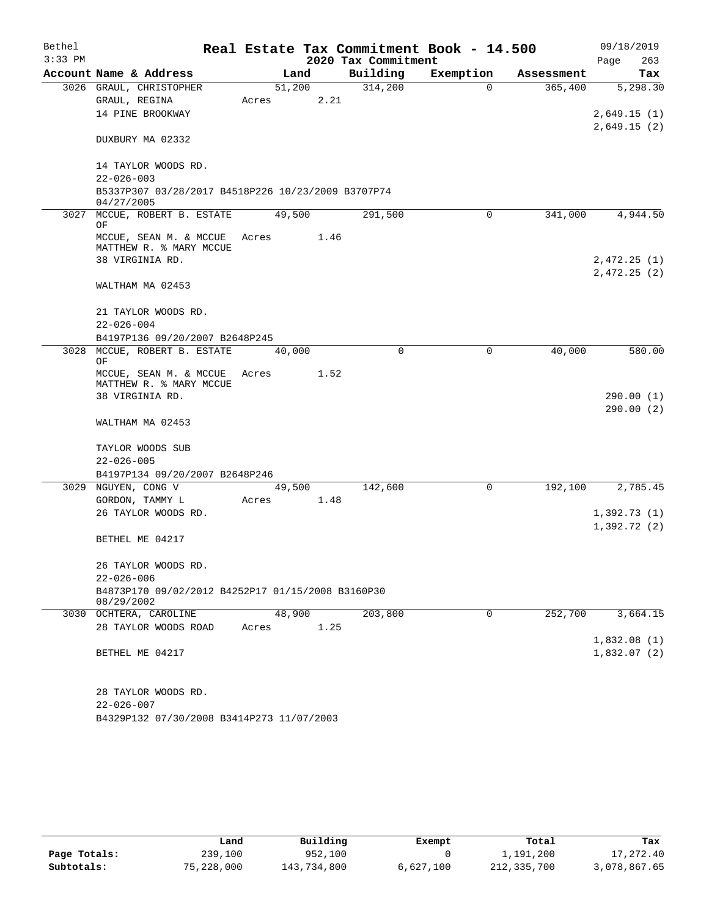| Bethel<br>$3:33$ PM |                                                                                                             |                 |      | 2020 Tax Commitment | Real Estate Tax Commitment Book - 14.500 |            | 09/18/2019<br>Page<br>263    |
|---------------------|-------------------------------------------------------------------------------------------------------------|-----------------|------|---------------------|------------------------------------------|------------|------------------------------|
|                     | Account Name & Address                                                                                      | Land            |      | Building            | Exemption                                | Assessment | Tax                          |
|                     | 3026 GRAUL, CHRISTOPHER<br>GRAUL, REGINA<br>14 PINE BROOKWAY                                                | 51,200<br>Acres | 2.21 | 314,200             | 0                                        | 365,400    | 5,298.30<br>2,649.15(1)      |
|                     | DUXBURY MA 02332                                                                                            |                 |      |                     |                                          |            | 2,649.15(2)                  |
|                     | 14 TAYLOR WOODS RD.<br>$22 - 026 - 003$<br>B5337P307 03/28/2017 B4518P226 10/23/2009 B3707P74<br>04/27/2005 |                 |      |                     |                                          |            |                              |
|                     | 3027 MCCUE, ROBERT B. ESTATE<br>ΟF                                                                          | 49,500          |      | 291,500             | 0                                        | 341,000    | 4,944.50                     |
|                     | MCCUE, SEAN M. & MCCUE<br>MATTHEW R. % MARY MCCUE<br>38 VIRGINIA RD.                                        | Acres           | 1.46 |                     |                                          |            | 2,472.25 (1)<br>2,472.25 (2) |
|                     | WALTHAM MA 02453                                                                                            |                 |      |                     |                                          |            |                              |
|                     | 21 TAYLOR WOODS RD.<br>$22 - 026 - 004$                                                                     |                 |      |                     |                                          |            |                              |
|                     | B4197P136 09/20/2007 B2648P245                                                                              |                 |      |                     |                                          |            |                              |
|                     | 3028 MCCUE, ROBERT B. ESTATE<br>ΟF<br>MCCUE, SEAN M. & MCCUE<br>MATTHEW R. % MARY MCCUE<br>38 VIRGINIA RD.  | 40,000<br>Acres | 1.52 | 0                   | 0                                        | 40,000     | 580.00<br>290.00 (1)         |
|                     | WALTHAM MA 02453                                                                                            |                 |      |                     |                                          |            | 290.00(2)                    |
|                     | TAYLOR WOODS SUB<br>$22 - 026 - 005$<br>B4197P134 09/20/2007 B2648P246                                      |                 |      |                     |                                          |            |                              |
|                     | 3029 NGUYEN, CONG V<br>GORDON, TAMMY L                                                                      | 49,500<br>Acres | 1.48 | 142,600             | 0                                        | 192,100    | 2,785.45                     |
|                     | 26 TAYLOR WOODS RD.<br>BETHEL ME 04217                                                                      |                 |      |                     |                                          |            | 1,392.73(1)<br>1,392.72(2)   |
|                     | 26 TAYLOR WOODS RD.<br>$22 - 026 - 006$<br>B4873P170 09/02/2012 B4252P17 01/15/2008 B3160P30<br>08/29/2002  |                 |      |                     |                                          |            |                              |
|                     | 3030 OCHTERA, CAROLINE                                                                                      | 48,900          |      | 203,800             | 0                                        | 252,700    | 3,664.15                     |
|                     | 28 TAYLOR WOODS ROAD<br>BETHEL ME 04217                                                                     | Acres           | 1.25 |                     |                                          |            | 1,832.08(1)<br>1,832.07(2)   |
|                     | 28 TAYLOR WOODS RD.<br>$22 - 026 - 007$<br>B4329P132 07/30/2008 B3414P273 11/07/2003                        |                 |      |                     |                                          |            |                              |

|              | Land       | Building    | Exempt    | Total       | Tax          |
|--------------|------------|-------------|-----------|-------------|--------------|
| Page Totals: | 239,100    | 952,100     |           | 1,191,200   | 17,272.40    |
| Subtotals:   | 75,228,000 | 143,734,800 | 6,627,100 | 212,335,700 | 3,078,867.65 |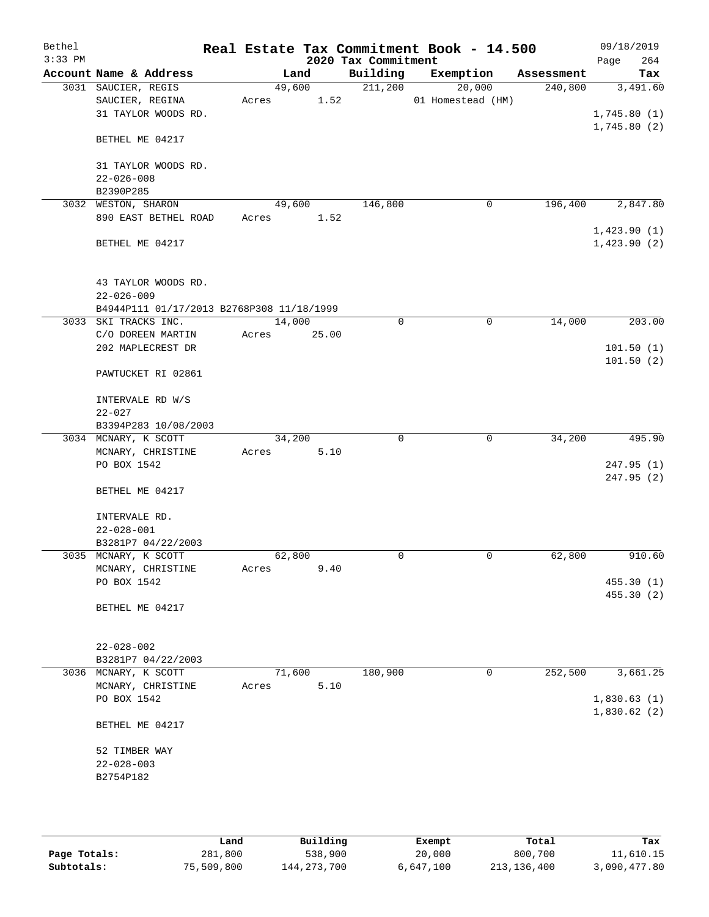| Bethel<br>$3:33$ PM |                                           | Real Estate Tax Commitment Book - 14.500 | 2020 Tax Commitment |                   |            | 09/18/2019<br>264<br>Page |
|---------------------|-------------------------------------------|------------------------------------------|---------------------|-------------------|------------|---------------------------|
|                     | Account Name & Address                    | Land                                     | Building            | Exemption         | Assessment | Tax                       |
|                     | 3031 SAUCIER, REGIS                       | 49,600                                   | 211,200             | 20,000            | 240,800    | 3,491.60                  |
|                     | SAUCIER, REGINA                           | 1.52<br>Acres                            |                     | 01 Homestead (HM) |            |                           |
|                     | 31 TAYLOR WOODS RD.                       |                                          |                     |                   |            | 1,745.80(1)               |
|                     | BETHEL ME 04217                           |                                          |                     |                   |            | 1,745.80(2)               |
|                     | 31 TAYLOR WOODS RD.                       |                                          |                     |                   |            |                           |
|                     | $22 - 026 - 008$                          |                                          |                     |                   |            |                           |
|                     | B2390P285                                 |                                          |                     |                   |            |                           |
|                     | 3032 WESTON, SHARON                       | 49,600                                   | 146,800             | 0                 | 196,400    | 2,847.80                  |
|                     | 890 EAST BETHEL ROAD                      | 1.52<br>Acres                            |                     |                   |            |                           |
|                     |                                           |                                          |                     |                   |            | 1,423.90(1)               |
|                     | BETHEL ME 04217                           |                                          |                     |                   |            | 1,423.90(2)               |
|                     | 43 TAYLOR WOODS RD.                       |                                          |                     |                   |            |                           |
|                     | $22 - 026 - 009$                          |                                          |                     |                   |            |                           |
|                     | B4944P111 01/17/2013 B2768P308 11/18/1999 |                                          |                     |                   |            |                           |
|                     | 3033 SKI TRACKS INC.                      | 14,000                                   | 0                   | 0                 | 14,000     | 203.00                    |
|                     | C/O DOREEN MARTIN                         | 25.00<br>Acres                           |                     |                   |            |                           |
|                     | 202 MAPLECREST DR                         |                                          |                     |                   |            | 101.50(1)                 |
|                     | PAWTUCKET RI 02861                        |                                          |                     |                   |            | 101.50(2)                 |
|                     |                                           |                                          |                     |                   |            |                           |
|                     | INTERVALE RD W/S                          |                                          |                     |                   |            |                           |
|                     | $22 - 027$                                |                                          |                     |                   |            |                           |
|                     | B3394P283 10/08/2003                      |                                          |                     |                   |            |                           |
|                     | 3034 MCNARY, K SCOTT                      | 34,200                                   | $\mathbf 0$         | $\mathbf 0$       | 34,200     | 495.90                    |
|                     | MCNARY, CHRISTINE                         | 5.10<br>Acres                            |                     |                   |            |                           |
|                     | PO BOX 1542                               |                                          |                     |                   |            | 247.95(1)                 |
|                     | BETHEL ME 04217                           |                                          |                     |                   |            | 247.95(2)                 |
|                     | INTERVALE RD.                             |                                          |                     |                   |            |                           |
|                     | $22 - 028 - 001$                          |                                          |                     |                   |            |                           |
|                     | B3281P7 04/22/2003                        |                                          |                     |                   |            |                           |
|                     | 3035 MCNARY, K SCOTT                      | 62,800                                   | 0                   | $\mathbf 0$       | 62,800     | 910.60                    |
|                     | MCNARY, CHRISTINE                         | 9.40<br>Acres                            |                     |                   |            |                           |
|                     | PO BOX 1542                               |                                          |                     |                   |            | 455.30(1)                 |
|                     |                                           |                                          |                     |                   |            | 455.30(2)                 |
|                     | BETHEL ME 04217                           |                                          |                     |                   |            |                           |
|                     | $22 - 028 - 002$                          |                                          |                     |                   |            |                           |
|                     | B3281P7 04/22/2003                        |                                          |                     |                   |            |                           |
|                     | 3036 MCNARY, K SCOTT                      | 71,600                                   | 180,900             | 0                 | 252,500    | 3,661.25                  |
|                     | MCNARY, CHRISTINE                         | 5.10<br>Acres                            |                     |                   |            |                           |
|                     | PO BOX 1542                               |                                          |                     |                   |            | 1,830.63(1)               |
|                     |                                           |                                          |                     |                   |            | 1,830.62(2)               |
|                     | BETHEL ME 04217                           |                                          |                     |                   |            |                           |
|                     | 52 TIMBER WAY                             |                                          |                     |                   |            |                           |
|                     | $22 - 028 - 003$                          |                                          |                     |                   |            |                           |
|                     | B2754P182                                 |                                          |                     |                   |            |                           |
|                     |                                           |                                          |                     |                   |            |                           |
|                     |                                           |                                          |                     |                   |            |                           |

|              | Land       | Building      | Exempt    | Total         | Tax          |
|--------------|------------|---------------|-----------|---------------|--------------|
| Page Totals: | 281,800    | 538,900       | 20,000    | 800,700       | 11,610.15    |
| Subtotals:   | 75,509,800 | 144, 273, 700 | 6,647,100 | 213, 136, 400 | 3,090,477.80 |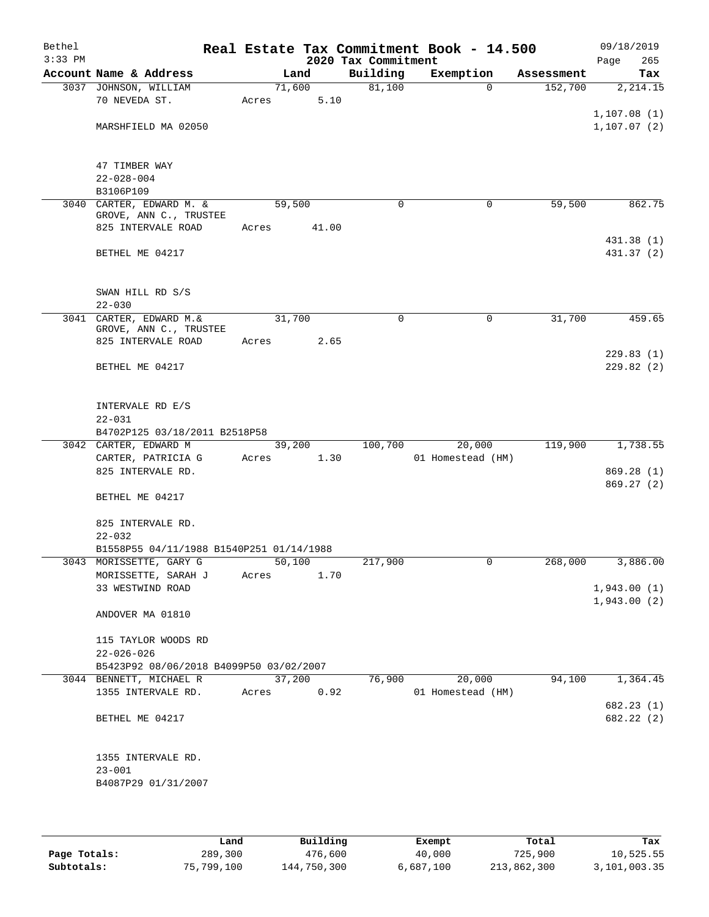| Bethel    |                                               |        |       |                     | Real Estate Tax Commitment Book - 14.500 |            | 09/18/2019       |
|-----------|-----------------------------------------------|--------|-------|---------------------|------------------------------------------|------------|------------------|
| $3:33$ PM |                                               |        |       | 2020 Tax Commitment |                                          |            | 265<br>Page      |
|           | Account Name & Address                        |        | Land  | Building            | Exemption                                | Assessment | Tax              |
|           | 3037 JOHNSON, WILLIAM<br>70 NEVEDA ST.        | 71,600 | 5.10  | 81,100              | $\Omega$                                 | 152,700    | 2, 214.15        |
|           |                                               | Acres  |       |                     |                                          |            | 1,107.08(1)      |
|           | MARSHFIELD MA 02050                           |        |       |                     |                                          |            | 1, 107.07(2)     |
|           |                                               |        |       |                     |                                          |            |                  |
|           |                                               |        |       |                     |                                          |            |                  |
|           | 47 TIMBER WAY                                 |        |       |                     |                                          |            |                  |
|           | $22 - 028 - 004$                              |        |       |                     |                                          |            |                  |
|           | B3106P109                                     |        |       |                     |                                          |            |                  |
| 3040      | CARTER, EDWARD M. &<br>GROVE, ANN C., TRUSTEE | 59,500 |       | $\mathbf 0$         | 0                                        | 59,500     | 862.75           |
|           | 825 INTERVALE ROAD                            | Acres  | 41.00 |                     |                                          |            |                  |
|           |                                               |        |       |                     |                                          |            | 431.38 (1)       |
|           | BETHEL ME 04217                               |        |       |                     |                                          |            | 431.37 (2)       |
|           |                                               |        |       |                     |                                          |            |                  |
|           |                                               |        |       |                     |                                          |            |                  |
|           | SWAN HILL RD S/S                              |        |       |                     |                                          |            |                  |
|           | $22 - 030$                                    |        |       |                     |                                          |            |                  |
|           | 3041 CARTER, EDWARD M.&                       | 31,700 |       | $\mathbf 0$         | $\mathbf 0$                              | 31,700     | 459.65           |
|           | GROVE, ANN C., TRUSTEE<br>825 INTERVALE ROAD  | Acres  | 2.65  |                     |                                          |            |                  |
|           |                                               |        |       |                     |                                          |            | 229.83(1)        |
|           | BETHEL ME 04217                               |        |       |                     |                                          |            | 229.82(2)        |
|           |                                               |        |       |                     |                                          |            |                  |
|           |                                               |        |       |                     |                                          |            |                  |
|           | INTERVALE RD E/S                              |        |       |                     |                                          |            |                  |
|           | $22 - 031$                                    |        |       |                     |                                          |            |                  |
|           | B4702P125 03/18/2011 B2518P58                 |        |       |                     |                                          |            |                  |
|           | 3042 CARTER, EDWARD M                         | 39,200 |       | 100,700             | 20,000                                   | 119,900    | 1,738.55         |
|           | CARTER, PATRICIA G                            | Acres  | 1.30  |                     | 01 Homestead (HM)                        |            |                  |
|           | 825 INTERVALE RD.                             |        |       |                     |                                          |            | 869.28(1)        |
|           |                                               |        |       |                     |                                          |            | 869.27(2)        |
|           | BETHEL ME 04217                               |        |       |                     |                                          |            |                  |
|           | 825 INTERVALE RD.                             |        |       |                     |                                          |            |                  |
|           | $22 - 032$                                    |        |       |                     |                                          |            |                  |
|           | B1558P55 04/11/1988 B1540P251 01/14/1988      |        |       |                     |                                          |            |                  |
|           | 3043 MORISSETTE, GARY G                       | 50,100 |       | 217,900             | 0                                        |            | 268,000 3,886.00 |
|           | MORISSETTE, SARAH J                           | Acres  | 1.70  |                     |                                          |            |                  |
|           | 33 WESTWIND ROAD                              |        |       |                     |                                          |            | 1,943.00(1)      |
|           |                                               |        |       |                     |                                          |            | 1,943.00(2)      |
|           | ANDOVER MA 01810                              |        |       |                     |                                          |            |                  |
|           |                                               |        |       |                     |                                          |            |                  |
|           | 115 TAYLOR WOODS RD                           |        |       |                     |                                          |            |                  |
|           | $22 - 026 - 026$                              |        |       |                     |                                          |            |                  |
|           | B5423P92 08/06/2018 B4099P50 03/02/2007       |        |       |                     |                                          |            |                  |
|           | 3044 BENNETT, MICHAEL R                       | 37,200 |       | 76,900              | 20,000                                   | 94,100     | 1,364.45         |
|           | 1355 INTERVALE RD.                            | Acres  | 0.92  |                     | 01 Homestead (HM)                        |            |                  |
|           |                                               |        |       |                     |                                          |            | 682.23(1)        |
|           | BETHEL ME 04217                               |        |       |                     |                                          |            | 682.22 (2)       |
|           |                                               |        |       |                     |                                          |            |                  |
|           | 1355 INTERVALE RD.                            |        |       |                     |                                          |            |                  |
|           | $23 - 001$                                    |        |       |                     |                                          |            |                  |
|           | B4087P29 01/31/2007                           |        |       |                     |                                          |            |                  |
|           |                                               |        |       |                     |                                          |            |                  |
|           |                                               |        |       |                     |                                          |            |                  |

|              | Land       | Building    | Exempt    | Total       | Tax          |
|--------------|------------|-------------|-----------|-------------|--------------|
| Page Totals: | 289,300    | 476,600     | 40,000    | 725,900     | 10,525.55    |
| Subtotals:   | 75,799,100 | 144,750,300 | 6,687,100 | 213,862,300 | 3,101,003.35 |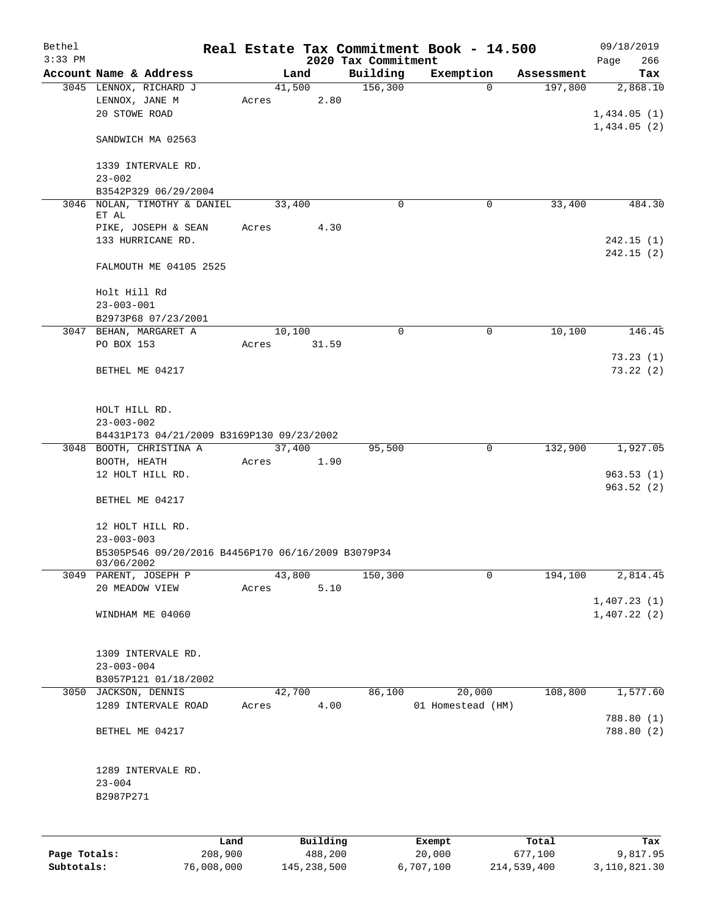| Bethel       |                                                    |       |          |                                 |             | Real Estate Tax Commitment Book - 14.500 |            | 09/18/2019         |
|--------------|----------------------------------------------------|-------|----------|---------------------------------|-------------|------------------------------------------|------------|--------------------|
| $3:33$ PM    | Account Name & Address                             |       | Land     | 2020 Tax Commitment<br>Building |             | Exemption                                | Assessment | 266<br>Page<br>Tax |
|              | 3045 LENNOX, RICHARD J                             |       | 41,500   | 156,300                         |             | $\Omega$                                 | 197,800    | 2,868.10           |
|              | LENNOX, JANE M                                     | Acres | 2.80     |                                 |             |                                          |            |                    |
|              | 20 STOWE ROAD                                      |       |          |                                 |             |                                          |            | 1,434.05(1)        |
|              |                                                    |       |          |                                 |             |                                          |            | 1,434.05(2)        |
|              | SANDWICH MA 02563                                  |       |          |                                 |             |                                          |            |                    |
|              |                                                    |       |          |                                 |             |                                          |            |                    |
|              | 1339 INTERVALE RD.<br>$23 - 002$                   |       |          |                                 |             |                                          |            |                    |
|              | B3542P329 06/29/2004                               |       |          |                                 |             |                                          |            |                    |
|              | 3046 NOLAN, TIMOTHY & DANIEL                       |       | 33,400   |                                 | $\mathbf 0$ | 0                                        | 33,400     | 484.30             |
|              | ET AL                                              |       |          |                                 |             |                                          |            |                    |
|              | PIKE, JOSEPH & SEAN                                | Acres | 4.30     |                                 |             |                                          |            |                    |
|              | 133 HURRICANE RD.                                  |       |          |                                 |             |                                          |            | 242.15(1)          |
|              |                                                    |       |          |                                 |             |                                          |            | 242.15(2)          |
|              | FALMOUTH ME 04105 2525                             |       |          |                                 |             |                                          |            |                    |
|              | Holt Hill Rd                                       |       |          |                                 |             |                                          |            |                    |
|              | $23 - 003 - 001$                                   |       |          |                                 |             |                                          |            |                    |
|              | B2973P68 07/23/2001                                |       |          |                                 |             |                                          |            |                    |
|              | 3047 BEHAN, MARGARET A                             |       | 10,100   |                                 | 0           | 0                                        | 10,100     | 146.45             |
|              | PO BOX 153                                         | Acres | 31.59    |                                 |             |                                          |            |                    |
|              |                                                    |       |          |                                 |             |                                          |            | 73.23(1)           |
|              | BETHEL ME 04217                                    |       |          |                                 |             |                                          |            | 73.22(2)           |
|              |                                                    |       |          |                                 |             |                                          |            |                    |
|              |                                                    |       |          |                                 |             |                                          |            |                    |
|              | HOLT HILL RD.                                      |       |          |                                 |             |                                          |            |                    |
|              | $23 - 003 - 002$                                   |       |          |                                 |             |                                          |            |                    |
|              | B4431P173 04/21/2009 B3169P130 09/23/2002          |       |          |                                 |             |                                          |            |                    |
|              | 3048 BOOTH, CHRISTINA A                            |       | 37,400   | 95,500                          |             | 0                                        | 132,900    | 1,927.05           |
|              | BOOTH, HEATH                                       | Acres | 1.90     |                                 |             |                                          |            |                    |
|              | 12 HOLT HILL RD.                                   |       |          |                                 |             |                                          |            | 963.53(1)          |
|              |                                                    |       |          |                                 |             |                                          |            | 963.52(2)          |
|              | BETHEL ME 04217                                    |       |          |                                 |             |                                          |            |                    |
|              |                                                    |       |          |                                 |             |                                          |            |                    |
|              | 12 HOLT HILL RD.                                   |       |          |                                 |             |                                          |            |                    |
|              | $23 - 003 - 003$                                   |       |          |                                 |             |                                          |            |                    |
|              | B5305P546 09/20/2016 B4456P170 06/16/2009 B3079P34 |       |          |                                 |             |                                          |            |                    |
|              | 03/06/2002<br>3049 PARENT, JOSEPH P                |       | 43,800   | 150,300                         |             | 0                                        | 194,100    | 2,814.45           |
|              | 20 MEADOW VIEW                                     | Acres | 5.10     |                                 |             |                                          |            |                    |
|              |                                                    |       |          |                                 |             |                                          |            | 1,407.23(1)        |
|              | WINDHAM ME 04060                                   |       |          |                                 |             |                                          |            | 1,407.22(2)        |
|              |                                                    |       |          |                                 |             |                                          |            |                    |
|              |                                                    |       |          |                                 |             |                                          |            |                    |
|              | 1309 INTERVALE RD.                                 |       |          |                                 |             |                                          |            |                    |
|              | $23 - 003 - 004$                                   |       |          |                                 |             |                                          |            |                    |
|              | B3057P121 01/18/2002                               |       |          |                                 |             |                                          |            |                    |
|              | 3050 JACKSON, DENNIS                               |       | 42,700   | 86,100                          |             | 20,000                                   | 108,800    | 1,577.60           |
|              | 1289 INTERVALE ROAD                                | Acres | 4.00     |                                 |             | 01 Homestead (HM)                        |            |                    |
|              |                                                    |       |          |                                 |             |                                          |            | 788.80 (1)         |
|              | BETHEL ME 04217                                    |       |          |                                 |             |                                          |            | 788.80 (2)         |
|              |                                                    |       |          |                                 |             |                                          |            |                    |
|              |                                                    |       |          |                                 |             |                                          |            |                    |
|              | 1289 INTERVALE RD.                                 |       |          |                                 |             |                                          |            |                    |
|              | $23 - 004$                                         |       |          |                                 |             |                                          |            |                    |
|              | B2987P271                                          |       |          |                                 |             |                                          |            |                    |
|              |                                                    |       |          |                                 |             |                                          |            |                    |
|              |                                                    |       |          |                                 |             |                                          |            |                    |
|              | Land                                               |       | Building |                                 |             | Exempt                                   | Total      | Tax                |
| Page Totals: | 208,900                                            |       | 488,200  |                                 |             | 20,000                                   | 677,100    | 9,817.95           |

**Subtotals:** 76,008,000 145,238,500 6,707,100 214,539,400 3,110,821.30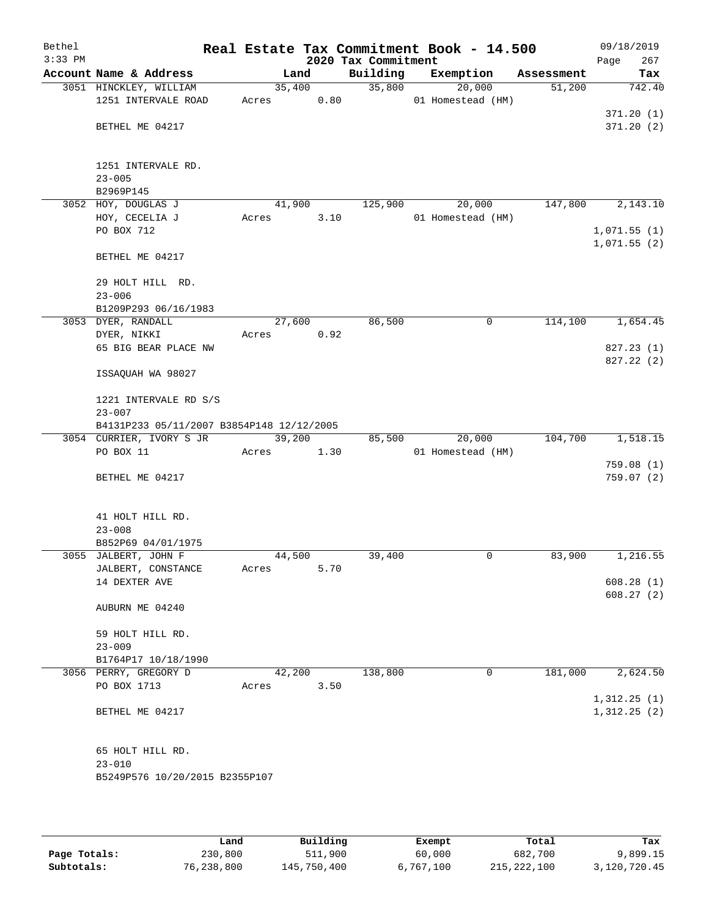| Bethel<br>$3:33$ PM |                                           |                 |      | 2020 Tax Commitment | Real Estate Tax Commitment Book - 14.500 |             |            | 09/18/2019<br>267 |
|---------------------|-------------------------------------------|-----------------|------|---------------------|------------------------------------------|-------------|------------|-------------------|
|                     | Account Name & Address                    |                 | Land | Building            | Exemption                                |             | Assessment | Page<br>Tax       |
|                     | 3051 HINCKLEY, WILLIAM                    | 35,400          |      | 35,800              | 20,000                                   |             | 51,200     | 742.40            |
|                     | 1251 INTERVALE ROAD                       | Acres           | 0.80 |                     | 01 Homestead (HM)                        |             |            |                   |
|                     |                                           |                 |      |                     |                                          |             |            | 371.20(1)         |
|                     | BETHEL ME 04217                           |                 |      |                     |                                          |             |            | 371.20(2)         |
|                     |                                           |                 |      |                     |                                          |             |            |                   |
|                     | 1251 INTERVALE RD.<br>$23 - 005$          |                 |      |                     |                                          |             |            |                   |
|                     | B2969P145                                 |                 |      |                     |                                          |             |            |                   |
|                     | 3052 HOY, DOUGLAS J                       | 41,900          |      | 125,900             | 20,000                                   |             | 147,800    | 2,143.10          |
|                     | HOY, CECELIA J                            | Acres           | 3.10 |                     | 01 Homestead (HM)                        |             |            |                   |
|                     | PO BOX 712                                |                 |      |                     |                                          |             |            | 1,071.55(1)       |
|                     | BETHEL ME 04217                           |                 |      |                     |                                          |             |            | 1,071.55(2)       |
|                     | 29 HOLT HILL RD.                          |                 |      |                     |                                          |             |            |                   |
|                     | $23 - 006$                                |                 |      |                     |                                          |             |            |                   |
|                     | B1209P293 06/16/1983                      |                 |      |                     |                                          |             |            |                   |
|                     | 3053 DYER, RANDALL<br>DYER, NIKKI         | 27,600          | 0.92 | 86,500              |                                          | 0           | 114,100    | 1,654.45          |
|                     | 65 BIG BEAR PLACE NW                      | Acres           |      |                     |                                          |             |            | 827.23 (1)        |
|                     |                                           |                 |      |                     |                                          |             |            | 827.22(2)         |
|                     | ISSAQUAH WA 98027                         |                 |      |                     |                                          |             |            |                   |
|                     | 1221 INTERVALE RD S/S                     |                 |      |                     |                                          |             |            |                   |
|                     | $23 - 007$                                |                 |      |                     |                                          |             |            |                   |
|                     | B4131P233 05/11/2007 B3854P148 12/12/2005 |                 |      |                     |                                          |             |            |                   |
|                     | 3054 CURRIER, IVORY S JR<br>PO BOX 11     | 39,200          |      | 85,500              | 20,000                                   |             | 104,700    | 1,518.15          |
|                     |                                           | Acres           | 1.30 |                     | 01 Homestead (HM)                        |             |            | 759.08(1)         |
|                     | BETHEL ME 04217                           |                 |      |                     |                                          |             |            | 759.07(2)         |
|                     |                                           |                 |      |                     |                                          |             |            |                   |
|                     | 41 HOLT HILL RD.                          |                 |      |                     |                                          |             |            |                   |
|                     | $23 - 008$<br>B852P69 04/01/1975          |                 |      |                     |                                          |             |            |                   |
|                     | 3055 JALBERT, JOHN F                      | 44,500          |      | 39,400              |                                          | 0           | 83,900     | 1,216.55          |
|                     | JALBERT, CONSTANCE                        | Acres           | 5.70 |                     |                                          |             |            |                   |
|                     | 14 DEXTER AVE                             |                 |      |                     |                                          |             |            | 608.28(1)         |
|                     |                                           |                 |      |                     |                                          |             |            | 608.27(2)         |
|                     | AUBURN ME 04240                           |                 |      |                     |                                          |             |            |                   |
|                     | 59 HOLT HILL RD.                          |                 |      |                     |                                          |             |            |                   |
|                     | $23 - 009$                                |                 |      |                     |                                          |             |            |                   |
|                     | B1764P17 10/18/1990                       |                 |      | 138,800             |                                          |             |            |                   |
|                     | 3056 PERRY, GREGORY D<br>PO BOX 1713      | 42,200<br>Acres | 3.50 |                     |                                          | $\mathbf 0$ | 181,000    | 2,624.50          |
|                     |                                           |                 |      |                     |                                          |             |            | 1,312.25(1)       |
|                     | BETHEL ME 04217                           |                 |      |                     |                                          |             |            | 1,312.25(2)       |
|                     |                                           |                 |      |                     |                                          |             |            |                   |
|                     | 65 HOLT HILL RD.                          |                 |      |                     |                                          |             |            |                   |
|                     | $23 - 010$                                |                 |      |                     |                                          |             |            |                   |
|                     | B5249P576 10/20/2015 B2355P107            |                 |      |                     |                                          |             |            |                   |
|                     |                                           |                 |      |                     |                                          |             |            |                   |

|              | úand       | Building    | Exempt    | Total         | Tax          |
|--------------|------------|-------------|-----------|---------------|--------------|
| Page Totals: | 230,800    | 511,900     | 60,000    | 682,700       | 9,899.15     |
| Subtotals:   | 76,238,800 | 145,750,400 | 6,767,100 | 215, 222, 100 | 3,120,720.45 |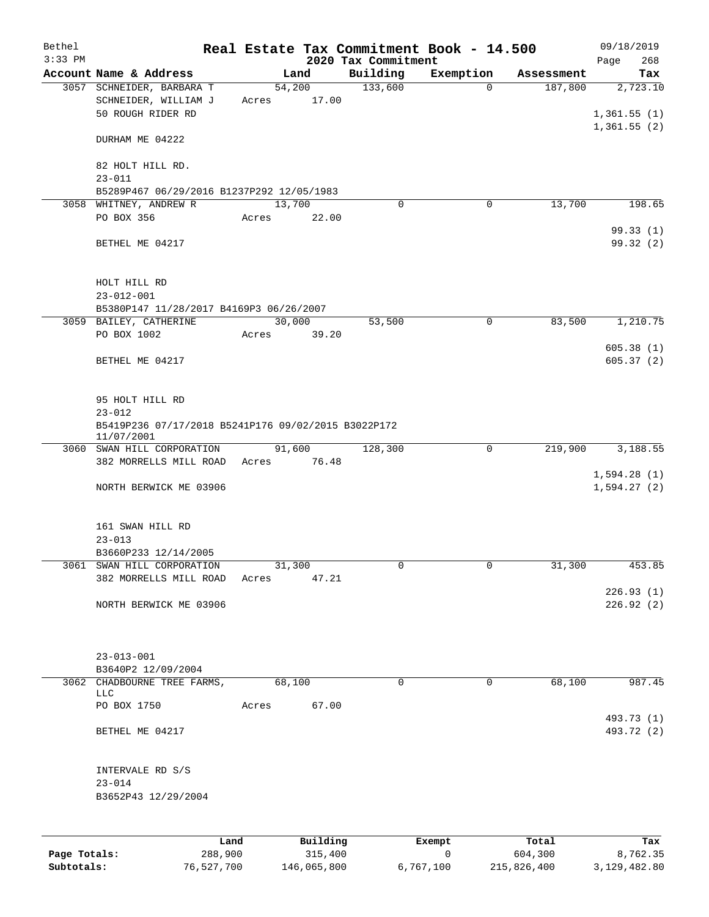| Bethel<br>$3:33$ PM |                                                                        |       |                 | 2020 Tax Commitment | Real Estate Tax Commitment Book - 14.500 |            | 09/18/2019<br>268<br>Page              |
|---------------------|------------------------------------------------------------------------|-------|-----------------|---------------------|------------------------------------------|------------|----------------------------------------|
|                     | Account Name & Address                                                 |       | Land            | Building            | Exemption                                | Assessment | Tax                                    |
|                     | 3057 SCHNEIDER, BARBARA T<br>SCHNEIDER, WILLIAM J<br>50 ROUGH RIDER RD | Acres | 54,200<br>17.00 | 133,600             | $\Omega$                                 | 187,800    | 2,723.10<br>1,361.55(1)<br>1,361.55(2) |
|                     | DURHAM ME 04222                                                        |       |                 |                     |                                          |            |                                        |
|                     | 82 HOLT HILL RD.<br>$23 - 011$                                         |       |                 |                     |                                          |            |                                        |
|                     | B5289P467 06/29/2016 B1237P292 12/05/1983                              |       |                 |                     |                                          |            |                                        |
|                     | 3058 WHITNEY, ANDREW R                                                 |       | 13,700          | 0                   | 0                                        | 13,700     | 198.65                                 |
|                     | PO BOX 356                                                             | Acres | 22.00           |                     |                                          |            |                                        |
|                     | BETHEL ME 04217                                                        |       |                 |                     |                                          |            | 99.33(1)<br>99.32 (2)                  |
|                     | HOLT HILL RD<br>$23 - 012 - 001$                                       |       |                 |                     |                                          |            |                                        |
|                     | B5380P147 11/28/2017 B4169P3 06/26/2007                                |       |                 |                     |                                          |            |                                        |
|                     | 3059 BAILEY, CATHERINE                                                 |       | 30,000          | 53,500              | 0                                        | 83,500     | 1,210.75                               |
|                     | PO BOX 1002                                                            | Acres | 39.20           |                     |                                          |            |                                        |
|                     | BETHEL ME 04217                                                        |       |                 |                     |                                          |            | 605.38(1)<br>605.37(2)                 |
|                     | 95 HOLT HILL RD<br>$23 - 012$                                          |       |                 |                     |                                          |            |                                        |
|                     | B5419P236 07/17/2018 B5241P176 09/02/2015 B3022P172<br>11/07/2001      |       |                 |                     |                                          |            |                                        |
|                     | 3060 SWAN HILL CORPORATION                                             |       | 91,600          | 128,300             | $\mathbf 0$                              | 219,900    | 3,188.55                               |
|                     | 382 MORRELLS MILL ROAD                                                 | Acres | 76.48           |                     |                                          |            |                                        |
|                     | NORTH BERWICK ME 03906                                                 |       |                 |                     |                                          |            | 1,594.28(1)<br>1,594.27(2)             |
|                     | 161 SWAN HILL RD                                                       |       |                 |                     |                                          |            |                                        |
|                     | $23 - 013$<br>B3660P233 12/14/2005                                     |       |                 |                     |                                          |            |                                        |
|                     | 3061 SWAN HILL CORPORATION                                             |       | 31,300          | 0                   | 0                                        | 31,300     | 453.85                                 |
|                     | 382 MORRELLS MILL ROAD                                                 | Acres | 47.21           |                     |                                          |            |                                        |
|                     | NORTH BERWICK ME 03906                                                 |       |                 |                     |                                          |            | 226.93(1)<br>226.92(2)                 |
|                     | $23 - 013 - 001$<br>B3640P2 12/09/2004                                 |       |                 |                     |                                          |            |                                        |
|                     | 3062 CHADBOURNE TREE FARMS,                                            |       | 68,100          | 0                   | 0                                        | 68,100     | 987.45                                 |
|                     | <b>LLC</b><br>PO BOX 1750                                              | Acres | 67.00           |                     |                                          |            |                                        |
|                     |                                                                        |       |                 |                     |                                          |            | 493.73 (1)                             |
|                     | BETHEL ME 04217                                                        |       |                 |                     |                                          |            | 493.72 (2)                             |
|                     | INTERVALE RD S/S                                                       |       |                 |                     |                                          |            |                                        |
|                     | $23 - 014$                                                             |       |                 |                     |                                          |            |                                        |
|                     | B3652P43 12/29/2004                                                    |       |                 |                     |                                          |            |                                        |
|                     | Land                                                                   |       | Building        |                     | Exempt                                   | Total      | Tax                                    |

**Page Totals:** 288,900 315,400 0 604,300 8,762.35 **Subtotals:** 76,527,700 146,065,800 6,767,100 215,826,400 3,129,482.80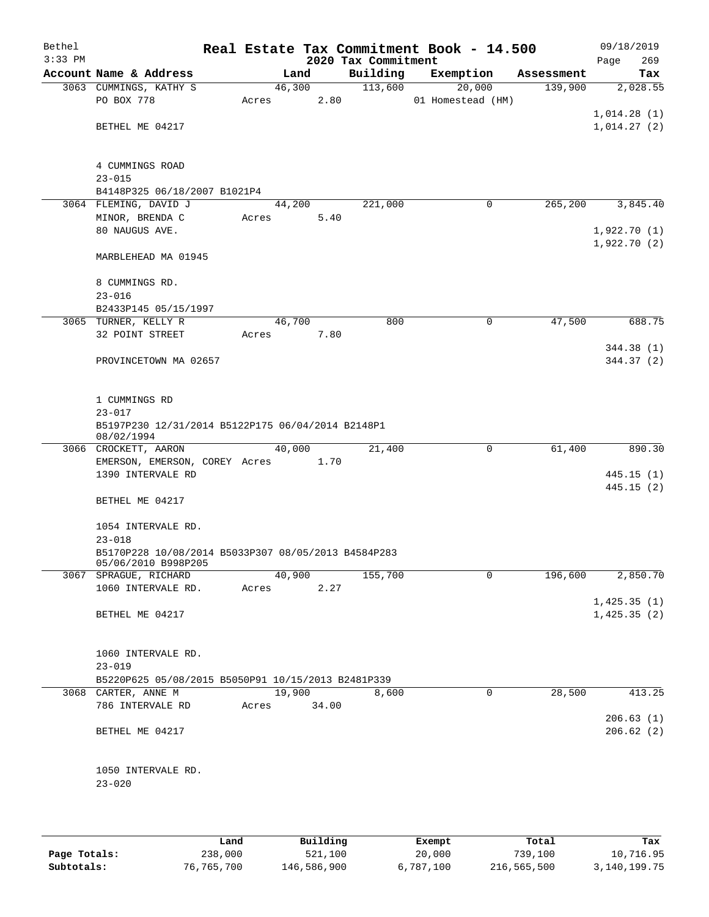| Bethel<br>$3:33$ PM |                                                                            |             |        | 2020 Tax Commitment | Real Estate Tax Commitment Book - 14.500 |            | 09/18/2019<br>269<br>Page |
|---------------------|----------------------------------------------------------------------------|-------------|--------|---------------------|------------------------------------------|------------|---------------------------|
|                     | Account Name & Address                                                     |             | Land   | Building            | Exemption                                | Assessment | Tax                       |
|                     | 3063 CUMMINGS, KATHY S                                                     |             | 46,300 | 113,600             | 20,000                                   | 139,900    | 2,028.55                  |
|                     | PO BOX 778                                                                 | Acres       | 2.80   |                     | 01 Homestead (HM)                        |            |                           |
|                     |                                                                            |             |        |                     |                                          |            | 1,014.28(1)               |
|                     | BETHEL ME 04217                                                            |             |        |                     |                                          |            | 1,014.27(2)               |
|                     | 4 CUMMINGS ROAD                                                            |             |        |                     |                                          |            |                           |
|                     | $23 - 015$                                                                 |             |        |                     |                                          |            |                           |
|                     | B4148P325 06/18/2007 B1021P4                                               |             |        |                     |                                          |            |                           |
|                     | 3064 FLEMING, DAVID J                                                      |             | 44,200 | 221,000             | 0                                        | 265,200    | 3,845.40                  |
|                     | MINOR, BRENDA C                                                            | Acres       | 5.40   |                     |                                          |            |                           |
|                     | 80 NAUGUS AVE.                                                             |             |        |                     |                                          |            | 1,922.70(1)               |
|                     | MARBLEHEAD MA 01945                                                        |             |        |                     |                                          |            | 1,922.70(2)               |
|                     |                                                                            |             |        |                     |                                          |            |                           |
|                     | 8 CUMMINGS RD.                                                             |             |        |                     |                                          |            |                           |
|                     | $23 - 016$                                                                 |             |        |                     |                                          |            |                           |
|                     | B2433P145 05/15/1997                                                       |             |        |                     |                                          |            |                           |
|                     | 3065 TURNER, KELLY R                                                       | 46,700      |        | 800                 | $\mathsf{O}$                             | 47,500     | 688.75                    |
|                     | 32 POINT STREET                                                            | Acres       | 7.80   |                     |                                          |            |                           |
|                     |                                                                            |             |        |                     |                                          |            | 344.38 (1)                |
|                     | PROVINCETOWN MA 02657                                                      |             |        |                     |                                          |            | 344.37 (2)                |
|                     | 1 CUMMINGS RD                                                              |             |        |                     |                                          |            |                           |
|                     | $23 - 017$                                                                 |             |        |                     |                                          |            |                           |
|                     | B5197P230 12/31/2014 B5122P175 06/04/2014 B2148P1                          |             |        |                     |                                          |            |                           |
|                     | 08/02/1994                                                                 |             |        |                     |                                          |            |                           |
|                     | 3066 CROCKETT, AARON                                                       |             | 40,000 | 21,400              | $\mathbf 0$                              | 61,400     | 890.30                    |
|                     | EMERSON, EMERSON, COREY Acres 1.70                                         |             |        |                     |                                          |            |                           |
|                     | 1390 INTERVALE RD                                                          |             |        |                     |                                          |            | 445.15(1)                 |
|                     |                                                                            |             |        |                     |                                          |            | 445.15(2)                 |
|                     | BETHEL ME 04217                                                            |             |        |                     |                                          |            |                           |
|                     | 1054 INTERVALE RD.                                                         |             |        |                     |                                          |            |                           |
|                     | $23 - 018$                                                                 |             |        |                     |                                          |            |                           |
|                     | B5170P228 10/08/2014 B5033P307 08/05/2013 B4584P283<br>05/06/2010 B998P205 |             |        |                     |                                          |            |                           |
|                     | 3067 SPRAGUE, RICHARD                                                      |             | 40,900 | 155,700             | $\mathbf 0$                              | 196,600    | 2,850.70                  |
|                     | 1060 INTERVALE RD.                                                         | Acres       | 2.27   |                     |                                          |            |                           |
|                     |                                                                            |             |        |                     |                                          |            | 1,425.35(1)               |
|                     | BETHEL ME 04217                                                            |             |        |                     |                                          |            | 1,425.35(2)               |
|                     |                                                                            |             |        |                     |                                          |            |                           |
|                     | 1060 INTERVALE RD.                                                         |             |        |                     |                                          |            |                           |
|                     | $23 - 019$                                                                 |             |        |                     |                                          |            |                           |
|                     | B5220P625 05/08/2015 B5050P91 10/15/2013 B2481P339<br>3068 CARTER, ANNE M  |             | 19,900 | 8,600               | 0                                        | 28,500     | 413.25                    |
|                     | 786 INTERVALE RD                                                           | Acres 34.00 |        |                     |                                          |            |                           |
|                     |                                                                            |             |        |                     |                                          |            | 206.63(1)                 |
|                     | BETHEL ME 04217                                                            |             |        |                     |                                          |            | 206.62(2)                 |
|                     |                                                                            |             |        |                     |                                          |            |                           |
|                     | 1050 INTERVALE RD.                                                         |             |        |                     |                                          |            |                           |
|                     | $23 - 020$                                                                 |             |        |                     |                                          |            |                           |
|                     |                                                                            |             |        |                     |                                          |            |                           |
|                     |                                                                            |             |        |                     |                                          |            |                           |
|                     |                                                                            |             |        |                     |                                          |            |                           |

|              | Land       | Building    | Exempt    | Total       | Tax          |
|--------------|------------|-------------|-----------|-------------|--------------|
| Page Totals: | 238,000    | 521,100     | 20,000    | 739,100     | 10,716.95    |
| Subtotals:   | 76,765,700 | 146,586,900 | 6,787,100 | 216,565,500 | 3,140,199.75 |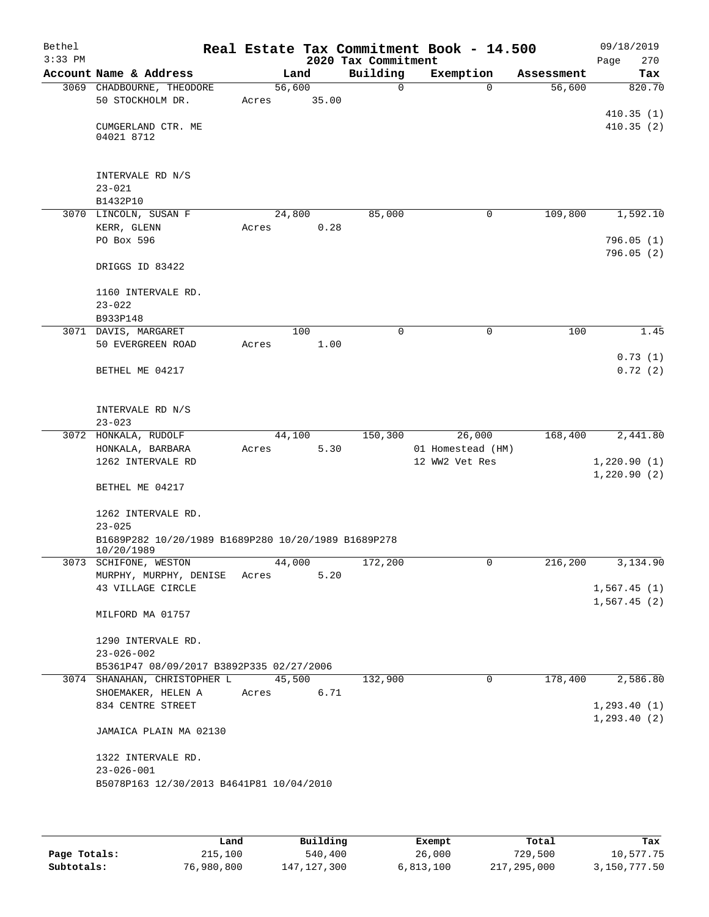| Bethel<br>$3:33$ PM |                                                       |       |        |       | 2020 Tax Commitment | Real Estate Tax Commitment Book - 14.500 |            | 09/18/2019<br>270  |
|---------------------|-------------------------------------------------------|-------|--------|-------|---------------------|------------------------------------------|------------|--------------------|
|                     | Account Name & Address                                |       | Land   |       | Building            | Exemption                                | Assessment | Page<br>Tax        |
|                     | 3069 CHADBOURNE, THEODORE                             |       | 56,600 |       | $\Omega$            | $\Omega$                                 | 56,600     | 820.70             |
|                     | 50 STOCKHOLM DR.                                      | Acres |        | 35.00 |                     |                                          |            |                    |
|                     |                                                       |       |        |       |                     |                                          |            | 410.35(1)          |
|                     | CUMGERLAND CTR. ME<br>04021 8712                      |       |        |       |                     |                                          |            | 410.35(2)          |
|                     |                                                       |       |        |       |                     |                                          |            |                    |
|                     |                                                       |       |        |       |                     |                                          |            |                    |
|                     | INTERVALE RD N/S                                      |       |        |       |                     |                                          |            |                    |
|                     | $23 - 021$                                            |       |        |       |                     |                                          |            |                    |
|                     | B1432P10                                              |       |        |       |                     |                                          |            |                    |
|                     | 3070 LINCOLN, SUSAN F<br>KERR, GLENN                  | Acres | 24,800 | 0.28  | 85,000              | $\mathbf 0$                              | 109,800    | 1,592.10           |
|                     | PO Box 596                                            |       |        |       |                     |                                          |            | 796.05(1)          |
|                     |                                                       |       |        |       |                     |                                          |            | 796.05(2)          |
|                     | DRIGGS ID 83422                                       |       |        |       |                     |                                          |            |                    |
|                     | 1160 INTERVALE RD.                                    |       |        |       |                     |                                          |            |                    |
|                     | $23 - 022$                                            |       |        |       |                     |                                          |            |                    |
|                     | B933P148                                              |       |        |       |                     |                                          |            |                    |
|                     | 3071 DAVIS, MARGARET                                  |       | 100    |       | $\Omega$            | $\mathbf 0$                              | 100        | 1.45               |
|                     | 50 EVERGREEN ROAD                                     | Acres |        | 1.00  |                     |                                          |            |                    |
|                     | BETHEL ME 04217                                       |       |        |       |                     |                                          |            | 0.73(1)<br>0.72(2) |
|                     |                                                       |       |        |       |                     |                                          |            |                    |
|                     |                                                       |       |        |       |                     |                                          |            |                    |
|                     | INTERVALE RD N/S                                      |       |        |       |                     |                                          |            |                    |
|                     | $23 - 023$                                            |       |        |       |                     |                                          |            |                    |
|                     | 3072 HONKALA, RUDOLF                                  |       | 44,100 |       | 150,300             | 26,000                                   | 168,400    | 2,441.80           |
|                     | HONKALA, BARBARA<br>1262 INTERVALE RD                 | Acres |        | 5.30  |                     | 01 Homestead (HM)<br>12 WW2 Vet Res      |            | 1,220.90(1)        |
|                     |                                                       |       |        |       |                     |                                          |            | 1,220.90(2)        |
|                     | BETHEL ME 04217                                       |       |        |       |                     |                                          |            |                    |
|                     | 1262 INTERVALE RD.                                    |       |        |       |                     |                                          |            |                    |
|                     | $23 - 025$                                            |       |        |       |                     |                                          |            |                    |
|                     | B1689P282 10/20/1989 B1689P280 10/20/1989 B1689P278   |       |        |       |                     |                                          |            |                    |
|                     | 10/20/1989                                            |       |        |       |                     |                                          |            |                    |
|                     | 3073 SCHIFONE, WESTON<br>MURPHY, MURPHY, DENISE Acres |       | 44,000 | 5.20  | 172,200             | 0                                        | 216,200    | 3,134.90           |
|                     | 43 VILLAGE CIRCLE                                     |       |        |       |                     |                                          |            | 1,567.45(1)        |
|                     |                                                       |       |        |       |                     |                                          |            | 1,567.45(2)        |
|                     | MILFORD MA 01757                                      |       |        |       |                     |                                          |            |                    |
|                     | 1290 INTERVALE RD.                                    |       |        |       |                     |                                          |            |                    |
|                     | $23 - 026 - 002$                                      |       |        |       |                     |                                          |            |                    |
|                     | B5361P47 08/09/2017 B3892P335 02/27/2006              |       |        |       |                     |                                          |            |                    |
|                     | 3074 SHANAHAN, CHRISTOPHER L                          |       | 45,500 |       | 132,900             | 0                                        | 178,400    | 2,586.80           |
|                     | SHOEMAKER, HELEN A                                    | Acres |        | 6.71  |                     |                                          |            |                    |
|                     | 834 CENTRE STREET                                     |       |        |       |                     |                                          |            | 1, 293.40(1)       |
|                     | JAMAICA PLAIN MA 02130                                |       |        |       |                     |                                          |            | 1, 293.40(2)       |
|                     |                                                       |       |        |       |                     |                                          |            |                    |
|                     | 1322 INTERVALE RD.                                    |       |        |       |                     |                                          |            |                    |
|                     | $23 - 026 - 001$                                      |       |        |       |                     |                                          |            |                    |
|                     | B5078P163 12/30/2013 B4641P81 10/04/2010              |       |        |       |                     |                                          |            |                    |
|                     |                                                       |       |        |       |                     |                                          |            |                    |

|              | Land       | Building    | Exempt    | Total       | Tax          |
|--------------|------------|-------------|-----------|-------------|--------------|
| Page Totals: | 215,100    | 540,400     | 26,000    | 729,500     | 10,577.75    |
| Subtotals:   | 76,980,800 | 147,127,300 | 6,813,100 | 217,295,000 | 3,150,777.50 |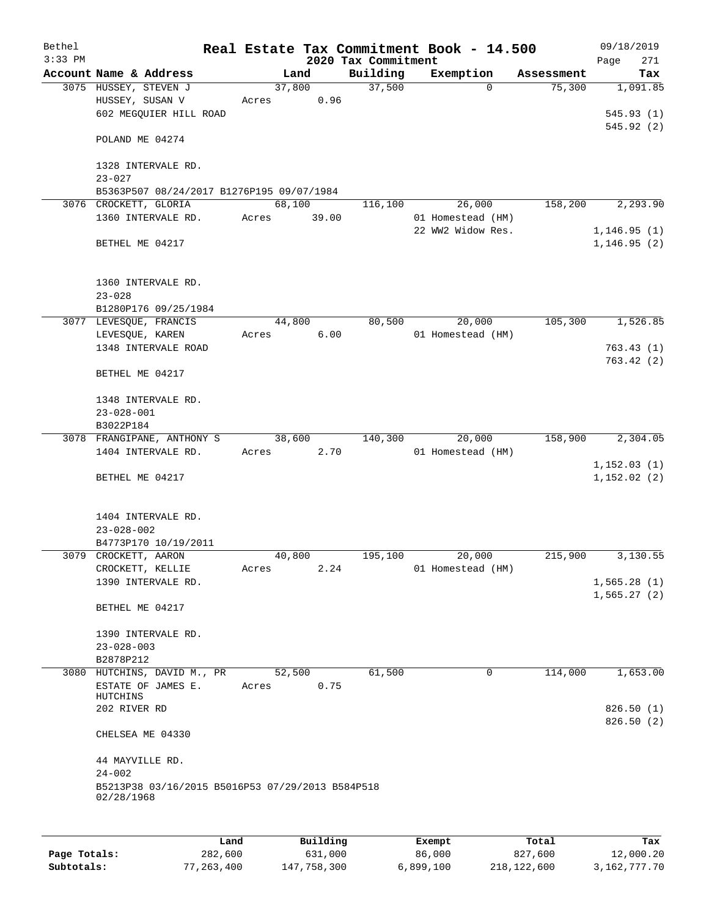| Bethel    |                                                                |       |                |                 |                     | Real Estate Tax Commitment Book - 14.500 |                      | 09/18/2019      |
|-----------|----------------------------------------------------------------|-------|----------------|-----------------|---------------------|------------------------------------------|----------------------|-----------------|
| $3:33$ PM |                                                                |       |                |                 | 2020 Tax Commitment |                                          |                      | 271<br>Page     |
|           | Account Name & Address<br>3075 HUSSEY, STEVEN J                |       | Land<br>37,800 |                 | Building<br>37,500  | Exemption<br>$\Omega$                    | Assessment<br>75,300 | Tax<br>1,091.85 |
|           | HUSSEY, SUSAN V                                                | Acres |                | 0.96            |                     |                                          |                      |                 |
|           | 602 MEGQUIER HILL ROAD                                         |       |                |                 |                     |                                          |                      | 545.93(1)       |
|           |                                                                |       |                |                 |                     |                                          |                      | 545.92(2)       |
|           | POLAND ME 04274                                                |       |                |                 |                     |                                          |                      |                 |
|           |                                                                |       |                |                 |                     |                                          |                      |                 |
|           | 1328 INTERVALE RD.                                             |       |                |                 |                     |                                          |                      |                 |
|           | $23 - 027$                                                     |       |                |                 |                     |                                          |                      |                 |
|           | B5363P507 08/24/2017 B1276P195 09/07/1984                      |       |                |                 |                     | 26,000                                   |                      |                 |
|           | 3076 CROCKETT, GLORIA<br>1360 INTERVALE RD.                    | Acres | 68,100         | 39.00           | 116,100             | 01 Homestead (HM)                        | 158,200              | 2,293.90        |
|           |                                                                |       |                |                 |                     | 22 WW2 Widow Res.                        |                      | 1, 146.95(1)    |
|           | BETHEL ME 04217                                                |       |                |                 |                     |                                          |                      | 1, 146.95(2)    |
|           |                                                                |       |                |                 |                     |                                          |                      |                 |
|           |                                                                |       |                |                 |                     |                                          |                      |                 |
|           | 1360 INTERVALE RD.                                             |       |                |                 |                     |                                          |                      |                 |
|           | $23 - 028$                                                     |       |                |                 |                     |                                          |                      |                 |
|           | B1280P176 09/25/1984<br>3077 LEVESQUE, FRANCIS                 |       | 44,800         |                 | 80,500              | 20,000                                   | 105,300              | 1,526.85        |
|           | LEVESQUE, KAREN                                                | Acres |                | 6.00            |                     | 01 Homestead (HM)                        |                      |                 |
|           | 1348 INTERVALE ROAD                                            |       |                |                 |                     |                                          |                      | 763.43(1)       |
|           |                                                                |       |                |                 |                     |                                          |                      | 763.42(2)       |
|           | BETHEL ME 04217                                                |       |                |                 |                     |                                          |                      |                 |
|           |                                                                |       |                |                 |                     |                                          |                      |                 |
|           | 1348 INTERVALE RD.                                             |       |                |                 |                     |                                          |                      |                 |
|           | $23 - 028 - 001$<br>B3022P184                                  |       |                |                 |                     |                                          |                      |                 |
|           | 3078 FRANGIPANE, ANTHONY S                                     |       | 38,600         |                 | 140,300             | 20,000                                   | 158,900              | 2,304.05        |
|           | 1404 INTERVALE RD.                                             | Acres |                | 2.70            |                     | 01 Homestead (HM)                        |                      |                 |
|           |                                                                |       |                |                 |                     |                                          |                      | 1, 152.03(1)    |
|           | BETHEL ME 04217                                                |       |                |                 |                     |                                          |                      | 1,152.02(2)     |
|           |                                                                |       |                |                 |                     |                                          |                      |                 |
|           |                                                                |       |                |                 |                     |                                          |                      |                 |
|           | 1404 INTERVALE RD.<br>$23 - 028 - 002$                         |       |                |                 |                     |                                          |                      |                 |
|           | B4773P170 10/19/2011                                           |       |                |                 |                     |                                          |                      |                 |
|           | 3079 CROCKETT, AARON                                           |       | 40,800         |                 | 195,100             | 20,000                                   | 215,900              | 3,130.55        |
|           | CROCKETT, KELLIE                                               | Acres |                | 2.24            |                     | 01 Homestead (HM)                        |                      |                 |
|           | 1390 INTERVALE RD.                                             |       |                |                 |                     |                                          |                      | 1,565.28(1)     |
|           |                                                                |       |                |                 |                     |                                          |                      | 1,565.27(2)     |
|           | BETHEL ME 04217                                                |       |                |                 |                     |                                          |                      |                 |
|           | 1390 INTERVALE RD.                                             |       |                |                 |                     |                                          |                      |                 |
|           | $23 - 028 - 003$                                               |       |                |                 |                     |                                          |                      |                 |
|           | B2878P212                                                      |       |                |                 |                     |                                          |                      |                 |
|           | 3080 HUTCHINS, DAVID M., PR                                    |       | 52,500         |                 | 61,500              | 0                                        | 114,000              | 1,653.00        |
|           | ESTATE OF JAMES E.                                             | Acres |                | 0.75            |                     |                                          |                      |                 |
|           | HUTCHINS<br>202 RIVER RD                                       |       |                |                 |                     |                                          |                      | 826.50(1)       |
|           |                                                                |       |                |                 |                     |                                          |                      | 826.50(2)       |
|           | CHELSEA ME 04330                                               |       |                |                 |                     |                                          |                      |                 |
|           |                                                                |       |                |                 |                     |                                          |                      |                 |
|           | 44 MAYVILLE RD.                                                |       |                |                 |                     |                                          |                      |                 |
|           | $24 - 002$                                                     |       |                |                 |                     |                                          |                      |                 |
|           | B5213P38 03/16/2015 B5016P53 07/29/2013 B584P518<br>02/28/1968 |       |                |                 |                     |                                          |                      |                 |
|           |                                                                |       |                |                 |                     |                                          |                      |                 |
|           |                                                                |       |                |                 |                     |                                          |                      |                 |
|           |                                                                | Land. |                | <b>Building</b> |                     | $F$ vomnt                                | $T$ ctal             | Tov             |

|              | Land         | Building    | Exempt    | Total       | Tax          |
|--------------|--------------|-------------|-----------|-------------|--------------|
| Page Totals: | 282,600      | 631,000     | 86,000    | 827,600     | 12,000.20    |
| Subtotals:   | 77, 263, 400 | 147,758,300 | 6,899,100 | 218,122,600 | 3,162,777.70 |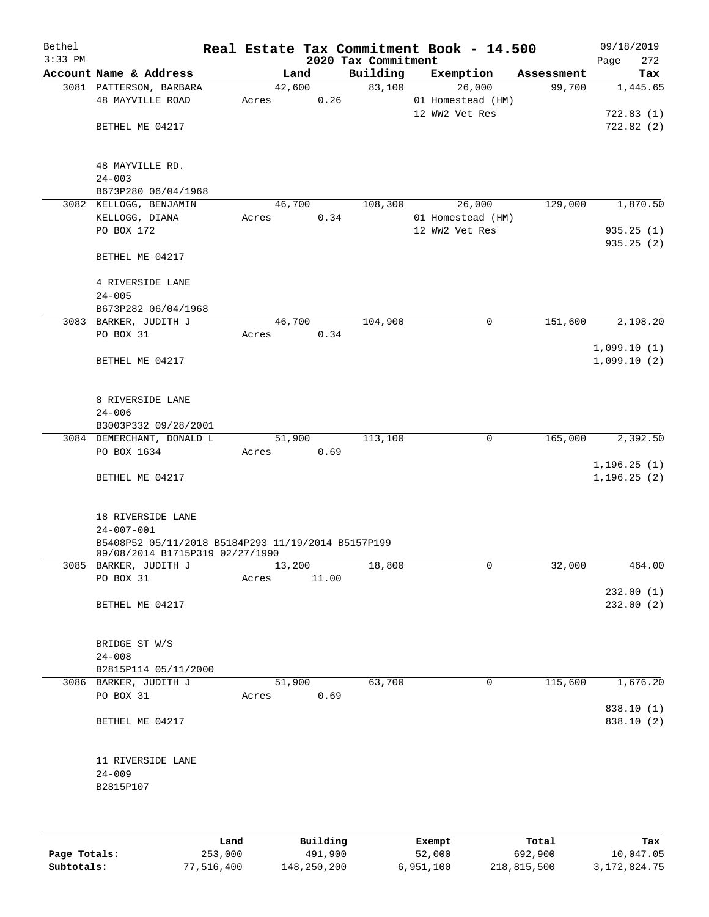| Bethel<br>$3:33$ PM |                                                                                       |                 |       | 2020 Tax Commitment | Real Estate Tax Commitment Book - 14.500 |            | 09/18/2019<br>272<br>Page    |
|---------------------|---------------------------------------------------------------------------------------|-----------------|-------|---------------------|------------------------------------------|------------|------------------------------|
|                     | Account Name & Address                                                                |                 | Land  | Building            | Exemption                                | Assessment | Tax                          |
|                     | 3081 PATTERSON, BARBARA<br><b>48 MAYVILLE ROAD</b>                                    | 42,600<br>Acres | 0.26  | 83,100              | 26,000<br>01 Homestead (HM)              | 99,700     | 1,445.65                     |
|                     |                                                                                       |                 |       |                     | 12 WW2 Vet Res                           |            | 722.83(1)                    |
|                     | BETHEL ME 04217                                                                       |                 |       |                     |                                          |            | 722.82(2)                    |
|                     | 48 MAYVILLE RD.                                                                       |                 |       |                     |                                          |            |                              |
|                     | $24 - 003$                                                                            |                 |       |                     |                                          |            |                              |
|                     | B673P280 06/04/1968<br>3082 KELLOGG, BENJAMIN                                         | 46,700          |       | 108, 300            | 26,000                                   | 129,000    | 1,870.50                     |
|                     | KELLOGG, DIANA                                                                        | Acres           | 0.34  |                     | 01 Homestead (HM)                        |            |                              |
|                     | PO BOX 172                                                                            |                 |       |                     | 12 WW2 Vet Res                           |            | 935.25(1)                    |
|                     |                                                                                       |                 |       |                     |                                          |            | 935.25(2)                    |
|                     | BETHEL ME 04217                                                                       |                 |       |                     |                                          |            |                              |
|                     | 4 RIVERSIDE LANE                                                                      |                 |       |                     |                                          |            |                              |
|                     | $24 - 005$                                                                            |                 |       |                     |                                          |            |                              |
|                     | B673P282 06/04/1968                                                                   |                 |       |                     |                                          |            |                              |
|                     | 3083 BARKER, JUDITH J                                                                 | 46,700          |       | 104,900             | 0                                        | 151,600    | 2,198.20                     |
|                     | PO BOX 31                                                                             | Acres           | 0.34  |                     |                                          |            |                              |
|                     | BETHEL ME 04217                                                                       |                 |       |                     |                                          |            | 1,099.10(1)<br>1,099.10(2)   |
|                     | 8 RIVERSIDE LANE                                                                      |                 |       |                     |                                          |            |                              |
|                     | $24 - 006$                                                                            |                 |       |                     |                                          |            |                              |
|                     | B3003P332 09/28/2001                                                                  |                 |       |                     |                                          |            |                              |
|                     | 3084 DEMERCHANT, DONALD L                                                             | 51,900          |       | 113,100             | $\mathsf{O}$                             | 165,000    | 2,392.50                     |
|                     | PO BOX 1634                                                                           | Acres           | 0.69  |                     |                                          |            |                              |
|                     | BETHEL ME 04217                                                                       |                 |       |                     |                                          |            | 1, 196.25(1)<br>1, 196.25(2) |
|                     | 18 RIVERSIDE LANE                                                                     |                 |       |                     |                                          |            |                              |
|                     | $24 - 007 - 001$                                                                      |                 |       |                     |                                          |            |                              |
|                     | B5408P52 05/11/2018 B5184P293 11/19/2014 B5157P199<br>09/08/2014 B1715P319 02/27/1990 |                 |       |                     |                                          |            |                              |
|                     | 3085 BARKER, JUDITH J                                                                 | 13,200          |       | 18,800              | 0                                        | 32,000     | 464.00                       |
|                     | PO BOX 31                                                                             | Acres           | 11.00 |                     |                                          |            |                              |
|                     | BETHEL ME 04217                                                                       |                 |       |                     |                                          |            | 232.00(1)<br>232.00(2)       |
|                     | BRIDGE ST W/S                                                                         |                 |       |                     |                                          |            |                              |
|                     | $24 - 008$                                                                            |                 |       |                     |                                          |            |                              |
|                     | B2815P114 05/11/2000                                                                  |                 |       |                     |                                          |            |                              |
|                     | 3086 BARKER, JUDITH J                                                                 | 51,900          |       | 63,700              | 0                                        | 115,600    | 1,676.20                     |
|                     | PO BOX 31                                                                             | Acres           | 0.69  |                     |                                          |            |                              |
|                     |                                                                                       |                 |       |                     |                                          |            | 838.10 (1)                   |
|                     | BETHEL ME 04217                                                                       |                 |       |                     |                                          |            | 838.10 (2)                   |
|                     | 11 RIVERSIDE LANE                                                                     |                 |       |                     |                                          |            |                              |
|                     | $24 - 009$                                                                            |                 |       |                     |                                          |            |                              |
|                     | B2815P107                                                                             |                 |       |                     |                                          |            |                              |
|                     |                                                                                       |                 |       |                     |                                          |            |                              |
|                     |                                                                                       |                 |       |                     |                                          |            |                              |
|                     |                                                                                       |                 |       |                     |                                          |            |                              |

|              | Land       | Building    | Exempt    | Total       | Tax          |
|--------------|------------|-------------|-----------|-------------|--------------|
| Page Totals: | 253,000    | 491,900     | 52,000    | 692,900     | 10,047.05    |
| Subtotals:   | 77,516,400 | 148,250,200 | 6,951,100 | 218,815,500 | 3,172,824.75 |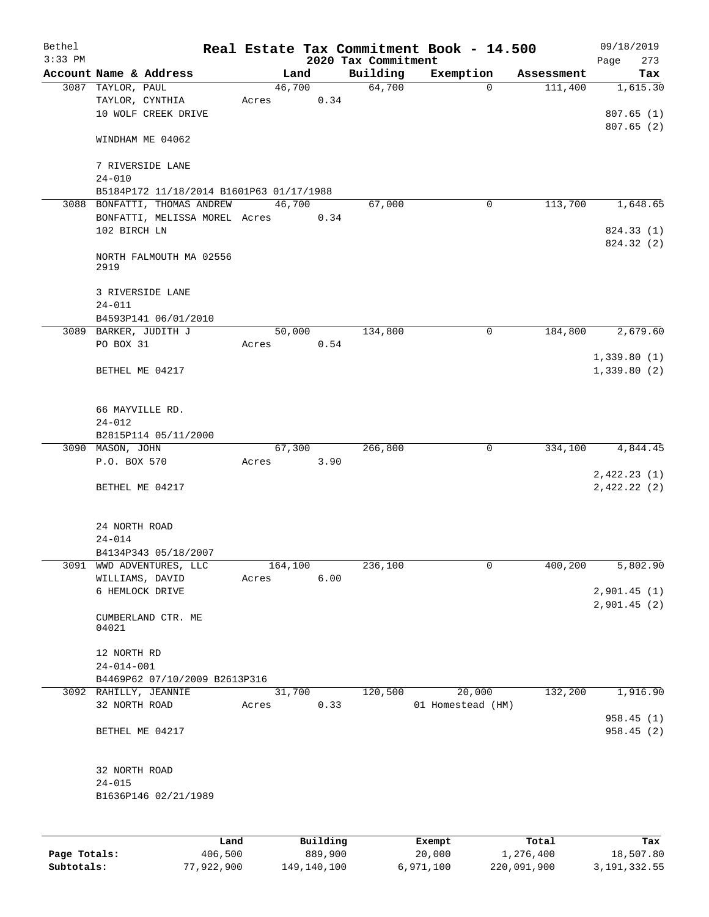| Bethel    |                                          |      |       |                |          |                     | Real Estate Tax Commitment Book - 14.500 |                       | 09/18/2019                 |
|-----------|------------------------------------------|------|-------|----------------|----------|---------------------|------------------------------------------|-----------------------|----------------------------|
| $3:33$ PM |                                          |      |       |                |          | 2020 Tax Commitment |                                          |                       | 273<br>Page                |
|           | Account Name & Address                   |      |       | Land<br>46,700 |          | Building<br>64,700  | Exemption<br>$\mathbf 0$                 | Assessment<br>111,400 | Tax<br>1,615.30            |
|           | 3087 TAYLOR, PAUL<br>TAYLOR, CYNTHIA     |      | Acres |                | 0.34     |                     |                                          |                       |                            |
|           | 10 WOLF CREEK DRIVE                      |      |       |                |          |                     |                                          |                       | 807.65(1)                  |
|           |                                          |      |       |                |          |                     |                                          |                       | 807.65(2)                  |
|           | WINDHAM ME 04062                         |      |       |                |          |                     |                                          |                       |                            |
|           | 7 RIVERSIDE LANE                         |      |       |                |          |                     |                                          |                       |                            |
|           | $24 - 010$                               |      |       |                |          |                     |                                          |                       |                            |
|           | B5184P172 11/18/2014 B1601P63 01/17/1988 |      |       |                |          |                     |                                          |                       |                            |
|           | 3088 BONFATTI, THOMAS ANDREW             |      |       | 46,700         |          | 67,000              | $\mathbf 0$                              | 113,700               | 1,648.65                   |
|           | BONFATTI, MELISSA MOREL Acres            |      |       |                | 0.34     |                     |                                          |                       |                            |
|           | 102 BIRCH LN                             |      |       |                |          |                     |                                          |                       | 824.33 (1)<br>824.32 (2)   |
|           | NORTH FALMOUTH MA 02556                  |      |       |                |          |                     |                                          |                       |                            |
|           | 2919                                     |      |       |                |          |                     |                                          |                       |                            |
|           | 3 RIVERSIDE LANE                         |      |       |                |          |                     |                                          |                       |                            |
|           | $24 - 011$                               |      |       |                |          |                     |                                          |                       |                            |
|           | B4593P141 06/01/2010                     |      |       |                |          |                     |                                          |                       |                            |
|           | 3089 BARKER, JUDITH J                    |      |       | 50,000         |          | 134,800             | 0                                        | 184,800               | 2,679.60                   |
|           | PO BOX 31                                |      | Acres |                | 0.54     |                     |                                          |                       |                            |
|           |                                          |      |       |                |          |                     |                                          |                       | 1,339.80(1)                |
|           | BETHEL ME 04217                          |      |       |                |          |                     |                                          |                       | 1,339.80(2)                |
|           |                                          |      |       |                |          |                     |                                          |                       |                            |
|           | 66 MAYVILLE RD.                          |      |       |                |          |                     |                                          |                       |                            |
|           | $24 - 012$                               |      |       |                |          |                     |                                          |                       |                            |
|           | B2815P114 05/11/2000<br>3090 MASON, JOHN |      |       | 67,300         |          | 266,800             | 0                                        | 334,100               | 4,844.45                   |
|           | P.O. BOX 570                             |      | Acres |                | 3.90     |                     |                                          |                       |                            |
|           |                                          |      |       |                |          |                     |                                          |                       | 2,422.23(1)                |
|           | BETHEL ME 04217                          |      |       |                |          |                     |                                          |                       | 2,422.22(2)                |
|           |                                          |      |       |                |          |                     |                                          |                       |                            |
|           | 24 NORTH ROAD                            |      |       |                |          |                     |                                          |                       |                            |
|           | $24 - 014$                               |      |       |                |          |                     |                                          |                       |                            |
|           | B4134P343 05/18/2007                     |      |       |                |          |                     |                                          |                       |                            |
|           | 3091 WWD ADVENTURES, LLC                 |      |       | 164,100        |          | 236,100             | 0                                        | 400,200               | 5,802.90                   |
|           | WILLIAMS, DAVID                          |      | Acres |                | 6.00     |                     |                                          |                       |                            |
|           | 6 HEMLOCK DRIVE                          |      |       |                |          |                     |                                          |                       | 2,901.45(1)<br>2,901.45(2) |
|           | CUMBERLAND CTR. ME                       |      |       |                |          |                     |                                          |                       |                            |
|           | 04021                                    |      |       |                |          |                     |                                          |                       |                            |
|           |                                          |      |       |                |          |                     |                                          |                       |                            |
|           | 12 NORTH RD<br>$24 - 014 - 001$          |      |       |                |          |                     |                                          |                       |                            |
|           | B4469P62 07/10/2009 B2613P316            |      |       |                |          |                     |                                          |                       |                            |
|           | 3092 RAHILLY, JEANNIE                    |      |       | 31,700         |          | 120,500             | 20,000                                   | 132,200               | 1,916.90                   |
|           | 32 NORTH ROAD                            |      | Acres |                | 0.33     |                     | 01 Homestead (HM)                        |                       |                            |
|           |                                          |      |       |                |          |                     |                                          |                       | 958.45(1)                  |
|           | BETHEL ME 04217                          |      |       |                |          |                     |                                          |                       | 958.45 (2)                 |
|           |                                          |      |       |                |          |                     |                                          |                       |                            |
|           | 32 NORTH ROAD                            |      |       |                |          |                     |                                          |                       |                            |
|           | $24 - 015$<br>B1636P146 02/21/1989       |      |       |                |          |                     |                                          |                       |                            |
|           |                                          |      |       |                |          |                     |                                          |                       |                            |
|           |                                          |      |       |                |          |                     |                                          |                       |                            |
|           |                                          | Land |       |                | Building |                     | Exempt                                   | Total                 | Tax                        |

|              | Land       | Building    | Exempt    | Total       | тах          |
|--------------|------------|-------------|-----------|-------------|--------------|
| Page Totals: | 406,500    | 889,900     | 20,000    | 1,276,400   | 18,507.80    |
| Subtotals:   | 77,922,900 | 149,140,100 | 6,971,100 | 220,091,900 | 3,191,332.55 |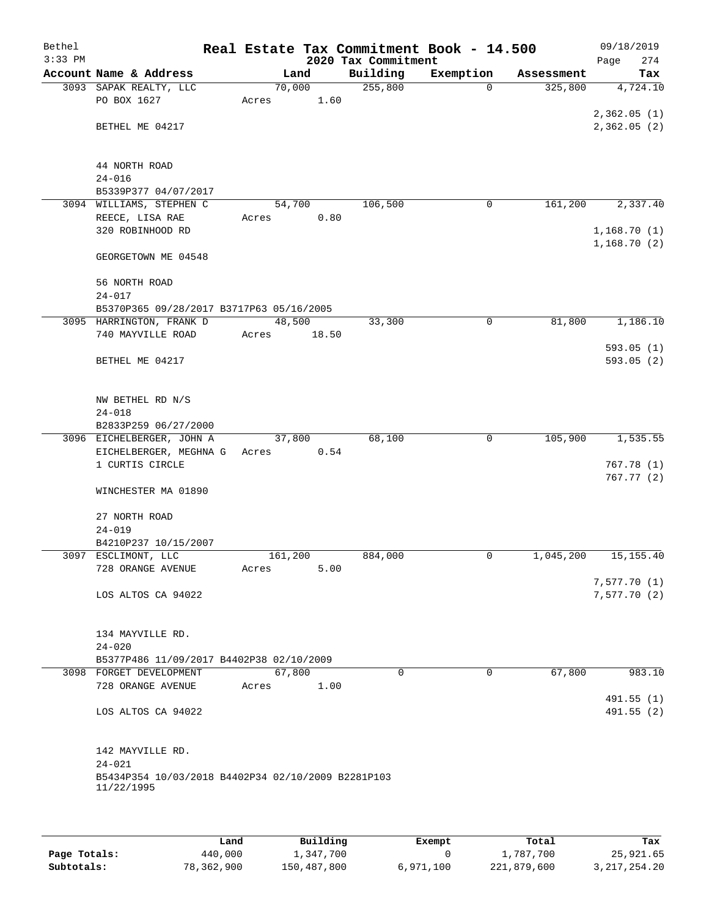| Bethel<br>$3:33$ PM |                                                    | Real Estate Tax Commitment Book - 14.500 | 2020 Tax Commitment |           |            | 09/18/2019<br>274<br>Page |
|---------------------|----------------------------------------------------|------------------------------------------|---------------------|-----------|------------|---------------------------|
|                     | Account Name & Address                             | Land                                     | Building            | Exemption | Assessment | Tax                       |
|                     | 3093 SAPAK REALTY, LLC                             | 70,000                                   | 255,800             | $\Omega$  | 325,800    | 4,724.10                  |
|                     | PO BOX 1627                                        | 1.60<br>Acres                            |                     |           |            |                           |
|                     |                                                    |                                          |                     |           |            | 2,362.05(1)               |
|                     | BETHEL ME 04217                                    |                                          |                     |           |            | 2,362.05(2)               |
|                     |                                                    |                                          |                     |           |            |                           |
|                     |                                                    |                                          |                     |           |            |                           |
|                     | 44 NORTH ROAD                                      |                                          |                     |           |            |                           |
|                     | $24 - 016$                                         |                                          |                     |           |            |                           |
|                     | B5339P377 04/07/2017<br>3094 WILLIAMS, STEPHEN C   | 54,700                                   | 106,500             | 0         | 161,200    | 2,337.40                  |
|                     | REECE, LISA RAE                                    | 0.80<br>Acres                            |                     |           |            |                           |
|                     | 320 ROBINHOOD RD                                   |                                          |                     |           |            | 1,168.70(1)               |
|                     |                                                    |                                          |                     |           |            | 1,168.70(2)               |
|                     | GEORGETOWN ME 04548                                |                                          |                     |           |            |                           |
|                     |                                                    |                                          |                     |           |            |                           |
|                     | 56 NORTH ROAD                                      |                                          |                     |           |            |                           |
|                     | $24 - 017$                                         |                                          |                     |           |            |                           |
|                     | B5370P365 09/28/2017 B3717P63 05/16/2005           |                                          |                     |           |            |                           |
|                     | 3095 HARRINGTON, FRANK D                           | 48,500                                   | 33,300              | 0         | 81,800     | 1,186.10                  |
|                     | 740 MAYVILLE ROAD                                  | 18.50<br>Acres                           |                     |           |            |                           |
|                     | BETHEL ME 04217                                    |                                          |                     |           |            | 593.05(1)<br>593.05 (2)   |
|                     |                                                    |                                          |                     |           |            |                           |
|                     |                                                    |                                          |                     |           |            |                           |
|                     | NW BETHEL RD N/S                                   |                                          |                     |           |            |                           |
|                     | $24 - 018$                                         |                                          |                     |           |            |                           |
|                     | B2833P259 06/27/2000                               |                                          |                     |           |            |                           |
|                     | 3096 EICHELBERGER, JOHN A                          | 37,800                                   | 68,100              | 0         | 105,900    | 1,535.55                  |
|                     | EICHELBERGER, MEGHNA G                             | 0.54<br>Acres                            |                     |           |            |                           |
|                     | 1 CURTIS CIRCLE                                    |                                          |                     |           |            | 767.78(1)                 |
|                     | WINCHESTER MA 01890                                |                                          |                     |           |            | 767.77(2)                 |
|                     |                                                    |                                          |                     |           |            |                           |
|                     | 27 NORTH ROAD                                      |                                          |                     |           |            |                           |
|                     | $24 - 019$                                         |                                          |                     |           |            |                           |
|                     | B4210P237 10/15/2007                               |                                          |                     |           |            |                           |
|                     | 3097 ESCLIMONT, LLC                                | 161,200                                  | 884,000             | 0         | 1,045,200  | 15, 155. 40               |
|                     | 728 ORANGE AVENUE                                  | 5.00<br>Acres                            |                     |           |            |                           |
|                     |                                                    |                                          |                     |           |            | 7,577.70 (1)              |
|                     | LOS ALTOS CA 94022                                 |                                          |                     |           |            | 7,577.70(2)               |
|                     |                                                    |                                          |                     |           |            |                           |
|                     | 134 MAYVILLE RD.                                   |                                          |                     |           |            |                           |
|                     | $24 - 020$                                         |                                          |                     |           |            |                           |
|                     | B5377P486 11/09/2017 B4402P38 02/10/2009           |                                          |                     |           |            |                           |
|                     | 3098 FORGET DEVELOPMENT                            | 67,800                                   | $\Omega$            | $\Omega$  | 67,800     | 983.10                    |
|                     | 728 ORANGE AVENUE                                  | 1.00<br>Acres                            |                     |           |            |                           |
|                     |                                                    |                                          |                     |           |            | 491.55 (1)                |
|                     | LOS ALTOS CA 94022                                 |                                          |                     |           |            | 491.55(2)                 |
|                     |                                                    |                                          |                     |           |            |                           |
|                     |                                                    |                                          |                     |           |            |                           |
|                     | 142 MAYVILLE RD.<br>$24 - 021$                     |                                          |                     |           |            |                           |
|                     | B5434P354 10/03/2018 B4402P34 02/10/2009 B2281P103 |                                          |                     |           |            |                           |
|                     | 11/22/1995                                         |                                          |                     |           |            |                           |
|                     |                                                    |                                          |                     |           |            |                           |
|                     |                                                    |                                          |                     |           |            |                           |

|              | Land       | Building    | Exempt    | Total       | Tax             |
|--------------|------------|-------------|-----------|-------------|-----------------|
| Page Totals: | 440,000    | 1,347,700   |           | 1,787,700   | 25,921.65       |
| Subtotals:   | 78,362,900 | 150,487,800 | 6,971,100 | 221,879,600 | 3, 217, 254. 20 |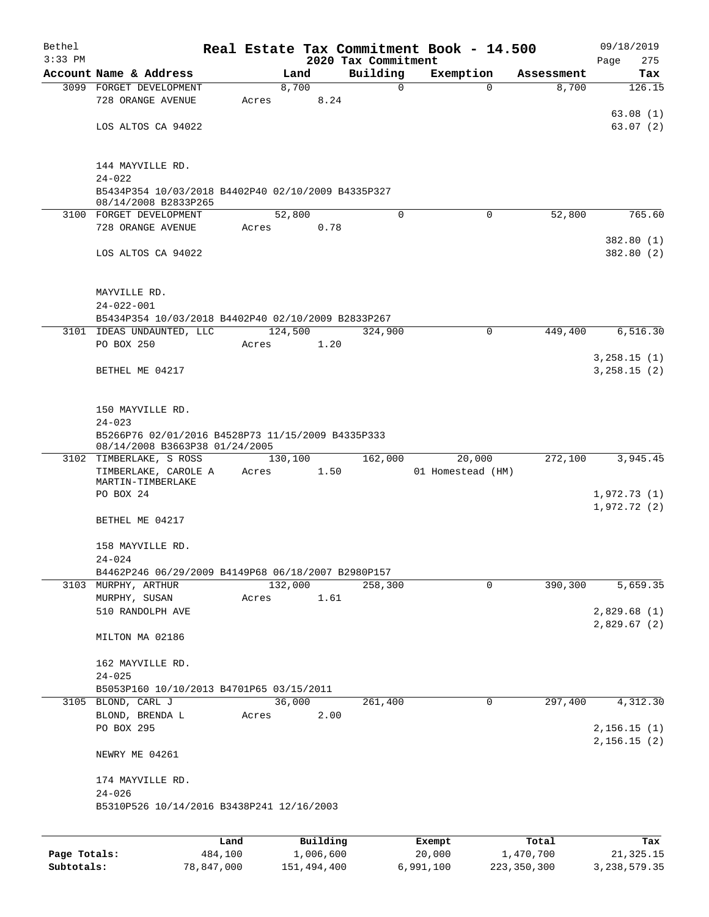| Bethel<br>$3:33$ PM |                                                                        |       |                       | 2020 Tax Commitment | Real Estate Tax Commitment Book - 14.500 |                    | 09/18/2019         |
|---------------------|------------------------------------------------------------------------|-------|-----------------------|---------------------|------------------------------------------|--------------------|--------------------|
|                     | Account Name & Address                                                 |       | Land                  | Building            | Exemption                                | Assessment         | 275<br>Page<br>Tax |
|                     | 3099 FORGET DEVELOPMENT                                                |       | 8,700                 | $\mathbf 0$         | $\Omega$                                 | 8,700              | 126.15             |
|                     | 728 ORANGE AVENUE                                                      | Acres | 8.24                  |                     |                                          |                    |                    |
|                     |                                                                        |       |                       |                     |                                          |                    | 63.08(1)           |
|                     | LOS ALTOS CA 94022                                                     |       |                       |                     |                                          |                    | 63.07(2)           |
|                     |                                                                        |       |                       |                     |                                          |                    |                    |
|                     | 144 MAYVILLE RD.                                                       |       |                       |                     |                                          |                    |                    |
|                     | $24 - 022$                                                             |       |                       |                     |                                          |                    |                    |
|                     | B5434P354 10/03/2018 B4402P40 02/10/2009 B4335P327                     |       |                       |                     |                                          |                    |                    |
|                     | 08/14/2008 B2833P265                                                   |       |                       |                     |                                          |                    |                    |
|                     | 3100 FORGET DEVELOPMENT<br>728 ORANGE AVENUE                           | Acres | 52,800<br>0.78        | $\mathbf 0$         | $\mathbf 0$                              | 52,800             | 765.60             |
|                     |                                                                        |       |                       |                     |                                          |                    | 382.80(1)          |
|                     | LOS ALTOS CA 94022                                                     |       |                       |                     |                                          |                    | 382.80(2)          |
|                     |                                                                        |       |                       |                     |                                          |                    |                    |
|                     |                                                                        |       |                       |                     |                                          |                    |                    |
|                     | MAYVILLE RD.                                                           |       |                       |                     |                                          |                    |                    |
|                     | $24 - 022 - 001$<br>B5434P354 10/03/2018 B4402P40 02/10/2009 B2833P267 |       |                       |                     |                                          |                    |                    |
|                     | 3101 IDEAS UNDAUNTED, LLC                                              |       | 124,500               | 324,900             | 0                                        | 449,400            | 6, 516.30          |
|                     | PO BOX 250                                                             | Acres | 1.20                  |                     |                                          |                    |                    |
|                     |                                                                        |       |                       |                     |                                          |                    | 3, 258.15 (1)      |
|                     | BETHEL ME 04217                                                        |       |                       |                     |                                          |                    | 3, 258.15 (2)      |
|                     |                                                                        |       |                       |                     |                                          |                    |                    |
|                     | 150 MAYVILLE RD.                                                       |       |                       |                     |                                          |                    |                    |
|                     | $24 - 023$                                                             |       |                       |                     |                                          |                    |                    |
|                     | B5266P76 02/01/2016 B4528P73 11/15/2009 B4335P333                      |       |                       |                     |                                          |                    |                    |
|                     | 08/14/2008 B3663P38 01/24/2005                                         |       |                       |                     |                                          |                    |                    |
|                     | 3102 TIMBERLAKE, S ROSS                                                |       | 130,100               | 162,000             | 20,000                                   | 272,100            | 3,945.45           |
|                     | TIMBERLAKE, CAROLE A<br>MARTIN-TIMBERLAKE                              | Acres | 1.50                  |                     | 01 Homestead (HM)                        |                    |                    |
|                     | PO BOX 24                                                              |       |                       |                     |                                          |                    | 1,972.73(1)        |
|                     |                                                                        |       |                       |                     |                                          |                    | 1,972.72(2)        |
|                     | BETHEL ME 04217                                                        |       |                       |                     |                                          |                    |                    |
|                     | 158 MAYVILLE RD.                                                       |       |                       |                     |                                          |                    |                    |
|                     | $24 - 024$                                                             |       |                       |                     |                                          |                    |                    |
|                     | B4462P246 06/29/2009 B4149P68 06/18/2007 B2980P157                     |       |                       |                     |                                          |                    |                    |
|                     | 3103 MURPHY, ARTHUR                                                    |       | 132,000               | 258,300             | $\mathbf 0$                              | 390,300            | 5,659.35           |
|                     | MURPHY, SUSAN                                                          | Acres | 1.61                  |                     |                                          |                    |                    |
|                     | 510 RANDOLPH AVE                                                       |       |                       |                     |                                          |                    | 2,829.68(1)        |
|                     | MILTON MA 02186                                                        |       |                       |                     |                                          |                    | 2,829.67(2)        |
|                     |                                                                        |       |                       |                     |                                          |                    |                    |
|                     | 162 MAYVILLE RD.                                                       |       |                       |                     |                                          |                    |                    |
|                     | $24 - 025$                                                             |       |                       |                     |                                          |                    |                    |
|                     | B5053P160 10/10/2013 B4701P65 03/15/2011                               |       |                       |                     |                                          |                    |                    |
|                     | 3105 BLOND, CARL J                                                     |       | 36,000                | 261,400             | 0                                        | 297,400            | 4,312.30           |
|                     | BLOND, BRENDA L<br>PO BOX 295                                          | Acres | 2.00                  |                     |                                          |                    | 2, 156.15(1)       |
|                     |                                                                        |       |                       |                     |                                          |                    | 2,156.15(2)        |
|                     | NEWRY ME 04261                                                         |       |                       |                     |                                          |                    |                    |
|                     |                                                                        |       |                       |                     |                                          |                    |                    |
|                     | 174 MAYVILLE RD.                                                       |       |                       |                     |                                          |                    |                    |
|                     | $24 - 026$<br>B5310P526 10/14/2016 B3438P241 12/16/2003                |       |                       |                     |                                          |                    |                    |
|                     |                                                                        |       |                       |                     |                                          |                    |                    |
|                     |                                                                        |       |                       |                     |                                          |                    |                    |
| Page Totals:        | 484,100                                                                | Land  | Building<br>1,006,600 |                     | Exempt<br>20,000                         | Total<br>1,470,700 | Tax<br>21, 325.15  |
|                     |                                                                        |       |                       |                     |                                          |                    |                    |

**Subtotals:** 78,847,000 151,494,400 6,991,100 223,350,300 3,238,579.35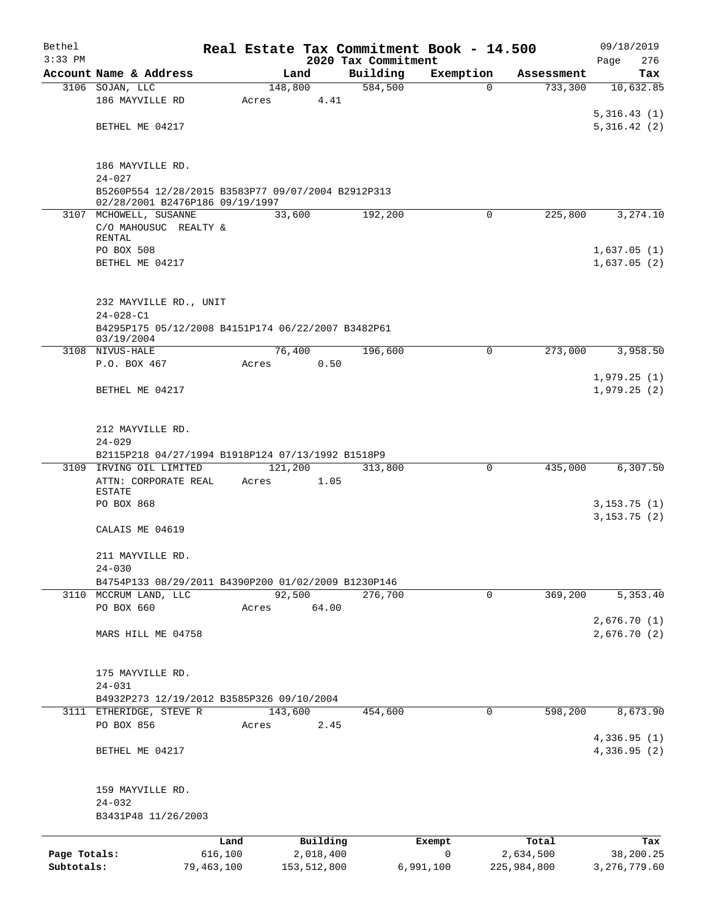| Bethel       |                                                                                       |                 |                 |                       | Real Estate Tax Commitment Book - 14.500 |                       |                    | 09/18/2019       |
|--------------|---------------------------------------------------------------------------------------|-----------------|-----------------|-----------------------|------------------------------------------|-----------------------|--------------------|------------------|
| $3:33$ PM    | Account Name & Address                                                                |                 |                 |                       | 2020 Tax Commitment                      |                       | Assessment         | 276<br>Page      |
|              | 3106 SOJAN, LLC                                                                       |                 | 148,800         | Land                  | Building<br>584,500                      | Exemption<br>$\Omega$ | 733,300            | Tax<br>10,632.85 |
|              | 186 MAYVILLE RD                                                                       |                 | Acres           | 4.41                  |                                          |                       |                    |                  |
|              |                                                                                       |                 |                 |                       |                                          |                       |                    | 5,316.43(1)      |
|              | BETHEL ME 04217                                                                       |                 |                 |                       |                                          |                       |                    | 5,316.42(2)      |
|              |                                                                                       |                 |                 |                       |                                          |                       |                    |                  |
|              | 186 MAYVILLE RD.                                                                      |                 |                 |                       |                                          |                       |                    |                  |
|              | $24 - 027$                                                                            |                 |                 |                       |                                          |                       |                    |                  |
|              | B5260P554 12/28/2015 B3583P77 09/07/2004 B2912P313<br>02/28/2001 B2476P186 09/19/1997 |                 |                 |                       |                                          |                       |                    |                  |
|              | 3107 MCHOWELL, SUSANNE                                                                |                 | 33,600          |                       | 192,200                                  | $\Omega$              | 225,800            | 3,274.10         |
|              | C/O MAHOUSUC REALTY &                                                                 |                 |                 |                       |                                          |                       |                    |                  |
|              | RENTAL<br>PO BOX 508                                                                  |                 |                 |                       |                                          |                       |                    | 1,637.05(1)      |
|              | BETHEL ME 04217                                                                       |                 |                 |                       |                                          |                       |                    | 1,637.05(2)      |
|              |                                                                                       |                 |                 |                       |                                          |                       |                    |                  |
|              |                                                                                       |                 |                 |                       |                                          |                       |                    |                  |
|              | 232 MAYVILLE RD., UNIT<br>$24 - 028 - C1$                                             |                 |                 |                       |                                          |                       |                    |                  |
|              | B4295P175 05/12/2008 B4151P174 06/22/2007 B3482P61                                    |                 |                 |                       |                                          |                       |                    |                  |
|              | 03/19/2004                                                                            |                 |                 |                       |                                          |                       |                    |                  |
|              | 3108 NIVUS-HALE<br>P.O. BOX 467                                                       |                 | 76,400<br>Acres | 0.50                  | 196,600                                  | 0                     | 273,000            | 3,958.50         |
|              |                                                                                       |                 |                 |                       |                                          |                       |                    | 1,979.25(1)      |
|              | BETHEL ME 04217                                                                       |                 |                 |                       |                                          |                       |                    | 1,979.25(2)      |
|              |                                                                                       |                 |                 |                       |                                          |                       |                    |                  |
|              | 212 MAYVILLE RD.                                                                      |                 |                 |                       |                                          |                       |                    |                  |
|              | $24 - 029$                                                                            |                 |                 |                       |                                          |                       |                    |                  |
|              | B2115P218 04/27/1994 B1918P124 07/13/1992 B1518P9                                     |                 |                 |                       |                                          |                       |                    |                  |
|              | 3109 IRVING OIL LIMITED                                                               |                 | 121,200         |                       | 313,800                                  | $\Omega$              | 435,000            | 6, 307.50        |
|              | ATTN: CORPORATE REAL<br><b>ESTATE</b>                                                 |                 | Acres           | 1.05                  |                                          |                       |                    |                  |
|              | PO BOX 868                                                                            |                 |                 |                       |                                          |                       |                    | 3, 153.75(1)     |
|              |                                                                                       |                 |                 |                       |                                          |                       |                    | 3, 153.75(2)     |
|              | CALAIS ME 04619                                                                       |                 |                 |                       |                                          |                       |                    |                  |
|              | 211 MAYVILLE RD.                                                                      |                 |                 |                       |                                          |                       |                    |                  |
|              | $24 - 030$                                                                            |                 |                 |                       |                                          |                       |                    |                  |
|              | B4754P133 08/29/2011 B4390P200 01/02/2009 B1230P146<br>3110 MCCRUM LAND, LLC          |                 |                 |                       | 276,700                                  | $\mathbf 0$           |                    |                  |
|              | PO BOX 660                                                                            |                 | 92,500<br>Acres | 64.00                 |                                          |                       | 369,200            | 5,353.40         |
|              |                                                                                       |                 |                 |                       |                                          |                       |                    | 2,676.70(1)      |
|              | MARS HILL ME 04758                                                                    |                 |                 |                       |                                          |                       |                    | 2,676.70(2)      |
|              |                                                                                       |                 |                 |                       |                                          |                       |                    |                  |
|              | 175 MAYVILLE RD.                                                                      |                 |                 |                       |                                          |                       |                    |                  |
|              | $24 - 031$                                                                            |                 |                 |                       |                                          |                       |                    |                  |
|              | B4932P273 12/19/2012 B3585P326 09/10/2004                                             |                 |                 |                       |                                          |                       |                    |                  |
|              | 3111 ETHERIDGE, STEVE R<br>PO BOX 856                                                 |                 | 143,600         |                       | 454,600                                  | $\mathbf{0}$          | 598,200            | 8,673.90         |
|              |                                                                                       |                 | Acres           | 2.45                  |                                          |                       |                    | 4,336.95 (1)     |
|              | BETHEL ME 04217                                                                       |                 |                 |                       |                                          |                       |                    | 4,336.95(2)      |
|              |                                                                                       |                 |                 |                       |                                          |                       |                    |                  |
|              |                                                                                       |                 |                 |                       |                                          |                       |                    |                  |
|              | 159 MAYVILLE RD.<br>$24 - 032$                                                        |                 |                 |                       |                                          |                       |                    |                  |
|              | B3431P48 11/26/2003                                                                   |                 |                 |                       |                                          |                       |                    |                  |
|              |                                                                                       |                 |                 |                       |                                          |                       |                    |                  |
| Page Totals: |                                                                                       | Land<br>616,100 |                 | Building<br>2,018,400 |                                          | Exempt<br>0           | Total<br>2,634,500 | Tax<br>38,200.25 |
| Subtotals:   | 79,463,100                                                                            |                 |                 | 153,512,800           |                                          | 6,991,100             | 225,984,800        | 3, 276, 779.60   |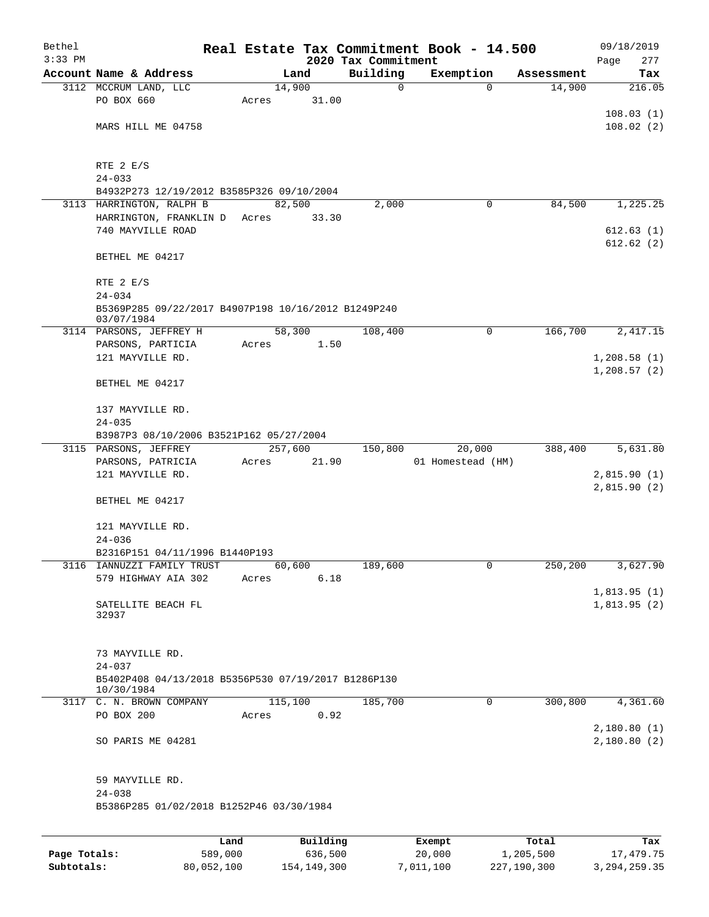| Bethel<br>$3:33$ PM |                                                                   |       |          | 2020 Tax Commitment | Real Estate Tax Commitment Book - 14.500 |            | 09/18/2019<br>277<br>Page |
|---------------------|-------------------------------------------------------------------|-------|----------|---------------------|------------------------------------------|------------|---------------------------|
|                     | Account Name & Address                                            |       | Land     | Building            | Exemption                                | Assessment | Tax                       |
|                     | 3112 MCCRUM LAND, LLC                                             |       | 14,900   | 0                   | $\mathbf 0$                              | 14,900     | 216.05                    |
|                     | PO BOX 660                                                        | Acres | 31.00    |                     |                                          |            |                           |
|                     |                                                                   |       |          |                     |                                          |            | 108.03(1)                 |
|                     | MARS HILL ME 04758                                                |       |          |                     |                                          |            | 108.02(2)                 |
|                     |                                                                   |       |          |                     |                                          |            |                           |
|                     | RTE 2 E/S                                                         |       |          |                     |                                          |            |                           |
|                     | $24 - 033$                                                        |       |          |                     |                                          |            |                           |
|                     | B4932P273 12/19/2012 B3585P326 09/10/2004                         |       |          |                     |                                          |            |                           |
|                     | 3113 HARRINGTON, RALPH B                                          |       | 82,500   | 2,000               | 0                                        | 84,500     | 1,225.25                  |
|                     | HARRINGTON, FRANKLIN D                                            | Acres | 33.30    |                     |                                          |            |                           |
|                     | 740 MAYVILLE ROAD                                                 |       |          |                     |                                          |            | 612.63(1)                 |
|                     |                                                                   |       |          |                     |                                          |            | 612.62(2)                 |
|                     | BETHEL ME 04217                                                   |       |          |                     |                                          |            |                           |
|                     | RTE $2 E/S$                                                       |       |          |                     |                                          |            |                           |
|                     | $24 - 034$                                                        |       |          |                     |                                          |            |                           |
|                     | B5369P285 09/22/2017 B4907P198 10/16/2012 B1249P240<br>03/07/1984 |       |          |                     |                                          |            |                           |
|                     | 3114 PARSONS, JEFFREY H                                           |       | 58,300   | 108,400             | 0                                        | 166,700    | 2,417.15                  |
|                     | PARSONS, PARTICIA                                                 | Acres | 1.50     |                     |                                          |            |                           |
|                     | 121 MAYVILLE RD.                                                  |       |          |                     |                                          |            | 1,208.58(1)               |
|                     | BETHEL ME 04217                                                   |       |          |                     |                                          |            | 1,208.57(2)               |
|                     |                                                                   |       |          |                     |                                          |            |                           |
|                     | 137 MAYVILLE RD.                                                  |       |          |                     |                                          |            |                           |
|                     | $24 - 035$                                                        |       |          |                     |                                          |            |                           |
|                     | B3987P3 08/10/2006 B3521P162 05/27/2004                           |       |          |                     |                                          |            |                           |
|                     | 3115 PARSONS, JEFFREY                                             |       | 257,600  | 150,800             | 20,000                                   | 388,400    | 5,631.80                  |
|                     | PARSONS, PATRICIA                                                 | Acres | 21.90    |                     | 01 Homestead (HM)                        |            |                           |
|                     | 121 MAYVILLE RD.                                                  |       |          |                     |                                          |            | 2,815.90(1)               |
|                     |                                                                   |       |          |                     |                                          |            | 2,815.90(2)               |
|                     | BETHEL ME 04217                                                   |       |          |                     |                                          |            |                           |
|                     | 121 MAYVILLE RD.                                                  |       |          |                     |                                          |            |                           |
|                     | $24 - 036$                                                        |       |          |                     |                                          |            |                           |
|                     | B2316P151 04/11/1996 B1440P193                                    |       |          |                     |                                          |            |                           |
|                     | 3116 IANNUZZI FAMILY TRUST                                        |       | 60,600   | 189,600             | 0                                        | 250,200    | 3,627.90                  |
|                     | 579 HIGHWAY AIA 302                                               | Acres | 6.18     |                     |                                          |            |                           |
|                     |                                                                   |       |          |                     |                                          |            | 1,813.95(1)               |
|                     | SATELLITE BEACH FL<br>32937                                       |       |          |                     |                                          |            | 1,813.95(2)               |
|                     |                                                                   |       |          |                     |                                          |            |                           |
|                     |                                                                   |       |          |                     |                                          |            |                           |
|                     | 73 MAYVILLE RD.                                                   |       |          |                     |                                          |            |                           |
|                     | $24 - 037$                                                        |       |          |                     |                                          |            |                           |
|                     | B5402P408 04/13/2018 B5356P530 07/19/2017 B1286P130<br>10/30/1984 |       |          |                     |                                          |            |                           |
|                     | 3117 C. N. BROWN COMPANY                                          |       | 115,100  | 185,700             | 0                                        | 300,800    | 4,361.60                  |
|                     | PO BOX 200                                                        | Acres | 0.92     |                     |                                          |            |                           |
|                     |                                                                   |       |          |                     |                                          |            | 2,180.80(1)               |
|                     | SO PARIS ME 04281                                                 |       |          |                     |                                          |            | 2,180.80(2)               |
|                     |                                                                   |       |          |                     |                                          |            |                           |
|                     | 59 MAYVILLE RD.                                                   |       |          |                     |                                          |            |                           |
|                     | $24 - 038$                                                        |       |          |                     |                                          |            |                           |
|                     | B5386P285 01/02/2018 B1252P46 03/30/1984                          |       |          |                     |                                          |            |                           |
|                     |                                                                   |       |          |                     |                                          |            |                           |
|                     |                                                                   | Land  | Building |                     | Exempt                                   | Total      | Tax                       |

|              | -----      | --------    | -------   | -----       | .            |
|--------------|------------|-------------|-----------|-------------|--------------|
| Page Totals: | 589,000    | 636,500     | 20,000    | 1,205,500   | 17,479.75    |
| Subtotals:   | 80,052,100 | 154,149,300 | 7,011,100 | 227,190,300 | 3,294,259.35 |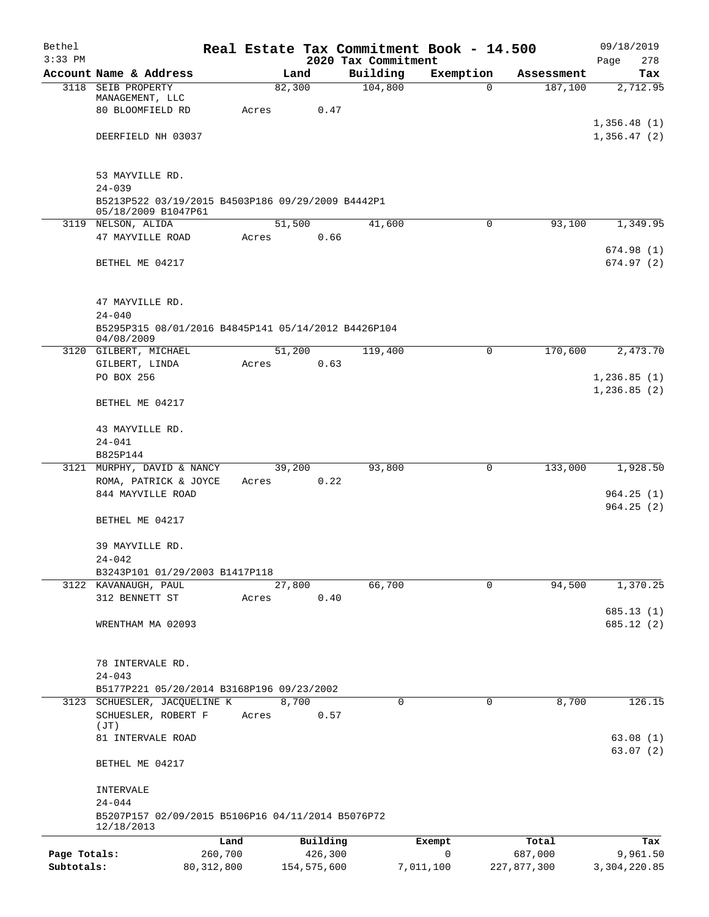| Bethel<br>$3:33$ PM |                                                                          |              |             |         | 2020 Tax Commitment | Real Estate Tax Commitment Book - 14.500 |             | 09/18/2019<br>278<br>Page |
|---------------------|--------------------------------------------------------------------------|--------------|-------------|---------|---------------------|------------------------------------------|-------------|---------------------------|
|                     | Account Name & Address                                                   |              | Land        |         | Building            | Exemption                                | Assessment  | Tax                       |
|                     | 3118 SEIB PROPERTY                                                       |              | 82,300      |         | 104,800             | 0                                        | 187,100     | 2,712.95                  |
|                     | MANAGEMENT, LLC                                                          |              |             |         |                     |                                          |             |                           |
|                     | 80 BLOOMFIELD RD                                                         | Acres        |             | 0.47    |                     |                                          |             |                           |
|                     |                                                                          |              |             |         |                     |                                          |             | 1,356.48(1)               |
|                     | DEERFIELD NH 03037                                                       |              |             |         |                     |                                          |             | 1,356.47(2)               |
|                     | 53 MAYVILLE RD.                                                          |              |             |         |                     |                                          |             |                           |
|                     | $24 - 039$                                                               |              |             |         |                     |                                          |             |                           |
|                     | B5213P522 03/19/2015 B4503P186 09/29/2009 B4442P1<br>05/18/2009 B1047P61 |              |             |         |                     |                                          |             |                           |
|                     | 3119 NELSON, ALIDA                                                       |              | 51,500      |         | 41,600              | 0                                        | 93,100      | 1,349.95                  |
|                     | 47 MAYVILLE ROAD                                                         | Acres        |             | 0.66    |                     |                                          |             |                           |
|                     |                                                                          |              |             |         |                     |                                          |             | 674.98(1)                 |
|                     | BETHEL ME 04217                                                          |              |             |         |                     |                                          |             | 674.97(2)                 |
|                     | 47 MAYVILLE RD.                                                          |              |             |         |                     |                                          |             |                           |
|                     | $24 - 040$                                                               |              |             |         |                     |                                          |             |                           |
|                     | B5295P315 08/01/2016 B4845P141 05/14/2012 B4426P104                      |              |             |         |                     |                                          |             |                           |
|                     | 04/08/2009                                                               |              |             |         |                     |                                          |             |                           |
|                     | 3120 GILBERT, MICHAEL                                                    |              | 51,200      |         | 119,400             | 0                                        | 170,600     | 2,473.70                  |
|                     | GILBERT, LINDA                                                           | Acres        |             | 0.63    |                     |                                          |             |                           |
|                     | PO BOX 256                                                               |              |             |         |                     |                                          |             | 1, 236.85(1)              |
|                     | BETHEL ME 04217                                                          |              |             |         |                     |                                          |             | 1, 236.85(2)              |
|                     | 43 MAYVILLE RD.                                                          |              |             |         |                     |                                          |             |                           |
|                     | $24 - 041$                                                               |              |             |         |                     |                                          |             |                           |
|                     | B825P144                                                                 |              |             |         |                     |                                          |             |                           |
| 3121                | MURPHY, DAVID & NANCY                                                    |              | 39,200      |         | 93,800              | 0                                        | 133,000     | 1,928.50                  |
|                     | ROMA, PATRICK & JOYCE                                                    | Acres        |             | 0.22    |                     |                                          |             |                           |
|                     | 844 MAYVILLE ROAD                                                        |              |             |         |                     |                                          |             | 964.25(1)<br>964.25(2)    |
|                     | BETHEL ME 04217                                                          |              |             |         |                     |                                          |             |                           |
|                     | 39 MAYVILLE RD.                                                          |              |             |         |                     |                                          |             |                           |
|                     | $24 - 042$                                                               |              |             |         |                     |                                          |             |                           |
|                     | B3243P101 01/29/2003 B1417P118                                           |              |             |         |                     |                                          |             |                           |
|                     | 3122 KAVANAUGH, PAUL                                                     |              | 27,800      |         | 66,700              | $\Omega$                                 | 94,500      | 1,370.25                  |
|                     | 312 BENNETT ST                                                           | Acres        |             | 0.40    |                     |                                          |             |                           |
|                     | WRENTHAM MA 02093                                                        |              |             |         |                     |                                          |             | 685.13(1)<br>685.12 (2)   |
|                     |                                                                          |              |             |         |                     |                                          |             |                           |
|                     | 78 INTERVALE RD.<br>$24 - 043$                                           |              |             |         |                     |                                          |             |                           |
|                     | B5177P221 05/20/2014 B3168P196 09/23/2002                                |              |             |         |                     |                                          |             |                           |
|                     | 3123 SCHUESLER, JACQUELINE K                                             |              | 8,700       |         | 0                   | $\mathbf 0$                              | 8,700       | 126.15                    |
|                     | SCHUESLER, ROBERT F                                                      | Acres        |             | 0.57    |                     |                                          |             |                           |
|                     | (JT)                                                                     |              |             |         |                     |                                          |             |                           |
|                     | 81 INTERVALE ROAD                                                        |              |             |         |                     |                                          |             | 63.08(1)<br>63.07(2)      |
|                     | BETHEL ME 04217                                                          |              |             |         |                     |                                          |             |                           |
|                     | INTERVALE<br>$24 - 044$                                                  |              |             |         |                     |                                          |             |                           |
|                     | B5207P157 02/09/2015 B5106P16 04/11/2014 B5076P72<br>12/18/2013          |              |             |         |                     |                                          |             |                           |
|                     |                                                                          | Land         | Building    |         |                     | Exempt                                   | Total       | Tax                       |
| Page Totals:        |                                                                          | 260,700      |             | 426,300 |                     | 0                                        | 687,000     | 9,961.50                  |
| Subtotals:          |                                                                          | 80, 312, 800 | 154,575,600 |         |                     | 7,011,100                                | 227,877,300 | 3,304,220.85              |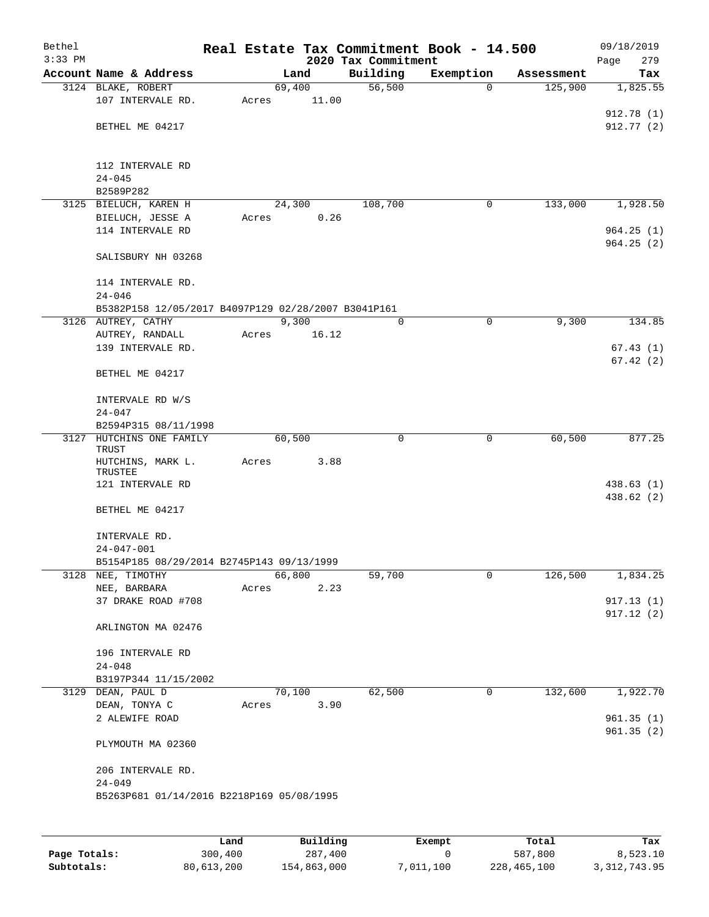| Bethel<br>$3:33$ PM |                                                     |       |        |       | Real Estate Tax Commitment Book - 14.500<br>2020 Tax Commitment |   |              |            | 09/18/2019<br>Page<br>279 |
|---------------------|-----------------------------------------------------|-------|--------|-------|-----------------------------------------------------------------|---|--------------|------------|---------------------------|
|                     | Account Name & Address                              |       | Land   |       | Building                                                        |   | Exemption    | Assessment | Tax                       |
|                     | 3124 BLAKE, ROBERT                                  |       | 69,400 |       | 56,500                                                          |   | $\mathbf 0$  | 125,900    | 1,825.55                  |
|                     | 107 INTERVALE RD.                                   | Acres |        | 11.00 |                                                                 |   |              |            |                           |
|                     |                                                     |       |        |       |                                                                 |   |              |            | 912.78(1)                 |
|                     | BETHEL ME 04217                                     |       |        |       |                                                                 |   |              |            | 912.77(2)                 |
|                     | 112 INTERVALE RD                                    |       |        |       |                                                                 |   |              |            |                           |
|                     | $24 - 045$                                          |       |        |       |                                                                 |   |              |            |                           |
|                     | B2589P282                                           |       |        |       |                                                                 |   |              |            |                           |
|                     | 3125 BIELUCH, KAREN H                               |       | 24,300 |       | 108,700                                                         |   | 0            | 133,000    | 1,928.50                  |
|                     | BIELUCH, JESSE A                                    | Acres |        | 0.26  |                                                                 |   |              |            |                           |
|                     | 114 INTERVALE RD                                    |       |        |       |                                                                 |   |              |            | 964.25(1)                 |
|                     | SALISBURY NH 03268                                  |       |        |       |                                                                 |   |              |            | 964.25(2)                 |
|                     | 114 INTERVALE RD.                                   |       |        |       |                                                                 |   |              |            |                           |
|                     | $24 - 046$                                          |       |        |       |                                                                 |   |              |            |                           |
|                     | B5382P158 12/05/2017 B4097P129 02/28/2007 B3041P161 |       |        |       |                                                                 |   |              |            |                           |
|                     | 3126 AUTREY, CATHY                                  |       | 9,300  |       |                                                                 | 0 | 0            | 9,300      | 134.85                    |
|                     | AUTREY, RANDALL                                     | Acres |        | 16.12 |                                                                 |   |              |            |                           |
|                     | 139 INTERVALE RD.                                   |       |        |       |                                                                 |   |              |            | 67.43(1)<br>67.42(2)      |
|                     | BETHEL ME 04217                                     |       |        |       |                                                                 |   |              |            |                           |
|                     | INTERVALE RD W/S                                    |       |        |       |                                                                 |   |              |            |                           |
|                     | $24 - 047$                                          |       |        |       |                                                                 |   |              |            |                           |
|                     | B2594P315 08/11/1998<br>3127 HUTCHINS ONE FAMILY    |       | 60,500 |       |                                                                 | 0 | 0            | 60,500     | 877.25                    |
|                     | TRUST                                               |       |        |       |                                                                 |   |              |            |                           |
|                     | HUTCHINS, MARK L.                                   | Acres |        | 3.88  |                                                                 |   |              |            |                           |
|                     | TRUSTEE<br>121 INTERVALE RD                         |       |        |       |                                                                 |   |              |            | 438.63(1)                 |
|                     |                                                     |       |        |       |                                                                 |   |              |            | 438.62 (2)                |
|                     | BETHEL ME 04217                                     |       |        |       |                                                                 |   |              |            |                           |
|                     | INTERVALE RD.                                       |       |        |       |                                                                 |   |              |            |                           |
|                     | 24-047-001                                          |       |        |       |                                                                 |   |              |            |                           |
|                     | B5154P185 08/29/2014 B2745P143 09/13/1999           |       |        |       |                                                                 |   |              |            |                           |
|                     | 3128 NEE, TIMOTHY                                   |       | 66,800 |       | 59,700                                                          |   | 0            | 126,500    | 1,834.25                  |
|                     | NEE, BARBARA<br>37 DRAKE ROAD #708                  | Acres |        | 2.23  |                                                                 |   |              |            | 917.13(1)                 |
|                     |                                                     |       |        |       |                                                                 |   |              |            | 917.12(2)                 |
|                     | ARLINGTON MA 02476                                  |       |        |       |                                                                 |   |              |            |                           |
|                     | 196 INTERVALE RD                                    |       |        |       |                                                                 |   |              |            |                           |
|                     | $24 - 048$                                          |       |        |       |                                                                 |   |              |            |                           |
|                     | B3197P344 11/15/2002                                |       |        |       |                                                                 |   |              |            |                           |
|                     | 3129 DEAN, PAUL D                                   |       | 70,100 |       | 62,500                                                          |   | $\mathsf{O}$ | 132,600    | 1,922.70                  |
|                     | DEAN, TONYA C                                       | Acres |        | 3.90  |                                                                 |   |              |            |                           |
|                     | 2 ALEWIFE ROAD                                      |       |        |       |                                                                 |   |              |            | 961.35(1)                 |
|                     | PLYMOUTH MA 02360                                   |       |        |       |                                                                 |   |              |            | 961.35(2)                 |
|                     | 206 INTERVALE RD.                                   |       |        |       |                                                                 |   |              |            |                           |
|                     | $24 - 049$                                          |       |        |       |                                                                 |   |              |            |                           |
|                     | B5263P681 01/14/2016 B2218P169 05/08/1995           |       |        |       |                                                                 |   |              |            |                           |
|                     |                                                     |       |        |       |                                                                 |   |              |            |                           |
|                     |                                                     |       |        |       |                                                                 |   |              |            |                           |

|              | Land       | Building    | Exempt    | Total       | Tax          |
|--------------|------------|-------------|-----------|-------------|--------------|
| Page Totals: | 300,400    | 287,400     |           | 587,800     | 8,523.10     |
| Subtotals:   | 80,613,200 | 154,863,000 | 7,011,100 | 228,465,100 | 3,312,743.95 |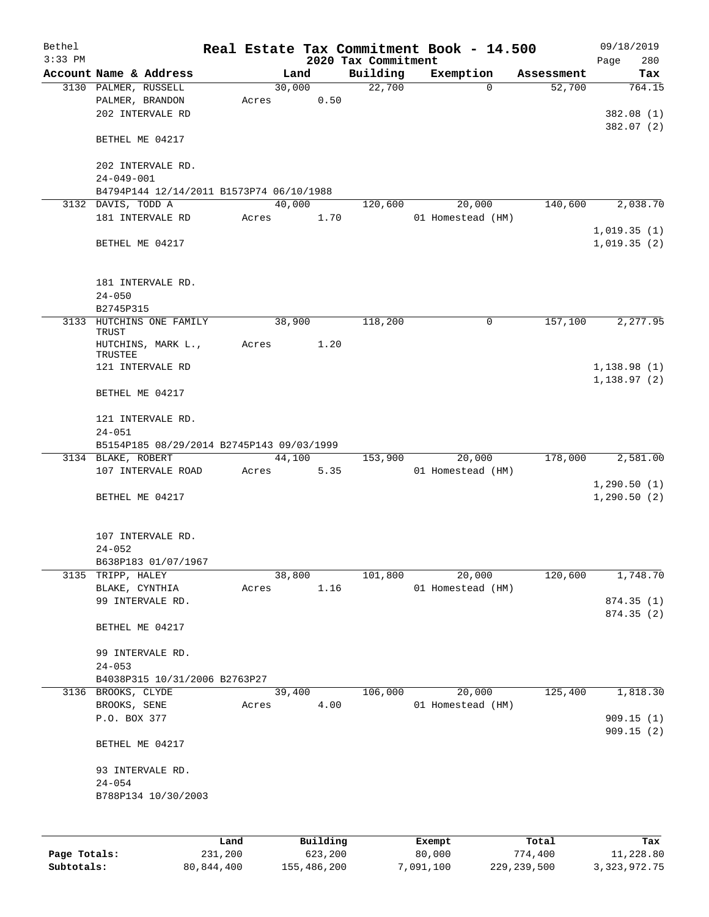| Bethel    |                                           |      |       |        |          | Real Estate Tax Commitment Book - 14.500 |                   |          |            | 09/18/2019               |
|-----------|-------------------------------------------|------|-------|--------|----------|------------------------------------------|-------------------|----------|------------|--------------------------|
| $3:33$ PM |                                           |      |       |        |          | 2020 Tax Commitment                      |                   |          |            | 280<br>Page              |
|           | Account Name & Address                    |      |       | Land   |          | Building                                 | Exemption         |          | Assessment | Tax<br>764.15            |
|           | 3130 PALMER, RUSSELL                      |      |       | 30,000 |          | 22,700                                   |                   | $\Omega$ | 52,700     |                          |
|           | PALMER, BRANDON<br>202 INTERVALE RD       |      | Acres |        | 0.50     |                                          |                   |          |            |                          |
|           |                                           |      |       |        |          |                                          |                   |          |            | 382.08 (1)<br>382.07 (2) |
|           | BETHEL ME 04217                           |      |       |        |          |                                          |                   |          |            |                          |
|           |                                           |      |       |        |          |                                          |                   |          |            |                          |
|           | 202 INTERVALE RD.                         |      |       |        |          |                                          |                   |          |            |                          |
|           | $24 - 049 - 001$                          |      |       |        |          |                                          |                   |          |            |                          |
|           | B4794P144 12/14/2011 B1573P74 06/10/1988  |      |       |        |          |                                          |                   |          |            |                          |
|           | 3132 DAVIS, TODD A                        |      |       | 40,000 |          | 120,600                                  |                   | 20,000   | 140,600    | 2,038.70                 |
|           | 181 INTERVALE RD                          |      | Acres |        | 1.70     |                                          | 01 Homestead (HM) |          |            |                          |
|           |                                           |      |       |        |          |                                          |                   |          |            | 1,019.35(1)              |
|           | BETHEL ME 04217                           |      |       |        |          |                                          |                   |          |            | 1,019.35(2)              |
|           |                                           |      |       |        |          |                                          |                   |          |            |                          |
|           |                                           |      |       |        |          |                                          |                   |          |            |                          |
|           | 181 INTERVALE RD.                         |      |       |        |          |                                          |                   |          |            |                          |
|           | $24 - 050$                                |      |       |        |          |                                          |                   |          |            |                          |
|           | B2745P315                                 |      |       |        |          |                                          |                   |          |            |                          |
| 3133      | HUTCHINS ONE FAMILY                       |      |       | 38,900 |          | 118,200                                  |                   | 0        | 157,100    | 2,277.95                 |
|           | TRUST                                     |      |       |        |          |                                          |                   |          |            |                          |
|           | HUTCHINS, MARK L.,<br>TRUSTEE             |      | Acres |        | 1.20     |                                          |                   |          |            |                          |
|           | 121 INTERVALE RD                          |      |       |        |          |                                          |                   |          |            | 1,138.98(1)              |
|           |                                           |      |       |        |          |                                          |                   |          |            | 1,138.97(2)              |
|           | BETHEL ME 04217                           |      |       |        |          |                                          |                   |          |            |                          |
|           |                                           |      |       |        |          |                                          |                   |          |            |                          |
|           | 121 INTERVALE RD.                         |      |       |        |          |                                          |                   |          |            |                          |
|           | $24 - 051$                                |      |       |        |          |                                          |                   |          |            |                          |
|           | B5154P185 08/29/2014 B2745P143 09/03/1999 |      |       |        |          |                                          |                   |          |            |                          |
|           | 3134 BLAKE, ROBERT                        |      |       |        | 44,100   | 153,900                                  |                   | 20,000   | 178,000    | 2,581.00                 |
|           | 107 INTERVALE ROAD                        |      | Acres |        | 5.35     |                                          | 01 Homestead (HM) |          |            |                          |
|           |                                           |      |       |        |          |                                          |                   |          |            | 1,290.50(1)              |
|           | BETHEL ME 04217                           |      |       |        |          |                                          |                   |          |            | 1,290.50(2)              |
|           |                                           |      |       |        |          |                                          |                   |          |            |                          |
|           |                                           |      |       |        |          |                                          |                   |          |            |                          |
|           | 107 INTERVALE RD.                         |      |       |        |          |                                          |                   |          |            |                          |
|           | $24 - 052$                                |      |       |        |          |                                          |                   |          |            |                          |
|           | B638P183 01/07/1967                       |      |       |        |          |                                          |                   |          |            |                          |
|           | 3135 TRIPP, HALEY                         |      |       | 38,800 |          | 101,800                                  |                   | 20,000   | 120,600    | 1,748.70                 |
|           | BLAKE, CYNTHIA                            |      | Acres |        | 1.16     |                                          | 01 Homestead (HM) |          |            |                          |
|           | 99 INTERVALE RD.                          |      |       |        |          |                                          |                   |          |            | 874.35(1)                |
|           |                                           |      |       |        |          |                                          |                   |          |            | 874.35 (2)               |
|           | BETHEL ME 04217                           |      |       |        |          |                                          |                   |          |            |                          |
|           |                                           |      |       |        |          |                                          |                   |          |            |                          |
|           | 99 INTERVALE RD.<br>$24 - 053$            |      |       |        |          |                                          |                   |          |            |                          |
|           | B4038P315 10/31/2006 B2763P27             |      |       |        |          |                                          |                   |          |            |                          |
|           | 3136 BROOKS, CLYDE                        |      |       | 39,400 |          | 106,000                                  |                   | 20,000   | 125,400    | 1,818.30                 |
|           | BROOKS, SENE                              |      | Acres |        | 4.00     |                                          | 01 Homestead (HM) |          |            |                          |
|           | P.O. BOX 377                              |      |       |        |          |                                          |                   |          |            | 909.15(1)                |
|           |                                           |      |       |        |          |                                          |                   |          |            | 909.15(2)                |
|           | BETHEL ME 04217                           |      |       |        |          |                                          |                   |          |            |                          |
|           |                                           |      |       |        |          |                                          |                   |          |            |                          |
|           | 93 INTERVALE RD.                          |      |       |        |          |                                          |                   |          |            |                          |
|           | $24 - 054$                                |      |       |        |          |                                          |                   |          |            |                          |
|           | B788P134 10/30/2003                       |      |       |        |          |                                          |                   |          |            |                          |
|           |                                           |      |       |        |          |                                          |                   |          |            |                          |
|           |                                           |      |       |        |          |                                          |                   |          |            |                          |
|           |                                           | Land |       |        | Building |                                          |                   |          | Total      | Tax                      |
|           |                                           |      |       |        |          |                                          | Exempt            |          |            |                          |

|              | nana       | <b>DULLULLY</b> | <b>BACILDL</b> | TOLAT         | ⊥a∧             |
|--------------|------------|-----------------|----------------|---------------|-----------------|
| Page Totals: | 231,200    | 623,200         | 80,000         | 774,400       | 11,228.80       |
| Subtotals:   | 80,844,400 | 155,486,200     | 7,091,100      | 229, 239, 500 | 3, 323, 972, 75 |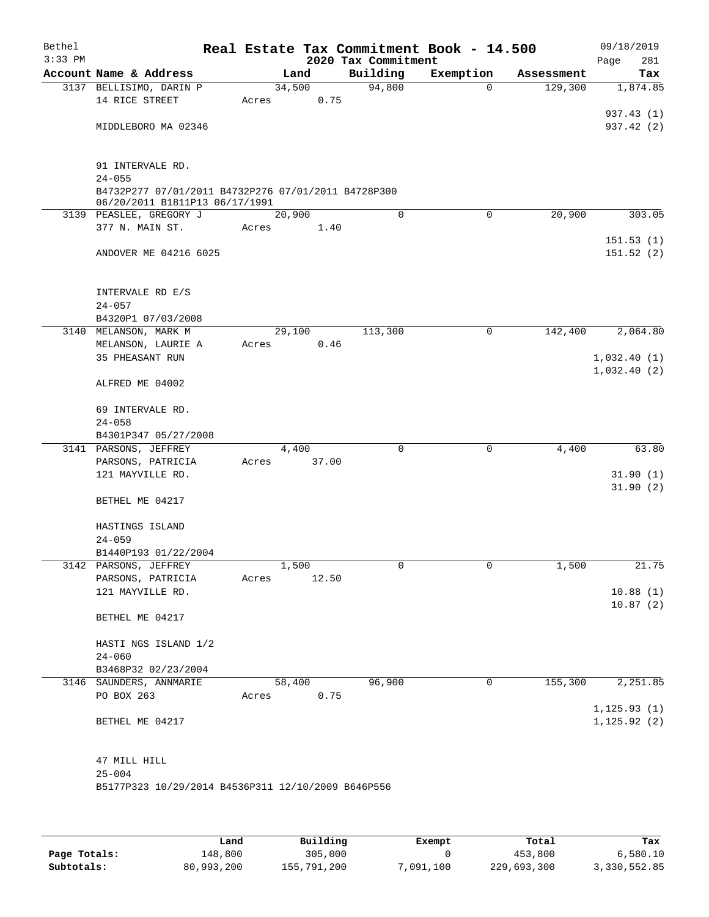| Bethel<br>$3:33$ PM |                                                                                       |       |        |       | Real Estate Tax Commitment Book - 14.500<br>2020 Tax Commitment |           |             |            | 09/18/2019<br>281<br>Page  |
|---------------------|---------------------------------------------------------------------------------------|-------|--------|-------|-----------------------------------------------------------------|-----------|-------------|------------|----------------------------|
|                     | Account Name & Address                                                                |       | Land   |       | Building                                                        | Exemption |             | Assessment | Tax                        |
|                     | 3137 BELLISIMO, DARIN P                                                               |       | 34,500 |       | 94,800                                                          |           | $\mathbf 0$ | 129,300    | 1,874.85                   |
|                     | 14 RICE STREET                                                                        | Acres |        | 0.75  |                                                                 |           |             |            |                            |
|                     |                                                                                       |       |        |       |                                                                 |           |             |            | 937.43 (1)                 |
|                     | MIDDLEBORO MA 02346                                                                   |       |        |       |                                                                 |           |             |            | 937.42 (2)                 |
|                     | 91 INTERVALE RD.                                                                      |       |        |       |                                                                 |           |             |            |                            |
|                     | $24 - 055$                                                                            |       |        |       |                                                                 |           |             |            |                            |
|                     | B4732P277 07/01/2011 B4732P276 07/01/2011 B4728P300<br>06/20/2011 B1811P13 06/17/1991 |       |        |       |                                                                 |           |             |            |                            |
|                     | 3139 PEASLEE, GREGORY J                                                               |       | 20,900 |       | 0                                                               |           | $\mathbf 0$ | 20,900     | 303.05                     |
|                     | 377 N. MAIN ST.                                                                       | Acres |        | 1.40  |                                                                 |           |             |            |                            |
|                     |                                                                                       |       |        |       |                                                                 |           |             |            | 151.53(1)                  |
|                     | ANDOVER ME 04216 6025                                                                 |       |        |       |                                                                 |           |             |            | 151.52(2)                  |
|                     | INTERVALE RD E/S                                                                      |       |        |       |                                                                 |           |             |            |                            |
|                     | $24 - 057$                                                                            |       |        |       |                                                                 |           |             |            |                            |
|                     | B4320P1 07/03/2008                                                                    |       |        |       |                                                                 |           |             |            |                            |
|                     | 3140 MELANSON, MARK M                                                                 |       | 29,100 |       | 113,300                                                         |           | 0           | 142,400    | 2,064.80                   |
|                     | MELANSON, LAURIE A                                                                    | Acres |        | 0.46  |                                                                 |           |             |            |                            |
|                     | 35 PHEASANT RUN                                                                       |       |        |       |                                                                 |           |             |            | 1,032.40(1)<br>1,032.40(2) |
|                     | ALFRED ME 04002                                                                       |       |        |       |                                                                 |           |             |            |                            |
|                     | 69 INTERVALE RD.                                                                      |       |        |       |                                                                 |           |             |            |                            |
|                     | $24 - 058$                                                                            |       |        |       |                                                                 |           |             |            |                            |
|                     | B4301P347 05/27/2008<br>3141 PARSONS, JEFFREY                                         |       | 4,400  |       | 0                                                               |           | 0           | 4,400      | 63.80                      |
|                     | PARSONS, PATRICIA                                                                     | Acres |        | 37.00 |                                                                 |           |             |            |                            |
|                     | 121 MAYVILLE RD.                                                                      |       |        |       |                                                                 |           |             |            | 31.90(1)                   |
|                     |                                                                                       |       |        |       |                                                                 |           |             |            | 31.90(2)                   |
|                     | BETHEL ME 04217                                                                       |       |        |       |                                                                 |           |             |            |                            |
|                     | HASTINGS ISLAND                                                                       |       |        |       |                                                                 |           |             |            |                            |
|                     | $24 - 059$<br>B1440P193 01/22/2004                                                    |       |        |       |                                                                 |           |             |            |                            |
|                     | 3142 PARSONS, JEFFREY                                                                 |       | 1,500  |       | 0                                                               |           | 0           | 1,500      | 21.75                      |
|                     | PARSONS, PATRICIA                                                                     | Acres |        | 12.50 |                                                                 |           |             |            |                            |
|                     | 121 MAYVILLE RD.                                                                      |       |        |       |                                                                 |           |             |            | 10.88(1)                   |
|                     |                                                                                       |       |        |       |                                                                 |           |             |            | 10.87(2)                   |
|                     | BETHEL ME 04217                                                                       |       |        |       |                                                                 |           |             |            |                            |
|                     | HASTI NGS ISLAND 1/2                                                                  |       |        |       |                                                                 |           |             |            |                            |
|                     | $24 - 060$                                                                            |       |        |       |                                                                 |           |             |            |                            |
|                     | B3468P32 02/23/2004                                                                   |       |        |       |                                                                 |           |             |            |                            |
|                     | 3146 SAUNDERS, ANNMARIE                                                               |       | 58,400 |       | 96,900                                                          |           | 0           | 155,300    | 2,251.85                   |
|                     | PO BOX 263                                                                            | Acres |        | 0.75  |                                                                 |           |             |            | 1, 125.93(1)               |
|                     | BETHEL ME 04217                                                                       |       |        |       |                                                                 |           |             |            | 1, 125.92(2)               |
|                     |                                                                                       |       |        |       |                                                                 |           |             |            |                            |
|                     | 47 MILL HILL                                                                          |       |        |       |                                                                 |           |             |            |                            |
|                     | $25 - 004$                                                                            |       |        |       |                                                                 |           |             |            |                            |
|                     | B5177P323 10/29/2014 B4536P311 12/10/2009 B646P556                                    |       |        |       |                                                                 |           |             |            |                            |
|                     |                                                                                       |       |        |       |                                                                 |           |             |            |                            |
|                     |                                                                                       |       |        |       |                                                                 |           |             |            |                            |

|              | Land       | Building    | Exempt    | Total       | Tax          |
|--------------|------------|-------------|-----------|-------------|--------------|
| Page Totals: | 148,800    | 305,000     |           | 453,800     | 6,580.10     |
| Subtotals:   | 80,993,200 | 155,791,200 | 7,091,100 | 229,693,300 | 3,330,552.85 |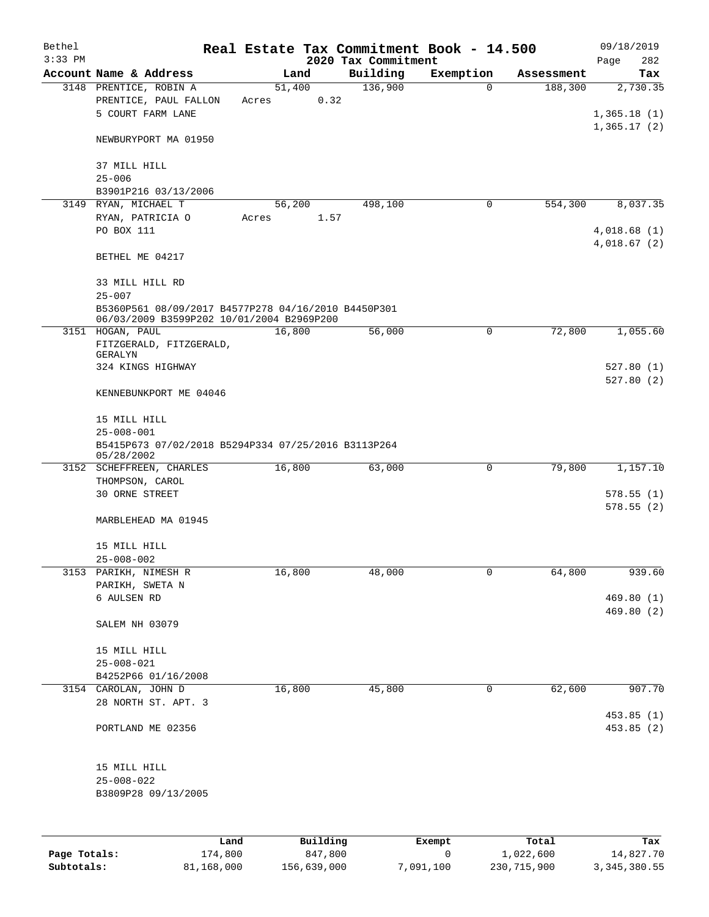| Bethel       |                                                                                                  |                     |                     | Real Estate Tax Commitment Book - 14.500 |                       | 09/18/2019               |
|--------------|--------------------------------------------------------------------------------------------------|---------------------|---------------------|------------------------------------------|-----------------------|--------------------------|
| $3:33$ PM    |                                                                                                  |                     | 2020 Tax Commitment |                                          |                       | Page<br>282              |
|              | Account Name & Address<br>3148 PRENTICE, ROBIN A                                                 | Land<br>51,400      | Building<br>136,900 | Exemption<br>$\mathbf 0$                 | Assessment<br>188,300 | Tax<br>2,730.35          |
|              | PRENTICE, PAUL FALLON<br>Acres<br>5 COURT FARM LANE                                              | 0.32                |                     |                                          |                       | 1,365.18(1)              |
|              | NEWBURYPORT MA 01950                                                                             |                     |                     |                                          |                       | 1,365.17(2)              |
|              | 37 MILL HILL<br>$25 - 006$                                                                       |                     |                     |                                          |                       |                          |
|              | B3901P216 03/13/2006                                                                             |                     |                     |                                          |                       |                          |
|              | 3149 RYAN, MICHAEL T                                                                             | 56,200              | 498,100             | 0                                        | 554,300               | 8,037.35                 |
|              | RYAN, PATRICIA O<br>Acres                                                                        | 1.57                |                     |                                          |                       |                          |
|              | PO BOX 111                                                                                       |                     |                     |                                          |                       | 4,018.68(1)              |
|              |                                                                                                  |                     |                     |                                          |                       | 4,018.67(2)              |
|              | BETHEL ME 04217                                                                                  |                     |                     |                                          |                       |                          |
|              | 33 MILL HILL RD<br>$25 - 007$                                                                    |                     |                     |                                          |                       |                          |
|              | B5360P561 08/09/2017 B4577P278 04/16/2010 B4450P301<br>06/03/2009 B3599P202 10/01/2004 B2969P200 |                     |                     |                                          |                       |                          |
|              | 3151 HOGAN, PAUL                                                                                 | 16,800              | 56,000              | 0                                        | 72,800                | 1,055.60                 |
|              | FITZGERALD, FITZGERALD,<br>GERALYN                                                               |                     |                     |                                          |                       |                          |
|              | 324 KINGS HIGHWAY                                                                                |                     |                     |                                          |                       | 527.80(1)                |
|              | KENNEBUNKPORT ME 04046                                                                           |                     |                     |                                          |                       | 527.80(2)                |
|              |                                                                                                  |                     |                     |                                          |                       |                          |
|              | 15 MILL HILL                                                                                     |                     |                     |                                          |                       |                          |
|              | $25 - 008 - 001$<br>B5415P673 07/02/2018 B5294P334 07/25/2016 B3113P264                          |                     |                     |                                          |                       |                          |
|              | 05/28/2002                                                                                       |                     |                     |                                          |                       |                          |
|              | 3152 SCHEFFREEN, CHARLES                                                                         | 16,800              | 63,000              | 0                                        | 79,800                | 1,157.10                 |
|              | THOMPSON, CAROL                                                                                  |                     |                     |                                          |                       |                          |
|              | <b>30 ORNE STREET</b>                                                                            |                     |                     |                                          |                       | 578.55(1)                |
|              | MARBLEHEAD MA 01945                                                                              |                     |                     |                                          |                       | 578.55(2)                |
|              | 15 MILL HILL                                                                                     |                     |                     |                                          |                       |                          |
|              | $25 - 008 - 002$                                                                                 |                     |                     |                                          |                       |                          |
|              | 3153 PARIKH, NIMESH R                                                                            | 16,800              | 48,000              | 0                                        | 64,800                | 939.60                   |
|              | PARIKH, SWETA N                                                                                  |                     |                     |                                          |                       |                          |
|              | 6 AULSEN RD                                                                                      |                     |                     |                                          |                       | 469.80(1)                |
|              | SALEM NH 03079                                                                                   |                     |                     |                                          |                       | 469.80 (2)               |
|              | 15 MILL HILL                                                                                     |                     |                     |                                          |                       |                          |
|              | $25 - 008 - 021$                                                                                 |                     |                     |                                          |                       |                          |
|              | B4252P66 01/16/2008                                                                              |                     |                     |                                          |                       |                          |
|              | 3154 CAROLAN, JOHN D<br>28 NORTH ST. APT. 3                                                      | 16,800              | 45,800              | 0                                        | 62,600                | 907.70                   |
|              | PORTLAND ME 02356                                                                                |                     |                     |                                          |                       | 453.85 (1)<br>453.85 (2) |
|              | 15 MILL HILL                                                                                     |                     |                     |                                          |                       |                          |
|              | $25 - 008 - 022$                                                                                 |                     |                     |                                          |                       |                          |
|              | B3809P28 09/13/2005                                                                              |                     |                     |                                          |                       |                          |
|              |                                                                                                  |                     |                     |                                          |                       |                          |
|              |                                                                                                  |                     |                     |                                          |                       |                          |
| Page Totals: | Land<br>174,800                                                                                  | Building<br>847,800 |                     | Exempt<br>0                              | Total<br>1,022,600    | Tax<br>14,827.70         |

**Subtotals:** 81,168,000 156,639,000 7,091,100 230,715,900 3,345,380.55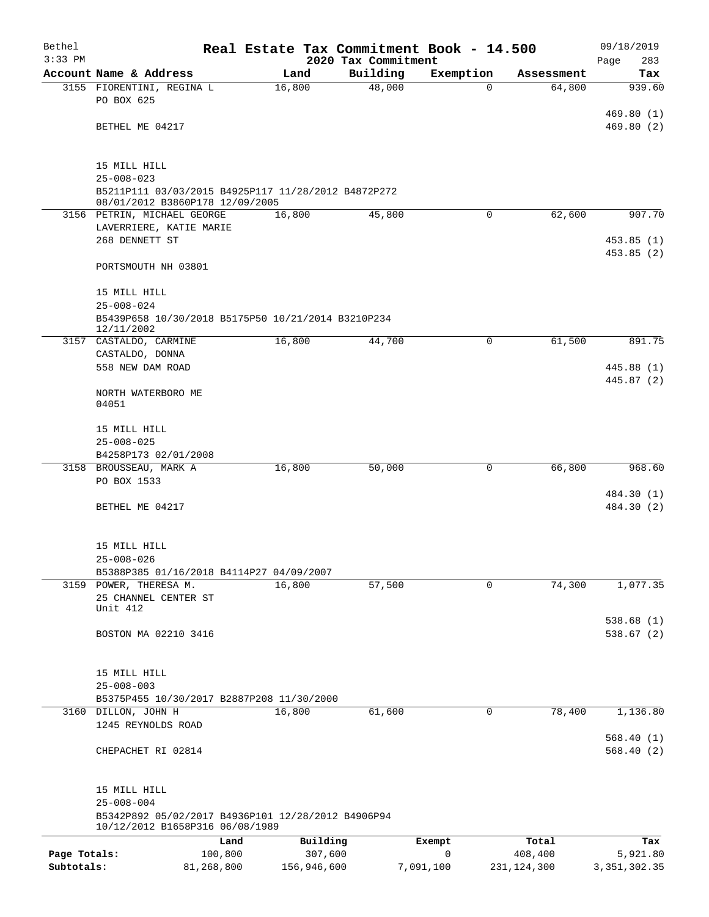| Bethel                     |                                                                                        |         |                        | Real Estate Tax Commitment Book - 14.500 |             |                          | 09/18/2019                 |
|----------------------------|----------------------------------------------------------------------------------------|---------|------------------------|------------------------------------------|-------------|--------------------------|----------------------------|
| $3:33$ PM                  | Account Name & Address                                                                 |         | Land                   | 2020 Tax Commitment<br>Building          | Exemption   | Assessment               | Page<br>283<br>Tax         |
|                            | 3155 FIORENTINI, REGINA L                                                              |         | 16,800                 | 48,000                                   | $\Omega$    | 64,800                   | 939.60                     |
|                            | PO BOX 625                                                                             |         |                        |                                          |             |                          |                            |
|                            | BETHEL ME 04217                                                                        |         |                        |                                          |             |                          | 469.80(1)<br>469.80(2)     |
|                            |                                                                                        |         |                        |                                          |             |                          |                            |
|                            | 15 MILL HILL                                                                           |         |                        |                                          |             |                          |                            |
|                            | $25 - 008 - 023$                                                                       |         |                        |                                          |             |                          |                            |
|                            | B5211P111 03/03/2015 B4925P117 11/28/2012 B4872P272<br>08/01/2012 B3860P178 12/09/2005 |         |                        |                                          |             |                          |                            |
|                            | 3156 PETRIN, MICHAEL GEORGE                                                            |         | 16,800                 | 45,800                                   | $\mathbf 0$ | 62,600                   | 907.70                     |
|                            | LAVERRIERE, KATIE MARIE                                                                |         |                        |                                          |             |                          |                            |
|                            | 268 DENNETT ST                                                                         |         |                        |                                          |             |                          | 453.85(1)                  |
|                            | PORTSMOUTH NH 03801                                                                    |         |                        |                                          |             |                          | 453.85(2)                  |
|                            | 15 MILL HILL                                                                           |         |                        |                                          |             |                          |                            |
|                            | $25 - 008 - 024$                                                                       |         |                        |                                          |             |                          |                            |
|                            | B5439P658 10/30/2018 B5175P50 10/21/2014 B3210P234<br>12/11/2002                       |         |                        |                                          |             |                          |                            |
|                            | 3157 CASTALDO, CARMINE<br>CASTALDO, DONNA                                              |         | 16,800                 | 44,700                                   | 0           | 61,500                   | 891.75                     |
|                            | 558 NEW DAM ROAD                                                                       |         |                        |                                          |             |                          | 445.88 (1)                 |
|                            |                                                                                        |         |                        |                                          |             |                          | 445.87 (2)                 |
|                            | NORTH WATERBORO ME<br>04051                                                            |         |                        |                                          |             |                          |                            |
|                            | 15 MILL HILL                                                                           |         |                        |                                          |             |                          |                            |
|                            | $25 - 008 - 025$                                                                       |         |                        |                                          |             |                          |                            |
|                            | B4258P173 02/01/2008                                                                   |         |                        |                                          |             |                          |                            |
|                            | 3158 BROUSSEAU, MARK A                                                                 |         | 16,800                 | 50,000                                   | 0           | 66,800                   | 968.60                     |
|                            | PO BOX 1533                                                                            |         |                        |                                          |             |                          | 484.30 (1)                 |
|                            | BETHEL ME 04217                                                                        |         |                        |                                          |             |                          | 484.30 (2)                 |
|                            |                                                                                        |         |                        |                                          |             |                          |                            |
|                            | 15 MILL HILL<br>$25 - 008 - 026$                                                       |         |                        |                                          |             |                          |                            |
|                            | B5388P385 01/16/2018 B4114P27 04/09/2007                                               |         |                        |                                          |             |                          |                            |
|                            | 3159 POWER, THERESA M.                                                                 |         | 16,800                 | 57,500                                   | 0           | 74,300                   | 1,077.35                   |
|                            | 25 CHANNEL CENTER ST                                                                   |         |                        |                                          |             |                          |                            |
|                            | Unit 412                                                                               |         |                        |                                          |             |                          | 538.68(1)                  |
|                            | BOSTON MA 02210 3416                                                                   |         |                        |                                          |             |                          | 538.67(2)                  |
|                            |                                                                                        |         |                        |                                          |             |                          |                            |
|                            | 15 MILL HILL                                                                           |         |                        |                                          |             |                          |                            |
|                            | $25 - 008 - 003$                                                                       |         |                        |                                          |             |                          |                            |
|                            | B5375P455 10/30/2017 B2887P208 11/30/2000                                              |         |                        |                                          |             |                          |                            |
|                            | 3160 DILLON, JOHN H<br>1245 REYNOLDS ROAD                                              |         | 16,800                 | 61,600                                   | 0           | 78,400                   | 1,136.80                   |
|                            |                                                                                        |         |                        |                                          |             |                          | 568.40(1)                  |
|                            | CHEPACHET RI 02814                                                                     |         |                        |                                          |             |                          | 568.40(2)                  |
|                            | 15 MILL HILL                                                                           |         |                        |                                          |             |                          |                            |
|                            | $25 - 008 - 004$                                                                       |         |                        |                                          |             |                          |                            |
|                            | B5342P892 05/02/2017 B4936P101 12/28/2012 B4906P94<br>10/12/2012 B1658P316 06/08/1989  |         |                        |                                          |             |                          |                            |
|                            |                                                                                        | Land    | Building               |                                          | Exempt      | Total                    | Tax                        |
| Page Totals:<br>Subtotals: | 81,268,800                                                                             | 100,800 | 307,600<br>156,946,600 | 7,091,100                                | 0           | 408,400<br>231, 124, 300 | 5,921.80<br>3, 351, 302.35 |
|                            |                                                                                        |         |                        |                                          |             |                          |                            |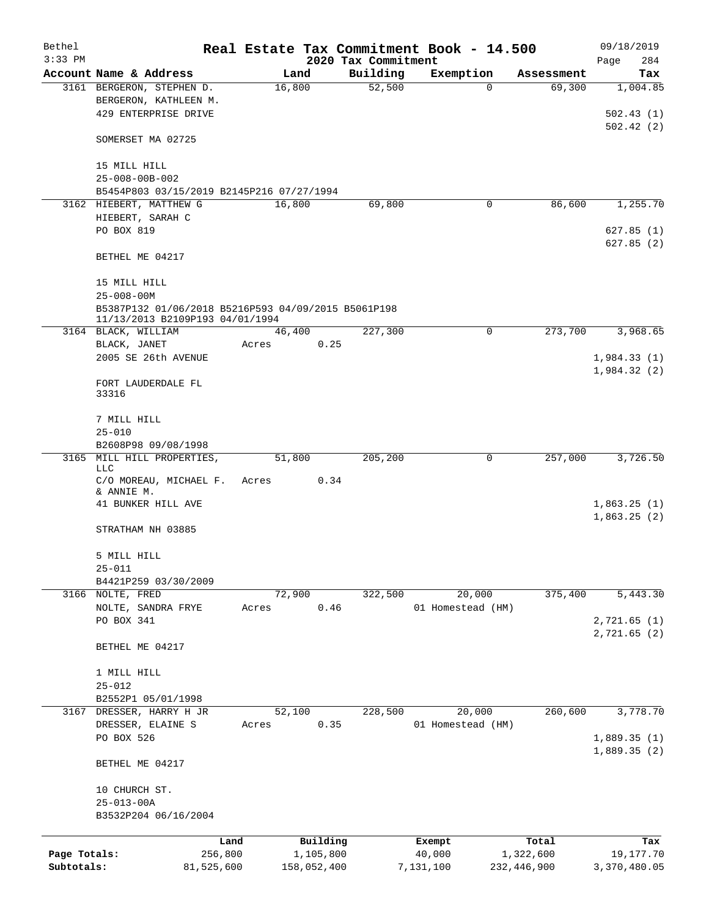| Bethel       |                                                     |            |       |             |           |                     | Real Estate Tax Commitment Book - 14.500 |             |            | 09/18/2019   |
|--------------|-----------------------------------------------------|------------|-------|-------------|-----------|---------------------|------------------------------------------|-------------|------------|--------------|
| $3:33$ PM    |                                                     |            |       |             |           | 2020 Tax Commitment |                                          |             |            | Page<br>284  |
|              | Account Name & Address                              |            |       | Land        |           | Building            | Exemption                                |             | Assessment | Tax          |
|              | 3161 BERGERON, STEPHEN D.                           |            |       | 16,800      |           | 52,500              |                                          | 0           | 69,300     | 1,004.85     |
|              | BERGERON, KATHLEEN M.                               |            |       |             |           |                     |                                          |             |            |              |
|              | 429 ENTERPRISE DRIVE                                |            |       |             |           |                     |                                          |             |            | 502.43(1)    |
|              |                                                     |            |       |             |           |                     |                                          |             |            | 502.42(2)    |
|              | SOMERSET MA 02725                                   |            |       |             |           |                     |                                          |             |            |              |
|              |                                                     |            |       |             |           |                     |                                          |             |            |              |
|              | 15 MILL HILL<br>$25 - 008 - 00B - 002$              |            |       |             |           |                     |                                          |             |            |              |
|              | B5454P803 03/15/2019 B2145P216 07/27/1994           |            |       |             |           |                     |                                          |             |            |              |
|              | 3162 HIEBERT, MATTHEW G                             |            |       | 16,800      |           | 69,800              |                                          | 0           | 86,600     | 1,255.70     |
|              | HIEBERT, SARAH C                                    |            |       |             |           |                     |                                          |             |            |              |
|              | PO BOX 819                                          |            |       |             |           |                     |                                          |             |            | 627.85(1)    |
|              |                                                     |            |       |             |           |                     |                                          |             |            | 627.85(2)    |
|              | BETHEL ME 04217                                     |            |       |             |           |                     |                                          |             |            |              |
|              |                                                     |            |       |             |           |                     |                                          |             |            |              |
|              | 15 MILL HILL                                        |            |       |             |           |                     |                                          |             |            |              |
|              | $25 - 008 - 00M$                                    |            |       |             |           |                     |                                          |             |            |              |
|              | B5387P132 01/06/2018 B5216P593 04/09/2015 B5061P198 |            |       |             |           |                     |                                          |             |            |              |
|              | 11/13/2013 B2109P193 04/01/1994                     |            |       |             |           |                     |                                          |             |            |              |
|              | 3164 BLACK, WILLIAM                                 |            |       | 46,400      |           | 227,300             |                                          | 0           | 273,700    | 3,968.65     |
|              | BLACK, JANET                                        |            | Acres |             | 0.25      |                     |                                          |             |            |              |
|              | 2005 SE 26th AVENUE                                 |            |       |             |           |                     |                                          |             |            | 1,984.33(1)  |
|              |                                                     |            |       |             |           |                     |                                          |             |            | 1,984.32(2)  |
|              | FORT LAUDERDALE FL                                  |            |       |             |           |                     |                                          |             |            |              |
|              | 33316                                               |            |       |             |           |                     |                                          |             |            |              |
|              |                                                     |            |       |             |           |                     |                                          |             |            |              |
|              | 7 MILL HILL                                         |            |       |             |           |                     |                                          |             |            |              |
|              | $25 - 010$                                          |            |       |             |           |                     |                                          |             |            |              |
|              | B2608P98 09/08/1998                                 |            |       |             |           |                     |                                          |             |            |              |
|              | 3165 MILL HILL PROPERTIES,<br><b>LLC</b>            |            |       | 51,800      |           | 205,200             |                                          | 0           | 257,000    | 3,726.50     |
|              | C/O MOREAU, MICHAEL F.                              |            | Acres |             | 0.34      |                     |                                          |             |            |              |
|              | & ANNIE M.                                          |            |       |             |           |                     |                                          |             |            |              |
|              | 41 BUNKER HILL AVE                                  |            |       |             |           |                     |                                          |             |            | 1,863.25(1)  |
|              |                                                     |            |       |             |           |                     |                                          |             |            | 1,863.25(2)  |
|              | STRATHAM NH 03885                                   |            |       |             |           |                     |                                          |             |            |              |
|              |                                                     |            |       |             |           |                     |                                          |             |            |              |
|              | 5 MILL HILL                                         |            |       |             |           |                     |                                          |             |            |              |
|              | $25 - 011$                                          |            |       |             |           |                     |                                          |             |            |              |
|              | B4421P259 03/30/2009                                |            |       |             |           |                     |                                          |             |            |              |
|              | 3166 NOLTE, FRED                                    |            |       | 72,900      |           | 322,500             | 20,000                                   |             | 375,400    | 5,443.30     |
|              | NOLTE, SANDRA FRYE                                  |            | Acres |             | 0.46      |                     | 01 Homestead (HM)                        |             |            |              |
|              | PO BOX 341                                          |            |       |             |           |                     |                                          |             |            | 2,721.65 (1) |
|              |                                                     |            |       |             |           |                     |                                          |             |            | 2,721.65 (2) |
|              | BETHEL ME 04217                                     |            |       |             |           |                     |                                          |             |            |              |
|              |                                                     |            |       |             |           |                     |                                          |             |            |              |
|              | 1 MILL HILL                                         |            |       |             |           |                     |                                          |             |            |              |
|              | $25 - 012$                                          |            |       |             |           |                     |                                          |             |            |              |
|              | B2552P1 05/01/1998                                  |            |       |             |           |                     |                                          |             |            | 3,778.70     |
| 3167         | DRESSER, HARRY H JR<br>DRESSER, ELAINE S            |            |       | 52,100      | 0.35      | 228,500             | 20,000                                   |             | 260,600    |              |
|              | PO BOX 526                                          |            | Acres |             |           |                     | 01 Homestead (HM)                        |             |            | 1,889.35(1)  |
|              |                                                     |            |       |             |           |                     |                                          |             |            | 1,889.35(2)  |
|              | BETHEL ME 04217                                     |            |       |             |           |                     |                                          |             |            |              |
|              |                                                     |            |       |             |           |                     |                                          |             |            |              |
|              | 10 CHURCH ST.                                       |            |       |             |           |                     |                                          |             |            |              |
|              | $25 - 013 - 00A$                                    |            |       |             |           |                     |                                          |             |            |              |
|              | B3532P204 06/16/2004                                |            |       |             |           |                     |                                          |             |            |              |
|              |                                                     |            |       |             |           |                     |                                          |             |            |              |
|              |                                                     | Land       |       |             | Building  |                     | Exempt                                   |             | Total      | Tax          |
| Page Totals: |                                                     | 256,800    |       |             | 1,105,800 |                     | 40,000                                   |             | 1,322,600  | 19,177.70    |
| Subtotals:   |                                                     | 81,525,600 |       | 158,052,400 |           |                     | 7,131,100                                | 232,446,900 |            | 3,370,480.05 |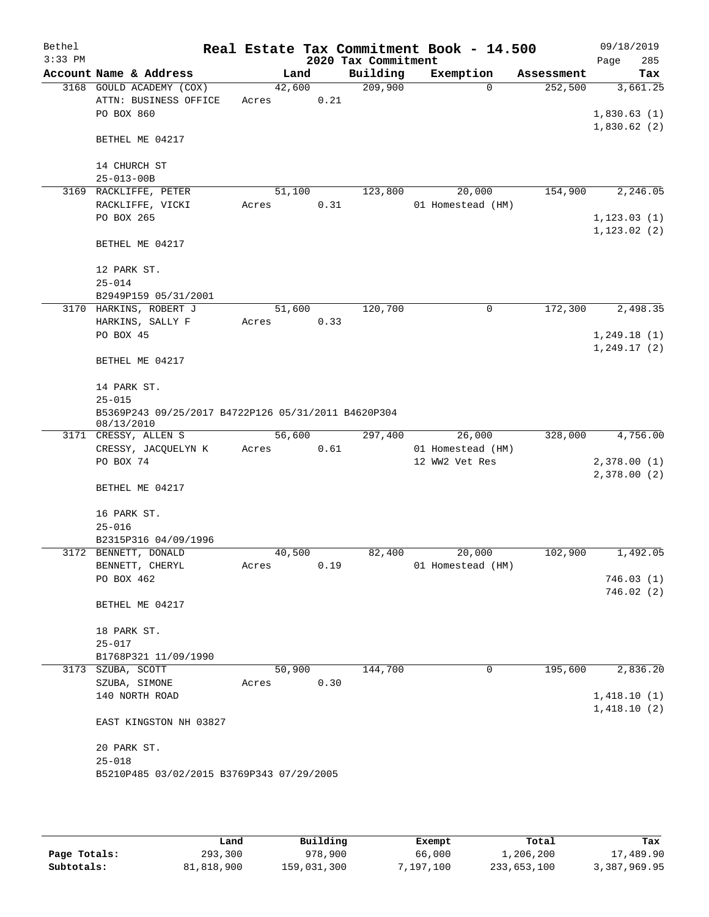| Bethel<br>$3:33$ PM |                                                                   |        |      | 2020 Tax Commitment | Real Estate Tax Commitment Book - 14.500 |            | 09/18/2019<br>285<br>Page |
|---------------------|-------------------------------------------------------------------|--------|------|---------------------|------------------------------------------|------------|---------------------------|
|                     | Account Name & Address                                            | Land   |      | Building            | Exemption                                | Assessment | Tax                       |
|                     | 3168 GOULD ACADEMY (COX)                                          | 42,600 |      | 209,900             | $\Omega$                                 | 252,500    | 3,661.25                  |
|                     | ATTN: BUSINESS OFFICE                                             | Acres  | 0.21 |                     |                                          |            |                           |
|                     | PO BOX 860                                                        |        |      |                     |                                          |            | 1,830.63(1)               |
|                     |                                                                   |        |      |                     |                                          |            | 1,830.62(2)               |
|                     | BETHEL ME 04217                                                   |        |      |                     |                                          |            |                           |
|                     | 14 CHURCH ST                                                      |        |      |                     |                                          |            |                           |
|                     | $25 - 013 - 00B$                                                  |        |      |                     |                                          |            |                           |
|                     | 3169 RACKLIFFE, PETER                                             | 51,100 |      | 123,800             | 20,000                                   | 154,900    | 2,246.05                  |
|                     | RACKLIFFE, VICKI                                                  | Acres  | 0.31 |                     | 01 Homestead (HM)                        |            |                           |
|                     | PO BOX 265                                                        |        |      |                     |                                          |            | 1, 123.03(1)              |
|                     |                                                                   |        |      |                     |                                          |            | 1, 123.02(2)              |
|                     | BETHEL ME 04217                                                   |        |      |                     |                                          |            |                           |
|                     |                                                                   |        |      |                     |                                          |            |                           |
|                     | 12 PARK ST.                                                       |        |      |                     |                                          |            |                           |
|                     | $25 - 014$                                                        |        |      |                     |                                          |            |                           |
|                     | B2949P159 05/31/2001                                              |        |      |                     |                                          |            |                           |
|                     | 3170 HARKINS, ROBERT J                                            | 51,600 |      | 120,700             | 0                                        | 172,300    | 2,498.35                  |
|                     | HARKINS, SALLY F                                                  | Acres  | 0.33 |                     |                                          |            |                           |
|                     | PO BOX 45                                                         |        |      |                     |                                          |            | 1,249.18(1)               |
|                     |                                                                   |        |      |                     |                                          |            | 1, 249.17(2)              |
|                     | BETHEL ME 04217                                                   |        |      |                     |                                          |            |                           |
|                     |                                                                   |        |      |                     |                                          |            |                           |
|                     | 14 PARK ST.                                                       |        |      |                     |                                          |            |                           |
|                     | $25 - 015$                                                        |        |      |                     |                                          |            |                           |
|                     | B5369P243 09/25/2017 B4722P126 05/31/2011 B4620P304<br>08/13/2010 |        |      |                     |                                          |            |                           |
|                     | 3171 CRESSY, ALLEN S                                              | 56,600 |      | 297,400             | 26,000                                   | 328,000    | 4,756.00                  |
|                     | CRESSY, JACQUELYN K                                               | Acres  | 0.61 |                     | 01 Homestead (HM)                        |            |                           |
|                     | PO BOX 74                                                         |        |      |                     | 12 WW2 Vet Res                           |            | 2,378.00(1)               |
|                     |                                                                   |        |      |                     |                                          |            | 2,378.00(2)               |
|                     | BETHEL ME 04217                                                   |        |      |                     |                                          |            |                           |
|                     |                                                                   |        |      |                     |                                          |            |                           |
|                     | 16 PARK ST.                                                       |        |      |                     |                                          |            |                           |
|                     | $25 - 016$                                                        |        |      |                     |                                          |            |                           |
|                     | B2315P316 04/09/1996                                              |        |      |                     |                                          |            |                           |
|                     | 3172 BENNETT, DONALD                                              | 40,500 |      | 82,400              | 20,000                                   | 102,900    | 1,492.05                  |
|                     | BENNETT, CHERYL                                                   | Acres  | 0.19 |                     | 01 Homestead (HM)                        |            |                           |
|                     | PO BOX 462                                                        |        |      |                     |                                          |            | 746.03(1)<br>746.02 (2)   |
|                     | BETHEL ME 04217                                                   |        |      |                     |                                          |            |                           |
|                     |                                                                   |        |      |                     |                                          |            |                           |
|                     | 18 PARK ST.                                                       |        |      |                     |                                          |            |                           |
|                     | $25 - 017$                                                        |        |      |                     |                                          |            |                           |
|                     | B1768P321 11/09/1990                                              |        |      |                     |                                          |            |                           |
|                     | 3173 SZUBA, SCOTT                                                 | 50,900 |      | 144,700             | 0                                        | 195,600    | 2,836.20                  |
|                     | SZUBA, SIMONE                                                     | Acres  | 0.30 |                     |                                          |            |                           |
|                     | 140 NORTH ROAD                                                    |        |      |                     |                                          |            | 1,418.10(1)               |
|                     |                                                                   |        |      |                     |                                          |            | 1,418.10(2)               |
|                     | EAST KINGSTON NH 03827                                            |        |      |                     |                                          |            |                           |
|                     | 20 PARK ST.                                                       |        |      |                     |                                          |            |                           |
|                     | $25 - 018$                                                        |        |      |                     |                                          |            |                           |
|                     | B5210P485 03/02/2015 B3769P343 07/29/2005                         |        |      |                     |                                          |            |                           |
|                     |                                                                   |        |      |                     |                                          |            |                           |
|                     |                                                                   |        |      |                     |                                          |            |                           |

|              | úand       | Building    | Exempt    | Total       | Tax          |
|--------------|------------|-------------|-----------|-------------|--------------|
| Page Totals: | 293,300    | 978,900     | 66,000    | 1,206,200   | 17,489.90    |
| Subtotals:   | 81,818,900 | 159,031,300 | 7,197,100 | 233,653,100 | 3,387,969.95 |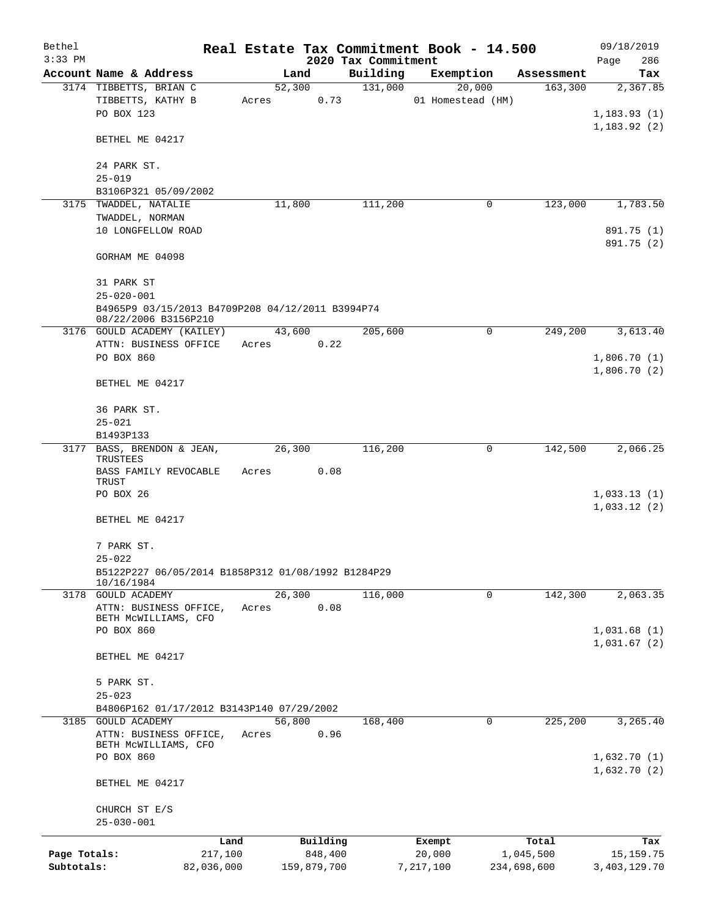| Bethel       |                                                                          |            |                |                     | Real Estate Tax Commitment Book - 14.500 |                       | 09/18/2019                 |
|--------------|--------------------------------------------------------------------------|------------|----------------|---------------------|------------------------------------------|-----------------------|----------------------------|
| $3:33$ PM    |                                                                          |            |                | 2020 Tax Commitment |                                          |                       | Page<br>286                |
|              | Account Name & Address                                                   |            | Land<br>52,300 | Building<br>131,000 | Exemption<br>20,000                      | Assessment<br>163,300 | Tax                        |
|              | 3174 TIBBETTS, BRIAN C<br>TIBBETTS, KATHY B<br>PO BOX 123                | Acres      |                | 0.73                | 01 Homestead (HM)                        |                       | 2,367.85<br>1,183.93(1)    |
|              | BETHEL ME 04217                                                          |            |                |                     |                                          |                       | 1, 183.92(2)               |
|              | 24 PARK ST.<br>$25 - 019$                                                |            |                |                     |                                          |                       |                            |
|              | B3106P321 05/09/2002                                                     |            |                |                     |                                          |                       |                            |
|              | 3175 TWADDEL, NATALIE                                                    |            | 11,800         | 111,200             | 0                                        | 123,000               | 1,783.50                   |
|              | TWADDEL, NORMAN<br>10 LONGFELLOW ROAD                                    |            |                |                     |                                          |                       | 891.75 (1)                 |
|              | GORHAM ME 04098                                                          |            |                |                     |                                          |                       | 891.75 (2)                 |
|              | 31 PARK ST<br>$25 - 020 - 001$                                           |            |                |                     |                                          |                       |                            |
|              | B4965P9 03/15/2013 B4709P208 04/12/2011 B3994P74<br>08/22/2006 B3156P210 |            |                |                     |                                          |                       |                            |
|              | 3176 GOULD ACADEMY (KAILEY)<br>ATTN: BUSINESS OFFICE                     | Acres      | 43,600<br>0.22 | 205,600             | 0                                        | 249,200               | 3,613.40                   |
|              | PO BOX 860                                                               |            |                |                     |                                          |                       | 1,806.70(1)                |
|              | BETHEL ME 04217                                                          |            |                |                     |                                          |                       | 1,806.70(2)                |
|              | 36 PARK ST.<br>$25 - 021$                                                |            |                |                     |                                          |                       |                            |
|              | B1493P133                                                                |            |                |                     |                                          |                       |                            |
| 3177         | BASS, BRENDON & JEAN,<br>TRUSTEES<br>BASS FAMILY REVOCABLE               | Acres      | 26,300<br>0.08 | 116,200             | 0                                        | 142,500               | 2,066.25                   |
|              | TRUST                                                                    |            |                |                     |                                          |                       |                            |
|              | PO BOX 26                                                                |            |                |                     |                                          |                       | 1,033.13(1)                |
|              | BETHEL ME 04217                                                          |            |                |                     |                                          |                       | 1,033.12(2)                |
|              | 7 PARK ST.<br>$25 - 022$                                                 |            |                |                     |                                          |                       |                            |
|              | B5122P227 06/05/2014 B1858P312 01/08/1992 B1284P29                       |            |                |                     |                                          |                       |                            |
|              | 10/16/1984                                                               |            |                |                     |                                          |                       |                            |
|              | 3178 GOULD ACADEMY<br>ATTN: BUSINESS OFFICE,                             | Acres      | 26,300<br>0.08 | 116,000             | 0                                        | 142,300               | 2,063.35                   |
|              | BETH MCWILLIAMS, CFO                                                     |            |                |                     |                                          |                       |                            |
|              | PO BOX 860                                                               |            |                |                     |                                          |                       | 1,031.68(1)<br>1,031.67(2) |
|              | BETHEL ME 04217                                                          |            |                |                     |                                          |                       |                            |
|              | 5 PARK ST.                                                               |            |                |                     |                                          |                       |                            |
|              | $25 - 023$                                                               |            |                |                     |                                          |                       |                            |
|              | B4806P162 01/17/2012 B3143P140 07/29/2002                                |            |                |                     |                                          |                       |                            |
|              | 3185 GOULD ACADEMY<br>ATTN: BUSINESS OFFICE,                             | Acres      | 56,800<br>0.96 | 168,400             | 0                                        | 225,200               | 3,265.40                   |
|              | BETH MCWILLIAMS, CFO<br>PO BOX 860                                       |            |                |                     |                                          |                       | 1,632.70(1)                |
|              | BETHEL ME 04217                                                          |            |                |                     |                                          |                       | 1,632.70(2)                |
|              | CHURCH ST E/S<br>$25 - 030 - 001$                                        |            |                |                     |                                          |                       |                            |
|              |                                                                          | Land       | Building       |                     | Exempt                                   | Total                 | Tax                        |
| Page Totals: |                                                                          | 217,100    | 848,400        |                     | 20,000                                   | 1,045,500             | 15, 159. 75                |
| Subtotals:   |                                                                          | 82,036,000 | 159,879,700    |                     | 7,217,100                                | 234,698,600           | 3,403,129.70               |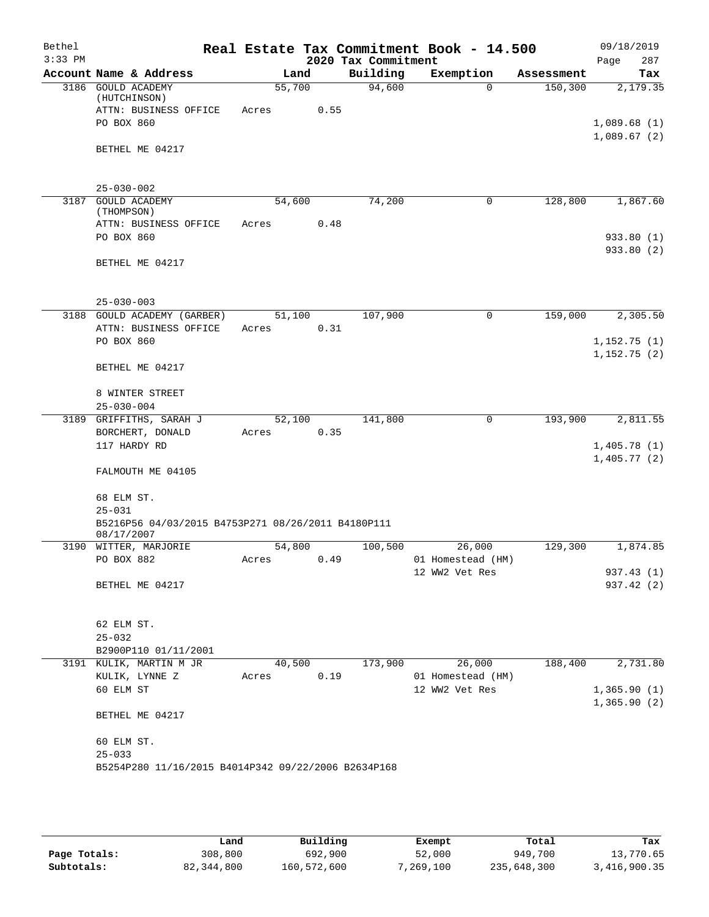| Bethel<br>$3:33$ PM |                                                     |            |        | 2020 Tax Commitment | Real Estate Tax Commitment Book - 14.500 |            | 09/18/2019<br>Page<br>287  |
|---------------------|-----------------------------------------------------|------------|--------|---------------------|------------------------------------------|------------|----------------------------|
|                     | Account Name & Address                              |            | Land   | Building            | Exemption                                | Assessment | Tax                        |
|                     | 3186 GOULD ACADEMY                                  | 55,700     |        | 94,600              | $\Omega$                                 | 150,300    | 2,179.35                   |
|                     | (HUTCHINSON)                                        |            |        |                     |                                          |            |                            |
|                     | ATTN: BUSINESS OFFICE<br>PO BOX 860                 | Acres      | 0.55   |                     |                                          |            |                            |
|                     |                                                     |            |        |                     |                                          |            | 1,089.68(1)<br>1,089.67(2) |
|                     | BETHEL ME 04217                                     |            |        |                     |                                          |            |                            |
|                     |                                                     |            |        |                     |                                          |            |                            |
|                     | $25 - 030 - 002$                                    |            |        |                     |                                          |            |                            |
|                     | 3187 GOULD ACADEMY                                  | 54,600     |        | 74,200              | 0                                        | 128,800    | 1,867.60                   |
|                     | (THOMPSON)                                          |            |        |                     |                                          |            |                            |
|                     | ATTN: BUSINESS OFFICE                               | Acres      | 0.48   |                     |                                          |            |                            |
|                     | PO BOX 860                                          |            |        |                     |                                          |            | 933.80 (1)                 |
|                     | BETHEL ME 04217                                     |            |        |                     |                                          |            | 933.80 (2)                 |
|                     |                                                     |            |        |                     |                                          |            |                            |
|                     | $25 - 030 - 003$                                    |            |        |                     |                                          |            |                            |
|                     | 3188 GOULD ACADEMY (GARBER)                         | 51,100     |        | 107,900             | $\mathbf 0$                              | 159,000    | 2,305.50                   |
|                     | ATTN: BUSINESS OFFICE                               | Acres      | 0.31   |                     |                                          |            |                            |
|                     | PO BOX 860                                          |            |        |                     |                                          |            | 1,152.75(1)                |
|                     |                                                     |            |        |                     |                                          |            | 1,152.75(2)                |
|                     | BETHEL ME 04217                                     |            |        |                     |                                          |            |                            |
|                     | 8 WINTER STREET                                     |            |        |                     |                                          |            |                            |
|                     | $25 - 030 - 004$                                    |            |        |                     |                                          |            |                            |
|                     | 3189 GRIFFITHS, SARAH J                             | 52,100     |        | 141,800             | $\mathbf 0$                              | 193,900    | 2,811.55                   |
|                     | BORCHERT, DONALD                                    | Acres      | 0.35   |                     |                                          |            |                            |
|                     | 117 HARDY RD                                        |            |        |                     |                                          |            | 1,405.78(1)                |
|                     | FALMOUTH ME 04105                                   |            |        |                     |                                          |            | 1,405.77(2)                |
|                     | 68 ELM ST.                                          |            |        |                     |                                          |            |                            |
|                     | $25 - 031$                                          |            |        |                     |                                          |            |                            |
|                     | B5216P56 04/03/2015 B4753P271 08/26/2011 B4180P111  |            |        |                     |                                          |            |                            |
|                     | 08/17/2007                                          |            |        |                     |                                          |            |                            |
|                     | 3190 WITTER, MARJORIE                               | 54,800     |        | 100,500             | 26,000                                   | 129,300    | 1,874.85                   |
|                     | PO BOX 882                                          | Acres 0.49 |        |                     | 01 Homestead (HM)                        |            |                            |
|                     |                                                     |            |        |                     | 12 WW2 Vet Res                           |            | 937.43 (1)                 |
|                     | BETHEL ME 04217                                     |            |        |                     |                                          |            | 937.42(2)                  |
|                     | 62 ELM ST.                                          |            |        |                     |                                          |            |                            |
|                     | $25 - 032$                                          |            |        |                     |                                          |            |                            |
|                     | B2900P110 01/11/2001                                |            |        |                     |                                          |            |                            |
|                     | 3191 KULIK, MARTIN M JR                             |            | 40,500 | 173,900             | 26,000                                   | 188,400    | 2,731.80                   |
|                     | KULIK, LYNNE Z                                      | Acres      | 0.19   |                     | 01 Homestead (HM)                        |            |                            |
|                     | 60 ELM ST                                           |            |        |                     | 12 WW2 Vet Res                           |            | 1,365.90(1)                |
|                     | BETHEL ME 04217                                     |            |        |                     |                                          |            | 1,365.90(2)                |
|                     | 60 ELM ST.                                          |            |        |                     |                                          |            |                            |
|                     | $25 - 033$                                          |            |        |                     |                                          |            |                            |
|                     | B5254P280 11/16/2015 B4014P342 09/22/2006 B2634P168 |            |        |                     |                                          |            |                            |
|                     |                                                     |            |        |                     |                                          |            |                            |
|                     |                                                     |            |        |                     |                                          |            |                            |

|              | Land         | Building    | Exempt    | Total       | Tax          |
|--------------|--------------|-------------|-----------|-------------|--------------|
| Page Totals: | 308,800      | 692,900     | 52,000    | 949,700     | 13,770.65    |
| Subtotals:   | 82, 344, 800 | 160,572,600 | 7,269,100 | 235,648,300 | 3,416,900.35 |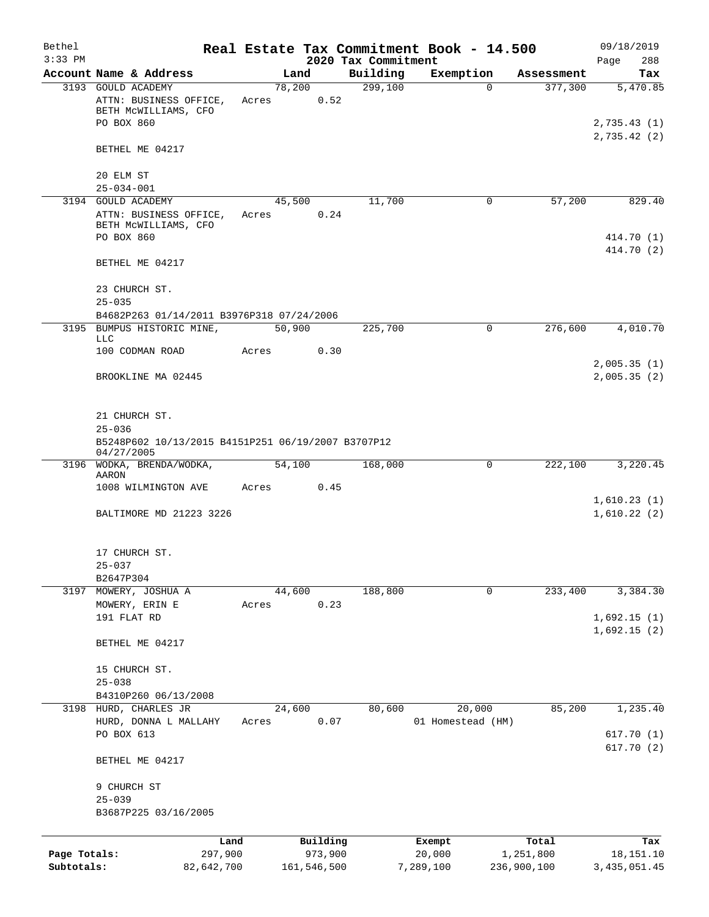| Bethel       |                                                                      |            |       |        |             |                     | Real Estate Tax Commitment Book - 14.500 |             | 09/18/2019                 |
|--------------|----------------------------------------------------------------------|------------|-------|--------|-------------|---------------------|------------------------------------------|-------------|----------------------------|
| $3:33$ PM    |                                                                      |            |       |        |             | 2020 Tax Commitment |                                          |             | 288<br>Page                |
|              | Account Name & Address                                               |            |       | Land   |             | Building            | Exemption                                | Assessment  | Tax                        |
|              | 3193 GOULD ACADEMY<br>ATTN: BUSINESS OFFICE,<br>BETH MCWILLIAMS, CFO |            | Acres | 78,200 | 0.52        | 299,100             | $\Omega$                                 | 377,300     | 5,470.85                   |
|              | PO BOX 860                                                           |            |       |        |             |                     |                                          |             | 2,735.43(1)<br>2,735.42(2) |
|              | BETHEL ME 04217                                                      |            |       |        |             |                     |                                          |             |                            |
|              | 20 ELM ST<br>$25 - 034 - 001$                                        |            |       |        |             |                     |                                          |             |                            |
|              | 3194 GOULD ACADEMY                                                   |            |       | 45,500 |             | 11,700              | 0                                        | 57,200      | 829.40                     |
|              | ATTN: BUSINESS OFFICE,<br>BETH MCWILLIAMS, CFO                       |            | Acres |        | 0.24        |                     |                                          |             |                            |
|              | PO BOX 860                                                           |            |       |        |             |                     |                                          |             | 414.70 (1)<br>414.70 (2)   |
|              | BETHEL ME 04217                                                      |            |       |        |             |                     |                                          |             |                            |
|              | 23 CHURCH ST.<br>$25 - 035$                                          |            |       |        |             |                     |                                          |             |                            |
|              | B4682P263 01/14/2011 B3976P318 07/24/2006                            |            |       |        |             |                     |                                          |             |                            |
|              | 3195 BUMPUS HISTORIC MINE,<br>LLC                                    |            |       | 50,900 |             | 225,700             | $\mathbf 0$                              | 276,600     | 4,010.70                   |
|              | 100 CODMAN ROAD                                                      |            | Acres |        | 0.30        |                     |                                          |             |                            |
|              | BROOKLINE MA 02445                                                   |            |       |        |             |                     |                                          |             | 2,005.35(1)<br>2,005.35(2) |
|              | 21 CHURCH ST.<br>$25 - 036$                                          |            |       |        |             |                     |                                          |             |                            |
|              | B5248P602 10/13/2015 B4151P251 06/19/2007 B3707P12<br>04/27/2005     |            |       |        |             |                     |                                          |             |                            |
|              | 3196 WODKA, BRENDA/WODKA,                                            |            |       | 54,100 |             | 168,000             | $\Omega$                                 | 222,100     | 3,220.45                   |
|              | AARON<br>1008 WILMINGTON AVE                                         |            | Acres |        | 0.45        |                     |                                          |             |                            |
|              | BALTIMORE MD 21223 3226                                              |            |       |        |             |                     |                                          |             | 1,610.23(1)<br>1,610.22(2) |
|              | 17 CHURCH ST.                                                        |            |       |        |             |                     |                                          |             |                            |
|              | 25-037                                                               |            |       |        |             |                     |                                          |             |                            |
|              | B2647P304                                                            |            |       |        |             |                     |                                          |             |                            |
|              | 3197 MOWERY, JOSHUA A<br>MOWERY, ERIN E                              |            | Acres | 44,600 | 0.23        | 188,800             | 0                                        | 233,400     | 3,384.30                   |
|              | 191 FLAT RD                                                          |            |       |        |             |                     |                                          |             | 1,692.15(1)                |
|              | BETHEL ME 04217                                                      |            |       |        |             |                     |                                          |             | 1,692.15(2)                |
|              | 15 CHURCH ST.                                                        |            |       |        |             |                     |                                          |             |                            |
|              | $25 - 038$                                                           |            |       |        |             |                     |                                          |             |                            |
|              | B4310P260 06/13/2008<br>3198 HURD, CHARLES JR                        |            |       | 24,600 |             | 80,600              | 20,000                                   | 85,200      | 1,235.40                   |
|              | HURD, DONNA L MALLAHY<br>PO BOX 613                                  |            | Acres |        | 0.07        |                     | 01 Homestead (HM)                        |             | 617.70(1)                  |
|              |                                                                      |            |       |        |             |                     |                                          |             | 617.70(2)                  |
|              | BETHEL ME 04217                                                      |            |       |        |             |                     |                                          |             |                            |
|              | 9 CHURCH ST<br>$25 - 039$                                            |            |       |        |             |                     |                                          |             |                            |
|              | B3687P225 03/16/2005                                                 |            |       |        |             |                     |                                          |             |                            |
|              |                                                                      | Land       |       |        | Building    |                     | Exempt                                   | Total       | Tax                        |
| Page Totals: |                                                                      | 297,900    |       |        | 973,900     |                     | 20,000                                   | 1,251,800   | 18,151.10                  |
| Subtotals:   |                                                                      | 82,642,700 |       |        | 161,546,500 |                     | 7,289,100                                | 236,900,100 | 3,435,051.45               |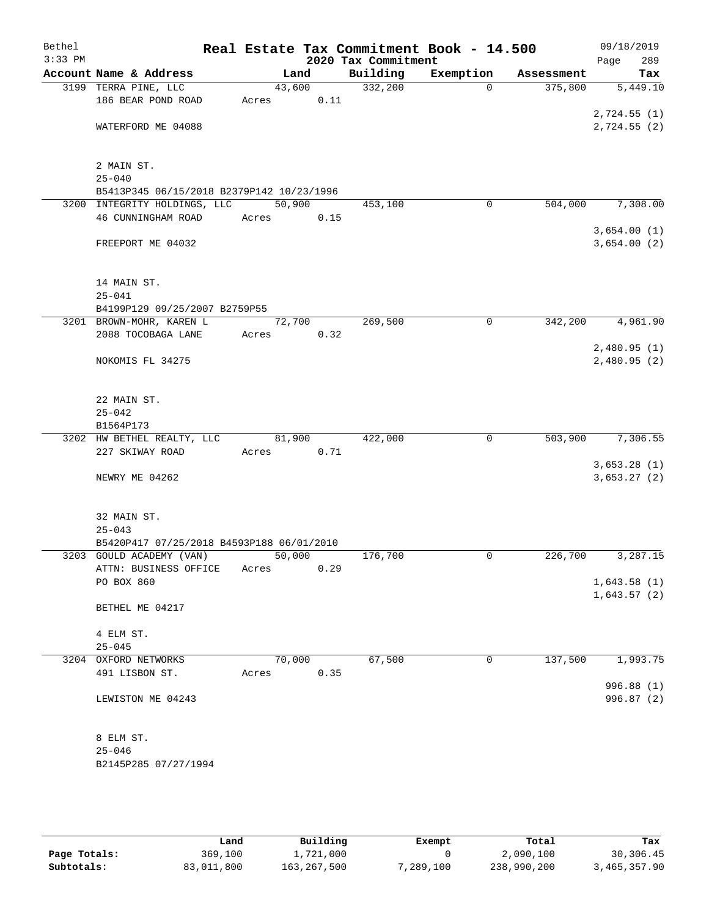| Bethel    |                                                    |                 |      |                     | Real Estate Tax Commitment Book - 14.500 |            | 09/18/2019                  |
|-----------|----------------------------------------------------|-----------------|------|---------------------|------------------------------------------|------------|-----------------------------|
| $3:33$ PM |                                                    |                 |      | 2020 Tax Commitment |                                          |            | 289<br>Page                 |
|           | Account Name & Address                             | Land            |      | Building            | Exemption                                | Assessment | Tax                         |
|           | 3199 TERRA PINE, LLC                               | 43,600          |      | 332,200             | $\Omega$                                 | 375,800    | 5,449.10                    |
|           | 186 BEAR POND ROAD                                 | Acres           | 0.11 |                     |                                          |            |                             |
|           | WATERFORD ME 04088                                 |                 |      |                     |                                          |            | 2,724.55(1)<br>2,724.55 (2) |
|           |                                                    |                 |      |                     |                                          |            |                             |
|           |                                                    |                 |      |                     |                                          |            |                             |
|           | 2 MAIN ST.                                         |                 |      |                     |                                          |            |                             |
|           | $25 - 040$                                         |                 |      |                     |                                          |            |                             |
|           | B5413P345 06/15/2018 B2379P142 10/23/1996          |                 |      |                     |                                          |            |                             |
|           | 3200 INTEGRITY HOLDINGS, LLC<br>46 CUNNINGHAM ROAD | 50,900<br>Acres |      | 453,100             | 0                                        | 504,000    | 7,308.00                    |
|           |                                                    |                 | 0.15 |                     |                                          |            | 3,654.00(1)                 |
|           | FREEPORT ME 04032                                  |                 |      |                     |                                          |            | 3,654.00(2)                 |
|           |                                                    |                 |      |                     |                                          |            |                             |
|           |                                                    |                 |      |                     |                                          |            |                             |
|           | 14 MAIN ST.<br>$25 - 041$                          |                 |      |                     |                                          |            |                             |
|           | B4199P129 09/25/2007 B2759P55                      |                 |      |                     |                                          |            |                             |
|           | 3201 BROWN-MOHR, KAREN L                           | 72,700          |      | 269,500             | $\mathsf{O}$                             | 342,200    | 4,961.90                    |
|           | 2088 TOCOBAGA LANE                                 | Acres           | 0.32 |                     |                                          |            |                             |
|           |                                                    |                 |      |                     |                                          |            | 2,480.95(1)                 |
|           | NOKOMIS FL 34275                                   |                 |      |                     |                                          |            | 2,480.95(2)                 |
|           |                                                    |                 |      |                     |                                          |            |                             |
|           | 22 MAIN ST.                                        |                 |      |                     |                                          |            |                             |
|           | $25 - 042$                                         |                 |      |                     |                                          |            |                             |
|           | B1564P173                                          |                 |      |                     |                                          |            |                             |
|           | 3202 HW BETHEL REALTY, LLC                         | 81,900          |      | 422,000             | $\mathbf 0$                              | 503,900    | 7,306.55                    |
|           | 227 SKIWAY ROAD                                    | Acres           | 0.71 |                     |                                          |            |                             |
|           |                                                    |                 |      |                     |                                          |            | 3,653.28(1)                 |
|           | NEWRY ME 04262                                     |                 |      |                     |                                          |            | 3,653.27(2)                 |
|           |                                                    |                 |      |                     |                                          |            |                             |
|           | 32 MAIN ST.                                        |                 |      |                     |                                          |            |                             |
|           | $25 - 043$                                         |                 |      |                     |                                          |            |                             |
|           | B5420P417 07/25/2018 B4593P188 06/01/2010          |                 |      |                     |                                          |            |                             |
|           | 3203 GOULD ACADEMY (VAN)                           | 50,000          |      | 176,700             | 0                                        | 226,700    | 3,287.15                    |
|           | ATTN: BUSINESS OFFICE                              | Acres           | 0.29 |                     |                                          |            |                             |
|           | PO BOX 860                                         |                 |      |                     |                                          |            | 1,643.58(1)                 |
|           | BETHEL ME 04217                                    |                 |      |                     |                                          |            | 1,643.57(2)                 |
|           |                                                    |                 |      |                     |                                          |            |                             |
|           | 4 ELM ST.                                          |                 |      |                     |                                          |            |                             |
|           | $25 - 045$                                         |                 |      |                     |                                          |            |                             |
|           | 3204 OXFORD NETWORKS<br>491 LISBON ST.             | 70,000          |      | 67,500              | 0                                        | 137,500    | 1,993.75                    |
|           |                                                    | Acres           | 0.35 |                     |                                          |            | 996.88 (1)                  |
|           | LEWISTON ME 04243                                  |                 |      |                     |                                          |            | 996.87 (2)                  |
|           |                                                    |                 |      |                     |                                          |            |                             |
|           | 8 ELM ST.                                          |                 |      |                     |                                          |            |                             |
|           | $25 - 046$                                         |                 |      |                     |                                          |            |                             |
|           | B2145P285 07/27/1994                               |                 |      |                     |                                          |            |                             |
|           |                                                    |                 |      |                     |                                          |            |                             |

|              | Land       | Building      | Exempt   | Total       | Tax          |
|--------------|------------|---------------|----------|-------------|--------------|
| Page Totals: | 369,100    | 1,721,000     |          | 2,090,100   | 30,306.45    |
| Subtotals:   | 83,011,800 | 163, 267, 500 | ,289,100 | 238,990,200 | 3,465,357.90 |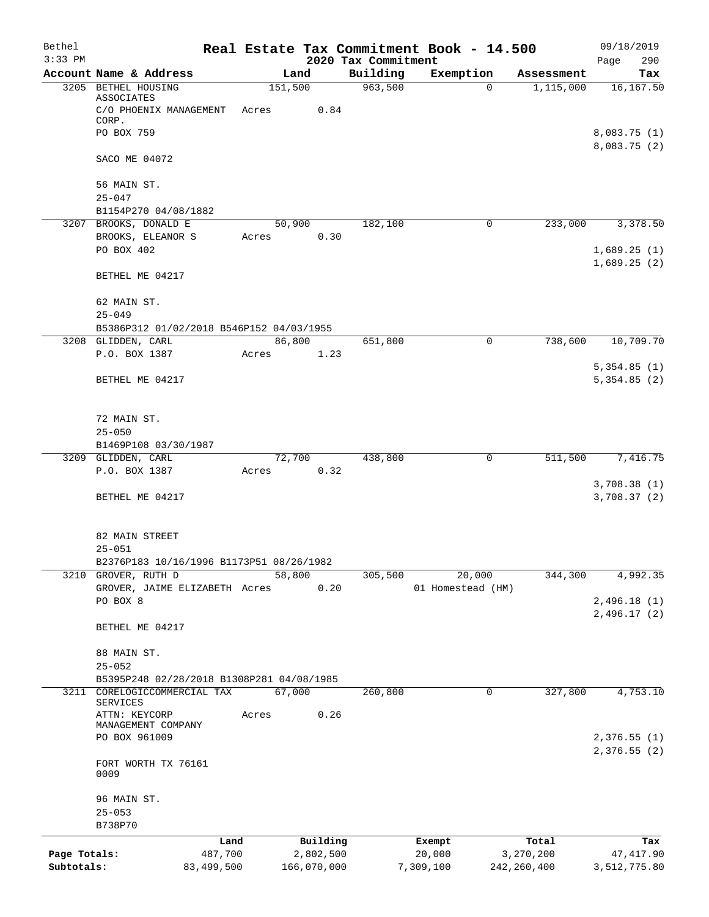| Bethel<br>$3:33$ PM |                                                 |            |             |      | 2020 Tax Commitment | Real Estate Tax Commitment Book - 14.500 |          |               | 09/18/2019<br>290            |
|---------------------|-------------------------------------------------|------------|-------------|------|---------------------|------------------------------------------|----------|---------------|------------------------------|
|                     | Account Name & Address                          |            | Land        |      | Building            | Exemption                                |          | Assessment    | Page<br>Tax                  |
|                     | 3205 BETHEL HOUSING                             |            | 151,500     |      | 963,500             |                                          | $\Omega$ | 1,115,000     | 16,167.50                    |
|                     | ASSOCIATES<br>C/O PHOENIX MANAGEMENT<br>CORP.   | Acres      |             | 0.84 |                     |                                          |          |               |                              |
|                     | PO BOX 759                                      |            |             |      |                     |                                          |          |               | 8,083.75 (1)<br>8,083.75 (2) |
|                     | SACO ME 04072                                   |            |             |      |                     |                                          |          |               |                              |
|                     | 56 MAIN ST.<br>$25 - 047$                       |            |             |      |                     |                                          |          |               |                              |
|                     | B1154P270 04/08/1882                            |            |             |      |                     |                                          |          |               |                              |
|                     | 3207 BROOKS, DONALD E                           |            | 50,900      |      | 182,100             |                                          | 0        | 233,000       | 3,378.50                     |
|                     | BROOKS, ELEANOR S<br>PO BOX 402                 | Acres      |             | 0.30 |                     |                                          |          |               | 1,689.25(1)<br>1,689.25(2)   |
|                     | BETHEL ME 04217                                 |            |             |      |                     |                                          |          |               |                              |
|                     | 62 MAIN ST.<br>$25 - 049$                       |            |             |      |                     |                                          |          |               |                              |
|                     | B5386P312 01/02/2018 B546P152 04/03/1955        |            |             |      |                     |                                          |          |               |                              |
|                     | 3208 GLIDDEN, CARL                              |            | 86,800      |      | 651,800             |                                          | 0        | 738,600       | 10,709.70                    |
|                     | P.O. BOX 1387                                   | Acres      |             | 1.23 |                     |                                          |          |               |                              |
|                     | BETHEL ME 04217                                 |            |             |      |                     |                                          |          |               | 5,354.85(1)<br>5,354.85(2)   |
|                     | 72 MAIN ST.                                     |            |             |      |                     |                                          |          |               |                              |
|                     | $25 - 050$<br>B1469P108 03/30/1987              |            |             |      |                     |                                          |          |               |                              |
|                     | 3209 GLIDDEN, CARL                              |            | 72,700      |      | 438,800             |                                          | 0        | 511,500       | 7,416.75                     |
|                     | P.O. BOX 1387                                   | Acres      |             | 0.32 |                     |                                          |          |               |                              |
|                     | BETHEL ME 04217                                 |            |             |      |                     |                                          |          |               | 3,708.38 (1)<br>3,708.37 (2) |
|                     |                                                 |            |             |      |                     |                                          |          |               |                              |
|                     | 82 MAIN STREET<br>$25 - 051$                    |            |             |      |                     |                                          |          |               |                              |
|                     | B2376P183 10/16/1996 B1173P51 08/26/1982        |            |             |      |                     |                                          |          |               |                              |
| 3210                | GROVER, RUTH D<br>GROVER, JAIME ELIZABETH Acres |            | 58,800      | 0.20 | 305,500             | 20,000<br>01 Homestead (HM)              |          | 344,300       | 4,992.35                     |
|                     | PO BOX 8                                        |            |             |      |                     |                                          |          |               | 2,496.18(1)                  |
|                     | BETHEL ME 04217                                 |            |             |      |                     |                                          |          |               | 2,496.17(2)                  |
|                     | 88 MAIN ST.                                     |            |             |      |                     |                                          |          |               |                              |
|                     | $25 - 052$                                      |            |             |      |                     |                                          |          |               |                              |
|                     | B5395P248 02/28/2018 B1308P281 04/08/1985       |            |             |      |                     |                                          |          |               |                              |
| 3211                | CORELOGICCOMMERCIAL TAX<br>SERVICES             |            | 67,000      |      | 260,800             |                                          | 0        | 327,800       | 4,753.10                     |
|                     | ATTN: KEYCORP<br>MANAGEMENT COMPANY             | Acres      |             | 0.26 |                     |                                          |          |               |                              |
|                     | PO BOX 961009                                   |            |             |      |                     |                                          |          |               | 2,376.55 (1)<br>2,376.55(2)  |
|                     | FORT WORTH TX 76161<br>0009                     |            |             |      |                     |                                          |          |               |                              |
|                     | 96 MAIN ST.                                     |            |             |      |                     |                                          |          |               |                              |
|                     | $25 - 053$<br>B738P70                           |            |             |      |                     |                                          |          |               |                              |
|                     |                                                 | Land       | Building    |      |                     | Exempt                                   |          | Total         | Tax                          |
| Page Totals:        |                                                 | 487,700    | 2,802,500   |      |                     | 20,000                                   |          | 3,270,200     | 47, 417.90                   |
| Subtotals:          |                                                 | 83,499,500 | 166,070,000 |      |                     | 7,309,100                                |          | 242, 260, 400 | 3,512,775.80                 |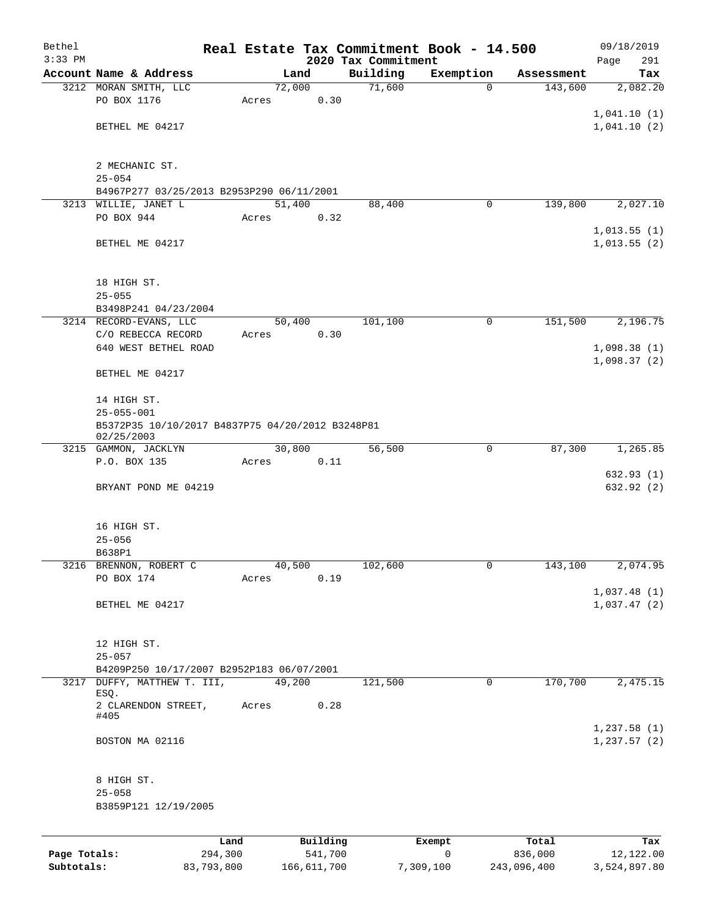| $3:33$ PM    |                                                                |       |                     |                                 |                |                       |                            |
|--------------|----------------------------------------------------------------|-------|---------------------|---------------------------------|----------------|-----------------------|----------------------------|
|              | Account Name & Address                                         |       | Land                | 2020 Tax Commitment<br>Building | Exemption      |                       | 291<br>Page<br>Tax         |
|              | 3212 MORAN SMITH, LLC                                          |       | 72,000              | 71,600                          | $\mathbf 0$    | Assessment<br>143,600 | 2,082.20                   |
|              | PO BOX 1176                                                    | Acres | 0.30                |                                 |                |                       |                            |
|              |                                                                |       |                     |                                 |                |                       | 1,041.10(1)                |
|              | BETHEL ME 04217                                                |       |                     |                                 |                |                       | 1,041.10(2)                |
|              |                                                                |       |                     |                                 |                |                       |                            |
|              | 2 MECHANIC ST.                                                 |       |                     |                                 |                |                       |                            |
|              | $25 - 054$                                                     |       |                     |                                 |                |                       |                            |
|              | B4967P277 03/25/2013 B2953P290 06/11/2001                      |       |                     |                                 |                |                       |                            |
|              | 3213 WILLIE, JANET L                                           |       | 51,400              | 88,400                          | 0              | 139,800               | 2,027.10                   |
|              | PO BOX 944                                                     | Acres | 0.32                |                                 |                |                       |                            |
|              |                                                                |       |                     |                                 |                |                       | 1,013.55(1)                |
|              | BETHEL ME 04217                                                |       |                     |                                 |                |                       | 1,013.55(2)                |
|              |                                                                |       |                     |                                 |                |                       |                            |
|              | 18 HIGH ST.                                                    |       |                     |                                 |                |                       |                            |
|              | $25 - 055$                                                     |       |                     |                                 |                |                       |                            |
|              | B3498P241 04/23/2004                                           |       |                     |                                 |                |                       |                            |
|              | 3214 RECORD-EVANS, LLC                                         |       | 50,400              | 101,100                         | 0              | 151,500               | 2,196.75                   |
|              | C/O REBECCA RECORD                                             | Acres | 0.30                |                                 |                |                       |                            |
|              | 640 WEST BETHEL ROAD                                           |       |                     |                                 |                |                       | 1,098.38(1)<br>1,098.37(2) |
|              | BETHEL ME 04217                                                |       |                     |                                 |                |                       |                            |
|              |                                                                |       |                     |                                 |                |                       |                            |
|              | 14 HIGH ST.                                                    |       |                     |                                 |                |                       |                            |
|              | $25 - 055 - 001$                                               |       |                     |                                 |                |                       |                            |
|              | B5372P35 10/10/2017 B4837P75 04/20/2012 B3248P81<br>02/25/2003 |       |                     |                                 |                |                       |                            |
|              | 3215 GAMMON, JACKLYN                                           |       | 30,800              | 56,500                          | 0              | 87,300                | 1,265.85                   |
|              | P.O. BOX 135                                                   | Acres | 0.11                |                                 |                |                       |                            |
|              |                                                                |       |                     |                                 |                |                       | 632.93(1)                  |
|              | BRYANT POND ME 04219                                           |       |                     |                                 |                |                       | 632.92 (2)                 |
|              |                                                                |       |                     |                                 |                |                       |                            |
|              | 16 HIGH ST.                                                    |       |                     |                                 |                |                       |                            |
|              | $25 - 056$                                                     |       |                     |                                 |                |                       |                            |
|              | B638P1                                                         |       |                     |                                 |                |                       |                            |
|              | 3216 BRENNON, ROBERT C<br>PO BOX 174                           |       | 40,500              | 102,600                         | $\overline{0}$ | 143,100               | 2,074.95                   |
|              |                                                                | Acres | 0.19                |                                 |                |                       | 1,037.48(1)                |
|              | BETHEL ME 04217                                                |       |                     |                                 |                |                       | 1,037.47(2)                |
|              |                                                                |       |                     |                                 |                |                       |                            |
|              |                                                                |       |                     |                                 |                |                       |                            |
|              | 12 HIGH ST.                                                    |       |                     |                                 |                |                       |                            |
|              | $25 - 057$<br>B4209P250 10/17/2007 B2952P183 06/07/2001        |       |                     |                                 |                |                       |                            |
|              | 3217 DUFFY, MATTHEW T. III,                                    |       | 49,200              | 121,500                         | $\mathbf 0$    | 170,700               | 2,475.15                   |
|              | ESQ.                                                           |       |                     |                                 |                |                       |                            |
|              | 2 CLARENDON STREET,<br>#405                                    | Acres | 0.28                |                                 |                |                       |                            |
|              |                                                                |       |                     |                                 |                |                       | 1,237.58(1)                |
|              | BOSTON MA 02116                                                |       |                     |                                 |                |                       | 1, 237.57(2)               |
|              |                                                                |       |                     |                                 |                |                       |                            |
|              |                                                                |       |                     |                                 |                |                       |                            |
|              | 8 HIGH ST.<br>$25 - 058$                                       |       |                     |                                 |                |                       |                            |
|              | B3859P121 12/19/2005                                           |       |                     |                                 |                |                       |                            |
|              |                                                                |       |                     |                                 |                |                       |                            |
|              |                                                                |       |                     |                                 |                |                       |                            |
| Page Totals: | Land<br>294,300                                                |       | Building<br>541,700 |                                 | Exempt<br>0    | Total<br>836,000      | Tax<br>12,122.00           |

**Subtotals:** 83,793,800 166,611,700 7,309,100 243,096,400 3,524,897.80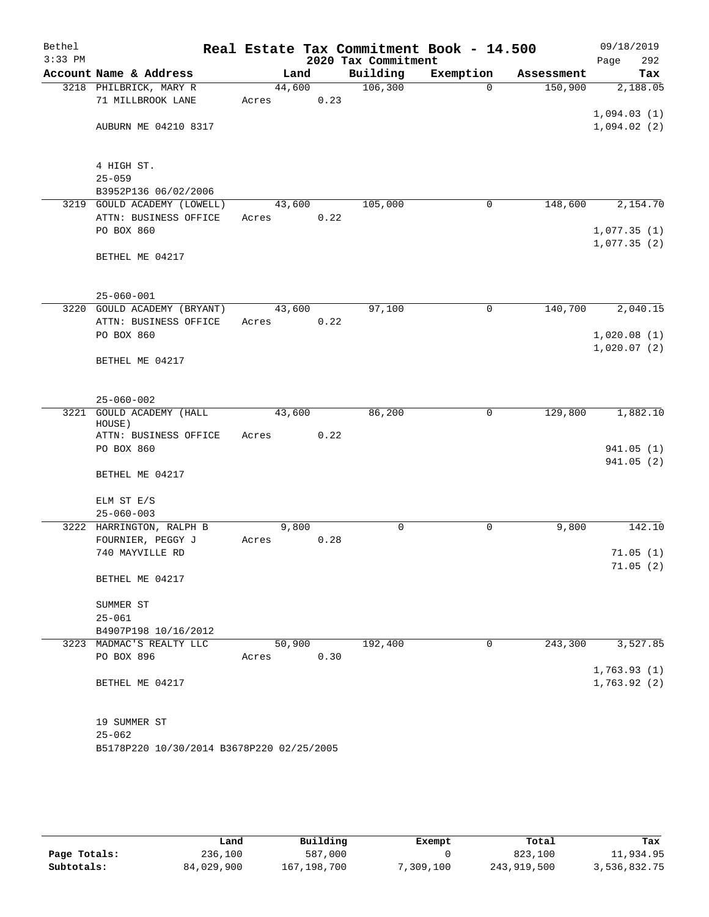| Bethel<br>$3:33$ PM |                                                      |                 |      | 2020 Tax Commitment | Real Estate Tax Commitment Book - 14.500 |            | 09/18/2019<br>292<br>Page  |
|---------------------|------------------------------------------------------|-----------------|------|---------------------|------------------------------------------|------------|----------------------------|
|                     | Account Name & Address                               | Land            |      | Building            | Exemption                                | Assessment | Tax                        |
|                     | 3218 PHILBRICK, MARY R                               | 44,600          |      | 106,300             | $\Omega$                                 | 150,900    | 2,188.05                   |
|                     | 71 MILLBROOK LANE                                    | Acres           | 0.23 |                     |                                          |            |                            |
|                     |                                                      |                 |      |                     |                                          |            | 1,094.03(1)                |
|                     | AUBURN ME 04210 8317                                 |                 |      |                     |                                          |            | 1,094.02(2)                |
|                     |                                                      |                 |      |                     |                                          |            |                            |
|                     | 4 HIGH ST.                                           |                 |      |                     |                                          |            |                            |
|                     | $25 - 059$                                           |                 |      |                     |                                          |            |                            |
|                     | B3952P136 06/02/2006                                 |                 |      |                     |                                          |            |                            |
|                     | 3219 GOULD ACADEMY (LOWELL)                          | 43,600          |      | 105,000             | 0                                        | 148,600    | 2,154.70                   |
|                     | ATTN: BUSINESS OFFICE<br>PO BOX 860                  | Acres           | 0.22 |                     |                                          |            | 1,077.35(1)                |
|                     |                                                      |                 |      |                     |                                          |            | 1,077.35(2)                |
|                     | BETHEL ME 04217                                      |                 |      |                     |                                          |            |                            |
|                     |                                                      |                 |      |                     |                                          |            |                            |
|                     |                                                      |                 |      |                     |                                          |            |                            |
|                     | $25 - 060 - 001$                                     |                 |      |                     |                                          |            |                            |
|                     | 3220 GOULD ACADEMY (BRYANT)<br>ATTN: BUSINESS OFFICE | 43,600<br>Acres | 0.22 | 97,100              | 0                                        | 140,700    | 2,040.15                   |
|                     | PO BOX 860                                           |                 |      |                     |                                          |            | 1,020.08(1)                |
|                     |                                                      |                 |      |                     |                                          |            | 1,020.07(2)                |
|                     | BETHEL ME 04217                                      |                 |      |                     |                                          |            |                            |
|                     |                                                      |                 |      |                     |                                          |            |                            |
|                     |                                                      |                 |      |                     |                                          |            |                            |
| 3221                | $25 - 060 - 002$<br><b>GOULD ACADEMY (HALL</b>       | 43,600          |      | 86,200              | 0                                        | 129,800    | 1,882.10                   |
|                     | HOUSE)                                               |                 |      |                     |                                          |            |                            |
|                     | ATTN: BUSINESS OFFICE                                | Acres           | 0.22 |                     |                                          |            |                            |
|                     | PO BOX 860                                           |                 |      |                     |                                          |            | 941.05 (1)                 |
|                     |                                                      |                 |      |                     |                                          |            | 941.05 (2)                 |
|                     | BETHEL ME 04217                                      |                 |      |                     |                                          |            |                            |
|                     | ELM ST E/S                                           |                 |      |                     |                                          |            |                            |
|                     | $25 - 060 - 003$                                     |                 |      |                     |                                          |            |                            |
|                     | 3222 HARRINGTON, RALPH B                             | 9,800           |      | 0                   | 0                                        | 9,800      | 142.10                     |
|                     | FOURNIER, PEGGY J                                    | Acres           | 0.28 |                     |                                          |            |                            |
|                     | 740 MAYVILLE RD                                      |                 |      |                     |                                          |            | 71.05(1)                   |
|                     |                                                      |                 |      |                     |                                          |            | 71.05(2)                   |
|                     | BETHEL ME 04217                                      |                 |      |                     |                                          |            |                            |
|                     | SUMMER ST                                            |                 |      |                     |                                          |            |                            |
|                     | $25 - 061$                                           |                 |      |                     |                                          |            |                            |
|                     | B4907P198 10/16/2012                                 |                 |      |                     |                                          |            |                            |
|                     | 3223 MADMAC'S REALTY LLC                             | 50,900          |      | 192,400             | 0                                        | 243,300    | 3,527.85                   |
|                     | PO BOX 896                                           | Acres           | 0.30 |                     |                                          |            |                            |
|                     | BETHEL ME 04217                                      |                 |      |                     |                                          |            | 1,763.93(1)<br>1,763.92(2) |
|                     |                                                      |                 |      |                     |                                          |            |                            |
|                     |                                                      |                 |      |                     |                                          |            |                            |
|                     | 19 SUMMER ST                                         |                 |      |                     |                                          |            |                            |
|                     | $25 - 062$                                           |                 |      |                     |                                          |            |                            |
|                     | B5178P220 10/30/2014 B3678P220 02/25/2005            |                 |      |                     |                                          |            |                            |

|              | Land       | Building    | Exempt    | Total       | Tax          |
|--------------|------------|-------------|-----------|-------------|--------------|
| Page Totals: | 236,100    | 587,000     |           | 823,100     | 11,934.95    |
| Subtotals:   | 84,029,900 | 167,198,700 | 7,309,100 | 243,919,500 | 3,536,832.75 |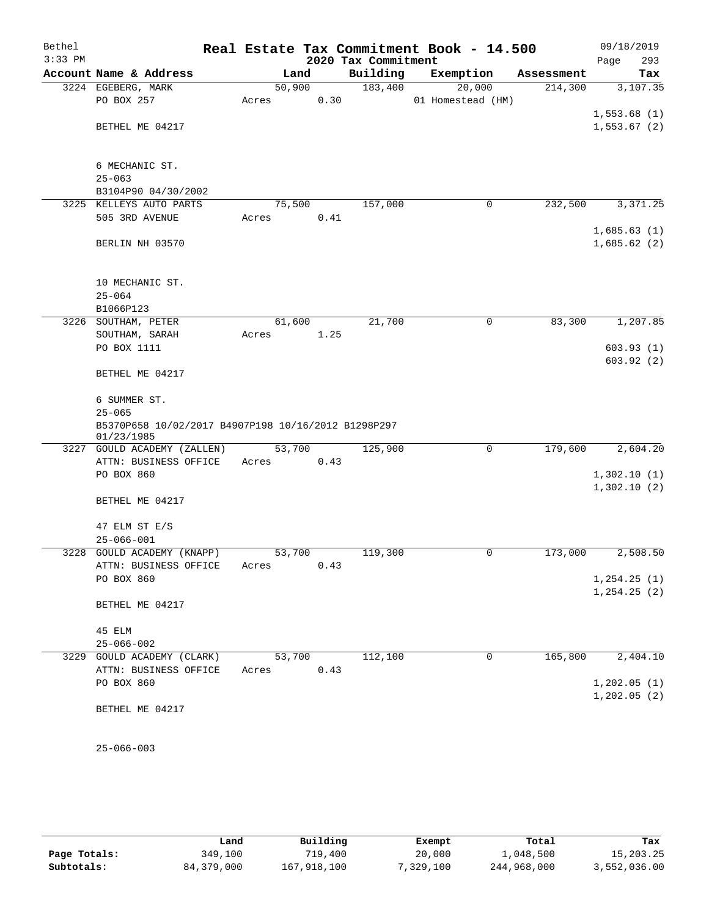| Bethel<br>$3:33$ PM |                                                                   |        |      | 2020 Tax Commitment | Real Estate Tax Commitment Book - 14.500 |            | 09/18/2019<br>293<br>Page |
|---------------------|-------------------------------------------------------------------|--------|------|---------------------|------------------------------------------|------------|---------------------------|
|                     | Account Name & Address                                            | Land   |      | Building            | Exemption                                | Assessment | Tax                       |
|                     | 3224 EGEBERG, MARK                                                | 50,900 |      | 183,400             | 20,000                                   | 214,300    | 3,107.35                  |
|                     | PO BOX 257                                                        | Acres  | 0.30 |                     | 01 Homestead (HM)                        |            |                           |
|                     |                                                                   |        |      |                     |                                          |            | 1,553.68(1)               |
|                     | BETHEL ME 04217                                                   |        |      |                     |                                          |            | 1,553.67(2)               |
|                     |                                                                   |        |      |                     |                                          |            |                           |
|                     |                                                                   |        |      |                     |                                          |            |                           |
|                     | 6 MECHANIC ST.                                                    |        |      |                     |                                          |            |                           |
|                     | $25 - 063$                                                        |        |      |                     |                                          |            |                           |
|                     | B3104P90 04/30/2002                                               |        |      |                     |                                          |            |                           |
| 3225                | KELLEYS AUTO PARTS                                                | 75,500 |      | 157,000             | 0                                        | 232,500    | 3,371.25                  |
|                     | 505 3RD AVENUE                                                    | Acres  | 0.41 |                     |                                          |            |                           |
|                     |                                                                   |        |      |                     |                                          |            | 1,685.63(1)               |
|                     | BERLIN NH 03570                                                   |        |      |                     |                                          |            | 1,685.62(2)               |
|                     |                                                                   |        |      |                     |                                          |            |                           |
|                     | 10 MECHANIC ST.                                                   |        |      |                     |                                          |            |                           |
|                     | $25 - 064$                                                        |        |      |                     |                                          |            |                           |
|                     | B1066P123                                                         |        |      |                     |                                          |            |                           |
|                     | 3226 SOUTHAM, PETER                                               | 61,600 |      | 21,700              | 0                                        | 83,300     | 1,207.85                  |
|                     | SOUTHAM, SARAH                                                    | Acres  | 1.25 |                     |                                          |            |                           |
|                     | PO BOX 1111                                                       |        |      |                     |                                          |            | 603.93(1)                 |
|                     |                                                                   |        |      |                     |                                          |            | 603.92(2)                 |
|                     | BETHEL ME 04217                                                   |        |      |                     |                                          |            |                           |
|                     |                                                                   |        |      |                     |                                          |            |                           |
|                     | 6 SUMMER ST.                                                      |        |      |                     |                                          |            |                           |
|                     | $25 - 065$                                                        |        |      |                     |                                          |            |                           |
|                     | B5370P658 10/02/2017 B4907P198 10/16/2012 B1298P297<br>01/23/1985 |        |      |                     |                                          |            |                           |
|                     | 3227 GOULD ACADEMY (ZALLEN)                                       | 53,700 |      | 125,900             | 0                                        | 179,600    | 2,604.20                  |
|                     | ATTN: BUSINESS OFFICE                                             | Acres  | 0.43 |                     |                                          |            |                           |
|                     | PO BOX 860                                                        |        |      |                     |                                          |            | 1,302.10(1)               |
|                     |                                                                   |        |      |                     |                                          |            | 1,302.10(2)               |
|                     | BETHEL ME 04217                                                   |        |      |                     |                                          |            |                           |
|                     |                                                                   |        |      |                     |                                          |            |                           |
|                     | 47 ELM ST E/S                                                     |        |      |                     |                                          |            |                           |
|                     | $25 - 066 - 001$                                                  |        |      |                     |                                          |            |                           |
|                     | 3228 GOULD ACADEMY (KNAPP)                                        | 53,700 |      | 119,300             | 0                                        | 173,000    | 2,508.50                  |
|                     | ATTN: BUSINESS OFFICE                                             | Acres  | 0.43 |                     |                                          |            |                           |
|                     | PO BOX 860                                                        |        |      |                     |                                          |            | 1, 254.25(1)              |
|                     |                                                                   |        |      |                     |                                          |            | 1, 254.25(2)              |
|                     | BETHEL ME 04217                                                   |        |      |                     |                                          |            |                           |
|                     |                                                                   |        |      |                     |                                          |            |                           |
|                     | 45 ELM                                                            |        |      |                     |                                          |            |                           |
|                     | $25 - 066 - 002$                                                  |        |      |                     |                                          |            |                           |
|                     | 3229 GOULD ACADEMY (CLARK)                                        | 53,700 |      | 112,100             | 0                                        | 165,800    | 2,404.10                  |
|                     | ATTN: BUSINESS OFFICE                                             | Acres  | 0.43 |                     |                                          |            |                           |
|                     | PO BOX 860                                                        |        |      |                     |                                          |            | 1, 202.05(1)              |
|                     | BETHEL ME 04217                                                   |        |      |                     |                                          |            | 1, 202.05(2)              |
|                     |                                                                   |        |      |                     |                                          |            |                           |
|                     |                                                                   |        |      |                     |                                          |            |                           |
|                     | $25 - 066 - 003$                                                  |        |      |                     |                                          |            |                           |

|              | Land         | Building    | Exempt   | Total       | Tax          |
|--------------|--------------|-------------|----------|-------------|--------------|
| Page Totals: | 349.100      | 719,400     | 20,000   | 1,048,500   | 15,203.25    |
| Subtotals:   | 84, 379, 000 | 167,918,100 | .329.100 | 244,968,000 | 3,552,036.00 |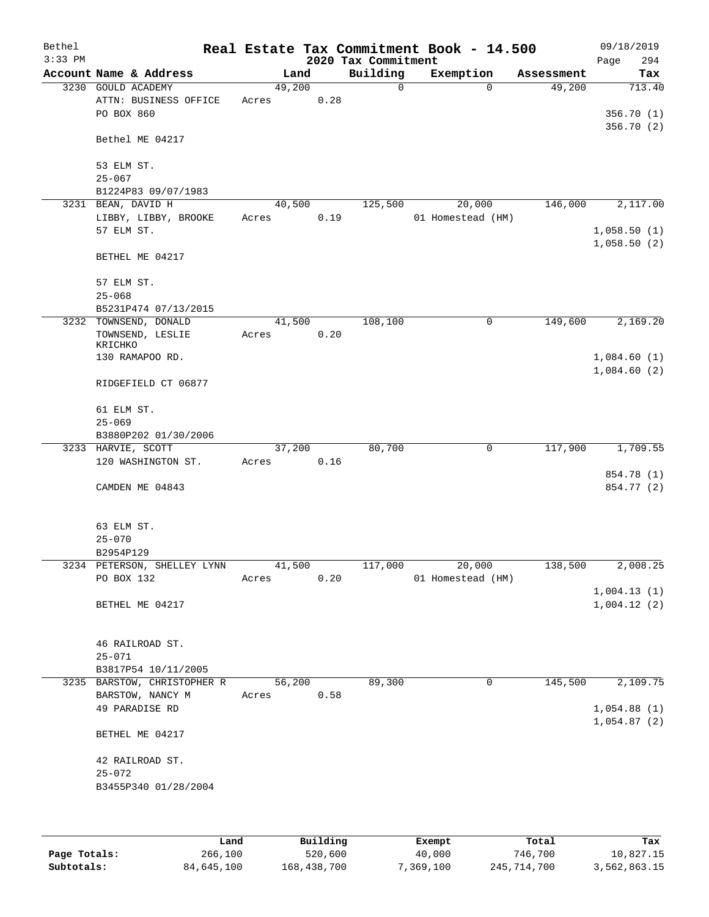| Bethel    |                                               |                 |      |                     | Real Estate Tax Commitment Book - 14.500 |                      | 09/18/2019                 |
|-----------|-----------------------------------------------|-----------------|------|---------------------|------------------------------------------|----------------------|----------------------------|
| $3:33$ PM |                                               |                 |      | 2020 Tax Commitment |                                          |                      | 294<br>Page                |
|           | Account Name & Address                        | Land            |      | Building            | Exemption                                | Assessment           | Tax                        |
|           | 3230 GOULD ACADEMY                            | 49,200          |      | $\Omega$            | $\Omega$                                 | 49,200               | 713.40                     |
|           | ATTN: BUSINESS OFFICE<br>PO BOX 860           | Acres           | 0.28 |                     |                                          |                      | 356.70(1)                  |
|           |                                               |                 |      |                     |                                          |                      | 356.70 (2)                 |
|           | Bethel ME 04217                               |                 |      |                     |                                          |                      |                            |
|           | 53 ELM ST.                                    |                 |      |                     |                                          |                      |                            |
|           | $25 - 067$                                    |                 |      |                     |                                          |                      |                            |
|           | B1224P83 09/07/1983                           |                 |      |                     |                                          |                      |                            |
|           | 3231 BEAN, DAVID H<br>LIBBY, LIBBY, BROOKE    | 40,500<br>Acres | 0.19 | 125,500             | 20,000<br>01 Homestead (HM)              | 146,000              | 2,117.00                   |
|           | 57 ELM ST.                                    |                 |      |                     |                                          |                      | 1,058.50(1)                |
|           |                                               |                 |      |                     |                                          |                      | 1,058.50(2)                |
|           | BETHEL ME 04217                               |                 |      |                     |                                          |                      |                            |
|           | 57 ELM ST.                                    |                 |      |                     |                                          |                      |                            |
|           | $25 - 068$                                    |                 |      |                     |                                          |                      |                            |
|           | B5231P474 07/13/2015<br>3232 TOWNSEND, DONALD | 41,500          |      | 108,100             | $\mathbf 0$                              | 149,600              | 2,169.20                   |
|           | TOWNSEND, LESLIE                              | Acres           | 0.20 |                     |                                          |                      |                            |
|           | KRICHKO                                       |                 |      |                     |                                          |                      |                            |
|           | 130 RAMAPOO RD.                               |                 |      |                     |                                          |                      | 1,084.60(1)                |
|           | RIDGEFIELD CT 06877                           |                 |      |                     |                                          |                      | 1,084.60(2)                |
|           | 61 ELM ST.                                    |                 |      |                     |                                          |                      |                            |
|           | $25 - 069$                                    |                 |      |                     |                                          |                      |                            |
|           | B3880P202 01/30/2006                          |                 |      |                     |                                          |                      |                            |
|           | 3233 HARVIE, SCOTT                            | 37,200          |      | 80,700              | $\mathbf 0$                              | 117,900              | 1,709.55                   |
|           | 120 WASHINGTON ST.                            | Acres           | 0.16 |                     |                                          |                      |                            |
|           |                                               |                 |      |                     |                                          |                      | 854.78 (1)                 |
|           | CAMDEN ME 04843                               |                 |      |                     |                                          |                      | 854.77 (2)                 |
|           | 63 ELM ST.                                    |                 |      |                     |                                          |                      |                            |
|           | $25 - 070$                                    |                 |      |                     |                                          |                      |                            |
|           | B2954P129                                     |                 |      |                     |                                          |                      |                            |
|           | 3234 PETERSON, SHELLEY LYNN<br>PO BOX 132     | 41,500<br>Acres | 0.20 | 117,000             | 20,000<br>01 Homestead (HM)              | $1\overline{38,500}$ | 2,008.25                   |
|           |                                               |                 |      |                     |                                          |                      | 1,004.13(1)                |
|           | BETHEL ME 04217                               |                 |      |                     |                                          |                      | 1,004.12(2)                |
|           |                                               |                 |      |                     |                                          |                      |                            |
|           | 46 RAILROAD ST.                               |                 |      |                     |                                          |                      |                            |
|           | $25 - 071$                                    |                 |      |                     |                                          |                      |                            |
|           | B3817P54 10/11/2005                           |                 |      |                     |                                          |                      |                            |
|           | 3235 BARSTOW, CHRISTOPHER R                   | 56,200          |      | 89,300              | 0                                        | 145,500              | 2,109.75                   |
|           | BARSTOW, NANCY M                              | Acres           | 0.58 |                     |                                          |                      |                            |
|           | 49 PARADISE RD                                |                 |      |                     |                                          |                      | 1,054.88(1)<br>1,054.87(2) |
|           | BETHEL ME 04217                               |                 |      |                     |                                          |                      |                            |
|           | 42 RAILROAD ST.                               |                 |      |                     |                                          |                      |                            |
|           | $25 - 072$                                    |                 |      |                     |                                          |                      |                            |
|           | B3455P340 01/28/2004                          |                 |      |                     |                                          |                      |                            |
|           |                                               |                 |      |                     |                                          |                      |                            |
|           |                                               |                 |      |                     |                                          |                      |                            |
|           |                                               |                 |      |                     |                                          |                      |                            |

|              | Land       | Building    | Exempt    | Total       | Tax          |
|--------------|------------|-------------|-----------|-------------|--------------|
| Page Totals: | 266,100    | 520,600     | 40,000    | 746,700     | 10,827.15    |
| Subtotals:   | 84,645,100 | 168,438,700 | 7,369,100 | 245,714,700 | 3,562,863.15 |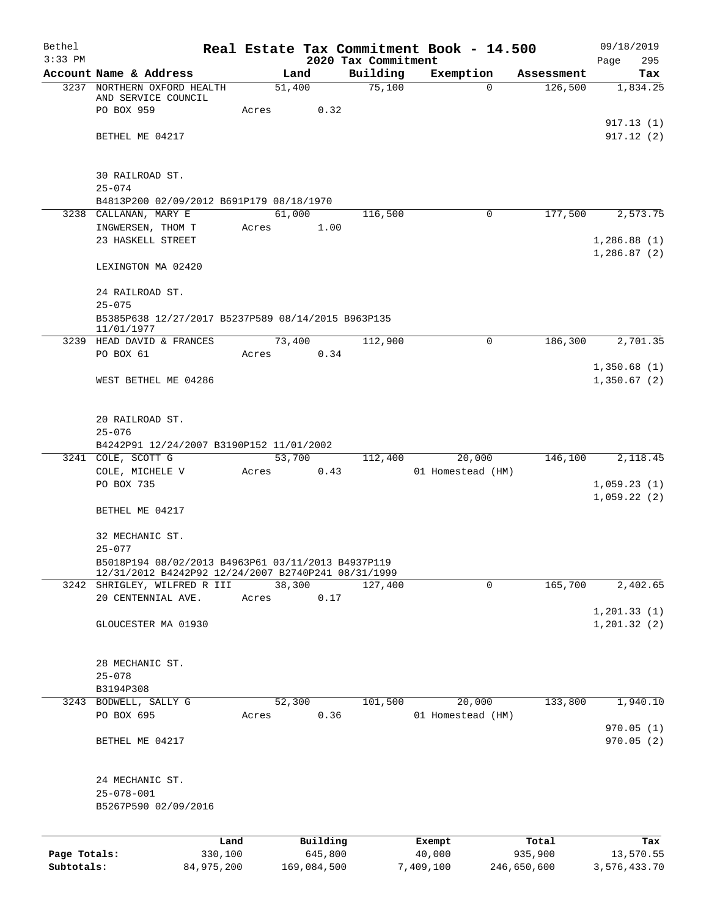| Bethel       |                                                                  |                 |                     |                                 | Real Estate Tax Commitment Book - 14.500 |             |                  | 09/18/2019                 |
|--------------|------------------------------------------------------------------|-----------------|---------------------|---------------------------------|------------------------------------------|-------------|------------------|----------------------------|
| $3:33$ PM    | Account Name & Address                                           |                 | Land                | 2020 Tax Commitment<br>Building | Exemption                                |             | Assessment       | Page<br>295<br>Tax         |
|              | 3237 NORTHERN OXFORD HEALTH                                      |                 | 51,400              | 75,100                          |                                          | $\Omega$    | 126,500          | 1,834.25                   |
|              | AND SERVICE COUNCIL                                              |                 |                     |                                 |                                          |             |                  |                            |
|              | PO BOX 959                                                       | Acres           |                     | 0.32                            |                                          |             |                  |                            |
|              |                                                                  |                 |                     |                                 |                                          |             |                  | 917.13 (1)                 |
|              | BETHEL ME 04217                                                  |                 |                     |                                 |                                          |             |                  | 917.12(2)                  |
|              | 30 RAILROAD ST.                                                  |                 |                     |                                 |                                          |             |                  |                            |
|              | $25 - 074$                                                       |                 |                     |                                 |                                          |             |                  |                            |
|              | B4813P200 02/09/2012 B691P179 08/18/1970                         |                 |                     |                                 |                                          |             |                  |                            |
|              | 3238 CALLANAN, MARY E                                            |                 | 61,000              | 116,500                         |                                          | 0           | 177,500          | 2,573.75                   |
|              | INGWERSEN, THOM T                                                | Acres           |                     | 1.00                            |                                          |             |                  |                            |
|              | 23 HASKELL STREET                                                |                 |                     |                                 |                                          |             |                  | 1,286.88(1)<br>1,286.87(2) |
|              | LEXINGTON MA 02420                                               |                 |                     |                                 |                                          |             |                  |                            |
|              | 24 RAILROAD ST.                                                  |                 |                     |                                 |                                          |             |                  |                            |
|              | $25 - 075$                                                       |                 |                     |                                 |                                          |             |                  |                            |
|              | B5385P638 12/27/2017 B5237P589 08/14/2015 B963P135<br>11/01/1977 |                 |                     |                                 |                                          |             |                  |                            |
|              | 3239 HEAD DAVID & FRANCES                                        |                 | 73,400              | 112,900                         |                                          | 0           | 186,300          | 2,701.35                   |
|              | PO BOX 61                                                        | Acres           |                     | 0.34                            |                                          |             |                  |                            |
|              | WEST BETHEL ME 04286                                             |                 |                     |                                 |                                          |             |                  | 1,350.68(1)<br>1,350.67(2) |
|              |                                                                  |                 |                     |                                 |                                          |             |                  |                            |
|              | 20 RAILROAD ST.                                                  |                 |                     |                                 |                                          |             |                  |                            |
|              | $25 - 076$                                                       |                 |                     |                                 |                                          |             |                  |                            |
|              | B4242P91 12/24/2007 B3190P152 11/01/2002<br>3241 COLE, SCOTT G   |                 |                     |                                 |                                          |             | 146,100          | 2,118.45                   |
|              | COLE, MICHELE V                                                  | Acres           | 53,700              | 112,400<br>0.43                 | 20,000<br>01 Homestead (HM)              |             |                  |                            |
|              | PO BOX 735                                                       |                 |                     |                                 |                                          |             |                  | 1,059.23(1)                |
|              |                                                                  |                 |                     |                                 |                                          |             |                  | 1,059.22(2)                |
|              | BETHEL ME 04217                                                  |                 |                     |                                 |                                          |             |                  |                            |
|              | 32 MECHANIC ST.                                                  |                 |                     |                                 |                                          |             |                  |                            |
|              | $25 - 077$                                                       |                 |                     |                                 |                                          |             |                  |                            |
|              | B5018P194 08/02/2013 B4963P61 03/11/2013 B4937P119               |                 |                     |                                 |                                          |             |                  |                            |
|              | 12/31/2012 B4242P92 12/24/2007 B2740P241 08/31/1999              |                 |                     |                                 |                                          | $\mathbf 0$ |                  |                            |
|              | 3242 SHRIGLEY, WILFRED R III<br>20 CENTENNIAL AVE.               | Acres           | 38,300              | 127,400<br>0.17                 |                                          |             | 165,700          | 2,402.65                   |
|              |                                                                  |                 |                     |                                 |                                          |             |                  | 1, 201.33(1)               |
|              | GLOUCESTER MA 01930                                              |                 |                     |                                 |                                          |             |                  | 1, 201.32(2)               |
|              | 28 MECHANIC ST.                                                  |                 |                     |                                 |                                          |             |                  |                            |
|              | $25 - 078$                                                       |                 |                     |                                 |                                          |             |                  |                            |
|              | B3194P308                                                        |                 |                     |                                 |                                          |             |                  |                            |
|              | 3243 BODWELL, SALLY G                                            |                 | 52,300              | 101,500                         | 20,000                                   |             | 133,800          | 1,940.10                   |
|              | PO BOX 695                                                       | Acres           |                     | 0.36                            | 01 Homestead (HM)                        |             |                  |                            |
|              | BETHEL ME 04217                                                  |                 |                     |                                 |                                          |             |                  | 970.05(1)<br>970.05(2)     |
|              |                                                                  |                 |                     |                                 |                                          |             |                  |                            |
|              | 24 MECHANIC ST.                                                  |                 |                     |                                 |                                          |             |                  |                            |
|              | $25 - 078 - 001$                                                 |                 |                     |                                 |                                          |             |                  |                            |
|              | B5267P590 02/09/2016                                             |                 |                     |                                 |                                          |             |                  |                            |
|              |                                                                  |                 |                     |                                 |                                          |             |                  |                            |
| Page Totals: |                                                                  | Land<br>330,100 | Building<br>645,800 |                                 | Exempt<br>40,000                         |             | Total<br>935,900 | Tax<br>13,570.55           |
| Subtotals:   |                                                                  | 84,975,200      | 169,084,500         |                                 | 7,409,100                                |             | 246,650,600      | 3,576,433.70               |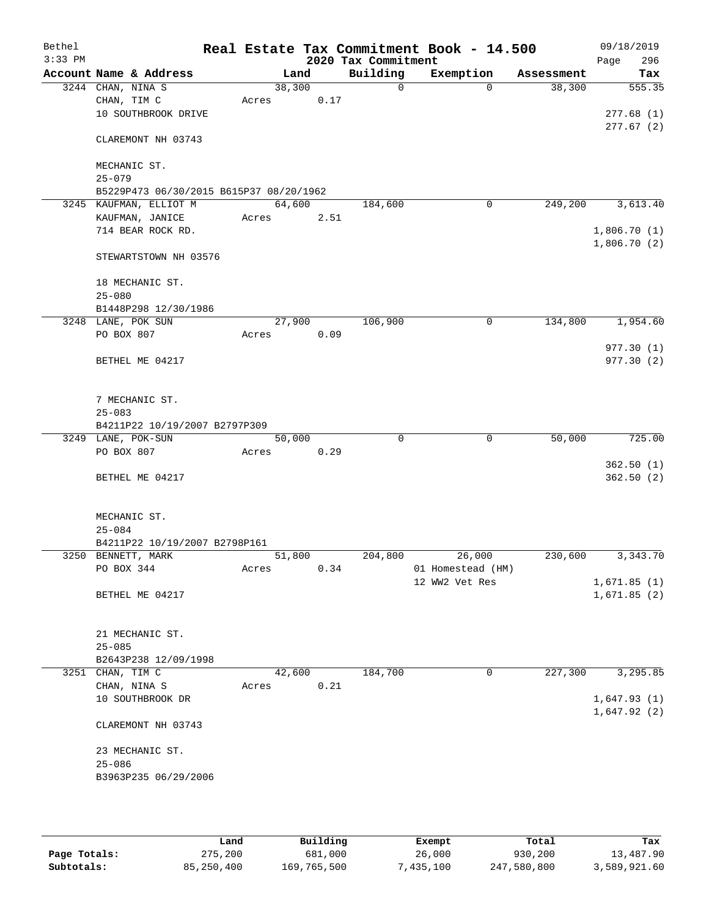| Bethel<br>$3:33$ PM |                                         |                 |      | 2020 Tax Commitment | Real Estate Tax Commitment Book - 14.500 |            | 09/18/2019<br>296<br>Page |
|---------------------|-----------------------------------------|-----------------|------|---------------------|------------------------------------------|------------|---------------------------|
|                     | Account Name & Address                  | Land            |      | Building            | Exemption                                | Assessment | Tax                       |
| 3244                | CHAN, NINA S                            | 38,300          |      | $\mathsf{O}$        | $\Omega$                                 | 38,300     | 555.35                    |
|                     | CHAN, TIM C                             | Acres           | 0.17 |                     |                                          |            |                           |
|                     | 10 SOUTHBROOK DRIVE                     |                 |      |                     |                                          |            | 277.68(1)                 |
|                     | CLAREMONT NH 03743                      |                 |      |                     |                                          |            | 277.67(2)                 |
|                     | MECHANIC ST.                            |                 |      |                     |                                          |            |                           |
|                     | $25 - 079$                              |                 |      |                     |                                          |            |                           |
|                     | B5229P473 06/30/2015 B615P37 08/20/1962 |                 |      |                     |                                          |            |                           |
|                     | 3245 KAUFMAN, ELLIOT M                  | 64,600          |      | 184,600             | 0                                        | 249,200    | 3,613.40                  |
|                     | KAUFMAN, JANICE                         | Acres           | 2.51 |                     |                                          |            |                           |
|                     | 714 BEAR ROCK RD.                       |                 |      |                     |                                          |            | 1,806.70(1)               |
|                     | STEWARTSTOWN NH 03576                   |                 |      |                     |                                          |            | 1,806.70(2)               |
|                     | 18 MECHANIC ST.                         |                 |      |                     |                                          |            |                           |
|                     | $25 - 080$                              |                 |      |                     |                                          |            |                           |
|                     | B1448P298 12/30/1986                    |                 |      |                     |                                          |            |                           |
|                     | 3248 LANE, POK SUN                      | 27,900          |      | 106,900             | 0                                        | 134,800    | 1,954.60                  |
|                     | PO BOX 807                              | Acres           | 0.09 |                     |                                          |            |                           |
|                     | BETHEL ME 04217                         |                 |      |                     |                                          |            | 977.30(1)<br>977.30 (2)   |
|                     |                                         |                 |      |                     |                                          |            |                           |
|                     | 7 MECHANIC ST.                          |                 |      |                     |                                          |            |                           |
|                     | $25 - 083$                              |                 |      |                     |                                          |            |                           |
|                     | B4211P22 10/19/2007 B2797P309           |                 |      |                     |                                          |            |                           |
|                     | 3249 LANE, POK-SUN                      | 50,000          |      | $\Omega$            | $\mathbf 0$                              | 50,000     | 725.00                    |
|                     | PO BOX 807                              | Acres           | 0.29 |                     |                                          |            |                           |
|                     | BETHEL ME 04217                         |                 |      |                     |                                          |            | 362.50(1)<br>362.50(2)    |
|                     |                                         |                 |      |                     |                                          |            |                           |
|                     | MECHANIC ST.                            |                 |      |                     |                                          |            |                           |
|                     | $25 - 084$                              |                 |      |                     |                                          |            |                           |
|                     | B4211P22 10/19/2007 B2798P161           |                 |      |                     |                                          | 230,600    | 3,343.70                  |
|                     | 3250 BENNETT, MARK<br>PO BOX 344        | 51,800<br>Acres | 0.34 | 204,800             | 26,000<br>01 Homestead (HM)              |            |                           |
|                     |                                         |                 |      |                     | 12 WW2 Vet Res                           |            | 1,671.85(1)               |
|                     | BETHEL ME 04217                         |                 |      |                     |                                          |            | 1,671.85(2)               |
|                     |                                         |                 |      |                     |                                          |            |                           |
|                     | 21 MECHANIC ST.                         |                 |      |                     |                                          |            |                           |
|                     | $25 - 085$                              |                 |      |                     |                                          |            |                           |
|                     | B2643P238 12/09/1998                    |                 |      |                     |                                          |            |                           |
|                     | 3251 CHAN, TIM C                        | 42,600          |      | 184,700             | 0                                        | 227,300    | 3,295.85                  |
|                     | CHAN, NINA S                            | Acres           | 0.21 |                     |                                          |            |                           |
|                     | 10 SOUTHBROOK DR                        |                 |      |                     |                                          |            | 1,647.93(1)               |
|                     | CLAREMONT NH 03743                      |                 |      |                     |                                          |            | 1,647.92(2)               |
|                     | 23 MECHANIC ST.                         |                 |      |                     |                                          |            |                           |
|                     | $25 - 086$                              |                 |      |                     |                                          |            |                           |
|                     | B3963P235 06/29/2006                    |                 |      |                     |                                          |            |                           |
|                     |                                         |                 |      |                     |                                          |            |                           |
|                     |                                         |                 |      |                     |                                          |            |                           |

|              | Land       | Building    | Exempt    | Total       | Tax          |
|--------------|------------|-------------|-----------|-------------|--------------|
| Page Totals: | 275,200    | 681,000     | 26,000    | 930,200     | 13,487.90    |
| Subtotals:   | 85,250,400 | 169,765,500 | 7,435,100 | 247,580,800 | 3,589,921.60 |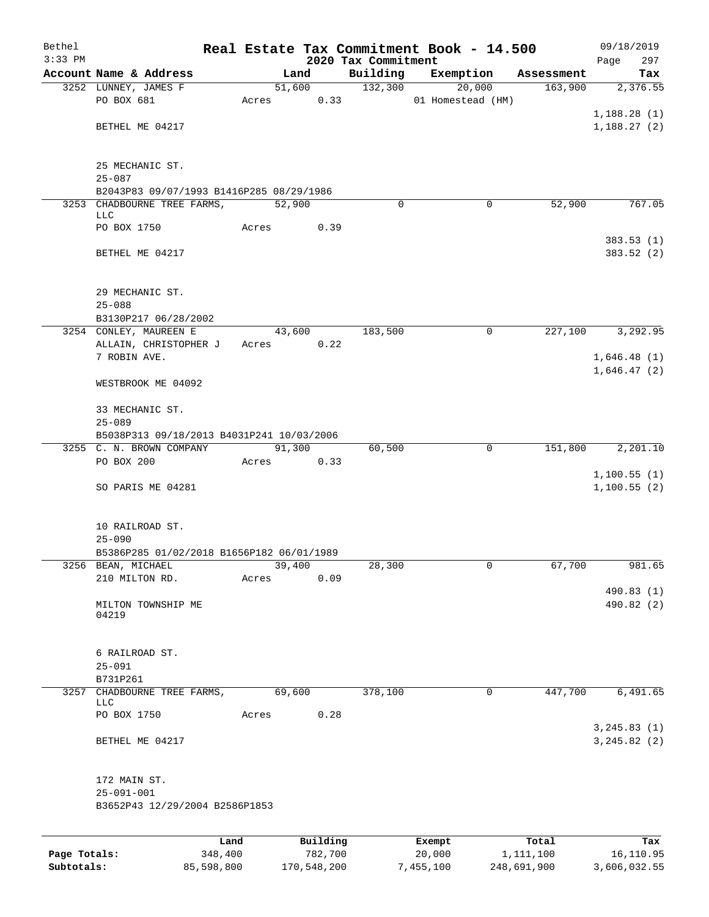| Bethel<br>$3:33$ PM |                                                        |       |        |          | 2020 Tax Commitment | Real Estate Tax Commitment Book - 14.500 |            | 09/18/2019<br>297<br>Page  |
|---------------------|--------------------------------------------------------|-------|--------|----------|---------------------|------------------------------------------|------------|----------------------------|
|                     | Account Name & Address                                 |       | Land   |          | Building            | Exemption                                | Assessment | Tax                        |
|                     | 3252 LUNNEY, JAMES F                                   |       |        | 51,600   | 132,300             | 20,000                                   | 163,900    | 2,376.55                   |
|                     | PO BOX 681                                             | Acres |        | 0.33     |                     | 01 Homestead (HM)                        |            |                            |
|                     |                                                        |       |        |          |                     |                                          |            | 1,188.28(1)                |
|                     | BETHEL ME 04217                                        |       |        |          |                     |                                          |            | 1,188.27(2)                |
|                     |                                                        |       |        |          |                     |                                          |            |                            |
|                     |                                                        |       |        |          |                     |                                          |            |                            |
|                     | 25 MECHANIC ST.                                        |       |        |          |                     |                                          |            |                            |
|                     | $25 - 087$<br>B2043P83 09/07/1993 B1416P285 08/29/1986 |       |        |          |                     |                                          |            |                            |
|                     | 3253 CHADBOURNE TREE FARMS,                            |       | 52,900 |          | 0                   | 0                                        | 52,900     | 767.05                     |
|                     | LLC                                                    |       |        |          |                     |                                          |            |                            |
|                     | PO BOX 1750                                            | Acres |        | 0.39     |                     |                                          |            |                            |
|                     |                                                        |       |        |          |                     |                                          |            | 383.53(1)                  |
|                     | BETHEL ME 04217                                        |       |        |          |                     |                                          |            | 383.52 (2)                 |
|                     |                                                        |       |        |          |                     |                                          |            |                            |
|                     | 29 MECHANIC ST.                                        |       |        |          |                     |                                          |            |                            |
|                     | $25 - 088$                                             |       |        |          |                     |                                          |            |                            |
|                     | B3130P217 06/28/2002                                   |       |        |          |                     |                                          |            |                            |
|                     | 3254 CONLEY, MAUREEN E                                 |       | 43,600 |          | 183,500             | 0                                        | 227,100    | 3,292.95                   |
|                     | ALLAIN, CHRISTOPHER J                                  | Acres |        | 0.22     |                     |                                          |            |                            |
|                     | 7 ROBIN AVE.                                           |       |        |          |                     |                                          |            | 1,646.48(1)                |
|                     | WESTBROOK ME 04092                                     |       |        |          |                     |                                          |            | 1,646.47(2)                |
|                     |                                                        |       |        |          |                     |                                          |            |                            |
|                     | 33 MECHANIC ST.                                        |       |        |          |                     |                                          |            |                            |
|                     | $25 - 089$                                             |       |        |          |                     |                                          |            |                            |
|                     | B5038P313 09/18/2013 B4031P241 10/03/2006              |       |        |          |                     |                                          |            |                            |
|                     | 3255 C. N. BROWN COMPANY                               |       | 91,300 |          | 60,500              | 0                                        | 151,800    | 2,201.10                   |
|                     | PO BOX 200                                             | Acres |        | 0.33     |                     |                                          |            |                            |
|                     | SO PARIS ME 04281                                      |       |        |          |                     |                                          |            | 1,100.55(1)<br>1,100.55(2) |
|                     |                                                        |       |        |          |                     |                                          |            |                            |
|                     |                                                        |       |        |          |                     |                                          |            |                            |
|                     | 10 RAILROAD ST.                                        |       |        |          |                     |                                          |            |                            |
|                     | $25 - 090$                                             |       |        |          |                     |                                          |            |                            |
|                     | B5386P285 01/02/2018 B1656P182 06/01/1989              |       |        |          |                     |                                          |            |                            |
|                     | 3256 BEAN, MICHAEL<br>210 MILTON RD.                   | Acres | 39,400 | 0.09     | 28,300              | 0                                        | 67,700     | 981.65                     |
|                     |                                                        |       |        |          |                     |                                          |            | 490.83 (1)                 |
|                     | MILTON TOWNSHIP ME                                     |       |        |          |                     |                                          |            | 490.82 (2)                 |
|                     | 04219                                                  |       |        |          |                     |                                          |            |                            |
|                     |                                                        |       |        |          |                     |                                          |            |                            |
|                     | 6 RAILROAD ST.                                         |       |        |          |                     |                                          |            |                            |
|                     | $25 - 091$                                             |       |        |          |                     |                                          |            |                            |
|                     | B731P261                                               |       |        |          |                     |                                          |            |                            |
| 3257                | CHADBOURNE TREE FARMS,                                 |       | 69,600 |          | 378,100             | 0                                        | 447,700    | 6,491.65                   |
|                     | LLC                                                    |       |        |          |                     |                                          |            |                            |
|                     | PO BOX 1750                                            | Acres |        | 0.28     |                     |                                          |            | 3, 245.83(1)               |
|                     | BETHEL ME 04217                                        |       |        |          |                     |                                          |            | 3, 245.82 (2)              |
|                     |                                                        |       |        |          |                     |                                          |            |                            |
|                     |                                                        |       |        |          |                     |                                          |            |                            |
|                     | 172 MAIN ST.                                           |       |        |          |                     |                                          |            |                            |
|                     | $25 - 091 - 001$                                       |       |        |          |                     |                                          |            |                            |
|                     | B3652P43 12/29/2004 B2586P1853                         |       |        |          |                     |                                          |            |                            |
|                     |                                                        |       |        |          |                     |                                          |            |                            |
|                     |                                                        | Land  |        | Building |                     | Exempt                                   | Total      | Tax                        |
| Page Totals:        | 348,400                                                |       |        | 782,700  |                     | 20,000                                   | 1,111,100  | 16,110.95                  |

**Subtotals:** 85,598,800 170,548,200 7,455,100 248,691,900 3,606,032.55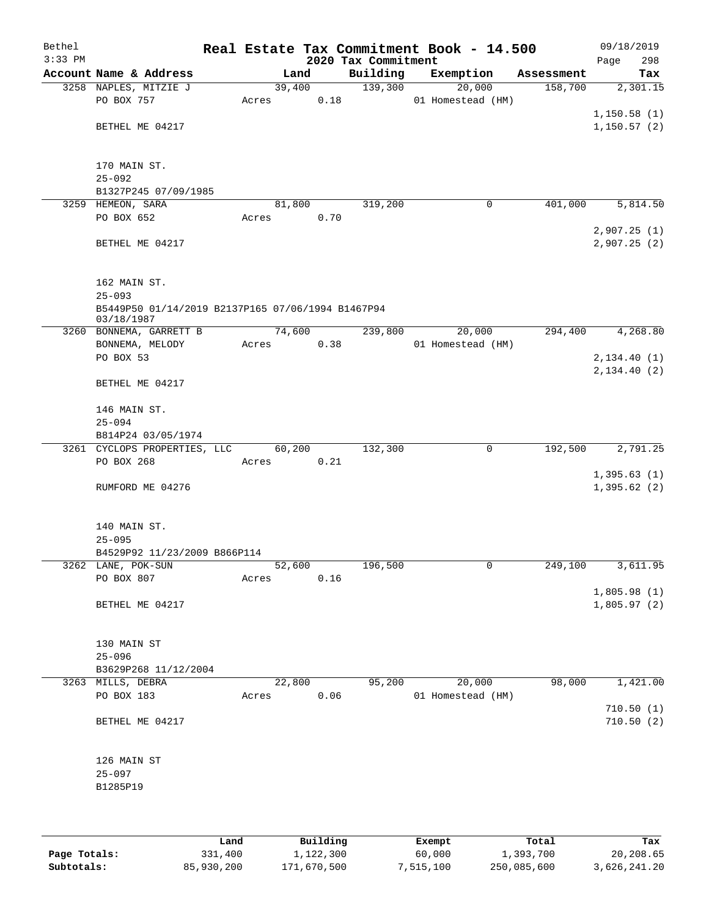| Bethel    |                                                                 |      |       |        |          |                     |        | Real Estate Tax Commitment Book - 14.500 |            | 09/18/2019   |
|-----------|-----------------------------------------------------------------|------|-------|--------|----------|---------------------|--------|------------------------------------------|------------|--------------|
| $3:33$ PM |                                                                 |      |       |        |          | 2020 Tax Commitment |        |                                          |            | 298<br>Page  |
|           | Account Name & Address                                          |      |       | Land   |          | Building            |        | Exemption                                | Assessment | Tax          |
|           | 3258 NAPLES, MITZIE J<br>PO BOX 757                             |      | Acres | 39,400 | 0.18     | 139,300             |        | 20,000<br>01 Homestead (HM)              | 158,700    | 2,301.15     |
|           |                                                                 |      |       |        |          |                     |        |                                          |            | 1,150.58(1)  |
|           | BETHEL ME 04217                                                 |      |       |        |          |                     |        |                                          |            | 1,150.57(2)  |
|           |                                                                 |      |       |        |          |                     |        |                                          |            |              |
|           | 170 MAIN ST.                                                    |      |       |        |          |                     |        |                                          |            |              |
|           | $25 - 092$                                                      |      |       |        |          |                     |        |                                          |            |              |
|           | B1327P245 07/09/1985                                            |      |       |        |          |                     |        |                                          |            |              |
|           | 3259 HEMEON, SARA                                               |      |       | 81,800 |          | 319,200             |        | 0                                        | 401,000    | 5,814.50     |
|           | PO BOX 652                                                      |      | Acres |        | 0.70     |                     |        |                                          |            |              |
|           |                                                                 |      |       |        |          |                     |        |                                          |            | 2,907.25(1)  |
|           | BETHEL ME 04217                                                 |      |       |        |          |                     |        |                                          |            | 2,907.25(2)  |
|           | 162 MAIN ST.                                                    |      |       |        |          |                     |        |                                          |            |              |
|           | $25 - 093$                                                      |      |       |        |          |                     |        |                                          |            |              |
|           | B5449P50 01/14/2019 B2137P165 07/06/1994 B1467P94<br>03/18/1987 |      |       |        |          |                     |        |                                          |            |              |
|           | 3260 BONNEMA, GARRETT B                                         |      |       | 74,600 |          | 239,800             |        | 20,000                                   | 294,400    | 4,268.80     |
|           | BONNEMA, MELODY                                                 |      | Acres |        | 0.38     |                     |        | 01 Homestead (HM)                        |            |              |
|           | PO BOX 53                                                       |      |       |        |          |                     |        |                                          |            | 2,134.40 (1) |
|           | BETHEL ME 04217                                                 |      |       |        |          |                     |        |                                          |            | 2, 134.40(2) |
|           | 146 MAIN ST.                                                    |      |       |        |          |                     |        |                                          |            |              |
|           | $25 - 094$                                                      |      |       |        |          |                     |        |                                          |            |              |
|           | B814P24 03/05/1974                                              |      |       |        |          |                     |        |                                          |            |              |
|           | 3261 CYCLOPS PROPERTIES, LLC                                    |      |       | 60,200 |          | 132,300             |        | $\mathbf 0$                              | 192,500    | 2,791.25     |
|           | PO BOX 268                                                      |      | Acres |        | 0.21     |                     |        |                                          |            | 1,395.63(1)  |
|           | RUMFORD ME 04276                                                |      |       |        |          |                     |        |                                          |            | 1,395.62(2)  |
|           |                                                                 |      |       |        |          |                     |        |                                          |            |              |
|           | 140 MAIN ST.                                                    |      |       |        |          |                     |        |                                          |            |              |
|           | $25 - 095$                                                      |      |       |        |          |                     |        |                                          |            |              |
|           | B4529P92 11/23/2009 B866P114                                    |      |       |        |          |                     |        |                                          |            |              |
|           | 3262 LANE, POK-SUN<br>PO BOX 807                                |      | Acres | 52,600 | 0.16     | 196,500             |        | 0                                        | 249,100    | 3,611.95     |
|           |                                                                 |      |       |        |          |                     |        |                                          |            | 1,805.98(1)  |
|           | BETHEL ME 04217                                                 |      |       |        |          |                     |        |                                          |            | 1,805.97(2)  |
|           | 130 MAIN ST                                                     |      |       |        |          |                     |        |                                          |            |              |
|           | $25 - 096$                                                      |      |       |        |          |                     |        |                                          |            |              |
|           | B3629P268 11/12/2004                                            |      |       |        |          |                     |        |                                          |            |              |
|           | 3263 MILLS, DEBRA                                               |      |       | 22,800 |          | 95,200              |        | 20,000                                   | 98,000     | 1,421.00     |
|           | PO BOX 183                                                      |      | Acres |        | 0.06     |                     |        | 01 Homestead (HM)                        |            |              |
|           |                                                                 |      |       |        |          |                     |        |                                          |            | 710.50(1)    |
|           | BETHEL ME 04217                                                 |      |       |        |          |                     |        |                                          |            | 710.50(2)    |
|           | 126 MAIN ST                                                     |      |       |        |          |                     |        |                                          |            |              |
|           | $25 - 097$                                                      |      |       |        |          |                     |        |                                          |            |              |
|           | B1285P19                                                        |      |       |        |          |                     |        |                                          |            |              |
|           |                                                                 |      |       |        |          |                     |        |                                          |            |              |
|           |                                                                 | Land |       |        | Building |                     | Exempt |                                          | Total      | Tax          |

**Page Totals:** 331,400 1,122,300 60,000 1,393,700 20,208.65<br>**Subtotals:** 85,930,200 171,670,500 7,515,100 250,085,600 3,626,241.20

**Subtotals:** 85,930,200 171,670,500 7,515,100 250,085,600 3,626,241.20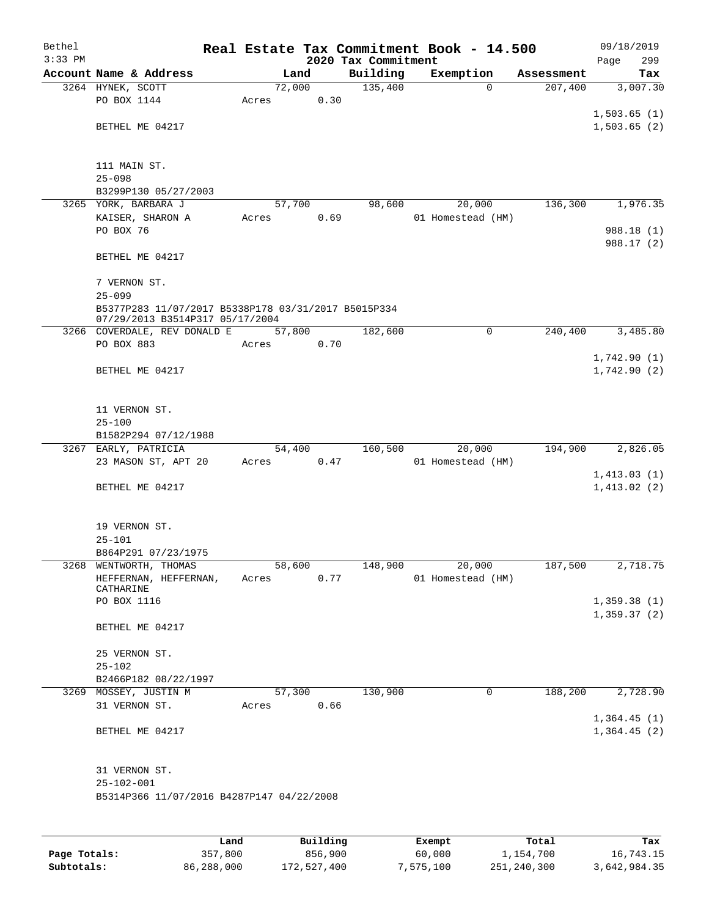| Bethel    |                                                                 |       |        |          |                     | Real Estate Tax Commitment Book - 14.500 |            | 09/18/2019               |
|-----------|-----------------------------------------------------------------|-------|--------|----------|---------------------|------------------------------------------|------------|--------------------------|
| $3:33$ PM |                                                                 |       |        |          | 2020 Tax Commitment |                                          |            | 299<br>Page              |
|           | Account Name & Address                                          |       | Land   |          | Building            | Exemption                                | Assessment | Tax                      |
|           | 3264 HYNEK, SCOTT                                               |       | 72,000 |          | 135,400             | $\mathbf 0$                              | 207,400    | 3,007.30                 |
|           | PO BOX 1144                                                     | Acres |        | 0.30     |                     |                                          |            |                          |
|           |                                                                 |       |        |          |                     |                                          |            | 1,503.65(1)              |
|           | BETHEL ME 04217                                                 |       |        |          |                     |                                          |            | 1,503.65(2)              |
|           |                                                                 |       |        |          |                     |                                          |            |                          |
|           | 111 MAIN ST.                                                    |       |        |          |                     |                                          |            |                          |
|           | $25 - 098$                                                      |       |        |          |                     |                                          |            |                          |
|           | B3299P130 05/27/2003                                            |       |        |          |                     |                                          |            |                          |
|           | 3265 YORK, BARBARA J                                            |       | 57,700 |          | 98,600              | 20,000                                   | 136,300    | 1,976.35                 |
|           | KAISER, SHARON A                                                | Acres |        | 0.69     |                     | 01 Homestead (HM)                        |            |                          |
|           | PO BOX 76                                                       |       |        |          |                     |                                          |            | 988.18 (1)<br>988.17 (2) |
|           | BETHEL ME 04217                                                 |       |        |          |                     |                                          |            |                          |
|           |                                                                 |       |        |          |                     |                                          |            |                          |
|           | 7 VERNON ST.                                                    |       |        |          |                     |                                          |            |                          |
|           | $25 - 099$                                                      |       |        |          |                     |                                          |            |                          |
|           | B5377P283 11/07/2017 B5338P178 03/31/2017 B5015P334             |       |        |          |                     |                                          |            |                          |
|           | 07/29/2013 B3514P317 05/17/2004<br>3266 COVERDALE, REV DONALD E |       | 57,800 |          | 182,600             | 0                                        | 240,400    | 3,485.80                 |
|           | PO BOX 883                                                      | Acres |        | 0.70     |                     |                                          |            |                          |
|           |                                                                 |       |        |          |                     |                                          |            | 1,742.90(1)              |
|           | BETHEL ME 04217                                                 |       |        |          |                     |                                          |            | 1,742.90(2)              |
|           |                                                                 |       |        |          |                     |                                          |            |                          |
|           |                                                                 |       |        |          |                     |                                          |            |                          |
|           | 11 VERNON ST.                                                   |       |        |          |                     |                                          |            |                          |
|           | $25 - 100$                                                      |       |        |          |                     |                                          |            |                          |
|           | B1582P294 07/12/1988                                            |       |        |          |                     |                                          |            |                          |
|           | 3267 EARLY, PATRICIA                                            |       | 54,400 |          | 160,500             | 20,000                                   | 194,900    | 2,826.05                 |
|           | 23 MASON ST, APT 20                                             | Acres |        | 0.47     |                     | 01 Homestead (HM)                        |            |                          |
|           |                                                                 |       |        |          |                     |                                          |            | 1,413.03(1)              |
|           | BETHEL ME 04217                                                 |       |        |          |                     |                                          |            | 1,413.02(2)              |
|           |                                                                 |       |        |          |                     |                                          |            |                          |
|           |                                                                 |       |        |          |                     |                                          |            |                          |
|           | 19 VERNON ST.                                                   |       |        |          |                     |                                          |            |                          |
|           | $25 - 101$                                                      |       |        |          |                     |                                          |            |                          |
|           | B864P291 07/23/1975                                             |       |        |          |                     |                                          |            |                          |
|           | 3268 WENTWORTH, THOMAS<br>HEFFERNAN, HEFFERNAN,                 |       | 58,600 | 0.77     | 148,900             | 20,000                                   | 187,500    | 2,718.75                 |
|           | CATHARINE                                                       | Acres |        |          |                     | 01 Homestead (HM)                        |            |                          |
|           | PO BOX 1116                                                     |       |        |          |                     |                                          |            | 1,359.38(1)              |
|           |                                                                 |       |        |          |                     |                                          |            | 1,359.37(2)              |
|           | BETHEL ME 04217                                                 |       |        |          |                     |                                          |            |                          |
|           |                                                                 |       |        |          |                     |                                          |            |                          |
|           | 25 VERNON ST.                                                   |       |        |          |                     |                                          |            |                          |
|           | $25 - 102$                                                      |       |        |          |                     |                                          |            |                          |
|           | B2466P182 08/22/1997                                            |       |        |          |                     |                                          |            |                          |
|           | 3269 MOSSEY, JUSTIN M                                           |       | 57,300 |          | 130,900             | 0                                        | 188,200    | 2,728.90                 |
|           | 31 VERNON ST.                                                   | Acres |        | 0.66     |                     |                                          |            |                          |
|           |                                                                 |       |        |          |                     |                                          |            | 1,364.45(1)              |
|           | BETHEL ME 04217                                                 |       |        |          |                     |                                          |            | 1,364.45(2)              |
|           |                                                                 |       |        |          |                     |                                          |            |                          |
|           | 31 VERNON ST.                                                   |       |        |          |                     |                                          |            |                          |
|           | $25 - 102 - 001$                                                |       |        |          |                     |                                          |            |                          |
|           | B5314P366 11/07/2016 B4287P147 04/22/2008                       |       |        |          |                     |                                          |            |                          |
|           |                                                                 |       |        |          |                     |                                          |            |                          |
|           |                                                                 |       |        |          |                     |                                          |            |                          |
|           |                                                                 | Land. |        | Building |                     | <b>Ryomnt</b>                            | $T0+21$    | Tav                      |

|              | Land       | Building    | Exempt    | Total       | Tax          |
|--------------|------------|-------------|-----------|-------------|--------------|
| Page Totals: | 357,800    | 856,900     | 60,000    | 1,154,700   | 16,743.15    |
| Subtotals:   | 86,288,000 | 172,527,400 | 7,575,100 | 251,240,300 | 3,642,984.35 |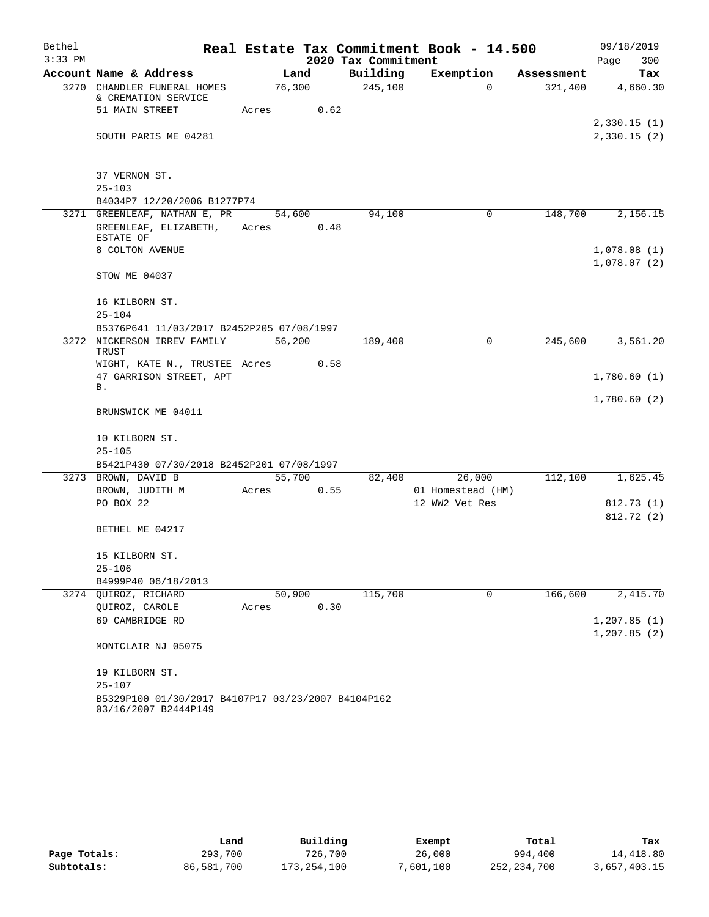| Bethel    |                                                                            |                 |      |                     | Real Estate Tax Commitment Book - 14.500 |            | 09/18/2019                 |          |
|-----------|----------------------------------------------------------------------------|-----------------|------|---------------------|------------------------------------------|------------|----------------------------|----------|
| $3:33$ PM |                                                                            |                 |      | 2020 Tax Commitment |                                          |            | Page                       | 300      |
|           | Account Name & Address                                                     |                 | Land | Building            | Exemption                                | Assessment |                            | Tax      |
|           | 3270 CHANDLER FUNERAL HOMES<br>& CREMATION SERVICE                         | 76,300          |      | 245,100             | $\Omega$                                 | 321,400    |                            | 4,660.30 |
|           | 51 MAIN STREET                                                             | Acres           | 0.62 |                     |                                          |            |                            |          |
|           | SOUTH PARIS ME 04281                                                       |                 |      |                     |                                          |            | 2,330.15(1)<br>2,330.15(2) |          |
|           | 37 VERNON ST.                                                              |                 |      |                     |                                          |            |                            |          |
|           | $25 - 103$                                                                 |                 |      |                     |                                          |            |                            |          |
|           | B4034P7 12/20/2006 B1277P74                                                |                 |      |                     |                                          |            |                            |          |
|           | 3271 GREENLEAF, NATHAN E, PR<br>GREENLEAF, ELIZABETH,<br>ESTATE OF         | 54,600<br>Acres | 0.48 | 94,100              | 0                                        | 148,700    |                            | 2,156.15 |
|           | 8 COLTON AVENUE                                                            |                 |      |                     |                                          |            | 1,078.08(1)                |          |
|           | STOW ME 04037                                                              |                 |      |                     |                                          |            | 1,078.07(2)                |          |
|           | 16 KILBORN ST.<br>$25 - 104$                                               |                 |      |                     |                                          |            |                            |          |
|           | B5376P641 11/03/2017 B2452P205 07/08/1997                                  |                 |      |                     |                                          |            |                            |          |
|           | 3272 NICKERSON IRREV FAMILY<br><b>TRUST</b>                                | 56,200          |      | 189,400             | 0                                        | 245,600    |                            | 3,561.20 |
|           | WIGHT, KATE N., TRUSTEE Acres<br>47 GARRISON STREET, APT                   |                 | 0.58 |                     |                                          |            | 1,780.60(1)                |          |
|           | В.                                                                         |                 |      |                     |                                          |            | 1,780.60(2)                |          |
|           | BRUNSWICK ME 04011                                                         |                 |      |                     |                                          |            |                            |          |
|           | 10 KILBORN ST.                                                             |                 |      |                     |                                          |            |                            |          |
|           | $25 - 105$                                                                 |                 |      |                     |                                          |            |                            |          |
|           | B5421P430 07/30/2018 B2452P201 07/08/1997                                  |                 |      |                     |                                          |            |                            |          |
|           | 3273 BROWN, DAVID B                                                        | 55,700          |      | 82,400              | 26,000                                   | 112,100    |                            | 1,625.45 |
|           | BROWN, JUDITH M                                                            | Acres           | 0.55 |                     | 01 Homestead (HM)                        |            |                            |          |
|           | PO BOX 22                                                                  |                 |      |                     | 12 WW2 Vet Res                           |            | 812.73(1)<br>812.72 (2)    |          |
|           | BETHEL ME 04217                                                            |                 |      |                     |                                          |            |                            |          |
|           | 15 KILBORN ST.                                                             |                 |      |                     |                                          |            |                            |          |
|           | $25 - 106$                                                                 |                 |      |                     |                                          |            |                            |          |
|           | B4999P40 06/18/2013                                                        |                 |      |                     |                                          |            |                            |          |
|           | 3274 OUIROZ, RICHARD                                                       | 50,900          |      | 115,700             | 0                                        | 166,600    |                            | 2,415.70 |
|           | QUIROZ, CAROLE                                                             | Acres           | 0.30 |                     |                                          |            |                            |          |
|           | 69 CAMBRIDGE RD                                                            |                 |      |                     |                                          |            | 1,207.85(1)                |          |
|           | MONTCLAIR NJ 05075                                                         |                 |      |                     |                                          |            | 1,207.85(2)                |          |
|           | 19 KILBORN ST.                                                             |                 |      |                     |                                          |            |                            |          |
|           | $25 - 107$                                                                 |                 |      |                     |                                          |            |                            |          |
|           | B5329P100 01/30/2017 B4107P17 03/23/2007 B4104P162<br>03/16/2007 B2444P149 |                 |      |                     |                                          |            |                            |          |

|              | Land       | Building    | Exempt    | Total         | Tax          |
|--------------|------------|-------------|-----------|---------------|--------------|
| Page Totals: | 293,700    | 726,700     | 26,000    | 994,400       | 14,418.80    |
| Subtotals:   | 86,581,700 | 173,254,100 | 7,601,100 | 252, 234, 700 | 3,657,403.15 |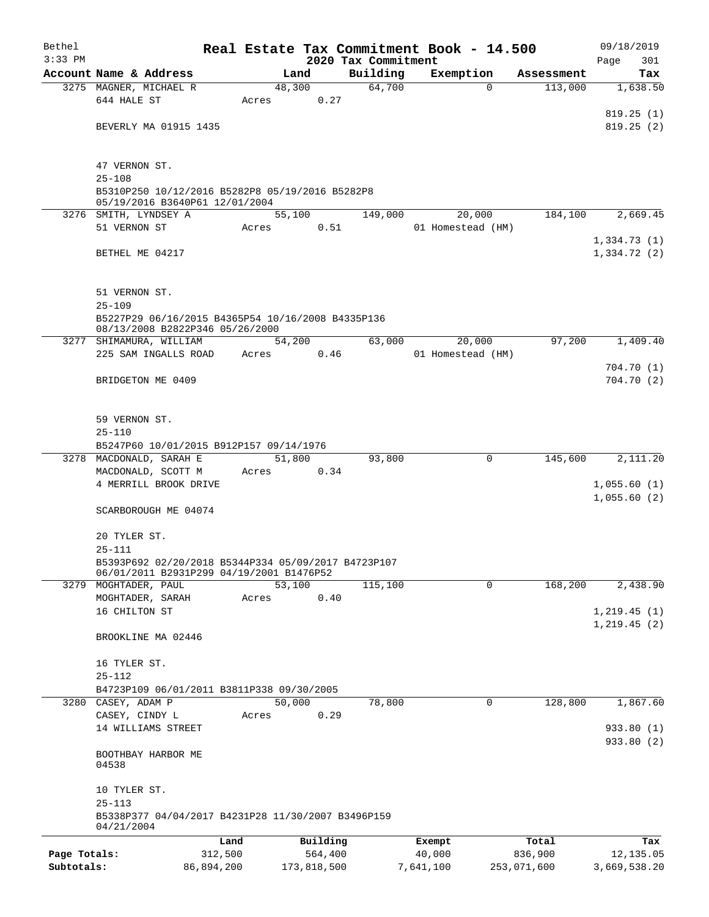| Bethel       |                                                                                                 |                 |        |             |                                 | Real Estate Tax Commitment Book - 14.500 |                     | 09/18/2019               |
|--------------|-------------------------------------------------------------------------------------------------|-----------------|--------|-------------|---------------------------------|------------------------------------------|---------------------|--------------------------|
| $3:33$ PM    | Account Name & Address                                                                          |                 | Land   |             | 2020 Tax Commitment<br>Building | Exemption                                | Assessment          | 301<br>Page<br>Tax       |
|              | 3275 MAGNER, MICHAEL R                                                                          |                 | 48,300 |             | 64,700                          |                                          | 113,000<br>$\Omega$ | 1,638.50                 |
|              | 644 HALE ST                                                                                     |                 | Acres  | 0.27        |                                 |                                          |                     |                          |
|              |                                                                                                 |                 |        |             |                                 |                                          |                     | 819.25(1)                |
|              | BEVERLY MA 01915 1435                                                                           |                 |        |             |                                 |                                          |                     | 819.25(2)                |
|              | 47 VERNON ST.                                                                                   |                 |        |             |                                 |                                          |                     |                          |
|              | $25 - 108$                                                                                      |                 |        |             |                                 |                                          |                     |                          |
|              | B5310P250 10/12/2016 B5282P8 05/19/2016 B5282P8<br>05/19/2016 B3640P61 12/01/2004               |                 |        |             |                                 |                                          |                     |                          |
|              | 3276 SMITH, LYNDSEY A                                                                           |                 | 55,100 |             | 149,000                         | 20,000                                   | 184,100             | 2,669.45                 |
|              | 51 VERNON ST                                                                                    |                 | Acres  | 0.51        |                                 | 01 Homestead (HM)                        |                     |                          |
|              |                                                                                                 |                 |        |             |                                 |                                          |                     | 1,334.73(1)              |
|              | BETHEL ME 04217                                                                                 |                 |        |             |                                 |                                          |                     | 1,334.72(2)              |
|              | 51 VERNON ST.                                                                                   |                 |        |             |                                 |                                          |                     |                          |
|              | $25 - 109$                                                                                      |                 |        |             |                                 |                                          |                     |                          |
|              | B5227P29 06/16/2015 B4365P54 10/16/2008 B4335P136<br>08/13/2008 B2822P346 05/26/2000            |                 |        |             |                                 |                                          |                     |                          |
|              | 3277 SHIMAMURA, WILLIAM                                                                         |                 | 54,200 |             | 63,000                          | 20,000                                   | 97,200              | 1,409.40                 |
|              | 225 SAM INGALLS ROAD                                                                            |                 | Acres  | 0.46        |                                 | 01 Homestead (HM)                        |                     |                          |
|              |                                                                                                 |                 |        |             |                                 |                                          |                     | 704.70(1)                |
|              | BRIDGETON ME 0409                                                                               |                 |        |             |                                 |                                          |                     | 704.70(2)                |
|              | 59 VERNON ST.                                                                                   |                 |        |             |                                 |                                          |                     |                          |
|              | $25 - 110$                                                                                      |                 |        |             |                                 |                                          |                     |                          |
|              | B5247P60 10/01/2015 B912P157 09/14/1976                                                         |                 |        |             |                                 |                                          |                     |                          |
|              | 3278 MACDONALD, SARAH E                                                                         |                 | 51,800 |             | 93,800                          |                                          | 145,600<br>0        | 2,111.20                 |
|              | MACDONALD, SCOTT M                                                                              |                 | Acres  | 0.34        |                                 |                                          |                     |                          |
|              | 4 MERRILL BROOK DRIVE                                                                           |                 |        |             |                                 |                                          |                     | 1,055.60(1)              |
|              | SCARBOROUGH ME 04074                                                                            |                 |        |             |                                 |                                          |                     | 1,055.60(2)              |
|              |                                                                                                 |                 |        |             |                                 |                                          |                     |                          |
|              | 20 TYLER ST.                                                                                    |                 |        |             |                                 |                                          |                     |                          |
|              | $25 - 111$                                                                                      |                 |        |             |                                 |                                          |                     |                          |
|              | B5393P692 02/20/2018 B5344P334 05/09/2017 B4723P107<br>06/01/2011 B2931P299 04/19/2001 B1476P52 |                 |        |             |                                 |                                          |                     |                          |
|              | 3279 MOGHTADER, PAUL                                                                            |                 | 53,100 |             | 115,100                         |                                          | 168,200<br>0        | 2,438.90                 |
|              | MOGHTADER, SARAH                                                                                |                 | Acres  | 0.40        |                                 |                                          |                     |                          |
|              | 16 CHILTON ST                                                                                   |                 |        |             |                                 |                                          |                     | 1, 219.45(1)             |
|              | BROOKLINE MA 02446                                                                              |                 |        |             |                                 |                                          |                     | 1,219.45(2)              |
|              | 16 TYLER ST.                                                                                    |                 |        |             |                                 |                                          |                     |                          |
|              | $25 - 112$                                                                                      |                 |        |             |                                 |                                          |                     |                          |
|              | B4723P109 06/01/2011 B3811P338 09/30/2005                                                       |                 |        |             |                                 |                                          |                     |                          |
|              | 3280 CASEY, ADAM P                                                                              |                 | 50,000 |             | 78,800                          |                                          | 128,800<br>0        | 1,867.60                 |
|              | CASEY, CINDY L                                                                                  |                 | Acres  | 0.29        |                                 |                                          |                     |                          |
|              | 14 WILLIAMS STREET                                                                              |                 |        |             |                                 |                                          |                     | 933.80 (1)<br>933.80 (2) |
|              | BOOTHBAY HARBOR ME<br>04538                                                                     |                 |        |             |                                 |                                          |                     |                          |
|              | 10 TYLER ST.                                                                                    |                 |        |             |                                 |                                          |                     |                          |
|              | $25 - 113$<br>B5338P377 04/04/2017 B4231P28 11/30/2007 B3496P159                                |                 |        |             |                                 |                                          |                     |                          |
|              | 04/21/2004                                                                                      |                 |        | Building    |                                 |                                          |                     |                          |
| Page Totals: |                                                                                                 | Land<br>312,500 |        | 564,400     |                                 | Exempt<br>40,000                         | Total<br>836,900    | Tax<br>12,135.05         |
| Subtotals:   |                                                                                                 | 86,894,200      |        | 173,818,500 |                                 | 7,641,100                                | 253,071,600         | 3,669,538.20             |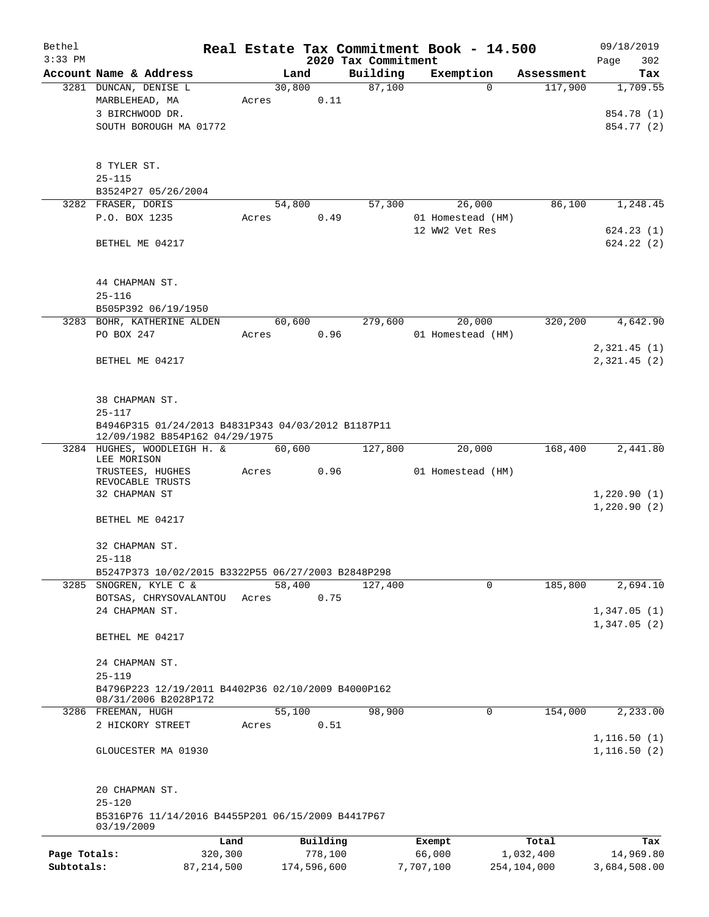| Bethel                     |                                                                                      |                         |       |        |                        |                     | Real Estate Tax Commitment Book - 14.500 |                          | 09/18/2019                   |
|----------------------------|--------------------------------------------------------------------------------------|-------------------------|-------|--------|------------------------|---------------------|------------------------------------------|--------------------------|------------------------------|
| $3:33$ PM                  |                                                                                      |                         |       |        |                        | 2020 Tax Commitment |                                          |                          | Page<br>302                  |
|                            | Account Name & Address                                                               |                         |       | Land   |                        | Building            | Exemption                                | Assessment               | Tax                          |
|                            | 3281 DUNCAN, DENISE L<br>MARBLEHEAD, MA                                              |                         |       | 30,800 | 0.11                   | 87,100              | $\Omega$                                 | 117,900                  | 1,709.55                     |
|                            | 3 BIRCHWOOD DR.                                                                      |                         | Acres |        |                        |                     |                                          |                          | 854.78 (1)                   |
|                            | SOUTH BOROUGH MA 01772                                                               |                         |       |        |                        |                     |                                          |                          | 854.77 (2)                   |
|                            |                                                                                      |                         |       |        |                        |                     |                                          |                          |                              |
|                            | 8 TYLER ST.                                                                          |                         |       |        |                        |                     |                                          |                          |                              |
|                            | $25 - 115$                                                                           |                         |       |        |                        |                     |                                          |                          |                              |
|                            | B3524P27 05/26/2004                                                                  |                         |       |        |                        |                     |                                          |                          |                              |
|                            | 3282 FRASER, DORIS                                                                   |                         |       | 54,800 |                        | 57,300              | 26,000                                   | 86,100                   | 1,248.45                     |
|                            | P.O. BOX 1235                                                                        |                         | Acres |        | 0.49                   |                     | 01 Homestead (HM)                        |                          |                              |
|                            | BETHEL ME 04217                                                                      |                         |       |        |                        |                     | 12 WW2 Vet Res                           |                          | 624.23(1)<br>624.22(2)       |
|                            |                                                                                      |                         |       |        |                        |                     |                                          |                          |                              |
|                            | 44 CHAPMAN ST.                                                                       |                         |       |        |                        |                     |                                          |                          |                              |
|                            | $25 - 116$                                                                           |                         |       |        |                        |                     |                                          |                          |                              |
|                            | B505P392 06/19/1950<br>3283 BOHR, KATHERINE ALDEN                                    |                         |       | 60,600 |                        | 279,600             | 20,000                                   | 320,200                  | 4,642.90                     |
|                            | PO BOX 247                                                                           |                         | Acres |        | 0.96                   |                     | 01 Homestead (HM)                        |                          |                              |
|                            |                                                                                      |                         |       |        |                        |                     |                                          |                          | 2,321.45(1)                  |
|                            | BETHEL ME 04217                                                                      |                         |       |        |                        |                     |                                          |                          | 2,321.45(2)                  |
|                            |                                                                                      |                         |       |        |                        |                     |                                          |                          |                              |
|                            | 38 CHAPMAN ST.                                                                       |                         |       |        |                        |                     |                                          |                          |                              |
|                            | $25 - 117$                                                                           |                         |       |        |                        |                     |                                          |                          |                              |
|                            | B4946P315 01/24/2013 B4831P343 04/03/2012 B1187P11<br>12/09/1982 B854P162 04/29/1975 |                         |       |        |                        |                     |                                          |                          |                              |
|                            | 3284 HUGHES, WOODLEIGH H. &<br>LEE MORISON                                           |                         |       | 60,600 |                        | 127,800             | 20,000                                   | 168,400                  | 2,441.80                     |
|                            | TRUSTEES, HUGHES<br>REVOCABLE TRUSTS                                                 |                         | Acres |        | 0.96                   |                     | 01 Homestead (HM)                        |                          |                              |
|                            | 32 CHAPMAN ST                                                                        |                         |       |        |                        |                     |                                          |                          | 1,220.90(1)<br>1,220.90(2)   |
|                            | BETHEL ME 04217                                                                      |                         |       |        |                        |                     |                                          |                          |                              |
|                            | 32 CHAPMAN ST.                                                                       |                         |       |        |                        |                     |                                          |                          |                              |
|                            | $25 - 118$                                                                           |                         |       |        |                        |                     |                                          |                          |                              |
|                            | B5247P373 10/02/2015 B3322P55 06/27/2003 B2848P298<br>3285 SNOGREN, KYLE C &         |                         |       | 58,400 |                        | 127,400             | 0                                        | 185,800                  | 2,694.10                     |
|                            | BOTSAS, CHRYSOVALANTOU                                                               |                         | Acres |        | 0.75                   |                     |                                          |                          |                              |
|                            | 24 CHAPMAN ST.                                                                       |                         |       |        |                        |                     |                                          |                          | 1,347.05(1)                  |
|                            |                                                                                      |                         |       |        |                        |                     |                                          |                          | 1,347.05(2)                  |
|                            | BETHEL ME 04217                                                                      |                         |       |        |                        |                     |                                          |                          |                              |
|                            | 24 CHAPMAN ST.                                                                       |                         |       |        |                        |                     |                                          |                          |                              |
|                            | $25 - 119$                                                                           |                         |       |        |                        |                     |                                          |                          |                              |
|                            | B4796P223 12/19/2011 B4402P36 02/10/2009 B4000P162<br>08/31/2006 B2028P172           |                         |       |        |                        |                     |                                          |                          |                              |
|                            | 3286 FREEMAN, HUGH                                                                   |                         |       | 55,100 |                        | 98,900              | $\mathbf 0$                              | 154,000                  | 2,233.00                     |
|                            | 2 HICKORY STREET                                                                     |                         | Acres |        | 0.51                   |                     |                                          |                          |                              |
|                            | GLOUCESTER MA 01930                                                                  |                         |       |        |                        |                     |                                          |                          | 1, 116.50(1)<br>1, 116.50(2) |
|                            | 20 CHAPMAN ST.                                                                       |                         |       |        |                        |                     |                                          |                          |                              |
|                            | $25 - 120$<br>B5316P76 11/14/2016 B4455P201 06/15/2009 B4417P67                      |                         |       |        |                        |                     |                                          |                          |                              |
|                            | 03/19/2009                                                                           |                         |       |        |                        |                     |                                          |                          |                              |
|                            |                                                                                      | Land                    |       |        | Building               |                     | Exempt                                   | Total                    | Tax                          |
| Page Totals:<br>Subtotals: |                                                                                      | 320,300<br>87, 214, 500 |       |        | 778,100<br>174,596,600 |                     | 66,000<br>7,707,100                      | 1,032,400<br>254,104,000 | 14,969.80<br>3,684,508.00    |
|                            |                                                                                      |                         |       |        |                        |                     |                                          |                          |                              |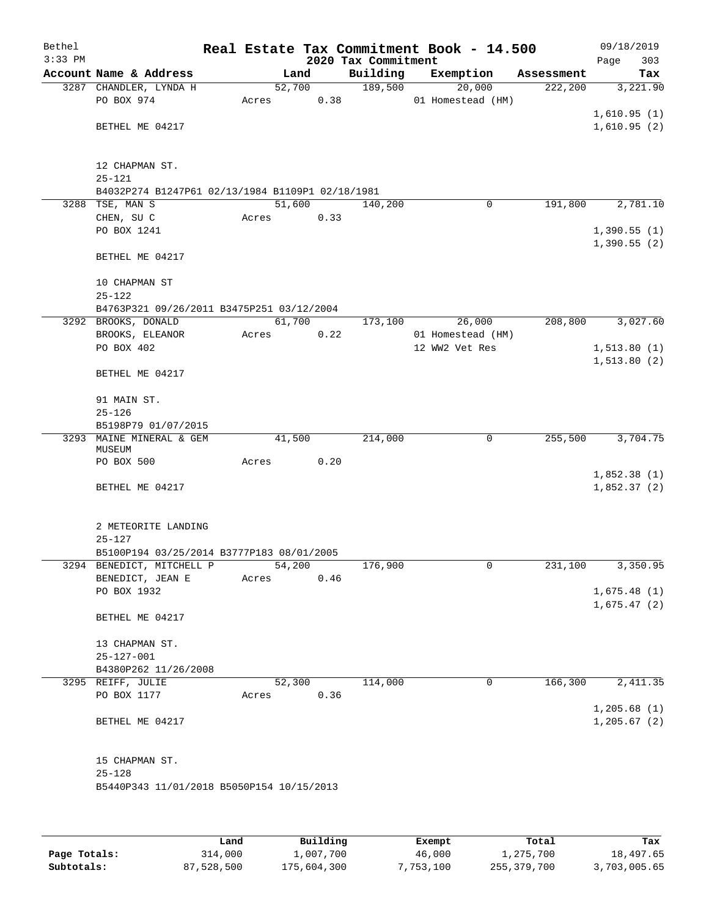| Bethel<br>$3:33$ PM |                                                                |        |      | 2020 Tax Commitment | Real Estate Tax Commitment Book - 14.500 |            | Page          | 09/18/2019<br>303 |
|---------------------|----------------------------------------------------------------|--------|------|---------------------|------------------------------------------|------------|---------------|-------------------|
|                     | Account Name & Address                                         |        | Land | Building            | Exemption                                | Assessment |               | Tax               |
|                     | 3287 CHANDLER, LYNDA H                                         | 52,700 |      | 189,500             | 20,000                                   | 222, 200   |               | 3,221.90          |
|                     | PO BOX 974                                                     | Acres  | 0.38 |                     | 01 Homestead (HM)                        |            |               |                   |
|                     |                                                                |        |      |                     |                                          |            | 1,610.95(1)   |                   |
|                     | BETHEL ME 04217                                                |        |      |                     |                                          |            | 1,610.95(2)   |                   |
|                     |                                                                |        |      |                     |                                          |            |               |                   |
|                     |                                                                |        |      |                     |                                          |            |               |                   |
|                     | 12 CHAPMAN ST.                                                 |        |      |                     |                                          |            |               |                   |
|                     | $25 - 121$<br>B4032P274 B1247P61 02/13/1984 B1109P1 02/18/1981 |        |      |                     |                                          |            |               |                   |
|                     | 3288 TSE, MAN S                                                | 51,600 |      | 140,200             | $\mathbf 0$                              | 191,800    |               | 2,781.10          |
|                     | CHEN, SU C                                                     | Acres  | 0.33 |                     |                                          |            |               |                   |
|                     | PO BOX 1241                                                    |        |      |                     |                                          |            | 1,390.55(1)   |                   |
|                     |                                                                |        |      |                     |                                          |            | 1,390.55(2)   |                   |
|                     | BETHEL ME 04217                                                |        |      |                     |                                          |            |               |                   |
|                     |                                                                |        |      |                     |                                          |            |               |                   |
|                     | 10 CHAPMAN ST                                                  |        |      |                     |                                          |            |               |                   |
|                     | $25 - 122$                                                     |        |      |                     |                                          |            |               |                   |
|                     | B4763P321 09/26/2011 B3475P251 03/12/2004                      |        |      |                     |                                          |            |               |                   |
|                     | 3292 BROOKS, DONALD                                            | 61,700 |      | 173,100             | 26,000                                   | 208,800    |               | 3,027.60          |
|                     | BROOKS, ELEANOR                                                | Acres  | 0.22 |                     | 01 Homestead (HM)                        |            |               |                   |
|                     | PO BOX 402                                                     |        |      |                     | 12 WW2 Vet Res                           |            | 1, 513.80(1)  |                   |
|                     | BETHEL ME 04217                                                |        |      |                     |                                          |            | 1, 513.80(2)  |                   |
|                     | 91 MAIN ST.                                                    |        |      |                     |                                          |            |               |                   |
|                     | $25 - 126$                                                     |        |      |                     |                                          |            |               |                   |
|                     | B5198P79 01/07/2015                                            |        |      |                     |                                          |            |               |                   |
|                     | 3293 MAINE MINERAL & GEM<br>MUSEUM                             | 41,500 |      | 214,000             | $\mathbf 0$                              | 255,500    |               | 3,704.75          |
|                     | PO BOX 500                                                     | Acres  | 0.20 |                     |                                          |            |               |                   |
|                     |                                                                |        |      |                     |                                          |            | 1,852.38(1)   |                   |
|                     | BETHEL ME 04217                                                |        |      |                     |                                          |            | 1,852.37(2)   |                   |
|                     | 2 METEORITE LANDING                                            |        |      |                     |                                          |            |               |                   |
|                     | $25 - 127$                                                     |        |      |                     |                                          |            |               |                   |
|                     | B5100P194 03/25/2014 B3777P183 08/01/2005                      |        |      |                     |                                          |            |               |                   |
|                     | 3294 BENEDICT, MITCHELL P                                      | 54,200 |      | 176,900             | 0                                        | 231,100    |               | 3,350.95          |
|                     | BENEDICT, JEAN E                                               | Acres  | 0.46 |                     |                                          |            |               |                   |
|                     | PO BOX 1932                                                    |        |      |                     |                                          |            | 1,675.48(1)   |                   |
|                     |                                                                |        |      |                     |                                          |            | 1,675.47(2)   |                   |
|                     | BETHEL ME 04217                                                |        |      |                     |                                          |            |               |                   |
|                     | 13 CHAPMAN ST.                                                 |        |      |                     |                                          |            |               |                   |
|                     | $25 - 127 - 001$                                               |        |      |                     |                                          |            |               |                   |
|                     | B4380P262 11/26/2008                                           |        |      |                     |                                          |            |               |                   |
|                     | 3295 REIFF, JULIE                                              | 52,300 |      | 114,000             | 0                                        | 166,300    |               | 2,411.35          |
|                     | PO BOX 1177                                                    | Acres  | 0.36 |                     |                                          |            |               |                   |
|                     |                                                                |        |      |                     |                                          |            | 1,205.68(1)   |                   |
|                     | BETHEL ME 04217                                                |        |      |                     |                                          |            | 1, 205.67 (2) |                   |
|                     | 15 CHAPMAN ST.                                                 |        |      |                     |                                          |            |               |                   |
|                     | $25 - 128$                                                     |        |      |                     |                                          |            |               |                   |
|                     | B5440P343 11/01/2018 B5050P154 10/15/2013                      |        |      |                     |                                          |            |               |                   |
|                     |                                                                |        |      |                     |                                          |            |               |                   |
|                     |                                                                |        |      |                     |                                          |            |               |                   |
|                     |                                                                |        |      |                     |                                          |            |               |                   |

|              | Land       | Building    | Exempt    | Total       | Tax          |
|--------------|------------|-------------|-----------|-------------|--------------|
| Page Totals: | 314,000    | 1,007,700   | 46,000    | 1,275,700   | 18,497.65    |
| Subtotals:   | 87,528,500 | 175,604,300 | 7,753,100 | 255,379,700 | 3,703,005.65 |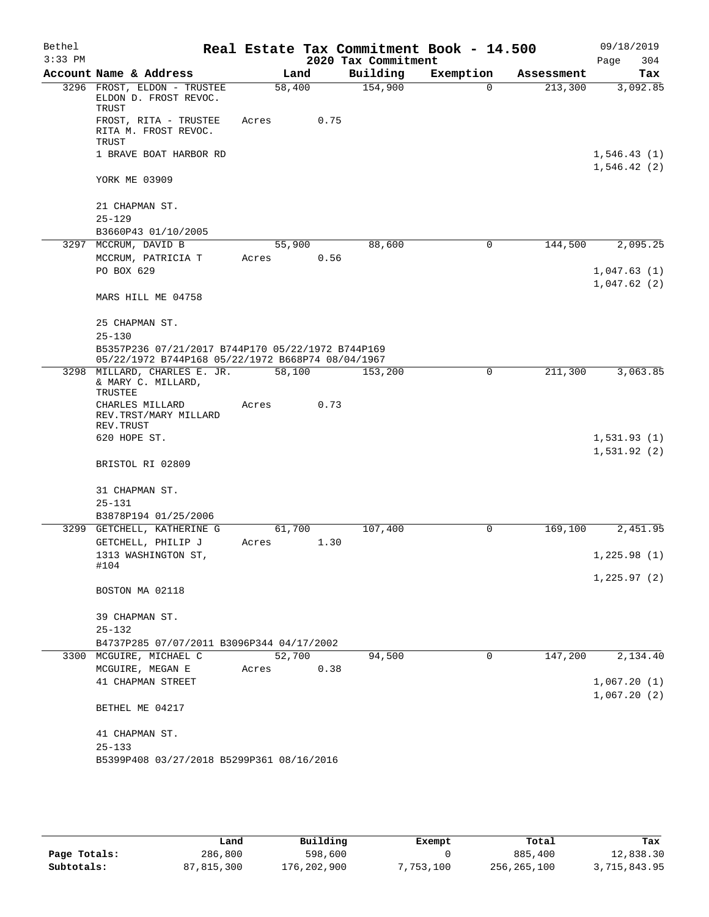| Bethel    |                                                                                                        |        |      |                     | Real Estate Tax Commitment Book - 14.500 |            | 09/18/2019                 |
|-----------|--------------------------------------------------------------------------------------------------------|--------|------|---------------------|------------------------------------------|------------|----------------------------|
| $3:33$ PM |                                                                                                        |        |      | 2020 Tax Commitment |                                          |            | 304<br>Page                |
|           | Account Name & Address                                                                                 |        | Land | Building            | Exemption                                | Assessment | Tax                        |
|           | 3296 FROST, ELDON - TRUSTEE<br>ELDON D. FROST REVOC.<br>TRUST                                          | 58,400 |      | 154,900             | $\Omega$                                 | 213,300    | 3,092.85                   |
|           | FROST, RITA - TRUSTEE<br>RITA M. FROST REVOC.<br>TRUST                                                 | Acres  | 0.75 |                     |                                          |            |                            |
|           | 1 BRAVE BOAT HARBOR RD                                                                                 |        |      |                     |                                          |            | 1,546.43(1)<br>1,546.42(2) |
|           | YORK ME 03909                                                                                          |        |      |                     |                                          |            |                            |
|           | 21 CHAPMAN ST.                                                                                         |        |      |                     |                                          |            |                            |
|           | $25 - 129$                                                                                             |        |      |                     |                                          |            |                            |
|           | B3660P43 01/10/2005<br>3297 MCCRUM, DAVID B                                                            | 55,900 |      | 88,600              | 0                                        | 144,500    | 2,095.25                   |
|           | MCCRUM, PATRICIA T                                                                                     | Acres  | 0.56 |                     |                                          |            |                            |
|           | PO BOX 629                                                                                             |        |      |                     |                                          |            | 1,047.63(1)<br>1,047.62(2) |
|           | MARS HILL ME 04758                                                                                     |        |      |                     |                                          |            |                            |
|           | 25 CHAPMAN ST.<br>$25 - 130$                                                                           |        |      |                     |                                          |            |                            |
|           | B5357P236 07/21/2017 B744P170 05/22/1972 B744P169<br>05/22/1972 B744P168 05/22/1972 B668P74 08/04/1967 |        |      |                     |                                          |            |                            |
|           | 3298 MILLARD, CHARLES E. JR.<br>& MARY C. MILLARD,<br>TRUSTEE                                          | 58,100 |      | 153,200             | $\mathbf 0$                              | 211,300    | 3,063.85                   |
|           | CHARLES MILLARD<br>REV.TRST/MARY MILLARD<br>REV. TRUST                                                 | Acres  | 0.73 |                     |                                          |            |                            |
|           | 620 HOPE ST.                                                                                           |        |      |                     |                                          |            | 1,531.93(1)<br>1,531.92(2) |
|           | BRISTOL RI 02809                                                                                       |        |      |                     |                                          |            |                            |
|           | 31 CHAPMAN ST.<br>$25 - 131$                                                                           |        |      |                     |                                          |            |                            |
|           | B3878P194 01/25/2006                                                                                   |        |      |                     |                                          |            |                            |
|           | 3299 GETCHELL, KATHERINE G                                                                             | 61,700 |      | 107,400             | 0                                        | 169,100    | 2,451.95                   |
|           | GETCHELL, PHILIP J                                                                                     | Acres  | 1.30 |                     |                                          |            |                            |
|           | 1313 WASHINGTON ST,                                                                                    |        |      |                     |                                          |            | 1,225.98(1)                |
|           | #104                                                                                                   |        |      |                     |                                          |            | 1,225.97(2)                |
|           | BOSTON MA 02118                                                                                        |        |      |                     |                                          |            |                            |
|           | 39 CHAPMAN ST.<br>$25 - 132$                                                                           |        |      |                     |                                          |            |                            |
|           | B4737P285 07/07/2011 B3096P344 04/17/2002                                                              |        |      |                     |                                          |            |                            |
| 3300      | MCGUIRE, MICHAEL C                                                                                     | 52,700 |      | 94,500              | 0                                        | 147,200    | 2,134.40                   |
|           | MCGUIRE, MEGAN E                                                                                       | Acres  | 0.38 |                     |                                          |            |                            |
|           | 41 CHAPMAN STREET                                                                                      |        |      |                     |                                          |            | 1,067.20(1)<br>1,067.20(2) |
|           | BETHEL ME 04217                                                                                        |        |      |                     |                                          |            |                            |
|           | 41 CHAPMAN ST.                                                                                         |        |      |                     |                                          |            |                            |
|           | $25 - 133$<br>B5399P408 03/27/2018 B5299P361 08/16/2016                                                |        |      |                     |                                          |            |                            |
|           |                                                                                                        |        |      |                     |                                          |            |                            |

|              | Land         | Building    | Exempt    | Total       | Tax          |
|--------------|--------------|-------------|-----------|-------------|--------------|
| Page Totals: | 286,800      | 598,600     |           | 885,400     | 12,838.30    |
| Subtotals:   | 87, 815, 300 | 176,202,900 | 7,753,100 | 256,265,100 | 3,715,843.95 |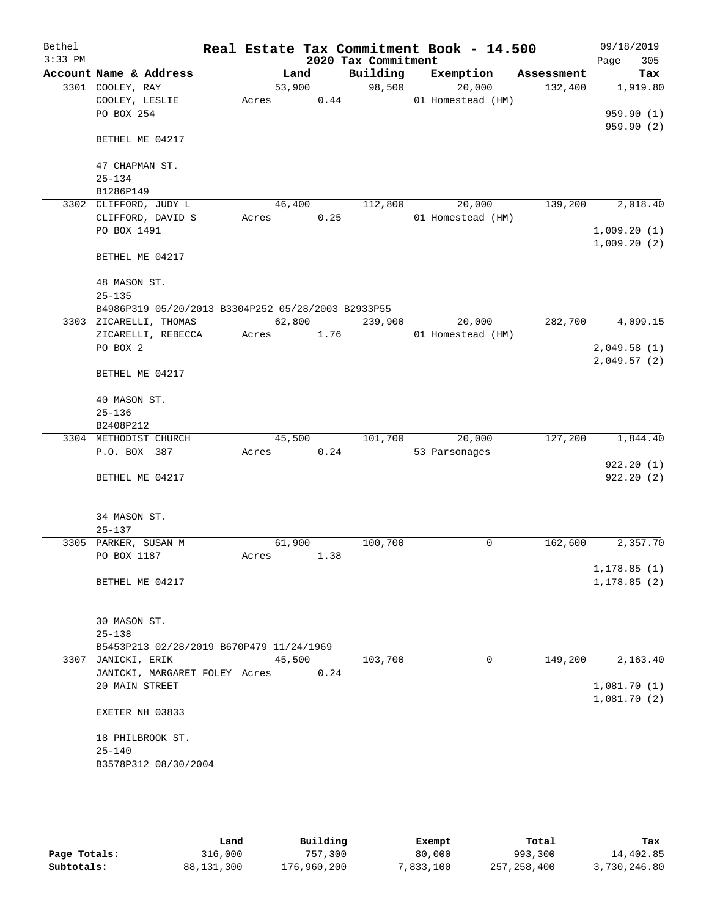| Bethel    |                                                    |        |        |      |                     | Real Estate Tax Commitment Book - 14.500 |            | 09/18/2019   |           |
|-----------|----------------------------------------------------|--------|--------|------|---------------------|------------------------------------------|------------|--------------|-----------|
| $3:33$ PM |                                                    |        |        |      | 2020 Tax Commitment |                                          |            | Page         | 305       |
|           | Account Name & Address                             |        | Land   |      | Building            | Exemption                                | Assessment |              | Tax       |
|           | 3301 COOLEY, RAY                                   | 53,900 |        |      | 98,500              | 20,000                                   | 132,400    |              | 1,919.80  |
|           | COOLEY, LESLIE                                     | Acres  |        | 0.44 |                     | 01 Homestead (HM)                        |            |              |           |
|           | PO BOX 254                                         |        |        |      |                     |                                          |            |              | 959.90(1) |
|           |                                                    |        |        |      |                     |                                          |            |              | 959.90(2) |
|           | BETHEL ME 04217                                    |        |        |      |                     |                                          |            |              |           |
|           |                                                    |        |        |      |                     |                                          |            |              |           |
|           | 47 CHAPMAN ST.                                     |        |        |      |                     |                                          |            |              |           |
|           | $25 - 134$                                         |        |        |      |                     |                                          |            |              |           |
|           | B1286P149                                          |        |        |      |                     |                                          |            |              |           |
|           | 3302 CLIFFORD, JUDY L                              | 46,400 |        |      | 112,800             | 20,000                                   | 139,200    |              | 2,018.40  |
|           | CLIFFORD, DAVID S                                  | Acres  |        | 0.25 |                     | 01 Homestead (HM)                        |            |              |           |
|           | PO BOX 1491                                        |        |        |      |                     |                                          |            | 1,009.20(1)  |           |
|           |                                                    |        |        |      |                     |                                          |            | 1,009.20(2)  |           |
|           | BETHEL ME 04217                                    |        |        |      |                     |                                          |            |              |           |
|           |                                                    |        |        |      |                     |                                          |            |              |           |
|           | 48 MASON ST.                                       |        |        |      |                     |                                          |            |              |           |
|           | $25 - 135$                                         |        |        |      |                     |                                          |            |              |           |
|           | B4986P319 05/20/2013 B3304P252 05/28/2003 B2933P55 |        |        |      |                     |                                          |            |              |           |
|           | 3303 ZICARELLI, THOMAS                             |        | 62,800 |      | 239,900             | 20,000                                   | 282,700    |              | 4,099.15  |
|           | ZICARELLI, REBECCA<br>PO BOX 2                     | Acres  |        | 1.76 |                     | 01 Homestead (HM)                        |            | 2,049.58(1)  |           |
|           |                                                    |        |        |      |                     |                                          |            |              |           |
|           | BETHEL ME 04217                                    |        |        |      |                     |                                          |            | 2,049.57(2)  |           |
|           |                                                    |        |        |      |                     |                                          |            |              |           |
|           | 40 MASON ST.                                       |        |        |      |                     |                                          |            |              |           |
|           | $25 - 136$                                         |        |        |      |                     |                                          |            |              |           |
|           | B2408P212                                          |        |        |      |                     |                                          |            |              |           |
|           | 3304 METHODIST CHURCH                              | 45,500 |        |      | 101,700             | 20,000                                   | 127,200    |              | 1,844.40  |
|           | P.O. BOX 387                                       | Acres  |        | 0.24 |                     | 53 Parsonages                            |            |              |           |
|           |                                                    |        |        |      |                     |                                          |            |              | 922.20(1) |
|           | BETHEL ME 04217                                    |        |        |      |                     |                                          |            |              | 922.20(2) |
|           |                                                    |        |        |      |                     |                                          |            |              |           |
|           |                                                    |        |        |      |                     |                                          |            |              |           |
|           | 34 MASON ST.                                       |        |        |      |                     |                                          |            |              |           |
|           | $25 - 137$                                         |        |        |      |                     |                                          |            |              |           |
|           | 3305 PARKER, SUSAN M                               | 61,900 |        |      | 100,700             | 0                                        | 162,600    |              | 2,357.70  |
|           | PO BOX 1187                                        | Acres  |        | 1.38 |                     |                                          |            |              |           |
|           |                                                    |        |        |      |                     |                                          |            | 1,178.85(1)  |           |
|           | BETHEL ME 04217                                    |        |        |      |                     |                                          |            | 1, 178.85(2) |           |
|           |                                                    |        |        |      |                     |                                          |            |              |           |
|           |                                                    |        |        |      |                     |                                          |            |              |           |
|           | 30 MASON ST.                                       |        |        |      |                     |                                          |            |              |           |
|           | $25 - 138$                                         |        |        |      |                     |                                          |            |              |           |
|           | B5453P213 02/28/2019 B670P479 11/24/1969           |        |        |      |                     |                                          |            |              |           |
|           | 3307 JANICKI, ERIK                                 | 45,500 |        |      | 103,700             | 0                                        | 149,200    |              | 2,163.40  |
|           | JANICKI, MARGARET FOLEY Acres                      |        |        | 0.24 |                     |                                          |            |              |           |
|           | 20 MAIN STREET                                     |        |        |      |                     |                                          |            | 1,081.70(1)  |           |
|           |                                                    |        |        |      |                     |                                          |            | 1,081.70(2)  |           |
|           | EXETER NH 03833                                    |        |        |      |                     |                                          |            |              |           |
|           |                                                    |        |        |      |                     |                                          |            |              |           |
|           | 18 PHILBROOK ST.                                   |        |        |      |                     |                                          |            |              |           |
|           | $25 - 140$                                         |        |        |      |                     |                                          |            |              |           |
|           | B3578P312 08/30/2004                               |        |        |      |                     |                                          |            |              |           |
|           |                                                    |        |        |      |                     |                                          |            |              |           |

|              | Land         | Building    | Exempt    | Total         | Tax          |
|--------------|--------------|-------------|-----------|---------------|--------------|
| Page Totals: | 316,000      | 757,300     | 80,000    | 993,300       | 14,402.85    |
| Subtotals:   | 88, 131, 300 | 176,960,200 | 7,833,100 | 257, 258, 400 | 3,730,246.80 |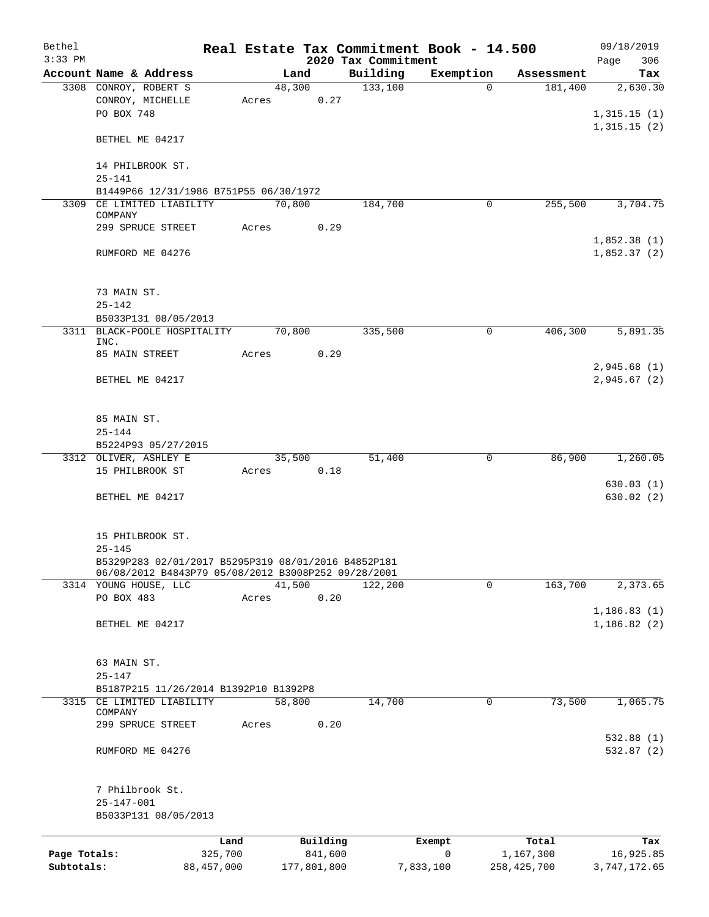| Bethel<br>$3:33$ PM |                                                     |                 |       |        |                     | 2020 Tax Commitment | Real Estate Tax Commitment Book - 14.500 |                            | 09/18/2019<br>306<br>Page |
|---------------------|-----------------------------------------------------|-----------------|-------|--------|---------------------|---------------------|------------------------------------------|----------------------------|---------------------------|
|                     | Account Name & Address                              |                 |       | Land   |                     | Building            | Exemption                                | Assessment                 | Tax                       |
|                     | 3308 CONROY, ROBERT S                               |                 |       | 48,300 |                     | 133,100             | $\Omega$                                 | 181,400                    | 2,630.30                  |
|                     | CONROY, MICHELLE                                    |                 | Acres |        | 0.27                |                     |                                          |                            |                           |
|                     | PO BOX 748                                          |                 |       |        |                     |                     |                                          |                            | 1,315.15(1)               |
|                     |                                                     |                 |       |        |                     |                     |                                          |                            | 1,315.15(2)               |
|                     | BETHEL ME 04217                                     |                 |       |        |                     |                     |                                          |                            |                           |
|                     |                                                     |                 |       |        |                     |                     |                                          |                            |                           |
|                     | 14 PHILBROOK ST.<br>$25 - 141$                      |                 |       |        |                     |                     |                                          |                            |                           |
|                     | B1449P66 12/31/1986 B751P55 06/30/1972              |                 |       |        |                     |                     |                                          |                            |                           |
|                     | 3309 CE LIMITED LIABILITY                           |                 |       | 70,800 |                     | 184,700             | 0                                        | 255,500                    | 3,704.75                  |
|                     | COMPANY                                             |                 |       |        |                     |                     |                                          |                            |                           |
|                     | 299 SPRUCE STREET                                   |                 | Acres |        | 0.29                |                     |                                          |                            |                           |
|                     |                                                     |                 |       |        |                     |                     |                                          |                            | 1,852.38(1)               |
|                     | RUMFORD ME 04276                                    |                 |       |        |                     |                     |                                          |                            | 1,852.37(2)               |
|                     |                                                     |                 |       |        |                     |                     |                                          |                            |                           |
|                     | 73 MAIN ST.                                         |                 |       |        |                     |                     |                                          |                            |                           |
|                     | $25 - 142$                                          |                 |       |        |                     |                     |                                          |                            |                           |
|                     | B5033P131 08/05/2013                                |                 |       |        |                     |                     |                                          |                            |                           |
|                     | 3311 BLACK-POOLE HOSPITALITY                        |                 |       | 70,800 |                     | 335,500             | 0                                        | 406,300                    | 5,891.35                  |
|                     | INC.                                                |                 |       |        |                     |                     |                                          |                            |                           |
|                     | 85 MAIN STREET                                      |                 | Acres |        | 0.29                |                     |                                          |                            |                           |
|                     |                                                     |                 |       |        |                     |                     |                                          |                            | 2,945.68(1)               |
|                     | BETHEL ME 04217                                     |                 |       |        |                     |                     |                                          |                            | 2,945.67(2)               |
|                     |                                                     |                 |       |        |                     |                     |                                          |                            |                           |
|                     | 85 MAIN ST.                                         |                 |       |        |                     |                     |                                          |                            |                           |
|                     | $25 - 144$                                          |                 |       |        |                     |                     |                                          |                            |                           |
|                     | B5224P93 05/27/2015                                 |                 |       |        |                     |                     |                                          |                            |                           |
|                     | 3312 OLIVER, ASHLEY E                               |                 |       | 35,500 |                     | 51,400              | 0                                        | 86,900                     | 1,260.05                  |
|                     | 15 PHILBROOK ST                                     |                 | Acres |        | 0.18                |                     |                                          |                            |                           |
|                     |                                                     |                 |       |        |                     |                     |                                          |                            | 630.03(1)                 |
|                     | BETHEL ME 04217                                     |                 |       |        |                     |                     |                                          |                            | 630.02(2)                 |
|                     |                                                     |                 |       |        |                     |                     |                                          |                            |                           |
|                     | 15 PHILBROOK ST.                                    |                 |       |        |                     |                     |                                          |                            |                           |
|                     | $25 - 145$                                          |                 |       |        |                     |                     |                                          |                            |                           |
|                     | B5329P283 02/01/2017 B5295P319 08/01/2016 B4852P181 |                 |       |        |                     |                     |                                          |                            |                           |
|                     | 06/08/2012 B4843P79 05/08/2012 B3008P252 09/28/2001 |                 |       |        |                     |                     |                                          |                            |                           |
|                     | 3314 YOUNG HOUSE, LLC                               |                 |       | 41,500 |                     | 122,200             | 0                                        | 163,700                    | 2,373.65                  |
|                     | PO BOX 483                                          |                 | Acres |        | 0.20                |                     |                                          |                            |                           |
|                     |                                                     |                 |       |        |                     |                     |                                          |                            | 1, 186.83(1)              |
|                     | BETHEL ME 04217                                     |                 |       |        |                     |                     |                                          |                            | 1, 186.82(2)              |
|                     |                                                     |                 |       |        |                     |                     |                                          |                            |                           |
|                     | 63 MAIN ST.                                         |                 |       |        |                     |                     |                                          |                            |                           |
|                     | $25 - 147$                                          |                 |       |        |                     |                     |                                          |                            |                           |
|                     | B5187P215 11/26/2014 B1392P10 B1392P8               |                 |       |        |                     |                     |                                          |                            |                           |
|                     | 3315 CE LIMITED LIABILITY                           |                 |       | 58,800 |                     | 14,700              | 0                                        | 73,500                     | 1,065.75                  |
|                     | COMPANY                                             |                 |       |        |                     |                     |                                          |                            |                           |
|                     | 299 SPRUCE STREET                                   |                 | Acres |        | 0.20                |                     |                                          |                            | 532.88(1)                 |
|                     | RUMFORD ME 04276                                    |                 |       |        |                     |                     |                                          |                            | 532.87(2)                 |
|                     |                                                     |                 |       |        |                     |                     |                                          |                            |                           |
|                     |                                                     |                 |       |        |                     |                     |                                          |                            |                           |
|                     | 7 Philbrook St.                                     |                 |       |        |                     |                     |                                          |                            |                           |
|                     | $25 - 147 - 001$                                    |                 |       |        |                     |                     |                                          |                            |                           |
|                     | B5033P131 08/05/2013                                |                 |       |        |                     |                     |                                          |                            |                           |
|                     |                                                     |                 |       |        |                     |                     |                                          |                            |                           |
| Page Totals:        |                                                     | Land<br>325,700 |       |        | Building<br>841,600 |                     | Exempt<br>0                              | Total                      | Tax                       |
| Subtotals:          |                                                     | 88, 457, 000    |       |        | 177,801,800         |                     | 7,833,100                                | 1,167,300<br>258, 425, 700 | 16,925.85<br>3,747,172.65 |
|                     |                                                     |                 |       |        |                     |                     |                                          |                            |                           |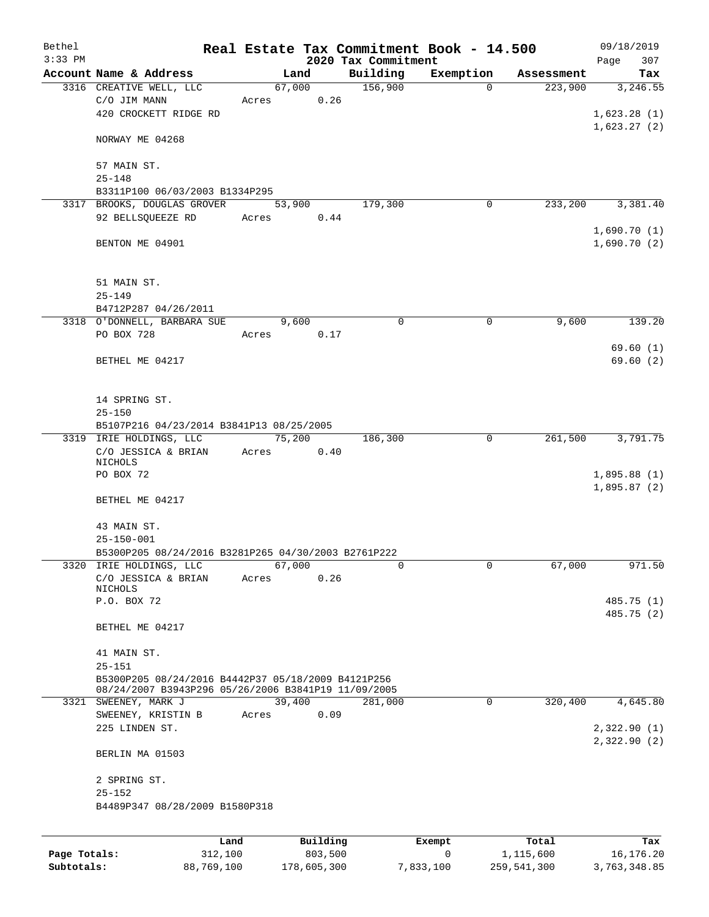| Bethel       |                                                                                                           |        |          |                     | Real Estate Tax Commitment Book - 14.500 |            | 09/18/2019  |
|--------------|-----------------------------------------------------------------------------------------------------------|--------|----------|---------------------|------------------------------------------|------------|-------------|
| $3:33$ PM    |                                                                                                           |        |          | 2020 Tax Commitment |                                          |            | 307<br>Page |
|              | Account Name & Address<br>3316 CREATIVE WELL, LLC                                                         |        | Land     | Building            | Exemption<br>$\Omega$                    | Assessment | Tax         |
|              |                                                                                                           |        | 67,000   | 156,900             |                                          | 223,900    | 3,246.55    |
|              | C/O JIM MANN<br>420 CROCKETT RIDGE RD                                                                     | Acres  | 0.26     |                     |                                          |            |             |
|              |                                                                                                           |        |          |                     |                                          |            | 1,623.28(1) |
|              | NORWAY ME 04268                                                                                           |        |          |                     |                                          |            | 1,623.27(2) |
|              | 57 MAIN ST.                                                                                               |        |          |                     |                                          |            |             |
|              | $25 - 148$                                                                                                |        |          |                     |                                          |            |             |
|              | B3311P100 06/03/2003 B1334P295                                                                            |        |          |                     |                                          |            |             |
|              | 3317 BROOKS, DOUGLAS GROVER                                                                               |        | 53,900   | 179,300             | 0                                        | 233,200    | 3,381.40    |
|              | 92 BELLSQUEEZE RD                                                                                         | Acres  | 0.44     |                     |                                          |            |             |
|              |                                                                                                           |        |          |                     |                                          |            | 1,690.70(1) |
|              | BENTON ME 04901                                                                                           |        |          |                     |                                          |            | 1,690.70(2) |
|              | 51 MAIN ST.                                                                                               |        |          |                     |                                          |            |             |
|              | $25 - 149$                                                                                                |        |          |                     |                                          |            |             |
|              | B4712P287 04/26/2011                                                                                      |        |          |                     |                                          |            |             |
|              | 3318 O'DONNELL, BARBARA SUE                                                                               |        | 9,600    | $\mathbf 0$         | $\mathbf 0$                              | 9,600      | 139.20      |
|              | PO BOX 728                                                                                                | Acres  | 0.17     |                     |                                          |            |             |
|              |                                                                                                           |        |          |                     |                                          |            | 69.60(1)    |
|              | BETHEL ME 04217                                                                                           |        |          |                     |                                          |            | 69.60(2)    |
|              |                                                                                                           |        |          |                     |                                          |            |             |
|              | 14 SPRING ST.                                                                                             |        |          |                     |                                          |            |             |
|              | $25 - 150$                                                                                                |        |          |                     |                                          |            |             |
|              | B5107P216 04/23/2014 B3841P13 08/25/2005                                                                  |        |          |                     |                                          |            |             |
|              | 3319 IRIE HOLDINGS, LLC                                                                                   | 75,200 |          | 186,300             | $\mathbf 0$                              | 261,500    | 3,791.75    |
|              | C/O JESSICA & BRIAN                                                                                       | Acres  | 0.40     |                     |                                          |            |             |
|              | NICHOLS                                                                                                   |        |          |                     |                                          |            |             |
|              | PO BOX 72                                                                                                 |        |          |                     |                                          |            | 1,895.88(1) |
|              | BETHEL ME 04217                                                                                           |        |          |                     |                                          |            | 1,895.87(2) |
|              |                                                                                                           |        |          |                     |                                          |            |             |
|              | 43 MAIN ST.                                                                                               |        |          |                     |                                          |            |             |
|              | $25 - 150 - 001$                                                                                          |        |          |                     |                                          |            |             |
|              | B5300P205 08/24/2016 B3281P265 04/30/2003 B2761P222                                                       |        |          |                     |                                          |            |             |
|              | 3320 IRIE HOLDINGS, LLC                                                                                   |        | 67,000   | 0                   | 0                                        | 67,000     | 971.50      |
|              | C/O JESSICA & BRIAN<br>NICHOLS                                                                            | Acres  | 0.26     |                     |                                          |            |             |
|              | P.O. BOX 72                                                                                               |        |          |                     |                                          |            | 485.75 (1)  |
|              |                                                                                                           |        |          |                     |                                          |            | 485.75 (2)  |
|              | BETHEL ME 04217                                                                                           |        |          |                     |                                          |            |             |
|              | 41 MAIN ST.                                                                                               |        |          |                     |                                          |            |             |
|              | $25 - 151$                                                                                                |        |          |                     |                                          |            |             |
|              | B5300P205 08/24/2016 B4442P37 05/18/2009 B4121P256<br>08/24/2007 B3943P296 05/26/2006 B3841P19 11/09/2005 |        |          |                     |                                          |            |             |
|              | 3321 SWEENEY, MARK J                                                                                      |        | 39,400   | 281,000             | 0                                        | 320,400    | 4,645.80    |
|              | SWEENEY, KRISTIN B                                                                                        | Acres  | 0.09     |                     |                                          |            |             |
|              | 225 LINDEN ST.                                                                                            |        |          |                     |                                          |            | 2,322.90(1) |
|              | BERLIN MA 01503                                                                                           |        |          |                     |                                          |            | 2,322.90(2) |
|              |                                                                                                           |        |          |                     |                                          |            |             |
|              | 2 SPRING ST.<br>$25 - 152$                                                                                |        |          |                     |                                          |            |             |
|              | B4489P347 08/28/2009 B1580P318                                                                            |        |          |                     |                                          |            |             |
|              |                                                                                                           |        |          |                     |                                          |            |             |
|              | Land                                                                                                      |        | Building |                     | Exempt                                   | Total      | Tax         |
| Page Totals: | 312,100                                                                                                   |        | 803,500  |                     | 0                                        | 1,115,600  | 16,176.20   |

**Subtotals:** 88,769,100 178,605,300 7,833,100 259,541,300 3,763,348.85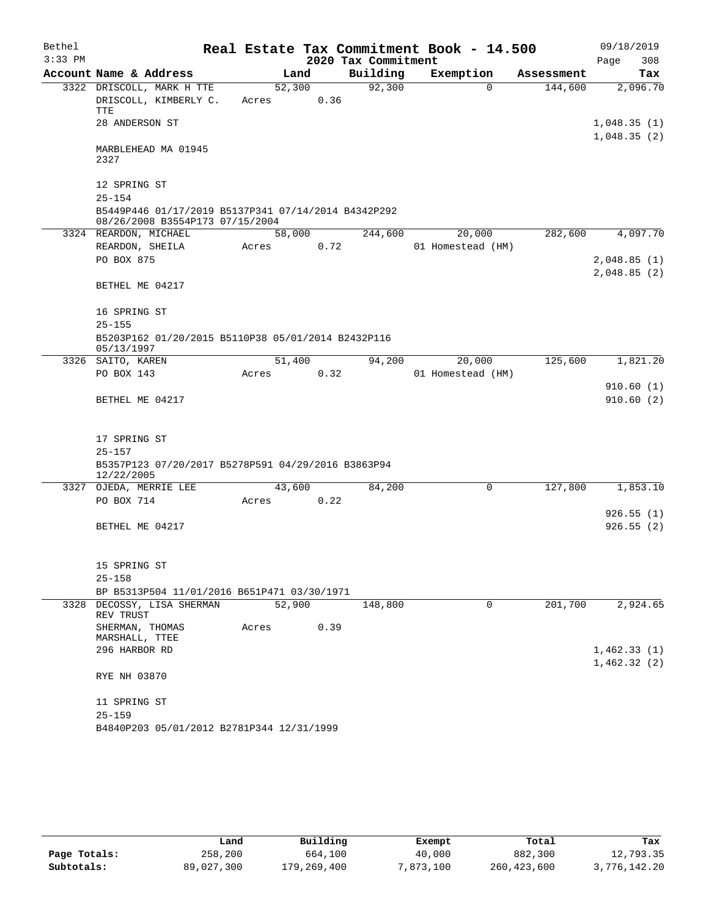| Bethel    |                                                                                        |                 |      |                     | Real Estate Tax Commitment Book - 14.500 |            | 09/18/2019                 |
|-----------|----------------------------------------------------------------------------------------|-----------------|------|---------------------|------------------------------------------|------------|----------------------------|
| $3:33$ PM |                                                                                        |                 |      | 2020 Tax Commitment |                                          |            | 308<br>Page                |
|           | Account Name & Address                                                                 |                 | Land | Building            | Exemption                                | Assessment | Tax                        |
|           | 3322 DRISCOLL, MARK H TTE<br>DRISCOLL, KIMBERLY C.<br>TTE<br>28 ANDERSON ST            | 52,300<br>Acres | 0.36 | 92,300              | $\Omega$                                 | 144,600    | 2,096.70<br>1,048.35(1)    |
|           |                                                                                        |                 |      |                     |                                          |            | 1,048.35(2)                |
|           | MARBLEHEAD MA 01945<br>2327                                                            |                 |      |                     |                                          |            |                            |
|           | 12 SPRING ST<br>$25 - 154$                                                             |                 |      |                     |                                          |            |                            |
|           | B5449P446 01/17/2019 B5137P341 07/14/2014 B4342P292<br>08/26/2008 B3554P173 07/15/2004 |                 |      |                     |                                          |            |                            |
|           | 3324 REARDON, MICHAEL                                                                  | 58,000          |      | 244,600             | 20,000                                   | 282,600    | 4,097.70                   |
|           | REARDON, SHEILA                                                                        | Acres           | 0.72 |                     | 01 Homestead (HM)                        |            |                            |
|           | PO BOX 875                                                                             |                 |      |                     |                                          |            | 2,048.85(1)<br>2,048.85(2) |
|           | BETHEL ME 04217                                                                        |                 |      |                     |                                          |            |                            |
|           | 16 SPRING ST                                                                           |                 |      |                     |                                          |            |                            |
|           | $25 - 155$<br>B5203P162 01/20/2015 B5110P38 05/01/2014 B2432P116                       |                 |      |                     |                                          |            |                            |
|           | 05/13/1997                                                                             |                 |      |                     |                                          |            |                            |
|           | 3326 SAITO, KAREN                                                                      | 51,400          |      | 94,200              | 20,000                                   | 125,600    | 1,821.20                   |
|           | PO BOX 143                                                                             | Acres           | 0.32 |                     | 01 Homestead (HM)                        |            | 910.60(1)                  |
|           | BETHEL ME 04217                                                                        |                 |      |                     |                                          |            | 910.60(2)                  |
|           | 17 SPRING ST                                                                           |                 |      |                     |                                          |            |                            |
|           | $25 - 157$                                                                             |                 |      |                     |                                          |            |                            |
|           | B5357P123 07/20/2017 B5278P591 04/29/2016 B3863P94<br>12/22/2005                       |                 |      |                     |                                          |            |                            |
|           | 3327 OJEDA, MERRIE LEE                                                                 | 43,600          |      | 84,200              | 0                                        | 127,800    | 1,853.10                   |
|           | PO BOX 714                                                                             | Acres           | 0.22 |                     |                                          |            | 926.55(1)                  |
|           | BETHEL ME 04217                                                                        |                 |      |                     |                                          |            | 926.55(2)                  |
|           | 15 SPRING ST<br>$25 - 158$                                                             |                 |      |                     |                                          |            |                            |
|           | BP B5313P504 11/01/2016 B651P471 03/30/1971                                            |                 |      |                     |                                          |            |                            |
| 3328      | DECOSSY, LISA SHERMAN<br>REV TRUST                                                     | 52,900          |      | 148,800             | 0                                        | 201,700    | 2,924.65                   |
|           | SHERMAN, THOMAS<br>MARSHALL, TTEE                                                      | Acres           | 0.39 |                     |                                          |            |                            |
|           | 296 HARBOR RD                                                                          |                 |      |                     |                                          |            | 1,462.33(1)<br>1,462.32(2) |
|           | RYE NH 03870                                                                           |                 |      |                     |                                          |            |                            |
|           | 11 SPRING ST                                                                           |                 |      |                     |                                          |            |                            |
|           | $25 - 159$<br>B4840P203 05/01/2012 B2781P344 12/31/1999                                |                 |      |                     |                                          |            |                            |
|           |                                                                                        |                 |      |                     |                                          |            |                            |

|              | Land       | Building    | Exempt    | Total       | Tax          |
|--------------|------------|-------------|-----------|-------------|--------------|
| Page Totals: | 258,200    | 664,100     | 40,000    | 882,300     | 12,793.35    |
| Subtotals:   | 89,027,300 | 179,269,400 | 7,873,100 | 260,423,600 | 3,776,142.20 |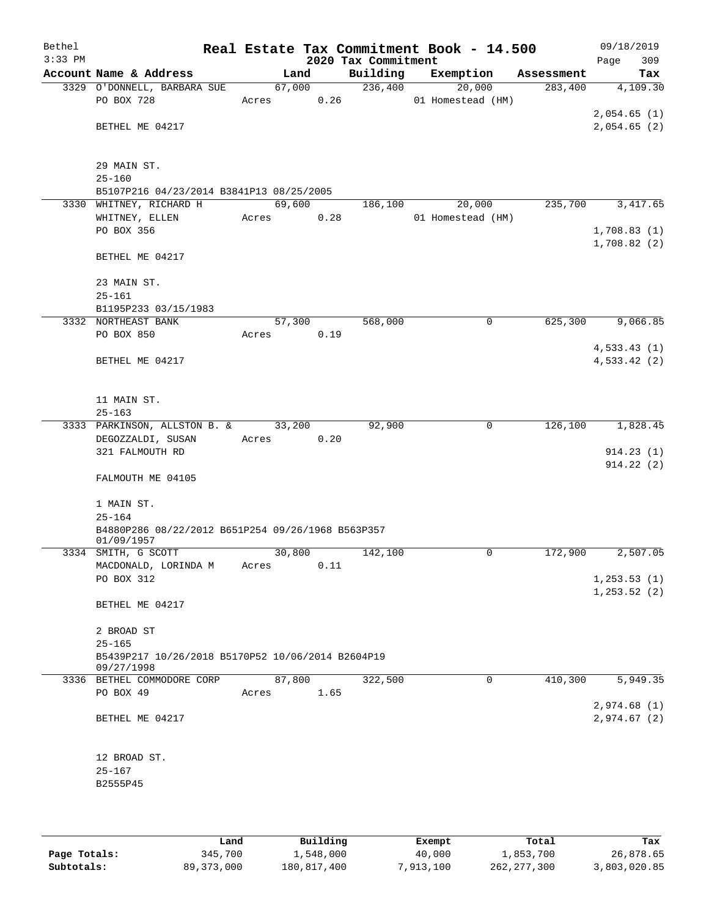| Bethel<br>$3:33$ PM |                                                   |       |        | 2020 Tax Commitment | Real Estate Tax Commitment Book - 14.500 |            | 09/18/2019<br>309<br>Page |
|---------------------|---------------------------------------------------|-------|--------|---------------------|------------------------------------------|------------|---------------------------|
|                     | Account Name & Address                            |       | Land   | Building            | Exemption                                | Assessment | Tax                       |
|                     | 3329 O'DONNELL, BARBARA SUE                       |       | 67,000 | 236,400             | 20,000                                   | 283,400    | 4,109.30                  |
|                     | PO BOX 728                                        | Acres | 0.26   |                     | 01 Homestead (HM)                        |            |                           |
|                     |                                                   |       |        |                     |                                          |            | 2,054.65(1)               |
|                     | BETHEL ME 04217                                   |       |        |                     |                                          |            | 2,054.65(2)               |
|                     |                                                   |       |        |                     |                                          |            |                           |
|                     | 29 MAIN ST.                                       |       |        |                     |                                          |            |                           |
|                     | $25 - 160$                                        |       |        |                     |                                          |            |                           |
|                     | B5107P216 04/23/2014 B3841P13 08/25/2005          |       |        |                     |                                          |            |                           |
|                     | 3330 WHITNEY, RICHARD H                           |       | 69,600 | 186,100             | 20,000                                   | 235,700    | 3, 417.65                 |
|                     | WHITNEY, ELLEN                                    | Acres | 0.28   |                     | 01 Homestead (HM)                        |            |                           |
|                     | PO BOX 356                                        |       |        |                     |                                          |            | 1,708.83(1)               |
|                     |                                                   |       |        |                     |                                          |            | 1,708.82(2)               |
|                     | BETHEL ME 04217                                   |       |        |                     |                                          |            |                           |
|                     |                                                   |       |        |                     |                                          |            |                           |
|                     | 23 MAIN ST.                                       |       |        |                     |                                          |            |                           |
|                     | $25 - 161$<br>B1195P233 03/15/1983                |       |        |                     |                                          |            |                           |
|                     | 3332 NORTHEAST BANK                               |       | 57,300 | 568,000             | 0                                        | 625,300    | 9,066.85                  |
|                     | PO BOX 850                                        | Acres | 0.19   |                     |                                          |            |                           |
|                     |                                                   |       |        |                     |                                          |            | 4,533.43(1)               |
|                     | BETHEL ME 04217                                   |       |        |                     |                                          |            | 4,533.42(2)               |
|                     |                                                   |       |        |                     |                                          |            |                           |
|                     |                                                   |       |        |                     |                                          |            |                           |
|                     | 11 MAIN ST.                                       |       |        |                     |                                          |            |                           |
|                     | $25 - 163$                                        |       |        |                     |                                          |            |                           |
|                     | 3333 PARKINSON, ALLSTON B. &                      |       | 33,200 | 92,900              | 0                                        | 126,100    | 1,828.45                  |
|                     | DEGOZZALDI, SUSAN                                 | Acres | 0.20   |                     |                                          |            |                           |
|                     | 321 FALMOUTH RD                                   |       |        |                     |                                          |            | 914.23(1)                 |
|                     |                                                   |       |        |                     |                                          |            | 914.22(2)                 |
|                     | FALMOUTH ME 04105                                 |       |        |                     |                                          |            |                           |
|                     | 1 MAIN ST.                                        |       |        |                     |                                          |            |                           |
|                     | $25 - 164$                                        |       |        |                     |                                          |            |                           |
|                     | B4880P286 08/22/2012 B651P254 09/26/1968 B563P357 |       |        |                     |                                          |            |                           |
|                     | 01/09/1957                                        |       |        |                     |                                          |            |                           |
|                     | 3334 SMITH, G SCOTT                               |       | 30,800 | 142,100             | 0                                        | 172,900    | 2,507.05                  |
|                     | MACDONALD, LORINDA M                              | Acres | 0.11   |                     |                                          |            |                           |
|                     | PO BOX 312                                        |       |        |                     |                                          |            | 1, 253.53(1)              |
|                     |                                                   |       |        |                     |                                          |            | 1, 253.52(2)              |
|                     | BETHEL ME 04217                                   |       |        |                     |                                          |            |                           |
|                     | 2 BROAD ST                                        |       |        |                     |                                          |            |                           |
|                     | $25 - 165$                                        |       |        |                     |                                          |            |                           |
|                     | B5439P217 10/26/2018 B5170P52 10/06/2014 B2604P19 |       |        |                     |                                          |            |                           |
|                     | 09/27/1998                                        |       |        |                     |                                          |            |                           |
|                     | 3336 BETHEL COMMODORE CORP                        |       | 87,800 | 322,500             | $\mathbf 0$                              | 410,300    | 5,949.35                  |
|                     | PO BOX 49                                         | Acres | 1.65   |                     |                                          |            |                           |
|                     |                                                   |       |        |                     |                                          |            | 2,974.68(1)               |
|                     | BETHEL ME 04217                                   |       |        |                     |                                          |            | 2,974.67(2)               |
|                     |                                                   |       |        |                     |                                          |            |                           |
|                     | 12 BROAD ST.                                      |       |        |                     |                                          |            |                           |
|                     | $25 - 167$                                        |       |        |                     |                                          |            |                           |
|                     | B2555P45                                          |       |        |                     |                                          |            |                           |
|                     |                                                   |       |        |                     |                                          |            |                           |
|                     |                                                   |       |        |                     |                                          |            |                           |

|              | Land         | Building    | Exempt    | Total         | Tax          |
|--------------|--------------|-------------|-----------|---------------|--------------|
| Page Totals: | 345,700      | 1,548,000   | 40,000    | 1,853,700     | 26,878.65    |
| Subtotals:   | 89, 373, 000 | 180,817,400 | 7,913,100 | 262, 277, 300 | 3,803,020.85 |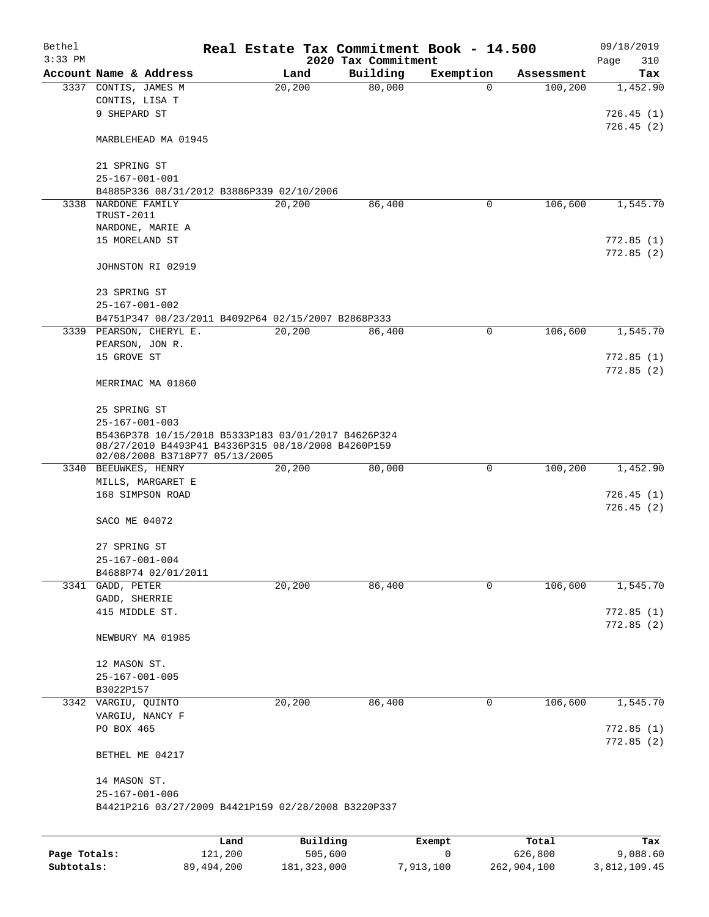| Bethel<br>$3:33$ PM |                                                                                      |                 |                     | 2020 Tax Commitment |          | Real Estate Tax Commitment Book - 14.500 |             |                  | 09/18/2019<br>Page<br>310 |
|---------------------|--------------------------------------------------------------------------------------|-----------------|---------------------|---------------------|----------|------------------------------------------|-------------|------------------|---------------------------|
|                     | Account Name & Address                                                               |                 | Land                |                     | Building | Exemption                                |             | Assessment       | Tax                       |
|                     | 3337 CONTIS, JAMES M                                                                 |                 | 20, 200             |                     | 80,000   |                                          | $\Omega$    | 100,200          | 1,452.90                  |
|                     | CONTIS, LISA T                                                                       |                 |                     |                     |          |                                          |             |                  |                           |
|                     | 9 SHEPARD ST                                                                         |                 |                     |                     |          |                                          |             |                  | 726.45(1)                 |
|                     |                                                                                      |                 |                     |                     |          |                                          |             |                  | 726.45(2)                 |
|                     | MARBLEHEAD MA 01945                                                                  |                 |                     |                     |          |                                          |             |                  |                           |
|                     | 21 SPRING ST                                                                         |                 |                     |                     |          |                                          |             |                  |                           |
|                     | $25 - 167 - 001 - 001$                                                               |                 |                     |                     |          |                                          |             |                  |                           |
|                     | B4885P336 08/31/2012 B3886P339 02/10/2006                                            |                 |                     |                     |          |                                          |             |                  |                           |
| 3338                | NARDONE FAMILY                                                                       |                 | 20, 200             |                     | 86,400   |                                          | $\mathbf 0$ | 106,600          | 1, 545.70                 |
|                     | TRUST-2011                                                                           |                 |                     |                     |          |                                          |             |                  |                           |
|                     | NARDONE, MARIE A                                                                     |                 |                     |                     |          |                                          |             |                  |                           |
|                     | 15 MORELAND ST                                                                       |                 |                     |                     |          |                                          |             |                  | 772.85(1)                 |
|                     |                                                                                      |                 |                     |                     |          |                                          |             |                  | 772.85(2)                 |
|                     | JOHNSTON RI 02919                                                                    |                 |                     |                     |          |                                          |             |                  |                           |
|                     | 23 SPRING ST                                                                         |                 |                     |                     |          |                                          |             |                  |                           |
|                     | $25 - 167 - 001 - 002$                                                               |                 |                     |                     |          |                                          |             |                  |                           |
|                     | B4751P347 08/23/2011 B4092P64 02/15/2007 B2868P333                                   |                 |                     |                     |          |                                          |             |                  |                           |
|                     | 3339 PEARSON, CHERYL E.                                                              |                 | 20,200              |                     | 86,400   |                                          | $\mathbf 0$ | 106,600          | 1,545.70                  |
|                     | PEARSON, JON R.                                                                      |                 |                     |                     |          |                                          |             |                  |                           |
|                     | 15 GROVE ST                                                                          |                 |                     |                     |          |                                          |             |                  | 772.85(1)                 |
|                     |                                                                                      |                 |                     |                     |          |                                          |             |                  | 772.85(2)                 |
|                     | MERRIMAC MA 01860                                                                    |                 |                     |                     |          |                                          |             |                  |                           |
|                     | 25 SPRING ST                                                                         |                 |                     |                     |          |                                          |             |                  |                           |
|                     | $25 - 167 - 001 - 003$                                                               |                 |                     |                     |          |                                          |             |                  |                           |
|                     | B5436P378 10/15/2018 B5333P183 03/01/2017 B4626P324                                  |                 |                     |                     |          |                                          |             |                  |                           |
|                     | 08/27/2010 B4493P41 B4336P315 08/18/2008 B4260P159<br>02/08/2008 B3718P77 05/13/2005 |                 |                     |                     |          |                                          |             |                  |                           |
|                     | 3340 BEEUWKES, HENRY                                                                 |                 | 20,200              |                     | 80,000   |                                          | 0           | 100,200          | 1,452.90                  |
|                     | MILLS, MARGARET E                                                                    |                 |                     |                     |          |                                          |             |                  |                           |
|                     | 168 SIMPSON ROAD                                                                     |                 |                     |                     |          |                                          |             |                  | 726.45(1)                 |
|                     |                                                                                      |                 |                     |                     |          |                                          |             |                  | 726.45(2)                 |
|                     | SACO ME 04072                                                                        |                 |                     |                     |          |                                          |             |                  |                           |
|                     |                                                                                      |                 |                     |                     |          |                                          |             |                  |                           |
|                     | 27 SPRING ST                                                                         |                 |                     |                     |          |                                          |             |                  |                           |
|                     | $25 - 167 - 001 - 004$                                                               |                 |                     |                     |          |                                          |             |                  |                           |
|                     | B4688P74 02/01/2011                                                                  |                 |                     |                     | 86,400   |                                          |             | 106,600          |                           |
|                     | 3341 GADD, PETER<br>GADD, SHERRIE                                                    |                 | 20,200              |                     |          |                                          | 0           |                  | 1,545.70                  |
|                     | 415 MIDDLE ST.                                                                       |                 |                     |                     |          |                                          |             |                  | 772.85 (1)                |
|                     |                                                                                      |                 |                     |                     |          |                                          |             |                  | 772.85 (2)                |
|                     | NEWBURY MA 01985                                                                     |                 |                     |                     |          |                                          |             |                  |                           |
|                     |                                                                                      |                 |                     |                     |          |                                          |             |                  |                           |
|                     | 12 MASON ST.                                                                         |                 |                     |                     |          |                                          |             |                  |                           |
|                     | $25 - 167 - 001 - 005$                                                               |                 |                     |                     |          |                                          |             |                  |                           |
|                     | B3022P157                                                                            |                 |                     |                     |          |                                          |             |                  |                           |
|                     | 3342 VARGIU, QUINTO                                                                  |                 | 20,200              |                     | 86,400   |                                          | 0           | 106,600          | 1,545.70                  |
|                     | VARGIU, NANCY F                                                                      |                 |                     |                     |          |                                          |             |                  |                           |
|                     | PO BOX 465                                                                           |                 |                     |                     |          |                                          |             |                  | 772.85(1)                 |
|                     | BETHEL ME 04217                                                                      |                 |                     |                     |          |                                          |             |                  | 772.85(2)                 |
|                     |                                                                                      |                 |                     |                     |          |                                          |             |                  |                           |
|                     | 14 MASON ST.                                                                         |                 |                     |                     |          |                                          |             |                  |                           |
|                     | $25 - 167 - 001 - 006$                                                               |                 |                     |                     |          |                                          |             |                  |                           |
|                     | B4421P216 03/27/2009 B4421P159 02/28/2008 B3220P337                                  |                 |                     |                     |          |                                          |             |                  |                           |
|                     |                                                                                      |                 |                     |                     |          |                                          |             |                  |                           |
| Page Totals:        |                                                                                      | Land<br>121,200 | Building<br>505,600 |                     |          | Exempt<br>0                              |             | Total<br>626,800 | Tax<br>9,088.60           |
|                     |                                                                                      |                 |                     |                     |          |                                          |             |                  |                           |

**Subtotals:** 89,494,200 181,323,000 7,913,100 262,904,100 3,812,109.45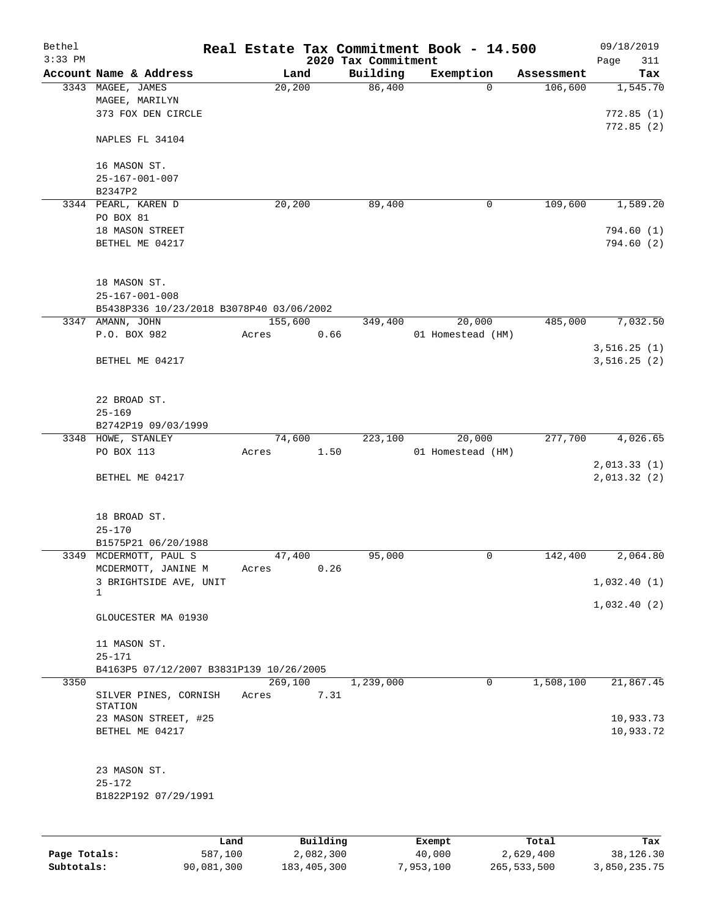| Bethel    |                                          |       |          |                     | Real Estate Tax Commitment Book - 14.500 |            | 09/18/2019  |
|-----------|------------------------------------------|-------|----------|---------------------|------------------------------------------|------------|-------------|
| $3:33$ PM |                                          |       |          | 2020 Tax Commitment |                                          |            | Page<br>311 |
|           | Account Name & Address                   |       | Land     | Building<br>86,400  | Exemption<br>0                           | Assessment | Tax         |
|           | 3343 MAGEE, JAMES<br>MAGEE, MARILYN      |       | 20,200   |                     |                                          | 106,600    | 1,545.70    |
|           | 373 FOX DEN CIRCLE                       |       |          |                     |                                          |            | 772.85(1)   |
|           |                                          |       |          |                     |                                          |            |             |
|           | NAPLES FL 34104                          |       |          |                     |                                          |            | 772.85(2)   |
|           |                                          |       |          |                     |                                          |            |             |
|           | 16 MASON ST.<br>$25 - 167 - 001 - 007$   |       |          |                     |                                          |            |             |
|           |                                          |       |          |                     |                                          |            |             |
|           | B2347P2<br>3344 PEARL, KAREN D           |       |          | 89,400              | 0                                        | 109,600    | 1,589.20    |
|           | PO BOX 81                                |       | 20,200   |                     |                                          |            |             |
|           | 18 MASON STREET                          |       |          |                     |                                          |            | 794.60(1)   |
|           | BETHEL ME 04217                          |       |          |                     |                                          |            | 794.60 (2)  |
|           |                                          |       |          |                     |                                          |            |             |
|           | 18 MASON ST.                             |       |          |                     |                                          |            |             |
|           | $25 - 167 - 001 - 008$                   |       |          |                     |                                          |            |             |
|           | B5438P336 10/23/2018 B3078P40 03/06/2002 |       |          |                     |                                          |            |             |
|           | 3347 AMANN, JOHN                         |       | 155,600  | 349,400             | 20,000                                   | 485,000    | 7,032.50    |
|           | P.O. BOX 982                             | Acres | 0.66     |                     | 01 Homestead (HM)                        |            |             |
|           |                                          |       |          |                     |                                          |            | 3,516.25(1) |
|           | BETHEL ME 04217                          |       |          |                     |                                          |            | 3,516.25(2) |
|           |                                          |       |          |                     |                                          |            |             |
|           | 22 BROAD ST.                             |       |          |                     |                                          |            |             |
|           | $25 - 169$                               |       |          |                     |                                          |            |             |
|           | B2742P19 09/03/1999                      |       |          |                     |                                          |            |             |
|           | 3348 HOWE, STANLEY                       |       | 74,600   | 223,100             | 20,000                                   | 277,700    | 4,026.65    |
|           | PO BOX 113                               | Acres | 1.50     |                     | 01 Homestead (HM)                        |            |             |
|           |                                          |       |          |                     |                                          |            | 2,013.33(1) |
|           | BETHEL ME 04217                          |       |          |                     |                                          |            | 2,013.32(2) |
|           |                                          |       |          |                     |                                          |            |             |
|           | 18 BROAD ST.                             |       |          |                     |                                          |            |             |
|           | $25 - 170$                               |       |          |                     |                                          |            |             |
|           | B1575P21 06/20/1988                      |       |          |                     |                                          |            |             |
|           | 3349 MCDERMOTT, PAUL S                   |       | 47,400   | 95,000              | 0                                        | 142,400    | 2,064.80    |
|           | MCDERMOTT, JANINE M                      | Acres | 0.26     |                     |                                          |            |             |
|           | 3 BRIGHTSIDE AVE, UNIT                   |       |          |                     |                                          |            | 1,032.40(1) |
|           | 1                                        |       |          |                     |                                          |            | 1,032.40(2) |
|           | GLOUCESTER MA 01930                      |       |          |                     |                                          |            |             |
|           | 11 MASON ST.                             |       |          |                     |                                          |            |             |
|           | $25 - 171$                               |       |          |                     |                                          |            |             |
|           | B4163P5 07/12/2007 B3831P139 10/26/2005  |       |          |                     |                                          |            |             |
| 3350      |                                          |       | 269,100  | 1,239,000           | 0                                        | 1,508,100  | 21,867.45   |
|           | SILVER PINES, CORNISH                    | Acres | 7.31     |                     |                                          |            |             |
|           | STATION                                  |       |          |                     |                                          |            |             |
|           | 23 MASON STREET, #25                     |       |          |                     |                                          |            | 10,933.73   |
|           | BETHEL ME 04217                          |       |          |                     |                                          |            | 10,933.72   |
|           | 23 MASON ST.                             |       |          |                     |                                          |            |             |
|           | $25 - 172$                               |       |          |                     |                                          |            |             |
|           | B1822P192 07/29/1991                     |       |          |                     |                                          |            |             |
|           |                                          |       |          |                     |                                          |            |             |
|           |                                          | Land  | Building |                     | Exempt                                   | Total      | Tax         |
|           |                                          |       |          |                     |                                          |            |             |

|              | uanu       | <b>DULLULIN</b> | <b>BACILDL</b> | TOLAT       | ⊥a∧          |
|--------------|------------|-----------------|----------------|-------------|--------------|
| Page Totals: | 587,100    | 2,082,300       | 40,000         | 2,629,400   | 38,126.30    |
| Subtotals:   | 90,081,300 | 183,405,300     | 7,953,100      | 265,533,500 | 3,850,235.75 |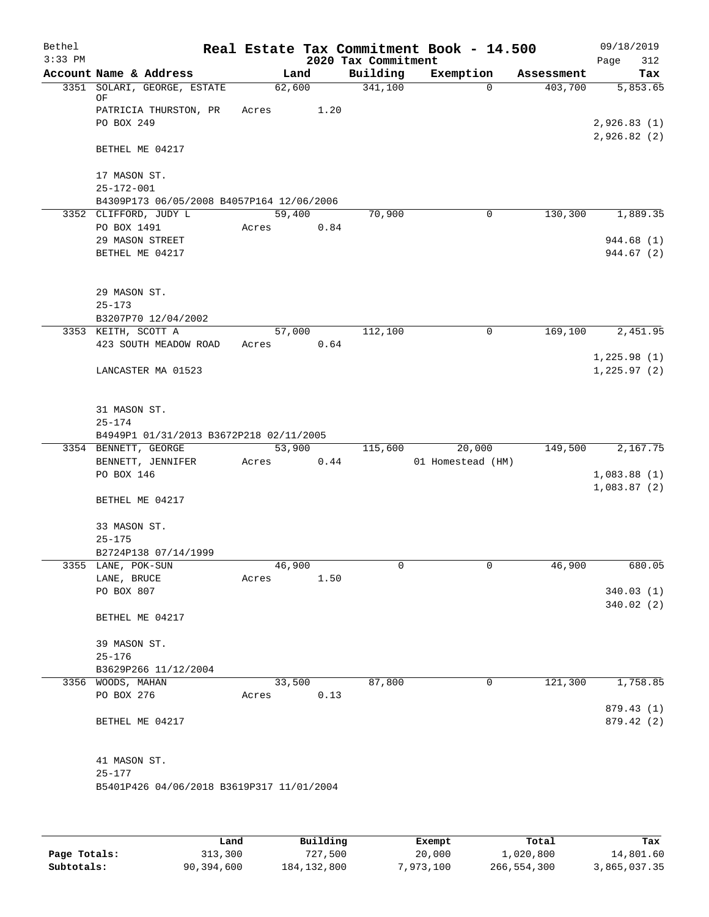| Bethel    |                                            |        |        |                     | Real Estate Tax Commitment Book - 14.500 |            | 09/18/2019  |
|-----------|--------------------------------------------|--------|--------|---------------------|------------------------------------------|------------|-------------|
| $3:33$ PM |                                            |        |        | 2020 Tax Commitment |                                          |            | Page<br>312 |
|           | Account Name & Address                     |        | Land   | Building            | Exemption                                | Assessment | Tax         |
|           | 3351 SOLARI, GEORGE, ESTATE<br>ΟF          |        | 62,600 | 341,100             | $\mathbf 0$                              | 403,700    | 5,853.65    |
|           | PATRICIA THURSTON, PR                      | Acres  | 1.20   |                     |                                          |            |             |
|           | PO BOX 249                                 |        |        |                     |                                          |            | 2,926.83(1) |
|           |                                            |        |        |                     |                                          |            | 2,926.82(2) |
|           | BETHEL ME 04217                            |        |        |                     |                                          |            |             |
|           |                                            |        |        |                     |                                          |            |             |
|           | 17 MASON ST.                               |        |        |                     |                                          |            |             |
|           | $25 - 172 - 001$                           |        |        |                     |                                          |            |             |
|           | B4309P173 06/05/2008 B4057P164 12/06/2006  |        |        |                     |                                          |            |             |
|           | 3352 CLIFFORD, JUDY L                      |        | 59,400 | 70,900              | 0                                        | 130,300    | 1,889.35    |
|           | PO BOX 1491                                | Acres  | 0.84   |                     |                                          |            |             |
|           | 29 MASON STREET                            |        |        |                     |                                          |            | 944.68 (1)  |
|           | BETHEL ME 04217                            |        |        |                     |                                          |            | 944.67 (2)  |
|           |                                            |        |        |                     |                                          |            |             |
|           |                                            |        |        |                     |                                          |            |             |
|           | 29 MASON ST.                               |        |        |                     |                                          |            |             |
|           | $25 - 173$                                 |        |        |                     |                                          |            |             |
|           | B3207P70 12/04/2002                        |        |        |                     |                                          |            |             |
|           | 3353 KEITH, SCOTT A                        |        | 57,000 | 112,100             | 0                                        | 169,100    | 2,451.95    |
|           | 423 SOUTH MEADOW ROAD                      | Acres  | 0.64   |                     |                                          |            |             |
|           |                                            |        |        |                     |                                          |            | 1,225.98(1) |
|           | LANCASTER MA 01523                         |        |        |                     |                                          |            | 1,225.97(2) |
|           |                                            |        |        |                     |                                          |            |             |
|           |                                            |        |        |                     |                                          |            |             |
|           | 31 MASON ST.                               |        |        |                     |                                          |            |             |
|           | $25 - 174$                                 |        |        |                     |                                          |            |             |
|           | B4949P1 01/31/2013 B3672P218 02/11/2005    |        |        |                     |                                          |            |             |
|           | 3354 BENNETT, GEORGE                       |        | 53,900 | 115,600             | 20,000                                   | 149,500    | 2,167.75    |
|           | BENNETT, JENNIFER                          | Acres  | 0.44   |                     | 01 Homestead (HM)                        |            |             |
|           | PO BOX 146                                 |        |        |                     |                                          |            | 1,083.88(1) |
|           |                                            |        |        |                     |                                          |            | 1,083.87(2) |
|           | BETHEL ME 04217                            |        |        |                     |                                          |            |             |
|           |                                            |        |        |                     |                                          |            |             |
|           | 33 MASON ST.<br>$25 - 175$                 |        |        |                     |                                          |            |             |
|           |                                            |        |        |                     |                                          |            |             |
|           | B2724P138 07/14/1999<br>3355 LANE, POK-SUN | 46,900 |        | 0                   | 0                                        | 46,900     | 680.05      |
|           | LANE, BRUCE                                | Acres  | 1.50   |                     |                                          |            |             |
|           | PO BOX 807                                 |        |        |                     |                                          |            | 340.03(1)   |
|           |                                            |        |        |                     |                                          |            | 340.02(2)   |
|           | BETHEL ME 04217                            |        |        |                     |                                          |            |             |
|           |                                            |        |        |                     |                                          |            |             |
|           | 39 MASON ST.                               |        |        |                     |                                          |            |             |
|           | $25 - 176$                                 |        |        |                     |                                          |            |             |
|           | B3629P266 11/12/2004                       |        |        |                     |                                          |            |             |
|           | 3356 WOODS, MAHAN                          |        | 33,500 | 87,800              | 0                                        | 121,300    | 1,758.85    |
|           | PO BOX 276                                 | Acres  | 0.13   |                     |                                          |            |             |
|           |                                            |        |        |                     |                                          |            | 879.43 (1)  |
|           | BETHEL ME 04217                            |        |        |                     |                                          |            | 879.42 (2)  |
|           |                                            |        |        |                     |                                          |            |             |
|           |                                            |        |        |                     |                                          |            |             |
|           | 41 MASON ST.                               |        |        |                     |                                          |            |             |
|           | $25 - 177$                                 |        |        |                     |                                          |            |             |
|           | B5401P426 04/06/2018 B3619P317 11/01/2004  |        |        |                     |                                          |            |             |
|           |                                            |        |        |                     |                                          |            |             |
|           |                                            |        |        |                     |                                          |            |             |
|           |                                            |        |        |                     |                                          |            |             |

|              | Land       | Building      | Exempt    | Total       | Tax          |
|--------------|------------|---------------|-----------|-------------|--------------|
| Page Totals: | 313,300    | 727,500       | 20,000    | 1,020,800   | 14,801.60    |
| Subtotals:   | 90,394,600 | 184, 132, 800 | 7,973,100 | 266,554,300 | 3,865,037.35 |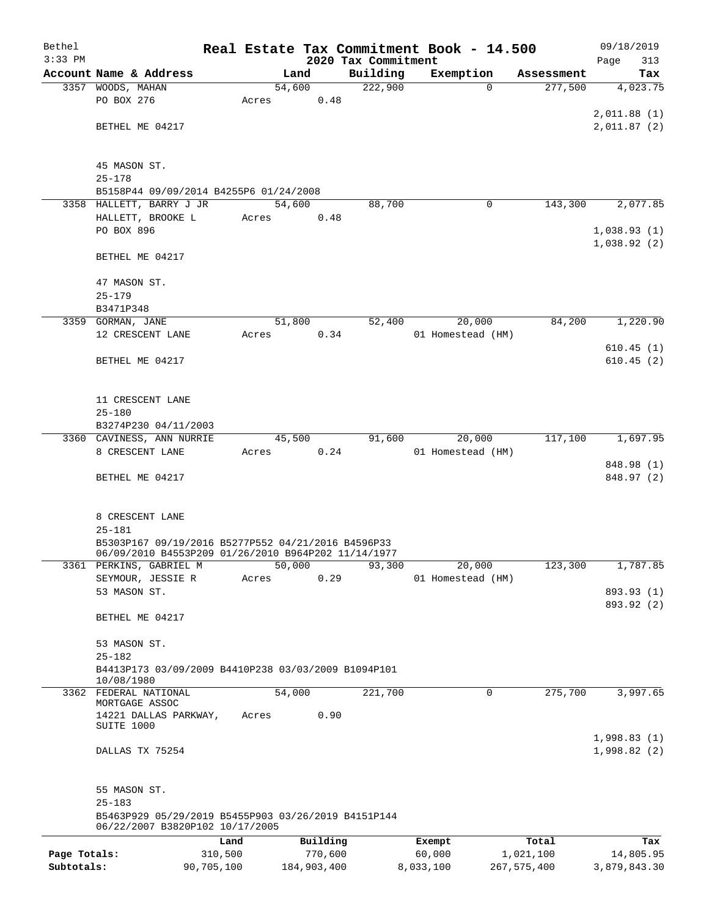| Bethel       |                                                                                        |            |       |                |          | Real Estate Tax Commitment Book - 14.500 |                             |             |                       | 09/18/2019      |
|--------------|----------------------------------------------------------------------------------------|------------|-------|----------------|----------|------------------------------------------|-----------------------------|-------------|-----------------------|-----------------|
| $3:33$ PM    |                                                                                        |            |       |                |          | 2020 Tax Commitment                      |                             |             |                       | 313<br>Page     |
|              | Account Name & Address                                                                 |            |       | Land<br>54,600 |          | Building<br>222,900                      | Exemption                   | $\Omega$    | Assessment<br>277,500 | Tax<br>4,023.75 |
|              | 3357 WOODS, MAHAN<br>PO BOX 276                                                        |            | Acres |                | 0.48     |                                          |                             |             |                       |                 |
|              |                                                                                        |            |       |                |          |                                          |                             |             |                       | 2,011.88(1)     |
|              | BETHEL ME 04217                                                                        |            |       |                |          |                                          |                             |             |                       | 2,011.87 (2)    |
|              |                                                                                        |            |       |                |          |                                          |                             |             |                       |                 |
|              | 45 MASON ST.                                                                           |            |       |                |          |                                          |                             |             |                       |                 |
|              | $25 - 178$                                                                             |            |       |                |          |                                          |                             |             |                       |                 |
|              | B5158P44 09/09/2014 B4255P6 01/24/2008                                                 |            |       |                |          |                                          |                             |             |                       |                 |
|              | 3358 HALLETT, BARRY J JR                                                               |            |       | 54,600         |          | 88,700                                   |                             | 0           | 143,300               | 2,077.85        |
|              | HALLETT, BROOKE L                                                                      |            | Acres |                | 0.48     |                                          |                             |             |                       |                 |
|              | PO BOX 896                                                                             |            |       |                |          |                                          |                             |             |                       | 1,038.93(1)     |
|              |                                                                                        |            |       |                |          |                                          |                             |             |                       | 1,038.92(2)     |
|              | BETHEL ME 04217                                                                        |            |       |                |          |                                          |                             |             |                       |                 |
|              |                                                                                        |            |       |                |          |                                          |                             |             |                       |                 |
|              | 47 MASON ST.<br>$25 - 179$                                                             |            |       |                |          |                                          |                             |             |                       |                 |
|              | B3471P348                                                                              |            |       |                |          |                                          |                             |             |                       |                 |
|              | 3359 GORMAN, JANE                                                                      |            |       | 51,800         |          | 52,400                                   | 20,000                      |             | 84,200                | 1,220.90        |
|              | 12 CRESCENT LANE                                                                       |            | Acres |                | 0.34     |                                          | 01 Homestead (HM)           |             |                       |                 |
|              |                                                                                        |            |       |                |          |                                          |                             |             |                       | 610.45(1)       |
|              | BETHEL ME 04217                                                                        |            |       |                |          |                                          |                             |             |                       | 610.45(2)       |
|              |                                                                                        |            |       |                |          |                                          |                             |             |                       |                 |
|              |                                                                                        |            |       |                |          |                                          |                             |             |                       |                 |
|              | 11 CRESCENT LANE                                                                       |            |       |                |          |                                          |                             |             |                       |                 |
|              | $25 - 180$                                                                             |            |       |                |          |                                          |                             |             |                       |                 |
|              | B3274P230 04/11/2003                                                                   |            |       |                |          |                                          |                             |             |                       |                 |
|              | 3360 CAVINESS, ANN NURRIE<br>8 CRESCENT LANE                                           |            |       | 45,500         | 0.24     | 91,600                                   | 20,000<br>01 Homestead (HM) |             | 117,100               | 1,697.95        |
|              |                                                                                        |            | Acres |                |          |                                          |                             |             |                       | 848.98 (1)      |
|              | BETHEL ME 04217                                                                        |            |       |                |          |                                          |                             |             |                       | 848.97 (2)      |
|              |                                                                                        |            |       |                |          |                                          |                             |             |                       |                 |
|              |                                                                                        |            |       |                |          |                                          |                             |             |                       |                 |
|              | 8 CRESCENT LANE                                                                        |            |       |                |          |                                          |                             |             |                       |                 |
|              | $25 - 181$                                                                             |            |       |                |          |                                          |                             |             |                       |                 |
|              | B5303P167 09/19/2016 B5277P552 04/21/2016 B4596P33                                     |            |       |                |          |                                          |                             |             |                       |                 |
|              | 06/09/2010 B4553P209 01/26/2010 B964P202 11/14/1977<br>3361 PERKINS, GABRIEL M         |            |       | 50,000         |          | 93,300                                   | 20,000                      |             | 123,300               | 1,787.85        |
|              | SEYMOUR, JESSIE R                                                                      |            | Acres |                | 0.29     |                                          | 01 Homestead (HM)           |             |                       |                 |
|              | 53 MASON ST.                                                                           |            |       |                |          |                                          |                             |             |                       | 893.93 (1)      |
|              |                                                                                        |            |       |                |          |                                          |                             |             |                       | 893.92 (2)      |
|              | BETHEL ME 04217                                                                        |            |       |                |          |                                          |                             |             |                       |                 |
|              |                                                                                        |            |       |                |          |                                          |                             |             |                       |                 |
|              | 53 MASON ST.                                                                           |            |       |                |          |                                          |                             |             |                       |                 |
|              | $25 - 182$                                                                             |            |       |                |          |                                          |                             |             |                       |                 |
|              | B4413P173 03/09/2009 B4410P238 03/03/2009 B1094P101<br>10/08/1980                      |            |       |                |          |                                          |                             |             |                       |                 |
|              | 3362 FEDERAL NATIONAL                                                                  |            |       | 54,000         |          | 221,700                                  |                             | $\mathbf 0$ | 275,700               | 3,997.65        |
|              | MORTGAGE ASSOC                                                                         |            |       |                |          |                                          |                             |             |                       |                 |
|              | 14221 DALLAS PARKWAY,                                                                  |            | Acres |                | 0.90     |                                          |                             |             |                       |                 |
|              | SUITE 1000                                                                             |            |       |                |          |                                          |                             |             |                       | 1,998.83(1)     |
|              | DALLAS TX 75254                                                                        |            |       |                |          |                                          |                             |             |                       | 1,998.82 (2)    |
|              |                                                                                        |            |       |                |          |                                          |                             |             |                       |                 |
|              |                                                                                        |            |       |                |          |                                          |                             |             |                       |                 |
|              | 55 MASON ST.                                                                           |            |       |                |          |                                          |                             |             |                       |                 |
|              | $25 - 183$                                                                             |            |       |                |          |                                          |                             |             |                       |                 |
|              | B5463P929 05/29/2019 B5455P903 03/26/2019 B4151P144<br>06/22/2007 B3820P102 10/17/2005 |            |       |                |          |                                          |                             |             |                       |                 |
|              |                                                                                        | Land       |       |                | Building |                                          | Exempt                      |             | Total                 | Tax             |
| Page Totals: |                                                                                        | 310,500    |       |                | 770,600  |                                          | 60,000                      |             | 1,021,100             | 14,805.95       |
| Subtotals:   |                                                                                        | 90,705,100 |       | 184,903,400    |          |                                          | 8,033,100                   |             | 267,575,400           | 3,879,843.30    |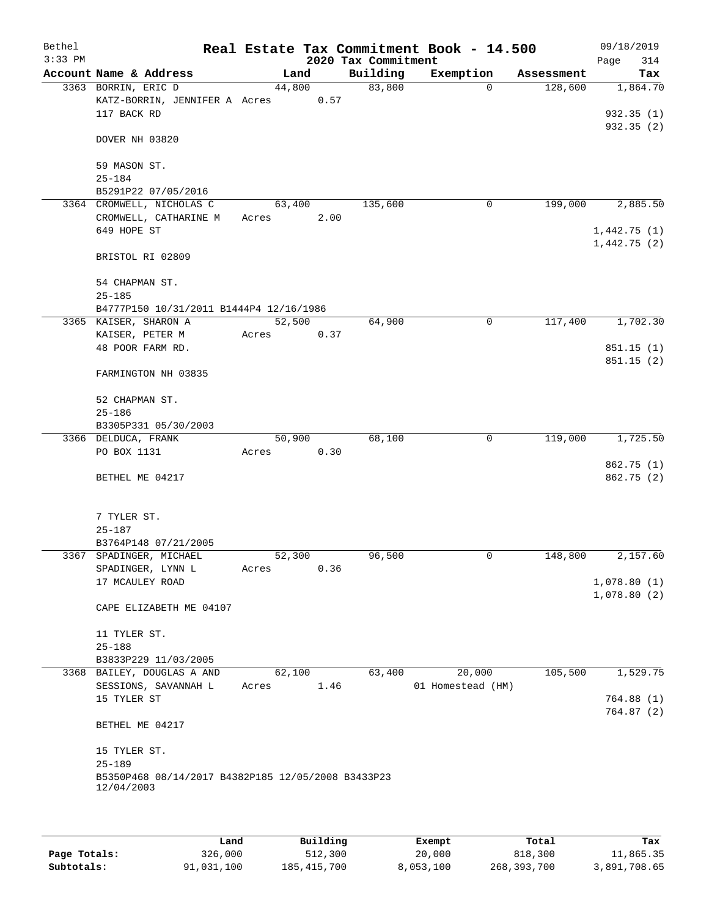| Bethel<br>$3:33$ PM |                                                                  |                 |      | 2020 Tax Commitment | Real Estate Tax Commitment Book - 14.500 |            | 09/18/2019<br>314<br>Page |
|---------------------|------------------------------------------------------------------|-----------------|------|---------------------|------------------------------------------|------------|---------------------------|
|                     | Account Name & Address                                           | Land            |      | Building            | Exemption                                | Assessment | Tax                       |
|                     | 3363 BORRIN, ERIC D                                              | 44,800          |      | 83,800              | $\Omega$                                 | 128,600    | 1,864.70                  |
|                     | KATZ-BORRIN, JENNIFER A Acres                                    |                 | 0.57 |                     |                                          |            |                           |
|                     | 117 BACK RD                                                      |                 |      |                     |                                          |            | 932.35(1)                 |
|                     |                                                                  |                 |      |                     |                                          |            | 932.35(2)                 |
|                     | DOVER NH 03820                                                   |                 |      |                     |                                          |            |                           |
|                     |                                                                  |                 |      |                     |                                          |            |                           |
|                     | 59 MASON ST.                                                     |                 |      |                     |                                          |            |                           |
|                     | $25 - 184$                                                       |                 |      |                     |                                          |            |                           |
|                     | B5291P22 07/05/2016<br>3364 CROMWELL, NICHOLAS C                 |                 |      | 135,600             | 0                                        | 199,000    |                           |
|                     | CROMWELL, CATHARINE M                                            | 63,400<br>Acres | 2.00 |                     |                                          |            | 2,885.50                  |
|                     | 649 HOPE ST                                                      |                 |      |                     |                                          |            | 1,442.75(1)               |
|                     |                                                                  |                 |      |                     |                                          |            | 1,442.75(2)               |
|                     | BRISTOL RI 02809                                                 |                 |      |                     |                                          |            |                           |
|                     |                                                                  |                 |      |                     |                                          |            |                           |
|                     | 54 CHAPMAN ST.                                                   |                 |      |                     |                                          |            |                           |
|                     | $25 - 185$                                                       |                 |      |                     |                                          |            |                           |
|                     | B4777P150 10/31/2011 B1444P4 12/16/1986                          |                 |      |                     |                                          |            |                           |
|                     | 3365 KAISER, SHARON A                                            | 52,500          |      | 64,900              | 0                                        | 117,400    | 1,702.30                  |
|                     | KAISER, PETER M                                                  | Acres           | 0.37 |                     |                                          |            |                           |
|                     | 48 POOR FARM RD.                                                 |                 |      |                     |                                          |            | 851.15(1)                 |
|                     | FARMINGTON NH 03835                                              |                 |      |                     |                                          |            | 851.15(2)                 |
|                     |                                                                  |                 |      |                     |                                          |            |                           |
|                     | 52 CHAPMAN ST.                                                   |                 |      |                     |                                          |            |                           |
|                     | $25 - 186$                                                       |                 |      |                     |                                          |            |                           |
|                     | B3305P331 05/30/2003                                             |                 |      |                     |                                          |            |                           |
|                     | 3366 DELDUCA, FRANK                                              | 50,900          |      | 68,100              | 0                                        | 119,000    | 1,725.50                  |
|                     | PO BOX 1131                                                      | Acres           | 0.30 |                     |                                          |            |                           |
|                     |                                                                  |                 |      |                     |                                          |            | 862.75 (1)                |
|                     | BETHEL ME 04217                                                  |                 |      |                     |                                          |            | 862.75 (2)                |
|                     |                                                                  |                 |      |                     |                                          |            |                           |
|                     | 7 TYLER ST.                                                      |                 |      |                     |                                          |            |                           |
|                     | $25 - 187$                                                       |                 |      |                     |                                          |            |                           |
|                     | B3764P148 07/21/2005                                             |                 |      |                     |                                          |            |                           |
|                     | 3367 SPADINGER, MICHAEL                                          | 52,300          |      | 96,500              | 0                                        | 148,800    | 2,157.60                  |
|                     | SPADINGER, LYNN L                                                | Acres           | 0.36 |                     |                                          |            |                           |
|                     | 17 MCAULEY ROAD                                                  |                 |      |                     |                                          |            | 1,078.80(1)               |
|                     |                                                                  |                 |      |                     |                                          |            | 1,078.80(2)               |
|                     | CAPE ELIZABETH ME 04107                                          |                 |      |                     |                                          |            |                           |
|                     |                                                                  |                 |      |                     |                                          |            |                           |
|                     | 11 TYLER ST.<br>$25 - 188$                                       |                 |      |                     |                                          |            |                           |
|                     | B3833P229 11/03/2005                                             |                 |      |                     |                                          |            |                           |
|                     | 3368 BAILEY, DOUGLAS A AND                                       | 62,100          |      | 63,400              | 20,000                                   | 105,500    | 1,529.75                  |
|                     | SESSIONS, SAVANNAH L                                             | Acres           | 1.46 |                     | 01 Homestead (HM)                        |            |                           |
|                     | 15 TYLER ST                                                      |                 |      |                     |                                          |            | 764.88(1)                 |
|                     |                                                                  |                 |      |                     |                                          |            | 764.87(2)                 |
|                     | BETHEL ME 04217                                                  |                 |      |                     |                                          |            |                           |
|                     |                                                                  |                 |      |                     |                                          |            |                           |
|                     | 15 TYLER ST.                                                     |                 |      |                     |                                          |            |                           |
|                     | $25 - 189$                                                       |                 |      |                     |                                          |            |                           |
|                     | B5350P468 08/14/2017 B4382P185 12/05/2008 B3433P23<br>12/04/2003 |                 |      |                     |                                          |            |                           |
|                     |                                                                  |                 |      |                     |                                          |            |                           |
|                     |                                                                  |                 |      |                     |                                          |            |                           |

|              | Land       | Building    | Exempt    | Total         | Tax          |
|--------------|------------|-------------|-----------|---------------|--------------|
| Page Totals: | 326,000    | 512,300     | 20,000    | 818,300       | 11,865.35    |
| Subtotals:   | 91,031,100 | 185,415,700 | 8,053,100 | 268, 393, 700 | 3,891,708.65 |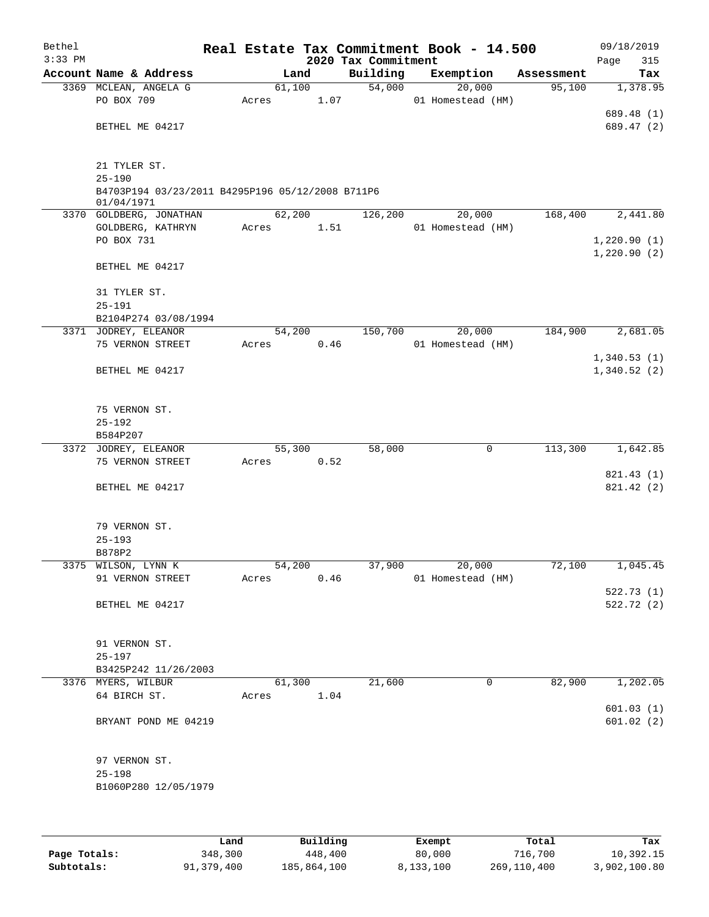| Bethel<br>$3:33$ PM |                                                  |       |        |      | 2020 Tax Commitment | Real Estate Tax Commitment Book - 14.500 |            | 09/18/2019<br>Page<br>315 |
|---------------------|--------------------------------------------------|-------|--------|------|---------------------|------------------------------------------|------------|---------------------------|
|                     | Account Name & Address                           |       | Land   |      | Building            | Exemption                                | Assessment | Tax                       |
|                     | 3369 MCLEAN, ANGELA G                            |       | 61,100 |      | 54,000              | 20,000                                   | 95,100     | 1,378.95                  |
|                     | PO BOX 709                                       | Acres |        | 1.07 |                     | 01 Homestead (HM)                        |            |                           |
|                     |                                                  |       |        |      |                     |                                          |            | 689.48 (1)                |
|                     | BETHEL ME 04217                                  |       |        |      |                     |                                          |            | 689.47 (2)                |
|                     |                                                  |       |        |      |                     |                                          |            |                           |
|                     |                                                  |       |        |      |                     |                                          |            |                           |
|                     | 21 TYLER ST.                                     |       |        |      |                     |                                          |            |                           |
|                     | $25 - 190$                                       |       |        |      |                     |                                          |            |                           |
|                     | B4703P194 03/23/2011 B4295P196 05/12/2008 B711P6 |       |        |      |                     |                                          |            |                           |
|                     | 01/04/1971                                       |       |        |      |                     |                                          |            |                           |
|                     | 3370 GOLDBERG, JONATHAN                          |       | 62,200 |      | 126,200             | 20,000                                   | 168,400    | 2,441.80                  |
|                     | GOLDBERG, KATHRYN                                | Acres |        | 1.51 |                     | 01 Homestead (HM)                        |            |                           |
|                     | PO BOX 731                                       |       |        |      |                     |                                          |            | 1,220.90(1)               |
|                     |                                                  |       |        |      |                     |                                          |            | 1,220.90(2)               |
|                     | BETHEL ME 04217                                  |       |        |      |                     |                                          |            |                           |
|                     |                                                  |       |        |      |                     |                                          |            |                           |
|                     | 31 TYLER ST.                                     |       |        |      |                     |                                          |            |                           |
|                     | $25 - 191$                                       |       |        |      |                     |                                          |            |                           |
|                     | B2104P274 03/08/1994<br>3371 JODREY, ELEANOR     |       | 54,200 |      | 150,700             | 20,000                                   | 184,900    | 2,681.05                  |
|                     | 75 VERNON STREET                                 | Acres |        |      |                     | 01 Homestead (HM)                        |            |                           |
|                     |                                                  |       |        | 0.46 |                     |                                          |            | 1,340.53(1)               |
|                     | BETHEL ME 04217                                  |       |        |      |                     |                                          |            | 1,340.52(2)               |
|                     |                                                  |       |        |      |                     |                                          |            |                           |
|                     |                                                  |       |        |      |                     |                                          |            |                           |
|                     | 75 VERNON ST.                                    |       |        |      |                     |                                          |            |                           |
|                     | $25 - 192$                                       |       |        |      |                     |                                          |            |                           |
|                     | B584P207                                         |       |        |      |                     |                                          |            |                           |
|                     | 3372 JODREY, ELEANOR                             |       | 55,300 |      | 58,000              | 0                                        | 113,300    | 1,642.85                  |
|                     | 75 VERNON STREET                                 | Acres |        | 0.52 |                     |                                          |            |                           |
|                     |                                                  |       |        |      |                     |                                          |            | 821.43 (1)                |
|                     | BETHEL ME 04217                                  |       |        |      |                     |                                          |            | 821.42 (2)                |
|                     |                                                  |       |        |      |                     |                                          |            |                           |
|                     |                                                  |       |        |      |                     |                                          |            |                           |
|                     | 79 VERNON ST.                                    |       |        |      |                     |                                          |            |                           |
|                     | $25 - 193$                                       |       |        |      |                     |                                          |            |                           |
|                     | B878P2                                           |       |        |      |                     |                                          |            |                           |
|                     | 3375 WILSON, LYNN K                              |       | 54,200 |      | 37,900              | 20,000                                   | 72,100     | 1,045.45                  |
|                     | 91 VERNON STREET                                 | Acres |        | 0.46 |                     | 01 Homestead (HM)                        |            |                           |
|                     |                                                  |       |        |      |                     |                                          |            | 522.73(1)                 |
|                     | BETHEL ME 04217                                  |       |        |      |                     |                                          |            | 522.72 (2)                |
|                     |                                                  |       |        |      |                     |                                          |            |                           |
|                     |                                                  |       |        |      |                     |                                          |            |                           |
|                     | 91 VERNON ST.                                    |       |        |      |                     |                                          |            |                           |
|                     | $25 - 197$                                       |       |        |      |                     |                                          |            |                           |
|                     | B3425P242 11/26/2003                             |       |        |      |                     |                                          |            |                           |
|                     | 3376 MYERS, WILBUR                               |       | 61,300 |      | 21,600              | 0                                        | 82,900     | 1,202.05                  |
|                     | 64 BIRCH ST.                                     | Acres |        | 1.04 |                     |                                          |            |                           |
|                     |                                                  |       |        |      |                     |                                          |            | 601.03(1)                 |
|                     | BRYANT POND ME 04219                             |       |        |      |                     |                                          |            | 601.02(2)                 |
|                     |                                                  |       |        |      |                     |                                          |            |                           |
|                     |                                                  |       |        |      |                     |                                          |            |                           |
|                     | 97 VERNON ST.                                    |       |        |      |                     |                                          |            |                           |
|                     | $25 - 198$                                       |       |        |      |                     |                                          |            |                           |
|                     | B1060P280 12/05/1979                             |       |        |      |                     |                                          |            |                           |
|                     |                                                  |       |        |      |                     |                                          |            |                           |
|                     |                                                  |       |        |      |                     |                                          |            |                           |
|                     |                                                  |       |        |      |                     |                                          |            |                           |

|              | Land       | Building    | Exempt    | Total       | Tax          |
|--------------|------------|-------------|-----------|-------------|--------------|
| Page Totals: | 348,300    | 448,400     | 80,000    | 716,700     | 10,392.15    |
| Subtotals:   | 91,379,400 | 185,864,100 | 8,133,100 | 269,110,400 | 3,902,100.80 |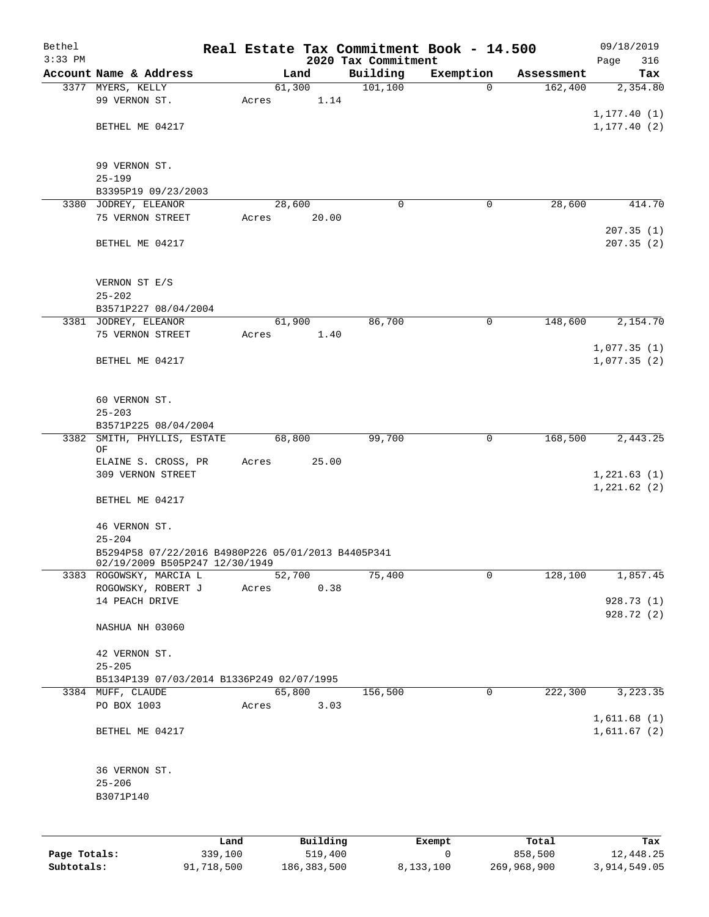| Bethel    |                                                                                      |       |                |                     | Real Estate Tax Commitment Book - 14.500 |            | 09/18/2019   |
|-----------|--------------------------------------------------------------------------------------|-------|----------------|---------------------|------------------------------------------|------------|--------------|
| $3:33$ PM |                                                                                      |       |                | 2020 Tax Commitment |                                          |            | 316<br>Page  |
|           | Account Name & Address                                                               |       | Land           | Building            | Exemption<br>$\mathbf 0$                 | Assessment | Tax          |
|           | 3377 MYERS, KELLY<br>99 VERNON ST.                                                   | Acres | 61,300<br>1.14 | 101, 100            |                                          | 162,400    | 2,354.80     |
|           |                                                                                      |       |                |                     |                                          |            | 1, 177.40(1) |
|           | BETHEL ME 04217                                                                      |       |                |                     |                                          |            | 1, 177.40(2) |
|           |                                                                                      |       |                |                     |                                          |            |              |
|           | 99 VERNON ST.                                                                        |       |                |                     |                                          |            |              |
|           | $25 - 199$                                                                           |       |                |                     |                                          |            |              |
|           | B3395P19 09/23/2003                                                                  |       |                |                     |                                          |            |              |
|           | 3380 JODREY, ELEANOR                                                                 |       | 28,600         | $\Omega$            | $\mathbf 0$                              | 28,600     | 414.70       |
|           | 75 VERNON STREET                                                                     | Acres | 20.00          |                     |                                          |            |              |
|           |                                                                                      |       |                |                     |                                          |            | 207.35(1)    |
|           | BETHEL ME 04217                                                                      |       |                |                     |                                          |            | 207.35(2)    |
|           | VERNON ST E/S                                                                        |       |                |                     |                                          |            |              |
|           | $25 - 202$                                                                           |       |                |                     |                                          |            |              |
|           | B3571P227 08/04/2004                                                                 |       |                |                     |                                          |            |              |
|           | 3381 JODREY, ELEANOR                                                                 |       | 61,900         | 86,700              | 0                                        | 148,600    | 2,154.70     |
|           | 75 VERNON STREET                                                                     | Acres | 1.40           |                     |                                          |            |              |
|           |                                                                                      |       |                |                     |                                          |            | 1,077.35(1)  |
|           | BETHEL ME 04217                                                                      |       |                |                     |                                          |            | 1,077.35(2)  |
|           |                                                                                      |       |                |                     |                                          |            |              |
|           | 60 VERNON ST.<br>$25 - 203$                                                          |       |                |                     |                                          |            |              |
|           | B3571P225 08/04/2004                                                                 |       |                |                     |                                          |            |              |
| 3382      | SMITH, PHYLLIS, ESTATE                                                               |       | 68,800         | 99,700              | $\mathbf 0$                              | 168,500    | 2,443.25     |
|           | ΟF                                                                                   |       |                |                     |                                          |            |              |
|           | ELAINE S. CROSS, PR                                                                  | Acres | 25.00          |                     |                                          |            |              |
|           | 309 VERNON STREET                                                                    |       |                |                     |                                          |            | 1,221.63(1)  |
|           |                                                                                      |       |                |                     |                                          |            | 1,221.62(2)  |
|           | BETHEL ME 04217                                                                      |       |                |                     |                                          |            |              |
|           | 46 VERNON ST.                                                                        |       |                |                     |                                          |            |              |
|           | $25 - 204$                                                                           |       |                |                     |                                          |            |              |
|           | B5294P58 07/22/2016 B4980P226 05/01/2013 B4405P341<br>02/19/2009 B505P247 12/30/1949 |       |                |                     |                                          |            |              |
|           | 3383 ROGOWSKY, MARCIA L                                                              |       | 52,700         | 75,400              | 0                                        | 128,100    | 1,857.45     |
|           | ROGOWSKY, ROBERT J                                                                   | Acres | 0.38           |                     |                                          |            |              |
|           | 14 PEACH DRIVE                                                                       |       |                |                     |                                          |            | 928.73 (1)   |
|           |                                                                                      |       |                |                     |                                          |            | 928.72(2)    |
|           | NASHUA NH 03060                                                                      |       |                |                     |                                          |            |              |
|           | 42 VERNON ST.                                                                        |       |                |                     |                                          |            |              |
|           | $25 - 205$                                                                           |       |                |                     |                                          |            |              |
|           | B5134P139 07/03/2014 B1336P249 02/07/1995                                            |       |                |                     |                                          |            |              |
|           | 3384 MUFF, CLAUDE                                                                    |       | 65,800         | 156,500             | 0                                        | 222,300    | 3,223.35     |
|           | PO BOX 1003                                                                          | Acres | 3.03           |                     |                                          |            |              |
|           |                                                                                      |       |                |                     |                                          |            | 1,611.68(1)  |
|           | BETHEL ME 04217                                                                      |       |                |                     |                                          |            | 1,611.67(2)  |
|           | 36 VERNON ST.                                                                        |       |                |                     |                                          |            |              |
|           | $25 - 206$                                                                           |       |                |                     |                                          |            |              |
|           | B3071P140                                                                            |       |                |                     |                                          |            |              |
|           |                                                                                      |       |                |                     |                                          |            |              |
|           |                                                                                      | Land  | Building       |                     | Exempt                                   | Total      | Tax          |

|              | Land       | Building    | Exempt    | Total       | Tax          |
|--------------|------------|-------------|-----------|-------------|--------------|
| Page Totals: | 339,100    | 519,400     |           | 858,500     | 12,448.25    |
| Subtotals:   | 91,718,500 | 186,383,500 | 8,133,100 | 269,968,900 | 3,914,549.05 |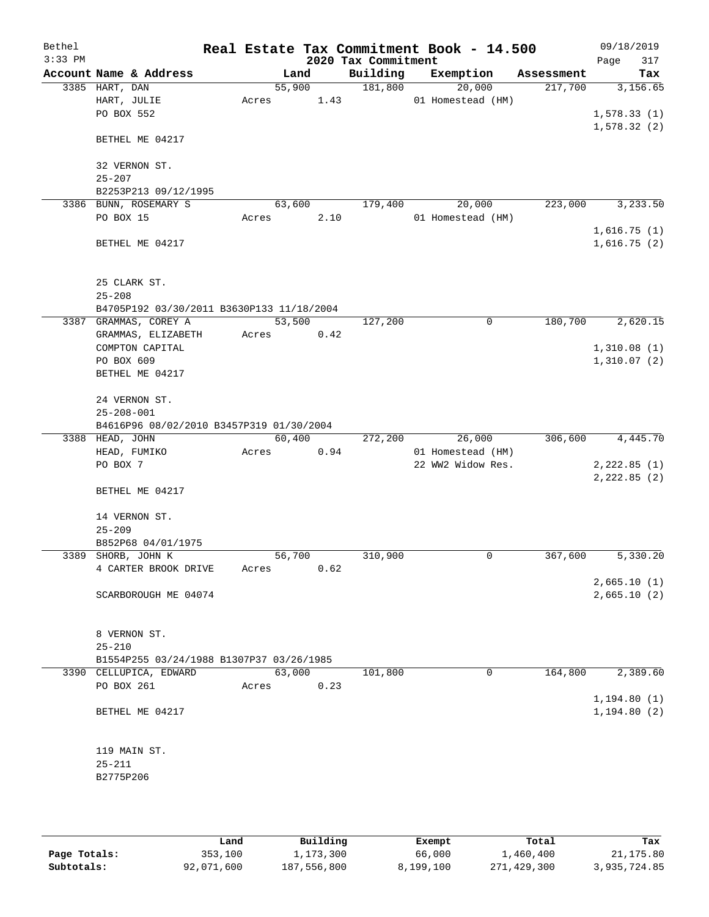| Bethel<br>$3:33$ PM |                                           |        |      | 2020 Tax Commitment | Real Estate Tax Commitment Book - 14.500 |            | 09/18/2019<br>Page<br>317    |
|---------------------|-------------------------------------------|--------|------|---------------------|------------------------------------------|------------|------------------------------|
|                     | Account Name & Address                    | Land   |      | Building            | Exemption                                | Assessment | Tax                          |
|                     | 3385 HART, DAN                            | 55,900 |      | 181,800             | 20,000                                   | 217,700    | 3,156.65                     |
|                     | HART, JULIE                               | Acres  | 1.43 |                     | 01 Homestead (HM)                        |            |                              |
|                     | PO BOX 552                                |        |      |                     |                                          |            | 1,578.33(1)                  |
|                     | BETHEL ME 04217                           |        |      |                     |                                          |            | 1,578.32(2)                  |
|                     | 32 VERNON ST.                             |        |      |                     |                                          |            |                              |
|                     | $25 - 207$                                |        |      |                     |                                          |            |                              |
|                     | B2253P213 09/12/1995                      |        |      |                     |                                          |            |                              |
|                     | 3386 BUNN, ROSEMARY S                     | 63,600 |      | 179,400             | 20,000                                   | 223,000    | 3,233.50                     |
|                     | PO BOX 15                                 | Acres  | 2.10 |                     | 01 Homestead (HM)                        |            |                              |
|                     |                                           |        |      |                     |                                          |            | 1,616.75(1)                  |
|                     | BETHEL ME 04217                           |        |      |                     |                                          |            | 1,616.75(2)                  |
|                     | 25 CLARK ST.                              |        |      |                     |                                          |            |                              |
|                     | $25 - 208$                                |        |      |                     |                                          |            |                              |
|                     | B4705P192 03/30/2011 B3630P133 11/18/2004 |        |      |                     |                                          |            |                              |
|                     | 3387 GRAMMAS, COREY A                     | 53,500 |      | 127,200             | 0                                        | 180,700    | 2,620.15                     |
|                     | GRAMMAS, ELIZABETH                        | Acres  | 0.42 |                     |                                          |            |                              |
|                     | COMPTON CAPITAL                           |        |      |                     |                                          |            | 1,310.08(1)                  |
|                     | PO BOX 609                                |        |      |                     |                                          |            | 1,310.07(2)                  |
|                     | BETHEL ME 04217                           |        |      |                     |                                          |            |                              |
|                     | 24 VERNON ST.                             |        |      |                     |                                          |            |                              |
|                     | $25 - 208 - 001$                          |        |      |                     |                                          |            |                              |
|                     | B4616P96 08/02/2010 B3457P319 01/30/2004  |        |      |                     |                                          |            |                              |
|                     | 3388 HEAD, JOHN                           | 60,400 |      | 272,200             | 26,000                                   | 306,600    | 4,445.70                     |
|                     | HEAD, FUMIKO                              | Acres  | 0.94 |                     | 01 Homestead (HM)                        |            |                              |
|                     | PO BOX 7                                  |        |      |                     | 22 WW2 Widow Res.                        |            | 2, 222.85 (1)                |
|                     | BETHEL ME 04217                           |        |      |                     |                                          |            | 2, 222.85 (2)                |
|                     | 14 VERNON ST.                             |        |      |                     |                                          |            |                              |
|                     | $25 - 209$                                |        |      |                     |                                          |            |                              |
|                     | B852P68 04/01/1975                        |        |      |                     |                                          |            |                              |
|                     | 3389 SHORB, JOHN K                        | 56,700 |      | 310,900             | 0                                        | 367,600    | 5,330.20                     |
|                     | 4 CARTER BROOK DRIVE                      | Acres  | 0.62 |                     |                                          |            |                              |
|                     |                                           |        |      |                     |                                          |            | 2,665.10(1)                  |
|                     | SCARBOROUGH ME 04074                      |        |      |                     |                                          |            | 2,665.10(2)                  |
|                     | 8 VERNON ST.                              |        |      |                     |                                          |            |                              |
|                     | $25 - 210$                                |        |      |                     |                                          |            |                              |
|                     | B1554P255 03/24/1988 B1307P37 03/26/1985  |        |      |                     |                                          |            |                              |
|                     | 3390 CELLUPICA, EDWARD                    | 63,000 |      | 101,800             | 0                                        | 164,800    | 2,389.60                     |
|                     | PO BOX 261                                | Acres  | 0.23 |                     |                                          |            |                              |
|                     |                                           |        |      |                     |                                          |            | 1, 194.80(1)<br>1, 194.80(2) |
|                     | BETHEL ME 04217                           |        |      |                     |                                          |            |                              |
|                     | 119 MAIN ST.                              |        |      |                     |                                          |            |                              |
|                     | $25 - 211$                                |        |      |                     |                                          |            |                              |
|                     | B2775P206                                 |        |      |                     |                                          |            |                              |
|                     |                                           |        |      |                     |                                          |            |                              |
|                     |                                           |        |      |                     |                                          |            |                              |

|              | Land       | Building    | Exempt    | Total       | Tax          |
|--------------|------------|-------------|-----------|-------------|--------------|
| Page Totals: | 353,100    | 1,173,300   | 66,000    | 1,460,400   | 21,175.80    |
| Subtotals:   | 92,071,600 | 187,556,800 | 8,199,100 | 271,429,300 | 3,935,724.85 |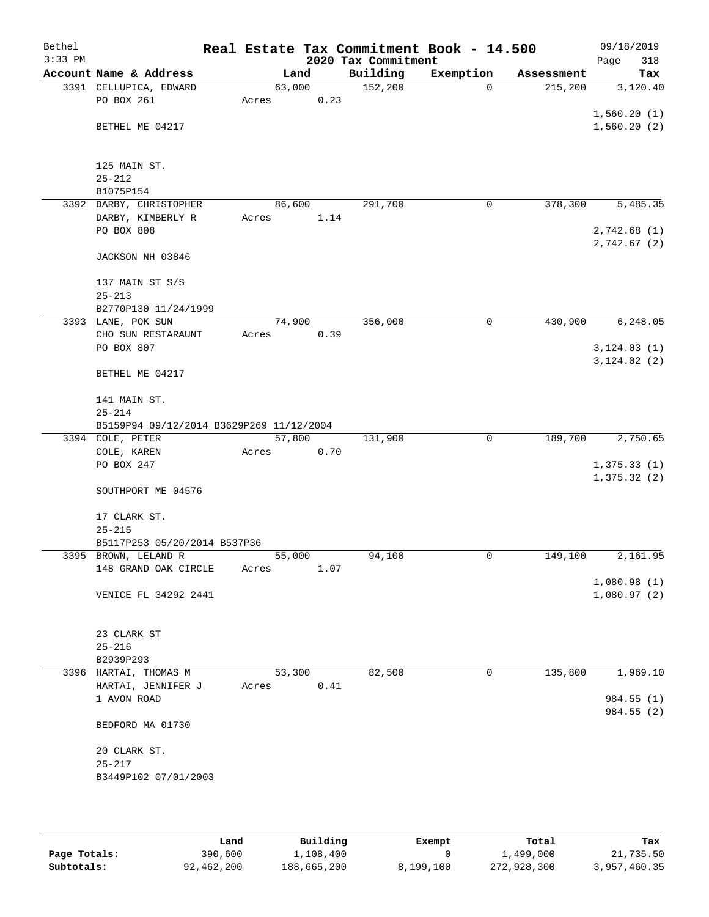| Bethel    |                                              |       |                |                     | Real Estate Tax Commitment Book - 14.500 |            | 09/18/2019                 |
|-----------|----------------------------------------------|-------|----------------|---------------------|------------------------------------------|------------|----------------------------|
| $3:33$ PM |                                              |       |                | 2020 Tax Commitment |                                          |            | Page<br>318                |
|           | Account Name & Address                       |       | Land           | Building            | Exemption                                | Assessment | Tax                        |
|           | 3391 CELLUPICA, EDWARD                       |       | 63,000         | 152,200             | $\mathbf 0$                              | 215,200    | 3,120.40                   |
|           | PO BOX 261                                   | Acres | 0.23           |                     |                                          |            |                            |
|           | BETHEL ME 04217                              |       |                |                     |                                          |            | 1,560.20(1)<br>1,560.20(2) |
|           |                                              |       |                |                     |                                          |            |                            |
|           |                                              |       |                |                     |                                          |            |                            |
|           | 125 MAIN ST.                                 |       |                |                     |                                          |            |                            |
|           | $25 - 212$                                   |       |                |                     |                                          |            |                            |
|           | B1075P154                                    |       |                |                     |                                          |            |                            |
|           | 3392 DARBY, CHRISTOPHER                      |       | 86,600         | 291,700             | 0                                        | 378,300    | 5,485.35                   |
|           | DARBY, KIMBERLY R                            | Acres | 1.14           |                     |                                          |            |                            |
|           | PO BOX 808                                   |       |                |                     |                                          |            | 2,742.68 (1)               |
|           |                                              |       |                |                     |                                          |            | 2,742.67 (2)               |
|           | JACKSON NH 03846                             |       |                |                     |                                          |            |                            |
|           | 137 MAIN ST S/S                              |       |                |                     |                                          |            |                            |
|           | $25 - 213$                                   |       |                |                     |                                          |            |                            |
|           | B2770P130 11/24/1999                         |       |                |                     |                                          |            |                            |
|           | 3393 LANE, POK SUN                           |       | 74,900         | 356,000             | $\mathsf{O}$                             | 430,900    | 6,248.05                   |
|           | CHO SUN RESTARAUNT                           | Acres | 0.39           |                     |                                          |            |                            |
|           | PO BOX 807                                   |       |                |                     |                                          |            | 3, 124.03(1)               |
|           |                                              |       |                |                     |                                          |            | 3, 124.02 (2)              |
|           | BETHEL ME 04217                              |       |                |                     |                                          |            |                            |
|           |                                              |       |                |                     |                                          |            |                            |
|           | 141 MAIN ST.<br>$25 - 214$                   |       |                |                     |                                          |            |                            |
|           | B5159P94 09/12/2014 B3629P269 11/12/2004     |       |                |                     |                                          |            |                            |
|           | 3394 COLE, PETER                             |       | 57,800         | 131,900             | $\mathbf 0$                              | 189,700    | 2,750.65                   |
|           | COLE, KAREN                                  | Acres | 0.70           |                     |                                          |            |                            |
|           | PO BOX 247                                   |       |                |                     |                                          |            | 1,375.33(1)                |
|           |                                              |       |                |                     |                                          |            | 1,375.32(2)                |
|           | SOUTHPORT ME 04576                           |       |                |                     |                                          |            |                            |
|           |                                              |       |                |                     |                                          |            |                            |
|           | 17 CLARK ST.                                 |       |                |                     |                                          |            |                            |
|           | $25 - 215$                                   |       |                |                     |                                          |            |                            |
|           | B5117P253 05/20/2014 B537P36                 |       |                | 94,100              |                                          |            |                            |
|           | 3395 BROWN, LELAND R<br>148 GRAND OAK CIRCLE | Acres | 55,000<br>1.07 |                     | 0                                        | 149,100    | 2,161.95                   |
|           |                                              |       |                |                     |                                          |            | 1,080.98(1)                |
|           | VENICE FL 34292 2441                         |       |                |                     |                                          |            | 1,080.97(2)                |
|           |                                              |       |                |                     |                                          |            |                            |
|           |                                              |       |                |                     |                                          |            |                            |
|           | 23 CLARK ST                                  |       |                |                     |                                          |            |                            |
|           | $25 - 216$                                   |       |                |                     |                                          |            |                            |
|           | B2939P293                                    |       |                |                     |                                          |            |                            |
|           | 3396 HARTAI, THOMAS M                        |       | 53,300         | 82,500              | 0                                        | 135,800    | 1,969.10                   |
|           | HARTAI, JENNIFER J                           | Acres | 0.41           |                     |                                          |            |                            |
|           | 1 AVON ROAD                                  |       |                |                     |                                          |            | 984.55 (1)<br>984.55 (2)   |
|           | BEDFORD MA 01730                             |       |                |                     |                                          |            |                            |
|           |                                              |       |                |                     |                                          |            |                            |
|           | 20 CLARK ST.                                 |       |                |                     |                                          |            |                            |
|           | $25 - 217$                                   |       |                |                     |                                          |            |                            |
|           | B3449P102 07/01/2003                         |       |                |                     |                                          |            |                            |
|           |                                              |       |                |                     |                                          |            |                            |
|           |                                              |       |                |                     |                                          |            |                            |

|              | Land       | Building    | Exempt    | Total       | Tax          |
|--------------|------------|-------------|-----------|-------------|--------------|
| Page Totals: | 390,600    | 1,108,400   |           | 1,499,000   | 21,735.50    |
| Subtotals:   | 92,462,200 | 188,665,200 | 8,199,100 | 272,928,300 | 3,957,460.35 |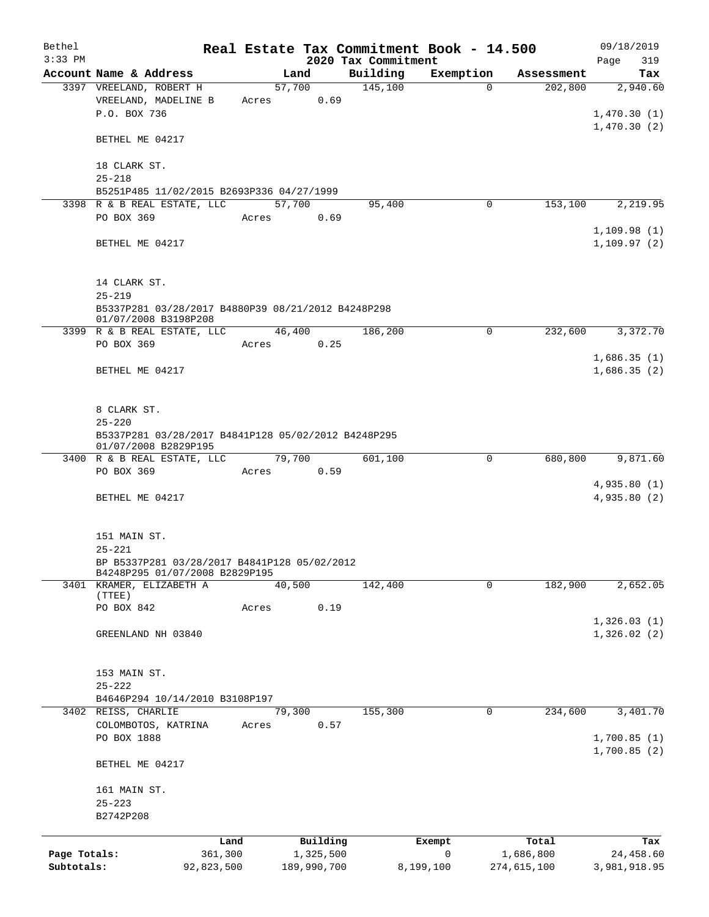| Bethel       |                                                                                |            |       |                |                                 | Real Estate Tax Commitment Book - 14.500 |                       | 09/18/2019      |
|--------------|--------------------------------------------------------------------------------|------------|-------|----------------|---------------------------------|------------------------------------------|-----------------------|-----------------|
| $3:33$ PM    | Account Name & Address                                                         |            |       | Land           | 2020 Tax Commitment<br>Building | Exemption                                |                       | Page<br>319     |
|              | 3397 VREELAND, ROBERT H                                                        |            |       | 57,700         | 145,100                         | $\Omega$                                 | Assessment<br>202,800 | Tax<br>2,940.60 |
|              | VREELAND, MADELINE B                                                           |            | Acres | 0.69           |                                 |                                          |                       |                 |
|              | P.O. BOX 736                                                                   |            |       |                |                                 |                                          |                       | 1,470.30(1)     |
|              |                                                                                |            |       |                |                                 |                                          |                       | 1,470.30(2)     |
|              | BETHEL ME 04217                                                                |            |       |                |                                 |                                          |                       |                 |
|              |                                                                                |            |       |                |                                 |                                          |                       |                 |
|              | 18 CLARK ST.                                                                   |            |       |                |                                 |                                          |                       |                 |
|              | $25 - 218$                                                                     |            |       |                |                                 |                                          |                       |                 |
|              | B5251P485 11/02/2015 B2693P336 04/27/1999                                      |            |       |                |                                 |                                          |                       |                 |
|              | 3398 R & B REAL ESTATE, LLC                                                    |            |       | 57,700         | 95,400                          | 0                                        | 153,100               | 2,219.95        |
|              | PO BOX 369                                                                     |            | Acres | 0.69           |                                 |                                          |                       |                 |
|              |                                                                                |            |       |                |                                 |                                          |                       | 1,109.98(1)     |
|              | BETHEL ME 04217                                                                |            |       |                |                                 |                                          |                       | 1, 109.97(2)    |
|              |                                                                                |            |       |                |                                 |                                          |                       |                 |
|              | 14 CLARK ST.                                                                   |            |       |                |                                 |                                          |                       |                 |
|              | $25 - 219$                                                                     |            |       |                |                                 |                                          |                       |                 |
|              | B5337P281 03/28/2017 B4880P39 08/21/2012 B4248P298                             |            |       |                |                                 |                                          |                       |                 |
|              | 01/07/2008 B3198P208                                                           |            |       |                |                                 |                                          |                       |                 |
|              | 3399 R & B REAL ESTATE, LLC                                                    |            |       | 46,400         | 186,200                         | 0                                        | 232,600               | 3,372.70        |
|              | PO BOX 369                                                                     |            | Acres | 0.25           |                                 |                                          |                       |                 |
|              |                                                                                |            |       |                |                                 |                                          |                       | 1,686.35(1)     |
|              | BETHEL ME 04217                                                                |            |       |                |                                 |                                          |                       | 1,686.35(2)     |
|              |                                                                                |            |       |                |                                 |                                          |                       |                 |
|              |                                                                                |            |       |                |                                 |                                          |                       |                 |
|              | 8 CLARK ST.                                                                    |            |       |                |                                 |                                          |                       |                 |
|              | $25 - 220$                                                                     |            |       |                |                                 |                                          |                       |                 |
|              | B5337P281 03/28/2017 B4841P128 05/02/2012 B4248P295<br>01/07/2008 B2829P195    |            |       |                |                                 |                                          |                       |                 |
|              | 3400 R & B REAL ESTATE, LLC                                                    |            |       | 79,700         | 601,100                         | $\mathbf 0$                              | 680,800               | 9,871.60        |
|              | PO BOX 369                                                                     |            | Acres | 0.59           |                                 |                                          |                       |                 |
|              |                                                                                |            |       |                |                                 |                                          |                       | 4,935.80(1)     |
|              | BETHEL ME 04217                                                                |            |       |                |                                 |                                          |                       | 4,935.80 (2)    |
|              |                                                                                |            |       |                |                                 |                                          |                       |                 |
|              |                                                                                |            |       |                |                                 |                                          |                       |                 |
|              | 151 MAIN ST.                                                                   |            |       |                |                                 |                                          |                       |                 |
|              | $25 - 221$                                                                     |            |       |                |                                 |                                          |                       |                 |
|              | BP B5337P281 03/28/2017 B4841P128 05/02/2012<br>B4248P295 01/07/2008 B2829P195 |            |       |                |                                 |                                          |                       |                 |
|              | 3401 KRAMER, ELIZABETH A                                                       |            |       | 40,500         | 142,400                         | 0                                        | 182,900               | 2,652.05        |
|              | (TTEE)                                                                         |            |       |                |                                 |                                          |                       |                 |
|              | PO BOX 842                                                                     |            | Acres | 0.19           |                                 |                                          |                       |                 |
|              |                                                                                |            |       |                |                                 |                                          |                       | 1,326.03(1)     |
|              | GREENLAND NH 03840                                                             |            |       |                |                                 |                                          |                       | 1,326.02(2)     |
|              |                                                                                |            |       |                |                                 |                                          |                       |                 |
|              |                                                                                |            |       |                |                                 |                                          |                       |                 |
|              | 153 MAIN ST.                                                                   |            |       |                |                                 |                                          |                       |                 |
|              | $25 - 222$                                                                     |            |       |                |                                 |                                          |                       |                 |
|              | B4646P294 10/14/2010 B3108P197                                                 |            |       |                |                                 |                                          |                       |                 |
|              | 3402 REISS, CHARLIE<br>COLOMBOTOS, KATRINA                                     |            |       | 79,300<br>0.57 | 155,300                         | 0                                        | 234,600               | 3,401.70        |
|              | PO BOX 1888                                                                    |            | Acres |                |                                 |                                          |                       | 1,700.85(1)     |
|              |                                                                                |            |       |                |                                 |                                          |                       | 1,700.85(2)     |
|              | BETHEL ME 04217                                                                |            |       |                |                                 |                                          |                       |                 |
|              |                                                                                |            |       |                |                                 |                                          |                       |                 |
|              | 161 MAIN ST.                                                                   |            |       |                |                                 |                                          |                       |                 |
|              | $25 - 223$                                                                     |            |       |                |                                 |                                          |                       |                 |
|              | B2742P208                                                                      |            |       |                |                                 |                                          |                       |                 |
|              |                                                                                |            |       |                |                                 |                                          |                       |                 |
|              |                                                                                | Land       |       | Building       |                                 | Exempt                                   | Total                 | Tax             |
| Page Totals: |                                                                                | 361,300    |       | 1,325,500      |                                 | $\mathsf{O}$                             | 1,686,800             | 24,458.60       |
| Subtotals:   |                                                                                | 92,823,500 |       | 189,990,700    |                                 | 8,199,100                                | 274,615,100           | 3,981,918.95    |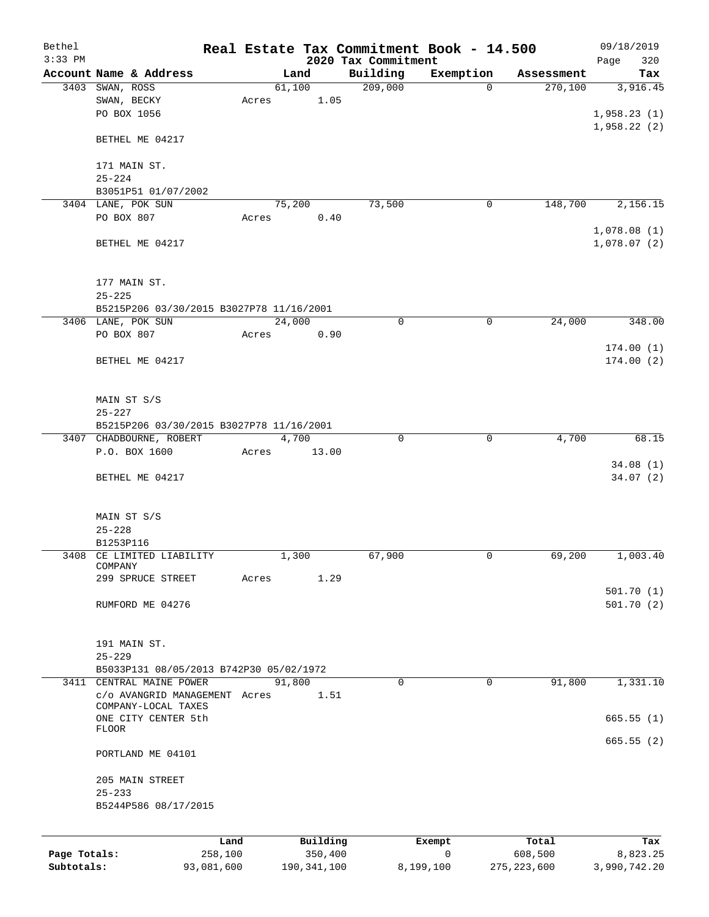| Bethel       |                                          |            |        |               | Real Estate Tax Commitment Book - 14.500 |                          |                       | 09/18/2019                 |
|--------------|------------------------------------------|------------|--------|---------------|------------------------------------------|--------------------------|-----------------------|----------------------------|
| $3:33$ PM    | Account Name & Address                   |            | Land   |               | 2020 Tax Commitment                      |                          |                       | 320<br>Page                |
|              | 3403 SWAN, ROSS                          |            | 61,100 |               | Building<br>209,000                      | Exemption<br>$\mathbf 0$ | Assessment<br>270,100 | Tax<br>3,916.45            |
|              | SWAN, BECKY                              | Acres      |        | 1.05          |                                          |                          |                       |                            |
|              | PO BOX 1056                              |            |        |               |                                          |                          |                       | 1,958.23(1)                |
|              |                                          |            |        |               |                                          |                          |                       | 1,958.22(2)                |
|              | BETHEL ME 04217                          |            |        |               |                                          |                          |                       |                            |
|              | 171 MAIN ST.                             |            |        |               |                                          |                          |                       |                            |
|              | $25 - 224$                               |            |        |               |                                          |                          |                       |                            |
|              | B3051P51 01/07/2002                      |            |        |               |                                          |                          |                       |                            |
|              | 3404 LANE, POK SUN                       |            | 75,200 |               | 73,500                                   | 0                        | 148,700               | 2,156.15                   |
|              | PO BOX 807                               | Acres      |        | 0.40          |                                          |                          |                       |                            |
|              | BETHEL ME 04217                          |            |        |               |                                          |                          |                       | 1,078.08(1)<br>1,078.07(2) |
|              | 177 MAIN ST.                             |            |        |               |                                          |                          |                       |                            |
|              | $25 - 225$                               |            |        |               |                                          |                          |                       |                            |
|              | B5215P206 03/30/2015 B3027P78 11/16/2001 |            |        |               |                                          |                          |                       |                            |
|              | 3406 LANE, POK SUN                       |            | 24,000 |               | 0                                        | 0                        | 24,000                | 348.00                     |
|              | PO BOX 807                               | Acres      |        | 0.90          |                                          |                          |                       |                            |
|              |                                          |            |        |               |                                          |                          |                       | 174.00(1)                  |
|              | BETHEL ME 04217                          |            |        |               |                                          |                          |                       | 174.00(2)                  |
|              | MAIN ST S/S                              |            |        |               |                                          |                          |                       |                            |
|              | $25 - 227$                               |            |        |               |                                          |                          |                       |                            |
|              | B5215P206 03/30/2015 B3027P78 11/16/2001 |            |        |               |                                          |                          |                       |                            |
|              | 3407 CHADBOURNE, ROBERT                  |            | 4,700  |               | $\mathbf 0$                              | $\mathbf 0$              | 4,700                 | 68.15                      |
|              | P.O. BOX 1600                            | Acres      |        | 13.00         |                                          |                          |                       |                            |
|              |                                          |            |        |               |                                          |                          |                       | 34.08(1)                   |
|              | BETHEL ME 04217                          |            |        |               |                                          |                          |                       | 34.07(2)                   |
|              | MAIN ST S/S                              |            |        |               |                                          |                          |                       |                            |
|              | $25 - 228$                               |            |        |               |                                          |                          |                       |                            |
|              | B1253P116                                |            |        |               |                                          |                          |                       |                            |
|              | 3408 CE LIMITED LIABILITY                |            | 1,300  |               | 67,900                                   | 0                        | 69,200                | 1,003.40                   |
|              | COMPANY                                  |            |        |               |                                          |                          |                       |                            |
|              | 299 SPRUCE STREET                        | Acres      |        | 1.29          |                                          |                          |                       |                            |
|              | RUMFORD ME 04276                         |            |        |               |                                          |                          |                       | 501.70(1)<br>501.70(2)     |
|              |                                          |            |        |               |                                          |                          |                       |                            |
|              | 191 MAIN ST.                             |            |        |               |                                          |                          |                       |                            |
|              | $25 - 229$                               |            |        |               |                                          |                          |                       |                            |
|              | B5033P131 08/05/2013 B742P30 05/02/1972  |            |        |               |                                          |                          |                       |                            |
|              | 3411 CENTRAL MAINE POWER                 |            | 91,800 |               | $\Omega$                                 | 0                        | 91,800                | 1,331.10                   |
|              | c/o AVANGRID MANAGEMENT Acres            |            |        | 1.51          |                                          |                          |                       |                            |
|              | COMPANY-LOCAL TAXES                      |            |        |               |                                          |                          |                       |                            |
|              | ONE CITY CENTER 5th<br><b>FLOOR</b>      |            |        |               |                                          |                          |                       | 665.55(1)                  |
|              |                                          |            |        |               |                                          |                          |                       | 665.55(2)                  |
|              | PORTLAND ME 04101                        |            |        |               |                                          |                          |                       |                            |
|              | 205 MAIN STREET                          |            |        |               |                                          |                          |                       |                            |
|              | $25 - 233$                               |            |        |               |                                          |                          |                       |                            |
|              | B5244P586 08/17/2015                     |            |        |               |                                          |                          |                       |                            |
|              |                                          |            |        |               |                                          |                          |                       |                            |
|              |                                          | Land       |        | Building      |                                          | Exempt                   | Total                 | Tax                        |
| Page Totals: |                                          | 258,100    |        | 350,400       |                                          | 0                        | 608,500               | 8,823.25                   |
| Subtotals:   |                                          | 93,081,600 |        | 190, 341, 100 |                                          | 8,199,100                | 275, 223, 600         | 3,990,742.20               |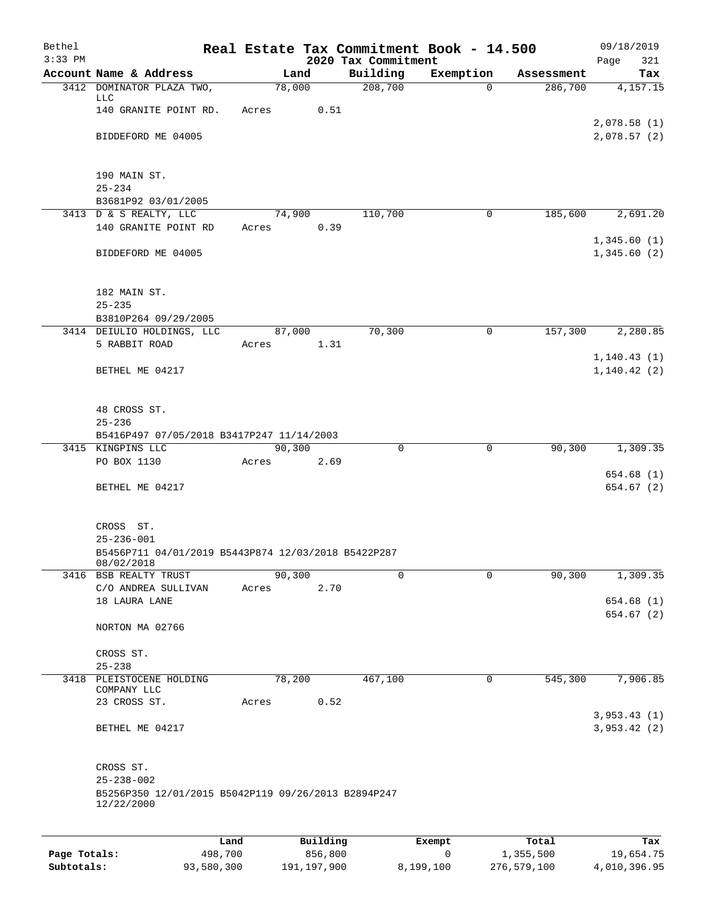| Bethel<br>$3:33$ PM |                                                                                       |         |                | 2020 Tax Commitment | Real Estate Tax Commitment Book - 14.500 |            | 09/18/2019<br>321<br>Page |
|---------------------|---------------------------------------------------------------------------------------|---------|----------------|---------------------|------------------------------------------|------------|---------------------------|
|                     | Account Name & Address                                                                |         | Land           | Building            | Exemption                                | Assessment | Tax                       |
|                     | 3412 DOMINATOR PLAZA TWO,                                                             |         | 78,000         | 208,700             | $\Omega$                                 | 286,700    | 4,157.15                  |
|                     | LLC<br>140 GRANITE POINT RD.                                                          | Acres   | 0.51           |                     |                                          |            |                           |
|                     |                                                                                       |         |                |                     |                                          |            | 2,078.58(1)               |
|                     | BIDDEFORD ME 04005                                                                    |         |                |                     |                                          |            | 2,078.57(2)               |
|                     | 190 MAIN ST.                                                                          |         |                |                     |                                          |            |                           |
|                     | $25 - 234$                                                                            |         |                |                     |                                          |            |                           |
|                     | B3681P92 03/01/2005                                                                   |         |                |                     |                                          |            |                           |
|                     | 3413 D & S REALTY, LLC<br>140 GRANITE POINT RD                                        | Acres   | 74,900<br>0.39 | 110,700             | 0                                        | 185,600    | 2,691.20                  |
|                     |                                                                                       |         |                |                     |                                          |            | 1,345.60(1)               |
|                     | BIDDEFORD ME 04005                                                                    |         |                |                     |                                          |            | 1,345.60(2)               |
|                     | 182 MAIN ST.                                                                          |         |                |                     |                                          |            |                           |
|                     | $25 - 235$                                                                            |         |                |                     |                                          |            |                           |
|                     | B3810P264 09/29/2005<br>3414 DEIULIO HOLDINGS, LLC                                    |         | 87,000         | 70,300              | $\mathsf{O}$                             | 157,300    | 2,280.85                  |
|                     | 5 RABBIT ROAD                                                                         | Acres   | 1.31           |                     |                                          |            |                           |
|                     |                                                                                       |         |                |                     |                                          |            | 1, 140.43(1)              |
|                     | BETHEL ME 04217                                                                       |         |                |                     |                                          |            | 1,140.42(2)               |
|                     | 48 CROSS ST.                                                                          |         |                |                     |                                          |            |                           |
|                     | $25 - 236$                                                                            |         |                |                     |                                          |            |                           |
|                     | B5416P497 07/05/2018 B3417P247 11/14/2003                                             |         |                |                     |                                          |            |                           |
|                     | 3415 KINGPINS LLC                                                                     |         | 90,300         | 0                   | 0                                        | 90,300     | 1,309.35                  |
|                     | PO BOX 1130                                                                           | Acres   | 2.69           |                     |                                          |            | 654.68(1)                 |
|                     | BETHEL ME 04217                                                                       |         |                |                     |                                          |            | 654.67 (2)                |
|                     |                                                                                       |         |                |                     |                                          |            |                           |
|                     | CROSS ST.                                                                             |         |                |                     |                                          |            |                           |
|                     | $25 - 236 - 001$                                                                      |         |                |                     |                                          |            |                           |
|                     | B5456P711 04/01/2019 B5443P874 12/03/2018 B5422P287                                   |         |                |                     |                                          |            |                           |
|                     | 08/02/2018<br>3416 BSB REALTY TRUST                                                   |         | 90,300         | 0                   | 0                                        | 90,300     | 1,309.35                  |
|                     | C/O ANDREA SULLIVAN                                                                   | Acres   | 2.70           |                     |                                          |            |                           |
|                     | 18 LAURA LANE                                                                         |         |                |                     |                                          |            | 654.68 (1)                |
|                     | NORTON MA 02766                                                                       |         |                |                     |                                          |            | 654.67(2)                 |
|                     |                                                                                       |         |                |                     |                                          |            |                           |
|                     | CROSS ST.<br>$25 - 238$                                                               |         |                |                     |                                          |            |                           |
| 3418                | PLEISTOCENE HOLDING                                                                   |         | 78,200         | 467,100             | 0                                        | 545,300    | 7,906.85                  |
|                     | COMPANY LLC                                                                           |         |                |                     |                                          |            |                           |
|                     | 23 CROSS ST.                                                                          | Acres   | 0.52           |                     |                                          |            | 3,953.43(1)               |
|                     | BETHEL ME 04217                                                                       |         |                |                     |                                          |            | 3,953.42(2)               |
|                     |                                                                                       |         |                |                     |                                          |            |                           |
|                     | CROSS ST.                                                                             |         |                |                     |                                          |            |                           |
|                     | $25 - 238 - 002$<br>B5256P350 12/01/2015 B5042P119 09/26/2013 B2894P247<br>12/22/2000 |         |                |                     |                                          |            |                           |
|                     |                                                                                       |         |                |                     |                                          |            |                           |
|                     |                                                                                       | Land    | Building       |                     | Exempt                                   | Total      | Tax                       |
| Page Totals:        |                                                                                       | 498,700 | 856,800        |                     | 0                                        | 1,355,500  | 19,654.75                 |

**Subtotals:** 93,580,300 191,197,900 8,199,100 276,579,100 4,010,396.95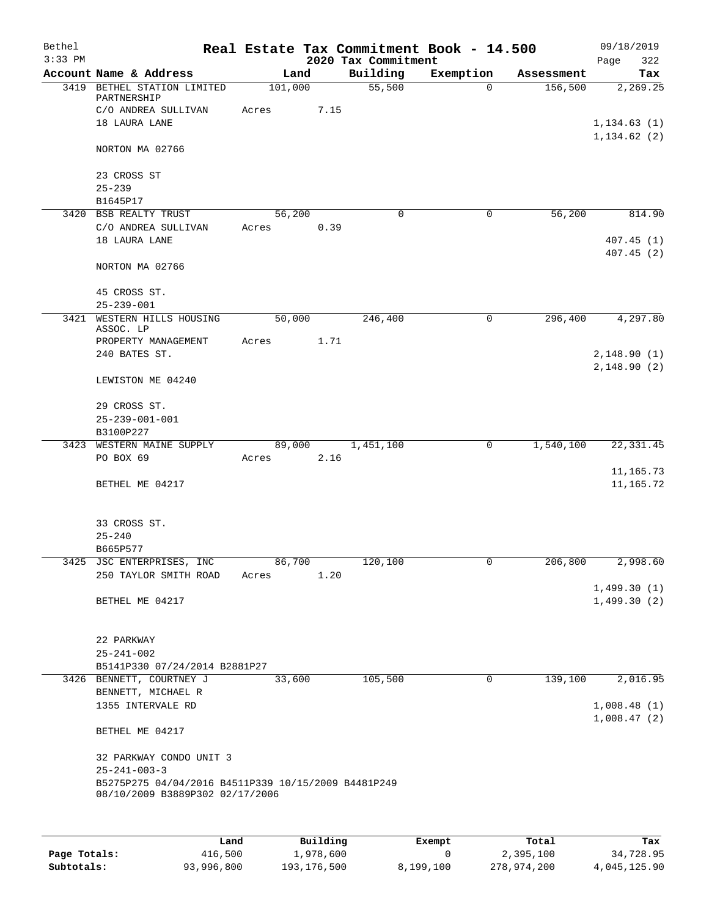| Bethel    |                                                                                        |         |        |                     | Real Estate Tax Commitment Book - 14.500 |            | 09/18/2019                 |
|-----------|----------------------------------------------------------------------------------------|---------|--------|---------------------|------------------------------------------|------------|----------------------------|
| $3:33$ PM |                                                                                        |         |        | 2020 Tax Commitment |                                          |            | 322<br>Page                |
|           | Account Name & Address                                                                 |         | Land   | Building            | Exemption                                | Assessment | Tax                        |
|           | 3419 BETHEL STATION LIMITED<br>PARTNERSHIP                                             | 101,000 |        | 55,500              | $\Omega$                                 | 156,500    | 2,269.25                   |
|           | C/O ANDREA SULLIVAN<br>18 LAURA LANE                                                   | Acres   | 7.15   |                     |                                          |            | 1, 134.63(1)               |
|           | NORTON MA 02766                                                                        |         |        |                     |                                          |            | 1, 134.62(2)               |
|           | 23 CROSS ST<br>$25 - 239$                                                              |         |        |                     |                                          |            |                            |
|           | B1645P17                                                                               |         |        |                     |                                          |            |                            |
|           | 3420 BSB REALTY TRUST                                                                  |         | 56,200 | $\Omega$            | $\mathbf 0$                              | 56,200     | 814.90                     |
|           | C/O ANDREA SULLIVAN<br>18 LAURA LANE                                                   | Acres   | 0.39   |                     |                                          |            | 407.45(1)<br>407.45(2)     |
|           | NORTON MA 02766                                                                        |         |        |                     |                                          |            |                            |
|           | 45 CROSS ST.<br>$25 - 239 - 001$                                                       |         |        |                     |                                          |            |                            |
| 3421      | WESTERN HILLS HOUSING<br>ASSOC. LP                                                     |         | 50,000 | 246,400             | 0                                        | 296,400    | 4,297.80                   |
|           | PROPERTY MANAGEMENT                                                                    | Acres   | 1.71   |                     |                                          |            |                            |
|           | 240 BATES ST.                                                                          |         |        |                     |                                          |            | 2,148.90(1)                |
|           | LEWISTON ME 04240                                                                      |         |        |                     |                                          |            | 2,148.90(2)                |
|           | 29 CROSS ST.<br>$25 - 239 - 001 - 001$                                                 |         |        |                     |                                          |            |                            |
|           | B3100P227                                                                              |         |        |                     |                                          |            |                            |
|           | 3423 WESTERN MAINE SUPPLY                                                              |         | 89,000 | 1,451,100           | 0                                        | 1,540,100  | 22, 331.45                 |
|           | PO BOX 69                                                                              | Acres   | 2.16   |                     |                                          |            |                            |
|           |                                                                                        |         |        |                     |                                          |            | 11,165.73                  |
|           | BETHEL ME 04217                                                                        |         |        |                     |                                          |            | 11,165.72                  |
|           | 33 CROSS ST.                                                                           |         |        |                     |                                          |            |                            |
|           | $25 - 240$                                                                             |         |        |                     |                                          |            |                            |
|           | B665P577<br>3425 JSC ENTERPRISES, INC                                                  | 86,700  |        | 120, 100            | 0                                        | 206,800    | 2,998.60                   |
|           | 250 TAYLOR SMITH ROAD                                                                  | Acres   | 1.20   |                     |                                          |            | 1,499.30(1)                |
|           | BETHEL ME 04217                                                                        |         |        |                     |                                          |            | 1,499.30(2)                |
|           | 22 PARKWAY<br>$25 - 241 - 002$                                                         |         |        |                     |                                          |            |                            |
|           | B5141P330 07/24/2014 B2881P27                                                          |         |        |                     |                                          |            |                            |
|           | 3426 BENNETT, COURTNEY J                                                               |         | 33,600 | 105,500             | $\mathbf 0$                              | 139,100    | 2,016.95                   |
|           | BENNETT, MICHAEL R                                                                     |         |        |                     |                                          |            |                            |
|           | 1355 INTERVALE RD                                                                      |         |        |                     |                                          |            | 1,008.48(1)<br>1,008.47(2) |
|           | BETHEL ME 04217                                                                        |         |        |                     |                                          |            |                            |
|           | 32 PARKWAY CONDO UNIT 3<br>$25 - 241 - 003 - 3$                                        |         |        |                     |                                          |            |                            |
|           | B5275P275 04/04/2016 B4511P339 10/15/2009 B4481P249<br>08/10/2009 B3889P302 02/17/2006 |         |        |                     |                                          |            |                            |
|           |                                                                                        |         |        |                     |                                          |            |                            |

|              | Land       | Building    | Exempt    | Total       | Tax          |
|--------------|------------|-------------|-----------|-------------|--------------|
| Page Totals: | 416,500    | 1,978,600   |           | 2,395,100   | 34,728.95    |
| Subtotals:   | 93,996,800 | 193,176,500 | 8,199,100 | 278,974,200 | 4,045,125.90 |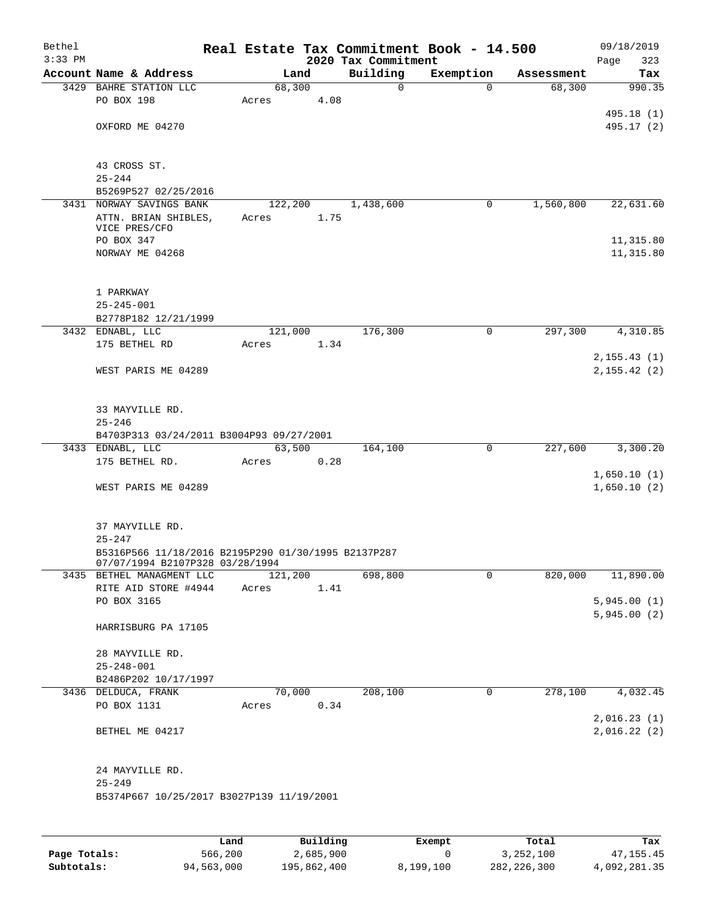| Bethel    |                                                     |                  |      |                     | Real Estate Tax Commitment Book - 14.500 |            | 09/18/2019   |
|-----------|-----------------------------------------------------|------------------|------|---------------------|------------------------------------------|------------|--------------|
| $3:33$ PM |                                                     |                  |      | 2020 Tax Commitment |                                          |            | Page<br>323  |
|           | Account Name & Address                              | Land             |      | Building<br>0       | Exemption<br>$\Omega$                    | Assessment | Tax          |
|           | 3429 BAHRE STATION LLC<br>PO BOX 198                | 68,300<br>Acres  | 4.08 |                     |                                          | 68,300     | 990.35       |
|           |                                                     |                  |      |                     |                                          |            | 495.18 (1)   |
|           | OXFORD ME 04270                                     |                  |      |                     |                                          |            | 495.17 (2)   |
|           |                                                     |                  |      |                     |                                          |            |              |
|           |                                                     |                  |      |                     |                                          |            |              |
|           | 43 CROSS ST.                                        |                  |      |                     |                                          |            |              |
|           | $25 - 244$                                          |                  |      |                     |                                          |            |              |
|           | B5269P527 02/25/2016<br>3431 NORWAY SAVINGS BANK    |                  |      |                     | 0                                        |            |              |
|           | ATTN. BRIAN SHIBLES,                                | 122,200<br>Acres | 1.75 | 1,438,600           |                                          | 1,560,800  | 22,631.60    |
|           | VICE PRES/CFO                                       |                  |      |                     |                                          |            |              |
|           | PO BOX 347                                          |                  |      |                     |                                          |            | 11,315.80    |
|           | NORWAY ME 04268                                     |                  |      |                     |                                          |            | 11,315.80    |
|           |                                                     |                  |      |                     |                                          |            |              |
|           | 1 PARKWAY                                           |                  |      |                     |                                          |            |              |
|           | $25 - 245 - 001$                                    |                  |      |                     |                                          |            |              |
|           | B2778P182 12/21/1999                                |                  |      |                     |                                          |            |              |
|           | 3432 EDNABL, LLC                                    | 121,000          |      | 176,300             | $\mathbf 0$                              | 297,300    | 4,310.85     |
|           | 175 BETHEL RD                                       | Acres            | 1.34 |                     |                                          |            |              |
|           |                                                     |                  |      |                     |                                          |            | 2, 155.43(1) |
|           | WEST PARIS ME 04289                                 |                  |      |                     |                                          |            | 2, 155.42(2) |
|           |                                                     |                  |      |                     |                                          |            |              |
|           |                                                     |                  |      |                     |                                          |            |              |
|           | 33 MAYVILLE RD.<br>$25 - 246$                       |                  |      |                     |                                          |            |              |
|           | B4703P313 03/24/2011 B3004P93 09/27/2001            |                  |      |                     |                                          |            |              |
|           | 3433 EDNABL, LLC                                    | 63,500           |      | 164,100             | $\mathbf 0$                              | 227,600    | 3,300.20     |
|           | 175 BETHEL RD.                                      | Acres            | 0.28 |                     |                                          |            |              |
|           |                                                     |                  |      |                     |                                          |            | 1,650.10(1)  |
|           | WEST PARIS ME 04289                                 |                  |      |                     |                                          |            | 1,650.10(2)  |
|           |                                                     |                  |      |                     |                                          |            |              |
|           | 37 MAYVILLE RD.                                     |                  |      |                     |                                          |            |              |
|           | $25 - 247$                                          |                  |      |                     |                                          |            |              |
|           | B5316P566 11/18/2016 B2195P290 01/30/1995 B2137P287 |                  |      |                     |                                          |            |              |
|           | 07/07/1994 B2107P328 03/28/1994                     | 121,200          |      |                     |                                          | 820,000    |              |
|           | 3435 BETHEL MANAGMENT LLC<br>RITE AID STORE #4944   | Acres            | 1.41 | 698,800             | 0                                        |            | 11,890.00    |
|           | PO BOX 3165                                         |                  |      |                     |                                          |            | 5,945.00(1)  |
|           |                                                     |                  |      |                     |                                          |            | 5,945.00(2)  |
|           | HARRISBURG PA 17105                                 |                  |      |                     |                                          |            |              |
|           |                                                     |                  |      |                     |                                          |            |              |
|           | 28 MAYVILLE RD.                                     |                  |      |                     |                                          |            |              |
|           | $25 - 248 - 001$                                    |                  |      |                     |                                          |            |              |
|           | B2486P202 10/17/1997                                |                  |      |                     |                                          |            |              |
|           | 3436 DELDUCA, FRANK<br>PO BOX 1131                  | 70,000<br>Acres  | 0.34 | 208,100             | 0                                        | 278,100    | 4,032.45     |
|           |                                                     |                  |      |                     |                                          |            | 2,016.23(1)  |
|           | BETHEL ME 04217                                     |                  |      |                     |                                          |            | 2,016.22(2)  |
|           |                                                     |                  |      |                     |                                          |            |              |
|           |                                                     |                  |      |                     |                                          |            |              |
|           | 24 MAYVILLE RD.                                     |                  |      |                     |                                          |            |              |
|           | $25 - 249$                                          |                  |      |                     |                                          |            |              |
|           | B5374P667 10/25/2017 B3027P139 11/19/2001           |                  |      |                     |                                          |            |              |
|           |                                                     |                  |      |                     |                                          |            |              |
|           |                                                     |                  |      |                     |                                          |            |              |

|              | Land       | Building    | Exempt    | Total         | Tax          |
|--------------|------------|-------------|-----------|---------------|--------------|
| Page Totals: | 566,200    | 2,685,900   |           | 3,252,100     | 47,155.45    |
| Subtotals:   | 94,563,000 | 195,862,400 | 8,199,100 | 282, 226, 300 | 4,092,281.35 |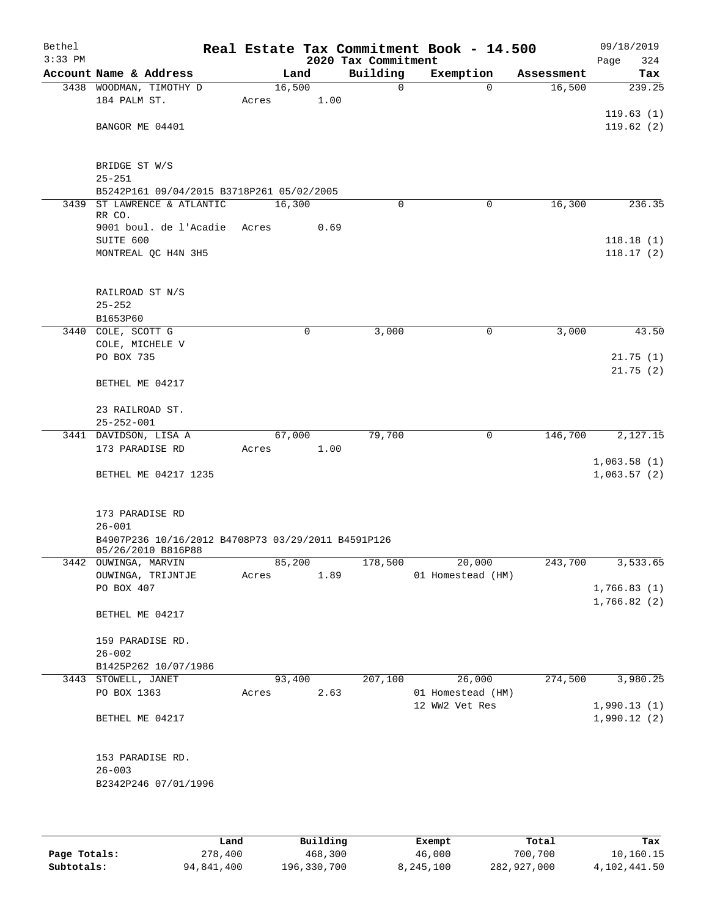| Bethel<br>$3:33$ PM |                                                                          |        |             | 2020 Tax Commitment | Real Estate Tax Commitment Book - 14.500 |            | 09/18/2019<br>Page<br>324 |
|---------------------|--------------------------------------------------------------------------|--------|-------------|---------------------|------------------------------------------|------------|---------------------------|
|                     | Account Name & Address                                                   |        | Land        | Building            | Exemption                                | Assessment | Tax                       |
|                     | 3438 WOODMAN, TIMOTHY D                                                  | 16,500 |             | $\mathbf 0$         | $\Omega$                                 | 16,500     | 239.25                    |
|                     | 184 PALM ST.                                                             | Acres  | 1.00        |                     |                                          |            |                           |
|                     |                                                                          |        |             |                     |                                          |            | 119.63(1)                 |
|                     | BANGOR ME 04401                                                          |        |             |                     |                                          |            | 119.62(2)                 |
|                     |                                                                          |        |             |                     |                                          |            |                           |
|                     | BRIDGE ST W/S                                                            |        |             |                     |                                          |            |                           |
|                     | $25 - 251$                                                               |        |             |                     |                                          |            |                           |
|                     | B5242P161 09/04/2015 B3718P261 05/02/2005                                |        |             |                     |                                          |            |                           |
| 3439                | ST LAWRENCE & ATLANTIC                                                   | 16,300 |             | $\Omega$            | $\mathbf 0$                              | 16,300     | 236.35                    |
|                     | RR CO.                                                                   |        |             |                     |                                          |            |                           |
|                     | 9001 boul. de l'Acadie<br>SUITE 600                                      | Acres  | 0.69        |                     |                                          |            | 118.18(1)                 |
|                     | MONTREAL QC H4N 3H5                                                      |        |             |                     |                                          |            | 118.17(2)                 |
|                     |                                                                          |        |             |                     |                                          |            |                           |
|                     |                                                                          |        |             |                     |                                          |            |                           |
|                     | RAILROAD ST N/S                                                          |        |             |                     |                                          |            |                           |
|                     | $25 - 252$                                                               |        |             |                     |                                          |            |                           |
|                     | B1653P60                                                                 |        |             |                     |                                          |            |                           |
|                     | 3440 COLE, SCOTT G<br>COLE, MICHELE V                                    |        | $\mathbf 0$ | 3,000               | 0                                        | 3,000      | 43.50                     |
|                     | PO BOX 735                                                               |        |             |                     |                                          |            | 21.75(1)                  |
|                     |                                                                          |        |             |                     |                                          |            | 21.75(2)                  |
|                     | BETHEL ME 04217                                                          |        |             |                     |                                          |            |                           |
|                     |                                                                          |        |             |                     |                                          |            |                           |
|                     | 23 RAILROAD ST.                                                          |        |             |                     |                                          |            |                           |
|                     | $25 - 252 - 001$                                                         |        |             |                     |                                          |            |                           |
|                     | 3441 DAVIDSON, LISA A<br>173 PARADISE RD                                 | 67,000 | 1.00        | 79,700              | $\mathbf 0$                              | 146,700    | 2,127.15                  |
|                     |                                                                          | Acres  |             |                     |                                          |            | 1,063.58(1)               |
|                     | BETHEL ME 04217 1235                                                     |        |             |                     |                                          |            | 1,063.57(2)               |
|                     |                                                                          |        |             |                     |                                          |            |                           |
|                     |                                                                          |        |             |                     |                                          |            |                           |
|                     | 173 PARADISE RD                                                          |        |             |                     |                                          |            |                           |
|                     | $26 - 001$                                                               |        |             |                     |                                          |            |                           |
|                     | B4907P236 10/16/2012 B4708P73 03/29/2011 B4591P126<br>05/26/2010 B816P88 |        |             |                     |                                          |            |                           |
|                     | 3442 OUWINGA, MARVIN                                                     |        |             |                     | 85,200 178,500 20,000                    | 243,700    | 3,533.65                  |
|                     | OUWINGA, TRIJNTJE                                                        | Acres  | 1.89        |                     | 01 Homestead (HM)                        |            |                           |
|                     | PO BOX 407                                                               |        |             |                     |                                          |            | 1,766.83(1)               |
|                     |                                                                          |        |             |                     |                                          |            | 1,766.82(2)               |
|                     | BETHEL ME 04217                                                          |        |             |                     |                                          |            |                           |
|                     | 159 PARADISE RD.                                                         |        |             |                     |                                          |            |                           |
|                     | $26 - 002$                                                               |        |             |                     |                                          |            |                           |
|                     | B1425P262 10/07/1986                                                     |        |             |                     |                                          |            |                           |
|                     | 3443 STOWELL, JANET                                                      |        | 93,400      | 207,100             | 26,000                                   | 274,500    | 3,980.25                  |
|                     | PO BOX 1363                                                              | Acres  | 2.63        |                     | 01 Homestead (HM)                        |            |                           |
|                     |                                                                          |        |             |                     | 12 WW2 Vet Res                           |            | 1,990.13(1)               |
|                     | BETHEL ME 04217                                                          |        |             |                     |                                          |            | 1,990.12(2)               |
|                     |                                                                          |        |             |                     |                                          |            |                           |
|                     | 153 PARADISE RD.                                                         |        |             |                     |                                          |            |                           |
|                     | $26 - 003$                                                               |        |             |                     |                                          |            |                           |
|                     | B2342P246 07/01/1996                                                     |        |             |                     |                                          |            |                           |
|                     |                                                                          |        |             |                     |                                          |            |                           |
|                     |                                                                          |        |             |                     |                                          |            |                           |
|                     |                                                                          |        |             |                     |                                          |            |                           |

|              | Land       | Building    | Exempt    | Total       | Tax          |
|--------------|------------|-------------|-----------|-------------|--------------|
| Page Totals: | 278,400    | 468,300     | 46,000    | 700,700     | 10,160.15    |
| Subtotals:   | 94,841,400 | 196,330,700 | 8,245,100 | 282,927,000 | 4,102,441.50 |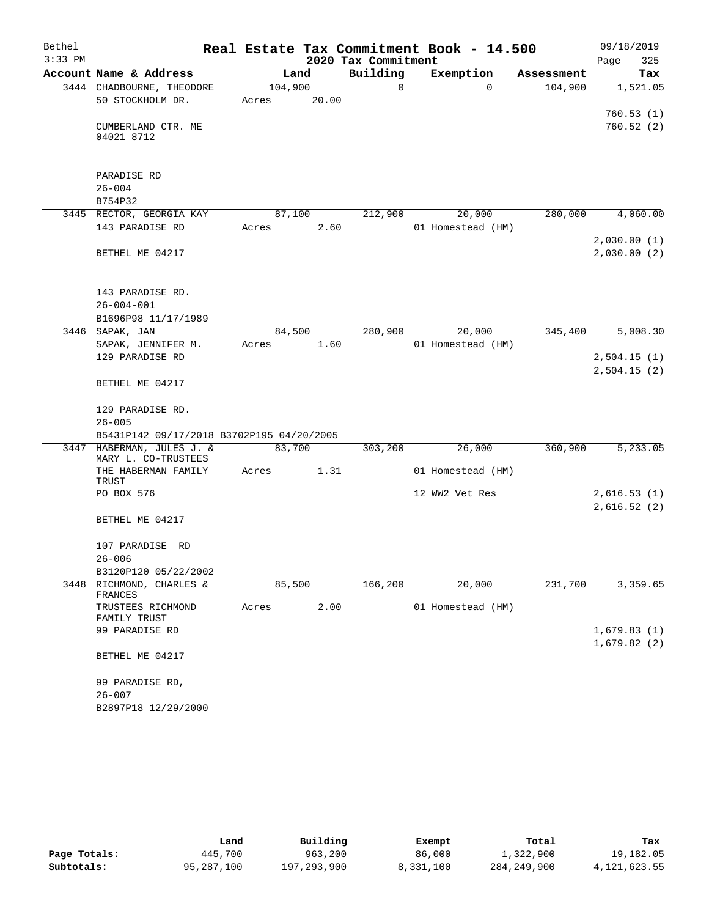| Bethel    |                                                  |         |        |                     | Real Estate Tax Commitment Book - 14.500 |            | 09/18/2019                 |
|-----------|--------------------------------------------------|---------|--------|---------------------|------------------------------------------|------------|----------------------------|
| $3:33$ PM |                                                  |         |        | 2020 Tax Commitment |                                          |            | 325<br>Page                |
|           | Account Name & Address                           |         | Land   | Building            | Exemption                                | Assessment | Tax                        |
|           | 3444 CHADBOURNE, THEODORE                        | 104,900 |        | $\Omega$            | $\Omega$                                 | 104,900    | 1,521.05                   |
|           | 50 STOCKHOLM DR.                                 | Acres   | 20.00  |                     |                                          |            |                            |
|           |                                                  |         |        |                     |                                          |            | 760.53(1)                  |
|           | CUMBERLAND CTR. ME<br>04021 8712                 |         |        |                     |                                          |            | 760.52(2)                  |
|           | PARADISE RD                                      |         |        |                     |                                          |            |                            |
|           | $26 - 004$                                       |         |        |                     |                                          |            |                            |
|           | B754P32                                          |         |        |                     |                                          |            |                            |
|           | 3445 RECTOR, GEORGIA KAY                         |         | 87,100 | 212,900             | 20,000                                   | 280,000    | 4,060.00                   |
|           | 143 PARADISE RD                                  | Acres   | 2.60   |                     | 01 Homestead (HM)                        |            |                            |
|           |                                                  |         |        |                     |                                          |            | 2,030.00(1)                |
|           | BETHEL ME 04217                                  |         |        |                     |                                          |            | 2,030.00(2)                |
|           | 143 PARADISE RD.<br>$26 - 004 - 001$             |         |        |                     |                                          |            |                            |
|           | B1696P98 11/17/1989                              |         |        |                     |                                          |            |                            |
|           | 3446 SAPAK, JAN                                  | 84,500  |        | 280,900             | 20,000                                   | 345,400    | 5,008.30                   |
|           | SAPAK, JENNIFER M.                               | Acres   | 1.60   |                     | 01 Homestead (HM)                        |            |                            |
|           | 129 PARADISE RD                                  |         |        |                     |                                          |            | 2,504.15(1)                |
|           | BETHEL ME 04217                                  |         |        |                     |                                          |            | 2,504.15(2)                |
|           | 129 PARADISE RD.                                 |         |        |                     |                                          |            |                            |
|           | $26 - 005$                                       |         |        |                     |                                          |            |                            |
|           | B5431P142 09/17/2018 B3702P195 04/20/2005        |         |        |                     |                                          |            |                            |
|           | 3447 HABERMAN, JULES J. &<br>MARY L. CO-TRUSTEES | 83,700  |        | 303,200             | 26,000                                   | 360,900    | 5,233.05                   |
|           | THE HABERMAN FAMILY<br>TRUST                     | Acres   | 1.31   |                     | 01 Homestead (HM)                        |            |                            |
|           | PO BOX 576                                       |         |        |                     | 12 WW2 Vet Res                           |            | 2,616.53(1)<br>2,616.52(2) |
|           | BETHEL ME 04217                                  |         |        |                     |                                          |            |                            |
|           | 107 PARADISE RD<br>$26 - 006$                    |         |        |                     |                                          |            |                            |
|           | B3120P120 05/22/2002                             |         |        |                     |                                          |            |                            |
|           | 3448 RICHMOND, CHARLES &<br>FRANCES              | 85,500  |        | 166,200             | 20,000                                   | 231,700    | 3,359.65                   |
|           | TRUSTEES RICHMOND<br>FAMILY TRUST                | Acres   | 2.00   |                     | 01 Homestead (HM)                        |            |                            |
|           | 99 PARADISE RD                                   |         |        |                     |                                          |            | 1,679.83(1)                |
|           | BETHEL ME 04217                                  |         |        |                     |                                          |            | 1,679.82(2)                |
|           | 99 PARADISE RD,                                  |         |        |                     |                                          |            |                            |
|           | $26 - 007$                                       |         |        |                     |                                          |            |                            |
|           | B2897P18 12/29/2000                              |         |        |                     |                                          |            |                            |

|              | Land       | Building    | Exempt    | Total       | Tax          |
|--------------|------------|-------------|-----------|-------------|--------------|
| Page Totals: | 445,700    | 963,200     | 86,000    | 1,322,900   | 19,182.05    |
| Subtotals:   | 95,287,100 | 197,293,900 | 8,331,100 | 284,249,900 | 4,121,623.55 |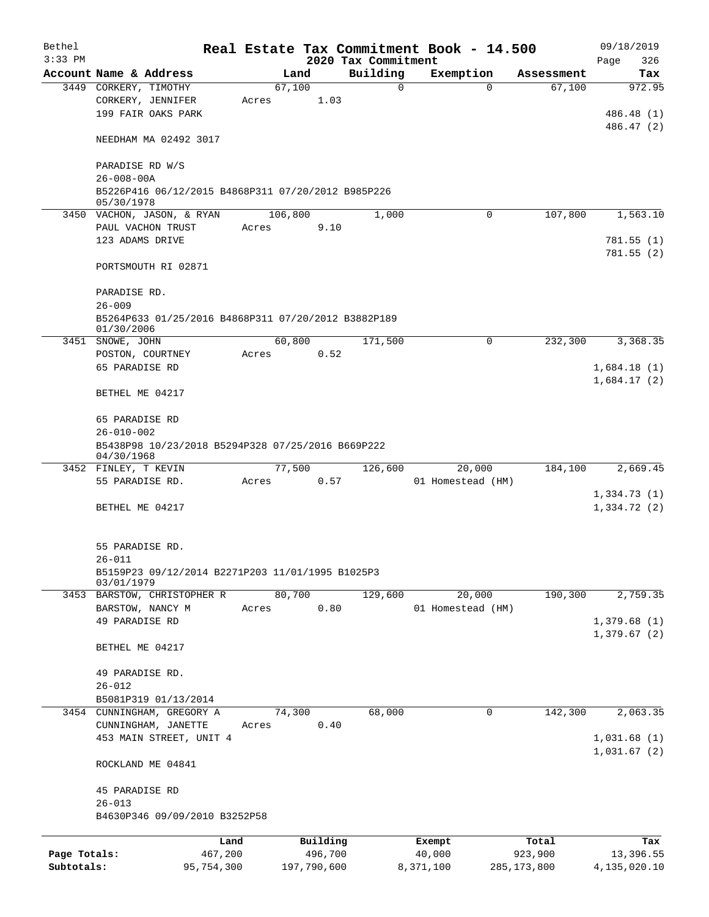| Bethel       |                                                                   |       |                |                     |             | Real Estate Tax Commitment Book - 14.500 |               | 09/18/2019      |
|--------------|-------------------------------------------------------------------|-------|----------------|---------------------|-------------|------------------------------------------|---------------|-----------------|
| $3:33$ PM    |                                                                   |       |                | 2020 Tax Commitment |             |                                          |               | Page<br>326     |
|              | Account Name & Address                                            |       | Land           | Building            |             | Exemption                                | Assessment    | Tax             |
|              | 3449 CORKERY, TIMOTHY                                             |       | 67,100         |                     | $\mathbf 0$ | $\Omega$                                 | 67,100        | 972.95          |
|              | CORKERY, JENNIFER<br>199 FAIR OAKS PARK                           | Acres | 1.03           |                     |             |                                          |               | 486.48 (1)      |
|              |                                                                   |       |                |                     |             |                                          |               | 486.47 (2)      |
|              | NEEDHAM MA 02492 3017                                             |       |                |                     |             |                                          |               |                 |
|              | PARADISE RD W/S<br>$26 - 008 - 00A$                               |       |                |                     |             |                                          |               |                 |
|              | B5226P416 06/12/2015 B4868P311 07/20/2012 B985P226<br>05/30/1978  |       |                |                     |             |                                          |               |                 |
|              | 3450 VACHON, JASON, & RYAN                                        |       | 106,800        |                     | 1,000       | 0                                        | 107,800       | 1,563.10        |
|              | PAUL VACHON TRUST                                                 | Acres | 9.10           |                     |             |                                          |               |                 |
|              | 123 ADAMS DRIVE                                                   |       |                |                     |             |                                          |               | 781.55(1)       |
|              |                                                                   |       |                |                     |             |                                          |               | 781.55(2)       |
|              | PORTSMOUTH RI 02871                                               |       |                |                     |             |                                          |               |                 |
|              | PARADISE RD.                                                      |       |                |                     |             |                                          |               |                 |
|              | $26 - 009$                                                        |       |                |                     |             |                                          |               |                 |
|              | B5264P633 01/25/2016 B4868P311 07/20/2012 B3882P189<br>01/30/2006 |       |                |                     |             |                                          |               |                 |
|              | 3451 SNOWE, JOHN                                                  |       | 60,800         |                     | 171,500     | 0                                        | 232,300       | 3,368.35        |
|              | POSTON, COURTNEY                                                  | Acres | 0.52           |                     |             |                                          |               |                 |
|              | 65 PARADISE RD                                                    |       |                |                     |             |                                          |               | 1,684.18(1)     |
|              | BETHEL ME 04217                                                   |       |                |                     |             |                                          |               | 1,684.17(2)     |
|              | 65 PARADISE RD                                                    |       |                |                     |             |                                          |               |                 |
|              | $26 - 010 - 002$                                                  |       |                |                     |             |                                          |               |                 |
|              | B5438P98 10/23/2018 B5294P328 07/25/2016 B669P222<br>04/30/1968   |       |                |                     |             |                                          |               |                 |
|              | 3452 FINLEY, T KEVIN                                              |       | 77,500         |                     | 126,600     | 20,000                                   | 184,100       | 2,669.45        |
|              | 55 PARADISE RD.                                                   | Acres | 0.57           |                     |             | 01 Homestead (HM)                        |               |                 |
|              |                                                                   |       |                |                     |             |                                          |               | 1,334.73(1)     |
|              | BETHEL ME 04217                                                   |       |                |                     |             |                                          |               | 1,334.72(2)     |
|              | 55 PARADISE RD.                                                   |       |                |                     |             |                                          |               |                 |
|              | 26-011                                                            |       |                |                     |             |                                          |               |                 |
|              | B5159P23 09/12/2014 B2271P203 11/01/1995 B1025P3<br>03/01/1979    |       |                |                     |             |                                          |               |                 |
|              | 3453 BARSTOW, CHRISTOPHER R                                       |       | 80,700         |                     | 129,600     | 20,000                                   | 190,300       | 2,759.35        |
|              | BARSTOW, NANCY M                                                  | Acres | 0.80           |                     |             | 01 Homestead (HM)                        |               |                 |
|              | 49 PARADISE RD                                                    |       |                |                     |             |                                          |               | 1,379.68(1)     |
|              | BETHEL ME 04217                                                   |       |                |                     |             |                                          |               | 1,379.67(2)     |
|              |                                                                   |       |                |                     |             |                                          |               |                 |
|              | 49 PARADISE RD.                                                   |       |                |                     |             |                                          |               |                 |
|              | $26 - 012$                                                        |       |                |                     |             |                                          |               |                 |
|              | B5081P319 01/13/2014                                              |       |                |                     | 68,000      |                                          |               |                 |
|              | 3454 CUNNINGHAM, GREGORY A<br>CUNNINGHAM, JANETTE                 | Acres | 74,300<br>0.40 |                     |             | 0                                        | 142,300       | 2,063.35        |
|              | 453 MAIN STREET, UNIT 4                                           |       |                |                     |             |                                          |               | 1,031.68(1)     |
|              |                                                                   |       |                |                     |             |                                          |               | 1,031.67(2)     |
|              | ROCKLAND ME 04841                                                 |       |                |                     |             |                                          |               |                 |
|              | 45 PARADISE RD                                                    |       |                |                     |             |                                          |               |                 |
|              | $26 - 013$                                                        |       |                |                     |             |                                          |               |                 |
|              | B4630P346 09/09/2010 B3252P58                                     |       |                |                     |             |                                          |               |                 |
|              |                                                                   | Land  | Building       |                     |             | Exempt                                   | Total         | Tax             |
| Page Totals: | 467,200                                                           |       | 496,700        |                     |             | 40,000                                   | 923,900       | 13,396.55       |
| Subtotals:   | 95,754,300                                                        |       | 197,790,600    |                     |             | 8,371,100                                | 285, 173, 800 | 4, 135, 020. 10 |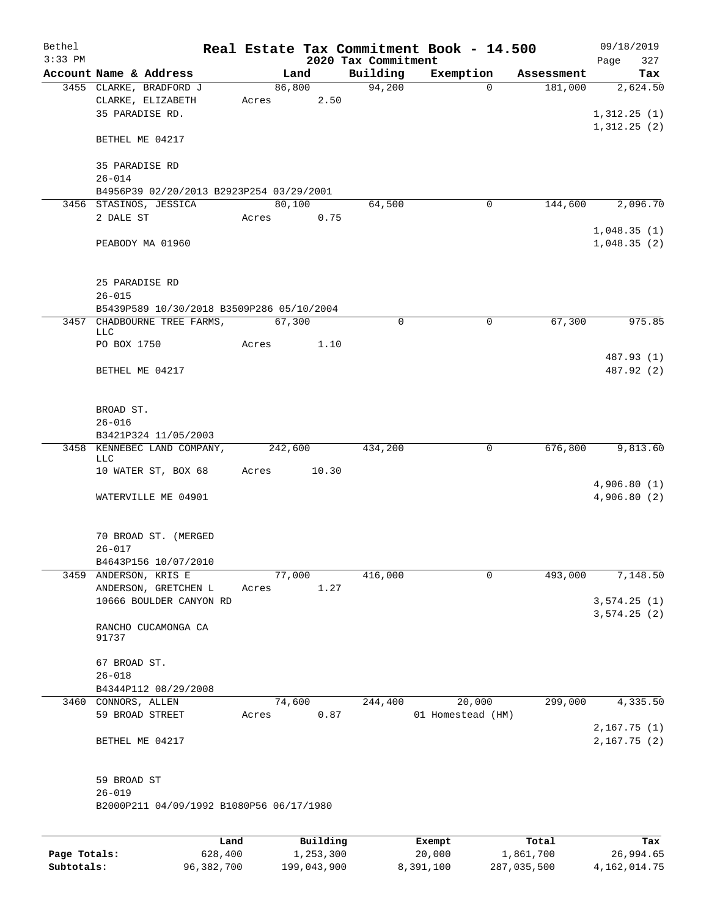| Bethel       |                                                   |         |                       |                     | Real Estate Tax Commitment Book - 14.500 |                       | 09/18/2019                 |
|--------------|---------------------------------------------------|---------|-----------------------|---------------------|------------------------------------------|-----------------------|----------------------------|
| $3:33$ PM    |                                                   |         |                       | 2020 Tax Commitment |                                          |                       | 327<br>Page                |
|              | Account Name & Address<br>3455 CLARKE, BRADFORD J |         | Land<br>86,800        | Building<br>94,200  | Exemption<br>$\Omega$                    | Assessment<br>181,000 | Tax<br>2,624.50            |
|              | CLARKE, ELIZABETH<br>35 PARADISE RD.              | Acres   | 2.50                  |                     |                                          |                       | 1,312.25(1)                |
|              | BETHEL ME 04217                                   |         |                       |                     |                                          |                       | 1,312.25(2)                |
|              | 35 PARADISE RD<br>$26 - 014$                      |         |                       |                     |                                          |                       |                            |
|              | B4956P39 02/20/2013 B2923P254 03/29/2001          |         |                       |                     |                                          |                       |                            |
|              | 3456 STASINOS, JESSICA                            | 80,100  |                       | 64,500              | $\mathbf 0$                              | 144,600               | 2,096.70                   |
|              | 2 DALE ST<br>PEABODY MA 01960                     | Acres   | 0.75                  |                     |                                          |                       | 1,048.35(1)<br>1,048.35(2) |
|              | 25 PARADISE RD<br>$26 - 015$                      |         |                       |                     |                                          |                       |                            |
|              | B5439P589 10/30/2018 B3509P286 05/10/2004         |         |                       |                     |                                          |                       |                            |
|              | 3457 CHADBOURNE TREE FARMS,<br>LLC                | 67,300  |                       | 0                   | $\mathbf 0$                              | 67,300                | 975.85                     |
|              | PO BOX 1750                                       | Acres   | 1.10                  |                     |                                          |                       |                            |
|              | BETHEL ME 04217                                   |         |                       |                     |                                          |                       | 487.93 (1)<br>487.92 (2)   |
|              | BROAD ST.<br>$26 - 016$                           |         |                       |                     |                                          |                       |                            |
|              | B3421P324 11/05/2003                              |         |                       |                     |                                          |                       |                            |
|              | 3458 KENNEBEC LAND COMPANY,<br>LLC                | 242,600 |                       | 434,200             | $\mathbf 0$                              | 676,800               | 9,813.60                   |
|              | 10 WATER ST, BOX 68                               | Acres   | 10.30                 |                     |                                          |                       | 4,906.80(1)                |
|              | WATERVILLE ME 04901                               |         |                       |                     |                                          |                       | 4,906.80 (2)               |
|              | 70 BROAD ST. (MERGED<br>$26 - 017$                |         |                       |                     |                                          |                       |                            |
|              | B4643P156 10/07/2010                              |         |                       |                     |                                          |                       |                            |
| 3459         | ANDERSON, KRIS E                                  | 77,000  |                       | 416,000             | $\mathbf 0$                              | 493,000               | 7,148.50                   |
|              | ANDERSON, GRETCHEN L                              | Acres   | 1.27                  |                     |                                          |                       |                            |
|              | 10666 BOULDER CANYON RD                           |         |                       |                     |                                          |                       | 3,574.25(1)<br>3,574.25(2) |
|              | RANCHO CUCAMONGA CA<br>91737                      |         |                       |                     |                                          |                       |                            |
|              | 67 BROAD ST.<br>$26 - 018$                        |         |                       |                     |                                          |                       |                            |
|              | B4344P112 08/29/2008                              |         |                       |                     |                                          |                       |                            |
|              | 3460 CONNORS, ALLEN                               | 74,600  |                       | 244,400             | 20,000                                   | 299,000               | 4,335.50                   |
|              | 59 BROAD STREET                                   | Acres   | 0.87                  |                     | 01 Homestead (HM)                        |                       | 2,167.75(1)                |
|              | BETHEL ME 04217                                   |         |                       |                     |                                          |                       | 2, 167.75 (2)              |
|              | 59 BROAD ST<br>$26 - 019$                         |         |                       |                     |                                          |                       |                            |
|              | B2000P211 04/09/1992 B1080P56 06/17/1980          |         |                       |                     |                                          |                       |                            |
|              |                                                   |         |                       |                     |                                          |                       |                            |
| Page Totals: | Land<br>628,400                                   |         | Building<br>1,253,300 |                     | Exempt<br>20,000                         | Total<br>1,861,700    | Tax<br>26,994.65           |

**Subtotals:** 96,382,700 199,043,900 8,391,100 287,035,500 4,162,014.75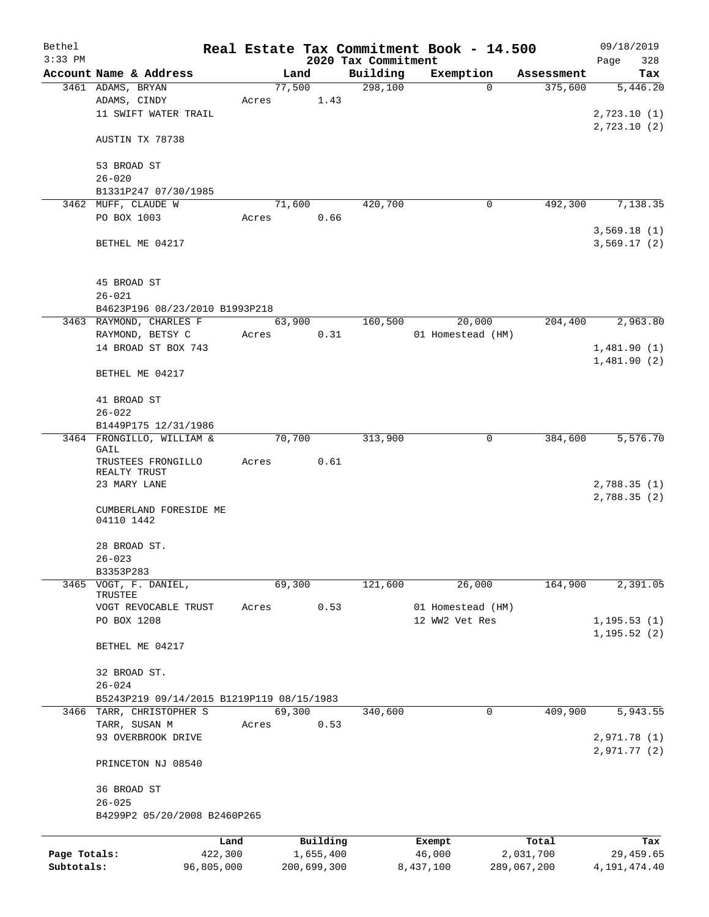| Bethel       |                                           |                 |       |        |             |                     | Real Estate Tax Commitment Book - 14.500 |                    | 09/18/2019       |
|--------------|-------------------------------------------|-----------------|-------|--------|-------------|---------------------|------------------------------------------|--------------------|------------------|
| $3:33$ PM    |                                           |                 |       |        |             | 2020 Tax Commitment |                                          |                    | Page<br>328      |
|              | Account Name & Address                    |                 |       | Land   |             | Building            | Exemption                                | Assessment         | Tax              |
|              | 3461 ADAMS, BRYAN                         |                 |       | 77,500 |             | 298,100             | $\Omega$                                 | 375,600            | 5,446.20         |
|              | ADAMS, CINDY                              |                 | Acres |        | 1.43        |                     |                                          |                    |                  |
|              | 11 SWIFT WATER TRAIL                      |                 |       |        |             |                     |                                          |                    | 2,723.10 (1)     |
|              |                                           |                 |       |        |             |                     |                                          |                    | 2,723.10(2)      |
|              | AUSTIN TX 78738                           |                 |       |        |             |                     |                                          |                    |                  |
|              |                                           |                 |       |        |             |                     |                                          |                    |                  |
|              | 53 BROAD ST                               |                 |       |        |             |                     |                                          |                    |                  |
|              | $26 - 020$                                |                 |       |        |             |                     |                                          |                    |                  |
|              | B1331P247 07/30/1985                      |                 |       |        |             |                     |                                          |                    |                  |
|              | 3462 MUFF, CLAUDE W                       |                 |       | 71,600 |             | 420,700             | 0                                        | 492,300            | 7, 138.35        |
|              | PO BOX 1003                               |                 | Acres |        | 0.66        |                     |                                          |                    |                  |
|              |                                           |                 |       |        |             |                     |                                          |                    | 3,569.18(1)      |
|              | BETHEL ME 04217                           |                 |       |        |             |                     |                                          |                    | 3,569.17(2)      |
|              |                                           |                 |       |        |             |                     |                                          |                    |                  |
|              |                                           |                 |       |        |             |                     |                                          |                    |                  |
|              | 45 BROAD ST                               |                 |       |        |             |                     |                                          |                    |                  |
|              | $26 - 021$                                |                 |       |        |             |                     |                                          |                    |                  |
|              | B4623P196 08/23/2010 B1993P218            |                 |       |        |             |                     |                                          |                    |                  |
|              | 3463 RAYMOND, CHARLES F                   |                 |       | 63,900 |             | 160,500             | 20,000                                   | 204,400            | 2,963.80         |
|              | RAYMOND, BETSY C                          |                 | Acres |        | 0.31        |                     | 01 Homestead (HM)                        |                    |                  |
|              | 14 BROAD ST BOX 743                       |                 |       |        |             |                     |                                          |                    | 1,481.90(1)      |
|              |                                           |                 |       |        |             |                     |                                          |                    | 1,481.90(2)      |
|              | BETHEL ME 04217                           |                 |       |        |             |                     |                                          |                    |                  |
|              |                                           |                 |       |        |             |                     |                                          |                    |                  |
|              | 41 BROAD ST                               |                 |       |        |             |                     |                                          |                    |                  |
|              | $26 - 022$                                |                 |       |        |             |                     |                                          |                    |                  |
|              | B1449P175 12/31/1986                      |                 |       |        |             |                     |                                          |                    |                  |
|              | 3464 FRONGILLO, WILLIAM &<br>GAIL         |                 |       | 70,700 |             | 313,900             | 0                                        | 384,600            | 5,576.70         |
|              | TRUSTEES FRONGILLO                        |                 | Acres |        | 0.61        |                     |                                          |                    |                  |
|              | REALTY TRUST                              |                 |       |        |             |                     |                                          |                    |                  |
|              | 23 MARY LANE                              |                 |       |        |             |                     |                                          |                    | 2,788.35(1)      |
|              |                                           |                 |       |        |             |                     |                                          |                    | 2,788.35(2)      |
|              | CUMBERLAND FORESIDE ME                    |                 |       |        |             |                     |                                          |                    |                  |
|              | 04110 1442                                |                 |       |        |             |                     |                                          |                    |                  |
|              |                                           |                 |       |        |             |                     |                                          |                    |                  |
|              | 28 BROAD ST.                              |                 |       |        |             |                     |                                          |                    |                  |
|              | $26 - 023$                                |                 |       |        |             |                     |                                          |                    |                  |
|              | B3353P283                                 |                 |       |        |             |                     |                                          |                    |                  |
|              | 3465 VOGT, F. DANIEL,                     |                 |       | 69,300 |             | 121,600             | 26,000                                   | 164,900            | 2,391.05         |
|              | TRUSTEE                                   |                 |       |        |             |                     |                                          |                    |                  |
|              | VOGT REVOCABLE TRUST                      |                 | Acres |        | 0.53        |                     | 01 Homestead (HM)                        |                    |                  |
|              | PO BOX 1208                               |                 |       |        |             |                     | 12 WW2 Vet Res                           |                    | 1, 195.53(1)     |
|              |                                           |                 |       |        |             |                     |                                          |                    | 1, 195.52(2)     |
|              | BETHEL ME 04217                           |                 |       |        |             |                     |                                          |                    |                  |
|              |                                           |                 |       |        |             |                     |                                          |                    |                  |
|              | 32 BROAD ST.                              |                 |       |        |             |                     |                                          |                    |                  |
|              | $26 - 024$                                |                 |       |        |             |                     |                                          |                    |                  |
|              | B5243P219 09/14/2015 B1219P119 08/15/1983 |                 |       |        |             |                     |                                          |                    |                  |
| 3466         | TARR, CHRISTOPHER S                       |                 |       | 69,300 |             | 340,600             | 0                                        | 409,900            | 5,943.55         |
|              | TARR, SUSAN M                             |                 | Acres |        | 0.53        |                     |                                          |                    |                  |
|              | 93 OVERBROOK DRIVE                        |                 |       |        |             |                     |                                          |                    | 2,971.78(1)      |
|              |                                           |                 |       |        |             |                     |                                          |                    | 2,971.77(2)      |
|              | PRINCETON NJ 08540                        |                 |       |        |             |                     |                                          |                    |                  |
|              |                                           |                 |       |        |             |                     |                                          |                    |                  |
|              | 36 BROAD ST                               |                 |       |        |             |                     |                                          |                    |                  |
|              | $26 - 025$                                |                 |       |        |             |                     |                                          |                    |                  |
|              | B4299P2 05/20/2008 B2460P265              |                 |       |        |             |                     |                                          |                    |                  |
|              |                                           |                 |       |        | Building    |                     |                                          |                    |                  |
| Page Totals: |                                           | Land<br>422,300 |       |        | 1,655,400   |                     | Exempt<br>46,000                         | Total<br>2,031,700 | Tax<br>29,459.65 |
| Subtotals:   |                                           | 96,805,000      |       |        | 200,699,300 |                     | 8,437,100                                | 289,067,200        | 4, 191, 474. 40  |
|              |                                           |                 |       |        |             |                     |                                          |                    |                  |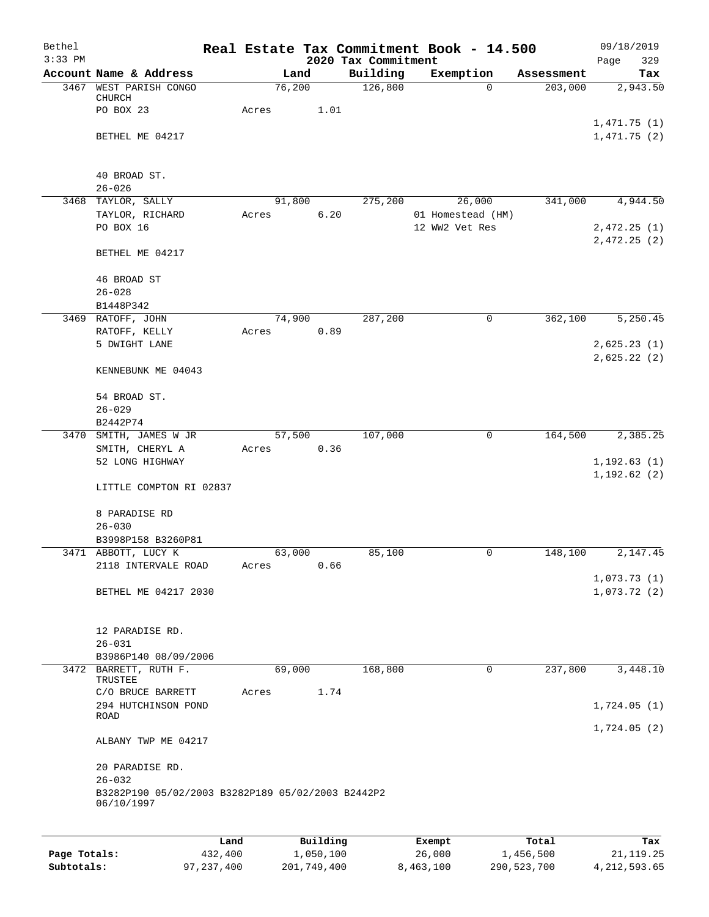| Bethel       |                                                                 |       |        |           |                                 | Real Estate Tax Commitment Book - 14.500 |            | 09/18/2019                 |
|--------------|-----------------------------------------------------------------|-------|--------|-----------|---------------------------------|------------------------------------------|------------|----------------------------|
| $3:33$ PM    | Account Name & Address                                          |       | Land   |           | 2020 Tax Commitment<br>Building | Exemption                                | Assessment | 329<br>Page<br>Tax         |
| 3467         | WEST PARISH CONGO                                               |       | 76,200 |           | 126,800                         | 0                                        | 203,000    | 2,943.50                   |
|              | CHURCH                                                          |       |        |           |                                 |                                          |            |                            |
|              | PO BOX 23                                                       | Acres |        | 1.01      |                                 |                                          |            |                            |
|              | BETHEL ME 04217                                                 |       |        |           |                                 |                                          |            | 1,471.75(1)<br>1,471.75(2) |
|              |                                                                 |       |        |           |                                 |                                          |            |                            |
|              | 40 BROAD ST.                                                    |       |        |           |                                 |                                          |            |                            |
|              | $26 - 026$                                                      |       |        |           |                                 |                                          |            |                            |
|              | 3468 TAYLOR, SALLY                                              |       | 91,800 |           | 275,200                         | 26,000                                   | 341,000    | 4,944.50                   |
|              | TAYLOR, RICHARD                                                 | Acres |        | 6.20      |                                 | 01 Homestead (HM)                        |            |                            |
|              | PO BOX 16                                                       |       |        |           |                                 | 12 WW2 Vet Res                           |            | 2,472.25(1)<br>2,472.25(2) |
|              | BETHEL ME 04217                                                 |       |        |           |                                 |                                          |            |                            |
|              | 46 BROAD ST                                                     |       |        |           |                                 |                                          |            |                            |
|              | $26 - 028$                                                      |       |        |           |                                 |                                          |            |                            |
|              | B1448P342                                                       |       |        |           |                                 |                                          |            |                            |
|              | 3469 RATOFF, JOHN<br>RATOFF, KELLY                              | Acres | 74,900 | 0.89      | 287,200                         | 0                                        | 362,100    | 5,250.45                   |
|              | 5 DWIGHT LANE                                                   |       |        |           |                                 |                                          |            | 2,625.23(1)                |
|              |                                                                 |       |        |           |                                 |                                          |            | 2,625.22(2)                |
|              | KENNEBUNK ME 04043                                              |       |        |           |                                 |                                          |            |                            |
|              | 54 BROAD ST.                                                    |       |        |           |                                 |                                          |            |                            |
|              | $26 - 029$                                                      |       |        |           |                                 |                                          |            |                            |
|              | B2442P74                                                        |       |        |           |                                 |                                          |            |                            |
| 3470         | SMITH, JAMES W JR                                               |       | 57,500 |           | 107,000                         | 0                                        | 164,500    | 2,385.25                   |
|              | SMITH, CHERYL A<br>52 LONG HIGHWAY                              | Acres |        | 0.36      |                                 |                                          |            | 1, 192.63(1)               |
|              |                                                                 |       |        |           |                                 |                                          |            | 1, 192.62(2)               |
|              | LITTLE COMPTON RI 02837                                         |       |        |           |                                 |                                          |            |                            |
|              | 8 PARADISE RD                                                   |       |        |           |                                 |                                          |            |                            |
|              | $26 - 030$                                                      |       |        |           |                                 |                                          |            |                            |
|              | B3998P158 B3260P81<br>3471 ABBOTT, LUCY K                       |       | 63,000 |           | 85,100                          | 0                                        | 148,100    | 2,147.45                   |
|              | 2118 INTERVALE ROAD                                             | Acres |        | 0.66      |                                 |                                          |            |                            |
|              |                                                                 |       |        |           |                                 |                                          |            | 1,073.73(1)                |
|              | BETHEL ME 04217 2030                                            |       |        |           |                                 |                                          |            | 1,073.72(2)                |
|              |                                                                 |       |        |           |                                 |                                          |            |                            |
|              | 12 PARADISE RD.                                                 |       |        |           |                                 |                                          |            |                            |
|              | $26 - 031$<br>B3986P140 08/09/2006                              |       |        |           |                                 |                                          |            |                            |
|              | 3472 BARRETT, RUTH F.                                           |       | 69,000 |           | 168,800                         | 0                                        | 237,800    | 3,448.10                   |
|              | TRUSTEE                                                         |       |        |           |                                 |                                          |            |                            |
|              | C/O BRUCE BARRETT                                               | Acres |        | 1.74      |                                 |                                          |            |                            |
|              | 294 HUTCHINSON POND<br>ROAD                                     |       |        |           |                                 |                                          |            | 1,724.05(1)                |
|              |                                                                 |       |        |           |                                 |                                          |            | 1,724.05(2)                |
|              | ALBANY TWP ME 04217                                             |       |        |           |                                 |                                          |            |                            |
|              | 20 PARADISE RD.                                                 |       |        |           |                                 |                                          |            |                            |
|              | $26 - 032$                                                      |       |        |           |                                 |                                          |            |                            |
|              | B3282P190 05/02/2003 B3282P189 05/02/2003 B2442P2<br>06/10/1997 |       |        |           |                                 |                                          |            |                            |
|              |                                                                 |       |        |           |                                 |                                          |            |                            |
|              | Land                                                            |       |        | Building  |                                 | Exempt                                   | Total      | Tax                        |
| Page Totals: | 432,400                                                         |       |        | 1,050,100 |                                 | 26,000                                   | 1,456,500  | 21, 119. 25                |

**Subtotals:** 97,237,400 201,749,400 8,463,100 290,523,700 4,212,593.65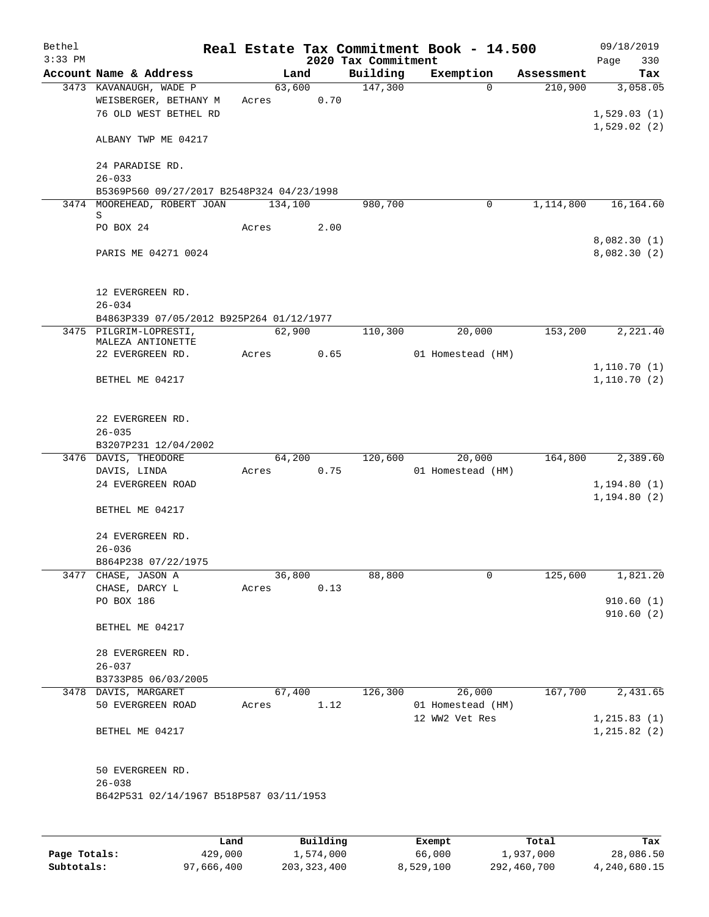| Bethel<br>$3:33$ PM |                                             |       |         |      |                                 | Real Estate Tax Commitment Book - 14.500 |            | 09/18/2019             |            |
|---------------------|---------------------------------------------|-------|---------|------|---------------------------------|------------------------------------------|------------|------------------------|------------|
|                     | Account Name & Address                      |       | Land    |      | 2020 Tax Commitment<br>Building | Exemption                                | Assessment | Page                   | 330<br>Tax |
|                     | 3473 KAVANAUGH, WADE P                      |       | 63,600  |      | 147,300                         | $\Omega$                                 | 210,900    |                        | 3,058.05   |
|                     | WEISBERGER, BETHANY M                       | Acres |         | 0.70 |                                 |                                          |            |                        |            |
|                     | 76 OLD WEST BETHEL RD                       |       |         |      |                                 |                                          |            | 1,529.03(1)            |            |
|                     |                                             |       |         |      |                                 |                                          |            | 1,529.02(2)            |            |
|                     | ALBANY TWP ME 04217                         |       |         |      |                                 |                                          |            |                        |            |
|                     |                                             |       |         |      |                                 |                                          |            |                        |            |
|                     | 24 PARADISE RD.                             |       |         |      |                                 |                                          |            |                        |            |
|                     | $26 - 033$                                  |       |         |      |                                 |                                          |            |                        |            |
|                     | B5369P560 09/27/2017 B2548P324 04/23/1998   |       |         |      |                                 |                                          |            |                        |            |
|                     | 3474 MOOREHEAD, ROBERT JOAN<br>S            |       | 134,100 |      | 980,700                         | 0                                        | 1,114,800  |                        | 16,164.60  |
|                     | PO BOX 24                                   | Acres |         | 2.00 |                                 |                                          |            |                        |            |
|                     |                                             |       |         |      |                                 |                                          |            | 8,082.30(1)            |            |
|                     | PARIS ME 04271 0024                         |       |         |      |                                 |                                          |            | 8,082.30(2)            |            |
|                     |                                             |       |         |      |                                 |                                          |            |                        |            |
|                     |                                             |       |         |      |                                 |                                          |            |                        |            |
|                     | 12 EVERGREEN RD.                            |       |         |      |                                 |                                          |            |                        |            |
|                     | $26 - 034$                                  |       |         |      |                                 |                                          |            |                        |            |
|                     | B4863P339 07/05/2012 B925P264 01/12/1977    |       |         |      |                                 |                                          |            |                        |            |
|                     | 3475 PILGRIM-LOPRESTI,<br>MALEZA ANTIONETTE |       | 62,900  |      | 110,300                         | 20,000                                   | 153,200    |                        | 2,221.40   |
|                     | 22 EVERGREEN RD.                            | Acres |         | 0.65 |                                 | 01 Homestead (HM)                        |            |                        |            |
|                     |                                             |       |         |      |                                 |                                          |            | 1,110.70(1)            |            |
|                     | BETHEL ME 04217                             |       |         |      |                                 |                                          |            | 1,110.70(2)            |            |
|                     |                                             |       |         |      |                                 |                                          |            |                        |            |
|                     |                                             |       |         |      |                                 |                                          |            |                        |            |
|                     | 22 EVERGREEN RD.                            |       |         |      |                                 |                                          |            |                        |            |
|                     | $26 - 035$                                  |       |         |      |                                 |                                          |            |                        |            |
|                     | B3207P231 12/04/2002                        |       |         |      |                                 |                                          |            |                        |            |
|                     | 3476 DAVIS, THEODORE<br>DAVIS, LINDA        | Acres | 64,200  | 0.75 | 120,600                         | 20,000<br>01 Homestead (HM)              | 164,800    |                        | 2,389.60   |
|                     | 24 EVERGREEN ROAD                           |       |         |      |                                 |                                          |            | 1, 194.80(1)           |            |
|                     |                                             |       |         |      |                                 |                                          |            | 1, 194.80(2)           |            |
|                     | BETHEL ME 04217                             |       |         |      |                                 |                                          |            |                        |            |
|                     |                                             |       |         |      |                                 |                                          |            |                        |            |
|                     | 24 EVERGREEN RD.                            |       |         |      |                                 |                                          |            |                        |            |
|                     | $26 - 036$                                  |       |         |      |                                 |                                          |            |                        |            |
|                     | B864P238 07/22/1975                         |       |         |      |                                 |                                          |            |                        |            |
|                     | 3477 CHASE, JASON A                         |       | 36,800  |      | 88,800                          | 0                                        | 125,600    |                        | 1,821.20   |
|                     | CHASE, DARCY L                              | Acres |         | 0.13 |                                 |                                          |            |                        |            |
|                     | PO BOX 186                                  |       |         |      |                                 |                                          |            | 910.60(1)<br>910.60(2) |            |
|                     | BETHEL ME 04217                             |       |         |      |                                 |                                          |            |                        |            |
|                     |                                             |       |         |      |                                 |                                          |            |                        |            |
|                     | 28 EVERGREEN RD.                            |       |         |      |                                 |                                          |            |                        |            |
|                     | $26 - 037$                                  |       |         |      |                                 |                                          |            |                        |            |
|                     | B3733P85 06/03/2005                         |       |         |      |                                 |                                          |            |                        |            |
|                     | 3478 DAVIS, MARGARET                        |       | 67,400  |      | 126,300                         | 26,000                                   | 167,700    |                        | 2,431.65   |
|                     | 50 EVERGREEN ROAD                           | Acres |         | 1.12 |                                 | 01 Homestead (HM)                        |            |                        |            |
|                     |                                             |       |         |      |                                 | 12 WW2 Vet Res                           |            | 1, 215.83(1)           |            |
|                     | BETHEL ME 04217                             |       |         |      |                                 |                                          |            | 1, 215.82(2)           |            |
|                     |                                             |       |         |      |                                 |                                          |            |                        |            |
|                     | 50 EVERGREEN RD.                            |       |         |      |                                 |                                          |            |                        |            |
|                     | $26 - 038$                                  |       |         |      |                                 |                                          |            |                        |            |
|                     | B642P531 02/14/1967 B518P587 03/11/1953     |       |         |      |                                 |                                          |            |                        |            |
|                     |                                             |       |         |      |                                 |                                          |            |                        |            |
|                     |                                             |       |         |      |                                 |                                          |            |                        |            |
|                     |                                             |       |         |      |                                 |                                          |            |                        |            |

|              | Land       | Building    | Exempt    | Total       | Tax          |
|--------------|------------|-------------|-----------|-------------|--------------|
| Page Totals: | 429,000    | 1,574,000   | 66,000    | 1,937,000   | 28,086.50    |
| Subtotals:   | 97,666,400 | 203,323,400 | 8,529,100 | 292,460,700 | 4,240,680.15 |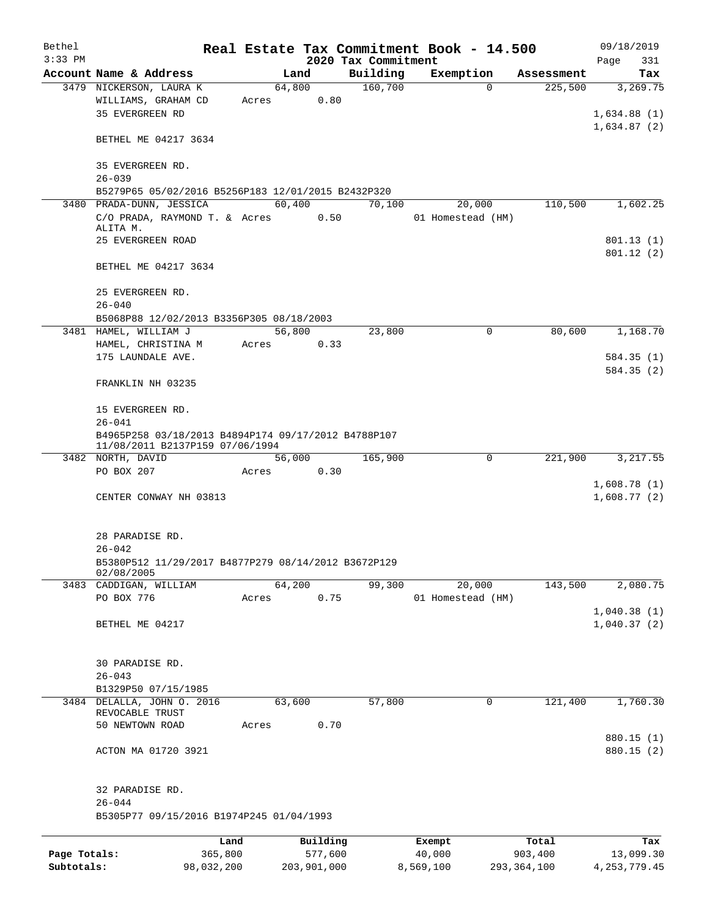| Bethel       |                                                                                        |            |       |             |      |                     | Real Estate Tax Commitment Book - 14.500 |             |               |                            | 09/18/2019               |  |
|--------------|----------------------------------------------------------------------------------------|------------|-------|-------------|------|---------------------|------------------------------------------|-------------|---------------|----------------------------|--------------------------|--|
| $3:33$ PM    |                                                                                        |            |       |             |      | 2020 Tax Commitment |                                          |             |               | Page                       | 331                      |  |
|              | Account Name & Address                                                                 |            |       | Land        |      | Building            | Exemption                                |             | Assessment    |                            | Tax                      |  |
|              | 3479 NICKERSON, LAURA K<br>WILLIAMS, GRAHAM CD                                         |            | Acres | 64,800      | 0.80 | 160,700             |                                          | $\Omega$    | 225,500       |                            | 3,269.75                 |  |
|              | <b>35 EVERGREEN RD</b>                                                                 |            |       |             |      |                     |                                          |             |               | 1,634.88(1)<br>1,634.87(2) |                          |  |
|              | BETHEL ME 04217 3634                                                                   |            |       |             |      |                     |                                          |             |               |                            |                          |  |
|              | 35 EVERGREEN RD.<br>$26 - 039$                                                         |            |       |             |      |                     |                                          |             |               |                            |                          |  |
|              | B5279P65 05/02/2016 B5256P183 12/01/2015 B2432P320                                     |            |       |             |      |                     |                                          |             |               |                            |                          |  |
|              | 3480 PRADA-DUNN, JESSICA                                                               |            |       | 60,400      |      | 70,100              | 20,000                                   |             | 110,500       |                            | 1,602.25                 |  |
|              | C/O PRADA, RAYMOND T. & Acres 0.50<br>ALITA M.                                         |            |       |             |      |                     | 01 Homestead (HM)                        |             |               |                            |                          |  |
|              | 25 EVERGREEN ROAD                                                                      |            |       |             |      |                     |                                          |             |               |                            | 801.13(1)<br>801.12(2)   |  |
|              | BETHEL ME 04217 3634                                                                   |            |       |             |      |                     |                                          |             |               |                            |                          |  |
|              | 25 EVERGREEN RD.<br>$26 - 040$                                                         |            |       |             |      |                     |                                          |             |               |                            |                          |  |
|              | B5068P88 12/02/2013 B3356P305 08/18/2003                                               |            |       |             |      |                     |                                          |             |               |                            |                          |  |
|              | 3481 HAMEL, WILLIAM J                                                                  |            |       | 56,800      |      | 23,800              |                                          | $\mathbf 0$ | 80,600        |                            | 1,168.70                 |  |
|              | HAMEL, CHRISTINA M                                                                     |            | Acres |             | 0.33 |                     |                                          |             |               |                            |                          |  |
|              | 175 LAUNDALE AVE.                                                                      |            |       |             |      |                     |                                          |             |               |                            | 584.35(1)                |  |
|              |                                                                                        |            |       |             |      |                     |                                          |             |               |                            | 584.35(2)                |  |
|              | FRANKLIN NH 03235                                                                      |            |       |             |      |                     |                                          |             |               |                            |                          |  |
|              | 15 EVERGREEN RD.<br>$26 - 041$                                                         |            |       |             |      |                     |                                          |             |               |                            |                          |  |
|              |                                                                                        |            |       |             |      |                     |                                          |             |               |                            |                          |  |
|              | B4965P258 03/18/2013 B4894P174 09/17/2012 B4788P107<br>11/08/2011 B2137P159 07/06/1994 |            |       |             |      |                     |                                          |             |               |                            |                          |  |
|              | 3482 NORTH, DAVID                                                                      |            |       | 56,000      |      | 165,900             |                                          | 0           | 221,900       |                            | 3,217.55                 |  |
|              | PO BOX 207                                                                             |            | Acres |             | 0.30 |                     |                                          |             |               |                            |                          |  |
|              | CENTER CONWAY NH 03813                                                                 |            |       |             |      |                     |                                          |             |               | 1,608.78(1)<br>1,608.77(2) |                          |  |
|              |                                                                                        |            |       |             |      |                     |                                          |             |               |                            |                          |  |
|              | 28 PARADISE RD.                                                                        |            |       |             |      |                     |                                          |             |               |                            |                          |  |
|              | $26 - 042$<br>B5380P512 11/29/2017 B4877P279 08/14/2012 B3672P129<br>02/08/2005        |            |       |             |      |                     |                                          |             |               |                            |                          |  |
|              | 3483 CADDIGAN, WILLIAM                                                                 |            |       | 64,200      |      | 99,300              | 20,000                                   |             | 143,500       |                            | 2,080.75                 |  |
|              | PO BOX 776                                                                             |            | Acres |             | 0.75 |                     | 01 Homestead (HM)                        |             |               |                            |                          |  |
|              |                                                                                        |            |       |             |      |                     |                                          |             |               | 1,040.38(1)                |                          |  |
|              | BETHEL ME 04217                                                                        |            |       |             |      |                     |                                          |             |               | 1,040.37(2)                |                          |  |
|              | 30 PARADISE RD.                                                                        |            |       |             |      |                     |                                          |             |               |                            |                          |  |
|              | $26 - 043$                                                                             |            |       |             |      |                     |                                          |             |               |                            |                          |  |
|              | B1329P50 07/15/1985                                                                    |            |       |             |      |                     |                                          |             |               |                            |                          |  |
|              | 3484 DELALLA, JOHN 0. 2016<br>REVOCABLE TRUST                                          |            |       | 63,600      |      | 57,800              |                                          | 0           | 121,400       |                            | 1,760.30                 |  |
|              | 50 NEWTOWN ROAD                                                                        |            | Acres |             | 0.70 |                     |                                          |             |               |                            |                          |  |
|              | ACTON MA 01720 3921                                                                    |            |       |             |      |                     |                                          |             |               |                            | 880.15 (1)<br>880.15 (2) |  |
|              |                                                                                        |            |       |             |      |                     |                                          |             |               |                            |                          |  |
|              | 32 PARADISE RD.<br>$26 - 044$                                                          |            |       |             |      |                     |                                          |             |               |                            |                          |  |
|              | B5305P77 09/15/2016 B1974P245 01/04/1993                                               |            |       |             |      |                     |                                          |             |               |                            |                          |  |
|              |                                                                                        | Land       |       | Building    |      |                     | Exempt                                   |             | Total         |                            | Tax                      |  |
| Page Totals: |                                                                                        | 365,800    |       | 577,600     |      |                     | 40,000                                   |             | 903,400       |                            | 13,099.30                |  |
| Subtotals:   |                                                                                        | 98,032,200 |       | 203,901,000 |      |                     | 8,569,100                                |             | 293, 364, 100 | 4, 253, 779. 45            |                          |  |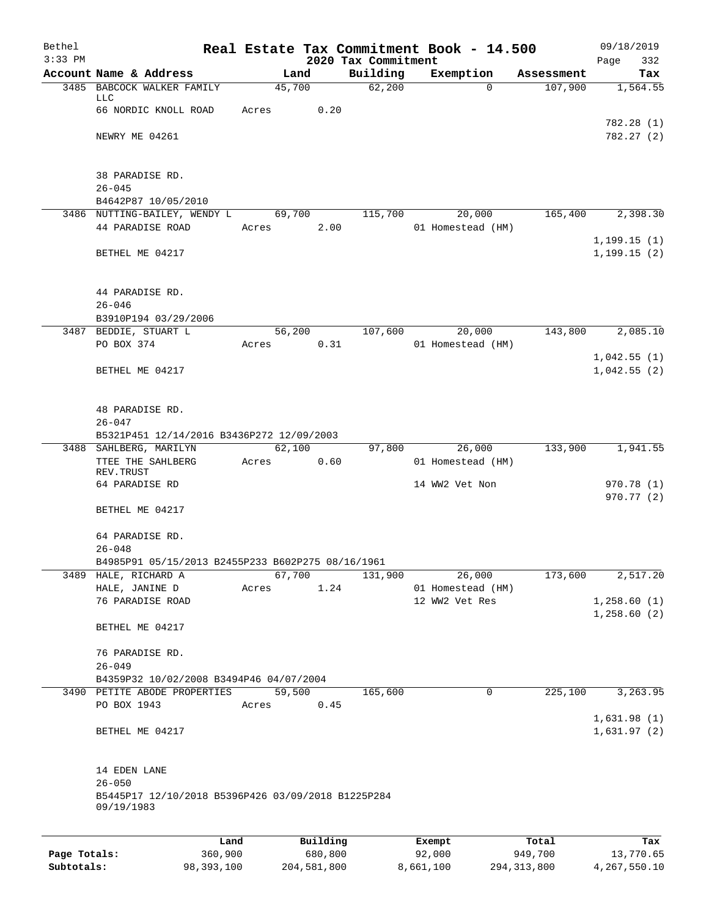| Bethel<br>$3:33$ PM |                                                       |         |                |                                 | Real Estate Tax Commitment Book - 14.500 |            | 09/18/2019               |
|---------------------|-------------------------------------------------------|---------|----------------|---------------------------------|------------------------------------------|------------|--------------------------|
|                     | Account Name & Address                                |         | Land           | 2020 Tax Commitment<br>Building | Exemption                                | Assessment | Page<br>332<br>Tax       |
|                     | 3485 BABCOCK WALKER FAMILY                            |         | 45,700         | 62,200                          | $\Omega$                                 | 107,900    | 1,564.55                 |
|                     | <b>LLC</b>                                            |         |                |                                 |                                          |            |                          |
|                     | 66 NORDIC KNOLL ROAD                                  | Acres   | 0.20           |                                 |                                          |            |                          |
|                     | NEWRY ME 04261                                        |         |                |                                 |                                          |            | 782.28 (1)<br>782.27(2)  |
|                     |                                                       |         |                |                                 |                                          |            |                          |
|                     |                                                       |         |                |                                 |                                          |            |                          |
|                     | 38 PARADISE RD.                                       |         |                |                                 |                                          |            |                          |
|                     | $26 - 045$                                            |         |                |                                 |                                          |            |                          |
|                     | B4642P87 10/05/2010                                   |         |                |                                 |                                          |            |                          |
|                     | 3486 NUTTING-BAILEY, WENDY L<br>44 PARADISE ROAD      | Acres   | 69,700<br>2.00 | 115,700                         | 20,000<br>01 Homestead (HM)              | 165,400    | 2,398.30                 |
|                     |                                                       |         |                |                                 |                                          |            | 1, 199.15(1)             |
|                     | BETHEL ME 04217                                       |         |                |                                 |                                          |            | 1, 199.15(2)             |
|                     |                                                       |         |                |                                 |                                          |            |                          |
|                     |                                                       |         |                |                                 |                                          |            |                          |
|                     | 44 PARADISE RD.                                       |         |                |                                 |                                          |            |                          |
|                     | $26 - 046$<br>B3910P194 03/29/2006                    |         |                |                                 |                                          |            |                          |
|                     | 3487 BEDDIE, STUART L                                 |         | 56,200         | 107,600                         | 20,000                                   | 143,800    | 2,085.10                 |
|                     | PO BOX 374                                            | Acres   | 0.31           |                                 | 01 Homestead (HM)                        |            |                          |
|                     |                                                       |         |                |                                 |                                          |            | 1,042.55(1)              |
|                     | BETHEL ME 04217                                       |         |                |                                 |                                          |            | 1,042.55(2)              |
|                     |                                                       |         |                |                                 |                                          |            |                          |
|                     |                                                       |         |                |                                 |                                          |            |                          |
|                     | 48 PARADISE RD.<br>$26 - 047$                         |         |                |                                 |                                          |            |                          |
|                     | B5321P451 12/14/2016 B3436P272 12/09/2003             |         |                |                                 |                                          |            |                          |
|                     | 3488 SAHLBERG, MARILYN                                |         | 62,100         | 97,800                          | 26,000                                   | 133,900    | 1,941.55                 |
|                     | TTEE THE SAHLBERG                                     | Acres   | 0.60           |                                 | 01 Homestead (HM)                        |            |                          |
|                     | REV. TRUST                                            |         |                |                                 |                                          |            |                          |
|                     | 64 PARADISE RD                                        |         |                |                                 | 14 WW2 Vet Non                           |            | 970.78 (1)<br>970.77 (2) |
|                     | BETHEL ME 04217                                       |         |                |                                 |                                          |            |                          |
|                     |                                                       |         |                |                                 |                                          |            |                          |
|                     | 64 PARADISE RD.                                       |         |                |                                 |                                          |            |                          |
|                     | $26 - 048$                                            |         |                |                                 |                                          |            |                          |
|                     | B4985P91 05/15/2013 B2455P233 B602P275 08/16/1961     |         |                |                                 |                                          |            |                          |
|                     | 3489 HALE, RICHARD A<br>HALE, JANINE D                | Acres   | 67,700<br>1.24 | 131,900                         | 26,000<br>01 Homestead (HM)              | 173,600    | 2,517.20                 |
|                     | 76 PARADISE ROAD                                      |         |                |                                 | 12 WW2 Vet Res                           |            | 1,258.60(1)              |
|                     |                                                       |         |                |                                 |                                          |            | 1,258.60(2)              |
|                     | BETHEL ME 04217                                       |         |                |                                 |                                          |            |                          |
|                     |                                                       |         |                |                                 |                                          |            |                          |
|                     | 76 PARADISE RD.                                       |         |                |                                 |                                          |            |                          |
|                     | $26 - 049$<br>B4359P32 10/02/2008 B3494P46 04/07/2004 |         |                |                                 |                                          |            |                          |
|                     | 3490 PETITE ABODE PROPERTIES                          |         | 59,500         | 165,600                         | $\mathbf 0$                              | 225,100    | 3, 263.95                |
|                     | PO BOX 1943                                           | Acres   | 0.45           |                                 |                                          |            |                          |
|                     |                                                       |         |                |                                 |                                          |            | 1,631.98(1)              |
|                     | BETHEL ME 04217                                       |         |                |                                 |                                          |            | 1,631.97(2)              |
|                     |                                                       |         |                |                                 |                                          |            |                          |
|                     | 14 EDEN LANE                                          |         |                |                                 |                                          |            |                          |
|                     | $26 - 050$                                            |         |                |                                 |                                          |            |                          |
|                     | B5445P17 12/10/2018 B5396P426 03/09/2018 B1225P284    |         |                |                                 |                                          |            |                          |
|                     | 09/19/1983                                            |         |                |                                 |                                          |            |                          |
|                     |                                                       |         |                |                                 |                                          |            |                          |
|                     |                                                       | Land    | Building       |                                 | Exempt                                   | Total      | Tax                      |
| Page Totals:        |                                                       | 360,900 | 680,800        |                                 | 92,000                                   | 949,700    | 13,770.65                |

**Subtotals:** 98,393,100 204,581,800 8,661,100 294,313,800 4,267,550.10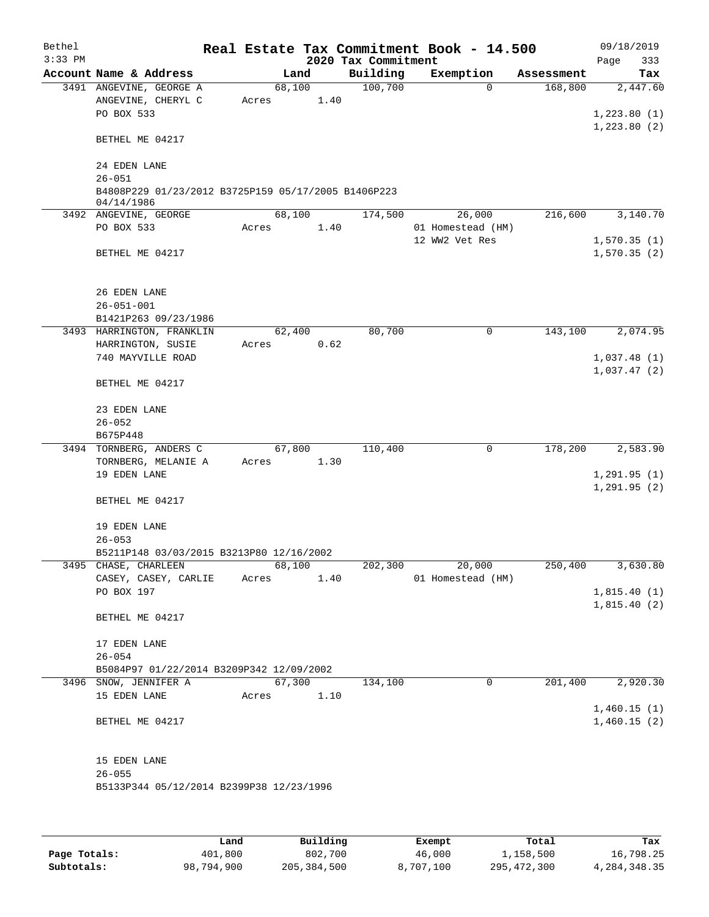| Bethel    |                                                     |       |        |      |                     | Real Estate Tax Commitment Book - 14.500 |            | 09/18/2019                 |          |
|-----------|-----------------------------------------------------|-------|--------|------|---------------------|------------------------------------------|------------|----------------------------|----------|
| $3:33$ PM |                                                     |       |        |      | 2020 Tax Commitment |                                          |            | Page                       | 333      |
|           | Account Name & Address                              |       | Land   |      | Building            | Exemption                                | Assessment |                            | Tax      |
|           | 3491 ANGEVINE, GEORGE A                             |       | 68,100 |      | 100,700             | $\Omega$                                 | 168,800    |                            | 2,447.60 |
|           | ANGEVINE, CHERYL C                                  | Acres |        | 1.40 |                     |                                          |            |                            |          |
|           | PO BOX 533                                          |       |        |      |                     |                                          |            | 1,223.80(1)                |          |
|           |                                                     |       |        |      |                     |                                          |            | 1, 223.80(2)               |          |
|           | BETHEL ME 04217                                     |       |        |      |                     |                                          |            |                            |          |
|           |                                                     |       |        |      |                     |                                          |            |                            |          |
|           | 24 EDEN LANE                                        |       |        |      |                     |                                          |            |                            |          |
|           | $26 - 051$                                          |       |        |      |                     |                                          |            |                            |          |
|           | B4808P229 01/23/2012 B3725P159 05/17/2005 B1406P223 |       |        |      |                     |                                          |            |                            |          |
|           | 04/14/1986                                          |       | 68,100 |      | 174,500             |                                          | 216,600    |                            | 3,140.70 |
|           | 3492 ANGEVINE, GEORGE<br>PO BOX 533                 | Acres |        | 1.40 |                     | 26,000<br>01 Homestead (HM)              |            |                            |          |
|           |                                                     |       |        |      |                     | 12 WW2 Vet Res                           |            |                            |          |
|           | BETHEL ME 04217                                     |       |        |      |                     |                                          |            | 1,570.35(1)<br>1,570.35(2) |          |
|           |                                                     |       |        |      |                     |                                          |            |                            |          |
|           |                                                     |       |        |      |                     |                                          |            |                            |          |
|           | 26 EDEN LANE                                        |       |        |      |                     |                                          |            |                            |          |
|           | $26 - 051 - 001$                                    |       |        |      |                     |                                          |            |                            |          |
|           | B1421P263 09/23/1986                                |       |        |      |                     |                                          |            |                            |          |
|           | 3493 HARRINGTON, FRANKLIN                           |       | 62,400 |      | 80,700              | $\mathbf 0$                              | 143,100    |                            | 2,074.95 |
|           | HARRINGTON, SUSIE                                   | Acres |        | 0.62 |                     |                                          |            |                            |          |
|           | 740 MAYVILLE ROAD                                   |       |        |      |                     |                                          |            | 1,037.48(1)                |          |
|           |                                                     |       |        |      |                     |                                          |            | 1,037.47(2)                |          |
|           | BETHEL ME 04217                                     |       |        |      |                     |                                          |            |                            |          |
|           |                                                     |       |        |      |                     |                                          |            |                            |          |
|           | 23 EDEN LANE                                        |       |        |      |                     |                                          |            |                            |          |
|           | $26 - 052$                                          |       |        |      |                     |                                          |            |                            |          |
|           | B675P448                                            |       |        |      |                     |                                          |            |                            |          |
|           | 3494 TORNBERG, ANDERS C                             |       | 67,800 |      | 110,400             | $\mathbf 0$                              | 178,200    |                            | 2,583.90 |
|           | TORNBERG, MELANIE A                                 | Acres |        | 1.30 |                     |                                          |            |                            |          |
|           | 19 EDEN LANE                                        |       |        |      |                     |                                          |            | 1,291.95(1)                |          |
|           |                                                     |       |        |      |                     |                                          |            | 1, 291.95(2)               |          |
|           | BETHEL ME 04217                                     |       |        |      |                     |                                          |            |                            |          |
|           |                                                     |       |        |      |                     |                                          |            |                            |          |
|           | 19 EDEN LANE                                        |       |        |      |                     |                                          |            |                            |          |
|           | $26 - 053$                                          |       |        |      |                     |                                          |            |                            |          |
|           | B5211P148 03/03/2015 B3213P80 12/16/2002            |       |        |      |                     |                                          |            |                            |          |
|           | 3495 CHASE, CHARLEEN                                |       | 68,100 |      | 202,300             | 20,000                                   | 250,400    |                            | 3,630.80 |
|           | CASEY, CASEY, CARLIE                                | Acres |        | 1.40 |                     | 01 Homestead (HM)                        |            |                            |          |
|           | PO BOX 197                                          |       |        |      |                     |                                          |            | 1,815.40(1)                |          |
|           |                                                     |       |        |      |                     |                                          |            | 1,815.40(2)                |          |
|           | BETHEL ME 04217                                     |       |        |      |                     |                                          |            |                            |          |
|           |                                                     |       |        |      |                     |                                          |            |                            |          |
|           | 17 EDEN LANE                                        |       |        |      |                     |                                          |            |                            |          |
|           | $26 - 054$                                          |       |        |      |                     |                                          |            |                            |          |
|           | B5084P97 01/22/2014 B3209P342 12/09/2002            |       |        |      |                     |                                          |            |                            |          |
|           | 3496 SNOW, JENNIFER A                               |       | 67,300 |      | 134,100             | 0                                        | 201,400    |                            | 2,920.30 |
|           | 15 EDEN LANE                                        | Acres |        | 1.10 |                     |                                          |            |                            |          |
|           |                                                     |       |        |      |                     |                                          |            | 1,460.15(1)                |          |
|           | BETHEL ME 04217                                     |       |        |      |                     |                                          |            | 1,460.15(2)                |          |
|           |                                                     |       |        |      |                     |                                          |            |                            |          |
|           |                                                     |       |        |      |                     |                                          |            |                            |          |
|           | 15 EDEN LANE                                        |       |        |      |                     |                                          |            |                            |          |
|           | $26 - 055$                                          |       |        |      |                     |                                          |            |                            |          |
|           | B5133P344 05/12/2014 B2399P38 12/23/1996            |       |        |      |                     |                                          |            |                            |          |
|           |                                                     |       |        |      |                     |                                          |            |                            |          |
|           |                                                     |       |        |      |                     |                                          |            |                            |          |
|           |                                                     |       |        |      |                     |                                          |            |                            |          |

|              | Land       | Building      | Exempt    | Total       | Tax             |
|--------------|------------|---------------|-----------|-------------|-----------------|
| Page Totals: | 401,800    | 802,700       | 46,000    | 1,158,500   | 16,798.25       |
| Subtotals:   | 98,794,900 | 205, 384, 500 | 8,707,100 | 295,472,300 | 4, 284, 348. 35 |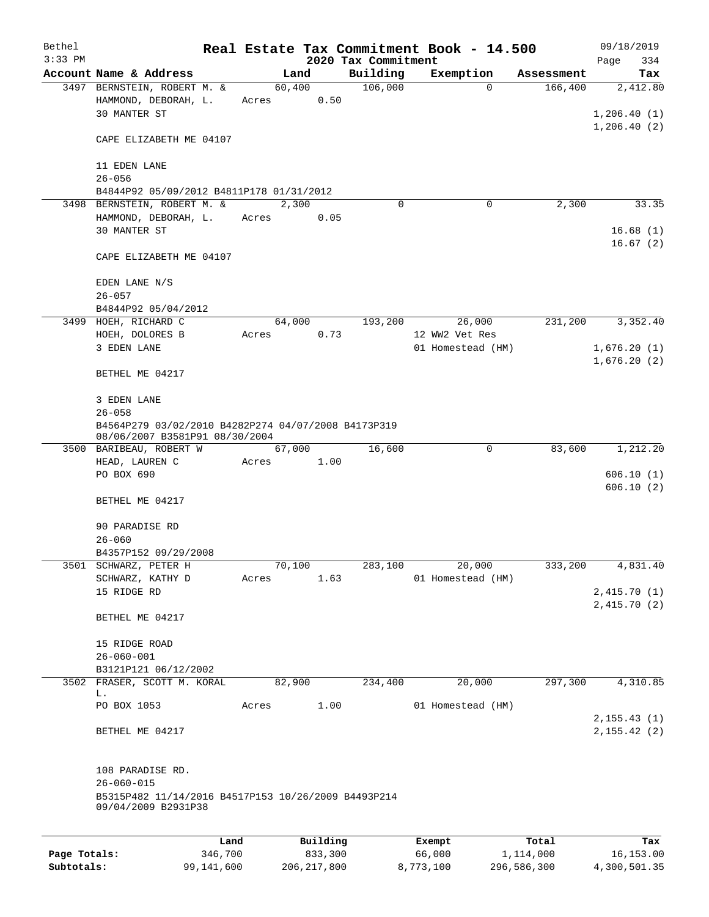| Bethel<br>$3:33$ PM |                                                                                                                    |         |       |        |          | 2020 Tax Commitment | Real Estate Tax Commitment Book - 14.500 |          |            | 09/18/2019<br>Page<br>334              |
|---------------------|--------------------------------------------------------------------------------------------------------------------|---------|-------|--------|----------|---------------------|------------------------------------------|----------|------------|----------------------------------------|
|                     | Account Name & Address                                                                                             |         |       | Land   |          | Building            | Exemption                                |          | Assessment | Tax                                    |
|                     | 3497 BERNSTEIN, ROBERT M. &<br>HAMMOND, DEBORAH, L.<br>30 MANTER ST                                                |         | Acres | 60,400 | 0.50     | 106,000             |                                          | $\Omega$ | 166,400    | 2,412.80<br>1,206.40(1)<br>1,206.40(2) |
|                     | CAPE ELIZABETH ME 04107                                                                                            |         |       |        |          |                     |                                          |          |            |                                        |
|                     | 11 EDEN LANE<br>$26 - 056$                                                                                         |         |       |        |          |                     |                                          |          |            |                                        |
|                     | B4844P92 05/09/2012 B4811P178 01/31/2012                                                                           |         |       |        |          |                     |                                          |          |            |                                        |
|                     | 3498 BERNSTEIN, ROBERT M. &<br>HAMMOND, DEBORAH, L.<br>30 MANTER ST                                                |         | Acres | 2,300  | 0.05     | $\Omega$            |                                          | 0        | 2,300      | 33.35<br>16.68(1)<br>16.67(2)          |
|                     | CAPE ELIZABETH ME 04107                                                                                            |         |       |        |          |                     |                                          |          |            |                                        |
|                     | EDEN LANE N/S<br>$26 - 057$                                                                                        |         |       |        |          |                     |                                          |          |            |                                        |
|                     | B4844P92 05/04/2012                                                                                                |         |       |        |          |                     |                                          |          |            |                                        |
|                     | 3499 HOEH, RICHARD C                                                                                               |         |       | 64,000 |          | 193,200             | 26,000<br>12 WW2 Vet Res                 |          | 231,200    | 3,352.40                               |
|                     | HOEH, DOLORES B<br>3 EDEN LANE                                                                                     |         | Acres |        | 0.73     |                     | 01 Homestead (HM)                        |          |            | 1,676.20(1)<br>1,676.20(2)             |
|                     | BETHEL ME 04217                                                                                                    |         |       |        |          |                     |                                          |          |            |                                        |
|                     | 3 EDEN LANE<br>$26 - 058$                                                                                          |         |       |        |          |                     |                                          |          |            |                                        |
|                     | B4564P279 03/02/2010 B4282P274 04/07/2008 B4173P319<br>08/06/2007 B3581P91 08/30/2004                              |         |       |        |          |                     |                                          |          |            |                                        |
|                     | 3500 BARIBEAU, ROBERT W                                                                                            |         |       | 67,000 |          | 16,600              |                                          | 0        | 83,600     | 1,212.20                               |
|                     | HEAD, LAUREN C                                                                                                     |         | Acres |        | 1.00     |                     |                                          |          |            |                                        |
|                     | PO BOX 690<br>BETHEL ME 04217                                                                                      |         |       |        |          |                     |                                          |          |            | 606.10(1)<br>606.10(2)                 |
|                     |                                                                                                                    |         |       |        |          |                     |                                          |          |            |                                        |
|                     | 90 PARADISE RD                                                                                                     |         |       |        |          |                     |                                          |          |            |                                        |
|                     | $26 - 060$                                                                                                         |         |       |        |          |                     |                                          |          |            |                                        |
|                     | B4357P152 09/29/2008                                                                                               |         |       |        |          |                     |                                          |          |            |                                        |
|                     | 3501 SCHWARZ, PETER H                                                                                              |         |       | 70,100 |          | 283,100             | 20,000                                   |          | 333,200    | 4,831.40                               |
|                     | SCHWARZ, KATHY D<br>15 RIDGE RD                                                                                    |         | Acres |        | 1.63     |                     | 01 Homestead (HM)                        |          |            | 2,415.70(1)                            |
|                     | BETHEL ME 04217                                                                                                    |         |       |        |          |                     |                                          |          |            | 2,415.70(2)                            |
|                     |                                                                                                                    |         |       |        |          |                     |                                          |          |            |                                        |
|                     | 15 RIDGE ROAD                                                                                                      |         |       |        |          |                     |                                          |          |            |                                        |
|                     | $26 - 060 - 001$                                                                                                   |         |       |        |          |                     |                                          |          |            |                                        |
|                     | B3121P121 06/12/2002<br>3502 FRASER, SCOTT M. KORAL                                                                |         |       | 82,900 |          | 234,400             | 20,000                                   |          | 297,300    | 4,310.85                               |
|                     | L.                                                                                                                 |         |       |        |          |                     |                                          |          |            |                                        |
|                     | PO BOX 1053                                                                                                        |         | Acres |        | 1.00     |                     | 01 Homestead (HM)                        |          |            | 2, 155.43(1)                           |
|                     | BETHEL ME 04217                                                                                                    |         |       |        |          |                     |                                          |          |            | 2, 155.42(2)                           |
|                     | 108 PARADISE RD.<br>$26 - 060 - 015$<br>B5315P482 11/14/2016 B4517P153 10/26/2009 B4493P214<br>09/04/2009 B2931P38 |         |       |        |          |                     |                                          |          |            |                                        |
|                     |                                                                                                                    |         |       |        |          |                     |                                          |          |            |                                        |
|                     |                                                                                                                    | Land    |       |        | Building |                     | Exempt                                   |          | Total      | Tax                                    |
| Page Totals:        |                                                                                                                    | 346,700 |       |        | 833,300  |                     | 66,000                                   |          | 1,114,000  | 16,153.00                              |

**Subtotals:** 99,141,600 206,217,800 8,773,100 296,586,300 4,300,501.35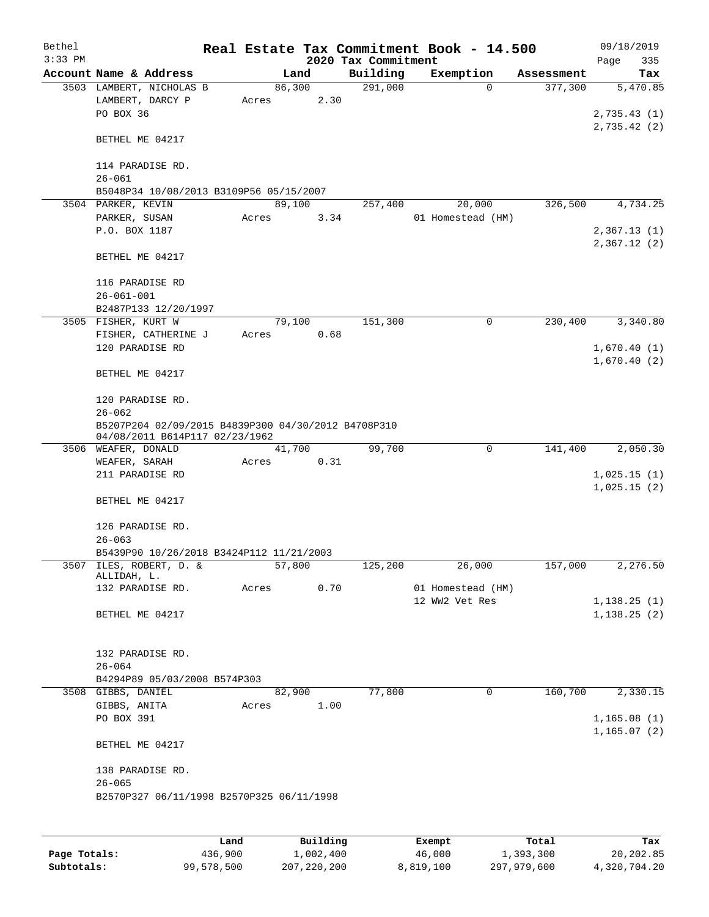| Bethel<br>$3:33$ PM |                                                                                                     |                 |        | 2020 Tax Commitment | Real Estate Tax Commitment Book - 14.500 |            | 09/18/2019<br>Page<br>335   |
|---------------------|-----------------------------------------------------------------------------------------------------|-----------------|--------|---------------------|------------------------------------------|------------|-----------------------------|
|                     | Account Name & Address                                                                              |                 | Land   | Building            | Exemption                                | Assessment | Tax                         |
|                     | 3503 LAMBERT, NICHOLAS B<br>LAMBERT, DARCY P<br>PO BOX 36                                           | 86,300<br>Acres | 2.30   | 291,000             | $\Omega$                                 | 377,300    | 5,470.85<br>2,735.43(1)     |
|                     | BETHEL ME 04217                                                                                     |                 |        |                     |                                          |            | 2,735.42 (2)                |
|                     | 114 PARADISE RD.<br>$26 - 061$                                                                      |                 |        |                     |                                          |            |                             |
|                     | B5048P34 10/08/2013 B3109P56 05/15/2007                                                             |                 |        |                     |                                          |            |                             |
|                     | 3504 PARKER, KEVIN                                                                                  | 89,100          |        | 257,400             | 20,000                                   | 326,500    | 4,734.25                    |
|                     | PARKER, SUSAN                                                                                       | Acres           | 3.34   |                     | 01 Homestead (HM)                        |            |                             |
|                     | P.O. BOX 1187                                                                                       |                 |        |                     |                                          |            | 2,367.13(1)<br>2,367.12(2)  |
|                     | BETHEL ME 04217                                                                                     |                 |        |                     |                                          |            |                             |
|                     | 116 PARADISE RD                                                                                     |                 |        |                     |                                          |            |                             |
|                     | $26 - 061 - 001$                                                                                    |                 |        |                     |                                          |            |                             |
|                     | B2487P133 12/20/1997<br>3505 FISHER, KURT W                                                         |                 | 79,100 | 151,300             | $\mathbf 0$                              | 230,400    | 3,340.80                    |
|                     | FISHER, CATHERINE J                                                                                 | Acres           | 0.68   |                     |                                          |            |                             |
|                     | 120 PARADISE RD                                                                                     |                 |        |                     |                                          |            | 1,670.40(1)                 |
|                     | BETHEL ME 04217                                                                                     |                 |        |                     |                                          |            | 1,670.40(2)                 |
|                     | 120 PARADISE RD.                                                                                    |                 |        |                     |                                          |            |                             |
|                     | $26 - 062$<br>B5207P204 02/09/2015 B4839P300 04/30/2012 B4708P310<br>04/08/2011 B614P117 02/23/1962 |                 |        |                     |                                          |            |                             |
|                     | 3506 WEAFER, DONALD                                                                                 |                 | 41,700 | 99,700              | $\mathbf 0$                              | 141,400    | 2,050.30                    |
|                     | WEAFER, SARAH                                                                                       | Acres           | 0.31   |                     |                                          |            |                             |
|                     | 211 PARADISE RD                                                                                     |                 |        |                     |                                          |            | 1,025.15(1)                 |
|                     | BETHEL ME 04217                                                                                     |                 |        |                     |                                          |            | 1,025.15(2)                 |
|                     | 126 PARADISE RD.<br>$26 - 063$                                                                      |                 |        |                     |                                          |            |                             |
|                     | B5439P90 10/26/2018 B3424P112 11/21/2003                                                            |                 |        |                     |                                          |            |                             |
|                     | 3507 ILES, ROBERT, D. &                                                                             | 57, 800         |        | 125, 200            | 26,000                                   | 157,000    | 2,276.50                    |
|                     | ALLIDAH, L.                                                                                         |                 |        |                     |                                          |            |                             |
|                     | 132 PARADISE RD.                                                                                    | Acres           | 0.70   |                     | 01 Homestead (HM)<br>12 WW2 Vet Res      |            | 1,138.25(1)                 |
|                     | BETHEL ME 04217                                                                                     |                 |        |                     |                                          |            | 1,138.25(2)                 |
|                     | 132 PARADISE RD.                                                                                    |                 |        |                     |                                          |            |                             |
|                     | $26 - 064$                                                                                          |                 |        |                     |                                          |            |                             |
|                     | B4294P89 05/03/2008 B574P303                                                                        |                 |        |                     |                                          |            |                             |
|                     | 3508 GIBBS, DANIEL                                                                                  |                 | 82,900 | 77,800              | 0                                        | 160,700    | 2,330.15                    |
|                     | GIBBS, ANITA                                                                                        | Acres           | 1.00   |                     |                                          |            |                             |
|                     | PO BOX 391                                                                                          |                 |        |                     |                                          |            | 1,165.08(1)<br>1, 165.07(2) |
|                     | BETHEL ME 04217                                                                                     |                 |        |                     |                                          |            |                             |
|                     | 138 PARADISE RD.<br>$26 - 065$                                                                      |                 |        |                     |                                          |            |                             |
|                     | B2570P327 06/11/1998 B2570P325 06/11/1998                                                           |                 |        |                     |                                          |            |                             |
|                     |                                                                                                     |                 |        |                     |                                          |            |                             |
|                     |                                                                                                     |                 |        |                     |                                          |            |                             |

|              | Land       | Building    | Exempt    | Total       | Tax          |
|--------------|------------|-------------|-----------|-------------|--------------|
| Page Totals: | 436,900    | 1,002,400   | 46,000    | 1,393,300   | 20,202.85    |
| Subtotals:   | 99,578,500 | 207,220,200 | 8,819,100 | 297,979,600 | 4,320,704.20 |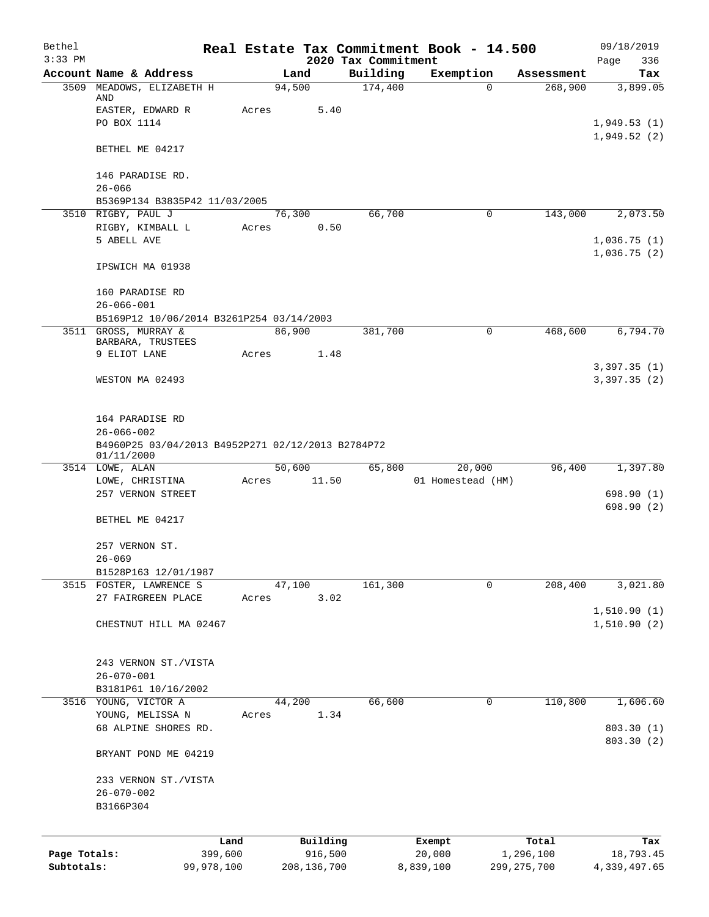| Bethel       |                                                                 |       |                     |                                 | Real Estate Tax Commitment Book - 14.500 |                    | 09/18/2019                 |
|--------------|-----------------------------------------------------------------|-------|---------------------|---------------------------------|------------------------------------------|--------------------|----------------------------|
| $3:33$ PM    | Account Name & Address                                          |       | Land                | 2020 Tax Commitment<br>Building | Exemption                                | Assessment         | Page<br>336<br>Tax         |
| 3509         | MEADOWS, ELIZABETH H                                            |       | 94,500              | 174,400                         | $\Omega$                                 | 268,900            | 3,899.05                   |
|              | AND                                                             |       |                     |                                 |                                          |                    |                            |
|              | EASTER, EDWARD R                                                | Acres | 5.40                |                                 |                                          |                    |                            |
|              | PO BOX 1114                                                     |       |                     |                                 |                                          |                    | 1,949.53(1)<br>1,949.52(2) |
|              | BETHEL ME 04217                                                 |       |                     |                                 |                                          |                    |                            |
|              | 146 PARADISE RD.                                                |       |                     |                                 |                                          |                    |                            |
|              | $26 - 066$                                                      |       |                     |                                 |                                          |                    |                            |
|              | B5369P134 B3835P42 11/03/2005                                   |       |                     |                                 |                                          |                    |                            |
|              | 3510 RIGBY, PAUL J                                              |       | 76,300<br>0.50      | 66,700                          | $\mathbf 0$                              | 143,000            | 2,073.50                   |
|              | RIGBY, KIMBALL L<br>5 ABELL AVE                                 | Acres |                     |                                 |                                          |                    | 1,036.75(1)                |
|              |                                                                 |       |                     |                                 |                                          |                    | 1,036.75(2)                |
|              | IPSWICH MA 01938                                                |       |                     |                                 |                                          |                    |                            |
|              | 160 PARADISE RD                                                 |       |                     |                                 |                                          |                    |                            |
|              | $26 - 066 - 001$                                                |       |                     |                                 |                                          |                    |                            |
|              | B5169P12 10/06/2014 B3261P254 03/14/2003                        |       |                     |                                 |                                          |                    |                            |
|              | 3511 GROSS, MURRAY &                                            |       | 86,900              | 381,700                         | $\mathbf 0$                              | 468,600            | 6,794.70                   |
|              | BARBARA, TRUSTEES<br>9 ELIOT LANE                               | Acres | 1.48                |                                 |                                          |                    |                            |
|              |                                                                 |       |                     |                                 |                                          |                    | 3,397.35(1)                |
|              | WESTON MA 02493                                                 |       |                     |                                 |                                          |                    | 3,397.35(2)                |
|              |                                                                 |       |                     |                                 |                                          |                    |                            |
|              | 164 PARADISE RD<br>$26 - 066 - 002$                             |       |                     |                                 |                                          |                    |                            |
|              | B4960P25 03/04/2013 B4952P271 02/12/2013 B2784P72<br>01/11/2000 |       |                     |                                 |                                          |                    |                            |
|              | 3514 LOWE, ALAN                                                 |       | 50,600              | 65,800                          | 20,000                                   | 96,400             | 1,397.80                   |
|              | LOWE, CHRISTINA                                                 | Acres | 11.50               |                                 | 01 Homestead (HM)                        |                    |                            |
|              | 257 VERNON STREET                                               |       |                     |                                 |                                          |                    | 698.90 (1)                 |
|              | BETHEL ME 04217                                                 |       |                     |                                 |                                          |                    | 698.90 (2)                 |
|              | 257 VERNON ST.                                                  |       |                     |                                 |                                          |                    |                            |
|              | $26 - 069$                                                      |       |                     |                                 |                                          |                    |                            |
|              | B1528P163 12/01/1987                                            |       |                     |                                 |                                          |                    |                            |
|              | 3515 FOSTER, LAWRENCE S                                         |       | 47,100              | 161,300                         | 0                                        | 208,400            | 3,021.80                   |
|              | 27 FAIRGREEN PLACE                                              | Acres | 3.02                |                                 |                                          |                    |                            |
|              | CHESTNUT HILL MA 02467                                          |       |                     |                                 |                                          |                    | 1,510.90(1)<br>1,510.90(2) |
|              |                                                                 |       |                     |                                 |                                          |                    |                            |
|              | 243 VERNON ST./VISTA                                            |       |                     |                                 |                                          |                    |                            |
|              | $26 - 070 - 001$                                                |       |                     |                                 |                                          |                    |                            |
|              | B3181P61 10/16/2002<br>3516 YOUNG, VICTOR A                     |       | 44,200              | 66,600                          | 0                                        | 110,800            | 1,606.60                   |
|              | YOUNG, MELISSA N                                                | Acres | 1.34                |                                 |                                          |                    |                            |
|              | 68 ALPINE SHORES RD.                                            |       |                     |                                 |                                          |                    | 803.30 (1)                 |
|              | BRYANT POND ME 04219                                            |       |                     |                                 |                                          |                    | 803.30 (2)                 |
|              |                                                                 |       |                     |                                 |                                          |                    |                            |
|              | 233 VERNON ST./VISTA<br>$26 - 070 - 002$                        |       |                     |                                 |                                          |                    |                            |
|              | B3166P304                                                       |       |                     |                                 |                                          |                    |                            |
|              |                                                                 |       |                     |                                 |                                          |                    |                            |
| Page Totals: | 399,600                                                         | Land  | Building<br>916,500 |                                 | Exempt<br>20,000                         | Total<br>1,296,100 | Tax<br>18,793.45           |
| Subtotals:   | 99,978,100                                                      |       | 208, 136, 700       |                                 | 8,839,100                                | 299, 275, 700      | 4,339,497.65               |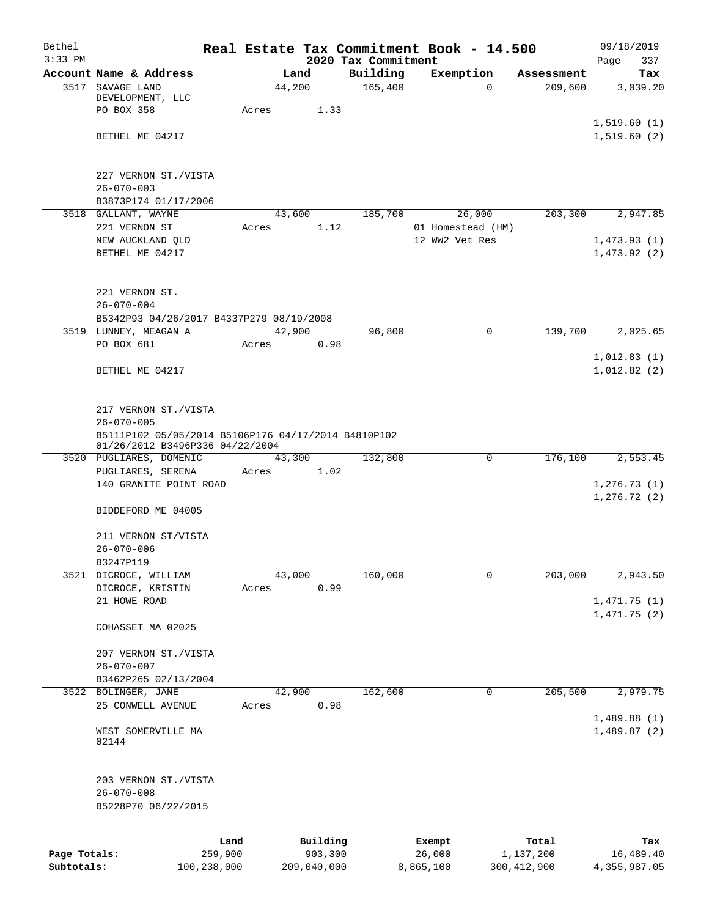| Bethel       |                                                                                        |                 |             |                                 | Real Estate Tax Commitment Book - 14.500 |               | 09/18/2019                   |
|--------------|----------------------------------------------------------------------------------------|-----------------|-------------|---------------------------------|------------------------------------------|---------------|------------------------------|
| $3:33$ PM    | Account Name & Address                                                                 | Land            |             | 2020 Tax Commitment<br>Building | Exemption                                | Assessment    | Page<br>337<br>Tax           |
| 3517         | SAVAGE LAND                                                                            | 44,200          |             | 165,400                         | $\Omega$                                 | 209,600       | 3,039.20                     |
|              | DEVELOPMENT, LLC                                                                       |                 |             |                                 |                                          |               |                              |
|              | PO BOX 358                                                                             | Acres           | 1.33        |                                 |                                          |               |                              |
|              |                                                                                        |                 |             |                                 |                                          |               | 1,519.60(1)                  |
|              | BETHEL ME 04217                                                                        |                 |             |                                 |                                          |               | 1,519.60(2)                  |
|              | 227 VERNON ST./VISTA                                                                   |                 |             |                                 |                                          |               |                              |
|              | $26 - 070 - 003$                                                                       |                 |             |                                 |                                          |               |                              |
|              | B3873P174 01/17/2006                                                                   |                 |             |                                 |                                          |               |                              |
|              | 3518 GALLANT, WAYNE                                                                    | 43,600          |             | 185,700                         | 26,000                                   | 203,300       | 2,947.85                     |
|              | 221 VERNON ST                                                                          | Acres           | 1.12        |                                 | 01 Homestead (HM)                        |               |                              |
|              | NEW AUCKLAND QLD                                                                       |                 |             |                                 | 12 WW2 Vet Res                           |               | 1,473.93(1)                  |
|              | BETHEL ME 04217                                                                        |                 |             |                                 |                                          |               | 1,473.92(2)                  |
|              | 221 VERNON ST.                                                                         |                 |             |                                 |                                          |               |                              |
|              | $26 - 070 - 004$                                                                       |                 |             |                                 |                                          |               |                              |
|              | B5342P93 04/26/2017 B4337P279 08/19/2008                                               |                 |             |                                 |                                          |               |                              |
|              | 3519 LUNNEY, MEAGAN A                                                                  | 42,900          |             | 96,800                          | $\mathbf 0$                              | 139,700       | 2,025.65                     |
|              | PO BOX 681                                                                             | Acres           | 0.98        |                                 |                                          |               |                              |
|              |                                                                                        |                 |             |                                 |                                          |               | 1,012.83(1)                  |
|              | BETHEL ME 04217                                                                        |                 |             |                                 |                                          |               | 1,012.82(2)                  |
|              |                                                                                        |                 |             |                                 |                                          |               |                              |
|              | 217 VERNON ST./VISTA                                                                   |                 |             |                                 |                                          |               |                              |
|              | $26 - 070 - 005$                                                                       |                 |             |                                 |                                          |               |                              |
|              | B5111P102 05/05/2014 B5106P176 04/17/2014 B4810P102<br>01/26/2012 B3496P336 04/22/2004 |                 |             |                                 |                                          |               |                              |
|              | 3520 PUGLIARES, DOMENIC                                                                | 43,300          |             | 132,800                         | 0                                        | 176,100       | 2,553.45                     |
|              | PUGLIARES, SERENA                                                                      | Acres           | 1.02        |                                 |                                          |               |                              |
|              | 140 GRANITE POINT ROAD                                                                 |                 |             |                                 |                                          |               | 1, 276.73(1)<br>1, 276.72(2) |
|              | BIDDEFORD ME 04005                                                                     |                 |             |                                 |                                          |               |                              |
|              | 211 VERNON ST/VISTA                                                                    |                 |             |                                 |                                          |               |                              |
|              | $26 - 070 - 006$                                                                       |                 |             |                                 |                                          |               |                              |
|              | B3247P119                                                                              |                 |             |                                 |                                          |               |                              |
| 3521         | DICROCE, WILLIAM                                                                       | 43,000          |             | 160,000                         | $\mathbf 0$                              | 203,000       | 2,943.50                     |
|              | DICROCE, KRISTIN                                                                       | Acres           | 0.99        |                                 |                                          |               |                              |
|              | 21 HOWE ROAD                                                                           |                 |             |                                 |                                          |               | 1,471.75(1)                  |
|              | COHASSET MA 02025                                                                      |                 |             |                                 |                                          |               | 1,471.75(2)                  |
|              |                                                                                        |                 |             |                                 |                                          |               |                              |
|              | 207 VERNON ST./VISTA                                                                   |                 |             |                                 |                                          |               |                              |
|              | $26 - 070 - 007$                                                                       |                 |             |                                 |                                          |               |                              |
|              | B3462P265 02/13/2004                                                                   |                 |             |                                 |                                          |               |                              |
|              | 3522 BOLINGER, JANE<br>25 CONWELL AVENUE                                               | 42,900<br>Acres | 0.98        | 162,600                         | 0                                        | 205,500       | 2,979.75                     |
|              |                                                                                        |                 |             |                                 |                                          |               | 1,489.88(1)                  |
|              | WEST SOMERVILLE MA                                                                     |                 |             |                                 |                                          |               | 1,489.87(2)                  |
|              | 02144                                                                                  |                 |             |                                 |                                          |               |                              |
|              | 203 VERNON ST./VISTA                                                                   |                 |             |                                 |                                          |               |                              |
|              | $26 - 070 - 008$                                                                       |                 |             |                                 |                                          |               |                              |
|              | B5228P70 06/22/2015                                                                    |                 |             |                                 |                                          |               |                              |
|              |                                                                                        |                 |             |                                 |                                          |               |                              |
|              |                                                                                        | Land            | Building    |                                 | Exempt                                   | Total         | Tax                          |
| Page Totals: | 259,900                                                                                |                 | 903,300     |                                 | 26,000                                   | 1,137,200     | 16,489.40                    |
| Subtotals:   | 100,238,000                                                                            |                 | 209,040,000 |                                 | 8,865,100                                | 300, 412, 900 | 4,355,987.05                 |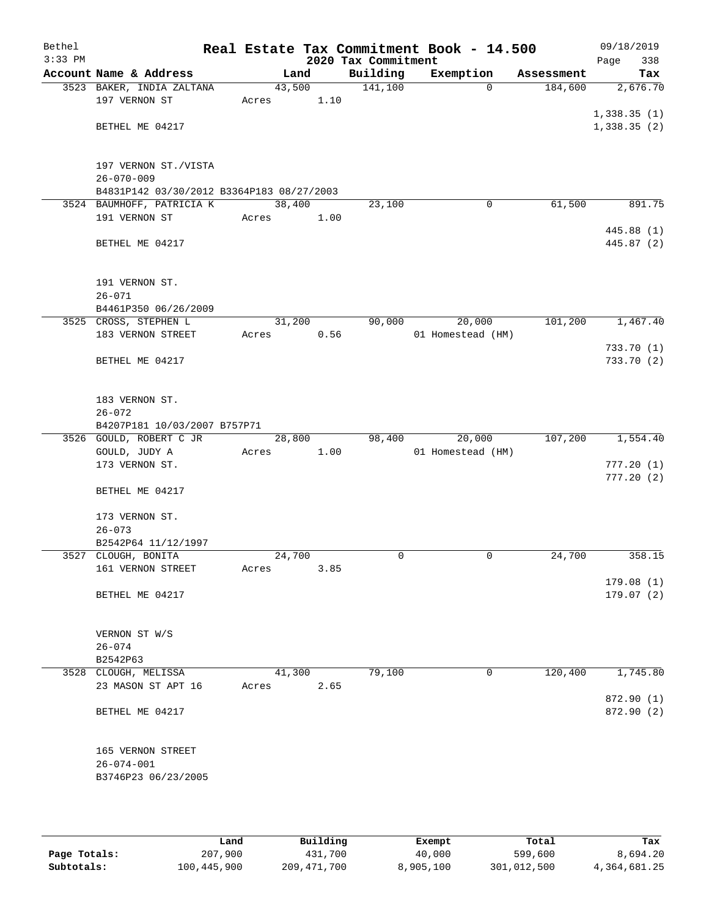| Bethel<br>$3:33$ PM |                                                                        |        |      | 2020 Tax Commitment | Real Estate Tax Commitment Book - 14.500 |            | 09/18/2019<br>338<br>Page |
|---------------------|------------------------------------------------------------------------|--------|------|---------------------|------------------------------------------|------------|---------------------------|
|                     | Account Name & Address                                                 |        | Land | Building            | Exemption                                | Assessment | Tax                       |
|                     | 3523 BAKER, INDIA ZALTANA                                              | 43,500 |      | 141,100             | $\Omega$                                 | 184,600    | 2,676.70                  |
|                     | 197 VERNON ST                                                          | Acres  | 1.10 |                     |                                          |            |                           |
|                     |                                                                        |        |      |                     |                                          |            | 1,338.35(1)               |
|                     | BETHEL ME 04217                                                        |        |      |                     |                                          |            | 1,338.35(2)               |
|                     |                                                                        |        |      |                     |                                          |            |                           |
|                     |                                                                        |        |      |                     |                                          |            |                           |
|                     | 197 VERNON ST./VISTA                                                   |        |      |                     |                                          |            |                           |
|                     | $26 - 070 - 009$                                                       |        |      |                     |                                          |            |                           |
|                     | B4831P142 03/30/2012 B3364P183 08/27/2003<br>3524 BAUMHOFF, PATRICIA K | 38,400 |      | 23,100              | 0                                        | 61,500     | 891.75                    |
|                     | 191 VERNON ST                                                          | Acres  | 1.00 |                     |                                          |            |                           |
|                     |                                                                        |        |      |                     |                                          |            | 445.88 (1)                |
|                     | BETHEL ME 04217                                                        |        |      |                     |                                          |            | 445.87 (2)                |
|                     |                                                                        |        |      |                     |                                          |            |                           |
|                     |                                                                        |        |      |                     |                                          |            |                           |
|                     | 191 VERNON ST.                                                         |        |      |                     |                                          |            |                           |
|                     | $26 - 071$                                                             |        |      |                     |                                          |            |                           |
|                     | B4461P350 06/26/2009                                                   |        |      |                     |                                          |            |                           |
|                     | 3525 CROSS, STEPHEN L                                                  | 31,200 |      | 90,000              | 20,000                                   | 101,200    | 1,467.40                  |
|                     | 183 VERNON STREET                                                      | Acres  | 0.56 |                     | 01 Homestead (HM)                        |            |                           |
|                     | BETHEL ME 04217                                                        |        |      |                     |                                          |            | 733.70 (1)<br>733.70 (2)  |
|                     |                                                                        |        |      |                     |                                          |            |                           |
|                     |                                                                        |        |      |                     |                                          |            |                           |
|                     | 183 VERNON ST.                                                         |        |      |                     |                                          |            |                           |
|                     | $26 - 072$                                                             |        |      |                     |                                          |            |                           |
|                     | B4207P181 10/03/2007 B757P71                                           |        |      |                     |                                          |            |                           |
|                     | 3526 GOULD, ROBERT C JR                                                | 28,800 |      | 98,400              | 20,000                                   | 107,200    | 1,554.40                  |
|                     | GOULD, JUDY A                                                          | Acres  | 1.00 |                     | 01 Homestead (HM)                        |            |                           |
|                     | 173 VERNON ST.                                                         |        |      |                     |                                          |            | 777.20(1)                 |
|                     | BETHEL ME 04217                                                        |        |      |                     |                                          |            | 777.20(2)                 |
|                     |                                                                        |        |      |                     |                                          |            |                           |
|                     | 173 VERNON ST.                                                         |        |      |                     |                                          |            |                           |
|                     | $26 - 073$                                                             |        |      |                     |                                          |            |                           |
|                     | B2542P64 11/12/1997                                                    |        |      |                     |                                          |            |                           |
|                     | 3527 CLOUGH, BONITA                                                    | 24,700 |      | 0                   | 0                                        | 24,700     | 358.15                    |
|                     | 161 VERNON STREET                                                      | Acres  | 3.85 |                     |                                          |            |                           |
|                     |                                                                        |        |      |                     |                                          |            | 179.08(1)                 |
|                     | BETHEL ME 04217                                                        |        |      |                     |                                          |            | 179.07(2)                 |
|                     |                                                                        |        |      |                     |                                          |            |                           |
|                     | VERNON ST W/S                                                          |        |      |                     |                                          |            |                           |
|                     | $26 - 074$                                                             |        |      |                     |                                          |            |                           |
|                     | B2542P63                                                               |        |      |                     |                                          |            |                           |
|                     | 3528 CLOUGH, MELISSA                                                   | 41,300 |      | 79,100              | 0                                        | 120,400    | 1,745.80                  |
|                     | 23 MASON ST APT 16                                                     | Acres  | 2.65 |                     |                                          |            |                           |
|                     |                                                                        |        |      |                     |                                          |            | 872.90 (1)                |
|                     | BETHEL ME 04217                                                        |        |      |                     |                                          |            | 872.90 (2)                |
|                     |                                                                        |        |      |                     |                                          |            |                           |
|                     |                                                                        |        |      |                     |                                          |            |                           |
|                     | 165 VERNON STREET<br>$26 - 074 - 001$                                  |        |      |                     |                                          |            |                           |
|                     | B3746P23 06/23/2005                                                    |        |      |                     |                                          |            |                           |
|                     |                                                                        |        |      |                     |                                          |            |                           |
|                     |                                                                        |        |      |                     |                                          |            |                           |

|              | Land        | Building      | Exempt    | Total       | Tax          |
|--------------|-------------|---------------|-----------|-------------|--------------|
| Page Totals: | 207,900     | 431,700       | 40,000    | 599,600     | 8,694.20     |
| Subtotals:   | 100,445,900 | 209, 471, 700 | 8,905,100 | 301,012,500 | 4,364,681.25 |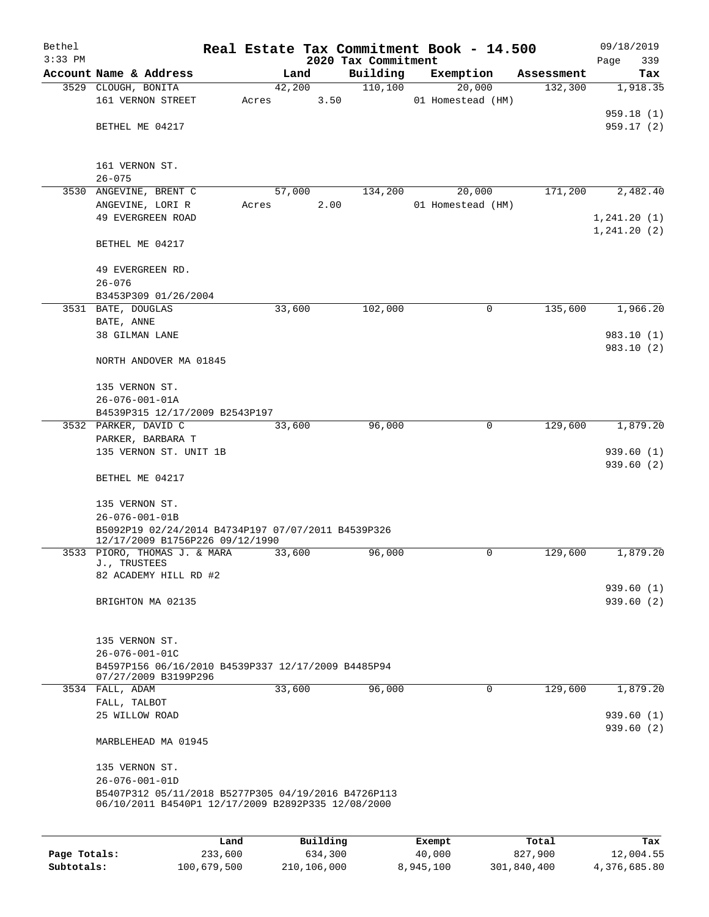| Bethel       |                                                                                       |         |       |        |          |                     | Real Estate Tax Commitment Book - 14.500 |            | 09/18/2019   |
|--------------|---------------------------------------------------------------------------------------|---------|-------|--------|----------|---------------------|------------------------------------------|------------|--------------|
| $3:33$ PM    |                                                                                       |         |       |        |          | 2020 Tax Commitment |                                          |            | Page<br>339  |
|              | Account Name & Address                                                                |         |       | Land   |          | Building            | Exemption                                | Assessment | Tax          |
|              | 3529 CLOUGH, BONITA                                                                   |         |       | 42,200 |          | 110,100             | 20,000                                   | 132,300    | 1,918.35     |
|              | 161 VERNON STREET                                                                     |         | Acres |        | 3.50     |                     | 01 Homestead (HM)                        |            | 959.18 (1)   |
|              | BETHEL ME 04217                                                                       |         |       |        |          |                     |                                          |            | 959.17(2)    |
|              |                                                                                       |         |       |        |          |                     |                                          |            |              |
|              | 161 VERNON ST.                                                                        |         |       |        |          |                     |                                          |            |              |
|              | $26 - 075$                                                                            |         |       |        |          |                     |                                          |            |              |
| 3530         | ANGEVINE, BRENT C                                                                     |         |       | 57,000 |          | 134,200             | 20,000                                   | 171,200    | 2,482.40     |
|              | ANGEVINE, LORI R                                                                      |         | Acres |        | 2.00     |                     | 01 Homestead (HM)                        |            |              |
|              | 49 EVERGREEN ROAD                                                                     |         |       |        |          |                     |                                          |            | 1,241.20(1)  |
|              | BETHEL ME 04217                                                                       |         |       |        |          |                     |                                          |            | 1, 241.20(2) |
|              | 49 EVERGREEN RD.                                                                      |         |       |        |          |                     |                                          |            |              |
|              | $26 - 076$                                                                            |         |       |        |          |                     |                                          |            |              |
|              | B3453P309 01/26/2004                                                                  |         |       |        |          |                     |                                          |            |              |
|              | 3531 BATE, DOUGLAS                                                                    |         |       | 33,600 |          | 102,000             | 0                                        | 135,600    | 1,966.20     |
|              | BATE, ANNE                                                                            |         |       |        |          |                     |                                          |            |              |
|              | 38 GILMAN LANE                                                                        |         |       |        |          |                     |                                          |            | 983.10 (1)   |
|              | NORTH ANDOVER MA 01845                                                                |         |       |        |          |                     |                                          |            | 983.10 (2)   |
|              |                                                                                       |         |       |        |          |                     |                                          |            |              |
|              | 135 VERNON ST.                                                                        |         |       |        |          |                     |                                          |            |              |
|              | $26 - 076 - 001 - 01A$<br>B4539P315 12/17/2009 B2543P197                              |         |       |        |          |                     |                                          |            |              |
|              | 3532 PARKER, DAVID C                                                                  |         |       | 33,600 |          | 96,000              | 0                                        | 129,600    | 1,879.20     |
|              | PARKER, BARBARA T                                                                     |         |       |        |          |                     |                                          |            |              |
|              | 135 VERNON ST. UNIT 1B                                                                |         |       |        |          |                     |                                          |            | 939.60(1)    |
|              |                                                                                       |         |       |        |          |                     |                                          |            | 939.60 (2)   |
|              | BETHEL ME 04217                                                                       |         |       |        |          |                     |                                          |            |              |
|              | 135 VERNON ST.                                                                        |         |       |        |          |                     |                                          |            |              |
|              | $26 - 076 - 001 - 01B$                                                                |         |       |        |          |                     |                                          |            |              |
|              | B5092P19 02/24/2014 B4734P197 07/07/2011 B4539P326<br>12/17/2009 B1756P226 09/12/1990 |         |       |        |          |                     |                                          |            |              |
|              | 3533 PIORO, THOMAS J. & MARA                                                          |         |       | 33,600 |          | 96,000              | 0                                        | 129,600    | 1,879.20     |
|              | J., TRUSTEES                                                                          |         |       |        |          |                     |                                          |            |              |
|              | 82 ACADEMY HILL RD #2                                                                 |         |       |        |          |                     |                                          |            |              |
|              |                                                                                       |         |       |        |          |                     |                                          |            | 939.60(1)    |
|              | BRIGHTON MA 02135                                                                     |         |       |        |          |                     |                                          |            | 939.60 (2)   |
|              | 135 VERNON ST.                                                                        |         |       |        |          |                     |                                          |            |              |
|              | $26 - 076 - 001 - 01C$                                                                |         |       |        |          |                     |                                          |            |              |
|              | B4597P156 06/16/2010 B4539P337 12/17/2009 B4485P94                                    |         |       |        |          |                     |                                          |            |              |
|              | 07/27/2009 B3199P296                                                                  |         |       |        |          |                     |                                          |            |              |
|              | 3534 FALL, ADAM                                                                       |         |       | 33,600 |          | 96,000              | 0                                        | 129,600    | 1,879.20     |
|              | FALL, TALBOT<br>25 WILLOW ROAD                                                        |         |       |        |          |                     |                                          |            | 939.60(1)    |
|              |                                                                                       |         |       |        |          |                     |                                          |            | 939.60(2)    |
|              | MARBLEHEAD MA 01945                                                                   |         |       |        |          |                     |                                          |            |              |
|              | 135 VERNON ST.                                                                        |         |       |        |          |                     |                                          |            |              |
|              | $26 - 076 - 001 - 01D$                                                                |         |       |        |          |                     |                                          |            |              |
|              | B5407P312 05/11/2018 B5277P305 04/19/2016 B4726P113                                   |         |       |        |          |                     |                                          |            |              |
|              | 06/10/2011 B4540P1 12/17/2009 B2892P335 12/08/2000                                    |         |       |        |          |                     |                                          |            |              |
|              |                                                                                       |         |       |        |          |                     |                                          |            |              |
|              |                                                                                       | Land    |       |        | Building |                     | Exempt                                   | Total      | Tax          |
| Page Totals: |                                                                                       | 233,600 |       |        | 634,300  |                     | 40,000                                   | 827,900    | 12,004.55    |

**Subtotals:** 100,679,500 210,106,000 8,945,100 301,840,400 4,376,685.80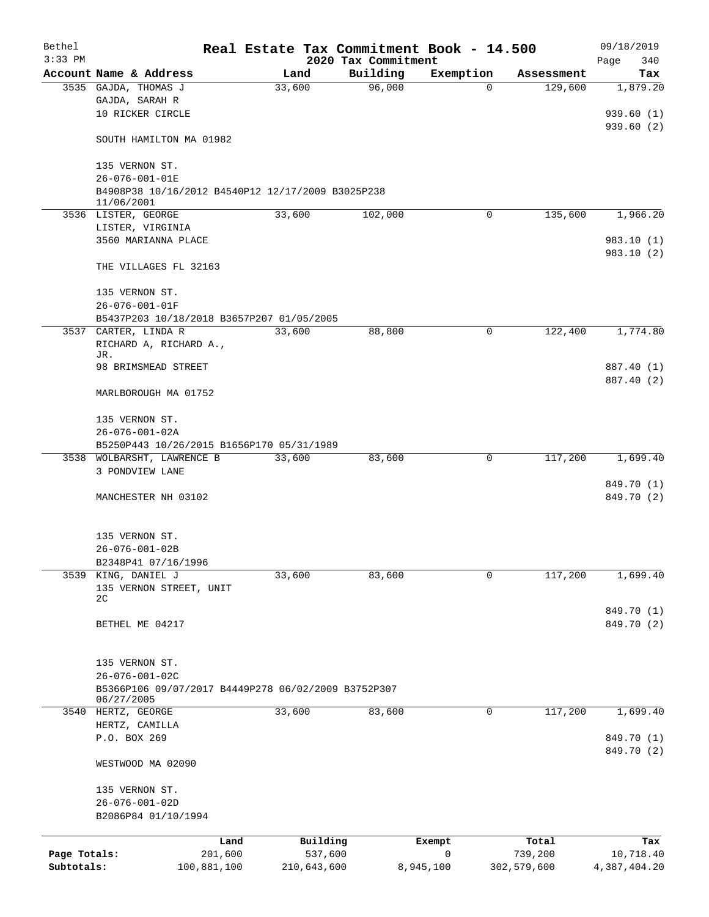| Bethel<br>$3:33$ PM |                                                                               |                     | Real Estate Tax Commitment Book - 14.500<br>2020 Tax Commitment |           |                  | 09/18/2019<br>340<br>Page |
|---------------------|-------------------------------------------------------------------------------|---------------------|-----------------------------------------------------------------|-----------|------------------|---------------------------|
|                     | Account Name & Address                                                        | Land                | Building                                                        | Exemption | Assessment       | Tax                       |
|                     | 3535 GAJDA, THOMAS J                                                          | 33,600              | 96,000                                                          | $\Omega$  | 129,600          | 1,879.20                  |
|                     | GAJDA, SARAH R                                                                |                     |                                                                 |           |                  |                           |
|                     | 10 RICKER CIRCLE                                                              |                     |                                                                 |           |                  | 939.60(1)                 |
|                     |                                                                               |                     |                                                                 |           |                  | 939.60(2)                 |
|                     | SOUTH HAMILTON MA 01982                                                       |                     |                                                                 |           |                  |                           |
|                     | 135 VERNON ST.                                                                |                     |                                                                 |           |                  |                           |
|                     | 26-076-001-01E                                                                |                     |                                                                 |           |                  |                           |
|                     | B4908P38 10/16/2012 B4540P12 12/17/2009 B3025P238                             |                     |                                                                 |           |                  |                           |
|                     | 11/06/2001<br>3536 LISTER, GEORGE                                             | 33,600              | 102,000                                                         | 0         | 135,600          | 1,966.20                  |
|                     | LISTER, VIRGINIA                                                              |                     |                                                                 |           |                  |                           |
|                     | 3560 MARIANNA PLACE                                                           |                     |                                                                 |           |                  | 983.10 (1)                |
|                     |                                                                               |                     |                                                                 |           |                  | 983.10 (2)                |
|                     | THE VILLAGES FL 32163                                                         |                     |                                                                 |           |                  |                           |
|                     |                                                                               |                     |                                                                 |           |                  |                           |
|                     | 135 VERNON ST.                                                                |                     |                                                                 |           |                  |                           |
|                     | 26-076-001-01F<br>B5437P203 10/18/2018 B3657P207 01/05/2005                   |                     |                                                                 |           |                  |                           |
|                     | 3537 CARTER, LINDA R                                                          | 33,600              | 88,800                                                          | 0         | 122,400          | 1,774.80                  |
|                     | RICHARD A, RICHARD A.,                                                        |                     |                                                                 |           |                  |                           |
|                     | JR.                                                                           |                     |                                                                 |           |                  |                           |
|                     | 98 BRIMSMEAD STREET                                                           |                     |                                                                 |           |                  | 887.40 (1)                |
|                     | MARLBOROUGH MA 01752                                                          |                     |                                                                 |           |                  | 887.40 (2)                |
|                     |                                                                               |                     |                                                                 |           |                  |                           |
|                     | 135 VERNON ST.                                                                |                     |                                                                 |           |                  |                           |
|                     | $26 - 076 - 001 - 02A$                                                        |                     |                                                                 |           |                  |                           |
|                     | B5250P443 10/26/2015 B1656P170 05/31/1989                                     |                     |                                                                 |           |                  |                           |
|                     | 3538 WOLBARSHT, LAWRENCE B                                                    | 33,600              | 83,600                                                          | 0         | 117,200          | 1,699.40                  |
|                     | 3 PONDVIEW LANE                                                               |                     |                                                                 |           |                  |                           |
|                     | MANCHESTER NH 03102                                                           |                     |                                                                 |           |                  | 849.70 (1)<br>849.70 (2)  |
|                     |                                                                               |                     |                                                                 |           |                  |                           |
|                     |                                                                               |                     |                                                                 |           |                  |                           |
|                     | 135 VERNON ST.                                                                |                     |                                                                 |           |                  |                           |
|                     | $26 - 076 - 001 - 02B$                                                        |                     |                                                                 |           |                  |                           |
|                     | B2348P41 07/16/1996                                                           |                     |                                                                 |           |                  |                           |
| 3539                | KING, DANIEL J                                                                | 33,600              | 83,600                                                          | 0         | 117,200          | 1,699.40                  |
|                     | 135 VERNON STREET, UNIT<br>2 <sub>C</sub>                                     |                     |                                                                 |           |                  |                           |
|                     |                                                                               |                     |                                                                 |           |                  | 849.70 (1)                |
|                     | BETHEL ME 04217                                                               |                     |                                                                 |           |                  | 849.70 (2)                |
|                     |                                                                               |                     |                                                                 |           |                  |                           |
|                     |                                                                               |                     |                                                                 |           |                  |                           |
|                     | 135 VERNON ST.                                                                |                     |                                                                 |           |                  |                           |
|                     | $26 - 076 - 001 - 02C$<br>B5366P106 09/07/2017 B4449P278 06/02/2009 B3752P307 |                     |                                                                 |           |                  |                           |
|                     | 06/27/2005                                                                    |                     |                                                                 |           |                  |                           |
| 3540                | HERTZ, GEORGE                                                                 | 33,600              | 83,600                                                          | 0         | 117,200          | 1,699.40                  |
|                     | HERTZ, CAMILLA                                                                |                     |                                                                 |           |                  |                           |
|                     | P.O. BOX 269                                                                  |                     |                                                                 |           |                  | 849.70 (1)                |
|                     |                                                                               |                     |                                                                 |           |                  | 849.70 (2)                |
|                     | WESTWOOD MA 02090                                                             |                     |                                                                 |           |                  |                           |
|                     | 135 VERNON ST.                                                                |                     |                                                                 |           |                  |                           |
|                     | $26 - 076 - 001 - 02D$                                                        |                     |                                                                 |           |                  |                           |
|                     | B2086P84 01/10/1994                                                           |                     |                                                                 |           |                  |                           |
|                     |                                                                               |                     |                                                                 |           |                  |                           |
| Page Totals:        | Land<br>201,600                                                               | Building<br>537,600 | Exempt<br>$\mathbf 0$                                           |           | Total<br>739,200 | Tax<br>10,718.40          |
| Subtotals:          | 100,881,100                                                                   | 210,643,600         | 8,945,100                                                       |           | 302,579,600      | 4,387,404.20              |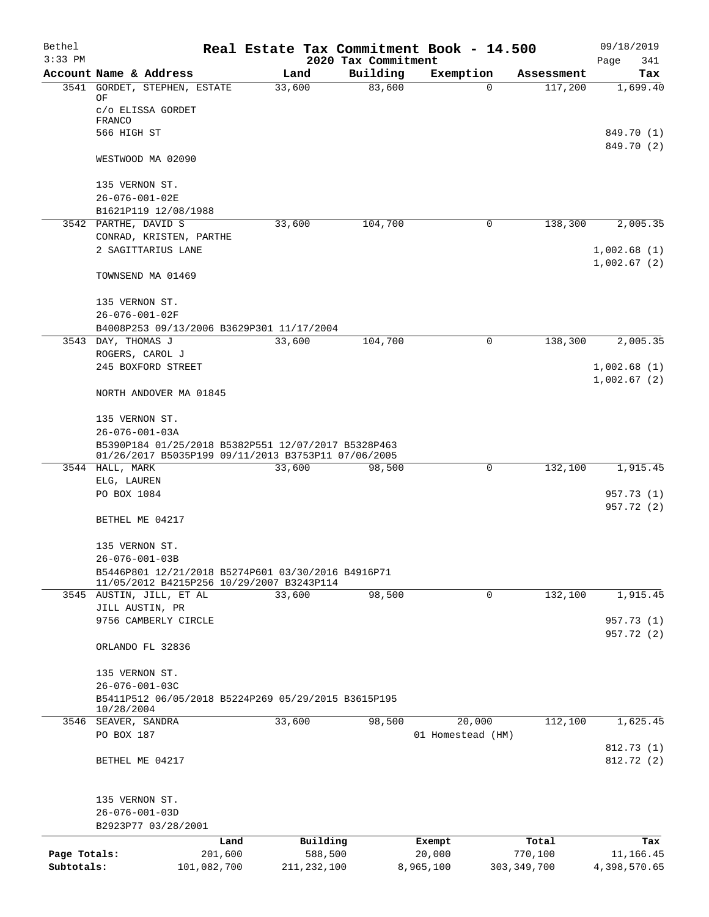| Bethel       |                                                                                                            | Real Estate Tax Commitment Book - 14.500 |                                 |                   |               | 09/18/2019         |
|--------------|------------------------------------------------------------------------------------------------------------|------------------------------------------|---------------------------------|-------------------|---------------|--------------------|
| $3:33$ PM    | Account Name & Address                                                                                     | Land                                     | 2020 Tax Commitment<br>Building | Exemption         | Assessment    | Page<br>341<br>Tax |
|              | 3541 GORDET, STEPHEN, ESTATE                                                                               | 33,600                                   | 83,600                          | $\Omega$          | 117,200       | 1,699.40           |
|              | OF                                                                                                         |                                          |                                 |                   |               |                    |
|              | c/o ELISSA GORDET<br>FRANCO                                                                                |                                          |                                 |                   |               |                    |
|              | 566 HIGH ST                                                                                                |                                          |                                 |                   |               | 849.70 (1)         |
|              |                                                                                                            |                                          |                                 |                   |               | 849.70 (2)         |
|              | WESTWOOD MA 02090                                                                                          |                                          |                                 |                   |               |                    |
|              | 135 VERNON ST.                                                                                             |                                          |                                 |                   |               |                    |
|              | $26 - 076 - 001 - 02E$                                                                                     |                                          |                                 |                   |               |                    |
|              | B1621P119 12/08/1988                                                                                       |                                          |                                 |                   |               |                    |
|              | 3542 PARTHE, DAVID S                                                                                       | 33,600                                   | 104,700                         | 0                 | 138,300       | 2,005.35           |
|              | CONRAD, KRISTEN, PARTHE                                                                                    |                                          |                                 |                   |               |                    |
|              | 2 SAGITTARIUS LANE                                                                                         |                                          |                                 |                   |               | 1,002.68(1)        |
|              |                                                                                                            |                                          |                                 |                   |               | 1,002.67(2)        |
|              | TOWNSEND MA 01469                                                                                          |                                          |                                 |                   |               |                    |
|              | 135 VERNON ST.                                                                                             |                                          |                                 |                   |               |                    |
|              | 26-076-001-02F                                                                                             |                                          |                                 |                   |               |                    |
|              | B4008P253 09/13/2006 B3629P301 11/17/2004                                                                  |                                          |                                 |                   |               |                    |
|              | 3543 DAY, THOMAS J                                                                                         | 33,600                                   | 104,700                         | 0                 | 138,300       | 2,005.35           |
|              | ROGERS, CAROL J                                                                                            |                                          |                                 |                   |               |                    |
|              | 245 BOXFORD STREET                                                                                         |                                          |                                 |                   |               | 1,002.68(1)        |
|              | NORTH ANDOVER MA 01845                                                                                     |                                          |                                 |                   |               | 1,002.67(2)        |
|              | 135 VERNON ST.                                                                                             |                                          |                                 |                   |               |                    |
|              | $26 - 076 - 001 - 03A$                                                                                     |                                          |                                 |                   |               |                    |
|              | B5390P184 01/25/2018 B5382P551 12/07/2017 B5328P463<br>01/26/2017 B5035P199 09/11/2013 B3753P11 07/06/2005 |                                          |                                 |                   |               |                    |
| 3544         | HALL, MARK                                                                                                 | 33,600                                   | 98,500                          | 0                 | 132,100       | 1,915.45           |
|              | ELG, LAUREN                                                                                                |                                          |                                 |                   |               |                    |
|              | PO BOX 1084                                                                                                |                                          |                                 |                   |               | 957.73 (1)         |
|              |                                                                                                            |                                          |                                 |                   |               | 957.72 (2)         |
|              | BETHEL ME 04217                                                                                            |                                          |                                 |                   |               |                    |
|              | 135 VERNON ST.                                                                                             |                                          |                                 |                   |               |                    |
|              | $26 - 076 - 001 - 03B$                                                                                     |                                          |                                 |                   |               |                    |
|              | B5446P801 12/21/2018 B5274P601 03/30/2016 B4916P71                                                         |                                          |                                 |                   |               |                    |
|              | 11/05/2012 B4215P256 10/29/2007 B3243P114<br>3545 AUSTIN, JILL, ET AL                                      | 33,600                                   | 98,500                          | $\mathbf 0$       | 132,100       | 1,915.45           |
|              | JILL AUSTIN, PR                                                                                            |                                          |                                 |                   |               |                    |
|              | 9756 CAMBERLY CIRCLE                                                                                       |                                          |                                 |                   |               | 957.73 (1)         |
|              | ORLANDO FL 32836                                                                                           |                                          |                                 |                   |               | 957.72 (2)         |
|              |                                                                                                            |                                          |                                 |                   |               |                    |
|              | 135 VERNON ST.                                                                                             |                                          |                                 |                   |               |                    |
|              | $26 - 076 - 001 - 03C$                                                                                     |                                          |                                 |                   |               |                    |
|              | B5411P512 06/05/2018 B5224P269 05/29/2015 B3615P195                                                        |                                          |                                 |                   |               |                    |
|              | 10/28/2004<br>3546 SEAVER, SANDRA                                                                          | 33,600                                   | 98,500                          | 20,000            | 112,100       | 1,625.45           |
|              | PO BOX 187                                                                                                 |                                          |                                 | 01 Homestead (HM) |               |                    |
|              |                                                                                                            |                                          |                                 |                   |               | 812.73(1)          |
|              | BETHEL ME 04217                                                                                            |                                          |                                 |                   |               | 812.72 (2)         |
|              | 135 VERNON ST.                                                                                             |                                          |                                 |                   |               |                    |
|              | $26 - 076 - 001 - 03D$                                                                                     |                                          |                                 |                   |               |                    |
|              | B2923P77 03/28/2001                                                                                        |                                          |                                 |                   |               |                    |
|              | Land                                                                                                       | Building                                 |                                 | Exempt            | Total         | Tax                |
| Page Totals: | 201,600                                                                                                    | 588,500                                  |                                 | 20,000            | 770,100       | 11,166.45          |
| Subtotals:   | 101,082,700                                                                                                | 211, 232, 100                            |                                 | 8,965,100         | 303, 349, 700 | 4,398,570.65       |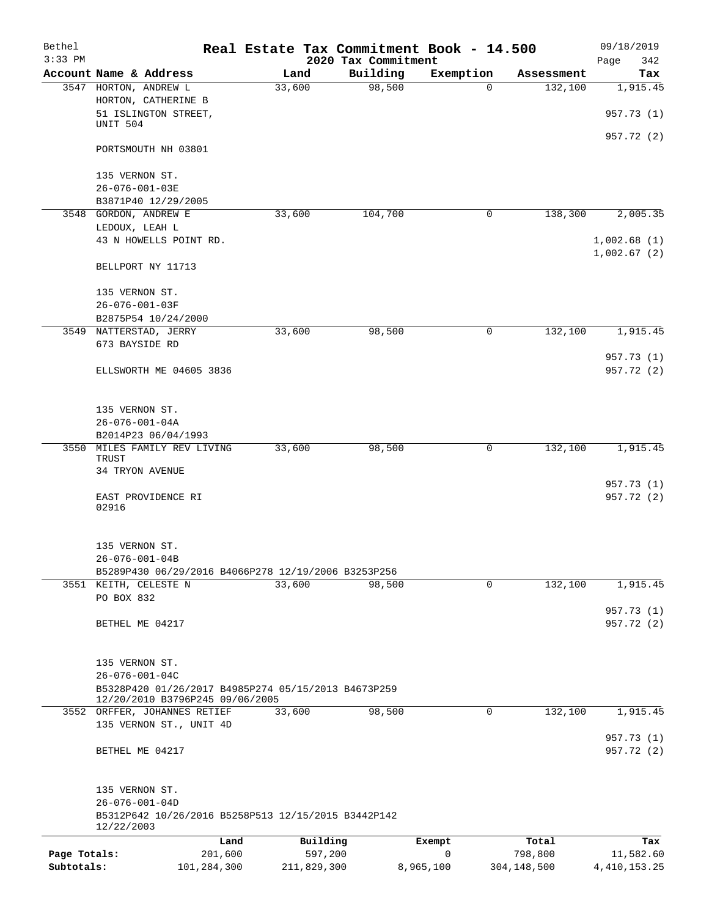| Bethel                     |                                                                                        |                        |        |                        | Real Estate Tax Commitment Book - 14.500 |                |             |                        | 09/18/2019                   |
|----------------------------|----------------------------------------------------------------------------------------|------------------------|--------|------------------------|------------------------------------------|----------------|-------------|------------------------|------------------------------|
| $3:33$ PM                  |                                                                                        |                        |        |                        | 2020 Tax Commitment                      |                |             |                        | Page<br>342                  |
|                            | Account Name & Address                                                                 |                        |        | Land                   | Building                                 |                | Exemption   | Assessment             | Tax                          |
|                            | 3547 HORTON, ANDREW L<br>HORTON, CATHERINE B                                           |                        | 33,600 |                        | 98,500                                   |                | $\Omega$    | 132,100                | 1,915.45<br>957.73 (1)       |
|                            | 51 ISLINGTON STREET,<br>UNIT 504                                                       |                        |        |                        |                                          |                |             |                        |                              |
|                            | PORTSMOUTH NH 03801                                                                    |                        |        |                        |                                          |                |             |                        | 957.72 (2)                   |
|                            | 135 VERNON ST.                                                                         |                        |        |                        |                                          |                |             |                        |                              |
|                            | 26-076-001-03E<br>B3871P40 12/29/2005                                                  |                        |        |                        |                                          |                |             |                        |                              |
| 3548                       | GORDON, ANDREW E                                                                       |                        | 33,600 |                        | 104,700                                  |                | 0           | 138,300                | 2,005.35                     |
|                            | LEDOUX, LEAH L                                                                         |                        |        |                        |                                          |                |             |                        |                              |
|                            | 43 N HOWELLS POINT RD.                                                                 |                        |        |                        |                                          |                |             |                        | 1,002.68(1)<br>1,002.67(2)   |
|                            | BELLPORT NY 11713                                                                      |                        |        |                        |                                          |                |             |                        |                              |
|                            | 135 VERNON ST.                                                                         |                        |        |                        |                                          |                |             |                        |                              |
|                            | 26-076-001-03F                                                                         |                        |        |                        |                                          |                |             |                        |                              |
|                            | B2875P54 10/24/2000                                                                    |                        |        |                        |                                          |                |             |                        |                              |
| 3549                       | NATTERSTAD, JERRY<br>673 BAYSIDE RD                                                    |                        | 33,600 |                        | 98,500                                   |                | 0           | 132,100                | 1,915.45                     |
|                            | ELLSWORTH ME 04605 3836                                                                |                        |        |                        |                                          |                |             |                        | 957.73 (1)<br>957.72 (2)     |
|                            |                                                                                        |                        |        |                        |                                          |                |             |                        |                              |
|                            | 135 VERNON ST.                                                                         |                        |        |                        |                                          |                |             |                        |                              |
|                            | $26 - 076 - 001 - 04A$                                                                 |                        |        |                        |                                          |                |             |                        |                              |
|                            | B2014P23 06/04/1993                                                                    |                        |        |                        |                                          |                |             |                        |                              |
| 3550                       | MILES FAMILY REV LIVING<br>TRUST                                                       |                        | 33,600 |                        | 98,500                                   |                | 0           | 132,100                | 1,915.45                     |
|                            | 34 TRYON AVENUE                                                                        |                        |        |                        |                                          |                |             |                        | 957.73 (1)                   |
|                            | EAST PROVIDENCE RI<br>02916                                                            |                        |        |                        |                                          |                |             |                        | 957.72 (2)                   |
|                            |                                                                                        |                        |        |                        |                                          |                |             |                        |                              |
|                            | 135 VERNON ST.<br>$26 - 076 - 001 - 04B$                                               |                        |        |                        |                                          |                |             |                        |                              |
|                            | B5289P430 06/29/2016 B4066P278 12/19/2006 B3253P256                                    |                        |        |                        |                                          |                |             |                        |                              |
|                            | 3551 KEITH, CELESTE N                                                                  |                        | 33,600 |                        | 98,500                                   |                | $\mathbf 0$ | 132,100                | 1,915.45                     |
|                            | PO BOX 832                                                                             |                        |        |                        |                                          |                |             |                        | 957.73 (1)                   |
|                            | BETHEL ME 04217                                                                        |                        |        |                        |                                          |                |             |                        | 957.72 (2)                   |
|                            | 135 VERNON ST.                                                                         |                        |        |                        |                                          |                |             |                        |                              |
|                            | $26 - 076 - 001 - 04C$                                                                 |                        |        |                        |                                          |                |             |                        |                              |
|                            | B5328P420 01/26/2017 B4985P274 05/15/2013 B4673P259<br>12/20/2010 B3796P245 09/06/2005 |                        |        |                        |                                          |                |             |                        |                              |
|                            | 3552 ORFFER, JOHANNES RETIEF                                                           |                        | 33,600 |                        | 98,500                                   |                | 0           | 132,100                | 1,915.45                     |
|                            | 135 VERNON ST., UNIT 4D                                                                |                        |        |                        |                                          |                |             |                        |                              |
|                            | BETHEL ME 04217                                                                        |                        |        |                        |                                          |                |             |                        | 957.73 (1)<br>957.72 (2)     |
|                            | 135 VERNON ST.                                                                         |                        |        |                        |                                          |                |             |                        |                              |
|                            | $26 - 076 - 001 - 04D$                                                                 |                        |        |                        |                                          |                |             |                        |                              |
|                            | B5312P642 10/26/2016 B5258P513 12/15/2015 B3442P142<br>12/22/2003                      |                        |        |                        |                                          |                |             |                        |                              |
|                            |                                                                                        | Land                   |        | Building               |                                          | Exempt         |             | Total                  | Tax                          |
| Page Totals:<br>Subtotals: |                                                                                        | 201,600<br>101,284,300 |        | 597,200<br>211,829,300 |                                          | 0<br>8,965,100 |             | 798,800<br>304,148,500 | 11,582.60<br>4, 410, 153. 25 |
|                            |                                                                                        |                        |        |                        |                                          |                |             |                        |                              |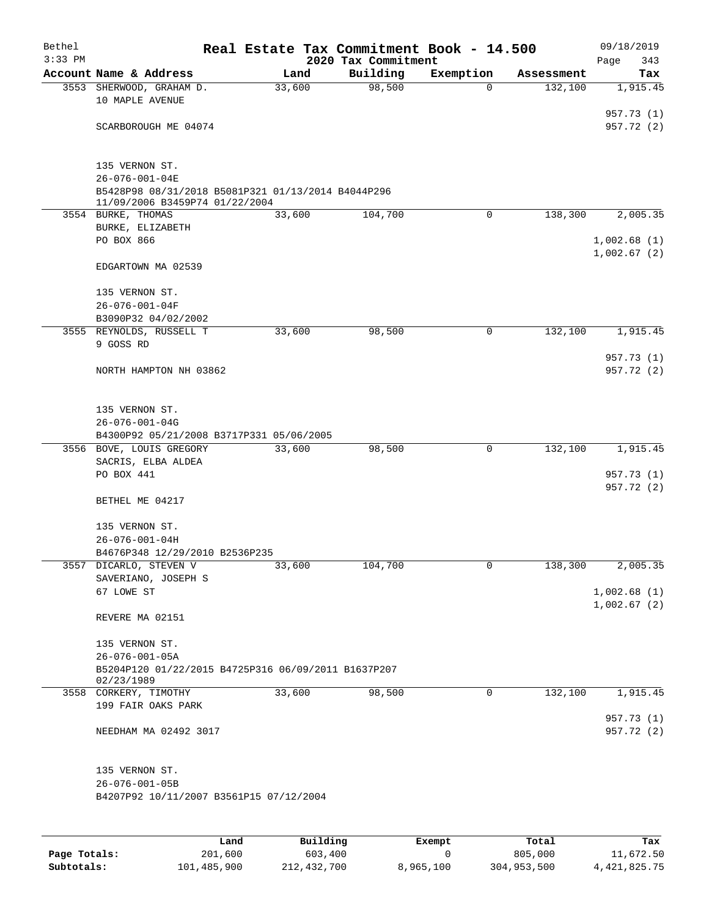| Bethel    |                                                           |        |      | Real Estate Tax Commitment Book - 14.500 |                       |                       | 09/18/2019               |
|-----------|-----------------------------------------------------------|--------|------|------------------------------------------|-----------------------|-----------------------|--------------------------|
| $3:33$ PM | Account Name & Address                                    |        | Land | 2020 Tax Commitment<br>Building          |                       |                       | Page<br>343              |
|           | 3553 SHERWOOD, GRAHAM D.                                  | 33,600 |      | 98,500                                   | Exemption<br>$\Omega$ | Assessment<br>132,100 | Tax<br>1,915.45          |
|           | 10 MAPLE AVENUE                                           |        |      |                                          |                       |                       |                          |
|           |                                                           |        |      |                                          |                       |                       | 957.73 (1)               |
|           | SCARBOROUGH ME 04074                                      |        |      |                                          |                       |                       | 957.72 (2)               |
|           |                                                           |        |      |                                          |                       |                       |                          |
|           |                                                           |        |      |                                          |                       |                       |                          |
|           | 135 VERNON ST.<br>26-076-001-04E                          |        |      |                                          |                       |                       |                          |
|           | B5428P98 08/31/2018 B5081P321 01/13/2014 B4044P296        |        |      |                                          |                       |                       |                          |
|           | 11/09/2006 B3459P74 01/22/2004                            |        |      |                                          |                       |                       |                          |
|           | 3554 BURKE, THOMAS                                        | 33,600 |      | 104,700                                  | $\mathbf 0$           | 138,300               | 2,005.35                 |
|           | BURKE, ELIZABETH<br>PO BOX 866                            |        |      |                                          |                       |                       | 1,002.68(1)              |
|           |                                                           |        |      |                                          |                       |                       | 1,002.67(2)              |
|           | EDGARTOWN MA 02539                                        |        |      |                                          |                       |                       |                          |
|           |                                                           |        |      |                                          |                       |                       |                          |
|           | 135 VERNON ST.                                            |        |      |                                          |                       |                       |                          |
|           | $26 - 076 - 001 - 04F$                                    |        |      |                                          |                       |                       |                          |
|           | B3090P32 04/02/2002<br>3555 REYNOLDS, RUSSELL T           | 33,600 |      | 98,500                                   | 0                     | 132,100               | 1,915.45                 |
|           | 9 GOSS RD                                                 |        |      |                                          |                       |                       |                          |
|           |                                                           |        |      |                                          |                       |                       | 957.73 (1)               |
|           | NORTH HAMPTON NH 03862                                    |        |      |                                          |                       |                       | 957.72 (2)               |
|           |                                                           |        |      |                                          |                       |                       |                          |
|           | 135 VERNON ST.                                            |        |      |                                          |                       |                       |                          |
|           | $26 - 076 - 001 - 04G$                                    |        |      |                                          |                       |                       |                          |
|           | B4300P92 05/21/2008 B3717P331 05/06/2005                  |        |      |                                          |                       |                       |                          |
|           | 3556 BOVE, LOUIS GREGORY                                  | 33,600 |      | 98,500                                   | 0                     | 132,100               | 1,915.45                 |
|           | SACRIS, ELBA ALDEA                                        |        |      |                                          |                       |                       |                          |
|           | PO BOX 441                                                |        |      |                                          |                       |                       | 957.73 (1)<br>957.72 (2) |
|           | BETHEL ME 04217                                           |        |      |                                          |                       |                       |                          |
|           |                                                           |        |      |                                          |                       |                       |                          |
|           | 135 VERNON ST.                                            |        |      |                                          |                       |                       |                          |
|           | $26 - 076 - 001 - 04H$                                    |        |      |                                          |                       |                       |                          |
|           | B4676P348 12/29/2010 B2536P235                            |        |      |                                          |                       |                       |                          |
|           | 3557 DICARLO, STEVEN V<br>SAVERIANO, JOSEPH S             | 33,600 |      | 104,700                                  | 0                     | 138,300               | 2,005.35                 |
|           | 67 LOWE ST                                                |        |      |                                          |                       |                       | 1,002.68(1)              |
|           |                                                           |        |      |                                          |                       |                       | 1,002.67(2)              |
|           | REVERE MA 02151                                           |        |      |                                          |                       |                       |                          |
|           |                                                           |        |      |                                          |                       |                       |                          |
|           | 135 VERNON ST.<br>$26 - 076 - 001 - 05A$                  |        |      |                                          |                       |                       |                          |
|           | B5204P120 01/22/2015 B4725P316 06/09/2011 B1637P207       |        |      |                                          |                       |                       |                          |
|           | 02/23/1989                                                |        |      |                                          |                       |                       |                          |
|           | 3558 CORKERY, TIMOTHY                                     | 33,600 |      | 98,500                                   | $\mathbf 0$           | 132,100               | 1,915.45                 |
|           | 199 FAIR OAKS PARK                                        |        |      |                                          |                       |                       | 957.73 (1)               |
|           | NEEDHAM MA 02492 3017                                     |        |      |                                          |                       |                       | 957.72 (2)               |
|           |                                                           |        |      |                                          |                       |                       |                          |
|           |                                                           |        |      |                                          |                       |                       |                          |
|           | 135 VERNON ST.                                            |        |      |                                          |                       |                       |                          |
|           | 26-076-001-05B<br>B4207P92 10/11/2007 B3561P15 07/12/2004 |        |      |                                          |                       |                       |                          |
|           |                                                           |        |      |                                          |                       |                       |                          |
|           |                                                           |        |      |                                          |                       |                       |                          |
|           |                                                           |        |      |                                          |                       |                       |                          |

|              | Land        | Building    | Exempt    | Total       | Tax          |
|--------------|-------------|-------------|-----------|-------------|--------------|
| Page Totals: | 201,600     | 603,400     |           | 805,000     | 11,672.50    |
| Subtotals:   | 101,485,900 | 212,432,700 | 8,965,100 | 304,953,500 | 4,421,825.75 |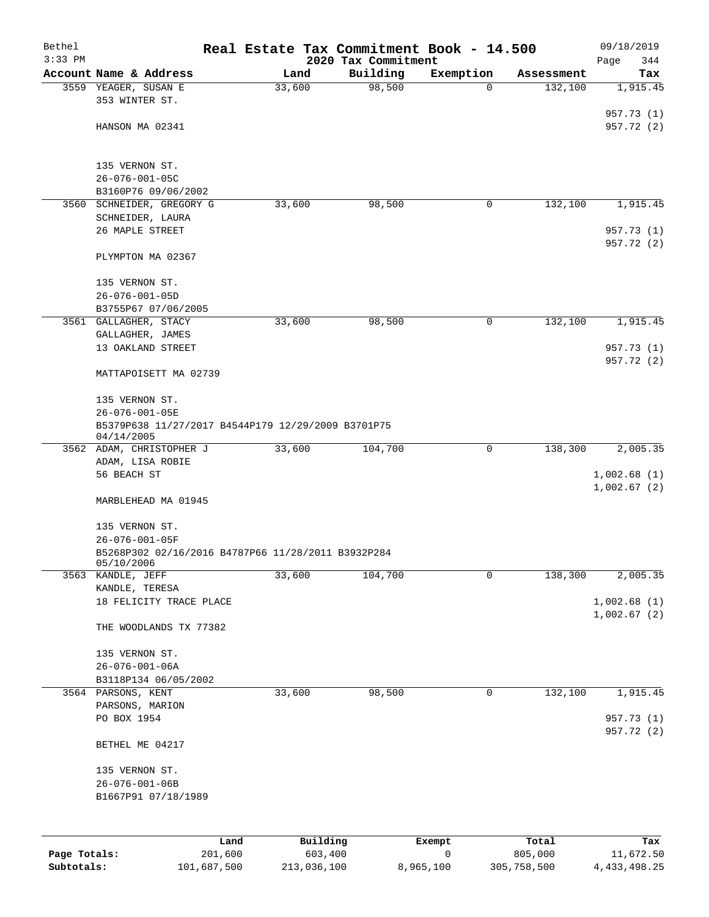| Bethel       |                                                    |                |                     | Real Estate Tax Commitment Book - 14.500 |                       | 09/18/2019               |
|--------------|----------------------------------------------------|----------------|---------------------|------------------------------------------|-----------------------|--------------------------|
| $3:33$ PM    |                                                    |                | 2020 Tax Commitment |                                          |                       | Page<br>344              |
|              | Account Name & Address<br>3559 YEAGER, SUSAN E     | Land<br>33,600 | Building<br>98,500  | Exemption<br>$\Omega$                    | Assessment<br>132,100 | Tax                      |
|              | 353 WINTER ST.                                     |                |                     |                                          |                       | 1,915.45                 |
|              |                                                    |                |                     |                                          |                       | 957.73 (1)               |
|              | HANSON MA 02341                                    |                |                     |                                          |                       | 957.72 (2)               |
|              |                                                    |                |                     |                                          |                       |                          |
|              |                                                    |                |                     |                                          |                       |                          |
|              | 135 VERNON ST.                                     |                |                     |                                          |                       |                          |
|              | $26 - 076 - 001 - 05C$                             |                |                     |                                          |                       |                          |
|              | B3160P76 09/06/2002<br>3560 SCHNEIDER, GREGORY G   | 33,600         | 98,500              | 0                                        | 132,100               | 1,915.45                 |
|              | SCHNEIDER, LAURA                                   |                |                     |                                          |                       |                          |
|              | 26 MAPLE STREET                                    |                |                     |                                          |                       | 957.73 (1)               |
|              |                                                    |                |                     |                                          |                       | 957.72 (2)               |
|              | PLYMPTON MA 02367                                  |                |                     |                                          |                       |                          |
|              |                                                    |                |                     |                                          |                       |                          |
|              | 135 VERNON ST.                                     |                |                     |                                          |                       |                          |
|              | $26 - 076 - 001 - 05D$                             |                |                     |                                          |                       |                          |
|              | B3755P67 07/06/2005                                |                |                     |                                          |                       |                          |
|              | 3561 GALLAGHER, STACY                              | 33,600         | 98,500              | 0                                        | 132,100               | 1,915.45                 |
|              | GALLAGHER, JAMES                                   |                |                     |                                          |                       |                          |
|              | 13 OAKLAND STREET                                  |                |                     |                                          |                       | 957.73 (1)<br>957.72 (2) |
|              | MATTAPOISETT MA 02739                              |                |                     |                                          |                       |                          |
|              |                                                    |                |                     |                                          |                       |                          |
|              | 135 VERNON ST.                                     |                |                     |                                          |                       |                          |
|              | 26-076-001-05E                                     |                |                     |                                          |                       |                          |
|              | B5379P638 11/27/2017 B4544P179 12/29/2009 B3701P75 |                |                     |                                          |                       |                          |
|              | 04/14/2005                                         |                |                     |                                          |                       |                          |
|              | 3562 ADAM, CHRISTOPHER J                           | 33,600         | 104,700             | 0                                        | 138,300               | 2,005.35                 |
|              | ADAM, LISA ROBIE<br>56 BEACH ST                    |                |                     |                                          |                       | 1,002.68(1)              |
|              |                                                    |                |                     |                                          |                       | 1,002.67(2)              |
|              | MARBLEHEAD MA 01945                                |                |                     |                                          |                       |                          |
|              |                                                    |                |                     |                                          |                       |                          |
|              | 135 VERNON ST.                                     |                |                     |                                          |                       |                          |
|              | 26-076-001-05F                                     |                |                     |                                          |                       |                          |
|              | B5268P302 02/16/2016 B4787P66 11/28/2011 B3932P284 |                |                     |                                          |                       |                          |
|              | 05/10/2006                                         |                |                     | 0                                        |                       |                          |
|              | 3563 KANDLE, JEFF<br>KANDLE, TERESA                | 33,600         | 104,700             |                                          | 138,300               | 2,005.35                 |
|              | 18 FELICITY TRACE PLACE                            |                |                     |                                          |                       | 1,002.68(1)              |
|              |                                                    |                |                     |                                          |                       | 1,002.67(2)              |
|              | THE WOODLANDS TX 77382                             |                |                     |                                          |                       |                          |
|              |                                                    |                |                     |                                          |                       |                          |
|              | 135 VERNON ST.                                     |                |                     |                                          |                       |                          |
|              | $26 - 076 - 001 - 06A$                             |                |                     |                                          |                       |                          |
|              | B3118P134 06/05/2002                               |                |                     |                                          |                       |                          |
|              | 3564 PARSONS, KENT                                 | 33,600         | 98,500              | $\mathbf 0$                              | 132,100               | 1,915.45                 |
|              | PARSONS, MARION                                    |                |                     |                                          |                       |                          |
|              | PO BOX 1954                                        |                |                     |                                          |                       | 957.73 (1)<br>957.72 (2) |
|              | BETHEL ME 04217                                    |                |                     |                                          |                       |                          |
|              |                                                    |                |                     |                                          |                       |                          |
|              | 135 VERNON ST.                                     |                |                     |                                          |                       |                          |
|              | $26 - 076 - 001 - 06B$                             |                |                     |                                          |                       |                          |
|              | B1667P91 07/18/1989                                |                |                     |                                          |                       |                          |
|              |                                                    |                |                     |                                          |                       |                          |
|              |                                                    |                |                     |                                          |                       |                          |
|              | Land                                               | Building       |                     | Exempt                                   | Total                 | Tax                      |
| Page Totals: | 201,600                                            | 603,400        |                     | 0                                        | 805,000               | 11,672.50                |

**Subtotals:** 101,687,500 213,036,100 8,965,100 305,758,500 4,433,498.25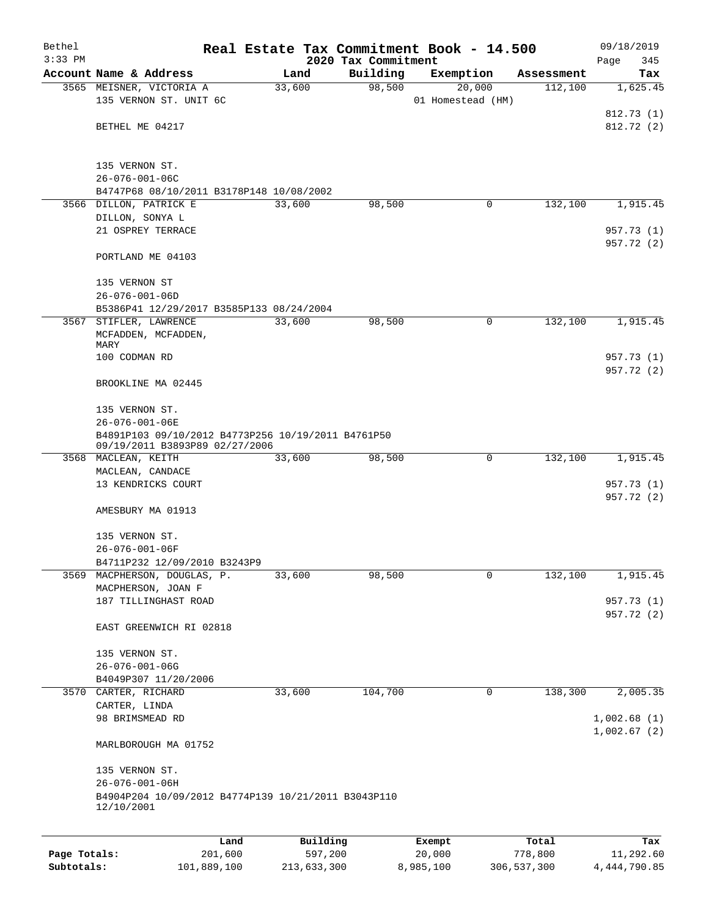| Bethel<br>$3:33$ PM |                                                                                             |         |        |          |                                 | Real Estate Tax Commitment Book - 14.500 |            | 09/18/2019                 |
|---------------------|---------------------------------------------------------------------------------------------|---------|--------|----------|---------------------------------|------------------------------------------|------------|----------------------------|
|                     | Account Name & Address                                                                      |         |        | Land     | 2020 Tax Commitment<br>Building | Exemption                                | Assessment | Page<br>345<br>Tax         |
|                     | 3565 MEISNER, VICTORIA A                                                                    |         | 33,600 |          | 98,500                          | 20,000                                   | 112,100    | 1,625.45                   |
|                     | 135 VERNON ST. UNIT 6C                                                                      |         |        |          |                                 | 01 Homestead (HM)                        |            |                            |
|                     |                                                                                             |         |        |          |                                 |                                          |            | 812.73 (1)                 |
|                     | BETHEL ME 04217                                                                             |         |        |          |                                 |                                          |            | 812.72(2)                  |
|                     | 135 VERNON ST.                                                                              |         |        |          |                                 |                                          |            |                            |
|                     | $26 - 076 - 001 - 06C$                                                                      |         |        |          |                                 |                                          |            |                            |
|                     | B4747P68 08/10/2011 B3178P148 10/08/2002                                                    |         |        |          |                                 |                                          |            |                            |
|                     | 3566 DILLON, PATRICK E                                                                      |         | 33,600 |          | 98,500                          | 0                                        | 132,100    | 1,915.45                   |
|                     | DILLON, SONYA L<br>21 OSPREY TERRACE                                                        |         |        |          |                                 |                                          |            |                            |
|                     |                                                                                             |         |        |          |                                 |                                          |            | 957.73 (1)<br>957.72 (2)   |
|                     | PORTLAND ME 04103                                                                           |         |        |          |                                 |                                          |            |                            |
|                     | 135 VERNON ST                                                                               |         |        |          |                                 |                                          |            |                            |
|                     | $26 - 076 - 001 - 06D$                                                                      |         |        |          |                                 |                                          |            |                            |
|                     | B5386P41 12/29/2017 B3585P133 08/24/2004<br>3567 STIFLER, LAWRENCE                          |         | 33,600 |          | 98,500                          | 0                                        | 132,100    | 1,915.45                   |
|                     | MCFADDEN, MCFADDEN,<br>MARY                                                                 |         |        |          |                                 |                                          |            |                            |
|                     | 100 CODMAN RD                                                                               |         |        |          |                                 |                                          |            | 957.73 (1)<br>957.72 (2)   |
|                     | BROOKLINE MA 02445                                                                          |         |        |          |                                 |                                          |            |                            |
|                     | 135 VERNON ST.                                                                              |         |        |          |                                 |                                          |            |                            |
|                     | 26-076-001-06E                                                                              |         |        |          |                                 |                                          |            |                            |
|                     | B4891P103 09/10/2012 B4773P256 10/19/2011 B4761P50<br>09/19/2011 B3893P89 02/27/2006        |         |        |          |                                 |                                          |            |                            |
|                     | 3568 MACLEAN, KEITH                                                                         |         |        | 33,600   | 98,500                          | 0                                        | 132,100    | 1,915.45                   |
|                     | MACLEAN, CANDACE                                                                            |         |        |          |                                 |                                          |            |                            |
|                     | 13 KENDRICKS COURT                                                                          |         |        |          |                                 |                                          |            | 957.73 (1)                 |
|                     |                                                                                             |         |        |          |                                 |                                          |            | 957.72 (2)                 |
|                     | AMESBURY MA 01913                                                                           |         |        |          |                                 |                                          |            |                            |
|                     | 135 VERNON ST.                                                                              |         |        |          |                                 |                                          |            |                            |
|                     | $26 - 076 - 001 - 06F$                                                                      |         |        |          |                                 |                                          |            |                            |
|                     | B4711P232 12/09/2010 B3243P9                                                                |         |        |          |                                 |                                          |            |                            |
| 3569                | MACPHERSON, DOUGLAS, P.                                                                     |         | 33,600 |          | 98,500                          | 0                                        | 132,100    | 1,915.45                   |
|                     | MACPHERSON, JOAN F                                                                          |         |        |          |                                 |                                          |            |                            |
|                     | 187 TILLINGHAST ROAD                                                                        |         |        |          |                                 |                                          |            | 957.73 (1)<br>957.72 (2)   |
|                     | EAST GREENWICH RI 02818                                                                     |         |        |          |                                 |                                          |            |                            |
|                     | 135 VERNON ST.                                                                              |         |        |          |                                 |                                          |            |                            |
|                     | $26 - 076 - 001 - 06G$                                                                      |         |        |          |                                 |                                          |            |                            |
|                     | B4049P307 11/20/2006                                                                        |         |        |          |                                 |                                          |            |                            |
|                     | 3570 CARTER, RICHARD<br>CARTER, LINDA                                                       |         | 33,600 |          | 104,700                         | 0                                        | 138,300    | 2,005.35                   |
|                     | 98 BRIMSMEAD RD                                                                             |         |        |          |                                 |                                          |            | 1,002.68(1)<br>1,002.67(2) |
|                     | MARLBOROUGH MA 01752                                                                        |         |        |          |                                 |                                          |            |                            |
|                     | 135 VERNON ST.                                                                              |         |        |          |                                 |                                          |            |                            |
|                     | $26 - 076 - 001 - 06H$<br>B4904P204 10/09/2012 B4774P139 10/21/2011 B3043P110<br>12/10/2001 |         |        |          |                                 |                                          |            |                            |
|                     |                                                                                             |         |        |          |                                 |                                          |            |                            |
|                     |                                                                                             | Land    |        | Building |                                 | Exempt                                   | Total      | Tax                        |
| Page Totals:        |                                                                                             | 201,600 |        | 597,200  |                                 | 20,000                                   | 778,800    | 11,292.60                  |

**Subtotals:** 101,889,100 213,633,300 8,985,100 306,537,300 4,444,790.85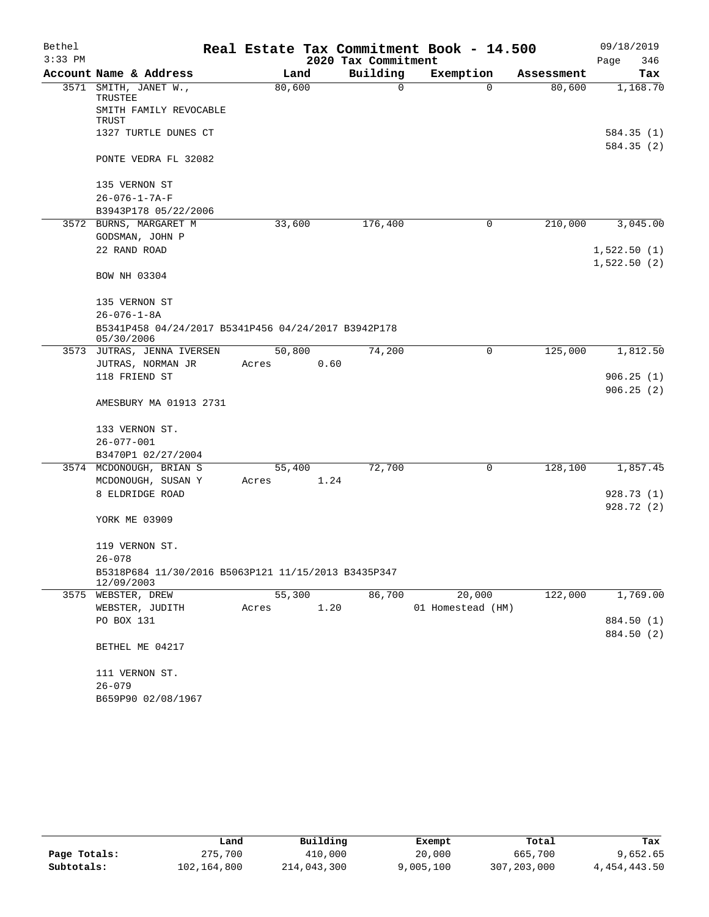| Bethel    |                                                                   |        |      |                     | Real Estate Tax Commitment Book - 14.500 |            |      | 09/18/2019                 |
|-----------|-------------------------------------------------------------------|--------|------|---------------------|------------------------------------------|------------|------|----------------------------|
| $3:33$ PM |                                                                   |        |      | 2020 Tax Commitment |                                          |            | Page | 346                        |
|           | Account Name & Address                                            | Land   |      | Building            | Exemption                                | Assessment |      | Tax                        |
|           | 3571 SMITH, JANET W.,<br>TRUSTEE                                  | 80,600 |      | 0                   | $\Omega$                                 | 80,600     |      | 1,168.70                   |
|           | SMITH FAMILY REVOCABLE<br>TRUST                                   |        |      |                     |                                          |            |      |                            |
|           | 1327 TURTLE DUNES CT                                              |        |      |                     |                                          |            |      | 584.35 (1)<br>584.35 (2)   |
|           | PONTE VEDRA FL 32082                                              |        |      |                     |                                          |            |      |                            |
|           | 135 VERNON ST                                                     |        |      |                     |                                          |            |      |                            |
|           | $26 - 076 - 1 - 7A - F$                                           |        |      |                     |                                          |            |      |                            |
|           | B3943P178 05/22/2006                                              |        |      |                     |                                          |            |      |                            |
|           | 3572 BURNS, MARGARET M                                            | 33,600 |      | 176,400             | 0                                        | 210,000    |      | 3,045.00                   |
|           | GODSMAN, JOHN P                                                   |        |      |                     |                                          |            |      |                            |
|           | 22 RAND ROAD                                                      |        |      |                     |                                          |            |      | 1,522.50(1)<br>1,522.50(2) |
|           | BOW NH 03304                                                      |        |      |                     |                                          |            |      |                            |
|           | 135 VERNON ST                                                     |        |      |                     |                                          |            |      |                            |
|           | $26 - 076 - 1 - 8A$                                               |        |      |                     |                                          |            |      |                            |
|           | B5341P458 04/24/2017 B5341P456 04/24/2017 B3942P178<br>05/30/2006 |        |      |                     |                                          |            |      |                            |
|           | 3573 JUTRAS, JENNA IVERSEN                                        | 50,800 |      | 74,200              | 0                                        | 125,000    |      | 1,812.50                   |
|           | JUTRAS, NORMAN JR                                                 | Acres  | 0.60 |                     |                                          |            |      |                            |
|           | 118 FRIEND ST                                                     |        |      |                     |                                          |            |      | 906.25(1)                  |
|           |                                                                   |        |      |                     |                                          |            |      | 906.25(2)                  |
|           | AMESBURY MA 01913 2731                                            |        |      |                     |                                          |            |      |                            |
|           | 133 VERNON ST.                                                    |        |      |                     |                                          |            |      |                            |
|           | $26 - 077 - 001$                                                  |        |      |                     |                                          |            |      |                            |
|           | B3470P1 02/27/2004                                                |        |      |                     |                                          |            |      |                            |
|           | 3574 MCDONOUGH, BRIAN S                                           | 55,400 |      | 72,700              | 0                                        | 128,100    |      | 1,857.45                   |
|           | MCDONOUGH, SUSAN Y                                                | Acres  | 1.24 |                     |                                          |            |      |                            |
|           | 8 ELDRIDGE ROAD                                                   |        |      |                     |                                          |            |      | 928.73 (1)                 |
|           |                                                                   |        |      |                     |                                          |            |      | 928.72 (2)                 |
|           | YORK ME 03909                                                     |        |      |                     |                                          |            |      |                            |
|           | 119 VERNON ST.                                                    |        |      |                     |                                          |            |      |                            |
|           | $26 - 078$                                                        |        |      |                     |                                          |            |      |                            |
|           | B5318P684 11/30/2016 B5063P121 11/15/2013 B3435P347<br>12/09/2003 |        |      |                     |                                          |            |      |                            |
|           | 3575 WEBSTER, DREW                                                | 55,300 |      | 86,700              | 20,000                                   | 122,000    |      | 1,769.00                   |
|           | WEBSTER, JUDITH                                                   | Acres  | 1.20 |                     | 01 Homestead (HM)                        |            |      |                            |
|           | PO BOX 131                                                        |        |      |                     |                                          |            |      | 884.50 (1)                 |
|           |                                                                   |        |      |                     |                                          |            |      | 884.50 (2)                 |
|           | BETHEL ME 04217                                                   |        |      |                     |                                          |            |      |                            |
|           | 111 VERNON ST.                                                    |        |      |                     |                                          |            |      |                            |
|           | $26 - 079$                                                        |        |      |                     |                                          |            |      |                            |
|           | B659P90 02/08/1967                                                |        |      |                     |                                          |            |      |                            |

|              | Land        | Building    | Exempt    | Total       | Tax          |
|--------------|-------------|-------------|-----------|-------------|--------------|
| Page Totals: | 275,700     | 410,000     | 20,000    | 665,700     | 9,652.65     |
| Subtotals:   | 102,164,800 | 214,043,300 | 9,005,100 | 307,203,000 | 4,454,443.50 |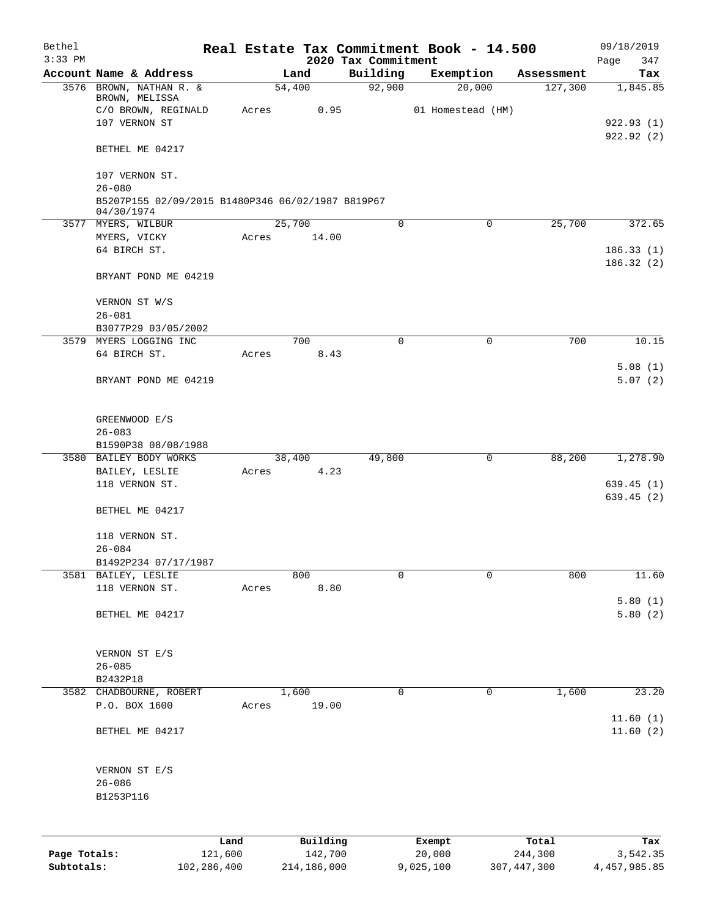| Bethel<br>$3:33$ PM |                                                                 |                 |       |             |                     | Real Estate Tax Commitment Book - 14.500 |                   |             |                  | 09/18/2019              |
|---------------------|-----------------------------------------------------------------|-----------------|-------|-------------|---------------------|------------------------------------------|-------------------|-------------|------------------|-------------------------|
|                     | Account Name & Address                                          |                 |       | Land        |                     | 2020 Tax Commitment<br>Building          | Exemption         |             | Assessment       | 347<br>Page<br>Tax      |
|                     | 3576 BROWN, NATHAN R. &                                         |                 |       | 54,400      |                     | 92,900                                   |                   | 20,000      | 127,300          | 1,845.85                |
|                     | BROWN, MELISSA<br>C/O BROWN, REGINALD                           |                 | Acres |             | 0.95                |                                          | 01 Homestead (HM) |             |                  |                         |
|                     | 107 VERNON ST                                                   |                 |       |             |                     |                                          |                   |             |                  | 922.93(1)               |
|                     | BETHEL ME 04217                                                 |                 |       |             |                     |                                          |                   |             |                  | 922.92(2)               |
|                     | 107 VERNON ST.                                                  |                 |       |             |                     |                                          |                   |             |                  |                         |
|                     | $26 - 080$<br>B5207P155 02/09/2015 B1480P346 06/02/1987 B819P67 |                 |       |             |                     |                                          |                   |             |                  |                         |
|                     | 04/30/1974<br>3577 MYERS, WILBUR                                |                 |       | 25,700      |                     | $\mathbf 0$                              |                   | 0           | 25,700           | 372.65                  |
|                     | MYERS, VICKY                                                    |                 | Acres |             | 14.00               |                                          |                   |             |                  |                         |
|                     | 64 BIRCH ST.                                                    |                 |       |             |                     |                                          |                   |             |                  | 186.33(1)<br>186.32(2)  |
|                     | BRYANT POND ME 04219                                            |                 |       |             |                     |                                          |                   |             |                  |                         |
|                     | VERNON ST W/S                                                   |                 |       |             |                     |                                          |                   |             |                  |                         |
|                     | $26 - 081$                                                      |                 |       |             |                     |                                          |                   |             |                  |                         |
|                     | B3077P29 03/05/2002                                             |                 |       | 700         |                     | $\Omega$                                 |                   | $\mathbf 0$ | 700              | 10.15                   |
|                     | 3579 MYERS LOGGING INC<br>64 BIRCH ST.                          |                 | Acres |             | 8.43                |                                          |                   |             |                  |                         |
|                     | BRYANT POND ME 04219                                            |                 |       |             |                     |                                          |                   |             |                  | 5.08(1)<br>5.07(2)      |
|                     | GREENWOOD E/S                                                   |                 |       |             |                     |                                          |                   |             |                  |                         |
|                     | $26 - 083$                                                      |                 |       |             |                     |                                          |                   |             |                  |                         |
|                     | B1590P38 08/08/1988<br>3580 BAILEY BODY WORKS                   |                 |       | 38,400      |                     | 49,800                                   |                   | 0           | 88,200           | 1,278.90                |
|                     | BAILEY, LESLIE                                                  |                 | Acres |             | 4.23                |                                          |                   |             |                  |                         |
|                     | 118 VERNON ST.                                                  |                 |       |             |                     |                                          |                   |             |                  | 639.45(1)<br>639.45 (2) |
|                     | BETHEL ME 04217                                                 |                 |       |             |                     |                                          |                   |             |                  |                         |
|                     | 118 VERNON ST.                                                  |                 |       |             |                     |                                          |                   |             |                  |                         |
|                     | $26 - 084$                                                      |                 |       |             |                     |                                          |                   |             |                  |                         |
|                     | B1492P234 07/17/1987                                            |                 |       |             |                     |                                          |                   |             |                  |                         |
|                     | 3581 BAILEY, LESLIE<br>118 VERNON ST.                           |                 | Acres | 800         | 8.80                | 0                                        |                   | 0           | 800              | 11.60                   |
|                     |                                                                 |                 |       |             |                     |                                          |                   |             |                  | 5.80(1)                 |
|                     | BETHEL ME 04217                                                 |                 |       |             |                     |                                          |                   |             |                  | 5.80(2)                 |
|                     | VERNON ST E/S                                                   |                 |       |             |                     |                                          |                   |             |                  |                         |
|                     | $26 - 085$                                                      |                 |       |             |                     |                                          |                   |             |                  |                         |
|                     | B2432P18                                                        |                 |       |             |                     |                                          |                   |             |                  |                         |
|                     | 3582 CHADBOURNE, ROBERT                                         |                 |       | 1,600       |                     | 0                                        |                   | 0           | 1,600            | 23.20                   |
|                     | P.O. BOX 1600                                                   |                 | Acres |             | 19.00               |                                          |                   |             |                  | 11.60(1)                |
|                     | BETHEL ME 04217                                                 |                 |       |             |                     |                                          |                   |             |                  | 11.60(2)                |
|                     | VERNON ST E/S                                                   |                 |       |             |                     |                                          |                   |             |                  |                         |
|                     | $26 - 086$                                                      |                 |       |             |                     |                                          |                   |             |                  |                         |
|                     | B1253P116                                                       |                 |       |             |                     |                                          |                   |             |                  |                         |
|                     |                                                                 |                 |       |             |                     |                                          |                   |             |                  |                         |
| Page Totals:        |                                                                 | Land<br>121,600 |       |             | Building<br>142,700 |                                          | Exempt<br>20,000  |             | Total<br>244,300 | Tax<br>3,542.35         |
| Subtotals:          |                                                                 | 102,286,400     |       | 214,186,000 |                     |                                          | 9,025,100         |             | 307, 447, 300    | 4, 457, 985.85          |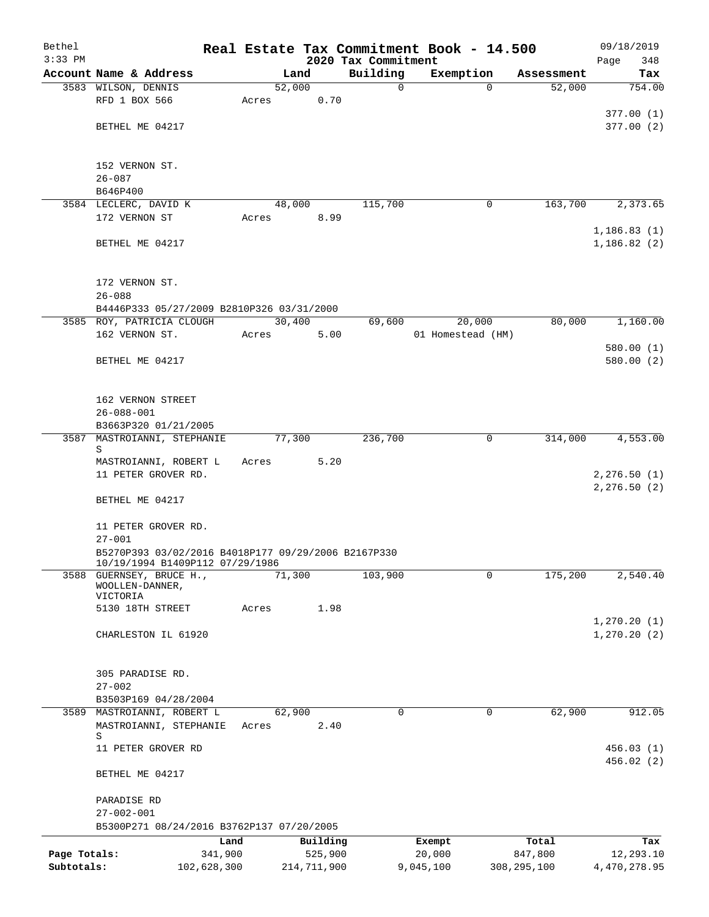| Bethel       |                                                                                        |         |        |             |                     | Real Estate Tax Commitment Book - 14.500 |                    | 09/18/2019                   |
|--------------|----------------------------------------------------------------------------------------|---------|--------|-------------|---------------------|------------------------------------------|--------------------|------------------------------|
| $3:33$ PM    |                                                                                        |         |        |             | 2020 Tax Commitment |                                          |                    | 348<br>Page                  |
|              | Account Name & Address                                                                 |         | Land   |             | Building            | Exemption                                | Assessment         | Tax                          |
|              | 3583 WILSON, DENNIS<br>RFD 1 BOX 566                                                   |         | 52,000 | 0.70        | $\mathbf 0$         |                                          | 52,000<br>$\Omega$ | 754.00                       |
|              |                                                                                        | Acres   |        |             |                     |                                          |                    | 377.00(1)                    |
|              | BETHEL ME 04217                                                                        |         |        |             |                     |                                          |                    | 377.00(2)                    |
|              |                                                                                        |         |        |             |                     |                                          |                    |                              |
|              | 152 VERNON ST.                                                                         |         |        |             |                     |                                          |                    |                              |
|              | $26 - 087$                                                                             |         |        |             |                     |                                          |                    |                              |
|              | B646P400                                                                               |         |        |             |                     |                                          |                    |                              |
|              | 3584 LECLERC, DAVID K                                                                  |         | 48,000 |             | 115,700             |                                          | 163,700<br>0       | 2,373.65                     |
|              | 172 VERNON ST                                                                          | Acres   |        | 8.99        |                     |                                          |                    |                              |
|              | BETHEL ME 04217                                                                        |         |        |             |                     |                                          |                    | 1, 186.83(1)<br>1, 186.82(2) |
|              | 172 VERNON ST.<br>$26 - 088$                                                           |         |        |             |                     |                                          |                    |                              |
|              | B4446P333 05/27/2009 B2810P326 03/31/2000                                              |         |        |             |                     |                                          |                    |                              |
|              | 3585 ROY, PATRICIA CLOUGH                                                              |         | 30,400 |             | 69,600              | 20,000                                   | 80,000             | 1,160.00                     |
|              | 162 VERNON ST.                                                                         | Acres   |        | 5.00        |                     | 01 Homestead (HM)                        |                    |                              |
|              |                                                                                        |         |        |             |                     |                                          |                    | 580.00(1)                    |
|              | BETHEL ME 04217                                                                        |         |        |             |                     |                                          |                    | 580.00(2)                    |
|              | 162 VERNON STREET                                                                      |         |        |             |                     |                                          |                    |                              |
|              | $26 - 088 - 001$                                                                       |         |        |             |                     |                                          |                    |                              |
|              | B3663P320 01/21/2005                                                                   |         |        |             |                     |                                          |                    |                              |
| 3587         | MASTROIANNI, STEPHANIE<br>S                                                            |         | 77,300 |             | 236,700             |                                          | 314,000<br>0       | 4,553.00                     |
|              | MASTROIANNI, ROBERT L                                                                  | Acres   |        | 5.20        |                     |                                          |                    |                              |
|              | 11 PETER GROVER RD.                                                                    |         |        |             |                     |                                          |                    | 2, 276.50 (1)                |
|              |                                                                                        |         |        |             |                     |                                          |                    | 2, 276.50 (2)                |
|              | BETHEL ME 04217                                                                        |         |        |             |                     |                                          |                    |                              |
|              | 11 PETER GROVER RD.                                                                    |         |        |             |                     |                                          |                    |                              |
|              | $27 - 001$                                                                             |         |        |             |                     |                                          |                    |                              |
|              | B5270P393 03/02/2016 B4018P177 09/29/2006 B2167P330<br>10/19/1994 B1409P112 07/29/1986 |         |        |             |                     |                                          |                    |                              |
| 3588         | GUERNSEY, BRUCE H.,<br>WOOLLEN-DANNER,                                                 |         | 71,300 |             | 103,900             |                                          | 175,200<br>0       | 2,540.40                     |
|              | VICTORIA                                                                               |         |        |             |                     |                                          |                    |                              |
|              | 5130 18TH STREET                                                                       | Acres   |        | 1.98        |                     |                                          |                    |                              |
|              | CHARLESTON IL 61920                                                                    |         |        |             |                     |                                          |                    | 1, 270.20(1)<br>1, 270.20(2) |
|              |                                                                                        |         |        |             |                     |                                          |                    |                              |
|              | 305 PARADISE RD.                                                                       |         |        |             |                     |                                          |                    |                              |
|              | $27 - 002$                                                                             |         |        |             |                     |                                          |                    |                              |
|              | B3503P169 04/28/2004                                                                   |         |        |             |                     |                                          |                    |                              |
|              | 3589 MASTROIANNI, ROBERT L                                                             |         | 62,900 |             | $\mathbf 0$         |                                          | 62,900<br>0        | 912.05                       |
|              | MASTROIANNI, STEPHANIE<br>S                                                            | Acres   |        | 2.40        |                     |                                          |                    |                              |
|              | 11 PETER GROVER RD                                                                     |         |        |             |                     |                                          |                    | 456.03 (1)                   |
|              |                                                                                        |         |        |             |                     |                                          |                    | 456.02(2)                    |
|              | BETHEL ME 04217                                                                        |         |        |             |                     |                                          |                    |                              |
|              | PARADISE RD                                                                            |         |        |             |                     |                                          |                    |                              |
|              | $27 - 002 - 001$                                                                       |         |        |             |                     |                                          |                    |                              |
|              | B5300P271 08/24/2016 B3762P137 07/20/2005                                              |         |        |             |                     |                                          |                    |                              |
|              |                                                                                        | Land    |        | Building    |                     | Exempt                                   | Total              | Tax                          |
| Page Totals: |                                                                                        | 341,900 |        | 525,900     |                     | 20,000                                   | 847,800            | 12,293.10                    |
| Subtotals:   | 102,628,300                                                                            |         |        | 214,711,900 |                     | 9,045,100                                | 308,295,100        | 4,470,278.95                 |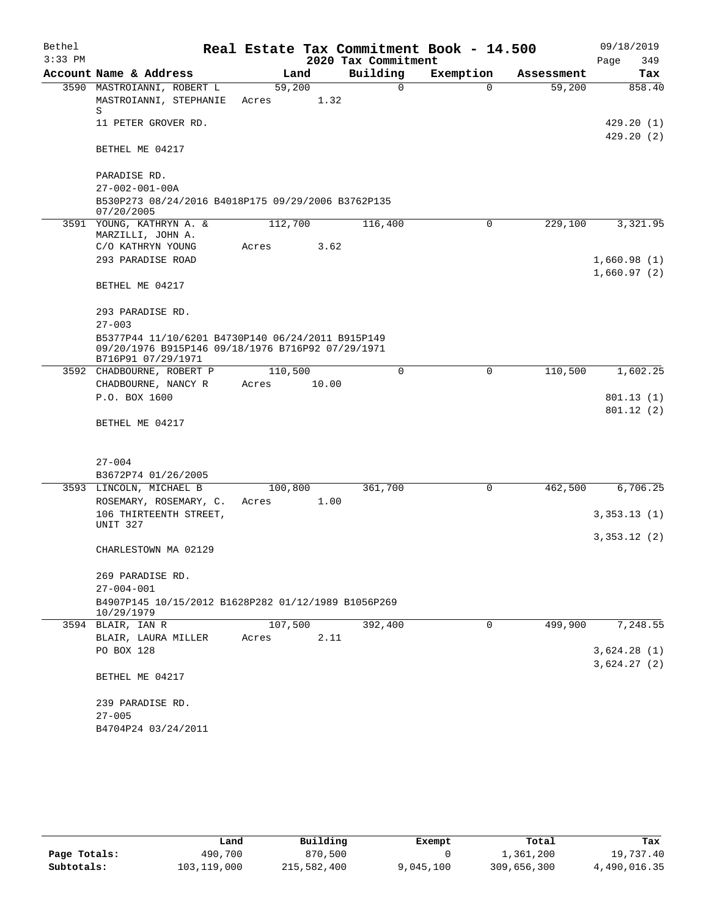| Bethel<br>$3:33$ PM |                                                                                                                              |         |       | 2020 Tax Commitment | Real Estate Tax Commitment Book - 14.500 |            | 09/18/2019<br>Page<br>349  |
|---------------------|------------------------------------------------------------------------------------------------------------------------------|---------|-------|---------------------|------------------------------------------|------------|----------------------------|
|                     | Account Name & Address                                                                                                       | Land    |       | Building            | Exemption                                | Assessment | Tax                        |
|                     | 3590 MASTROIANNI, ROBERT L                                                                                                   | 59,200  |       | 0                   | $\mathbf 0$                              | 59,200     | 858.40                     |
|                     | MASTROIANNI, STEPHANIE<br>S                                                                                                  | Acres   | 1.32  |                     |                                          |            |                            |
|                     | 11 PETER GROVER RD.                                                                                                          |         |       |                     |                                          |            | 429.20(1)<br>429.20(2)     |
|                     | BETHEL ME 04217                                                                                                              |         |       |                     |                                          |            |                            |
|                     | PARADISE RD.<br>$27 - 002 - 001 - 00A$                                                                                       |         |       |                     |                                          |            |                            |
|                     | B530P273 08/24/2016 B4018P175 09/29/2006 B3762P135<br>07/20/2005                                                             |         |       |                     |                                          |            |                            |
|                     | 3591 YOUNG, KATHRYN A. &                                                                                                     | 112,700 |       | 116,400             | 0                                        | 229,100    | 3,321.95                   |
|                     | MARZILLI, JOHN A.                                                                                                            |         |       |                     |                                          |            |                            |
|                     | C/O KATHRYN YOUNG                                                                                                            | Acres   | 3.62  |                     |                                          |            |                            |
|                     | 293 PARADISE ROAD                                                                                                            |         |       |                     |                                          |            | 1,660.98(1)<br>1,660.97(2) |
|                     | BETHEL ME 04217                                                                                                              |         |       |                     |                                          |            |                            |
|                     | 293 PARADISE RD.                                                                                                             |         |       |                     |                                          |            |                            |
|                     | $27 - 003$                                                                                                                   |         |       |                     |                                          |            |                            |
|                     | B5377P44 11/10/6201 B4730P140 06/24/2011 B915P149<br>09/20/1976 B915P146 09/18/1976 B716P92 07/29/1971<br>B716P91 07/29/1971 |         |       |                     |                                          |            |                            |
|                     | 3592 CHADBOURNE, ROBERT P                                                                                                    | 110,500 |       | $\Omega$            | 0                                        | 110,500    | 1,602.25                   |
|                     | CHADBOURNE, NANCY R                                                                                                          | Acres   | 10.00 |                     |                                          |            |                            |
|                     | P.O. BOX 1600                                                                                                                |         |       |                     |                                          |            | 801.13(1)                  |
|                     |                                                                                                                              |         |       |                     |                                          |            | 801.12 (2)                 |
|                     | BETHEL ME 04217                                                                                                              |         |       |                     |                                          |            |                            |
|                     |                                                                                                                              |         |       |                     |                                          |            |                            |
|                     | $27 - 004$                                                                                                                   |         |       |                     |                                          |            |                            |
|                     | B3672P74 01/26/2005                                                                                                          |         |       |                     |                                          |            |                            |
|                     | 3593 LINCOLN, MICHAEL B                                                                                                      | 100,800 |       | 361,700             | 0                                        | 462,500    | 6,706.25                   |
|                     | ROSEMARY, ROSEMARY, C.                                                                                                       | Acres   | 1.00  |                     |                                          |            |                            |
|                     | 106 THIRTEENTH STREET,<br>UNIT 327                                                                                           |         |       |                     |                                          |            | 3,353.13(1)                |
|                     |                                                                                                                              |         |       |                     |                                          |            | 3,353.12(2)                |
|                     | CHARLESTOWN MA 02129                                                                                                         |         |       |                     |                                          |            |                            |
|                     | 269 PARADISE RD.                                                                                                             |         |       |                     |                                          |            |                            |
|                     | $27 - 004 - 001$                                                                                                             |         |       |                     |                                          |            |                            |
|                     | B4907P145 10/15/2012 B1628P282 01/12/1989 B1056P269<br>10/29/1979                                                            |         |       |                     |                                          |            |                            |
|                     | 3594 BLAIR, IAN R                                                                                                            | 107,500 |       | 392,400             | 0                                        | 499,900    | 7,248.55                   |
|                     | BLAIR, LAURA MILLER                                                                                                          | Acres   | 2.11  |                     |                                          |            |                            |
|                     | PO BOX 128                                                                                                                   |         |       |                     |                                          |            | 3,624.28(1)                |
|                     |                                                                                                                              |         |       |                     |                                          |            | 3,624.27(2)                |
|                     | BETHEL ME 04217                                                                                                              |         |       |                     |                                          |            |                            |
|                     | 239 PARADISE RD.                                                                                                             |         |       |                     |                                          |            |                            |
|                     | $27 - 005$                                                                                                                   |         |       |                     |                                          |            |                            |
|                     | B4704P24 03/24/2011                                                                                                          |         |       |                     |                                          |            |                            |
|                     |                                                                                                                              |         |       |                     |                                          |            |                            |

|              | Land        | Building    | Exempt    | Total       | Tax          |
|--------------|-------------|-------------|-----------|-------------|--------------|
| Page Totals: | 490,700     | 870,500     |           | 1,361,200   | 19,737.40    |
| Subtotals:   | 103,119,000 | 215,582,400 | 9,045,100 | 309,656,300 | 4,490,016.35 |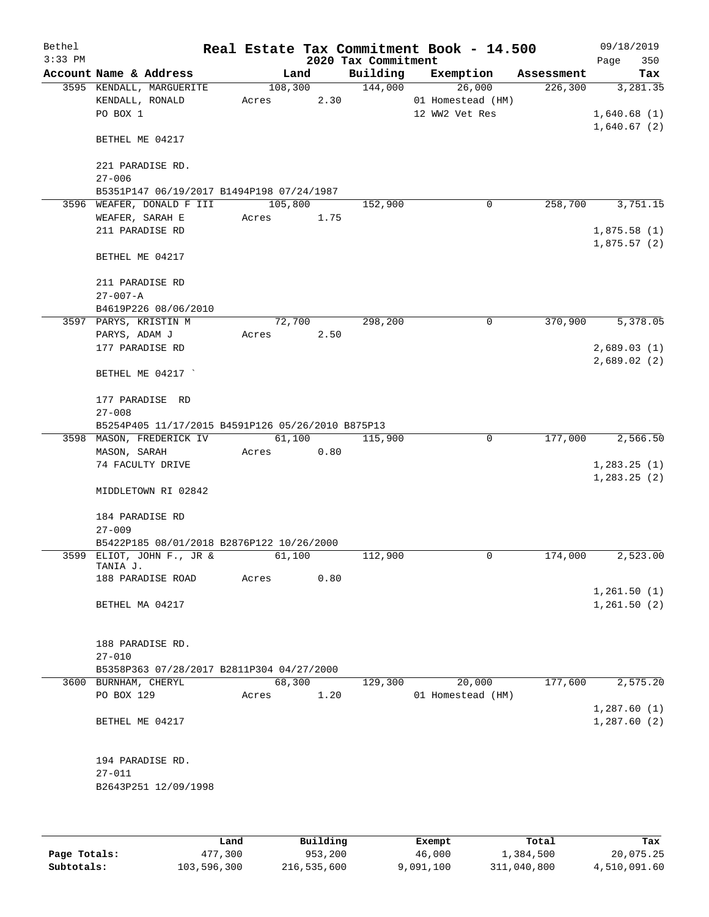| Bethel<br>$3:33$ PM |                                                         |         |      | 2020 Tax Commitment | Real Estate Tax Commitment Book - 14.500 |            | 09/18/2019<br>350<br>Page |
|---------------------|---------------------------------------------------------|---------|------|---------------------|------------------------------------------|------------|---------------------------|
|                     | Account Name & Address                                  | Land    |      | Building            | Exemption                                | Assessment | Tax                       |
|                     | 3595 KENDALL, MARGUERITE                                | 108,300 |      | 144,000             | 26,000                                   | 226, 300   | 3,281.35                  |
|                     | KENDALL, RONALD                                         | Acres   | 2.30 |                     | 01 Homestead (HM)                        |            |                           |
|                     | PO BOX 1                                                |         |      |                     | 12 WW2 Vet Res                           |            | 1,640.68(1)               |
|                     | BETHEL ME 04217                                         |         |      |                     |                                          |            | 1,640.67(2)               |
|                     |                                                         |         |      |                     |                                          |            |                           |
|                     | 221 PARADISE RD.                                        |         |      |                     |                                          |            |                           |
|                     | $27 - 006$<br>B5351P147 06/19/2017 B1494P198 07/24/1987 |         |      |                     |                                          |            |                           |
|                     | 3596 WEAFER, DONALD F III                               | 105,800 |      | 152,900             | 0                                        | 258,700    | 3,751.15                  |
|                     | WEAFER, SARAH E                                         | Acres   | 1.75 |                     |                                          |            |                           |
|                     | 211 PARADISE RD                                         |         |      |                     |                                          |            | 1,875.58(1)               |
|                     |                                                         |         |      |                     |                                          |            | 1,875.57(2)               |
|                     | BETHEL ME 04217                                         |         |      |                     |                                          |            |                           |
|                     | 211 PARADISE RD                                         |         |      |                     |                                          |            |                           |
|                     | $27 - 007 - A$                                          |         |      |                     |                                          |            |                           |
|                     | B4619P226 08/06/2010                                    |         |      |                     |                                          |            |                           |
|                     | 3597 PARYS, KRISTIN M                                   | 72,700  |      | 298,200             | 0                                        | 370,900    | 5,378.05                  |
|                     | PARYS, ADAM J                                           | Acres   | 2.50 |                     |                                          |            |                           |
|                     | 177 PARADISE RD                                         |         |      |                     |                                          |            | 2,689.03(1)               |
|                     | BETHEL ME 04217                                         |         |      |                     |                                          |            | 2,689.02(2)               |
|                     | 177 PARADISE RD                                         |         |      |                     |                                          |            |                           |
|                     | $27 - 008$                                              |         |      |                     |                                          |            |                           |
|                     | B5254P405 11/17/2015 B4591P126 05/26/2010 B875P13       |         |      |                     |                                          |            |                           |
|                     | 3598 MASON, FREDERICK IV                                | 61,100  |      | 115,900             | $\mathbf 0$                              | 177,000    | 2,566.50                  |
|                     | MASON, SARAH                                            | Acres   | 0.80 |                     |                                          |            |                           |
|                     | 74 FACULTY DRIVE                                        |         |      |                     |                                          |            | 1,283.25(1)               |
|                     | MIDDLETOWN RI 02842                                     |         |      |                     |                                          |            | 1, 283.25(2)              |
|                     | 184 PARADISE RD                                         |         |      |                     |                                          |            |                           |
|                     | $27 - 009$                                              |         |      |                     |                                          |            |                           |
|                     | B5422P185 08/01/2018 B2876P122 10/26/2000               |         |      |                     |                                          |            |                           |
|                     | 3599 ELIOT, JOHN F., JR &                               | 61,100  |      | 112,900             | 0                                        | 174,000    | 2,523.00                  |
|                     | TANIA J.                                                |         |      |                     |                                          |            |                           |
|                     | 188 PARADISE ROAD                                       | Acres   | 0.80 |                     |                                          |            |                           |
|                     |                                                         |         |      |                     |                                          |            | 1,261.50(1)               |
|                     | BETHEL MA 04217                                         |         |      |                     |                                          |            | 1,261.50(2)               |
|                     | 188 PARADISE RD.                                        |         |      |                     |                                          |            |                           |
|                     | $27 - 010$                                              |         |      |                     |                                          |            |                           |
|                     | B5358P363 07/28/2017 B2811P304 04/27/2000               |         |      |                     |                                          |            |                           |
|                     | 3600 BURNHAM, CHERYL                                    | 68,300  |      | 129,300             | 20,000                                   | 177,600    | 2,575.20                  |
|                     | PO BOX 129                                              | Acres   | 1.20 |                     | 01 Homestead (HM)                        |            |                           |
|                     |                                                         |         |      |                     |                                          |            | 1,287.60(1)               |
|                     | BETHEL ME 04217                                         |         |      |                     |                                          |            | 1,287.60(2)               |
|                     | 194 PARADISE RD.                                        |         |      |                     |                                          |            |                           |
|                     | $27 - 011$                                              |         |      |                     |                                          |            |                           |
|                     | B2643P251 12/09/1998                                    |         |      |                     |                                          |            |                           |
|                     |                                                         |         |      |                     |                                          |            |                           |
|                     |                                                         |         |      |                     |                                          |            |                           |

|              | Land        | Building    | Exempt    | Total       | Tax          |
|--------------|-------------|-------------|-----------|-------------|--------------|
| Page Totals: | 477,300     | 953,200     | 46,000    | 1,384,500   | 20,075.25    |
| Subtotals:   | 103,596,300 | 216,535,600 | 9,091,100 | 311,040,800 | 4,510,091.60 |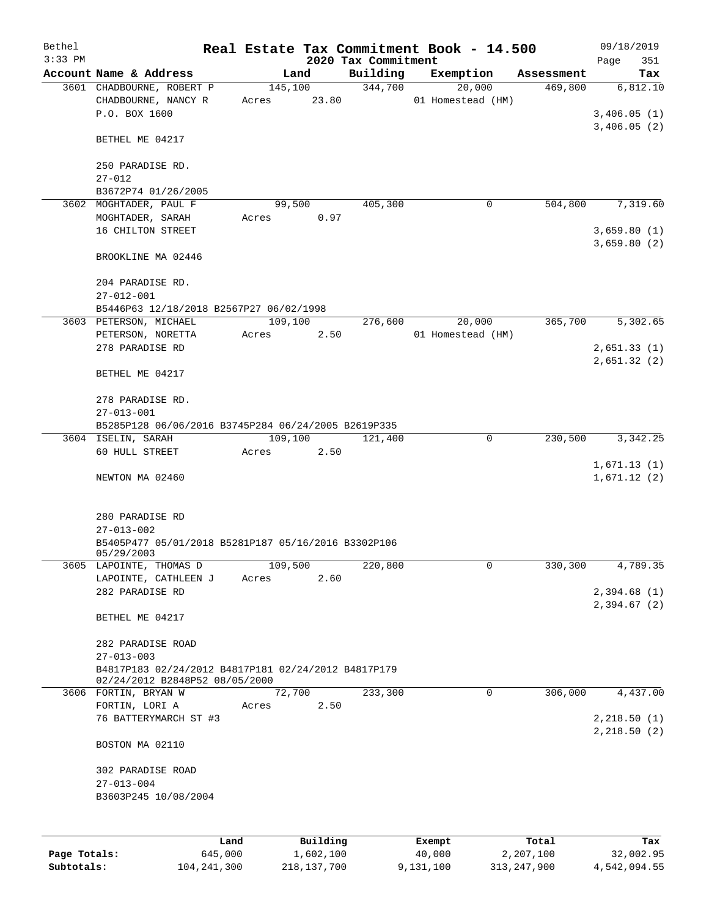| Bethel       |                                                                                       |         |                  |                     | Real Estate Tax Commitment Book - 14.500 |            | 09/18/2019              |
|--------------|---------------------------------------------------------------------------------------|---------|------------------|---------------------|------------------------------------------|------------|-------------------------|
| $3:33$ PM    |                                                                                       |         |                  | 2020 Tax Commitment |                                          |            | Page<br>351             |
|              | Account Name & Address                                                                |         | Land             | Building            | Exemption                                | Assessment | Tax                     |
|              | 3601 CHADBOURNE, ROBERT P<br>CHADBOURNE, NANCY R<br>P.O. BOX 1600                     | Acres   | 145,100<br>23.80 | 344,700             | 20,000<br>01 Homestead (HM)              | 469,800    | 6,812.10<br>3,406.05(1) |
|              | BETHEL ME 04217                                                                       |         |                  |                     |                                          |            | 3,406.05(2)             |
|              | 250 PARADISE RD.<br>$27 - 012$                                                        |         |                  |                     |                                          |            |                         |
|              | B3672P74 01/26/2005                                                                   |         |                  |                     |                                          |            |                         |
|              | 3602 MOGHTADER, PAUL F                                                                |         | 99,500           | 405,300             | 0                                        | 504,800    | 7,319.60                |
|              | MOGHTADER, SARAH                                                                      | Acres   | 0.97             |                     |                                          |            |                         |
|              | 16 CHILTON STREET                                                                     |         |                  |                     |                                          |            | 3,659.80(1)             |
|              |                                                                                       |         |                  |                     |                                          |            | 3,659.80(2)             |
|              | BROOKLINE MA 02446                                                                    |         |                  |                     |                                          |            |                         |
|              | 204 PARADISE RD.<br>$27 - 012 - 001$                                                  |         |                  |                     |                                          |            |                         |
|              | B5446P63 12/18/2018 B2567P27 06/02/1998                                               |         |                  |                     |                                          |            |                         |
|              | 3603 PETERSON, MICHAEL                                                                | 109,100 |                  | 276,600             | 20,000                                   | 365,700    | 5,302.65                |
|              | PETERSON, NORETTA                                                                     | Acres   | 2.50             |                     | 01 Homestead (HM)                        |            |                         |
|              | 278 PARADISE RD                                                                       |         |                  |                     |                                          |            | 2,651.33(1)             |
|              |                                                                                       |         |                  |                     |                                          |            | 2,651.32(2)             |
|              | BETHEL ME 04217                                                                       |         |                  |                     |                                          |            |                         |
|              | 278 PARADISE RD.                                                                      |         |                  |                     |                                          |            |                         |
|              | $27 - 013 - 001$                                                                      |         |                  |                     |                                          |            |                         |
|              | B5285P128 06/06/2016 B3745P284 06/24/2005 B2619P335                                   |         |                  |                     |                                          |            |                         |
|              | 3604 ISELIN, SARAH                                                                    | 109,100 |                  | 121,400             | 0                                        | 230,500    | 3,342.25                |
|              | 60 HULL STREET                                                                        | Acres   | 2.50             |                     |                                          |            |                         |
|              |                                                                                       |         |                  |                     |                                          |            | 1,671.13(1)             |
|              | NEWTON MA 02460                                                                       |         |                  |                     |                                          |            | 1,671.12(2)             |
|              | 280 PARADISE RD                                                                       |         |                  |                     |                                          |            |                         |
|              | $27 - 013 - 002$                                                                      |         |                  |                     |                                          |            |                         |
|              | B5405P477 05/01/2018 B5281P187 05/16/2016 B3302P106                                   |         |                  |                     |                                          |            |                         |
|              | 05/29/2003                                                                            |         |                  |                     |                                          |            |                         |
|              | 3605 LAPOINTE, THOMAS D                                                               | 109,500 |                  | 220,800             | $\mathbf 0$                              | 330,300    | 4,789.35                |
|              | LAPOINTE, CATHLEEN J                                                                  | Acres   | 2.60             |                     |                                          |            |                         |
|              | 282 PARADISE RD                                                                       |         |                  |                     |                                          |            | 2,394.68(1)             |
|              | BETHEL ME 04217                                                                       |         |                  |                     |                                          |            | 2,394.67(2)             |
|              | 282 PARADISE ROAD                                                                     |         |                  |                     |                                          |            |                         |
|              | $27 - 013 - 003$                                                                      |         |                  |                     |                                          |            |                         |
|              | B4817P183 02/24/2012 B4817P181 02/24/2012 B4817P179<br>02/24/2012 B2848P52 08/05/2000 |         |                  |                     |                                          |            |                         |
|              | 3606 FORTIN, BRYAN W                                                                  |         | 72,700           | 233,300             | $\mathbf 0$                              | 306,000    | 4,437.00                |
|              | FORTIN, LORI A                                                                        | Acres   | 2.50             |                     |                                          |            |                         |
|              | 76 BATTERYMARCH ST #3                                                                 |         |                  |                     |                                          |            | 2,218.50(1)             |
|              |                                                                                       |         |                  |                     |                                          |            | 2,218.50(2)             |
|              | BOSTON MA 02110                                                                       |         |                  |                     |                                          |            |                         |
|              | 302 PARADISE ROAD                                                                     |         |                  |                     |                                          |            |                         |
|              | $27 - 013 - 004$                                                                      |         |                  |                     |                                          |            |                         |
|              | B3603P245 10/08/2004                                                                  |         |                  |                     |                                          |            |                         |
|              |                                                                                       |         |                  |                     |                                          |            |                         |
|              | Land                                                                                  |         | Building         |                     | Exempt                                   | Total      | Tax                     |
| Page Totals: | 645,000                                                                               |         | 1,602,100        |                     | 40,000                                   | 2,207,100  | 32,002.95               |

**Subtotals:** 104,241,300 218,137,700 9,131,100 313,247,900 4,542,094.55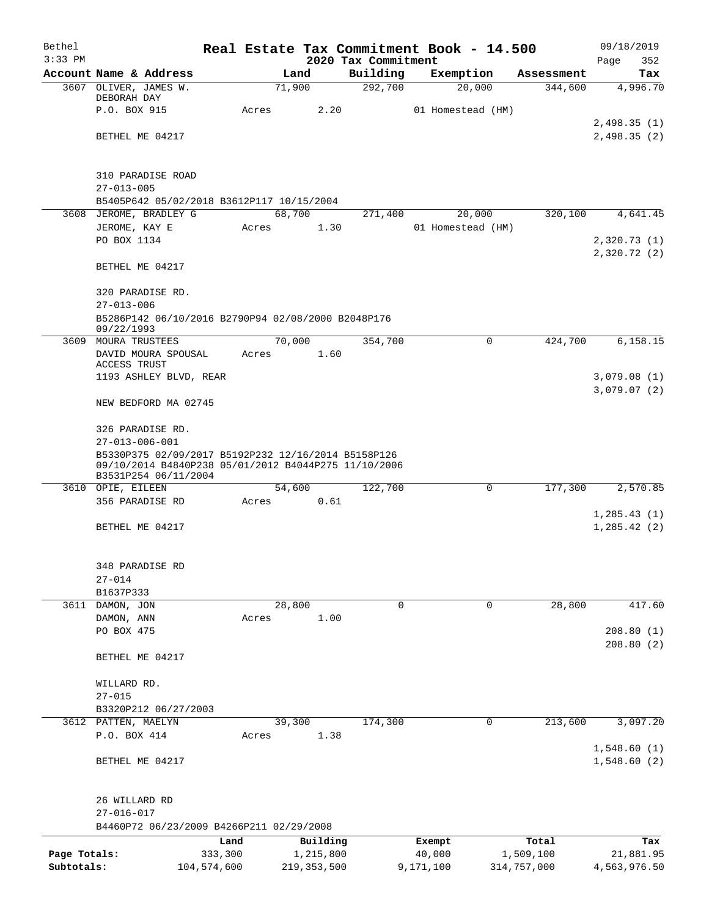| Bethel<br>$3:33$ PM |                                                                                                                                     |         |               | 2020 Tax Commitment | Real Estate Tax Commitment Book - 14.500 |             | 09/18/2019<br>352<br>Page   |
|---------------------|-------------------------------------------------------------------------------------------------------------------------------------|---------|---------------|---------------------|------------------------------------------|-------------|-----------------------------|
|                     | Account Name & Address                                                                                                              |         | Land          | Building            | Exemption                                | Assessment  | Tax                         |
|                     | 3607 OLIVER, JAMES W.                                                                                                               |         | 71,900        | 292,700             | 20,000                                   | 344,600     | 4,996.70                    |
|                     | DEBORAH DAY                                                                                                                         |         |               |                     |                                          |             |                             |
|                     | P.O. BOX 915                                                                                                                        | Acres   | 2.20          |                     | 01 Homestead (HM)                        |             |                             |
|                     |                                                                                                                                     |         |               |                     |                                          |             | 2,498.35(1)                 |
|                     | BETHEL ME 04217                                                                                                                     |         |               |                     |                                          |             | 2,498.35(2)                 |
|                     | <b>310 PARADISE ROAD</b>                                                                                                            |         |               |                     |                                          |             |                             |
|                     | $27 - 013 - 005$                                                                                                                    |         |               |                     |                                          |             |                             |
|                     | B5405P642 05/02/2018 B3612P117 10/15/2004                                                                                           |         |               |                     |                                          |             |                             |
|                     | 3608 JEROME, BRADLEY G                                                                                                              |         | 68,700        | 271,400             | 20,000                                   | 320,100     | 4,641.45                    |
|                     | JEROME, KAY E                                                                                                                       | Acres   | 1.30          |                     | 01 Homestead (HM)                        |             |                             |
|                     | PO BOX 1134                                                                                                                         |         |               |                     |                                          |             | 2,320.73(1)<br>2,320.72 (2) |
|                     | BETHEL ME 04217                                                                                                                     |         |               |                     |                                          |             |                             |
|                     | 320 PARADISE RD.                                                                                                                    |         |               |                     |                                          |             |                             |
|                     | $27 - 013 - 006$                                                                                                                    |         |               |                     |                                          |             |                             |
|                     | B5286P142 06/10/2016 B2790P94 02/08/2000 B2048P176<br>09/22/1993                                                                    |         |               |                     |                                          |             |                             |
|                     | 3609 MOURA TRUSTEES                                                                                                                 |         | 70,000        | 354,700             | 0                                        | 424,700     | 6,158.15                    |
|                     | DAVID MOURA SPOUSAL                                                                                                                 | Acres   | 1.60          |                     |                                          |             |                             |
|                     | ACCESS TRUST<br>1193 ASHLEY BLVD, REAR                                                                                              |         |               |                     |                                          |             | 3,079.08(1)                 |
|                     |                                                                                                                                     |         |               |                     |                                          |             | 3,079.07(2)                 |
|                     | NEW BEDFORD MA 02745                                                                                                                |         |               |                     |                                          |             |                             |
|                     | 326 PARADISE RD.                                                                                                                    |         |               |                     |                                          |             |                             |
|                     | $27 - 013 - 006 - 001$                                                                                                              |         |               |                     |                                          |             |                             |
|                     | B5330P375 02/09/2017 B5192P232 12/16/2014 B5158P126<br>09/10/2014 B4840P238 05/01/2012 B4044P275 11/10/2006<br>B3531P254 06/11/2004 |         |               |                     |                                          |             |                             |
|                     | 3610 OPIE, EILEEN                                                                                                                   |         | 54,600        | 122,700             | $\mathbf 0$                              | 177,300     | 2,570.85                    |
|                     | 356 PARADISE RD                                                                                                                     | Acres   | 0.61          |                     |                                          |             |                             |
|                     |                                                                                                                                     |         |               |                     |                                          |             | 1,285.43(1)                 |
|                     | BETHEL ME 04217                                                                                                                     |         |               |                     |                                          |             | 1,285.42(2)                 |
|                     |                                                                                                                                     |         |               |                     |                                          |             |                             |
|                     | 348 PARADISE RD                                                                                                                     |         |               |                     |                                          |             |                             |
|                     | $27 - 014$                                                                                                                          |         |               |                     |                                          |             |                             |
|                     | B1637P333<br>3611 DAMON, JON                                                                                                        |         | 28,800        | 0                   | 0                                        | 28,800      | 417.60                      |
|                     | DAMON, ANN                                                                                                                          | Acres   | 1.00          |                     |                                          |             |                             |
|                     | PO BOX 475                                                                                                                          |         |               |                     |                                          |             | 208.80(1)                   |
|                     |                                                                                                                                     |         |               |                     |                                          |             | 208.80(2)                   |
|                     | BETHEL ME 04217                                                                                                                     |         |               |                     |                                          |             |                             |
|                     | WILLARD RD.                                                                                                                         |         |               |                     |                                          |             |                             |
|                     | $27 - 015$                                                                                                                          |         |               |                     |                                          |             |                             |
|                     | B3320P212 06/27/2003                                                                                                                |         |               |                     |                                          |             |                             |
|                     | 3612 PATTEN, MAELYN                                                                                                                 |         | 39,300        | 174,300             | 0                                        | 213,600     | 3,097.20                    |
|                     | P.O. BOX 414                                                                                                                        | Acres   | 1.38          |                     |                                          |             |                             |
|                     | BETHEL ME 04217                                                                                                                     |         |               |                     |                                          |             | 1,548.60(1)<br>1,548.60(2)  |
|                     |                                                                                                                                     |         |               |                     |                                          |             |                             |
|                     | 26 WILLARD RD                                                                                                                       |         |               |                     |                                          |             |                             |
|                     | $27 - 016 - 017$<br>B4460P72 06/23/2009 B4266P211 02/29/2008                                                                        |         |               |                     |                                          |             |                             |
|                     |                                                                                                                                     | Land    | Building      |                     | Exempt                                   | Total       | Tax                         |
| Page Totals:        |                                                                                                                                     | 333,300 | 1,215,800     |                     | 40,000                                   | 1,509,100   | 21,881.95                   |
| Subtotals:          | 104,574,600                                                                                                                         |         | 219, 353, 500 |                     | 9,171,100                                | 314,757,000 | 4,563,976.50                |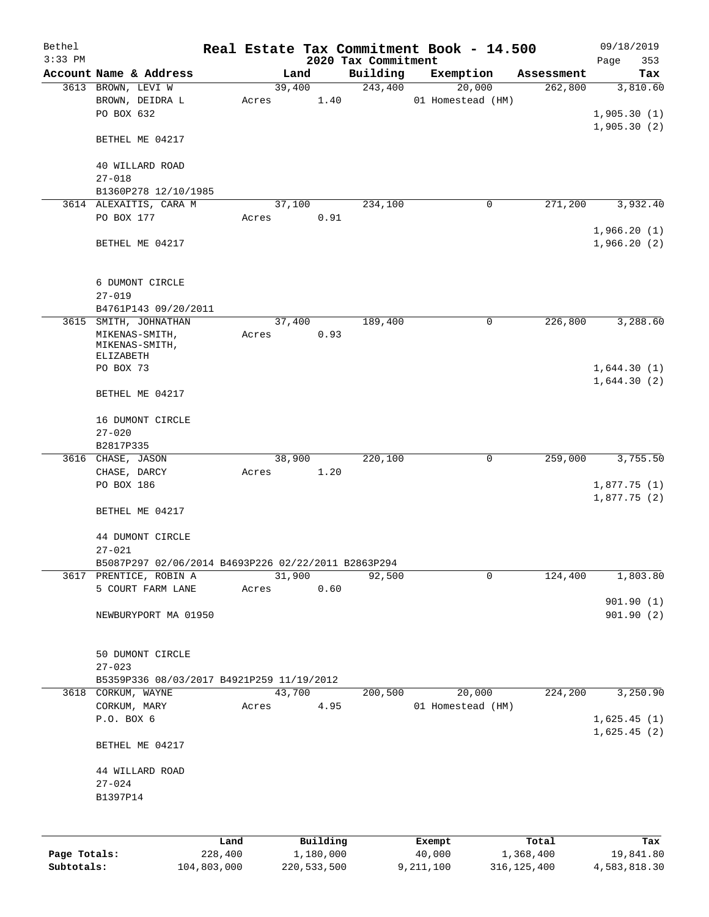| 2020 Tax Commitment<br>Page<br>Account Name & Address<br>Building<br>Exemption<br>Land<br>Assessment<br>39,400<br>243,400<br>20,000<br>262,800<br>3613 BROWN, LEVI W<br>3,810.60<br>1.40<br>01 Homestead (HM)<br>BROWN, DEIDRA L<br>Acres<br>PO BOX 632<br>1,905.30(2)<br>BETHEL ME 04217<br>40 WILLARD ROAD<br>$27 - 018$<br>B1360P278 12/10/1985<br>271,200<br>3614 ALEXAITIS, CARA M<br>37,100<br>234,100<br>0<br>PO BOX 177<br>0.91<br>Acres<br>1,966.20(1)<br>BETHEL ME 04217<br>6 DUMONT CIRCLE<br>$27 - 019$<br>B4761P143 09/20/2011<br>226,800<br>3615 SMITH, JOHNATHAN<br>37,400<br>189,400<br>0<br>0.93<br>MIKENAS-SMITH,<br>Acres<br>MIKENAS-SMITH,<br>ELIZABETH<br>PO BOX 73<br>BETHEL ME 04217<br>16 DUMONT CIRCLE<br>$27 - 020$<br>B2817P335<br>38,900<br>0<br>220,100<br>259,000<br>3616 CHASE, JASON<br>1.20<br>CHASE, DARCY<br>Acres<br>PO BOX 186<br>1,877.75(1)<br>BETHEL ME 04217<br>44 DUMONT CIRCLE<br>$27 - 021$<br>B5087P297 02/06/2014 B4693P226 02/22/2011 B2863P294<br>31,900<br>92,500<br>0<br>124,400<br>3617 PRENTICE, ROBIN A<br>5 COURT FARM LANE<br>0.60<br>Acres<br>901.90(1)<br>NEWBURYPORT MA 01950<br>50 DUMONT CIRCLE<br>$27 - 023$<br>B5359P336 08/03/2017 B4921P259 11/19/2012<br>3618 CORKUM, WAYNE<br>43,700<br>200,500<br>20,000<br>224,200<br>CORKUM, MARY<br>4.95<br>01 Homestead (HM)<br>Acres<br>P.O. BOX 6<br>BETHEL ME 04217<br>44 WILLARD ROAD<br>$27 - 024$<br>B1397P14 | Bethel    |      |  |          | Real Estate Tax Commitment Book - 14.500 |       | 09/18/2019                 |
|----------------------------------------------------------------------------------------------------------------------------------------------------------------------------------------------------------------------------------------------------------------------------------------------------------------------------------------------------------------------------------------------------------------------------------------------------------------------------------------------------------------------------------------------------------------------------------------------------------------------------------------------------------------------------------------------------------------------------------------------------------------------------------------------------------------------------------------------------------------------------------------------------------------------------------------------------------------------------------------------------------------------------------------------------------------------------------------------------------------------------------------------------------------------------------------------------------------------------------------------------------------------------------------------------------------------------------------------------------------------------------------------------------------------------|-----------|------|--|----------|------------------------------------------|-------|----------------------------|
|                                                                                                                                                                                                                                                                                                                                                                                                                                                                                                                                                                                                                                                                                                                                                                                                                                                                                                                                                                                                                                                                                                                                                                                                                                                                                                                                                                                                                            | $3:33$ PM |      |  |          |                                          |       | 353                        |
|                                                                                                                                                                                                                                                                                                                                                                                                                                                                                                                                                                                                                                                                                                                                                                                                                                                                                                                                                                                                                                                                                                                                                                                                                                                                                                                                                                                                                            |           |      |  |          |                                          |       | Tax                        |
|                                                                                                                                                                                                                                                                                                                                                                                                                                                                                                                                                                                                                                                                                                                                                                                                                                                                                                                                                                                                                                                                                                                                                                                                                                                                                                                                                                                                                            |           |      |  |          |                                          |       | 1,905.30(1)                |
|                                                                                                                                                                                                                                                                                                                                                                                                                                                                                                                                                                                                                                                                                                                                                                                                                                                                                                                                                                                                                                                                                                                                                                                                                                                                                                                                                                                                                            |           |      |  |          |                                          |       |                            |
|                                                                                                                                                                                                                                                                                                                                                                                                                                                                                                                                                                                                                                                                                                                                                                                                                                                                                                                                                                                                                                                                                                                                                                                                                                                                                                                                                                                                                            |           |      |  |          |                                          |       |                            |
|                                                                                                                                                                                                                                                                                                                                                                                                                                                                                                                                                                                                                                                                                                                                                                                                                                                                                                                                                                                                                                                                                                                                                                                                                                                                                                                                                                                                                            |           |      |  |          |                                          |       |                            |
|                                                                                                                                                                                                                                                                                                                                                                                                                                                                                                                                                                                                                                                                                                                                                                                                                                                                                                                                                                                                                                                                                                                                                                                                                                                                                                                                                                                                                            |           |      |  |          |                                          |       | 3,932.40                   |
|                                                                                                                                                                                                                                                                                                                                                                                                                                                                                                                                                                                                                                                                                                                                                                                                                                                                                                                                                                                                                                                                                                                                                                                                                                                                                                                                                                                                                            |           |      |  |          |                                          |       |                            |
|                                                                                                                                                                                                                                                                                                                                                                                                                                                                                                                                                                                                                                                                                                                                                                                                                                                                                                                                                                                                                                                                                                                                                                                                                                                                                                                                                                                                                            |           |      |  |          |                                          |       | 1,966.20(2)                |
|                                                                                                                                                                                                                                                                                                                                                                                                                                                                                                                                                                                                                                                                                                                                                                                                                                                                                                                                                                                                                                                                                                                                                                                                                                                                                                                                                                                                                            |           |      |  |          |                                          |       |                            |
|                                                                                                                                                                                                                                                                                                                                                                                                                                                                                                                                                                                                                                                                                                                                                                                                                                                                                                                                                                                                                                                                                                                                                                                                                                                                                                                                                                                                                            |           |      |  |          |                                          |       |                            |
|                                                                                                                                                                                                                                                                                                                                                                                                                                                                                                                                                                                                                                                                                                                                                                                                                                                                                                                                                                                                                                                                                                                                                                                                                                                                                                                                                                                                                            |           |      |  |          |                                          |       | 3,288.60                   |
|                                                                                                                                                                                                                                                                                                                                                                                                                                                                                                                                                                                                                                                                                                                                                                                                                                                                                                                                                                                                                                                                                                                                                                                                                                                                                                                                                                                                                            |           |      |  |          |                                          |       | 1,644.30(1)                |
|                                                                                                                                                                                                                                                                                                                                                                                                                                                                                                                                                                                                                                                                                                                                                                                                                                                                                                                                                                                                                                                                                                                                                                                                                                                                                                                                                                                                                            |           |      |  |          |                                          |       | 1,644.30(2)                |
|                                                                                                                                                                                                                                                                                                                                                                                                                                                                                                                                                                                                                                                                                                                                                                                                                                                                                                                                                                                                                                                                                                                                                                                                                                                                                                                                                                                                                            |           |      |  |          |                                          |       |                            |
|                                                                                                                                                                                                                                                                                                                                                                                                                                                                                                                                                                                                                                                                                                                                                                                                                                                                                                                                                                                                                                                                                                                                                                                                                                                                                                                                                                                                                            |           |      |  |          |                                          |       |                            |
|                                                                                                                                                                                                                                                                                                                                                                                                                                                                                                                                                                                                                                                                                                                                                                                                                                                                                                                                                                                                                                                                                                                                                                                                                                                                                                                                                                                                                            |           |      |  |          |                                          |       | 3,755.50                   |
|                                                                                                                                                                                                                                                                                                                                                                                                                                                                                                                                                                                                                                                                                                                                                                                                                                                                                                                                                                                                                                                                                                                                                                                                                                                                                                                                                                                                                            |           |      |  |          |                                          |       |                            |
|                                                                                                                                                                                                                                                                                                                                                                                                                                                                                                                                                                                                                                                                                                                                                                                                                                                                                                                                                                                                                                                                                                                                                                                                                                                                                                                                                                                                                            |           |      |  |          |                                          |       | 1,877.75(2)                |
|                                                                                                                                                                                                                                                                                                                                                                                                                                                                                                                                                                                                                                                                                                                                                                                                                                                                                                                                                                                                                                                                                                                                                                                                                                                                                                                                                                                                                            |           |      |  |          |                                          |       |                            |
|                                                                                                                                                                                                                                                                                                                                                                                                                                                                                                                                                                                                                                                                                                                                                                                                                                                                                                                                                                                                                                                                                                                                                                                                                                                                                                                                                                                                                            |           |      |  |          |                                          |       |                            |
|                                                                                                                                                                                                                                                                                                                                                                                                                                                                                                                                                                                                                                                                                                                                                                                                                                                                                                                                                                                                                                                                                                                                                                                                                                                                                                                                                                                                                            |           |      |  |          |                                          |       |                            |
|                                                                                                                                                                                                                                                                                                                                                                                                                                                                                                                                                                                                                                                                                                                                                                                                                                                                                                                                                                                                                                                                                                                                                                                                                                                                                                                                                                                                                            |           |      |  |          |                                          |       | 1,803.80                   |
|                                                                                                                                                                                                                                                                                                                                                                                                                                                                                                                                                                                                                                                                                                                                                                                                                                                                                                                                                                                                                                                                                                                                                                                                                                                                                                                                                                                                                            |           |      |  |          |                                          |       |                            |
|                                                                                                                                                                                                                                                                                                                                                                                                                                                                                                                                                                                                                                                                                                                                                                                                                                                                                                                                                                                                                                                                                                                                                                                                                                                                                                                                                                                                                            |           |      |  |          |                                          |       | 901.90(2)                  |
|                                                                                                                                                                                                                                                                                                                                                                                                                                                                                                                                                                                                                                                                                                                                                                                                                                                                                                                                                                                                                                                                                                                                                                                                                                                                                                                                                                                                                            |           |      |  |          |                                          |       |                            |
|                                                                                                                                                                                                                                                                                                                                                                                                                                                                                                                                                                                                                                                                                                                                                                                                                                                                                                                                                                                                                                                                                                                                                                                                                                                                                                                                                                                                                            |           |      |  |          |                                          |       |                            |
|                                                                                                                                                                                                                                                                                                                                                                                                                                                                                                                                                                                                                                                                                                                                                                                                                                                                                                                                                                                                                                                                                                                                                                                                                                                                                                                                                                                                                            |           |      |  |          |                                          |       | 3,250.90                   |
|                                                                                                                                                                                                                                                                                                                                                                                                                                                                                                                                                                                                                                                                                                                                                                                                                                                                                                                                                                                                                                                                                                                                                                                                                                                                                                                                                                                                                            |           |      |  |          |                                          |       |                            |
|                                                                                                                                                                                                                                                                                                                                                                                                                                                                                                                                                                                                                                                                                                                                                                                                                                                                                                                                                                                                                                                                                                                                                                                                                                                                                                                                                                                                                            |           |      |  |          |                                          |       | 1,625.45(1)<br>1,625.45(2) |
|                                                                                                                                                                                                                                                                                                                                                                                                                                                                                                                                                                                                                                                                                                                                                                                                                                                                                                                                                                                                                                                                                                                                                                                                                                                                                                                                                                                                                            |           |      |  |          |                                          |       |                            |
|                                                                                                                                                                                                                                                                                                                                                                                                                                                                                                                                                                                                                                                                                                                                                                                                                                                                                                                                                                                                                                                                                                                                                                                                                                                                                                                                                                                                                            |           |      |  |          |                                          |       |                            |
|                                                                                                                                                                                                                                                                                                                                                                                                                                                                                                                                                                                                                                                                                                                                                                                                                                                                                                                                                                                                                                                                                                                                                                                                                                                                                                                                                                                                                            |           |      |  |          |                                          |       |                            |
|                                                                                                                                                                                                                                                                                                                                                                                                                                                                                                                                                                                                                                                                                                                                                                                                                                                                                                                                                                                                                                                                                                                                                                                                                                                                                                                                                                                                                            |           |      |  |          |                                          |       |                            |
|                                                                                                                                                                                                                                                                                                                                                                                                                                                                                                                                                                                                                                                                                                                                                                                                                                                                                                                                                                                                                                                                                                                                                                                                                                                                                                                                                                                                                            |           | Land |  | Building | Exempt                                   | Total | Tax                        |

**Page Totals:** 228,400 1,180,000 40,000 1,368,400 19,841.80 **Subtotals:** 104,803,000 220,533,500 9,211,100 316,125,400 4,583,818.30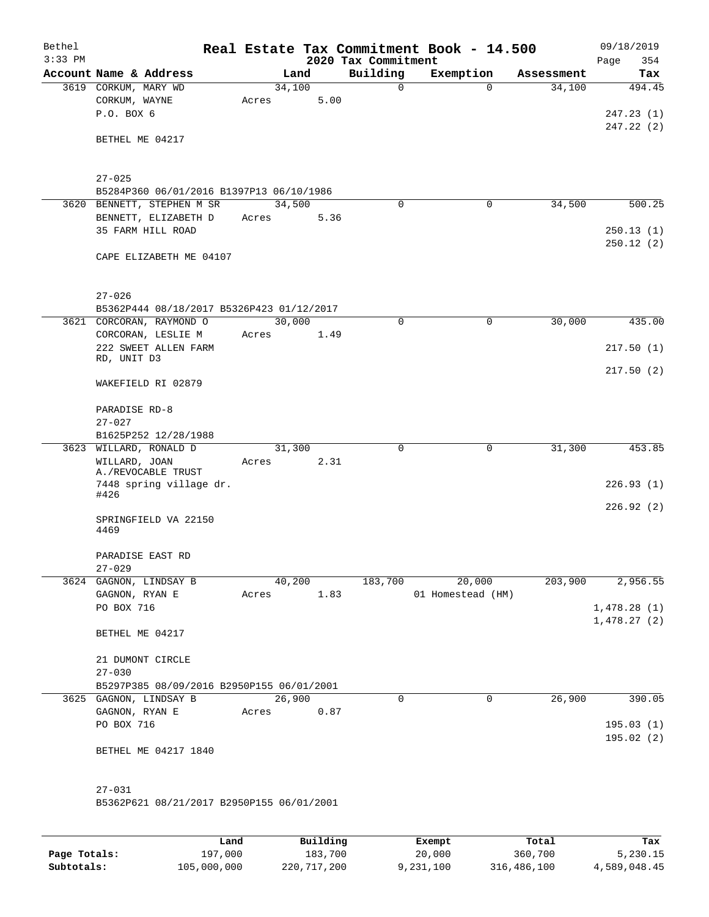| Bethel    |                                                                        |        |                |                     | Real Estate Tax Commitment Book - 14.500 |            | 09/18/2019  |
|-----------|------------------------------------------------------------------------|--------|----------------|---------------------|------------------------------------------|------------|-------------|
| $3:33$ PM |                                                                        |        |                | 2020 Tax Commitment |                                          |            | 354<br>Page |
|           | Account Name & Address                                                 |        | Land           | Building            | Exemption                                | Assessment | Tax         |
|           | 3619 CORKUM, MARY WD                                                   | 34,100 | 5.00           | $\mathbf 0$         | $\Omega$                                 | 34,100     | 494.45      |
|           | CORKUM, WAYNE<br>P.O. BOX 6                                            | Acres  |                |                     |                                          |            | 247.23(1)   |
|           |                                                                        |        |                |                     |                                          |            | 247.22(2)   |
|           | BETHEL ME 04217                                                        |        |                |                     |                                          |            |             |
|           |                                                                        |        |                |                     |                                          |            |             |
|           |                                                                        |        |                |                     |                                          |            |             |
|           | $27 - 025$                                                             |        |                |                     |                                          |            |             |
|           | B5284P360 06/01/2016 B1397P13 06/10/1986<br>3620 BENNETT, STEPHEN M SR | 34,500 |                | $\mathbf 0$         | 0                                        | 34,500     | 500.25      |
|           | BENNETT, ELIZABETH D                                                   | Acres  | 5.36           |                     |                                          |            |             |
|           | 35 FARM HILL ROAD                                                      |        |                |                     |                                          |            | 250.13(1)   |
|           |                                                                        |        |                |                     |                                          |            | 250.12(2)   |
|           | CAPE ELIZABETH ME 04107                                                |        |                |                     |                                          |            |             |
|           |                                                                        |        |                |                     |                                          |            |             |
|           |                                                                        |        |                |                     |                                          |            |             |
|           | $27 - 026$<br>B5362P444 08/18/2017 B5326P423 01/12/2017                |        |                |                     |                                          |            |             |
|           | 3621 CORCORAN, RAYMOND O                                               | 30,000 |                | $\Omega$            | 0                                        | 30,000     | 435.00      |
|           | CORCORAN, LESLIE M                                                     | Acres  | 1.49           |                     |                                          |            |             |
|           | 222 SWEET ALLEN FARM                                                   |        |                |                     |                                          |            | 217.50(1)   |
|           | RD, UNIT D3                                                            |        |                |                     |                                          |            |             |
|           | WAKEFIELD RI 02879                                                     |        |                |                     |                                          |            | 217.50(2)   |
|           |                                                                        |        |                |                     |                                          |            |             |
|           | PARADISE RD-8                                                          |        |                |                     |                                          |            |             |
|           | $27 - 027$                                                             |        |                |                     |                                          |            |             |
|           | B1625P252 12/28/1988                                                   |        |                |                     |                                          |            |             |
|           | 3623 WILLARD, RONALD D                                                 | 31,300 |                | $\mathbf 0$         | 0                                        | 31,300     | 453.85      |
|           | WILLARD, JOAN<br>A./REVOCABLE TRUST                                    | Acres  | 2.31           |                     |                                          |            |             |
|           | 7448 spring village dr.                                                |        |                |                     |                                          |            | 226.93(1)   |
|           | #426                                                                   |        |                |                     |                                          |            |             |
|           |                                                                        |        |                |                     |                                          |            | 226.92(2)   |
|           | SPRINGFIELD VA 22150<br>4469                                           |        |                |                     |                                          |            |             |
|           |                                                                        |        |                |                     |                                          |            |             |
|           | PARADISE EAST RD                                                       |        |                |                     |                                          |            |             |
|           | $27 - 029$                                                             |        |                |                     |                                          |            |             |
|           | 3624 GAGNON, LINDSAY B<br>GAGNON, RYAN E                               |        | 40,200<br>1.83 | 183,700             | 20,000<br>01 Homestead (HM)              | 203,900    | 2,956.55    |
|           | PO BOX 716                                                             | Acres  |                |                     |                                          |            | 1,478.28(1) |
|           |                                                                        |        |                |                     |                                          |            | 1,478.27(2) |
|           | BETHEL ME 04217                                                        |        |                |                     |                                          |            |             |
|           |                                                                        |        |                |                     |                                          |            |             |
|           | 21 DUMONT CIRCLE                                                       |        |                |                     |                                          |            |             |
|           | $27 - 030$                                                             |        |                |                     |                                          |            |             |
|           | B5297P385 08/09/2016 B2950P155 06/01/2001<br>3625 GAGNON, LINDSAY B    | 26,900 |                | $\mathbf 0$         | $\mathbf 0$                              | 26,900     | 390.05      |
|           | GAGNON, RYAN E                                                         | Acres  | 0.87           |                     |                                          |            |             |
|           | PO BOX 716                                                             |        |                |                     |                                          |            | 195.03(1)   |
|           |                                                                        |        |                |                     |                                          |            | 195.02(2)   |
|           | BETHEL ME 04217 1840                                                   |        |                |                     |                                          |            |             |
|           |                                                                        |        |                |                     |                                          |            |             |
|           |                                                                        |        |                |                     |                                          |            |             |
|           | $27 - 031$<br>B5362P621 08/21/2017 B2950P155 06/01/2001                |        |                |                     |                                          |            |             |
|           |                                                                        |        |                |                     |                                          |            |             |
|           |                                                                        |        |                |                     |                                          |            |             |

|              | Land        | Building    | Exempt    | Total       | Tax          |
|--------------|-------------|-------------|-----------|-------------|--------------|
| Page Totals: | 197,000     | 183,700     | 20,000    | 360,700     | 5,230.15     |
| Subtotals:   | 105,000,000 | 220,717,200 | 9,231,100 | 316,486,100 | 4,589,048.45 |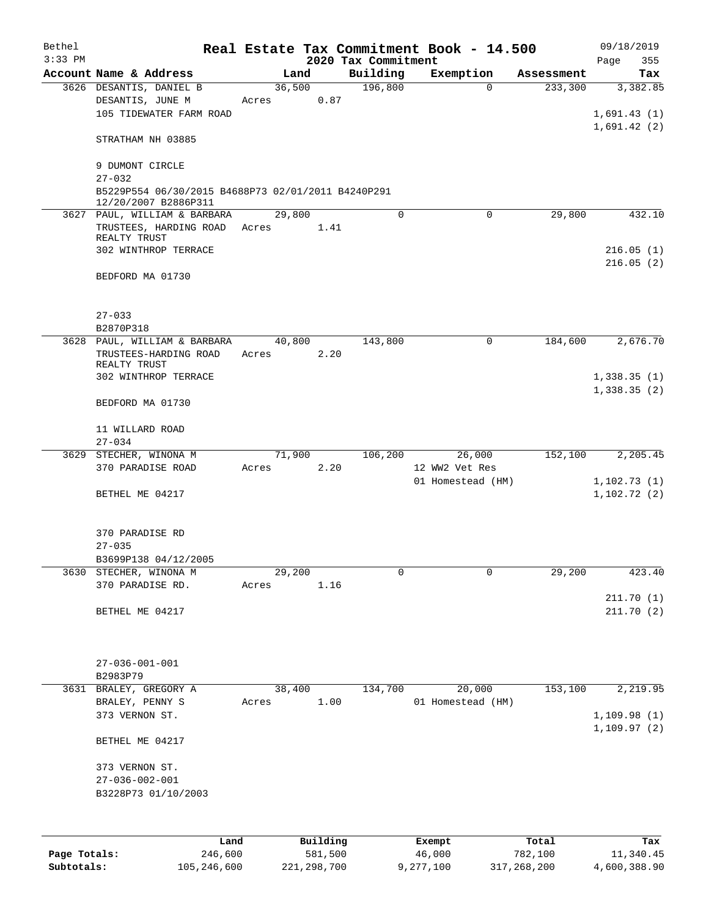| Bethel    |                                                                            |        |          |                     | Real Estate Tax Commitment Book - 14.500 |            | 09/18/2019   |
|-----------|----------------------------------------------------------------------------|--------|----------|---------------------|------------------------------------------|------------|--------------|
| $3:33$ PM |                                                                            |        |          | 2020 Tax Commitment |                                          |            | 355<br>Page  |
|           | Account Name & Address                                                     |        | Land     | Building            | Exemption                                | Assessment | Tax          |
|           | 3626 DESANTIS, DANIEL B                                                    | 36,500 |          | 196,800             | $\Omega$                                 | 233,300    | 3,382.85     |
|           | DESANTIS, JUNE M                                                           | Acres  | 0.87     |                     |                                          |            |              |
|           | 105 TIDEWATER FARM ROAD                                                    |        |          |                     |                                          |            | 1,691.43(1)  |
|           | STRATHAM NH 03885                                                          |        |          |                     |                                          |            | 1,691.42(2)  |
|           | 9 DUMONT CIRCLE                                                            |        |          |                     |                                          |            |              |
|           | $27 - 032$                                                                 |        |          |                     |                                          |            |              |
|           | B5229P554 06/30/2015 B4688P73 02/01/2011 B4240P291<br>12/20/2007 B2886P311 |        |          |                     |                                          |            |              |
|           | 3627 PAUL, WILLIAM & BARBARA                                               | 29,800 |          | $\Omega$            | $\Omega$                                 | 29,800     | 432.10       |
|           | TRUSTEES, HARDING ROAD                                                     | Acres  | 1.41     |                     |                                          |            |              |
|           | REALTY TRUST                                                               |        |          |                     |                                          |            |              |
|           | 302 WINTHROP TERRACE                                                       |        |          |                     |                                          |            | 216.05(1)    |
|           |                                                                            |        |          |                     |                                          |            | 216.05(2)    |
|           | BEDFORD MA 01730                                                           |        |          |                     |                                          |            |              |
|           |                                                                            |        |          |                     |                                          |            |              |
|           | $27 - 033$                                                                 |        |          |                     |                                          |            |              |
|           | B2870P318                                                                  |        |          |                     |                                          |            |              |
|           | 3628 PAUL, WILLIAM & BARBARA                                               | 40,800 |          | 143,800             | 0                                        | 184,600    | 2,676.70     |
|           | TRUSTEES-HARDING ROAD<br>REALTY TRUST                                      | Acres  | 2.20     |                     |                                          |            |              |
|           | 302 WINTHROP TERRACE                                                       |        |          |                     |                                          |            | 1,338.35(1)  |
|           |                                                                            |        |          |                     |                                          |            | 1,338.35(2)  |
|           | BEDFORD MA 01730                                                           |        |          |                     |                                          |            |              |
|           | 11 WILLARD ROAD                                                            |        |          |                     |                                          |            |              |
|           | $27 - 034$                                                                 |        |          |                     |                                          |            |              |
|           | 3629 STECHER, WINONA M                                                     | 71,900 |          | 106,200             | 26,000                                   | 152,100    | 2,205.45     |
|           | 370 PARADISE ROAD                                                          | Acres  | 2.20     |                     | 12 WW2 Vet Res                           |            |              |
|           |                                                                            |        |          |                     | 01 Homestead (HM)                        |            | 1,102.73(1)  |
|           | BETHEL ME 04217                                                            |        |          |                     |                                          |            | 1, 102.72(2) |
|           |                                                                            |        |          |                     |                                          |            |              |
|           | 370 PARADISE RD                                                            |        |          |                     |                                          |            |              |
|           | $27 - 035$                                                                 |        |          |                     |                                          |            |              |
|           | B3699P138 04/12/2005                                                       |        |          |                     |                                          |            |              |
|           | 3630 STECHER, WINONA M                                                     | 29,200 |          | 0                   | $\mathbf 0$                              | 29,200     | 423.40       |
|           | 370 PARADISE RD.                                                           | Acres  | 1.16     |                     |                                          |            |              |
|           |                                                                            |        |          |                     |                                          |            | 211.70(1)    |
|           | BETHEL ME 04217                                                            |        |          |                     |                                          |            | 211.70(2)    |
|           |                                                                            |        |          |                     |                                          |            |              |
|           |                                                                            |        |          |                     |                                          |            |              |
|           | $27 - 036 - 001 - 001$<br>B2983P79                                         |        |          |                     |                                          |            |              |
|           | 3631 BRALEY, GREGORY A                                                     | 38,400 |          | 134,700             | 20,000                                   | 153,100    | 2,219.95     |
|           | BRALEY, PENNY S                                                            | Acres  | 1.00     |                     | 01 Homestead (HM)                        |            |              |
|           | 373 VERNON ST.                                                             |        |          |                     |                                          |            | 1,109.98(1)  |
|           |                                                                            |        |          |                     |                                          |            | 1, 109.97(2) |
|           | BETHEL ME 04217                                                            |        |          |                     |                                          |            |              |
|           | 373 VERNON ST.                                                             |        |          |                     |                                          |            |              |
|           | $27 - 036 - 002 - 001$                                                     |        |          |                     |                                          |            |              |
|           | B3228P73 01/10/2003                                                        |        |          |                     |                                          |            |              |
|           |                                                                            |        |          |                     |                                          |            |              |
|           | Land                                                                       |        | Building |                     | Exempt                                   | Total      | Tax          |
|           |                                                                            |        |          |                     |                                          |            |              |

|              | -------     |             | -------   | ------      | ------       |
|--------------|-------------|-------------|-----------|-------------|--------------|
| Page Totals: | 246,600     | 581,500     | 46,000    | 782,100     | 11,340.45    |
| Subtotals:   | 105,246,600 | 221,298,700 | 9,277,100 | 317,268,200 | 4,600,388.90 |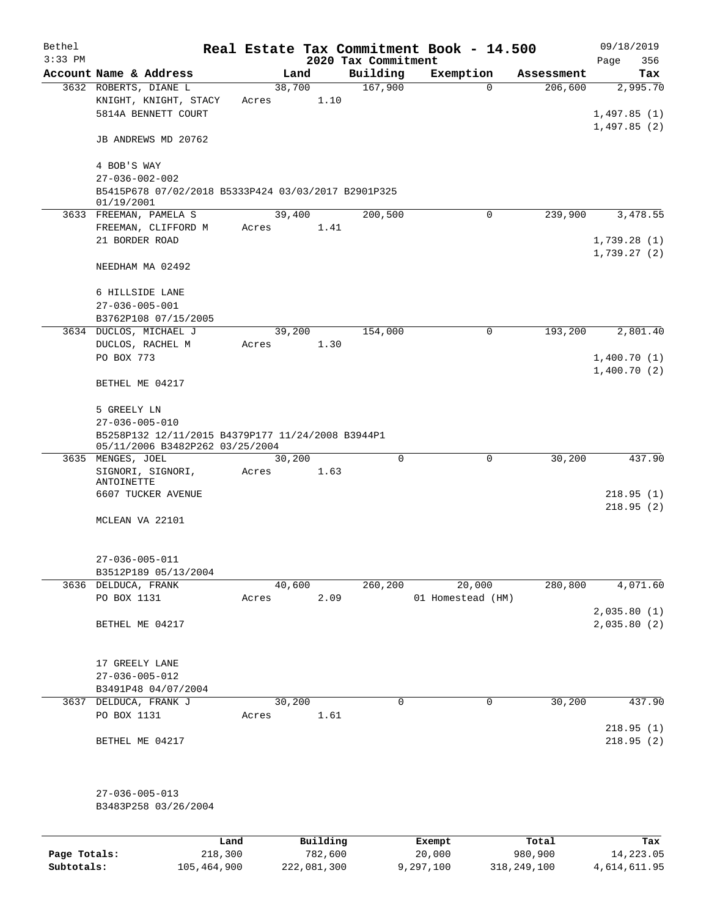| Bethel    |                                                                                             |       |                |                     | Real Estate Tax Commitment Book - 14.500 |                       | 09/18/2019              |
|-----------|---------------------------------------------------------------------------------------------|-------|----------------|---------------------|------------------------------------------|-----------------------|-------------------------|
| $3:33$ PM |                                                                                             |       |                | 2020 Tax Commitment |                                          |                       | Page<br>356             |
|           | Account Name & Address<br>3632 ROBERTS, DIANE L                                             |       | Land           | Building<br>167,900 | Exemption                                | Assessment<br>206,600 | Tax                     |
|           | KNIGHT, KNIGHT, STACY<br>5814A BENNETT COURT                                                | Acres | 38,700<br>1.10 |                     | 0                                        |                       | 2,995.70<br>1,497.85(1) |
|           | JB ANDREWS MD 20762                                                                         |       |                |                     |                                          |                       | 1,497.85(2)             |
|           | 4 BOB'S WAY                                                                                 |       |                |                     |                                          |                       |                         |
|           | $27 - 036 - 002 - 002$<br>B5415P678 07/02/2018 B5333P424 03/03/2017 B2901P325<br>01/19/2001 |       |                |                     |                                          |                       |                         |
|           | 3633 FREEMAN, PAMELA S                                                                      |       | 39,400         | 200,500             | 0                                        | 239,900               | 3,478.55                |
|           | FREEMAN, CLIFFORD M                                                                         | Acres | 1.41           |                     |                                          |                       |                         |
|           | 21 BORDER ROAD                                                                              |       |                |                     |                                          |                       | 1,739.28(1)             |
|           | NEEDHAM MA 02492                                                                            |       |                |                     |                                          |                       | 1,739.27(2)             |
|           | 6 HILLSIDE LANE                                                                             |       |                |                     |                                          |                       |                         |
|           | $27 - 036 - 005 - 001$                                                                      |       |                |                     |                                          |                       |                         |
|           | B3762P108 07/15/2005                                                                        |       |                |                     |                                          |                       |                         |
|           | 3634 DUCLOS, MICHAEL J                                                                      |       | 39,200         | 154,000             | $\mathbf 0$                              | 193,200               | 2,801.40                |
|           | DUCLOS, RACHEL M<br>PO BOX 773                                                              | Acres | 1.30           |                     |                                          |                       | 1,400.70(1)             |
|           |                                                                                             |       |                |                     |                                          |                       | 1,400.70(2)             |
|           | BETHEL ME 04217                                                                             |       |                |                     |                                          |                       |                         |
|           | 5 GREELY LN                                                                                 |       |                |                     |                                          |                       |                         |
|           | $27 - 036 - 005 - 010$                                                                      |       |                |                     |                                          |                       |                         |
|           | B5258P132 12/11/2015 B4379P177 11/24/2008 B3944P1<br>05/11/2006 B3482P262 03/25/2004        |       |                |                     |                                          |                       |                         |
|           | 3635 MENGES, JOEL                                                                           |       | 30,200         | 0                   | 0                                        | 30,200                | 437.90                  |
|           | SIGNORI, SIGNORI,<br>ANTOINETTE                                                             | Acres | 1.63           |                     |                                          |                       |                         |
|           | 6607 TUCKER AVENUE                                                                          |       |                |                     |                                          |                       | 218.95(1)               |
|           |                                                                                             |       |                |                     |                                          |                       | 218.95(2)               |
|           | MCLEAN VA 22101                                                                             |       |                |                     |                                          |                       |                         |
|           | $27 - 036 - 005 - 011$                                                                      |       |                |                     |                                          |                       |                         |
|           | B3512P189 05/13/2004                                                                        |       |                |                     |                                          |                       |                         |
|           | 3636 DELDUCA, FRANK                                                                         |       | 40,600         | 260, 200            | 20,000                                   | 280,800               | 4,071.60                |
|           | PO BOX 1131                                                                                 | Acres | 2.09           |                     | 01 Homestead (HM)                        |                       |                         |
|           |                                                                                             |       |                |                     |                                          |                       | 2,035.80(1)             |
|           | BETHEL ME 04217                                                                             |       |                |                     |                                          |                       | 2,035.80 (2)            |
|           | 17 GREELY LANE                                                                              |       |                |                     |                                          |                       |                         |
|           | $27 - 036 - 005 - 012$                                                                      |       |                |                     |                                          |                       |                         |
|           | B3491P48 04/07/2004                                                                         |       |                |                     |                                          |                       |                         |
|           | 3637 DELDUCA, FRANK J                                                                       |       | 30,200         | 0                   | 0                                        | 30,200                | 437.90                  |
|           | PO BOX 1131                                                                                 | Acres | 1.61           |                     |                                          |                       |                         |
|           | BETHEL ME 04217                                                                             |       |                |                     |                                          |                       | 218.95(1)<br>218.95(2)  |
|           |                                                                                             |       |                |                     |                                          |                       |                         |
|           | $27 - 036 - 005 - 013$                                                                      |       |                |                     |                                          |                       |                         |
|           | B3483P258 03/26/2004                                                                        |       |                |                     |                                          |                       |                         |
|           |                                                                                             |       |                |                     |                                          |                       |                         |
|           |                                                                                             | Land  | Building       |                     | Exempt                                   | Total                 | Tax                     |

|              | ∟and        | Building    | Exempt    | Total       | тах          |
|--------------|-------------|-------------|-----------|-------------|--------------|
| Page Totals: | 218,300     | 782,600     | 20,000    | 980,900     | 14,223.05    |
| Subtotals:   | 105,464,900 | 222,081,300 | 9,297,100 | 318,249,100 | 4,614,611.95 |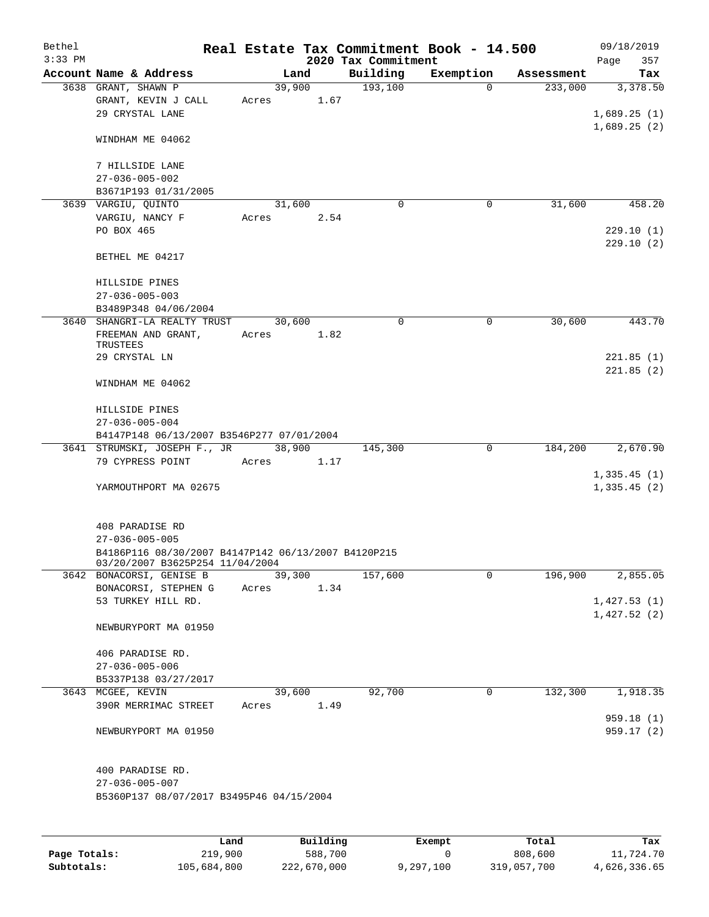| Bethel    |                                                                                        |       |                |      |                     | Real Estate Tax Commitment Book - 14.500 |                       | 09/18/2019              |
|-----------|----------------------------------------------------------------------------------------|-------|----------------|------|---------------------|------------------------------------------|-----------------------|-------------------------|
| $3:33$ PM |                                                                                        |       |                |      | 2020 Tax Commitment |                                          |                       | Page<br>357             |
|           | Account Name & Address<br>3638 GRANT, SHAWN P                                          |       | Land<br>39,900 |      | Building<br>193,100 | Exemption<br>$\Omega$                    | Assessment<br>233,000 | Tax<br>3,378.50         |
|           | GRANT, KEVIN J CALL<br>29 CRYSTAL LANE                                                 | Acres |                | 1.67 |                     |                                          |                       | 1,689.25(1)             |
|           | WINDHAM ME 04062                                                                       |       |                |      |                     |                                          |                       | 1,689.25(2)             |
|           | 7 HILLSIDE LANE<br>$27 - 036 - 005 - 002$                                              |       |                |      |                     |                                          |                       |                         |
|           | B3671P193 01/31/2005                                                                   |       |                |      |                     |                                          |                       |                         |
|           | 3639 VARGIU, QUINTO                                                                    |       | 31,600         |      | $\mathbf 0$         | 0                                        | 31,600                | 458.20                  |
|           | VARGIU, NANCY F                                                                        | Acres |                | 2.54 |                     |                                          |                       |                         |
|           | PO BOX 465                                                                             |       |                |      |                     |                                          |                       | 229.10(1)<br>229.10(2)  |
|           | BETHEL ME 04217                                                                        |       |                |      |                     |                                          |                       |                         |
|           | HILLSIDE PINES                                                                         |       |                |      |                     |                                          |                       |                         |
|           | $27 - 036 - 005 - 003$                                                                 |       |                |      |                     |                                          |                       |                         |
|           | B3489P348 04/06/2004                                                                   |       |                |      |                     |                                          |                       |                         |
|           | 3640 SHANGRI-LA REALTY TRUST                                                           |       | 30,600         |      | 0                   | 0                                        | 30,600                | 443.70                  |
|           | FREEMAN AND GRANT,<br>TRUSTEES                                                         | Acres |                | 1.82 |                     |                                          |                       |                         |
|           | 29 CRYSTAL LN                                                                          |       |                |      |                     |                                          |                       | 221.85(1)               |
|           |                                                                                        |       |                |      |                     |                                          |                       | 221.85(2)               |
|           | WINDHAM ME 04062                                                                       |       |                |      |                     |                                          |                       |                         |
|           | HILLSIDE PINES<br>$27 - 036 - 005 - 004$                                               |       |                |      |                     |                                          |                       |                         |
|           | B4147P148 06/13/2007 B3546P277 07/01/2004                                              |       |                |      |                     |                                          |                       |                         |
|           | 3641 STRUMSKI, JOSEPH F., JR                                                           |       | 38,900         |      | 145,300             | 0                                        | 184,200               | 2,670.90                |
|           | 79 CYPRESS POINT                                                                       | Acres |                | 1.17 |                     |                                          |                       |                         |
|           |                                                                                        |       |                |      |                     |                                          |                       | 1,335.45(1)             |
|           | YARMOUTHPORT MA 02675                                                                  |       |                |      |                     |                                          |                       | 1,335.45(2)             |
|           | 408 PARADISE RD                                                                        |       |                |      |                     |                                          |                       |                         |
|           | $27 - 036 - 005 - 005$                                                                 |       |                |      |                     |                                          |                       |                         |
|           | B4186P116 08/30/2007 B4147P142 06/13/2007 B4120P215<br>03/20/2007 B3625P254 11/04/2004 |       |                |      |                     |                                          |                       |                         |
|           | 3642 BONACORSI, GENISE B                                                               |       | 39,300         |      | 157,600             | 0                                        | 196,900               | 2,855.05                |
|           | BONACORSI, STEPHEN G                                                                   | Acres |                | 1.34 |                     |                                          |                       |                         |
|           | 53 TURKEY HILL RD.                                                                     |       |                |      |                     |                                          |                       | 1,427.53(1)             |
|           | NEWBURYPORT MA 01950                                                                   |       |                |      |                     |                                          |                       | 1,427.52(2)             |
|           | 406 PARADISE RD.                                                                       |       |                |      |                     |                                          |                       |                         |
|           | $27 - 036 - 005 - 006$                                                                 |       |                |      |                     |                                          |                       |                         |
|           | B5337P138 03/27/2017                                                                   |       |                |      |                     |                                          |                       |                         |
|           | 3643 MCGEE, KEVIN                                                                      |       | 39,600         |      | 92,700              | 0                                        | 132,300               | 1,918.35                |
|           | 390R MERRIMAC STREET                                                                   | Acres |                | 1.49 |                     |                                          |                       |                         |
|           | NEWBURYPORT MA 01950                                                                   |       |                |      |                     |                                          |                       | 959.18 (1)<br>959.17(2) |
|           |                                                                                        |       |                |      |                     |                                          |                       |                         |
|           | 400 PARADISE RD.                                                                       |       |                |      |                     |                                          |                       |                         |
|           | $27 - 036 - 005 - 007$                                                                 |       |                |      |                     |                                          |                       |                         |
|           | B5360P137 08/07/2017 B3495P46 04/15/2004                                               |       |                |      |                     |                                          |                       |                         |
|           |                                                                                        |       |                |      |                     |                                          |                       |                         |
|           |                                                                                        |       |                |      |                     |                                          |                       |                         |
|           |                                                                                        |       |                |      |                     |                                          |                       |                         |

|              | Land        | Building    | Exempt    | Total       | Tax          |
|--------------|-------------|-------------|-----------|-------------|--------------|
| Page Totals: | 219,900     | 588,700     |           | 808,600     | 11,724.70    |
| Subtotals:   | 105,684,800 | 222,670,000 | 9,297,100 | 319,057,700 | 4,626,336.65 |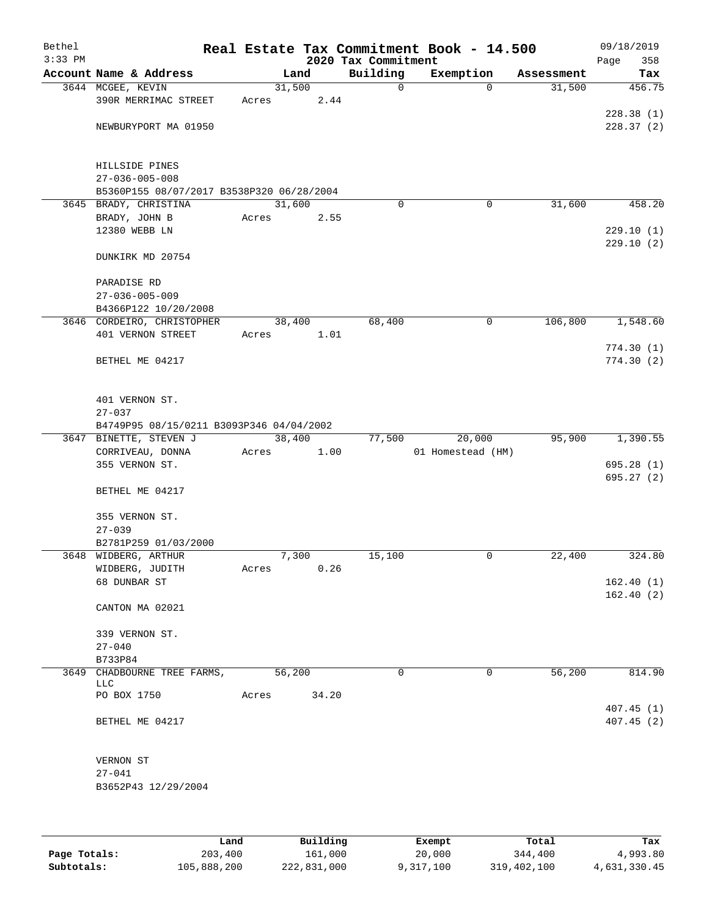| Bethel    |                                           |       |          |                     | Real Estate Tax Commitment Book - 14.500 |            | 09/18/2019  |
|-----------|-------------------------------------------|-------|----------|---------------------|------------------------------------------|------------|-------------|
| $3:33$ PM |                                           |       |          | 2020 Tax Commitment |                                          |            | 358<br>Page |
|           | Account Name & Address                    |       | Land     | Building            | Exemption                                | Assessment | Tax         |
|           | 3644 MCGEE, KEVIN                         |       | 31,500   | 0                   | $\Omega$                                 | 31,500     | 456.75      |
|           | 390R MERRIMAC STREET                      | Acres | 2.44     |                     |                                          |            | 228.38(1)   |
|           | NEWBURYPORT MA 01950                      |       |          |                     |                                          |            | 228.37(2)   |
|           |                                           |       |          |                     |                                          |            |             |
|           | HILLSIDE PINES                            |       |          |                     |                                          |            |             |
|           | $27 - 036 - 005 - 008$                    |       |          |                     |                                          |            |             |
|           | B5360P155 08/07/2017 B3538P320 06/28/2004 |       |          |                     |                                          |            |             |
|           | 3645 BRADY, CHRISTINA                     |       | 31,600   | $\Omega$            | $\mathbf 0$                              | 31,600     | 458.20      |
|           | BRADY, JOHN B                             | Acres | 2.55     |                     |                                          |            |             |
|           | 12380 WEBB LN                             |       |          |                     |                                          |            | 229.10(1)   |
|           | DUNKIRK MD 20754                          |       |          |                     |                                          |            | 229.10(2)   |
|           | PARADISE RD                               |       |          |                     |                                          |            |             |
|           | $27 - 036 - 005 - 009$                    |       |          |                     |                                          |            |             |
|           | B4366P122 10/20/2008                      |       |          |                     |                                          |            |             |
|           | 3646 CORDEIRO, CHRISTOPHER                |       | 38,400   | 68,400              | 0                                        | 106,800    | 1,548.60    |
|           | 401 VERNON STREET                         | Acres | 1.01     |                     |                                          |            |             |
|           |                                           |       |          |                     |                                          |            | 774.30(1)   |
|           | BETHEL ME 04217                           |       |          |                     |                                          |            | 774.30(2)   |
|           | 401 VERNON ST.                            |       |          |                     |                                          |            |             |
|           | $27 - 037$                                |       |          |                     |                                          |            |             |
|           | B4749P95 08/15/0211 B3093P346 04/04/2002  |       |          |                     |                                          |            |             |
|           | 3647 BINETTE, STEVEN J                    |       | 38,400   | 77,500              | 20,000                                   | 95,900     | 1,390.55    |
|           | CORRIVEAU, DONNA                          | Acres | 1.00     |                     | 01 Homestead (HM)                        |            |             |
|           | 355 VERNON ST.                            |       |          |                     |                                          |            | 695.28(1)   |
|           | BETHEL ME 04217                           |       |          |                     |                                          |            | 695.27(2)   |
|           | 355 VERNON ST.                            |       |          |                     |                                          |            |             |
|           | $27 - 039$                                |       |          |                     |                                          |            |             |
|           | B2781P259 01/03/2000                      |       |          |                     |                                          |            |             |
|           | 3648 WIDBERG, ARTHUR                      |       | 7,300    | 15,100              | 0                                        | 22,400     | 324.80      |
|           | WIDBERG, JUDITH<br>68 DUNBAR ST           | Acres | 0.26     |                     |                                          |            | 162.40(1)   |
|           |                                           |       |          |                     |                                          |            | 162.40(2)   |
|           | CANTON MA 02021                           |       |          |                     |                                          |            |             |
|           | 339 VERNON ST.                            |       |          |                     |                                          |            |             |
|           | $27 - 040$                                |       |          |                     |                                          |            |             |
| 3649      | B733P84<br>CHADBOURNE TREE FARMS,         |       | 56,200   | 0                   | $\mathbf 0$                              | 56,200     | 814.90      |
|           | LLC                                       |       |          |                     |                                          |            |             |
|           | PO BOX 1750                               | Acres | 34.20    |                     |                                          |            | 407.45(1)   |
|           | BETHEL ME 04217                           |       |          |                     |                                          |            | 407.45(2)   |
|           | VERNON ST                                 |       |          |                     |                                          |            |             |
|           | $27 - 041$                                |       |          |                     |                                          |            |             |
|           | B3652P43 12/29/2004                       |       |          |                     |                                          |            |             |
|           |                                           |       |          |                     |                                          |            |             |
|           | Land                                      |       | Building |                     | Exempt                                   | Total      | Tax         |

|              | nand.       | Building    | Exempt    | Total       | тах          |
|--------------|-------------|-------------|-----------|-------------|--------------|
| Page Totals: | 203,400     | 161,000     | 20,000    | 344,400     | 4,993.80     |
| Subtotals:   | 105,888,200 | 222,831,000 | 9,317,100 | 319,402,100 | 4,631,330.45 |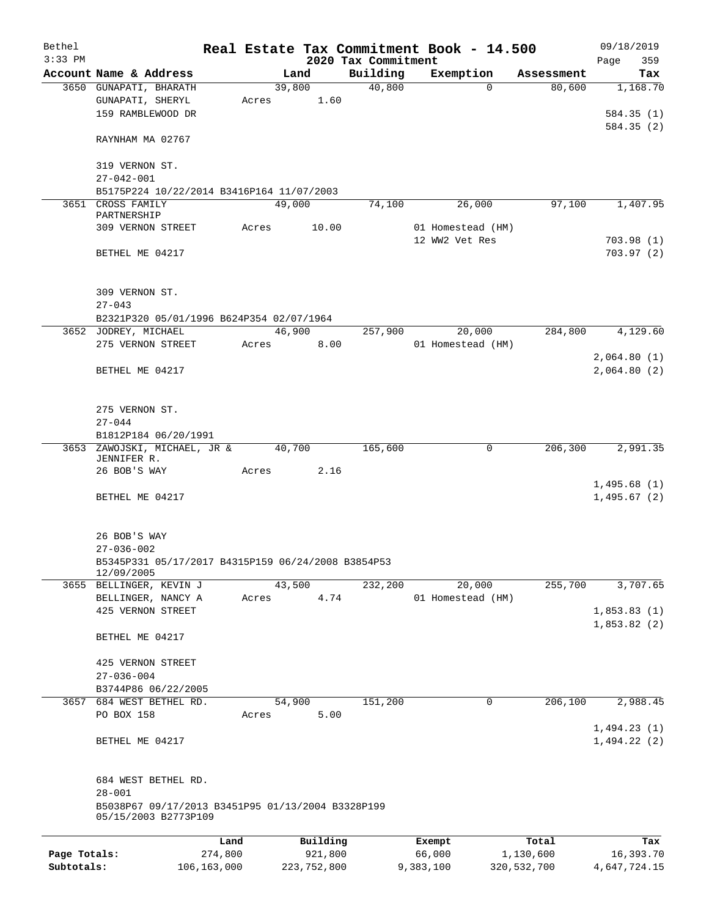| Bethel       |                                                    |       |                |                     | Real Estate Tax Commitment Book - 14.500 |                      | 09/18/2019      |
|--------------|----------------------------------------------------|-------|----------------|---------------------|------------------------------------------|----------------------|-----------------|
| $3:33$ PM    | Account Name & Address                             |       |                | 2020 Tax Commitment |                                          |                      | 359<br>Page     |
|              | 3650 GUNAPATI, BHARATH                             |       | Land<br>39,800 | Building<br>40,800  | Exemption<br>$\Omega$                    | Assessment<br>80,600 | Tax<br>1,168.70 |
|              | GUNAPATI, SHERYL                                   | Acres | 1.60           |                     |                                          |                      |                 |
|              | 159 RAMBLEWOOD DR                                  |       |                |                     |                                          |                      | 584.35(1)       |
|              |                                                    |       |                |                     |                                          |                      | 584.35(2)       |
|              | RAYNHAM MA 02767                                   |       |                |                     |                                          |                      |                 |
|              | 319 VERNON ST.                                     |       |                |                     |                                          |                      |                 |
|              | $27 - 042 - 001$                                   |       |                |                     |                                          |                      |                 |
|              | B5175P224 10/22/2014 B3416P164 11/07/2003          |       |                |                     |                                          |                      |                 |
|              | 3651 CROSS FAMILY<br>PARTNERSHIP                   |       | 49,000         | 74,100              | 26,000                                   | 97,100               | 1,407.95        |
|              | 309 VERNON STREET                                  | Acres | 10.00          |                     | 01 Homestead (HM)                        |                      |                 |
|              |                                                    |       |                |                     | 12 WW2 Vet Res                           |                      | 703.98(1)       |
|              | BETHEL ME 04217                                    |       |                |                     |                                          |                      | 703.97(2)       |
|              |                                                    |       |                |                     |                                          |                      |                 |
|              |                                                    |       |                |                     |                                          |                      |                 |
|              | 309 VERNON ST.                                     |       |                |                     |                                          |                      |                 |
|              | $27 - 043$                                         |       |                |                     |                                          |                      |                 |
|              | B2321P320 05/01/1996 B624P354 02/07/1964           |       |                |                     |                                          |                      |                 |
|              | 3652 JODREY, MICHAEL                               |       | 46,900         | 257,900             | 20,000                                   | 284,800              | 4,129.60        |
|              | 275 VERNON STREET                                  | Acres | 8.00           |                     | 01 Homestead (HM)                        |                      |                 |
|              | BETHEL ME 04217                                    |       |                |                     |                                          |                      | 2,064.80(1)     |
|              |                                                    |       |                |                     |                                          |                      | 2,064.80(2)     |
|              |                                                    |       |                |                     |                                          |                      |                 |
|              | 275 VERNON ST.                                     |       |                |                     |                                          |                      |                 |
|              | $27 - 044$                                         |       |                |                     |                                          |                      |                 |
|              | B1812P184 06/20/1991                               |       |                |                     |                                          |                      |                 |
|              | 3653 ZAWOJSKI, MICHAEL, JR &                       |       | 40,700         | 165,600             | 0                                        | 206,300              | 2,991.35        |
|              | JENNIFER R.                                        |       |                |                     |                                          |                      |                 |
|              | 26 BOB'S WAY                                       | Acres | 2.16           |                     |                                          |                      |                 |
|              |                                                    |       |                |                     |                                          |                      | 1,495.68(1)     |
|              | BETHEL ME 04217                                    |       |                |                     |                                          |                      | 1,495.67(2)     |
|              |                                                    |       |                |                     |                                          |                      |                 |
|              | 26 BOB'S WAY                                       |       |                |                     |                                          |                      |                 |
|              | $27 - 036 - 002$                                   |       |                |                     |                                          |                      |                 |
|              | B5345P331 05/17/2017 B4315P159 06/24/2008 B3854P53 |       |                |                     |                                          |                      |                 |
|              | 12/09/2005                                         |       |                |                     |                                          |                      |                 |
|              | 3655 BELLINGER, KEVIN J                            |       | 43,500         | 232,200             | 20,000                                   | 255,700              | 3,707.65        |
|              | BELLINGER, NANCY A                                 | Acres | 4.74           |                     | 01 Homestead (HM)                        |                      |                 |
|              | 425 VERNON STREET                                  |       |                |                     |                                          |                      | 1,853.83(1)     |
|              |                                                    |       |                |                     |                                          |                      | 1,853.82(2)     |
|              | BETHEL ME 04217                                    |       |                |                     |                                          |                      |                 |
|              | 425 VERNON STREET                                  |       |                |                     |                                          |                      |                 |
|              | $27 - 036 - 004$                                   |       |                |                     |                                          |                      |                 |
|              | B3744P86 06/22/2005                                |       |                |                     |                                          |                      |                 |
|              | 3657 684 WEST BETHEL RD.                           |       | 54,900         | 151,200             | 0                                        | 206,100              | 2,988.45        |
|              | PO BOX 158                                         | Acres | 5.00           |                     |                                          |                      |                 |
|              |                                                    |       |                |                     |                                          |                      | 1,494.23(1)     |
|              | BETHEL ME 04217                                    |       |                |                     |                                          |                      | 1,494.22(2)     |
|              |                                                    |       |                |                     |                                          |                      |                 |
|              | 684 WEST BETHEL RD.                                |       |                |                     |                                          |                      |                 |
|              | $28 - 001$                                         |       |                |                     |                                          |                      |                 |
|              | B5038P67 09/17/2013 B3451P95 01/13/2004 B3328P199  |       |                |                     |                                          |                      |                 |
|              | 05/15/2003 B2773P109                               |       |                |                     |                                          |                      |                 |
|              | Land                                               |       | Building       |                     | Exempt                                   | Total                | Tax             |
| Page Totals: | 274,800                                            |       | 921,800        |                     | 66,000                                   | 1,130,600            | 16,393.70       |
| Subtotals:   | 106,163,000                                        |       | 223,752,800    |                     | 9,383,100                                | 320,532,700          | 4,647,724.15    |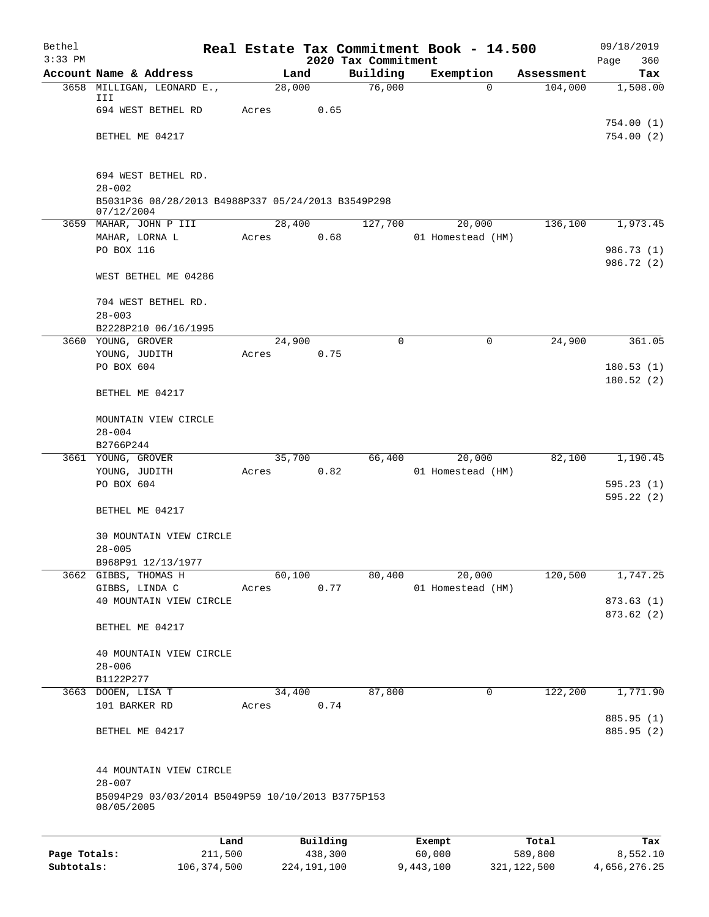| Bethel       |                                                                  |       |                |                     | Real Estate Tax Commitment Book - 14.500 |                       | 09/18/2019               |  |  |
|--------------|------------------------------------------------------------------|-------|----------------|---------------------|------------------------------------------|-----------------------|--------------------------|--|--|
| $3:33$ PM    |                                                                  |       |                | 2020 Tax Commitment |                                          |                       | 360<br>Page              |  |  |
|              | Account Name & Address<br>3658 MILLIGAN, LEONARD E.,             |       | Land<br>28,000 | Building<br>76,000  | Exemption<br>0                           | Assessment<br>104,000 | Tax<br>1,508.00          |  |  |
|              | III                                                              |       |                |                     |                                          |                       |                          |  |  |
|              | 694 WEST BETHEL RD                                               | Acres | 0.65           |                     |                                          |                       |                          |  |  |
|              |                                                                  |       |                |                     |                                          |                       | 754.00 (1)               |  |  |
|              | BETHEL ME 04217                                                  |       |                |                     |                                          |                       | 754.00(2)                |  |  |
|              | 694 WEST BETHEL RD.                                              |       |                |                     |                                          |                       |                          |  |  |
|              | $28 - 002$                                                       |       |                |                     |                                          |                       |                          |  |  |
|              | B5031P36 08/28/2013 B4988P337 05/24/2013 B3549P298<br>07/12/2004 |       |                |                     |                                          |                       |                          |  |  |
|              | 3659 MAHAR, JOHN P III                                           |       | 28,400         | 127,700             | 20,000                                   | 136,100               | 1,973.45                 |  |  |
|              | MAHAR, LORNA L                                                   | Acres | 0.68           |                     | 01 Homestead (HM)                        |                       |                          |  |  |
|              | PO BOX 116                                                       |       |                |                     |                                          |                       | 986.73 (1)               |  |  |
|              | WEST BETHEL ME 04286                                             |       |                |                     |                                          |                       | 986.72 (2)               |  |  |
|              | 704 WEST BETHEL RD.                                              |       |                |                     |                                          |                       |                          |  |  |
|              | $28 - 003$                                                       |       |                |                     |                                          |                       |                          |  |  |
|              | B2228P210 06/16/1995                                             |       |                |                     |                                          |                       |                          |  |  |
|              | 3660 YOUNG, GROVER                                               |       | 24,900         | $\Omega$            | 0                                        | 24,900                | 361.05                   |  |  |
|              | YOUNG, JUDITH                                                    | Acres | 0.75           |                     |                                          |                       |                          |  |  |
|              | PO BOX 604                                                       |       |                |                     |                                          |                       | 180.53(1)                |  |  |
|              | BETHEL ME 04217                                                  |       |                |                     |                                          |                       | 180.52(2)                |  |  |
|              |                                                                  |       |                |                     |                                          |                       |                          |  |  |
|              | MOUNTAIN VIEW CIRCLE<br>$28 - 004$                               |       |                |                     |                                          |                       |                          |  |  |
|              | B2766P244                                                        |       |                |                     |                                          |                       |                          |  |  |
|              | 3661 YOUNG, GROVER                                               |       | 35,700         |                     | 66,400<br>20,000                         | 82,100                | 1,190.45                 |  |  |
|              | YOUNG, JUDITH                                                    | Acres | 0.82           |                     | 01 Homestead (HM)                        |                       |                          |  |  |
|              | PO BOX 604                                                       |       |                |                     |                                          |                       | 595.23(1)                |  |  |
|              |                                                                  |       |                |                     |                                          |                       | 595.22(2)                |  |  |
|              | BETHEL ME 04217                                                  |       |                |                     |                                          |                       |                          |  |  |
|              | 30 MOUNTAIN VIEW CIRCLE                                          |       |                |                     |                                          |                       |                          |  |  |
|              | $28 - 005$                                                       |       |                |                     |                                          |                       |                          |  |  |
|              | B968P91 12/13/1977                                               |       |                |                     |                                          |                       |                          |  |  |
|              | 3662 GIBBS, THOMAS H<br>GIBBS, LINDA C                           | Acres | 60,100<br>0.77 | 80,400              | 20,000<br>01 Homestead (HM)              | 120,500               | 1,747.25                 |  |  |
|              | 40 MOUNTAIN VIEW CIRCLE                                          |       |                |                     |                                          |                       | 873.63(1)                |  |  |
|              |                                                                  |       |                |                     |                                          |                       | 873.62(2)                |  |  |
|              | BETHEL ME 04217                                                  |       |                |                     |                                          |                       |                          |  |  |
|              | 40 MOUNTAIN VIEW CIRCLE                                          |       |                |                     |                                          |                       |                          |  |  |
|              | $28 - 006$                                                       |       |                |                     |                                          |                       |                          |  |  |
|              | B1122P277                                                        |       |                |                     |                                          |                       |                          |  |  |
|              | 3663 DOOEN, LISA T                                               |       | 34,400         | 87,800              | $\mathbf 0$                              | 122,200               | 1,771.90                 |  |  |
|              | 101 BARKER RD                                                    | Acres | 0.74           |                     |                                          |                       |                          |  |  |
|              | BETHEL ME 04217                                                  |       |                |                     |                                          |                       | 885.95 (1)<br>885.95 (2) |  |  |
|              |                                                                  |       |                |                     |                                          |                       |                          |  |  |
|              | 44 MOUNTAIN VIEW CIRCLE                                          |       |                |                     |                                          |                       |                          |  |  |
|              | $28 - 007$<br>B5094P29 03/03/2014 B5049P59 10/10/2013 B3775P153  |       |                |                     |                                          |                       |                          |  |  |
|              | 08/05/2005                                                       |       |                |                     |                                          |                       |                          |  |  |
|              |                                                                  | Land  | Building       |                     | Exempt                                   | Total                 | Tax                      |  |  |
| Page Totals: | 211,500                                                          |       | 438,300        |                     | 60,000                                   | 589,800               | 8,552.10                 |  |  |

**Subtotals:** 106,374,500 224,191,100 9,443,100 321,122,500 4,656,276.25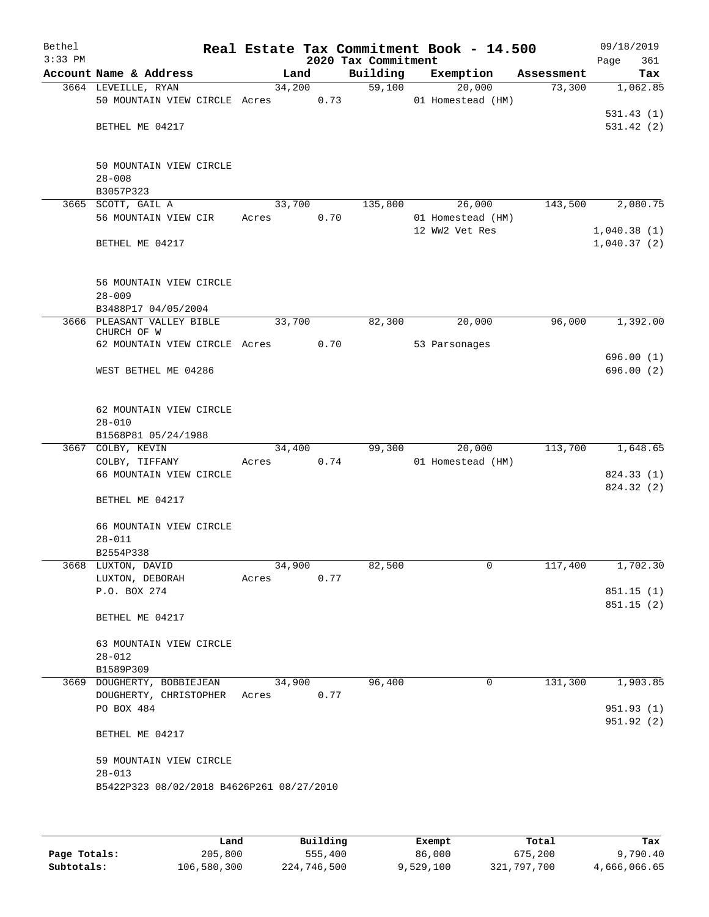| Bethel<br>$3:33$ PM |                                                         |        |      | 2020 Tax Commitment | Real Estate Tax Commitment Book - 14.500 |            | 09/18/2019<br>Page<br>361  |
|---------------------|---------------------------------------------------------|--------|------|---------------------|------------------------------------------|------------|----------------------------|
|                     | Account Name & Address                                  |        | Land | Building            | Exemption                                | Assessment | Tax                        |
|                     | 3664 LEVEILLE, RYAN<br>50 MOUNTAIN VIEW CIRCLE Acres    | 34,200 | 0.73 | 59,100              | 20,000<br>01 Homestead (HM)              | 73,300     | 1,062.85                   |
|                     |                                                         |        |      |                     |                                          |            | 531.43(1)                  |
|                     | BETHEL ME 04217                                         |        |      |                     |                                          |            | 531.42(2)                  |
|                     | 50 MOUNTAIN VIEW CIRCLE                                 |        |      |                     |                                          |            |                            |
|                     | $28 - 008$<br>B3057P323                                 |        |      |                     |                                          |            |                            |
| 3665                | SCOTT, GAIL A                                           | 33,700 |      | 135,800             | 26,000                                   | 143,500    | 2,080.75                   |
|                     | 56 MOUNTAIN VIEW CIR                                    | Acres  | 0.70 |                     | 01 Homestead (HM)                        |            |                            |
|                     | BETHEL ME 04217                                         |        |      |                     | 12 WW2 Vet Res                           |            | 1,040.38(1)<br>1,040.37(2) |
|                     | 56 MOUNTAIN VIEW CIRCLE                                 |        |      |                     |                                          |            |                            |
|                     | $28 - 009$<br>B3488P17 04/05/2004                       |        |      |                     |                                          |            |                            |
|                     | 3666 PLEASANT VALLEY BIBLE<br>CHURCH OF W               | 33,700 |      | 82,300              | 20,000                                   | 96,000     | 1,392.00                   |
|                     | 62 MOUNTAIN VIEW CIRCLE Acres                           |        | 0.70 |                     | 53 Parsonages                            |            |                            |
|                     | WEST BETHEL ME 04286                                    |        |      |                     |                                          |            | 696.00(1)<br>696.00 (2)    |
|                     | 62 MOUNTAIN VIEW CIRCLE                                 |        |      |                     |                                          |            |                            |
|                     | $28 - 010$<br>B1568P81 05/24/1988                       |        |      |                     |                                          |            |                            |
|                     | 3667 COLBY, KEVIN                                       | 34,400 |      | 99,300              | 20,000                                   | 113,700    | 1,648.65                   |
|                     | COLBY, TIFFANY                                          | Acres  | 0.74 |                     | 01 Homestead (HM)                        |            |                            |
|                     | 66 MOUNTAIN VIEW CIRCLE                                 |        |      |                     |                                          |            | 824.33 (1)                 |
|                     | BETHEL ME 04217                                         |        |      |                     |                                          |            | 824.32 (2)                 |
|                     | 66 MOUNTAIN VIEW CIRCLE<br>$28 - 011$                   |        |      |                     |                                          |            |                            |
|                     | B2554P338                                               |        |      |                     |                                          |            |                            |
|                     | 3668 LUXTON, DAVID                                      | 34,900 |      | 82,500              | 0                                        | 117,400    | 1,702.30                   |
|                     | LUXTON, DEBORAH                                         | Acres  | 0.77 |                     |                                          |            |                            |
|                     | P.O. BOX 274                                            |        |      |                     |                                          |            | 851.15 (1)<br>851.15(2)    |
|                     | BETHEL ME 04217                                         |        |      |                     |                                          |            |                            |
|                     | 63 MOUNTAIN VIEW CIRCLE                                 |        |      |                     |                                          |            |                            |
|                     | $28 - 012$<br>B1589P309                                 |        |      |                     |                                          |            |                            |
|                     | 3669 DOUGHERTY, BOBBIEJEAN                              | 34,900 |      | 96,400              | 0                                        | 131,300    | 1,903.85                   |
|                     | DOUGHERTY, CHRISTOPHER                                  | Acres  | 0.77 |                     |                                          |            |                            |
|                     | PO BOX 484                                              |        |      |                     |                                          |            | 951.93(1)<br>951.92 (2)    |
|                     | BETHEL ME 04217                                         |        |      |                     |                                          |            |                            |
|                     | 59 MOUNTAIN VIEW CIRCLE                                 |        |      |                     |                                          |            |                            |
|                     | $28 - 013$<br>B5422P323 08/02/2018 B4626P261 08/27/2010 |        |      |                     |                                          |            |                            |
|                     |                                                         |        |      |                     |                                          |            |                            |
|                     |                                                         |        |      |                     |                                          |            |                            |

|              | Land        | Building    | Exempt    | Total       | Tax          |
|--------------|-------------|-------------|-----------|-------------|--------------|
| Page Totals: | 205,800     | 555,400     | 86,000    | 675,200     | 9,790.40     |
| Subtotals:   | 106,580,300 | 224,746,500 | 9,529,100 | 321,797,700 | 4,666,066.65 |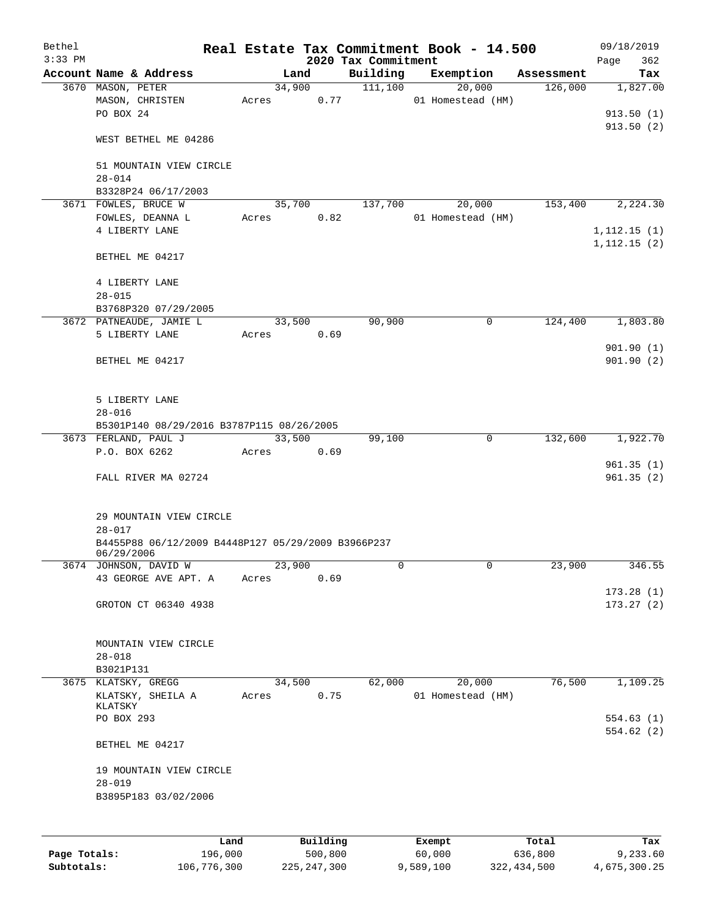| Bethel    |                                                    |       |        |          | Real Estate Tax Commitment Book - 14.500 |                   |             |            | 09/18/2019   |
|-----------|----------------------------------------------------|-------|--------|----------|------------------------------------------|-------------------|-------------|------------|--------------|
| $3:33$ PM |                                                    |       |        |          | 2020 Tax Commitment                      |                   |             |            | 362<br>Page  |
|           | Account Name & Address                             |       | Land   |          | Building                                 | Exemption         |             | Assessment | Tax          |
|           | 3670 MASON, PETER                                  |       | 34,900 |          | 111,100                                  |                   | 20,000      | 126,000    | 1,827.00     |
|           | MASON, CHRISTEN                                    | Acres |        | 0.77     |                                          | 01 Homestead (HM) |             |            |              |
|           | PO BOX 24                                          |       |        |          |                                          |                   |             |            | 913.50(1)    |
|           |                                                    |       |        |          |                                          |                   |             |            | 913.50(2)    |
|           | WEST BETHEL ME 04286                               |       |        |          |                                          |                   |             |            |              |
|           |                                                    |       |        |          |                                          |                   |             |            |              |
|           | 51 MOUNTAIN VIEW CIRCLE                            |       |        |          |                                          |                   |             |            |              |
|           | $28 - 014$                                         |       |        |          |                                          |                   |             |            |              |
|           | B3328P24 06/17/2003                                |       |        |          |                                          |                   |             |            |              |
|           | 3671 FOWLES, BRUCE W                               |       | 35,700 |          | 137,700                                  |                   | 20,000      | 153,400    | 2,224.30     |
|           | FOWLES, DEANNA L                                   | Acres |        | 0.82     |                                          | 01 Homestead (HM) |             |            |              |
|           | 4 LIBERTY LANE                                     |       |        |          |                                          |                   |             |            | 1, 112.15(1) |
|           |                                                    |       |        |          |                                          |                   |             |            | 1, 112.15(2) |
|           | BETHEL ME 04217                                    |       |        |          |                                          |                   |             |            |              |
|           |                                                    |       |        |          |                                          |                   |             |            |              |
|           | 4 LIBERTY LANE                                     |       |        |          |                                          |                   |             |            |              |
|           | $28 - 015$                                         |       |        |          |                                          |                   |             |            |              |
|           | B3768P320 07/29/2005                               |       |        |          |                                          |                   |             |            |              |
|           | 3672 PATNEAUDE, JAMIE L                            |       | 33,500 |          | 90,900                                   |                   | 0           | 124,400    | 1,803.80     |
|           | 5 LIBERTY LANE                                     | Acres |        | 0.69     |                                          |                   |             |            |              |
|           |                                                    |       |        |          |                                          |                   |             |            | 901.90(1)    |
|           | BETHEL ME 04217                                    |       |        |          |                                          |                   |             |            | 901.90(2)    |
|           |                                                    |       |        |          |                                          |                   |             |            |              |
|           |                                                    |       |        |          |                                          |                   |             |            |              |
|           | 5 LIBERTY LANE                                     |       |        |          |                                          |                   |             |            |              |
|           | $28 - 016$                                         |       |        |          |                                          |                   |             |            |              |
|           | B5301P140 08/29/2016 B3787P115 08/26/2005          |       |        |          |                                          |                   |             |            |              |
|           | 3673 FERLAND, PAUL J                               |       | 33,500 |          | 99,100                                   |                   | $\mathbf 0$ | 132,600    | 1,922.70     |
|           | P.O. BOX 6262                                      | Acres |        | 0.69     |                                          |                   |             |            |              |
|           |                                                    |       |        |          |                                          |                   |             |            | 961.35(1)    |
|           | FALL RIVER MA 02724                                |       |        |          |                                          |                   |             |            | 961.35(2)    |
|           |                                                    |       |        |          |                                          |                   |             |            |              |
|           |                                                    |       |        |          |                                          |                   |             |            |              |
|           | 29 MOUNTAIN VIEW CIRCLE                            |       |        |          |                                          |                   |             |            |              |
|           | $28 - 017$                                         |       |        |          |                                          |                   |             |            |              |
|           | B4455P88 06/12/2009 B4448P127 05/29/2009 B3966P237 |       |        |          |                                          |                   |             |            |              |
|           | 06/29/2006                                         |       |        |          | 0                                        |                   | 0           | 23,900     | 346.55       |
|           | 3674 JOHNSON, DAVID W<br>43 GEORGE AVE APT. A      |       | 23,900 | 0.69     |                                          |                   |             |            |              |
|           |                                                    | Acres |        |          |                                          |                   |             |            | 173.28(1)    |
|           |                                                    |       |        |          |                                          |                   |             |            | 173.27(2)    |
|           | GROTON CT 06340 4938                               |       |        |          |                                          |                   |             |            |              |
|           |                                                    |       |        |          |                                          |                   |             |            |              |
|           | MOUNTAIN VIEW CIRCLE                               |       |        |          |                                          |                   |             |            |              |
|           | $28 - 018$                                         |       |        |          |                                          |                   |             |            |              |
|           | B3021P131                                          |       |        |          |                                          |                   |             |            |              |
|           | 3675 KLATSKY, GREGG                                |       | 34,500 |          | 62,000                                   |                   | 20,000      | 76,500     | 1,109.25     |
|           | KLATSKY, SHEILA A                                  | Acres |        | 0.75     |                                          | 01 Homestead (HM) |             |            |              |
|           | KLATSKY                                            |       |        |          |                                          |                   |             |            |              |
|           | PO BOX 293                                         |       |        |          |                                          |                   |             |            | 554.63(1)    |
|           |                                                    |       |        |          |                                          |                   |             |            | 554.62(2)    |
|           | BETHEL ME 04217                                    |       |        |          |                                          |                   |             |            |              |
|           |                                                    |       |        |          |                                          |                   |             |            |              |
|           | 19 MOUNTAIN VIEW CIRCLE                            |       |        |          |                                          |                   |             |            |              |
|           | $28 - 019$                                         |       |        |          |                                          |                   |             |            |              |
|           | B3895P183 03/02/2006                               |       |        |          |                                          |                   |             |            |              |
|           |                                                    |       |        |          |                                          |                   |             |            |              |
|           |                                                    |       |        |          |                                          |                   |             |            |              |
|           |                                                    | Land  |        | Building |                                          | Exempt            |             | Total      | Tax          |
|           |                                                    |       |        |          |                                          |                   |             |            |              |

**Page Totals:** 196,000 500,800 60,000 636,800 9,233.60 **Subtotals:** 106,776,300 225,247,300 9,589,100 322,434,500 4,675,300.25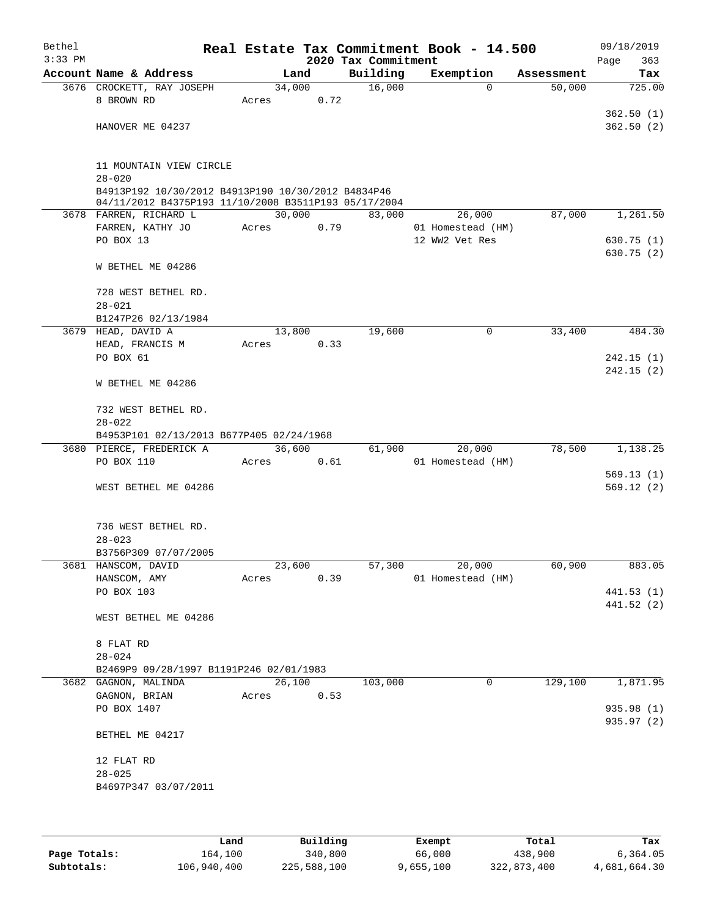| Bethel<br>$3:33$ PM |                                                                 |        |      | 2020 Tax Commitment | Real Estate Tax Commitment Book - 14.500 |   |            | 09/18/2019<br>Page<br>363 |
|---------------------|-----------------------------------------------------------------|--------|------|---------------------|------------------------------------------|---|------------|---------------------------|
|                     | Account Name & Address                                          |        | Land | Building            | Exemption                                |   | Assessment | Tax                       |
|                     | 3676 CROCKETT, RAY JOSEPH                                       | 34,000 |      | 16,000              |                                          | 0 | 50,000     | 725.00                    |
|                     | 8 BROWN RD                                                      | Acres  | 0.72 |                     |                                          |   |            |                           |
|                     |                                                                 |        |      |                     |                                          |   |            | 362.50(1)                 |
|                     | HANOVER ME 04237                                                |        |      |                     |                                          |   |            | 362.50(2)                 |
|                     |                                                                 |        |      |                     |                                          |   |            |                           |
|                     |                                                                 |        |      |                     |                                          |   |            |                           |
|                     | 11 MOUNTAIN VIEW CIRCLE<br>$28 - 020$                           |        |      |                     |                                          |   |            |                           |
|                     | B4913P192 10/30/2012 B4913P190 10/30/2012 B4834P46              |        |      |                     |                                          |   |            |                           |
|                     | 04/11/2012 B4375P193 11/10/2008 B3511P193 05/17/2004            |        |      |                     |                                          |   |            |                           |
|                     | 3678 FARREN, RICHARD L                                          | 30,000 |      | 83,000              | 26,000                                   |   | 87,000     | 1,261.50                  |
|                     | FARREN, KATHY JO                                                | Acres  | 0.79 |                     | 01 Homestead (HM)                        |   |            |                           |
|                     | PO BOX 13                                                       |        |      |                     | 12 WW2 Vet Res                           |   |            | 630.75(1)<br>630.75 (2)   |
|                     | W BETHEL ME 04286                                               |        |      |                     |                                          |   |            |                           |
|                     |                                                                 |        |      |                     |                                          |   |            |                           |
|                     | 728 WEST BETHEL RD.                                             |        |      |                     |                                          |   |            |                           |
|                     | $28 - 021$                                                      |        |      |                     |                                          |   |            |                           |
|                     | B1247P26 02/13/1984                                             |        |      |                     |                                          |   |            |                           |
|                     | 3679 HEAD, DAVID A                                              | 13,800 |      | 19,600              |                                          | 0 | 33,400     | 484.30                    |
|                     | HEAD, FRANCIS M                                                 | Acres  | 0.33 |                     |                                          |   |            |                           |
|                     | PO BOX 61                                                       |        |      |                     |                                          |   |            | 242.15(1)<br>242.15(2)    |
|                     | W BETHEL ME 04286                                               |        |      |                     |                                          |   |            |                           |
|                     |                                                                 |        |      |                     |                                          |   |            |                           |
|                     | 732 WEST BETHEL RD.                                             |        |      |                     |                                          |   |            |                           |
|                     | $28 - 022$                                                      |        |      |                     |                                          |   |            |                           |
|                     | B4953P101 02/13/2013 B677P405 02/24/1968                        |        |      |                     |                                          |   |            |                           |
|                     | 3680 PIERCE, FREDERICK A                                        | 36,600 |      | 61,900              | 20,000                                   |   | 78,500     | 1,138.25                  |
|                     | PO BOX 110                                                      | Acres  | 0.61 |                     | 01 Homestead (HM)                        |   |            |                           |
|                     | WEST BETHEL ME 04286                                            |        |      |                     |                                          |   |            | 569.13(1)<br>569.12(2)    |
|                     |                                                                 |        |      |                     |                                          |   |            |                           |
|                     |                                                                 |        |      |                     |                                          |   |            |                           |
|                     | 736 WEST BETHEL RD.                                             |        |      |                     |                                          |   |            |                           |
|                     | $28 - 023$                                                      |        |      |                     |                                          |   |            |                           |
|                     | B3756P309 07/07/2005                                            |        |      |                     |                                          |   |            |                           |
|                     | 3681 HANSCOM, DAVID                                             | 23,600 |      | 57,300              | 20,000                                   |   | 60,900     | 883.05                    |
|                     | HANSCOM, AMY<br>PO BOX 103                                      | Acres  | 0.39 |                     | 01 Homestead (HM)                        |   |            | 441.53(1)                 |
|                     |                                                                 |        |      |                     |                                          |   |            | 441.52 (2)                |
|                     | WEST BETHEL ME 04286                                            |        |      |                     |                                          |   |            |                           |
|                     |                                                                 |        |      |                     |                                          |   |            |                           |
|                     | 8 FLAT RD                                                       |        |      |                     |                                          |   |            |                           |
|                     | $28 - 024$                                                      |        |      |                     |                                          |   |            |                           |
|                     | B2469P9 09/28/1997 B1191P246 02/01/1983<br>3682 GAGNON, MALINDA | 26,100 |      | 103,000             |                                          | 0 | 129,100    | 1,871.95                  |
|                     | GAGNON, BRIAN                                                   | Acres  | 0.53 |                     |                                          |   |            |                           |
|                     | PO BOX 1407                                                     |        |      |                     |                                          |   |            | 935.98 (1)                |
|                     |                                                                 |        |      |                     |                                          |   |            | 935.97 (2)                |
|                     | BETHEL ME 04217                                                 |        |      |                     |                                          |   |            |                           |
|                     |                                                                 |        |      |                     |                                          |   |            |                           |
|                     | 12 FLAT RD                                                      |        |      |                     |                                          |   |            |                           |
|                     | $28 - 025$                                                      |        |      |                     |                                          |   |            |                           |
|                     | B4697P347 03/07/2011                                            |        |      |                     |                                          |   |            |                           |
|                     |                                                                 |        |      |                     |                                          |   |            |                           |
|                     |                                                                 |        |      |                     |                                          |   |            |                           |

|              | Land        | Building    | Exempt    | Total       | Tax          |
|--------------|-------------|-------------|-----------|-------------|--------------|
| Page Totals: | 164,100     | 340,800     | 66,000    | 438,900     | 6, 364.05    |
| Subtotals:   | 106,940,400 | 225,588,100 | 9,655,100 | 322,873,400 | 4,681,664.30 |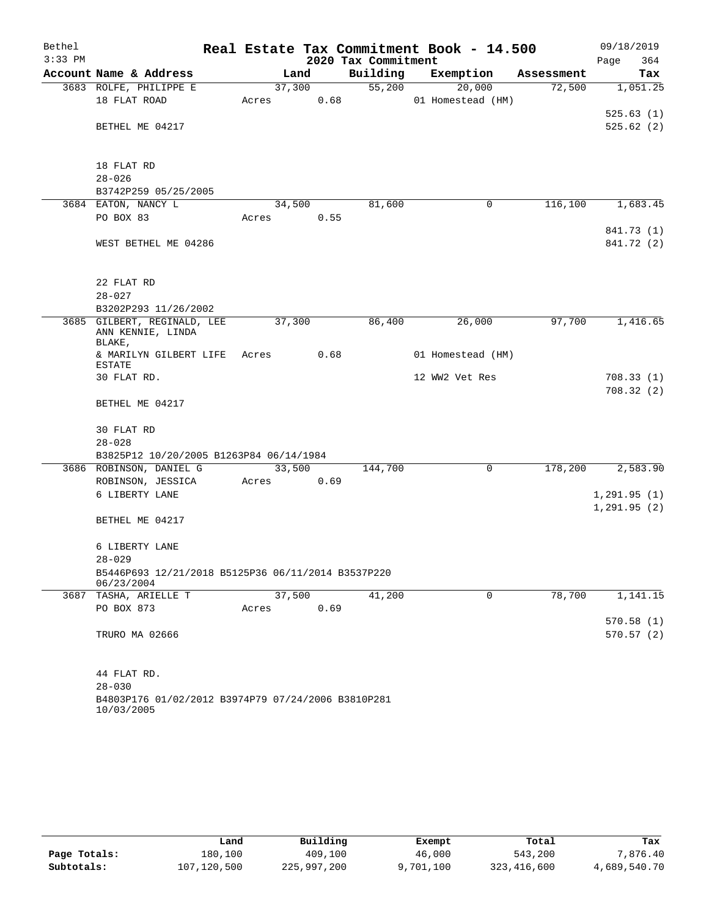| Bethel    |                                                     |       |        |                     | Real Estate Tax Commitment Book - 14.500 |            | 09/18/2019   |
|-----------|-----------------------------------------------------|-------|--------|---------------------|------------------------------------------|------------|--------------|
| $3:33$ PM |                                                     |       |        | 2020 Tax Commitment |                                          |            | 364<br>Page  |
|           | Account Name & Address                              |       | Land   | Building            | Exemption                                | Assessment | Tax          |
|           | 3683 ROLFE, PHILIPPE E                              |       | 37,300 | 55,200              | 20,000                                   | 72,500     | 1,051.25     |
|           | 18 FLAT ROAD                                        | Acres | 0.68   |                     | 01 Homestead (HM)                        |            |              |
|           |                                                     |       |        |                     |                                          |            | 525.63(1)    |
|           | BETHEL ME 04217                                     |       |        |                     |                                          |            | 525.62(2)    |
|           |                                                     |       |        |                     |                                          |            |              |
|           | 18 FLAT RD                                          |       |        |                     |                                          |            |              |
|           | $28 - 026$                                          |       |        |                     |                                          |            |              |
|           | B3742P259 05/25/2005                                |       |        |                     |                                          |            |              |
|           | 3684 EATON, NANCY L                                 |       | 34,500 | 81,600              | 0                                        | 116,100    | 1,683.45     |
|           | PO BOX 83                                           | Acres | 0.55   |                     |                                          |            |              |
|           |                                                     |       |        |                     |                                          |            | 841.73 (1)   |
|           | WEST BETHEL ME 04286                                |       |        |                     |                                          |            | 841.72 (2)   |
|           |                                                     |       |        |                     |                                          |            |              |
|           |                                                     |       |        |                     |                                          |            |              |
|           | 22 FLAT RD                                          |       |        |                     |                                          |            |              |
|           | $28 - 027$                                          |       |        |                     |                                          |            |              |
|           | B3202P293 11/26/2002<br>3685 GILBERT, REGINALD, LEE |       | 37,300 | 86,400              | 26,000                                   | 97,700     | 1,416.65     |
|           | ANN KENNIE, LINDA                                   |       |        |                     |                                          |            |              |
|           | BLAKE,                                              |       |        |                     |                                          |            |              |
|           | & MARILYN GILBERT LIFE                              | Acres | 0.68   |                     | 01 Homestead (HM)                        |            |              |
|           | <b>ESTATE</b><br>30 FLAT RD.                        |       |        |                     | 12 WW2 Vet Res                           |            | 708.33(1)    |
|           |                                                     |       |        |                     |                                          |            | 708.32(2)    |
|           | BETHEL ME 04217                                     |       |        |                     |                                          |            |              |
|           |                                                     |       |        |                     |                                          |            |              |
|           | 30 FLAT RD                                          |       |        |                     |                                          |            |              |
|           | $28 - 028$                                          |       |        |                     |                                          |            |              |
|           | B3825P12 10/20/2005 B1263P84 06/14/1984             |       |        |                     |                                          |            |              |
|           | 3686 ROBINSON, DANIEL G                             |       | 33,500 | 144,700             | $\mathbf 0$                              | 178,200    | 2,583.90     |
|           | ROBINSON, JESSICA                                   | Acres | 0.69   |                     |                                          |            |              |
|           | 6 LIBERTY LANE                                      |       |        |                     |                                          |            | 1, 291.95(1) |
|           |                                                     |       |        |                     |                                          |            | 1, 291.95(2) |
|           | BETHEL ME 04217                                     |       |        |                     |                                          |            |              |
|           | 6 LIBERTY LANE                                      |       |        |                     |                                          |            |              |
|           | $28 - 029$                                          |       |        |                     |                                          |            |              |
|           | B5446P693 12/21/2018 B5125P36 06/11/2014 B3537P220  |       |        |                     |                                          |            |              |
|           | 06/23/2004                                          |       |        |                     |                                          |            |              |
|           | 3687 TASHA, ARIELLE T                               |       | 37,500 | 41,200              | $\mathbf 0$                              | 78,700     | 1,141.15     |
|           | PO BOX 873                                          | Acres | 0.69   |                     |                                          |            |              |
|           |                                                     |       |        |                     |                                          |            | 570.58(1)    |
|           | TRURO MA 02666                                      |       |        |                     |                                          |            | 570.57(2)    |
|           |                                                     |       |        |                     |                                          |            |              |
|           | 44 FLAT RD.                                         |       |        |                     |                                          |            |              |
|           | $28 - 030$                                          |       |        |                     |                                          |            |              |
|           | B4803P176 01/02/2012 B3974P79 07/24/2006 B3810P281  |       |        |                     |                                          |            |              |
|           | 10/03/2005                                          |       |        |                     |                                          |            |              |

|              | Land        | Building    | Exempt    | Total       | Tax          |
|--------------|-------------|-------------|-----------|-------------|--------------|
| Page Totals: | 180,100     | 409,100     | 46,000    | 543,200     | 7,876.40     |
| Subtotals:   | 107,120,500 | 225,997,200 | 9,701,100 | 323,416,600 | 4,689,540.70 |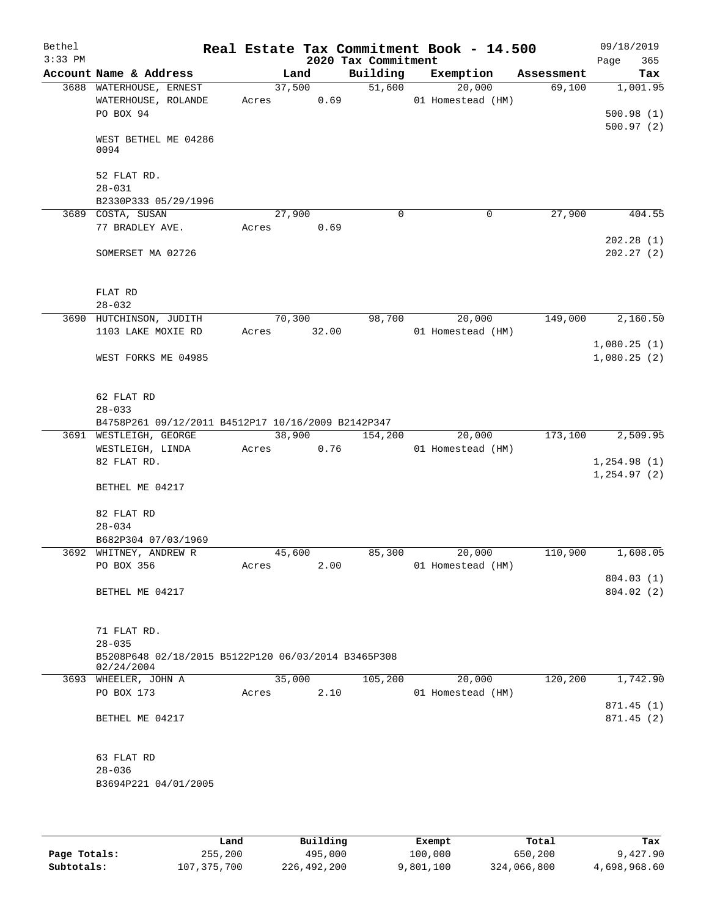| Bethel<br>$3:33$ PM |                                                                                                |                 |       | 2020 Tax Commitment | Real Estate Tax Commitment Book - 14.500 |            | 09/18/2019<br>Page<br>365          |
|---------------------|------------------------------------------------------------------------------------------------|-----------------|-------|---------------------|------------------------------------------|------------|------------------------------------|
|                     | Account Name & Address                                                                         | Land            |       | Building            | Exemption                                | Assessment | Tax                                |
|                     | 3688 WATERHOUSE, ERNEST<br>WATERHOUSE, ROLANDE<br>PO BOX 94                                    | 37,500<br>Acres | 0.69  | 51,600              | 20,000<br>01 Homestead (HM)              | 69,100     | 1,001.95<br>500.98(1)<br>500.97(2) |
|                     | WEST BETHEL ME 04286<br>0094                                                                   |                 |       |                     |                                          |            |                                    |
|                     | 52 FLAT RD.<br>$28 - 031$<br>B2330P333 05/29/1996                                              |                 |       |                     |                                          |            |                                    |
|                     | 3689 COSTA, SUSAN                                                                              | 27,900          |       | $\Omega$            | 0                                        | 27,900     | 404.55                             |
|                     | 77 BRADLEY AVE.                                                                                | Acres           | 0.69  |                     |                                          |            | 202.28(1)                          |
|                     | SOMERSET MA 02726                                                                              |                 |       |                     |                                          |            | 202.27(2)                          |
|                     | FLAT RD<br>$28 - 032$                                                                          |                 |       |                     |                                          |            |                                    |
|                     | 3690 HUTCHINSON, JUDITH                                                                        | 70,300          |       | 98,700              | 20,000                                   | 149,000    | 2,160.50                           |
|                     | 1103 LAKE MOXIE RD                                                                             | Acres           | 32.00 |                     | 01 Homestead (HM)                        |            |                                    |
|                     | WEST FORKS ME 04985                                                                            |                 |       |                     |                                          |            | 1,080.25(1)<br>1,080.25(2)         |
|                     | 62 FLAT RD                                                                                     |                 |       |                     |                                          |            |                                    |
|                     | $28 - 033$                                                                                     |                 |       |                     |                                          |            |                                    |
|                     | B4758P261 09/12/2011 B4512P17 10/16/2009 B2142P347<br>3691 WESTLEIGH, GEORGE                   | 38,900          |       | 154,200             | 20,000                                   | 173,100    | 2,509.95                           |
|                     | WESTLEIGH, LINDA                                                                               | Acres           | 0.76  |                     | 01 Homestead (HM)                        |            |                                    |
|                     | 82 FLAT RD.                                                                                    |                 |       |                     |                                          |            | 1, 254.98(1)<br>1, 254.97(2)       |
|                     | BETHEL ME 04217                                                                                |                 |       |                     |                                          |            |                                    |
|                     | 82 FLAT RD                                                                                     |                 |       |                     |                                          |            |                                    |
|                     | $28 - 034$<br>B682P304 07/03/1969                                                              |                 |       |                     |                                          |            |                                    |
|                     | 3692 WHITNEY, ANDREW R                                                                         | 45,600          |       | 85,300              | 20,000                                   | 110,900    | 1,608.05                           |
|                     | PO BOX 356                                                                                     | Acres           | 2.00  |                     | 01 Homestead (HM)                        |            |                                    |
|                     | BETHEL ME 04217                                                                                |                 |       |                     |                                          |            | 804.03(1)<br>804.02(2)             |
|                     | 71 FLAT RD.<br>$28 - 035$<br>B5208P648 02/18/2015 B5122P120 06/03/2014 B3465P308<br>02/24/2004 |                 |       |                     |                                          |            |                                    |
|                     | 3693 WHEELER, JOHN A                                                                           | 35,000          |       | 105,200             | 20,000                                   | 120,200    | 1,742.90                           |
|                     | PO BOX 173                                                                                     | Acres           | 2.10  |                     | 01 Homestead (HM)                        |            | 871.45(1)                          |
|                     | BETHEL ME 04217                                                                                |                 |       |                     |                                          |            | 871.45(2)                          |
|                     | 63 FLAT RD                                                                                     |                 |       |                     |                                          |            |                                    |
|                     | $28 - 036$<br>B3694P221 04/01/2005                                                             |                 |       |                     |                                          |            |                                    |
|                     |                                                                                                |                 |       |                     |                                          |            |                                    |

|              | Land        | Building    | Exempt    | Total       | Tax          |
|--------------|-------------|-------------|-----------|-------------|--------------|
| Page Totals: | 255,200     | 495,000     | 100,000   | 650,200     | 9,427.90     |
| Subtotals:   | 107,375,700 | 226,492,200 | 9,801,100 | 324,066,800 | 4,698,968.60 |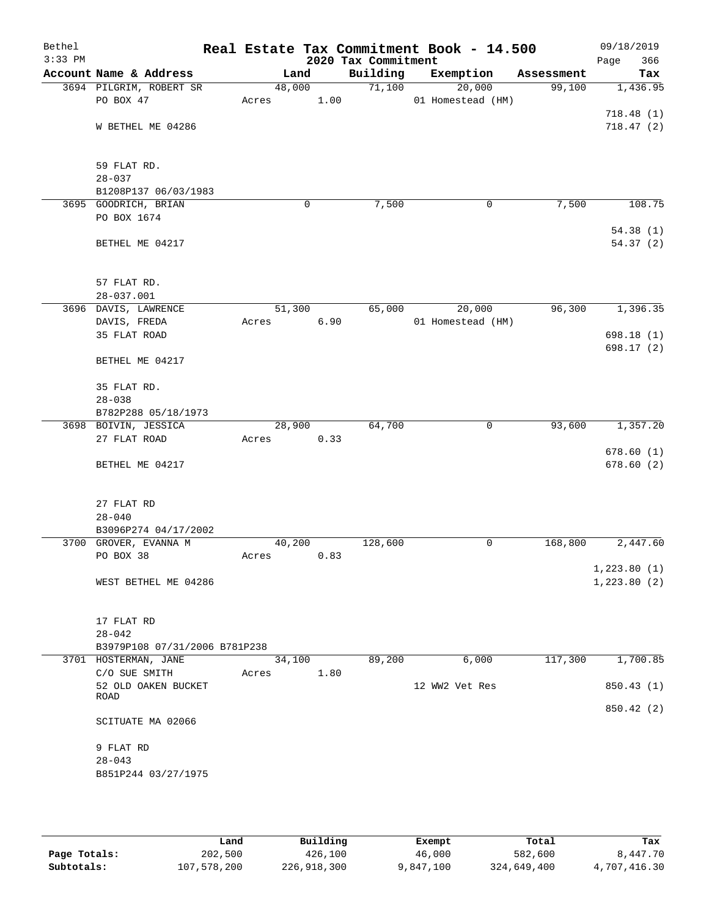| Bethel<br>$3:33$ PM |                               |       |        |      | 2020 Tax Commitment | Real Estate Tax Commitment Book - 14.500 |            | 09/18/2019<br>Page<br>366 |
|---------------------|-------------------------------|-------|--------|------|---------------------|------------------------------------------|------------|---------------------------|
|                     | Account Name & Address        |       | Land   |      | Building            | Exemption                                | Assessment | Tax                       |
|                     | 3694 PILGRIM, ROBERT SR       |       | 48,000 |      | 71,100              | 20,000                                   | 99,100     | 1,436.95                  |
|                     | PO BOX 47                     | Acres |        | 1.00 |                     | 01 Homestead (HM)                        |            |                           |
|                     |                               |       |        |      |                     |                                          |            | 718.48(1)                 |
|                     | W BETHEL ME 04286             |       |        |      |                     |                                          |            | 718.47(2)                 |
|                     |                               |       |        |      |                     |                                          |            |                           |
|                     |                               |       |        |      |                     |                                          |            |                           |
|                     | 59 FLAT RD.                   |       |        |      |                     |                                          |            |                           |
|                     | $28 - 037$                    |       |        |      |                     |                                          |            |                           |
|                     | B1208P137 06/03/1983          |       |        |      |                     |                                          |            |                           |
|                     | 3695 GOODRICH, BRIAN          |       | 0      |      | 7,500               | 0                                        | 7,500      | 108.75                    |
|                     | PO BOX 1674                   |       |        |      |                     |                                          |            |                           |
|                     |                               |       |        |      |                     |                                          |            | 54.38(1)                  |
|                     | BETHEL ME 04217               |       |        |      |                     |                                          |            | 54.37(2)                  |
|                     |                               |       |        |      |                     |                                          |            |                           |
|                     | 57 FLAT RD.                   |       |        |      |                     |                                          |            |                           |
|                     | $28 - 037.001$                |       |        |      |                     |                                          |            |                           |
|                     | 3696 DAVIS, LAWRENCE          |       | 51,300 |      | 65,000              | 20,000                                   | 96,300     | 1,396.35                  |
|                     | DAVIS, FREDA                  | Acres |        | 6.90 |                     | 01 Homestead (HM)                        |            |                           |
|                     | 35 FLAT ROAD                  |       |        |      |                     |                                          |            | 698.18(1)                 |
|                     |                               |       |        |      |                     |                                          |            | 698.17 (2)                |
|                     | BETHEL ME 04217               |       |        |      |                     |                                          |            |                           |
|                     |                               |       |        |      |                     |                                          |            |                           |
|                     | 35 FLAT RD.                   |       |        |      |                     |                                          |            |                           |
|                     | $28 - 038$                    |       |        |      |                     |                                          |            |                           |
|                     | B782P288 05/18/1973           |       |        |      |                     |                                          |            |                           |
|                     | 3698 BOIVIN, JESSICA          |       | 28,900 |      | 64,700              | $\mathbf 0$                              | 93,600     | 1,357.20                  |
|                     | 27 FLAT ROAD                  | Acres |        | 0.33 |                     |                                          |            |                           |
|                     |                               |       |        |      |                     |                                          |            | 678.60(1)                 |
|                     | BETHEL ME 04217               |       |        |      |                     |                                          |            | 678.60(2)                 |
|                     |                               |       |        |      |                     |                                          |            |                           |
|                     | 27 FLAT RD                    |       |        |      |                     |                                          |            |                           |
|                     | $28 - 040$                    |       |        |      |                     |                                          |            |                           |
|                     | B3096P274 04/17/2002          |       |        |      |                     |                                          |            |                           |
|                     | 3700 GROVER, EVANNA M         |       | 40,200 |      | 128,600             | 0                                        | 168,800    | 2,447.60                  |
|                     | PO BOX 38                     | Acres |        | 0.83 |                     |                                          |            |                           |
|                     |                               |       |        |      |                     |                                          |            | 1,223.80(1)               |
|                     | WEST BETHEL ME 04286          |       |        |      |                     |                                          |            | 1,223.80(2)               |
|                     |                               |       |        |      |                     |                                          |            |                           |
|                     |                               |       |        |      |                     |                                          |            |                           |
|                     | 17 FLAT RD                    |       |        |      |                     |                                          |            |                           |
|                     | $28 - 042$                    |       |        |      |                     |                                          |            |                           |
|                     | B3979P108 07/31/2006 B781P238 |       |        |      |                     |                                          |            |                           |
|                     | 3701 HOSTERMAN, JANE          |       | 34,100 |      | 89,200              | 6,000                                    | 117,300    | 1,700.85                  |
|                     | C/O SUE SMITH                 | Acres |        | 1.80 |                     |                                          |            |                           |
|                     | 52 OLD OAKEN BUCKET<br>ROAD   |       |        |      |                     | 12 WW2 Vet Res                           |            | 850.43 (1)                |
|                     |                               |       |        |      |                     |                                          |            | 850.42 (2)                |
|                     | SCITUATE MA 02066             |       |        |      |                     |                                          |            |                           |
|                     |                               |       |        |      |                     |                                          |            |                           |
|                     | 9 FLAT RD                     |       |        |      |                     |                                          |            |                           |
|                     | $28 - 043$                    |       |        |      |                     |                                          |            |                           |
|                     | B851P244 03/27/1975           |       |        |      |                     |                                          |            |                           |
|                     |                               |       |        |      |                     |                                          |            |                           |
|                     |                               |       |        |      |                     |                                          |            |                           |

|              | Land        | Building    | Exempt    | Total       | Tax          |
|--------------|-------------|-------------|-----------|-------------|--------------|
| Page Totals: | 202,500     | 426,100     | 46,000    | 582,600     | 8,447.70     |
| Subtotals:   | 107,578,200 | 226,918,300 | 9,847,100 | 324,649,400 | 4,707,416.30 |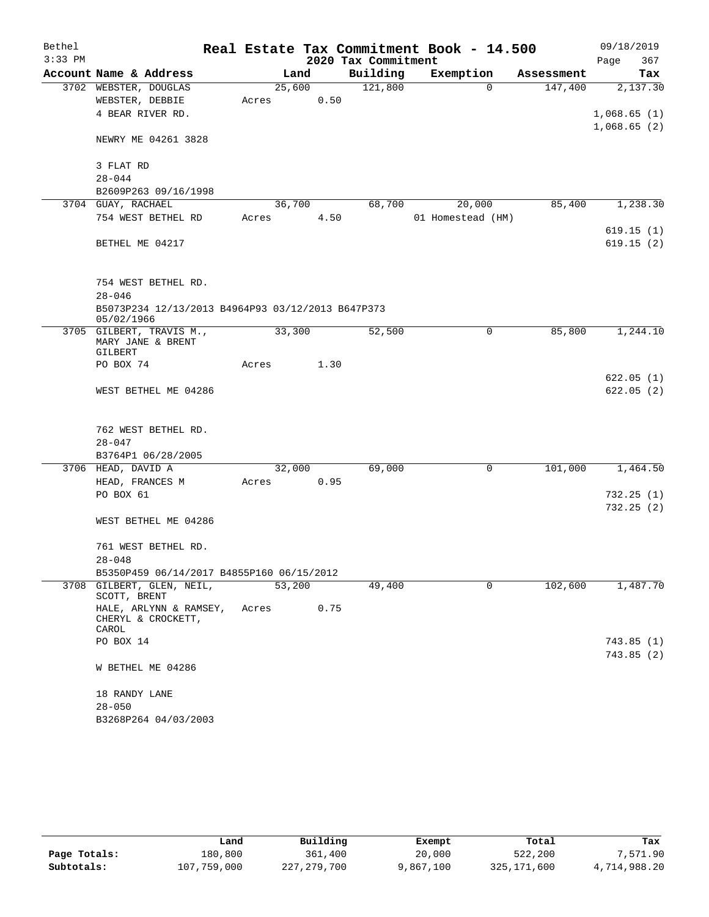| Bethel    |                                                                 |        |        |                     | Real Estate Tax Commitment Book - 14.500 |            | 09/18/2019             |
|-----------|-----------------------------------------------------------------|--------|--------|---------------------|------------------------------------------|------------|------------------------|
| $3:33$ PM |                                                                 |        |        | 2020 Tax Commitment |                                          |            | 367<br>Page            |
|           | Account Name & Address                                          |        | Land   | Building            | Exemption                                | Assessment | Tax                    |
|           | 3702 WEBSTER, DOUGLAS                                           |        | 25,600 | 121,800             | $\Omega$                                 | 147,400    | 2,137.30               |
|           | WEBSTER, DEBBIE                                                 | Acres  | 0.50   |                     |                                          |            |                        |
|           | 4 BEAR RIVER RD.                                                |        |        |                     |                                          |            | 1,068.65(1)            |
|           | NEWRY ME 04261 3828                                             |        |        |                     |                                          |            | 1,068.65(2)            |
|           | 3 FLAT RD                                                       |        |        |                     |                                          |            |                        |
|           | $28 - 044$                                                      |        |        |                     |                                          |            |                        |
|           | B2609P263 09/16/1998                                            |        |        |                     |                                          |            |                        |
|           | 3704 GUAY, RACHAEL                                              |        | 36,700 | 68,700              | 20,000                                   | 85,400     | 1,238.30               |
|           | 754 WEST BETHEL RD                                              | Acres  | 4.50   |                     | 01 Homestead (HM)                        |            |                        |
|           |                                                                 |        |        |                     |                                          |            | 619.15(1)              |
|           | BETHEL ME 04217                                                 |        |        |                     |                                          |            | 619.15(2)              |
|           | 754 WEST BETHEL RD.                                             |        |        |                     |                                          |            |                        |
|           | $28 - 046$                                                      |        |        |                     |                                          |            |                        |
|           | B5073P234 12/13/2013 B4964P93 03/12/2013 B647P373<br>05/02/1966 |        |        |                     |                                          |            |                        |
|           | 3705 GILBERT, TRAVIS M.,                                        |        | 33,300 | 52,500              | 0                                        | 85,800     | 1,244.10               |
|           | MARY JANE & BRENT<br>GILBERT                                    |        |        |                     |                                          |            |                        |
|           | PO BOX 74                                                       | Acres  | 1.30   |                     |                                          |            |                        |
|           |                                                                 |        |        |                     |                                          |            | 622.05(1)              |
|           | WEST BETHEL ME 04286                                            |        |        |                     |                                          |            | 622.05(2)              |
|           |                                                                 |        |        |                     |                                          |            |                        |
|           |                                                                 |        |        |                     |                                          |            |                        |
|           | 762 WEST BETHEL RD.                                             |        |        |                     |                                          |            |                        |
|           | $28 - 047$                                                      |        |        |                     |                                          |            |                        |
|           | B3764P1 06/28/2005                                              |        |        |                     |                                          |            |                        |
|           | 3706 HEAD, DAVID A                                              |        | 32,000 | 69,000              | 0                                        | 101,000    | 1,464.50               |
|           | HEAD, FRANCES M<br>PO BOX 61                                    | Acres  | 0.95   |                     |                                          |            |                        |
|           |                                                                 |        |        |                     |                                          |            | 732.25(1)<br>732.25(2) |
|           | WEST BETHEL ME 04286                                            |        |        |                     |                                          |            |                        |
|           |                                                                 |        |        |                     |                                          |            |                        |
|           | 761 WEST BETHEL RD.                                             |        |        |                     |                                          |            |                        |
|           | $28 - 048$                                                      |        |        |                     |                                          |            |                        |
|           | B5350P459 06/14/2017 B4855P160 06/15/2012                       |        |        |                     |                                          |            |                        |
|           | 3708 GILBERT, GLEN, NEIL,<br>SCOTT, BRENT                       | 53,200 |        | 49,400              | $\Omega$                                 | 102,600    | 1,487.70               |
|           | HALE, ARLYNN & RAMSEY,<br>CHERYL & CROCKETT,<br>CAROL           | Acres  | 0.75   |                     |                                          |            |                        |
|           | PO BOX 14                                                       |        |        |                     |                                          |            | 743.85(1)              |
|           |                                                                 |        |        |                     |                                          |            | 743.85(2)              |
|           | W BETHEL ME 04286                                               |        |        |                     |                                          |            |                        |
|           | 18 RANDY LANE                                                   |        |        |                     |                                          |            |                        |
|           | $28 - 050$                                                      |        |        |                     |                                          |            |                        |
|           | B3268P264 04/03/2003                                            |        |        |                     |                                          |            |                        |

|              | Land        | Building    | Exempt    | Total       | Tax          |
|--------------|-------------|-------------|-----------|-------------|--------------|
| Page Totals: | 180,800     | 361,400     | 20,000    | 522,200     | 7,571.90     |
| Subtotals:   | 107,759,000 | 227,279,700 | 9,867,100 | 325,171,600 | 4,714,988.20 |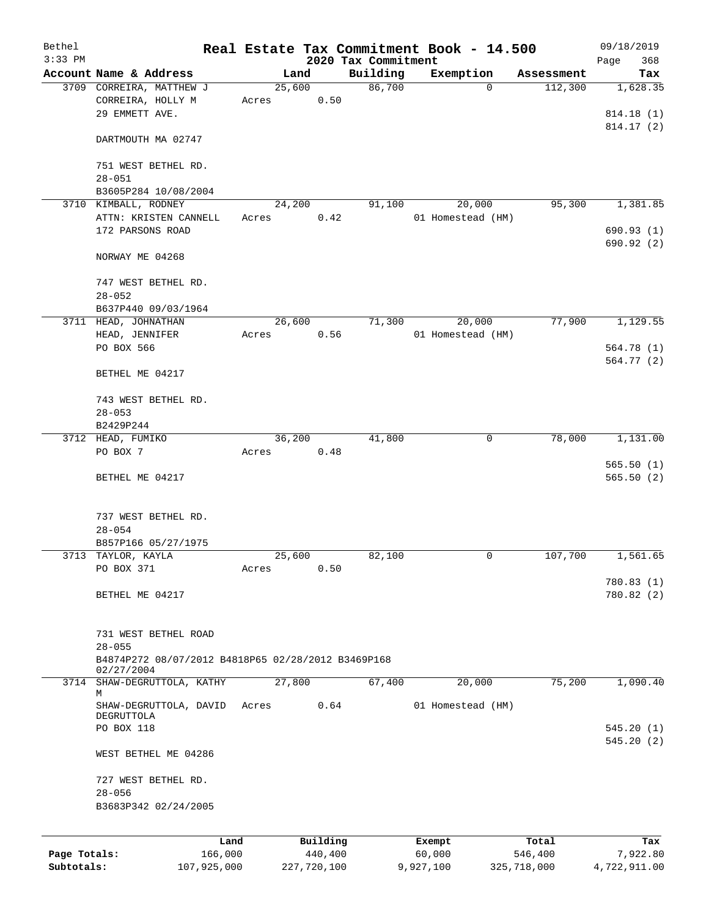| Bethel       |                                                    |       |             |                     | Real Estate Tax Commitment Book - 14.500 |             | 09/18/2019   |
|--------------|----------------------------------------------------|-------|-------------|---------------------|------------------------------------------|-------------|--------------|
| $3:33$ PM    |                                                    |       |             | 2020 Tax Commitment |                                          |             | 368<br>Page  |
|              | Account Name & Address                             |       | Land        | Building            | Exemption                                | Assessment  | Tax          |
|              | 3709 CORREIRA, MATTHEW J                           |       | 25,600      | 86,700              | $\Omega$                                 | 112,300     | 1,628.35     |
|              | CORREIRA, HOLLY M<br>29 EMMETT AVE.                | Acres | 0.50        |                     |                                          |             |              |
|              |                                                    |       |             |                     |                                          |             | 814.18 (1)   |
|              | DARTMOUTH MA 02747                                 |       |             |                     |                                          |             | 814.17 (2)   |
|              | 751 WEST BETHEL RD.<br>$28 - 051$                  |       |             |                     |                                          |             |              |
|              | B3605P284 10/08/2004                               |       |             |                     |                                          |             |              |
|              | 3710 KIMBALL, RODNEY                               |       | 24,200      | 91,100              | 20,000                                   | 95,300      | 1,381.85     |
|              | ATTN: KRISTEN CANNELL                              | Acres | 0.42        |                     | 01 Homestead (HM)                        |             |              |
|              | 172 PARSONS ROAD                                   |       |             |                     |                                          |             | 690.93(1)    |
|              |                                                    |       |             |                     |                                          |             | 690.92 (2)   |
|              | NORWAY ME 04268                                    |       |             |                     |                                          |             |              |
|              | 747 WEST BETHEL RD.                                |       |             |                     |                                          |             |              |
|              | $28 - 052$                                         |       |             |                     |                                          |             |              |
|              | B637P440 09/03/1964                                |       |             |                     |                                          |             |              |
|              | 3711 HEAD, JOHNATHAN                               |       | 26,600      | 71,300              | 20,000                                   | 77,900      | 1,129.55     |
|              | HEAD, JENNIFER                                     | Acres | 0.56        |                     | 01 Homestead (HM)                        |             |              |
|              | PO BOX 566                                         |       |             |                     |                                          |             | 564.78 (1)   |
|              |                                                    |       |             |                     |                                          |             | 564.77(2)    |
|              | BETHEL ME 04217                                    |       |             |                     |                                          |             |              |
|              | 743 WEST BETHEL RD.                                |       |             |                     |                                          |             |              |
|              | $28 - 053$                                         |       |             |                     |                                          |             |              |
|              | B2429P244                                          |       |             |                     |                                          |             |              |
|              | 3712 HEAD, FUMIKO                                  |       | 36,200      | 41,800              | 0                                        | 78,000      | 1,131.00     |
|              | PO BOX 7                                           | Acres | 0.48        |                     |                                          |             |              |
|              |                                                    |       |             |                     |                                          |             | 565.50(1)    |
|              | BETHEL ME 04217                                    |       |             |                     |                                          |             | 565.50(2)    |
|              |                                                    |       |             |                     |                                          |             |              |
|              | 737 WEST BETHEL RD.                                |       |             |                     |                                          |             |              |
|              | $28 - 054$                                         |       |             |                     |                                          |             |              |
|              | B857P166 05/27/1975                                |       |             |                     |                                          |             |              |
|              | 3713 TAYLOR, KAYLA                                 |       | 25,600      | 82,100              | 0                                        | 107,700     | 1,561.65     |
|              | PO BOX 371                                         | Acres | 0.50        |                     |                                          |             |              |
|              |                                                    |       |             |                     |                                          |             | 780.83 (1)   |
|              | BETHEL ME 04217                                    |       |             |                     |                                          |             | 780.82 (2)   |
|              |                                                    |       |             |                     |                                          |             |              |
|              | 731 WEST BETHEL ROAD                               |       |             |                     |                                          |             |              |
|              | $28 - 055$                                         |       |             |                     |                                          |             |              |
|              | B4874P272 08/07/2012 B4818P65 02/28/2012 B3469P168 |       |             |                     |                                          |             |              |
| 3714         | 02/27/2004<br>SHAW-DEGRUTTOLA, KATHY               |       | 27,800      | 67,400              | 20,000                                   | 75,200      | 1,090.40     |
|              | М                                                  |       |             |                     |                                          |             |              |
|              | SHAW-DEGRUTTOLA, DAVID                             | Acres | 0.64        |                     | 01 Homestead (HM)                        |             |              |
|              | DEGRUTTOLA<br>PO BOX 118                           |       |             |                     |                                          |             | 545.20(1)    |
|              |                                                    |       |             |                     |                                          |             | 545.20 (2)   |
|              | WEST BETHEL ME 04286                               |       |             |                     |                                          |             |              |
|              |                                                    |       |             |                     |                                          |             |              |
|              | 727 WEST BETHEL RD.                                |       |             |                     |                                          |             |              |
|              | $28 - 056$                                         |       |             |                     |                                          |             |              |
|              | B3683P342 02/24/2005                               |       |             |                     |                                          |             |              |
|              | Land                                               |       | Building    |                     | Exempt                                   | Total       | Tax          |
| Page Totals: | 166,000                                            |       | 440, 400    |                     | 60,000                                   | 546,400     | 7,922.80     |
| Subtotals:   | 107,925,000                                        |       | 227,720,100 |                     | 9,927,100                                | 325,718,000 | 4,722,911.00 |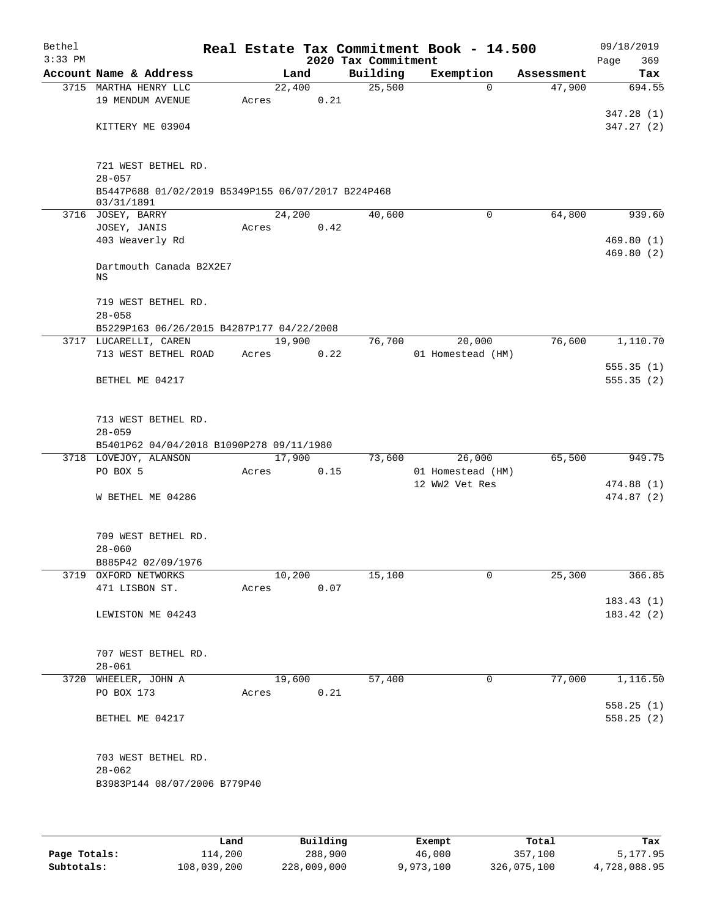| Bethel<br>$3:33$ PM |                                                    |       |            |      | 2020 Tax Commitment | Real Estate Tax Commitment Book - 14.500 |            | 09/18/2019<br>369<br>Page |
|---------------------|----------------------------------------------------|-------|------------|------|---------------------|------------------------------------------|------------|---------------------------|
|                     | Account Name & Address                             |       | Land       |      | Building            | Exemption                                | Assessment | Tax                       |
|                     | 3715 MARTHA HENRY LLC                              |       | 22,400     |      | 25,500              | $\Omega$                                 | 47,900     | 694.55                    |
|                     | 19 MENDUM AVENUE                                   | Acres |            | 0.21 |                     |                                          |            |                           |
|                     |                                                    |       |            |      |                     |                                          |            | 347.28(1)                 |
|                     | KITTERY ME 03904                                   |       |            |      |                     |                                          |            | 347.27(2)                 |
|                     |                                                    |       |            |      |                     |                                          |            |                           |
|                     | 721 WEST BETHEL RD.                                |       |            |      |                     |                                          |            |                           |
|                     | $28 - 057$                                         |       |            |      |                     |                                          |            |                           |
|                     | B5447P688 01/02/2019 B5349P155 06/07/2017 B224P468 |       |            |      |                     |                                          |            |                           |
|                     | 03/31/1891                                         |       |            |      |                     |                                          |            |                           |
|                     | 3716 JOSEY, BARRY                                  |       | 24,200     |      | 40,600              | 0                                        | 64,800     | 939.60                    |
|                     | JOSEY, JANIS                                       | Acres |            | 0.42 |                     |                                          |            |                           |
|                     | 403 Weaverly Rd                                    |       |            |      |                     |                                          |            | 469.80(1)                 |
|                     |                                                    |       |            |      |                     |                                          |            | 469.80(2)                 |
|                     | Dartmouth Canada B2X2E7<br>ΝS                      |       |            |      |                     |                                          |            |                           |
|                     | 719 WEST BETHEL RD.                                |       |            |      |                     |                                          |            |                           |
|                     | $28 - 058$                                         |       |            |      |                     |                                          |            |                           |
|                     | B5229P163 06/26/2015 B4287P177 04/22/2008          |       |            |      |                     |                                          |            |                           |
|                     | 3717 LUCARELLI, CAREN                              |       | 19,900     |      | 76,700              | 20,000                                   | 76,600     | 1,110.70                  |
|                     | 713 WEST BETHEL ROAD                               | Acres |            | 0.22 |                     | 01 Homestead (HM)                        |            |                           |
|                     |                                                    |       |            |      |                     |                                          |            | 555.35(1)                 |
|                     | BETHEL ME 04217                                    |       |            |      |                     |                                          |            | 555.35(2)                 |
|                     |                                                    |       |            |      |                     |                                          |            |                           |
|                     | 713 WEST BETHEL RD.                                |       |            |      |                     |                                          |            |                           |
|                     | $28 - 059$                                         |       |            |      |                     |                                          |            |                           |
|                     | B5401P62 04/04/2018 B1090P278 09/11/1980           |       |            |      |                     |                                          |            |                           |
|                     | 3718 LOVEJOY, ALANSON                              |       | 17,900     |      | 73,600              | 26,000                                   | 65,500     | 949.75                    |
|                     | PO BOX 5                                           | Acres |            | 0.15 |                     | 01 Homestead (HM)                        |            |                           |
|                     |                                                    |       |            |      |                     | 12 WW2 Vet Res                           |            | 474.88 (1)                |
|                     | W BETHEL ME 04286                                  |       |            |      |                     |                                          |            | 474.87(2)                 |
|                     |                                                    |       |            |      |                     |                                          |            |                           |
|                     | 709 WEST BETHEL RD.                                |       |            |      |                     |                                          |            |                           |
|                     | $28 - 060$<br>B885P42 02/09/1976                   |       |            |      |                     |                                          |            |                           |
|                     | 3719 OXFORD NETWORKS                               |       | 10,200     |      | 15,100              | $\mathbf 0$                              | 25,300     | 366.85                    |
|                     | 471 LISBON ST.                                     |       | Acres      | 0.07 |                     |                                          |            |                           |
|                     |                                                    |       |            |      |                     |                                          |            | 183.43(1)                 |
|                     | LEWISTON ME 04243                                  |       |            |      |                     |                                          |            | 183.42 (2)                |
|                     |                                                    |       |            |      |                     |                                          |            |                           |
|                     | 707 WEST BETHEL RD.                                |       |            |      |                     |                                          |            |                           |
|                     | $28 - 061$                                         |       |            |      |                     |                                          |            |                           |
|                     | 3720 WHEELER, JOHN A                               |       | 19,600     |      | 57,400              | $\mathbf 0$                              | 77,000     | 1,116.50                  |
|                     | PO BOX 173                                         |       | Acres 0.21 |      |                     |                                          |            |                           |
|                     |                                                    |       |            |      |                     |                                          |            | 558.25(1)                 |
|                     | BETHEL ME 04217                                    |       |            |      |                     |                                          |            | 558.25(2)                 |
|                     |                                                    |       |            |      |                     |                                          |            |                           |
|                     | 703 WEST BETHEL RD.                                |       |            |      |                     |                                          |            |                           |
|                     | $28 - 062$                                         |       |            |      |                     |                                          |            |                           |
|                     | B3983P144 08/07/2006 B779P40                       |       |            |      |                     |                                          |            |                           |
|                     |                                                    |       |            |      |                     |                                          |            |                           |
|                     |                                                    |       |            |      |                     |                                          |            |                           |

|              | Land        | Building    | Exempt    | Total       | Tax          |
|--------------|-------------|-------------|-----------|-------------|--------------|
| Page Totals: | 114,200     | 288,900     | 46,000    | 357,100     | 5,177.95     |
| Subtotals:   | 108,039,200 | 228,009,000 | 9,973,100 | 326,075,100 | 4,728,088.95 |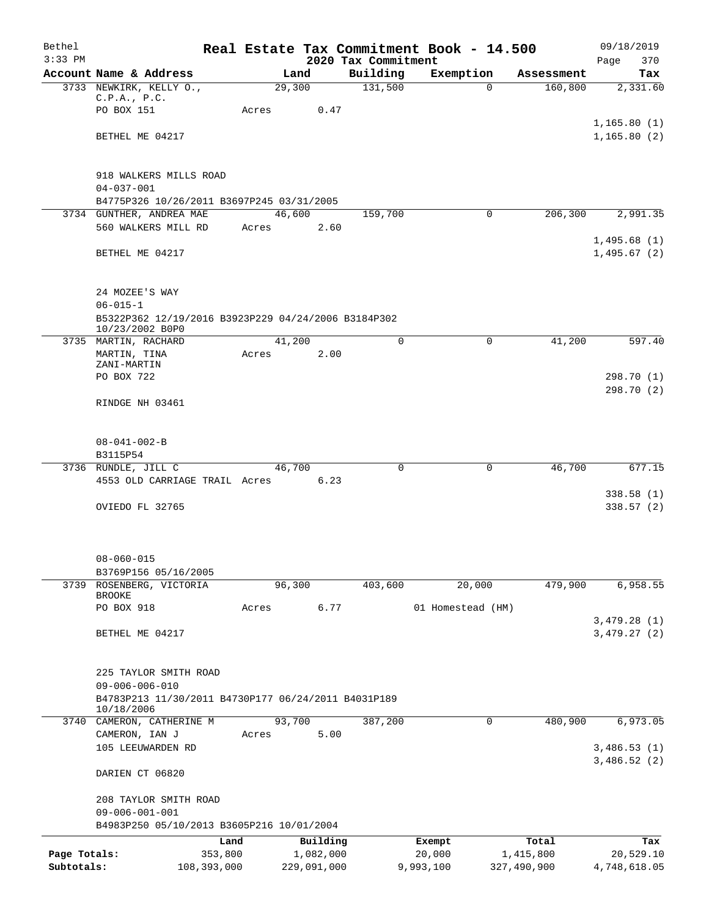| Bethel       |                                                                        |                 |                       |                                 | Real Estate Tax Commitment Book - 14.500 |                    | 09/18/2019         |
|--------------|------------------------------------------------------------------------|-----------------|-----------------------|---------------------------------|------------------------------------------|--------------------|--------------------|
| $3:33$ PM    | Account Name & Address                                                 |                 | Land                  | 2020 Tax Commitment<br>Building | Exemption                                | Assessment         | 370<br>Page<br>Tax |
|              | 3733 NEWKIRK, KELLY O.,                                                |                 | 29,300                | 131,500                         | $\Omega$                                 | 160,800            | 2,331.60           |
|              | C.P.A., P.C.                                                           |                 |                       |                                 |                                          |                    |                    |
|              | PO BOX 151                                                             | Acres           | 0.47                  |                                 |                                          |                    |                    |
|              |                                                                        |                 |                       |                                 |                                          |                    | 1,165.80(1)        |
|              | BETHEL ME 04217                                                        |                 |                       |                                 |                                          |                    | 1, 165.80(2)       |
|              |                                                                        |                 |                       |                                 |                                          |                    |                    |
|              | 918 WALKERS MILLS ROAD                                                 |                 |                       |                                 |                                          |                    |                    |
|              | $04 - 037 - 001$                                                       |                 |                       |                                 |                                          |                    |                    |
|              | B4775P326 10/26/2011 B3697P245 03/31/2005                              |                 |                       |                                 |                                          |                    |                    |
|              | 3734 GUNTHER, ANDREA MAE                                               |                 | 46,600                | 159,700                         | $\mathbf{0}$                             | 206,300            | 2,991.35           |
|              | 560 WALKERS MILL RD                                                    | Acres           | 2.60                  |                                 |                                          |                    | 1,495.68(1)        |
|              | BETHEL ME 04217                                                        |                 |                       |                                 |                                          |                    | 1,495.67(2)        |
|              |                                                                        |                 |                       |                                 |                                          |                    |                    |
|              |                                                                        |                 |                       |                                 |                                          |                    |                    |
|              | 24 MOZEE'S WAY                                                         |                 |                       |                                 |                                          |                    |                    |
|              | $06 - 015 - 1$                                                         |                 |                       |                                 |                                          |                    |                    |
|              | B5322P362 12/19/2016 B3923P229 04/24/2006 B3184P302<br>10/23/2002 B0P0 |                 |                       |                                 |                                          |                    |                    |
|              | 3735 MARTIN, RACHARD                                                   |                 | 41,200                | $\Omega$                        | $\Omega$                                 | 41,200             | 597.40             |
|              | MARTIN, TINA                                                           | Acres           | 2.00                  |                                 |                                          |                    |                    |
|              | ZANI-MARTIN                                                            |                 |                       |                                 |                                          |                    |                    |
|              | PO BOX 722                                                             |                 |                       |                                 |                                          |                    | 298.70 (1)         |
|              | RINDGE NH 03461                                                        |                 |                       |                                 |                                          |                    | 298.70 (2)         |
|              |                                                                        |                 |                       |                                 |                                          |                    |                    |
|              |                                                                        |                 |                       |                                 |                                          |                    |                    |
|              | $08 - 041 - 002 - B$                                                   |                 |                       |                                 |                                          |                    |                    |
|              | B3115P54                                                               |                 |                       |                                 |                                          |                    |                    |
|              | 3736 RUNDLE, JILL C                                                    |                 | 46,700                | $\mathbf 0$                     | 0                                        | 46,700             | 677.15             |
|              | 4553 OLD CARRIAGE TRAIL Acres                                          |                 | 6.23                  |                                 |                                          |                    | 338.58(1)          |
|              | OVIEDO FL 32765                                                        |                 |                       |                                 |                                          |                    | 338.57(2)          |
|              |                                                                        |                 |                       |                                 |                                          |                    |                    |
|              |                                                                        |                 |                       |                                 |                                          |                    |                    |
|              |                                                                        |                 |                       |                                 |                                          |                    |                    |
|              | $08 - 060 - 015$                                                       |                 |                       |                                 |                                          |                    |                    |
| 3739         | B3769P156 05/16/2005<br>ROSENBERG, VICTORIA                            |                 |                       |                                 |                                          |                    |                    |
|              | <b>BROOKE</b>                                                          |                 | 96,300                | 403,600                         | 20,000                                   | 479,900            | 6,958.55           |
|              | PO BOX 918                                                             | Acres           | 6.77                  |                                 | 01 Homestead (HM)                        |                    |                    |
|              |                                                                        |                 |                       |                                 |                                          |                    | 3,479.28(1)        |
|              | BETHEL ME 04217                                                        |                 |                       |                                 |                                          |                    | 3,479.27(2)        |
|              |                                                                        |                 |                       |                                 |                                          |                    |                    |
|              | 225 TAYLOR SMITH ROAD                                                  |                 |                       |                                 |                                          |                    |                    |
|              | $09 - 006 - 006 - 010$                                                 |                 |                       |                                 |                                          |                    |                    |
|              | B4783P213 11/30/2011 B4730P177 06/24/2011 B4031P189                    |                 |                       |                                 |                                          |                    |                    |
|              | 10/18/2006                                                             |                 |                       |                                 |                                          |                    |                    |
|              | 3740 CAMERON, CATHERINE M<br>CAMERON, IAN J                            | Acres           | 93,700<br>5.00        | 387,200                         | 0                                        | 480,900            | 6,973.05           |
|              | 105 LEEUWARDEN RD                                                      |                 |                       |                                 |                                          |                    | 3,486.53(1)        |
|              |                                                                        |                 |                       |                                 |                                          |                    | 3,486.52(2)        |
|              | DARIEN CT 06820                                                        |                 |                       |                                 |                                          |                    |                    |
|              |                                                                        |                 |                       |                                 |                                          |                    |                    |
|              | 208 TAYLOR SMITH ROAD                                                  |                 |                       |                                 |                                          |                    |                    |
|              | $09 - 006 - 001 - 001$                                                 |                 |                       |                                 |                                          |                    |                    |
|              | B4983P250 05/10/2013 B3605P216 10/01/2004                              |                 |                       |                                 |                                          |                    |                    |
| Page Totals: |                                                                        | Land<br>353,800 | Building<br>1,082,000 |                                 | Exempt<br>20,000                         | Total<br>1,415,800 | Tax<br>20,529.10   |
| Subtotals:   | 108,393,000                                                            |                 | 229,091,000           |                                 | 9,993,100                                | 327,490,900        | 4,748,618.05       |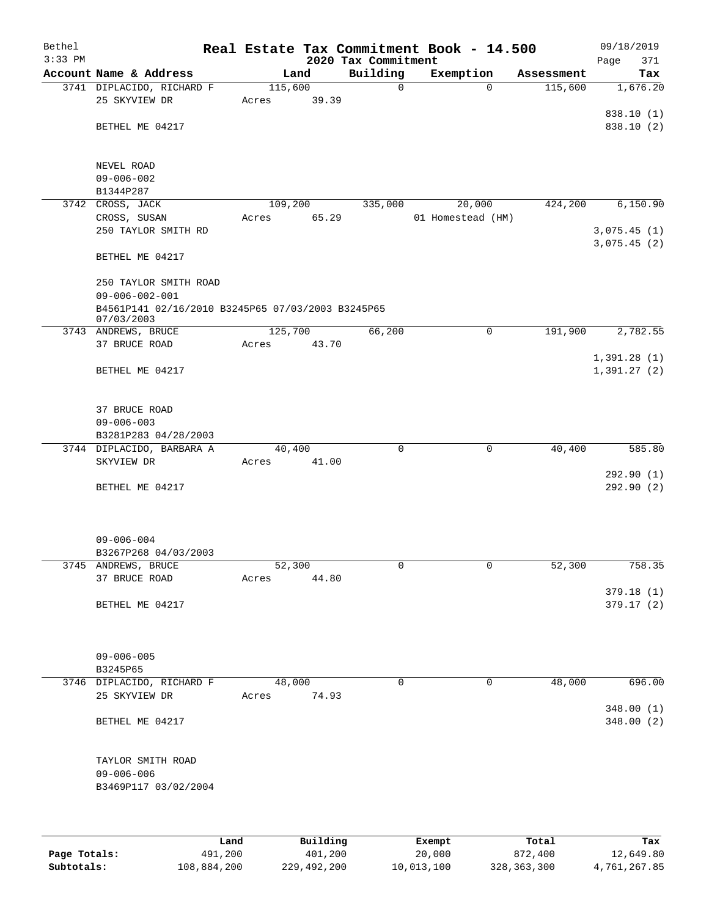| Bethel       |                                                   |                 |          |                                 | Real Estate Tax Commitment Book - 14.500 |                       | 09/18/2019             |
|--------------|---------------------------------------------------|-----------------|----------|---------------------------------|------------------------------------------|-----------------------|------------------------|
| $3:33$ PM    | Account Name & Address                            |                 |          | 2020 Tax Commitment<br>Building |                                          |                       | Page<br>371<br>Tax     |
|              | 3741 DIPLACIDO, RICHARD F                         | 115,600         | Land     | $\mathbf 0$                     | Exemption<br>$\Omega$                    | Assessment<br>115,600 | 1,676.20               |
|              | 25 SKYVIEW DR                                     | Acres           | 39.39    |                                 |                                          |                       |                        |
|              |                                                   |                 |          |                                 |                                          |                       | 838.10 (1)             |
|              | BETHEL ME 04217                                   |                 |          |                                 |                                          |                       | 838.10 (2)             |
|              |                                                   |                 |          |                                 |                                          |                       |                        |
|              |                                                   |                 |          |                                 |                                          |                       |                        |
|              | NEVEL ROAD<br>$09 - 006 - 002$                    |                 |          |                                 |                                          |                       |                        |
|              | B1344P287                                         |                 |          |                                 |                                          |                       |                        |
| 3742         | CROSS, JACK                                       | 109,200         |          | 335,000                         | 20,000                                   | 424,200               | 6,150.90               |
|              | CROSS, SUSAN                                      | Acres           | 65.29    |                                 | 01 Homestead (HM)                        |                       |                        |
|              | 250 TAYLOR SMITH RD                               |                 |          |                                 |                                          |                       | 3,075.45(1)            |
|              |                                                   |                 |          |                                 |                                          |                       | 3,075.45(2)            |
|              | BETHEL ME 04217                                   |                 |          |                                 |                                          |                       |                        |
|              |                                                   |                 |          |                                 |                                          |                       |                        |
|              | 250 TAYLOR SMITH ROAD<br>$09 - 006 - 002 - 001$   |                 |          |                                 |                                          |                       |                        |
|              | B4561P141 02/16/2010 B3245P65 07/03/2003 B3245P65 |                 |          |                                 |                                          |                       |                        |
|              | 07/03/2003                                        |                 |          |                                 |                                          |                       |                        |
|              | 3743 ANDREWS, BRUCE                               | 125,700         |          | 66,200                          | 0                                        | 191,900               | 2,782.55               |
|              | 37 BRUCE ROAD                                     | Acres           | 43.70    |                                 |                                          |                       |                        |
|              |                                                   |                 |          |                                 |                                          |                       | 1,391.28(1)            |
|              | BETHEL ME 04217                                   |                 |          |                                 |                                          |                       | 1,391.27(2)            |
|              |                                                   |                 |          |                                 |                                          |                       |                        |
|              | 37 BRUCE ROAD                                     |                 |          |                                 |                                          |                       |                        |
|              | $09 - 006 - 003$                                  |                 |          |                                 |                                          |                       |                        |
|              | B3281P283 04/28/2003                              |                 |          |                                 |                                          |                       |                        |
|              | 3744 DIPLACIDO, BARBARA A                         | 40,400          |          | $\mathbf 0$                     | $\mathbf 0$                              | 40,400                | 585.80                 |
|              | SKYVIEW DR                                        | Acres           | 41.00    |                                 |                                          |                       |                        |
|              | BETHEL ME 04217                                   |                 |          |                                 |                                          |                       | 292.90(1)<br>292.90(2) |
|              |                                                   |                 |          |                                 |                                          |                       |                        |
|              |                                                   |                 |          |                                 |                                          |                       |                        |
|              |                                                   |                 |          |                                 |                                          |                       |                        |
|              | $09 - 006 - 004$                                  |                 |          |                                 |                                          |                       |                        |
|              | B3267P268 04/03/2003                              |                 |          |                                 |                                          |                       |                        |
|              | 3745 ANDREWS, BRUCE                               | 52,300          |          | 0                               | 0                                        | 52,300                | 758.35                 |
|              | 37 BRUCE ROAD                                     | Acres           | 44.80    |                                 |                                          |                       | 379.18 (1)             |
|              | BETHEL ME 04217                                   |                 |          |                                 |                                          |                       | 379.17 (2)             |
|              |                                                   |                 |          |                                 |                                          |                       |                        |
|              |                                                   |                 |          |                                 |                                          |                       |                        |
|              |                                                   |                 |          |                                 |                                          |                       |                        |
|              | $09 - 006 - 005$                                  |                 |          |                                 |                                          |                       |                        |
|              | B3245P65                                          |                 |          | $\Omega$                        |                                          | 48,000                |                        |
|              | 3746 DIPLACIDO, RICHARD F<br>25 SKYVIEW DR        | 48,000<br>Acres | 74.93    |                                 | 0                                        |                       | 696.00                 |
|              |                                                   |                 |          |                                 |                                          |                       | 348.00(1)              |
|              | BETHEL ME 04217                                   |                 |          |                                 |                                          |                       | 348.00 (2)             |
|              |                                                   |                 |          |                                 |                                          |                       |                        |
|              |                                                   |                 |          |                                 |                                          |                       |                        |
|              | TAYLOR SMITH ROAD                                 |                 |          |                                 |                                          |                       |                        |
|              | $09 - 006 - 006$                                  |                 |          |                                 |                                          |                       |                        |
|              | B3469P117 03/02/2004                              |                 |          |                                 |                                          |                       |                        |
|              |                                                   |                 |          |                                 |                                          |                       |                        |
|              |                                                   |                 |          |                                 |                                          |                       |                        |
|              |                                                   | Land            | Building |                                 | Exempt                                   | Total                 | Tax                    |
| Page Totals: | 491,200                                           |                 | 401,200  |                                 | 20,000                                   | 872,400               | 12,649.80              |

**Subtotals:** 108,884,200 229,492,200 10,013,100 328,363,300 4,761,267.85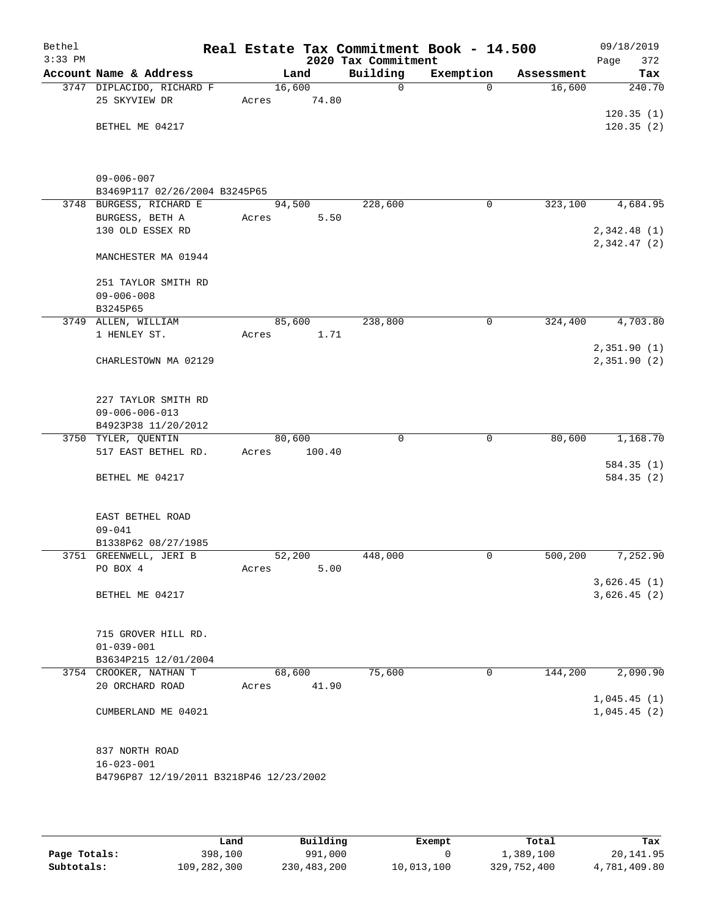| Bethel<br>$3:33$ PM |                                         |        |        | 2020 Tax Commitment | Real Estate Tax Commitment Book - 14.500 |            | 09/18/2019<br>372<br>Page   |
|---------------------|-----------------------------------------|--------|--------|---------------------|------------------------------------------|------------|-----------------------------|
|                     | Account Name & Address                  |        | Land   | Building            | Exemption                                | Assessment | Tax                         |
|                     | 3747 DIPLACIDO, RICHARD F               | 16,600 |        | $\mathbf 0$         | $\Omega$                                 | 16,600     | 240.70                      |
|                     | 25 SKYVIEW DR                           | Acres  | 74.80  |                     |                                          |            |                             |
|                     |                                         |        |        |                     |                                          |            | 120.35(1)                   |
|                     | BETHEL ME 04217                         |        |        |                     |                                          |            | 120.35(2)                   |
|                     | $09 - 006 - 007$                        |        |        |                     |                                          |            |                             |
|                     | B3469P117 02/26/2004 B3245P65           |        |        |                     |                                          |            |                             |
|                     | 3748 BURGESS, RICHARD E                 | 94,500 |        | 228,600             | 0                                        | 323,100    | 4,684.95                    |
|                     | BURGESS, BETH A                         | Acres  | 5.50   |                     |                                          |            |                             |
|                     | 130 OLD ESSEX RD                        |        |        |                     |                                          |            | 2,342.48(1)                 |
|                     | MANCHESTER MA 01944                     |        |        |                     |                                          |            | 2,342.47(2)                 |
|                     | 251 TAYLOR SMITH RD                     |        |        |                     |                                          |            |                             |
|                     | $09 - 006 - 008$                        |        |        |                     |                                          |            |                             |
|                     | B3245P65                                |        |        |                     |                                          |            |                             |
|                     | 3749 ALLEN, WILLIAM                     | 85,600 |        | 238,800             | $\mathsf{O}$                             | 324,400    | 4,703.80                    |
|                     | 1 HENLEY ST.                            | Acres  | 1.71   |                     |                                          |            |                             |
|                     | CHARLESTOWN MA 02129                    |        |        |                     |                                          |            | 2,351.90(1)<br>2,351.90 (2) |
|                     |                                         |        |        |                     |                                          |            |                             |
|                     | 227 TAYLOR SMITH RD                     |        |        |                     |                                          |            |                             |
|                     | $09 - 006 - 006 - 013$                  |        |        |                     |                                          |            |                             |
|                     | B4923P38 11/20/2012                     |        |        |                     |                                          |            |                             |
|                     | 3750 TYLER, QUENTIN                     | 80,600 |        | $\mathbf 0$         | $\mathbf 0$                              | 80,600     | 1,168.70                    |
|                     | 517 EAST BETHEL RD.                     | Acres  | 100.40 |                     |                                          |            |                             |
|                     | BETHEL ME 04217                         |        |        |                     |                                          |            | 584.35 (1)<br>584.35 (2)    |
|                     |                                         |        |        |                     |                                          |            |                             |
|                     | EAST BETHEL ROAD                        |        |        |                     |                                          |            |                             |
|                     | $09 - 041$                              |        |        |                     |                                          |            |                             |
|                     | B1338P62 08/27/1985                     |        |        |                     |                                          |            |                             |
|                     | 3751 GREENWELL, JERI B                  | 52,200 |        | 448,000             | 0                                        | 500, 200   | 7,252.90                    |
|                     | PO BOX 4                                | Acres  | 5.00   |                     |                                          |            | 3,626.45(1)                 |
|                     | BETHEL ME 04217                         |        |        |                     |                                          |            | 3,626.45(2)                 |
|                     |                                         |        |        |                     |                                          |            |                             |
|                     | 715 GROVER HILL RD.                     |        |        |                     |                                          |            |                             |
|                     | $01 - 039 - 001$                        |        |        |                     |                                          |            |                             |
|                     | B3634P215 12/01/2004                    |        |        |                     |                                          |            |                             |
|                     | 3754 CROOKER, NATHAN T                  | 68,600 |        | 75,600              | 0                                        | 144,200    | 2,090.90                    |
|                     | 20 ORCHARD ROAD                         | Acres  | 41.90  |                     |                                          |            |                             |
|                     | CUMBERLAND ME 04021                     |        |        |                     |                                          |            | 1,045.45(1)<br>1,045.45(2)  |
|                     |                                         |        |        |                     |                                          |            |                             |
|                     | 837 NORTH ROAD                          |        |        |                     |                                          |            |                             |
|                     | $16 - 023 - 001$                        |        |        |                     |                                          |            |                             |
|                     | B4796P87 12/19/2011 B3218P46 12/23/2002 |        |        |                     |                                          |            |                             |
|                     |                                         |        |        |                     |                                          |            |                             |

|              | Land        | Building    | Exempt     | Total       | Tax          |
|--------------|-------------|-------------|------------|-------------|--------------|
| Page Totals: | 398,100     | 991,000     |            | 1,389,100   | 20,141.95    |
| Subtotals:   | 109,282,300 | 230,483,200 | 10,013,100 | 329,752,400 | 4,781,409.80 |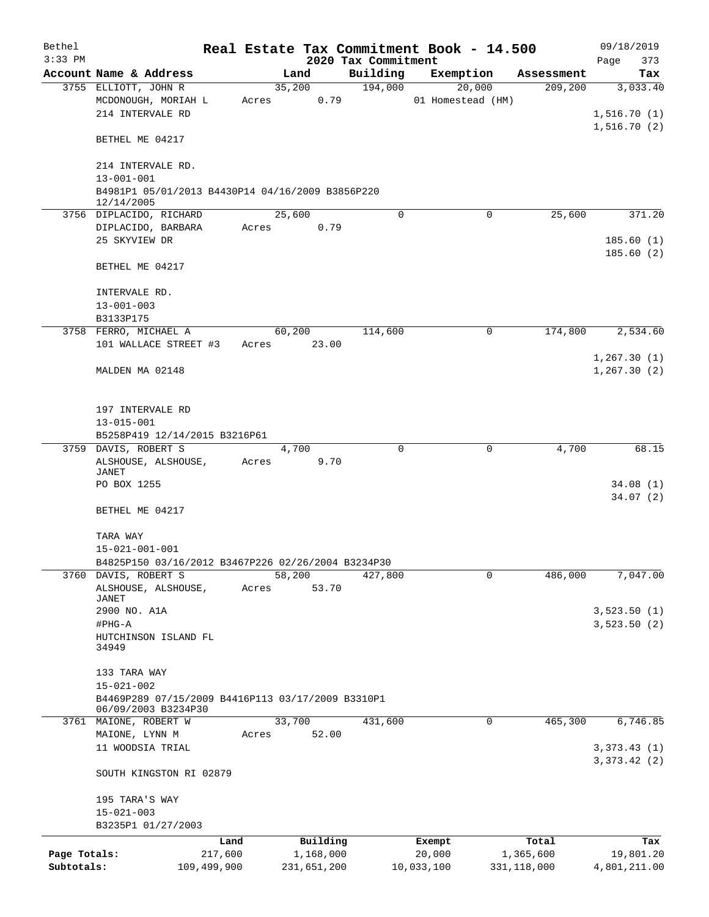| Bethel<br>$3:33$ PM |                                                                          |         |             | 2020 Tax Commitment | Real Estate Tax Commitment Book - 14.500 |               | 09/18/2019         |
|---------------------|--------------------------------------------------------------------------|---------|-------------|---------------------|------------------------------------------|---------------|--------------------|
|                     | Account Name & Address                                                   |         | Land        | Building            | Exemption                                | Assessment    | Page<br>373<br>Tax |
|                     | 3755 ELLIOTT, JOHN R                                                     |         | 35,200      | 194,000             | 20,000                                   | 209,200       | 3,033.40           |
|                     | MCDONOUGH, MORIAH L                                                      | Acres   | 0.79        |                     | 01 Homestead (HM)                        |               |                    |
|                     | 214 INTERVALE RD                                                         |         |             |                     |                                          |               | 1,516.70(1)        |
|                     |                                                                          |         |             |                     |                                          |               | 1,516.70(2)        |
|                     | BETHEL ME 04217                                                          |         |             |                     |                                          |               |                    |
|                     | 214 INTERVALE RD.                                                        |         |             |                     |                                          |               |                    |
|                     | $13 - 001 - 001$                                                         |         |             |                     |                                          |               |                    |
|                     | B4981P1 05/01/2013 B4430P14 04/16/2009 B3856P220                         |         |             |                     |                                          |               |                    |
|                     | 12/14/2005                                                               |         |             |                     |                                          |               |                    |
|                     | 3756 DIPLACIDO, RICHARD                                                  |         | 25,600      | $\Omega$            | $\mathbf 0$                              | 25,600        | 371.20             |
|                     | DIPLACIDO, BARBARA                                                       | Acres   | 0.79        |                     |                                          |               |                    |
|                     | 25 SKYVIEW DR                                                            |         |             |                     |                                          |               | 185.60(1)          |
|                     | BETHEL ME 04217                                                          |         |             |                     |                                          |               | 185.60(2)          |
|                     |                                                                          |         |             |                     |                                          |               |                    |
|                     | INTERVALE RD.                                                            |         |             |                     |                                          |               |                    |
|                     | $13 - 001 - 003$                                                         |         |             |                     |                                          |               |                    |
|                     | B3133P175                                                                |         |             |                     |                                          |               |                    |
|                     | 3758 FERRO, MICHAEL A                                                    |         | 60,200      | 114,600             | $\mathsf{O}$                             | 174,800       | 2,534.60           |
|                     | 101 WALLACE STREET #3                                                    | Acres   | 23.00       |                     |                                          |               |                    |
|                     |                                                                          |         |             |                     |                                          |               | 1, 267.30(1)       |
|                     | MALDEN MA 02148                                                          |         |             |                     |                                          |               | 1, 267.30(2)       |
|                     |                                                                          |         |             |                     |                                          |               |                    |
|                     |                                                                          |         |             |                     |                                          |               |                    |
|                     | 197 INTERVALE RD                                                         |         |             |                     |                                          |               |                    |
|                     | $13 - 015 - 001$                                                         |         |             |                     |                                          |               |                    |
|                     | B5258P419 12/14/2015 B3216P61                                            |         |             |                     |                                          |               |                    |
|                     | 3759 DAVIS, ROBERT S                                                     |         | 4,700       | $\Omega$            | $\mathbf 0$                              | 4,700         | 68.15              |
|                     | ALSHOUSE, ALSHOUSE,<br>JANET                                             | Acres   | 9.70        |                     |                                          |               |                    |
|                     | PO BOX 1255                                                              |         |             |                     |                                          |               | 34.08(1)           |
|                     |                                                                          |         |             |                     |                                          |               | 34.07(2)           |
|                     | BETHEL ME 04217                                                          |         |             |                     |                                          |               |                    |
|                     |                                                                          |         |             |                     |                                          |               |                    |
|                     | TARA WAY                                                                 |         |             |                     |                                          |               |                    |
|                     | 15-021-001-001                                                           |         |             |                     |                                          |               |                    |
|                     | B4825P150 03/16/2012 B3467P226 02/26/2004 B3234P30                       |         |             |                     |                                          |               |                    |
| 3760                | DAVIS, ROBERT S                                                          |         | 58,200      | 427,800             | $\mathbf 0$                              | 486,000       | 7,047.00           |
|                     | ALSHOUSE, ALSHOUSE,                                                      | Acres   | 53.70       |                     |                                          |               |                    |
|                     | JANET                                                                    |         |             |                     |                                          |               |                    |
|                     | 2900 NO. A1A                                                             |         |             |                     |                                          |               | 3,523.50(1)        |
|                     | #PHG-A                                                                   |         |             |                     |                                          |               | 3,523.50(2)        |
|                     | HUTCHINSON ISLAND FL<br>34949                                            |         |             |                     |                                          |               |                    |
|                     |                                                                          |         |             |                     |                                          |               |                    |
|                     | 133 TARA WAY                                                             |         |             |                     |                                          |               |                    |
|                     | $15 - 021 - 002$                                                         |         |             |                     |                                          |               |                    |
|                     | B4469P289 07/15/2009 B4416P113 03/17/2009 B3310P1<br>06/09/2003 B3234P30 |         |             |                     |                                          |               |                    |
|                     | 3761 MAIONE, ROBERT W                                                    |         | 33,700      | 431,600             | $\mathbf 0$                              | 465,300       | 6,746.85           |
|                     | MAIONE, LYNN M                                                           | Acres   | 52.00       |                     |                                          |               |                    |
|                     | 11 WOODSIA TRIAL                                                         |         |             |                     |                                          |               | 3,373.43(1)        |
|                     |                                                                          |         |             |                     |                                          |               | 3,373.42(2)        |
|                     | SOUTH KINGSTON RI 02879                                                  |         |             |                     |                                          |               |                    |
|                     |                                                                          |         |             |                     |                                          |               |                    |
|                     | 195 TARA'S WAY                                                           |         |             |                     |                                          |               |                    |
|                     | $15 - 021 - 003$                                                         |         |             |                     |                                          |               |                    |
|                     | B3235P1 01/27/2003                                                       |         |             |                     |                                          |               |                    |
|                     |                                                                          | Land    | Building    |                     | Exempt                                   | Total         | Tax                |
| Page Totals:        |                                                                          | 217,600 | 1,168,000   |                     | 20,000                                   | 1,365,600     | 19,801.20          |
| Subtotals:          | 109,499,900                                                              |         | 231,651,200 |                     | 10,033,100                               | 331, 118, 000 | 4,801,211.00       |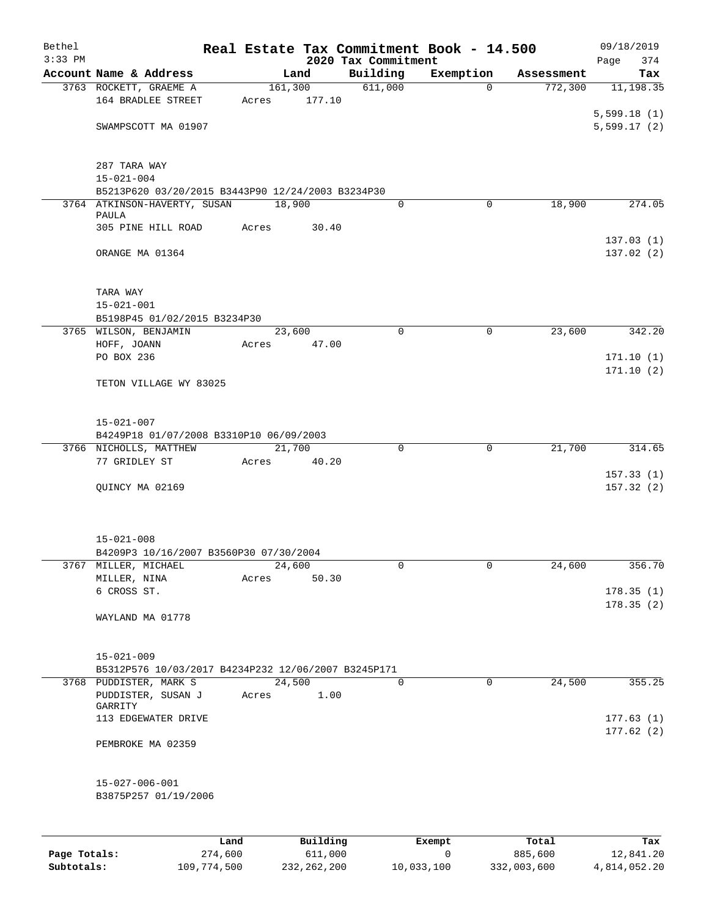| Bethel    |                                                     |         |                 |                                 | Real Estate Tax Commitment Book - 14.500 |            | 09/18/2019             |
|-----------|-----------------------------------------------------|---------|-----------------|---------------------------------|------------------------------------------|------------|------------------------|
| $3:33$ PM | Account Name & Address                              |         | Land            | 2020 Tax Commitment<br>Building | Exemption                                | Assessment | 374<br>Page            |
|           | 3763 ROCKETT, GRAEME A                              | 161,300 |                 | 611,000                         | $\Omega$                                 | 772,300    | Tax<br>11, 198.35      |
|           | 164 BRADLEE STREET                                  | Acres   | 177.10          |                                 |                                          |            |                        |
|           |                                                     |         |                 |                                 |                                          |            | 5,599.18(1)            |
|           | SWAMPSCOTT MA 01907                                 |         |                 |                                 |                                          |            | 5,599.17(2)            |
|           | 287 TARA WAY                                        |         |                 |                                 |                                          |            |                        |
|           | $15 - 021 - 004$                                    |         |                 |                                 |                                          |            |                        |
|           | B5213P620 03/20/2015 B3443P90 12/24/2003 B3234P30   |         |                 |                                 |                                          |            |                        |
|           | 3764 ATKINSON-HAVERTY, SUSAN<br>PAULA               | 18,900  |                 | $\Omega$                        | $\mathbf 0$                              | 18,900     | 274.05                 |
|           | 305 PINE HILL ROAD                                  | Acres   | 30.40           |                                 |                                          |            |                        |
|           |                                                     |         |                 |                                 |                                          |            | 137.03(1)              |
|           | ORANGE MA 01364                                     |         |                 |                                 |                                          |            | 137.02(2)              |
|           | TARA WAY                                            |         |                 |                                 |                                          |            |                        |
|           | $15 - 021 - 001$                                    |         |                 |                                 |                                          |            |                        |
|           | B5198P45 01/02/2015 B3234P30                        |         |                 |                                 |                                          |            |                        |
|           | 3765 WILSON, BENJAMIN                               |         | 23,600          | $\mathbf 0$                     | $\mathsf{O}$                             | 23,600     | 342.20                 |
|           | HOFF, JOANN<br>PO BOX 236                           | Acres   | 47.00           |                                 |                                          |            | 171.10(1)              |
|           |                                                     |         |                 |                                 |                                          |            | 171.10(2)              |
|           | TETON VILLAGE WY 83025                              |         |                 |                                 |                                          |            |                        |
|           | $15 - 021 - 007$                                    |         |                 |                                 |                                          |            |                        |
|           | B4249P18 01/07/2008 B3310P10 06/09/2003             |         |                 |                                 |                                          |            |                        |
|           | 3766 NICHOLLS, MATTHEW                              |         | 21,700          | $\mathbf 0$                     | $\mathbf 0$                              | 21,700     | 314.65                 |
|           | 77 GRIDLEY ST                                       | Acres   | 40.20           |                                 |                                          |            |                        |
|           | QUINCY MA 02169                                     |         |                 |                                 |                                          |            | 157.33(1)<br>157.32(2) |
|           |                                                     |         |                 |                                 |                                          |            |                        |
|           | $15 - 021 - 008$                                    |         |                 |                                 |                                          |            |                        |
|           | B4209P3 10/16/2007 B3560P30 07/30/2004              |         |                 |                                 |                                          |            |                        |
|           | 3767 MILLER, MICHAEL<br>MILLER, NINA                | Acres   | 24,600<br>50.30 | 0                               | 0                                        | 24,600     | 356.70                 |
|           | 6 CROSS ST.                                         |         |                 |                                 |                                          |            | 178.35(1)              |
|           |                                                     |         |                 |                                 |                                          |            | 178.35(2)              |
|           | WAYLAND MA 01778                                    |         |                 |                                 |                                          |            |                        |
|           | $15 - 021 - 009$                                    |         |                 |                                 |                                          |            |                        |
|           | B5312P576 10/03/2017 B4234P232 12/06/2007 B3245P171 |         |                 |                                 |                                          |            |                        |
|           | 3768 PUDDISTER, MARK S                              |         | 24,500          | 0                               | $\mathbf 0$                              | 24,500     | 355.25                 |
|           | PUDDISTER, SUSAN J<br>GARRITY                       | Acres   | 1.00            |                                 |                                          |            |                        |
|           | 113 EDGEWATER DRIVE                                 |         |                 |                                 |                                          |            | 177.63(1)<br>177.62(2) |
|           | PEMBROKE MA 02359                                   |         |                 |                                 |                                          |            |                        |
|           | $15 - 027 - 006 - 001$                              |         |                 |                                 |                                          |            |                        |
|           | B3875P257 01/19/2006                                |         |                 |                                 |                                          |            |                        |
|           |                                                     | Land    | Building        |                                 | Exempt                                   | Total      | Tax                    |

|              | ⊥ano        | Building    | Exempt     | тосат       | тах          |
|--------------|-------------|-------------|------------|-------------|--------------|
| Page Totals: | 274,600     | 611,000     |            | 885,600     | 12,841.20    |
| Subtotals:   | 109,774,500 | 232,262,200 | 10,033,100 | 332,003,600 | 4,814,052.20 |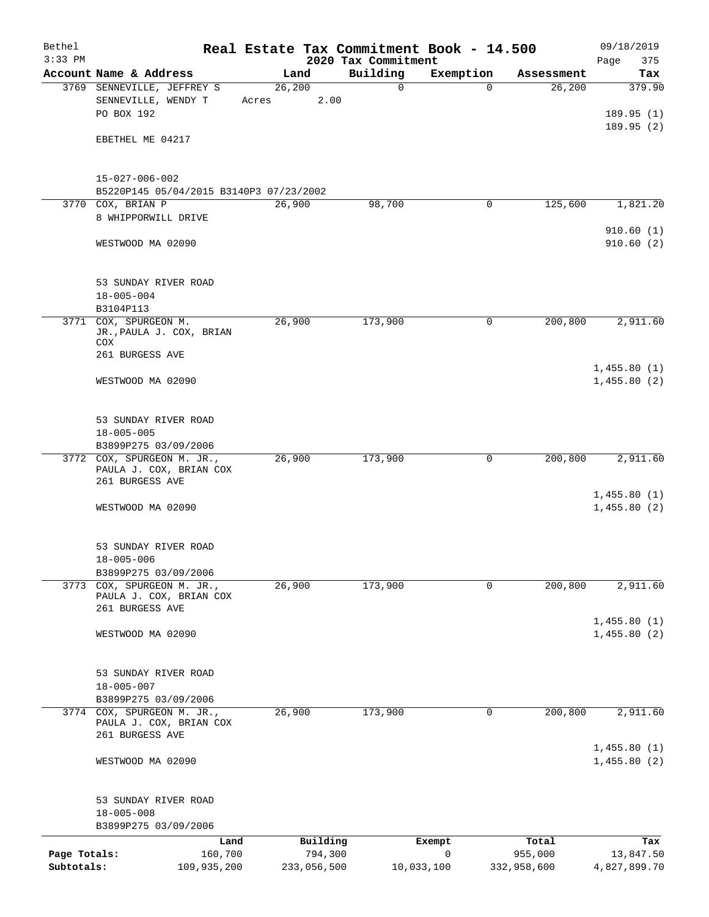| Bethel<br>$3:33$ PM |                                                  |         |             | Real Estate Tax Commitment Book - 14.500<br>2020 Tax Commitment |            |             | 09/18/2019         |
|---------------------|--------------------------------------------------|---------|-------------|-----------------------------------------------------------------|------------|-------------|--------------------|
|                     | Account Name & Address                           |         | Land        | Building                                                        | Exemption  | Assessment  | Page<br>375<br>Tax |
|                     | 3769 SENNEVILLE, JEFFREY S                       | 26, 200 |             | 0                                                               | $\Omega$   | 26,200      | 379.90             |
|                     | SENNEVILLE, WENDY T                              | Acres   | 2.00        |                                                                 |            |             |                    |
|                     | PO BOX 192                                       |         |             |                                                                 |            |             | 189.95(1)          |
|                     |                                                  |         |             |                                                                 |            |             | 189.95(2)          |
|                     | EBETHEL ME 04217                                 |         |             |                                                                 |            |             |                    |
|                     |                                                  |         |             |                                                                 |            |             |                    |
|                     |                                                  |         |             |                                                                 |            |             |                    |
|                     | $15 - 027 - 006 - 002$                           |         |             |                                                                 |            |             |                    |
|                     | B5220P145 05/04/2015 B3140P3 07/23/2002          |         |             |                                                                 |            |             |                    |
| 3770                | COX, BRIAN P                                     | 26,900  |             | 98,700                                                          | 0          | 125,600     | 1,821.20           |
|                     | 8 WHIPPORWILL DRIVE                              |         |             |                                                                 |            |             |                    |
|                     |                                                  |         |             |                                                                 |            |             | 910.60(1)          |
|                     | WESTWOOD MA 02090                                |         |             |                                                                 |            |             | 910.60(2)          |
|                     |                                                  |         |             |                                                                 |            |             |                    |
|                     |                                                  |         |             |                                                                 |            |             |                    |
|                     | 53 SUNDAY RIVER ROAD<br>$18 - 005 - 004$         |         |             |                                                                 |            |             |                    |
|                     | B3104P113                                        |         |             |                                                                 |            |             |                    |
|                     | 3771 COX, SPURGEON M.                            | 26,900  |             | 173,900                                                         | 0          | 200,800     | 2,911.60           |
|                     | JR., PAULA J. COX, BRIAN                         |         |             |                                                                 |            |             |                    |
|                     | COX                                              |         |             |                                                                 |            |             |                    |
|                     | 261 BURGESS AVE                                  |         |             |                                                                 |            |             |                    |
|                     |                                                  |         |             |                                                                 |            |             | 1,455.80(1)        |
|                     | WESTWOOD MA 02090                                |         |             |                                                                 |            |             | 1,455.80(2)        |
|                     |                                                  |         |             |                                                                 |            |             |                    |
|                     | 53 SUNDAY RIVER ROAD                             |         |             |                                                                 |            |             |                    |
|                     | $18 - 005 - 005$                                 |         |             |                                                                 |            |             |                    |
|                     | B3899P275 03/09/2006                             |         |             |                                                                 |            |             |                    |
|                     | 3772 COX, SPURGEON M. JR.,                       | 26,900  |             | 173,900                                                         | 0          | 200,800     | 2,911.60           |
|                     | PAULA J. COX, BRIAN COX                          |         |             |                                                                 |            |             |                    |
|                     | 261 BURGESS AVE                                  |         |             |                                                                 |            |             |                    |
|                     |                                                  |         |             |                                                                 |            |             | 1,455.80(1)        |
|                     | WESTWOOD MA 02090                                |         |             |                                                                 |            |             | 1,455.80(2)        |
|                     |                                                  |         |             |                                                                 |            |             |                    |
|                     |                                                  |         |             |                                                                 |            |             |                    |
|                     | 53 SUNDAY RIVER ROAD                             |         |             |                                                                 |            |             |                    |
|                     | $18 - 005 - 006$<br>B3899P275 03/09/2006         |         |             |                                                                 |            |             |                    |
|                     | 3773 COX, SPURGEON M. JR.,                       | 26,900  |             | 173,900                                                         | $\Omega$   | 200,800     | 2,911.60           |
|                     | PAULA J. COX, BRIAN COX                          |         |             |                                                                 |            |             |                    |
|                     | 261 BURGESS AVE                                  |         |             |                                                                 |            |             |                    |
|                     |                                                  |         |             |                                                                 |            |             | 1,455.80(1)        |
|                     | WESTWOOD MA 02090                                |         |             |                                                                 |            |             | 1,455.80(2)        |
|                     |                                                  |         |             |                                                                 |            |             |                    |
|                     |                                                  |         |             |                                                                 |            |             |                    |
|                     | 53 SUNDAY RIVER ROAD                             |         |             |                                                                 |            |             |                    |
|                     | $18 - 005 - 007$                                 |         |             |                                                                 |            |             |                    |
|                     | B3899P275 03/09/2006                             |         |             |                                                                 |            |             |                    |
| 3774                | COX, SPURGEON M. JR.,<br>PAULA J. COX, BRIAN COX | 26,900  |             | 173,900                                                         | 0          | 200,800     | 2,911.60           |
|                     | 261 BURGESS AVE                                  |         |             |                                                                 |            |             |                    |
|                     |                                                  |         |             |                                                                 |            |             | 1,455.80(1)        |
|                     | WESTWOOD MA 02090                                |         |             |                                                                 |            |             | 1,455.80(2)        |
|                     |                                                  |         |             |                                                                 |            |             |                    |
|                     |                                                  |         |             |                                                                 |            |             |                    |
|                     | 53 SUNDAY RIVER ROAD                             |         |             |                                                                 |            |             |                    |
|                     | $18 - 005 - 008$                                 |         |             |                                                                 |            |             |                    |
|                     | B3899P275 03/09/2006                             |         |             |                                                                 |            |             |                    |
|                     | Land                                             |         | Building    |                                                                 | Exempt     | Total       | Tax                |
| Page Totals:        | 160,700                                          |         | 794,300     |                                                                 | 0          | 955,000     | 13,847.50          |
| Subtotals:          | 109,935,200                                      |         | 233,056,500 |                                                                 | 10,033,100 | 332,958,600 | 4,827,899.70       |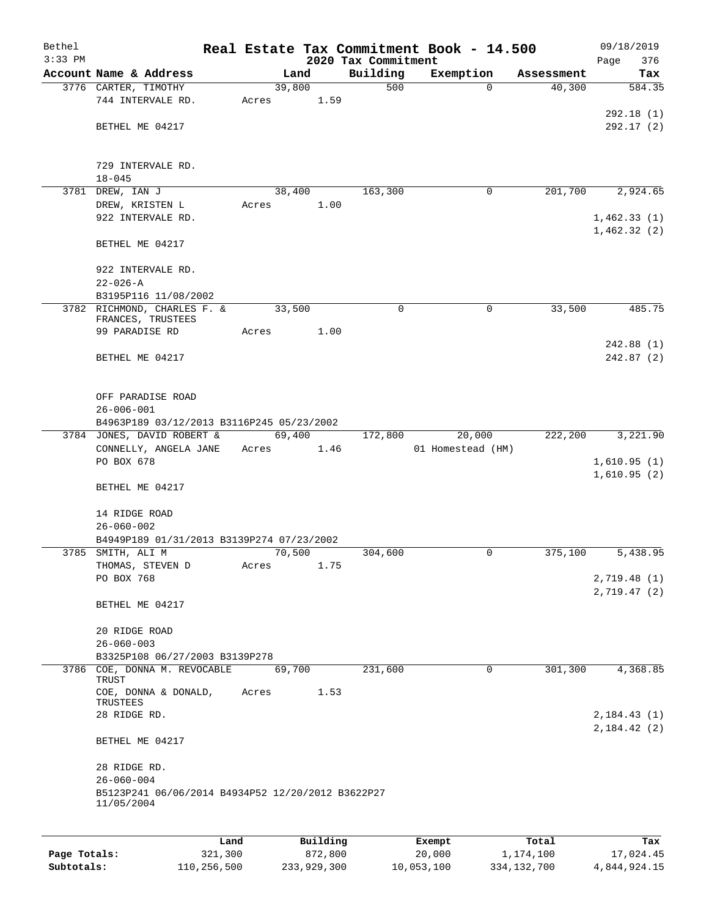| Bethel    |                                                   |       |        |          |                     | Real Estate Tax Commitment Book - 14.500 |                      | 09/18/2019                     |
|-----------|---------------------------------------------------|-------|--------|----------|---------------------|------------------------------------------|----------------------|--------------------------------|
| $3:33$ PM | Account Name & Address                            |       | Land   |          | 2020 Tax Commitment |                                          |                      | 376<br>Page                    |
|           | 3776 CARTER, TIMOTHY                              |       | 39,800 |          | Building<br>500     | Exemption<br>$\Omega$                    | Assessment<br>40,300 | Tax<br>584.35                  |
|           | 744 INTERVALE RD.                                 | Acres |        | 1.59     |                     |                                          |                      |                                |
|           |                                                   |       |        |          |                     |                                          |                      | 292.18(1)                      |
|           | BETHEL ME 04217                                   |       |        |          |                     |                                          |                      | 292.17(2)                      |
|           |                                                   |       |        |          |                     |                                          |                      |                                |
|           | 729 INTERVALE RD.                                 |       |        |          |                     |                                          |                      |                                |
|           | $18 - 045$                                        |       |        |          |                     |                                          |                      |                                |
|           | 3781 DREW, IAN J                                  |       | 38,400 |          | 163,300             | $\mathbf 0$                              | 201,700              | 2,924.65                       |
|           | DREW, KRISTEN L                                   | Acres |        | 1.00     |                     |                                          |                      |                                |
|           | 922 INTERVALE RD.                                 |       |        |          |                     |                                          |                      | 1,462.33(1)                    |
|           | BETHEL ME 04217                                   |       |        |          |                     |                                          |                      | 1,462.32(2)                    |
|           | 922 INTERVALE RD.                                 |       |        |          |                     |                                          |                      |                                |
|           | $22 - 026 - A$                                    |       |        |          |                     |                                          |                      |                                |
|           | B3195P116 11/08/2002                              |       |        |          |                     |                                          |                      |                                |
|           | 3782 RICHMOND, CHARLES F. &<br>FRANCES, TRUSTEES  |       | 33,500 |          | $\mathbf 0$         | 0                                        | 33,500               | 485.75                         |
|           | 99 PARADISE RD                                    | Acres |        | 1.00     |                     |                                          |                      |                                |
|           |                                                   |       |        |          |                     |                                          |                      | 242.88(1)                      |
|           | BETHEL ME 04217                                   |       |        |          |                     |                                          |                      | 242.87(2)                      |
|           |                                                   |       |        |          |                     |                                          |                      |                                |
|           |                                                   |       |        |          |                     |                                          |                      |                                |
|           | OFF PARADISE ROAD<br>$26 - 006 - 001$             |       |        |          |                     |                                          |                      |                                |
|           | B4963P189 03/12/2013 B3116P245 05/23/2002         |       |        |          |                     |                                          |                      |                                |
|           | 3784 JONES, DAVID ROBERT &                        |       | 69,400 |          | 172,800             | 20,000                                   | 222,200              | 3,221.90                       |
|           | CONNELLY, ANGELA JANE                             | Acres |        | 1.46     |                     | 01 Homestead (HM)                        |                      |                                |
|           | PO BOX 678                                        |       |        |          |                     |                                          |                      | 1,610.95(1)                    |
|           |                                                   |       |        |          |                     |                                          |                      | 1,610.95(2)                    |
|           | BETHEL ME 04217                                   |       |        |          |                     |                                          |                      |                                |
|           | 14 RIDGE ROAD                                     |       |        |          |                     |                                          |                      |                                |
|           | $26 - 060 - 002$                                  |       |        |          |                     |                                          |                      |                                |
|           | B4949P189 01/31/2013 B3139P274 07/23/2002         |       |        |          |                     |                                          |                      |                                |
|           | 3785 SMITH, ALI M                                 |       | 70,500 |          | 304,600             | 0                                        | 375,100              | 5,438.95                       |
|           | THOMAS, STEVEN D                                  | Acres |        | 1.75     |                     |                                          |                      |                                |
|           | PO BOX 768                                        |       |        |          |                     |                                          |                      | 2,719.48 (1)                   |
|           | BETHEL ME 04217                                   |       |        |          |                     |                                          |                      | 2,719.47(2)                    |
|           |                                                   |       |        |          |                     |                                          |                      |                                |
|           | 20 RIDGE ROAD                                     |       |        |          |                     |                                          |                      |                                |
|           | $26 - 060 - 003$                                  |       |        |          |                     |                                          |                      |                                |
|           | B3325P108 06/27/2003 B3139P278                    |       |        |          |                     |                                          |                      |                                |
|           | 3786 COE, DONNA M. REVOCABLE<br>TRUST             |       | 69,700 |          | 231,600             | 0                                        | 301,300              | 4,368.85                       |
|           | COE, DONNA & DONALD,                              | Acres |        | 1.53     |                     |                                          |                      |                                |
|           | TRUSTEES                                          |       |        |          |                     |                                          |                      |                                |
|           | 28 RIDGE RD.                                      |       |        |          |                     |                                          |                      | 2, 184.43(1)<br>2, 184. 42 (2) |
|           | BETHEL ME 04217                                   |       |        |          |                     |                                          |                      |                                |
|           | 28 RIDGE RD.                                      |       |        |          |                     |                                          |                      |                                |
|           | $26 - 060 - 004$                                  |       |        |          |                     |                                          |                      |                                |
|           | B5123P241 06/06/2014 B4934P52 12/20/2012 B3622P27 |       |        |          |                     |                                          |                      |                                |
|           | 11/05/2004                                        |       |        |          |                     |                                          |                      |                                |
|           |                                                   |       |        |          |                     |                                          |                      |                                |
|           |                                                   | Land  |        | Building |                     | Exempt                                   | Total                | Tax                            |

|              | ⊔ano        | Building    | Exempt     | тосат       | тах          |
|--------------|-------------|-------------|------------|-------------|--------------|
| Page Totals: | 321,300     | 872,800     | 20,000     | 1,174,100   | 17,024.45    |
| Subtotals:   | 110,256,500 | 233,929,300 | 10,053,100 | 334,132,700 | 4,844,924.15 |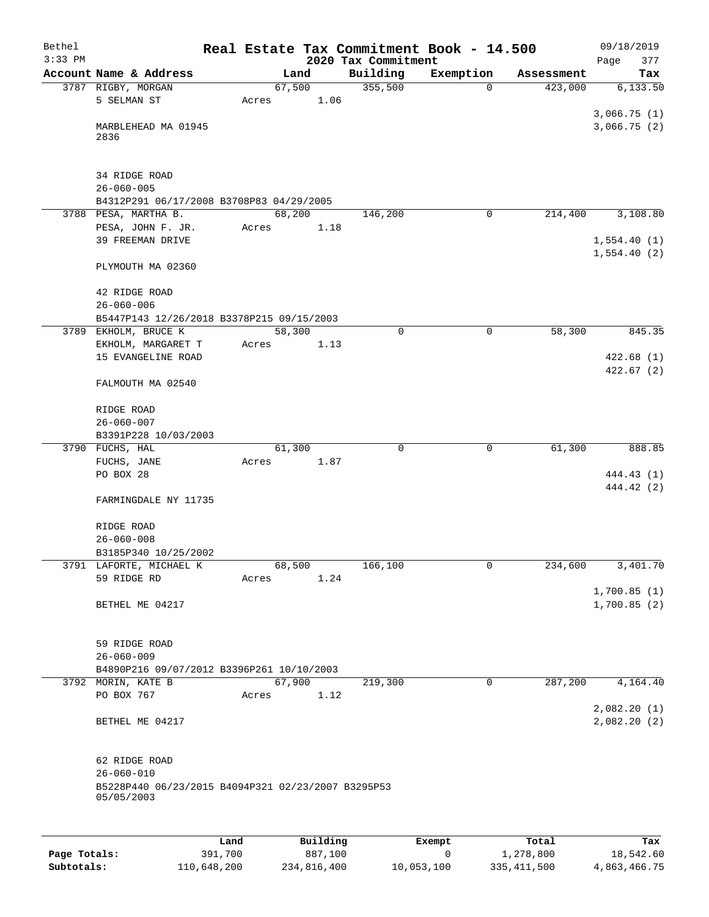| Bethel<br>$3:33$ PM |                                                                  |       |        |          | 2020 Tax Commitment | Real Estate Tax Commitment Book - 14.500 |            | 09/18/2019<br>377<br>Page  |
|---------------------|------------------------------------------------------------------|-------|--------|----------|---------------------|------------------------------------------|------------|----------------------------|
|                     | Account Name & Address                                           |       | Land   |          | Building            | Exemption                                | Assessment | Tax                        |
|                     | 3787 RIGBY, MORGAN                                               |       | 67,500 |          | 355,500             | 0                                        | 423,000    | 6,133.50                   |
|                     | 5 SELMAN ST                                                      | Acres |        | 1.06     |                     |                                          |            |                            |
|                     | MARBLEHEAD MA 01945<br>2836                                      |       |        |          |                     |                                          |            | 3,066.75(1)<br>3,066.75(2) |
|                     | 34 RIDGE ROAD                                                    |       |        |          |                     |                                          |            |                            |
|                     | $26 - 060 - 005$                                                 |       |        |          |                     |                                          |            |                            |
|                     | B4312P291 06/17/2008 B3708P83 04/29/2005<br>3788 PESA, MARTHA B. |       | 68,200 |          | 146,200             | $\mathbf 0$                              | 214,400    | 3,108.80                   |
|                     | PESA, JOHN F. JR.                                                | Acres |        | 1.18     |                     |                                          |            |                            |
|                     | 39 FREEMAN DRIVE                                                 |       |        |          |                     |                                          |            | 1,554.40(1)<br>1,554.40(2) |
|                     | PLYMOUTH MA 02360                                                |       |        |          |                     |                                          |            |                            |
|                     | 42 RIDGE ROAD                                                    |       |        |          |                     |                                          |            |                            |
|                     | $26 - 060 - 006$                                                 |       |        |          |                     |                                          |            |                            |
| 3789                | B5447P143 12/26/2018 B3378P215 09/15/2003<br>EKHOLM, BRUCE K     |       | 58,300 |          | $\mathbf 0$         | 0                                        | 58,300     | 845.35                     |
|                     | EKHOLM, MARGARET T                                               | Acres |        | 1.13     |                     |                                          |            |                            |
|                     | 15 EVANGELINE ROAD                                               |       |        |          |                     |                                          |            | 422.68(1)<br>422.67(2)     |
|                     | FALMOUTH MA 02540                                                |       |        |          |                     |                                          |            |                            |
|                     | RIDGE ROAD<br>$26 - 060 - 007$                                   |       |        |          |                     |                                          |            |                            |
|                     | B3391P228 10/03/2003                                             |       |        |          |                     |                                          |            |                            |
|                     | 3790 FUCHS, HAL                                                  |       | 61,300 |          | 0                   | 0                                        | 61,300     | 888.85                     |
|                     | FUCHS, JANE<br>PO BOX 28                                         | Acres |        | 1.87     |                     |                                          |            | 444.43 (1)                 |
|                     |                                                                  |       |        |          |                     |                                          |            | 444.42 (2)                 |
|                     | FARMINGDALE NY 11735                                             |       |        |          |                     |                                          |            |                            |
|                     | RIDGE ROAD                                                       |       |        |          |                     |                                          |            |                            |
|                     | $26 - 060 - 008$                                                 |       |        |          |                     |                                          |            |                            |
|                     | B3185P340 10/25/2002                                             |       |        |          |                     |                                          |            |                            |
|                     | 3791 LAFORTE, MICHAEL K<br>59 RIDGE RD                           |       | 68,500 |          | 166,100             | 0                                        | 234,600    | 3,401.70                   |
|                     |                                                                  | Acres |        | 1.24     |                     |                                          |            | 1,700.85(1)                |
|                     | BETHEL ME 04217                                                  |       |        |          |                     |                                          |            | 1,700.85(2)                |
|                     | 59 RIDGE ROAD                                                    |       |        |          |                     |                                          |            |                            |
|                     | $26 - 060 - 009$                                                 |       |        |          |                     |                                          |            |                            |
|                     | B4890P216 09/07/2012 B3396P261 10/10/2003                        |       |        |          |                     |                                          |            |                            |
|                     | 3792 MORIN, KATE B<br>PO BOX 767                                 |       | 67,900 |          | 219,300             | 0                                        | 287,200    | 4,164.40                   |
|                     |                                                                  | Acres |        | 1.12     |                     |                                          |            | 2,082.20 (1)               |
|                     | BETHEL ME 04217                                                  |       |        |          |                     |                                          |            | 2,082.20(2)                |
|                     | 62 RIDGE ROAD                                                    |       |        |          |                     |                                          |            |                            |
|                     | $26 - 060 - 010$                                                 |       |        |          |                     |                                          |            |                            |
|                     | B5228P440 06/23/2015 B4094P321 02/23/2007 B3295P53<br>05/05/2003 |       |        |          |                     |                                          |            |                            |
|                     |                                                                  |       |        |          |                     |                                          |            |                            |
|                     |                                                                  | Land  |        | Building |                     | Exempt                                   | Total      | Tax                        |

**Page Totals:** 391,700 887,100 0 1,278,800 18,542.60 **Subtotals:** 110,648,200 234,816,400 10,053,100 335,411,500 4,863,466.75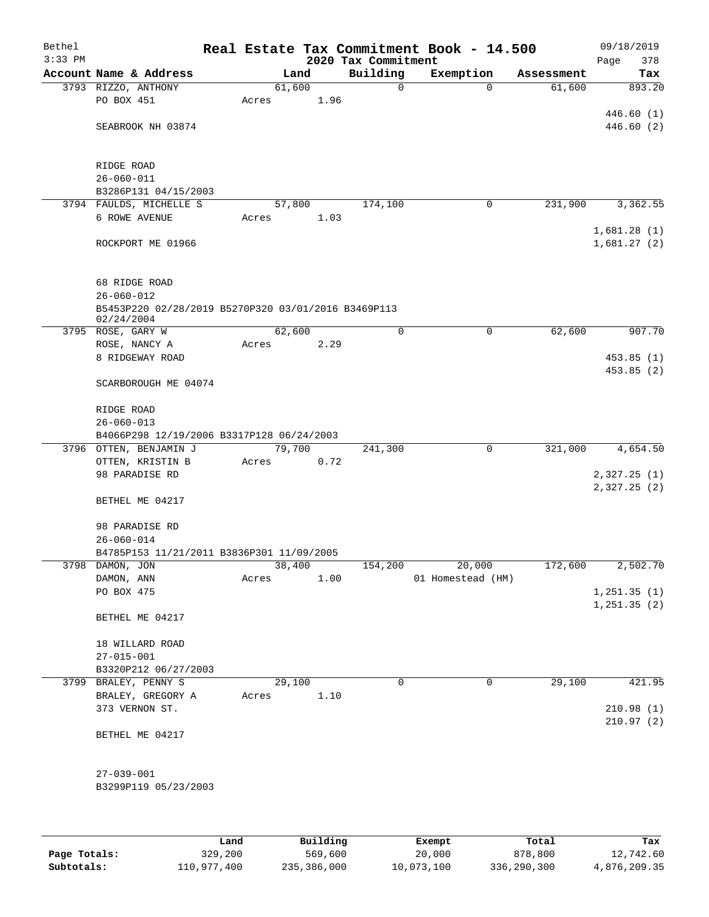| Bethel<br>$3:33$ PM |                                                     |       |        |      | 2020 Tax Commitment | Real Estate Tax Commitment Book - 14.500 |             |            | Page | 09/18/2019<br>378 |
|---------------------|-----------------------------------------------------|-------|--------|------|---------------------|------------------------------------------|-------------|------------|------|-------------------|
|                     | Account Name & Address                              |       | Land   |      | Building            | Exemption                                |             | Assessment |      | Tax               |
|                     | 3793 RIZZO, ANTHONY                                 |       | 61,600 |      | 0                   |                                          | $\Omega$    | 61,600     |      | 893.20            |
|                     | PO BOX 451                                          | Acres |        | 1.96 |                     |                                          |             |            |      |                   |
|                     |                                                     |       |        |      |                     |                                          |             |            |      | 446.60(1)         |
|                     | SEABROOK NH 03874                                   |       |        |      |                     |                                          |             |            |      | 446.60(2)         |
|                     |                                                     |       |        |      |                     |                                          |             |            |      |                   |
|                     | RIDGE ROAD                                          |       |        |      |                     |                                          |             |            |      |                   |
|                     | $26 - 060 - 011$                                    |       |        |      |                     |                                          |             |            |      |                   |
|                     | B3286P131 04/15/2003                                |       |        |      |                     |                                          |             |            |      |                   |
|                     | 3794 FAULDS, MICHELLE S                             |       | 57,800 |      | 174,100             |                                          | 0           | 231,900    |      | 3,362.55          |
|                     | 6 ROWE AVENUE                                       | Acres |        | 1.03 |                     |                                          |             |            |      |                   |
|                     |                                                     |       |        |      |                     |                                          |             |            |      | 1,681.28(1)       |
|                     | ROCKPORT ME 01966                                   |       |        |      |                     |                                          |             |            |      | 1,681.27(2)       |
|                     |                                                     |       |        |      |                     |                                          |             |            |      |                   |
|                     | 68 RIDGE ROAD                                       |       |        |      |                     |                                          |             |            |      |                   |
|                     | $26 - 060 - 012$                                    |       |        |      |                     |                                          |             |            |      |                   |
|                     | B5453P220 02/28/2019 B5270P320 03/01/2016 B3469P113 |       |        |      |                     |                                          |             |            |      |                   |
|                     | 02/24/2004                                          |       |        |      |                     |                                          |             |            |      |                   |
|                     | 3795 ROSE, GARY W                                   |       | 62,600 |      | 0                   |                                          | 0           | 62,600     |      | 907.70            |
|                     | ROSE, NANCY A                                       | Acres |        | 2.29 |                     |                                          |             |            |      |                   |
|                     | 8 RIDGEWAY ROAD                                     |       |        |      |                     |                                          |             |            |      | 453.85(1)         |
|                     | SCARBOROUGH ME 04074                                |       |        |      |                     |                                          |             |            |      | 453.85(2)         |
|                     |                                                     |       |        |      |                     |                                          |             |            |      |                   |
|                     | RIDGE ROAD                                          |       |        |      |                     |                                          |             |            |      |                   |
|                     | $26 - 060 - 013$                                    |       |        |      |                     |                                          |             |            |      |                   |
|                     | B4066P298 12/19/2006 B3317P128 06/24/2003           |       |        |      |                     |                                          |             |            |      |                   |
|                     | 3796 OTTEN, BENJAMIN J                              |       | 79,700 |      | 241,300             |                                          | $\mathbf 0$ | 321,000    |      | 4,654.50          |
|                     | OTTEN, KRISTIN B                                    | Acres |        | 0.72 |                     |                                          |             |            |      |                   |
|                     | 98 PARADISE RD                                      |       |        |      |                     |                                          |             |            |      | 2,327.25(1)       |
|                     | BETHEL ME 04217                                     |       |        |      |                     |                                          |             |            |      | 2,327.25(2)       |
|                     |                                                     |       |        |      |                     |                                          |             |            |      |                   |
|                     | 98 PARADISE RD                                      |       |        |      |                     |                                          |             |            |      |                   |
|                     | $26 - 060 - 014$                                    |       |        |      |                     |                                          |             |            |      |                   |
|                     | B4785P153 11/21/2011 B3836P301 11/09/2005           |       |        |      |                     |                                          |             |            |      |                   |
|                     | 3798 DAMON, JON                                     |       | 38,400 |      | 154,200             | 20,000                                   |             | 172,600    |      | 2,502.70          |
|                     | DAMON, ANN                                          | Acres |        | 1.00 |                     | 01 Homestead (HM)                        |             |            |      |                   |
|                     | PO BOX 475                                          |       |        |      |                     |                                          |             |            |      | 1,251.35(1)       |
|                     |                                                     |       |        |      |                     |                                          |             |            |      | 1, 251.35(2)      |
|                     | BETHEL ME 04217                                     |       |        |      |                     |                                          |             |            |      |                   |
|                     | 18 WILLARD ROAD                                     |       |        |      |                     |                                          |             |            |      |                   |
|                     | $27 - 015 - 001$                                    |       |        |      |                     |                                          |             |            |      |                   |
|                     | B3320P212 06/27/2003                                |       |        |      |                     |                                          |             |            |      |                   |
| 3799                | BRALEY, PENNY S                                     |       | 29,100 |      | 0                   |                                          | 0           | 29,100     |      | 421.95            |
|                     | BRALEY, GREGORY A                                   | Acres |        | 1.10 |                     |                                          |             |            |      |                   |
|                     | 373 VERNON ST.                                      |       |        |      |                     |                                          |             |            |      | 210.98(1)         |
|                     |                                                     |       |        |      |                     |                                          |             |            |      | 210.97(2)         |
|                     | BETHEL ME 04217                                     |       |        |      |                     |                                          |             |            |      |                   |
|                     |                                                     |       |        |      |                     |                                          |             |            |      |                   |
|                     | $27 - 039 - 001$                                    |       |        |      |                     |                                          |             |            |      |                   |
|                     | B3299P119 05/23/2003                                |       |        |      |                     |                                          |             |            |      |                   |
|                     |                                                     |       |        |      |                     |                                          |             |            |      |                   |
|                     |                                                     |       |        |      |                     |                                          |             |            |      |                   |
|                     |                                                     |       |        |      |                     |                                          |             |            |      |                   |

|              | Land        | Building    | Exempt     | Total       | Tax          |
|--------------|-------------|-------------|------------|-------------|--------------|
| Page Totals: | 329,200     | 569,600     | 20,000     | 878,800     | 12,742.60    |
| Subtotals:   | 110,977,400 | 235,386,000 | 10,073,100 | 336,290,300 | 4,876,209.35 |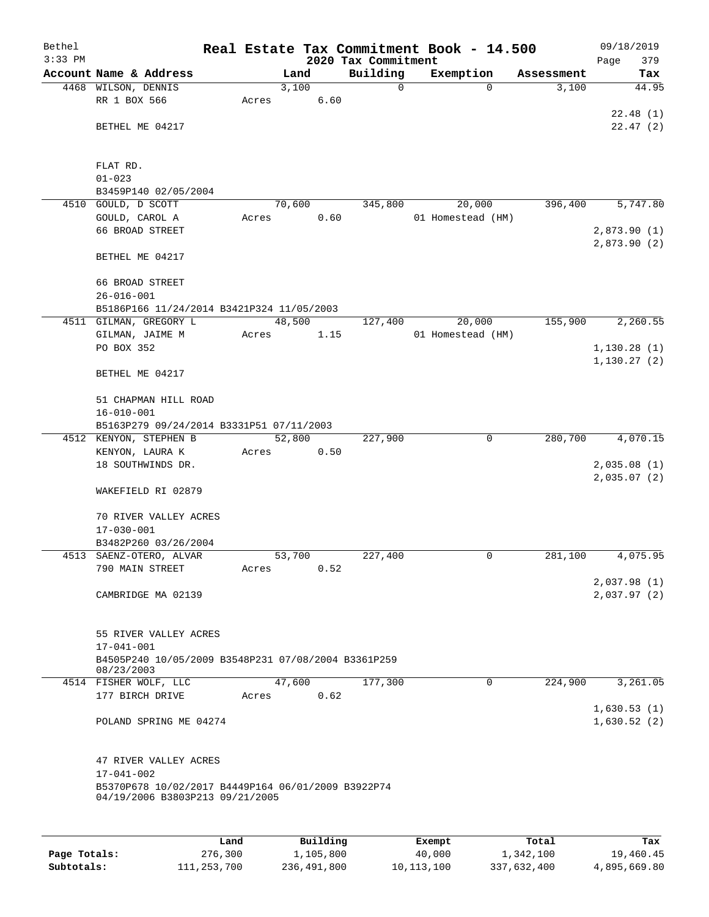| Bethel    |                                                                                       |      |       |               |                     |         | Real Estate Tax Commitment Book - 14.500 |            | 09/18/2019                 |
|-----------|---------------------------------------------------------------------------------------|------|-------|---------------|---------------------|---------|------------------------------------------|------------|----------------------------|
| $3:33$ PM |                                                                                       |      |       |               | 2020 Tax Commitment |         |                                          |            | 379<br>Page                |
|           | Account Name & Address                                                                |      |       | Land          | Building            |         | Exemption                                | Assessment | Tax                        |
|           | 4468 WILSON, DENNIS<br>RR 1 BOX 566                                                   |      | Acres | 3,100<br>6.60 |                     | 0       | $\Omega$                                 | 3,100      | 44.95                      |
|           |                                                                                       |      |       |               |                     |         |                                          |            | 22.48(1)                   |
|           | BETHEL ME 04217                                                                       |      |       |               |                     |         |                                          |            | 22.47(2)                   |
|           |                                                                                       |      |       |               |                     |         |                                          |            |                            |
|           | FLAT RD.                                                                              |      |       |               |                     |         |                                          |            |                            |
|           | $01 - 023$                                                                            |      |       |               |                     |         |                                          |            |                            |
|           | B3459P140 02/05/2004                                                                  |      |       |               |                     |         |                                          |            |                            |
|           | 4510 GOULD, D SCOTT                                                                   |      |       | 70,600        | 345,800             |         | 20,000                                   | 396,400    | 5,747.80                   |
|           | GOULD, CAROL A                                                                        |      | Acres | 0.60          |                     |         | 01 Homestead (HM)                        |            |                            |
|           | 66 BROAD STREET                                                                       |      |       |               |                     |         |                                          |            | 2,873.90(1)                |
|           | BETHEL ME 04217                                                                       |      |       |               |                     |         |                                          |            | 2,873.90(2)                |
|           | 66 BROAD STREET                                                                       |      |       |               |                     |         |                                          |            |                            |
|           | $26 - 016 - 001$                                                                      |      |       |               |                     |         |                                          |            |                            |
|           | B5186P166 11/24/2014 B3421P324 11/05/2003                                             |      |       |               |                     |         |                                          |            |                            |
|           | 4511 GILMAN, GREGORY L                                                                |      |       | 48,500        | 127,400             |         | 20,000                                   | 155,900    | 2,260.55                   |
|           | GILMAN, JAIME M                                                                       |      | Acres | 1.15          |                     |         | 01 Homestead (HM)                        |            |                            |
|           | PO BOX 352                                                                            |      |       |               |                     |         |                                          |            | 1, 130.28(1)               |
|           |                                                                                       |      |       |               |                     |         |                                          |            | 1,130.27(2)                |
|           | BETHEL ME 04217                                                                       |      |       |               |                     |         |                                          |            |                            |
|           | 51 CHAPMAN HILL ROAD                                                                  |      |       |               |                     |         |                                          |            |                            |
|           | $16 - 010 - 001$                                                                      |      |       |               |                     |         |                                          |            |                            |
|           | B5163P279 09/24/2014 B3331P51 07/11/2003                                              |      |       |               |                     |         |                                          |            |                            |
|           | 4512 KENYON, STEPHEN B                                                                |      |       | 52,800        | 227,900             |         | 0                                        | 280,700    | 4,070.15                   |
|           | KENYON, LAURA K                                                                       |      | Acres | 0.50          |                     |         |                                          |            |                            |
|           | 18 SOUTHWINDS DR.                                                                     |      |       |               |                     |         |                                          |            | 2,035.08(1)                |
|           |                                                                                       |      |       |               |                     |         |                                          |            | 2,035.07(2)                |
|           | WAKEFIELD RI 02879                                                                    |      |       |               |                     |         |                                          |            |                            |
|           | 70 RIVER VALLEY ACRES                                                                 |      |       |               |                     |         |                                          |            |                            |
|           | $17 - 030 - 001$                                                                      |      |       |               |                     |         |                                          |            |                            |
|           | B3482P260 03/26/2004                                                                  |      |       |               |                     |         |                                          |            |                            |
|           | 4513 SAENZ-OTERO, ALVAR                                                               |      |       | 53,700        | 227,400             |         | 0                                        | 281,100    | 4,075.95                   |
|           | 790 MAIN STREET                                                                       |      | Acres | 0.52          |                     |         |                                          |            |                            |
|           |                                                                                       |      |       |               |                     |         |                                          |            | 2,037.98(1)                |
|           | CAMBRIDGE MA 02139                                                                    |      |       |               |                     |         |                                          |            | 2,037.97(2)                |
|           |                                                                                       |      |       |               |                     |         |                                          |            |                            |
|           | 55 RIVER VALLEY ACRES                                                                 |      |       |               |                     |         |                                          |            |                            |
|           | $17 - 041 - 001$                                                                      |      |       |               |                     |         |                                          |            |                            |
|           | B4505P240 10/05/2009 B3548P231 07/08/2004 B3361P259<br>08/23/2003                     |      |       |               |                     |         |                                          |            |                            |
|           | 4514 FISHER WOLF, LLC                                                                 |      |       | 47,600        | 177,300             |         | $\mathbf 0$                              | 224,900    | 3,261.05                   |
|           | 177 BIRCH DRIVE                                                                       |      | Acres | 0.62          |                     |         |                                          |            |                            |
|           | POLAND SPRING ME 04274                                                                |      |       |               |                     |         |                                          |            | 1,630.53(1)<br>1,630.52(2) |
|           |                                                                                       |      |       |               |                     |         |                                          |            |                            |
|           | 47 RIVER VALLEY ACRES                                                                 |      |       |               |                     |         |                                          |            |                            |
|           | $17 - 041 - 002$                                                                      |      |       |               |                     |         |                                          |            |                            |
|           | B5370P678 10/02/2017 B4449P164 06/01/2009 B3922P74<br>04/19/2006 B3803P213 09/21/2005 |      |       |               |                     |         |                                          |            |                            |
|           |                                                                                       |      |       |               |                     |         |                                          |            |                            |
|           |                                                                                       | Land |       | Building      |                     | Exempt. |                                          | Total      | Tax                        |
|           |                                                                                       |      |       |               |                     |         |                                          |            |                            |

|              | Land        | Building    | Exempt     | Total       | Tax          |
|--------------|-------------|-------------|------------|-------------|--------------|
| Page Totals: | 276,300     | 1,105,800   | 40,000     | 1,342,100   | 19,460.45    |
| Subtotals:   | 111,253,700 | 236,491,800 | 10,113,100 | 337,632,400 | 4,895,669.80 |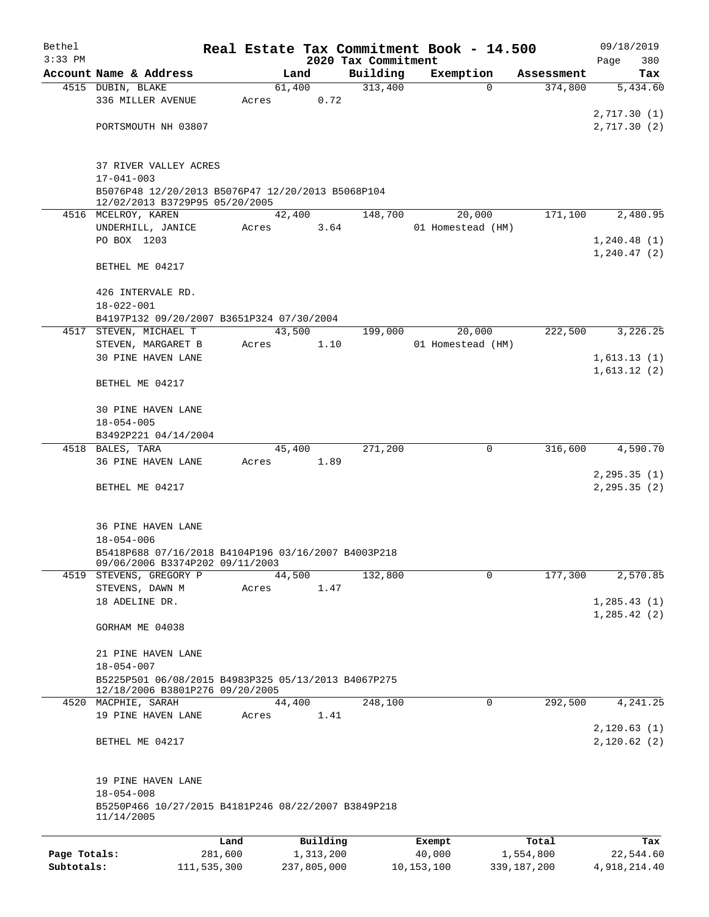| Bethel       |                                                                                        |         |       |                |                                 | Real Estate Tax Commitment Book - 14.500 |             |                       | 09/18/2019                   |
|--------------|----------------------------------------------------------------------------------------|---------|-------|----------------|---------------------------------|------------------------------------------|-------------|-----------------------|------------------------------|
| $3:33$ PM    | Account Name & Address                                                                 |         |       |                | 2020 Tax Commitment<br>Building |                                          |             |                       | Page<br>380                  |
|              | 4515 DUBIN, BLAKE                                                                      |         |       | Land<br>61,400 | 313,400                         | Exemption                                | $\Omega$    | Assessment<br>374,800 | Tax<br>5,434.60              |
|              | 336 MILLER AVENUE                                                                      |         | Acres | 0.72           |                                 |                                          |             |                       |                              |
|              |                                                                                        |         |       |                |                                 |                                          |             |                       | 2,717.30(1)                  |
|              | PORTSMOUTH NH 03807                                                                    |         |       |                |                                 |                                          |             |                       | 2,717.30(2)                  |
|              |                                                                                        |         |       |                |                                 |                                          |             |                       |                              |
|              |                                                                                        |         |       |                |                                 |                                          |             |                       |                              |
|              | 37 RIVER VALLEY ACRES<br>$17 - 041 - 003$                                              |         |       |                |                                 |                                          |             |                       |                              |
|              | B5076P48 12/20/2013 B5076P47 12/20/2013 B5068P104                                      |         |       |                |                                 |                                          |             |                       |                              |
|              | 12/02/2013 B3729P95 05/20/2005                                                         |         |       |                |                                 |                                          |             |                       |                              |
|              | 4516 MCELROY, KAREN                                                                    |         |       | 42,400         | 148,700                         | 20,000                                   |             | 171,100               | 2,480.95                     |
|              | UNDERHILL, JANICE                                                                      |         | Acres | 3.64           |                                 | 01 Homestead (HM)                        |             |                       |                              |
|              | PO BOX 1203                                                                            |         |       |                |                                 |                                          |             |                       | 1,240.48(1)<br>1, 240.47(2)  |
|              | BETHEL ME 04217                                                                        |         |       |                |                                 |                                          |             |                       |                              |
|              |                                                                                        |         |       |                |                                 |                                          |             |                       |                              |
|              | 426 INTERVALE RD.                                                                      |         |       |                |                                 |                                          |             |                       |                              |
|              | $18 - 022 - 001$                                                                       |         |       |                |                                 |                                          |             |                       |                              |
|              | B4197P132 09/20/2007 B3651P324 07/30/2004                                              |         |       |                |                                 |                                          |             |                       |                              |
| 4517         | STEVEN, MICHAEL T                                                                      |         |       | 43,500         | 199,000                         | 20,000                                   |             | 222,500               | 3,226.25                     |
|              | STEVEN, MARGARET B<br>30 PINE HAVEN LANE                                               |         | Acres | 1.10           |                                 | 01 Homestead (HM)                        |             |                       | 1,613.13(1)                  |
|              |                                                                                        |         |       |                |                                 |                                          |             |                       | 1,613.12(2)                  |
|              | BETHEL ME 04217                                                                        |         |       |                |                                 |                                          |             |                       |                              |
|              |                                                                                        |         |       |                |                                 |                                          |             |                       |                              |
|              | <b>30 PINE HAVEN LANE</b>                                                              |         |       |                |                                 |                                          |             |                       |                              |
|              | $18 - 054 - 005$                                                                       |         |       |                |                                 |                                          |             |                       |                              |
|              | B3492P221 04/14/2004<br>4518 BALES, TARA                                               |         |       | 45,400         | 271,200                         |                                          | 0           | 316,600               | 4,590.70                     |
|              | 36 PINE HAVEN LANE                                                                     |         | Acres | 1.89           |                                 |                                          |             |                       |                              |
|              |                                                                                        |         |       |                |                                 |                                          |             |                       | 2, 295.35(1)                 |
|              | BETHEL ME 04217                                                                        |         |       |                |                                 |                                          |             |                       | 2, 295.35(2)                 |
|              |                                                                                        |         |       |                |                                 |                                          |             |                       |                              |
|              |                                                                                        |         |       |                |                                 |                                          |             |                       |                              |
|              | 36 PINE HAVEN LANE<br>$18 - 054 - 006$                                                 |         |       |                |                                 |                                          |             |                       |                              |
|              | B5418P688 07/16/2018 B4104P196 03/16/2007 B4003P218                                    |         |       |                |                                 |                                          |             |                       |                              |
|              | 09/06/2006 B3374P202 09/11/2003                                                        |         |       |                |                                 |                                          |             |                       |                              |
| 4519         | STEVENS, GREGORY P                                                                     |         |       | 44,500         | 132,800                         |                                          | $\mathbf 0$ | 177,300               | 2,570.85                     |
|              | STEVENS, DAWN M                                                                        |         | Acres | 1.47           |                                 |                                          |             |                       |                              |
|              | 18 ADELINE DR.                                                                         |         |       |                |                                 |                                          |             |                       | 1, 285.43(1)<br>1, 285.42(2) |
|              | GORHAM ME 04038                                                                        |         |       |                |                                 |                                          |             |                       |                              |
|              |                                                                                        |         |       |                |                                 |                                          |             |                       |                              |
|              | 21 PINE HAVEN LANE                                                                     |         |       |                |                                 |                                          |             |                       |                              |
|              | $18 - 054 - 007$                                                                       |         |       |                |                                 |                                          |             |                       |                              |
|              | B5225P501 06/08/2015 B4983P325 05/13/2013 B4067P275<br>12/18/2006 B3801P276 09/20/2005 |         |       |                |                                 |                                          |             |                       |                              |
|              | 4520 MACPHIE, SARAH                                                                    |         |       | 44,400         | 248,100                         |                                          | 0           | 292,500               | 4,241.25                     |
|              | 19 PINE HAVEN LANE                                                                     |         | Acres | 1.41           |                                 |                                          |             |                       |                              |
|              |                                                                                        |         |       |                |                                 |                                          |             |                       | 2,120.63(1)                  |
|              | BETHEL ME 04217                                                                        |         |       |                |                                 |                                          |             |                       | 2,120.62(2)                  |
|              | 19 PINE HAVEN LANE                                                                     |         |       |                |                                 |                                          |             |                       |                              |
|              | $18 - 054 - 008$                                                                       |         |       |                |                                 |                                          |             |                       |                              |
|              | B5250P466 10/27/2015 B4181P246 08/22/2007 B3849P218<br>11/14/2005                      |         |       |                |                                 |                                          |             |                       |                              |
|              |                                                                                        | Land    |       | Building       |                                 | Exempt                                   |             | Total                 | Tax                          |
| Page Totals: |                                                                                        | 281,600 |       | 1,313,200      |                                 | 40,000                                   |             | 1,554,800             | 22,544.60                    |
|              |                                                                                        |         |       |                |                                 |                                          |             |                       |                              |

**Subtotals:** 111,535,300 237,805,000 10,153,100 339,187,200 4,918,214.40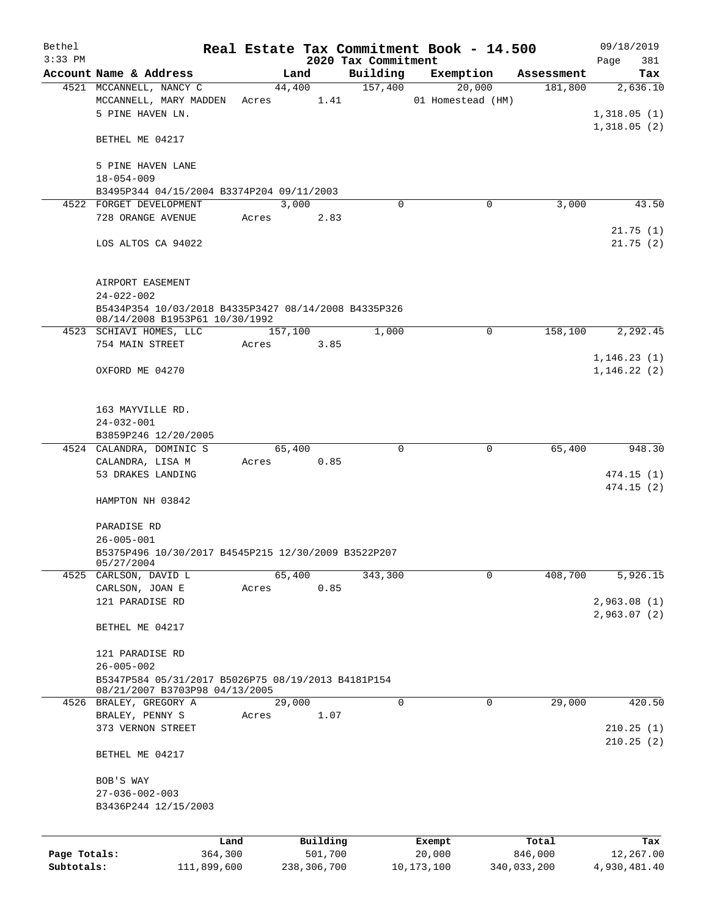| Bethel       |                                                                                        |       |                |                     | Real Estate Tax Commitment Book - 14.500 |                       | 09/18/2019                 |
|--------------|----------------------------------------------------------------------------------------|-------|----------------|---------------------|------------------------------------------|-----------------------|----------------------------|
| $3:33$ PM    |                                                                                        |       |                | 2020 Tax Commitment |                                          |                       | Page<br>381                |
|              | Account Name & Address<br>4521 MCCANNELL, NANCY C                                      |       | Land<br>44,400 | Building<br>157,400 | Exemption<br>20,000                      | Assessment<br>181,800 | Tax<br>2,636.10            |
|              | MCCANNELL, MARY MADDEN<br>5 PINE HAVEN LN.                                             | Acres | 1.41           |                     | 01 Homestead (HM)                        |                       | 1,318.05(1)                |
|              | BETHEL ME 04217                                                                        |       |                |                     |                                          |                       | 1,318.05(2)                |
|              | 5 PINE HAVEN LANE<br>$18 - 054 - 009$                                                  |       |                |                     |                                          |                       |                            |
|              | B3495P344 04/15/2004 B3374P204 09/11/2003                                              |       |                |                     |                                          |                       |                            |
|              | 4522 FORGET DEVELOPMENT                                                                |       | 3,000          | 0                   | $\Omega$                                 | 3,000                 | 43.50                      |
|              | 728 ORANGE AVENUE                                                                      | Acres | 2.83           |                     |                                          |                       |                            |
|              | LOS ALTOS CA 94022                                                                     |       |                |                     |                                          |                       | 21.75(1)<br>21.75(2)       |
|              | AIRPORT EASEMENT<br>$24 - 022 - 002$                                                   |       |                |                     |                                          |                       |                            |
|              | B5434P354 10/03/2018 B4335P3427 08/14/2008 B4335P326<br>08/14/2008 B1953P61 10/30/1992 |       |                |                     |                                          |                       |                            |
|              | 4523 SCHIAVI HOMES, LLC                                                                |       | 157,100        | 1,000               | $\mathbf 0$                              | 158,100               | 2,292.45                   |
|              | 754 MAIN STREET                                                                        | Acres | 3.85           |                     |                                          |                       |                            |
|              |                                                                                        |       |                |                     |                                          |                       | 1, 146.23(1)               |
|              | OXFORD ME 04270                                                                        |       |                |                     |                                          |                       | 1, 146.22(2)               |
|              | 163 MAYVILLE RD.                                                                       |       |                |                     |                                          |                       |                            |
|              | $24 - 032 - 001$                                                                       |       |                |                     |                                          |                       |                            |
|              | B3859P246 12/20/2005                                                                   |       |                |                     |                                          |                       |                            |
|              | 4524 CALANDRA, DOMINIC S                                                               |       | 65,400         | 0                   | 0                                        | 65,400                | 948.30                     |
|              | CALANDRA, LISA M                                                                       | Acres | 0.85           |                     |                                          |                       |                            |
|              | 53 DRAKES LANDING                                                                      |       |                |                     |                                          |                       | 474.15(1)<br>474.15(2)     |
|              | HAMPTON NH 03842                                                                       |       |                |                     |                                          |                       |                            |
|              | PARADISE RD                                                                            |       |                |                     |                                          |                       |                            |
|              | $26 - 005 - 001$                                                                       |       |                |                     |                                          |                       |                            |
|              | B5375P496 10/30/2017 B4545P215 12/30/2009 B3522P207<br>05/27/2004                      |       |                |                     |                                          |                       |                            |
|              | 4525 CARLSON, DAVID L                                                                  |       | 65,400         | 343,300             | 0                                        | 408,700               | 5,926.15                   |
|              | CARLSON, JOAN E                                                                        | Acres | 0.85           |                     |                                          |                       |                            |
|              | 121 PARADISE RD                                                                        |       |                |                     |                                          |                       | 2,963.08(1)<br>2,963.07(2) |
|              | BETHEL ME 04217                                                                        |       |                |                     |                                          |                       |                            |
|              | 121 PARADISE RD                                                                        |       |                |                     |                                          |                       |                            |
|              | $26 - 005 - 002$                                                                       |       |                |                     |                                          |                       |                            |
|              | B5347P584 05/31/2017 B5026P75 08/19/2013 B4181P154<br>08/21/2007 B3703P98 04/13/2005   |       |                |                     |                                          |                       |                            |
|              | 4526 BRALEY, GREGORY A                                                                 |       | 29,000         | 0                   | 0                                        | 29,000                | 420.50                     |
|              | BRALEY, PENNY S                                                                        | Acres | 1.07           |                     |                                          |                       |                            |
|              | 373 VERNON STREET                                                                      |       |                |                     |                                          |                       | 210.25(1)<br>210.25(2)     |
|              | BETHEL ME 04217                                                                        |       |                |                     |                                          |                       |                            |
|              | BOB'S WAY                                                                              |       |                |                     |                                          |                       |                            |
|              | $27 - 036 - 002 - 003$                                                                 |       |                |                     |                                          |                       |                            |
|              | B3436P244 12/15/2003                                                                   |       |                |                     |                                          |                       |                            |
|              | Land                                                                                   |       | Building       |                     | Exempt                                   | Total                 | Tax                        |
| Page Totals: | 364,300                                                                                |       | 501,700        |                     | 20,000                                   | 846,000               | 12,267.00                  |
| Subtotals:   | 111,899,600                                                                            |       | 238,306,700    |                     | 10, 173, 100                             | 340,033,200           | 4,930,481.40               |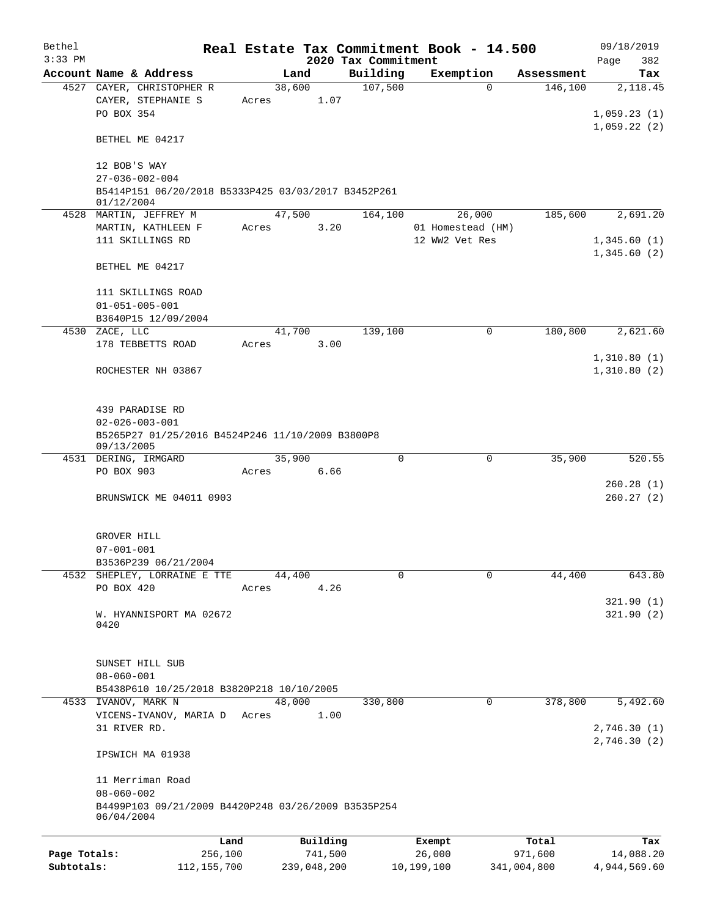| Bethel       |                                                                   |       |                |                                 | Real Estate Tax Commitment Book - 14.500 |            | 09/18/2019                  |
|--------------|-------------------------------------------------------------------|-------|----------------|---------------------------------|------------------------------------------|------------|-----------------------------|
| $3:33$ PM    | Account Name & Address                                            |       | Land           | 2020 Tax Commitment<br>Building | Exemption                                | Assessment | 382<br>Page<br>Tax          |
|              | 4527 CAYER, CHRISTOPHER R                                         |       | 38,600         | 107,500                         | $\Omega$                                 | 146,100    | 2,118.45                    |
|              | CAYER, STEPHANIE S<br>PO BOX 354                                  | Acres | 1.07           |                                 |                                          |            | 1,059.23(1)                 |
|              | BETHEL ME 04217                                                   |       |                |                                 |                                          |            | 1,059.22(2)                 |
|              | 12 BOB'S WAY<br>$27 - 036 - 002 - 004$                            |       |                |                                 |                                          |            |                             |
|              | B5414P151 06/20/2018 B5333P425 03/03/2017 B3452P261<br>01/12/2004 |       |                |                                 |                                          |            |                             |
|              | 4528 MARTIN, JEFFREY M<br>MARTIN, KATHLEEN F                      | Acres | 47,500<br>3.20 | 164,100                         | 26,000<br>01 Homestead (HM)              | 185,600    | 2,691.20                    |
|              | 111 SKILLINGS RD                                                  |       |                |                                 | 12 WW2 Vet Res                           |            | 1,345.60(1)<br>1,345.60(2)  |
|              | BETHEL ME 04217                                                   |       |                |                                 |                                          |            |                             |
|              | 111 SKILLINGS ROAD<br>$01 - 051 - 005 - 001$                      |       |                |                                 |                                          |            |                             |
|              | B3640P15 12/09/2004<br>4530 ZACE, LLC                             |       | 41,700         | 139,100                         | 0                                        | 180,800    | 2,621.60                    |
|              | 178 TEBBETTS ROAD                                                 | Acres | 3.00           |                                 |                                          |            |                             |
|              |                                                                   |       |                |                                 |                                          |            | 1,310.80(1)                 |
|              | ROCHESTER NH 03867                                                |       |                |                                 |                                          |            | 1,310.80(2)                 |
|              | 439 PARADISE RD<br>$02 - 026 - 003 - 001$                         |       |                |                                 |                                          |            |                             |
|              | B5265P27 01/25/2016 B4524P246 11/10/2009 B3800P8<br>09/13/2005    |       |                |                                 |                                          |            |                             |
|              | 4531 DERING, IRMGARD                                              |       | 35,900         | $\mathbf 0$                     | 0                                        | 35,900     | 520.55                      |
|              | PO BOX 903                                                        | Acres | 6.66           |                                 |                                          |            | 260.28(1)                   |
|              | BRUNSWICK ME 04011 0903                                           |       |                |                                 |                                          |            | 260.27(2)                   |
|              | GROVER HILL                                                       |       |                |                                 |                                          |            |                             |
|              | $07 - 001 - 001$<br>B3536P239 06/21/2004                          |       |                |                                 |                                          |            |                             |
|              | 4532 SHEPLEY, LORRAINE E TTE                                      |       | 44,400         | 0                               | 0                                        | 44,400     | 643.80                      |
|              | PO BOX 420                                                        | Acres | 4.26           |                                 |                                          |            |                             |
|              | W. HYANNISPORT MA 02672<br>0420                                   |       |                |                                 |                                          |            | 321.90(1)<br>321.90(2)      |
|              | SUNSET HILL SUB<br>$08 - 060 - 001$                               |       |                |                                 |                                          |            |                             |
|              | B5438P610 10/25/2018 B3820P218 10/10/2005                         |       |                |                                 |                                          |            |                             |
|              | 4533 IVANOV, MARK N                                               |       | 48,000         | 330,800                         | 0                                        | 378,800    | 5,492.60                    |
|              | VICENS-IVANOV, MARIA D                                            | Acres | 1.00           |                                 |                                          |            |                             |
|              | 31 RIVER RD.                                                      |       |                |                                 |                                          |            | 2,746.30 (1)<br>2,746.30(2) |
|              | IPSWICH MA 01938                                                  |       |                |                                 |                                          |            |                             |
|              | 11 Merriman Road<br>$08 - 060 - 002$                              |       |                |                                 |                                          |            |                             |
|              | B4499P103 09/21/2009 B4420P248 03/26/2009 B3535P254<br>06/04/2004 |       |                |                                 |                                          |            |                             |
|              |                                                                   | Land  | Building       |                                 | Exempt                                   | Total      | Tax                         |
| Page Totals: | 256,100                                                           |       | 741,500        |                                 | 26,000                                   | 971,600    | 14,088.20                   |

**Subtotals:** 112,155,700 239,048,200 10,199,100 341,004,800 4,944,569.60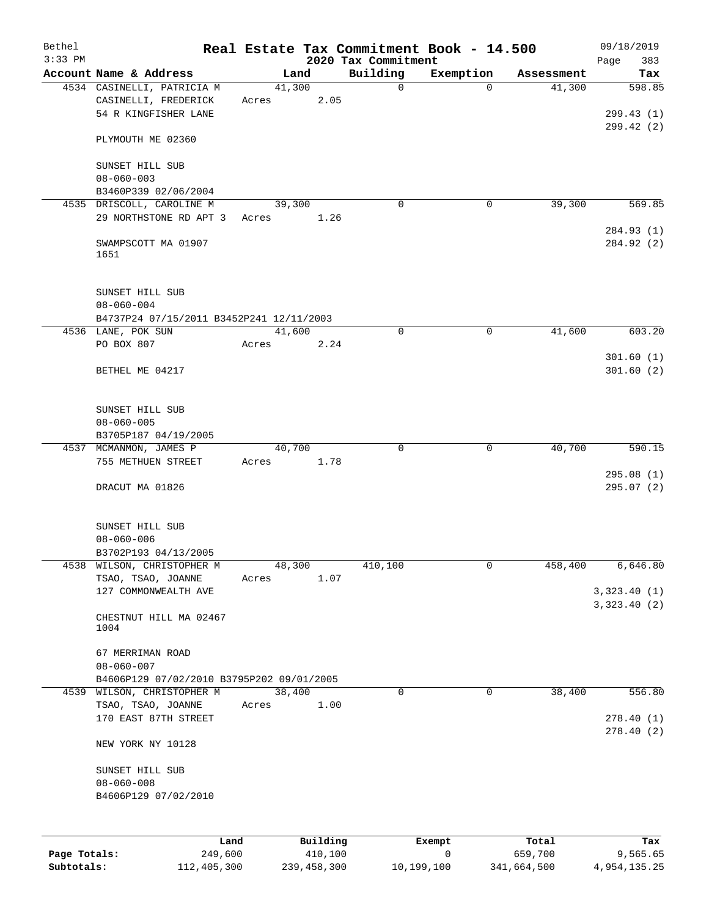| Bethel<br>$3:33$ PM |                                                                            |       |                | 2020 Tax Commitment | Real Estate Tax Commitment Book - 14.500 |            | 09/18/2019<br>383<br>Page |
|---------------------|----------------------------------------------------------------------------|-------|----------------|---------------------|------------------------------------------|------------|---------------------------|
|                     | Account Name & Address                                                     |       | Land           | Building            | Exemption                                | Assessment | Tax                       |
|                     | 4534 CASINELLI, PATRICIA M<br>CASINELLI, FREDERICK<br>54 R KINGFISHER LANE | Acres | 41,300<br>2.05 | $\mathsf{O}$        | $\Omega$                                 | 41,300     | 598.85<br>299.43(1)       |
|                     | PLYMOUTH ME 02360                                                          |       |                |                     |                                          |            | 299.42(2)                 |
|                     | SUNSET HILL SUB<br>$08 - 060 - 003$                                        |       |                |                     |                                          |            |                           |
|                     | B3460P339 02/06/2004                                                       |       |                |                     |                                          |            |                           |
|                     | 4535 DRISCOLL, CAROLINE M<br>29 NORTHSTONE RD APT 3                        | Acres | 39,300<br>1.26 | 0                   | 0                                        | 39,300     | 569.85                    |
|                     | SWAMPSCOTT MA 01907<br>1651                                                |       |                |                     |                                          |            | 284.93 (1)<br>284.92 (2)  |
|                     | SUNSET HILL SUB<br>$08 - 060 - 004$                                        |       |                |                     |                                          |            |                           |
|                     | B4737P24 07/15/2011 B3452P241 12/11/2003<br>4536 LANE, POK SUN             |       | 41,600         | $\mathbf 0$         | $\mathbf 0$                              | 41,600     | 603.20                    |
|                     | PO BOX 807                                                                 | Acres | 2.24           |                     |                                          |            |                           |
|                     | BETHEL ME 04217                                                            |       |                |                     |                                          |            | 301.60(1)<br>301.60(2)    |
|                     | SUNSET HILL SUB<br>$08 - 060 - 005$<br>B3705P187 04/19/2005                |       |                |                     |                                          |            |                           |
| 4537                | MCMANMON, JAMES P                                                          |       | 40,700         | $\mathbf 0$         | $\mathbf 0$                              | 40,700     | 590.15                    |
|                     | 755 METHUEN STREET                                                         | Acres | 1.78           |                     |                                          |            | 295.08(1)                 |
|                     | DRACUT MA 01826                                                            |       |                |                     |                                          |            | 295.07(2)                 |
|                     | SUNSET HILL SUB<br>$08 - 060 - 006$                                        |       |                |                     |                                          |            |                           |
|                     | B3702P193 04/13/2005                                                       |       |                |                     |                                          |            |                           |
|                     | 4538 WILSON, CHRISTOPHER M<br>TSAO, TSAO, JOANNE<br>127 COMMONWEALTH AVE   | Acres | 48,300<br>1.07 | 410,100             | $\mathsf{O}$                             | 458,400    | 6,646.80<br>3,323.40(1)   |
|                     | CHESTNUT HILL MA 02467<br>1004                                             |       |                |                     |                                          |            | 3,323.40(2)               |
|                     | 67 MERRIMAN ROAD<br>$08 - 060 - 007$                                       |       |                |                     |                                          |            |                           |
|                     | B4606P129 07/02/2010 B3795P202 09/01/2005                                  |       |                |                     |                                          |            |                           |
|                     | 4539 WILSON, CHRISTOPHER M                                                 |       | 38,400         | 0                   | $\mathbf 0$                              | 38,400     | 556.80                    |
|                     | TSAO, TSAO, JOANNE<br>170 EAST 87TH STREET                                 | Acres | 1.00           |                     |                                          |            | 278.40(1)<br>278.40(2)    |
|                     | NEW YORK NY 10128                                                          |       |                |                     |                                          |            |                           |
|                     | SUNSET HILL SUB<br>$08 - 060 - 008$                                        |       |                |                     |                                          |            |                           |
|                     | B4606P129 07/02/2010                                                       |       |                |                     |                                          |            |                           |
|                     | Land                                                                       |       | Building       |                     | Exempt                                   | Total      | Tax                       |
| Page Totals:        | 249,600                                                                    |       | 410,100        |                     | 0                                        | 659,700    | 9,565.65                  |

**Subtotals:** 112,405,300 239,458,300 10,199,100 341,664,500 4,954,135.25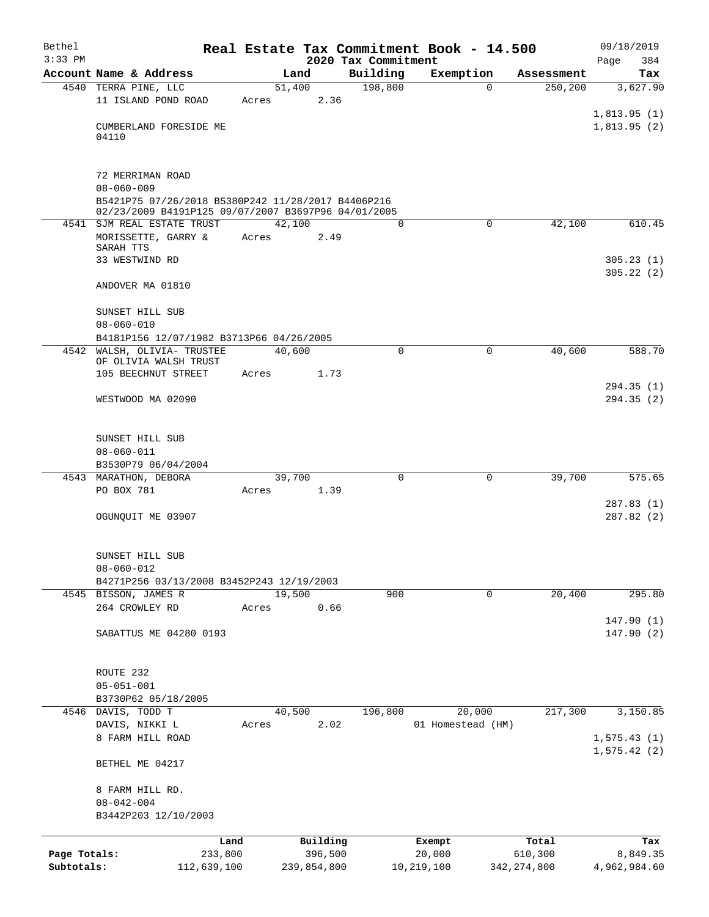| Bethel       |                                                                                                           |         |        |             |                     | Real Estate Tax Commitment Book - 14.500 |                        | 09/18/2019      |
|--------------|-----------------------------------------------------------------------------------------------------------|---------|--------|-------------|---------------------|------------------------------------------|------------------------|-----------------|
| $3:33$ PM    |                                                                                                           |         |        |             | 2020 Tax Commitment |                                          |                        | Page<br>384     |
|              | Account Name & Address                                                                                    |         | 51,400 | Land        | Building<br>198,800 | Exemption<br>$\Omega$                    | Assessment<br>250, 200 | Tax<br>3,627.90 |
|              | 4540 TERRA PINE, LLC<br>11 ISLAND POND ROAD                                                               |         | Acres  | 2.36        |                     |                                          |                        |                 |
|              |                                                                                                           |         |        |             |                     |                                          |                        | 1,813.95(1)     |
|              | CUMBERLAND FORESIDE ME                                                                                    |         |        |             |                     |                                          |                        | 1,813.95(2)     |
|              | 04110                                                                                                     |         |        |             |                     |                                          |                        |                 |
|              | 72 MERRIMAN ROAD                                                                                          |         |        |             |                     |                                          |                        |                 |
|              | $08 - 060 - 009$                                                                                          |         |        |             |                     |                                          |                        |                 |
|              | B5421P75 07/26/2018 B5380P242 11/28/2017 B4406P216<br>02/23/2009 B4191P125 09/07/2007 B3697P96 04/01/2005 |         |        |             |                     |                                          |                        |                 |
|              | 4541 SJM REAL ESTATE TRUST                                                                                |         | 42,100 |             | 0                   | $\mathbf 0$                              | 42,100                 | 610.45          |
|              | MORISSETTE, GARRY &<br>SARAH TTS                                                                          |         | Acres  | 2.49        |                     |                                          |                        |                 |
|              | 33 WESTWIND RD                                                                                            |         |        |             |                     |                                          |                        | 305.23(1)       |
|              | ANDOVER MA 01810                                                                                          |         |        |             |                     |                                          |                        | 305.22(2)       |
|              | SUNSET HILL SUB                                                                                           |         |        |             |                     |                                          |                        |                 |
|              | $08 - 060 - 010$                                                                                          |         |        |             |                     |                                          |                        |                 |
|              | B4181P156 12/07/1982 B3713P66 04/26/2005                                                                  |         |        |             |                     |                                          |                        |                 |
|              | 4542 WALSH, OLIVIA- TRUSTEE<br>OF OLIVIA WALSH TRUST                                                      |         | 40,600 |             | 0                   | 0                                        | 40,600                 | 588.70          |
|              | 105 BEECHNUT STREET                                                                                       |         | Acres  | 1.73        |                     |                                          |                        |                 |
|              |                                                                                                           |         |        |             |                     |                                          |                        | 294.35(1)       |
|              | WESTWOOD MA 02090                                                                                         |         |        |             |                     |                                          |                        | 294.35(2)       |
|              |                                                                                                           |         |        |             |                     |                                          |                        |                 |
|              | SUNSET HILL SUB                                                                                           |         |        |             |                     |                                          |                        |                 |
|              | $08 - 060 - 011$                                                                                          |         |        |             |                     |                                          |                        |                 |
|              | B3530P79 06/04/2004                                                                                       |         |        |             |                     |                                          |                        |                 |
|              | 4543 MARATHON, DEBORA                                                                                     |         | 39,700 |             | 0                   | 0                                        | 39,700                 | 575.65          |
|              | PO BOX 781                                                                                                |         | Acres  | 1.39        |                     |                                          |                        | 287.83(1)       |
|              | OGUNQUIT ME 03907                                                                                         |         |        |             |                     |                                          |                        | 287.82(2)       |
|              |                                                                                                           |         |        |             |                     |                                          |                        |                 |
|              | SUNSET HILL SUB                                                                                           |         |        |             |                     |                                          |                        |                 |
|              | $08 - 060 - 012$                                                                                          |         |        |             |                     |                                          |                        |                 |
|              | B4271P256 03/13/2008 B3452P243 12/19/2003                                                                 |         |        |             |                     |                                          |                        |                 |
|              | 4545 BISSON, JAMES R                                                                                      |         | 19,500 |             | 900                 | $\mathbf 0$                              | 20,400                 | 295.80          |
|              | 264 CROWLEY RD                                                                                            |         | Acres  | 0.66        |                     |                                          |                        |                 |
|              |                                                                                                           |         |        |             |                     |                                          |                        | 147.90(1)       |
|              | SABATTUS ME 04280 0193                                                                                    |         |        |             |                     |                                          |                        | 147.90(2)       |
|              |                                                                                                           |         |        |             |                     |                                          |                        |                 |
|              | ROUTE 232                                                                                                 |         |        |             |                     |                                          |                        |                 |
|              | $05 - 051 - 001$                                                                                          |         |        |             |                     |                                          |                        |                 |
|              | B3730P62 05/18/2005<br>4546 DAVIS, TODD T                                                                 |         | 40,500 |             | 196,800             | 20,000                                   | 217,300                | 3,150.85        |
|              | DAVIS, NIKKI L                                                                                            |         | Acres  | 2.02        |                     | 01 Homestead (HM)                        |                        |                 |
|              | 8 FARM HILL ROAD                                                                                          |         |        |             |                     |                                          |                        | 1, 575.43(1)    |
|              |                                                                                                           |         |        |             |                     |                                          |                        | 1, 575.42(2)    |
|              | BETHEL ME 04217                                                                                           |         |        |             |                     |                                          |                        |                 |
|              | 8 FARM HILL RD.                                                                                           |         |        |             |                     |                                          |                        |                 |
|              | $08 - 042 - 004$                                                                                          |         |        |             |                     |                                          |                        |                 |
|              | B3442P203 12/10/2003                                                                                      |         |        |             |                     |                                          |                        |                 |
|              |                                                                                                           | Land    |        | Building    |                     | Exempt                                   | Total                  | Tax             |
| Page Totals: |                                                                                                           | 233,800 |        | 396,500     |                     | 20,000                                   | 610,300                | 8,849.35        |
| Subtotals:   | 112,639,100                                                                                               |         |        | 239,854,800 |                     | 10,219,100                               | 342, 274, 800          | 4,962,984.60    |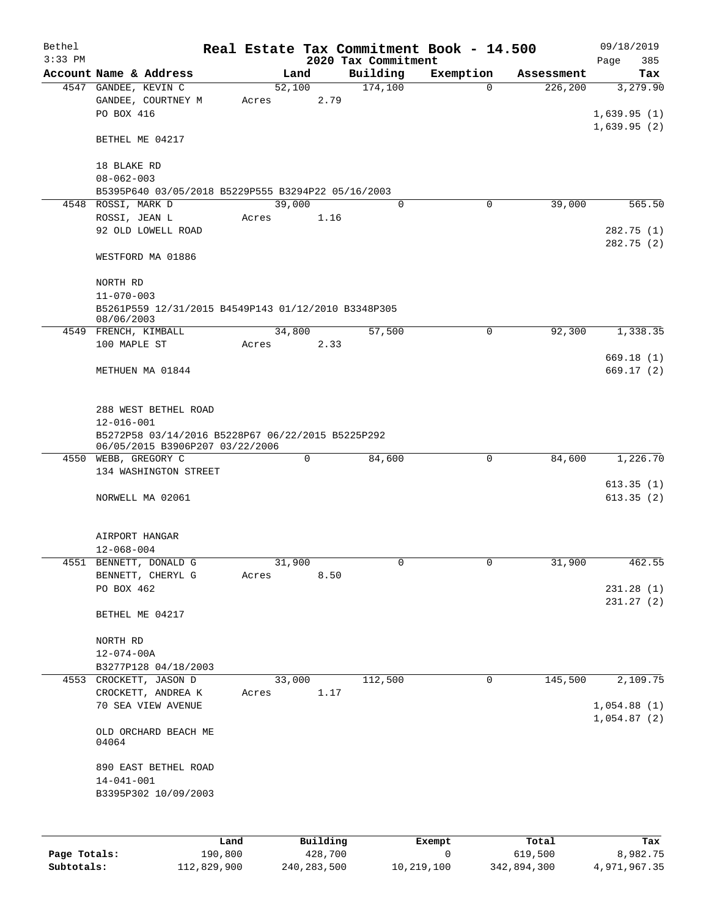|           |                                                                                                          |       |        |          |                     | Real Estate Tax Commitment Book - 14.500 |                       | 09/18/2019               |
|-----------|----------------------------------------------------------------------------------------------------------|-------|--------|----------|---------------------|------------------------------------------|-----------------------|--------------------------|
| $3:33$ PM |                                                                                                          |       |        |          | 2020 Tax Commitment |                                          |                       | 385<br>Page              |
|           | Account Name & Address                                                                                   |       | Land   |          | Building            | Exemption                                | Assessment            | Tax                      |
|           | 4547 GANDEE, KEVIN C<br>GANDEE, COURTNEY M<br>PO BOX 416                                                 | Acres | 52,100 | 2.79     | 174,100             |                                          | $\Omega$<br>226,200   | 3,279.90<br>1,639.95(1)  |
|           | BETHEL ME 04217                                                                                          |       |        |          |                     |                                          |                       | 1,639.95(2)              |
|           | 18 BLAKE RD<br>$08 - 062 - 003$                                                                          |       |        |          |                     |                                          |                       |                          |
|           | B5395P640 03/05/2018 B5229P555 B3294P22 05/16/2003                                                       |       |        |          |                     |                                          |                       |                          |
|           | 4548 ROSSI, MARK D                                                                                       |       | 39,000 |          | $\mathbf 0$         |                                          | 39,000<br>$\mathbf 0$ | 565.50                   |
|           | ROSSI, JEAN L                                                                                            | Acres |        | 1.16     |                     |                                          |                       |                          |
|           | 92 OLD LOWELL ROAD                                                                                       |       |        |          |                     |                                          |                       | 282.75 (1)<br>282.75 (2) |
|           | WESTFORD MA 01886                                                                                        |       |        |          |                     |                                          |                       |                          |
|           | NORTH RD<br>$11 - 070 - 003$                                                                             |       |        |          |                     |                                          |                       |                          |
|           | B5261P559 12/31/2015 B4549P143 01/12/2010 B3348P305<br>08/06/2003                                        |       |        |          |                     |                                          |                       |                          |
|           | 4549 FRENCH, KIMBALL                                                                                     |       | 34,800 |          | 57,500              |                                          | 92,300<br>0           | 1,338.35                 |
|           | 100 MAPLE ST                                                                                             | Acres |        | 2.33     |                     |                                          |                       |                          |
|           | METHUEN MA 01844                                                                                         |       |        |          |                     |                                          |                       | 669.18(1)<br>669.17(2)   |
|           | 288 WEST BETHEL ROAD                                                                                     |       |        |          |                     |                                          |                       |                          |
|           | $12 - 016 - 001$<br>B5272P58 03/14/2016 B5228P67 06/22/2015 B5225P292<br>06/05/2015 B3906P207 03/22/2006 |       |        |          |                     |                                          |                       |                          |
|           | 4550 WEBB, GREGORY C                                                                                     |       | 0      |          | 84,600              |                                          | $\mathbf 0$<br>84,600 | 1,226.70                 |
|           | 134 WASHINGTON STREET                                                                                    |       |        |          |                     |                                          |                       |                          |
|           |                                                                                                          |       |        |          |                     |                                          |                       | 613.35(1)                |
|           | NORWELL MA 02061                                                                                         |       |        |          |                     |                                          |                       | 613.35(2)                |
|           | AIRPORT HANGAR                                                                                           |       |        |          |                     |                                          |                       |                          |
|           | $12 - 068 - 004$<br>4551 BENNETT, DONALD G                                                               |       | 31,900 |          |                     |                                          | 31,900                | 462.55                   |
|           | BENNETT, CHERYL G                                                                                        | Acres |        | 8.50     | U                   |                                          | $\cup$                |                          |
|           | PO BOX 462                                                                                               |       |        |          |                     |                                          |                       | 231.28(1)                |
|           |                                                                                                          |       |        |          |                     |                                          |                       | 231.27(2)                |
|           | BETHEL ME 04217                                                                                          |       |        |          |                     |                                          |                       |                          |
|           | NORTH RD                                                                                                 |       |        |          |                     |                                          |                       |                          |
|           | $12 - 074 - 00A$                                                                                         |       |        |          |                     |                                          |                       |                          |
|           | B3277P128 04/18/2003                                                                                     |       |        |          |                     |                                          |                       |                          |
|           | 4553 CROCKETT, JASON D                                                                                   |       | 33,000 |          | 112,500             |                                          | 0<br>145,500          | 2,109.75                 |
|           | CROCKETT, ANDREA K<br>70 SEA VIEW AVENUE                                                                 | Acres |        | 1.17     |                     |                                          |                       | 1,054.88(1)              |
|           | OLD ORCHARD BEACH ME<br>04064                                                                            |       |        |          |                     |                                          |                       | 1,054.87(2)              |
|           | 890 EAST BETHEL ROAD                                                                                     |       |        |          |                     |                                          |                       |                          |
|           | $14 - 041 - 001$<br>B3395P302 10/09/2003                                                                 |       |        |          |                     |                                          |                       |                          |
|           |                                                                                                          |       |        |          |                     |                                          |                       |                          |
|           |                                                                                                          | Land  |        | Building |                     | Exempt                                   | Total                 | Tax                      |

| Page Totals: | 190,800     | 428,700     |            | 619,500     | 8,982.75     |
|--------------|-------------|-------------|------------|-------------|--------------|
| Subtotals:   | 112,829,900 | 240,283,500 | 10,219,100 | 342,894,300 | 4,971,967.35 |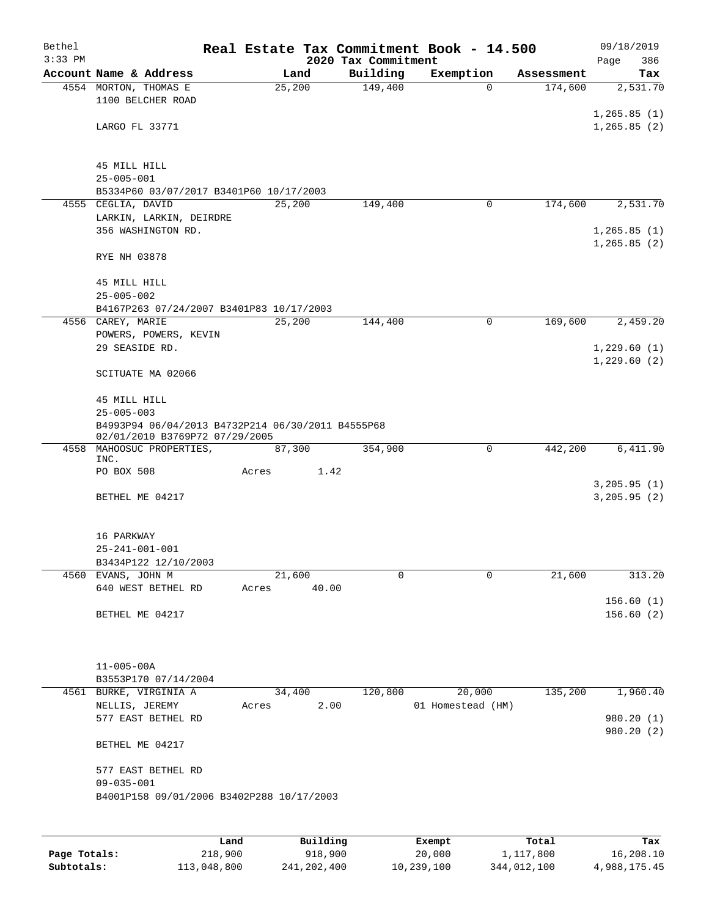| Bethel    |                                                                       |       |          |                     | Real Estate Tax Commitment Book - 14.500 |                       | 09/18/2019             |
|-----------|-----------------------------------------------------------------------|-------|----------|---------------------|------------------------------------------|-----------------------|------------------------|
| $3:33$ PM | Account Name & Address                                                |       | Land     | 2020 Tax Commitment |                                          |                       | 386<br>Page            |
|           | 4554 MORTON, THOMAS E                                                 |       | 25,200   | Building<br>149,400 | Exemption<br>0                           | Assessment<br>174,600 | Tax<br>2,531.70        |
|           | 1100 BELCHER ROAD                                                     |       |          |                     |                                          |                       |                        |
|           |                                                                       |       |          |                     |                                          |                       | 1, 265.85(1)           |
|           | LARGO FL 33771                                                        |       |          |                     |                                          |                       | 1, 265.85(2)           |
|           |                                                                       |       |          |                     |                                          |                       |                        |
|           | 45 MILL HILL                                                          |       |          |                     |                                          |                       |                        |
|           | $25 - 005 - 001$                                                      |       |          |                     |                                          |                       |                        |
|           | B5334P60 03/07/2017 B3401P60 10/17/2003                               |       |          |                     |                                          |                       |                        |
|           | 4555 CEGLIA, DAVID                                                    |       | 25,200   | 149,400             | 0                                        | 174,600               | 2,531.70               |
|           | LARKIN, LARKIN, DEIRDRE                                               |       |          |                     |                                          |                       |                        |
|           | 356 WASHINGTON RD.                                                    |       |          |                     |                                          |                       | 1, 265.85(1)           |
|           | RYE NH 03878                                                          |       |          |                     |                                          |                       | 1, 265.85(2)           |
|           |                                                                       |       |          |                     |                                          |                       |                        |
|           | 45 MILL HILL                                                          |       |          |                     |                                          |                       |                        |
|           | $25 - 005 - 002$                                                      |       |          |                     |                                          |                       |                        |
|           | B4167P263 07/24/2007 B3401P83 10/17/2003                              |       |          |                     |                                          |                       |                        |
|           | 4556 CAREY, MARIE<br>POWERS, POWERS, KEVIN                            |       | 25,200   | 144,400             | 0                                        | 169,600               | 2,459.20               |
|           | 29 SEASIDE RD.                                                        |       |          |                     |                                          |                       | 1,229.60(1)            |
|           |                                                                       |       |          |                     |                                          |                       | 1,229.60(2)            |
|           | SCITUATE MA 02066                                                     |       |          |                     |                                          |                       |                        |
|           |                                                                       |       |          |                     |                                          |                       |                        |
|           | 45 MILL HILL                                                          |       |          |                     |                                          |                       |                        |
|           | $25 - 005 - 003$<br>B4993P94 06/04/2013 B4732P214 06/30/2011 B4555P68 |       |          |                     |                                          |                       |                        |
|           | 02/01/2010 B3769P72 07/29/2005                                        |       |          |                     |                                          |                       |                        |
|           | 4558 MAHOOSUC PROPERTIES,<br>INC.                                     |       | 87,300   | 354,900             | 0                                        | 442,200               | 6,411.90               |
|           | PO BOX 508                                                            | Acres | 1.42     |                     |                                          |                       |                        |
|           |                                                                       |       |          |                     |                                          |                       | 3, 205.95 (1)          |
|           | BETHEL ME 04217                                                       |       |          |                     |                                          |                       | 3, 205.95 (2)          |
|           |                                                                       |       |          |                     |                                          |                       |                        |
|           | 16 PARKWAY                                                            |       |          |                     |                                          |                       |                        |
|           | $25 - 241 - 001 - 001$                                                |       |          |                     |                                          |                       |                        |
|           | B3434P122 12/10/2003                                                  |       |          |                     |                                          |                       |                        |
|           | 4560 EVANS, JOHN M                                                    |       | 21,600   | 0                   | $\Omega$                                 | 21,600                | 313.20                 |
|           | 640 WEST BETHEL RD                                                    | Acres | 40.00    |                     |                                          |                       |                        |
|           | BETHEL ME 04217                                                       |       |          |                     |                                          |                       | 156.60(1)<br>156.60(2) |
|           |                                                                       |       |          |                     |                                          |                       |                        |
|           |                                                                       |       |          |                     |                                          |                       |                        |
|           |                                                                       |       |          |                     |                                          |                       |                        |
|           | $11 - 005 - 00A$                                                      |       |          |                     |                                          |                       |                        |
|           | B3553P170 07/14/2004<br>4561 BURKE, VIRGINIA A                        |       | 34,400   | 120,800             | 20,000                                   | 135,200               | 1,960.40               |
|           | NELLIS, JEREMY                                                        | Acres | 2.00     |                     | 01 Homestead (HM)                        |                       |                        |
|           | 577 EAST BETHEL RD                                                    |       |          |                     |                                          |                       | 980.20 (1)             |
|           |                                                                       |       |          |                     |                                          |                       | 980.20 (2)             |
|           | BETHEL ME 04217                                                       |       |          |                     |                                          |                       |                        |
|           | 577 EAST BETHEL RD                                                    |       |          |                     |                                          |                       |                        |
|           | $09 - 035 - 001$                                                      |       |          |                     |                                          |                       |                        |
|           | B4001P158 09/01/2006 B3402P288 10/17/2003                             |       |          |                     |                                          |                       |                        |
|           |                                                                       |       |          |                     |                                          |                       |                        |
|           |                                                                       |       |          |                     |                                          |                       |                        |
|           |                                                                       | Land  | Building |                     | Exempt                                   | Total                 | Tax                    |

**Page Totals:** 218,900 918,900 20,000 1,117,800 16,208.10 **Subtotals:** 113,048,800 241,202,400 10,239,100 344,012,100 4,988,175.45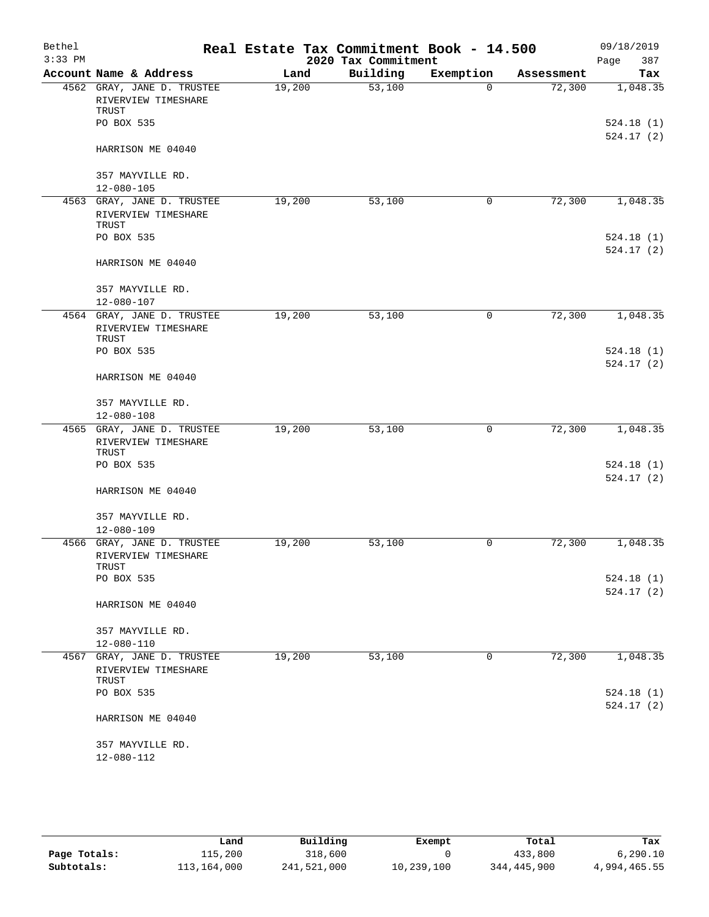| Bethel    |                                                            |        | Real Estate Tax Commitment Book - 14.500 |             |            | 09/18/2019             |
|-----------|------------------------------------------------------------|--------|------------------------------------------|-------------|------------|------------------------|
| $3:33$ PM |                                                            |        | 2020 Tax Commitment                      |             |            | Page<br>387            |
|           | Account Name & Address                                     | Land   | Building                                 | Exemption   | Assessment | Tax                    |
|           | 4562 GRAY, JANE D. TRUSTEE<br>RIVERVIEW TIMESHARE<br>TRUST | 19,200 | 53,100                                   | $\Omega$    | 72,300     | 1,048.35               |
|           | PO BOX 535                                                 |        |                                          |             |            | 524.18(1)<br>524.17(2) |
|           | HARRISON ME 04040                                          |        |                                          |             |            |                        |
|           | 357 MAYVILLE RD.                                           |        |                                          |             |            |                        |
|           | $12 - 080 - 105$                                           |        |                                          |             |            |                        |
|           | 4563 GRAY, JANE D. TRUSTEE<br>RIVERVIEW TIMESHARE<br>TRUST | 19,200 | 53,100                                   | 0           | 72,300     | 1,048.35               |
|           | PO BOX 535                                                 |        |                                          |             |            | 524.18(1)<br>524.17(2) |
|           | HARRISON ME 04040                                          |        |                                          |             |            |                        |
|           | 357 MAYVILLE RD.<br>$12 - 080 - 107$                       |        |                                          |             |            |                        |
|           | 4564 GRAY, JANE D. TRUSTEE<br>RIVERVIEW TIMESHARE<br>TRUST | 19,200 | 53,100                                   | 0           | 72,300     | 1,048.35               |
|           | PO BOX 535                                                 |        |                                          |             |            | 524.18(1)<br>524.17(2) |
|           | HARRISON ME 04040                                          |        |                                          |             |            |                        |
|           | 357 MAYVILLE RD.<br>$12 - 080 - 108$                       |        |                                          |             |            |                        |
|           | 4565 GRAY, JANE D. TRUSTEE<br>RIVERVIEW TIMESHARE<br>TRUST | 19,200 | 53,100                                   | 0           | 72,300     | 1,048.35               |
|           | PO BOX 535                                                 |        |                                          |             |            | 524.18(1)<br>524.17(2) |
|           | HARRISON ME 04040                                          |        |                                          |             |            |                        |
|           | 357 MAYVILLE RD.<br>$12 - 080 - 109$                       |        |                                          |             |            |                        |
|           | 4566 GRAY, JANE D. TRUSTEE<br>RIVERVIEW TIMESHARE<br>TRUST | 19,200 | 53,100                                   | 0           | 72,300     | 1,048.35               |
|           | PO BOX 535                                                 |        |                                          |             |            | 524.18(1)<br>524.17(2) |
|           | HARRISON ME 04040                                          |        |                                          |             |            |                        |
|           | 357 MAYVILLE RD.<br>$12 - 080 - 110$                       |        |                                          |             |            |                        |
|           | 4567 GRAY, JANE D. TRUSTEE<br>RIVERVIEW TIMESHARE<br>TRUST | 19,200 | 53,100                                   | $\mathbf 0$ | 72,300     | 1,048.35               |
|           | PO BOX 535                                                 |        |                                          |             |            | 524.18(1)<br>524.17(2) |
|           | HARRISON ME 04040                                          |        |                                          |             |            |                        |
|           | 357 MAYVILLE RD.<br>12-080-112                             |        |                                          |             |            |                        |
|           |                                                            |        |                                          |             |            |                        |

|              | Land        | Building    | Exempt     | Total       | Tax          |
|--------------|-------------|-------------|------------|-------------|--------------|
| Page Totals: | ⊥15,200     | 318,600     |            | 433,800     | 6, 290.10    |
| Subtotals:   | 113,164,000 | 241,521,000 | 10,239,100 | 344,445,900 | 4,994,465.55 |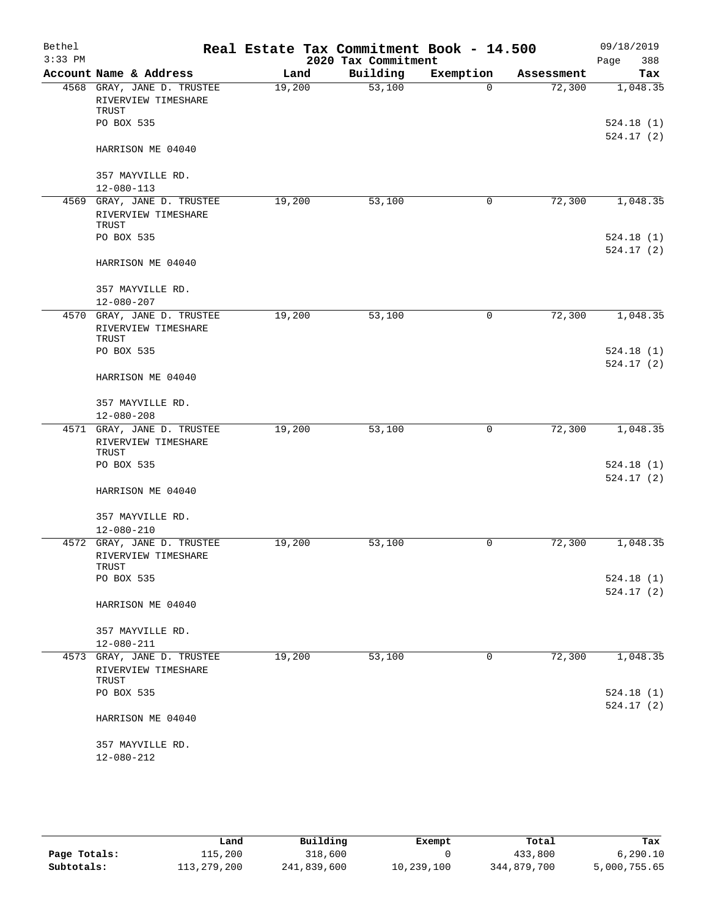| Bethel    |                                                            |                | Real Estate Tax Commitment Book - 14.500 |             |                      | 09/18/2019             |
|-----------|------------------------------------------------------------|----------------|------------------------------------------|-------------|----------------------|------------------------|
| $3:33$ PM | Account Name & Address                                     |                | 2020 Tax Commitment<br>Building          | Exemption   |                      | Page<br>388<br>Tax     |
|           | 4568 GRAY, JANE D. TRUSTEE                                 | Land<br>19,200 | 53,100                                   | $\Omega$    | Assessment<br>72,300 | 1,048.35               |
|           | RIVERVIEW TIMESHARE<br>TRUST                               |                |                                          |             |                      |                        |
|           | PO BOX 535                                                 |                |                                          |             |                      | 524.18(1)<br>524.17(2) |
|           | HARRISON ME 04040                                          |                |                                          |             |                      |                        |
|           | 357 MAYVILLE RD.                                           |                |                                          |             |                      |                        |
|           | $12 - 080 - 113$                                           |                |                                          |             |                      |                        |
|           | 4569 GRAY, JANE D. TRUSTEE<br>RIVERVIEW TIMESHARE<br>TRUST | 19,200         | 53,100                                   | 0           | 72,300               | 1,048.35               |
|           | PO BOX 535                                                 |                |                                          |             |                      | 524.18(1)<br>524.17(2) |
|           | HARRISON ME 04040                                          |                |                                          |             |                      |                        |
|           | 357 MAYVILLE RD.<br>$12 - 080 - 207$                       |                |                                          |             |                      |                        |
|           | 4570 GRAY, JANE D. TRUSTEE                                 | 19,200         | 53,100                                   | 0           | 72,300               | 1,048.35               |
|           | RIVERVIEW TIMESHARE<br>TRUST                               |                |                                          |             |                      |                        |
|           | PO BOX 535                                                 |                |                                          |             |                      | 524.18(1)<br>524.17(2) |
|           | HARRISON ME 04040                                          |                |                                          |             |                      |                        |
|           | 357 MAYVILLE RD.<br>$12 - 080 - 208$                       |                |                                          |             |                      |                        |
|           | 4571 GRAY, JANE D. TRUSTEE                                 | 19,200         | 53,100                                   | 0           | 72,300               | 1,048.35               |
|           | RIVERVIEW TIMESHARE<br>TRUST                               |                |                                          |             |                      |                        |
|           | PO BOX 535                                                 |                |                                          |             |                      | 524.18(1)<br>524.17(2) |
|           | HARRISON ME 04040                                          |                |                                          |             |                      |                        |
|           | 357 MAYVILLE RD.                                           |                |                                          |             |                      |                        |
|           | $12 - 080 - 210$                                           |                |                                          |             |                      |                        |
|           | 4572 GRAY, JANE D. TRUSTEE<br>RIVERVIEW TIMESHARE<br>TRUST | 19,200         | 53,100                                   | 0           | 72,300               | 1,048.35               |
|           | PO BOX 535                                                 |                |                                          |             |                      | 524.18(1)<br>524.17(2) |
|           | HARRISON ME 04040                                          |                |                                          |             |                      |                        |
|           | 357 MAYVILLE RD.<br>$12 - 080 - 211$                       |                |                                          |             |                      |                        |
|           | 4573 GRAY, JANE D. TRUSTEE                                 | 19,200         | 53,100                                   | $\mathbf 0$ | 72,300               | 1,048.35               |
|           | RIVERVIEW TIMESHARE<br>TRUST                               |                |                                          |             |                      |                        |
|           | PO BOX 535                                                 |                |                                          |             |                      | 524.18(1)              |
|           | HARRISON ME 04040                                          |                |                                          |             |                      | 524.17(2)              |
|           | 357 MAYVILLE RD.                                           |                |                                          |             |                      |                        |
|           | 12-080-212                                                 |                |                                          |             |                      |                        |

|              | Land        | Building    | Exempt     | Total       | Tax          |
|--------------|-------------|-------------|------------|-------------|--------------|
| Page Totals: | 115,200     | 318,600     |            | 433,800     | 6, 290.10    |
| Subtotals:   | 113,279,200 | 241,839,600 | 10,239,100 | 344,879,700 | 5,000,755.65 |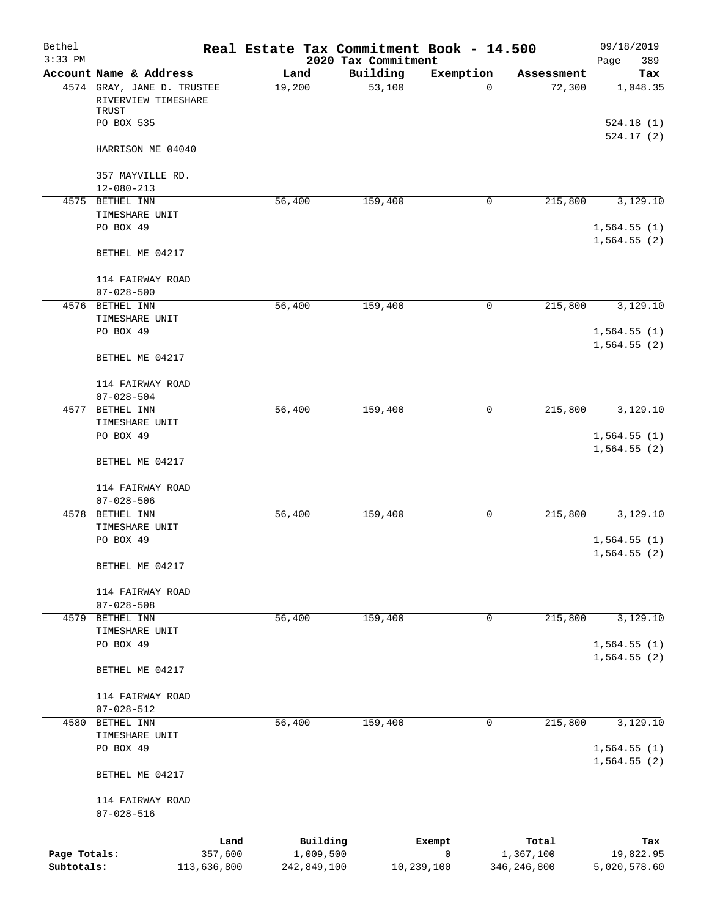| Bethel<br>$3:33$ PM |                                                            |             | Real Estate Tax Commitment Book - 14.500 | 2020 Tax Commitment |           |               | 09/18/2019<br>Page<br>389  |
|---------------------|------------------------------------------------------------|-------------|------------------------------------------|---------------------|-----------|---------------|----------------------------|
|                     | Account Name & Address                                     |             | Land                                     | Building            | Exemption | Assessment    | Tax                        |
|                     | 4574 GRAY, JANE D. TRUSTEE<br>RIVERVIEW TIMESHARE<br>TRUST |             | 19,200                                   | 53,100              | $\Omega$  | 72,300        | 1,048.35                   |
|                     | PO BOX 535                                                 |             |                                          |                     |           |               | 524.18(1)                  |
|                     | HARRISON ME 04040                                          |             |                                          |                     |           |               | 524.17(2)                  |
|                     | 357 MAYVILLE RD.<br>$12 - 080 - 213$                       |             |                                          |                     |           |               |                            |
|                     | 4575 BETHEL INN                                            |             | 56,400                                   | 159,400             | 0         | 215,800       | 3,129.10                   |
|                     | TIMESHARE UNIT                                             |             |                                          |                     |           |               |                            |
|                     | PO BOX 49                                                  |             |                                          |                     |           |               | 1,564.55(1)<br>1,564.55(2) |
|                     | BETHEL ME 04217                                            |             |                                          |                     |           |               |                            |
|                     | 114 FAIRWAY ROAD<br>$07 - 028 - 500$                       |             |                                          |                     |           |               |                            |
|                     | 4576 BETHEL INN                                            |             | 56,400                                   | 159,400             | 0         | 215,800       | 3,129.10                   |
|                     | TIMESHARE UNIT                                             |             |                                          |                     |           |               |                            |
|                     | PO BOX 49                                                  |             |                                          |                     |           |               | 1,564.55(1)                |
|                     | BETHEL ME 04217                                            |             |                                          |                     |           |               | 1,564.55(2)                |
|                     | 114 FAIRWAY ROAD<br>$07 - 028 - 504$                       |             |                                          |                     |           |               |                            |
|                     | 4577 BETHEL INN                                            |             | 56,400                                   | 159,400             | 0         | 215,800       | 3,129.10                   |
|                     | TIMESHARE UNIT                                             |             |                                          |                     |           |               |                            |
|                     | PO BOX 49                                                  |             |                                          |                     |           |               | 1,564.55(1)<br>1,564.55(2) |
|                     | BETHEL ME 04217                                            |             |                                          |                     |           |               |                            |
|                     | 114 FAIRWAY ROAD<br>$07 - 028 - 506$                       |             |                                          |                     |           |               |                            |
|                     | 4578 BETHEL INN                                            |             | 56,400                                   | 159,400             | 0         | 215,800       | 3,129.10                   |
|                     | TIMESHARE UNIT                                             |             |                                          |                     |           |               |                            |
|                     | PO BOX 49                                                  |             |                                          |                     |           |               | 1,564.55(1)<br>1,564.55(2) |
|                     | BETHEL ME 04217                                            |             |                                          |                     |           |               |                            |
|                     | 114 FAIRWAY ROAD                                           |             |                                          |                     |           |               |                            |
|                     | $07 - 028 - 508$                                           |             |                                          |                     |           |               |                            |
|                     | 4579 BETHEL INN                                            |             | 56,400                                   | 159,400             | 0         | 215,800       | 3,129.10                   |
|                     | TIMESHARE UNIT<br>PO BOX 49                                |             |                                          |                     |           |               | 1,564.55(1)                |
|                     | BETHEL ME 04217                                            |             |                                          |                     |           |               | 1,564.55(2)                |
|                     | 114 FAIRWAY ROAD                                           |             |                                          |                     |           |               |                            |
|                     | $07 - 028 - 512$                                           |             |                                          |                     |           |               |                            |
|                     | 4580 BETHEL INN<br>TIMESHARE UNIT                          |             | 56,400                                   | 159,400             | 0         | 215,800       | 3,129.10                   |
|                     | PO BOX 49                                                  |             |                                          |                     |           |               | 1,564.55(1)                |
|                     | BETHEL ME 04217                                            |             |                                          |                     |           |               | 1,564.55(2)                |
|                     | 114 FAIRWAY ROAD                                           |             |                                          |                     |           |               |                            |
|                     | $07 - 028 - 516$                                           |             |                                          |                     |           |               |                            |
|                     |                                                            | Land        | Building                                 |                     | Exempt    | Total         | Tax                        |
| Page Totals:        |                                                            | 357,600     | 1,009,500                                |                     | 0         | 1,367,100     | 19,822.95                  |
| Subtotals:          |                                                            | 113,636,800 | 242,849,100                              | 10,239,100          |           | 346, 246, 800 | 5,020,578.60               |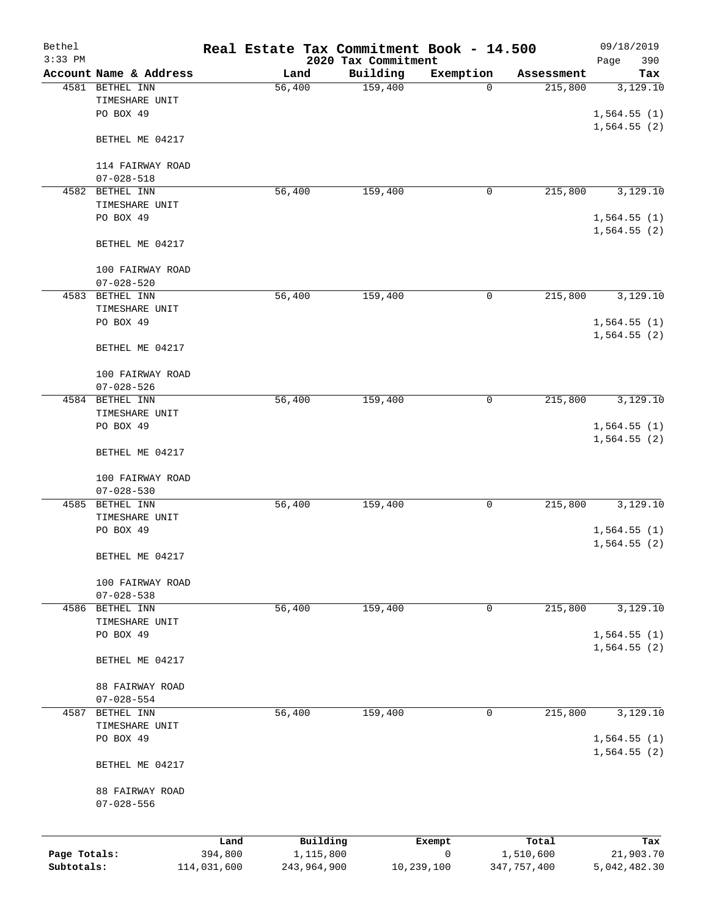| Bethel                     |                                |                        | Real Estate Tax Commitment Book - 14.500 |                                 |                           |                            | 09/18/2019                 |
|----------------------------|--------------------------------|------------------------|------------------------------------------|---------------------------------|---------------------------|----------------------------|----------------------------|
| $3:33$ PM                  | Account Name & Address         |                        | Land                                     | 2020 Tax Commitment<br>Building | Exemption                 | Assessment                 | 390<br>Page<br>Tax         |
| 4581                       | BETHEL INN                     |                        | 56,400                                   | 159,400                         | 0                         | 215,800                    | 3,129.10                   |
|                            | TIMESHARE UNIT                 |                        |                                          |                                 |                           |                            |                            |
|                            | PO BOX 49                      |                        |                                          |                                 |                           |                            | 1,564.55(1)                |
|                            |                                |                        |                                          |                                 |                           |                            | 1,564.55(2)                |
|                            | BETHEL ME 04217                |                        |                                          |                                 |                           |                            |                            |
|                            | 114 FAIRWAY ROAD               |                        |                                          |                                 |                           |                            |                            |
|                            | $07 - 028 - 518$               |                        |                                          |                                 |                           |                            |                            |
| 4582                       | BETHEL INN                     |                        | 56,400                                   | 159,400                         | 0                         | 215,800                    | 3,129.10                   |
|                            | TIMESHARE UNIT                 |                        |                                          |                                 |                           |                            |                            |
|                            | PO BOX 49                      |                        |                                          |                                 |                           |                            | 1,564.55(1)                |
|                            | BETHEL ME 04217                |                        |                                          |                                 |                           |                            | 1,564.55(2)                |
|                            | 100 FAIRWAY ROAD               |                        |                                          |                                 |                           |                            |                            |
|                            | $07 - 028 - 520$               |                        |                                          |                                 |                           |                            |                            |
| 4583                       | BETHEL INN                     |                        | 56,400                                   | 159,400                         | 0                         | 215,800                    | 3,129.10                   |
|                            | TIMESHARE UNIT                 |                        |                                          |                                 |                           |                            |                            |
|                            | PO BOX 49                      |                        |                                          |                                 |                           |                            | 1,564.55(1)                |
|                            |                                |                        |                                          |                                 |                           |                            | 1,564.55(2)                |
|                            | BETHEL ME 04217                |                        |                                          |                                 |                           |                            |                            |
|                            | 100 FAIRWAY ROAD               |                        |                                          |                                 |                           |                            |                            |
|                            | $07 - 028 - 526$               |                        |                                          |                                 |                           |                            |                            |
| 4584                       | BETHEL INN                     |                        | 56,400                                   | 159,400                         | 0                         | 215,800                    | 3,129.10                   |
|                            | TIMESHARE UNIT                 |                        |                                          |                                 |                           |                            |                            |
|                            | PO BOX 49                      |                        |                                          |                                 |                           |                            | 1,564.55(1)                |
|                            |                                |                        |                                          |                                 |                           |                            | 1,564.55(2)                |
|                            | BETHEL ME 04217                |                        |                                          |                                 |                           |                            |                            |
|                            | 100 FAIRWAY ROAD               |                        |                                          |                                 |                           |                            |                            |
|                            | $07 - 028 - 530$               |                        |                                          |                                 |                           |                            |                            |
| 4585                       | BETHEL INN                     |                        | 56,400                                   | 159,400                         | 0                         | 215,800                    | 3,129.10                   |
|                            | TIMESHARE UNIT                 |                        |                                          |                                 |                           |                            |                            |
|                            | PO BOX 49                      |                        |                                          |                                 |                           |                            | 1,564.55(1)                |
|                            | BETHEL ME 04217                |                        |                                          |                                 |                           |                            | 1,564.55(2)                |
|                            |                                |                        |                                          |                                 |                           |                            |                            |
|                            | 100 FAIRWAY ROAD               |                        |                                          |                                 |                           |                            |                            |
|                            | $07 - 028 - 538$               |                        |                                          |                                 |                           |                            |                            |
| 4586                       | BETHEL INN                     |                        | 56,400                                   | 159,400                         | $\mathsf{O}$              | 215,800                    | 3,129.10                   |
|                            | TIMESHARE UNIT                 |                        |                                          |                                 |                           |                            |                            |
|                            | PO BOX 49                      |                        |                                          |                                 |                           |                            | 1,564.55(1)<br>1,564.55(2) |
|                            | BETHEL ME 04217                |                        |                                          |                                 |                           |                            |                            |
|                            |                                |                        |                                          |                                 |                           |                            |                            |
|                            | 88 FAIRWAY ROAD                |                        |                                          |                                 |                           |                            |                            |
| 4587                       | $07 - 028 - 554$<br>BETHEL INN |                        | 56,400                                   | 159,400                         | 0                         | 215,800                    | 3,129.10                   |
|                            | TIMESHARE UNIT                 |                        |                                          |                                 |                           |                            |                            |
|                            | PO BOX 49                      |                        |                                          |                                 |                           |                            | 1,564.55(1)                |
|                            |                                |                        |                                          |                                 |                           |                            | 1,564.55(2)                |
|                            | BETHEL ME 04217                |                        |                                          |                                 |                           |                            |                            |
|                            | 88 FAIRWAY ROAD                |                        |                                          |                                 |                           |                            |                            |
|                            | $07 - 028 - 556$               |                        |                                          |                                 |                           |                            |                            |
|                            |                                |                        |                                          |                                 |                           |                            |                            |
|                            |                                | Land                   | Building                                 |                                 | Exempt                    | Total                      | Tax                        |
| Page Totals:<br>Subtotals: |                                | 394,800<br>114,031,600 | 1,115,800<br>243,964,900                 |                                 | $\mathbf 0$<br>10,239,100 | 1,510,600<br>347, 757, 400 | 21,903.70<br>5,042,482.30  |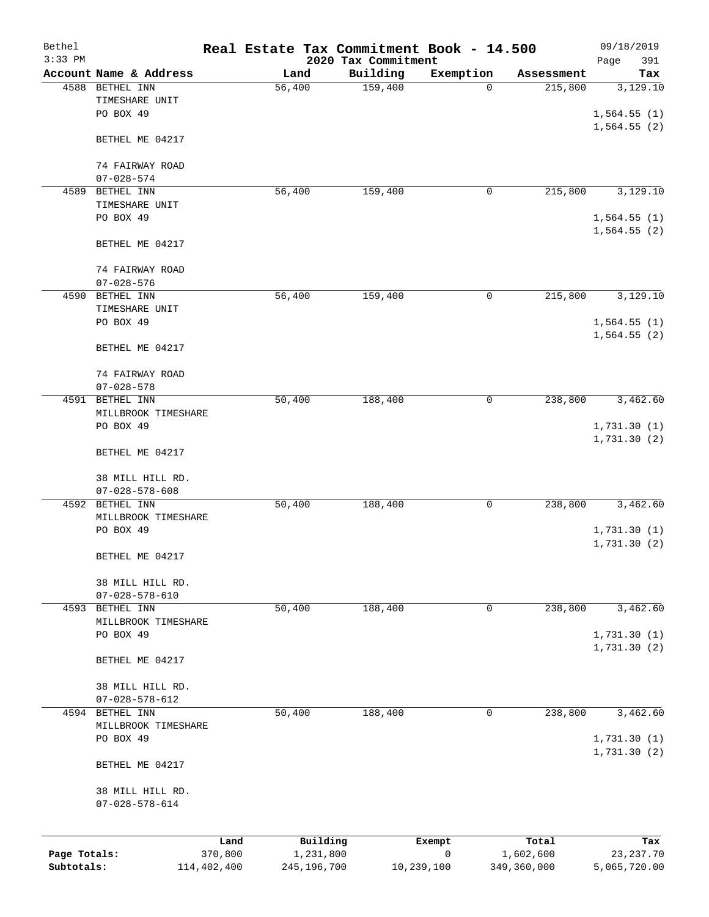| Bethel<br>$3:33$ PM |                                            |             | Real Estate Tax Commitment Book - 14.500 |                                 |            |             | 09/18/2019                  |
|---------------------|--------------------------------------------|-------------|------------------------------------------|---------------------------------|------------|-------------|-----------------------------|
|                     | Account Name & Address                     |             | Land                                     | 2020 Tax Commitment<br>Building | Exemption  | Assessment  | 391<br>Page<br>Tax          |
|                     | 4588 BETHEL INN                            |             | 56,400                                   | 159,400                         | 0          | 215,800     | 3,129.10                    |
|                     | TIMESHARE UNIT                             |             |                                          |                                 |            |             |                             |
|                     | PO BOX 49                                  |             |                                          |                                 |            |             | 1,564.55(1)                 |
|                     | BETHEL ME 04217                            |             |                                          |                                 |            |             | 1,564.55(2)                 |
|                     | 74 FAIRWAY ROAD                            |             |                                          |                                 |            |             |                             |
|                     | $07 - 028 - 574$                           |             |                                          |                                 |            |             |                             |
| 4589                | BETHEL INN                                 |             | 56,400                                   | 159,400                         | 0          | 215,800     | 3,129.10                    |
|                     | TIMESHARE UNIT                             |             |                                          |                                 |            |             |                             |
|                     | PO BOX 49                                  |             |                                          |                                 |            |             | 1,564.55(1)                 |
|                     | BETHEL ME 04217                            |             |                                          |                                 |            |             | 1,564.55(2)                 |
|                     | 74 FAIRWAY ROAD                            |             |                                          |                                 |            |             |                             |
|                     | $07 - 028 - 576$                           |             |                                          |                                 |            |             |                             |
|                     | 4590 BETHEL INN                            |             | 56,400                                   | 159,400                         | 0          | 215,800     | 3,129.10                    |
|                     | TIMESHARE UNIT                             |             |                                          |                                 |            |             |                             |
|                     | PO BOX 49                                  |             |                                          |                                 |            |             | 1,564.55(1)                 |
|                     | BETHEL ME 04217                            |             |                                          |                                 |            |             | 1,564.55(2)                 |
|                     | 74 FAIRWAY ROAD                            |             |                                          |                                 |            |             |                             |
|                     | $07 - 028 - 578$                           |             |                                          |                                 |            |             |                             |
| 4591                | BETHEL INN                                 |             | 50,400                                   | 188,400                         | 0          | 238,800     | 3,462.60                    |
|                     | MILLBROOK TIMESHARE                        |             |                                          |                                 |            |             |                             |
|                     | PO BOX 49                                  |             |                                          |                                 |            |             | 1,731.30(1)                 |
|                     | BETHEL ME 04217                            |             |                                          |                                 |            |             | 1,731.30(2)                 |
|                     | 38 MILL HILL RD.                           |             |                                          |                                 |            |             |                             |
|                     | $07 - 028 - 578 - 608$                     |             |                                          |                                 |            |             |                             |
| 4592                | BETHEL INN                                 |             | 50,400                                   | 188,400                         | 0          | 238,800     | 3,462.60                    |
|                     | MILLBROOK TIMESHARE                        |             |                                          |                                 |            |             |                             |
|                     | PO BOX 49                                  |             |                                          |                                 |            |             | 1,731.30(1)                 |
|                     | BETHEL ME 04217                            |             |                                          |                                 |            |             | 1,731.30(2)                 |
|                     | 38 MILL HILL RD.                           |             |                                          |                                 |            |             |                             |
|                     | $07 - 028 - 578 - 610$                     |             |                                          |                                 |            |             |                             |
|                     | 4593 BETHEL INN                            |             | 50,400                                   | 188,400                         | 0          | 238,800     | 3,462.60                    |
|                     | MILLBROOK TIMESHARE                        |             |                                          |                                 |            |             |                             |
|                     | PO BOX 49                                  |             |                                          |                                 |            |             | 1,731.30(1)<br>1,731.30 (2) |
|                     | BETHEL ME 04217                            |             |                                          |                                 |            |             |                             |
|                     | 38 MILL HILL RD.                           |             |                                          |                                 |            |             |                             |
|                     | $07 - 028 - 578 - 612$                     |             |                                          |                                 |            |             |                             |
|                     | 4594 BETHEL INN                            |             | 50,400                                   | 188,400                         | 0          | 238,800     | 3,462.60                    |
|                     | MILLBROOK TIMESHARE                        |             |                                          |                                 |            |             |                             |
|                     | PO BOX 49                                  |             |                                          |                                 |            |             | 1,731.30(1)<br>1,731.30 (2) |
|                     | BETHEL ME 04217                            |             |                                          |                                 |            |             |                             |
|                     | 38 MILL HILL RD.<br>$07 - 028 - 578 - 614$ |             |                                          |                                 |            |             |                             |
|                     |                                            | Land        | Building                                 |                                 | Exempt     | Total       | Tax                         |
| Page Totals:        |                                            | 370,800     | 1,231,800                                |                                 | 0          | 1,602,600   | 23, 237. 70                 |
| Subtotals:          |                                            | 114,402,400 | 245,196,700                              |                                 | 10,239,100 | 349,360,000 | 5,065,720.00                |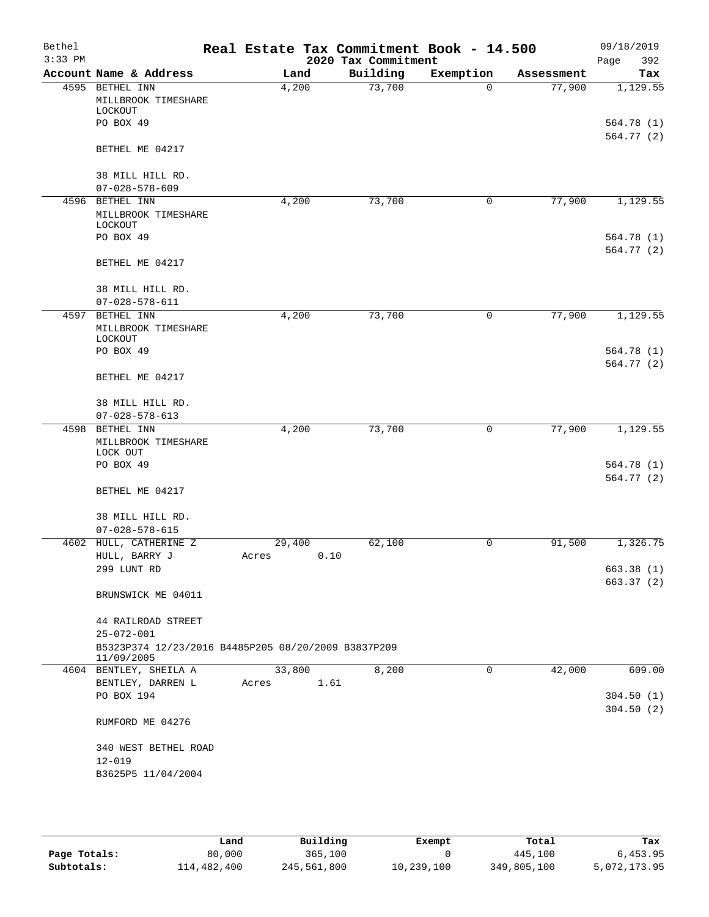| Bethel<br>$3:33$ PM |                                                                                       | Real Estate Tax Commitment Book - 14.500 | 2020 Tax Commitment |              |            | 09/18/2019<br>Page<br>392 |
|---------------------|---------------------------------------------------------------------------------------|------------------------------------------|---------------------|--------------|------------|---------------------------|
|                     | Account Name & Address                                                                | Land                                     | Building            | Exemption    | Assessment | Tax                       |
| 4595                | BETHEL INN<br>MILLBROOK TIMESHARE                                                     | 4,200                                    | 73,700              | $\Omega$     | 77,900     | 1,129.55                  |
|                     | LOCKOUT<br>PO BOX 49                                                                  |                                          |                     |              |            | 564.78(1)                 |
|                     | BETHEL ME 04217                                                                       |                                          |                     |              |            | 564.77(2)                 |
|                     | 38 MILL HILL RD.<br>$07 - 028 - 578 - 609$                                            |                                          |                     |              |            |                           |
|                     | 4596 BETHEL INN                                                                       | 4,200                                    | 73,700              | 0            | 77,900     | 1,129.55                  |
|                     | MILLBROOK TIMESHARE<br>LOCKOUT                                                        |                                          |                     |              |            |                           |
|                     | PO BOX 49                                                                             |                                          |                     |              |            | 564.78 (1)<br>564.77(2)   |
|                     | BETHEL ME 04217                                                                       |                                          |                     |              |            |                           |
|                     | 38 MILL HILL RD.                                                                      |                                          |                     |              |            |                           |
|                     | $07 - 028 - 578 - 611$                                                                |                                          |                     |              |            |                           |
| 4597                | BETHEL INN<br>MILLBROOK TIMESHARE<br>LOCKOUT                                          | 4,200                                    | 73,700              | $\mathsf{O}$ | 77,900     | 1,129.55                  |
|                     | PO BOX 49                                                                             |                                          |                     |              |            | 564.78 (1)                |
|                     | BETHEL ME 04217                                                                       |                                          |                     |              |            | 564.77(2)                 |
|                     | 38 MILL HILL RD.                                                                      |                                          |                     |              |            |                           |
|                     | $07 - 028 - 578 - 613$                                                                |                                          |                     |              |            |                           |
|                     | 4598 BETHEL INN<br>MILLBROOK TIMESHARE<br>LOCK OUT                                    | 4,200                                    | 73,700              | 0            | 77,900     | 1,129.55                  |
|                     | PO BOX 49                                                                             |                                          |                     |              |            | 564.78 (1)<br>564.77(2)   |
|                     | BETHEL ME 04217                                                                       |                                          |                     |              |            |                           |
|                     | 38 MILL HILL RD.                                                                      |                                          |                     |              |            |                           |
| 4602                | $07 - 028 - 578 - 615$<br>HULL, CATHERINE Z                                           | 29,400                                   | 62,100              | 0            | 91,500     | 1,326.75                  |
|                     | HULL, BARRY J                                                                         | 0.10<br>Acres                            |                     |              |            |                           |
|                     | 299 LUNT RD                                                                           |                                          |                     |              |            | 663.38 (1)<br>663.37(2)   |
|                     | BRUNSWICK ME 04011                                                                    |                                          |                     |              |            |                           |
|                     | 44 RAILROAD STREET                                                                    |                                          |                     |              |            |                           |
|                     | $25 - 072 - 001$<br>B5323P374 12/23/2016 B4485P205 08/20/2009 B3837P209<br>11/09/2005 |                                          |                     |              |            |                           |
|                     | 4604 BENTLEY, SHEILA A                                                                | 33,800                                   | 8,200               | 0            | 42,000     | 609.00                    |
|                     | BENTLEY, DARREN L                                                                     | 1.61<br>Acres                            |                     |              |            |                           |
|                     | PO BOX 194                                                                            |                                          |                     |              |            | 304.50(1)<br>304.50(2)    |
|                     | RUMFORD ME 04276                                                                      |                                          |                     |              |            |                           |
|                     | 340 WEST BETHEL ROAD                                                                  |                                          |                     |              |            |                           |
|                     | $12 - 019$                                                                            |                                          |                     |              |            |                           |
|                     | B3625P5 11/04/2004                                                                    |                                          |                     |              |            |                           |

|              | Land        | Building    | Exempt     | Total       | Tax          |
|--------------|-------------|-------------|------------|-------------|--------------|
| Page Totals: | 80,000      | 365,100     |            | 445,100     | 6,453.95     |
| Subtotals:   | 114,482,400 | 245,561,800 | 10,239,100 | 349,805,100 | 5,072,173.95 |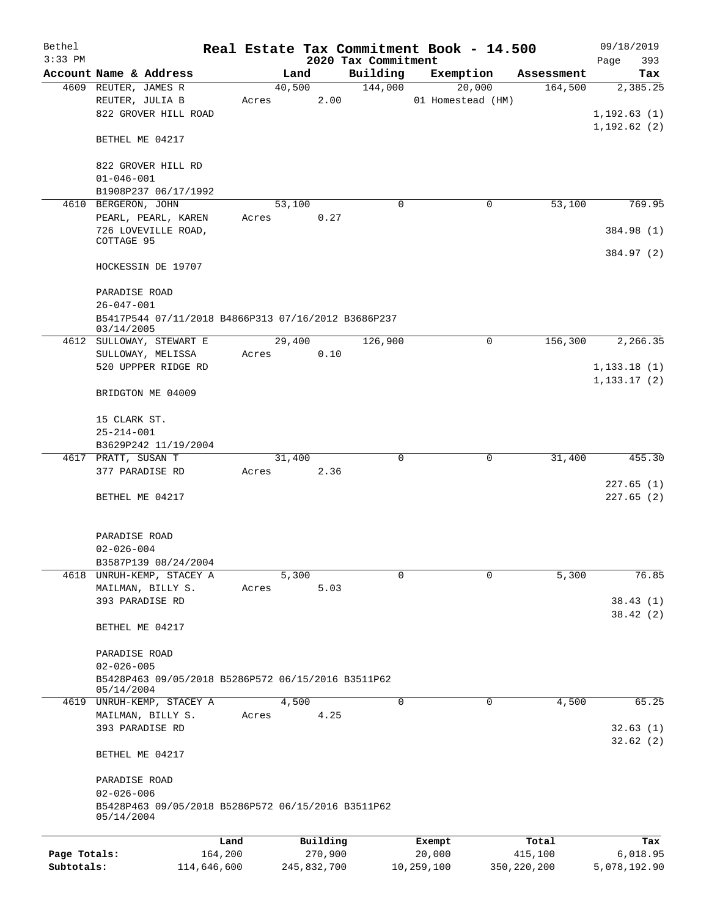| Bethel       |                                                     |         |        |          |                     |          | Real Estate Tax Commitment Book - 14.500 |            | 09/18/2019   |
|--------------|-----------------------------------------------------|---------|--------|----------|---------------------|----------|------------------------------------------|------------|--------------|
| $3:33$ PM    |                                                     |         |        |          | 2020 Tax Commitment |          |                                          |            | Page<br>393  |
|              | Account Name & Address                              |         | Land   |          | Building            |          | Exemption                                | Assessment | Tax          |
|              | 4609 REUTER, JAMES R                                |         | 40,500 |          | 144,000             |          | 20,000                                   | 164,500    | 2,385.25     |
|              | REUTER, JULIA B                                     | Acres   |        | 2.00     |                     |          | 01 Homestead (HM)                        |            |              |
|              | 822 GROVER HILL ROAD                                |         |        |          |                     |          |                                          |            | 1, 192.63(1) |
|              |                                                     |         |        |          |                     |          |                                          |            | 1, 192.62(2) |
|              | BETHEL ME 04217                                     |         |        |          |                     |          |                                          |            |              |
|              |                                                     |         |        |          |                     |          |                                          |            |              |
|              | 822 GROVER HILL RD                                  |         |        |          |                     |          |                                          |            |              |
|              | $01 - 046 - 001$                                    |         |        |          |                     |          |                                          |            |              |
|              | B1908P237 06/17/1992                                |         |        |          |                     |          |                                          |            |              |
|              | 4610 BERGERON, JOHN                                 |         | 53,100 |          |                     | $\Omega$ | 0                                        | 53,100     | 769.95       |
|              | PEARL, PEARL, KAREN                                 | Acres   |        | 0.27     |                     |          |                                          |            |              |
|              | 726 LOVEVILLE ROAD,                                 |         |        |          |                     |          |                                          |            | 384.98 (1)   |
|              | COTTAGE 95                                          |         |        |          |                     |          |                                          |            |              |
|              |                                                     |         |        |          |                     |          |                                          |            | 384.97 (2)   |
|              | HOCKESSIN DE 19707                                  |         |        |          |                     |          |                                          |            |              |
|              |                                                     |         |        |          |                     |          |                                          |            |              |
|              | PARADISE ROAD                                       |         |        |          |                     |          |                                          |            |              |
|              | $26 - 047 - 001$                                    |         |        |          |                     |          |                                          |            |              |
|              | B5417P544 07/11/2018 B4866P313 07/16/2012 B3686P237 |         |        |          |                     |          |                                          |            |              |
|              | 03/14/2005                                          |         |        |          |                     |          |                                          |            |              |
|              | 4612 SULLOWAY, STEWART E                            |         | 29,400 |          | 126,900             |          | 0                                        | 156,300    | 2,266.35     |
|              | SULLOWAY, MELISSA                                   | Acres   |        | 0.10     |                     |          |                                          |            |              |
|              | 520 UPPPER RIDGE RD                                 |         |        |          |                     |          |                                          |            | 1, 133.18(1) |
|              |                                                     |         |        |          |                     |          |                                          |            | 1, 133.17(2) |
|              | BRIDGTON ME 04009                                   |         |        |          |                     |          |                                          |            |              |
|              |                                                     |         |        |          |                     |          |                                          |            |              |
|              | 15 CLARK ST.                                        |         |        |          |                     |          |                                          |            |              |
|              | $25 - 214 - 001$                                    |         |        |          |                     |          |                                          |            |              |
|              | B3629P242 11/19/2004                                |         |        |          |                     |          |                                          |            |              |
|              | 4617 PRATT, SUSAN T                                 |         | 31,400 |          |                     | 0        | $\mathbf 0$                              | 31,400     | 455.30       |
|              | 377 PARADISE RD                                     | Acres   |        | 2.36     |                     |          |                                          |            |              |
|              |                                                     |         |        |          |                     |          |                                          |            | 227.65(1)    |
|              | BETHEL ME 04217                                     |         |        |          |                     |          |                                          |            | 227.65(2)    |
|              |                                                     |         |        |          |                     |          |                                          |            |              |
|              |                                                     |         |        |          |                     |          |                                          |            |              |
|              |                                                     |         |        |          |                     |          |                                          |            |              |
|              | PARADISE ROAD                                       |         |        |          |                     |          |                                          |            |              |
|              | $02 - 026 - 004$                                    |         |        |          |                     |          |                                          |            |              |
|              | B3587P139 08/24/2004                                |         |        |          |                     |          |                                          |            |              |
|              | 4618 UNRUH-KEMP, STACEY A                           |         | 5,300  |          |                     | 0        | $\Omega$                                 | 5,300      | 76.85        |
|              | MAILMAN, BILLY S.                                   | Acres   |        | 5.03     |                     |          |                                          |            |              |
|              | 393 PARADISE RD                                     |         |        |          |                     |          |                                          |            | 38.43(1)     |
|              |                                                     |         |        |          |                     |          |                                          |            | 38.42(2)     |
|              | BETHEL ME 04217                                     |         |        |          |                     |          |                                          |            |              |
|              |                                                     |         |        |          |                     |          |                                          |            |              |
|              | PARADISE ROAD                                       |         |        |          |                     |          |                                          |            |              |
|              | $02 - 026 - 005$                                    |         |        |          |                     |          |                                          |            |              |
|              | B5428P463 09/05/2018 B5286P572 06/15/2016 B3511P62  |         |        |          |                     |          |                                          |            |              |
|              | 05/14/2004                                          |         |        |          |                     |          |                                          |            |              |
|              | 4619 UNRUH-KEMP, STACEY A                           |         | 4,500  |          |                     | 0        | 0                                        | 4,500      | 65.25        |
|              | MAILMAN, BILLY S.                                   | Acres   |        | 4.25     |                     |          |                                          |            |              |
|              | 393 PARADISE RD                                     |         |        |          |                     |          |                                          |            | 32.63(1)     |
|              |                                                     |         |        |          |                     |          |                                          |            | 32.62(2)     |
|              | BETHEL ME 04217                                     |         |        |          |                     |          |                                          |            |              |
|              |                                                     |         |        |          |                     |          |                                          |            |              |
|              | PARADISE ROAD                                       |         |        |          |                     |          |                                          |            |              |
|              | $02 - 026 - 006$                                    |         |        |          |                     |          |                                          |            |              |
|              | B5428P463 09/05/2018 B5286P572 06/15/2016 B3511P62  |         |        |          |                     |          |                                          |            |              |
|              | 05/14/2004                                          |         |        |          |                     |          |                                          |            |              |
|              |                                                     |         |        |          |                     |          |                                          |            |              |
|              |                                                     | Land    |        | Building |                     |          | Exempt                                   | Total      | Tax          |
| Page Totals: |                                                     | 164,200 |        | 270,900  |                     |          | 20,000                                   | 415,100    | 6,018.95     |

**Subtotals:** 114,646,600 245,832,700 10,259,100 350,220,200 5,078,192.90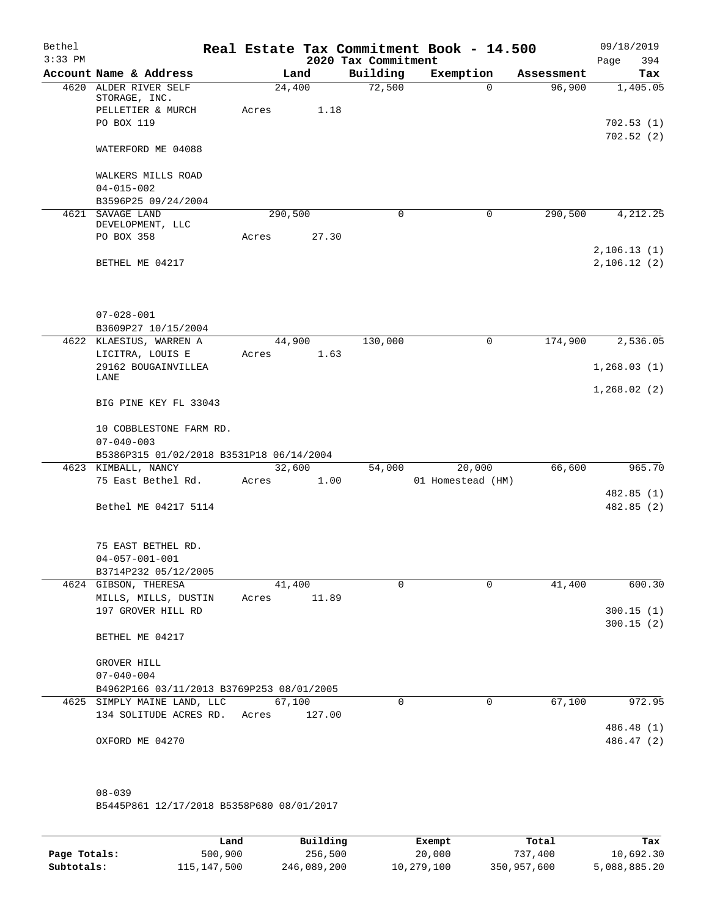| Bethel<br>$3:33$ PM |                                              |                 |        | 2020 Tax Commitment | Real Estate Tax Commitment Book - 14.500 |            | 09/18/2019<br>394<br>Page |
|---------------------|----------------------------------------------|-----------------|--------|---------------------|------------------------------------------|------------|---------------------------|
|                     | Account Name & Address                       |                 | Land   | Building            | Exemption                                | Assessment | Tax                       |
|                     | 4620 ALDER RIVER SELF                        | 24,400          |        | 72,500              | $\Omega$                                 | 96,900     | 1,405.05                  |
|                     | STORAGE, INC.                                |                 |        |                     |                                          |            |                           |
|                     | PELLETIER & MURCH<br>PO BOX 119              | Acres           | 1.18   |                     |                                          |            | 702.53(1)                 |
|                     |                                              |                 |        |                     |                                          |            | 702.52(2)                 |
|                     | WATERFORD ME 04088                           |                 |        |                     |                                          |            |                           |
|                     | WALKERS MILLS ROAD                           |                 |        |                     |                                          |            |                           |
|                     | $04 - 015 - 002$                             |                 |        |                     |                                          |            |                           |
|                     | B3596P25 09/24/2004                          |                 |        |                     |                                          |            |                           |
|                     | 4621 SAVAGE LAND<br>DEVELOPMENT, LLC         | 290,500         |        | $\Omega$            | 0                                        | 290,500    | 4,212.25                  |
|                     | PO BOX 358                                   | Acres           | 27.30  |                     |                                          |            |                           |
|                     |                                              |                 |        |                     |                                          |            | 2, 106.13(1)              |
|                     | BETHEL ME 04217                              |                 |        |                     |                                          |            | 2,106.12(2)               |
|                     |                                              |                 |        |                     |                                          |            |                           |
|                     | $07 - 028 - 001$                             |                 |        |                     |                                          |            |                           |
|                     | B3609P27 10/15/2004                          |                 |        |                     |                                          |            |                           |
|                     | 4622 KLAESIUS, WARREN A                      | 44,900          |        | 130,000             | 0                                        | 174,900    | 2,536.05                  |
|                     | LICITRA, LOUIS E<br>29162 BOUGAINVILLEA      | Acres           | 1.63   |                     |                                          |            | 1,268.03(1)               |
|                     | LANE                                         |                 |        |                     |                                          |            |                           |
|                     | BIG PINE KEY FL 33043                        |                 |        |                     |                                          |            | 1,268.02(2)               |
|                     | 10 COBBLESTONE FARM RD.                      |                 |        |                     |                                          |            |                           |
|                     | $07 - 040 - 003$                             |                 |        |                     |                                          |            |                           |
|                     | B5386P315 01/02/2018 B3531P18 06/14/2004     |                 |        |                     |                                          |            |                           |
|                     | 4623 KIMBALL, NANCY                          | 32,600          |        | 54,000              | 20,000                                   | 66,600     | 965.70                    |
|                     | 75 East Bethel Rd.                           | Acres           | 1.00   |                     | 01 Homestead (HM)                        |            | 482.85 (1)                |
|                     | Bethel ME 04217 5114                         |                 |        |                     |                                          |            | 482.85 (2)                |
|                     |                                              |                 |        |                     |                                          |            |                           |
|                     | 75 EAST BETHEL RD.                           |                 |        |                     |                                          |            |                           |
|                     | $04 - 057 - 001 - 001$                       |                 |        |                     |                                          |            |                           |
|                     | B3714P232 05/12/2005                         |                 |        |                     |                                          |            |                           |
|                     | 4624 GIBSON, THERESA<br>MILLS, MILLS, DUSTIN | 41,400<br>Acres | 11.89  | $\Omega$            | $\Omega$                                 | 41,400     | 600.30                    |
|                     | 197 GROVER HILL RD                           |                 |        |                     |                                          |            | 300.15(1)                 |
|                     |                                              |                 |        |                     |                                          |            | 300.15(2)                 |
|                     | BETHEL ME 04217                              |                 |        |                     |                                          |            |                           |
|                     | GROVER HILL                                  |                 |        |                     |                                          |            |                           |
|                     | $07 - 040 - 004$                             |                 |        |                     |                                          |            |                           |
|                     | B4962P166 03/11/2013 B3769P253 08/01/2005    |                 |        |                     |                                          |            |                           |
|                     | 4625 SIMPLY MAINE LAND, LLC                  | 67,100          |        | 0                   | 0                                        | 67,100     | 972.95                    |
|                     | 134 SOLITUDE ACRES RD.                       | Acres           | 127.00 |                     |                                          |            |                           |
|                     |                                              |                 |        |                     |                                          |            | 486.48 (1)                |
|                     | OXFORD ME 04270                              |                 |        |                     |                                          |            | 486.47 (2)                |
|                     |                                              |                 |        |                     |                                          |            |                           |
|                     | $08 - 039$                                   |                 |        |                     |                                          |            |                           |

B5445P861 12/17/2018 B5358P680 08/01/2017

|              | Land        | Building    | Exempt     | Total       | Tax          |
|--------------|-------------|-------------|------------|-------------|--------------|
| Page Totals: | 500,900     | 256,500     | 20,000     | 737,400     | 10,692.30    |
| Subtotals:   | 115,147,500 | 246,089,200 | 10,279,100 | 350,957,600 | 5,088,885.20 |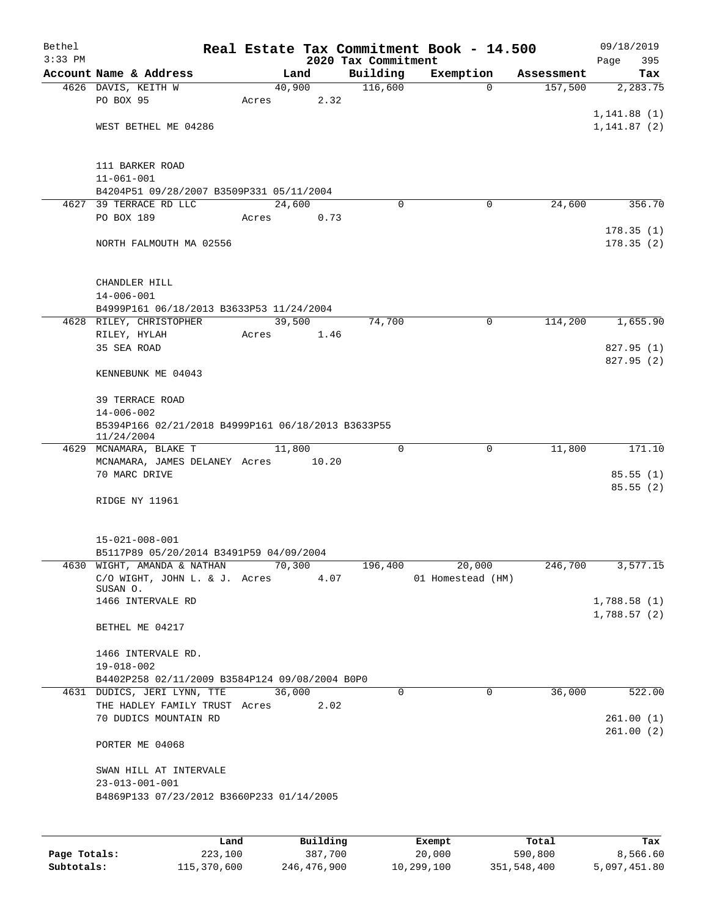| Bethel    |                                                                  |       |                |                     | Real Estate Tax Commitment Book - 14.500 |            | 09/18/2019                 |  |  |
|-----------|------------------------------------------------------------------|-------|----------------|---------------------|------------------------------------------|------------|----------------------------|--|--|
| $3:33$ PM |                                                                  |       |                | 2020 Tax Commitment |                                          |            | Page<br>395                |  |  |
|           | Account Name & Address                                           |       | Land           | Building            | Exemption                                | Assessment | Tax                        |  |  |
|           | 4626 DAVIS, KEITH W<br>PO BOX 95                                 | Acres | 40,900<br>2.32 | 116,600             | $\Omega$                                 | 157,500    | 2,283.75                   |  |  |
|           |                                                                  |       |                |                     |                                          |            | 1, 141.88(1)               |  |  |
|           | WEST BETHEL ME 04286                                             |       |                |                     |                                          |            | 1, 141.87(2)               |  |  |
|           |                                                                  |       |                |                     |                                          |            |                            |  |  |
|           |                                                                  |       |                |                     |                                          |            |                            |  |  |
|           | 111 BARKER ROAD                                                  |       |                |                     |                                          |            |                            |  |  |
|           | $11 - 061 - 001$<br>B4204P51 09/28/2007 B3509P331 05/11/2004     |       |                |                     |                                          |            |                            |  |  |
|           | 4627 39 TERRACE RD LLC                                           |       | 24,600         | $\Omega$            | 0                                        | 24,600     | 356.70                     |  |  |
|           | PO BOX 189                                                       | Acres | 0.73           |                     |                                          |            |                            |  |  |
|           |                                                                  |       |                |                     |                                          |            | 178.35(1)                  |  |  |
|           | NORTH FALMOUTH MA 02556                                          |       |                |                     |                                          |            | 178.35(2)                  |  |  |
|           |                                                                  |       |                |                     |                                          |            |                            |  |  |
|           |                                                                  |       |                |                     |                                          |            |                            |  |  |
|           | CHANDLER HILL                                                    |       |                |                     |                                          |            |                            |  |  |
|           | $14 - 006 - 001$                                                 |       |                |                     |                                          |            |                            |  |  |
|           | B4999P161 06/18/2013 B3633P53 11/24/2004                         |       |                |                     |                                          |            |                            |  |  |
|           | 4628 RILEY, CHRISTOPHER                                          |       | 39,500         | 74,700              | $\mathbf 0$                              | 114,200    | 1,655.90                   |  |  |
|           | RILEY, HYLAH                                                     | Acres | 1.46           |                     |                                          |            |                            |  |  |
|           | 35 SEA ROAD                                                      |       |                |                     |                                          |            | 827.95 (1)                 |  |  |
|           |                                                                  |       |                |                     |                                          |            | 827.95 (2)                 |  |  |
|           | KENNEBUNK ME 04043                                               |       |                |                     |                                          |            |                            |  |  |
|           |                                                                  |       |                |                     |                                          |            |                            |  |  |
|           | <b>39 TERRACE ROAD</b>                                           |       |                |                     |                                          |            |                            |  |  |
|           | $14 - 006 - 002$                                                 |       |                |                     |                                          |            |                            |  |  |
|           | B5394P166 02/21/2018 B4999P161 06/18/2013 B3633P55<br>11/24/2004 |       |                |                     |                                          |            |                            |  |  |
|           | 4629 MCNAMARA, BLAKE T                                           |       | 11,800         | $\Omega$            | 0                                        | 11,800     | 171.10                     |  |  |
|           | MCNAMARA, JAMES DELANEY Acres                                    |       | 10.20          |                     |                                          |            |                            |  |  |
|           | 70 MARC DRIVE                                                    |       |                |                     |                                          |            | 85.55(1)                   |  |  |
|           |                                                                  |       |                |                     |                                          |            | 85.55(2)                   |  |  |
|           | RIDGE NY 11961                                                   |       |                |                     |                                          |            |                            |  |  |
|           |                                                                  |       |                |                     |                                          |            |                            |  |  |
|           |                                                                  |       |                |                     |                                          |            |                            |  |  |
|           | $15 - 021 - 008 - 001$                                           |       |                |                     |                                          |            |                            |  |  |
|           | B5117P89 05/20/2014 B3491P59 04/09/2004                          |       |                |                     |                                          |            |                            |  |  |
|           | 4630 WIGHT, AMANDA & NATHAN 70,300                               |       |                | 196,400             | 20,000                                   | 246,700    | 3,577.15                   |  |  |
|           | C/O WIGHT, JOHN L. & J. Acres                                    |       | 4.07           |                     | 01 Homestead (HM)                        |            |                            |  |  |
|           | SUSAN O.                                                         |       |                |                     |                                          |            |                            |  |  |
|           | 1466 INTERVALE RD                                                |       |                |                     |                                          |            | 1,788.58(1)<br>1,788.57(2) |  |  |
|           | BETHEL ME 04217                                                  |       |                |                     |                                          |            |                            |  |  |
|           |                                                                  |       |                |                     |                                          |            |                            |  |  |
|           | 1466 INTERVALE RD.                                               |       |                |                     |                                          |            |                            |  |  |
|           | 19-018-002                                                       |       |                |                     |                                          |            |                            |  |  |
|           | B4402P258 02/11/2009 B3584P124 09/08/2004 B0P0                   |       |                |                     |                                          |            |                            |  |  |
|           | 4631 DUDICS, JERI LYNN, TTE                                      |       | 36,000         | 0                   | $\mathbf 0$                              | 36,000     | 522.00                     |  |  |
|           | THE HADLEY FAMILY TRUST Acres                                    |       | 2.02           |                     |                                          |            |                            |  |  |
|           | 70 DUDICS MOUNTAIN RD                                            |       |                |                     |                                          |            | 261.00(1)                  |  |  |
|           |                                                                  |       |                |                     |                                          |            | 261.00(2)                  |  |  |
|           | PORTER ME 04068                                                  |       |                |                     |                                          |            |                            |  |  |
|           |                                                                  |       |                |                     |                                          |            |                            |  |  |
|           | SWAN HILL AT INTERVALE                                           |       |                |                     |                                          |            |                            |  |  |
|           | $23 - 013 - 001 - 001$                                           |       |                |                     |                                          |            |                            |  |  |
|           | B4869P133 07/23/2012 B3660P233 01/14/2005                        |       |                |                     |                                          |            |                            |  |  |
|           |                                                                  |       |                |                     |                                          |            |                            |  |  |
|           |                                                                  |       |                |                     |                                          |            |                            |  |  |
|           |                                                                  | Land  | Building       |                     | Exempt                                   | Total      | Tax                        |  |  |

|              | Land        | Building    | Exempt     | Total       | Tax          |
|--------------|-------------|-------------|------------|-------------|--------------|
| Page Totals: | 223,100     | 387,700     | 20,000     | 590,800     | 8,566.60     |
| Subtotals:   | 115,370,600 | 246,476,900 | 10,299,100 | 351,548,400 | 5,097,451.80 |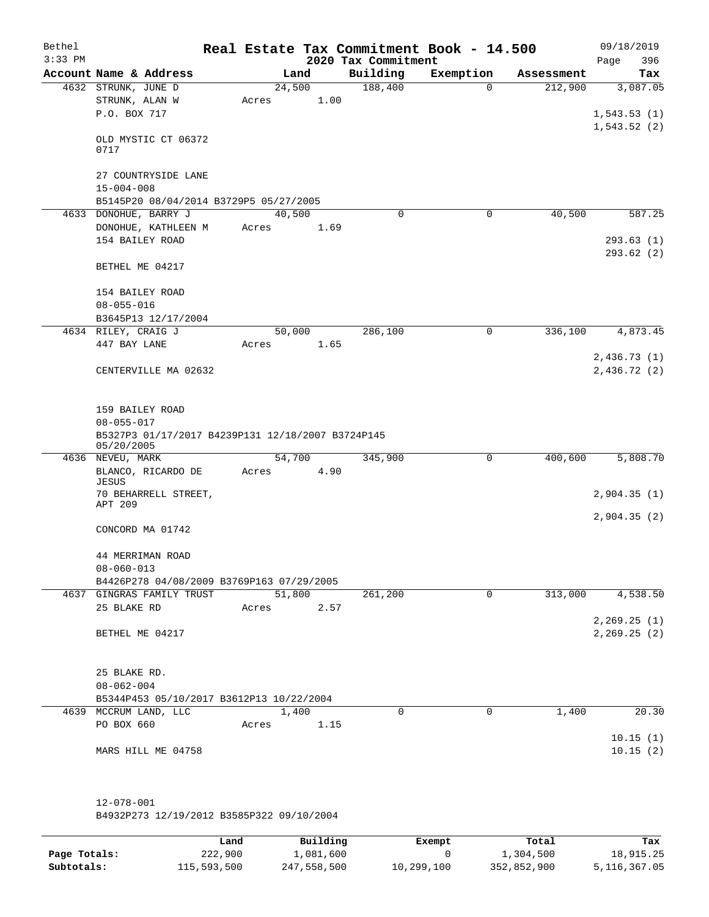| Bethel<br>$3:33$ PM |                                         |                                                   |        |      | 2020 Tax Commitment | Real Estate Tax Commitment Book - 14.500 |            | 09/18/2019<br>Page<br>396 |
|---------------------|-----------------------------------------|---------------------------------------------------|--------|------|---------------------|------------------------------------------|------------|---------------------------|
|                     | Account Name & Address                  |                                                   | Land   |      | Building            | Exemption                                | Assessment | Tax                       |
|                     | 4632 STRUNK, JUNE D                     |                                                   | 24,500 |      | 188,400             | $\Omega$                                 | 212,900    | 3,087.05                  |
|                     | STRUNK, ALAN W                          |                                                   | Acres  | 1.00 |                     |                                          |            |                           |
|                     | P.O. BOX 717                            |                                                   |        |      |                     |                                          |            | 1,543.53(1)               |
|                     | OLD MYSTIC CT 06372<br>0717             |                                                   |        |      |                     |                                          |            | 1,543.52(2)               |
|                     | 27 COUNTRYSIDE LANE<br>$15 - 004 - 008$ |                                                   |        |      |                     |                                          |            |                           |
|                     |                                         | B5145P20 08/04/2014 B3729P5 05/27/2005            |        |      |                     |                                          |            |                           |
|                     | 4633 DONOHUE, BARRY J                   |                                                   | 40,500 |      | $\Omega$            | 0                                        | 40,500     | 587.25                    |
|                     | DONOHUE, KATHLEEN M                     |                                                   | Acres  | 1.69 |                     |                                          |            |                           |
|                     | 154 BAILEY ROAD                         |                                                   |        |      |                     |                                          |            | 293.63(1)                 |
|                     | BETHEL ME 04217                         |                                                   |        |      |                     |                                          |            | 293.62(2)                 |
|                     | 154 BAILEY ROAD                         |                                                   |        |      |                     |                                          |            |                           |
|                     | $08 - 055 - 016$                        |                                                   |        |      |                     |                                          |            |                           |
|                     | B3645P13 12/17/2004                     |                                                   |        |      |                     |                                          |            |                           |
|                     | 4634 RILEY, CRAIG J                     |                                                   | 50,000 |      | 286,100             | $\mathsf{O}$                             | 336,100    | 4,873.45                  |
|                     | 447 BAY LANE                            |                                                   | Acres  | 1.65 |                     |                                          |            |                           |
|                     |                                         |                                                   |        |      |                     |                                          |            | 2,436.73(1)               |
|                     |                                         | CENTERVILLE MA 02632                              |        |      |                     |                                          |            | 2,436.72(2)               |
|                     | 159 BAILEY ROAD                         |                                                   |        |      |                     |                                          |            |                           |
|                     | $08 - 055 - 017$                        |                                                   |        |      |                     |                                          |            |                           |
|                     | 05/20/2005                              | B5327P3 01/17/2017 B4239P131 12/18/2007 B3724P145 |        |      |                     |                                          |            |                           |
|                     | 4636 NEVEU, MARK                        |                                                   | 54,700 |      | 345,900             | 0                                        | 400,600    | 5,808.70                  |
|                     | BLANCO, RICARDO DE                      |                                                   | Acres  | 4.90 |                     |                                          |            |                           |
|                     | JESUS                                   |                                                   |        |      |                     |                                          |            |                           |
|                     | APT 209                                 | 70 BEHARRELL STREET,                              |        |      |                     |                                          |            | 2,904.35(1)               |
|                     |                                         |                                                   |        |      |                     |                                          |            | 2,904.35(2)               |
|                     | CONCORD MA 01742                        |                                                   |        |      |                     |                                          |            |                           |
|                     | 44 MERRIMAN ROAD                        |                                                   |        |      |                     |                                          |            |                           |
|                     | $08 - 060 - 013$                        |                                                   |        |      |                     |                                          |            |                           |
|                     |                                         | B4426P278 04/08/2009 B3769P163 07/29/2005         |        |      |                     |                                          |            |                           |
|                     | 4637 GINGRAS FAMILY TRUST               |                                                   | 51,800 |      | 261,200             | $\mathbf 0$                              | 313,000    | 4,538.50                  |
|                     | 25 BLAKE RD                             |                                                   | Acres  | 2.57 |                     |                                          |            |                           |
|                     |                                         |                                                   |        |      |                     |                                          |            | 2, 269.25 (1)             |
|                     | BETHEL ME 04217                         |                                                   |        |      |                     |                                          |            | 2, 269.25 (2)             |
|                     | 25 BLAKE RD.                            |                                                   |        |      |                     |                                          |            |                           |
|                     | $08 - 062 - 004$                        |                                                   |        |      |                     |                                          |            |                           |
|                     |                                         | B5344P453 05/10/2017 B3612P13 10/22/2004          |        |      |                     |                                          |            |                           |
|                     | 4639 MCCRUM LAND, LLC                   |                                                   | 1,400  |      | 0                   | 0                                        | 1,400      | 20.30                     |
|                     | PO BOX 660                              |                                                   | Acres  | 1.15 |                     |                                          |            |                           |
|                     |                                         |                                                   |        |      |                     |                                          |            | 10.15(1)                  |
|                     | MARS HILL ME 04758                      |                                                   |        |      |                     |                                          |            | 10.15(2)                  |
|                     |                                         |                                                   |        |      |                     |                                          |            |                           |
|                     | $12 - 078 - 001$                        |                                                   |        |      |                     |                                          |            |                           |

B4932P273 12/19/2012 B3585P322 09/10/2004

|              | Land        | Building    | Exempt     | Total       | Tax          |
|--------------|-------------|-------------|------------|-------------|--------------|
| Page Totals: | 222,900     | 1,081,600   |            | 1,304,500   | 18,915.25    |
| Subtotals:   | 115,593,500 | 247,558,500 | 10,299,100 | 352,852,900 | 5,116,367.05 |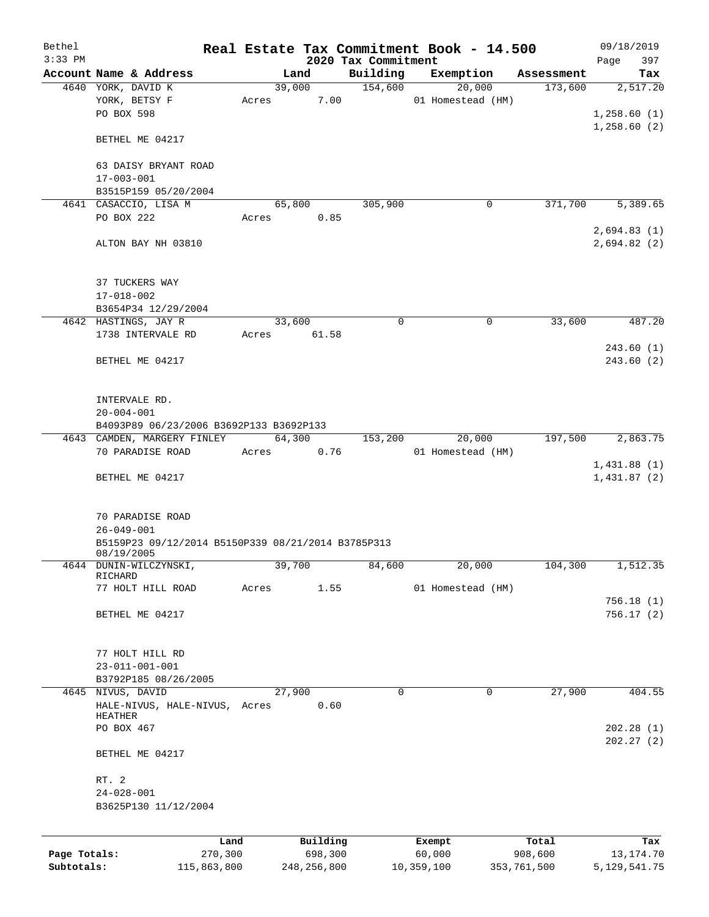| Bethel<br>$3:33$ PM |                                                    |         |       |          | 2020 Tax Commitment  | Real Estate Tax Commitment Book - 14.500 |            | 09/18/2019<br>397<br>Page |
|---------------------|----------------------------------------------------|---------|-------|----------|----------------------|------------------------------------------|------------|---------------------------|
|                     | Account Name & Address                             |         |       | Land     | Building             | Exemption                                | Assessment | Tax                       |
|                     | 4640 YORK, DAVID K                                 |         |       | 39,000   | 154,600              | 20,000                                   | 173,600    | 2,517.20                  |
|                     | YORK, BETSY F                                      |         | Acres | 7.00     |                      | 01 Homestead (HM)                        |            |                           |
|                     | PO BOX 598                                         |         |       |          |                      |                                          |            | 1,258.60(1)               |
|                     |                                                    |         |       |          |                      |                                          |            | 1,258.60(2)               |
|                     | BETHEL ME 04217                                    |         |       |          |                      |                                          |            |                           |
|                     | 63 DAISY BRYANT ROAD                               |         |       |          |                      |                                          |            |                           |
|                     | $17 - 003 - 001$                                   |         |       |          |                      |                                          |            |                           |
|                     | B3515P159 05/20/2004                               |         |       |          |                      |                                          |            |                           |
|                     | 4641 CASACCIO, LISA M                              |         |       | 65,800   | 305,900              | 0                                        | 371,700    | 5,389.65                  |
|                     | PO BOX 222                                         |         | Acres | 0.85     |                      |                                          |            |                           |
|                     |                                                    |         |       |          |                      |                                          |            | 2,694.83(1)               |
|                     | ALTON BAY NH 03810                                 |         |       |          |                      |                                          |            | 2,694.82(2)               |
|                     | 37 TUCKERS WAY                                     |         |       |          |                      |                                          |            |                           |
|                     | $17 - 018 - 002$                                   |         |       |          |                      |                                          |            |                           |
|                     | B3654P34 12/29/2004                                |         |       |          |                      |                                          |            |                           |
|                     | 4642 HASTINGS, JAY R                               |         |       | 33,600   | 0                    | 0                                        | 33,600     | 487.20                    |
|                     | 1738 INTERVALE RD                                  |         | Acres | 61.58    |                      |                                          |            |                           |
|                     |                                                    |         |       |          |                      |                                          |            | 243.60(1)                 |
|                     | BETHEL ME 04217                                    |         |       |          |                      |                                          |            | 243.60(2)                 |
|                     |                                                    |         |       |          |                      |                                          |            |                           |
|                     | INTERVALE RD.                                      |         |       |          |                      |                                          |            |                           |
|                     | $20 - 004 - 001$                                   |         |       |          |                      |                                          |            |                           |
|                     | B4093P89 06/23/2006 B3692P133 B3692P133            |         |       |          |                      |                                          |            |                           |
|                     | 4643 CAMDEN, MARGERY FINLEY                        |         |       | 64,300   | $1\overline{53,200}$ | 20,000                                   | 197,500    | 2,863.75                  |
|                     | 70 PARADISE ROAD                                   |         | Acres | 0.76     |                      | 01 Homestead (HM)                        |            |                           |
|                     |                                                    |         |       |          |                      |                                          |            | 1,431.88(1)               |
|                     | BETHEL ME 04217                                    |         |       |          |                      |                                          |            | 1,431.87(2)               |
|                     | 70 PARADISE ROAD                                   |         |       |          |                      |                                          |            |                           |
|                     | $26 - 049 - 001$                                   |         |       |          |                      |                                          |            |                           |
|                     | B5159P23 09/12/2014 B5150P339 08/21/2014 B3785P313 |         |       |          |                      |                                          |            |                           |
|                     | 08/19/2005                                         |         |       |          |                      |                                          |            |                           |
|                     | 4644 DUNIN-WILCZYNSKI,                             |         |       | 39,700   | 84,600               | 20,000                                   | 104,300    | 1,512.35                  |
|                     | RICHARD                                            |         |       |          |                      |                                          |            |                           |
|                     | 77 HOLT HILL ROAD                                  |         | Acres | 1.55     |                      | 01 Homestead (HM)                        |            |                           |
|                     |                                                    |         |       |          |                      |                                          |            | 756.18(1)                 |
|                     | BETHEL ME 04217                                    |         |       |          |                      |                                          |            | 756.17(2)                 |
|                     | 77 HOLT HILL RD                                    |         |       |          |                      |                                          |            |                           |
|                     | $23 - 011 - 001 - 001$                             |         |       |          |                      |                                          |            |                           |
|                     | B3792P185 08/26/2005                               |         |       |          |                      |                                          |            |                           |
|                     | 4645 NIVUS, DAVID                                  |         |       | 27,900   | 0                    | $\mathbf 0$                              | 27,900     | 404.55                    |
|                     | HALE-NIVUS, HALE-NIVUS, Acres                      |         |       | 0.60     |                      |                                          |            |                           |
|                     | HEATHER                                            |         |       |          |                      |                                          |            |                           |
|                     | PO BOX 467                                         |         |       |          |                      |                                          |            | 202.28(1)                 |
|                     | BETHEL ME 04217                                    |         |       |          |                      |                                          |            | 202.27(2)                 |
|                     | RT. 2                                              |         |       |          |                      |                                          |            |                           |
|                     | $24 - 028 - 001$                                   |         |       |          |                      |                                          |            |                           |
|                     | B3625P130 11/12/2004                               |         |       |          |                      |                                          |            |                           |
|                     |                                                    |         |       |          |                      |                                          |            |                           |
|                     |                                                    | Land    |       | Building |                      | Exempt                                   | Total      | Tax                       |
| Page Totals:        |                                                    | 270,300 |       | 698,300  |                      | 60,000                                   | 908,600    | 13, 174. 70               |

**Subtotals:** 115,863,800 248,256,800 10,359,100 353,761,500 5,129,541.75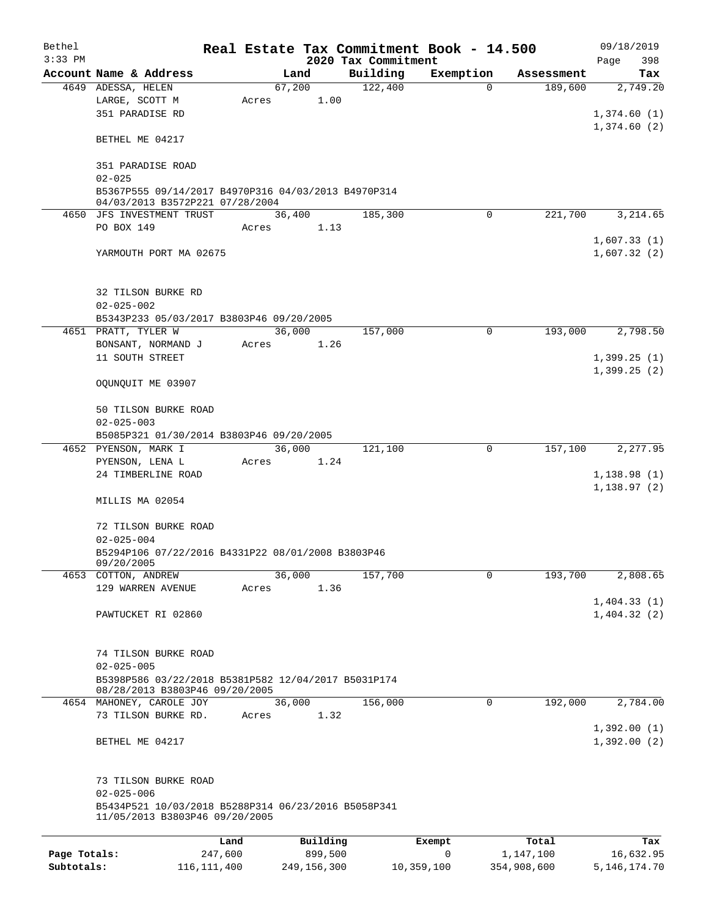| Bethel       |                                                                                                           |         |        |             |                     | Real Estate Tax Commitment Book - 14.500 |             | 09/18/2019                  |  |  |
|--------------|-----------------------------------------------------------------------------------------------------------|---------|--------|-------------|---------------------|------------------------------------------|-------------|-----------------------------|--|--|
| $3:33$ PM    |                                                                                                           |         |        |             | 2020 Tax Commitment |                                          |             | Page<br>398                 |  |  |
|              | Account Name & Address                                                                                    |         | Land   |             | Building            | Exemption                                | Assessment  | Tax                         |  |  |
|              | 4649 ADESSA, HELEN<br>LARGE, SCOTT M<br>351 PARADISE RD                                                   | Acres   | 67,200 | 1.00        | 122,400             | $\Omega$                                 | 189,600     | 2,749.20<br>1,374.60(1)     |  |  |
|              | BETHEL ME 04217                                                                                           |         |        |             |                     |                                          |             | 1,374.60(2)                 |  |  |
|              | 351 PARADISE ROAD<br>$02 - 025$                                                                           |         |        |             |                     |                                          |             |                             |  |  |
|              | B5367P555 09/14/2017 B4970P316 04/03/2013 B4970P314<br>04/03/2013 B3572P221 07/28/2004                    |         |        |             |                     |                                          |             |                             |  |  |
|              | 4650 JFS INVESTMENT TRUST                                                                                 |         | 36,400 |             | 185,300             | $\Omega$                                 | 221,700     | 3,214.65                    |  |  |
|              | PO BOX 149                                                                                                | Acres   |        | 1.13        |                     |                                          |             |                             |  |  |
|              | YARMOUTH PORT MA 02675                                                                                    |         |        |             |                     |                                          |             | 1,607.33(1)<br>1,607.32(2)  |  |  |
|              |                                                                                                           |         |        |             |                     |                                          |             |                             |  |  |
|              | 32 TILSON BURKE RD<br>$02 - 025 - 002$                                                                    |         |        |             |                     |                                          |             |                             |  |  |
|              | B5343P233 05/03/2017 B3803P46 09/20/2005                                                                  |         |        |             |                     |                                          |             |                             |  |  |
|              | 4651 PRATT, TYLER W                                                                                       |         | 36,000 |             | 157,000             | 0                                        | 193,000     | 2,798.50                    |  |  |
|              | BONSANT, NORMAND J                                                                                        | Acres   |        | 1.26        |                     |                                          |             |                             |  |  |
|              | 11 SOUTH STREET                                                                                           |         |        |             |                     |                                          |             | 1,399.25(1)<br>1,399.25(2)  |  |  |
|              | OQUNQUIT ME 03907                                                                                         |         |        |             |                     |                                          |             |                             |  |  |
|              | 50 TILSON BURKE ROAD<br>$02 - 025 - 003$                                                                  |         |        |             |                     |                                          |             |                             |  |  |
|              | B5085P321 01/30/2014 B3803P46 09/20/2005                                                                  |         |        |             |                     |                                          |             |                             |  |  |
|              | 4652 PYENSON, MARK I                                                                                      |         | 36,000 |             | 121,100             | 0                                        | 157,100     | 2,277.95                    |  |  |
|              | PYENSON, LENA L                                                                                           | Acres   |        | 1.24        |                     |                                          |             |                             |  |  |
|              | 24 TIMBERLINE ROAD                                                                                        |         |        |             |                     |                                          |             | 1,138.98(1)<br>1, 138.97(2) |  |  |
|              | MILLIS MA 02054                                                                                           |         |        |             |                     |                                          |             |                             |  |  |
|              | 72 TILSON BURKE ROAD<br>$02 - 025 - 004$                                                                  |         |        |             |                     |                                          |             |                             |  |  |
|              | B5294P106 07/22/2016 B4331P22 08/01/2008 B3803P46<br>09/20/2005                                           |         |        |             |                     |                                          |             |                             |  |  |
|              | 4653 COTTON, ANDREW                                                                                       |         | 36,000 |             | 157,700             | $\mathbf 0$                              | 193,700     | 2,808.65                    |  |  |
|              | 129 WARREN AVENUE                                                                                         | Acres   |        | 1.36        |                     |                                          |             |                             |  |  |
|              | PAWTUCKET RI 02860                                                                                        |         |        |             |                     |                                          |             | 1,404.33(1)<br>1,404.32(2)  |  |  |
|              |                                                                                                           |         |        |             |                     |                                          |             |                             |  |  |
|              | 74 TILSON BURKE ROAD                                                                                      |         |        |             |                     |                                          |             |                             |  |  |
|              | $02 - 025 - 005$<br>B5398P586 03/22/2018 B5381P582 12/04/2017 B5031P174<br>08/28/2013 B3803P46 09/20/2005 |         |        |             |                     |                                          |             |                             |  |  |
|              | 4654 MAHONEY, CAROLE JOY                                                                                  |         | 36,000 |             | 156,000             | 0                                        | 192,000     | 2,784.00                    |  |  |
|              | 73 TILSON BURKE RD.                                                                                       | Acres   |        | 1.32        |                     |                                          |             | 1,392.00(1)                 |  |  |
|              | BETHEL ME 04217                                                                                           |         |        |             |                     |                                          |             | 1,392.00(2)                 |  |  |
|              | 73 TILSON BURKE ROAD<br>$02 - 025 - 006$                                                                  |         |        |             |                     |                                          |             |                             |  |  |
|              | B5434P521 10/03/2018 B5288P314 06/23/2016 B5058P341<br>11/05/2013 B3803P46 09/20/2005                     |         |        |             |                     |                                          |             |                             |  |  |
|              |                                                                                                           | Land    |        | Building    |                     | Exempt                                   | Total       | Tax                         |  |  |
| Page Totals: |                                                                                                           | 247,600 |        | 899,500     |                     | $\mathbf 0$                              | 1,147,100   | 16,632.95                   |  |  |
| Subtotals:   | 116, 111, 400                                                                                             |         |        | 249,156,300 |                     | 10,359,100                               | 354,908,600 | 5, 146, 174. 70             |  |  |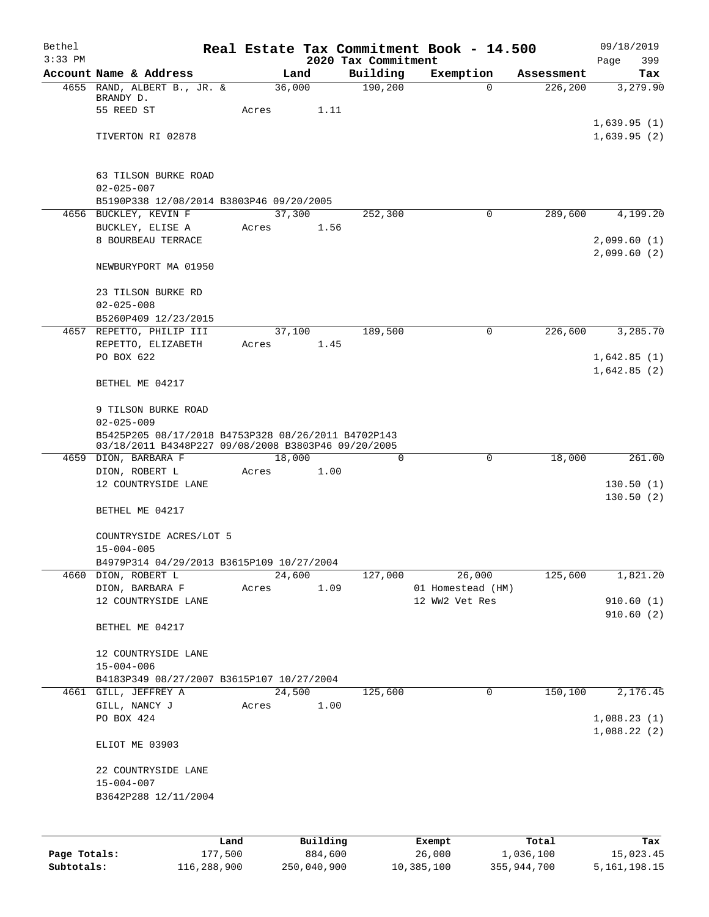| Bethel<br>$3:33$ PM |                                                                             |       |                | 2020 Tax Commitment | Real Estate Tax Commitment Book - 14.500 |            | 09/18/2019<br>Page<br>399 |
|---------------------|-----------------------------------------------------------------------------|-------|----------------|---------------------|------------------------------------------|------------|---------------------------|
|                     | Account Name & Address                                                      |       | Land           | Building            | Exemption                                | Assessment | Tax                       |
|                     | 4655 RAND, ALBERT B., JR. &                                                 |       | 36,000         | 190, 200            | $\Omega$                                 | 226, 200   | 3,279.90                  |
|                     | BRANDY D.                                                                   |       |                |                     |                                          |            |                           |
|                     | 55 REED ST                                                                  | Acres | 1.11           |                     |                                          |            | 1,639.95(1)               |
|                     | TIVERTON RI 02878                                                           |       |                |                     |                                          |            | 1,639.95(2)               |
|                     |                                                                             |       |                |                     |                                          |            |                           |
|                     |                                                                             |       |                |                     |                                          |            |                           |
|                     | 63 TILSON BURKE ROAD                                                        |       |                |                     |                                          |            |                           |
|                     | $02 - 025 - 007$<br>B5190P338 12/08/2014 B3803P46 09/20/2005                |       |                |                     |                                          |            |                           |
|                     | 4656 BUCKLEY, KEVIN F                                                       |       | 37,300         | 252,300             | $\mathbf 0$                              | 289,600    | 4,199.20                  |
|                     | BUCKLEY, ELISE A                                                            | Acres | 1.56           |                     |                                          |            |                           |
|                     | 8 BOURBEAU TERRACE                                                          |       |                |                     |                                          |            | 2,099.60(1)               |
|                     |                                                                             |       |                |                     |                                          |            | 2,099.60(2)               |
|                     | NEWBURYPORT MA 01950                                                        |       |                |                     |                                          |            |                           |
|                     | 23 TILSON BURKE RD                                                          |       |                |                     |                                          |            |                           |
|                     | $02 - 025 - 008$                                                            |       |                |                     |                                          |            |                           |
|                     | B5260P409 12/23/2015                                                        |       |                |                     |                                          |            |                           |
|                     | 4657 REPETTO, PHILIP III                                                    |       | 37,100         | 189,500             | 0                                        | 226,600    | 3,285.70                  |
|                     | REPETTO, ELIZABETH                                                          | Acres | 1.45           |                     |                                          |            |                           |
|                     | PO BOX 622                                                                  |       |                |                     |                                          |            | 1,642.85(1)               |
|                     | BETHEL ME 04217                                                             |       |                |                     |                                          |            | 1,642.85(2)               |
|                     |                                                                             |       |                |                     |                                          |            |                           |
|                     | 9 TILSON BURKE ROAD                                                         |       |                |                     |                                          |            |                           |
|                     | $02 - 025 - 009$                                                            |       |                |                     |                                          |            |                           |
|                     | B5425P205 08/17/2018 B4753P328 08/26/2011 B4702P143                         |       |                |                     |                                          |            |                           |
|                     | 03/18/2011 B4348P227 09/08/2008 B3803P46 09/20/2005<br>4659 DION, BARBARA F |       | 18,000         | 0                   | 0                                        | 18,000     | 261.00                    |
|                     | DION, ROBERT L                                                              | Acres | 1.00           |                     |                                          |            |                           |
|                     | 12 COUNTRYSIDE LANE                                                         |       |                |                     |                                          |            | 130.50(1)                 |
|                     |                                                                             |       |                |                     |                                          |            | 130.50(2)                 |
|                     | BETHEL ME 04217                                                             |       |                |                     |                                          |            |                           |
|                     | COUNTRYSIDE ACRES/LOT 5                                                     |       |                |                     |                                          |            |                           |
|                     | $15 - 004 - 005$                                                            |       |                |                     |                                          |            |                           |
|                     | B4979P314 04/29/2013 B3615P109 10/27/2004                                   |       |                |                     |                                          |            |                           |
| 4660                | DION, ROBERT L                                                              |       | 24,600         | 127,000             | 26,000                                   | 125,600    | 1,821.20                  |
|                     | DION, BARBARA F                                                             | Acres | 1.09           |                     | 01 Homestead (HM)                        |            |                           |
|                     | 12 COUNTRYSIDE LANE                                                         |       |                |                     | 12 WW2 Vet Res                           |            | 910.60(1)<br>910.60(2)    |
|                     | BETHEL ME 04217                                                             |       |                |                     |                                          |            |                           |
|                     |                                                                             |       |                |                     |                                          |            |                           |
|                     | 12 COUNTRYSIDE LANE                                                         |       |                |                     |                                          |            |                           |
|                     | $15 - 004 - 006$                                                            |       |                |                     |                                          |            |                           |
|                     | B4183P349 08/27/2007 B3615P107 10/27/2004                                   |       |                |                     |                                          |            |                           |
|                     | 4661 GILL, JEFFREY A<br>GILL, NANCY J                                       | Acres | 24,500<br>1.00 | 125,600             | 0                                        | 150,100    | 2,176.45                  |
|                     | PO BOX 424                                                                  |       |                |                     |                                          |            | 1,088.23(1)               |
|                     |                                                                             |       |                |                     |                                          |            | 1,088.22(2)               |
|                     | ELIOT ME 03903                                                              |       |                |                     |                                          |            |                           |
|                     |                                                                             |       |                |                     |                                          |            |                           |
|                     | 22 COUNTRYSIDE LANE<br>$15 - 004 - 007$                                     |       |                |                     |                                          |            |                           |
|                     | B3642P288 12/11/2004                                                        |       |                |                     |                                          |            |                           |
|                     |                                                                             |       |                |                     |                                          |            |                           |
|                     |                                                                             |       |                |                     |                                          |            |                           |
|                     |                                                                             | Land  | Building       |                     | Exempt                                   | Total      | Tax                       |
| Page Totals:        | 177,500                                                                     |       | 884,600        |                     | 26,000                                   | 1,036,100  | 15,023.45                 |

**Subtotals:** 116,288,900 250,040,900 10,385,100 355,944,700 5,161,198.15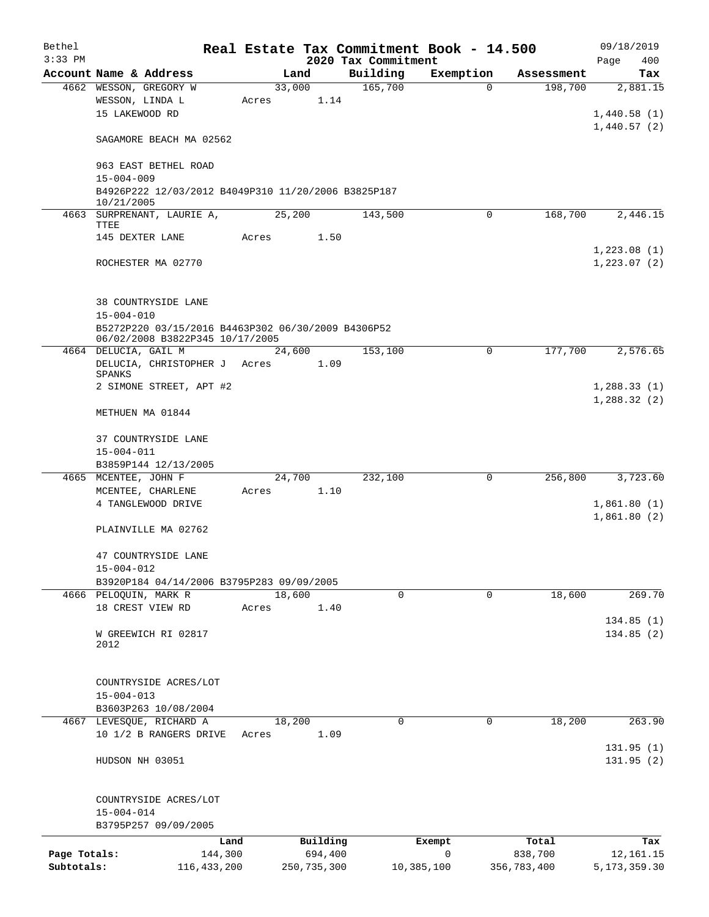| Bethel<br>$3:33$ PM |                                                                                       |       |             | Real Estate Tax Commitment Book - 14.500 |             |             | 09/18/2019         |
|---------------------|---------------------------------------------------------------------------------------|-------|-------------|------------------------------------------|-------------|-------------|--------------------|
|                     | Account Name & Address                                                                |       | Land        | 2020 Tax Commitment<br>Building          | Exemption   | Assessment  | Page<br>400<br>Tax |
|                     | 4662 WESSON, GREGORY W                                                                |       | 33,000      | 165,700                                  | 0           | 198,700     | 2,881.15           |
|                     | WESSON, LINDA L                                                                       | Acres | 1.14        |                                          |             |             |                    |
|                     | 15 LAKEWOOD RD                                                                        |       |             |                                          |             |             | 1,440.58(1)        |
|                     |                                                                                       |       |             |                                          |             |             | 1,440.57(2)        |
|                     | SAGAMORE BEACH MA 02562                                                               |       |             |                                          |             |             |                    |
|                     | 963 EAST BETHEL ROAD                                                                  |       |             |                                          |             |             |                    |
|                     | $15 - 004 - 009$                                                                      |       |             |                                          |             |             |                    |
|                     | B4926P222 12/03/2012 B4049P310 11/20/2006 B3825P187                                   |       |             |                                          |             |             |                    |
|                     | 10/21/2005<br>4663 SURPRENANT, LAURIE A,                                              |       | 25,200      | 143,500                                  | 0           | 168,700     | 2,446.15           |
|                     | TTEE                                                                                  |       |             |                                          |             |             |                    |
|                     | 145 DEXTER LANE                                                                       | Acres | 1.50        |                                          |             |             |                    |
|                     |                                                                                       |       |             |                                          |             |             | 1,223.08(1)        |
|                     | ROCHESTER MA 02770                                                                    |       |             |                                          |             |             | 1,223.07(2)        |
|                     |                                                                                       |       |             |                                          |             |             |                    |
|                     | 38 COUNTRYSIDE LANE                                                                   |       |             |                                          |             |             |                    |
|                     | $15 - 004 - 010$                                                                      |       |             |                                          |             |             |                    |
|                     | B5272P220 03/15/2016 B4463P302 06/30/2009 B4306P52<br>06/02/2008 B3822P345 10/17/2005 |       |             |                                          |             |             |                    |
|                     | 4664 DELUCIA, GAIL M                                                                  |       | 24,600      | 153,100                                  | $\mathbf 0$ | 177,700     | 2,576.65           |
|                     | DELUCIA, CHRISTOPHER J                                                                | Acres | 1.09        |                                          |             |             |                    |
|                     | SPANKS<br>2 SIMONE STREET, APT #2                                                     |       |             |                                          |             |             | 1,288.33(1)        |
|                     |                                                                                       |       |             |                                          |             |             | 1,288.32(2)        |
|                     | METHUEN MA 01844                                                                      |       |             |                                          |             |             |                    |
|                     | 37 COUNTRYSIDE LANE                                                                   |       |             |                                          |             |             |                    |
|                     | $15 - 004 - 011$                                                                      |       |             |                                          |             |             |                    |
|                     | B3859P144 12/13/2005                                                                  |       |             |                                          |             |             |                    |
|                     | 4665 MCENTEE, JOHN F                                                                  |       | 24,700      | 232,100                                  | 0           | 256,800     | 3,723.60           |
|                     | MCENTEE, CHARLENE                                                                     | Acres | 1.10        |                                          |             |             |                    |
|                     | 4 TANGLEWOOD DRIVE                                                                    |       |             |                                          |             |             | 1,861.80(1)        |
|                     | PLAINVILLE MA 02762                                                                   |       |             |                                          |             |             | 1,861.80(2)        |
|                     |                                                                                       |       |             |                                          |             |             |                    |
|                     | 47 COUNTRYSIDE LANE                                                                   |       |             |                                          |             |             |                    |
|                     | $15 - 004 - 012$                                                                      |       |             |                                          |             |             |                    |
|                     | B3920P184 04/14/2006 B3795P283 09/09/2005                                             |       |             |                                          |             |             |                    |
|                     | 4666 PELOQUIN, MARK R                                                                 |       | 18,600      | $\mathbf 0$                              | $\mathbf 0$ | 18,600      | 269.70             |
|                     | 18 CREST VIEW RD                                                                      | Acres | 1.40        |                                          |             |             |                    |
|                     |                                                                                       |       |             |                                          |             |             | 134.85(1)          |
|                     | W GREEWICH RI 02817<br>2012                                                           |       |             |                                          |             |             | 134.85(2)          |
|                     |                                                                                       |       |             |                                          |             |             |                    |
|                     |                                                                                       |       |             |                                          |             |             |                    |
|                     | COUNTRYSIDE ACRES/LOT                                                                 |       |             |                                          |             |             |                    |
|                     | $15 - 004 - 013$                                                                      |       |             |                                          |             |             |                    |
|                     | B3603P263 10/08/2004<br>4667 LEVESQUE, RICHARD A                                      |       | 18,200      | $\Omega$                                 | $\Omega$    | 18,200      | 263.90             |
|                     | 10 1/2 B RANGERS DRIVE                                                                | Acres | 1.09        |                                          |             |             |                    |
|                     |                                                                                       |       |             |                                          |             |             | 131.95(1)          |
|                     | HUDSON NH 03051                                                                       |       |             |                                          |             |             | 131.95(2)          |
|                     |                                                                                       |       |             |                                          |             |             |                    |
|                     | COUNTRYSIDE ACRES/LOT<br>$15 - 004 - 014$                                             |       |             |                                          |             |             |                    |
|                     | B3795P257 09/09/2005                                                                  |       |             |                                          |             |             |                    |
|                     |                                                                                       | Land  | Building    |                                          | Exempt      | Total       | Tax                |
| Page Totals:        | 144,300                                                                               |       | 694,400     |                                          | 0           | 838,700     | 12,161.15          |
| Subtotals:          | 116, 433, 200                                                                         |       | 250,735,300 |                                          | 10,385,100  | 356,783,400 | 5, 173, 359.30     |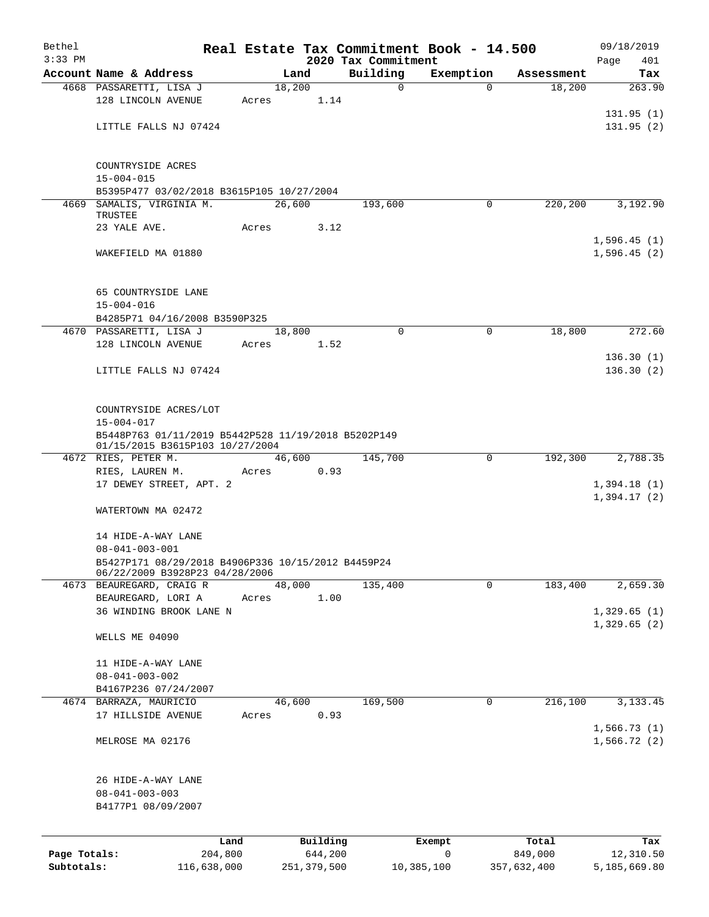| Bethel       |                                                                                        |       |                |                                 | Real Estate Tax Commitment Book - 14.500 |                      | 09/18/2019                 |  |  |  |
|--------------|----------------------------------------------------------------------------------------|-------|----------------|---------------------------------|------------------------------------------|----------------------|----------------------------|--|--|--|
| $3:33$ PM    | Account Name & Address                                                                 |       | Land           | 2020 Tax Commitment<br>Building |                                          |                      | Page<br>401<br>Tax         |  |  |  |
|              | 4668 PASSARETTI, LISA J                                                                |       | 18,200         | $\mathbf 0$                     | Exemption<br>$\Omega$                    | Assessment<br>18,200 | 263.90                     |  |  |  |
|              | 128 LINCOLN AVENUE                                                                     | Acres | 1.14           |                                 |                                          |                      |                            |  |  |  |
|              | LITTLE FALLS NJ 07424                                                                  |       |                |                                 |                                          |                      | 131.95(1)<br>131.95(2)     |  |  |  |
|              | COUNTRYSIDE ACRES                                                                      |       |                |                                 |                                          |                      |                            |  |  |  |
|              | $15 - 004 - 015$<br>B5395P477 03/02/2018 B3615P105 10/27/2004                          |       |                |                                 |                                          |                      |                            |  |  |  |
|              | 4669 SAMALIS, VIRGINIA M.                                                              |       | 26,600         | 193,600                         | 0                                        | 220,200              | 3,192.90                   |  |  |  |
|              | TRUSTEE<br>23 YALE AVE.                                                                | Acres | 3.12           |                                 |                                          |                      |                            |  |  |  |
|              |                                                                                        |       |                |                                 |                                          |                      | 1,596.45(1)                |  |  |  |
|              | WAKEFIELD MA 01880                                                                     |       |                |                                 |                                          |                      | 1,596.45(2)                |  |  |  |
|              | 65 COUNTRYSIDE LANE<br>$15 - 004 - 016$                                                |       |                |                                 |                                          |                      |                            |  |  |  |
|              | B4285P71 04/16/2008 B3590P325                                                          |       |                |                                 |                                          |                      |                            |  |  |  |
|              | 4670 PASSARETTI, LISA J                                                                |       | 18,800         | $\mathbf 0$                     | 0                                        | 18,800               | 272.60                     |  |  |  |
|              | 128 LINCOLN AVENUE                                                                     | Acres | 1.52           |                                 |                                          |                      |                            |  |  |  |
|              | LITTLE FALLS NJ 07424                                                                  |       |                |                                 |                                          |                      | 136.30(1)<br>136.30(2)     |  |  |  |
|              |                                                                                        |       |                |                                 |                                          |                      |                            |  |  |  |
|              | COUNTRYSIDE ACRES/LOT<br>$15 - 004 - 017$                                              |       |                |                                 |                                          |                      |                            |  |  |  |
|              | B5448P763 01/11/2019 B5442P528 11/19/2018 B5202P149<br>01/15/2015 B3615P103 10/27/2004 |       |                |                                 |                                          |                      |                            |  |  |  |
|              | 4672 RIES, PETER M.                                                                    |       | 46,600         | 145,700                         | 0                                        | 192,300              | 2,788.35                   |  |  |  |
|              | RIES, LAUREN M.<br>17 DEWEY STREET, APT. 2                                             | Acres | 0.93           |                                 |                                          |                      | 1,394.18(1)                |  |  |  |
|              |                                                                                        |       |                |                                 |                                          |                      | 1,394.17(2)                |  |  |  |
|              | WATERTOWN MA 02472                                                                     |       |                |                                 |                                          |                      |                            |  |  |  |
|              | 14 HIDE-A-WAY LANE                                                                     |       |                |                                 |                                          |                      |                            |  |  |  |
|              | $08 - 041 - 003 - 001$                                                                 |       |                |                                 |                                          |                      |                            |  |  |  |
|              | B5427P171 08/29/2018 B4906P336 10/15/2012 B4459P24<br>06/22/2009 B3928P23 04/28/2006   |       |                |                                 |                                          |                      |                            |  |  |  |
|              | 4673 BEAUREGARD, CRAIG R                                                               |       | 48,000         | 135,400                         | 0                                        | 183,400              | 2,659.30                   |  |  |  |
|              | BEAUREGARD, LORI A                                                                     | Acres | 1.00           |                                 |                                          |                      |                            |  |  |  |
|              | 36 WINDING BROOK LANE N                                                                |       |                |                                 |                                          |                      | 1,329.65(1)<br>1,329.65(2) |  |  |  |
|              | WELLS ME 04090                                                                         |       |                |                                 |                                          |                      |                            |  |  |  |
|              | 11 HIDE-A-WAY LANE                                                                     |       |                |                                 |                                          |                      |                            |  |  |  |
|              | $08 - 041 - 003 - 002$                                                                 |       |                |                                 |                                          |                      |                            |  |  |  |
|              | B4167P236 07/24/2007                                                                   |       |                | 169,500                         | 0                                        | 216,100              |                            |  |  |  |
|              | 4674 BARRAZA, MAURICIO<br>17 HILLSIDE AVENUE                                           | Acres | 46,600<br>0.93 |                                 |                                          |                      | 3, 133. 45                 |  |  |  |
|              |                                                                                        |       |                |                                 |                                          |                      | 1,566.73(1)                |  |  |  |
|              | MELROSE MA 02176                                                                       |       |                |                                 |                                          |                      | 1,566.72(2)                |  |  |  |
|              | 26 HIDE-A-WAY LANE                                                                     |       |                |                                 |                                          |                      |                            |  |  |  |
|              | $08 - 041 - 003 - 003$                                                                 |       |                |                                 |                                          |                      |                            |  |  |  |
|              | B4177P1 08/09/2007                                                                     |       |                |                                 |                                          |                      |                            |  |  |  |
|              | Land                                                                                   |       | Building       |                                 | Exempt                                   | Total                | Tax                        |  |  |  |
| Page Totals: | 204,800                                                                                |       | 644,200        |                                 | 0                                        | 849,000              | 12,310.50                  |  |  |  |
| Subtotals:   | 116,638,000                                                                            |       | 251,379,500    |                                 | 10,385,100                               | 357,632,400          | 5,185,669.80               |  |  |  |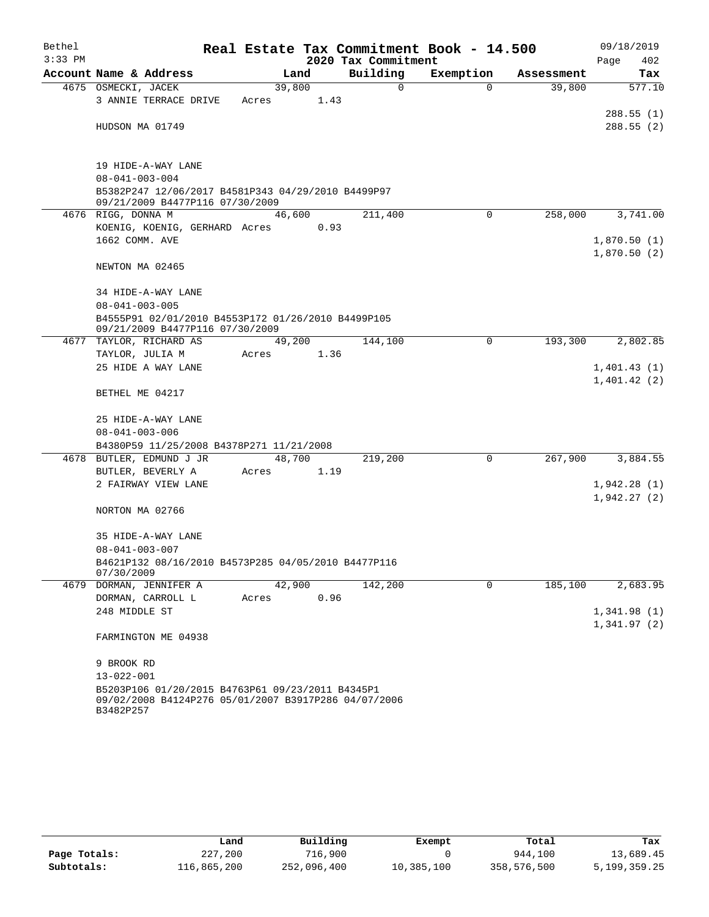| Bethel<br>$3:33$ PM |                                                                                                                       |        |      | 2020 Tax Commitment | Real Estate Tax Commitment Book - 14.500 |            | 09/18/2019<br>Page<br>402  |  |  |  |  |  |
|---------------------|-----------------------------------------------------------------------------------------------------------------------|--------|------|---------------------|------------------------------------------|------------|----------------------------|--|--|--|--|--|
|                     | Account Name & Address                                                                                                |        | Land | Building            | Exemption                                | Assessment | Tax                        |  |  |  |  |  |
|                     | 4675 OSMECKI, JACEK                                                                                                   | 39,800 |      | 0                   | $\Omega$                                 | 39,800     | 577.10                     |  |  |  |  |  |
|                     | 3 ANNIE TERRACE DRIVE                                                                                                 | Acres  | 1.43 |                     |                                          |            |                            |  |  |  |  |  |
|                     |                                                                                                                       |        |      |                     |                                          |            | 288.55(1)                  |  |  |  |  |  |
|                     | HUDSON MA 01749                                                                                                       |        |      |                     |                                          |            | 288.55(2)                  |  |  |  |  |  |
|                     | 19 HIDE-A-WAY LANE                                                                                                    |        |      |                     |                                          |            |                            |  |  |  |  |  |
|                     | $08 - 041 - 003 - 004$                                                                                                |        |      |                     |                                          |            |                            |  |  |  |  |  |
|                     | B5382P247 12/06/2017 B4581P343 04/29/2010 B4499P97<br>09/21/2009 B4477P116 07/30/2009                                 |        |      |                     |                                          |            |                            |  |  |  |  |  |
|                     | 4676 RIGG, DONNA M                                                                                                    | 46,600 |      | 211,400             | $\Omega$                                 | 258,000    | 3,741.00                   |  |  |  |  |  |
|                     | KOENIG, KOENIG, GERHARD Acres                                                                                         |        | 0.93 |                     |                                          |            |                            |  |  |  |  |  |
|                     | 1662 COMM. AVE                                                                                                        |        |      |                     |                                          |            | 1,870.50(1)<br>1,870.50(2) |  |  |  |  |  |
|                     | NEWTON MA 02465                                                                                                       |        |      |                     |                                          |            |                            |  |  |  |  |  |
|                     | 34 HIDE-A-WAY LANE                                                                                                    |        |      |                     |                                          |            |                            |  |  |  |  |  |
|                     | $08 - 041 - 003 - 005$                                                                                                |        |      |                     |                                          |            |                            |  |  |  |  |  |
|                     | B4555P91 02/01/2010 B4553P172 01/26/2010 B4499P105<br>09/21/2009 B4477P116 07/30/2009                                 |        |      |                     |                                          |            |                            |  |  |  |  |  |
|                     | 4677 TAYLOR, RICHARD AS                                                                                               | 49,200 |      | 144,100             | 0                                        | 193,300    | 2,802.85                   |  |  |  |  |  |
|                     | TAYLOR, JULIA M                                                                                                       | Acres  | 1.36 |                     |                                          |            |                            |  |  |  |  |  |
|                     | 25 HIDE A WAY LANE                                                                                                    |        |      |                     |                                          |            | 1,401.43(1)                |  |  |  |  |  |
|                     | BETHEL ME 04217                                                                                                       |        |      |                     |                                          |            | 1,401.42(2)                |  |  |  |  |  |
|                     | 25 HIDE-A-WAY LANE                                                                                                    |        |      |                     |                                          |            |                            |  |  |  |  |  |
|                     | $08 - 041 - 003 - 006$                                                                                                |        |      |                     |                                          |            |                            |  |  |  |  |  |
|                     | B4380P59 11/25/2008 B4378P271 11/21/2008                                                                              |        |      |                     |                                          |            |                            |  |  |  |  |  |
|                     | 4678 BUTLER, EDMUND J JR                                                                                              | 48,700 |      | 219,200             | 0                                        | 267,900    | 3,884.55                   |  |  |  |  |  |
|                     | BUTLER, BEVERLY A                                                                                                     | Acres  | 1.19 |                     |                                          |            |                            |  |  |  |  |  |
|                     | 2 FAIRWAY VIEW LANE                                                                                                   |        |      |                     |                                          |            | 1,942.28(1)                |  |  |  |  |  |
|                     |                                                                                                                       |        |      |                     |                                          |            | 1,942.27(2)                |  |  |  |  |  |
|                     | NORTON MA 02766                                                                                                       |        |      |                     |                                          |            |                            |  |  |  |  |  |
|                     | 35 HIDE-A-WAY LANE                                                                                                    |        |      |                     |                                          |            |                            |  |  |  |  |  |
|                     | $08 - 041 - 003 - 007$                                                                                                |        |      |                     |                                          |            |                            |  |  |  |  |  |
|                     | B4621P132 08/16/2010 B4573P285 04/05/2010 B4477P116<br>07/30/2009                                                     |        |      |                     |                                          |            |                            |  |  |  |  |  |
|                     | 4679 DORMAN, JENNIFER A                                                                                               | 42,900 |      | 142,200             | 0                                        | 185,100    | 2,683.95                   |  |  |  |  |  |
|                     | DORMAN, CARROLL L                                                                                                     | Acres  | 0.96 |                     |                                          |            |                            |  |  |  |  |  |
|                     | 248 MIDDLE ST                                                                                                         |        |      |                     |                                          |            | 1,341.98(1)<br>1,341.97(2) |  |  |  |  |  |
|                     | FARMINGTON ME 04938                                                                                                   |        |      |                     |                                          |            |                            |  |  |  |  |  |
|                     | 9 BROOK RD                                                                                                            |        |      |                     |                                          |            |                            |  |  |  |  |  |
|                     | $13 - 022 - 001$                                                                                                      |        |      |                     |                                          |            |                            |  |  |  |  |  |
|                     | B5203P106 01/20/2015 B4763P61 09/23/2011 B4345P1<br>09/02/2008 B4124P276 05/01/2007 B3917P286 04/07/2006<br>B3482P257 |        |      |                     |                                          |            |                            |  |  |  |  |  |

|              | Land        | Building    | Exempt     | Total       | Tax          |
|--------------|-------------|-------------|------------|-------------|--------------|
| Page Totals: | 227,200     | 716,900     |            | 944,100     | 13,689.45    |
| Subtotals:   | 116,865,200 | 252,096,400 | 10,385,100 | 358,576,500 | 5,199,359.25 |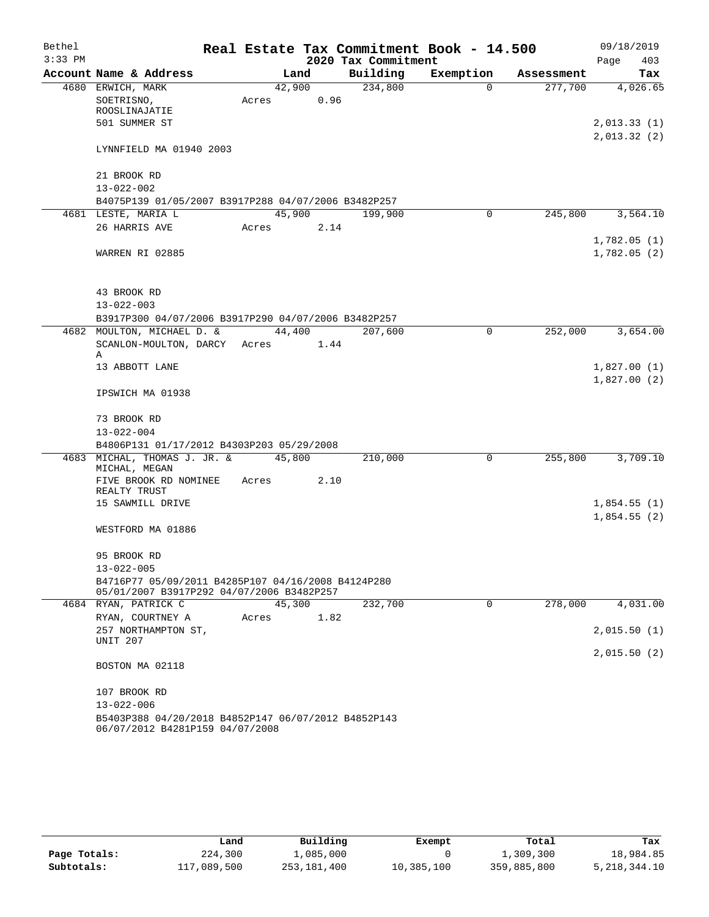| Bethel<br>$3:33$ PM |                                                                                   |        |        | 2020 Tax Commitment | Real Estate Tax Commitment Book - 14.500 |            | 09/18/2019<br>Page<br>403 |
|---------------------|-----------------------------------------------------------------------------------|--------|--------|---------------------|------------------------------------------|------------|---------------------------|
|                     | Account Name & Address                                                            | Land   |        | Building            | Exemption                                | Assessment | Tax                       |
|                     | 4680 ERWICH, MARK                                                                 | 42,900 |        | 234,800             | $\Omega$                                 | 277,700    | 4,026.65                  |
|                     | SOETRISNO,                                                                        | Acres  | 0.96   |                     |                                          |            |                           |
|                     | ROOSLINAJATIE                                                                     |        |        |                     |                                          |            |                           |
|                     | 501 SUMMER ST                                                                     |        |        |                     |                                          |            | 2,013.33(1)               |
|                     |                                                                                   |        |        |                     |                                          |            | 2,013.32(2)               |
|                     | LYNNFIELD MA 01940 2003                                                           |        |        |                     |                                          |            |                           |
|                     | 21 BROOK RD                                                                       |        |        |                     |                                          |            |                           |
|                     | $13 - 022 - 002$                                                                  |        |        |                     |                                          |            |                           |
|                     | B4075P139 01/05/2007 B3917P288 04/07/2006 B3482P257                               |        |        |                     |                                          |            |                           |
|                     | 4681 LESTE, MARIA L                                                               | 45,900 |        | 199,900             | $\Omega$                                 | 245,800    | 3,564.10                  |
|                     | 26 HARRIS AVE                                                                     | Acres  | 2.14   |                     |                                          |            |                           |
|                     |                                                                                   |        |        |                     |                                          |            | 1,782.05(1)               |
|                     | WARREN RI 02885                                                                   |        |        |                     |                                          |            | 1,782.05(2)               |
|                     |                                                                                   |        |        |                     |                                          |            |                           |
|                     |                                                                                   |        |        |                     |                                          |            |                           |
|                     | 43 BROOK RD                                                                       |        |        |                     |                                          |            |                           |
|                     | $13 - 022 - 003$                                                                  |        |        |                     |                                          |            |                           |
|                     | B3917P300 04/07/2006 B3917P290 04/07/2006 B3482P257<br>4682 MOULTON, MICHAEL D. & |        | 44,400 | 207,600             | 0                                        | 252,000    | 3,654.00                  |
|                     | SCANLON-MOULTON, DARCY Acres                                                      |        | 1.44   |                     |                                          |            |                           |
|                     | Α                                                                                 |        |        |                     |                                          |            |                           |
|                     | 13 ABBOTT LANE                                                                    |        |        |                     |                                          |            | 1,827.00(1)               |
|                     |                                                                                   |        |        |                     |                                          |            | 1,827.00(2)               |
|                     | IPSWICH MA 01938                                                                  |        |        |                     |                                          |            |                           |
|                     |                                                                                   |        |        |                     |                                          |            |                           |
|                     | 73 BROOK RD                                                                       |        |        |                     |                                          |            |                           |
|                     | $13 - 022 - 004$                                                                  |        |        |                     |                                          |            |                           |
|                     | B4806P131 01/17/2012 B4303P203 05/29/2008<br>4683 MICHAL, THOMAS J. JR. &         | 45,800 |        | 210,000             | $\mathbf 0$                              | 255,800    | 3,709.10                  |
|                     | MICHAL, MEGAN                                                                     |        |        |                     |                                          |            |                           |
|                     | FIVE BROOK RD NOMINEE                                                             | Acres  | 2.10   |                     |                                          |            |                           |
|                     | REALTY TRUST                                                                      |        |        |                     |                                          |            |                           |
|                     | 15 SAWMILL DRIVE                                                                  |        |        |                     |                                          |            | 1,854.55(1)               |
|                     | WESTFORD MA 01886                                                                 |        |        |                     |                                          |            | 1,854.55(2)               |
|                     |                                                                                   |        |        |                     |                                          |            |                           |
|                     | 95 BROOK RD                                                                       |        |        |                     |                                          |            |                           |
|                     | $13 - 022 - 005$                                                                  |        |        |                     |                                          |            |                           |
|                     | B4716P77 05/09/2011 B4285P107 04/16/2008 B4124P280                                |        |        |                     |                                          |            |                           |
|                     | 05/01/2007 B3917P292 04/07/2006 B3482P257                                         |        |        |                     |                                          |            |                           |
|                     | 4684 RYAN, PATRICK C                                                              | 45,300 |        | 232,700             | 0                                        | 278,000    | 4,031.00                  |
|                     | RYAN, COURTNEY A                                                                  | Acres  | 1.82   |                     |                                          |            |                           |
|                     | 257 NORTHAMPTON ST,<br>UNIT 207                                                   |        |        |                     |                                          |            | 2,015.50(1)               |
|                     |                                                                                   |        |        |                     |                                          |            | 2,015.50(2)               |
|                     | BOSTON MA 02118                                                                   |        |        |                     |                                          |            |                           |
|                     | 107 BROOK RD                                                                      |        |        |                     |                                          |            |                           |
|                     | $13 - 022 - 006$                                                                  |        |        |                     |                                          |            |                           |
|                     | B5403P388 04/20/2018 B4852P147 06/07/2012 B4852P143                               |        |        |                     |                                          |            |                           |
|                     | 06/07/2012 B4281P159 04/07/2008                                                   |        |        |                     |                                          |            |                           |

|              | Land        | Building    | Exempt     | Total       | Tax          |
|--------------|-------------|-------------|------------|-------------|--------------|
| Page Totals: | 224,300     | 1,085,000   |            | 1,309,300   | 18,984.85    |
| Subtotals:   | 117,089,500 | 253,181,400 | 10,385,100 | 359,885,800 | 5,218,344.10 |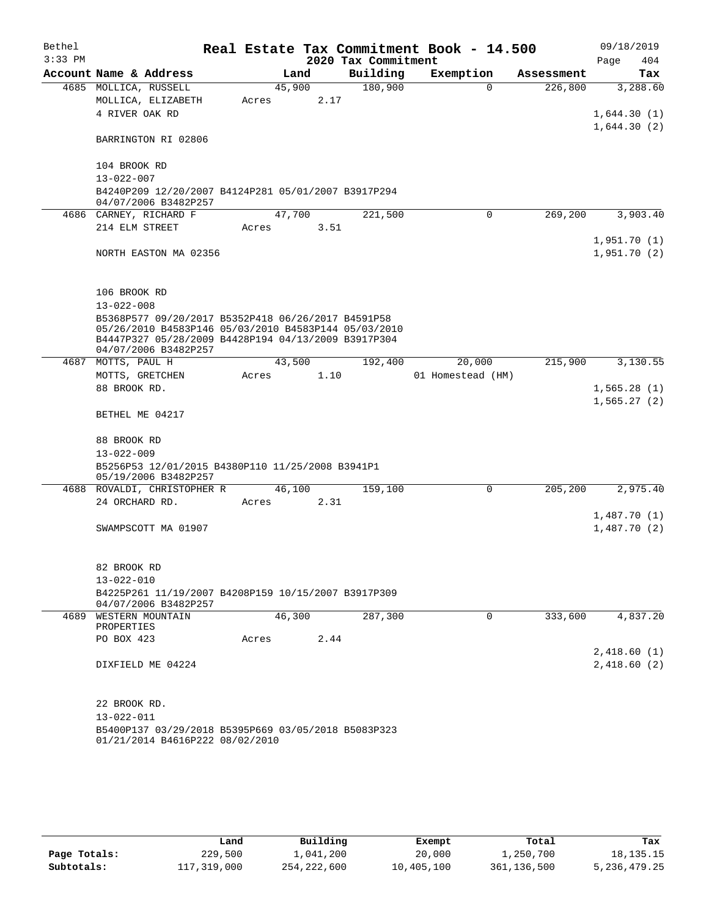| Bethel    |                                                                                                            |       |        |      |                     | Real Estate Tax Commitment Book - 14.500 |             |            |      | 09/18/2019                 |
|-----------|------------------------------------------------------------------------------------------------------------|-------|--------|------|---------------------|------------------------------------------|-------------|------------|------|----------------------------|
| $3:33$ PM |                                                                                                            |       |        |      | 2020 Tax Commitment |                                          |             |            | Page | 404                        |
|           | Account Name & Address                                                                                     |       | Land   |      | Building            | Exemption                                |             | Assessment |      | Tax                        |
|           | 4685 MOLLICA, RUSSELL                                                                                      |       | 45,900 |      | 180,900             |                                          | $\Omega$    | 226,800    |      | 3,288.60                   |
|           | MOLLICA, ELIZABETH                                                                                         | Acres |        | 2.17 |                     |                                          |             |            |      |                            |
|           | 4 RIVER OAK RD                                                                                             |       |        |      |                     |                                          |             |            |      | 1,644.30(1)<br>1,644.30(2) |
|           | BARRINGTON RI 02806                                                                                        |       |        |      |                     |                                          |             |            |      |                            |
|           | 104 BROOK RD                                                                                               |       |        |      |                     |                                          |             |            |      |                            |
|           | 13-022-007                                                                                                 |       |        |      |                     |                                          |             |            |      |                            |
|           | B4240P209 12/20/2007 B4124P281 05/01/2007 B3917P294<br>04/07/2006 B3482P257                                |       |        |      |                     |                                          |             |            |      |                            |
|           | 4686 CARNEY, RICHARD F                                                                                     |       | 47,700 |      | 221,500             |                                          | $\mathbf 0$ | 269,200    |      | 3,903.40                   |
|           | 214 ELM STREET                                                                                             | Acres |        | 3.51 |                     |                                          |             |            |      |                            |
|           |                                                                                                            |       |        |      |                     |                                          |             |            |      | 1,951.70(1)                |
|           | NORTH EASTON MA 02356                                                                                      |       |        |      |                     |                                          |             |            |      | 1,951.70(2)                |
|           | 106 BROOK RD                                                                                               |       |        |      |                     |                                          |             |            |      |                            |
|           | $13 - 022 - 008$                                                                                           |       |        |      |                     |                                          |             |            |      |                            |
|           | B5368P577 09/20/2017 B5352P418 06/26/2017 B4591P58<br>05/26/2010 B4583P146 05/03/2010 B4583P144 05/03/2010 |       |        |      |                     |                                          |             |            |      |                            |
|           | B4447P327 05/28/2009 B4428P194 04/13/2009 B3917P304<br>04/07/2006 B3482P257                                |       |        |      |                     |                                          |             |            |      |                            |
|           | 4687 MOTTS, PAUL H                                                                                         |       | 43,500 |      | 192,400             |                                          | 20,000      | 215,900    |      | 3,130.55                   |
|           | MOTTS, GRETCHEN                                                                                            | Acres |        | 1.10 |                     | 01 Homestead (HM)                        |             |            |      |                            |
|           | 88 BROOK RD.                                                                                               |       |        |      |                     |                                          |             |            |      | 1,565.28(1)                |
|           |                                                                                                            |       |        |      |                     |                                          |             |            |      | 1,565.27(2)                |
|           | BETHEL ME 04217                                                                                            |       |        |      |                     |                                          |             |            |      |                            |
|           | 88 BROOK RD                                                                                                |       |        |      |                     |                                          |             |            |      |                            |
|           | $13 - 022 - 009$                                                                                           |       |        |      |                     |                                          |             |            |      |                            |
|           | B5256P53 12/01/2015 B4380P110 11/25/2008 B3941P1<br>05/19/2006 B3482P257                                   |       |        |      |                     |                                          |             |            |      |                            |
|           | 4688 ROVALDI, CHRISTOPHER R                                                                                |       | 46,100 |      | 159,100             |                                          | 0           | 205,200    |      | 2,975.40                   |
|           | 24 ORCHARD RD.                                                                                             | Acres |        | 2.31 |                     |                                          |             |            |      |                            |
|           |                                                                                                            |       |        |      |                     |                                          |             |            |      | 1,487.70(1)                |
|           | SWAMPSCOTT MA 01907                                                                                        |       |        |      |                     |                                          |             |            |      | 1,487.70(2)                |
|           | 82 BROOK RD                                                                                                |       |        |      |                     |                                          |             |            |      |                            |
|           | $13 - 022 - 010$                                                                                           |       |        |      |                     |                                          |             |            |      |                            |
|           | B4225P261 11/19/2007 B4208P159 10/15/2007 B3917P309<br>04/07/2006 B3482P257                                |       |        |      |                     |                                          |             |            |      |                            |
|           | 4689 WESTERN MOUNTAIN<br>PROPERTIES                                                                        |       | 46,300 |      | 287,300             |                                          | 0           | 333,600    |      | 4,837.20                   |
|           | PO BOX 423                                                                                                 | Acres |        | 2.44 |                     |                                          |             |            |      |                            |
|           |                                                                                                            |       |        |      |                     |                                          |             |            |      | 2,418.60(1)                |
|           | DIXFIELD ME 04224                                                                                          |       |        |      |                     |                                          |             |            |      | 2,418.60(2)                |
|           | 22 BROOK RD.                                                                                               |       |        |      |                     |                                          |             |            |      |                            |
|           | 13-022-011                                                                                                 |       |        |      |                     |                                          |             |            |      |                            |
|           | B5400P137 03/29/2018 B5395P669 03/05/2018 B5083P323<br>01/21/2014 B4616P222 08/02/2010                     |       |        |      |                     |                                          |             |            |      |                            |

|              | Land        | Building      | Exempt     | Total       | Tax             |
|--------------|-------------|---------------|------------|-------------|-----------------|
| Page Totals: | 229,500     | 1,041,200     | 20,000     | 1,250,700   | 18, 135. 15     |
| Subtotals:   | 117,319,000 | 254, 222, 600 | 10,405,100 | 361,136,500 | 5, 236, 479. 25 |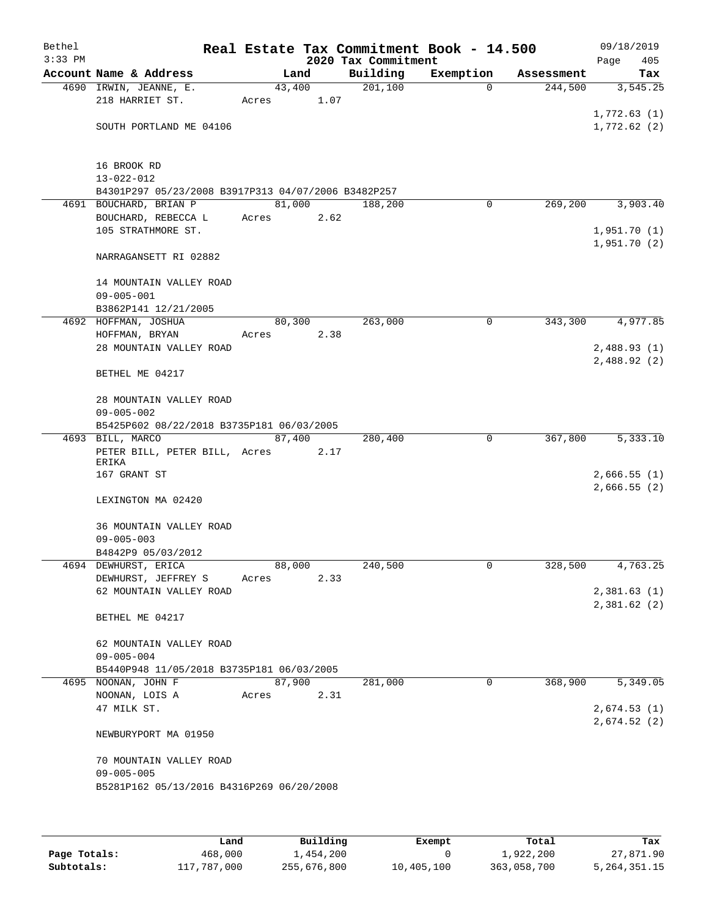| Bethel<br>$3:33$ PM |                                                     |        |      | Real Estate Tax Commitment Book - 14.500<br>2020 Tax Commitment |             |            | 09/18/2019<br>Page<br>405 |
|---------------------|-----------------------------------------------------|--------|------|-----------------------------------------------------------------|-------------|------------|---------------------------|
|                     | Account Name & Address                              |        | Land | Building                                                        | Exemption   | Assessment | Tax                       |
|                     | 4690 IRWIN, JEANNE, E.                              | 43,400 |      | 201,100                                                         | $\mathbf 0$ | 244,500    | 3,545.25                  |
|                     | 218 HARRIET ST.                                     | Acres  | 1.07 |                                                                 |             |            |                           |
|                     |                                                     |        |      |                                                                 |             |            | 1,772.63(1)               |
|                     | SOUTH PORTLAND ME 04106                             |        |      |                                                                 |             |            | 1,772.62 (2)              |
|                     |                                                     |        |      |                                                                 |             |            |                           |
|                     |                                                     |        |      |                                                                 |             |            |                           |
|                     | 16 BROOK RD                                         |        |      |                                                                 |             |            |                           |
|                     | $13 - 022 - 012$                                    |        |      |                                                                 |             |            |                           |
|                     | B4301P297 05/23/2008 B3917P313 04/07/2006 B3482P257 |        |      |                                                                 |             |            |                           |
|                     | 4691 BOUCHARD, BRIAN P<br>BOUCHARD, REBECCA L       | 81,000 |      | 188,200                                                         | 0           | 269,200    | 3,903.40                  |
|                     | 105 STRATHMORE ST.                                  | Acres  | 2.62 |                                                                 |             |            | 1,951.70(1)               |
|                     |                                                     |        |      |                                                                 |             |            | 1,951.70 (2)              |
|                     | NARRAGANSETT RI 02882                               |        |      |                                                                 |             |            |                           |
|                     |                                                     |        |      |                                                                 |             |            |                           |
|                     | 14 MOUNTAIN VALLEY ROAD                             |        |      |                                                                 |             |            |                           |
|                     | $09 - 005 - 001$                                    |        |      |                                                                 |             |            |                           |
|                     | B3862P141 12/21/2005                                |        |      |                                                                 |             |            |                           |
|                     | 4692 HOFFMAN, JOSHUA                                | 80,300 |      | 263,000                                                         | 0           | 343,300    | 4,977.85                  |
|                     | HOFFMAN, BRYAN                                      | Acres  | 2.38 |                                                                 |             |            |                           |
|                     | 28 MOUNTAIN VALLEY ROAD                             |        |      |                                                                 |             |            | 2,488.93(1)               |
|                     |                                                     |        |      |                                                                 |             |            | 2,488.92(2)               |
|                     | BETHEL ME 04217                                     |        |      |                                                                 |             |            |                           |
|                     | 28 MOUNTAIN VALLEY ROAD                             |        |      |                                                                 |             |            |                           |
|                     | $09 - 005 - 002$                                    |        |      |                                                                 |             |            |                           |
|                     | B5425P602 08/22/2018 B3735P181 06/03/2005           |        |      |                                                                 |             |            |                           |
|                     | 4693 BILL, MARCO                                    | 87,400 |      | 280,400                                                         | 0           | 367,800    | 5,333.10                  |
|                     | PETER BILL, PETER BILL, Acres                       |        | 2.17 |                                                                 |             |            |                           |
|                     | ERIKA                                               |        |      |                                                                 |             |            |                           |
|                     | 167 GRANT ST                                        |        |      |                                                                 |             |            | 2,666.55(1)               |
|                     | LEXINGTON MA 02420                                  |        |      |                                                                 |             |            | 2,666.55(2)               |
|                     |                                                     |        |      |                                                                 |             |            |                           |
|                     | 36 MOUNTAIN VALLEY ROAD                             |        |      |                                                                 |             |            |                           |
|                     | $09 - 005 - 003$                                    |        |      |                                                                 |             |            |                           |
|                     | B4842P9 05/03/2012                                  |        |      |                                                                 |             |            |                           |
|                     | 4694 DEWHURST, ERICA                                | 88,000 |      | 240,500                                                         | 0           | 328,500    | 4,763.25                  |
|                     | DEWHURST, JEFFREY S                                 | Acres  | 2.33 |                                                                 |             |            |                           |
|                     | 62 MOUNTAIN VALLEY ROAD                             |        |      |                                                                 |             |            | 2,381.63(1)               |
|                     |                                                     |        |      |                                                                 |             |            | 2,381.62(2)               |
|                     | BETHEL ME 04217                                     |        |      |                                                                 |             |            |                           |
|                     |                                                     |        |      |                                                                 |             |            |                           |
|                     | 62 MOUNTAIN VALLEY ROAD<br>$09 - 005 - 004$         |        |      |                                                                 |             |            |                           |
|                     | B5440P948 11/05/2018 B3735P181 06/03/2005           |        |      |                                                                 |             |            |                           |
|                     | 4695 NOONAN, JOHN F                                 | 87,900 |      | 281,000                                                         | $\Omega$    | 368,900    | 5,349.05                  |
|                     | NOONAN, LOIS A                                      | Acres  | 2.31 |                                                                 |             |            |                           |
|                     | 47 MILK ST.                                         |        |      |                                                                 |             |            | 2,674.53(1)               |
|                     |                                                     |        |      |                                                                 |             |            | 2,674.52(2)               |
|                     | NEWBURYPORT MA 01950                                |        |      |                                                                 |             |            |                           |
|                     |                                                     |        |      |                                                                 |             |            |                           |
|                     | 70 MOUNTAIN VALLEY ROAD                             |        |      |                                                                 |             |            |                           |
|                     | $09 - 005 - 005$                                    |        |      |                                                                 |             |            |                           |
|                     | B5281P162 05/13/2016 B4316P269 06/20/2008           |        |      |                                                                 |             |            |                           |
|                     |                                                     |        |      |                                                                 |             |            |                           |
|                     |                                                     |        |      |                                                                 |             |            |                           |

|              | Land        | Building    | Exempt     | Total       | Tax          |
|--------------|-------------|-------------|------------|-------------|--------------|
| Page Totals: | 468,000     | 1,454,200   |            | 1,922,200   | 27,871.90    |
| Subtotals:   | 117,787,000 | 255,676,800 | 10,405,100 | 363,058,700 | 5,264,351.15 |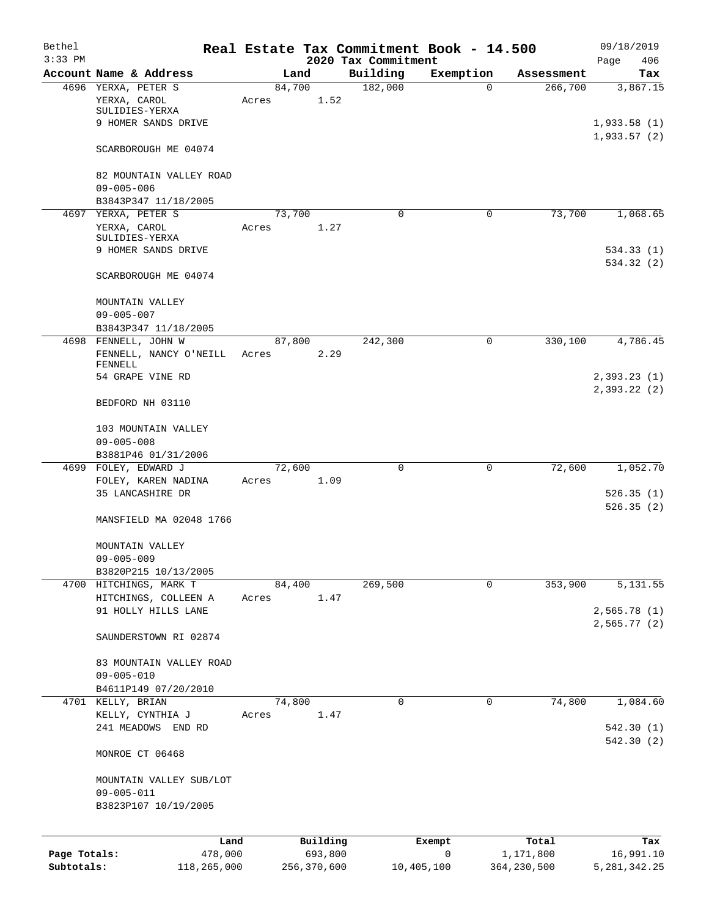| Bethel       |                                                       |        |             |                     | Real Estate Tax Commitment Book - 14.500 |                       | 09/18/2019                 |
|--------------|-------------------------------------------------------|--------|-------------|---------------------|------------------------------------------|-----------------------|----------------------------|
| $3:33$ PM    |                                                       |        |             | 2020 Tax Commitment |                                          |                       | Page<br>406                |
|              | Account Name & Address<br>4696 YERXA, PETER S         | 84,700 | Land        | Building<br>182,000 | Exemption<br>0                           | Assessment<br>266,700 | Tax<br>3,867.15            |
|              | YERXA, CAROL<br>SULIDIES-YERXA                        | Acres  | 1.52        |                     |                                          |                       |                            |
|              | 9 HOMER SANDS DRIVE                                   |        |             |                     |                                          |                       | 1,933.58(1)<br>1,933.57(2) |
|              | SCARBOROUGH ME 04074                                  |        |             |                     |                                          |                       |                            |
|              | 82 MOUNTAIN VALLEY ROAD<br>$09 - 005 - 006$           |        |             |                     |                                          |                       |                            |
|              | B3843P347 11/18/2005                                  |        |             |                     |                                          |                       |                            |
|              | 4697 YERXA, PETER S                                   | 73,700 |             | 0                   | 0                                        | 73,700                | 1,068.65                   |
|              | YERXA, CAROL<br>SULIDIES-YERXA<br>9 HOMER SANDS DRIVE | Acres  | 1.27        |                     |                                          |                       | 534.33(1)                  |
|              | SCARBOROUGH ME 04074                                  |        |             |                     |                                          |                       | 534.32 (2)                 |
|              | MOUNTAIN VALLEY<br>$09 - 005 - 007$                   |        |             |                     |                                          |                       |                            |
|              | B3843P347 11/18/2005                                  |        |             |                     |                                          |                       |                            |
|              | 4698 FENNELL, JOHN W                                  | 87,800 |             | 242,300             | 0                                        | 330,100               | 4,786.45                   |
|              | FENNELL, NANCY O'NEILL                                | Acres  | 2.29        |                     |                                          |                       |                            |
|              | FENNELL<br>54 GRAPE VINE RD                           |        |             |                     |                                          |                       | 2,393.23(1)                |
|              | BEDFORD NH 03110                                      |        |             |                     |                                          |                       | 2,393.22 (2)               |
|              | 103 MOUNTAIN VALLEY                                   |        |             |                     |                                          |                       |                            |
|              | $09 - 005 - 008$<br>B3881P46 01/31/2006               |        |             |                     |                                          |                       |                            |
|              | 4699 FOLEY, EDWARD J                                  | 72,600 |             | $\mathbf 0$         | $\mathbf 0$                              | 72,600                | 1,052.70                   |
|              | FOLEY, KAREN NADINA                                   | Acres  | 1.09        |                     |                                          |                       |                            |
|              | 35 LANCASHIRE DR                                      |        |             |                     |                                          |                       | 526.35(1)                  |
|              | MANSFIELD MA 02048 1766                               |        |             |                     |                                          |                       | 526.35(2)                  |
|              | MOUNTAIN VALLEY                                       |        |             |                     |                                          |                       |                            |
|              | $09 - 005 - 009$                                      |        |             |                     |                                          |                       |                            |
|              | B3820P215 10/13/2005<br>4700 HITCHINGS, MARK T        |        | 84,400      | 269,500             | 0                                        | 353,900               | 5,131.55                   |
|              | HITCHINGS, COLLEEN A                                  | Acres  | 1.47        |                     |                                          |                       |                            |
|              | 91 HOLLY HILLS LANE                                   |        |             |                     |                                          |                       | 2,565.78(1)                |
|              | SAUNDERSTOWN RI 02874                                 |        |             |                     |                                          |                       | 2,565.77(2)                |
|              | 83 MOUNTAIN VALLEY ROAD                               |        |             |                     |                                          |                       |                            |
|              | $09 - 005 - 010$                                      |        |             |                     |                                          |                       |                            |
|              | B4611P149 07/20/2010                                  |        |             |                     |                                          |                       |                            |
|              | 4701 KELLY, BRIAN                                     | 74,800 |             | 0                   | 0                                        | 74,800                | 1,084.60                   |
|              | KELLY, CYNTHIA J<br>241 MEADOWS END RD                | Acres  | 1.47        |                     |                                          |                       | 542.30(1)                  |
|              | MONROE CT 06468                                       |        |             |                     |                                          |                       | 542.30 (2)                 |
|              | MOUNTAIN VALLEY SUB/LOT                               |        |             |                     |                                          |                       |                            |
|              | $09 - 005 - 011$                                      |        |             |                     |                                          |                       |                            |
|              | B3823P107 10/19/2005                                  |        |             |                     |                                          |                       |                            |
|              | Land                                                  |        | Building    |                     | Exempt                                   | Total                 | Tax                        |
| Page Totals: | 478,000                                               |        | 693,800     |                     | 0                                        | 1,171,800             | 16,991.10                  |
| Subtotals:   | 118,265,000                                           |        | 256,370,600 |                     | 10,405,100                               | 364, 230, 500         | 5, 281, 342. 25            |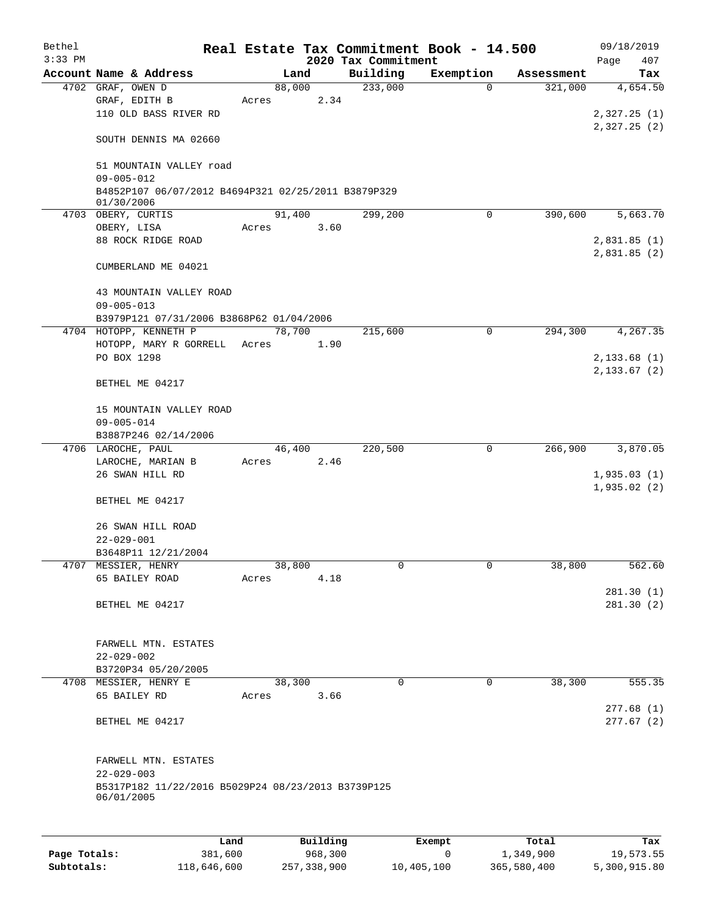| Bethel       |                                                                   |        |          |                     | Real Estate Tax Commitment Book - 14.500 |                       | 09/18/2019                   |
|--------------|-------------------------------------------------------------------|--------|----------|---------------------|------------------------------------------|-----------------------|------------------------------|
| $3:33$ PM    | Account Name & Address                                            |        |          | 2020 Tax Commitment |                                          |                       | Page<br>407                  |
|              | 4702 GRAF, OWEN D                                                 | 88,000 | Land     | Building<br>233,000 | Exemption<br>$\Omega$                    | Assessment<br>321,000 | Tax<br>4,654.50              |
|              | GRAF, EDITH B                                                     | Acres  | 2.34     |                     |                                          |                       |                              |
|              | 110 OLD BASS RIVER RD                                             |        |          |                     |                                          |                       | 2,327.25(1)                  |
|              |                                                                   |        |          |                     |                                          |                       | 2,327.25(2)                  |
|              | SOUTH DENNIS MA 02660                                             |        |          |                     |                                          |                       |                              |
|              | 51 MOUNTAIN VALLEY road                                           |        |          |                     |                                          |                       |                              |
|              | $09 - 005 - 012$                                                  |        |          |                     |                                          |                       |                              |
|              | B4852P107 06/07/2012 B4694P321 02/25/2011 B3879P329<br>01/30/2006 |        |          |                     |                                          |                       |                              |
|              | 4703 OBERY, CURTIS                                                |        | 91,400   | 299,200             | $\mathbf 0$                              | 390,600               | 5,663.70                     |
|              | OBERY, LISA                                                       | Acres  | 3.60     |                     |                                          |                       |                              |
|              | 88 ROCK RIDGE ROAD                                                |        |          |                     |                                          |                       | 2,831.85(1)                  |
|              |                                                                   |        |          |                     |                                          |                       | 2,831.85(2)                  |
|              | CUMBERLAND ME 04021                                               |        |          |                     |                                          |                       |                              |
|              | 43 MOUNTAIN VALLEY ROAD                                           |        |          |                     |                                          |                       |                              |
|              | $09 - 005 - 013$                                                  |        |          |                     |                                          |                       |                              |
|              | B3979P121 07/31/2006 B3868P62 01/04/2006                          |        |          |                     |                                          |                       |                              |
|              | 4704 HOTOPP, KENNETH P                                            | 78,700 |          | 215,600             | 0                                        | 294,300               | 4,267.35                     |
|              | HOTOPP, MARY R GORRELL                                            | Acres  | 1.90     |                     |                                          |                       |                              |
|              | PO BOX 1298                                                       |        |          |                     |                                          |                       | 2,133.68(1)<br>2, 133.67 (2) |
|              | BETHEL ME 04217                                                   |        |          |                     |                                          |                       |                              |
|              | 15 MOUNTAIN VALLEY ROAD                                           |        |          |                     |                                          |                       |                              |
|              | $09 - 005 - 014$                                                  |        |          |                     |                                          |                       |                              |
|              | B3887P246 02/14/2006                                              |        |          |                     |                                          |                       |                              |
|              | 4706 LAROCHE, PAUL                                                | 46,400 |          | 220,500             | $\mathbf 0$                              | 266,900               | 3,870.05                     |
|              | LAROCHE, MARIAN B                                                 | Acres  | 2.46     |                     |                                          |                       |                              |
|              | 26 SWAN HILL RD                                                   |        |          |                     |                                          |                       | 1,935.03(1)<br>1,935.02(2)   |
|              | BETHEL ME 04217                                                   |        |          |                     |                                          |                       |                              |
|              | 26 SWAN HILL ROAD                                                 |        |          |                     |                                          |                       |                              |
|              | $22 - 029 - 001$                                                  |        |          |                     |                                          |                       |                              |
|              | B3648P11 12/21/2004                                               |        |          |                     |                                          |                       |                              |
|              | 4707 MESSIER, HENRY                                               | 38,800 |          | 0                   | $\mathbf{0}$                             | 38,800                | 562.60                       |
|              | 65 BAILEY ROAD                                                    | Acres  | 4.18     |                     |                                          |                       |                              |
|              |                                                                   |        |          |                     |                                          |                       | 281.30(1)                    |
|              | BETHEL ME 04217                                                   |        |          |                     |                                          |                       | 281.30(2)                    |
|              | FARWELL MTN. ESTATES                                              |        |          |                     |                                          |                       |                              |
|              | $22 - 029 - 002$                                                  |        |          |                     |                                          |                       |                              |
|              | B3720P34 05/20/2005                                               |        |          |                     |                                          |                       |                              |
|              | 4708 MESSIER, HENRY E                                             | 38,300 |          | $\Omega$            | $\mathbf 0$                              | 38,300                | 555.35                       |
|              | 65 BAILEY RD                                                      | Acres  | 3.66     |                     |                                          |                       |                              |
|              |                                                                   |        |          |                     |                                          |                       | 277.68(1)                    |
|              | BETHEL ME 04217                                                   |        |          |                     |                                          |                       | 277.67(2)                    |
|              | FARWELL MTN. ESTATES                                              |        |          |                     |                                          |                       |                              |
|              | $22 - 029 - 003$                                                  |        |          |                     |                                          |                       |                              |
|              | B5317P182 11/22/2016 B5029P24 08/23/2013 B3739P125<br>06/01/2005  |        |          |                     |                                          |                       |                              |
|              |                                                                   |        |          |                     |                                          |                       |                              |
|              | Land                                                              |        | Building |                     | Exempt                                   | Total                 | Tax                          |
| Page Totals: | 381,600                                                           |        | 968,300  |                     | 0                                        | 1,349,900             | 19,573.55                    |

**Subtotals:** 118,646,600 257,338,900 10,405,100 365,580,400 5,300,915.80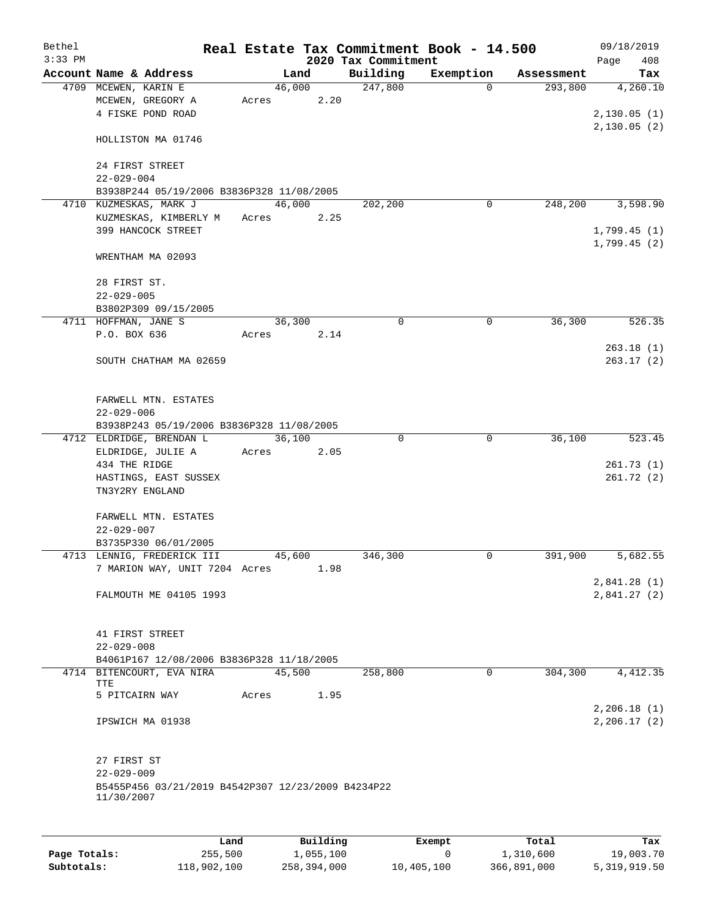| Bethel    |                                                                                      |       |        |      |                     | Real Estate Tax Commitment Book - 14.500 |            | 09/18/2019                  |
|-----------|--------------------------------------------------------------------------------------|-------|--------|------|---------------------|------------------------------------------|------------|-----------------------------|
| $3:33$ PM |                                                                                      |       |        |      | 2020 Tax Commitment |                                          |            | 408<br>Page                 |
|           | Account Name & Address                                                               |       | Land   |      | Building            | Exemption                                | Assessment | Tax                         |
|           | 4709 MCEWEN, KARIN E<br>MCEWEN, GREGORY A<br>4 FISKE POND ROAD                       | Acres | 46,000 | 2.20 | 247,800             | $\Omega$                                 | 293,800    | 4,260.10<br>2,130.05(1)     |
|           | HOLLISTON MA 01746                                                                   |       |        |      |                     |                                          |            | 2,130.05(2)                 |
|           | 24 FIRST STREET<br>$22 - 029 - 004$                                                  |       |        |      |                     |                                          |            |                             |
|           | B3938P244 05/19/2006 B3836P328 11/08/2005                                            |       |        |      |                     |                                          |            |                             |
|           | 4710 KUZMESKAS, MARK J                                                               |       | 46,000 |      | 202,200             | 0                                        | 248,200    | 3,598.90                    |
|           | KUZMESKAS, KIMBERLY M<br>399 HANCOCK STREET                                          | Acres |        | 2.25 |                     |                                          |            | 1,799.45(1)<br>1,799.45(2)  |
|           | WRENTHAM MA 02093                                                                    |       |        |      |                     |                                          |            |                             |
|           | 28 FIRST ST.<br>$22 - 029 - 005$                                                     |       |        |      |                     |                                          |            |                             |
|           | B3802P309 09/15/2005                                                                 |       |        |      |                     |                                          |            |                             |
|           | 4711 HOFFMAN, JANE S                                                                 |       | 36,300 |      | $\mathbf 0$         | $\mathbf 0$                              | 36,300     | 526.35                      |
|           | P.O. BOX 636                                                                         | Acres |        | 2.14 |                     |                                          |            |                             |
|           | SOUTH CHATHAM MA 02659                                                               |       |        |      |                     |                                          |            | 263.18(1)<br>263.17(2)      |
|           | FARWELL MTN. ESTATES<br>$22 - 029 - 006$                                             |       |        |      |                     |                                          |            |                             |
|           | B3938P243 05/19/2006 B3836P328 11/08/2005<br>4712 ELDRIDGE, BRENDAN L                |       | 36,100 |      | $\Omega$            | $\Omega$                                 |            | 523.45                      |
|           | ELDRIDGE, JULIE A                                                                    | Acres |        | 2.05 |                     |                                          | 36,100     |                             |
|           | 434 THE RIDGE                                                                        |       |        |      |                     |                                          |            | 261.73(1)                   |
|           | HASTINGS, EAST SUSSEX                                                                |       |        |      |                     |                                          |            | 261.72(2)                   |
|           | TN3Y2RY ENGLAND                                                                      |       |        |      |                     |                                          |            |                             |
|           | FARWELL MTN. ESTATES                                                                 |       |        |      |                     |                                          |            |                             |
|           | $22 - 029 - 007$                                                                     |       |        |      |                     |                                          |            |                             |
|           | B3735P330 06/01/2005                                                                 |       |        |      |                     |                                          |            |                             |
|           | 4713 LENNIG, FREDERICK III                                                           |       | 45,600 |      | 346,300             | 0                                        | 391,900    | 5,682.55                    |
|           | 7 MARION WAY, UNIT 7204 Acres                                                        |       |        | 1.98 |                     |                                          |            |                             |
|           | FALMOUTH ME 04105 1993                                                               |       |        |      |                     |                                          |            | 2,841.28 (1)<br>2,841.27(2) |
|           |                                                                                      |       |        |      |                     |                                          |            |                             |
|           | 41 FIRST STREET                                                                      |       |        |      |                     |                                          |            |                             |
|           | $22 - 029 - 008$                                                                     |       |        |      |                     |                                          |            |                             |
|           | B4061P167 12/08/2006 B3836P328 11/18/2005<br>4714 BITENCOURT, EVA NIRA<br>TTE        |       | 45,500 |      | 258,800             | 0                                        | 304,300    | 4, 412.35                   |
|           | 5 PITCAIRN WAY                                                                       | Acres |        | 1.95 |                     |                                          |            | 2,206.18(1)                 |
|           | IPSWICH MA 01938                                                                     |       |        |      |                     |                                          |            | 2, 206.17(2)                |
|           | 27 FIRST ST                                                                          |       |        |      |                     |                                          |            |                             |
|           | $22 - 029 - 009$<br>B5455P456 03/21/2019 B4542P307 12/23/2009 B4234P22<br>11/30/2007 |       |        |      |                     |                                          |            |                             |
|           |                                                                                      |       |        |      |                     |                                          |            |                             |
|           |                                                                                      |       |        |      |                     |                                          |            |                             |

|              | Land        | Building    | Exempt     | Total       | Tax          |
|--------------|-------------|-------------|------------|-------------|--------------|
| Page Totals: | 255,500     | 1,055,100   |            | 1,310,600   | 19,003.70    |
| Subtotals:   | 118,902,100 | 258,394,000 | 10,405,100 | 366,891,000 | 5,319,919.50 |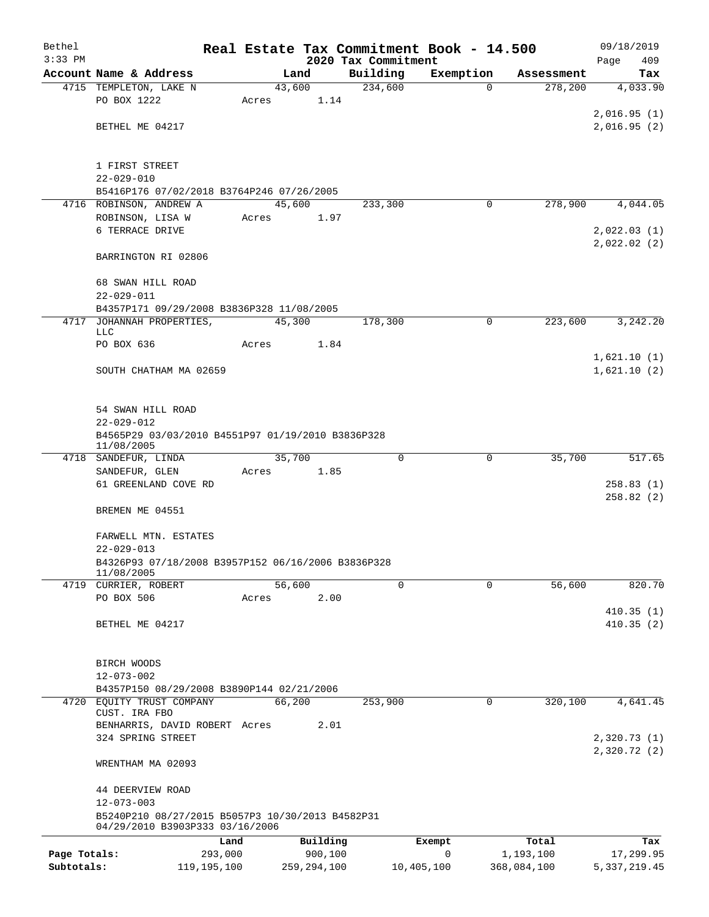| Bethel       |                                                                      |       |                     |                                 | Real Estate Tax Commitment Book - 14.500 |                    | 09/18/2019                  |
|--------------|----------------------------------------------------------------------|-------|---------------------|---------------------------------|------------------------------------------|--------------------|-----------------------------|
| $3:33$ PM    | Account Name & Address                                               |       | Land                | 2020 Tax Commitment<br>Building |                                          | Assessment         | Page<br>409                 |
|              | 4715 TEMPLETON, LAKE N                                               |       | 43,600              | 234,600                         | Exemption<br>$\Omega$                    | 278,200            | Tax<br>4,033.90             |
|              | PO BOX 1222                                                          | Acres | 1.14                |                                 |                                          |                    |                             |
|              |                                                                      |       |                     |                                 |                                          |                    | 2,016.95(1)                 |
|              | BETHEL ME 04217                                                      |       |                     |                                 |                                          |                    | 2,016.95(2)                 |
|              | 1 FIRST STREET                                                       |       |                     |                                 |                                          |                    |                             |
|              | $22 - 029 - 010$                                                     |       |                     |                                 |                                          |                    |                             |
|              | B5416P176 07/02/2018 B3764P246 07/26/2005                            |       |                     |                                 |                                          |                    |                             |
|              | 4716 ROBINSON, ANDREW A                                              |       | 45,600              | 233,300                         | 0                                        | 278,900            | 4,044.05                    |
|              | ROBINSON, LISA W                                                     | Acres | 1.97                |                                 |                                          |                    |                             |
|              | 6 TERRACE DRIVE                                                      |       |                     |                                 |                                          |                    | 2,022.03(1)                 |
|              | BARRINGTON RI 02806                                                  |       |                     |                                 |                                          |                    | 2,022.02(2)                 |
|              | 68 SWAN HILL ROAD                                                    |       |                     |                                 |                                          |                    |                             |
|              | $22 - 029 - 011$                                                     |       |                     |                                 |                                          |                    |                             |
|              | B4357P171 09/29/2008 B3836P328 11/08/2005                            |       |                     |                                 |                                          |                    |                             |
|              | 4717 JOHANNAH PROPERTIES,<br><b>LLC</b>                              |       | 45,300              | 178,300                         | $\mathbf 0$                              | 223,600            | 3,242.20                    |
|              | PO BOX 636                                                           | Acres | 1.84                |                                 |                                          |                    |                             |
|              |                                                                      |       |                     |                                 |                                          |                    | 1,621.10(1)                 |
|              | SOUTH CHATHAM MA 02659                                               |       |                     |                                 |                                          |                    | 1,621.10(2)                 |
|              | 54 SWAN HILL ROAD                                                    |       |                     |                                 |                                          |                    |                             |
|              | $22 - 029 - 012$                                                     |       |                     |                                 |                                          |                    |                             |
|              | B4565P29 03/03/2010 B4551P97 01/19/2010 B3836P328<br>11/08/2005      |       |                     |                                 |                                          |                    |                             |
|              | 4718 SANDEFUR, LINDA                                                 |       | 35,700              | $\mathbf 0$                     | 0                                        | 35,700             | 517.65                      |
|              | SANDEFUR, GLEN                                                       | Acres | 1.85                |                                 |                                          |                    |                             |
|              | 61 GREENLAND COVE RD                                                 |       |                     |                                 |                                          |                    | 258.83(1)<br>258.82(2)      |
|              | BREMEN ME 04551                                                      |       |                     |                                 |                                          |                    |                             |
|              | FARWELL MTN. ESTATES                                                 |       |                     |                                 |                                          |                    |                             |
|              | $22 - 029 - 013$                                                     |       |                     |                                 |                                          |                    |                             |
|              | B4326P93 07/18/2008 B3957P152 06/16/2006 B3836P328                   |       |                     |                                 |                                          |                    |                             |
|              | 11/08/2005<br>4719 CURRIER, ROBERT                                   |       | 56,600              | $\Omega$                        | $\mathbf 0$                              | 56,600             | 820.70                      |
|              | PO BOX 506                                                           | Acres | 2.00                |                                 |                                          |                    |                             |
|              |                                                                      |       |                     |                                 |                                          |                    | 410.35(1)                   |
|              | BETHEL ME 04217                                                      |       |                     |                                 |                                          |                    | 410.35(2)                   |
|              | BIRCH WOODS                                                          |       |                     |                                 |                                          |                    |                             |
|              | $12 - 073 - 002$                                                     |       |                     |                                 |                                          |                    |                             |
|              | B4357P150 08/29/2008 B3890P144 02/21/2006                            |       |                     |                                 |                                          |                    |                             |
|              | 4720 EQUITY TRUST COMPANY<br>CUST. IRA FBO                           |       | 66,200              | 253,900                         | 0                                        | 320,100            | 4,641.45                    |
|              | BENHARRIS, DAVID ROBERT Acres                                        |       | 2.01                |                                 |                                          |                    |                             |
|              | 324 SPRING STREET                                                    |       |                     |                                 |                                          |                    | 2,320.73(1)<br>2,320.72 (2) |
|              | WRENTHAM MA 02093                                                    |       |                     |                                 |                                          |                    |                             |
|              | 44 DEERVIEW ROAD                                                     |       |                     |                                 |                                          |                    |                             |
|              | $12 - 073 - 003$<br>B5240P210 08/27/2015 B5057P3 10/30/2013 B4582P31 |       |                     |                                 |                                          |                    |                             |
|              | 04/29/2010 B3903P333 03/16/2006                                      |       |                     |                                 |                                          |                    |                             |
| Page Totals: | Land<br>293,000                                                      |       | Building<br>900,100 |                                 | Exempt<br>$\mathbf 0$                    | Total<br>1,193,100 | Tax<br>17,299.95            |
| Subtotals:   | 119, 195, 100                                                        |       | 259, 294, 100       |                                 | 10,405,100                               | 368,084,100        | 5, 337, 219.45              |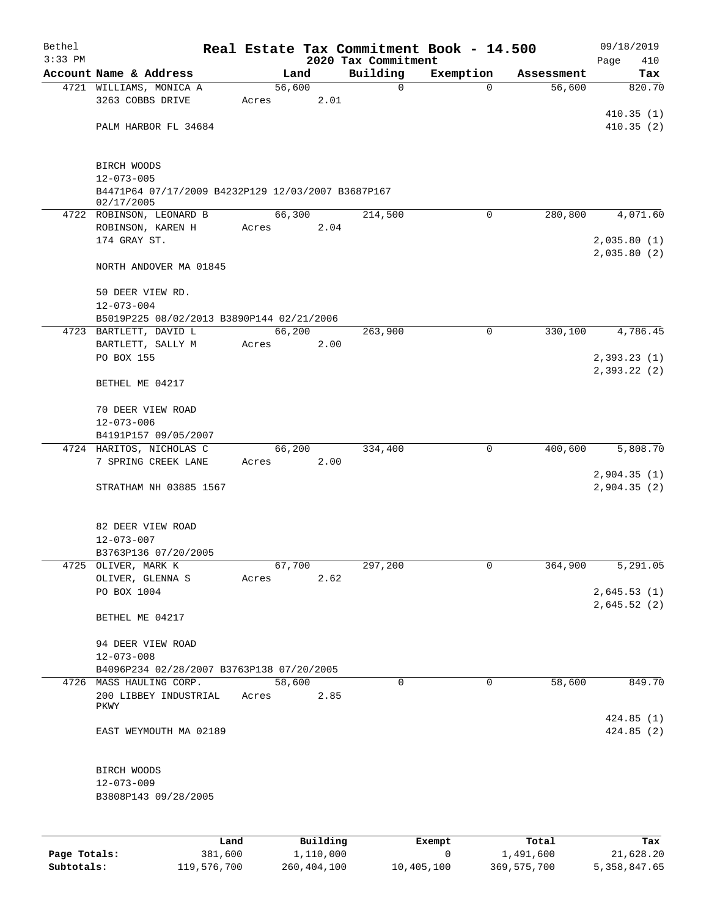| Bethel    |                                                                  |       |        |          |                                 | Real Estate Tax Commitment Book - 14.500 |            | 09/18/2019                 |
|-----------|------------------------------------------------------------------|-------|--------|----------|---------------------------------|------------------------------------------|------------|----------------------------|
| $3:33$ PM | Account Name & Address                                           |       | Land   |          | 2020 Tax Commitment<br>Building | Exemption                                | Assessment | Page<br>410                |
|           | 4721 WILLIAMS, MONICA A                                          |       | 56,600 |          | $\mathbf 0$                     | $\Omega$                                 | 56,600     | Tax<br>820.70              |
|           | 3263 COBBS DRIVE                                                 | Acres |        | 2.01     |                                 |                                          |            |                            |
|           |                                                                  |       |        |          |                                 |                                          |            | 410.35(1)                  |
|           | PALM HARBOR FL 34684                                             |       |        |          |                                 |                                          |            | 410.35(2)                  |
|           |                                                                  |       |        |          |                                 |                                          |            |                            |
|           | BIRCH WOODS                                                      |       |        |          |                                 |                                          |            |                            |
|           | $12 - 073 - 005$                                                 |       |        |          |                                 |                                          |            |                            |
|           | B4471P64 07/17/2009 B4232P129 12/03/2007 B3687P167<br>02/17/2005 |       |        |          |                                 |                                          |            |                            |
|           | 4722 ROBINSON, LEONARD B                                         |       | 66,300 |          | 214,500                         | $\mathbf 0$                              | 280,800    | 4,071.60                   |
|           | ROBINSON, KAREN H                                                | Acres |        | 2.04     |                                 |                                          |            |                            |
|           | 174 GRAY ST.                                                     |       |        |          |                                 |                                          |            | 2,035.80(1)                |
|           | NORTH ANDOVER MA 01845                                           |       |        |          |                                 |                                          |            | 2,035.80(2)                |
|           |                                                                  |       |        |          |                                 |                                          |            |                            |
|           | 50 DEER VIEW RD.                                                 |       |        |          |                                 |                                          |            |                            |
|           | $12 - 073 - 004$                                                 |       |        |          |                                 |                                          |            |                            |
|           | B5019P225 08/02/2013 B3890P144 02/21/2006                        |       |        |          |                                 |                                          |            |                            |
|           | 4723 BARTLETT, DAVID L                                           |       | 66,200 |          | 263,900                         | 0                                        | 330,100    | 4,786.45                   |
|           | BARTLETT, SALLY M<br>PO BOX 155                                  | Acres |        | 2.00     |                                 |                                          |            | 2,393.23(1)                |
|           |                                                                  |       |        |          |                                 |                                          |            | 2,393.22 (2)               |
|           | BETHEL ME 04217                                                  |       |        |          |                                 |                                          |            |                            |
|           | 70 DEER VIEW ROAD                                                |       |        |          |                                 |                                          |            |                            |
|           | $12 - 073 - 006$                                                 |       |        |          |                                 |                                          |            |                            |
|           | B4191P157 09/05/2007                                             |       |        |          |                                 |                                          |            |                            |
|           | 4724 HARITOS, NICHOLAS C                                         |       | 66,200 |          | 334,400                         | $\mathbf 0$                              | 400,600    | 5,808.70                   |
|           | 7 SPRING CREEK LANE                                              | Acres |        | 2.00     |                                 |                                          |            |                            |
|           | STRATHAM NH 03885 1567                                           |       |        |          |                                 |                                          |            | 2,904.35(1)<br>2,904.35(2) |
|           |                                                                  |       |        |          |                                 |                                          |            |                            |
|           | 82 DEER VIEW ROAD                                                |       |        |          |                                 |                                          |            |                            |
|           | $12 - 073 - 007$                                                 |       |        |          |                                 |                                          |            |                            |
|           | B3763P136 07/20/2005                                             |       |        |          |                                 |                                          |            |                            |
|           | 4725 OLIVER, MARK K                                              |       | 67,700 |          | 297,200                         | 0                                        | 364,900    | 5,291.05                   |
|           | OLIVER, GLENNA S                                                 | Acres |        | 2.62     |                                 |                                          |            |                            |
|           | PO BOX 1004                                                      |       |        |          |                                 |                                          |            | 2,645.53(1)<br>2,645.52(2) |
|           | BETHEL ME 04217                                                  |       |        |          |                                 |                                          |            |                            |
|           |                                                                  |       |        |          |                                 |                                          |            |                            |
|           | 94 DEER VIEW ROAD<br>$12 - 073 - 008$                            |       |        |          |                                 |                                          |            |                            |
|           | B4096P234 02/28/2007 B3763P138 07/20/2005                        |       |        |          |                                 |                                          |            |                            |
|           | 4726 MASS HAULING CORP.                                          |       | 58,600 |          | $\Omega$                        | $\mathbf 0$                              | 58,600     | 849.70                     |
|           | 200 LIBBEY INDUSTRIAL                                            | Acres |        | 2.85     |                                 |                                          |            |                            |
|           | PKWY                                                             |       |        |          |                                 |                                          |            |                            |
|           |                                                                  |       |        |          |                                 |                                          |            | 424.85(1)                  |
|           | EAST WEYMOUTH MA 02189                                           |       |        |          |                                 |                                          |            | 424.85(2)                  |
|           | BIRCH WOODS                                                      |       |        |          |                                 |                                          |            |                            |
|           | $12 - 073 - 009$                                                 |       |        |          |                                 |                                          |            |                            |
|           | B3808P143 09/28/2005                                             |       |        |          |                                 |                                          |            |                            |
|           |                                                                  |       |        |          |                                 |                                          |            |                            |
|           |                                                                  |       |        |          |                                 |                                          |            |                            |
|           | Land                                                             |       |        | Building |                                 | Exempt                                   | Total      | Tax                        |

|              | Land        | Building    | Exempt     | Total       | Tax          |
|--------------|-------------|-------------|------------|-------------|--------------|
| Page Totals: | 381,600     | 1,110,000   |            | 1,491,600   | 21,628.20    |
| Subtotals:   | 119,576,700 | 260,404,100 | 10,405,100 | 369,575,700 | 5,358,847.65 |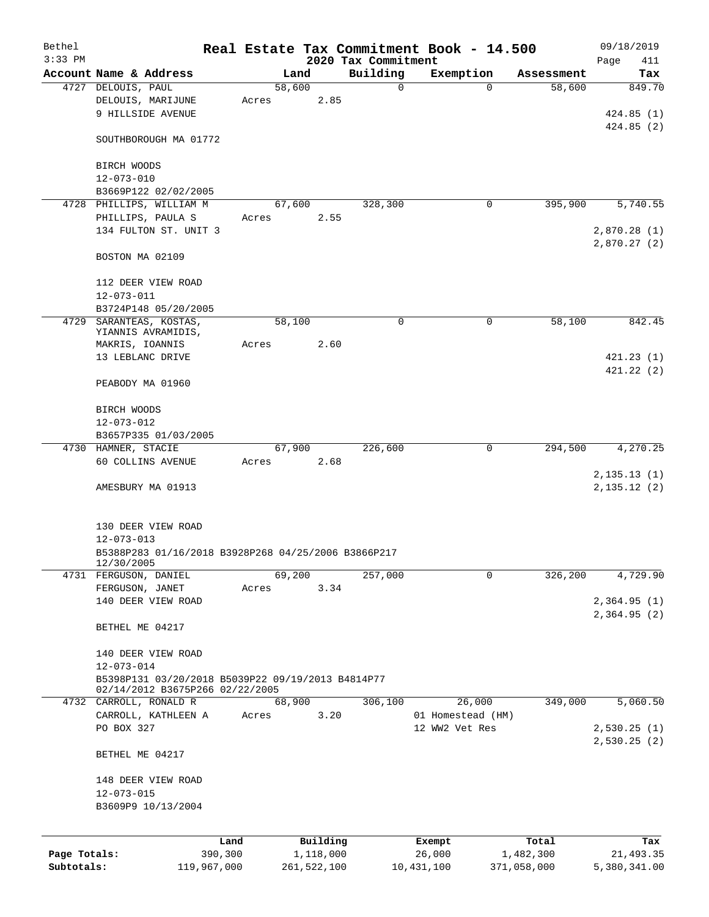| Bethel       |                                                                                               |       |        |             |                                 | Real Estate Tax Commitment Book - 14.500 |                      | 09/18/2019                   |
|--------------|-----------------------------------------------------------------------------------------------|-------|--------|-------------|---------------------------------|------------------------------------------|----------------------|------------------------------|
| $3:33$ PM    | Account Name & Address                                                                        |       | Land   |             | 2020 Tax Commitment<br>Building |                                          |                      | Page<br>411<br>Tax           |
|              | 4727 DELOUIS, PAUL                                                                            |       | 58,600 |             | 0                               | Exemption<br>$\Omega$                    | Assessment<br>58,600 | 849.70                       |
|              | DELOUIS, MARIJUNE<br>9 HILLSIDE AVENUE                                                        | Acres |        | 2.85        |                                 |                                          |                      | 424.85(1)                    |
|              | SOUTHBOROUGH MA 01772                                                                         |       |        |             |                                 |                                          |                      | 424.85(2)                    |
|              | BIRCH WOODS                                                                                   |       |        |             |                                 |                                          |                      |                              |
|              | $12 - 073 - 010$                                                                              |       |        |             |                                 |                                          |                      |                              |
|              | B3669P122 02/02/2005<br>4728 PHILLIPS, WILLIAM M                                              |       | 67,600 |             | 328,300                         | 0                                        | 395,900              | 5,740.55                     |
|              | PHILLIPS, PAULA S                                                                             | Acres |        | 2.55        |                                 |                                          |                      |                              |
|              | 134 FULTON ST. UNIT 3                                                                         |       |        |             |                                 |                                          |                      | 2,870.28 (1)<br>2,870.27(2)  |
|              | BOSTON MA 02109                                                                               |       |        |             |                                 |                                          |                      |                              |
|              | 112 DEER VIEW ROAD<br>$12 - 073 - 011$                                                        |       |        |             |                                 |                                          |                      |                              |
|              | B3724P148 05/20/2005                                                                          |       |        |             |                                 |                                          |                      |                              |
|              | 4729 SARANTEAS, KOSTAS,                                                                       |       | 58,100 |             | 0                               | $\mathbf 0$                              | 58,100               | 842.45                       |
|              | YIANNIS AVRAMIDIS,                                                                            |       |        |             |                                 |                                          |                      |                              |
|              | MAKRIS, IOANNIS<br>13 LEBLANC DRIVE                                                           | Acres |        | 2.60        |                                 |                                          |                      | 421.23(1)                    |
|              |                                                                                               |       |        |             |                                 |                                          |                      | 421.22(2)                    |
|              | PEABODY MA 01960                                                                              |       |        |             |                                 |                                          |                      |                              |
|              | BIRCH WOODS                                                                                   |       |        |             |                                 |                                          |                      |                              |
|              | $12 - 073 - 012$                                                                              |       |        |             |                                 |                                          |                      |                              |
|              | B3657P335 01/03/2005                                                                          |       |        |             |                                 |                                          |                      |                              |
|              | 4730 HAMNER, STACIE                                                                           |       | 67,900 |             | 226,600                         | 0                                        | 294,500              | 4,270.25                     |
|              | 60 COLLINS AVENUE                                                                             | Acres |        | 2.68        |                                 |                                          |                      |                              |
|              | AMESBURY MA 01913                                                                             |       |        |             |                                 |                                          |                      | 2, 135.13(1)<br>2, 135.12(2) |
|              | 130 DEER VIEW ROAD<br>$12 - 073 - 013$<br>B5388P283 01/16/2018 B3928P268 04/25/2006 B3866P217 |       |        |             |                                 |                                          |                      |                              |
| 4731         | 12/30/2005<br>FERGUSON, DANIEL                                                                |       | 69,200 |             | 257,000                         | 0                                        | 326,200              | 4,729.90                     |
|              | FERGUSON, JANET                                                                               | Acres |        | 3.34        |                                 |                                          |                      |                              |
|              | 140 DEER VIEW ROAD                                                                            |       |        |             |                                 |                                          |                      | 2,364.95(1)                  |
|              |                                                                                               |       |        |             |                                 |                                          |                      | 2,364.95(2)                  |
|              | BETHEL ME 04217                                                                               |       |        |             |                                 |                                          |                      |                              |
|              | 140 DEER VIEW ROAD                                                                            |       |        |             |                                 |                                          |                      |                              |
|              | $12 - 073 - 014$                                                                              |       |        |             |                                 |                                          |                      |                              |
|              | B5398P131 03/20/2018 B5039P22 09/19/2013 B4814P77<br>02/14/2012 B3675P266 02/22/2005          |       |        |             |                                 |                                          |                      |                              |
|              | 4732 CARROLL, RONALD R                                                                        |       | 68,900 |             | 306,100                         | 26,000                                   | 349,000              | 5,060.50                     |
|              | CARROLL, KATHLEEN A                                                                           | Acres |        | 3.20        |                                 | 01 Homestead (HM)                        |                      |                              |
|              | PO BOX 327                                                                                    |       |        |             |                                 | 12 WW2 Vet Res                           |                      | 2,530.25(1)                  |
|              | BETHEL ME 04217                                                                               |       |        |             |                                 |                                          |                      | 2,530.25(2)                  |
|              | 148 DEER VIEW ROAD                                                                            |       |        |             |                                 |                                          |                      |                              |
|              | $12 - 073 - 015$                                                                              |       |        |             |                                 |                                          |                      |                              |
|              | B3609P9 10/13/2004                                                                            |       |        |             |                                 |                                          |                      |                              |
|              |                                                                                               |       |        |             |                                 |                                          |                      |                              |
|              | Land                                                                                          |       |        | Building    |                                 | Exempt                                   | Total                | Tax                          |
| Page Totals: | 390,300                                                                                       |       |        | 1,118,000   |                                 | 26,000                                   | 1,482,300            | 21, 493.35                   |
| Subtotals:   | 119,967,000                                                                                   |       |        | 261,522,100 |                                 | 10,431,100                               | 371,058,000          | 5,380,341.00                 |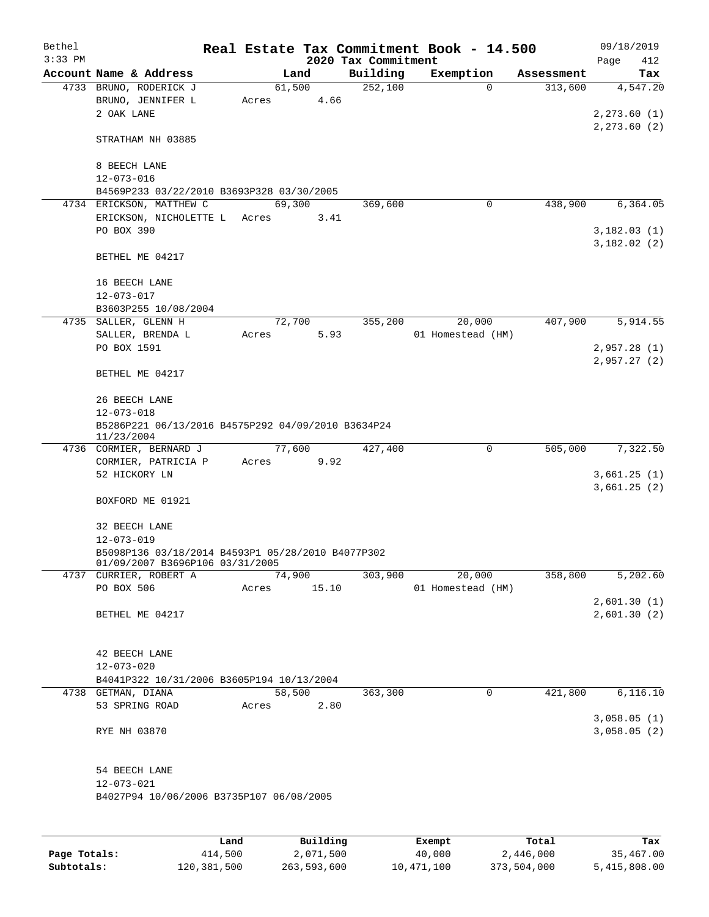| Bethel    |                                                                 |       |        |          |                     | Real Estate Tax Commitment Book - 14.500 |            | 09/18/2019    |
|-----------|-----------------------------------------------------------------|-------|--------|----------|---------------------|------------------------------------------|------------|---------------|
| $3:33$ PM |                                                                 |       |        |          | 2020 Tax Commitment |                                          |            | Page<br>412   |
|           | Account Name & Address                                          |       | Land   |          | Building            | Exemption                                | Assessment | Tax           |
|           | 4733 BRUNO, RODERICK J<br>BRUNO, JENNIFER L                     | Acres | 61,500 | 4.66     | 252,100             | $\Omega$                                 | 313,600    | 4,547.20      |
|           | 2 OAK LANE                                                      |       |        |          |                     |                                          |            | 2, 273.60(1)  |
|           |                                                                 |       |        |          |                     |                                          |            | 2, 273.60 (2) |
|           | STRATHAM NH 03885                                               |       |        |          |                     |                                          |            |               |
|           |                                                                 |       |        |          |                     |                                          |            |               |
|           | 8 BEECH LANE                                                    |       |        |          |                     |                                          |            |               |
|           | $12 - 073 - 016$<br>B4569P233 03/22/2010 B3693P328 03/30/2005   |       |        |          |                     |                                          |            |               |
|           | 4734 ERICKSON, MATTHEW C                                        |       | 69,300 |          | 369,600             | 0                                        | 438,900    | 6, 364.05     |
|           | ERICKSON, NICHOLETTE L Acres                                    |       |        | 3.41     |                     |                                          |            |               |
|           | PO BOX 390                                                      |       |        |          |                     |                                          |            | 3,182.03(1)   |
|           |                                                                 |       |        |          |                     |                                          |            | 3,182.02(2)   |
|           | BETHEL ME 04217                                                 |       |        |          |                     |                                          |            |               |
|           |                                                                 |       |        |          |                     |                                          |            |               |
|           | 16 BEECH LANE                                                   |       |        |          |                     |                                          |            |               |
|           | $12 - 073 - 017$                                                |       |        |          |                     |                                          |            |               |
|           | B3603P255 10/08/2004<br>4735 SALLER, GLENN H                    |       | 72,700 |          | 355,200             | 20,000                                   | 407,900    | 5,914.55      |
|           | SALLER, BRENDA L                                                | Acres |        | 5.93     |                     | 01 Homestead (HM)                        |            |               |
|           | PO BOX 1591                                                     |       |        |          |                     |                                          |            | 2,957.28 (1)  |
|           |                                                                 |       |        |          |                     |                                          |            | 2,957.27(2)   |
|           | BETHEL ME 04217                                                 |       |        |          |                     |                                          |            |               |
|           |                                                                 |       |        |          |                     |                                          |            |               |
|           | 26 BEECH LANE<br>$12 - 073 - 018$                               |       |        |          |                     |                                          |            |               |
|           | B5286P221 06/13/2016 B4575P292 04/09/2010 B3634P24              |       |        |          |                     |                                          |            |               |
|           | 11/23/2004                                                      |       |        |          |                     |                                          |            |               |
|           | 4736 CORMIER, BERNARD J                                         |       | 77,600 |          | 427,400             | $\mathbf 0$                              | 505,000    | 7,322.50      |
|           | CORMIER, PATRICIA P                                             | Acres |        | 9.92     |                     |                                          |            |               |
|           | 52 HICKORY LN                                                   |       |        |          |                     |                                          |            | 3,661.25(1)   |
|           |                                                                 |       |        |          |                     |                                          |            | 3,661.25(2)   |
|           | BOXFORD ME 01921                                                |       |        |          |                     |                                          |            |               |
|           | 32 BEECH LANE                                                   |       |        |          |                     |                                          |            |               |
|           | 12-073-019                                                      |       |        |          |                     |                                          |            |               |
|           | B5098P136 03/18/2014 B4593P1 05/28/2010 B4077P302               |       |        |          |                     |                                          |            |               |
|           | 01/09/2007 B3696P106 03/31/2005<br>4737 CURRIER, ROBERT A       |       | 74,900 |          | 303,900             | 20,000                                   | 358,800    | 5,202.60      |
|           | PO BOX 506                                                      | Acres |        | 15.10    |                     | 01 Homestead (HM)                        |            |               |
|           |                                                                 |       |        |          |                     |                                          |            | 2,601.30(1)   |
|           | BETHEL ME 04217                                                 |       |        |          |                     |                                          |            | 2,601.30(2)   |
|           |                                                                 |       |        |          |                     |                                          |            |               |
|           |                                                                 |       |        |          |                     |                                          |            |               |
|           | 42 BEECH LANE                                                   |       |        |          |                     |                                          |            |               |
|           | $12 - 073 - 020$                                                |       |        |          |                     |                                          |            |               |
|           | B4041P322 10/31/2006 B3605P194 10/13/2004<br>4738 GETMAN, DIANA |       | 58,500 |          | 363,300             | $\mathbf 0$                              | 421,800    | 6, 116.10     |
|           | 53 SPRING ROAD                                                  | Acres |        | 2.80     |                     |                                          |            |               |
|           |                                                                 |       |        |          |                     |                                          |            | 3,058.05(1)   |
|           | RYE NH 03870                                                    |       |        |          |                     |                                          |            | 3,058.05(2)   |
|           |                                                                 |       |        |          |                     |                                          |            |               |
|           |                                                                 |       |        |          |                     |                                          |            |               |
|           | 54 BEECH LANE                                                   |       |        |          |                     |                                          |            |               |
|           | $12 - 073 - 021$<br>B4027P94 10/06/2006 B3735P107 06/08/2005    |       |        |          |                     |                                          |            |               |
|           |                                                                 |       |        |          |                     |                                          |            |               |
|           |                                                                 |       |        |          |                     |                                          |            |               |
|           |                                                                 | Land. |        | Building |                     | $F$ vomnt                                | $T0+21$    | To-           |

|              | Land        | Building    | Exempt     | Total       | Tax          |
|--------------|-------------|-------------|------------|-------------|--------------|
| Page Totals: | 414,500     | 2,071,500   | 40,000     | 2,446,000   | 35,467.00    |
| Subtotals:   | 120,381,500 | 263,593,600 | 10,471,100 | 373,504,000 | 5,415,808.00 |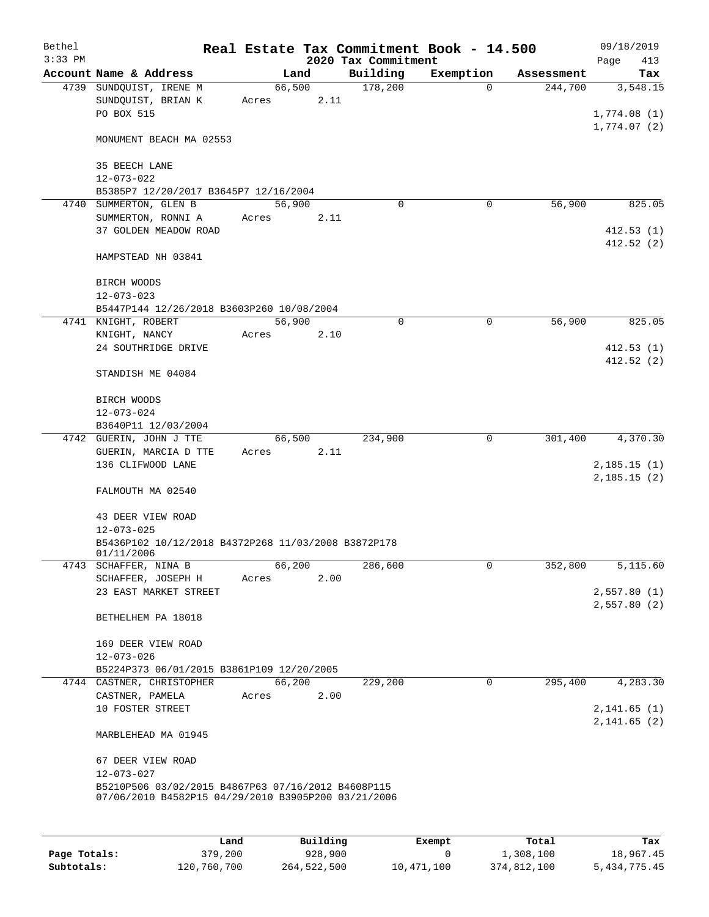| Bethel    |                                                                                                           |                 |      | Real Estate Tax Commitment Book - 14.500 |           |            | 09/18/2019                  |
|-----------|-----------------------------------------------------------------------------------------------------------|-----------------|------|------------------------------------------|-----------|------------|-----------------------------|
| $3:33$ PM |                                                                                                           |                 |      | 2020 Tax Commitment                      |           |            | Page<br>413                 |
|           | Account Name & Address                                                                                    |                 | Land | Building                                 | Exemption | Assessment | Tax                         |
|           | 4739 SUNDOUIST, IRENE M<br>SUNDQUIST, BRIAN K<br>PO BOX 515                                               | 66,500<br>Acres | 2.11 | 178,200                                  | $\Omega$  | 244,700    | 3,548.15<br>1,774.08(1)     |
|           | MONUMENT BEACH MA 02553                                                                                   |                 |      |                                          |           |            | 1,774.07(2)                 |
|           | 35 BEECH LANE                                                                                             |                 |      |                                          |           |            |                             |
|           | $12 - 073 - 022$                                                                                          |                 |      |                                          |           |            |                             |
|           | B5385P7 12/20/2017 B3645P7 12/16/2004<br>4740 SUMMERTON, GLEN B                                           | 56,900          |      | $\Omega$                                 | 0         | 56,900     | 825.05                      |
|           | SUMMERTON, RONNI A                                                                                        | Acres           | 2.11 |                                          |           |            |                             |
|           | 37 GOLDEN MEADOW ROAD                                                                                     |                 |      |                                          |           |            | 412.53(1)<br>412.52(2)      |
|           | HAMPSTEAD NH 03841                                                                                        |                 |      |                                          |           |            |                             |
|           | BIRCH WOODS                                                                                               |                 |      |                                          |           |            |                             |
|           | $12 - 073 - 023$                                                                                          |                 |      |                                          |           |            |                             |
|           | B5447P144 12/26/2018 B3603P260 10/08/2004<br>4741 KNIGHT, ROBERT                                          | 56,900          |      | 0                                        | 0         | 56,900     | 825.05                      |
|           | KNIGHT, NANCY                                                                                             | Acres           | 2.10 |                                          |           |            |                             |
|           | 24 SOUTHRIDGE DRIVE                                                                                       |                 |      |                                          |           |            | 412.53(1)                   |
|           | STANDISH ME 04084                                                                                         |                 |      |                                          |           |            | 412.52(2)                   |
|           | BIRCH WOODS                                                                                               |                 |      |                                          |           |            |                             |
|           | $12 - 073 - 024$<br>B3640P11 12/03/2004                                                                   |                 |      |                                          |           |            |                             |
|           | 4742 GUERIN, JOHN J TTE                                                                                   | 66,500          |      | 234,900                                  | 0         | 301,400    | 4,370.30                    |
|           | GUERIN, MARCIA D TTE                                                                                      | Acres           | 2.11 |                                          |           |            |                             |
|           | 136 CLIFWOOD LANE                                                                                         |                 |      |                                          |           |            | 2,185.15(1)                 |
|           |                                                                                                           |                 |      |                                          |           |            | 2,185.15(2)                 |
|           | FALMOUTH MA 02540                                                                                         |                 |      |                                          |           |            |                             |
|           | 43 DEER VIEW ROAD                                                                                         |                 |      |                                          |           |            |                             |
|           | $12 - 073 - 025$<br>B5436P102 10/12/2018 B4372P268 11/03/2008 B3872P178                                   |                 |      |                                          |           |            |                             |
|           | 01/11/2006                                                                                                |                 |      |                                          |           |            |                             |
|           | 4743 SCHAFFER, NINA B                                                                                     | 66,200          |      | 286,600                                  | 0         | 352,800    | 5,115.60                    |
|           | SCHAFFER, JOSEPH H                                                                                        | Acres           | 2.00 |                                          |           |            |                             |
|           | 23 EAST MARKET STREET                                                                                     |                 |      |                                          |           |            | 2,557.80(1)<br>2,557.80(2)  |
|           | BETHELHEM PA 18018                                                                                        |                 |      |                                          |           |            |                             |
|           | 169 DEER VIEW ROAD                                                                                        |                 |      |                                          |           |            |                             |
|           | $12 - 073 - 026$                                                                                          |                 |      |                                          |           |            |                             |
|           | B5224P373 06/01/2015 B3861P109 12/20/2005                                                                 |                 |      |                                          |           |            |                             |
|           | 4744 CASTNER, CHRISTOPHER                                                                                 | 66,200          |      | 229,200                                  | 0         | 295,400    | 4,283.30                    |
|           | CASTNER, PAMELA                                                                                           | Acres           | 2.00 |                                          |           |            |                             |
|           | 10 FOSTER STREET                                                                                          |                 |      |                                          |           |            | 2, 141.65(1)<br>2,141.65(2) |
|           | MARBLEHEAD MA 01945                                                                                       |                 |      |                                          |           |            |                             |
|           | 67 DEER VIEW ROAD                                                                                         |                 |      |                                          |           |            |                             |
|           | $12 - 073 - 027$                                                                                          |                 |      |                                          |           |            |                             |
|           | B5210P506 03/02/2015 B4867P63 07/16/2012 B4608P115<br>07/06/2010 B4582P15 04/29/2010 B3905P200 03/21/2006 |                 |      |                                          |           |            |                             |
|           |                                                                                                           |                 |      |                                          |           |            |                             |

|              | Land        | Building    | Exempt     | Total       | Tax          |
|--------------|-------------|-------------|------------|-------------|--------------|
| Page Totals: | 379,200     | 928,900     |            | 1,308,100   | 18,967.45    |
| Subtotals:   | 120,760,700 | 264,522,500 | 10,471,100 | 374,812,100 | 5,434,775.45 |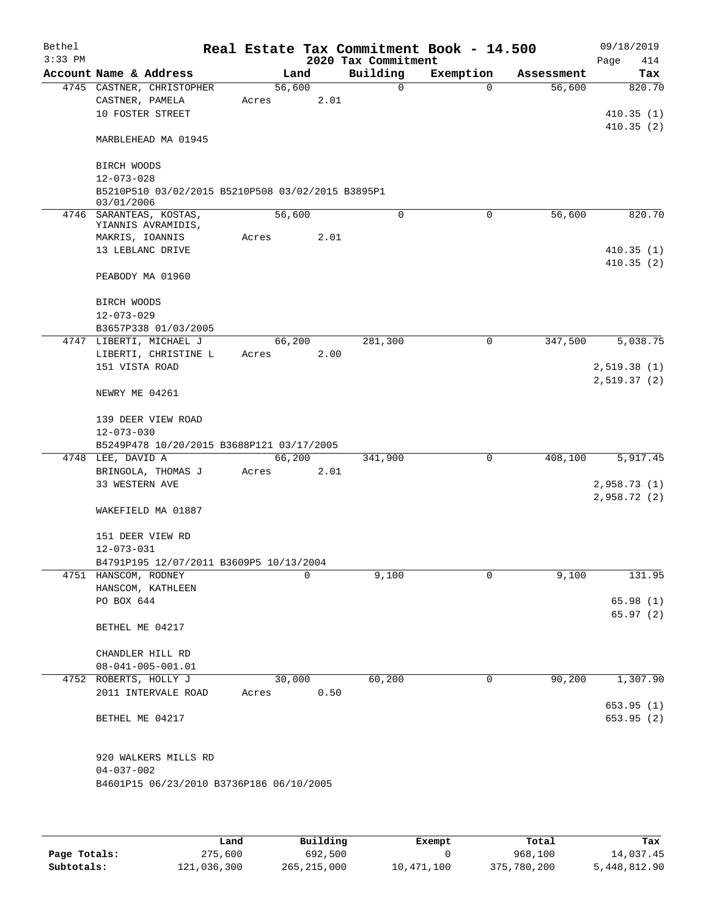| Bethel    |                                |                                                   |       |        |      | Real Estate Tax Commitment Book - 14.500 |           |             |            | 09/18/2019             |          |
|-----------|--------------------------------|---------------------------------------------------|-------|--------|------|------------------------------------------|-----------|-------------|------------|------------------------|----------|
| $3:33$ PM |                                |                                                   |       |        |      | 2020 Tax Commitment                      |           |             |            | Page                   | 414      |
|           |                                | Account Name & Address                            |       | Land   |      | Building                                 | Exemption |             | Assessment |                        | Tax      |
|           |                                | 4745 CASTNER, CHRISTOPHER                         |       | 56,600 |      | $\Omega$                                 |           | $\Omega$    | 56,600     |                        | 820.70   |
|           | CASTNER, PAMELA                |                                                   | Acres |        | 2.01 |                                          |           |             |            |                        |          |
|           |                                | 10 FOSTER STREET                                  |       |        |      |                                          |           |             |            | 410.35(1)              |          |
|           |                                | MARBLEHEAD MA 01945                               |       |        |      |                                          |           |             |            | 410.35(2)              |          |
|           | BIRCH WOODS                    |                                                   |       |        |      |                                          |           |             |            |                        |          |
|           | $12 - 073 - 028$<br>03/01/2006 | B5210P510 03/02/2015 B5210P508 03/02/2015 B3895P1 |       |        |      |                                          |           |             |            |                        |          |
|           |                                | 4746 SARANTEAS, KOSTAS,                           |       | 56,600 |      | $\Omega$                                 |           | $\Omega$    | 56,600     |                        | 820.70   |
|           |                                | YIANNIS AVRAMIDIS,<br>MAKRIS, IOANNIS             | Acres |        | 2.01 |                                          |           |             |            |                        |          |
|           |                                | 13 LEBLANC DRIVE                                  |       |        |      |                                          |           |             |            | 410.35(1)              |          |
|           |                                |                                                   |       |        |      |                                          |           |             |            | 410.35(2)              |          |
|           |                                | PEABODY MA 01960                                  |       |        |      |                                          |           |             |            |                        |          |
|           | BIRCH WOODS                    |                                                   |       |        |      |                                          |           |             |            |                        |          |
|           | $12 - 073 - 029$               |                                                   |       |        |      |                                          |           |             |            |                        |          |
|           |                                | B3657P338 01/03/2005<br>4747 LIBERTI, MICHAEL J   |       | 66,200 |      | 281,300                                  |           | $\mathbf 0$ | 347,500    |                        | 5,038.75 |
|           |                                | LIBERTI, CHRISTINE L                              | Acres |        | 2.00 |                                          |           |             |            |                        |          |
|           | 151 VISTA ROAD                 |                                                   |       |        |      |                                          |           |             |            | 2,519.38(1)            |          |
|           |                                |                                                   |       |        |      |                                          |           |             |            | 2,519.37(2)            |          |
|           | NEWRY ME 04261                 |                                                   |       |        |      |                                          |           |             |            |                        |          |
|           |                                | 139 DEER VIEW ROAD                                |       |        |      |                                          |           |             |            |                        |          |
|           | $12 - 073 - 030$               |                                                   |       |        |      |                                          |           |             |            |                        |          |
|           |                                | B5249P478 10/20/2015 B3688P121 03/17/2005         |       |        |      |                                          |           |             |            |                        |          |
|           | 4748 LEE, DAVID A              |                                                   |       | 66,200 |      | 341,900                                  |           | 0           | 408,100    |                        | 5,917.45 |
|           |                                | BRINGOLA, THOMAS J                                | Acres |        | 2.01 |                                          |           |             |            |                        |          |
|           | 33 WESTERN AVE                 |                                                   |       |        |      |                                          |           |             |            | 2,958.73(1)            |          |
|           |                                |                                                   |       |        |      |                                          |           |             |            | 2,958.72(2)            |          |
|           |                                | WAKEFIELD MA 01887                                |       |        |      |                                          |           |             |            |                        |          |
|           |                                | 151 DEER VIEW RD                                  |       |        |      |                                          |           |             |            |                        |          |
|           | 12-073-031                     |                                                   |       |        |      |                                          |           |             |            |                        |          |
|           |                                | B4791P195 12/07/2011 B3609P5 10/13/2004           |       |        |      |                                          |           |             |            |                        |          |
|           | 4751 HANSCOM, RODNEY           |                                                   |       |        | 0    | 9,100                                    |           | 0           | 9,100      |                        | 131.95   |
|           |                                | HANSCOM, KATHLEEN                                 |       |        |      |                                          |           |             |            |                        |          |
|           | PO BOX 644                     |                                                   |       |        |      |                                          |           |             |            | 65.98(1)               |          |
|           | BETHEL ME 04217                |                                                   |       |        |      |                                          |           |             |            | 65.97(2)               |          |
|           |                                |                                                   |       |        |      |                                          |           |             |            |                        |          |
|           |                                | CHANDLER HILL RD                                  |       |        |      |                                          |           |             |            |                        |          |
|           |                                | $08 - 041 - 005 - 001.01$                         |       |        |      |                                          |           |             |            |                        |          |
|           |                                | 4752 ROBERTS, HOLLY J                             |       | 30,000 |      | 60,200                                   |           | 0           | 90,200     |                        | 1,307.90 |
|           |                                | 2011 INTERVALE ROAD                               | Acres |        | 0.50 |                                          |           |             |            |                        |          |
|           | BETHEL ME 04217                |                                                   |       |        |      |                                          |           |             |            | 653.95(1)<br>653.95(2) |          |
|           |                                | 920 WALKERS MILLS RD                              |       |        |      |                                          |           |             |            |                        |          |
|           | $04 - 037 - 002$               | B4601P15 06/23/2010 B3736P186 06/10/2005          |       |        |      |                                          |           |             |            |                        |          |
|           |                                |                                                   |       |        |      |                                          |           |             |            |                        |          |

|              | Land        | Building      | Exempt     | Total       | Tax          |
|--------------|-------------|---------------|------------|-------------|--------------|
| Page Totals: | 275,600     | 692,500       |            | 968,100     | 14,037.45    |
| Subtotals:   | 121,036,300 | 265, 215, 000 | 10,471,100 | 375,780,200 | 5,448,812.90 |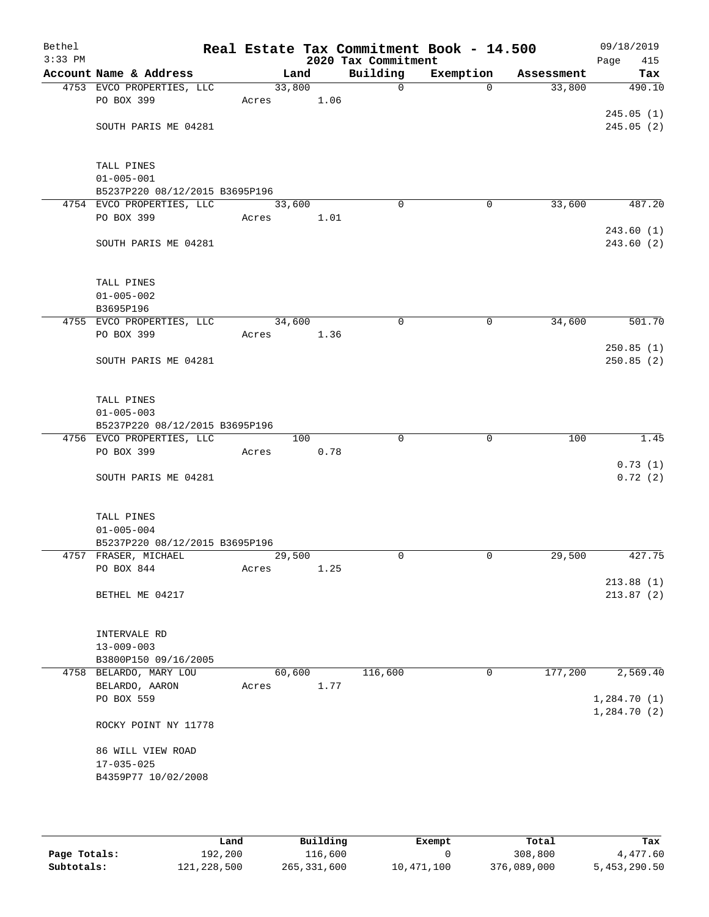| Bethel<br>$3:33$ PM |                                                             |        |        | 2020 Tax Commitment | Real Estate Tax Commitment Book - 14.500 |            | 09/18/2019<br>Page<br>415 |
|---------------------|-------------------------------------------------------------|--------|--------|---------------------|------------------------------------------|------------|---------------------------|
|                     | Account Name & Address                                      |        | Land   | Building            | Exemption                                | Assessment | Tax                       |
|                     | 4753 EVCO PROPERTIES, LLC                                   | 33,800 |        | $\mathbf 0$         | $\Omega$                                 | 33,800     | 490.10                    |
|                     | PO BOX 399                                                  | Acres  | 1.06   |                     |                                          |            |                           |
|                     |                                                             |        |        |                     |                                          |            | 245.05(1)                 |
|                     | SOUTH PARIS ME 04281                                        |        |        |                     |                                          |            | 245.05(2)                 |
|                     |                                                             |        |        |                     |                                          |            |                           |
|                     |                                                             |        |        |                     |                                          |            |                           |
|                     | TALL PINES                                                  |        |        |                     |                                          |            |                           |
|                     | $01 - 005 - 001$                                            |        |        |                     |                                          |            |                           |
|                     | B5237P220 08/12/2015 B3695P196<br>4754 EVCO PROPERTIES, LLC | 33,600 |        | $\mathbf 0$         | 0                                        | 33,600     | 487.20                    |
|                     | PO BOX 399                                                  | Acres  | 1.01   |                     |                                          |            |                           |
|                     |                                                             |        |        |                     |                                          |            | 243.60(1)                 |
|                     | SOUTH PARIS ME 04281                                        |        |        |                     |                                          |            | 243.60 (2)                |
|                     |                                                             |        |        |                     |                                          |            |                           |
|                     |                                                             |        |        |                     |                                          |            |                           |
|                     | TALL PINES                                                  |        |        |                     |                                          |            |                           |
|                     | $01 - 005 - 002$                                            |        |        |                     |                                          |            |                           |
|                     | B3695P196                                                   |        |        |                     |                                          |            |                           |
|                     | 4755 EVCO PROPERTIES, LLC                                   | 34,600 |        | 0                   | 0                                        | 34,600     | 501.70                    |
|                     | PO BOX 399                                                  | Acres  | 1.36   |                     |                                          |            |                           |
|                     |                                                             |        |        |                     |                                          |            | 250.85(1)                 |
|                     | SOUTH PARIS ME 04281                                        |        |        |                     |                                          |            | 250.85(2)                 |
|                     |                                                             |        |        |                     |                                          |            |                           |
|                     |                                                             |        |        |                     |                                          |            |                           |
|                     | TALL PINES                                                  |        |        |                     |                                          |            |                           |
|                     | $01 - 005 - 003$                                            |        |        |                     |                                          |            |                           |
|                     | B5237P220 08/12/2015 B3695P196<br>4756 EVCO PROPERTIES, LLC |        | 100    | $\Omega$            | $\mathbf 0$                              | 100        | 1.45                      |
|                     | PO BOX 399                                                  | Acres  | 0.78   |                     |                                          |            |                           |
|                     |                                                             |        |        |                     |                                          |            | 0.73(1)                   |
|                     | SOUTH PARIS ME 04281                                        |        |        |                     |                                          |            | 0.72(2)                   |
|                     |                                                             |        |        |                     |                                          |            |                           |
|                     |                                                             |        |        |                     |                                          |            |                           |
|                     | TALL PINES                                                  |        |        |                     |                                          |            |                           |
|                     | $01 - 005 - 004$                                            |        |        |                     |                                          |            |                           |
|                     | B5237P220 08/12/2015 B3695P196                              |        |        |                     |                                          |            |                           |
|                     | 4757 FRASER, MICHAEL                                        | 29,500 |        | 0                   | 0                                        | 29,500     | 427.75                    |
|                     | PO BOX 844                                                  | Acres  | 1.25   |                     |                                          |            |                           |
|                     |                                                             |        |        |                     |                                          |            | 213.88(1)                 |
|                     | BETHEL ME 04217                                             |        |        |                     |                                          |            | 213.87(2)                 |
|                     |                                                             |        |        |                     |                                          |            |                           |
|                     | INTERVALE RD                                                |        |        |                     |                                          |            |                           |
|                     | $13 - 009 - 003$                                            |        |        |                     |                                          |            |                           |
|                     | B3800P150 09/16/2005                                        |        |        |                     |                                          |            |                           |
|                     | 4758 BELARDO, MARY LOU                                      |        | 60,600 | 116,600             | 0                                        | 177,200    | 2,569.40                  |
|                     | BELARDO, AARON                                              | Acres  | 1.77   |                     |                                          |            |                           |
|                     | PO BOX 559                                                  |        |        |                     |                                          |            | 1,284.70(1)               |
|                     |                                                             |        |        |                     |                                          |            | 1,284.70(2)               |
|                     | ROCKY POINT NY 11778                                        |        |        |                     |                                          |            |                           |
|                     |                                                             |        |        |                     |                                          |            |                           |
|                     | 86 WILL VIEW ROAD                                           |        |        |                     |                                          |            |                           |
|                     | $17 - 035 - 025$                                            |        |        |                     |                                          |            |                           |
|                     | B4359P77 10/02/2008                                         |        |        |                     |                                          |            |                           |
|                     |                                                             |        |        |                     |                                          |            |                           |
|                     |                                                             |        |        |                     |                                          |            |                           |

|              | Land        | Building    | Exempt     | Total       | Tax          |
|--------------|-------------|-------------|------------|-------------|--------------|
| Page Totals: | 192,200     | 116,600     |            | 308,800     | 4,477.60     |
| Subtotals:   | 121,228,500 | 265,331,600 | 10,471,100 | 376,089,000 | 5,453,290.50 |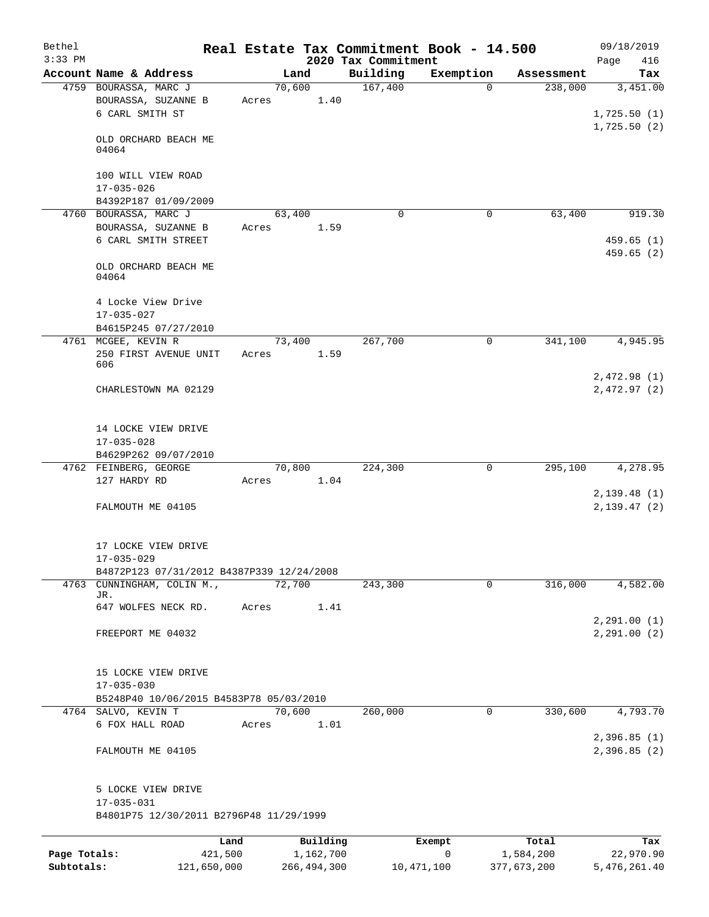| Bethel                     |                                                                 |                 |                            |                     | Real Estate Tax Commitment Book - 14.500 |                          | 09/18/2019                             |
|----------------------------|-----------------------------------------------------------------|-----------------|----------------------------|---------------------|------------------------------------------|--------------------------|----------------------------------------|
| $3:33$ PM                  |                                                                 |                 |                            | 2020 Tax Commitment |                                          |                          | Page<br>416                            |
|                            | Account Name & Address                                          |                 | Land                       | Building<br>167,400 | Exemption<br>$\Omega$                    | Assessment               | Tax                                    |
|                            | 4759 BOURASSA, MARC J<br>BOURASSA, SUZANNE B<br>6 CARL SMITH ST | 70,600<br>Acres | 1.40                       |                     |                                          | 238,000                  | 3,451.00<br>1,725.50(1)<br>1,725.50(2) |
|                            | OLD ORCHARD BEACH ME<br>04064                                   |                 |                            |                     |                                          |                          |                                        |
|                            | 100 WILL VIEW ROAD<br>$17 - 035 - 026$                          |                 |                            |                     |                                          |                          |                                        |
|                            | B4392P187 01/09/2009                                            |                 |                            |                     |                                          |                          |                                        |
|                            | 4760 BOURASSA, MARC J                                           | 63,400          |                            | $\Omega$            | $\mathbf 0$                              | 63,400                   | 919.30                                 |
|                            | BOURASSA, SUZANNE B<br>6 CARL SMITH STREET                      | Acres           | 1.59                       |                     |                                          |                          | 459.65(1)<br>459.65(2)                 |
|                            | OLD ORCHARD BEACH ME<br>04064                                   |                 |                            |                     |                                          |                          |                                        |
|                            | 4 Locke View Drive<br>$17 - 035 - 027$                          |                 |                            |                     |                                          |                          |                                        |
|                            | B4615P245 07/27/2010                                            |                 |                            |                     |                                          |                          |                                        |
|                            | 4761 MCGEE, KEVIN R                                             | 73,400          |                            | 267,700             | 0                                        | 341,100                  | 4,945.95                               |
|                            | 250 FIRST AVENUE UNIT<br>606                                    | Acres           | 1.59                       |                     |                                          |                          | 2,472.98(1)                            |
|                            | CHARLESTOWN MA 02129                                            |                 |                            |                     |                                          |                          | 2,472.97(2)                            |
|                            | 14 LOCKE VIEW DRIVE<br>$17 - 035 - 028$                         |                 |                            |                     |                                          |                          |                                        |
|                            | B4629P262 09/07/2010                                            |                 |                            |                     |                                          |                          |                                        |
|                            | 4762 FEINBERG, GEORGE                                           | 70,800          |                            | 224,300             | $\mathbf 0$                              | 295,100                  | 4,278.95                               |
|                            | 127 HARDY RD                                                    | Acres           | 1.04                       |                     |                                          |                          |                                        |
|                            | FALMOUTH ME 04105                                               |                 |                            |                     |                                          |                          | 2,139.48(1)<br>2,139.47(2)             |
|                            | 17 LOCKE VIEW DRIVE<br>$17 - 035 - 029$                         |                 |                            |                     |                                          |                          |                                        |
|                            | B4872P123 07/31/2012 B4387P339 12/24/2008                       |                 |                            |                     |                                          |                          |                                        |
|                            | 4763 CUNNINGHAM, COLIN M.,<br>JR.                               | 72,700          |                            | 243,300             | 0                                        | 316,000                  | 4,582.00                               |
|                            | 647 WOLFES NECK RD.                                             | Acres           | 1.41                       |                     |                                          |                          | 2, 291.00(1)                           |
|                            | FREEPORT ME 04032                                               |                 |                            |                     |                                          |                          | 2, 291.00(2)                           |
|                            | 15 LOCKE VIEW DRIVE<br>$17 - 035 - 030$                         |                 |                            |                     |                                          |                          |                                        |
|                            | B5248P40 10/06/2015 B4583P78 05/03/2010                         |                 |                            |                     |                                          |                          |                                        |
|                            | 4764 SALVO, KEVIN T                                             | 70,600          |                            | 260,000             | 0                                        | 330,600                  | 4,793.70                               |
|                            | 6 FOX HALL ROAD                                                 | Acres           | 1.01                       |                     |                                          |                          | 2,396.85(1)                            |
|                            | FALMOUTH ME 04105                                               |                 |                            |                     |                                          |                          | 2,396.85(2)                            |
|                            | 5 LOCKE VIEW DRIVE<br>$17 - 035 - 031$                          |                 |                            |                     |                                          |                          |                                        |
|                            | B4801P75 12/30/2011 B2796P48 11/29/1999                         |                 |                            |                     |                                          |                          |                                        |
|                            | Land                                                            |                 | Building                   |                     | Exempt                                   | Total                    | Tax                                    |
| Page Totals:<br>Subtotals: | 421,500<br>121,650,000                                          |                 | 1,162,700<br>266, 494, 300 |                     | 0<br>10,471,100                          | 1,584,200<br>377,673,200 | 22,970.90<br>5,476,261.40              |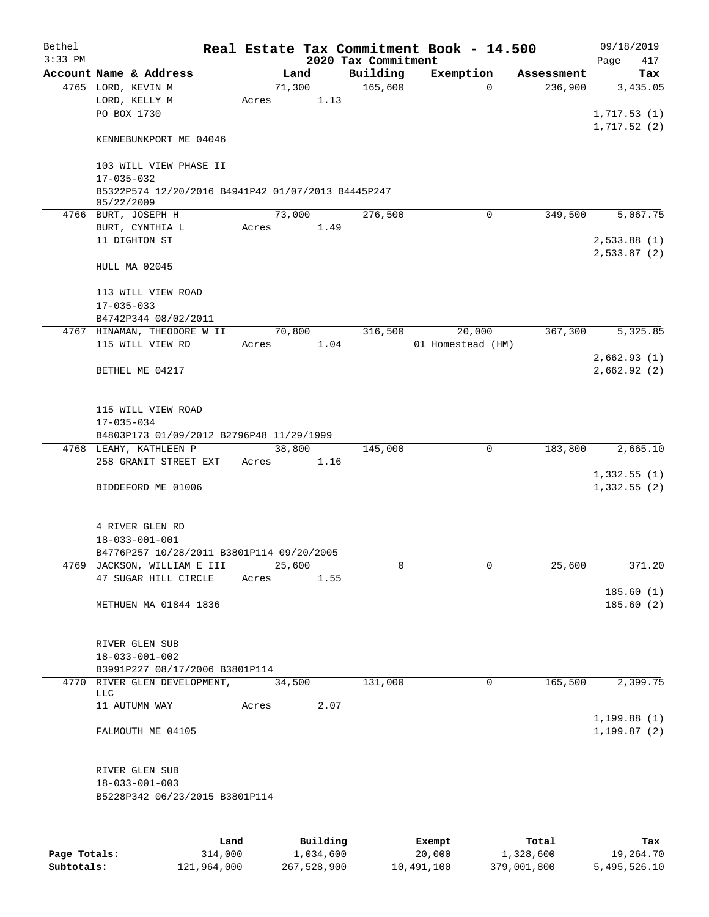| Bethel<br>$3:33$ PM |                                                                  |      |       |          | 2020 Tax Commitment | Real Estate Tax Commitment Book - 14.500 |            | 09/18/2019<br>Page<br>417 |
|---------------------|------------------------------------------------------------------|------|-------|----------|---------------------|------------------------------------------|------------|---------------------------|
|                     | Account Name & Address                                           |      |       | Land     | Building            | Exemption                                | Assessment | Tax                       |
|                     | 4765 LORD, KEVIN M                                               |      |       | 71,300   | 165,600             | $\mathbf 0$                              | 236,900    | 3,435.05                  |
|                     | LORD, KELLY M<br>PO BOX 1730                                     |      | Acres | 1.13     |                     |                                          |            | 1,717.53(1)               |
|                     | KENNEBUNKPORT ME 04046                                           |      |       |          |                     |                                          |            | 1,717.52(2)               |
|                     |                                                                  |      |       |          |                     |                                          |            |                           |
|                     | 103 WILL VIEW PHASE II<br>$17 - 035 - 032$                       |      |       |          |                     |                                          |            |                           |
|                     | B5322P574 12/20/2016 B4941P42 01/07/2013 B4445P247<br>05/22/2009 |      |       |          |                     |                                          |            |                           |
|                     | 4766 BURT, JOSEPH H                                              |      |       | 73,000   | 276,500             | 0                                        | 349,500    | 5,067.75                  |
|                     | BURT, CYNTHIA L                                                  |      | Acres | 1.49     |                     |                                          |            |                           |
|                     | 11 DIGHTON ST                                                    |      |       |          |                     |                                          |            | 2,533.88(1)               |
|                     | HULL MA 02045                                                    |      |       |          |                     |                                          |            | 2,533.87(2)               |
|                     | 113 WILL VIEW ROAD                                               |      |       |          |                     |                                          |            |                           |
|                     | $17 - 035 - 033$                                                 |      |       |          |                     |                                          |            |                           |
|                     | B4742P344 08/02/2011                                             |      |       |          |                     |                                          |            |                           |
|                     | 4767 HINAMAN, THEODORE W II                                      |      |       | 70,800   | 316,500             | 20,000                                   | 367,300    | 5,325.85                  |
|                     | 115 WILL VIEW RD                                                 |      | Acres | 1.04     |                     | 01 Homestead (HM)                        |            |                           |
|                     |                                                                  |      |       |          |                     |                                          |            | 2,662.93(1)               |
|                     | BETHEL ME 04217                                                  |      |       |          |                     |                                          |            | 2,662.92(2)               |
|                     | 115 WILL VIEW ROAD                                               |      |       |          |                     |                                          |            |                           |
|                     | $17 - 035 - 034$                                                 |      |       |          |                     |                                          |            |                           |
|                     | B4803P173 01/09/2012 B2796P48 11/29/1999                         |      |       |          |                     |                                          |            |                           |
|                     | 4768 LEAHY, KATHLEEN P                                           |      |       | 38,800   | 145,000             | 0                                        | 183,800    | 2,665.10                  |
|                     | 258 GRANIT STREET EXT                                            |      | Acres | 1.16     |                     |                                          |            |                           |
|                     |                                                                  |      |       |          |                     |                                          |            | 1,332.55(1)               |
|                     | BIDDEFORD ME 01006                                               |      |       |          |                     |                                          |            | 1,332.55(2)               |
|                     | 4 RIVER GLEN RD                                                  |      |       |          |                     |                                          |            |                           |
|                     | $18 - 033 - 001 - 001$                                           |      |       |          |                     |                                          |            |                           |
|                     | B4776P257 10/28/2011 B3801P114 09/20/2005                        |      |       |          |                     |                                          |            |                           |
|                     | 4769 JACKSON, WILLIAM E III                                      |      |       | 25,600   | 0                   | 0                                        | 25,600     | 371.20                    |
|                     | 47 SUGAR HILL CIRCLE                                             |      | Acres | 1.55     |                     |                                          |            |                           |
|                     |                                                                  |      |       |          |                     |                                          |            | 185.60(1)                 |
|                     | METHUEN MA 01844 1836                                            |      |       |          |                     |                                          |            | 185.60(2)                 |
|                     | RIVER GLEN SUB                                                   |      |       |          |                     |                                          |            |                           |
|                     | $18 - 033 - 001 - 002$                                           |      |       |          |                     |                                          |            |                           |
|                     | B3991P227 08/17/2006 B3801P114                                   |      |       |          |                     |                                          |            |                           |
|                     | 4770 RIVER GLEN DEVELOPMENT,                                     |      |       | 34,500   | 131,000             | 0                                        | 165,500    | 2,399.75                  |
|                     | <b>LLC</b><br>11 AUTUMN WAY                                      |      | Acres | 2.07     |                     |                                          |            |                           |
|                     |                                                                  |      |       |          |                     |                                          |            | 1, 199.88(1)              |
|                     | FALMOUTH ME 04105                                                |      |       |          |                     |                                          |            | 1,199.87(2)               |
|                     |                                                                  |      |       |          |                     |                                          |            |                           |
|                     | RIVER GLEN SUB<br>$18 - 033 - 001 - 003$                         |      |       |          |                     |                                          |            |                           |
|                     | B5228P342 06/23/2015 B3801P114                                   |      |       |          |                     |                                          |            |                           |
|                     |                                                                  |      |       |          |                     |                                          |            |                           |
|                     |                                                                  | Land |       | Building |                     | Exempt                                   | Total      | Tax                       |

|              | Land        | Building    | Exempt     | тосат       | rax.         |
|--------------|-------------|-------------|------------|-------------|--------------|
| Page Totals: | 314,000     | 1,034,600   | 20,000     | 1,328,600   | 19,264.70    |
| Subtotals:   | 121,964,000 | 267,528,900 | 10,491,100 | 379,001,800 | 5,495,526.10 |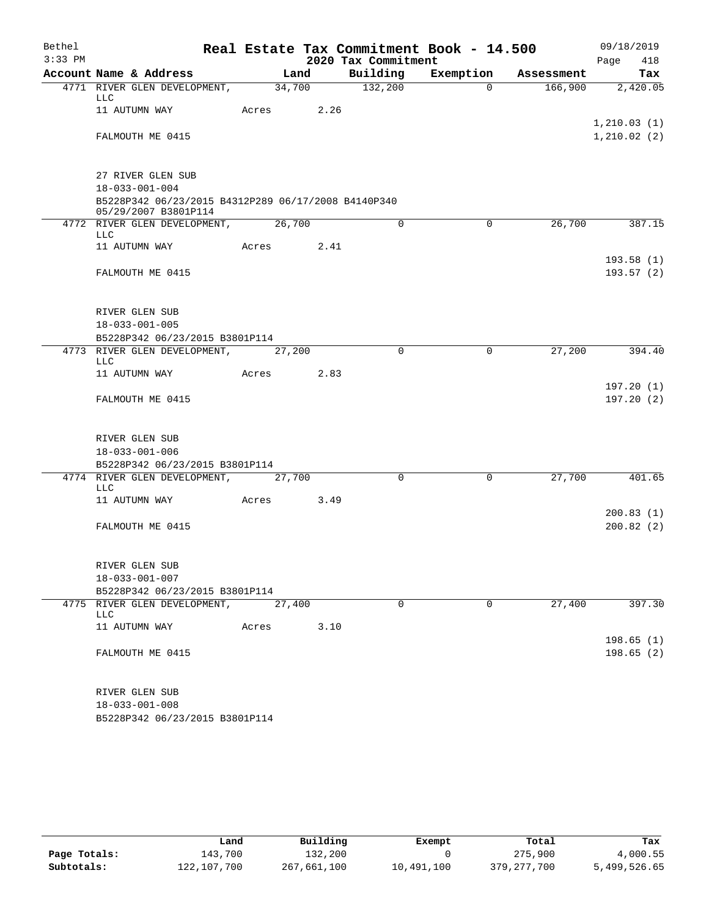| Bethel    |                                                                                                    |       |        |                     | Real Estate Tax Commitment Book - 14.500 |            | 09/18/2019              |
|-----------|----------------------------------------------------------------------------------------------------|-------|--------|---------------------|------------------------------------------|------------|-------------------------|
| $3:33$ PM |                                                                                                    |       |        | 2020 Tax Commitment |                                          |            | Page<br>418             |
|           | Account Name & Address                                                                             |       | Land   | Building            | Exemption                                | Assessment | Tax                     |
|           | 4771 RIVER GLEN DEVELOPMENT,<br>LLC                                                                |       | 34,700 | 132,200             | $\Omega$                                 | 166,900    | 2,420.05                |
|           | 11 AUTUMN WAY                                                                                      | Acres | 2.26   |                     |                                          |            | 1, 210.03(1)            |
|           | FALMOUTH ME 0415                                                                                   |       |        |                     |                                          |            | 1, 210.02(2)            |
|           | 27 RIVER GLEN SUB<br>$18 - 033 - 001 - 004$<br>B5228P342 06/23/2015 B4312P289 06/17/2008 B4140P340 |       |        |                     |                                          |            |                         |
|           | 05/29/2007 B3801P114<br>4772 RIVER GLEN DEVELOPMENT,<br>LLC                                        |       | 26,700 | $\mathbf 0$         | $\mathbf 0$                              | 26,700     | 387.15                  |
|           | 11 AUTUMN WAY                                                                                      | Acres | 2.41   |                     |                                          |            |                         |
|           | FALMOUTH ME 0415                                                                                   |       |        |                     |                                          |            | 193.58(1)<br>193.57(2)  |
|           | RIVER GLEN SUB<br>$18 - 033 - 001 - 005$                                                           |       |        |                     |                                          |            |                         |
|           | B5228P342 06/23/2015 B3801P114                                                                     |       |        |                     |                                          |            |                         |
|           | 4773 RIVER GLEN DEVELOPMENT,<br><b>LLC</b>                                                         |       | 27,200 | $\mathbf 0$         | $\mathbf 0$                              | 27,200     | 394.40                  |
|           | 11 AUTUMN WAY                                                                                      | Acres | 2.83   |                     |                                          |            |                         |
|           | FALMOUTH ME 0415                                                                                   |       |        |                     |                                          |            | 197.20(1)<br>197.20 (2) |
|           | RIVER GLEN SUB                                                                                     |       |        |                     |                                          |            |                         |
|           | $18 - 033 - 001 - 006$                                                                             |       |        |                     |                                          |            |                         |
|           | B5228P342 06/23/2015 B3801P114                                                                     |       |        |                     |                                          |            |                         |
|           | 4774 RIVER GLEN DEVELOPMENT,<br>LLC                                                                |       | 27,700 | $\Omega$            | $\Omega$                                 | 27,700     | 401.65                  |
|           | 11 AUTUMN WAY                                                                                      | Acres | 3.49   |                     |                                          |            | 200.83(1)               |
|           | FALMOUTH ME 0415                                                                                   |       |        |                     |                                          |            | 200.82(2)               |
|           | RIVER GLEN SUB                                                                                     |       |        |                     |                                          |            |                         |
|           | $18 - 033 - 001 - 007$                                                                             |       |        |                     |                                          |            |                         |
|           | B5228P342 06/23/2015 B3801P114                                                                     |       |        | 0                   | $\mathbf 0$                              | 27,400     | 397.30                  |
|           | 4775 RIVER GLEN DEVELOPMENT,<br>LLC                                                                |       | 27,400 |                     |                                          |            |                         |
|           | 11 AUTUMN WAY                                                                                      | Acres | 3.10   |                     |                                          |            |                         |
|           | FALMOUTH ME 0415                                                                                   |       |        |                     |                                          |            | 198.65(1)<br>198.65(2)  |
|           | RIVER GLEN SUB                                                                                     |       |        |                     |                                          |            |                         |
|           | $18 - 033 - 001 - 008$                                                                             |       |        |                     |                                          |            |                         |

B5228P342 06/23/2015 B3801P114

|              | Land        | Building    | Exempt     | Total         | Tax          |
|--------------|-------------|-------------|------------|---------------|--------------|
| Page Totals: | 143,700     | 132,200     |            | 275,900       | 4,000.55     |
| Subtotals:   | 122,107,700 | 267,661,100 | 10,491,100 | 379, 277, 700 | 5,499,526.65 |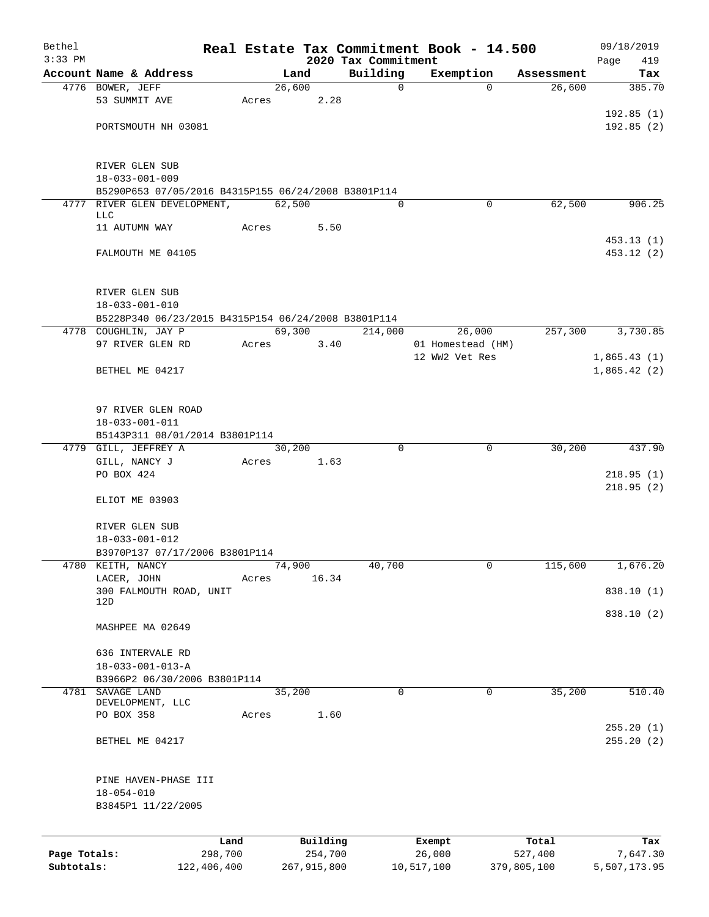| Bethel                     |                                                            |         |        |                        |                                 | Real Estate Tax Commitment Book - 14.500 |                        | 09/18/2019               |
|----------------------------|------------------------------------------------------------|---------|--------|------------------------|---------------------------------|------------------------------------------|------------------------|--------------------------|
| $3:33$ PM                  | Account Name & Address                                     |         | Land   |                        | 2020 Tax Commitment<br>Building | Exemption                                | Assessment             | Page<br>419<br>Tax       |
|                            | 4776 BOWER, JEFF                                           |         | 26,600 |                        | $\mathbf 0$                     | $\Omega$                                 | 26,600                 | 385.70                   |
|                            | 53 SUMMIT AVE                                              | Acres   |        | 2.28                   |                                 |                                          |                        |                          |
|                            |                                                            |         |        |                        |                                 |                                          |                        | 192.85(1)                |
|                            | PORTSMOUTH NH 03081                                        |         |        |                        |                                 |                                          |                        | 192.85(2)                |
|                            |                                                            |         |        |                        |                                 |                                          |                        |                          |
|                            | RIVER GLEN SUB                                             |         |        |                        |                                 |                                          |                        |                          |
|                            | $18 - 033 - 001 - 009$                                     |         |        |                        |                                 |                                          |                        |                          |
|                            | B5290P653 07/05/2016 B4315P155 06/24/2008 B3801P114        |         |        |                        |                                 |                                          |                        |                          |
|                            | 4777 RIVER GLEN DEVELOPMENT,<br>LLC                        |         | 62,500 |                        | $\Omega$                        | $\mathbf 0$                              | 62,500                 | 906.25                   |
|                            | 11 AUTUMN WAY                                              | Acres   |        | 5.50                   |                                 |                                          |                        |                          |
|                            |                                                            |         |        |                        |                                 |                                          |                        | 453.13(1)                |
|                            | FALMOUTH ME 04105                                          |         |        |                        |                                 |                                          |                        | 453.12(2)                |
|                            |                                                            |         |        |                        |                                 |                                          |                        |                          |
|                            |                                                            |         |        |                        |                                 |                                          |                        |                          |
|                            | RIVER GLEN SUB<br>$18 - 033 - 001 - 010$                   |         |        |                        |                                 |                                          |                        |                          |
|                            | B5228P340 06/23/2015 B4315P154 06/24/2008 B3801P114        |         |        |                        |                                 |                                          |                        |                          |
|                            | 4778 COUGHLIN, JAY P                                       |         | 69,300 |                        | 214,000                         | 26,000                                   | 257,300                | 3,730.85                 |
|                            | 97 RIVER GLEN RD                                           | Acres   |        | 3.40                   |                                 | 01 Homestead (HM)                        |                        |                          |
|                            |                                                            |         |        |                        |                                 | 12 WW2 Vet Res                           |                        | 1,865.43(1)              |
|                            | BETHEL ME 04217                                            |         |        |                        |                                 |                                          |                        | 1,865.42(2)              |
|                            |                                                            |         |        |                        |                                 |                                          |                        |                          |
|                            | 97 RIVER GLEN ROAD                                         |         |        |                        |                                 |                                          |                        |                          |
|                            | $18 - 033 - 001 - 011$                                     |         |        |                        |                                 |                                          |                        |                          |
|                            | B5143P311 08/01/2014 B3801P114                             |         |        |                        |                                 |                                          |                        |                          |
|                            | 4779 GILL, JEFFREY A                                       |         | 30,200 |                        | $\Omega$                        | 0                                        | 30,200                 | 437.90                   |
|                            | GILL, NANCY J                                              | Acres   |        | 1.63                   |                                 |                                          |                        |                          |
|                            | PO BOX 424                                                 |         |        |                        |                                 |                                          |                        | 218.95(1)                |
|                            |                                                            |         |        |                        |                                 |                                          |                        | 218.95(2)                |
|                            | ELIOT ME 03903                                             |         |        |                        |                                 |                                          |                        |                          |
|                            | RIVER GLEN SUB                                             |         |        |                        |                                 |                                          |                        |                          |
|                            | $18 - 033 - 001 - 012$                                     |         |        |                        |                                 |                                          |                        |                          |
|                            | B3970P137 07/17/2006 B3801P114                             |         |        |                        |                                 |                                          |                        |                          |
|                            | 4780 KEITH, NANCY                                          |         | 74,900 |                        | 40,700                          | 0                                        | 115,600                | 1,676.20                 |
|                            | LACER, JOHN                                                | Acres   |        | 16.34                  |                                 |                                          |                        |                          |
|                            | 300 FALMOUTH ROAD, UNIT<br>12D                             |         |        |                        |                                 |                                          |                        | 838.10 (1)               |
|                            |                                                            |         |        |                        |                                 |                                          |                        | 838.10 (2)               |
|                            | MASHPEE MA 02649                                           |         |        |                        |                                 |                                          |                        |                          |
|                            |                                                            |         |        |                        |                                 |                                          |                        |                          |
|                            | 636 INTERVALE RD                                           |         |        |                        |                                 |                                          |                        |                          |
|                            | $18 - 033 - 001 - 013 - A$<br>B3966P2 06/30/2006 B3801P114 |         |        |                        |                                 |                                          |                        |                          |
|                            | 4781 SAVAGE LAND                                           |         | 35,200 |                        | 0                               | 0                                        | 35,200                 | 510.40                   |
|                            | DEVELOPMENT, LLC                                           |         |        |                        |                                 |                                          |                        |                          |
|                            | PO BOX 358                                                 | Acres   |        | 1.60                   |                                 |                                          |                        |                          |
|                            | BETHEL ME 04217                                            |         |        |                        |                                 |                                          |                        | 255.20(1)<br>255.20(2)   |
|                            |                                                            |         |        |                        |                                 |                                          |                        |                          |
|                            |                                                            |         |        |                        |                                 |                                          |                        |                          |
|                            | PINE HAVEN-PHASE III                                       |         |        |                        |                                 |                                          |                        |                          |
|                            | $18 - 054 - 010$                                           |         |        |                        |                                 |                                          |                        |                          |
|                            | B3845P1 11/22/2005                                         |         |        |                        |                                 |                                          |                        |                          |
|                            |                                                            |         |        |                        |                                 |                                          |                        |                          |
|                            |                                                            | Land    |        | Building               |                                 | Exempt                                   | Total                  | Tax                      |
| Page Totals:<br>Subtotals: | 122,406,400                                                | 298,700 |        | 254,700<br>267,915,800 |                                 | 26,000<br>10,517,100                     | 527,400<br>379,805,100 | 7,647.30<br>5,507,173.95 |
|                            |                                                            |         |        |                        |                                 |                                          |                        |                          |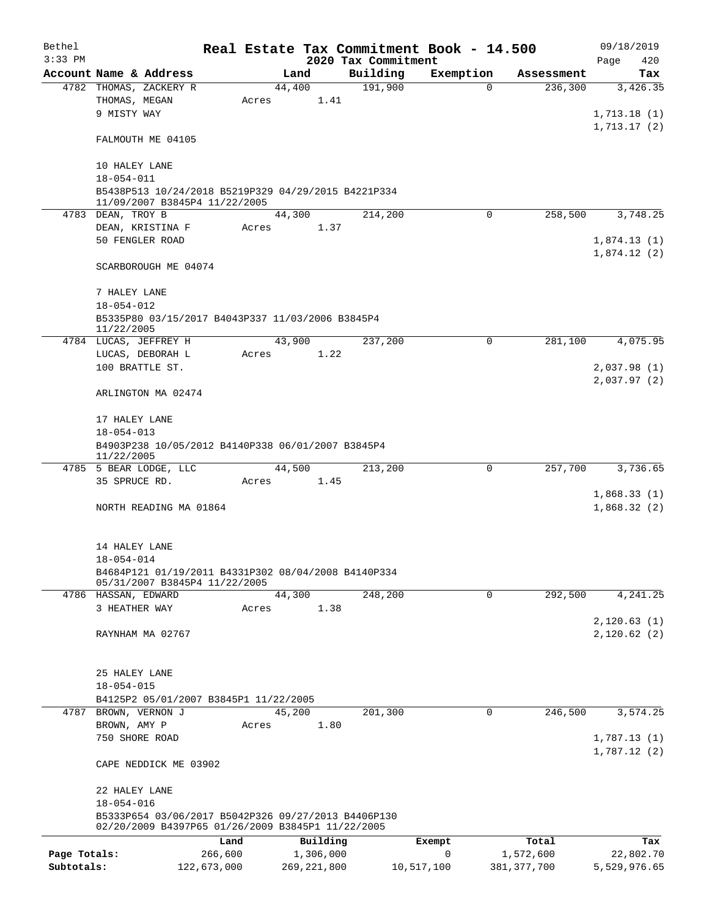| Bethel       |                                                                                                          |             |       |        |               |                     | Real Estate Tax Commitment Book - 14.500 |               |         | 09/18/2019                 |
|--------------|----------------------------------------------------------------------------------------------------------|-------------|-------|--------|---------------|---------------------|------------------------------------------|---------------|---------|----------------------------|
| $3:33$ PM    |                                                                                                          |             |       |        |               | 2020 Tax Commitment |                                          |               |         | Page<br>420                |
|              | Account Name & Address                                                                                   |             |       | Land   |               | Building            | Exemption                                | Assessment    |         | Tax                        |
|              | 4782 THOMAS, ZACKERY R<br>THOMAS, MEGAN                                                                  |             | Acres | 44,400 | 1.41          | 191,900             |                                          | 0             | 236,300 | 3,426.35                   |
|              | 9 MISTY WAY                                                                                              |             |       |        |               |                     |                                          |               |         | 1,713.18(1)                |
|              |                                                                                                          |             |       |        |               |                     |                                          |               |         | 1,713.17(2)                |
|              | FALMOUTH ME 04105                                                                                        |             |       |        |               |                     |                                          |               |         |                            |
|              | 10 HALEY LANE                                                                                            |             |       |        |               |                     |                                          |               |         |                            |
|              | $18 - 054 - 011$                                                                                         |             |       |        |               |                     |                                          |               |         |                            |
|              | B5438P513 10/24/2018 B5219P329 04/29/2015 B4221P334                                                      |             |       |        |               |                     |                                          |               |         |                            |
|              | 11/09/2007 B3845P4 11/22/2005                                                                            |             |       |        |               |                     |                                          |               |         |                            |
|              | 4783 DEAN, TROY B                                                                                        |             |       | 44,300 |               | 214,200             |                                          | $\Omega$      | 258,500 | 3,748.25                   |
|              | DEAN, KRISTINA F<br>50 FENGLER ROAD                                                                      |             | Acres |        | 1.37          |                     |                                          |               |         | 1,874.13(1)                |
|              |                                                                                                          |             |       |        |               |                     |                                          |               |         | 1,874.12(2)                |
|              | SCARBOROUGH ME 04074                                                                                     |             |       |        |               |                     |                                          |               |         |                            |
|              |                                                                                                          |             |       |        |               |                     |                                          |               |         |                            |
|              | 7 HALEY LANE<br>$18 - 054 - 012$                                                                         |             |       |        |               |                     |                                          |               |         |                            |
|              | B5335P80 03/15/2017 B4043P337 11/03/2006 B3845P4                                                         |             |       |        |               |                     |                                          |               |         |                            |
|              | 11/22/2005                                                                                               |             |       |        |               |                     |                                          |               |         |                            |
|              | 4784 LUCAS, JEFFREY H                                                                                    |             |       | 43,900 |               | 237,200             |                                          | 0             | 281,100 | 4,075.95                   |
|              | LUCAS, DEBORAH L                                                                                         |             | Acres |        | 1.22          |                     |                                          |               |         |                            |
|              | 100 BRATTLE ST.                                                                                          |             |       |        |               |                     |                                          |               |         | 2,037.98(1)                |
|              | ARLINGTON MA 02474                                                                                       |             |       |        |               |                     |                                          |               |         | 2,037.97(2)                |
|              |                                                                                                          |             |       |        |               |                     |                                          |               |         |                            |
|              | 17 HALEY LANE                                                                                            |             |       |        |               |                     |                                          |               |         |                            |
|              | $18 - 054 - 013$                                                                                         |             |       |        |               |                     |                                          |               |         |                            |
|              | B4903P238 10/05/2012 B4140P338 06/01/2007 B3845P4<br>11/22/2005                                          |             |       |        |               |                     |                                          |               |         |                            |
|              | 4785 5 BEAR LODGE, LLC                                                                                   |             |       | 44,500 |               | 213,200             |                                          | 0             | 257,700 | 3,736.65                   |
|              | 35 SPRUCE RD.                                                                                            |             | Acres |        | 1.45          |                     |                                          |               |         |                            |
|              |                                                                                                          |             |       |        |               |                     |                                          |               |         | 1,868.33(1)                |
|              | NORTH READING MA 01864                                                                                   |             |       |        |               |                     |                                          |               |         | 1,868.32(2)                |
|              |                                                                                                          |             |       |        |               |                     |                                          |               |         |                            |
|              | 14 HALEY LANE<br>$18 - 054 - 014$                                                                        |             |       |        |               |                     |                                          |               |         |                            |
|              | B4684P121 01/19/2011 B4331P302 08/04/2008 B4140P334                                                      |             |       |        |               |                     |                                          |               |         |                            |
|              | 05/31/2007 B3845P4 11/22/2005                                                                            |             |       |        |               |                     |                                          |               |         |                            |
|              | 4786 HASSAN, EDWARD                                                                                      |             |       | 44,300 |               | 248,200             |                                          | $\mathbf 0$   | 292,500 | 4,241.25                   |
|              | 3 HEATHER WAY                                                                                            |             | Acres |        | 1.38          |                     |                                          |               |         |                            |
|              | RAYNHAM MA 02767                                                                                         |             |       |        |               |                     |                                          |               |         | 2,120.63(1)<br>2,120.62(2) |
|              |                                                                                                          |             |       |        |               |                     |                                          |               |         |                            |
|              |                                                                                                          |             |       |        |               |                     |                                          |               |         |                            |
|              | 25 HALEY LANE                                                                                            |             |       |        |               |                     |                                          |               |         |                            |
|              | $18 - 054 - 015$                                                                                         |             |       |        |               |                     |                                          |               |         |                            |
|              | B4125P2 05/01/2007 B3845P1 11/22/2005                                                                    |             |       |        |               |                     |                                          | $\mathsf{O}$  | 246,500 |                            |
| 4787         | BROWN, VERNON J<br>BROWN, AMY P                                                                          |             | Acres | 45,200 | 1.80          | 201,300             |                                          |               |         | 3,574.25                   |
|              | 750 SHORE ROAD                                                                                           |             |       |        |               |                     |                                          |               |         | 1,787.13(1)                |
|              |                                                                                                          |             |       |        |               |                     |                                          |               |         | 1,787.12(2)                |
|              | CAPE NEDDICK ME 03902                                                                                    |             |       |        |               |                     |                                          |               |         |                            |
|              | 22 HALEY LANE                                                                                            |             |       |        |               |                     |                                          |               |         |                            |
|              | $18 - 054 - 016$                                                                                         |             |       |        |               |                     |                                          |               |         |                            |
|              | B5333P654 03/06/2017 B5042P326 09/27/2013 B4406P130<br>02/20/2009 B4397P65 01/26/2009 B3845P1 11/22/2005 |             |       |        |               |                     |                                          |               |         |                            |
|              |                                                                                                          | Land        |       |        | Building      |                     | Exempt                                   | Total         |         | Tax                        |
| Page Totals: |                                                                                                          | 266,600     |       |        | 1,306,000     |                     | 0                                        | 1,572,600     |         | 22,802.70                  |
| Subtotals:   |                                                                                                          | 122,673,000 |       |        | 269, 221, 800 |                     | 10,517,100                               | 381, 377, 700 |         | 5,529,976.65               |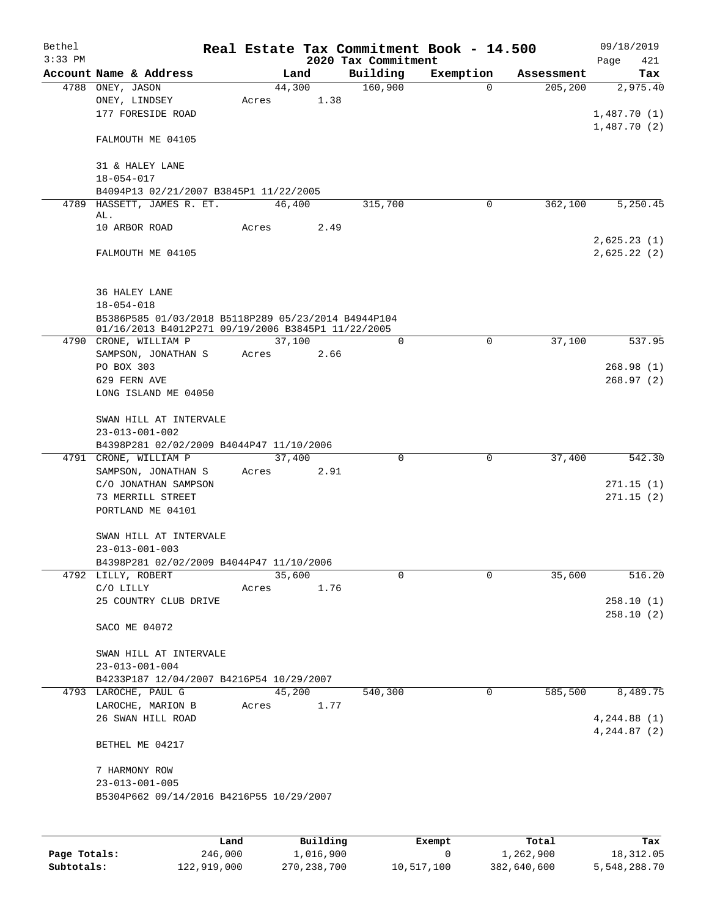| Bethel<br>$3:33$ PM |                                                                                                           |                 |                | Real Estate Tax Commitment Book - 14.500<br>2020 Tax Commitment |             |            | 09/18/2019<br>Page<br>421 |
|---------------------|-----------------------------------------------------------------------------------------------------------|-----------------|----------------|-----------------------------------------------------------------|-------------|------------|---------------------------|
|                     | Account Name & Address                                                                                    |                 | Land           | Building                                                        | Exemption   | Assessment | Tax                       |
|                     | 4788 ONEY, JASON<br>ONEY, LINDSEY<br>177 FORESIDE ROAD                                                    | Acres           | 44,300<br>1.38 | 160,900                                                         | $\Omega$    | 205, 200   | 2,975.40<br>1,487.70(1)   |
|                     | FALMOUTH ME 04105                                                                                         |                 |                |                                                                 |             |            | 1,487.70(2)               |
|                     | 31 & HALEY LANE<br>$18 - 054 - 017$                                                                       |                 |                |                                                                 |             |            |                           |
|                     | B4094P13 02/21/2007 B3845P1 11/22/2005                                                                    |                 |                |                                                                 |             |            |                           |
|                     | 4789 HASSETT, JAMES R. ET.<br>AL.                                                                         | 46,400          |                | 315,700                                                         | $\mathbf 0$ | 362,100    | 5,250.45                  |
|                     | 10 ARBOR ROAD                                                                                             | Acres           | 2.49           |                                                                 |             |            | 2,625.23(1)               |
|                     | FALMOUTH ME 04105                                                                                         |                 |                |                                                                 |             |            | 2,625.22(2)               |
|                     | 36 HALEY LANE                                                                                             |                 |                |                                                                 |             |            |                           |
|                     | $18 - 054 - 018$                                                                                          |                 |                |                                                                 |             |            |                           |
|                     | B5386P585 01/03/2018 B5118P289 05/23/2014 B4944P104<br>01/16/2013 B4012P271 09/19/2006 B3845P1 11/22/2005 |                 |                |                                                                 |             |            |                           |
|                     | 4790 CRONE, WILLIAM P<br>SAMPSON, JONATHAN S                                                              | 37,100<br>Acres | 2.66           | $\Omega$                                                        | $\Omega$    | 37,100     | 537.95                    |
|                     | PO BOX 303                                                                                                |                 |                |                                                                 |             |            | 268.98(1)                 |
|                     | 629 FERN AVE                                                                                              |                 |                |                                                                 |             |            | 268.97(2)                 |
|                     | LONG ISLAND ME 04050                                                                                      |                 |                |                                                                 |             |            |                           |
|                     | SWAN HILL AT INTERVALE                                                                                    |                 |                |                                                                 |             |            |                           |
|                     | $23 - 013 - 001 - 002$                                                                                    |                 |                |                                                                 |             |            |                           |
|                     | B4398P281 02/02/2009 B4044P47 11/10/2006                                                                  |                 |                |                                                                 |             |            |                           |
|                     | 4791 CRONE, WILLIAM P<br>SAMPSON, JONATHAN S                                                              | 37,400<br>Acres | 2.91           | $\mathbf 0$                                                     | $\mathbf 0$ | 37,400     | 542.30                    |
|                     | C/O JONATHAN SAMPSON                                                                                      |                 |                |                                                                 |             |            | 271.15(1)                 |
|                     | 73 MERRILL STREET                                                                                         |                 |                |                                                                 |             |            | 271.15(2)                 |
|                     | PORTLAND ME 04101                                                                                         |                 |                |                                                                 |             |            |                           |
|                     | SWAN HILL AT INTERVALE                                                                                    |                 |                |                                                                 |             |            |                           |
|                     | $23 - 013 - 001 - 003$                                                                                    |                 |                |                                                                 |             |            |                           |
|                     | B4398P281 02/02/2009 B4044P47 11/10/2006                                                                  |                 |                |                                                                 |             |            |                           |
|                     | 4792 LILLY, ROBERT<br>C/O LILLY                                                                           | 35,600<br>Acres | 1.76           | 0                                                               | $\mathbf 0$ | 35,600     | 516.20                    |
|                     | 25 COUNTRY CLUB DRIVE                                                                                     |                 |                |                                                                 |             |            | 258.10(1)                 |
|                     |                                                                                                           |                 |                |                                                                 |             |            | 258.10(2)                 |
|                     | SACO ME 04072                                                                                             |                 |                |                                                                 |             |            |                           |
|                     | SWAN HILL AT INTERVALE                                                                                    |                 |                |                                                                 |             |            |                           |
|                     | $23 - 013 - 001 - 004$                                                                                    |                 |                |                                                                 |             |            |                           |
|                     | B4233P187 12/04/2007 B4216P54 10/29/2007                                                                  |                 |                |                                                                 |             |            |                           |
|                     | 4793 LAROCHE, PAUL G<br>LAROCHE, MARION B                                                                 | 45,200          | 1.77           | 540,300                                                         | 0           | 585,500    | 8,489.75                  |
|                     | 26 SWAN HILL ROAD                                                                                         | Acres           |                |                                                                 |             |            | 4, 244.88(1)              |
|                     |                                                                                                           |                 |                |                                                                 |             |            | 4, 244.87 (2)             |
|                     | BETHEL ME 04217                                                                                           |                 |                |                                                                 |             |            |                           |
|                     | 7 HARMONY ROW                                                                                             |                 |                |                                                                 |             |            |                           |
|                     | $23 - 013 - 001 - 005$                                                                                    |                 |                |                                                                 |             |            |                           |
|                     | B5304P662 09/14/2016 B4216P55 10/29/2007                                                                  |                 |                |                                                                 |             |            |                           |
|                     |                                                                                                           |                 |                |                                                                 |             |            |                           |
|                     |                                                                                                           |                 |                |                                                                 |             |            |                           |

|              | Land        | Building    | Exempt     | Total       | Tax          |
|--------------|-------------|-------------|------------|-------------|--------------|
| Page Totals: | 246,000     | 1,016,900   |            | 1,262,900   | 18,312.05    |
| Subtotals:   | 122,919,000 | 270,238,700 | 10,517,100 | 382,640,600 | 5,548,288.70 |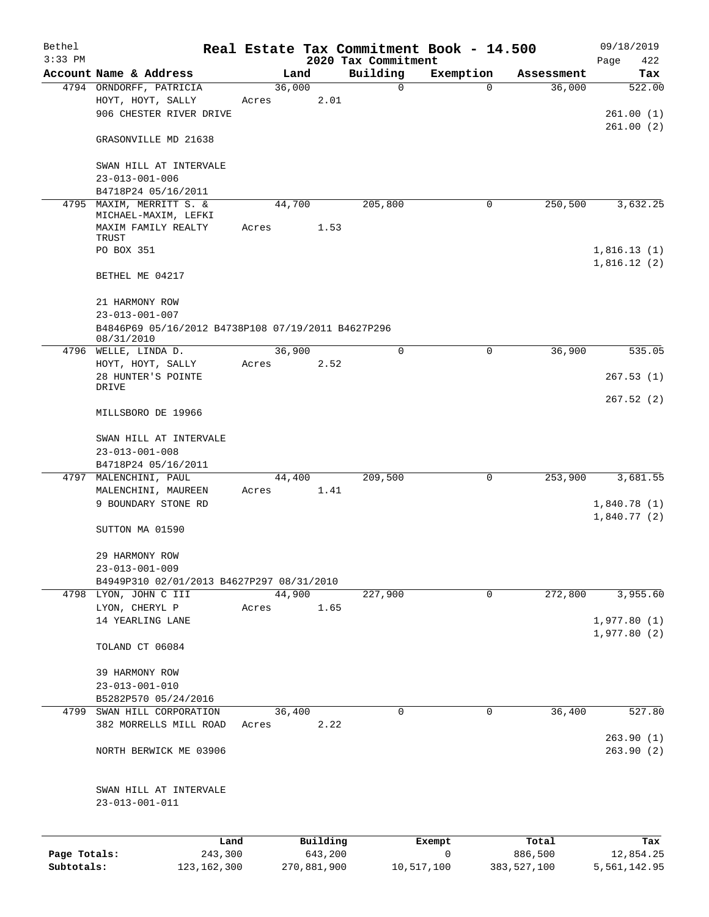| Bethel       |                                                    |       |             |                     | Real Estate Tax Commitment Book - 14.500 |             |                  | 09/18/2019       |
|--------------|----------------------------------------------------|-------|-------------|---------------------|------------------------------------------|-------------|------------------|------------------|
| $3:33$ PM    |                                                    |       |             |                     | 2020 Tax Commitment                      |             |                  | Page<br>422      |
|              | Account Name & Address                             |       | Land        |                     | Building                                 | Exemption   | Assessment       | Tax              |
|              | 4794 ORNDORFF, PATRICIA                            |       | 36,000      | 2.01                | $\mathbf 0$                              | $\Omega$    | 36,000           | 522.00           |
|              | HOYT, HOYT, SALLY<br>906 CHESTER RIVER DRIVE       | Acres |             |                     |                                          |             |                  | 261.00(1)        |
|              |                                                    |       |             |                     |                                          |             |                  | 261.00(2)        |
|              | GRASONVILLE MD 21638                               |       |             |                     |                                          |             |                  |                  |
|              | SWAN HILL AT INTERVALE                             |       |             |                     |                                          |             |                  |                  |
|              | $23 - 013 - 001 - 006$                             |       |             |                     |                                          |             |                  |                  |
|              | B4718P24 05/16/2011                                |       |             |                     |                                          |             |                  |                  |
| 4795         | MAXIM, MERRITT S. &<br>MICHAEL-MAXIM, LEFKI        |       | 44,700      |                     | 205,800                                  | 0           | 250,500          | 3,632.25         |
|              | MAXIM FAMILY REALTY                                | Acres |             | 1.53                |                                          |             |                  |                  |
|              | TRUST                                              |       |             |                     |                                          |             |                  |                  |
|              | PO BOX 351                                         |       |             |                     |                                          |             |                  | 1,816.13(1)      |
|              | BETHEL ME 04217                                    |       |             |                     |                                          |             |                  | 1,816.12(2)      |
|              | 21 HARMONY ROW                                     |       |             |                     |                                          |             |                  |                  |
|              | $23 - 013 - 001 - 007$                             |       |             |                     |                                          |             |                  |                  |
|              | B4846P69 05/16/2012 B4738P108 07/19/2011 B4627P296 |       |             |                     |                                          |             |                  |                  |
|              | 08/31/2010<br>4796 WELLE, LINDA D.                 |       | 36,900      |                     | $\mathbf 0$                              | $\mathbf 0$ | 36,900           | 535.05           |
|              | HOYT, HOYT, SALLY                                  | Acres |             | 2.52                |                                          |             |                  |                  |
|              | 28 HUNTER'S POINTE                                 |       |             |                     |                                          |             |                  | 267.53(1)        |
|              | DRIVE                                              |       |             |                     |                                          |             |                  |                  |
|              | MILLSBORO DE 19966                                 |       |             |                     |                                          |             |                  | 267.52(2)        |
|              |                                                    |       |             |                     |                                          |             |                  |                  |
|              | SWAN HILL AT INTERVALE<br>$23 - 013 - 001 - 008$   |       |             |                     |                                          |             |                  |                  |
|              | B4718P24 05/16/2011                                |       |             |                     |                                          |             |                  |                  |
| 4797         | MALENCHINI, PAUL                                   |       | 44,400      |                     | 209,500                                  | $\mathbf 0$ | 253,900          | 3,681.55         |
|              | MALENCHINI, MAUREEN                                | Acres |             | 1.41                |                                          |             |                  |                  |
|              | 9 BOUNDARY STONE RD                                |       |             |                     |                                          |             |                  | 1,840.78(1)      |
|              |                                                    |       |             |                     |                                          |             |                  | 1,840.77(2)      |
|              | SUTTON MA 01590                                    |       |             |                     |                                          |             |                  |                  |
|              | 29 HARMONY ROW                                     |       |             |                     |                                          |             |                  |                  |
|              | $23 - 013 - 001 - 009$                             |       |             |                     |                                          |             |                  |                  |
|              | B4949P310 02/01/2013 B4627P297 08/31/2010          |       |             |                     |                                          |             |                  |                  |
|              | 4798 LYON, JOHN C III                              |       | 44,900      |                     | 227,900                                  | $\mathbf 0$ | 272,800          | 3,955.60         |
|              | LYON, CHERYL P                                     | Acres |             | 1.65                |                                          |             |                  |                  |
|              | 14 YEARLING LANE                                   |       |             |                     |                                          |             |                  | 1,977.80(1)      |
|              | TOLAND CT 06084                                    |       |             |                     |                                          |             |                  | 1,977.80(2)      |
|              |                                                    |       |             |                     |                                          |             |                  |                  |
|              | 39 HARMONY ROW<br>$23 - 013 - 001 - 010$           |       |             |                     |                                          |             |                  |                  |
|              | B5282P570 05/24/2016                               |       |             |                     |                                          |             |                  |                  |
| 4799         | SWAN HILL CORPORATION                              |       | 36,400      |                     | 0                                        | 0           | 36,400           | 527.80           |
|              | 382 MORRELLS MILL ROAD                             | Acres |             | 2.22                |                                          |             |                  |                  |
|              |                                                    |       |             |                     |                                          |             |                  | 263.90(1)        |
|              | NORTH BERWICK ME 03906                             |       |             |                     |                                          |             |                  | 263.90(2)        |
|              |                                                    |       |             |                     |                                          |             |                  |                  |
|              | SWAN HILL AT INTERVALE<br>$23 - 013 - 001 - 011$   |       |             |                     |                                          |             |                  |                  |
|              |                                                    |       |             |                     |                                          |             |                  |                  |
| Page Totals: | Land<br>243,300                                    |       |             | Building<br>643,200 |                                          | Exempt<br>0 | Total<br>886,500 | Tax<br>12,854.25 |
| Subtotals:   | 123, 162, 300                                      |       | 270,881,900 |                     | 10,517,100                               |             | 383,527,100      | 5,561,142.95     |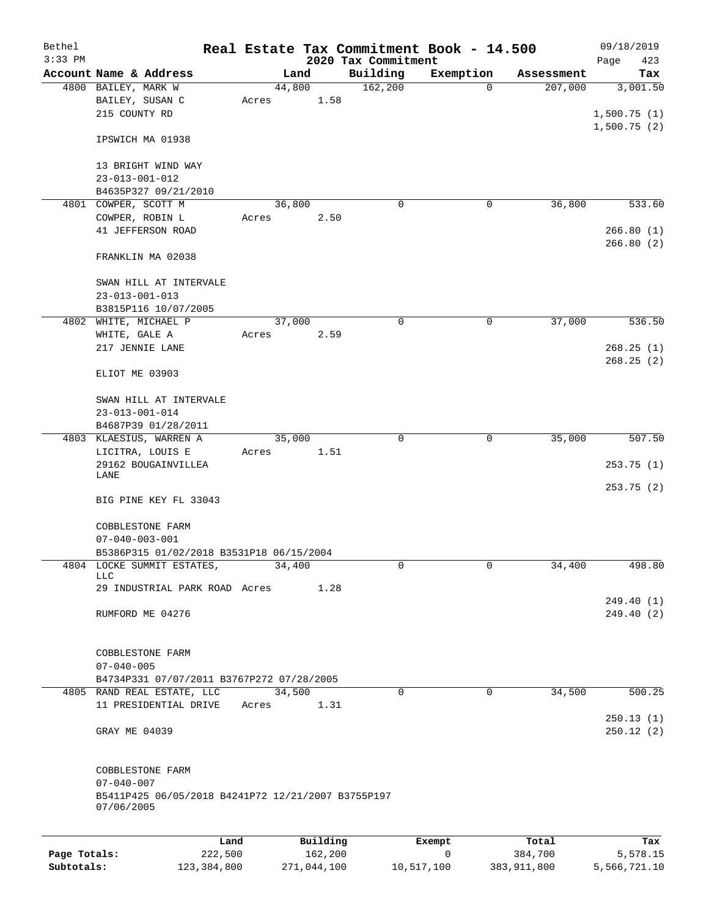| Bethel<br>$3:33$ PM |                                                                                                          |                 |                     | 2020 Tax Commitment | Real Estate Tax Commitment Book - 14.500 |                  | 09/18/2019<br>Page<br>423        |
|---------------------|----------------------------------------------------------------------------------------------------------|-----------------|---------------------|---------------------|------------------------------------------|------------------|----------------------------------|
|                     | Account Name & Address                                                                                   |                 | Land                | Building            | Exemption                                | Assessment       | Tax                              |
|                     | 4800 BAILEY, MARK W<br>BAILEY, SUSAN C<br>215 COUNTY RD                                                  | 44,800<br>Acres | 1.58                | 162,200             | 0                                        | 207,000          | 3,001.50<br>1,500.75(1)          |
|                     | IPSWICH MA 01938                                                                                         |                 |                     |                     |                                          |                  | 1,500.75(2)                      |
|                     | 13 BRIGHT WIND WAY<br>$23 - 013 - 001 - 012$                                                             |                 |                     |                     |                                          |                  |                                  |
|                     | B4635P327 09/21/2010                                                                                     |                 |                     |                     |                                          |                  |                                  |
|                     | 4801 COWPER, SCOTT M<br>COWPER, ROBIN L<br>41 JEFFERSON ROAD                                             | 36,800<br>Acres | 2.50                | $\Omega$            | 0                                        | 36,800           | 533.60<br>266.80(1)<br>266.80(2) |
|                     | FRANKLIN MA 02038                                                                                        |                 |                     |                     |                                          |                  |                                  |
|                     | SWAN HILL AT INTERVALE<br>$23 - 013 - 001 - 013$                                                         |                 |                     |                     |                                          |                  |                                  |
|                     | B3815P116 10/07/2005                                                                                     |                 |                     |                     |                                          |                  |                                  |
|                     | 4802 WHITE, MICHAEL P<br>WHITE, GALE A                                                                   | 37,000<br>Acres | 2.59                | $\mathbf 0$         | $\mathbf 0$                              | 37,000           | 536.50                           |
|                     | 217 JENNIE LANE                                                                                          |                 |                     |                     |                                          |                  | 268.25(1)<br>268.25(2)           |
|                     | ELIOT ME 03903                                                                                           |                 |                     |                     |                                          |                  |                                  |
|                     | SWAN HILL AT INTERVALE                                                                                   |                 |                     |                     |                                          |                  |                                  |
|                     | $23 - 013 - 001 - 014$                                                                                   |                 |                     |                     |                                          |                  |                                  |
|                     | B4687P39 01/28/2011                                                                                      |                 |                     |                     |                                          |                  |                                  |
|                     | 4803 KLAESIUS, WARREN A<br>LICITRA, LOUIS E                                                              | 35,000<br>Acres | 1.51                | 0                   | 0                                        | 35,000           | 507.50                           |
|                     | 29162 BOUGAINVILLEA<br>LANE                                                                              |                 |                     |                     |                                          |                  | 253.75(1)<br>253.75(2)           |
|                     | BIG PINE KEY FL 33043                                                                                    |                 |                     |                     |                                          |                  |                                  |
|                     | <b>COBBLESTONE FARM</b><br>$07 - 040 - 003 - 001$                                                        |                 |                     |                     |                                          |                  |                                  |
|                     | B5386P315 01/02/2018 B3531P18 06/15/2004                                                                 |                 |                     |                     |                                          |                  |                                  |
| 4804                | LOCKE SUMMIT ESTATES,<br><b>LLC</b>                                                                      | 34,400          |                     | 0                   | 0                                        | 34,400           | 498.80                           |
|                     | 29 INDUSTRIAL PARK ROAD Acres                                                                            |                 | 1.28                |                     |                                          |                  | 249.40(1)                        |
|                     | RUMFORD ME 04276                                                                                         |                 |                     |                     |                                          |                  | 249.40(2)                        |
|                     | COBBLESTONE FARM<br>$07 - 040 - 005$                                                                     |                 |                     |                     |                                          |                  |                                  |
|                     | B4734P331 07/07/2011 B3767P272 07/28/2005                                                                |                 |                     |                     |                                          |                  |                                  |
|                     | 4805 RAND REAL ESTATE, LLC<br>11 PRESIDENTIAL DRIVE                                                      | 34,500<br>Acres | 1.31                | $\mathbf 0$         | $\mathbf 0$                              | 34,500           | 500.25                           |
|                     | GRAY ME 04039                                                                                            |                 |                     |                     |                                          |                  | 250.13(1)<br>250.12(2)           |
|                     | COBBLESTONE FARM<br>$07 - 040 - 007$<br>B5411P425 06/05/2018 B4241P72 12/21/2007 B3755P197<br>07/06/2005 |                 |                     |                     |                                          |                  |                                  |
|                     |                                                                                                          |                 |                     |                     |                                          |                  |                                  |
| Page Totals:        | Land<br>222,500                                                                                          |                 | Building<br>162,200 |                     | Exempt<br>0                              | Total<br>384,700 | Tax<br>5,578.15                  |

**Subtotals:** 123,384,800 271,044,100 10,517,100 383,911,800 5,566,721.10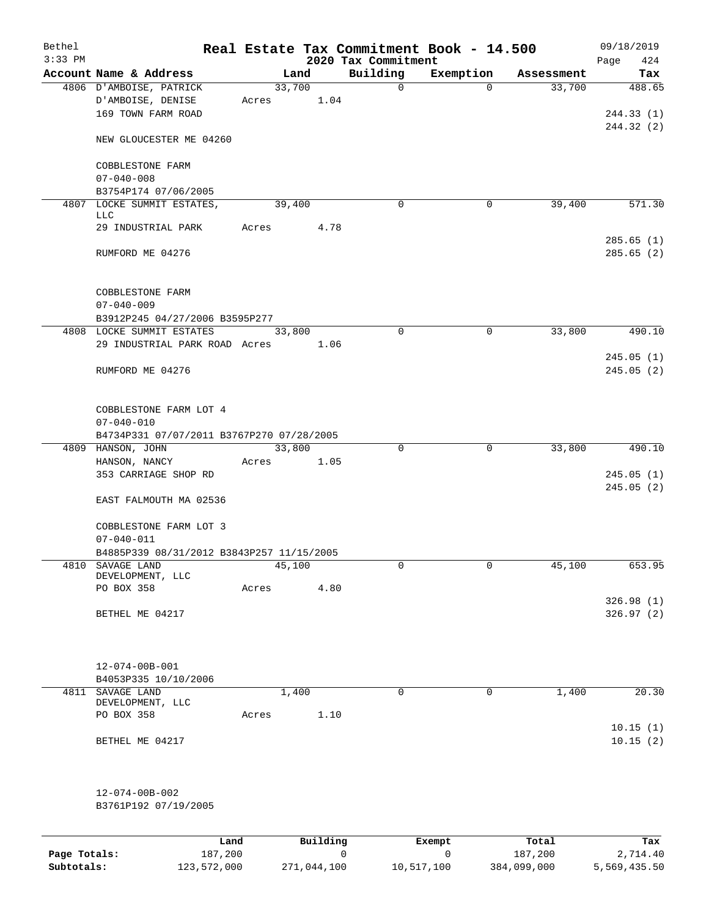| Bethel<br>$3:33$ PM |                                                                    |       |        |          | 2020 Tax Commitment | Real Estate Tax Commitment Book - 14.500 |            | 09/18/2019<br>424<br>Page |
|---------------------|--------------------------------------------------------------------|-------|--------|----------|---------------------|------------------------------------------|------------|---------------------------|
|                     | Account Name & Address                                             |       | Land   |          | Building            | Exemption                                | Assessment | Tax                       |
|                     | 4806 D'AMBOISE, PATRICK<br>D'AMBOISE, DENISE<br>169 TOWN FARM ROAD | Acres | 33,700 | 1.04     | $\mathbf 0$         | $\Omega$                                 | 33,700     | 488.65<br>244.33(1)       |
|                     | NEW GLOUCESTER ME 04260                                            |       |        |          |                     |                                          |            | 244.32 (2)                |
|                     | COBBLESTONE FARM<br>$07 - 040 - 008$                               |       |        |          |                     |                                          |            |                           |
|                     | B3754P174 07/06/2005                                               |       |        |          |                     |                                          |            |                           |
|                     | 4807 LOCKE SUMMIT ESTATES,<br>LLC                                  |       | 39,400 |          | 0                   | 0                                        | 39,400     | 571.30                    |
|                     | 29 INDUSTRIAL PARK                                                 | Acres |        | 4.78     |                     |                                          |            |                           |
|                     | RUMFORD ME 04276                                                   |       |        |          |                     |                                          |            | 285.65(1)<br>285.65(2)    |
|                     | COBBLESTONE FARM                                                   |       |        |          |                     |                                          |            |                           |
|                     | $07 - 040 - 009$<br>B3912P245 04/27/2006 B3595P277                 |       |        |          |                     |                                          |            |                           |
|                     | 4808 LOCKE SUMMIT ESTATES                                          |       | 33,800 |          | $\mathbf 0$         | $\mathbf 0$                              | 33,800     | 490.10                    |
|                     | 29 INDUSTRIAL PARK ROAD Acres                                      |       |        | 1.06     |                     |                                          |            |                           |
|                     | RUMFORD ME 04276                                                   |       |        |          |                     |                                          |            | 245.05(1)<br>245.05(2)    |
|                     | COBBLESTONE FARM LOT 4<br>$07 - 040 - 010$                         |       |        |          |                     |                                          |            |                           |
|                     | B4734P331 07/07/2011 B3767P270 07/28/2005                          |       |        |          |                     |                                          |            |                           |
|                     | 4809 HANSON, JOHN                                                  |       | 33,800 |          | 0                   | $\mathbf 0$                              | 33,800     | 490.10                    |
|                     | HANSON, NANCY<br>353 CARRIAGE SHOP RD                              | Acres |        | 1.05     |                     |                                          |            | 245.05(1)<br>245.05(2)    |
|                     | EAST FALMOUTH MA 02536                                             |       |        |          |                     |                                          |            |                           |
|                     | COBBLESTONE FARM LOT 3<br>$07 - 040 - 011$                         |       |        |          |                     |                                          |            |                           |
|                     | B4885P339 08/31/2012 B3843P257 11/15/2005                          |       |        |          |                     |                                          |            |                           |
|                     | 4810 SAVAGE LAND<br>DEVELOPMENT, LLC                               |       | 45,100 |          | 0                   | 0                                        | 45,100     | 653.95                    |
|                     | PO BOX 358                                                         | Acres |        | 4.80     |                     |                                          |            |                           |
|                     | BETHEL ME 04217                                                    |       |        |          |                     |                                          |            | 326.98(1)<br>326.97(2)    |
|                     | 12-074-00B-001                                                     |       |        |          |                     |                                          |            |                           |
|                     | B4053P335 10/10/2006                                               |       |        |          |                     |                                          |            |                           |
|                     | 4811 SAVAGE LAND<br>DEVELOPMENT, LLC                               |       | 1,400  |          | $\mathbf 0$         | $\mathbf 0$                              | 1,400      | 20.30                     |
|                     | PO BOX 358                                                         | Acres |        | 1.10     |                     |                                          |            | 10.15(1)                  |
|                     | BETHEL ME 04217                                                    |       |        |          |                     |                                          |            | 10.15(2)                  |
|                     | $12 - 074 - 00B - 002$                                             |       |        |          |                     |                                          |            |                           |
|                     | B3761P192 07/19/2005                                               |       |        |          |                     |                                          |            |                           |
|                     | Land                                                               |       |        | Building |                     | Exempt                                   | Total      | Tax                       |

**Page Totals:** 187,200 0 0 187,200 0 187,200 2,714.40<br>**Subtotals:** 123,572,000 271,044,100 10,517,100 384,099,000 5,569,435.50

**Subtotals:** 123,572,000 271,044,100 10,517,100 384,099,000 5,569,435.50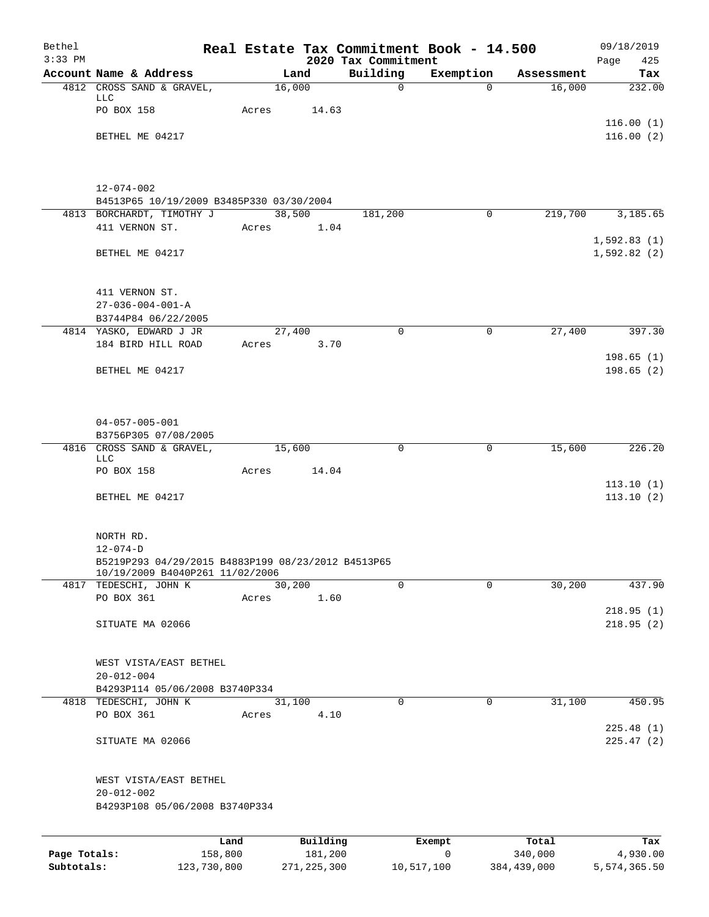| Bethel<br>$3:33$ PM |                                                                      |            |          | 2020 Tax Commitment | Real Estate Tax Commitment Book - 14.500 |            | 09/18/2019<br>Page<br>425 |
|---------------------|----------------------------------------------------------------------|------------|----------|---------------------|------------------------------------------|------------|---------------------------|
|                     | Account Name & Address                                               |            | Land     | Building            | Exemption                                | Assessment | Tax                       |
|                     | 4812 CROSS SAND & GRAVEL,                                            | 16,000     |          | $\mathsf{O}$        | $\Omega$                                 | 16,000     | 232.00                    |
|                     | LLC                                                                  |            |          |                     |                                          |            |                           |
|                     | PO BOX 158                                                           | Acres      | 14.63    |                     |                                          |            | 116.00(1)                 |
|                     | BETHEL ME 04217                                                      |            |          |                     |                                          |            | 116.00(2)                 |
|                     |                                                                      |            |          |                     |                                          |            |                           |
|                     |                                                                      |            |          |                     |                                          |            |                           |
|                     |                                                                      |            |          |                     |                                          |            |                           |
|                     | $12 - 074 - 002$<br>B4513P65 10/19/2009 B3485P330 03/30/2004         |            |          |                     |                                          |            |                           |
|                     | 4813 BORCHARDT, TIMOTHY J                                            |            | 38,500   | 181,200             | $\mathbf 0$                              | 219,700    | 3,185.65                  |
|                     | 411 VERNON ST.                                                       | Acres      | 1.04     |                     |                                          |            |                           |
|                     |                                                                      |            |          |                     |                                          |            | 1,592.83(1)               |
|                     | BETHEL ME 04217                                                      |            |          |                     |                                          |            | 1,592.82(2)               |
|                     |                                                                      |            |          |                     |                                          |            |                           |
|                     | 411 VERNON ST.                                                       |            |          |                     |                                          |            |                           |
|                     | $27 - 036 - 004 - 001 - A$                                           |            |          |                     |                                          |            |                           |
|                     | B3744P84 06/22/2005                                                  |            |          |                     |                                          |            |                           |
|                     | 4814 YASKO, EDWARD J JR                                              | 27,400     |          | $\mathbf 0$         | $\mathbf 0$                              | 27,400     | 397.30                    |
|                     | 184 BIRD HILL ROAD                                                   | Acres 3.70 |          |                     |                                          |            | 198.65(1)                 |
|                     | BETHEL ME 04217                                                      |            |          |                     |                                          |            | 198.65(2)                 |
|                     |                                                                      |            |          |                     |                                          |            |                           |
|                     |                                                                      |            |          |                     |                                          |            |                           |
|                     |                                                                      |            |          |                     |                                          |            |                           |
|                     | $04 - 057 - 005 - 001$                                               |            |          |                     |                                          |            |                           |
|                     | B3756P305 07/08/2005<br>4816 CROSS SAND & GRAVEL,                    | 15,600     |          | $\mathbf 0$         | $\mathbf 0$                              | 15,600     | 226.20                    |
|                     | <b>LLC</b>                                                           |            |          |                     |                                          |            |                           |
|                     | PO BOX 158                                                           | Acres      | 14.04    |                     |                                          |            |                           |
|                     | BETHEL ME 04217                                                      |            |          |                     |                                          |            | 113.10(1)<br>113.10(2)    |
|                     |                                                                      |            |          |                     |                                          |            |                           |
|                     |                                                                      |            |          |                     |                                          |            |                           |
|                     | NORTH RD.                                                            |            |          |                     |                                          |            |                           |
|                     | $12 - 074 - D$<br>B5219P293 04/29/2015 B4883P199 08/23/2012 B4513P65 |            |          |                     |                                          |            |                           |
|                     | 10/19/2009 B4040P261 11/02/2006                                      |            |          |                     |                                          |            |                           |
|                     | 4817 TEDESCHI, JOHN K                                                | 30,200     |          | $\Omega$            | $\Omega$                                 | 30,200     | 437.90                    |
|                     | PO BOX 361                                                           | Acres      | 1.60     |                     |                                          |            |                           |
|                     | SITUATE MA 02066                                                     |            |          |                     |                                          |            | 218.95(1)<br>218.95(2)    |
|                     |                                                                      |            |          |                     |                                          |            |                           |
|                     |                                                                      |            |          |                     |                                          |            |                           |
|                     | WEST VISTA/EAST BETHEL                                               |            |          |                     |                                          |            |                           |
|                     | $20 - 012 - 004$                                                     |            |          |                     |                                          |            |                           |
|                     | B4293P114 05/06/2008 B3740P334<br>4818 TEDESCHI, JOHN K              | 31,100     |          | $\mathbf 0$         | $\mathbf 0$                              | 31,100     | 450.95                    |
|                     | PO BOX 361                                                           | Acres      | 4.10     |                     |                                          |            |                           |
|                     |                                                                      |            |          |                     |                                          |            | 225.48(1)                 |
|                     | SITUATE MA 02066                                                     |            |          |                     |                                          |            | 225.47(2)                 |
|                     | WEST VISTA/EAST BETHEL                                               |            |          |                     |                                          |            |                           |
|                     | $20 - 012 - 002$                                                     |            |          |                     |                                          |            |                           |
|                     | B4293P108 05/06/2008 B3740P334                                       |            |          |                     |                                          |            |                           |
|                     |                                                                      |            |          |                     |                                          |            |                           |
|                     |                                                                      | Land       | Building |                     | Exempt                                   | Total      | Tax                       |
| Page Totals:        | 158,800                                                              |            | 181,200  |                     | 0                                        | 340,000    | 4,930.00                  |

**Subtotals:** 123,730,800 271,225,300 10,517,100 384,439,000 5,574,365.50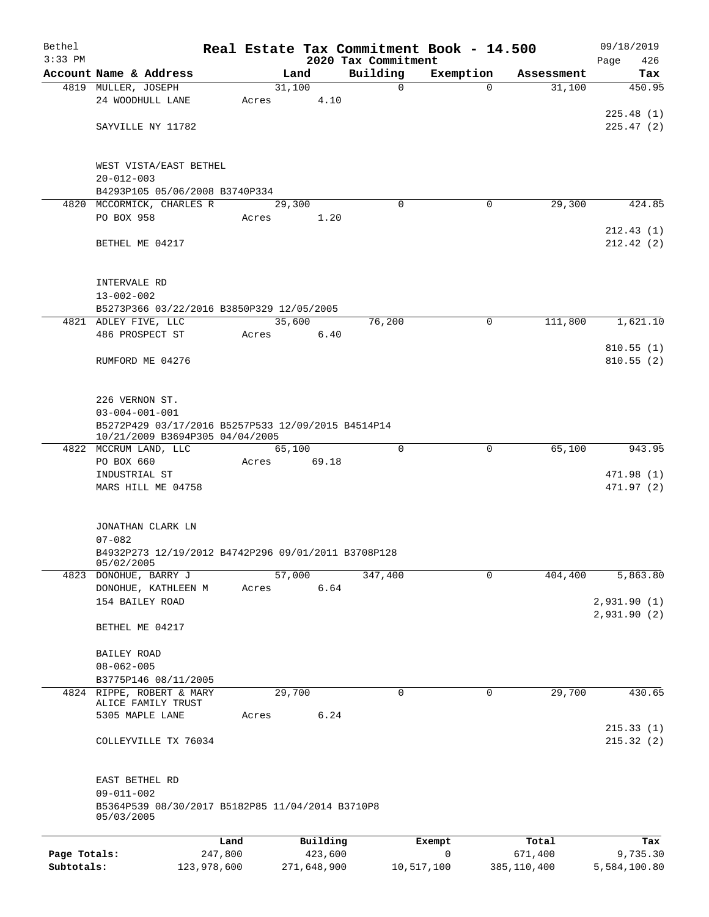| Bethel       |                                                                                       |             |                |             |                         | Real Estate Tax Commitment Book - 14.500 |                      | 09/18/2019                  |
|--------------|---------------------------------------------------------------------------------------|-------------|----------------|-------------|-------------------------|------------------------------------------|----------------------|-----------------------------|
| $3:33$ PM    | Account Name & Address                                                                |             |                |             | 2020 Tax Commitment     |                                          |                      | 426<br>Page                 |
|              | 4819 MULLER, JOSEPH                                                                   |             | Land<br>31,100 |             | Building<br>$\mathbf 0$ | Exemption<br>$\Omega$                    | Assessment<br>31,100 | Tax<br>450.95               |
|              | 24 WOODHULL LANE                                                                      | Acres       |                | 4.10        |                         |                                          |                      | 225.48(1)                   |
|              | SAYVILLE NY 11782                                                                     |             |                |             |                         |                                          |                      | 225.47(2)                   |
|              | WEST VISTA/EAST BETHEL<br>$20 - 012 - 003$                                            |             |                |             |                         |                                          |                      |                             |
|              | B4293P105 05/06/2008 B3740P334                                                        |             |                |             |                         |                                          |                      |                             |
|              | 4820 MCCORMICK, CHARLES R                                                             |             | 29,300         |             | $\Omega$                | 0                                        | 29,300               | 424.85                      |
|              | PO BOX 958                                                                            | Acres       |                | 1.20        |                         |                                          |                      | 212.43(1)                   |
|              | BETHEL ME 04217                                                                       |             |                |             |                         |                                          |                      | 212.42(2)                   |
|              | INTERVALE RD                                                                          |             |                |             |                         |                                          |                      |                             |
|              | $13 - 002 - 002$<br>B5273P366 03/22/2016 B3850P329 12/05/2005                         |             |                |             |                         |                                          |                      |                             |
|              | 4821 ADLEY FIVE, LLC                                                                  |             | 35,600         |             | 76,200                  | $\mathbf 0$                              | 111,800              | 1,621.10                    |
|              | 486 PROSPECT ST                                                                       | Acres       |                | 6.40        |                         |                                          |                      |                             |
|              | RUMFORD ME 04276                                                                      |             |                |             |                         |                                          |                      | 810.55(1)<br>810.55(2)      |
|              | 226 VERNON ST.                                                                        |             |                |             |                         |                                          |                      |                             |
|              | $03 - 004 - 001 - 001$                                                                |             |                |             |                         |                                          |                      |                             |
|              | B5272P429 03/17/2016 B5257P533 12/09/2015 B4514P14<br>10/21/2009 B3694P305 04/04/2005 |             |                |             |                         |                                          |                      |                             |
|              | 4822 MCCRUM LAND, LLC<br>PO BOX 660                                                   | Acres       | 65,100         | 69.18       | $\Omega$                | 0                                        | 65,100               | 943.95                      |
|              | INDUSTRIAL ST                                                                         |             |                |             |                         |                                          |                      | 471.98 (1)                  |
|              | MARS HILL ME 04758                                                                    |             |                |             |                         |                                          |                      | 471.97 (2)                  |
|              | JONATHAN CLARK LN<br>$07 - 082$                                                       |             |                |             |                         |                                          |                      |                             |
|              | B4932P273 12/19/2012 B4742P296 09/01/2011 B3708P128<br>05/02/2005                     |             |                |             |                         |                                          |                      |                             |
|              | 4823 DONOHUE, BARRY J                                                                 |             | 57,000         |             | 347,400                 | $\mathbf 0$                              | 404,400              | 5,863.80                    |
|              | DONOHUE, KATHLEEN M                                                                   | Acres       |                | 6.64        |                         |                                          |                      |                             |
|              | 154 BAILEY ROAD                                                                       |             |                |             |                         |                                          |                      | 2,931.90(1)<br>2,931.90 (2) |
|              | BETHEL ME 04217                                                                       |             |                |             |                         |                                          |                      |                             |
|              | BAILEY ROAD                                                                           |             |                |             |                         |                                          |                      |                             |
|              | $08 - 062 - 005$                                                                      |             |                |             |                         |                                          |                      |                             |
|              | B3775P146 08/11/2005                                                                  |             |                |             |                         |                                          |                      |                             |
|              | 4824 RIPPE, ROBERT & MARY<br>ALICE FAMILY TRUST                                       |             | 29,700         |             | 0                       | $\mathbf 0$                              | 29,700               | 430.65                      |
|              | 5305 MAPLE LANE                                                                       | Acres       |                | 6.24        |                         |                                          |                      |                             |
|              | COLLEYVILLE TX 76034                                                                  |             |                |             |                         |                                          |                      | 215.33(1)<br>215.32(2)      |
|              | EAST BETHEL RD                                                                        |             |                |             |                         |                                          |                      |                             |
|              | $09 - 011 - 002$<br>B5364P539 08/30/2017 B5182P85 11/04/2014 B3710P8<br>05/03/2005    |             |                |             |                         |                                          |                      |                             |
|              |                                                                                       | Land        |                | Building    |                         | Exempt                                   | Total                | Tax                         |
| Page Totals: |                                                                                       | 247,800     |                | 423,600     |                         | 0                                        | 671,400              | 9,735.30                    |
| Subtotals:   |                                                                                       | 123,978,600 |                | 271,648,900 |                         | 10,517,100                               | 385,110,400          | 5,584,100.80                |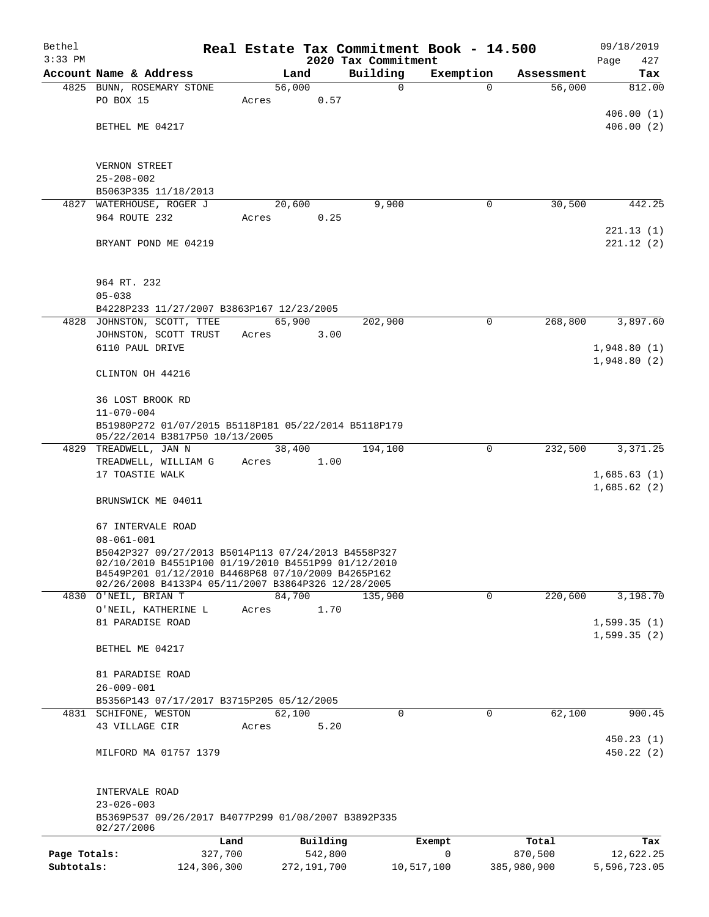| Bethel       |                                          |                                                                                                           |       |               |                                 | Real Estate Tax Commitment Book - 14.500 |                      | 09/18/2019                 |
|--------------|------------------------------------------|-----------------------------------------------------------------------------------------------------------|-------|---------------|---------------------------------|------------------------------------------|----------------------|----------------------------|
| $3:33$ PM    | Account Name & Address                   |                                                                                                           |       | Land          | 2020 Tax Commitment<br>Building |                                          |                      | Page<br>427<br>Tax         |
|              | 4825 BUNN, ROSEMARY STONE                |                                                                                                           |       | 56,000        | $\mathbf 0$                     | Exemption<br>$\Omega$                    | Assessment<br>56,000 | 812.00                     |
|              | PO BOX 15                                |                                                                                                           | Acres | 0.57          |                                 |                                          |                      |                            |
|              |                                          |                                                                                                           |       |               |                                 |                                          |                      | 406.00(1)                  |
|              | BETHEL ME 04217                          |                                                                                                           |       |               |                                 |                                          |                      | 406.00(2)                  |
|              |                                          |                                                                                                           |       |               |                                 |                                          |                      |                            |
|              | VERNON STREET                            |                                                                                                           |       |               |                                 |                                          |                      |                            |
|              | $25 - 208 - 002$                         |                                                                                                           |       |               |                                 |                                          |                      |                            |
|              | B5063P335 11/18/2013                     |                                                                                                           |       |               |                                 |                                          |                      |                            |
|              | 4827 WATERHOUSE, ROGER J                 |                                                                                                           |       | 20,600        | 9,900                           | 0                                        | 30,500               | 442.25                     |
|              | 964 ROUTE 232                            |                                                                                                           | Acres | 0.25          |                                 |                                          |                      |                            |
|              |                                          |                                                                                                           |       |               |                                 |                                          |                      | 221.13(1)                  |
|              | BRYANT POND ME 04219                     |                                                                                                           |       |               |                                 |                                          |                      | 221.12(2)                  |
|              |                                          |                                                                                                           |       |               |                                 |                                          |                      |                            |
|              | 964 RT. 232                              |                                                                                                           |       |               |                                 |                                          |                      |                            |
|              | $05 - 038$                               |                                                                                                           |       |               |                                 |                                          |                      |                            |
|              |                                          | B4228P233 11/27/2007 B3863P167 12/23/2005                                                                 |       |               |                                 |                                          |                      |                            |
|              | 4828 JOHNSTON, SCOTT, TTEE               |                                                                                                           |       | 65,900        | 202,900                         | $\mathbf 0$                              | 268,800              | 3,897.60                   |
|              | JOHNSTON, SCOTT TRUST<br>6110 PAUL DRIVE |                                                                                                           | Acres | 3.00          |                                 |                                          |                      | 1,948.80(1)                |
|              |                                          |                                                                                                           |       |               |                                 |                                          |                      | 1,948.80(2)                |
|              | CLINTON OH 44216                         |                                                                                                           |       |               |                                 |                                          |                      |                            |
|              |                                          |                                                                                                           |       |               |                                 |                                          |                      |                            |
|              | 36 LOST BROOK RD                         |                                                                                                           |       |               |                                 |                                          |                      |                            |
|              | $11 - 070 - 004$                         |                                                                                                           |       |               |                                 |                                          |                      |                            |
|              |                                          | B51980P272 01/07/2015 B5118P181 05/22/2014 B5118P179<br>05/22/2014 B3817P50 10/13/2005                    |       |               |                                 |                                          |                      |                            |
|              | 4829 TREADWELL, JAN N                    |                                                                                                           |       | 38,400        | 194,100                         | $\mathbf 0$                              | 232,500              | 3,371.25                   |
|              | TREADWELL, WILLIAM G                     |                                                                                                           | Acres | 1.00          |                                 |                                          |                      |                            |
|              | 17 TOASTIE WALK                          |                                                                                                           |       |               |                                 |                                          |                      | 1,685.63(1)                |
|              |                                          |                                                                                                           |       |               |                                 |                                          |                      | 1,685.62(2)                |
|              | BRUNSWICK ME 04011                       |                                                                                                           |       |               |                                 |                                          |                      |                            |
|              | 67 INTERVALE ROAD                        |                                                                                                           |       |               |                                 |                                          |                      |                            |
|              | $08 - 061 - 001$                         |                                                                                                           |       |               |                                 |                                          |                      |                            |
|              |                                          | B5042P327 09/27/2013 B5014P113 07/24/2013 B4558P327                                                       |       |               |                                 |                                          |                      |                            |
|              |                                          | 02/10/2010 B4551P100 01/19/2010 B4551P99 01/12/2010<br>B4549P201 01/12/2010 B4468P68 07/10/2009 B4265P162 |       |               |                                 |                                          |                      |                            |
|              |                                          | 02/26/2008 B4133P4 05/11/2007 B3864P326 12/28/2005                                                        |       |               |                                 |                                          |                      |                            |
|              | 4830 O'NEIL, BRIAN T                     |                                                                                                           |       | 84,700        | 135,900                         | $\mathbf 0$                              | 220,600              | 3,198.70                   |
|              | O'NEIL, KATHERINE L                      |                                                                                                           | Acres | 1.70          |                                 |                                          |                      |                            |
|              | 81 PARADISE ROAD                         |                                                                                                           |       |               |                                 |                                          |                      | 1,599.35(1)<br>1,599.35(2) |
|              | BETHEL ME 04217                          |                                                                                                           |       |               |                                 |                                          |                      |                            |
|              |                                          |                                                                                                           |       |               |                                 |                                          |                      |                            |
|              | 81 PARADISE ROAD                         |                                                                                                           |       |               |                                 |                                          |                      |                            |
|              | $26 - 009 - 001$                         |                                                                                                           |       |               |                                 |                                          |                      |                            |
|              |                                          | B5356P143 07/17/2017 B3715P205 05/12/2005                                                                 |       |               |                                 |                                          |                      |                            |
|              | 4831 SCHIFONE, WESTON                    |                                                                                                           |       | 62,100        | $\mathbf 0$                     | $\mathbf 0$                              | 62,100               | 900.45                     |
|              | 43 VILLAGE CIR                           |                                                                                                           | Acres | 5.20          |                                 |                                          |                      | 450.23(1)                  |
|              | MILFORD MA 01757 1379                    |                                                                                                           |       |               |                                 |                                          |                      | 450.22(2)                  |
|              |                                          |                                                                                                           |       |               |                                 |                                          |                      |                            |
|              |                                          |                                                                                                           |       |               |                                 |                                          |                      |                            |
|              | INTERVALE ROAD                           |                                                                                                           |       |               |                                 |                                          |                      |                            |
|              | $23 - 026 - 003$                         | B5369P537 09/26/2017 B4077P299 01/08/2007 B3892P335                                                       |       |               |                                 |                                          |                      |                            |
|              | 02/27/2006                               |                                                                                                           |       |               |                                 |                                          |                      |                            |
|              |                                          | Land                                                                                                      |       | Building      |                                 | Exempt                                   | Total                | Tax                        |
| Page Totals: |                                          | 327,700                                                                                                   |       | 542,800       |                                 | 0                                        | 870,500              | 12,622.25                  |
| Subtotals:   |                                          | 124,306,300                                                                                               |       | 272, 191, 700 |                                 | 10,517,100                               | 385,980,900          | 5,596,723.05               |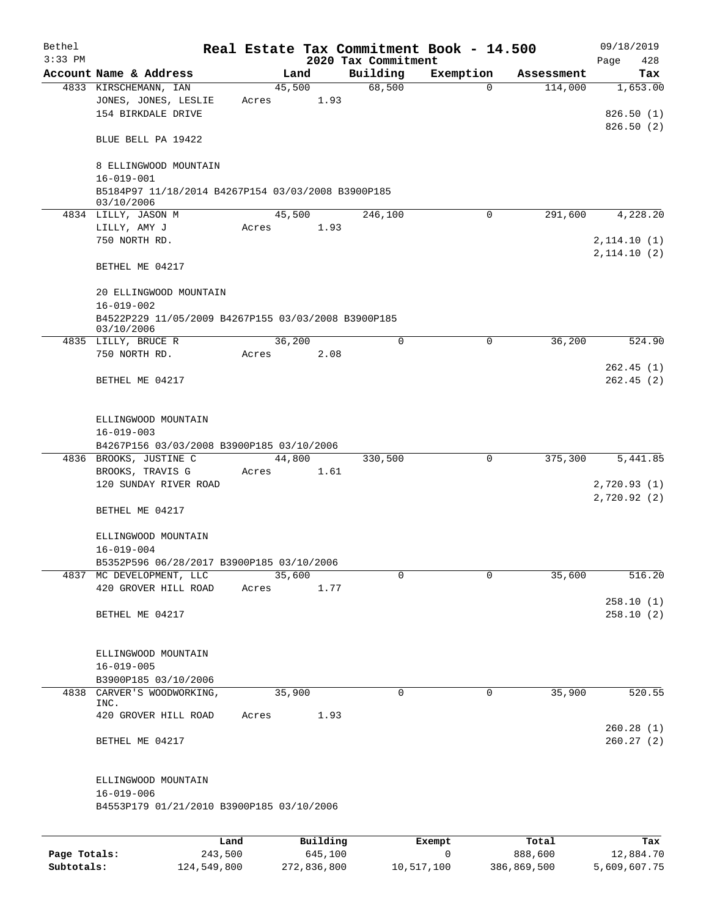| Bethel<br>$3:33$ PM |                                                                   |       |                     | 2020 Tax Commitment | Real Estate Tax Commitment Book - 14.500 |                  | 09/18/2019                 |
|---------------------|-------------------------------------------------------------------|-------|---------------------|---------------------|------------------------------------------|------------------|----------------------------|
|                     | Account Name & Address                                            |       | Land                | Building            | Exemption                                | Assessment       | Page<br>428<br>Tax         |
|                     | 4833 KIRSCHEMANN, IAN                                             |       | 45,500              | 68,500              | $\Omega$                                 | 114,000          | 1,653.00                   |
|                     | JONES, JONES, LESLIE<br>154 BIRKDALE DRIVE                        | Acres | 1.93                |                     |                                          |                  | 826.50(1)<br>826.50(2)     |
|                     | BLUE BELL PA 19422                                                |       |                     |                     |                                          |                  |                            |
|                     | 8 ELLINGWOOD MOUNTAIN<br>$16 - 019 - 001$                         |       |                     |                     |                                          |                  |                            |
|                     | B5184P97 11/18/2014 B4267P154 03/03/2008 B3900P185<br>03/10/2006  |       |                     |                     |                                          |                  |                            |
|                     | 4834 LILLY, JASON M                                               |       | 45,500              | 246,100             | 0                                        | 291,600          | 4,228.20                   |
|                     | LILLY, AMY J<br>750 NORTH RD.                                     | Acres | 1.93                |                     |                                          |                  | 2,114.10(1)                |
|                     | BETHEL ME 04217                                                   |       |                     |                     |                                          |                  | 2, 114.10(2)               |
|                     | 20 ELLINGWOOD MOUNTAIN                                            |       |                     |                     |                                          |                  |                            |
|                     | $16 - 019 - 002$                                                  |       |                     |                     |                                          |                  |                            |
|                     | B4522P229 11/05/2009 B4267P155 03/03/2008 B3900P185<br>03/10/2006 |       |                     |                     |                                          |                  |                            |
|                     | 4835 LILLY, BRUCE R                                               |       | 36,200              | 0                   | 0                                        | 36,200           | 524.90                     |
|                     | 750 NORTH RD.                                                     | Acres | 2.08                |                     |                                          |                  | 262.45(1)                  |
|                     | BETHEL ME 04217                                                   |       |                     |                     |                                          |                  | 262.45(2)                  |
|                     | ELLINGWOOD MOUNTAIN<br>$16 - 019 - 003$                           |       |                     |                     |                                          |                  |                            |
|                     | B4267P156 03/03/2008 B3900P185 03/10/2006                         |       |                     |                     |                                          |                  |                            |
|                     | 4836 BROOKS, JUSTINE C                                            |       | 44,800              | 330,500             | $\mathbf 0$                              | 375,300          | 5,441.85                   |
|                     | BROOKS, TRAVIS G<br>120 SUNDAY RIVER ROAD                         | Acres | 1.61                |                     |                                          |                  | 2,720.93(1)<br>2,720.92(2) |
|                     | BETHEL ME 04217                                                   |       |                     |                     |                                          |                  |                            |
|                     | ELLINGWOOD MOUNTAIN<br>$16 - 019 - 004$                           |       |                     |                     |                                          |                  |                            |
|                     | B5352P596 06/28/2017 B3900P185 03/10/2006                         |       |                     |                     |                                          |                  |                            |
|                     | 4837 MC DEVELOPMENT, LLC                                          |       | 35,600              | 0                   | $\Omega$                                 | 35,600           | 516.20                     |
|                     | 420 GROVER HILL ROAD                                              | Acres | 1.77                |                     |                                          |                  | 258.10(1)                  |
|                     | BETHEL ME 04217                                                   |       |                     |                     |                                          |                  | 258.10(2)                  |
|                     | ELLINGWOOD MOUNTAIN                                               |       |                     |                     |                                          |                  |                            |
|                     | $16 - 019 - 005$<br>B3900P185 03/10/2006                          |       |                     |                     |                                          |                  |                            |
| 4838                | CARVER'S WOODWORKING,                                             |       | 35,900              | $\mathbf 0$         | $\mathbf 0$                              | 35,900           | 520.55                     |
|                     | INC.<br>420 GROVER HILL ROAD                                      | Acres | 1.93                |                     |                                          |                  |                            |
|                     | BETHEL ME 04217                                                   |       |                     |                     |                                          |                  | 260.28(1)<br>260.27(2)     |
|                     | ELLINGWOOD MOUNTAIN<br>$16 - 019 - 006$                           |       |                     |                     |                                          |                  |                            |
|                     | B4553P179 01/21/2010 B3900P185 03/10/2006                         |       |                     |                     |                                          |                  |                            |
|                     |                                                                   |       |                     |                     |                                          |                  |                            |
| Page Totals:        | Land<br>243,500                                                   |       | Building<br>645,100 |                     | Exempt<br>0                              | Total<br>888,600 | Tax<br>12,884.70           |

**Subtotals:** 124,549,800 272,836,800 10,517,100 386,869,500 5,609,607.75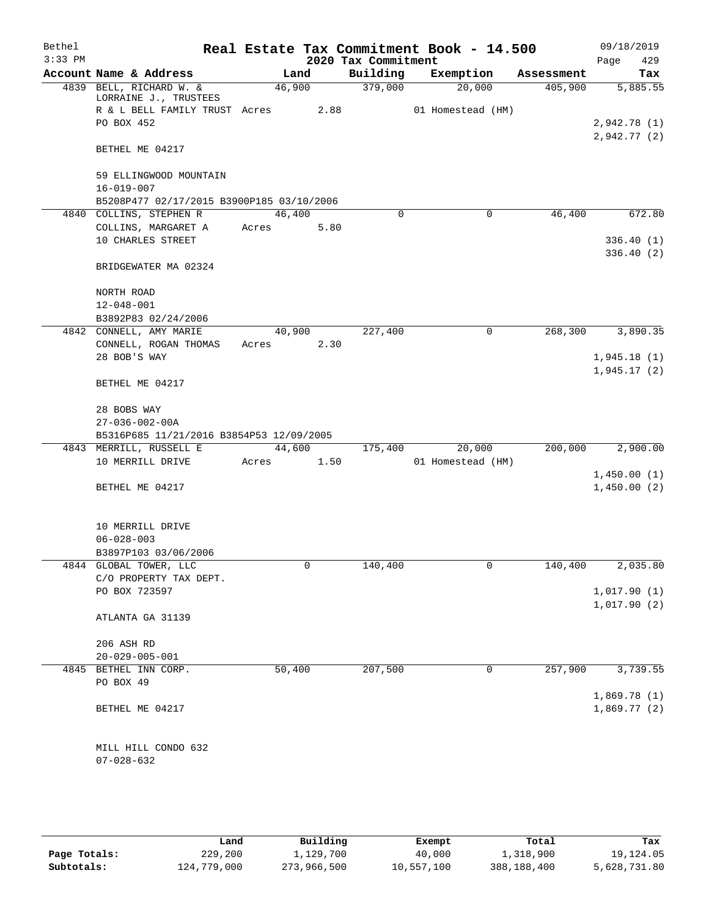| Bethel<br>$3:33$ PM |                                                  |        |      | 2020 Tax Commitment | Real Estate Tax Commitment Book - 14.500 |            | 09/18/2019<br>Page<br>429  |
|---------------------|--------------------------------------------------|--------|------|---------------------|------------------------------------------|------------|----------------------------|
|                     | Account Name & Address                           | Land   |      | Building            | Exemption                                | Assessment | Tax                        |
|                     | 4839 BELL, RICHARD W. &<br>LORRAINE J., TRUSTEES | 46,900 |      | 379,000             | 20,000                                   | 405,900    | 5,885.55                   |
|                     | R & L BELL FAMILY TRUST Acres<br>PO BOX 452      |        | 2.88 |                     | 01 Homestead (HM)                        |            | 2,942.78(1)                |
|                     | BETHEL ME 04217                                  |        |      |                     |                                          |            | 2,942.77 (2)               |
|                     | 59 ELLINGWOOD MOUNTAIN<br>$16 - 019 - 007$       |        |      |                     |                                          |            |                            |
|                     | B5208P477 02/17/2015 B3900P185 03/10/2006        |        |      |                     |                                          |            |                            |
|                     | 4840 COLLINS, STEPHEN R                          | 46,400 |      | 0                   | $\mathbf 0$                              | 46,400     | 672.80                     |
|                     | COLLINS, MARGARET A                              | Acres  | 5.80 |                     |                                          |            |                            |
|                     | 10 CHARLES STREET                                |        |      |                     |                                          |            | 336.40 (1)<br>336.40 (2)   |
|                     | BRIDGEWATER MA 02324                             |        |      |                     |                                          |            |                            |
|                     | NORTH ROAD                                       |        |      |                     |                                          |            |                            |
|                     | $12 - 048 - 001$                                 |        |      |                     |                                          |            |                            |
|                     | B3892P83 02/24/2006<br>4842 CONNELL, AMY MARIE   | 40,900 |      | 227,400             |                                          | 268,300    | 3,890.35                   |
|                     |                                                  |        |      |                     | 0                                        |            |                            |
|                     | CONNELL, ROGAN THOMAS<br>28 BOB'S WAY            | Acres  | 2.30 |                     |                                          |            | 1,945.18(1)                |
|                     |                                                  |        |      |                     |                                          |            | 1,945.17(2)                |
|                     | BETHEL ME 04217                                  |        |      |                     |                                          |            |                            |
|                     | 28 BOBS WAY<br>$27 - 036 - 002 - 00A$            |        |      |                     |                                          |            |                            |
|                     | B5316P685 11/21/2016 B3854P53 12/09/2005         |        |      |                     |                                          |            |                            |
|                     | 4843 MERRILL, RUSSELL E                          | 44,600 |      | 175,400             | 20,000                                   | 200,000    | 2,900.00                   |
|                     | 10 MERRILL DRIVE                                 | Acres  | 1.50 |                     | 01 Homestead (HM)                        |            |                            |
|                     |                                                  |        |      |                     |                                          |            | 1,450.00(1)                |
|                     | BETHEL ME 04217                                  |        |      |                     |                                          |            | 1,450.00(2)                |
|                     | 10 MERRILL DRIVE                                 |        |      |                     |                                          |            |                            |
|                     | $06 - 028 - 003$                                 |        |      |                     |                                          |            |                            |
|                     | B3897P103 03/06/2006                             |        |      |                     |                                          |            |                            |
|                     | 4844 GLOBAL TOWER, LLC                           |        | 0    | 140,400             | 0                                        | 140,400    | 2,035.80                   |
|                     | C/O PROPERTY TAX DEPT.                           |        |      |                     |                                          |            |                            |
|                     | PO BOX 723597                                    |        |      |                     |                                          |            | 1,017.90(1)<br>1,017.90(2) |
|                     | ATLANTA GA 31139                                 |        |      |                     |                                          |            |                            |
|                     | 206 ASH RD                                       |        |      |                     |                                          |            |                            |
|                     | $20 - 029 - 005 - 001$                           |        |      |                     |                                          |            |                            |
|                     | 4845 BETHEL INN CORP.                            | 50,400 |      | 207,500             | 0                                        | 257,900    | 3,739.55                   |
|                     | PO BOX 49                                        |        |      |                     |                                          |            |                            |
|                     | BETHEL ME 04217                                  |        |      |                     |                                          |            | 1,869.78(1)<br>1,869.77(2) |
|                     |                                                  |        |      |                     |                                          |            |                            |
|                     | MILL HILL CONDO 632<br>$07 - 028 - 632$          |        |      |                     |                                          |            |                            |

|              | Land        | Building    | Exempt     | Total       | Tax          |
|--------------|-------------|-------------|------------|-------------|--------------|
| Page Totals: | 229,200     | 1,129,700   | 40,000     | 1,318,900   | 19,124.05    |
| Subtotals:   | 124,779,000 | 273,966,500 | 10,557,100 | 388,188,400 | 5,628,731.80 |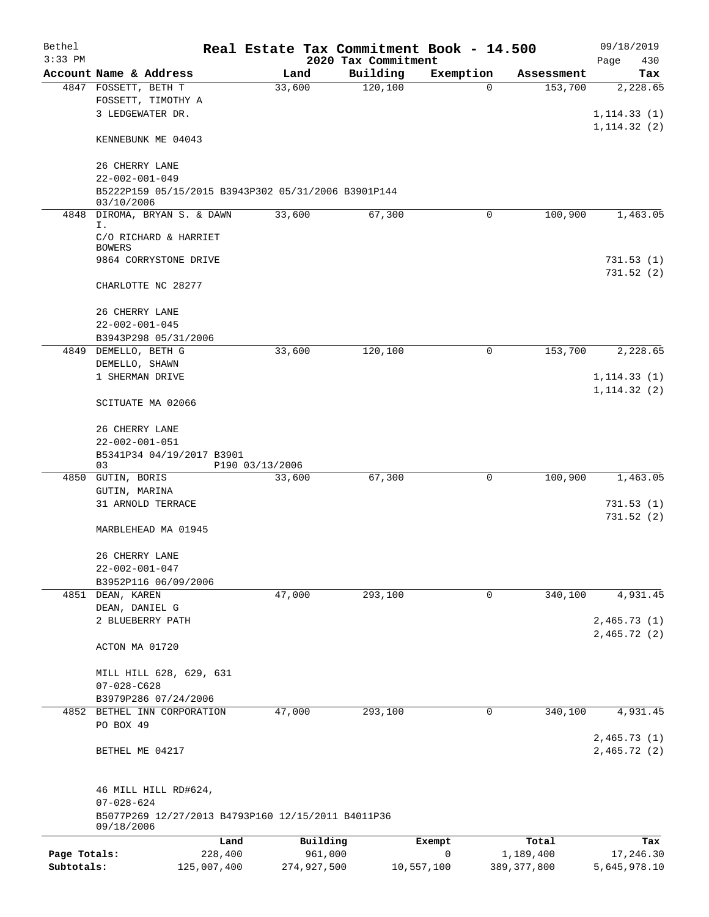| Bethel<br>$3:33$ PM |                                                                   |                 |        |                     | Real Estate Tax Commitment Book - 14.500<br>2020 Tax Commitment |                       |                    | 09/18/2019<br>Page<br>430 |
|---------------------|-------------------------------------------------------------------|-----------------|--------|---------------------|-----------------------------------------------------------------|-----------------------|--------------------|---------------------------|
|                     | Account Name & Address                                            |                 | Land   |                     | Building                                                        | Exemption             | Assessment         | Tax                       |
|                     | 4847 FOSSETT, BETH T                                              |                 | 33,600 |                     | 120,100                                                         | 0                     | 153,700            | 2,228.65                  |
|                     | FOSSETT, TIMOTHY A                                                |                 |        |                     |                                                                 |                       |                    |                           |
|                     | 3 LEDGEWATER DR.                                                  |                 |        |                     |                                                                 |                       |                    | 1, 114.33(1)              |
|                     | KENNEBUNK ME 04043                                                |                 |        |                     |                                                                 |                       |                    | 1, 114.32(2)              |
|                     |                                                                   |                 |        |                     |                                                                 |                       |                    |                           |
|                     | 26 CHERRY LANE                                                    |                 |        |                     |                                                                 |                       |                    |                           |
|                     | $22 - 002 - 001 - 049$                                            |                 |        |                     |                                                                 |                       |                    |                           |
|                     | B5222P159 05/15/2015 B3943P302 05/31/2006 B3901P144<br>03/10/2006 |                 |        |                     |                                                                 |                       |                    |                           |
|                     | 4848 DIROMA, BRYAN S. & DAWN                                      |                 | 33,600 |                     | 67,300                                                          | $\mathbf 0$           | 100,900            | 1,463.05                  |
|                     | Ι.                                                                |                 |        |                     |                                                                 |                       |                    |                           |
|                     | C/O RICHARD & HARRIET<br><b>BOWERS</b>                            |                 |        |                     |                                                                 |                       |                    |                           |
|                     | 9864 CORRYSTONE DRIVE                                             |                 |        |                     |                                                                 |                       |                    | 731.53(1)                 |
|                     |                                                                   |                 |        |                     |                                                                 |                       |                    | 731.52(2)                 |
|                     | CHARLOTTE NC 28277                                                |                 |        |                     |                                                                 |                       |                    |                           |
|                     | 26 CHERRY LANE                                                    |                 |        |                     |                                                                 |                       |                    |                           |
|                     | $22 - 002 - 001 - 045$                                            |                 |        |                     |                                                                 |                       |                    |                           |
|                     | B3943P298 05/31/2006                                              |                 |        |                     |                                                                 |                       |                    |                           |
|                     | 4849 DEMELLO, BETH G                                              |                 | 33,600 |                     | 120, 100                                                        | 0                     | 153,700            | 2,228.65                  |
|                     | DEMELLO, SHAWN                                                    |                 |        |                     |                                                                 |                       |                    |                           |
|                     | 1 SHERMAN DRIVE                                                   |                 |        |                     |                                                                 |                       |                    | 1, 114.33(1)              |
|                     |                                                                   |                 |        |                     |                                                                 |                       |                    | 1, 114.32(2)              |
|                     | SCITUATE MA 02066                                                 |                 |        |                     |                                                                 |                       |                    |                           |
|                     | 26 CHERRY LANE                                                    |                 |        |                     |                                                                 |                       |                    |                           |
|                     | $22 - 002 - 001 - 051$                                            |                 |        |                     |                                                                 |                       |                    |                           |
|                     | B5341P34 04/19/2017 B3901                                         |                 |        |                     |                                                                 |                       |                    |                           |
|                     | 03                                                                | P190 03/13/2006 |        |                     |                                                                 | $\mathbf 0$           |                    |                           |
| 4850                | GUTIN, BORIS<br>GUTIN, MARINA                                     |                 | 33,600 |                     | 67,300                                                          |                       | 100,900            | 1,463.05                  |
|                     | 31 ARNOLD TERRACE                                                 |                 |        |                     |                                                                 |                       |                    | 731.53 (1)                |
|                     |                                                                   |                 |        |                     |                                                                 |                       |                    | 731.52(2)                 |
|                     | MARBLEHEAD MA 01945                                               |                 |        |                     |                                                                 |                       |                    |                           |
|                     | 26 CHERRY LANE                                                    |                 |        |                     |                                                                 |                       |                    |                           |
|                     | $22 - 002 - 001 - 047$                                            |                 |        |                     |                                                                 |                       |                    |                           |
|                     | B3952P116 06/09/2006                                              |                 |        |                     |                                                                 |                       |                    |                           |
|                     | 4851 DEAN, KAREN                                                  |                 | 47,000 |                     | 293,100                                                         | 0                     | 340,100            | 4,931.45                  |
|                     | DEAN, DANIEL G                                                    |                 |        |                     |                                                                 |                       |                    |                           |
|                     | 2 BLUEBERRY PATH                                                  |                 |        |                     |                                                                 |                       |                    | 2,465.73(1)               |
|                     |                                                                   |                 |        |                     |                                                                 |                       |                    | 2,465.72(2)               |
|                     | ACTON MA 01720                                                    |                 |        |                     |                                                                 |                       |                    |                           |
|                     | MILL HILL 628, 629, 631                                           |                 |        |                     |                                                                 |                       |                    |                           |
|                     | $07 - 028 - C628$                                                 |                 |        |                     |                                                                 |                       |                    |                           |
|                     | B3979P286 07/24/2006                                              |                 |        |                     |                                                                 |                       |                    |                           |
|                     | 4852 BETHEL INN CORPORATION                                       |                 | 47,000 |                     | 293,100                                                         | 0                     | 340,100            | 4,931.45                  |
|                     | PO BOX 49                                                         |                 |        |                     |                                                                 |                       |                    |                           |
|                     |                                                                   |                 |        |                     |                                                                 |                       |                    | 2,465.73(1)               |
|                     | BETHEL ME 04217                                                   |                 |        |                     |                                                                 |                       |                    | 2,465.72 (2)              |
|                     |                                                                   |                 |        |                     |                                                                 |                       |                    |                           |
|                     | 46 MILL HILL RD#624,<br>$07 - 028 - 624$                          |                 |        |                     |                                                                 |                       |                    |                           |
|                     | B5077P269 12/27/2013 B4793P160 12/15/2011 B4011P36                |                 |        |                     |                                                                 |                       |                    |                           |
|                     | 09/18/2006                                                        |                 |        |                     |                                                                 |                       |                    |                           |
| Page Totals:        | 228,400                                                           | Land            |        | Building<br>961,000 |                                                                 | Exempt<br>$\mathbf 0$ | Total<br>1,189,400 | Tax<br>17,246.30          |
| Subtotals:          | 125,007,400                                                       |                 |        | 274,927,500         |                                                                 | 10,557,100            | 389, 377, 800      | 5,645,978.10              |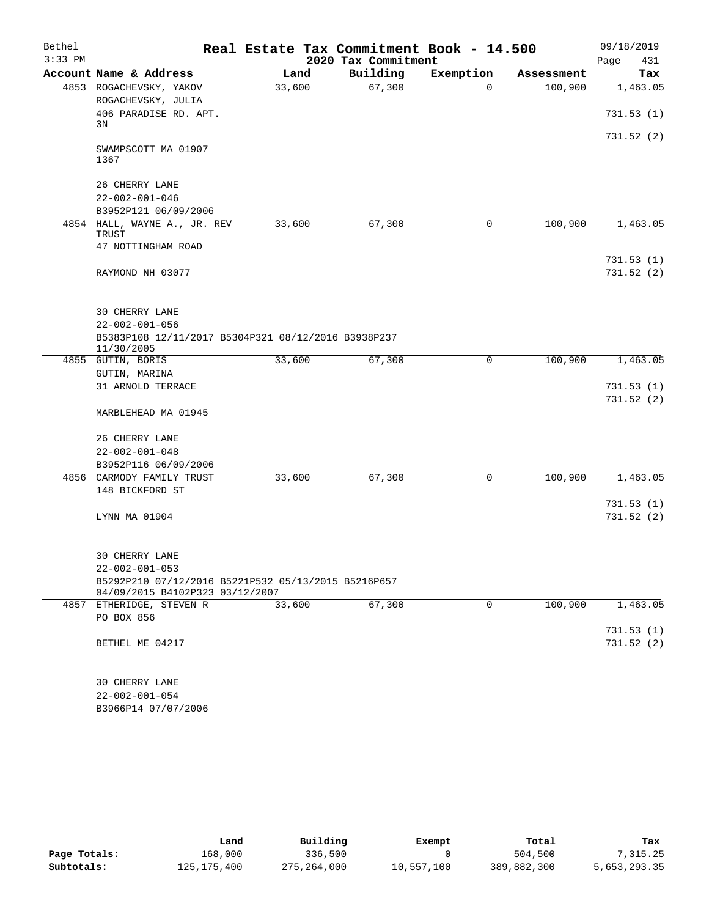| Bethel    |                                                                   | Real Estate Tax Commitment Book - 14.500 |                     |           |            | 09/18/2019              |
|-----------|-------------------------------------------------------------------|------------------------------------------|---------------------|-----------|------------|-------------------------|
| $3:33$ PM |                                                                   |                                          | 2020 Tax Commitment |           |            | Page<br>431             |
|           | Account Name & Address                                            | Land                                     | Building            | Exemption | Assessment | Tax                     |
|           | 4853 ROGACHEVSKY, YAKOV<br>ROGACHEVSKY, JULIA                     | 33,600                                   | 67,300              | $\Omega$  | 100,900    | 1,463.05                |
|           | 406 PARADISE RD. APT.<br>3N                                       |                                          |                     |           |            | 731.53(1)               |
|           | SWAMPSCOTT MA 01907<br>1367                                       |                                          |                     |           |            | 731.52 (2)              |
|           | 26 CHERRY LANE                                                    |                                          |                     |           |            |                         |
|           | $22 - 002 - 001 - 046$                                            |                                          |                     |           |            |                         |
|           | B3952P121 06/09/2006                                              |                                          |                     |           |            |                         |
| 4854      | HALL, WAYNE A., JR. REV<br>TRUST                                  | 33,600                                   | 67,300              | 0         | 100,900    | 1,463.05                |
|           | 47 NOTTINGHAM ROAD                                                |                                          |                     |           |            |                         |
|           | RAYMOND NH 03077                                                  |                                          |                     |           |            | 731.53(1)<br>731.52 (2) |
|           | 30 CHERRY LANE                                                    |                                          |                     |           |            |                         |
|           | $22 - 002 - 001 - 056$                                            |                                          |                     |           |            |                         |
|           | B5383P108 12/11/2017 B5304P321 08/12/2016 B3938P237<br>11/30/2005 |                                          |                     |           |            |                         |
|           | 4855 GUTIN, BORIS                                                 | 33,600                                   | 67,300              | 0         | 100,900    | 1,463.05                |
|           | GUTIN, MARINA                                                     |                                          |                     |           |            |                         |
|           | 31 ARNOLD TERRACE                                                 |                                          |                     |           |            | 731.53(1)               |
|           | MARBLEHEAD MA 01945                                               |                                          |                     |           |            | 731.52(2)               |
|           | 26 CHERRY LANE                                                    |                                          |                     |           |            |                         |
|           | $22 - 002 - 001 - 048$                                            |                                          |                     |           |            |                         |
|           | B3952P116 06/09/2006                                              |                                          |                     |           |            |                         |
|           | 4856 CARMODY FAMILY TRUST                                         | 33,600                                   | 67,300              | 0         | 100,900    | 1,463.05                |
|           | 148 BICKFORD ST                                                   |                                          |                     |           |            |                         |
|           | LYNN MA 01904                                                     |                                          |                     |           |            | 731.53(1)<br>731.52(2)  |
|           | 30 CHERRY LANE<br>$22 - 002 - 001 - 053$                          |                                          |                     |           |            |                         |
|           | B5292P210 07/12/2016 B5221P532 05/13/2015 B5216P657               |                                          |                     |           |            |                         |
|           | 04/09/2015 B4102P323 03/12/2007                                   |                                          |                     |           |            |                         |
|           | 4857 ETHERIDGE, STEVEN R<br>PO BOX 856                            | 33,600                                   | 67,300              | 0         | 100,900    | 1,463.05                |
|           | BETHEL ME 04217                                                   |                                          |                     |           |            | 731.53(1)<br>731.52(2)  |
|           | <b>30 CHERRY LANE</b>                                             |                                          |                     |           |            |                         |
|           | $22 - 002 - 001 - 054$<br>B3966P14 07/07/2006                     |                                          |                     |           |            |                         |
|           |                                                                   |                                          |                     |           |            |                         |

|              | Land          | Building    | Exempt     | Total       | Tax          |
|--------------|---------------|-------------|------------|-------------|--------------|
| Page Totals: | 168,000       | 336,500     |            | 504,500     | ,315.25      |
| Subtotals:   | 125, 175, 400 | 275,264,000 | 10,557,100 | 389,882,300 | 5,653,293.35 |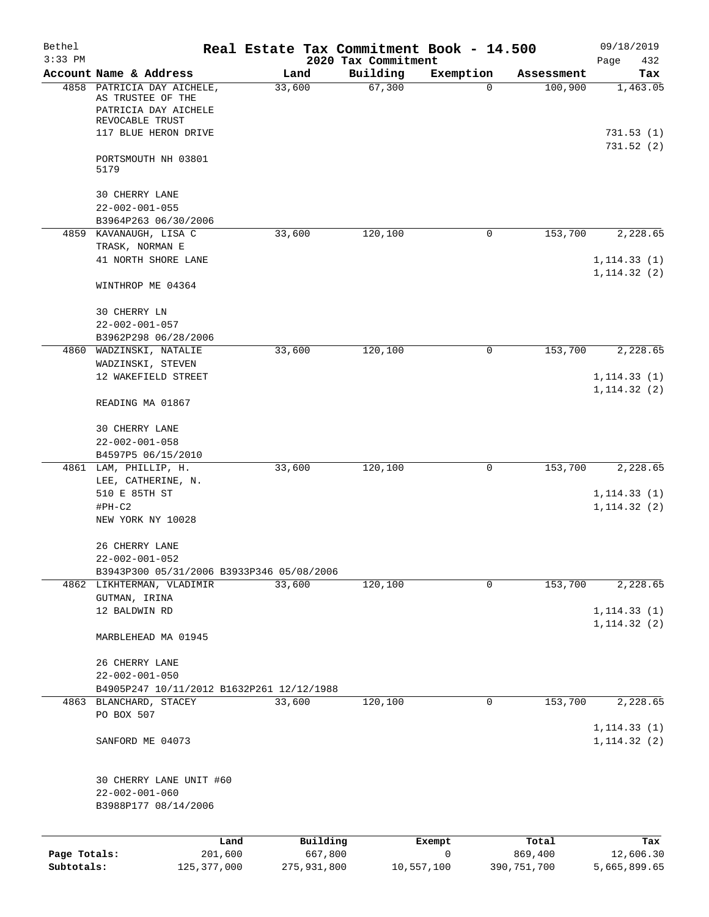| Bethel<br>$3:33$ PM        |                                                                                       |                        | Real Estate Tax Commitment Book - 14.500 |             |                          | 09/18/2019                   |
|----------------------------|---------------------------------------------------------------------------------------|------------------------|------------------------------------------|-------------|--------------------------|------------------------------|
|                            | Account Name & Address                                                                | Land                   | 2020 Tax Commitment<br>Building          | Exemption   | Assessment               | Page<br>432<br>Tax           |
| 4858                       | PATRICIA DAY AICHELE,<br>AS TRUSTEE OF THE<br>PATRICIA DAY AICHELE<br>REVOCABLE TRUST | 33,600                 | 67,300                                   | 0           | 100,900                  | 1,463.05                     |
|                            | 117 BLUE HERON DRIVE                                                                  |                        |                                          |             |                          | 731.53(1)<br>731.52(2)       |
|                            | PORTSMOUTH NH 03801<br>5179                                                           |                        |                                          |             |                          |                              |
|                            | <b>30 CHERRY LANE</b>                                                                 |                        |                                          |             |                          |                              |
|                            | $22 - 002 - 001 - 055$                                                                |                        |                                          |             |                          |                              |
| 4859                       | B3964P263 06/30/2006<br>KAVANAUGH, LISA C                                             | 33,600                 | 120,100                                  | 0           | 153,700                  | 2,228.65                     |
|                            | TRASK, NORMAN E                                                                       |                        |                                          |             |                          |                              |
|                            | 41 NORTH SHORE LANE                                                                   |                        |                                          |             |                          | 1, 114.33(1)<br>1, 114.32(2) |
|                            | WINTHROP ME 04364                                                                     |                        |                                          |             |                          |                              |
|                            | 30 CHERRY LN<br>$22 - 002 - 001 - 057$                                                |                        |                                          |             |                          |                              |
|                            | B3962P298 06/28/2006                                                                  |                        |                                          |             |                          |                              |
|                            | 4860 WADZINSKI, NATALIE                                                               | 33,600                 | 120,100                                  | 0           | 153,700                  | 2,228.65                     |
|                            | WADZINSKI, STEVEN                                                                     |                        |                                          |             |                          |                              |
|                            | 12 WAKEFIELD STREET                                                                   |                        |                                          |             |                          | 1, 114.33(1)<br>1, 114.32(2) |
|                            | READING MA 01867                                                                      |                        |                                          |             |                          |                              |
|                            | 30 CHERRY LANE                                                                        |                        |                                          |             |                          |                              |
|                            | $22 - 002 - 001 - 058$                                                                |                        |                                          |             |                          |                              |
|                            | B4597P5 06/15/2010                                                                    |                        |                                          |             |                          |                              |
|                            | 4861 LAM, PHILLIP, H.<br>LEE, CATHERINE, N.                                           | 33,600                 | 120,100                                  | 0           | 153,700                  | 2,228.65                     |
|                            | 510 E 85TH ST                                                                         |                        |                                          |             |                          | 1, 114.33(1)                 |
|                            | $#PH-C2$                                                                              |                        |                                          |             |                          | 1, 114.32(2)                 |
|                            | NEW YORK NY 10028                                                                     |                        |                                          |             |                          |                              |
|                            | 26 CHERRY LANE<br>$22 - 002 - 001 - 052$                                              |                        |                                          |             |                          |                              |
|                            | B3943P300 05/31/2006 B3933P346 05/08/2006                                             |                        |                                          |             |                          |                              |
|                            | 4862 LIKHTERMAN, VLADIMIR                                                             | 33,600                 | 120,100                                  | $\mathbf 0$ | 153,700                  | 2,228.65                     |
|                            | GUTMAN, IRINA                                                                         |                        |                                          |             |                          |                              |
|                            | 12 BALDWIN RD                                                                         |                        |                                          |             |                          | 1, 114.33(1)<br>1, 114.32(2) |
|                            | MARBLEHEAD MA 01945                                                                   |                        |                                          |             |                          |                              |
|                            | 26 CHERRY LANE                                                                        |                        |                                          |             |                          |                              |
|                            | $22 - 002 - 001 - 050$                                                                |                        |                                          |             |                          |                              |
|                            | B4905P247 10/11/2012 B1632P261 12/12/1988                                             |                        |                                          |             |                          |                              |
|                            | 4863 BLANCHARD, STACEY                                                                | 33,600                 | 120,100                                  | 0           | $1\overline{53,700}$     | 2,228.65                     |
|                            | PO BOX 507                                                                            |                        |                                          |             |                          | 1, 114.33(1)                 |
|                            | SANFORD ME 04073                                                                      |                        |                                          |             |                          | 1, 114.32(2)                 |
|                            | 30 CHERRY LANE UNIT #60                                                               |                        |                                          |             |                          |                              |
|                            | $22 - 002 - 001 - 060$                                                                |                        |                                          |             |                          |                              |
|                            | B3988P177 08/14/2006                                                                  |                        |                                          |             |                          |                              |
|                            | Land                                                                                  | Building               | Exempt                                   |             | Total                    | Tax                          |
| Page Totals:<br>Subtotals: | 201,600<br>125, 377, 000                                                              | 667,800<br>275,931,800 | 0<br>10,557,100                          |             | 869,400<br>390, 751, 700 | 12,606.30<br>5,665,899.65    |
|                            |                                                                                       |                        |                                          |             |                          |                              |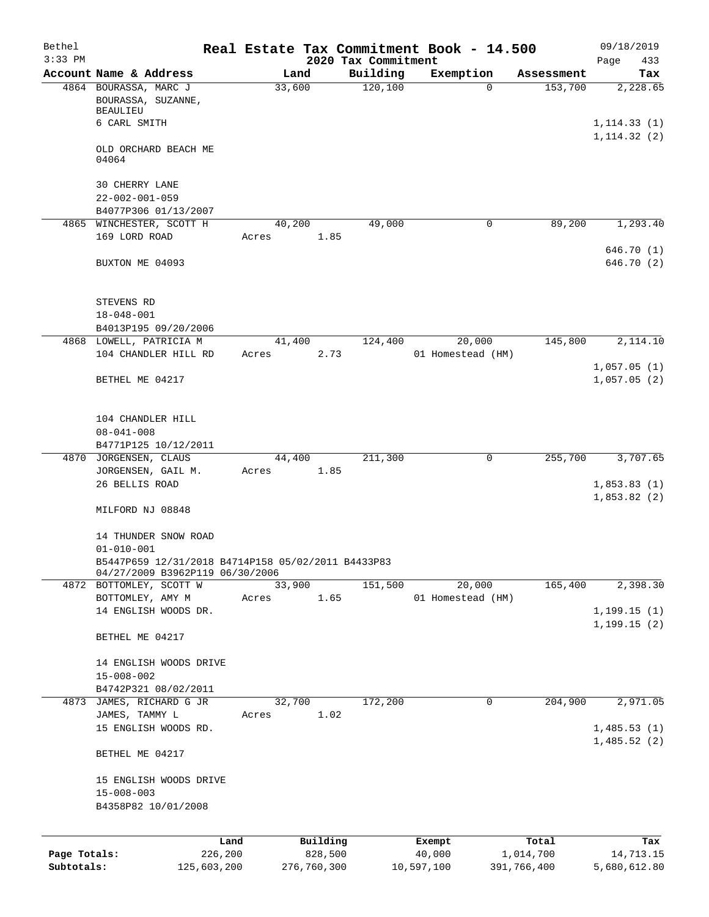| Bethel<br>$3:33$ PM |                                                                                       |             |        |             | 2020 Tax Commitment | Real Estate Tax Commitment Book - 14.500 |             |             | 09/18/2019<br>Page<br>433    |
|---------------------|---------------------------------------------------------------------------------------|-------------|--------|-------------|---------------------|------------------------------------------|-------------|-------------|------------------------------|
|                     | Account Name & Address                                                                |             | Land   |             | Building            | Exemption                                |             | Assessment  | Tax                          |
|                     | 4864 BOURASSA, MARC J<br>BOURASSA, SUZANNE,<br>BEAULIEU                               |             | 33,600 |             | 120,100             |                                          | $\Omega$    | 153,700     | 2,228.65                     |
|                     | 6 CARL SMITH                                                                          |             |        |             |                     |                                          |             |             | 1, 114.33(1)<br>1, 114.32(2) |
|                     | OLD ORCHARD BEACH ME<br>04064                                                         |             |        |             |                     |                                          |             |             |                              |
|                     | <b>30 CHERRY LANE</b><br>$22 - 002 - 001 - 059$                                       |             |        |             |                     |                                          |             |             |                              |
|                     | B4077P306 01/13/2007                                                                  |             |        |             |                     |                                          |             |             |                              |
|                     | 4865 WINCHESTER, SCOTT H<br>169 LORD ROAD                                             | Acres       | 40,200 | 1.85        | 49,000              |                                          | 0           | 89,200      | 1,293.40                     |
|                     | BUXTON ME 04093                                                                       |             |        |             |                     |                                          |             |             | 646.70 (1)<br>646.70 (2)     |
|                     | STEVENS RD                                                                            |             |        |             |                     |                                          |             |             |                              |
|                     | $18 - 048 - 001$                                                                      |             |        |             |                     |                                          |             |             |                              |
|                     | B4013P195 09/20/2006                                                                  |             |        |             |                     |                                          |             |             |                              |
|                     | 4868 LOWELL, PATRICIA M                                                               |             | 41,400 |             | 124,400             | 20,000                                   |             | 145,800     | 2,114.10                     |
|                     | 104 CHANDLER HILL RD                                                                  | Acres       |        | 2.73        |                     | 01 Homestead (HM)                        |             |             |                              |
|                     | BETHEL ME 04217                                                                       |             |        |             |                     |                                          |             |             | 1,057.05(1)<br>1,057.05(2)   |
|                     | 104 CHANDLER HILL                                                                     |             |        |             |                     |                                          |             |             |                              |
|                     | $08 - 041 - 008$                                                                      |             |        |             |                     |                                          |             |             |                              |
|                     | B4771P125 10/12/2011                                                                  |             |        |             |                     |                                          | $\mathbf 0$ |             |                              |
|                     | 4870 JORGENSEN, CLAUS<br>JORGENSEN, GAIL M.                                           | Acres       | 44,400 | 1.85        | 211,300             |                                          |             | 255,700     | 3,707.65                     |
|                     | 26 BELLIS ROAD                                                                        |             |        |             |                     |                                          |             |             | 1,853.83(1)                  |
|                     | MILFORD NJ 08848                                                                      |             |        |             |                     |                                          |             |             | 1,853.82(2)                  |
|                     | 14 THUNDER SNOW ROAD<br>$01 - 010 - 001$                                              |             |        |             |                     |                                          |             |             |                              |
|                     | B5447P659 12/31/2018 B4714P158 05/02/2011 B4433P83<br>04/27/2009 B3962P119 06/30/2006 |             |        |             |                     |                                          |             |             |                              |
|                     | 4872 BOTTOMLEY, SCOTT W                                                               |             | 33,900 |             | 151,500             | 20,000                                   |             | 165,400     | 2,398.30                     |
|                     | BOTTOMLEY, AMY M                                                                      | Acres       |        | 1.65        |                     | 01 Homestead (HM)                        |             |             |                              |
|                     | 14 ENGLISH WOODS DR.                                                                  |             |        |             |                     |                                          |             |             | 1, 199.15(1)                 |
|                     | BETHEL ME 04217                                                                       |             |        |             |                     |                                          |             |             | 1, 199.15(2)                 |
|                     | 14 ENGLISH WOODS DRIVE                                                                |             |        |             |                     |                                          |             |             |                              |
|                     | $15 - 008 - 002$                                                                      |             |        |             |                     |                                          |             |             |                              |
|                     | B4742P321 08/02/2011                                                                  |             |        |             |                     |                                          |             |             |                              |
|                     | 4873 JAMES, RICHARD G JR                                                              |             | 32,700 |             | 172,200             |                                          | 0           | 204,900     | 2,971.05                     |
|                     | JAMES, TAMMY L<br>15 ENGLISH WOODS RD.                                                | Acres       |        | 1.02        |                     |                                          |             |             | 1,485.53(1)                  |
|                     |                                                                                       |             |        |             |                     |                                          |             |             | 1,485.52(2)                  |
|                     | BETHEL ME 04217                                                                       |             |        |             |                     |                                          |             |             |                              |
|                     | 15 ENGLISH WOODS DRIVE                                                                |             |        |             |                     |                                          |             |             |                              |
|                     | $15 - 008 - 003$<br>B4358P82 10/01/2008                                               |             |        |             |                     |                                          |             |             |                              |
|                     |                                                                                       |             |        |             |                     |                                          |             |             |                              |
|                     |                                                                                       | Land        |        | Building    |                     | Exempt                                   |             | Total       | Tax                          |
| Page Totals:        |                                                                                       | 226,200     |        | 828,500     |                     | 40,000                                   |             | 1,014,700   | 14,713.15                    |
| Subtotals:          |                                                                                       | 125,603,200 |        | 276,760,300 |                     | 10,597,100                               |             | 391,766,400 | 5,680,612.80                 |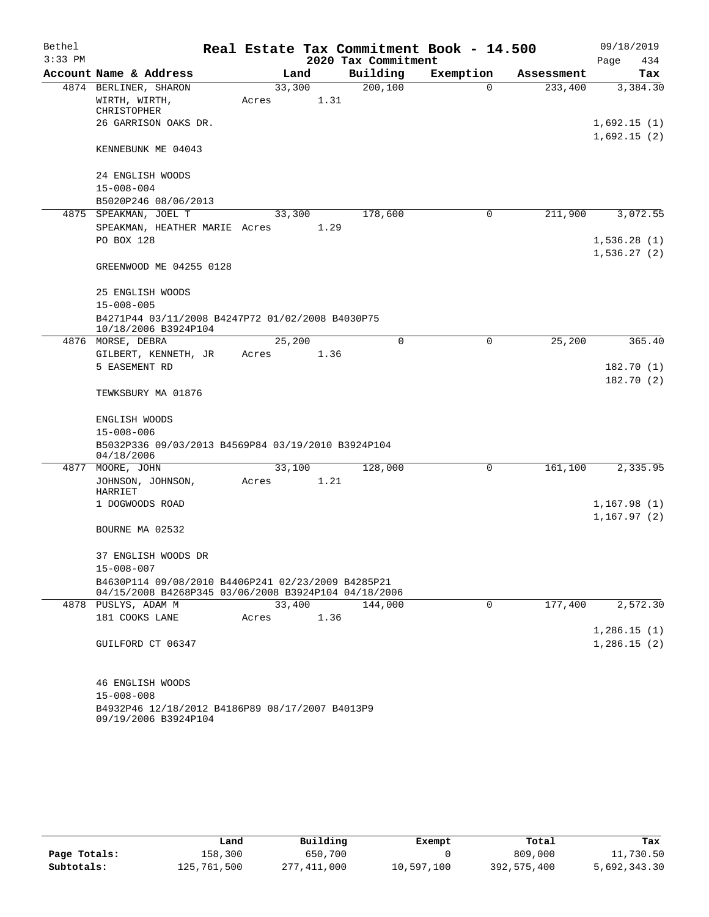| Bethel<br>$3:33$ PM |                                                                                                            |        |      | 2020 Tax Commitment | Real Estate Tax Commitment Book - 14.500 |            | 09/18/2019<br>Page<br>434  |
|---------------------|------------------------------------------------------------------------------------------------------------|--------|------|---------------------|------------------------------------------|------------|----------------------------|
|                     | Account Name & Address                                                                                     | Land   |      | Building            | Exemption                                | Assessment | Tax                        |
|                     | 4874 BERLINER, SHARON                                                                                      | 33,300 |      | 200, 100            | $\Omega$                                 | 233,400    | 3,384.30                   |
|                     | WIRTH, WIRTH,<br><b>CHRISTOPHER</b>                                                                        | Acres  | 1.31 |                     |                                          |            |                            |
|                     | 26 GARRISON OAKS DR.                                                                                       |        |      |                     |                                          |            | 1,692.15(1)<br>1,692.15(2) |
|                     | KENNEBUNK ME 04043                                                                                         |        |      |                     |                                          |            |                            |
|                     | 24 ENGLISH WOODS                                                                                           |        |      |                     |                                          |            |                            |
|                     | $15 - 008 - 004$                                                                                           |        |      |                     |                                          |            |                            |
|                     | B5020P246 08/06/2013                                                                                       |        |      |                     |                                          |            |                            |
|                     | 4875 SPEAKMAN, JOEL T                                                                                      | 33,300 |      | 178,600             | $\mathbf 0$                              | 211,900    | 3,072.55                   |
|                     | SPEAKMAN, HEATHER MARIE Acres                                                                              |        | 1.29 |                     |                                          |            |                            |
|                     | PO BOX 128                                                                                                 |        |      |                     |                                          |            | 1,536.28(1)<br>1,536.27(2) |
|                     | GREENWOOD ME 04255 0128                                                                                    |        |      |                     |                                          |            |                            |
|                     | 25 ENGLISH WOODS                                                                                           |        |      |                     |                                          |            |                            |
|                     | $15 - 008 - 005$                                                                                           |        |      |                     |                                          |            |                            |
|                     | B4271P44 03/11/2008 B4247P72 01/02/2008 B4030P75<br>10/18/2006 B3924P104                                   |        |      |                     |                                          |            |                            |
|                     | 4876 MORSE, DEBRA                                                                                          | 25,200 |      | $\Omega$            | 0                                        | 25,200     | 365.40                     |
|                     | GILBERT, KENNETH, JR                                                                                       | Acres  | 1.36 |                     |                                          |            |                            |
|                     | 5 EASEMENT RD                                                                                              |        |      |                     |                                          |            | 182.70 (1)<br>182.70(2)    |
|                     | TEWKSBURY MA 01876                                                                                         |        |      |                     |                                          |            |                            |
|                     | ENGLISH WOODS                                                                                              |        |      |                     |                                          |            |                            |
|                     | $15 - 008 - 006$                                                                                           |        |      |                     |                                          |            |                            |
|                     | B5032P336 09/03/2013 B4569P84 03/19/2010 B3924P104<br>04/18/2006                                           |        |      |                     |                                          |            |                            |
|                     | 4877 MOORE, JOHN                                                                                           | 33,100 |      | 128,000             | 0                                        | 161,100    | 2,335.95                   |
|                     | JOHNSON, JOHNSON,<br>HARRIET                                                                               | Acres  | 1.21 |                     |                                          |            |                            |
|                     | 1 DOGWOODS ROAD                                                                                            |        |      |                     |                                          |            | 1,167.98(1)                |
|                     | BOURNE MA 02532                                                                                            |        |      |                     |                                          |            | 1,167.97 (2)               |
|                     |                                                                                                            |        |      |                     |                                          |            |                            |
|                     | 37 ENGLISH WOODS DR<br>$15 - 008 - 007$                                                                    |        |      |                     |                                          |            |                            |
|                     | B4630P114 09/08/2010 B4406P241 02/23/2009 B4285P21<br>04/15/2008 B4268P345 03/06/2008 B3924P104 04/18/2006 |        |      |                     |                                          |            |                            |
|                     | 4878 PUSLYS, ADAM M                                                                                        | 33,400 |      | 144,000             | 0                                        | 177,400    | 2,572.30                   |
|                     | 181 COOKS LANE                                                                                             | Acres  | 1.36 |                     |                                          |            |                            |
|                     |                                                                                                            |        |      |                     |                                          |            | 1,286.15(1)                |
|                     | GUILFORD CT 06347                                                                                          |        |      |                     |                                          |            | 1,286.15(2)                |
|                     | 46 ENGLISH WOODS                                                                                           |        |      |                     |                                          |            |                            |
|                     | $15 - 008 - 008$                                                                                           |        |      |                     |                                          |            |                            |
|                     | B4932P46 12/18/2012 B4186P89 08/17/2007 B4013P9<br>09/19/2006 B3924P104                                    |        |      |                     |                                          |            |                            |

|              | Land        | Building    | Exempt     | Total       | Tax          |
|--------------|-------------|-------------|------------|-------------|--------------|
| Page Totals: | 158,300     | 650,700     |            | 809,000     | 11,730.50    |
| Subtotals:   | 125,761,500 | 277,411,000 | 10,597,100 | 392,575,400 | 5,692,343.30 |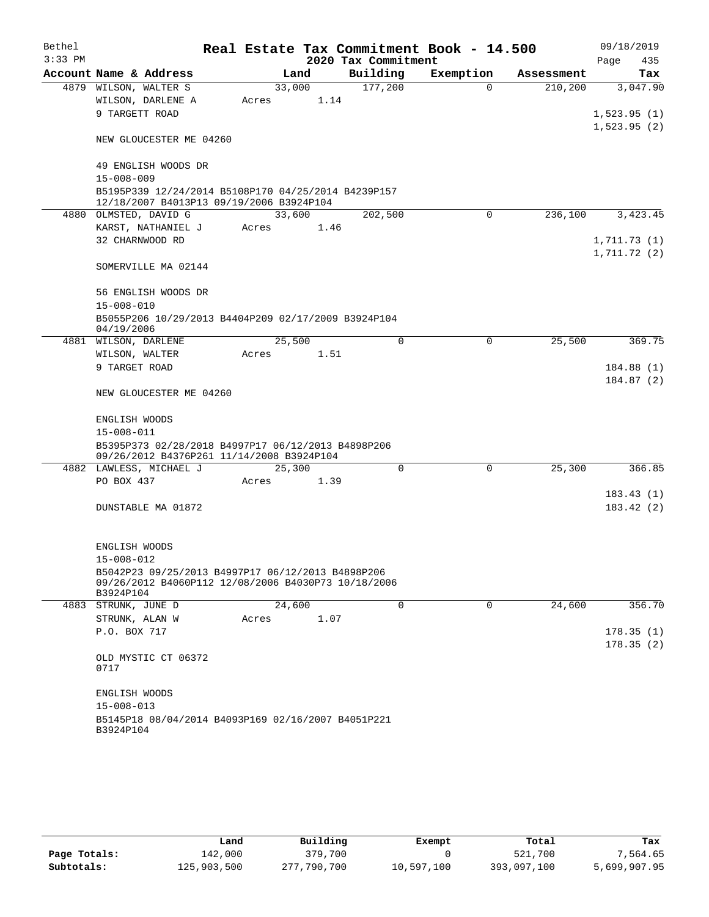| Bethel    |                                                                                                 |       |        |                     | Real Estate Tax Commitment Book - 14.500 |             |            |             | 09/18/2019   |
|-----------|-------------------------------------------------------------------------------------------------|-------|--------|---------------------|------------------------------------------|-------------|------------|-------------|--------------|
| $3:33$ PM |                                                                                                 |       |        | 2020 Tax Commitment |                                          |             |            | Page        | 435          |
|           | Account Name & Address                                                                          |       | Land   | Building            | Exemption                                |             | Assessment |             | Tax          |
|           | 4879 WILSON, WALTER S                                                                           |       | 33,000 | 177,200             |                                          | $\Omega$    | 210,200    |             | 3,047.90     |
|           | WILSON, DARLENE A                                                                               | Acres | 1.14   |                     |                                          |             |            |             |              |
|           | 9 TARGETT ROAD                                                                                  |       |        |                     |                                          |             |            | 1,523.95(2) | 1,523.95(1)  |
|           | NEW GLOUCESTER ME 04260                                                                         |       |        |                     |                                          |             |            |             |              |
|           | 49 ENGLISH WOODS DR                                                                             |       |        |                     |                                          |             |            |             |              |
|           | $15 - 008 - 009$                                                                                |       |        |                     |                                          |             |            |             |              |
|           | B5195P339 12/24/2014 B5108P170 04/25/2014 B4239P157<br>12/18/2007 B4013P13 09/19/2006 B3924P104 |       |        |                     |                                          |             |            |             |              |
|           | 4880 OLMSTED, DAVID G                                                                           |       | 33,600 | 202,500             |                                          | 0           | 236,100    |             | 3,423.45     |
|           | KARST, NATHANIEL J                                                                              | Acres | 1.46   |                     |                                          |             |            |             |              |
|           | 32 CHARNWOOD RD                                                                                 |       |        |                     |                                          |             |            |             | 1,711.73 (1) |
|           |                                                                                                 |       |        |                     |                                          |             |            | 1,711.72(2) |              |
|           | SOMERVILLE MA 02144                                                                             |       |        |                     |                                          |             |            |             |              |
|           | 56 ENGLISH WOODS DR                                                                             |       |        |                     |                                          |             |            |             |              |
|           | $15 - 008 - 010$                                                                                |       |        |                     |                                          |             |            |             |              |
|           | B5055P206 10/29/2013 B4404P209 02/17/2009 B3924P104<br>04/19/2006                               |       |        |                     |                                          |             |            |             |              |
| 4881      | WILSON, DARLENE                                                                                 |       | 25,500 |                     | $\Omega$                                 | 0           | 25,500     |             | 369.75       |
|           | WILSON, WALTER                                                                                  | Acres | 1.51   |                     |                                          |             |            |             |              |
|           | 9 TARGET ROAD                                                                                   |       |        |                     |                                          |             |            |             | 184.88(1)    |
|           | NEW GLOUCESTER ME 04260                                                                         |       |        |                     |                                          |             |            |             | 184.87 (2)   |
|           | ENGLISH WOODS                                                                                   |       |        |                     |                                          |             |            |             |              |
|           | $15 - 008 - 011$                                                                                |       |        |                     |                                          |             |            |             |              |
|           | B5395P373 02/28/2018 B4997P17 06/12/2013 B4898P206                                              |       |        |                     |                                          |             |            |             |              |
|           | 09/26/2012 B4376P261 11/14/2008 B3924P104                                                       |       |        |                     |                                          |             |            |             |              |
|           | 4882 LAWLESS, MICHAEL J                                                                         |       | 25,300 |                     | 0                                        | $\mathbf 0$ | 25,300     |             | 366.85       |
|           | PO BOX 437                                                                                      | Acres | 1.39   |                     |                                          |             |            |             |              |
|           |                                                                                                 |       |        |                     |                                          |             |            |             | 183.43(1)    |
|           | DUNSTABLE MA 01872                                                                              |       |        |                     |                                          |             |            |             | 183.42 (2)   |
|           |                                                                                                 |       |        |                     |                                          |             |            |             |              |
|           | ENGLISH WOODS                                                                                   |       |        |                     |                                          |             |            |             |              |
|           | $15 - 008 - 012$                                                                                |       |        |                     |                                          |             |            |             |              |
|           | B5042P23 09/25/2013 B4997P17 06/12/2013 B4898P206                                               |       |        |                     |                                          |             |            |             |              |
|           | 09/26/2012 B4060P112 12/08/2006 B4030P73 10/18/2006<br>B3924P104                                |       |        |                     |                                          |             |            |             |              |
|           | 4883 STRUNK, JUNE D                                                                             |       | 24,600 |                     | 0                                        | 0           | 24,600     |             | 356.70       |
|           | STRUNK, ALAN W                                                                                  | Acres | 1.07   |                     |                                          |             |            |             |              |
|           | P.O. BOX 717                                                                                    |       |        |                     |                                          |             |            |             | 178.35(1)    |
|           |                                                                                                 |       |        |                     |                                          |             |            |             | 178.35(2)    |
|           | OLD MYSTIC CT 06372<br>0717                                                                     |       |        |                     |                                          |             |            |             |              |
|           | ENGLISH WOODS                                                                                   |       |        |                     |                                          |             |            |             |              |
|           | $15 - 008 - 013$                                                                                |       |        |                     |                                          |             |            |             |              |
|           | B5145P18 08/04/2014 B4093P169 02/16/2007 B4051P221                                              |       |        |                     |                                          |             |            |             |              |
|           | B3924P104                                                                                       |       |        |                     |                                          |             |            |             |              |

|              | Land        | Building    | Exempt     | Total       | Tax          |
|--------------|-------------|-------------|------------|-------------|--------------|
| Page Totals: | 142,000     | 379,700     |            | 521,700     | 7,564.65     |
| Subtotals:   | 125,903,500 | 277,790,700 | 10,597,100 | 393,097,100 | 5,699,907.95 |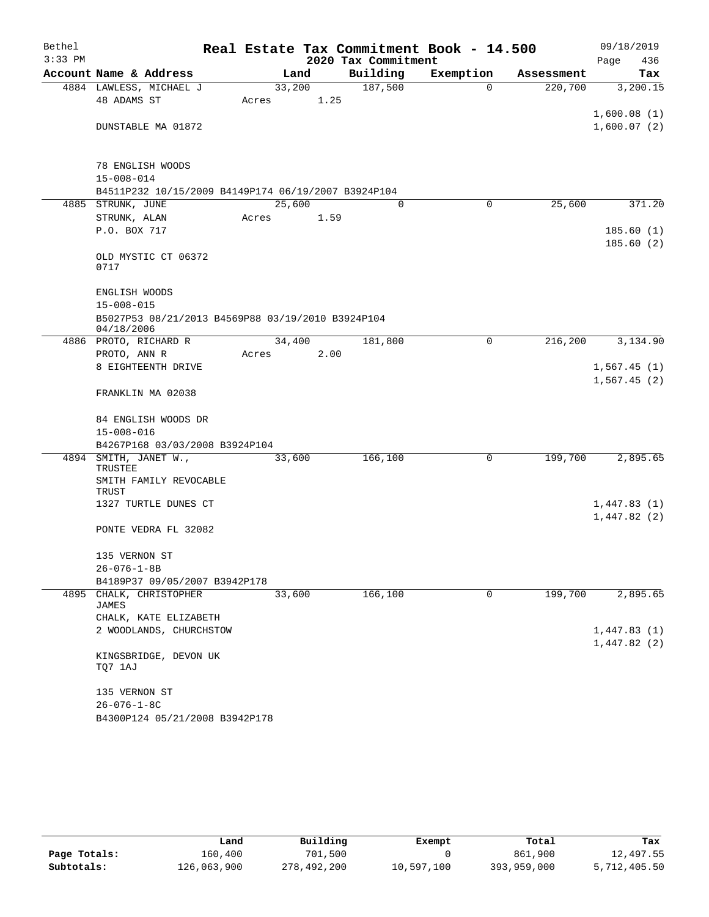| Bethel<br>$3:33$ PM |                                                                 | Real Estate Tax Commitment Book - 14.500 | 2020 Tax Commitment |           |            | 09/18/2019<br>Page<br>436 |
|---------------------|-----------------------------------------------------------------|------------------------------------------|---------------------|-----------|------------|---------------------------|
|                     | Account Name & Address                                          | Land                                     | Building            | Exemption | Assessment | Tax                       |
|                     | 4884 LAWLESS, MICHAEL J                                         | 33,200                                   | 187,500             | 0         | 220,700    | 3,200.15                  |
|                     | 48 ADAMS ST                                                     | 1.25<br>Acres                            |                     |           |            |                           |
|                     |                                                                 |                                          |                     |           |            | 1,600.08(1)               |
|                     | DUNSTABLE MA 01872                                              |                                          |                     |           |            | 1,600.07(2)               |
|                     |                                                                 |                                          |                     |           |            |                           |
|                     | 78 ENGLISH WOODS                                                |                                          |                     |           |            |                           |
|                     | $15 - 008 - 014$                                                |                                          |                     |           |            |                           |
|                     | B4511P232 10/15/2009 B4149P174 06/19/2007 B3924P104             |                                          |                     |           |            |                           |
|                     | 4885 STRUNK, JUNE                                               | 25,600                                   | $\Omega$            | 0         | 25,600     | 371.20                    |
|                     | STRUNK, ALAN                                                    | 1.59<br>Acres                            |                     |           |            |                           |
|                     | P.O. BOX 717                                                    |                                          |                     |           |            | 185.60(1)                 |
|                     |                                                                 |                                          |                     |           |            | 185.60(2)                 |
|                     | OLD MYSTIC CT 06372                                             |                                          |                     |           |            |                           |
|                     | 0717                                                            |                                          |                     |           |            |                           |
|                     |                                                                 |                                          |                     |           |            |                           |
|                     | ENGLISH WOODS                                                   |                                          |                     |           |            |                           |
|                     | $15 - 008 - 015$                                                |                                          |                     |           |            |                           |
|                     | B5027P53 08/21/2013 B4569P88 03/19/2010 B3924P104<br>04/18/2006 |                                          |                     |           |            |                           |
|                     | 4886 PROTO, RICHARD R                                           | 34,400                                   | 181,800             | 0         | 216,200    | 3,134.90                  |
|                     | PROTO, ANN R                                                    | 2.00<br>Acres                            |                     |           |            |                           |
|                     | 8 EIGHTEENTH DRIVE                                              |                                          |                     |           |            | 1,567.45(1)               |
|                     | FRANKLIN MA 02038                                               |                                          |                     |           |            | 1,567.45(2)               |
|                     | 84 ENGLISH WOODS DR                                             |                                          |                     |           |            |                           |
|                     | $15 - 008 - 016$                                                |                                          |                     |           |            |                           |
|                     | B4267P168 03/03/2008 B3924P104                                  |                                          |                     |           |            |                           |
|                     | 4894 SMITH, JANET W.,                                           | 33,600                                   | 166,100             | 0         | 199,700    | 2,895.65                  |
|                     | TRUSTEE                                                         |                                          |                     |           |            |                           |
|                     | SMITH FAMILY REVOCABLE<br>TRUST                                 |                                          |                     |           |            |                           |
|                     | 1327 TURTLE DUNES CT                                            |                                          |                     |           |            | 1,447.83(1)               |
|                     |                                                                 |                                          |                     |           |            | 1,447.82(2)               |
|                     | PONTE VEDRA FL 32082                                            |                                          |                     |           |            |                           |
|                     | 135 VERNON ST                                                   |                                          |                     |           |            |                           |
|                     | 26-076-1-8B                                                     |                                          |                     |           |            |                           |
|                     | B4189P37 09/05/2007 B3942P178                                   |                                          |                     |           |            |                           |
| 4895                | CHALK, CHRISTOPHER                                              | 33,600                                   | 166,100             | 0         | 199,700    | 2,895.65                  |
|                     | JAMES                                                           |                                          |                     |           |            |                           |
|                     | CHALK, KATE ELIZABETH                                           |                                          |                     |           |            |                           |
|                     | 2 WOODLANDS, CHURCHSTOW                                         |                                          |                     |           |            | 1,447.83(1)               |
|                     |                                                                 |                                          |                     |           |            | 1,447.82(2)               |
|                     | KINGSBRIDGE, DEVON UK<br>TQ7 1AJ                                |                                          |                     |           |            |                           |
|                     | 135 VERNON ST                                                   |                                          |                     |           |            |                           |
|                     | $26 - 076 - 1 - 8C$                                             |                                          |                     |           |            |                           |
|                     | B4300P124 05/21/2008 B3942P178                                  |                                          |                     |           |            |                           |

|              | Land        | Building    | Exempt     | Total       | Tax          |
|--------------|-------------|-------------|------------|-------------|--------------|
| Page Totals: | 160,400     | 701,500     |            | 861,900     | 12,497.55    |
| Subtotals:   | 126,063,900 | 278,492,200 | 10,597,100 | 393,959,000 | 5,712,405.50 |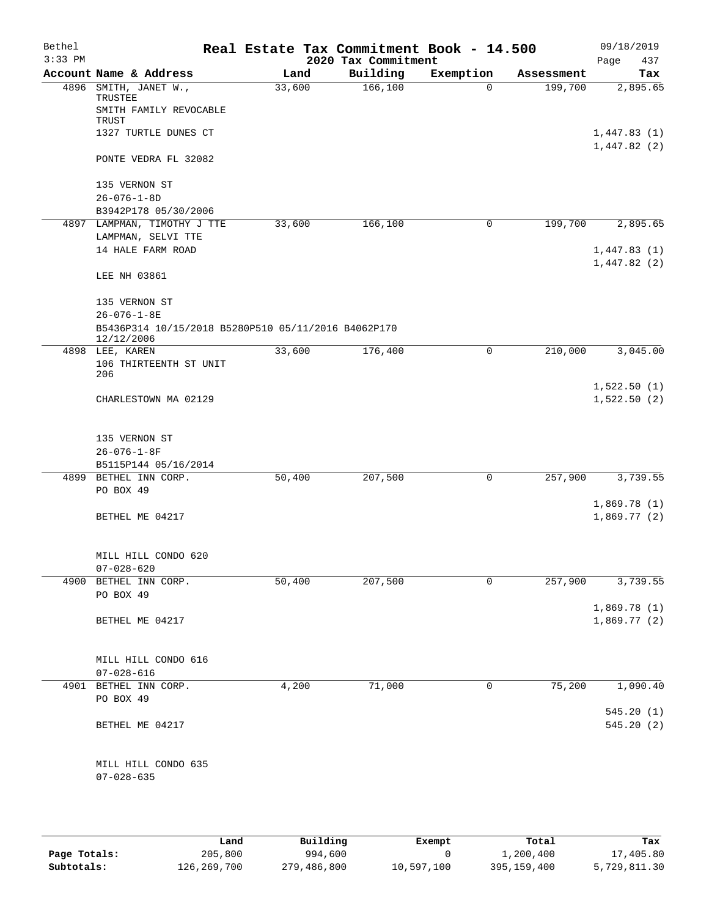| Bethel<br>$3:33$ PM |                                                                   |        | Real Estate Tax Commitment Book - 14.500<br>2020 Tax Commitment |             |            | 09/18/2019<br>Page<br>437  |
|---------------------|-------------------------------------------------------------------|--------|-----------------------------------------------------------------|-------------|------------|----------------------------|
|                     | Account Name & Address                                            | Land   | Building                                                        | Exemption   | Assessment | Tax                        |
| 4896                | SMITH, JANET W.,<br>TRUSTEE<br>SMITH FAMILY REVOCABLE             | 33,600 | 166, 100                                                        | $\mathbf 0$ | 199,700    | 2,895.65                   |
|                     | TRUST<br>1327 TURTLE DUNES CT                                     |        |                                                                 |             |            | 1,447.83(1)                |
|                     | PONTE VEDRA FL 32082                                              |        |                                                                 |             |            | 1,447.82(2)                |
|                     | 135 VERNON ST                                                     |        |                                                                 |             |            |                            |
|                     | $26 - 076 - 1 - 8D$                                               |        |                                                                 |             |            |                            |
|                     | B3942P178 05/30/2006                                              |        |                                                                 |             |            |                            |
|                     | 4897 LAMPMAN, TIMOTHY J TTE<br>LAMPMAN, SELVI TTE                 | 33,600 | 166,100                                                         | 0           | 199,700    | 2,895.65                   |
|                     | 14 HALE FARM ROAD                                                 |        |                                                                 |             |            | 1,447.83(1)<br>1,447.82(2) |
|                     | LEE NH 03861                                                      |        |                                                                 |             |            |                            |
|                     | 135 VERNON ST<br>$26 - 076 - 1 - 8E$                              |        |                                                                 |             |            |                            |
|                     | B5436P314 10/15/2018 B5280P510 05/11/2016 B4062P170<br>12/12/2006 |        |                                                                 |             |            |                            |
|                     | 4898 LEE, KAREN<br>106 THIRTEENTH ST UNIT<br>206                  | 33,600 | 176,400                                                         | 0           | 210,000    | 3,045.00                   |
|                     | CHARLESTOWN MA 02129                                              |        |                                                                 |             |            | 1,522.50(1)<br>1,522.50(2) |
|                     |                                                                   |        |                                                                 |             |            |                            |
|                     | 135 VERNON ST                                                     |        |                                                                 |             |            |                            |
|                     | $26 - 076 - 1 - 8F$                                               |        |                                                                 |             |            |                            |
|                     | B5115P144 05/16/2014                                              |        |                                                                 |             |            |                            |
|                     | 4899 BETHEL INN CORP.<br>PO BOX 49                                | 50,400 | 207,500                                                         | 0           | 257,900    | 3,739.55                   |
|                     | BETHEL ME 04217                                                   |        |                                                                 |             |            | 1,869.78(1)<br>1,869.77(2) |
|                     | MILL HILL CONDO 620<br>$07 - 028 - 620$                           |        |                                                                 |             |            |                            |
| 4900                | BETHEL INN CORP.                                                  | 50,400 | 207,500                                                         | $\mathbf 0$ | 257,900    | 3,739.55                   |
|                     | PO BOX 49                                                         |        |                                                                 |             |            |                            |
|                     | BETHEL ME 04217                                                   |        |                                                                 |             |            | 1,869.78(1)<br>1,869.77(2) |
|                     | MILL HILL CONDO 616                                               |        |                                                                 |             |            |                            |
|                     | $07 - 028 - 616$                                                  |        |                                                                 |             |            |                            |
|                     | 4901 BETHEL INN CORP.                                             | 4,200  | 71,000                                                          | 0           | 75,200     | 1,090.40                   |
|                     | PO BOX 49                                                         |        |                                                                 |             |            |                            |
|                     | BETHEL ME 04217                                                   |        |                                                                 |             |            | 545.20 (1)<br>545.20(2)    |
|                     | MILL HILL CONDO 635<br>$07 - 028 - 635$                           |        |                                                                 |             |            |                            |
|                     |                                                                   |        |                                                                 |             |            |                            |

|              | Land        | Building    | Exempt     | Total         | Tax          |
|--------------|-------------|-------------|------------|---------------|--------------|
| Page Totals: | 205,800     | 994,600     |            | 1,200,400     | 17,405.80    |
| Subtotals:   | 126,269,700 | 279,486,800 | 10,597,100 | 395, 159, 400 | 5,729,811.30 |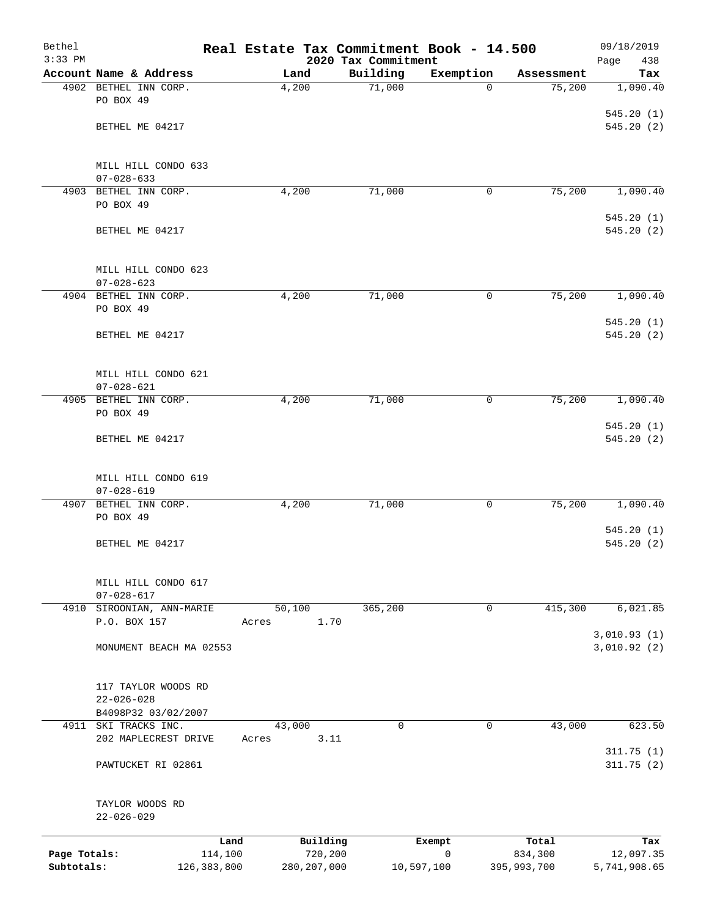| Bethel       |                                         |       |               | Real Estate Tax Commitment Book - 14.500 |             |             | 09/18/2019                 |
|--------------|-----------------------------------------|-------|---------------|------------------------------------------|-------------|-------------|----------------------------|
| $3:33$ PM    | Account Name & Address                  |       | Land          | 2020 Tax Commitment<br>Building          | Exemption   | Assessment  | Page<br>438<br>Tax         |
|              | 4902 BETHEL INN CORP.                   |       | 4,200         | 71,000                                   | $\Omega$    | 75,200      | 1,090.40                   |
|              | PO BOX 49                               |       |               |                                          |             |             |                            |
|              |                                         |       |               |                                          |             |             | 545.20(1)                  |
|              | BETHEL ME 04217                         |       |               |                                          |             |             | 545.20(2)                  |
|              | MILL HILL CONDO 633                     |       |               |                                          |             |             |                            |
|              | $07 - 028 - 633$                        |       |               |                                          |             |             |                            |
|              | 4903 BETHEL INN CORP.                   |       | 4,200         | 71,000                                   | 0           | 75,200      | 1,090.40                   |
|              | PO BOX 49                               |       |               |                                          |             |             |                            |
|              | BETHEL ME 04217                         |       |               |                                          |             |             | 545.20(1)<br>545.20 (2)    |
|              | MILL HILL CONDO 623                     |       |               |                                          |             |             |                            |
|              | $07 - 028 - 623$                        |       |               |                                          |             |             |                            |
|              | 4904 BETHEL INN CORP.                   |       | 4,200         | 71,000                                   | 0           | 75,200      | 1,090.40                   |
|              | PO BOX 49                               |       |               |                                          |             |             | 545.20(1)                  |
|              | BETHEL ME 04217                         |       |               |                                          |             |             | 545.20(2)                  |
|              |                                         |       |               |                                          |             |             |                            |
|              |                                         |       |               |                                          |             |             |                            |
|              | MILL HILL CONDO 621<br>$07 - 028 - 621$ |       |               |                                          |             |             |                            |
| 4905         | BETHEL INN CORP.                        |       | 4,200         | 71,000                                   | 0           | 75,200      | 1,090.40                   |
|              | PO BOX 49                               |       |               |                                          |             |             |                            |
|              |                                         |       |               |                                          |             |             | 545.20(1)                  |
|              | BETHEL ME 04217                         |       |               |                                          |             |             | 545.20 (2)                 |
|              | MILL HILL CONDO 619                     |       |               |                                          |             |             |                            |
|              | $07 - 028 - 619$                        |       |               |                                          |             |             |                            |
| 4907         | BETHEL INN CORP.                        |       | 4,200         | 71,000                                   | 0           | 75,200      | 1,090.40                   |
|              | PO BOX 49                               |       |               |                                          |             |             |                            |
|              | BETHEL ME 04217                         |       |               |                                          |             |             | 545.20(1)<br>545.20(2)     |
|              |                                         |       |               |                                          |             |             |                            |
|              | MILL HILL CONDO 617                     |       |               |                                          |             |             |                            |
|              | $07 - 028 - 617$                        |       |               |                                          |             |             |                            |
| 4910         | SIROONIAN, ANN-MARIE                    |       | 50,100        | 365,200                                  | $\mathbf 0$ | 415,300     | 6,021.85                   |
|              | P.O. BOX 157                            | Acres | 1.70          |                                          |             |             |                            |
|              | MONUMENT BEACH MA 02553                 |       |               |                                          |             |             | 3,010.93(1)<br>3,010.92(2) |
|              |                                         |       |               |                                          |             |             |                            |
|              |                                         |       |               |                                          |             |             |                            |
|              | 117 TAYLOR WOODS RD<br>$22 - 026 - 028$ |       |               |                                          |             |             |                            |
|              | B4098P32 03/02/2007                     |       |               |                                          |             |             |                            |
| 4911         | SKI TRACKS INC.                         |       | 43,000        | 0                                        | 0           | 43,000      | 623.50                     |
|              | 202 MAPLECREST DRIVE                    | Acres | 3.11          |                                          |             |             |                            |
|              | PAWTUCKET RI 02861                      |       |               |                                          |             |             | 311.75(1)<br>311.75(2)     |
|              |                                         |       |               |                                          |             |             |                            |
|              | TAYLOR WOODS RD                         |       |               |                                          |             |             |                            |
|              | $22 - 026 - 029$                        |       |               |                                          |             |             |                            |
|              |                                         | Land  | Building      |                                          | Exempt      | Total       | Tax                        |
| Page Totals: | 114,100                                 |       | 720,200       |                                          | 0           | 834,300     | 12,097.35                  |
| Subtotals:   | 126, 383, 800                           |       | 280, 207, 000 |                                          | 10,597,100  | 395,993,700 | 5,741,908.65               |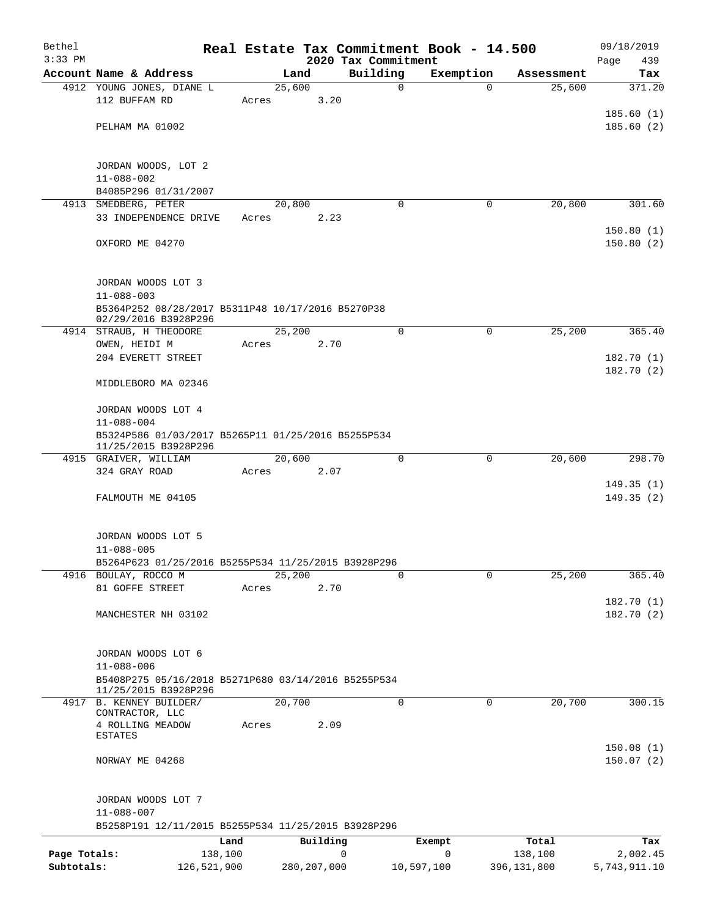| Bethel       |                                                     |        |               |                         | Real Estate Tax Commitment Book - 14.500 |                      | 09/18/2019             |
|--------------|-----------------------------------------------------|--------|---------------|-------------------------|------------------------------------------|----------------------|------------------------|
| $3:33$ PM    |                                                     |        | Land          | 2020 Tax Commitment     |                                          |                      | 439<br>Page            |
|              | Account Name & Address<br>4912 YOUNG JONES, DIANE L | 25,600 |               | Building<br>$\mathbf 0$ | Exemption<br>$\Omega$                    | Assessment<br>25,600 | Tax<br>371.20          |
|              | 112 BUFFAM RD                                       | Acres  | 3.20          |                         |                                          |                      |                        |
|              |                                                     |        |               |                         |                                          |                      | 185.60(1)              |
|              | PELHAM MA 01002                                     |        |               |                         |                                          |                      | 185.60(2)              |
|              |                                                     |        |               |                         |                                          |                      |                        |
|              |                                                     |        |               |                         |                                          |                      |                        |
|              | JORDAN WOODS, LOT 2                                 |        |               |                         |                                          |                      |                        |
|              | $11 - 088 - 002$<br>B4085P296 01/31/2007            |        |               |                         |                                          |                      |                        |
|              | 4913 SMEDBERG, PETER                                | 20,800 |               | $\Omega$                | 0                                        | 20,800               | 301.60                 |
|              | 33 INDEPENDENCE DRIVE                               | Acres  | 2.23          |                         |                                          |                      |                        |
|              |                                                     |        |               |                         |                                          |                      | 150.80(1)              |
|              | OXFORD ME 04270                                     |        |               |                         |                                          |                      | 150.80(2)              |
|              |                                                     |        |               |                         |                                          |                      |                        |
|              | JORDAN WOODS LOT 3                                  |        |               |                         |                                          |                      |                        |
|              | $11 - 088 - 003$                                    |        |               |                         |                                          |                      |                        |
|              | B5364P252 08/28/2017 B5311P48 10/17/2016 B5270P38   |        |               |                         |                                          |                      |                        |
|              | 02/29/2016 B3928P296                                |        |               |                         |                                          |                      |                        |
|              | 4914 STRAUB, H THEODORE                             | 25,200 |               | $\mathbf 0$             | 0                                        | 25,200               | 365.40                 |
|              | OWEN, HEIDI M                                       | Acres  | 2.70          |                         |                                          |                      |                        |
|              | 204 EVERETT STREET                                  |        |               |                         |                                          |                      | 182.70(1)<br>182.70(2) |
|              | MIDDLEBORO MA 02346                                 |        |               |                         |                                          |                      |                        |
|              |                                                     |        |               |                         |                                          |                      |                        |
|              | JORDAN WOODS LOT 4                                  |        |               |                         |                                          |                      |                        |
|              | $11 - 088 - 004$                                    |        |               |                         |                                          |                      |                        |
|              | B5324P586 01/03/2017 B5265P11 01/25/2016 B5255P534  |        |               |                         |                                          |                      |                        |
|              | 11/25/2015 B3928P296<br>4915 GRAIVER, WILLIAM       | 20,600 |               | 0                       | 0                                        | 20,600               | 298.70                 |
|              | 324 GRAY ROAD                                       | Acres  | 2.07          |                         |                                          |                      |                        |
|              |                                                     |        |               |                         |                                          |                      | 149.35(1)              |
|              | FALMOUTH ME 04105                                   |        |               |                         |                                          |                      | 149.35(2)              |
|              |                                                     |        |               |                         |                                          |                      |                        |
|              |                                                     |        |               |                         |                                          |                      |                        |
|              | JORDAN WOODS LOT 5<br>$11 - 088 - 005$              |        |               |                         |                                          |                      |                        |
|              | B5264P623 01/25/2016 B5255P534 11/25/2015 B3928P296 |        |               |                         |                                          |                      |                        |
|              | 4916 BOULAY, ROCCO M                                | 25,200 |               | $\Omega$                | $\Omega$                                 | 25,200               | 365.40                 |
|              | 81 GOFFE STREET                                     | Acres  | 2.70          |                         |                                          |                      |                        |
|              |                                                     |        |               |                         |                                          |                      | 182.70(1)              |
|              | MANCHESTER NH 03102                                 |        |               |                         |                                          |                      | 182.70 (2)             |
|              |                                                     |        |               |                         |                                          |                      |                        |
|              | JORDAN WOODS LOT 6                                  |        |               |                         |                                          |                      |                        |
|              | $11 - 088 - 006$                                    |        |               |                         |                                          |                      |                        |
|              | B5408P275 05/16/2018 B5271P680 03/14/2016 B5255P534 |        |               |                         |                                          |                      |                        |
|              | 11/25/2015 B3928P296                                |        |               |                         |                                          |                      |                        |
|              | 4917 B. KENNEY BUILDER/<br>CONTRACTOR, LLC          | 20,700 |               | 0                       | 0                                        | 20,700               | 300.15                 |
|              | 4 ROLLING MEADOW                                    | Acres  | 2.09          |                         |                                          |                      |                        |
|              | <b>ESTATES</b>                                      |        |               |                         |                                          |                      |                        |
|              |                                                     |        |               |                         |                                          |                      | 150.08(1)              |
|              | NORWAY ME 04268                                     |        |               |                         |                                          |                      | 150.07(2)              |
|              |                                                     |        |               |                         |                                          |                      |                        |
|              | JORDAN WOODS LOT 7                                  |        |               |                         |                                          |                      |                        |
|              | $11 - 088 - 007$                                    |        |               |                         |                                          |                      |                        |
|              | B5258P191 12/11/2015 B5255P534 11/25/2015 B3928P296 |        |               |                         |                                          |                      |                        |
|              | Land                                                |        | Building      |                         | Exempt                                   | Total                | Tax                    |
| Page Totals: | 138,100                                             |        |               | 0                       | 0                                        | 138,100              | 2,002.45               |
| Subtotals:   | 126,521,900                                         |        | 280, 207, 000 |                         | 10,597,100                               | 396,131,800          | 5,743,911.10           |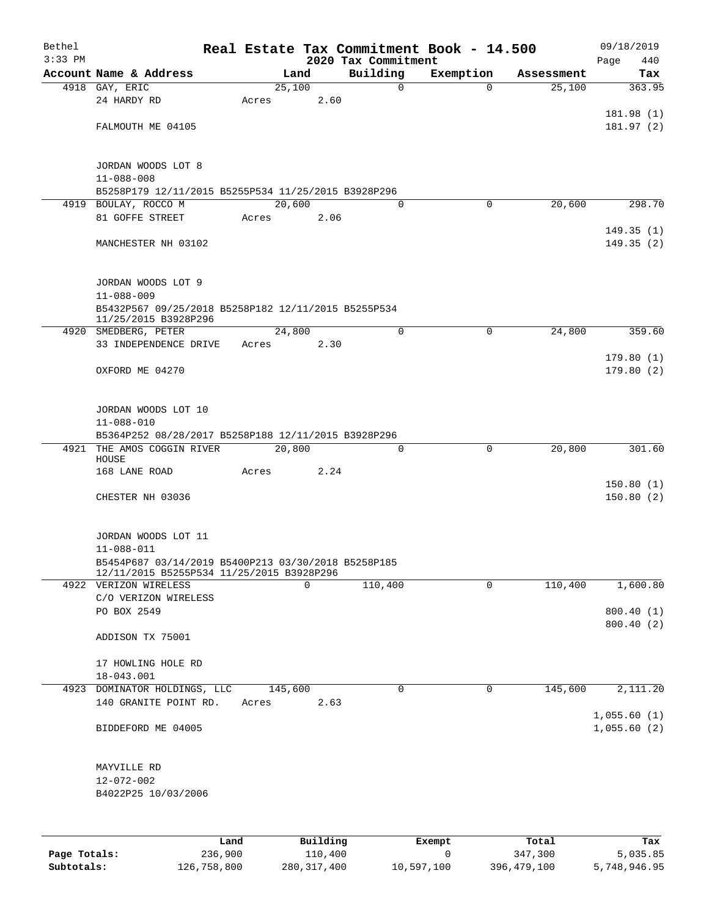| Bethel    |                                                                                                                      |       |                |          |                         | Real Estate Tax Commitment Book - 14.500 |                      | 09/18/2019              |
|-----------|----------------------------------------------------------------------------------------------------------------------|-------|----------------|----------|-------------------------|------------------------------------------|----------------------|-------------------------|
| $3:33$ PM |                                                                                                                      |       |                |          | 2020 Tax Commitment     |                                          |                      | 440<br>Page             |
|           | Account Name & Address<br>4918 GAY, ERIC                                                                             |       | Land<br>25,100 |          | Building<br>$\mathbf 0$ | Exemption<br>$\Omega$                    | Assessment<br>25,100 | Tax<br>363.95           |
|           | 24 HARDY RD                                                                                                          | Acres |                | 2.60     |                         |                                          |                      |                         |
|           |                                                                                                                      |       |                |          |                         |                                          |                      | 181.98 (1)              |
|           | FALMOUTH ME 04105                                                                                                    |       |                |          |                         |                                          |                      | 181.97(2)               |
|           |                                                                                                                      |       |                |          |                         |                                          |                      |                         |
|           | JORDAN WOODS LOT 8<br>$11 - 088 - 008$                                                                               |       |                |          |                         |                                          |                      |                         |
|           | B5258P179 12/11/2015 B5255P534 11/25/2015 B3928P296                                                                  |       |                |          |                         |                                          |                      |                         |
|           | 4919 BOULAY, ROCCO M                                                                                                 |       | 20,600         |          | $\Omega$                | 0                                        | 20,600               | 298.70                  |
|           | 81 GOFFE STREET                                                                                                      | Acres |                | 2.06     |                         |                                          |                      |                         |
|           | MANCHESTER NH 03102                                                                                                  |       |                |          |                         |                                          |                      | 149.35(1)<br>149.35(2)  |
|           | JORDAN WOODS LOT 9<br>$11 - 088 - 009$                                                                               |       |                |          |                         |                                          |                      |                         |
|           | B5432P567 09/25/2018 B5258P182 12/11/2015 B5255P534<br>11/25/2015 B3928P296                                          |       |                |          |                         |                                          |                      |                         |
|           | 4920 SMEDBERG, PETER                                                                                                 |       | 24,800         |          | $\mathbf 0$             | $\mathbf 0$                              | 24,800               | 359.60                  |
|           | 33 INDEPENDENCE DRIVE                                                                                                | Acres |                | 2.30     |                         |                                          |                      |                         |
|           | OXFORD ME 04270                                                                                                      |       |                |          |                         |                                          |                      | 179.80(1)<br>179.80 (2) |
|           | JORDAN WOODS LOT 10                                                                                                  |       |                |          |                         |                                          |                      |                         |
|           | $11 - 088 - 010$                                                                                                     |       |                |          |                         |                                          |                      |                         |
| 4921      | B5364P252 08/28/2017 B5258P188 12/11/2015 B3928P296<br>THE AMOS COGGIN RIVER                                         |       | 20,800         |          | $\Omega$                | $\mathbf 0$                              | 20,800               | 301.60                  |
|           | HOUSE<br>168 LANE ROAD                                                                                               | Acres |                | 2.24     |                         |                                          |                      |                         |
|           |                                                                                                                      |       |                |          |                         |                                          |                      | 150.80(1)               |
|           | CHESTER NH 03036                                                                                                     |       |                |          |                         |                                          |                      | 150.80(2)               |
|           | JORDAN WOODS LOT 11                                                                                                  |       |                |          |                         |                                          |                      |                         |
|           | $11 - 088 - 011$<br>B5454P687 03/14/2019 B5400P213 03/30/2018 B5258P185<br>12/11/2015 B5255P534 11/25/2015 B3928P296 |       |                |          |                         |                                          |                      |                         |
|           | 4922 VERIZON WIRELESS                                                                                                |       |                | $\Omega$ | 110,400                 | $\mathbf 0$                              | 110,400              | 1,600.80                |
|           | C/O VERIZON WIRELESS                                                                                                 |       |                |          |                         |                                          |                      |                         |
|           | PO BOX 2549                                                                                                          |       |                |          |                         |                                          |                      | 800.40(1)<br>800.40 (2) |
|           | ADDISON TX 75001                                                                                                     |       |                |          |                         |                                          |                      |                         |
|           | 17 HOWLING HOLE RD                                                                                                   |       |                |          |                         |                                          |                      |                         |
|           | 18-043.001                                                                                                           |       |                |          |                         |                                          |                      |                         |
|           | 4923 DOMINATOR HOLDINGS, LLC                                                                                         |       | 145,600        |          | 0                       | $\overline{0}$                           | 145,600              | 2,111.20                |
|           | 140 GRANITE POINT RD.                                                                                                | Acres |                | 2.63     |                         |                                          |                      | 1,055.60(1)             |
|           | BIDDEFORD ME 04005                                                                                                   |       |                |          |                         |                                          |                      | 1,055.60(2)             |
|           | MAYVILLE RD                                                                                                          |       |                |          |                         |                                          |                      |                         |
|           | $12 - 072 - 002$                                                                                                     |       |                |          |                         |                                          |                      |                         |
|           | B4022P25 10/03/2006                                                                                                  |       |                |          |                         |                                          |                      |                         |
|           |                                                                                                                      |       |                |          |                         |                                          |                      |                         |
|           |                                                                                                                      | Land  |                | Building |                         | Exempt                                   | Total                | Tax                     |

|              | nand.       | Building    | Exempt     | Total         | тах          |
|--------------|-------------|-------------|------------|---------------|--------------|
| Page Totals: | 236,900     | 110,400     |            | 347,300       | 5,035.85     |
| Subtotals:   | 126,758,800 | 280,317,400 | 10,597,100 | 396, 479, 100 | 5,748,946.95 |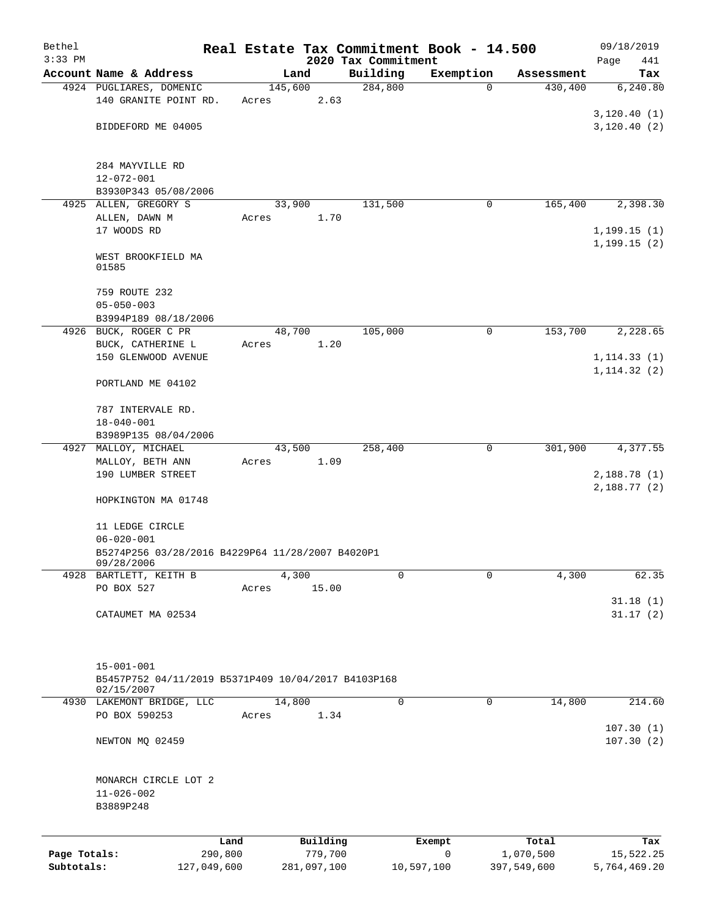| Bethel       |                                                                         |                 |             |                                 | Real Estate Tax Commitment Book - 14.500 |             | 09/18/2019                   |
|--------------|-------------------------------------------------------------------------|-----------------|-------------|---------------------------------|------------------------------------------|-------------|------------------------------|
| $3:33$ PM    | Account Name & Address                                                  |                 | Land        | 2020 Tax Commitment<br>Building | Exemption                                | Assessment  | Page<br>441<br>Tax           |
|              | 4924 PUGLIARES, DOMENIC                                                 | 145,600         |             | 284,800                         | $\Omega$                                 | 430,400     | 6,240.80                     |
|              | 140 GRANITE POINT RD.                                                   | Acres           | 2.63        |                                 |                                          |             |                              |
|              |                                                                         |                 |             |                                 |                                          |             | 3,120.40(1)                  |
|              | BIDDEFORD ME 04005                                                      |                 |             |                                 |                                          |             | 3,120.40(2)                  |
|              | 284 MAYVILLE RD                                                         |                 |             |                                 |                                          |             |                              |
|              | $12 - 072 - 001$                                                        |                 |             |                                 |                                          |             |                              |
|              | B3930P343 05/08/2006                                                    |                 |             |                                 |                                          |             |                              |
|              | 4925 ALLEN, GREGORY S                                                   | 33,900          |             | 131,500                         | 0                                        | 165,400     | 2,398.30                     |
|              | ALLEN, DAWN M                                                           | Acres           | 1.70        |                                 |                                          |             |                              |
|              | 17 WOODS RD                                                             |                 |             |                                 |                                          |             | 1, 199.15(1)<br>1, 199.15(2) |
|              | WEST BROOKFIELD MA<br>01585                                             |                 |             |                                 |                                          |             |                              |
|              | 759 ROUTE 232                                                           |                 |             |                                 |                                          |             |                              |
|              | $05 - 050 - 003$<br>B3994P189 08/18/2006                                |                 |             |                                 |                                          |             |                              |
|              | 4926 BUCK, ROGER C PR                                                   | 48,700          |             | 105,000                         | 0                                        | 153,700     | 2,228.65                     |
|              | BUCK, CATHERINE L                                                       | Acres           | 1.20        |                                 |                                          |             |                              |
|              | 150 GLENWOOD AVENUE                                                     |                 |             |                                 |                                          |             | 1, 114.33(1)                 |
|              | PORTLAND ME 04102                                                       |                 |             |                                 |                                          |             | 1, 114.32(2)                 |
|              | 787 INTERVALE RD.                                                       |                 |             |                                 |                                          |             |                              |
|              | $18 - 040 - 001$                                                        |                 |             |                                 |                                          |             |                              |
|              | B3989P135 08/04/2006                                                    |                 |             |                                 |                                          |             |                              |
|              | 4927 MALLOY, MICHAEL<br>MALLOY, BETH ANN                                | 43,500<br>Acres | 1.09        | 258,400                         | 0                                        | 301,900     | 4,377.55                     |
|              | 190 LUMBER STREET                                                       |                 |             |                                 |                                          |             | 2,188.78(1)<br>2,188.77(2)   |
|              | HOPKINGTON MA 01748                                                     |                 |             |                                 |                                          |             |                              |
|              | 11 LEDGE CIRCLE<br>$06 - 020 - 001$                                     |                 |             |                                 |                                          |             |                              |
|              | B5274P256 03/28/2016 B4229P64 11/28/2007 B4020P1<br>09/28/2006          |                 |             |                                 |                                          |             |                              |
| 4928         | BARTLETT, KEITH B                                                       | 4,300           |             | 0                               | 0                                        | 4,300       | 62.35                        |
|              | PO BOX 527                                                              | Acres           | 15.00       |                                 |                                          |             | 31.18(1)                     |
|              | CATAUMET MA 02534                                                       |                 |             |                                 |                                          |             | 31.17(2)                     |
|              |                                                                         |                 |             |                                 |                                          |             |                              |
|              | $15 - 001 - 001$<br>B5457P752 04/11/2019 B5371P409 10/04/2017 B4103P168 |                 |             |                                 |                                          |             |                              |
|              | 02/15/2007<br>4930 LAKEMONT BRIDGE, LLC                                 | 14,800          |             | 0                               | 0                                        | 14,800      | 214.60                       |
|              | PO BOX 590253                                                           | Acres           | 1.34        |                                 |                                          |             |                              |
|              |                                                                         |                 |             |                                 |                                          |             | 107.30(1)                    |
|              | NEWTON MQ 02459                                                         |                 |             |                                 |                                          |             | 107.30(2)                    |
|              | MONARCH CIRCLE LOT 2                                                    |                 |             |                                 |                                          |             |                              |
|              | $11 - 026 - 002$                                                        |                 |             |                                 |                                          |             |                              |
|              | B3889P248                                                               |                 |             |                                 |                                          |             |                              |
|              |                                                                         | Land            | Building    |                                 | Exempt                                   | Total       | Tax                          |
| Page Totals: |                                                                         | 290,800         | 779,700     |                                 | $\mathbf 0$                              | 1,070,500   | 15,522.25                    |
| Subtotals:   | 127,049,600                                                             |                 | 281,097,100 |                                 | 10,597,100                               | 397,549,600 | 5,764,469.20                 |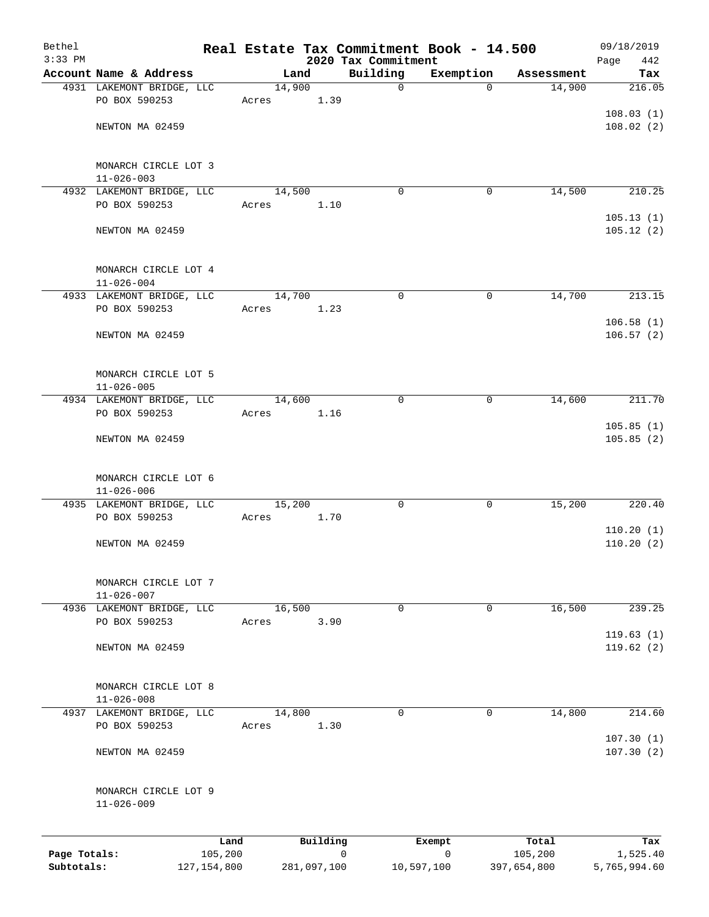| Bethel                     |                                               |               |        |             | Real Estate Tax Commitment Book - 14.500 |             |             | 09/18/2019             |
|----------------------------|-----------------------------------------------|---------------|--------|-------------|------------------------------------------|-------------|-------------|------------------------|
| $3:33$ PM                  | Account Name & Address                        |               |        | Land        | 2020 Tax Commitment<br>Building          | Exemption   | Assessment  | Page<br>442<br>Tax     |
|                            | 4931 LAKEMONT BRIDGE, LLC                     |               | 14,900 |             | $\mathbf 0$                              | $\Omega$    | 14,900      | 216.05                 |
|                            | PO BOX 590253                                 |               | Acres  | 1.39        |                                          |             |             |                        |
|                            |                                               |               |        |             |                                          |             |             | 108.03(1)              |
|                            | NEWTON MA 02459                               |               |        |             |                                          |             |             | 108.02(2)              |
|                            | MONARCH CIRCLE LOT 3<br>$11 - 026 - 003$      |               |        |             |                                          |             |             |                        |
|                            | 4932 LAKEMONT BRIDGE, LLC                     |               | 14,500 |             | $\mathbf 0$                              | 0           | 14,500      | 210.25                 |
|                            | PO BOX 590253                                 |               | Acres  | 1.10        |                                          |             |             |                        |
|                            | NEWTON MA 02459                               |               |        |             |                                          |             |             | 105.13(1)<br>105.12(2) |
|                            | MONARCH CIRCLE LOT 4                          |               |        |             |                                          |             |             |                        |
|                            | $11 - 026 - 004$<br>4933 LAKEMONT BRIDGE, LLC |               | 14,700 |             | $\mathbf 0$                              | 0           | 14,700      | 213.15                 |
|                            | PO BOX 590253                                 |               | Acres  | 1.23        |                                          |             |             |                        |
|                            |                                               |               |        |             |                                          |             |             | 106.58(1)              |
|                            | NEWTON MA 02459                               |               |        |             |                                          |             |             | 106.57(2)              |
|                            | MONARCH CIRCLE LOT 5<br>$11 - 026 - 005$      |               |        |             |                                          |             |             |                        |
|                            | 4934 LAKEMONT BRIDGE, LLC                     |               | 14,600 |             | $\mathbf 0$                              | $\mathbf 0$ | 14,600      | 211.70                 |
|                            | PO BOX 590253                                 |               | Acres  | 1.16        |                                          |             |             |                        |
|                            | NEWTON MA 02459                               |               |        |             |                                          |             |             | 105.85(1)<br>105.85(2) |
|                            | MONARCH CIRCLE LOT 6<br>$11 - 026 - 006$      |               |        |             |                                          |             |             |                        |
|                            | 4935 LAKEMONT BRIDGE, LLC<br>PO BOX 590253    |               | 15,200 |             | $\mathbf 0$                              | 0           | 15,200      | 220.40                 |
|                            |                                               |               | Acres  | 1.70        |                                          |             |             | 110.20(1)              |
|                            | NEWTON MA 02459                               |               |        |             |                                          |             |             | 110.20(2)              |
|                            | MONARCH CIRCLE LOT 7<br>$11 - 026 - 007$      |               |        |             |                                          |             |             |                        |
|                            | 4936 LAKEMONT BRIDGE, LLC                     |               | 16,500 |             | $\mathbf 0$                              | 0           | 16,500      | 239.25                 |
|                            | PO BOX 590253                                 |               | Acres  | 3.90        |                                          |             |             | 119.63(1)              |
|                            | NEWTON MA 02459                               |               |        |             |                                          |             |             | 119.62(2)              |
|                            | MONARCH CIRCLE LOT 8<br>$11 - 026 - 008$      |               |        |             |                                          |             |             |                        |
|                            | 4937 LAKEMONT BRIDGE, LLC                     |               | 14,800 |             | 0                                        | 0           | 14,800      | 214.60                 |
|                            | PO BOX 590253                                 |               | Acres  | 1.30        |                                          |             |             |                        |
|                            | NEWTON MA 02459                               |               |        |             |                                          |             |             | 107.30(1)<br>107.30(2) |
|                            | MONARCH CIRCLE LOT 9<br>$11 - 026 - 009$      |               |        |             |                                          |             |             |                        |
|                            |                                               | Land          |        | Building    |                                          | Exempt      | Total       | Tax                    |
| Page Totals:<br>Subtotals: |                                               | 105,200       |        |             | 0                                        | 0           | 105,200     | 1,525.40               |
|                            |                                               | 127, 154, 800 |        | 281,097,100 |                                          | 10,597,100  | 397,654,800 | 5,765,994.60           |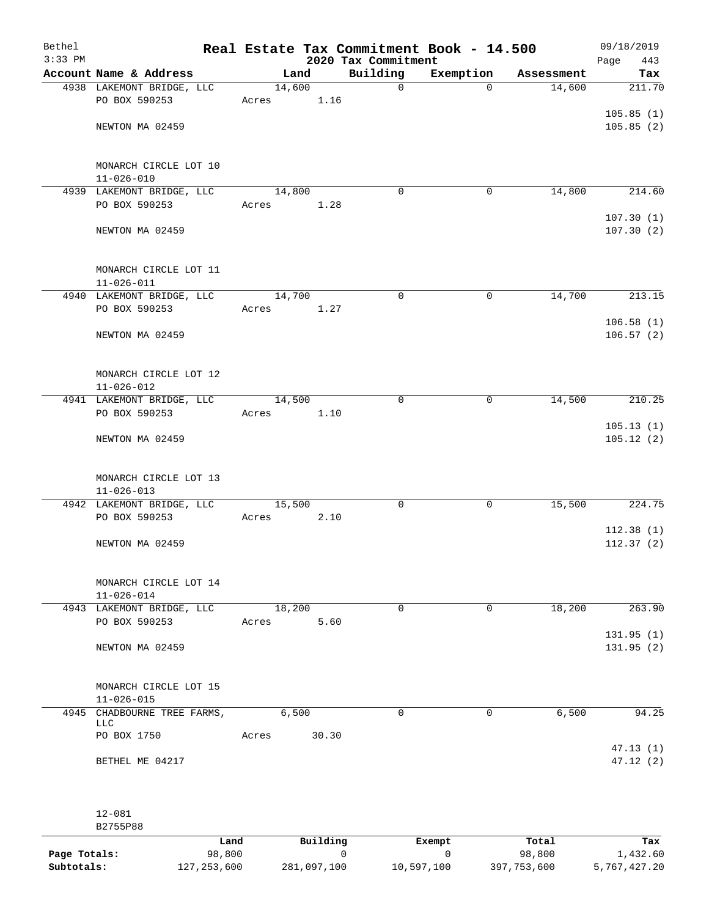| Bethel<br>$3:33$ PM |                                               |        |       | 2020 Tax Commitment | Real Estate Tax Commitment Book - 14.500 |            | 09/18/2019<br>Page<br>443 |
|---------------------|-----------------------------------------------|--------|-------|---------------------|------------------------------------------|------------|---------------------------|
|                     | Account Name & Address                        | Land   |       | Building            | Exemption                                | Assessment | Tax                       |
|                     | 4938 LAKEMONT BRIDGE, LLC                     | 14,600 |       | $\mathbf 0$         | $\Omega$                                 | 14,600     | 211.70                    |
|                     | PO BOX 590253                                 | Acres  | 1.16  |                     |                                          |            |                           |
|                     |                                               |        |       |                     |                                          |            | 105.85(1)                 |
|                     | NEWTON MA 02459                               |        |       |                     |                                          |            | 105.85(2)                 |
|                     |                                               |        |       |                     |                                          |            |                           |
|                     |                                               |        |       |                     |                                          |            |                           |
|                     | MONARCH CIRCLE LOT 10                         |        |       |                     |                                          |            |                           |
|                     | $11 - 026 - 010$<br>4939 LAKEMONT BRIDGE, LLC | 14,800 |       | $\mathbf 0$         | 0                                        | 14,800     | 214.60                    |
|                     | PO BOX 590253                                 | Acres  | 1.28  |                     |                                          |            |                           |
|                     |                                               |        |       |                     |                                          |            | 107.30(1)                 |
|                     | NEWTON MA 02459                               |        |       |                     |                                          |            | 107.30(2)                 |
|                     |                                               |        |       |                     |                                          |            |                           |
|                     |                                               |        |       |                     |                                          |            |                           |
|                     | MONARCH CIRCLE LOT 11                         |        |       |                     |                                          |            |                           |
|                     | $11 - 026 - 011$                              |        |       |                     |                                          |            |                           |
|                     | 4940 LAKEMONT BRIDGE, LLC                     | 14,700 |       | $\mathbf 0$         | 0                                        | 14,700     | 213.15                    |
|                     | PO BOX 590253                                 | Acres  | 1.27  |                     |                                          |            |                           |
|                     |                                               |        |       |                     |                                          |            | 106.58(1)                 |
|                     | NEWTON MA 02459                               |        |       |                     |                                          |            | 106.57(2)                 |
|                     |                                               |        |       |                     |                                          |            |                           |
|                     | MONARCH CIRCLE LOT 12                         |        |       |                     |                                          |            |                           |
|                     | $11 - 026 - 012$                              |        |       |                     |                                          |            |                           |
|                     | 4941 LAKEMONT BRIDGE, LLC                     | 14,500 |       | $\mathbf 0$         | $\mathbf 0$                              | 14,500     | 210.25                    |
|                     | PO BOX 590253                                 | Acres  | 1.10  |                     |                                          |            |                           |
|                     |                                               |        |       |                     |                                          |            | 105.13(1)                 |
|                     | NEWTON MA 02459                               |        |       |                     |                                          |            | 105.12(2)                 |
|                     |                                               |        |       |                     |                                          |            |                           |
|                     |                                               |        |       |                     |                                          |            |                           |
|                     | MONARCH CIRCLE LOT 13                         |        |       |                     |                                          |            |                           |
|                     | $11 - 026 - 013$<br>4942 LAKEMONT BRIDGE, LLC | 15,500 |       | $\mathbf 0$         | $\mathbf 0$                              | 15,500     | 224.75                    |
|                     | PO BOX 590253                                 | Acres  | 2.10  |                     |                                          |            |                           |
|                     |                                               |        |       |                     |                                          |            | 112.38(1)                 |
|                     | NEWTON MA 02459                               |        |       |                     |                                          |            | 112.37(2)                 |
|                     |                                               |        |       |                     |                                          |            |                           |
|                     |                                               |        |       |                     |                                          |            |                           |
|                     | MONARCH CIRCLE LOT 14                         |        |       |                     |                                          |            |                           |
|                     | $11 - 026 - 014$                              |        |       |                     |                                          |            |                           |
|                     | 4943 LAKEMONT BRIDGE, LLC                     | 18,200 |       | $\mathbf 0$         | 0                                        | 18,200     | 263.90                    |
|                     | PO BOX 590253                                 | Acres  | 5.60  |                     |                                          |            | 131.95(1)                 |
|                     | NEWTON MA 02459                               |        |       |                     |                                          |            | 131.95(2)                 |
|                     |                                               |        |       |                     |                                          |            |                           |
|                     |                                               |        |       |                     |                                          |            |                           |
|                     | MONARCH CIRCLE LOT 15                         |        |       |                     |                                          |            |                           |
|                     | $11 - 026 - 015$                              |        |       |                     |                                          |            |                           |
|                     | 4945 CHADBOURNE TREE FARMS,                   | 6,500  |       | $\Omega$            | 0                                        | 6,500      | 94.25                     |
|                     | LLC<br>PO BOX 1750                            | Acres  | 30.30 |                     |                                          |            |                           |
|                     |                                               |        |       |                     |                                          |            | 47.13(1)                  |
|                     | BETHEL ME 04217                               |        |       |                     |                                          |            | 47.12(2)                  |
|                     |                                               |        |       |                     |                                          |            |                           |
|                     |                                               |        |       |                     |                                          |            |                           |
|                     |                                               |        |       |                     |                                          |            |                           |
|                     | $12 - 081$                                    |        |       |                     |                                          |            |                           |
|                     | B2755P88                                      |        |       |                     |                                          |            |                           |

|              | Land          | Building    | Exempt     | Total       | Tax          |
|--------------|---------------|-------------|------------|-------------|--------------|
| Page Totals: | 98,800        |             |            | 98,800      | 1,432.60     |
| Subtotals:   | 127, 253, 600 | 281,097,100 | 10,597,100 | 397,753,600 | 5,767,427.20 |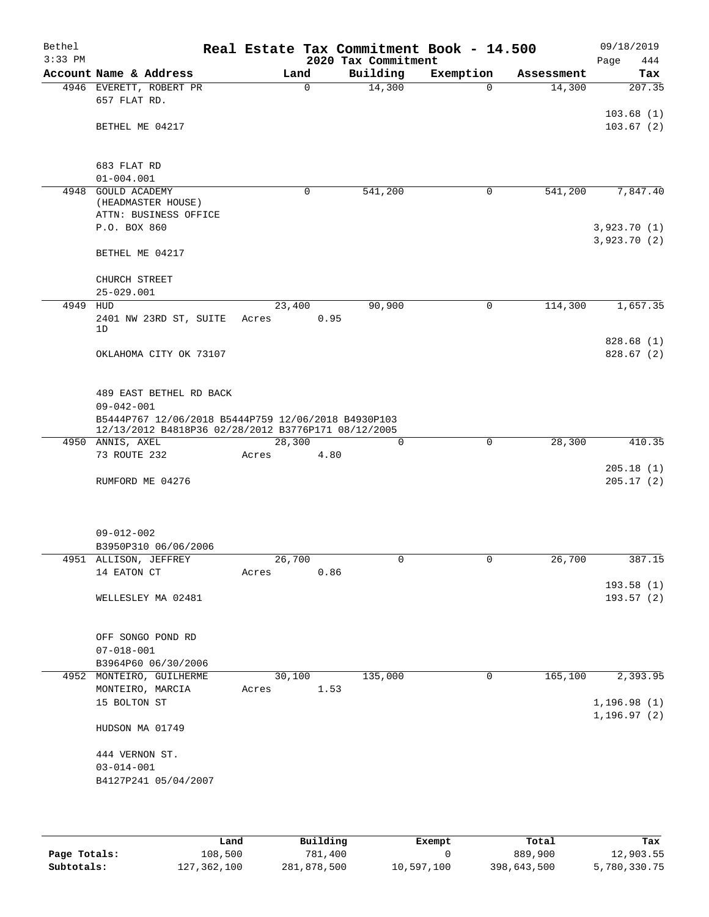| Bethel<br>$3:33$ PM |                                                                                                            |        |             | 2020 Tax Commitment | Real Estate Tax Commitment Book - 14.500 |            | 09/18/2019<br>Page<br>444 |
|---------------------|------------------------------------------------------------------------------------------------------------|--------|-------------|---------------------|------------------------------------------|------------|---------------------------|
|                     | Account Name & Address                                                                                     |        | Land        | Building            | Exemption                                | Assessment | Tax                       |
|                     | 4946 EVERETT, ROBERT PR                                                                                    |        | $\mathbf 0$ | 14,300              | $\Omega$                                 | 14,300     | 207.35                    |
|                     | 657 FLAT RD.                                                                                               |        |             |                     |                                          |            |                           |
|                     |                                                                                                            |        |             |                     |                                          |            | 103.68(1)                 |
|                     | BETHEL ME 04217                                                                                            |        |             |                     |                                          |            | 103.67(2)                 |
|                     |                                                                                                            |        |             |                     |                                          |            |                           |
|                     | 683 FLAT RD                                                                                                |        |             |                     |                                          |            |                           |
|                     | $01 - 004.001$                                                                                             |        |             |                     |                                          |            |                           |
| 4948                | <b>GOULD ACADEMY</b>                                                                                       |        | 0           | 541,200             | 0                                        | 541,200    | 7,847.40                  |
|                     | (HEADMASTER HOUSE)                                                                                         |        |             |                     |                                          |            |                           |
|                     | ATTN: BUSINESS OFFICE                                                                                      |        |             |                     |                                          |            |                           |
|                     | P.O. BOX 860                                                                                               |        |             |                     |                                          |            | 3,923.70(1)               |
|                     |                                                                                                            |        |             |                     |                                          |            | 3,923.70(2)               |
|                     | BETHEL ME 04217                                                                                            |        |             |                     |                                          |            |                           |
|                     |                                                                                                            |        |             |                     |                                          |            |                           |
|                     | CHURCH STREET<br>$25 - 029.001$                                                                            |        |             |                     |                                          |            |                           |
| 4949 HUD            |                                                                                                            | 23,400 |             | 90,900              | $\mathbf 0$                              | 114,300    | 1,657.35                  |
|                     | 2401 NW 23RD ST, SUITE                                                                                     | Acres  | 0.95        |                     |                                          |            |                           |
|                     | 1D                                                                                                         |        |             |                     |                                          |            |                           |
|                     |                                                                                                            |        |             |                     |                                          |            | 828.68 (1)                |
|                     | OKLAHOMA CITY OK 73107                                                                                     |        |             |                     |                                          |            | 828.67(2)                 |
|                     |                                                                                                            |        |             |                     |                                          |            |                           |
|                     |                                                                                                            |        |             |                     |                                          |            |                           |
|                     | 489 EAST BETHEL RD BACK                                                                                    |        |             |                     |                                          |            |                           |
|                     | $09 - 042 - 001$                                                                                           |        |             |                     |                                          |            |                           |
|                     | B5444P767 12/06/2018 B5444P759 12/06/2018 B4930P103<br>12/13/2012 B4818P36 02/28/2012 B3776P171 08/12/2005 |        |             |                     |                                          |            |                           |
|                     | 4950 ANNIS, AXEL                                                                                           | 28,300 |             | 0                   | $\mathbf 0$                              | 28,300     | 410.35                    |
|                     | 73 ROUTE 232                                                                                               | Acres  | 4.80        |                     |                                          |            |                           |
|                     |                                                                                                            |        |             |                     |                                          |            | 205.18(1)                 |
|                     | RUMFORD ME 04276                                                                                           |        |             |                     |                                          |            | 205.17(2)                 |
|                     |                                                                                                            |        |             |                     |                                          |            |                           |
|                     |                                                                                                            |        |             |                     |                                          |            |                           |
|                     |                                                                                                            |        |             |                     |                                          |            |                           |
|                     | $09 - 012 - 002$                                                                                           |        |             |                     |                                          |            |                           |
|                     | B3950P310 06/06/2006<br>4951 ALLISON, JEFFREY                                                              | 26,700 |             | 0                   | 0                                        | 26,700     | 387.15                    |
|                     | 14 EATON CT                                                                                                | Acres  | 0.86        |                     |                                          |            |                           |
|                     |                                                                                                            |        |             |                     |                                          |            | 193.58(1)                 |
|                     | WELLESLEY MA 02481                                                                                         |        |             |                     |                                          |            | 193.57(2)                 |
|                     |                                                                                                            |        |             |                     |                                          |            |                           |
|                     |                                                                                                            |        |             |                     |                                          |            |                           |
|                     | OFF SONGO POND RD                                                                                          |        |             |                     |                                          |            |                           |
|                     | $07 - 018 - 001$                                                                                           |        |             |                     |                                          |            |                           |
|                     | B3964P60 06/30/2006                                                                                        |        |             |                     |                                          |            |                           |
|                     | 4952 MONTEIRO, GUILHERME                                                                                   | 30,100 |             | 135,000             | 0                                        | 165, 100   | 2,393.95                  |
|                     | MONTEIRO, MARCIA                                                                                           | Acres  | 1.53        |                     |                                          |            |                           |
|                     | 15 BOLTON ST                                                                                               |        |             |                     |                                          |            | 1,196.98(1)               |
|                     | HUDSON MA 01749                                                                                            |        |             |                     |                                          |            | 1, 196.97(2)              |
|                     |                                                                                                            |        |             |                     |                                          |            |                           |
|                     | 444 VERNON ST.                                                                                             |        |             |                     |                                          |            |                           |
|                     | $03 - 014 - 001$                                                                                           |        |             |                     |                                          |            |                           |
|                     | B4127P241 05/04/2007                                                                                       |        |             |                     |                                          |            |                           |
|                     |                                                                                                            |        |             |                     |                                          |            |                           |
|                     |                                                                                                            |        |             |                     |                                          |            |                           |

|              | Land        | Building    | Exempt     | Total       | Tax          |
|--------------|-------------|-------------|------------|-------------|--------------|
| Page Totals: | 108,500     | 781,400     |            | 889,900     | 12,903.55    |
| Subtotals:   | 127,362,100 | 281,878,500 | 10,597,100 | 398,643,500 | 5,780,330.75 |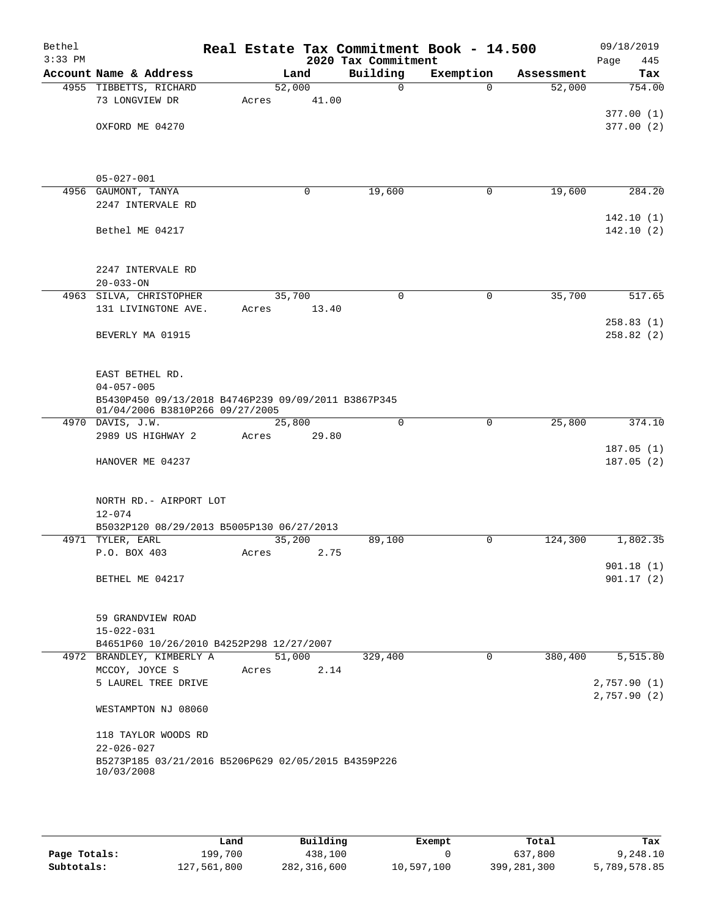| Bethel<br>$3:33$ PM |                                                                         |                 |       | 2020 Tax Commitment | Real Estate Tax Commitment Book - 14.500 |            | 09/18/2019<br>445<br>Page |
|---------------------|-------------------------------------------------------------------------|-----------------|-------|---------------------|------------------------------------------|------------|---------------------------|
|                     | Account Name & Address                                                  |                 | Land  | Building            | Exemption                                | Assessment | Tax                       |
|                     | 4955 TIBBETTS, RICHARD                                                  | 52,000          |       | $\mathbf 0$         | $\Omega$                                 | 52,000     | 754.00                    |
|                     | 73 LONGVIEW DR                                                          | Acres           | 41.00 |                     |                                          |            |                           |
|                     |                                                                         |                 |       |                     |                                          |            | 377.00(1)                 |
|                     | OXFORD ME 04270                                                         |                 |       |                     |                                          |            | 377.00(2)                 |
|                     |                                                                         |                 |       |                     |                                          |            |                           |
|                     |                                                                         |                 |       |                     |                                          |            |                           |
|                     | $05 - 027 - 001$                                                        |                 |       |                     |                                          |            |                           |
|                     | 4956 GAUMONT, TANYA                                                     |                 | 0     | 19,600              | 0                                        | 19,600     | 284.20                    |
|                     | 2247 INTERVALE RD                                                       |                 |       |                     |                                          |            |                           |
|                     |                                                                         |                 |       |                     |                                          |            | 142.10(1)                 |
|                     | Bethel ME 04217                                                         |                 |       |                     |                                          |            | 142.10(2)                 |
|                     |                                                                         |                 |       |                     |                                          |            |                           |
|                     | 2247 INTERVALE RD                                                       |                 |       |                     |                                          |            |                           |
|                     | $20 - 033 - ON$                                                         |                 |       |                     |                                          |            |                           |
|                     | 4963 SILVA, CHRISTOPHER                                                 | 35,700          |       | $\Omega$            | $\Omega$                                 | 35,700     | 517.65                    |
|                     | 131 LIVINGTONE AVE.                                                     | Acres           | 13.40 |                     |                                          |            |                           |
|                     |                                                                         |                 |       |                     |                                          |            | 258.83(1)                 |
|                     | BEVERLY MA 01915                                                        |                 |       |                     |                                          |            | 258.82(2)                 |
|                     |                                                                         |                 |       |                     |                                          |            |                           |
|                     |                                                                         |                 |       |                     |                                          |            |                           |
|                     | EAST BETHEL RD.<br>$04 - 057 - 005$                                     |                 |       |                     |                                          |            |                           |
|                     | B5430P450 09/13/2018 B4746P239 09/09/2011 B3867P345                     |                 |       |                     |                                          |            |                           |
|                     | 01/04/2006 B3810P266 09/27/2005                                         |                 |       |                     |                                          |            |                           |
|                     | 4970 DAVIS, J.W.                                                        | 25,800          |       | $\Omega$            | $\mathbf 0$                              | 25,800     | 374.10                    |
|                     | 2989 US HIGHWAY 2                                                       | Acres           | 29.80 |                     |                                          |            |                           |
|                     | HANOVER ME 04237                                                        |                 |       |                     |                                          |            | 187.05(1)<br>187.05(2)    |
|                     |                                                                         |                 |       |                     |                                          |            |                           |
|                     |                                                                         |                 |       |                     |                                          |            |                           |
|                     | NORTH RD. - AIRPORT LOT                                                 |                 |       |                     |                                          |            |                           |
|                     | $12 - 074$                                                              |                 |       |                     |                                          |            |                           |
|                     | B5032P120 08/29/2013 B5005P130 06/27/2013                               |                 |       |                     |                                          |            |                           |
|                     | 4971 TYLER, EARL<br>P.O. BOX 403                                        | 35,200<br>Acres | 2.75  | 89,100              | 0                                        | 124,300    | 1,802.35                  |
|                     |                                                                         |                 |       |                     |                                          |            | 901.18(1)                 |
|                     | BETHEL ME 04217                                                         |                 |       |                     |                                          |            | 901.17(2)                 |
|                     |                                                                         |                 |       |                     |                                          |            |                           |
|                     |                                                                         |                 |       |                     |                                          |            |                           |
|                     | 59 GRANDVIEW ROAD                                                       |                 |       |                     |                                          |            |                           |
|                     | $15 - 022 - 031$                                                        |                 |       |                     |                                          |            |                           |
|                     | B4651P60 10/26/2010 B4252P298 12/27/2007<br>4972 BRANDLEY, KIMBERLY A   | 51,000          |       | 329,400             | 0                                        | 380,400    | 5,515.80                  |
|                     | MCCOY, JOYCE S                                                          | Acres           | 2.14  |                     |                                          |            |                           |
|                     | 5 LAUREL TREE DRIVE                                                     |                 |       |                     |                                          |            | 2,757.90(1)               |
|                     |                                                                         |                 |       |                     |                                          |            | 2,757.90(2)               |
|                     | WESTAMPTON NJ 08060                                                     |                 |       |                     |                                          |            |                           |
|                     |                                                                         |                 |       |                     |                                          |            |                           |
|                     | 118 TAYLOR WOODS RD                                                     |                 |       |                     |                                          |            |                           |
|                     | $22 - 026 - 027$<br>B5273P185 03/21/2016 B5206P629 02/05/2015 B4359P226 |                 |       |                     |                                          |            |                           |
|                     | 10/03/2008                                                              |                 |       |                     |                                          |            |                           |
|                     |                                                                         |                 |       |                     |                                          |            |                           |
|                     |                                                                         |                 |       |                     |                                          |            |                           |

|              | Land        | Building    | Exempt     | Total       | Tax          |
|--------------|-------------|-------------|------------|-------------|--------------|
| Page Totals: | 199,700     | 438,100     |            | 637,800     | 9,248.10     |
| Subtotals:   | 127,561,800 | 282,316,600 | 10,597,100 | 399,281,300 | 5,789,578.85 |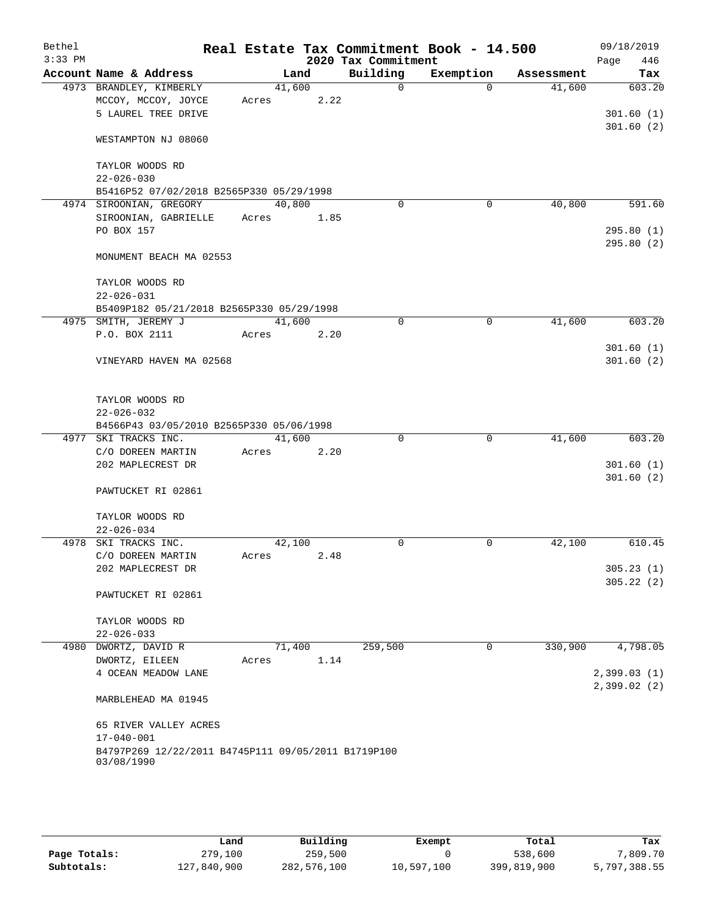| Bethel<br>$3:33$ PM |                                                     |        |      | 2020 Tax Commitment | Real Estate Tax Commitment Book - 14.500 |            | 09/18/2019<br>446 |
|---------------------|-----------------------------------------------------|--------|------|---------------------|------------------------------------------|------------|-------------------|
|                     | Account Name & Address                              | Land   |      | Building            | Exemption                                | Assessment | Page<br>Tax       |
|                     | 4973 BRANDLEY, KIMBERLY                             | 41,600 |      | $\Omega$            | $\Omega$                                 | 41,600     | 603.20            |
|                     | MCCOY, MCCOY, JOYCE                                 | Acres  | 2.22 |                     |                                          |            |                   |
|                     | 5 LAUREL TREE DRIVE                                 |        |      |                     |                                          |            | 301.60(1)         |
|                     |                                                     |        |      |                     |                                          |            | 301.60(2)         |
|                     | WESTAMPTON NJ 08060                                 |        |      |                     |                                          |            |                   |
|                     | TAYLOR WOODS RD                                     |        |      |                     |                                          |            |                   |
|                     | $22 - 026 - 030$                                    |        |      |                     |                                          |            |                   |
|                     | B5416P52 07/02/2018 B2565P330 05/29/1998            |        |      |                     |                                          |            |                   |
|                     | 4974 SIROONIAN, GREGORY                             | 40,800 |      | $\mathbf 0$         | 0                                        | 40,800     | 591.60            |
|                     | SIROONIAN, GABRIELLE                                | Acres  | 1.85 |                     |                                          |            |                   |
|                     | PO BOX 157                                          |        |      |                     |                                          |            | 295.80(1)         |
|                     |                                                     |        |      |                     |                                          |            | 295.80 (2)        |
|                     | MONUMENT BEACH MA 02553                             |        |      |                     |                                          |            |                   |
|                     | TAYLOR WOODS RD                                     |        |      |                     |                                          |            |                   |
|                     | $22 - 026 - 031$                                    |        |      |                     |                                          |            |                   |
|                     | B5409P182 05/21/2018 B2565P330 05/29/1998           |        |      |                     |                                          |            |                   |
|                     | 4975 SMITH, JEREMY J                                | 41,600 |      | $\Omega$            | 0                                        | 41,600     | 603.20            |
|                     | P.O. BOX 2111                                       | Acres  | 2.20 |                     |                                          |            |                   |
|                     |                                                     |        |      |                     |                                          |            | 301.60(1)         |
|                     | VINEYARD HAVEN MA 02568                             |        |      |                     |                                          |            | 301.60(2)         |
|                     |                                                     |        |      |                     |                                          |            |                   |
|                     |                                                     |        |      |                     |                                          |            |                   |
|                     | TAYLOR WOODS RD                                     |        |      |                     |                                          |            |                   |
|                     | $22 - 026 - 032$                                    |        |      |                     |                                          |            |                   |
|                     | B4566P43 03/05/2010 B2565P330 05/06/1998            |        |      |                     |                                          |            |                   |
|                     | 4977 SKI TRACKS INC.                                | 41,600 |      | $\Omega$            | $\mathbf 0$                              | 41,600     | 603.20            |
|                     | C/O DOREEN MARTIN                                   | Acres  | 2.20 |                     |                                          |            |                   |
|                     | 202 MAPLECREST DR                                   |        |      |                     |                                          |            | 301.60(1)         |
|                     |                                                     |        |      |                     |                                          |            | 301.60(2)         |
|                     | PAWTUCKET RI 02861                                  |        |      |                     |                                          |            |                   |
|                     | TAYLOR WOODS RD                                     |        |      |                     |                                          |            |                   |
|                     | $22 - 026 - 034$                                    |        |      |                     |                                          |            |                   |
|                     | 4978 SKI TRACKS INC.                                | 42,100 |      | 0                   | 0                                        | 42,100     | 610.45            |
|                     | C/O DOREEN MARTIN                                   | Acres  | 2.48 |                     |                                          |            |                   |
|                     | 202 MAPLECREST DR                                   |        |      |                     |                                          |            | 305.23(1)         |
|                     |                                                     |        |      |                     |                                          |            | 305.22(2)         |
|                     | PAWTUCKET RI 02861                                  |        |      |                     |                                          |            |                   |
|                     |                                                     |        |      |                     |                                          |            |                   |
|                     | TAYLOR WOODS RD                                     |        |      |                     |                                          |            |                   |
|                     | $22 - 026 - 033$                                    |        |      |                     |                                          |            |                   |
|                     | 4980 DWORTZ, DAVID R                                | 71,400 |      | 259,500             | 0                                        | 330,900    | 4,798.05          |
|                     | DWORTZ, EILEEN                                      | Acres  | 1.14 |                     |                                          |            |                   |
|                     | 4 OCEAN MEADOW LANE                                 |        |      |                     |                                          |            | 2,399.03(1)       |
|                     |                                                     |        |      |                     |                                          |            | 2,399.02(2)       |
|                     | MARBLEHEAD MA 01945                                 |        |      |                     |                                          |            |                   |
|                     | 65 RIVER VALLEY ACRES                               |        |      |                     |                                          |            |                   |
|                     | $17 - 040 - 001$                                    |        |      |                     |                                          |            |                   |
|                     | B4797P269 12/22/2011 B4745P111 09/05/2011 B1719P100 |        |      |                     |                                          |            |                   |
|                     | 03/08/1990                                          |        |      |                     |                                          |            |                   |
|                     |                                                     |        |      |                     |                                          |            |                   |

|              | Land        | Building    | Exempt     | Total       | Tax          |
|--------------|-------------|-------------|------------|-------------|--------------|
| Page Totals: | 279,100     | 259,500     |            | 538,600     | ,809.70      |
| Subtotals:   | 127,840,900 | 282,576,100 | 10,597,100 | 399,819,900 | 5,797,388.55 |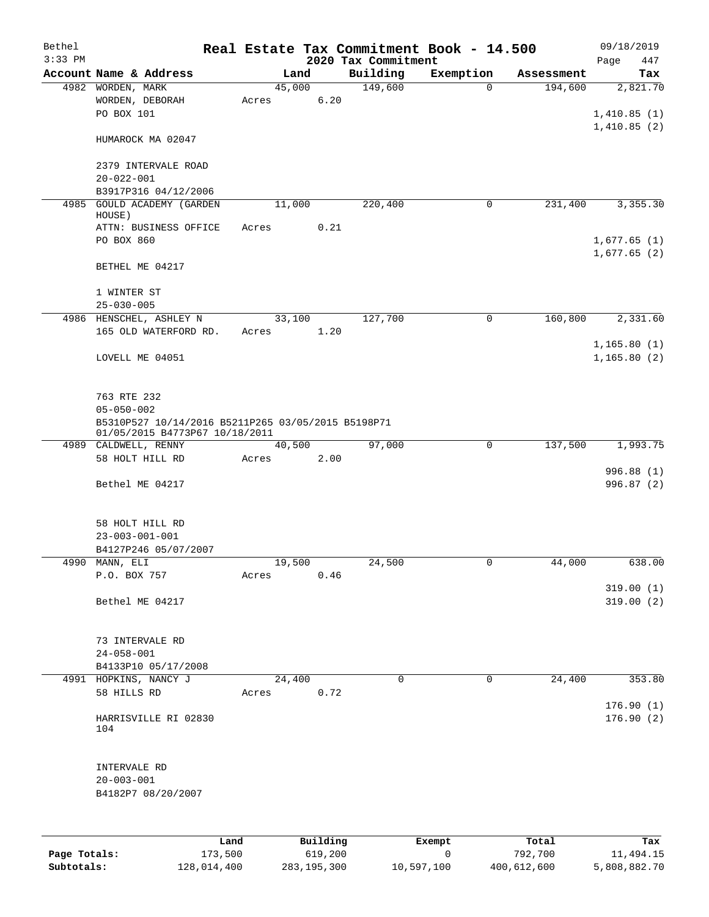| $3:33$ PM<br>Account Name & Address<br>4982 WORDEN, MARK<br>4985<br>HOUSE)<br>$25 - 030 - 005$<br>4986 HENSCHEL, ASHLEY N<br>4990 MANN, ELI<br>4991 HOPKINS, NANCY J<br>104 |                                                                                                          |       |        |                     | Real Estate Tax Commitment Book - 14.500 |                       |                  | 09/18/2019                  |
|-----------------------------------------------------------------------------------------------------------------------------------------------------------------------------|----------------------------------------------------------------------------------------------------------|-------|--------|---------------------|------------------------------------------|-----------------------|------------------|-----------------------------|
|                                                                                                                                                                             |                                                                                                          |       |        |                     | 2020 Tax Commitment                      |                       |                  | 447<br>Page                 |
|                                                                                                                                                                             |                                                                                                          |       | Land   |                     | Building<br>149,600                      | Exemption<br>$\Omega$ | Assessment       | Tax                         |
|                                                                                                                                                                             | WORDEN, DEBORAH<br>PO BOX 101                                                                            | Acres | 45,000 | 6.20                |                                          |                       | 194,600          | 2,821.70<br>1,410.85(1)     |
|                                                                                                                                                                             | HUMAROCK MA 02047                                                                                        |       |        |                     |                                          |                       |                  | 1,410.85(2)                 |
|                                                                                                                                                                             | 2379 INTERVALE ROAD<br>$20 - 022 - 001$                                                                  |       |        |                     |                                          |                       |                  |                             |
|                                                                                                                                                                             | B3917P316 04/12/2006                                                                                     |       |        |                     |                                          |                       |                  |                             |
|                                                                                                                                                                             | <b>GOULD ACADEMY (GARDEN</b>                                                                             |       | 11,000 |                     | 220,400                                  | 0                     | 231,400          | 3,355.30                    |
|                                                                                                                                                                             | ATTN: BUSINESS OFFICE<br>PO BOX 860                                                                      | Acres |        | 0.21                |                                          |                       |                  | 1,677.65(1)                 |
|                                                                                                                                                                             | BETHEL ME 04217                                                                                          |       |        |                     |                                          |                       |                  | 1,677.65(2)                 |
|                                                                                                                                                                             | 1 WINTER ST                                                                                              |       |        |                     |                                          |                       |                  |                             |
|                                                                                                                                                                             |                                                                                                          |       | 33,100 |                     | 127,700                                  | 0                     | 160,800          | 2,331.60                    |
|                                                                                                                                                                             | 165 OLD WATERFORD RD.                                                                                    | Acres |        | 1.20                |                                          |                       |                  |                             |
|                                                                                                                                                                             | LOVELL ME 04051                                                                                          |       |        |                     |                                          |                       |                  | 1,165.80(1)<br>1, 165.80(2) |
|                                                                                                                                                                             | 763 RTE 232                                                                                              |       |        |                     |                                          |                       |                  |                             |
|                                                                                                                                                                             | $05 - 050 - 002$<br>B5310P527 10/14/2016 B5211P265 03/05/2015 B5198P71<br>01/05/2015 B4773P67 10/18/2011 |       |        |                     |                                          |                       |                  |                             |
|                                                                                                                                                                             | 4989 CALDWELL, RENNY                                                                                     |       | 40,500 |                     | 97,000                                   | 0                     | 137,500          | 1,993.75                    |
|                                                                                                                                                                             | 58 HOLT HILL RD                                                                                          | Acres |        | 2.00                |                                          |                       |                  | 996.88 (1)                  |
|                                                                                                                                                                             | Bethel ME 04217                                                                                          |       |        |                     |                                          |                       |                  | 996.87 (2)                  |
|                                                                                                                                                                             | 58 HOLT HILL RD<br>$23 - 003 - 001 - 001$<br>B4127P246 05/07/2007                                        |       |        |                     |                                          |                       |                  |                             |
|                                                                                                                                                                             |                                                                                                          |       | 19,500 |                     | 24,500                                   | 0                     | 44,000           | 638.00                      |
|                                                                                                                                                                             | P.O. BOX 757                                                                                             | Acres |        | 0.46                |                                          |                       |                  |                             |
|                                                                                                                                                                             | Bethel ME 04217                                                                                          |       |        |                     |                                          |                       |                  | 319.00(1)<br>319.00(2)      |
|                                                                                                                                                                             | 73 INTERVALE RD<br>$24 - 058 - 001$                                                                      |       |        |                     |                                          |                       |                  |                             |
|                                                                                                                                                                             | B4133P10 05/17/2008                                                                                      |       |        |                     |                                          |                       |                  |                             |
|                                                                                                                                                                             | 58 HILLS RD                                                                                              | Acres | 24,400 | 0.72                | $\Omega$                                 | 0                     | 24,400           | 353.80                      |
|                                                                                                                                                                             | HARRISVILLE RI 02830                                                                                     |       |        |                     |                                          |                       |                  | 176.90(1)<br>176.90(2)      |
|                                                                                                                                                                             | INTERVALE RD<br>$20 - 003 - 001$<br>B4182P7 08/20/2007                                                   |       |        |                     |                                          |                       |                  |                             |
|                                                                                                                                                                             |                                                                                                          |       |        |                     |                                          |                       |                  |                             |
| Page Totals:                                                                                                                                                                | 173,500                                                                                                  | Land  |        | Building<br>619,200 |                                          | Exempt<br>0           | Total<br>792,700 | Tax<br>11,494.15            |

**Subtotals:** 128,014,400 283,195,300 10,597,100 400,612,600 5,808,882.70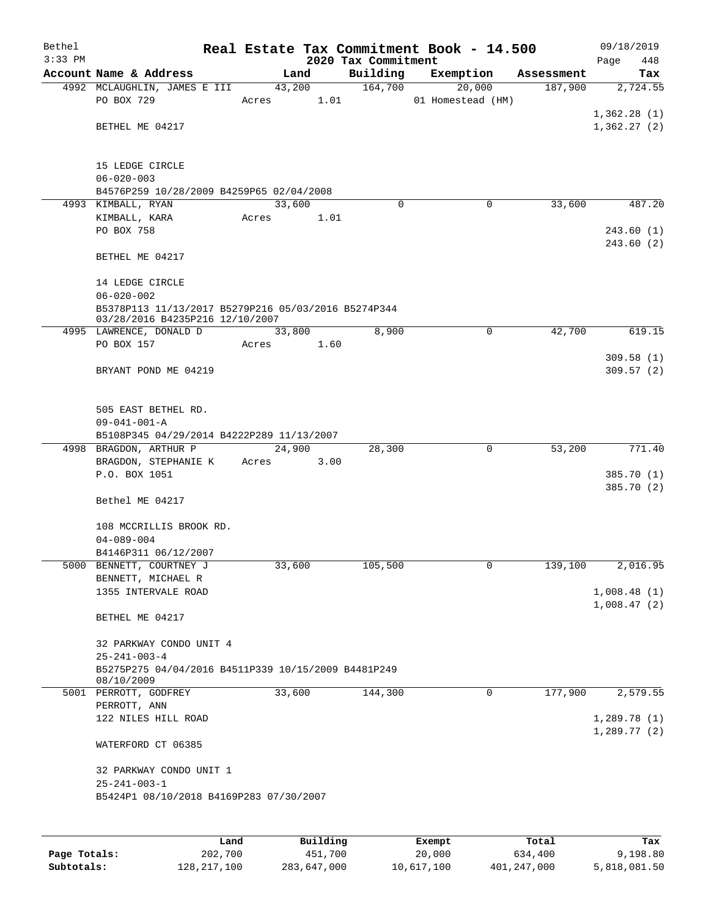| Bethel<br>$3:33$ PM |                                                                                        |       |        | 2020 Tax Commitment | Real Estate Tax Commitment Book - 14.500 |            | 09/18/2019<br>Page<br>448 |
|---------------------|----------------------------------------------------------------------------------------|-------|--------|---------------------|------------------------------------------|------------|---------------------------|
|                     | Account Name & Address                                                                 |       | Land   | Building            | Exemption                                | Assessment | Tax                       |
|                     | 4992 MCLAUGHLIN, JAMES E III                                                           |       | 43,200 | 164,700             | 20,000                                   | 187,900    | 2,724.55                  |
|                     | PO BOX 729                                                                             | Acres | 1.01   |                     | 01 Homestead (HM)                        |            |                           |
|                     |                                                                                        |       |        |                     |                                          |            | 1,362.28(1)               |
|                     | BETHEL ME 04217                                                                        |       |        |                     |                                          |            | 1,362.27(2)               |
|                     |                                                                                        |       |        |                     |                                          |            |                           |
|                     | 15 LEDGE CIRCLE                                                                        |       |        |                     |                                          |            |                           |
|                     | $06 - 020 - 003$                                                                       |       |        |                     |                                          |            |                           |
|                     | B4576P259 10/28/2009 B4259P65 02/04/2008                                               |       |        |                     |                                          |            |                           |
|                     | 4993 KIMBALL, RYAN                                                                     |       | 33,600 | $\Omega$            | 0                                        | 33,600     | 487.20                    |
|                     | KIMBALL, KARA                                                                          | Acres | 1.01   |                     |                                          |            |                           |
|                     | PO BOX 758                                                                             |       |        |                     |                                          |            | 243.60(1)                 |
|                     |                                                                                        |       |        |                     |                                          |            | 243.60(2)                 |
|                     | BETHEL ME 04217                                                                        |       |        |                     |                                          |            |                           |
|                     |                                                                                        |       |        |                     |                                          |            |                           |
|                     | 14 LEDGE CIRCLE                                                                        |       |        |                     |                                          |            |                           |
|                     | $06 - 020 - 002$                                                                       |       |        |                     |                                          |            |                           |
|                     | B5378P113 11/13/2017 B5279P216 05/03/2016 B5274P344<br>03/28/2016 B4235P216 12/10/2007 |       |        |                     |                                          |            |                           |
|                     | 4995 LAWRENCE, DONALD D                                                                |       | 33,800 | 8,900               | 0                                        | 42,700     | 619.15                    |
|                     | PO BOX 157                                                                             | Acres | 1.60   |                     |                                          |            |                           |
|                     |                                                                                        |       |        |                     |                                          |            | 309.58(1)                 |
|                     | BRYANT POND ME 04219                                                                   |       |        |                     |                                          |            | 309.57(2)                 |
|                     |                                                                                        |       |        |                     |                                          |            |                           |
|                     |                                                                                        |       |        |                     |                                          |            |                           |
|                     | 505 EAST BETHEL RD.                                                                    |       |        |                     |                                          |            |                           |
|                     | $09 - 041 - 001 - A$<br>B5108P345 04/29/2014 B4222P289 11/13/2007                      |       |        |                     |                                          |            |                           |
|                     | 4998 BRAGDON, ARTHUR P                                                                 |       | 24,900 | 28,300              | 0                                        | 53,200     | 771.40                    |
|                     | BRAGDON, STEPHANIE K                                                                   | Acres | 3.00   |                     |                                          |            |                           |
|                     | P.O. BOX 1051                                                                          |       |        |                     |                                          |            | 385.70 (1)                |
|                     |                                                                                        |       |        |                     |                                          |            | 385.70 (2)                |
|                     | Bethel ME 04217                                                                        |       |        |                     |                                          |            |                           |
|                     |                                                                                        |       |        |                     |                                          |            |                           |
|                     | 108 MCCRILLIS BROOK RD.                                                                |       |        |                     |                                          |            |                           |
|                     | $04 - 089 - 004$                                                                       |       |        |                     |                                          |            |                           |
|                     | B4146P311 06/12/2007                                                                   |       |        |                     | $\overline{0}$                           |            |                           |
|                     | 5000 BENNETT, COURTNEY J<br>BENNETT, MICHAEL R                                         |       | 33,600 | 105,500             |                                          | 139,100    | 2,016.95                  |
|                     | 1355 INTERVALE ROAD                                                                    |       |        |                     |                                          |            | 1,008.48(1)               |
|                     |                                                                                        |       |        |                     |                                          |            | 1,008.47(2)               |
|                     | BETHEL ME 04217                                                                        |       |        |                     |                                          |            |                           |
|                     |                                                                                        |       |        |                     |                                          |            |                           |
|                     | 32 PARKWAY CONDO UNIT 4                                                                |       |        |                     |                                          |            |                           |
|                     | $25 - 241 - 003 - 4$                                                                   |       |        |                     |                                          |            |                           |
|                     | B5275P275 04/04/2016 B4511P339 10/15/2009 B4481P249<br>08/10/2009                      |       |        |                     |                                          |            |                           |
|                     | 5001 PERROTT, GODFREY                                                                  |       | 33,600 | 144,300             | 0                                        | 177,900    | 2,579.55                  |
|                     | PERROTT, ANN                                                                           |       |        |                     |                                          |            |                           |
|                     | 122 NILES HILL ROAD                                                                    |       |        |                     |                                          |            | 1,289.78(1)               |
|                     |                                                                                        |       |        |                     |                                          |            | 1,289.77(2)               |
|                     | WATERFORD CT 06385                                                                     |       |        |                     |                                          |            |                           |
|                     |                                                                                        |       |        |                     |                                          |            |                           |
|                     | 32 PARKWAY CONDO UNIT 1                                                                |       |        |                     |                                          |            |                           |
|                     | $25 - 241 - 003 - 1$                                                                   |       |        |                     |                                          |            |                           |
|                     | B5424P1 08/10/2018 B4169P283 07/30/2007                                                |       |        |                     |                                          |            |                           |
|                     |                                                                                        |       |        |                     |                                          |            |                           |
|                     |                                                                                        |       |        |                     |                                          |            |                           |

|              | Land        | Building    | Exempt     | Total       | Tax          |
|--------------|-------------|-------------|------------|-------------|--------------|
| Page Totals: | 202,700     | 451,700     | 20,000     | 634,400     | 9,198.80     |
| Subtotals:   | 128,217,100 | 283,647,000 | 10,617,100 | 401,247,000 | 5,818,081.50 |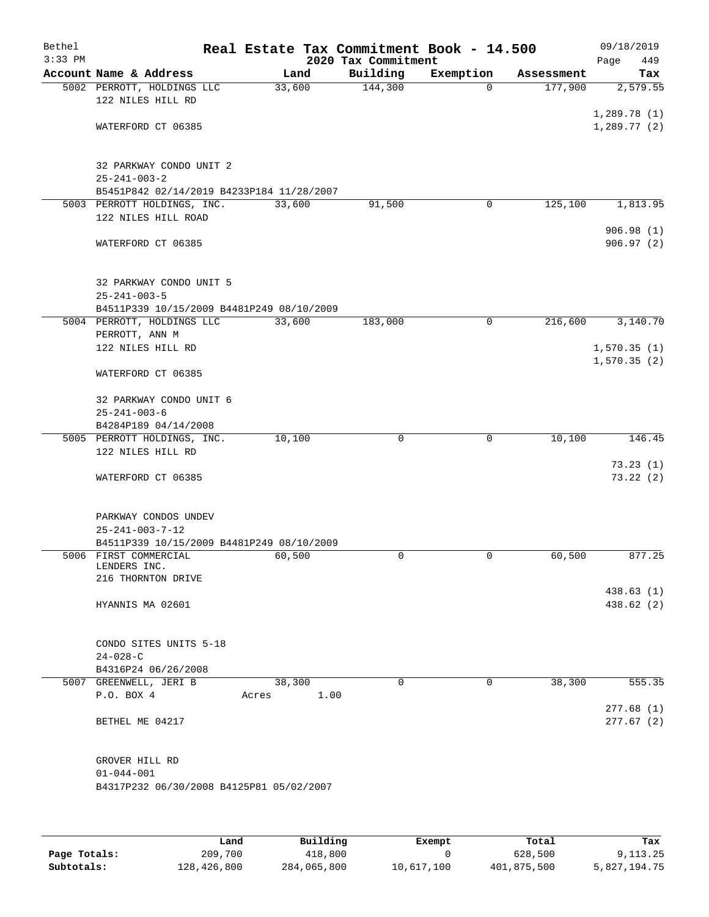| Bethel    |                                                              |       |                |                     | Real Estate Tax Commitment Book - 14.500 |                       | 09/18/2019                 |
|-----------|--------------------------------------------------------------|-------|----------------|---------------------|------------------------------------------|-----------------------|----------------------------|
| $3:33$ PM |                                                              |       |                | 2020 Tax Commitment |                                          |                       | 449<br>Page                |
|           | Account Name & Address<br>5002 PERROTT, HOLDINGS LLC         |       | Land<br>33,600 | Building<br>144,300 | Exemption<br>$\Omega$                    | Assessment<br>177,900 | Tax<br>2,579.55            |
|           | 122 NILES HILL RD                                            |       |                |                     |                                          |                       |                            |
|           |                                                              |       |                |                     |                                          |                       | 1,289.78(1)                |
|           | WATERFORD CT 06385                                           |       |                |                     |                                          |                       | 1,289.77(2)                |
|           | 32 PARKWAY CONDO UNIT 2<br>$25 - 241 - 003 - 2$              |       |                |                     |                                          |                       |                            |
|           | B5451P842 02/14/2019 B4233P184 11/28/2007                    |       |                |                     |                                          |                       |                            |
|           | 5003 PERROTT HOLDINGS, INC.                                  |       | 33,600         | 91,500              | 0                                        | 125,100               | 1,813.95                   |
|           | 122 NILES HILL ROAD                                          |       |                |                     |                                          |                       |                            |
|           | WATERFORD CT 06385                                           |       |                |                     |                                          |                       | 906.98(1)<br>906.97 (2)    |
|           | 32 PARKWAY CONDO UNIT 5<br>$25 - 241 - 003 - 5$              |       |                |                     |                                          |                       |                            |
|           | B4511P339 10/15/2009 B4481P249 08/10/2009                    |       |                |                     |                                          |                       |                            |
|           | 5004 PERROTT, HOLDINGS LLC                                   |       | 33,600         | 183,000             | 0                                        | 216,600               | 3,140.70                   |
|           | PERROTT, ANN M                                               |       |                |                     |                                          |                       |                            |
|           | 122 NILES HILL RD                                            |       |                |                     |                                          |                       | 1,570.35(1)<br>1,570.35(2) |
|           | WATERFORD CT 06385                                           |       |                |                     |                                          |                       |                            |
|           | 32 PARKWAY CONDO UNIT 6<br>$25 - 241 - 003 - 6$              |       |                |                     |                                          |                       |                            |
|           | B4284P189 04/14/2008                                         |       |                |                     |                                          |                       |                            |
|           | 5005 PERROTT HOLDINGS, INC.<br>122 NILES HILL RD             |       | 10,100         | 0                   | $\mathbf 0$                              | 10,100                | 146.45                     |
|           | WATERFORD CT 06385                                           |       |                |                     |                                          |                       | 73.23(1)<br>73.22(2)       |
|           | PARKWAY CONDOS UNDEV<br>$25 - 241 - 003 - 7 - 12$            |       |                |                     |                                          |                       |                            |
|           | B4511P339 10/15/2009 B4481P249 08/10/2009                    |       |                |                     |                                          |                       |                            |
|           | 5006 FIRST COMMERCIAL<br>LENDERS INC.                        |       | 60,500         | $\mathbf 0$         | $\mathbf 0$                              | 60,500                | 877.25                     |
|           | 216 THORNTON DRIVE                                           |       |                |                     |                                          |                       | 438.63(1)                  |
|           | HYANNIS MA 02601                                             |       |                |                     |                                          |                       | 438.62 (2)                 |
|           | CONDO SITES UNITS 5-18                                       |       |                |                     |                                          |                       |                            |
|           | $24 - 028 - C$                                               |       |                |                     |                                          |                       |                            |
|           | B4316P24 06/26/2008<br>5007 GREENWELL, JERI B                |       | 38,300         | $\Omega$            | $\Omega$                                 | 38,300                | 555.35                     |
|           | P.O. BOX 4                                                   | Acres | 1.00           |                     |                                          |                       | 277.68(1)                  |
|           | BETHEL ME 04217                                              |       |                |                     |                                          |                       | 277.67(2)                  |
|           | GROVER HILL RD                                               |       |                |                     |                                          |                       |                            |
|           | $01 - 044 - 001$<br>B4317P232 06/30/2008 B4125P81 05/02/2007 |       |                |                     |                                          |                       |                            |
|           |                                                              |       |                |                     |                                          |                       |                            |
|           |                                                              | Land  | Building       |                     | Exempt                                   | Total                 | Tax                        |

**Page Totals:** 209,700 418,800 0 628,500 9,113.25 **Subtotals:** 128,426,800 284,065,800 10,617,100 401,875,500 5,827,194.75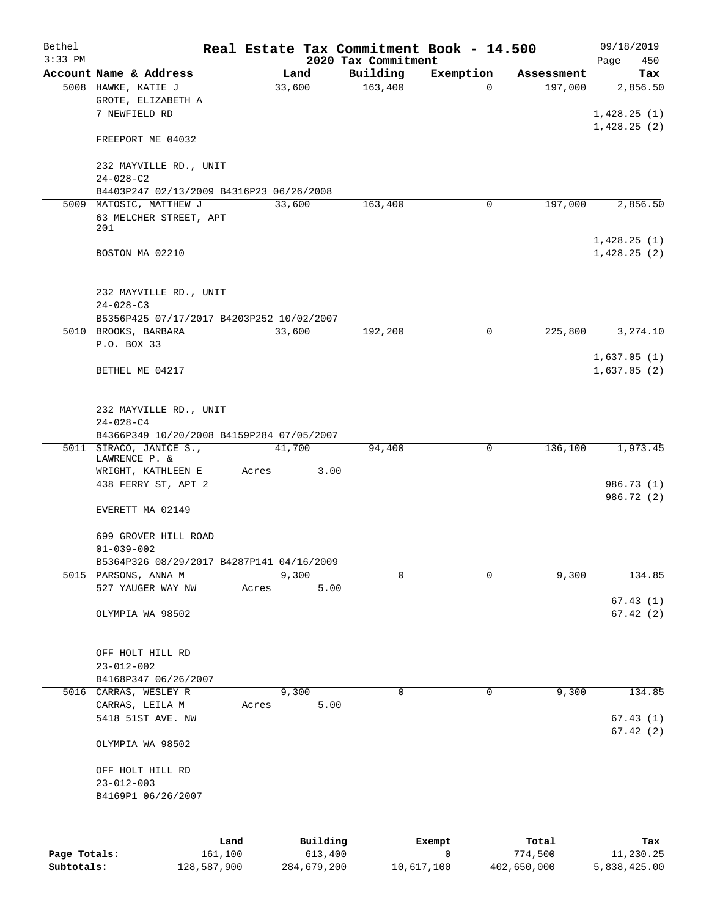| Bethel<br>$3:33$ PM |                                                                                        |       |               | 2020 Tax Commitment | Real Estate Tax Commitment Book - 14.500 |             | 09/18/2019<br>Page<br>450  |
|---------------------|----------------------------------------------------------------------------------------|-------|---------------|---------------------|------------------------------------------|-------------|----------------------------|
|                     | Account Name & Address                                                                 |       | Land          | Building            | Exemption                                | Assessment  | Tax                        |
|                     | 5008 HAWKE, KATIE J<br>GROTE, ELIZABETH A<br>7 NEWFIELD RD                             |       | 33,600        | 163,400             | $\Omega$                                 | 197,000     | 2,856.50<br>1,428.25(1)    |
|                     | FREEPORT ME 04032                                                                      |       |               |                     |                                          |             | 1,428.25(2)                |
|                     | 232 MAYVILLE RD., UNIT<br>$24 - 028 - C2$                                              |       |               |                     |                                          |             |                            |
|                     | B4403P247 02/13/2009 B4316P23 06/26/2008                                               |       |               |                     |                                          |             |                            |
|                     | 5009 MATOSIC, MATTHEW J<br>63 MELCHER STREET, APT<br>201                               |       | 33,600        | 163,400             | 0                                        | 197,000     | 2,856.50                   |
|                     | BOSTON MA 02210                                                                        |       |               |                     |                                          |             | 1,428.25(1)<br>1,428.25(2) |
|                     | 232 MAYVILLE RD., UNIT<br>$24 - 028 - C3$                                              |       |               |                     |                                          |             |                            |
|                     | B5356P425 07/17/2017 B4203P252 10/02/2007                                              |       |               |                     |                                          |             |                            |
|                     | 5010 BROOKS, BARBARA                                                                   |       | 33,600        | 192,200             | 0                                        | 225,800     | 3,274.10                   |
|                     | P.O. BOX 33<br>BETHEL ME 04217                                                         |       |               |                     |                                          |             | 1,637.05(1)<br>1,637.05(2) |
|                     | 232 MAYVILLE RD., UNIT<br>$24 - 028 - C4$<br>B4366P349 10/20/2008 B4159P284 07/05/2007 |       |               |                     |                                          |             |                            |
|                     | 5011 SIRACO, JANICE S.,                                                                |       | 41,700        | 94,400              | 0                                        | 136,100     | 1,973.45                   |
|                     | LAWRENCE P. &<br>WRIGHT, KATHLEEN E                                                    | Acres | 3.00          |                     |                                          |             |                            |
|                     | 438 FERRY ST, APT 2<br>EVERETT MA 02149                                                |       |               |                     |                                          |             | 986.73 (1)<br>986.72 (2)   |
|                     | 699 GROVER HILL ROAD                                                                   |       |               |                     |                                          |             |                            |
|                     | $01 - 039 - 002$                                                                       |       |               |                     |                                          |             |                            |
|                     | B5364P326 08/29/2017 B4287P141 04/16/2009                                              |       |               |                     |                                          |             |                            |
|                     | 5015 PARSONS, ANNA M<br>527 YAUGER WAY NW                                              | Acres | 9,300<br>5.00 | 0                   | 0                                        | 9,300       | 134.85<br>67.43(1)         |
|                     | OLYMPIA WA 98502                                                                       |       |               |                     |                                          |             | 67.42(2)                   |
|                     | OFF HOLT HILL RD<br>$23 - 012 - 002$                                                   |       |               |                     |                                          |             |                            |
|                     | B4168P347 06/26/2007                                                                   |       |               |                     |                                          |             |                            |
|                     | 5016 CARRAS, WESLEY R                                                                  |       | 9,300         | 0                   | $\mathbf 0$                              | 9,300       | 134.85                     |
|                     | CARRAS, LEILA M<br>5418 51ST AVE. NW                                                   | Acres | 5.00          |                     |                                          |             | 67.43(1)<br>67.42(2)       |
|                     | OLYMPIA WA 98502                                                                       |       |               |                     |                                          |             |                            |
|                     | OFF HOLT HILL RD<br>$23 - 012 - 003$<br>B4169P1 06/26/2007                             |       |               |                     |                                          |             |                            |
|                     |                                                                                        | Land  | Building      |                     | Exempt                                   | Total       | Tax                        |
| Page Totals:        | 161,100                                                                                |       | 613,400       |                     | 0                                        | 774,500     | 11,230.25                  |
| Subtotals:          | 128,587,900                                                                            |       | 284,679,200   |                     | 10,617,100                               | 402,650,000 | 5,838,425.00               |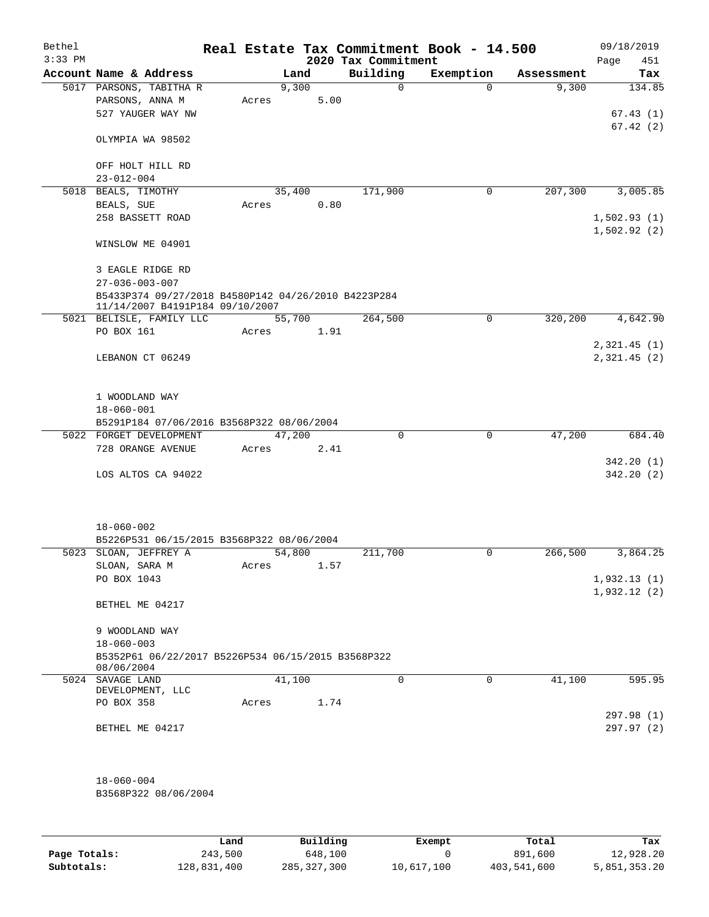| Bethel<br>$3:33$ PM |                                                     |        |       |      | 2020 Tax Commitment | Real Estate Tax Commitment Book - 14.500 |            | 09/18/2019<br>Page<br>451 |
|---------------------|-----------------------------------------------------|--------|-------|------|---------------------|------------------------------------------|------------|---------------------------|
|                     | Account Name & Address                              |        | Land  |      | Building            | Exemption                                | Assessment | Tax                       |
|                     | 5017 PARSONS, TABITHA R                             |        | 9,300 |      | $\Omega$            | $\Omega$                                 | 9,300      | 134.85                    |
|                     | PARSONS, ANNA M                                     | Acres  |       | 5.00 |                     |                                          |            |                           |
|                     | 527 YAUGER WAY NW                                   |        |       |      |                     |                                          |            | 67.43(1)                  |
|                     |                                                     |        |       |      |                     |                                          |            | 67.42(2)                  |
|                     | OLYMPIA WA 98502                                    |        |       |      |                     |                                          |            |                           |
|                     |                                                     |        |       |      |                     |                                          |            |                           |
|                     | OFF HOLT HILL RD                                    |        |       |      |                     |                                          |            |                           |
|                     | $23 - 012 - 004$                                    |        |       |      |                     |                                          |            |                           |
|                     | 5018 BEALS, TIMOTHY                                 | 35,400 |       |      | 171,900             | 0                                        | 207,300    | 3,005.85                  |
|                     | BEALS, SUE                                          | Acres  |       | 0.80 |                     |                                          |            |                           |
|                     | 258 BASSETT ROAD                                    |        |       |      |                     |                                          |            | 1,502.93(1)               |
|                     |                                                     |        |       |      |                     |                                          |            | 1,502.92(2)               |
|                     | WINSLOW ME 04901                                    |        |       |      |                     |                                          |            |                           |
|                     |                                                     |        |       |      |                     |                                          |            |                           |
|                     | 3 EAGLE RIDGE RD                                    |        |       |      |                     |                                          |            |                           |
|                     | $27 - 036 - 003 - 007$                              |        |       |      |                     |                                          |            |                           |
|                     | B5433P374 09/27/2018 B4580P142 04/26/2010 B4223P284 |        |       |      |                     |                                          |            |                           |
|                     | 11/14/2007 B4191P184 09/10/2007                     |        |       |      |                     |                                          |            | 4,642.90                  |
|                     | 5021 BELISLE, FAMILY LLC<br>PO BOX 161              | 55,700 |       |      | 264,500             | 0                                        | 320,200    |                           |
|                     |                                                     | Acres  |       | 1.91 |                     |                                          |            |                           |
|                     |                                                     |        |       |      |                     |                                          |            | 2,321.45(1)               |
|                     | LEBANON CT 06249                                    |        |       |      |                     |                                          |            | 2,321.45(2)               |
|                     |                                                     |        |       |      |                     |                                          |            |                           |
|                     | 1 WOODLAND WAY                                      |        |       |      |                     |                                          |            |                           |
|                     | $18 - 060 - 001$                                    |        |       |      |                     |                                          |            |                           |
|                     | B5291P184 07/06/2016 B3568P322 08/06/2004           |        |       |      |                     |                                          |            |                           |
|                     | 5022 FORGET DEVELOPMENT                             | 47,200 |       |      | $\Omega$            | $\Omega$                                 | 47,200     | 684.40                    |
|                     | 728 ORANGE AVENUE                                   | Acres  |       | 2.41 |                     |                                          |            |                           |
|                     |                                                     |        |       |      |                     |                                          |            | 342.20(1)                 |
|                     | LOS ALTOS CA 94022                                  |        |       |      |                     |                                          |            | 342.20(2)                 |
|                     |                                                     |        |       |      |                     |                                          |            |                           |
|                     |                                                     |        |       |      |                     |                                          |            |                           |
|                     |                                                     |        |       |      |                     |                                          |            |                           |
|                     | $18 - 060 - 002$                                    |        |       |      |                     |                                          |            |                           |
|                     | B5226P531 06/15/2015 B3568P322 08/06/2004           |        |       |      |                     |                                          |            |                           |
|                     | 5023 SLOAN, JEFFREY A                               | 54,800 |       |      | 211,700             | 0                                        | 266,500    | 3,864.25                  |
|                     | SLOAN, SARA M                                       | Acres  |       | 1.57 |                     |                                          |            |                           |
|                     | PO BOX 1043                                         |        |       |      |                     |                                          |            | 1,932.13(1)               |
|                     |                                                     |        |       |      |                     |                                          |            | 1,932.12(2)               |
|                     | BETHEL ME 04217                                     |        |       |      |                     |                                          |            |                           |
|                     |                                                     |        |       |      |                     |                                          |            |                           |
|                     | 9 WOODLAND WAY                                      |        |       |      |                     |                                          |            |                           |
|                     | $18 - 060 - 003$                                    |        |       |      |                     |                                          |            |                           |
|                     | B5352P61 06/22/2017 B5226P534 06/15/2015 B3568P322  |        |       |      |                     |                                          |            |                           |
|                     | 08/06/2004<br>5024 SAVAGE LAND                      |        |       |      | $\mathbf 0$         | $\mathbf 0$                              |            |                           |
|                     | DEVELOPMENT, LLC                                    | 41,100 |       |      |                     |                                          | 41,100     | 595.95                    |
|                     | PO BOX 358                                          | Acres  |       | 1.74 |                     |                                          |            |                           |
|                     |                                                     |        |       |      |                     |                                          |            | 297.98 (1)                |
|                     | BETHEL ME 04217                                     |        |       |      |                     |                                          |            | 297.97(2)                 |
|                     |                                                     |        |       |      |                     |                                          |            |                           |
|                     |                                                     |        |       |      |                     |                                          |            |                           |
|                     |                                                     |        |       |      |                     |                                          |            |                           |
|                     | $18 - 060 - 004$                                    |        |       |      |                     |                                          |            |                           |
|                     | B3568P322 08/06/2004                                |        |       |      |                     |                                          |            |                           |
|                     |                                                     |        |       |      |                     |                                          |            |                           |
|                     |                                                     |        |       |      |                     |                                          |            |                           |
|                     |                                                     |        |       |      |                     |                                          |            |                           |

|              | Land        | Building      | Exempt     | Total       | Tax          |
|--------------|-------------|---------------|------------|-------------|--------------|
| Page Totals: | 243,500     | 648,100       |            | 891,600     | 12,928.20    |
| Subtotals:   | 128,831,400 | 285, 327, 300 | 10,617,100 | 403,541,600 | 5,851,353.20 |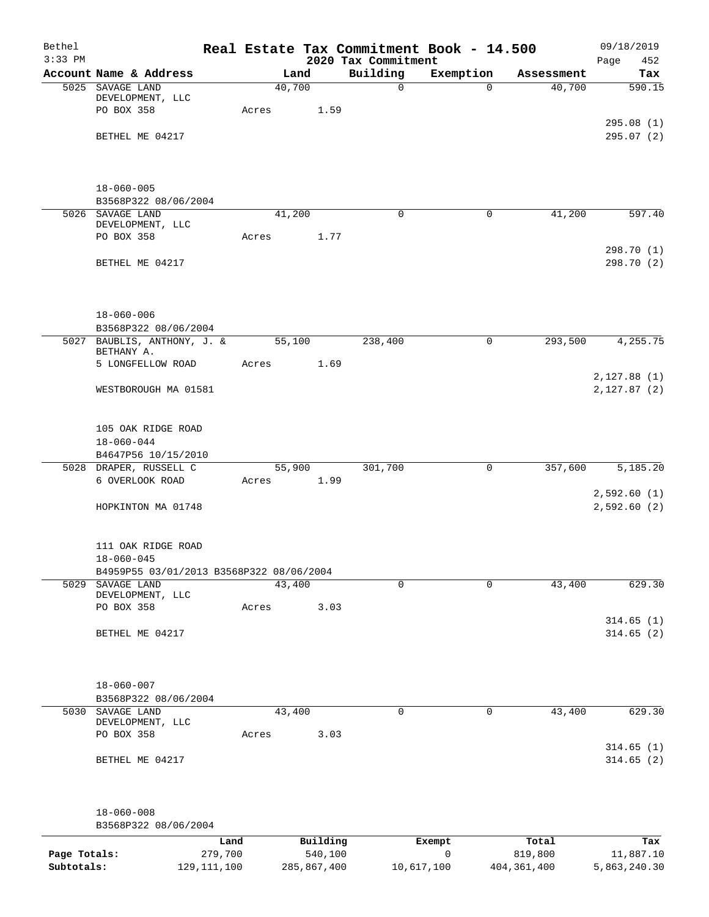| Bethel       |                                           |         |       |             |                                 |             | Real Estate Tax Commitment Book - 14.500 |                      | 09/18/2019                  |
|--------------|-------------------------------------------|---------|-------|-------------|---------------------------------|-------------|------------------------------------------|----------------------|-----------------------------|
| $3:33$ PM    | Account Name & Address                    |         |       | Land        | 2020 Tax Commitment<br>Building |             | Exemption                                |                      | Page<br>452<br>Tax          |
|              | 5025 SAVAGE LAND                          |         |       | 40,700      |                                 | 0           | $\Omega$                                 | Assessment<br>40,700 | 590.15                      |
|              | DEVELOPMENT, LLC                          |         |       |             |                                 |             |                                          |                      |                             |
|              | PO BOX 358                                |         | Acres | 1.59        |                                 |             |                                          |                      |                             |
|              |                                           |         |       |             |                                 |             |                                          |                      | 295.08(1)<br>295.07 (2)     |
|              | BETHEL ME 04217                           |         |       |             |                                 |             |                                          |                      |                             |
|              | $18 - 060 - 005$                          |         |       |             |                                 |             |                                          |                      |                             |
|              | B3568P322 08/06/2004                      |         |       |             |                                 |             |                                          |                      |                             |
|              | 5026 SAVAGE LAND                          |         |       | 41,200      |                                 | $\mathbf 0$ | $\mathbf 0$                              | 41,200               | 597.40                      |
|              | DEVELOPMENT, LLC                          |         |       |             |                                 |             |                                          |                      |                             |
|              | PO BOX 358                                |         | Acres | 1.77        |                                 |             |                                          |                      | 298.70 (1)                  |
|              | BETHEL ME 04217                           |         |       |             |                                 |             |                                          |                      | 298.70 (2)                  |
|              | $18 - 060 - 006$                          |         |       |             |                                 |             |                                          |                      |                             |
|              | B3568P322 08/06/2004                      |         |       |             |                                 |             |                                          |                      |                             |
|              | 5027 BAUBLIS, ANTHONY, J. &<br>BETHANY A. |         |       | 55,100      | 238,400                         |             | $\mathbf 0$                              | 293,500              | 4,255.75                    |
|              | 5 LONGFELLOW ROAD                         |         | Acres | 1.69        |                                 |             |                                          |                      | 2,127.88(1)                 |
|              | WESTBOROUGH MA 01581                      |         |       |             |                                 |             |                                          |                      | 2,127.87(2)                 |
|              |                                           |         |       |             |                                 |             |                                          |                      |                             |
|              | 105 OAK RIDGE ROAD<br>$18 - 060 - 044$    |         |       |             |                                 |             |                                          |                      |                             |
|              | B4647P56 10/15/2010                       |         |       |             |                                 |             |                                          |                      |                             |
|              | 5028 DRAPER, RUSSELL C                    |         |       | 55,900      | 301,700                         |             | $\mathbf 0$                              | 357,600              | 5,185.20                    |
|              | 6 OVERLOOK ROAD                           |         | Acres | 1.99        |                                 |             |                                          |                      |                             |
|              | HOPKINTON MA 01748                        |         |       |             |                                 |             |                                          |                      | 2,592.60(1)<br>2,592.60 (2) |
|              | 111 OAK RIDGE ROAD                        |         |       |             |                                 |             |                                          |                      |                             |
|              | $18 - 060 - 045$                          |         |       |             |                                 |             |                                          |                      |                             |
|              | B4959P55 03/01/2013 B3568P322 08/06/2004  |         |       |             |                                 |             |                                          |                      |                             |
|              | 5029 SAVAGE LAND                          |         |       | 43,400      |                                 | $\mathbf 0$ | $\mathbf 0$                              | 43,400               | 629.30                      |
|              | DEVELOPMENT, LLC                          |         |       |             |                                 |             |                                          |                      |                             |
|              | PO BOX 358                                |         | Acres | 3.03        |                                 |             |                                          |                      | 314.65(1)                   |
|              | BETHEL ME 04217                           |         |       |             |                                 |             |                                          |                      | 314.65(2)                   |
|              |                                           |         |       |             |                                 |             |                                          |                      |                             |
|              | $18 - 060 - 007$                          |         |       |             |                                 |             |                                          |                      |                             |
|              | B3568P322 08/06/2004<br>5030 SAVAGE LAND  |         |       | 43,400      |                                 | 0           | 0                                        | 43,400               | 629.30                      |
|              | DEVELOPMENT, LLC                          |         |       |             |                                 |             |                                          |                      |                             |
|              | PO BOX 358                                |         | Acres | 3.03        |                                 |             |                                          |                      |                             |
|              | BETHEL ME 04217                           |         |       |             |                                 |             |                                          |                      | 314.65(1)<br>314.65(2)      |
|              |                                           |         |       |             |                                 |             |                                          |                      |                             |
|              | $18 - 060 - 008$                          |         |       |             |                                 |             |                                          |                      |                             |
|              | B3568P322 08/06/2004                      |         |       |             |                                 |             |                                          |                      |                             |
|              |                                           | Land    |       | Building    |                                 |             | Exempt                                   | Total                | Tax                         |
| Page Totals: |                                           | 279,700 |       | 540,100     |                                 |             | $\mathbf 0$                              | 819,800              | 11,887.10                   |
| Subtotals:   | 129, 111, 100                             |         |       | 285,867,400 |                                 | 10,617,100  |                                          | 404, 361, 400        | 5,863,240.30                |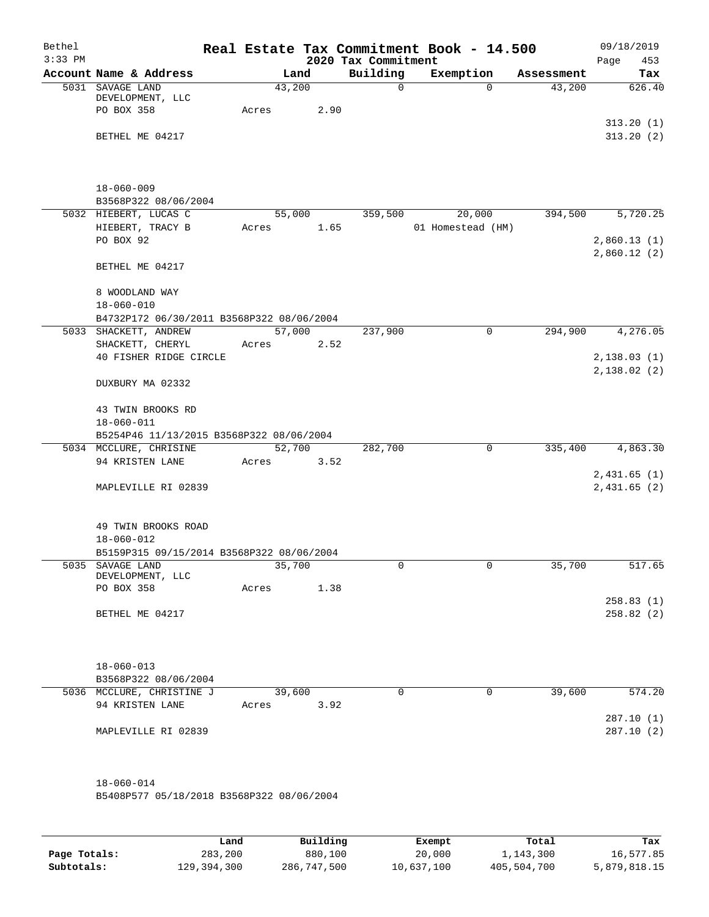| Bethel<br>$3:33$ PM |                                                         |       |                | 2020 Tax Commitment | Real Estate Tax Commitment Book - 14.500 |            | 09/18/2019<br>453<br>Page  |
|---------------------|---------------------------------------------------------|-------|----------------|---------------------|------------------------------------------|------------|----------------------------|
|                     | Account Name & Address                                  |       | Land           | Building            | Exemption                                | Assessment | Tax                        |
|                     | 5031 SAVAGE LAND<br>DEVELOPMENT, LLC<br>PO BOX 358      | Acres | 43,200<br>2.90 | $\mathsf{O}$        | $\Omega$                                 | 43,200     | 626.40                     |
|                     | BETHEL ME 04217                                         |       |                |                     |                                          |            | 313.20(1)<br>313.20(2)     |
|                     | $18 - 060 - 009$<br>B3568P322 08/06/2004                |       |                |                     |                                          |            |                            |
|                     | 5032 HIEBERT, LUCAS C                                   |       | 55,000         | 359,500             | 20,000                                   | 394,500    | 5,720.25                   |
|                     | HIEBERT, TRACY B<br>PO BOX 92                           | Acres | 1.65           |                     | 01 Homestead (HM)                        |            | 2,860.13(1)<br>2,860.12(2) |
|                     | BETHEL ME 04217                                         |       |                |                     |                                          |            |                            |
|                     | 8 WOODLAND WAY<br>$18 - 060 - 010$                      |       |                |                     |                                          |            |                            |
|                     | B4732P172 06/30/2011 B3568P322 08/06/2004               |       |                |                     |                                          |            |                            |
|                     | 5033 SHACKETT, ANDREW<br>SHACKETT, CHERYL               | Acres | 57,000<br>2.52 | 237,900             | 0                                        | 294,900    | 4,276.05                   |
|                     | 40 FISHER RIDGE CIRCLE                                  |       |                |                     |                                          |            | 2,138.03(1)                |
|                     | DUXBURY MA 02332                                        |       |                |                     |                                          |            | 2,138.02(2)                |
|                     | 43 TWIN BROOKS RD<br>$18 - 060 - 011$                   |       |                |                     |                                          |            |                            |
|                     | B5254P46 11/13/2015 B3568P322 08/06/2004                |       |                |                     |                                          |            |                            |
|                     | 5034 MCCLURE, CHRISINE                                  |       | 52,700         | 282,700             | 0                                        | 335,400    | 4,863.30                   |
|                     | 94 KRISTEN LANE                                         | Acres | 3.52           |                     |                                          |            |                            |
|                     | MAPLEVILLE RI 02839                                     |       |                |                     |                                          |            | 2,431.65(1)<br>2,431.65(2) |
|                     | 49 TWIN BROOKS ROAD<br>$18 - 060 - 012$                 |       |                |                     |                                          |            |                            |
|                     | B5159P315 09/15/2014 B3568P322 08/06/2004               |       |                |                     |                                          |            |                            |
|                     | 5035 SAVAGE LAND<br>DEVELOPMENT, LLC                    |       | 35,700         | 0                   | 0                                        | 35,700     | 517.65                     |
|                     | PO BOX 358                                              | Acres | 1.38           |                     |                                          |            |                            |
|                     |                                                         |       |                |                     |                                          |            | 258.83(1)                  |
|                     | BETHEL ME 04217                                         |       |                |                     |                                          |            | 258.82(2)                  |
|                     | $18 - 060 - 013$<br>B3568P322 08/06/2004                |       |                |                     |                                          |            |                            |
|                     | 5036 MCCLURE, CHRISTINE J                               |       | 39,600         | 0                   | $\mathbf 0$                              | 39,600     | 574.20                     |
|                     | 94 KRISTEN LANE                                         | Acres | 3.92           |                     |                                          |            |                            |
|                     |                                                         |       |                |                     |                                          |            | 287.10 (1)                 |
|                     | MAPLEVILLE RI 02839                                     |       |                |                     |                                          |            | 287.10(2)                  |
|                     | 18-060-014<br>B5408P577 05/18/2018 B3568P322 08/06/2004 |       |                |                     |                                          |            |                            |

|              | Land        | Building    | Exempt     | Total       | Tax          |
|--------------|-------------|-------------|------------|-------------|--------------|
| Page Totals: | 283,200     | 880,100     | 20,000     | 1,143,300   | 16,577.85    |
| Subtotals:   | 129,394,300 | 286,747,500 | 10,637,100 | 405,504,700 | 5,879,818.15 |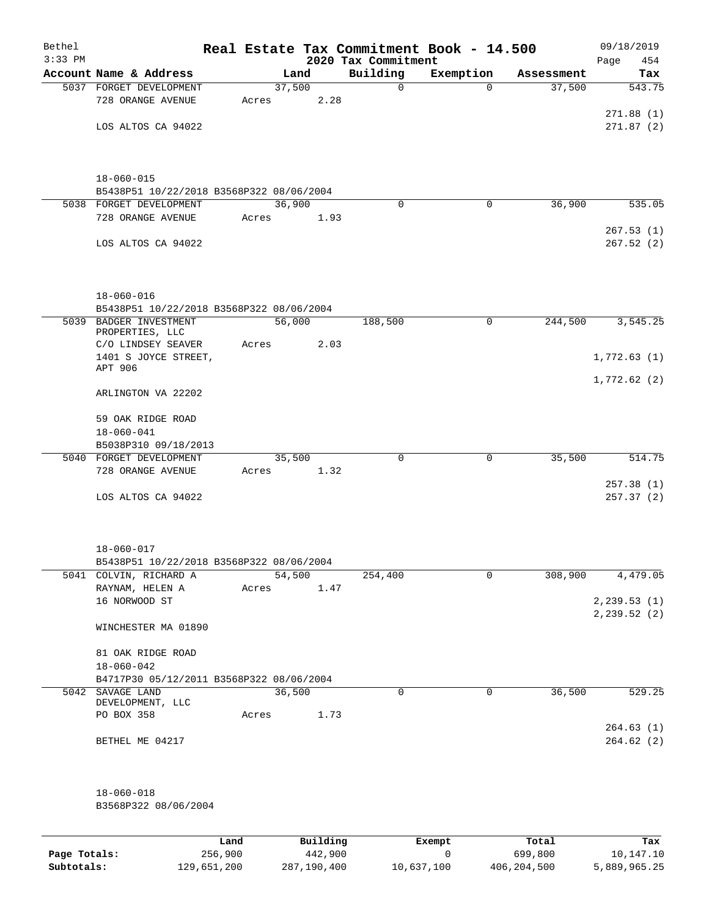| Bethel<br>$3:33$ PM |                                          |       |        |      | 2020 Tax Commitment | Real Estate Tax Commitment Book - 14.500 |            | 09/18/2019<br>454<br>Page |
|---------------------|------------------------------------------|-------|--------|------|---------------------|------------------------------------------|------------|---------------------------|
|                     | Account Name & Address                   |       | Land   |      | Building            | Exemption                                | Assessment | Tax                       |
|                     | 5037 FORGET DEVELOPMENT                  |       | 37,500 |      | 0                   | $\Omega$                                 | 37,500     | 543.75                    |
|                     | 728 ORANGE AVENUE                        | Acres |        | 2.28 |                     |                                          |            |                           |
|                     |                                          |       |        |      |                     |                                          |            | 271.88(1)                 |
|                     | LOS ALTOS CA 94022                       |       |        |      |                     |                                          |            | 271.87(2)                 |
|                     |                                          |       |        |      |                     |                                          |            |                           |
|                     |                                          |       |        |      |                     |                                          |            |                           |
|                     | $18 - 060 - 015$                         |       |        |      |                     |                                          |            |                           |
|                     | B5438P51 10/22/2018 B3568P322 08/06/2004 |       |        |      |                     |                                          |            |                           |
|                     | 5038 FORGET DEVELOPMENT                  |       | 36,900 |      | $\mathbf 0$         | 0                                        | 36,900     | 535.05                    |
|                     | 728 ORANGE AVENUE                        | Acres |        | 1.93 |                     |                                          |            |                           |
|                     |                                          |       |        |      |                     |                                          |            | 267.53(1)                 |
|                     | LOS ALTOS CA 94022                       |       |        |      |                     |                                          |            | 267.52(2)                 |
|                     |                                          |       |        |      |                     |                                          |            |                           |
|                     |                                          |       |        |      |                     |                                          |            |                           |
|                     | $18 - 060 - 016$                         |       |        |      |                     |                                          |            |                           |
|                     | B5438P51 10/22/2018 B3568P322 08/06/2004 |       |        |      |                     |                                          |            |                           |
|                     | 5039 BADGER INVESTMENT                   |       | 56,000 |      | 188,500             | 0                                        | 244,500    | 3,545.25                  |
|                     | PROPERTIES, LLC                          |       |        |      |                     |                                          |            |                           |
|                     | C/O LINDSEY SEAVER                       | Acres |        | 2.03 |                     |                                          |            |                           |
|                     | 1401 S JOYCE STREET,<br>APT 906          |       |        |      |                     |                                          |            | 1,772.63(1)               |
|                     |                                          |       |        |      |                     |                                          |            | 1,772.62(2)               |
|                     | ARLINGTON VA 22202                       |       |        |      |                     |                                          |            |                           |
|                     |                                          |       |        |      |                     |                                          |            |                           |
|                     | 59 OAK RIDGE ROAD                        |       |        |      |                     |                                          |            |                           |
|                     | $18 - 060 - 041$                         |       |        |      |                     |                                          |            |                           |
|                     | B5038P310 09/18/2013                     |       |        |      |                     |                                          |            |                           |
|                     | 5040 FORGET DEVELOPMENT                  |       | 35,500 |      | 0                   | 0                                        | 35,500     | 514.75                    |
|                     | 728 ORANGE AVENUE                        | Acres |        | 1.32 |                     |                                          |            |                           |
|                     |                                          |       |        |      |                     |                                          |            | 257.38(1)                 |
|                     | LOS ALTOS CA 94022                       |       |        |      |                     |                                          |            | 257.37(2)                 |
|                     |                                          |       |        |      |                     |                                          |            |                           |
|                     |                                          |       |        |      |                     |                                          |            |                           |
|                     | $18 - 060 - 017$                         |       |        |      |                     |                                          |            |                           |
|                     | B5438P51 10/22/2018 B3568P322 08/06/2004 |       |        |      |                     |                                          |            |                           |
|                     | 5041 COLVIN, RICHARD A                   |       | 54,500 |      | 254,400             | 0                                        | 308,900    | 4,479.05                  |
|                     | RAYNAM, HELEN A                          | Acres |        | 1.47 |                     |                                          |            |                           |
|                     | 16 NORWOOD ST                            |       |        |      |                     |                                          |            | 2, 239.53(1)              |
|                     |                                          |       |        |      |                     |                                          |            | 2, 239.52 (2)             |
|                     | WINCHESTER MA 01890                      |       |        |      |                     |                                          |            |                           |
|                     | 81 OAK RIDGE ROAD                        |       |        |      |                     |                                          |            |                           |
|                     | $18 - 060 - 042$                         |       |        |      |                     |                                          |            |                           |
|                     | B4717P30 05/12/2011 B3568P322 08/06/2004 |       |        |      |                     |                                          |            |                           |
|                     | 5042 SAVAGE LAND                         |       | 36,500 |      | $\mathbf 0$         | $\mathbf 0$                              | 36,500     | 529.25                    |
|                     | DEVELOPMENT, LLC                         |       |        |      |                     |                                          |            |                           |
|                     | PO BOX 358                               | Acres |        | 1.73 |                     |                                          |            |                           |
|                     |                                          |       |        |      |                     |                                          |            | 264.63(1)                 |
|                     | BETHEL ME 04217                          |       |        |      |                     |                                          |            | 264.62(2)                 |
|                     |                                          |       |        |      |                     |                                          |            |                           |
|                     |                                          |       |        |      |                     |                                          |            |                           |
|                     | $18 - 060 - 018$                         |       |        |      |                     |                                          |            |                           |
|                     | B3568P322 08/06/2004                     |       |        |      |                     |                                          |            |                           |
|                     |                                          |       |        |      |                     |                                          |            |                           |
|                     |                                          |       |        |      |                     |                                          |            |                           |

|              | Land        | Building    | Exempt     | Total       | Tax          |
|--------------|-------------|-------------|------------|-------------|--------------|
| Page Totals: | 256,900     | 442,900     |            | 699,800     | 10,147.10    |
| Subtotals:   | 129,651,200 | 287,190,400 | 10,637,100 | 406,204,500 | 5,889,965.25 |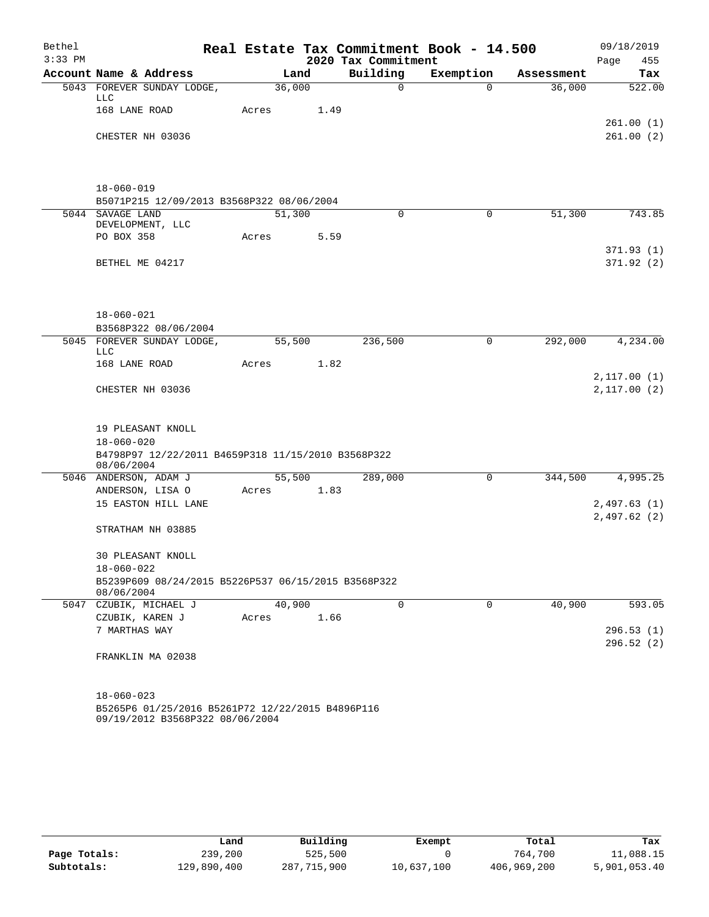| Bethel    |                                       |                                                                                     |       |        |      |                     | Real Estate Tax Commitment Book - 14.500 |            | 09/18/2019             |
|-----------|---------------------------------------|-------------------------------------------------------------------------------------|-------|--------|------|---------------------|------------------------------------------|------------|------------------------|
| $3:33$ PM |                                       |                                                                                     |       |        |      | 2020 Tax Commitment |                                          |            | 455<br>Page            |
|           | Account Name & Address                |                                                                                     |       | Land   |      | Building            | Exemption                                | Assessment | Tax                    |
|           | LLC                                   | 5043 FOREVER SUNDAY LODGE,                                                          |       | 36,000 |      | 0                   | $\Omega$                                 | 36,000     | 522.00                 |
|           | 168 LANE ROAD                         |                                                                                     | Acres |        | 1.49 |                     |                                          |            | 261.00(1)              |
|           | CHESTER NH 03036                      |                                                                                     |       |        |      |                     |                                          |            | 261.00(2)              |
|           |                                       |                                                                                     |       |        |      |                     |                                          |            |                        |
|           | $18 - 060 - 019$                      |                                                                                     |       |        |      |                     |                                          |            |                        |
|           |                                       | B5071P215 12/09/2013 B3568P322 08/06/2004                                           |       |        |      |                     |                                          |            |                        |
|           | 5044 SAVAGE LAND<br>DEVELOPMENT, LLC  |                                                                                     |       | 51,300 |      | $\Omega$            | $\Omega$                                 | 51,300     | 743.85                 |
|           | PO BOX 358                            |                                                                                     | Acres |        | 5.59 |                     |                                          |            | 371.93(1)              |
|           | BETHEL ME 04217                       |                                                                                     |       |        |      |                     |                                          |            | 371.92(2)              |
|           |                                       |                                                                                     |       |        |      |                     |                                          |            |                        |
|           | $18 - 060 - 021$                      |                                                                                     |       |        |      |                     |                                          |            |                        |
|           |                                       | B3568P322 08/06/2004                                                                |       |        |      |                     |                                          |            |                        |
|           | <b>LLC</b>                            | 5045 FOREVER SUNDAY LODGE,                                                          |       | 55,500 |      | 236,500             | $\mathbf 0$                              | 292,000    | 4,234.00               |
|           | 168 LANE ROAD                         |                                                                                     | Acres |        | 1.82 |                     |                                          |            | 2,117.00(1)            |
|           | CHESTER NH 03036                      |                                                                                     |       |        |      |                     |                                          |            | 2,117.00(2)            |
|           | 19 PLEASANT KNOLL<br>$18 - 060 - 020$ |                                                                                     |       |        |      |                     |                                          |            |                        |
|           | 08/06/2004                            | B4798P97 12/22/2011 B4659P318 11/15/2010 B3568P322                                  |       |        |      |                     |                                          |            |                        |
|           | 5046 ANDERSON, ADAM J                 |                                                                                     |       | 55,500 |      | 289,000             | 0                                        | 344,500    | 4,995.25               |
|           | ANDERSON, LISA O                      |                                                                                     | Acres |        | 1.83 |                     |                                          |            |                        |
|           |                                       | 15 EASTON HILL LANE                                                                 |       |        |      |                     |                                          |            | 2,497.63(1)            |
|           | STRATHAM NH 03885                     |                                                                                     |       |        |      |                     |                                          |            | 2,497.62(2)            |
|           | $18 - 060 - 022$                      | <b>30 PLEASANT KNOLL</b>                                                            |       |        |      |                     |                                          |            |                        |
|           | 08/06/2004                            | B5239P609 08/24/2015 B5226P537 06/15/2015 B3568P322                                 |       |        |      |                     |                                          |            |                        |
|           | 5047 CZUBIK, MICHAEL J                |                                                                                     |       | 40,900 |      | $\mathbf 0$         | $\mathbf 0$                              | 40,900     | 593.05                 |
|           | CZUBIK, KAREN J                       |                                                                                     | Acres |        | 1.66 |                     |                                          |            |                        |
|           | 7 MARTHAS WAY                         |                                                                                     |       |        |      |                     |                                          |            | 296.53(1)<br>296.52(2) |
|           |                                       | FRANKLIN MA 02038                                                                   |       |        |      |                     |                                          |            |                        |
|           | $18 - 060 - 023$                      |                                                                                     |       |        |      |                     |                                          |            |                        |
|           |                                       | B5265P6 01/25/2016 B5261P72 12/22/2015 B4896P116<br>09/19/2012 B3568P322 08/06/2004 |       |        |      |                     |                                          |            |                        |

|              | Land        | Building    | Exempt     | Total       | Tax          |
|--------------|-------------|-------------|------------|-------------|--------------|
| Page Totals: | 239,200     | 525,500     |            | 764,700     | 11,088.15    |
| Subtotals:   | 129,890,400 | 287,715,900 | 10,637,100 | 406,969,200 | 5,901,053.40 |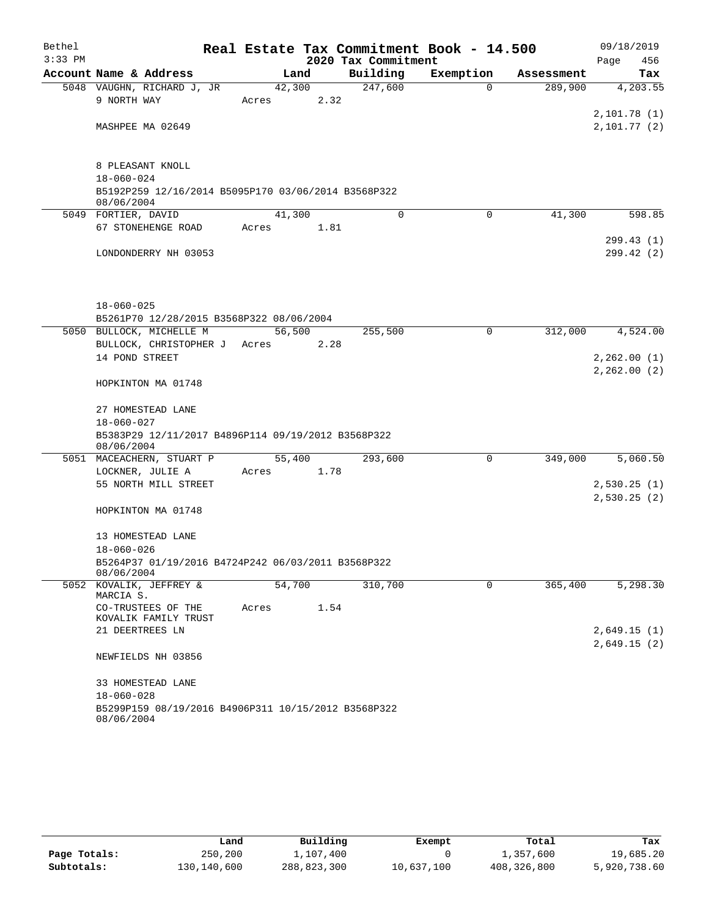| Bethel    |                                                                  |        |        |                     | Real Estate Tax Commitment Book - 14.500 |            | 09/18/2019                 |
|-----------|------------------------------------------------------------------|--------|--------|---------------------|------------------------------------------|------------|----------------------------|
| $3:33$ PM |                                                                  |        |        | 2020 Tax Commitment |                                          |            | Page<br>456                |
|           | Account Name & Address                                           |        | Land   | Building            | Exemption                                | Assessment | Tax                        |
|           | 5048 VAUGHN, RICHARD J, JR                                       |        | 42,300 | 247,600             | $\Omega$                                 | 289,900    | 4,203.55                   |
|           | 9 NORTH WAY                                                      | Acres  | 2.32   |                     |                                          |            |                            |
|           | MASHPEE MA 02649                                                 |        |        |                     |                                          |            | 2,101.78(1)<br>2,101.77(2) |
|           |                                                                  |        |        |                     |                                          |            |                            |
|           |                                                                  |        |        |                     |                                          |            |                            |
|           | 8 PLEASANT KNOLL                                                 |        |        |                     |                                          |            |                            |
|           | $18 - 060 - 024$                                                 |        |        |                     |                                          |            |                            |
|           | B5192P259 12/16/2014 B5095P170 03/06/2014 B3568P322              |        |        |                     |                                          |            |                            |
|           | 08/06/2004                                                       |        |        |                     |                                          |            |                            |
|           | 5049 FORTIER, DAVID                                              | 41,300 |        | $\Omega$            | $\Omega$                                 | 41,300     | 598.85                     |
|           | 67 STONEHENGE ROAD                                               | Acres  | 1.81   |                     |                                          |            |                            |
|           |                                                                  |        |        |                     |                                          |            | 299.43(1)                  |
|           | LONDONDERRY NH 03053                                             |        |        |                     |                                          |            | 299.42(2)                  |
|           |                                                                  |        |        |                     |                                          |            |                            |
|           |                                                                  |        |        |                     |                                          |            |                            |
|           | $18 - 060 - 025$                                                 |        |        |                     |                                          |            |                            |
|           | B5261P70 12/28/2015 B3568P322 08/06/2004                         |        |        |                     |                                          |            |                            |
|           | 5050 BULLOCK, MICHELLE M                                         | 56,500 |        | 255,500             | $\mathbf 0$                              | 312,000    | 4,524.00                   |
|           | BULLOCK, CHRISTOPHER J Acres                                     |        | 2.28   |                     |                                          |            |                            |
|           | 14 POND STREET                                                   |        |        |                     |                                          |            | 2, 262.00(1)               |
|           |                                                                  |        |        |                     |                                          |            | 2,262.00(2)                |
|           | HOPKINTON MA 01748                                               |        |        |                     |                                          |            |                            |
|           |                                                                  |        |        |                     |                                          |            |                            |
|           | 27 HOMESTEAD LANE                                                |        |        |                     |                                          |            |                            |
|           | $18 - 060 - 027$                                                 |        |        |                     |                                          |            |                            |
|           | B5383P29 12/11/2017 B4896P114 09/19/2012 B3568P322<br>08/06/2004 |        |        |                     |                                          |            |                            |
|           | 5051 MACEACHERN, STUART P                                        |        | 55,400 | 293,600             | $\mathsf{O}$                             | 349,000    | 5,060.50                   |
|           | LOCKNER, JULIE A                                                 | Acres  | 1.78   |                     |                                          |            |                            |
|           | 55 NORTH MILL STREET                                             |        |        |                     |                                          |            | 2,530.25(1)                |
|           |                                                                  |        |        |                     |                                          |            | 2,530.25(2)                |
|           | HOPKINTON MA 01748                                               |        |        |                     |                                          |            |                            |
|           |                                                                  |        |        |                     |                                          |            |                            |
|           | 13 HOMESTEAD LANE                                                |        |        |                     |                                          |            |                            |
|           | $18 - 060 - 026$                                                 |        |        |                     |                                          |            |                            |
|           | B5264P37 01/19/2016 B4724P242 06/03/2011 B3568P322<br>08/06/2004 |        |        |                     |                                          |            |                            |
|           | 5052 KOVALIK, JEFFREY &                                          | 54,700 |        | 310,700             | $\Omega$                                 | 365,400    | 5,298.30                   |
|           | MARCIA S.                                                        |        |        |                     |                                          |            |                            |
|           | CO-TRUSTEES OF THE                                               | Acres  | 1.54   |                     |                                          |            |                            |
|           | KOVALIK FAMILY TRUST<br>21 DEERTREES LN                          |        |        |                     |                                          |            | 2,649.15(1)                |
|           |                                                                  |        |        |                     |                                          |            | 2,649.15(2)                |
|           | NEWFIELDS NH 03856                                               |        |        |                     |                                          |            |                            |
|           |                                                                  |        |        |                     |                                          |            |                            |
|           | 33 HOMESTEAD LANE                                                |        |        |                     |                                          |            |                            |
|           | $18 - 060 - 028$                                                 |        |        |                     |                                          |            |                            |
|           | B5299P159 08/19/2016 B4906P311 10/15/2012 B3568P322              |        |        |                     |                                          |            |                            |
|           | 08/06/2004                                                       |        |        |                     |                                          |            |                            |

|              | Land        | Building    | Exempt     | Total       | Tax          |
|--------------|-------------|-------------|------------|-------------|--------------|
|              |             |             |            |             |              |
| Page Totals: | 250,200     | 1,107,400   |            | 1,357,600   | 19,685.20    |
| Subtotals:   | 130,140,600 | 288,823,300 | 10,637,100 | 408,326,800 | 5,920,738.60 |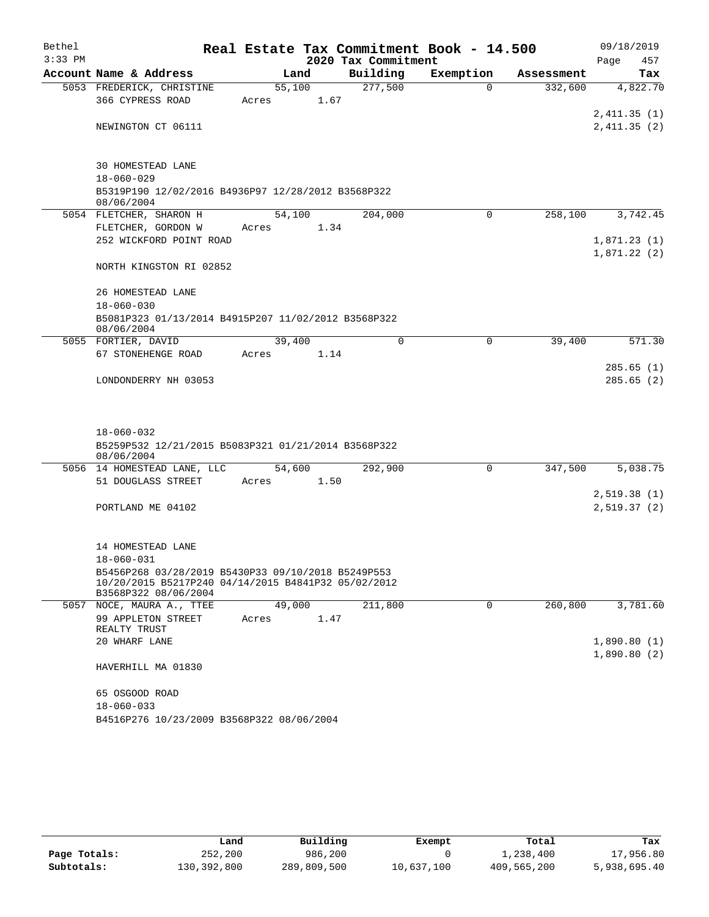| Bethel    |                                                                             |        |      |                     | Real Estate Tax Commitment Book - 14.500 |            | 09/18/2019   |           |
|-----------|-----------------------------------------------------------------------------|--------|------|---------------------|------------------------------------------|------------|--------------|-----------|
| $3:33$ PM |                                                                             |        |      | 2020 Tax Commitment |                                          |            | Page         | 457       |
|           | Account Name & Address                                                      | Land   |      | Building            | Exemption                                | Assessment |              | Tax       |
|           | 5053 FREDERICK, CHRISTINE                                                   | 55,100 |      | 277,500             | $\Omega$                                 | 332,600    |              | 4,822.70  |
|           | 366 CYPRESS ROAD                                                            | Acres  | 1.67 |                     |                                          |            |              |           |
|           |                                                                             |        |      |                     |                                          |            | 2,411.35(1)  |           |
|           | NEWINGTON CT 06111                                                          |        |      |                     |                                          |            | 2,411.35(2)  |           |
|           |                                                                             |        |      |                     |                                          |            |              |           |
|           | 30 HOMESTEAD LANE                                                           |        |      |                     |                                          |            |              |           |
|           | $18 - 060 - 029$                                                            |        |      |                     |                                          |            |              |           |
|           | B5319P190 12/02/2016 B4936P97 12/28/2012 B3568P322<br>08/06/2004            |        |      |                     |                                          |            |              |           |
|           | 5054 FLETCHER, SHARON H                                                     | 54,100 |      | 204,000             | $\Omega$                                 | 258,100    |              | 3,742.45  |
|           | FLETCHER, GORDON W                                                          | Acres  | 1.34 |                     |                                          |            |              |           |
|           | 252 WICKFORD POINT ROAD                                                     |        |      |                     |                                          |            | 1,871.23(1)  |           |
|           |                                                                             |        |      |                     |                                          |            | 1,871.22(2)  |           |
|           | NORTH KINGSTON RI 02852                                                     |        |      |                     |                                          |            |              |           |
|           | 26 HOMESTEAD LANE                                                           |        |      |                     |                                          |            |              |           |
|           | $18 - 060 - 030$                                                            |        |      |                     |                                          |            |              |           |
|           | B5081P323 01/13/2014 B4915P207 11/02/2012 B3568P322                         |        |      |                     |                                          |            |              |           |
|           | 08/06/2004                                                                  |        |      |                     |                                          |            |              |           |
|           | 5055 FORTIER, DAVID                                                         | 39,400 |      | $\Omega$            | $\mathbf 0$                              | 39,400     |              | 571.30    |
|           | 67 STONEHENGE ROAD                                                          | Acres  | 1.14 |                     |                                          |            |              | 285.65(1) |
|           | LONDONDERRY NH 03053                                                        |        |      |                     |                                          |            |              | 285.65(2) |
|           |                                                                             |        |      |                     |                                          |            |              |           |
|           |                                                                             |        |      |                     |                                          |            |              |           |
|           |                                                                             |        |      |                     |                                          |            |              |           |
|           | $18 - 060 - 032$<br>B5259P532 12/21/2015 B5083P321 01/21/2014 B3568P322     |        |      |                     |                                          |            |              |           |
|           | 08/06/2004                                                                  |        |      |                     |                                          |            |              |           |
|           | 5056 14 HOMESTEAD LANE, LLC                                                 | 54,600 |      | 292,900             | $\mathbf 0$                              | 347,500    |              | 5,038.75  |
|           | 51 DOUGLASS STREET                                                          | Acres  | 1.50 |                     |                                          |            |              |           |
|           |                                                                             |        |      |                     |                                          |            | 2,519.38(1)  |           |
|           | PORTLAND ME 04102                                                           |        |      |                     |                                          |            | 2,519.37 (2) |           |
|           |                                                                             |        |      |                     |                                          |            |              |           |
|           | 14 HOMESTEAD LANE                                                           |        |      |                     |                                          |            |              |           |
|           | 18-060-031                                                                  |        |      |                     |                                          |            |              |           |
|           | B5456P268 03/28/2019 B5430P33 09/10/2018 B5249P553                          |        |      |                     |                                          |            |              |           |
|           | 10/20/2015 B5217P240 04/14/2015 B4841P32 05/02/2012<br>B3568P322 08/06/2004 |        |      |                     |                                          |            |              |           |
|           | 5057 NOCE, MAURA A., TTEE                                                   | 49,000 |      | 211,800             | 0                                        | 260,800    |              | 3,781.60  |
|           | 99 APPLETON STREET                                                          | Acres  | 1.47 |                     |                                          |            |              |           |
|           | REALTY TRUST                                                                |        |      |                     |                                          |            |              |           |
|           | 20 WHARF LANE                                                               |        |      |                     |                                          |            | 1,890.80(1)  |           |
|           | HAVERHILL MA 01830                                                          |        |      |                     |                                          |            | 1,890.80(2)  |           |
|           |                                                                             |        |      |                     |                                          |            |              |           |
|           | 65 OSGOOD ROAD                                                              |        |      |                     |                                          |            |              |           |
|           | $18 - 060 - 033$                                                            |        |      |                     |                                          |            |              |           |
|           | B4516P276 10/23/2009 B3568P322 08/06/2004                                   |        |      |                     |                                          |            |              |           |

|              | Land        | Building    | Exempt     | Total       | Tax          |
|--------------|-------------|-------------|------------|-------------|--------------|
| Page Totals: | 252,200     | 986,200     |            | 1,238,400   | 17,956.80    |
| Subtotals:   | 130,392,800 | 289,809,500 | 10,637,100 | 409,565,200 | 5,938,695.40 |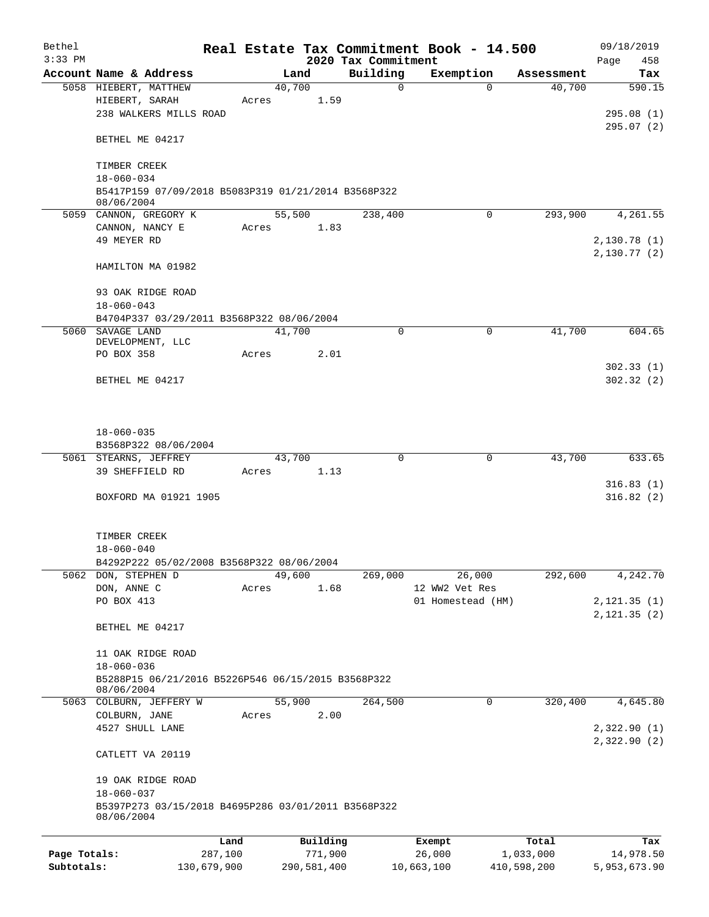| Bethel       |                                                                         |         |       |                |          |                          | Real Estate Tax Commitment Book - 14.500 |            | 09/18/2019   |
|--------------|-------------------------------------------------------------------------|---------|-------|----------------|----------|--------------------------|------------------------------------------|------------|--------------|
| $3:33$ PM    |                                                                         |         |       |                |          | 2020 Tax Commitment      |                                          |            | 458<br>Page  |
|              | Account Name & Address                                                  |         |       | Land<br>40,700 |          | Building<br>$\mathsf{O}$ | Exemption<br>$\Omega$                    | Assessment | Tax          |
|              | 5058 HIEBERT, MATTHEW<br>HIEBERT, SARAH                                 |         | Acres |                | 1.59     |                          |                                          | 40,700     | 590.15       |
|              | 238 WALKERS MILLS ROAD                                                  |         |       |                |          |                          |                                          |            | 295.08(1)    |
|              |                                                                         |         |       |                |          |                          |                                          |            | 295.07(2)    |
|              | BETHEL ME 04217                                                         |         |       |                |          |                          |                                          |            |              |
|              | TIMBER CREEK                                                            |         |       |                |          |                          |                                          |            |              |
|              | 18-060-034                                                              |         |       |                |          |                          |                                          |            |              |
|              | B5417P159 07/09/2018 B5083P319 01/21/2014 B3568P322                     |         |       |                |          |                          |                                          |            |              |
|              | 08/06/2004                                                              |         |       |                |          |                          |                                          |            |              |
|              | 5059 CANNON, GREGORY K                                                  |         |       | 55,500         |          | 238,400                  | $\Omega$                                 | 293,900    | 4,261.55     |
|              | CANNON, NANCY E                                                         |         | Acres |                | 1.83     |                          |                                          |            |              |
|              | 49 MEYER RD                                                             |         |       |                |          |                          |                                          |            | 2,130.78(1)  |
|              |                                                                         |         |       |                |          |                          |                                          |            | 2,130.77(2)  |
|              | HAMILTON MA 01982                                                       |         |       |                |          |                          |                                          |            |              |
|              |                                                                         |         |       |                |          |                          |                                          |            |              |
|              | 93 OAK RIDGE ROAD<br>$18 - 060 - 043$                                   |         |       |                |          |                          |                                          |            |              |
|              | B4704P337 03/29/2011 B3568P322 08/06/2004                               |         |       |                |          |                          |                                          |            |              |
|              | 5060 SAVAGE LAND                                                        |         |       | 41,700         |          | $\Omega$                 | $\mathbf 0$                              | 41,700     | 604.65       |
|              | DEVELOPMENT, LLC                                                        |         |       |                |          |                          |                                          |            |              |
|              | PO BOX 358                                                              |         | Acres |                | 2.01     |                          |                                          |            |              |
|              |                                                                         |         |       |                |          |                          |                                          |            | 302.33(1)    |
|              | BETHEL ME 04217                                                         |         |       |                |          |                          |                                          |            | 302.32(2)    |
|              |                                                                         |         |       |                |          |                          |                                          |            |              |
|              |                                                                         |         |       |                |          |                          |                                          |            |              |
|              |                                                                         |         |       |                |          |                          |                                          |            |              |
|              | $18 - 060 - 035$                                                        |         |       |                |          |                          |                                          |            |              |
|              | B3568P322 08/06/2004                                                    |         |       |                |          |                          |                                          |            |              |
|              | 5061 STEARNS, JEFFREY<br>39 SHEFFIELD RD                                |         |       | 43,700         | 1.13     | $\Omega$                 | $\mathbf 0$                              | 43,700     | 633.65       |
|              |                                                                         |         | Acres |                |          |                          |                                          |            | 316.83(1)    |
|              | BOXFORD MA 01921 1905                                                   |         |       |                |          |                          |                                          |            | 316.82(2)    |
|              |                                                                         |         |       |                |          |                          |                                          |            |              |
|              |                                                                         |         |       |                |          |                          |                                          |            |              |
|              | TIMBER CREEK                                                            |         |       |                |          |                          |                                          |            |              |
|              | $18 - 060 - 040$                                                        |         |       |                |          |                          |                                          |            |              |
|              | B4292P222 05/02/2008 B3568P322 08/06/2004                               |         |       |                |          |                          |                                          |            |              |
|              | 5062 DON, STEPHEN D                                                     |         |       | 49,600         |          | 269,000                  | 26,000                                   | 292,600    | 4,242.70     |
|              | DON, ANNE C                                                             |         | Acres |                | 1.68     |                          | 12 WW2 Vet Res                           |            |              |
|              | PO BOX 413                                                              |         |       |                |          |                          | 01 Homestead (HM)                        |            | 2, 121.35(1) |
|              |                                                                         |         |       |                |          |                          |                                          |            | 2, 121.35(2) |
|              | BETHEL ME 04217                                                         |         |       |                |          |                          |                                          |            |              |
|              |                                                                         |         |       |                |          |                          |                                          |            |              |
|              | 11 OAK RIDGE ROAD<br>$18 - 060 - 036$                                   |         |       |                |          |                          |                                          |            |              |
|              | B5288P15 06/21/2016 B5226P546 06/15/2015 B3568P322                      |         |       |                |          |                          |                                          |            |              |
|              | 08/06/2004                                                              |         |       |                |          |                          |                                          |            |              |
|              | 5063 COLBURN, JEFFERY W                                                 |         |       | 55,900         |          | 264,500                  | 0                                        | 320,400    | 4,645.80     |
|              | COLBURN, JANE                                                           |         | Acres |                | 2.00     |                          |                                          |            |              |
|              | 4527 SHULL LANE                                                         |         |       |                |          |                          |                                          |            | 2,322.90 (1) |
|              |                                                                         |         |       |                |          |                          |                                          |            | 2,322.90(2)  |
|              | CATLETT VA 20119                                                        |         |       |                |          |                          |                                          |            |              |
|              |                                                                         |         |       |                |          |                          |                                          |            |              |
|              | 19 OAK RIDGE ROAD                                                       |         |       |                |          |                          |                                          |            |              |
|              | $18 - 060 - 037$<br>B5397P273 03/15/2018 B4695P286 03/01/2011 B3568P322 |         |       |                |          |                          |                                          |            |              |
|              | 08/06/2004                                                              |         |       |                |          |                          |                                          |            |              |
|              |                                                                         |         |       |                |          |                          |                                          |            |              |
|              |                                                                         | Land    |       |                | Building |                          | Exempt                                   | Total      | Tax          |
| Page Totals: |                                                                         | 287,100 |       |                | 771,900  |                          | 26,000                                   | 1,033,000  | 14,978.50    |

**Subtotals:** 130,679,900 290,581,400 10,663,100 410,598,200 5,953,673.90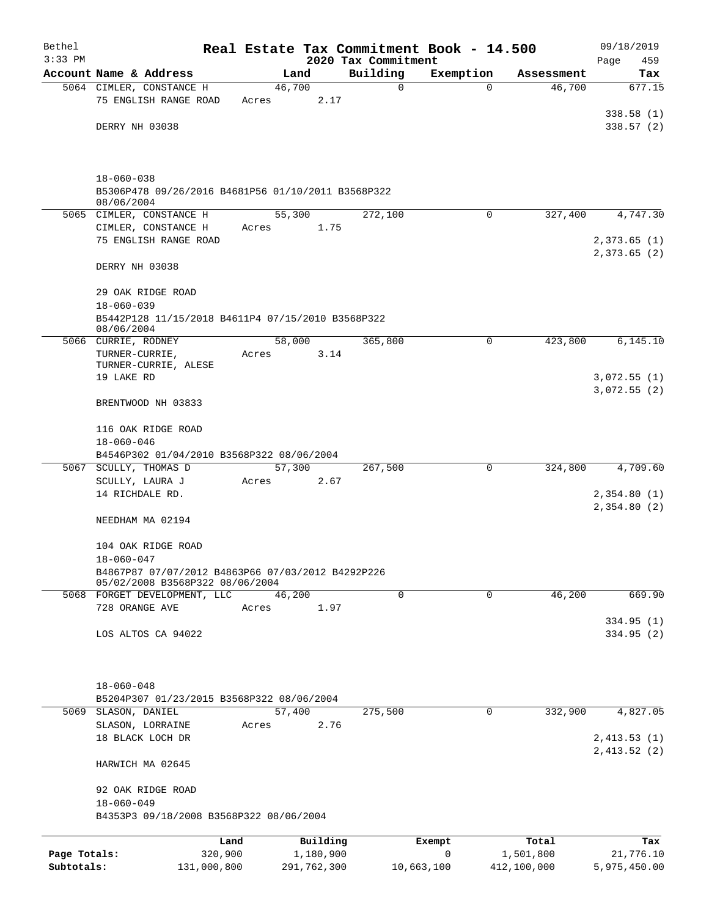| 2020 Tax Commitment<br>Account Name & Address<br>Building<br>Land<br>Exemption<br>Assessment<br>46,700<br>46,700<br>5064 CIMLER, CONSTANCE H<br>0<br>$\Omega$<br>75 ENGLISH RANGE ROAD<br>2.17<br>Acres<br>DERRY NH 03038<br>$18 - 060 - 038$<br>B5306P478 09/26/2016 B4681P56 01/10/2011 B3568P322<br>08/06/2004<br>55,300<br>5065 CIMLER, CONSTANCE H<br>272,100<br>$\Omega$<br>327,400<br>CIMLER, CONSTANCE H<br>1.75<br>Acres<br>75 ENGLISH RANGE ROAD<br>DERRY NH 03038<br>29 OAK RIDGE ROAD<br>$18 - 060 - 039$<br>B5442P128 11/15/2018 B4611P4 07/15/2010 B3568P322<br>08/06/2004<br>5066 CURRIE, RODNEY<br>58,000<br>365,800<br>$\Omega$<br>423,800<br>TURNER-CURRIE,<br>3.14<br>Acres<br>TURNER-CURRIE, ALESE<br>19 LAKE RD<br>BRENTWOOD NH 03833<br>116 OAK RIDGE ROAD<br>$18 - 060 - 046$<br>B4546P302 01/04/2010 B3568P322 08/06/2004<br>57,300<br>324,800<br>5067 SCULLY, THOMAS D<br>267,500<br>0<br>SCULLY, LAURA J<br>Acres<br>2.67<br>14 RICHDALE RD.<br>NEEDHAM MA 02194<br>104 OAK RIDGE ROAD<br>$18 - 060 - 047$<br>B4867P87 07/07/2012 B4863P66 07/03/2012 B4292P226<br>05/02/2008 B3568P322 08/06/2004<br>46,200<br>0<br>$\mathbf 0$<br>46,200<br>5068 FORGET DEVELOPMENT, LLC<br>728 ORANGE AVE<br>1.97<br>Acres<br>LOS ALTOS CA 94022<br>$18 - 060 - 048$<br>B5204P307 01/23/2015 B3568P322 08/06/2004<br>57,400<br>275,500<br>332,900<br>SLASON, DANIEL<br>5069<br>0 |                            | Real Estate Tax Commitment Book - 14.500 |      |       |  | Bethel    |
|-----------------------------------------------------------------------------------------------------------------------------------------------------------------------------------------------------------------------------------------------------------------------------------------------------------------------------------------------------------------------------------------------------------------------------------------------------------------------------------------------------------------------------------------------------------------------------------------------------------------------------------------------------------------------------------------------------------------------------------------------------------------------------------------------------------------------------------------------------------------------------------------------------------------------------------------------------------------------------------------------------------------------------------------------------------------------------------------------------------------------------------------------------------------------------------------------------------------------------------------------------------------------------------------------------------------------------------------------------------------------------------------------|----------------------------|------------------------------------------|------|-------|--|-----------|
|                                                                                                                                                                                                                                                                                                                                                                                                                                                                                                                                                                                                                                                                                                                                                                                                                                                                                                                                                                                                                                                                                                                                                                                                                                                                                                                                                                                               | 459<br>Page<br>Tax         |                                          |      |       |  | $3:33$ PM |
|                                                                                                                                                                                                                                                                                                                                                                                                                                                                                                                                                                                                                                                                                                                                                                                                                                                                                                                                                                                                                                                                                                                                                                                                                                                                                                                                                                                               | 677.15                     |                                          |      |       |  |           |
|                                                                                                                                                                                                                                                                                                                                                                                                                                                                                                                                                                                                                                                                                                                                                                                                                                                                                                                                                                                                                                                                                                                                                                                                                                                                                                                                                                                               |                            |                                          |      |       |  |           |
|                                                                                                                                                                                                                                                                                                                                                                                                                                                                                                                                                                                                                                                                                                                                                                                                                                                                                                                                                                                                                                                                                                                                                                                                                                                                                                                                                                                               | 338.58(1)                  |                                          |      |       |  |           |
|                                                                                                                                                                                                                                                                                                                                                                                                                                                                                                                                                                                                                                                                                                                                                                                                                                                                                                                                                                                                                                                                                                                                                                                                                                                                                                                                                                                               | 338.57(2)                  |                                          |      |       |  |           |
|                                                                                                                                                                                                                                                                                                                                                                                                                                                                                                                                                                                                                                                                                                                                                                                                                                                                                                                                                                                                                                                                                                                                                                                                                                                                                                                                                                                               |                            |                                          |      |       |  |           |
|                                                                                                                                                                                                                                                                                                                                                                                                                                                                                                                                                                                                                                                                                                                                                                                                                                                                                                                                                                                                                                                                                                                                                                                                                                                                                                                                                                                               |                            |                                          |      |       |  |           |
|                                                                                                                                                                                                                                                                                                                                                                                                                                                                                                                                                                                                                                                                                                                                                                                                                                                                                                                                                                                                                                                                                                                                                                                                                                                                                                                                                                                               | 4,747.30                   |                                          |      |       |  |           |
|                                                                                                                                                                                                                                                                                                                                                                                                                                                                                                                                                                                                                                                                                                                                                                                                                                                                                                                                                                                                                                                                                                                                                                                                                                                                                                                                                                                               |                            |                                          |      |       |  |           |
|                                                                                                                                                                                                                                                                                                                                                                                                                                                                                                                                                                                                                                                                                                                                                                                                                                                                                                                                                                                                                                                                                                                                                                                                                                                                                                                                                                                               | 2,373.65(1)<br>2,373.65(2) |                                          |      |       |  |           |
|                                                                                                                                                                                                                                                                                                                                                                                                                                                                                                                                                                                                                                                                                                                                                                                                                                                                                                                                                                                                                                                                                                                                                                                                                                                                                                                                                                                               |                            |                                          |      |       |  |           |
|                                                                                                                                                                                                                                                                                                                                                                                                                                                                                                                                                                                                                                                                                                                                                                                                                                                                                                                                                                                                                                                                                                                                                                                                                                                                                                                                                                                               |                            |                                          |      |       |  |           |
|                                                                                                                                                                                                                                                                                                                                                                                                                                                                                                                                                                                                                                                                                                                                                                                                                                                                                                                                                                                                                                                                                                                                                                                                                                                                                                                                                                                               |                            |                                          |      |       |  |           |
|                                                                                                                                                                                                                                                                                                                                                                                                                                                                                                                                                                                                                                                                                                                                                                                                                                                                                                                                                                                                                                                                                                                                                                                                                                                                                                                                                                                               | 6, 145.10                  |                                          |      |       |  |           |
|                                                                                                                                                                                                                                                                                                                                                                                                                                                                                                                                                                                                                                                                                                                                                                                                                                                                                                                                                                                                                                                                                                                                                                                                                                                                                                                                                                                               |                            |                                          |      |       |  |           |
|                                                                                                                                                                                                                                                                                                                                                                                                                                                                                                                                                                                                                                                                                                                                                                                                                                                                                                                                                                                                                                                                                                                                                                                                                                                                                                                                                                                               | 3,072.55(1)                |                                          |      |       |  |           |
|                                                                                                                                                                                                                                                                                                                                                                                                                                                                                                                                                                                                                                                                                                                                                                                                                                                                                                                                                                                                                                                                                                                                                                                                                                                                                                                                                                                               | 3,072.55(2)                |                                          |      |       |  |           |
|                                                                                                                                                                                                                                                                                                                                                                                                                                                                                                                                                                                                                                                                                                                                                                                                                                                                                                                                                                                                                                                                                                                                                                                                                                                                                                                                                                                               |                            |                                          |      |       |  |           |
|                                                                                                                                                                                                                                                                                                                                                                                                                                                                                                                                                                                                                                                                                                                                                                                                                                                                                                                                                                                                                                                                                                                                                                                                                                                                                                                                                                                               |                            |                                          |      |       |  |           |
|                                                                                                                                                                                                                                                                                                                                                                                                                                                                                                                                                                                                                                                                                                                                                                                                                                                                                                                                                                                                                                                                                                                                                                                                                                                                                                                                                                                               |                            |                                          |      |       |  |           |
|                                                                                                                                                                                                                                                                                                                                                                                                                                                                                                                                                                                                                                                                                                                                                                                                                                                                                                                                                                                                                                                                                                                                                                                                                                                                                                                                                                                               | 4,709.60                   |                                          |      |       |  |           |
|                                                                                                                                                                                                                                                                                                                                                                                                                                                                                                                                                                                                                                                                                                                                                                                                                                                                                                                                                                                                                                                                                                                                                                                                                                                                                                                                                                                               |                            |                                          |      |       |  |           |
|                                                                                                                                                                                                                                                                                                                                                                                                                                                                                                                                                                                                                                                                                                                                                                                                                                                                                                                                                                                                                                                                                                                                                                                                                                                                                                                                                                                               | 2,354.80(1)                |                                          |      |       |  |           |
|                                                                                                                                                                                                                                                                                                                                                                                                                                                                                                                                                                                                                                                                                                                                                                                                                                                                                                                                                                                                                                                                                                                                                                                                                                                                                                                                                                                               | 2,354.80(2)                |                                          |      |       |  |           |
|                                                                                                                                                                                                                                                                                                                                                                                                                                                                                                                                                                                                                                                                                                                                                                                                                                                                                                                                                                                                                                                                                                                                                                                                                                                                                                                                                                                               |                            |                                          |      |       |  |           |
|                                                                                                                                                                                                                                                                                                                                                                                                                                                                                                                                                                                                                                                                                                                                                                                                                                                                                                                                                                                                                                                                                                                                                                                                                                                                                                                                                                                               |                            |                                          |      |       |  |           |
|                                                                                                                                                                                                                                                                                                                                                                                                                                                                                                                                                                                                                                                                                                                                                                                                                                                                                                                                                                                                                                                                                                                                                                                                                                                                                                                                                                                               |                            |                                          |      |       |  |           |
|                                                                                                                                                                                                                                                                                                                                                                                                                                                                                                                                                                                                                                                                                                                                                                                                                                                                                                                                                                                                                                                                                                                                                                                                                                                                                                                                                                                               |                            |                                          |      |       |  |           |
|                                                                                                                                                                                                                                                                                                                                                                                                                                                                                                                                                                                                                                                                                                                                                                                                                                                                                                                                                                                                                                                                                                                                                                                                                                                                                                                                                                                               | 669.90                     |                                          |      |       |  |           |
|                                                                                                                                                                                                                                                                                                                                                                                                                                                                                                                                                                                                                                                                                                                                                                                                                                                                                                                                                                                                                                                                                                                                                                                                                                                                                                                                                                                               |                            |                                          |      |       |  |           |
|                                                                                                                                                                                                                                                                                                                                                                                                                                                                                                                                                                                                                                                                                                                                                                                                                                                                                                                                                                                                                                                                                                                                                                                                                                                                                                                                                                                               | 334.95 (1)                 |                                          |      |       |  |           |
|                                                                                                                                                                                                                                                                                                                                                                                                                                                                                                                                                                                                                                                                                                                                                                                                                                                                                                                                                                                                                                                                                                                                                                                                                                                                                                                                                                                               | 334.95 (2)                 |                                          |      |       |  |           |
|                                                                                                                                                                                                                                                                                                                                                                                                                                                                                                                                                                                                                                                                                                                                                                                                                                                                                                                                                                                                                                                                                                                                                                                                                                                                                                                                                                                               |                            |                                          |      |       |  |           |
|                                                                                                                                                                                                                                                                                                                                                                                                                                                                                                                                                                                                                                                                                                                                                                                                                                                                                                                                                                                                                                                                                                                                                                                                                                                                                                                                                                                               |                            |                                          |      |       |  |           |
|                                                                                                                                                                                                                                                                                                                                                                                                                                                                                                                                                                                                                                                                                                                                                                                                                                                                                                                                                                                                                                                                                                                                                                                                                                                                                                                                                                                               |                            |                                          |      |       |  |           |
|                                                                                                                                                                                                                                                                                                                                                                                                                                                                                                                                                                                                                                                                                                                                                                                                                                                                                                                                                                                                                                                                                                                                                                                                                                                                                                                                                                                               | 4,827.05                   |                                          | 2.76 | Acres |  |           |
| SLASON, LORRAINE<br>18 BLACK LOCH DR                                                                                                                                                                                                                                                                                                                                                                                                                                                                                                                                                                                                                                                                                                                                                                                                                                                                                                                                                                                                                                                                                                                                                                                                                                                                                                                                                          | 2,413.53(1)                |                                          |      |       |  |           |
|                                                                                                                                                                                                                                                                                                                                                                                                                                                                                                                                                                                                                                                                                                                                                                                                                                                                                                                                                                                                                                                                                                                                                                                                                                                                                                                                                                                               | 2,413.52(2)                |                                          |      |       |  |           |
| HARWICH MA 02645                                                                                                                                                                                                                                                                                                                                                                                                                                                                                                                                                                                                                                                                                                                                                                                                                                                                                                                                                                                                                                                                                                                                                                                                                                                                                                                                                                              |                            |                                          |      |       |  |           |
| 92 OAK RIDGE ROAD<br>$18 - 060 - 049$                                                                                                                                                                                                                                                                                                                                                                                                                                                                                                                                                                                                                                                                                                                                                                                                                                                                                                                                                                                                                                                                                                                                                                                                                                                                                                                                                         |                            |                                          |      |       |  |           |
| B4353P3 09/18/2008 B3568P322 08/06/2004                                                                                                                                                                                                                                                                                                                                                                                                                                                                                                                                                                                                                                                                                                                                                                                                                                                                                                                                                                                                                                                                                                                                                                                                                                                                                                                                                       |                            |                                          |      |       |  |           |
| Building<br>Total<br>Land<br>Exempt                                                                                                                                                                                                                                                                                                                                                                                                                                                                                                                                                                                                                                                                                                                                                                                                                                                                                                                                                                                                                                                                                                                                                                                                                                                                                                                                                           | Tax                        |                                          |      |       |  |           |
| $\mathbf 0$<br>Page Totals:<br>320,900<br>1,180,900<br>1,501,800<br>Subtotals:<br>131,000,800<br>291,762,300<br>412,100,000<br>10,663,100                                                                                                                                                                                                                                                                                                                                                                                                                                                                                                                                                                                                                                                                                                                                                                                                                                                                                                                                                                                                                                                                                                                                                                                                                                                     | 21,776.10<br>5,975,450.00  |                                          |      |       |  |           |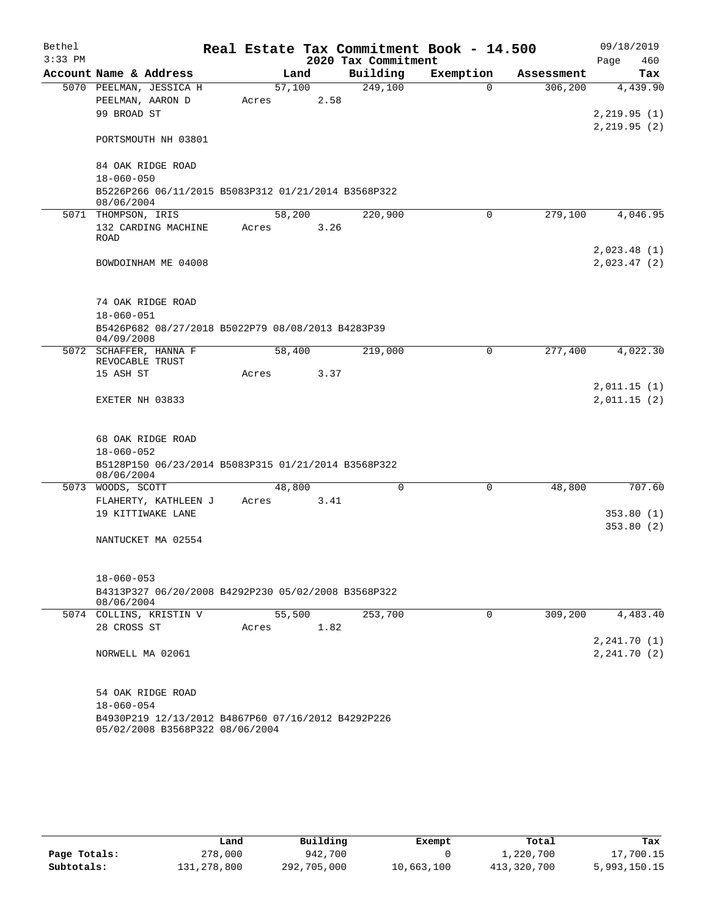| Bethel    |                              |                                                     |        |      |                     | Real Estate Tax Commitment Book - 14.500 |            | 09/18/2019                   |
|-----------|------------------------------|-----------------------------------------------------|--------|------|---------------------|------------------------------------------|------------|------------------------------|
| $3:33$ PM |                              |                                                     |        |      | 2020 Tax Commitment |                                          |            | 460<br>Page                  |
|           | Account Name & Address       |                                                     |        | Land | Building            | Exemption                                | Assessment | Tax                          |
|           |                              | 5070 PEELMAN, JESSICA H                             | 57,100 |      | 249,100             | $\Omega$                                 | 306,200    | 4,439.90                     |
|           | PEELMAN, AARON D             |                                                     | Acres  | 2.58 |                     |                                          |            |                              |
|           | 99 BROAD ST                  |                                                     |        |      |                     |                                          |            | 2, 219.95(1)<br>2, 219.95(2) |
|           |                              | PORTSMOUTH NH 03801                                 |        |      |                     |                                          |            |                              |
|           |                              | 84 OAK RIDGE ROAD                                   |        |      |                     |                                          |            |                              |
|           | $18 - 060 - 050$             |                                                     |        |      |                     |                                          |            |                              |
|           | 08/06/2004                   | B5226P266 06/11/2015 B5083P312 01/21/2014 B3568P322 |        |      |                     |                                          |            |                              |
|           | 5071 THOMPSON, IRIS          |                                                     | 58,200 |      | 220,900             | $\Omega$                                 | 279,100    | 4,046.95                     |
|           |                              | 132 CARDING MACHINE                                 | Acres  | 3.26 |                     |                                          |            |                              |
|           | ROAD                         |                                                     |        |      |                     |                                          |            |                              |
|           |                              |                                                     |        |      |                     |                                          |            | 2,023.48(1)                  |
|           |                              | BOWDOINHAM ME 04008                                 |        |      |                     |                                          |            | 2,023.47(2)                  |
|           |                              | 74 OAK RIDGE ROAD                                   |        |      |                     |                                          |            |                              |
|           | $18 - 060 - 051$             |                                                     |        |      |                     |                                          |            |                              |
|           |                              | B5426P682 08/27/2018 B5022P79 08/08/2013 B4283P39   |        |      |                     |                                          |            |                              |
|           | 04/09/2008                   |                                                     |        |      |                     |                                          |            |                              |
|           |                              | 5072 SCHAFFER, HANNA F                              | 58,400 |      | 219,000             | $\mathbf 0$                              | 277,400    | 4,022.30                     |
|           | REVOCABLE TRUST<br>15 ASH ST |                                                     | Acres  | 3.37 |                     |                                          |            |                              |
|           |                              |                                                     |        |      |                     |                                          |            | 2,011.15(1)                  |
|           | EXETER NH 03833              |                                                     |        |      |                     |                                          |            | 2,011.15(2)                  |
|           |                              |                                                     |        |      |                     |                                          |            |                              |
|           |                              | 68 OAK RIDGE ROAD                                   |        |      |                     |                                          |            |                              |
|           | $18 - 060 - 052$             |                                                     |        |      |                     |                                          |            |                              |
|           | 08/06/2004                   | B5128P150 06/23/2014 B5083P315 01/21/2014 B3568P322 |        |      |                     |                                          |            |                              |
|           | 5073 WOODS, SCOTT            |                                                     | 48,800 |      | $\mathbf 0$         | 0                                        | 48,800     | 707.60                       |
|           |                              | FLAHERTY, KATHLEEN J                                | Acres  | 3.41 |                     |                                          |            |                              |
|           |                              | 19 KITTIWAKE LANE                                   |        |      |                     |                                          |            | 353.80(1)                    |
|           |                              | NANTUCKET MA 02554                                  |        |      |                     |                                          |            | 353.80(2)                    |
|           |                              |                                                     |        |      |                     |                                          |            |                              |
|           | $18 - 060 - 053$             |                                                     |        |      |                     |                                          |            |                              |
|           | 08/06/2004                   | B4313P327 06/20/2008 B4292P230 05/02/2008 B3568P322 |        |      |                     |                                          |            |                              |
|           |                              | 5074 COLLINS, KRISTIN V                             | 55,500 |      | 253,700             | 0                                        | 309,200    | 4,483.40                     |
|           | 28 CROSS ST                  |                                                     | Acres  | 1.82 |                     |                                          |            |                              |
|           |                              |                                                     |        |      |                     |                                          |            | 2, 241.70(1)                 |
|           | NORWELL MA 02061             |                                                     |        |      |                     |                                          |            | 2, 241.70(2)                 |
|           |                              | 54 OAK RIDGE ROAD                                   |        |      |                     |                                          |            |                              |
|           | $18 - 060 - 054$             |                                                     |        |      |                     |                                          |            |                              |
|           |                              | B4930P219 12/13/2012 B4867P60 07/16/2012 B4292P226  |        |      |                     |                                          |            |                              |
|           |                              | 05/02/2008 B3568P322 08/06/2004                     |        |      |                     |                                          |            |                              |

|              | Land        | Building    | Exempt     | Total       | Tax          |
|--------------|-------------|-------------|------------|-------------|--------------|
| Page Totals: | 278,000     | 942,700     |            | 1,220,700   | 17,700.15    |
| Subtotals:   | 131,278,800 | 292,705,000 | 10,663,100 | 413,320,700 | 5,993,150.15 |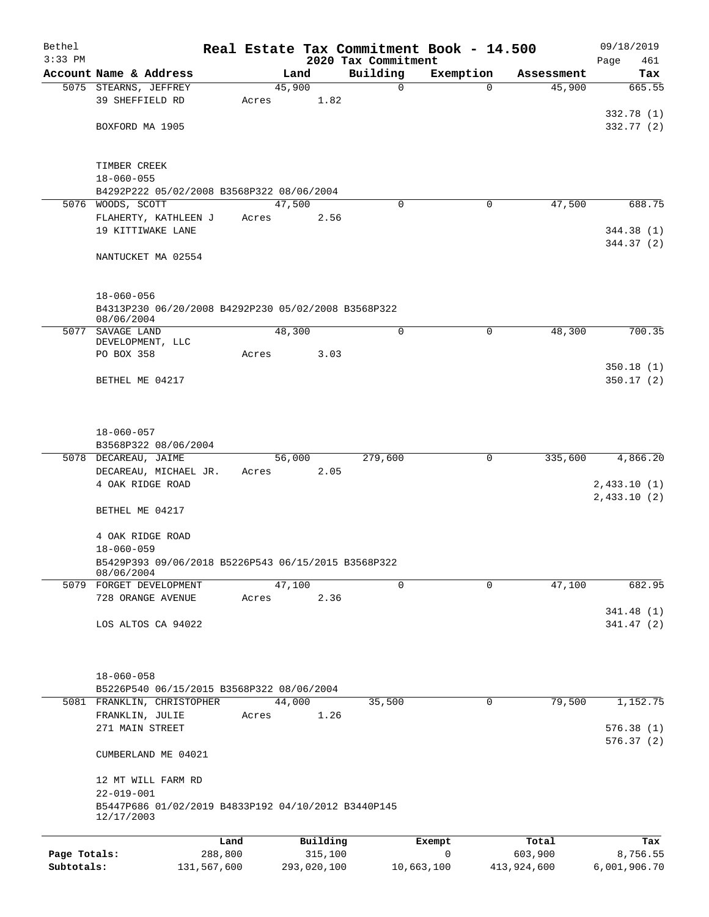| Bethel       |                                                                         |       |                     |                                 | Real Estate Tax Commitment Book - 14.500 |                  | 09/18/2019         |
|--------------|-------------------------------------------------------------------------|-------|---------------------|---------------------------------|------------------------------------------|------------------|--------------------|
| $3:33$ PM    | Account Name & Address                                                  |       | Land                | 2020 Tax Commitment<br>Building | Exemption                                | Assessment       | Page<br>461<br>Tax |
|              | 5075 STEARNS, JEFFREY                                                   |       | 45,900              | 0                               | $\Omega$                                 | 45,900           | 665.55             |
|              | 39 SHEFFIELD RD                                                         | Acres | 1.82                |                                 |                                          |                  |                    |
|              |                                                                         |       |                     |                                 |                                          |                  | 332.78(1)          |
|              | BOXFORD MA 1905                                                         |       |                     |                                 |                                          |                  | 332.77 (2)         |
|              |                                                                         |       |                     |                                 |                                          |                  |                    |
|              |                                                                         |       |                     |                                 |                                          |                  |                    |
|              | TIMBER CREEK<br>$18 - 060 - 055$                                        |       |                     |                                 |                                          |                  |                    |
|              | B4292P222 05/02/2008 B3568P322 08/06/2004                               |       |                     |                                 |                                          |                  |                    |
|              | 5076 WOODS, SCOTT                                                       |       | 47,500              | $\Omega$                        | 0                                        | 47,500           | 688.75             |
|              | FLAHERTY, KATHLEEN J                                                    | Acres | 2.56                |                                 |                                          |                  |                    |
|              | 19 KITTIWAKE LANE                                                       |       |                     |                                 |                                          |                  | 344.38 (1)         |
|              |                                                                         |       |                     |                                 |                                          |                  | 344.37 (2)         |
|              | NANTUCKET MA 02554                                                      |       |                     |                                 |                                          |                  |                    |
|              |                                                                         |       |                     |                                 |                                          |                  |                    |
|              | $18 - 060 - 056$                                                        |       |                     |                                 |                                          |                  |                    |
|              | B4313P230 06/20/2008 B4292P230 05/02/2008 B3568P322                     |       |                     |                                 |                                          |                  |                    |
|              | 08/06/2004<br>5077 SAVAGE LAND                                          |       | 48,300              | $\mathbf 0$                     | $\mathbf 0$                              | 48,300           | 700.35             |
|              | DEVELOPMENT, LLC                                                        |       |                     |                                 |                                          |                  |                    |
|              | PO BOX 358                                                              | Acres | 3.03                |                                 |                                          |                  |                    |
|              |                                                                         |       |                     |                                 |                                          |                  | 350.18(1)          |
|              | BETHEL ME 04217                                                         |       |                     |                                 |                                          |                  | 350.17(2)          |
|              |                                                                         |       |                     |                                 |                                          |                  |                    |
|              |                                                                         |       |                     |                                 |                                          |                  |                    |
|              | $18 - 060 - 057$                                                        |       |                     |                                 |                                          |                  |                    |
|              | B3568P322 08/06/2004                                                    |       |                     |                                 |                                          |                  |                    |
|              | 5078 DECAREAU, JAIME                                                    |       | 56,000              | 279,600                         | 0                                        | 335,600          | 4,866.20           |
|              | DECAREAU, MICHAEL JR.<br>4 OAK RIDGE ROAD                               | Acres | 2.05                |                                 |                                          |                  | 2,433.10(1)        |
|              |                                                                         |       |                     |                                 |                                          |                  | 2,433.10(2)        |
|              | BETHEL ME 04217                                                         |       |                     |                                 |                                          |                  |                    |
|              |                                                                         |       |                     |                                 |                                          |                  |                    |
|              | 4 OAK RIDGE ROAD                                                        |       |                     |                                 |                                          |                  |                    |
|              | $18 - 060 - 059$                                                        |       |                     |                                 |                                          |                  |                    |
|              | B5429P393 09/06/2018 B5226P543 06/15/2015 B3568P322<br>08/06/2004       |       |                     |                                 |                                          |                  |                    |
|              | 5079 FORGET DEVELOPMENT                                                 |       | 47,100              | $\Omega$                        | $\Omega$                                 | 47,100           | 682.95             |
|              | 728 ORANGE AVENUE                                                       | Acres | 2.36                |                                 |                                          |                  |                    |
|              |                                                                         |       |                     |                                 |                                          |                  | 341.48(1)          |
|              | LOS ALTOS CA 94022                                                      |       |                     |                                 |                                          |                  | 341.47(2)          |
|              |                                                                         |       |                     |                                 |                                          |                  |                    |
|              |                                                                         |       |                     |                                 |                                          |                  |                    |
|              | $18 - 060 - 058$                                                        |       |                     |                                 |                                          |                  |                    |
|              | B5226P540 06/15/2015 B3568P322 08/06/2004                               |       |                     |                                 |                                          |                  |                    |
|              | 5081 FRANKLIN, CHRISTOPHER<br>FRANKLIN, JULIE                           |       | 44,000<br>1.26      | 35,500                          | 0                                        | 79,500           | 1,152.75           |
|              | 271 MAIN STREET                                                         | Acres |                     |                                 |                                          |                  | 576.38(1)          |
|              |                                                                         |       |                     |                                 |                                          |                  | 576.37(2)          |
|              | CUMBERLAND ME 04021                                                     |       |                     |                                 |                                          |                  |                    |
|              |                                                                         |       |                     |                                 |                                          |                  |                    |
|              | 12 MT WILL FARM RD                                                      |       |                     |                                 |                                          |                  |                    |
|              | $22 - 019 - 001$<br>B5447P686 01/02/2019 B4833P192 04/10/2012 B3440P145 |       |                     |                                 |                                          |                  |                    |
|              | 12/17/2003                                                              |       |                     |                                 |                                          |                  |                    |
|              |                                                                         |       |                     |                                 |                                          |                  |                    |
| Page Totals: | Land<br>288,800                                                         |       | Building<br>315,100 |                                 | Exempt<br>0                              | Total<br>603,900 | Tax<br>8,756.55    |
| Subtotals:   | 131,567,600                                                             |       | 293,020,100         |                                 | 10,663,100                               | 413,924,600      | 6,001,906.70       |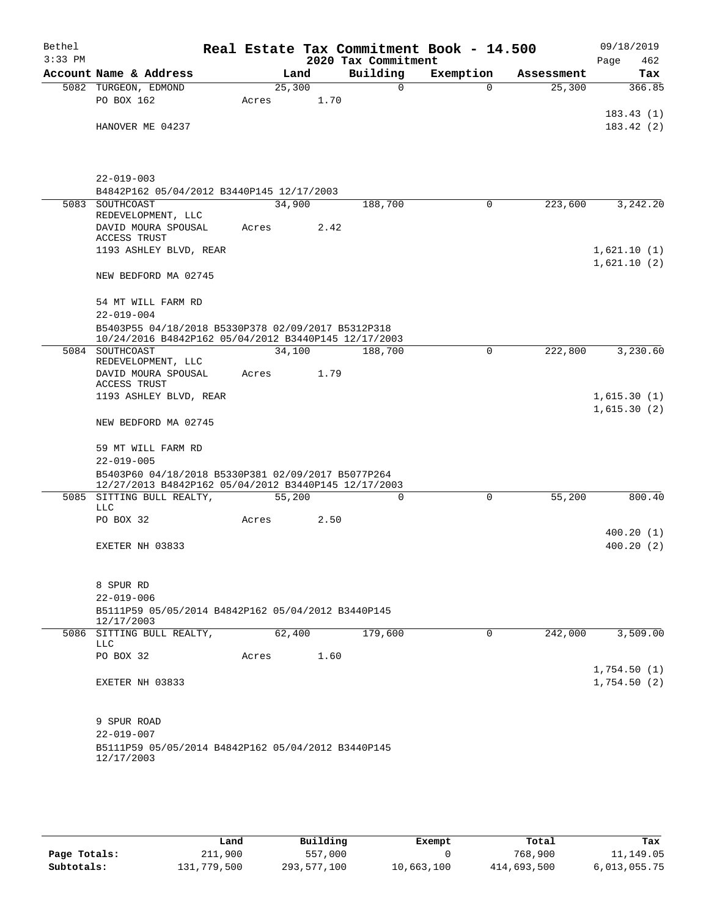| Bethel<br>$3:33$ PM |                                                                                                            |        |      | 2020 Tax Commitment | Real Estate Tax Commitment Book - 14.500 |            | 09/18/2019<br>Page<br>462  |
|---------------------|------------------------------------------------------------------------------------------------------------|--------|------|---------------------|------------------------------------------|------------|----------------------------|
|                     | Account Name & Address                                                                                     |        | Land | Building            | Exemption                                | Assessment | Tax                        |
|                     | 5082 TURGEON, EDMOND                                                                                       | 25,300 |      | $\mathbf 0$         | $\Omega$                                 | 25,300     | 366.85                     |
|                     | PO BOX 162                                                                                                 | Acres  | 1.70 |                     |                                          |            |                            |
|                     |                                                                                                            |        |      |                     |                                          |            | 183.43(1)                  |
|                     | HANOVER ME 04237                                                                                           |        |      |                     |                                          |            | 183.42(2)                  |
|                     |                                                                                                            |        |      |                     |                                          |            |                            |
|                     | $22 - 019 - 003$                                                                                           |        |      |                     |                                          |            |                            |
|                     | B4842P162 05/04/2012 B3440P145 12/17/2003                                                                  |        |      |                     |                                          |            |                            |
|                     | 5083 SOUTHCOAST                                                                                            | 34,900 |      | 188,700             | 0                                        | 223,600    | 3,242.20                   |
|                     | REDEVELOPMENT, LLC                                                                                         |        |      |                     |                                          |            |                            |
|                     | DAVID MOURA SPOUSAL<br>ACCESS TRUST                                                                        | Acres  | 2.42 |                     |                                          |            |                            |
|                     | 1193 ASHLEY BLVD, REAR                                                                                     |        |      |                     |                                          |            | 1,621.10(1)                |
|                     |                                                                                                            |        |      |                     |                                          |            | 1,621.10(2)                |
|                     | NEW BEDFORD MA 02745                                                                                       |        |      |                     |                                          |            |                            |
|                     | 54 MT WILL FARM RD                                                                                         |        |      |                     |                                          |            |                            |
|                     | $22 - 019 - 004$                                                                                           |        |      |                     |                                          |            |                            |
|                     | B5403P55 04/18/2018 B5330P378 02/09/2017 B5312P318<br>10/24/2016 B4842P162 05/04/2012 B3440P145 12/17/2003 |        |      |                     |                                          |            |                            |
|                     | 5084 SOUTHCOAST<br>REDEVELOPMENT, LLC                                                                      | 34,100 |      | 188,700             | 0                                        | 222,800    | 3,230.60                   |
|                     | DAVID MOURA SPOUSAL                                                                                        | Acres  | 1.79 |                     |                                          |            |                            |
|                     | ACCESS TRUST<br>1193 ASHLEY BLVD, REAR                                                                     |        |      |                     |                                          |            | 1,615.30(1)                |
|                     |                                                                                                            |        |      |                     |                                          |            | 1,615.30(2)                |
|                     | NEW BEDFORD MA 02745                                                                                       |        |      |                     |                                          |            |                            |
|                     | 59 MT WILL FARM RD                                                                                         |        |      |                     |                                          |            |                            |
|                     | $22 - 019 - 005$                                                                                           |        |      |                     |                                          |            |                            |
|                     | B5403P60 04/18/2018 B5330P381 02/09/2017 B5077P264                                                         |        |      |                     |                                          |            |                            |
|                     | 12/27/2013 B4842P162 05/04/2012 B3440P145 12/17/2003<br>5085 SITTING BULL REALTY,                          | 55,200 |      | 0                   | $\mathbf 0$                              | 55,200     | 800.40                     |
|                     | LLC                                                                                                        |        |      |                     |                                          |            |                            |
|                     | PO BOX 32                                                                                                  | Acres  | 2.50 |                     |                                          |            |                            |
|                     |                                                                                                            |        |      |                     |                                          |            | 400.20(1)                  |
|                     | EXETER NH 03833                                                                                            |        |      |                     |                                          |            | 400.20(2)                  |
|                     | 8 SPUR RD                                                                                                  |        |      |                     |                                          |            |                            |
|                     | $22 - 019 - 006$                                                                                           |        |      |                     |                                          |            |                            |
|                     | B5111P59 05/05/2014 B4842P162 05/04/2012 B3440P145<br>12/17/2003                                           |        |      |                     |                                          |            |                            |
|                     | 5086 SITTING BULL REALTY,                                                                                  | 62,400 |      | 179,600             | 0                                        | 242,000    | 3,509.00                   |
|                     | LLC                                                                                                        |        |      |                     |                                          |            |                            |
|                     | PO BOX 32                                                                                                  | Acres  | 1.60 |                     |                                          |            |                            |
|                     | EXETER NH 03833                                                                                            |        |      |                     |                                          |            | 1,754.50(1)<br>1,754.50(2) |
|                     |                                                                                                            |        |      |                     |                                          |            |                            |
|                     | 9 SPUR ROAD                                                                                                |        |      |                     |                                          |            |                            |
|                     | $22 - 019 - 007$                                                                                           |        |      |                     |                                          |            |                            |
|                     | B5111P59 05/05/2014 B4842P162 05/04/2012 B3440P145<br>12/17/2003                                           |        |      |                     |                                          |            |                            |
|                     |                                                                                                            |        |      |                     |                                          |            |                            |

|              | Land        | Building    | Exempt     | Total       | Tax          |
|--------------|-------------|-------------|------------|-------------|--------------|
| Page Totals: | 211,900     | 557,000     |            | 768,900     | 11,149.05    |
| Subtotals:   | 131,779,500 | 293,577,100 | 10,663,100 | 414,693,500 | 6,013,055.75 |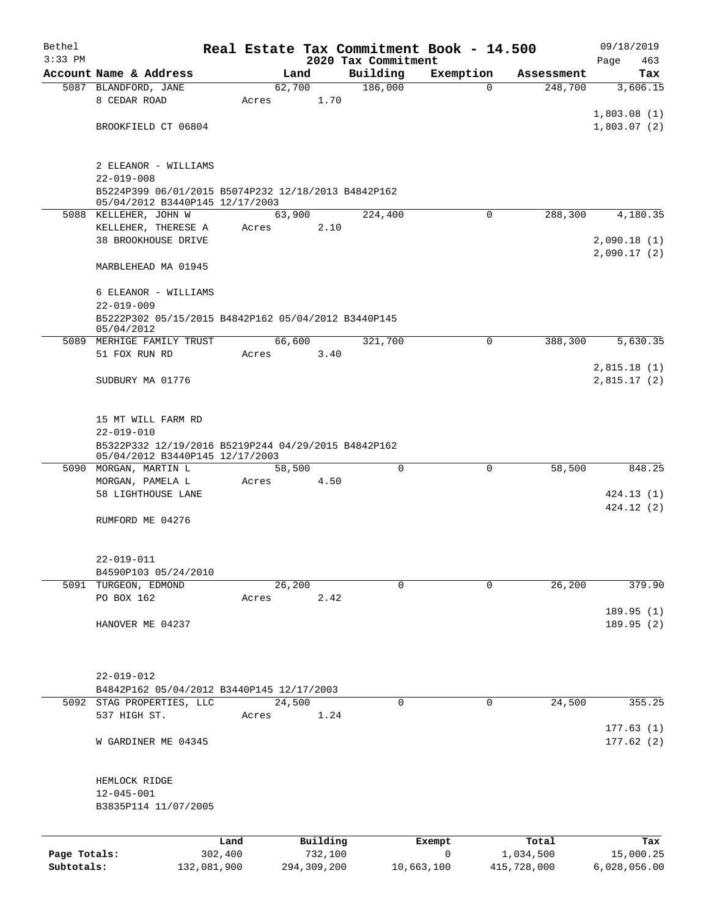| Bethel       |                                                                                        |             |                 |             |                     | Real Estate Tax Commitment Book - 14.500 |             | 09/18/2019                 |
|--------------|----------------------------------------------------------------------------------------|-------------|-----------------|-------------|---------------------|------------------------------------------|-------------|----------------------------|
| $3:33$ PM    |                                                                                        |             |                 |             | 2020 Tax Commitment |                                          |             | 463<br>Page                |
|              | Account Name & Address                                                                 |             |                 | Land        | Building            | Exemption                                | Assessment  | Tax                        |
|              | 5087 BLANDFORD, JANE<br>8 CEDAR ROAD                                                   |             | 62,700<br>Acres | 1.70        | 186,000             | $\Omega$                                 | 248,700     | 3,606.15                   |
|              |                                                                                        |             |                 |             |                     |                                          |             | 1,803.08(1)                |
|              | BROOKFIELD CT 06804                                                                    |             |                 |             |                     |                                          |             | 1,803.07(2)                |
|              |                                                                                        |             |                 |             |                     |                                          |             |                            |
|              | 2 ELEANOR - WILLIAMS                                                                   |             |                 |             |                     |                                          |             |                            |
|              | $22 - 019 - 008$                                                                       |             |                 |             |                     |                                          |             |                            |
|              | B5224P399 06/01/2015 B5074P232 12/18/2013 B4842P162<br>05/04/2012 B3440P145 12/17/2003 |             |                 |             |                     |                                          |             |                            |
|              | 5088 KELLEHER, JOHN W                                                                  |             | 63,900          |             | 224,400             | $\Omega$                                 | 288,300     | 4,180.35                   |
|              | KELLEHER, THERESE A                                                                    |             | Acres           | 2.10        |                     |                                          |             |                            |
|              | 38 BROOKHOUSE DRIVE                                                                    |             |                 |             |                     |                                          |             | 2,090.18(1)                |
|              |                                                                                        |             |                 |             |                     |                                          |             | 2,090.17(2)                |
|              | MARBLEHEAD MA 01945                                                                    |             |                 |             |                     |                                          |             |                            |
|              | 6 ELEANOR - WILLIAMS                                                                   |             |                 |             |                     |                                          |             |                            |
|              | $22 - 019 - 009$                                                                       |             |                 |             |                     |                                          |             |                            |
|              | B5222P302 05/15/2015 B4842P162 05/04/2012 B3440P145<br>05/04/2012                      |             |                 |             |                     |                                          |             |                            |
|              | 5089 MERHIGE FAMILY TRUST                                                              |             | 66, 600         |             | 321,700             | $\Omega$                                 | 388,300     | 5,630.35                   |
|              | 51 FOX RUN RD                                                                          |             | Acres           | 3.40        |                     |                                          |             |                            |
|              | SUDBURY MA 01776                                                                       |             |                 |             |                     |                                          |             | 2,815.18(1)<br>2,815.17(2) |
|              |                                                                                        |             |                 |             |                     |                                          |             |                            |
|              |                                                                                        |             |                 |             |                     |                                          |             |                            |
|              | 15 MT WILL FARM RD                                                                     |             |                 |             |                     |                                          |             |                            |
|              | $22 - 019 - 010$                                                                       |             |                 |             |                     |                                          |             |                            |
|              | B5322P332 12/19/2016 B5219P244 04/29/2015 B4842P162<br>05/04/2012 B3440P145 12/17/2003 |             |                 |             |                     |                                          |             |                            |
|              | 5090 MORGAN, MARTIN L                                                                  |             | 58,500          |             | $\Omega$            | $\mathbf 0$                              | 58,500      | 848.25                     |
|              | MORGAN, PAMELA L                                                                       |             | Acres           | 4.50        |                     |                                          |             |                            |
|              | 58 LIGHTHOUSE LANE                                                                     |             |                 |             |                     |                                          |             | 424.13(1)                  |
|              |                                                                                        |             |                 |             |                     |                                          |             | 424.12 (2)                 |
|              | RUMFORD ME 04276                                                                       |             |                 |             |                     |                                          |             |                            |
|              |                                                                                        |             |                 |             |                     |                                          |             |                            |
|              | $22 - 019 - 011$                                                                       |             |                 |             |                     |                                          |             |                            |
|              | B4590P103 05/24/2010                                                                   |             |                 |             |                     |                                          |             |                            |
|              | 5091 TURGEON, EDMOND                                                                   |             | 26, 200         |             | $\Omega$            | $\mathbf 0$                              | 26,200      | 379.90                     |
|              | PO BOX 162                                                                             |             | Acres           | 2.42        |                     |                                          |             |                            |
|              | HANOVER ME 04237                                                                       |             |                 |             |                     |                                          |             | 189.95(1)<br>189.95 (2)    |
|              |                                                                                        |             |                 |             |                     |                                          |             |                            |
|              |                                                                                        |             |                 |             |                     |                                          |             |                            |
|              |                                                                                        |             |                 |             |                     |                                          |             |                            |
|              | $22 - 019 - 012$                                                                       |             |                 |             |                     |                                          |             |                            |
|              | B4842P162 05/04/2012 B3440P145 12/17/2003                                              |             |                 |             |                     |                                          |             |                            |
|              | 5092 STAG PROPERTIES, LLC<br>537 HIGH ST.                                              |             | 24,500<br>Acres | 1.24        | 0                   | 0                                        | 24,500      | 355.25                     |
|              |                                                                                        |             |                 |             |                     |                                          |             | 177.63(1)                  |
|              | W GARDINER ME 04345                                                                    |             |                 |             |                     |                                          |             | 177.62(2)                  |
|              |                                                                                        |             |                 |             |                     |                                          |             |                            |
|              |                                                                                        |             |                 |             |                     |                                          |             |                            |
|              | HEMLOCK RIDGE<br>$12 - 045 - 001$                                                      |             |                 |             |                     |                                          |             |                            |
|              | B3835P114 11/07/2005                                                                   |             |                 |             |                     |                                          |             |                            |
|              |                                                                                        |             |                 |             |                     |                                          |             |                            |
|              |                                                                                        | Land        |                 | Building    |                     | Exempt                                   | Total       | Tax                        |
| Page Totals: |                                                                                        | 302,400     |                 | 732,100     |                     | $\mathbf 0$                              | 1,034,500   | 15,000.25                  |
| Subtotals:   |                                                                                        | 132,081,900 |                 | 294,309,200 |                     | 10,663,100                               | 415,728,000 | 6,028,056.00               |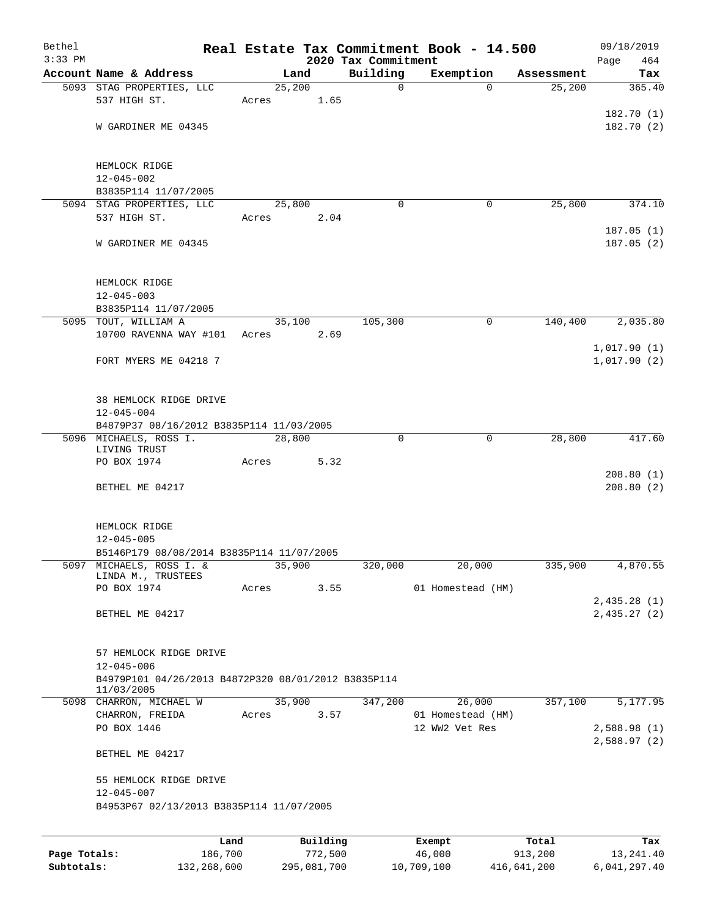| $3:33$ PM |                                                     |       |        |          | Real Estate Tax Commitment Book - 14.500<br>2020 Tax Commitment |                   |            | 464<br>Page            |
|-----------|-----------------------------------------------------|-------|--------|----------|-----------------------------------------------------------------|-------------------|------------|------------------------|
|           | Account Name & Address                              |       | Land   |          | Building                                                        | Exemption         | Assessment | Tax                    |
|           | 5093 STAG PROPERTIES, LLC                           |       | 25,200 |          | $\mathbf 0$                                                     | $\Omega$          | 25,200     | 365.40                 |
|           | 537 HIGH ST.                                        | Acres |        | 1.65     |                                                                 |                   |            |                        |
|           | W GARDINER ME 04345                                 |       |        |          |                                                                 |                   |            | 182.70(1)<br>182.70(2) |
|           |                                                     |       |        |          |                                                                 |                   |            |                        |
|           | HEMLOCK RIDGE                                       |       |        |          |                                                                 |                   |            |                        |
|           | $12 - 045 - 002$                                    |       |        |          |                                                                 |                   |            |                        |
|           | B3835P114 11/07/2005                                |       |        |          |                                                                 |                   |            |                        |
|           | 5094 STAG PROPERTIES, LLC                           |       | 25,800 |          | $\Omega$                                                        | 0                 | 25,800     | 374.10                 |
|           | 537 HIGH ST.                                        | Acres |        | 2.04     |                                                                 |                   |            |                        |
|           |                                                     |       |        |          |                                                                 |                   |            | 187.05(1)              |
|           | W GARDINER ME 04345                                 |       |        |          |                                                                 |                   |            | 187.05(2)              |
|           | HEMLOCK RIDGE                                       |       |        |          |                                                                 |                   |            |                        |
|           | $12 - 045 - 003$                                    |       |        |          |                                                                 |                   |            |                        |
|           | B3835P114 11/07/2005                                |       |        |          |                                                                 |                   |            |                        |
|           | 5095 TOUT, WILLIAM A                                |       | 35,100 |          | 105,300                                                         | $\mathbf 0$       | 140,400    | 2,035.80               |
|           | 10700 RAVENNA WAY #101                              | Acres |        | 2.69     |                                                                 |                   |            |                        |
|           |                                                     |       |        |          |                                                                 |                   |            | 1,017.90(1)            |
|           | FORT MYERS ME 04218 7                               |       |        |          |                                                                 |                   |            | 1,017.90(2)            |
|           | 38 HEMLOCK RIDGE DRIVE                              |       |        |          |                                                                 |                   |            |                        |
|           | $12 - 045 - 004$                                    |       |        |          |                                                                 |                   |            |                        |
|           | B4879P37 08/16/2012 B3835P114 11/03/2005            |       |        |          |                                                                 |                   |            |                        |
|           | 5096 MICHAELS, ROSS I.                              |       | 28,800 |          | $\Omega$                                                        | $\Omega$          | 28,800     | 417.60                 |
|           | LIVING TRUST                                        |       |        |          |                                                                 |                   |            |                        |
|           | PO BOX 1974                                         | Acres |        | 5.32     |                                                                 |                   |            |                        |
|           | BETHEL ME 04217                                     |       |        |          |                                                                 |                   |            | 208.80(1)<br>208.80(2) |
|           |                                                     |       |        |          |                                                                 |                   |            |                        |
|           | HEMLOCK RIDGE                                       |       |        |          |                                                                 |                   |            |                        |
|           | $12 - 045 - 005$                                    |       |        |          |                                                                 |                   |            |                        |
|           | B5146P179 08/08/2014 B3835P114 11/07/2005           |       |        |          |                                                                 |                   |            |                        |
|           | 5097 MICHAELS, ROSS I. &<br>LINDA M., TRUSTEES      |       | 35,900 |          | 320,000                                                         | 20,000            | 335,900    | 4,870.55               |
|           | PO BOX 1974                                         | Acres |        | 3.55     |                                                                 | 01 Homestead (HM) |            |                        |
|           |                                                     |       |        |          |                                                                 |                   |            | 2,435.28(1)            |
|           | BETHEL ME 04217                                     |       |        |          |                                                                 |                   |            | 2,435.27(2)            |
|           | 57 HEMLOCK RIDGE DRIVE                              |       |        |          |                                                                 |                   |            |                        |
|           | $12 - 045 - 006$                                    |       |        |          |                                                                 |                   |            |                        |
|           | B4979P101 04/26/2013 B4872P320 08/01/2012 B3835P114 |       |        |          |                                                                 |                   |            |                        |
|           | 11/03/2005<br>5098 CHARRON, MICHAEL W               |       | 35,900 |          | 347,200                                                         | 26,000            | 357,100    | 5,177.95               |
|           | CHARRON, FREIDA                                     | Acres |        | 3.57     |                                                                 | 01 Homestead (HM) |            |                        |
|           | PO BOX 1446                                         |       |        |          |                                                                 | 12 WW2 Vet Res    |            | 2,588.98(1)            |
|           |                                                     |       |        |          |                                                                 |                   |            | 2,588.97(2)            |
|           | BETHEL ME 04217                                     |       |        |          |                                                                 |                   |            |                        |
|           | 55 HEMLOCK RIDGE DRIVE                              |       |        |          |                                                                 |                   |            |                        |
|           | $12 - 045 - 007$                                    |       |        |          |                                                                 |                   |            |                        |
|           | B4953P67 02/13/2013 B3835P114 11/07/2005            |       |        |          |                                                                 |                   |            |                        |
|           |                                                     |       |        |          |                                                                 |                   |            |                        |
|           | Land                                                |       |        | Building |                                                                 | Exempt            | Total      | Tax                    |

|              | -----       | --------    | -------    | -----       | .            |
|--------------|-------------|-------------|------------|-------------|--------------|
| Page Totals: | 186,700     | 772,500     | 46,000     | 913,200     | 13, 241, 40  |
| Subtotals:   | 132,268,600 | 295,081,700 | 10,709,100 | 416,641,200 | 6,041,297.40 |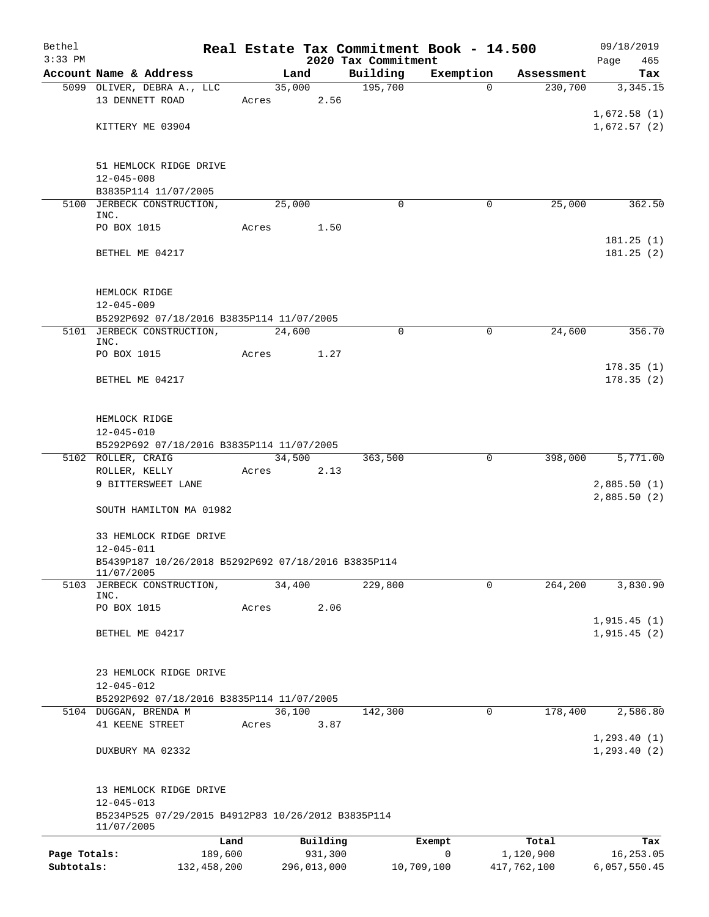| Bethel<br>$3:33$ PM |                                                                   |             |       |             | 2020 Tax Commitment | Real Estate Tax Commitment Book - 14.500 |             | 09/18/2019<br>Page<br>465 |
|---------------------|-------------------------------------------------------------------|-------------|-------|-------------|---------------------|------------------------------------------|-------------|---------------------------|
|                     | Account Name & Address                                            |             |       | Land        | Building            | Exemption                                | Assessment  | Tax                       |
|                     | 5099 OLIVER, DEBRA A., LLC                                        |             |       | 35,000      | 195,700             | $\Omega$                                 | 230,700     | 3,345.15                  |
|                     | 13 DENNETT ROAD                                                   |             | Acres | 2.56        |                     |                                          |             |                           |
|                     |                                                                   |             |       |             |                     |                                          |             | 1,672.58(1)               |
|                     | KITTERY ME 03904                                                  |             |       |             |                     |                                          |             | 1,672.57(2)               |
|                     |                                                                   |             |       |             |                     |                                          |             |                           |
|                     |                                                                   |             |       |             |                     |                                          |             |                           |
|                     | 51 HEMLOCK RIDGE DRIVE                                            |             |       |             |                     |                                          |             |                           |
|                     | $12 - 045 - 008$                                                  |             |       |             |                     |                                          |             |                           |
|                     | B3835P114 11/07/2005<br>5100 JERBECK CONSTRUCTION,                |             |       | 25,000      | $\Omega$            | $\mathbf 0$                              | 25,000      | 362.50                    |
|                     | INC.                                                              |             |       |             |                     |                                          |             |                           |
|                     | PO BOX 1015                                                       |             | Acres | 1.50        |                     |                                          |             |                           |
|                     |                                                                   |             |       |             |                     |                                          |             | 181.25(1)                 |
|                     | BETHEL ME 04217                                                   |             |       |             |                     |                                          |             | 181.25(2)                 |
|                     |                                                                   |             |       |             |                     |                                          |             |                           |
|                     |                                                                   |             |       |             |                     |                                          |             |                           |
|                     | HEMLOCK RIDGE                                                     |             |       |             |                     |                                          |             |                           |
|                     | $12 - 045 - 009$<br>B5292P692 07/18/2016 B3835P114 11/07/2005     |             |       |             |                     |                                          |             |                           |
|                     | 5101 JERBECK CONSTRUCTION,                                        |             |       | 24,600      | $\mathbf 0$         | $\mathbf 0$                              | 24,600      | 356.70                    |
|                     | INC.                                                              |             |       |             |                     |                                          |             |                           |
|                     | PO BOX 1015                                                       |             | Acres | 1.27        |                     |                                          |             |                           |
|                     |                                                                   |             |       |             |                     |                                          |             | 178.35(1)                 |
|                     | BETHEL ME 04217                                                   |             |       |             |                     |                                          |             | 178.35(2)                 |
|                     |                                                                   |             |       |             |                     |                                          |             |                           |
|                     |                                                                   |             |       |             |                     |                                          |             |                           |
|                     | HEMLOCK RIDGE                                                     |             |       |             |                     |                                          |             |                           |
|                     | $12 - 045 - 010$<br>B5292P692 07/18/2016 B3835P114 11/07/2005     |             |       |             |                     |                                          |             |                           |
|                     | 5102 ROLLER, CRAIG                                                |             |       | 34,500      | 363,500             | 0                                        | 398,000     | 5,771.00                  |
|                     | ROLLER, KELLY                                                     |             | Acres | 2.13        |                     |                                          |             |                           |
|                     | 9 BITTERSWEET LANE                                                |             |       |             |                     |                                          |             | 2,885.50(1)               |
|                     |                                                                   |             |       |             |                     |                                          |             | 2,885.50(2)               |
|                     | SOUTH HAMILTON MA 01982                                           |             |       |             |                     |                                          |             |                           |
|                     |                                                                   |             |       |             |                     |                                          |             |                           |
|                     | 33 HEMLOCK RIDGE DRIVE                                            |             |       |             |                     |                                          |             |                           |
|                     | $12 - 045 - 011$                                                  |             |       |             |                     |                                          |             |                           |
|                     | B5439P187 10/26/2018 B5292P692 07/18/2016 B3835P114<br>11/07/2005 |             |       |             |                     |                                          |             |                           |
|                     | 5103 JERBECK CONSTRUCTION,                                        |             |       | 34,400      | 229,800             | 0                                        | 264,200     | 3,830.90                  |
|                     | INC.                                                              |             |       |             |                     |                                          |             |                           |
|                     | PO BOX 1015                                                       |             | Acres | 2.06        |                     |                                          |             |                           |
|                     |                                                                   |             |       |             |                     |                                          |             | 1,915.45(1)               |
|                     | BETHEL ME 04217                                                   |             |       |             |                     |                                          |             | 1,915.45(2)               |
|                     |                                                                   |             |       |             |                     |                                          |             |                           |
|                     | 23 HEMLOCK RIDGE DRIVE                                            |             |       |             |                     |                                          |             |                           |
|                     | $12 - 045 - 012$                                                  |             |       |             |                     |                                          |             |                           |
|                     | B5292P692 07/18/2016 B3835P114 11/07/2005                         |             |       |             |                     |                                          |             |                           |
|                     | 5104 DUGGAN, BRENDA M                                             |             |       | 36,100      | 142,300             | $\mathbf 0$                              | 178,400     | 2,586.80                  |
|                     | 41 KEENE STREET                                                   |             | Acres | 3.87        |                     |                                          |             |                           |
|                     |                                                                   |             |       |             |                     |                                          |             | 1, 293.40(1)              |
|                     | DUXBURY MA 02332                                                  |             |       |             |                     |                                          |             | 1, 293.40(2)              |
|                     |                                                                   |             |       |             |                     |                                          |             |                           |
|                     |                                                                   |             |       |             |                     |                                          |             |                           |
|                     | 13 HEMLOCK RIDGE DRIVE<br>$12 - 045 - 013$                        |             |       |             |                     |                                          |             |                           |
|                     | B5234P525 07/29/2015 B4912P83 10/26/2012 B3835P114                |             |       |             |                     |                                          |             |                           |
|                     | 11/07/2005                                                        |             |       |             |                     |                                          |             |                           |
|                     |                                                                   | Land        |       | Building    |                     | Exempt                                   | Total       | Tax                       |
| Page Totals:        |                                                                   | 189,600     |       | 931,300     |                     | $\mathbf 0$                              | 1,120,900   | 16,253.05                 |
| Subtotals:          |                                                                   | 132,458,200 |       | 296,013,000 |                     | 10,709,100                               | 417,762,100 | 6,057,550.45              |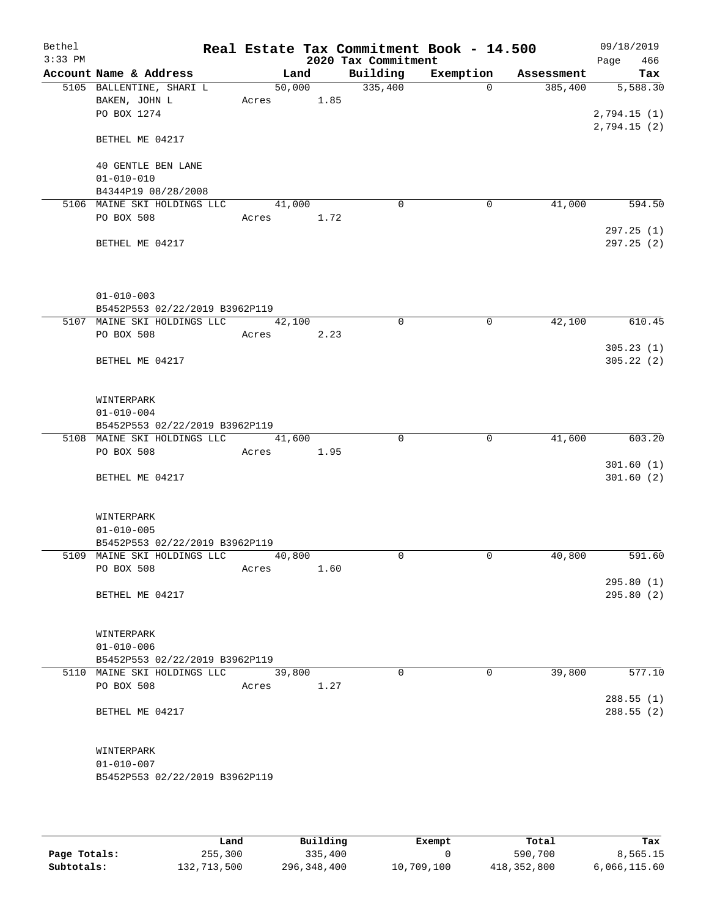| Bethel<br>$3:33$ PM |                                |        |      | 2020 Tax Commitment | Real Estate Tax Commitment Book - 14.500 |            | 09/18/2019<br>466<br>Page |
|---------------------|--------------------------------|--------|------|---------------------|------------------------------------------|------------|---------------------------|
|                     | Account Name & Address         | Land   |      | Building            | Exemption                                | Assessment | Tax                       |
|                     | 5105 BALLENTINE, SHARI L       | 50,000 |      | 335,400             | $\Omega$                                 | 385,400    | 5,588.30                  |
|                     | BAKEN, JOHN L                  | Acres  | 1.85 |                     |                                          |            |                           |
|                     | PO BOX 1274                    |        |      |                     |                                          |            | 2,794.15(1)               |
|                     | BETHEL ME 04217                |        |      |                     |                                          |            | 2,794.15(2)               |
|                     | 40 GENTLE BEN LANE             |        |      |                     |                                          |            |                           |
|                     | $01 - 010 - 010$               |        |      |                     |                                          |            |                           |
|                     | B4344P19 08/28/2008            |        |      |                     |                                          |            |                           |
|                     | 5106 MAINE SKI HOLDINGS LLC    | 41,000 |      | 0                   | 0                                        | 41,000     | 594.50                    |
|                     | PO BOX 508                     | Acres  | 1.72 |                     |                                          |            |                           |
|                     | BETHEL ME 04217                |        |      |                     |                                          |            | 297.25(1)<br>297.25(2)    |
|                     | $01 - 010 - 003$               |        |      |                     |                                          |            |                           |
|                     | B5452P553 02/22/2019 B3962P119 |        |      |                     |                                          |            |                           |
|                     | 5107 MAINE SKI HOLDINGS LLC    | 42,100 |      | $\mathbf 0$         | $\mathbf 0$                              | 42,100     | 610.45                    |
|                     | PO BOX 508                     | Acres  | 2.23 |                     |                                          |            |                           |
|                     |                                |        |      |                     |                                          |            | 305.23(1)                 |
|                     | BETHEL ME 04217                |        |      |                     |                                          |            | 305.22(2)                 |
|                     | WINTERPARK                     |        |      |                     |                                          |            |                           |
|                     | $01 - 010 - 004$               |        |      |                     |                                          |            |                           |
|                     | B5452P553 02/22/2019 B3962P119 |        |      |                     |                                          |            |                           |
|                     | 5108 MAINE SKI HOLDINGS LLC    | 41,600 |      | $\Omega$            | $\mathbf 0$                              | 41,600     | 603.20                    |
|                     | PO BOX 508                     | Acres  | 1.95 |                     |                                          |            |                           |
|                     | BETHEL ME 04217                |        |      |                     |                                          |            | 301.60(1)<br>301.60(2)    |
|                     | WINTERPARK                     |        |      |                     |                                          |            |                           |
|                     | $01 - 010 - 005$               |        |      |                     |                                          |            |                           |
|                     | B5452P553 02/22/2019 B3962P119 |        |      |                     |                                          |            |                           |
|                     | 5109 MAINE SKI HOLDINGS LLC    | 40,800 |      | 0                   | 0                                        | 40,800     | 591.60                    |
|                     | PO BOX 508                     | Acres  | 1.60 |                     |                                          |            |                           |
|                     |                                |        |      |                     |                                          |            | 295.80(1)                 |
|                     | BETHEL ME 04217                |        |      |                     |                                          |            | 295.80(2)                 |
|                     | WINTERPARK                     |        |      |                     |                                          |            |                           |
|                     | $01 - 010 - 006$               |        |      |                     |                                          |            |                           |
|                     | B5452P553 02/22/2019 B3962P119 |        |      | $\Omega$            | $\Omega$                                 |            |                           |
|                     | 5110 MAINE SKI HOLDINGS LLC    | 39,800 |      |                     |                                          | 39,800     | 577.10                    |
|                     | PO BOX 508                     | Acres  | 1.27 |                     |                                          |            | 288.55(1)                 |
|                     | BETHEL ME 04217                |        |      |                     |                                          |            | 288.55(2)                 |
|                     |                                |        |      |                     |                                          |            |                           |
|                     | WINTERPARK                     |        |      |                     |                                          |            |                           |
|                     | $01 - 010 - 007$               |        |      |                     |                                          |            |                           |
|                     | B5452P553 02/22/2019 B3962P119 |        |      |                     |                                          |            |                           |
|                     |                                |        |      |                     |                                          |            |                           |

|              | Land        | Building    | Exempt     | Total       | Tax          |
|--------------|-------------|-------------|------------|-------------|--------------|
| Page Totals: | 255,300     | 335,400     |            | 590,700     | 8,565.15     |
| Subtotals:   | 132,713,500 | 296,348,400 | 10,709,100 | 418,352,800 | 6,066,115.60 |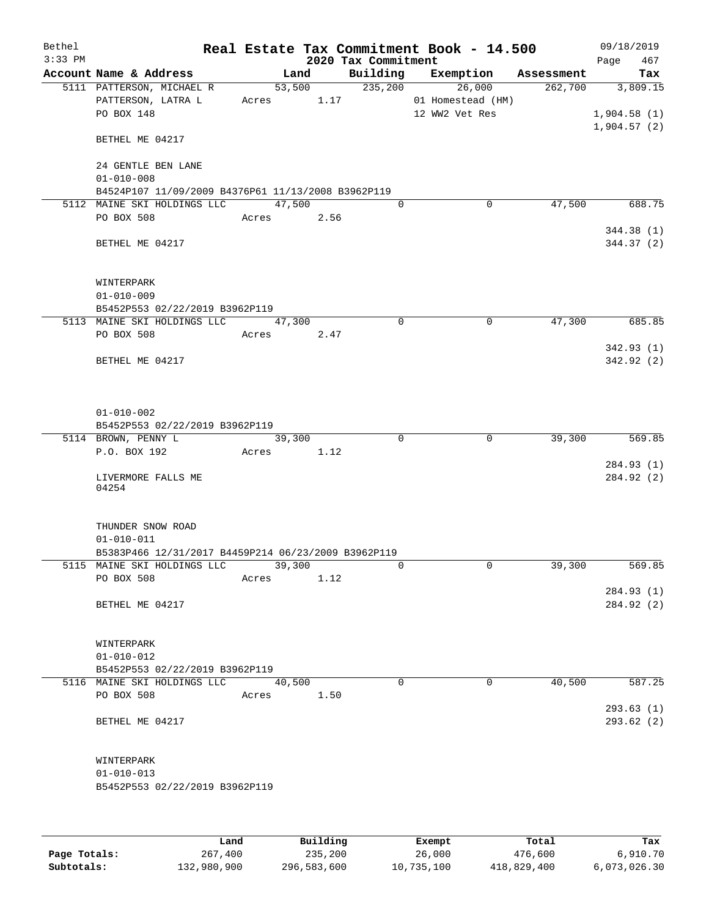| Bethel<br>$3:33$ PM |                                                     |            |                    | 2020 Tax Commitment | Real Estate Tax Commitment Book - 14.500 |            | 09/18/2019<br>467<br>Page  |
|---------------------|-----------------------------------------------------|------------|--------------------|---------------------|------------------------------------------|------------|----------------------------|
|                     | Account Name & Address                              |            | Land               | Building            | Exemption                                | Assessment | Tax                        |
|                     | 5111 PATTERSON, MICHAEL R<br>PATTERSON, LATRA L     | Acres 1.17 | $\frac{1}{53,500}$ | 235,200             | 26,000<br>01 Homestead (HM)              | 262,700    | 3,809.15                   |
|                     | PO BOX 148<br>BETHEL ME 04217                       |            |                    |                     | 12 WW2 Vet Res                           |            | 1,904.58(1)<br>1,904.57(2) |
|                     | 24 GENTLE BEN LANE                                  |            |                    |                     |                                          |            |                            |
|                     | $01 - 010 - 008$                                    |            |                    |                     |                                          |            |                            |
|                     | B4524P107 11/09/2009 B4376P61 11/13/2008 B3962P119  |            |                    |                     |                                          |            |                            |
|                     | 5112 MAINE SKI HOLDINGS LLC<br>PO BOX 508           | Acres      | 47,500<br>2.56     | 0                   | 0                                        | 47,500     | 688.75                     |
|                     |                                                     |            |                    |                     |                                          |            | 344.38 (1)                 |
|                     | BETHEL ME 04217                                     |            |                    |                     |                                          |            | 344.37 (2)                 |
|                     | WINTERPARK<br>$01 - 010 - 009$                      |            |                    |                     |                                          |            |                            |
|                     | B5452P553 02/22/2019 B3962P119                      |            |                    |                     |                                          |            |                            |
|                     | 5113 MAINE SKI HOLDINGS LLC                         |            | 47,300             | 0                   | $\mathbf 0$                              | 47,300     | 685.85                     |
|                     | PO BOX 508                                          | Acres      | 2.47               |                     |                                          |            |                            |
|                     |                                                     |            |                    |                     |                                          |            | 342.93(1)                  |
|                     | BETHEL ME 04217                                     |            |                    |                     |                                          |            | 342.92 (2)                 |
|                     |                                                     |            |                    |                     |                                          |            |                            |
|                     | $01 - 010 - 002$                                    |            |                    |                     |                                          |            |                            |
|                     | B5452P553 02/22/2019 B3962P119                      |            |                    |                     |                                          |            |                            |
|                     | 5114 BROWN, PENNY L                                 |            | 39,300             | $\Omega$            | $\mathbf 0$                              | 39,300     | 569.85                     |
|                     | P.O. BOX 192                                        | Acres      | 1.12               |                     |                                          |            | 284.93 (1)                 |
|                     | LIVERMORE FALLS ME<br>04254                         |            |                    |                     |                                          |            | 284.92 (2)                 |
|                     | THUNDER SNOW ROAD<br>$01 - 010 - 011$               |            |                    |                     |                                          |            |                            |
|                     | B5383P466 12/31/2017 B4459P214 06/23/2009 B3962P119 |            |                    |                     |                                          |            |                            |
|                     | 5115 MAINE SKI HOLDINGS LLC<br>PO BOX 508           | Acres      | 39,300<br>1.12     | 0                   | 0                                        | 39,300     | 569.85                     |
|                     |                                                     |            |                    |                     |                                          |            | 284.93 (1)                 |
|                     | BETHEL ME 04217                                     |            |                    |                     |                                          |            | 284.92 (2)                 |
|                     | WINTERPARK<br>$01 - 010 - 012$                      |            |                    |                     |                                          |            |                            |
|                     | B5452P553 02/22/2019 B3962P119                      |            |                    |                     |                                          |            |                            |
|                     | 5116 MAINE SKI HOLDINGS LLC                         |            | 40,500             | $\Omega$            | $\Omega$                                 | 40,500     | 587.25                     |
|                     | PO BOX 508                                          | Acres      | 1.50               |                     |                                          |            |                            |
|                     | BETHEL ME 04217                                     |            |                    |                     |                                          |            | 293.63(1)<br>293.62(2)     |
|                     | WINTERPARK                                          |            |                    |                     |                                          |            |                            |
|                     | $01 - 010 - 013$                                    |            |                    |                     |                                          |            |                            |
|                     | B5452P553 02/22/2019 B3962P119                      |            |                    |                     |                                          |            |                            |
|                     |                                                     |            |                    |                     |                                          |            |                            |

|              | Land        | Building    | Exempt     | Total       | Tax          |
|--------------|-------------|-------------|------------|-------------|--------------|
| Page Totals: | 267,400     | 235,200     | 26,000     | 476,600     | 6,910.70     |
| Subtotals:   | 132,980,900 | 296,583,600 | 10,735,100 | 418,829,400 | 6,073,026.30 |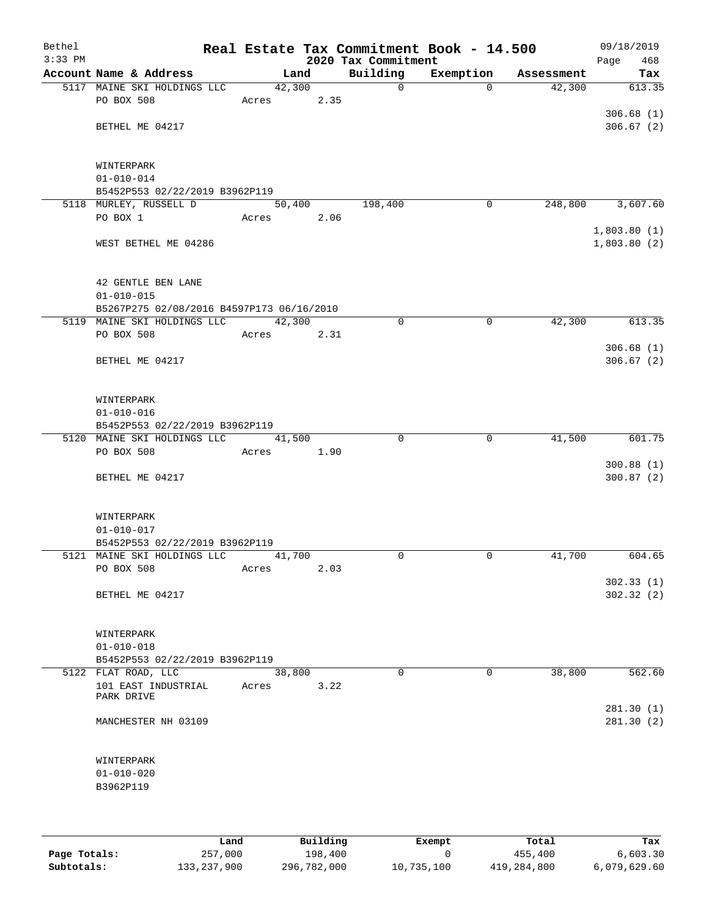| Bethel<br>$3:33$ PM |                                                                          |        |      | 2020 Tax Commitment | Real Estate Tax Commitment Book - 14.500 |            | 09/18/2019<br>Page<br>468 |
|---------------------|--------------------------------------------------------------------------|--------|------|---------------------|------------------------------------------|------------|---------------------------|
|                     | Account Name & Address                                                   | Land   |      | Building            | Exemption                                | Assessment | Tax                       |
|                     | 5117 MAINE SKI HOLDINGS LLC                                              | 42,300 |      | $\mathbf 0$         | $\Omega$                                 | 42,300     | 613.35                    |
|                     | PO BOX 508                                                               | Acres  | 2.35 |                     |                                          |            |                           |
|                     |                                                                          |        |      |                     |                                          |            | 306.68(1)                 |
|                     | BETHEL ME 04217                                                          |        |      |                     |                                          |            | 306.67(2)                 |
|                     |                                                                          |        |      |                     |                                          |            |                           |
|                     |                                                                          |        |      |                     |                                          |            |                           |
|                     | WINTERPARK<br>$01 - 010 - 014$                                           |        |      |                     |                                          |            |                           |
|                     | B5452P553 02/22/2019 B3962P119                                           |        |      |                     |                                          |            |                           |
|                     | 5118 MURLEY, RUSSELL D                                                   | 50,400 |      | 198,400             | 0                                        | 248,800    | 3,607.60                  |
|                     | PO BOX 1                                                                 | Acres  | 2.06 |                     |                                          |            |                           |
|                     |                                                                          |        |      |                     |                                          |            | 1,803.80(1)               |
|                     | WEST BETHEL ME 04286                                                     |        |      |                     |                                          |            | 1,803.80(2)               |
|                     |                                                                          |        |      |                     |                                          |            |                           |
|                     |                                                                          |        |      |                     |                                          |            |                           |
|                     | 42 GENTLE BEN LANE                                                       |        |      |                     |                                          |            |                           |
|                     | $01 - 010 - 015$                                                         |        |      |                     |                                          |            |                           |
|                     | B5267P275 02/08/2016 B4597P173 06/16/2010<br>5119 MAINE SKI HOLDINGS LLC | 42,300 |      | $\mathbf 0$         | $\mathbf 0$                              | 42,300     | 613.35                    |
|                     | PO BOX 508                                                               | Acres  | 2.31 |                     |                                          |            |                           |
|                     |                                                                          |        |      |                     |                                          |            | 306.68(1)                 |
|                     | BETHEL ME 04217                                                          |        |      |                     |                                          |            | 306.67(2)                 |
|                     |                                                                          |        |      |                     |                                          |            |                           |
|                     |                                                                          |        |      |                     |                                          |            |                           |
|                     | WINTERPARK                                                               |        |      |                     |                                          |            |                           |
|                     | $01 - 010 - 016$                                                         |        |      |                     |                                          |            |                           |
|                     | B5452P553 02/22/2019 B3962P119                                           |        |      |                     |                                          |            |                           |
|                     | 5120 MAINE SKI HOLDINGS LLC                                              | 41,500 |      | $\Omega$            | 0                                        | 41,500     | 601.75                    |
|                     | PO BOX 508                                                               | Acres  | 1.90 |                     |                                          |            | 300.88(1)                 |
|                     | BETHEL ME 04217                                                          |        |      |                     |                                          |            | 300.87(2)                 |
|                     |                                                                          |        |      |                     |                                          |            |                           |
|                     |                                                                          |        |      |                     |                                          |            |                           |
|                     | WINTERPARK                                                               |        |      |                     |                                          |            |                           |
|                     | $01 - 010 - 017$                                                         |        |      |                     |                                          |            |                           |
|                     | B5452P553 02/22/2019 B3962P119                                           |        |      |                     |                                          |            |                           |
|                     | 5121 MAINE SKI HOLDINGS LLC                                              | 41,700 |      | $\Omega$            | 0                                        | 41,700     | 604.65                    |
|                     | PO BOX 508                                                               | Acres  | 2.03 |                     |                                          |            |                           |
|                     | BETHEL ME 04217                                                          |        |      |                     |                                          |            | 302.33(1)<br>302.32(2)    |
|                     |                                                                          |        |      |                     |                                          |            |                           |
|                     |                                                                          |        |      |                     |                                          |            |                           |
|                     | WINTERPARK                                                               |        |      |                     |                                          |            |                           |
|                     | $01 - 010 - 018$                                                         |        |      |                     |                                          |            |                           |
|                     | B5452P553 02/22/2019 B3962P119                                           |        |      |                     |                                          |            |                           |
|                     | 5122 FLAT ROAD, LLC                                                      | 38,800 |      | 0                   | $\mathbf 0$                              | 38,800     | 562.60                    |
|                     | 101 EAST INDUSTRIAL<br>PARK DRIVE                                        | Acres  | 3.22 |                     |                                          |            |                           |
|                     |                                                                          |        |      |                     |                                          |            | 281.30(1)                 |
|                     | MANCHESTER NH 03109                                                      |        |      |                     |                                          |            | 281.30 (2)                |
|                     |                                                                          |        |      |                     |                                          |            |                           |
|                     |                                                                          |        |      |                     |                                          |            |                           |
|                     | WINTERPARK                                                               |        |      |                     |                                          |            |                           |
|                     | $01 - 010 - 020$                                                         |        |      |                     |                                          |            |                           |
|                     | B3962P119                                                                |        |      |                     |                                          |            |                           |
|                     |                                                                          |        |      |                     |                                          |            |                           |
|                     |                                                                          |        |      |                     |                                          |            |                           |

|              | Land        | Building    | Exempt     | Total       | Tax          |
|--------------|-------------|-------------|------------|-------------|--------------|
| Page Totals: | 257,000     | 198,400     |            | 455,400     | 6.603.30     |
| Subtotals:   | 133,237,900 | 296,782,000 | 10,735,100 | 419,284,800 | 6,079,629.60 |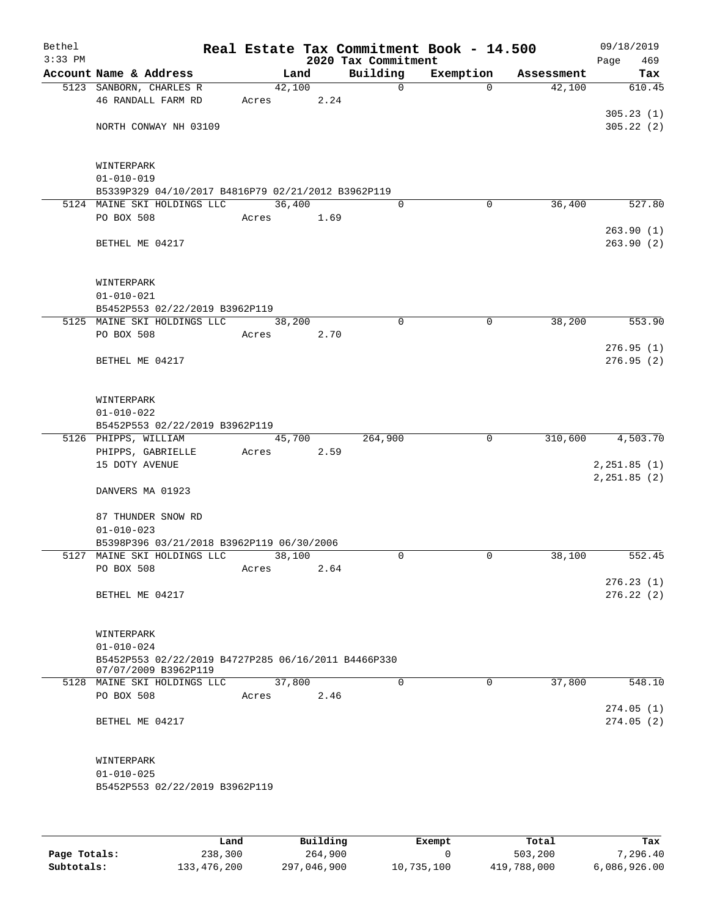| $3:33$ PM |                                                                             |                 |      | 2020 Tax Commitment | Real Estate Tax Commitment Book - 14.500 |            | 09/18/2019<br>Page<br>469 |
|-----------|-----------------------------------------------------------------------------|-----------------|------|---------------------|------------------------------------------|------------|---------------------------|
|           | Account Name & Address                                                      | Land            |      | Building            | Exemption                                | Assessment | Tax                       |
|           | 5123 SANBORN, CHARLES R<br>46 RANDALL FARM RD                               | 42,100<br>Acres | 2.24 | $\mathsf{O}$        | $\Omega$                                 | 42,100     | 610.45                    |
|           | NORTH CONWAY NH 03109                                                       |                 |      |                     |                                          |            | 305.23(1)<br>305.22(2)    |
|           |                                                                             |                 |      |                     |                                          |            |                           |
|           | WINTERPARK<br>$01 - 010 - 019$                                              |                 |      |                     |                                          |            |                           |
|           | B5339P329 04/10/2017 B4816P79 02/21/2012 B3962P119                          |                 |      |                     |                                          |            |                           |
|           | 5124 MAINE SKI HOLDINGS LLC                                                 | 36,400          |      | $\Omega$            | 0                                        | 36,400     | 527.80                    |
|           | PO BOX 508                                                                  | Acres           | 1.69 |                     |                                          |            |                           |
|           |                                                                             |                 |      |                     |                                          |            | 263.90(1)                 |
|           | BETHEL ME 04217                                                             |                 |      |                     |                                          |            | 263.90(2)                 |
|           | WINTERPARK                                                                  |                 |      |                     |                                          |            |                           |
|           | $01 - 010 - 021$                                                            |                 |      |                     |                                          |            |                           |
|           | B5452P553 02/22/2019 B3962P119                                              |                 |      |                     |                                          |            |                           |
|           | 5125 MAINE SKI HOLDINGS LLC                                                 | 38,200          |      | $\mathbf 0$         | $\mathbf 0$                              | 38,200     | 553.90                    |
|           | PO BOX 508                                                                  | Acres           | 2.70 |                     |                                          |            |                           |
|           |                                                                             |                 |      |                     |                                          |            | 276.95(1)                 |
|           | BETHEL ME 04217                                                             |                 |      |                     |                                          |            | 276.95(2)                 |
|           | WINTERPARK                                                                  |                 |      |                     |                                          |            |                           |
|           | $01 - 010 - 022$                                                            |                 |      |                     |                                          |            |                           |
|           | B5452P553 02/22/2019 B3962P119                                              |                 |      |                     |                                          |            |                           |
|           | 5126 PHIPPS, WILLIAM                                                        | 45,700          |      | 264,900             | $\mathbf 0$                              |            | 310,600 4,503.70          |
|           | PHIPPS, GABRIELLE                                                           | Acres           | 2.59 |                     |                                          |            |                           |
|           | 15 DOTY AVENUE                                                              |                 |      |                     |                                          |            | 2, 251.85 (1)             |
|           | DANVERS MA 01923                                                            |                 |      |                     |                                          |            | 2, 251.85 (2)             |
|           | 87 THUNDER SNOW RD                                                          |                 |      |                     |                                          |            |                           |
|           | $01 - 010 - 023$                                                            |                 |      |                     |                                          |            |                           |
|           | B5398P396 03/21/2018 B3962P119 06/30/2006                                   |                 |      |                     |                                          |            |                           |
|           | 5127 MAINE SKI HOLDINGS LLC                                                 | 38,100          |      | $\Omega$            | 0                                        | 38,100     | 552.45                    |
|           | PO BOX 508                                                                  | Acres           | 2.64 |                     |                                          |            |                           |
|           |                                                                             |                 |      |                     |                                          |            | 276.23(1)                 |
|           | BETHEL ME 04217                                                             |                 |      |                     |                                          |            | 276.22(2)                 |
|           | WINTERPARK                                                                  |                 |      |                     |                                          |            |                           |
|           | $01 - 010 - 024$                                                            |                 |      |                     |                                          |            |                           |
|           | B5452P553 02/22/2019 B4727P285 06/16/2011 B4466P330<br>07/07/2009 B3962P119 |                 |      |                     |                                          |            |                           |
|           | 5128 MAINE SKI HOLDINGS LLC                                                 | 37,800          |      | $\Omega$            | $\mathbf 0$                              | 37,800     | 548.10                    |
|           | PO BOX 508                                                                  | Acres           | 2.46 |                     |                                          |            | 274.05(1)                 |
|           | BETHEL ME 04217                                                             |                 |      |                     |                                          |            | 274.05(2)                 |
|           |                                                                             |                 |      |                     |                                          |            |                           |
|           | WINTERPARK                                                                  |                 |      |                     |                                          |            |                           |
|           | $01 - 010 - 025$<br>B5452P553 02/22/2019 B3962P119                          |                 |      |                     |                                          |            |                           |
|           |                                                                             |                 |      |                     |                                          |            |                           |
|           |                                                                             |                 |      |                     |                                          |            |                           |

|              | Land        | Building    | Exempt     | Total       | Tax          |
|--------------|-------------|-------------|------------|-------------|--------------|
| Page Totals: | 238,300     | 264,900     |            | 503,200     | 7,296.40     |
| Subtotals:   | 133,476,200 | 297,046,900 | 10,735,100 | 419,788,000 | 6,086,926.00 |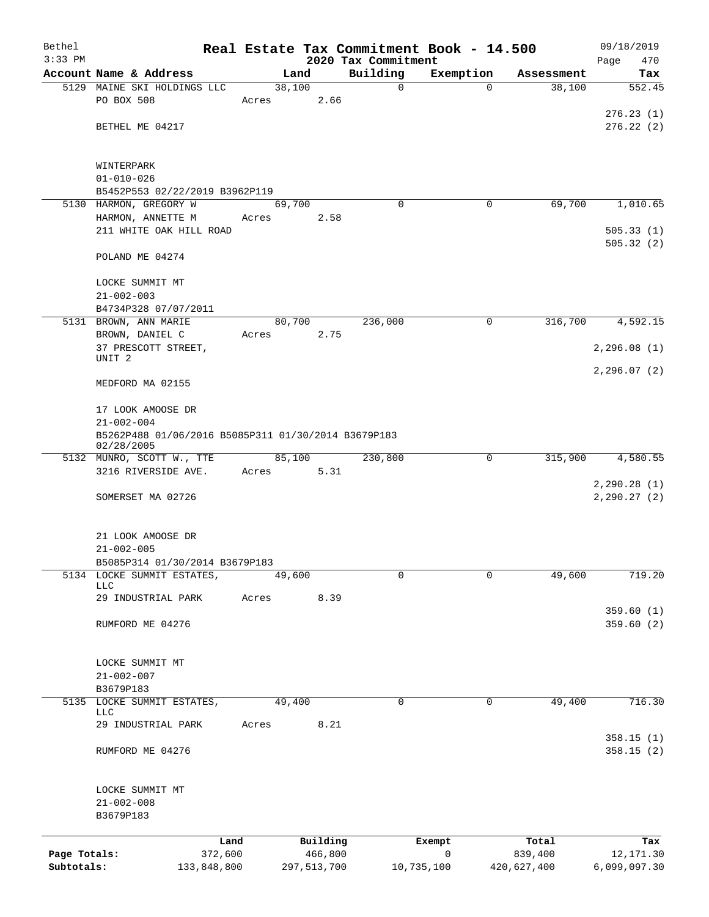| Bethel                     |                                                                         |       |                        |      | Real Estate Tax Commitment Book - 14.500 |             |                        | 09/18/2019                   |
|----------------------------|-------------------------------------------------------------------------|-------|------------------------|------|------------------------------------------|-------------|------------------------|------------------------------|
| $3:33$ PM                  | Account Name & Address                                                  |       | Land                   |      | 2020 Tax Commitment<br>Building          | Exemption   | Assessment             | 470<br>Page<br>Tax           |
|                            | 5129 MAINE SKI HOLDINGS LLC                                             |       | 38,100                 |      | 0                                        | $\Omega$    | 38,100                 | 552.45                       |
|                            | PO BOX 508                                                              | Acres |                        | 2.66 |                                          |             |                        |                              |
|                            |                                                                         |       |                        |      |                                          |             |                        | 276.23(1)                    |
|                            | BETHEL ME 04217                                                         |       |                        |      |                                          |             |                        | 276.22(2)                    |
|                            |                                                                         |       |                        |      |                                          |             |                        |                              |
|                            | WINTERPARK                                                              |       |                        |      |                                          |             |                        |                              |
|                            | $01 - 010 - 026$                                                        |       |                        |      |                                          |             |                        |                              |
|                            | B5452P553 02/22/2019 B3962P119                                          |       |                        |      |                                          |             |                        |                              |
|                            | 5130 HARMON, GREGORY W                                                  |       | 69,700                 |      | $\Omega$                                 | 0           | 69,700                 | 1,010.65                     |
|                            | HARMON, ANNETTE M<br>211 WHITE OAK HILL ROAD                            | Acres |                        | 2.58 |                                          |             |                        | 505.33(1)                    |
|                            |                                                                         |       |                        |      |                                          |             |                        | 505.32(2)                    |
|                            | POLAND ME 04274                                                         |       |                        |      |                                          |             |                        |                              |
|                            |                                                                         |       |                        |      |                                          |             |                        |                              |
|                            | LOCKE SUMMIT MT                                                         |       |                        |      |                                          |             |                        |                              |
|                            | $21 - 002 - 003$<br>B4734P328 07/07/2011                                |       |                        |      |                                          |             |                        |                              |
|                            | 5131 BROWN, ANN MARIE                                                   |       | 80,700                 |      | 236,000                                  | $\mathbf 0$ | 316,700                | 4,592.15                     |
|                            | BROWN, DANIEL C                                                         | Acres |                        | 2.75 |                                          |             |                        |                              |
|                            | 37 PRESCOTT STREET,                                                     |       |                        |      |                                          |             |                        | 2, 296.08(1)                 |
|                            | UNIT <sub>2</sub>                                                       |       |                        |      |                                          |             |                        | 2, 296.07(2)                 |
|                            | MEDFORD MA 02155                                                        |       |                        |      |                                          |             |                        |                              |
|                            |                                                                         |       |                        |      |                                          |             |                        |                              |
|                            | 17 LOOK AMOOSE DR                                                       |       |                        |      |                                          |             |                        |                              |
|                            | $21 - 002 - 004$<br>B5262P488 01/06/2016 B5085P311 01/30/2014 B3679P183 |       |                        |      |                                          |             |                        |                              |
|                            | 02/28/2005                                                              |       |                        |      |                                          |             |                        |                              |
|                            | 5132 MUNRO, SCOTT W., TTE                                               |       | 85,100                 |      | 230,800                                  | 0           | 315,900                | 4,580.55                     |
|                            | 3216 RIVERSIDE AVE.                                                     | Acres |                        | 5.31 |                                          |             |                        |                              |
|                            | SOMERSET MA 02726                                                       |       |                        |      |                                          |             |                        | 2, 290.28(1)<br>2, 290.27(2) |
|                            |                                                                         |       |                        |      |                                          |             |                        |                              |
|                            |                                                                         |       |                        |      |                                          |             |                        |                              |
|                            | 21 LOOK AMOOSE DR                                                       |       |                        |      |                                          |             |                        |                              |
|                            | $21 - 002 - 005$<br>B5085P314 01/30/2014 B3679P183                      |       |                        |      |                                          |             |                        |                              |
|                            | 5134 LOCKE SUMMIT ESTATES,                                              |       | 49,600                 |      | 0                                        | $\mathbf 0$ | 49,600                 | 719.20                       |
|                            | <b>LLC</b>                                                              |       |                        |      |                                          |             |                        |                              |
|                            | 29 INDUSTRIAL PARK                                                      | Acres |                        | 8.39 |                                          |             |                        | 359.60(1)                    |
|                            | RUMFORD ME 04276                                                        |       |                        |      |                                          |             |                        | 359.60(2)                    |
|                            |                                                                         |       |                        |      |                                          |             |                        |                              |
|                            |                                                                         |       |                        |      |                                          |             |                        |                              |
|                            | LOCKE SUMMIT MT<br>$21 - 002 - 007$                                     |       |                        |      |                                          |             |                        |                              |
|                            | B3679P183                                                               |       |                        |      |                                          |             |                        |                              |
|                            | 5135 LOCKE SUMMIT ESTATES,                                              |       | 49,400                 |      | 0                                        | 0           | 49,400                 | 716.30                       |
|                            | <b>LLC</b><br>29 INDUSTRIAL PARK                                        | Acres |                        | 8.21 |                                          |             |                        |                              |
|                            |                                                                         |       |                        |      |                                          |             |                        | 358.15(1)                    |
|                            | RUMFORD ME 04276                                                        |       |                        |      |                                          |             |                        | 358.15(2)                    |
|                            |                                                                         |       |                        |      |                                          |             |                        |                              |
|                            |                                                                         |       |                        |      |                                          |             |                        |                              |
|                            | LOCKE SUMMIT MT<br>$21 - 002 - 008$                                     |       |                        |      |                                          |             |                        |                              |
|                            | B3679P183                                                               |       |                        |      |                                          |             |                        |                              |
|                            |                                                                         |       |                        |      |                                          |             |                        |                              |
|                            | Land                                                                    |       | Building               |      |                                          | Exempt      | Total                  | Tax                          |
| Page Totals:<br>Subtotals: | 372,600<br>133,848,800                                                  |       | 466,800<br>297,513,700 |      | 10,735,100                               | 0           | 839,400<br>420,627,400 | 12, 171.30<br>6,099,097.30   |
|                            |                                                                         |       |                        |      |                                          |             |                        |                              |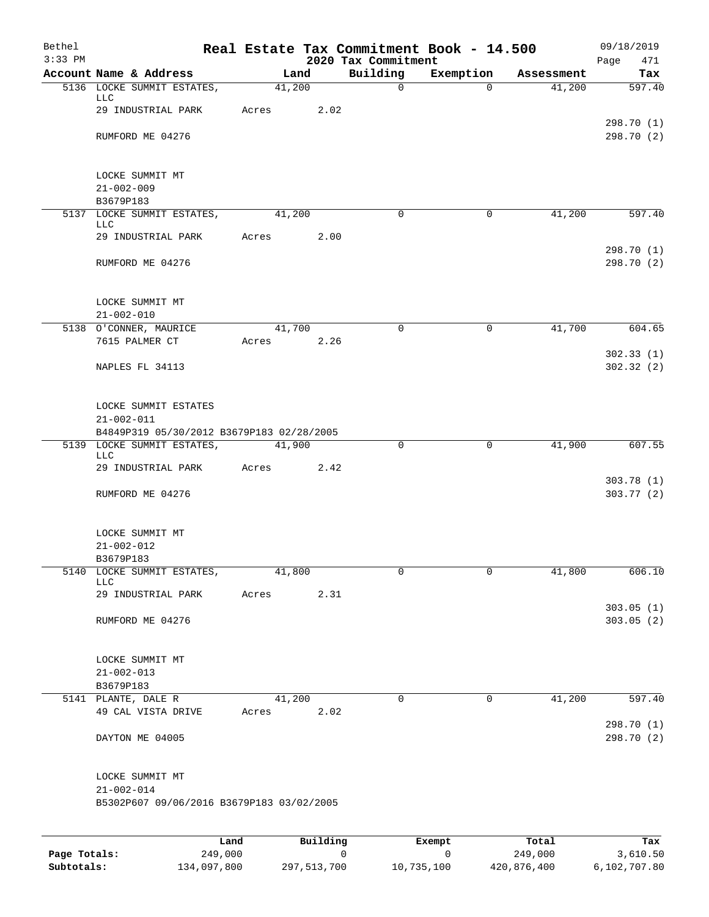| Bethel<br>$3:33$ PM |                                                                |       |          |      | Real Estate Tax Commitment Book - 14.500<br>2020 Tax Commitment |             |            | 09/18/2019<br>Page<br>471 |
|---------------------|----------------------------------------------------------------|-------|----------|------|-----------------------------------------------------------------|-------------|------------|---------------------------|
|                     | Account Name & Address                                         |       | Land     |      | Building                                                        | Exemption   | Assessment | Tax                       |
|                     | 5136 LOCKE SUMMIT ESTATES,<br><b>LLC</b>                       |       | 41,200   |      | $\mathsf{O}$                                                    | $\Omega$    | 41,200     | 597.40                    |
|                     | 29 INDUSTRIAL PARK                                             | Acres |          | 2.02 |                                                                 |             |            | 298.70 (1)                |
|                     | RUMFORD ME 04276                                               |       |          |      |                                                                 |             |            | 298.70 (2)                |
|                     | LOCKE SUMMIT MT<br>$21 - 002 - 009$                            |       |          |      |                                                                 |             |            |                           |
|                     | B3679P183                                                      |       |          |      |                                                                 |             |            |                           |
|                     | 5137 LOCKE SUMMIT ESTATES,                                     |       | 41,200   |      | $\Omega$                                                        | 0           | 41,200     | 597.40                    |
|                     | LLC<br>29 INDUSTRIAL PARK                                      | Acres |          | 2.00 |                                                                 |             |            | 298.70 (1)                |
|                     | RUMFORD ME 04276                                               |       |          |      |                                                                 |             |            | 298.70 (2)                |
|                     | LOCKE SUMMIT MT<br>$21 - 002 - 010$                            |       |          |      |                                                                 |             |            |                           |
|                     | 5138 O'CONNER, MAURICE                                         |       | 41,700   |      | $\Omega$                                                        | $\mathbf 0$ | 41,700     | 604.65                    |
|                     | 7615 PALMER CT                                                 | Acres |          | 2.26 |                                                                 |             |            | 302.33(1)                 |
|                     | NAPLES FL 34113                                                |       |          |      |                                                                 |             |            | 302.32(2)                 |
|                     | LOCKE SUMMIT ESTATES<br>$21 - 002 - 011$                       |       |          |      |                                                                 |             |            |                           |
|                     | B4849P319 05/30/2012 B3679P183 02/28/2005                      |       |          |      |                                                                 |             |            |                           |
|                     | 5139 LOCKE SUMMIT ESTATES,<br><b>LLC</b><br>29 INDUSTRIAL PARK | Acres | 41,900   | 2.42 | 0                                                               | 0           | 41,900     | 607.55                    |
|                     | RUMFORD ME 04276                                               |       |          |      |                                                                 |             |            | 303.78(1)<br>303.77 (2)   |
|                     |                                                                |       |          |      |                                                                 |             |            |                           |
|                     | LOCKE SUMMIT MT<br>$21 - 002 - 012$                            |       |          |      |                                                                 |             |            |                           |
|                     | B3679P183                                                      |       |          |      |                                                                 |             |            |                           |
|                     | 5140 LOCKE SUMMIT ESTATES,<br>LLC                              |       | 41,800   |      | 0                                                               | 0           | 41,800     | 606.10                    |
|                     | 29 INDUSTRIAL PARK                                             | Acres |          | 2.31 |                                                                 |             |            | 303.05(1)                 |
|                     | RUMFORD ME 04276                                               |       |          |      |                                                                 |             |            | 303.05(2)                 |
|                     | LOCKE SUMMIT MT                                                |       |          |      |                                                                 |             |            |                           |
|                     | $21 - 002 - 013$                                               |       |          |      |                                                                 |             |            |                           |
|                     | B3679P183<br>5141 PLANTE, DALE R                               |       | 41,200   |      | $\mathbf 0$                                                     | 0           | 41,200     | 597.40                    |
|                     | 49 CAL VISTA DRIVE                                             | Acres |          | 2.02 |                                                                 |             |            |                           |
|                     | DAYTON ME 04005                                                |       |          |      |                                                                 |             |            | 298.70 (1)<br>298.70 (2)  |
|                     | LOCKE SUMMIT MT                                                |       |          |      |                                                                 |             |            |                           |
|                     | $21 - 002 - 014$                                               |       |          |      |                                                                 |             |            |                           |
|                     | B5302P607 09/06/2016 B3679P183 03/02/2005                      |       |          |      |                                                                 |             |            |                           |
|                     |                                                                |       |          |      |                                                                 |             |            |                           |
|                     |                                                                | Land  | Building |      |                                                                 | Exempt      | Total      | Tax                       |

|              | Land.       | Building    | Exempt     | тосат       | rax.         |
|--------------|-------------|-------------|------------|-------------|--------------|
| Page Totals: | 249,000     |             |            | 249,000     | 3,610.50     |
| Subtotals:   | 134,097,800 | 297,513,700 | 10,735,100 | 420,876,400 | 6,102,707.80 |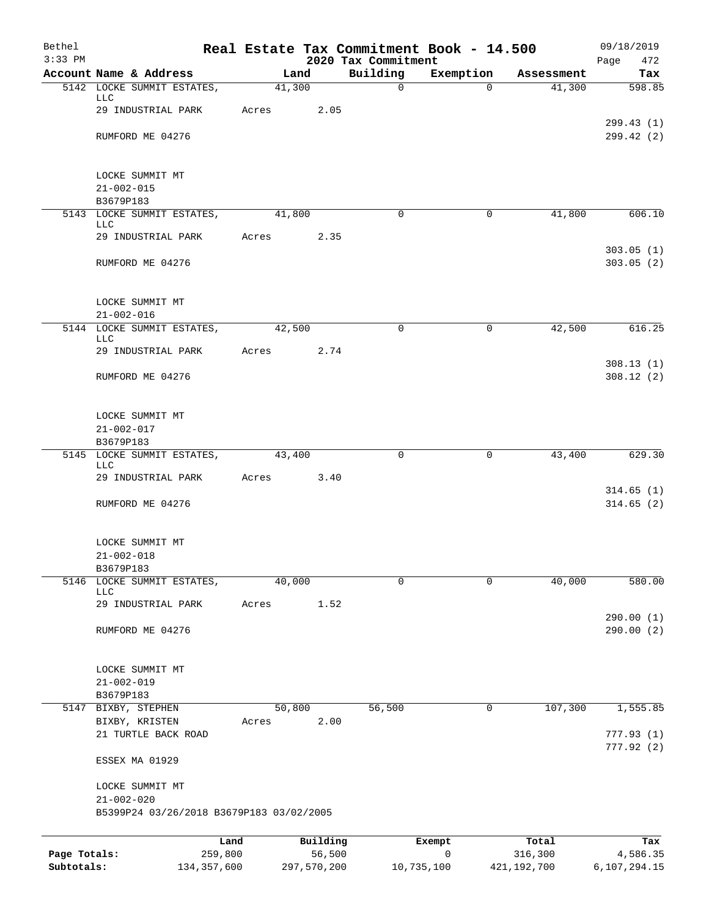| Bethel<br>$3:33$ PM |                                                              |       |             | 2020 Tax Commitment | Real Estate Tax Commitment Book - 14.500 |               | 09/18/2019<br>Page<br>472 |
|---------------------|--------------------------------------------------------------|-------|-------------|---------------------|------------------------------------------|---------------|---------------------------|
|                     | Account Name & Address                                       |       | Land        | Building            | Exemption                                | Assessment    | Tax                       |
|                     | 5142 LOCKE SUMMIT ESTATES,<br>LLC                            |       | 41,300      | $\mathbf 0$         | $\Omega$                                 | 41,300        | 598.85                    |
|                     | 29 INDUSTRIAL PARK                                           | Acres | 2.05        |                     |                                          |               |                           |
|                     | RUMFORD ME 04276                                             |       |             |                     |                                          |               | 299.43(1)<br>299.42 (2)   |
|                     | LOCKE SUMMIT MT                                              |       |             |                     |                                          |               |                           |
|                     | $21 - 002 - 015$                                             |       |             |                     |                                          |               |                           |
|                     | B3679P183                                                    |       |             |                     |                                          |               |                           |
|                     | 5143 LOCKE SUMMIT ESTATES,<br>LLC                            |       | 41,800      | $\mathbf 0$         | $\mathbf 0$                              | 41,800        | 606.10                    |
|                     | 29 INDUSTRIAL PARK                                           | Acres | 2.35        |                     |                                          |               | 303.05(1)                 |
|                     | RUMFORD ME 04276                                             |       |             |                     |                                          |               | 303.05(2)                 |
|                     | LOCKE SUMMIT MT                                              |       |             |                     |                                          |               |                           |
|                     | $21 - 002 - 016$                                             |       |             |                     |                                          |               |                           |
|                     | 5144 LOCKE SUMMIT ESTATES,<br>LLC                            |       | 42,500      | $\mathbf 0$         | $\mathbf 0$                              | 42,500        | 616.25                    |
|                     | 29 INDUSTRIAL PARK                                           | Acres | 2.74        |                     |                                          |               |                           |
|                     | RUMFORD ME 04276                                             |       |             |                     |                                          |               | 308.13(1)<br>308.12(2)    |
|                     | LOCKE SUMMIT MT                                              |       |             |                     |                                          |               |                           |
|                     | $21 - 002 - 017$                                             |       |             |                     |                                          |               |                           |
|                     | B3679P183                                                    |       |             |                     |                                          |               |                           |
|                     | 5145 LOCKE SUMMIT ESTATES,<br><b>LLC</b>                     |       | 43,400      | 0                   | 0                                        | 43,400        | 629.30                    |
|                     | 29 INDUSTRIAL PARK                                           | Acres | 3.40        |                     |                                          |               | 314.65(1)                 |
|                     | RUMFORD ME 04276                                             |       |             |                     |                                          |               | 314.65(2)                 |
|                     | LOCKE SUMMIT MT                                              |       |             |                     |                                          |               |                           |
|                     | $21 - 002 - 018$                                             |       |             |                     |                                          |               |                           |
| 5146                | B3679P183<br>LOCKE SUMMIT ESTATES,                           |       | 40,000      | $\mathbf 0$         | $\mathbf 0$                              | 40,000        | 580.00                    |
|                     | <b>LLC</b><br>29 INDUSTRIAL PARK                             | Acres | 1.52        |                     |                                          |               |                           |
|                     |                                                              |       |             |                     |                                          |               | 290.00(1)                 |
|                     | RUMFORD ME 04276                                             |       |             |                     |                                          |               | 290.00 (2)                |
|                     | LOCKE SUMMIT MT                                              |       |             |                     |                                          |               |                           |
|                     | $21 - 002 - 019$                                             |       |             |                     |                                          |               |                           |
|                     | B3679P183<br>5147 BIXBY, STEPHEN                             |       | 50,800      | 56,500              | $\mathbf 0$                              | 107,300       | 1,555.85                  |
|                     | BIXBY, KRISTEN                                               | Acres | 2.00        |                     |                                          |               |                           |
|                     | 21 TURTLE BACK ROAD                                          |       |             |                     |                                          |               | 777.93(1)<br>777.92(2)    |
|                     | ESSEX MA 01929                                               |       |             |                     |                                          |               |                           |
|                     | LOCKE SUMMIT MT                                              |       |             |                     |                                          |               |                           |
|                     | $21 - 002 - 020$<br>B5399P24 03/26/2018 B3679P183 03/02/2005 |       |             |                     |                                          |               |                           |
|                     | Land                                                         |       | Building    |                     | Exempt                                   | Total         | Tax                       |
| Page Totals:        | 259,800                                                      |       | 56,500      |                     | 0                                        | 316,300       | 4,586.35                  |
| Subtotals:          | 134, 357, 600                                                |       | 297,570,200 |                     | 10,735,100                               | 421, 192, 700 | 6,107,294.15              |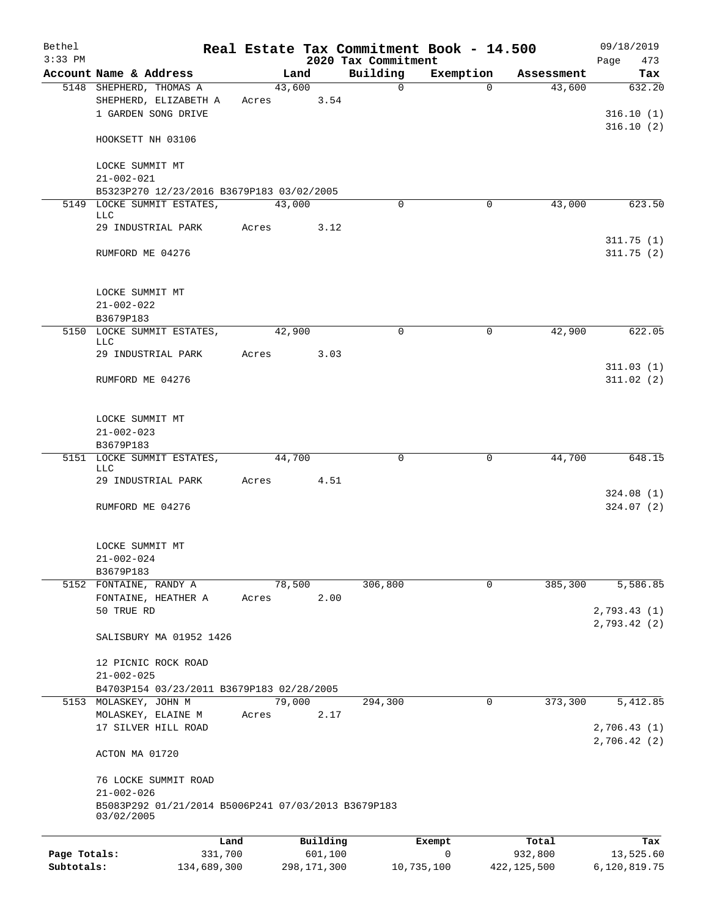| Bethel<br>$3:33$ PM |                                                     |       |        |             | Real Estate Tax Commitment Book - 14.500<br>2020 Tax Commitment |             |               | 09/18/2019<br>473<br>Page |
|---------------------|-----------------------------------------------------|-------|--------|-------------|-----------------------------------------------------------------|-------------|---------------|---------------------------|
|                     | Account Name & Address                              |       | Land   |             | Building                                                        | Exemption   | Assessment    | Tax                       |
|                     | 5148 SHEPHERD, THOMAS A                             |       | 43,600 |             | $\mathbf 0$                                                     | $\Omega$    | 43,600        | 632.20                    |
|                     | SHEPHERD, ELIZABETH A                               | Acres |        | 3.54        |                                                                 |             |               |                           |
|                     | 1 GARDEN SONG DRIVE                                 |       |        |             |                                                                 |             |               | 316.10(1)                 |
|                     |                                                     |       |        |             |                                                                 |             |               | 316.10(2)                 |
|                     | HOOKSETT NH 03106                                   |       |        |             |                                                                 |             |               |                           |
|                     |                                                     |       |        |             |                                                                 |             |               |                           |
|                     | LOCKE SUMMIT MT                                     |       |        |             |                                                                 |             |               |                           |
|                     | $21 - 002 - 021$                                    |       |        |             |                                                                 |             |               |                           |
|                     | B5323P270 12/23/2016 B3679P183 03/02/2005           |       | 43,000 |             | $\Omega$                                                        | 0           | 43,000        | 623.50                    |
|                     | 5149 LOCKE SUMMIT ESTATES,<br><b>LLC</b>            |       |        |             |                                                                 |             |               |                           |
|                     | 29 INDUSTRIAL PARK                                  | Acres |        | 3.12        |                                                                 |             |               |                           |
|                     |                                                     |       |        |             |                                                                 |             |               | 311.75(1)                 |
|                     | RUMFORD ME 04276                                    |       |        |             |                                                                 |             |               | 311.75(2)                 |
|                     |                                                     |       |        |             |                                                                 |             |               |                           |
|                     |                                                     |       |        |             |                                                                 |             |               |                           |
|                     | LOCKE SUMMIT MT                                     |       |        |             |                                                                 |             |               |                           |
|                     | $21 - 002 - 022$                                    |       |        |             |                                                                 |             |               |                           |
|                     | B3679P183                                           |       |        |             |                                                                 |             |               |                           |
|                     | 5150 LOCKE SUMMIT ESTATES,<br><b>LLC</b>            |       | 42,900 |             | $\mathbf 0$                                                     | $\mathbf 0$ | 42,900        | 622.05                    |
|                     | 29 INDUSTRIAL PARK                                  | Acres |        | 3.03        |                                                                 |             |               |                           |
|                     |                                                     |       |        |             |                                                                 |             |               | 311.03(1)                 |
|                     | RUMFORD ME 04276                                    |       |        |             |                                                                 |             |               | 311.02(2)                 |
|                     |                                                     |       |        |             |                                                                 |             |               |                           |
|                     |                                                     |       |        |             |                                                                 |             |               |                           |
|                     | LOCKE SUMMIT MT                                     |       |        |             |                                                                 |             |               |                           |
|                     | $21 - 002 - 023$                                    |       |        |             |                                                                 |             |               |                           |
|                     | B3679P183                                           |       |        |             |                                                                 |             |               |                           |
|                     | 5151 LOCKE SUMMIT ESTATES,<br><b>LLC</b>            |       | 44,700 |             | 0                                                               | 0           | 44,700        | 648.15                    |
|                     | 29 INDUSTRIAL PARK                                  | Acres |        | 4.51        |                                                                 |             |               |                           |
|                     |                                                     |       |        |             |                                                                 |             |               | 324.08(1)                 |
|                     | RUMFORD ME 04276                                    |       |        |             |                                                                 |             |               | 324.07(2)                 |
|                     |                                                     |       |        |             |                                                                 |             |               |                           |
|                     |                                                     |       |        |             |                                                                 |             |               |                           |
|                     | LOCKE SUMMIT MT                                     |       |        |             |                                                                 |             |               |                           |
|                     | $21 - 002 - 024$                                    |       |        |             |                                                                 |             |               |                           |
|                     | B3679P183                                           |       |        |             |                                                                 |             |               |                           |
|                     | 5152 FONTAINE, RANDY A<br>FONTAINE, HEATHER A       | Acres | 78,500 | 2.00        | 306,800                                                         | 0           | 385,300       | 5,586.85                  |
|                     | 50 TRUE RD                                          |       |        |             |                                                                 |             |               | 2,793.43(1)               |
|                     |                                                     |       |        |             |                                                                 |             |               | 2,793.42(2)               |
|                     | SALISBURY MA 01952 1426                             |       |        |             |                                                                 |             |               |                           |
|                     |                                                     |       |        |             |                                                                 |             |               |                           |
|                     | 12 PICNIC ROCK ROAD                                 |       |        |             |                                                                 |             |               |                           |
|                     | $21 - 002 - 025$                                    |       |        |             |                                                                 |             |               |                           |
|                     | B4703P154 03/23/2011 B3679P183 02/28/2005           |       |        |             |                                                                 |             |               |                           |
|                     | 5153 MOLASKEY, JOHN M                               |       | 79,000 |             | 294,300                                                         | 0           | 373,300       | 5,412.85                  |
|                     | MOLASKEY, ELAINE M                                  | Acres |        | 2.17        |                                                                 |             |               |                           |
|                     | 17 SILVER HILL ROAD                                 |       |        |             |                                                                 |             |               | 2,706.43(1)               |
|                     |                                                     |       |        |             |                                                                 |             |               | 2,706.42(2)               |
|                     | ACTON MA 01720                                      |       |        |             |                                                                 |             |               |                           |
|                     | 76 LOCKE SUMMIT ROAD                                |       |        |             |                                                                 |             |               |                           |
|                     | $21 - 002 - 026$                                    |       |        |             |                                                                 |             |               |                           |
|                     | B5083P292 01/21/2014 B5006P241 07/03/2013 B3679P183 |       |        |             |                                                                 |             |               |                           |
|                     | 03/02/2005                                          |       |        |             |                                                                 |             |               |                           |
|                     |                                                     |       |        |             |                                                                 |             |               |                           |
|                     | Land                                                |       |        | Building    |                                                                 | Exempt      | Total         | Tax                       |
| Page Totals:        | 331,700                                             |       |        | 601,100     |                                                                 | 0           | 932,800       | 13,525.60                 |
| Subtotals:          | 134,689,300                                         |       |        | 298,171,300 | 10,735,100                                                      |             | 422, 125, 500 | 6,120,819.75              |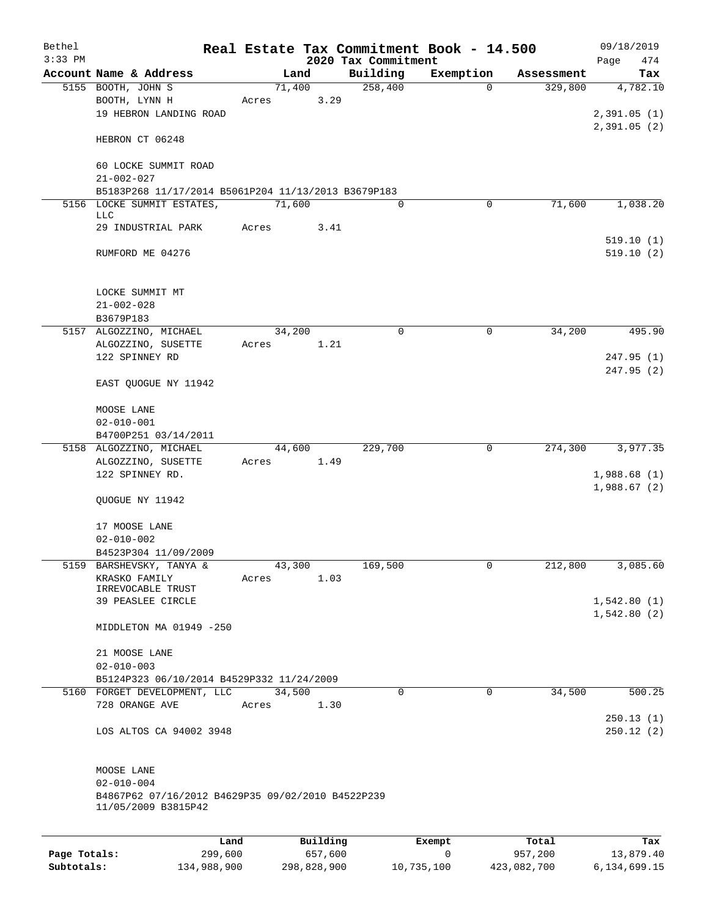| Bethel       |                                                                          |       |        |          |                                 | Real Estate Tax Commitment Book - 14.500 |                       | 09/18/2019             |
|--------------|--------------------------------------------------------------------------|-------|--------|----------|---------------------------------|------------------------------------------|-----------------------|------------------------|
| $3:33$ PM    | Account Name & Address                                                   |       | Land   |          | 2020 Tax Commitment<br>Building | Exemption                                |                       | 474<br>Page            |
|              | 5155 BOOTH, JOHN S                                                       |       | 71,400 |          | 258,400                         | $\Omega$                                 | Assessment<br>329,800 | Tax<br>4,782.10        |
|              | BOOTH, LYNN H                                                            | Acres |        | 3.29     |                                 |                                          |                       |                        |
|              | 19 HEBRON LANDING ROAD                                                   |       |        |          |                                 |                                          |                       | 2,391.05(1)            |
|              |                                                                          |       |        |          |                                 |                                          |                       | 2,391.05(2)            |
|              | HEBRON CT 06248                                                          |       |        |          |                                 |                                          |                       |                        |
|              | 60 LOCKE SUMMIT ROAD<br>$21 - 002 - 027$                                 |       |        |          |                                 |                                          |                       |                        |
|              | B5183P268 11/17/2014 B5061P204 11/13/2013 B3679P183                      |       |        |          |                                 |                                          |                       |                        |
|              | 5156 LOCKE SUMMIT ESTATES,                                               |       | 71,600 |          | $\Omega$                        | 0                                        | 71,600                | 1,038.20               |
|              | LLC                                                                      |       |        |          |                                 |                                          |                       |                        |
|              | 29 INDUSTRIAL PARK                                                       | Acres |        | 3.41     |                                 |                                          |                       |                        |
|              | RUMFORD ME 04276                                                         |       |        |          |                                 |                                          |                       | 519.10(1)<br>519.10(2) |
|              |                                                                          |       |        |          |                                 |                                          |                       |                        |
|              | LOCKE SUMMIT MT                                                          |       |        |          |                                 |                                          |                       |                        |
|              | $21 - 002 - 028$                                                         |       |        |          |                                 |                                          |                       |                        |
|              | B3679P183                                                                |       |        |          |                                 |                                          |                       |                        |
|              | 5157 ALGOZZINO, MICHAEL                                                  |       | 34,200 |          | $\mathbf 0$                     | $\mathsf{O}$                             | 34,200                | 495.90                 |
|              | ALGOZZINO, SUSETTE                                                       | Acres |        | 1.21     |                                 |                                          |                       |                        |
|              | 122 SPINNEY RD                                                           |       |        |          |                                 |                                          |                       | 247.95(1)              |
|              | EAST QUOGUE NY 11942                                                     |       |        |          |                                 |                                          |                       | 247.95 (2)             |
|              | MOOSE LANE                                                               |       |        |          |                                 |                                          |                       |                        |
|              | $02 - 010 - 001$                                                         |       |        |          |                                 |                                          |                       |                        |
|              | B4700P251 03/14/2011                                                     |       |        |          |                                 |                                          |                       |                        |
|              | 5158 ALGOZZINO, MICHAEL                                                  |       | 44,600 |          | 229,700                         | 0                                        | 274,300               | 3,977.35               |
|              | ALGOZZINO, SUSETTE                                                       | Acres |        | 1.49     |                                 |                                          |                       |                        |
|              | 122 SPINNEY RD.                                                          |       |        |          |                                 |                                          |                       | 1,988.68(1)            |
|              | QUOGUE NY 11942                                                          |       |        |          |                                 |                                          |                       | 1,988.67(2)            |
|              | 17 MOOSE LANE                                                            |       |        |          |                                 |                                          |                       |                        |
|              | $02 - 010 - 002$                                                         |       |        |          |                                 |                                          |                       |                        |
|              | B4523P304 11/09/2009                                                     |       |        |          |                                 |                                          |                       |                        |
|              | 5159 BARSHEVSKY, TANYA &                                                 |       | 43,300 |          | 169,500                         | 0                                        | 212,800               | 3,085.60               |
|              | KRASKO FAMILY                                                            | Acres |        | 1.03     |                                 |                                          |                       |                        |
|              | IRREVOCABLE TRUST<br>39 PEASLEE CIRCLE                                   |       |        |          |                                 |                                          |                       | 1,542.80(1)            |
|              |                                                                          |       |        |          |                                 |                                          |                       | 1,542.80(2)            |
|              | MIDDLETON MA 01949 -250                                                  |       |        |          |                                 |                                          |                       |                        |
|              | 21 MOOSE LANE                                                            |       |        |          |                                 |                                          |                       |                        |
|              | $02 - 010 - 003$                                                         |       |        |          |                                 |                                          |                       |                        |
|              | B5124P323 06/10/2014 B4529P332 11/24/2009                                |       |        |          |                                 |                                          |                       |                        |
|              | 5160 FORGET DEVELOPMENT, LLC<br>728 ORANGE AVE                           |       | 34,500 |          | $\mathbf 0$                     | $\mathbf 0$                              | 34,500                | 500.25                 |
|              |                                                                          | Acres |        | 1.30     |                                 |                                          |                       | 250.13(1)              |
|              | LOS ALTOS CA 94002 3948                                                  |       |        |          |                                 |                                          |                       | 250.12(2)              |
|              |                                                                          |       |        |          |                                 |                                          |                       |                        |
|              | MOOSE LANE                                                               |       |        |          |                                 |                                          |                       |                        |
|              | $02 - 010 - 004$                                                         |       |        |          |                                 |                                          |                       |                        |
|              | B4867P62 07/16/2012 B4629P35 09/02/2010 B4522P239<br>11/05/2009 B3815P42 |       |        |          |                                 |                                          |                       |                        |
|              |                                                                          |       |        |          |                                 |                                          |                       |                        |
|              |                                                                          | Land  |        | Building |                                 | Exempt                                   | Total                 | Tax                    |
| Page Totals: | 299,600                                                                  |       |        | 657,600  |                                 | 0                                        | 957,200               | 13,879.40              |

**Subtotals:** 134,988,900 298,828,900 10,735,100 423,082,700 6,134,699.15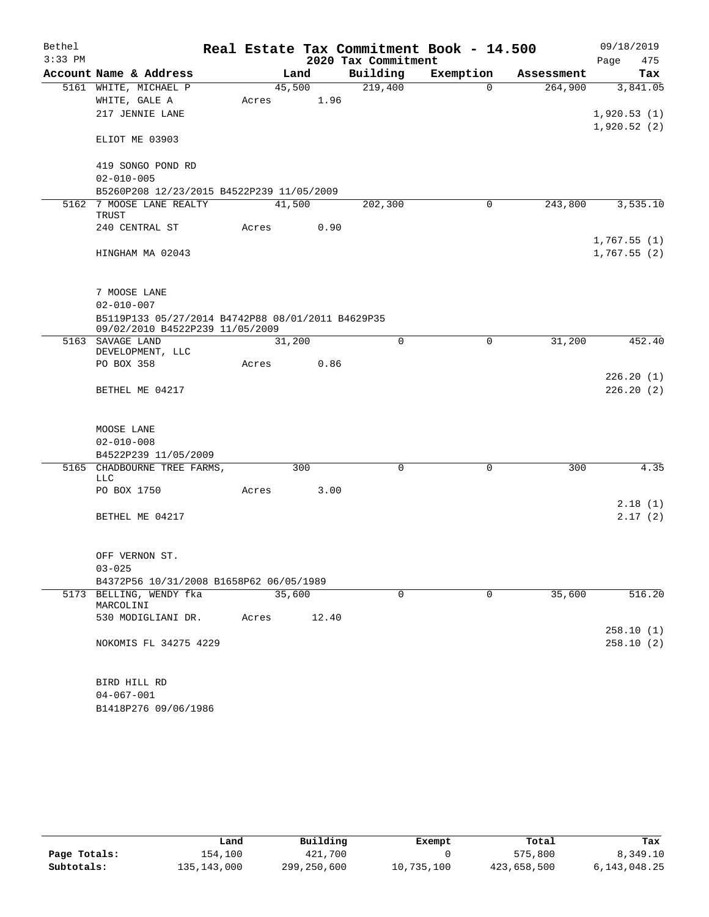| Bethel    |                                                                                      |       |        |                     | Real Estate Tax Commitment Book - 14.500 |            | 09/18/2019  |
|-----------|--------------------------------------------------------------------------------------|-------|--------|---------------------|------------------------------------------|------------|-------------|
| $3:33$ PM |                                                                                      |       |        | 2020 Tax Commitment |                                          |            | 475<br>Page |
|           | Account Name & Address                                                               |       | Land   | Building            | Exemption                                | Assessment | Tax         |
|           | 5161 WHITE, MICHAEL P                                                                |       | 45,500 | 219,400             | $\Omega$                                 | 264,900    | 3,841.05    |
|           | WHITE, GALE A                                                                        | Acres | 1.96   |                     |                                          |            |             |
|           | 217 JENNIE LANE                                                                      |       |        |                     |                                          |            | 1,920.53(1) |
|           | ELIOT ME 03903                                                                       |       |        |                     |                                          |            | 1,920.52(2) |
|           | 419 SONGO POND RD                                                                    |       |        |                     |                                          |            |             |
|           | $02 - 010 - 005$                                                                     |       |        |                     |                                          |            |             |
|           | B5260P208 12/23/2015 B4522P239 11/05/2009                                            |       |        |                     |                                          |            |             |
|           | 5162 7 MOOSE LANE REALTY                                                             |       | 41,500 | 202,300             | $\mathbf 0$                              | 243,800    | 3,535.10    |
|           | TRUST                                                                                |       |        |                     |                                          |            |             |
|           | 240 CENTRAL ST                                                                       | Acres | 0.90   |                     |                                          |            |             |
|           |                                                                                      |       |        |                     |                                          |            | 1,767.55(1) |
|           | HINGHAM MA 02043                                                                     |       |        |                     |                                          |            | 1,767.55(2) |
|           | 7 MOOSE LANE                                                                         |       |        |                     |                                          |            |             |
|           | $02 - 010 - 007$                                                                     |       |        |                     |                                          |            |             |
|           | B5119P133 05/27/2014 B4742P88 08/01/2011 B4629P35<br>09/02/2010 B4522P239 11/05/2009 |       |        |                     |                                          |            |             |
|           | 5163 SAVAGE LAND                                                                     |       | 31,200 | $\Omega$            | 0                                        | 31,200     | 452.40      |
|           | DEVELOPMENT, LLC<br>PO BOX 358                                                       | Acres | 0.86   |                     |                                          |            |             |
|           |                                                                                      |       |        |                     |                                          |            | 226.20(1)   |
|           | BETHEL ME 04217                                                                      |       |        |                     |                                          |            | 226.20(2)   |
|           |                                                                                      |       |        |                     |                                          |            |             |
|           | MOOSE LANE                                                                           |       |        |                     |                                          |            |             |
|           | $02 - 010 - 008$                                                                     |       |        |                     |                                          |            |             |
|           | B4522P239 11/05/2009                                                                 |       |        |                     |                                          |            |             |
|           | 5165 CHADBOURNE TREE FARMS,                                                          |       | 300    | $\mathbf 0$         | $\mathbf 0$                              | 300        | 4.35        |
|           | LLC<br>PO BOX 1750                                                                   |       | 3.00   |                     |                                          |            |             |
|           |                                                                                      | Acres |        |                     |                                          |            | 2.18(1)     |
|           | BETHEL ME 04217                                                                      |       |        |                     |                                          |            | 2.17(2)     |
|           |                                                                                      |       |        |                     |                                          |            |             |
|           |                                                                                      |       |        |                     |                                          |            |             |
|           | OFF VERNON ST.                                                                       |       |        |                     |                                          |            |             |
|           | $03 - 025$                                                                           |       |        |                     |                                          |            |             |
|           | B4372P56 10/31/2008 B1658P62 06/05/1989                                              |       |        |                     |                                          |            |             |
|           | 5173 BELLING, WENDY fka<br>MARCOLINI                                                 |       | 35,600 | $\mathbf 0$         | $\mathbf 0$                              | 35,600     | 516.20      |
|           | 530 MODIGLIANI DR.                                                                   | Acres | 12.40  |                     |                                          |            |             |
|           |                                                                                      |       |        |                     |                                          |            | 258.10(1)   |
|           | NOKOMIS FL 34275 4229                                                                |       |        |                     |                                          |            | 258.10(2)   |
|           |                                                                                      |       |        |                     |                                          |            |             |
|           | BIRD HILL RD                                                                         |       |        |                     |                                          |            |             |
|           | $04 - 067 - 001$                                                                     |       |        |                     |                                          |            |             |
|           | B1418P276 09/06/1986                                                                 |       |        |                     |                                          |            |             |

|              | Land        | Building    | Exempt     | Total       | Tax          |
|--------------|-------------|-------------|------------|-------------|--------------|
| Page Totals: | 154,100     | 421,700     |            | 575,800     | 8,349.10     |
| Subtotals:   | 135,143,000 | 299,250,600 | 10,735,100 | 423,658,500 | 6,143,048.25 |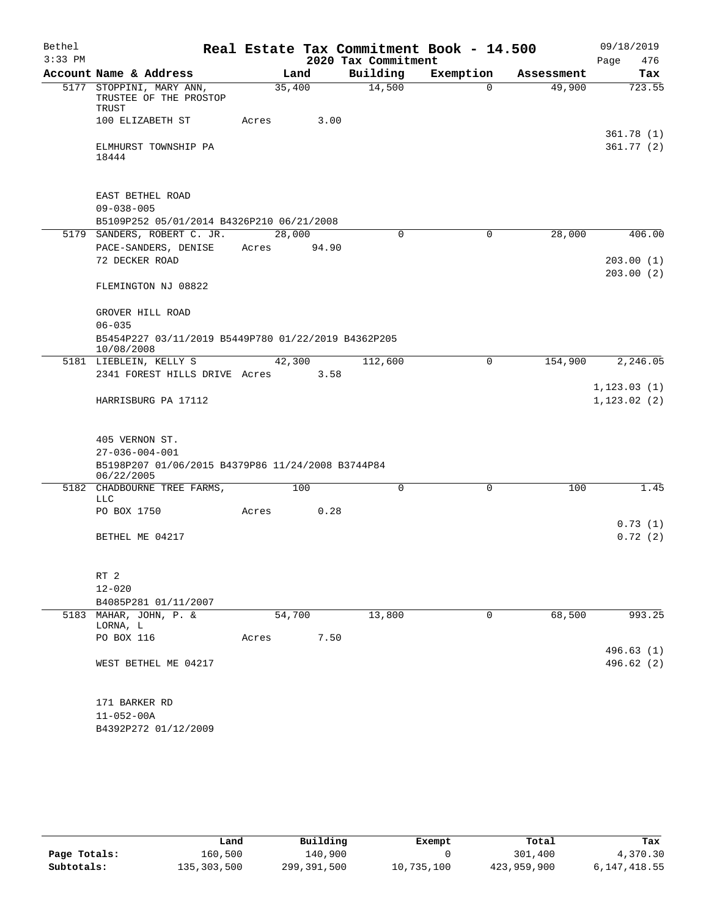| Bethel    |                                                                          |        |        |                     | Real Estate Tax Commitment Book - 14.500 |            | 09/18/2019                   |
|-----------|--------------------------------------------------------------------------|--------|--------|---------------------|------------------------------------------|------------|------------------------------|
| $3:33$ PM |                                                                          |        |        | 2020 Tax Commitment |                                          |            | 476<br>Page                  |
|           | Account Name & Address                                                   |        | Land   | Building            | Exemption                                | Assessment | Tax                          |
|           | 5177 STOPPINI, MARY ANN,<br>TRUSTEE OF THE PROSTOP<br>TRUST              |        | 35,400 | 14,500              | 0                                        | 49,900     | 723.55                       |
|           | 100 ELIZABETH ST                                                         | Acres  | 3.00   |                     |                                          |            |                              |
|           | ELMHURST TOWNSHIP PA<br>18444                                            |        |        |                     |                                          |            | 361.78(1)<br>361.77(2)       |
|           | EAST BETHEL ROAD<br>$09 - 038 - 005$                                     |        |        |                     |                                          |            |                              |
|           | B5109P252 05/01/2014 B4326P210 06/21/2008<br>5179 SANDERS, ROBERT C. JR. | 28,000 |        | $\mathbf 0$         | $\mathbf 0$                              | 28,000     | 406.00                       |
|           | PACE-SANDERS, DENISE                                                     | Acres  | 94.90  |                     |                                          |            |                              |
|           | 72 DECKER ROAD                                                           |        |        |                     |                                          |            | 203.00(1)                    |
|           | FLEMINGTON NJ 08822                                                      |        |        |                     |                                          |            | 203.00(2)                    |
|           | GROVER HILL ROAD                                                         |        |        |                     |                                          |            |                              |
|           | $06 - 035$                                                               |        |        |                     |                                          |            |                              |
|           | B5454P227 03/11/2019 B5449P780 01/22/2019 B4362P205<br>10/08/2008        |        |        |                     |                                          |            |                              |
|           | 5181 LIEBLEIN, KELLY S                                                   |        | 42,300 | 112,600             | 0                                        | 154,900    | 2, 246.05                    |
|           | 2341 FOREST HILLS DRIVE Acres                                            |        | 3.58   |                     |                                          |            |                              |
|           | HARRISBURG PA 17112                                                      |        |        |                     |                                          |            | 1, 123.03(1)<br>1, 123.02(2) |
|           | 405 VERNON ST.                                                           |        |        |                     |                                          |            |                              |
|           | $27 - 036 - 004 - 001$                                                   |        |        |                     |                                          |            |                              |
|           | B5198P207 01/06/2015 B4379P86 11/24/2008 B3744P84<br>06/22/2005          |        |        |                     |                                          |            |                              |
| 5182      | CHADBOURNE TREE FARMS,<br><b>LLC</b>                                     |        | 100    | 0                   | 0                                        | 100        | 1.45                         |
|           | PO BOX 1750                                                              | Acres  | 0.28   |                     |                                          |            |                              |
|           | BETHEL ME 04217                                                          |        |        |                     |                                          |            | 0.73(1)<br>0.72(2)           |
|           |                                                                          |        |        |                     |                                          |            |                              |
|           | RT 2                                                                     |        |        |                     |                                          |            |                              |
|           | $12 - 020$                                                               |        |        |                     |                                          |            |                              |
|           | B4085P281 01/11/2007                                                     |        |        |                     |                                          |            |                              |
|           | 5183 MAHAR, JOHN, P. &<br>LORNA, L                                       |        | 54,700 | 13,800              | 0                                        | 68,500     | 993.25                       |
|           | PO BOX 116                                                               | Acres  | 7.50   |                     |                                          |            | 496.63(1)                    |
|           | WEST BETHEL ME 04217                                                     |        |        |                     |                                          |            | 496.62 (2)                   |
|           | 171 BARKER RD                                                            |        |        |                     |                                          |            |                              |
|           | $11 - 052 - 00A$                                                         |        |        |                     |                                          |            |                              |
|           | B4392P272 01/12/2009                                                     |        |        |                     |                                          |            |                              |

|              | Land        | Building    | Exempt     | Total       | Tax          |
|--------------|-------------|-------------|------------|-------------|--------------|
| Page Totals: | 160,500     | 140,900     |            | 301,400     | 4,370.30     |
| Subtotals:   | 135,303,500 | 299,391,500 | 10,735,100 | 423,959,900 | 6,147,418.55 |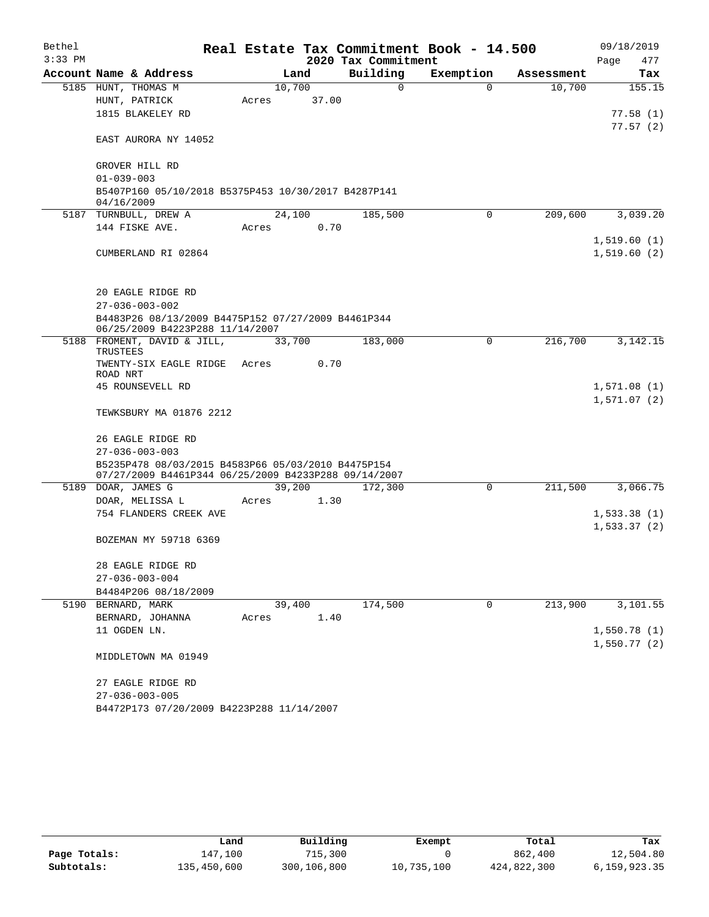| Bethel    |                                                                                       |        |       | Real Estate Tax Commitment Book - 14.500 |           |            | 09/18/2019                 |
|-----------|---------------------------------------------------------------------------------------|--------|-------|------------------------------------------|-----------|------------|----------------------------|
| $3:33$ PM |                                                                                       |        |       | 2020 Tax Commitment                      |           |            | Page<br>477                |
|           | Account Name & Address                                                                | Land   |       | Building                                 | Exemption | Assessment | Tax                        |
|           | 5185 HUNT, THOMAS M                                                                   | 10,700 |       | $\Omega$                                 | $\Omega$  | 10,700     | 155.15                     |
|           | HUNT, PATRICK                                                                         | Acres  | 37.00 |                                          |           |            |                            |
|           | 1815 BLAKELEY RD                                                                      |        |       |                                          |           |            | 77.58(1)                   |
|           | EAST AURORA NY 14052                                                                  |        |       |                                          |           |            | 77.57(2)                   |
|           | GROVER HILL RD                                                                        |        |       |                                          |           |            |                            |
|           | $01 - 039 - 003$                                                                      |        |       |                                          |           |            |                            |
|           | B5407P160 05/10/2018 B5375P453 10/30/2017 B4287P141<br>04/16/2009                     |        |       |                                          |           |            |                            |
|           | 5187 TURNBULL, DREW A                                                                 | 24,100 |       | 185,500                                  | 0         | 209,600    | 3,039.20                   |
|           | 144 FISKE AVE.                                                                        | Acres  | 0.70  |                                          |           |            |                            |
|           |                                                                                       |        |       |                                          |           |            | 1,519.60(1)                |
|           | CUMBERLAND RI 02864                                                                   |        |       |                                          |           |            | 1,519.60(2)                |
|           | 20 EAGLE RIDGE RD                                                                     |        |       |                                          |           |            |                            |
|           | $27 - 036 - 003 - 002$                                                                |        |       |                                          |           |            |                            |
|           | B4483P26 08/13/2009 B4475P152 07/27/2009 B4461P344<br>06/25/2009 B4223P288 11/14/2007 |        |       |                                          |           |            |                            |
| 5188      | FROMENT, DAVID & JILL,                                                                | 33,700 |       | 183,000                                  | 0         | 216,700    | 3, 142. 15                 |
|           | TRUSTEES<br>TWENTY-SIX EAGLE RIDGE                                                    | Acres  | 0.70  |                                          |           |            |                            |
|           | ROAD NRT                                                                              |        |       |                                          |           |            |                            |
|           | 45 ROUNSEVELL RD                                                                      |        |       |                                          |           |            | 1,571.08(1)<br>1,571.07(2) |
|           | TEWKSBURY MA 01876 2212                                                               |        |       |                                          |           |            |                            |
|           | 26 EAGLE RIDGE RD<br>$27 - 036 - 003 - 003$                                           |        |       |                                          |           |            |                            |
|           | B5235P478 08/03/2015 B4583P66 05/03/2010 B4475P154                                    |        |       |                                          |           |            |                            |
|           | 07/27/2009 B4461P344 06/25/2009 B4233P288 09/14/2007<br>5189 DOAR, JAMES G            | 39,200 |       | 172,300                                  | 0         | 211,500    | 3,066.75                   |
|           |                                                                                       | Acres  | 1.30  |                                          |           |            |                            |
|           | DOAR, MELISSA L<br>754 FLANDERS CREEK AVE                                             |        |       |                                          |           |            | 1,533.38(1)                |
|           |                                                                                       |        |       |                                          |           |            | 1,533.37(2)                |
|           | BOZEMAN MY 59718 6369                                                                 |        |       |                                          |           |            |                            |
|           | 28 EAGLE RIDGE RD                                                                     |        |       |                                          |           |            |                            |
|           | $27 - 036 - 003 - 004$                                                                |        |       |                                          |           |            |                            |
|           | B4484P206 08/18/2009                                                                  |        |       |                                          |           |            |                            |
|           | 5190 BERNARD, MARK                                                                    | 39,400 |       | 174,500                                  | 0         | 213,900    | 3,101.55                   |
|           | BERNARD, JOHANNA                                                                      | Acres  | 1.40  |                                          |           |            |                            |
|           | 11 OGDEN LN.                                                                          |        |       |                                          |           |            | 1,550.78(1)                |
|           | MIDDLETOWN MA 01949                                                                   |        |       |                                          |           |            | 1,550.77(2)                |
|           | 27 EAGLE RIDGE RD                                                                     |        |       |                                          |           |            |                            |
|           | $27 - 036 - 003 - 005$                                                                |        |       |                                          |           |            |                            |
|           | B4472P173 07/20/2009 B4223P288 11/14/2007                                             |        |       |                                          |           |            |                            |

|              | Land        | Building    | Exempt     | Total       | Tax          |
|--------------|-------------|-------------|------------|-------------|--------------|
| Page Totals: | 147,100     | 715,300     |            | 862,400     | 12,504.80    |
| Subtotals:   | 135,450,600 | 300,106,800 | 10,735,100 | 424,822,300 | 6,159,923.35 |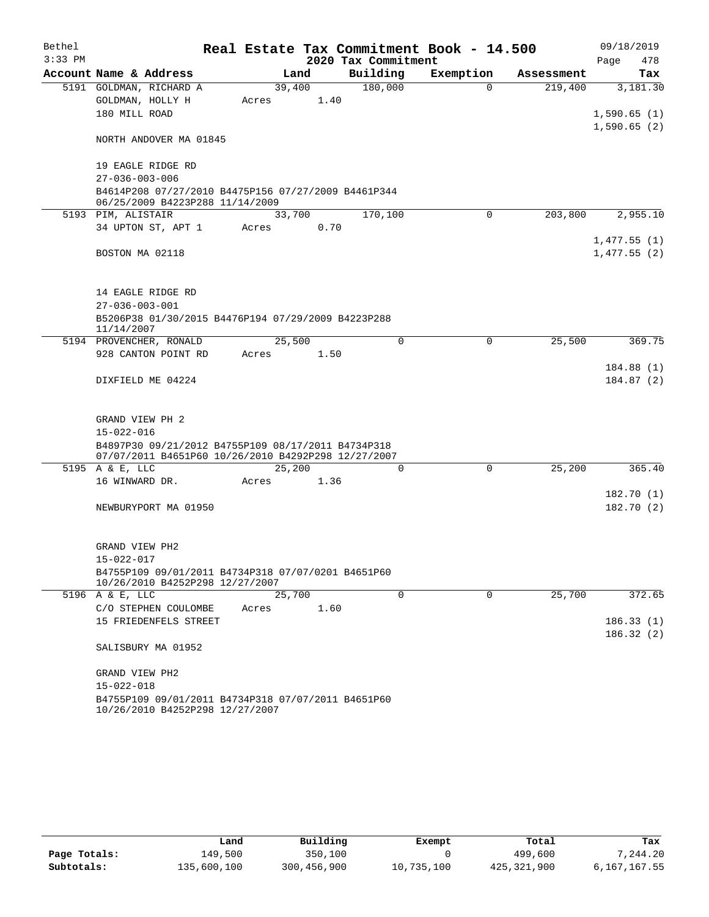| Bethel    |                        |                                                                                                           |        |      |                     | Real Estate Tax Commitment Book - 14.500 |             |            |                            | 09/18/2019             |
|-----------|------------------------|-----------------------------------------------------------------------------------------------------------|--------|------|---------------------|------------------------------------------|-------------|------------|----------------------------|------------------------|
| $3:33$ PM |                        |                                                                                                           |        |      | 2020 Tax Commitment |                                          |             |            | Page                       | 478                    |
|           |                        | Account Name & Address                                                                                    |        | Land | Building            |                                          | Exemption   | Assessment |                            | Tax                    |
|           |                        | 5191 GOLDMAN, RICHARD A                                                                                   | 39,400 |      | 180,000             |                                          | $\Omega$    | 219,400    |                            | 3,181.30               |
|           |                        | GOLDMAN, HOLLY H                                                                                          | Acres  | 1.40 |                     |                                          |             |            |                            |                        |
|           | 180 MILL ROAD          |                                                                                                           |        |      |                     |                                          |             |            | 1,590.65(1)                |                        |
|           |                        | NORTH ANDOVER MA 01845                                                                                    |        |      |                     |                                          |             |            | 1,590.65(2)                |                        |
|           |                        | 19 EAGLE RIDGE RD                                                                                         |        |      |                     |                                          |             |            |                            |                        |
|           | $27 - 036 - 003 - 006$ |                                                                                                           |        |      |                     |                                          |             |            |                            |                        |
|           |                        | B4614P208 07/27/2010 B4475P156 07/27/2009 B4461P344<br>06/25/2009 B4223P288 11/14/2009                    |        |      |                     |                                          |             |            |                            |                        |
|           | 5193 PIM, ALISTAIR     |                                                                                                           | 33,700 |      | 170,100             |                                          | $\Omega$    | 203,800    |                            | 2,955.10               |
|           |                        | 34 UPTON ST, APT 1                                                                                        | Acres  | 0.70 |                     |                                          |             |            |                            |                        |
|           | BOSTON MA 02118        |                                                                                                           |        |      |                     |                                          |             |            | 1,477.55(1)<br>1,477.55(2) |                        |
|           |                        | 14 EAGLE RIDGE RD                                                                                         |        |      |                     |                                          |             |            |                            |                        |
|           | $27 - 036 - 003 - 001$ |                                                                                                           |        |      |                     |                                          |             |            |                            |                        |
|           | 11/14/2007             | B5206P38 01/30/2015 B4476P194 07/29/2009 B4223P288                                                        |        |      |                     |                                          |             |            |                            |                        |
|           |                        | 5194 PROVENCHER, RONALD                                                                                   | 25,500 |      |                     | $\Omega$                                 | $\mathbf 0$ | 25,500     |                            | 369.75                 |
|           |                        | 928 CANTON POINT RD                                                                                       | Acres  | 1.50 |                     |                                          |             |            |                            |                        |
|           |                        | DIXFIELD ME 04224                                                                                         |        |      |                     |                                          |             |            |                            | 184.88(1)<br>184.87(2) |
|           | GRAND VIEW PH 2        |                                                                                                           |        |      |                     |                                          |             |            |                            |                        |
|           | $15 - 022 - 016$       |                                                                                                           |        |      |                     |                                          |             |            |                            |                        |
|           |                        | B4897P30 09/21/2012 B4755P109 08/17/2011 B4734P318<br>07/07/2011 B4651P60 10/26/2010 B4292P298 12/27/2007 |        |      |                     |                                          |             |            |                            |                        |
|           | 5195 A & E, LLC        |                                                                                                           | 25,200 |      |                     | $\Omega$                                 | $\Omega$    | 25,200     |                            | 365.40                 |
|           | 16 WINWARD DR.         |                                                                                                           | Acres  | 1.36 |                     |                                          |             |            |                            |                        |
|           |                        |                                                                                                           |        |      |                     |                                          |             |            |                            | 182.70(1)              |
|           |                        | NEWBURYPORT MA 01950                                                                                      |        |      |                     |                                          |             |            |                            | 182.70(2)              |
|           | GRAND VIEW PH2         |                                                                                                           |        |      |                     |                                          |             |            |                            |                        |
|           | $15 - 022 - 017$       |                                                                                                           |        |      |                     |                                          |             |            |                            |                        |
|           |                        | B4755P109 09/01/2011 B4734P318 07/07/0201 B4651P60<br>10/26/2010 B4252P298 12/27/2007                     |        |      |                     |                                          |             |            |                            |                        |
|           | 5196 A & E, LLC        |                                                                                                           | 25,700 |      |                     | $\Omega$                                 | $\Omega$    | 25,700     |                            | 372.65                 |
|           |                        | C/O STEPHEN COULOMBE                                                                                      | Acres  | 1.60 |                     |                                          |             |            |                            |                        |
|           |                        | 15 FRIEDENFELS STREET                                                                                     |        |      |                     |                                          |             |            |                            | 186.33(1)              |
|           |                        | SALISBURY MA 01952                                                                                        |        |      |                     |                                          |             |            |                            | 186.32(2)              |
|           | GRAND VIEW PH2         |                                                                                                           |        |      |                     |                                          |             |            |                            |                        |
|           | $15 - 022 - 018$       |                                                                                                           |        |      |                     |                                          |             |            |                            |                        |
|           |                        | B4755P109 09/01/2011 B4734P318 07/07/2011 B4651P60                                                        |        |      |                     |                                          |             |            |                            |                        |
|           |                        | 10/26/2010 B4252P298 12/27/2007                                                                           |        |      |                     |                                          |             |            |                            |                        |

|              | Land        | Building    | Exempt     | Total       | Tax          |
|--------------|-------------|-------------|------------|-------------|--------------|
| Page Totals: | 149,500     | 350,100     |            | 499,600     | ,244.20      |
| Subtotals:   | 135,600,100 | 300,456,900 | 10,735,100 | 425,321,900 | 6,167,167.55 |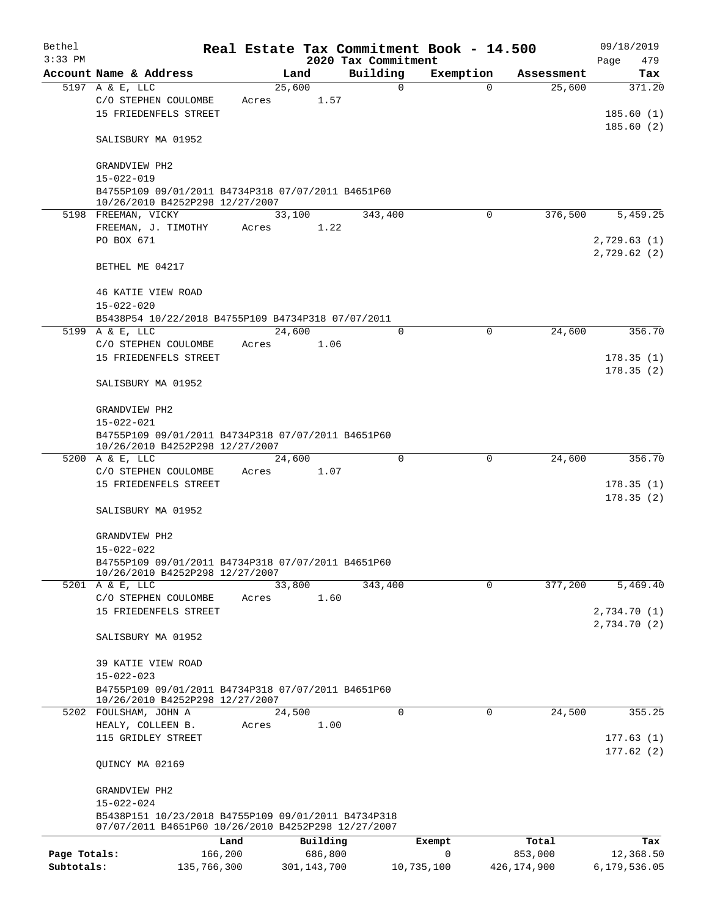| Bethel       |                                                                                                                                |       |                | Real Estate Tax Commitment Book - 14.500 |             |             | 09/18/2019                       |
|--------------|--------------------------------------------------------------------------------------------------------------------------------|-------|----------------|------------------------------------------|-------------|-------------|----------------------------------|
| $3:33$ PM    |                                                                                                                                |       |                | 2020 Tax Commitment                      |             |             | 479<br>Page                      |
|              | Account Name & Address                                                                                                         |       | Land           | Building                                 | Exemption   | Assessment  | Tax                              |
|              | 5197 A & E, LLC<br>C/O STEPHEN COULOMBE<br>15 FRIEDENFELS STREET                                                               | Acres | 25,600<br>1.57 | $\mathbf 0$                              | $\Omega$    | 25,600      | 371.20<br>185.60(1)<br>185.60(2) |
|              | SALISBURY MA 01952                                                                                                             |       |                |                                          |             |             |                                  |
|              | GRANDVIEW PH2                                                                                                                  |       |                |                                          |             |             |                                  |
|              | $15 - 022 - 019$<br>B4755P109 09/01/2011 B4734P318 07/07/2011 B4651P60<br>10/26/2010 B4252P298 12/27/2007                      |       |                |                                          |             |             |                                  |
|              | 5198 FREEMAN, VICKY                                                                                                            |       | 33,100         | 343,400                                  | $\Omega$    | 376,500     | 5,459.25                         |
|              | FREEMAN, J. TIMOTHY                                                                                                            | Acres | 1.22           |                                          |             |             |                                  |
|              | PO BOX 671                                                                                                                     |       |                |                                          |             |             | 2,729.63 (1)<br>2,729.62(2)      |
|              | BETHEL ME 04217                                                                                                                |       |                |                                          |             |             |                                  |
|              | 46 KATIE VIEW ROAD<br>$15 - 022 - 020$                                                                                         |       |                |                                          |             |             |                                  |
|              | B5438P54 10/22/2018 B4755P109 B4734P318 07/07/2011                                                                             |       |                |                                          |             |             |                                  |
|              | 5199 A & E, LLC                                                                                                                |       | 24,600         | $\Omega$                                 | $\mathbf 0$ | 24,600      | 356.70                           |
|              | C/O STEPHEN COULOMBE                                                                                                           | Acres | 1.06           |                                          |             |             |                                  |
|              | 15 FRIEDENFELS STREET                                                                                                          |       |                |                                          |             |             | 178.35(1)                        |
|              |                                                                                                                                |       |                |                                          |             |             | 178.35(2)                        |
|              | SALISBURY MA 01952                                                                                                             |       |                |                                          |             |             |                                  |
|              | GRANDVIEW PH2                                                                                                                  |       |                |                                          |             |             |                                  |
|              | $15 - 022 - 021$                                                                                                               |       |                |                                          |             |             |                                  |
|              | B4755P109 09/01/2011 B4734P318 07/07/2011 B4651P60<br>10/26/2010 B4252P298 12/27/2007                                          |       |                |                                          |             |             |                                  |
|              | 5200 A & E, LLC                                                                                                                |       | 24,600         | $\mathbf 0$                              | 0           | 24,600      | 356.70                           |
|              | C/O STEPHEN COULOMBE                                                                                                           | Acres | 1.07           |                                          |             |             |                                  |
|              | 15 FRIEDENFELS STREET                                                                                                          |       |                |                                          |             |             | 178.35(1)<br>178.35(2)           |
|              | SALISBURY MA 01952                                                                                                             |       |                |                                          |             |             |                                  |
|              | GRANDVIEW PH2                                                                                                                  |       |                |                                          |             |             |                                  |
|              | $15 - 022 - 022$                                                                                                               |       |                |                                          |             |             |                                  |
|              | B4755P109 09/01/2011 B4734P318 07/07/2011 B4651P60<br>10/26/2010 B4252P298 12/27/2007                                          |       |                |                                          |             |             |                                  |
|              | 5201 A & E, LLC                                                                                                                |       | 33,800         | 343,400                                  | $\mathbf 0$ | 377,200     | 5,469.40                         |
|              | C/O STEPHEN COULOMBE                                                                                                           | Acres | 1.60           |                                          |             |             |                                  |
|              | 15 FRIEDENFELS STREET                                                                                                          |       |                |                                          |             |             | 2,734.70(1)                      |
|              | SALISBURY MA 01952                                                                                                             |       |                |                                          |             |             | 2,734.70(2)                      |
|              | 39 KATIE VIEW ROAD                                                                                                             |       |                |                                          |             |             |                                  |
|              | $15 - 022 - 023$                                                                                                               |       |                |                                          |             |             |                                  |
|              | B4755P109 09/01/2011 B4734P318 07/07/2011 B4651P60<br>10/26/2010 B4252P298 12/27/2007                                          |       |                |                                          |             |             |                                  |
|              | 5202 FOULSHAM, JOHN A                                                                                                          |       | 24,500         | $\Omega$                                 | $\mathbf 0$ | 24,500      | 355.25                           |
|              | HEALY, COLLEEN B.                                                                                                              | Acres | 1.00           |                                          |             |             |                                  |
|              | 115 GRIDLEY STREET                                                                                                             |       |                |                                          |             |             | 177.63(1)<br>177.62(2)           |
|              | QUINCY MA 02169                                                                                                                |       |                |                                          |             |             |                                  |
|              | GRANDVIEW PH2                                                                                                                  |       |                |                                          |             |             |                                  |
|              | $15 - 022 - 024$<br>B5438P151 10/23/2018 B4755P109 09/01/2011 B4734P318<br>07/07/2011 B4651P60 10/26/2010 B4252P298 12/27/2007 |       |                |                                          |             |             |                                  |
|              |                                                                                                                                | Land  | Building       |                                          | Exempt      | Total       | Tax                              |
| Page Totals: | 166,200                                                                                                                        |       | 686,800        |                                          | $\mathbf 0$ | 853,000     | 12,368.50                        |
| Subtotals:   | 135,766,300                                                                                                                    |       | 301, 143, 700  |                                          | 10,735,100  | 426,174,900 | 6,179,536.05                     |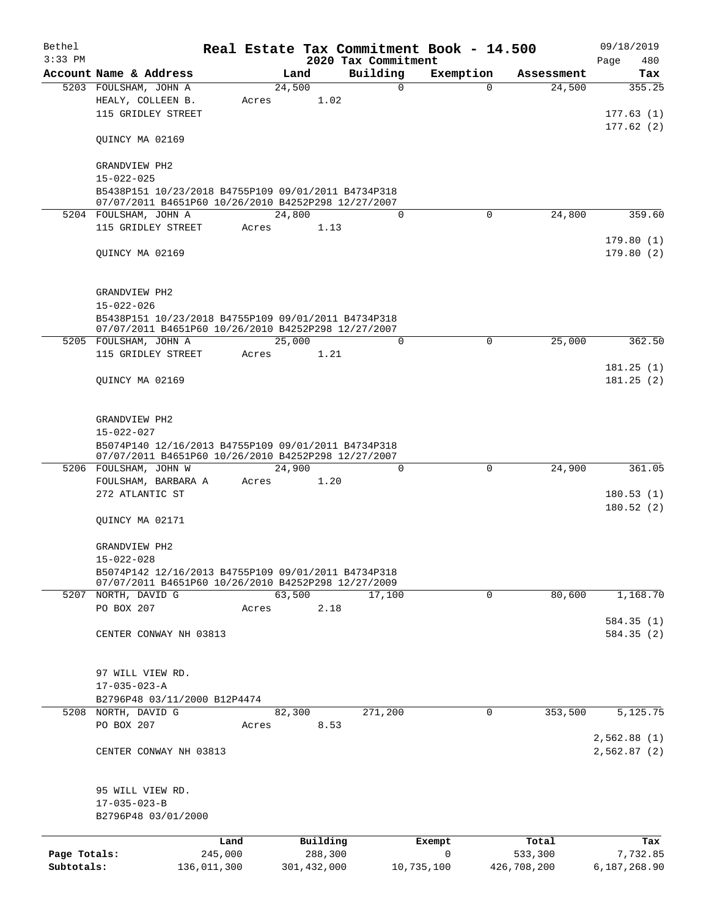| Bethel<br>$3:33$ PM |                                                                                                            |                 |                     | 2020 Tax Commitment | Real Estate Tax Commitment Book - 14.500 |                  | 09/18/2019<br>Page<br>480 |
|---------------------|------------------------------------------------------------------------------------------------------------|-----------------|---------------------|---------------------|------------------------------------------|------------------|---------------------------|
|                     | Account Name & Address                                                                                     |                 | Land                | Building            | Exemption                                | Assessment       | Tax                       |
|                     | 5203 FOULSHAM, JOHN A                                                                                      |                 | 24,500              | 0                   | $\Omega$                                 | 24,500           | 355.25                    |
|                     | HEALY, COLLEEN B.                                                                                          | Acres           | 1.02                |                     |                                          |                  |                           |
|                     | 115 GRIDLEY STREET                                                                                         |                 |                     |                     |                                          |                  | 177.63(1)                 |
|                     | QUINCY MA 02169                                                                                            |                 |                     |                     |                                          |                  | 177.62(2)                 |
|                     | GRANDVIEW PH2                                                                                              |                 |                     |                     |                                          |                  |                           |
|                     | $15 - 022 - 025$                                                                                           |                 |                     |                     |                                          |                  |                           |
|                     | B5438P151 10/23/2018 B4755P109 09/01/2011 B4734P318                                                        |                 |                     |                     |                                          |                  |                           |
|                     | 07/07/2011 B4651P60 10/26/2010 B4252P298 12/27/2007<br>5204 FOULSHAM, JOHN A                               |                 | 24,800              | $\Omega$            | $\Omega$                                 | 24,800           | 359.60                    |
|                     | 115 GRIDLEY STREET                                                                                         | Acres           | 1.13                |                     |                                          |                  |                           |
|                     |                                                                                                            |                 |                     |                     |                                          |                  | 179.80(1)                 |
|                     | QUINCY MA 02169                                                                                            |                 |                     |                     |                                          |                  | 179.80(2)                 |
|                     | GRANDVIEW PH2                                                                                              |                 |                     |                     |                                          |                  |                           |
|                     | $15 - 022 - 026$                                                                                           |                 |                     |                     |                                          |                  |                           |
|                     | B5438P151 10/23/2018 B4755P109 09/01/2011 B4734P318<br>07/07/2011 B4651P60 10/26/2010 B4252P298 12/27/2007 |                 |                     |                     |                                          |                  |                           |
|                     | 5205 FOULSHAM, JOHN A                                                                                      |                 | 25,000              | $\Omega$            | 0                                        | 25,000           | 362.50                    |
|                     | 115 GRIDLEY STREET                                                                                         | Acres           | 1.21                |                     |                                          |                  |                           |
|                     | QUINCY MA 02169                                                                                            |                 |                     |                     |                                          |                  | 181.25(1)<br>181.25(2)    |
|                     | GRANDVIEW PH2                                                                                              |                 |                     |                     |                                          |                  |                           |
|                     | $15 - 022 - 027$                                                                                           |                 |                     |                     |                                          |                  |                           |
|                     | B5074P140 12/16/2013 B4755P109 09/01/2011 B4734P318<br>07/07/2011 B4651P60 10/26/2010 B4252P298 12/27/2007 |                 |                     |                     |                                          |                  |                           |
|                     | 5206 FOULSHAM, JOHN W                                                                                      |                 | 24,900              | $\Omega$            | $\Omega$                                 | 24,900           | 361.05                    |
|                     | FOULSHAM, BARBARA A<br>272 ATLANTIC ST                                                                     | Acres           | 1.20                |                     |                                          |                  |                           |
|                     |                                                                                                            |                 |                     |                     |                                          |                  | 180.53(1)<br>180.52(2)    |
|                     | QUINCY MA 02171                                                                                            |                 |                     |                     |                                          |                  |                           |
|                     | GRANDVIEW PH2                                                                                              |                 |                     |                     |                                          |                  |                           |
|                     | $15 - 022 - 028$                                                                                           |                 |                     |                     |                                          |                  |                           |
|                     | B5074P142 12/16/2013 B4755P109 09/01/2011 B4734P318<br>07/07/2011 B4651P60 10/26/2010 B4252P298 12/27/2009 |                 |                     |                     |                                          |                  |                           |
|                     | 5207 NORTH, DAVID G                                                                                        |                 | 63,500              | 17,100              | 0                                        | 80,600           | 1,168.70                  |
|                     | PO BOX 207                                                                                                 | Acres           | 2.18                |                     |                                          |                  |                           |
|                     | CENTER CONWAY NH 03813                                                                                     |                 |                     |                     |                                          |                  | 584.35(1)<br>584.35 (2)   |
|                     |                                                                                                            |                 |                     |                     |                                          |                  |                           |
|                     | 97 WILL VIEW RD.                                                                                           |                 |                     |                     |                                          |                  |                           |
|                     | $17 - 035 - 023 - A$                                                                                       |                 |                     |                     |                                          |                  |                           |
|                     | B2796P48 03/11/2000 B12P4474                                                                               |                 |                     |                     |                                          |                  |                           |
| 5208                | NORTH, DAVID G                                                                                             |                 | 82,300              | 271,200             | 0                                        | 353,500          | 5,125.75                  |
|                     | PO BOX 207                                                                                                 | Acres           | 8.53                |                     |                                          |                  |                           |
|                     |                                                                                                            |                 |                     |                     |                                          |                  | 2,562.88 (1)              |
|                     | CENTER CONWAY NH 03813                                                                                     |                 |                     |                     |                                          |                  | 2,562.87 (2)              |
|                     | 95 WILL VIEW RD.                                                                                           |                 |                     |                     |                                          |                  |                           |
|                     | $17 - 035 - 023 - B$<br>B2796P48 03/01/2000                                                                |                 |                     |                     |                                          |                  |                           |
|                     |                                                                                                            |                 |                     |                     |                                          |                  |                           |
| Page Totals:        |                                                                                                            | Land<br>245,000 | Building<br>288,300 |                     | Exempt<br>$\mathbf 0$                    | Total<br>533,300 | Tax<br>7,732.85           |
| Subtotals:          | 136,011,300                                                                                                |                 | 301,432,000         |                     | 10,735,100                               | 426,708,200      | 6,187,268.90              |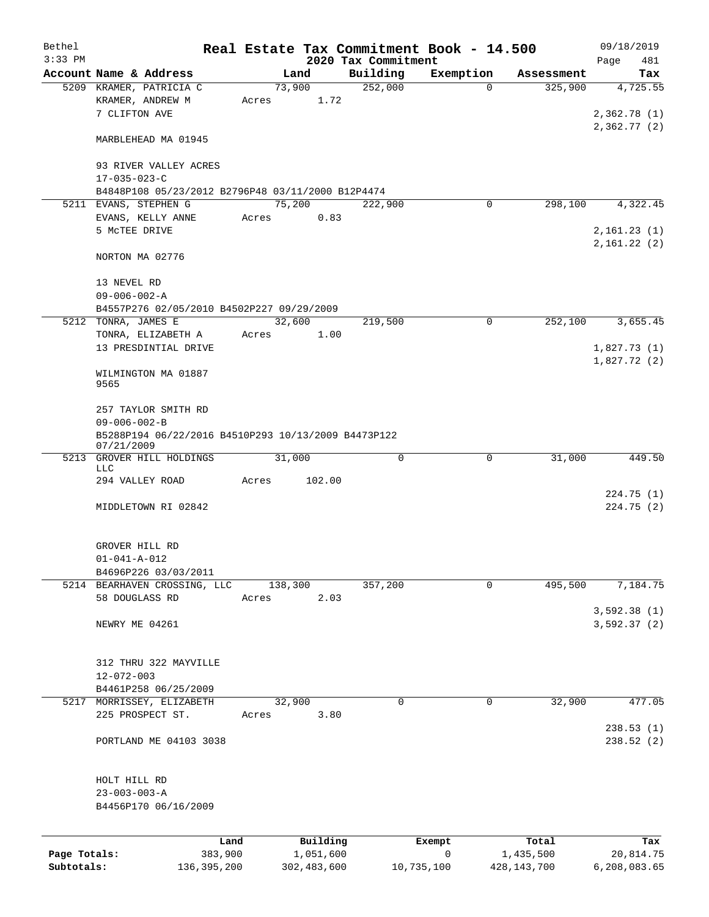| Bethel                     |                                                                   |       |                          |                                 | Real Estate Tax Commitment Book - 14.500 |                          | 09/18/2019                |
|----------------------------|-------------------------------------------------------------------|-------|--------------------------|---------------------------------|------------------------------------------|--------------------------|---------------------------|
| $3:33$ PM                  | Account Name & Address                                            |       | Land                     | 2020 Tax Commitment<br>Building | Exemption                                | Assessment               | Page<br>481<br>Tax        |
|                            | 5209 KRAMER, PATRICIA C                                           |       | 73,900                   | 252,000                         | $\Omega$                                 | 325,900                  | 4,725.55                  |
|                            | KRAMER, ANDREW M                                                  | Acres | 1.72                     |                                 |                                          |                          |                           |
|                            | 7 CLIFTON AVE                                                     |       |                          |                                 |                                          |                          | 2,362.78(1)               |
|                            |                                                                   |       |                          |                                 |                                          |                          | 2,362.77(2)               |
|                            | MARBLEHEAD MA 01945                                               |       |                          |                                 |                                          |                          |                           |
|                            | 93 RIVER VALLEY ACRES                                             |       |                          |                                 |                                          |                          |                           |
|                            | $17 - 035 - 023 - C$                                              |       |                          |                                 |                                          |                          |                           |
|                            | B4848P108 05/23/2012 B2796P48 03/11/2000 B12P4474                 |       |                          |                                 |                                          |                          |                           |
|                            | 5211 EVANS, STEPHEN G                                             |       | 75,200                   | 222,900                         | $\mathbf 0$                              | 298,100                  | 4,322.45                  |
|                            | EVANS, KELLY ANNE                                                 | Acres | 0.83                     |                                 |                                          |                          |                           |
|                            | 5 MCTEE DRIVE                                                     |       |                          |                                 |                                          |                          | 2,161.23(1)               |
|                            | NORTON MA 02776                                                   |       |                          |                                 |                                          |                          | 2,161.22(2)               |
|                            |                                                                   |       |                          |                                 |                                          |                          |                           |
|                            | 13 NEVEL RD                                                       |       |                          |                                 |                                          |                          |                           |
|                            | $09 - 006 - 002 - A$<br>B4557P276 02/05/2010 B4502P227 09/29/2009 |       |                          |                                 |                                          |                          |                           |
|                            | 5212 TONRA, JAMES E                                               |       | 32,600                   | 219,500                         | $\mathbf 0$                              | 252,100                  | 3,655.45                  |
|                            | TONRA, ELIZABETH A                                                | Acres | 1.00                     |                                 |                                          |                          |                           |
|                            | 13 PRESDINTIAL DRIVE                                              |       |                          |                                 |                                          |                          | 1,827.73(1)               |
|                            |                                                                   |       |                          |                                 |                                          |                          | 1,827.72(2)               |
|                            | WILMINGTON MA 01887                                               |       |                          |                                 |                                          |                          |                           |
|                            | 9565                                                              |       |                          |                                 |                                          |                          |                           |
|                            | 257 TAYLOR SMITH RD                                               |       |                          |                                 |                                          |                          |                           |
|                            | $09 - 006 - 002 - B$                                              |       |                          |                                 |                                          |                          |                           |
|                            | B5288P194 06/22/2016 B4510P293 10/13/2009 B4473P122               |       |                          |                                 |                                          |                          |                           |
|                            | 07/21/2009                                                        |       |                          |                                 |                                          |                          |                           |
| 5213                       | GROVER HILL HOLDINGS<br>LLC                                       |       | 31,000                   | $\mathbf 0$                     | 0                                        | 31,000                   | 449.50                    |
|                            | 294 VALLEY ROAD                                                   | Acres | 102.00                   |                                 |                                          |                          |                           |
|                            |                                                                   |       |                          |                                 |                                          |                          | 224.75 (1)                |
|                            | MIDDLETOWN RI 02842                                               |       |                          |                                 |                                          |                          | 224.75(2)                 |
|                            |                                                                   |       |                          |                                 |                                          |                          |                           |
|                            | GROVER HILL RD                                                    |       |                          |                                 |                                          |                          |                           |
|                            | $01 - 041 - A - 012$                                              |       |                          |                                 |                                          |                          |                           |
|                            | B4696P226 03/03/2011                                              |       |                          |                                 |                                          |                          |                           |
|                            | 5214 BEARHAVEN CROSSING, LLC                                      |       | 138,300                  | 357,200                         | $\mathbf 0$                              | 495,500                  | 7,184.75                  |
|                            | 58 DOUGLASS RD                                                    | Acres | 2.03                     |                                 |                                          |                          |                           |
|                            |                                                                   |       |                          |                                 |                                          |                          | 3,592.38(1)               |
|                            | NEWRY ME 04261                                                    |       |                          |                                 |                                          |                          | 3,592.37(2)               |
|                            |                                                                   |       |                          |                                 |                                          |                          |                           |
|                            | 312 THRU 322 MAYVILLE                                             |       |                          |                                 |                                          |                          |                           |
|                            | $12 - 072 - 003$                                                  |       |                          |                                 |                                          |                          |                           |
|                            | B4461P258 06/25/2009                                              |       |                          |                                 |                                          |                          |                           |
|                            | 5217 MORRISSEY, ELIZABETH                                         |       | 32,900                   | 0                               | 0                                        | 32,900                   | 477.05                    |
|                            | 225 PROSPECT ST.                                                  | Acres | 3.80                     |                                 |                                          |                          |                           |
|                            |                                                                   |       |                          |                                 |                                          |                          | 238.53(1)                 |
|                            | PORTLAND ME 04103 3038                                            |       |                          |                                 |                                          |                          | 238.52(2)                 |
|                            |                                                                   |       |                          |                                 |                                          |                          |                           |
|                            | HOLT HILL RD                                                      |       |                          |                                 |                                          |                          |                           |
|                            | $23 - 003 - 003 - A$                                              |       |                          |                                 |                                          |                          |                           |
|                            | B4456P170 06/16/2009                                              |       |                          |                                 |                                          |                          |                           |
|                            |                                                                   |       |                          |                                 |                                          |                          |                           |
|                            |                                                                   | Land  | Building                 |                                 | Exempt                                   | Total                    | Tax                       |
| Page Totals:<br>Subtotals: | 383,900<br>136, 395, 200                                          |       | 1,051,600<br>302,483,600 |                                 | 0<br>10,735,100                          | 1,435,500<br>428,143,700 | 20,814.75<br>6,208,083.65 |
|                            |                                                                   |       |                          |                                 |                                          |                          |                           |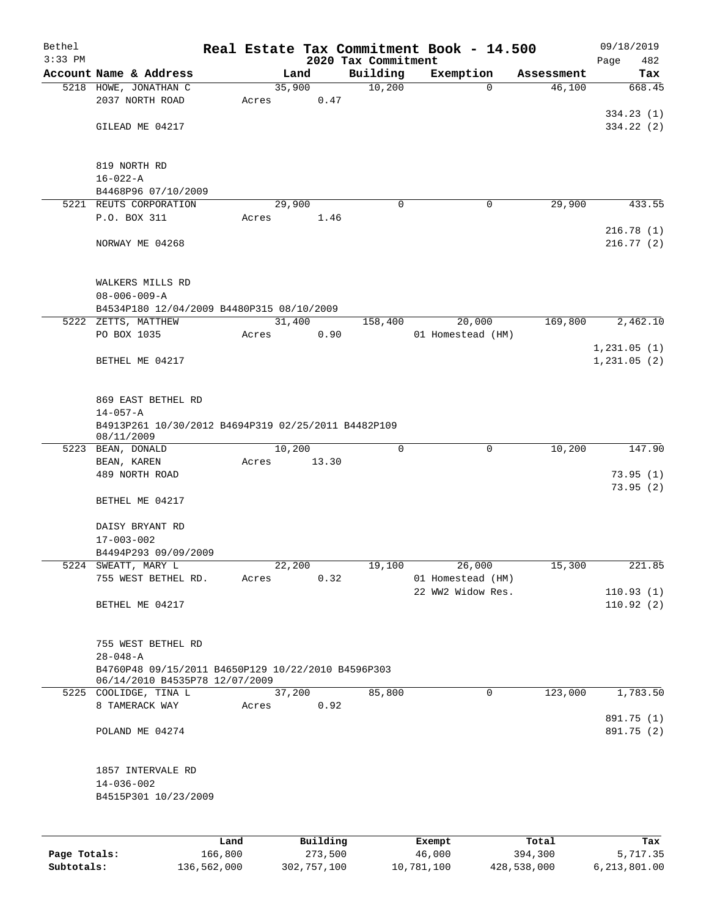| Bethel    |                                                                                      |       |                |                     | Real Estate Tax Commitment Book - 14.500 |                      | 09/18/2019    |
|-----------|--------------------------------------------------------------------------------------|-------|----------------|---------------------|------------------------------------------|----------------------|---------------|
| $3:33$ PM |                                                                                      |       |                | 2020 Tax Commitment |                                          |                      | 482<br>Page   |
|           | Account Name & Address                                                               |       | Land<br>35,900 | Building<br>10,200  | Exemption<br>0                           | Assessment<br>46,100 | Tax<br>668.45 |
|           | 5218 HOWE, JONATHAN C<br>2037 NORTH ROAD                                             | Acres | 0.47           |                     |                                          |                      |               |
|           |                                                                                      |       |                |                     |                                          |                      | 334.23(1)     |
|           | GILEAD ME 04217                                                                      |       |                |                     |                                          |                      | 334.22(2)     |
|           |                                                                                      |       |                |                     |                                          |                      |               |
|           | 819 NORTH RD                                                                         |       |                |                     |                                          |                      |               |
|           | $16 - 022 - A$                                                                       |       |                |                     |                                          |                      |               |
|           | B4468P96 07/10/2009                                                                  |       |                |                     |                                          |                      |               |
|           | 5221 REUTS CORPORATION                                                               |       | 29,900         | 0                   | 0                                        | 29,900               | 433.55        |
|           | P.O. BOX 311                                                                         | Acres | 1.46           |                     |                                          |                      |               |
|           |                                                                                      |       |                |                     |                                          |                      | 216.78(1)     |
|           | NORWAY ME 04268                                                                      |       |                |                     |                                          |                      | 216.77(2)     |
|           | WALKERS MILLS RD<br>$08 - 006 - 009 - A$                                             |       |                |                     |                                          |                      |               |
|           | B4534P180 12/04/2009 B4480P315 08/10/2009                                            |       |                |                     |                                          |                      |               |
|           | 5222 ZETTS, MATTHEW                                                                  |       | 31,400         | 158,400             | 20,000                                   | 169,800              | 2,462.10      |
|           | PO BOX 1035                                                                          | Acres | 0.90           |                     | 01 Homestead (HM)                        |                      |               |
|           |                                                                                      |       |                |                     |                                          |                      | 1, 231.05(1)  |
|           | BETHEL ME 04217                                                                      |       |                |                     |                                          |                      | 1, 231.05(2)  |
|           |                                                                                      |       |                |                     |                                          |                      |               |
|           | 869 EAST BETHEL RD                                                                   |       |                |                     |                                          |                      |               |
|           | $14 - 057 - A$                                                                       |       |                |                     |                                          |                      |               |
|           | B4913P261 10/30/2012 B4694P319 02/25/2011 B4482P109<br>08/11/2009                    |       |                |                     |                                          |                      |               |
|           | 5223 BEAN, DONALD                                                                    |       | 10,200         | $\mathbf 0$         | $\mathbf 0$                              | 10,200               | 147.90        |
|           | BEAN, KAREN                                                                          | Acres | 13.30          |                     |                                          |                      |               |
|           | 489 NORTH ROAD                                                                       |       |                |                     |                                          |                      | 73.95(1)      |
|           |                                                                                      |       |                |                     |                                          |                      | 73.95(2)      |
|           | BETHEL ME 04217                                                                      |       |                |                     |                                          |                      |               |
|           | DAISY BRYANT RD                                                                      |       |                |                     |                                          |                      |               |
|           | $17 - 003 - 002$                                                                     |       |                |                     |                                          |                      |               |
|           | B4494P293 09/09/2009                                                                 |       |                |                     |                                          |                      |               |
|           | 5224 SWEATT, MARY L                                                                  |       | 22,200         | 19,100              | 26,000                                   | 15,300               | 221.85        |
|           | 755 WEST BETHEL RD.                                                                  | Acres | 0.32           |                     | 01 Homestead (HM)                        |                      |               |
|           |                                                                                      |       |                |                     | 22 WW2 Widow Res.                        |                      | 110.93(1)     |
|           | BETHEL ME 04217                                                                      |       |                |                     |                                          |                      | 110.92(2)     |
|           | 755 WEST BETHEL RD                                                                   |       |                |                     |                                          |                      |               |
|           | $28 - 048 - A$                                                                       |       |                |                     |                                          |                      |               |
|           | B4760P48 09/15/2011 B4650P129 10/22/2010 B4596P303<br>06/14/2010 B4535P78 12/07/2009 |       |                |                     |                                          |                      |               |
|           | 5225 COOLIDGE, TINA L                                                                |       | 37,200         | 85,800              | 0                                        | 123,000              | 1,783.50      |
|           | 8 TAMERACK WAY                                                                       | Acres | 0.92           |                     |                                          |                      |               |
|           |                                                                                      |       |                |                     |                                          |                      | 891.75 (1)    |
|           | POLAND ME 04274                                                                      |       |                |                     |                                          |                      | 891.75 (2)    |
|           | 1857 INTERVALE RD                                                                    |       |                |                     |                                          |                      |               |
|           | $14 - 036 - 002$                                                                     |       |                |                     |                                          |                      |               |
|           | B4515P301 10/23/2009                                                                 |       |                |                     |                                          |                      |               |
|           |                                                                                      |       |                |                     |                                          |                      |               |
|           |                                                                                      | Land  | Building       |                     | Exempt                                   | Total                | Tax           |

**Page Totals:** 166,800 273,500 46,000 394,300 5,717.35 **Subtotals:** 136,562,000 302,757,100 10,781,100 428,538,000 6,213,801.00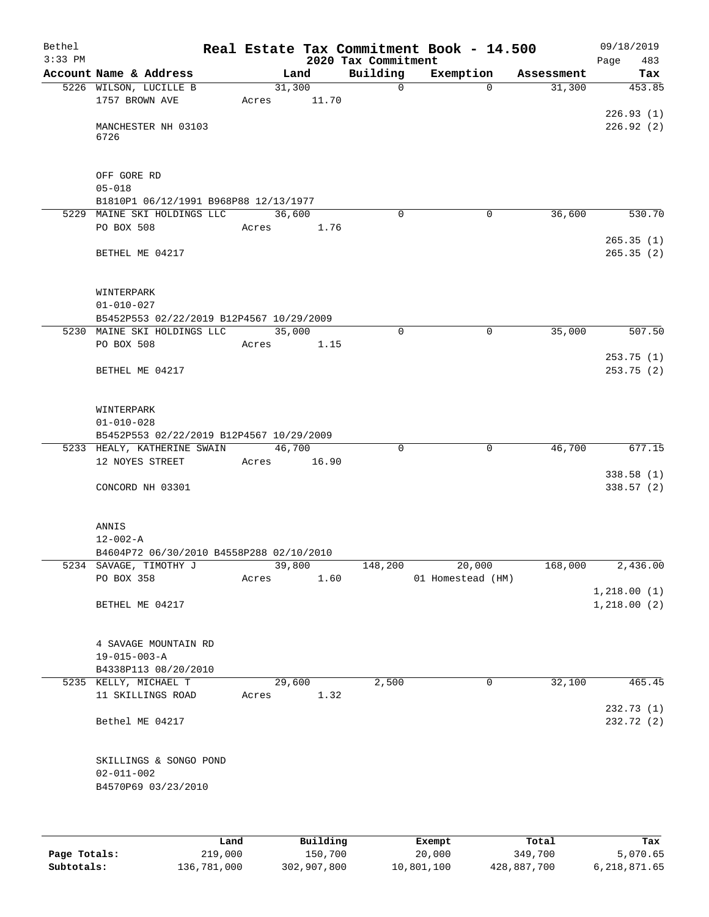| Bethel<br>$3:33$ PM |                                                                   |       |                 | 2020 Tax Commitment | Real Estate Tax Commitment Book - 14.500 |            | 09/18/2019<br>Page<br>483 |
|---------------------|-------------------------------------------------------------------|-------|-----------------|---------------------|------------------------------------------|------------|---------------------------|
|                     | Account Name & Address                                            |       | Land            | Building            | Exemption                                | Assessment | Tax                       |
|                     | 5226 WILSON, LUCILLE B<br>1757 BROWN AVE                          | Acres | 31,300<br>11.70 | $\mathbf 0$         | $\Omega$                                 | 31,300     | 453.85                    |
|                     | MANCHESTER NH 03103<br>6726                                       |       |                 |                     |                                          |            | 226.93(1)<br>226.92(2)    |
|                     | OFF GORE RD<br>$05 - 018$                                         |       |                 |                     |                                          |            |                           |
|                     | B1810P1 06/12/1991 B968P88 12/13/1977                             |       |                 |                     |                                          |            |                           |
|                     | 5229 MAINE SKI HOLDINGS LLC<br>PO BOX 508                         | Acres | 36,600<br>1.76  | $\Omega$            | 0                                        | 36,600     | 530.70<br>265.35(1)       |
|                     | BETHEL ME 04217                                                   |       |                 |                     |                                          |            | 265.35(2)                 |
|                     | WINTERPARK<br>$01 - 010 - 027$                                    |       |                 |                     |                                          |            |                           |
|                     | B5452P553 02/22/2019 B12P4567 10/29/2009                          |       |                 |                     |                                          |            |                           |
|                     | 5230 MAINE SKI HOLDINGS LLC                                       |       | 35,000          | $\mathbf 0$         | $\mathbf 0$                              | 35,000     | 507.50                    |
|                     | PO BOX 508                                                        | Acres | 1.15            |                     |                                          |            |                           |
|                     | BETHEL ME 04217                                                   |       |                 |                     |                                          |            | 253.75(1)<br>253.75 (2)   |
|                     | WINTERPARK<br>$01 - 010 - 028$                                    |       |                 |                     |                                          |            |                           |
|                     | B5452P553 02/22/2019 B12P4567 10/29/2009                          |       |                 |                     |                                          |            |                           |
|                     | 5233 HEALY, KATHERINE SWAIN                                       |       | 46,700          | $\mathbf 0$         | $\mathbf 0$                              | 46,700     | 677.15                    |
|                     | 12 NOYES STREET                                                   | Acres | 16.90           |                     |                                          |            |                           |
|                     | CONCORD NH 03301                                                  |       |                 |                     |                                          |            | 338.58(1)<br>338.57(2)    |
|                     | ANNIS<br>$12 - 002 - A$                                           |       |                 |                     |                                          |            |                           |
|                     | B4604P72 06/30/2010 B4558P288 02/10/2010                          |       |                 |                     |                                          |            |                           |
|                     | 5234 SAVAGE, TIMOTHY J                                            |       | 39,800          | 148,200             | 20,000                                   | 168,000    | 2,436.00                  |
|                     | PO BOX 358                                                        | Acres | 1.60            |                     | 01 Homestead (HM)                        |            |                           |
|                     |                                                                   |       |                 |                     |                                          |            | 1,218.00(1)               |
|                     | BETHEL ME 04217                                                   |       |                 |                     |                                          |            | 1,218.00(2)               |
|                     | 4 SAVAGE MOUNTAIN RD<br>$19 - 015 - 003 - A$                      |       |                 |                     |                                          |            |                           |
|                     | B4338P113 08/20/2010                                              |       |                 |                     |                                          |            |                           |
|                     | 5235 KELLY, MICHAEL T                                             |       | 29,600          | 2,500               | $\mathbf 0$                              | 32,100     | 465.45                    |
|                     | 11 SKILLINGS ROAD                                                 | Acres | 1.32            |                     |                                          |            |                           |
|                     | Bethel ME 04217                                                   |       |                 |                     |                                          |            | 232.73(1)<br>232.72 (2)   |
|                     | SKILLINGS & SONGO POND<br>$02 - 011 - 002$<br>B4570P69 03/23/2010 |       |                 |                     |                                          |            |                           |
|                     |                                                                   |       |                 |                     |                                          |            |                           |

|              | Land        | Building    | Exempt     | Total       | Tax          |
|--------------|-------------|-------------|------------|-------------|--------------|
| Page Totals: | 219,000     | 150,700     | 20,000     | 349,700     | 5,070.65     |
| Subtotals:   | 136,781,000 | 302,907,800 | 10,801,100 | 428,887,700 | 6,218,871.65 |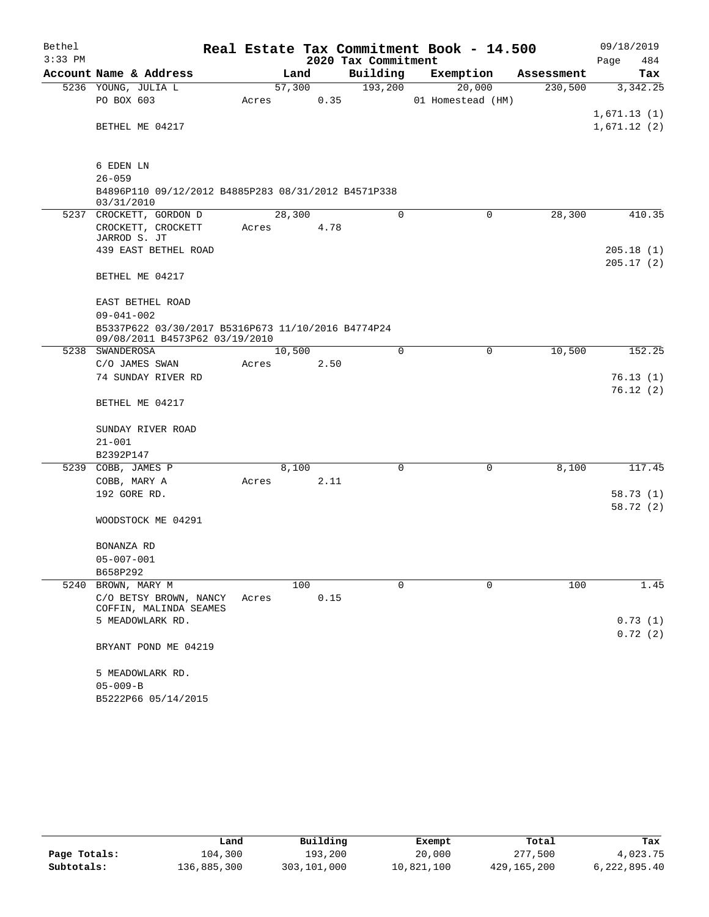| Bethel    |                                                                                      |       |        |      |                     | Real Estate Tax Commitment Book - 14.500 |            | 09/18/2019                 |
|-----------|--------------------------------------------------------------------------------------|-------|--------|------|---------------------|------------------------------------------|------------|----------------------------|
| $3:33$ PM |                                                                                      |       |        |      | 2020 Tax Commitment |                                          |            | Page<br>484                |
|           | Account Name & Address                                                               |       | Land   |      | Building            | Exemption                                | Assessment | Tax                        |
|           | 5236 YOUNG, JULIA L                                                                  |       | 57,300 |      | 193,200             | 20,000                                   | 230,500    | 3,342.25                   |
|           | PO BOX 603                                                                           | Acres |        | 0.35 |                     | 01 Homestead (HM)                        |            |                            |
|           | BETHEL ME 04217                                                                      |       |        |      |                     |                                          |            | 1,671.13(1)<br>1,671.12(2) |
|           |                                                                                      |       |        |      |                     |                                          |            |                            |
|           | 6 EDEN LN                                                                            |       |        |      |                     |                                          |            |                            |
|           | $26 - 059$                                                                           |       |        |      |                     |                                          |            |                            |
|           | B4896P110 09/12/2012 B4885P283 08/31/2012 B4571P338<br>03/31/2010                    |       |        |      |                     |                                          |            |                            |
|           | 5237 CROCKETT, GORDON D                                                              |       | 28,300 |      | 0                   | $\mathbf 0$                              | 28,300     | 410.35                     |
|           | CROCKETT, CROCKETT<br>JARROD S. JT                                                   | Acres |        | 4.78 |                     |                                          |            |                            |
|           | 439 EAST BETHEL ROAD                                                                 |       |        |      |                     |                                          |            | 205.18(1)                  |
|           |                                                                                      |       |        |      |                     |                                          |            | 205.17(2)                  |
|           | BETHEL ME 04217                                                                      |       |        |      |                     |                                          |            |                            |
|           | EAST BETHEL ROAD                                                                     |       |        |      |                     |                                          |            |                            |
|           | $09 - 041 - 002$                                                                     |       |        |      |                     |                                          |            |                            |
|           | B5337P622 03/30/2017 B5316P673 11/10/2016 B4774P24<br>09/08/2011 B4573P62 03/19/2010 |       |        |      |                     |                                          |            |                            |
|           | 5238 SWANDEROSA                                                                      |       | 10,500 |      | $\mathbf 0$         | 0                                        | 10,500     | 152.25                     |
|           | C/O JAMES SWAN                                                                       | Acres |        | 2.50 |                     |                                          |            |                            |
|           | 74 SUNDAY RIVER RD                                                                   |       |        |      |                     |                                          |            | 76.13(1)                   |
|           | BETHEL ME 04217                                                                      |       |        |      |                     |                                          |            | 76.12(2)                   |
|           | SUNDAY RIVER ROAD                                                                    |       |        |      |                     |                                          |            |                            |
|           | $21 - 001$                                                                           |       |        |      |                     |                                          |            |                            |
|           | B2392P147                                                                            |       |        |      |                     |                                          |            |                            |
|           | 5239 COBB, JAMES P                                                                   |       | 8,100  |      | $\Omega$            | $\mathbf 0$                              | 8,100      | 117.45                     |
|           | COBB, MARY A                                                                         | Acres |        | 2.11 |                     |                                          |            |                            |
|           | 192 GORE RD.                                                                         |       |        |      |                     |                                          |            | 58.73(1)                   |
|           |                                                                                      |       |        |      |                     |                                          |            | 58.72 (2)                  |
|           | WOODSTOCK ME 04291                                                                   |       |        |      |                     |                                          |            |                            |
|           | BONANZA RD                                                                           |       |        |      |                     |                                          |            |                            |
|           | $05 - 007 - 001$                                                                     |       |        |      |                     |                                          |            |                            |
|           | B658P292                                                                             |       |        |      |                     |                                          |            |                            |
|           | 5240 BROWN, MARY M                                                                   |       | 100    |      | $\Omega$            | 0                                        | 100        | 1.45                       |
|           | C/O BETSY BROWN, NANCY<br>COFFIN, MALINDA SEAMES                                     | Acres |        | 0.15 |                     |                                          |            |                            |
|           | 5 MEADOWLARK RD.                                                                     |       |        |      |                     |                                          |            | 0.73(1)                    |
|           |                                                                                      |       |        |      |                     |                                          |            | 0.72(2)                    |
|           | BRYANT POND ME 04219                                                                 |       |        |      |                     |                                          |            |                            |
|           | 5 MEADOWLARK RD.                                                                     |       |        |      |                     |                                          |            |                            |
|           | $05 - 009 - B$                                                                       |       |        |      |                     |                                          |            |                            |
|           | B5222P66 05/14/2015                                                                  |       |        |      |                     |                                          |            |                            |

|              | Land        | Building    | Exempt     | Total       | Tax          |
|--------------|-------------|-------------|------------|-------------|--------------|
| Page Totals: | 104,300     | 193,200     | 20,000     | 277,500     | 4,023.75     |
| Subtotals:   | 136,885,300 | 303,101,000 | 10,821,100 | 429,165,200 | 6,222,895.40 |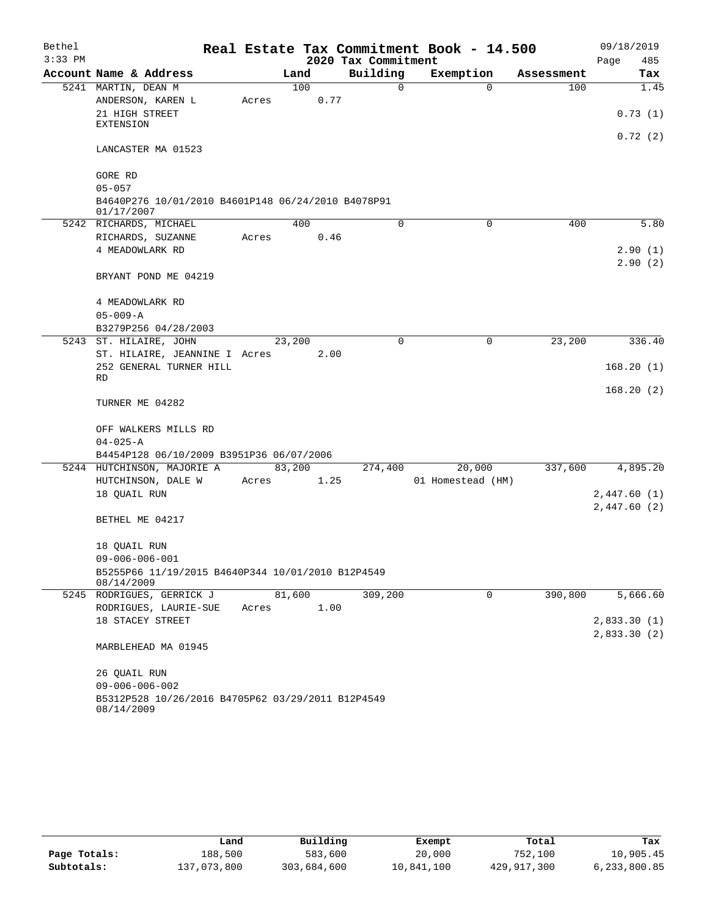| Bethel    |                                                                  |       |        |      |                     | Real Estate Tax Commitment Book - 14.500 |            | 09/18/2019   |
|-----------|------------------------------------------------------------------|-------|--------|------|---------------------|------------------------------------------|------------|--------------|
| $3:33$ PM |                                                                  |       |        |      | 2020 Tax Commitment |                                          |            | 485<br>Page  |
|           | Account Name & Address                                           |       | Land   |      | Building            | Exemption                                | Assessment | Tax          |
|           | 5241 MARTIN, DEAN M                                              |       | 100    |      | $\Omega$            | $\Omega$                                 | 100        | 1.45         |
|           | ANDERSON, KAREN L                                                | Acres |        | 0.77 |                     |                                          |            |              |
|           | 21 HIGH STREET                                                   |       |        |      |                     |                                          |            | 0.73(1)      |
|           | <b>EXTENSION</b>                                                 |       |        |      |                     |                                          |            |              |
|           | LANCASTER MA 01523                                               |       |        |      |                     |                                          |            | 0.72(2)      |
|           | GORE RD                                                          |       |        |      |                     |                                          |            |              |
|           | $05 - 057$                                                       |       |        |      |                     |                                          |            |              |
|           | B4640P276 10/01/2010 B4601P148 06/24/2010 B4078P91<br>01/17/2007 |       |        |      |                     |                                          |            |              |
|           | 5242 RICHARDS, MICHAEL                                           |       | 400    |      | 0                   | 0                                        | 400        | 5.80         |
|           | RICHARDS, SUZANNE                                                | Acres |        | 0.46 |                     |                                          |            |              |
|           | 4 MEADOWLARK RD                                                  |       |        |      |                     |                                          |            | 2.90(1)      |
|           | BRYANT POND ME 04219                                             |       |        |      |                     |                                          |            | 2.90(2)      |
|           | 4 MEADOWLARK RD                                                  |       |        |      |                     |                                          |            |              |
|           | $05 - 009 - A$                                                   |       |        |      |                     |                                          |            |              |
|           | B3279P256 04/28/2003                                             |       |        |      |                     |                                          |            |              |
|           | 5243 ST. HILAIRE, JOHN                                           |       | 23,200 |      | $\Omega$            | 0                                        | 23,200     | 336.40       |
|           | ST. HILAIRE, JEANNINE I Acres                                    |       |        | 2.00 |                     |                                          |            |              |
|           | 252 GENERAL TURNER HILL                                          |       |        |      |                     |                                          |            | 168.20(1)    |
|           | RD                                                               |       |        |      |                     |                                          |            |              |
|           | TURNER ME 04282                                                  |       |        |      |                     |                                          |            | 168.20(2)    |
|           | OFF WALKERS MILLS RD                                             |       |        |      |                     |                                          |            |              |
|           | $04 - 025 - A$                                                   |       |        |      |                     |                                          |            |              |
|           | B4454P128 06/10/2009 B3951P36 06/07/2006                         |       |        |      |                     |                                          |            |              |
|           | 5244 HUTCHINSON, MAJORIE A                                       |       | 83,200 |      | 274,400             | 20,000                                   | 337,600    | 4,895.20     |
|           | HUTCHINSON, DALE W                                               | Acres |        | 1.25 |                     | 01 Homestead (HM)                        |            |              |
|           | 18 QUAIL RUN                                                     |       |        |      |                     |                                          |            | 2,447.60(1)  |
|           |                                                                  |       |        |      |                     |                                          |            | 2,447.60(2)  |
|           | BETHEL ME 04217                                                  |       |        |      |                     |                                          |            |              |
|           | 18 QUAIL RUN                                                     |       |        |      |                     |                                          |            |              |
|           | $09 - 006 - 006 - 001$                                           |       |        |      |                     |                                          |            |              |
|           | B5255P66 11/19/2015 B4640P344 10/01/2010 B12P4549<br>08/14/2009  |       |        |      |                     |                                          |            |              |
|           | 5245 RODRIGUES, GERRICK J                                        |       | 81,600 |      | 309,200             | $\Omega$                                 | 390,800    | 5,666.60     |
|           | RODRIGUES, LAURIE-SUE                                            | Acres |        | 1.00 |                     |                                          |            |              |
|           | 18 STACEY STREET                                                 |       |        |      |                     |                                          |            | 2,833.30(1)  |
|           | MARBLEHEAD MA 01945                                              |       |        |      |                     |                                          |            | 2,833.30 (2) |
|           | 26 OUAIL RUN                                                     |       |        |      |                     |                                          |            |              |
|           | $09 - 006 - 006 - 002$                                           |       |        |      |                     |                                          |            |              |
|           | B5312P528 10/26/2016 B4705P62 03/29/2011 B12P4549                |       |        |      |                     |                                          |            |              |
|           | 08/14/2009                                                       |       |        |      |                     |                                          |            |              |

|              | Land        | Building    | Exempt     | Total       | Tax          |
|--------------|-------------|-------------|------------|-------------|--------------|
| Page Totals: | 188,500     | 583,600     | 20,000     | 752,100     | 10,905.45    |
| Subtotals:   | 137,073,800 | 303,684,600 | 10,841,100 | 429,917,300 | 6,233,800.85 |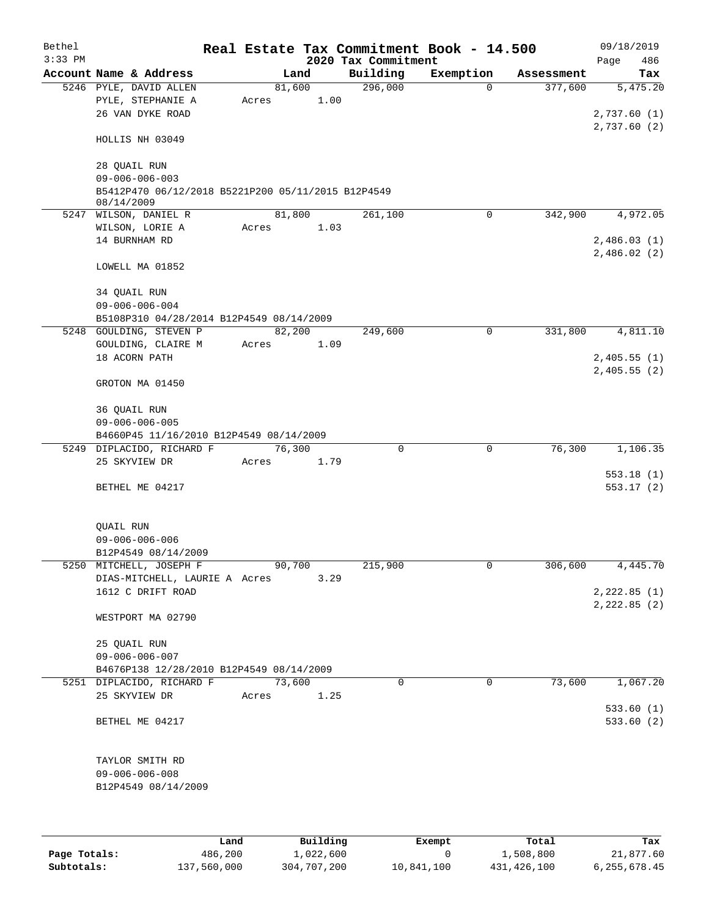| Bethel    |                                                    |       |        |      | Real Estate Tax Commitment Book - 14.500 |              |            | 09/18/2019  |
|-----------|----------------------------------------------------|-------|--------|------|------------------------------------------|--------------|------------|-------------|
| $3:33$ PM |                                                    |       |        |      | 2020 Tax Commitment                      |              |            | 486<br>Page |
|           | Account Name & Address                             |       | Land   |      | Building                                 | Exemption    | Assessment | Tax         |
|           | 5246 PYLE, DAVID ALLEN                             |       | 81,600 |      | 296,000                                  | $\mathbf{0}$ | 377,600    | 5,475.20    |
|           | PYLE, STEPHANIE A                                  | Acres |        | 1.00 |                                          |              |            |             |
|           | 26 VAN DYKE ROAD                                   |       |        |      |                                          |              |            | 2,737.60(1) |
|           |                                                    |       |        |      |                                          |              |            | 2,737.60(2) |
|           | HOLLIS NH 03049                                    |       |        |      |                                          |              |            |             |
|           | 28 QUAIL RUN                                       |       |        |      |                                          |              |            |             |
|           | $09 - 006 - 006 - 003$                             |       |        |      |                                          |              |            |             |
|           | B5412P470 06/12/2018 B5221P200 05/11/2015 B12P4549 |       |        |      |                                          |              |            |             |
|           | 08/14/2009                                         |       |        |      |                                          |              |            |             |
|           | 5247 WILSON, DANIEL R                              |       | 81,800 |      | 261,100                                  | 0            | 342,900    | 4,972.05    |
|           | WILSON, LORIE A                                    | Acres |        | 1.03 |                                          |              |            |             |
|           | 14 BURNHAM RD                                      |       |        |      |                                          |              |            | 2,486.03(1) |
|           |                                                    |       |        |      |                                          |              |            | 2,486.02(2) |
|           | LOWELL MA 01852                                    |       |        |      |                                          |              |            |             |
|           |                                                    |       |        |      |                                          |              |            |             |
|           | 34 QUAIL RUN                                       |       |        |      |                                          |              |            |             |
|           | $09 - 006 - 006 - 004$                             |       |        |      |                                          |              |            |             |
|           | B5108P310 04/28/2014 B12P4549 08/14/2009           |       |        |      |                                          |              |            |             |
|           | 5248 GOULDING, STEVEN P                            |       | 82,200 |      | 249,600                                  | 0            | 331,800    | 4,811.10    |
|           | GOULDING, CLAIRE M                                 | Acres |        | 1.09 |                                          |              |            |             |
|           | 18 ACORN PATH                                      |       |        |      |                                          |              |            | 2,405.55(1) |
|           |                                                    |       |        |      |                                          |              |            | 2,405.55(2) |
|           | GROTON MA 01450                                    |       |        |      |                                          |              |            |             |
|           |                                                    |       |        |      |                                          |              |            |             |
|           | 36 QUAIL RUN                                       |       |        |      |                                          |              |            |             |
|           | $09 - 006 - 006 - 005$                             |       |        |      |                                          |              |            |             |
|           | B4660P45 11/16/2010 B12P4549 08/14/2009            |       |        |      |                                          |              |            |             |
|           | 5249 DIPLACIDO, RICHARD F                          |       | 76,300 |      | $\mathbf 0$                              | 0            | 76,300     | 1,106.35    |
|           | 25 SKYVIEW DR                                      |       |        |      |                                          |              |            |             |
|           |                                                    | Acres |        | 1.79 |                                          |              |            |             |
|           |                                                    |       |        |      |                                          |              |            | 553.18(1)   |
|           | BETHEL ME 04217                                    |       |        |      |                                          |              |            | 553.17(2)   |
|           |                                                    |       |        |      |                                          |              |            |             |
|           |                                                    |       |        |      |                                          |              |            |             |
|           | QUAIL RUN                                          |       |        |      |                                          |              |            |             |
|           | $09 - 006 - 006 - 006$                             |       |        |      |                                          |              |            |             |
|           | B12P4549 08/14/2009<br>5250 MITCHELL, JOSEPH F     |       | 90,700 |      |                                          | 0            |            |             |
|           |                                                    |       |        |      | 215,900                                  |              | 306,600    | 4,445.70    |
|           | DIAS-MITCHELL, LAURIE A Acres                      |       |        | 3.29 |                                          |              |            |             |
|           | 1612 C DRIFT ROAD                                  |       |        |      |                                          |              |            | 2,222.85(1) |
|           |                                                    |       |        |      |                                          |              |            | 2,222.85(2) |
|           | WESTPORT MA 02790                                  |       |        |      |                                          |              |            |             |
|           |                                                    |       |        |      |                                          |              |            |             |
|           | 25 QUAIL RUN                                       |       |        |      |                                          |              |            |             |
|           | $09 - 006 - 006 - 007$                             |       |        |      |                                          |              |            |             |
|           | B4676P138 12/28/2010 B12P4549 08/14/2009           |       |        |      | $\Omega$                                 | $\mathbf 0$  | 73,600     | 1,067.20    |
|           | 5251 DIPLACIDO, RICHARD F                          |       | 73,600 |      |                                          |              |            |             |
|           | 25 SKYVIEW DR                                      | Acres |        | 1.25 |                                          |              |            |             |
|           |                                                    |       |        |      |                                          |              |            | 533.60(1)   |
|           | BETHEL ME 04217                                    |       |        |      |                                          |              |            | 533.60(2)   |
|           |                                                    |       |        |      |                                          |              |            |             |
|           |                                                    |       |        |      |                                          |              |            |             |
|           | TAYLOR SMITH RD                                    |       |        |      |                                          |              |            |             |
|           | $09 - 006 - 006 - 008$                             |       |        |      |                                          |              |            |             |
|           | B12P4549 08/14/2009                                |       |        |      |                                          |              |            |             |
|           |                                                    |       |        |      |                                          |              |            |             |
|           |                                                    |       |        |      |                                          |              |            |             |
|           |                                                    |       |        |      |                                          |              |            |             |

|              | Land        | Building    | Exempt     | Total       | Tax          |
|--------------|-------------|-------------|------------|-------------|--------------|
| Page Totals: | 486,200     | 1,022,600   |            | 1,508,800   | 21,877.60    |
| Subtotals:   | 137,560,000 | 304,707,200 | 10,841,100 | 431,426,100 | 6,255,678.45 |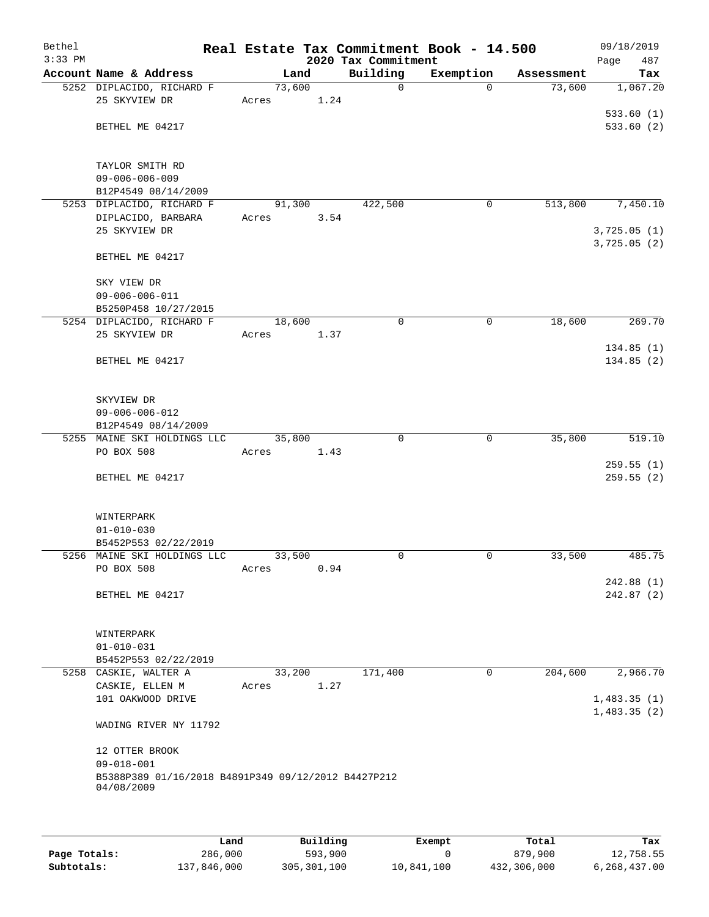| Bethel<br>$3:33$ PM |                                                     |        |      | 2020 Tax Commitment | Real Estate Tax Commitment Book - 14.500 |            | 09/18/2019<br>Page<br>487 |
|---------------------|-----------------------------------------------------|--------|------|---------------------|------------------------------------------|------------|---------------------------|
|                     | Account Name & Address                              | Land   |      | Building            | Exemption                                | Assessment | Tax                       |
|                     | 5252 DIPLACIDO, RICHARD F                           | 73,600 |      | $\mathsf{O}$        | $\Omega$                                 | 73,600     | 1,067.20                  |
|                     | 25 SKYVIEW DR                                       | Acres  | 1.24 |                     |                                          |            |                           |
|                     |                                                     |        |      |                     |                                          |            | 533.60(1)                 |
|                     | BETHEL ME 04217                                     |        |      |                     |                                          |            | 533.60(2)                 |
|                     |                                                     |        |      |                     |                                          |            |                           |
|                     |                                                     |        |      |                     |                                          |            |                           |
|                     | TAYLOR SMITH RD                                     |        |      |                     |                                          |            |                           |
|                     | $09 - 006 - 006 - 009$<br>B12P4549 08/14/2009       |        |      |                     |                                          |            |                           |
|                     | 5253 DIPLACIDO, RICHARD F                           | 91,300 |      | 422,500             | 0                                        | 513,800    | 7,450.10                  |
|                     | DIPLACIDO, BARBARA                                  | Acres  | 3.54 |                     |                                          |            |                           |
|                     | 25 SKYVIEW DR                                       |        |      |                     |                                          |            | 3,725.05(1)               |
|                     |                                                     |        |      |                     |                                          |            | 3,725.05 (2)              |
|                     | BETHEL ME 04217                                     |        |      |                     |                                          |            |                           |
|                     |                                                     |        |      |                     |                                          |            |                           |
|                     | SKY VIEW DR                                         |        |      |                     |                                          |            |                           |
|                     | $09 - 006 - 006 - 011$                              |        |      |                     |                                          |            |                           |
|                     | B5250P458 10/27/2015                                |        |      |                     |                                          |            |                           |
|                     | 5254 DIPLACIDO, RICHARD F                           | 18,600 |      | 0                   | 0                                        | 18,600     | 269.70                    |
|                     | 25 SKYVIEW DR                                       | Acres  | 1.37 |                     |                                          |            | 134.85 (1)                |
|                     | BETHEL ME 04217                                     |        |      |                     |                                          |            | 134.85(2)                 |
|                     |                                                     |        |      |                     |                                          |            |                           |
|                     |                                                     |        |      |                     |                                          |            |                           |
|                     | SKYVIEW DR                                          |        |      |                     |                                          |            |                           |
|                     | $09 - 006 - 006 - 012$                              |        |      |                     |                                          |            |                           |
|                     | B12P4549 08/14/2009                                 |        |      |                     |                                          |            |                           |
|                     | 5255 MAINE SKI HOLDINGS LLC                         | 35,800 |      | $\Omega$            | $\mathbf 0$                              | 35,800     | 519.10                    |
|                     | PO BOX 508                                          | Acres  | 1.43 |                     |                                          |            |                           |
|                     |                                                     |        |      |                     |                                          |            | 259.55(1)                 |
|                     | BETHEL ME 04217                                     |        |      |                     |                                          |            | 259.55 (2)                |
|                     |                                                     |        |      |                     |                                          |            |                           |
|                     | WINTERPARK                                          |        |      |                     |                                          |            |                           |
|                     | $01 - 010 - 030$                                    |        |      |                     |                                          |            |                           |
|                     | B5452P553 02/22/2019                                |        |      |                     |                                          |            |                           |
|                     | 5256 MAINE SKI HOLDINGS LLC                         | 33,500 |      | 0                   | 0                                        | 33,500     | 485.75                    |
|                     | PO BOX 508                                          | Acres  | 0.94 |                     |                                          |            |                           |
|                     |                                                     |        |      |                     |                                          |            | 242.88 (1)                |
|                     | BETHEL ME 04217                                     |        |      |                     |                                          |            | 242.87(2)                 |
|                     |                                                     |        |      |                     |                                          |            |                           |
|                     | WINTERPARK                                          |        |      |                     |                                          |            |                           |
|                     | $01 - 010 - 031$                                    |        |      |                     |                                          |            |                           |
|                     | B5452P553 02/22/2019                                |        |      |                     |                                          |            |                           |
|                     | 5258 CASKIE, WALTER A                               | 33,200 |      | 171,400             | 0                                        | 204,600    | 2,966.70                  |
|                     | CASKIE, ELLEN M                                     | Acres  | 1.27 |                     |                                          |            |                           |
|                     | 101 OAKWOOD DRIVE                                   |        |      |                     |                                          |            | 1,483.35(1)               |
|                     |                                                     |        |      |                     |                                          |            | 1,483.35(2)               |
|                     | WADING RIVER NY 11792                               |        |      |                     |                                          |            |                           |
|                     | 12 OTTER BROOK                                      |        |      |                     |                                          |            |                           |
|                     | $09 - 018 - 001$                                    |        |      |                     |                                          |            |                           |
|                     | B5388P389 01/16/2018 B4891P349 09/12/2012 B4427P212 |        |      |                     |                                          |            |                           |
|                     | 04/08/2009                                          |        |      |                     |                                          |            |                           |
|                     |                                                     |        |      |                     |                                          |            |                           |
|                     |                                                     |        |      |                     |                                          |            |                           |

|              | Land        | Building    | Exempt     | Total       | Tax          |
|--------------|-------------|-------------|------------|-------------|--------------|
| Page Totals: | 286,000     | 593,900     |            | 879,900     | 12,758.55    |
| Subtotals:   | 137,846,000 | 305,301,100 | 10,841,100 | 432,306,000 | 6,268,437.00 |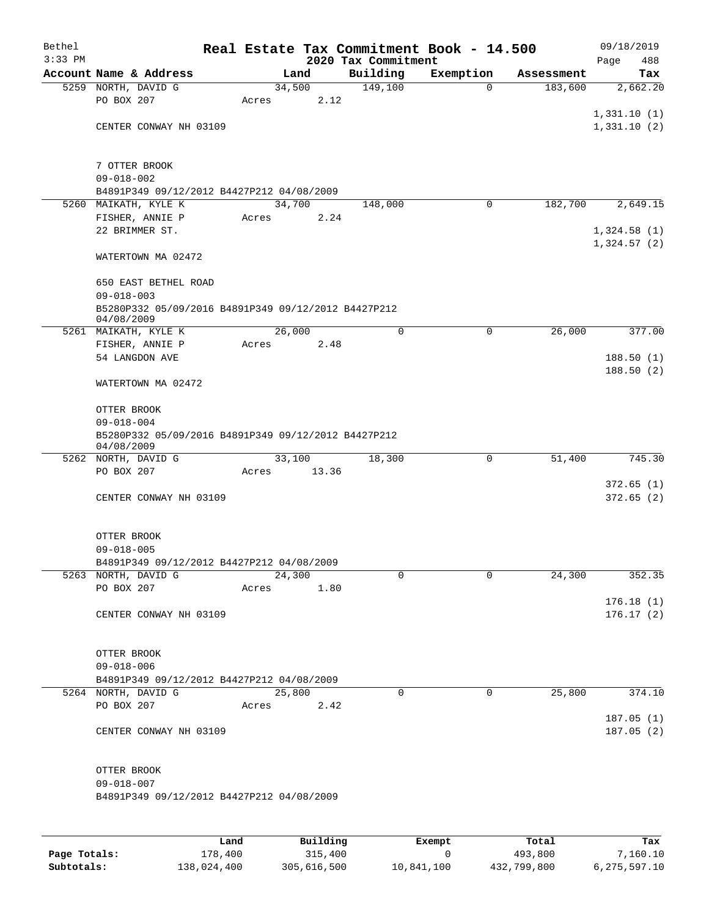| Bethel    |                                                                   |        |       |                 | Real Estate Tax Commitment Book - 14.500 |                          |            | 09/18/2019  |
|-----------|-------------------------------------------------------------------|--------|-------|-----------------|------------------------------------------|--------------------------|------------|-------------|
| $3:33$ PM |                                                                   |        |       |                 | 2020 Tax Commitment                      |                          |            | Page<br>488 |
|           | Account Name & Address                                            |        |       | Land            | Building                                 | Exemption<br>$\mathbf 0$ | Assessment | Tax         |
|           | 5259 NORTH, DAVID G<br>PO BOX 207                                 |        | Acres | 34,500<br>2.12  | 149,100                                  |                          | 183,600    | 2,662.20    |
|           |                                                                   |        |       |                 |                                          |                          |            | 1,331.10(1) |
|           | CENTER CONWAY NH 03109                                            |        |       |                 |                                          |                          |            | 1,331.10(2) |
|           |                                                                   |        |       |                 |                                          |                          |            |             |
|           |                                                                   |        |       |                 |                                          |                          |            |             |
|           | 7 OTTER BROOK<br>$09 - 018 - 002$                                 |        |       |                 |                                          |                          |            |             |
|           | B4891P349 09/12/2012 B4427P212 04/08/2009                         |        |       |                 |                                          |                          |            |             |
|           | 5260 MAIKATH, KYLE K                                              |        |       | 34,700          | 148,000                                  | 0                        | 182,700    | 2,649.15    |
|           | FISHER, ANNIE P                                                   |        | Acres | 2.24            |                                          |                          |            |             |
|           | 22 BRIMMER ST.                                                    |        |       |                 |                                          |                          |            | 1,324.58(1) |
|           |                                                                   |        |       |                 |                                          |                          |            | 1,324.57(2) |
|           | WATERTOWN MA 02472                                                |        |       |                 |                                          |                          |            |             |
|           | 650 EAST BETHEL ROAD                                              |        |       |                 |                                          |                          |            |             |
|           | $09 - 018 - 003$                                                  |        |       |                 |                                          |                          |            |             |
|           | B5280P332 05/09/2016 B4891P349 09/12/2012 B4427P212               |        |       |                 |                                          |                          |            |             |
|           | 04/08/2009                                                        |        |       |                 |                                          |                          |            |             |
|           | 5261 MAIKATH, KYLE K                                              |        |       | 26,000          | $\mathbf 0$                              | 0                        | 26,000     | 377.00      |
|           | FISHER, ANNIE P<br>54 LANGDON AVE                                 |        | Acres | 2.48            |                                          |                          |            | 188.50(1)   |
|           |                                                                   |        |       |                 |                                          |                          |            | 188.50(2)   |
|           | WATERTOWN MA 02472                                                |        |       |                 |                                          |                          |            |             |
|           |                                                                   |        |       |                 |                                          |                          |            |             |
|           | OTTER BROOK                                                       |        |       |                 |                                          |                          |            |             |
|           | $09 - 018 - 004$                                                  |        |       |                 |                                          |                          |            |             |
|           | B5280P332 05/09/2016 B4891P349 09/12/2012 B4427P212<br>04/08/2009 |        |       |                 |                                          |                          |            |             |
|           | 5262 NORTH, DAVID G                                               |        |       | 33,100          | 18,300                                   | 0                        | 51,400     | 745.30      |
|           | PO BOX 207                                                        |        | Acres | 13.36           |                                          |                          |            |             |
|           |                                                                   |        |       |                 |                                          |                          |            | 372.65(1)   |
|           | CENTER CONWAY NH 03109                                            |        |       |                 |                                          |                          |            | 372.65(2)   |
|           |                                                                   |        |       |                 |                                          |                          |            |             |
|           | OTTER BROOK                                                       |        |       |                 |                                          |                          |            |             |
|           | $09 - 018 - 005$                                                  |        |       |                 |                                          |                          |            |             |
|           | B4891P349 09/12/2012 B4427P212 04/08/2009                         |        |       |                 |                                          |                          |            |             |
|           | 5263 NORTH, DAVID G                                               |        |       | 24,300          | 0                                        | 0                        | 24,300     | 352.35      |
|           | PO BOX 207                                                        |        | Acres | 1.80            |                                          |                          |            |             |
|           |                                                                   |        |       |                 |                                          |                          |            | 176.18(1)   |
|           | CENTER CONWAY NH 03109                                            |        |       |                 |                                          |                          |            | 176.17(2)   |
|           |                                                                   |        |       |                 |                                          |                          |            |             |
|           | OTTER BROOK                                                       |        |       |                 |                                          |                          |            |             |
|           | $09 - 018 - 006$                                                  |        |       |                 |                                          |                          |            |             |
|           | B4891P349 09/12/2012 B4427P212 04/08/2009                         |        |       |                 |                                          |                          |            |             |
|           | 5264 NORTH, DAVID G                                               |        |       | 25,800          | 0                                        | $\mathbf 0$              | 25,800     | 374.10      |
|           | PO BOX 207                                                        |        | Acres | 2.42            |                                          |                          |            | 187.05(1)   |
|           | CENTER CONWAY NH 03109                                            |        |       |                 |                                          |                          |            | 187.05(2)   |
|           |                                                                   |        |       |                 |                                          |                          |            |             |
|           |                                                                   |        |       |                 |                                          |                          |            |             |
|           | OTTER BROOK                                                       |        |       |                 |                                          |                          |            |             |
|           | $09 - 018 - 007$                                                  |        |       |                 |                                          |                          |            |             |
|           | B4891P349 09/12/2012 B4427P212 04/08/2009                         |        |       |                 |                                          |                          |            |             |
|           |                                                                   |        |       |                 |                                          |                          |            |             |
|           |                                                                   |        |       |                 |                                          |                          |            |             |
|           |                                                                   | المصدر |       | $D_{11}$ ilding |                                          | $P$ -- $\sim$ mm $+$     | $T - 1$    | ш.,         |

|              | Land        | Building    | Exempt     | Total       | Tax          |
|--------------|-------------|-------------|------------|-------------|--------------|
| Page Totals: | 178,400     | 315,400     |            | 493,800     | 7,160.10     |
| Subtotals:   | 138,024,400 | 305,616,500 | 10,841,100 | 432,799,800 | 6,275,597.10 |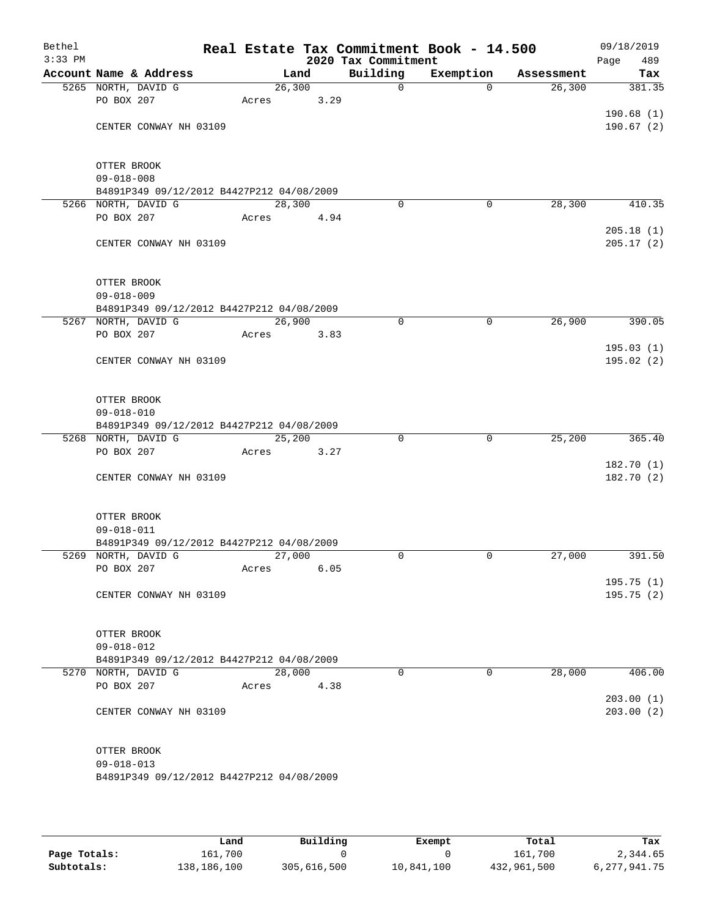| Bethel<br>$3:33$ PM |                                                                  |                 |      | 2020 Tax Commitment | Real Estate Tax Commitment Book - 14.500 |            | 09/18/2019<br>Page<br>489 |
|---------------------|------------------------------------------------------------------|-----------------|------|---------------------|------------------------------------------|------------|---------------------------|
|                     | Account Name & Address                                           | Land            |      | Building            | Exemption                                | Assessment | Tax                       |
|                     | 5265 NORTH, DAVID G                                              | 26,300          |      | $\mathsf{O}$        | $\Omega$                                 | 26,300     | 381.35                    |
|                     | PO BOX 207                                                       | Acres           | 3.29 |                     |                                          |            |                           |
|                     |                                                                  |                 |      |                     |                                          |            | 190.68 (1)                |
|                     | CENTER CONWAY NH 03109                                           |                 |      |                     |                                          |            | 190.67(2)                 |
|                     |                                                                  |                 |      |                     |                                          |            |                           |
|                     | OTTER BROOK<br>$09 - 018 - 008$                                  |                 |      |                     |                                          |            |                           |
|                     | B4891P349 09/12/2012 B4427P212 04/08/2009                        |                 |      |                     |                                          |            |                           |
|                     | 5266 NORTH, DAVID G                                              | 28,300          |      | $\mathbf 0$         | $\mathbf 0$                              | 28,300     | 410.35                    |
|                     | PO BOX 207                                                       | Acres           | 4.94 |                     |                                          |            |                           |
|                     |                                                                  |                 |      |                     |                                          |            | 205.18(1)                 |
|                     | CENTER CONWAY NH 03109                                           |                 |      |                     |                                          |            | 205.17(2)                 |
|                     | OTTER BROOK                                                      |                 |      |                     |                                          |            |                           |
|                     | $09 - 018 - 009$                                                 |                 |      |                     |                                          |            |                           |
|                     | B4891P349 09/12/2012 B4427P212 04/08/2009                        |                 |      |                     |                                          |            |                           |
|                     | 5267 NORTH, DAVID G                                              | 26,900          |      | 0                   | 0                                        | 26,900     | 390.05                    |
|                     | PO BOX 207                                                       | Acres           | 3.83 |                     |                                          |            |                           |
|                     |                                                                  |                 |      |                     |                                          |            | 195.03(1)                 |
|                     | CENTER CONWAY NH 03109                                           |                 |      |                     |                                          |            | 195.02(2)                 |
|                     | OTTER BROOK                                                      |                 |      |                     |                                          |            |                           |
|                     | $09 - 018 - 010$                                                 |                 |      |                     |                                          |            |                           |
|                     | B4891P349 09/12/2012 B4427P212 04/08/2009                        |                 |      |                     |                                          |            |                           |
|                     | 5268 NORTH, DAVID G<br>PO BOX 207                                | 25,200<br>Acres | 3.27 | 0                   | $\mathbf 0$                              | 25,200     | 365.40                    |
|                     |                                                                  |                 |      |                     |                                          |            | 182.70 (1)                |
|                     | CENTER CONWAY NH 03109                                           |                 |      |                     |                                          |            | 182.70(2)                 |
|                     | OTTER BROOK                                                      |                 |      |                     |                                          |            |                           |
|                     | $09 - 018 - 011$                                                 |                 |      |                     |                                          |            |                           |
|                     | B4891P349 09/12/2012 B4427P212 04/08/2009                        |                 |      |                     |                                          |            |                           |
|                     | 5269 NORTH, DAVID G                                              | 27,000          |      | 0                   | 0                                        | 27,000     | 391.50                    |
|                     | PO BOX 207                                                       | Acres           | 6.05 |                     |                                          |            |                           |
|                     |                                                                  |                 |      |                     |                                          |            | 195.75 (1)                |
|                     | CENTER CONWAY NH 03109                                           |                 |      |                     |                                          |            | 195.75 (2)                |
|                     | OTTER BROOK                                                      |                 |      |                     |                                          |            |                           |
|                     | $09 - 018 - 012$                                                 |                 |      |                     |                                          |            |                           |
|                     | B4891P349 09/12/2012 B4427P212 04/08/2009<br>5270 NORTH, DAVID G | 28,000          |      | $\Omega$            | 0                                        | 28,000     | 406.00                    |
|                     | PO BOX 207                                                       | Acres           | 4.38 |                     |                                          |            |                           |
|                     |                                                                  |                 |      |                     |                                          |            | 203.00(1)                 |
|                     | CENTER CONWAY NH 03109                                           |                 |      |                     |                                          |            | 203.00(2)                 |
|                     | OTTER BROOK                                                      |                 |      |                     |                                          |            |                           |
|                     | $09 - 018 - 013$                                                 |                 |      |                     |                                          |            |                           |
|                     | B4891P349 09/12/2012 B4427P212 04/08/2009                        |                 |      |                     |                                          |            |                           |
|                     |                                                                  |                 |      |                     |                                          |            |                           |

|              | Land        | Building    | Exempt     | Total       | Tax             |
|--------------|-------------|-------------|------------|-------------|-----------------|
| Page Totals: | 161.700     |             |            | 161,700     | 2,344.65        |
| Subtotals:   | 138,186,100 | 305,616,500 | 10,841,100 | 432,961,500 | 6, 277, 941. 75 |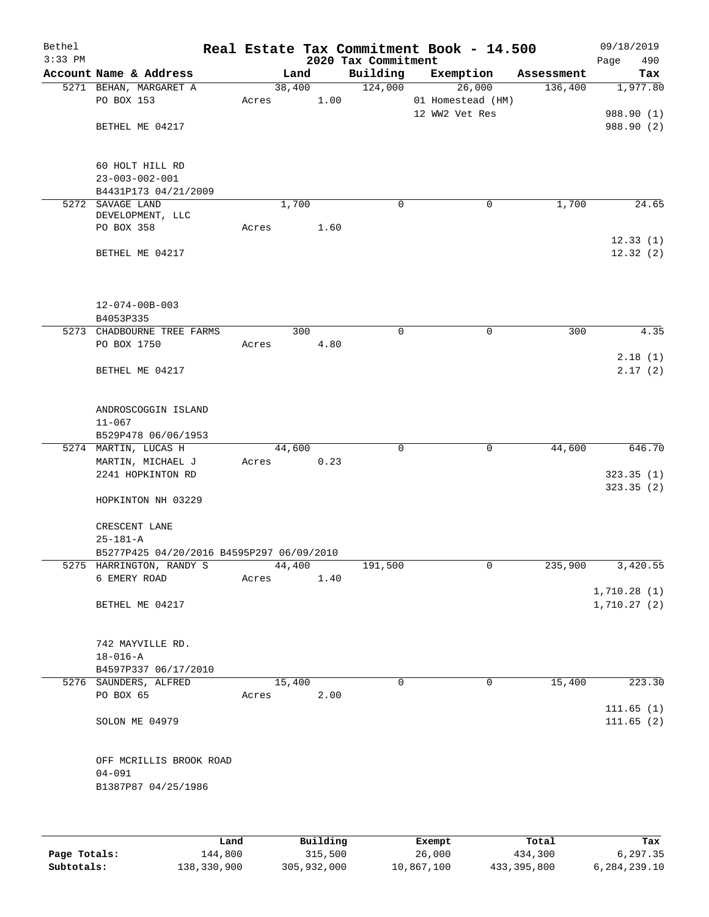| Bethel    |                                           |       |        |      |                     | Real Estate Tax Commitment Book - 14.500 |            | 09/18/2019  |
|-----------|-------------------------------------------|-------|--------|------|---------------------|------------------------------------------|------------|-------------|
| $3:33$ PM |                                           |       |        |      | 2020 Tax Commitment |                                          |            | 490<br>Page |
|           | Account Name & Address                    |       | Land   |      | Building            | Exemption                                | Assessment | Tax         |
|           | 5271 BEHAN, MARGARET A                    |       | 38,400 |      | 124,000             | 26,000                                   | 136,400    | 1,977.80    |
|           | PO BOX 153                                | Acres |        | 1.00 |                     | 01 Homestead (HM)                        |            |             |
|           |                                           |       |        |      |                     | 12 WW2 Vet Res                           |            | 988.90 (1)  |
|           | BETHEL ME 04217                           |       |        |      |                     |                                          |            | 988.90 (2)  |
|           |                                           |       |        |      |                     |                                          |            |             |
|           |                                           |       |        |      |                     |                                          |            |             |
|           | 60 HOLT HILL RD                           |       |        |      |                     |                                          |            |             |
|           | $23 - 003 - 002 - 001$                    |       |        |      |                     |                                          |            |             |
|           | B4431P173 04/21/2009                      |       |        |      |                     |                                          |            |             |
|           | 5272 SAVAGE LAND<br>DEVELOPMENT, LLC      |       | 1,700  |      | $\mathbf 0$         | $\mathbf 0$                              | 1,700      | 24.65       |
|           | PO BOX 358                                | Acres |        | 1.60 |                     |                                          |            |             |
|           |                                           |       |        |      |                     |                                          |            | 12.33(1)    |
|           | BETHEL ME 04217                           |       |        |      |                     |                                          |            | 12.32(2)    |
|           |                                           |       |        |      |                     |                                          |            |             |
|           |                                           |       |        |      |                     |                                          |            |             |
|           |                                           |       |        |      |                     |                                          |            |             |
|           | $12 - 074 - 00B - 003$                    |       |        |      |                     |                                          |            |             |
|           | B4053P335                                 |       |        |      |                     |                                          |            |             |
|           | 5273 CHADBOURNE TREE FARMS                |       | 300    |      | 0                   | $\mathbf 0$                              | 300        | 4.35        |
|           | PO BOX 1750                               | Acres |        | 4.80 |                     |                                          |            |             |
|           |                                           |       |        |      |                     |                                          |            | 2.18(1)     |
|           | BETHEL ME 04217                           |       |        |      |                     |                                          |            | 2.17(2)     |
|           |                                           |       |        |      |                     |                                          |            |             |
|           |                                           |       |        |      |                     |                                          |            |             |
|           | ANDROSCOGGIN ISLAND                       |       |        |      |                     |                                          |            |             |
|           | $11 - 067$                                |       |        |      |                     |                                          |            |             |
|           | B529P478 06/06/1953                       |       |        |      |                     |                                          |            |             |
|           | 5274 MARTIN, LUCAS H                      |       | 44,600 |      | 0                   | $\mathbf 0$                              | 44,600     | 646.70      |
|           | MARTIN, MICHAEL J                         | Acres |        | 0.23 |                     |                                          |            |             |
|           | 2241 HOPKINTON RD                         |       |        |      |                     |                                          |            | 323.35(1)   |
|           |                                           |       |        |      |                     |                                          |            | 323.35(2)   |
|           | HOPKINTON NH 03229                        |       |        |      |                     |                                          |            |             |
|           |                                           |       |        |      |                     |                                          |            |             |
|           | CRESCENT LANE                             |       |        |      |                     |                                          |            |             |
|           | $25 - 181 - A$                            |       |        |      |                     |                                          |            |             |
|           | B5277P425 04/20/2016 B4595P297 06/09/2010 |       |        |      |                     |                                          |            |             |
|           | 5275 HARRINGTON, RANDY S                  |       | 44,400 |      | 191,500             | 0                                        | 235,900    | 3,420.55    |
|           | 6 EMERY ROAD                              | Acres |        | 1.40 |                     |                                          |            |             |
|           |                                           |       |        |      |                     |                                          |            | 1,710.28(1) |
|           | BETHEL ME 04217                           |       |        |      |                     |                                          |            | 1,710.27(2) |
|           |                                           |       |        |      |                     |                                          |            |             |
|           | 742 MAYVILLE RD.                          |       |        |      |                     |                                          |            |             |
|           | $18 - 016 - A$                            |       |        |      |                     |                                          |            |             |
|           | B4597P337 06/17/2010                      |       |        |      |                     |                                          |            |             |
|           | 5276 SAUNDERS, ALFRED                     |       | 15,400 |      | $\Omega$            | 0                                        | 15,400     | 223.30      |
|           | PO BOX 65                                 | Acres |        | 2.00 |                     |                                          |            |             |
|           |                                           |       |        |      |                     |                                          |            | 111.65(1)   |
|           | SOLON ME 04979                            |       |        |      |                     |                                          |            | 111.65(2)   |
|           |                                           |       |        |      |                     |                                          |            |             |
|           |                                           |       |        |      |                     |                                          |            |             |
|           | OFF MCRILLIS BROOK ROAD                   |       |        |      |                     |                                          |            |             |
|           | $04 - 091$                                |       |        |      |                     |                                          |            |             |
|           | B1387P87 04/25/1986                       |       |        |      |                     |                                          |            |             |
|           |                                           |       |        |      |                     |                                          |            |             |
|           |                                           |       |        |      |                     |                                          |            |             |
|           |                                           |       |        |      |                     |                                          |            |             |

|              | Land        | Building    | Exempt     | Total       | Tax          |
|--------------|-------------|-------------|------------|-------------|--------------|
| Page Totals: | 144,800     | 315,500     | 26,000     | 434,300     | 6,297.35     |
| Subtotals:   | 138,330,900 | 305,932,000 | 10,867,100 | 433,395,800 | 6,284,239.10 |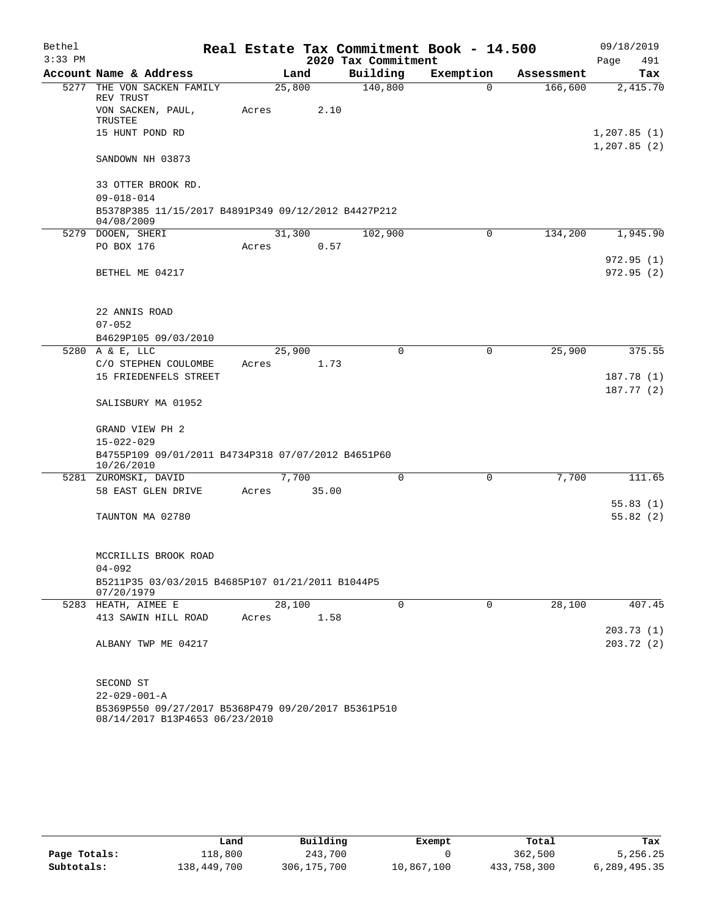| Bethel    |                                                                                       |        |       |                     | Real Estate Tax Commitment Book - 14.500 |            | 09/18/2019                  |
|-----------|---------------------------------------------------------------------------------------|--------|-------|---------------------|------------------------------------------|------------|-----------------------------|
| $3:33$ PM |                                                                                       |        |       | 2020 Tax Commitment |                                          |            | Page<br>491                 |
|           | Account Name & Address                                                                |        | Land  | Building            | Exemption                                | Assessment | Tax                         |
| 5277      | THE VON SACKEN FAMILY<br>REV TRUST                                                    | 25,800 |       | 140,800             | $\Omega$                                 | 166,600    | 2,415.70                    |
|           | VON SACKEN, PAUL,<br>TRUSTEE                                                          | Acres  | 2.10  |                     |                                          |            |                             |
|           | 15 HUNT POND RD                                                                       |        |       |                     |                                          |            | 1,207.85(1)<br>1, 207.85(2) |
|           | SANDOWN NH 03873                                                                      |        |       |                     |                                          |            |                             |
|           | 33 OTTER BROOK RD.                                                                    |        |       |                     |                                          |            |                             |
|           | $09 - 018 - 014$<br>B5378P385 11/15/2017 B4891P349 09/12/2012 B4427P212<br>04/08/2009 |        |       |                     |                                          |            |                             |
|           | 5279 DOOEN, SHERI                                                                     | 31,300 |       | 102,900             | $\mathbf 0$                              | 134,200    | 1,945.90                    |
|           | PO BOX 176                                                                            | Acres  | 0.57  |                     |                                          |            |                             |
|           |                                                                                       |        |       |                     |                                          |            | 972.95(1)                   |
|           | BETHEL ME 04217                                                                       |        |       |                     |                                          |            | 972.95(2)                   |
|           | 22 ANNIS ROAD                                                                         |        |       |                     |                                          |            |                             |
|           | $07 - 052$                                                                            |        |       |                     |                                          |            |                             |
|           | B4629P105 09/03/2010                                                                  |        |       |                     |                                          |            |                             |
|           | 5280 A & E, LLC                                                                       | 25,900 |       | 0                   | 0                                        | 25,900     | 375.55                      |
|           | C/O STEPHEN COULOMBE                                                                  | Acres  | 1.73  |                     |                                          |            |                             |
|           | 15 FRIEDENFELS STREET                                                                 |        |       |                     |                                          |            | 187.78(1)                   |
|           | SALISBURY MA 01952                                                                    |        |       |                     |                                          |            | 187.77(2)                   |
|           | GRAND VIEW PH 2                                                                       |        |       |                     |                                          |            |                             |
|           | $15 - 022 - 029$<br>B4755P109 09/01/2011 B4734P318 07/07/2012 B4651P60                |        |       |                     |                                          |            |                             |
|           | 10/26/2010<br>5281 ZUROMSKI, DAVID                                                    |        | 7,700 | $\Omega$            | 0                                        | 7,700      | 111.65                      |
|           | 58 EAST GLEN DRIVE                                                                    | Acres  | 35.00 |                     |                                          |            |                             |
|           |                                                                                       |        |       |                     |                                          |            | 55.83(1)                    |
|           | TAUNTON MA 02780                                                                      |        |       |                     |                                          |            | 55.82(2)                    |
|           | MCCRILLIS BROOK ROAD                                                                  |        |       |                     |                                          |            |                             |
|           | $04 - 092$                                                                            |        |       |                     |                                          |            |                             |
|           | B5211P35 03/03/2015 B4685P107 01/21/2011 B1044P5<br>07/20/1979                        |        |       |                     |                                          |            |                             |
|           | 5283 HEATH, AIMEE E                                                                   | 28,100 |       | $\mathbf 0$         | 0                                        | 28,100     | 407.45                      |
|           | 413 SAWIN HILL ROAD                                                                   | Acres  | 1.58  |                     |                                          |            |                             |
|           |                                                                                       |        |       |                     |                                          |            | 203.73 (1)                  |
|           | ALBANY TWP ME 04217                                                                   |        |       |                     |                                          |            | 203.72(2)                   |
|           | SECOND ST                                                                             |        |       |                     |                                          |            |                             |
|           | $22 - 029 - 001 - A$                                                                  |        |       |                     |                                          |            |                             |
|           | B5369P550 09/27/2017 B5368P479 09/20/2017 B5361P510<br>08/14/2017 B13P4653 06/23/2010 |        |       |                     |                                          |            |                             |

|              | Land        | Building      | Exempt     | Total       | Tax          |
|--------------|-------------|---------------|------------|-------------|--------------|
| Page Totals: | 118,800     | 243,700       |            | 362,500     | 5,256.25     |
| Subtotals:   | 138,449,700 | 306, 175, 700 | 10,867,100 | 433,758,300 | 6,289,495.35 |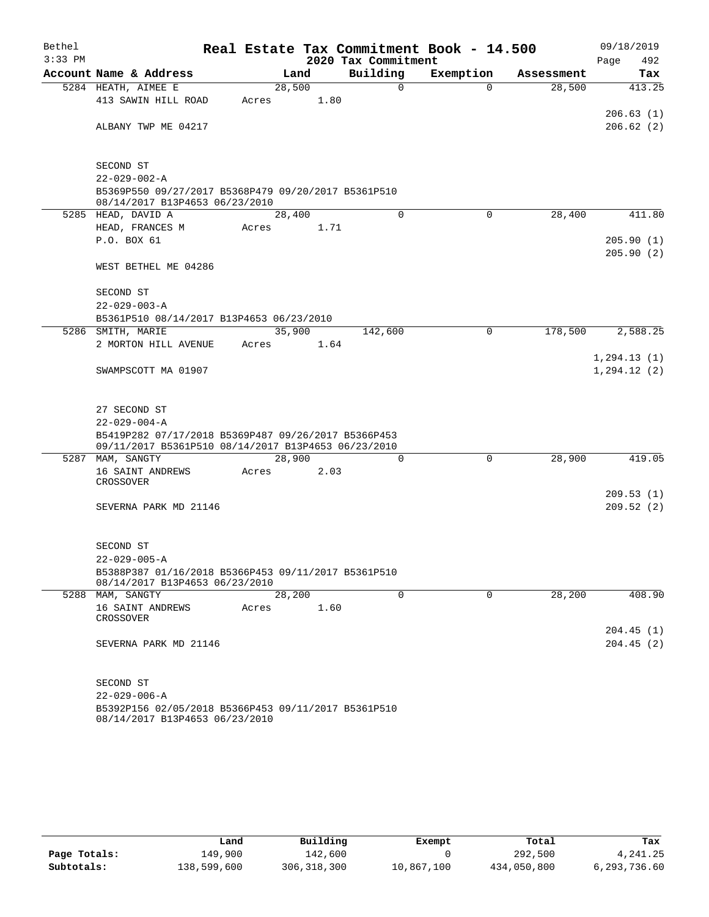| Bethel<br>$3:33$ PM |                                                                                       |        |      | 2020 Tax Commitment | Real Estate Tax Commitment Book - 14.500 |            | 09/18/2019<br>492<br>Page    |
|---------------------|---------------------------------------------------------------------------------------|--------|------|---------------------|------------------------------------------|------------|------------------------------|
|                     | Account Name & Address                                                                |        | Land | Building            | Exemption                                | Assessment | Tax                          |
|                     | 5284 HEATH, AIMEE E                                                                   | 28,500 |      | 0                   | $\Omega$                                 | 28,500     | 413.25                       |
|                     | 413 SAWIN HILL ROAD                                                                   | Acres  | 1.80 |                     |                                          |            |                              |
|                     |                                                                                       |        |      |                     |                                          |            | 206.63(1)                    |
|                     | ALBANY TWP ME 04217                                                                   |        |      |                     |                                          |            | 206.62(2)                    |
|                     | SECOND ST                                                                             |        |      |                     |                                          |            |                              |
|                     | $22 - 029 - 002 - A$                                                                  |        |      |                     |                                          |            |                              |
|                     | B5369P550 09/27/2017 B5368P479 09/20/2017 B5361P510<br>08/14/2017 B13P4653 06/23/2010 |        |      |                     |                                          |            |                              |
|                     | 5285 HEAD, DAVID A                                                                    | 28,400 |      | $\Omega$            | $\Omega$                                 | 28,400     | 411.80                       |
|                     | HEAD, FRANCES M                                                                       | Acres  | 1.71 |                     |                                          |            |                              |
|                     | P.O. BOX 61                                                                           |        |      |                     |                                          |            | 205.90(1)<br>205.90(2)       |
|                     | WEST BETHEL ME 04286                                                                  |        |      |                     |                                          |            |                              |
|                     | SECOND ST                                                                             |        |      |                     |                                          |            |                              |
|                     | $22 - 029 - 003 - A$                                                                  |        |      |                     |                                          |            |                              |
|                     | B5361P510 08/14/2017 B13P4653 06/23/2010<br>5286 SMITH, MARIE                         | 35,900 |      | 142,600             | 0                                        | 178,500    | 2,588.25                     |
|                     | 2 MORTON HILL AVENUE                                                                  | Acres  | 1.64 |                     |                                          |            |                              |
|                     | SWAMPSCOTT MA 01907                                                                   |        |      |                     |                                          |            | 1, 294.13(1)<br>1, 294.12(2) |
|                     |                                                                                       |        |      |                     |                                          |            |                              |
|                     | 27 SECOND ST                                                                          |        |      |                     |                                          |            |                              |
|                     | $22 - 029 - 004 - A$                                                                  |        |      |                     |                                          |            |                              |
|                     | B5419P282 07/17/2018 B5369P487 09/26/2017 B5366P453                                   |        |      |                     |                                          |            |                              |
|                     | 09/11/2017 B5361P510 08/14/2017 B13P4653 06/23/2010<br>5287 MAM, SANGTY               | 28,900 |      | 0                   | 0                                        | 28,900     | 419.05                       |
|                     | 16 SAINT ANDREWS                                                                      | Acres  | 2.03 |                     |                                          |            |                              |
|                     | CROSSOVER                                                                             |        |      |                     |                                          |            |                              |
|                     |                                                                                       |        |      |                     |                                          |            | 209.53(1)                    |
|                     | SEVERNA PARK MD 21146                                                                 |        |      |                     |                                          |            | 209.52(2)                    |
|                     | SECOND ST                                                                             |        |      |                     |                                          |            |                              |
|                     | $22 - 029 - 005 - A$                                                                  |        |      |                     |                                          |            |                              |
|                     | B5388P387 01/16/2018 B5366P453 09/11/2017 B5361P510<br>08/14/2017 B13P4653 06/23/2010 |        |      |                     |                                          |            |                              |
|                     | 5288 MAM, SANGTY                                                                      | 28,200 |      | 0                   | 0                                        | 28,200     | 408.90                       |
|                     | 16 SAINT ANDREWS<br>CROSSOVER                                                         | Acres  | 1.60 |                     |                                          |            |                              |
|                     |                                                                                       |        |      |                     |                                          |            | 204.45(1)                    |
|                     | SEVERNA PARK MD 21146                                                                 |        |      |                     |                                          |            | 204.45(2)                    |
|                     | SECOND ST                                                                             |        |      |                     |                                          |            |                              |
|                     | $22 - 029 - 006 - A$                                                                  |        |      |                     |                                          |            |                              |
|                     | B5392P156 02/05/2018 B5366P453 09/11/2017 B5361P510<br>08/14/2017 B13P4653 06/23/2010 |        |      |                     |                                          |            |                              |

|              | Land        | Building      | Exempt     | Total       | Tax          |
|--------------|-------------|---------------|------------|-------------|--------------|
| Page Totals: | 149,900     | 142,600       |            | 292,500     | 4,241.25     |
| Subtotals:   | 138,599,600 | 306, 318, 300 | 10,867,100 | 434,050,800 | 6,293,736.60 |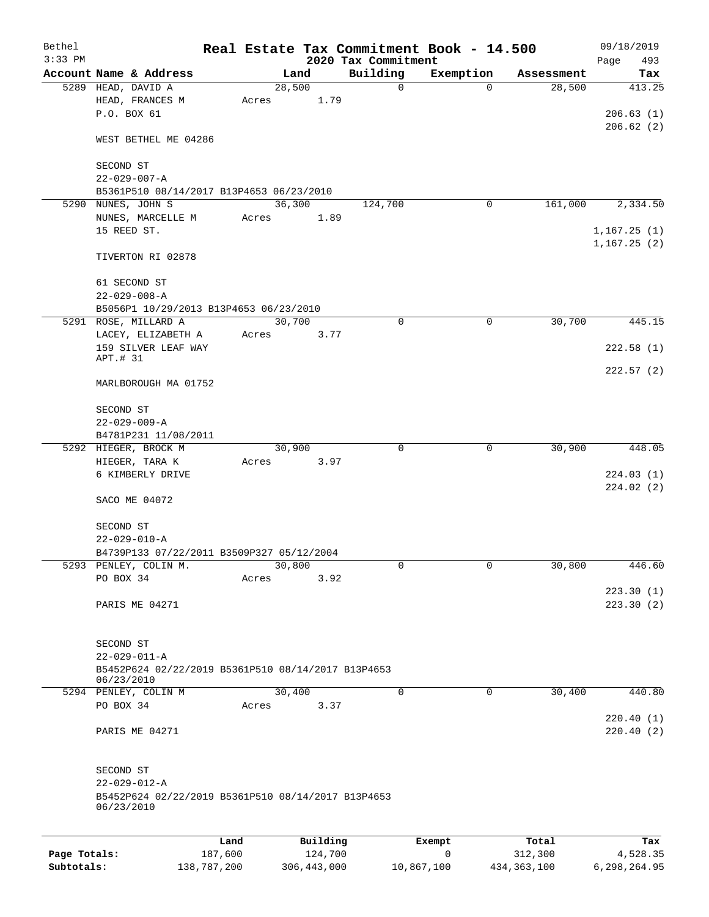|                            |                                                                  |                        |       |                |         |                     | Real Estate Tax Commitment Book - 14.500 |                          | 09/18/2019               |
|----------------------------|------------------------------------------------------------------|------------------------|-------|----------------|---------|---------------------|------------------------------------------|--------------------------|--------------------------|
| $3:33$ PM                  |                                                                  |                        |       |                |         | 2020 Tax Commitment |                                          |                          | Page<br>493              |
|                            | Account Name & Address<br>5289 HEAD, DAVID A                     |                        |       | Land<br>28,500 |         | Building<br>0       | Exemption<br>$\Omega$                    | Assessment<br>28,500     | Tax<br>413.25            |
|                            | HEAD, FRANCES M                                                  |                        | Acres |                | 1.79    |                     |                                          |                          |                          |
|                            | P.O. BOX 61                                                      |                        |       |                |         |                     |                                          |                          | 206.63(1)                |
|                            |                                                                  |                        |       |                |         |                     |                                          |                          | 206.62(2)                |
|                            | WEST BETHEL ME 04286                                             |                        |       |                |         |                     |                                          |                          |                          |
|                            | SECOND ST                                                        |                        |       |                |         |                     |                                          |                          |                          |
|                            | $22 - 029 - 007 - A$                                             |                        |       |                |         |                     |                                          |                          |                          |
|                            | B5361P510 08/14/2017 B13P4653 06/23/2010                         |                        |       |                |         |                     |                                          |                          |                          |
|                            | 5290 NUNES, JOHN S                                               |                        |       | 36,300         |         | 124,700             | 0                                        | 161,000                  | 2,334.50                 |
|                            | NUNES, MARCELLE M                                                |                        |       |                |         |                     |                                          |                          |                          |
|                            |                                                                  |                        | Acres |                | 1.89    |                     |                                          |                          |                          |
|                            | 15 REED ST.                                                      |                        |       |                |         |                     |                                          |                          | 1,167.25(1)              |
|                            | TIVERTON RI 02878                                                |                        |       |                |         |                     |                                          |                          | 1,167.25(2)              |
|                            |                                                                  |                        |       |                |         |                     |                                          |                          |                          |
|                            | 61 SECOND ST<br>$22 - 029 - 008 - A$                             |                        |       |                |         |                     |                                          |                          |                          |
|                            | B5056P1 10/29/2013 B13P4653 06/23/2010                           |                        |       |                |         |                     |                                          |                          |                          |
|                            | 5291 ROSE, MILLARD A                                             |                        |       | 30,700         |         | 0                   | $\mathbf 0$                              | 30,700                   | 445.15                   |
|                            | LACEY, ELIZABETH A                                               |                        | Acres |                | 3.77    |                     |                                          |                          |                          |
|                            | 159 SILVER LEAF WAY                                              |                        |       |                |         |                     |                                          |                          | 222.58(1)                |
|                            | APT.# 31                                                         |                        |       |                |         |                     |                                          |                          |                          |
|                            | MARLBOROUGH MA 01752                                             |                        |       |                |         |                     |                                          |                          | 222.57(2)                |
|                            | SECOND ST                                                        |                        |       |                |         |                     |                                          |                          |                          |
|                            | $22 - 029 - 009 - A$                                             |                        |       |                |         |                     |                                          |                          |                          |
|                            | B4781P231 11/08/2011                                             |                        |       |                |         |                     |                                          |                          |                          |
|                            | 5292 HIEGER, BROCK M                                             |                        |       | 30,900         |         | 0                   | 0                                        | 30,900                   | 448.05                   |
|                            | HIEGER, TARA K                                                   |                        | Acres |                | 3.97    |                     |                                          |                          |                          |
|                            | 6 KIMBERLY DRIVE                                                 |                        |       |                |         |                     |                                          |                          | 224.03(1)                |
|                            |                                                                  |                        |       |                |         |                     |                                          |                          | 224.02(2)                |
|                            | SACO ME 04072                                                    |                        |       |                |         |                     |                                          |                          |                          |
|                            | SECOND ST                                                        |                        |       |                |         |                     |                                          |                          |                          |
|                            | $22 - 029 - 010 - A$                                             |                        |       |                |         |                     |                                          |                          |                          |
|                            | B4739P133 07/22/2011 B3509P327 05/12/2004                        |                        |       |                |         |                     |                                          |                          |                          |
|                            | 5293 PENLEY, COLIN M.                                            |                        |       | 30,800         |         | 0                   | $\mathbf{0}$                             | 30,800                   | 446.60                   |
|                            | PO BOX 34                                                        |                        | Acres |                | 3.92    |                     |                                          |                          |                          |
|                            |                                                                  |                        |       |                |         |                     |                                          |                          | 223.30(1)                |
|                            | PARIS ME 04271                                                   |                        |       |                |         |                     |                                          |                          | 223.30(2)                |
|                            |                                                                  |                        |       |                |         |                     |                                          |                          |                          |
|                            | SECOND ST                                                        |                        |       |                |         |                     |                                          |                          |                          |
|                            | $22 - 029 - 011 - A$                                             |                        |       |                |         |                     |                                          |                          |                          |
|                            | B5452P624 02/22/2019 B5361P510 08/14/2017 B13P4653               |                        |       |                |         |                     |                                          |                          |                          |
|                            | 06/23/2010<br>5294 PENLEY, COLIN M                               |                        |       | 30,400         |         | $\mathbf 0$         | 0                                        | 30,400                   | 440.80                   |
|                            | PO BOX 34                                                        |                        | Acres |                | 3.37    |                     |                                          |                          |                          |
|                            |                                                                  |                        |       |                |         |                     |                                          |                          | 220.40(1)                |
|                            | PARIS ME 04271                                                   |                        |       |                |         |                     |                                          |                          | 220.40(2)                |
|                            |                                                                  |                        |       |                |         |                     |                                          |                          |                          |
|                            | SECOND ST<br>$22 - 029 - 012 - A$                                |                        |       |                |         |                     |                                          |                          |                          |
|                            | B5452P624 02/22/2019 B5361P510 08/14/2017 B13P4653<br>06/23/2010 |                        |       |                |         |                     |                                          |                          |                          |
|                            |                                                                  |                        |       |                |         |                     |                                          |                          |                          |
|                            |                                                                  | Land                   |       | Building       |         |                     | Exempt<br>0                              | Total                    | Tax                      |
| Page Totals:<br>Subtotals: |                                                                  | 187,600<br>138,787,200 |       | 306, 443, 000  | 124,700 |                     | 10,867,100                               | 312,300<br>434, 363, 100 | 4,528.35<br>6,298,264.95 |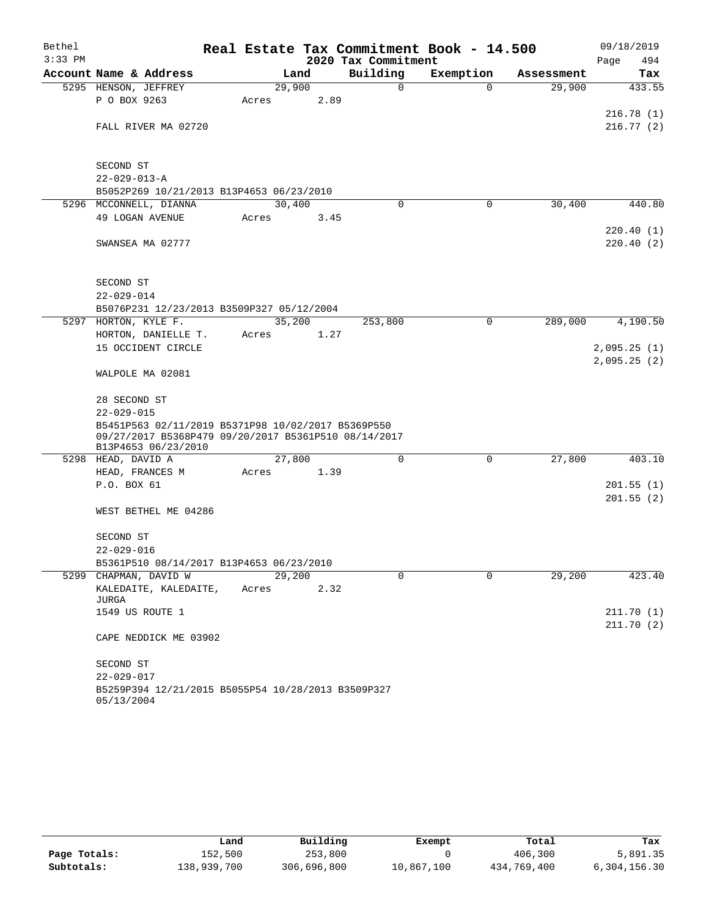| Bethel    |                                                                                                            |       |        |                     | Real Estate Tax Commitment Book - 14.500 |            | 09/18/2019  |
|-----------|------------------------------------------------------------------------------------------------------------|-------|--------|---------------------|------------------------------------------|------------|-------------|
| $3:33$ PM |                                                                                                            |       |        | 2020 Tax Commitment |                                          |            | 494<br>Page |
|           | Account Name & Address                                                                                     |       | Land   | Building            | Exemption                                | Assessment | Tax         |
|           | 5295 HENSON, JEFFREY                                                                                       |       | 29,900 | 0                   | $\mathbf 0$                              | 29,900     | 433.55      |
|           | P O BOX 9263                                                                                               | Acres | 2.89   |                     |                                          |            |             |
|           |                                                                                                            |       |        |                     |                                          |            | 216.78(1)   |
|           | FALL RIVER MA 02720                                                                                        |       |        |                     |                                          |            | 216.77(2)   |
|           |                                                                                                            |       |        |                     |                                          |            |             |
|           | SECOND ST                                                                                                  |       |        |                     |                                          |            |             |
|           | $22 - 029 - 013 - A$                                                                                       |       |        |                     |                                          |            |             |
|           | B5052P269 10/21/2013 B13P4653 06/23/2010                                                                   |       |        |                     |                                          |            |             |
|           | 5296 MCCONNELL, DIANNA                                                                                     |       | 30,400 | $\Omega$            | 0                                        | 30,400     | 440.80      |
|           | 49 LOGAN AVENUE                                                                                            | Acres | 3.45   |                     |                                          |            |             |
|           |                                                                                                            |       |        |                     |                                          |            | 220.40(1)   |
|           | SWANSEA MA 02777                                                                                           |       |        |                     |                                          |            | 220.40(2)   |
|           |                                                                                                            |       |        |                     |                                          |            |             |
|           |                                                                                                            |       |        |                     |                                          |            |             |
|           | SECOND ST                                                                                                  |       |        |                     |                                          |            |             |
|           | $22 - 029 - 014$                                                                                           |       |        |                     |                                          |            |             |
|           | B5076P231 12/23/2013 B3509P327 05/12/2004<br>5297 HORTON, KYLE F.                                          |       | 35,200 | 253,800             | $\mathbf 0$                              | 289,000    | 4,190.50    |
|           | HORTON, DANIELLE T.                                                                                        | Acres | 1.27   |                     |                                          |            |             |
|           | 15 OCCIDENT CIRCLE                                                                                         |       |        |                     |                                          |            | 2,095.25(1) |
|           |                                                                                                            |       |        |                     |                                          |            | 2,095.25(2) |
|           | WALPOLE MA 02081                                                                                           |       |        |                     |                                          |            |             |
|           |                                                                                                            |       |        |                     |                                          |            |             |
|           | 28 SECOND ST                                                                                               |       |        |                     |                                          |            |             |
|           | $22 - 029 - 015$                                                                                           |       |        |                     |                                          |            |             |
|           | B5451P563 02/11/2019 B5371P98 10/02/2017 B5369P550<br>09/27/2017 B5368P479 09/20/2017 B5361P510 08/14/2017 |       |        |                     |                                          |            |             |
|           | B13P4653 06/23/2010                                                                                        |       |        |                     |                                          |            |             |
|           | 5298 HEAD, DAVID A                                                                                         |       | 27,800 | $\mathbf 0$         | 0                                        | 27,800     | 403.10      |
|           | HEAD, FRANCES M                                                                                            | Acres | 1.39   |                     |                                          |            |             |
|           | P.O. BOX 61                                                                                                |       |        |                     |                                          |            | 201.55(1)   |
|           |                                                                                                            |       |        |                     |                                          |            | 201.55(2)   |
|           | WEST BETHEL ME 04286                                                                                       |       |        |                     |                                          |            |             |
|           |                                                                                                            |       |        |                     |                                          |            |             |
|           | SECOND ST                                                                                                  |       |        |                     |                                          |            |             |
|           | $22 - 029 - 016$<br>B5361P510 08/14/2017 B13P4653 06/23/2010                                               |       |        |                     |                                          |            |             |
|           | 5299 CHAPMAN, DAVID W                                                                                      |       | 29,200 | $\Omega$            | $\Omega$                                 | 29,200     | 423.40      |
|           | KALEDAITE, KALEDAITE,                                                                                      | Acres | 2.32   |                     |                                          |            |             |
|           | JURGA                                                                                                      |       |        |                     |                                          |            |             |
|           | 1549 US ROUTE 1                                                                                            |       |        |                     |                                          |            | 211.70(1)   |
|           |                                                                                                            |       |        |                     |                                          |            | 211.70(2)   |
|           | CAPE NEDDICK ME 03902                                                                                      |       |        |                     |                                          |            |             |
|           | SECOND ST                                                                                                  |       |        |                     |                                          |            |             |
|           | $22 - 029 - 017$                                                                                           |       |        |                     |                                          |            |             |
|           | B5259P394 12/21/2015 B5055P54 10/28/2013 B3509P327                                                         |       |        |                     |                                          |            |             |
|           | 05/13/2004                                                                                                 |       |        |                     |                                          |            |             |

|              | Land        | Building    | Exempt     | Total       | Tax          |
|--------------|-------------|-------------|------------|-------------|--------------|
| Page Totals: | 152,500     | 253,800     |            | 406,300     | 5,891.35     |
| Subtotals:   | 138,939,700 | 306,696,800 | 10,867,100 | 434,769,400 | 6,304,156.30 |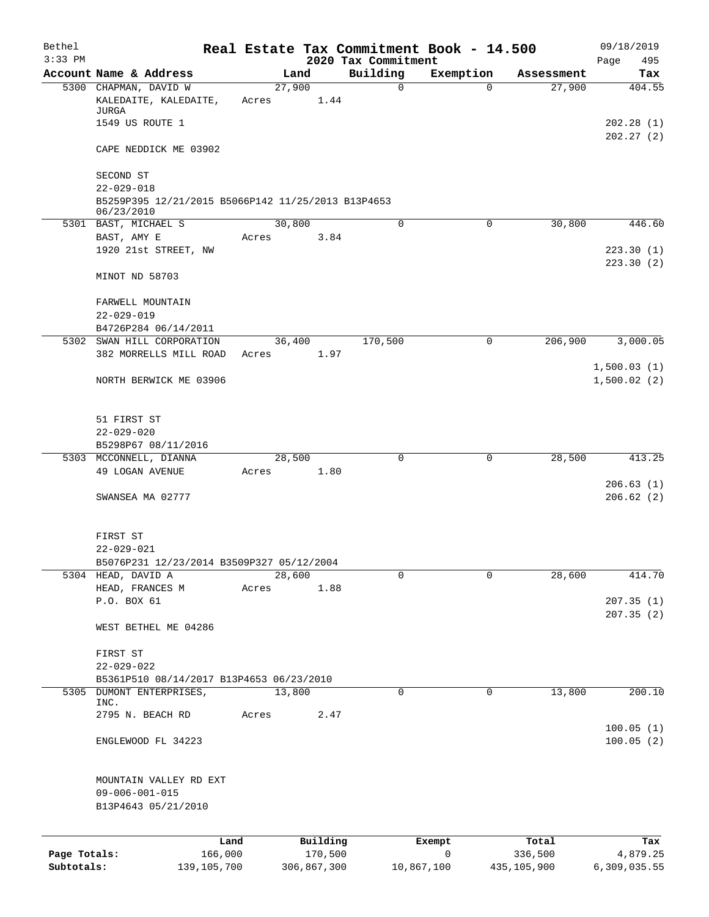| Bethel       |                                                                  |                 |             |                                 | Real Estate Tax Commitment Book - 14.500 |             | 09/18/2019             |
|--------------|------------------------------------------------------------------|-----------------|-------------|---------------------------------|------------------------------------------|-------------|------------------------|
| $3:33$ PM    | Account Name & Address                                           | Land            |             | 2020 Tax Commitment<br>Building | Exemption                                | Assessment  | 495<br>Page            |
|              | 5300 CHAPMAN, DAVID W                                            | 27,900          |             | $\mathbf 0$                     | $\Omega$                                 | 27,900      | Tax<br>404.55          |
|              | KALEDAITE, KALEDAITE,<br>JURGA                                   | Acres           | 1.44        |                                 |                                          |             |                        |
|              | 1549 US ROUTE 1                                                  |                 |             |                                 |                                          |             | 202.28(1)<br>202.27(2) |
|              | CAPE NEDDICK ME 03902                                            |                 |             |                                 |                                          |             |                        |
|              | SECOND ST<br>$22 - 029 - 018$                                    |                 |             |                                 |                                          |             |                        |
|              | B5259P395 12/21/2015 B5066P142 11/25/2013 B13P4653<br>06/23/2010 |                 |             |                                 |                                          |             |                        |
|              | 5301 BAST, MICHAEL S                                             | 30,800          |             | 0                               | $\mathbf 0$                              | 30,800      | 446.60                 |
|              | BAST, AMY E                                                      | Acres           | 3.84        |                                 |                                          |             |                        |
|              | 1920 21st STREET, NW                                             |                 |             |                                 |                                          |             | 223.30(1)<br>223.30(2) |
|              | MINOT ND 58703                                                   |                 |             |                                 |                                          |             |                        |
|              | FARWELL MOUNTAIN                                                 |                 |             |                                 |                                          |             |                        |
|              | $22 - 029 - 019$                                                 |                 |             |                                 |                                          |             |                        |
|              | B4726P284 06/14/2011<br>5302 SWAN HILL CORPORATION               |                 | 36,400      | 170,500                         | $\mathbf 0$                              | 206,900     | 3,000.05               |
|              | 382 MORRELLS MILL ROAD                                           | Acres           | 1.97        |                                 |                                          |             |                        |
|              |                                                                  |                 |             |                                 |                                          |             | 1,500.03(1)            |
|              | NORTH BERWICK ME 03906                                           |                 |             |                                 |                                          |             | 1,500.02(2)            |
|              | 51 FIRST ST                                                      |                 |             |                                 |                                          |             |                        |
|              | $22 - 029 - 020$                                                 |                 |             |                                 |                                          |             |                        |
|              | B5298P67 08/11/2016                                              |                 |             |                                 |                                          |             |                        |
|              | 5303 MCCONNELL, DIANNA                                           | 28,500          |             | 0                               | 0                                        | 28,500      | 413.25                 |
|              | 49 LOGAN AVENUE                                                  | Acres           | 1.80        |                                 |                                          |             |                        |
|              | SWANSEA MA 02777                                                 |                 |             |                                 |                                          |             | 206.63(1)<br>206.62(2) |
|              |                                                                  |                 |             |                                 |                                          |             |                        |
|              | FIRST ST                                                         |                 |             |                                 |                                          |             |                        |
|              | $22 - 029 - 021$                                                 |                 |             |                                 |                                          |             |                        |
|              | B5076P231 12/23/2014 B3509P327 05/12/2004                        |                 |             |                                 |                                          |             |                        |
|              | 5304 HEAD, DAVID A<br>HEAD, FRANCES M                            | 28,600<br>Acres | 1.88        | 0                               | $\Omega$                                 | 28,600      | 414.70                 |
|              | P.O. BOX 61                                                      |                 |             |                                 |                                          |             | 207.35(1)              |
|              |                                                                  |                 |             |                                 |                                          |             | 207.35(2)              |
|              | WEST BETHEL ME 04286                                             |                 |             |                                 |                                          |             |                        |
|              | FIRST ST                                                         |                 |             |                                 |                                          |             |                        |
|              | $22 - 029 - 022$                                                 |                 |             |                                 |                                          |             |                        |
|              | B5361P510 08/14/2017 B13P4653 06/23/2010                         |                 |             |                                 |                                          |             |                        |
| 5305         | DUMONT ENTERPRISES,<br>INC.                                      | 13,800          |             | 0                               | $\mathbf 0$                              | 13,800      | 200.10                 |
|              | 2795 N. BEACH RD                                                 | Acres           | 2.47        |                                 |                                          |             |                        |
|              |                                                                  |                 |             |                                 |                                          |             | 100.05(1)              |
|              | ENGLEWOOD FL 34223                                               |                 |             |                                 |                                          |             | 100.05(2)              |
|              | MOUNTAIN VALLEY RD EXT                                           |                 |             |                                 |                                          |             |                        |
|              | $09 - 006 - 001 - 015$                                           |                 |             |                                 |                                          |             |                        |
|              | B13P4643 05/21/2010                                              |                 |             |                                 |                                          |             |                        |
|              | Land                                                             |                 | Building    |                                 | Exempt                                   | Total       | Tax                    |
| Page Totals: | 166,000                                                          |                 | 170,500     |                                 | $\mathbf 0$                              | 336,500     | 4,879.25               |
| Subtotals:   | 139, 105, 700                                                    |                 | 306,867,300 |                                 | 10,867,100                               | 435,105,900 | 6,309,035.55           |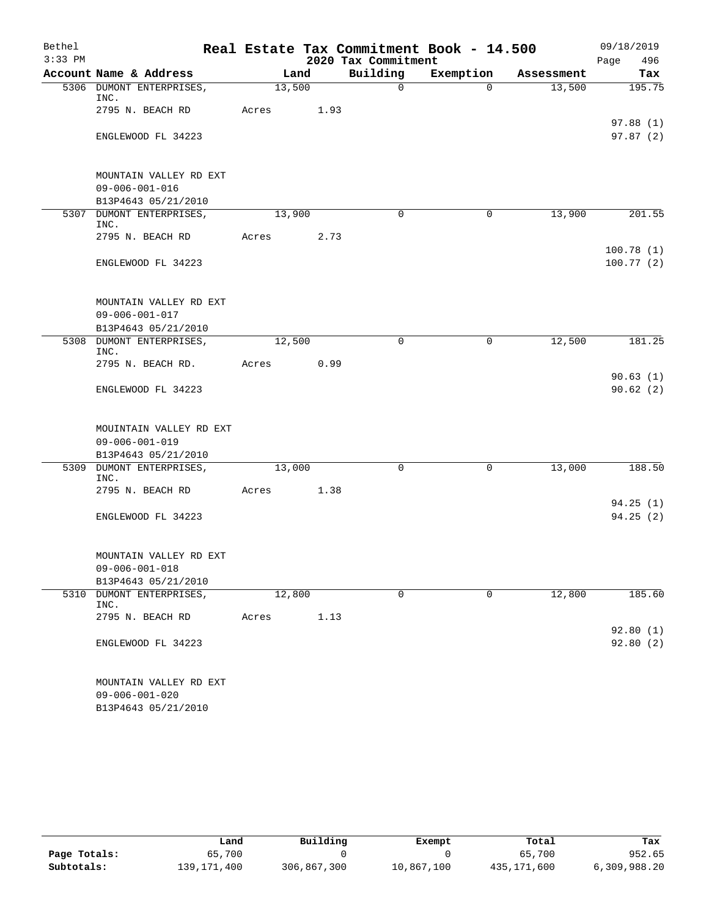| Bethel    |                                               |        |      |                     | Real Estate Tax Commitment Book - 14.500 |            | 09/18/2019             |
|-----------|-----------------------------------------------|--------|------|---------------------|------------------------------------------|------------|------------------------|
| $3:33$ PM |                                               |        |      | 2020 Tax Commitment |                                          |            | Page<br>496            |
|           | Account Name & Address                        | Land   |      | Building            | Exemption                                | Assessment | Tax                    |
|           | 5306 DUMONT ENTERPRISES,<br>INC.              | 13,500 |      | $\mathsf{O}$        | $\mathbf 0$                              | 13,500     | 195.75                 |
|           | 2795 N. BEACH RD                              | Acres  | 1.93 |                     |                                          |            | 97.88(1)               |
|           | ENGLEWOOD FL 34223                            |        |      |                     |                                          |            | 97.87(2)               |
|           | MOUNTAIN VALLEY RD EXT                        |        |      |                     |                                          |            |                        |
|           | $09 - 006 - 001 - 016$<br>B13P4643 05/21/2010 |        |      |                     |                                          |            |                        |
|           | 5307 DUMONT ENTERPRISES,<br>INC.              | 13,900 |      | $\Omega$            | 0                                        | 13,900     | 201.55                 |
|           | 2795 N. BEACH RD                              | Acres  | 2.73 |                     |                                          |            |                        |
|           | ENGLEWOOD FL 34223                            |        |      |                     |                                          |            | 100.78(1)<br>100.77(2) |
|           | MOUNTAIN VALLEY RD EXT                        |        |      |                     |                                          |            |                        |
|           | $09 - 006 - 001 - 017$                        |        |      |                     |                                          |            |                        |
|           | B13P4643 05/21/2010                           | 12,500 |      | 0                   | 0                                        | 12,500     | 181.25                 |
|           | 5308 DUMONT ENTERPRISES,<br>INC.              |        |      |                     |                                          |            |                        |
|           | 2795 N. BEACH RD.                             | Acres  | 0.99 |                     |                                          |            |                        |
|           | ENGLEWOOD FL 34223                            |        |      |                     |                                          |            | 90.63(1)<br>90.62(2)   |
|           | MOUINTAIN VALLEY RD EXT                       |        |      |                     |                                          |            |                        |
|           | $09 - 006 - 001 - 019$                        |        |      |                     |                                          |            |                        |
|           | B13P4643 05/21/2010                           |        |      |                     |                                          |            |                        |
|           | 5309 DUMONT ENTERPRISES,<br>INC.              | 13,000 |      | $\mathbf 0$         | 0                                        | 13,000     | 188.50                 |
|           | 2795 N. BEACH RD                              | Acres  | 1.38 |                     |                                          |            |                        |
|           |                                               |        |      |                     |                                          |            | 94.25(1)               |
|           | ENGLEWOOD FL 34223                            |        |      |                     |                                          |            | 94.25(2)               |
|           | MOUNTAIN VALLEY RD EXT                        |        |      |                     |                                          |            |                        |
|           | $09 - 006 - 001 - 018$                        |        |      |                     |                                          |            |                        |
|           | B13P4643 05/21/2010                           |        |      |                     |                                          |            |                        |
| 5310      | DUMONT ENTERPRISES,<br>INC.                   | 12,800 |      | 0                   | $\mathbf 0$                              | 12,800     | 185.60                 |
|           | 2795 N. BEACH RD                              | Acres  | 1.13 |                     |                                          |            |                        |
|           | ENGLEWOOD FL 34223                            |        |      |                     |                                          |            | 92.80(1)<br>92.80(2)   |
|           | MOUNTAIN VALLEY RD EXT                        |        |      |                     |                                          |            |                        |
|           | $09 - 006 - 001 - 020$                        |        |      |                     |                                          |            |                        |
|           | B13P4643 05/21/2010                           |        |      |                     |                                          |            |                        |

|              | Land          | Building    | Exempt     | Total       | Tax          |
|--------------|---------------|-------------|------------|-------------|--------------|
| Page Totals: | 65,700        |             |            | 65,700      | 952.65       |
| Subtotals:   | 139, 171, 400 | 306,867,300 | 10,867,100 | 435,171,600 | 6,309,988.20 |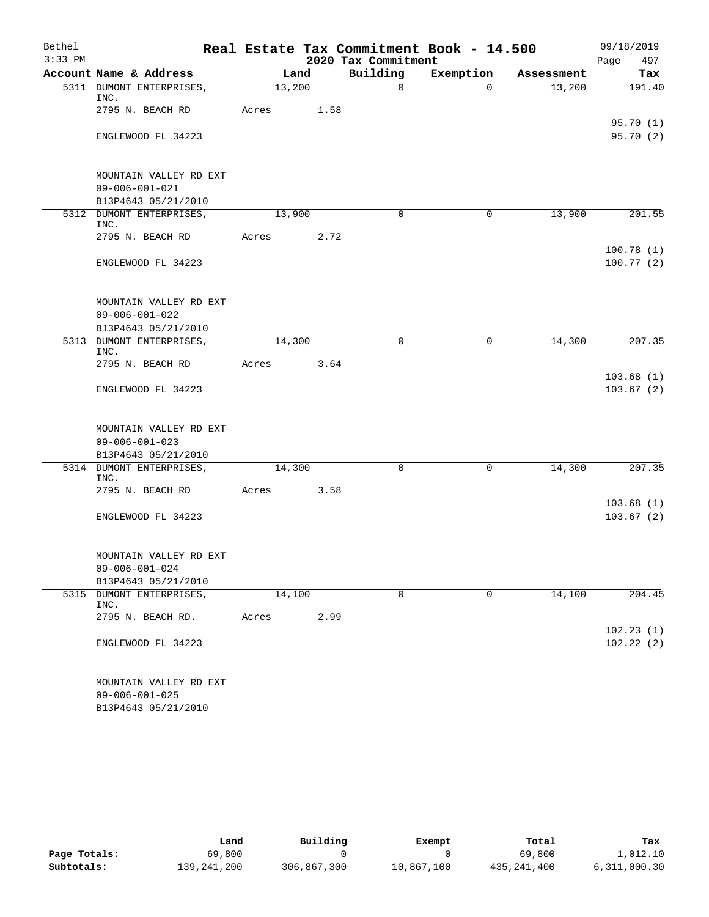| Bethel    |                                               |        |             |              | Real Estate Tax Commitment Book - 14.500 |            | 09/18/2019             |
|-----------|-----------------------------------------------|--------|-------------|--------------|------------------------------------------|------------|------------------------|
| $3:33$ PM |                                               |        | Page<br>497 |              |                                          |            |                        |
|           | Account Name & Address                        | Land   |             | Building     | Exemption                                | Assessment | Tax                    |
|           | 5311 DUMONT ENTERPRISES,<br>INC.              | 13,200 |             | $\mathsf{O}$ | $\Omega$                                 | 13,200     | 191.40                 |
|           | 2795 N. BEACH RD                              | Acres  | 1.58        |              |                                          |            | 95.70(1)               |
|           | ENGLEWOOD FL 34223                            |        |             |              |                                          |            | 95.70(2)               |
|           | MOUNTAIN VALLEY RD EXT                        |        |             |              |                                          |            |                        |
|           | $09 - 006 - 001 - 021$<br>B13P4643 05/21/2010 |        |             |              |                                          |            |                        |
|           | 5312 DUMONT ENTERPRISES,<br>INC.              | 13,900 |             | $\Omega$     | 0                                        | 13,900     | 201.55                 |
|           | 2795 N. BEACH RD                              | Acres  | 2.72        |              |                                          |            |                        |
|           | ENGLEWOOD FL 34223                            |        |             |              |                                          |            | 100.78(1)<br>100.77(2) |
|           | MOUNTAIN VALLEY RD EXT                        |        |             |              |                                          |            |                        |
|           | $09 - 006 - 001 - 022$                        |        |             |              |                                          |            |                        |
|           | B13P4643 05/21/2010                           |        |             |              |                                          |            |                        |
|           | 5313 DUMONT ENTERPRISES,<br>INC.              | 14,300 |             | 0            | $\mathbf 0$                              | 14,300     | 207.35                 |
|           | 2795 N. BEACH RD                              | Acres  | 3.64        |              |                                          |            | 103.68(1)              |
|           | ENGLEWOOD FL 34223                            |        |             |              |                                          |            | 103.67(2)              |
|           | MOUNTAIN VALLEY RD EXT                        |        |             |              |                                          |            |                        |
|           | $09 - 006 - 001 - 023$                        |        |             |              |                                          |            |                        |
|           | B13P4643 05/21/2010                           |        |             |              |                                          |            |                        |
|           | 5314 DUMONT ENTERPRISES,<br>INC.              | 14,300 |             | $\Omega$     | $\mathbf 0$                              | 14,300     | 207.35                 |
|           | 2795 N. BEACH RD                              | Acres  | 3.58        |              |                                          |            | 103.68(1)              |
|           | ENGLEWOOD FL 34223                            |        |             |              |                                          |            | 103.67(2)              |
|           | MOUNTAIN VALLEY RD EXT                        |        |             |              |                                          |            |                        |
|           | $09 - 006 - 001 - 024$                        |        |             |              |                                          |            |                        |
|           | B13P4643 05/21/2010                           |        |             |              |                                          |            |                        |
|           | 5315 DUMONT ENTERPRISES,<br>INC.              | 14,100 |             | $\mathbf 0$  | $\mathbf 0$                              | 14,100     | 204.45                 |
|           | 2795 N. BEACH RD.                             | Acres  | 2.99        |              |                                          |            | 102.23(1)              |
|           | ENGLEWOOD FL 34223                            |        |             |              |                                          |            | 102.22(2)              |
|           | MOUNTAIN VALLEY RD EXT                        |        |             |              |                                          |            |                        |
|           | $09 - 006 - 001 - 025$<br>B13P4643 05/21/2010 |        |             |              |                                          |            |                        |
|           |                                               |        |             |              |                                          |            |                        |

|              | Land        | Building    | Exempt     | Total       | Tax          |
|--------------|-------------|-------------|------------|-------------|--------------|
| Page Totals: | 69,800      |             |            | 69,800      | l,012.10     |
| Subtotals:   | 139,241,200 | 306,867,300 | 10,867,100 | 435,241,400 | 6,311,000.30 |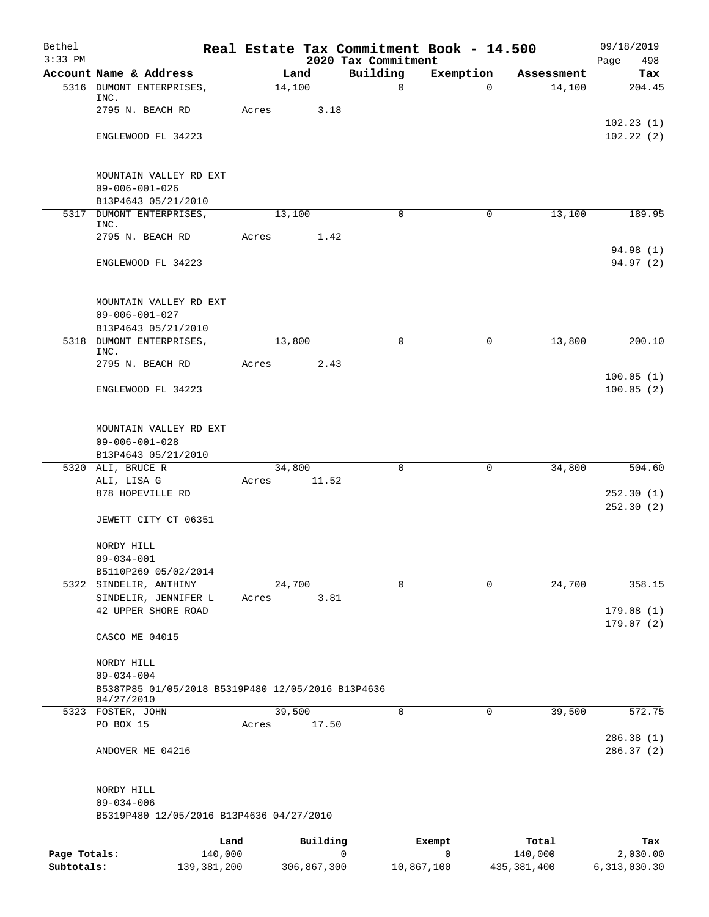| Bethel<br>$3:33$ PM |                                                                                     |                 |          | Real Estate Tax Commitment Book - 14.500<br>2020 Tax Commitment |             |            | 09/18/2019<br>Page<br>498 |
|---------------------|-------------------------------------------------------------------------------------|-----------------|----------|-----------------------------------------------------------------|-------------|------------|---------------------------|
|                     | Account Name & Address                                                              |                 | Land     | Building                                                        | Exemption   | Assessment | Tax                       |
|                     | 5316 DUMONT ENTERPRISES,<br>INC.                                                    | 14,100          |          | $\mathsf{O}$                                                    | $\Omega$    | 14,100     | 204.45                    |
|                     | 2795 N. BEACH RD                                                                    | Acres           | 3.18     |                                                                 |             |            |                           |
|                     | ENGLEWOOD FL 34223                                                                  |                 |          |                                                                 |             |            | 102.23(1)<br>102.22(2)    |
|                     | MOUNTAIN VALLEY RD EXT<br>$09 - 006 - 001 - 026$<br>B13P4643 05/21/2010             |                 |          |                                                                 |             |            |                           |
|                     | 5317 DUMONT ENTERPRISES,<br>INC.                                                    | 13,100          |          | $\Omega$                                                        | $\mathbf 0$ | 13,100     | 189.95                    |
|                     | 2795 N. BEACH RD                                                                    | Acres           | 1.42     |                                                                 |             |            |                           |
|                     | ENGLEWOOD FL 34223                                                                  |                 |          |                                                                 |             |            | 94.98 (1)<br>94.97 (2)    |
|                     | MOUNTAIN VALLEY RD EXT<br>$09 - 006 - 001 - 027$<br>B13P4643 05/21/2010             |                 |          |                                                                 |             |            |                           |
|                     | 5318 DUMONT ENTERPRISES,                                                            | 13,800          |          | $\Omega$                                                        | $\mathbf 0$ | 13,800     | 200.10                    |
|                     | INC.<br>2795 N. BEACH RD                                                            | Acres           | 2.43     |                                                                 |             |            |                           |
|                     | ENGLEWOOD FL 34223                                                                  |                 |          |                                                                 |             |            | 100.05(1)<br>100.05(2)    |
|                     | MOUNTAIN VALLEY RD EXT<br>$09 - 006 - 001 - 028$<br>B13P4643 05/21/2010             |                 |          |                                                                 |             |            |                           |
|                     | 5320 ALI, BRUCE R                                                                   | 34,800          |          | $\Omega$                                                        | $\mathbf 0$ | 34,800     | 504.60                    |
|                     | ALI, LISA G<br>878 HOPEVILLE RD                                                     | Acres           | 11.52    |                                                                 |             |            | 252.30(1)                 |
|                     | JEWETT CITY CT 06351                                                                |                 |          |                                                                 |             |            | 252.30(2)                 |
|                     | NORDY HILL<br>$09 - 034 - 001$<br>B5110P269 05/02/2014                              |                 |          |                                                                 |             |            |                           |
|                     | 5322 SINDELIR, ANTHINY                                                              | 24,700          |          | $\Omega$                                                        | $\mathbf 0$ | 24,700     | 358.15                    |
|                     | SINDELIR, JENNIFER L<br>42 UPPER SHORE ROAD                                         | Acres           | 3.81     |                                                                 |             |            | 179.08(1)                 |
|                     | CASCO ME 04015                                                                      |                 |          |                                                                 |             |            | 179.07(2)                 |
|                     | NORDY HILL<br>$09 - 034 - 004$<br>B5387P85 01/05/2018 B5319P480 12/05/2016 B13P4636 |                 |          |                                                                 |             |            |                           |
|                     | 04/27/2010                                                                          |                 |          |                                                                 |             |            |                           |
|                     | 5323 FOSTER, JOHN<br>PO BOX 15                                                      | 39,500<br>Acres | 17.50    | $\Omega$                                                        | 0           | 39,500     | 572.75                    |
|                     | ANDOVER ME 04216                                                                    |                 |          |                                                                 |             |            | 286.38 (1)<br>286.37(2)   |
|                     | NORDY HILL                                                                          |                 |          |                                                                 |             |            |                           |
|                     | $09 - 034 - 006$<br>B5319P480 12/05/2016 B13P4636 04/27/2010                        |                 |          |                                                                 |             |            |                           |
|                     | Land                                                                                |                 | Building |                                                                 | Exempt      | Total      | Tax                       |
| Page Totals:        | 140,000                                                                             |                 |          | 0                                                               | 0           | 140,000    | 2,030.00                  |

**Subtotals:** 139,381,200 306,867,300 10,867,100 435,381,400 6,313,030.30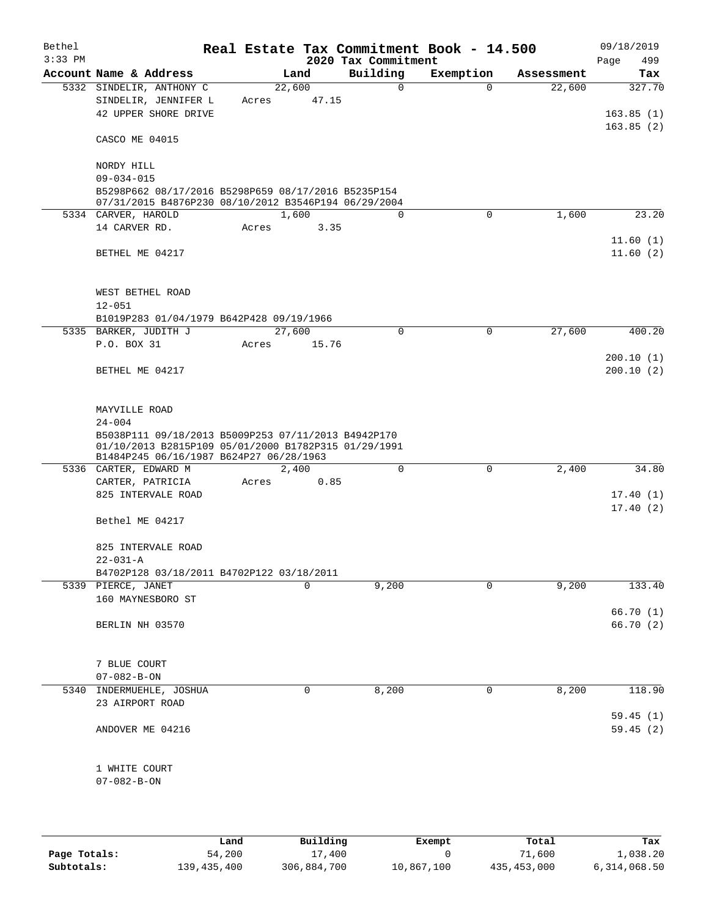| Bethel    |                                                                                                                                                        |       |                 |                     | Real Estate Tax Commitment Book - 14.500 |            | 09/18/2019             |
|-----------|--------------------------------------------------------------------------------------------------------------------------------------------------------|-------|-----------------|---------------------|------------------------------------------|------------|------------------------|
| $3:33$ PM |                                                                                                                                                        |       |                 | 2020 Tax Commitment |                                          |            | 499<br>Page            |
|           | Account Name & Address                                                                                                                                 |       | Land            | Building            | Exemption                                | Assessment | Tax                    |
|           | 5332 SINDELIR, ANTHONY C<br>SINDELIR, JENNIFER L                                                                                                       | Acres | 22,600<br>47.15 | 0                   | $\Omega$                                 | 22,600     | 327.70                 |
|           | 42 UPPER SHORE DRIVE                                                                                                                                   |       |                 |                     |                                          |            | 163.85(1)              |
|           |                                                                                                                                                        |       |                 |                     |                                          |            | 163.85(2)              |
|           | CASCO ME 04015                                                                                                                                         |       |                 |                     |                                          |            |                        |
|           | NORDY HILL                                                                                                                                             |       |                 |                     |                                          |            |                        |
|           | $09 - 034 - 015$                                                                                                                                       |       |                 |                     |                                          |            |                        |
|           | B5298P662 08/17/2016 B5298P659 08/17/2016 B5235P154<br>07/31/2015 B4876P230 08/10/2012 B3546P194 06/29/2004                                            |       |                 |                     |                                          |            |                        |
|           | 5334 CARVER, HAROLD                                                                                                                                    |       | 1,600           | $\Omega$            | 0                                        | 1,600      | 23.20                  |
|           | 14 CARVER RD.                                                                                                                                          | Acres | 3.35            |                     |                                          |            |                        |
|           |                                                                                                                                                        |       |                 |                     |                                          |            | 11.60(1)               |
|           | BETHEL ME 04217                                                                                                                                        |       |                 |                     |                                          |            | 11.60(2)               |
|           | WEST BETHEL ROAD                                                                                                                                       |       |                 |                     |                                          |            |                        |
|           | $12 - 051$                                                                                                                                             |       |                 |                     |                                          |            |                        |
|           | B1019P283 01/04/1979 B642P428 09/19/1966                                                                                                               |       |                 |                     |                                          |            |                        |
|           | 5335 BARKER, JUDITH J                                                                                                                                  |       | 27,600          | 0                   | 0                                        | 27,600     | 400.20                 |
|           | P.O. BOX 31                                                                                                                                            | Acres | 15.76           |                     |                                          |            |                        |
|           | BETHEL ME 04217                                                                                                                                        |       |                 |                     |                                          |            | 200.10(1)<br>200.10(2) |
|           |                                                                                                                                                        |       |                 |                     |                                          |            |                        |
|           | MAYVILLE ROAD                                                                                                                                          |       |                 |                     |                                          |            |                        |
|           | $24 - 004$                                                                                                                                             |       |                 |                     |                                          |            |                        |
|           | B5038P111 09/18/2013 B5009P253 07/11/2013 B4942P170<br>01/10/2013 B2815P109 05/01/2000 B1782P315 01/29/1991<br>B1484P245 06/16/1987 B624P27 06/28/1963 |       |                 |                     |                                          |            |                        |
|           | 5336 CARTER, EDWARD M                                                                                                                                  |       | 2,400           | 0                   | $\mathbf 0$                              | 2,400      | 34.80                  |
|           | CARTER, PATRICIA                                                                                                                                       | Acres | 0.85            |                     |                                          |            |                        |
|           | 825 INTERVALE ROAD                                                                                                                                     |       |                 |                     |                                          |            | 17.40(1)               |
|           |                                                                                                                                                        |       |                 |                     |                                          |            | 17.40(2)               |
|           | Bethel ME 04217                                                                                                                                        |       |                 |                     |                                          |            |                        |
|           | 825 INTERVALE ROAD                                                                                                                                     |       |                 |                     |                                          |            |                        |
|           | $22 - 031 - A$                                                                                                                                         |       |                 |                     |                                          |            |                        |
|           | B4702P128 03/18/2011 B4702P122 03/18/2011                                                                                                              |       |                 |                     |                                          |            |                        |
|           | 5339 PIERCE, JANET                                                                                                                                     |       | 0               | 9,200               | 0                                        | 9,200      | 133.40                 |
|           | 160 MAYNESBORO ST                                                                                                                                      |       |                 |                     |                                          |            | 66.70 (1)              |
|           | BERLIN NH 03570                                                                                                                                        |       |                 |                     |                                          |            | 66.70 (2)              |
|           |                                                                                                                                                        |       |                 |                     |                                          |            |                        |
|           | 7 BLUE COURT                                                                                                                                           |       |                 |                     |                                          |            |                        |
|           | $07 - 082 - B - ON$                                                                                                                                    |       |                 |                     |                                          |            |                        |
|           | 5340 INDERMUEHLE, JOSHUA                                                                                                                               |       | 0               | 8,200               | 0                                        | 8,200      | 118.90                 |
|           | 23 AIRPORT ROAD                                                                                                                                        |       |                 |                     |                                          |            |                        |
|           |                                                                                                                                                        |       |                 |                     |                                          |            | 59.45(1)               |
|           | ANDOVER ME 04216                                                                                                                                       |       |                 |                     |                                          |            | 59.45(2)               |
|           | 1 WHITE COURT                                                                                                                                          |       |                 |                     |                                          |            |                        |
|           | $07 - 082 - B - ON$                                                                                                                                    |       |                 |                     |                                          |            |                        |
|           |                                                                                                                                                        |       |                 |                     |                                          |            |                        |
|           |                                                                                                                                                        |       |                 |                     |                                          |            |                        |

|              | Land        | Building    | Exempt     | Total         | Tax          |
|--------------|-------------|-------------|------------|---------------|--------------|
| Page Totals: | 54,200      | 17,400      |            | 71,600        | 1,038.20     |
| Subtotals:   | 139,435,400 | 306,884,700 | 10,867,100 | 435, 453, 000 | 6,314,068.50 |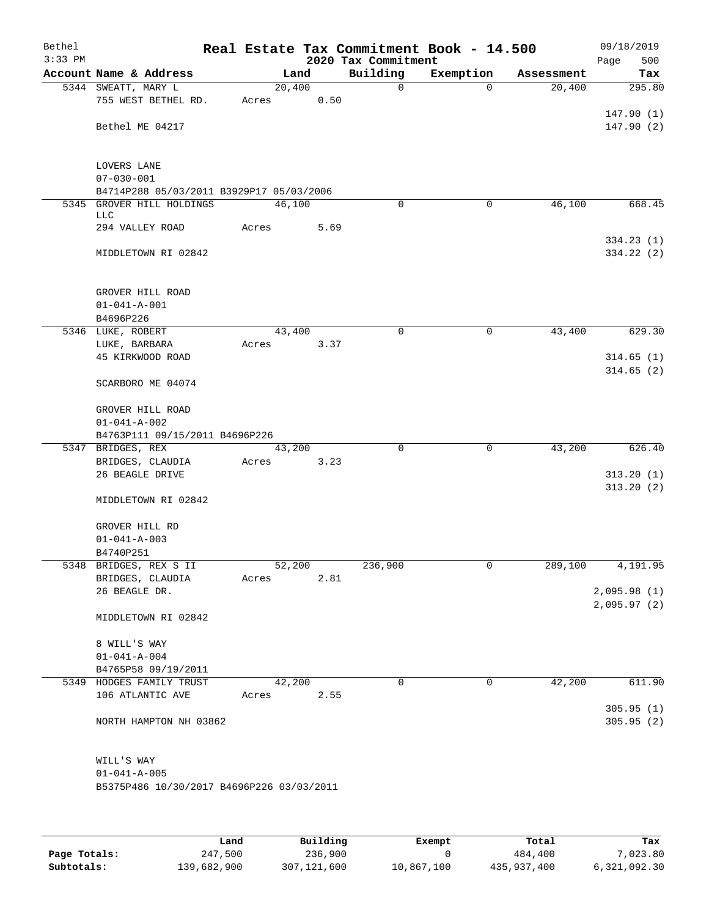| Bethel<br>$3:33$ PM |                                              |       |        |      | Real Estate Tax Commitment Book - 14.500<br>2020 Tax Commitment |             |            | 09/18/2019<br>500<br>Page |
|---------------------|----------------------------------------------|-------|--------|------|-----------------------------------------------------------------|-------------|------------|---------------------------|
|                     | Account Name & Address                       |       | Land   |      | Building                                                        | Exemption   | Assessment | Tax                       |
|                     | 5344 SWEATT, MARY L                          |       | 20,400 |      | $\mathbf 0$                                                     | $\Omega$    | 20,400     | 295.80                    |
|                     | 755 WEST BETHEL RD.                          | Acres |        | 0.50 |                                                                 |             |            |                           |
|                     |                                              |       |        |      |                                                                 |             |            | 147.90(1)                 |
|                     | Bethel ME 04217                              |       |        |      |                                                                 |             |            | 147.90(2)                 |
|                     |                                              |       |        |      |                                                                 |             |            |                           |
|                     | <b>LOVERS LANE</b>                           |       |        |      |                                                                 |             |            |                           |
|                     | $07 - 030 - 001$                             |       |        |      |                                                                 |             |            |                           |
|                     | B4714P288 05/03/2011 B3929P17 05/03/2006     |       |        |      |                                                                 |             |            |                           |
|                     | 5345 GROVER HILL HOLDINGS                    |       | 46,100 |      | 0                                                               | 0           | 46,100     | 668.45                    |
|                     | <b>LLC</b>                                   |       |        |      |                                                                 |             |            |                           |
|                     | 294 VALLEY ROAD                              | Acres |        | 5.69 |                                                                 |             |            |                           |
|                     | MIDDLETOWN RI 02842                          |       |        |      |                                                                 |             |            | 334.23(1)<br>334.22 (2)   |
|                     |                                              |       |        |      |                                                                 |             |            |                           |
|                     | GROVER HILL ROAD                             |       |        |      |                                                                 |             |            |                           |
|                     | $01 - 041 - A - 001$                         |       |        |      |                                                                 |             |            |                           |
|                     | B4696P226                                    |       |        |      |                                                                 |             |            |                           |
|                     | 5346 LUKE, ROBERT                            |       | 43,400 |      | $\mathbf 0$                                                     | $\mathbf 0$ | 43,400     | 629.30                    |
|                     | LUKE, BARBARA                                | Acres |        | 3.37 |                                                                 |             |            |                           |
|                     | 45 KIRKWOOD ROAD                             |       |        |      |                                                                 |             |            | 314.65(1)                 |
|                     | SCARBORO ME 04074                            |       |        |      |                                                                 |             |            | 314.65(2)                 |
|                     |                                              |       |        |      |                                                                 |             |            |                           |
|                     | GROVER HILL ROAD                             |       |        |      |                                                                 |             |            |                           |
|                     | $01 - 041 - A - 002$                         |       |        |      |                                                                 |             |            |                           |
|                     | B4763P111 09/15/2011 B4696P226               |       |        |      | $\Omega$                                                        |             |            |                           |
|                     | 5347 BRIDGES, REX<br>BRIDGES, CLAUDIA        | Acres | 43,200 | 3.23 |                                                                 | $\mathbf 0$ | 43,200     | 626.40                    |
|                     | 26 BEAGLE DRIVE                              |       |        |      |                                                                 |             |            | 313.20(1)                 |
|                     |                                              |       |        |      |                                                                 |             |            | 313.20(2)                 |
|                     | MIDDLETOWN RI 02842                          |       |        |      |                                                                 |             |            |                           |
|                     | GROVER HILL RD                               |       |        |      |                                                                 |             |            |                           |
|                     | $01 - 041 - A - 003$                         |       |        |      |                                                                 |             |            |                           |
|                     | B4740P251                                    |       |        |      |                                                                 |             |            |                           |
|                     | 5348 BRIDGES, REX S II                       |       | 52,200 |      | 236,900                                                         | 0           | 289,100    | 4,191.95                  |
|                     | BRIDGES, CLAUDIA                             | Acres |        | 2.81 |                                                                 |             |            |                           |
|                     | 26 BEAGLE DR.                                |       |        |      |                                                                 |             |            | 2,095.98(1)               |
|                     | MIDDLETOWN RI 02842                          |       |        |      |                                                                 |             |            | 2,095.97(2)               |
|                     |                                              |       |        |      |                                                                 |             |            |                           |
|                     | 8 WILL'S WAY                                 |       |        |      |                                                                 |             |            |                           |
|                     | $01 - 041 - A - 004$                         |       |        |      |                                                                 |             |            |                           |
|                     | B4765P58 09/19/2011                          |       |        |      | $\Omega$                                                        | $\mathbf 0$ | 42,200     | 611.90                    |
|                     | 5349 HODGES FAMILY TRUST<br>106 ATLANTIC AVE | Acres | 42,200 | 2.55 |                                                                 |             |            |                           |
|                     |                                              |       |        |      |                                                                 |             |            | 305.95(1)                 |
|                     | NORTH HAMPTON NH 03862                       |       |        |      |                                                                 |             |            | 305.95(2)                 |
|                     |                                              |       |        |      |                                                                 |             |            |                           |
|                     | WILL'S WAY                                   |       |        |      |                                                                 |             |            |                           |
|                     | $01 - 041 - A - 005$                         |       |        |      |                                                                 |             |            |                           |
|                     | B5375P486 10/30/2017 B4696P226 03/03/2011    |       |        |      |                                                                 |             |            |                           |
|                     |                                              |       |        |      |                                                                 |             |            |                           |
|                     |                                              |       |        |      |                                                                 |             |            |                           |

|              | Land        | Building    | Exempt     | Total       | Tax          |
|--------------|-------------|-------------|------------|-------------|--------------|
| Page Totals: | 247,500     | 236,900     |            | 484,400     | 7,023.80     |
| Subtotals:   | 139,682,900 | 307,121,600 | 10,867,100 | 435,937,400 | 6,321,092.30 |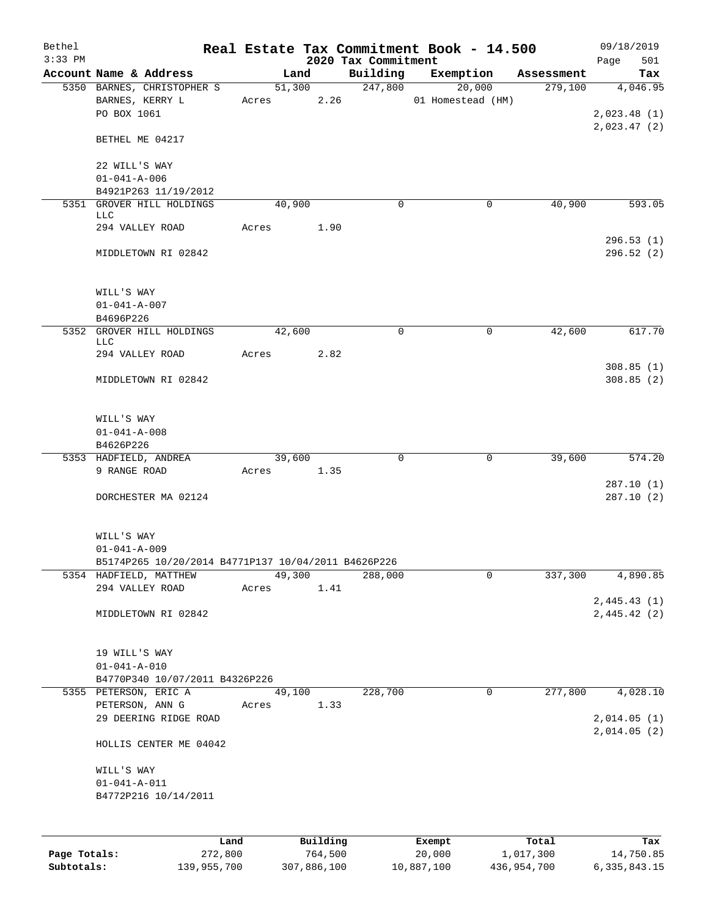| Bethel<br>$3:33$ PM |                                                                             |       |            |          | 2020 Tax Commitment | Real Estate Tax Commitment Book - 14.500 |            | 09/18/2019<br>501<br>Page  |
|---------------------|-----------------------------------------------------------------------------|-------|------------|----------|---------------------|------------------------------------------|------------|----------------------------|
|                     | Account Name & Address                                                      |       | Land       |          | Building            | Exemption                                | Assessment | Tax                        |
|                     | 5350 BARNES, CHRISTOPHER S                                                  |       | 51,300     |          | 247,800             | 20,000                                   | 279,100    | 4,046.95                   |
|                     | BARNES, KERRY L<br>PO BOX 1061                                              |       |            |          | Acres 2.26          | 01 Homestead (HM)                        |            | 2,023.48(1)                |
|                     | BETHEL ME 04217                                                             |       |            |          |                     |                                          |            | 2,023.47(2)                |
|                     | 22 WILL'S WAY<br>$01 - 041 - A - 006$                                       |       |            |          |                     |                                          |            |                            |
|                     | B4921P263 11/19/2012                                                        |       |            |          |                     |                                          |            |                            |
|                     | 5351 GROVER HILL HOLDINGS<br>LLC                                            |       | 40,900     |          | $\Omega$            | 0                                        | 40,900     | 593.05                     |
|                     | 294 VALLEY ROAD                                                             |       | Acres 1.90 |          |                     |                                          |            |                            |
|                     | MIDDLETOWN RI 02842                                                         |       |            |          |                     |                                          |            | 296.53(1)<br>296.52(2)     |
|                     | WILL'S WAY<br>$01 - 041 - A - 007$                                          |       |            |          |                     |                                          |            |                            |
|                     | B4696P226                                                                   |       |            |          |                     |                                          |            |                            |
|                     | 5352 GROVER HILL HOLDINGS<br>LLC                                            |       | 42,600     |          | $\mathbf 0$         | $\mathbf 0$                              | 42,600     | 617.70                     |
|                     | 294 VALLEY ROAD                                                             |       | Acres 2.82 |          |                     |                                          |            | 308.85(1)                  |
|                     | MIDDLETOWN RI 02842                                                         |       |            |          |                     |                                          |            | 308.85(2)                  |
|                     | WILL'S WAY                                                                  |       |            |          |                     |                                          |            |                            |
|                     | $01 - 041 - A - 008$                                                        |       |            |          |                     |                                          |            |                            |
|                     | B4626P226<br>5353 HADFIELD, ANDREA                                          |       | 39,600     |          | $\Omega$            | 0                                        | 39,600     | 574.20                     |
|                     | 9 RANGE ROAD                                                                |       | Acres 1.35 |          |                     |                                          |            |                            |
|                     | DORCHESTER MA 02124                                                         |       |            |          |                     |                                          |            | 287.10(1)<br>287.10(2)     |
|                     | WILL'S WAY                                                                  |       |            |          |                     |                                          |            |                            |
|                     | $01 - 041 - A - 009$<br>B5174P265 10/20/2014 B4771P137 10/04/2011 B4626P226 |       |            |          |                     |                                          |            |                            |
|                     | 5354 HADFIELD, MATTHEW                                                      |       | 49,300     |          | 288,000             | 0                                        | 337,300    | 4,890.85                   |
|                     | 294 VALLEY ROAD                                                             | Acres |            | 1.41     |                     |                                          |            |                            |
|                     | MIDDLETOWN RI 02842                                                         |       |            |          |                     |                                          |            | 2,445.43(1)<br>2,445.42(2) |
|                     | 19 WILL'S WAY<br>$01 - 041 - A - 010$                                       |       |            |          |                     |                                          |            |                            |
|                     | B4770P340 10/07/2011 B4326P226                                              |       |            |          |                     |                                          |            |                            |
|                     | 5355 PETERSON, ERIC A                                                       |       | 49,100     |          | 228,700             | $\mathbf 0$                              | 277,800    | 4,028.10                   |
|                     | PETERSON, ANN G<br>29 DEERING RIDGE ROAD                                    | Acres |            | 1.33     |                     |                                          |            | 2,014.05(1)<br>2,014.05(2) |
|                     | HOLLIS CENTER ME 04042                                                      |       |            |          |                     |                                          |            |                            |
|                     | WILL'S WAY<br>$01 - 041 - A - 011$<br>B4772P216 10/14/2011                  |       |            |          |                     |                                          |            |                            |
|                     |                                                                             |       |            |          |                     |                                          |            |                            |
|                     | Land                                                                        |       |            | Building |                     | Exempt                                   | Total      | Tax                        |
| Page Totals:        | 272,800                                                                     |       |            | 764,500  |                     | 20,000                                   | 1,017,300  | 14,750.85                  |

**Subtotals:** 139,955,700 307,886,100 10,887,100 436,954,700 6,335,843.15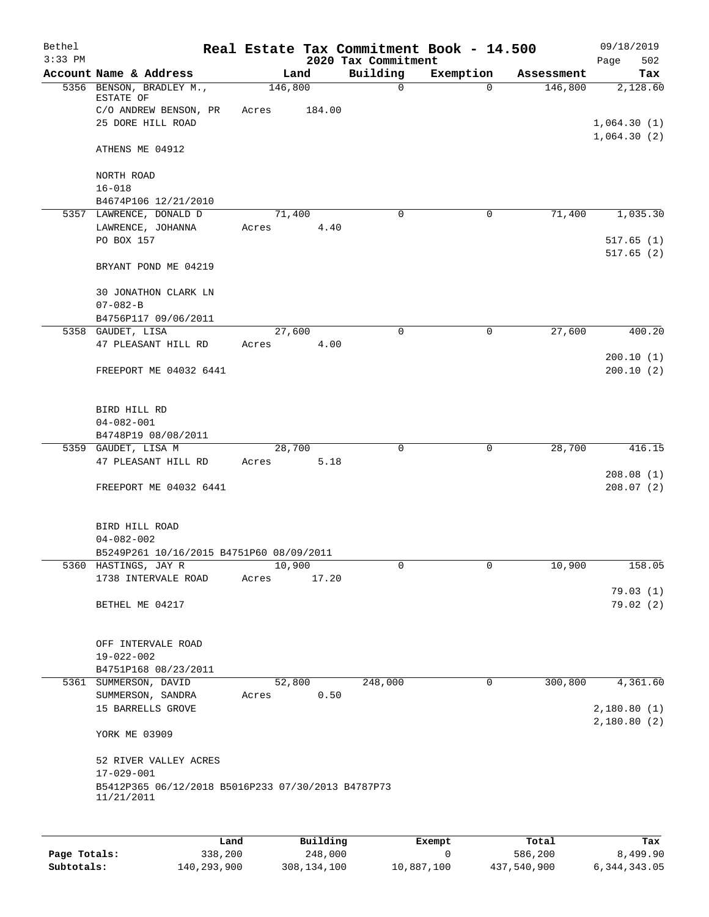| Bethel<br>$3:33$ PM |                                                                        |         |          | 2020 Tax Commitment | Real Estate Tax Commitment Book - 14.500 |            | 09/18/2019<br>Page<br>502 |
|---------------------|------------------------------------------------------------------------|---------|----------|---------------------|------------------------------------------|------------|---------------------------|
|                     | Account Name & Address                                                 | Land    |          | Building            | Exemption                                | Assessment | Tax                       |
|                     | 5356 BENSON, BRADLEY M.,<br>ESTATE OF                                  | 146,800 |          | $\mathbf 0$         | $\Omega$                                 | 146,800    | 2,128.60                  |
|                     | C/O ANDREW BENSON, PR                                                  | Acres   | 184.00   |                     |                                          |            |                           |
|                     | 25 DORE HILL ROAD                                                      |         |          |                     |                                          |            | 1,064.30(1)               |
|                     | ATHENS ME 04912                                                        |         |          |                     |                                          |            | 1,064.30(2)               |
|                     | NORTH ROAD                                                             |         |          |                     |                                          |            |                           |
|                     | $16 - 018$                                                             |         |          |                     |                                          |            |                           |
|                     | B4674P106 12/21/2010                                                   |         |          | $\mathbf 0$         | $\mathbf 0$                              |            | 1,035.30                  |
|                     | 5357 LAWRENCE, DONALD D<br>LAWRENCE, JOHANNA                           | 71,400  | 4.40     |                     |                                          | 71,400     |                           |
|                     | PO BOX 157                                                             | Acres   |          |                     |                                          |            | 517.65(1)<br>517.65(2)    |
|                     | BRYANT POND ME 04219                                                   |         |          |                     |                                          |            |                           |
|                     | 30 JONATHON CLARK LN<br>$07 - 082 - B$                                 |         |          |                     |                                          |            |                           |
|                     | B4756P117 09/06/2011                                                   |         |          |                     |                                          |            |                           |
|                     | 5358 GAUDET, LISA                                                      | 27,600  |          | $\mathbf 0$         | $\mathsf{O}$                             | 27,600     | 400.20                    |
|                     | 47 PLEASANT HILL RD                                                    | Acres   | 4.00     |                     |                                          |            |                           |
|                     |                                                                        |         |          |                     |                                          |            | 200.10(1)                 |
|                     | FREEPORT ME 04032 6441                                                 |         |          |                     |                                          |            | 200.10(2)                 |
|                     | BIRD HILL RD                                                           |         |          |                     |                                          |            |                           |
|                     | $04 - 082 - 001$                                                       |         |          |                     |                                          |            |                           |
|                     | B4748P19 08/08/2011                                                    |         |          |                     |                                          |            |                           |
|                     | 5359 GAUDET, LISA M                                                    | 28,700  |          | $\mathbf 0$         | $\mathbf 0$                              | 28,700     | 416.15                    |
|                     | 47 PLEASANT HILL RD                                                    | Acres   | 5.18     |                     |                                          |            |                           |
|                     | FREEPORT ME 04032 6441                                                 |         |          |                     |                                          |            | 208.08(1)<br>208.07(2)    |
|                     |                                                                        |         |          |                     |                                          |            |                           |
|                     | BIRD HILL ROAD                                                         |         |          |                     |                                          |            |                           |
|                     | $04 - 082 - 002$                                                       |         |          |                     |                                          |            |                           |
|                     | B5249P261 10/16/2015 B4751P60 08/09/2011                               |         |          |                     |                                          |            |                           |
|                     | 5360 HASTINGS, JAY R                                                   | 10,900  |          | 0                   | 0                                        | 10,900     | 158.05                    |
|                     | 1738 INTERVALE ROAD                                                    | Acres   | 17.20    |                     |                                          |            | 79.03(1)                  |
|                     | BETHEL ME 04217                                                        |         |          |                     |                                          |            | 79.02(2)                  |
|                     |                                                                        |         |          |                     |                                          |            |                           |
|                     | OFF INTERVALE ROAD                                                     |         |          |                     |                                          |            |                           |
|                     | 19-022-002<br>B4751P168 08/23/2011                                     |         |          |                     |                                          |            |                           |
|                     | 5361 SUMMERSON, DAVID                                                  | 52,800  |          | 248,000             | 0                                        | 300,800    | 4,361.60                  |
|                     | SUMMERSON, SANDRA                                                      | Acres   | 0.50     |                     |                                          |            |                           |
|                     | 15 BARRELLS GROVE                                                      |         |          |                     |                                          |            | 2,180.80(1)               |
|                     | YORK ME 03909                                                          |         |          |                     |                                          |            | 2,180.80(2)               |
|                     | 52 RIVER VALLEY ACRES                                                  |         |          |                     |                                          |            |                           |
|                     | $17 - 029 - 001$<br>B5412P365 06/12/2018 B5016P233 07/30/2013 B4787P73 |         |          |                     |                                          |            |                           |
|                     | 11/21/2011                                                             |         |          |                     |                                          |            |                           |
|                     |                                                                        |         |          |                     |                                          |            |                           |
|                     | Land                                                                   |         | Building |                     | <b>Exempt</b>                            | Total      | Tax                       |

|              | Land        | Building    | Exempt     | Total       | Tax          |
|--------------|-------------|-------------|------------|-------------|--------------|
| Page Totals: | 338,200     | 248,000     |            | 586,200     | 8,499.90     |
| Subtotals:   | 140,293,900 | 308,134,100 | 10,887,100 | 437,540,900 | 6,344,343.05 |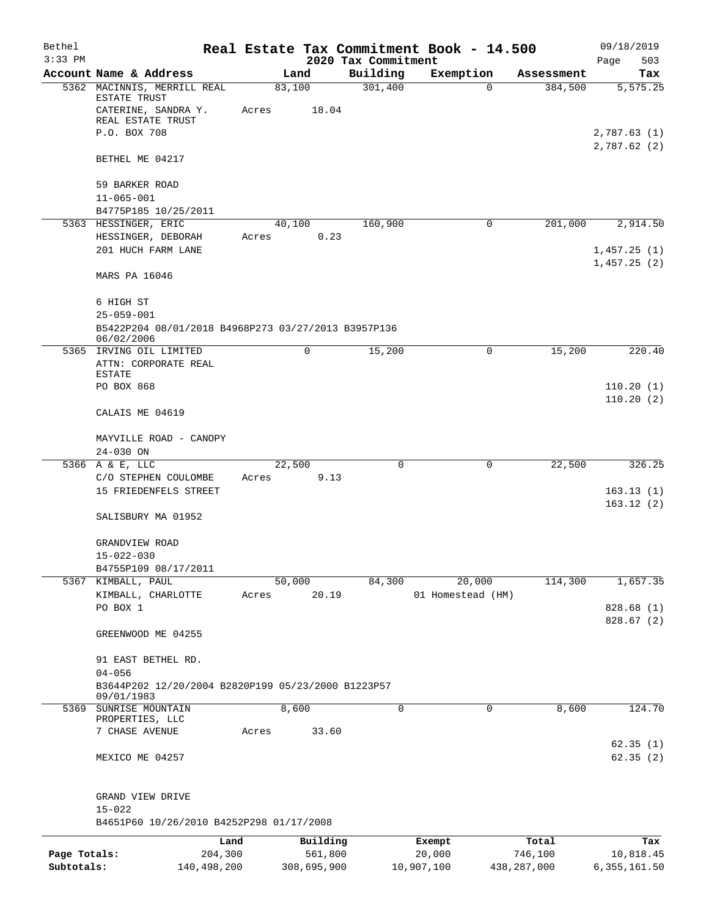| Bethel<br>$3:33$ PM |                                                                   |       |             | 2020 Tax Commitment | Real Estate Tax Commitment Book - 14.500 |               | 09/18/2019<br>Page<br>503  |
|---------------------|-------------------------------------------------------------------|-------|-------------|---------------------|------------------------------------------|---------------|----------------------------|
|                     | Account Name & Address                                            |       | Land        | Building            | Exemption                                | Assessment    | Tax                        |
|                     | 5362 MACINNIS, MERRILL REAL<br>ESTATE TRUST                       |       | 83,100      | 301,400             | $\Omega$                                 | 384,500       | 5, 575.25                  |
|                     | CATERINE, SANDRA Y.<br>REAL ESTATE TRUST                          | Acres | 18.04       |                     |                                          |               |                            |
|                     | P.O. BOX 708                                                      |       |             |                     |                                          |               | 2,787.63(1)<br>2,787.62(2) |
|                     | BETHEL ME 04217                                                   |       |             |                     |                                          |               |                            |
|                     | 59 BARKER ROAD<br>$11 - 065 - 001$                                |       |             |                     |                                          |               |                            |
|                     | B4775P185 10/25/2011                                              |       |             |                     |                                          |               |                            |
|                     | 5363 HESSINGER, ERIC                                              |       | 40,100      | 160,900             | $\mathsf{O}$                             | 201,000       | 2,914.50                   |
|                     | HESSINGER, DEBORAH<br>201 HUCH FARM LANE                          | Acres | 0.23        |                     |                                          |               | 1,457.25(1)<br>1,457.25(2) |
|                     | MARS PA 16046                                                     |       |             |                     |                                          |               |                            |
|                     | 6 HIGH ST                                                         |       |             |                     |                                          |               |                            |
|                     | $25 - 059 - 001$                                                  |       |             |                     |                                          |               |                            |
|                     | B5422P204 08/01/2018 B4968P273 03/27/2013 B3957P136<br>06/02/2006 |       |             |                     |                                          |               |                            |
| 5365                | IRVING OIL LIMITED                                                |       | 0           | 15,200              | $\mathbf 0$                              | 15,200        | 220.40                     |
|                     | ATTN: CORPORATE REAL                                              |       |             |                     |                                          |               |                            |
|                     | <b>ESTATE</b>                                                     |       |             |                     |                                          |               |                            |
|                     | PO BOX 868                                                        |       |             |                     |                                          |               | 110.20(1)                  |
|                     | CALAIS ME 04619                                                   |       |             |                     |                                          |               | 110.20(2)                  |
|                     | MAYVILLE ROAD - CANOPY<br>24-030 ON                               |       |             |                     |                                          |               |                            |
|                     | 5366 A & E, LLC                                                   |       | 22,500      | $\Omega$            | 0                                        | 22,500        | 326.25                     |
|                     | C/O STEPHEN COULOMBE                                              | Acres | 9.13        |                     |                                          |               |                            |
|                     | 15 FRIEDENFELS STREET                                             |       |             |                     |                                          |               | 163.13(1)                  |
|                     | SALISBURY MA 01952                                                |       |             |                     |                                          |               | 163.12(2)                  |
|                     | GRANDVIEW ROAD                                                    |       |             |                     |                                          |               |                            |
|                     | $15 - 022 - 030$                                                  |       |             |                     |                                          |               |                            |
|                     | B4755P109 08/17/2011                                              |       |             |                     |                                          |               |                            |
|                     | 5367 KIMBALL, PAUL                                                |       | 50,000      | 84,300              | 20,000                                   | 114,300       | 1,657.35                   |
|                     | KIMBALL, CHARLOTTE<br>PO BOX 1                                    | Acres | 20.19       |                     | 01 Homestead (HM)                        |               | 828.68 (1)                 |
|                     |                                                                   |       |             |                     |                                          |               | 828.67 (2)                 |
|                     | GREENWOOD ME 04255                                                |       |             |                     |                                          |               |                            |
|                     | 91 EAST BETHEL RD.<br>$04 - 056$                                  |       |             |                     |                                          |               |                            |
|                     | B3644P202 12/20/2004 B2820P199 05/23/2000 B1223P57<br>09/01/1983  |       |             |                     |                                          |               |                            |
|                     | 5369 SUNRISE MOUNTAIN                                             |       | 8,600       | $\mathbf 0$         | $\mathbf 0$                              | 8,600         | 124.70                     |
|                     | PROPERTIES, LLC                                                   |       |             |                     |                                          |               |                            |
|                     | 7 CHASE AVENUE                                                    | Acres | 33.60       |                     |                                          |               |                            |
|                     | MEXICO ME 04257                                                   |       |             |                     |                                          |               | 62.35(1)<br>62.35(2)       |
|                     | GRAND VIEW DRIVE<br>$15 - 022$                                    |       |             |                     |                                          |               |                            |
|                     | B4651P60 10/26/2010 B4252P298 01/17/2008                          |       |             |                     |                                          |               |                            |
|                     | Land                                                              |       | Building    |                     | Exempt                                   | Total         | Tax                        |
| Page Totals:        | 204,300                                                           |       | 561,800     |                     | 20,000                                   | 746,100       | 10,818.45                  |
| Subtotals:          | 140,498,200                                                       |       | 308,695,900 |                     | 10,907,100                               | 438, 287, 000 | 6, 355, 161.50             |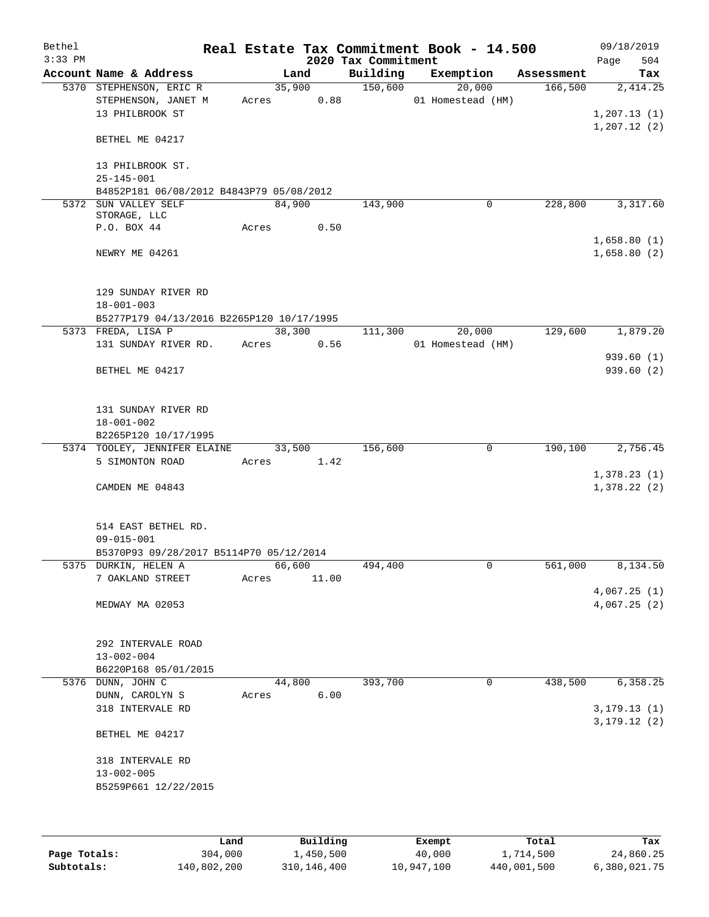| Bethel<br>$3:33$ PM |                                           |       |        |       | 2020 Tax Commitment | Real Estate Tax Commitment Book - 14.500 |            | 09/18/2019<br>504 |
|---------------------|-------------------------------------------|-------|--------|-------|---------------------|------------------------------------------|------------|-------------------|
|                     | Account Name & Address                    |       | Land   |       | Building            | Exemption                                | Assessment | Page<br>Tax       |
|                     | 5370 STEPHENSON, ERIC R                   |       | 35,900 |       | 150,600             | 20,000                                   | 166,500    | 2,414.25          |
|                     | STEPHENSON, JANET M                       |       | Acres  | 0.88  |                     | 01 Homestead (HM)                        |            |                   |
|                     | 13 PHILBROOK ST                           |       |        |       |                     |                                          |            | 1,207.13(1)       |
|                     |                                           |       |        |       |                     |                                          |            | 1, 207.12(2)      |
|                     | BETHEL ME 04217                           |       |        |       |                     |                                          |            |                   |
|                     | 13 PHILBROOK ST.                          |       |        |       |                     |                                          |            |                   |
|                     | $25 - 145 - 001$                          |       |        |       |                     |                                          |            |                   |
|                     | B4852P181 06/08/2012 B4843P79 05/08/2012  |       |        |       |                     |                                          |            |                   |
|                     | 5372 SUN VALLEY SELF                      |       | 84,900 |       | 143,900             | 0                                        | 228,800    | 3,317.60          |
|                     | STORAGE, LLC                              |       |        |       |                     |                                          |            |                   |
|                     | P.O. BOX 44                               |       | Acres  | 0.50  |                     |                                          |            |                   |
|                     |                                           |       |        |       |                     |                                          |            | 1,658.80(1)       |
|                     | NEWRY ME 04261                            |       |        |       |                     |                                          |            | 1,658.80(2)       |
|                     |                                           |       |        |       |                     |                                          |            |                   |
|                     | 129 SUNDAY RIVER RD                       |       |        |       |                     |                                          |            |                   |
|                     | $18 - 001 - 003$                          |       |        |       |                     |                                          |            |                   |
|                     | B5277P179 04/13/2016 B2265P120 10/17/1995 |       |        |       |                     |                                          |            |                   |
|                     | 5373 FREDA, LISA P                        |       | 38,300 |       | 111,300             | 20,000                                   | 129,600    | 1,879.20          |
|                     | 131 SUNDAY RIVER RD.                      |       | Acres  | 0.56  |                     | 01 Homestead (HM)                        |            |                   |
|                     |                                           |       |        |       |                     |                                          |            | 939.60(1)         |
|                     | BETHEL ME 04217                           |       |        |       |                     |                                          |            | 939.60(2)         |
|                     | 131 SUNDAY RIVER RD                       |       |        |       |                     |                                          |            |                   |
|                     | $18 - 001 - 002$                          |       |        |       |                     |                                          |            |                   |
|                     | B2265P120 10/17/1995                      |       |        |       |                     |                                          |            |                   |
|                     | 5374 TOOLEY, JENNIFER ELAINE              |       | 33,500 |       | 156,600             | $\mathbf 0$                              | 190,100    | 2,756.45          |
|                     | 5 SIMONTON ROAD                           |       | Acres  | 1.42  |                     |                                          |            |                   |
|                     |                                           |       |        |       |                     |                                          |            | 1,378.23(1)       |
|                     | CAMDEN ME 04843                           |       |        |       |                     |                                          |            | 1,378.22(2)       |
|                     |                                           |       |        |       |                     |                                          |            |                   |
|                     | 514 EAST BETHEL RD.                       |       |        |       |                     |                                          |            |                   |
|                     | $09 - 015 - 001$                          |       |        |       |                     |                                          |            |                   |
|                     | B5370P93 09/28/2017 B5114P70 05/12/2014   |       |        |       |                     |                                          |            |                   |
|                     | 5375 DURKIN, HELEN A                      |       | 66,600 |       | 494,400             | 0                                        | 561,000    | 8,134.50          |
|                     | 7 OAKLAND STREET                          | Acres |        | 11.00 |                     |                                          |            |                   |
|                     |                                           |       |        |       |                     |                                          |            | 4,067.25(1)       |
|                     | MEDWAY MA 02053                           |       |        |       |                     |                                          |            | 4,067.25(2)       |
|                     | 292 INTERVALE ROAD                        |       |        |       |                     |                                          |            |                   |
|                     | $13 - 002 - 004$                          |       |        |       |                     |                                          |            |                   |
|                     | B6220P168 05/01/2015                      |       |        |       |                     |                                          |            |                   |
|                     | 5376 DUNN, JOHN C                         |       | 44,800 |       | 393,700             | 0                                        | 438,500    | 6,358.25          |
|                     | DUNN, CAROLYN S                           | Acres |        | 6.00  |                     |                                          |            |                   |
|                     | 318 INTERVALE RD                          |       |        |       |                     |                                          |            |                   |
|                     |                                           |       |        |       |                     |                                          |            | 3, 179.13(1)      |
|                     | BETHEL ME 04217                           |       |        |       |                     |                                          |            | 3, 179.12(2)      |
|                     | 318 INTERVALE RD                          |       |        |       |                     |                                          |            |                   |
|                     | $13 - 002 - 005$                          |       |        |       |                     |                                          |            |                   |
|                     | B5259P661 12/22/2015                      |       |        |       |                     |                                          |            |                   |
|                     |                                           |       |        |       |                     |                                          |            |                   |
|                     |                                           |       |        |       |                     |                                          |            |                   |
|                     |                                           |       |        |       |                     |                                          |            |                   |

|              | Land        | Building    | Exempt     | Total       | Tax          |
|--------------|-------------|-------------|------------|-------------|--------------|
| Page Totals: | 304,000     | 1,450,500   | 40,000     | 1,714,500   | 24,860.25    |
| Subtotals:   | 140,802,200 | 310,146,400 | 10,947,100 | 440,001,500 | 6,380,021.75 |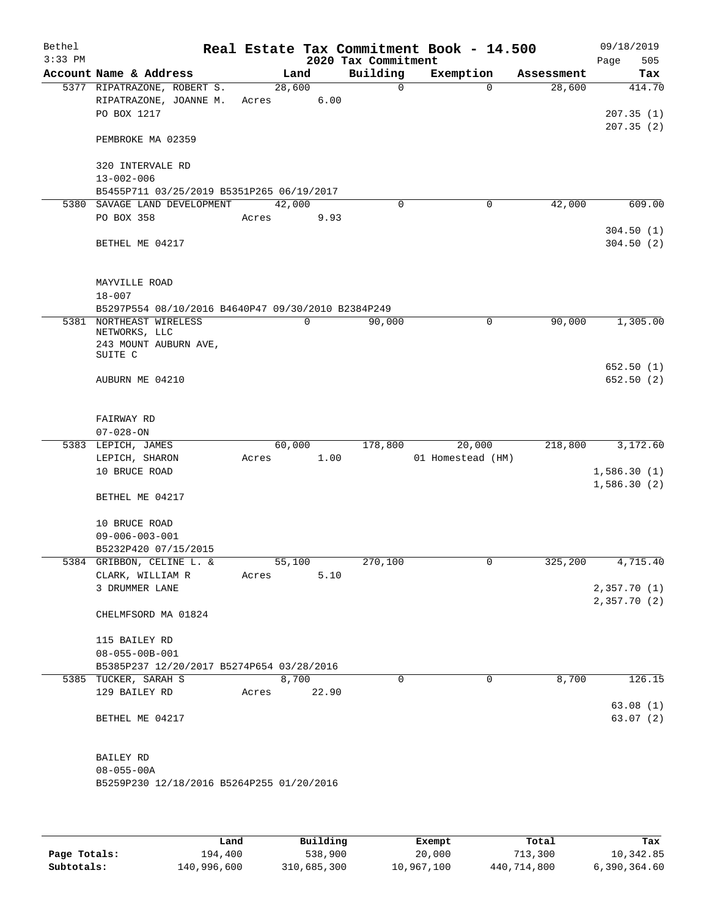| Bethel<br>$3:33$ PM |                                                                   |       |        | 2020 Tax Commitment | Real Estate Tax Commitment Book - 14.500 |            | 09/18/2019<br>505 |
|---------------------|-------------------------------------------------------------------|-------|--------|---------------------|------------------------------------------|------------|-------------------|
|                     | Account Name & Address                                            |       | Land   | Building            | Exemption                                | Assessment | Page<br>Tax       |
|                     | 5377 RIPATRAZONE, ROBERT S.                                       |       | 28,600 | $\mathbf 0$         | $\Omega$                                 | 28,600     | 414.70            |
|                     | RIPATRAZONE, JOANNE M.                                            | Acres | 6.00   |                     |                                          |            |                   |
|                     | PO BOX 1217                                                       |       |        |                     |                                          |            | 207.35(1)         |
|                     |                                                                   |       |        |                     |                                          |            | 207.35(2)         |
|                     | PEMBROKE MA 02359                                                 |       |        |                     |                                          |            |                   |
|                     |                                                                   |       |        |                     |                                          |            |                   |
|                     | 320 INTERVALE RD                                                  |       |        |                     |                                          |            |                   |
|                     | $13 - 002 - 006$                                                  |       |        |                     |                                          |            |                   |
|                     | B5455P711 03/25/2019 B5351P265 06/19/2017                         |       |        |                     |                                          |            |                   |
|                     | 5380 SAVAGE LAND DEVELOPMENT                                      |       | 42,000 | 0                   | 0                                        | 42,000     | 609.00            |
|                     | PO BOX 358                                                        | Acres | 9.93   |                     |                                          |            | 304.50(1)         |
|                     | BETHEL ME 04217                                                   |       |        |                     |                                          |            | 304.50(2)         |
|                     |                                                                   |       |        |                     |                                          |            |                   |
|                     |                                                                   |       |        |                     |                                          |            |                   |
|                     | MAYVILLE ROAD                                                     |       |        |                     |                                          |            |                   |
|                     | $18 - 007$                                                        |       |        |                     |                                          |            |                   |
|                     | B5297P554 08/10/2016 B4640P47 09/30/2010 B2384P249                |       |        |                     |                                          |            |                   |
|                     | 5381 NORTHEAST WIRELESS                                           |       | 0      | 90,000              | 0                                        | 90,000     | 1,305.00          |
|                     | NETWORKS, LLC                                                     |       |        |                     |                                          |            |                   |
|                     | 243 MOUNT AUBURN AVE,<br>SUITE C                                  |       |        |                     |                                          |            |                   |
|                     |                                                                   |       |        |                     |                                          |            | 652.50(1)         |
|                     | AUBURN ME 04210                                                   |       |        |                     |                                          |            | 652.50(2)         |
|                     |                                                                   |       |        |                     |                                          |            |                   |
|                     |                                                                   |       |        |                     |                                          |            |                   |
|                     | FAIRWAY RD                                                        |       |        |                     |                                          |            |                   |
|                     | $07 - 028 - ON$                                                   |       |        |                     |                                          |            |                   |
|                     | 5383 LEPICH, JAMES                                                |       | 60,000 | 178,800             | 20,000                                   | 218,800    | 3,172.60          |
|                     | LEPICH, SHARON                                                    | Acres | 1.00   |                     | 01 Homestead (HM)                        |            |                   |
|                     | 10 BRUCE ROAD                                                     |       |        |                     |                                          |            | 1,586.30(1)       |
|                     | BETHEL ME 04217                                                   |       |        |                     |                                          |            | 1,586.30(2)       |
|                     |                                                                   |       |        |                     |                                          |            |                   |
|                     | 10 BRUCE ROAD                                                     |       |        |                     |                                          |            |                   |
|                     | $09 - 006 - 003 - 001$                                            |       |        |                     |                                          |            |                   |
|                     | B5232P420 07/15/2015                                              |       |        |                     |                                          |            |                   |
|                     | 5384 GRIBBON, CELINE L. &                                         |       | 55,100 | 270,100             | $\cup$                                   | 325, 200   | 4,715.40          |
|                     | CLARK, WILLIAM R                                                  | Acres | 5.10   |                     |                                          |            |                   |
|                     | 3 DRUMMER LANE                                                    |       |        |                     |                                          |            | 2,357.70(1)       |
|                     |                                                                   |       |        |                     |                                          |            | 2,357.70(2)       |
|                     | CHELMFSORD MA 01824                                               |       |        |                     |                                          |            |                   |
|                     |                                                                   |       |        |                     |                                          |            |                   |
|                     | 115 BAILEY RD                                                     |       |        |                     |                                          |            |                   |
|                     | $08 - 055 - 00B - 001$                                            |       |        |                     |                                          |            |                   |
|                     | B5385P237 12/20/2017 B5274P654 03/28/2016<br>5385 TUCKER, SARAH S |       | 8,700  | $\Omega$            | $\Omega$                                 | 8,700      | 126.15            |
|                     | 129 BAILEY RD                                                     | Acres | 22.90  |                     |                                          |            |                   |
|                     |                                                                   |       |        |                     |                                          |            | 63.08(1)          |
|                     | BETHEL ME 04217                                                   |       |        |                     |                                          |            | 63.07(2)          |
|                     |                                                                   |       |        |                     |                                          |            |                   |
|                     |                                                                   |       |        |                     |                                          |            |                   |
|                     | BAILEY RD                                                         |       |        |                     |                                          |            |                   |
|                     | $08 - 055 - 00A$                                                  |       |        |                     |                                          |            |                   |
|                     | B5259P230 12/18/2016 B5264P255 01/20/2016                         |       |        |                     |                                          |            |                   |
|                     |                                                                   |       |        |                     |                                          |            |                   |
|                     |                                                                   |       |        |                     |                                          |            |                   |
|                     |                                                                   |       |        |                     |                                          |            |                   |

|              | Land        | Building    | Exempt     | Total       | Tax          |
|--------------|-------------|-------------|------------|-------------|--------------|
| Page Totals: | 194,400     | 538,900     | 20,000     | 713,300     | 10,342.85    |
| Subtotals:   | 140,996,600 | 310,685,300 | 10,967,100 | 440,714,800 | 6,390,364.60 |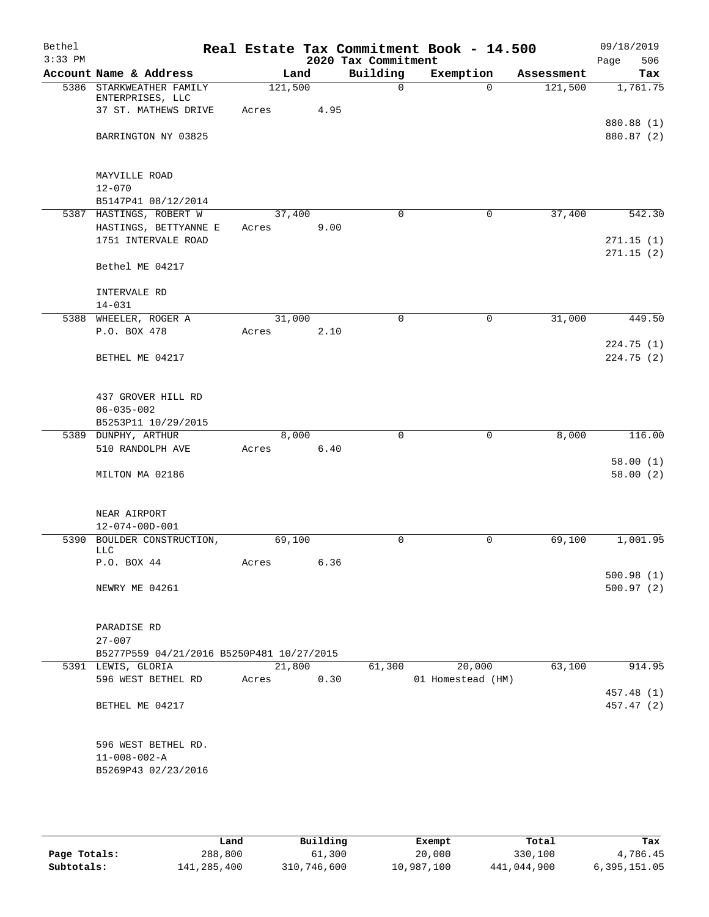| Bethel    |                                                                 |         |      |                     | Real Estate Tax Commitment Book - 14.500 |            | 09/18/2019               |
|-----------|-----------------------------------------------------------------|---------|------|---------------------|------------------------------------------|------------|--------------------------|
| $3:33$ PM |                                                                 |         |      | 2020 Tax Commitment |                                          |            | 506<br>Page              |
|           | Account Name & Address                                          | Land    |      | Building            | Exemption                                | Assessment | Tax                      |
|           | 5386 STARKWEATHER FAMILY<br>ENTERPRISES, LLC                    | 121,500 |      | $\mathbf 0$         | $\Omega$                                 | 121,500    | 1,761.75                 |
|           | 37 ST. MATHEWS DRIVE                                            | Acres   | 4.95 |                     |                                          |            |                          |
|           | BARRINGTON NY 03825                                             |         |      |                     |                                          |            | 880.88 (1)<br>880.87 (2) |
|           |                                                                 |         |      |                     |                                          |            |                          |
|           | MAYVILLE ROAD                                                   |         |      |                     |                                          |            |                          |
|           | $12 - 070$<br>B5147P41 08/12/2014                               |         |      |                     |                                          |            |                          |
|           | 5387 HASTINGS, ROBERT W                                         | 37,400  |      | $\Omega$            | $\mathbf 0$                              | 37,400     | 542.30                   |
|           | HASTINGS, BETTYANNE E                                           | Acres   | 9.00 |                     |                                          |            |                          |
|           | 1751 INTERVALE ROAD                                             |         |      |                     |                                          |            | 271.15(1)                |
|           | Bethel ME 04217                                                 |         |      |                     |                                          |            | 271.15(2)                |
|           | INTERVALE RD                                                    |         |      |                     |                                          |            |                          |
|           | $14 - 031$                                                      |         |      |                     |                                          |            |                          |
|           | 5388 WHEELER, ROGER A                                           | 31,000  |      | 0                   | $\mathbf 0$                              | 31,000     | 449.50                   |
|           | P.O. BOX 478                                                    | Acres   | 2.10 |                     |                                          |            |                          |
|           | BETHEL ME 04217                                                 |         |      |                     |                                          |            | 224.75(1)<br>224.75(2)   |
|           |                                                                 |         |      |                     |                                          |            |                          |
|           | 437 GROVER HILL RD                                              |         |      |                     |                                          |            |                          |
|           | $06 - 035 - 002$                                                |         |      |                     |                                          |            |                          |
|           | B5253P11 10/29/2015                                             |         |      |                     |                                          |            |                          |
|           | 5389 DUNPHY, ARTHUR                                             | 8,000   |      | $\Omega$            | $\Omega$                                 | 8,000      | 116.00                   |
|           | 510 RANDOLPH AVE                                                | Acres   | 6.40 |                     |                                          |            |                          |
|           | MILTON MA 02186                                                 |         |      |                     |                                          |            | 58.00(1)<br>58.00(2)     |
|           |                                                                 |         |      |                     |                                          |            |                          |
|           | NEAR AIRPORT                                                    |         |      |                     |                                          |            |                          |
|           | $12 - 074 - 00D - 001$                                          |         |      |                     |                                          |            |                          |
|           | 5390 BOULDER CONSTRUCTION,                                      | 69,100  |      | $\mathbf 0$         | $\mathbf 0$                              | 69,100     | 1,001.95                 |
|           | LLC<br>P.O. BOX 44                                              | Acres   | 6.36 |                     |                                          |            |                          |
|           |                                                                 |         |      |                     |                                          |            | 500.98(1)                |
|           | NEWRY ME 04261                                                  |         |      |                     |                                          |            | 500.97(2)                |
|           |                                                                 |         |      |                     |                                          |            |                          |
|           | PARADISE RD                                                     |         |      |                     |                                          |            |                          |
|           | $27 - 007$                                                      |         |      |                     |                                          |            |                          |
|           | B5277P559 04/21/2016 B5250P481 10/27/2015<br>5391 LEWIS, GLORIA | 21,800  |      | 61,300              | 20,000                                   | 63,100     | 914.95                   |
|           | 596 WEST BETHEL RD                                              | Acres   | 0.30 |                     | 01 Homestead (HM)                        |            |                          |
|           |                                                                 |         |      |                     |                                          |            | 457.48 (1)               |
|           | BETHEL ME 04217                                                 |         |      |                     |                                          |            | 457.47 (2)               |
|           |                                                                 |         |      |                     |                                          |            |                          |
|           | 596 WEST BETHEL RD.                                             |         |      |                     |                                          |            |                          |
|           | $11 - 008 - 002 - A$                                            |         |      |                     |                                          |            |                          |
|           | B5269P43 02/23/2016                                             |         |      |                     |                                          |            |                          |
|           |                                                                 |         |      |                     |                                          |            |                          |

|              | Land        | Building    | Exempt     | Total       | Tax          |
|--------------|-------------|-------------|------------|-------------|--------------|
| Page Totals: | 288,800     | 61,300      | 20,000     | 330,100     | 4,786.45     |
| Subtotals:   | 141,285,400 | 310,746,600 | 10,987,100 | 441,044,900 | 6,395,151.05 |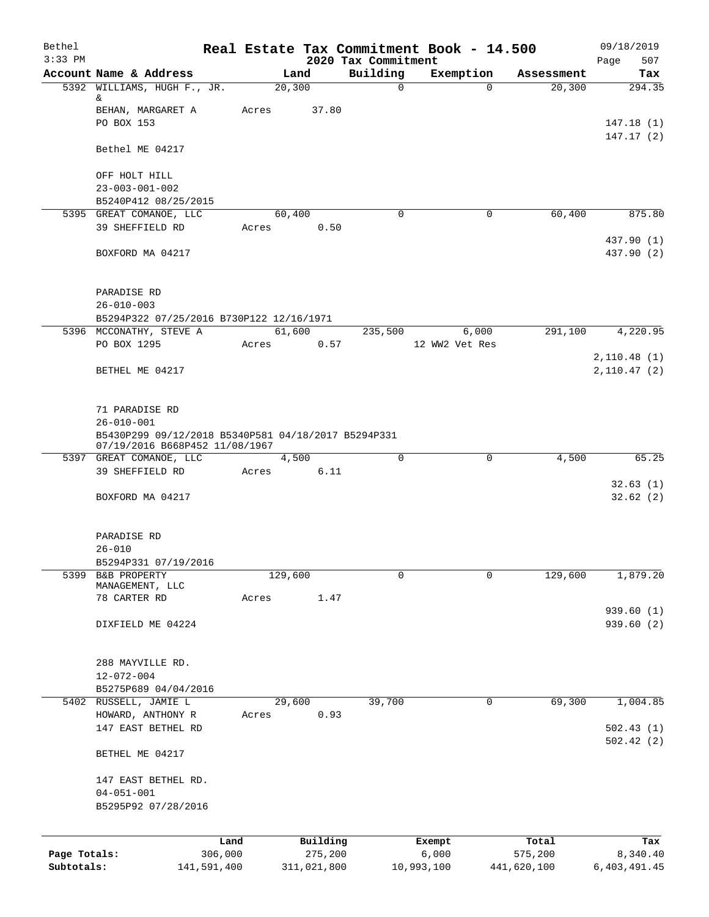| Bethel       |                                                     |         |                     |                                 | Real Estate Tax Commitment Book - 14.500 |                  | 09/18/2019               |
|--------------|-----------------------------------------------------|---------|---------------------|---------------------------------|------------------------------------------|------------------|--------------------------|
| $3:33$ PM    | Account Name & Address                              |         | Land                | 2020 Tax Commitment<br>Building | Exemption                                | Assessment       | 507<br>Page<br>Tax       |
|              | 5392 WILLIAMS, HUGH F., JR.                         |         | 20, 300             | $\mathbf 0$                     | $\Omega$                                 | 20,300           | 294.35                   |
|              | &                                                   |         |                     |                                 |                                          |                  |                          |
|              | BEHAN, MARGARET A<br>PO BOX 153                     | Acres   | 37.80               |                                 |                                          |                  |                          |
|              |                                                     |         |                     |                                 |                                          |                  | 147.18(1)<br>147.17(2)   |
|              | Bethel ME 04217                                     |         |                     |                                 |                                          |                  |                          |
|              | OFF HOLT HILL                                       |         |                     |                                 |                                          |                  |                          |
|              | $23 - 003 - 001 - 002$                              |         |                     |                                 |                                          |                  |                          |
|              | B5240P412 08/25/2015                                |         |                     |                                 |                                          |                  |                          |
|              | 5395 GREAT COMANOE, LLC                             |         | 60,400              | $\mathbf 0$                     | $\mathbf 0$                              | 60,400           | 875.80                   |
|              | 39 SHEFFIELD RD                                     | Acres   | 0.50                |                                 |                                          |                  |                          |
|              | BOXFORD MA 04217                                    |         |                     |                                 |                                          |                  | 437.90 (1)<br>437.90 (2) |
|              |                                                     |         |                     |                                 |                                          |                  |                          |
|              | PARADISE RD<br>$26 - 010 - 003$                     |         |                     |                                 |                                          |                  |                          |
|              | B5294P322 07/25/2016 B730P122 12/16/1971            |         |                     |                                 |                                          |                  |                          |
|              | 5396 MCCONATHY, STEVE A                             |         | 61,600              | 235,500                         | 6,000                                    | 291,100          | 4,220.95                 |
|              | PO BOX 1295                                         | Acres   | 0.57                |                                 | 12 WW2 Vet Res                           |                  |                          |
|              |                                                     |         |                     |                                 |                                          |                  | 2,110.48(1)              |
|              | BETHEL ME 04217                                     |         |                     |                                 |                                          |                  | 2,110.47(2)              |
|              |                                                     |         |                     |                                 |                                          |                  |                          |
|              | 71 PARADISE RD<br>$26 - 010 - 001$                  |         |                     |                                 |                                          |                  |                          |
|              | B5430P299 09/12/2018 B5340P581 04/18/2017 B5294P331 |         |                     |                                 |                                          |                  |                          |
|              | 07/19/2016 B668P452 11/08/1967                      |         |                     |                                 |                                          |                  |                          |
|              | 5397 GREAT COMANOE, LLC                             |         | 4,500               | $\mathbf 0$                     | $\mathbf 0$                              | 4,500            | 65.25                    |
|              | 39 SHEFFIELD RD                                     | Acres   | 6.11                |                                 |                                          |                  |                          |
|              | BOXFORD MA 04217                                    |         |                     |                                 |                                          |                  | 32.63(1)<br>32.62(2)     |
|              |                                                     |         |                     |                                 |                                          |                  |                          |
|              | PARADISE RD                                         |         |                     |                                 |                                          |                  |                          |
|              | $26 - 010$                                          |         |                     |                                 |                                          |                  |                          |
|              | B5294P331 07/19/2016                                |         |                     |                                 |                                          |                  |                          |
| 5399         | B&B PROPERTY<br>MANAGEMENT, LLC                     | 129,600 |                     | 0                               | $\mathbf 0$                              | 129,600          | 1,879.20                 |
|              | 78 CARTER RD                                        | Acres   | 1.47                |                                 |                                          |                  |                          |
|              |                                                     |         |                     |                                 |                                          |                  | 939.60 (1)               |
|              | DIXFIELD ME 04224                                   |         |                     |                                 |                                          |                  | 939.60 (2)               |
|              |                                                     |         |                     |                                 |                                          |                  |                          |
|              | 288 MAYVILLE RD.<br>$12 - 072 - 004$                |         |                     |                                 |                                          |                  |                          |
|              | B5275P689 04/04/2016                                |         |                     |                                 |                                          |                  |                          |
|              | 5402 RUSSELL, JAMIE L                               |         | 29,600              | 39,700                          | 0                                        | 69,300           | 1,004.85                 |
|              | HOWARD, ANTHONY R                                   | Acres   | 0.93                |                                 |                                          |                  |                          |
|              | 147 EAST BETHEL RD                                  |         |                     |                                 |                                          |                  | 502.43(1)                |
|              | BETHEL ME 04217                                     |         |                     |                                 |                                          |                  | 502.42(2)                |
|              | 147 EAST BETHEL RD.                                 |         |                     |                                 |                                          |                  |                          |
|              | $04 - 051 - 001$                                    |         |                     |                                 |                                          |                  |                          |
|              | B5295P92 07/28/2016                                 |         |                     |                                 |                                          |                  |                          |
|              |                                                     |         |                     |                                 |                                          |                  |                          |
| Page Totals: | 306,000                                             | Land    | Building<br>275,200 |                                 | Exempt<br>6,000                          | Total<br>575,200 | Tax<br>8,340.40          |
| Subtotals:   | 141,591,400                                         |         | 311,021,800         |                                 | 10,993,100                               | 441,620,100      | 6,403,491.45             |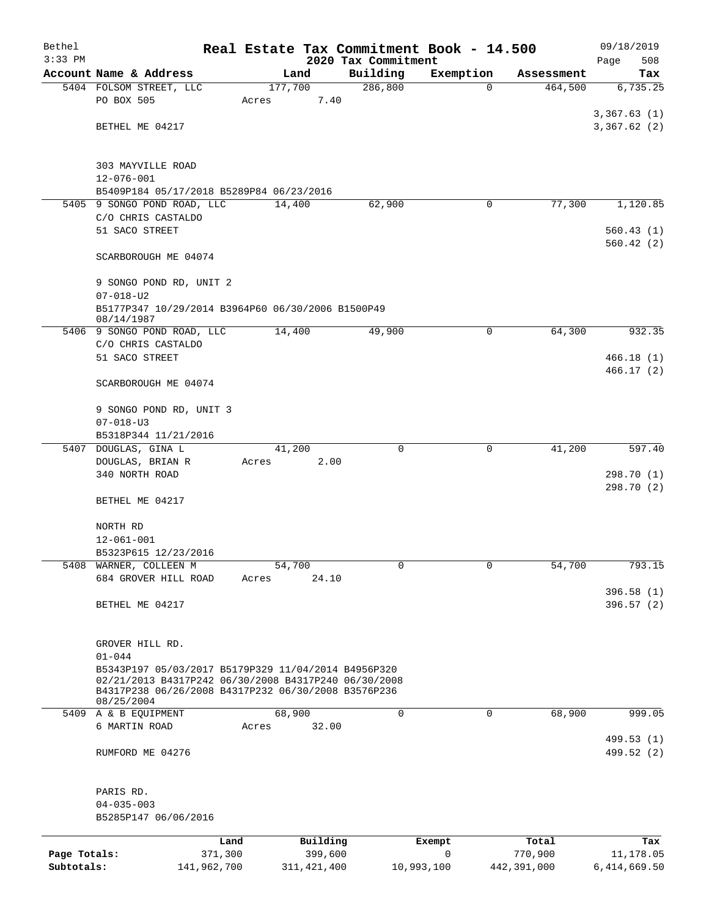| Bethel       |                                                                                                             |                  |                 |                     | Real Estate Tax Commitment Book - 14.500 |             | 09/18/2019               |
|--------------|-------------------------------------------------------------------------------------------------------------|------------------|-----------------|---------------------|------------------------------------------|-------------|--------------------------|
| $3:33$ PM    |                                                                                                             |                  |                 | 2020 Tax Commitment |                                          |             | 508<br>Page              |
|              | Account Name & Address                                                                                      |                  | Land            | Building            | Exemption                                | Assessment  | Tax                      |
|              | 5404 FOLSOM STREET, LLC<br>PO BOX 505                                                                       | 177,700<br>Acres | 7.40            | 286, 800            | $\Omega$                                 | 464,500     | 6,735.25                 |
|              |                                                                                                             |                  |                 |                     |                                          |             | 3,367.63(1)              |
|              | BETHEL ME 04217                                                                                             |                  |                 |                     |                                          |             | 3,367.62(2)              |
|              |                                                                                                             |                  |                 |                     |                                          |             |                          |
|              | 303 MAYVILLE ROAD                                                                                           |                  |                 |                     |                                          |             |                          |
|              | $12 - 076 - 001$                                                                                            |                  |                 |                     |                                          |             |                          |
|              | B5409P184 05/17/2018 B5289P84 06/23/2016                                                                    |                  |                 |                     |                                          |             |                          |
|              | 5405 9 SONGO POND ROAD, LLC                                                                                 | 14,400           |                 | 62,900              | 0                                        | 77,300      | 1,120.85                 |
|              | C/O CHRIS CASTALDO                                                                                          |                  |                 |                     |                                          |             |                          |
|              | 51 SACO STREET                                                                                              |                  |                 |                     |                                          |             | 560.43(1)<br>560.42(2)   |
|              | SCARBOROUGH ME 04074                                                                                        |                  |                 |                     |                                          |             |                          |
|              | 9 SONGO POND RD, UNIT 2                                                                                     |                  |                 |                     |                                          |             |                          |
|              | $07 - 018 - U2$                                                                                             |                  |                 |                     |                                          |             |                          |
|              | B5177P347 10/29/2014 B3964P60 06/30/2006 B1500P49<br>08/14/1987                                             |                  |                 |                     |                                          |             |                          |
|              | 5406 9 SONGO POND ROAD, LLC                                                                                 | 14,400           |                 | 49,900              | 0                                        | 64,300      | 932.35                   |
|              | C/O CHRIS CASTALDO                                                                                          |                  |                 |                     |                                          |             |                          |
|              | 51 SACO STREET                                                                                              |                  |                 |                     |                                          |             | 466.18(1)                |
|              | SCARBOROUGH ME 04074                                                                                        |                  |                 |                     |                                          |             | 466.17(2)                |
|              | 9 SONGO POND RD, UNIT 3                                                                                     |                  |                 |                     |                                          |             |                          |
|              | $07 - 018 - U3$                                                                                             |                  |                 |                     |                                          |             |                          |
|              | B5318P344 11/21/2016                                                                                        |                  |                 |                     |                                          |             |                          |
|              | 5407 DOUGLAS, GINA L                                                                                        |                  | 41,200          | 0                   | 0                                        | 41,200      | 597.40                   |
|              | DOUGLAS, BRIAN R                                                                                            | Acres            | 2.00            |                     |                                          |             |                          |
|              | 340 NORTH ROAD                                                                                              |                  |                 |                     |                                          |             | 298.70 (1)<br>298.70 (2) |
|              | BETHEL ME 04217                                                                                             |                  |                 |                     |                                          |             |                          |
|              | NORTH RD                                                                                                    |                  |                 |                     |                                          |             |                          |
|              | $12 - 061 - 001$                                                                                            |                  |                 |                     |                                          |             |                          |
|              | B5323P615 12/23/2016                                                                                        |                  |                 |                     |                                          |             |                          |
|              | 5408 WARNER, COLLEEN M<br>684 GROVER HILL ROAD                                                              | Acres            | 54,700<br>24.10 | 0                   | $\mathbf{0}$                             | 54,700      | 793.15                   |
|              |                                                                                                             |                  |                 |                     |                                          |             | 396.58(1)                |
|              | BETHEL ME 04217                                                                                             |                  |                 |                     |                                          |             | 396.57(2)                |
|              |                                                                                                             |                  |                 |                     |                                          |             |                          |
|              | GROVER HILL RD.                                                                                             |                  |                 |                     |                                          |             |                          |
|              | $01 - 044$                                                                                                  |                  |                 |                     |                                          |             |                          |
|              | B5343P197 05/03/2017 B5179P329 11/04/2014 B4956P320                                                         |                  |                 |                     |                                          |             |                          |
|              | 02/21/2013 B4317P242 06/30/2008 B4317P240 06/30/2008<br>B4317P238 06/26/2008 B4317P232 06/30/2008 B3576P236 |                  |                 |                     |                                          |             |                          |
|              | 08/25/2004                                                                                                  |                  |                 |                     |                                          |             |                          |
|              | 5409 A & B EQUIPMENT                                                                                        |                  | 68,900          | 0                   | 0                                        | 68,900      | 999.05                   |
|              | 6 MARTIN ROAD                                                                                               | Acres            | 32.00           |                     |                                          |             |                          |
|              |                                                                                                             |                  |                 |                     |                                          |             | 499.53 (1)               |
|              | RUMFORD ME 04276                                                                                            |                  |                 |                     |                                          |             | 499.52 (2)               |
|              | PARIS RD.                                                                                                   |                  |                 |                     |                                          |             |                          |
|              | $04 - 035 - 003$                                                                                            |                  |                 |                     |                                          |             |                          |
|              | B5285P147 06/06/2016                                                                                        |                  |                 |                     |                                          |             |                          |
|              | Land                                                                                                        |                  | Building        |                     | Exempt                                   | Total       | Tax                      |
| Page Totals: | 371,300                                                                                                     |                  | 399,600         |                     | 0                                        | 770,900     | 11,178.05                |
| Subtotals:   | 141,962,700                                                                                                 |                  | 311, 421, 400   |                     | 10,993,100                               | 442,391,000 | 6,414,669.50             |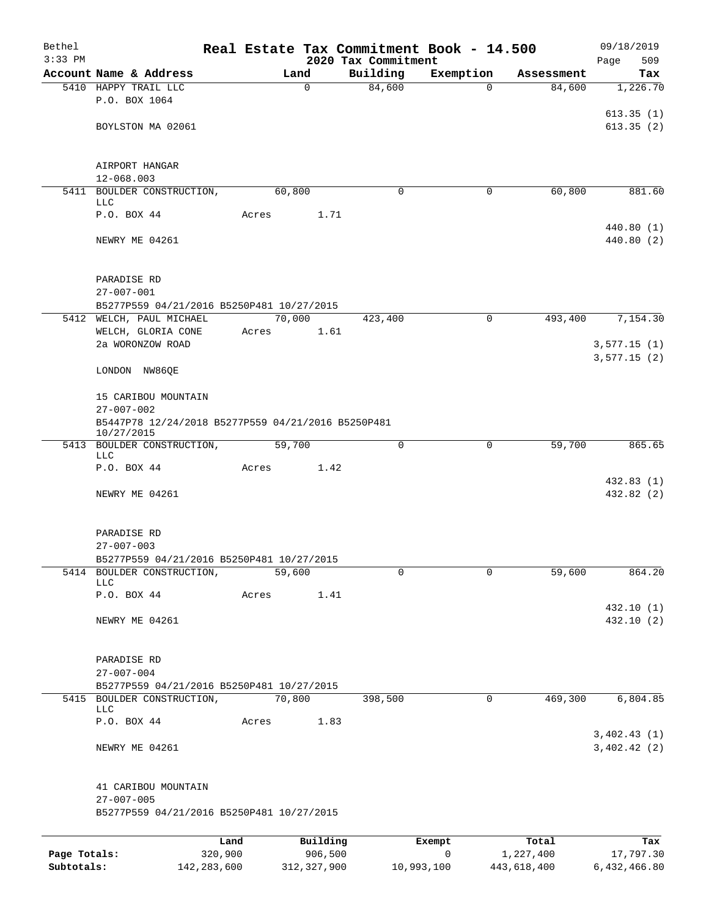| Bethel       |                                                                  |               |                |                                 | Real Estate Tax Commitment Book - 14.500 |             | 09/18/2019                 |
|--------------|------------------------------------------------------------------|---------------|----------------|---------------------------------|------------------------------------------|-------------|----------------------------|
| $3:33$ PM    | Account Name & Address                                           |               | Land           | 2020 Tax Commitment<br>Building | Exemption                                | Assessment  | Page<br>509<br>Tax         |
|              | 5410 HAPPY TRAIL LLC                                             |               | $\mathbf 0$    | 84,600                          | $\Omega$                                 | 84,600      | 1,226.70                   |
|              | P.O. BOX 1064                                                    |               |                |                                 |                                          |             |                            |
|              | BOYLSTON MA 02061                                                |               |                |                                 |                                          |             | 613.35(1)<br>613.35(2)     |
|              |                                                                  |               |                |                                 |                                          |             |                            |
|              | AIRPORT HANGAR                                                   |               |                |                                 |                                          |             |                            |
|              | 12-068.003                                                       |               |                |                                 |                                          |             |                            |
|              | 5411 BOULDER CONSTRUCTION,<br>LLC                                |               | 60,800         | $\mathbf 0$                     | 0                                        | 60,800      | 881.60                     |
|              | P.O. BOX 44                                                      | Acres         | 1.71           |                                 |                                          |             |                            |
|              | NEWRY ME 04261                                                   |               |                |                                 |                                          |             | 440.80 (1)<br>440.80 (2)   |
|              | PARADISE RD                                                      |               |                |                                 |                                          |             |                            |
|              | $27 - 007 - 001$                                                 |               |                |                                 |                                          |             |                            |
|              | B5277P559 04/21/2016 B5250P481 10/27/2015                        |               |                |                                 |                                          |             |                            |
|              | 5412 WELCH, PAUL MICHAEL<br>WELCH, GLORIA CONE                   | Acres         | 70,000<br>1.61 | 423,400                         | 0                                        | 493,400     | 7,154.30                   |
|              | 2a WORONZOW ROAD                                                 |               |                |                                 |                                          |             | 3,577.15(1)                |
|              | LONDON NW86QE                                                    |               |                |                                 |                                          |             | 3,577.15(2)                |
|              | 15 CARIBOU MOUNTAIN<br>$27 - 007 - 002$                          |               |                |                                 |                                          |             |                            |
|              | B5447P78 12/24/2018 B5277P559 04/21/2016 B5250P481<br>10/27/2015 |               |                |                                 |                                          |             |                            |
|              | 5413 BOULDER CONSTRUCTION,<br>LLC                                |               | 59,700         | 0                               | 0                                        | 59,700      | 865.65                     |
|              | P.O. BOX 44                                                      | Acres         | 1.42           |                                 |                                          |             |                            |
|              | NEWRY ME 04261                                                   |               |                |                                 |                                          |             | 432.83 (1)<br>432.82 (2)   |
|              |                                                                  |               |                |                                 |                                          |             |                            |
|              | PARADISE RD                                                      |               |                |                                 |                                          |             |                            |
|              | $27 - 007 - 003$<br>B5277P559 04/21/2016 B5250P481 10/27/2015    |               |                |                                 |                                          |             |                            |
|              | 5414 BOULDER CONSTRUCTION,                                       |               | 59,600         | $\mathbf 0$                     | 0                                        | 59,600      | 864.20                     |
|              | <b>LLC</b>                                                       |               |                |                                 |                                          |             |                            |
|              | P.O. BOX 44                                                      | Acres         | 1.41           |                                 |                                          |             | 432.10 (1)                 |
|              | NEWRY ME 04261                                                   |               |                |                                 |                                          |             | 432.10 (2)                 |
|              | PARADISE RD                                                      |               |                |                                 |                                          |             |                            |
|              | $27 - 007 - 004$<br>B5277P559 04/21/2016 B5250P481 10/27/2015    |               |                |                                 |                                          |             |                            |
|              | 5415 BOULDER CONSTRUCTION,<br><b>LLC</b>                         |               | 70,800         | 398,500                         | 0                                        | 469,300     | 6,804.85                   |
|              | P.O. BOX 44                                                      | Acres         | 1.83           |                                 |                                          |             |                            |
|              | NEWRY ME 04261                                                   |               |                |                                 |                                          |             | 3,402.43(1)<br>3,402.42(2) |
|              | 41 CARIBOU MOUNTAIN                                              |               |                |                                 |                                          |             |                            |
|              | $27 - 007 - 005$                                                 |               |                |                                 |                                          |             |                            |
|              | B5277P559 04/21/2016 B5250P481 10/27/2015                        |               |                |                                 |                                          |             |                            |
|              |                                                                  | Land          | Building       |                                 | Exempt                                   | Total       | Tax                        |
| Page Totals: |                                                                  | 320,900       | 906,500        |                                 | 0                                        | 1,227,400   | 17,797.30                  |
| Subtotals:   |                                                                  | 142, 283, 600 | 312, 327, 900  | 10,993,100                      |                                          | 443,618,400 | 6,432,466.80               |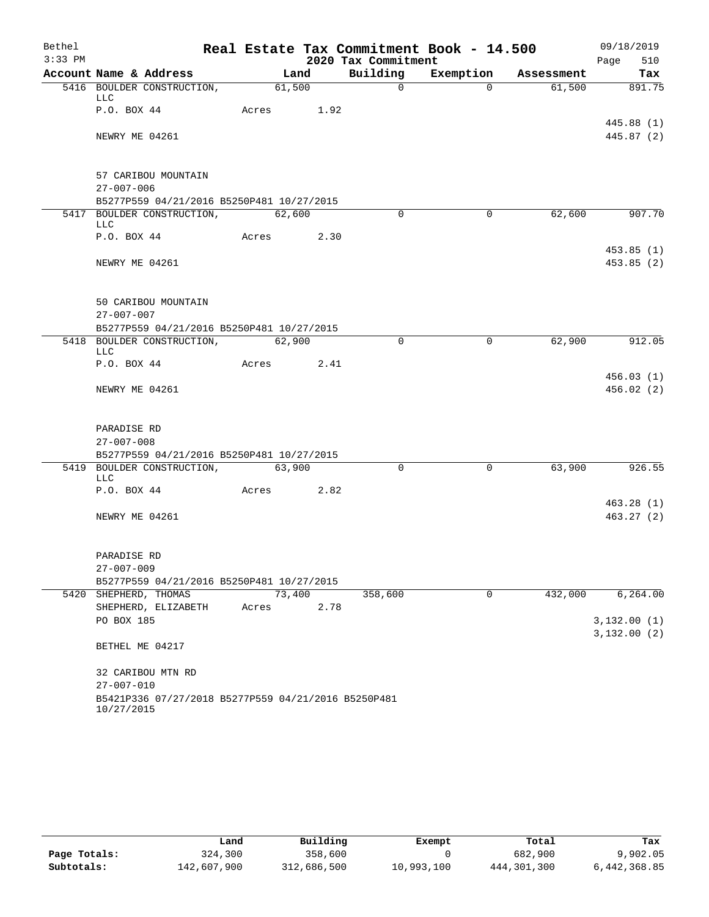| Bethel    |                                                                   |       |            |      |                     | Real Estate Tax Commitment Book - 14.500 |            | 09/18/2019                 |
|-----------|-------------------------------------------------------------------|-------|------------|------|---------------------|------------------------------------------|------------|----------------------------|
| $3:33$ PM |                                                                   |       |            |      | 2020 Tax Commitment |                                          |            | Page<br>510                |
|           | Account Name & Address                                            |       | Land       |      | Building            | Exemption                                | Assessment | Tax                        |
|           | 5416 BOULDER CONSTRUCTION,<br><b>LLC</b>                          |       | 61,500     |      | $\Omega$            | $\Omega$                                 | 61,500     | 891.75                     |
|           | P.O. BOX 44                                                       |       | Acres 1.92 |      |                     |                                          |            | 445.88 (1)                 |
|           | NEWRY ME 04261                                                    |       |            |      |                     |                                          |            | 445.87 (2)                 |
|           | 57 CARIBOU MOUNTAIN                                               |       |            |      |                     |                                          |            |                            |
|           | $27 - 007 - 006$                                                  |       |            |      |                     |                                          |            |                            |
|           | B5277P559 04/21/2016 B5250P481 10/27/2015                         |       |            |      |                     |                                          |            |                            |
|           | 5417 BOULDER CONSTRUCTION,<br>LLC                                 |       | 62,600     |      | $\Omega$            | $\Omega$                                 | 62,600     | 907.70                     |
|           | P.O. BOX 44                                                       | Acres |            | 2.30 |                     |                                          |            | 453.85(1)                  |
|           | NEWRY ME 04261                                                    |       |            |      |                     |                                          |            | 453.85 (2)                 |
|           | 50 CARIBOU MOUNTAIN                                               |       |            |      |                     |                                          |            |                            |
|           | $27 - 007 - 007$                                                  |       |            |      |                     |                                          |            |                            |
|           | B5277P559 04/21/2016 B5250P481 10/27/2015                         |       |            |      |                     |                                          |            |                            |
|           | 5418 BOULDER CONSTRUCTION,<br><b>LLC</b>                          |       | 62,900     |      | $\Omega$            | $\mathbf 0$                              | 62,900     | 912.05                     |
|           | P.O. BOX 44                                                       | Acres |            | 2.41 |                     |                                          |            |                            |
|           | NEWRY ME 04261                                                    |       |            |      |                     |                                          |            | 456.03(1)<br>456.02(2)     |
|           | PARADISE RD                                                       |       |            |      |                     |                                          |            |                            |
|           | $27 - 007 - 008$                                                  |       |            |      |                     |                                          |            |                            |
|           | B5277P559 04/21/2016 B5250P481 10/27/2015                         |       |            |      |                     |                                          |            |                            |
|           | 5419 BOULDER CONSTRUCTION,<br><b>LLC</b>                          |       | 63,900     |      | $\Omega$            | $\mathbf 0$                              | 63,900     | 926.55                     |
|           | P.O. BOX 44                                                       | Acres |            | 2.82 |                     |                                          |            |                            |
|           |                                                                   |       |            |      |                     |                                          |            | 463.28(1)                  |
|           | NEWRY ME 04261                                                    |       |            |      |                     |                                          |            | 463.27(2)                  |
|           | PARADISE RD                                                       |       |            |      |                     |                                          |            |                            |
|           | $27 - 007 - 009$                                                  |       |            |      |                     |                                          |            |                            |
|           | B5277P559 04/21/2016 B5250P481 10/27/2015                         |       |            |      |                     |                                          |            |                            |
|           | 5420 SHEPHERD, THOMAS                                             |       | 73,400     |      | 358,600             | $\mathbf 0$                              | 432,000    | 6, 264.00                  |
|           | SHEPHERD, ELIZABETH                                               | Acres |            | 2.78 |                     |                                          |            |                            |
|           | PO BOX 185                                                        |       |            |      |                     |                                          |            | 3,132.00(1)<br>3,132.00(2) |
|           | BETHEL ME 04217                                                   |       |            |      |                     |                                          |            |                            |
|           | 32 CARIBOU MTN RD                                                 |       |            |      |                     |                                          |            |                            |
|           | $27 - 007 - 010$                                                  |       |            |      |                     |                                          |            |                            |
|           | B5421P336 07/27/2018 B5277P559 04/21/2016 B5250P481<br>10/27/2015 |       |            |      |                     |                                          |            |                            |

|              | Land        | Building    | Exempt     | Total       | Tax          |
|--------------|-------------|-------------|------------|-------------|--------------|
| Page Totals: | 324,300     | 358,600     |            | 682,900     | 9,902.05     |
| Subtotals:   | 142,607,900 | 312,686,500 | 10,993,100 | 444,301,300 | 6,442,368.85 |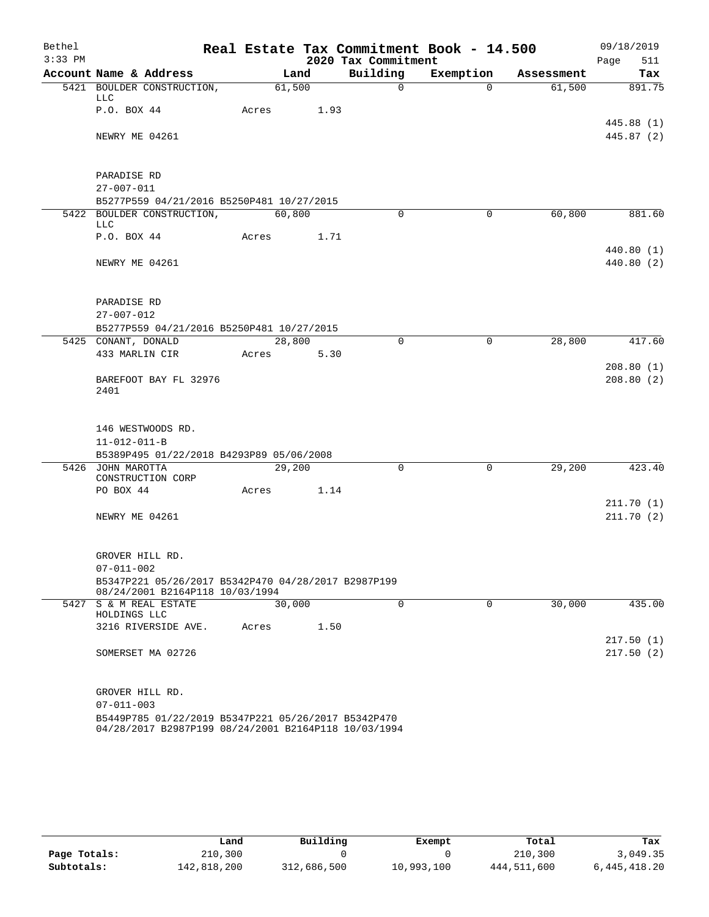| Bethel<br>$3:33$ PM |                      |                                                                                                             |       |                |      | Real Estate Tax Commitment Book - 14.500 |           |             |            |      | 09/18/2019    |
|---------------------|----------------------|-------------------------------------------------------------------------------------------------------------|-------|----------------|------|------------------------------------------|-----------|-------------|------------|------|---------------|
|                     |                      | Account Name & Address                                                                                      |       |                |      | 2020 Tax Commitment<br>Building          |           |             | Assessment | Page | 511           |
|                     |                      | 5421 BOULDER CONSTRUCTION,                                                                                  |       | Land<br>61,500 |      | $\Omega$                                 | Exemption | $\Omega$    | 61,500     |      | Tax<br>891.75 |
|                     | LLC                  |                                                                                                             |       |                |      |                                          |           |             |            |      |               |
|                     | P.O. BOX 44          |                                                                                                             | Acres |                | 1.93 |                                          |           |             |            |      |               |
|                     |                      |                                                                                                             |       |                |      |                                          |           |             |            |      | 445.88 (1)    |
|                     | NEWRY ME 04261       |                                                                                                             |       |                |      |                                          |           |             |            |      | 445.87 (2)    |
|                     |                      |                                                                                                             |       |                |      |                                          |           |             |            |      |               |
|                     | PARADISE RD          |                                                                                                             |       |                |      |                                          |           |             |            |      |               |
|                     | $27 - 007 - 011$     |                                                                                                             |       |                |      |                                          |           |             |            |      |               |
|                     |                      | B5277P559 04/21/2016 B5250P481 10/27/2015                                                                   |       |                |      |                                          |           |             |            |      |               |
|                     |                      | 5422 BOULDER CONSTRUCTION,                                                                                  |       | 60,800         |      | $\Omega$                                 |           | 0           | 60,800     |      | 881.60        |
|                     | LLC                  |                                                                                                             |       |                |      |                                          |           |             |            |      |               |
|                     | P.O. BOX 44          |                                                                                                             | Acres |                | 1.71 |                                          |           |             |            |      |               |
|                     |                      |                                                                                                             |       |                |      |                                          |           |             |            |      | 440.80 (1)    |
|                     | NEWRY ME 04261       |                                                                                                             |       |                |      |                                          |           |             |            |      | 440.80 (2)    |
|                     |                      |                                                                                                             |       |                |      |                                          |           |             |            |      |               |
|                     | PARADISE RD          |                                                                                                             |       |                |      |                                          |           |             |            |      |               |
|                     | $27 - 007 - 012$     |                                                                                                             |       |                |      |                                          |           |             |            |      |               |
|                     |                      | B5277P559 04/21/2016 B5250P481 10/27/2015                                                                   |       |                |      |                                          |           |             |            |      |               |
|                     | 5425 CONANT, DONALD  |                                                                                                             |       | 28,800         |      | $\Omega$                                 |           | 0           | 28,800     |      | 417.60        |
|                     |                      | 433 MARLIN CIR                                                                                              | Acres |                | 5.30 |                                          |           |             |            |      |               |
|                     |                      |                                                                                                             |       |                |      |                                          |           |             |            |      | 208.80(1)     |
|                     | 2401                 | BAREFOOT BAY FL 32976                                                                                       |       |                |      |                                          |           |             |            |      | 208.80(2)     |
|                     |                      |                                                                                                             |       |                |      |                                          |           |             |            |      |               |
|                     |                      |                                                                                                             |       |                |      |                                          |           |             |            |      |               |
|                     |                      | 146 WESTWOODS RD.                                                                                           |       |                |      |                                          |           |             |            |      |               |
|                     | $11 - 012 - 011 - B$ |                                                                                                             |       |                |      |                                          |           |             |            |      |               |
|                     |                      | B5389P495 01/22/2018 B4293P89 05/06/2008                                                                    |       |                |      |                                          |           |             |            |      |               |
|                     | 5426 JOHN MAROTTA    | CONSTRUCTION CORP                                                                                           |       | 29,200         |      | $\mathbf 0$                              |           | $\mathbf 0$ | 29,200     |      | 423.40        |
|                     | PO BOX 44            |                                                                                                             | Acres |                | 1.14 |                                          |           |             |            |      |               |
|                     |                      |                                                                                                             |       |                |      |                                          |           |             |            |      | 211.70(1)     |
|                     | NEWRY ME 04261       |                                                                                                             |       |                |      |                                          |           |             |            |      | 211.70(2)     |
|                     |                      |                                                                                                             |       |                |      |                                          |           |             |            |      |               |
|                     |                      |                                                                                                             |       |                |      |                                          |           |             |            |      |               |
|                     | GROVER HILL RD.      |                                                                                                             |       |                |      |                                          |           |             |            |      |               |
|                     | $07 - 011 - 002$     | B5347P221 05/26/2017 B5342P470 04/28/2017 B2987P199                                                         |       |                |      |                                          |           |             |            |      |               |
|                     |                      | 08/24/2001 B2164P118 10/03/1994                                                                             |       |                |      |                                          |           |             |            |      |               |
|                     |                      | 5427 S & M REAL ESTATE                                                                                      |       | 30,000         |      | $\mathbf 0$                              |           | 0           | 30,000     |      | 435.00        |
|                     | HOLDINGS LLC         | 3216 RIVERSIDE AVE.                                                                                         | Acres |                | 1.50 |                                          |           |             |            |      |               |
|                     |                      |                                                                                                             |       |                |      |                                          |           |             |            |      | 217.50(1)     |
|                     |                      | SOMERSET MA 02726                                                                                           |       |                |      |                                          |           |             |            |      | 217.50(2)     |
|                     |                      |                                                                                                             |       |                |      |                                          |           |             |            |      |               |
|                     |                      |                                                                                                             |       |                |      |                                          |           |             |            |      |               |
|                     | GROVER HILL RD.      |                                                                                                             |       |                |      |                                          |           |             |            |      |               |
|                     | $07 - 011 - 003$     |                                                                                                             |       |                |      |                                          |           |             |            |      |               |
|                     |                      | B5449P785 01/22/2019 B5347P221 05/26/2017 B5342P470<br>04/28/2017 B2987P199 08/24/2001 B2164P118 10/03/1994 |       |                |      |                                          |           |             |            |      |               |

|              | Land        | Building    | Exempt     | Total       | Tax          |
|--------------|-------------|-------------|------------|-------------|--------------|
| Page Totals: | 210,300     |             |            | 210,300     | 3,049.35     |
| Subtotals:   | 142,818,200 | 312,686,500 | 10,993,100 | 444,511,600 | 6,445,418.20 |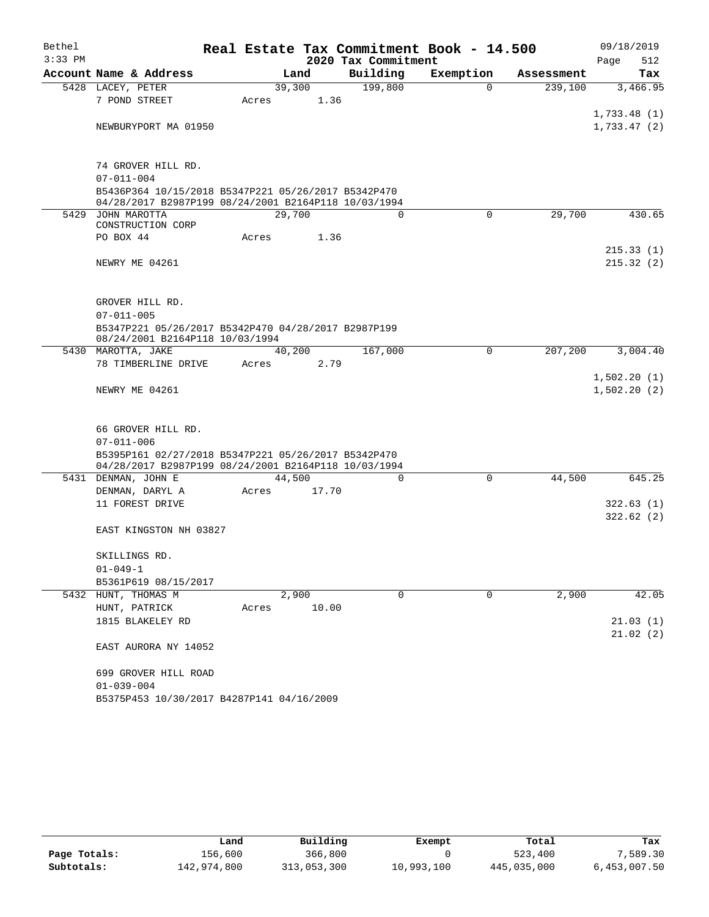| Bethel    |                                                                                                             |       |        |       | Real Estate Tax Commitment Book - 14.500 |           |             |            | 09/18/2019                 |           |
|-----------|-------------------------------------------------------------------------------------------------------------|-------|--------|-------|------------------------------------------|-----------|-------------|------------|----------------------------|-----------|
| $3:33$ PM |                                                                                                             |       |        |       | 2020 Tax Commitment                      |           |             |            | Page                       | 512       |
|           | Account Name & Address                                                                                      |       | Land   |       | Building                                 | Exemption |             | Assessment |                            | Tax       |
|           | 5428 LACEY, PETER                                                                                           |       | 39,300 |       | 199,800                                  |           | $\mathbf 0$ | 239,100    |                            | 3,466.95  |
|           | 7 POND STREET                                                                                               | Acres |        | 1.36  |                                          |           |             |            |                            |           |
|           | NEWBURYPORT MA 01950                                                                                        |       |        |       |                                          |           |             |            | 1,733.48(1)<br>1,733.47(2) |           |
|           |                                                                                                             |       |        |       |                                          |           |             |            |                            |           |
|           | 74 GROVER HILL RD.                                                                                          |       |        |       |                                          |           |             |            |                            |           |
|           | $07 - 011 - 004$                                                                                            |       |        |       |                                          |           |             |            |                            |           |
|           | B5436P364 10/15/2018 B5347P221 05/26/2017 B5342P470<br>04/28/2017 B2987P199 08/24/2001 B2164P118 10/03/1994 |       |        |       |                                          |           |             |            |                            |           |
|           | 5429 JOHN MAROTTA                                                                                           |       | 29,700 |       | $\Omega$                                 |           | $\Omega$    | 29,700     |                            | 430.65    |
|           | CONSTRUCTION CORP<br>PO BOX 44                                                                              | Acres |        | 1.36  |                                          |           |             |            |                            |           |
|           |                                                                                                             |       |        |       |                                          |           |             |            |                            | 215.33(1) |
|           | NEWRY ME 04261                                                                                              |       |        |       |                                          |           |             |            |                            | 215.32(2) |
|           |                                                                                                             |       |        |       |                                          |           |             |            |                            |           |
|           | GROVER HILL RD.                                                                                             |       |        |       |                                          |           |             |            |                            |           |
|           | $07 - 011 - 005$                                                                                            |       |        |       |                                          |           |             |            |                            |           |
|           | B5347P221 05/26/2017 B5342P470 04/28/2017 B2987P199<br>08/24/2001 B2164P118 10/03/1994                      |       |        |       |                                          |           |             |            |                            |           |
|           | 5430 MAROTTA, JAKE                                                                                          |       | 40,200 |       | 167,000                                  |           | $\mathbf 0$ | 207,200    |                            | 3,004.40  |
|           | 78 TIMBERLINE DRIVE                                                                                         | Acres |        | 2.79  |                                          |           |             |            |                            |           |
|           | NEWRY ME 04261                                                                                              |       |        |       |                                          |           |             |            | 1,502.20(1)<br>1,502.20(2) |           |
|           |                                                                                                             |       |        |       |                                          |           |             |            |                            |           |
|           | 66 GROVER HILL RD.                                                                                          |       |        |       |                                          |           |             |            |                            |           |
|           | $07 - 011 - 006$                                                                                            |       |        |       |                                          |           |             |            |                            |           |
|           | B5395P161 02/27/2018 B5347P221 05/26/2017 B5342P470<br>04/28/2017 B2987P199 08/24/2001 B2164P118 10/03/1994 |       |        |       |                                          |           |             |            |                            |           |
|           | 5431 DENMAN, JOHN E                                                                                         |       | 44,500 |       | $\Omega$                                 |           | $\Omega$    | 44,500     |                            | 645.25    |
|           | DENMAN, DARYL A                                                                                             | Acres |        | 17.70 |                                          |           |             |            |                            |           |
|           | 11 FOREST DRIVE                                                                                             |       |        |       |                                          |           |             |            |                            | 322.63(1) |
|           | EAST KINGSTON NH 03827                                                                                      |       |        |       |                                          |           |             |            |                            | 322.62(2) |
|           | SKILLINGS RD.                                                                                               |       |        |       |                                          |           |             |            |                            |           |
|           | $01 - 049 - 1$                                                                                              |       |        |       |                                          |           |             |            |                            |           |
|           | B5361P619 08/15/2017                                                                                        |       |        |       |                                          |           |             |            |                            |           |
|           | 5432 HUNT, THOMAS M                                                                                         |       | 2,900  |       | $\mathbf 0$                              |           | $\mathbf 0$ | 2,900      |                            | 42.05     |
|           | HUNT, PATRICK                                                                                               | Acres |        | 10.00 |                                          |           |             |            |                            |           |
|           | 1815 BLAKELEY RD                                                                                            |       |        |       |                                          |           |             |            |                            | 21.03(1)  |
|           | EAST AURORA NY 14052                                                                                        |       |        |       |                                          |           |             |            |                            | 21.02(2)  |
|           | 699 GROVER HILL ROAD                                                                                        |       |        |       |                                          |           |             |            |                            |           |
|           | $01 - 039 - 004$                                                                                            |       |        |       |                                          |           |             |            |                            |           |
|           | B5375P453 10/30/2017 B4287P141 04/16/2009                                                                   |       |        |       |                                          |           |             |            |                            |           |

|              | Land        | Building    | Exempt     | Total       | Tax          |
|--------------|-------------|-------------|------------|-------------|--------------|
| Page Totals: | 156.600     | 366,800     |            | 523,400     | 7,589.30     |
| Subtotals:   | 142,974,800 | 313,053,300 | 10,993,100 | 445,035,000 | 6,453,007.50 |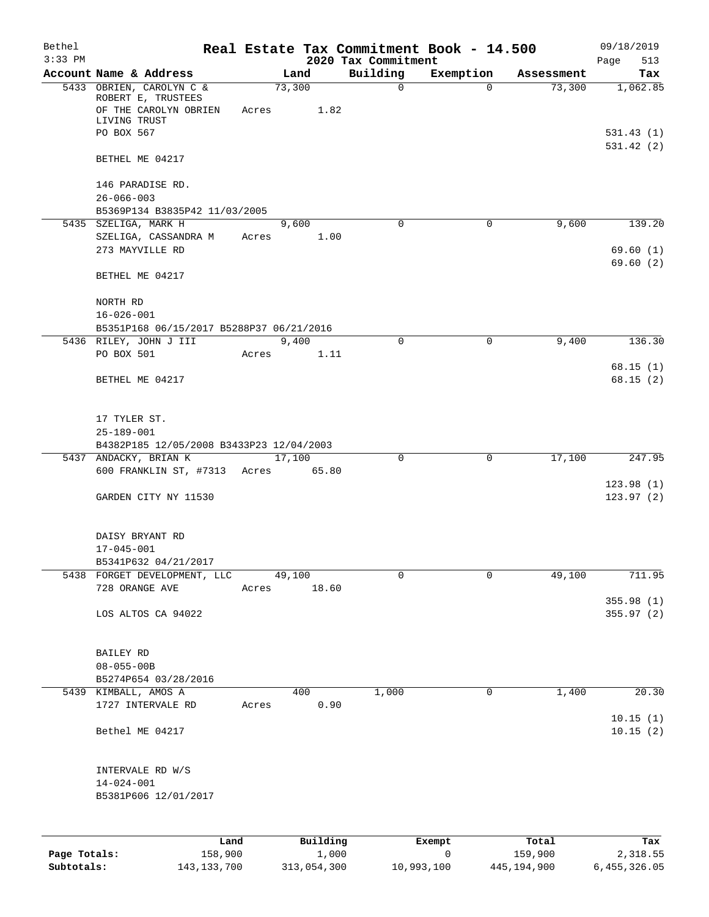| Bethel<br>$3:33$ PM |                                                                                                       |       |        |                   | 2020 Tax Commitment | Real Estate Tax Commitment Book - 14.500 |                  | 09/18/2019<br>513<br>Page |
|---------------------|-------------------------------------------------------------------------------------------------------|-------|--------|-------------------|---------------------|------------------------------------------|------------------|---------------------------|
|                     | Account Name & Address                                                                                |       | Land   |                   | Building            | Exemption                                | Assessment       | Tax                       |
|                     | 5433 OBRIEN, CAROLYN C &<br>ROBERT E, TRUSTEES<br>OF THE CAROLYN OBRIEN<br>LIVING TRUST<br>PO BOX 567 | Acres | 73,300 | 1.82              | $\mathsf{O}$        | $\Omega$                                 | 73,300           | 1,062.85<br>531.43(1)     |
|                     | BETHEL ME 04217                                                                                       |       |        |                   |                     |                                          |                  | 531.42(2)                 |
|                     | 146 PARADISE RD.<br>$26 - 066 - 003$<br>B5369P134 B3835P42 11/03/2005                                 |       |        |                   |                     |                                          |                  |                           |
|                     | 5435 SZELIGA, MARK H                                                                                  |       | 9,600  |                   | $\mathbf 0$         | $\mathbf 0$                              | 9,600            | 139.20                    |
|                     | SZELIGA, CASSANDRA M<br>273 MAYVILLE RD                                                               | Acres |        | 1.00              |                     |                                          |                  | 69.60(1)<br>69.60(2)      |
|                     | BETHEL ME 04217                                                                                       |       |        |                   |                     |                                          |                  |                           |
|                     | NORTH RD<br>$16 - 026 - 001$                                                                          |       |        |                   |                     |                                          |                  |                           |
|                     | B5351P168 06/15/2017 B5288P37 06/21/2016                                                              |       |        |                   |                     |                                          |                  |                           |
|                     | 5436 RILEY, JOHN J III                                                                                |       | 9,400  |                   | $\Omega$            | $\Omega$                                 | 9,400            | 136.30                    |
|                     | PO BOX 501                                                                                            | Acres |        | 1.11              |                     |                                          |                  |                           |
|                     | BETHEL ME 04217                                                                                       |       |        |                   |                     |                                          |                  | 68.15(1)<br>68.15(2)      |
|                     | 17 TYLER ST.<br>$25 - 189 - 001$                                                                      |       |        |                   |                     |                                          |                  |                           |
|                     | B4382P185 12/05/2008 B3433P23 12/04/2003                                                              |       |        |                   |                     |                                          |                  |                           |
|                     | 5437 ANDACKY, BRIAN K                                                                                 |       | 17,100 |                   | 0                   | $\mathbf 0$                              | 17,100           | 247.95                    |
|                     | 600 FRANKLIN ST, #7313 Acres 65.80<br>GARDEN CITY NY 11530                                            |       |        |                   |                     |                                          |                  | 123.98(1)<br>123.97(2)    |
|                     | DAISY BRYANT RD<br>$17 - 045 - 001$                                                                   |       |        |                   |                     |                                          |                  |                           |
|                     | B5341P632 04/21/2017                                                                                  |       |        |                   |                     |                                          |                  |                           |
|                     | 5438 FORGET DEVELOPMENT, LLC<br>728 ORANGE AVE                                                        | Acres | 49,100 | 18.60             | 0                   | $\mathbf 0$                              | 49,100           | 711.95                    |
|                     | LOS ALTOS CA 94022                                                                                    |       |        |                   |                     |                                          |                  | 355.98 (1)<br>355.97(2)   |
|                     | BAILEY RD<br>$08 - 055 - 00B$<br>B5274P654 03/28/2016                                                 |       |        |                   |                     |                                          |                  |                           |
|                     | 5439 KIMBALL, AMOS A                                                                                  |       | 400    |                   | 1,000               | 0                                        | 1,400            | 20.30                     |
|                     | 1727 INTERVALE RD                                                                                     | Acres |        | 0.90              |                     |                                          |                  | 10.15(1)                  |
|                     | Bethel ME 04217                                                                                       |       |        |                   |                     |                                          |                  | 10.15(2)                  |
|                     | INTERVALE RD W/S<br>$14 - 024 - 001$<br>B5381P606 12/01/2017                                          |       |        |                   |                     |                                          |                  |                           |
|                     |                                                                                                       |       |        |                   |                     |                                          |                  |                           |
| Page Totals:        | Land<br>158,900                                                                                       |       |        | Building<br>1,000 |                     | Exempt<br>0                              | Total<br>159,900 | Tax<br>2,318.55           |

**Subtotals:** 143,133,700 313,054,300 10,993,100 445,194,900 6,455,326.05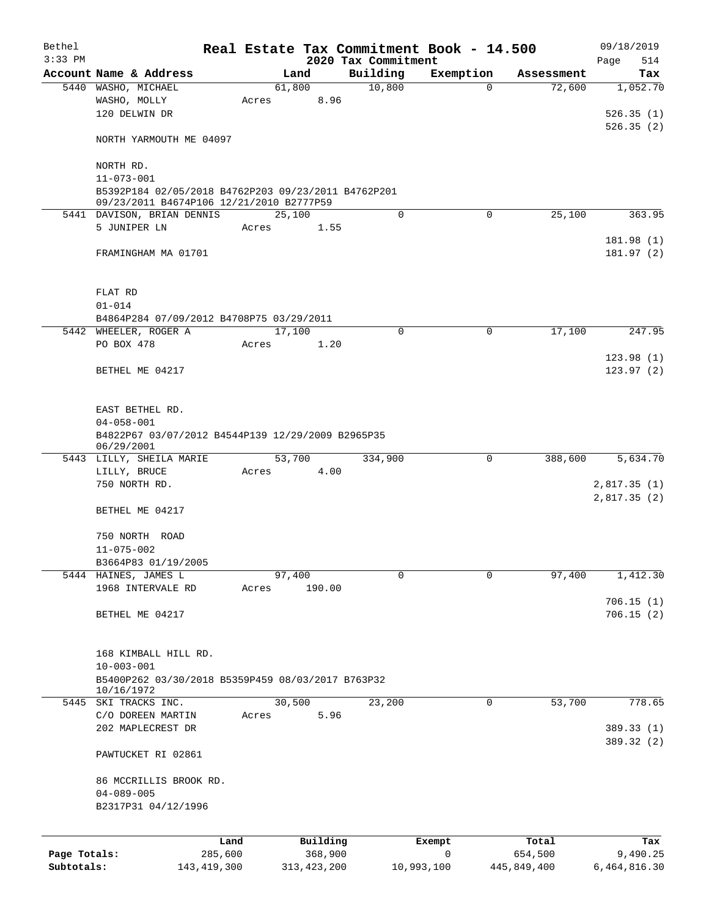| Bethel       |                                                                        |       |                |                     | Real Estate Tax Commitment Book - 14.500 |                      | 09/18/2019   |
|--------------|------------------------------------------------------------------------|-------|----------------|---------------------|------------------------------------------|----------------------|--------------|
| $3:33$ PM    |                                                                        |       |                | 2020 Tax Commitment |                                          |                      | 514<br>Page  |
|              | Account Name & Address                                                 |       | Land<br>61,800 | Building<br>10,800  | Exemption<br>$\Omega$                    | Assessment<br>72,600 | Tax          |
|              | 5440 WASHO, MICHAEL<br>WASHO, MOLLY                                    | Acres | 8.96           |                     |                                          |                      | 1,052.70     |
|              | 120 DELWIN DR                                                          |       |                |                     |                                          |                      | 526.35(1)    |
|              |                                                                        |       |                |                     |                                          |                      | 526.35(2)    |
|              | NORTH YARMOUTH ME 04097                                                |       |                |                     |                                          |                      |              |
|              |                                                                        |       |                |                     |                                          |                      |              |
|              | NORTH RD.                                                              |       |                |                     |                                          |                      |              |
|              | $11 - 073 - 001$                                                       |       |                |                     |                                          |                      |              |
|              | B5392P184 02/05/2018 B4762P203 09/23/2011 B4762P201                    |       |                |                     |                                          |                      |              |
|              | 09/23/2011 B4674P106 12/21/2010 B2777P59<br>5441 DAVISON, BRIAN DENNIS |       | 25,100         | $\mathbf 0$         | $\Omega$                                 | 25,100               | 363.95       |
|              | 5 JUNIPER LN                                                           | Acres | 1.55           |                     |                                          |                      |              |
|              |                                                                        |       |                |                     |                                          |                      | 181.98 (1)   |
|              | FRAMINGHAM MA 01701                                                    |       |                |                     |                                          |                      | 181.97 (2)   |
|              |                                                                        |       |                |                     |                                          |                      |              |
|              |                                                                        |       |                |                     |                                          |                      |              |
|              | FLAT RD                                                                |       |                |                     |                                          |                      |              |
|              | $01 - 014$                                                             |       |                |                     |                                          |                      |              |
|              | B4864P284 07/09/2012 B4708P75 03/29/2011                               |       |                |                     |                                          |                      |              |
|              | 5442 WHEELER, ROGER A                                                  |       | 17,100         | $\mathbf 0$         | 0                                        | 17,100               | 247.95       |
|              | PO BOX 478                                                             | Acres | 1.20           |                     |                                          |                      |              |
|              |                                                                        |       |                |                     |                                          |                      | 123.98(1)    |
|              | BETHEL ME 04217                                                        |       |                |                     |                                          |                      | 123.97(2)    |
|              |                                                                        |       |                |                     |                                          |                      |              |
|              | EAST BETHEL RD.                                                        |       |                |                     |                                          |                      |              |
|              | $04 - 058 - 001$                                                       |       |                |                     |                                          |                      |              |
|              | B4822P67 03/07/2012 B4544P139 12/29/2009 B2965P35                      |       |                |                     |                                          |                      |              |
|              | 06/29/2001                                                             |       |                |                     |                                          |                      |              |
|              | 5443 LILLY, SHEILA MARIE                                               |       | 53,700         | 334,900             | 0                                        | 388,600              | 5,634.70     |
|              | LILLY, BRUCE                                                           | Acres | 4.00           |                     |                                          |                      |              |
|              | 750 NORTH RD.                                                          |       |                |                     |                                          |                      | 2,817.35(1)  |
|              |                                                                        |       |                |                     |                                          |                      | 2,817.35(2)  |
|              | BETHEL ME 04217                                                        |       |                |                     |                                          |                      |              |
|              |                                                                        |       |                |                     |                                          |                      |              |
|              | 750 NORTH ROAD<br>$11 - 075 - 002$                                     |       |                |                     |                                          |                      |              |
|              | B3664P83 01/19/2005                                                    |       |                |                     |                                          |                      |              |
|              | 5444 HAINES, JAMES L                                                   |       | 97,400         | $\mathbf 0$         | $\mathbf 0$                              | 97,400               | 1,412.30     |
|              | 1968 INTERVALE RD                                                      | Acres | 190.00         |                     |                                          |                      |              |
|              |                                                                        |       |                |                     |                                          |                      | 706.15(1)    |
|              | BETHEL ME 04217                                                        |       |                |                     |                                          |                      | 706.15(2)    |
|              |                                                                        |       |                |                     |                                          |                      |              |
|              |                                                                        |       |                |                     |                                          |                      |              |
|              | 168 KIMBALL HILL RD.                                                   |       |                |                     |                                          |                      |              |
|              | $10 - 003 - 001$                                                       |       |                |                     |                                          |                      |              |
|              | B5400P262 03/30/2018 B5359P459 08/03/2017 B763P32                      |       |                |                     |                                          |                      |              |
|              | 10/16/1972<br>5445 SKI TRACKS INC.                                     |       | 30,500         | 23,200              | 0                                        | 53,700               | 778.65       |
|              | C/O DOREEN MARTIN                                                      | Acres | 5.96           |                     |                                          |                      |              |
|              | 202 MAPLECREST DR                                                      |       |                |                     |                                          |                      | 389.33 (1)   |
|              |                                                                        |       |                |                     |                                          |                      | 389.32 (2)   |
|              | PAWTUCKET RI 02861                                                     |       |                |                     |                                          |                      |              |
|              |                                                                        |       |                |                     |                                          |                      |              |
|              | 86 MCCRILLIS BROOK RD.                                                 |       |                |                     |                                          |                      |              |
|              | $04 - 089 - 005$                                                       |       |                |                     |                                          |                      |              |
|              | B2317P31 04/12/1996                                                    |       |                |                     |                                          |                      |              |
|              |                                                                        |       |                |                     |                                          |                      |              |
|              | Land                                                                   |       | Building       |                     | Exempt                                   | Total                | Tax          |
| Page Totals: | 285,600                                                                |       | 368,900        |                     | $\mathbf 0$                              | 654,500              | 9,490.25     |
| Subtotals:   | 143, 419, 300                                                          |       | 313, 423, 200  |                     | 10,993,100                               | 445,849,400          | 6,464,816.30 |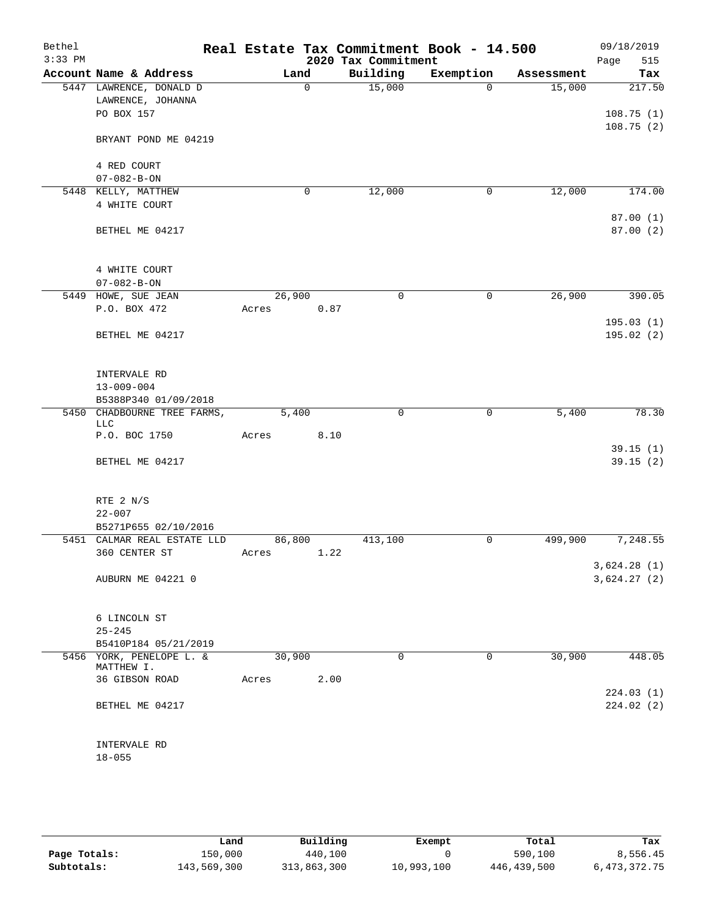| Bethel<br>$3:33$ PM |                                                            |                 |          | 2020 Tax Commitment | Real Estate Tax Commitment Book - 14.500 |            | 09/18/2019<br>Page<br>515  |
|---------------------|------------------------------------------------------------|-----------------|----------|---------------------|------------------------------------------|------------|----------------------------|
|                     | Account Name & Address                                     | Land            |          | Building            | Exemption                                | Assessment | Tax                        |
|                     | 5447 LAWRENCE, DONALD D<br>LAWRENCE, JOHANNA<br>PO BOX 157 |                 | $\Omega$ | 15,000              | $\Omega$                                 | 15,000     | 217.50<br>108.75(1)        |
|                     | BRYANT POND ME 04219                                       |                 |          |                     |                                          |            | 108.75(2)                  |
|                     | 4 RED COURT                                                |                 |          |                     |                                          |            |                            |
|                     | $07 - 082 - B - ON$                                        |                 |          |                     |                                          |            |                            |
|                     | 5448 KELLY, MATTHEW                                        |                 | 0        | 12,000              | 0                                        | 12,000     | 174.00                     |
|                     | 4 WHITE COURT                                              |                 |          |                     |                                          |            | 87.00 (1)                  |
|                     | BETHEL ME 04217                                            |                 |          |                     |                                          |            | 87.00 (2)                  |
|                     | 4 WHITE COURT                                              |                 |          |                     |                                          |            |                            |
|                     | $07 - 082 - B - ON$                                        |                 |          |                     |                                          |            |                            |
|                     | 5449 HOWE, SUE JEAN                                        | 26,900          |          | $\mathbf 0$         | $\mathbf 0$                              | 26,900     | 390.05                     |
|                     | P.O. BOX 472                                               | Acres           | 0.87     |                     |                                          |            | 195.03(1)                  |
|                     | BETHEL ME 04217                                            |                 |          |                     |                                          |            | 195.02(2)                  |
|                     | INTERVALE RD<br>$13 - 009 - 004$                           |                 |          |                     |                                          |            |                            |
|                     | B5388P340 01/09/2018                                       |                 |          |                     |                                          |            |                            |
| 5450                | CHADBOURNE TREE FARMS,<br><b>LLC</b><br>P.O. BOC 1750      | 5,400<br>Acres  | 8.10     | $\mathbf 0$         | 0                                        | 5,400      | 78.30                      |
|                     |                                                            |                 |          |                     |                                          |            | 39.15(1)                   |
|                     | BETHEL ME 04217                                            |                 |          |                     |                                          |            | 39.15(2)                   |
|                     | RTE 2 N/S<br>$22 - 007$                                    |                 |          |                     |                                          |            |                            |
|                     | B5271P655 02/10/2016                                       |                 |          |                     |                                          |            |                            |
|                     | 5451 CALMAR REAL ESTATE LLD<br>360 CENTER ST               | 86,800<br>Acres | 1.22     | 413,100             | 0                                        | 499,900    | 7,248.55                   |
|                     | AUBURN ME 04221 0                                          |                 |          |                     |                                          |            | 3,624.28(1)<br>3,624.27(2) |
|                     | 6 LINCOLN ST                                               |                 |          |                     |                                          |            |                            |
|                     | $25 - 245$<br>B5410P184 05/21/2019                         |                 |          |                     |                                          |            |                            |
|                     | 5456 YORK, PENELOPE L. &                                   | 30,900          |          | 0                   | $\mathbf 0$                              | 30,900     | 448.05                     |
|                     | MATTHEW I.<br>36 GIBSON ROAD                               | Acres           | 2.00     |                     |                                          |            |                            |
|                     |                                                            |                 |          |                     |                                          |            | 224.03(1)                  |
|                     | BETHEL ME 04217                                            |                 |          |                     |                                          |            | 224.02(2)                  |
|                     | INTERVALE RD<br>$18 - 055$                                 |                 |          |                     |                                          |            |                            |

|              | Land        | Building    | Exempt     | Total       | Tax             |
|--------------|-------------|-------------|------------|-------------|-----------------|
| Page Totals: | 150,000     | 440,100     |            | 590,100     | 8,556.45        |
| Subtotals:   | 143,569,300 | 313,863,300 | 10,993,100 | 446,439,500 | 6, 473, 372. 75 |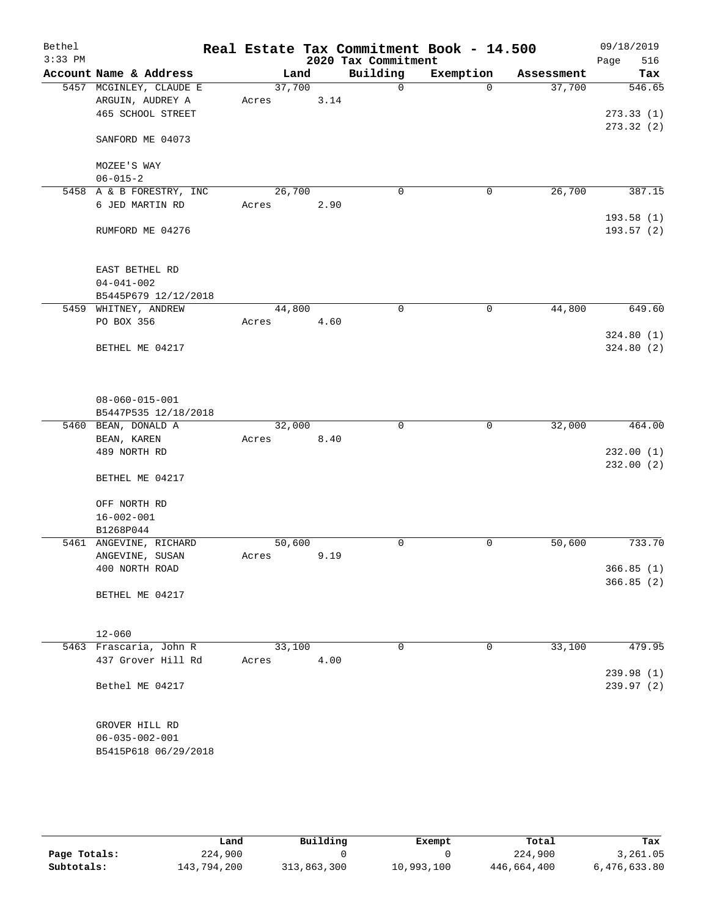| Bethel<br>$3:33$ PM |                                                                  |                 |      | 2020 Tax Commitment | Real Estate Tax Commitment Book - 14.500 |            | 09/18/2019<br>516<br>Page |
|---------------------|------------------------------------------------------------------|-----------------|------|---------------------|------------------------------------------|------------|---------------------------|
|                     | Account Name & Address                                           | Land            |      | Building            | Exemption                                | Assessment | Tax                       |
|                     | 5457 MCGINLEY, CLAUDE E<br>ARGUIN, AUDREY A                      | 37,700<br>Acres | 3.14 | $\Omega$            | $\Omega$                                 | 37,700     | 546.65                    |
|                     | 465 SCHOOL STREET                                                |                 |      |                     |                                          |            | 273.33(1)<br>273.32(2)    |
|                     | SANFORD ME 04073                                                 |                 |      |                     |                                          |            |                           |
|                     | MOZEE'S WAY<br>$06 - 015 - 2$                                    |                 |      |                     |                                          |            |                           |
|                     | 5458 A & B FORESTRY, INC                                         | 26,700          |      | $\mathbf 0$         | $\mathbf 0$                              | 26,700     | 387.15                    |
|                     | 6 JED MARTIN RD                                                  | Acres           | 2.90 |                     |                                          |            | 193.58(1)                 |
|                     | RUMFORD ME 04276                                                 |                 |      |                     |                                          |            | 193.57 (2)                |
|                     | EAST BETHEL RD                                                   |                 |      |                     |                                          |            |                           |
|                     | $04 - 041 - 002$                                                 |                 |      |                     |                                          |            |                           |
|                     | B5445P679 12/12/2018                                             |                 |      |                     |                                          | 44,800     |                           |
|                     | 5459 WHITNEY, ANDREW<br>PO BOX 356                               | 44,800<br>Acres | 4.60 | $\mathbf 0$         | $\mathbf 0$                              |            | 649.60                    |
|                     |                                                                  |                 |      |                     |                                          |            | 324.80(1)                 |
|                     | BETHEL ME 04217                                                  |                 |      |                     |                                          |            | 324.80(2)                 |
|                     | $08 - 060 - 015 - 001$<br>B5447P535 12/18/2018                   |                 |      |                     |                                          |            |                           |
|                     | 5460 BEAN, DONALD A                                              | 32,000          |      | $\mathbf 0$         | 0                                        | 32,000     | 464.00                    |
|                     | BEAN, KAREN                                                      | Acres           | 8.40 |                     |                                          |            |                           |
|                     | 489 NORTH RD                                                     |                 |      |                     |                                          |            | 232.00(1)<br>232.00(2)    |
|                     | BETHEL ME 04217                                                  |                 |      |                     |                                          |            |                           |
|                     | OFF NORTH RD                                                     |                 |      |                     |                                          |            |                           |
|                     | $16 - 002 - 001$                                                 |                 |      |                     |                                          |            |                           |
|                     | B1268P044<br>5461 ANGEVINE, RICHARD                              |                 |      | $\mathbf 0$         | 0                                        |            | 733.70                    |
|                     | ANGEVINE, SUSAN                                                  | 50,600<br>Acres | 9.19 |                     |                                          | 50,600     |                           |
|                     | 400 NORTH ROAD                                                   |                 |      |                     |                                          |            | 366.85(1)                 |
|                     | BETHEL ME 04217                                                  |                 |      |                     |                                          |            | 366.85(2)                 |
|                     | $12 - 060$                                                       |                 |      |                     |                                          |            |                           |
|                     | 5463 Frascaria, John R                                           | 33,100          |      | 0                   | 0                                        | 33,100     | 479.95                    |
|                     | 437 Grover Hill Rd                                               | Acres           | 4.00 |                     |                                          |            |                           |
|                     | Bethel ME 04217                                                  |                 |      |                     |                                          |            | 239.98(1)<br>239.97(2)    |
|                     | GROVER HILL RD<br>$06 - 035 - 002 - 001$<br>B5415P618 06/29/2018 |                 |      |                     |                                          |            |                           |

|              | Land        | Building    | Exempt     | Total       | Tax          |
|--------------|-------------|-------------|------------|-------------|--------------|
| Page Totals: | 224,900     |             |            | 224,900     | 3,261.05     |
| Subtotals:   | 143,794,200 | 313,863,300 | 10,993,100 | 446,664,400 | 6,476,633.80 |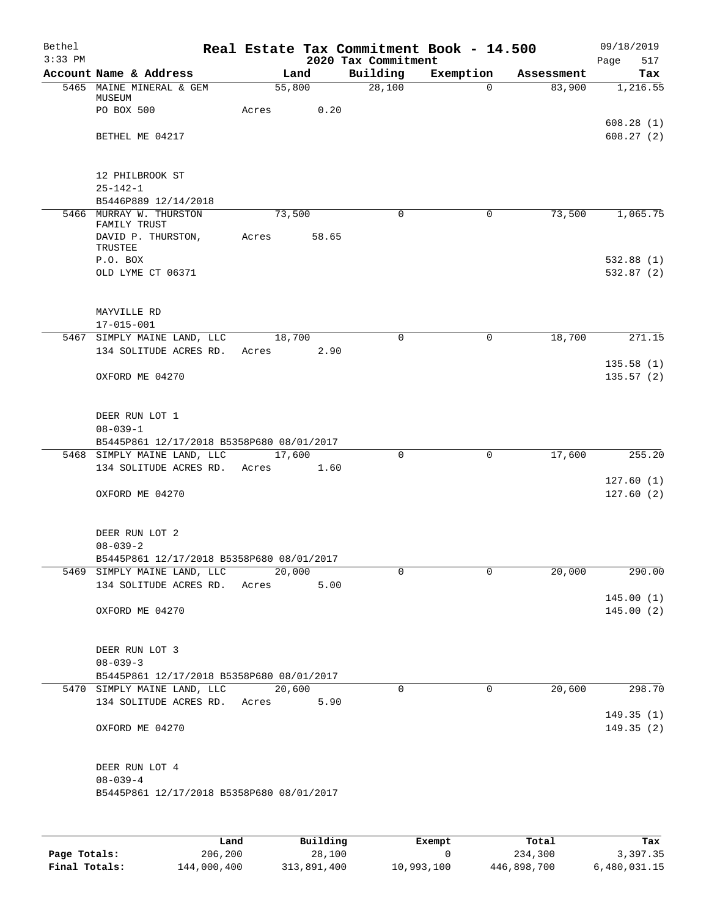| Bethel<br>$3:33$ PM |                                                             |        |       | Real Estate Tax Commitment Book - 14.500<br>2020 Tax Commitment |             |            | 09/18/2019<br>517<br>Page |
|---------------------|-------------------------------------------------------------|--------|-------|-----------------------------------------------------------------|-------------|------------|---------------------------|
|                     | Account Name & Address                                      | Land   |       | Building                                                        | Exemption   | Assessment | Tax                       |
|                     | 5465 MAINE MINERAL & GEM                                    | 55,800 |       | 28,100                                                          | $\Omega$    | 83,900     | 1,216.55                  |
|                     | MUSEUM<br>PO BOX 500                                        | Acres  | 0.20  |                                                                 |             |            |                           |
|                     |                                                             |        |       |                                                                 |             |            | 608.28(1)                 |
|                     | BETHEL ME 04217                                             |        |       |                                                                 |             |            | 608.27(2)                 |
|                     |                                                             |        |       |                                                                 |             |            |                           |
|                     |                                                             |        |       |                                                                 |             |            |                           |
|                     | 12 PHILBROOK ST<br>$25 - 142 - 1$                           |        |       |                                                                 |             |            |                           |
|                     | B5446P889 12/14/2018                                        |        |       |                                                                 |             |            |                           |
|                     | 5466 MURRAY W. THURSTON                                     | 73,500 |       | 0                                                               | 0           | 73,500     | 1,065.75                  |
|                     | FAMILY TRUST                                                |        |       |                                                                 |             |            |                           |
|                     | DAVID P. THURSTON,<br>TRUSTEE                               | Acres  | 58.65 |                                                                 |             |            |                           |
|                     | P.O. BOX                                                    |        |       |                                                                 |             |            | 532.88(1)                 |
|                     | OLD LYME CT 06371                                           |        |       |                                                                 |             |            | 532.87(2)                 |
|                     |                                                             |        |       |                                                                 |             |            |                           |
|                     | MAYVILLE RD                                                 |        |       |                                                                 |             |            |                           |
|                     | $17 - 015 - 001$                                            |        |       |                                                                 |             |            |                           |
|                     | 5467 SIMPLY MAINE LAND, LLC                                 | 18,700 |       | 0                                                               | $\mathbf 0$ | 18,700     | 271.15                    |
|                     | 134 SOLITUDE ACRES RD.                                      | Acres  | 2.90  |                                                                 |             |            |                           |
|                     |                                                             |        |       |                                                                 |             |            | 135.58(1)                 |
|                     | OXFORD ME 04270                                             |        |       |                                                                 |             |            | 135.57(2)                 |
|                     |                                                             |        |       |                                                                 |             |            |                           |
|                     | DEER RUN LOT 1                                              |        |       |                                                                 |             |            |                           |
|                     | $08 - 039 - 1$                                              |        |       |                                                                 |             |            |                           |
|                     | B5445P861 12/17/2018 B5358P680 08/01/2017                   |        |       |                                                                 |             |            |                           |
|                     | 5468 SIMPLY MAINE LAND, LLC                                 | 17,600 |       | $\mathbf 0$                                                     | $\mathbf 0$ | 17,600     | 255.20                    |
|                     | 134 SOLITUDE ACRES RD.                                      | Acres  | 1.60  |                                                                 |             |            | 127.60(1)                 |
|                     | OXFORD ME 04270                                             |        |       |                                                                 |             |            | 127.60(2)                 |
|                     |                                                             |        |       |                                                                 |             |            |                           |
|                     |                                                             |        |       |                                                                 |             |            |                           |
|                     | DEER RUN LOT 2                                              |        |       |                                                                 |             |            |                           |
|                     | $08 - 039 - 2$<br>B5445P861 12/17/2018 B5358P680 08/01/2017 |        |       |                                                                 |             |            |                           |
|                     | 5469 SIMPLY MAINE LAND, LLC                                 | 20,000 |       | 0                                                               | 0           | 20,000     | 290.00                    |
|                     | 134 SOLITUDE ACRES RD.                                      | Acres  | 5.00  |                                                                 |             |            |                           |
|                     |                                                             |        |       |                                                                 |             |            | 145.00(1)                 |
|                     | OXFORD ME 04270                                             |        |       |                                                                 |             |            | 145.00(2)                 |
|                     |                                                             |        |       |                                                                 |             |            |                           |
|                     | DEER RUN LOT 3                                              |        |       |                                                                 |             |            |                           |
|                     | $08 - 039 - 3$                                              |        |       |                                                                 |             |            |                           |
|                     | B5445P861 12/17/2018 B5358P680 08/01/2017                   |        |       |                                                                 |             |            |                           |
|                     | 5470 SIMPLY MAINE LAND, LLC                                 | 20,600 |       | 0                                                               | 0           | 20,600     | 298.70                    |
|                     | 134 SOLITUDE ACRES RD.                                      | Acres  | 5.90  |                                                                 |             |            | 149.35(1)                 |
|                     | OXFORD ME 04270                                             |        |       |                                                                 |             |            | 149.35 (2)                |
|                     |                                                             |        |       |                                                                 |             |            |                           |
|                     |                                                             |        |       |                                                                 |             |            |                           |
|                     | DEER RUN LOT 4                                              |        |       |                                                                 |             |            |                           |
|                     | $08 - 039 - 4$<br>B5445P861 12/17/2018 B5358P680 08/01/2017 |        |       |                                                                 |             |            |                           |
|                     |                                                             |        |       |                                                                 |             |            |                           |
|                     |                                                             |        |       |                                                                 |             |            |                           |
|                     |                                                             |        |       |                                                                 |             |            |                           |

|               | Land        | Building    | Exempt     | Total       | Tax          |
|---------------|-------------|-------------|------------|-------------|--------------|
| Page Totals:  | 206,200     | 28,100      |            | 234,300     | 3,397.35     |
| Final Totals: | 144,000,400 | 313,891,400 | 10,993,100 | 446,898,700 | 6,480,031.15 |